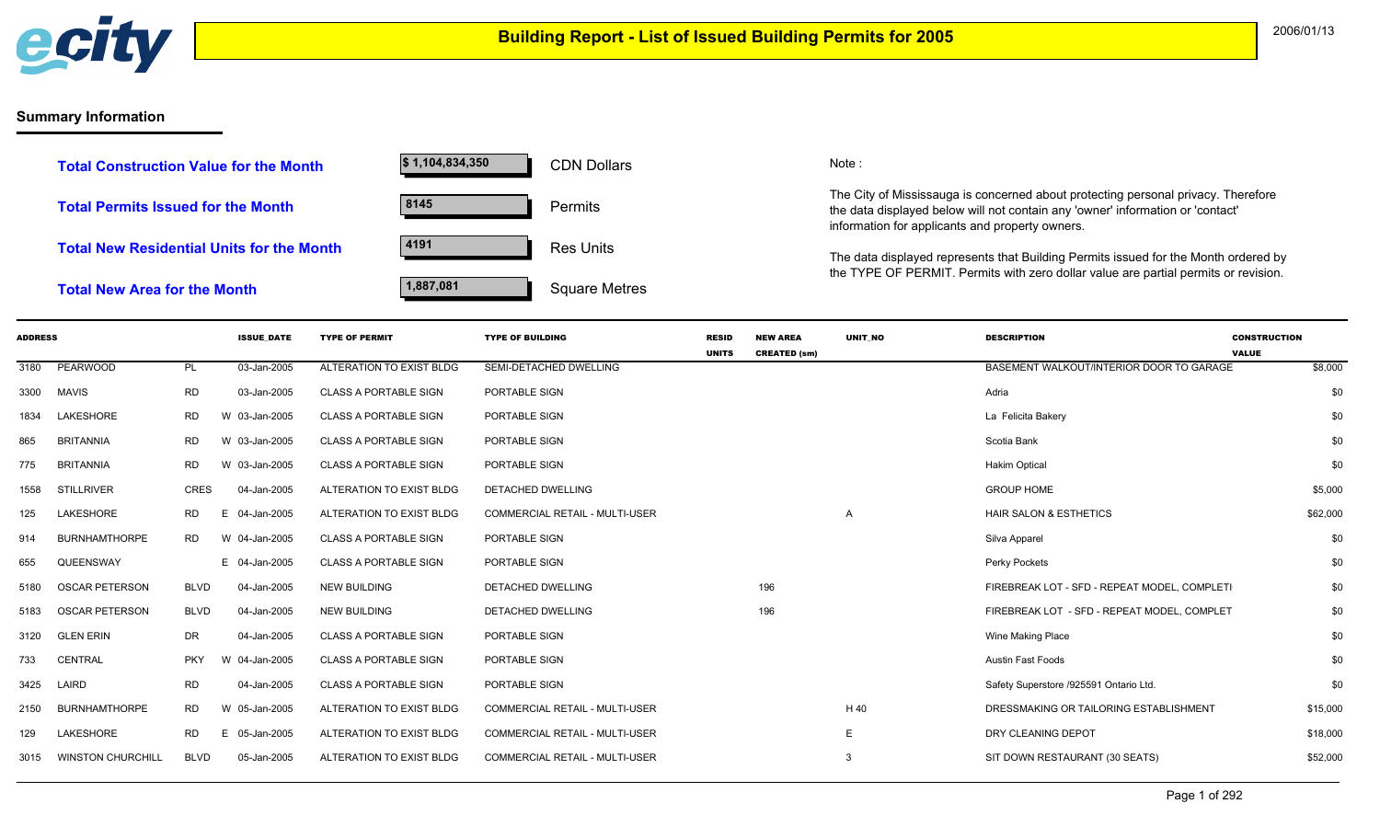

## **Summary Information**

| <b>Total Construction Value for the Month</b>    | $\frac{1}{9}$ 1,104,834,350 | <b>CDN Dollars</b>   |
|--------------------------------------------------|-----------------------------|----------------------|
| <b>Total Permits Issued for the Month</b>        | 8145                        | <b>Permits</b>       |
| <b>Total New Residential Units for the Month</b> | 4191                        | <b>Res Units</b>     |
| <b>Total New Area for the Month</b>              | 1,887,081                   | <b>Square Metres</b> |

CDN Dollars Note:

The City of Mississauga is concerned about protecting personal privacy. Therefore the data displayed below will not contain any 'owner' information or 'contact' information for applicants and property owners.

The data displayed represents that Building Permits issued for the Month ordered by the TYPE OF PERMIT. Permits with zero dollar value are partial permits or revision.

| <b>ADDRESS</b> |                          |             | <b>ISSUE DATE</b> | <b>TYPE OF PERMIT</b>        | <b>TYPE OF BUILDING</b>               | <b>RESID</b> | <b>NEW AREA</b>     | UNIT NO        | <b>DESCRIPTION</b>                           | <b>CONSTRUCTION</b>     |
|----------------|--------------------------|-------------|-------------------|------------------------------|---------------------------------------|--------------|---------------------|----------------|----------------------------------------------|-------------------------|
| 3180           | PEARWOOD                 |             | 03-Jan-2005       | ALTERATION TO EXIST BLDG     | SEMI-DETACHED DWELLING                | <b>UNITS</b> | <b>CREATED (sm)</b> |                | BASEMENT WALKOUT/INTERIOR DOOR TO GARAGE     | <b>VALUE</b><br>\$8,000 |
|                |                          | PL          |                   |                              |                                       |              |                     |                |                                              |                         |
| 3300           | <b>MAVIS</b>             | <b>RD</b>   | 03-Jan-2005       | <b>CLASS A PORTABLE SIGN</b> | PORTABLE SIGN                         |              |                     |                | Adria                                        | \$0                     |
| 1834           | LAKESHORE                | RD.         | W 03-Jan-2005     | <b>CLASS A PORTABLE SIGN</b> | PORTABLE SIGN                         |              |                     |                | La Felicita Bakery                           | \$0                     |
| 865            | <b>BRITANNIA</b>         | <b>RD</b>   | W 03-Jan-2005     | <b>CLASS A PORTABLE SIGN</b> | PORTABLE SIGN                         |              |                     |                | Scotia Bank                                  | \$0                     |
| 775            | <b>BRITANNIA</b>         | <b>RD</b>   | W 03-Jan-2005     | <b>CLASS A PORTABLE SIGN</b> | PORTABLE SIGN                         |              |                     |                | <b>Hakim Optical</b>                         | \$0                     |
| 1558           | <b>STILLRIVER</b>        | CRES        | 04-Jan-2005       | ALTERATION TO EXIST BLDG     | <b>DETACHED DWELLING</b>              |              |                     |                | <b>GROUP HOME</b>                            | \$5,000                 |
| 125            | <b>LAKESHORE</b>         | <b>RD</b>   | E 04-Jan-2005     | ALTERATION TO EXIST BLDG     | <b>COMMERCIAL RETAIL - MULTI-USER</b> |              |                     | $\overline{A}$ | HAIR SALON & ESTHETICS                       | \$62,000                |
| 914            | <b>BURNHAMTHORPE</b>     | <b>RD</b>   | W 04-Jan-2005     | <b>CLASS A PORTABLE SIGN</b> | PORTABLE SIGN                         |              |                     |                | Silva Apparel                                | \$0                     |
| 655            | QUEENSWAY                |             | E 04-Jan-2005     | <b>CLASS A PORTABLE SIGN</b> | PORTABLE SIGN                         |              |                     |                | Perky Pockets                                | \$0                     |
| 5180           | <b>OSCAR PETERSON</b>    | <b>BLVD</b> | 04-Jan-2005       | <b>NEW BUILDING</b>          | <b>DETACHED DWELLING</b>              |              | 196                 |                | FIREBREAK LOT - SFD - REPEAT MODEL. COMPLETI | \$0                     |
| 5183           | <b>OSCAR PETERSON</b>    | <b>BLVD</b> | 04-Jan-2005       | <b>NEW BUILDING</b>          | <b>DETACHED DWELLING</b>              |              | 196                 |                | FIREBREAK LOT - SFD - REPEAT MODEL, COMPLET  | \$0                     |
| 3120           | <b>GLEN ERIN</b>         | DR          | 04-Jan-2005       | <b>CLASS A PORTABLE SIGN</b> | PORTABLE SIGN                         |              |                     |                | Wine Making Place                            | \$0                     |
| 733            | <b>CENTRAL</b>           | <b>PKY</b>  | W 04-Jan-2005     | <b>CLASS A PORTABLE SIGN</b> | PORTABLE SIGN                         |              |                     |                | <b>Austin Fast Foods</b>                     | \$0                     |
| 3425           | LAIRD                    | <b>RD</b>   | 04-Jan-2005       | <b>CLASS A PORTABLE SIGN</b> | PORTABLE SIGN                         |              |                     |                | Safety Superstore /925591 Ontario Ltd.       | \$0                     |
| 2150           | <b>BURNHAMTHORPE</b>     | <b>RD</b>   | W 05-Jan-2005     | ALTERATION TO EXIST BLDG     | COMMERCIAL RETAIL - MULTI-USER        |              |                     | H 40           | DRESSMAKING OR TAILORING ESTABLISHMENT       | \$15,000                |
| 129            | <b>LAKESHORE</b>         | <b>RD</b>   | E 05-Jan-2005     | ALTERATION TO EXIST BLDG     | <b>COMMERCIAL RETAIL - MULTI-USER</b> |              |                     | $\mathsf E$    | DRY CLEANING DEPOT                           | \$18,000                |
| 3015           | <b>WINSTON CHURCHILL</b> | <b>BLVD</b> | 05-Jan-2005       | ALTERATION TO EXIST BLDG     | <b>COMMERCIAL RETAIL - MULTI-USER</b> |              |                     | -3             | SIT DOWN RESTAURANT (30 SEATS)               | \$52,000                |
|                |                          |             |                   |                              |                                       |              |                     |                |                                              |                         |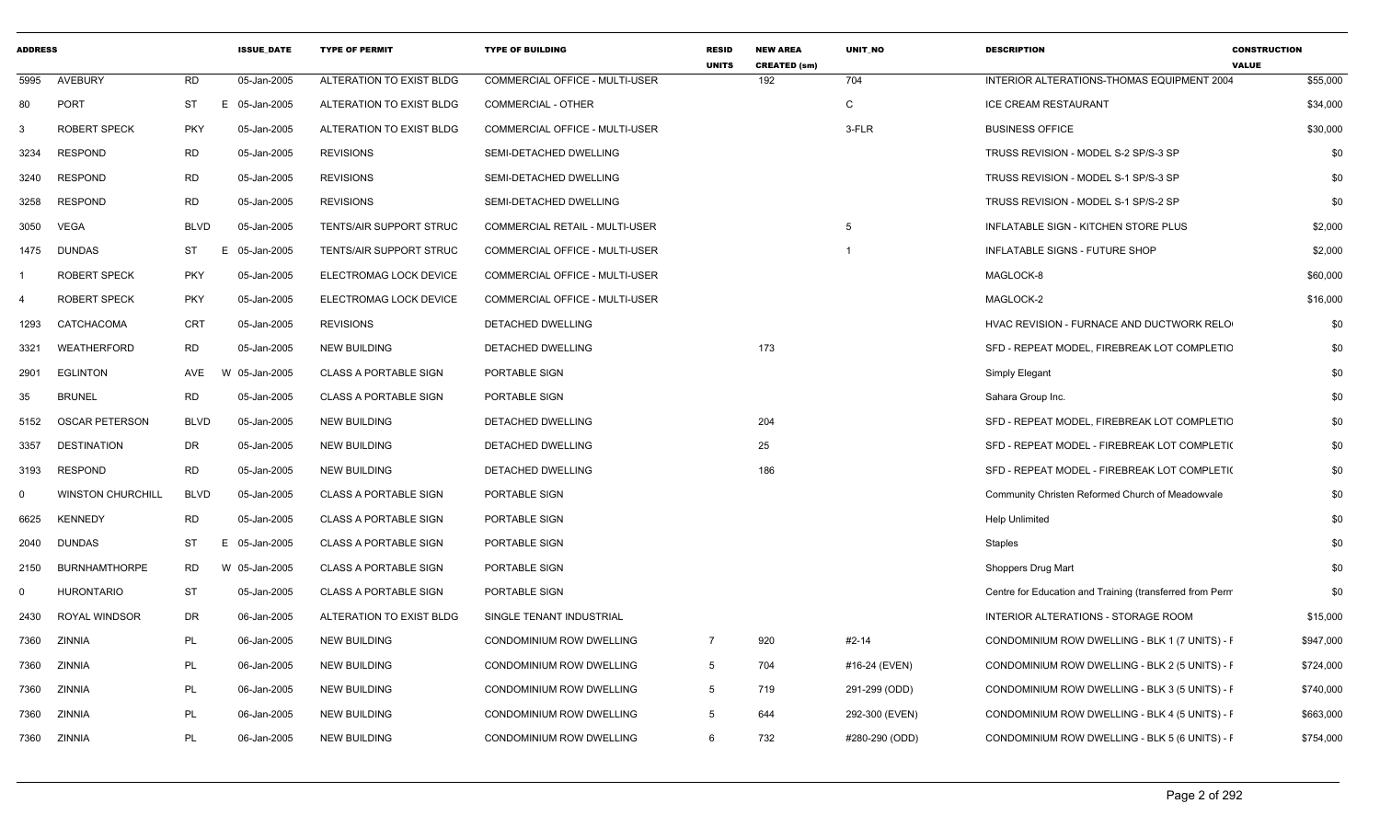| <b>ADDRESS</b> |                          |             | <b>ISSUE DATE</b> | <b>TYPE OF PERMIT</b>          | <b>TYPE OF BUILDING</b>        | <b>RESID</b><br><b>UNITS</b> | <b>NEW AREA</b><br><b>CREATED (sm)</b> | UNIT_NO        | <b>DESCRIPTION</b>                                       | <b>CONSTRUCTION</b><br><b>VALUE</b> |
|----------------|--------------------------|-------------|-------------------|--------------------------------|--------------------------------|------------------------------|----------------------------------------|----------------|----------------------------------------------------------|-------------------------------------|
| 5995           | AVEBURY                  | <b>RD</b>   | 05-Jan-2005       | ALTERATION TO EXIST BLDG       | COMMERCIAL OFFICE - MULTI-USER |                              | 192                                    | 704            | INTERIOR ALTERATIONS-THOMAS EQUIPMENT 2004               | \$55,000                            |
| 80             | <b>PORT</b>              | ST          | E 05-Jan-2005     | ALTERATION TO EXIST BLDG       | COMMERCIAL - OTHER             |                              |                                        | C              | <b>ICE CREAM RESTAURANT</b>                              | \$34,000                            |
| 3              | <b>ROBERT SPECK</b>      | <b>PKY</b>  | 05-Jan-2005       | ALTERATION TO EXIST BLDG       | COMMERCIAL OFFICE - MULTI-USER |                              |                                        | 3-FLR          | <b>BUSINESS OFFICE</b>                                   | \$30,000                            |
| 3234           | <b>RESPOND</b>           | <b>RD</b>   | 05-Jan-2005       | <b>REVISIONS</b>               | SEMI-DETACHED DWELLING         |                              |                                        |                | TRUSS REVISION - MODEL S-2 SP/S-3 SP                     | \$0                                 |
| 3240           | <b>RESPOND</b>           | <b>RD</b>   | 05-Jan-2005       | <b>REVISIONS</b>               | SEMI-DETACHED DWELLING         |                              |                                        |                | TRUSS REVISION - MODEL S-1 SP/S-3 SP                     | \$0                                 |
| 3258           | <b>RESPOND</b>           | <b>RD</b>   | 05-Jan-2005       | <b>REVISIONS</b>               | SEMI-DETACHED DWELLING         |                              |                                        |                | TRUSS REVISION - MODEL S-1 SP/S-2 SP                     | \$0                                 |
| 3050           | VEGA                     | <b>BLVD</b> | 05-Jan-2005       | <b>TENTS/AIR SUPPORT STRUC</b> | COMMERCIAL RETAIL - MULTI-USER |                              |                                        | 5              | INFLATABLE SIGN - KITCHEN STORE PLUS                     | \$2,000                             |
| 1475           | <b>DUNDAS</b>            | ST          | Е<br>05-Jan-2005  | TENTS/AIR SUPPORT STRUC        | COMMERCIAL OFFICE - MULTI-USER |                              |                                        | -1             | INFLATABLE SIGNS - FUTURE SHOP                           | \$2,000                             |
|                | ROBERT SPECK             | <b>PKY</b>  | 05-Jan-2005       | ELECTROMAG LOCK DEVICE         | COMMERCIAL OFFICE - MULTI-USER |                              |                                        |                | MAGLOCK-8                                                | \$60,000                            |
| -4             | ROBERT SPECK             | <b>PKY</b>  | 05-Jan-2005       | ELECTROMAG LOCK DEVICE         | COMMERCIAL OFFICE - MULTI-USER |                              |                                        |                | MAGLOCK-2                                                | \$16,000                            |
| 1293           | CATCHACOMA               | <b>CRT</b>  | 05-Jan-2005       | <b>REVISIONS</b>               | DETACHED DWELLING              |                              |                                        |                | HVAC REVISION - FURNACE AND DUCTWORK RELO                | \$0                                 |
| 3321           | WEATHERFORD              | <b>RD</b>   | 05-Jan-2005       | <b>NEW BUILDING</b>            | <b>DETACHED DWELLING</b>       |                              | 173                                    |                | SFD - REPEAT MODEL, FIREBREAK LOT COMPLETIC              | \$0                                 |
| 2901           | <b>EGLINTON</b>          | AVE         | W 05-Jan-2005     | <b>CLASS A PORTABLE SIGN</b>   | PORTABLE SIGN                  |                              |                                        |                | Simply Elegant                                           | \$0                                 |
| 35             | <b>BRUNEL</b>            | <b>RD</b>   | 05-Jan-2005       | <b>CLASS A PORTABLE SIGN</b>   | PORTABLE SIGN                  |                              |                                        |                | Sahara Group Inc.                                        | \$0                                 |
| 5152           | <b>OSCAR PETERSON</b>    | <b>BLVD</b> | 05-Jan-2005       | <b>NEW BUILDING</b>            | DETACHED DWELLING              |                              | 204                                    |                | SFD - REPEAT MODEL, FIREBREAK LOT COMPLETIC              | \$0                                 |
| 3357           | <b>DESTINATION</b>       | DR          | 05-Jan-2005       | <b>NEW BUILDING</b>            | DETACHED DWELLING              |                              | 25                                     |                | SFD - REPEAT MODEL - FIREBREAK LOT COMPLETION            | \$0                                 |
| 3193           | <b>RESPOND</b>           | <b>RD</b>   | 05-Jan-2005       | <b>NEW BUILDING</b>            | DETACHED DWELLING              |                              | 186                                    |                | SFD - REPEAT MODEL - FIREBREAK LOT COMPLETI(             | \$0                                 |
| $\mathbf{0}$   | <b>WINSTON CHURCHILL</b> | <b>BLVD</b> | 05-Jan-2005       | <b>CLASS A PORTABLE SIGN</b>   | PORTABLE SIGN                  |                              |                                        |                | Community Christen Reformed Church of Meadowvale         | \$0                                 |
| 6625           | <b>KENNEDY</b>           | RD          | 05-Jan-2005       | <b>CLASS A PORTABLE SIGN</b>   | PORTABLE SIGN                  |                              |                                        |                | <b>Help Unlimited</b>                                    | \$0                                 |
| 2040           | <b>DUNDAS</b>            | ST          | E 05-Jan-2005     | <b>CLASS A PORTABLE SIGN</b>   | PORTABLE SIGN                  |                              |                                        |                | Staples                                                  | \$0                                 |
| 2150           | <b>BURNHAMTHORPE</b>     | RD          | W 05-Jan-2005     | <b>CLASS A PORTABLE SIGN</b>   | PORTABLE SIGN                  |                              |                                        |                | Shoppers Drug Mart                                       | \$0                                 |
| 0              | <b>HURONTARIO</b>        | ST          | 05-Jan-2005       | <b>CLASS A PORTABLE SIGN</b>   | PORTABLE SIGN                  |                              |                                        |                | Centre for Education and Training (transferred from Perm | \$0                                 |
| 2430           | ROYAL WINDSOR            | DR          | 06-Jan-2005       | ALTERATION TO EXIST BLDG       | SINGLE TENANT INDUSTRIAL       |                              |                                        |                | INTERIOR ALTERATIONS - STORAGE ROOM                      | \$15,000                            |
| 7360           | ZINNIA                   | PL          | 06-Jan-2005       | <b>NEW BUILDING</b>            | CONDOMINIUM ROW DWELLING       | $\overline{7}$               | 920                                    | #2-14          | CONDOMINIUM ROW DWELLING - BLK 1 (7 UNITS) - F           | \$947,000                           |
| 7360           | ZINNIA                   | PL          | 06-Jan-2005       | <b>NEW BUILDING</b>            | CONDOMINIUM ROW DWELLING       | 5                            | 704                                    | #16-24 (EVEN)  | CONDOMINIUM ROW DWELLING - BLK 2 (5 UNITS) - F           | \$724,000                           |
| 7360           | ZINNIA                   | PL          | 06-Jan-2005       | <b>NEW BUILDING</b>            | CONDOMINIUM ROW DWELLING       | 5                            | 719                                    | 291-299 (ODD)  | CONDOMINIUM ROW DWELLING - BLK 3 (5 UNITS) - F           | \$740,000                           |
| 7360           | ZINNIA                   | PL          | 06-Jan-2005       | <b>NEW BUILDING</b>            | CONDOMINIUM ROW DWELLING       | 5                            | 644                                    | 292-300 (EVEN) | CONDOMINIUM ROW DWELLING - BLK 4 (5 UNITS) - F           | \$663,000                           |
| 7360           | ZINNIA                   | PL          | 06-Jan-2005       | <b>NEW BUILDING</b>            | CONDOMINIUM ROW DWELLING       | 6                            | 732                                    | #280-290 (ODD) | CONDOMINIUM ROW DWELLING - BLK 5 (6 UNITS) - F           | \$754,000                           |
|                |                          |             |                   |                                |                                |                              |                                        |                |                                                          |                                     |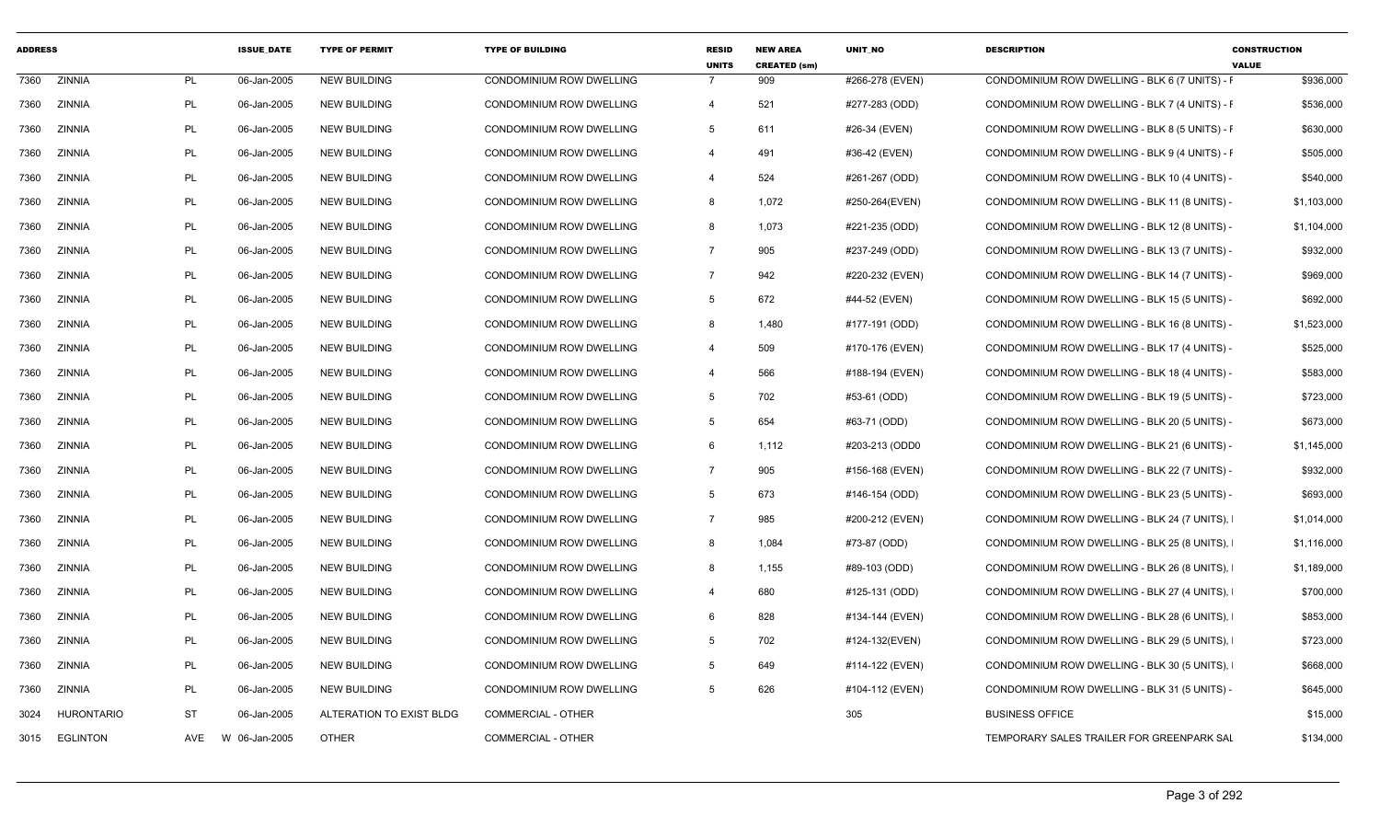| <b>ADDRESS</b> |                   |           | <b>ISSUE DATE</b> | <b>TYPE OF PERMIT</b>    | <b>TYPE OF BUILDING</b>         | <b>RESID</b><br><b>UNITS</b> | <b>NEW AREA</b><br><b>CREATED (sm)</b> | <b>UNIT NO</b>  | <b>DESCRIPTION</b>                             | <b>CONSTRUCTION</b><br><b>VALUE</b> |
|----------------|-------------------|-----------|-------------------|--------------------------|---------------------------------|------------------------------|----------------------------------------|-----------------|------------------------------------------------|-------------------------------------|
| 7360           | <b>ZINNIA</b>     | <b>PL</b> | 06-Jan-2005       | <b>NEW BUILDING</b>      | <b>CONDOMINIUM ROW DWELLING</b> |                              | 909                                    | #266-278 (EVEN) | CONDOMINIUM ROW DWELLING - BLK 6 (7 UNITS) - F | \$936,000                           |
| 7360           | ZINNIA            | PL        | 06-Jan-2005       | <b>NEW BUILDING</b>      | CONDOMINIUM ROW DWELLING        | $\overline{4}$               | 521                                    | #277-283 (ODD)  | CONDOMINIUM ROW DWELLING - BLK 7 (4 UNITS) - F | \$536,000                           |
| 7360           | ZINNIA            | <b>PL</b> | 06-Jan-2005       | <b>NEW BUILDING</b>      | CONDOMINIUM ROW DWELLING        | 5                            | 611                                    | #26-34 (EVEN)   | CONDOMINIUM ROW DWELLING - BLK 8 (5 UNITS) - F | \$630,000                           |
| 7360           | ZINNIA            | PL        | 06-Jan-2005       | <b>NEW BUILDING</b>      | CONDOMINIUM ROW DWELLING        | $\overline{4}$               | 491                                    | #36-42 (EVEN)   | CONDOMINIUM ROW DWELLING - BLK 9 (4 UNITS) - F | \$505,000                           |
| 7360           | ZINNIA            | PL        | 06-Jan-2005       | <b>NEW BUILDING</b>      | CONDOMINIUM ROW DWELLING        | $\overline{4}$               | 524                                    | #261-267 (ODD)  | CONDOMINIUM ROW DWELLING - BLK 10 (4 UNITS) -  | \$540,000                           |
| 7360           | ZINNIA            | PL        | 06-Jan-2005       | <b>NEW BUILDING</b>      | CONDOMINIUM ROW DWELLING        | 8                            | 1,072                                  | #250-264(EVEN)  | CONDOMINIUM ROW DWELLING - BLK 11 (8 UNITS) -  | \$1,103,000                         |
| 7360           | ZINNIA            | <b>PL</b> | 06-Jan-2005       | <b>NEW BUILDING</b>      | CONDOMINIUM ROW DWELLING        | 8                            | 1,073                                  | #221-235 (ODD)  | CONDOMINIUM ROW DWELLING - BLK 12 (8 UNITS) -  | \$1,104,000                         |
| 7360           | ZINNIA            | PL        | 06-Jan-2005       | <b>NEW BUILDING</b>      | CONDOMINIUM ROW DWELLING        | $\overline{7}$               | 905                                    | #237-249 (ODD)  | CONDOMINIUM ROW DWELLING - BLK 13 (7 UNITS) -  | \$932,000                           |
| 7360           | ZINNIA            | PL        | 06-Jan-2005       | NEW BUILDING             | CONDOMINIUM ROW DWELLING        | $\overline{7}$               | 942                                    | #220-232 (EVEN) | CONDOMINIUM ROW DWELLING - BLK 14 (7 UNITS) -  | \$969,000                           |
| 7360           | ZINNIA            | PL        | 06-Jan-2005       | <b>NEW BUILDING</b>      | CONDOMINIUM ROW DWELLING        | 5                            | 672                                    | #44-52 (EVEN)   | CONDOMINIUM ROW DWELLING - BLK 15 (5 UNITS) -  | \$692,000                           |
| 7360           | ZINNIA            | PL        | 06-Jan-2005       | <b>NEW BUILDING</b>      | CONDOMINIUM ROW DWELLING        | 8                            | 1,480                                  | #177-191 (ODD)  | CONDOMINIUM ROW DWELLING - BLK 16 (8 UNITS) -  | \$1,523,000                         |
| 7360           | ZINNIA            | PL        | 06-Jan-2005       | <b>NEW BUILDING</b>      | CONDOMINIUM ROW DWELLING        | $\overline{4}$               | 509                                    | #170-176 (EVEN) | CONDOMINIUM ROW DWELLING - BLK 17 (4 UNITS) -  | \$525,000                           |
| 7360           | ZINNIA            | PL        | 06-Jan-2005       | <b>NEW BUILDING</b>      | CONDOMINIUM ROW DWELLING        | $\overline{4}$               | 566                                    | #188-194 (EVEN) | CONDOMINIUM ROW DWELLING - BLK 18 (4 UNITS) -  | \$583,000                           |
| 7360           | ZINNIA            | PL        | 06-Jan-2005       | <b>NEW BUILDING</b>      | CONDOMINIUM ROW DWELLING        | 5                            | 702                                    | #53-61 (ODD)    | CONDOMINIUM ROW DWELLING - BLK 19 (5 UNITS) -  | \$723,000                           |
| 7360           | ZINNIA            | PL        | 06-Jan-2005       | <b>NEW BUILDING</b>      | <b>CONDOMINIUM ROW DWELLING</b> | 5                            | 654                                    | #63-71 (ODD)    | CONDOMINIUM ROW DWELLING - BLK 20 (5 UNITS) -  | \$673,000                           |
| 7360           | ZINNIA            | PL        | 06-Jan-2005       | <b>NEW BUILDING</b>      | CONDOMINIUM ROW DWELLING        | 6                            | 1,112                                  | #203-213 (ODD0  | CONDOMINIUM ROW DWELLING - BLK 21 (6 UNITS) -  | \$1,145,000                         |
| 7360           | ZINNIA            | PL        | 06-Jan-2005       | <b>NEW BUILDING</b>      | CONDOMINIUM ROW DWELLING        | $\overline{7}$               | 905                                    | #156-168 (EVEN) | CONDOMINIUM ROW DWELLING - BLK 22 (7 UNITS) -  | \$932,000                           |
| 7360           | ZINNIA            | PL        | 06-Jan-2005       | <b>NEW BUILDING</b>      | CONDOMINIUM ROW DWELLING        | 5                            | 673                                    | #146-154 (ODD)  | CONDOMINIUM ROW DWELLING - BLK 23 (5 UNITS) -  | \$693,000                           |
| 7360           | ZINNIA            | PL        | 06-Jan-2005       | <b>NEW BUILDING</b>      | CONDOMINIUM ROW DWELLING        | $\overline{7}$               | 985                                    | #200-212 (EVEN) | CONDOMINIUM ROW DWELLING - BLK 24 (7 UNITS),   | \$1,014,000                         |
| 7360           | ZINNIA            | <b>PL</b> | 06-Jan-2005       | <b>NEW BUILDING</b>      | CONDOMINIUM ROW DWELLING        | 8                            | 1,084                                  | #73-87 (ODD)    | CONDOMINIUM ROW DWELLING - BLK 25 (8 UNITS).   | \$1,116,000                         |
| 7360           | ZINNIA            | PL        | 06-Jan-2005       | <b>NEW BUILDING</b>      | CONDOMINIUM ROW DWELLING        | 8                            | 1,155                                  | #89-103 (ODD)   | CONDOMINIUM ROW DWELLING - BLK 26 (8 UNITS),   | \$1,189,000                         |
| 7360           | ZINNIA            | PL        | 06-Jan-2005       | <b>NEW BUILDING</b>      | CONDOMINIUM ROW DWELLING        | $\overline{4}$               | 680                                    | #125-131 (ODD)  | CONDOMINIUM ROW DWELLING - BLK 27 (4 UNITS),   | \$700,000                           |
| 7360           | ZINNIA            | PL        | 06-Jan-2005       | <b>NEW BUILDING</b>      | CONDOMINIUM ROW DWELLING        | 6                            | 828                                    | #134-144 (EVEN) | CONDOMINIUM ROW DWELLING - BLK 28 (6 UNITS),   | \$853,000                           |
| 7360           | ZINNIA            | PL        | 06-Jan-2005       | <b>NEW BUILDING</b>      | CONDOMINIUM ROW DWELLING        | 5                            | 702                                    | #124-132(EVEN)  | CONDOMINIUM ROW DWELLING - BLK 29 (5 UNITS),   | \$723,000                           |
| 7360           | ZINNIA            | PL        | 06-Jan-2005       | <b>NEW BUILDING</b>      | CONDOMINIUM ROW DWELLING        | 5                            | 649                                    | #114-122 (EVEN) | CONDOMINIUM ROW DWELLING - BLK 30 (5 UNITS),   | \$668,000                           |
| 7360           | ZINNIA            | PL        | 06-Jan-2005       | <b>NEW BUILDING</b>      | CONDOMINIUM ROW DWELLING        | -5                           | 626                                    | #104-112 (EVEN) | CONDOMINIUM ROW DWELLING - BLK 31 (5 UNITS) -  | \$645,000                           |
| 3024           | <b>HURONTARIO</b> | <b>ST</b> | 06-Jan-2005       | ALTERATION TO EXIST BLDG | <b>COMMERCIAL - OTHER</b>       |                              |                                        | 305             | <b>BUSINESS OFFICE</b>                         | \$15,000                            |
|                | 3015 EGLINTON     | AVE       | W 06-Jan-2005     | <b>OTHER</b>             | COMMERCIAL - OTHER              |                              |                                        |                 | TEMPORARY SALES TRAILER FOR GREENPARK SAL      | \$134,000                           |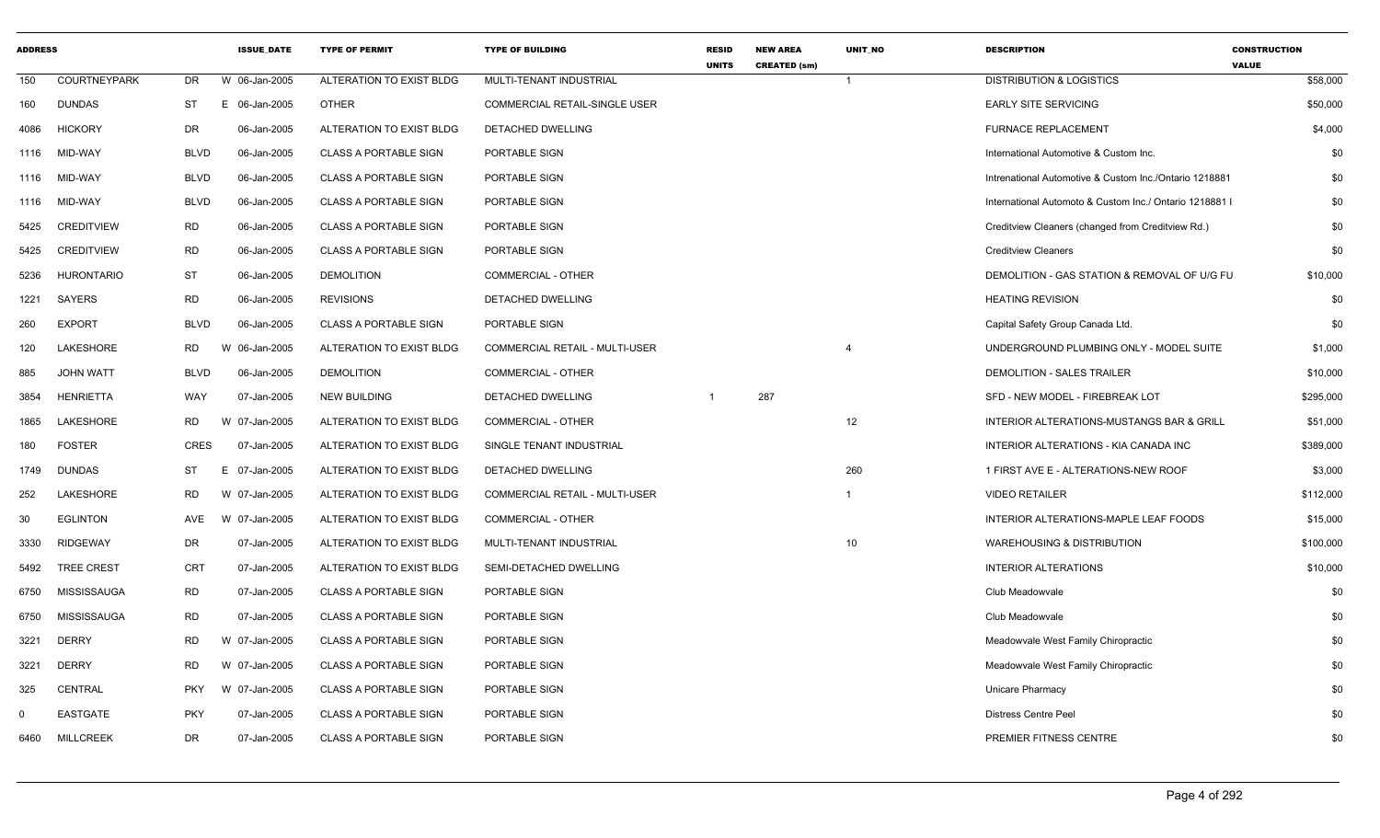| <b>ADDRESS</b> |                     |             | <b>ISSUE_DATE</b> | <b>TYPE OF PERMIT</b>        | <b>TYPE OF BUILDING</b>               | <b>RESID</b><br><b>UNITS</b> | <b>NEW AREA</b><br><b>CREATED (sm)</b> | UNIT_NO        | <b>DESCRIPTION</b>                                      | <b>CONSTRUCTION</b><br><b>VALUE</b> |
|----------------|---------------------|-------------|-------------------|------------------------------|---------------------------------------|------------------------------|----------------------------------------|----------------|---------------------------------------------------------|-------------------------------------|
| 150            | <b>COURTNEYPARK</b> | DR          | W 06-Jan-2005     | ALTERATION TO EXIST BLDG     | MULTI-TENANT INDUSTRIAL               |                              |                                        | $\mathbf{1}$   | <b>DISTRIBUTION &amp; LOGISTICS</b>                     | \$58,000                            |
| 160            | <b>DUNDAS</b>       | <b>ST</b>   | E 06-Jan-2005     | <b>OTHER</b>                 | COMMERCIAL RETAIL-SINGLE USER         |                              |                                        |                | <b>EARLY SITE SERVICING</b>                             | \$50,000                            |
| 4086           | <b>HICKORY</b>      | DR          | 06-Jan-2005       | ALTERATION TO EXIST BLDG     | DETACHED DWELLING                     |                              |                                        |                | <b>FURNACE REPLACEMENT</b>                              | \$4,000                             |
| 1116           | MID-WAY             | <b>BLVD</b> | 06-Jan-2005       | <b>CLASS A PORTABLE SIGN</b> | PORTABLE SIGN                         |                              |                                        |                | International Automotive & Custom Inc.                  | \$0                                 |
| 1116           | MID-WAY             | <b>BLVD</b> | 06-Jan-2005       | CLASS A PORTABLE SIGN        | PORTABLE SIGN                         |                              |                                        |                | Intrenational Automotive & Custom Inc./Ontario 1218881  | \$0                                 |
| 1116           | MID-WAY             | <b>BLVD</b> | 06-Jan-2005       | <b>CLASS A PORTABLE SIGN</b> | PORTABLE SIGN                         |                              |                                        |                | International Automoto & Custom Inc./ Ontario 1218881 I | \$0                                 |
| 5425           | <b>CREDITVIEW</b>   | <b>RD</b>   | 06-Jan-2005       | <b>CLASS A PORTABLE SIGN</b> | PORTABLE SIGN                         |                              |                                        |                | Creditview Cleaners (changed from Creditview Rd.)       | \$0                                 |
| 5425           | <b>CREDITVIEW</b>   | <b>RD</b>   | 06-Jan-2005       | <b>CLASS A PORTABLE SIGN</b> | PORTABLE SIGN                         |                              |                                        |                | <b>Creditview Cleaners</b>                              | \$0                                 |
| 5236           | <b>HURONTARIO</b>   | <b>ST</b>   | 06-Jan-2005       | <b>DEMOLITION</b>            | <b>COMMERCIAL - OTHER</b>             |                              |                                        |                | DEMOLITION - GAS STATION & REMOVAL OF U/G FU            | \$10,000                            |
| 1221           | SAYERS              | <b>RD</b>   | 06-Jan-2005       | <b>REVISIONS</b>             | DETACHED DWELLING                     |                              |                                        |                | <b>HEATING REVISION</b>                                 | \$0                                 |
| 260            | <b>EXPORT</b>       | <b>BLVD</b> | 06-Jan-2005       | <b>CLASS A PORTABLE SIGN</b> | PORTABLE SIGN                         |                              |                                        |                | Capital Safety Group Canada Ltd.                        | \$0                                 |
| 120            | <b>LAKESHORE</b>    | <b>RD</b>   | W<br>06-Jan-2005  | ALTERATION TO EXIST BLDG     | <b>COMMERCIAL RETAIL - MULTI-USER</b> |                              |                                        |                | UNDERGROUND PLUMBING ONLY - MODEL SUITE                 | \$1,000                             |
| 885            | <b>JOHN WATT</b>    | <b>BLVD</b> | 06-Jan-2005       | <b>DEMOLITION</b>            | <b>COMMERCIAL - OTHER</b>             |                              |                                        |                | DEMOLITION - SALES TRAILER                              | \$10,000                            |
| 3854           | <b>HENRIETTA</b>    | WAY         | 07-Jan-2005       | <b>NEW BUILDING</b>          | DETACHED DWELLING                     |                              | 287                                    |                | SFD - NEW MODEL - FIREBREAK LOT                         | \$295,000                           |
| 1865           | LAKESHORE           | <b>RD</b>   | W 07-Jan-2005     | ALTERATION TO EXIST BLDG     | COMMERCIAL - OTHER                    |                              |                                        | 12             | INTERIOR ALTERATIONS-MUSTANGS BAR & GRILL               | \$51,000                            |
| 180            | <b>FOSTER</b>       | <b>CRES</b> | 07-Jan-2005       | ALTERATION TO EXIST BLDG     | SINGLE TENANT INDUSTRIAL              |                              |                                        |                | INTERIOR ALTERATIONS - KIA CANADA INC                   | \$389,000                           |
| 1749           | <b>DUNDAS</b>       | ST          | E 07-Jan-2005     | ALTERATION TO EXIST BLDG     | DETACHED DWELLING                     |                              |                                        | 260            | 1 FIRST AVE E - ALTERATIONS-NEW ROOF                    | \$3,000                             |
| 252            | LAKESHORE           | <b>RD</b>   | W 07-Jan-2005     | ALTERATION TO EXIST BLDG     | COMMERCIAL RETAIL - MULTI-USER        |                              |                                        | $\overline{1}$ | <b>VIDEO RETAILER</b>                                   | \$112,000                           |
| 30             | <b>EGLINTON</b>     | AVE         | W 07-Jan-2005     | ALTERATION TO EXIST BLDG     | <b>COMMERCIAL - OTHER</b>             |                              |                                        |                | INTERIOR ALTERATIONS-MAPLE LEAF FOODS                   | \$15,000                            |
| 3330           | <b>RIDGEWAY</b>     | DR          | 07-Jan-2005       | ALTERATION TO EXIST BLDG     | MULTI-TENANT INDUSTRIAL               |                              |                                        | 10             | <b>WAREHOUSING &amp; DISTRIBUTION</b>                   | \$100,000                           |
| 5492           | <b>TREE CREST</b>   | <b>CRT</b>  | 07-Jan-2005       | ALTERATION TO EXIST BLDG     | SEMI-DETACHED DWELLING                |                              |                                        |                | <b>INTERIOR ALTERATIONS</b>                             | \$10,000                            |
| 6750           | MISSISSAUGA         | <b>RD</b>   | 07-Jan-2005       | <b>CLASS A PORTABLE SIGN</b> | PORTABLE SIGN                         |                              |                                        |                | Club Meadowvale                                         | \$0                                 |
| 6750           | MISSISSAUGA         | <b>RD</b>   | 07-Jan-2005       | <b>CLASS A PORTABLE SIGN</b> | PORTABLE SIGN                         |                              |                                        |                | Club Meadowvale                                         | \$0                                 |
| 3221           | <b>DERRY</b>        | <b>RD</b>   | W 07-Jan-2005     | <b>CLASS A PORTABLE SIGN</b> | PORTABLE SIGN                         |                              |                                        |                | Meadowvale West Family Chiropractic                     | \$0                                 |
| 3221           | <b>DERRY</b>        | <b>RD</b>   | W 07-Jan-2005     | <b>CLASS A PORTABLE SIGN</b> | PORTABLE SIGN                         |                              |                                        |                | Meadowvale West Family Chiropractic                     | \$0                                 |
| 325            | CENTRAL             | <b>PKY</b>  | W 07-Jan-2005     | <b>CLASS A PORTABLE SIGN</b> | PORTABLE SIGN                         |                              |                                        |                | Unicare Pharmacy                                        | \$0                                 |
| $\Omega$       | <b>EASTGATE</b>     | <b>PKY</b>  | 07-Jan-2005       | <b>CLASS A PORTABLE SIGN</b> | PORTABLE SIGN                         |                              |                                        |                | <b>Distress Centre Peel</b>                             | \$0                                 |
| 6460           | <b>MILLCREEK</b>    | <b>DR</b>   | 07-Jan-2005       | <b>CLASS A PORTABLE SIGN</b> | PORTABLE SIGN                         |                              |                                        |                | PREMIER FITNESS CENTRE                                  | \$0                                 |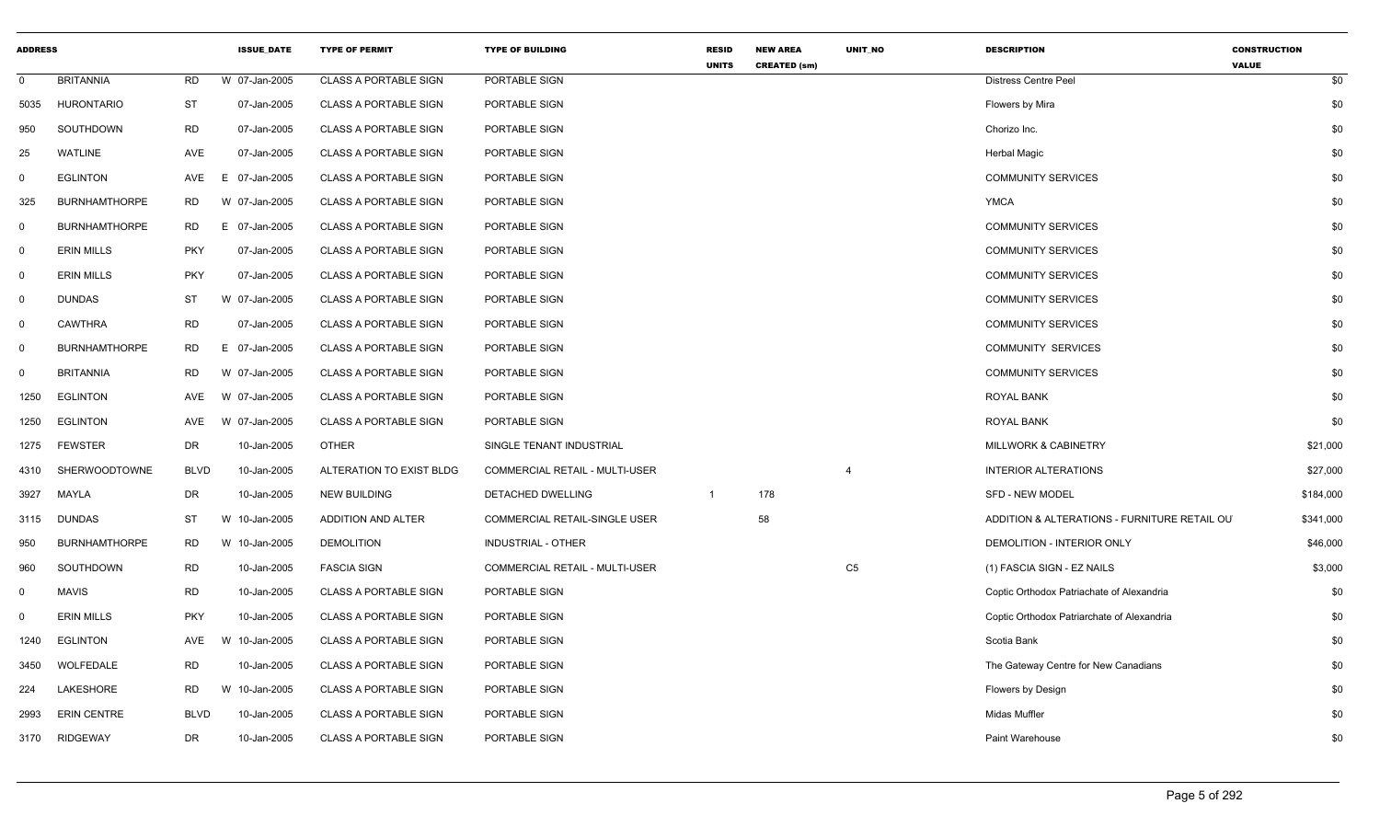| <b>ADDRESS</b> |                      |             | <b>ISSUE_DATE</b> | <b>TYPE OF PERMIT</b>        | <b>TYPE OF BUILDING</b>        | <b>RESID</b><br><b>UNITS</b> | <b>NEW AREA</b><br><b>CREATED (sm)</b> | UNIT_NO        | <b>DESCRIPTION</b>                           | <b>CONSTRUCTION</b><br><b>VALUE</b> |
|----------------|----------------------|-------------|-------------------|------------------------------|--------------------------------|------------------------------|----------------------------------------|----------------|----------------------------------------------|-------------------------------------|
| $\mathbf 0$    | <b>BRITANNIA</b>     | RD          | W 07-Jan-2005     | <b>CLASS A PORTABLE SIGN</b> | PORTABLE SIGN                  |                              |                                        |                | Distress Centre Peel                         | \$0                                 |
| 5035           | <b>HURONTARIO</b>    | <b>ST</b>   | 07-Jan-2005       | <b>CLASS A PORTABLE SIGN</b> | PORTABLE SIGN                  |                              |                                        |                | Flowers by Mira                              | \$0                                 |
| 950            | SOUTHDOWN            | RD          | 07-Jan-2005       | <b>CLASS A PORTABLE SIGN</b> | PORTABLE SIGN                  |                              |                                        |                | Chorizo Inc.                                 | \$0                                 |
| 25             | WATLINE              | AVE         | 07-Jan-2005       | <b>CLASS A PORTABLE SIGN</b> | PORTABLE SIGN                  |                              |                                        |                | <b>Herbal Magic</b>                          | \$0                                 |
| $\mathbf 0$    | <b>EGLINTON</b>      | AVE         | E 07-Jan-2005     | <b>CLASS A PORTABLE SIGN</b> | PORTABLE SIGN                  |                              |                                        |                | <b>COMMUNITY SERVICES</b>                    | \$0                                 |
| 325            | <b>BURNHAMTHORPE</b> | RD          | W 07-Jan-2005     | <b>CLASS A PORTABLE SIGN</b> | PORTABLE SIGN                  |                              |                                        |                | <b>YMCA</b>                                  | \$0                                 |
| $\mathbf 0$    | <b>BURNHAMTHORPE</b> | RD          | E 07-Jan-2005     | <b>CLASS A PORTABLE SIGN</b> | PORTABLE SIGN                  |                              |                                        |                | <b>COMMUNITY SERVICES</b>                    | \$0                                 |
| $\mathbf 0$    | <b>ERIN MILLS</b>    | <b>PKY</b>  | 07-Jan-2005       | <b>CLASS A PORTABLE SIGN</b> | PORTABLE SIGN                  |                              |                                        |                | <b>COMMUNITY SERVICES</b>                    | \$0                                 |
| $\mathbf 0$    | <b>ERIN MILLS</b>    | <b>PKY</b>  | 07-Jan-2005       | CLASS A PORTABLE SIGN        | PORTABLE SIGN                  |                              |                                        |                | <b>COMMUNITY SERVICES</b>                    | \$0                                 |
| $\overline{0}$ | <b>DUNDAS</b>        | ST          | W 07-Jan-2005     | <b>CLASS A PORTABLE SIGN</b> | PORTABLE SIGN                  |                              |                                        |                | <b>COMMUNITY SERVICES</b>                    | \$0                                 |
| $\overline{0}$ | <b>CAWTHRA</b>       | RD          | 07-Jan-2005       | <b>CLASS A PORTABLE SIGN</b> | PORTABLE SIGN                  |                              |                                        |                | <b>COMMUNITY SERVICES</b>                    | \$0                                 |
| $\mathbf 0$    | <b>BURNHAMTHORPE</b> | RD.         | E 07-Jan-2005     | <b>CLASS A PORTABLE SIGN</b> | PORTABLE SIGN                  |                              |                                        |                | <b>COMMUNITY SERVICES</b>                    | \$0                                 |
| 0              | <b>BRITANNIA</b>     | <b>RD</b>   | W 07-Jan-2005     | <b>CLASS A PORTABLE SIGN</b> | PORTABLE SIGN                  |                              |                                        |                | <b>COMMUNITY SERVICES</b>                    | \$0                                 |
| 1250           | <b>EGLINTON</b>      | AVE         | W 07-Jan-2005     | <b>CLASS A PORTABLE SIGN</b> | PORTABLE SIGN                  |                              |                                        |                | <b>ROYAL BANK</b>                            | \$0                                 |
| 1250           | <b>EGLINTON</b>      | AVE         | W 07-Jan-2005     | <b>CLASS A PORTABLE SIGN</b> | PORTABLE SIGN                  |                              |                                        |                | <b>ROYAL BANK</b>                            | \$0                                 |
| 1275           | <b>FEWSTER</b>       | DR          | 10-Jan-2005       | <b>OTHER</b>                 | SINGLE TENANT INDUSTRIAL       |                              |                                        |                | <b>MILLWORK &amp; CABINETRY</b>              | \$21,000                            |
| 4310           | SHERWOODTOWNE        | <b>BLVD</b> | 10-Jan-2005       | ALTERATION TO EXIST BLDG     | COMMERCIAL RETAIL - MULTI-USER |                              |                                        | $\overline{4}$ | <b>INTERIOR ALTERATIONS</b>                  | \$27,000                            |
| 3927           | MAYLA                | DR          | 10-Jan-2005       | <b>NEW BUILDING</b>          | <b>DETACHED DWELLING</b>       | $\overline{1}$               | 178                                    |                | <b>SFD - NEW MODEL</b>                       | \$184,000                           |
| 3115           | <b>DUNDAS</b>        | ST          | W 10-Jan-2005     | ADDITION AND ALTER           | COMMERCIAL RETAIL-SINGLE USER  |                              | 58                                     |                | ADDITION & ALTERATIONS - FURNITURE RETAIL OU | \$341,000                           |
| 950            | <b>BURNHAMTHORPE</b> | RD          | W 10-Jan-2005     | <b>DEMOLITION</b>            | INDUSTRIAL - OTHER             |                              |                                        |                | DEMOLITION - INTERIOR ONLY                   | \$46,000                            |
| 960            | SOUTHDOWN            | <b>RD</b>   | 10-Jan-2005       | <b>FASCIA SIGN</b>           | COMMERCIAL RETAIL - MULTI-USER |                              |                                        | ${\sf C5}$     | (1) FASCIA SIGN - EZ NAILS                   | \$3,000                             |
| $\mathbf 0$    | <b>MAVIS</b>         | <b>RD</b>   | 10-Jan-2005       | <b>CLASS A PORTABLE SIGN</b> | PORTABLE SIGN                  |                              |                                        |                | Coptic Orthodox Patriachate of Alexandria    | \$0                                 |
| $\Omega$       | <b>ERIN MILLS</b>    | PKY         | 10-Jan-2005       | <b>CLASS A PORTABLE SIGN</b> | PORTABLE SIGN                  |                              |                                        |                | Coptic Orthodox Patriarchate of Alexandria   | \$0                                 |
| 1240           | <b>EGLINTON</b>      | AVE         | W 10-Jan-2005     | <b>CLASS A PORTABLE SIGN</b> | PORTABLE SIGN                  |                              |                                        |                | Scotia Bank                                  | \$0                                 |
| 3450           | WOLFEDALE            | <b>RD</b>   | 10-Jan-2005       | CLASS A PORTABLE SIGN        | PORTABLE SIGN                  |                              |                                        |                | The Gateway Centre for New Canadians         | \$0                                 |
| 224            | LAKESHORE            | RD          | W 10-Jan-2005     | <b>CLASS A PORTABLE SIGN</b> | PORTABLE SIGN                  |                              |                                        |                | Flowers by Design                            | \$0                                 |
| 2993           | <b>ERIN CENTRE</b>   | <b>BLVD</b> | 10-Jan-2005       | CLASS A PORTABLE SIGN        | PORTABLE SIGN                  |                              |                                        |                | Midas Muffler                                | \$0                                 |
| 3170           | <b>RIDGEWAY</b>      | DR          | 10-Jan-2005       | <b>CLASS A PORTABLE SIGN</b> | PORTABLE SIGN                  |                              |                                        |                | Paint Warehouse                              | \$0                                 |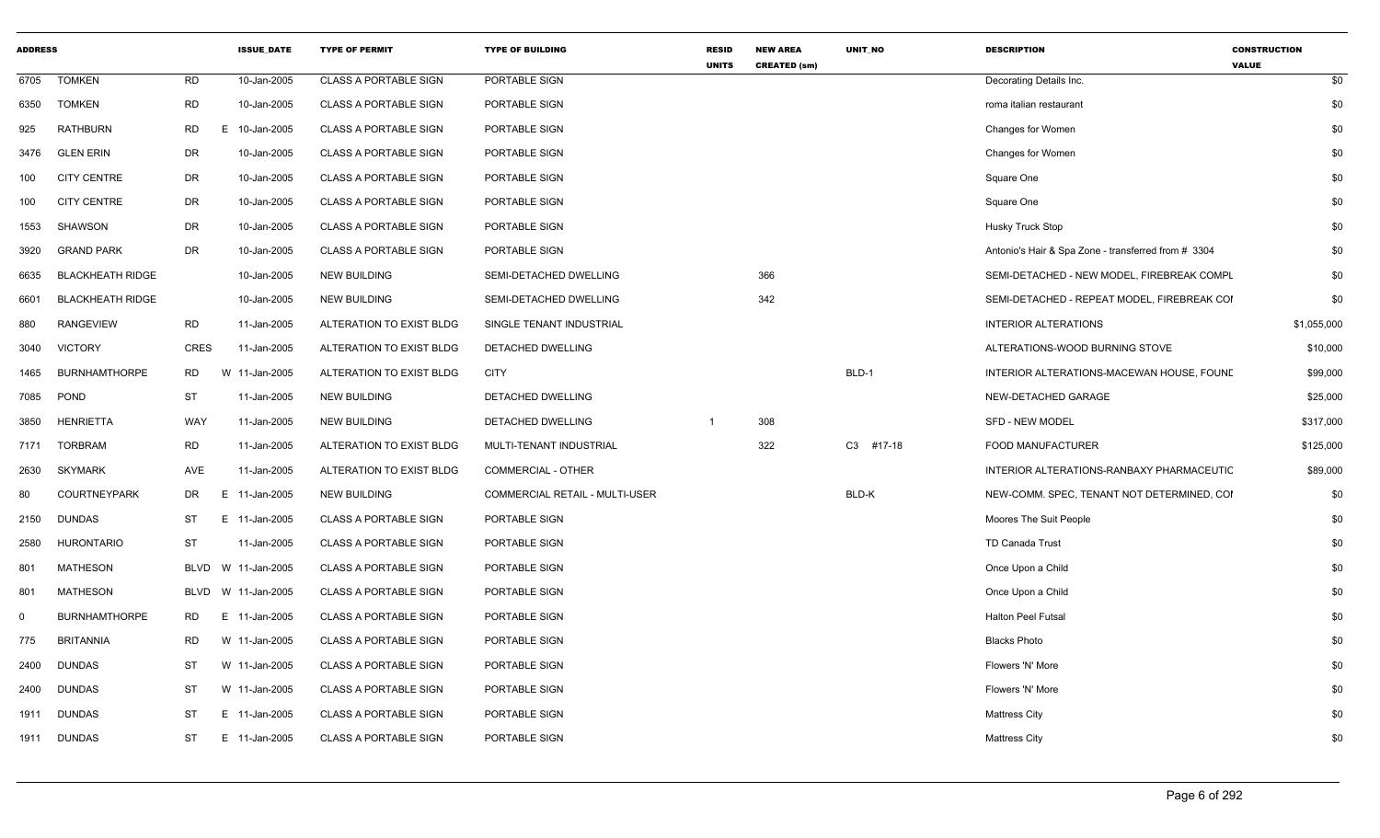| <b>ADDRESS</b> |                         |             | <b>ISSUE DATE</b> | <b>TYPE OF PERMIT</b>        | <b>TYPE OF BUILDING</b>        | <b>RESID</b><br><b>UNITS</b> | <b>NEW AREA</b><br><b>CREATED (sm)</b> | <b>UNIT NO</b> | <b>DESCRIPTION</b>                                  | <b>CONSTRUCTION</b><br><b>VALUE</b> |
|----------------|-------------------------|-------------|-------------------|------------------------------|--------------------------------|------------------------------|----------------------------------------|----------------|-----------------------------------------------------|-------------------------------------|
| 6705           | <b>TOMKEN</b>           | RD          | 10-Jan-2005       | <b>CLASS A PORTABLE SIGN</b> | PORTABLE SIGN                  |                              |                                        |                | Decorating Details Inc.                             | \$0                                 |
| 6350           | <b>TOMKEN</b>           | <b>RD</b>   | 10-Jan-2005       | <b>CLASS A PORTABLE SIGN</b> | PORTABLE SIGN                  |                              |                                        |                | roma italian restaurant                             | \$0                                 |
| 925            | <b>RATHBURN</b>         | <b>RD</b>   | E<br>10-Jan-2005  | <b>CLASS A PORTABLE SIGN</b> | PORTABLE SIGN                  |                              |                                        |                | Changes for Women                                   | \$0                                 |
| 3476           | <b>GLEN ERIN</b>        | DR          | 10-Jan-2005       | <b>CLASS A PORTABLE SIGN</b> | PORTABLE SIGN                  |                              |                                        |                | Changes for Women                                   | \$0                                 |
| 100            | <b>CITY CENTRE</b>      | DR          | 10-Jan-2005       | <b>CLASS A PORTABLE SIGN</b> | PORTABLE SIGN                  |                              |                                        |                | Square One                                          | \$0                                 |
| 100            | <b>CITY CENTRE</b>      | DR          | 10-Jan-2005       | <b>CLASS A PORTABLE SIGN</b> | PORTABLE SIGN                  |                              |                                        |                | Square One                                          | \$0                                 |
| 1553           | SHAWSON                 | DR          | 10-Jan-2005       | <b>CLASS A PORTABLE SIGN</b> | PORTABLE SIGN                  |                              |                                        |                | <b>Husky Truck Stop</b>                             | \$0                                 |
| 3920           | <b>GRAND PARK</b>       | DR          | 10-Jan-2005       | <b>CLASS A PORTABLE SIGN</b> | PORTABLE SIGN                  |                              |                                        |                | Antonio's Hair & Spa Zone - transferred from # 3304 | \$0                                 |
| 6635           | <b>BLACKHEATH RIDGE</b> |             | 10-Jan-2005       | <b>NEW BUILDING</b>          | SEMI-DETACHED DWELLING         |                              | 366                                    |                | SEMI-DETACHED - NEW MODEL, FIREBREAK COMPL          | \$0                                 |
| 6601           | <b>BLACKHEATH RIDGE</b> |             | 10-Jan-2005       | NEW BUILDING                 | SEMI-DETACHED DWELLING         |                              | 342                                    |                | SEMI-DETACHED - REPEAT MODEL, FIREBREAK COI         | \$0                                 |
| 880            | <b>RANGEVIEW</b>        | RD          | 11-Jan-2005       | ALTERATION TO EXIST BLDG     | SINGLE TENANT INDUSTRIAL       |                              |                                        |                | <b>INTERIOR ALTERATIONS</b>                         | \$1,055,000                         |
| 3040           | <b>VICTORY</b>          | <b>CRES</b> | 11-Jan-2005       | ALTERATION TO EXIST BLDG     | DETACHED DWELLING              |                              |                                        |                | ALTERATIONS-WOOD BURNING STOVE                      | \$10,000                            |
| 1465           | <b>BURNHAMTHORPE</b>    | RD          | W 11-Jan-2005     | ALTERATION TO EXIST BLDG     | <b>CITY</b>                    |                              |                                        | BLD-1          | INTERIOR ALTERATIONS-MACEWAN HOUSE, FOUND           | \$99,000                            |
| 7085           | POND                    | <b>ST</b>   | 11-Jan-2005       | <b>NEW BUILDING</b>          | DETACHED DWELLING              |                              |                                        |                | NEW-DETACHED GARAGE                                 | \$25,000                            |
| 3850           | <b>HENRIETTA</b>        | WAY         | 11-Jan-2005       | <b>NEW BUILDING</b>          | DETACHED DWELLING              |                              | 308                                    |                | SFD - NEW MODEL                                     | \$317,000                           |
| 7171           | <b>TORBRAM</b>          | <b>RD</b>   | 11-Jan-2005       | ALTERATION TO EXIST BLDG     | MULTI-TENANT INDUSTRIAL        |                              | 322                                    | C3 #17-18      | FOOD MANUFACTURER                                   | \$125,000                           |
| 2630           | <b>SKYMARK</b>          | AVE         | 11-Jan-2005       | ALTERATION TO EXIST BLDG     | COMMERCIAL - OTHER             |                              |                                        |                | INTERIOR ALTERATIONS-RANBAXY PHARMACEUTIC           | \$89,000                            |
| 80             | <b>COURTNEYPARK</b>     | DR          | E<br>11-Jan-2005  | <b>NEW BUILDING</b>          | COMMERCIAL RETAIL - MULTI-USER |                              |                                        | BLD-K          | NEW-COMM. SPEC, TENANT NOT DETERMINED, COI          | \$0                                 |
| 2150           | <b>DUNDAS</b>           | ST          | E 11-Jan-2005     | <b>CLASS A PORTABLE SIGN</b> | PORTABLE SIGN                  |                              |                                        |                | Moores The Suit People                              | \$0                                 |
| 2580           | HURONTARIO              | <b>ST</b>   | 11-Jan-2005       | <b>CLASS A PORTABLE SIGN</b> | PORTABLE SIGN                  |                              |                                        |                | TD Canada Trust                                     | \$0                                 |
| 801            | <b>MATHESON</b>         | <b>BLVD</b> | W 11-Jan-2005     | <b>CLASS A PORTABLE SIGN</b> | PORTABLE SIGN                  |                              |                                        |                | Once Upon a Child                                   | \$0                                 |
| 801            | <b>MATHESON</b>         | BLVD        | W 11-Jan-2005     | <b>CLASS A PORTABLE SIGN</b> | PORTABLE SIGN                  |                              |                                        |                | Once Upon a Child                                   | \$0                                 |
| $\Omega$       | <b>BURNHAMTHORPE</b>    | RD          | E 11-Jan-2005     | <b>CLASS A PORTABLE SIGN</b> | PORTABLE SIGN                  |                              |                                        |                | Halton Peel Futsal                                  | \$0                                 |
| 775            | <b>BRITANNIA</b>        | <b>RD</b>   | W 11-Jan-2005     | <b>CLASS A PORTABLE SIGN</b> | PORTABLE SIGN                  |                              |                                        |                | <b>Blacks Photo</b>                                 | \$0                                 |
| 2400           | <b>DUNDAS</b>           | ST          | W 11-Jan-2005     | <b>CLASS A PORTABLE SIGN</b> | PORTABLE SIGN                  |                              |                                        |                | Flowers 'N' More                                    | \$0                                 |
| 2400           | <b>DUNDAS</b>           | <b>ST</b>   | W 11-Jan-2005     | <b>CLASS A PORTABLE SIGN</b> | PORTABLE SIGN                  |                              |                                        |                | Flowers 'N' More                                    | \$0                                 |
| 1911           | <b>DUNDAS</b>           | ST          | E 11-Jan-2005     | <b>CLASS A PORTABLE SIGN</b> | PORTABLE SIGN                  |                              |                                        |                | <b>Mattress City</b>                                | \$0                                 |
| 1911           | <b>DUNDAS</b>           | ST          | E 11-Jan-2005     | <b>CLASS A PORTABLE SIGN</b> | PORTABLE SIGN                  |                              |                                        |                | <b>Mattress City</b>                                | \$0                                 |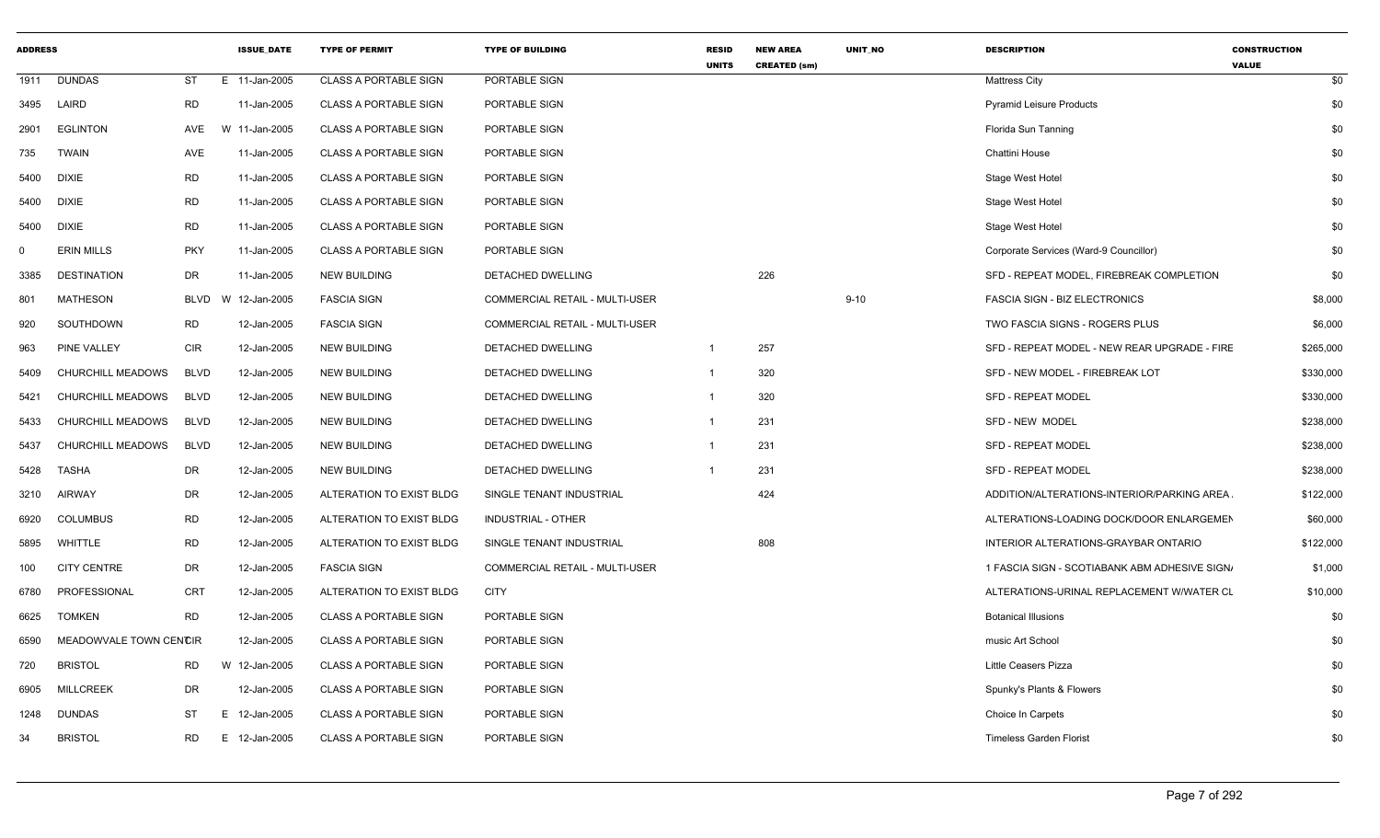| <b>ADDRESS</b> |                        |             | <b>ISSUE DATE</b> | <b>TYPE OF PERMIT</b>        | <b>TYPE OF BUILDING</b>        | <b>RESID</b><br><b>UNITS</b> | <b>NEW AREA</b><br><b>CREATED (sm)</b> | <b>UNIT NO</b> | <b>DESCRIPTION</b>                            | <b>CONSTRUCTION</b><br><b>VALUE</b> |
|----------------|------------------------|-------------|-------------------|------------------------------|--------------------------------|------------------------------|----------------------------------------|----------------|-----------------------------------------------|-------------------------------------|
| 1911           | <b>DUNDAS</b>          | ST          | E 11-Jan-2005     | <b>CLASS A PORTABLE SIGN</b> | PORTABLE SIGN                  |                              |                                        |                | <b>Mattress City</b>                          | \$0                                 |
| 3495           | LAIRD                  | <b>RD</b>   | 11-Jan-2005       | <b>CLASS A PORTABLE SIGN</b> | PORTABLE SIGN                  |                              |                                        |                | <b>Pyramid Leisure Products</b>               | \$0                                 |
| 2901           | <b>EGLINTON</b>        | AVE         | W 11-Jan-2005     | <b>CLASS A PORTABLE SIGN</b> | PORTABLE SIGN                  |                              |                                        |                | Florida Sun Tanning                           | \$0                                 |
| 735            | <b>TWAIN</b>           | AVE         | 11-Jan-2005       | <b>CLASS A PORTABLE SIGN</b> | PORTABLE SIGN                  |                              |                                        |                | Chattini House                                | \$0                                 |
| 5400           | <b>DIXIE</b>           | <b>RD</b>   | 11-Jan-2005       | <b>CLASS A PORTABLE SIGN</b> | PORTABLE SIGN                  |                              |                                        |                | Stage West Hotel                              | \$0                                 |
| 5400           | <b>DIXIE</b>           | <b>RD</b>   | 11-Jan-2005       | <b>CLASS A PORTABLE SIGN</b> | PORTABLE SIGN                  |                              |                                        |                | Stage West Hotel                              | \$0                                 |
| 5400           | <b>DIXIE</b>           | <b>RD</b>   | 11-Jan-2005       | <b>CLASS A PORTABLE SIGN</b> | <b>PORTABLE SIGN</b>           |                              |                                        |                | Stage West Hotel                              | \$0                                 |
| $\mathbf 0$    | <b>ERIN MILLS</b>      | <b>PKY</b>  | 11-Jan-2005       | <b>CLASS A PORTABLE SIGN</b> | PORTABLE SIGN                  |                              |                                        |                | Corporate Services (Ward-9 Councillor)        | \$0                                 |
| 3385           | DESTINATION            | DR          | 11-Jan-2005       | <b>NEW BUILDING</b>          | DETACHED DWELLING              |                              | 226                                    |                | SFD - REPEAT MODEL, FIREBREAK COMPLETION      | \$0                                 |
| 801            | MATHESON               | <b>BLVD</b> | 12-Jan-2005<br>W  | <b>FASCIA SIGN</b>           | COMMERCIAL RETAIL - MULTI-USER |                              |                                        | $9 - 10$       | <b>FASCIA SIGN - BIZ ELECTRONICS</b>          | \$8,000                             |
| 920            | SOUTHDOWN              | <b>RD</b>   | 12-Jan-2005       | <b>FASCIA SIGN</b>           | COMMERCIAL RETAIL - MULTI-USER |                              |                                        |                | TWO FASCIA SIGNS - ROGERS PLUS                | \$6,000                             |
| 963            | <b>PINE VALLEY</b>     | <b>CIR</b>  | 12-Jan-2005       | <b>NEW BUILDING</b>          | DETACHED DWELLING              | $\mathbf{1}$                 | 257                                    |                | SFD - REPEAT MODEL - NEW REAR UPGRADE - FIRE  | \$265,000                           |
| 5409           | CHURCHILL MEADOWS      | <b>BLVD</b> | 12-Jan-2005       | <b>NEW BUILDING</b>          | DETACHED DWELLING              | 1                            | 320                                    |                | SFD - NEW MODEL - FIREBREAK LOT               | \$330,000                           |
| 5421           | CHURCHILL MEADOWS      | <b>BLVD</b> | 12-Jan-2005       | <b>NEW BUILDING</b>          | DETACHED DWELLING              | 1                            | 320                                    |                | <b>SFD - REPEAT MODEL</b>                     | \$330,000                           |
| 5433           | CHURCHILL MEADOWS      | <b>BLVD</b> | 12-Jan-2005       | <b>NEW BUILDING</b>          | DETACHED DWELLING              | 1                            | 231                                    |                | SFD - NEW MODEL                               | \$238,000                           |
| 5437           | CHURCHILL MEADOWS      | <b>BLVD</b> | 12-Jan-2005       | <b>NEW BUILDING</b>          | DETACHED DWELLING              | 1                            | 231                                    |                | <b>SFD - REPEAT MODEL</b>                     | \$238,000                           |
| 5428           | TASHA                  | DR          | 12-Jan-2005       | <b>NEW BUILDING</b>          | DETACHED DWELLING              |                              | 231                                    |                | <b>SFD - REPEAT MODEL</b>                     | \$238,000                           |
| 3210           | <b>AIRWAY</b>          | DR          | 12-Jan-2005       | ALTERATION TO EXIST BLDG     | SINGLE TENANT INDUSTRIAL       |                              | 424                                    |                | ADDITION/ALTERATIONS-INTERIOR/PARKING AREA    | \$122,000                           |
| 6920           | COLUMBUS               | RD          | 12-Jan-2005       | ALTERATION TO EXIST BLDG     | <b>INDUSTRIAL - OTHER</b>      |                              |                                        |                | ALTERATIONS-LOADING DOCK/DOOR ENLARGEMEN      | \$60,000                            |
| 5895           | WHITTLE                | <b>RD</b>   | 12-Jan-2005       | ALTERATION TO EXIST BLDG     | SINGLE TENANT INDUSTRIAL       |                              | 808                                    |                | INTERIOR ALTERATIONS-GRAYBAR ONTARIO          | \$122,000                           |
| 100            | <b>CITY CENTRE</b>     | DR          | 12-Jan-2005       | <b>FASCIA SIGN</b>           | COMMERCIAL RETAIL - MULTI-USER |                              |                                        |                | 1 FASCIA SIGN - SCOTIABANK ABM ADHESIVE SIGN. | \$1,000                             |
| 6780           | PROFESSIONAL           | CRT         | 12-Jan-2005       | ALTERATION TO EXIST BLDG     | <b>CITY</b>                    |                              |                                        |                | ALTERATIONS-URINAL REPLACEMENT W/WATER CL     | \$10,000                            |
| 6625           | <b>TOMKEN</b>          | <b>RD</b>   | 12-Jan-2005       | <b>CLASS A PORTABLE SIGN</b> | PORTABLE SIGN                  |                              |                                        |                | <b>Botanical Illusions</b>                    | \$0                                 |
| 6590           | MEADOWVALE TOWN CENCIR |             | 12-Jan-2005       | <b>CLASS A PORTABLE SIGN</b> | PORTABLE SIGN                  |                              |                                        |                | music Art School                              | \$0                                 |
| 720            | <b>BRISTOL</b>         | <b>RD</b>   | W 12-Jan-2005     | <b>CLASS A PORTABLE SIGN</b> | PORTABLE SIGN                  |                              |                                        |                | <b>Little Ceasers Pizza</b>                   | \$0                                 |
| 6905           | <b>MILLCREEK</b>       | DR          | 12-Jan-2005       | <b>CLASS A PORTABLE SIGN</b> | PORTABLE SIGN                  |                              |                                        |                | Spunky's Plants & Flowers                     | \$0                                 |
| 1248           | <b>DUNDAS</b>          | ST          | 12-Jan-2005<br>E. | <b>CLASS A PORTABLE SIGN</b> | PORTABLE SIGN                  |                              |                                        |                | Choice In Carpets                             | \$0                                 |
| 34             | <b>BRISTOL</b>         | RD.         | 12-Jan-2005<br>E. | <b>CLASS A PORTABLE SIGN</b> | PORTABLE SIGN                  |                              |                                        |                | <b>Timeless Garden Florist</b>                | \$0                                 |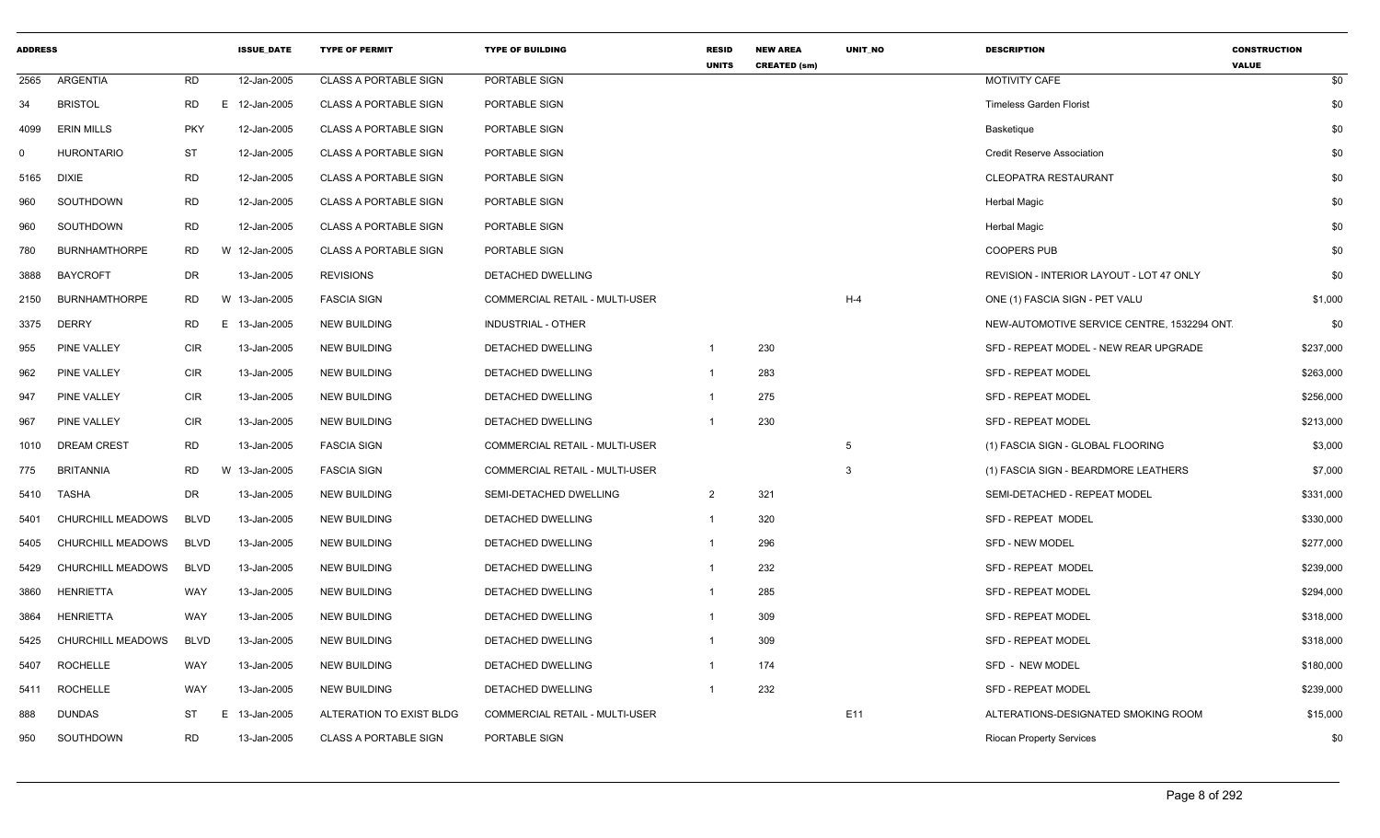| <b>ADDRESS</b> |                      |             | <b>ISSUE_DATE</b> | <b>TYPE OF PERMIT</b>        | <b>TYPE OF BUILDING</b>               | <b>RESID</b><br><b>UNITS</b> | <b>NEW AREA</b><br><b>CREATED (sm)</b> | UNIT_NO         | <b>DESCRIPTION</b>                              | <b>CONSTRUCTION</b><br><b>VALUE</b> |
|----------------|----------------------|-------------|-------------------|------------------------------|---------------------------------------|------------------------------|----------------------------------------|-----------------|-------------------------------------------------|-------------------------------------|
| 2565           | ARGENTIA             | RD          | 12-Jan-2005       | <b>CLASS A PORTABLE SIGN</b> | PORTABLE SIGN                         |                              |                                        |                 | <b>MOTIVITY CAFE</b>                            | \$0                                 |
| 34             | <b>BRISTOL</b>       | RD          | E 12-Jan-2005     | <b>CLASS A PORTABLE SIGN</b> | PORTABLE SIGN                         |                              |                                        |                 | <b>Timeless Garden Florist</b>                  | \$0                                 |
| 4099           | <b>ERIN MILLS</b>    | <b>PKY</b>  | 12-Jan-2005       | <b>CLASS A PORTABLE SIGN</b> | PORTABLE SIGN                         |                              |                                        |                 | Basketique                                      | \$0                                 |
| $\Omega$       | <b>HURONTARIO</b>    | <b>ST</b>   | 12-Jan-2005       | <b>CLASS A PORTABLE SIGN</b> | PORTABLE SIGN                         |                              |                                        |                 | <b>Credit Reserve Association</b>               | \$0                                 |
| 5165           | <b>DIXIE</b>         | RD          | 12-Jan-2005       | <b>CLASS A PORTABLE SIGN</b> | PORTABLE SIGN                         |                              |                                        |                 | <b>CLEOPATRA RESTAURANT</b>                     | \$0                                 |
| 960            | SOUTHDOWN            | <b>RD</b>   | 12-Jan-2005       | <b>CLASS A PORTABLE SIGN</b> | PORTABLE SIGN                         |                              |                                        |                 | <b>Herbal Magic</b>                             | \$0                                 |
| 960            | SOUTHDOWN            | RD          | 12-Jan-2005       | <b>CLASS A PORTABLE SIGN</b> | PORTABLE SIGN                         |                              |                                        |                 | <b>Herbal Magic</b>                             | \$0                                 |
| 780            | <b>BURNHAMTHORPE</b> | RD          | W 12-Jan-2005     | <b>CLASS A PORTABLE SIGN</b> | PORTABLE SIGN                         |                              |                                        |                 | <b>COOPERS PUB</b>                              | \$0                                 |
| 3888           | <b>BAYCROFT</b>      | DR          | 13-Jan-2005       | <b>REVISIONS</b>             | DETACHED DWELLING                     |                              |                                        |                 | <b>REVISION - INTERIOR LAYOUT - LOT 47 ONLY</b> | \$0                                 |
| 2150           | <b>BURNHAMTHORPE</b> | RD          | W 13-Jan-2005     | <b>FASCIA SIGN</b>           | COMMERCIAL RETAIL - MULTI-USER        |                              |                                        | $H-4$           | ONE (1) FASCIA SIGN - PET VALU                  | \$1,000                             |
| 3375           | <b>DERRY</b>         | <b>RD</b>   | E 13-Jan-2005     | <b>NEW BUILDING</b>          | INDUSTRIAL - OTHER                    |                              |                                        |                 | NEW-AUTOMOTIVE SERVICE CENTRE, 1532294 ONT      | \$0                                 |
| 955            | <b>PINE VALLEY</b>   | <b>CIR</b>  | 13-Jan-2005       | <b>NEW BUILDING</b>          | DETACHED DWELLING                     | $\mathbf{1}$                 | 230                                    |                 | SFD - REPEAT MODEL - NEW REAR UPGRADE           | \$237,000                           |
| 962            | PINE VALLEY          | <b>CIR</b>  | 13-Jan-2005       | <b>NEW BUILDING</b>          | DETACHED DWELLING                     |                              | 283                                    |                 | SFD - REPEAT MODEL                              | \$263,000                           |
| 947            | PINE VALLEY          | <b>CIR</b>  | 13-Jan-2005       | <b>NEW BUILDING</b>          | DETACHED DWELLING                     |                              | 275                                    |                 | <b>SFD - REPEAT MODEL</b>                       | \$256,000                           |
| 967            | PINE VALLEY          | <b>CIR</b>  | 13-Jan-2005       | <b>NEW BUILDING</b>          | DETACHED DWELLING                     | -1                           | 230                                    |                 | <b>SFD - REPEAT MODEL</b>                       | \$213,000                           |
| 1010           | <b>DREAM CREST</b>   | RD          | 13-Jan-2005       | <b>FASCIA SIGN</b>           | COMMERCIAL RETAIL - MULTI-USER        |                              |                                        | 5               | (1) FASCIA SIGN - GLOBAL FLOORING               | \$3,000                             |
| 775            | <b>BRITANNIA</b>     | <b>RD</b>   | W 13-Jan-2005     | <b>FASCIA SIGN</b>           | <b>COMMERCIAL RETAIL - MULTI-USER</b> |                              |                                        | 3               | (1) FASCIA SIGN - BEARDMORE LEATHERS            | \$7,000                             |
| 5410           | TASHA                | DR          | 13-Jan-2005       | <b>NEW BUILDING</b>          | SEMI-DETACHED DWELLING                | $\overline{2}$               | 321                                    |                 | SEMI-DETACHED - REPEAT MODEL                    | \$331,000                           |
| 5401           | CHURCHILL MEADOWS    | <b>BLVD</b> | 13-Jan-2005       | <b>NEW BUILDING</b>          | DETACHED DWELLING                     | $\mathbf 1$                  | 320                                    |                 | SFD - REPEAT MODEL                              | \$330,000                           |
| 5405           | CHURCHILL MEADOWS    | <b>BLVD</b> | 13-Jan-2005       | <b>NEW BUILDING</b>          | <b>DETACHED DWELLING</b>              |                              | 296                                    |                 | <b>SFD - NEW MODEL</b>                          | \$277,000                           |
| 5429           | CHURCHILL MEADOWS    | <b>BLVD</b> | 13-Jan-2005       | NEW BUILDING                 | DETACHED DWELLING                     |                              | 232                                    |                 | SFD - REPEAT MODEL                              | \$239,000                           |
| 3860           | HENRIETTA            | WAY         | 13-Jan-2005       | <b>NEW BUILDING</b>          | DETACHED DWELLING                     |                              | 285                                    |                 | <b>SFD - REPEAT MODEL</b>                       | \$294,000                           |
| 3864           | HENRIETTA            | WAY         | 13-Jan-2005       | <b>NEW BUILDING</b>          | DETACHED DWELLING                     |                              | 309                                    |                 | <b>SFD - REPEAT MODEL</b>                       | \$318,000                           |
| 5425           | CHURCHILL MEADOWS    | <b>BLVD</b> | 13-Jan-2005       | <b>NEW BUILDING</b>          | DETACHED DWELLING                     |                              | 309                                    |                 | <b>SFD - REPEAT MODEL</b>                       | \$318,000                           |
| 5407           | <b>ROCHELLE</b>      | WAY         | 13-Jan-2005       | <b>NEW BUILDING</b>          | DETACHED DWELLING                     | $\mathbf{1}$                 | 174                                    |                 | SFD - NEW MODEL                                 | \$180,000                           |
| 5411           | <b>ROCHELLE</b>      | WAY         | 13-Jan-2005       | NEW BUILDING                 | DETACHED DWELLING                     |                              | 232                                    |                 | <b>SFD - REPEAT MODEL</b>                       | \$239,000                           |
| 888            | <b>DUNDAS</b>        | <b>ST</b>   | E<br>13-Jan-2005  | ALTERATION TO EXIST BLDG     | COMMERCIAL RETAIL - MULTI-USER        |                              |                                        | E <sub>11</sub> | ALTERATIONS-DESIGNATED SMOKING ROOM             | \$15,000                            |
| 950            | SOUTHDOWN            | <b>RD</b>   | 13-Jan-2005       | <b>CLASS A PORTABLE SIGN</b> | PORTABLE SIGN                         |                              |                                        |                 | <b>Riocan Property Services</b>                 | \$0                                 |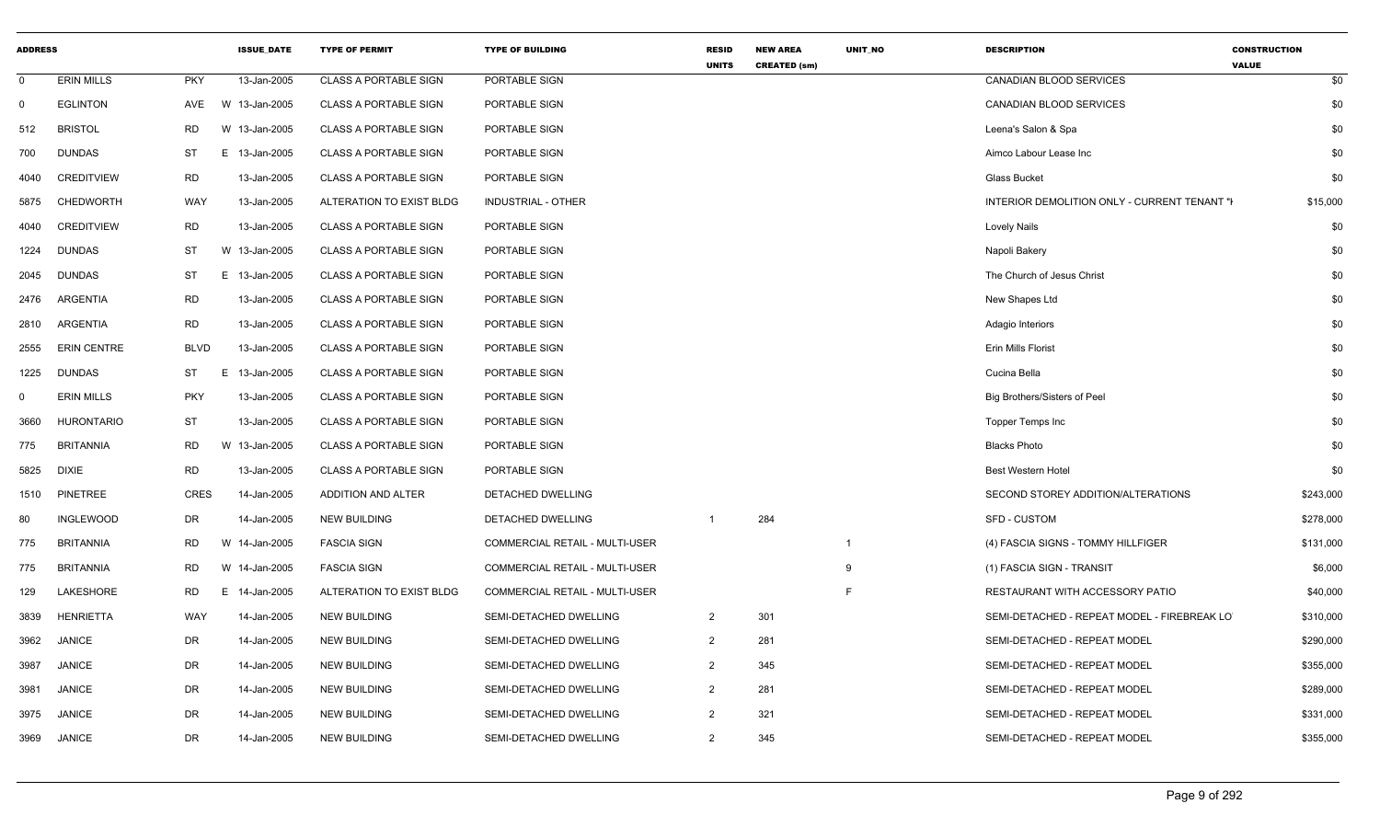| <b>ADDRESS</b> |                    |             |               | <b>ISSUE DATE</b> | <b>TYPE OF PERMIT</b>        | <b>TYPE OF BUILDING</b>        | <b>RESID</b><br><b>UNITS</b> | <b>NEW AREA</b><br><b>CREATED (sm)</b> | UNIT_NO                 | <b>DESCRIPTION</b>                           | <b>CONSTRUCTION</b><br><b>VALUE</b> |
|----------------|--------------------|-------------|---------------|-------------------|------------------------------|--------------------------------|------------------------------|----------------------------------------|-------------------------|----------------------------------------------|-------------------------------------|
| $\mathbf 0$    | <b>ERIN MILLS</b>  | <b>PKY</b>  |               | 13-Jan-2005       | <b>CLASS A PORTABLE SIGN</b> | PORTABLE SIGN                  |                              |                                        |                         | CANADIAN BLOOD SERVICES                      | \$0                                 |
| $\mathbf 0$    | <b>EGLINTON</b>    | AVE         | W 13-Jan-2005 |                   | <b>CLASS A PORTABLE SIGN</b> | PORTABLE SIGN                  |                              |                                        |                         | <b>CANADIAN BLOOD SERVICES</b>               | \$0                                 |
| 512            | <b>BRISTOL</b>     | <b>RD</b>   | W 13-Jan-2005 |                   | <b>CLASS A PORTABLE SIGN</b> | PORTABLE SIGN                  |                              |                                        |                         | Leena's Salon & Spa                          | \$0                                 |
| 700            | <b>DUNDAS</b>      | <b>ST</b>   | E 13-Jan-2005 |                   | <b>CLASS A PORTABLE SIGN</b> | PORTABLE SIGN                  |                              |                                        |                         | Aimco Labour Lease Inc                       | \$0                                 |
| 4040           | <b>CREDITVIEW</b>  | RD          |               | 13-Jan-2005       | <b>CLASS A PORTABLE SIGN</b> | PORTABLE SIGN                  |                              |                                        |                         | Glass Bucket                                 | \$0                                 |
| 5875           | CHEDWORTH          | WAY         |               | 13-Jan-2005       | ALTERATION TO EXIST BLDG     | INDUSTRIAL - OTHER             |                              |                                        |                         | INTERIOR DEMOLITION ONLY - CURRENT TENANT "I | \$15,000                            |
| 4040           | <b>CREDITVIEW</b>  | <b>RD</b>   |               | 13-Jan-2005       | <b>CLASS A PORTABLE SIGN</b> | PORTABLE SIGN                  |                              |                                        |                         | <b>Lovely Nails</b>                          | \$0                                 |
| 1224           | <b>DUNDAS</b>      | ST          | W 13-Jan-2005 |                   | <b>CLASS A PORTABLE SIGN</b> | PORTABLE SIGN                  |                              |                                        |                         | Napoli Bakery                                | \$0                                 |
| 2045           | <b>DUNDAS</b>      | <b>ST</b>   | E 13-Jan-2005 |                   | <b>CLASS A PORTABLE SIGN</b> | PORTABLE SIGN                  |                              |                                        |                         | The Church of Jesus Christ                   | \$0                                 |
| 2476           | ARGENTIA           | <b>RD</b>   |               | 13-Jan-2005       | <b>CLASS A PORTABLE SIGN</b> | PORTABLE SIGN                  |                              |                                        |                         | New Shapes Ltd                               | \$0                                 |
| 2810           | ARGENTIA           | RD          |               | 13-Jan-2005       | <b>CLASS A PORTABLE SIGN</b> | PORTABLE SIGN                  |                              |                                        |                         | Adagio Interiors                             | \$0                                 |
| 2555           | <b>ERIN CENTRE</b> | <b>BLVD</b> |               | 13-Jan-2005       | <b>CLASS A PORTABLE SIGN</b> | PORTABLE SIGN                  |                              |                                        |                         | Erin Mills Florist                           | \$0                                 |
| 1225           | <b>DUNDAS</b>      | <b>ST</b>   | E             | 13-Jan-2005       | <b>CLASS A PORTABLE SIGN</b> | PORTABLE SIGN                  |                              |                                        |                         | Cucina Bella                                 | \$0                                 |
| 0              | <b>ERIN MILLS</b>  | <b>PKY</b>  |               | 13-Jan-2005       | <b>CLASS A PORTABLE SIGN</b> | PORTABLE SIGN                  |                              |                                        |                         | Big Brothers/Sisters of Peel                 | \$0                                 |
| 3660           | <b>HURONTARIO</b>  | ST          |               | 13-Jan-2005       | <b>CLASS A PORTABLE SIGN</b> | PORTABLE SIGN                  |                              |                                        |                         | Topper Temps Inc                             | \$0                                 |
| 775            | <b>BRITANNIA</b>   | <b>RD</b>   | W 13-Jan-2005 |                   | <b>CLASS A PORTABLE SIGN</b> | PORTABLE SIGN                  |                              |                                        |                         | <b>Blacks Photo</b>                          | \$0                                 |
| 5825           | <b>DIXIE</b>       | <b>RD</b>   |               | 13-Jan-2005       | <b>CLASS A PORTABLE SIGN</b> | PORTABLE SIGN                  |                              |                                        |                         | Best Western Hotel                           | \$0                                 |
| 1510           | PINETREE           | <b>CRES</b> |               | 14-Jan-2005       | ADDITION AND ALTER           | DETACHED DWELLING              |                              |                                        |                         | SECOND STOREY ADDITION/ALTERATIONS           | \$243,000                           |
| 80             | <b>INGLEWOOD</b>   | DR          |               | 14-Jan-2005       | <b>NEW BUILDING</b>          | <b>DETACHED DWELLING</b>       | $\mathbf 1$                  | 284                                    |                         | <b>SFD - CUSTOM</b>                          | \$278,000                           |
| 775            | <b>BRITANNIA</b>   | RD          | W 14-Jan-2005 |                   | <b>FASCIA SIGN</b>           | COMMERCIAL RETAIL - MULTI-USER |                              |                                        | $\overline{\mathbf{1}}$ | (4) FASCIA SIGNS - TOMMY HILLFIGER           | \$131,000                           |
| 775            | <b>BRITANNIA</b>   | <b>RD</b>   | W 14-Jan-2005 |                   | <b>FASCIA SIGN</b>           | COMMERCIAL RETAIL - MULTI-USER |                              |                                        | 9                       | (1) FASCIA SIGN - TRANSIT                    | \$6,000                             |
| 129            | LAKESHORE          | <b>RD</b>   | E 14-Jan-2005 |                   | ALTERATION TO EXIST BLDG     | COMMERCIAL RETAIL - MULTI-USER |                              |                                        | F                       | RESTAURANT WITH ACCESSORY PATIO              | \$40,000                            |
| 3839           | <b>HENRIETTA</b>   | WAY         |               | 14-Jan-2005       | <b>NEW BUILDING</b>          | SEMI-DETACHED DWELLING         | $\overline{2}$               | 301                                    |                         | SEMI-DETACHED - REPEAT MODEL - FIREBREAK LO  | \$310,000                           |
| 3962           | <b>JANICE</b>      | DR          |               | 14-Jan-2005       | <b>NEW BUILDING</b>          | SEMI-DETACHED DWELLING         | $\overline{2}$               | 281                                    |                         | SEMI-DETACHED - REPEAT MODEL                 | \$290,000                           |
| 3987           | <b>JANICE</b>      | DR          |               | 14-Jan-2005       | <b>NEW BUILDING</b>          | SEMI-DETACHED DWELLING         | $\overline{2}$               | 345                                    |                         | SEMI-DETACHED - REPEAT MODEL                 | \$355,000                           |
| 3981           | <b>JANICE</b>      | DR          |               | 14-Jan-2005       | <b>NEW BUILDING</b>          | SEMI-DETACHED DWELLING         | $\overline{2}$               | 281                                    |                         | SEMI-DETACHED - REPEAT MODEL                 | \$289,000                           |
| 3975           | <b>JANICE</b>      | <b>DR</b>   |               | 14-Jan-2005       | <b>NEW BUILDING</b>          | SEMI-DETACHED DWELLING         | $\overline{2}$               | 321                                    |                         | SEMI-DETACHED - REPEAT MODEL                 | \$331,000                           |
| 3969           | <b>JANICE</b>      | <b>DR</b>   |               | 14-Jan-2005       | <b>NEW BUILDING</b>          | SEMI-DETACHED DWELLING         | 2                            | 345                                    |                         | SEMI-DETACHED - REPEAT MODEL                 | \$355,000                           |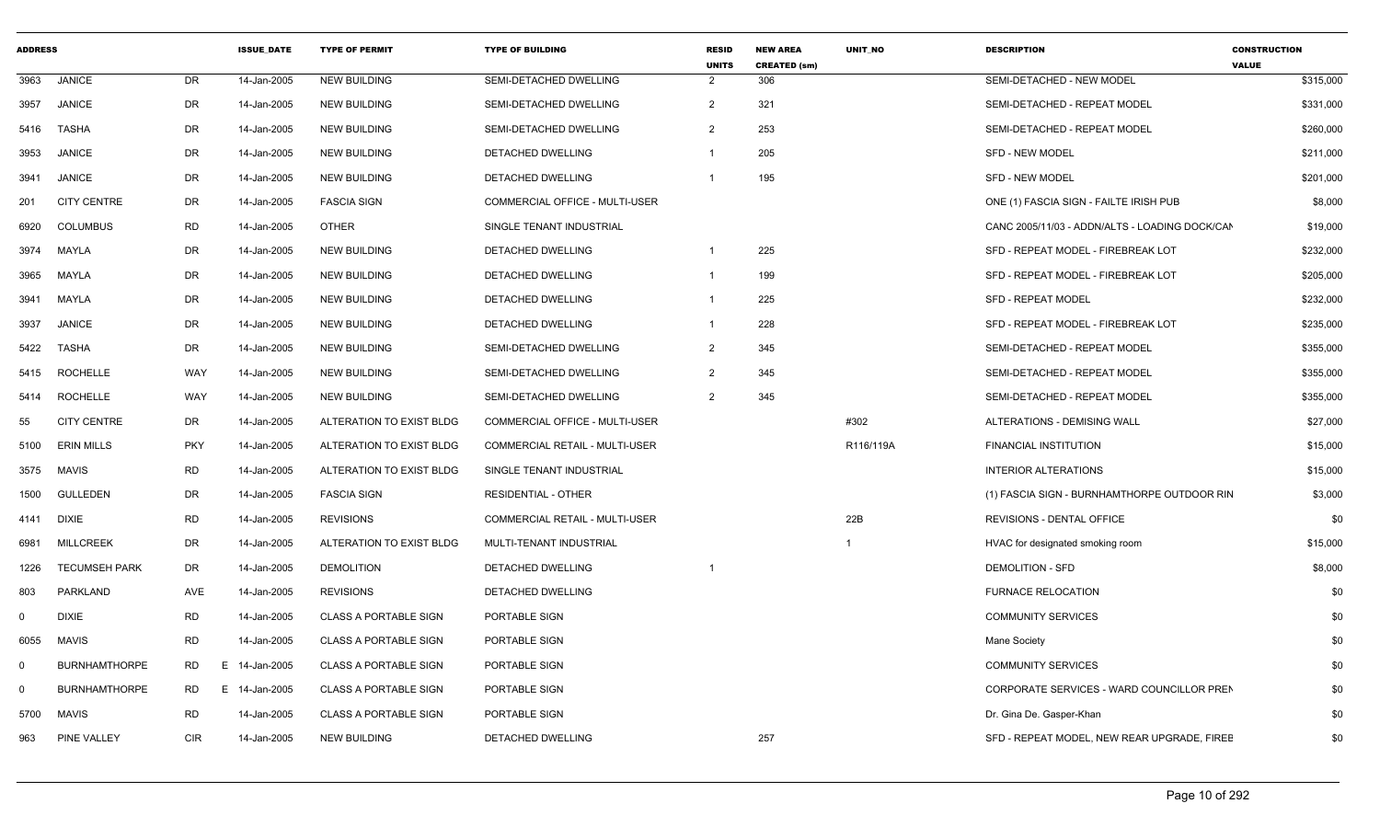| <b>ADDRESS</b> |                      |                | <b>ISSUE DATE</b> | <b>TYPE OF PERMIT</b>        | <b>TYPE OF BUILDING</b>        | <b>RESID</b><br><b>UNITS</b> | <b>NEW AREA</b><br><b>CREATED (sm)</b> | <b>UNIT NO</b> | <b>DESCRIPTION</b>                             | <b>CONSTRUCTION</b><br><b>VALUE</b> |
|----------------|----------------------|----------------|-------------------|------------------------------|--------------------------------|------------------------------|----------------------------------------|----------------|------------------------------------------------|-------------------------------------|
| 3963           | <b>JANICE</b>        | DR             | 14-Jan-2005       | <b>NEW BUILDING</b>          | SEMI-DETACHED DWELLING         | $\overline{2}$               | 306                                    |                | SEMI-DETACHED - NEW MODEL                      | \$315,000                           |
| 3957           | <b>JANICE</b>        | DR             | 14-Jan-2005       | <b>NEW BUILDING</b>          | SEMI-DETACHED DWELLING         | 2                            | 321                                    |                | SEMI-DETACHED - REPEAT MODEL                   | \$331,000                           |
| 5416           | <b>TASHA</b>         | DR             | 14-Jan-2005       | <b>NEW BUILDING</b>          | SEMI-DETACHED DWELLING         | $\overline{2}$               | 253                                    |                | SEMI-DETACHED - REPEAT MODEL                   | \$260,000                           |
| 3953           | <b>JANICE</b>        | DR             | 14-Jan-2005       | <b>NEW BUILDING</b>          | DETACHED DWELLING              |                              | 205                                    |                | <b>SFD - NEW MODEL</b>                         | \$211,000                           |
| 3941           | <b>JANICE</b>        | DR             | 14-Jan-2005       | <b>NEW BUILDING</b>          | DETACHED DWELLING              | $\overline{1}$               | 195                                    |                | <b>SFD - NEW MODEL</b>                         | \$201,000                           |
| 201            | <b>CITY CENTRE</b>   | DR             | 14-Jan-2005       | <b>FASCIA SIGN</b>           | COMMERCIAL OFFICE - MULTI-USER |                              |                                        |                | ONE (1) FASCIA SIGN - FAILTE IRISH PUB         | \$8,000                             |
| 6920           | <b>COLUMBUS</b>      | <b>RD</b>      | 14-Jan-2005       | OTHER                        | SINGLE TENANT INDUSTRIAL       |                              |                                        |                | CANC 2005/11/03 - ADDN/ALTS - LOADING DOCK/CAN | \$19,000                            |
|                | 3974 MAYLA           | DR             | 14-Jan-2005       | <b>NEW BUILDING</b>          | <b>DETACHED DWELLING</b>       | $\overline{1}$               | 225                                    |                | SFD - REPEAT MODEL - FIREBREAK LOT             | \$232,000                           |
| 3965           | MAYLA                | DR             | 14-Jan-2005       | <b>NEW BUILDING</b>          | DETACHED DWELLING              | -1                           | 199                                    |                | SFD - REPEAT MODEL - FIREBREAK LOT             | \$205,000                           |
| 3941           | MAYLA                | DR             | 14-Jan-2005       | <b>NEW BUILDING</b>          | <b>DETACHED DWELLING</b>       | $\overline{1}$               | 225                                    |                | <b>SFD - REPEAT MODEL</b>                      | \$232,000                           |
| 3937           | <b>JANICE</b>        | DR             | 14-Jan-2005       | <b>NEW BUILDING</b>          | DETACHED DWELLING              | $\overline{1}$               | 228                                    |                | SFD - REPEAT MODEL - FIREBREAK LOT             | \$235,000                           |
| 5422           | <b>TASHA</b>         | DR             | 14-Jan-2005       | <b>NEW BUILDING</b>          | SEMI-DETACHED DWELLING         | $\overline{2}$               | 345                                    |                | SEMI-DETACHED - REPEAT MODEL                   | \$355,000                           |
| 5415           | <b>ROCHELLE</b>      | WAY            | 14-Jan-2005       | <b>NEW BUILDING</b>          | SEMI-DETACHED DWELLING         | $\overline{2}$               | 345                                    |                | SEMI-DETACHED - REPEAT MODEL                   | \$355,000                           |
| 5414           | ROCHELLE             | WAY            | 14-Jan-2005       | <b>NEW BUILDING</b>          | SEMI-DETACHED DWELLING         | $\overline{2}$               | 345                                    |                | SEMI-DETACHED - REPEAT MODEL                   | \$355,000                           |
| 55             | <b>CITY CENTRE</b>   | DR             | 14-Jan-2005       | ALTERATION TO EXIST BLDG     | COMMERCIAL OFFICE - MULTI-USER |                              |                                        | #302           | ALTERATIONS - DEMISING WALL                    | \$27,000                            |
| 5100           | <b>ERIN MILLS</b>    | <b>PKY</b>     | 14-Jan-2005       | ALTERATION TO EXIST BLDG     | COMMERCIAL RETAIL - MULTI-USER |                              |                                        | R116/119A      | <b>FINANCIAL INSTITUTION</b>                   | \$15,000                            |
| 3575           | <b>MAVIS</b>         | <b>RD</b>      | 14-Jan-2005       | ALTERATION TO EXIST BLDG     | SINGLE TENANT INDUSTRIAL       |                              |                                        |                | <b>INTERIOR ALTERATIONS</b>                    | \$15,000                            |
| 1500           | <b>GULLEDEN</b>      | DR             | 14-Jan-2005       | <b>FASCIA SIGN</b>           | <b>RESIDENTIAL - OTHER</b>     |                              |                                        |                | (1) FASCIA SIGN - BURNHAMTHORPE OUTDOOR RIN    | \$3,000                             |
| 4141           | <b>DIXIE</b>         | <b>RD</b>      | 14-Jan-2005       | <b>REVISIONS</b>             | COMMERCIAL RETAIL - MULTI-USER |                              |                                        | 22B            | REVISIONS - DENTAL OFFICE                      | \$0                                 |
| 6981           | <b>MILLCREEK</b>     | DR             | 14-Jan-2005       | ALTERATION TO EXIST BLDG     | MULTI-TENANT INDUSTRIAL        |                              |                                        |                | HVAC for designated smoking room               | \$15,000                            |
| 1226           | <b>TECUMSEH PARK</b> | DR             | 14-Jan-2005       | <b>DEMOLITION</b>            | DETACHED DWELLING              |                              |                                        |                | DEMOLITION - SFD                               | \$8,000                             |
| 803            | PARKLAND             | AVE            | 14-Jan-2005       | <b>REVISIONS</b>             | <b>DETACHED DWELLING</b>       |                              |                                        |                | <b>FURNACE RELOCATION</b>                      | \$0                                 |
| $\Omega$       | <b>DIXIE</b>         | <b>RD</b>      | 14-Jan-2005       | <b>CLASS A PORTABLE SIGN</b> | PORTABLE SIGN                  |                              |                                        |                | <b>COMMUNITY SERVICES</b>                      | \$0                                 |
| 6055           | <b>MAVIS</b>         | <b>RD</b>      | 14-Jan-2005       | <b>CLASS A PORTABLE SIGN</b> | PORTABLE SIGN                  |                              |                                        |                | Mane Society                                   | \$0                                 |
| - 0            | <b>BURNHAMTHORPE</b> | <b>RD</b><br>E | 14-Jan-2005       | <b>CLASS A PORTABLE SIGN</b> | <b>PORTABLE SIGN</b>           |                              |                                        |                | <b>COMMUNITY SERVICES</b>                      | \$0                                 |
| $\Omega$       | <b>BURNHAMTHORPE</b> | RD.<br>E       | 14-Jan-2005       | <b>CLASS A PORTABLE SIGN</b> | PORTABLE SIGN                  |                              |                                        |                | CORPORATE SERVICES - WARD COUNCILLOR PREN      | \$0                                 |
| 5700           | MAVIS                | <b>RD</b>      | 14-Jan-2005       | <b>CLASS A PORTABLE SIGN</b> | PORTABLE SIGN                  |                              |                                        |                | Dr. Gina De. Gasper-Khan                       | \$0                                 |
| 963            | <b>PINE VALLEY</b>   | <b>CIR</b>     | 14-Jan-2005       | <b>NEW BUILDING</b>          | DETACHED DWELLING              |                              | 257                                    |                | SFD - REPEAT MODEL, NEW REAR UPGRADE, FIREE    | \$0                                 |
|                |                      |                |                   |                              |                                |                              |                                        |                |                                                |                                     |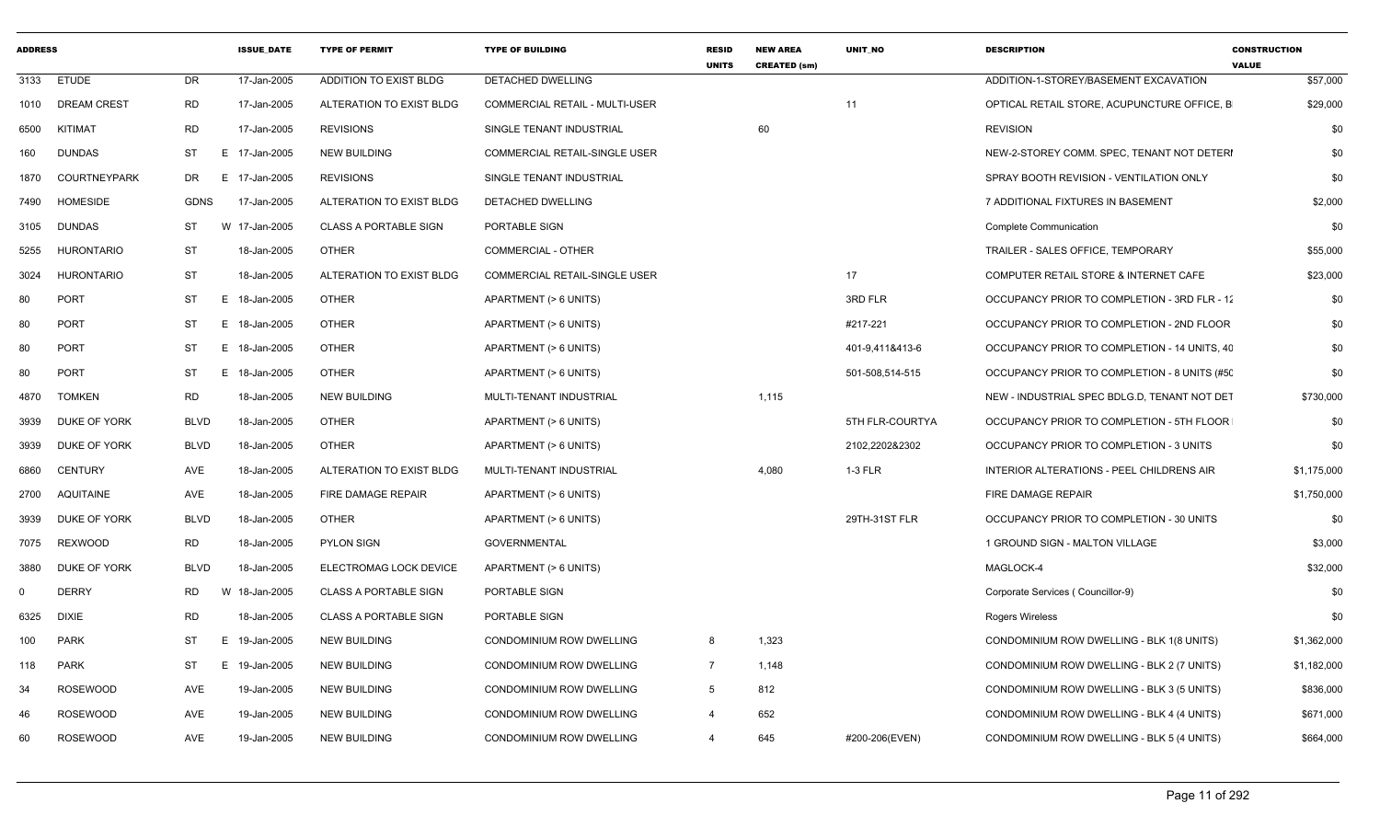| <b>ADDRESS</b> |                     |             | <b>ISSUE_DATE</b> | <b>TYPE OF PERMIT</b>        | <b>TYPE OF BUILDING</b>              | <b>RESID</b><br><b>UNITS</b> | <b>NEW AREA</b><br><b>CREATED (sm)</b> | UNIT_NO         | <b>DESCRIPTION</b>                           | <b>CONSTRUCTION</b><br><b>VALUE</b> |
|----------------|---------------------|-------------|-------------------|------------------------------|--------------------------------------|------------------------------|----------------------------------------|-----------------|----------------------------------------------|-------------------------------------|
|                | 3133 ETUDE          | DR          | 17-Jan-2005       | ADDITION TO EXIST BLDG       | DETACHED DWELLING                    |                              |                                        |                 | ADDITION-1-STOREY/BASEMENT EXCAVATION        | \$57,000                            |
|                | 1010 DREAM CREST    | RD          | 17-Jan-2005       | ALTERATION TO EXIST BLDG     | COMMERCIAL RETAIL - MULTI-USER       |                              |                                        | 11              | OPTICAL RETAIL STORE, ACUPUNCTURE OFFICE, B  | \$29,000                            |
| 6500           | KITIMAT             | RD          | 17-Jan-2005       | <b>REVISIONS</b>             | SINGLE TENANT INDUSTRIAL             |                              | 60                                     |                 | <b>REVISION</b>                              | \$0                                 |
| 160            | <b>DUNDAS</b>       | ST          | E 17-Jan-2005     | <b>NEW BUILDING</b>          | COMMERCIAL RETAIL-SINGLE USER        |                              |                                        |                 | NEW-2-STOREY COMM. SPEC, TENANT NOT DETERI   | \$0                                 |
| 1870           | <b>COURTNEYPARK</b> | DR          | E.<br>17-Jan-2005 | <b>REVISIONS</b>             | SINGLE TENANT INDUSTRIAL             |                              |                                        |                 | SPRAY BOOTH REVISION - VENTILATION ONLY      | \$0                                 |
| 7490           | <b>HOMESIDE</b>     | <b>GDNS</b> | 17-Jan-2005       | ALTERATION TO EXIST BLDG     | DETACHED DWELLING                    |                              |                                        |                 | 7 ADDITIONAL FIXTURES IN BASEMENT            | \$2,000                             |
| 3105           | DUNDAS              | ST          | W 17-Jan-2005     | <b>CLASS A PORTABLE SIGN</b> | PORTABLE SIGN                        |                              |                                        |                 | Complete Communication                       | \$0                                 |
| 5255           | HURONTARIO          | ST          | 18-Jan-2005       | OTHER                        | COMMERCIAL - OTHER                   |                              |                                        |                 | TRAILER - SALES OFFICE, TEMPORARY            | \$55,000                            |
| 3024           | HURONTARIO          | ST          | 18-Jan-2005       | ALTERATION TO EXIST BLDG     | <b>COMMERCIAL RETAIL-SINGLE USER</b> |                              |                                        | 17              | COMPUTER RETAIL STORE & INTERNET CAFE        | \$23,000                            |
| 80             | PORT                | ST          | E 18-Jan-2005     | OTHER                        | APARTMENT (> 6 UNITS)                |                              |                                        | 3RD FLR         | OCCUPANCY PRIOR TO COMPLETION - 3RD FLR - 12 | \$0                                 |
| 80             | PORT                | ST          | E 18-Jan-2005     | OTHER                        | APARTMENT (> 6 UNITS)                |                              |                                        | #217-221        | OCCUPANCY PRIOR TO COMPLETION - 2ND FLOOR    | \$0                                 |
| 80             | PORT                | ST          | E 18-Jan-2005     | OTHER                        | APARTMENT (> 6 UNITS)                |                              |                                        | 401-9,411&413-6 | OCCUPANCY PRIOR TO COMPLETION - 14 UNITS, 40 | \$0                                 |
| 80             | PORT                | ST          | E 18-Jan-2005     | OTHER                        | APARTMENT (> 6 UNITS)                |                              |                                        | 501-508,514-515 | OCCUPANCY PRIOR TO COMPLETION - 8 UNITS (#50 | \$0                                 |
| 4870           | <b>TOMKEN</b>       | RD          | 18-Jan-2005       | <b>NEW BUILDING</b>          | MULTI-TENANT INDUSTRIAL              |                              | 1,115                                  |                 | NEW - INDUSTRIAL SPEC BDLG.D, TENANT NOT DET | \$730,000                           |
| 3939           | DUKE OF YORK        | <b>BLVD</b> | 18-Jan-2005       | <b>OTHER</b>                 | APARTMENT (> 6 UNITS)                |                              |                                        | 5TH FLR-COURTYA | OCCUPANCY PRIOR TO COMPLETION - 5TH FLOOR    | \$0                                 |
| 3939           | DUKE OF YORK        | <b>BLVD</b> | 18-Jan-2005       | OTHER                        | APARTMENT (> 6 UNITS)                |                              |                                        | 2102,2202&2302  | OCCUPANCY PRIOR TO COMPLETION - 3 UNITS      | \$0                                 |
| 6860           | <b>CENTURY</b>      | AVE         | 18-Jan-2005       | ALTERATION TO EXIST BLDG     | MULTI-TENANT INDUSTRIAL              |                              | 4,080                                  | 1-3 FLR         | INTERIOR ALTERATIONS - PEEL CHILDRENS AIR    | \$1,175,000                         |
| 2700           | AQUITAINE           | AVE         | 18-Jan-2005       | FIRE DAMAGE REPAIR           | APARTMENT (> 6 UNITS)                |                              |                                        |                 | FIRE DAMAGE REPAIR                           | \$1,750,000                         |
| 3939           | DUKE OF YORK        | <b>BLVD</b> | 18-Jan-2005       | OTHER                        | APARTMENT (> 6 UNITS)                |                              |                                        | 29TH-31ST FLR   | OCCUPANCY PRIOR TO COMPLETION - 30 UNITS     | \$0                                 |
| 7075           | <b>REXWOOD</b>      | <b>RD</b>   | 18-Jan-2005       | <b>PYLON SIGN</b>            | <b>GOVERNMENTAL</b>                  |                              |                                        |                 | 1 GROUND SIGN - MALTON VILLAGE               | \$3,000                             |
| 3880           | DUKE OF YORK        | BLVD        | 18-Jan-2005       | ELECTROMAG LOCK DEVICE       | APARTMENT (> 6 UNITS)                |                              |                                        |                 | MAGLOCK-4                                    | \$32,000                            |
| 0              | <b>DERRY</b>        | RD          | 18-Jan-2005<br>W  | <b>CLASS A PORTABLE SIGN</b> | PORTABLE SIGN                        |                              |                                        |                 | Corporate Services (Councillor-9)            | \$0                                 |
| 6325           | DIXIE               | RD          | 18-Jan-2005       | <b>CLASS A PORTABLE SIGN</b> | PORTABLE SIGN                        |                              |                                        |                 | Rogers Wireless                              | \$0                                 |
| 100            | PARK                | ST          | E 19-Jan-2005     | <b>NEW BUILDING</b>          | CONDOMINIUM ROW DWELLING             | 8                            | 1,323                                  |                 | CONDOMINIUM ROW DWELLING - BLK 1(8 UNITS)    | \$1,362,000                         |
| 118            | PARK                | ST          | 19-Jan-2005<br>E  | <b>NEW BUILDING</b>          | CONDOMINIUM ROW DWELLING             | 7                            | 1,148                                  |                 | CONDOMINIUM ROW DWELLING - BLK 2 (7 UNITS)   | \$1,182,000                         |
| 34             | ROSEWOOD            | AVE         | 19-Jan-2005       | <b>NEW BUILDING</b>          | CONDOMINIUM ROW DWELLING             | $5\overline{)}$              | 812                                    |                 | CONDOMINIUM ROW DWELLING - BLK 3 (5 UNITS)   | \$836,000                           |
| 46             | <b>ROSEWOOD</b>     | AVE         | 19-Jan-2005       | NEW BUILDING                 | CONDOMINIUM ROW DWELLING             | 4                            | 652                                    |                 | CONDOMINIUM ROW DWELLING - BLK 4 (4 UNITS)   | \$671,000                           |
| 60             | <b>ROSEWOOD</b>     | AVE         | 19-Jan-2005       | <b>NEW BUILDING</b>          | CONDOMINIUM ROW DWELLING             | $\overline{4}$               | 645                                    | #200-206(EVEN)  | CONDOMINIUM ROW DWELLING - BLK 5 (4 UNITS)   | \$664,000                           |
|                |                     |             |                   |                              |                                      |                              |                                        |                 |                                              |                                     |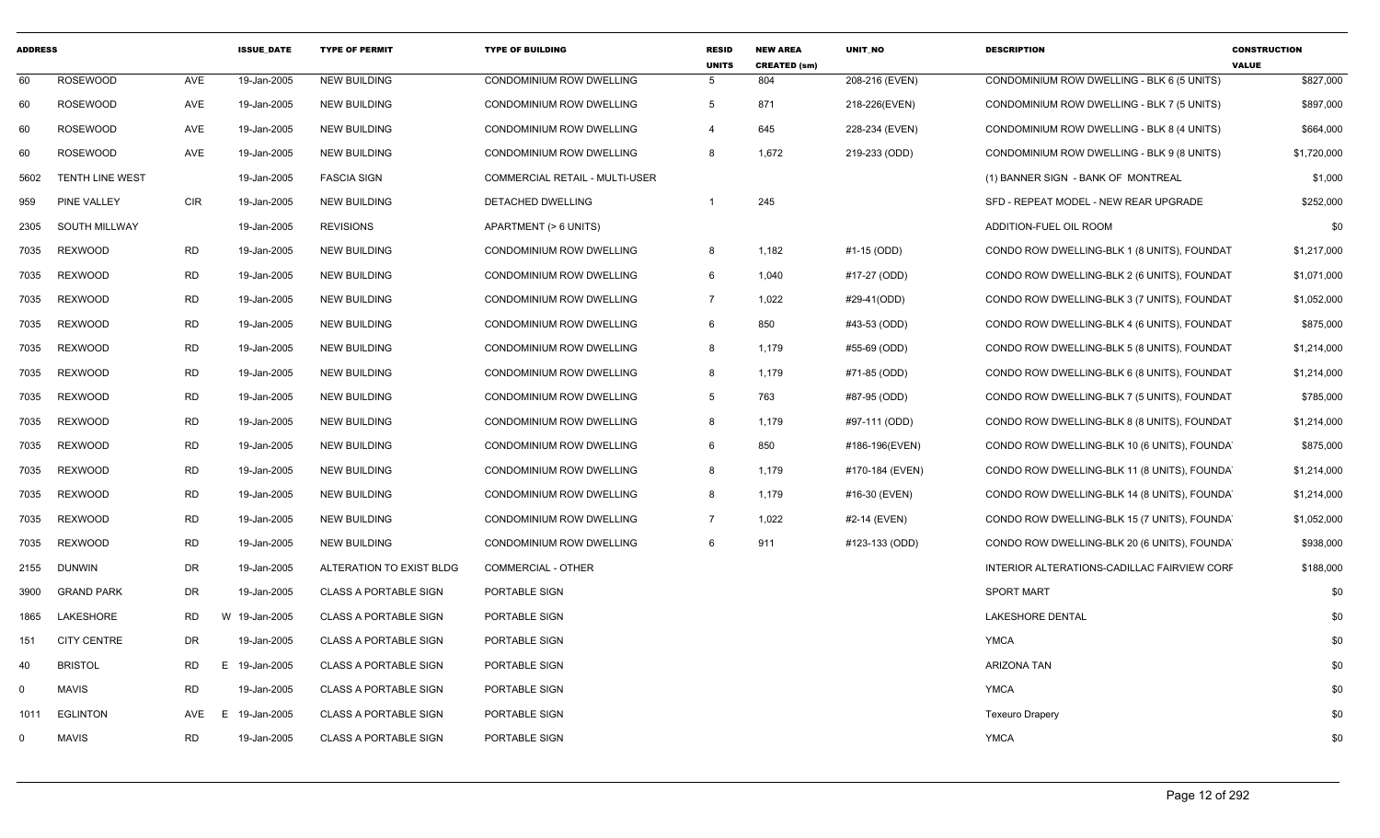| <b>ADDRESS</b> |                      |            | <b>ISSUE_DATE</b> | <b>TYPE OF PERMIT</b>        | <b>TYPE OF BUILDING</b>               | <b>RESID</b><br><b>UNITS</b> | <b>NEW AREA</b><br><b>CREATED (sm)</b> | UNIT_NO         | <b>DESCRIPTION</b>                           | <b>CONSTRUCTION</b><br><b>VALUE</b> |
|----------------|----------------------|------------|-------------------|------------------------------|---------------------------------------|------------------------------|----------------------------------------|-----------------|----------------------------------------------|-------------------------------------|
| 60             | <b>ROSEWOOD</b>      | AVE        | 19-Jan-2005       | <b>NEW BUILDING</b>          | CONDOMINIUM ROW DWELLING              | $5\overline{5}$              | 804                                    | 208-216 (EVEN)  | CONDOMINIUM ROW DWELLING - BLK 6 (5 UNITS)   | \$827,000                           |
| 60             | <b>ROSEWOOD</b>      | AVE        | 19-Jan-2005       | <b>NEW BUILDING</b>          | CONDOMINIUM ROW DWELLING              | 5                            | 871                                    | 218-226(EVEN)   | CONDOMINIUM ROW DWELLING - BLK 7 (5 UNITS)   | \$897,000                           |
| 60             | <b>ROSEWOOD</b>      | AVE        | 19-Jan-2005       | <b>NEW BUILDING</b>          | CONDOMINIUM ROW DWELLING              | $\overline{a}$               | 645                                    | 228-234 (EVEN)  | CONDOMINIUM ROW DWELLING - BLK 8 (4 UNITS)   | \$664,000                           |
| 60             | <b>ROSEWOOD</b>      | AVE        | 19-Jan-2005       | <b>NEW BUILDING</b>          | CONDOMINIUM ROW DWELLING              | 8                            | 1,672                                  | 219-233 (ODD)   | CONDOMINIUM ROW DWELLING - BLK 9 (8 UNITS)   | \$1,720,000                         |
| 5602           | TENTH LINE WEST      |            | 19-Jan-2005       | <b>FASCIA SIGN</b>           | <b>COMMERCIAL RETAIL - MULTI-USER</b> |                              |                                        |                 | (1) BANNER SIGN - BANK OF MONTREAL           | \$1,000                             |
| 959            | PINE VALLEY          | <b>CIR</b> | 19-Jan-2005       | <b>NEW BUILDING</b>          | <b>DETACHED DWELLING</b>              | $\overline{1}$               | 245                                    |                 | SFD - REPEAT MODEL - NEW REAR UPGRADE        | \$252,000                           |
| 2305           | <b>SOUTH MILLWAY</b> |            | 19-Jan-2005       | <b>REVISIONS</b>             | APARTMENT (> 6 UNITS)                 |                              |                                        |                 | ADDITION-FUEL OIL ROOM                       | \$0                                 |
| 7035           | <b>REXWOOD</b>       | <b>RD</b>  | 19-Jan-2005       | <b>NEW BUILDING</b>          | CONDOMINIUM ROW DWELLING              | 8                            | 1,182                                  | #1-15 (ODD)     | CONDO ROW DWELLING-BLK 1 (8 UNITS), FOUNDAT  | \$1,217,000                         |
| 7035           | <b>REXWOOD</b>       | <b>RD</b>  | 19-Jan-2005       | <b>NEW BUILDING</b>          | CONDOMINIUM ROW DWELLING              | 6                            | 1,040                                  | #17-27 (ODD)    | CONDO ROW DWELLING-BLK 2 (6 UNITS), FOUNDAT  | \$1,071,000                         |
| 7035           | <b>REXWOOD</b>       | <b>RD</b>  | 19-Jan-2005       | <b>NEW BUILDING</b>          | CONDOMINIUM ROW DWELLING              | $\overline{7}$               | 1,022                                  | #29-41(ODD)     | CONDO ROW DWELLING-BLK 3 (7 UNITS), FOUNDAT  | \$1,052,000                         |
| 7035           | <b>REXWOOD</b>       | <b>RD</b>  | 19-Jan-2005       | <b>NEW BUILDING</b>          | CONDOMINIUM ROW DWELLING              | 6                            | 850                                    | #43-53 (ODD)    | CONDO ROW DWELLING-BLK 4 (6 UNITS), FOUNDAT  | \$875,000                           |
| 7035           | <b>REXWOOD</b>       | <b>RD</b>  | 19-Jan-2005       | <b>NEW BUILDING</b>          | CONDOMINIUM ROW DWELLING              | 8                            | 1,179                                  | #55-69 (ODD)    | CONDO ROW DWELLING-BLK 5 (8 UNITS), FOUNDAT  | \$1,214,000                         |
| 7035           | <b>REXWOOD</b>       | <b>RD</b>  | 19-Jan-2005       | <b>NEW BUILDING</b>          | CONDOMINIUM ROW DWELLING              | 8                            | 1,179                                  | #71-85 (ODD)    | CONDO ROW DWELLING-BLK 6 (8 UNITS), FOUNDAT  | \$1,214,000                         |
| 7035           | <b>REXWOOD</b>       | <b>RD</b>  | 19-Jan-2005       | <b>NEW BUILDING</b>          | CONDOMINIUM ROW DWELLING              | 5 <sup>5</sup>               | 763                                    | #87-95 (ODD)    | CONDO ROW DWELLING-BLK 7 (5 UNITS), FOUNDAT  | \$785,000                           |
| 7035           | <b>REXWOOD</b>       | <b>RD</b>  | 19-Jan-2005       | <b>NEW BUILDING</b>          | CONDOMINIUM ROW DWELLING              | 8                            | 1,179                                  | #97-111 (ODD)   | CONDO ROW DWELLING-BLK 8 (8 UNITS), FOUNDAT  | \$1,214,000                         |
| 7035           | <b>REXWOOD</b>       | <b>RD</b>  | 19-Jan-2005       | <b>NEW BUILDING</b>          | CONDOMINIUM ROW DWELLING              | 6                            | 850                                    | #186-196(EVEN)  | CONDO ROW DWELLING-BLK 10 (6 UNITS), FOUNDA  | \$875,000                           |
| 7035           | <b>REXWOOD</b>       | <b>RD</b>  | 19-Jan-2005       | <b>NEW BUILDING</b>          | CONDOMINIUM ROW DWELLING              | 8                            | 1,179                                  | #170-184 (EVEN) | CONDO ROW DWELLING-BLK 11 (8 UNITS), FOUNDA  | \$1,214,000                         |
| 7035           | <b>REXWOOD</b>       | <b>RD</b>  | 19-Jan-2005       | <b>NEW BUILDING</b>          | CONDOMINIUM ROW DWELLING              | 8                            | 1,179                                  | #16-30 (EVEN)   | CONDO ROW DWELLING-BLK 14 (8 UNITS), FOUNDA  | \$1,214,000                         |
| 7035           | <b>REXWOOD</b>       | <b>RD</b>  | 19-Jan-2005       | <b>NEW BUILDING</b>          | CONDOMINIUM ROW DWELLING              | $\overline{7}$               | 1,022                                  | #2-14 (EVEN)    | CONDO ROW DWELLING-BLK 15 (7 UNITS), FOUNDA  | \$1,052,000                         |
| 7035           | <b>REXWOOD</b>       | <b>RD</b>  | 19-Jan-2005       | <b>NEW BUILDING</b>          | CONDOMINIUM ROW DWELLING              | 6                            | 911                                    | #123-133 (ODD)  | CONDO ROW DWELLING-BLK 20 (6 UNITS), FOUNDAY | \$938,000                           |
| 2155           | <b>DUNWIN</b>        | <b>DR</b>  | 19-Jan-2005       | ALTERATION TO EXIST BLDG     | <b>COMMERCIAL - OTHER</b>             |                              |                                        |                 | INTERIOR ALTERATIONS-CADILLAC FAIRVIEW CORF  | \$188,000                           |
| 3900           | <b>GRAND PARK</b>    | <b>DR</b>  | 19-Jan-2005       | <b>CLASS A PORTABLE SIGN</b> | PORTABLE SIGN                         |                              |                                        |                 | <b>SPORT MART</b>                            | \$0                                 |
| 1865           | LAKESHORE            | <b>RD</b>  | W 19-Jan-2005     | <b>CLASS A PORTABLE SIGN</b> | PORTABLE SIGN                         |                              |                                        |                 | <b>LAKESHORE DENTAL</b>                      | \$0                                 |
| 151            | <b>CITY CENTRE</b>   | <b>DR</b>  | 19-Jan-2005       | <b>CLASS A PORTABLE SIGN</b> | PORTABLE SIGN                         |                              |                                        |                 | <b>YMCA</b>                                  | \$0                                 |
| 40             | <b>BRISTOL</b>       | <b>RD</b>  | E.<br>19-Jan-2005 | <b>CLASS A PORTABLE SIGN</b> | PORTABLE SIGN                         |                              |                                        |                 | <b>ARIZONA TAN</b>                           | \$0                                 |
| 0              | <b>MAVIS</b>         | <b>RD</b>  | 19-Jan-2005       | <b>CLASS A PORTABLE SIGN</b> | PORTABLE SIGN                         |                              |                                        |                 | <b>YMCA</b>                                  | \$0                                 |
| 1011           | <b>EGLINTON</b>      | AVE        | 19-Jan-2005<br>E. | <b>CLASS A PORTABLE SIGN</b> | PORTABLE SIGN                         |                              |                                        |                 | <b>Texeuro Drapery</b>                       | \$0                                 |
| $\Omega$       | <b>MAVIS</b>         | <b>RD</b>  | 19-Jan-2005       | <b>CLASS A PORTABLE SIGN</b> | PORTABLE SIGN                         |                              |                                        |                 | <b>YMCA</b>                                  | \$0                                 |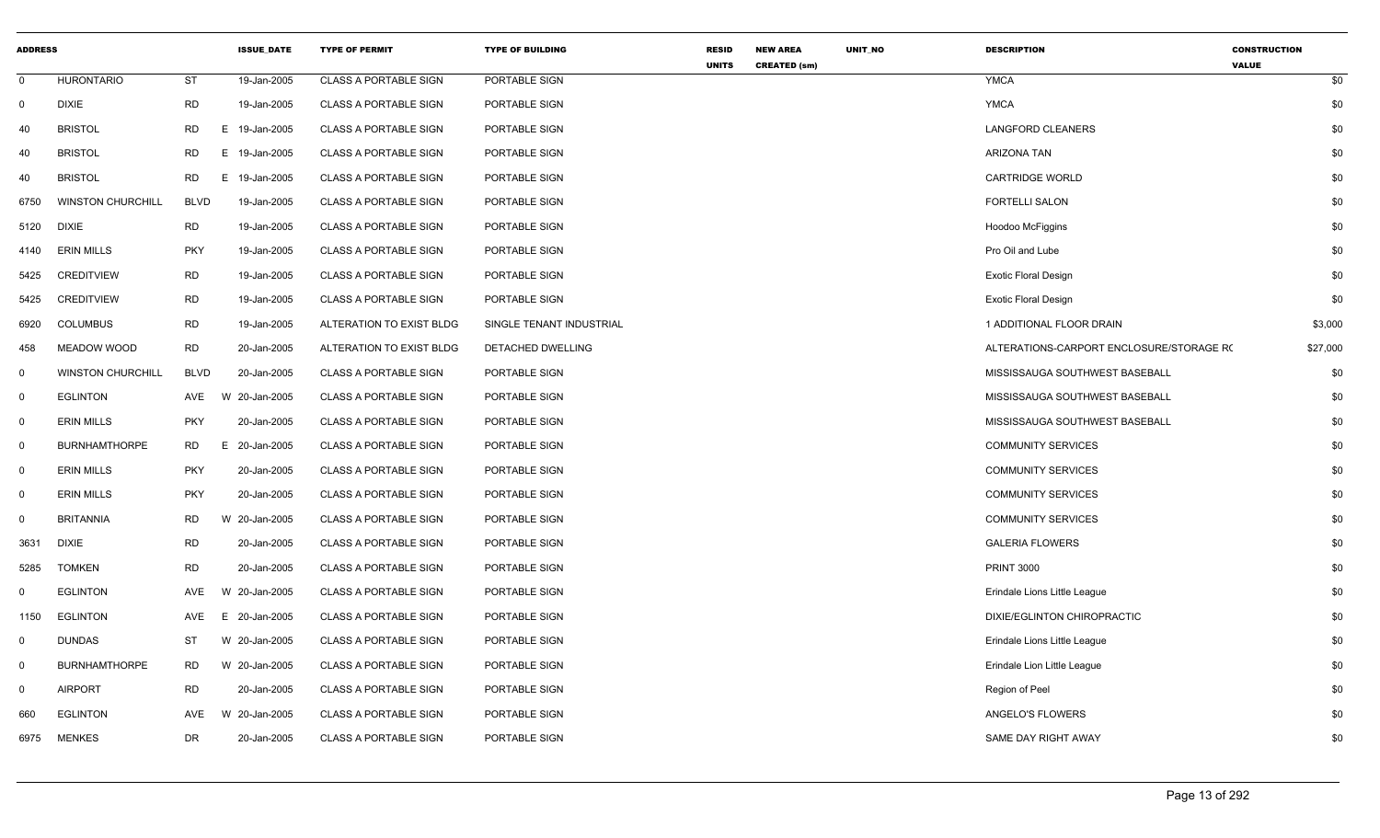| <b>ADDRESS</b> |                          |             | <b>ISSUE_DATE</b> | <b>TYPE OF PERMIT</b>        | <b>TYPE OF BUILDING</b>  | <b>RESID</b><br><b>UNITS</b> | <b>NEW AREA</b>     | UNIT_NO | <b>DESCRIPTION</b>                       | <b>CONSTRUCTION</b><br><b>VALUE</b> |
|----------------|--------------------------|-------------|-------------------|------------------------------|--------------------------|------------------------------|---------------------|---------|------------------------------------------|-------------------------------------|
| $\mathbf 0$    | <b>HURONTARIO</b>        | ST          | 19-Jan-2005       | <b>CLASS A PORTABLE SIGN</b> | PORTABLE SIGN            |                              | <b>CREATED (sm)</b> |         | <b>YMCA</b>                              | \$0                                 |
| $\mathbf 0$    | <b>DIXIE</b>             | <b>RD</b>   | 19-Jan-2005       | <b>CLASS A PORTABLE SIGN</b> | PORTABLE SIGN            |                              |                     |         | <b>YMCA</b>                              | \$0                                 |
| 40             | <b>BRISTOL</b>           | <b>RD</b>   | E.<br>19-Jan-2005 | <b>CLASS A PORTABLE SIGN</b> | PORTABLE SIGN            |                              |                     |         | <b>LANGFORD CLEANERS</b>                 | \$0                                 |
| 40             | <b>BRISTOL</b>           | <b>RD</b>   | E<br>19-Jan-2005  | <b>CLASS A PORTABLE SIGN</b> | PORTABLE SIGN            |                              |                     |         | <b>ARIZONA TAN</b>                       | \$0                                 |
| 40             | <b>BRISTOL</b>           | <b>RD</b>   | E<br>19-Jan-2005  | CLASS A PORTABLE SIGN        | PORTABLE SIGN            |                              |                     |         | <b>CARTRIDGE WORLD</b>                   | \$0                                 |
| 6750           | <b>WINSTON CHURCHILL</b> | <b>BLVD</b> | 19-Jan-2005       | <b>CLASS A PORTABLE SIGN</b> | PORTABLE SIGN            |                              |                     |         | <b>FORTELLI SALON</b>                    | \$0                                 |
| 5120           | DIXIE                    | <b>RD</b>   | 19-Jan-2005       | <b>CLASS A PORTABLE SIGN</b> | PORTABLE SIGN            |                              |                     |         | <b>Hoodoo McFiggins</b>                  | \$0                                 |
| 4140           | <b>ERIN MILLS</b>        | <b>PKY</b>  | 19-Jan-2005       | <b>CLASS A PORTABLE SIGN</b> | PORTABLE SIGN            |                              |                     |         | Pro Oil and Lube                         | \$0                                 |
| 5425           | <b>CREDITVIEW</b>        | <b>RD</b>   | 19-Jan-2005       | <b>CLASS A PORTABLE SIGN</b> | PORTABLE SIGN            |                              |                     |         | <b>Exotic Floral Design</b>              | \$0                                 |
| 5425           | <b>CREDITVIEW</b>        | <b>RD</b>   | 19-Jan-2005       | <b>CLASS A PORTABLE SIGN</b> | PORTABLE SIGN            |                              |                     |         | <b>Exotic Floral Design</b>              | \$0                                 |
| 6920           | <b>COLUMBUS</b>          | <b>RD</b>   | 19-Jan-2005       | ALTERATION TO EXIST BLDG     | SINGLE TENANT INDUSTRIAL |                              |                     |         | 1 ADDITIONAL FLOOR DRAIN                 | \$3,000                             |
| 458            | <b>MEADOW WOOD</b>       | <b>RD</b>   | 20-Jan-2005       | ALTERATION TO EXIST BLDG     | DETACHED DWELLING        |                              |                     |         | ALTERATIONS-CARPORT ENCLOSURE/STORAGE R( | \$27,000                            |
| 0              | <b>WINSTON CHURCHILL</b> | <b>BLVD</b> | 20-Jan-2005       | <b>CLASS A PORTABLE SIGN</b> | PORTABLE SIGN            |                              |                     |         | MISSISSAUGA SOUTHWEST BASEBALL           | \$0                                 |
| $\mathbf 0$    | <b>EGLINTON</b>          | AVE         | W 20-Jan-2005     | <b>CLASS A PORTABLE SIGN</b> | PORTABLE SIGN            |                              |                     |         | MISSISSAUGA SOUTHWEST BASEBALL           | \$0                                 |
| 0              | <b>ERIN MILLS</b>        | <b>PKY</b>  | 20-Jan-2005       | <b>CLASS A PORTABLE SIGN</b> | PORTABLE SIGN            |                              |                     |         | MISSISSAUGA SOUTHWEST BASEBALL           | \$0                                 |
| $\mathbf{0}$   | <b>BURNHAMTHORPE</b>     | RD.         | E.<br>20-Jan-2005 | <b>CLASS A PORTABLE SIGN</b> | PORTABLE SIGN            |                              |                     |         | <b>COMMUNITY SERVICES</b>                | \$0                                 |
| 0              | <b>ERIN MILLS</b>        | <b>PKY</b>  | 20-Jan-2005       | <b>CLASS A PORTABLE SIGN</b> | PORTABLE SIGN            |                              |                     |         | <b>COMMUNITY SERVICES</b>                | \$0                                 |
| $\mathbf 0$    | <b>ERIN MILLS</b>        | <b>PKY</b>  | 20-Jan-2005       | <b>CLASS A PORTABLE SIGN</b> | PORTABLE SIGN            |                              |                     |         | <b>COMMUNITY SERVICES</b>                | \$0                                 |
| $\Omega$       | <b>BRITANNIA</b>         | <b>RD</b>   | W 20-Jan-2005     | <b>CLASS A PORTABLE SIGN</b> | PORTABLE SIGN            |                              |                     |         | <b>COMMUNITY SERVICES</b>                | \$0                                 |
| 3631           | <b>DIXIE</b>             | <b>RD</b>   | 20-Jan-2005       | <b>CLASS A PORTABLE SIGN</b> | PORTABLE SIGN            |                              |                     |         | <b>GALERIA FLOWERS</b>                   | \$0                                 |
| 5285           | <b>TOMKEN</b>            | <b>RD</b>   | 20-Jan-2005       | <b>CLASS A PORTABLE SIGN</b> | PORTABLE SIGN            |                              |                     |         | <b>PRINT 3000</b>                        | \$0                                 |
| $\mathbf 0$    | <b>EGLINTON</b>          | AVE         | W 20-Jan-2005     | <b>CLASS A PORTABLE SIGN</b> | PORTABLE SIGN            |                              |                     |         | Erindale Lions Little League             | \$0                                 |
| 1150           | <b>EGLINTON</b>          | AVE         | E 20-Jan-2005     | <b>CLASS A PORTABLE SIGN</b> | PORTABLE SIGN            |                              |                     |         | DIXIE/EGLINTON CHIROPRACTIC              | \$0                                 |
| $\mathbf{0}$   | <b>DUNDAS</b>            | ST          | W 20-Jan-2005     | <b>CLASS A PORTABLE SIGN</b> | PORTABLE SIGN            |                              |                     |         | Erindale Lions Little League             | \$0                                 |
| $\mathbf{0}$   | <b>BURNHAMTHORPE</b>     | <b>RD</b>   | W 20-Jan-2005     | <b>CLASS A PORTABLE SIGN</b> | PORTABLE SIGN            |                              |                     |         | Erindale Lion Little League              | \$0                                 |
| $\mathbf 0$    | <b>AIRPORT</b>           | <b>RD</b>   | 20-Jan-2005       | <b>CLASS A PORTABLE SIGN</b> | PORTABLE SIGN            |                              |                     |         | Region of Peel                           | \$0                                 |
| 660            | <b>EGLINTON</b>          | AVE         | W 20-Jan-2005     | <b>CLASS A PORTABLE SIGN</b> | PORTABLE SIGN            |                              |                     |         | ANGELO'S FLOWERS                         | \$0                                 |
| 6975           | <b>MENKES</b>            | <b>DR</b>   | 20-Jan-2005       | <b>CLASS A PORTABLE SIGN</b> | PORTABLE SIGN            |                              |                     |         | SAME DAY RIGHT AWAY                      | \$0                                 |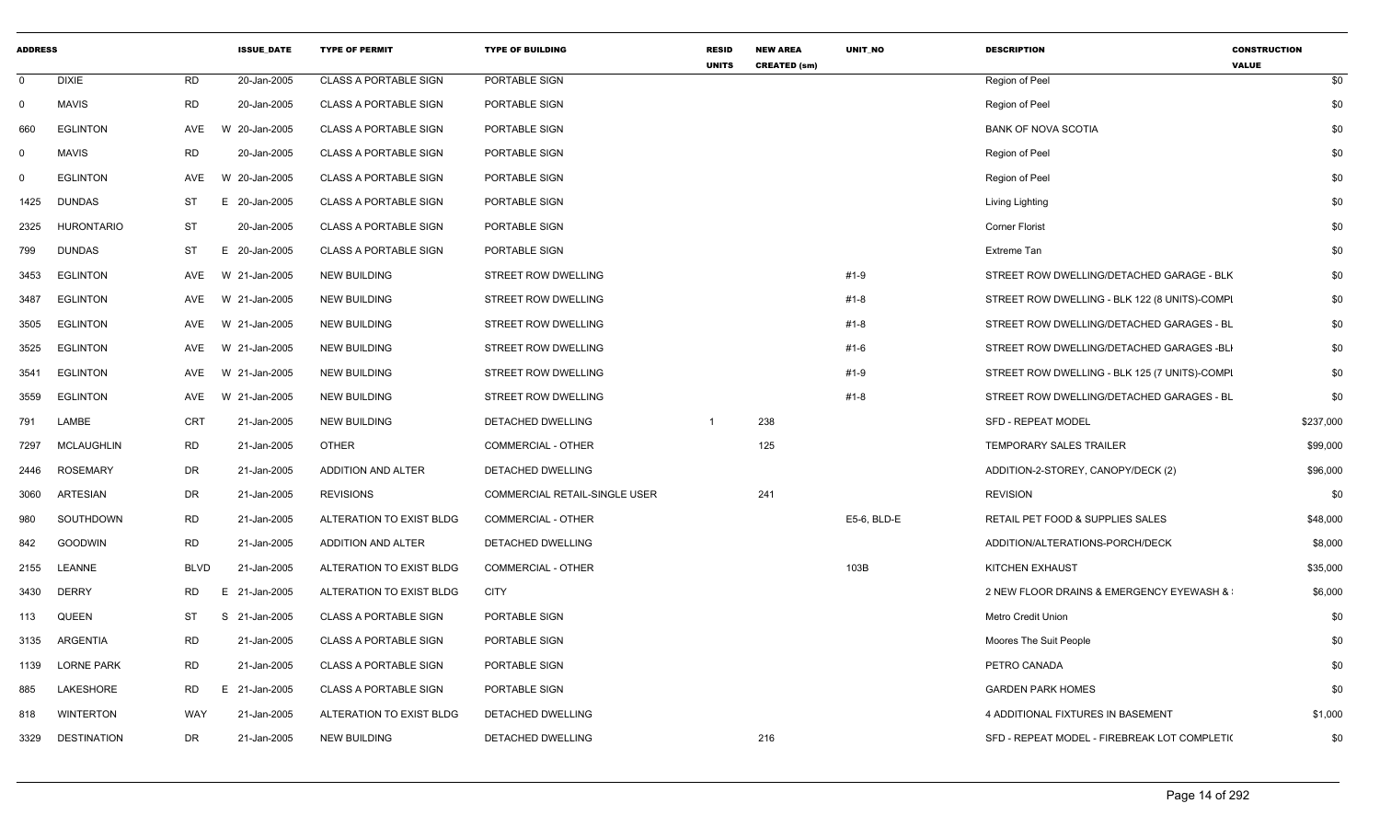| <b>ADDRESS</b> |                    |                 | <b>ISSUE DATE</b> | <b>TYPE OF PERMIT</b>        | <b>TYPE OF BUILDING</b>       | <b>RESID</b><br><b>UNITS</b> | <b>NEW AREA</b><br><b>CREATED (sm)</b> | UNIT_NO     | <b>DESCRIPTION</b>                            | <b>CONSTRUCTION</b><br><b>VALUE</b> |
|----------------|--------------------|-----------------|-------------------|------------------------------|-------------------------------|------------------------------|----------------------------------------|-------------|-----------------------------------------------|-------------------------------------|
| $\mathbf 0$    | <b>DIXIE</b>       | RD              | 20-Jan-2005       | <b>CLASS A PORTABLE SIGN</b> | PORTABLE SIGN                 |                              |                                        |             | Region of Peel                                | \$0                                 |
| $\mathbf 0$    | <b>MAVIS</b>       | RD              | 20-Jan-2005       | <b>CLASS A PORTABLE SIGN</b> | PORTABLE SIGN                 |                              |                                        |             | Region of Peel                                | \$0                                 |
| 660            | <b>EGLINTON</b>    | AVE             | W 20-Jan-2005     | <b>CLASS A PORTABLE SIGN</b> | PORTABLE SIGN                 |                              |                                        |             | <b>BANK OF NOVA SCOTIA</b>                    | \$0                                 |
| 0              | <b>MAVIS</b>       | RD              | 20-Jan-2005       | <b>CLASS A PORTABLE SIGN</b> | PORTABLE SIGN                 |                              |                                        |             | Region of Peel                                | \$0                                 |
| $\Omega$       | <b>EGLINTON</b>    | AVE             | W 20-Jan-2005     | <b>CLASS A PORTABLE SIGN</b> | PORTABLE SIGN                 |                              |                                        |             | Region of Peel                                | \$0                                 |
| 1425           | <b>DUNDAS</b>      | ST              | E 20-Jan-2005     | <b>CLASS A PORTABLE SIGN</b> | PORTABLE SIGN                 |                              |                                        |             | Living Lighting                               | \$0                                 |
| 2325           | <b>HURONTARIO</b>  | ST              | 20-Jan-2005       | <b>CLASS A PORTABLE SIGN</b> | PORTABLE SIGN                 |                              |                                        |             | <b>Corner Florist</b>                         | \$0                                 |
| 799            | <b>DUNDAS</b>      | <b>ST</b><br>Е. | 20-Jan-2005       | <b>CLASS A PORTABLE SIGN</b> | PORTABLE SIGN                 |                              |                                        |             | Extreme Tan                                   | \$0                                 |
| 3453           | <b>EGLINTON</b>    | AVE             | W 21-Jan-2005     | <b>NEW BUILDING</b>          | STREET ROW DWELLING           |                              |                                        | #1-9        | STREET ROW DWELLING/DETACHED GARAGE - BLK     | \$0                                 |
| 3487           | <b>EGLINTON</b>    | AVE<br>W        | 21-Jan-2005       | <b>NEW BUILDING</b>          | STREET ROW DWELLING           |                              |                                        | #1-8        | STREET ROW DWELLING - BLK 122 (8 UNITS)-COMPI | \$0                                 |
| 3505           | <b>EGLINTON</b>    | AVE             | W 21-Jan-2005     | NEW BUILDING                 | STREET ROW DWELLING           |                              |                                        | #1-8        | STREET ROW DWELLING/DETACHED GARAGES - BL     | \$0                                 |
| 3525           | <b>EGLINTON</b>    | AVE<br>W        | 21-Jan-2005       | <b>NEW BUILDING</b>          | STREET ROW DWELLING           |                              |                                        | #1-6        | STREET ROW DWELLING/DETACHED GARAGES -BLI     | \$0                                 |
| 3541           | <b>EGLINTON</b>    | AVE             | W 21-Jan-2005     | <b>NEW BUILDING</b>          | STREET ROW DWELLING           |                              |                                        | #1-9        | STREET ROW DWELLING - BLK 125 (7 UNITS)-COMPI | \$0                                 |
| 3559           | <b>EGLINTON</b>    | AVE             | W 21-Jan-2005     | <b>NEW BUILDING</b>          | STREET ROW DWELLING           |                              |                                        | #1-8        | STREET ROW DWELLING/DETACHED GARAGES - BL     | \$0                                 |
| 791            | LAMBE              | <b>CRT</b>      | 21-Jan-2005       | <b>NEW BUILDING</b>          | DETACHED DWELLING             | -1                           | 238                                    |             | SFD - REPEAT MODEL                            | \$237,000                           |
| 7297           | <b>MCLAUGHLIN</b>  | <b>RD</b>       | 21-Jan-2005       | <b>OTHER</b>                 | <b>COMMERCIAL - OTHER</b>     |                              | 125                                    |             | <b>TEMPORARY SALES TRAILER</b>                | \$99,000                            |
| 2446           | <b>ROSEMARY</b>    | DR              | 21-Jan-2005       | ADDITION AND ALTER           | <b>DETACHED DWELLING</b>      |                              |                                        |             | ADDITION-2-STOREY, CANOPY/DECK (2)            | \$96,000                            |
| 3060           | ARTESIAN           | DR              | 21-Jan-2005       | <b>REVISIONS</b>             | COMMERCIAL RETAIL-SINGLE USER |                              | 241                                    |             | <b>REVISION</b>                               | \$0                                 |
| 980            | SOUTHDOWN          | <b>RD</b>       | 21-Jan-2005       | ALTERATION TO EXIST BLDG     | <b>COMMERCIAL - OTHER</b>     |                              |                                        | E5-6, BLD-E | RETAIL PET FOOD & SUPPLIES SALES              | \$48,000                            |
| 842            | <b>GOODWIN</b>     | RD              | 21-Jan-2005       | ADDITION AND ALTER           | DETACHED DWELLING             |                              |                                        |             | ADDITION/ALTERATIONS-PORCH/DECK               | \$8,000                             |
| 2155           | <b>LEANNE</b>      | BLVD            | 21-Jan-2005       | ALTERATION TO EXIST BLDG     | <b>COMMERCIAL - OTHER</b>     |                              |                                        | 103B        | KITCHEN EXHAUST                               | \$35,000                            |
| 3430           | <b>DERRY</b>       | <b>RD</b>       | E 21-Jan-2005     | ALTERATION TO EXIST BLDG     | <b>CITY</b>                   |                              |                                        |             | 2 NEW FLOOR DRAINS & EMERGENCY EYEWASH &      | \$6,000                             |
| 113            | <b>QUEEN</b>       | ST              | S 21-Jan-2005     | <b>CLASS A PORTABLE SIGN</b> | PORTABLE SIGN                 |                              |                                        |             | <b>Metro Credit Union</b>                     | \$0                                 |
| 3135           | ARGENTIA           | RD              | 21-Jan-2005       | <b>CLASS A PORTABLE SIGN</b> | PORTABLE SIGN                 |                              |                                        |             | Moores The Suit People                        | \$0                                 |
| 1139           | <b>LORNE PARK</b>  | <b>RD</b>       | 21-Jan-2005       | <b>CLASS A PORTABLE SIGN</b> | PORTABLE SIGN                 |                              |                                        |             | PETRO CANADA                                  | \$0                                 |
| 885            | LAKESHORE          | RD              | E 21-Jan-2005     | <b>CLASS A PORTABLE SIGN</b> | PORTABLE SIGN                 |                              |                                        |             | <b>GARDEN PARK HOMES</b>                      | \$0                                 |
| 818            | <b>WINTERTON</b>   | WAY             | 21-Jan-2005       | ALTERATION TO EXIST BLDG     | DETACHED DWELLING             |                              |                                        |             | 4 ADDITIONAL FIXTURES IN BASEMENT             | \$1,000                             |
| 3329           | <b>DESTINATION</b> | DR              | 21-Jan-2005       | <b>NEW BUILDING</b>          | DETACHED DWELLING             |                              | 216                                    |             | SFD - REPEAT MODEL - FIREBREAK LOT COMPLETI(  | \$0                                 |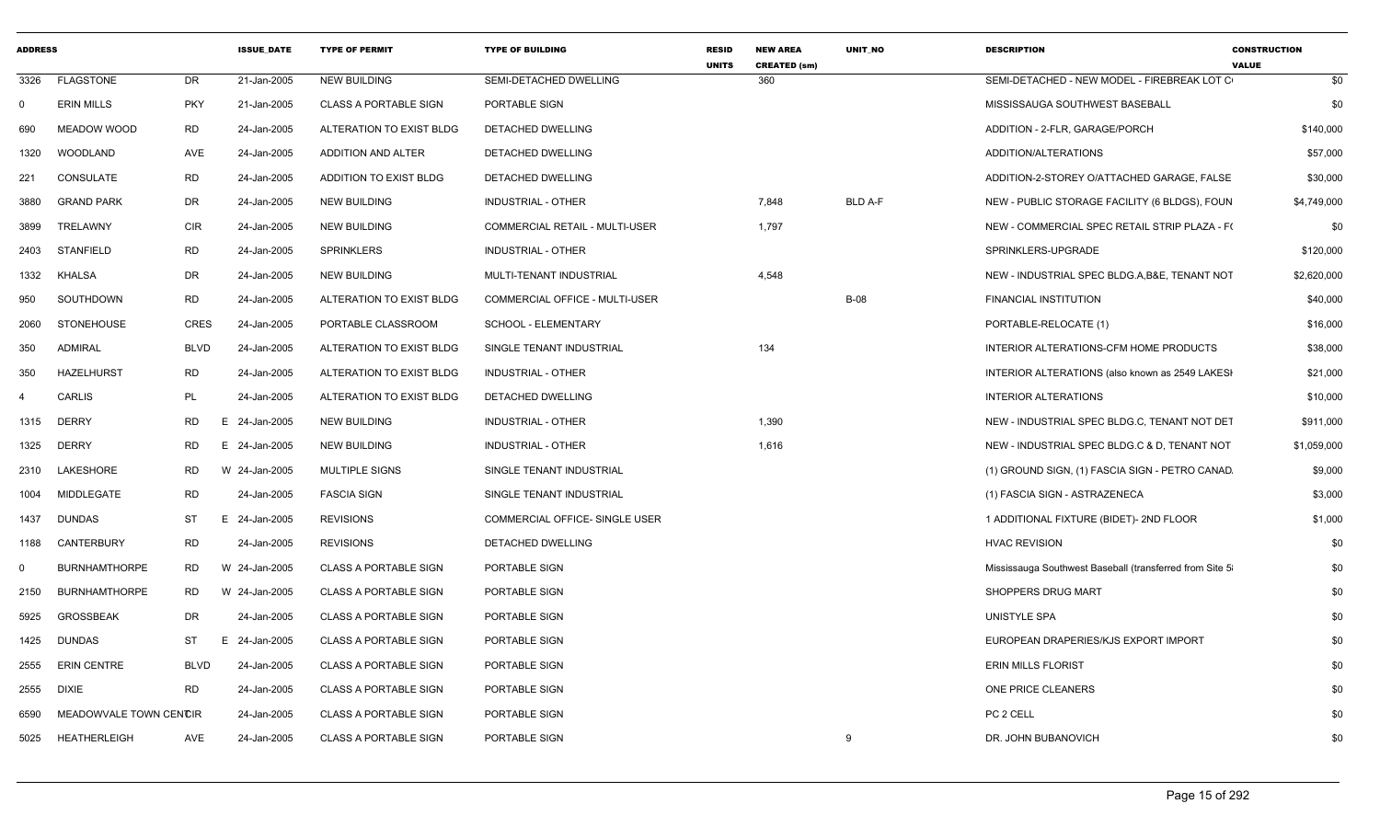| <b>ADDRESS</b> |                        |             | <b>ISSUE DATE</b> | <b>TYPE OF PERMIT</b>        | <b>TYPE OF BUILDING</b>        | <b>RESID</b><br><b>UNITS</b> | <b>NEW AREA</b><br><b>CREATED (sm)</b> | <b>UNIT NO</b> | <b>DESCRIPTION</b>                                       | <b>CONSTRUCTION</b><br><b>VALUE</b> |
|----------------|------------------------|-------------|-------------------|------------------------------|--------------------------------|------------------------------|----------------------------------------|----------------|----------------------------------------------------------|-------------------------------------|
| 3326           | <b>FLAGSTONE</b>       | <b>DR</b>   | 21-Jan-2005       | <b>NEW BUILDING</b>          | SEMI-DETACHED DWELLING         |                              | 360                                    |                | SEMI-DETACHED - NEW MODEL - FIREBREAK LOT C              | \$0                                 |
| $\Omega$       | <b>ERIN MILLS</b>      | PKY         | 21-Jan-2005       | <b>CLASS A PORTABLE SIGN</b> | PORTABLE SIGN                  |                              |                                        |                | MISSISSAUGA SOUTHWEST BASEBALL                           | \$0                                 |
| 690            | MEADOW WOOD            | RD          | 24-Jan-2005       | ALTERATION TO EXIST BLDG     | DETACHED DWELLING              |                              |                                        |                | ADDITION - 2-FLR, GARAGE/PORCH                           | \$140,000                           |
| 1320           | WOODLAND               | AVE         | 24-Jan-2005       | ADDITION AND ALTER           | DETACHED DWELLING              |                              |                                        |                | ADDITION/ALTERATIONS                                     | \$57,000                            |
| 221            | CONSULATE              | RD          | 24-Jan-2005       | ADDITION TO EXIST BLDG       | DETACHED DWELLING              |                              |                                        |                | ADDITION-2-STOREY O/ATTACHED GARAGE, FALSE               | \$30,000                            |
| 3880           | <b>GRAND PARK</b>      | DR          | 24-Jan-2005       | <b>NEW BUILDING</b>          | <b>INDUSTRIAL - OTHER</b>      |                              | 7,848                                  | <b>BLD A-F</b> | NEW - PUBLIC STORAGE FACILITY (6 BLDGS), FOUN            | \$4,749,000                         |
| 3899           | TRELAWNY               | CIR         | 24-Jan-2005       | NEW BUILDING                 | COMMERCIAL RETAIL - MULTI-USER |                              | 1,797                                  |                | NEW - COMMERCIAL SPEC RETAIL STRIP PLAZA - F(            | \$0                                 |
| 2403           | STANFIELD              | <b>RD</b>   | 24-Jan-2005       | <b>SPRINKLERS</b>            | <b>INDUSTRIAL - OTHER</b>      |                              |                                        |                | SPRINKLERS-UPGRADE                                       | \$120,000                           |
| 1332           | KHALSA                 | DR          | 24-Jan-2005       | <b>NEW BUILDING</b>          | MULTI-TENANT INDUSTRIAL        |                              | 4,548                                  |                | NEW - INDUSTRIAL SPEC BLDG.A, B&E, TENANT NOT            | \$2,620,000                         |
| 950            | SOUTHDOWN              | <b>RD</b>   | 24-Jan-2005       | ALTERATION TO EXIST BLDG     | COMMERCIAL OFFICE - MULTI-USER |                              |                                        | <b>B-08</b>    | <b>FINANCIAL INSTITUTION</b>                             | \$40,000                            |
| 2060           | <b>STONEHOUSE</b>      | CRES        | 24-Jan-2005       | PORTABLE CLASSROOM           | SCHOOL - ELEMENTARY            |                              |                                        |                | PORTABLE-RELOCATE (1)                                    | \$16,000                            |
| 350            | <b>ADMIRAL</b>         | <b>BLVD</b> | 24-Jan-2005       | ALTERATION TO EXIST BLDG     | SINGLE TENANT INDUSTRIAL       |                              | 134                                    |                | INTERIOR ALTERATIONS-CFM HOME PRODUCTS                   | \$38,000                            |
| 350            | <b>HAZELHURST</b>      | RD          | 24-Jan-2005       | ALTERATION TO EXIST BLDG     | INDUSTRIAL - OTHER             |                              |                                        |                | INTERIOR ALTERATIONS (also known as 2549 LAKESH          | \$21,000                            |
| 4              | <b>CARLIS</b>          | PL          | 24-Jan-2005       | ALTERATION TO EXIST BLDG     | DETACHED DWELLING              |                              |                                        |                | <b>INTERIOR ALTERATIONS</b>                              | \$10,000                            |
| 1315           | <b>DERRY</b>           | <b>RD</b>   | 24-Jan-2005<br>E. | <b>NEW BUILDING</b>          | <b>INDUSTRIAL - OTHER</b>      |                              | 1,390                                  |                | NEW - INDUSTRIAL SPEC BLDG.C, TENANT NOT DET             | \$911,000                           |
| 1325           | <b>DERRY</b>           | <b>RD</b>   | 24-Jan-2005<br>E. | <b>NEW BUILDING</b>          | INDUSTRIAL - OTHER             |                              | 1,616                                  |                | NEW - INDUSTRIAL SPEC BLDG.C & D, TENANT NOT             | \$1,059,000                         |
| 2310           | LAKESHORE              | RD          | W<br>24-Jan-2005  | <b>MULTIPLE SIGNS</b>        | SINGLE TENANT INDUSTRIAL       |                              |                                        |                | (1) GROUND SIGN, (1) FASCIA SIGN - PETRO CANAD.          | \$9,000                             |
| 1004           | MIDDLEGATE             | <b>RD</b>   | 24-Jan-2005       | <b>FASCIA SIGN</b>           | SINGLE TENANT INDUSTRIAL       |                              |                                        |                | (1) FASCIA SIGN - ASTRAZENECA                            | \$3,000                             |
| 1437           | <b>DUNDAS</b>          | <b>ST</b>   | 24-Jan-2005<br>E. | <b>REVISIONS</b>             | COMMERCIAL OFFICE- SINGLE USER |                              |                                        |                | 1 ADDITIONAL FIXTURE (BIDET)- 2ND FLOOR                  | \$1,000                             |
| 1188           | CANTERBURY             | <b>RD</b>   | 24-Jan-2005       | <b>REVISIONS</b>             | DETACHED DWELLING              |                              |                                        |                | <b>HVAC REVISION</b>                                     | \$0                                 |
| $\Omega$       | <b>BURNHAMTHORPE</b>   | RD          | W 24-Jan-2005     | <b>CLASS A PORTABLE SIGN</b> | PORTABLE SIGN                  |                              |                                        |                | Mississauga Southwest Baseball (transferred from Site 5) | \$0                                 |
| 2150           | <b>BURNHAMTHORPE</b>   | <b>RD</b>   | W 24-Jan-2005     | <b>CLASS A PORTABLE SIGN</b> | PORTABLE SIGN                  |                              |                                        |                | SHOPPERS DRUG MART                                       | \$0                                 |
| 5925           | <b>GROSSBEAK</b>       | <b>DR</b>   | 24-Jan-2005       | <b>CLASS A PORTABLE SIGN</b> | PORTABLE SIGN                  |                              |                                        |                | UNISTYLE SPA                                             | \$0                                 |
| 1425           | <b>DUNDAS</b>          | ST          | 24-Jan-2005<br>E  | <b>CLASS A PORTABLE SIGN</b> | PORTABLE SIGN                  |                              |                                        |                | EUROPEAN DRAPERIES/KJS EXPORT IMPORT                     | \$0                                 |
| 2555           | <b>ERIN CENTRE</b>     | <b>BLVD</b> | 24-Jan-2005       | <b>CLASS A PORTABLE SIGN</b> | PORTABLE SIGN                  |                              |                                        |                | ERIN MILLS FLORIST                                       | \$0                                 |
| 2555           | DIXIE                  | RD          | 24-Jan-2005       | CLASS A PORTABLE SIGN        | PORTABLE SIGN                  |                              |                                        |                | ONE PRICE CLEANERS                                       | \$0                                 |
| 6590           | MEADOWVALE TOWN CENCIR |             | 24-Jan-2005       | <b>CLASS A PORTABLE SIGN</b> | PORTABLE SIGN                  |                              |                                        |                | PC 2 CELL                                                | \$0                                 |
|                | 5025 HEATHERLEIGH      | AVE         | 24-Jan-2005       | <b>CLASS A PORTABLE SIGN</b> | PORTABLE SIGN                  |                              |                                        | 9              | DR. JOHN BUBANOVICH                                      | \$0                                 |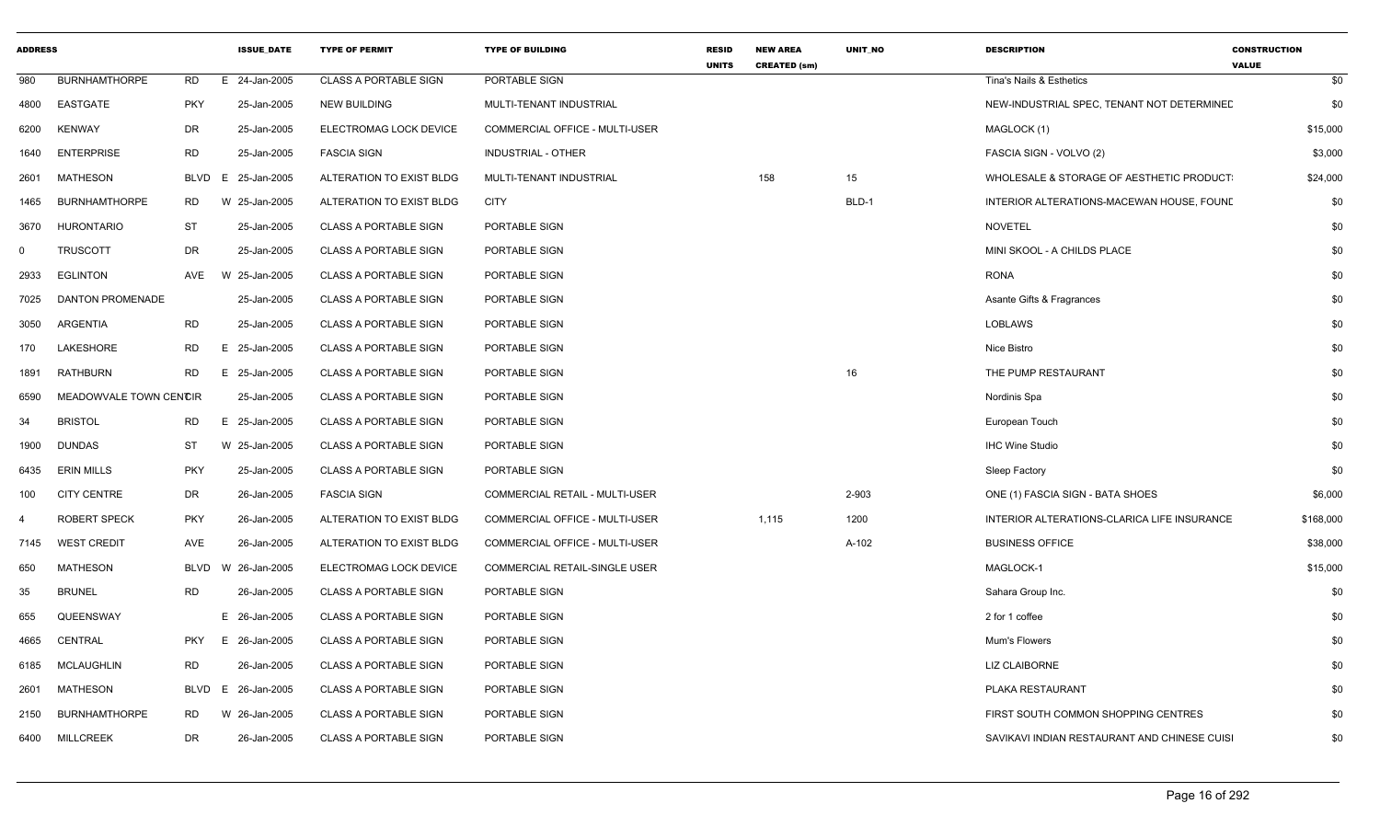| <b>ADDRESS</b> |                         |             | <b>ISSUE DATE</b> | <b>TYPE OF PERMIT</b>        | <b>TYPE OF BUILDING</b>               | <b>RESID</b><br><b>UNITS</b> | <b>NEW AREA</b><br><b>CREATED (sm)</b> | <b>UNIT NO</b> | <b>DESCRIPTION</b>                           | <b>CONSTRUCTION</b><br><b>VALUE</b> |
|----------------|-------------------------|-------------|-------------------|------------------------------|---------------------------------------|------------------------------|----------------------------------------|----------------|----------------------------------------------|-------------------------------------|
| 980            | <b>BURNHAMTHORPE</b>    | <b>RD</b>   | 24-Jan-2005<br>E. | <b>CLASS A PORTABLE SIGN</b> | PORTABLE SIGN                         |                              |                                        |                | Tina's Nails & Esthetics                     | \$0                                 |
| 4800           | EASTGATE                | <b>PKY</b>  | 25-Jan-2005       | <b>NEW BUILDING</b>          | MULTI-TENANT INDUSTRIAL               |                              |                                        |                | NEW-INDUSTRIAL SPEC, TENANT NOT DETERMINED   | \$0                                 |
| 6200           | <b>KENWAY</b>           | DR          | 25-Jan-2005       | ELECTROMAG LOCK DEVICE       | COMMERCIAL OFFICE - MULTI-USER        |                              |                                        |                | MAGLOCK (1)                                  | \$15,000                            |
| 1640           | <b>ENTERPRISE</b>       | <b>RD</b>   | 25-Jan-2005       | <b>FASCIA SIGN</b>           | <b>INDUSTRIAL - OTHER</b>             |                              |                                        |                | FASCIA SIGN - VOLVO (2)                      | \$3,000                             |
| 2601           | <b>MATHESON</b>         | <b>BLVD</b> | 25-Jan-2005<br>E. | ALTERATION TO EXIST BLDG     | MULTI-TENANT INDUSTRIAL               |                              | 158                                    | 15             | WHOLESALE & STORAGE OF AESTHETIC PRODUCT     | \$24,000                            |
| 1465           | <b>BURNHAMTHORPE</b>    | RD          | 25-Jan-2005<br>W  | ALTERATION TO EXIST BLDG     | <b>CITY</b>                           |                              |                                        | BLD-1          | INTERIOR ALTERATIONS-MACEWAN HOUSE, FOUND    | \$0                                 |
| 3670           | <b>HURONTARIO</b>       | ST          | 25-Jan-2005       | <b>CLASS A PORTABLE SIGN</b> | PORTABLE SIGN                         |                              |                                        |                | <b>NOVETEL</b>                               | \$0                                 |
| $\mathbf 0$    | <b>TRUSCOTT</b>         | DR          | 25-Jan-2005       | <b>CLASS A PORTABLE SIGN</b> | PORTABLE SIGN                         |                              |                                        |                | MINI SKOOL - A CHILDS PLACE                  | \$0                                 |
| 2933           | <b>EGLINTON</b>         | AVE         | 25-Jan-2005<br>W  | <b>CLASS A PORTABLE SIGN</b> | PORTABLE SIGN                         |                              |                                        |                | <b>RONA</b>                                  | \$0                                 |
| 7025           | <b>DANTON PROMENADE</b> |             | 25-Jan-2005       | <b>CLASS A PORTABLE SIGN</b> | PORTABLE SIGN                         |                              |                                        |                | Asante Gifts & Fragrances                    | \$0                                 |
| 3050           | ARGENTIA                | <b>RD</b>   | 25-Jan-2005       | <b>CLASS A PORTABLE SIGN</b> | PORTABLE SIGN                         |                              |                                        |                | <b>LOBLAWS</b>                               | \$0                                 |
| 170            | <b>LAKESHORE</b>        | <b>RD</b>   | 25-Jan-2005<br>E. | <b>CLASS A PORTABLE SIGN</b> | PORTABLE SIGN                         |                              |                                        |                | Nice Bistro                                  | \$0                                 |
| 1891           | RATHBURN                | RD          | E 25-Jan-2005     | <b>CLASS A PORTABLE SIGN</b> | PORTABLE SIGN                         |                              |                                        | 16             | THE PUMP RESTAURANT                          | \$0                                 |
| 6590           | MEADOWVALE TOWN CENCIR  |             | 25-Jan-2005       | <b>CLASS A PORTABLE SIGN</b> | PORTABLE SIGN                         |                              |                                        |                | Nordinis Spa                                 | \$0                                 |
| 34             | <b>BRISTOL</b>          | RD          | 25-Jan-2005<br>Е. | <b>CLASS A PORTABLE SIGN</b> | PORTABLE SIGN                         |                              |                                        |                | European Touch                               | \$0                                 |
| 1900           | <b>DUNDAS</b>           | ST          | W 25-Jan-2005     | <b>CLASS A PORTABLE SIGN</b> | PORTABLE SIGN                         |                              |                                        |                | <b>IHC Wine Studio</b>                       | \$0                                 |
| 6435           | <b>ERIN MILLS</b>       | <b>PKY</b>  | 25-Jan-2005       | <b>CLASS A PORTABLE SIGN</b> | PORTABLE SIGN                         |                              |                                        |                | Sleep Factory                                | \$0                                 |
| 100            | <b>CITY CENTRE</b>      | DR          | 26-Jan-2005       | <b>FASCIA SIGN</b>           | <b>COMMERCIAL RETAIL - MULTI-USER</b> |                              |                                        | 2-903          | ONE (1) FASCIA SIGN - BATA SHOES             | \$6,000                             |
| 4              | <b>ROBERT SPECK</b>     | <b>PKY</b>  | 26-Jan-2005       | ALTERATION TO EXIST BLDG     | COMMERCIAL OFFICE - MULTI-USER        |                              | 1,115                                  | 1200           | INTERIOR ALTERATIONS-CLARICA LIFE INSURANCE  | \$168,000                           |
| 7145           | <b>WEST CREDIT</b>      | AVE         | 26-Jan-2005       | ALTERATION TO EXIST BLDG     | COMMERCIAL OFFICE - MULTI-USER        |                              |                                        | A-102          | <b>BUSINESS OFFICE</b>                       | \$38,000                            |
| 650            | <b>MATHESON</b>         | <b>BLVD</b> | 26-Jan-2005<br>W  | ELECTROMAG LOCK DEVICE       | COMMERCIAL RETAIL-SINGLE USER         |                              |                                        |                | MAGLOCK-1                                    | \$15,000                            |
| 35             | <b>BRUNEL</b>           | <b>RD</b>   | 26-Jan-2005       | <b>CLASS A PORTABLE SIGN</b> | PORTABLE SIGN                         |                              |                                        |                | Sahara Group Inc.                            | \$0                                 |
| 655            | QUEENSWAY               |             | E 26-Jan-2005     | <b>CLASS A PORTABLE SIGN</b> | PORTABLE SIGN                         |                              |                                        |                | 2 for 1 coffee                               | \$0                                 |
| 4665           | CENTRAL                 | <b>PKY</b>  | E 26-Jan-2005     | <b>CLASS A PORTABLE SIGN</b> | PORTABLE SIGN                         |                              |                                        |                | Mum's Flowers                                | \$0                                 |
| 6185           | MCLAUGHLIN              | <b>RD</b>   | 26-Jan-2005       | <b>CLASS A PORTABLE SIGN</b> | PORTABLE SIGN                         |                              |                                        |                | LIZ CLAIBORNE                                | \$0                                 |
| 2601           | MATHESON                | BLVD        | 26-Jan-2005<br>E. | <b>CLASS A PORTABLE SIGN</b> | PORTABLE SIGN                         |                              |                                        |                | PLAKA RESTAURANT                             | \$0                                 |
| 2150           | <b>BURNHAMTHORPE</b>    | <b>RD</b>   | W 26-Jan-2005     | <b>CLASS A PORTABLE SIGN</b> | PORTABLE SIGN                         |                              |                                        |                | FIRST SOUTH COMMON SHOPPING CENTRES          | \$0                                 |
| 6400           | <b>MILLCREEK</b>        | DR          | 26-Jan-2005       | <b>CLASS A PORTABLE SIGN</b> | PORTABLE SIGN                         |                              |                                        |                | SAVIKAVI INDIAN RESTAURANT AND CHINESE CUISI | \$0                                 |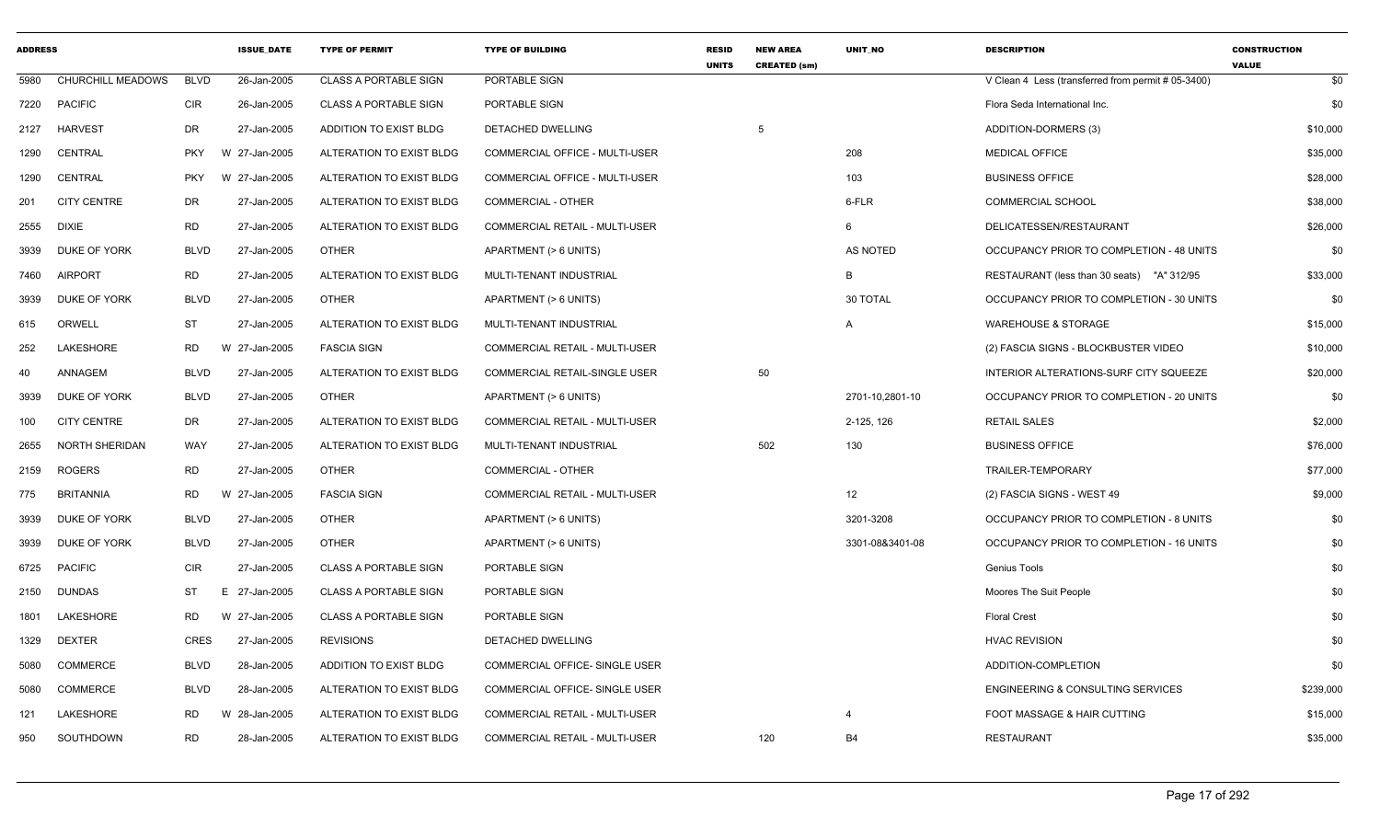| <b>ADDRESS</b> |                          |             | <b>ISSUE DATE</b> | <b>TYPE OF PERMIT</b>        | <b>TYPE OF BUILDING</b>               | <b>RESID</b><br><b>UNITS</b> | <b>NEW AREA</b><br><b>CREATED (sm)</b> | <b>UNIT NO</b>  | <b>DESCRIPTION</b>                                 | <b>CONSTRUCTION</b><br><b>VALUE</b> |
|----------------|--------------------------|-------------|-------------------|------------------------------|---------------------------------------|------------------------------|----------------------------------------|-----------------|----------------------------------------------------|-------------------------------------|
| 5980           | <b>CHURCHILL MEADOWS</b> | <b>BLVD</b> | 26-Jan-2005       | <b>CLASS A PORTABLE SIGN</b> | PORTABLE SIGN                         |                              |                                        |                 | V Clean 4 Less (transferred from permit # 05-3400) | \$0                                 |
| 7220           | <b>PACIFIC</b>           | <b>CIR</b>  | 26-Jan-2005       | <b>CLASS A PORTABLE SIGN</b> | PORTABLE SIGN                         |                              |                                        |                 | Flora Seda International Inc.                      | \$0                                 |
| 2127           | <b>HARVEST</b>           | <b>DR</b>   | 27-Jan-2005       | ADDITION TO EXIST BLDG       | <b>DETACHED DWELLING</b>              |                              | 5                                      |                 | ADDITION-DORMERS (3)                               | \$10,000                            |
| 1290           | <b>CENTRAL</b>           | <b>PKY</b>  | W 27-Jan-2005     | ALTERATION TO EXIST BLDG     | <b>COMMERCIAL OFFICE - MULTI-USER</b> |                              |                                        | 208             | MEDICAL OFFICE                                     | \$35,000                            |
| 1290           | <b>CENTRAL</b>           | <b>PKY</b>  | W 27-Jan-2005     | ALTERATION TO EXIST BLDG     | COMMERCIAL OFFICE - MULTI-USER        |                              |                                        | 103             | <b>BUSINESS OFFICE</b>                             | \$28,000                            |
| 201            | <b>CITY CENTRE</b>       | <b>DR</b>   | 27-Jan-2005       | ALTERATION TO EXIST BLDG     | COMMERCIAL - OTHER                    |                              |                                        | 6-FLR           | <b>COMMERCIAL SCHOOL</b>                           | \$38,000                            |
| 2555           | <b>DIXIE</b>             | <b>RD</b>   | 27-Jan-2005       | ALTERATION TO EXIST BLDG     | COMMERCIAL RETAIL - MULTI-USER        |                              |                                        | 6               | DELICATESSEN/RESTAURANT                            | \$26,000                            |
| 3939           | DUKE OF YORK             | <b>BLVD</b> | 27-Jan-2005       | <b>OTHER</b>                 | APARTMENT (> 6 UNITS)                 |                              |                                        | <b>AS NOTED</b> | OCCUPANCY PRIOR TO COMPLETION - 48 UNITS           | \$0                                 |
| 7460           | <b>AIRPORT</b>           | <b>RD</b>   | 27-Jan-2005       | ALTERATION TO EXIST BLDG     | MULTI-TENANT INDUSTRIAL               |                              |                                        | В               | RESTAURANT (less than 30 seats) "A" 312/95         | \$33,000                            |
| 3939           | <b>DUKE OF YORK</b>      | <b>BLVD</b> | 27-Jan-2005       | <b>OTHER</b>                 | APARTMENT (> 6 UNITS)                 |                              |                                        | 30 TOTAL        | OCCUPANCY PRIOR TO COMPLETION - 30 UNITS           | \$0                                 |
| 615            | ORWELL                   | <b>ST</b>   | 27-Jan-2005       | ALTERATION TO EXIST BLDG     | MULTI-TENANT INDUSTRIAL               |                              |                                        | A               | <b>WAREHOUSE &amp; STORAGE</b>                     | \$15,000                            |
| 252            | <b>LAKESHORE</b>         | RD.         | 27-Jan-2005<br>W  | <b>FASCIA SIGN</b>           | <b>COMMERCIAL RETAIL - MULTI-USER</b> |                              |                                        |                 | (2) FASCIA SIGNS - BLOCKBUSTER VIDEO               | \$10,000                            |
| 40             | ANNAGEM                  | <b>BLVD</b> | 27-Jan-2005       | ALTERATION TO EXIST BLDG     | COMMERCIAL RETAIL-SINGLE USER         |                              | 50                                     |                 | INTERIOR ALTERATIONS-SURF CITY SQUEEZE             | \$20,000                            |
| 3939           | DUKE OF YORK             | <b>BLVD</b> | 27-Jan-2005       | <b>OTHER</b>                 | APARTMENT (> 6 UNITS)                 |                              |                                        | 2701-10,2801-10 | OCCUPANCY PRIOR TO COMPLETION - 20 UNITS           | \$0                                 |
| 100            | <b>CITY CENTRE</b>       | <b>DR</b>   | 27-Jan-2005       | ALTERATION TO EXIST BLDG     | COMMERCIAL RETAIL - MULTI-USER        |                              |                                        | 2-125, 126      | <b>RETAIL SALES</b>                                | \$2,000                             |
| 2655           | <b>NORTH SHERIDAN</b>    | WAY         | 27-Jan-2005       | ALTERATION TO EXIST BLDG     | MULTI-TENANT INDUSTRIAL               |                              | 502                                    | 130             | <b>BUSINESS OFFICE</b>                             | \$76,000                            |
| 2159           | <b>ROGERS</b>            | <b>RD</b>   | 27-Jan-2005       | <b>OTHER</b>                 | COMMERCIAL - OTHER                    |                              |                                        |                 | <b>TRAILER-TEMPORARY</b>                           | \$77,000                            |
| 775            | <b>BRITANNIA</b>         | RD.         | W<br>27-Jan-2005  | <b>FASCIA SIGN</b>           | COMMERCIAL RETAIL - MULTI-USER        |                              |                                        | 12              | (2) FASCIA SIGNS - WEST 49                         | \$9,000                             |
| 3939           | <b>DUKE OF YORK</b>      | <b>BLVD</b> | 27-Jan-2005       | <b>OTHER</b>                 | APARTMENT (> 6 UNITS)                 |                              |                                        | 3201-3208       | OCCUPANCY PRIOR TO COMPLETION - 8 UNITS            | \$0                                 |
| 3939           | <b>DUKE OF YORK</b>      | <b>BLVD</b> | 27-Jan-2005       | <b>OTHER</b>                 | APARTMENT (> 6 UNITS)                 |                              |                                        | 3301-08&3401-08 | OCCUPANCY PRIOR TO COMPLETION - 16 UNITS           | \$0                                 |
| 6725           | <b>PACIFIC</b>           | <b>CIR</b>  | 27-Jan-2005       | <b>CLASS A PORTABLE SIGN</b> | PORTABLE SIGN                         |                              |                                        |                 | <b>Genius Tools</b>                                | \$0                                 |
| 2150           | <b>DUNDAS</b>            | ST          | E.<br>27-Jan-2005 | <b>CLASS A PORTABLE SIGN</b> | PORTABLE SIGN                         |                              |                                        |                 | Moores The Suit People                             | \$0                                 |
| 1801           | LAKESHORE                | <b>RD</b>   | W 27-Jan-2005     | <b>CLASS A PORTABLE SIGN</b> | PORTABLE SIGN                         |                              |                                        |                 | <b>Floral Crest</b>                                | \$0                                 |
| 1329           | <b>DEXTER</b>            | <b>CRES</b> | 27-Jan-2005       | <b>REVISIONS</b>             | DETACHED DWELLING                     |                              |                                        |                 | <b>HVAC REVISION</b>                               | \$0                                 |
| 5080           | <b>COMMERCE</b>          | <b>BLVD</b> | 28-Jan-2005       | ADDITION TO EXIST BLDG       | COMMERCIAL OFFICE- SINGLE USER        |                              |                                        |                 | ADDITION-COMPLETION                                | \$0                                 |
| 5080           | <b>COMMERCE</b>          | <b>BLVD</b> | 28-Jan-2005       | ALTERATION TO EXIST BLDG     | COMMERCIAL OFFICE- SINGLE USER        |                              |                                        |                 | <b>ENGINEERING &amp; CONSULTING SERVICES</b>       | \$239,000                           |
| 121            | LAKESHORE                | <b>RD</b>   | 28-Jan-2005<br>W  | ALTERATION TO EXIST BLDG     | COMMERCIAL RETAIL - MULTI-USER        |                              |                                        | 4               | FOOT MASSAGE & HAIR CUTTING                        | \$15,000                            |
| 950            | SOUTHDOWN                | <b>RD</b>   | 28-Jan-2005       | ALTERATION TO EXIST BLDG     | <b>COMMERCIAL RETAIL - MULTI-USER</b> |                              | 120                                    | <b>B4</b>       | <b>RESTAURANT</b>                                  | \$35,000                            |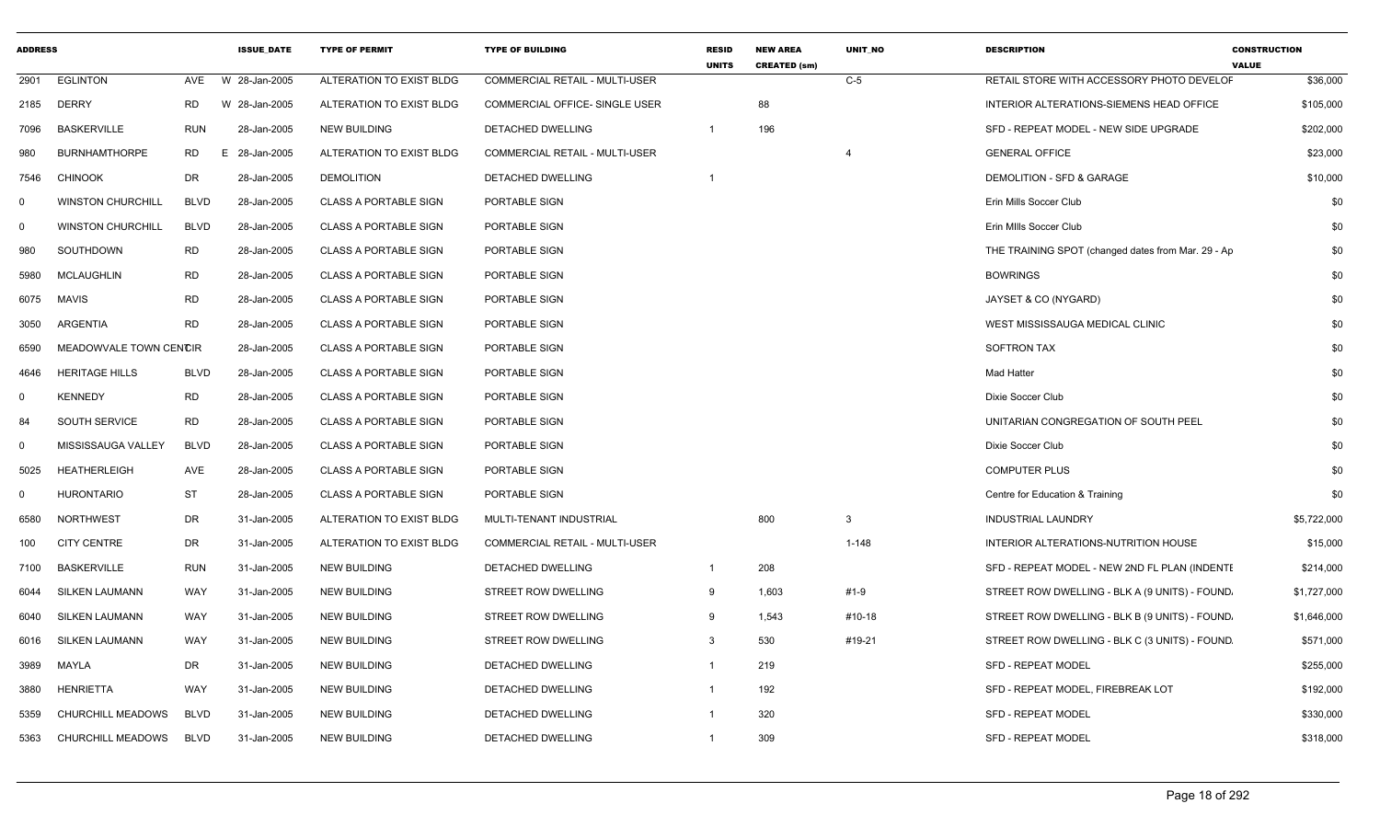| <b>ADDRESS</b> |                          |             | <b>ISSUE DATE</b> | <b>TYPE OF PERMIT</b>        | <b>TYPE OF BUILDING</b>               | <b>RESID</b><br><b>UNITS</b> | <b>NEW AREA</b><br><b>CREATED (sm)</b> | <b>UNIT NO</b>          | <b>DESCRIPTION</b>                                 | <b>CONSTRUCTION</b><br><b>VALUE</b> |
|----------------|--------------------------|-------------|-------------------|------------------------------|---------------------------------------|------------------------------|----------------------------------------|-------------------------|----------------------------------------------------|-------------------------------------|
| 2901           | <b>EGLINTON</b>          | AVE         | W 28-Jan-2005     | ALTERATION TO EXIST BLDG     | COMMERCIAL RETAIL - MULTI-USER        |                              |                                        | $C-5$                   | RETAIL STORE WITH ACCESSORY PHOTO DEVELOF          | \$36,000                            |
| 2185           | <b>DERRY</b>             | RD          | W 28-Jan-2005     | ALTERATION TO EXIST BLDG     | COMMERCIAL OFFICE- SINGLE USER        |                              | 88                                     |                         | INTERIOR ALTERATIONS-SIEMENS HEAD OFFICE           | \$105,000                           |
| 7096           | <b>BASKERVILLE</b>       | RUN         | 28-Jan-2005       | <b>NEW BUILDING</b>          | <b>DETACHED DWELLING</b>              | $\overline{1}$               | 196                                    |                         | SFD - REPEAT MODEL - NEW SIDE UPGRADE              | \$202,000                           |
| 980            | <b>BURNHAMTHORPE</b>     | RD          | 28-Jan-2005<br>Е  | ALTERATION TO EXIST BLDG     | COMMERCIAL RETAIL - MULTI-USER        |                              |                                        | $\overline{\mathbf{4}}$ | <b>GENERAL OFFICE</b>                              | \$23,000                            |
| 7546           | <b>CHINOOK</b>           | DR          | 28-Jan-2005       | <b>DEMOLITION</b>            | DETACHED DWELLING                     | -1                           |                                        |                         | DEMOLITION - SFD & GARAGE                          | \$10,000                            |
| $\mathbf 0$    | <b>WINSTON CHURCHILL</b> | <b>BLVD</b> | 28-Jan-2005       | <b>CLASS A PORTABLE SIGN</b> | PORTABLE SIGN                         |                              |                                        |                         | Erin Mills Soccer Club                             | \$0                                 |
| $\mathbf 0$    | <b>WINSTON CHURCHILL</b> | <b>BLVD</b> | 28-Jan-2005       | <b>CLASS A PORTABLE SIGN</b> | PORTABLE SIGN                         |                              |                                        |                         | Erin MIIIs Soccer Club                             | \$0                                 |
| 980            | SOUTHDOWN                | <b>RD</b>   | 28-Jan-2005       | <b>CLASS A PORTABLE SIGN</b> | PORTABLE SIGN                         |                              |                                        |                         | THE TRAINING SPOT (changed dates from Mar. 29 - Ap | \$0                                 |
| 5980           | <b>MCLAUGHLIN</b>        | <b>RD</b>   | 28-Jan-2005       | <b>CLASS A PORTABLE SIGN</b> | PORTABLE SIGN                         |                              |                                        |                         | <b>BOWRINGS</b>                                    | \$0                                 |
| 6075           | MAVIS                    | RD          | 28-Jan-2005       | <b>CLASS A PORTABLE SIGN</b> | PORTABLE SIGN                         |                              |                                        |                         | JAYSET & CO (NYGARD)                               | \$0                                 |
| 3050           | ARGENTIA                 | <b>RD</b>   | 28-Jan-2005       | <b>CLASS A PORTABLE SIGN</b> | PORTABLE SIGN                         |                              |                                        |                         | WEST MISSISSAUGA MEDICAL CLINIC                    | \$0                                 |
| 6590           | MEADOWVALE TOWN CENCIR   |             | 28-Jan-2005       | <b>CLASS A PORTABLE SIGN</b> | PORTABLE SIGN                         |                              |                                        |                         | <b>SOFTRON TAX</b>                                 | \$0                                 |
| 4646           | <b>HERITAGE HILLS</b>    | <b>BLVD</b> | 28-Jan-2005       | <b>CLASS A PORTABLE SIGN</b> | PORTABLE SIGN                         |                              |                                        |                         | <b>Mad Hatter</b>                                  | \$0                                 |
| $\mathbf 0$    | <b>KENNEDY</b>           | <b>RD</b>   | 28-Jan-2005       | <b>CLASS A PORTABLE SIGN</b> | PORTABLE SIGN                         |                              |                                        |                         | Dixie Soccer Club                                  | \$0                                 |
| 84             | SOUTH SERVICE            | <b>RD</b>   | 28-Jan-2005       | <b>CLASS A PORTABLE SIGN</b> | PORTABLE SIGN                         |                              |                                        |                         | UNITARIAN CONGREGATION OF SOUTH PEEL               | \$0                                 |
| $\mathbf 0$    | MISSISSAUGA VALLEY       | <b>BLVD</b> | 28-Jan-2005       | <b>CLASS A PORTABLE SIGN</b> | PORTABLE SIGN                         |                              |                                        |                         | Dixie Soccer Club                                  | \$0                                 |
| 5025           | <b>HEATHERLEIGH</b>      | AVE         | 28-Jan-2005       | <b>CLASS A PORTABLE SIGN</b> | PORTABLE SIGN                         |                              |                                        |                         | <b>COMPUTER PLUS</b>                               | \$0                                 |
| $\mathbf 0$    | <b>HURONTARIO</b>        | <b>ST</b>   | 28-Jan-2005       | <b>CLASS A PORTABLE SIGN</b> | PORTABLE SIGN                         |                              |                                        |                         | Centre for Education & Training                    | \$0                                 |
| 6580           | <b>NORTHWEST</b>         | DR          | 31-Jan-2005       | ALTERATION TO EXIST BLDG     | MULTI-TENANT INDUSTRIAL               |                              | 800                                    | $\mathbf{3}$            | INDUSTRIAL LAUNDRY                                 | \$5,722,000                         |
| 100            | <b>CITY CENTRE</b>       | DR          | 31-Jan-2005       | ALTERATION TO EXIST BLDG     | <b>COMMERCIAL RETAIL - MULTI-USER</b> |                              |                                        | $1 - 148$               | INTERIOR ALTERATIONS-NUTRITION HOUSE               | \$15,000                            |
| 7100           | <b>BASKERVILLE</b>       | RUN         | 31-Jan-2005       | <b>NEW BUILDING</b>          | <b>DETACHED DWELLING</b>              | $\overline{1}$               | 208                                    |                         | SFD - REPEAT MODEL - NEW 2ND FL PLAN (INDENTE      | \$214,000                           |
| 6044           | SILKEN LAUMANN           | WAY         | 31-Jan-2005       | <b>NEW BUILDING</b>          | <b>STREET ROW DWELLING</b>            | 9                            | 1,603                                  | #1-9                    | STREET ROW DWELLING - BLK A (9 UNITS) - FOUND.     | \$1,727,000                         |
| 6040           | SILKEN LAUMANN           | WAY         | 31-Jan-2005       | <b>NEW BUILDING</b>          | <b>STREET ROW DWELLING</b>            | -9                           | 1,543                                  | #10-18                  | STREET ROW DWELLING - BLK B (9 UNITS) - FOUND.     | \$1,646,000                         |
| 6016           | SILKEN LAUMANN           | WAY         | 31-Jan-2005       | <b>NEW BUILDING</b>          | STREET ROW DWELLING                   | -3                           | 530                                    | #19-21                  | STREET ROW DWELLING - BLK C (3 UNITS) - FOUND      | \$571,000                           |
| 3989           | MAYLA                    | DR          | 31-Jan-2005       | <b>NEW BUILDING</b>          | DETACHED DWELLING                     | -1                           | 219                                    |                         | <b>SFD - REPEAT MODEL</b>                          | \$255,000                           |
| 3880           | HENRIETTA                | WAY         | 31-Jan-2005       | <b>NEW BUILDING</b>          | DETACHED DWELLING                     |                              | 192                                    |                         | SFD - REPEAT MODEL, FIREBREAK LOT                  | \$192,000                           |
| 5359           | CHURCHILL MEADOWS        | <b>BLVD</b> | 31-Jan-2005       | <b>NEW BUILDING</b>          | DETACHED DWELLING                     |                              | 320                                    |                         | <b>SFD - REPEAT MODEL</b>                          | \$330,000                           |
| 5363           | <b>CHURCHILL MEADOWS</b> | <b>BLVD</b> | 31-Jan-2005       | <b>NEW BUILDING</b>          | DETACHED DWELLING                     |                              | 309                                    |                         | SFD - REPEAT MODEL                                 | \$318,000                           |
|                |                          |             |                   |                              |                                       |                              |                                        |                         |                                                    |                                     |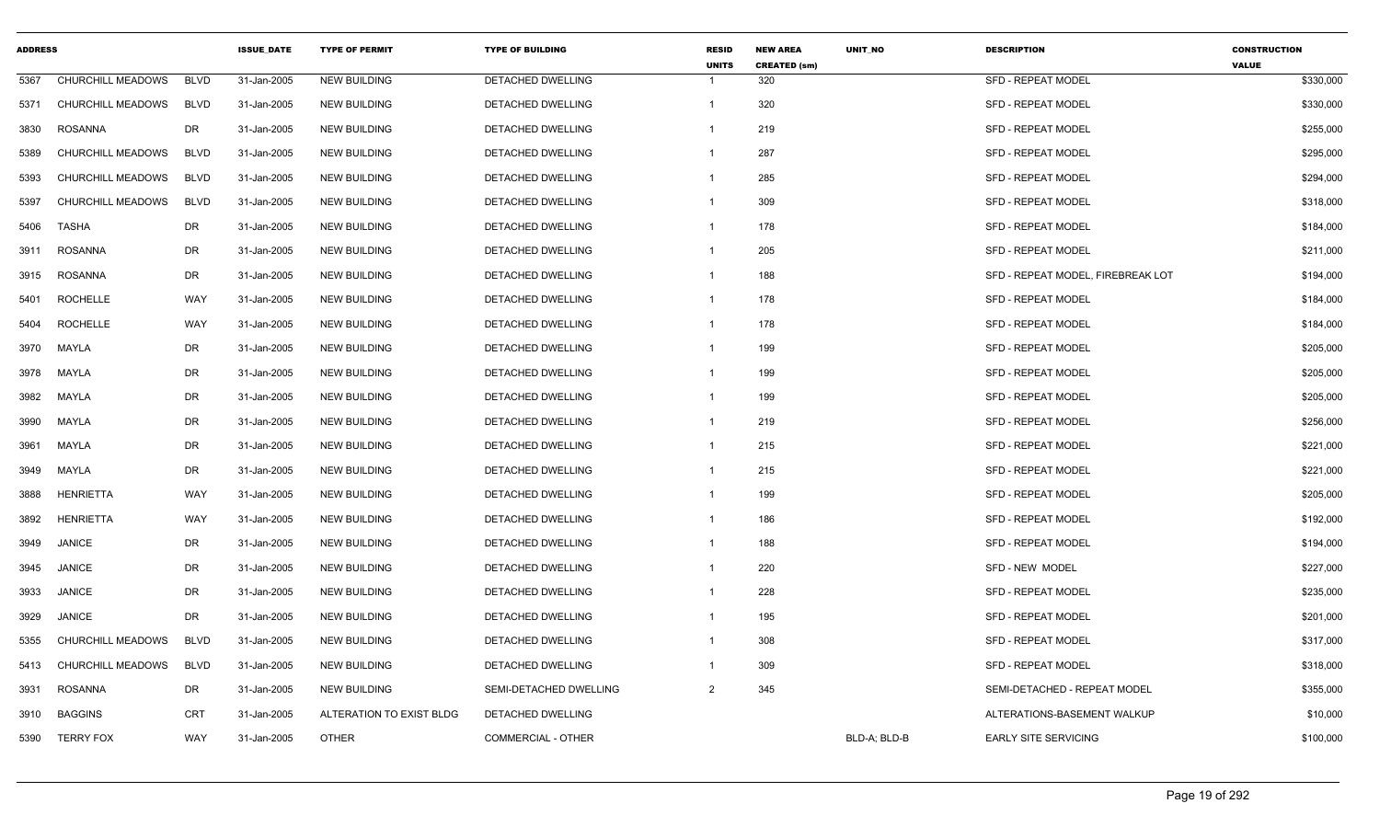| <b>ADDRESS</b> |                   |             | <b>ISSUE DATE</b> | <b>TYPE OF PERMIT</b>    | <b>TYPE OF BUILDING</b>   | <b>RESID</b><br><b>UNITS</b> | <b>NEW AREA</b><br><b>CREATED (sm)</b> | <b>UNIT NO</b> | <b>DESCRIPTION</b>                | <b>CONSTRUCTION</b><br><b>VALUE</b> |
|----------------|-------------------|-------------|-------------------|--------------------------|---------------------------|------------------------------|----------------------------------------|----------------|-----------------------------------|-------------------------------------|
| 5367           | CHURCHILL MEADOWS | <b>BLVD</b> | 31-Jan-2005       | <b>NEW BUILDING</b>      | DETACHED DWELLING         | -1                           | 320                                    |                | <b>SFD - REPEAT MODEL</b>         | \$330,000                           |
| 5371           | CHURCHILL MEADOWS | <b>BLVD</b> | 31-Jan-2005       | <b>NEW BUILDING</b>      | DETACHED DWELLING         | $\mathbf{1}$                 | 320                                    |                | <b>SFD - REPEAT MODEL</b>         | \$330,000                           |
| 3830           | ROSANNA           | DR          | 31-Jan-2005       | <b>NEW BUILDING</b>      | DETACHED DWELLING         | -1                           | 219                                    |                | <b>SFD - REPEAT MODEL</b>         | \$255,000                           |
| 5389           | CHURCHILL MEADOWS | <b>BLVD</b> | 31-Jan-2005       | <b>NEW BUILDING</b>      | DETACHED DWELLING         | $\mathbf{1}$                 | 287                                    |                | <b>SFD - REPEAT MODEL</b>         | \$295,000                           |
| 5393           | CHURCHILL MEADOWS | <b>BLVD</b> | 31-Jan-2005       | <b>NEW BUILDING</b>      | DETACHED DWELLING         | $\mathbf{1}$                 | 285                                    |                | <b>SFD - REPEAT MODEL</b>         | \$294,000                           |
| 5397           | CHURCHILL MEADOWS | <b>BLVD</b> | 31-Jan-2005       | <b>NEW BUILDING</b>      | DETACHED DWELLING         | $\mathbf{1}$                 | 309                                    |                | <b>SFD - REPEAT MODEL</b>         | \$318,000                           |
| 5406           | <b>TASHA</b>      | DR          | 31-Jan-2005       | <b>NEW BUILDING</b>      | DETACHED DWELLING         | $\mathbf{1}$                 | 178                                    |                | <b>SFD - REPEAT MODEL</b>         | \$184,000                           |
| 3911           | ROSANNA           | DR          | 31-Jan-2005       | <b>NEW BUILDING</b>      | DETACHED DWELLING         | $\mathbf{1}$                 | 205                                    |                | <b>SFD - REPEAT MODEL</b>         | \$211,000                           |
| 3915           | <b>ROSANNA</b>    | <b>DR</b>   | 31-Jan-2005       | <b>NEW BUILDING</b>      | DETACHED DWELLING         | $\mathbf{1}$                 | 188                                    |                | SFD - REPEAT MODEL, FIREBREAK LOT | \$194,000                           |
| 5401           | <b>ROCHELLE</b>   | <b>WAY</b>  | 31-Jan-2005       | <b>NEW BUILDING</b>      | DETACHED DWELLING         | $\mathbf{1}$                 | 178                                    |                | <b>SFD - REPEAT MODEL</b>         | \$184,000                           |
| 5404           | <b>ROCHELLE</b>   | WAY         | 31-Jan-2005       | <b>NEW BUILDING</b>      | DETACHED DWELLING         | $\mathbf{1}$                 | 178                                    |                | <b>SFD - REPEAT MODEL</b>         | \$184,000                           |
| 3970           | <b>MAYLA</b>      | <b>DR</b>   | 31-Jan-2005       | <b>NEW BUILDING</b>      | <b>DETACHED DWELLING</b>  | $\mathbf{1}$                 | 199                                    |                | <b>SFD - REPEAT MODEL</b>         | \$205,000                           |
| 3978           | MAYLA             | <b>DR</b>   | 31-Jan-2005       | <b>NEW BUILDING</b>      | DETACHED DWELLING         | -1                           | 199                                    |                | <b>SFD - REPEAT MODEL</b>         | \$205,000                           |
| 3982           | MAYLA             | DR          | 31-Jan-2005       | <b>NEW BUILDING</b>      | DETACHED DWELLING         | $\mathbf{1}$                 | 199                                    |                | <b>SFD - REPEAT MODEL</b>         | \$205,000                           |
| 3990           | <b>MAYLA</b>      | DR          | 31-Jan-2005       | <b>NEW BUILDING</b>      | DETACHED DWELLING         | $\mathbf{1}$                 | 219                                    |                | <b>SFD - REPEAT MODEL</b>         | \$256,000                           |
| 3961           | MAYLA             | <b>DR</b>   | 31-Jan-2005       | <b>NEW BUILDING</b>      | DETACHED DWELLING         | $\mathbf{1}$                 | 215                                    |                | <b>SFD - REPEAT MODEL</b>         | \$221,000                           |
| 3949           | <b>MAYLA</b>      | DR          | 31-Jan-2005       | <b>NEW BUILDING</b>      | <b>DETACHED DWELLING</b>  | $\mathbf{1}$                 | 215                                    |                | <b>SFD - REPEAT MODEL</b>         | \$221,000                           |
| 3888           | <b>HENRIETTA</b>  | <b>WAY</b>  | 31-Jan-2005       | <b>NEW BUILDING</b>      | DETACHED DWELLING         | $\mathbf{1}$                 | 199                                    |                | <b>SFD - REPEAT MODEL</b>         | \$205,000                           |
| 3892           | <b>HENRIETTA</b>  | WAY         | 31-Jan-2005       | <b>NEW BUILDING</b>      | DETACHED DWELLING         | $\mathbf{1}$                 | 186                                    |                | <b>SFD - REPEAT MODEL</b>         | \$192,000                           |
| 3949           | <b>JANICE</b>     | <b>DR</b>   | 31-Jan-2005       | <b>NEW BUILDING</b>      | DETACHED DWELLING         | $\mathbf{1}$                 | 188                                    |                | SFD - REPEAT MODEL                | \$194,000                           |
| 3945           | JANICE            | DR          | 31-Jan-2005       | <b>NEW BUILDING</b>      | DETACHED DWELLING         | $\mathbf{1}$                 | 220                                    |                | SFD - NEW MODEL                   | \$227,000                           |
| 3933           | <b>JANICE</b>     | <b>DR</b>   | 31-Jan-2005       | <b>NEW BUILDING</b>      | DETACHED DWELLING         | -1                           | 228                                    |                | <b>SFD - REPEAT MODEL</b>         | \$235,000                           |
| 3929           | <b>JANICE</b>     | DR          | 31-Jan-2005       | <b>NEW BUILDING</b>      | <b>DETACHED DWELLING</b>  | $\mathbf{1}$                 | 195                                    |                | <b>SFD - REPEAT MODEL</b>         | \$201,000                           |
| 5355           | CHURCHILL MEADOWS | <b>BLVD</b> | 31-Jan-2005       | <b>NEW BUILDING</b>      | DETACHED DWELLING         | -1                           | 308                                    |                | <b>SFD - REPEAT MODEL</b>         | \$317,000                           |
| 5413           | CHURCHILL MEADOWS | <b>BLVD</b> | 31-Jan-2005       | <b>NEW BUILDING</b>      | DETACHED DWELLING         | -1                           | 309                                    |                | <b>SFD - REPEAT MODEL</b>         | \$318,000                           |
| 3931           | <b>ROSANNA</b>    | DR          | 31-Jan-2005       | <b>NEW BUILDING</b>      | SEMI-DETACHED DWELLING    | 2                            | 345                                    |                | SEMI-DETACHED - REPEAT MODEL      | \$355,000                           |
| 3910           | <b>BAGGINS</b>    | <b>CRT</b>  | 31-Jan-2005       | ALTERATION TO EXIST BLDG | DETACHED DWELLING         |                              |                                        |                | ALTERATIONS-BASEMENT WALKUP       | \$10,000                            |
| 5390           | <b>TERRY FOX</b>  | <b>WAY</b>  | 31-Jan-2005       | <b>OTHER</b>             | <b>COMMERCIAL - OTHER</b> |                              |                                        | BLD-A: BLD-B   | <b>EARLY SITE SERVICING</b>       | \$100,000                           |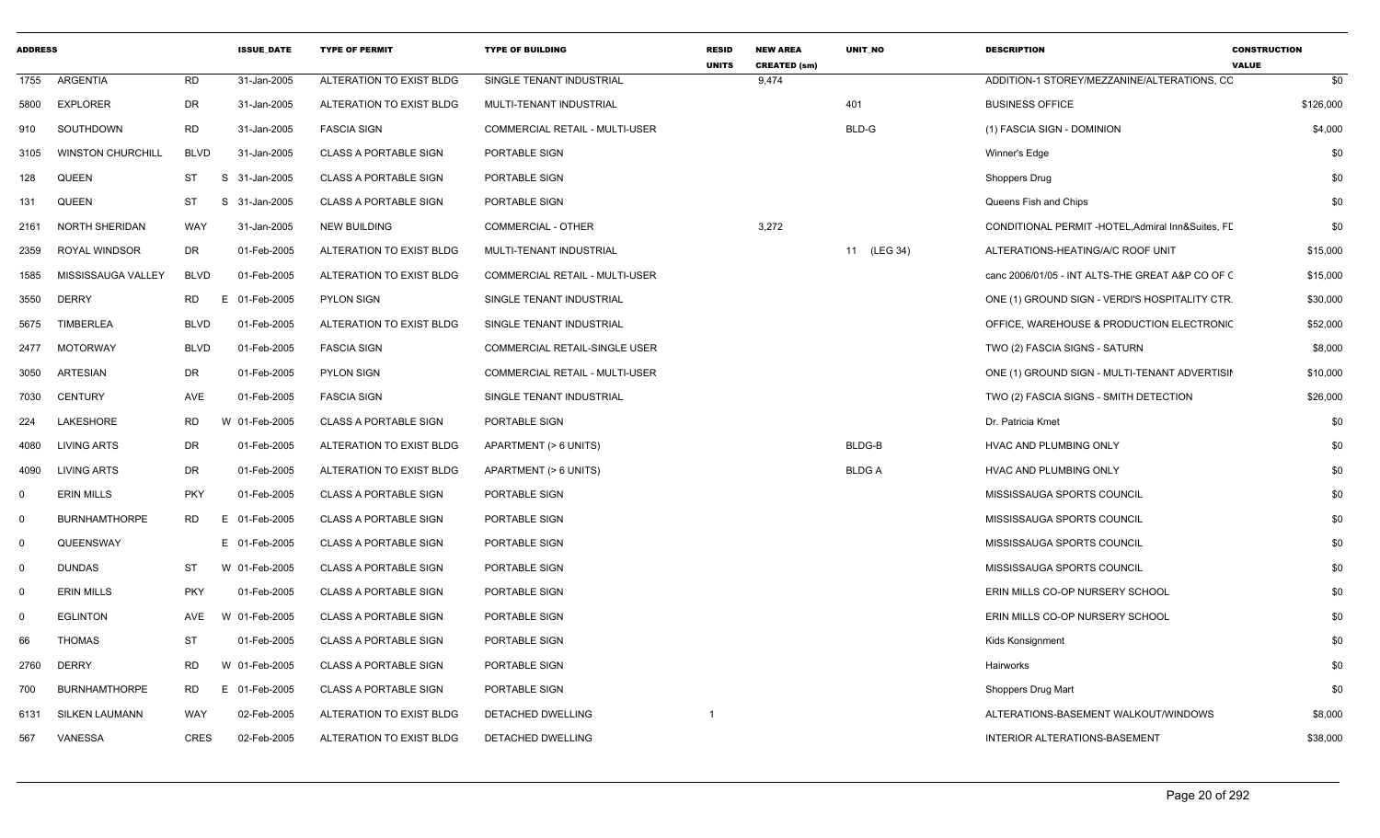| <b>ADDRESS</b> |                          |             | <b>ISSUE_DATE</b> | <b>TYPE OF PERMIT</b>        | <b>TYPE OF BUILDING</b>        | <b>RESID</b><br><b>UNITS</b> | <b>NEW AREA</b><br><b>CREATED (sm)</b> | UNIT_NO      | <b>DESCRIPTION</b>                                | <b>CONSTRUCTION</b><br><b>VALUE</b> |
|----------------|--------------------------|-------------|-------------------|------------------------------|--------------------------------|------------------------------|----------------------------------------|--------------|---------------------------------------------------|-------------------------------------|
| 1755           | ARGENTIA                 | <b>RD</b>   | 31-Jan-2005       | ALTERATION TO EXIST BLDG     | SINGLE TENANT INDUSTRIAL       |                              | 9,474                                  |              | ADDITION-1 STOREY/MEZZANINE/ALTERATIONS, CC       | \$0                                 |
| 5800           | <b>EXPLORER</b>          | <b>DR</b>   | 31-Jan-2005       | ALTERATION TO EXIST BLDG     | MULTI-TENANT INDUSTRIAL        |                              |                                        | 401          | <b>BUSINESS OFFICE</b>                            | \$126,000                           |
| 910            | SOUTHDOWN                | <b>RD</b>   | 31-Jan-2005       | <b>FASCIA SIGN</b>           | COMMERCIAL RETAIL - MULTI-USER |                              |                                        | BLD-G        | (1) FASCIA SIGN - DOMINION                        | \$4,000                             |
| 3105           | <b>WINSTON CHURCHILL</b> | <b>BLVD</b> | 31-Jan-2005       | <b>CLASS A PORTABLE SIGN</b> | PORTABLE SIGN                  |                              |                                        |              | Winner's Edge                                     | \$0                                 |
| 128            | <b>QUEEN</b>             | ST          | S 31-Jan-2005     | <b>CLASS A PORTABLE SIGN</b> | PORTABLE SIGN                  |                              |                                        |              | <b>Shoppers Drug</b>                              | \$0                                 |
| 131            | <b>QUEEN</b>             | ST          | S 31-Jan-2005     | <b>CLASS A PORTABLE SIGN</b> | PORTABLE SIGN                  |                              |                                        |              | Queens Fish and Chips                             | \$0                                 |
| 2161           | NORTH SHERIDAN           | WAY         | 31-Jan-2005       | <b>NEW BUILDING</b>          | COMMERCIAL - OTHER             |                              | 3,272                                  |              | CONDITIONAL PERMIT -HOTEL, Admiral Inn&Suites, FL | \$0                                 |
| 2359           | ROYAL WINDSOR            | DR          | 01-Feb-2005       | ALTERATION TO EXIST BLDG     | MULTI-TENANT INDUSTRIAL        |                              |                                        | 11 (LEG 34)  | ALTERATIONS-HEATING/A/C ROOF UNIT                 | \$15,000                            |
| 1585           | MISSISSAUGA VALLEY       | <b>BLVD</b> | 01-Feb-2005       | ALTERATION TO EXIST BLDG     | COMMERCIAL RETAIL - MULTI-USER |                              |                                        |              | canc 2006/01/05 - INT ALTS-THE GREAT A&P CO OF C  | \$15,000                            |
| 3550           | <b>DERRY</b>             | <b>RD</b>   | 01-Feb-2005<br>F. | <b>PYLON SIGN</b>            | SINGLE TENANT INDUSTRIAL       |                              |                                        |              | ONE (1) GROUND SIGN - VERDI'S HOSPITALITY CTR.    | \$30,000                            |
| 5675           | TIMBERLEA                | <b>BLVD</b> | 01-Feb-2005       | ALTERATION TO EXIST BLDG     | SINGLE TENANT INDUSTRIAL       |                              |                                        |              | OFFICE, WAREHOUSE & PRODUCTION ELECTRONIC         | \$52,000                            |
| 2477           | <b>MOTORWAY</b>          | <b>BLVD</b> | 01-Feb-2005       | <b>FASCIA SIGN</b>           | COMMERCIAL RETAIL-SINGLE USER  |                              |                                        |              | TWO (2) FASCIA SIGNS - SATURN                     | \$8,000                             |
| 3050           | <b>ARTESIAN</b>          | <b>DR</b>   | 01-Feb-2005       | <b>PYLON SIGN</b>            | COMMERCIAL RETAIL - MULTI-USER |                              |                                        |              | ONE (1) GROUND SIGN - MULTI-TENANT ADVERTISIN     | \$10,000                            |
| 7030           | <b>CENTURY</b>           | AVE         | 01-Feb-2005       | <b>FASCIA SIGN</b>           | SINGLE TENANT INDUSTRIAL       |                              |                                        |              | TWO (2) FASCIA SIGNS - SMITH DETECTION            | \$26,000                            |
| 224            | LAKESHORE                | <b>RD</b>   | W 01-Feb-2005     | <b>CLASS A PORTABLE SIGN</b> | PORTABLE SIGN                  |                              |                                        |              | Dr. Patricia Kmet                                 | \$0                                 |
| 4080           | <b>LIVING ARTS</b>       | <b>DR</b>   | 01-Feb-2005       | ALTERATION TO EXIST BLDG     | APARTMENT (> 6 UNITS)          |                              |                                        | BLDG-B       | HVAC AND PLUMBING ONLY                            | \$0                                 |
| 4090           | <b>LIVING ARTS</b>       | <b>DR</b>   | 01-Feb-2005       | ALTERATION TO EXIST BLDG     | APARTMENT (> 6 UNITS)          |                              |                                        | <b>BLDGA</b> | HVAC AND PLUMBING ONLY                            | \$0                                 |
| 0              | <b>ERIN MILLS</b>        | <b>PKY</b>  | 01-Feb-2005       | <b>CLASS A PORTABLE SIGN</b> | PORTABLE SIGN                  |                              |                                        |              | MISSISSAUGA SPORTS COUNCIL                        | \$0                                 |
| $\mathbf 0$    | <b>BURNHAMTHORPE</b>     | <b>RD</b>   | 01-Feb-2005<br>E. | <b>CLASS A PORTABLE SIGN</b> | PORTABLE SIGN                  |                              |                                        |              | MISSISSAUGA SPORTS COUNCIL                        | \$0                                 |
| $\mathbf 0$    | QUEENSWAY                |             | E 01-Feb-2005     | <b>CLASS A PORTABLE SIGN</b> | PORTABLE SIGN                  |                              |                                        |              | MISSISSAUGA SPORTS COUNCIL                        | \$0                                 |
| $\mathbf 0$    | <b>DUNDAS</b>            | ST          | W 01-Feb-2005     | <b>CLASS A PORTABLE SIGN</b> | PORTABLE SIGN                  |                              |                                        |              | MISSISSAUGA SPORTS COUNCIL                        | \$0                                 |
| $\mathbf 0$    | <b>ERIN MILLS</b>        | <b>PKY</b>  | 01-Feb-2005       | <b>CLASS A PORTABLE SIGN</b> | PORTABLE SIGN                  |                              |                                        |              | ERIN MILLS CO-OP NURSERY SCHOOL                   | \$0                                 |
| 0              | <b>EGLINTON</b>          | AVE         | W 01-Feb-2005     | <b>CLASS A PORTABLE SIGN</b> | PORTABLE SIGN                  |                              |                                        |              | ERIN MILLS CO-OP NURSERY SCHOOL                   | \$0                                 |
| 66             | <b>THOMAS</b>            | <b>ST</b>   | 01-Feb-2005       | <b>CLASS A PORTABLE SIGN</b> | PORTABLE SIGN                  |                              |                                        |              | Kids Konsignment                                  | \$0                                 |
| 2760           | <b>DERRY</b>             | <b>RD</b>   | W 01-Feb-2005     | <b>CLASS A PORTABLE SIGN</b> | PORTABLE SIGN                  |                              |                                        |              | Hairworks                                         | \$0                                 |
| 700            | <b>BURNHAMTHORPE</b>     | <b>RD</b>   | E 01-Feb-2005     | <b>CLASS A PORTABLE SIGN</b> | PORTABLE SIGN                  |                              |                                        |              | Shoppers Drug Mart                                | \$0                                 |
| 6131           | <b>SILKEN LAUMANN</b>    | WAY         | 02-Feb-2005       | ALTERATION TO EXIST BLDG     | DETACHED DWELLING              | $\overline{\mathbf{1}}$      |                                        |              | ALTERATIONS-BASEMENT WALKOUT/WINDOWS              | \$8,000                             |
| 567            | VANESSA                  | <b>CRES</b> | 02-Feb-2005       | ALTERATION TO EXIST BLDG     | DETACHED DWELLING              |                              |                                        |              | INTERIOR ALTERATIONS-BASEMENT                     | \$38,000                            |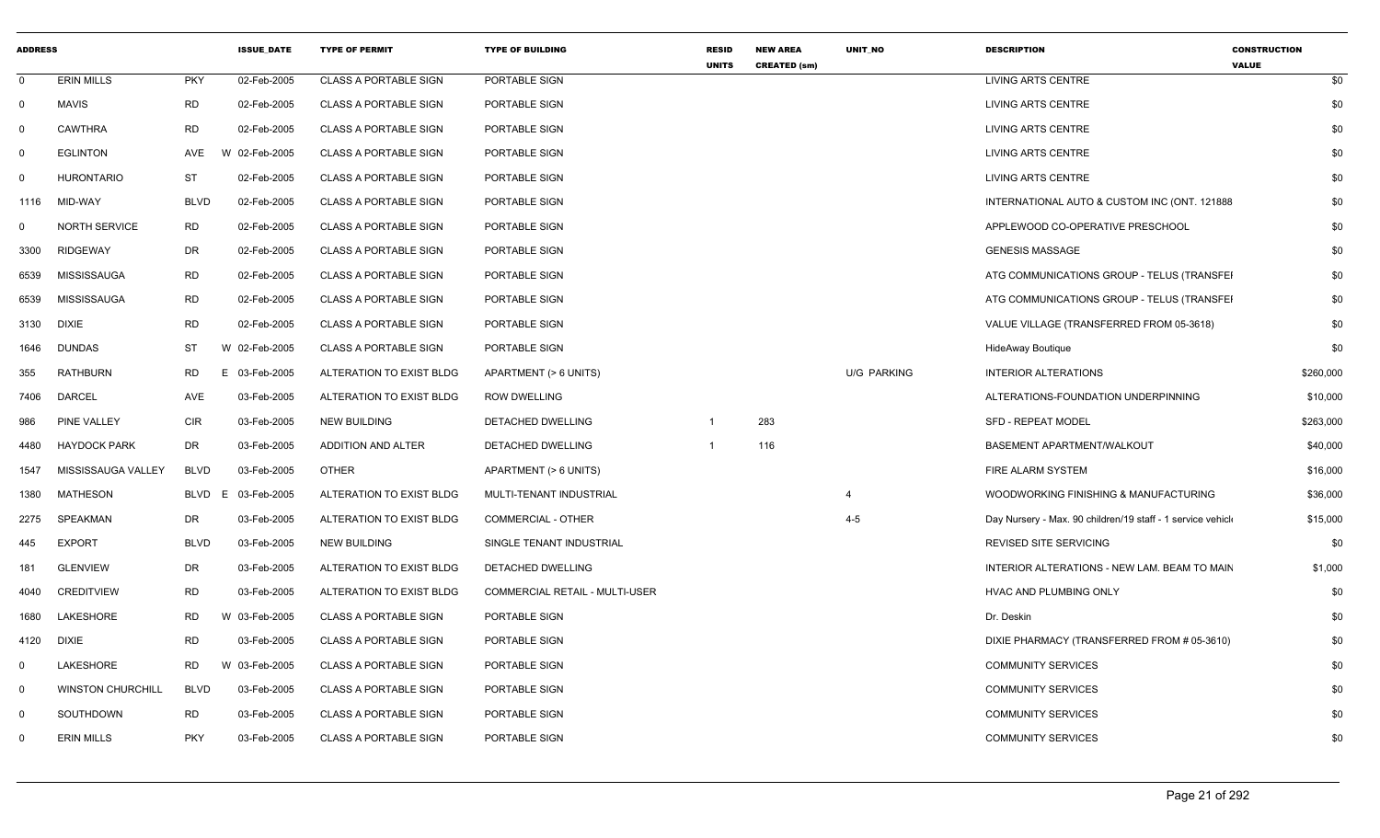| <b>ADDRESS</b> |                          |             | <b>ISSUE DATE</b> | <b>TYPE OF PERMIT</b>        | <b>TYPE OF BUILDING</b>               | <b>RESID</b> | <b>NEW AREA</b>     | UNIT_NO            | <b>DESCRIPTION</b>                                          | <b>CONSTRUCTION</b> |
|----------------|--------------------------|-------------|-------------------|------------------------------|---------------------------------------|--------------|---------------------|--------------------|-------------------------------------------------------------|---------------------|
| $\mathbf 0$    | <b>ERIN MILLS</b>        | <b>PKY</b>  | 02-Feb-2005       | <b>CLASS A PORTABLE SIGN</b> | PORTABLE SIGN                         | <b>UNITS</b> | <b>CREATED (sm)</b> |                    | <b>LIVING ARTS CENTRE</b>                                   | <b>VALUE</b><br>\$0 |
| $\mathbf 0$    | <b>MAVIS</b>             | <b>RD</b>   | 02-Feb-2005       | <b>CLASS A PORTABLE SIGN</b> | PORTABLE SIGN                         |              |                     |                    | <b>LIVING ARTS CENTRE</b>                                   | \$0                 |
| 0              | <b>CAWTHRA</b>           | <b>RD</b>   | 02-Feb-2005       | <b>CLASS A PORTABLE SIGN</b> | PORTABLE SIGN                         |              |                     |                    | <b>LIVING ARTS CENTRE</b>                                   | \$0                 |
| 0              | <b>EGLINTON</b>          | <b>AVE</b>  | W 02-Feb-2005     | <b>CLASS A PORTABLE SIGN</b> | PORTABLE SIGN                         |              |                     |                    | <b>LIVING ARTS CENTRE</b>                                   | \$0                 |
| 0              | <b>HURONTARIO</b>        | ST          | 02-Feb-2005       | <b>CLASS A PORTABLE SIGN</b> | PORTABLE SIGN                         |              |                     |                    | LIVING ARTS CENTRE                                          | \$0                 |
| 1116           | MID-WAY                  | <b>BLVD</b> | 02-Feb-2005       | <b>CLASS A PORTABLE SIGN</b> | PORTABLE SIGN                         |              |                     |                    | INTERNATIONAL AUTO & CUSTOM INC (ONT. 121888)               | \$0                 |
| $\mathbf{0}$   | <b>NORTH SERVICE</b>     | RD          | 02-Feb-2005       | <b>CLASS A PORTABLE SIGN</b> | PORTABLE SIGN                         |              |                     |                    | APPLEWOOD CO-OPERATIVE PRESCHOOL                            | \$0                 |
| 3300           | RIDGEWAY                 | DR          | 02-Feb-2005       | <b>CLASS A PORTABLE SIGN</b> | PORTABLE SIGN                         |              |                     |                    | <b>GENESIS MASSAGE</b>                                      | \$0                 |
| 6539           | MISSISSAUGA              | RD          | 02-Feb-2005       | <b>CLASS A PORTABLE SIGN</b> | PORTABLE SIGN                         |              |                     |                    | ATG COMMUNICATIONS GROUP - TELUS (TRANSFEI                  | \$0                 |
| 6539           | <b>MISSISSAUGA</b>       | <b>RD</b>   | 02-Feb-2005       | <b>CLASS A PORTABLE SIGN</b> | PORTABLE SIGN                         |              |                     |                    | ATG COMMUNICATIONS GROUP - TELUS (TRANSFEI                  | \$0                 |
| 3130           | <b>DIXIE</b>             | <b>RD</b>   | 02-Feb-2005       | <b>CLASS A PORTABLE SIGN</b> | PORTABLE SIGN                         |              |                     |                    | VALUE VILLAGE (TRANSFERRED FROM 05-3618)                    | \$0                 |
| 1646           | <b>DUNDAS</b>            | ST          | W 02-Feb-2005     | <b>CLASS A PORTABLE SIGN</b> | PORTABLE SIGN                         |              |                     |                    | HideAway Boutique                                           | \$0                 |
| 355            | <b>RATHBURN</b>          | <b>RD</b>   | E<br>03-Feb-2005  | ALTERATION TO EXIST BLDG     | APARTMENT (> 6 UNITS)                 |              |                     | <b>U/G PARKING</b> | <b>INTERIOR ALTERATIONS</b>                                 | \$260,000           |
| 7406           | <b>DARCEL</b>            | AVE         | 03-Feb-2005       | ALTERATION TO EXIST BLDG     | <b>ROW DWELLING</b>                   |              |                     |                    | ALTERATIONS-FOUNDATION UNDERPINNING                         | \$10,000            |
| 986            | PINE VALLEY              | <b>CIR</b>  | 03-Feb-2005       | <b>NEW BUILDING</b>          | DETACHED DWELLING                     |              | 283                 |                    | <b>SFD - REPEAT MODEL</b>                                   | \$263,000           |
| 4480           | <b>HAYDOCK PARK</b>      | DR          | 03-Feb-2005       | <b>ADDITION AND ALTER</b>    | DETACHED DWELLING                     |              | 116                 |                    | BASEMENT APARTMENT/WALKOUT                                  | \$40,000            |
| 1547           | MISSISSAUGA VALLEY       | <b>BLVD</b> | 03-Feb-2005       | <b>OTHER</b>                 | APARTMENT (> 6 UNITS)                 |              |                     |                    | FIRE ALARM SYSTEM                                           | \$16,000            |
| 1380           | <b>MATHESON</b>          | <b>BLVD</b> | 03-Feb-2005<br>E  | ALTERATION TO EXIST BLDG     | MULTI-TENANT INDUSTRIAL               |              |                     | $\overline{4}$     | WOODWORKING FINISHING & MANUFACTURING                       | \$36,000            |
| 2275           | SPEAKMAN                 | DR          | 03-Feb-2005       | ALTERATION TO EXIST BLDG     | <b>COMMERCIAL - OTHER</b>             |              |                     | $4 - 5$            | Day Nursery - Max. 90 children/19 staff - 1 service vehicle | \$15,000            |
| 445            | <b>EXPORT</b>            | <b>BLVD</b> | 03-Feb-2005       | <b>NEW BUILDING</b>          | SINGLE TENANT INDUSTRIAL              |              |                     |                    | REVISED SITE SERVICING                                      | \$0                 |
| 181            | <b>GLENVIEW</b>          | DR          | 03-Feb-2005       | ALTERATION TO EXIST BLDG     | DETACHED DWELLING                     |              |                     |                    | INTERIOR ALTERATIONS - NEW LAM. BEAM TO MAIN                | \$1,000             |
| 4040           | <b>CREDITVIEW</b>        | <b>RD</b>   | 03-Feb-2005       | ALTERATION TO EXIST BLDG     | <b>COMMERCIAL RETAIL - MULTI-USER</b> |              |                     |                    | HVAC AND PLUMBING ONLY                                      | \$0                 |
| 1680           | LAKESHORE                | <b>RD</b>   | W 03-Feb-2005     | <b>CLASS A PORTABLE SIGN</b> | PORTABLE SIGN                         |              |                     |                    | Dr. Deskin                                                  | \$0                 |
| 4120           | DIXIE                    | <b>RD</b>   | 03-Feb-2005       | <b>CLASS A PORTABLE SIGN</b> | PORTABLE SIGN                         |              |                     |                    | DIXIE PHARMACY (TRANSFERRED FROM # 05-3610)                 | \$0                 |
| $\mathbf{0}$   | LAKESHORE                | <b>RD</b>   | W 03-Feb-2005     | <b>CLASS A PORTABLE SIGN</b> | PORTABLE SIGN                         |              |                     |                    | <b>COMMUNITY SERVICES</b>                                   | \$0                 |
| $\mathbf 0$    | <b>WINSTON CHURCHILL</b> | <b>BLVD</b> | 03-Feb-2005       | <b>CLASS A PORTABLE SIGN</b> | PORTABLE SIGN                         |              |                     |                    | <b>COMMUNITY SERVICES</b>                                   | \$0                 |
| $\Omega$       | SOUTHDOWN                | <b>RD</b>   | 03-Feb-2005       | <b>CLASS A PORTABLE SIGN</b> | PORTABLE SIGN                         |              |                     |                    | <b>COMMUNITY SERVICES</b>                                   | \$0                 |
| $\Omega$       | <b>ERIN MILLS</b>        | <b>PKY</b>  | 03-Feb-2005       | <b>CLASS A PORTABLE SIGN</b> | PORTABLE SIGN                         |              |                     |                    | <b>COMMUNITY SERVICES</b>                                   | \$0                 |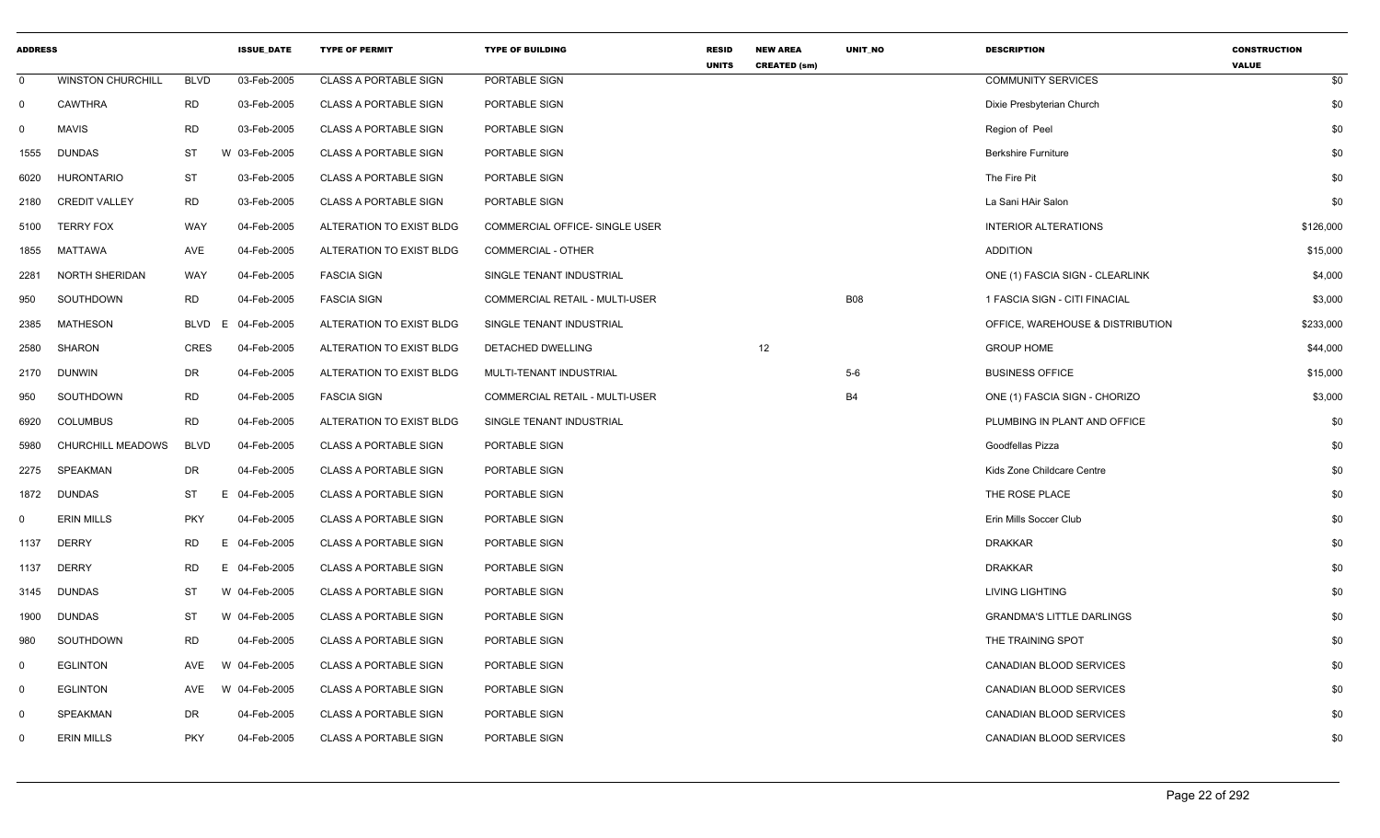| <b>ADDRESS</b> |                          |             | <b>ISSUE DATE</b> | <b>TYPE OF PERMIT</b>        | <b>TYPE OF BUILDING</b>        | <b>RESID</b><br><b>UNITS</b> | <b>NEW AREA</b><br><b>CREATED (sm)</b> | <b>UNIT NO</b> | <b>DESCRIPTION</b>               | <b>CONSTRUCTION</b><br><b>VALUE</b> |
|----------------|--------------------------|-------------|-------------------|------------------------------|--------------------------------|------------------------------|----------------------------------------|----------------|----------------------------------|-------------------------------------|
| $\Omega$       | <b>WINSTON CHURCHILL</b> | <b>BLVD</b> | 03-Feb-2005       | <b>CLASS A PORTABLE SIGN</b> | PORTABLE SIGN                  |                              |                                        |                | <b>COMMUNITY SERVICES</b>        | \$0                                 |
| 0              | <b>CAWTHRA</b>           | <b>RD</b>   | 03-Feb-2005       | <b>CLASS A PORTABLE SIGN</b> | PORTABLE SIGN                  |                              |                                        |                | Dixie Presbyterian Church        | \$0                                 |
| 0              | <b>MAVIS</b>             | <b>RD</b>   | 03-Feb-2005       | <b>CLASS A PORTABLE SIGN</b> | PORTABLE SIGN                  |                              |                                        |                | Region of Peel                   | \$0                                 |
| 1555           | <b>DUNDAS</b>            | <b>ST</b>   | W 03-Feb-2005     | CLASS A PORTABLE SIGN        | PORTABLE SIGN                  |                              |                                        |                | <b>Berkshire Furniture</b>       | \$0                                 |
| 6020           | <b>HURONTARIO</b>        | <b>ST</b>   | 03-Feb-2005       | <b>CLASS A PORTABLE SIGN</b> | PORTABLE SIGN                  |                              |                                        |                | The Fire Pit                     | \$0                                 |
| 2180           | <b>CREDIT VALLEY</b>     | <b>RD</b>   | 03-Feb-2005       | <b>CLASS A PORTABLE SIGN</b> | PORTABLE SIGN                  |                              |                                        |                | La Sani HAir Salon               | \$0                                 |
| 5100           | <b>TERRY FOX</b>         | <b>WAY</b>  | 04-Feb-2005       | ALTERATION TO EXIST BLDG     | COMMERCIAL OFFICE- SINGLE USER |                              |                                        |                | <b>INTERIOR ALTERATIONS</b>      | \$126,000                           |
| 1855           | MATTAWA                  | AVE         | 04-Feb-2005       | ALTERATION TO EXIST BLDG     | <b>COMMERCIAL - OTHER</b>      |                              |                                        |                | <b>ADDITION</b>                  | \$15,000                            |
| 2281           | NORTH SHERIDAN           | WAY         | 04-Feb-2005       | <b>FASCIA SIGN</b>           | SINGLE TENANT INDUSTRIAL       |                              |                                        |                | ONE (1) FASCIA SIGN - CLEARLINK  | \$4,000                             |
| 950            | SOUTHDOWN                | <b>RD</b>   | 04-Feb-2005       | <b>FASCIA SIGN</b>           | COMMERCIAL RETAIL - MULTI-USER |                              |                                        | <b>B08</b>     | 1 FASCIA SIGN - CITI FINACIAL    | \$3,000                             |
| 2385           | <b>MATHESON</b>          | <b>BLVD</b> | 04-Feb-2005<br>E. | ALTERATION TO EXIST BLDG     | SINGLE TENANT INDUSTRIAL       |                              |                                        |                | OFFICE, WAREHOUSE & DISTRIBUTION | \$233,000                           |
| 2580           | <b>SHARON</b>            | <b>CRES</b> | 04-Feb-2005       | ALTERATION TO EXIST BLDG     | DETACHED DWELLING              |                              | 12                                     |                | <b>GROUP HOME</b>                | \$44,000                            |
| 2170           | <b>DUNWIN</b>            | DR          | 04-Feb-2005       | ALTERATION TO EXIST BLDG     | MULTI-TENANT INDUSTRIAL        |                              |                                        | $5-6$          | <b>BUSINESS OFFICE</b>           | \$15,000                            |
| 950            | SOUTHDOWN                | <b>RD</b>   | 04-Feb-2005       | <b>FASCIA SIGN</b>           | COMMERCIAL RETAIL - MULTI-USER |                              |                                        | <b>B4</b>      | ONE (1) FASCIA SIGN - CHORIZO    | \$3,000                             |
| 6920           | <b>COLUMBUS</b>          | <b>RD</b>   | 04-Feb-2005       | ALTERATION TO EXIST BLDG     | SINGLE TENANT INDUSTRIAL       |                              |                                        |                | PLUMBING IN PLANT AND OFFICE     | \$0                                 |
| 5980           | CHURCHILL MEADOWS        | <b>BLVD</b> | 04-Feb-2005       | <b>CLASS A PORTABLE SIGN</b> | PORTABLE SIGN                  |                              |                                        |                | Goodfellas Pizza                 | \$0                                 |
| 2275           | SPEAKMAN                 | DR          | 04-Feb-2005       | <b>CLASS A PORTABLE SIGN</b> | PORTABLE SIGN                  |                              |                                        |                | Kids Zone Childcare Centre       | \$0                                 |
| 1872           | <b>DUNDAS</b>            | <b>ST</b>   | Ε<br>04-Feb-2005  | <b>CLASS A PORTABLE SIGN</b> | PORTABLE SIGN                  |                              |                                        |                | THE ROSE PLACE                   | \$0                                 |
| $\mathbf 0$    | <b>ERIN MILLS</b>        | <b>PKY</b>  | 04-Feb-2005       | <b>CLASS A PORTABLE SIGN</b> | PORTABLE SIGN                  |                              |                                        |                | Erin Mills Soccer Club           | \$0                                 |
| 1137           | <b>DERRY</b>             | <b>RD</b>   | 04-Feb-2005<br>E. | <b>CLASS A PORTABLE SIGN</b> | PORTABLE SIGN                  |                              |                                        |                | <b>DRAKKAR</b>                   | \$0                                 |
| 1137           | <b>DERRY</b>             | <b>RD</b>   | 04-Feb-2005<br>E. | <b>CLASS A PORTABLE SIGN</b> | PORTABLE SIGN                  |                              |                                        |                | <b>DRAKKAR</b>                   | \$0                                 |
| 3145           | <b>DUNDAS</b>            | ST          | W 04-Feb-2005     | <b>CLASS A PORTABLE SIGN</b> | PORTABLE SIGN                  |                              |                                        |                | <b>LIVING LIGHTING</b>           | \$0                                 |
| 1900           | <b>DUNDAS</b>            | <b>ST</b>   | W 04-Feb-2005     | <b>CLASS A PORTABLE SIGN</b> | PORTABLE SIGN                  |                              |                                        |                | <b>GRANDMA'S LITTLE DARLINGS</b> | \$0                                 |
| 980            | SOUTHDOWN                | <b>RD</b>   | 04-Feb-2005       | <b>CLASS A PORTABLE SIGN</b> | PORTABLE SIGN                  |                              |                                        |                | THE TRAINING SPOT                | \$0                                 |
| 0              | <b>EGLINTON</b>          | AVE         | W 04-Feb-2005     | <b>CLASS A PORTABLE SIGN</b> | PORTABLE SIGN                  |                              |                                        |                | CANADIAN BLOOD SERVICES          | \$0                                 |
| 0              | <b>EGLINTON</b>          | AVE         | W 04-Feb-2005     | <b>CLASS A PORTABLE SIGN</b> | PORTABLE SIGN                  |                              |                                        |                | <b>CANADIAN BLOOD SERVICES</b>   | \$0                                 |
| 0              | SPEAKMAN                 | DR          | 04-Feb-2005       | <b>CLASS A PORTABLE SIGN</b> | PORTABLE SIGN                  |                              |                                        |                | CANADIAN BLOOD SERVICES          | \$0                                 |
| 0              | <b>ERIN MILLS</b>        | <b>PKY</b>  | 04-Feb-2005       | <b>CLASS A PORTABLE SIGN</b> | PORTABLE SIGN                  |                              |                                        |                | CANADIAN BLOOD SERVICES          | \$0                                 |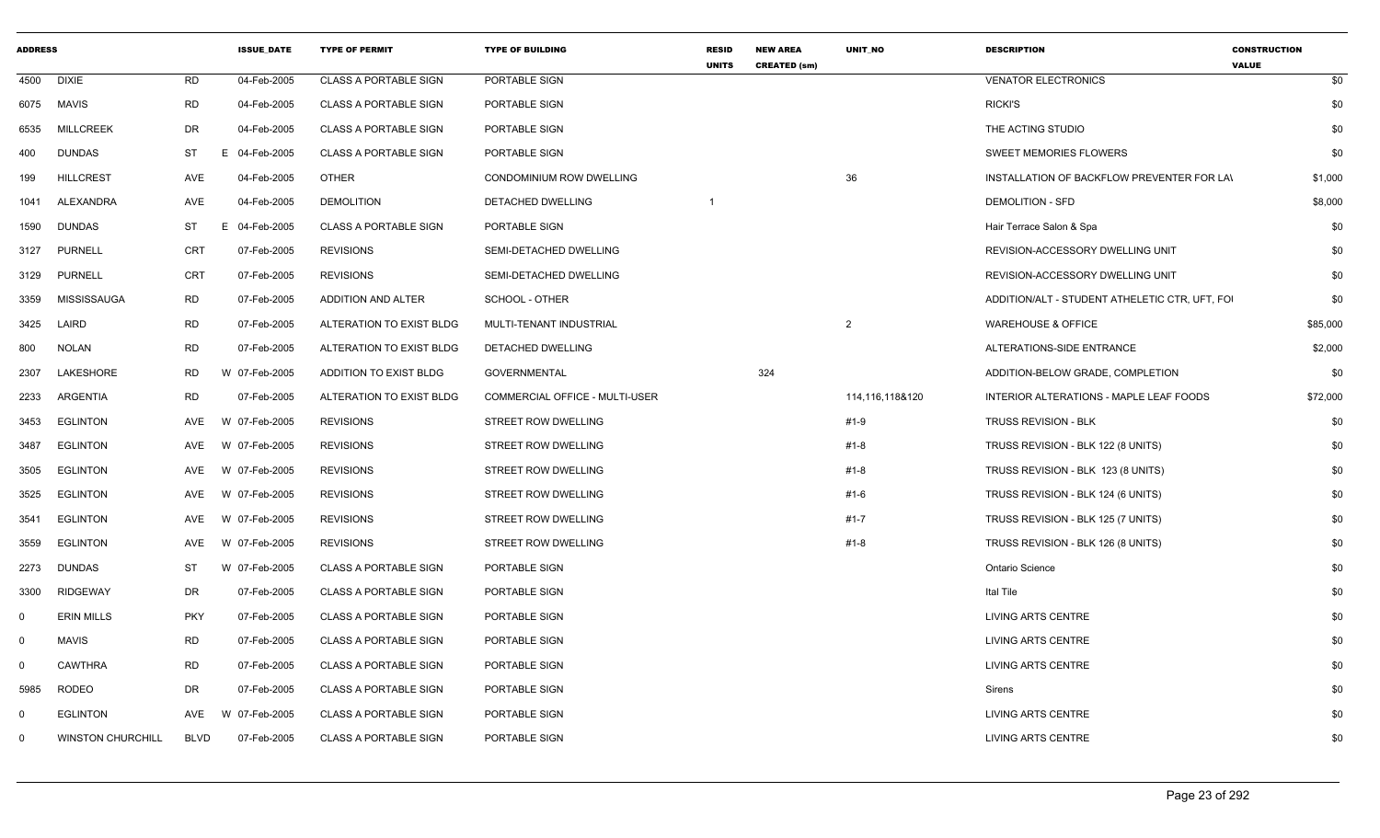| <b>ADDRESS</b> |                          |             | <b>ISSUE DATE</b> | <b>TYPE OF PERMIT</b>        | <b>TYPE OF BUILDING</b>        | <b>RESID</b><br><b>UNITS</b> | <b>NEW AREA</b><br><b>CREATED (sm)</b> | <b>UNIT NO</b>  | <b>DESCRIPTION</b>                             | <b>CONSTRUCTION</b><br><b>VALUE</b> |
|----------------|--------------------------|-------------|-------------------|------------------------------|--------------------------------|------------------------------|----------------------------------------|-----------------|------------------------------------------------|-------------------------------------|
| 4500           | <b>DIXIE</b>             | <b>RD</b>   | 04-Feb-2005       | <b>CLASS A PORTABLE SIGN</b> | PORTABLE SIGN                  |                              |                                        |                 | <b>VENATOR ELECTRONICS</b>                     | \$0                                 |
|                | 6075 MAVIS               | <b>RD</b>   | 04-Feb-2005       | <b>CLASS A PORTABLE SIGN</b> | PORTABLE SIGN                  |                              |                                        |                 | <b>RICKI'S</b>                                 | \$0                                 |
| 6535           | <b>MILLCREEK</b>         | DR          | 04-Feb-2005       | <b>CLASS A PORTABLE SIGN</b> | PORTABLE SIGN                  |                              |                                        |                 | THE ACTING STUDIO                              | \$0                                 |
| 400            | DUNDAS                   | ST          | E 04-Feb-2005     | <b>CLASS A PORTABLE SIGN</b> | PORTABLE SIGN                  |                              |                                        |                 | <b>SWEET MEMORIES FLOWERS</b>                  | \$0                                 |
| 199            | <b>HILLCREST</b>         | AVE         | 04-Feb-2005       | <b>OTHER</b>                 | CONDOMINIUM ROW DWELLING       |                              |                                        | 36              | INSTALLATION OF BACKFLOW PREVENTER FOR LAI     | \$1,000                             |
| 1041           | ALEXANDRA                | AVE         | 04-Feb-2005       | <b>DEMOLITION</b>            | DETACHED DWELLING              |                              |                                        |                 | <b>DEMOLITION - SFD</b>                        | \$8,000                             |
| 1590           | DUNDAS                   | ST          | E 04-Feb-2005     | <b>CLASS A PORTABLE SIGN</b> | PORTABLE SIGN                  |                              |                                        |                 | Hair Terrace Salon & Spa                       | \$0                                 |
| 3127           | <b>PURNELL</b>           | CRT         | 07-Feb-2005       | <b>REVISIONS</b>             | SEMI-DETACHED DWELLING         |                              |                                        |                 | REVISION-ACCESSORY DWELLING UNIT               | \$0                                 |
| 3129           | <b>PURNELL</b>           | CRT         | 07-Feb-2005       | <b>REVISIONS</b>             | SEMI-DETACHED DWELLING         |                              |                                        |                 | REVISION-ACCESSORY DWELLING UNIT               | \$0                                 |
| 3359           | MISSISSAUGA              | RD          | 07-Feb-2005       | ADDITION AND ALTER           | SCHOOL - OTHER                 |                              |                                        |                 | ADDITION/ALT - STUDENT ATHELETIC CTR, UFT, FOI | \$0                                 |
| 3425           | LAIRD                    | <b>RD</b>   | 07-Feb-2005       | ALTERATION TO EXIST BLDG     | MULTI-TENANT INDUSTRIAL        |                              |                                        | 2               | <b>WAREHOUSE &amp; OFFICE</b>                  | \$85,000                            |
| 800            | <b>NOLAN</b>             | RD          | 07-Feb-2005       | ALTERATION TO EXIST BLDG     | DETACHED DWELLING              |                              |                                        |                 | ALTERATIONS-SIDE ENTRANCE                      | \$2,000                             |
| 2307           | LAKESHORE                | RD          | W 07-Feb-2005     | ADDITION TO EXIST BLDG       | <b>GOVERNMENTAL</b>            |                              | 324                                    |                 | ADDITION-BELOW GRADE, COMPLETION               | \$0                                 |
| 2233           | ARGENTIA                 | <b>RD</b>   | 07-Feb-2005       | ALTERATION TO EXIST BLDG     | COMMERCIAL OFFICE - MULTI-USER |                              |                                        | 114,116,118&120 | INTERIOR ALTERATIONS - MAPLE LEAF FOODS        | \$72,000                            |
| 3453           | EGLINTON                 | AVE         | W 07-Feb-2005     | <b>REVISIONS</b>             | STREET ROW DWELLING            |                              |                                        | #1-9            | <b>TRUSS REVISION - BLK</b>                    | \$0                                 |
| 3487           | <b>EGLINTON</b>          | AVE         | W 07-Feb-2005     | <b>REVISIONS</b>             | STREET ROW DWELLING            |                              |                                        | #1-8            | TRUSS REVISION - BLK 122 (8 UNITS)             | \$0                                 |
| 3505           | <b>EGLINTON</b>          | AVE         | W 07-Feb-2005     | <b>REVISIONS</b>             | STREET ROW DWELLING            |                              |                                        | $#1 - 8$        | TRUSS REVISION - BLK 123 (8 UNITS)             | \$0                                 |
| 3525           | <b>EGLINTON</b>          | AVE         | W 07-Feb-2005     | <b>REVISIONS</b>             | STREET ROW DWELLING            |                              |                                        | #1-6            | TRUSS REVISION - BLK 124 (6 UNITS)             | \$0                                 |
| 3541           | <b>EGLINTON</b>          | AVE         | 07-Feb-2005<br>W  | <b>REVISIONS</b>             | STREET ROW DWELLING            |                              |                                        | $#1 - 7$        | TRUSS REVISION - BLK 125 (7 UNITS)             | \$0                                 |
| 3559           | <b>EGLINTON</b>          | AVE         | W 07-Feb-2005     | <b>REVISIONS</b>             | STREET ROW DWELLING            |                              |                                        | $#1 - 8$        | TRUSS REVISION - BLK 126 (8 UNITS)             | \$0                                 |
| 2273           | DUNDAS                   | ST          | W 07-Feb-2005     | <b>CLASS A PORTABLE SIGN</b> | PORTABLE SIGN                  |                              |                                        |                 | <b>Ontario Science</b>                         | \$0                                 |
| 3300           | RIDGEWAY                 | DR          | 07-Feb-2005       | <b>CLASS A PORTABLE SIGN</b> | PORTABLE SIGN                  |                              |                                        |                 | Ital Tile                                      | \$0                                 |
| $\Omega$       | <b>ERIN MILLS</b>        | <b>PKY</b>  | 07-Feb-2005       | <b>CLASS A PORTABLE SIGN</b> | PORTABLE SIGN                  |                              |                                        |                 | <b>LIVING ARTS CENTRE</b>                      | \$0                                 |
| $\mathbf 0$    | MAVIS                    | <b>RD</b>   | 07-Feb-2005       | <b>CLASS A PORTABLE SIGN</b> | PORTABLE SIGN                  |                              |                                        |                 | <b>LIVING ARTS CENTRE</b>                      | \$0                                 |
| $\Omega$       | <b>CAWTHRA</b>           | <b>RD</b>   | 07-Feb-2005       | <b>CLASS A PORTABLE SIGN</b> | PORTABLE SIGN                  |                              |                                        |                 | LIVING ARTS CENTRE                             | \$0                                 |
| 5985           | <b>RODEO</b>             | DR          | 07-Feb-2005       | <b>CLASS A PORTABLE SIGN</b> | PORTABLE SIGN                  |                              |                                        |                 | Sirens                                         | \$0                                 |
| $\Omega$       | <b>EGLINTON</b>          | AVE         | W 07-Feb-2005     | <b>CLASS A PORTABLE SIGN</b> | PORTABLE SIGN                  |                              |                                        |                 | <b>LIVING ARTS CENTRE</b>                      | \$0                                 |
| $\Omega$       | <b>WINSTON CHURCHILL</b> | <b>BLVD</b> | 07-Feb-2005       | <b>CLASS A PORTABLE SIGN</b> | PORTABLE SIGN                  |                              |                                        |                 | <b>LIVING ARTS CENTRE</b>                      | \$0                                 |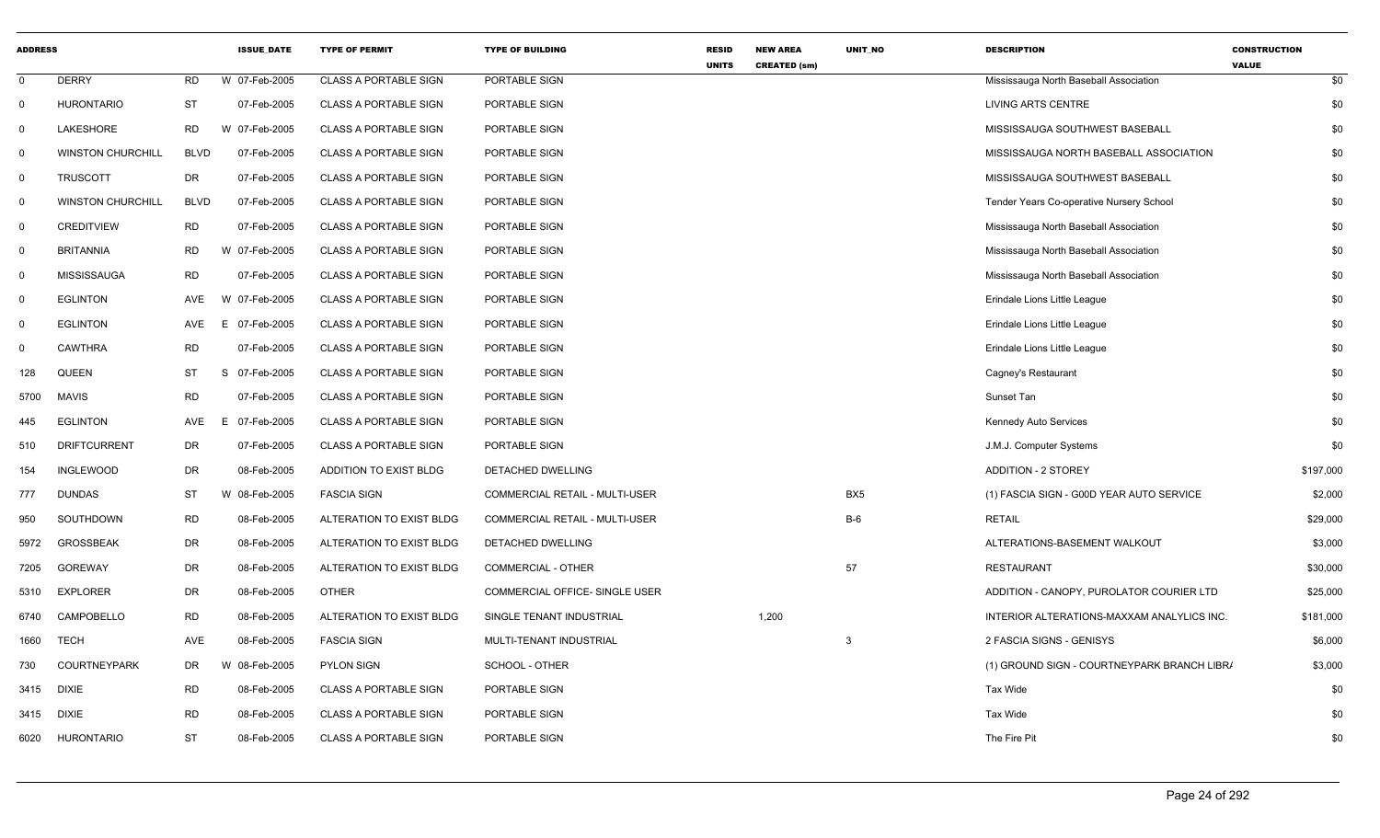| <b>ADDRESS</b> |                          |             | <b>ISSUE_DATE</b> | <b>TYPE OF PERMIT</b>        | <b>TYPE OF BUILDING</b>               | <b>RESID</b><br><b>UNITS</b> | <b>NEW AREA</b><br><b>CREATED (sm)</b> | UNIT_NO         | <b>DESCRIPTION</b>                          | <b>CONSTRUCTION</b><br><b>VALUE</b> |
|----------------|--------------------------|-------------|-------------------|------------------------------|---------------------------------------|------------------------------|----------------------------------------|-----------------|---------------------------------------------|-------------------------------------|
| $\mathbf 0$    | <b>DERRY</b>             | <b>RD</b>   | W 07-Feb-2005     | <b>CLASS A PORTABLE SIGN</b> | PORTABLE SIGN                         |                              |                                        |                 | Mississauga North Baseball Association      | \$0                                 |
| $\mathbf{0}$   | <b>HURONTARIO</b>        | <b>ST</b>   | 07-Feb-2005       | <b>CLASS A PORTABLE SIGN</b> | PORTABLE SIGN                         |                              |                                        |                 | LIVING ARTS CENTRE                          | \$0                                 |
| $\mathbf 0$    | LAKESHORE                | <b>RD</b>   | W 07-Feb-2005     | <b>CLASS A PORTABLE SIGN</b> | PORTABLE SIGN                         |                              |                                        |                 | MISSISSAUGA SOUTHWEST BASEBALL              | \$0                                 |
| $\Omega$       | <b>WINSTON CHURCHILL</b> | <b>BLVD</b> | 07-Feb-2005       | CLASS A PORTABLE SIGN        | PORTABLE SIGN                         |                              |                                        |                 | MISSISSAUGA NORTH BASEBALL ASSOCIATION      | \$0                                 |
| $\mathbf 0$    | <b>TRUSCOTT</b>          | DR          | 07-Feb-2005       | <b>CLASS A PORTABLE SIGN</b> | PORTABLE SIGN                         |                              |                                        |                 | MISSISSAUGA SOUTHWEST BASEBALL              | \$0                                 |
| $\mathbf 0$    | <b>WINSTON CHURCHILL</b> | <b>BLVD</b> | 07-Feb-2005       | <b>CLASS A PORTABLE SIGN</b> | PORTABLE SIGN                         |                              |                                        |                 | Tender Years Co-operative Nursery School    | \$0                                 |
| $\mathsf{O}$   | <b>CREDITVIEW</b>        | <b>RD</b>   | 07-Feb-2005       | <b>CLASS A PORTABLE SIGN</b> | PORTABLE SIGN                         |                              |                                        |                 | Mississauga North Baseball Association      | \$0                                 |
| $\mathbf 0$    | <b>BRITANNIA</b>         | <b>RD</b>   | W 07-Feb-2005     | <b>CLASS A PORTABLE SIGN</b> | PORTABLE SIGN                         |                              |                                        |                 | Mississauga North Baseball Association      | \$0                                 |
| $\mathsf{O}$   | <b>MISSISSAUGA</b>       | <b>RD</b>   | 07-Feb-2005       | <b>CLASS A PORTABLE SIGN</b> | PORTABLE SIGN                         |                              |                                        |                 | Mississauga North Baseball Association      | \$0                                 |
| $\mathbf 0$    | <b>EGLINTON</b>          | <b>AVE</b>  | W 07-Feb-2005     | <b>CLASS A PORTABLE SIGN</b> | PORTABLE SIGN                         |                              |                                        |                 | Erindale Lions Little League                | \$0                                 |
| 0              | <b>EGLINTON</b>          | AVE         | 07-Feb-2005<br>E. | <b>CLASS A PORTABLE SIGN</b> | PORTABLE SIGN                         |                              |                                        |                 | Erindale Lions Little League                | \$0                                 |
| $\Omega$       | <b>CAWTHRA</b>           | <b>RD</b>   | 07-Feb-2005       | <b>CLASS A PORTABLE SIGN</b> | PORTABLE SIGN                         |                              |                                        |                 | Erindale Lions Little League                | \$0                                 |
| 128            | QUEEN                    | <b>ST</b>   | 07-Feb-2005<br>S  | CLASS A PORTABLE SIGN        | PORTABLE SIGN                         |                              |                                        |                 | Cagney's Restaurant                         | \$0                                 |
| 5700           | <b>MAVIS</b>             | <b>RD</b>   | 07-Feb-2005       | CLASS A PORTABLE SIGN        | PORTABLE SIGN                         |                              |                                        |                 | Sunset Tan                                  | \$0                                 |
| 445            | <b>EGLINTON</b>          | AVE         | 07-Feb-2005<br>E. | <b>CLASS A PORTABLE SIGN</b> | PORTABLE SIGN                         |                              |                                        |                 | Kennedy Auto Services                       | \$0                                 |
| 510            | <b>DRIFTCURRENT</b>      | <b>DR</b>   | 07-Feb-2005       | <b>CLASS A PORTABLE SIGN</b> | PORTABLE SIGN                         |                              |                                        |                 | J.M.J. Computer Systems                     | \$0                                 |
| 154            | <b>INGLEWOOD</b>         | <b>DR</b>   | 08-Feb-2005       | ADDITION TO EXIST BLDG       | DETACHED DWELLING                     |                              |                                        |                 | <b>ADDITION - 2 STOREY</b>                  | \$197,000                           |
| 777            | <b>DUNDAS</b>            | <b>ST</b>   | W 08-Feb-2005     | <b>FASCIA SIGN</b>           | COMMERCIAL RETAIL - MULTI-USER        |                              |                                        | BX <sub>5</sub> | (1) FASCIA SIGN - G00D YEAR AUTO SERVICE    | \$2,000                             |
| 950            | SOUTHDOWN                | <b>RD</b>   | 08-Feb-2005       | ALTERATION TO EXIST BLDG     | <b>COMMERCIAL RETAIL - MULTI-USER</b> |                              |                                        | $B-6$           | <b>RETAIL</b>                               | \$29,000                            |
| 5972           | <b>GROSSBEAK</b>         | <b>DR</b>   | 08-Feb-2005       | ALTERATION TO EXIST BLDG     | DETACHED DWELLING                     |                              |                                        |                 | ALTERATIONS-BASEMENT WALKOUT                | \$3,000                             |
| 7205           | <b>GOREWAY</b>           | DR          | 08-Feb-2005       | ALTERATION TO EXIST BLDG     | COMMERCIAL - OTHER                    |                              |                                        | 57              | <b>RESTAURANT</b>                           | \$30,000                            |
| 5310           | <b>EXPLORER</b>          | <b>DR</b>   | 08-Feb-2005       | <b>OTHER</b>                 | COMMERCIAL OFFICE- SINGLE USER        |                              |                                        |                 | ADDITION - CANOPY, PUROLATOR COURIER LTD    | \$25,000                            |
| 6740           | CAMPOBELLO               | <b>RD</b>   | 08-Feb-2005       | ALTERATION TO EXIST BLDG     | SINGLE TENANT INDUSTRIAL              |                              | 1,200                                  |                 | INTERIOR ALTERATIONS-MAXXAM ANALYLICS INC.  | \$181,000                           |
| 1660           | <b>TECH</b>              | AVE         | 08-Feb-2005       | <b>FASCIA SIGN</b>           | MULTI-TENANT INDUSTRIAL               |                              |                                        | 3               | 2 FASCIA SIGNS - GENISYS                    | \$6,000                             |
| 730            | <b>COURTNEYPARK</b>      | DR          | W 08-Feb-2005     | <b>PYLON SIGN</b>            | SCHOOL - OTHER                        |                              |                                        |                 | (1) GROUND SIGN - COURTNEYPARK BRANCH LIBR/ | \$3,000                             |
| 3415           | <b>DIXIE</b>             | <b>RD</b>   | 08-Feb-2005       | <b>CLASS A PORTABLE SIGN</b> | PORTABLE SIGN                         |                              |                                        |                 | Tax Wide                                    | \$0                                 |
| 3415           | <b>DIXIE</b>             | <b>RD</b>   | 08-Feb-2005       | <b>CLASS A PORTABLE SIGN</b> | PORTABLE SIGN                         |                              |                                        |                 | Tax Wide                                    | \$0                                 |
| 6020           | <b>HURONTARIO</b>        | <b>ST</b>   | 08-Feb-2005       | CLASS A PORTABLE SIGN        | PORTABLE SIGN                         |                              |                                        |                 | The Fire Pit                                | \$0                                 |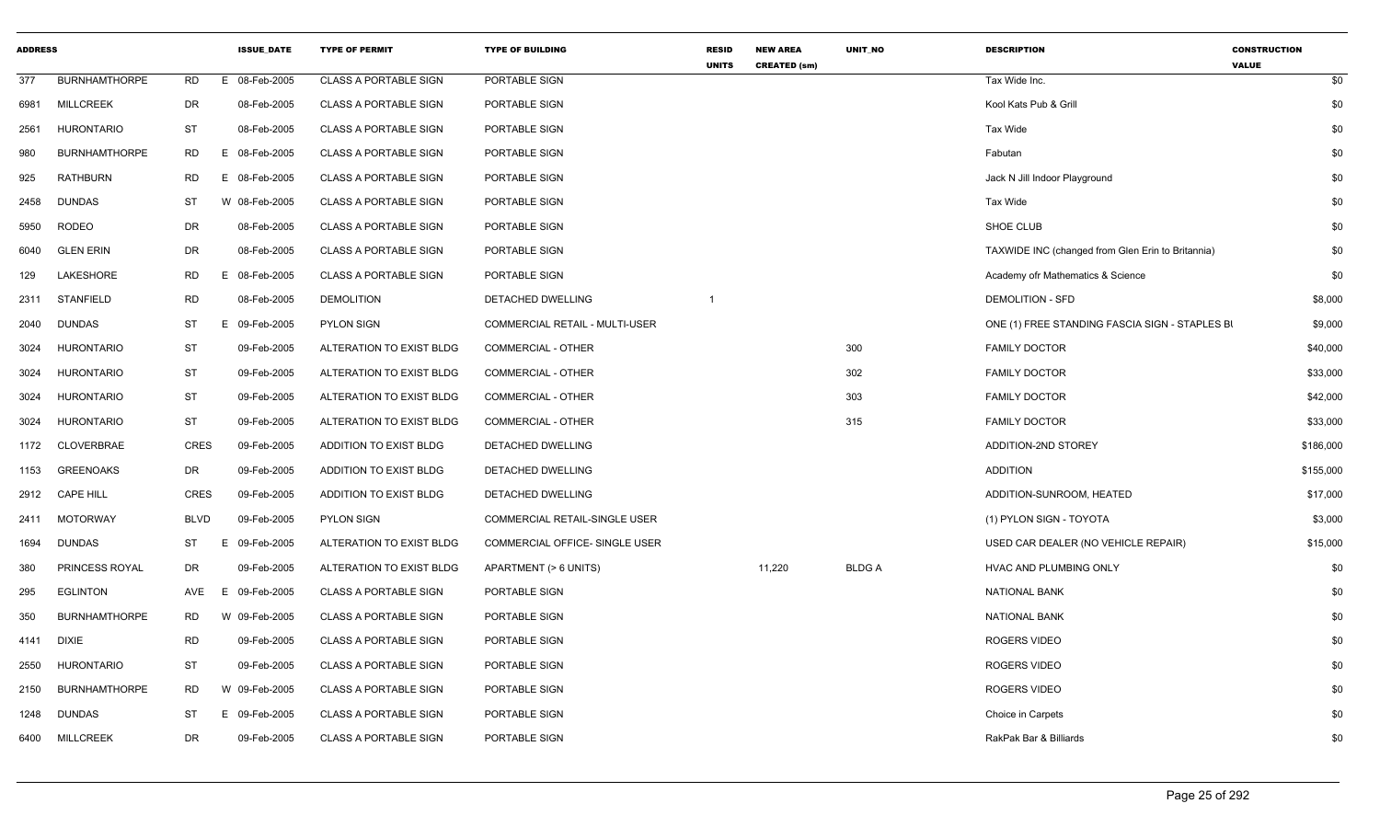| <b>ADDRESS</b> |                      |             | <b>ISSUE DATE</b> | <b>TYPE OF PERMIT</b>        | <b>TYPE OF BUILDING</b>               | <b>RESID</b><br><b>UNITS</b> | <b>NEW AREA</b><br><b>CREATED (sm)</b> | <b>UNIT NO</b> | <b>DESCRIPTION</b>                                | <b>CONSTRUCTION</b><br><b>VALUE</b> |
|----------------|----------------------|-------------|-------------------|------------------------------|---------------------------------------|------------------------------|----------------------------------------|----------------|---------------------------------------------------|-------------------------------------|
| 377            | <b>BURNHAMTHORPE</b> | <b>RD</b>   | 08-Feb-2005<br>E. | <b>CLASS A PORTABLE SIGN</b> | PORTABLE SIGN                         |                              |                                        |                | Tax Wide Inc.                                     | \$0                                 |
| 6981           | <b>MILLCREEK</b>     | DR          | 08-Feb-2005       | <b>CLASS A PORTABLE SIGN</b> | PORTABLE SIGN                         |                              |                                        |                | Kool Kats Pub & Grill                             | \$0                                 |
| 2561           | <b>HURONTARIO</b>    | ST          | 08-Feb-2005       | <b>CLASS A PORTABLE SIGN</b> | PORTABLE SIGN                         |                              |                                        |                | Tax Wide                                          | \$0                                 |
| 980            | <b>BURNHAMTHORPE</b> | RD          | E 08-Feb-2005     | <b>CLASS A PORTABLE SIGN</b> | PORTABLE SIGN                         |                              |                                        |                | Fabutan                                           | \$0                                 |
| 925            | <b>RATHBURN</b>      | <b>RD</b>   | E 08-Feb-2005     | <b>CLASS A PORTABLE SIGN</b> | PORTABLE SIGN                         |                              |                                        |                | Jack N Jill Indoor Playground                     | \$0                                 |
| 2458           | <b>DUNDAS</b>        | <b>ST</b>   | W 08-Feb-2005     | <b>CLASS A PORTABLE SIGN</b> | PORTABLE SIGN                         |                              |                                        |                | Tax Wide                                          | \$0                                 |
| 5950           | <b>RODEO</b>         | DR          | 08-Feb-2005       | <b>CLASS A PORTABLE SIGN</b> | PORTABLE SIGN                         |                              |                                        |                | SHOE CLUB                                         | \$0                                 |
| 6040           | <b>GLEN ERIN</b>     | DR          | 08-Feb-2005       | <b>CLASS A PORTABLE SIGN</b> | PORTABLE SIGN                         |                              |                                        |                | TAXWIDE INC (changed from Glen Erin to Britannia) | \$0                                 |
| 129            | LAKESHORE            | RD          | E<br>08-Feb-2005  | <b>CLASS A PORTABLE SIGN</b> | PORTABLE SIGN                         |                              |                                        |                | Academy ofr Mathematics & Science                 | \$0                                 |
| 2311           | <b>STANFIELD</b>     | <b>RD</b>   | 08-Feb-2005       | <b>DEMOLITION</b>            | DETACHED DWELLING                     |                              |                                        |                | <b>DEMOLITION - SFD</b>                           | \$8,000                             |
| 2040           | <b>DUNDAS</b>        | ST          | E 09-Feb-2005     | <b>PYLON SIGN</b>            | COMMERCIAL RETAIL - MULTI-USER        |                              |                                        |                | ONE (1) FREE STANDING FASCIA SIGN - STAPLES BI    | \$9,000                             |
| 3024           | <b>HURONTARIO</b>    | ST          | 09-Feb-2005       | ALTERATION TO EXIST BLDG     | COMMERCIAL - OTHER                    |                              |                                        | 300            | <b>FAMILY DOCTOR</b>                              | \$40,000                            |
| 3024           | <b>HURONTARIO</b>    | ST          | 09-Feb-2005       | ALTERATION TO EXIST BLDG     | <b>COMMERCIAL - OTHER</b>             |                              |                                        | 302            | <b>FAMILY DOCTOR</b>                              | \$33,000                            |
| 3024           | <b>HURONTARIO</b>    | <b>ST</b>   | 09-Feb-2005       | ALTERATION TO EXIST BLDG     | <b>COMMERCIAL - OTHER</b>             |                              |                                        | 303            | <b>FAMILY DOCTOR</b>                              | \$42,000                            |
| 3024           | <b>HURONTARIO</b>    | ST          | 09-Feb-2005       | ALTERATION TO EXIST BLDG     | <b>COMMERCIAL - OTHER</b>             |                              |                                        | 315            | <b>FAMILY DOCTOR</b>                              | \$33,000                            |
| 1172           | CLOVERBRAE           | <b>CRES</b> | 09-Feb-2005       | ADDITION TO EXIST BLDG       | DETACHED DWELLING                     |                              |                                        |                | ADDITION-2ND STOREY                               | \$186,000                           |
| 1153           | <b>GREENOAKS</b>     | DR          | 09-Feb-2005       | ADDITION TO EXIST BLDG       | DETACHED DWELLING                     |                              |                                        |                | <b>ADDITION</b>                                   | \$155,000                           |
| 2912           | <b>CAPE HILL</b>     | <b>CRES</b> | 09-Feb-2005       | ADDITION TO EXIST BLDG       | DETACHED DWELLING                     |                              |                                        |                | ADDITION-SUNROOM, HEATED                          | \$17,000                            |
| 2411           | <b>MOTORWAY</b>      | <b>BLVD</b> | 09-Feb-2005       | <b>PYLON SIGN</b>            | <b>COMMERCIAL RETAIL-SINGLE USER</b>  |                              |                                        |                | (1) PYLON SIGN - TOYOTA                           | \$3,000                             |
| 1694           | <b>DUNDAS</b>        | ST          | E.<br>09-Feb-2005 | ALTERATION TO EXIST BLDG     | <b>COMMERCIAL OFFICE- SINGLE USER</b> |                              |                                        |                | USED CAR DEALER (NO VEHICLE REPAIR)               | \$15,000                            |
| 380            | PRINCESS ROYAL       | DR          | 09-Feb-2005       | ALTERATION TO EXIST BLDG     | APARTMENT (> 6 UNITS)                 |                              | 11,220                                 | <b>BLDGA</b>   | HVAC AND PLUMBING ONLY                            | \$0                                 |
| 295            | <b>EGLINTON</b>      | AVE         | E 09-Feb-2005     | <b>CLASS A PORTABLE SIGN</b> | PORTABLE SIGN                         |                              |                                        |                | <b>NATIONAL BANK</b>                              | \$0                                 |
| 350            | <b>BURNHAMTHORPE</b> | RD          | W 09-Feb-2005     | <b>CLASS A PORTABLE SIGN</b> | PORTABLE SIGN                         |                              |                                        |                | <b>NATIONAL BANK</b>                              | \$0                                 |
| 4141           | <b>DIXIE</b>         | <b>RD</b>   | 09-Feb-2005       | <b>CLASS A PORTABLE SIGN</b> | PORTABLE SIGN                         |                              |                                        |                | <b>ROGERS VIDEO</b>                               | \$0                                 |
| 2550           | HURONTARIO           | ST          | 09-Feb-2005       | <b>CLASS A PORTABLE SIGN</b> | PORTABLE SIGN                         |                              |                                        |                | ROGERS VIDEO                                      | \$0                                 |
| 2150           | <b>BURNHAMTHORPE</b> | <b>RD</b>   | W 09-Feb-2005     | <b>CLASS A PORTABLE SIGN</b> | PORTABLE SIGN                         |                              |                                        |                | ROGERS VIDEO                                      | \$0                                 |
| 1248           | <b>DUNDAS</b>        | <b>ST</b>   | E 09-Feb-2005     | <b>CLASS A PORTABLE SIGN</b> | PORTABLE SIGN                         |                              |                                        |                | Choice in Carpets                                 | \$0                                 |
| 6400           | <b>MILLCREEK</b>     | DR          | 09-Feb-2005       | <b>CLASS A PORTABLE SIGN</b> | PORTABLE SIGN                         |                              |                                        |                | RakPak Bar & Billiards                            | \$0                                 |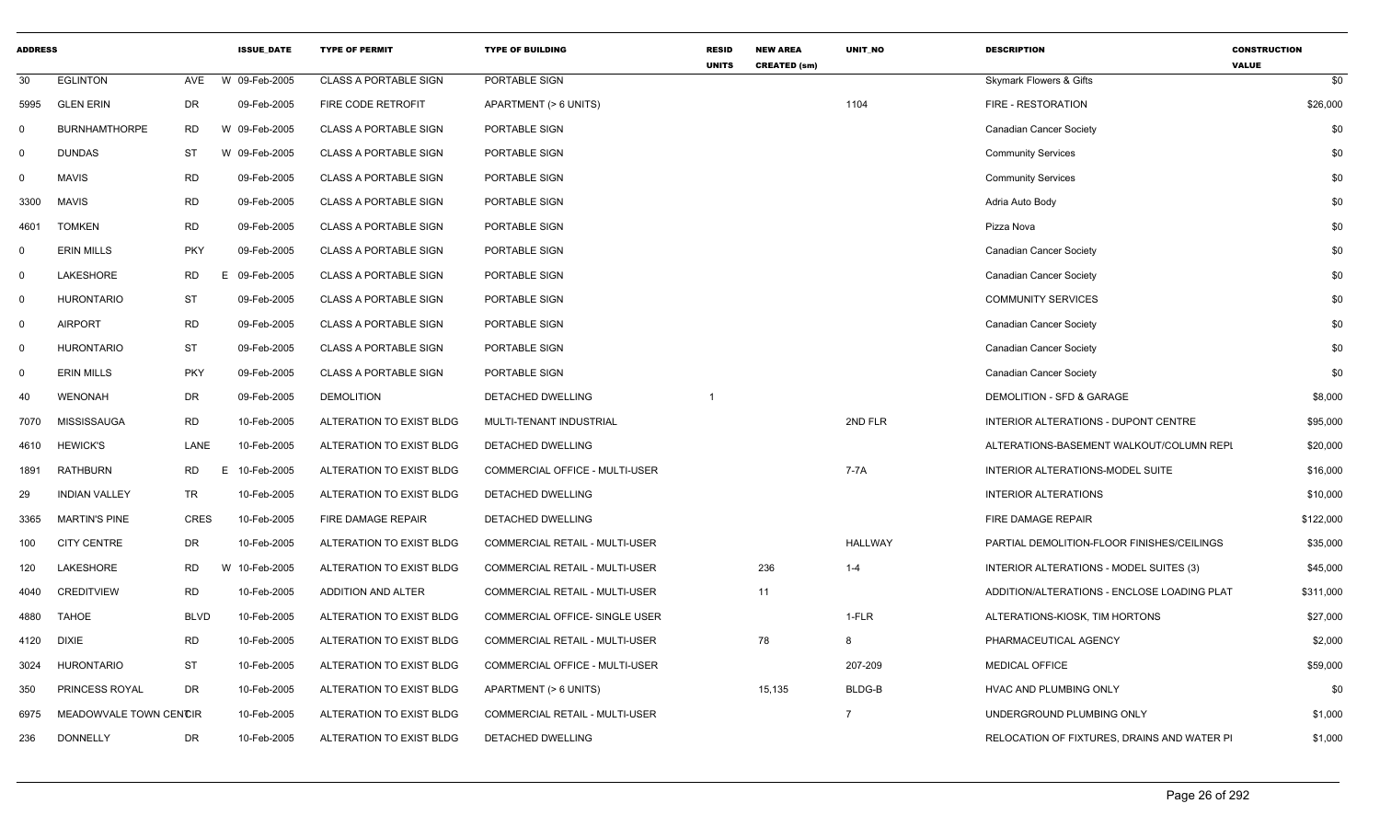| <b>ADDRESS</b> |                        |            | <b>ISSUE DATE</b> | <b>TYPE OF PERMIT</b>        | <b>TYPE OF BUILDING</b>        | <b>RESID</b><br><b>UNITS</b> | <b>NEW AREA</b><br><b>CREATED (sm)</b> | UNIT_NO        | <b>DESCRIPTION</b>                          | <b>CONSTRUCTION</b><br><b>VALUE</b> |
|----------------|------------------------|------------|-------------------|------------------------------|--------------------------------|------------------------------|----------------------------------------|----------------|---------------------------------------------|-------------------------------------|
| 30             | <b>EGLINTON</b>        | AVE        | W 09-Feb-2005     | <b>CLASS A PORTABLE SIGN</b> | PORTABLE SIGN                  |                              |                                        |                | Skymark Flowers & Gifts                     | \$0                                 |
| 5995           | <b>GLEN ERIN</b>       | DR         | 09-Feb-2005       | FIRE CODE RETROFIT           | APARTMENT (> 6 UNITS)          |                              |                                        | 1104           | FIRE - RESTORATION                          | \$26,000                            |
| $\Omega$       | <b>BURNHAMTHORPE</b>   | <b>RD</b>  | W 09-Feb-2005     | <b>CLASS A PORTABLE SIGN</b> | PORTABLE SIGN                  |                              |                                        |                | <b>Canadian Cancer Society</b>              | \$0                                 |
| $\Omega$       | <b>DUNDAS</b>          | <b>ST</b>  | W 09-Feb-2005     | <b>CLASS A PORTABLE SIGN</b> | PORTABLE SIGN                  |                              |                                        |                | <b>Community Services</b>                   | \$0                                 |
| $\mathbf 0$    | <b>MAVIS</b>           | <b>RD</b>  | 09-Feb-2005       | <b>CLASS A PORTABLE SIGN</b> | PORTABLE SIGN                  |                              |                                        |                | <b>Community Services</b>                   | \$0                                 |
| 3300           | <b>MAVIS</b>           | <b>RD</b>  | 09-Feb-2005       | <b>CLASS A PORTABLE SIGN</b> | PORTABLE SIGN                  |                              |                                        |                | Adria Auto Body                             | \$0                                 |
| 4601           | <b>TOMKEN</b>          | <b>RD</b>  | 09-Feb-2005       | <b>CLASS A PORTABLE SIGN</b> | PORTABLE SIGN                  |                              |                                        |                | Pizza Nova                                  | \$0                                 |
| $\Omega$       | <b>ERIN MILLS</b>      | <b>PKY</b> | 09-Feb-2005       | <b>CLASS A PORTABLE SIGN</b> | PORTABLE SIGN                  |                              |                                        |                | <b>Canadian Cancer Society</b>              | \$0                                 |
| $\Omega$       | LAKESHORE              | <b>RD</b>  | E 09-Feb-2005     | <b>CLASS A PORTABLE SIGN</b> | PORTABLE SIGN                  |                              |                                        |                | <b>Canadian Cancer Society</b>              | \$0                                 |
| $\mathbf 0$    | <b>HURONTARIO</b>      | <b>ST</b>  | 09-Feb-2005       | <b>CLASS A PORTABLE SIGN</b> | PORTABLE SIGN                  |                              |                                        |                | <b>COMMUNITY SERVICES</b>                   | \$0                                 |
| $\mathbf 0$    | <b>AIRPORT</b>         | <b>RD</b>  | 09-Feb-2005       | <b>CLASS A PORTABLE SIGN</b> | PORTABLE SIGN                  |                              |                                        |                | <b>Canadian Cancer Society</b>              | \$0                                 |
| $\Omega$       | <b>HURONTARIO</b>      | <b>ST</b>  | 09-Feb-2005       | <b>CLASS A PORTABLE SIGN</b> | PORTABLE SIGN                  |                              |                                        |                | <b>Canadian Cancer Society</b>              | \$0                                 |
| $\Omega$       | <b>ERIN MILLS</b>      | <b>PKY</b> | 09-Feb-2005       | <b>CLASS A PORTABLE SIGN</b> | PORTABLE SIGN                  |                              |                                        |                | <b>Canadian Cancer Society</b>              | \$0                                 |
| 40             | <b>WENONAH</b>         | DR         | 09-Feb-2005       | <b>DEMOLITION</b>            | DETACHED DWELLING              |                              |                                        |                | DEMOLITION - SFD & GARAGE                   | \$8,000                             |
| 7070           | MISSISSAUGA            | <b>RD</b>  | 10-Feb-2005       | ALTERATION TO EXIST BLDG     | MULTI-TENANT INDUSTRIAL        |                              |                                        | 2ND FLR        | INTERIOR ALTERATIONS - DUPONT CENTRE        | \$95,000                            |
| 4610           | <b>HEWICK'S</b>        | LANE       | 10-Feb-2005       | ALTERATION TO EXIST BLDG     | DETACHED DWELLING              |                              |                                        |                | ALTERATIONS-BASEMENT WALKOUT/COLUMN REPI    | \$20,000                            |
| 1891           | <b>RATHBURN</b>        | RD<br>E    | 10-Feb-2005       | ALTERATION TO EXIST BLDG     | COMMERCIAL OFFICE - MULTI-USER |                              |                                        | 7-7A           | INTERIOR ALTERATIONS-MODEL SUITE            | \$16,000                            |
| 29             | <b>INDIAN VALLEY</b>   | TR         | 10-Feb-2005       | ALTERATION TO EXIST BLDG     | <b>DETACHED DWELLING</b>       |                              |                                        |                | <b>INTERIOR ALTERATIONS</b>                 | \$10,000                            |
| 3365           | <b>MARTIN'S PINE</b>   | CRES       | 10-Feb-2005       | FIRE DAMAGE REPAIR           | DETACHED DWELLING              |                              |                                        |                | <b>FIRE DAMAGE REPAIR</b>                   | \$122,000                           |
| 100            | <b>CITY CENTRE</b>     | DR         | 10-Feb-2005       | ALTERATION TO EXIST BLDG     | COMMERCIAL RETAIL - MULTI-USER |                              |                                        | HALLWAY        | PARTIAL DEMOLITION-FLOOR FINISHES/CEILINGS  | \$35,000                            |
| 120            | LAKESHORE              | RD         | W 10-Feb-2005     | ALTERATION TO EXIST BLDG     | COMMERCIAL RETAIL - MULTI-USER |                              | 236                                    | $1 - 4$        | INTERIOR ALTERATIONS - MODEL SUITES (3)     | \$45,000                            |
| 4040           | <b>CREDITVIEW</b>      | <b>RD</b>  | 10-Feb-2005       | ADDITION AND ALTER           | COMMERCIAL RETAIL - MULTI-USER |                              | 11                                     |                | ADDITION/ALTERATIONS - ENCLOSE LOADING PLAT | \$311,000                           |
| 4880           | <b>TAHOE</b>           | BLVD       | 10-Feb-2005       | ALTERATION TO EXIST BLDG     | COMMERCIAL OFFICE- SINGLE USER |                              |                                        | 1-FLR          | ALTERATIONS-KIOSK, TIM HORTONS              | \$27,000                            |
| 4120           | <b>DIXIE</b>           | <b>RD</b>  | 10-Feb-2005       | ALTERATION TO EXIST BLDG     | COMMERCIAL RETAIL - MULTI-USER |                              | 78                                     | 8              | PHARMACEUTICAL AGENCY                       | \$2,000                             |
| 3024           | <b>HURONTARIO</b>      | <b>ST</b>  | 10-Feb-2005       | ALTERATION TO EXIST BLDG     | COMMERCIAL OFFICE - MULTI-USER |                              |                                        | 207-209        | <b>MEDICAL OFFICE</b>                       | \$59,000                            |
| 350            | PRINCESS ROYAL         | <b>DR</b>  | 10-Feb-2005       | ALTERATION TO EXIST BLDG     | APARTMENT (> 6 UNITS)          |                              | 15,135                                 | BLDG-B         | HVAC AND PLUMBING ONLY                      | \$0                                 |
| 6975           | MEADOWVALE TOWN CENCIR |            | 10-Feb-2005       | ALTERATION TO EXIST BLDG     | COMMERCIAL RETAIL - MULTI-USER |                              |                                        | $\overline{7}$ | UNDERGROUND PLUMBING ONLY                   | \$1,000                             |
| 236            | <b>DONNELLY</b>        | <b>DR</b>  | 10-Feb-2005       | ALTERATION TO EXIST BLDG     | DETACHED DWELLING              |                              |                                        |                | RELOCATION OF FIXTURES, DRAINS AND WATER PI | \$1,000                             |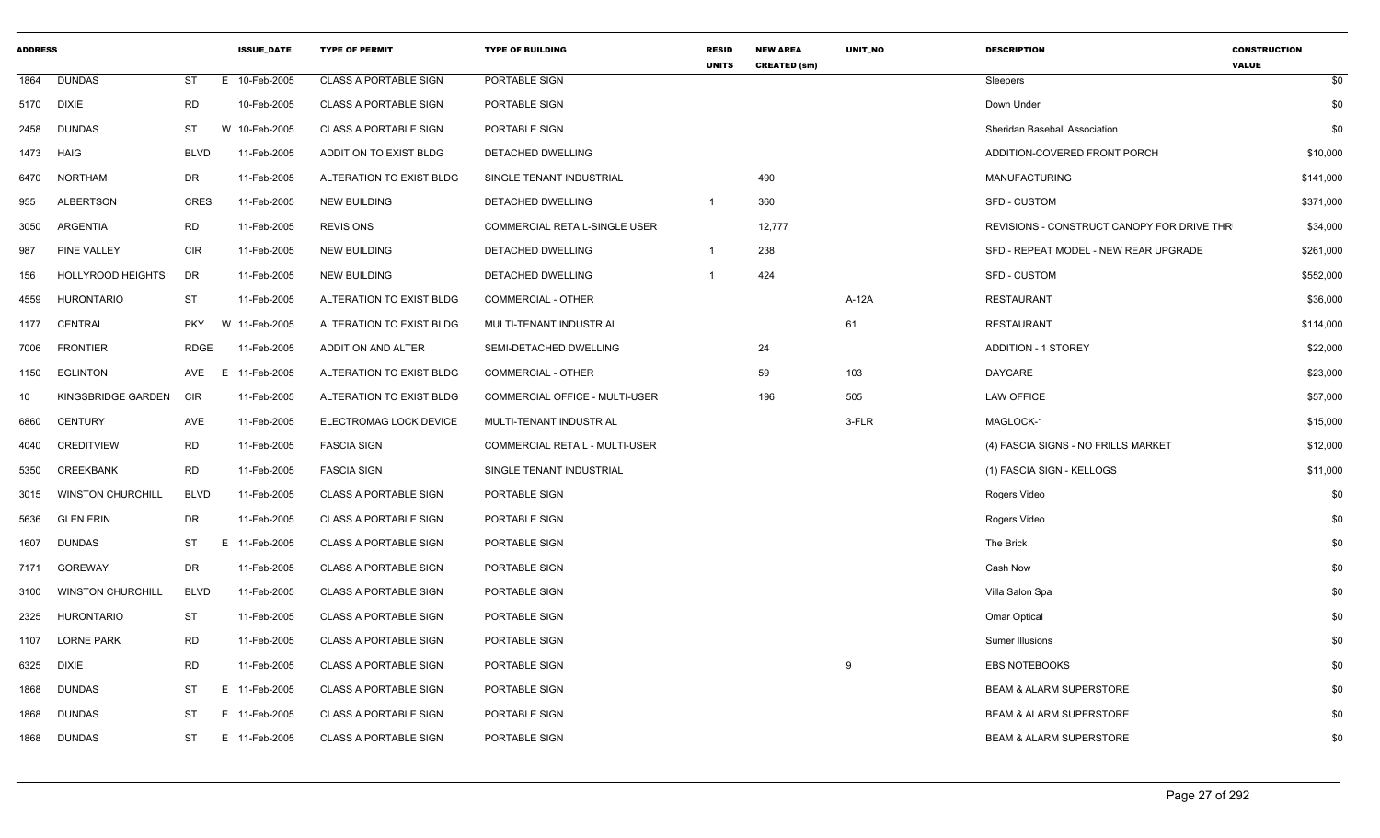| <b>ADDRESS</b> |                          |             | <b>ISSUE_DATE</b> | <b>TYPE OF PERMIT</b>        | <b>TYPE OF BUILDING</b>               | <b>RESID</b><br><b>UNITS</b> | <b>NEW AREA</b><br><b>CREATED (sm)</b> | UNIT_NO  | <b>DESCRIPTION</b>                         | <b>CONSTRUCTION</b><br><b>VALUE</b> |
|----------------|--------------------------|-------------|-------------------|------------------------------|---------------------------------------|------------------------------|----------------------------------------|----------|--------------------------------------------|-------------------------------------|
|                | 1864 DUNDAS              | ST          | E 10-Feb-2005     | CLASS A PORTABLE SIGN        | PORTABLE SIGN                         |                              |                                        |          | Sleepers                                   | \$0                                 |
|                | 5170 DIXIE               | <b>RD</b>   | 10-Feb-2005       | <b>CLASS A PORTABLE SIGN</b> | PORTABLE SIGN                         |                              |                                        |          | Down Under                                 | \$0                                 |
| 2458           | DUNDAS                   | ST          | W 10-Feb-2005     | <b>CLASS A PORTABLE SIGN</b> | PORTABLE SIGN                         |                              |                                        |          | Sheridan Baseball Association              | \$0                                 |
|                | 1473 HAIG                | BLVD        | 11-Feb-2005       | ADDITION TO EXIST BLDG       | DETACHED DWELLING                     |                              |                                        |          | ADDITION-COVERED FRONT PORCH               | \$10,000                            |
| 6470           | NORTHAM                  | DR          | 11-Feb-2005       | ALTERATION TO EXIST BLDG     | SINGLE TENANT INDUSTRIAL              |                              | 490                                    |          | <b>MANUFACTURING</b>                       | \$141,000                           |
| 955            | <b>ALBERTSON</b>         | CRES        | 11-Feb-2005       | <b>NEW BUILDING</b>          | DETACHED DWELLING                     | $\overline{1}$               | 360                                    |          | <b>SFD - CUSTOM</b>                        | \$371,000                           |
| 3050           | ARGENTIA                 | <b>RD</b>   | 11-Feb-2005       | <b>REVISIONS</b>             | <b>COMMERCIAL RETAIL-SINGLE USER</b>  |                              | 12,777                                 |          | REVISIONS - CONSTRUCT CANOPY FOR DRIVE THR | \$34,000                            |
| 987            | <b>PINE VALLEY</b>       | CIR         | 11-Feb-2005       | <b>NEW BUILDING</b>          | DETACHED DWELLING                     |                              | 238                                    |          | SFD - REPEAT MODEL - NEW REAR UPGRADE      | \$261,000                           |
| 156            | <b>HOLLYROOD HEIGHTS</b> | DR          | 11-Feb-2005       | <b>NEW BUILDING</b>          | DETACHED DWELLING                     |                              | 424                                    |          | SFD - CUSTOM                               | \$552,000                           |
| 4559           | <b>HURONTARIO</b>        | ST          | 11-Feb-2005       | ALTERATION TO EXIST BLDG     | <b>COMMERCIAL - OTHER</b>             |                              |                                        | A-12A    | <b>RESTAURANT</b>                          | \$36,000                            |
|                | 1177 CENTRAL             | <b>PKY</b>  | W 11-Feb-2005     | ALTERATION TO EXIST BLDG     | MULTI-TENANT INDUSTRIAL               |                              |                                        | 61       | <b>RESTAURANT</b>                          | \$114,000                           |
| 7006           | <b>FRONTIER</b>          | RDGE        | 11-Feb-2005       | ADDITION AND ALTER           | SEMI-DETACHED DWELLING                |                              | 24                                     |          | <b>ADDITION - 1 STOREY</b>                 | \$22,000                            |
|                | 1150 EGLINTON            |             | AVE E 11-Feb-2005 | ALTERATION TO EXIST BLDG     | COMMERCIAL - OTHER                    |                              | 59                                     | 103      | <b>DAYCARE</b>                             | \$23,000                            |
| 10             | KINGSBRIDGE GARDEN       | <b>CIR</b>  | 11-Feb-2005       | ALTERATION TO EXIST BLDG     | COMMERCIAL OFFICE - MULTI-USER        |                              | 196                                    | 505      | <b>LAW OFFICE</b>                          | \$57,000                            |
| 6860           | <b>CENTURY</b>           | AVE         | 11-Feb-2005       | ELECTROMAG LOCK DEVICE       | MULTI-TENANT INDUSTRIAL               |                              |                                        | 3-FLR    | MAGLOCK-1                                  | \$15,000                            |
| 4040           | <b>CREDITVIEW</b>        | RD          | 11-Feb-2005       | <b>FASCIA SIGN</b>           | <b>COMMERCIAL RETAIL - MULTI-USER</b> |                              |                                        |          | (4) FASCIA SIGNS - NO FRILLS MARKET        | \$12,000                            |
| 5350           | <b>CREEKBANK</b>         | <b>RD</b>   | 11-Feb-2005       | <b>FASCIA SIGN</b>           | SINGLE TENANT INDUSTRIAL              |                              |                                        |          | (1) FASCIA SIGN - KELLOGS                  | \$11,000                            |
|                | 3015 WINSTON CHURCHILL   | <b>BLVD</b> | 11-Feb-2005       | <b>CLASS A PORTABLE SIGN</b> | PORTABLE SIGN                         |                              |                                        |          | Rogers Video                               | \$0                                 |
| 5636           | <b>GLEN ERIN</b>         | DR          | 11-Feb-2005       | CLASS A PORTABLE SIGN        | PORTABLE SIGN                         |                              |                                        |          | Rogers Video                               | \$0                                 |
| 1607           | <b>DUNDAS</b>            | ST          | E 11-Feb-2005     | <b>CLASS A PORTABLE SIGN</b> | PORTABLE SIGN                         |                              |                                        |          | The Brick                                  | \$0                                 |
|                | 7171 GOREWAY             | DR          | 11-Feb-2005       | CLASS A PORTABLE SIGN        | PORTABLE SIGN                         |                              |                                        |          | Cash Now                                   | \$0                                 |
| 3100           | <b>WINSTON CHURCHILL</b> | <b>BLVD</b> | 11-Feb-2005       | <b>CLASS A PORTABLE SIGN</b> | PORTABLE SIGN                         |                              |                                        |          | Villa Salon Spa                            | \$0                                 |
| 2325           | <b>HURONTARIO</b>        | ST          | 11-Feb-2005       | <b>CLASS A PORTABLE SIGN</b> | PORTABLE SIGN                         |                              |                                        |          | Omar Optical                               | \$0                                 |
|                | 1107 LORNE PARK          | <b>RD</b>   | 11-Feb-2005       | <b>CLASS A PORTABLE SIGN</b> | PORTABLE SIGN                         |                              |                                        |          | Sumer Illusions                            | \$0                                 |
|                | 6325 DIXIE               | <b>RD</b>   | 11-Feb-2005       | CLASS A PORTABLE SIGN        | PORTABLE SIGN                         |                              |                                        | <b>q</b> | <b>EBS NOTEBOOKS</b>                       | \$0                                 |
| 1868           | <b>DUNDAS</b>            | ST          | E 11-Feb-2005     | <b>CLASS A PORTABLE SIGN</b> | PORTABLE SIGN                         |                              |                                        |          | <b>BEAM &amp; ALARM SUPERSTORE</b>         | \$0                                 |
| 1868           | <b>DUNDAS</b>            | <b>ST</b>   | E 11-Feb-2005     | <b>CLASS A PORTABLE SIGN</b> | PORTABLE SIGN                         |                              |                                        |          | <b>BEAM &amp; ALARM SUPERSTORE</b>         | \$0                                 |
|                | 1868 DUNDAS              | ST          | E 11-Feb-2005     | <b>CLASS A PORTABLE SIGN</b> | PORTABLE SIGN                         |                              |                                        |          | <b>BEAM &amp; ALARM SUPERSTORE</b>         | \$0                                 |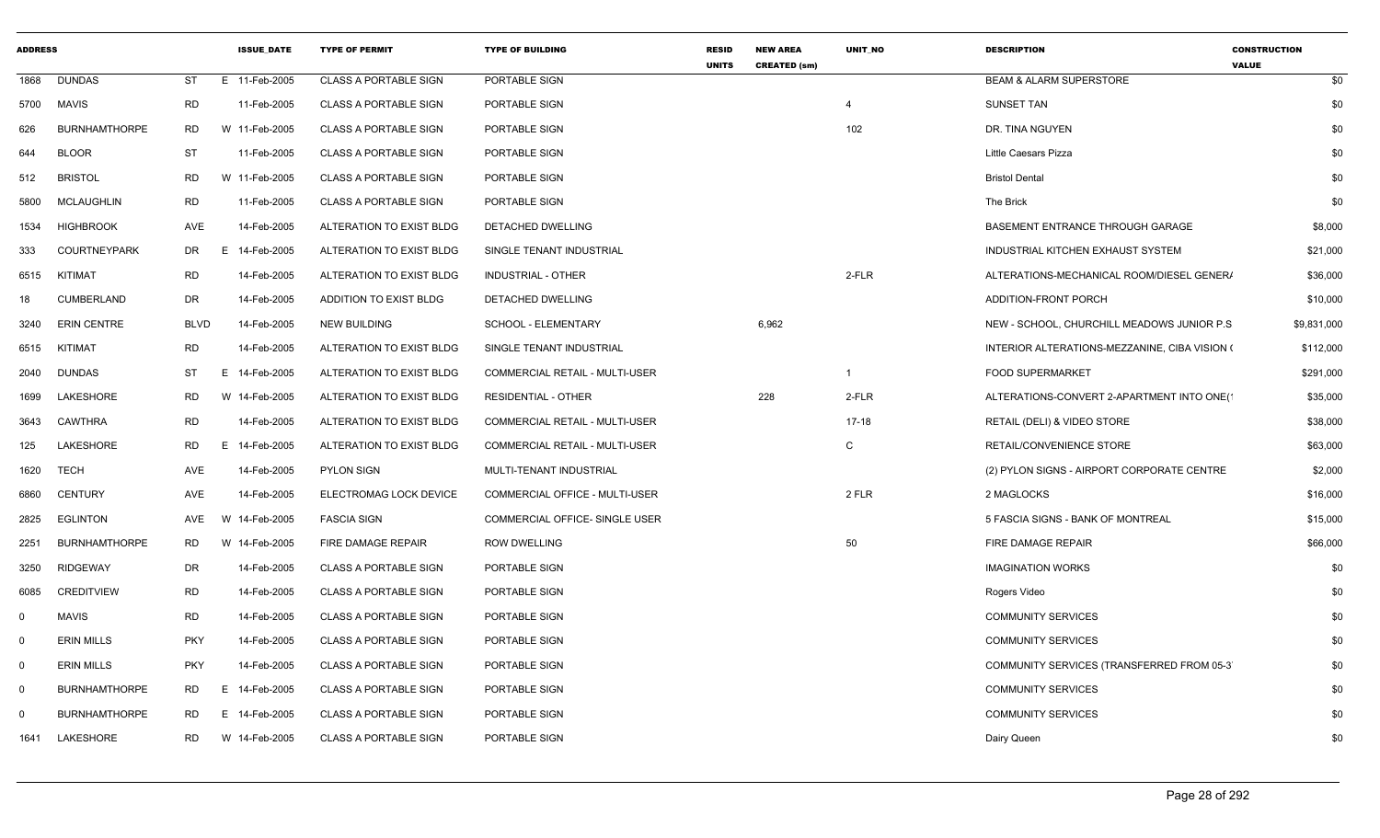| <b>ADDRESS</b> |                      |             | <b>ISSUE DATE</b> | <b>TYPE OF PERMIT</b>        | <b>TYPE OF BUILDING</b>               | <b>RESID</b><br><b>UNITS</b> | <b>NEW AREA</b><br><b>CREATED (sm)</b> | UNIT NO   | <b>DESCRIPTION</b>                            | <b>CONSTRUCTION</b><br><b>VALUE</b> |
|----------------|----------------------|-------------|-------------------|------------------------------|---------------------------------------|------------------------------|----------------------------------------|-----------|-----------------------------------------------|-------------------------------------|
| 1868           | <b>DUNDAS</b>        | ST          | E 11-Feb-2005     | <b>CLASS A PORTABLE SIGN</b> | PORTABLE SIGN                         |                              |                                        |           | <b>BEAM &amp; ALARM SUPERSTORE</b>            | \$0                                 |
| 5700           | MAVIS                | <b>RD</b>   | 11-Feb-2005       | <b>CLASS A PORTABLE SIGN</b> | PORTABLE SIGN                         |                              |                                        | 4         | SUNSET TAN                                    | \$0                                 |
| 626            | <b>BURNHAMTHORPE</b> | <b>RD</b>   | W 11-Feb-2005     | <b>CLASS A PORTABLE SIGN</b> | PORTABLE SIGN                         |                              |                                        | 102       | DR. TINA NGUYEN                               | \$0                                 |
| 644            | <b>BLOOR</b>         | ST          | 11-Feb-2005       | <b>CLASS A PORTABLE SIGN</b> | PORTABLE SIGN                         |                              |                                        |           | Little Caesars Pizza                          | \$0                                 |
| 512            | <b>BRISTOL</b>       | <b>RD</b>   | W 11-Feb-2005     | <b>CLASS A PORTABLE SIGN</b> | PORTABLE SIGN                         |                              |                                        |           | <b>Bristol Dental</b>                         | \$0                                 |
| 5800           | <b>MCLAUGHLIN</b>    | RD          | 11-Feb-2005       | <b>CLASS A PORTABLE SIGN</b> | PORTABLE SIGN                         |                              |                                        |           | The Brick                                     | \$0                                 |
| 1534           | <b>HIGHBROOK</b>     | AVE         | 14-Feb-2005       | ALTERATION TO EXIST BLDG     | DETACHED DWELLING                     |                              |                                        |           | BASEMENT ENTRANCE THROUGH GARAGE              | \$8,000                             |
| 333            | <b>COURTNEYPARK</b>  | DR          | 14-Feb-2005<br>E. | ALTERATION TO EXIST BLDG     | SINGLE TENANT INDUSTRIAL              |                              |                                        |           | INDUSTRIAL KITCHEN EXHAUST SYSTEM             | \$21,000                            |
| 6515           | KITIMAT              | RD          | 14-Feb-2005       | ALTERATION TO EXIST BLDG     | <b>INDUSTRIAL - OTHER</b>             |                              |                                        | 2-FLR     | ALTERATIONS-MECHANICAL ROOM/DIESEL GENER/     | \$36,000                            |
| 18             | <b>CUMBERLAND</b>    | DR          | 14-Feb-2005       | ADDITION TO EXIST BLDG       | DETACHED DWELLING                     |                              |                                        |           | ADDITION-FRONT PORCH                          | \$10,000                            |
| 3240           | <b>ERIN CENTRE</b>   | <b>BLVD</b> | 14-Feb-2005       | <b>NEW BUILDING</b>          | SCHOOL - ELEMENTARY                   |                              | 6,962                                  |           | NEW - SCHOOL, CHURCHILL MEADOWS JUNIOR P.S.   | \$9,831,000                         |
| 6515           | KITIMAT              | <b>RD</b>   | 14-Feb-2005       | ALTERATION TO EXIST BLDG     | SINGLE TENANT INDUSTRIAL              |                              |                                        |           | INTERIOR ALTERATIONS-MEZZANINE, CIBA VISION ( | \$112,000                           |
| 2040           | <b>DUNDAS</b>        | ST          | E 14-Feb-2005     | ALTERATION TO EXIST BLDG     | <b>COMMERCIAL RETAIL - MULTI-USER</b> |                              |                                        | -1        | <b>FOOD SUPERMARKET</b>                       | \$291,000                           |
| 1699           | LAKESHORE            | RD          | W 14-Feb-2005     | ALTERATION TO EXIST BLDG     | <b>RESIDENTIAL - OTHER</b>            |                              | 228                                    | 2-FLR     | ALTERATIONS-CONVERT 2-APARTMENT INTO ONE(1    | \$35,000                            |
| 3643           | CAWTHRA              | RD          | 14-Feb-2005       | ALTERATION TO EXIST BLDG     | <b>COMMERCIAL RETAIL - MULTI-USER</b> |                              |                                        | $17 - 18$ | RETAIL (DELI) & VIDEO STORE                   | \$38,000                            |
| 125            | LAKESHORE            | <b>RD</b>   | 14-Feb-2005<br>E. | ALTERATION TO EXIST BLDG     | COMMERCIAL RETAIL - MULTI-USER        |                              |                                        | C         | RETAIL/CONVENIENCE STORE                      | \$63,000                            |
| 1620           | <b>TECH</b>          | AVE         | 14-Feb-2005       | <b>PYLON SIGN</b>            | MULTI-TENANT INDUSTRIAL               |                              |                                        |           | (2) PYLON SIGNS - AIRPORT CORPORATE CENTRE    | \$2,000                             |
| 6860           | <b>CENTURY</b>       | AVE         | 14-Feb-2005       | ELECTROMAG LOCK DEVICE       | COMMERCIAL OFFICE - MULTI-USER        |                              |                                        | 2 FLR     | 2 MAGLOCKS                                    | \$16,000                            |
| 2825           | EGLINTON             | AVE         | 14-Feb-2005<br>W  | <b>FASCIA SIGN</b>           | COMMERCIAL OFFICE- SINGLE USER        |                              |                                        |           | 5 FASCIA SIGNS - BANK OF MONTREAL             | \$15,000                            |
| 2251           | <b>BURNHAMTHORPE</b> | <b>RD</b>   | W 14-Feb-2005     | FIRE DAMAGE REPAIR           | <b>ROW DWELLING</b>                   |                              |                                        | 50        | FIRE DAMAGE REPAIR                            | \$66,000                            |
| 3250           | <b>RIDGEWAY</b>      | DR          | 14-Feb-2005       | <b>CLASS A PORTABLE SIGN</b> | PORTABLE SIGN                         |                              |                                        |           | <b>IMAGINATION WORKS</b>                      | \$0                                 |
| 6085           | <b>CREDITVIEW</b>    | <b>RD</b>   | 14-Feb-2005       | <b>CLASS A PORTABLE SIGN</b> | PORTABLE SIGN                         |                              |                                        |           | Rogers Video                                  | \$0                                 |
| $\Omega$       | <b>MAVIS</b>         | <b>RD</b>   | 14-Feb-2005       | <b>CLASS A PORTABLE SIGN</b> | PORTABLE SIGN                         |                              |                                        |           | <b>COMMUNITY SERVICES</b>                     | \$0                                 |
| $^{\circ}$     | <b>ERIN MILLS</b>    | <b>PKY</b>  | 14-Feb-2005       | <b>CLASS A PORTABLE SIGN</b> | PORTABLE SIGN                         |                              |                                        |           | <b>COMMUNITY SERVICES</b>                     | \$0                                 |
| $\mathbf{0}$   | <b>ERIN MILLS</b>    | <b>PKY</b>  | 14-Feb-2005       | <b>CLASS A PORTABLE SIGN</b> | PORTABLE SIGN                         |                              |                                        |           | COMMUNITY SERVICES (TRANSFERRED FROM 05-3)    | \$0                                 |
| $\mathbf{0}$   | <b>BURNHAMTHORPE</b> | RD          | E.<br>14-Feb-2005 | <b>CLASS A PORTABLE SIGN</b> | PORTABLE SIGN                         |                              |                                        |           | <b>COMMUNITY SERVICES</b>                     | \$0                                 |
| $\Omega$       | <b>BURNHAMTHORPE</b> | <b>RD</b>   | 14-Feb-2005<br>E. | <b>CLASS A PORTABLE SIGN</b> | PORTABLE SIGN                         |                              |                                        |           | <b>COMMUNITY SERVICES</b>                     | \$0                                 |
| 1641           | LAKESHORE            | <b>RD</b>   | W 14-Feb-2005     | <b>CLASS A PORTABLE SIGN</b> | PORTABLE SIGN                         |                              |                                        |           | Dairy Queen                                   | \$0                                 |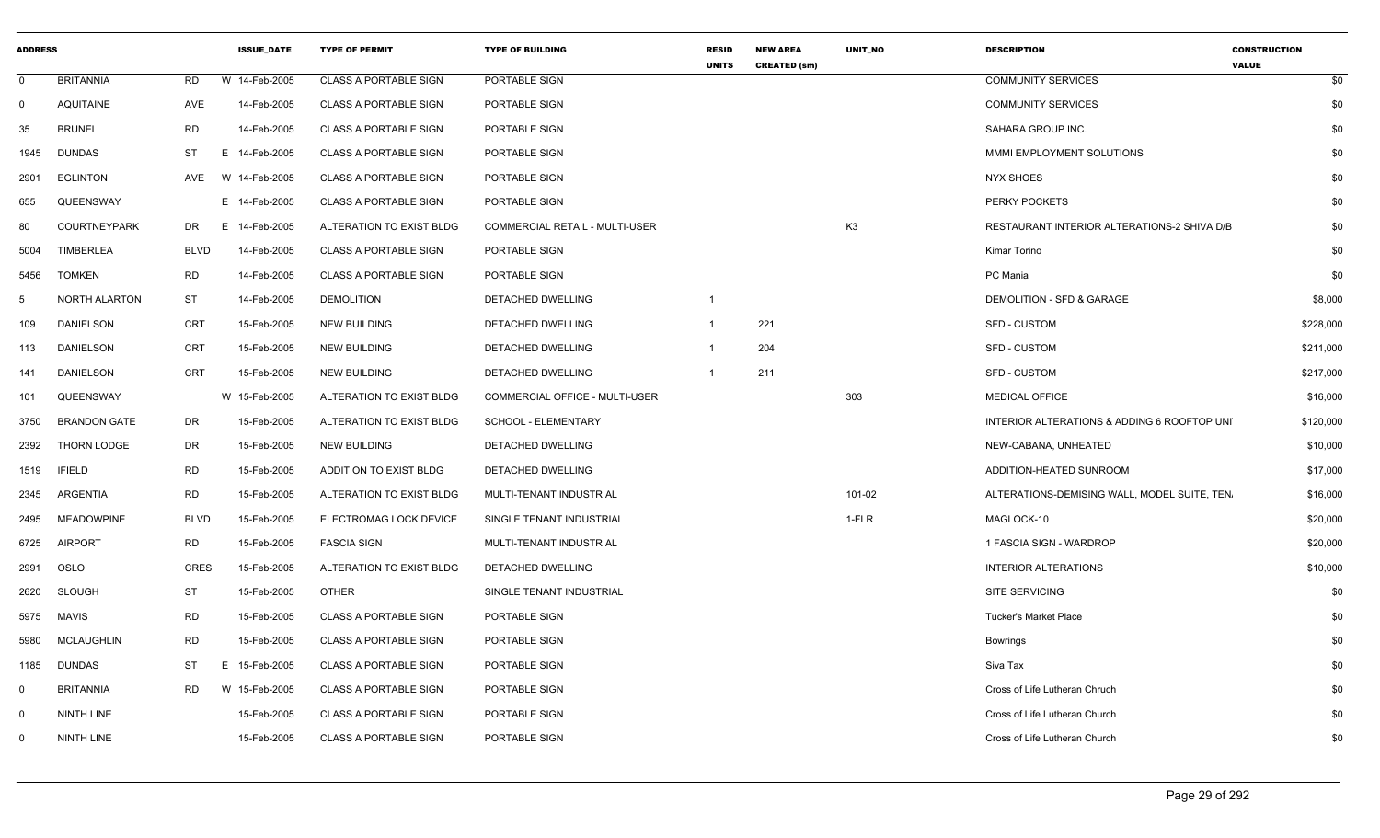| <b>ADDRESS</b> |                      |             | <b>ISSUE DATE</b> | <b>TYPE OF PERMIT</b>        | <b>TYPE OF BUILDING</b>        | <b>RESID</b><br><b>UNITS</b> | <b>NEW AREA</b><br><b>CREATED (sm)</b> | <b>UNIT NO</b> | <b>DESCRIPTION</b>                           | <b>CONSTRUCTION</b><br><b>VALUE</b> |
|----------------|----------------------|-------------|-------------------|------------------------------|--------------------------------|------------------------------|----------------------------------------|----------------|----------------------------------------------|-------------------------------------|
| $\mathbf 0$    | <b>BRITANNIA</b>     | RD          | W 14-Feb-2005     | <b>CLASS A PORTABLE SIGN</b> | PORTABLE SIGN                  |                              |                                        |                | <b>COMMUNITY SERVICES</b>                    | \$0                                 |
| $\mathbf{0}$   | <b>AQUITAINE</b>     | AVE         | 14-Feb-2005       | <b>CLASS A PORTABLE SIGN</b> | PORTABLE SIGN                  |                              |                                        |                | <b>COMMUNITY SERVICES</b>                    | \$0                                 |
| 35             | <b>BRUNEL</b>        | <b>RD</b>   | 14-Feb-2005       | <b>CLASS A PORTABLE SIGN</b> | PORTABLE SIGN                  |                              |                                        |                | SAHARA GROUP INC.                            | \$0                                 |
| 1945           | <b>DUNDAS</b>        | ST          | Е.<br>14-Feb-2005 | <b>CLASS A PORTABLE SIGN</b> | PORTABLE SIGN                  |                              |                                        |                | MMMI EMPLOYMENT SOLUTIONS                    | \$0                                 |
| 2901           | <b>EGLINTON</b>      | AVE         | W 14-Feb-2005     | <b>CLASS A PORTABLE SIGN</b> | PORTABLE SIGN                  |                              |                                        |                | <b>NYX SHOES</b>                             | \$0                                 |
| 655            | QUEENSWAY            |             | Е.<br>14-Feb-2005 | <b>CLASS A PORTABLE SIGN</b> | PORTABLE SIGN                  |                              |                                        |                | PERKY POCKETS                                | \$0                                 |
| 80             | <b>COURTNEYPARK</b>  | DR          | 14-Feb-2005<br>E. | ALTERATION TO EXIST BLDG     | COMMERCIAL RETAIL - MULTI-USER |                              |                                        | K <sub>3</sub> | RESTAURANT INTERIOR ALTERATIONS-2 SHIVA D/B  | \$0                                 |
| 5004           | <b>TIMBERLEA</b>     | <b>BLVD</b> | 14-Feb-2005       | <b>CLASS A PORTABLE SIGN</b> | PORTABLE SIGN                  |                              |                                        |                | Kimar Torino                                 | \$0                                 |
| 5456           | <b>TOMKEN</b>        | <b>RD</b>   | 14-Feb-2005       | <b>CLASS A PORTABLE SIGN</b> | PORTABLE SIGN                  |                              |                                        |                | PC Mania                                     | \$0                                 |
| -5             | <b>NORTH ALARTON</b> | ST          | 14-Feb-2005       | <b>DEMOLITION</b>            | <b>DETACHED DWELLING</b>       |                              |                                        |                | <b>DEMOLITION - SFD &amp; GARAGE</b>         | \$8,000                             |
| 109            | <b>DANIELSON</b>     | <b>CRT</b>  | 15-Feb-2005       | NEW BUILDING                 | <b>DETACHED DWELLING</b>       |                              | 221                                    |                | SFD - CUSTOM                                 | \$228,000                           |
| 113            | <b>DANIELSON</b>     | CRT         | 15-Feb-2005       | <b>NEW BUILDING</b>          | DETACHED DWELLING              |                              | 204                                    |                | <b>SFD - CUSTOM</b>                          | \$211,000                           |
| 141            | DANIELSON            | CRT         | 15-Feb-2005       | <b>NEW BUILDING</b>          | DETACHED DWELLING              | -1                           | 211                                    |                | SFD - CUSTOM                                 | \$217,000                           |
| 101            | QUEENSWAY            |             | W 15-Feb-2005     | ALTERATION TO EXIST BLDG     | COMMERCIAL OFFICE - MULTI-USER |                              |                                        | 303            | <b>MEDICAL OFFICE</b>                        | \$16,000                            |
| 3750           | <b>BRANDON GATE</b>  | DR          | 15-Feb-2005       | ALTERATION TO EXIST BLDG     | SCHOOL - ELEMENTARY            |                              |                                        |                | INTERIOR ALTERATIONS & ADDING 6 ROOFTOP UNI  | \$120,000                           |
| 2392           | THORN LODGE          | DR          | 15-Feb-2005       | <b>NEW BUILDING</b>          | DETACHED DWELLING              |                              |                                        |                | NEW-CABANA, UNHEATED                         | \$10,000                            |
| 1519           | IFIELD               | <b>RD</b>   | 15-Feb-2005       | ADDITION TO EXIST BLDG       | DETACHED DWELLING              |                              |                                        |                | ADDITION-HEATED SUNROOM                      | \$17,000                            |
| 2345           | ARGENTIA             | <b>RD</b>   | 15-Feb-2005       | ALTERATION TO EXIST BLDG     | MULTI-TENANT INDUSTRIAL        |                              |                                        | 101-02         | ALTERATIONS-DEMISING WALL, MODEL SUITE, TEN. | \$16,000                            |
| 2495           | <b>MEADOWPINE</b>    | <b>BLVD</b> | 15-Feb-2005       | ELECTROMAG LOCK DEVICE       | SINGLE TENANT INDUSTRIAL       |                              |                                        | 1-FLR          | MAGLOCK-10                                   | \$20,000                            |
| 6725           | <b>AIRPORT</b>       | <b>RD</b>   | 15-Feb-2005       | <b>FASCIA SIGN</b>           | MULTI-TENANT INDUSTRIAL        |                              |                                        |                | 1 FASCIA SIGN - WARDROP                      | \$20,000                            |
| 2991           | OSLO                 | <b>CRES</b> | 15-Feb-2005       | ALTERATION TO EXIST BLDG     | DETACHED DWELLING              |                              |                                        |                | <b>INTERIOR ALTERATIONS</b>                  | \$10,000                            |
| 2620           | <b>SLOUGH</b>        | <b>ST</b>   | 15-Feb-2005       | <b>OTHER</b>                 | SINGLE TENANT INDUSTRIAL       |                              |                                        |                | <b>SITE SERVICING</b>                        | \$0                                 |
| 5975           | <b>MAVIS</b>         | <b>RD</b>   | 15-Feb-2005       | <b>CLASS A PORTABLE SIGN</b> | PORTABLE SIGN                  |                              |                                        |                | <b>Tucker's Market Place</b>                 | \$0                                 |
| 5980           | <b>MCLAUGHLIN</b>    | <b>RD</b>   | 15-Feb-2005       | <b>CLASS A PORTABLE SIGN</b> | PORTABLE SIGN                  |                              |                                        |                | <b>Bowrings</b>                              | \$0                                 |
| 1185           | <b>DUNDAS</b>        | ST          | 15-Feb-2005<br>Е. | <b>CLASS A PORTABLE SIGN</b> | PORTABLE SIGN                  |                              |                                        |                | Siva Tax                                     | \$0                                 |
| $\mathbf 0$    | <b>BRITANNIA</b>     | RD          | W 15-Feb-2005     | <b>CLASS A PORTABLE SIGN</b> | PORTABLE SIGN                  |                              |                                        |                | Cross of Life Lutheran Chruch                | \$0                                 |
| $\Omega$       | NINTH LINE           |             | 15-Feb-2005       | <b>CLASS A PORTABLE SIGN</b> | <b>PORTABLE SIGN</b>           |                              |                                        |                | Cross of Life Lutheran Church                | \$0                                 |
| $\Omega$       | NINTH LINE           |             | 15-Feb-2005       | <b>CLASS A PORTABLE SIGN</b> | PORTABLE SIGN                  |                              |                                        |                | Cross of Life Lutheran Church                | \$0                                 |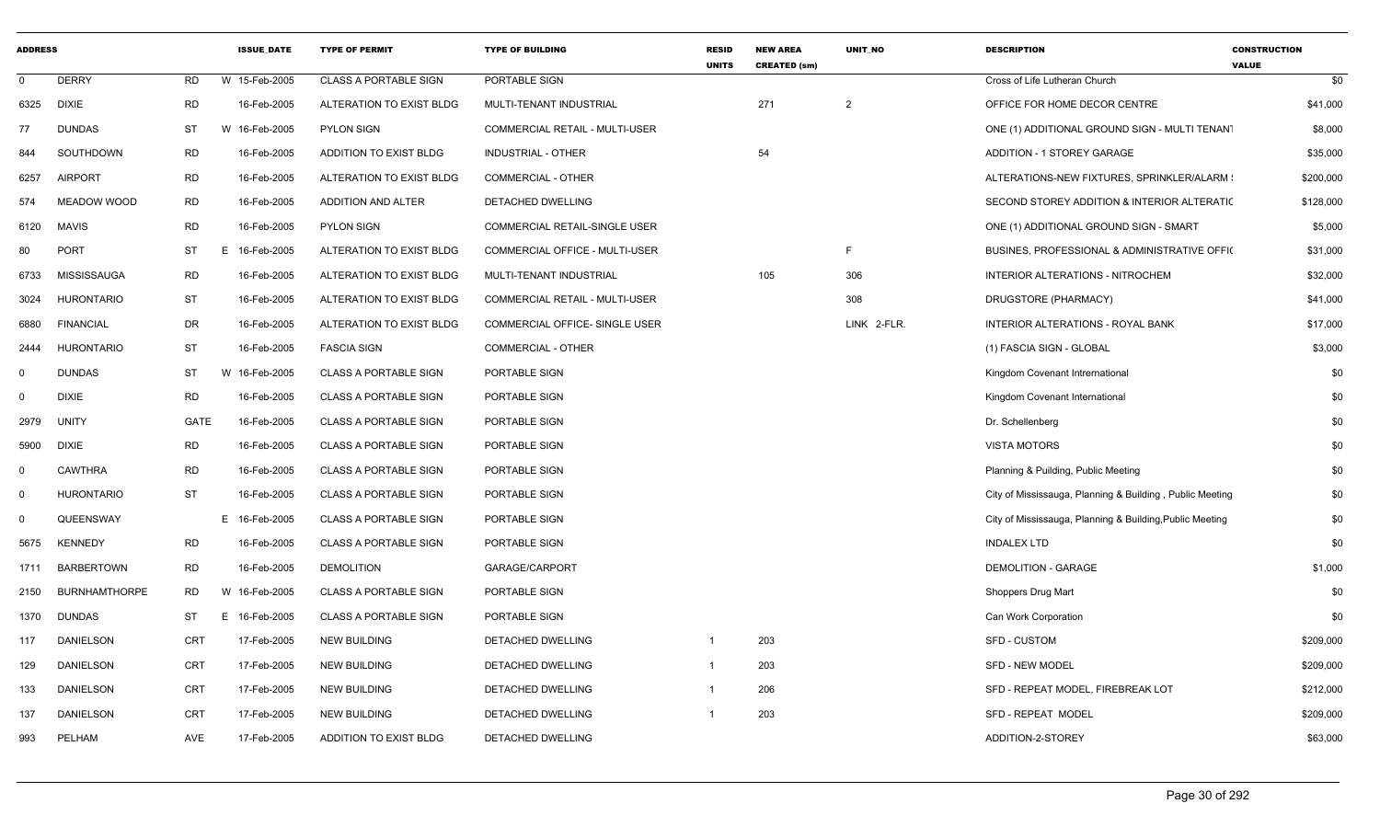| <b>ADDRESS</b> |                      |             | <b>ISSUE DATE</b> | <b>TYPE OF PERMIT</b>        | <b>TYPE OF BUILDING</b>        | <b>RESID</b><br><b>UNITS</b> | <b>NEW AREA</b><br><b>CREATED (sm)</b> | <b>UNIT NO</b> | <b>DESCRIPTION</b>                                       | <b>CONSTRUCTION</b><br><b>VALUE</b> |
|----------------|----------------------|-------------|-------------------|------------------------------|--------------------------------|------------------------------|----------------------------------------|----------------|----------------------------------------------------------|-------------------------------------|
| $\mathbf 0$    | <b>DERRY</b>         | <b>RD</b>   | W 15-Feb-2005     | <b>CLASS A PORTABLE SIGN</b> | PORTABLE SIGN                  |                              |                                        |                | Cross of Life Lutheran Church                            | \$0                                 |
| 6325           | <b>DIXIE</b>         | <b>RD</b>   | 16-Feb-2005       | ALTERATION TO EXIST BLDG     | MULTI-TENANT INDUSTRIAL        |                              | 271                                    | 2              | OFFICE FOR HOME DECOR CENTRE                             | \$41,000                            |
| 77             | <b>DUNDAS</b>        | ST          | W 16-Feb-2005     | <b>PYLON SIGN</b>            | COMMERCIAL RETAIL - MULTI-USER |                              |                                        |                | ONE (1) ADDITIONAL GROUND SIGN - MULTI TENANT            | \$8,000                             |
| 844            | SOUTHDOWN            | <b>RD</b>   | 16-Feb-2005       | ADDITION TO EXIST BLDG       | <b>INDUSTRIAL - OTHER</b>      |                              | 54                                     |                | ADDITION - 1 STOREY GARAGE                               | \$35,000                            |
| 6257           | <b>AIRPORT</b>       | <b>RD</b>   | 16-Feb-2005       | ALTERATION TO EXIST BLDG     | <b>COMMERCIAL - OTHER</b>      |                              |                                        |                | ALTERATIONS-NEW FIXTURES, SPRINKLER/ALARM :              | \$200,000                           |
| 574            | <b>MEADOW WOOD</b>   | <b>RD</b>   | 16-Feb-2005       | ADDITION AND ALTER           | DETACHED DWELLING              |                              |                                        |                | SECOND STOREY ADDITION & INTERIOR ALTERATIC              | \$128,000                           |
| 6120           | <b>MAVIS</b>         | <b>RD</b>   | 16-Feb-2005       | <b>PYLON SIGN</b>            | COMMERCIAL RETAIL-SINGLE USER  |                              |                                        |                | ONE (1) ADDITIONAL GROUND SIGN - SMART                   | \$5,000                             |
| 80             | <b>PORT</b>          | <b>ST</b>   | E<br>16-Feb-2005  | ALTERATION TO EXIST BLDG     | COMMERCIAL OFFICE - MULTI-USER |                              |                                        | F.             | BUSINES, PROFESSIONAL & ADMINISTRATIVE OFFIC             | \$31,000                            |
| 6733           | <b>MISSISSAUGA</b>   | <b>RD</b>   | 16-Feb-2005       | ALTERATION TO EXIST BLDG     | MULTI-TENANT INDUSTRIAL        |                              | 105                                    | 306            | INTERIOR ALTERATIONS - NITROCHEM                         | \$32,000                            |
| 3024           | <b>HURONTARIO</b>    | ST          | 16-Feb-2005       | ALTERATION TO EXIST BLDG     | COMMERCIAL RETAIL - MULTI-USER |                              |                                        | 308            | DRUGSTORE (PHARMACY)                                     | \$41,000                            |
| 6880           | <b>FINANCIAL</b>     | DR          | 16-Feb-2005       | ALTERATION TO EXIST BLDG     | COMMERCIAL OFFICE- SINGLE USER |                              |                                        | LINK 2-FLR.    | INTERIOR ALTERATIONS - ROYAL BANK                        | \$17,000                            |
| 2444           | <b>HURONTARIO</b>    | ST          | 16-Feb-2005       | <b>FASCIA SIGN</b>           | COMMERCIAL - OTHER             |                              |                                        |                | (1) FASCIA SIGN - GLOBAL                                 | \$3,000                             |
| $\mathbf 0$    | <b>DUNDAS</b>        | <b>ST</b>   | W 16-Feb-2005     | <b>CLASS A PORTABLE SIGN</b> | PORTABLE SIGN                  |                              |                                        |                | Kingdom Covenant Intrernational                          | \$0                                 |
| $\Omega$       | <b>DIXIE</b>         | <b>RD</b>   | 16-Feb-2005       | <b>CLASS A PORTABLE SIGN</b> | <b>PORTABLE SIGN</b>           |                              |                                        |                | Kingdom Covenant International                           | \$0                                 |
| 2979           | <b>UNITY</b>         | <b>GATE</b> | 16-Feb-2005       | <b>CLASS A PORTABLE SIGN</b> | PORTABLE SIGN                  |                              |                                        |                | Dr. Schellenberg                                         | \$0                                 |
| 5900           | <b>DIXIE</b>         | <b>RD</b>   | 16-Feb-2005       | <b>CLASS A PORTABLE SIGN</b> | PORTABLE SIGN                  |                              |                                        |                | <b>VISTA MOTORS</b>                                      | \$0                                 |
| $\mathbf 0$    | <b>CAWTHRA</b>       | <b>RD</b>   | 16-Feb-2005       | <b>CLASS A PORTABLE SIGN</b> | PORTABLE SIGN                  |                              |                                        |                | Planning & Puilding, Public Meeting                      | \$0                                 |
| $\mathbf 0$    | <b>HURONTARIO</b>    | <b>ST</b>   | 16-Feb-2005       | <b>CLASS A PORTABLE SIGN</b> | PORTABLE SIGN                  |                              |                                        |                | City of Mississauga, Planning & Building, Public Meeting | \$0                                 |
| $\mathbf 0$    | QUEENSWAY            |             | E 16-Feb-2005     | <b>CLASS A PORTABLE SIGN</b> | <b>PORTABLE SIGN</b>           |                              |                                        |                | City of Mississauga, Planning & Building, Public Meeting | \$0                                 |
| 5675           | <b>KENNEDY</b>       | <b>RD</b>   | 16-Feb-2005       | <b>CLASS A PORTABLE SIGN</b> | PORTABLE SIGN                  |                              |                                        |                | <b>INDALEX LTD</b>                                       | \$0                                 |
| 1711           | <b>BARBERTOWN</b>    | <b>RD</b>   | 16-Feb-2005       | <b>DEMOLITION</b>            | GARAGE/CARPORT                 |                              |                                        |                | DEMOLITION - GARAGE                                      | \$1,000                             |
| 2150           | <b>BURNHAMTHORPE</b> | <b>RD</b>   | W 16-Feb-2005     | <b>CLASS A PORTABLE SIGN</b> | PORTABLE SIGN                  |                              |                                        |                | Shoppers Drug Mart                                       | \$0                                 |
| 1370           | DUNDAS               | <b>ST</b>   | E 16-Feb-2005     | <b>CLASS A PORTABLE SIGN</b> | PORTABLE SIGN                  |                              |                                        |                | Can Work Corporation                                     | \$0                                 |
| 117            | <b>DANIELSON</b>     | <b>CRT</b>  | 17-Feb-2005       | <b>NEW BUILDING</b>          | <b>DETACHED DWELLING</b>       | 1                            | 203                                    |                | <b>SFD - CUSTOM</b>                                      | \$209,000                           |
| 129            | <b>DANIELSON</b>     | <b>CRT</b>  | 17-Feb-2005       | <b>NEW BUILDING</b>          | DETACHED DWELLING              | 1                            | 203                                    |                | <b>SFD - NEW MODEL</b>                                   | \$209,000                           |
| 133            | <b>DANIELSON</b>     | <b>CRT</b>  | 17-Feb-2005       | <b>NEW BUILDING</b>          | DETACHED DWELLING              | 1                            | 206                                    |                | SFD - REPEAT MODEL, FIREBREAK LOT                        | \$212,000                           |
| 137            | DANIELSON            | <b>CRT</b>  | 17-Feb-2005       | <b>NEW BUILDING</b>          | DETACHED DWELLING              |                              | 203                                    |                | SFD - REPEAT MODEL                                       | \$209,000                           |
| 993            | PELHAM               | AVE         | 17-Feb-2005       | ADDITION TO EXIST BLDG       | DETACHED DWELLING              |                              |                                        |                | ADDITION-2-STOREY                                        | \$63,000                            |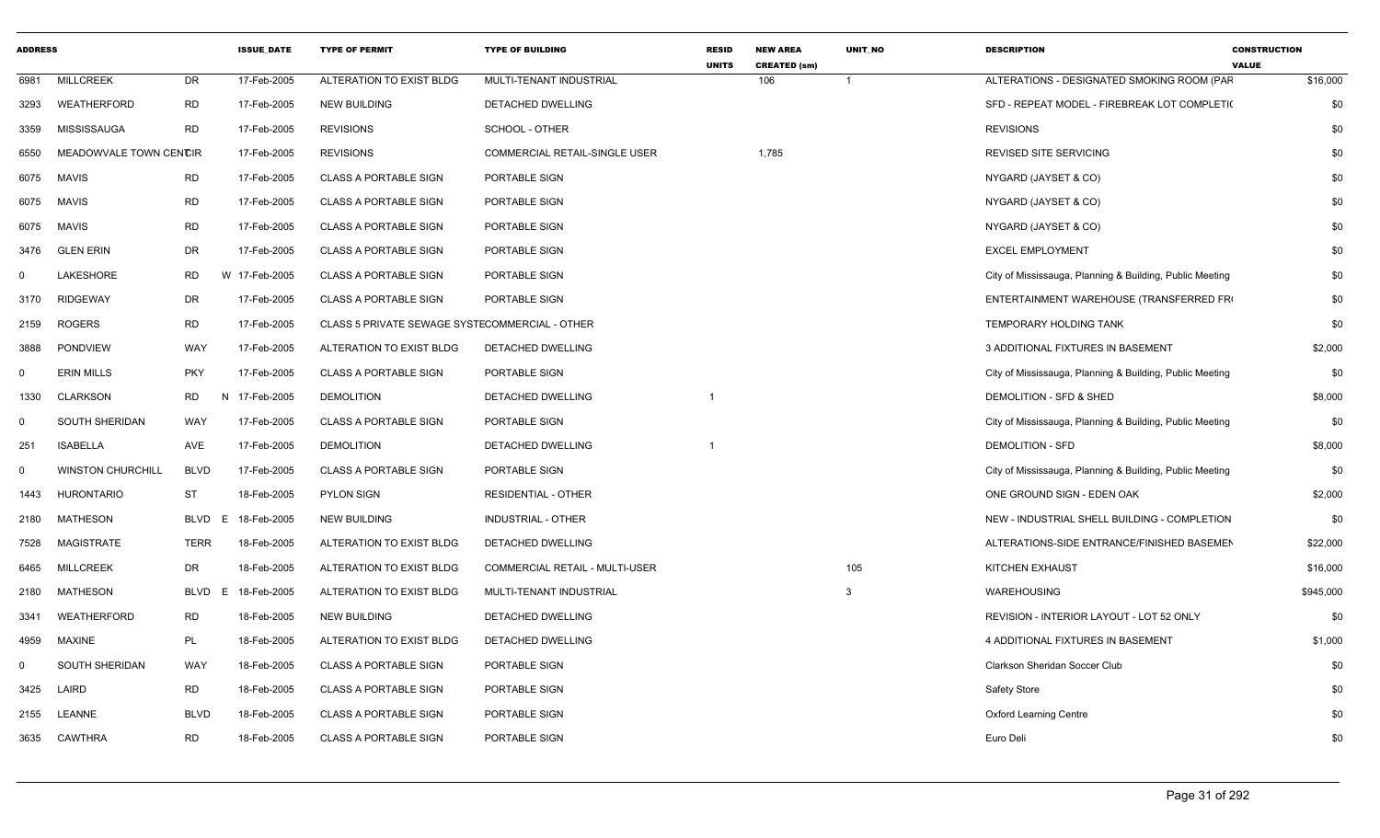| <b>ADDRESS</b> |                          |                  | <b>ISSUE DATE</b> | <b>TYPE OF PERMIT</b>                          | <b>TYPE OF BUILDING</b>        | <b>RESID</b><br><b>UNITS</b> | <b>NEW AREA</b><br><b>CREATED (sm)</b> | <b>UNIT NO</b> | <b>DESCRIPTION</b>                                       | <b>CONSTRUCTION</b><br><b>VALUE</b> |
|----------------|--------------------------|------------------|-------------------|------------------------------------------------|--------------------------------|------------------------------|----------------------------------------|----------------|----------------------------------------------------------|-------------------------------------|
| 6981           | <b>MILLCREEK</b>         | DR               | 17-Feb-2005       | ALTERATION TO EXIST BLDG                       | MULTI-TENANT INDUSTRIAL        |                              | 106                                    | $\overline{1}$ | ALTERATIONS - DESIGNATED SMOKING ROOM (PAF               | \$16,000                            |
| 3293           | WEATHERFORD              | <b>RD</b>        | 17-Feb-2005       | <b>NEW BUILDING</b>                            | DETACHED DWELLING              |                              |                                        |                | SFD - REPEAT MODEL - FIREBREAK LOT COMPLETI(             | \$0                                 |
| 3359           | MISSISSAUGA              | <b>RD</b>        | 17-Feb-2005       | <b>REVISIONS</b>                               | SCHOOL - OTHER                 |                              |                                        |                | <b>REVISIONS</b>                                         | \$0                                 |
| 6550           | MEADOWVALE TOWN CENCIR   |                  | 17-Feb-2005       | <b>REVISIONS</b>                               | COMMERCIAL RETAIL-SINGLE USER  |                              | 1,785                                  |                | <b>REVISED SITE SERVICING</b>                            | \$0                                 |
| 6075           | <b>MAVIS</b>             | <b>RD</b>        | 17-Feb-2005       | <b>CLASS A PORTABLE SIGN</b>                   | PORTABLE SIGN                  |                              |                                        |                | NYGARD (JAYSET & CO)                                     | \$0                                 |
| 6075           | <b>MAVIS</b>             | <b>RD</b>        | 17-Feb-2005       | <b>CLASS A PORTABLE SIGN</b>                   | PORTABLE SIGN                  |                              |                                        |                | NYGARD (JAYSET & CO)                                     | \$0                                 |
| 6075           | <b>MAVIS</b>             | <b>RD</b>        | 17-Feb-2005       | <b>CLASS A PORTABLE SIGN</b>                   | PORTABLE SIGN                  |                              |                                        |                | NYGARD (JAYSET & CO)                                     | \$0                                 |
| 3476           | <b>GLEN ERIN</b>         | DR               | 17-Feb-2005       | <b>CLASS A PORTABLE SIGN</b>                   | PORTABLE SIGN                  |                              |                                        |                | <b>EXCEL EMPLOYMENT</b>                                  | \$0                                 |
| $\mathbf 0$    | LAKESHORE                | <b>RD</b>        | W 17-Feb-2005     | <b>CLASS A PORTABLE SIGN</b>                   | PORTABLE SIGN                  |                              |                                        |                | City of Mississauga, Planning & Building, Public Meeting | \$0                                 |
| 3170           | <b>RIDGEWAY</b>          | DR               | 17-Feb-2005       | <b>CLASS A PORTABLE SIGN</b>                   | PORTABLE SIGN                  |                              |                                        |                | ENTERTAINMENT WAREHOUSE (TRANSFERRED FR)                 | \$0                                 |
| 2159           | <b>ROGERS</b>            | <b>RD</b>        | 17-Feb-2005       | CLASS 5 PRIVATE SEWAGE SYSTECOMMERCIAL - OTHER |                                |                              |                                        |                | TEMPORARY HOLDING TANK                                   | \$0                                 |
| 3888           | <b>PONDVIEW</b>          | WAY              | 17-Feb-2005       | ALTERATION TO EXIST BLDG                       | DETACHED DWELLING              |                              |                                        |                | 3 ADDITIONAL FIXTURES IN BASEMENT                        | \$2,000                             |
| $\Omega$       | <b>ERIN MILLS</b>        | <b>PKY</b>       | 17-Feb-2005       | <b>CLASS A PORTABLE SIGN</b>                   | PORTABLE SIGN                  |                              |                                        |                | City of Mississauga, Planning & Building, Public Meeting | \$0                                 |
| 1330           | <b>CLARKSON</b>          | <b>RD</b><br>N   | 17-Feb-2005       | <b>DEMOLITION</b>                              | <b>DETACHED DWELLING</b>       | $\overline{\mathbf{1}}$      |                                        |                | DEMOLITION - SFD & SHED                                  | \$8,000                             |
| $\mathbf 0$    | SOUTH SHERIDAN           | WAY              | 17-Feb-2005       | <b>CLASS A PORTABLE SIGN</b>                   | PORTABLE SIGN                  |                              |                                        |                | City of Mississauga, Planning & Building, Public Meeting | \$0                                 |
| 251            | <b>ISABELLA</b>          | <b>AVE</b>       | 17-Feb-2005       | <b>DEMOLITION</b>                              | <b>DETACHED DWELLING</b>       |                              |                                        |                | <b>DEMOLITION - SFD</b>                                  | \$8,000                             |
| $\mathbf 0$    | <b>WINSTON CHURCHILL</b> | <b>BLVD</b>      | 17-Feb-2005       | <b>CLASS A PORTABLE SIGN</b>                   | PORTABLE SIGN                  |                              |                                        |                | City of Mississauga, Planning & Building, Public Meeting | \$0                                 |
| 1443           | <b>HURONTARIO</b>        | <b>ST</b>        | 18-Feb-2005       | <b>PYLON SIGN</b>                              | <b>RESIDENTIAL - OTHER</b>     |                              |                                        |                | ONE GROUND SIGN - EDEN OAK                               | \$2,000                             |
| 2180           | MATHESON                 | <b>BLVD</b><br>E | 18-Feb-2005       | <b>NEW BUILDING</b>                            | <b>INDUSTRIAL - OTHER</b>      |                              |                                        |                | NEW - INDUSTRIAL SHELL BUILDING - COMPLETION             | \$0                                 |
| 7528           | <b>MAGISTRATE</b>        | <b>TERR</b>      | 18-Feb-2005       | ALTERATION TO EXIST BLDG                       | <b>DETACHED DWELLING</b>       |                              |                                        |                | ALTERATIONS-SIDE ENTRANCE/FINISHED BASEMEN               | \$22,000                            |
| 6465           | <b>MILLCREEK</b>         | DR               | 18-Feb-2005       | ALTERATION TO EXIST BLDG                       | COMMERCIAL RETAIL - MULTI-USER |                              |                                        | 105            | KITCHEN EXHAUST                                          | \$16,000                            |
| 2180           | MATHESON                 | <b>BLVD</b>      | 18-Feb-2005<br>E. | ALTERATION TO EXIST BLDG                       | MULTI-TENANT INDUSTRIAL        |                              |                                        | 3              | WAREHOUSING                                              | \$945,000                           |
| 3341           | WEATHERFORD              | <b>RD</b>        | 18-Feb-2005       | <b>NEW BUILDING</b>                            | DETACHED DWELLING              |                              |                                        |                | REVISION - INTERIOR LAYOUT - LOT 52 ONLY                 | \$0                                 |
| 4959           | <b>MAXINE</b>            | PL               | 18-Feb-2005       | ALTERATION TO EXIST BLDG                       | DETACHED DWELLING              |                              |                                        |                | 4 ADDITIONAL FIXTURES IN BASEMENT                        | \$1,000                             |
| $\Omega$       | <b>SOUTH SHERIDAN</b>    | WAY              | 18-Feb-2005       | <b>CLASS A PORTABLE SIGN</b>                   | PORTABLE SIGN                  |                              |                                        |                | Clarkson Sheridan Soccer Club                            | \$0                                 |
| 3425           | LAIRD                    | <b>RD</b>        | 18-Feb-2005       | <b>CLASS A PORTABLE SIGN</b>                   | PORTABLE SIGN                  |                              |                                        |                | Safety Store                                             | \$0                                 |
| 2155           | <b>LEANNE</b>            | <b>BLVD</b>      | 18-Feb-2005       | <b>CLASS A PORTABLE SIGN</b>                   | PORTABLE SIGN                  |                              |                                        |                | <b>Oxford Learning Centre</b>                            | \$0                                 |
| 3635           | CAWTHRA                  | <b>RD</b>        | 18-Feb-2005       | <b>CLASS A PORTABLE SIGN</b>                   | PORTABLE SIGN                  |                              |                                        |                | Euro Deli                                                | \$0                                 |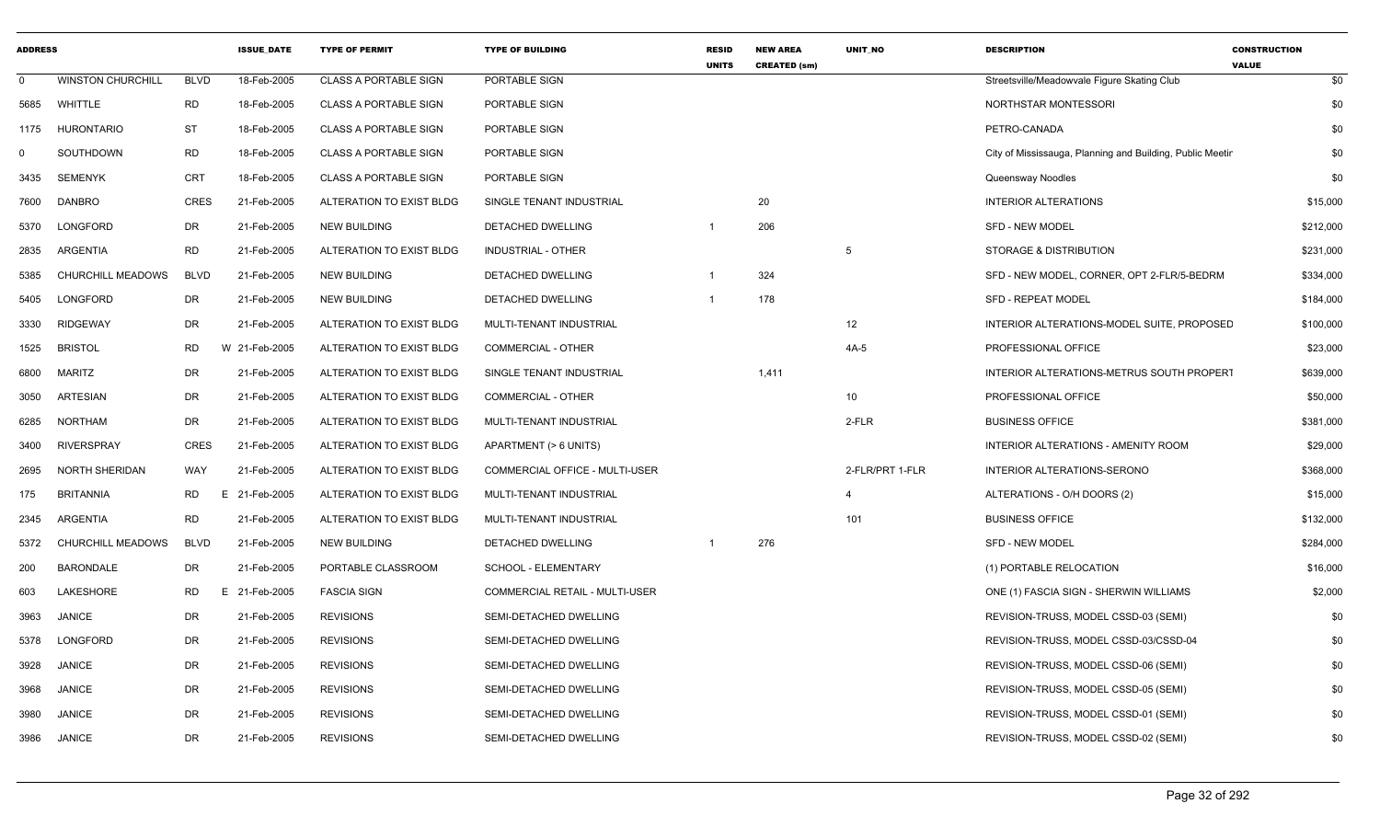| <b>ADDRESS</b> |                          |             | <b>ISSUE DATE</b> | <b>TYPE OF PERMIT</b>        | <b>TYPE OF BUILDING</b>               | <b>RESID</b><br><b>UNITS</b> | <b>NEW AREA</b><br><b>CREATED (sm)</b> | <b>UNIT NO</b>  | <b>DESCRIPTION</b>                                        | <b>CONSTRUCTION</b><br><b>VALUE</b> |
|----------------|--------------------------|-------------|-------------------|------------------------------|---------------------------------------|------------------------------|----------------------------------------|-----------------|-----------------------------------------------------------|-------------------------------------|
| $\Omega$       | <b>WINSTON CHURCHILL</b> | <b>BLVD</b> | 18-Feb-2005       | <b>CLASS A PORTABLE SIGN</b> | <b>PORTABLE SIGN</b>                  |                              |                                        |                 | Streetsville/Meadowvale Figure Skating Club               | \$0                                 |
| 5685           | <b>WHITTLE</b>           | <b>RD</b>   | 18-Feb-2005       | <b>CLASS A PORTABLE SIGN</b> | PORTABLE SIGN                         |                              |                                        |                 | NORTHSTAR MONTESSORI                                      | \$0                                 |
| 1175           | <b>HURONTARIO</b>        | ST          | 18-Feb-2005       | <b>CLASS A PORTABLE SIGN</b> | PORTABLE SIGN                         |                              |                                        |                 | PETRO-CANADA                                              | \$0                                 |
| 0              | SOUTHDOWN                | <b>RD</b>   | 18-Feb-2005       | <b>CLASS A PORTABLE SIGN</b> | PORTABLE SIGN                         |                              |                                        |                 | City of Mississauga, Planning and Building, Public Meetir | \$0                                 |
| 3435           | <b>SEMENYK</b>           | <b>CRT</b>  | 18-Feb-2005       | <b>CLASS A PORTABLE SIGN</b> | PORTABLE SIGN                         |                              |                                        |                 | Queensway Noodles                                         | \$0                                 |
| 7600           | <b>DANBRO</b>            | CRES        | 21-Feb-2005       | ALTERATION TO EXIST BLDG     | SINGLE TENANT INDUSTRIAL              |                              | 20                                     |                 | INTERIOR ALTERATIONS                                      | \$15,000                            |
| 5370           | <b>LONGFORD</b>          | <b>DR</b>   | 21-Feb-2005       | <b>NEW BUILDING</b>          | DETACHED DWELLING                     |                              | 206                                    |                 | <b>SFD - NEW MODEL</b>                                    | \$212,000                           |
| 2835           | <b>ARGENTIA</b>          | <b>RD</b>   | 21-Feb-2005       | ALTERATION TO EXIST BLDG     | <b>INDUSTRIAL - OTHER</b>             |                              |                                        | 5               | <b>STORAGE &amp; DISTRIBUTION</b>                         | \$231,000                           |
| 5385           | <b>CHURCHILL MEADOWS</b> | <b>BLVD</b> | 21-Feb-2005       | <b>NEW BUILDING</b>          | DETACHED DWELLING                     |                              | 324                                    |                 | SFD - NEW MODEL, CORNER, OPT 2-FLR/5-BEDRM                | \$334,000                           |
| 5405           | LONGFORD                 | <b>DR</b>   | 21-Feb-2005       | <b>NEW BUILDING</b>          | DETACHED DWELLING                     | -1                           | 178                                    |                 | SFD - REPEAT MODEL                                        | \$184,000                           |
| 3330           | <b>RIDGEWAY</b>          | <b>DR</b>   | 21-Feb-2005       | ALTERATION TO EXIST BLDG     | MULTI-TENANT INDUSTRIAL               |                              |                                        | 12              | INTERIOR ALTERATIONS-MODEL SUITE, PROPOSED                | \$100,000                           |
| 1525           | <b>BRISTOL</b>           | <b>RD</b>   | W 21-Feb-2005     | ALTERATION TO EXIST BLDG     | <b>COMMERCIAL - OTHER</b>             |                              |                                        | $4A-5$          | PROFESSIONAL OFFICE                                       | \$23,000                            |
| 6800           | <b>MARITZ</b>            | <b>DR</b>   | 21-Feb-2005       | ALTERATION TO EXIST BLDG     | SINGLE TENANT INDUSTRIAL              |                              | 1,411                                  |                 | INTERIOR ALTERATIONS-METRUS SOUTH PROPERT                 | \$639,000                           |
| 3050           | <b>ARTESIAN</b>          | <b>DR</b>   | 21-Feb-2005       | ALTERATION TO EXIST BLDG     | COMMERCIAL - OTHER                    |                              |                                        | 10              | PROFESSIONAL OFFICE                                       | \$50,000                            |
| 6285           | <b>NORTHAM</b>           | <b>DR</b>   | 21-Feb-2005       | ALTERATION TO EXIST BLDG     | MULTI-TENANT INDUSTRIAL               |                              |                                        | 2-FLR           | <b>BUSINESS OFFICE</b>                                    | \$381,000                           |
| 3400           | <b>RIVERSPRAY</b>        | <b>CRES</b> | 21-Feb-2005       | ALTERATION TO EXIST BLDG     | APARTMENT (> 6 UNITS)                 |                              |                                        |                 | <b>INTERIOR ALTERATIONS - AMENITY ROOM</b>                | \$29,000                            |
| 2695           | <b>NORTH SHERIDAN</b>    | WAY         | 21-Feb-2005       | ALTERATION TO EXIST BLDG     | <b>COMMERCIAL OFFICE - MULTI-USER</b> |                              |                                        | 2-FLR/PRT 1-FLR | INTERIOR ALTERATIONS-SERONO                               | \$368,000                           |
| 175            | <b>BRITANNIA</b>         | <b>RD</b>   | E.<br>21-Feb-2005 | ALTERATION TO EXIST BLDG     | MULTI-TENANT INDUSTRIAL               |                              |                                        | $\overline{4}$  | ALTERATIONS - O/H DOORS (2)                               | \$15,000                            |
| 2345           | <b>ARGENTIA</b>          | <b>RD</b>   | 21-Feb-2005       | ALTERATION TO EXIST BLDG     | MULTI-TENANT INDUSTRIAL               |                              |                                        | 101             | <b>BUSINESS OFFICE</b>                                    | \$132,000                           |
| 5372           | CHURCHILL MEADOWS        | <b>BLVD</b> | 21-Feb-2005       | <b>NEW BUILDING</b>          | DETACHED DWELLING                     |                              | 276                                    |                 | <b>SFD - NEW MODEL</b>                                    | \$284,000                           |
| 200            | <b>BARONDALE</b>         | <b>DR</b>   | 21-Feb-2005       | PORTABLE CLASSROOM           | SCHOOL - ELEMENTARY                   |                              |                                        |                 | (1) PORTABLE RELOCATION                                   | \$16,000                            |
| 603            | LAKESHORE                | <b>RD</b>   | E 21-Feb-2005     | <b>FASCIA SIGN</b>           | COMMERCIAL RETAIL - MULTI-USER        |                              |                                        |                 | ONE (1) FASCIA SIGN - SHERWIN WILLIAMS                    | \$2,000                             |
| 3963           | <b>JANICE</b>            | DR          | 21-Feb-2005       | <b>REVISIONS</b>             | SEMI-DETACHED DWELLING                |                              |                                        |                 | REVISION-TRUSS, MODEL CSSD-03 (SEMI)                      | \$0                                 |
| 5378           | LONGFORD                 | <b>DR</b>   | 21-Feb-2005       | <b>REVISIONS</b>             | SEMI-DETACHED DWELLING                |                              |                                        |                 | REVISION-TRUSS, MODEL CSSD-03/CSSD-04                     | \$0                                 |
| 3928           | <b>JANICE</b>            | <b>DR</b>   | 21-Feb-2005       | <b>REVISIONS</b>             | SEMI-DETACHED DWELLING                |                              |                                        |                 | REVISION-TRUSS, MODEL CSSD-06 (SEMI)                      | \$0                                 |
| 3968           | <b>JANICE</b>            | <b>DR</b>   | 21-Feb-2005       | <b>REVISIONS</b>             | SEMI-DETACHED DWELLING                |                              |                                        |                 | REVISION-TRUSS, MODEL CSSD-05 (SEMI)                      | \$0                                 |
| 3980           | <b>JANICE</b>            | DR          | 21-Feb-2005       | <b>REVISIONS</b>             | SEMI-DETACHED DWELLING                |                              |                                        |                 | REVISION-TRUSS, MODEL CSSD-01 (SEMI)                      | \$0                                 |
| 3986           | <b>JANICE</b>            | <b>DR</b>   | 21-Feb-2005       | <b>REVISIONS</b>             | SEMI-DETACHED DWELLING                |                              |                                        |                 | REVISION-TRUSS, MODEL CSSD-02 (SEMI)                      | \$0                                 |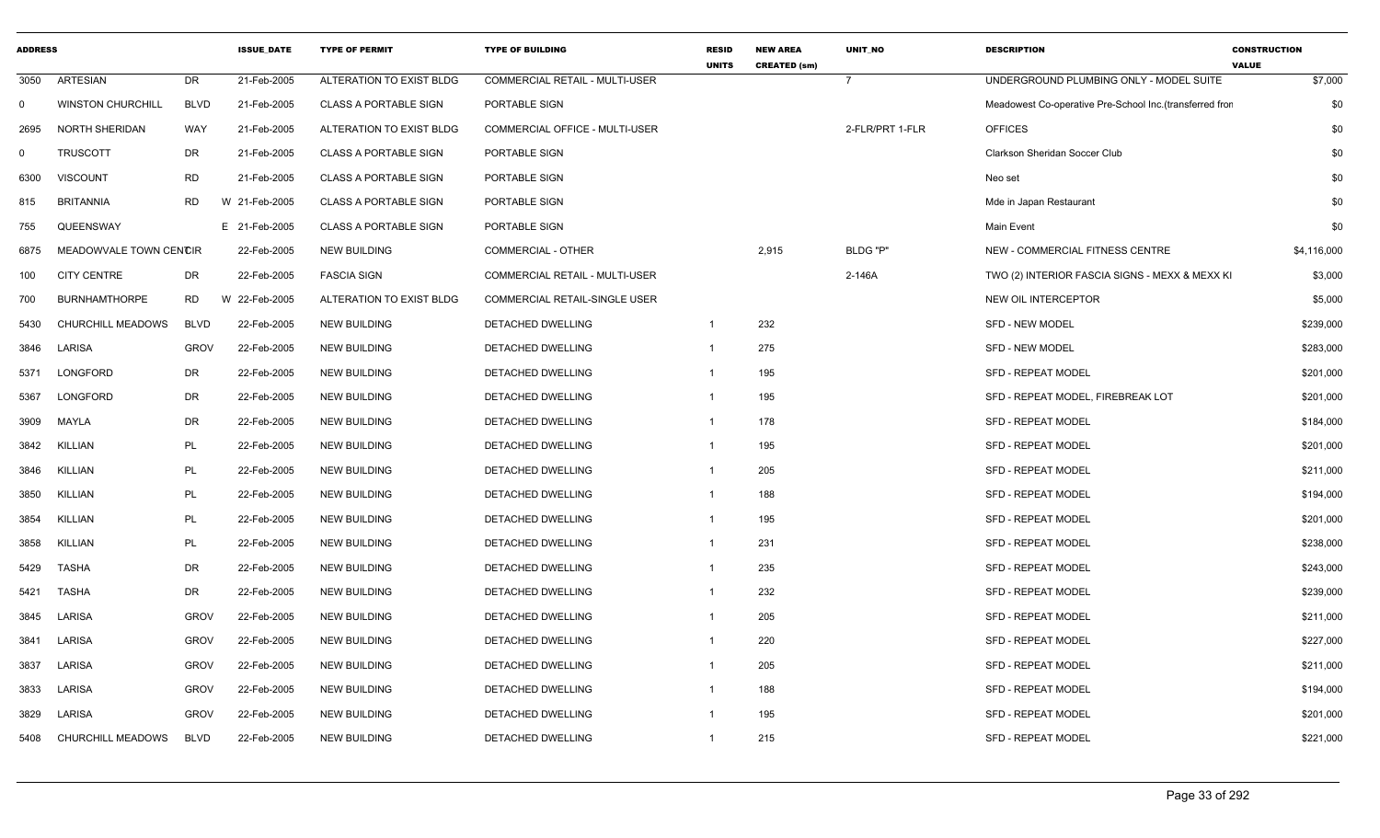| <b>ADDRESS</b> |                          |             | <b>ISSUE DATE</b> | <b>TYPE OF PERMIT</b>        | <b>TYPE OF BUILDING</b>               | <b>RESID</b><br><b>UNITS</b> | <b>NEW AREA</b><br><b>CREATED (sm)</b> | <b>UNIT NO</b>  | <b>DESCRIPTION</b>                                       | <b>CONSTRUCTION</b><br><b>VALUE</b> |
|----------------|--------------------------|-------------|-------------------|------------------------------|---------------------------------------|------------------------------|----------------------------------------|-----------------|----------------------------------------------------------|-------------------------------------|
| 3050           | <b>ARTESIAN</b>          | <b>DR</b>   | 21-Feb-2005       | ALTERATION TO EXIST BLDG     | <b>COMMERCIAL RETAIL - MULTI-USER</b> |                              |                                        | $\overline{7}$  | UNDERGROUND PLUMBING ONLY - MODEL SUITE                  | \$7,000                             |
| 0              | <b>WINSTON CHURCHILL</b> | <b>BLVD</b> | 21-Feb-2005       | <b>CLASS A PORTABLE SIGN</b> | PORTABLE SIGN                         |                              |                                        |                 | Meadowest Co-operative Pre-School Inc. (transferred fror | \$0                                 |
| 2695           | <b>NORTH SHERIDAN</b>    | <b>WAY</b>  | 21-Feb-2005       | ALTERATION TO EXIST BLDG     | COMMERCIAL OFFICE - MULTI-USER        |                              |                                        | 2-FLR/PRT 1-FLR | <b>OFFICES</b>                                           | \$0                                 |
| $\mathbf 0$    | <b>TRUSCOTT</b>          | DR          | 21-Feb-2005       | <b>CLASS A PORTABLE SIGN</b> | PORTABLE SIGN                         |                              |                                        |                 | Clarkson Sheridan Soccer Club                            | \$0                                 |
| 6300           | <b>VISCOUNT</b>          | <b>RD</b>   | 21-Feb-2005       | <b>CLASS A PORTABLE SIGN</b> | PORTABLE SIGN                         |                              |                                        |                 | Neo set                                                  | \$0                                 |
| 815            | <b>BRITANNIA</b>         | <b>RD</b>   | W 21-Feb-2005     | <b>CLASS A PORTABLE SIGN</b> | PORTABLE SIGN                         |                              |                                        |                 | Mde in Japan Restaurant                                  | \$0                                 |
| 755            | QUEENSWAY                |             | E 21-Feb-2005     | <b>CLASS A PORTABLE SIGN</b> | PORTABLE SIGN                         |                              |                                        |                 | Main Event                                               | \$0                                 |
| 6875           | MEADOWVALE TOWN CENCIR   |             | 22-Feb-2005       | <b>NEW BUILDING</b>          | <b>COMMERCIAL - OTHER</b>             |                              | 2,915                                  | BLDG "P"        | NEW - COMMERCIAL FITNESS CENTRE                          | \$4,116,000                         |
| 100            | <b>CITY CENTRE</b>       | DR          | 22-Feb-2005       | <b>FASCIA SIGN</b>           | COMMERCIAL RETAIL - MULTI-USER        |                              |                                        | 2-146A          | TWO (2) INTERIOR FASCIA SIGNS - MEXX & MEXX KI           | \$3,000                             |
| 700            | <b>BURNHAMTHORPE</b>     | <b>RD</b>   | W 22-Feb-2005     | ALTERATION TO EXIST BLDG     | COMMERCIAL RETAIL-SINGLE USER         |                              |                                        |                 | NEW OIL INTERCEPTOR                                      | \$5,000                             |
| 5430           | CHURCHILL MEADOWS        | <b>BLVD</b> | 22-Feb-2005       | <b>NEW BUILDING</b>          | DETACHED DWELLING                     | $\mathbf{1}$                 | 232                                    |                 | <b>SFD - NEW MODEL</b>                                   | \$239,000                           |
| 3846           | LARISA                   | <b>GROV</b> | 22-Feb-2005       | <b>NEW BUILDING</b>          | DETACHED DWELLING                     | $\mathbf{1}$                 | 275                                    |                 | <b>SFD - NEW MODEL</b>                                   | \$283,000                           |
| 5371           | LONGFORD                 | DR          | 22-Feb-2005       | <b>NEW BUILDING</b>          | DETACHED DWELLING                     | $\overline{1}$               | 195                                    |                 | <b>SFD - REPEAT MODEL</b>                                | \$201,000                           |
| 5367           | LONGFORD                 | <b>DR</b>   | 22-Feb-2005       | <b>NEW BUILDING</b>          | DETACHED DWELLING                     | $\mathbf{1}$                 | 195                                    |                 | SFD - REPEAT MODEL, FIREBREAK LOT                        | \$201,000                           |
| 3909           | MAYLA                    | DR          | 22-Feb-2005       | <b>NEW BUILDING</b>          | DETACHED DWELLING                     | $\mathbf{1}$                 | 178                                    |                 | <b>SFD - REPEAT MODEL</b>                                | \$184,000                           |
| 3842           | <b>KILLIAN</b>           | <b>PL</b>   | 22-Feb-2005       | <b>NEW BUILDING</b>          | DETACHED DWELLING                     | $\mathbf{1}$                 | 195                                    |                 | <b>SFD - REPEAT MODEL</b>                                | \$201,000                           |
| 3846           | <b>KILLIAN</b>           | PL          | 22-Feb-2005       | <b>NEW BUILDING</b>          | <b>DETACHED DWELLING</b>              | $\mathbf{1}$                 | 205                                    |                 | <b>SFD - REPEAT MODEL</b>                                | \$211,000                           |
| 3850           | <b>KILLIAN</b>           | PL          | 22-Feb-2005       | <b>NEW BUILDING</b>          | DETACHED DWELLING                     | $\mathbf{1}$                 | 188                                    |                 | <b>SFD - REPEAT MODEL</b>                                | \$194,000                           |
| 3854           | <b>KILLIAN</b>           | PL          | 22-Feb-2005       | <b>NEW BUILDING</b>          | DETACHED DWELLING                     | $\mathbf{1}$                 | 195                                    |                 | <b>SFD - REPEAT MODEL</b>                                | \$201,000                           |
| 3858           | <b>KILLIAN</b>           | PL          | 22-Feb-2005       | <b>NEW BUILDING</b>          | DETACHED DWELLING                     | $\mathbf{1}$                 | 231                                    |                 | <b>SFD - REPEAT MODEL</b>                                | \$238,000                           |
| 5429           | <b>TASHA</b>             | <b>DR</b>   | 22-Feb-2005       | <b>NEW BUILDING</b>          | DETACHED DWELLING                     | $\mathbf{1}$                 | 235                                    |                 | <b>SFD - REPEAT MODEL</b>                                | \$243,000                           |
| 5421           | <b>TASHA</b>             | <b>DR</b>   | 22-Feb-2005       | <b>NEW BUILDING</b>          | DETACHED DWELLING                     | $\mathbf{1}$                 | 232                                    |                 | <b>SFD - REPEAT MODEL</b>                                | \$239,000                           |
| 3845           | LARISA                   | <b>GROV</b> | 22-Feb-2005       | <b>NEW BUILDING</b>          | DETACHED DWELLING                     | $\overline{1}$               | 205                                    |                 | <b>SFD - REPEAT MODEL</b>                                | \$211,000                           |
| 3841           | LARISA                   | <b>GROV</b> | 22-Feb-2005       | <b>NEW BUILDING</b>          | DETACHED DWELLING                     | $\overline{1}$               | 220                                    |                 | <b>SFD - REPEAT MODEL</b>                                | \$227,000                           |
| 3837           | LARISA                   | <b>GROV</b> | 22-Feb-2005       | <b>NEW BUILDING</b>          | DETACHED DWELLING                     | $\mathbf{1}$                 | 205                                    |                 | <b>SFD - REPEAT MODEL</b>                                | \$211,000                           |
| 3833           | LARISA                   | <b>GROV</b> | 22-Feb-2005       | <b>NEW BUILDING</b>          | DETACHED DWELLING                     | $\mathbf{1}$                 | 188                                    |                 | <b>SFD - REPEAT MODEL</b>                                | \$194,000                           |
| 3829           | LARISA                   | <b>GROV</b> | 22-Feb-2005       | <b>NEW BUILDING</b>          | DETACHED DWELLING                     | -1                           | 195                                    |                 | <b>SFD - REPEAT MODEL</b>                                | \$201,000                           |
| 5408           | CHURCHILL MEADOWS        | <b>BLVD</b> | 22-Feb-2005       | <b>NEW BUILDING</b>          | <b>DETACHED DWELLING</b>              | $\mathbf{1}$                 | 215                                    |                 | <b>SFD - REPEAT MODEL</b>                                | \$221,000                           |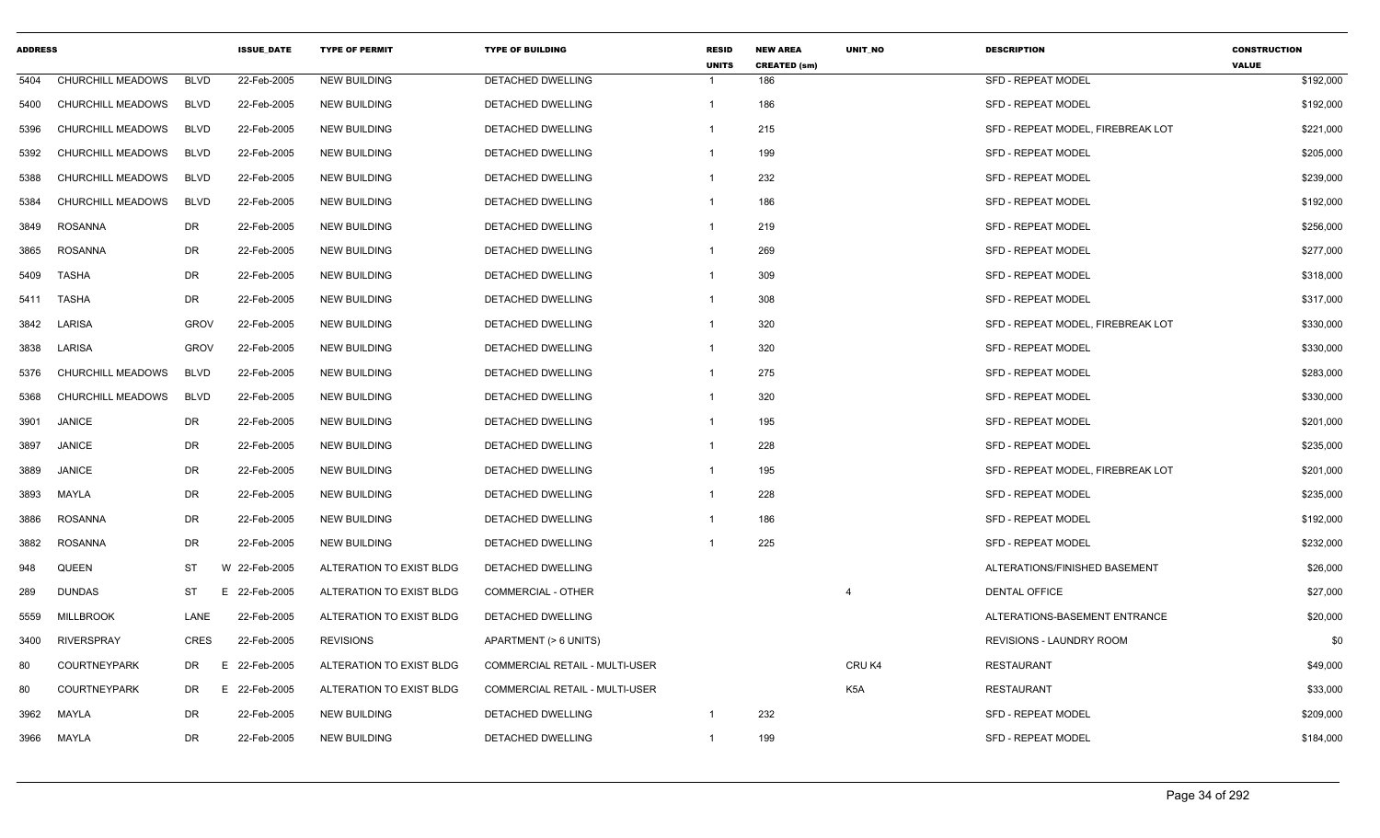| <b>ADDRESS</b> |                          |             | <b>ISSUE DATE</b> | <b>TYPE OF PERMIT</b>    | <b>TYPE OF BUILDING</b>               | <b>RESID</b><br><b>UNITS</b> | <b>NEW AREA</b><br><b>CREATED (sm)</b> | UNIT_NO          | <b>DESCRIPTION</b>                | <b>CONSTRUCTION</b><br><b>VALUE</b> |
|----------------|--------------------------|-------------|-------------------|--------------------------|---------------------------------------|------------------------------|----------------------------------------|------------------|-----------------------------------|-------------------------------------|
| 5404           | CHURCHILL MEADOWS        | <b>BLVD</b> | 22-Feb-2005       | <b>NEW BUILDING</b>      | DETACHED DWELLING                     | -1                           | 186                                    |                  | <b>SFD - REPEAT MODEL</b>         | \$192,000                           |
| 5400           | CHURCHILL MEADOWS        | <b>BLVD</b> | 22-Feb-2005       | <b>NEW BUILDING</b>      | DETACHED DWELLING                     | $\overline{1}$               | 186                                    |                  | <b>SFD - REPEAT MODEL</b>         | \$192,000                           |
| 5396           | CHURCHILL MEADOWS        | <b>BLVD</b> | 22-Feb-2005       | <b>NEW BUILDING</b>      | <b>DETACHED DWELLING</b>              | $\overline{\mathbf{1}}$      | 215                                    |                  | SFD - REPEAT MODEL, FIREBREAK LOT | \$221,000                           |
| 5392           | CHURCHILL MEADOWS        | <b>BLVD</b> | 22-Feb-2005       | <b>NEW BUILDING</b>      | DETACHED DWELLING                     | -1                           | 199                                    |                  | SFD - REPEAT MODEL                | \$205,000                           |
| 5388           | CHURCHILL MEADOWS        | <b>BLVD</b> | 22-Feb-2005       | <b>NEW BUILDING</b>      | DETACHED DWELLING                     | -1                           | 232                                    |                  | <b>SFD - REPEAT MODEL</b>         | \$239,000                           |
| 5384           | CHURCHILL MEADOWS        | <b>BLVD</b> | 22-Feb-2005       | <b>NEW BUILDING</b>      | DETACHED DWELLING                     | $\overline{1}$               | 186                                    |                  | <b>SFD - REPEAT MODEL</b>         | \$192,000                           |
| 3849           | <b>ROSANNA</b>           | <b>DR</b>   | 22-Feb-2005       | <b>NEW BUILDING</b>      | DETACHED DWELLING                     | $\overline{1}$               | 219                                    |                  | SFD - REPEAT MODEL                | \$256,000                           |
| 3865           | <b>ROSANNA</b>           | DR          | 22-Feb-2005       | <b>NEW BUILDING</b>      | DETACHED DWELLING                     | $\overline{1}$               | 269                                    |                  | SFD - REPEAT MODEL                | \$277,000                           |
| 5409           | <b>TASHA</b>             | <b>DR</b>   | 22-Feb-2005       | <b>NEW BUILDING</b>      | <b>DETACHED DWELLING</b>              | -1                           | 309                                    |                  | <b>SFD - REPEAT MODEL</b>         | \$318,000                           |
| 5411           | <b>TASHA</b>             | <b>DR</b>   | 22-Feb-2005       | <b>NEW BUILDING</b>      | <b>DETACHED DWELLING</b>              | -1                           | 308                                    |                  | <b>SFD - REPEAT MODEL</b>         | \$317,000                           |
| 3842           | LARISA                   | <b>GROV</b> | 22-Feb-2005       | <b>NEW BUILDING</b>      | DETACHED DWELLING                     | $\overline{1}$               | 320                                    |                  | SFD - REPEAT MODEL, FIREBREAK LOT | \$330,000                           |
| 3838           | LARISA                   | <b>GROV</b> | 22-Feb-2005       | <b>NEW BUILDING</b>      | DETACHED DWELLING                     | $\overline{1}$               | 320                                    |                  | SFD - REPEAT MODEL                | \$330,000                           |
| 5376           | <b>CHURCHILL MEADOWS</b> | <b>BLVD</b> | 22-Feb-2005       | <b>NEW BUILDING</b>      | DETACHED DWELLING                     | -1                           | 275                                    |                  | SFD - REPEAT MODEL                | \$283,000                           |
| 5368           | CHURCHILL MEADOWS        | <b>BLVD</b> | 22-Feb-2005       | <b>NEW BUILDING</b>      | DETACHED DWELLING                     | $\overline{\mathbf{1}}$      | 320                                    |                  | <b>SFD - REPEAT MODEL</b>         | \$330,000                           |
| 3901           | <b>JANICE</b>            | DR          | 22-Feb-2005       | <b>NEW BUILDING</b>      | DETACHED DWELLING                     | $\overline{1}$               | 195                                    |                  | <b>SFD - REPEAT MODEL</b>         | \$201,000                           |
| 3897           | <b>JANICE</b>            | DR          | 22-Feb-2005       | <b>NEW BUILDING</b>      | DETACHED DWELLING                     | $\overline{1}$               | 228                                    |                  | <b>SFD - REPEAT MODEL</b>         | \$235,000                           |
| 3889           | <b>JANICE</b>            | DR          | 22-Feb-2005       | <b>NEW BUILDING</b>      | DETACHED DWELLING                     | $\overline{1}$               | 195                                    |                  | SFD - REPEAT MODEL, FIREBREAK LOT | \$201,000                           |
| 3893           | MAYLA                    | DR          | 22-Feb-2005       | <b>NEW BUILDING</b>      | DETACHED DWELLING                     | $\overline{1}$               | 228                                    |                  | <b>SFD - REPEAT MODEL</b>         | \$235,000                           |
| 3886           | <b>ROSANNA</b>           | <b>DR</b>   | 22-Feb-2005       | <b>NEW BUILDING</b>      | DETACHED DWELLING                     | -1                           | 186                                    |                  | <b>SFD - REPEAT MODEL</b>         | \$192,000                           |
| 3882           | <b>ROSANNA</b>           | DR          | 22-Feb-2005       | <b>NEW BUILDING</b>      | DETACHED DWELLING                     |                              | 225                                    |                  | SFD - REPEAT MODEL                | \$232,000                           |
| 948            | <b>QUEEN</b>             | <b>ST</b>   | W 22-Feb-2005     | ALTERATION TO EXIST BLDG | DETACHED DWELLING                     |                              |                                        |                  | ALTERATIONS/FINISHED BASEMENT     | \$26,000                            |
| 289            | <b>DUNDAS</b>            | <b>ST</b>   | E.<br>22-Feb-2005 | ALTERATION TO EXIST BLDG | COMMERCIAL - OTHER                    |                              |                                        | $\overline{4}$   | DENTAL OFFICE                     | \$27,000                            |
| 5559           | <b>MILLBROOK</b>         | LANE        | 22-Feb-2005       | ALTERATION TO EXIST BLDG | DETACHED DWELLING                     |                              |                                        |                  | ALTERATIONS-BASEMENT ENTRANCE     | \$20,000                            |
| 3400           | <b>RIVERSPRAY</b>        | <b>CRES</b> | 22-Feb-2005       | <b>REVISIONS</b>         | APARTMENT (> 6 UNITS)                 |                              |                                        |                  | REVISIONS - LAUNDRY ROOM          | \$0                                 |
| 80             | <b>COURTNEYPARK</b>      | DR          | 22-Feb-2005<br>Ε  | ALTERATION TO EXIST BLDG | COMMERCIAL RETAIL - MULTI-USER        |                              |                                        | CRUK4            | <b>RESTAURANT</b>                 | \$49,000                            |
| 80             | <b>COURTNEYPARK</b>      | DR.         | E 22-Feb-2005     | ALTERATION TO EXIST BLDG | <b>COMMERCIAL RETAIL - MULTI-USER</b> |                              |                                        | K <sub>5</sub> A | <b>RESTAURANT</b>                 | \$33,000                            |
| 3962           | <b>MAYLA</b>             | <b>DR</b>   | 22-Feb-2005       | <b>NEW BUILDING</b>      | DETACHED DWELLING                     | $\overline{\mathbf{1}}$      | 232                                    |                  | <b>SFD - REPEAT MODEL</b>         | \$209,000                           |
| 3966           | MAYLA                    | DR          | 22-Feb-2005       | <b>NEW BUILDING</b>      | DETACHED DWELLING                     | -1                           | 199                                    |                  | <b>SFD - REPEAT MODEL</b>         | \$184,000                           |
|                |                          |             |                   |                          |                                       |                              |                                        |                  |                                   |                                     |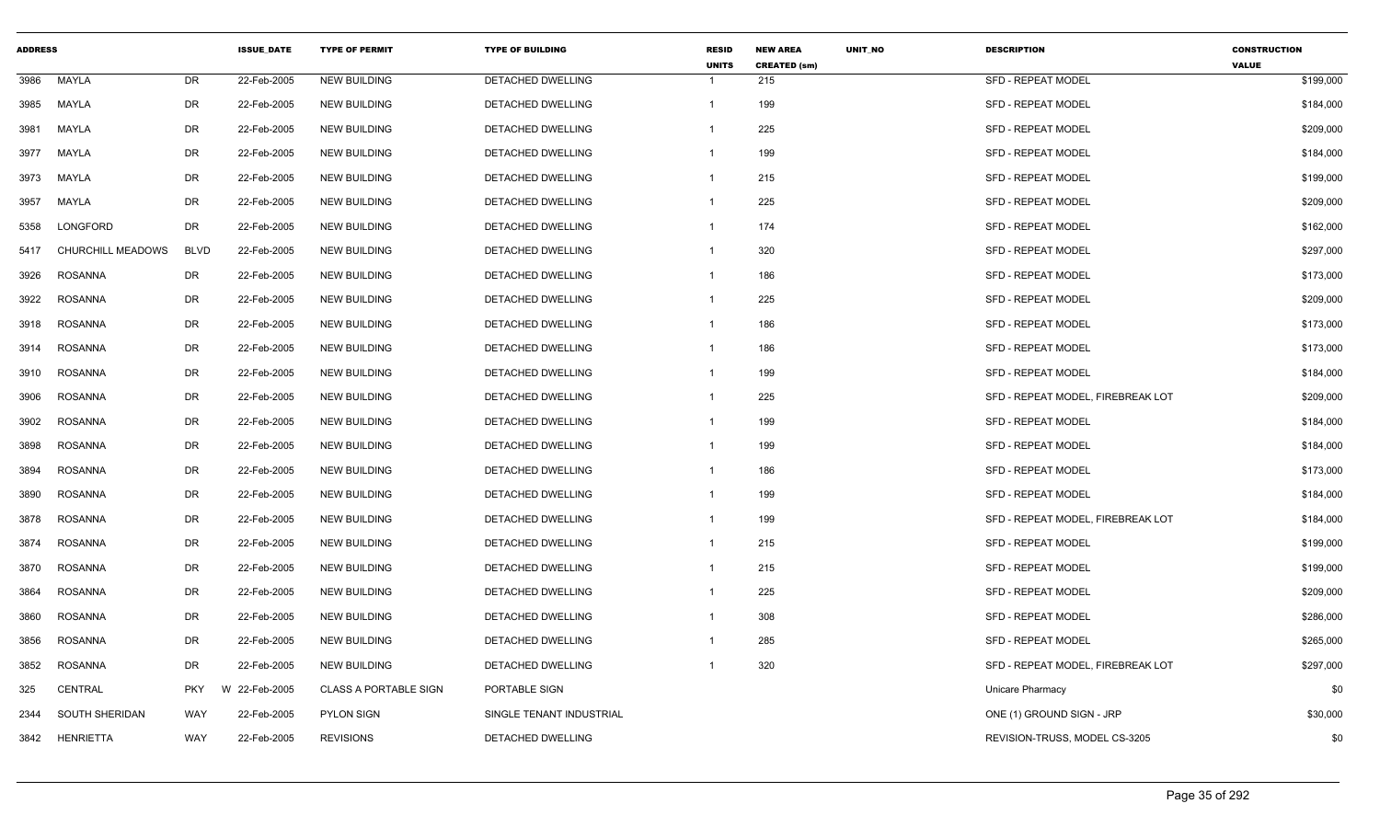| <b>ADDRESS</b> |                       |             | <b>ISSUE DATE</b> | <b>TYPE OF PERMIT</b>        | <b>TYPE OF BUILDING</b>  | <b>RESID</b><br><b>UNITS</b> | <b>NEW AREA</b><br><b>CREATED (sm)</b> | UNIT_NO | <b>DESCRIPTION</b>                | <b>CONSTRUCTION</b><br><b>VALUE</b> |
|----------------|-----------------------|-------------|-------------------|------------------------------|--------------------------|------------------------------|----------------------------------------|---------|-----------------------------------|-------------------------------------|
| 3986           | MAYLA                 | DR          | 22-Feb-2005       | <b>NEW BUILDING</b>          | DETACHED DWELLING        | $\overline{1}$               | 215                                    |         | <b>SFD - REPEAT MODEL</b>         | \$199,000                           |
| 3985           | MAYLA                 | DR          | 22-Feb-2005       | <b>NEW BUILDING</b>          | DETACHED DWELLING        | $\mathbf{1}$                 | 199                                    |         | SFD - REPEAT MODEL                | \$184,000                           |
| 3981           | MAYLA                 | <b>DR</b>   | 22-Feb-2005       | <b>NEW BUILDING</b>          | <b>DETACHED DWELLING</b> | $\mathbf 1$                  | 225                                    |         | <b>SFD - REPEAT MODEL</b>         | \$209,000                           |
| 3977           | MAYLA                 | DR          | 22-Feb-2005       | <b>NEW BUILDING</b>          | <b>DETACHED DWELLING</b> | $\mathbf 1$                  | 199                                    |         | <b>SFD - REPEAT MODEL</b>         | \$184,000                           |
| 3973           | MAYLA                 | DR          | 22-Feb-2005       | <b>NEW BUILDING</b>          | DETACHED DWELLING        | $\mathbf{1}$                 | 215                                    |         | <b>SFD - REPEAT MODEL</b>         | \$199,000                           |
| 3957           | MAYLA                 | DR          | 22-Feb-2005       | <b>NEW BUILDING</b>          | <b>DETACHED DWELLING</b> | $\overline{1}$               | 225                                    |         | <b>SFD - REPEAT MODEL</b>         | \$209,000                           |
| 5358           | LONGFORD              | <b>DR</b>   | 22-Feb-2005       | <b>NEW BUILDING</b>          | <b>DETACHED DWELLING</b> | -1                           | 174                                    |         | <b>SFD - REPEAT MODEL</b>         | \$162,000                           |
| 5417           | CHURCHILL MEADOWS     | <b>BLVD</b> | 22-Feb-2005       | <b>NEW BUILDING</b>          | <b>DETACHED DWELLING</b> | $\mathbf{1}$                 | 320                                    |         | <b>SFD - REPEAT MODEL</b>         | \$297,000                           |
| 3926           | <b>ROSANNA</b>        | DR          | 22-Feb-2005       | <b>NEW BUILDING</b>          | DETACHED DWELLING        | -1                           | 186                                    |         | <b>SFD - REPEAT MODEL</b>         | \$173,000                           |
| 3922           | <b>ROSANNA</b>        | <b>DR</b>   | 22-Feb-2005       | <b>NEW BUILDING</b>          | DETACHED DWELLING        | $\mathbf 1$                  | 225                                    |         | <b>SFD - REPEAT MODEL</b>         | \$209,000                           |
| 3918           | ROSANNA               | <b>DR</b>   | 22-Feb-2005       | <b>NEW BUILDING</b>          | DETACHED DWELLING        | -1                           | 186                                    |         | <b>SFD - REPEAT MODEL</b>         | \$173,000                           |
| 3914           | <b>ROSANNA</b>        | DR          | 22-Feb-2005       | <b>NEW BUILDING</b>          | <b>DETACHED DWELLING</b> | $\mathbf 1$                  | 186                                    |         | <b>SFD - REPEAT MODEL</b>         | \$173,000                           |
| 3910           | ROSANNA               | <b>DR</b>   | 22-Feb-2005       | <b>NEW BUILDING</b>          | DETACHED DWELLING        | -1                           | 199                                    |         | <b>SFD - REPEAT MODEL</b>         | \$184,000                           |
| 3906           | <b>ROSANNA</b>        | DR          | 22-Feb-2005       | <b>NEW BUILDING</b>          | DETACHED DWELLING        | -1                           | 225                                    |         | SFD - REPEAT MODEL, FIREBREAK LOT | \$209,000                           |
| 3902           | <b>ROSANNA</b>        | DR          | 22-Feb-2005       | <b>NEW BUILDING</b>          | <b>DETACHED DWELLING</b> | $\mathbf 1$                  | 199                                    |         | <b>SFD - REPEAT MODEL</b>         | \$184,000                           |
| 3898           | <b>ROSANNA</b>        | <b>DR</b>   | 22-Feb-2005       | <b>NEW BUILDING</b>          | DETACHED DWELLING        | -1                           | 199                                    |         | <b>SFD - REPEAT MODEL</b>         | \$184,000                           |
| 3894           | <b>ROSANNA</b>        | <b>DR</b>   | 22-Feb-2005       | <b>NEW BUILDING</b>          | <b>DETACHED DWELLING</b> | $\mathbf{1}$                 | 186                                    |         | <b>SFD - REPEAT MODEL</b>         | \$173,000                           |
| 3890           | <b>ROSANNA</b>        | DR          | 22-Feb-2005       | <b>NEW BUILDING</b>          | DETACHED DWELLING        | $\mathbf{1}$                 | 199                                    |         | <b>SFD - REPEAT MODEL</b>         | \$184,000                           |
| 3878           | ROSANNA               | DR          | 22-Feb-2005       | <b>NEW BUILDING</b>          | DETACHED DWELLING        | $\mathbf 1$                  | 199                                    |         | SFD - REPEAT MODEL, FIREBREAK LOT | \$184,000                           |
| 3874           | <b>ROSANNA</b>        | <b>DR</b>   | 22-Feb-2005       | <b>NEW BUILDING</b>          | <b>DETACHED DWELLING</b> | -1                           | 215                                    |         | <b>SFD - REPEAT MODEL</b>         | \$199,000                           |
| 3870           | <b>ROSANNA</b>        | <b>DR</b>   | 22-Feb-2005       | <b>NEW BUILDING</b>          | <b>DETACHED DWELLING</b> | -1                           | 215                                    |         | <b>SFD - REPEAT MODEL</b>         | \$199,000                           |
| 3864           | <b>ROSANNA</b>        | <b>DR</b>   | 22-Feb-2005       | <b>NEW BUILDING</b>          | <b>DETACHED DWELLING</b> | $\mathbf 1$                  | 225                                    |         | <b>SFD - REPEAT MODEL</b>         | \$209,000                           |
| 3860           | <b>ROSANNA</b>        | DR          | 22-Feb-2005       | <b>NEW BUILDING</b>          | <b>DETACHED DWELLING</b> | -1                           | 308                                    |         | <b>SFD - REPEAT MODEL</b>         | \$286,000                           |
| 3856           | <b>ROSANNA</b>        | <b>DR</b>   | 22-Feb-2005       | <b>NEW BUILDING</b>          | <b>DETACHED DWELLING</b> | $\overline{1}$               | 285                                    |         | <b>SFD - REPEAT MODEL</b>         | \$265,000                           |
| 3852           | <b>ROSANNA</b>        | <b>DR</b>   | 22-Feb-2005       | <b>NEW BUILDING</b>          | <b>DETACHED DWELLING</b> | -1                           | 320                                    |         | SFD - REPEAT MODEL, FIREBREAK LOT | \$297,000                           |
| 325            | CENTRAL               | <b>PKY</b>  | W 22-Feb-2005     | <b>CLASS A PORTABLE SIGN</b> | PORTABLE SIGN            |                              |                                        |         | Unicare Pharmacy                  | \$0                                 |
| 2344           | <b>SOUTH SHERIDAN</b> | WAY         | 22-Feb-2005       | <b>PYLON SIGN</b>            | SINGLE TENANT INDUSTRIAL |                              |                                        |         | ONE (1) GROUND SIGN - JRP         | \$30,000                            |
| 3842           | <b>HENRIETTA</b>      | WAY         | 22-Feb-2005       | <b>REVISIONS</b>             | DETACHED DWELLING        |                              |                                        |         | REVISION-TRUSS, MODEL CS-3205     | \$0                                 |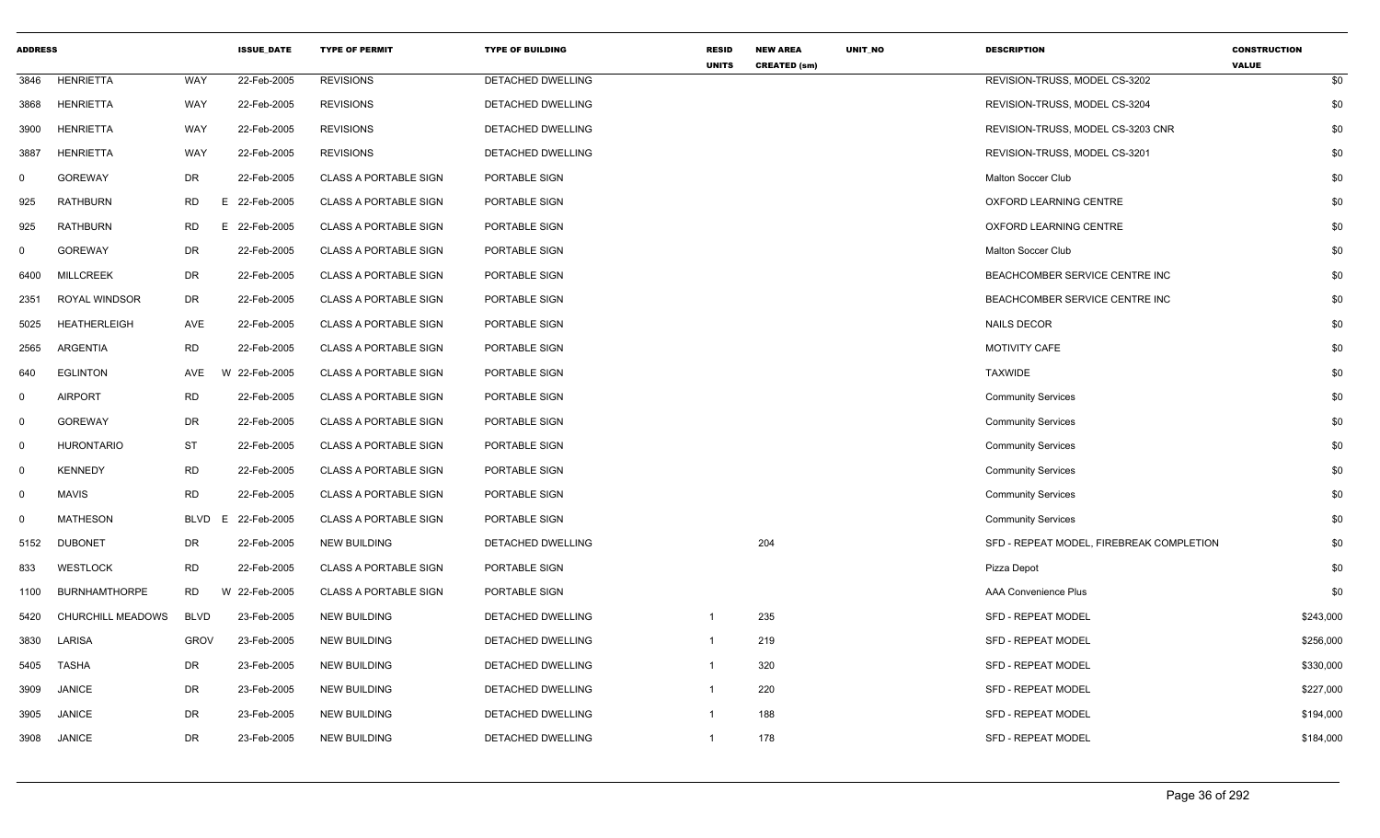| <b>ADDRESS</b> |                      |             | <b>ISSUE DATE</b> | <b>TYPE OF PERMIT</b>        | <b>TYPE OF BUILDING</b> | <b>RESID</b><br><b>UNITS</b> | <b>NEW AREA</b><br><b>CREATED (sm)</b> | UNIT_NO | <b>DESCRIPTION</b>                       | <b>CONSTRUCTION</b><br><b>VALUE</b> |
|----------------|----------------------|-------------|-------------------|------------------------------|-------------------------|------------------------------|----------------------------------------|---------|------------------------------------------|-------------------------------------|
| 3846           | <b>HENRIETTA</b>     | WAY         | 22-Feb-2005       | <b>REVISIONS</b>             | DETACHED DWELLING       |                              |                                        |         | REVISION-TRUSS, MODEL CS-3202            | \$0                                 |
| 3868           | <b>HENRIETTA</b>     | WAY         | 22-Feb-2005       | <b>REVISIONS</b>             | DETACHED DWELLING       |                              |                                        |         | REVISION-TRUSS, MODEL CS-3204            | \$0                                 |
| 3900           | <b>HENRIETTA</b>     | WAY         | 22-Feb-2005       | <b>REVISIONS</b>             | DETACHED DWELLING       |                              |                                        |         | REVISION-TRUSS, MODEL CS-3203 CNR        | \$0                                 |
| 3887           | <b>HENRIETTA</b>     | WAY         | 22-Feb-2005       | <b>REVISIONS</b>             | DETACHED DWELLING       |                              |                                        |         | REVISION-TRUSS, MODEL CS-3201            | \$0                                 |
| $\mathbf 0$    | <b>GOREWAY</b>       | <b>DR</b>   | 22-Feb-2005       | <b>CLASS A PORTABLE SIGN</b> | PORTABLE SIGN           |                              |                                        |         | Malton Soccer Club                       | \$0                                 |
| 925            | <b>RATHBURN</b>      | <b>RD</b>   | E 22-Feb-2005     | <b>CLASS A PORTABLE SIGN</b> | PORTABLE SIGN           |                              |                                        |         | OXFORD LEARNING CENTRE                   | \$0                                 |
| 925            | RATHBURN             | <b>RD</b>   | 22-Feb-2005<br>Е. | <b>CLASS A PORTABLE SIGN</b> | PORTABLE SIGN           |                              |                                        |         | OXFORD LEARNING CENTRE                   | \$0                                 |
| $\mathbf 0$    | <b>GOREWAY</b>       | DR          | 22-Feb-2005       | <b>CLASS A PORTABLE SIGN</b> | PORTABLE SIGN           |                              |                                        |         | Malton Soccer Club                       | \$0                                 |
| 6400           | <b>MILLCREEK</b>     | DR          | 22-Feb-2005       | <b>CLASS A PORTABLE SIGN</b> | PORTABLE SIGN           |                              |                                        |         | BEACHCOMBER SERVICE CENTRE INC           | \$0                                 |
| 2351           | ROYAL WINDSOR        | DR          | 22-Feb-2005       | <b>CLASS A PORTABLE SIGN</b> | PORTABLE SIGN           |                              |                                        |         | BEACHCOMBER SERVICE CENTRE INC           | \$0                                 |
| 5025           | <b>HEATHERLEIGH</b>  | AVE         | 22-Feb-2005       | <b>CLASS A PORTABLE SIGN</b> | PORTABLE SIGN           |                              |                                        |         | <b>NAILS DECOR</b>                       | \$0                                 |
| 2565           | <b>ARGENTIA</b>      | <b>RD</b>   | 22-Feb-2005       | <b>CLASS A PORTABLE SIGN</b> | PORTABLE SIGN           |                              |                                        |         | MOTIVITY CAFE                            | \$0                                 |
| 640            | <b>EGLINTON</b>      | AVE         | W 22-Feb-2005     | <b>CLASS A PORTABLE SIGN</b> | PORTABLE SIGN           |                              |                                        |         | <b>TAXWIDE</b>                           | \$0                                 |
| $\mathbf 0$    | <b>AIRPORT</b>       | <b>RD</b>   | 22-Feb-2005       | <b>CLASS A PORTABLE SIGN</b> | PORTABLE SIGN           |                              |                                        |         | <b>Community Services</b>                | \$0                                 |
| $\mathbf 0$    | <b>GOREWAY</b>       | DR          | 22-Feb-2005       | <b>CLASS A PORTABLE SIGN</b> | PORTABLE SIGN           |                              |                                        |         | <b>Community Services</b>                | \$0                                 |
| $\mathbf 0$    | <b>HURONTARIO</b>    | ST          | 22-Feb-2005       | <b>CLASS A PORTABLE SIGN</b> | PORTABLE SIGN           |                              |                                        |         | <b>Community Services</b>                | \$0                                 |
| $\mathbf{0}$   | <b>KENNEDY</b>       | <b>RD</b>   | 22-Feb-2005       | <b>CLASS A PORTABLE SIGN</b> | PORTABLE SIGN           |                              |                                        |         | <b>Community Services</b>                | \$0                                 |
| $\mathbf 0$    | <b>MAVIS</b>         | <b>RD</b>   | 22-Feb-2005       | <b>CLASS A PORTABLE SIGN</b> | PORTABLE SIGN           |                              |                                        |         | <b>Community Services</b>                | \$0                                 |
| $\mathbf 0$    | <b>MATHESON</b>      | <b>BLVD</b> | 22-Feb-2005<br>E  | <b>CLASS A PORTABLE SIGN</b> | PORTABLE SIGN           |                              |                                        |         | <b>Community Services</b>                | \$0                                 |
| 5152           | <b>DUBONET</b>       | DR          | 22-Feb-2005       | <b>NEW BUILDING</b>          | DETACHED DWELLING       |                              | 204                                    |         | SFD - REPEAT MODEL, FIREBREAK COMPLETION | \$0                                 |
| 833            | <b>WESTLOCK</b>      | <b>RD</b>   | 22-Feb-2005       | <b>CLASS A PORTABLE SIGN</b> | PORTABLE SIGN           |                              |                                        |         | Pizza Depot                              | \$0                                 |
| 1100           | <b>BURNHAMTHORPE</b> | <b>RD</b>   | W 22-Feb-2005     | <b>CLASS A PORTABLE SIGN</b> | PORTABLE SIGN           |                              |                                        |         | <b>AAA Convenience Plus</b>              | \$0                                 |
| 5420           | CHURCHILL MEADOWS    | <b>BLVD</b> | 23-Feb-2005       | <b>NEW BUILDING</b>          | DETACHED DWELLING       | -1                           | 235                                    |         | <b>SFD - REPEAT MODEL</b>                | \$243,000                           |
| 3830           | LARISA               | <b>GROV</b> | 23-Feb-2005       | <b>NEW BUILDING</b>          | DETACHED DWELLING       | $\mathbf{1}$                 | 219                                    |         | <b>SFD - REPEAT MODEL</b>                | \$256,000                           |
| 5405           | <b>TASHA</b>         | DR          | 23-Feb-2005       | <b>NEW BUILDING</b>          | DETACHED DWELLING       | $\mathbf{1}$                 | 320                                    |         | SFD - REPEAT MODEL                       | \$330,000                           |
| 3909           | <b>JANICE</b>        | DR          | 23-Feb-2005       | <b>NEW BUILDING</b>          | DETACHED DWELLING       | $\overline{1}$               | 220                                    |         | <b>SFD - REPEAT MODEL</b>                | \$227,000                           |
| 3905           | <b>JANICE</b>        | DR          | 23-Feb-2005       | <b>NEW BUILDING</b>          | DETACHED DWELLING       | -1                           | 188                                    |         | SFD - REPEAT MODEL                       | \$194,000                           |
| 3908           | <b>JANICE</b>        | <b>DR</b>   | 23-Feb-2005       | <b>NEW BUILDING</b>          | DETACHED DWELLING       | $\overline{1}$               | 178                                    |         | SFD - REPEAT MODEL                       | \$184,000                           |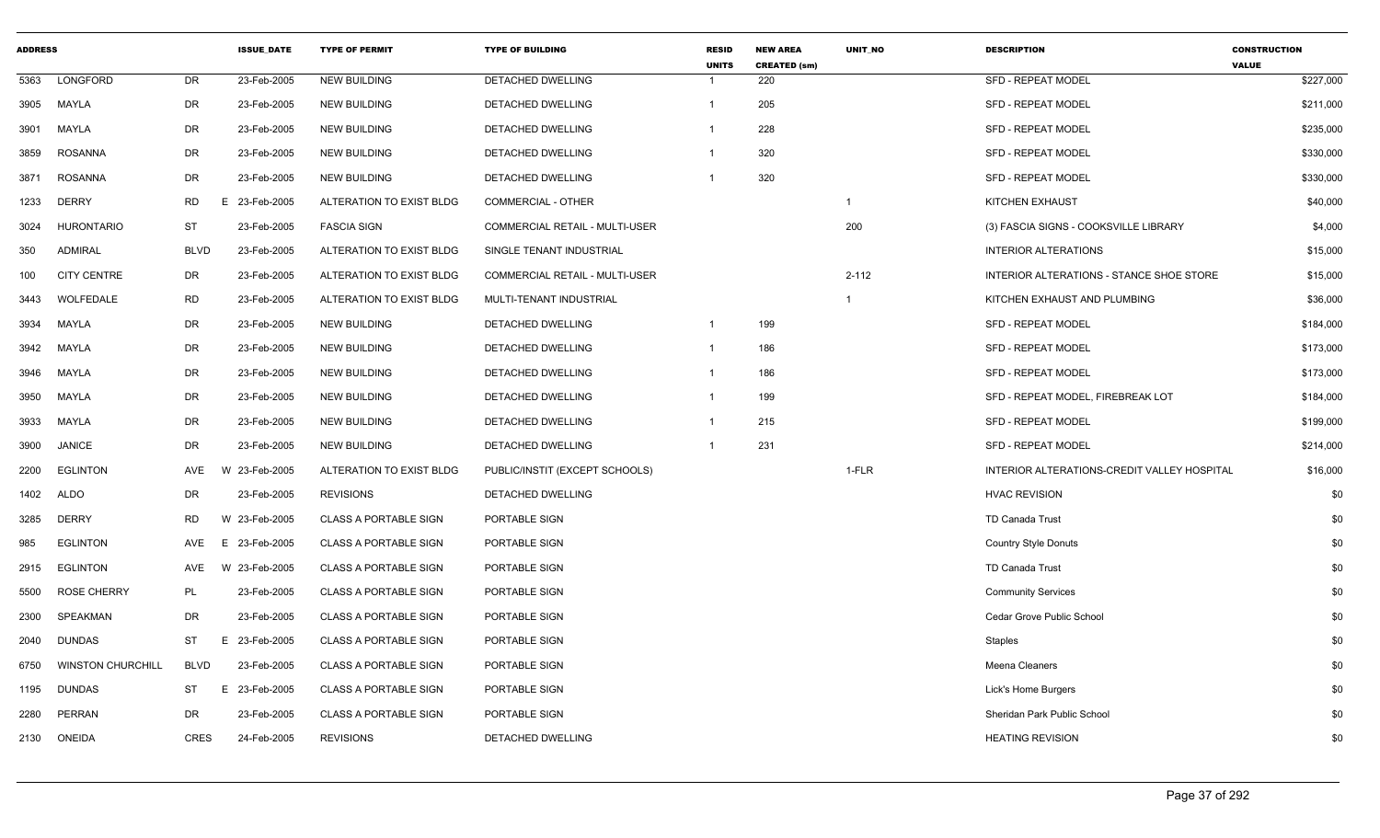| <b>ADDRESS</b> |                          |                | <b>ISSUE DATE</b> | <b>TYPE OF PERMIT</b>        | <b>TYPE OF BUILDING</b>        | <b>RESID</b><br><b>UNITS</b> | <b>NEW AREA</b><br><b>CREATED (sm)</b> | <b>UNIT NO</b> | <b>DESCRIPTION</b>                          | <b>CONSTRUCTION</b><br><b>VALUE</b> |
|----------------|--------------------------|----------------|-------------------|------------------------------|--------------------------------|------------------------------|----------------------------------------|----------------|---------------------------------------------|-------------------------------------|
| 5363           | LONGFORD                 | <b>DR</b>      | 23-Feb-2005       | <b>NEW BUILDING</b>          | DETACHED DWELLING              | -1                           | 220                                    |                | <b>SFD - REPEAT MODEL</b>                   | \$227,000                           |
| 3905           | <b>MAYLA</b>             | DR             | 23-Feb-2005       | <b>NEW BUILDING</b>          | DETACHED DWELLING              | $\mathbf 1$                  | 205                                    |                | <b>SFD - REPEAT MODEL</b>                   | \$211,000                           |
| 3901           | MAYLA                    | DR             | 23-Feb-2005       | <b>NEW BUILDING</b>          | <b>DETACHED DWELLING</b>       | -1                           | 228                                    |                | <b>SFD - REPEAT MODEL</b>                   | \$235,000                           |
| 3859           | <b>ROSANNA</b>           | DR             | 23-Feb-2005       | <b>NEW BUILDING</b>          | <b>DETACHED DWELLING</b>       | -1                           | 320                                    |                | <b>SFD - REPEAT MODEL</b>                   | \$330,000                           |
| 3871           | ROSANNA                  | DR             | 23-Feb-2005       | <b>NEW BUILDING</b>          | DETACHED DWELLING              | $\mathbf 1$                  | 320                                    |                | <b>SFD - REPEAT MODEL</b>                   | \$330,000                           |
| 1233           | <b>DERRY</b>             | <b>RD</b><br>E | 23-Feb-2005       | ALTERATION TO EXIST BLDG     | <b>COMMERCIAL - OTHER</b>      |                              |                                        | -1             | <b>KITCHEN EXHAUST</b>                      | \$40,000                            |
| 3024           | <b>HURONTARIO</b>        | <b>ST</b>      | 23-Feb-2005       | <b>FASCIA SIGN</b>           | COMMERCIAL RETAIL - MULTI-USER |                              |                                        | 200            | (3) FASCIA SIGNS - COOKSVILLE LIBRARY       | \$4,000                             |
| 350            | <b>ADMIRAL</b>           | <b>BLVD</b>    | 23-Feb-2005       | ALTERATION TO EXIST BLDG     | SINGLE TENANT INDUSTRIAL       |                              |                                        |                | <b>INTERIOR ALTERATIONS</b>                 | \$15,000                            |
| 100            | <b>CITY CENTRE</b>       | DR             | 23-Feb-2005       | ALTERATION TO EXIST BLDG     | COMMERCIAL RETAIL - MULTI-USER |                              |                                        | $2 - 112$      | INTERIOR ALTERATIONS - STANCE SHOE STORE    | \$15,000                            |
| 3443           | WOLFEDALE                | <b>RD</b>      | 23-Feb-2005       | ALTERATION TO EXIST BLDG     | MULTI-TENANT INDUSTRIAL        |                              |                                        | $\mathbf 1$    | KITCHEN EXHAUST AND PLUMBING                | \$36,000                            |
| 3934           | MAYLA                    | DR             | 23-Feb-2005       | <b>NEW BUILDING</b>          | DETACHED DWELLING              | -1                           | 199                                    |                | SFD - REPEAT MODEL                          | \$184,000                           |
| 3942           | <b>MAYLA</b>             | DR             | 23-Feb-2005       | <b>NEW BUILDING</b>          | <b>DETACHED DWELLING</b>       | $\mathbf{1}$                 | 186                                    |                | <b>SFD - REPEAT MODEL</b>                   | \$173,000                           |
| 3946           | MAYLA                    | DR             | 23-Feb-2005       | <b>NEW BUILDING</b>          | <b>DETACHED DWELLING</b>       | -1                           | 186                                    |                | <b>SFD - REPEAT MODEL</b>                   | \$173,000                           |
| 3950           | MAYLA                    | DR             | 23-Feb-2005       | <b>NEW BUILDING</b>          | DETACHED DWELLING              |                              | 199                                    |                | SFD - REPEAT MODEL, FIREBREAK LOT           | \$184,000                           |
| 3933           | MAYLA                    | DR             | 23-Feb-2005       | <b>NEW BUILDING</b>          | DETACHED DWELLING              | $\mathbf 1$                  | 215                                    |                | <b>SFD - REPEAT MODEL</b>                   | \$199,000                           |
| 3900           | <b>JANICE</b>            | <b>DR</b>      | 23-Feb-2005       | NEW BUILDING                 | DETACHED DWELLING              | $\overline{1}$               | 231                                    |                | SFD - REPEAT MODEL                          | \$214,000                           |
| 2200           | <b>EGLINTON</b>          | AVE            | 23-Feb-2005       | ALTERATION TO EXIST BLDG     | PUBLIC/INSTIT (EXCEPT SCHOOLS) |                              |                                        | 1-FLR          | INTERIOR ALTERATIONS-CREDIT VALLEY HOSPITAL | \$16,000                            |
| 1402           | ALDO                     | <b>DR</b>      | 23-Feb-2005       | <b>REVISIONS</b>             | DETACHED DWELLING              |                              |                                        |                | <b>HVAC REVISION</b>                        | \$0                                 |
| 3285           | <b>DERRY</b>             | <b>RD</b>      | W<br>23-Feb-2005  | <b>CLASS A PORTABLE SIGN</b> | PORTABLE SIGN                  |                              |                                        |                | TD Canada Trust                             | \$0                                 |
| 985            | <b>EGLINTON</b>          | AVE            | E<br>23-Feb-2005  | <b>CLASS A PORTABLE SIGN</b> | PORTABLE SIGN                  |                              |                                        |                | <b>Country Style Donuts</b>                 | \$0                                 |
| 2915           | <b>EGLINTON</b>          | AVE            | W 23-Feb-2005     | <b>CLASS A PORTABLE SIGN</b> | PORTABLE SIGN                  |                              |                                        |                | <b>TD Canada Trust</b>                      | \$0                                 |
| 5500           | <b>ROSE CHERRY</b>       | <b>PL</b>      | 23-Feb-2005       | <b>CLASS A PORTABLE SIGN</b> | PORTABLE SIGN                  |                              |                                        |                | <b>Community Services</b>                   | \$0                                 |
| 2300           | <b>SPEAKMAN</b>          | DR             | 23-Feb-2005       | <b>CLASS A PORTABLE SIGN</b> | PORTABLE SIGN                  |                              |                                        |                | Cedar Grove Public School                   | \$0                                 |
| 2040           | <b>DUNDAS</b>            | ST<br>Ε        | 23-Feb-2005       | <b>CLASS A PORTABLE SIGN</b> | PORTABLE SIGN                  |                              |                                        |                | Staples                                     | \$0                                 |
| 6750           | <b>WINSTON CHURCHILL</b> | <b>BLVD</b>    | 23-Feb-2005       | <b>CLASS A PORTABLE SIGN</b> | PORTABLE SIGN                  |                              |                                        |                | Meena Cleaners                              | \$0                                 |
| 1195           | <b>DUNDAS</b>            | ST             | 23-Feb-2005<br>E. | <b>CLASS A PORTABLE SIGN</b> | PORTABLE SIGN                  |                              |                                        |                | Lick's Home Burgers                         | \$0                                 |
| 2280           | PERRAN                   | DR.            | 23-Feb-2005       | <b>CLASS A PORTABLE SIGN</b> | PORTABLE SIGN                  |                              |                                        |                | Sheridan Park Public School                 | \$0                                 |
| 2130           | <b>ONEIDA</b>            | <b>CRES</b>    | 24-Feb-2005       | <b>REVISIONS</b>             | DETACHED DWELLING              |                              |                                        |                | <b>HEATING REVISION</b>                     | \$0                                 |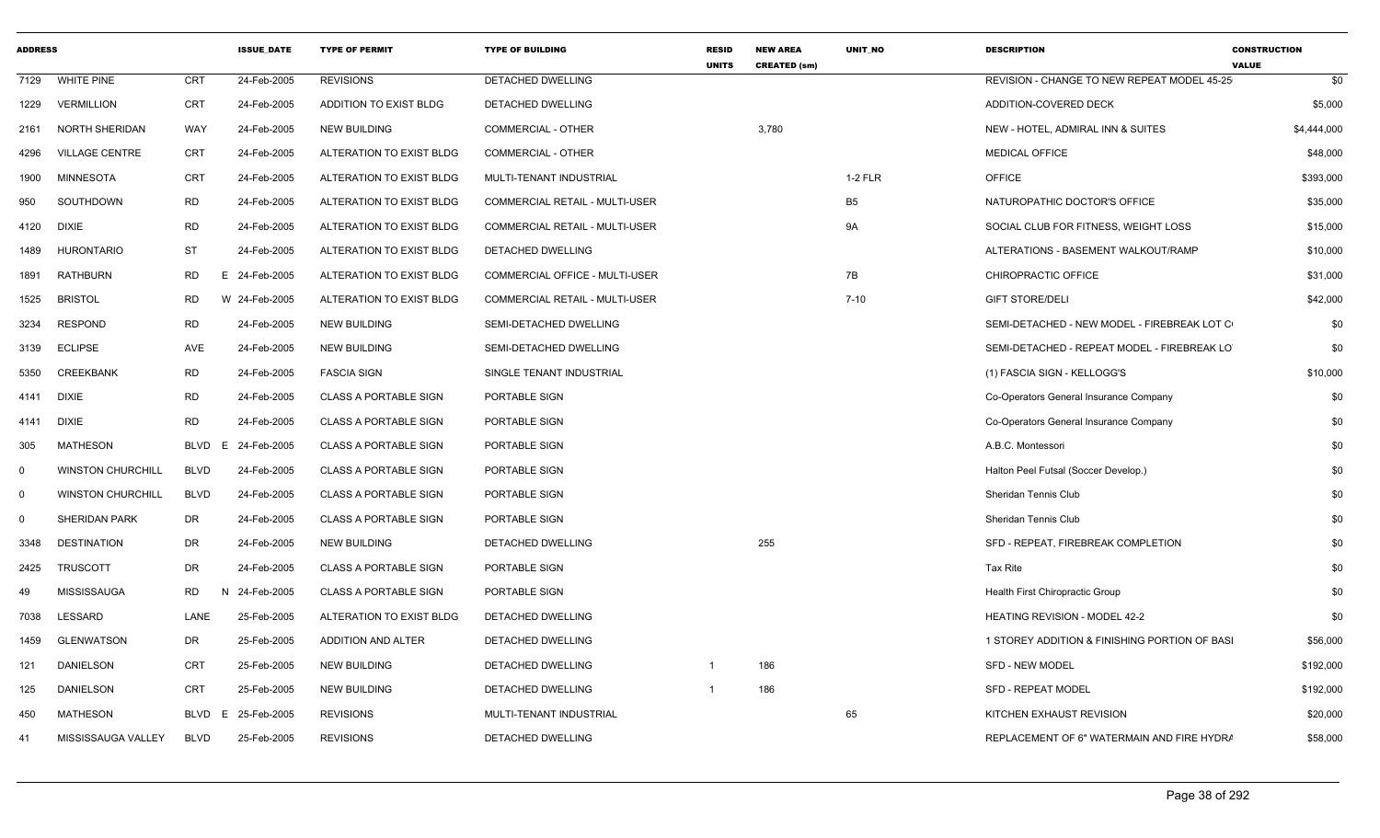| <b>ADDRESS</b> |                          |                   | <b>ISSUE DATE</b> | <b>TYPE OF PERMIT</b>        | <b>TYPE OF BUILDING</b>               | <b>RESID</b><br><b>UNITS</b> | <b>NEW AREA</b><br><b>CREATED (sm)</b> | <b>UNIT NO</b> | <b>DESCRIPTION</b>                            | <b>CONSTRUCTION</b><br><b>VALUE</b> |
|----------------|--------------------------|-------------------|-------------------|------------------------------|---------------------------------------|------------------------------|----------------------------------------|----------------|-----------------------------------------------|-------------------------------------|
| 7129           | <b>WHITE PINE</b>        | <b>CRT</b>        | 24-Feb-2005       | <b>REVISIONS</b>             | <b>DETACHED DWELLING</b>              |                              |                                        |                | REVISION - CHANGE TO NEW REPEAT MODEL 45-25   | \$0                                 |
| 1229           | <b>VERMILLION</b>        | <b>CRT</b>        | 24-Feb-2005       | ADDITION TO EXIST BLDG       | DETACHED DWELLING                     |                              |                                        |                | ADDITION-COVERED DECK                         | \$5,000                             |
| 2161           | NORTH SHERIDAN           | WAY               | 24-Feb-2005       | <b>NEW BUILDING</b>          | <b>COMMERCIAL - OTHER</b>             |                              | 3,780                                  |                | NEW - HOTEL, ADMIRAL INN & SUITES             | \$4,444,000                         |
| 4296           | <b>VILLAGE CENTRE</b>    | CRT               | 24-Feb-2005       | ALTERATION TO EXIST BLDG     | COMMERCIAL - OTHER                    |                              |                                        |                | <b>MEDICAL OFFICE</b>                         | \$48,000                            |
| 1900           | <b>MINNESOTA</b>         | CRT               | 24-Feb-2005       | ALTERATION TO EXIST BLDG     | MULTI-TENANT INDUSTRIAL               |                              |                                        | <b>1-2 FLR</b> | <b>OFFICE</b>                                 | \$393,000                           |
| 950            | SOUTHDOWN                | <b>RD</b>         | 24-Feb-2005       | ALTERATION TO EXIST BLDG     | <b>COMMERCIAL RETAIL - MULTI-USER</b> |                              |                                        | B <sub>5</sub> | NATUROPATHIC DOCTOR'S OFFICE                  | \$35,000                            |
| 4120           | DIXIE                    | <b>RD</b>         | 24-Feb-2005       | ALTERATION TO EXIST BLDG     | <b>COMMERCIAL RETAIL - MULTI-USER</b> |                              |                                        | 9A             | SOCIAL CLUB FOR FITNESS, WEIGHT LOSS          | \$15,000                            |
| 1489           | <b>HURONTARIO</b>        | <b>ST</b>         | 24-Feb-2005       | ALTERATION TO EXIST BLDG     | DETACHED DWELLING                     |                              |                                        |                | ALTERATIONS - BASEMENT WALKOUT/RAMP           | \$10,000                            |
| 1891           | <b>RATHBURN</b>          | RD<br>E.          | 24-Feb-2005       | ALTERATION TO EXIST BLDG     | COMMERCIAL OFFICE - MULTI-USER        |                              |                                        | 7B             | CHIROPRACTIC OFFICE                           | \$31,000                            |
| 1525           | <b>BRISTOL</b>           | <b>RD</b>         | W 24-Feb-2005     | ALTERATION TO EXIST BLDG     | <b>COMMERCIAL RETAIL - MULTI-USER</b> |                              |                                        | $7 - 10$       | <b>GIFT STORE/DELI</b>                        | \$42,000                            |
| 3234           | <b>RESPOND</b>           | <b>RD</b>         | 24-Feb-2005       | <b>NEW BUILDING</b>          | SEMI-DETACHED DWELLING                |                              |                                        |                | SEMI-DETACHED - NEW MODEL - FIREBREAK LOT C   | \$0                                 |
| 3139           | <b>ECLIPSE</b>           | AVE               | 24-Feb-2005       | <b>NEW BUILDING</b>          | SEMI-DETACHED DWELLING                |                              |                                        |                | SEMI-DETACHED - REPEAT MODEL - FIREBREAK LO   | \$0                                 |
| 5350           | <b>CREEKBANK</b>         | <b>RD</b>         | 24-Feb-2005       | <b>FASCIA SIGN</b>           | SINGLE TENANT INDUSTRIAL              |                              |                                        |                | (1) FASCIA SIGN - KELLOGG'S                   | \$10,000                            |
| 4141           | DIXIE                    | <b>RD</b>         | 24-Feb-2005       | <b>CLASS A PORTABLE SIGN</b> | PORTABLE SIGN                         |                              |                                        |                | Co-Operators General Insurance Company        | \$0                                 |
| 4141           | <b>DIXIE</b>             | <b>RD</b>         | 24-Feb-2005       | <b>CLASS A PORTABLE SIGN</b> | PORTABLE SIGN                         |                              |                                        |                | Co-Operators General Insurance Company        | \$0                                 |
| 305            | <b>MATHESON</b>          | <b>BLVD</b><br>E. | 24-Feb-2005       | <b>CLASS A PORTABLE SIGN</b> | PORTABLE SIGN                         |                              |                                        |                | A.B.C. Montessori                             | \$0                                 |
| $\mathbf 0$    | <b>WINSTON CHURCHILL</b> | <b>BLVD</b>       | 24-Feb-2005       | <b>CLASS A PORTABLE SIGN</b> | PORTABLE SIGN                         |                              |                                        |                | Halton Peel Futsal (Soccer Develop.)          | \$0                                 |
| $\mathbf 0$    | <b>WINSTON CHURCHILL</b> | <b>BLVD</b>       | 24-Feb-2005       | <b>CLASS A PORTABLE SIGN</b> | PORTABLE SIGN                         |                              |                                        |                | Sheridan Tennis Club                          | \$0                                 |
| $\mathbf 0$    | <b>SHERIDAN PARK</b>     | DR                | 24-Feb-2005       | <b>CLASS A PORTABLE SIGN</b> | PORTABLE SIGN                         |                              |                                        |                | Sheridan Tennis Club                          | \$0                                 |
| 3348           | <b>DESTINATION</b>       | DR                | 24-Feb-2005       | <b>NEW BUILDING</b>          | DETACHED DWELLING                     |                              | 255                                    |                | SFD - REPEAT, FIREBREAK COMPLETION            | \$0                                 |
| 2425           | TRUSCOTT                 | DR                | 24-Feb-2005       | <b>CLASS A PORTABLE SIGN</b> | PORTABLE SIGN                         |                              |                                        |                | Tax Rite                                      | \$0                                 |
| 49             | <b>MISSISSAUGA</b>       | <b>RD</b><br>N    | 24-Feb-2005       | <b>CLASS A PORTABLE SIGN</b> | PORTABLE SIGN                         |                              |                                        |                | Health First Chiropractic Group               | \$0                                 |
| 7038           | LESSARD                  | LANE              | 25-Feb-2005       | ALTERATION TO EXIST BLDG     | DETACHED DWELLING                     |                              |                                        |                | <b>HEATING REVISION - MODEL 42-2</b>          | \$0                                 |
| 1459           | <b>GLENWATSON</b>        | DR                | 25-Feb-2005       | ADDITION AND ALTER           | DETACHED DWELLING                     |                              |                                        |                | 1 STOREY ADDITION & FINISHING PORTION OF BASI | \$56,000                            |
| 121            | DANIELSON                | CRT               | 25-Feb-2005       | <b>NEW BUILDING</b>          | DETACHED DWELLING                     | -1                           | 186                                    |                | <b>SFD - NEW MODEL</b>                        | \$192,000                           |
| 125            | <b>DANIELSON</b>         | <b>CRT</b>        | 25-Feb-2005       | <b>NEW BUILDING</b>          | DETACHED DWELLING                     |                              | 186                                    |                | SFD - REPEAT MODEL                            | \$192,000                           |
| 450            | <b>MATHESON</b>          | <b>BLVD</b><br>E. | 25-Feb-2005       | <b>REVISIONS</b>             | MULTI-TENANT INDUSTRIAL               |                              |                                        | 65             | KITCHEN EXHAUST REVISION                      | \$20,000                            |
| 41             | MISSISSAUGA VALLEY       | <b>BLVD</b>       | 25-Feb-2005       | <b>REVISIONS</b>             | DETACHED DWELLING                     |                              |                                        |                | REPLACEMENT OF 6" WATERMAIN AND FIRE HYDRA    | \$58,000                            |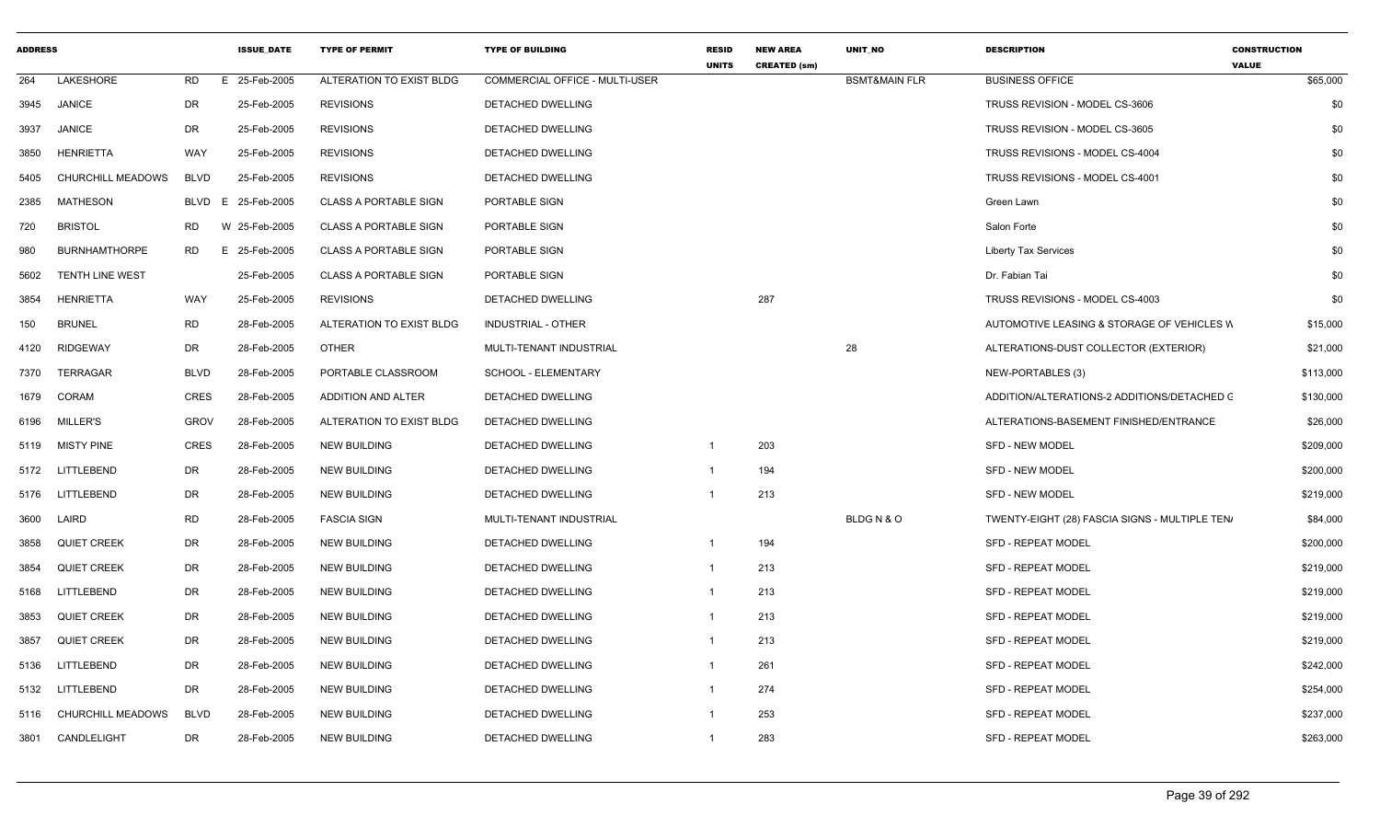| <b>ADDRESS</b> |                          |             | <b>ISSUE DATE</b>  | <b>TYPE OF PERMIT</b>        | <b>TYPE OF BUILDING</b>        | <b>RESID</b><br><b>UNITS</b> | <b>NEW AREA</b><br><b>CREATED (sm)</b> | <b>UNIT NO</b>           | <b>DESCRIPTION</b>                             | <b>CONSTRUCTION</b><br><b>VALUE</b> |           |
|----------------|--------------------------|-------------|--------------------|------------------------------|--------------------------------|------------------------------|----------------------------------------|--------------------------|------------------------------------------------|-------------------------------------|-----------|
| 264            | LAKESHORE                | RD          | E 25-Feb-2005      | ALTERATION TO EXIST BLDG     | COMMERCIAL OFFICE - MULTI-USER |                              |                                        | <b>BSMT&amp;MAIN FLR</b> | <b>BUSINESS OFFICE</b>                         |                                     | \$65,000  |
| 3945           | JANICE                   | DR          | 25-Feb-2005        | <b>REVISIONS</b>             | DETACHED DWELLING              |                              |                                        |                          | TRUSS REVISION - MODEL CS-3606                 |                                     | \$0       |
| 3937           | <b>JANICE</b>            | DR          | 25-Feb-2005        | <b>REVISIONS</b>             | DETACHED DWELLING              |                              |                                        |                          | TRUSS REVISION - MODEL CS-3605                 |                                     | \$0       |
| 3850           | <b>HENRIETTA</b>         | WAY         | 25-Feb-2005        | <b>REVISIONS</b>             | <b>DETACHED DWELLING</b>       |                              |                                        |                          | TRUSS REVISIONS - MODEL CS-4004                |                                     | \$0       |
| 5405           | CHURCHILL MEADOWS        | <b>BLVD</b> | 25-Feb-2005        | <b>REVISIONS</b>             | DETACHED DWELLING              |                              |                                        |                          | TRUSS REVISIONS - MODEL CS-4001                |                                     | \$0       |
| 2385           | MATHESON                 |             | BLVD E 25-Feb-2005 | <b>CLASS A PORTABLE SIGN</b> | PORTABLE SIGN                  |                              |                                        |                          | Green Lawn                                     |                                     | \$0       |
| 720            | <b>BRISTOL</b>           | RD          | W 25-Feb-2005      | <b>CLASS A PORTABLE SIGN</b> | PORTABLE SIGN                  |                              |                                        |                          | Salon Forte                                    |                                     | \$0       |
| 980            | <b>BURNHAMTHORPE</b>     | <b>RD</b>   | E 25-Feb-2005      | <b>CLASS A PORTABLE SIGN</b> | PORTABLE SIGN                  |                              |                                        |                          | <b>Liberty Tax Services</b>                    |                                     | \$0       |
| 5602           | <b>TENTH LINE WEST</b>   |             | 25-Feb-2005        | <b>CLASS A PORTABLE SIGN</b> | PORTABLE SIGN                  |                              |                                        |                          | Dr. Fabian Tai                                 |                                     | \$0       |
| 3854           | <b>HENRIETTA</b>         | WAY         | 25-Feb-2005        | <b>REVISIONS</b>             | DETACHED DWELLING              |                              | 287                                    |                          | TRUSS REVISIONS - MODEL CS-4003                |                                     | \$0       |
| 150            | <b>BRUNEL</b>            | <b>RD</b>   | 28-Feb-2005        | ALTERATION TO EXIST BLDG     | <b>INDUSTRIAL - OTHER</b>      |                              |                                        |                          | AUTOMOTIVE LEASING & STORAGE OF VEHICLES W     |                                     | \$15,000  |
| 4120           | <b>RIDGEWAY</b>          | DR          | 28-Feb-2005        | OTHER                        | MULTI-TENANT INDUSTRIAL        |                              |                                        | 28                       | ALTERATIONS-DUST COLLECTOR (EXTERIOR)          |                                     | \$21,000  |
| 7370           | TERRAGAR                 | <b>BLVD</b> | 28-Feb-2005        | PORTABLE CLASSROOM           | SCHOOL - ELEMENTARY            |                              |                                        |                          | NEW-PORTABLES (3)                              |                                     | \$113,000 |
| 1679           | CORAM                    | <b>CRES</b> | 28-Feb-2005        | ADDITION AND ALTER           | DETACHED DWELLING              |                              |                                        |                          | ADDITION/ALTERATIONS-2 ADDITIONS/DETACHED C    |                                     | \$130,000 |
| 6196           | <b>MILLER'S</b>          | <b>GROV</b> | 28-Feb-2005        | ALTERATION TO EXIST BLDG     | DETACHED DWELLING              |                              |                                        |                          | ALTERATIONS-BASEMENT FINISHED/ENTRANCE         |                                     | \$26,000  |
| 5119           | <b>MISTY PINE</b>        | CRES        | 28-Feb-2005        | <b>NEW BUILDING</b>          | DETACHED DWELLING              | $\mathbf{1}$                 | 203                                    |                          | <b>SFD - NEW MODEL</b>                         |                                     | \$209,000 |
|                | 5172 LITTLEBEND          | DR          | 28-Feb-2005        | <b>NEW BUILDING</b>          | DETACHED DWELLING              | $\mathbf 1$                  | 194                                    |                          | <b>SFD - NEW MODEL</b>                         |                                     | \$200,000 |
| 5176           | LITTLEBEND               | DR          | 28-Feb-2005        | <b>NEW BUILDING</b>          | DETACHED DWELLING              | -1                           | 213                                    |                          | <b>SFD - NEW MODEL</b>                         |                                     | \$219,000 |
| 3600           | LAIRD                    | <b>RD</b>   | 28-Feb-2005        | <b>FASCIA SIGN</b>           | MULTI-TENANT INDUSTRIAL        |                              |                                        | BLDGN&O                  | TWENTY-EIGHT (28) FASCIA SIGNS - MULTIPLE TEN/ |                                     | \$84,000  |
| 3858           | <b>QUIET CREEK</b>       | DR          | 28-Feb-2005        | <b>NEW BUILDING</b>          | DETACHED DWELLING              | $\mathbf{1}$                 | 194                                    |                          | <b>SFD - REPEAT MODEL</b>                      |                                     | \$200,000 |
| 3854           | <b>QUIET CREEK</b>       | DR          | 28-Feb-2005        | <b>NEW BUILDING</b>          | DETACHED DWELLING              | $\mathbf{1}$                 | 213                                    |                          | <b>SFD - REPEAT MODEL</b>                      |                                     | \$219,000 |
| 5168           | LITTLEBEND               | DR          | 28-Feb-2005        | <b>NEW BUILDING</b>          | DETACHED DWELLING              | $\overline{1}$               | 213                                    |                          | <b>SFD - REPEAT MODEL</b>                      |                                     | \$219,000 |
| 3853           | <b>QUIET CREEK</b>       | DR          | 28-Feb-2005        | <b>NEW BUILDING</b>          | DETACHED DWELLING              | $\overline{1}$               | 213                                    |                          | <b>SFD - REPEAT MODEL</b>                      |                                     | \$219,000 |
| 3857           | <b>QUIET CREEK</b>       | DR          | 28-Feb-2005        | <b>NEW BUILDING</b>          | DETACHED DWELLING              | $\mathbf{1}$                 | 213                                    |                          | <b>SFD - REPEAT MODEL</b>                      |                                     | \$219,000 |
| 5136           | TLEBEND                  | DR          | 28-Feb-2005        | <b>NEW BUILDING</b>          | DETACHED DWELLING              | -1                           | 261                                    |                          | <b>SFD - REPEAT MODEL</b>                      |                                     | \$242,000 |
|                | 5132 LITTLEBEND          | DR          | 28-Feb-2005        | <b>NEW BUILDING</b>          | DETACHED DWELLING              | $\mathbf 1$                  | 274                                    |                          | SFD - REPEAT MODEL                             |                                     | \$254,000 |
| 5116           | <b>CHURCHILL MEADOWS</b> | <b>BLVD</b> | 28-Feb-2005        | <b>NEW BUILDING</b>          | DETACHED DWELLING              | $\mathbf 1$                  | 253                                    |                          | <b>SFD - REPEAT MODEL</b>                      |                                     | \$237,000 |
|                | 3801 CANDLELIGHT         | DR          | 28-Feb-2005        | <b>NEW BUILDING</b>          | DETACHED DWELLING              | -1                           | 283                                    |                          | <b>SFD - REPEAT MODEL</b>                      |                                     | \$263,000 |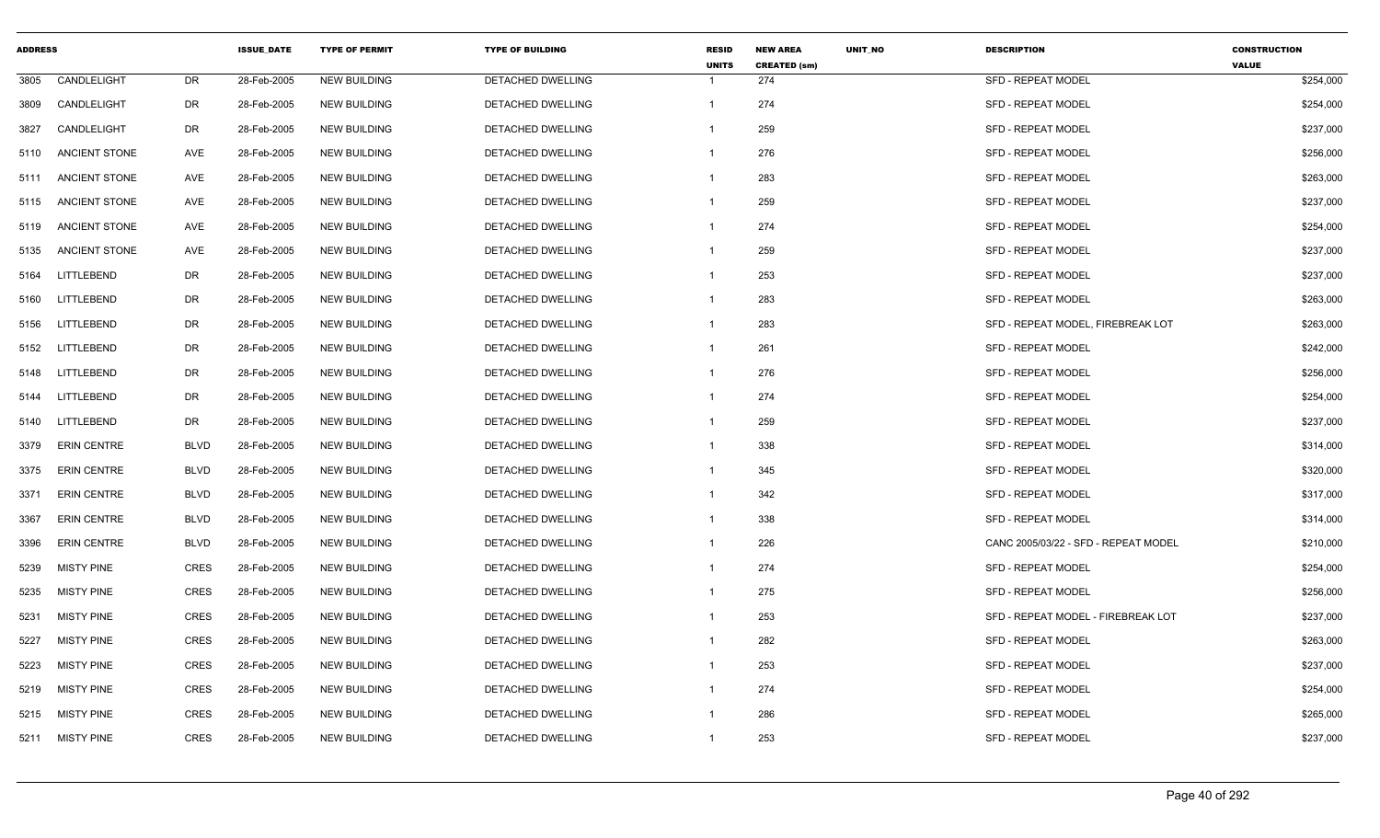| <b>ADDRESS</b> |                      |             | <b>ISSUE DATE</b> | <b>TYPE OF PERMIT</b> | <b>TYPE OF BUILDING</b>  | <b>RESID</b><br><b>UNITS</b> | <b>NEW AREA</b><br><b>CREATED (sm)</b> | UNIT_NO | <b>DESCRIPTION</b>                   | <b>CONSTRUCTION</b><br><b>VALUE</b> |
|----------------|----------------------|-------------|-------------------|-----------------------|--------------------------|------------------------------|----------------------------------------|---------|--------------------------------------|-------------------------------------|
| 3805           | CANDLELIGHT          | DR          | 28-Feb-2005       | <b>NEW BUILDING</b>   | DETACHED DWELLING        | -1                           | 274                                    |         | <b>SFD - REPEAT MODEL</b>            | \$254,000                           |
| 3809           | CANDLELIGHT          | DR          | 28-Feb-2005       | <b>NEW BUILDING</b>   | DETACHED DWELLING        | $\overline{1}$               | 274                                    |         | SFD - REPEAT MODEL                   | \$254,000                           |
| 3827           | CANDLELIGHT          | <b>DR</b>   | 28-Feb-2005       | <b>NEW BUILDING</b>   | DETACHED DWELLING        | -1                           | 259                                    |         | <b>SFD - REPEAT MODEL</b>            | \$237,000                           |
| 5110           | <b>ANCIENT STONE</b> | AVE         | 28-Feb-2005       | <b>NEW BUILDING</b>   | DETACHED DWELLING        | $\mathbf 1$                  | 276                                    |         | <b>SFD - REPEAT MODEL</b>            | \$256,000                           |
| 5111           | ANCIENT STONE        | AVE         | 28-Feb-2005       | <b>NEW BUILDING</b>   | DETACHED DWELLING        | $\mathbf 1$                  | 283                                    |         | SFD - REPEAT MODEL                   | \$263,000                           |
| 5115           | ANCIENT STONE        | AVE         | 28-Feb-2005       | <b>NEW BUILDING</b>   | DETACHED DWELLING        | -1                           | 259                                    |         | <b>SFD - REPEAT MODEL</b>            | \$237,000                           |
| 5119           | <b>ANCIENT STONE</b> | AVE         | 28-Feb-2005       | <b>NEW BUILDING</b>   | <b>DETACHED DWELLING</b> | $\mathbf 1$                  | 274                                    |         | <b>SFD - REPEAT MODEL</b>            | \$254,000                           |
| 5135           | <b>ANCIENT STONE</b> | AVE         | 28-Feb-2005       | <b>NEW BUILDING</b>   | DETACHED DWELLING        | $\mathbf 1$                  | 259                                    |         | <b>SFD - REPEAT MODEL</b>            | \$237,000                           |
| 5164           | LITTLEBEND           | DR          | 28-Feb-2005       | <b>NEW BUILDING</b>   | DETACHED DWELLING        | -1                           | 253                                    |         | <b>SFD - REPEAT MODEL</b>            | \$237,000                           |
| 5160           | LITTLEBEND           | <b>DR</b>   | 28-Feb-2005       | <b>NEW BUILDING</b>   | DETACHED DWELLING        | $\mathbf 1$                  | 283                                    |         | <b>SFD - REPEAT MODEL</b>            | \$263,000                           |
| 5156           | LITTLEBEND           | DR          | 28-Feb-2005       | <b>NEW BUILDING</b>   | DETACHED DWELLING        | $\mathbf{1}$                 | 283                                    |         | SFD - REPEAT MODEL, FIREBREAK LOT    | \$263,000                           |
| 5152           | LITTLEBEND           | <b>DR</b>   | 28-Feb-2005       | NEW BUILDING          | DETACHED DWELLING        | -1                           | 261                                    |         | <b>SFD - REPEAT MODEL</b>            | \$242,000                           |
| 5148           | LITTLEBEND           | <b>DR</b>   | 28-Feb-2005       | <b>NEW BUILDING</b>   | DETACHED DWELLING        | $\mathbf 1$                  | 276                                    |         | SFD - REPEAT MODEL                   | \$256,000                           |
| 5144           | LITTLEBEND           | <b>DR</b>   | 28-Feb-2005       | <b>NEW BUILDING</b>   | DETACHED DWELLING        | -1                           | 274                                    |         | <b>SFD - REPEAT MODEL</b>            | \$254,000                           |
| 5140           | LITTLEBEND           | DR          | 28-Feb-2005       | <b>NEW BUILDING</b>   | DETACHED DWELLING        | $\overline{1}$               | 259                                    |         | <b>SFD - REPEAT MODEL</b>            | \$237,000                           |
| 3379           | <b>ERIN CENTRE</b>   | <b>BLVD</b> | 28-Feb-2005       | <b>NEW BUILDING</b>   | DETACHED DWELLING        | $\overline{1}$               | 338                                    |         | SFD - REPEAT MODEL                   | \$314,000                           |
| 3375           | <b>ERIN CENTRE</b>   | <b>BLVD</b> | 28-Feb-2005       | <b>NEW BUILDING</b>   | DETACHED DWELLING        | -1                           | 345                                    |         | <b>SFD - REPEAT MODEL</b>            | \$320,000                           |
| 3371           | <b>ERIN CENTRE</b>   | <b>BLVD</b> | 28-Feb-2005       | <b>NEW BUILDING</b>   | DETACHED DWELLING        | -1                           | 342                                    |         | <b>SFD - REPEAT MODEL</b>            | \$317,000                           |
| 3367           | <b>ERIN CENTRE</b>   | <b>BLVD</b> | 28-Feb-2005       | <b>NEW BUILDING</b>   | <b>DETACHED DWELLING</b> | $\mathbf 1$                  | 338                                    |         | <b>SFD - REPEAT MODEL</b>            | \$314,000                           |
| 3396           | <b>ERIN CENTRE</b>   | <b>BLVD</b> | 28-Feb-2005       | <b>NEW BUILDING</b>   | DETACHED DWELLING        | $\mathbf 1$                  | 226                                    |         | CANC 2005/03/22 - SFD - REPEAT MODEL | \$210,000                           |
| 5239           | <b>MISTY PINE</b>    | <b>CRES</b> | 28-Feb-2005       | <b>NEW BUILDING</b>   | DETACHED DWELLING        | -1                           | 274                                    |         | <b>SFD - REPEAT MODEL</b>            | \$254,000                           |
| 5235           | <b>MISTY PINE</b>    | <b>CRES</b> | 28-Feb-2005       | <b>NEW BUILDING</b>   | <b>DETACHED DWELLING</b> | $\overline{1}$               | 275                                    |         | <b>SFD - REPEAT MODEL</b>            | \$256,000                           |
| 5231           | <b>MISTY PINE</b>    | <b>CRES</b> | 28-Feb-2005       | <b>NEW BUILDING</b>   | DETACHED DWELLING        | -1                           | 253                                    |         | SFD - REPEAT MODEL - FIREBREAK LOT   | \$237,000                           |
| 5227           | <b>MISTY PINE</b>    | <b>CRES</b> | 28-Feb-2005       | <b>NEW BUILDING</b>   | DETACHED DWELLING        | -1                           | 282                                    |         | <b>SFD - REPEAT MODEL</b>            | \$263,000                           |
| 5223           | <b>MISTY PINE</b>    | <b>CRES</b> | 28-Feb-2005       | <b>NEW BUILDING</b>   | DETACHED DWELLING        | $\mathbf{1}$                 | 253                                    |         | <b>SFD - REPEAT MODEL</b>            | \$237,000                           |
| 5219           | <b>MISTY PINE</b>    | <b>CRES</b> | 28-Feb-2005       | <b>NEW BUILDING</b>   | DETACHED DWELLING        | $\overline{1}$               | 274                                    |         | <b>SFD - REPEAT MODEL</b>            | \$254,000                           |
| 5215           | MISTY PINE           | <b>CRES</b> | 28-Feb-2005       | <b>NEW BUILDING</b>   | DETACHED DWELLING        | -1                           | 286                                    |         | <b>SFD - REPEAT MODEL</b>            | \$265,000                           |
| 5211           | <b>MISTY PINE</b>    | <b>CRES</b> | 28-Feb-2005       | <b>NEW BUILDING</b>   | <b>DETACHED DWELLING</b> | $\overline{1}$               | 253                                    |         | <b>SFD - REPEAT MODEL</b>            | \$237,000                           |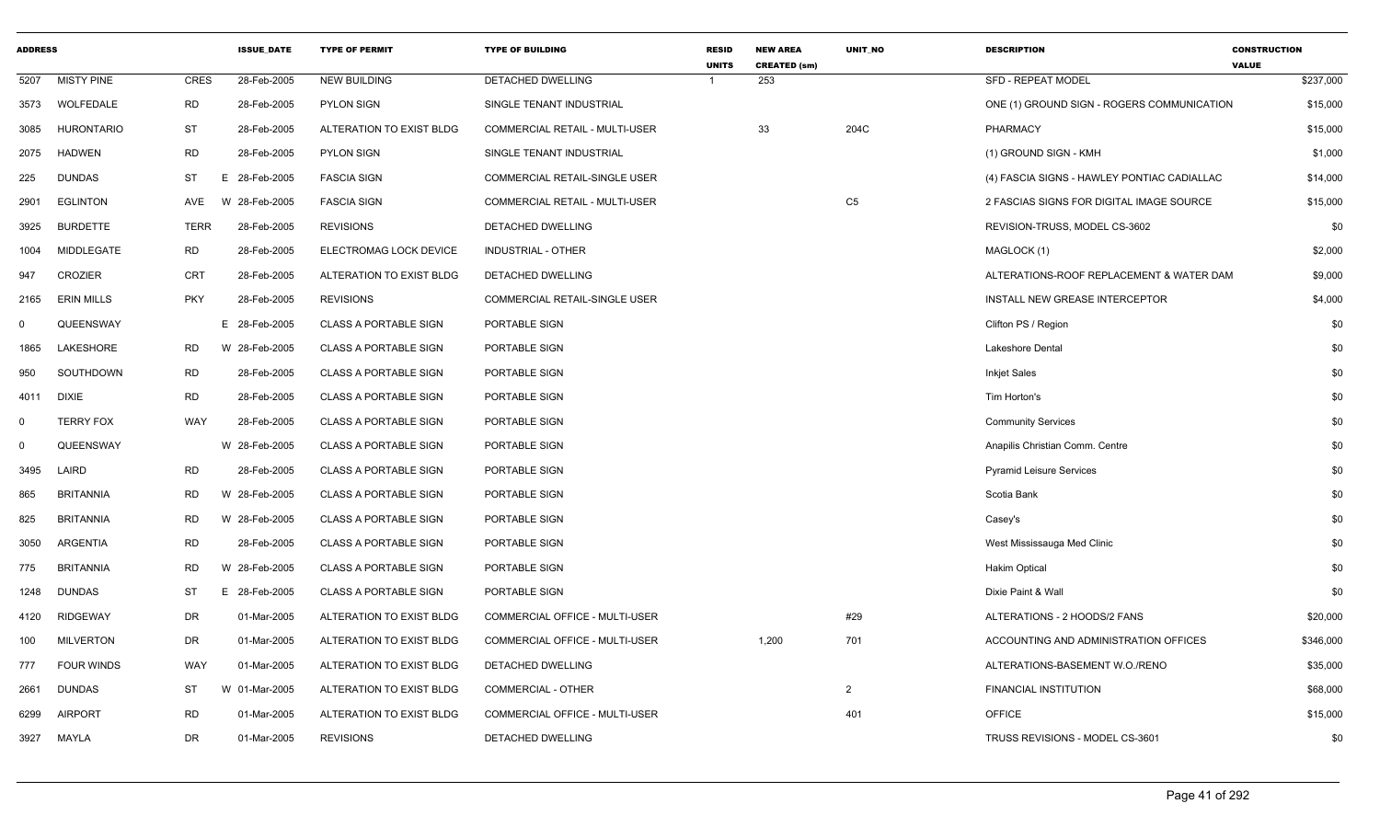| <b>ADDRESS</b> |                   |             | <b>ISSUE DATE</b> | <b>TYPE OF PERMIT</b>        | <b>TYPE OF BUILDING</b>               | <b>RESID</b><br><b>UNITS</b> | <b>NEW AREA</b><br><b>CREATED (sm)</b> | UNIT_NO        | <b>DESCRIPTION</b>                          | <b>CONSTRUCTION</b><br><b>VALUE</b> |
|----------------|-------------------|-------------|-------------------|------------------------------|---------------------------------------|------------------------------|----------------------------------------|----------------|---------------------------------------------|-------------------------------------|
| 5207           | <b>MISTY PINE</b> | <b>CRES</b> | 28-Feb-2005       | <b>NEW BUILDING</b>          | <b>DETACHED DWELLING</b>              |                              | 253                                    |                | <b>SFD - REPEAT MODEL</b>                   | \$237,000                           |
| 3573           | WOLFEDALE         | <b>RD</b>   | 28-Feb-2005       | <b>PYLON SIGN</b>            | SINGLE TENANT INDUSTRIAL              |                              |                                        |                | ONE (1) GROUND SIGN - ROGERS COMMUNICATION  | \$15,000                            |
| 3085           | <b>HURONTARIO</b> | ST          | 28-Feb-2005       | ALTERATION TO EXIST BLDG     | <b>COMMERCIAL RETAIL - MULTI-USER</b> |                              | 33                                     | 204C           | PHARMACY                                    | \$15,000                            |
| 2075           | <b>HADWEN</b>     | <b>RD</b>   | 28-Feb-2005       | <b>PYLON SIGN</b>            | SINGLE TENANT INDUSTRIAL              |                              |                                        |                | (1) GROUND SIGN - KMH                       | \$1,000                             |
| 225            | <b>DUNDAS</b>     | <b>ST</b>   | E.<br>28-Feb-2005 | <b>FASCIA SIGN</b>           | COMMERCIAL RETAIL-SINGLE USER         |                              |                                        |                | (4) FASCIA SIGNS - HAWLEY PONTIAC CADIALLAC | \$14,000                            |
| 2901           | <b>EGLINTON</b>   | AVE         | W 28-Feb-2005     | <b>FASCIA SIGN</b>           | COMMERCIAL RETAIL - MULTI-USER        |                              |                                        | C <sub>5</sub> | 2 FASCIAS SIGNS FOR DIGITAL IMAGE SOURCE    | \$15,000                            |
| 3925           | <b>BURDETTE</b>   | <b>TERR</b> | 28-Feb-2005       | <b>REVISIONS</b>             | DETACHED DWELLING                     |                              |                                        |                | REVISION-TRUSS, MODEL CS-3602               | \$0                                 |
| 1004           | MIDDLEGATE        | <b>RD</b>   | 28-Feb-2005       | ELECTROMAG LOCK DEVICE       | <b>INDUSTRIAL - OTHER</b>             |                              |                                        |                | MAGLOCK (1)                                 | \$2,000                             |
| 947            | <b>CROZIER</b>    | <b>CRT</b>  | 28-Feb-2005       | ALTERATION TO EXIST BLDG     | DETACHED DWELLING                     |                              |                                        |                | ALTERATIONS-ROOF REPLACEMENT & WATER DAM    | \$9,000                             |
| 2165           | <b>ERIN MILLS</b> | <b>PKY</b>  | 28-Feb-2005       | <b>REVISIONS</b>             | COMMERCIAL RETAIL-SINGLE USER         |                              |                                        |                | INSTALL NEW GREASE INTERCEPTOR              | \$4,000                             |
| $\mathbf 0$    | QUEENSWAY         |             | E 28-Feb-2005     | <b>CLASS A PORTABLE SIGN</b> | PORTABLE SIGN                         |                              |                                        |                | Clifton PS / Region                         | \$0                                 |
| 1865           | LAKESHORE         | <b>RD</b>   | W 28-Feb-2005     | <b>CLASS A PORTABLE SIGN</b> | PORTABLE SIGN                         |                              |                                        |                | <b>Lakeshore Dental</b>                     | \$0                                 |
| 950            | SOUTHDOWN         | <b>RD</b>   | 28-Feb-2005       | <b>CLASS A PORTABLE SIGN</b> | PORTABLE SIGN                         |                              |                                        |                | <b>Inkjet Sales</b>                         | \$0                                 |
| 4011           | <b>DIXIE</b>      | <b>RD</b>   | 28-Feb-2005       | <b>CLASS A PORTABLE SIGN</b> | PORTABLE SIGN                         |                              |                                        |                | Tim Horton's                                | \$0                                 |
| $\mathbf 0$    | <b>TERRY FOX</b>  | WAY         | 28-Feb-2005       | <b>CLASS A PORTABLE SIGN</b> | PORTABLE SIGN                         |                              |                                        |                | <b>Community Services</b>                   | \$0                                 |
| $\mathbf 0$    | QUEENSWAY         |             | W 28-Feb-2005     | <b>CLASS A PORTABLE SIGN</b> | PORTABLE SIGN                         |                              |                                        |                | Anapilis Christian Comm. Centre             | \$0                                 |
| 3495           | LAIRD             | <b>RD</b>   | 28-Feb-2005       | <b>CLASS A PORTABLE SIGN</b> | PORTABLE SIGN                         |                              |                                        |                | <b>Pyramid Leisure Services</b>             | \$0                                 |
| 865            | <b>BRITANNIA</b>  | <b>RD</b>   | W 28-Feb-2005     | <b>CLASS A PORTABLE SIGN</b> | PORTABLE SIGN                         |                              |                                        |                | Scotia Bank                                 | \$0                                 |
| 825            | <b>BRITANNIA</b>  | <b>RD</b>   | W 28-Feb-2005     | <b>CLASS A PORTABLE SIGN</b> | PORTABLE SIGN                         |                              |                                        |                | Casey's                                     | \$0                                 |
| 3050           | <b>ARGENTIA</b>   | <b>RD</b>   | 28-Feb-2005       | <b>CLASS A PORTABLE SIGN</b> | PORTABLE SIGN                         |                              |                                        |                | West Mississauga Med Clinic                 | \$0                                 |
| 775            | <b>BRITANNIA</b>  | <b>RD</b>   | W 28-Feb-2005     | <b>CLASS A PORTABLE SIGN</b> | PORTABLE SIGN                         |                              |                                        |                | <b>Hakim Optical</b>                        | \$0                                 |
| 1248           | <b>DUNDAS</b>     | ST          | E 28-Feb-2005     | <b>CLASS A PORTABLE SIGN</b> | PORTABLE SIGN                         |                              |                                        |                | Dixie Paint & Wall                          | \$0                                 |
| 4120           | <b>RIDGEWAY</b>   | DR          | 01-Mar-2005       | ALTERATION TO EXIST BLDG     | <b>COMMERCIAL OFFICE - MULTI-USER</b> |                              |                                        | #29            | ALTERATIONS - 2 HOODS/2 FANS                | \$20,000                            |
| 100            | <b>MILVERTON</b>  | DR          | 01-Mar-2005       | ALTERATION TO EXIST BLDG     | COMMERCIAL OFFICE - MULTI-USER        |                              | 1,200                                  | 701            | ACCOUNTING AND ADMINISTRATION OFFICES       | \$346,000                           |
| 777            | FOUR WINDS        | WAY         | 01-Mar-2005       | ALTERATION TO EXIST BLDG     | DETACHED DWELLING                     |                              |                                        |                | ALTERATIONS-BASEMENT W.O./RENO              | \$35,000                            |
| 2661           | <b>DUNDAS</b>     | <b>ST</b>   | W 01-Mar-2005     | ALTERATION TO EXIST BLDG     | <b>COMMERCIAL - OTHER</b>             |                              |                                        | $\overline{2}$ | <b>FINANCIAL INSTITUTION</b>                | \$68,000                            |
| 6299           | <b>AIRPORT</b>    | <b>RD</b>   | 01-Mar-2005       | ALTERATION TO EXIST BLDG     | COMMERCIAL OFFICE - MULTI-USER        |                              |                                        | 401            | <b>OFFICE</b>                               | \$15,000                            |
| 3927           | MAYLA             | DR          | 01-Mar-2005       | <b>REVISIONS</b>             | <b>DETACHED DWELLING</b>              |                              |                                        |                | TRUSS REVISIONS - MODEL CS-3601             | \$0                                 |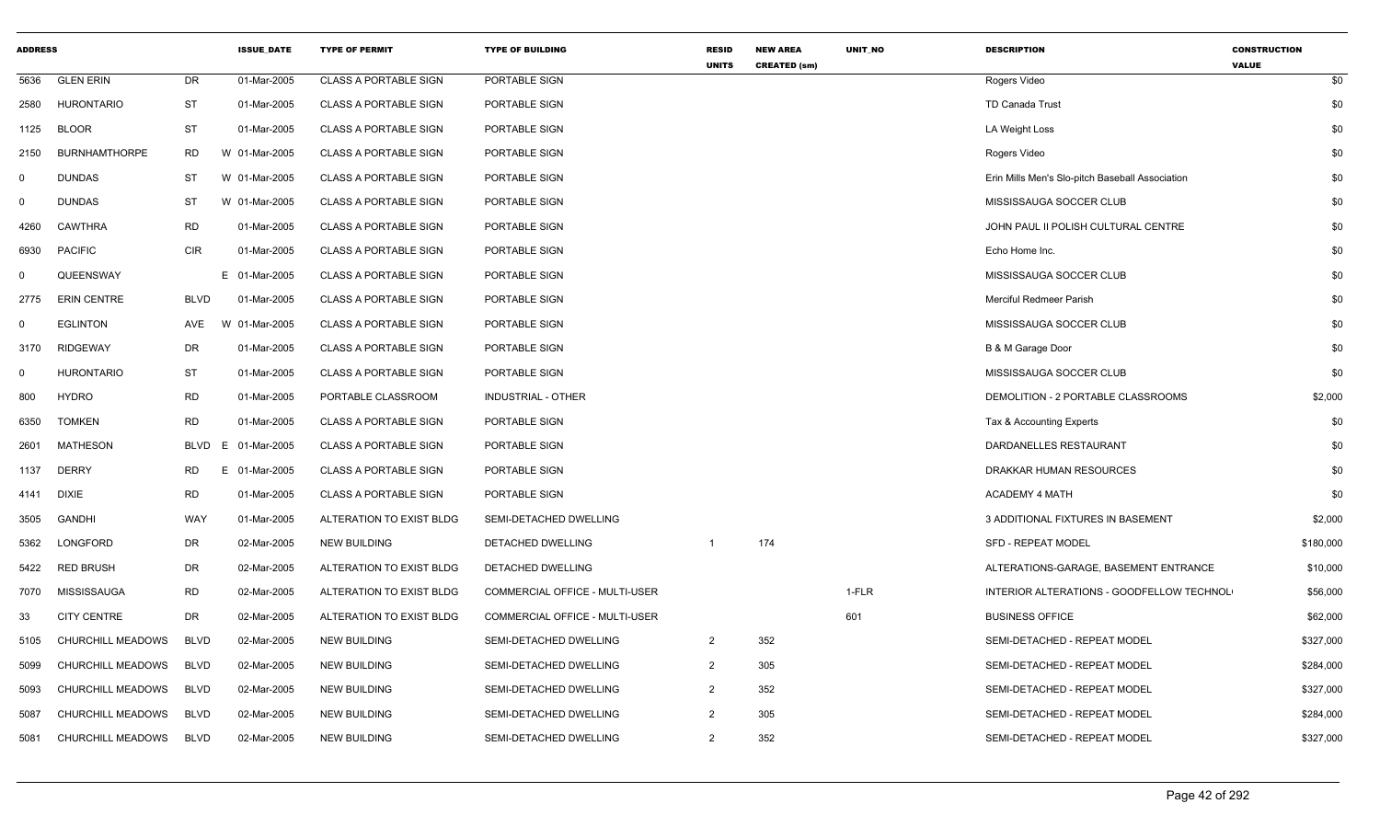| <b>ADDRESS</b> |                      |             | <b>ISSUE DATE</b> | <b>TYPE OF PERMIT</b>        | <b>TYPE OF BUILDING</b>               | <b>RESID</b><br><b>UNITS</b> | <b>NEW AREA</b><br><b>CREATED (sm)</b> | UNIT_NO | <b>DESCRIPTION</b>                              | <b>CONSTRUCTION</b><br><b>VALUE</b> |
|----------------|----------------------|-------------|-------------------|------------------------------|---------------------------------------|------------------------------|----------------------------------------|---------|-------------------------------------------------|-------------------------------------|
| 5636           | <b>GLEN ERIN</b>     | DR          | 01-Mar-2005       | <b>CLASS A PORTABLE SIGN</b> | PORTABLE SIGN                         |                              |                                        |         | Rogers Video                                    | \$0                                 |
| 2580           | <b>HURONTARIO</b>    | <b>ST</b>   | 01-Mar-2005       | <b>CLASS A PORTABLE SIGN</b> | PORTABLE SIGN                         |                              |                                        |         | <b>TD Canada Trust</b>                          | \$0                                 |
| 1125           | <b>BLOOR</b>         | <b>ST</b>   | 01-Mar-2005       | <b>CLASS A PORTABLE SIGN</b> | PORTABLE SIGN                         |                              |                                        |         | LA Weight Loss                                  | \$0                                 |
| 2150           | <b>BURNHAMTHORPE</b> | <b>RD</b>   | W 01-Mar-2005     | <b>CLASS A PORTABLE SIGN</b> | PORTABLE SIGN                         |                              |                                        |         | Rogers Video                                    | \$0                                 |
| $\mathbf 0$    | <b>DUNDAS</b>        | ST          | W 01-Mar-2005     | <b>CLASS A PORTABLE SIGN</b> | PORTABLE SIGN                         |                              |                                        |         | Erin Mills Men's Slo-pitch Baseball Association | \$0                                 |
| $\mathbf 0$    | <b>DUNDAS</b>        | <b>ST</b>   | W 01-Mar-2005     | <b>CLASS A PORTABLE SIGN</b> | PORTABLE SIGN                         |                              |                                        |         | MISSISSAUGA SOCCER CLUB                         | \$0                                 |
| 4260           | <b>CAWTHRA</b>       | <b>RD</b>   | 01-Mar-2005       | <b>CLASS A PORTABLE SIGN</b> | PORTABLE SIGN                         |                              |                                        |         | JOHN PAUL II POLISH CULTURAL CENTRE             | \$0                                 |
| 6930           | <b>PACIFIC</b>       | <b>CIR</b>  | 01-Mar-2005       | <b>CLASS A PORTABLE SIGN</b> | PORTABLE SIGN                         |                              |                                        |         | Echo Home Inc.                                  | \$0                                 |
| $\Omega$       | QUEENSWAY            |             | E 01-Mar-2005     | <b>CLASS A PORTABLE SIGN</b> | PORTABLE SIGN                         |                              |                                        |         | MISSISSAUGA SOCCER CLUB                         | \$0                                 |
| 2775           | <b>ERIN CENTRE</b>   | <b>BLVD</b> | 01-Mar-2005       | <b>CLASS A PORTABLE SIGN</b> | PORTABLE SIGN                         |                              |                                        |         | Merciful Redmeer Parish                         | \$0                                 |
| $\mathbf 0$    | <b>EGLINTON</b>      | AVE         | W 01-Mar-2005     | <b>CLASS A PORTABLE SIGN</b> | PORTABLE SIGN                         |                              |                                        |         | MISSISSAUGA SOCCER CLUB                         | \$0                                 |
| 3170           | <b>RIDGEWAY</b>      | DR          | 01-Mar-2005       | <b>CLASS A PORTABLE SIGN</b> | PORTABLE SIGN                         |                              |                                        |         | B & M Garage Door                               | \$0                                 |
| $\mathbf 0$    | <b>HURONTARIO</b>    | <b>ST</b>   | 01-Mar-2005       | <b>CLASS A PORTABLE SIGN</b> | PORTABLE SIGN                         |                              |                                        |         | MISSISSAUGA SOCCER CLUB                         | \$0                                 |
| 800            | <b>HYDRO</b>         | <b>RD</b>   | 01-Mar-2005       | PORTABLE CLASSROOM           | <b>INDUSTRIAL - OTHER</b>             |                              |                                        |         | DEMOLITION - 2 PORTABLE CLASSROOMS              | \$2,000                             |
| 6350           | <b>TOMKEN</b>        | <b>RD</b>   | 01-Mar-2005       | <b>CLASS A PORTABLE SIGN</b> | PORTABLE SIGN                         |                              |                                        |         | Tax & Accounting Experts                        | \$0                                 |
| 2601           | <b>MATHESON</b>      | <b>BLVD</b> | E 01-Mar-2005     | <b>CLASS A PORTABLE SIGN</b> | PORTABLE SIGN                         |                              |                                        |         | DARDANELLES RESTAURANT                          | \$0                                 |
| 1137           | <b>DERRY</b>         | RD          | E 01-Mar-2005     | <b>CLASS A PORTABLE SIGN</b> | PORTABLE SIGN                         |                              |                                        |         | DRAKKAR HUMAN RESOURCES                         | \$0                                 |
| 4141           | <b>DIXIE</b>         | <b>RD</b>   | 01-Mar-2005       | <b>CLASS A PORTABLE SIGN</b> | PORTABLE SIGN                         |                              |                                        |         | <b>ACADEMY 4 MATH</b>                           | \$0                                 |
| 3505           | <b>GANDHI</b>        | WAY         | 01-Mar-2005       | ALTERATION TO EXIST BLDG     | SEMI-DETACHED DWELLING                |                              |                                        |         | 3 ADDITIONAL FIXTURES IN BASEMENT               | \$2,000                             |
| 5362           | LONGFORD             | <b>DR</b>   | 02-Mar-2005       | <b>NEW BUILDING</b>          | DETACHED DWELLING                     | $\overline{1}$               | 174                                    |         | SFD - REPEAT MODEL                              | \$180,000                           |
| 5422           | <b>RED BRUSH</b>     | DR          | 02-Mar-2005       | ALTERATION TO EXIST BLDG     | DETACHED DWELLING                     |                              |                                        |         | ALTERATIONS-GARAGE, BASEMENT ENTRANCE           | \$10,000                            |
| 7070           | MISSISSAUGA          | <b>RD</b>   | 02-Mar-2005       | ALTERATION TO EXIST BLDG     | <b>COMMERCIAL OFFICE - MULTI-USER</b> |                              |                                        | 1-FLR   | INTERIOR ALTERATIONS - GOODFELLOW TECHNOL       | \$56,000                            |
| 33             | <b>CITY CENTRE</b>   | DR          | 02-Mar-2005       | ALTERATION TO EXIST BLDG     | <b>COMMERCIAL OFFICE - MULTI-USER</b> |                              |                                        | 601     | <b>BUSINESS OFFICE</b>                          | \$62,000                            |
| 5105           | CHURCHILL MEADOWS    | <b>BLVD</b> | 02-Mar-2005       | <b>NEW BUILDING</b>          | SEMI-DETACHED DWELLING                | $\overline{2}$               | 352                                    |         | SEMI-DETACHED - REPEAT MODEL                    | \$327,000                           |
| 5099           | CHURCHILL MEADOWS    | <b>BLVD</b> | 02-Mar-2005       | <b>NEW BUILDING</b>          | SEMI-DETACHED DWELLING                | $\overline{2}$               | 305                                    |         | SEMI-DETACHED - REPEAT MODEL                    | \$284,000                           |
| 5093           | CHURCHILL MEADOWS    | <b>BLVD</b> | 02-Mar-2005       | <b>NEW BUILDING</b>          | SEMI-DETACHED DWELLING                | $\overline{2}$               | 352                                    |         | SEMI-DETACHED - REPEAT MODEL                    | \$327,000                           |
| 5087           | CHURCHILL MEADOWS    | <b>BLVD</b> | 02-Mar-2005       | <b>NEW BUILDING</b>          | SEMI-DETACHED DWELLING                | $\overline{2}$               | 305                                    |         | SEMI-DETACHED - REPEAT MODEL                    | \$284,000                           |
| 5081           | CHURCHILL MEADOWS    | <b>BLVD</b> | 02-Mar-2005       | <b>NEW BUILDING</b>          | SEMI-DETACHED DWELLING                | 2                            | 352                                    |         | SEMI-DETACHED - REPEAT MODEL                    | \$327,000                           |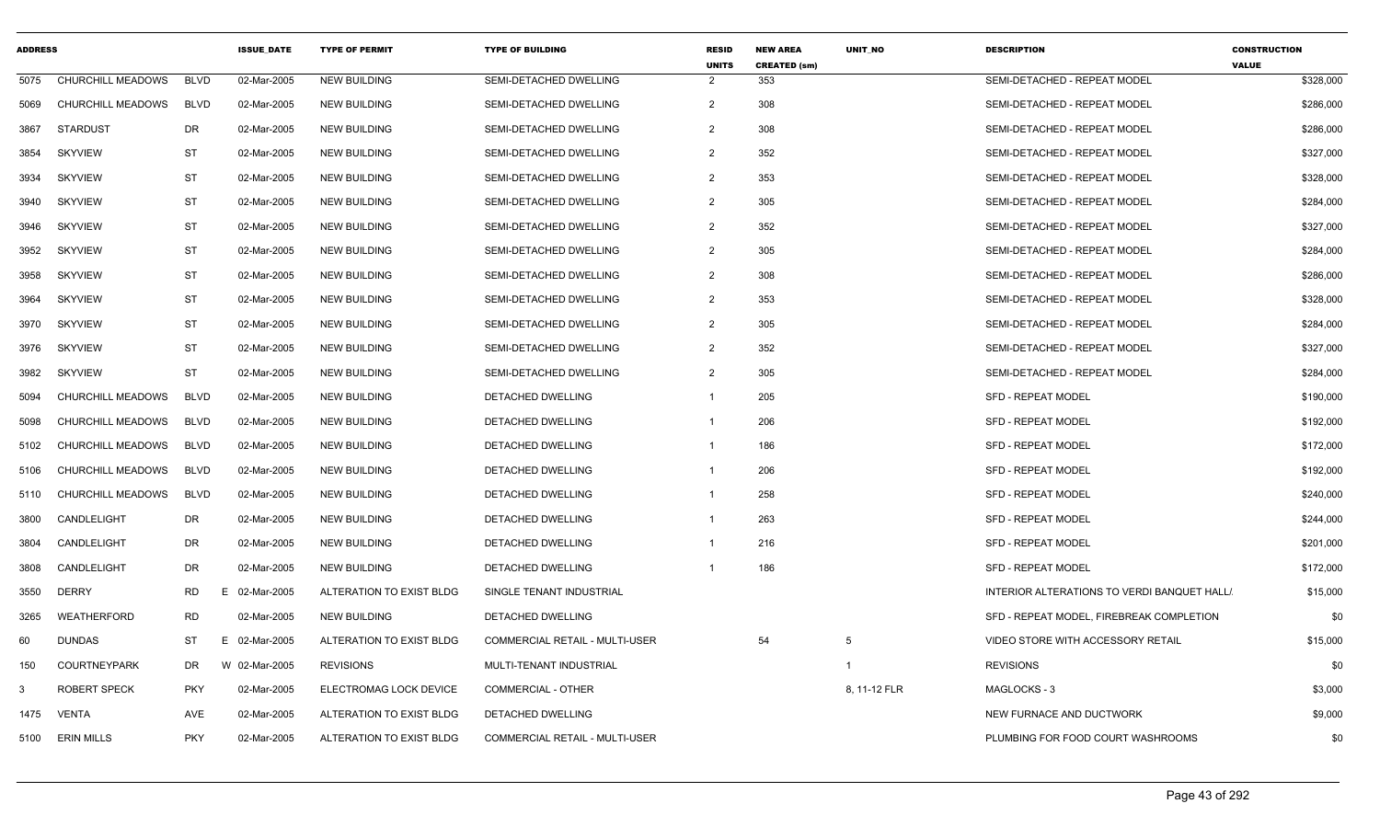| <b>ADDRESS</b> |                     |             | <b>ISSUE DATE</b> | <b>TYPE OF PERMIT</b>    | <b>TYPE OF BUILDING</b>               | <b>RESID</b><br><b>UNITS</b> | <b>NEW AREA</b><br><b>CREATED (sm)</b> | UNIT NO      | <b>DESCRIPTION</b>                          | <b>CONSTRUCTION</b><br><b>VALUE</b> |           |
|----------------|---------------------|-------------|-------------------|--------------------------|---------------------------------------|------------------------------|----------------------------------------|--------------|---------------------------------------------|-------------------------------------|-----------|
| 5075           | CHURCHILL MEADOWS   | <b>BLVD</b> | 02-Mar-2005       | <b>NEW BUILDING</b>      | SEMI-DETACHED DWELLING                | $\overline{2}$               | 353                                    |              | SEMI-DETACHED - REPEAT MODEL                |                                     | \$328,000 |
| 5069           | CHURCHILL MEADOWS   | <b>BLVD</b> | 02-Mar-2005       | <b>NEW BUILDING</b>      | SEMI-DETACHED DWELLING                | $\overline{2}$               | 308                                    |              | SEMI-DETACHED - REPEAT MODEL                |                                     | \$286,000 |
| 3867           | STARDUST            | DR          | 02-Mar-2005       | <b>NEW BUILDING</b>      | SEMI-DETACHED DWELLING                | $\overline{2}$               | 308                                    |              | SEMI-DETACHED - REPEAT MODEL                |                                     | \$286,000 |
| 3854           | <b>SKYVIEW</b>      | ST          | 02-Mar-2005       | <b>NEW BUILDING</b>      | SEMI-DETACHED DWELLING                | $\overline{2}$               | 352                                    |              | SEMI-DETACHED - REPEAT MODEL                |                                     | \$327,000 |
| 3934           | <b>SKYVIEW</b>      | ST          | 02-Mar-2005       | <b>NEW BUILDING</b>      | SEMI-DETACHED DWELLING                | $\overline{2}$               | 353                                    |              | SEMI-DETACHED - REPEAT MODEL                |                                     | \$328,000 |
| 3940           | <b>SKYVIEW</b>      | ST          | 02-Mar-2005       | <b>NEW BUILDING</b>      | SEMI-DETACHED DWELLING                | $\overline{2}$               | 305                                    |              | SEMI-DETACHED - REPEAT MODEL                |                                     | \$284,000 |
| 3946           | <b>SKYVIEW</b>      | ST          | 02-Mar-2005       | <b>NEW BUILDING</b>      | SEMI-DETACHED DWELLING                | $\overline{2}$               | 352                                    |              | SEMI-DETACHED - REPEAT MODEL                |                                     | \$327,000 |
| 3952           | <b>SKYVIEW</b>      | ST          | 02-Mar-2005       | <b>NEW BUILDING</b>      | SEMI-DETACHED DWELLING                | $\overline{2}$               | 305                                    |              | SEMI-DETACHED - REPEAT MODEL                |                                     | \$284,000 |
| 3958           | <b>SKYVIEW</b>      | ST          | 02-Mar-2005       | <b>NEW BUILDING</b>      | SEMI-DETACHED DWELLING                | $\overline{2}$               | 308                                    |              | SEMI-DETACHED - REPEAT MODEL                |                                     | \$286,000 |
| 3964           | <b>SKYVIEW</b>      | ST          | 02-Mar-2005       | <b>NEW BUILDING</b>      | SEMI-DETACHED DWELLING                | $\overline{2}$               | 353                                    |              | SEMI-DETACHED - REPEAT MODEL                |                                     | \$328,000 |
| 3970           | <b>SKYVIEW</b>      | <b>ST</b>   | 02-Mar-2005       | <b>NEW BUILDING</b>      | SEMI-DETACHED DWELLING                | $\overline{2}$               | 305                                    |              | SEMI-DETACHED - REPEAT MODEL                |                                     | \$284,000 |
| 3976           | <b>SKYVIEW</b>      | ST          | 02-Mar-2005       | <b>NEW BUILDING</b>      | SEMI-DETACHED DWELLING                | $\overline{2}$               | 352                                    |              | SEMI-DETACHED - REPEAT MODEL                |                                     | \$327,000 |
| 3982           | <b>SKYVIEW</b>      | <b>ST</b>   | 02-Mar-2005       | <b>NEW BUILDING</b>      | SEMI-DETACHED DWELLING                | $\overline{2}$               | 305                                    |              | SEMI-DETACHED - REPEAT MODEL                |                                     | \$284,000 |
| 5094           | CHURCHILL MEADOWS   | <b>BLVD</b> | 02-Mar-2005       | <b>NEW BUILDING</b>      | DETACHED DWELLING                     |                              | 205                                    |              | <b>SFD - REPEAT MODEL</b>                   |                                     | \$190,000 |
| 5098           | CHURCHILL MEADOWS   | <b>BLVD</b> | 02-Mar-2005       | <b>NEW BUILDING</b>      | DETACHED DWELLING                     | -1                           | 206                                    |              | <b>SFD - REPEAT MODEL</b>                   |                                     | \$192,000 |
| 5102           | CHURCHILL MEADOWS   | <b>BLVD</b> | 02-Mar-2005       | <b>NEW BUILDING</b>      | <b>DETACHED DWELLING</b>              |                              | 186                                    |              | <b>SFD - REPEAT MODEL</b>                   |                                     | \$172,000 |
| 5106           | CHURCHILL MEADOWS   | <b>BLVD</b> | 02-Mar-2005       | <b>NEW BUILDING</b>      | DETACHED DWELLING                     |                              | 206                                    |              | <b>SFD - REPEAT MODEL</b>                   |                                     | \$192,000 |
| 5110           | CHURCHILL MEADOWS   | <b>BLVD</b> | 02-Mar-2005       | <b>NEW BUILDING</b>      | DETACHED DWELLING                     |                              | 258                                    |              | SFD - REPEAT MODEL                          |                                     | \$240,000 |
| 3800           | CANDLELIGHT         | DR          | 02-Mar-2005       | <b>NEW BUILDING</b>      | DETACHED DWELLING                     |                              | 263                                    |              | <b>SFD - REPEAT MODEL</b>                   |                                     | \$244,000 |
| 3804           | CANDLELIGHT         | DR          | 02-Mar-2005       | <b>NEW BUILDING</b>      | DETACHED DWELLING                     |                              | 216                                    |              | <b>SFD - REPEAT MODEL</b>                   |                                     | \$201,000 |
| 3808           | CANDLELIGHT         | DR          | 02-Mar-2005       | <b>NEW BUILDING</b>      | DETACHED DWELLING                     |                              | 186                                    |              | <b>SFD - REPEAT MODEL</b>                   |                                     | \$172,000 |
| 3550           | <b>DERRY</b>        | <b>RD</b>   | E 02-Mar-2005     | ALTERATION TO EXIST BLDG | SINGLE TENANT INDUSTRIAL              |                              |                                        |              | INTERIOR ALTERATIONS TO VERDI BANQUET HALL! |                                     | \$15,000  |
| 3265           | WEATHERFORD         | <b>RD</b>   | 02-Mar-2005       | <b>NEW BUILDING</b>      | DETACHED DWELLING                     |                              |                                        |              | SFD - REPEAT MODEL, FIREBREAK COMPLETION    |                                     | \$0       |
| 60             | <b>DUNDAS</b>       | <b>ST</b>   | E 02-Mar-2005     | ALTERATION TO EXIST BLDG | <b>COMMERCIAL RETAIL - MULTI-USER</b> |                              | 54                                     | -5           | VIDEO STORE WITH ACCESSORY RETAIL           |                                     | \$15,000  |
| 150            | COURTNEYPARK        | DR          | W 02-Mar-2005     | <b>REVISIONS</b>         | MULTI-TENANT INDUSTRIAL               |                              |                                        |              | <b>REVISIONS</b>                            |                                     | \$0       |
| -3             | <b>ROBERT SPECK</b> | <b>PKY</b>  | 02-Mar-2005       | ELECTROMAG LOCK DEVICE   | <b>COMMERCIAL - OTHER</b>             |                              |                                        | 8, 11-12 FLR | MAGLOCKS-3                                  |                                     | \$3,000   |
|                | 1475 VENTA          | AVE         | 02-Mar-2005       | ALTERATION TO EXIST BLDG | DETACHED DWELLING                     |                              |                                        |              | NEW FURNACE AND DUCTWORK                    |                                     | \$9,000   |
|                | 5100 ERIN MILLS     | <b>PKY</b>  | 02-Mar-2005       | ALTERATION TO EXIST BLDG | <b>COMMERCIAL RETAIL - MULTI-USER</b> |                              |                                        |              | PLUMBING FOR FOOD COURT WASHROOMS           |                                     | \$0       |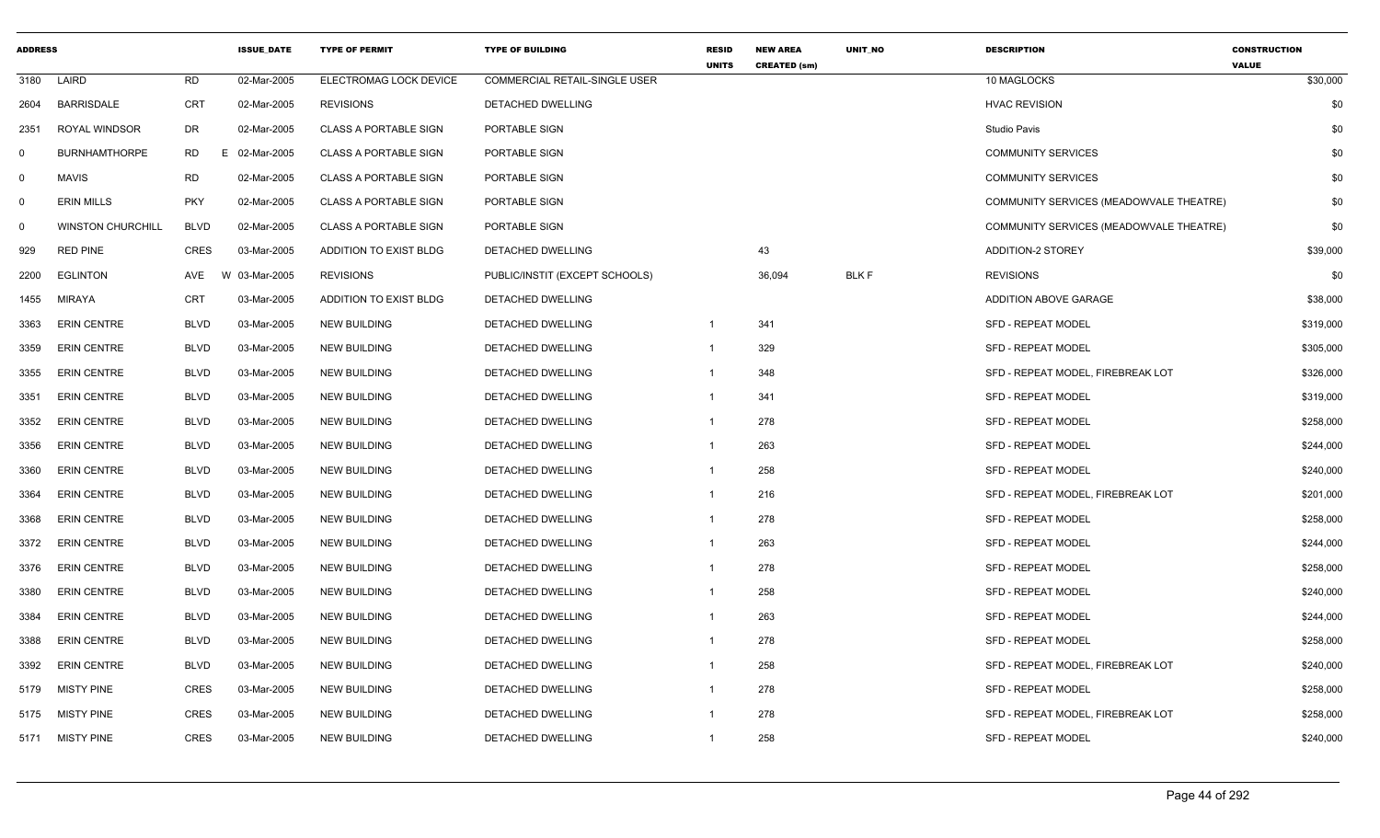| <b>ADDRESS</b> |                          |             | <b>ISSUE DATE</b> | <b>TYPE OF PERMIT</b>        | <b>TYPE OF BUILDING</b>              | <b>RESID</b><br><b>UNITS</b> | <b>NEW AREA</b><br><b>CREATED (sm)</b> | <b>UNIT NO</b> | <b>DESCRIPTION</b>                      | <b>CONSTRUCTION</b><br><b>VALUE</b> |
|----------------|--------------------------|-------------|-------------------|------------------------------|--------------------------------------|------------------------------|----------------------------------------|----------------|-----------------------------------------|-------------------------------------|
| 3180           | LAIRD                    | <b>RD</b>   | 02-Mar-2005       | ELECTROMAG LOCK DEVICE       | <b>COMMERCIAL RETAIL-SINGLE USER</b> |                              |                                        |                | 10 MAGLOCKS                             | \$30,000                            |
| 2604           | <b>BARRISDALE</b>        | <b>CRT</b>  | 02-Mar-2005       | <b>REVISIONS</b>             | DETACHED DWELLING                    |                              |                                        |                | <b>HVAC REVISION</b>                    | \$0                                 |
| 2351           | <b>ROYAL WINDSOR</b>     | DR          | 02-Mar-2005       | <b>CLASS A PORTABLE SIGN</b> | PORTABLE SIGN                        |                              |                                        |                | <b>Studio Pavis</b>                     | \$0                                 |
| 0              | <b>BURNHAMTHORPE</b>     | <b>RD</b>   | 02-Mar-2005<br>E. | <b>CLASS A PORTABLE SIGN</b> | PORTABLE SIGN                        |                              |                                        |                | <b>COMMUNITY SERVICES</b>               | \$0                                 |
| $\mathsf{O}$   | <b>MAVIS</b>             | <b>RD</b>   | 02-Mar-2005       | <b>CLASS A PORTABLE SIGN</b> | PORTABLE SIGN                        |                              |                                        |                | <b>COMMUNITY SERVICES</b>               | \$0                                 |
| $\mathbf 0$    | <b>ERIN MILLS</b>        | <b>PKY</b>  | 02-Mar-2005       | <b>CLASS A PORTABLE SIGN</b> | PORTABLE SIGN                        |                              |                                        |                | COMMUNITY SERVICES (MEADOWVALE THEATRE) | \$0                                 |
| 0              | <b>WINSTON CHURCHILL</b> | <b>BLVD</b> | 02-Mar-2005       | <b>CLASS A PORTABLE SIGN</b> | PORTABLE SIGN                        |                              |                                        |                | COMMUNITY SERVICES (MEADOWVALE THEATRE) | \$0                                 |
| 929            | <b>RED PINE</b>          | CRES        | 03-Mar-2005       | ADDITION TO EXIST BLDG       | DETACHED DWELLING                    |                              | 43                                     |                | <b>ADDITION-2 STOREY</b>                | \$39,000                            |
| 2200           | <b>EGLINTON</b>          | AVE         | W 03-Mar-2005     | <b>REVISIONS</b>             | PUBLIC/INSTIT (EXCEPT SCHOOLS)       |                              | 36,094                                 | <b>BLKF</b>    | <b>REVISIONS</b>                        | \$0                                 |
| 1455           | <b>MIRAYA</b>            | <b>CRT</b>  | 03-Mar-2005       | ADDITION TO EXIST BLDG       | DETACHED DWELLING                    |                              |                                        |                | ADDITION ABOVE GARAGE                   | \$38,000                            |
| 3363           | <b>ERIN CENTRE</b>       | <b>BLVD</b> | 03-Mar-2005       | <b>NEW BUILDING</b>          | DETACHED DWELLING                    | $\mathbf{1}$                 | 341                                    |                | <b>SFD - REPEAT MODEL</b>               | \$319,000                           |
| 3359           | <b>ERIN CENTRE</b>       | <b>BLVD</b> | 03-Mar-2005       | <b>NEW BUILDING</b>          | DETACHED DWELLING                    | $\mathbf{1}$                 | 329                                    |                | <b>SFD - REPEAT MODEL</b>               | \$305,000                           |
| 3355           | <b>ERIN CENTRE</b>       | <b>BLVD</b> | 03-Mar-2005       | <b>NEW BUILDING</b>          | DETACHED DWELLING                    | -1                           | 348                                    |                | SFD - REPEAT MODEL. FIREBREAK LOT       | \$326,000                           |
| 3351           | <b>ERIN CENTRE</b>       | <b>BLVD</b> | 03-Mar-2005       | <b>NEW BUILDING</b>          | DETACHED DWELLING                    | $\mathbf{1}$                 | 341                                    |                | <b>SFD - REPEAT MODEL</b>               | \$319,000                           |
| 3352           | <b>ERIN CENTRE</b>       | <b>BLVD</b> | 03-Mar-2005       | <b>NEW BUILDING</b>          | <b>DETACHED DWELLING</b>             | $\mathbf{1}$                 | 278                                    |                | <b>SFD - REPEAT MODEL</b>               | \$258,000                           |
| 3356           | <b>ERIN CENTRE</b>       | <b>BLVD</b> | 03-Mar-2005       | <b>NEW BUILDING</b>          | DETACHED DWELLING                    | $\mathbf{1}$                 | 263                                    |                | <b>SFD - REPEAT MODEL</b>               | \$244,000                           |
| 3360           | <b>ERIN CENTRE</b>       | <b>BLVD</b> | 03-Mar-2005       | <b>NEW BUILDING</b>          | DETACHED DWELLING                    | $\mathbf{1}$                 | 258                                    |                | <b>SFD - REPEAT MODEL</b>               | \$240,000                           |
| 3364           | <b>ERIN CENTRE</b>       | <b>BLVD</b> | 03-Mar-2005       | <b>NEW BUILDING</b>          | DETACHED DWELLING                    | $\mathbf{1}$                 | 216                                    |                | SFD - REPEAT MODEL, FIREBREAK LOT       | \$201,000                           |
| 3368           | <b>ERIN CENTRE</b>       | <b>BLVD</b> | 03-Mar-2005       | <b>NEW BUILDING</b>          | DETACHED DWELLING                    | $\mathbf{1}$                 | 278                                    |                | <b>SFD - REPEAT MODEL</b>               | \$258,000                           |
| 3372           | <b>ERIN CENTRE</b>       | <b>BLVD</b> | 03-Mar-2005       | <b>NEW BUILDING</b>          | DETACHED DWELLING                    | $\mathbf{1}$                 | 263                                    |                | <b>SFD - REPEAT MODEL</b>               | \$244,000                           |
| 3376           | <b>ERIN CENTRE</b>       | <b>BLVD</b> | 03-Mar-2005       | <b>NEW BUILDING</b>          | DETACHED DWELLING                    | $\mathbf{1}$                 | 278                                    |                | <b>SFD - REPEAT MODEL</b>               | \$258,000                           |
| 3380           | <b>ERIN CENTRE</b>       | <b>BLVD</b> | 03-Mar-2005       | <b>NEW BUILDING</b>          | DETACHED DWELLING                    | $\mathbf{1}$                 | 258                                    |                | <b>SFD - REPEAT MODEL</b>               | \$240,000                           |
| 3384           | <b>ERIN CENTRE</b>       | <b>BLVD</b> | 03-Mar-2005       | <b>NEW BUILDING</b>          | DETACHED DWELLING                    | $\mathbf{1}$                 | 263                                    |                | <b>SFD - REPEAT MODEL</b>               | \$244,000                           |
| 3388           | <b>ERIN CENTRE</b>       | <b>BLVD</b> | 03-Mar-2005       | <b>NEW BUILDING</b>          | DETACHED DWELLING                    | $\mathbf{1}$                 | 278                                    |                | <b>SFD - REPEAT MODEL</b>               | \$258,000                           |
| 3392           | <b>ERIN CENTRE</b>       | <b>BLVD</b> | 03-Mar-2005       | <b>NEW BUILDING</b>          | DETACHED DWELLING                    | $\mathbf{1}$                 | 258                                    |                | SFD - REPEAT MODEL, FIREBREAK LOT       | \$240,000                           |
| 5179           | <b>MISTY PINE</b>        | <b>CRES</b> | 03-Mar-2005       | <b>NEW BUILDING</b>          | DETACHED DWELLING                    | $\mathbf{1}$                 | 278                                    |                | <b>SFD - REPEAT MODEL</b>               | \$258,000                           |
| 5175           | <b>MISTY PINE</b>        | <b>CRES</b> | 03-Mar-2005       | <b>NEW BUILDING</b>          | DETACHED DWELLING                    | -1                           | 278                                    |                | SFD - REPEAT MODEL, FIREBREAK LOT       | \$258,000                           |
| 5171           | <b>MISTY PINE</b>        | <b>CRES</b> | 03-Mar-2005       | <b>NEW BUILDING</b>          | DETACHED DWELLING                    | $\mathbf{1}$                 | 258                                    |                | <b>SFD - REPEAT MODEL</b>               | \$240,000                           |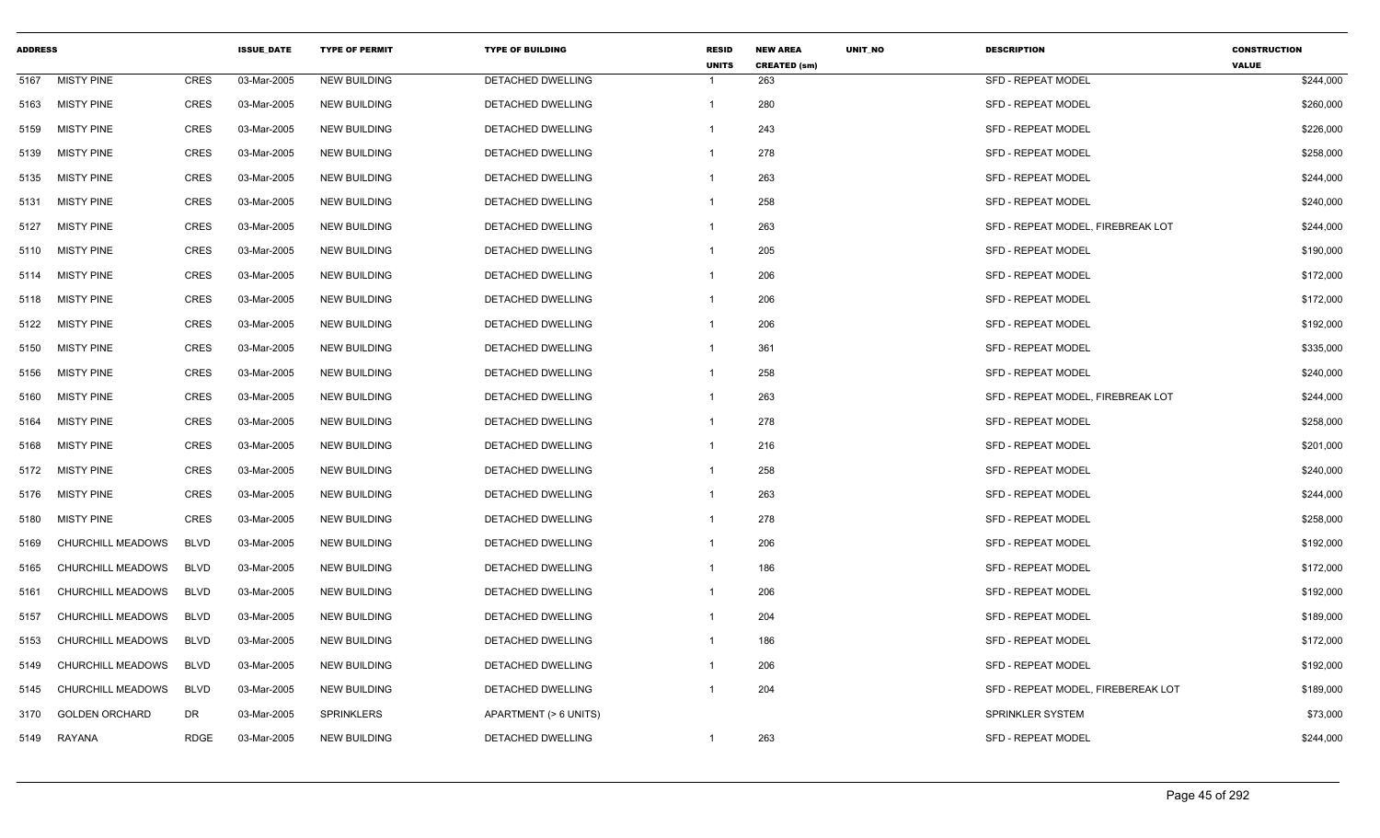| <b>ADDRESS</b> |                       |             | <b>ISSUE DATE</b> | <b>TYPE OF PERMIT</b> | <b>TYPE OF BUILDING</b>  | <b>RESID</b><br><b>UNITS</b> | <b>NEW AREA</b><br><b>CREATED (sm)</b> | <b>UNIT NO</b> | <b>DESCRIPTION</b>                 | <b>CONSTRUCTION</b><br><b>VALUE</b> |
|----------------|-----------------------|-------------|-------------------|-----------------------|--------------------------|------------------------------|----------------------------------------|----------------|------------------------------------|-------------------------------------|
| 5167           | <b>MISTY PINE</b>     | CRES        | 03-Mar-2005       | <b>NEW BUILDING</b>   | DETACHED DWELLING        | -1                           | 263                                    |                | <b>SFD - REPEAT MODEL</b>          | \$244,000                           |
| 5163           | <b>MISTY PINE</b>     | <b>CRES</b> | 03-Mar-2005       | <b>NEW BUILDING</b>   | DETACHED DWELLING        | $\mathbf{1}$                 | 280                                    |                | <b>SFD - REPEAT MODEL</b>          | \$260,000                           |
| 5159           | <b>MISTY PINE</b>     | <b>CRES</b> | 03-Mar-2005       | <b>NEW BUILDING</b>   | DETACHED DWELLING        | -1                           | 243                                    |                | <b>SFD - REPEAT MODEL</b>          | \$226,000                           |
| 5139           | <b>MISTY PINE</b>     | CRES        | 03-Mar-2005       | <b>NEW BUILDING</b>   | DETACHED DWELLING        | $\mathbf{1}$                 | 278                                    |                | <b>SFD - REPEAT MODEL</b>          | \$258,000                           |
| 5135           | <b>MISTY PINE</b>     | <b>CRES</b> | 03-Mar-2005       | <b>NEW BUILDING</b>   | DETACHED DWELLING        | $\mathbf{1}$                 | 263                                    |                | <b>SFD - REPEAT MODEL</b>          | \$244,000                           |
| 5131           | <b>MISTY PINE</b>     | <b>CRES</b> | 03-Mar-2005       | <b>NEW BUILDING</b>   | DETACHED DWELLING        | -1                           | 258                                    |                | SFD - REPEAT MODEL                 | \$240,000                           |
| 5127           | <b>MISTY PINE</b>     | <b>CRES</b> | 03-Mar-2005       | <b>NEW BUILDING</b>   | DETACHED DWELLING        | -1                           | 263                                    |                | SFD - REPEAT MODEL, FIREBREAK LOT  | \$244,000                           |
| 5110           | <b>MISTY PINE</b>     | <b>CRES</b> | 03-Mar-2005       | <b>NEW BUILDING</b>   | <b>DETACHED DWELLING</b> | $\mathbf{1}$                 | 205                                    |                | <b>SFD - REPEAT MODEL</b>          | \$190,000                           |
| 5114           | <b>MISTY PINE</b>     | <b>CRES</b> | 03-Mar-2005       | <b>NEW BUILDING</b>   | DETACHED DWELLING        | $\mathbf{1}$                 | 206                                    |                | <b>SFD - REPEAT MODEL</b>          | \$172,000                           |
| 5118           | <b>MISTY PINE</b>     | <b>CRES</b> | 03-Mar-2005       | <b>NEW BUILDING</b>   | DETACHED DWELLING        | -1                           | 206                                    |                | SFD - REPEAT MODEL                 | \$172,000                           |
| 5122           | <b>MISTY PINE</b>     | CRES        | 03-Mar-2005       | <b>NEW BUILDING</b>   | DETACHED DWELLING        | $\mathbf{1}$                 | 206                                    |                | <b>SFD - REPEAT MODEL</b>          | \$192,000                           |
| 5150           | <b>MISTY PINE</b>     | <b>CRES</b> | 03-Mar-2005       | <b>NEW BUILDING</b>   | DETACHED DWELLING        | $\overline{1}$               | 361                                    |                | <b>SFD - REPEAT MODEL</b>          | \$335,000                           |
| 5156           | <b>MISTY PINE</b>     | CRES        | 03-Mar-2005       | <b>NEW BUILDING</b>   | DETACHED DWELLING        | -1                           | 258                                    |                | SFD - REPEAT MODEL                 | \$240,000                           |
| 5160           | <b>MISTY PINE</b>     | <b>CRES</b> | 03-Mar-2005       | <b>NEW BUILDING</b>   | DETACHED DWELLING        | -1                           | 263                                    |                | SFD - REPEAT MODEL, FIREBREAK LOT  | \$244,000                           |
| 5164           | <b>MISTY PINE</b>     | <b>CRES</b> | 03-Mar-2005       | <b>NEW BUILDING</b>   | DETACHED DWELLING        | $\mathbf{1}$                 | 278                                    |                | SFD - REPEAT MODEL                 | \$258,000                           |
| 5168           | <b>MISTY PINE</b>     | <b>CRES</b> | 03-Mar-2005       | <b>NEW BUILDING</b>   | DETACHED DWELLING        | -1                           | 216                                    |                | SFD - REPEAT MODEL                 | \$201,000                           |
| 5172           | <b>MISTY PINE</b>     | <b>CRES</b> | 03-Mar-2005       | <b>NEW BUILDING</b>   | DETACHED DWELLING        | -1                           | 258                                    |                | <b>SFD - REPEAT MODEL</b>          | \$240,000                           |
| 5176           | <b>MISTY PINE</b>     | CRES        | 03-Mar-2005       | <b>NEW BUILDING</b>   | DETACHED DWELLING        | $\mathbf{1}$                 | 263                                    |                | <b>SFD - REPEAT MODEL</b>          | \$244,000                           |
| 5180           | <b>MISTY PINE</b>     | <b>CRES</b> | 03-Mar-2005       | <b>NEW BUILDING</b>   | <b>DETACHED DWELLING</b> | $\mathbf{1}$                 | 278                                    |                | <b>SFD - REPEAT MODEL</b>          | \$258,000                           |
| 5169           | CHURCHILL MEADOWS     | <b>BLVD</b> | 03-Mar-2005       | <b>NEW BUILDING</b>   | DETACHED DWELLING        | $\mathbf{1}$                 | 206                                    |                | SFD - REPEAT MODEL                 | \$192,000                           |
| 5165           | CHURCHILL MEADOWS     | <b>BLVD</b> | 03-Mar-2005       | <b>NEW BUILDING</b>   | DETACHED DWELLING        | $\mathbf{1}$                 | 186                                    |                | <b>SFD - REPEAT MODEL</b>          | \$172,000                           |
| 5161           | CHURCHILL MEADOWS     | <b>BLVD</b> | 03-Mar-2005       | <b>NEW BUILDING</b>   | DETACHED DWELLING        | $\mathbf{1}$                 | 206                                    |                | <b>SFD - REPEAT MODEL</b>          | \$192,000                           |
| 5157           | CHURCHILL MEADOWS     | <b>BLVD</b> | 03-Mar-2005       | <b>NEW BUILDING</b>   | DETACHED DWELLING        |                              | 204                                    |                | SFD - REPEAT MODEL                 | \$189,000                           |
| 5153           | CHURCHILL MEADOWS     | <b>BLVD</b> | 03-Mar-2005       | <b>NEW BUILDING</b>   | <b>DETACHED DWELLING</b> | $\mathbf{1}$                 | 186                                    |                | <b>SFD - REPEAT MODEL</b>          | \$172,000                           |
| 5149           | CHURCHILL MEADOWS     | <b>BLVD</b> | 03-Mar-2005       | <b>NEW BUILDING</b>   | DETACHED DWELLING        | -1                           | 206                                    |                | SFD - REPEAT MODEL                 | \$192,000                           |
| 5145           | CHURCHILL MEADOWS     | <b>BLVD</b> | 03-Mar-2005       | <b>NEW BUILDING</b>   | DETACHED DWELLING        | -1                           | 204                                    |                | SFD - REPEAT MODEL, FIREBEREAK LOT | \$189,000                           |
| 3170           | <b>GOLDEN ORCHARD</b> | <b>DR</b>   | 03-Mar-2005       | <b>SPRINKLERS</b>     | APARTMENT (> 6 UNITS)    |                              |                                        |                | <b>SPRINKLER SYSTEM</b>            | \$73,000                            |
| 5149           | RAYANA                | <b>RDGE</b> | 03-Mar-2005       | <b>NEW BUILDING</b>   | <b>DETACHED DWELLING</b> | -1                           | 263                                    |                | <b>SFD - REPEAT MODEL</b>          | \$244,000                           |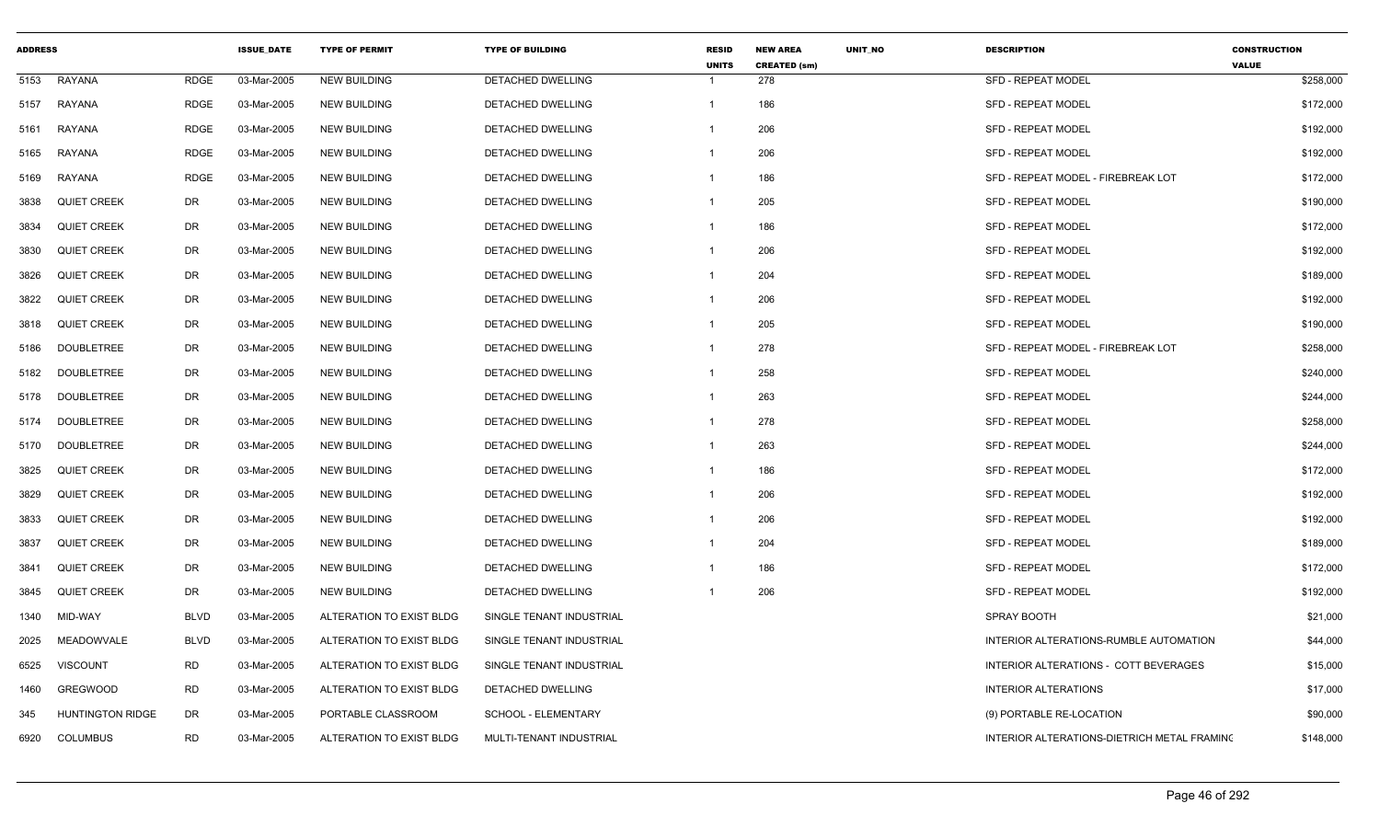| <b>ADDRESS</b> |                         |             | <b>ISSUE DATE</b> | <b>TYPE OF PERMIT</b>    | <b>TYPE OF BUILDING</b>  | <b>RESID</b><br><b>UNITS</b> | <b>NEW AREA</b><br><b>CREATED (sm)</b> | <b>UNIT NO</b> | <b>DESCRIPTION</b>                          | <b>CONSTRUCTION</b><br><b>VALUE</b> |
|----------------|-------------------------|-------------|-------------------|--------------------------|--------------------------|------------------------------|----------------------------------------|----------------|---------------------------------------------|-------------------------------------|
| 5153           | <b>RAYANA</b>           | <b>RDGE</b> | 03-Mar-2005       | <b>NEW BUILDING</b>      | DETACHED DWELLING        | -1                           | 278                                    |                | SFD - REPEAT MODEL                          | \$258,000                           |
| 5157           | RAYANA                  | <b>RDGE</b> | 03-Mar-2005       | <b>NEW BUILDING</b>      | <b>DETACHED DWELLING</b> | $\mathbf{1}$                 | 186                                    |                | <b>SFD - REPEAT MODEL</b>                   | \$172,000                           |
| 5161           | <b>RAYANA</b>           | <b>RDGE</b> | 03-Mar-2005       | <b>NEW BUILDING</b>      | <b>DETACHED DWELLING</b> | -1                           | 206                                    |                | <b>SFD - REPEAT MODEL</b>                   | \$192,000                           |
| 5165           | RAYANA                  | <b>RDGE</b> | 03-Mar-2005       | <b>NEW BUILDING</b>      | DETACHED DWELLING        | -1                           | 206                                    |                | <b>SFD - REPEAT MODEL</b>                   | \$192,000                           |
| 5169           | RAYANA                  | <b>RDGE</b> | 03-Mar-2005       | <b>NEW BUILDING</b>      | <b>DETACHED DWELLING</b> | -1                           | 186                                    |                | SFD - REPEAT MODEL - FIREBREAK LOT          | \$172,000                           |
| 3838           | <b>QUIET CREEK</b>      | DR          | 03-Mar-2005       | <b>NEW BUILDING</b>      | <b>DETACHED DWELLING</b> | -1                           | 205                                    |                | <b>SFD - REPEAT MODEL</b>                   | \$190,000                           |
| 3834           | <b>QUIET CREEK</b>      | DR          | 03-Mar-2005       | <b>NEW BUILDING</b>      | <b>DETACHED DWELLING</b> | -1                           | 186                                    |                | <b>SFD - REPEAT MODEL</b>                   | \$172,000                           |
| 3830           | <b>QUIET CREEK</b>      | DR          | 03-Mar-2005       | <b>NEW BUILDING</b>      | <b>DETACHED DWELLING</b> | $\mathbf{1}$                 | 206                                    |                | <b>SFD - REPEAT MODEL</b>                   | \$192,000                           |
| 3826           | <b>QUIET CREEK</b>      | DR          | 03-Mar-2005       | <b>NEW BUILDING</b>      | DETACHED DWELLING        | -1                           | 204                                    |                | <b>SFD - REPEAT MODEL</b>                   | \$189,000                           |
| 3822           | <b>QUIET CREEK</b>      | DR          | 03-Mar-2005       | <b>NEW BUILDING</b>      | DETACHED DWELLING        | -1                           | 206                                    |                | SFD - REPEAT MODEL                          | \$192,000                           |
| 3818           | <b>QUIET CREEK</b>      | <b>DR</b>   | 03-Mar-2005       | <b>NEW BUILDING</b>      | DETACHED DWELLING        | $\mathbf{1}$                 | 205                                    |                | <b>SFD - REPEAT MODEL</b>                   | \$190,000                           |
| 5186           | <b>DOUBLETREE</b>       | DR          | 03-Mar-2005       | <b>NEW BUILDING</b>      | DETACHED DWELLING        | -1                           | 278                                    |                | SFD - REPEAT MODEL - FIREBREAK LOT          | \$258,000                           |
| 5182           | <b>DOUBLETREE</b>       | DR          | 03-Mar-2005       | <b>NEW BUILDING</b>      | DETACHED DWELLING        |                              | 258                                    |                | <b>SFD - REPEAT MODEL</b>                   | \$240,000                           |
| 5178           | <b>DOUBLETREE</b>       | <b>DR</b>   | 03-Mar-2005       | <b>NEW BUILDING</b>      | <b>DETACHED DWELLING</b> | -1                           | 263                                    |                | <b>SFD - REPEAT MODEL</b>                   | \$244,000                           |
| 5174           | <b>DOUBLETREE</b>       | DR          | 03-Mar-2005       | <b>NEW BUILDING</b>      | <b>DETACHED DWELLING</b> | $\mathbf{1}$                 | 278                                    |                | <b>SFD - REPEAT MODEL</b>                   | \$258,000                           |
| 5170           | <b>DOUBLETREE</b>       | DR          | 03-Mar-2005       | <b>NEW BUILDING</b>      | <b>DETACHED DWELLING</b> | -1                           | 263                                    |                | <b>SFD - REPEAT MODEL</b>                   | \$244,000                           |
| 3825           | <b>QUIET CREEK</b>      | DR          | 03-Mar-2005       | <b>NEW BUILDING</b>      | <b>DETACHED DWELLING</b> | $\mathbf 1$                  | 186                                    |                | <b>SFD - REPEAT MODEL</b>                   | \$172,000                           |
| 3829           | <b>QUIET CREEK</b>      | DR          | 03-Mar-2005       | <b>NEW BUILDING</b>      | DETACHED DWELLING        | -1                           | 206                                    |                | <b>SFD - REPEAT MODEL</b>                   | \$192,000                           |
| 3833           | <b>QUIET CREEK</b>      | DR          | 03-Mar-2005       | <b>NEW BUILDING</b>      | <b>DETACHED DWELLING</b> | $\mathbf 1$                  | 206                                    |                | <b>SFD - REPEAT MODEL</b>                   | \$192,000                           |
| 3837           | <b>QUIET CREEK</b>      | <b>DR</b>   | 03-Mar-2005       | <b>NEW BUILDING</b>      | DETACHED DWELLING        | -1                           | 204                                    |                | <b>SFD - REPEAT MODEL</b>                   | \$189,000                           |
| 3841           | <b>QUIET CREEK</b>      | DR          | 03-Mar-2005       | <b>NEW BUILDING</b>      | DETACHED DWELLING        | -1                           | 186                                    |                | <b>SFD - REPEAT MODEL</b>                   | \$172,000                           |
| 3845           | <b>QUIET CREEK</b>      | DR          | 03-Mar-2005       | <b>NEW BUILDING</b>      | DETACHED DWELLING        | -1                           | 206                                    |                | <b>SFD - REPEAT MODEL</b>                   | \$192,000                           |
| 1340           | MID-WAY                 | <b>BLVD</b> | 03-Mar-2005       | ALTERATION TO EXIST BLDG | SINGLE TENANT INDUSTRIAL |                              |                                        |                | SPRAY BOOTH                                 | \$21,000                            |
| 2025           | MEADOWVALE              | <b>BLVD</b> | 03-Mar-2005       | ALTERATION TO EXIST BLDG | SINGLE TENANT INDUSTRIAL |                              |                                        |                | INTERIOR ALTERATIONS-RUMBLE AUTOMATION      | \$44,000                            |
| 6525           | <b>VISCOUNT</b>         | <b>RD</b>   | 03-Mar-2005       | ALTERATION TO EXIST BLDG | SINGLE TENANT INDUSTRIAL |                              |                                        |                | INTERIOR ALTERATIONS - COTT BEVERAGES       | \$15,000                            |
| 1460           | <b>GREGWOOD</b>         | <b>RD</b>   | 03-Mar-2005       | ALTERATION TO EXIST BLDG | DETACHED DWELLING        |                              |                                        |                | <b>INTERIOR ALTERATIONS</b>                 | \$17,000                            |
| 345            | <b>HUNTINGTON RIDGE</b> | DR          | 03-Mar-2005       | PORTABLE CLASSROOM       | SCHOOL - ELEMENTARY      |                              |                                        |                | (9) PORTABLE RE-LOCATION                    | \$90,000                            |
| 6920           | COLUMBUS                | <b>RD</b>   | 03-Mar-2005       | ALTERATION TO EXIST BLDG | MULTI-TENANT INDUSTRIAL  |                              |                                        |                | INTERIOR ALTERATIONS-DIETRICH METAL FRAMINO | \$148,000                           |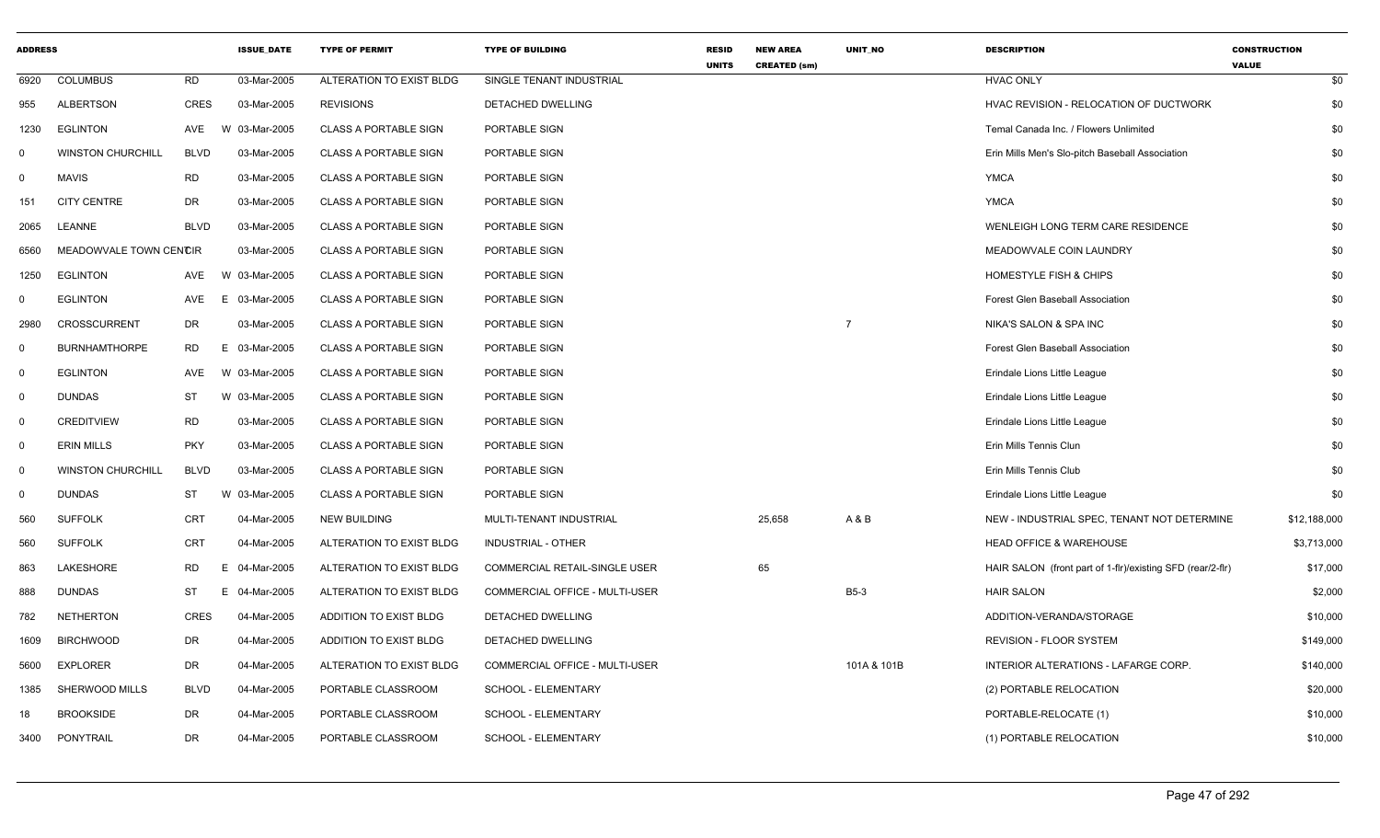| <b>ADDRESS</b> |                          |             | <b>ISSUE DATE</b> | <b>TYPE OF PERMIT</b>        | <b>TYPE OF BUILDING</b>        | <b>RESID</b><br><b>UNITS</b> | <b>NEW AREA</b><br><b>CREATED (sm)</b> | <b>UNIT NO</b> | <b>DESCRIPTION</b>                                         | <b>CONSTRUCTION</b><br><b>VALUE</b> |  |
|----------------|--------------------------|-------------|-------------------|------------------------------|--------------------------------|------------------------------|----------------------------------------|----------------|------------------------------------------------------------|-------------------------------------|--|
| 6920           | <b>COLUMBUS</b>          | <b>RD</b>   | 03-Mar-2005       | ALTERATION TO EXIST BLDG     | SINGLE TENANT INDUSTRIAL       |                              |                                        |                | <b>HVAC ONLY</b>                                           | \$0                                 |  |
| 955            | <b>ALBERTSON</b>         | <b>CRES</b> | 03-Mar-2005       | <b>REVISIONS</b>             | DETACHED DWELLING              |                              |                                        |                | HVAC REVISION - RELOCATION OF DUCTWORK                     | \$0                                 |  |
| 1230           | <b>EGLINTON</b>          | <b>AVE</b>  | 03-Mar-2005<br>W  | <b>CLASS A PORTABLE SIGN</b> | PORTABLE SIGN                  |                              |                                        |                | Temal Canada Inc. / Flowers Unlimited                      | \$0                                 |  |
| $\Omega$       | <b>WINSTON CHURCHILL</b> | <b>BLVD</b> | 03-Mar-2005       | <b>CLASS A PORTABLE SIGN</b> | <b>PORTABLE SIGN</b>           |                              |                                        |                | Erin Mills Men's Slo-pitch Baseball Association            | \$0                                 |  |
| $\mathbf 0$    | <b>MAVIS</b>             | <b>RD</b>   | 03-Mar-2005       | <b>CLASS A PORTABLE SIGN</b> | PORTABLE SIGN                  |                              |                                        |                | <b>YMCA</b>                                                | \$0                                 |  |
| 151            | <b>CITY CENTRE</b>       | DR          | 03-Mar-2005       | <b>CLASS A PORTABLE SIGN</b> | PORTABLE SIGN                  |                              |                                        |                | <b>YMCA</b>                                                | \$0                                 |  |
| 2065           | LEANNE                   | <b>BLVD</b> | 03-Mar-2005       | <b>CLASS A PORTABLE SIGN</b> | PORTABLE SIGN                  |                              |                                        |                | WENLEIGH LONG TERM CARE RESIDENCE                          | \$0                                 |  |
| 6560           | MEADOWVALE TOWN CENCIR   |             | 03-Mar-2005       | <b>CLASS A PORTABLE SIGN</b> | PORTABLE SIGN                  |                              |                                        |                | MEADOWVALE COIN LAUNDRY                                    | \$0                                 |  |
| 1250           | <b>EGLINTON</b>          | AVE         | W 03-Mar-2005     | <b>CLASS A PORTABLE SIGN</b> | PORTABLE SIGN                  |                              |                                        |                | HOMESTYLE FISH & CHIPS                                     | \$0                                 |  |
| $\Omega$       | <b>EGLINTON</b>          | <b>AVE</b>  | 03-Mar-2005<br>E. | <b>CLASS A PORTABLE SIGN</b> | PORTABLE SIGN                  |                              |                                        |                | Forest Glen Baseball Association                           | \$0                                 |  |
| 2980           | <b>CROSSCURRENT</b>      | <b>DR</b>   | 03-Mar-2005       | <b>CLASS A PORTABLE SIGN</b> | PORTABLE SIGN                  |                              |                                        | $\overline{7}$ | NIKA'S SALON & SPA INC                                     | \$0                                 |  |
| $\mathbf 0$    | <b>BURNHAMTHORPE</b>     | <b>RD</b>   | E.<br>03-Mar-2005 | <b>CLASS A PORTABLE SIGN</b> | PORTABLE SIGN                  |                              |                                        |                | Forest Glen Baseball Association                           | \$0                                 |  |
| $\mathsf{O}$   | <b>EGLINTON</b>          | <b>AVE</b>  | W 03-Mar-2005     | <b>CLASS A PORTABLE SIGN</b> | PORTABLE SIGN                  |                              |                                        |                | Erindale Lions Little League                               | \$0                                 |  |
| $\overline{0}$ | <b>DUNDAS</b>            | <b>ST</b>   | W 03-Mar-2005     | <b>CLASS A PORTABLE SIGN</b> | PORTABLE SIGN                  |                              |                                        |                | Erindale Lions Little League                               | \$0                                 |  |
| $\mathbf 0$    | <b>CREDITVIEW</b>        | <b>RD</b>   | 03-Mar-2005       | <b>CLASS A PORTABLE SIGN</b> | PORTABLE SIGN                  |                              |                                        |                | Erindale Lions Little League                               | \$0                                 |  |
| $\mathbf 0$    | <b>ERIN MILLS</b>        | <b>PKY</b>  | 03-Mar-2005       | <b>CLASS A PORTABLE SIGN</b> | PORTABLE SIGN                  |                              |                                        |                | Erin Mills Tennis Clun                                     | \$0                                 |  |
| 0              | <b>WINSTON CHURCHILL</b> | <b>BLVD</b> | 03-Mar-2005       | <b>CLASS A PORTABLE SIGN</b> | PORTABLE SIGN                  |                              |                                        |                | Erin Mills Tennis Club                                     | \$0                                 |  |
| $\mathbf 0$    | <b>DUNDAS</b>            | ST          | 03-Mar-2005<br>W  | <b>CLASS A PORTABLE SIGN</b> | PORTABLE SIGN                  |                              |                                        |                | Erindale Lions Little League                               | \$0                                 |  |
| 560            | <b>SUFFOLK</b>           | <b>CRT</b>  | 04-Mar-2005       | <b>NEW BUILDING</b>          | MULTI-TENANT INDUSTRIAL        |                              | 25,658                                 | A&B            | NEW - INDUSTRIAL SPEC, TENANT NOT DETERMINE                | \$12,188,000                        |  |
| 560            | <b>SUFFOLK</b>           | <b>CRT</b>  | 04-Mar-2005       | ALTERATION TO EXIST BLDG     | <b>INDUSTRIAL - OTHER</b>      |                              |                                        |                | <b>HEAD OFFICE &amp; WAREHOUSE</b>                         | \$3,713,000                         |  |
| 863            | LAKESHORE                | <b>RD</b>   | E.<br>04-Mar-2005 | ALTERATION TO EXIST BLDG     | COMMERCIAL RETAIL-SINGLE USER  |                              | 65                                     |                | HAIR SALON (front part of 1-fir)/existing SFD (rear/2-fir) | \$17,000                            |  |
| 888            | <b>DUNDAS</b>            | <b>ST</b>   | Е.<br>04-Mar-2005 | ALTERATION TO EXIST BLDG     | COMMERCIAL OFFICE - MULTI-USER |                              |                                        | <b>B5-3</b>    | <b>HAIR SALON</b>                                          | \$2,000                             |  |
| 782            | <b>NETHERTON</b>         | <b>CRES</b> | 04-Mar-2005       | ADDITION TO EXIST BLDG       | DETACHED DWELLING              |                              |                                        |                | ADDITION-VERANDA/STORAGE                                   | \$10,000                            |  |
| 1609           | <b>BIRCHWOOD</b>         | <b>DR</b>   | 04-Mar-2005       | ADDITION TO EXIST BLDG       | DETACHED DWELLING              |                              |                                        |                | REVISION - FLOOR SYSTEM                                    | \$149,000                           |  |
| 5600           | <b>EXPLORER</b>          | DR          | 04-Mar-2005       | ALTERATION TO EXIST BLDG     | COMMERCIAL OFFICE - MULTI-USER |                              |                                        | 101A & 101B    | INTERIOR ALTERATIONS - LAFARGE CORP.                       | \$140,000                           |  |
| 1385           | SHERWOOD MILLS           | <b>BLVD</b> | 04-Mar-2005       | PORTABLE CLASSROOM           | SCHOOL - ELEMENTARY            |                              |                                        |                | (2) PORTABLE RELOCATION                                    | \$20,000                            |  |
| 18             | <b>BROOKSIDE</b>         | DR          | 04-Mar-2005       | PORTABLE CLASSROOM           | SCHOOL - ELEMENTARY            |                              |                                        |                | PORTABLE-RELOCATE (1)                                      | \$10,000                            |  |
| 3400           | PONYTRAIL                | <b>DR</b>   | 04-Mar-2005       | PORTABLE CLASSROOM           | SCHOOL - ELEMENTARY            |                              |                                        |                | (1) PORTABLE RELOCATION                                    | \$10,000                            |  |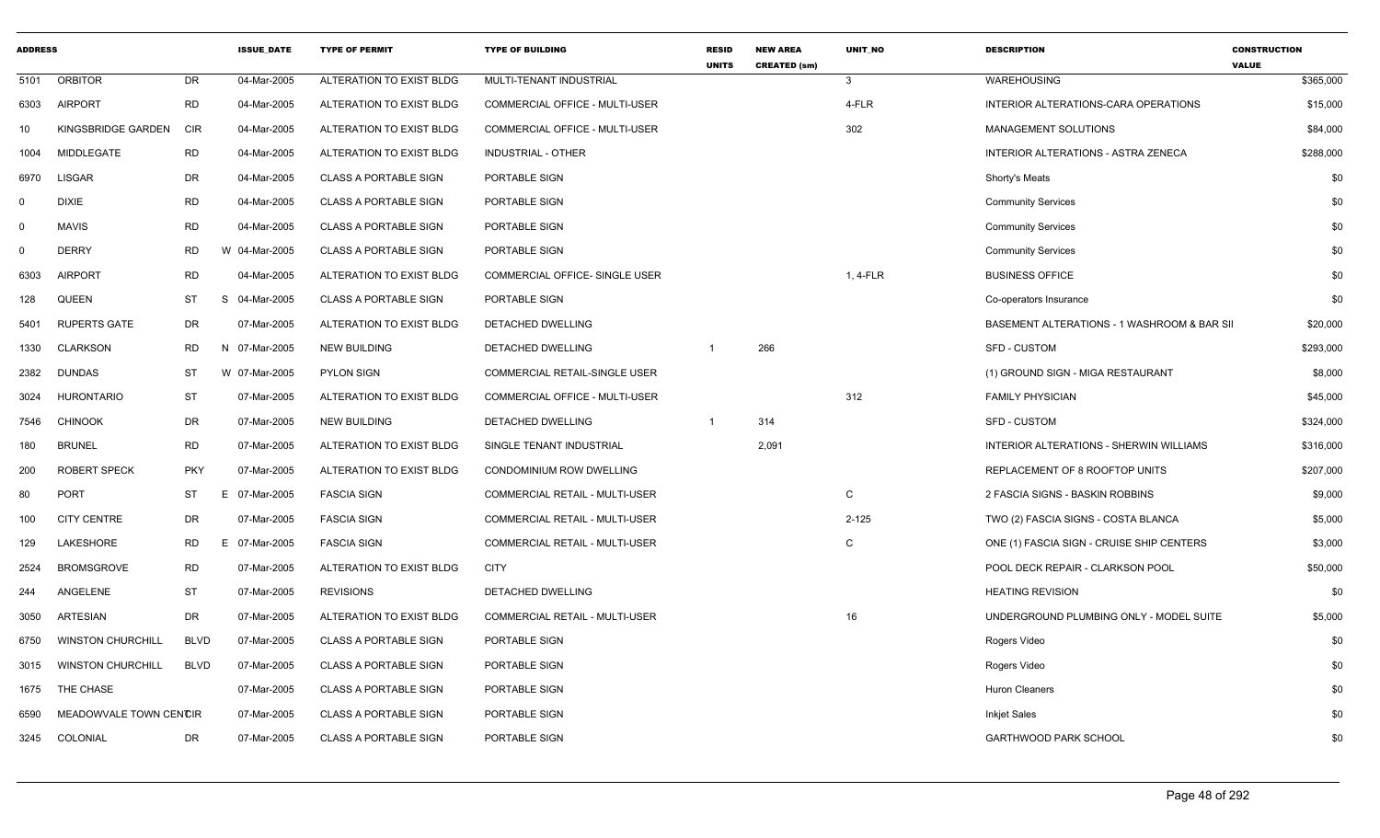| <b>ADDRESS</b> |                          |             | <b>ISSUE DATE</b> | <b>TYPE OF PERMIT</b>        | <b>TYPE OF BUILDING</b>        | <b>RESID</b><br><b>UNITS</b> | <b>NEW AREA</b><br><b>CREATED (sm)</b> | <b>UNIT NO</b> | <b>DESCRIPTION</b>                          | <b>CONSTRUCTION</b><br><b>VALUE</b> |
|----------------|--------------------------|-------------|-------------------|------------------------------|--------------------------------|------------------------------|----------------------------------------|----------------|---------------------------------------------|-------------------------------------|
| 5101           | <b>ORBITOR</b>           | DR          | 04-Mar-2005       | ALTERATION TO EXIST BLDG     | MULTI-TENANT INDUSTRIAL        |                              |                                        | $\mathbf{3}$   | WAREHOUSING                                 | \$365,000                           |
| 6303           | <b>AIRPORT</b>           | <b>RD</b>   | 04-Mar-2005       | ALTERATION TO EXIST BLDG     | COMMERCIAL OFFICE - MULTI-USER |                              |                                        | 4-FLR          | INTERIOR ALTERATIONS-CARA OPERATIONS        | \$15,000                            |
| 10             | KINGSBRIDGE GARDEN       | <b>CIR</b>  | 04-Mar-2005       | ALTERATION TO EXIST BLDG     | COMMERCIAL OFFICE - MULTI-USER |                              |                                        | 302            | <b>MANAGEMENT SOLUTIONS</b>                 | \$84,000                            |
| 1004           | <b>MIDDLEGATE</b>        | <b>RD</b>   | 04-Mar-2005       | ALTERATION TO EXIST BLDG     | INDUSTRIAL - OTHER             |                              |                                        |                | INTERIOR ALTERATIONS - ASTRA ZENECA         | \$288,000                           |
| 6970           | <b>LISGAR</b>            | DR          | 04-Mar-2005       | <b>CLASS A PORTABLE SIGN</b> | PORTABLE SIGN                  |                              |                                        |                | Shorty's Meats                              | \$0                                 |
| $\Omega$       | <b>DIXIE</b>             | <b>RD</b>   | 04-Mar-2005       | <b>CLASS A PORTABLE SIGN</b> | PORTABLE SIGN                  |                              |                                        |                | <b>Community Services</b>                   | \$0                                 |
| $\Omega$       | <b>MAVIS</b>             | <b>RD</b>   | 04-Mar-2005       | <b>CLASS A PORTABLE SIGN</b> | PORTABLE SIGN                  |                              |                                        |                | <b>Community Services</b>                   | \$0                                 |
| $\Omega$       | <b>DERRY</b>             | RD          | W 04-Mar-2005     | <b>CLASS A PORTABLE SIGN</b> | PORTABLE SIGN                  |                              |                                        |                | <b>Community Services</b>                   | \$0                                 |
| 6303           | <b>AIRPORT</b>           | <b>RD</b>   | 04-Mar-2005       | ALTERATION TO EXIST BLDG     | COMMERCIAL OFFICE- SINGLE USER |                              |                                        | 1, 4-FLR       | <b>BUSINESS OFFICE</b>                      | \$0                                 |
| 128            | QUEEN                    | <b>ST</b>   | S<br>04-Mar-2005  | <b>CLASS A PORTABLE SIGN</b> | PORTABLE SIGN                  |                              |                                        |                | Co-operators Insurance                      | \$0                                 |
| 5401           | <b>RUPERTS GATE</b>      | DR          | 07-Mar-2005       | ALTERATION TO EXIST BLDG     | DETACHED DWELLING              |                              |                                        |                | BASEMENT ALTERATIONS - 1 WASHROOM & BAR SII | \$20,000                            |
| 1330           | <b>CLARKSON</b>          | RD          | N 07-Mar-2005     | NEW BUILDING                 | DETACHED DWELLING              |                              | 266                                    |                | SFD - CUSTOM                                | \$293,000                           |
| 2382           | <b>DUNDAS</b>            | ST          | W 07-Mar-2005     | <b>PYLON SIGN</b>            | COMMERCIAL RETAIL-SINGLE USER  |                              |                                        |                | (1) GROUND SIGN - MIGA RESTAURANT           | \$8,000                             |
| 3024           | HURONTARIO               | <b>ST</b>   | 07-Mar-2005       | ALTERATION TO EXIST BLDG     | COMMERCIAL OFFICE - MULTI-USER |                              |                                        | 312            | <b>FAMILY PHYSICIAN</b>                     | \$45,000                            |
| 7546           | <b>CHINOOK</b>           | DR          | 07-Mar-2005       | <b>NEW BUILDING</b>          | DETACHED DWELLING              | $\overline{1}$               | 314                                    |                | <b>SFD - CUSTOM</b>                         | \$324,000                           |
| 180            | <b>BRUNEL</b>            | <b>RD</b>   | 07-Mar-2005       | ALTERATION TO EXIST BLDG     | SINGLE TENANT INDUSTRIAL       |                              | 2,091                                  |                | INTERIOR ALTERATIONS - SHERWIN WILLIAMS     | \$316,000                           |
| 200            | <b>ROBERT SPECK</b>      | <b>PKY</b>  | 07-Mar-2005       | ALTERATION TO EXIST BLDG     | CONDOMINIUM ROW DWELLING       |                              |                                        |                | REPLACEMENT OF 8 ROOFTOP UNITS              | \$207,000                           |
| 80             | <b>PORT</b>              | ST          | 07-Mar-2005<br>Е  | <b>FASCIA SIGN</b>           | COMMERCIAL RETAIL - MULTI-USER |                              |                                        | C              | 2 FASCIA SIGNS - BASKIN ROBBINS             | \$9,000                             |
| 100            | <b>CITY CENTRE</b>       | DR          | 07-Mar-2005       | <b>FASCIA SIGN</b>           | COMMERCIAL RETAIL - MULTI-USER |                              |                                        | $2 - 125$      | TWO (2) FASCIA SIGNS - COSTA BLANCA         | \$5,000                             |
| 129            | LAKESHORE                | RD          | E 07-Mar-2005     | <b>FASCIA SIGN</b>           | COMMERCIAL RETAIL - MULTI-USER |                              |                                        | C              | ONE (1) FASCIA SIGN - CRUISE SHIP CENTERS   | \$3,000                             |
| 2524           | <b>BROMSGROVE</b>        | <b>RD</b>   | 07-Mar-2005       | ALTERATION TO EXIST BLDG     | <b>CITY</b>                    |                              |                                        |                | POOL DECK REPAIR - CLARKSON POOL            | \$50,000                            |
| 244            | ANGELENE                 | <b>ST</b>   | 07-Mar-2005       | <b>REVISIONS</b>             | DETACHED DWELLING              |                              |                                        |                | <b>HEATING REVISION</b>                     | \$0                                 |
| 3050           | ARTESIAN                 | DR          | 07-Mar-2005       | ALTERATION TO EXIST BLDG     | COMMERCIAL RETAIL - MULTI-USER |                              |                                        | 16             | UNDERGROUND PLUMBING ONLY - MODEL SUITE     | \$5,000                             |
| 6750           | <b>WINSTON CHURCHILL</b> | <b>BLVD</b> | 07-Mar-2005       | <b>CLASS A PORTABLE SIGN</b> | PORTABLE SIGN                  |                              |                                        |                | Rogers Video                                | \$0                                 |
| 3015           | <b>WINSTON CHURCHILL</b> | <b>BLVD</b> | 07-Mar-2005       | <b>CLASS A PORTABLE SIGN</b> | PORTABLE SIGN                  |                              |                                        |                | Rogers Video                                | \$0                                 |
| 1675           | THE CHASE                |             | 07-Mar-2005       | <b>CLASS A PORTABLE SIGN</b> | PORTABLE SIGN                  |                              |                                        |                | <b>Huron Cleaners</b>                       | \$0                                 |
| 6590           | MEADOWVALE TOWN CENCIR   |             | 07-Mar-2005       | <b>CLASS A PORTABLE SIGN</b> | PORTABLE SIGN                  |                              |                                        |                | <b>Inkjet Sales</b>                         | \$0                                 |
| 3245           | COLONIAL                 | DR          | 07-Mar-2005       | <b>CLASS A PORTABLE SIGN</b> | PORTABLE SIGN                  |                              |                                        |                | <b>GARTHWOOD PARK SCHOOL</b>                | \$0                                 |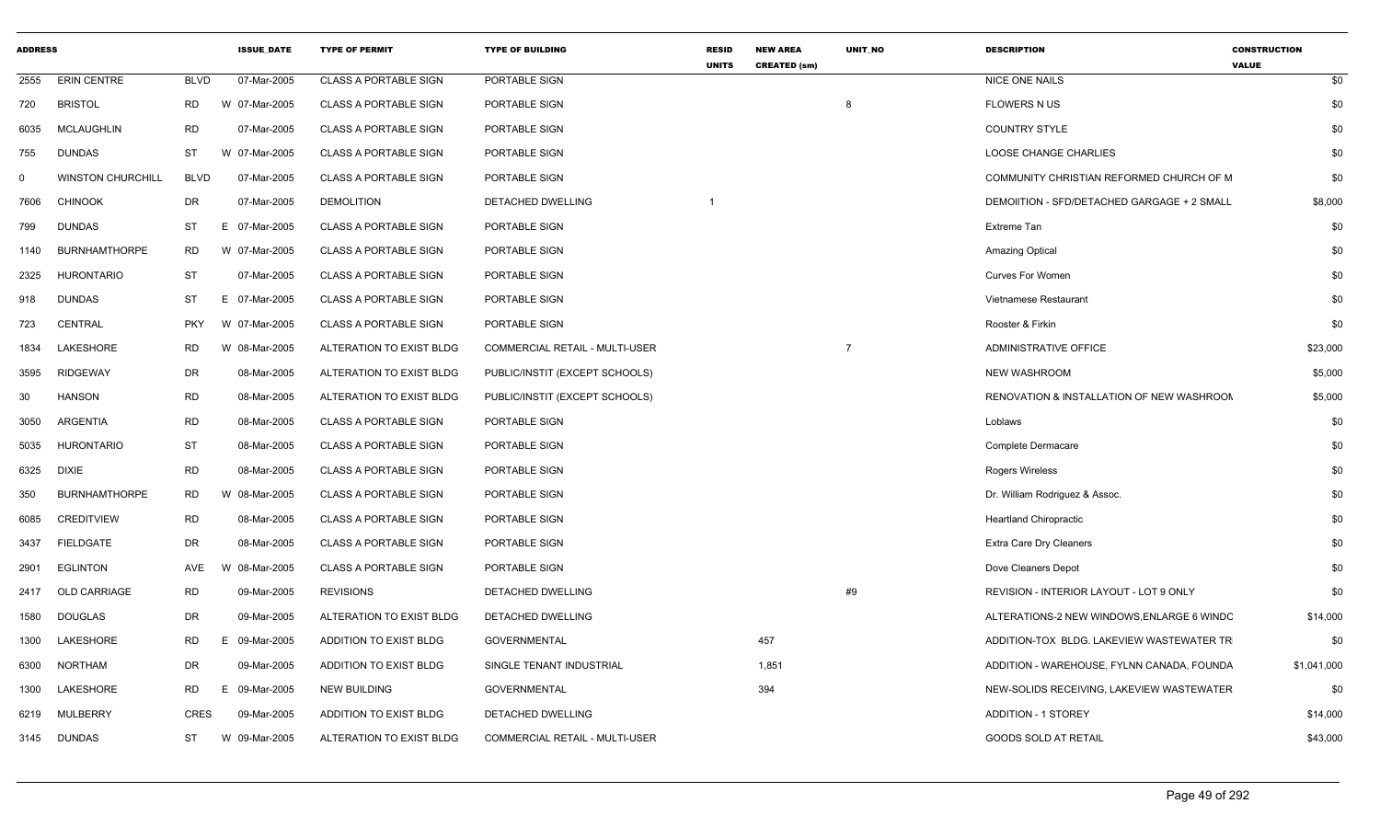| <b>ADDRESS</b> |                          |             | <b>ISSUE DATE</b> | <b>TYPE OF PERMIT</b>        | <b>TYPE OF BUILDING</b>        | <b>RESID</b><br><b>UNITS</b> | <b>NEW AREA</b><br><b>CREATED (sm)</b> | <b>UNIT NO</b> | <b>DESCRIPTION</b>                          | <b>CONSTRUCTION</b><br><b>VALUE</b> |
|----------------|--------------------------|-------------|-------------------|------------------------------|--------------------------------|------------------------------|----------------------------------------|----------------|---------------------------------------------|-------------------------------------|
| 2555           | <b>ERIN CENTRE</b>       | <b>BLVD</b> | 07-Mar-2005       | <b>CLASS A PORTABLE SIGN</b> | PORTABLE SIGN                  |                              |                                        |                | <b>NICE ONE NAILS</b>                       | \$0                                 |
| 720            | <b>BRISTOL</b>           | RD          | W 07-Mar-2005     | <b>CLASS A PORTABLE SIGN</b> | PORTABLE SIGN                  |                              |                                        | 8              | <b>FLOWERS N US</b>                         | \$0                                 |
| 6035           | <b>MCLAUGHLIN</b>        | <b>RD</b>   | 07-Mar-2005       | <b>CLASS A PORTABLE SIGN</b> | PORTABLE SIGN                  |                              |                                        |                | <b>COUNTRY STYLE</b>                        | \$0                                 |
| 755            | <b>DUNDAS</b>            | <b>ST</b>   | W 07-Mar-2005     | <b>CLASS A PORTABLE SIGN</b> | PORTABLE SIGN                  |                              |                                        |                | <b>LOOSE CHANGE CHARLIES</b>                | \$0                                 |
| $\mathbf 0$    | <b>WINSTON CHURCHILL</b> | <b>BLVD</b> | 07-Mar-2005       | <b>CLASS A PORTABLE SIGN</b> | PORTABLE SIGN                  |                              |                                        |                | COMMUNITY CHRISTIAN REFORMED CHURCH OF M    | \$0                                 |
| 7606           | <b>CHINOOK</b>           | DR          | 07-Mar-2005       | <b>DEMOLITION</b>            | <b>DETACHED DWELLING</b>       |                              |                                        |                | DEMOIITION - SFD/DETACHED GARGAGE + 2 SMALL | \$8,000                             |
| 799            | <b>DUNDAS</b>            | <b>ST</b>   | 07-Mar-2005<br>E. | <b>CLASS A PORTABLE SIGN</b> | PORTABLE SIGN                  |                              |                                        |                | Extreme Tan                                 | \$0                                 |
| 1140           | <b>BURNHAMTHORPE</b>     | <b>RD</b>   | W 07-Mar-2005     | <b>CLASS A PORTABLE SIGN</b> | PORTABLE SIGN                  |                              |                                        |                | Amazing Optical                             | \$0                                 |
| 2325           | <b>HURONTARIO</b>        | ST          | 07-Mar-2005       | <b>CLASS A PORTABLE SIGN</b> | PORTABLE SIGN                  |                              |                                        |                | <b>Curves For Women</b>                     | \$0                                 |
| 918            | <b>DUNDAS</b>            | <b>ST</b>   | 07-Mar-2005<br>E. | <b>CLASS A PORTABLE SIGN</b> | PORTABLE SIGN                  |                              |                                        |                | Vietnamese Restaurant                       | \$0                                 |
| 723            | CENTRAL                  | <b>PKY</b>  | W<br>07-Mar-2005  | <b>CLASS A PORTABLE SIGN</b> | PORTABLE SIGN                  |                              |                                        |                | Rooster & Firkin                            | \$0                                 |
| 1834           | <b>LAKESHORE</b>         | <b>RD</b>   | W 08-Mar-2005     | ALTERATION TO EXIST BLDG     | COMMERCIAL RETAIL - MULTI-USER |                              |                                        | $\overline{7}$ | ADMINISTRATIVE OFFICE                       | \$23,000                            |
| 3595           | <b>RIDGEWAY</b>          | DR          | 08-Mar-2005       | ALTERATION TO EXIST BLDG     | PUBLIC/INSTIT (EXCEPT SCHOOLS) |                              |                                        |                | <b>NEW WASHROOM</b>                         | \$5,000                             |
| 30             | <b>HANSON</b>            | <b>RD</b>   | 08-Mar-2005       | ALTERATION TO EXIST BLDG     | PUBLIC/INSTIT (EXCEPT SCHOOLS) |                              |                                        |                | RENOVATION & INSTALLATION OF NEW WASHROOM   | \$5,000                             |
| 3050           | ARGENTIA                 | <b>RD</b>   | 08-Mar-2005       | <b>CLASS A PORTABLE SIGN</b> | PORTABLE SIGN                  |                              |                                        |                | Loblaws                                     | \$0                                 |
| 5035           | <b>HURONTARIO</b>        | <b>ST</b>   | 08-Mar-2005       | <b>CLASS A PORTABLE SIGN</b> | PORTABLE SIGN                  |                              |                                        |                | Complete Dermacare                          | \$0                                 |
| 6325           | <b>DIXIE</b>             | <b>RD</b>   | 08-Mar-2005       | <b>CLASS A PORTABLE SIGN</b> | PORTABLE SIGN                  |                              |                                        |                | Rogers Wireless                             | \$0                                 |
| 350            | <b>BURNHAMTHORPE</b>     | <b>RD</b>   | 08-Mar-2005       | <b>CLASS A PORTABLE SIGN</b> | PORTABLE SIGN                  |                              |                                        |                | Dr. William Rodriguez & Assoc.              | \$0                                 |
| 6085           | <b>CREDITVIEW</b>        | <b>RD</b>   | 08-Mar-2005       | <b>CLASS A PORTABLE SIGN</b> | PORTABLE SIGN                  |                              |                                        |                | <b>Heartland Chiropractic</b>               | \$0                                 |
| 3437           | <b>FIELDGATE</b>         | <b>DR</b>   | 08-Mar-2005       | <b>CLASS A PORTABLE SIGN</b> | PORTABLE SIGN                  |                              |                                        |                | <b>Extra Care Dry Cleaners</b>              | \$0                                 |
| 2901           | <b>EGLINTON</b>          | AVE         | 08-Mar-2005<br>W  | CLASS A PORTABLE SIGN        | PORTABLE SIGN                  |                              |                                        |                | Dove Cleaners Depot                         | \$0                                 |
| 2417           | OLD CARRIAGE             | <b>RD</b>   | 09-Mar-2005       | <b>REVISIONS</b>             | DETACHED DWELLING              |                              |                                        | #9             | REVISION - INTERIOR LAYOUT - LOT 9 ONLY     | \$0                                 |
| 1580           | <b>DOUGLAS</b>           | DR          | 09-Mar-2005       | ALTERATION TO EXIST BLDG     | DETACHED DWELLING              |                              |                                        |                | ALTERATIONS-2 NEW WINDOWS, ENLARGE 6 WINDC  | \$14,000                            |
| 1300           | LAKESHORE                | <b>RD</b>   | 09-Mar-2005<br>E. | ADDITION TO EXIST BLDG       | <b>GOVERNMENTAL</b>            |                              | 457                                    |                | ADDITION-TOX BLDG. LAKEVIEW WASTEWATER TR   | \$0                                 |
| 6300           | <b>NORTHAM</b>           | DR          | 09-Mar-2005       | ADDITION TO EXIST BLDG       | SINGLE TENANT INDUSTRIAL       |                              | 1,851                                  |                | ADDITION - WAREHOUSE, FYLNN CANADA, FOUNDA  | \$1,041,000                         |
| 1300           | LAKESHORE                | <b>RD</b>   | Е.<br>09-Mar-2005 | <b>NEW BUILDING</b>          | <b>GOVERNMENTAL</b>            |                              | 394                                    |                | NEW-SOLIDS RECEIVING, LAKEVIEW WASTEWATER   | \$0                                 |
| 6219           | MULBERRY                 | <b>CRES</b> | 09-Mar-2005       | ADDITION TO EXIST BLDG       | DETACHED DWELLING              |                              |                                        |                | <b>ADDITION - 1 STOREY</b>                  | \$14,000                            |
|                | 3145 DUNDAS              | <b>ST</b>   | W 09-Mar-2005     | ALTERATION TO EXIST BLDG     | COMMERCIAL RETAIL - MULTI-USER |                              |                                        |                | <b>GOODS SOLD AT RETAIL</b>                 | \$43,000                            |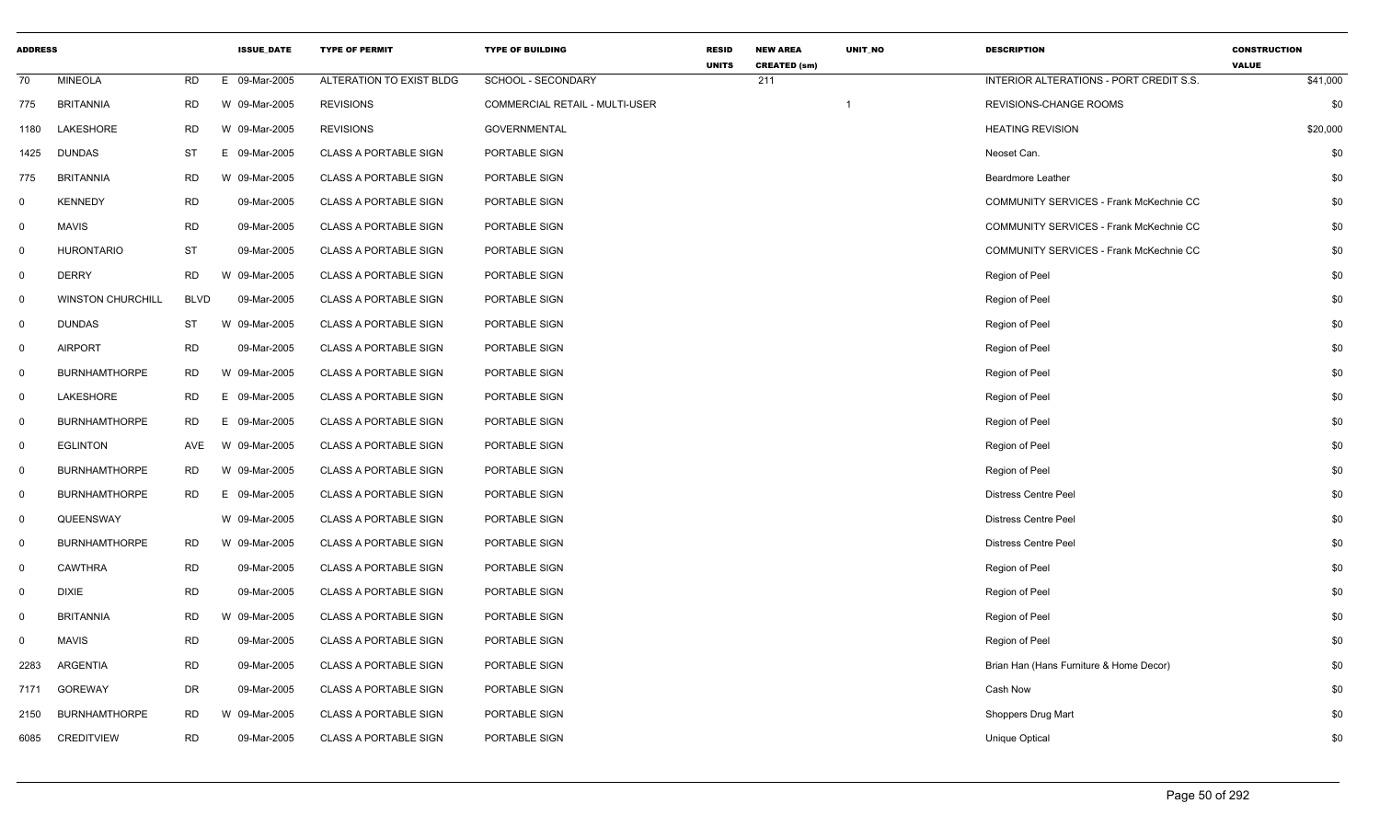| <b>ADDRESS</b> |                          |             | <b>ISSUE_DATE</b> | <b>TYPE OF PERMIT</b>        | <b>TYPE OF BUILDING</b>        | <b>RESID</b><br><b>UNITS</b> | <b>NEW AREA</b><br><b>CREATED (sm)</b> | UNIT_NO | <b>DESCRIPTION</b>                             | <b>CONSTRUCTION</b><br><b>VALUE</b> |
|----------------|--------------------------|-------------|-------------------|------------------------------|--------------------------------|------------------------------|----------------------------------------|---------|------------------------------------------------|-------------------------------------|
| 70             | <b>MINEOLA</b>           | <b>RD</b>   | E 09-Mar-2005     | ALTERATION TO EXIST BLDG     | SCHOOL - SECONDARY             |                              | 211                                    |         | INTERIOR ALTERATIONS - PORT CREDIT S.S.        | \$41,000                            |
| 775            | <b>BRITANNIA</b>         | <b>RD</b>   | W 09-Mar-2005     | <b>REVISIONS</b>             | COMMERCIAL RETAIL - MULTI-USER |                              |                                        |         | REVISIONS-CHANGE ROOMS                         | \$0                                 |
| 1180           | LAKESHORE                | <b>RD</b>   | W 09-Mar-2005     | <b>REVISIONS</b>             | <b>GOVERNMENTAL</b>            |                              |                                        |         | <b>HEATING REVISION</b>                        | \$20,000                            |
| 1425           | <b>DUNDAS</b>            | ST          | Е.<br>09-Mar-2005 | <b>CLASS A PORTABLE SIGN</b> | PORTABLE SIGN                  |                              |                                        |         | Neoset Can.                                    | \$0                                 |
| 775            | <b>BRITANNIA</b>         | <b>RD</b>   | W 09-Mar-2005     | <b>CLASS A PORTABLE SIGN</b> | PORTABLE SIGN                  |                              |                                        |         | <b>Beardmore Leather</b>                       | \$0                                 |
| $\mathbf 0$    | <b>KENNEDY</b>           | <b>RD</b>   | 09-Mar-2005       | <b>CLASS A PORTABLE SIGN</b> | PORTABLE SIGN                  |                              |                                        |         | <b>COMMUNITY SERVICES - Frank McKechnie CC</b> | \$0                                 |
| 0              | <b>MAVIS</b>             | <b>RD</b>   | 09-Mar-2005       | <b>CLASS A PORTABLE SIGN</b> | PORTABLE SIGN                  |                              |                                        |         | COMMUNITY SERVICES - Frank McKechnie CC        | \$0                                 |
| $\mathbf 0$    | <b>HURONTARIO</b>        | <b>ST</b>   | 09-Mar-2005       | <b>CLASS A PORTABLE SIGN</b> | PORTABLE SIGN                  |                              |                                        |         | COMMUNITY SERVICES - Frank McKechnie CC        | \$0                                 |
| $\mathbf{0}$   | <b>DERRY</b>             | RD          | W 09-Mar-2005     | <b>CLASS A PORTABLE SIGN</b> | PORTABLE SIGN                  |                              |                                        |         | Region of Peel                                 | \$0                                 |
| $\mathbf 0$    | <b>WINSTON CHURCHILL</b> | <b>BLVD</b> | 09-Mar-2005       | <b>CLASS A PORTABLE SIGN</b> | PORTABLE SIGN                  |                              |                                        |         | Region of Peel                                 | \$0                                 |
| 0              | <b>DUNDAS</b>            | <b>ST</b>   | W 09-Mar-2005     | CLASS A PORTABLE SIGN        | PORTABLE SIGN                  |                              |                                        |         | Region of Peel                                 | \$0                                 |
| $\mathbf 0$    | <b>AIRPORT</b>           | <b>RD</b>   | 09-Mar-2005       | <b>CLASS A PORTABLE SIGN</b> | PORTABLE SIGN                  |                              |                                        |         | Region of Peel                                 | \$0                                 |
| $\mathbf 0$    | <b>BURNHAMTHORPE</b>     | <b>RD</b>   | W 09-Mar-2005     | <b>CLASS A PORTABLE SIGN</b> | PORTABLE SIGN                  |                              |                                        |         | Region of Peel                                 | \$0                                 |
| $\mathbf 0$    | LAKESHORE                | <b>RD</b>   | E.<br>09-Mar-2005 | <b>CLASS A PORTABLE SIGN</b> | PORTABLE SIGN                  |                              |                                        |         | Region of Peel                                 | \$0                                 |
| 0              | <b>BURNHAMTHORPE</b>     | <b>RD</b>   | 09-Mar-2005<br>E. | <b>CLASS A PORTABLE SIGN</b> | PORTABLE SIGN                  |                              |                                        |         | Region of Peel                                 | \$0                                 |
| $\mathbf{0}$   | <b>EGLINTON</b>          | AVE         | W 09-Mar-2005     | <b>CLASS A PORTABLE SIGN</b> | PORTABLE SIGN                  |                              |                                        |         | Region of Peel                                 | \$0                                 |
| 0              | <b>BURNHAMTHORPE</b>     | <b>RD</b>   | W 09-Mar-2005     | <b>CLASS A PORTABLE SIGN</b> | PORTABLE SIGN                  |                              |                                        |         | Region of Peel                                 | \$0                                 |
| $\mathbf 0$    | <b>BURNHAMTHORPE</b>     | <b>RD</b>   | E.<br>09-Mar-2005 | <b>CLASS A PORTABLE SIGN</b> | PORTABLE SIGN                  |                              |                                        |         | <b>Distress Centre Peel</b>                    | \$0                                 |
| $\mathbf 0$    | QUEENSWAY                |             | W 09-Mar-2005     | <b>CLASS A PORTABLE SIGN</b> | PORTABLE SIGN                  |                              |                                        |         | <b>Distress Centre Peel</b>                    | \$0                                 |
| $\mathbf 0$    | <b>BURNHAMTHORPE</b>     | <b>RD</b>   | W 09-Mar-2005     | <b>CLASS A PORTABLE SIGN</b> | PORTABLE SIGN                  |                              |                                        |         | <b>Distress Centre Peel</b>                    | \$0                                 |
| 0              | <b>CAWTHRA</b>           | <b>RD</b>   | 09-Mar-2005       | <b>CLASS A PORTABLE SIGN</b> | PORTABLE SIGN                  |                              |                                        |         | Region of Peel                                 | \$0                                 |
| $\mathbf 0$    | <b>DIXIE</b>             | <b>RD</b>   | 09-Mar-2005       | <b>CLASS A PORTABLE SIGN</b> | PORTABLE SIGN                  |                              |                                        |         | Region of Peel                                 | \$0                                 |
| $\Omega$       | <b>BRITANNIA</b>         | <b>RD</b>   | W 09-Mar-2005     | <b>CLASS A PORTABLE SIGN</b> | PORTABLE SIGN                  |                              |                                        |         | Region of Peel                                 | \$0                                 |
| 0              | <b>MAVIS</b>             | <b>RD</b>   | 09-Mar-2005       | <b>CLASS A PORTABLE SIGN</b> | PORTABLE SIGN                  |                              |                                        |         | Region of Peel                                 | \$0                                 |
| 2283           | ARGENTIA                 | <b>RD</b>   | 09-Mar-2005       | <b>CLASS A PORTABLE SIGN</b> | PORTABLE SIGN                  |                              |                                        |         | Brian Han (Hans Furniture & Home Decor)        | \$0                                 |
| 7171           | <b>GOREWAY</b>           | <b>DR</b>   | 09-Mar-2005       | <b>CLASS A PORTABLE SIGN</b> | PORTABLE SIGN                  |                              |                                        |         | Cash Now                                       | \$0                                 |
| 2150           | <b>BURNHAMTHORPE</b>     | <b>RD</b>   | W 09-Mar-2005     | <b>CLASS A PORTABLE SIGN</b> | PORTABLE SIGN                  |                              |                                        |         | Shoppers Drug Mart                             | \$0                                 |
| 6085           | <b>CREDITVIEW</b>        | <b>RD</b>   | 09-Mar-2005       | <b>CLASS A PORTABLE SIGN</b> | PORTABLE SIGN                  |                              |                                        |         | <b>Unique Optical</b>                          | \$0                                 |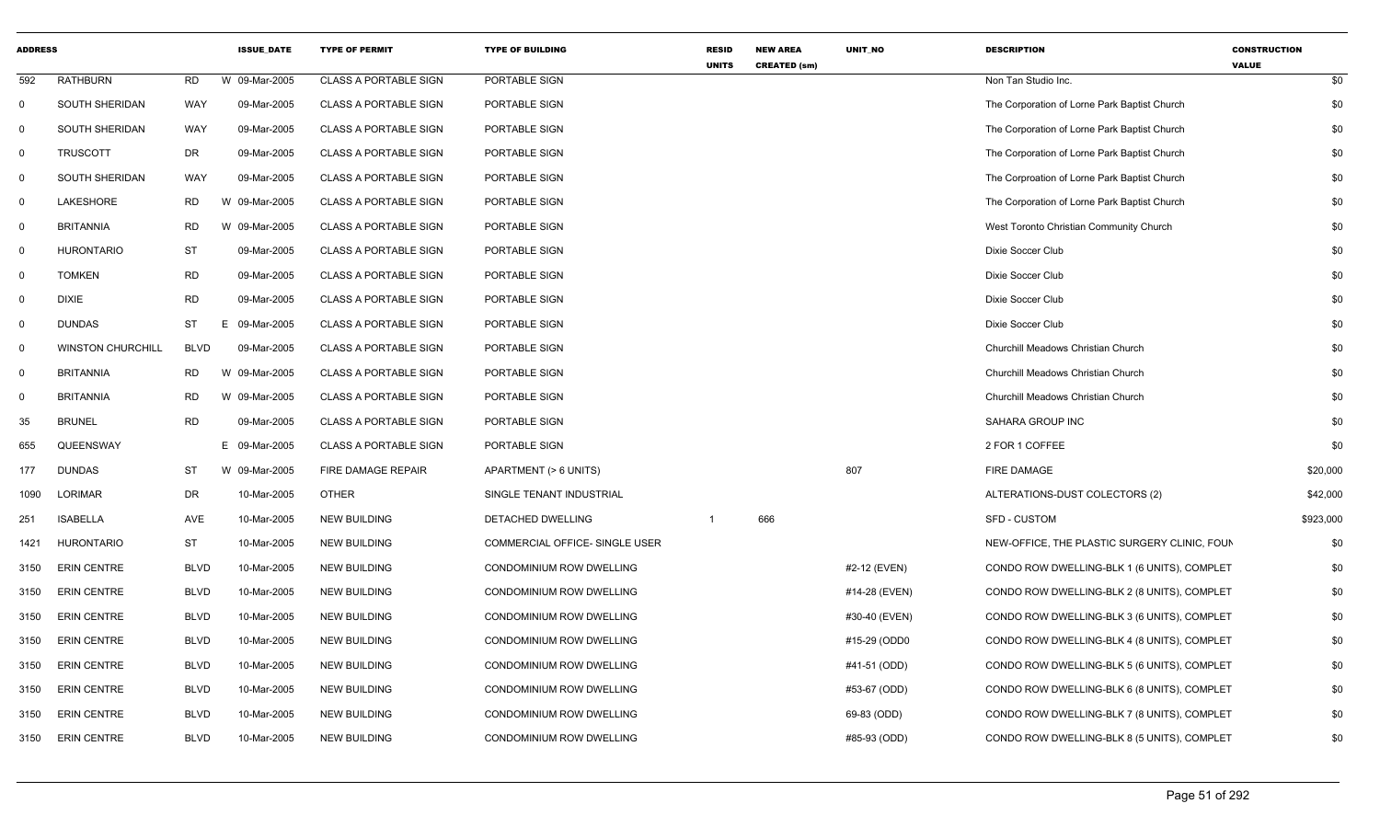| <b>ADDRESS</b> |                          |             | <b>ISSUE DATE</b> | <b>TYPE OF PERMIT</b>        | <b>TYPE OF BUILDING</b>        | <b>RESID</b><br><b>UNITS</b> | <b>NEW AREA</b><br><b>CREATED (sm)</b> | UNIT_NO       | <b>DESCRIPTION</b>                           | <b>CONSTRUCTION</b><br><b>VALUE</b> |
|----------------|--------------------------|-------------|-------------------|------------------------------|--------------------------------|------------------------------|----------------------------------------|---------------|----------------------------------------------|-------------------------------------|
| 592            | <b>RATHBURN</b>          | <b>RD</b>   | W 09-Mar-2005     | <b>CLASS A PORTABLE SIGN</b> | PORTABLE SIGN                  |                              |                                        |               | Non Tan Studio Inc.                          | \$0                                 |
| 0              | SOUTH SHERIDAN           | <b>WAY</b>  | 09-Mar-2005       | <b>CLASS A PORTABLE SIGN</b> | PORTABLE SIGN                  |                              |                                        |               | The Corporation of Lorne Park Baptist Church | \$0                                 |
| 0              | <b>SOUTH SHERIDAN</b>    | WAY         | 09-Mar-2005       | <b>CLASS A PORTABLE SIGN</b> | PORTABLE SIGN                  |                              |                                        |               | The Corporation of Lorne Park Baptist Church | \$0                                 |
| $\mathbf 0$    | <b>TRUSCOTT</b>          | <b>DR</b>   | 09-Mar-2005       | <b>CLASS A PORTABLE SIGN</b> | PORTABLE SIGN                  |                              |                                        |               | The Corporation of Lorne Park Baptist Church | \$0                                 |
| $\mathbf 0$    | <b>SOUTH SHERIDAN</b>    | <b>WAY</b>  | 09-Mar-2005       | <b>CLASS A PORTABLE SIGN</b> | PORTABLE SIGN                  |                              |                                        |               | The Corproation of Lorne Park Baptist Church | \$0                                 |
| 0              | LAKESHORE                | <b>RD</b>   | W 09-Mar-2005     | <b>CLASS A PORTABLE SIGN</b> | PORTABLE SIGN                  |                              |                                        |               | The Corporation of Lorne Park Baptist Church | \$0                                 |
| $\mathbf 0$    | <b>BRITANNIA</b>         | <b>RD</b>   | W 09-Mar-2005     | <b>CLASS A PORTABLE SIGN</b> | PORTABLE SIGN                  |                              |                                        |               | West Toronto Christian Community Church      | \$0                                 |
| 0              | <b>HURONTARIO</b>        | <b>ST</b>   | 09-Mar-2005       | <b>CLASS A PORTABLE SIGN</b> | PORTABLE SIGN                  |                              |                                        |               | Dixie Soccer Club                            | \$0                                 |
| 0              | <b>TOMKEN</b>            | <b>RD</b>   | 09-Mar-2005       | <b>CLASS A PORTABLE SIGN</b> | PORTABLE SIGN                  |                              |                                        |               | Dixie Soccer Club                            | \$0                                 |
| $\mathbf 0$    | <b>DIXIE</b>             | <b>RD</b>   | 09-Mar-2005       | <b>CLASS A PORTABLE SIGN</b> | PORTABLE SIGN                  |                              |                                        |               | Dixie Soccer Club                            | \$0                                 |
| 0              | <b>DUNDAS</b>            | <b>ST</b>   | Ε<br>09-Mar-2005  | <b>CLASS A PORTABLE SIGN</b> | PORTABLE SIGN                  |                              |                                        |               | Dixie Soccer Club                            | \$0                                 |
| $\mathbf 0$    | <b>WINSTON CHURCHILL</b> | <b>BLVD</b> | 09-Mar-2005       | <b>CLASS A PORTABLE SIGN</b> | PORTABLE SIGN                  |                              |                                        |               | Churchill Meadows Christian Church           | \$0                                 |
| $\mathbf 0$    | <b>BRITANNIA</b>         | <b>RD</b>   | W 09-Mar-2005     | <b>CLASS A PORTABLE SIGN</b> | PORTABLE SIGN                  |                              |                                        |               | Churchill Meadows Christian Church           | \$0                                 |
| 0              | <b>BRITANNIA</b>         | <b>RD</b>   | W 09-Mar-2005     | <b>CLASS A PORTABLE SIGN</b> | PORTABLE SIGN                  |                              |                                        |               | Churchill Meadows Christian Church           | \$0                                 |
| 35             | <b>BRUNEL</b>            | <b>RD</b>   | 09-Mar-2005       | <b>CLASS A PORTABLE SIGN</b> | PORTABLE SIGN                  |                              |                                        |               | SAHARA GROUP INC                             | \$0                                 |
| 655            | QUEENSWAY                |             | E 09-Mar-2005     | <b>CLASS A PORTABLE SIGN</b> | PORTABLE SIGN                  |                              |                                        |               | 2 FOR 1 COFFEE                               | \$0                                 |
| 177            | <b>DUNDAS</b>            | ST          | W 09-Mar-2005     | FIRE DAMAGE REPAIR           | APARTMENT (> 6 UNITS)          |                              |                                        | 807           | <b>FIRE DAMAGE</b>                           | \$20,000                            |
| 1090           | LORIMAR                  | DR          | 10-Mar-2005       | <b>OTHER</b>                 | SINGLE TENANT INDUSTRIAL       |                              |                                        |               | ALTERATIONS-DUST COLECTORS (2)               | \$42,000                            |
| 251            | <b>ISABELLA</b>          | AVE         | 10-Mar-2005       | <b>NEW BUILDING</b>          | <b>DETACHED DWELLING</b>       | $\overline{1}$               | 666                                    |               | <b>SFD - CUSTOM</b>                          | \$923,000                           |
| 1421           | <b>HURONTARIO</b>        | <b>ST</b>   | 10-Mar-2005       | <b>NEW BUILDING</b>          | COMMERCIAL OFFICE- SINGLE USER |                              |                                        |               | NEW-OFFICE, THE PLASTIC SURGERY CLINIC, FOUN | \$0                                 |
| 3150           | <b>ERIN CENTRE</b>       | <b>BLVD</b> | 10-Mar-2005       | <b>NEW BUILDING</b>          | CONDOMINIUM ROW DWELLING       |                              |                                        | #2-12 (EVEN)  | CONDO ROW DWELLING-BLK 1 (6 UNITS), COMPLET  | \$0                                 |
| 3150           | <b>ERIN CENTRE</b>       | <b>BLVD</b> | 10-Mar-2005       | <b>NEW BUILDING</b>          | CONDOMINIUM ROW DWELLING       |                              |                                        | #14-28 (EVEN) | CONDO ROW DWELLING-BLK 2 (8 UNITS), COMPLET  | \$0                                 |
| 3150           | <b>ERIN CENTRE</b>       | <b>BLVD</b> | 10-Mar-2005       | NEW BUILDING                 | CONDOMINIUM ROW DWELLING       |                              |                                        | #30-40 (EVEN) | CONDO ROW DWELLING-BLK 3 (6 UNITS), COMPLET  | \$0                                 |
| 3150           | ERIN CENTRE              | <b>BLVD</b> | 10-Mar-2005       | <b>NEW BUILDING</b>          | CONDOMINIUM ROW DWELLING       |                              |                                        | #15-29 (ODD0  | CONDO ROW DWELLING-BLK 4 (8 UNITS), COMPLET  | \$0                                 |
| 3150           | <b>ERIN CENTRE</b>       | <b>BLVD</b> | 10-Mar-2005       | <b>NEW BUILDING</b>          | CONDOMINIUM ROW DWELLING       |                              |                                        | #41-51 (ODD)  | CONDO ROW DWELLING-BLK 5 (6 UNITS), COMPLET  | \$0                                 |
| 3150           | <b>ERIN CENTRE</b>       | <b>BLVD</b> | 10-Mar-2005       | <b>NEW BUILDING</b>          | CONDOMINIUM ROW DWELLING       |                              |                                        | #53-67 (ODD)  | CONDO ROW DWELLING-BLK 6 (8 UNITS), COMPLET  | \$0                                 |
| 3150           | <b>ERIN CENTRE</b>       | <b>BLVD</b> | 10-Mar-2005       | <b>NEW BUILDING</b>          | CONDOMINIUM ROW DWELLING       |                              |                                        | 69-83 (ODD)   | CONDO ROW DWELLING-BLK 7 (8 UNITS), COMPLET  | \$0                                 |
| 3150           | <b>ERIN CENTRE</b>       | <b>BLVD</b> | 10-Mar-2005       | <b>NEW BUILDING</b>          | CONDOMINIUM ROW DWELLING       |                              |                                        | #85-93 (ODD)  | CONDO ROW DWELLING-BLK 8 (5 UNITS), COMPLET  | \$0                                 |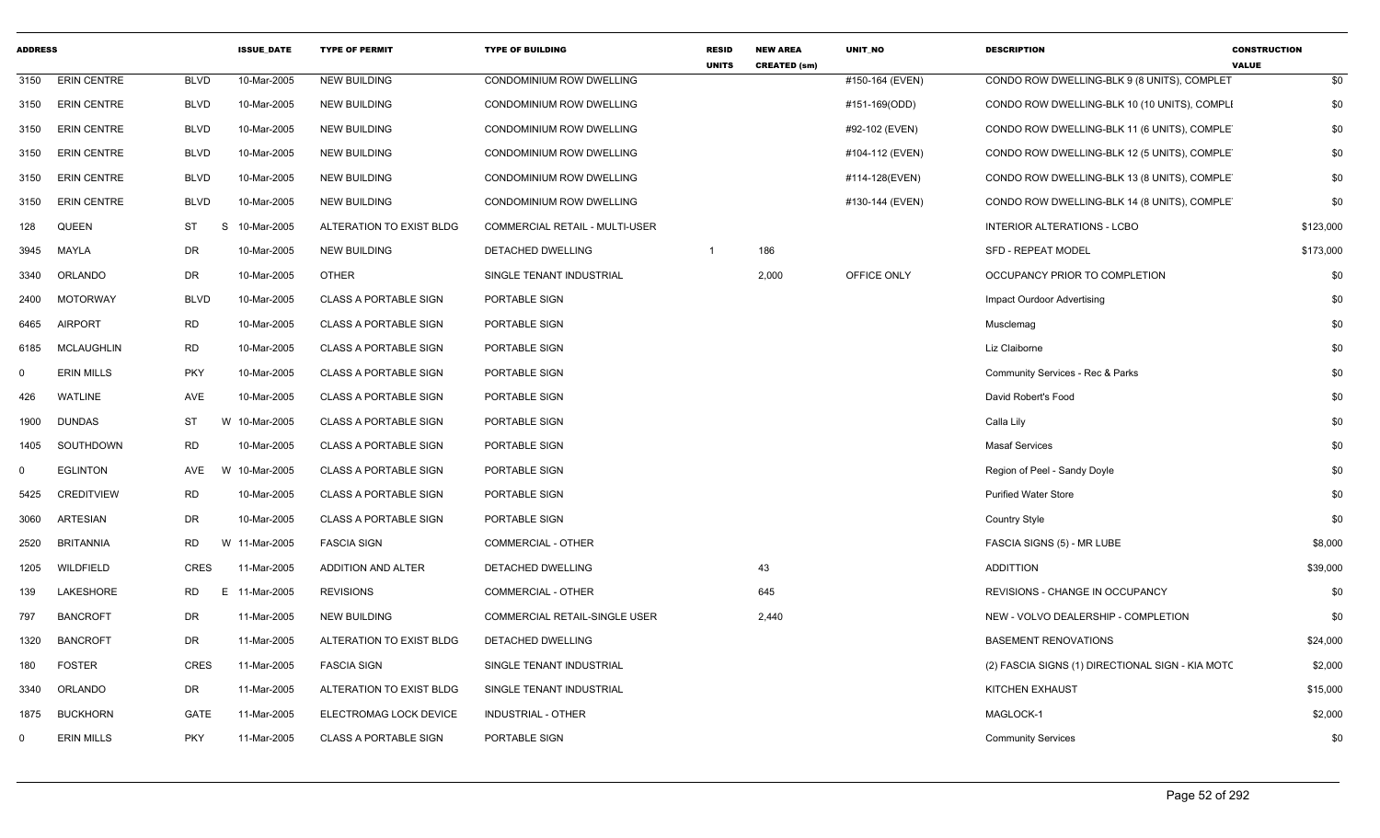| <b>ADDRESS</b> |                    |             | <b>ISSUE_DATE</b> | <b>TYPE OF PERMIT</b>        | <b>TYPE OF BUILDING</b>        | <b>RESID</b><br><b>UNITS</b> | <b>NEW AREA</b><br><b>CREATED (sm)</b> | UNIT_NO         | <b>DESCRIPTION</b>                               | <b>CONSTRUCTION</b><br><b>VALUE</b> |
|----------------|--------------------|-------------|-------------------|------------------------------|--------------------------------|------------------------------|----------------------------------------|-----------------|--------------------------------------------------|-------------------------------------|
| 3150           | <b>ERIN CENTRE</b> | <b>BLVD</b> | 10-Mar-2005       | <b>NEW BUILDING</b>          | CONDOMINIUM ROW DWELLING       |                              |                                        | #150-164 (EVEN) | CONDO ROW DWELLING-BLK 9 (8 UNITS), COMPLET      | \$0                                 |
| 3150           | <b>ERIN CENTRE</b> | <b>BLVD</b> | 10-Mar-2005       | <b>NEW BUILDING</b>          | CONDOMINIUM ROW DWELLING       |                              |                                        | #151-169(ODD)   | CONDO ROW DWELLING-BLK 10 (10 UNITS), COMPLI     | \$0                                 |
| 3150           | <b>ERIN CENTRE</b> | <b>BLVD</b> | 10-Mar-2005       | <b>NEW BUILDING</b>          | CONDOMINIUM ROW DWELLING       |                              |                                        | #92-102 (EVEN)  | CONDO ROW DWELLING-BLK 11 (6 UNITS), COMPLET     | \$0                                 |
| 3150           | <b>ERIN CENTRE</b> | <b>BLVD</b> | 10-Mar-2005       | <b>NEW BUILDING</b>          | CONDOMINIUM ROW DWELLING       |                              |                                        | #104-112 (EVEN) | CONDO ROW DWELLING-BLK 12 (5 UNITS), COMPLET     | \$0                                 |
| 3150           | <b>ERIN CENTRE</b> | <b>BLVD</b> | 10-Mar-2005       | <b>NEW BUILDING</b>          | CONDOMINIUM ROW DWELLING       |                              |                                        | #114-128(EVEN)  | CONDO ROW DWELLING-BLK 13 (8 UNITS), COMPLET     | \$0                                 |
| 3150           | <b>ERIN CENTRE</b> | <b>BLVD</b> | 10-Mar-2005       | <b>NEW BUILDING</b>          | CONDOMINIUM ROW DWELLING       |                              |                                        | #130-144 (EVEN) | CONDO ROW DWELLING-BLK 14 (8 UNITS), COMPLET     | \$0                                 |
| 128            | <b>QUEEN</b>       | <b>ST</b>   | S<br>10-Mar-2005  | ALTERATION TO EXIST BLDG     | COMMERCIAL RETAIL - MULTI-USER |                              |                                        |                 | <b>INTERIOR ALTERATIONS - LCBO</b>               | \$123,000                           |
| 3945           | MAYLA              | DR          | 10-Mar-2005       | <b>NEW BUILDING</b>          | DETACHED DWELLING              | $\overline{1}$               | 186                                    |                 | SFD - REPEAT MODEL                               | \$173,000                           |
| 3340           | ORLANDO            | <b>DR</b>   | 10-Mar-2005       | <b>OTHER</b>                 | SINGLE TENANT INDUSTRIAL       |                              | 2,000                                  | OFFICE ONLY     | OCCUPANCY PRIOR TO COMPLETION                    | \$0                                 |
| 2400           | <b>MOTORWAY</b>    | <b>BLVD</b> | 10-Mar-2005       | <b>CLASS A PORTABLE SIGN</b> | PORTABLE SIGN                  |                              |                                        |                 | Impact Ourdoor Advertising                       | \$0                                 |
| 6465           | <b>AIRPORT</b>     | <b>RD</b>   | 10-Mar-2005       | <b>CLASS A PORTABLE SIGN</b> | PORTABLE SIGN                  |                              |                                        |                 | Musclemag                                        | \$0                                 |
| 6185           | <b>MCLAUGHLIN</b>  | <b>RD</b>   | 10-Mar-2005       | <b>CLASS A PORTABLE SIGN</b> | PORTABLE SIGN                  |                              |                                        |                 | Liz Claiborne                                    | \$0                                 |
| $\mathbf 0$    | <b>ERIN MILLS</b>  | <b>PKY</b>  | 10-Mar-2005       | <b>CLASS A PORTABLE SIGN</b> | PORTABLE SIGN                  |                              |                                        |                 | Community Services - Rec & Parks                 | \$0                                 |
| 426            | <b>WATLINE</b>     | AVE         | 10-Mar-2005       | <b>CLASS A PORTABLE SIGN</b> | PORTABLE SIGN                  |                              |                                        |                 | David Robert's Food                              | \$0                                 |
| 1900           | <b>DUNDAS</b>      | <b>ST</b>   | W 10-Mar-2005     | <b>CLASS A PORTABLE SIGN</b> | PORTABLE SIGN                  |                              |                                        |                 | Calla Lily                                       | \$0                                 |
| 1405           | SOUTHDOWN          | <b>RD</b>   | 10-Mar-2005       | <b>CLASS A PORTABLE SIGN</b> | PORTABLE SIGN                  |                              |                                        |                 | <b>Masaf Services</b>                            | \$0                                 |
| $\mathbf 0$    | <b>EGLINTON</b>    | AVE         | W 10-Mar-2005     | <b>CLASS A PORTABLE SIGN</b> | PORTABLE SIGN                  |                              |                                        |                 | Region of Peel - Sandy Doyle                     | \$0                                 |
| 5425           | <b>CREDITVIEW</b>  | <b>RD</b>   | 10-Mar-2005       | <b>CLASS A PORTABLE SIGN</b> | PORTABLE SIGN                  |                              |                                        |                 | <b>Purified Water Store</b>                      | \$0                                 |
| 3060           | <b>ARTESIAN</b>    | DR          | 10-Mar-2005       | <b>CLASS A PORTABLE SIGN</b> | PORTABLE SIGN                  |                              |                                        |                 | <b>Country Style</b>                             | \$0                                 |
| 2520           | <b>BRITANNIA</b>   | <b>RD</b>   | W 11-Mar-2005     | <b>FASCIA SIGN</b>           | COMMERCIAL - OTHER             |                              |                                        |                 | FASCIA SIGNS (5) - MR LUBE                       | \$8,000                             |
| 1205           | WILDFIELD          | CRES        | 11-Mar-2005       | ADDITION AND ALTER           | DETACHED DWELLING              |                              | 43                                     |                 | <b>ADDITTION</b>                                 | \$39,000                            |
| 139            | LAKESHORE          | <b>RD</b>   | E 11-Mar-2005     | <b>REVISIONS</b>             | <b>COMMERCIAL - OTHER</b>      |                              | 645                                    |                 | REVISIONS - CHANGE IN OCCUPANCY                  | \$0                                 |
| 797            | <b>BANCROFT</b>    | DR          | 11-Mar-2005       | <b>NEW BUILDING</b>          | COMMERCIAL RETAIL-SINGLE USER  |                              | 2,440                                  |                 | NEW - VOLVO DEALERSHIP - COMPLETION              | \$0                                 |
| 1320           | <b>BANCROFT</b>    | <b>DR</b>   | 11-Mar-2005       | ALTERATION TO EXIST BLDG     | DETACHED DWELLING              |                              |                                        |                 | <b>BASEMENT RENOVATIONS</b>                      | \$24,000                            |
| 180            | <b>FOSTER</b>      | <b>CRES</b> | 11-Mar-2005       | <b>FASCIA SIGN</b>           | SINGLE TENANT INDUSTRIAL       |                              |                                        |                 | (2) FASCIA SIGNS (1) DIRECTIONAL SIGN - KIA MOTO | \$2,000                             |
| 3340           | <b>ORLANDO</b>     | DR          | 11-Mar-2005       | ALTERATION TO EXIST BLDG     | SINGLE TENANT INDUSTRIAL       |                              |                                        |                 | KITCHEN EXHAUST                                  | \$15,000                            |
| 1875           | BUCKHORN           | <b>GATE</b> | 11-Mar-2005       | ELECTROMAG LOCK DEVICE       | <b>INDUSTRIAL - OTHER</b>      |                              |                                        |                 | MAGLOCK-1                                        | \$2,000                             |
| $\mathbf 0$    | <b>ERIN MILLS</b>  | <b>PKY</b>  | 11-Mar-2005       | <b>CLASS A PORTABLE SIGN</b> | PORTABLE SIGN                  |                              |                                        |                 | <b>Community Services</b>                        | \$0                                 |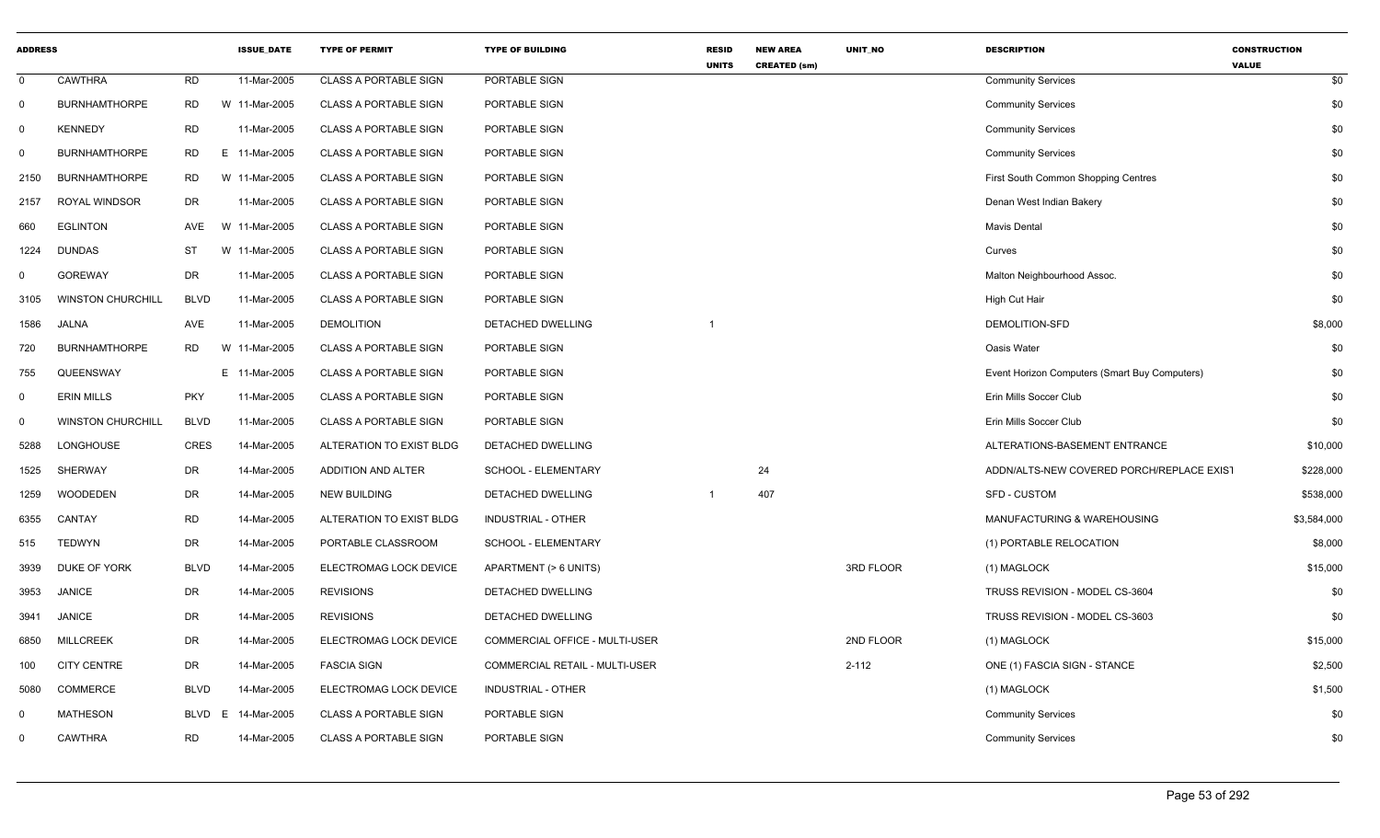| <b>ADDRESS</b> |                          |             | <b>ISSUE_DATE</b> | <b>TYPE OF PERMIT</b>        | <b>TYPE OF BUILDING</b>        | <b>RESID</b><br><b>UNITS</b> | <b>NEW AREA</b><br><b>CREATED (sm)</b> | UNIT NO   | <b>DESCRIPTION</b>                            | <b>CONSTRUCTION</b><br><b>VALUE</b> |     |
|----------------|--------------------------|-------------|-------------------|------------------------------|--------------------------------|------------------------------|----------------------------------------|-----------|-----------------------------------------------|-------------------------------------|-----|
| $\mathbf 0$    | CAWTHRA                  | <b>RD</b>   | 11-Mar-2005       | <b>CLASS A PORTABLE SIGN</b> | PORTABLE SIGN                  |                              |                                        |           | <b>Community Services</b>                     |                                     | \$0 |
| $\mathbf 0$    | <b>BURNHAMTHORPE</b>     | <b>RD</b>   | W 11-Mar-2005     | <b>CLASS A PORTABLE SIGN</b> | PORTABLE SIGN                  |                              |                                        |           | <b>Community Services</b>                     |                                     | \$0 |
| $\overline{0}$ | <b>KENNEDY</b>           | <b>RD</b>   | 11-Mar-2005       | <b>CLASS A PORTABLE SIGN</b> | PORTABLE SIGN                  |                              |                                        |           | <b>Community Services</b>                     |                                     | \$0 |
| $\Omega$       | <b>BURNHAMTHORPE</b>     | <b>RD</b>   | E 11-Mar-2005     | <b>CLASS A PORTABLE SIGN</b> | PORTABLE SIGN                  |                              |                                        |           | <b>Community Services</b>                     |                                     | \$0 |
| 2150           | <b>BURNHAMTHORPE</b>     | <b>RD</b>   | W 11-Mar-2005     | <b>CLASS A PORTABLE SIGN</b> | PORTABLE SIGN                  |                              |                                        |           | First South Common Shopping Centres           |                                     | \$0 |
| 2157           | <b>ROYAL WINDSOR</b>     | DR          | 11-Mar-2005       | <b>CLASS A PORTABLE SIGN</b> | PORTABLE SIGN                  |                              |                                        |           | Denan West Indian Bakery                      |                                     | \$0 |
| 660            | <b>EGLINTON</b>          | AVE         | W 11-Mar-2005     | <b>CLASS A PORTABLE SIGN</b> | PORTABLE SIGN                  |                              |                                        |           | Mavis Dental                                  |                                     | \$0 |
| 1224           | <b>DUNDAS</b>            | ST          | W 11-Mar-2005     | <b>CLASS A PORTABLE SIGN</b> | PORTABLE SIGN                  |                              |                                        |           | Curves                                        |                                     | \$0 |
| 0              | <b>GOREWAY</b>           | DR          | 11-Mar-2005       | <b>CLASS A PORTABLE SIGN</b> | PORTABLE SIGN                  |                              |                                        |           | Malton Neighbourhood Assoc.                   |                                     | \$0 |
| 3105           | <b>WINSTON CHURCHILL</b> | <b>BLVD</b> | 11-Mar-2005       | <b>CLASS A PORTABLE SIGN</b> | PORTABLE SIGN                  |                              |                                        |           | High Cut Hair                                 |                                     | \$0 |
| 1586           | JALNA                    | AVE         | 11-Mar-2005       | <b>DEMOLITION</b>            | <b>DETACHED DWELLING</b>       |                              |                                        |           | DEMOLITION-SFD                                | \$8,000                             |     |
| 720            | <b>BURNHAMTHORPE</b>     | <b>RD</b>   | W 11-Mar-2005     | <b>CLASS A PORTABLE SIGN</b> | PORTABLE SIGN                  |                              |                                        |           | Oasis Water                                   |                                     | \$0 |
| 755            | QUEENSWAY                |             | E 11-Mar-2005     | <b>CLASS A PORTABLE SIGN</b> | PORTABLE SIGN                  |                              |                                        |           | Event Horizon Computers (Smart Buy Computers) |                                     | \$0 |
| 0              | <b>ERIN MILLS</b>        | <b>PKY</b>  | 11-Mar-2005       | <b>CLASS A PORTABLE SIGN</b> | PORTABLE SIGN                  |                              |                                        |           | Erin Mills Soccer Club                        |                                     | \$0 |
| $\Omega$       | <b>WINSTON CHURCHILL</b> | <b>BLVD</b> | 11-Mar-2005       | <b>CLASS A PORTABLE SIGN</b> | PORTABLE SIGN                  |                              |                                        |           | Erin Mills Soccer Club                        |                                     | \$0 |
| 5288           | LONGHOUSE                | CRES        | 14-Mar-2005       | ALTERATION TO EXIST BLDG     | <b>DETACHED DWELLING</b>       |                              |                                        |           | ALTERATIONS-BASEMENT ENTRANCE                 | \$10,000                            |     |
| 1525           | SHERWAY                  | DR          | 14-Mar-2005       | ADDITION AND ALTER           | SCHOOL - ELEMENTARY            |                              | 24                                     |           | ADDN/ALTS-NEW COVERED PORCH/REPLACE EXIST     | \$228,000                           |     |
| 1259           | <b>WOODEDEN</b>          | DR          | 14-Mar-2005       | <b>NEW BUILDING</b>          | DETACHED DWELLING              |                              | 407                                    |           | SFD - CUSTOM                                  | \$538,000                           |     |
| 6355           | CANTAY                   | <b>RD</b>   | 14-Mar-2005       | ALTERATION TO EXIST BLDG     | INDUSTRIAL - OTHER             |                              |                                        |           | MANUFACTURING & WAREHOUSING                   | \$3,584,000                         |     |
| 515            | <b>TEDWYN</b>            | DR          | 14-Mar-2005       | PORTABLE CLASSROOM           | SCHOOL - ELEMENTARY            |                              |                                        |           | (1) PORTABLE RELOCATION                       | \$8,000                             |     |
| 3939           | DUKE OF YORK             | <b>BLVD</b> | 14-Mar-2005       | ELECTROMAG LOCK DEVICE       | APARTMENT (> 6 UNITS)          |                              |                                        | 3RD FLOOR | (1) MAGLOCK                                   | \$15,000                            |     |
| 3953           | <b>JANICE</b>            | DR          | 14-Mar-2005       | <b>REVISIONS</b>             | <b>DETACHED DWELLING</b>       |                              |                                        |           | TRUSS REVISION - MODEL CS-3604                |                                     | \$0 |
| 3941           | <b>JANICE</b>            | DR          | 14-Mar-2005       | <b>REVISIONS</b>             | <b>DETACHED DWELLING</b>       |                              |                                        |           | TRUSS REVISION - MODEL CS-3603                |                                     | \$0 |
| 6850           | MILLCREEK                | DR          | 14-Mar-2005       | ELECTROMAG LOCK DEVICE       | COMMERCIAL OFFICE - MULTI-USER |                              |                                        | 2ND FLOOR | (1) MAGLOCK                                   | \$15,000                            |     |
| 100            | <b>CITY CENTRE</b>       | DR          | 14-Mar-2005       | <b>FASCIA SIGN</b>           | COMMERCIAL RETAIL - MULTI-USER |                              |                                        | $2 - 112$ | ONE (1) FASCIA SIGN - STANCE                  | \$2,500                             |     |
| 5080           | <b>COMMERCE</b>          | <b>BLVD</b> | 14-Mar-2005       | ELECTROMAG LOCK DEVICE       | INDUSTRIAL - OTHER             |                              |                                        |           | (1) MAGLOCK                                   | \$1,500                             |     |
| $\Omega$       | <b>MATHESON</b>          | BLVD<br>E   | 14-Mar-2005       | <b>CLASS A PORTABLE SIGN</b> | PORTABLE SIGN                  |                              |                                        |           | <b>Community Services</b>                     |                                     | \$0 |
| 0              | CAWTHRA                  | <b>RD</b>   | 14-Mar-2005       | <b>CLASS A PORTABLE SIGN</b> | PORTABLE SIGN                  |                              |                                        |           | <b>Community Services</b>                     |                                     | \$0 |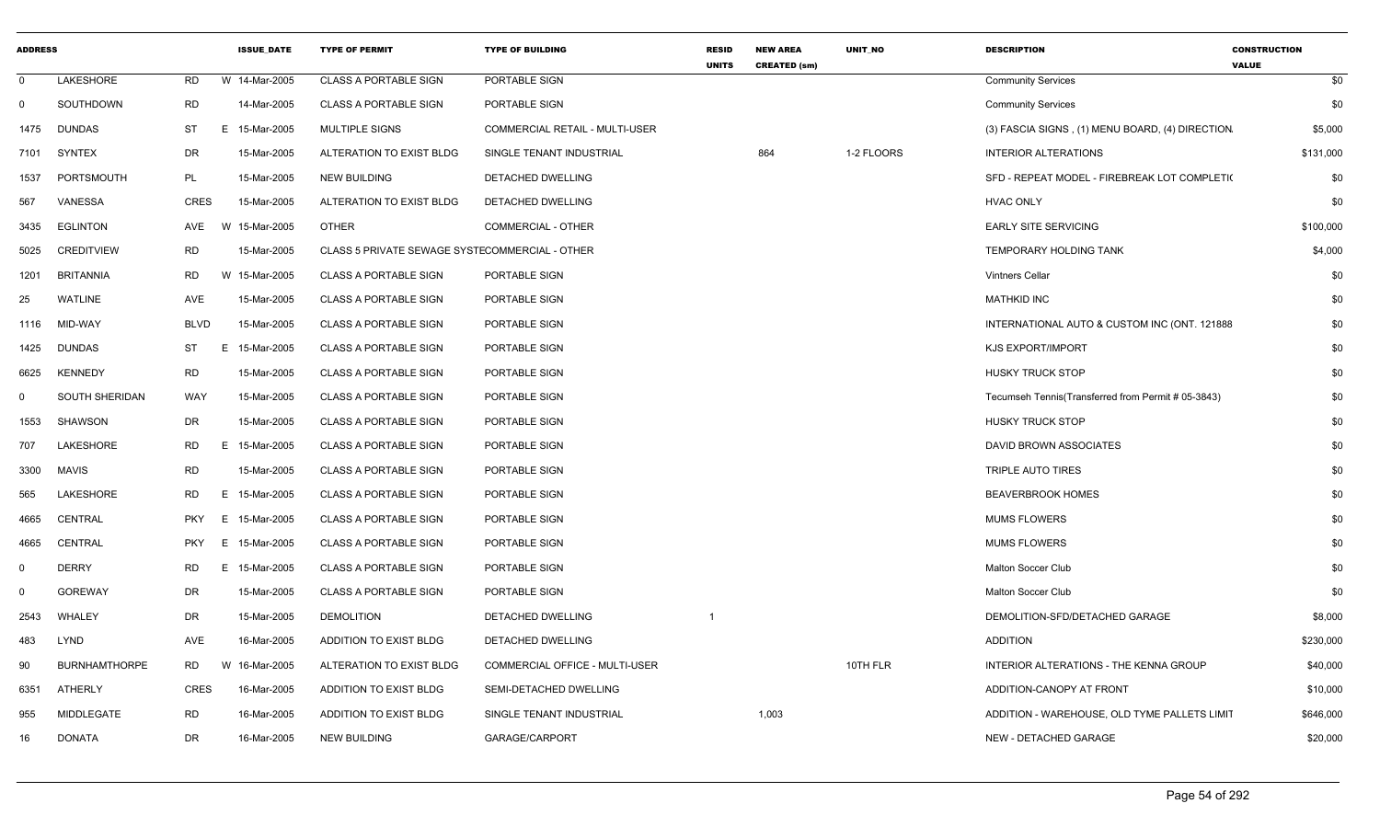| <b>ADDRESS</b> |                       |             |          | <b>ISSUE DATE</b> | <b>TYPE OF PERMIT</b>                          | <b>TYPE OF BUILDING</b>        | <b>RESID</b><br><b>UNITS</b> | <b>NEW AREA</b><br><b>CREATED (sm)</b> | <b>UNIT NO</b> | <b>DESCRIPTION</b>                                 | <b>CONSTRUCTION</b><br><b>VALUE</b> |
|----------------|-----------------------|-------------|----------|-------------------|------------------------------------------------|--------------------------------|------------------------------|----------------------------------------|----------------|----------------------------------------------------|-------------------------------------|
| - 0            | LAKESHORE             | <b>RD</b>   |          | W 14-Mar-2005     | <b>CLASS A PORTABLE SIGN</b>                   | PORTABLE SIGN                  |                              |                                        |                | <b>Community Services</b>                          | \$0                                 |
| $\Omega$       | SOUTHDOWN             | <b>RD</b>   |          | 14-Mar-2005       | <b>CLASS A PORTABLE SIGN</b>                   | PORTABLE SIGN                  |                              |                                        |                | <b>Community Services</b>                          | \$0                                 |
| 1475           | <b>DUNDAS</b>         | ST          | E.       | 15-Mar-2005       | <b>MULTIPLE SIGNS</b>                          | COMMERCIAL RETAIL - MULTI-USER |                              |                                        |                | (3) FASCIA SIGNS, (1) MENU BOARD, (4) DIRECTION    | \$5,000                             |
| 7101           | <b>SYNTEX</b>         | DR          |          | 15-Mar-2005       | ALTERATION TO EXIST BLDG                       | SINGLE TENANT INDUSTRIAL       |                              | 864                                    | 1-2 FLOORS     | <b>INTERIOR ALTERATIONS</b>                        | \$131,000                           |
| 1537           | PORTSMOUTH            | PL          |          | 15-Mar-2005       | <b>NEW BUILDING</b>                            | DETACHED DWELLING              |                              |                                        |                | SFD - REPEAT MODEL - FIREBREAK LOT COMPLETI(       | \$0                                 |
| 567            | VANESSA               | CRES        |          | 15-Mar-2005       | ALTERATION TO EXIST BLDG                       | DETACHED DWELLING              |                              |                                        |                | <b>HVAC ONLY</b>                                   | \$0                                 |
| 3435           | <b>EGLINTON</b>       | AVE         | <b>W</b> | 15-Mar-2005       | <b>OTHER</b>                                   | <b>COMMERCIAL - OTHER</b>      |                              |                                        |                | <b>EARLY SITE SERVICING</b>                        | \$100,000                           |
| 5025           | <b>CREDITVIEW</b>     | RD          |          | 15-Mar-2005       | CLASS 5 PRIVATE SEWAGE SYSTECOMMERCIAL - OTHER |                                |                              |                                        |                | TEMPORARY HOLDING TANK                             | \$4,000                             |
| 1201           | BRITANNIA             | <b>RD</b>   | W        | 15-Mar-2005       | <b>CLASS A PORTABLE SIGN</b>                   | PORTABLE SIGN                  |                              |                                        |                | <b>Vintners Cellar</b>                             | \$0                                 |
| 25             | <b>WATLINE</b>        | AVE         |          | 15-Mar-2005       | <b>CLASS A PORTABLE SIGN</b>                   | PORTABLE SIGN                  |                              |                                        |                | <b>MATHKID INC</b>                                 | \$0                                 |
| 1116           | MID-WAY               | <b>BLVD</b> |          | 15-Mar-2005       | <b>CLASS A PORTABLE SIGN</b>                   | PORTABLE SIGN                  |                              |                                        |                | INTERNATIONAL AUTO & CUSTOM INC (ONT. 121888       | \$0                                 |
| 1425           | <b>DUNDAS</b>         | ST          | E.       | 15-Mar-2005       | <b>CLASS A PORTABLE SIGN</b>                   | PORTABLE SIGN                  |                              |                                        |                | <b>KJS EXPORT/IMPORT</b>                           | \$0                                 |
| 6625           | <b>KENNEDY</b>        | <b>RD</b>   |          | 15-Mar-2005       | <b>CLASS A PORTABLE SIGN</b>                   | PORTABLE SIGN                  |                              |                                        |                | <b>HUSKY TRUCK STOP</b>                            | \$0                                 |
| 0              | <b>SOUTH SHERIDAN</b> | <b>WAY</b>  |          | 15-Mar-2005       | <b>CLASS A PORTABLE SIGN</b>                   | PORTABLE SIGN                  |                              |                                        |                | Tecumseh Tennis(Transferred from Permit # 05-3843) | \$0                                 |
| 1553           | SHAWSON               | DR          |          | 15-Mar-2005       | <b>CLASS A PORTABLE SIGN</b>                   | PORTABLE SIGN                  |                              |                                        |                | <b>HUSKY TRUCK STOP</b>                            | \$0                                 |
| 707            | LAKESHORE             | RD          | E.       | 15-Mar-2005       | <b>CLASS A PORTABLE SIGN</b>                   | PORTABLE SIGN                  |                              |                                        |                | DAVID BROWN ASSOCIATES                             | \$0                                 |
| 3300           | MAVIS                 | <b>RD</b>   |          | 15-Mar-2005       | <b>CLASS A PORTABLE SIGN</b>                   | PORTABLE SIGN                  |                              |                                        |                | TRIPLE AUTO TIRES                                  | \$0                                 |
| 565            | LAKESHORE             | <b>RD</b>   | Е.       | 15-Mar-2005       | <b>CLASS A PORTABLE SIGN</b>                   | PORTABLE SIGN                  |                              |                                        |                | <b>BEAVERBROOK HOMES</b>                           | \$0                                 |
| 4665           | CENTRAL               | <b>PKY</b>  | E.       | 15-Mar-2005       | <b>CLASS A PORTABLE SIGN</b>                   | PORTABLE SIGN                  |                              |                                        |                | <b>MUMS FLOWERS</b>                                | \$0                                 |
| 4665           | CENTRAL               | <b>PKY</b>  | E.       | 15-Mar-2005       | <b>CLASS A PORTABLE SIGN</b>                   | PORTABLE SIGN                  |                              |                                        |                | <b>MUMS FLOWERS</b>                                | \$0                                 |
| $\Omega$       | <b>DERRY</b>          | <b>RD</b>   | Е.       | 15-Mar-2005       | <b>CLASS A PORTABLE SIGN</b>                   | PORTABLE SIGN                  |                              |                                        |                | Malton Soccer Club                                 | \$0                                 |
| $\Omega$       | <b>GOREWAY</b>        | DR          |          | 15-Mar-2005       | <b>CLASS A PORTABLE SIGN</b>                   | PORTABLE SIGN                  |                              |                                        |                | Malton Soccer Club                                 | \$0                                 |
| 2543           | WHALEY                | DR          |          | 15-Mar-2005       | <b>DEMOLITION</b>                              | DETACHED DWELLING              | -1                           |                                        |                | DEMOLITION-SFD/DETACHED GARAGE                     | \$8,000                             |
| 483            | LYND                  | AVE         |          | 16-Mar-2005       | ADDITION TO EXIST BLDG                         | DETACHED DWELLING              |                              |                                        |                | ADDITION                                           | \$230,000                           |
| 90             | <b>BURNHAMTHORPE</b>  | <b>RD</b>   | W        | 16-Mar-2005       | ALTERATION TO EXIST BLDG                       | COMMERCIAL OFFICE - MULTI-USER |                              |                                        | 10TH FLR       | INTERIOR ALTERATIONS - THE KENNA GROUP             | \$40,000                            |
| 6351           | ATHERLY               | CRES        |          | 16-Mar-2005       | ADDITION TO EXIST BLDG                         | SEMI-DETACHED DWELLING         |                              |                                        |                | ADDITION-CANOPY AT FRONT                           | \$10,000                            |
| 955            | MIDDLEGATE            | <b>RD</b>   |          | 16-Mar-2005       | ADDITION TO EXIST BLDG                         | SINGLE TENANT INDUSTRIAL       |                              | 1,003                                  |                | ADDITION - WAREHOUSE, OLD TYME PALLETS LIMIT       | \$646,000                           |
| 16             | <b>DONATA</b>         | DR          |          | 16-Mar-2005       | <b>NEW BUILDING</b>                            | GARAGE/CARPORT                 |                              |                                        |                | NEW - DETACHED GARAGE                              | \$20,000                            |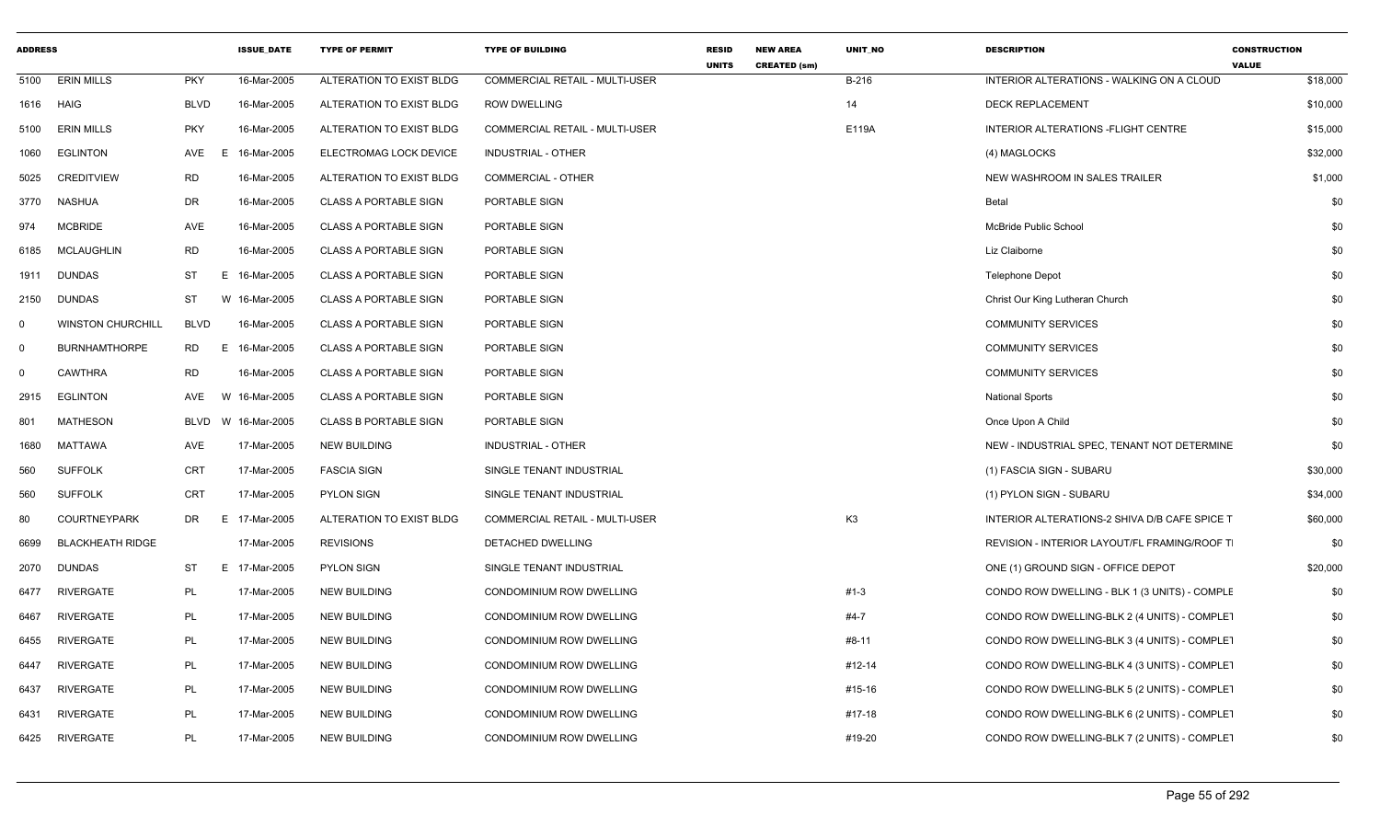| <b>ADDRESS</b> |                          |                 | <b>ISSUE DATE</b> | <b>TYPE OF PERMIT</b>        | <b>TYPE OF BUILDING</b>        | <b>RESID</b><br><b>UNITS</b> | <b>NEW AREA</b><br><b>CREATED (sm)</b> | <b>UNIT NO</b> | <b>DESCRIPTION</b>                            | <b>CONSTRUCTION</b><br><b>VALUE</b> |
|----------------|--------------------------|-----------------|-------------------|------------------------------|--------------------------------|------------------------------|----------------------------------------|----------------|-----------------------------------------------|-------------------------------------|
| 5100           | <b>ERIN MILLS</b>        | <b>PKY</b>      | 16-Mar-2005       | ALTERATION TO EXIST BLDG     | COMMERCIAL RETAIL - MULTI-USER |                              |                                        | B-216          | INTERIOR ALTERATIONS - WALKING ON A CLOUD     | \$18,000                            |
| 1616           | HAIG                     | <b>BLVD</b>     | 16-Mar-2005       | ALTERATION TO EXIST BLDG     | <b>ROW DWELLING</b>            |                              |                                        | 14             | <b>DECK REPLACEMENT</b>                       | \$10,000                            |
| 5100           | <b>ERIN MILLS</b>        | <b>PKY</b>      | 16-Mar-2005       | ALTERATION TO EXIST BLDG     | COMMERCIAL RETAIL - MULTI-USER |                              |                                        | E119A          | INTERIOR ALTERATIONS - FLIGHT CENTRE          | \$15,000                            |
| 1060           | <b>EGLINTON</b>          | AVE<br>F        | 16-Mar-2005       | ELECTROMAG LOCK DEVICE       | <b>INDUSTRIAL - OTHER</b>      |                              |                                        |                | (4) MAGLOCKS                                  | \$32,000                            |
| 5025           | <b>CREDITVIEW</b>        | RD              | 16-Mar-2005       | ALTERATION TO EXIST BLDG     | <b>COMMERCIAL - OTHER</b>      |                              |                                        |                | NEW WASHROOM IN SALES TRAILER                 | \$1,000                             |
| 3770           | <b>NASHUA</b>            | DR              | 16-Mar-2005       | <b>CLASS A PORTABLE SIGN</b> | PORTABLE SIGN                  |                              |                                        |                | Betal                                         | \$0                                 |
| 974            | <b>MCBRIDE</b>           | AVE             | 16-Mar-2005       | <b>CLASS A PORTABLE SIGN</b> | PORTABLE SIGN                  |                              |                                        |                | McBride Public School                         | \$0                                 |
| 6185           | <b>MCLAUGHLIN</b>        | <b>RD</b>       | 16-Mar-2005       | <b>CLASS A PORTABLE SIGN</b> | PORTABLE SIGN                  |                              |                                        |                | Liz Claiborne                                 | \$0                                 |
| 1911           | <b>DUNDAS</b>            | ST<br>Е.        | 16-Mar-2005       | <b>CLASS A PORTABLE SIGN</b> | PORTABLE SIGN                  |                              |                                        |                | <b>Telephone Depot</b>                        | \$0                                 |
| 2150           | <b>DUNDAS</b>            | ST              | W 16-Mar-2005     | <b>CLASS A PORTABLE SIGN</b> | PORTABLE SIGN                  |                              |                                        |                | Christ Our King Lutheran Church               | \$0                                 |
| $\mathbf 0$    | <b>WINSTON CHURCHILL</b> | <b>BLVD</b>     | 16-Mar-2005       | <b>CLASS A PORTABLE SIGN</b> | PORTABLE SIGN                  |                              |                                        |                | <b>COMMUNITY SERVICES</b>                     | \$0                                 |
| $\mathbf 0$    | <b>BURNHAMTHORPE</b>     | <b>RD</b><br>E. | 16-Mar-2005       | <b>CLASS A PORTABLE SIGN</b> | PORTABLE SIGN                  |                              |                                        |                | <b>COMMUNITY SERVICES</b>                     | \$0                                 |
| $\mathbf 0$    | <b>CAWTHRA</b>           | <b>RD</b>       | 16-Mar-2005       | <b>CLASS A PORTABLE SIGN</b> | PORTABLE SIGN                  |                              |                                        |                | <b>COMMUNITY SERVICES</b>                     | \$0                                 |
| 2915           | <b>EGLINTON</b>          | AVE<br>W        | 16-Mar-2005       | <b>CLASS A PORTABLE SIGN</b> | PORTABLE SIGN                  |                              |                                        |                | <b>National Sports</b>                        | \$0                                 |
| 801            | <b>MATHESON</b>          | <b>BLVD</b>     | W 16-Mar-2005     | <b>CLASS B PORTABLE SIGN</b> | PORTABLE SIGN                  |                              |                                        |                | Once Upon A Child                             | \$0                                 |
| 1680           | <b>MATTAWA</b>           | AVE             | 17-Mar-2005       | <b>NEW BUILDING</b>          | <b>INDUSTRIAL - OTHER</b>      |                              |                                        |                | NEW - INDUSTRIAL SPEC, TENANT NOT DETERMINE   | \$0                                 |
| 560            | <b>SUFFOLK</b>           | CRT             | 17-Mar-2005       | <b>FASCIA SIGN</b>           | SINGLE TENANT INDUSTRIAL       |                              |                                        |                | (1) FASCIA SIGN - SUBARU                      | \$30,000                            |
| 560            | <b>SUFFOLK</b>           | <b>CRT</b>      | 17-Mar-2005       | <b>PYLON SIGN</b>            | SINGLE TENANT INDUSTRIAL       |                              |                                        |                | (1) PYLON SIGN - SUBARU                       | \$34,000                            |
| 80             | <b>COURTNEYPARK</b>      | DR<br>E.        | 17-Mar-2005       | ALTERATION TO EXIST BLDG     | COMMERCIAL RETAIL - MULTI-USER |                              |                                        | K <sub>3</sub> | INTERIOR ALTERATIONS-2 SHIVA D/B CAFE SPICE T | \$60,000                            |
| 6699           | <b>BLACKHEATH RIDGE</b>  |                 | 17-Mar-2005       | <b>REVISIONS</b>             | DETACHED DWELLING              |                              |                                        |                | REVISION - INTERIOR LAYOUT/FL FRAMING/ROOF T  | \$0                                 |
| 2070           | <b>DUNDAS</b>            | ST              | E 17-Mar-2005     | <b>PYLON SIGN</b>            | SINGLE TENANT INDUSTRIAL       |                              |                                        |                | ONE (1) GROUND SIGN - OFFICE DEPOT            | \$20,000                            |
| 6477           | <b>RIVERGATE</b>         | PL              | 17-Mar-2005       | NEW BUILDING                 | CONDOMINIUM ROW DWELLING       |                              |                                        | $#1-3$         | CONDO ROW DWELLING - BLK 1 (3 UNITS) - COMPLE | \$0                                 |
| 6467           | <b>RIVERGATE</b>         | PL              | 17-Mar-2005       | <b>NEW BUILDING</b>          | CONDOMINIUM ROW DWELLING       |                              |                                        | $#4-7$         | CONDO ROW DWELLING-BLK 2 (4 UNITS) - COMPLET  | \$0                                 |
| 6455           | <b>RIVERGATE</b>         | PL              | 17-Mar-2005       | <b>NEW BUILDING</b>          | CONDOMINIUM ROW DWELLING       |                              |                                        | #8-11          | CONDO ROW DWELLING-BLK 3 (4 UNITS) - COMPLET  | \$0                                 |
| 6447           | RIVERGATE                | PL              | 17-Mar-2005       | NEW BUILDING                 | CONDOMINIUM ROW DWELLING       |                              |                                        | #12-14         | CONDO ROW DWELLING-BLK 4 (3 UNITS) - COMPLET  | \$0                                 |
| 6437           | RIVERGATE                | <b>PL</b>       | 17-Mar-2005       | <b>NEW BUILDING</b>          | CONDOMINIUM ROW DWELLING       |                              |                                        | #15-16         | CONDO ROW DWELLING-BLK 5 (2 UNITS) - COMPLET  | \$0                                 |
| 6431           | <b>RIVERGATE</b>         | <b>PL</b>       | 17-Mar-2005       | <b>NEW BUILDING</b>          | CONDOMINIUM ROW DWELLING       |                              |                                        | #17-18         | CONDO ROW DWELLING-BLK 6 (2 UNITS) - COMPLET  | \$0                                 |
| 6425           | <b>RIVERGATE</b>         | PL              | 17-Mar-2005       | <b>NEW BUILDING</b>          | CONDOMINIUM ROW DWELLING       |                              |                                        | #19-20         | CONDO ROW DWELLING-BLK 7 (2 UNITS) - COMPLET  | \$0                                 |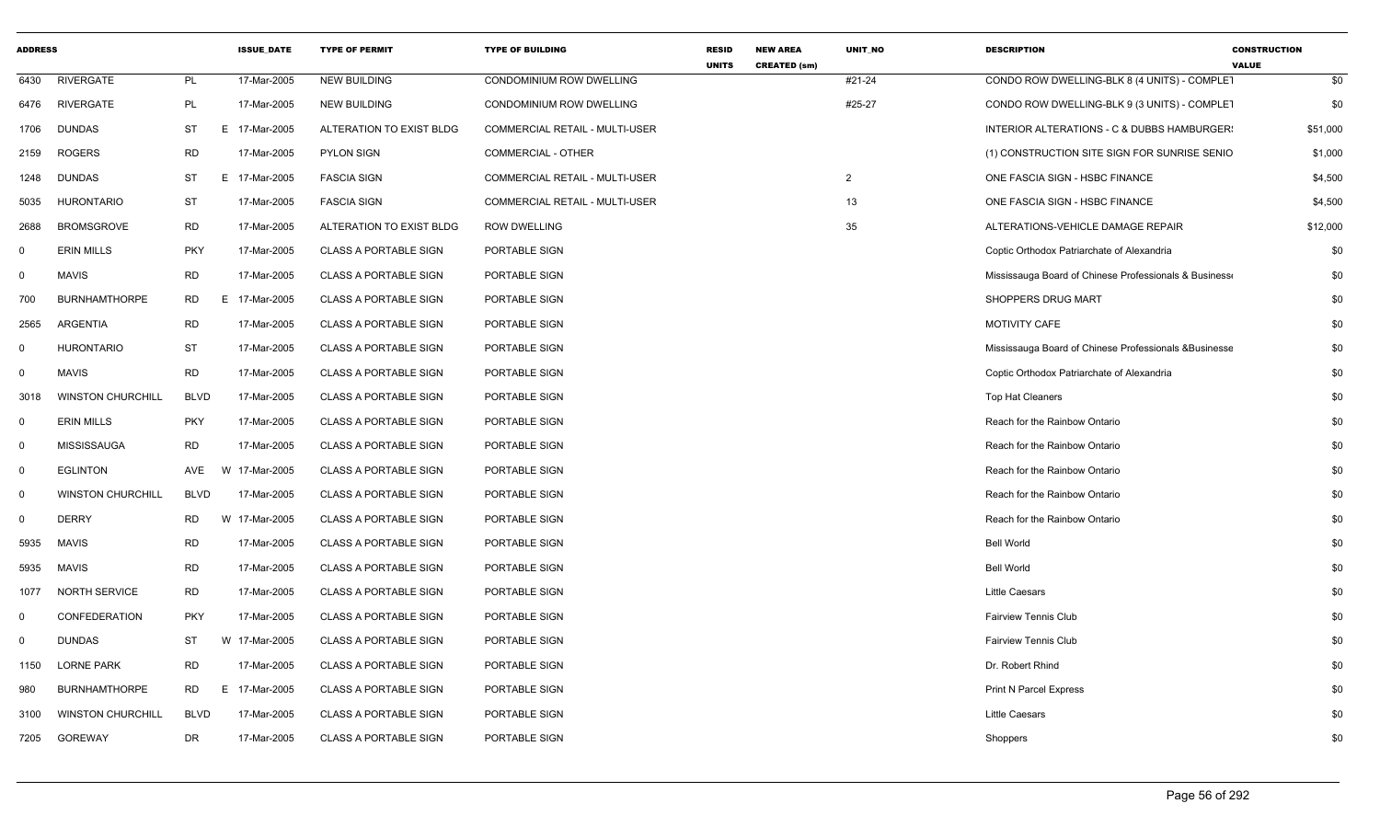| <b>ADDRESS</b> |                          |             | <b>ISSUE DATE</b> | <b>TYPE OF PERMIT</b>        | <b>TYPE OF BUILDING</b>               | <b>RESID</b><br><b>UNITS</b> | <b>NEW AREA</b><br><b>CREATED (sm)</b> | UNIT_NO        | <b>DESCRIPTION</b>                                     | <b>CONSTRUCTION</b><br><b>VALUE</b> |
|----------------|--------------------------|-------------|-------------------|------------------------------|---------------------------------------|------------------------------|----------------------------------------|----------------|--------------------------------------------------------|-------------------------------------|
| 6430           | <b>RIVERGATE</b>         | PL          | 17-Mar-2005       | <b>NEW BUILDING</b>          | CONDOMINIUM ROW DWELLING              |                              |                                        | #21-24         | CONDO ROW DWELLING-BLK 8 (4 UNITS) - COMPLET           | \$0                                 |
| 6476           | RIVERGATE                | PL          | 17-Mar-2005       | <b>NEW BUILDING</b>          | CONDOMINIUM ROW DWELLING              |                              |                                        | #25-27         | CONDO ROW DWELLING-BLK 9 (3 UNITS) - COMPLET           | \$0                                 |
| 1706           | <b>DUNDAS</b>            | <b>ST</b>   | E<br>17-Mar-2005  | ALTERATION TO EXIST BLDG     | <b>COMMERCIAL RETAIL - MULTI-USER</b> |                              |                                        |                | INTERIOR ALTERATIONS - C & DUBBS HAMBURGER:            | \$51,000                            |
| 2159           | <b>ROGERS</b>            | <b>RD</b>   | 17-Mar-2005       | <b>PYLON SIGN</b>            | COMMERCIAL - OTHER                    |                              |                                        |                | (1) CONSTRUCTION SITE SIGN FOR SUNRISE SENIO           | \$1,000                             |
| 1248           | <b>DUNDAS</b>            | <b>ST</b>   | E.<br>17-Mar-2005 | <b>FASCIA SIGN</b>           | COMMERCIAL RETAIL - MULTI-USER        |                              |                                        | $\overline{2}$ | ONE FASCIA SIGN - HSBC FINANCE                         | \$4,500                             |
| 5035           | <b>HURONTARIO</b>        | ST          | 17-Mar-2005       | <b>FASCIA SIGN</b>           | COMMERCIAL RETAIL - MULTI-USER        |                              |                                        | 13             | ONE FASCIA SIGN - HSBC FINANCE                         | \$4,500                             |
| 2688           | <b>BROMSGROVE</b>        | <b>RD</b>   | 17-Mar-2005       | ALTERATION TO EXIST BLDG     | <b>ROW DWELLING</b>                   |                              |                                        | 35             | ALTERATIONS-VEHICLE DAMAGE REPAIR                      | \$12,000                            |
| 0              | <b>ERIN MILLS</b>        | <b>PKY</b>  | 17-Mar-2005       | <b>CLASS A PORTABLE SIGN</b> | PORTABLE SIGN                         |                              |                                        |                | Coptic Orthodox Patriarchate of Alexandria             | \$0                                 |
| $\mathbf 0$    | <b>MAVIS</b>             | <b>RD</b>   | 17-Mar-2005       | <b>CLASS A PORTABLE SIGN</b> | PORTABLE SIGN                         |                              |                                        |                | Mississauga Board of Chinese Professionals & Business  | \$0                                 |
| 700            | <b>BURNHAMTHORPE</b>     | <b>RD</b>   | E.<br>17-Mar-2005 | <b>CLASS A PORTABLE SIGN</b> | PORTABLE SIGN                         |                              |                                        |                | SHOPPERS DRUG MART                                     | \$0                                 |
| 2565           | ARGENTIA                 | <b>RD</b>   | 17-Mar-2005       | <b>CLASS A PORTABLE SIGN</b> | PORTABLE SIGN                         |                              |                                        |                | MOTIVITY CAFE                                          | \$0                                 |
| 0              | <b>HURONTARIO</b>        | <b>ST</b>   | 17-Mar-2005       | <b>CLASS A PORTABLE SIGN</b> | PORTABLE SIGN                         |                              |                                        |                | Mississauga Board of Chinese Professionals & Businesse | \$0                                 |
| 0              | <b>MAVIS</b>             | <b>RD</b>   | 17-Mar-2005       | <b>CLASS A PORTABLE SIGN</b> | PORTABLE SIGN                         |                              |                                        |                | Coptic Orthodox Patriarchate of Alexandria             | \$0                                 |
| 3018           | <b>WINSTON CHURCHILL</b> | <b>BLVD</b> | 17-Mar-2005       | <b>CLASS A PORTABLE SIGN</b> | PORTABLE SIGN                         |                              |                                        |                | Top Hat Cleaners                                       | \$0                                 |
| $\mathbf 0$    | <b>ERIN MILLS</b>        | <b>PKY</b>  | 17-Mar-2005       | <b>CLASS A PORTABLE SIGN</b> | PORTABLE SIGN                         |                              |                                        |                | Reach for the Rainbow Ontario                          | \$0                                 |
| $\mathbf 0$    | <b>MISSISSAUGA</b>       | <b>RD</b>   | 17-Mar-2005       | <b>CLASS A PORTABLE SIGN</b> | PORTABLE SIGN                         |                              |                                        |                | Reach for the Rainbow Ontario                          | \$0                                 |
| $\mathbf 0$    | <b>EGLINTON</b>          | AVE         | 17-Mar-2005<br>W  | <b>CLASS A PORTABLE SIGN</b> | PORTABLE SIGN                         |                              |                                        |                | Reach for the Rainbow Ontario                          | \$0                                 |
| 0              | <b>WINSTON CHURCHILL</b> | <b>BLVD</b> | 17-Mar-2005       | <b>CLASS A PORTABLE SIGN</b> | PORTABLE SIGN                         |                              |                                        |                | Reach for the Rainbow Ontario                          | \$0                                 |
| $\mathbf 0$    | <b>DERRY</b>             | <b>RD</b>   | W 17-Mar-2005     | <b>CLASS A PORTABLE SIGN</b> | PORTABLE SIGN                         |                              |                                        |                | Reach for the Rainbow Ontario                          | \$0                                 |
| 5935           | <b>MAVIS</b>             | <b>RD</b>   | 17-Mar-2005       | <b>CLASS A PORTABLE SIGN</b> | PORTABLE SIGN                         |                              |                                        |                | <b>Bell World</b>                                      | \$0                                 |
| 5935           | <b>MAVIS</b>             | <b>RD</b>   | 17-Mar-2005       | <b>CLASS A PORTABLE SIGN</b> | PORTABLE SIGN                         |                              |                                        |                | <b>Bell World</b>                                      | \$0                                 |
| 1077           | <b>NORTH SERVICE</b>     | <b>RD</b>   | 17-Mar-2005       | <b>CLASS A PORTABLE SIGN</b> | PORTABLE SIGN                         |                              |                                        |                | Little Caesars                                         | \$0                                 |
| $\mathbf 0$    | <b>CONFEDERATION</b>     | <b>PKY</b>  | 17-Mar-2005       | <b>CLASS A PORTABLE SIGN</b> | PORTABLE SIGN                         |                              |                                        |                | <b>Fairview Tennis Club</b>                            | \$0                                 |
| $\mathbf 0$    | <b>DUNDAS</b>            | <b>ST</b>   | 17-Mar-2005<br>W  | <b>CLASS A PORTABLE SIGN</b> | PORTABLE SIGN                         |                              |                                        |                | <b>Fairview Tennis Club</b>                            | \$0                                 |
| 1150           | <b>LORNE PARK</b>        | <b>RD</b>   | 17-Mar-2005       | <b>CLASS A PORTABLE SIGN</b> | PORTABLE SIGN                         |                              |                                        |                | Dr. Robert Rhind                                       | \$0                                 |
| 980            | <b>BURNHAMTHORPE</b>     | <b>RD</b>   | E.<br>17-Mar-2005 | <b>CLASS A PORTABLE SIGN</b> | PORTABLE SIGN                         |                              |                                        |                | <b>Print N Parcel Express</b>                          | \$0                                 |
| 3100           | <b>WINSTON CHURCHILL</b> | <b>BLVD</b> | 17-Mar-2005       | <b>CLASS A PORTABLE SIGN</b> | PORTABLE SIGN                         |                              |                                        |                | <b>Little Caesars</b>                                  | \$0                                 |
| 7205           | GOREWAY                  | <b>DR</b>   | 17-Mar-2005       | <b>CLASS A PORTABLE SIGN</b> | PORTABLE SIGN                         |                              |                                        |                | Shoppers                                               | \$0                                 |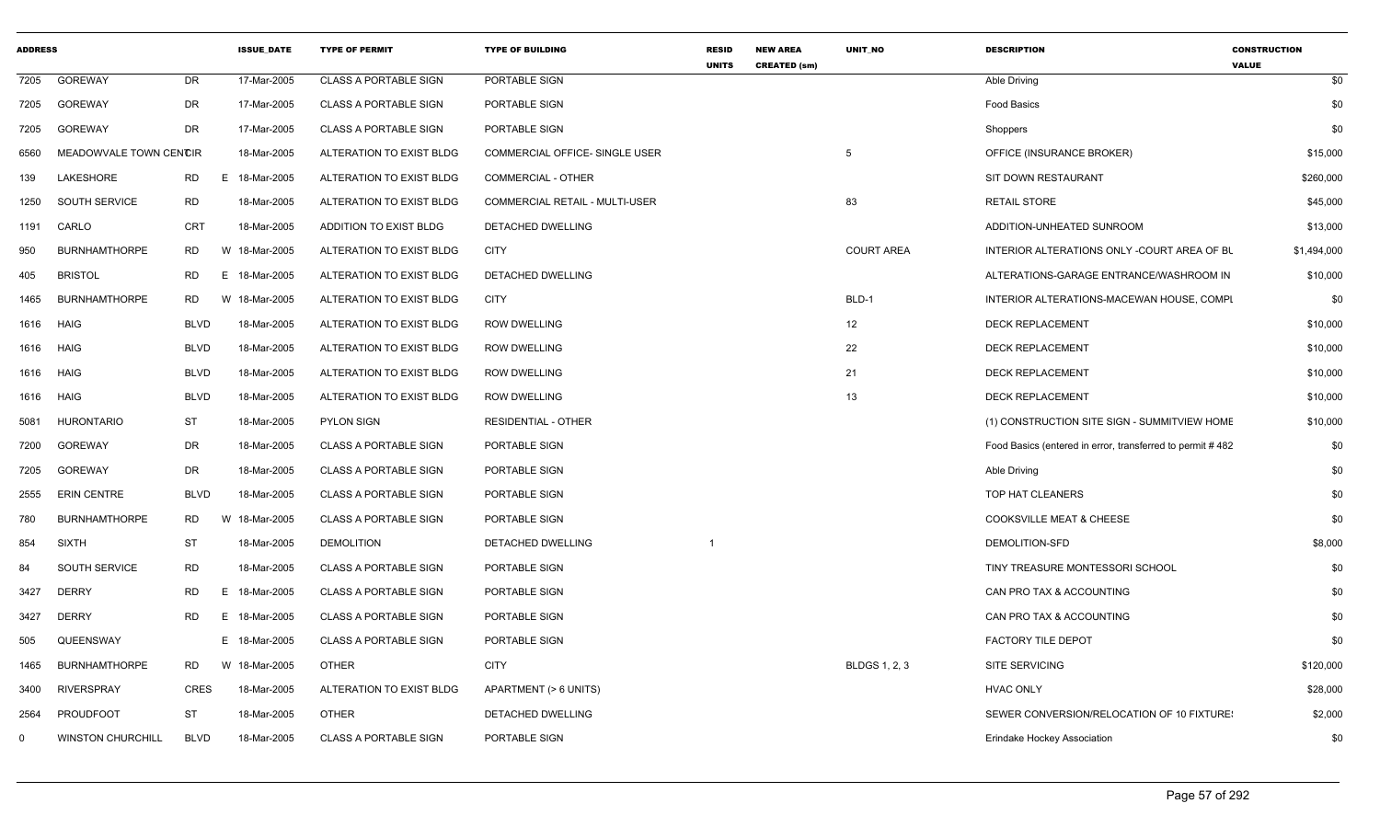| <b>ADDRESS</b> |                          |                | <b>ISSUE_DATE</b> | <b>TYPE OF PERMIT</b>        | <b>TYPE OF BUILDING</b>               | <b>RESID</b><br><b>UNITS</b> | <b>NEW AREA</b><br><b>CREATED (sm)</b> | UNIT_NO              | <b>DESCRIPTION</b>                                        | <b>CONSTRUCTION</b><br><b>VALUE</b> |
|----------------|--------------------------|----------------|-------------------|------------------------------|---------------------------------------|------------------------------|----------------------------------------|----------------------|-----------------------------------------------------------|-------------------------------------|
| 7205           | GOREWAY                  | DR             | 17-Mar-2005       | <b>CLASS A PORTABLE SIGN</b> | PORTABLE SIGN                         |                              |                                        |                      | Able Driving                                              | \$0                                 |
| 7205           | <b>GOREWAY</b>           | DR             | 17-Mar-2005       | <b>CLASS A PORTABLE SIGN</b> | PORTABLE SIGN                         |                              |                                        |                      | Food Basics                                               | \$0                                 |
| 7205           | <b>GOREWAY</b>           | <b>DR</b>      | 17-Mar-2005       | <b>CLASS A PORTABLE SIGN</b> | PORTABLE SIGN                         |                              |                                        |                      | Shoppers                                                  | \$0                                 |
| 6560           | MEADOWVALE TOWN CENCIR   |                | 18-Mar-2005       | ALTERATION TO EXIST BLDG     | COMMERCIAL OFFICE- SINGLE USER        |                              |                                        | -5                   | OFFICE (INSURANCE BROKER)                                 | \$15,000                            |
| 139            | LAKESHORE                | RD<br>E.       | 18-Mar-2005       | ALTERATION TO EXIST BLDG     | <b>COMMERCIAL - OTHER</b>             |                              |                                        |                      | SIT DOWN RESTAURANT                                       | \$260,000                           |
| 1250           | SOUTH SERVICE            | <b>RD</b>      | 18-Mar-2005       | ALTERATION TO EXIST BLDG     | <b>COMMERCIAL RETAIL - MULTI-USER</b> |                              |                                        | 83                   | <b>RETAIL STORE</b>                                       | \$45,000                            |
| 1191           | CARLO                    | <b>CRT</b>     | 18-Mar-2005       | ADDITION TO EXIST BLDG       | DETACHED DWELLING                     |                              |                                        |                      | ADDITION-UNHEATED SUNROOM                                 | \$13,000                            |
| 950            | <b>BURNHAMTHORPE</b>     | <b>RD</b><br>W | 18-Mar-2005       | ALTERATION TO EXIST BLDG     | <b>CITY</b>                           |                              |                                        | <b>COURT AREA</b>    | INTERIOR ALTERATIONS ONLY -COURT AREA OF BL               | \$1,494,000                         |
| 405            | <b>BRISTOL</b>           | RD<br>E.       | 18-Mar-2005       | ALTERATION TO EXIST BLDG     | DETACHED DWELLING                     |                              |                                        |                      | ALTERATIONS-GARAGE ENTRANCE/WASHROOM IN                   | \$10,000                            |
| 1465           | <b>BURNHAMTHORPE</b>     | <b>RD</b><br>W | 18-Mar-2005       | ALTERATION TO EXIST BLDG     | <b>CITY</b>                           |                              |                                        | BLD-1                | INTERIOR ALTERATIONS-MACEWAN HOUSE, COMPI                 | \$0                                 |
| 1616 HAIG      |                          | <b>BLVD</b>    | 18-Mar-2005       | ALTERATION TO EXIST BLDG     | <b>ROW DWELLING</b>                   |                              |                                        | 12                   | <b>DECK REPLACEMENT</b>                                   | \$10,000                            |
| 1616           | HAIG                     | <b>BLVD</b>    | 18-Mar-2005       | ALTERATION TO EXIST BLDG     | <b>ROW DWELLING</b>                   |                              |                                        | 22                   | <b>DECK REPLACEMENT</b>                                   | \$10,000                            |
| 1616 HAIG      |                          | <b>BLVD</b>    | 18-Mar-2005       | ALTERATION TO EXIST BLDG     | <b>ROW DWELLING</b>                   |                              |                                        | 21                   | <b>DECK REPLACEMENT</b>                                   | \$10,000                            |
| 1616           | <b>HAIG</b>              | <b>BLVD</b>    | 18-Mar-2005       | ALTERATION TO EXIST BLDG     | <b>ROW DWELLING</b>                   |                              |                                        | 13                   | <b>DECK REPLACEMENT</b>                                   | \$10,000                            |
| 5081           | <b>HURONTARIO</b>        | <b>ST</b>      | 18-Mar-2005       | <b>PYLON SIGN</b>            | <b>RESIDENTIAL - OTHER</b>            |                              |                                        |                      | (1) CONSTRUCTION SITE SIGN - SUMMITVIEW HOME              | \$10,000                            |
| 7200           | GOREWAY                  | DR             | 18-Mar-2005       | CLASS A PORTABLE SIGN        | PORTABLE SIGN                         |                              |                                        |                      | Food Basics (entered in error, transferred to permit #482 | \$0                                 |
| 7205           | GOREWAY                  | DR             | 18-Mar-2005       | <b>CLASS A PORTABLE SIGN</b> | PORTABLE SIGN                         |                              |                                        |                      | Able Driving                                              | \$0                                 |
| 2555           | ERIN CENTRE              | <b>BLVD</b>    | 18-Mar-2005       | <b>CLASS A PORTABLE SIGN</b> | PORTABLE SIGN                         |                              |                                        |                      | TOP HAT CLEANERS                                          | \$0                                 |
| 780            | <b>BURNHAMTHORPE</b>     | <b>RD</b><br>W | 18-Mar-2005       | <b>CLASS A PORTABLE SIGN</b> | PORTABLE SIGN                         |                              |                                        |                      | <b>COOKSVILLE MEAT &amp; CHEESE</b>                       | \$0                                 |
| 854            | <b>SIXTH</b>             | ST             | 18-Mar-2005       | <b>DEMOLITION</b>            | DETACHED DWELLING                     | $\mathbf{1}$                 |                                        |                      | DEMOLITION-SFD                                            | \$8,000                             |
| 84             | SOUTH SERVICE            | <b>RD</b>      | 18-Mar-2005       | <b>CLASS A PORTABLE SIGN</b> | PORTABLE SIGN                         |                              |                                        |                      | TINY TREASURE MONTESSORI SCHOOL                           | \$0                                 |
| 3427           | <b>DERRY</b>             | RD<br>E.       | 18-Mar-2005       | <b>CLASS A PORTABLE SIGN</b> | PORTABLE SIGN                         |                              |                                        |                      | CAN PRO TAX & ACCOUNTING                                  | \$0                                 |
| 3427           | <b>DERRY</b>             | <b>RD</b><br>E | 18-Mar-2005       | <b>CLASS A PORTABLE SIGN</b> | PORTABLE SIGN                         |                              |                                        |                      | CAN PRO TAX & ACCOUNTING                                  | \$0                                 |
| 505            | QUEENSWAY                |                | E 18-Mar-2005     | <b>CLASS A PORTABLE SIGN</b> | PORTABLE SIGN                         |                              |                                        |                      | <b>FACTORY TILE DEPOT</b>                                 | \$0                                 |
| 1465           | <b>BURNHAMTHORPE</b>     | <b>RD</b>      | W 18-Mar-2005     | <b>OTHER</b>                 | <b>CITY</b>                           |                              |                                        | <b>BLDGS 1, 2, 3</b> | <b>SITE SERVICING</b>                                     | \$120,000                           |
| 3400           | <b>RIVERSPRAY</b>        | CRES           | 18-Mar-2005       | ALTERATION TO EXIST BLDG     | APARTMENT (> 6 UNITS)                 |                              |                                        |                      | <b>HVAC ONLY</b>                                          | \$28,000                            |
| 2564           | PROUDFOOT                | ST             | 18-Mar-2005       | <b>OTHER</b>                 | DETACHED DWELLING                     |                              |                                        |                      | SEWER CONVERSION/RELOCATION OF 10 FIXTURE:                | \$2,000                             |
| $^{\circ}$     | <b>WINSTON CHURCHILL</b> | <b>BLVD</b>    | 18-Mar-2005       | <b>CLASS A PORTABLE SIGN</b> | PORTABLE SIGN                         |                              |                                        |                      | Erindake Hockey Association                               | \$0                                 |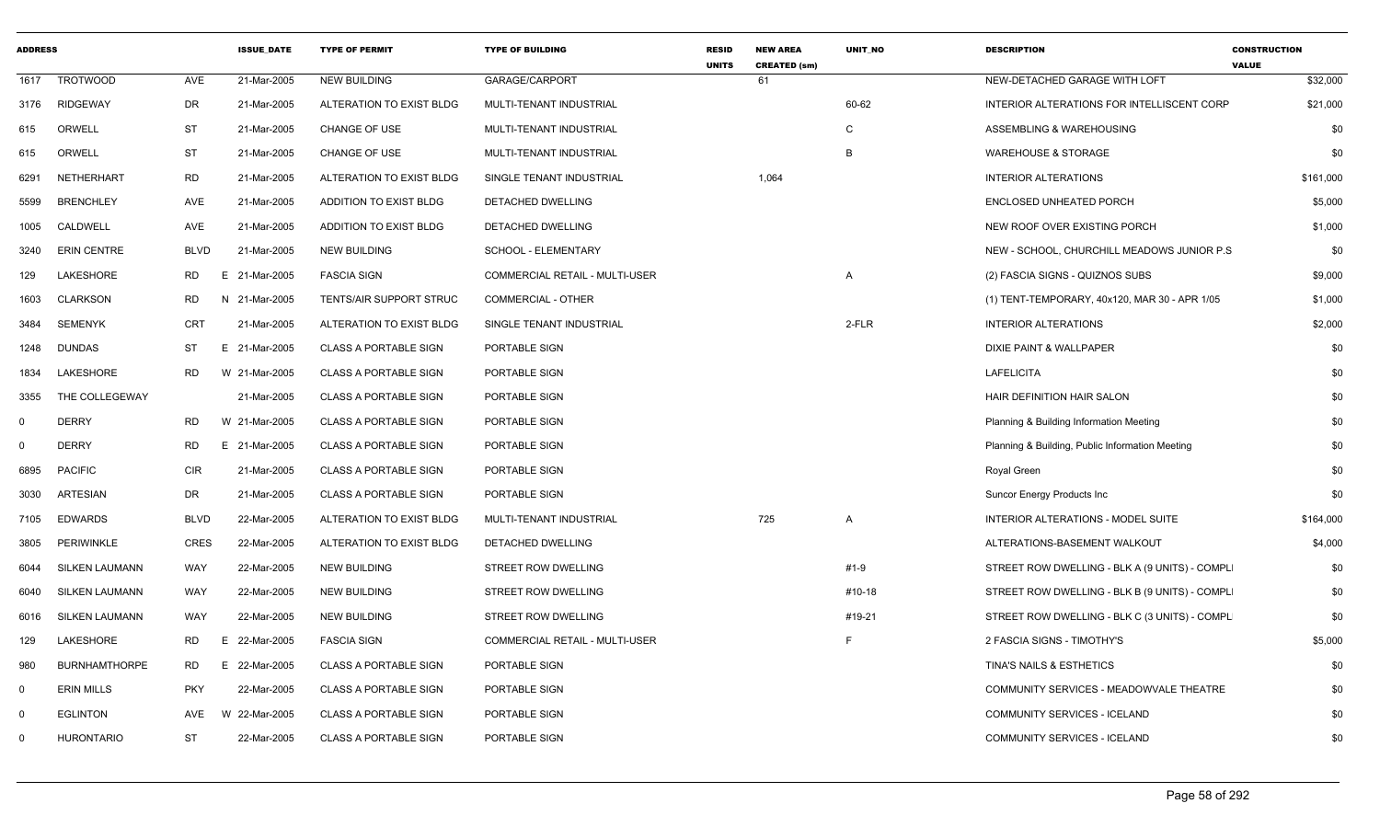| <b>ADDRESS</b> |                       |             | <b>ISSUE DATE</b> | <b>TYPE OF PERMIT</b>        | <b>TYPE OF BUILDING</b>               | <b>RESID</b><br><b>UNITS</b> | <b>NEW AREA</b><br><b>CREATED (sm)</b> | <b>UNIT NO</b> | <b>DESCRIPTION</b>                              | <b>CONSTRUCTION</b><br><b>VALUE</b> |
|----------------|-----------------------|-------------|-------------------|------------------------------|---------------------------------------|------------------------------|----------------------------------------|----------------|-------------------------------------------------|-------------------------------------|
| 1617           | <b>TROTWOOD</b>       | AVE         | 21-Mar-2005       | <b>NEW BUILDING</b>          | GARAGE/CARPORT                        |                              | 61                                     |                | NEW-DETACHED GARAGE WITH LOFT                   | \$32,000                            |
| 3176           | <b>RIDGEWAY</b>       | DR          | 21-Mar-2005       | ALTERATION TO EXIST BLDG     | MULTI-TENANT INDUSTRIAL               |                              |                                        | 60-62          | INTERIOR ALTERATIONS FOR INTELLISCENT CORP      | \$21,000                            |
| 615            | ORWELL                | ST          | 21-Mar-2005       | CHANGE OF USE                | MULTI-TENANT INDUSTRIAL               |                              |                                        | C              | ASSEMBLING & WAREHOUSING                        | \$0                                 |
| 615            | ORWELL                | ST          | 21-Mar-2005       | <b>CHANGE OF USE</b>         | MULTI-TENANT INDUSTRIAL               |                              |                                        | B              | <b>WAREHOUSE &amp; STORAGE</b>                  | \$0                                 |
| 6291           | NETHERHART            | <b>RD</b>   | 21-Mar-2005       | ALTERATION TO EXIST BLDG     | SINGLE TENANT INDUSTRIAL              |                              | 1,064                                  |                | <b>INTERIOR ALTERATIONS</b>                     | \$161,000                           |
| 5599           | <b>BRENCHLEY</b>      | AVE         | 21-Mar-2005       | ADDITION TO EXIST BLDG       | DETACHED DWELLING                     |                              |                                        |                | <b>ENCLOSED UNHEATED PORCH</b>                  | \$5,000                             |
| 1005           | CALDWELL              | AVE         | 21-Mar-2005       | ADDITION TO EXIST BLDG       | DETACHED DWELLING                     |                              |                                        |                | NEW ROOF OVER EXISTING PORCH                    | \$1,000                             |
| 3240           | <b>ERIN CENTRE</b>    | <b>BLVD</b> | 21-Mar-2005       | <b>NEW BUILDING</b>          | SCHOOL - ELEMENTARY                   |                              |                                        |                | NEW - SCHOOL, CHURCHILL MEADOWS JUNIOR P.S.     | \$0                                 |
| 129            | LAKESHORE             | RD          | 21-Mar-2005<br>Е. | <b>FASCIA SIGN</b>           | COMMERCIAL RETAIL - MULTI-USER        |                              |                                        | A              | (2) FASCIA SIGNS - QUIZNOS SUBS                 | \$9,000                             |
| 1603           | <b>CLARKSON</b>       | <b>RD</b>   | 21-Mar-2005<br>N. | TENTS/AIR SUPPORT STRUC      | COMMERCIAL - OTHER                    |                              |                                        |                | (1) TENT-TEMPORARY, 40x120, MAR 30 - APR 1/05   | \$1,000                             |
| 3484           | <b>SEMENYK</b>        | <b>CRT</b>  | 21-Mar-2005       | ALTERATION TO EXIST BLDG     | SINGLE TENANT INDUSTRIAL              |                              |                                        | 2-FLR          | <b>INTERIOR ALTERATIONS</b>                     | \$2,000                             |
| 1248           | DUNDAS                | ST          | E.<br>21-Mar-2005 | <b>CLASS A PORTABLE SIGN</b> | PORTABLE SIGN                         |                              |                                        |                | DIXIE PAINT & WALLPAPER                         | \$0                                 |
| 1834           | LAKESHORE             | RD          | W 21-Mar-2005     | <b>CLASS A PORTABLE SIGN</b> | PORTABLE SIGN                         |                              |                                        |                | <b>LAFELICITA</b>                               | \$0                                 |
| 3355           | THE COLLEGEWAY        |             | 21-Mar-2005       | <b>CLASS A PORTABLE SIGN</b> | PORTABLE SIGN                         |                              |                                        |                | HAIR DEFINITION HAIR SALON                      | \$0                                 |
| $\mathbf 0$    | <b>DERRY</b>          | RD          | W 21-Mar-2005     | <b>CLASS A PORTABLE SIGN</b> | PORTABLE SIGN                         |                              |                                        |                | Planning & Building Information Meeting         | \$0                                 |
| $\mathbf 0$    | <b>DERRY</b>          | RD          | 21-Mar-2005<br>E. | <b>CLASS A PORTABLE SIGN</b> | PORTABLE SIGN                         |                              |                                        |                | Planning & Building, Public Information Meeting | \$0                                 |
| 6895           | <b>PACIFIC</b>        | CIR         | 21-Mar-2005       | <b>CLASS A PORTABLE SIGN</b> | PORTABLE SIGN                         |                              |                                        |                | Royal Green                                     | \$0                                 |
| 3030           | <b>ARTESIAN</b>       | DR          | 21-Mar-2005       | <b>CLASS A PORTABLE SIGN</b> | PORTABLE SIGN                         |                              |                                        |                | Suncor Energy Products Inc                      | \$0                                 |
| 7105           | <b>EDWARDS</b>        | <b>BLVD</b> | 22-Mar-2005       | ALTERATION TO EXIST BLDG     | MULTI-TENANT INDUSTRIAL               |                              | 725                                    | A              | INTERIOR ALTERATIONS - MODEL SUITE              | \$164,000                           |
| 3805           | PERIWINKLE            | <b>CRES</b> | 22-Mar-2005       | ALTERATION TO EXIST BLDG     | DETACHED DWELLING                     |                              |                                        |                | ALTERATIONS-BASEMENT WALKOUT                    | \$4,000                             |
| 6044           | <b>SILKEN LAUMANN</b> | WAY         | 22-Mar-2005       | <b>NEW BUILDING</b>          | <b>STREET ROW DWELLING</b>            |                              |                                        | #1-9           | STREET ROW DWELLING - BLK A (9 UNITS) - COMPL   | \$0                                 |
| 6040           | <b>SILKEN LAUMANN</b> | WAY         | 22-Mar-2005       | <b>NEW BUILDING</b>          | STREET ROW DWELLING                   |                              |                                        | #10-18         | STREET ROW DWELLING - BLK B (9 UNITS) - COMPL   | \$0                                 |
| 6016           | <b>SILKEN LAUMANN</b> | WAY         | 22-Mar-2005       | <b>NEW BUILDING</b>          | <b>STREET ROW DWELLING</b>            |                              |                                        | #19-21         | STREET ROW DWELLING - BLK C (3 UNITS) - COMPL   | \$0                                 |
| 129            | LAKESHORE             | RD          | 22-Mar-2005<br>Е. | <b>FASCIA SIGN</b>           | <b>COMMERCIAL RETAIL - MULTI-USER</b> |                              |                                        |                | 2 FASCIA SIGNS - TIMOTHY'S                      | \$5,000                             |
| 980            | <b>BURNHAMTHORPE</b>  | RD          | 22-Mar-2005<br>Е  | <b>CLASS A PORTABLE SIGN</b> | PORTABLE SIGN                         |                              |                                        |                | TINA'S NAILS & ESTHETICS                        | \$0                                 |
| $\mathbf{0}$   | <b>ERIN MILLS</b>     | <b>PKY</b>  | 22-Mar-2005       | CLASS A PORTABLE SIGN        | PORTABLE SIGN                         |                              |                                        |                | COMMUNITY SERVICES - MEADOWVALE THEATRE         | \$0                                 |
| $\Omega$       | <b>EGLINTON</b>       | AVE         | W 22-Mar-2005     | <b>CLASS A PORTABLE SIGN</b> | PORTABLE SIGN                         |                              |                                        |                | COMMUNITY SERVICES - ICELAND                    | \$0                                 |
| 0              | <b>HURONTARIO</b>     | <b>ST</b>   | 22-Mar-2005       | <b>CLASS A PORTABLE SIGN</b> | PORTABLE SIGN                         |                              |                                        |                | <b>COMMUNITY SERVICES - ICELAND</b>             | \$0                                 |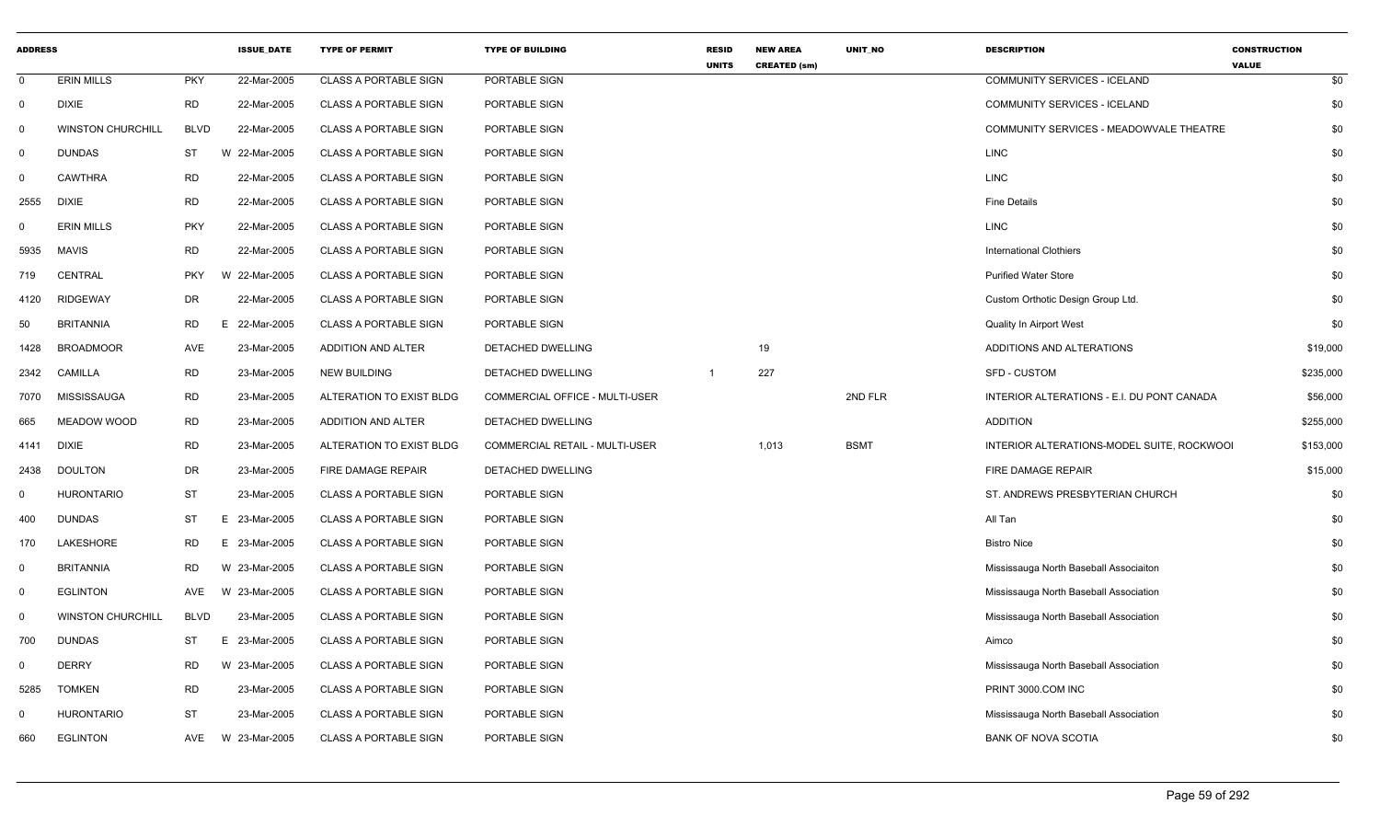| <b>ADDRESS</b> |                          |             | <b>ISSUE_DATE</b> | <b>TYPE OF PERMIT</b>        | <b>TYPE OF BUILDING</b>        | <b>RESID</b><br><b>UNITS</b> | <b>NEW AREA</b><br><b>CREATED (sm)</b> | UNIT_NO     | <b>DESCRIPTION</b>                         | <b>CONSTRUCTION</b><br><b>VALUE</b> |
|----------------|--------------------------|-------------|-------------------|------------------------------|--------------------------------|------------------------------|----------------------------------------|-------------|--------------------------------------------|-------------------------------------|
| $\mathbf 0$    | <b>ERIN MILLS</b>        | <b>PKY</b>  | 22-Mar-2005       | <b>CLASS A PORTABLE SIGN</b> | PORTABLE SIGN                  |                              |                                        |             | COMMUNITY SERVICES - ICELAND               | \$0                                 |
| $\mathbf 0$    | <b>DIXIE</b>             | <b>RD</b>   | 22-Mar-2005       | <b>CLASS A PORTABLE SIGN</b> | PORTABLE SIGN                  |                              |                                        |             | COMMUNITY SERVICES - ICELAND               | \$0                                 |
| $\mathbf 0$    | <b>WINSTON CHURCHILL</b> | <b>BLVD</b> | 22-Mar-2005       | <b>CLASS A PORTABLE SIGN</b> | PORTABLE SIGN                  |                              |                                        |             | COMMUNITY SERVICES - MEADOWVALE THEATRE    | \$0                                 |
| 0              | <b>DUNDAS</b>            | ST          | W 22-Mar-2005     | <b>CLASS A PORTABLE SIGN</b> | PORTABLE SIGN                  |                              |                                        |             | <b>LINC</b>                                | \$0                                 |
| $\mathsf{O}$   | <b>CAWTHRA</b>           | <b>RD</b>   | 22-Mar-2005       | <b>CLASS A PORTABLE SIGN</b> | PORTABLE SIGN                  |                              |                                        |             | <b>LINC</b>                                | \$0                                 |
| 2555           | <b>DIXIE</b>             | <b>RD</b>   | 22-Mar-2005       | <b>CLASS A PORTABLE SIGN</b> | PORTABLE SIGN                  |                              |                                        |             | <b>Fine Details</b>                        | \$0                                 |
| $\Omega$       | <b>ERIN MILLS</b>        | <b>PKY</b>  | 22-Mar-2005       | <b>CLASS A PORTABLE SIGN</b> | PORTABLE SIGN                  |                              |                                        |             | <b>LINC</b>                                | \$0                                 |
| 5935           | <b>MAVIS</b>             | <b>RD</b>   | 22-Mar-2005       | <b>CLASS A PORTABLE SIGN</b> | PORTABLE SIGN                  |                              |                                        |             | <b>International Clothiers</b>             | \$0                                 |
| 719            | CENTRAL                  | <b>PKY</b>  | W 22-Mar-2005     | <b>CLASS A PORTABLE SIGN</b> | PORTABLE SIGN                  |                              |                                        |             | <b>Purified Water Store</b>                | \$0                                 |
| 4120           | <b>RIDGEWAY</b>          | <b>DR</b>   | 22-Mar-2005       | <b>CLASS A PORTABLE SIGN</b> | PORTABLE SIGN                  |                              |                                        |             | Custom Orthotic Design Group Ltd.          | \$0                                 |
| 50             | <b>BRITANNIA</b>         | <b>RD</b>   | F.<br>22-Mar-2005 | <b>CLASS A PORTABLE SIGN</b> | PORTABLE SIGN                  |                              |                                        |             | Quality In Airport West                    | \$0                                 |
| 1428           | <b>BROADMOOR</b>         | <b>AVE</b>  | 23-Mar-2005       | <b>ADDITION AND ALTER</b>    | DETACHED DWELLING              |                              | 19                                     |             | ADDITIONS AND ALTERATIONS                  | \$19,000                            |
| 2342           | <b>CAMILLA</b>           | <b>RD</b>   | 23-Mar-2005       | <b>NEW BUILDING</b>          | DETACHED DWELLING              |                              | 227                                    |             | <b>SFD - CUSTOM</b>                        | \$235,000                           |
| 7070           | MISSISSAUGA              | <b>RD</b>   | 23-Mar-2005       | ALTERATION TO EXIST BLDG     | COMMERCIAL OFFICE - MULTI-USER |                              |                                        | 2ND FLR     | INTERIOR ALTERATIONS - E.I. DU PONT CANADA | \$56,000                            |
| 665            | MEADOW WOOD              | <b>RD</b>   | 23-Mar-2005       | ADDITION AND ALTER           | DETACHED DWELLING              |                              |                                        |             | <b>ADDITION</b>                            | \$255,000                           |
| 4141           | <b>DIXIE</b>             | <b>RD</b>   | 23-Mar-2005       | ALTERATION TO EXIST BLDG     | COMMERCIAL RETAIL - MULTI-USER |                              | 1,013                                  | <b>BSMT</b> | INTERIOR ALTERATIONS-MODEL SUITE, ROCKWOOI | \$153,000                           |
| 2438           | <b>DOULTON</b>           | <b>DR</b>   | 23-Mar-2005       | <b>FIRE DAMAGE REPAIR</b>    | DETACHED DWELLING              |                              |                                        |             | FIRE DAMAGE REPAIR                         | \$15,000                            |
| $\mathbf{0}$   | <b>HURONTARIO</b>        | <b>ST</b>   | 23-Mar-2005       | <b>CLASS A PORTABLE SIGN</b> | PORTABLE SIGN                  |                              |                                        |             | ST. ANDREWS PRESBYTERIAN CHURCH            | \$0                                 |
| 400            | <b>DUNDAS</b>            | <b>ST</b>   | 23-Mar-2005<br>E. | <b>CLASS A PORTABLE SIGN</b> | PORTABLE SIGN                  |                              |                                        |             | All Tan                                    | \$0                                 |
| 170            | LAKESHORE                | <b>RD</b>   | E 23-Mar-2005     | <b>CLASS A PORTABLE SIGN</b> | PORTABLE SIGN                  |                              |                                        |             | <b>Bistro Nice</b>                         | \$0                                 |
| $\mathbf 0$    | <b>BRITANNIA</b>         | <b>RD</b>   | W 23-Mar-2005     | <b>CLASS A PORTABLE SIGN</b> | PORTABLE SIGN                  |                              |                                        |             | Mississauga North Baseball Associaiton     | \$0                                 |
| $\mathsf{O}$   | <b>EGLINTON</b>          | <b>AVE</b>  | W 23-Mar-2005     | <b>CLASS A PORTABLE SIGN</b> | PORTABLE SIGN                  |                              |                                        |             | Mississauga North Baseball Association     | \$0                                 |
| $\mathbf 0$    | <b>WINSTON CHURCHILL</b> | <b>BLVD</b> | 23-Mar-2005       | <b>CLASS A PORTABLE SIGN</b> | PORTABLE SIGN                  |                              |                                        |             | Mississauga North Baseball Association     | \$0                                 |
| 700            | <b>DUNDAS</b>            | <b>ST</b>   | E.<br>23-Mar-2005 | <b>CLASS A PORTABLE SIGN</b> | PORTABLE SIGN                  |                              |                                        |             | Aimco                                      | \$0                                 |
| 0              | <b>DERRY</b>             | <b>RD</b>   | W 23-Mar-2005     | <b>CLASS A PORTABLE SIGN</b> | PORTABLE SIGN                  |                              |                                        |             | Mississauga North Baseball Association     | \$0                                 |
| 5285           | <b>TOMKEN</b>            | <b>RD</b>   | 23-Mar-2005       | <b>CLASS A PORTABLE SIGN</b> | PORTABLE SIGN                  |                              |                                        |             | PRINT 3000.COM INC                         | \$0                                 |
| 0              | <b>HURONTARIO</b>        | <b>ST</b>   | 23-Mar-2005       | <b>CLASS A PORTABLE SIGN</b> | PORTABLE SIGN                  |                              |                                        |             | Mississauga North Baseball Association     | \$0                                 |
| 660            | <b>EGLINTON</b>          | AVE         | W 23-Mar-2005     | <b>CLASS A PORTABLE SIGN</b> | PORTABLE SIGN                  |                              |                                        |             | <b>BANK OF NOVA SCOTIA</b>                 | \$0                                 |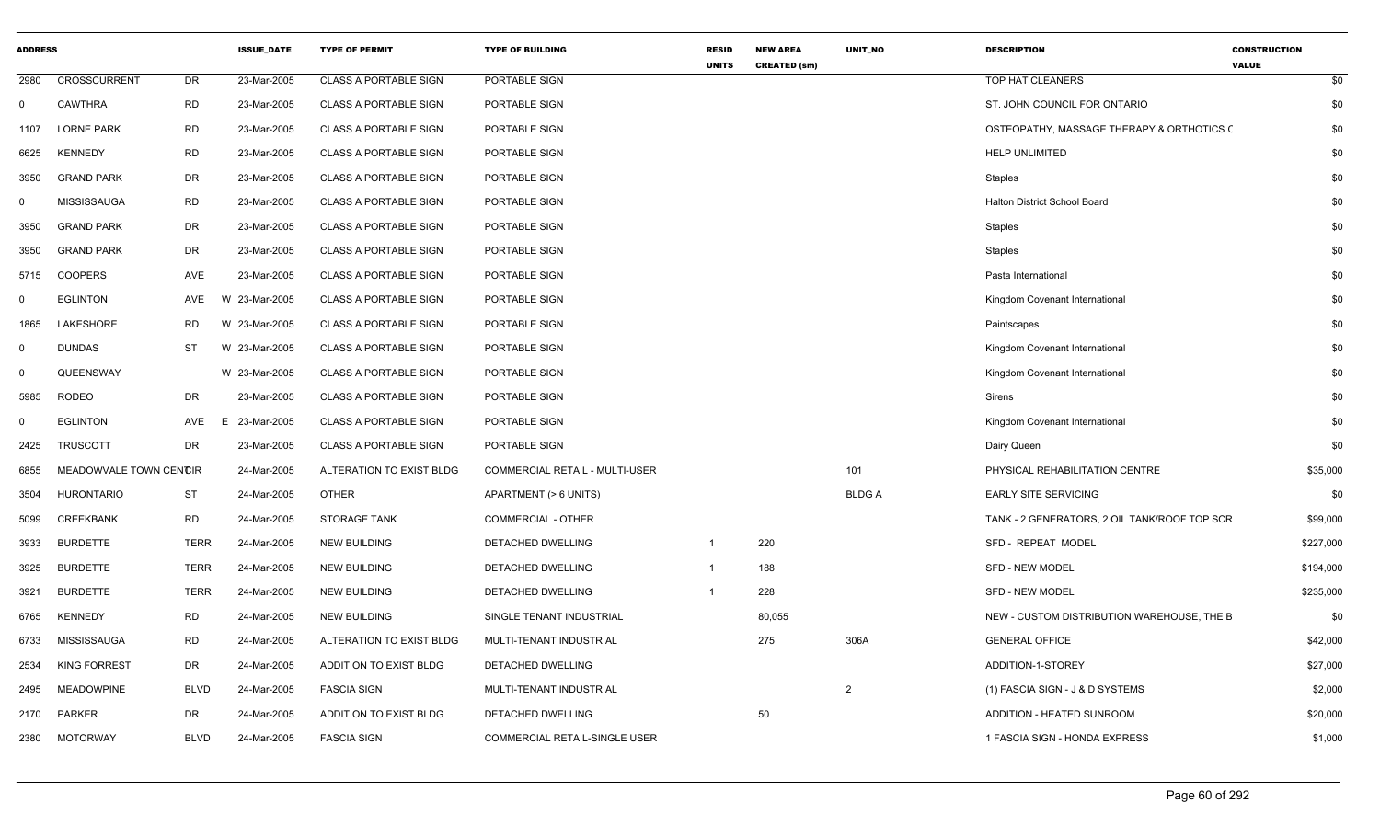| <b>ADDRESS</b> |                        |             | <b>ISSUE_DATE</b> | <b>TYPE OF PERMIT</b>        | <b>TYPE OF BUILDING</b>        | <b>RESID</b><br><b>UNITS</b> | <b>NEW AREA</b><br><b>CREATED (sm)</b> | UNIT_NO        | <b>DESCRIPTION</b>                           | <b>CONSTRUCTION</b><br><b>VALUE</b> |
|----------------|------------------------|-------------|-------------------|------------------------------|--------------------------------|------------------------------|----------------------------------------|----------------|----------------------------------------------|-------------------------------------|
| 2980           | <b>CROSSCURRENT</b>    | <b>DR</b>   | 23-Mar-2005       | <b>CLASS A PORTABLE SIGN</b> | PORTABLE SIGN                  |                              |                                        |                | TOP HAT CLEANERS                             | \$0                                 |
| $\Omega$       | CAWTHRA                | <b>RD</b>   | 23-Mar-2005       | <b>CLASS A PORTABLE SIGN</b> | PORTABLE SIGN                  |                              |                                        |                | ST. JOHN COUNCIL FOR ONTARIO                 | \$0                                 |
| 1107           | <b>LORNE PARK</b>      | <b>RD</b>   | 23-Mar-2005       | <b>CLASS A PORTABLE SIGN</b> | PORTABLE SIGN                  |                              |                                        |                | OSTEOPATHY, MASSAGE THERAPY & ORTHOTICS C    | \$0                                 |
| 6625           | <b>KENNEDY</b>         | <b>RD</b>   | 23-Mar-2005       | <b>CLASS A PORTABLE SIGN</b> | PORTABLE SIGN                  |                              |                                        |                | <b>HELP UNLIMITED</b>                        | \$0                                 |
| 3950           | <b>GRAND PARK</b>      | <b>DR</b>   | 23-Mar-2005       | <b>CLASS A PORTABLE SIGN</b> | PORTABLE SIGN                  |                              |                                        |                | Staples                                      | \$0                                 |
| 0              | <b>MISSISSAUGA</b>     | <b>RD</b>   | 23-Mar-2005       | CLASS A PORTABLE SIGN        | PORTABLE SIGN                  |                              |                                        |                | Halton District School Board                 | \$0                                 |
| 3950           | <b>GRAND PARK</b>      | <b>DR</b>   | 23-Mar-2005       | <b>CLASS A PORTABLE SIGN</b> | PORTABLE SIGN                  |                              |                                        |                | <b>Staples</b>                               | \$0                                 |
| 3950           | <b>GRAND PARK</b>      | DR          | 23-Mar-2005       | CLASS A PORTABLE SIGN        | PORTABLE SIGN                  |                              |                                        |                | Staples                                      | \$0                                 |
| 5715           | COOPERS                | AVE         | 23-Mar-2005       | <b>CLASS A PORTABLE SIGN</b> | PORTABLE SIGN                  |                              |                                        |                | Pasta International                          | \$0                                 |
| $\Omega$       | <b>EGLINTON</b>        | AVE         | W 23-Mar-2005     | CLASS A PORTABLE SIGN        | PORTABLE SIGN                  |                              |                                        |                | Kingdom Covenant International               | \$0                                 |
| 1865           | LAKESHORE              | <b>RD</b>   | W 23-Mar-2005     | <b>CLASS A PORTABLE SIGN</b> | PORTABLE SIGN                  |                              |                                        |                | Paintscapes                                  | \$0                                 |
| 0              | <b>DUNDAS</b>          | <b>ST</b>   | W 23-Mar-2005     | CLASS A PORTABLE SIGN        | PORTABLE SIGN                  |                              |                                        |                | Kingdom Covenant International               | \$0                                 |
| 0              | QUEENSWAY              |             | W 23-Mar-2005     | <b>CLASS A PORTABLE SIGN</b> | PORTABLE SIGN                  |                              |                                        |                | Kingdom Covenant International               | \$0                                 |
| 5985           | <b>RODEO</b>           | <b>DR</b>   | 23-Mar-2005       | CLASS A PORTABLE SIGN        | PORTABLE SIGN                  |                              |                                        |                | Sirens                                       | \$0                                 |
| $\Omega$       | <b>EGLINTON</b>        | AVE<br>E.   | 23-Mar-2005       | <b>CLASS A PORTABLE SIGN</b> | PORTABLE SIGN                  |                              |                                        |                | Kingdom Covenant International               | \$0                                 |
| 2425           | <b>TRUSCOTT</b>        | <b>DR</b>   | 23-Mar-2005       | <b>CLASS A PORTABLE SIGN</b> | PORTABLE SIGN                  |                              |                                        |                | Dairy Queen                                  | \$0                                 |
| 6855           | MEADOWVALE TOWN CENCIR |             | 24-Mar-2005       | ALTERATION TO EXIST BLDG     | COMMERCIAL RETAIL - MULTI-USER |                              |                                        | 101            | PHYSICAL REHABILITATION CENTRE               | \$35,000                            |
| 3504           | <b>HURONTARIO</b>      | <b>ST</b>   | 24-Mar-2005       | <b>OTHER</b>                 | APARTMENT (> 6 UNITS)          |                              |                                        | <b>BLDGA</b>   | <b>EARLY SITE SERVICING</b>                  | \$0                                 |
| 5099           | <b>CREEKBANK</b>       | <b>RD</b>   | 24-Mar-2005       | <b>STORAGE TANK</b>          | <b>COMMERCIAL - OTHER</b>      |                              |                                        |                | TANK - 2 GENERATORS, 2 OIL TANK/ROOF TOP SCR | \$99,000                            |
| 3933           | <b>BURDETTE</b>        | <b>TERR</b> | 24-Mar-2005       | <b>NEW BUILDING</b>          | DETACHED DWELLING              |                              | 220                                    |                | SFD - REPEAT MODEL                           | \$227,000                           |
| 3925           | <b>BURDETTE</b>        | <b>TERR</b> | 24-Mar-2005       | <b>NEW BUILDING</b>          | DETACHED DWELLING              | $\mathbf{1}$                 | 188                                    |                | <b>SFD - NEW MODEL</b>                       | \$194,000                           |
| 3921           | <b>BURDETTE</b>        | <b>TERR</b> | 24-Mar-2005       | <b>NEW BUILDING</b>          | DETACHED DWELLING              | $\mathbf{1}$                 | 228                                    |                | <b>SFD - NEW MODEL</b>                       | \$235,000                           |
| 6765           | <b>KENNEDY</b>         | <b>RD</b>   | 24-Mar-2005       | <b>NEW BUILDING</b>          | SINGLE TENANT INDUSTRIAL       |                              | 80,055                                 |                | NEW - CUSTOM DISTRIBUTION WAREHOUSE, THE B   | \$0                                 |
| 6733           | MISSISSAUGA            | <b>RD</b>   | 24-Mar-2005       | ALTERATION TO EXIST BLDG     | MULTI-TENANT INDUSTRIAL        |                              | 275                                    | 306A           | <b>GENERAL OFFICE</b>                        | \$42,000                            |
| 2534           | <b>KING FORREST</b>    | <b>DR</b>   | 24-Mar-2005       | ADDITION TO EXIST BLDG       | DETACHED DWELLING              |                              |                                        |                | ADDITION-1-STOREY                            | \$27,000                            |
| 2495           | <b>MEADOWPINE</b>      | <b>BLVD</b> | 24-Mar-2005       | <b>FASCIA SIGN</b>           | MULTI-TENANT INDUSTRIAL        |                              |                                        | $\overline{2}$ | (1) FASCIA SIGN - J & D SYSTEMS              | \$2,000                             |
| 2170           | PARKER                 | DR          | 24-Mar-2005       | ADDITION TO EXIST BLDG       | DETACHED DWELLING              |                              | 50                                     |                | ADDITION - HEATED SUNROOM                    | \$20,000                            |
| 2380           | <b>MOTORWAY</b>        | <b>BLVD</b> | 24-Mar-2005       | <b>FASCIA SIGN</b>           | COMMERCIAL RETAIL-SINGLE USER  |                              |                                        |                | 1 FASCIA SIGN - HONDA EXPRESS                | \$1,000                             |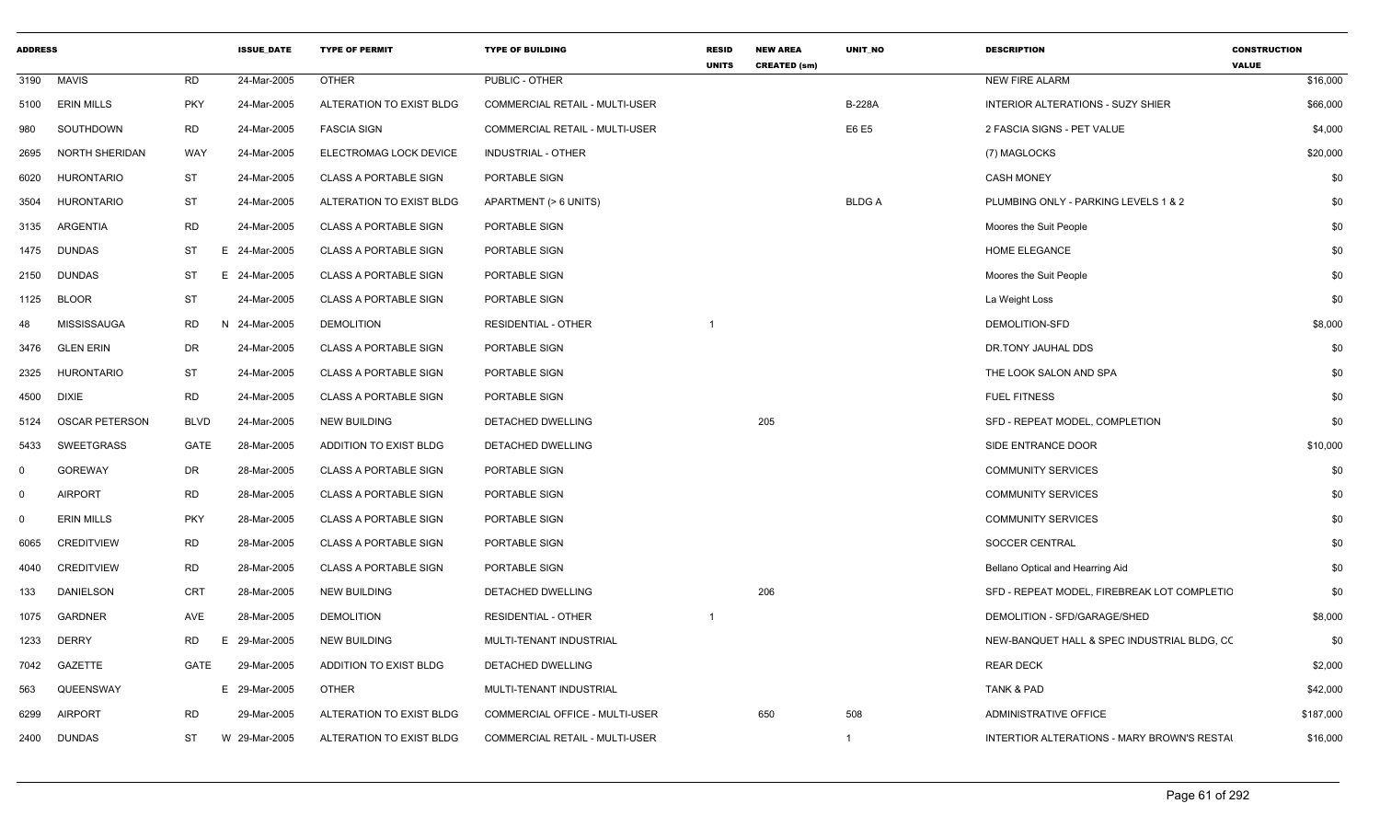| <b>ADDRESS</b> |                       |             | <b>ISSUE DATE</b> | <b>TYPE OF PERMIT</b>        | <b>TYPE OF BUILDING</b>        | <b>RESID</b><br><b>UNITS</b> | <b>NEW AREA</b><br><b>CREATED (sm)</b> | <b>UNIT NO</b> | <b>DESCRIPTION</b>                          | <b>CONSTRUCTION</b><br><b>VALUE</b> |
|----------------|-----------------------|-------------|-------------------|------------------------------|--------------------------------|------------------------------|----------------------------------------|----------------|---------------------------------------------|-------------------------------------|
| 3190           | <b>MAVIS</b>          | <b>RD</b>   | 24-Mar-2005       | <b>OTHER</b>                 | PUBLIC - OTHER                 |                              |                                        |                | <b>NEW FIRE ALARM</b>                       | \$16,000                            |
| 5100           | <b>ERIN MILLS</b>     | <b>PKY</b>  | 24-Mar-2005       | ALTERATION TO EXIST BLDG     | COMMERCIAL RETAIL - MULTI-USER |                              |                                        | <b>B-228A</b>  | <b>INTERIOR ALTERATIONS - SUZY SHIER</b>    | \$66,000                            |
| 980            | SOUTHDOWN             | <b>RD</b>   | 24-Mar-2005       | <b>FASCIA SIGN</b>           | COMMERCIAL RETAIL - MULTI-USER |                              |                                        | E6 E5          | 2 FASCIA SIGNS - PET VALUE                  | \$4,000                             |
| 2695           | <b>NORTH SHERIDAN</b> | WAY         | 24-Mar-2005       | ELECTROMAG LOCK DEVICE       | INDUSTRIAL - OTHER             |                              |                                        |                | (7) MAGLOCKS                                | \$20,000                            |
| 6020           | HURONTARIO            | ST          | 24-Mar-2005       | <b>CLASS A PORTABLE SIGN</b> | PORTABLE SIGN                  |                              |                                        |                | <b>CASH MONEY</b>                           | \$0                                 |
| 3504           | <b>HURONTARIO</b>     | <b>ST</b>   | 24-Mar-2005       | ALTERATION TO EXIST BLDG     | APARTMENT (> 6 UNITS)          |                              |                                        | <b>BLDGA</b>   | PLUMBING ONLY - PARKING LEVELS 1 & 2        | \$0                                 |
| 3135           | ARGENTIA              | <b>RD</b>   | 24-Mar-2005       | <b>CLASS A PORTABLE SIGN</b> | PORTABLE SIGN                  |                              |                                        |                | Moores the Suit People                      | \$0                                 |
| 1475           | <b>DUNDAS</b>         | ST          | E 24-Mar-2005     | <b>CLASS A PORTABLE SIGN</b> | PORTABLE SIGN                  |                              |                                        |                | <b>HOME ELEGANCE</b>                        | \$0                                 |
| 2150           | <b>DUNDAS</b>         | ST          | E 24-Mar-2005     | <b>CLASS A PORTABLE SIGN</b> | PORTABLE SIGN                  |                              |                                        |                | Moores the Suit People                      | \$0                                 |
| 1125           | <b>BLOOR</b>          | ST          | 24-Mar-2005       | <b>CLASS A PORTABLE SIGN</b> | PORTABLE SIGN                  |                              |                                        |                | La Weight Loss                              | \$0                                 |
| 48             | MISSISSAUGA           | <b>RD</b>   | 24-Mar-2005<br>N  | <b>DEMOLITION</b>            | <b>RESIDENTIAL - OTHER</b>     |                              |                                        |                | DEMOLITION-SFD                              | \$8,000                             |
| 3476           | <b>GLEN ERIN</b>      | DR          | 24-Mar-2005       | <b>CLASS A PORTABLE SIGN</b> | PORTABLE SIGN                  |                              |                                        |                | DR.TONY JAUHAL DDS                          | \$0                                 |
| 2325           | <b>HURONTARIO</b>     | <b>ST</b>   | 24-Mar-2005       | <b>CLASS A PORTABLE SIGN</b> | PORTABLE SIGN                  |                              |                                        |                | THE LOOK SALON AND SPA                      | \$0                                 |
| 4500           | <b>DIXIE</b>          | <b>RD</b>   | 24-Mar-2005       | <b>CLASS A PORTABLE SIGN</b> | PORTABLE SIGN                  |                              |                                        |                | <b>FUEL FITNESS</b>                         | \$0                                 |
| 5124           | <b>OSCAR PETERSON</b> | <b>BLVD</b> | 24-Mar-2005       | <b>NEW BUILDING</b>          | DETACHED DWELLING              |                              | 205                                    |                | SFD - REPEAT MODEL, COMPLETION              | \$0                                 |
| 5433           | <b>SWEETGRASS</b>     | <b>GATE</b> | 28-Mar-2005       | ADDITION TO EXIST BLDG       | DETACHED DWELLING              |                              |                                        |                | SIDE ENTRANCE DOOR                          | \$10,000                            |
| $\Omega$       | <b>GOREWAY</b>        | DR          | 28-Mar-2005       | <b>CLASS A PORTABLE SIGN</b> | PORTABLE SIGN                  |                              |                                        |                | <b>COMMUNITY SERVICES</b>                   | \$0                                 |
| $\mathbf{0}$   | <b>AIRPORT</b>        | <b>RD</b>   | 28-Mar-2005       | <b>CLASS A PORTABLE SIGN</b> | PORTABLE SIGN                  |                              |                                        |                | <b>COMMUNITY SERVICES</b>                   | \$0                                 |
| $\Omega$       | <b>ERIN MILLS</b>     | <b>PKY</b>  | 28-Mar-2005       | <b>CLASS A PORTABLE SIGN</b> | PORTABLE SIGN                  |                              |                                        |                | <b>COMMUNITY SERVICES</b>                   | \$0                                 |
| 6065           | <b>CREDITVIEW</b>     | <b>RD</b>   | 28-Mar-2005       | <b>CLASS A PORTABLE SIGN</b> | PORTABLE SIGN                  |                              |                                        |                | SOCCER CENTRAL                              | \$0                                 |
| 4040           | <b>CREDITVIEW</b>     | <b>RD</b>   | 28-Mar-2005       | <b>CLASS A PORTABLE SIGN</b> | PORTABLE SIGN                  |                              |                                        |                | Bellano Optical and Hearring Aid            | \$0                                 |
| 133            | <b>DANIELSON</b>      | <b>CRT</b>  | 28-Mar-2005       | <b>NEW BUILDING</b>          | DETACHED DWELLING              |                              | 206                                    |                | SFD - REPEAT MODEL, FIREBREAK LOT COMPLETIC | \$0                                 |
| 1075           | <b>GARDNER</b>        | AVE         | 28-Mar-2005       | <b>DEMOLITION</b>            | <b>RESIDENTIAL - OTHER</b>     |                              |                                        |                | DEMOLITION - SFD/GARAGE/SHED                | \$8,000                             |
| 1233           | <b>DERRY</b>          | <b>RD</b>   | E<br>29-Mar-2005  | <b>NEW BUILDING</b>          | MULTI-TENANT INDUSTRIAL        |                              |                                        |                | NEW-BANQUET HALL & SPEC INDUSTRIAL BLDG, CC | \$0                                 |
| 7042           | GAZETTE               | GATE        | 29-Mar-2005       | ADDITION TO EXIST BLDG       | DETACHED DWELLING              |                              |                                        |                | <b>REAR DECK</b>                            | \$2,000                             |
| 563            | QUEENSWAY             |             | E 29-Mar-2005     | <b>OTHER</b>                 | MULTI-TENANT INDUSTRIAL        |                              |                                        |                | <b>TANK &amp; PAD</b>                       | \$42,000                            |
| 6299           | <b>AIRPORT</b>        | RD          | 29-Mar-2005       | ALTERATION TO EXIST BLDG     | COMMERCIAL OFFICE - MULTI-USER |                              | 650                                    | 508            | <b>ADMINISTRATIVE OFFICE</b>                | \$187,000                           |
| 2400           | <b>DUNDAS</b>         | ST          | W 29-Mar-2005     | ALTERATION TO EXIST BLDG     | COMMERCIAL RETAIL - MULTI-USER |                              |                                        | $\mathbf 1$    | INTERTIOR ALTERATIONS - MARY BROWN'S RESTAI | \$16,000                            |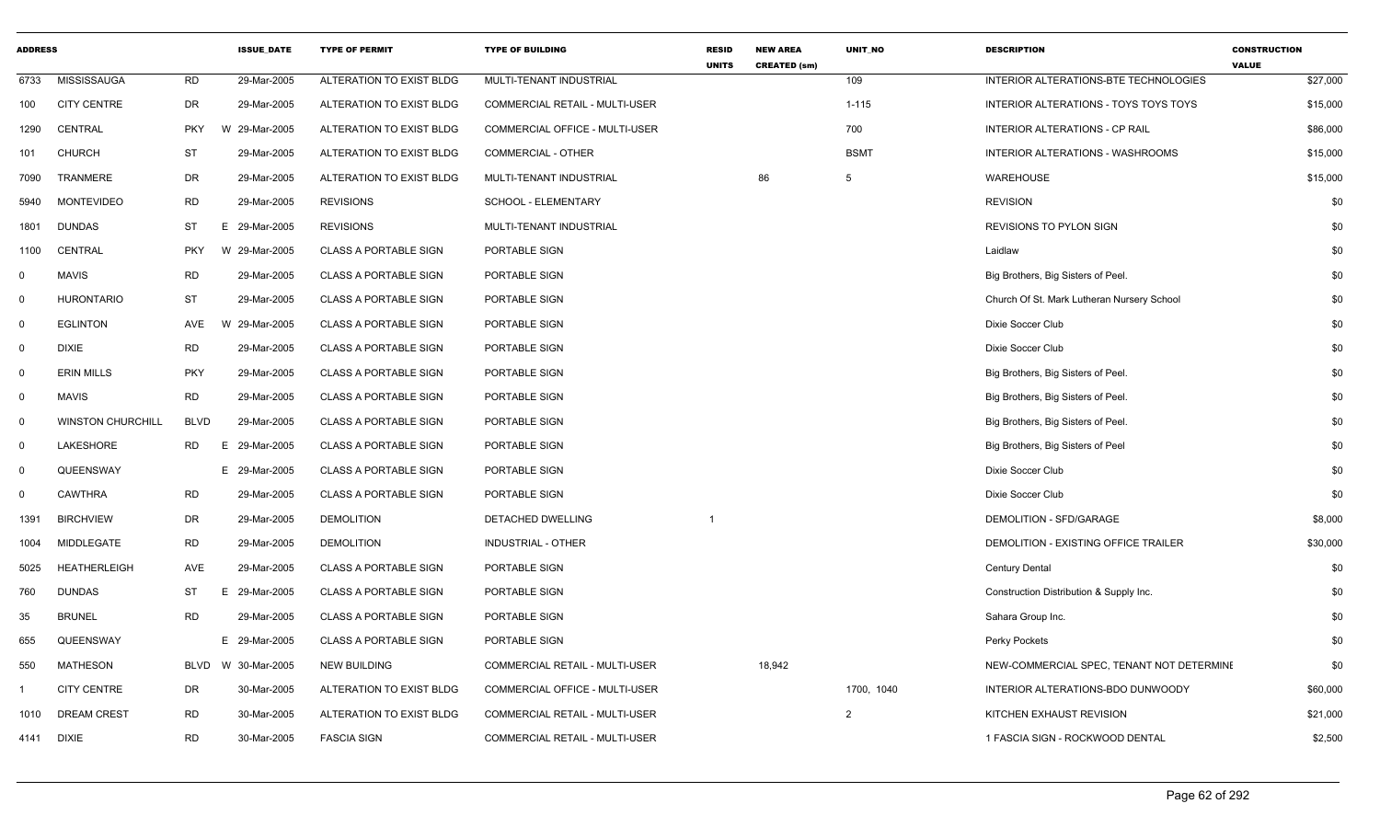| <b>ADDRESS</b> |                          |             | <b>ISSUE_DATE</b> | <b>TYPE OF PERMIT</b>        | <b>TYPE OF BUILDING</b>        | <b>RESID</b><br><b>UNITS</b> | <b>NEW AREA</b><br><b>CREATED (sm)</b> | UNIT_NO     | <b>DESCRIPTION</b>                         | <b>CONSTRUCTION</b><br><b>VALUE</b> |
|----------------|--------------------------|-------------|-------------------|------------------------------|--------------------------------|------------------------------|----------------------------------------|-------------|--------------------------------------------|-------------------------------------|
| 6733           | MISSISSAUGA              | <b>RD</b>   | 29-Mar-2005       | ALTERATION TO EXIST BLDG     | MULTI-TENANT INDUSTRIAL        |                              |                                        | 109         | INTERIOR ALTERATIONS-BTE TECHNOLOGIES      | \$27,000                            |
| 100            | <b>CITY CENTRE</b>       | DR          | 29-Mar-2005       | ALTERATION TO EXIST BLDG     | COMMERCIAL RETAIL - MULTI-USER |                              |                                        | $1 - 115$   | INTERIOR ALTERATIONS - TOYS TOYS TOYS      | \$15,000                            |
| 1290           | CENTRAL                  | <b>PKY</b>  | 29-Mar-2005<br>W  | ALTERATION TO EXIST BLDG     | COMMERCIAL OFFICE - MULTI-USER |                              |                                        | 700         | INTERIOR ALTERATIONS - CP RAIL             | \$86,000                            |
| 101            | <b>CHURCH</b>            | <b>ST</b>   | 29-Mar-2005       | ALTERATION TO EXIST BLDG     | COMMERCIAL - OTHER             |                              |                                        | <b>BSMT</b> | INTERIOR ALTERATIONS - WASHROOMS           | \$15,000                            |
| 7090           | TRANMERE                 | <b>DR</b>   | 29-Mar-2005       | ALTERATION TO EXIST BLDG     | MULTI-TENANT INDUSTRIAL        |                              | 86                                     | 5           | WAREHOUSE                                  | \$15,000                            |
| 5940           | <b>MONTEVIDEO</b>        | <b>RD</b>   | 29-Mar-2005       | <b>REVISIONS</b>             | SCHOOL - ELEMENTARY            |                              |                                        |             | <b>REVISION</b>                            | \$0                                 |
| 1801           | <b>DUNDAS</b>            | <b>ST</b>   | E.<br>29-Mar-2005 | <b>REVISIONS</b>             | MULTI-TENANT INDUSTRIAL        |                              |                                        |             | <b>REVISIONS TO PYLON SIGN</b>             | \$0                                 |
| 1100           | CENTRAL                  | <b>PKY</b>  | W 29-Mar-2005     | <b>CLASS A PORTABLE SIGN</b> | PORTABLE SIGN                  |                              |                                        |             | Laidlaw                                    | \$0                                 |
| $\mathbf 0$    | <b>MAVIS</b>             | <b>RD</b>   | 29-Mar-2005       | <b>CLASS A PORTABLE SIGN</b> | PORTABLE SIGN                  |                              |                                        |             | Big Brothers, Big Sisters of Peel.         | \$0                                 |
| $\Omega$       | <b>HURONTARIO</b>        | <b>ST</b>   | 29-Mar-2005       | <b>CLASS A PORTABLE SIGN</b> | PORTABLE SIGN                  |                              |                                        |             | Church Of St. Mark Lutheran Nursery School | \$0                                 |
| 0              | <b>EGLINTON</b>          | AVE         | 29-Mar-2005<br>W  | <b>CLASS A PORTABLE SIGN</b> | PORTABLE SIGN                  |                              |                                        |             | Dixie Soccer Club                          | \$0                                 |
| 0              | <b>DIXIE</b>             | <b>RD</b>   | 29-Mar-2005       | <b>CLASS A PORTABLE SIGN</b> | PORTABLE SIGN                  |                              |                                        |             | Dixie Soccer Club                          | \$0                                 |
| $\Omega$       | <b>ERIN MILLS</b>        | <b>PKY</b>  | 29-Mar-2005       | <b>CLASS A PORTABLE SIGN</b> | PORTABLE SIGN                  |                              |                                        |             | Big Brothers, Big Sisters of Peel.         | \$0                                 |
| $\mathbf 0$    | <b>MAVIS</b>             | <b>RD</b>   | 29-Mar-2005       | <b>CLASS A PORTABLE SIGN</b> | PORTABLE SIGN                  |                              |                                        |             | Big Brothers, Big Sisters of Peel.         | \$0                                 |
| $\Omega$       | <b>WINSTON CHURCHILL</b> | <b>BLVD</b> | 29-Mar-2005       | <b>CLASS A PORTABLE SIGN</b> | PORTABLE SIGN                  |                              |                                        |             | Big Brothers, Big Sisters of Peel.         | \$0                                 |
| $\mathbf 0$    | LAKESHORE                | <b>RD</b>   | 29-Mar-2005<br>E. | <b>CLASS A PORTABLE SIGN</b> | PORTABLE SIGN                  |                              |                                        |             | Big Brothers, Big Sisters of Peel          | \$0                                 |
| $\mathbf 0$    | QUEENSWAY                |             | E 29-Mar-2005     | <b>CLASS A PORTABLE SIGN</b> | PORTABLE SIGN                  |                              |                                        |             | Dixie Soccer Club                          | \$0                                 |
| $\mathbf 0$    | <b>CAWTHRA</b>           | <b>RD</b>   | 29-Mar-2005       | <b>CLASS A PORTABLE SIGN</b> | PORTABLE SIGN                  |                              |                                        |             | Dixie Soccer Club                          | \$0                                 |
| 1391           | <b>BIRCHVIEW</b>         | DR          | 29-Mar-2005       | <b>DEMOLITION</b>            | DETACHED DWELLING              |                              |                                        |             | DEMOLITION - SFD/GARAGE                    | \$8,000                             |
| 1004           | <b>MIDDLEGATE</b>        | <b>RD</b>   | 29-Mar-2005       | <b>DEMOLITION</b>            | <b>INDUSTRIAL - OTHER</b>      |                              |                                        |             | DEMOLITION - EXISTING OFFICE TRAILER       | \$30,000                            |
| 5025           | <b>HEATHERLEIGH</b>      | AVE         | 29-Mar-2005       | <b>CLASS A PORTABLE SIGN</b> | PORTABLE SIGN                  |                              |                                        |             | <b>Century Dental</b>                      | \$0                                 |
| 760            | <b>DUNDAS</b>            | ST          | E.<br>29-Mar-2005 | <b>CLASS A PORTABLE SIGN</b> | PORTABLE SIGN                  |                              |                                        |             | Construction Distribution & Supply Inc.    | \$0                                 |
| 35             | <b>BRUNEL</b>            | <b>RD</b>   | 29-Mar-2005       | <b>CLASS A PORTABLE SIGN</b> | PORTABLE SIGN                  |                              |                                        |             | Sahara Group Inc.                          | \$0                                 |
| 655            | QUEENSWAY                |             | E 29-Mar-2005     | <b>CLASS A PORTABLE SIGN</b> | PORTABLE SIGN                  |                              |                                        |             | Perky Pockets                              | \$0                                 |
| 550            | <b>MATHESON</b>          | <b>BLVD</b> | W 30-Mar-2005     | <b>NEW BUILDING</b>          | COMMERCIAL RETAIL - MULTI-USER |                              | 18,942                                 |             | NEW-COMMERCIAL SPEC, TENANT NOT DETERMINE  | \$0                                 |
|                | <b>CITY CENTRE</b>       | DR          | 30-Mar-2005       | ALTERATION TO EXIST BLDG     | COMMERCIAL OFFICE - MULTI-USER |                              |                                        | 1700, 1040  | INTERIOR ALTERATIONS-BDO DUNWOODY          | \$60,000                            |
| 1010           | <b>DREAM CREST</b>       | <b>RD</b>   | 30-Mar-2005       | ALTERATION TO EXIST BLDG     | COMMERCIAL RETAIL - MULTI-USER |                              |                                        | 2           | KITCHEN EXHAUST REVISION                   | \$21,000                            |
| 4141           | <b>DIXIE</b>             | <b>RD</b>   | 30-Mar-2005       | <b>FASCIA SIGN</b>           | COMMERCIAL RETAIL - MULTI-USER |                              |                                        |             | 1 FASCIA SIGN - ROCKWOOD DENTAL            | \$2,500                             |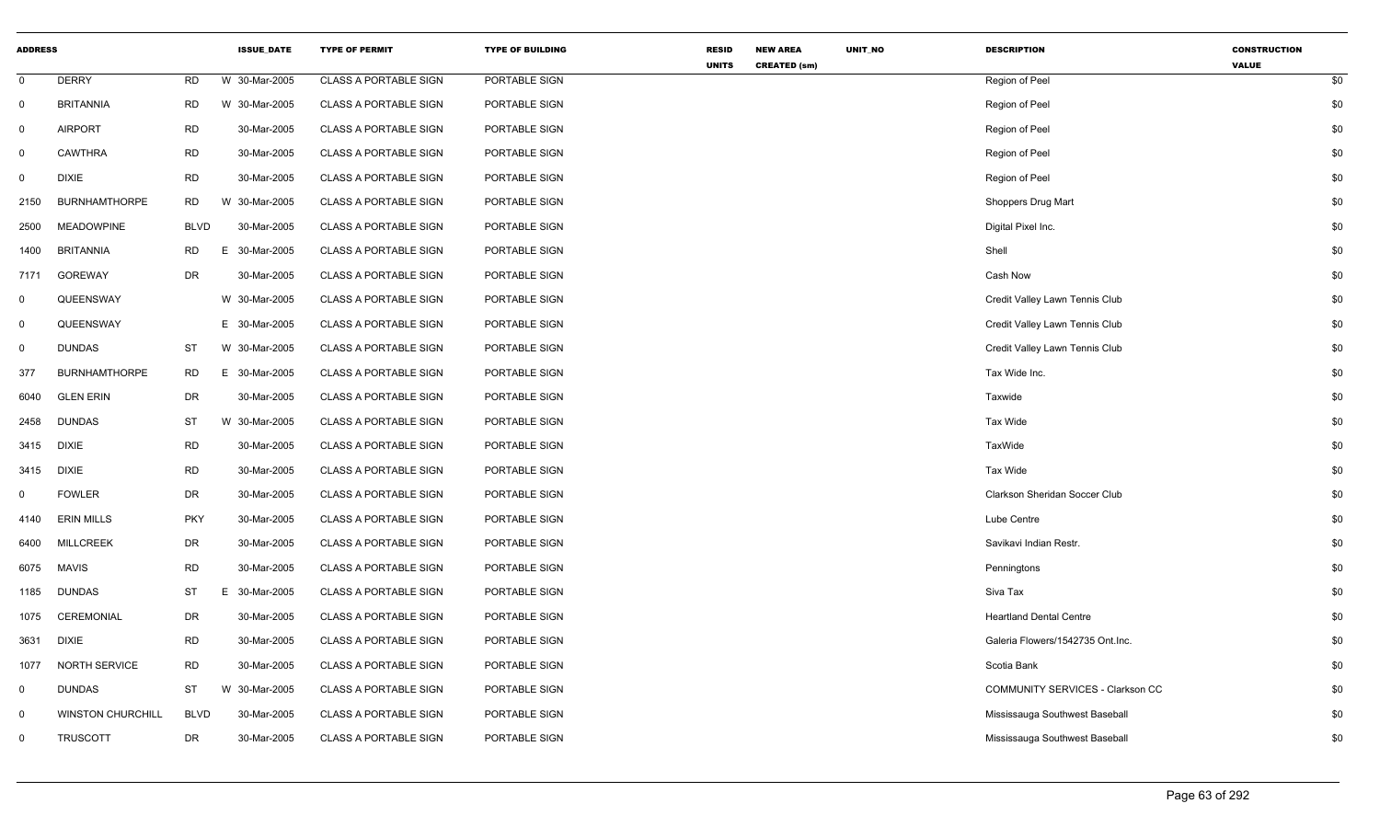| <b>ADDRESS</b> |                          |             | <b>ISSUE_DATE</b> | <b>TYPE OF PERMIT</b>        | <b>TYPE OF BUILDING</b> | <b>RESID</b> | <b>NEW AREA</b>     | UNIT_NO | <b>DESCRIPTION</b>               | <b>CONSTRUCTION</b> |     |
|----------------|--------------------------|-------------|-------------------|------------------------------|-------------------------|--------------|---------------------|---------|----------------------------------|---------------------|-----|
| $\mathbf 0$    | <b>DERRY</b>             | <b>RD</b>   | W 30-Mar-2005     | <b>CLASS A PORTABLE SIGN</b> | PORTABLE SIGN           | <b>UNITS</b> | <b>CREATED (sm)</b> |         | Region of Peel                   | <b>VALUE</b>        | \$0 |
| $\mathbf 0$    | <b>BRITANNIA</b>         | <b>RD</b>   | W 30-Mar-2005     | <b>CLASS A PORTABLE SIGN</b> | PORTABLE SIGN           |              |                     |         | Region of Peel                   |                     | \$0 |
| 0              | <b>AIRPORT</b>           | <b>RD</b>   | 30-Mar-2005       | <b>CLASS A PORTABLE SIGN</b> | PORTABLE SIGN           |              |                     |         | Region of Peel                   |                     | \$0 |
| $\mathbf 0$    | <b>CAWTHRA</b>           | <b>RD</b>   | 30-Mar-2005       | <b>CLASS A PORTABLE SIGN</b> | PORTABLE SIGN           |              |                     |         | Region of Peel                   |                     | \$0 |
| $\mathbf 0$    | <b>DIXIE</b>             | <b>RD</b>   | 30-Mar-2005       | <b>CLASS A PORTABLE SIGN</b> | PORTABLE SIGN           |              |                     |         | Region of Peel                   |                     | \$0 |
| 2150           | <b>BURNHAMTHORPE</b>     | <b>RD</b>   | W 30-Mar-2005     | <b>CLASS A PORTABLE SIGN</b> | PORTABLE SIGN           |              |                     |         | Shoppers Drug Mart               |                     | \$0 |
| 2500           | <b>MEADOWPINE</b>        | <b>BLVD</b> | 30-Mar-2005       | <b>CLASS A PORTABLE SIGN</b> | PORTABLE SIGN           |              |                     |         | Digital Pixel Inc.               |                     | \$0 |
| 1400           | <b>BRITANNIA</b>         | <b>RD</b>   | E.<br>30-Mar-2005 | <b>CLASS A PORTABLE SIGN</b> | PORTABLE SIGN           |              |                     |         | Shell                            |                     | \$0 |
| 7171           | GOREWAY                  | DR          | 30-Mar-2005       | <b>CLASS A PORTABLE SIGN</b> | PORTABLE SIGN           |              |                     |         | Cash Now                         |                     | \$0 |
| $\mathbf 0$    | QUEENSWAY                |             | W 30-Mar-2005     | <b>CLASS A PORTABLE SIGN</b> | PORTABLE SIGN           |              |                     |         | Credit Valley Lawn Tennis Club   |                     | \$0 |
| $\mathbf 0$    | QUEENSWAY                |             | E 30-Mar-2005     | <b>CLASS A PORTABLE SIGN</b> | PORTABLE SIGN           |              |                     |         | Credit Valley Lawn Tennis Club   |                     | \$0 |
| $\mathbf 0$    | <b>DUNDAS</b>            | <b>ST</b>   | W 30-Mar-2005     | <b>CLASS A PORTABLE SIGN</b> | PORTABLE SIGN           |              |                     |         | Credit Valley Lawn Tennis Club   |                     | \$0 |
| 377            | <b>BURNHAMTHORPE</b>     | <b>RD</b>   | E 30-Mar-2005     | <b>CLASS A PORTABLE SIGN</b> | PORTABLE SIGN           |              |                     |         | Tax Wide Inc.                    |                     | \$0 |
| 6040           | <b>GLEN ERIN</b>         | <b>DR</b>   | 30-Mar-2005       | <b>CLASS A PORTABLE SIGN</b> | PORTABLE SIGN           |              |                     |         | Taxwide                          |                     | \$0 |
| 2458           | <b>DUNDAS</b>            | ST          | W 30-Mar-2005     | <b>CLASS A PORTABLE SIGN</b> | PORTABLE SIGN           |              |                     |         | Tax Wide                         |                     | \$0 |
| 3415           | DIXIE                    | <b>RD</b>   | 30-Mar-2005       | <b>CLASS A PORTABLE SIGN</b> | PORTABLE SIGN           |              |                     |         | TaxWide                          |                     | \$0 |
| 3415           | <b>DIXIE</b>             | <b>RD</b>   | 30-Mar-2005       | <b>CLASS A PORTABLE SIGN</b> | PORTABLE SIGN           |              |                     |         | Tax Wide                         |                     | \$0 |
| 0              | <b>FOWLER</b>            | <b>DR</b>   | 30-Mar-2005       | <b>CLASS A PORTABLE SIGN</b> | PORTABLE SIGN           |              |                     |         | Clarkson Sheridan Soccer Club    |                     | \$0 |
| 4140           | <b>ERIN MILLS</b>        | <b>PKY</b>  | 30-Mar-2005       | <b>CLASS A PORTABLE SIGN</b> | PORTABLE SIGN           |              |                     |         | Lube Centre                      |                     | \$0 |
| 6400           | <b>MILLCREEK</b>         | <b>DR</b>   | 30-Mar-2005       | <b>CLASS A PORTABLE SIGN</b> | PORTABLE SIGN           |              |                     |         | Savikavi Indian Restr.           |                     | \$0 |
| 6075           | <b>MAVIS</b>             | <b>RD</b>   | 30-Mar-2005       | <b>CLASS A PORTABLE SIGN</b> | PORTABLE SIGN           |              |                     |         | Penningtons                      |                     | \$0 |
| 1185           | <b>DUNDAS</b>            | <b>ST</b>   | E 30-Mar-2005     | <b>CLASS A PORTABLE SIGN</b> | PORTABLE SIGN           |              |                     |         | Siva Tax                         |                     | \$0 |
| 1075           | <b>CEREMONIAL</b>        | <b>DR</b>   | 30-Mar-2005       | <b>CLASS A PORTABLE SIGN</b> | PORTABLE SIGN           |              |                     |         | <b>Heartland Dental Centre</b>   |                     | \$0 |
| 3631           | <b>DIXIE</b>             | <b>RD</b>   | 30-Mar-2005       | <b>CLASS A PORTABLE SIGN</b> | PORTABLE SIGN           |              |                     |         | Galeria Flowers/1542735 Ont.Inc. |                     | \$0 |
| 1077           | <b>NORTH SERVICE</b>     | <b>RD</b>   | 30-Mar-2005       | <b>CLASS A PORTABLE SIGN</b> | PORTABLE SIGN           |              |                     |         | Scotia Bank                      |                     | \$0 |
| $\mathbf 0$    | <b>DUNDAS</b>            | <b>ST</b>   | W 30-Mar-2005     | <b>CLASS A PORTABLE SIGN</b> | PORTABLE SIGN           |              |                     |         | COMMUNITY SERVICES - Clarkson CC |                     | \$0 |
| 0              | <b>WINSTON CHURCHILL</b> | <b>BLVD</b> | 30-Mar-2005       | <b>CLASS A PORTABLE SIGN</b> | PORTABLE SIGN           |              |                     |         | Mississauga Southwest Baseball   |                     | \$0 |
| 0              | <b>TRUSCOTT</b>          | <b>DR</b>   | 30-Mar-2005       | <b>CLASS A PORTABLE SIGN</b> | PORTABLE SIGN           |              |                     |         | Mississauga Southwest Baseball   |                     | \$0 |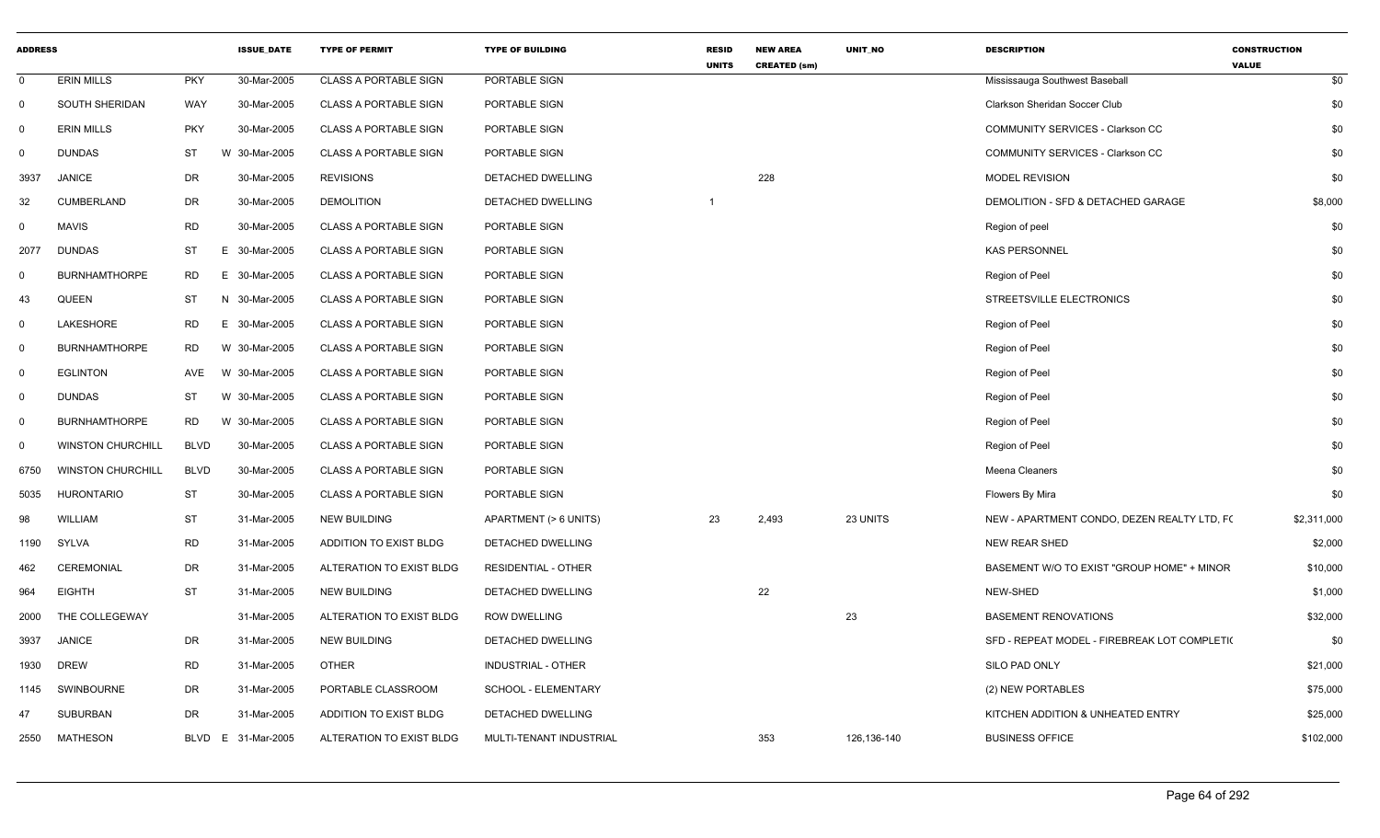| <b>ADDRESS</b> |                          |             | <b>ISSUE_DATE</b> | <b>TYPE OF PERMIT</b>         | <b>TYPE OF BUILDING</b>    | <b>RESID</b><br><b>UNITS</b> | <b>NEW AREA</b><br><b>CREATED (sm)</b> | UNIT_NO     | <b>DESCRIPTION</b>                           | <b>CONSTRUCTION</b><br><b>VALUE</b> |
|----------------|--------------------------|-------------|-------------------|-------------------------------|----------------------------|------------------------------|----------------------------------------|-------------|----------------------------------------------|-------------------------------------|
| 0              | <b>ERIN MILLS</b>        | <b>PKY</b>  | 30-Mar-2005       | <b>CLASS A PORTABLE SIGN</b>  | PORTABLE SIGN              |                              |                                        |             | Mississauga Southwest Baseball               | \$0                                 |
| $\mathbf 0$    | <b>SOUTH SHERIDAN</b>    | WAY         | 30-Mar-2005       | <b>CLASS A PORTABLE SIGN</b>  | PORTABLE SIGN              |                              |                                        |             | Clarkson Sheridan Soccer Club                | \$0                                 |
| $\Omega$       | <b>ERIN MILLS</b>        | <b>PKY</b>  | 30-Mar-2005       | <b>CLASS A PORTABLE SIGN</b>  | PORTABLE SIGN              |                              |                                        |             | COMMUNITY SERVICES - Clarkson CC             | \$0                                 |
| 0              | <b>DUNDAS</b>            | <b>ST</b>   | W 30-Mar-2005     | <b>CLASS A PORTABLE SIGN</b>  | PORTABLE SIGN              |                              |                                        |             | <b>COMMUNITY SERVICES - Clarkson CC</b>      | \$0                                 |
| 3937           | <b>JANICE</b>            | DR          | 30-Mar-2005       | <b>REVISIONS</b>              | DETACHED DWELLING          |                              | 228                                    |             | <b>MODEL REVISION</b>                        | \$0                                 |
| 32             | CUMBERLAND               | DR          | 30-Mar-2005       | <b>DEMOLITION</b>             | DETACHED DWELLING          |                              |                                        |             | DEMOLITION - SFD & DETACHED GARAGE           | \$8,000                             |
| 0              | <b>MAVIS</b>             | RD          | 30-Mar-2005       | <b>CLASS A PORTABLE SIGN</b>  | PORTABLE SIGN              |                              |                                        |             | Region of peel                               | \$0                                 |
| 2077           | <b>DUNDAS</b>            | <b>ST</b>   | E.<br>30-Mar-2005 | <b>CLASS A PORTABLE SIGN</b>  | PORTABLE SIGN              |                              |                                        |             | <b>KAS PERSONNEL</b>                         | \$0                                 |
| $\Omega$       | <b>BURNHAMTHORPE</b>     | <b>RD</b>   | E 30-Mar-2005     | <b>CLASS A PORTABLE SIGN</b>  | PORTABLE SIGN              |                              |                                        |             | Region of Peel                               | \$0                                 |
| 43             | <b>QUEEN</b>             | ST          | N 30-Mar-2005     | <b>CLASS A PORTABLE SIGN</b>  | PORTABLE SIGN              |                              |                                        |             | STREETSVILLE ELECTRONICS                     | \$0                                 |
| $\mathbf 0$    | LAKESHORE                | RD          | 30-Mar-2005<br>Е. | <b>CLASS A PORTABLE SIGN</b>  | PORTABLE SIGN              |                              |                                        |             | Region of Peel                               | \$0                                 |
| $\mathbf 0$    | <b>BURNHAMTHORPE</b>     | RD          | W 30-Mar-2005     | CLASS A PORTABLE SIGN         | PORTABLE SIGN              |                              |                                        |             | Region of Peel                               | \$0                                 |
| $\mathbf 0$    | <b>EGLINTON</b>          | AVE         | W 30-Mar-2005     | <b>CLASS A PORTABLE SIGN</b>  | PORTABLE SIGN              |                              |                                        |             | Region of Peel                               | \$0                                 |
| 0              | <b>DUNDAS</b>            | ST          | W 30-Mar-2005     | <b>CLASS A PORTABLE SIGN</b>  | PORTABLE SIGN              |                              |                                        |             | Region of Peel                               | \$0                                 |
| $\mathbf 0$    | <b>BURNHAMTHORPE</b>     | <b>RD</b>   | W 30-Mar-2005     | <b>CLASS A PORTABLE SIGN</b>  | PORTABLE SIGN              |                              |                                        |             | Region of Peel                               | \$0                                 |
| $\mathbf 0$    | <b>WINSTON CHURCHILL</b> | <b>BLVD</b> | 30-Mar-2005       | <b>CLASS A PORTABLE SIGN</b>  | PORTABLE SIGN              |                              |                                        |             | Region of Peel                               | \$0                                 |
| 6750           | <b>WINSTON CHURCHILL</b> | <b>BLVD</b> | 30-Mar-2005       | <b>CLASS A PORTABLE SIGN</b>  | PORTABLE SIGN              |                              |                                        |             | Meena Cleaners                               | \$0                                 |
| 5035           | <b>HURONTARIO</b>        | <b>ST</b>   | 30-Mar-2005       | <b>CLASS A PORTABLE SIGN</b>  | PORTABLE SIGN              |                              |                                        |             | Flowers By Mira                              | \$0                                 |
| 98             | <b>WILLIAM</b>           | <b>ST</b>   | 31-Mar-2005       | <b>NEW BUILDING</b>           | APARTMENT (> 6 UNITS)      | 23                           | 2,493                                  | 23 UNITS    | NEW - APARTMENT CONDO, DEZEN REALTY LTD, F(  | \$2,311,000                         |
| 1190           | SYLVA                    | <b>RD</b>   | 31-Mar-2005       | <b>ADDITION TO EXIST BLDG</b> | DETACHED DWELLING          |                              |                                        |             | NEW REAR SHED                                | \$2,000                             |
| 462            | CEREMONIAL               | DR          | 31-Mar-2005       | ALTERATION TO EXIST BLDG      | <b>RESIDENTIAL - OTHER</b> |                              |                                        |             | BASEMENT W/O TO EXIST "GROUP HOME" + MINOR   | \$10,000                            |
| 964            | <b>EIGHTH</b>            | <b>ST</b>   | 31-Mar-2005       | <b>NEW BUILDING</b>           | DETACHED DWELLING          |                              | 22                                     |             | NEW-SHED                                     | \$1,000                             |
| 2000           | THE COLLEGEWAY           |             | 31-Mar-2005       | ALTERATION TO EXIST BLDG      | ROW DWELLING               |                              |                                        | 23          | <b>BASEMENT RENOVATIONS</b>                  | \$32,000                            |
| 3937           | <b>JANICE</b>            | DR          | 31-Mar-2005       | <b>NEW BUILDING</b>           | <b>DETACHED DWELLING</b>   |                              |                                        |             | SFD - REPEAT MODEL - FIREBREAK LOT COMPLETI( | \$0                                 |
| 1930           | <b>DREW</b>              | <b>RD</b>   | 31-Mar-2005       | <b>OTHER</b>                  | <b>INDUSTRIAL - OTHER</b>  |                              |                                        |             | SILO PAD ONLY                                | \$21,000                            |
| 1145           | SWINBOURNE               | DR          | 31-Mar-2005       | PORTABLE CLASSROOM            | SCHOOL - ELEMENTARY        |                              |                                        |             | (2) NEW PORTABLES                            | \$75,000                            |
| 47             | <b>SUBURBAN</b>          | DR          | 31-Mar-2005       | ADDITION TO EXIST BLDG        | DETACHED DWELLING          |                              |                                        |             | KITCHEN ADDITION & UNHEATED ENTRY            | \$25,000                            |
| 2550           | <b>MATHESON</b>          | BLVD        | 31-Mar-2005<br>E. | ALTERATION TO EXIST BLDG      | MULTI-TENANT INDUSTRIAL    |                              | 353                                    | 126,136-140 | <b>BUSINESS OFFICE</b>                       | \$102,000                           |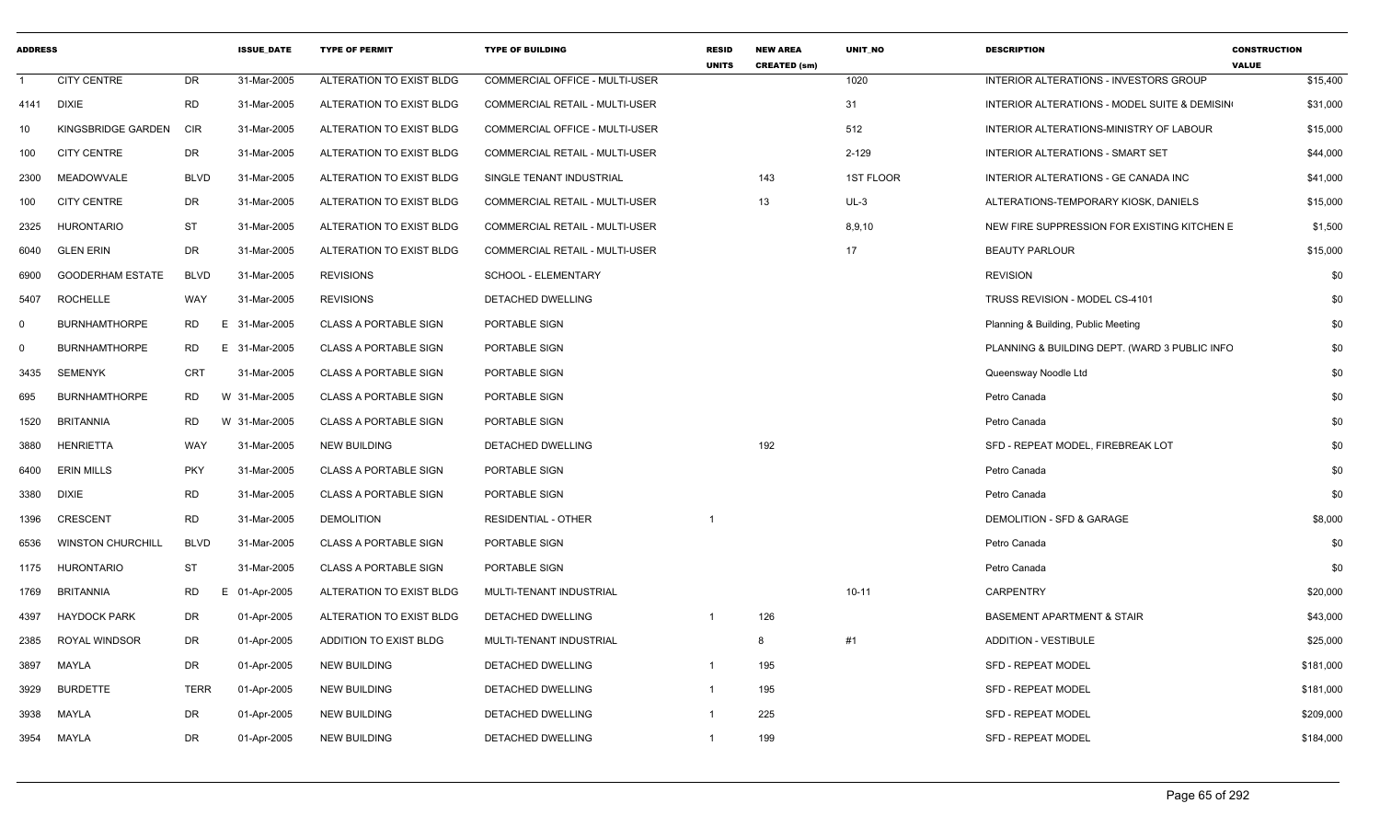| <b>ADDRESS</b> |                          |             | <b>ISSUE DATE</b> | <b>TYPE OF PERMIT</b>        | <b>TYPE OF BUILDING</b>               | <b>RESID</b><br><b>UNITS</b> | <b>NEW AREA</b><br><b>CREATED (sm)</b> | <b>UNIT NO</b> | <b>DESCRIPTION</b>                            | <b>CONSTRUCTION</b><br><b>VALUE</b> |
|----------------|--------------------------|-------------|-------------------|------------------------------|---------------------------------------|------------------------------|----------------------------------------|----------------|-----------------------------------------------|-------------------------------------|
| $\overline{1}$ | <b>CITY CENTRE</b>       | <b>DR</b>   | 31-Mar-2005       | ALTERATION TO EXIST BLDG     | <b>COMMERCIAL OFFICE - MULTI-USER</b> |                              |                                        | 1020           | INTERIOR ALTERATIONS - INVESTORS GROUP        | \$15,400                            |
| 4141           | <b>DIXIE</b>             | <b>RD</b>   | 31-Mar-2005       | ALTERATION TO EXIST BLDG     | COMMERCIAL RETAIL - MULTI-USER        |                              |                                        | 31             | INTERIOR ALTERATIONS - MODEL SUITE & DEMISIN  | \$31,000                            |
| 10             | KINGSBRIDGE GARDEN       | <b>CIR</b>  | 31-Mar-2005       | ALTERATION TO EXIST BLDG     | COMMERCIAL OFFICE - MULTI-USER        |                              |                                        | 512            | INTERIOR ALTERATIONS-MINISTRY OF LABOUR       | \$15,000                            |
| 100            | <b>CITY CENTRE</b>       | DR          | 31-Mar-2005       | ALTERATION TO EXIST BLDG     | <b>COMMERCIAL RETAIL - MULTI-USER</b> |                              |                                        | $2 - 129$      | <b>INTERIOR ALTERATIONS - SMART SET</b>       | \$44,000                            |
| 2300           | MEADOWVALE               | <b>BLVD</b> | 31-Mar-2005       | ALTERATION TO EXIST BLDG     | SINGLE TENANT INDUSTRIAL              |                              | 143                                    | 1ST FLOOR      | INTERIOR ALTERATIONS - GE CANADA INC          | \$41,000                            |
| 100            | <b>CITY CENTRE</b>       | DR          | 31-Mar-2005       | ALTERATION TO EXIST BLDG     | COMMERCIAL RETAIL - MULTI-USER        |                              | 13                                     | $UL-3$         | ALTERATIONS-TEMPORARY KIOSK, DANIELS          | \$15,000                            |
| 2325           | <b>HURONTARIO</b>        | <b>ST</b>   | 31-Mar-2005       | ALTERATION TO EXIST BLDG     | COMMERCIAL RETAIL - MULTI-USER        |                              |                                        | 8,9,10         | NEW FIRE SUPPRESSION FOR EXISTING KITCHEN E   | \$1,500                             |
| 6040           | <b>GLEN ERIN</b>         | DR          | 31-Mar-2005       | ALTERATION TO EXIST BLDG     | COMMERCIAL RETAIL - MULTI-USER        |                              |                                        | 17             | <b>BEAUTY PARLOUR</b>                         | \$15,000                            |
| 6900           | <b>GOODERHAM ESTATE</b>  | <b>BLVD</b> | 31-Mar-2005       | <b>REVISIONS</b>             | SCHOOL - ELEMENTARY                   |                              |                                        |                | <b>REVISION</b>                               | \$0                                 |
| 5407           | <b>ROCHELLE</b>          | WAY         | 31-Mar-2005       | <b>REVISIONS</b>             | <b>DETACHED DWELLING</b>              |                              |                                        |                | TRUSS REVISION - MODEL CS-4101                | \$0                                 |
| $\mathbf 0$    | <b>BURNHAMTHORPE</b>     | RD.         | E 31-Mar-2005     | <b>CLASS A PORTABLE SIGN</b> | PORTABLE SIGN                         |                              |                                        |                | Planning & Building, Public Meeting           | \$0                                 |
| $\mathbf 0$    | <b>BURNHAMTHORPE</b>     | RD          | E 31-Mar-2005     | <b>CLASS A PORTABLE SIGN</b> | PORTABLE SIGN                         |                              |                                        |                | PLANNING & BUILDING DEPT. (WARD 3 PUBLIC INFO | \$0                                 |
| 3435           | <b>SEMENYK</b>           | <b>CRT</b>  | 31-Mar-2005       | <b>CLASS A PORTABLE SIGN</b> | PORTABLE SIGN                         |                              |                                        |                | Queensway Noodle Ltd                          | \$0                                 |
| 695            | <b>BURNHAMTHORPE</b>     | <b>RD</b>   | W 31-Mar-2005     | <b>CLASS A PORTABLE SIGN</b> | PORTABLE SIGN                         |                              |                                        |                | Petro Canada                                  | \$0                                 |
| 1520           | <b>BRITANNIA</b>         | <b>RD</b>   | W 31-Mar-2005     | <b>CLASS A PORTABLE SIGN</b> | PORTABLE SIGN                         |                              |                                        |                | Petro Canada                                  | \$0                                 |
| 3880           | <b>HENRIETTA</b>         | WAY         | 31-Mar-2005       | <b>NEW BUILDING</b>          | DETACHED DWELLING                     |                              | 192                                    |                | SFD - REPEAT MODEL, FIREBREAK LOT             | \$0                                 |
| 6400           | <b>ERIN MILLS</b>        | <b>PKY</b>  | 31-Mar-2005       | <b>CLASS A PORTABLE SIGN</b> | PORTABLE SIGN                         |                              |                                        |                | Petro Canada                                  | \$0                                 |
| 3380           | <b>DIXIE</b>             | <b>RD</b>   | 31-Mar-2005       | <b>CLASS A PORTABLE SIGN</b> | PORTABLE SIGN                         |                              |                                        |                | Petro Canada                                  | \$0                                 |
| 1396           | <b>CRESCENT</b>          | <b>RD</b>   | 31-Mar-2005       | <b>DEMOLITION</b>            | <b>RESIDENTIAL - OTHER</b>            | $\mathbf 1$                  |                                        |                | <b>DEMOLITION - SFD &amp; GARAGE</b>          | \$8,000                             |
| 6536           | <b>WINSTON CHURCHILL</b> | <b>BLVD</b> | 31-Mar-2005       | <b>CLASS A PORTABLE SIGN</b> | PORTABLE SIGN                         |                              |                                        |                | Petro Canada                                  | \$0                                 |
| 1175           | <b>HURONTARIO</b>        | <b>ST</b>   | 31-Mar-2005       | <b>CLASS A PORTABLE SIGN</b> | PORTABLE SIGN                         |                              |                                        |                | Petro Canada                                  | \$0                                 |
| 1769           | <b>BRITANNIA</b>         | <b>RD</b>   | E 01-Apr-2005     | ALTERATION TO EXIST BLDG     | MULTI-TENANT INDUSTRIAL               |                              |                                        | $10 - 11$      | <b>CARPENTRY</b>                              | \$20,000                            |
| 4397           | <b>HAYDOCK PARK</b>      | <b>DR</b>   | 01-Apr-2005       | ALTERATION TO EXIST BLDG     | DETACHED DWELLING                     | -1                           | 126                                    |                | <b>BASEMENT APARTMENT &amp; STAIR</b>         | \$43,000                            |
| 2385           | ROYAL WINDSOR            | <b>DR</b>   | 01-Apr-2005       | ADDITION TO EXIST BLDG       | MULTI-TENANT INDUSTRIAL               |                              | -8                                     | #1             | <b>ADDITION - VESTIBULE</b>                   | \$25,000                            |
| 3897           | MAYLA                    | DR          | 01-Apr-2005       | <b>NEW BUILDING</b>          | <b>DETACHED DWELLING</b>              | $\mathbf{1}$                 | 195                                    |                | <b>SFD - REPEAT MODEL</b>                     | \$181,000                           |
| 3929           | <b>BURDETTE</b>          | <b>TERR</b> | 01-Apr-2005       | <b>NEW BUILDING</b>          | <b>DETACHED DWELLING</b>              | -1                           | 195                                    |                | <b>SFD - REPEAT MODEL</b>                     | \$181,000                           |
| 3938           | MAYLA                    | <b>DR</b>   | 01-Apr-2005       | <b>NEW BUILDING</b>          | DETACHED DWELLING                     |                              | 225                                    |                | <b>SFD - REPEAT MODEL</b>                     | \$209,000                           |
| 3954           | MAYLA                    | <b>DR</b>   | 01-Apr-2005       | <b>NEW BUILDING</b>          | <b>DETACHED DWELLING</b>              | $\mathbf{1}$                 | 199                                    |                | <b>SFD - REPEAT MODEL</b>                     | \$184,000                           |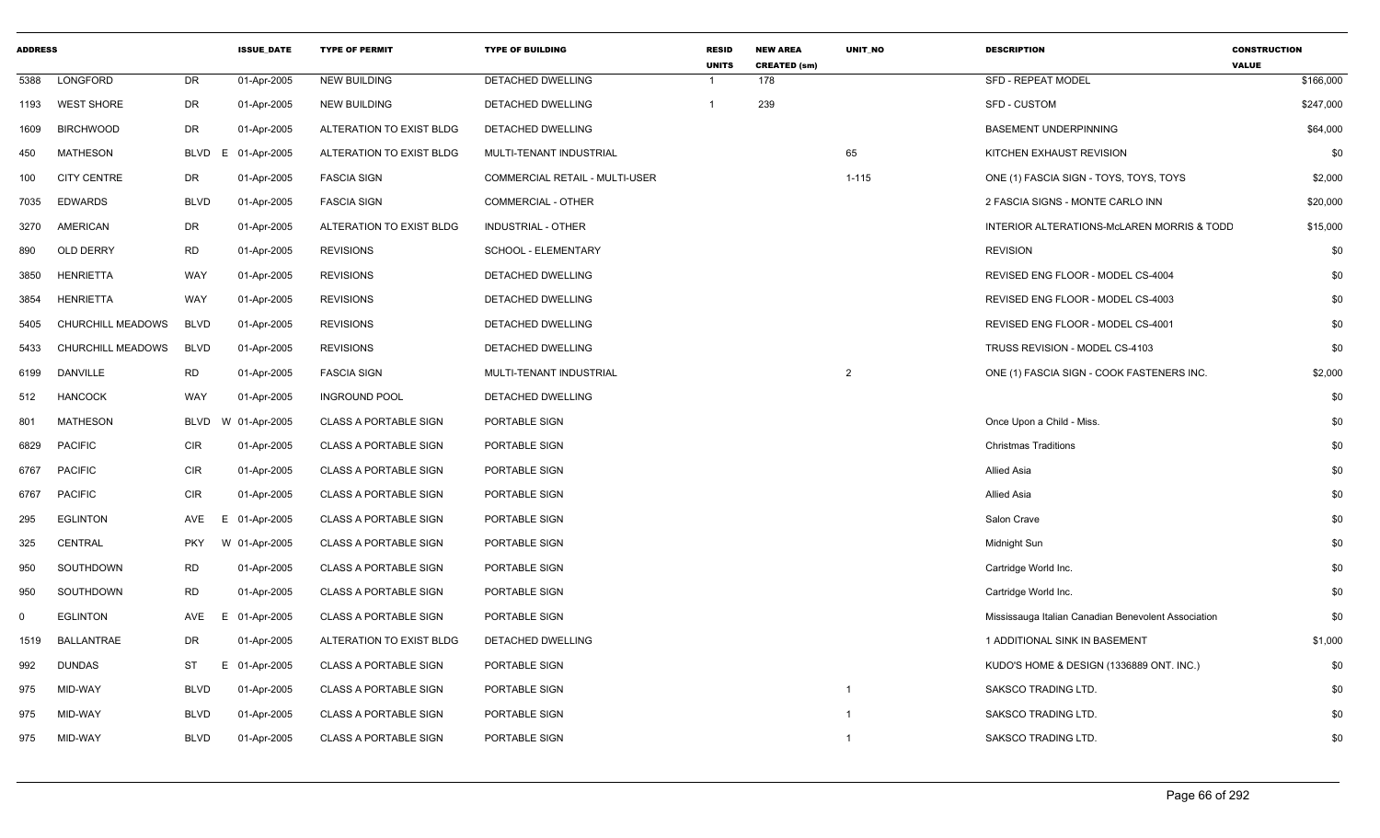| <b>ADDRESS</b> |                    |             | <b>ISSUE DATE</b> | <b>TYPE OF PERMIT</b>        | <b>TYPE OF BUILDING</b>        | <b>RESID</b><br><b>UNITS</b> | <b>NEW AREA</b><br><b>CREATED (sm)</b> | <b>UNIT NO</b>          | <b>DESCRIPTION</b>                                  | <b>CONSTRUCTION</b><br><b>VALUE</b> |
|----------------|--------------------|-------------|-------------------|------------------------------|--------------------------------|------------------------------|----------------------------------------|-------------------------|-----------------------------------------------------|-------------------------------------|
| 5388           | LONGFORD           | DR          | 01-Apr-2005       | <b>NEW BUILDING</b>          | DETACHED DWELLING              | $\mathbf 1$                  | 178                                    |                         | SFD - REPEAT MODEL                                  | \$166,000                           |
| 1193           | <b>WEST SHORE</b>  | DR          | 01-Apr-2005       | <b>NEW BUILDING</b>          | DETACHED DWELLING              | $\mathbf{1}$                 | 239                                    |                         | <b>SFD - CUSTOM</b>                                 | \$247,000                           |
| 1609           | <b>BIRCHWOOD</b>   | DR          | 01-Apr-2005       | ALTERATION TO EXIST BLDG     | DETACHED DWELLING              |                              |                                        |                         | <b>BASEMENT UNDERPINNING</b>                        | \$64,000                            |
| 450            | MATHESON           | <b>BLVD</b> | 01-Apr-2005<br>F  | ALTERATION TO EXIST BLDG     | MULTI-TENANT INDUSTRIAL        |                              |                                        | 65                      | KITCHEN EXHAUST REVISION                            | \$0                                 |
| 100            | <b>CITY CENTRE</b> | DR          | 01-Apr-2005       | <b>FASCIA SIGN</b>           | COMMERCIAL RETAIL - MULTI-USER |                              |                                        | $1 - 115$               | ONE (1) FASCIA SIGN - TOYS, TOYS, TOYS              | \$2,000                             |
| 7035           | <b>EDWARDS</b>     | <b>BLVD</b> | 01-Apr-2005       | <b>FASCIA SIGN</b>           | COMMERCIAL - OTHER             |                              |                                        |                         | 2 FASCIA SIGNS - MONTE CARLO INN                    | \$20,000                            |
| 3270           | AMERICAN           | DR          | 01-Apr-2005       | ALTERATION TO EXIST BLDG     | <b>INDUSTRIAL - OTHER</b>      |                              |                                        |                         | INTERIOR ALTERATIONS-McLAREN MORRIS & TODD          | \$15,000                            |
| 890            | <b>OLD DERRY</b>   | <b>RD</b>   | 01-Apr-2005       | <b>REVISIONS</b>             | SCHOOL - ELEMENTARY            |                              |                                        |                         | <b>REVISION</b>                                     | \$0                                 |
| 3850           | HENRIETTA          | WAY         | 01-Apr-2005       | <b>REVISIONS</b>             | DETACHED DWELLING              |                              |                                        |                         | REVISED ENG FLOOR - MODEL CS-4004                   | \$0                                 |
| 3854           | <b>HENRIETTA</b>   | WAY         | 01-Apr-2005       | <b>REVISIONS</b>             | DETACHED DWELLING              |                              |                                        |                         | REVISED ENG FLOOR - MODEL CS-4003                   | \$0                                 |
| 5405           | CHURCHILL MEADOWS  | <b>BLVD</b> | 01-Apr-2005       | <b>REVISIONS</b>             | DETACHED DWELLING              |                              |                                        |                         | REVISED ENG FLOOR - MODEL CS-4001                   | \$0                                 |
| 5433           | CHURCHILL MEADOWS  | <b>BLVD</b> | 01-Apr-2005       | <b>REVISIONS</b>             | DETACHED DWELLING              |                              |                                        |                         | TRUSS REVISION - MODEL CS-4103                      | \$0                                 |
| 6199           | <b>DANVILLE</b>    | <b>RD</b>   | 01-Apr-2005       | <b>FASCIA SIGN</b>           | MULTI-TENANT INDUSTRIAL        |                              |                                        | 2                       | ONE (1) FASCIA SIGN - COOK FASTENERS INC.           | \$2,000                             |
| 512            | <b>HANCOCK</b>     | WAY         | 01-Apr-2005       | <b>INGROUND POOL</b>         | <b>DETACHED DWELLING</b>       |                              |                                        |                         |                                                     | \$0                                 |
| 801            | MATHESON           | <b>BLVD</b> | W 01-Apr-2005     | <b>CLASS A PORTABLE SIGN</b> | PORTABLE SIGN                  |                              |                                        |                         | Once Upon a Child - Miss.                           | \$0                                 |
| 6829           | <b>PACIFIC</b>     | <b>CIR</b>  | 01-Apr-2005       | <b>CLASS A PORTABLE SIGN</b> | PORTABLE SIGN                  |                              |                                        |                         | <b>Christmas Traditions</b>                         | \$0                                 |
| 6767           | <b>PACIFIC</b>     | <b>CIR</b>  | 01-Apr-2005       | <b>CLASS A PORTABLE SIGN</b> | PORTABLE SIGN                  |                              |                                        |                         | <b>Allied Asia</b>                                  | \$0                                 |
| 6767           | <b>PACIFIC</b>     | <b>CIR</b>  | 01-Apr-2005       | <b>CLASS A PORTABLE SIGN</b> | PORTABLE SIGN                  |                              |                                        |                         | <b>Allied Asia</b>                                  | \$0                                 |
| 295            | <b>EGLINTON</b>    | AVE         | E 01-Apr-2005     | <b>CLASS A PORTABLE SIGN</b> | PORTABLE SIGN                  |                              |                                        |                         | Salon Crave                                         | \$0                                 |
| 325            | CENTRAL            | <b>PKY</b>  | W 01-Apr-2005     | <b>CLASS A PORTABLE SIGN</b> | PORTABLE SIGN                  |                              |                                        |                         | Midnight Sun                                        | \$0                                 |
| 950            | SOUTHDOWN          | <b>RD</b>   | 01-Apr-2005       | <b>CLASS A PORTABLE SIGN</b> | PORTABLE SIGN                  |                              |                                        |                         | Cartridge World Inc.                                | \$0                                 |
| 950            | SOUTHDOWN          | <b>RD</b>   | 01-Apr-2005       | <b>CLASS A PORTABLE SIGN</b> | PORTABLE SIGN                  |                              |                                        |                         | Cartridge World Inc.                                | \$0                                 |
| $\mathbf 0$    | <b>EGLINTON</b>    | AVE         | 01-Apr-2005<br>E. | <b>CLASS A PORTABLE SIGN</b> | PORTABLE SIGN                  |                              |                                        |                         | Mississauga Italian Canadian Benevolent Association | \$0                                 |
| 1519           | BALLANTRAE         | DR          | 01-Apr-2005       | ALTERATION TO EXIST BLDG     | DETACHED DWELLING              |                              |                                        |                         | 1 ADDITIONAL SINK IN BASEMENT                       | \$1,000                             |
| 992            | <b>DUNDAS</b>      | ST          | E 01-Apr-2005     | <b>CLASS A PORTABLE SIGN</b> | PORTABLE SIGN                  |                              |                                        |                         | KUDO'S HOME & DESIGN (1336889 ONT. INC.)            | \$0                                 |
| 975            | MID-WAY            | <b>BLVD</b> | 01-Apr-2005       | <b>CLASS A PORTABLE SIGN</b> | PORTABLE SIGN                  |                              |                                        | $\overline{\mathbf{1}}$ | SAKSCO TRADING LTD.                                 | \$0                                 |
| 975            | MID-WAY            | <b>BLVD</b> | 01-Apr-2005       | <b>CLASS A PORTABLE SIGN</b> | PORTABLE SIGN                  |                              |                                        | -1                      | SAKSCO TRADING LTD.                                 | \$0                                 |
| 975            | MID-WAY            | <b>BLVD</b> | 01-Apr-2005       | <b>CLASS A PORTABLE SIGN</b> | PORTABLE SIGN                  |                              |                                        | $\overline{\mathbf{1}}$ | SAKSCO TRADING LTD.                                 | \$0                                 |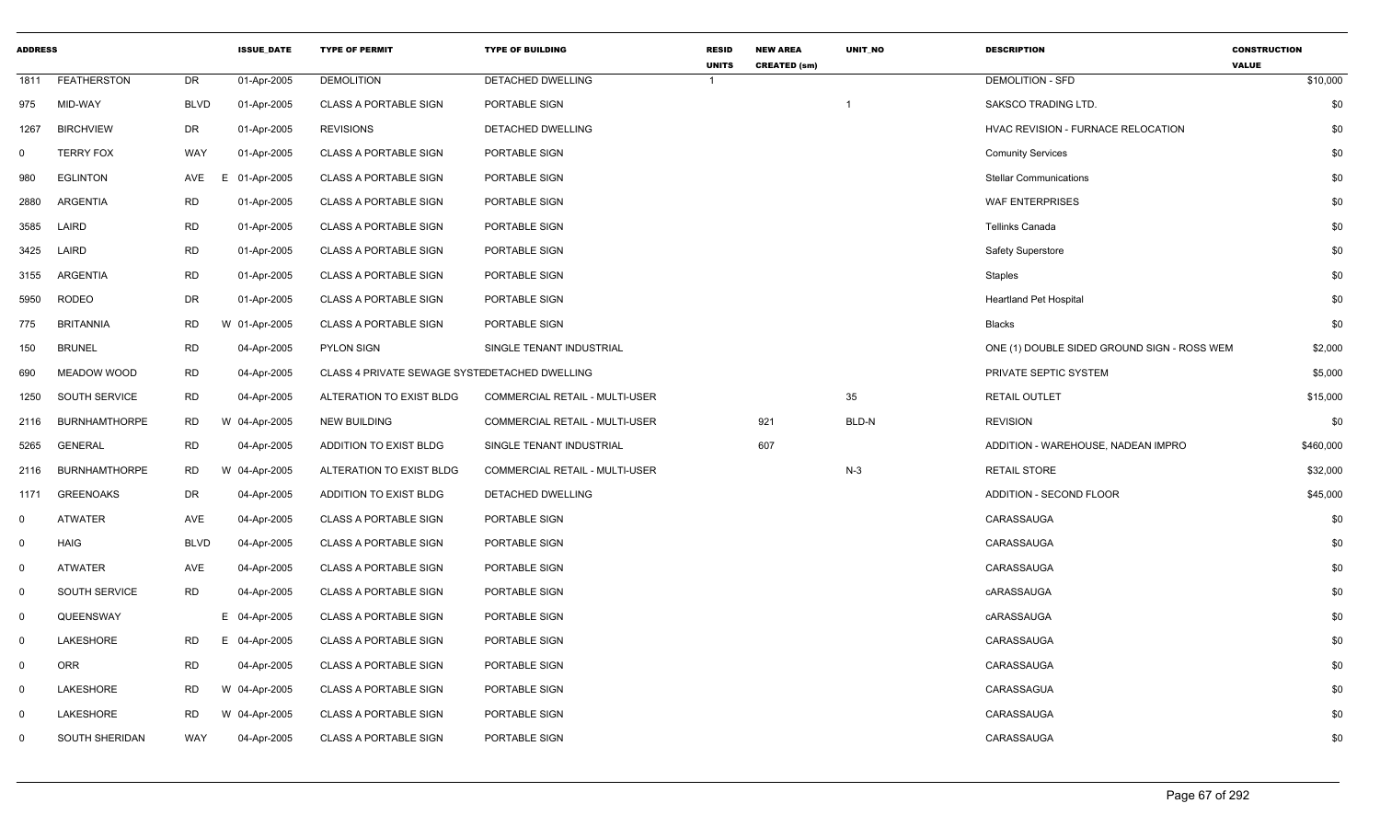| <b>ADDRESS</b> |                      |             | <b>ISSUE DATE</b> | <b>TYPE OF PERMIT</b>                         | <b>TYPE OF BUILDING</b>               | <b>RESID</b><br><b>UNITS</b> | <b>NEW AREA</b><br><b>CREATED (sm)</b> | UNIT_NO                 | <b>DESCRIPTION</b>                          | <b>CONSTRUCTION</b><br><b>VALUE</b> |
|----------------|----------------------|-------------|-------------------|-----------------------------------------------|---------------------------------------|------------------------------|----------------------------------------|-------------------------|---------------------------------------------|-------------------------------------|
| 1811           | <b>FEATHERSTON</b>   | DR          | 01-Apr-2005       | <b>DEMOLITION</b>                             | DETACHED DWELLING                     | $\mathbf{1}$                 |                                        |                         | <b>DEMOLITION - SFD</b>                     | \$10,000                            |
| 975            | MID-WAY              | <b>BLVD</b> | 01-Apr-2005       | <b>CLASS A PORTABLE SIGN</b>                  | PORTABLE SIGN                         |                              |                                        | $\overline{\mathbf{1}}$ | SAKSCO TRADING LTD.                         | \$0                                 |
| 1267           | <b>BIRCHVIEW</b>     | DR          | 01-Apr-2005       | <b>REVISIONS</b>                              | DETACHED DWELLING                     |                              |                                        |                         | HVAC REVISION - FURNACE RELOCATION          | \$0                                 |
| $\mathbf 0$    | <b>TERRY FOX</b>     | WAY         | 01-Apr-2005       | <b>CLASS A PORTABLE SIGN</b>                  | PORTABLE SIGN                         |                              |                                        |                         | <b>Comunity Services</b>                    | \$0                                 |
| 980            | <b>EGLINTON</b>      | AVE         | 01-Apr-2005<br>E. | <b>CLASS A PORTABLE SIGN</b>                  | PORTABLE SIGN                         |                              |                                        |                         | <b>Stellar Communications</b>               | \$0                                 |
| 2880           | ARGENTIA             | <b>RD</b>   | 01-Apr-2005       | <b>CLASS A PORTABLE SIGN</b>                  | PORTABLE SIGN                         |                              |                                        |                         | <b>WAF ENTERPRISES</b>                      | \$0                                 |
| 3585           | LAIRD                | <b>RD</b>   | 01-Apr-2005       | <b>CLASS A PORTABLE SIGN</b>                  | PORTABLE SIGN                         |                              |                                        |                         | Tellinks Canada                             | \$0                                 |
| 3425           | LAIRD                | <b>RD</b>   | 01-Apr-2005       | <b>CLASS A PORTABLE SIGN</b>                  | PORTABLE SIGN                         |                              |                                        |                         | <b>Safety Superstore</b>                    | \$0                                 |
| 3155           | ARGENTIA             | <b>RD</b>   | 01-Apr-2005       | <b>CLASS A PORTABLE SIGN</b>                  | PORTABLE SIGN                         |                              |                                        |                         | <b>Staples</b>                              | \$0                                 |
| 5950           | RODEO                | DR          | 01-Apr-2005       | <b>CLASS A PORTABLE SIGN</b>                  | PORTABLE SIGN                         |                              |                                        |                         | <b>Heartland Pet Hospital</b>               | \$0                                 |
| 775            | <b>BRITANNIA</b>     | <b>RD</b>   | W 01-Apr-2005     | <b>CLASS A PORTABLE SIGN</b>                  | PORTABLE SIGN                         |                              |                                        |                         | <b>Blacks</b>                               | \$0                                 |
| 150            | <b>BRUNEL</b>        | <b>RD</b>   | 04-Apr-2005       | <b>PYLON SIGN</b>                             | SINGLE TENANT INDUSTRIAL              |                              |                                        |                         | ONE (1) DOUBLE SIDED GROUND SIGN - ROSS WEM | \$2,000                             |
| 690            | <b>MEADOW WOOD</b>   | <b>RD</b>   | 04-Apr-2005       | CLASS 4 PRIVATE SEWAGE SYSTEDETACHED DWELLING |                                       |                              |                                        |                         | PRIVATE SEPTIC SYSTEM                       | \$5,000                             |
| 1250           | SOUTH SERVICE        | <b>RD</b>   | 04-Apr-2005       | ALTERATION TO EXIST BLDG                      | COMMERCIAL RETAIL - MULTI-USER        |                              |                                        | 35                      | RETAIL OUTLET                               | \$15,000                            |
| 2116           | <b>BURNHAMTHORPE</b> | <b>RD</b>   | W 04-Apr-2005     | <b>NEW BUILDING</b>                           | COMMERCIAL RETAIL - MULTI-USER        |                              | 921                                    | BLD-N                   | <b>REVISION</b>                             | \$0                                 |
| 5265           | <b>GENERAL</b>       | <b>RD</b>   | 04-Apr-2005       | ADDITION TO EXIST BLDG                        | SINGLE TENANT INDUSTRIAL              |                              | 607                                    |                         | ADDITION - WAREHOUSE, NADEAN IMPRO          | \$460,000                           |
| 2116           | <b>BURNHAMTHORPE</b> | <b>RD</b>   | W 04-Apr-2005     | ALTERATION TO EXIST BLDG                      | <b>COMMERCIAL RETAIL - MULTI-USER</b> |                              |                                        | $N-3$                   | <b>RETAIL STORE</b>                         | \$32,000                            |
| 1171           | <b>GREENOAKS</b>     | DR          | 04-Apr-2005       | ADDITION TO EXIST BLDG                        | DETACHED DWELLING                     |                              |                                        |                         | <b>ADDITION - SECOND FLOOR</b>              | \$45,000                            |
| $\mathbf{0}$   | <b>ATWATER</b>       | AVE         | 04-Apr-2005       | <b>CLASS A PORTABLE SIGN</b>                  | PORTABLE SIGN                         |                              |                                        |                         | CARASSAUGA                                  | \$0                                 |
| $\mathbf 0$    | <b>HAIG</b>          | <b>BLVD</b> | 04-Apr-2005       | <b>CLASS A PORTABLE SIGN</b>                  | PORTABLE SIGN                         |                              |                                        |                         | CARASSAUGA                                  | \$0                                 |
| $\mathbf 0$    | <b>ATWATER</b>       | AVE         | 04-Apr-2005       | <b>CLASS A PORTABLE SIGN</b>                  | PORTABLE SIGN                         |                              |                                        |                         | CARASSAUGA                                  | \$0                                 |
| $\mathbf 0$    | SOUTH SERVICE        | <b>RD</b>   | 04-Apr-2005       | <b>CLASS A PORTABLE SIGN</b>                  | PORTABLE SIGN                         |                              |                                        |                         | cARASSAUGA                                  | \$0                                 |
| $\mathbf 0$    | QUEENSWAY            |             | E 04-Apr-2005     | <b>CLASS A PORTABLE SIGN</b>                  | PORTABLE SIGN                         |                              |                                        |                         | cARASSAUGA                                  | \$0                                 |
| $\mathbf 0$    | LAKESHORE            | <b>RD</b>   | E 04-Apr-2005     | <b>CLASS A PORTABLE SIGN</b>                  | PORTABLE SIGN                         |                              |                                        |                         | CARASSAUGA                                  | \$0                                 |
| $\mathbf 0$    | <b>ORR</b>           | <b>RD</b>   | 04-Apr-2005       | <b>CLASS A PORTABLE SIGN</b>                  | PORTABLE SIGN                         |                              |                                        |                         | CARASSAUGA                                  | \$0                                 |
| $\mathbf 0$    | LAKESHORE            | <b>RD</b>   | W 04-Apr-2005     | <b>CLASS A PORTABLE SIGN</b>                  | PORTABLE SIGN                         |                              |                                        |                         | CARASSAGUA                                  | \$0                                 |
| $\mathbf 0$    | LAKESHORE            | <b>RD</b>   | W 04-Apr-2005     | <b>CLASS A PORTABLE SIGN</b>                  | PORTABLE SIGN                         |                              |                                        |                         | CARASSAUGA                                  | \$0                                 |
| $\mathbf 0$    | SOUTH SHERIDAN       | WAY         | 04-Apr-2005       | <b>CLASS A PORTABLE SIGN</b>                  | PORTABLE SIGN                         |                              |                                        |                         | CARASSAUGA                                  | \$0                                 |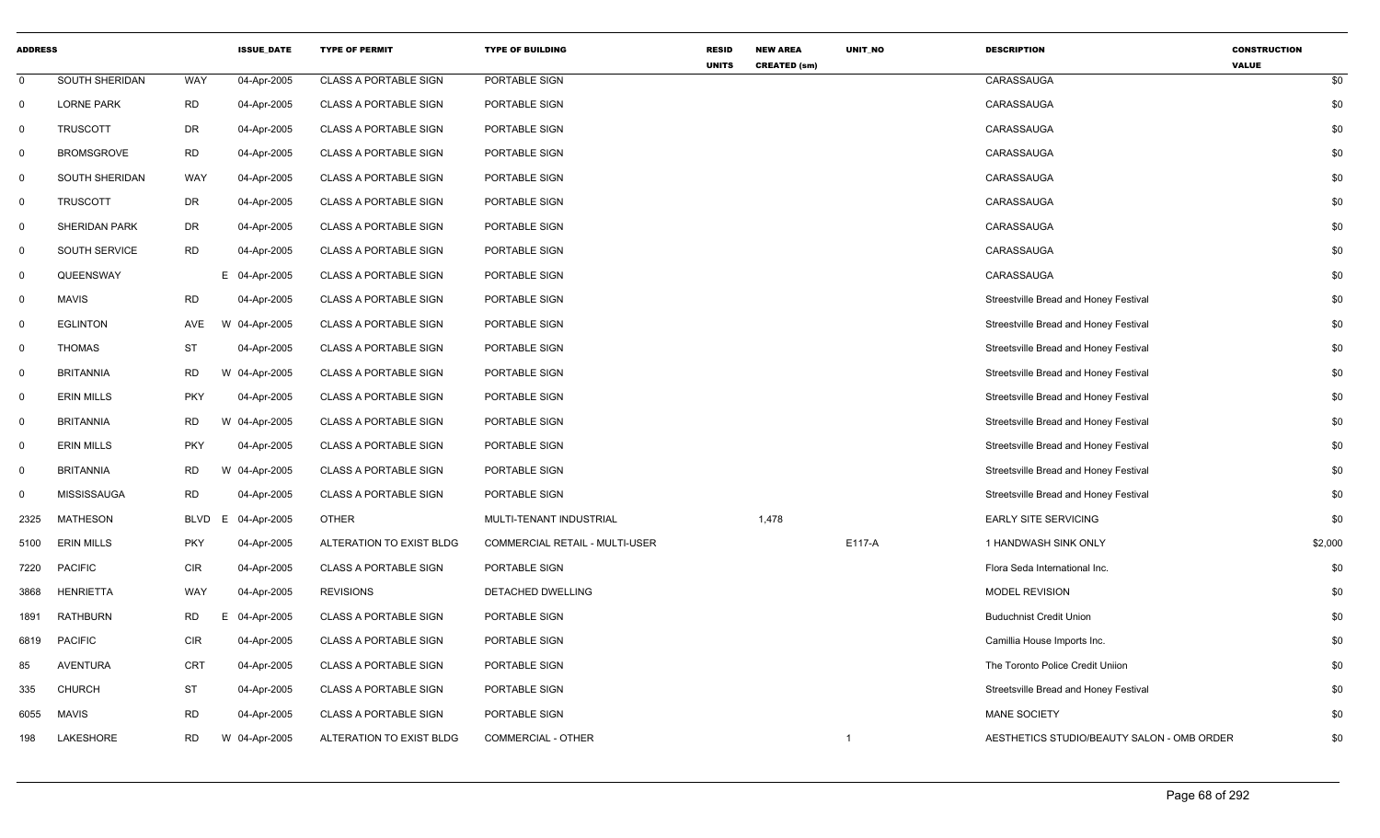| <b>ADDRESS</b> |                       |            | <b>ISSUE_DATE</b> | <b>TYPE OF PERMIT</b>        | <b>TYPE OF BUILDING</b>        | <b>RESID</b><br><b>UNITS</b> | <b>NEW AREA</b><br><b>CREATED (sm)</b> | UNIT_NO        | <b>DESCRIPTION</b>                         | <b>CONSTRUCTION</b><br><b>VALUE</b> |
|----------------|-----------------------|------------|-------------------|------------------------------|--------------------------------|------------------------------|----------------------------------------|----------------|--------------------------------------------|-------------------------------------|
| 0              | SOUTH SHERIDAN        | WAY        | 04-Apr-2005       | <b>CLASS A PORTABLE SIGN</b> | PORTABLE SIGN                  |                              |                                        |                | CARASSAUGA                                 | \$0                                 |
| $\mathbf 0$    | <b>LORNE PARK</b>     | <b>RD</b>  | 04-Apr-2005       | <b>CLASS A PORTABLE SIGN</b> | PORTABLE SIGN                  |                              |                                        |                | CARASSAUGA                                 | \$0                                 |
| 0              | <b>TRUSCOTT</b>       | <b>DR</b>  | 04-Apr-2005       | <b>CLASS A PORTABLE SIGN</b> | PORTABLE SIGN                  |                              |                                        |                | CARASSAUGA                                 | \$0                                 |
| $\mathbf 0$    | <b>BROMSGROVE</b>     | <b>RD</b>  | 04-Apr-2005       | <b>CLASS A PORTABLE SIGN</b> | PORTABLE SIGN                  |                              |                                        |                | CARASSAUGA                                 | \$0                                 |
| $\mathbf 0$    | <b>SOUTH SHERIDAN</b> | <b>WAY</b> | 04-Apr-2005       | <b>CLASS A PORTABLE SIGN</b> | PORTABLE SIGN                  |                              |                                        |                | CARASSAUGA                                 | \$0                                 |
| $\mathbf 0$    | <b>TRUSCOTT</b>       | DR         | 04-Apr-2005       | <b>CLASS A PORTABLE SIGN</b> | PORTABLE SIGN                  |                              |                                        |                | CARASSAUGA                                 | \$0                                 |
| 0              | <b>SHERIDAN PARK</b>  | <b>DR</b>  | 04-Apr-2005       | <b>CLASS A PORTABLE SIGN</b> | PORTABLE SIGN                  |                              |                                        |                | CARASSAUGA                                 | \$0                                 |
| 0              | SOUTH SERVICE         | <b>RD</b>  | 04-Apr-2005       | <b>CLASS A PORTABLE SIGN</b> | PORTABLE SIGN                  |                              |                                        |                | CARASSAUGA                                 | \$0                                 |
| 0              | QUEENSWAY             |            | E 04-Apr-2005     | <b>CLASS A PORTABLE SIGN</b> | PORTABLE SIGN                  |                              |                                        |                | CARASSAUGA                                 | \$0                                 |
| 0              | <b>MAVIS</b>          | <b>RD</b>  | 04-Apr-2005       | <b>CLASS A PORTABLE SIGN</b> | PORTABLE SIGN                  |                              |                                        |                | Streestville Bread and Honey Festival      | \$0                                 |
| $\mathbf 0$    | <b>EGLINTON</b>       | AVE        | W 04-Apr-2005     | <b>CLASS A PORTABLE SIGN</b> | PORTABLE SIGN                  |                              |                                        |                | Streestville Bread and Honey Festival      | \$0                                 |
| 0              | <b>THOMAS</b>         | ST         | 04-Apr-2005       | <b>CLASS A PORTABLE SIGN</b> | PORTABLE SIGN                  |                              |                                        |                | Streetsville Bread and Honey Festival      | \$0                                 |
| $\mathbf 0$    | <b>BRITANNIA</b>      | <b>RD</b>  | W 04-Apr-2005     | <b>CLASS A PORTABLE SIGN</b> | PORTABLE SIGN                  |                              |                                        |                | Streetsville Bread and Honey Festival      | \$0                                 |
| 0              | <b>ERIN MILLS</b>     | <b>PKY</b> | 04-Apr-2005       | <b>CLASS A PORTABLE SIGN</b> | PORTABLE SIGN                  |                              |                                        |                | Streetsville Bread and Honey Festival      | \$0                                 |
| $\mathbf 0$    | <b>BRITANNIA</b>      | <b>RD</b>  | W 04-Apr-2005     | <b>CLASS A PORTABLE SIGN</b> | PORTABLE SIGN                  |                              |                                        |                | Streetsville Bread and Honey Festival      | \$0                                 |
| 0              | <b>ERIN MILLS</b>     | <b>PKY</b> | 04-Apr-2005       | <b>CLASS A PORTABLE SIGN</b> | PORTABLE SIGN                  |                              |                                        |                | Streetsville Bread and Honey Festival      | \$0                                 |
| $\mathbf 0$    | <b>BRITANNIA</b>      | <b>RD</b>  | W 04-Apr-2005     | <b>CLASS A PORTABLE SIGN</b> | PORTABLE SIGN                  |                              |                                        |                | Streetsville Bread and Honey Festival      | \$0                                 |
| $\mathbf 0$    | <b>MISSISSAUGA</b>    | <b>RD</b>  | 04-Apr-2005       | <b>CLASS A PORTABLE SIGN</b> | PORTABLE SIGN                  |                              |                                        |                | Streetsville Bread and Honey Festival      | \$0                                 |
| 2325           | <b>MATHESON</b>       | BLVD<br>E. | 04-Apr-2005       | <b>OTHER</b>                 | MULTI-TENANT INDUSTRIAL        |                              | 1,478                                  |                | <b>EARLY SITE SERVICING</b>                | \$0                                 |
| 5100           | <b>ERIN MILLS</b>     | PKY        | 04-Apr-2005       | ALTERATION TO EXIST BLDG     | COMMERCIAL RETAIL - MULTI-USER |                              |                                        | E117-A         | 1 HANDWASH SINK ONLY                       | \$2,000                             |
| 7220           | <b>PACIFIC</b>        | <b>CIR</b> | 04-Apr-2005       | <b>CLASS A PORTABLE SIGN</b> | PORTABLE SIGN                  |                              |                                        |                | Flora Seda International Inc.              | \$0                                 |
| 3868           | <b>HENRIETTA</b>      | WAY        | 04-Apr-2005       | <b>REVISIONS</b>             | DETACHED DWELLING              |                              |                                        |                | <b>MODEL REVISION</b>                      | \$0                                 |
| 1891           | <b>RATHBURN</b>       | RD<br>E.   | 04-Apr-2005       | <b>CLASS A PORTABLE SIGN</b> | PORTABLE SIGN                  |                              |                                        |                | <b>Buduchnist Credit Union</b>             | \$0                                 |
| 6819           | <b>PACIFIC</b>        | <b>CIR</b> | 04-Apr-2005       | <b>CLASS A PORTABLE SIGN</b> | PORTABLE SIGN                  |                              |                                        |                | Camillia House Imports Inc.                | \$0                                 |
| 85             | <b>AVENTURA</b>       | CRT        | 04-Apr-2005       | <b>CLASS A PORTABLE SIGN</b> | PORTABLE SIGN                  |                              |                                        |                | The Toronto Police Credit Uniion           | \$0                                 |
| 335            | <b>CHURCH</b>         | <b>ST</b>  | 04-Apr-2005       | <b>CLASS A PORTABLE SIGN</b> | PORTABLE SIGN                  |                              |                                        |                | Streetsville Bread and Honey Festival      | \$0                                 |
| 6055           | <b>MAVIS</b>          | <b>RD</b>  | 04-Apr-2005       | <b>CLASS A PORTABLE SIGN</b> | PORTABLE SIGN                  |                              |                                        |                | <b>MANE SOCIETY</b>                        | \$0                                 |
| 198            | LAKESHORE             | RD         | W 04-Apr-2005     | ALTERATION TO EXIST BLDG     | COMMERCIAL - OTHER             |                              |                                        | $\overline{1}$ | AESTHETICS STUDIO/BEAUTY SALON - OMB ORDER | \$0                                 |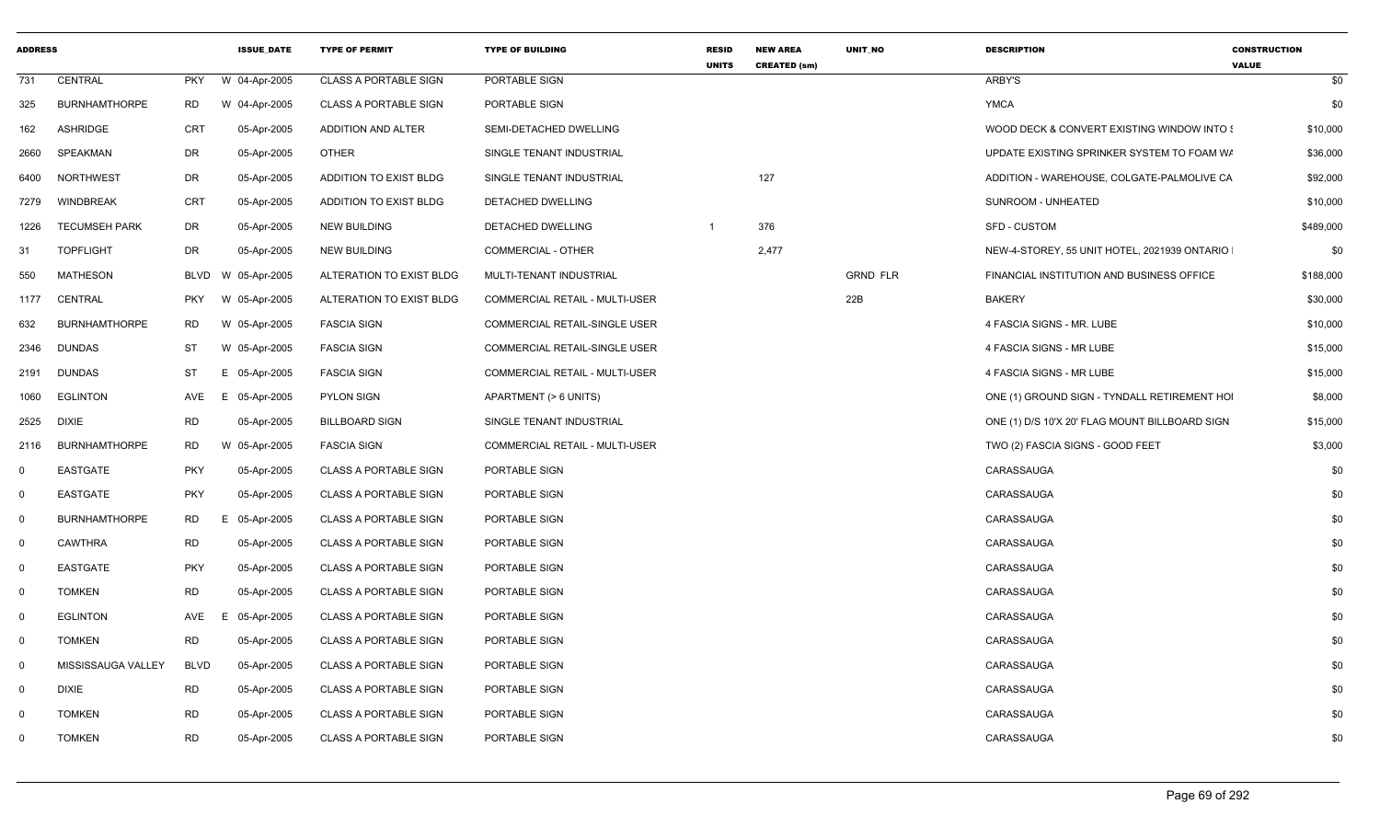| <b>ADDRESS</b> |                      |             | <b>ISSUE DATE</b> | <b>TYPE OF PERMIT</b>        | <b>TYPE OF BUILDING</b>              | <b>RESID</b><br><b>UNITS</b> | <b>NEW AREA</b><br><b>CREATED (sm)</b> | <b>UNIT NO</b>  | <b>DESCRIPTION</b>                             | <b>CONSTRUCTION</b><br><b>VALUE</b> |
|----------------|----------------------|-------------|-------------------|------------------------------|--------------------------------------|------------------------------|----------------------------------------|-----------------|------------------------------------------------|-------------------------------------|
| 731            | CENTRAL              | <b>PKY</b>  | W 04-Apr-2005     | <b>CLASS A PORTABLE SIGN</b> | PORTABLE SIGN                        |                              |                                        |                 | ARBY'S                                         | \$0                                 |
| 325            | <b>BURNHAMTHORPE</b> | <b>RD</b>   | W 04-Apr-2005     | <b>CLASS A PORTABLE SIGN</b> | PORTABLE SIGN                        |                              |                                        |                 | <b>YMCA</b>                                    | \$0                                 |
| 162            | <b>ASHRIDGE</b>      | CRT         | 05-Apr-2005       | ADDITION AND ALTER           | SEMI-DETACHED DWELLING               |                              |                                        |                 | WOOD DECK & CONVERT EXISTING WINDOW INTO \$    | \$10,000                            |
| 2660           | SPEAKMAN             | <b>DR</b>   | 05-Apr-2005       | <b>OTHER</b>                 | SINGLE TENANT INDUSTRIAL             |                              |                                        |                 | UPDATE EXISTING SPRINKER SYSTEM TO FOAM W/     | \$36,000                            |
| 6400           | NORTHWEST            | <b>DR</b>   | 05-Apr-2005       | ADDITION TO EXIST BLDG       | SINGLE TENANT INDUSTRIAL             |                              | 127                                    |                 | ADDITION - WAREHOUSE, COLGATE-PALMOLIVE CA     | \$92,000                            |
| 7279           | <b>WINDBREAK</b>     | <b>CRT</b>  | 05-Apr-2005       | ADDITION TO EXIST BLDG       | DETACHED DWELLING                    |                              |                                        |                 | SUNROOM - UNHEATED                             | \$10,000                            |
| 1226           | <b>TECUMSEH PARK</b> | <b>DR</b>   | 05-Apr-2005       | NEW BUILDING                 | DETACHED DWELLING                    | $\overline{1}$               | 376                                    |                 | SFD - CUSTOM                                   | \$489,000                           |
| 31             | <b>TOPFLIGHT</b>     | DR          | 05-Apr-2005       | NEW BUILDING                 | COMMERCIAL - OTHER                   |                              | 2,477                                  |                 | NEW-4-STOREY, 55 UNIT HOTEL, 2021939 ONTARIO   | \$0                                 |
| 550            | <b>MATHESON</b>      | <b>BLVD</b> | W 05-Apr-2005     | ALTERATION TO EXIST BLDG     | MULTI-TENANT INDUSTRIAL              |                              |                                        | <b>GRND FLR</b> | FINANCIAL INSTITUTION AND BUSINESS OFFICE      | \$188,000                           |
| 1177           | CENTRAL              | <b>PKY</b>  | 05-Apr-2005<br>W  | ALTERATION TO EXIST BLDG     | COMMERCIAL RETAIL - MULTI-USER       |                              |                                        | 22B             | <b>BAKERY</b>                                  | \$30,000                            |
| 632            | <b>BURNHAMTHORPE</b> | RD          | W 05-Apr-2005     | <b>FASCIA SIGN</b>           | COMMERCIAL RETAIL-SINGLE USER        |                              |                                        |                 | 4 FASCIA SIGNS - MR. LUBE                      | \$10,000                            |
| 2346           | <b>DUNDAS</b>        | ST          | W 05-Apr-2005     | <b>FASCIA SIGN</b>           | <b>COMMERCIAL RETAIL-SINGLE USER</b> |                              |                                        |                 | 4 FASCIA SIGNS - MR LUBE                       | \$15,000                            |
| 2191           | <b>DUNDAS</b>        | ST          | E 05-Apr-2005     | <b>FASCIA SIGN</b>           | COMMERCIAL RETAIL - MULTI-USER       |                              |                                        |                 | 4 FASCIA SIGNS - MR LUBE                       | \$15,000                            |
| 1060           | <b>EGLINTON</b>      | AVE         | E<br>05-Apr-2005  | <b>PYLON SIGN</b>            | APARTMENT (> 6 UNITS)                |                              |                                        |                 | ONE (1) GROUND SIGN - TYNDALL RETIREMENT HOI   | \$8,000                             |
| 2525           | <b>DIXIE</b>         | <b>RD</b>   | 05-Apr-2005       | <b>BILLBOARD SIGN</b>        | SINGLE TENANT INDUSTRIAL             |                              |                                        |                 | ONE (1) D/S 10'X 20' FLAG MOUNT BILLBOARD SIGN | \$15,000                            |
| 2116           | <b>BURNHAMTHORPE</b> | <b>RD</b>   | W 05-Apr-2005     | <b>FASCIA SIGN</b>           | COMMERCIAL RETAIL - MULTI-USER       |                              |                                        |                 | TWO (2) FASCIA SIGNS - GOOD FEET               | \$3,000                             |
| $\mathbf 0$    | <b>EASTGATE</b>      | <b>PKY</b>  | 05-Apr-2005       | <b>CLASS A PORTABLE SIGN</b> | PORTABLE SIGN                        |                              |                                        |                 | CARASSAUGA                                     | \$0                                 |
| $\mathbf 0$    | <b>EASTGATE</b>      | <b>PKY</b>  | 05-Apr-2005       | <b>CLASS A PORTABLE SIGN</b> | PORTABLE SIGN                        |                              |                                        |                 | CARASSAUGA                                     | \$0                                 |
| $\mathbf 0$    | <b>BURNHAMTHORPE</b> | <b>RD</b>   | E.<br>05-Apr-2005 | <b>CLASS A PORTABLE SIGN</b> | <b>PORTABLE SIGN</b>                 |                              |                                        |                 | CARASSAUGA                                     | \$0                                 |
| $\mathbf 0$    | <b>CAWTHRA</b>       | <b>RD</b>   | 05-Apr-2005       | <b>CLASS A PORTABLE SIGN</b> | PORTABLE SIGN                        |                              |                                        |                 | CARASSAUGA                                     | \$0                                 |
| $\mathbf 0$    | <b>EASTGATE</b>      | <b>PKY</b>  | 05-Apr-2005       | <b>CLASS A PORTABLE SIGN</b> | PORTABLE SIGN                        |                              |                                        |                 | CARASSAUGA                                     | \$0                                 |
| $\mathbf 0$    | <b>TOMKEN</b>        | <b>RD</b>   | 05-Apr-2005       | <b>CLASS A PORTABLE SIGN</b> | PORTABLE SIGN                        |                              |                                        |                 | CARASSAUGA                                     | \$0                                 |
| $\mathbf 0$    | <b>EGLINTON</b>      | AVE         | 05-Apr-2005<br>E. | <b>CLASS A PORTABLE SIGN</b> | PORTABLE SIGN                        |                              |                                        |                 | CARASSAUGA                                     | \$0                                 |
| $\mathbf 0$    | <b>TOMKEN</b>        | <b>RD</b>   | 05-Apr-2005       | <b>CLASS A PORTABLE SIGN</b> | PORTABLE SIGN                        |                              |                                        |                 | CARASSAUGA                                     | \$0                                 |
| $\mathbf 0$    | MISSISSAUGA VALLEY   | <b>BLVD</b> | 05-Apr-2005       | CLASS A PORTABLE SIGN        | PORTABLE SIGN                        |                              |                                        |                 | CARASSAUGA                                     | \$0                                 |
| $\mathbf 0$    | <b>DIXIE</b>         | <b>RD</b>   | 05-Apr-2005       | <b>CLASS A PORTABLE SIGN</b> | PORTABLE SIGN                        |                              |                                        |                 | CARASSAUGA                                     | \$0                                 |
| $\Omega$       | <b>TOMKEN</b>        | <b>RD</b>   | 05-Apr-2005       | <b>CLASS A PORTABLE SIGN</b> | PORTABLE SIGN                        |                              |                                        |                 | CARASSAUGA                                     | \$0                                 |
| $\mathbf 0$    | <b>TOMKEN</b>        | <b>RD</b>   | 05-Apr-2005       | <b>CLASS A PORTABLE SIGN</b> | PORTABLE SIGN                        |                              |                                        |                 | CARASSAUGA                                     | \$0                                 |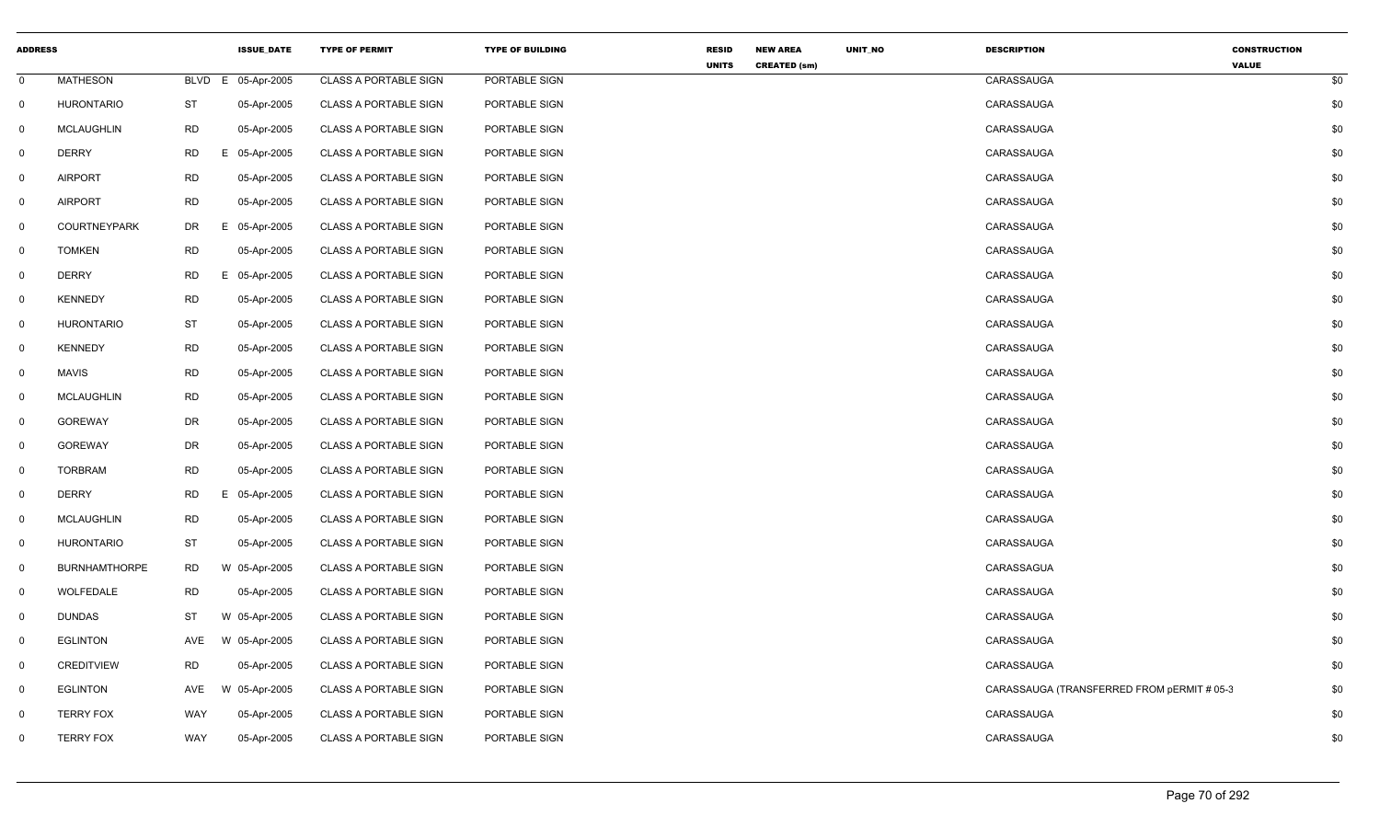| <b>ADDRESS</b> |                      |             | <b>ISSUE DATE</b> | <b>TYPE OF PERMIT</b>        | <b>TYPE OF BUILDING</b> | <b>RESID</b> | <b>NEW AREA</b>     | UNIT_NO | <b>DESCRIPTION</b>                         | <b>CONSTRUCTION</b> |     |
|----------------|----------------------|-------------|-------------------|------------------------------|-------------------------|--------------|---------------------|---------|--------------------------------------------|---------------------|-----|
| $\mathbf 0$    | <b>MATHESON</b>      | <b>BLVD</b> | 05-Apr-2005<br>E  | <b>CLASS A PORTABLE SIGN</b> | PORTABLE SIGN           | <b>UNITS</b> | <b>CREATED (sm)</b> |         | CARASSAUGA                                 | <b>VALUE</b>        | \$0 |
| $\mathbf 0$    | <b>HURONTARIO</b>    | <b>ST</b>   | 05-Apr-2005       | <b>CLASS A PORTABLE SIGN</b> | PORTABLE SIGN           |              |                     |         | CARASSAUGA                                 |                     | \$0 |
| $\mathbf 0$    | <b>MCLAUGHLIN</b>    | <b>RD</b>   | 05-Apr-2005       | <b>CLASS A PORTABLE SIGN</b> | PORTABLE SIGN           |              |                     |         | CARASSAUGA                                 |                     | \$0 |
| $\mathbf 0$    | <b>DERRY</b>         | <b>RD</b>   | 05-Apr-2005<br>Е. | <b>CLASS A PORTABLE SIGN</b> | PORTABLE SIGN           |              |                     |         | CARASSAUGA                                 |                     | \$0 |
| $\mathbf 0$    | <b>AIRPORT</b>       | <b>RD</b>   | 05-Apr-2005       | <b>CLASS A PORTABLE SIGN</b> | PORTABLE SIGN           |              |                     |         | CARASSAUGA                                 |                     | \$0 |
| $\mathbf 0$    | <b>AIRPORT</b>       | <b>RD</b>   | 05-Apr-2005       | <b>CLASS A PORTABLE SIGN</b> | PORTABLE SIGN           |              |                     |         | CARASSAUGA                                 |                     | \$0 |
| $\mathbf 0$    | <b>COURTNEYPARK</b>  | DR          | Е.<br>05-Apr-2005 | <b>CLASS A PORTABLE SIGN</b> | PORTABLE SIGN           |              |                     |         | CARASSAUGA                                 |                     | \$0 |
| $\mathsf{O}$   | <b>TOMKEN</b>        | <b>RD</b>   | 05-Apr-2005       | <b>CLASS A PORTABLE SIGN</b> | PORTABLE SIGN           |              |                     |         | CARASSAUGA                                 |                     | \$0 |
| $\mathbf 0$    | <b>DERRY</b>         | <b>RD</b>   | E.<br>05-Apr-2005 | <b>CLASS A PORTABLE SIGN</b> | PORTABLE SIGN           |              |                     |         | CARASSAUGA                                 |                     | \$0 |
| $\mathbf 0$    | <b>KENNEDY</b>       | <b>RD</b>   | 05-Apr-2005       | <b>CLASS A PORTABLE SIGN</b> | PORTABLE SIGN           |              |                     |         | CARASSAUGA                                 |                     | \$0 |
| $\mathbf 0$    | <b>HURONTARIO</b>    | <b>ST</b>   | 05-Apr-2005       | <b>CLASS A PORTABLE SIGN</b> | PORTABLE SIGN           |              |                     |         | CARASSAUGA                                 |                     | \$0 |
| $\mathbf 0$    | <b>KENNEDY</b>       | <b>RD</b>   | 05-Apr-2005       | CLASS A PORTABLE SIGN        | PORTABLE SIGN           |              |                     |         | CARASSAUGA                                 |                     | \$0 |
| $\mathbf 0$    | <b>MAVIS</b>         | <b>RD</b>   | 05-Apr-2005       | <b>CLASS A PORTABLE SIGN</b> | PORTABLE SIGN           |              |                     |         | CARASSAUGA                                 |                     | \$0 |
| $\mathbf 0$    | <b>MCLAUGHLIN</b>    | <b>RD</b>   | 05-Apr-2005       | <b>CLASS A PORTABLE SIGN</b> | PORTABLE SIGN           |              |                     |         | CARASSAUGA                                 |                     | \$0 |
| $\mathbf 0$    | <b>GOREWAY</b>       | DR          | 05-Apr-2005       | <b>CLASS A PORTABLE SIGN</b> | PORTABLE SIGN           |              |                     |         | CARASSAUGA                                 |                     | \$0 |
| $\mathbf 0$    | <b>GOREWAY</b>       | DR          | 05-Apr-2005       | <b>CLASS A PORTABLE SIGN</b> | PORTABLE SIGN           |              |                     |         | CARASSAUGA                                 |                     | \$0 |
| $\mathbf 0$    | <b>TORBRAM</b>       | <b>RD</b>   | 05-Apr-2005       | <b>CLASS A PORTABLE SIGN</b> | PORTABLE SIGN           |              |                     |         | CARASSAUGA                                 |                     | \$0 |
| $\mathsf{O}$   | <b>DERRY</b>         | <b>RD</b>   | E.<br>05-Apr-2005 | <b>CLASS A PORTABLE SIGN</b> | PORTABLE SIGN           |              |                     |         | CARASSAUGA                                 |                     | \$0 |
| $\mathbf 0$    | MCLAUGHLIN           | <b>RD</b>   | 05-Apr-2005       | <b>CLASS A PORTABLE SIGN</b> | PORTABLE SIGN           |              |                     |         | CARASSAUGA                                 |                     | \$0 |
| $\mathbf 0$    | <b>HURONTARIO</b>    | <b>ST</b>   | 05-Apr-2005       | <b>CLASS A PORTABLE SIGN</b> | PORTABLE SIGN           |              |                     |         | CARASSAUGA                                 |                     | \$0 |
| $\mathbf 0$    | <b>BURNHAMTHORPE</b> | <b>RD</b>   | W 05-Apr-2005     | <b>CLASS A PORTABLE SIGN</b> | PORTABLE SIGN           |              |                     |         | CARASSAGUA                                 |                     | \$0 |
| $\mathbf 0$    | WOLFEDALE            | <b>RD</b>   | 05-Apr-2005       | <b>CLASS A PORTABLE SIGN</b> | PORTABLE SIGN           |              |                     |         | CARASSAUGA                                 |                     | \$0 |
| $\mathbf 0$    | <b>DUNDAS</b>        | <b>ST</b>   | W 05-Apr-2005     | <b>CLASS A PORTABLE SIGN</b> | PORTABLE SIGN           |              |                     |         | CARASSAUGA                                 |                     | \$0 |
| $\mathbf 0$    | <b>EGLINTON</b>      | AVE         | W 05-Apr-2005     | <b>CLASS A PORTABLE SIGN</b> | PORTABLE SIGN           |              |                     |         | CARASSAUGA                                 |                     | \$0 |
| $\mathbf 0$    | <b>CREDITVIEW</b>    | <b>RD</b>   | 05-Apr-2005       | <b>CLASS A PORTABLE SIGN</b> | PORTABLE SIGN           |              |                     |         | CARASSAUGA                                 |                     | \$0 |
| $\mathbf 0$    | <b>EGLINTON</b>      | AVE         | W 05-Apr-2005     | <b>CLASS A PORTABLE SIGN</b> | PORTABLE SIGN           |              |                     |         | CARASSAUGA (TRANSFERRED FROM pERMIT # 05-3 |                     | \$0 |
| $\mathbf 0$    | <b>TERRY FOX</b>     | WAY         | 05-Apr-2005       | <b>CLASS A PORTABLE SIGN</b> | PORTABLE SIGN           |              |                     |         | CARASSAUGA                                 |                     | \$0 |
| $\mathbf 0$    | <b>TERRY FOX</b>     | WAY         | 05-Apr-2005       | <b>CLASS A PORTABLE SIGN</b> | PORTABLE SIGN           |              |                     |         | CARASSAUGA                                 |                     | \$0 |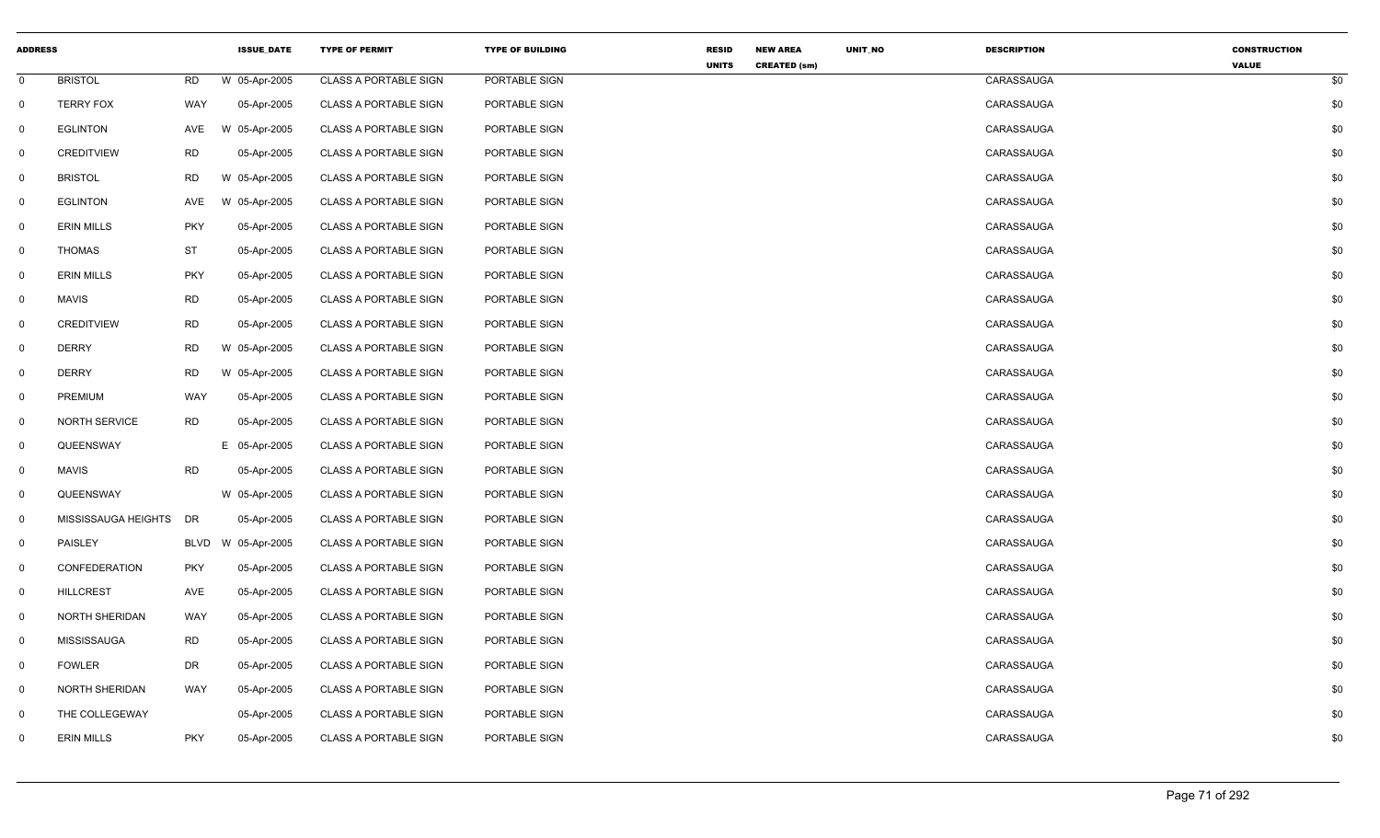| <b>ADDRESS</b> |                        |             | <b>ISSUE DATE</b> | <b>TYPE OF PERMIT</b>        | <b>TYPE OF BUILDING</b> | <b>RESID</b> | <b>NEW AREA</b>     | UNIT_NO | <b>DESCRIPTION</b> | <b>CONSTRUCTION</b> |     |
|----------------|------------------------|-------------|-------------------|------------------------------|-------------------------|--------------|---------------------|---------|--------------------|---------------------|-----|
| $\mathbf 0$    | <b>BRISTOL</b>         | RD          | W 05-Apr-2005     | <b>CLASS A PORTABLE SIGN</b> | PORTABLE SIGN           | <b>UNITS</b> | <b>CREATED (sm)</b> |         | CARASSAUGA         | <b>VALUE</b>        | \$0 |
| $\mathbf 0$    | <b>TERRY FOX</b>       | WAY         | 05-Apr-2005       | <b>CLASS A PORTABLE SIGN</b> | PORTABLE SIGN           |              |                     |         | CARASSAUGA         |                     | \$0 |
| $\mathbf 0$    | <b>EGLINTON</b>        | AVE         | W 05-Apr-2005     | <b>CLASS A PORTABLE SIGN</b> | PORTABLE SIGN           |              |                     |         | CARASSAUGA         |                     | \$0 |
| $\mathbf 0$    | <b>CREDITVIEW</b>      | <b>RD</b>   | 05-Apr-2005       | <b>CLASS A PORTABLE SIGN</b> | PORTABLE SIGN           |              |                     |         | CARASSAUGA         |                     | \$0 |
| $\mathbf 0$    | <b>BRISTOL</b>         | <b>RD</b>   | W 05-Apr-2005     | <b>CLASS A PORTABLE SIGN</b> | PORTABLE SIGN           |              |                     |         | CARASSAUGA         |                     | \$0 |
| $\mathbf 0$    | <b>EGLINTON</b>        | AVE         | W 05-Apr-2005     | <b>CLASS A PORTABLE SIGN</b> | PORTABLE SIGN           |              |                     |         | CARASSAUGA         |                     | \$0 |
| $\mathbf 0$    | <b>ERIN MILLS</b>      | <b>PKY</b>  | 05-Apr-2005       | <b>CLASS A PORTABLE SIGN</b> | PORTABLE SIGN           |              |                     |         | CARASSAUGA         |                     | \$0 |
|                | <b>THOMAS</b>          | <b>ST</b>   |                   |                              |                         |              |                     |         | CARASSAUGA         |                     |     |
| $\mathsf{O}$   |                        |             | 05-Apr-2005       | <b>CLASS A PORTABLE SIGN</b> | PORTABLE SIGN           |              |                     |         |                    |                     | \$0 |
| $\mathbf 0$    | <b>ERIN MILLS</b>      | <b>PKY</b>  | 05-Apr-2005       | <b>CLASS A PORTABLE SIGN</b> | PORTABLE SIGN           |              |                     |         | CARASSAUGA         |                     | \$0 |
| $\mathbf 0$    | <b>MAVIS</b>           | <b>RD</b>   | 05-Apr-2005       | <b>CLASS A PORTABLE SIGN</b> | PORTABLE SIGN           |              |                     |         | CARASSAUGA         |                     | \$0 |
| $\mathbf 0$    | CREDITVIEW             | <b>RD</b>   | 05-Apr-2005       | <b>CLASS A PORTABLE SIGN</b> | PORTABLE SIGN           |              |                     |         | CARASSAUGA         |                     | \$0 |
| $\mathbf 0$    | <b>DERRY</b>           | RD          | W 05-Apr-2005     | CLASS A PORTABLE SIGN        | PORTABLE SIGN           |              |                     |         | CARASSAUGA         |                     | \$0 |
| $\mathbf 0$    | <b>DERRY</b>           | <b>RD</b>   | W 05-Apr-2005     | <b>CLASS A PORTABLE SIGN</b> | PORTABLE SIGN           |              |                     |         | CARASSAUGA         |                     | \$0 |
| $\mathbf 0$    | PREMIUM                | WAY         | 05-Apr-2005       | <b>CLASS A PORTABLE SIGN</b> | PORTABLE SIGN           |              |                     |         | CARASSAUGA         |                     | \$0 |
| $\mathbf 0$    | <b>NORTH SERVICE</b>   | <b>RD</b>   | 05-Apr-2005       | <b>CLASS A PORTABLE SIGN</b> | PORTABLE SIGN           |              |                     |         | CARASSAUGA         |                     | \$0 |
| $\mathbf 0$    | QUEENSWAY              |             | E 05-Apr-2005     | <b>CLASS A PORTABLE SIGN</b> | PORTABLE SIGN           |              |                     |         | CARASSAUGA         |                     | \$0 |
| $\mathbf 0$    | <b>MAVIS</b>           | <b>RD</b>   | 05-Apr-2005       | <b>CLASS A PORTABLE SIGN</b> | PORTABLE SIGN           |              |                     |         | CARASSAUGA         |                     | \$0 |
| $\mathsf{O}$   | QUEENSWAY              |             | W 05-Apr-2005     | <b>CLASS A PORTABLE SIGN</b> | PORTABLE SIGN           |              |                     |         | CARASSAUGA         |                     | \$0 |
| $\mathbf 0$    | MISSISSAUGA HEIGHTS DR |             | 05-Apr-2005       | <b>CLASS A PORTABLE SIGN</b> | PORTABLE SIGN           |              |                     |         | CARASSAUGA         |                     | \$0 |
| $\mathbf 0$    | PAISLEY                | <b>BLVD</b> | W 05-Apr-2005     | <b>CLASS A PORTABLE SIGN</b> | PORTABLE SIGN           |              |                     |         | CARASSAUGA         |                     | \$0 |
| $\mathbf 0$    | CONFEDERATION          | <b>PKY</b>  | 05-Apr-2005       | <b>CLASS A PORTABLE SIGN</b> | PORTABLE SIGN           |              |                     |         | CARASSAUGA         |                     | \$0 |
| $\mathbf 0$    | <b>HILLCREST</b>       | AVE         | 05-Apr-2005       | <b>CLASS A PORTABLE SIGN</b> | PORTABLE SIGN           |              |                     |         | CARASSAUGA         |                     | \$0 |
| $\mathbf 0$    | NORTH SHERIDAN         | WAY         | 05-Apr-2005       | <b>CLASS A PORTABLE SIGN</b> | PORTABLE SIGN           |              |                     |         | CARASSAUGA         |                     | \$0 |
| $\mathbf 0$    | MISSISSAUGA            | <b>RD</b>   | 05-Apr-2005       | <b>CLASS A PORTABLE SIGN</b> | PORTABLE SIGN           |              |                     |         | CARASSAUGA         |                     | \$0 |
| $\mathbf{0}$   | <b>FOWLER</b>          | DR          | 05-Apr-2005       | <b>CLASS A PORTABLE SIGN</b> | PORTABLE SIGN           |              |                     |         | CARASSAUGA         |                     | \$0 |
| $\mathbf 0$    | <b>NORTH SHERIDAN</b>  | WAY         | 05-Apr-2005       | <b>CLASS A PORTABLE SIGN</b> | PORTABLE SIGN           |              |                     |         | CARASSAUGA         |                     | \$0 |
| $\mathbf{0}$   | THE COLLEGEWAY         |             | 05-Apr-2005       | <b>CLASS A PORTABLE SIGN</b> | PORTABLE SIGN           |              |                     |         | CARASSAUGA         |                     | \$0 |
| $\mathbf 0$    | <b>ERIN MILLS</b>      | <b>PKY</b>  | 05-Apr-2005       | <b>CLASS A PORTABLE SIGN</b> | PORTABLE SIGN           |              |                     |         | CARASSAUGA         |                     | \$0 |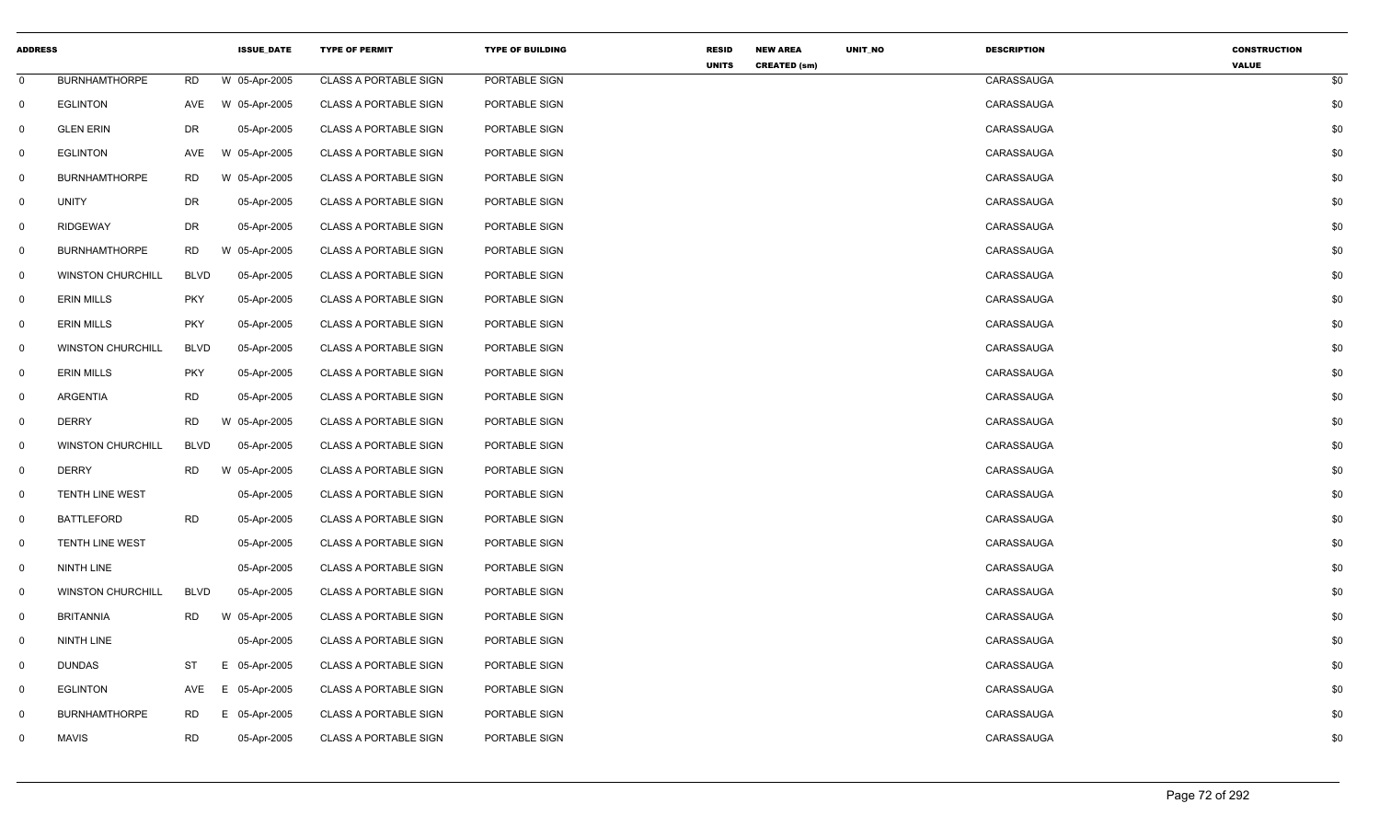| <b>ADDRESS</b> |                          |             | <b>ISSUE DATE</b> | <b>TYPE OF PERMIT</b>        | <b>TYPE OF BUILDING</b> | <b>RESID</b> | <b>NEW AREA</b>     | UNIT_NO | <b>DESCRIPTION</b> | <b>CONSTRUCTION</b> |     |
|----------------|--------------------------|-------------|-------------------|------------------------------|-------------------------|--------------|---------------------|---------|--------------------|---------------------|-----|
| $\mathbf 0$    | <b>BURNHAMTHORPE</b>     | <b>RD</b>   | W 05-Apr-2005     | <b>CLASS A PORTABLE SIGN</b> | PORTABLE SIGN           | <b>UNITS</b> | <b>CREATED (sm)</b> |         | CARASSAUGA         | <b>VALUE</b>        | \$0 |
| $\mathbf 0$    | <b>EGLINTON</b>          | AVE         | W 05-Apr-2005     | <b>CLASS A PORTABLE SIGN</b> | PORTABLE SIGN           |              |                     |         | CARASSAUGA         |                     | \$0 |
| $\mathbf 0$    | <b>GLEN ERIN</b>         | <b>DR</b>   | 05-Apr-2005       | <b>CLASS A PORTABLE SIGN</b> | PORTABLE SIGN           |              |                     |         | CARASSAUGA         |                     | \$0 |
| $\mathbf 0$    | <b>EGLINTON</b>          | AVE         | W 05-Apr-2005     | <b>CLASS A PORTABLE SIGN</b> | PORTABLE SIGN           |              |                     |         | CARASSAUGA         |                     | \$0 |
| $\mathbf 0$    | <b>BURNHAMTHORPE</b>     | <b>RD</b>   | W 05-Apr-2005     | <b>CLASS A PORTABLE SIGN</b> | PORTABLE SIGN           |              |                     |         | CARASSAUGA         |                     | \$0 |
| $\mathbf 0$    | <b>UNITY</b>             | <b>DR</b>   | 05-Apr-2005       | <b>CLASS A PORTABLE SIGN</b> | PORTABLE SIGN           |              |                     |         | CARASSAUGA         |                     | \$0 |
| $\mathbf{0}$   | RIDGEWAY                 | DR          | 05-Apr-2005       | <b>CLASS A PORTABLE SIGN</b> | PORTABLE SIGN           |              |                     |         | CARASSAUGA         |                     | \$0 |
| $\mathsf{O}$   | <b>BURNHAMTHORPE</b>     | RD          | W 05-Apr-2005     | <b>CLASS A PORTABLE SIGN</b> | PORTABLE SIGN           |              |                     |         | CARASSAUGA         |                     | \$0 |
| $\mathbf{0}$   | <b>WINSTON CHURCHILL</b> | <b>BLVD</b> | 05-Apr-2005       | <b>CLASS A PORTABLE SIGN</b> | PORTABLE SIGN           |              |                     |         | CARASSAUGA         |                     | \$0 |
| $\mathbf 0$    | <b>ERIN MILLS</b>        | <b>PKY</b>  | 05-Apr-2005       | <b>CLASS A PORTABLE SIGN</b> | PORTABLE SIGN           |              |                     |         | CARASSAUGA         |                     | \$0 |
| $\mathbf 0$    | <b>ERIN MILLS</b>        | <b>PKY</b>  | 05-Apr-2005       | <b>CLASS A PORTABLE SIGN</b> | PORTABLE SIGN           |              |                     |         | CARASSAUGA         |                     | \$0 |
| $\mathbf 0$    | <b>WINSTON CHURCHILL</b> | <b>BLVD</b> | 05-Apr-2005       | <b>CLASS A PORTABLE SIGN</b> | PORTABLE SIGN           |              |                     |         | CARASSAUGA         |                     | \$0 |
| $\mathsf{O}$   | <b>ERIN MILLS</b>        | <b>PKY</b>  | 05-Apr-2005       | <b>CLASS A PORTABLE SIGN</b> | PORTABLE SIGN           |              |                     |         | CARASSAUGA         |                     | \$0 |
| $\mathbf 0$    | ARGENTIA                 | <b>RD</b>   | 05-Apr-2005       | <b>CLASS A PORTABLE SIGN</b> | PORTABLE SIGN           |              |                     |         | CARASSAUGA         |                     | \$0 |
| $\mathbf 0$    | <b>DERRY</b>             | <b>RD</b>   | W 05-Apr-2005     | <b>CLASS A PORTABLE SIGN</b> | PORTABLE SIGN           |              |                     |         | CARASSAUGA         |                     | \$0 |
| $\mathbf 0$    | <b>WINSTON CHURCHILL</b> | <b>BLVD</b> | 05-Apr-2005       | <b>CLASS A PORTABLE SIGN</b> | PORTABLE SIGN           |              |                     |         | CARASSAUGA         |                     | \$0 |
| $\mathbf 0$    | <b>DERRY</b>             | RD          | W 05-Apr-2005     | <b>CLASS A PORTABLE SIGN</b> | PORTABLE SIGN           |              |                     |         | CARASSAUGA         |                     | \$0 |
| $\mathsf{O}$   | <b>TENTH LINE WEST</b>   |             | 05-Apr-2005       | <b>CLASS A PORTABLE SIGN</b> | PORTABLE SIGN           |              |                     |         | CARASSAUGA         |                     | \$0 |
| $\mathbf 0$    | <b>BATTLEFORD</b>        | <b>RD</b>   | 05-Apr-2005       | <b>CLASS A PORTABLE SIGN</b> | PORTABLE SIGN           |              |                     |         | CARASSAUGA         |                     | \$0 |
| $\mathbf 0$    | TENTH LINE WEST          |             | 05-Apr-2005       | <b>CLASS A PORTABLE SIGN</b> | PORTABLE SIGN           |              |                     |         | CARASSAUGA         |                     | \$0 |
| $\mathbf 0$    | <b>NINTH LINE</b>        |             | 05-Apr-2005       | <b>CLASS A PORTABLE SIGN</b> | PORTABLE SIGN           |              |                     |         | CARASSAUGA         |                     | \$0 |
| $\mathbf 0$    | <b>WINSTON CHURCHILL</b> | <b>BLVD</b> | 05-Apr-2005       | <b>CLASS A PORTABLE SIGN</b> | PORTABLE SIGN           |              |                     |         | CARASSAUGA         |                     | \$0 |
| $\mathbf 0$    | BRITANNIA                | RD          | W 05-Apr-2005     | <b>CLASS A PORTABLE SIGN</b> | PORTABLE SIGN           |              |                     |         | CARASSAUGA         |                     | \$0 |
| $\mathbf 0$    | NINTH LINE               |             | 05-Apr-2005       | <b>CLASS A PORTABLE SIGN</b> | PORTABLE SIGN           |              |                     |         | CARASSAUGA         |                     | \$0 |
| $\mathbf 0$    | <b>DUNDAS</b>            | ST          | Е.<br>05-Apr-2005 | <b>CLASS A PORTABLE SIGN</b> | PORTABLE SIGN           |              |                     |         | CARASSAUGA         |                     | \$0 |
| $\mathbf 0$    | <b>EGLINTON</b>          | AVE         | 05-Apr-2005<br>E. | <b>CLASS A PORTABLE SIGN</b> | PORTABLE SIGN           |              |                     |         | CARASSAUGA         |                     | \$0 |
| $\mathbf 0$    | <b>BURNHAMTHORPE</b>     | <b>RD</b>   | E.<br>05-Apr-2005 | <b>CLASS A PORTABLE SIGN</b> | PORTABLE SIGN           |              |                     |         | CARASSAUGA         |                     | \$0 |
| $\mathbf 0$    | <b>MAVIS</b>             | <b>RD</b>   | 05-Apr-2005       | <b>CLASS A PORTABLE SIGN</b> | PORTABLE SIGN           |              |                     |         | CARASSAUGA         |                     | \$0 |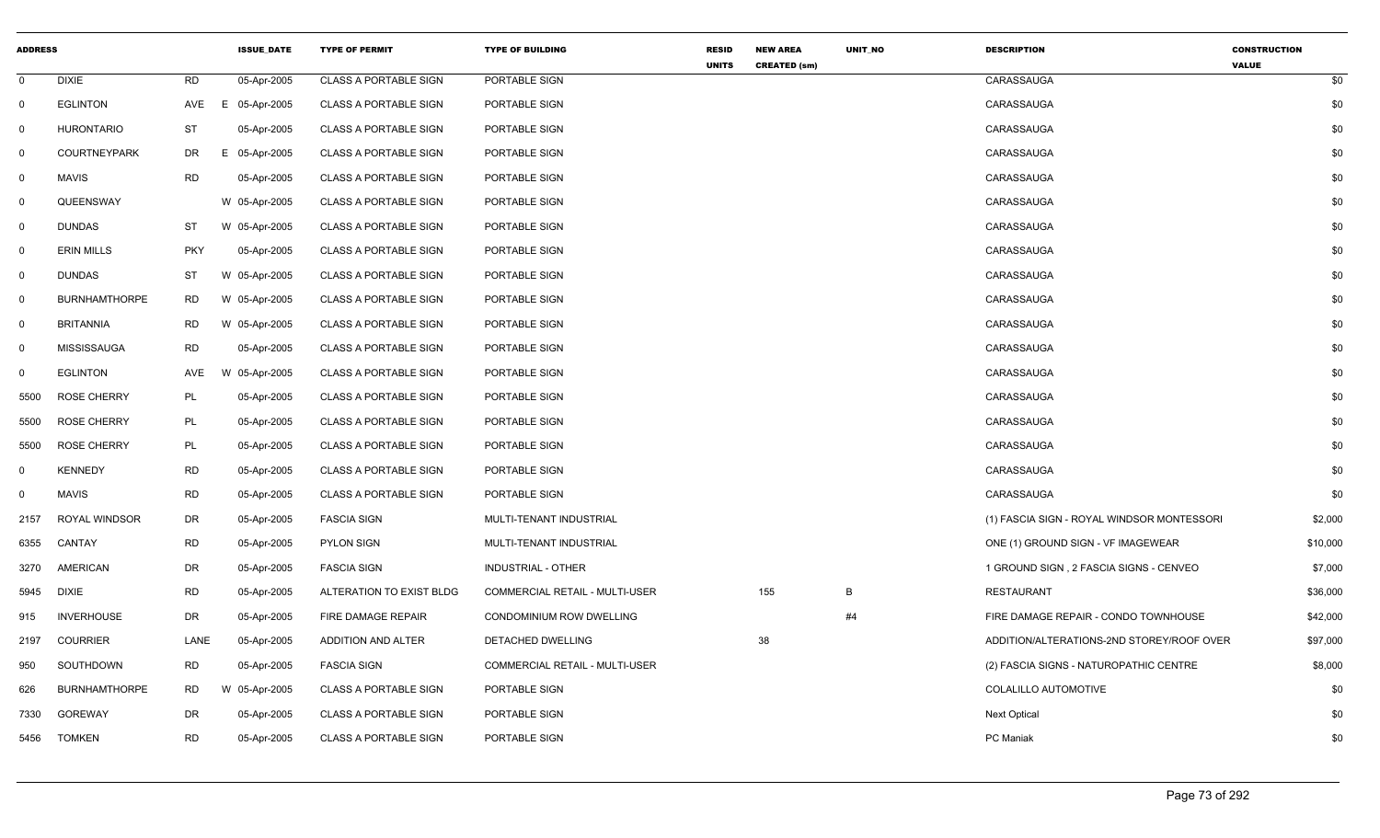| <b>ADDRESS</b> |                      |            | <b>ISSUE_DATE</b> | <b>TYPE OF PERMIT</b>        | <b>TYPE OF BUILDING</b>               | <b>RESID</b> | <b>NEW AREA</b>     | UNIT_NO | <b>DESCRIPTION</b>                         | <b>CONSTRUCTION</b> |  |
|----------------|----------------------|------------|-------------------|------------------------------|---------------------------------------|--------------|---------------------|---------|--------------------------------------------|---------------------|--|
| $\mathbf 0$    | <b>DIXIE</b>         | <b>RD</b>  | 05-Apr-2005       | <b>CLASS A PORTABLE SIGN</b> | PORTABLE SIGN                         | <b>UNITS</b> | <b>CREATED (sm)</b> |         | CARASSAUGA                                 | <b>VALUE</b><br>\$0 |  |
| $\mathbf 0$    | <b>EGLINTON</b>      | AVE        | E<br>05-Apr-2005  | <b>CLASS A PORTABLE SIGN</b> | PORTABLE SIGN                         |              |                     |         | CARASSAUGA                                 | \$0                 |  |
| $\overline{0}$ | <b>HURONTARIO</b>    | <b>ST</b>  | 05-Apr-2005       | <b>CLASS A PORTABLE SIGN</b> | PORTABLE SIGN                         |              |                     |         | CARASSAUGA                                 | \$0                 |  |
| $\mathbf 0$    | <b>COURTNEYPARK</b>  | DR.        | E 05-Apr-2005     | <b>CLASS A PORTABLE SIGN</b> | PORTABLE SIGN                         |              |                     |         | CARASSAUGA                                 | \$0                 |  |
| $\mathbf 0$    | <b>MAVIS</b>         | <b>RD</b>  | 05-Apr-2005       | <b>CLASS A PORTABLE SIGN</b> | PORTABLE SIGN                         |              |                     |         | CARASSAUGA                                 | \$0                 |  |
| $\mathbf 0$    | QUEENSWAY            |            | W 05-Apr-2005     | <b>CLASS A PORTABLE SIGN</b> | PORTABLE SIGN                         |              |                     |         | CARASSAUGA                                 | \$0                 |  |
| $\mathbf{0}$   | <b>DUNDAS</b>        | ST         | W 05-Apr-2005     | <b>CLASS A PORTABLE SIGN</b> | PORTABLE SIGN                         |              |                     |         | CARASSAUGA                                 | \$0                 |  |
| $\mathbf 0$    | <b>ERIN MILLS</b>    | <b>PKY</b> | 05-Apr-2005       | <b>CLASS A PORTABLE SIGN</b> | PORTABLE SIGN                         |              |                     |         | CARASSAUGA                                 | \$0                 |  |
| $\mathbf{0}$   | <b>DUNDAS</b>        | ST         | W 05-Apr-2005     | <b>CLASS A PORTABLE SIGN</b> | PORTABLE SIGN                         |              |                     |         | CARASSAUGA                                 | \$0                 |  |
| $\mathbf 0$    | <b>BURNHAMTHORPE</b> | <b>RD</b>  | W 05-Apr-2005     | <b>CLASS A PORTABLE SIGN</b> | PORTABLE SIGN                         |              |                     |         | CARASSAUGA                                 | \$0                 |  |
| $\mathbf 0$    | <b>BRITANNIA</b>     | <b>RD</b>  | W 05-Apr-2005     | <b>CLASS A PORTABLE SIGN</b> | PORTABLE SIGN                         |              |                     |         | CARASSAUGA                                 | \$0                 |  |
| $\overline{0}$ | <b>MISSISSAUGA</b>   | <b>RD</b>  | 05-Apr-2005       | <b>CLASS A PORTABLE SIGN</b> | PORTABLE SIGN                         |              |                     |         | CARASSAUGA                                 | \$0                 |  |
| $\mathbf 0$    | <b>EGLINTON</b>      | AVE        | W 05-Apr-2005     | <b>CLASS A PORTABLE SIGN</b> | PORTABLE SIGN                         |              |                     |         | CARASSAUGA                                 | \$0                 |  |
| 5500           | <b>ROSE CHERRY</b>   | PL         | 05-Apr-2005       | <b>CLASS A PORTABLE SIGN</b> | PORTABLE SIGN                         |              |                     |         | CARASSAUGA                                 | \$0                 |  |
| 5500           | <b>ROSE CHERRY</b>   | <b>PL</b>  | 05-Apr-2005       | <b>CLASS A PORTABLE SIGN</b> | PORTABLE SIGN                         |              |                     |         | CARASSAUGA                                 | \$0                 |  |
| 5500           | <b>ROSE CHERRY</b>   | PL         | 05-Apr-2005       | <b>CLASS A PORTABLE SIGN</b> | PORTABLE SIGN                         |              |                     |         | CARASSAUGA                                 | \$0                 |  |
| 0              | <b>KENNEDY</b>       | <b>RD</b>  | 05-Apr-2005       | <b>CLASS A PORTABLE SIGN</b> | PORTABLE SIGN                         |              |                     |         | CARASSAUGA                                 | \$0                 |  |
| $\mathbf 0$    | <b>MAVIS</b>         | <b>RD</b>  | 05-Apr-2005       | <b>CLASS A PORTABLE SIGN</b> | PORTABLE SIGN                         |              |                     |         | CARASSAUGA                                 | \$0                 |  |
| 2157           | ROYAL WINDSOR        | DR.        | 05-Apr-2005       | <b>FASCIA SIGN</b>           | MULTI-TENANT INDUSTRIAL               |              |                     |         | (1) FASCIA SIGN - ROYAL WINDSOR MONTESSORI | \$2,000             |  |
| 6355           | CANTAY               | <b>RD</b>  | 05-Apr-2005       | <b>PYLON SIGN</b>            | MULTI-TENANT INDUSTRIAL               |              |                     |         | ONE (1) GROUND SIGN - VF IMAGEWEAR         | \$10,000            |  |
| 3270           | <b>AMERICAN</b>      | <b>DR</b>  | 05-Apr-2005       | <b>FASCIA SIGN</b>           | INDUSTRIAL - OTHER                    |              |                     |         | 1 GROUND SIGN, 2 FASCIA SIGNS - CENVEO     | \$7,000             |  |
| 5945           | <b>DIXIE</b>         | <b>RD</b>  | 05-Apr-2005       | ALTERATION TO EXIST BLDG     | <b>COMMERCIAL RETAIL - MULTI-USER</b> |              | 155                 | B       | <b>RESTAURANT</b>                          | \$36,000            |  |
| 915            | <b>INVERHOUSE</b>    | DR         | 05-Apr-2005       | <b>FIRE DAMAGE REPAIR</b>    | CONDOMINIUM ROW DWELLING              |              |                     | #4      | FIRE DAMAGE REPAIR - CONDO TOWNHOUSE       | \$42,000            |  |
| 2197           | <b>COURRIER</b>      | LANE       | 05-Apr-2005       | ADDITION AND ALTER           | DETACHED DWELLING                     |              | 38                  |         | ADDITION/ALTERATIONS-2ND STOREY/ROOF OVER  | \$97,000            |  |
| 950            | SOUTHDOWN            | <b>RD</b>  | 05-Apr-2005       | <b>FASCIA SIGN</b>           | COMMERCIAL RETAIL - MULTI-USER        |              |                     |         | (2) FASCIA SIGNS - NATUROPATHIC CENTRE     | \$8,000             |  |
| 626            | <b>BURNHAMTHORPE</b> | <b>RD</b>  | W 05-Apr-2005     | <b>CLASS A PORTABLE SIGN</b> | PORTABLE SIGN                         |              |                     |         | COLALILLO AUTOMOTIVE                       | \$0                 |  |
| 7330           | <b>GOREWAY</b>       | <b>DR</b>  | 05-Apr-2005       | <b>CLASS A PORTABLE SIGN</b> | PORTABLE SIGN                         |              |                     |         | <b>Next Optical</b>                        | \$0                 |  |
| 5456           | <b>TOMKEN</b>        | <b>RD</b>  | 05-Apr-2005       | <b>CLASS A PORTABLE SIGN</b> | PORTABLE SIGN                         |              |                     |         | <b>PC</b> Maniak                           | \$0                 |  |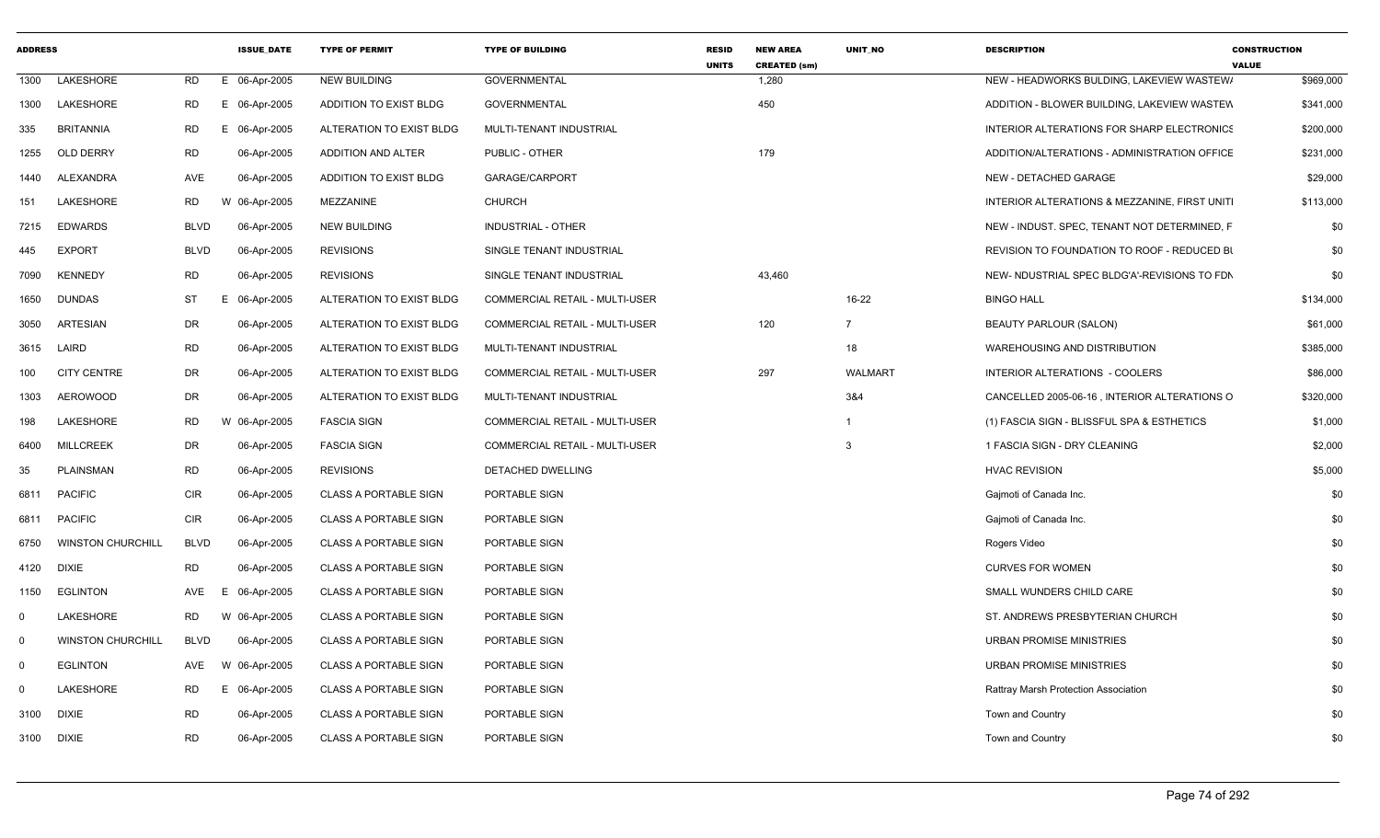| <b>ADDRESS</b> |                          |             | <b>ISSUE DATE</b> | <b>TYPE OF PERMIT</b>         | <b>TYPE OF BUILDING</b>               | <b>RESID</b><br><b>UNITS</b> | <b>NEW AREA</b><br><b>CREATED (sm)</b> | <b>UNIT NO</b> | <b>DESCRIPTION</b>                            | <b>CONSTRUCTION</b><br><b>VALUE</b> |
|----------------|--------------------------|-------------|-------------------|-------------------------------|---------------------------------------|------------------------------|----------------------------------------|----------------|-----------------------------------------------|-------------------------------------|
| 1300           | LAKESHORE                | RD          | E 06-Apr-2005     | <b>NEW BUILDING</b>           | <b>GOVERNMENTAL</b>                   |                              | 1,280                                  |                | NEW - HEADWORKS BULDING, LAKEVIEW WASTEW/     | \$969,000                           |
| 1300           | LAKESHORE                | RD          | E 06-Apr-2005     | ADDITION TO EXIST BLDG        | <b>GOVERNMENTAL</b>                   |                              | 450                                    |                | ADDITION - BLOWER BUILDING, LAKEVIEW WASTEW   | \$341,000                           |
| 335            | <b>BRITANNIA</b>         | <b>RD</b>   | 06-Apr-2005<br>Е. | ALTERATION TO EXIST BLDG      | MULTI-TENANT INDUSTRIAL               |                              |                                        |                | INTERIOR ALTERATIONS FOR SHARP ELECTRONICS    | \$200,000                           |
| 1255           | OLD DERRY                | <b>RD</b>   | 06-Apr-2005       | <b>ADDITION AND ALTER</b>     | PUBLIC - OTHER                        |                              | 179                                    |                | ADDITION/ALTERATIONS - ADMINISTRATION OFFICE  | \$231,000                           |
| 1440           | ALEXANDRA                | AVE         | 06-Apr-2005       | <b>ADDITION TO EXIST BLDG</b> | GARAGE/CARPORT                        |                              |                                        |                | NEW - DETACHED GARAGE                         | \$29,000                            |
| 151            | LAKESHORE                | RD          | W 06-Apr-2005     | MEZZANINE                     | <b>CHURCH</b>                         |                              |                                        |                | INTERIOR ALTERATIONS & MEZZANINE, FIRST UNITI | \$113,000                           |
| 7215           | <b>EDWARDS</b>           | <b>BLVD</b> | 06-Apr-2005       | <b>NEW BUILDING</b>           | <b>INDUSTRIAL - OTHER</b>             |                              |                                        |                | NEW - INDUST. SPEC, TENANT NOT DETERMINED, F  | \$0                                 |
| 445            | <b>EXPORT</b>            | <b>BLVD</b> | 06-Apr-2005       | <b>REVISIONS</b>              | SINGLE TENANT INDUSTRIAL              |                              |                                        |                | REVISION TO FOUNDATION TO ROOF - REDUCED BI   | \$0                                 |
| 7090           | <b>KENNEDY</b>           | <b>RD</b>   | 06-Apr-2005       | <b>REVISIONS</b>              | SINGLE TENANT INDUSTRIAL              |                              | 43,460                                 |                | NEW- NDUSTRIAL SPEC BLDG'A'-REVISIONS TO FDN  | \$0                                 |
| 1650           | <b>DUNDAS</b>            | <b>ST</b>   | 06-Apr-2005<br>F. | ALTERATION TO EXIST BLDG      | COMMERCIAL RETAIL - MULTI-USER        |                              |                                        | 16-22          | <b>BINGO HALL</b>                             | \$134,000                           |
| 3050           | ARTESIAN                 | DR          | 06-Apr-2005       | ALTERATION TO EXIST BLDG      | <b>COMMERCIAL RETAIL - MULTI-USER</b> |                              | 120                                    | $\overline{7}$ | <b>BEAUTY PARLOUR (SALON)</b>                 | \$61,000                            |
| 3615           | LAIRD                    | RD          | 06-Apr-2005       | ALTERATION TO EXIST BLDG      | MULTI-TENANT INDUSTRIAL               |                              |                                        | 18             | WAREHOUSING AND DISTRIBUTION                  | \$385,000                           |
| 100            | <b>CITY CENTRE</b>       | DR          | 06-Apr-2005       | ALTERATION TO EXIST BLDG      | <b>COMMERCIAL RETAIL - MULTI-USER</b> |                              | 297                                    | <b>WALMART</b> | INTERIOR ALTERATIONS - COOLERS                | \$86,000                            |
| 1303           | AEROWOOD                 | DR          | 06-Apr-2005       | ALTERATION TO EXIST BLDG      | MULTI-TENANT INDUSTRIAL               |                              |                                        | 3&4            | CANCELLED 2005-06-16, INTERIOR ALTERATIONS O  | \$320,000                           |
| 198            | <b>LAKESHORE</b>         | <b>RD</b>   | W 06-Apr-2005     | <b>FASCIA SIGN</b>            | <b>COMMERCIAL RETAIL - MULTI-USER</b> |                              |                                        | -1             | (1) FASCIA SIGN - BLISSFUL SPA & ESTHETICS    | \$1,000                             |
| 6400           | <b>MILLCREEK</b>         | DR          | 06-Apr-2005       | <b>FASCIA SIGN</b>            | COMMERCIAL RETAIL - MULTI-USER        |                              |                                        | 3              | 1 FASCIA SIGN - DRY CLEANING                  | \$2,000                             |
| 35             | <b>PLAINSMAN</b>         | <b>RD</b>   | 06-Apr-2005       | <b>REVISIONS</b>              | DETACHED DWELLING                     |                              |                                        |                | <b>HVAC REVISION</b>                          | \$5,000                             |
| 6811           | <b>PACIFIC</b>           | <b>CIR</b>  | 06-Apr-2005       | <b>CLASS A PORTABLE SIGN</b>  | PORTABLE SIGN                         |                              |                                        |                | Gaimoti of Canada Inc.                        | \$0                                 |
| 6811           | <b>PACIFIC</b>           | <b>CIR</b>  | 06-Apr-2005       | <b>CLASS A PORTABLE SIGN</b>  | PORTABLE SIGN                         |                              |                                        |                | Gajmoti of Canada Inc.                        | \$0                                 |
| 6750           | <b>WINSTON CHURCHILL</b> | <b>BLVD</b> | 06-Apr-2005       | <b>CLASS A PORTABLE SIGN</b>  | PORTABLE SIGN                         |                              |                                        |                | Rogers Video                                  | \$0                                 |
| 4120           | <b>DIXIE</b>             | <b>RD</b>   | 06-Apr-2005       | <b>CLASS A PORTABLE SIGN</b>  | PORTABLE SIGN                         |                              |                                        |                | <b>CURVES FOR WOMEN</b>                       | \$0                                 |
| 1150           | <b>EGLINTON</b>          | AVE         | 06-Apr-2005<br>F. | <b>CLASS A PORTABLE SIGN</b>  | PORTABLE SIGN                         |                              |                                        |                | SMALL WUNDERS CHILD CARE                      | \$0                                 |
| $\mathbf 0$    | LAKESHORE                | RD          | W 06-Apr-2005     | <b>CLASS A PORTABLE SIGN</b>  | PORTABLE SIGN                         |                              |                                        |                | ST. ANDREWS PRESBYTERIAN CHURCH               | \$0                                 |
| $\mathbf 0$    | <b>WINSTON CHURCHILL</b> | <b>BLVD</b> | 06-Apr-2005       | <b>CLASS A PORTABLE SIGN</b>  | PORTABLE SIGN                         |                              |                                        |                | URBAN PROMISE MINISTRIES                      | \$0                                 |
| $\mathbf 0$    | <b>EGLINTON</b>          | AVE         | W 06-Apr-2005     | <b>CLASS A PORTABLE SIGN</b>  | PORTABLE SIGN                         |                              |                                        |                | <b>URBAN PROMISE MINISTRIES</b>               | \$0                                 |
| $\mathbf 0$    | LAKESHORE                | RD          | E 06-Apr-2005     | <b>CLASS A PORTABLE SIGN</b>  | PORTABLE SIGN                         |                              |                                        |                | Rattray Marsh Protection Association          | \$0                                 |
| 3100           | <b>DIXIE</b>             | <b>RD</b>   | 06-Apr-2005       | <b>CLASS A PORTABLE SIGN</b>  | PORTABLE SIGN                         |                              |                                        |                | Town and Country                              | \$0                                 |
| 3100           | <b>DIXIE</b>             | <b>RD</b>   | 06-Apr-2005       | <b>CLASS A PORTABLE SIGN</b>  | PORTABLE SIGN                         |                              |                                        |                | Town and Country                              | \$0                                 |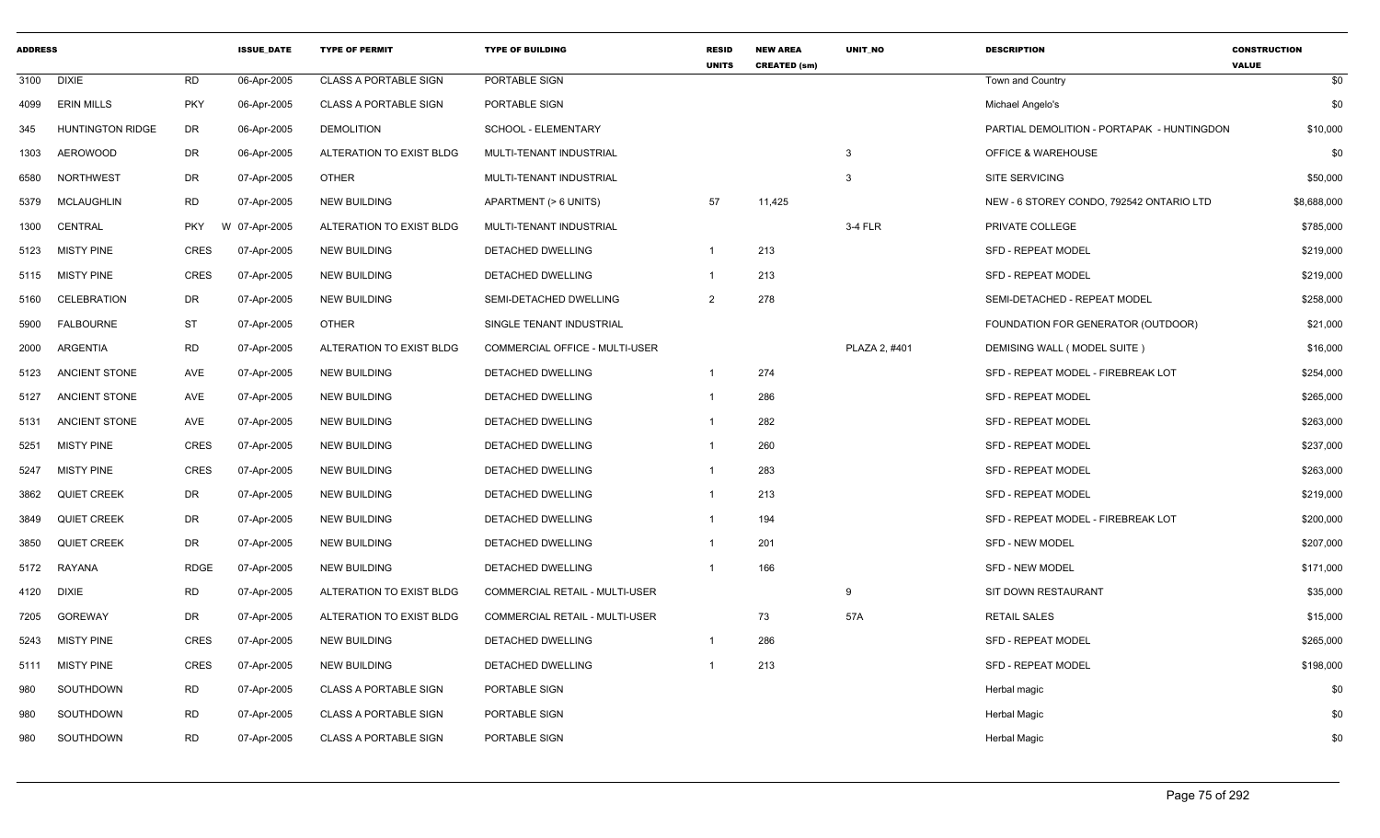| <b>ADDRESS</b> |                         |             | <b>ISSUE DATE</b> | <b>TYPE OF PERMIT</b>        | <b>TYPE OF BUILDING</b>        | <b>RESID</b><br><b>UNITS</b> | <b>NEW AREA</b><br><b>CREATED (sm)</b> | UNIT NO       | <b>DESCRIPTION</b>                         | <b>CONSTRUCTION</b><br><b>VALUE</b> |
|----------------|-------------------------|-------------|-------------------|------------------------------|--------------------------------|------------------------------|----------------------------------------|---------------|--------------------------------------------|-------------------------------------|
| 3100           | DIXIE                   | RD          | 06-Apr-2005       | <b>CLASS A PORTABLE SIGN</b> | PORTABLE SIGN                  |                              |                                        |               | Town and Country                           | \$0                                 |
| 4099           | <b>ERIN MILLS</b>       | PKY         | 06-Apr-2005       | <b>CLASS A PORTABLE SIGN</b> | PORTABLE SIGN                  |                              |                                        |               | Michael Angelo's                           | \$0                                 |
| 345            | <b>HUNTINGTON RIDGE</b> | DR          | 06-Apr-2005       | <b>DEMOLITION</b>            | <b>SCHOOL - ELEMENTARY</b>     |                              |                                        |               | PARTIAL DEMOLITION - PORTAPAK - HUNTINGDON | \$10,000                            |
| 1303           | AEROWOOD                | <b>DR</b>   | 06-Apr-2005       | ALTERATION TO EXIST BLDG     | MULTI-TENANT INDUSTRIAL        |                              |                                        | $\mathbf{3}$  | <b>OFFICE &amp; WAREHOUSE</b>              | \$0                                 |
| 6580           | <b>NORTHWEST</b>        | DR          | 07-Apr-2005       | <b>OTHER</b>                 | MULTI-TENANT INDUSTRIAL        |                              |                                        | 3             | SITE SERVICING                             | \$50,000                            |
| 5379           | MCLAUGHLIN              | <b>RD</b>   | 07-Apr-2005       | <b>NEW BUILDING</b>          | APARTMENT (> 6 UNITS)          | 57                           | 11,425                                 |               | NEW - 6 STOREY CONDO, 792542 ONTARIO LTD   | \$8,688,000                         |
| 1300           | CENTRAL                 | <b>PKY</b>  | W 07-Apr-2005     | ALTERATION TO EXIST BLDG     | MULTI-TENANT INDUSTRIAL        |                              |                                        | 3-4 FLR       | PRIVATE COLLEGE                            | \$785,000                           |
| 5123           | <b>MISTY PINE</b>       | CRES        | 07-Apr-2005       | <b>NEW BUILDING</b>          | DETACHED DWELLING              | $\overline{1}$               | 213                                    |               | <b>SFD - REPEAT MODEL</b>                  | \$219,000                           |
|                | 5115 MISTY PINE         | <b>CRES</b> | 07-Apr-2005       | NEW BUILDING                 | DETACHED DWELLING              | $\overline{1}$               | 213                                    |               | <b>SFD - REPEAT MODEL</b>                  | \$219,000                           |
| 5160           | <b>CELEBRATION</b>      | DR          | 07-Apr-2005       | <b>NEW BUILDING</b>          | SEMI-DETACHED DWELLING         | $\overline{2}$               | 278                                    |               | SEMI-DETACHED - REPEAT MODEL               | \$258,000                           |
| 5900           | <b>FALBOURNE</b>        | <b>ST</b>   | 07-Apr-2005       | <b>OTHER</b>                 | SINGLE TENANT INDUSTRIAL       |                              |                                        |               | FOUNDATION FOR GENERATOR (OUTDOOR)         | \$21,000                            |
| 2000           | ARGENTIA                | <b>RD</b>   | 07-Apr-2005       | ALTERATION TO EXIST BLDG     | COMMERCIAL OFFICE - MULTI-USER |                              |                                        | PLAZA 2, #401 | DEMISING WALL (MODEL SUITE)                | \$16,000                            |
| 5123           | <b>ANCIENT STONE</b>    | AVE         | 07-Apr-2005       | <b>NEW BUILDING</b>          | DETACHED DWELLING              | $\overline{1}$               | 274                                    |               | SFD - REPEAT MODEL - FIREBREAK LOT         | \$254,000                           |
| 5127           | <b>ANCIENT STONE</b>    | AVE         | 07-Apr-2005       | <b>NEW BUILDING</b>          | DETACHED DWELLING              | $\overline{1}$               | 286                                    |               | <b>SFD - REPEAT MODEL</b>                  | \$265,000                           |
| 5131           | <b>ANCIENT STONE</b>    | AVE         | 07-Apr-2005       | <b>NEW BUILDING</b>          | DETACHED DWELLING              | $\overline{1}$               | 282                                    |               | <b>SFD - REPEAT MODEL</b>                  | \$263,000                           |
| 5251           | <b>MISTY PINE</b>       | CRES        | 07-Apr-2005       | <b>NEW BUILDING</b>          | DETACHED DWELLING              | $\overline{1}$               | 260                                    |               | <b>SFD - REPEAT MODEL</b>                  | \$237,000                           |
| 5247           | <b>MISTY PINE</b>       | <b>CRES</b> | 07-Apr-2005       | <b>NEW BUILDING</b>          | DETACHED DWELLING              | $\overline{1}$               | 283                                    |               | <b>SFD - REPEAT MODEL</b>                  | \$263,000                           |
| 3862           | <b>QUIET CREEK</b>      | DR          | 07-Apr-2005       | <b>NEW BUILDING</b>          | DETACHED DWELLING              |                              | 213                                    |               | <b>SFD - REPEAT MODEL</b>                  | \$219,000                           |
| 3849           | <b>QUIET CREEK</b>      | DR          | 07-Apr-2005       | <b>NEW BUILDING</b>          | DETACHED DWELLING              | $\overline{1}$               | 194                                    |               | SFD - REPEAT MODEL - FIREBREAK LOT         | \$200,000                           |
| 3850           | <b>QUIET CREEK</b>      | DR          | 07-Apr-2005       | <b>NEW BUILDING</b>          | DETACHED DWELLING              | $\overline{1}$               | 201                                    |               | SFD - NEW MODEL                            | \$207,000                           |
| 5172           | RAYANA                  | <b>RDGE</b> | 07-Apr-2005       | <b>NEW BUILDING</b>          | DETACHED DWELLING              | $\overline{1}$               | 166                                    |               | <b>SFD - NEW MODEL</b>                     | \$171,000                           |
| 4120           | DIXIE                   | <b>RD</b>   | 07-Apr-2005       | ALTERATION TO EXIST BLDG     | COMMERCIAL RETAIL - MULTI-USER |                              |                                        | 9             | SIT DOWN RESTAURANT                        | \$35,000                            |
| 7205           | <b>GOREWAY</b>          | DR          | 07-Apr-2005       | ALTERATION TO EXIST BLDG     | COMMERCIAL RETAIL - MULTI-USER |                              | 73                                     | 57A           | <b>RETAIL SALES</b>                        | \$15,000                            |
| 5243           | <b>MISTY PINE</b>       | CRES        | 07-Apr-2005       | <b>NEW BUILDING</b>          | DETACHED DWELLING              |                              | 286                                    |               | <b>SFD - REPEAT MODEL</b>                  | \$265,000                           |
| 5111           | <b>MISTY PINE</b>       | CRES        | 07-Apr-2005       | NEW BUILDING                 | DETACHED DWELLING              |                              | 213                                    |               | SFD - REPEAT MODEL                         | \$198,000                           |
| 980            | SOUTHDOWN               | <b>RD</b>   | 07-Apr-2005       | <b>CLASS A PORTABLE SIGN</b> | PORTABLE SIGN                  |                              |                                        |               | Herbal magic                               | \$0                                 |
| 980            | SOUTHDOWN               | <b>RD</b>   | 07-Apr-2005       | <b>CLASS A PORTABLE SIGN</b> | PORTABLE SIGN                  |                              |                                        |               | Herbal Magic                               | \$0                                 |
| 980            | SOUTHDOWN               | <b>RD</b>   | 07-Apr-2005       | <b>CLASS A PORTABLE SIGN</b> | PORTABLE SIGN                  |                              |                                        |               | Herbal Magic                               | \$0                                 |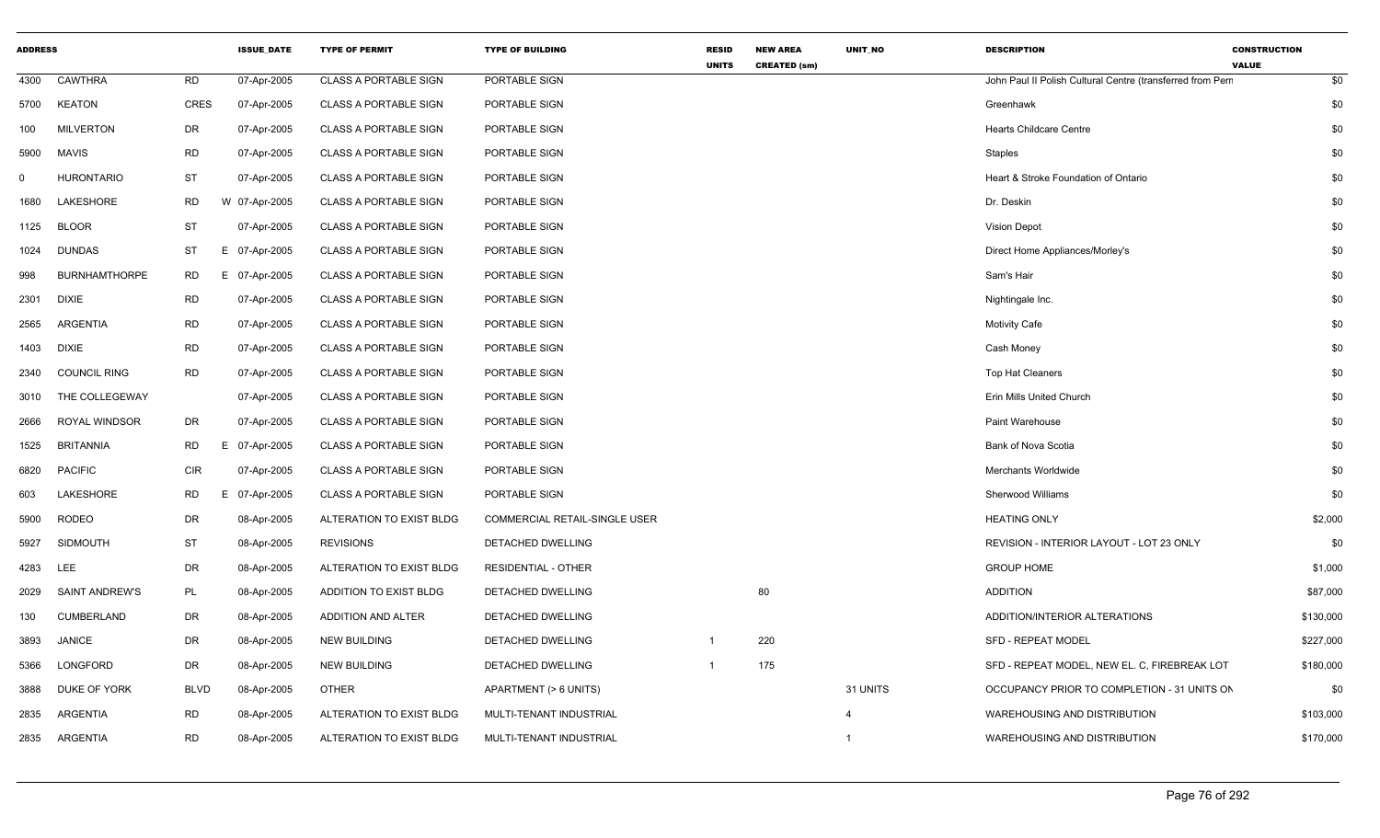| <b>ADDRESS</b> |                      |                 | <b>ISSUE_DATE</b> | <b>TYPE OF PERMIT</b>        | <b>TYPE OF BUILDING</b>       | <b>RESID</b><br><b>UNITS</b> | <b>NEW AREA</b><br><b>CREATED (sm)</b> | UNIT_NO  | <b>DESCRIPTION</b>                                         | <b>CONSTRUCTION</b><br><b>VALUE</b> |
|----------------|----------------------|-----------------|-------------------|------------------------------|-------------------------------|------------------------------|----------------------------------------|----------|------------------------------------------------------------|-------------------------------------|
|                | 4300 CAWTHRA         | RD              | 07-Apr-2005       | <b>CLASS A PORTABLE SIGN</b> | PORTABLE SIGN                 |                              |                                        |          | John Paul II Polish Cultural Centre (transferred from Perr | \$0                                 |
|                | 5700 KEATON          | CRES            | 07-Apr-2005       | <b>CLASS A PORTABLE SIGN</b> | PORTABLE SIGN                 |                              |                                        |          | Greenhawk                                                  | \$0                                 |
| 100            | <b>MILVERTON</b>     | <b>DR</b>       | 07-Apr-2005       | <b>CLASS A PORTABLE SIGN</b> | PORTABLE SIGN                 |                              |                                        |          | <b>Hearts Childcare Centre</b>                             | \$0                                 |
|                | 5900 MAVIS           | ${\sf RD}$      | 07-Apr-2005       | <b>CLASS A PORTABLE SIGN</b> | PORTABLE SIGN                 |                              |                                        |          | Staples                                                    | \$0                                 |
| $\mathbf 0$    | <b>HURONTARIO</b>    | ST              | 07-Apr-2005       | <b>CLASS A PORTABLE SIGN</b> | PORTABLE SIGN                 |                              |                                        |          | Heart & Stroke Foundation of Ontario                       | \$0                                 |
| 1680           | LAKESHORE            | <b>RD</b>       | W 07-Apr-2005     | <b>CLASS A PORTABLE SIGN</b> | PORTABLE SIGN                 |                              |                                        |          | Dr. Deskin                                                 | \$0                                 |
|                | 1125 BLOOR           | <b>ST</b>       | 07-Apr-2005       | <b>CLASS A PORTABLE SIGN</b> | PORTABLE SIGN                 |                              |                                        |          | <b>Vision Depot</b>                                        | \$0                                 |
|                | 1024 DUNDAS          | <b>ST</b><br>F. | 07-Apr-2005       | CLASS A PORTABLE SIGN        | PORTABLE SIGN                 |                              |                                        |          | Direct Home Appliances/Morley's                            | \$0                                 |
| 998            | <b>BURNHAMTHORPE</b> | <b>RD</b><br>E  | 07-Apr-2005       | <b>CLASS A PORTABLE SIGN</b> | PORTABLE SIGN                 |                              |                                        |          | Sam's Hair                                                 | \$0                                 |
|                | 2301 DIXIE           | <b>RD</b>       | 07-Apr-2005       | CLASS A PORTABLE SIGN        | PORTABLE SIGN                 |                              |                                        |          | Nightingale Inc.                                           | \$0                                 |
|                | 2565 ARGENTIA        | <b>RD</b>       | 07-Apr-2005       | <b>CLASS A PORTABLE SIGN</b> | PORTABLE SIGN                 |                              |                                        |          | <b>Motivity Cafe</b>                                       | \$0                                 |
|                | 1403 DIXIE           | <b>RD</b>       | 07-Apr-2005       | <b>CLASS A PORTABLE SIGN</b> | PORTABLE SIGN                 |                              |                                        |          | Cash Money                                                 | \$0                                 |
|                | 2340 COUNCIL RING    | <b>RD</b>       | 07-Apr-2005       | <b>CLASS A PORTABLE SIGN</b> | PORTABLE SIGN                 |                              |                                        |          | Top Hat Cleaners                                           | \$0                                 |
|                | 3010 THE COLLEGEWAY  |                 | 07-Apr-2005       | <b>CLASS A PORTABLE SIGN</b> | PORTABLE SIGN                 |                              |                                        |          | Erin Mills United Church                                   | \$0                                 |
|                | 2666 ROYAL WINDSOR   | DR              | 07-Apr-2005       | <b>CLASS A PORTABLE SIGN</b> | PORTABLE SIGN                 |                              |                                        |          | Paint Warehouse                                            | \$0                                 |
| 1525           | BRITANNIA            | <b>RD</b><br>F  | 07-Apr-2005       | <b>CLASS A PORTABLE SIGN</b> | PORTABLE SIGN                 |                              |                                        |          | Bank of Nova Scotia                                        | \$0                                 |
|                | 6820 PACIFIC         | CIR             | 07-Apr-2005       | <b>CLASS A PORTABLE SIGN</b> | PORTABLE SIGN                 |                              |                                        |          | Merchants Worldwide                                        | \$0                                 |
| 603            | LAKESHORE            | <b>RD</b><br>E  | 07-Apr-2005       | <b>CLASS A PORTABLE SIGN</b> | PORTABLE SIGN                 |                              |                                        |          | Sherwood Williams                                          | \$0                                 |
|                | 5900 RODEO           | DR              | 08-Apr-2005       | ALTERATION TO EXIST BLDG     | COMMERCIAL RETAIL-SINGLE USER |                              |                                        |          | <b>HEATING ONLY</b>                                        | \$2,000                             |
|                | 5927 SIDMOUTH        | ST              | 08-Apr-2005       | <b>REVISIONS</b>             | DETACHED DWELLING             |                              |                                        |          | REVISION - INTERIOR LAYOUT - LOT 23 ONLY                   | \$0                                 |
| 4283 LEE       |                      | DR              | 08-Apr-2005       | ALTERATION TO EXIST BLDG     | <b>RESIDENTIAL - OTHER</b>    |                              |                                        |          | <b>GROUP HOME</b>                                          | \$1,000                             |
|                | 2029 SAINT ANDREW'S  | PL              | 08-Apr-2005       | ADDITION TO EXIST BLDG       | DETACHED DWELLING             |                              | 80                                     |          | <b>ADDITION</b>                                            | \$87,000                            |
| 130            | CUMBERLAND           | DR              | 08-Apr-2005       | ADDITION AND ALTER           | DETACHED DWELLING             |                              |                                        |          | ADDITION/INTERIOR ALTERATIONS                              | \$130,000                           |
| 3893           | JANICE               | DR              | 08-Apr-2005       | <b>NEW BUILDING</b>          | DETACHED DWELLING             | $\overline{1}$               | 220                                    |          | <b>SFD - REPEAT MODEL</b>                                  | \$227,000                           |
| 5366           | LONGFORD             | DR              | 08-Apr-2005       | <b>NEW BUILDING</b>          | DETACHED DWELLING             | $\overline{1}$               | 175                                    |          | SFD - REPEAT MODEL, NEW EL. C, FIREBREAK LOT               | \$180,000                           |
|                | 3888 DUKE OF YORK    | <b>BLVD</b>     | 08-Apr-2005       | OTHER                        | APARTMENT (> 6 UNITS)         |                              |                                        | 31 UNITS | OCCUPANCY PRIOR TO COMPLETION - 31 UNITS ON                | \$0                                 |
|                | 2835 ARGENTIA        | <b>RD</b>       | 08-Apr-2005       | ALTERATION TO EXIST BLDG     | MULTI-TENANT INDUSTRIAL       |                              |                                        | 4        | WAREHOUSING AND DISTRIBUTION                               | \$103,000                           |
|                | 2835 ARGENTIA        | <b>RD</b>       | 08-Apr-2005       | ALTERATION TO EXIST BLDG     | MULTI-TENANT INDUSTRIAL       |                              |                                        |          | WAREHOUSING AND DISTRIBUTION                               | \$170,000                           |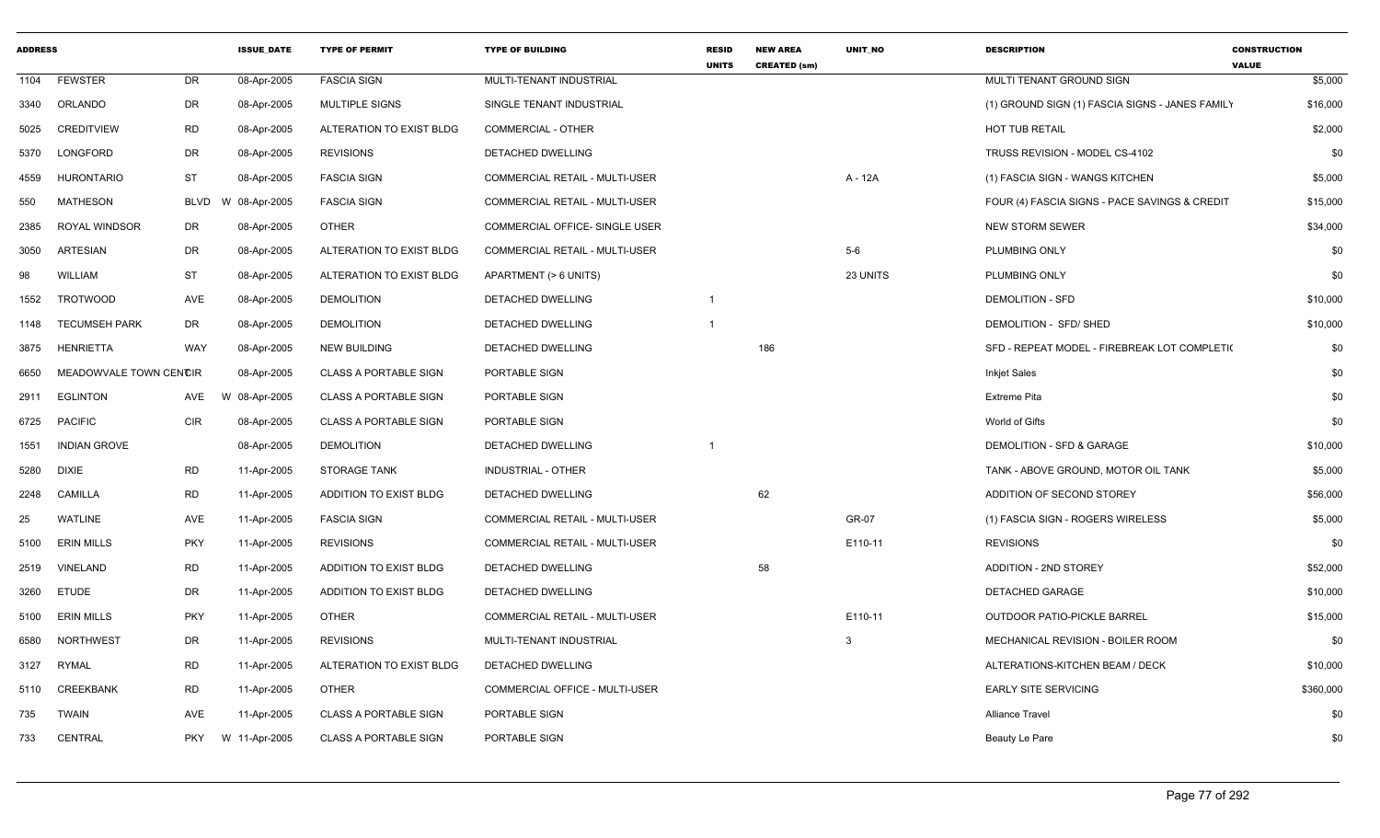| <b>ADDRESS</b> |                        |             | <b>ISSUE DATE</b> | <b>TYPE OF PERMIT</b>        | <b>TYPE OF BUILDING</b>               | <b>RESID</b><br><b>UNITS</b> | <b>NEW AREA</b><br><b>CREATED (sm)</b> | <b>UNIT NO</b> | <b>DESCRIPTION</b>                              | <b>CONSTRUCTION</b><br><b>VALUE</b> |
|----------------|------------------------|-------------|-------------------|------------------------------|---------------------------------------|------------------------------|----------------------------------------|----------------|-------------------------------------------------|-------------------------------------|
| 1104           | <b>FEWSTER</b>         | DR          | 08-Apr-2005       | <b>FASCIA SIGN</b>           | MULTI-TENANT INDUSTRIAL               |                              |                                        |                | MULTI TENANT GROUND SIGN                        | \$5,000                             |
| 3340           | ORLANDO                | DR          | 08-Apr-2005       | <b>MULTIPLE SIGNS</b>        | SINGLE TENANT INDUSTRIAL              |                              |                                        |                | (1) GROUND SIGN (1) FASCIA SIGNS - JANES FAMILY | \$16,000                            |
| 5025           | <b>CREDITVIEW</b>      | <b>RD</b>   | 08-Apr-2005       | ALTERATION TO EXIST BLDG     | COMMERCIAL - OTHER                    |                              |                                        |                | <b>HOT TUB RETAIL</b>                           | \$2,000                             |
| 5370           | LONGFORD               | <b>DR</b>   | 08-Apr-2005       | <b>REVISIONS</b>             | DETACHED DWELLING                     |                              |                                        |                | TRUSS REVISION - MODEL CS-4102                  | \$0                                 |
| 4559           | <b>HURONTARIO</b>      | <b>ST</b>   | 08-Apr-2005       | <b>FASCIA SIGN</b>           | <b>COMMERCIAL RETAIL - MULTI-USER</b> |                              |                                        | A - 12A        | (1) FASCIA SIGN - WANGS KITCHEN                 | \$5,000                             |
| 550            | <b>MATHESON</b>        | <b>BLVD</b> | W 08-Apr-2005     | <b>FASCIA SIGN</b>           | <b>COMMERCIAL RETAIL - MULTI-USER</b> |                              |                                        |                | FOUR (4) FASCIA SIGNS - PACE SAVINGS & CREDIT   | \$15,000                            |
| 2385           | <b>ROYAL WINDSOR</b>   | DR          | 08-Apr-2005       | <b>OTHER</b>                 | <b>COMMERCIAL OFFICE- SINGLE USER</b> |                              |                                        |                | <b>NEW STORM SEWER</b>                          | \$34,000                            |
| 3050           | <b>ARTESIAN</b>        | DR          | 08-Apr-2005       | ALTERATION TO EXIST BLDG     | COMMERCIAL RETAIL - MULTI-USER        |                              |                                        | $5-6$          | PLUMBING ONLY                                   | \$0                                 |
| 98             | <b>WILLIAM</b>         | <b>ST</b>   | 08-Apr-2005       | ALTERATION TO EXIST BLDG     | APARTMENT (> 6 UNITS)                 |                              |                                        | 23 UNITS       | PLUMBING ONLY                                   | \$0                                 |
| 1552           | <b>TROTWOOD</b>        | AVE         | 08-Apr-2005       | <b>DEMOLITION</b>            | DETACHED DWELLING                     | $\overline{1}$               |                                        |                | <b>DEMOLITION - SFD</b>                         | \$10,000                            |
| 1148           | <b>TECUMSEH PARK</b>   | <b>DR</b>   | 08-Apr-2005       | <b>DEMOLITION</b>            | DETACHED DWELLING                     | $\mathbf 1$                  |                                        |                | DEMOLITION - SFD/ SHED                          | \$10,000                            |
| 3875           | <b>HENRIETTA</b>       | WAY         | 08-Apr-2005       | <b>NEW BUILDING</b>          | DETACHED DWELLING                     |                              | 186                                    |                | SFD - REPEAT MODEL - FIREBREAK LOT COMPLETI(    | \$0                                 |
| 6650           | MEADOWVALE TOWN CENCIR |             | 08-Apr-2005       | <b>CLASS A PORTABLE SIGN</b> | PORTABLE SIGN                         |                              |                                        |                | <b>Inkjet Sales</b>                             | \$0                                 |
| 2911           | <b>EGLINTON</b>        | AVE         | W 08-Apr-2005     | <b>CLASS A PORTABLE SIGN</b> | PORTABLE SIGN                         |                              |                                        |                | <b>Extreme Pita</b>                             | \$0                                 |
| 6725           | <b>PACIFIC</b>         | <b>CIR</b>  | 08-Apr-2005       | <b>CLASS A PORTABLE SIGN</b> | <b>PORTABLE SIGN</b>                  |                              |                                        |                | World of Gifts                                  | \$0                                 |
| 1551           | <b>INDIAN GROVE</b>    |             | 08-Apr-2005       | <b>DEMOLITION</b>            | DETACHED DWELLING                     | $\overline{1}$               |                                        |                | DEMOLITION - SFD & GARAGE                       | \$10,000                            |
| 5280           | <b>DIXIE</b>           | <b>RD</b>   | 11-Apr-2005       | <b>STORAGE TANK</b>          | <b>INDUSTRIAL - OTHER</b>             |                              |                                        |                | TANK - ABOVE GROUND, MOTOR OIL TANK             | \$5,000                             |
| 2248           | <b>CAMILLA</b>         | <b>RD</b>   | 11-Apr-2005       | ADDITION TO EXIST BLDG       | DETACHED DWELLING                     |                              | 62                                     |                | ADDITION OF SECOND STOREY                       | \$56,000                            |
| 25             | <b>WATLINE</b>         | AVE         | 11-Apr-2005       | <b>FASCIA SIGN</b>           | <b>COMMERCIAL RETAIL - MULTI-USER</b> |                              |                                        | GR-07          | (1) FASCIA SIGN - ROGERS WIRELESS               | \$5,000                             |
| 5100           | <b>ERIN MILLS</b>      | <b>PKY</b>  | 11-Apr-2005       | <b>REVISIONS</b>             | COMMERCIAL RETAIL - MULTI-USER        |                              |                                        | E110-11        | <b>REVISIONS</b>                                | \$0                                 |
| 2519           | <b>VINELAND</b>        | <b>RD</b>   | 11-Apr-2005       | ADDITION TO EXIST BLDG       | DETACHED DWELLING                     |                              | 58                                     |                | ADDITION - 2ND STOREY                           | \$52,000                            |
| 3260           | <b>ETUDE</b>           | DR          | 11-Apr-2005       | ADDITION TO EXIST BLDG       | DETACHED DWELLING                     |                              |                                        |                | <b>DETACHED GARAGE</b>                          | \$10,000                            |
| 5100           | <b>ERIN MILLS</b>      | <b>PKY</b>  | 11-Apr-2005       | <b>OTHER</b>                 | <b>COMMERCIAL RETAIL - MULTI-USER</b> |                              |                                        | E110-11        | <b>OUTDOOR PATIO-PICKLE BARREL</b>              | \$15,000                            |
| 6580           | <b>NORTHWEST</b>       | DR          | 11-Apr-2005       | <b>REVISIONS</b>             | MULTI-TENANT INDUSTRIAL               |                              |                                        | 3              | MECHANICAL REVISION - BOILER ROOM               | \$0                                 |
| 3127           | <b>RYMAL</b>           | <b>RD</b>   | 11-Apr-2005       | ALTERATION TO EXIST BLDG     | DETACHED DWELLING                     |                              |                                        |                | ALTERATIONS-KITCHEN BEAM / DECK                 | \$10,000                            |
| 5110           | <b>CREEKBANK</b>       | <b>RD</b>   | 11-Apr-2005       | <b>OTHER</b>                 | COMMERCIAL OFFICE - MULTI-USER        |                              |                                        |                | <b>EARLY SITE SERVICING</b>                     | \$360,000                           |
| 735            | <b>TWAIN</b>           | <b>AVE</b>  | 11-Apr-2005       | <b>CLASS A PORTABLE SIGN</b> | PORTABLE SIGN                         |                              |                                        |                | <b>Alliance Travel</b>                          | \$0                                 |
| 733            | CENTRAL                | <b>PKY</b>  | W 11-Apr-2005     | <b>CLASS A PORTABLE SIGN</b> | PORTABLE SIGN                         |                              |                                        |                | Beauty Le Pare                                  | \$0                                 |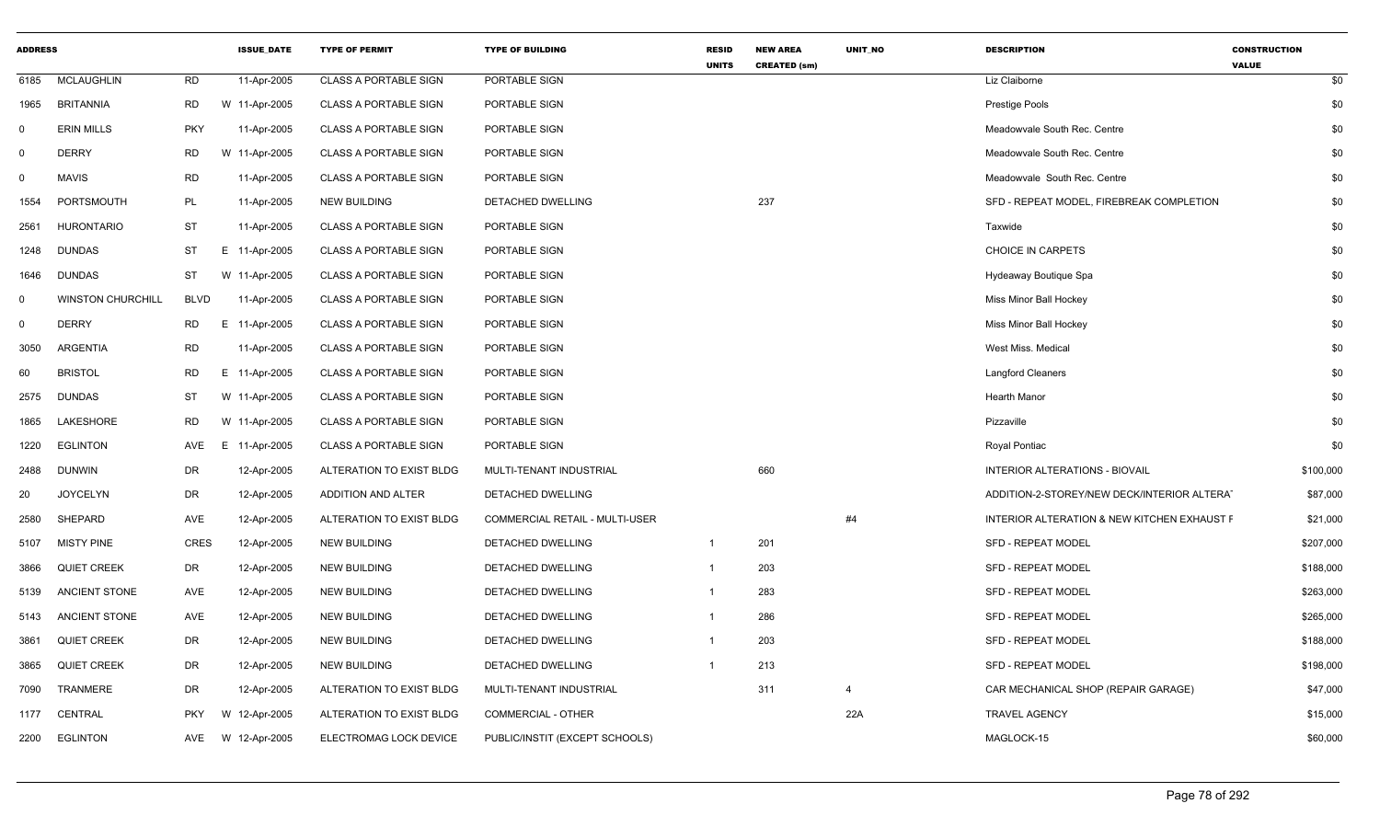| <b>ADDRESS</b> |                          |             | <b>ISSUE_DATE</b> | <b>TYPE OF PERMIT</b>        | <b>TYPE OF BUILDING</b>        | <b>RESID</b><br><b>UNITS</b> | <b>NEW AREA</b><br><b>CREATED (sm)</b> | UNIT_NO        | <b>DESCRIPTION</b>                          | <b>CONSTRUCTION</b><br><b>VALUE</b> |     |
|----------------|--------------------------|-------------|-------------------|------------------------------|--------------------------------|------------------------------|----------------------------------------|----------------|---------------------------------------------|-------------------------------------|-----|
| 6185           | <b>MCLAUGHLIN</b>        | <b>RD</b>   | 11-Apr-2005       | <b>CLASS A PORTABLE SIGN</b> | PORTABLE SIGN                  |                              |                                        |                | Liz Claiborne                               |                                     | \$0 |
| 1965           | <b>BRITANNIA</b>         | <b>RD</b>   | W 11-Apr-2005     | <b>CLASS A PORTABLE SIGN</b> | PORTABLE SIGN                  |                              |                                        |                | <b>Prestige Pools</b>                       |                                     | \$0 |
| $\Omega$       | <b>ERIN MILLS</b>        | <b>PKY</b>  | 11-Apr-2005       | <b>CLASS A PORTABLE SIGN</b> | PORTABLE SIGN                  |                              |                                        |                | Meadowyale South Rec. Centre                |                                     | \$0 |
| $\mathbf 0$    | <b>DERRY</b>             | RD          | W 11-Apr-2005     | <b>CLASS A PORTABLE SIGN</b> | PORTABLE SIGN                  |                              |                                        |                | Meadowvale South Rec. Centre                |                                     | \$0 |
| $\mathbf 0$    | <b>MAVIS</b>             | RD          | 11-Apr-2005       | <b>CLASS A PORTABLE SIGN</b> | PORTABLE SIGN                  |                              |                                        |                | Meadowvale South Rec. Centre                |                                     | \$0 |
| 1554           | PORTSMOUTH               | PL          | 11-Apr-2005       | <b>NEW BUILDING</b>          | DETACHED DWELLING              |                              | 237                                    |                | SFD - REPEAT MODEL, FIREBREAK COMPLETION    |                                     | \$0 |
| 2561           | <b>HURONTARIO</b>        | ST          | 11-Apr-2005       | <b>CLASS A PORTABLE SIGN</b> | PORTABLE SIGN                  |                              |                                        |                | Taxwide                                     |                                     | \$0 |
| 1248           | <b>DUNDAS</b>            | ST          | E 11-Apr-2005     | <b>CLASS A PORTABLE SIGN</b> | PORTABLE SIGN                  |                              |                                        |                | <b>CHOICE IN CARPETS</b>                    |                                     | \$0 |
| 1646           | <b>DUNDAS</b>            | ST          | W 11-Apr-2005     | <b>CLASS A PORTABLE SIGN</b> | PORTABLE SIGN                  |                              |                                        |                | Hydeaway Boutique Spa                       |                                     | \$0 |
| $\Omega$       | <b>WINSTON CHURCHILL</b> | <b>BLVD</b> | 11-Apr-2005       | <b>CLASS A PORTABLE SIGN</b> | PORTABLE SIGN                  |                              |                                        |                | Miss Minor Ball Hockey                      |                                     | \$0 |
| $\mathbf 0$    | <b>DERRY</b>             | RD          | E 11-Apr-2005     | <b>CLASS A PORTABLE SIGN</b> | PORTABLE SIGN                  |                              |                                        |                | Miss Minor Ball Hockey                      |                                     | \$0 |
| 3050           | <b>ARGENTIA</b>          | RD          | 11-Apr-2005       | <b>CLASS A PORTABLE SIGN</b> | PORTABLE SIGN                  |                              |                                        |                | West Miss, Medical                          |                                     | \$0 |
| 60             | <b>BRISTOL</b>           | <b>RD</b>   | E 11-Apr-2005     | <b>CLASS A PORTABLE SIGN</b> | PORTABLE SIGN                  |                              |                                        |                | <b>Langford Cleaners</b>                    |                                     | \$0 |
| 2575           | <b>DUNDAS</b>            | ST          | W 11-Apr-2005     | <b>CLASS A PORTABLE SIGN</b> | PORTABLE SIGN                  |                              |                                        |                | <b>Hearth Manor</b>                         |                                     | \$0 |
| 1865           | LAKESHORE                | RD          | W 11-Apr-2005     | <b>CLASS A PORTABLE SIGN</b> | PORTABLE SIGN                  |                              |                                        |                | Pizzaville                                  |                                     | \$0 |
| 1220           | <b>EGLINTON</b>          | AVE<br>E.   | 11-Apr-2005       | <b>CLASS A PORTABLE SIGN</b> | PORTABLE SIGN                  |                              |                                        |                | Royal Pontiac                               |                                     | \$0 |
| 2488           | <b>DUNWIN</b>            | DR          | 12-Apr-2005       | ALTERATION TO EXIST BLDG     | MULTI-TENANT INDUSTRIAL        |                              | 660                                    |                | <b>INTERIOR ALTERATIONS - BIOVAIL</b>       | \$100,000                           |     |
| 20             | <b>JOYCELYN</b>          | DR          | 12-Apr-2005       | ADDITION AND ALTER           | DETACHED DWELLING              |                              |                                        |                | ADDITION-2-STOREY/NEW DECK/INTERIOR ALTERAT | \$87,000                            |     |
| 2580           | SHEPARD                  | AVE         | 12-Apr-2005       | ALTERATION TO EXIST BLDG     | COMMERCIAL RETAIL - MULTI-USER |                              |                                        | #4             | INTERIOR ALTERATION & NEW KITCHEN EXHAUST F | \$21,000                            |     |
| 5107           | <b>MISTY PINE</b>        | CRES        | 12-Apr-2005       | <b>NEW BUILDING</b>          | DETACHED DWELLING              | $\overline{1}$               | 201                                    |                | <b>SFD - REPEAT MODEL</b>                   | \$207,000                           |     |
| 3866           | <b>QUIET CREEK</b>       | DR          | 12-Apr-2005       | <b>NEW BUILDING</b>          | DETACHED DWELLING              | $\overline{1}$               | 203                                    |                | <b>SFD - REPEAT MODEL</b>                   | \$188,000                           |     |
| 5139           | ANCIENT STONE            | AVE         | 12-Apr-2005       | <b>NEW BUILDING</b>          | DETACHED DWELLING              | $\overline{1}$               | 283                                    |                | <b>SFD - REPEAT MODEL</b>                   | \$263,000                           |     |
| 5143           | ANCIENT STONE            | AVE         | 12-Apr-2005       | <b>NEW BUILDING</b>          | DETACHED DWELLING              | -1                           | 286                                    |                | <b>SFD - REPEAT MODEL</b>                   | \$265,000                           |     |
| 3861           | <b>QUIET CREEK</b>       | DR          | 12-Apr-2005       | <b>NEW BUILDING</b>          | DETACHED DWELLING              | $\overline{1}$               | 203                                    |                | <b>SFD - REPEAT MODEL</b>                   | \$188,000                           |     |
| 3865           | <b>QUIET CREEK</b>       | DR          | 12-Apr-2005       | <b>NEW BUILDING</b>          | DETACHED DWELLING              |                              | 213                                    |                | <b>SFD - REPEAT MODEL</b>                   | \$198,000                           |     |
| 7090           | <b>TRANMERE</b>          | DR          | 12-Apr-2005       | ALTERATION TO EXIST BLDG     | MULTI-TENANT INDUSTRIAL        |                              | 311                                    | $\overline{4}$ | CAR MECHANICAL SHOP (REPAIR GARAGE)         | \$47,000                            |     |
| 1177           | CENTRAL                  | <b>PKY</b>  | W 12-Apr-2005     | ALTERATION TO EXIST BLDG     | <b>COMMERCIAL - OTHER</b>      |                              |                                        | 22A            | <b>TRAVEL AGENCY</b>                        | \$15,000                            |     |
| 2200           | <b>EGLINTON</b>          | AVE         | W 12-Apr-2005     | ELECTROMAG LOCK DEVICE       | PUBLIC/INSTIT (EXCEPT SCHOOLS) |                              |                                        |                | MAGLOCK-15                                  | \$60,000                            |     |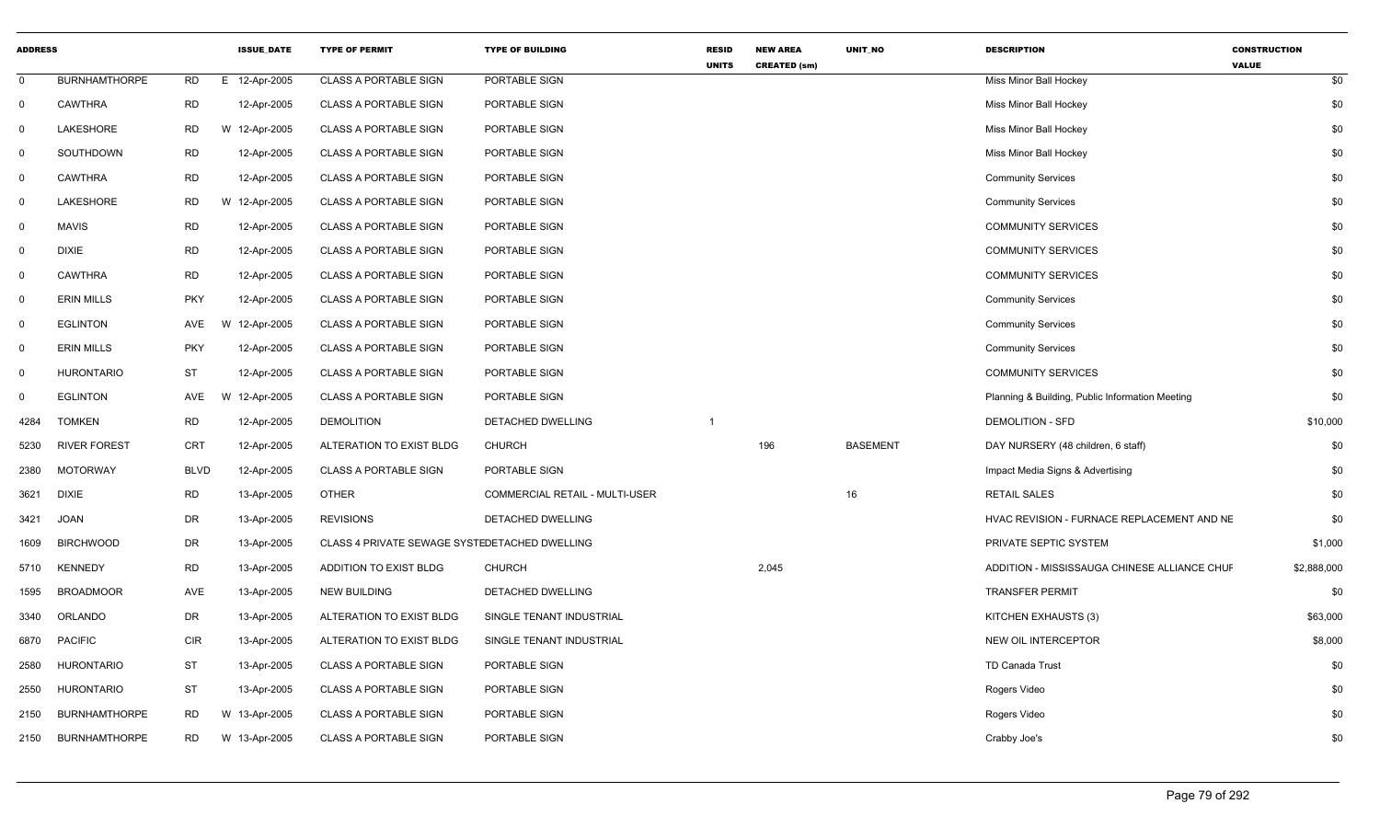| <b>ADDRESS</b> |                      |             | <b>ISSUE_DATE</b> | <b>TYPE OF PERMIT</b>                         | <b>TYPE OF BUILDING</b>        | <b>RESID</b><br><b>UNITS</b> | <b>NEW AREA</b><br><b>CREATED (sm)</b> | UNIT_NO         | <b>DESCRIPTION</b>                              | <b>CONSTRUCTION</b><br><b>VALUE</b> |
|----------------|----------------------|-------------|-------------------|-----------------------------------------------|--------------------------------|------------------------------|----------------------------------------|-----------------|-------------------------------------------------|-------------------------------------|
| $\mathbf 0$    | <b>BURNHAMTHORPE</b> | <b>RD</b>   | E 12-Apr-2005     | <b>CLASS A PORTABLE SIGN</b>                  | PORTABLE SIGN                  |                              |                                        |                 | Miss Minor Ball Hockey                          | \$0                                 |
| $\mathbf 0$    | <b>CAWTHRA</b>       | <b>RD</b>   | 12-Apr-2005       | <b>CLASS A PORTABLE SIGN</b>                  | PORTABLE SIGN                  |                              |                                        |                 | Miss Minor Ball Hockey                          | \$0                                 |
| $\mathbf 0$    | LAKESHORE            | <b>RD</b>   | W 12-Apr-2005     | <b>CLASS A PORTABLE SIGN</b>                  | PORTABLE SIGN                  |                              |                                        |                 | Miss Minor Ball Hockey                          | \$0                                 |
| 0              | SOUTHDOWN            | RD          | 12-Apr-2005       | <b>CLASS A PORTABLE SIGN</b>                  | PORTABLE SIGN                  |                              |                                        |                 | Miss Minor Ball Hockey                          | \$0                                 |
| $\mathbf 0$    | <b>CAWTHRA</b>       | <b>RD</b>   | 12-Apr-2005       | <b>CLASS A PORTABLE SIGN</b>                  | PORTABLE SIGN                  |                              |                                        |                 | <b>Community Services</b>                       | \$0                                 |
| $\mathbf 0$    | LAKESHORE            | <b>RD</b>   | W 12-Apr-2005     | <b>CLASS A PORTABLE SIGN</b>                  | PORTABLE SIGN                  |                              |                                        |                 | <b>Community Services</b>                       | \$0                                 |
| $\mathbf 0$    | <b>MAVIS</b>         | <b>RD</b>   | 12-Apr-2005       | <b>CLASS A PORTABLE SIGN</b>                  | PORTABLE SIGN                  |                              |                                        |                 | <b>COMMUNITY SERVICES</b>                       | \$0                                 |
| 0              | <b>DIXIE</b>         | <b>RD</b>   | 12-Apr-2005       | <b>CLASS A PORTABLE SIGN</b>                  | PORTABLE SIGN                  |                              |                                        |                 | <b>COMMUNITY SERVICES</b>                       | \$0                                 |
| $\mathbf 0$    | <b>CAWTHRA</b>       | <b>RD</b>   | 12-Apr-2005       | <b>CLASS A PORTABLE SIGN</b>                  | PORTABLE SIGN                  |                              |                                        |                 | <b>COMMUNITY SERVICES</b>                       | \$0                                 |
| $\mathbf 0$    | <b>ERIN MILLS</b>    | <b>PKY</b>  | 12-Apr-2005       | <b>CLASS A PORTABLE SIGN</b>                  | PORTABLE SIGN                  |                              |                                        |                 | <b>Community Services</b>                       | \$0                                 |
| $\mathbf 0$    | <b>EGLINTON</b>      | AVE         | 12-Apr-2005       | <b>CLASS A PORTABLE SIGN</b>                  | PORTABLE SIGN                  |                              |                                        |                 | <b>Community Services</b>                       | \$0                                 |
| $\mathbf 0$    | <b>ERIN MILLS</b>    | <b>PKY</b>  | 12-Apr-2005       | <b>CLASS A PORTABLE SIGN</b>                  | <b>PORTABLE SIGN</b>           |                              |                                        |                 | <b>Community Services</b>                       | \$0                                 |
| $\overline{0}$ | <b>HURONTARIO</b>    | <b>ST</b>   | 12-Apr-2005       | <b>CLASS A PORTABLE SIGN</b>                  | PORTABLE SIGN                  |                              |                                        |                 | <b>COMMUNITY SERVICES</b>                       | \$0                                 |
| $\mathbf 0$    | <b>EGLINTON</b>      | AVE         | 12-Apr-2005<br>W  | <b>CLASS A PORTABLE SIGN</b>                  | PORTABLE SIGN                  |                              |                                        |                 | Planning & Building, Public Information Meeting | \$0                                 |
| 4284           | <b>TOMKEN</b>        | <b>RD</b>   | 12-Apr-2005       | <b>DEMOLITION</b>                             | DETACHED DWELLING              |                              |                                        |                 | <b>DEMOLITION - SFD</b>                         | \$10,000                            |
| 5230           | <b>RIVER FOREST</b>  | CRT         | 12-Apr-2005       | ALTERATION TO EXIST BLDG                      | <b>CHURCH</b>                  |                              | 196                                    | <b>BASEMENT</b> | DAY NURSERY (48 children, 6 staff)              | \$0                                 |
| 2380           | <b>MOTORWAY</b>      | <b>BLVD</b> | 12-Apr-2005       | <b>CLASS A PORTABLE SIGN</b>                  | PORTABLE SIGN                  |                              |                                        |                 | Impact Media Signs & Advertising                | \$0                                 |
| 3621           | <b>DIXIE</b>         | <b>RD</b>   | 13-Apr-2005       | <b>OTHER</b>                                  | COMMERCIAL RETAIL - MULTI-USER |                              |                                        | 16              | <b>RETAIL SALES</b>                             | \$0                                 |
| 3421           | <b>JOAN</b>          | DR          | 13-Apr-2005       | <b>REVISIONS</b>                              | DETACHED DWELLING              |                              |                                        |                 | HVAC REVISION - FURNACE REPLACEMENT AND NE      | \$0                                 |
| 1609           | <b>BIRCHWOOD</b>     | <b>DR</b>   | 13-Apr-2005       | CLASS 4 PRIVATE SEWAGE SYSTEDETACHED DWELLING |                                |                              |                                        |                 | PRIVATE SEPTIC SYSTEM                           | \$1,000                             |
| 5710           | <b>KENNEDY</b>       | <b>RD</b>   | 13-Apr-2005       | ADDITION TO EXIST BLDG                        | <b>CHURCH</b>                  |                              | 2,045                                  |                 | ADDITION - MISSISSAUGA CHINESE ALLIANCE CHUF    | \$2,888,000                         |
| 1595           | <b>BROADMOOR</b>     | AVE         | 13-Apr-2005       | <b>NEW BUILDING</b>                           | DETACHED DWELLING              |                              |                                        |                 | <b>TRANSFER PERMIT</b>                          | \$0                                 |
| 3340           | ORLANDO              | DR          | 13-Apr-2005       | ALTERATION TO EXIST BLDG                      | SINGLE TENANT INDUSTRIAL       |                              |                                        |                 | KITCHEN EXHAUSTS (3)                            | \$63,000                            |
| 6870           | <b>PACIFIC</b>       | <b>CIR</b>  | 13-Apr-2005       | ALTERATION TO EXIST BLDG                      | SINGLE TENANT INDUSTRIAL       |                              |                                        |                 | NEW OIL INTERCEPTOR                             | \$8,000                             |
| 2580           | <b>HURONTARIO</b>    | <b>ST</b>   | 13-Apr-2005       | <b>CLASS A PORTABLE SIGN</b>                  | PORTABLE SIGN                  |                              |                                        |                 | <b>TD Canada Trust</b>                          | \$0                                 |
| 2550           | <b>HURONTARIO</b>    | ST          | 13-Apr-2005       | <b>CLASS A PORTABLE SIGN</b>                  | PORTABLE SIGN                  |                              |                                        |                 | Rogers Video                                    | \$0                                 |
| 2150           | <b>BURNHAMTHORPE</b> | <b>RD</b>   | W 13-Apr-2005     | <b>CLASS A PORTABLE SIGN</b>                  | PORTABLE SIGN                  |                              |                                        |                 | Rogers Video                                    | \$0                                 |
| 2150           | <b>BURNHAMTHORPE</b> | <b>RD</b>   | W 13-Apr-2005     | <b>CLASS A PORTABLE SIGN</b>                  | PORTABLE SIGN                  |                              |                                        |                 | Crabby Joe's                                    | \$0                                 |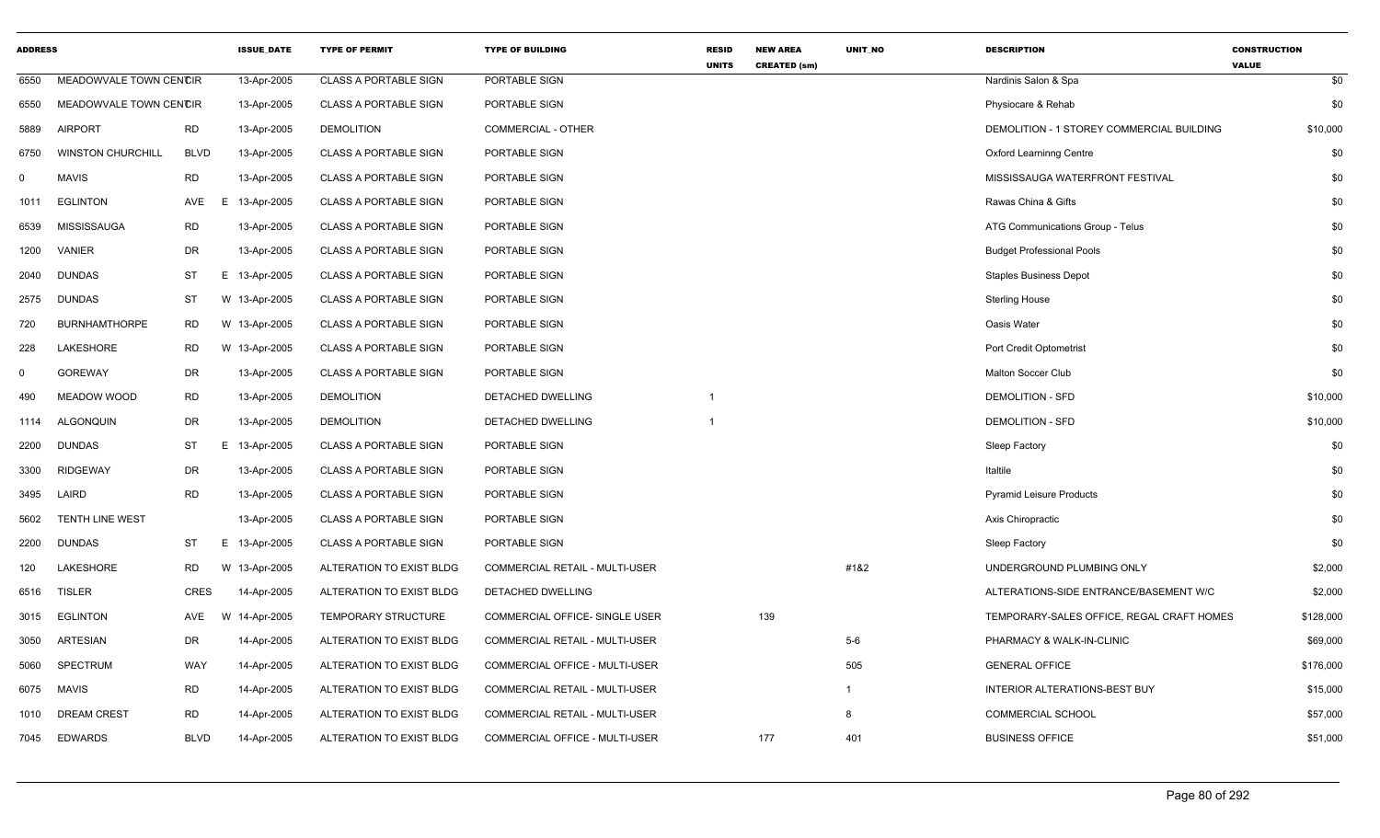| <b>ADDRESS</b> |                          |             | <b>ISSUE DATE</b> | <b>TYPE OF PERMIT</b>        | <b>TYPE OF BUILDING</b>               | <b>RESID</b><br><b>UNITS</b> | <b>NEW AREA</b><br><b>CREATED (sm)</b> | <b>UNIT NO</b> | <b>DESCRIPTION</b>                        | <b>CONSTRUCTION</b><br><b>VALUE</b> |
|----------------|--------------------------|-------------|-------------------|------------------------------|---------------------------------------|------------------------------|----------------------------------------|----------------|-------------------------------------------|-------------------------------------|
| 6550           | MEADOWVALE TOWN CENCIR   |             | 13-Apr-2005       | <b>CLASS A PORTABLE SIGN</b> | PORTABLE SIGN                         |                              |                                        |                | Nardinis Salon & Spa                      | \$0                                 |
| 6550           | MEADOWVALE TOWN CENCIR   |             | 13-Apr-2005       | <b>CLASS A PORTABLE SIGN</b> | PORTABLE SIGN                         |                              |                                        |                | Physiocare & Rehab                        | \$0                                 |
| 5889           | <b>AIRPORT</b>           | <b>RD</b>   | 13-Apr-2005       | <b>DEMOLITION</b>            | <b>COMMERCIAL - OTHER</b>             |                              |                                        |                | DEMOLITION - 1 STOREY COMMERCIAL BUILDING | \$10,000                            |
| 6750           | <b>WINSTON CHURCHILL</b> | <b>BLVD</b> | 13-Apr-2005       | <b>CLASS A PORTABLE SIGN</b> | PORTABLE SIGN                         |                              |                                        |                | <b>Oxford Learninng Centre</b>            | \$0                                 |
| $\mathbf 0$    | <b>MAVIS</b>             | <b>RD</b>   | 13-Apr-2005       | <b>CLASS A PORTABLE SIGN</b> | PORTABLE SIGN                         |                              |                                        |                | MISSISSAUGA WATERFRONT FESTIVAL           | \$0                                 |
| 1011           | <b>EGLINTON</b>          | AVE         | 13-Apr-2005<br>E  | <b>CLASS A PORTABLE SIGN</b> | PORTABLE SIGN                         |                              |                                        |                | Rawas China & Gifts                       | \$0                                 |
| 6539           | <b>MISSISSAUGA</b>       | <b>RD</b>   | 13-Apr-2005       | <b>CLASS A PORTABLE SIGN</b> | PORTABLE SIGN                         |                              |                                        |                | ATG Communications Group - Telus          | \$0                                 |
| 1200           | VANIER                   | DR          | 13-Apr-2005       | <b>CLASS A PORTABLE SIGN</b> | PORTABLE SIGN                         |                              |                                        |                | <b>Budget Professional Pools</b>          | \$0                                 |
| 2040           | <b>DUNDAS</b>            | ST          | E.<br>13-Apr-2005 | <b>CLASS A PORTABLE SIGN</b> | PORTABLE SIGN                         |                              |                                        |                | <b>Staples Business Depot</b>             | \$0                                 |
| 2575           | <b>DUNDAS</b>            | ST          | W 13-Apr-2005     | <b>CLASS A PORTABLE SIGN</b> | PORTABLE SIGN                         |                              |                                        |                | <b>Sterling House</b>                     | \$0                                 |
| 720            | <b>BURNHAMTHORPE</b>     | RD          | W 13-Apr-2005     | <b>CLASS A PORTABLE SIGN</b> | PORTABLE SIGN                         |                              |                                        |                | Oasis Water                               | \$0                                 |
| 228            | LAKESHORE                | RD          | W 13-Apr-2005     | <b>CLASS A PORTABLE SIGN</b> | PORTABLE SIGN                         |                              |                                        |                | Port Credit Optometrist                   | \$0                                 |
| $\mathbf 0$    | <b>GOREWAY</b>           | DR          | 13-Apr-2005       | <b>CLASS A PORTABLE SIGN</b> | PORTABLE SIGN                         |                              |                                        |                | <b>Malton Soccer Club</b>                 | \$0                                 |
| 490            | MEADOW WOOD              | <b>RD</b>   | 13-Apr-2005       | <b>DEMOLITION</b>            | DETACHED DWELLING                     |                              |                                        |                | <b>DEMOLITION - SFD</b>                   | \$10,000                            |
| 1114           | <b>ALGONQUIN</b>         | DR          | 13-Apr-2005       | <b>DEMOLITION</b>            | DETACHED DWELLING                     |                              |                                        |                | <b>DEMOLITION - SFD</b>                   | \$10,000                            |
| 2200           | <b>DUNDAS</b>            | ST          | E 13-Apr-2005     | <b>CLASS A PORTABLE SIGN</b> | PORTABLE SIGN                         |                              |                                        |                | Sleep Factory                             | \$0                                 |
| 3300           | <b>RIDGEWAY</b>          | DR          | 13-Apr-2005       | <b>CLASS A PORTABLE SIGN</b> | PORTABLE SIGN                         |                              |                                        |                | Italtile                                  | \$0                                 |
| 3495           | LAIRD                    | <b>RD</b>   | 13-Apr-2005       | <b>CLASS A PORTABLE SIGN</b> | PORTABLE SIGN                         |                              |                                        |                | <b>Pyramid Leisure Products</b>           | \$0                                 |
| 5602           | <b>TENTH LINE WEST</b>   |             | 13-Apr-2005       | <b>CLASS A PORTABLE SIGN</b> | PORTABLE SIGN                         |                              |                                        |                | Axis Chiropractic                         | \$0                                 |
| 2200           | DUNDAS                   | <b>ST</b>   | E<br>13-Apr-2005  | <b>CLASS A PORTABLE SIGN</b> | PORTABLE SIGN                         |                              |                                        |                | Sleep Factory                             | \$0                                 |
| 120            | LAKESHORE                | RD.         | W 13-Apr-2005     | ALTERATION TO EXIST BLDG     | COMMERCIAL RETAIL - MULTI-USER        |                              |                                        | #1&2           | UNDERGROUND PLUMBING ONLY                 | \$2,000                             |
| 6516           | <b>TISLER</b>            | <b>CRES</b> | 14-Apr-2005       | ALTERATION TO EXIST BLDG     | DETACHED DWELLING                     |                              |                                        |                | ALTERATIONS-SIDE ENTRANCE/BASEMENT W/C    | \$2,000                             |
| 3015           | <b>EGLINTON</b>          | AVE         | W 14-Apr-2005     | TEMPORARY STRUCTURE          | <b>COMMERCIAL OFFICE- SINGLE USER</b> |                              | 139                                    |                | TEMPORARY-SALES OFFICE, REGAL CRAFT HOMES | \$128,000                           |
| 3050           | ARTESIAN                 | DR          | 14-Apr-2005       | ALTERATION TO EXIST BLDG     | COMMERCIAL RETAIL - MULTI-USER        |                              |                                        | $5-6$          | PHARMACY & WALK-IN-CLINIC                 | \$69,000                            |
| 5060           | <b>SPECTRUM</b>          | WAY         | 14-Apr-2005       | ALTERATION TO EXIST BLDG     | COMMERCIAL OFFICE - MULTI-USER        |                              |                                        | 505            | <b>GENERAL OFFICE</b>                     | \$176,000                           |
| 6075           | <b>MAVIS</b>             | <b>RD</b>   | 14-Apr-2005       | ALTERATION TO EXIST BLDG     | COMMERCIAL RETAIL - MULTI-USER        |                              |                                        | $\mathbf{1}$   | INTERIOR ALTERATIONS-BEST BUY             | \$15,000                            |
| 1010           | <b>DREAM CREST</b>       | <b>RD</b>   | 14-Apr-2005       | ALTERATION TO EXIST BLDG     | COMMERCIAL RETAIL - MULTI-USER        |                              |                                        | 8              | <b>COMMERCIAL SCHOOL</b>                  | \$57,000                            |
| 7045           | <b>EDWARDS</b>           | <b>BLVD</b> | 14-Apr-2005       | ALTERATION TO EXIST BLDG     | <b>COMMERCIAL OFFICE - MULTI-USER</b> |                              | 177                                    | 401            | <b>BUSINESS OFFICE</b>                    | \$51,000                            |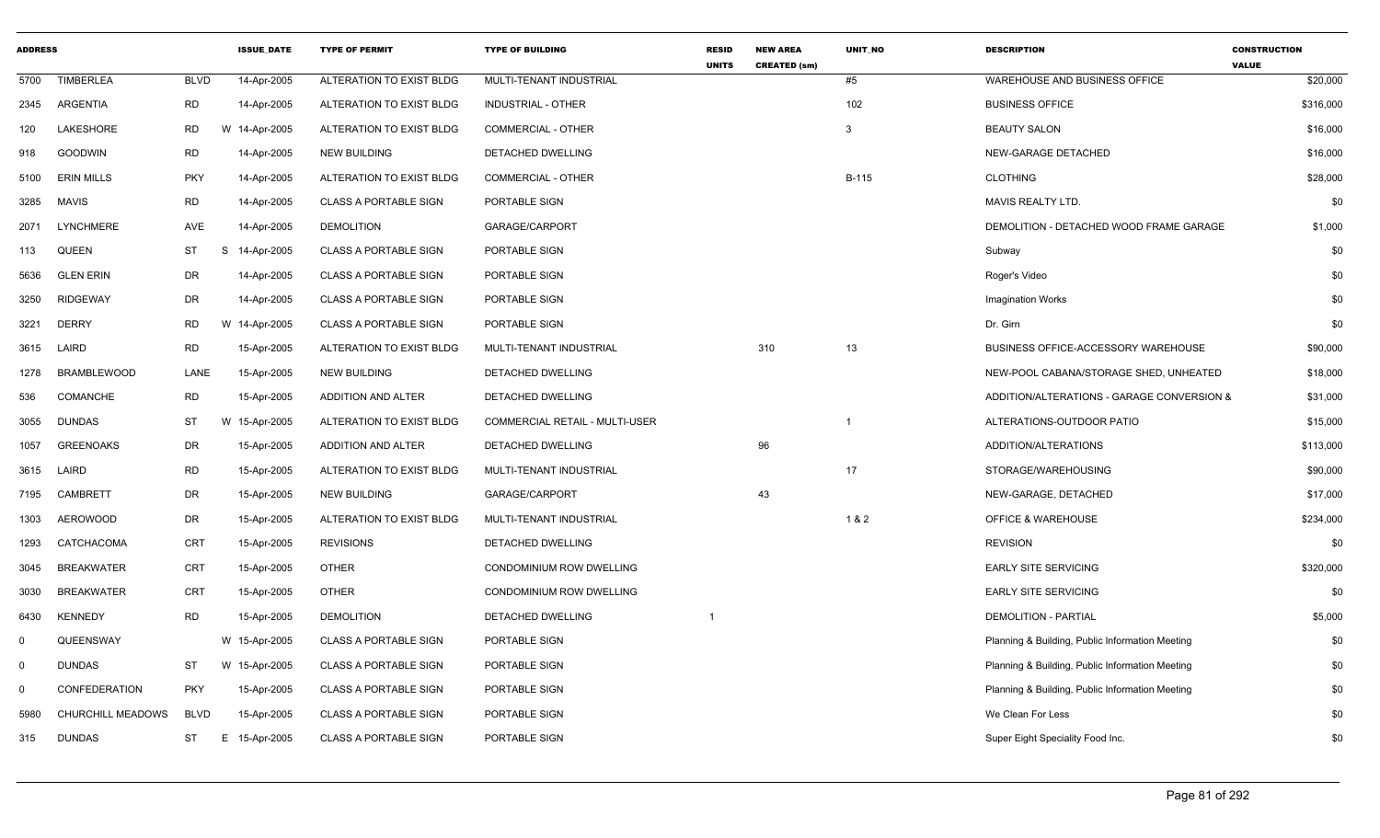| <b>ADDRESS</b> |                      |             | <b>ISSUE_DATE</b> | <b>TYPE OF PERMIT</b>        | <b>TYPE OF BUILDING</b>        | <b>RESID</b><br><b>UNITS</b> | <b>NEW AREA</b><br><b>CREATED (sm)</b> | UNIT_NO      | <b>DESCRIPTION</b>                              | <b>CONSTRUCTION</b><br><b>VALUE</b> |
|----------------|----------------------|-------------|-------------------|------------------------------|--------------------------------|------------------------------|----------------------------------------|--------------|-------------------------------------------------|-------------------------------------|
| 5700           | <b>TIMBERLEA</b>     | <b>BLVD</b> | 14-Apr-2005       | ALTERATION TO EXIST BLDG     | MULTI-TENANT INDUSTRIAL        |                              |                                        | #5           | WAREHOUSE AND BUSINESS OFFICE                   | \$20,000                            |
| 2345           | ARGENTIA             | <b>RD</b>   | 14-Apr-2005       | ALTERATION TO EXIST BLDG     | INDUSTRIAL - OTHER             |                              |                                        | 102          | <b>BUSINESS OFFICE</b>                          | \$316,000                           |
| 120            | LAKESHORE            | <b>RD</b>   | W 14-Apr-2005     | ALTERATION TO EXIST BLDG     | COMMERCIAL - OTHER             |                              |                                        | 3            | <b>BEAUTY SALON</b>                             | \$16,000                            |
| 918            | <b>GOODWIN</b>       | <b>RD</b>   | 14-Apr-2005       | <b>NEW BUILDING</b>          | DETACHED DWELLING              |                              |                                        |              | NEW-GARAGE DETACHED                             | \$16,000                            |
| 5100           | <b>ERIN MILLS</b>    | <b>PKY</b>  | 14-Apr-2005       | ALTERATION TO EXIST BLDG     | COMMERCIAL - OTHER             |                              |                                        | <b>B-115</b> | <b>CLOTHING</b>                                 | \$28,000                            |
| 3285           | <b>MAVIS</b>         | <b>RD</b>   | 14-Apr-2005       | <b>CLASS A PORTABLE SIGN</b> | PORTABLE SIGN                  |                              |                                        |              | MAVIS REALTY LTD.                               | \$0                                 |
| 2071           | <b>LYNCHMERE</b>     | AVE         | 14-Apr-2005       | <b>DEMOLITION</b>            | GARAGE/CARPORT                 |                              |                                        |              | DEMOLITION - DETACHED WOOD FRAME GARAGE         | \$1,000                             |
| 113            | QUEEN                | <b>ST</b>   | S<br>14-Apr-2005  | <b>CLASS A PORTABLE SIGN</b> | PORTABLE SIGN                  |                              |                                        |              | Subway                                          | \$0                                 |
| 5636           | <b>GLEN ERIN</b>     | <b>DR</b>   | 14-Apr-2005       | <b>CLASS A PORTABLE SIGN</b> | PORTABLE SIGN                  |                              |                                        |              | Roger's Video                                   | \$0                                 |
| 3250           | <b>RIDGEWAY</b>      | <b>DR</b>   | 14-Apr-2005       | <b>CLASS A PORTABLE SIGN</b> | <b>PORTABLE SIGN</b>           |                              |                                        |              | <b>Imagination Works</b>                        | \$0                                 |
| 3221           | <b>DERRY</b>         | <b>RD</b>   | W 14-Apr-2005     | <b>CLASS A PORTABLE SIGN</b> | PORTABLE SIGN                  |                              |                                        |              | Dr. Girn                                        | \$0                                 |
| 3615           | LAIRD                | <b>RD</b>   | 15-Apr-2005       | ALTERATION TO EXIST BLDG     | MULTI-TENANT INDUSTRIAL        |                              | 310                                    | 13           | BUSINESS OFFICE-ACCESSORY WAREHOUSE             | \$90,000                            |
| 1278           | <b>BRAMBLEWOOD</b>   | LANE        | 15-Apr-2005       | <b>NEW BUILDING</b>          | DETACHED DWELLING              |                              |                                        |              | NEW-POOL CABANA/STORAGE SHED, UNHEATED          | \$18,000                            |
| 536            | <b>COMANCHE</b>      | <b>RD</b>   | 15-Apr-2005       | ADDITION AND ALTER           | DETACHED DWELLING              |                              |                                        |              | ADDITION/ALTERATIONS - GARAGE CONVERSION &      | \$31,000                            |
| 3055           | <b>DUNDAS</b>        | <b>ST</b>   | W 15-Apr-2005     | ALTERATION TO EXIST BLDG     | COMMERCIAL RETAIL - MULTI-USER |                              |                                        | 1            | ALTERATIONS-OUTDOOR PATIO                       | \$15,000                            |
| 1057           | <b>GREENOAKS</b>     | DR          | 15-Apr-2005       | ADDITION AND ALTER           | DETACHED DWELLING              |                              | 96                                     |              | ADDITION/ALTERATIONS                            | \$113,000                           |
| 3615           | LAIRD                | <b>RD</b>   | 15-Apr-2005       | ALTERATION TO EXIST BLDG     | <b>MULTI-TENANT INDUSTRIAL</b> |                              |                                        | 17           | STORAGE/WAREHOUSING                             | \$90,000                            |
| 7195           | CAMBRETT             | <b>DR</b>   | 15-Apr-2005       | <b>NEW BUILDING</b>          | GARAGE/CARPORT                 |                              | 43                                     |              | NEW-GARAGE, DETACHED                            | \$17,000                            |
| 1303           | <b>AEROWOOD</b>      | DR          | 15-Apr-2005       | ALTERATION TO EXIST BLDG     | MULTI-TENANT INDUSTRIAL        |                              |                                        | 1 & 2        | <b>OFFICE &amp; WAREHOUSE</b>                   | \$234,000                           |
| 1293           | CATCHACOMA           | CRT         | 15-Apr-2005       | <b>REVISIONS</b>             | DETACHED DWELLING              |                              |                                        |              | <b>REVISION</b>                                 | \$0                                 |
| 3045           | <b>BREAKWATER</b>    | <b>CRT</b>  | 15-Apr-2005       | <b>OTHER</b>                 | CONDOMINIUM ROW DWELLING       |                              |                                        |              | <b>EARLY SITE SERVICING</b>                     | \$320,000                           |
| 3030           | <b>BREAKWATER</b>    | <b>CRT</b>  | 15-Apr-2005       | <b>OTHER</b>                 | CONDOMINIUM ROW DWELLING       |                              |                                        |              | <b>EARLY SITE SERVICING</b>                     | \$0                                 |
| 6430           | <b>KENNEDY</b>       | <b>RD</b>   | 15-Apr-2005       | <b>DEMOLITION</b>            | DETACHED DWELLING              |                              |                                        |              | <b>DEMOLITION - PARTIAL</b>                     | \$5,000                             |
| $\mathbf 0$    | QUEENSWAY            |             | W 15-Apr-2005     | <b>CLASS A PORTABLE SIGN</b> | PORTABLE SIGN                  |                              |                                        |              | Planning & Building, Public Information Meeting | \$0                                 |
| $\mathbf 0$    | <b>DUNDAS</b>        | <b>ST</b>   | W 15-Apr-2005     | <b>CLASS A PORTABLE SIGN</b> | PORTABLE SIGN                  |                              |                                        |              | Planning & Building, Public Information Meeting | \$0                                 |
| $\mathbf 0$    | <b>CONFEDERATION</b> | <b>PKY</b>  | 15-Apr-2005       | <b>CLASS A PORTABLE SIGN</b> | PORTABLE SIGN                  |                              |                                        |              | Planning & Building, Public Information Meeting | \$0                                 |
| 5980           | CHURCHILL MEADOWS    | <b>BLVD</b> | 15-Apr-2005       | <b>CLASS A PORTABLE SIGN</b> | PORTABLE SIGN                  |                              |                                        |              | We Clean For Less                               | \$0                                 |
| 315            | <b>DUNDAS</b>        | ST          | E 15-Apr-2005     | <b>CLASS A PORTABLE SIGN</b> | <b>PORTABLE SIGN</b>           |                              |                                        |              | Super Eight Speciality Food Inc.                | \$0                                 |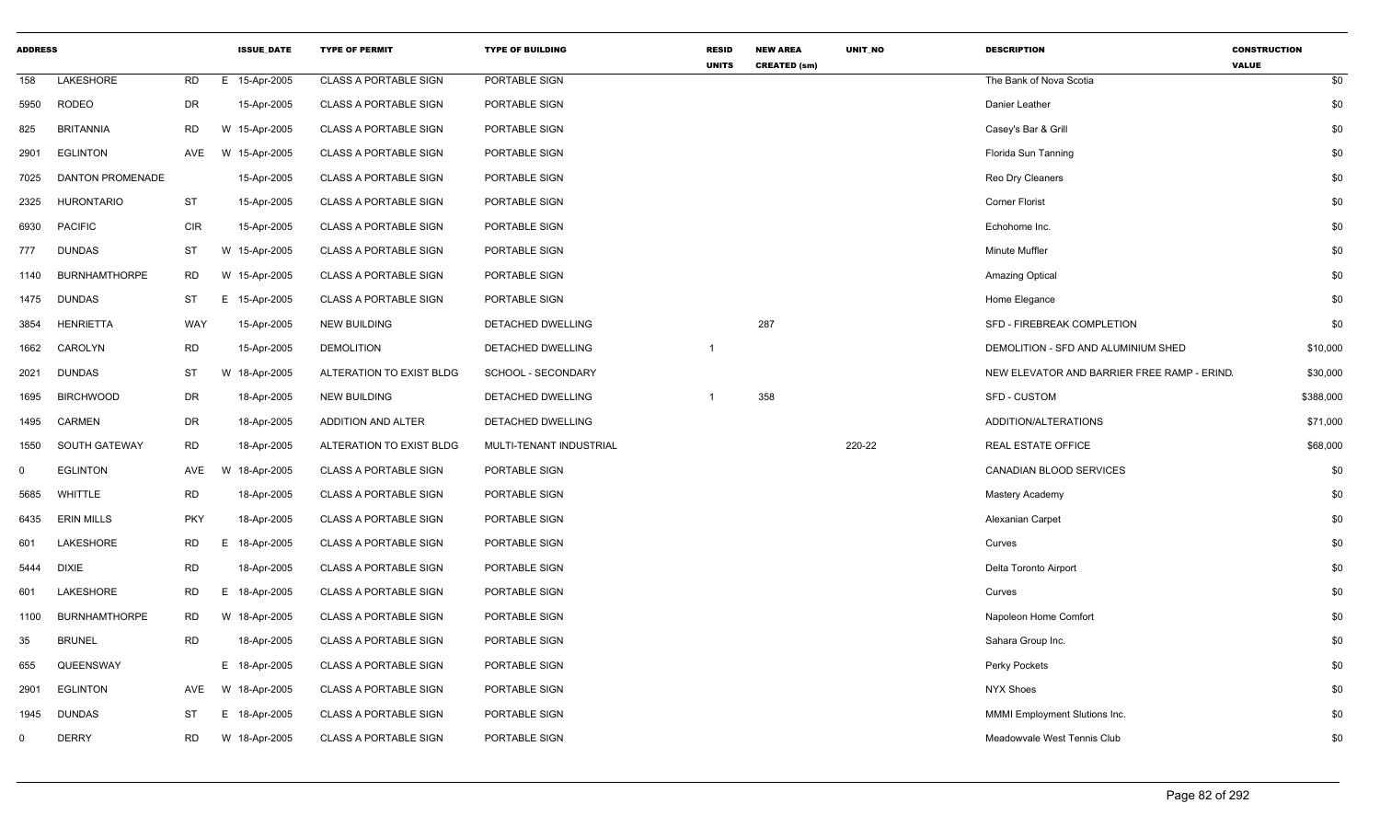| <b>ADDRESS</b> |                         |            | <b>ISSUE_DATE</b> | <b>TYPE OF PERMIT</b>        | <b>TYPE OF BUILDING</b>  | <b>RESID</b><br><b>UNITS</b> | <b>NEW AREA</b><br><b>CREATED (sm)</b> | UNIT_NO | <b>DESCRIPTION</b>                         | <b>CONSTRUCTION</b><br><b>VALUE</b> |
|----------------|-------------------------|------------|-------------------|------------------------------|--------------------------|------------------------------|----------------------------------------|---------|--------------------------------------------|-------------------------------------|
| 158            | <b>LAKESHORE</b>        | <b>RD</b>  | E 15-Apr-2005     | <b>CLASS A PORTABLE SIGN</b> | PORTABLE SIGN            |                              |                                        |         | The Bank of Nova Scotia                    | \$0                                 |
| 5950           | <b>RODEO</b>            | DR         | 15-Apr-2005       | CLASS A PORTABLE SIGN        | PORTABLE SIGN            |                              |                                        |         | Danier Leather                             | \$0                                 |
| 825            | <b>BRITANNIA</b>        | <b>RD</b>  | W 15-Apr-2005     | CLASS A PORTABLE SIGN        | PORTABLE SIGN            |                              |                                        |         | Casey's Bar & Grill                        | \$0                                 |
| 2901           | <b>EGLINTON</b>         | AVE        | W 15-Apr-2005     | <b>CLASS A PORTABLE SIGN</b> | PORTABLE SIGN            |                              |                                        |         | Florida Sun Tanning                        | \$0                                 |
| 7025           | <b>DANTON PROMENADE</b> |            | 15-Apr-2005       | CLASS A PORTABLE SIGN        | PORTABLE SIGN            |                              |                                        |         | Reo Dry Cleaners                           | \$0                                 |
| 2325           | <b>HURONTARIO</b>       | <b>ST</b>  | 15-Apr-2005       | <b>CLASS A PORTABLE SIGN</b> | PORTABLE SIGN            |                              |                                        |         | <b>Corner Florist</b>                      | \$0                                 |
| 6930           | <b>PACIFIC</b>          | <b>CIR</b> | 15-Apr-2005       | <b>CLASS A PORTABLE SIGN</b> | PORTABLE SIGN            |                              |                                        |         | Echohome Inc.                              | \$0                                 |
| 777            | <b>DUNDAS</b>           | ST         | W 15-Apr-2005     | <b>CLASS A PORTABLE SIGN</b> | PORTABLE SIGN            |                              |                                        |         | Minute Muffler                             | \$0                                 |
| 1140           | <b>BURNHAMTHORPE</b>    | <b>RD</b>  | W 15-Apr-2005     | <b>CLASS A PORTABLE SIGN</b> | PORTABLE SIGN            |                              |                                        |         | <b>Amazing Optical</b>                     | \$0                                 |
| 1475           | <b>DUNDAS</b>           | <b>ST</b>  | E 15-Apr-2005     | <b>CLASS A PORTABLE SIGN</b> | PORTABLE SIGN            |                              |                                        |         | Home Elegance                              | \$0                                 |
| 3854           | <b>HENRIETTA</b>        | WAY        | 15-Apr-2005       | <b>NEW BUILDING</b>          | <b>DETACHED DWELLING</b> |                              | 287                                    |         | SFD - FIREBREAK COMPLETION                 | \$0                                 |
| 1662           | CAROLYN                 | <b>RD</b>  | 15-Apr-2005       | <b>DEMOLITION</b>            | DETACHED DWELLING        | -1                           |                                        |         | DEMOLITION - SFD AND ALUMINIUM SHED        | \$10,000                            |
| 2021           | <b>DUNDAS</b>           | <b>ST</b>  | W 18-Apr-2005     | ALTERATION TO EXIST BLDG     | SCHOOL - SECONDARY       |                              |                                        |         | NEW ELEVATOR AND BARRIER FREE RAMP - ERIND | \$30,000                            |
| 1695           | <b>BIRCHWOOD</b>        | DR         | 18-Apr-2005       | <b>NEW BUILDING</b>          | DETACHED DWELLING        |                              | 358                                    |         | <b>SFD - CUSTOM</b>                        | \$388,000                           |
| 1495           | <b>CARMEN</b>           | DR         | 18-Apr-2005       | ADDITION AND ALTER           | <b>DETACHED DWELLING</b> |                              |                                        |         | ADDITION/ALTERATIONS                       | \$71,000                            |
| 1550           | SOUTH GATEWAY           | <b>RD</b>  | 18-Apr-2005       | ALTERATION TO EXIST BLDG     | MULTI-TENANT INDUSTRIAL  |                              |                                        | 220-22  | <b>REAL ESTATE OFFICE</b>                  | \$68,000                            |
| $\mathbf 0$    | <b>EGLINTON</b>         | AVE        | W<br>18-Apr-2005  | <b>CLASS A PORTABLE SIGN</b> | PORTABLE SIGN            |                              |                                        |         | CANADIAN BLOOD SERVICES                    | \$0                                 |
| 5685           | WHITTLE                 | <b>RD</b>  | 18-Apr-2005       | CLASS A PORTABLE SIGN        | PORTABLE SIGN            |                              |                                        |         | Mastery Academy                            | \$0                                 |
| 6435           | <b>ERIN MILLS</b>       | <b>PKY</b> | 18-Apr-2005       | <b>CLASS A PORTABLE SIGN</b> | PORTABLE SIGN            |                              |                                        |         | Alexanian Carpet                           | \$0                                 |
| 601            | <b>LAKESHORE</b>        | <b>RD</b>  | E 18-Apr-2005     | CLASS A PORTABLE SIGN        | PORTABLE SIGN            |                              |                                        |         | Curves                                     | \$0                                 |
| 5444           | <b>DIXIE</b>            | <b>RD</b>  | 18-Apr-2005       | <b>CLASS A PORTABLE SIGN</b> | PORTABLE SIGN            |                              |                                        |         | Delta Toronto Airport                      | \$0                                 |
| 601            | LAKESHORE               | <b>RD</b>  | E 18-Apr-2005     | <b>CLASS A PORTABLE SIGN</b> | PORTABLE SIGN            |                              |                                        |         | Curves                                     | \$0                                 |
| 1100           | <b>BURNHAMTHORPE</b>    | <b>RD</b>  | W 18-Apr-2005     | <b>CLASS A PORTABLE SIGN</b> | PORTABLE SIGN            |                              |                                        |         | Napoleon Home Comfort                      | \$0                                 |
| 35             | <b>BRUNEL</b>           | <b>RD</b>  | 18-Apr-2005       | <b>CLASS A PORTABLE SIGN</b> | PORTABLE SIGN            |                              |                                        |         | Sahara Group Inc.                          | \$0                                 |
| 655            | QUEENSWAY               |            | E 18-Apr-2005     | <b>CLASS A PORTABLE SIGN</b> | PORTABLE SIGN            |                              |                                        |         | Perky Pockets                              | \$0                                 |
| 2901           | <b>EGLINTON</b>         | AVE        | W 18-Apr-2005     | <b>CLASS A PORTABLE SIGN</b> | PORTABLE SIGN            |                              |                                        |         | <b>NYX Shoes</b>                           | \$0                                 |
| 1945           | <b>DUNDAS</b>           | <b>ST</b>  | E 18-Apr-2005     | <b>CLASS A PORTABLE SIGN</b> | PORTABLE SIGN            |                              |                                        |         | MMMI Employment Slutions Inc.              | \$0                                 |
| $\Omega$       | <b>DERRY</b>            | <b>RD</b>  | W 18-Apr-2005     | <b>CLASS A PORTABLE SIGN</b> | PORTABLE SIGN            |                              |                                        |         | Meadowvale West Tennis Club                | \$0                                 |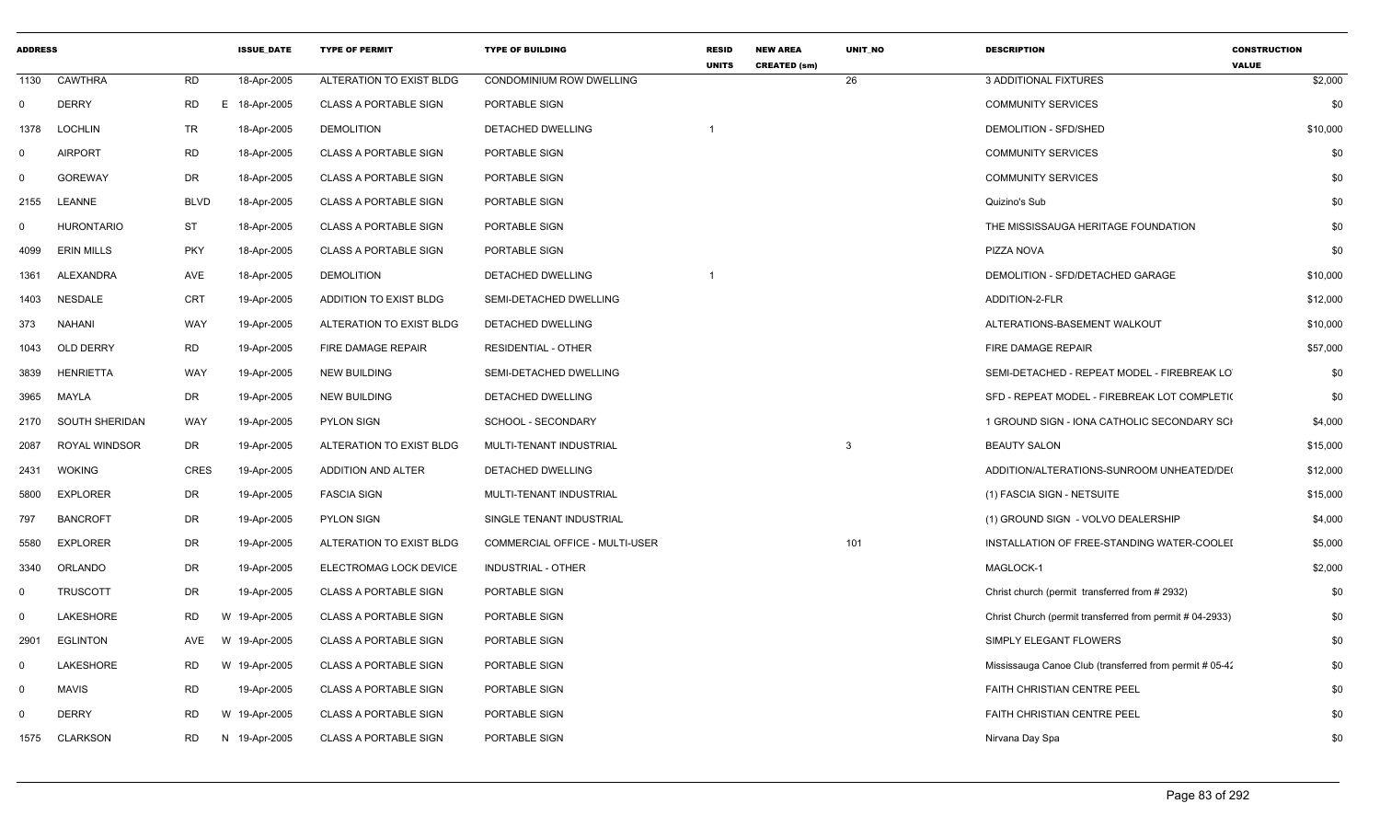| <b>ADDRESS</b> |                   |             | <b>ISSUE_DATE</b> | <b>TYPE OF PERMIT</b>        | <b>TYPE OF BUILDING</b>        | <b>RESID</b><br><b>UNITS</b> | <b>NEW AREA</b><br><b>CREATED (sm)</b> | UNIT_NO      | <b>DESCRIPTION</b>                                      | <b>CONSTRUCTION</b><br><b>VALUE</b> |
|----------------|-------------------|-------------|-------------------|------------------------------|--------------------------------|------------------------------|----------------------------------------|--------------|---------------------------------------------------------|-------------------------------------|
| 1130           | <b>CAWTHRA</b>    | <b>RD</b>   | 18-Apr-2005       | ALTERATION TO EXIST BLDG     | CONDOMINIUM ROW DWELLING       |                              |                                        | 26           | 3 ADDITIONAL FIXTURES                                   | \$2,000                             |
| $\overline{0}$ | <b>DERRY</b>      | <b>RD</b>   | E 18-Apr-2005     | <b>CLASS A PORTABLE SIGN</b> | PORTABLE SIGN                  |                              |                                        |              | <b>COMMUNITY SERVICES</b>                               | \$0                                 |
| 1378           | <b>LOCHLIN</b>    | TR          | 18-Apr-2005       | <b>DEMOLITION</b>            | DETACHED DWELLING              |                              |                                        |              | DEMOLITION - SFD/SHED                                   | \$10,000                            |
| $\Omega$       | <b>AIRPORT</b>    | <b>RD</b>   | 18-Apr-2005       | <b>CLASS A PORTABLE SIGN</b> | PORTABLE SIGN                  |                              |                                        |              | <b>COMMUNITY SERVICES</b>                               | \$0                                 |
| $\Omega$       | <b>GOREWAY</b>    | DR          | 18-Apr-2005       | <b>CLASS A PORTABLE SIGN</b> | PORTABLE SIGN                  |                              |                                        |              | <b>COMMUNITY SERVICES</b>                               | \$0                                 |
| 2155           | LEANNE            | <b>BLVD</b> | 18-Apr-2005       | <b>CLASS A PORTABLE SIGN</b> | PORTABLE SIGN                  |                              |                                        |              | Quizino's Sub                                           | \$0                                 |
| $\Omega$       | HURONTARIO        | <b>ST</b>   | 18-Apr-2005       | <b>CLASS A PORTABLE SIGN</b> | PORTABLE SIGN                  |                              |                                        |              | THE MISSISSAUGA HERITAGE FOUNDATION                     | \$0                                 |
| 4099           | <b>ERIN MILLS</b> | <b>PKY</b>  | 18-Apr-2005       | <b>CLASS A PORTABLE SIGN</b> | PORTABLE SIGN                  |                              |                                        |              | PIZZA NOVA                                              | \$0                                 |
| 1361           | ALEXANDRA         | AVE         | 18-Apr-2005       | <b>DEMOLITION</b>            | <b>DETACHED DWELLING</b>       | - 1                          |                                        |              | DEMOLITION - SFD/DETACHED GARAGE                        | \$10,000                            |
| 1403           | <b>NESDALE</b>    | CRT         | 19-Apr-2005       | ADDITION TO EXIST BLDG       | SEMI-DETACHED DWELLING         |                              |                                        |              | ADDITION-2-FLR                                          | \$12,000                            |
| 373            | <b>NAHANI</b>     | WAY         | 19-Apr-2005       | ALTERATION TO EXIST BLDG     | DETACHED DWELLING              |                              |                                        |              | ALTERATIONS-BASEMENT WALKOUT                            | \$10,000                            |
| 1043           | OLD DERRY         | <b>RD</b>   | 19-Apr-2005       | FIRE DAMAGE REPAIR           | <b>RESIDENTIAL - OTHER</b>     |                              |                                        |              | FIRE DAMAGE REPAIR                                      | \$57,000                            |
| 3839           | <b>HENRIETTA</b>  | WAY         | 19-Apr-2005       | <b>NEW BUILDING</b>          | SEMI-DETACHED DWELLING         |                              |                                        |              | SEMI-DETACHED - REPEAT MODEL - FIREBREAK LO             | \$0                                 |
| 3965           | MAYLA             | DR          | 19-Apr-2005       | <b>NEW BUILDING</b>          | <b>DETACHED DWELLING</b>       |                              |                                        |              | SFD - REPEAT MODEL - FIREBREAK LOT COMPLETI(            | \$0                                 |
| 2170           | SOUTH SHERIDAN    | <b>WAY</b>  | 19-Apr-2005       | <b>PYLON SIGN</b>            | SCHOOL - SECONDARY             |                              |                                        |              | 1 GROUND SIGN - IONA CATHOLIC SECONDARY SCI             | \$4,000                             |
| 2087           | ROYAL WINDSOR     | DR          | 19-Apr-2005       | ALTERATION TO EXIST BLDG     | MULTI-TENANT INDUSTRIAL        |                              |                                        | $\mathbf{3}$ | <b>BEAUTY SALON</b>                                     | \$15,000                            |
| 2431           | <b>WOKING</b>     | <b>CRES</b> | 19-Apr-2005       | ADDITION AND ALTER           | DETACHED DWELLING              |                              |                                        |              | ADDITION/ALTERATIONS-SUNROOM UNHEATED/DE                | \$12,000                            |
| 5800           | <b>EXPLORER</b>   | DR          | 19-Apr-2005       | <b>FASCIA SIGN</b>           | MULTI-TENANT INDUSTRIAL        |                              |                                        |              | (1) FASCIA SIGN - NETSUITE                              | \$15,000                            |
| 797            | <b>BANCROFT</b>   | DR          | 19-Apr-2005       | <b>PYLON SIGN</b>            | SINGLE TENANT INDUSTRIAL       |                              |                                        |              | (1) GROUND SIGN - VOLVO DEALERSHIP                      | \$4,000                             |
| 5580           | <b>EXPLORER</b>   | DR          | 19-Apr-2005       | ALTERATION TO EXIST BLDG     | COMMERCIAL OFFICE - MULTI-USER |                              |                                        | 101          | INSTALLATION OF FREE-STANDING WATER-COOLEI              | \$5,000                             |
| 3340           | ORLANDO           | DR          | 19-Apr-2005       | ELECTROMAG LOCK DEVICE       | INDUSTRIAL - OTHER             |                              |                                        |              | MAGLOCK-1                                               | \$2,000                             |
| $\mathbf 0$    | <b>TRUSCOTT</b>   | DR          | 19-Apr-2005       | <b>CLASS A PORTABLE SIGN</b> | PORTABLE SIGN                  |                              |                                        |              | Christ church (permit transferred from #2932)           | \$0                                 |
| $\Omega$       | LAKESHORE         | RD          | W 19-Apr-2005     | <b>CLASS A PORTABLE SIGN</b> | PORTABLE SIGN                  |                              |                                        |              | Christ Church (permit transferred from permit #04-2933) | \$0                                 |
| 2901           | <b>EGLINTON</b>   | AVE         | W 19-Apr-2005     | <b>CLASS A PORTABLE SIGN</b> | PORTABLE SIGN                  |                              |                                        |              | SIMPLY ELEGANT FLOWERS                                  | \$0                                 |
| $\mathbf 0$    | LAKESHORE         | RD          | W 19-Apr-2005     | <b>CLASS A PORTABLE SIGN</b> | PORTABLE SIGN                  |                              |                                        |              | Mississauga Canoe Club (transferred from permit # 05-42 | \$0                                 |
| $\mathbf 0$    | <b>MAVIS</b>      | RD          | 19-Apr-2005       | <b>CLASS A PORTABLE SIGN</b> | PORTABLE SIGN                  |                              |                                        |              | <b>FAITH CHRISTIAN CENTRE PEEL</b>                      | \$0                                 |
| 0              | <b>DERRY</b>      | <b>RD</b>   | W 19-Apr-2005     | <b>CLASS A PORTABLE SIGN</b> | PORTABLE SIGN                  |                              |                                        |              | <b>FAITH CHRISTIAN CENTRE PEEL</b>                      | \$0                                 |
| 1575           | <b>CLARKSON</b>   | RD          | N 19-Apr-2005     | <b>CLASS A PORTABLE SIGN</b> | PORTABLE SIGN                  |                              |                                        |              | Nirvana Day Spa                                         | \$0                                 |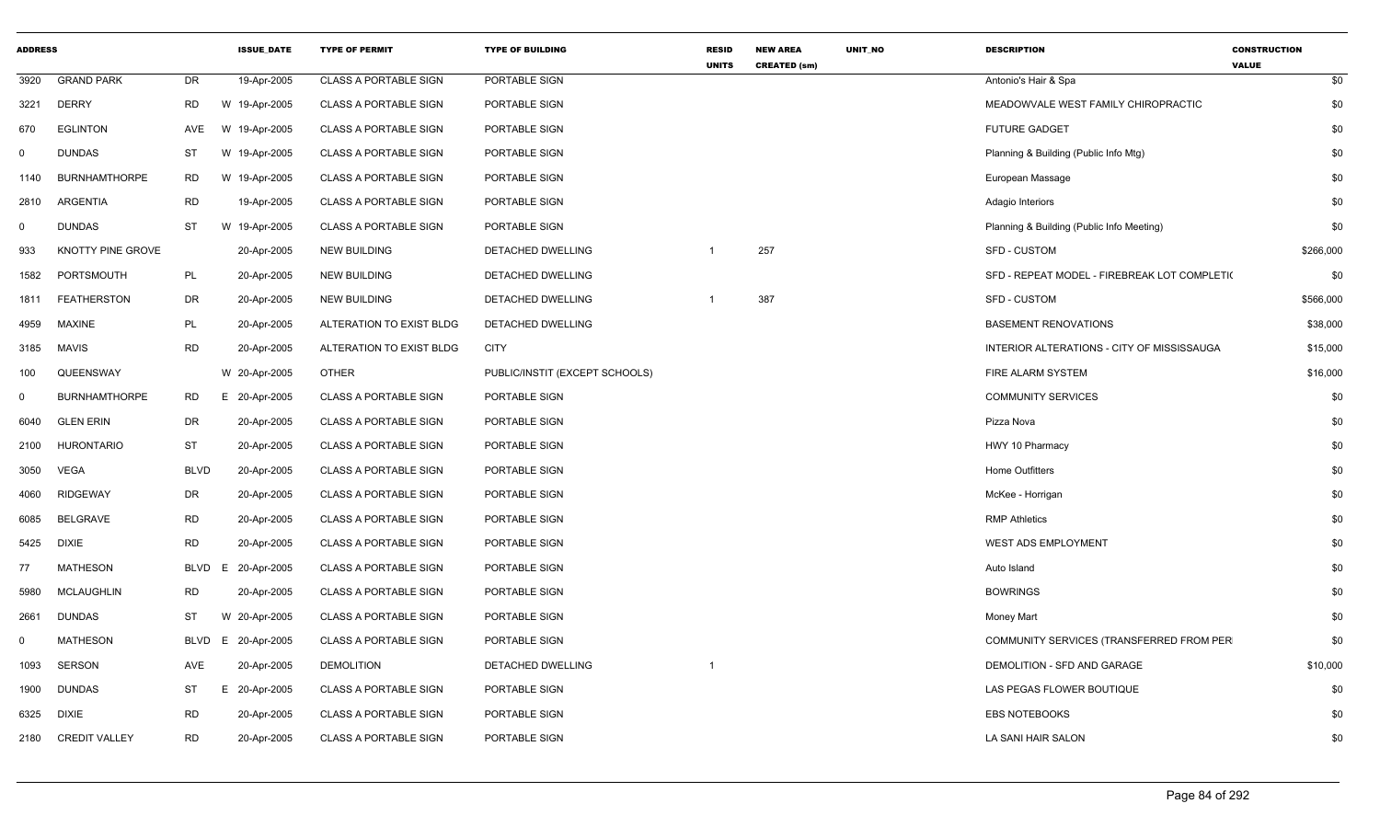| <b>ADDRESS</b> |                      |             | <b>ISSUE DATE</b> | <b>TYPE OF PERMIT</b>        | <b>TYPE OF BUILDING</b>        | <b>RESID</b><br><b>UNITS</b> | <b>NEW AREA</b><br><b>CREATED (sm)</b> | <b>UNIT NO</b> | <b>DESCRIPTION</b>                           | <b>CONSTRUCTION</b><br><b>VALUE</b> |
|----------------|----------------------|-------------|-------------------|------------------------------|--------------------------------|------------------------------|----------------------------------------|----------------|----------------------------------------------|-------------------------------------|
| 3920           | <b>GRAND PARK</b>    | <b>DR</b>   | 19-Apr-2005       | <b>CLASS A PORTABLE SIGN</b> | PORTABLE SIGN                  |                              |                                        |                | Antonio's Hair & Spa                         | \$0                                 |
| 3221           | <b>DERRY</b>         | <b>RD</b>   | W 19-Apr-2005     | <b>CLASS A PORTABLE SIGN</b> | PORTABLE SIGN                  |                              |                                        |                | MEADOWVALE WEST FAMILY CHIROPRACTIC          | \$0                                 |
| 670            | <b>EGLINTON</b>      | AVE         | W 19-Apr-2005     | <b>CLASS A PORTABLE SIGN</b> | PORTABLE SIGN                  |                              |                                        |                | <b>FUTURE GADGET</b>                         | \$0                                 |
| $\mathbf 0$    | <b>DUNDAS</b>        | ST          | W 19-Apr-2005     | <b>CLASS A PORTABLE SIGN</b> | PORTABLE SIGN                  |                              |                                        |                | Planning & Building (Public Info Mtg)        | \$0                                 |
| 1140           | <b>BURNHAMTHORPE</b> | <b>RD</b>   | W 19-Apr-2005     | <b>CLASS A PORTABLE SIGN</b> | PORTABLE SIGN                  |                              |                                        |                | European Massage                             | \$0                                 |
| 2810           | ARGENTIA             | <b>RD</b>   | 19-Apr-2005       | <b>CLASS A PORTABLE SIGN</b> | PORTABLE SIGN                  |                              |                                        |                | Adagio Interiors                             | \$0                                 |
| $\mathbf 0$    | <b>DUNDAS</b>        | <b>ST</b>   | W 19-Apr-2005     | <b>CLASS A PORTABLE SIGN</b> | PORTABLE SIGN                  |                              |                                        |                | Planning & Building (Public Info Meeting)    | \$0                                 |
| 933            | KNOTTY PINE GROVE    |             | 20-Apr-2005       | <b>NEW BUILDING</b>          | DETACHED DWELLING              | $\mathbf 1$                  | 257                                    |                | <b>SFD - CUSTOM</b>                          | \$266,000                           |
| 1582           | PORTSMOUTH           | PL          | 20-Apr-2005       | <b>NEW BUILDING</b>          | DETACHED DWELLING              |                              |                                        |                | SFD - REPEAT MODEL - FIREBREAK LOT COMPLETI( | \$0                                 |
| 1811           | <b>FEATHERSTON</b>   | <b>DR</b>   | 20-Apr-2005       | <b>NEW BUILDING</b>          | DETACHED DWELLING              |                              | 387                                    |                | <b>SFD - CUSTOM</b>                          | \$566,000                           |
| 4959           | <b>MAXINE</b>        | PL          | 20-Apr-2005       | ALTERATION TO EXIST BLDG     | DETACHED DWELLING              |                              |                                        |                | <b>BASEMENT RENOVATIONS</b>                  | \$38,000                            |
| 3185           | <b>MAVIS</b>         | <b>RD</b>   | 20-Apr-2005       | ALTERATION TO EXIST BLDG     | <b>CITY</b>                    |                              |                                        |                | INTERIOR ALTERATIONS - CITY OF MISSISSAUGA   | \$15,000                            |
| 100            | QUEENSWAY            |             | W 20-Apr-2005     | <b>OTHER</b>                 | PUBLIC/INSTIT (EXCEPT SCHOOLS) |                              |                                        |                | FIRE ALARM SYSTEM                            | \$16,000                            |
| $\mathbf 0$    | <b>BURNHAMTHORPE</b> | RD          | E 20-Apr-2005     | <b>CLASS A PORTABLE SIGN</b> | PORTABLE SIGN                  |                              |                                        |                | <b>COMMUNITY SERVICES</b>                    | \$0                                 |
| 6040           | <b>GLEN ERIN</b>     | DR          | 20-Apr-2005       | <b>CLASS A PORTABLE SIGN</b> | PORTABLE SIGN                  |                              |                                        |                | Pizza Nova                                   | \$0                                 |
| 2100           | <b>HURONTARIO</b>    | ST          | 20-Apr-2005       | <b>CLASS A PORTABLE SIGN</b> | PORTABLE SIGN                  |                              |                                        |                | HWY 10 Pharmacy                              | \$0                                 |
| 3050           | VEGA                 | <b>BLVD</b> | 20-Apr-2005       | <b>CLASS A PORTABLE SIGN</b> | PORTABLE SIGN                  |                              |                                        |                | <b>Home Outfitters</b>                       | \$0                                 |
| 4060           | <b>RIDGEWAY</b>      | DR          | 20-Apr-2005       | CLASS A PORTABLE SIGN        | PORTABLE SIGN                  |                              |                                        |                | McKee - Horrigan                             | \$0                                 |
| 6085           | <b>BELGRAVE</b>      | <b>RD</b>   | 20-Apr-2005       | <b>CLASS A PORTABLE SIGN</b> | PORTABLE SIGN                  |                              |                                        |                | <b>RMP Athletics</b>                         | \$0                                 |
| 5425           | <b>DIXIE</b>         | <b>RD</b>   | 20-Apr-2005       | <b>CLASS A PORTABLE SIGN</b> | PORTABLE SIGN                  |                              |                                        |                | <b>WEST ADS EMPLOYMENT</b>                   | \$0                                 |
| 77             | <b>MATHESON</b>      | <b>BLVD</b> | E 20-Apr-2005     | <b>CLASS A PORTABLE SIGN</b> | PORTABLE SIGN                  |                              |                                        |                | Auto Island                                  | \$0                                 |
| 5980           | <b>MCLAUGHLIN</b>    | <b>RD</b>   | 20-Apr-2005       | <b>CLASS A PORTABLE SIGN</b> | PORTABLE SIGN                  |                              |                                        |                | <b>BOWRINGS</b>                              | \$0                                 |
| 2661           | <b>DUNDAS</b>        | <b>ST</b>   | W 20-Apr-2005     | <b>CLASS A PORTABLE SIGN</b> | PORTABLE SIGN                  |                              |                                        |                | <b>Money Mart</b>                            | \$0                                 |
| 0              | <b>MATHESON</b>      | <b>BLVD</b> | E.<br>20-Apr-2005 | <b>CLASS A PORTABLE SIGN</b> | PORTABLE SIGN                  |                              |                                        |                | COMMUNITY SERVICES (TRANSFERRED FROM PER     | \$0                                 |
| 1093           | <b>SERSON</b>        | AVE         | 20-Apr-2005       | <b>DEMOLITION</b>            | DETACHED DWELLING              | $\mathbf 1$                  |                                        |                | DEMOLITION - SFD AND GARAGE                  | \$10,000                            |
| 1900           | <b>DUNDAS</b>        | ST          | E 20-Apr-2005     | <b>CLASS A PORTABLE SIGN</b> | PORTABLE SIGN                  |                              |                                        |                | LAS PEGAS FLOWER BOUTIQUE                    | \$0                                 |
| 6325           | <b>DIXIE</b>         | <b>RD</b>   | 20-Apr-2005       | <b>CLASS A PORTABLE SIGN</b> | PORTABLE SIGN                  |                              |                                        |                | <b>EBS NOTEBOOKS</b>                         | \$0                                 |
| 2180           | <b>CREDIT VALLEY</b> | <b>RD</b>   | 20-Apr-2005       | <b>CLASS A PORTABLE SIGN</b> | PORTABLE SIGN                  |                              |                                        |                | LA SANI HAIR SALON                           | \$0                                 |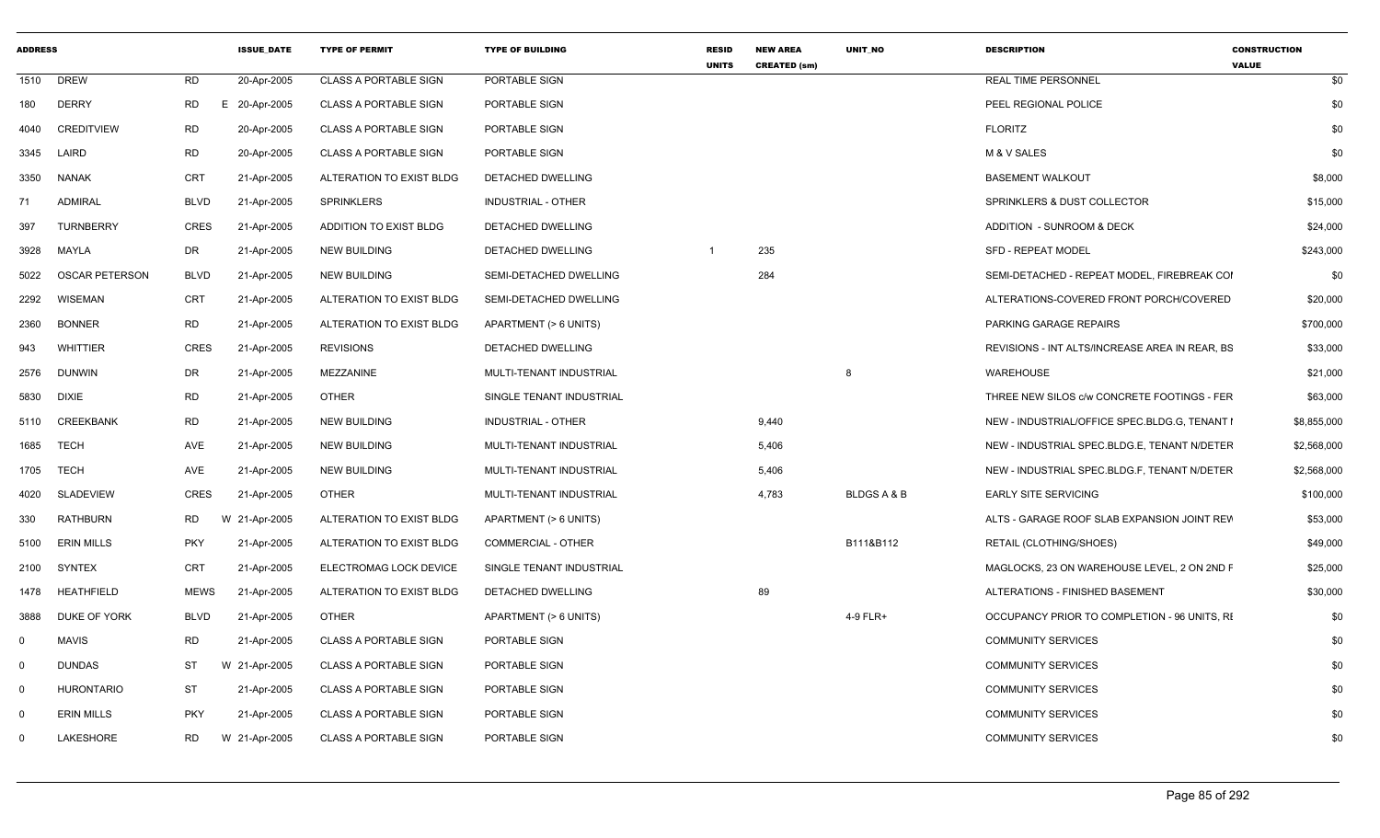| <b>ADDRESS</b> |                   |             | <b>ISSUE DATE</b> | <b>TYPE OF PERMIT</b>        | <b>TYPE OF BUILDING</b>   | <b>RESID</b><br><b>UNITS</b> | <b>NEW AREA</b><br><b>CREATED (sm)</b> | <b>UNIT NO</b> | <b>DESCRIPTION</b>                             | <b>CONSTRUCTION</b><br><b>VALUE</b> |
|----------------|-------------------|-------------|-------------------|------------------------------|---------------------------|------------------------------|----------------------------------------|----------------|------------------------------------------------|-------------------------------------|
|                | 1510 DREW         | <b>RD</b>   | 20-Apr-2005       | <b>CLASS A PORTABLE SIGN</b> | PORTABLE SIGN             |                              |                                        |                | <b>REAL TIME PERSONNEL</b>                     | \$0                                 |
| 180            | <b>DERRY</b>      | RD          | E 20-Apr-2005     | <b>CLASS A PORTABLE SIGN</b> | PORTABLE SIGN             |                              |                                        |                | PEEL REGIONAL POLICE                           | \$0                                 |
| 4040           | <b>CREDITVIEW</b> | RD          | 20-Apr-2005       | <b>CLASS A PORTABLE SIGN</b> | PORTABLE SIGN             |                              |                                        |                | <b>FLORITZ</b>                                 | \$0                                 |
|                | 3345 LAIRD        | <b>RD</b>   | 20-Apr-2005       | <b>CLASS A PORTABLE SIGN</b> | PORTABLE SIGN             |                              |                                        |                | M & V SALES                                    | \$0                                 |
| 3350           | <b>NANAK</b>      | CRT         | 21-Apr-2005       | ALTERATION TO EXIST BLDG     | DETACHED DWELLING         |                              |                                        |                | <b>BASEMENT WALKOUT</b>                        | \$8,000                             |
| 71             | <b>ADMIRAL</b>    | BLVD        | 21-Apr-2005       | SPRINKLERS                   | <b>INDUSTRIAL - OTHER</b> |                              |                                        |                | SPRINKLERS & DUST COLLECTOR                    | \$15,000                            |
| 397            | <b>TURNBERRY</b>  | CRES        | 21-Apr-2005       | ADDITION TO EXIST BLDG       | DETACHED DWELLING         |                              |                                        |                | ADDITION - SUNROOM & DECK                      | \$24,000                            |
| 3928           | MAYLA             | DR          | 21-Apr-2005       | <b>NEW BUILDING</b>          | DETACHED DWELLING         |                              | 235                                    |                | <b>SFD - REPEAT MODEL</b>                      | \$243,000                           |
| 5022           | OSCAR PETERSON    | BLVD        | 21-Apr-2005       | NEW BUILDING                 | SEMI-DETACHED DWELLING    |                              | 284                                    |                | SEMI-DETACHED - REPEAT MODEL, FIREBREAK COI    | \$0                                 |
| 2292           | <b>WISEMAN</b>    | CRT         | 21-Apr-2005       | ALTERATION TO EXIST BLDG     | SEMI-DETACHED DWELLING    |                              |                                        |                | ALTERATIONS-COVERED FRONT PORCH/COVERED        | \$20,000                            |
| 2360           | <b>BONNER</b>     | <b>RD</b>   | 21-Apr-2005       | ALTERATION TO EXIST BLDG     | APARTMENT (> 6 UNITS)     |                              |                                        |                | PARKING GARAGE REPAIRS                         | \$700,000                           |
| 943            | WHITTIER          | CRES        | 21-Apr-2005       | <b>REVISIONS</b>             | DETACHED DWELLING         |                              |                                        |                | REVISIONS - INT ALTS/INCREASE AREA IN REAR, BS | \$33,000                            |
|                | 2576 DUNWIN       | DR          | 21-Apr-2005       | MEZZANINE                    | MULTI-TENANT INDUSTRIAL   |                              |                                        | 8              | <b>WAREHOUSE</b>                               | \$21,000                            |
| 5830           | <b>DIXIE</b>      | <b>RD</b>   | 21-Apr-2005       | <b>OTHER</b>                 | SINGLE TENANT INDUSTRIAL  |                              |                                        |                | THREE NEW SILOS c/w CONCRETE FOOTINGS - FER    | \$63,000                            |
| 5110           | CREEKBANK         | RD          | 21-Apr-2005       | <b>NEW BUILDING</b>          | <b>INDUSTRIAL - OTHER</b> |                              | 9,440                                  |                | NEW - INDUSTRIAL/OFFICE SPEC.BLDG.G, TENANT I  | \$8,855,000                         |
| 1685           | TECH              | AVE         | 21-Apr-2005       | <b>NEW BUILDING</b>          | MULTI-TENANT INDUSTRIAL   |                              | 5,406                                  |                | NEW - INDUSTRIAL SPEC.BLDG.E, TENANT N/DETER   | \$2,568,000                         |
| 1705           | TECH              | AVE         | 21-Apr-2005       | <b>NEW BUILDING</b>          | MULTI-TENANT INDUSTRIAL   |                              | 5,406                                  |                | NEW - INDUSTRIAL SPEC.BLDG.F, TENANT N/DETER   | \$2,568,000                         |
| 4020           | <b>SLADEVIEW</b>  | CRES        | 21-Apr-2005       | <b>OTHER</b>                 | MULTI-TENANT INDUSTRIAL   |                              | 4,783                                  | BLDGS A & B    | <b>EARLY SITE SERVICING</b>                    | \$100,000                           |
| 330            | RATHBURN          | RD          | W 21-Apr-2005     | ALTERATION TO EXIST BLDG     | APARTMENT (> 6 UNITS)     |                              |                                        |                | ALTS - GARAGE ROOF SLAB EXPANSION JOINT REV    | \$53,000                            |
| 5100           | <b>ERIN MILLS</b> | <b>PKY</b>  | 21-Apr-2005       | ALTERATION TO EXIST BLDG     | <b>COMMERCIAL - OTHER</b> |                              |                                        | B111&B112      | RETAIL (CLOTHING/SHOES)                        | \$49,000                            |
| 2100           | SYNTEX            | CRT         | 21-Apr-2005       | ELECTROMAG LOCK DEVICE       | SINGLE TENANT INDUSTRIAL  |                              |                                        |                | MAGLOCKS, 23 ON WAREHOUSE LEVEL, 2 ON 2ND F    | \$25,000                            |
|                | 1478 HEATHFIELD   | <b>MEWS</b> | 21-Apr-2005       | ALTERATION TO EXIST BLDG     | DETACHED DWELLING         |                              | 89                                     |                | ALTERATIONS - FINISHED BASEMENT                | \$30,000                            |
| 3888           | DUKE OF YORK      | <b>BLVD</b> | 21-Apr-2005       | OTHER                        | APARTMENT (> 6 UNITS)     |                              |                                        | 4-9 FLR+       | OCCUPANCY PRIOR TO COMPLETION - 96 UNITS, RI   | \$0                                 |
|                | MAVIS             | <b>RD</b>   | 21-Apr-2005       | <b>CLASS A PORTABLE SIGN</b> | PORTABLE SIGN             |                              |                                        |                | <b>COMMUNITY SERVICES</b>                      | \$0                                 |
| $\Omega$       | <b>DUNDAS</b>     | ST          | W 21-Apr-2005     | <b>CLASS A PORTABLE SIGN</b> | PORTABLE SIGN             |                              |                                        |                | <b>COMMUNITY SERVICES</b>                      | \$0                                 |
|                | HURONTARIO        | <b>ST</b>   | 21-Apr-2005       | <b>CLASS A PORTABLE SIGN</b> | PORTABLE SIGN             |                              |                                        |                | <b>COMMUNITY SERVICES</b>                      | \$0                                 |
|                | <b>ERIN MILLS</b> | <b>PKY</b>  | 21-Apr-2005       | <b>CLASS A PORTABLE SIGN</b> | PORTABLE SIGN             |                              |                                        |                | <b>COMMUNITY SERVICES</b>                      | \$0                                 |
|                | LAKESHORE         | RD          | W 21-Apr-2005     | <b>CLASS A PORTABLE SIGN</b> | <b>PORTABLE SIGN</b>      |                              |                                        |                | <b>COMMUNITY SERVICES</b>                      | \$0                                 |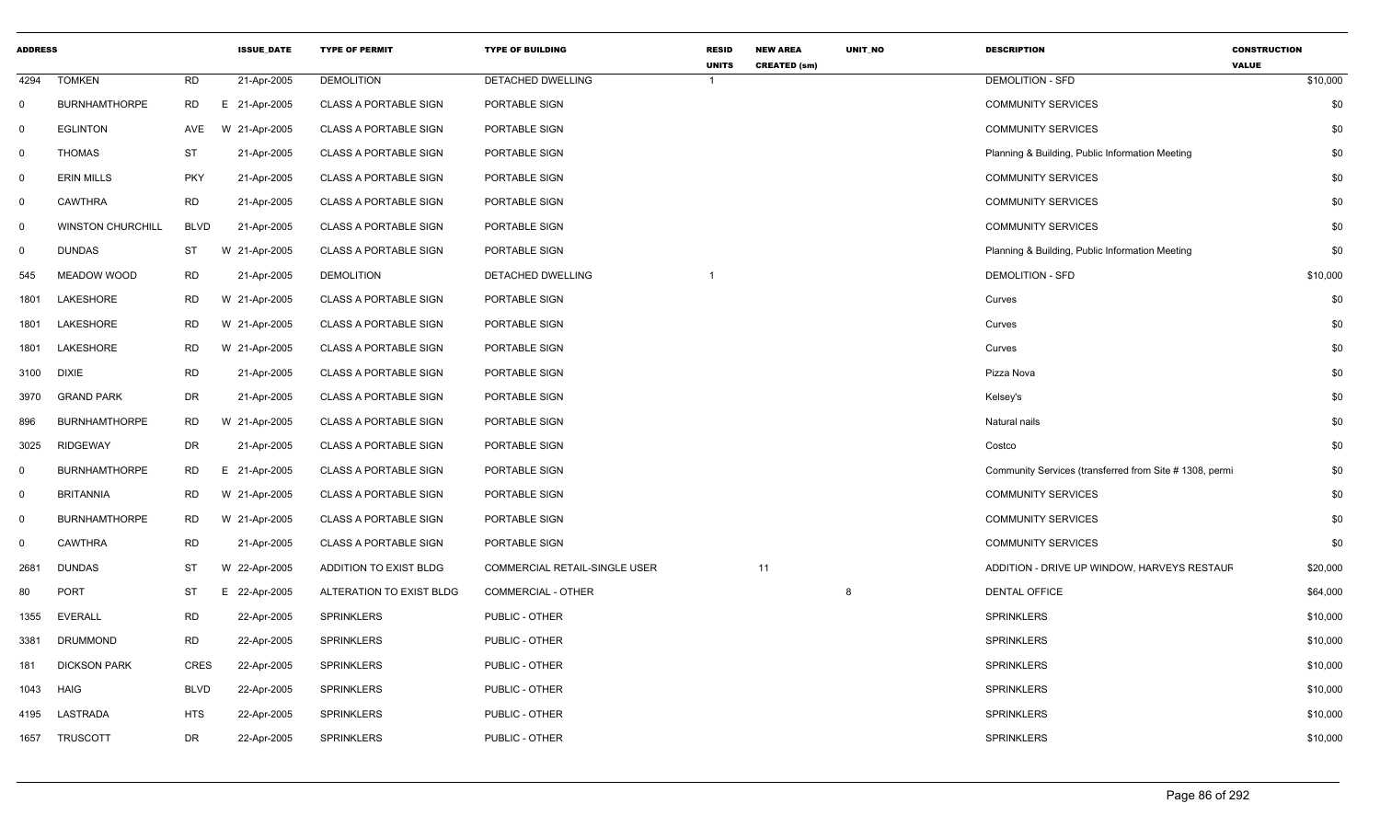| <b>ADDRESS</b> |                          |             | <b>ISSUE_DATE</b> | <b>TYPE OF PERMIT</b>        | <b>TYPE OF BUILDING</b>       | <b>RESID</b><br><b>UNITS</b> | <b>NEW AREA</b><br><b>CREATED (sm)</b> | UNIT_NO | <b>DESCRIPTION</b>                                      | <b>CONSTRUCTION</b><br><b>VALUE</b> |
|----------------|--------------------------|-------------|-------------------|------------------------------|-------------------------------|------------------------------|----------------------------------------|---------|---------------------------------------------------------|-------------------------------------|
| 4294           | <b>TOMKEN</b>            | <b>RD</b>   | 21-Apr-2005       | <b>DEMOLITION</b>            | <b>DETACHED DWELLING</b>      | $\overline{1}$               |                                        |         | <b>DEMOLITION - SFD</b>                                 | \$10,000                            |
| $\mathsf{O}$   | <b>BURNHAMTHORPE</b>     | <b>RD</b>   | E 21-Apr-2005     | <b>CLASS A PORTABLE SIGN</b> | PORTABLE SIGN                 |                              |                                        |         | <b>COMMUNITY SERVICES</b>                               | \$0                                 |
| $\mathbf 0$    | <b>EGLINTON</b>          | <b>AVE</b>  | W 21-Apr-2005     | <b>CLASS A PORTABLE SIGN</b> | PORTABLE SIGN                 |                              |                                        |         | <b>COMMUNITY SERVICES</b>                               | \$0                                 |
| $\mathsf{O}$   | <b>THOMAS</b>            | ST          | 21-Apr-2005       | <b>CLASS A PORTABLE SIGN</b> | PORTABLE SIGN                 |                              |                                        |         | Planning & Building, Public Information Meeting         | \$0                                 |
| $\overline{0}$ | <b>ERIN MILLS</b>        | <b>PKY</b>  | 21-Apr-2005       | <b>CLASS A PORTABLE SIGN</b> | PORTABLE SIGN                 |                              |                                        |         | <b>COMMUNITY SERVICES</b>                               | \$0                                 |
| $\mathbf 0$    | <b>CAWTHRA</b>           | <b>RD</b>   | 21-Apr-2005       | <b>CLASS A PORTABLE SIGN</b> | PORTABLE SIGN                 |                              |                                        |         | <b>COMMUNITY SERVICES</b>                               | \$0                                 |
| $\mathbf 0$    | <b>WINSTON CHURCHILL</b> | <b>BLVD</b> | 21-Apr-2005       | <b>CLASS A PORTABLE SIGN</b> | PORTABLE SIGN                 |                              |                                        |         | <b>COMMUNITY SERVICES</b>                               | \$0                                 |
| $\mathsf{O}$   | <b>DUNDAS</b>            | ST          | W 21-Apr-2005     | <b>CLASS A PORTABLE SIGN</b> | PORTABLE SIGN                 |                              |                                        |         | Planning & Building, Public Information Meeting         | \$0                                 |
| 545            | MEADOW WOOD              | <b>RD</b>   | 21-Apr-2005       | <b>DEMOLITION</b>            | DETACHED DWELLING             |                              |                                        |         | <b>DEMOLITION - SFD</b>                                 | \$10,000                            |
| 1801           | LAKESHORE                | <b>RD</b>   | W 21-Apr-2005     | <b>CLASS A PORTABLE SIGN</b> | PORTABLE SIGN                 |                              |                                        |         | Curves                                                  | \$0                                 |
| 1801           | LAKESHORE                | <b>RD</b>   | W 21-Apr-2005     | <b>CLASS A PORTABLE SIGN</b> | PORTABLE SIGN                 |                              |                                        |         | Curves                                                  | \$0                                 |
| 1801           | LAKESHORE                | <b>RD</b>   | W 21-Apr-2005     | <b>CLASS A PORTABLE SIGN</b> | PORTABLE SIGN                 |                              |                                        |         | Curves                                                  | \$0                                 |
| 3100           | <b>DIXIE</b>             | <b>RD</b>   | 21-Apr-2005       | <b>CLASS A PORTABLE SIGN</b> | PORTABLE SIGN                 |                              |                                        |         | Pizza Nova                                              | \$0                                 |
| 3970           | <b>GRAND PARK</b>        | <b>DR</b>   | 21-Apr-2005       | <b>CLASS A PORTABLE SIGN</b> | PORTABLE SIGN                 |                              |                                        |         | Kelsey's                                                | \$0                                 |
| 896            | <b>BURNHAMTHORPE</b>     | <b>RD</b>   | W 21-Apr-2005     | <b>CLASS A PORTABLE SIGN</b> | PORTABLE SIGN                 |                              |                                        |         | Natural nails                                           | \$0                                 |
| 3025           | <b>RIDGEWAY</b>          | DR          | 21-Apr-2005       | <b>CLASS A PORTABLE SIGN</b> | PORTABLE SIGN                 |                              |                                        |         | Costco                                                  | \$0                                 |
| $\mathbf 0$    | <b>BURNHAMTHORPE</b>     | <b>RD</b>   | E 21-Apr-2005     | <b>CLASS A PORTABLE SIGN</b> | PORTABLE SIGN                 |                              |                                        |         | Community Services (transferred from Site # 1308, permi | \$0                                 |
| $\mathsf{O}$   | <b>BRITANNIA</b>         | <b>RD</b>   | W 21-Apr-2005     | <b>CLASS A PORTABLE SIGN</b> | PORTABLE SIGN                 |                              |                                        |         | <b>COMMUNITY SERVICES</b>                               | \$0                                 |
| $\overline{0}$ | <b>BURNHAMTHORPE</b>     | <b>RD</b>   | W 21-Apr-2005     | <b>CLASS A PORTABLE SIGN</b> | PORTABLE SIGN                 |                              |                                        |         | <b>COMMUNITY SERVICES</b>                               | \$0                                 |
| 0              | <b>CAWTHRA</b>           | <b>RD</b>   | 21-Apr-2005       | <b>CLASS A PORTABLE SIGN</b> | PORTABLE SIGN                 |                              |                                        |         | <b>COMMUNITY SERVICES</b>                               | \$0                                 |
| 2681           | <b>DUNDAS</b>            | <b>ST</b>   | W 22-Apr-2005     | ADDITION TO EXIST BLDG       | COMMERCIAL RETAIL-SINGLE USER |                              | 11                                     |         | ADDITION - DRIVE UP WINDOW, HARVEYS RESTAUF             | \$20,000                            |
| 80             | <b>PORT</b>              | <b>ST</b>   | E 22-Apr-2005     | ALTERATION TO EXIST BLDG     | COMMERCIAL - OTHER            |                              |                                        | 8       | <b>DENTAL OFFICE</b>                                    | \$64,000                            |
| 1355           | <b>EVERALL</b>           | <b>RD</b>   | 22-Apr-2005       | SPRINKLERS                   | PUBLIC - OTHER                |                              |                                        |         | <b>SPRINKLERS</b>                                       | \$10,000                            |
| 3381           | <b>DRUMMOND</b>          | <b>RD</b>   | 22-Apr-2005       | <b>SPRINKLERS</b>            | PUBLIC - OTHER                |                              |                                        |         | <b>SPRINKLERS</b>                                       | \$10,000                            |
| 181            | <b>DICKSON PARK</b>      | <b>CRES</b> | 22-Apr-2005       | <b>SPRINKLERS</b>            | PUBLIC - OTHER                |                              |                                        |         | <b>SPRINKLERS</b>                                       | \$10,000                            |
| 1043           | <b>HAIG</b>              | <b>BLVD</b> | 22-Apr-2005       | <b>SPRINKLERS</b>            | PUBLIC - OTHER                |                              |                                        |         | <b>SPRINKLERS</b>                                       | \$10,000                            |
| 4195           | LASTRADA                 | <b>HTS</b>  | 22-Apr-2005       | <b>SPRINKLERS</b>            | PUBLIC - OTHER                |                              |                                        |         | <b>SPRINKLERS</b>                                       | \$10,000                            |
| 1657           | <b>TRUSCOTT</b>          | <b>DR</b>   | 22-Apr-2005       | <b>SPRINKLERS</b>            | PUBLIC - OTHER                |                              |                                        |         | SPRINKLERS                                              | \$10,000                            |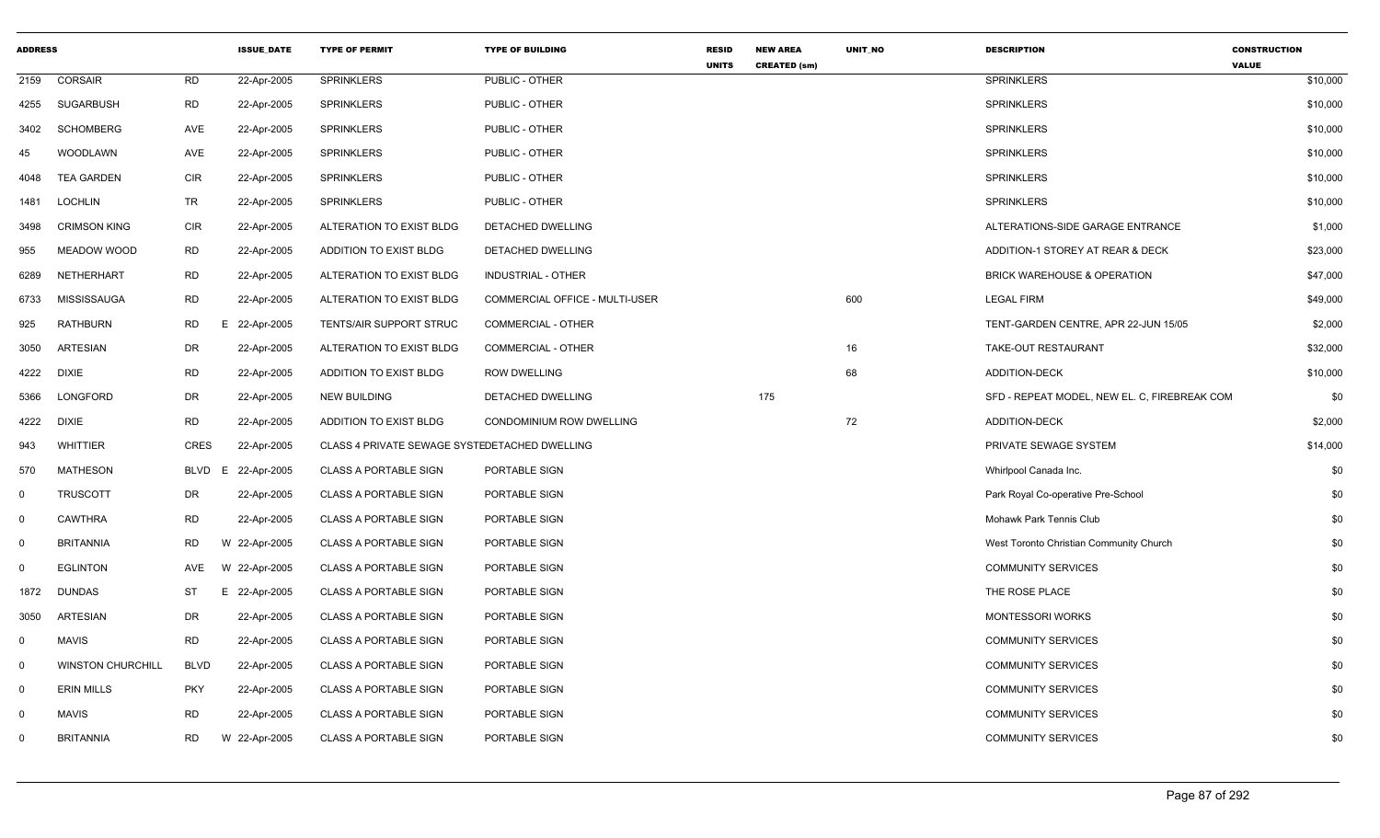| <b>ADDRESS</b> |                          |             | <b>ISSUE DATE</b> | <b>TYPE OF PERMIT</b>                         | <b>TYPE OF BUILDING</b>        | <b>RESID</b><br><b>UNITS</b> | <b>NEW AREA</b><br><b>CREATED (sm)</b> | <b>UNIT NO</b> | <b>DESCRIPTION</b>                           | <b>CONSTRUCTION</b><br><b>VALUE</b> |
|----------------|--------------------------|-------------|-------------------|-----------------------------------------------|--------------------------------|------------------------------|----------------------------------------|----------------|----------------------------------------------|-------------------------------------|
| 2159           | CORSAIR                  | <b>RD</b>   | 22-Apr-2005       | <b>SPRINKLERS</b>                             | PUBLIC - OTHER                 |                              |                                        |                | <b>SPRINKLERS</b>                            | \$10,000                            |
| 4255           | <b>SUGARBUSH</b>         | <b>RD</b>   | 22-Apr-2005       | <b>SPRINKLERS</b>                             | PUBLIC - OTHER                 |                              |                                        |                | <b>SPRINKLERS</b>                            | \$10,000                            |
| 3402           | <b>SCHOMBERG</b>         | AVE         | 22-Apr-2005       | <b>SPRINKLERS</b>                             | PUBLIC - OTHER                 |                              |                                        |                | <b>SPRINKLERS</b>                            | \$10,000                            |
| 45             | WOODLAWN                 | AVE         | 22-Apr-2005       | <b>SPRINKLERS</b>                             | PUBLIC - OTHER                 |                              |                                        |                | <b>SPRINKLERS</b>                            | \$10,000                            |
| 4048           | <b>TEA GARDEN</b>        | <b>CIR</b>  | 22-Apr-2005       | <b>SPRINKLERS</b>                             | PUBLIC - OTHER                 |                              |                                        |                | <b>SPRINKLERS</b>                            | \$10,000                            |
| 1481           | <b>LOCHLIN</b>           | <b>TR</b>   | 22-Apr-2005       | <b>SPRINKLERS</b>                             | PUBLIC - OTHER                 |                              |                                        |                | <b>SPRINKLERS</b>                            | \$10,000                            |
| 3498           | <b>CRIMSON KING</b>      | <b>CIR</b>  | 22-Apr-2005       | ALTERATION TO EXIST BLDG                      | DETACHED DWELLING              |                              |                                        |                | ALTERATIONS-SIDE GARAGE ENTRANCE             | \$1,000                             |
| 955            | MEADOW WOOD              | RD          | 22-Apr-2005       | ADDITION TO EXIST BLDG                        | DETACHED DWELLING              |                              |                                        |                | ADDITION-1 STOREY AT REAR & DECK             | \$23,000                            |
| 6289           | NETHERHART               | <b>RD</b>   | 22-Apr-2005       | ALTERATION TO EXIST BLDG                      | INDUSTRIAL - OTHER             |                              |                                        |                | <b>BRICK WAREHOUSE &amp; OPERATION</b>       | \$47,000                            |
| 6733           | <b>MISSISSAUGA</b>       | <b>RD</b>   | 22-Apr-2005       | ALTERATION TO EXIST BLDG                      | COMMERCIAL OFFICE - MULTI-USER |                              |                                        | 600            | <b>LEGAL FIRM</b>                            | \$49,000                            |
| 925            | <b>RATHBURN</b>          | <b>RD</b>   | E<br>22-Apr-2005  | TENTS/AIR SUPPORT STRUC                       | <b>COMMERCIAL - OTHER</b>      |                              |                                        |                | TENT-GARDEN CENTRE, APR 22-JUN 15/05         | \$2,000                             |
| 3050           | <b>ARTESIAN</b>          | DR          | 22-Apr-2005       | ALTERATION TO EXIST BLDG                      | <b>COMMERCIAL - OTHER</b>      |                              |                                        | 16             | TAKE-OUT RESTAURANT                          | \$32,000                            |
| 4222           | <b>DIXIE</b>             | <b>RD</b>   | 22-Apr-2005       | ADDITION TO EXIST BLDG                        | <b>ROW DWELLING</b>            |                              |                                        | 68             | ADDITION-DECK                                | \$10,000                            |
| 5366           | LONGFORD                 | <b>DR</b>   | 22-Apr-2005       | NEW BUILDING                                  | DETACHED DWELLING              |                              | 175                                    |                | SFD - REPEAT MODEL, NEW EL. C, FIREBREAK COM | \$0                                 |
| 4222           | <b>DIXIE</b>             | <b>RD</b>   | 22-Apr-2005       | ADDITION TO EXIST BLDG                        | CONDOMINIUM ROW DWELLING       |                              |                                        | 72             | ADDITION-DECK                                | \$2,000                             |
| 943            | <b>WHITTIER</b>          | <b>CRES</b> | 22-Apr-2005       | CLASS 4 PRIVATE SEWAGE SYSTEDETACHED DWELLING |                                |                              |                                        |                | PRIVATE SEWAGE SYSTEM                        | \$14,000                            |
| 570            | <b>MATHESON</b>          | <b>BLVD</b> | 22-Apr-2005<br>E. | <b>CLASS A PORTABLE SIGN</b>                  | PORTABLE SIGN                  |                              |                                        |                | Whirlpool Canada Inc.                        | \$0                                 |
| $\mathbf 0$    | <b>TRUSCOTT</b>          | <b>DR</b>   | 22-Apr-2005       | <b>CLASS A PORTABLE SIGN</b>                  | PORTABLE SIGN                  |                              |                                        |                | Park Royal Co-operative Pre-School           | \$0                                 |
| 0              | <b>CAWTHRA</b>           | <b>RD</b>   | 22-Apr-2005       | <b>CLASS A PORTABLE SIGN</b>                  | PORTABLE SIGN                  |                              |                                        |                | Mohawk Park Tennis Club                      | \$0                                 |
| $\mathbf 0$    | <b>BRITANNIA</b>         | <b>RD</b>   | W 22-Apr-2005     | <b>CLASS A PORTABLE SIGN</b>                  | PORTABLE SIGN                  |                              |                                        |                | West Toronto Christian Community Church      | \$0                                 |
| $\Omega$       | <b>EGLINTON</b>          | <b>AVE</b>  | W 22-Apr-2005     | <b>CLASS A PORTABLE SIGN</b>                  | PORTABLE SIGN                  |                              |                                        |                | <b>COMMUNITY SERVICES</b>                    | \$0                                 |
| 1872           | <b>DUNDAS</b>            | ST          | E 22-Apr-2005     | <b>CLASS A PORTABLE SIGN</b>                  | PORTABLE SIGN                  |                              |                                        |                | THE ROSE PLACE                               | \$0                                 |
| 3050           | <b>ARTESIAN</b>          | DR          | 22-Apr-2005       | <b>CLASS A PORTABLE SIGN</b>                  | PORTABLE SIGN                  |                              |                                        |                | <b>MONTESSORI WORKS</b>                      | \$0                                 |
| 0              | <b>MAVIS</b>             | <b>RD</b>   | 22-Apr-2005       | <b>CLASS A PORTABLE SIGN</b>                  | PORTABLE SIGN                  |                              |                                        |                | <b>COMMUNITY SERVICES</b>                    | \$0                                 |
| 0              | <b>WINSTON CHURCHILL</b> | <b>BLVD</b> | 22-Apr-2005       | <b>CLASS A PORTABLE SIGN</b>                  | PORTABLE SIGN                  |                              |                                        |                | <b>COMMUNITY SERVICES</b>                    | \$0                                 |
| $\mathbf 0$    | <b>ERIN MILLS</b>        | <b>PKY</b>  | 22-Apr-2005       | <b>CLASS A PORTABLE SIGN</b>                  | PORTABLE SIGN                  |                              |                                        |                | <b>COMMUNITY SERVICES</b>                    | \$0                                 |
| $\mathbf 0$    | <b>MAVIS</b>             | <b>RD</b>   | 22-Apr-2005       | <b>CLASS A PORTABLE SIGN</b>                  | PORTABLE SIGN                  |                              |                                        |                | <b>COMMUNITY SERVICES</b>                    | \$0                                 |
| $\Omega$       | <b>BRITANNIA</b>         | <b>RD</b>   | W 22-Apr-2005     | <b>CLASS A PORTABLE SIGN</b>                  | PORTABLE SIGN                  |                              |                                        |                | <b>COMMUNITY SERVICES</b>                    | \$0                                 |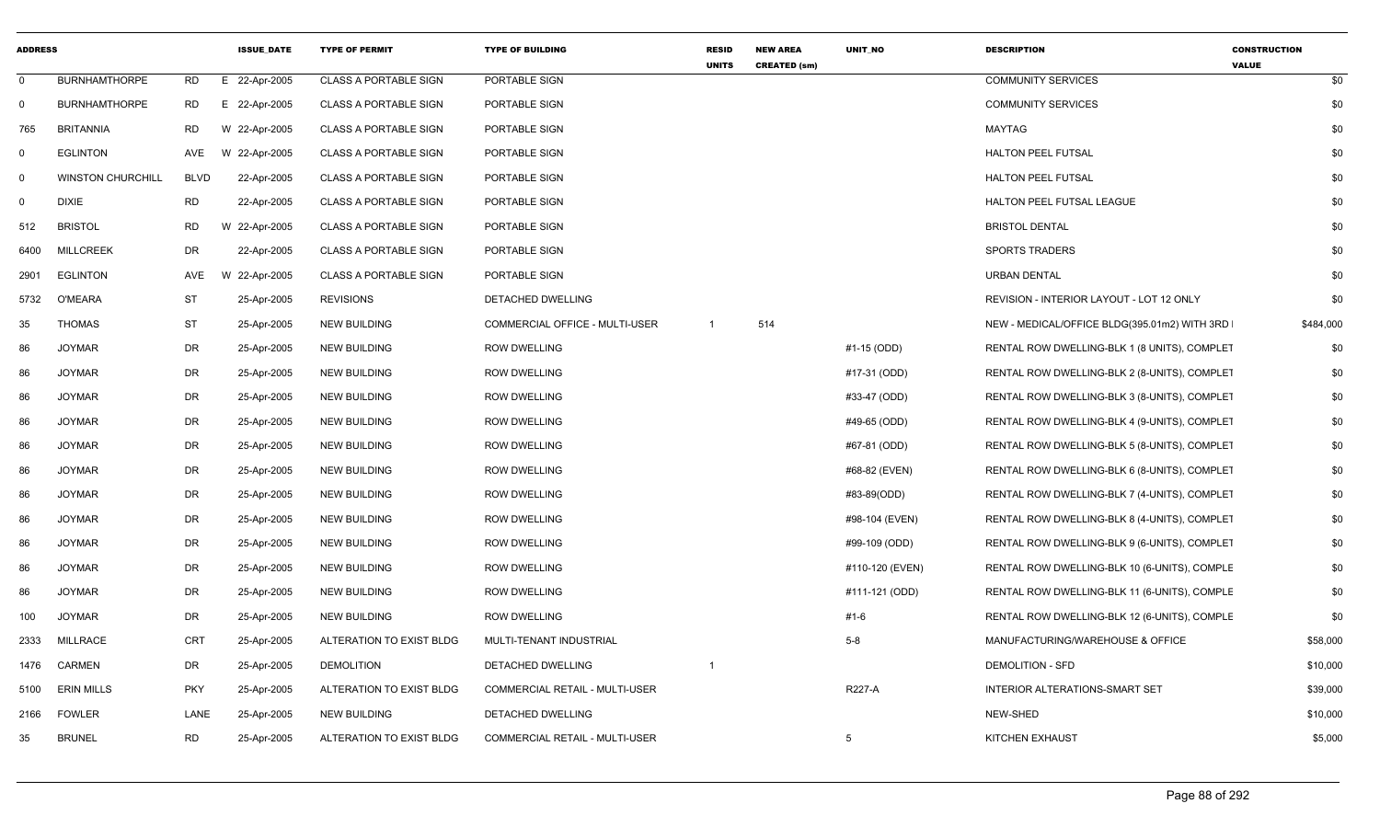| <b>ADDRESS</b> |                          |            | <b>ISSUE DATE</b> | <b>TYPE OF PERMIT</b>        | <b>TYPE OF BUILDING</b>               | <b>RESID</b><br><b>UNITS</b> | <b>NEW AREA</b><br><b>CREATED (sm)</b> | UNIT_NO         | <b>DESCRIPTION</b>                           | <b>CONSTRUCTION</b><br><b>VALUE</b> |
|----------------|--------------------------|------------|-------------------|------------------------------|---------------------------------------|------------------------------|----------------------------------------|-----------------|----------------------------------------------|-------------------------------------|
| $\mathbf 0$    | <b>BURNHAMTHORPE</b>     | RD         | E 22-Apr-2005     | <b>CLASS A PORTABLE SIGN</b> | PORTABLE SIGN                         |                              |                                        |                 | <b>COMMUNITY SERVICES</b>                    | \$0                                 |
| $\Omega$       | <b>BURNHAMTHORPE</b>     | RD         | E 22-Apr-2005     | <b>CLASS A PORTABLE SIGN</b> | PORTABLE SIGN                         |                              |                                        |                 | <b>COMMUNITY SERVICES</b>                    | \$0                                 |
| 765            | <b>BRITANNIA</b>         | RD         | W 22-Apr-2005     | <b>CLASS A PORTABLE SIGN</b> | PORTABLE SIGN                         |                              |                                        |                 | <b>MAYTAG</b>                                | \$0                                 |
| 0              | <b>EGLINTON</b>          | AVE        | W 22-Apr-2005     | <b>CLASS A PORTABLE SIGN</b> | PORTABLE SIGN                         |                              |                                        |                 | <b>HALTON PEEL FUTSAL</b>                    | \$0                                 |
| $\Omega$       | <b>WINSTON CHURCHILL</b> | BLVD       | 22-Apr-2005       | <b>CLASS A PORTABLE SIGN</b> | PORTABLE SIGN                         |                              |                                        |                 | HALTON PEEL FUTSAL                           | \$0                                 |
| 0              | <b>DIXIE</b>             | RD         | 22-Apr-2005       | <b>CLASS A PORTABLE SIGN</b> | PORTABLE SIGN                         |                              |                                        |                 | HALTON PEEL FUTSAL LEAGUE                    | \$0                                 |
| 512            | <b>BRISTOL</b>           | <b>RD</b>  | W 22-Apr-2005     | <b>CLASS A PORTABLE SIGN</b> | PORTABLE SIGN                         |                              |                                        |                 | <b>BRISTOL DENTAL</b>                        | \$0                                 |
| 6400           | <b>MILLCREEK</b>         | DR         | 22-Apr-2005       | <b>CLASS A PORTABLE SIGN</b> | PORTABLE SIGN                         |                              |                                        |                 | <b>SPORTS TRADERS</b>                        | \$0                                 |
| 2901           | EGLINTON                 | AVE        | W 22-Apr-2005     | <b>CLASS A PORTABLE SIGN</b> | PORTABLE SIGN                         |                              |                                        |                 | <b>URBAN DENTAL</b>                          | \$0                                 |
| 5732           | O'MEARA                  | ST         | 25-Apr-2005       | <b>REVISIONS</b>             | DETACHED DWELLING                     |                              |                                        |                 | REVISION - INTERIOR LAYOUT - LOT 12 ONLY     | \$0                                 |
| 35             | <b>THOMAS</b>            | <b>ST</b>  | 25-Apr-2005       | <b>NEW BUILDING</b>          | COMMERCIAL OFFICE - MULTI-USER        | $\overline{1}$               | 514                                    |                 | NEW - MEDICAL/OFFICE BLDG(395.01m2) WITH 3RD | \$484,000                           |
| 86             | <b>JOYMAR</b>            | DR         | 25-Apr-2005       | <b>NEW BUILDING</b>          | <b>ROW DWELLING</b>                   |                              |                                        | #1-15 (ODD)     | RENTAL ROW DWELLING-BLK 1 (8 UNITS), COMPLET | \$0                                 |
| 86             | <b>JOYMAR</b>            | DR         | 25-Apr-2005       | <b>NEW BUILDING</b>          | <b>ROW DWELLING</b>                   |                              |                                        | #17-31 (ODD)    | RENTAL ROW DWELLING-BLK 2 (8-UNITS), COMPLET | \$0                                 |
| 86             | <b>JOYMAR</b>            | DR         | 25-Apr-2005       | <b>NEW BUILDING</b>          | <b>ROW DWELLING</b>                   |                              |                                        | #33-47 (ODD)    | RENTAL ROW DWELLING-BLK 3 (8-UNITS), COMPLET | \$0                                 |
| 86             | <b>JOYMAR</b>            | DR         | 25-Apr-2005       | <b>NEW BUILDING</b>          | <b>ROW DWELLING</b>                   |                              |                                        | #49-65 (ODD)    | RENTAL ROW DWELLING-BLK 4 (9-UNITS), COMPLET | \$0                                 |
| 86             | <b>JOYMAR</b>            | DR         | 25-Apr-2005       | <b>NEW BUILDING</b>          | <b>ROW DWELLING</b>                   |                              |                                        | #67-81 (ODD)    | RENTAL ROW DWELLING-BLK 5 (8-UNITS), COMPLET | \$0                                 |
| 86             | <b>JOYMAR</b>            | DR         | 25-Apr-2005       | <b>NEW BUILDING</b>          | <b>ROW DWELLING</b>                   |                              |                                        | #68-82 (EVEN)   | RENTAL ROW DWELLING-BLK 6 (8-UNITS), COMPLET | \$0                                 |
| 86             | <b>JOYMAR</b>            | DR         | 25-Apr-2005       | <b>NEW BUILDING</b>          | <b>ROW DWELLING</b>                   |                              |                                        | #83-89(ODD)     | RENTAL ROW DWELLING-BLK 7 (4-UNITS), COMPLET | \$0                                 |
| 86             | <b>JOYMAR</b>            | DR         | 25-Apr-2005       | NEW BUILDING                 | <b>ROW DWELLING</b>                   |                              |                                        | #98-104 (EVEN)  | RENTAL ROW DWELLING-BLK 8 (4-UNITS), COMPLET | \$0                                 |
| 86             | <b>JOYMAR</b>            | DR         | 25-Apr-2005       | <b>NEW BUILDING</b>          | <b>ROW DWELLING</b>                   |                              |                                        | #99-109 (ODD)   | RENTAL ROW DWELLING-BLK 9 (6-UNITS), COMPLET | \$0                                 |
| 86             | <b>JOYMAR</b>            | DR         | 25-Apr-2005       | <b>NEW BUILDING</b>          | ROW DWELLING                          |                              |                                        | #110-120 (EVEN) | RENTAL ROW DWELLING-BLK 10 (6-UNITS), COMPLE | \$0                                 |
| 86             | <b>JOYMAR</b>            | DR         | 25-Apr-2005       | <b>NEW BUILDING</b>          | <b>ROW DWELLING</b>                   |                              |                                        | #111-121 (ODD)  | RENTAL ROW DWELLING-BLK 11 (6-UNITS), COMPLE | \$0                                 |
| 100            | <b>JOYMAR</b>            | DR         | 25-Apr-2005       | <b>NEW BUILDING</b>          | <b>ROW DWELLING</b>                   |                              |                                        | #1-6            | RENTAL ROW DWELLING-BLK 12 (6-UNITS), COMPLE | \$0                                 |
| 2333           | <b>MILLRACE</b>          | CRT        | 25-Apr-2005       | ALTERATION TO EXIST BLDG     | MULTI-TENANT INDUSTRIAL               |                              |                                        | $5-8$           | MANUFACTURING/WAREHOUSE & OFFICE             | \$58,000                            |
| 1476           | <b>CARMEN</b>            | DR         | 25-Apr-2005       | <b>DEMOLITION</b>            | DETACHED DWELLING                     | $\overline{1}$               |                                        |                 | <b>DEMOLITION - SFD</b>                      | \$10,000                            |
| 5100           | <b>ERIN MILLS</b>        | <b>PKY</b> | 25-Apr-2005       | ALTERATION TO EXIST BLDG     | <b>COMMERCIAL RETAIL - MULTI-USER</b> |                              |                                        | <b>R227-A</b>   | <b>INTERIOR ALTERATIONS-SMART SET</b>        | \$39,000                            |
| 2166           | <b>FOWLER</b>            | LANE       | 25-Apr-2005       | <b>NEW BUILDING</b>          | DETACHED DWELLING                     |                              |                                        |                 | NEW-SHED                                     | \$10,000                            |
| 35             | <b>BRUNEL</b>            | <b>RD</b>  | 25-Apr-2005       | ALTERATION TO EXIST BLDG     | COMMERCIAL RETAIL - MULTI-USER        |                              |                                        | 5               | KITCHEN EXHAUST                              | \$5,000                             |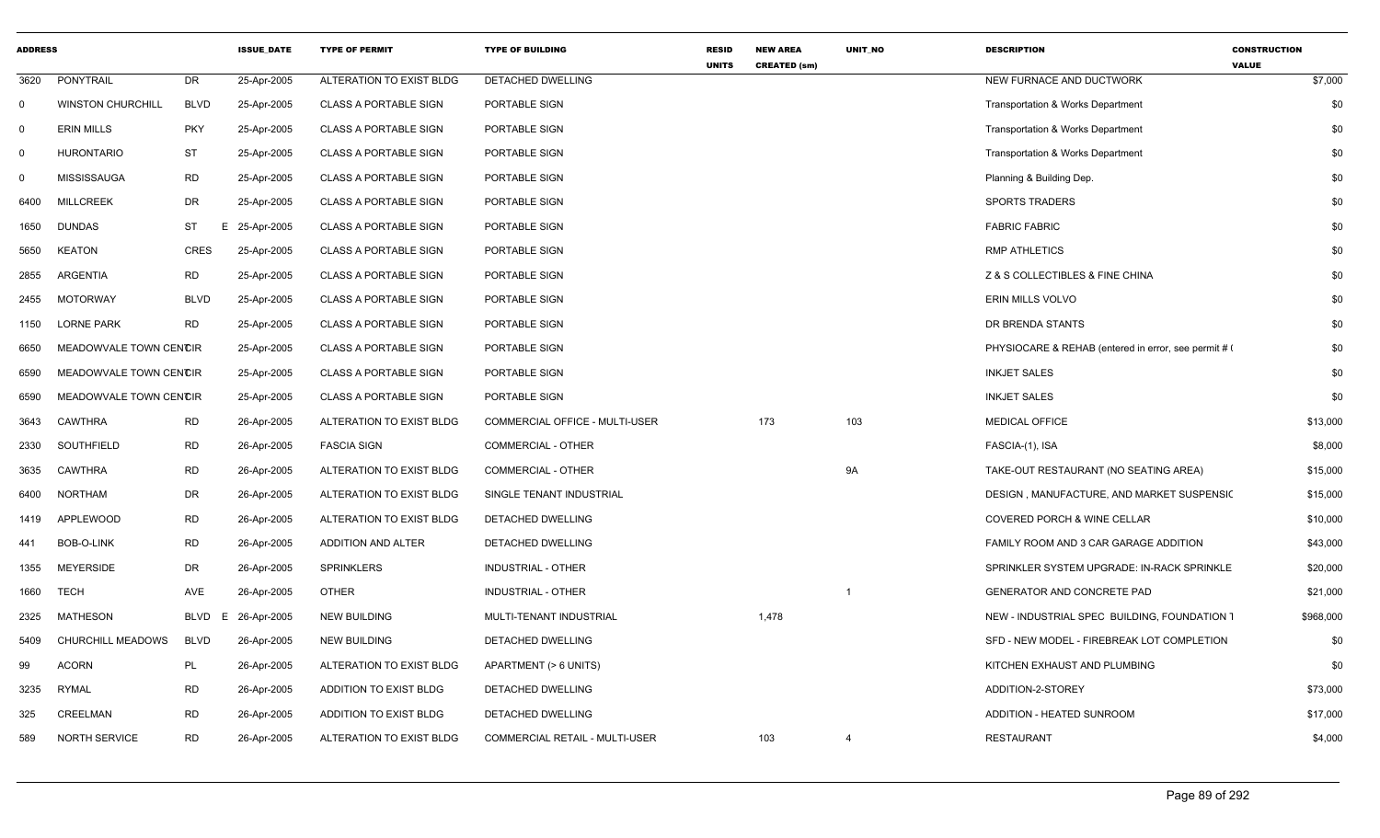| <b>ADDRESS</b> |                          |             | <b>ISSUE DATE</b> | <b>TYPE OF PERMIT</b>        | <b>TYPE OF BUILDING</b>        | <b>RESID</b><br><b>UNITS</b> | <b>NEW AREA</b><br><b>CREATED (sm)</b> | <b>UNIT NO</b> | <b>DESCRIPTION</b>                                   | <b>CONSTRUCTION</b><br><b>VALUE</b> |
|----------------|--------------------------|-------------|-------------------|------------------------------|--------------------------------|------------------------------|----------------------------------------|----------------|------------------------------------------------------|-------------------------------------|
| 3620           | <b>PONYTRAIL</b>         | <b>DR</b>   | 25-Apr-2005       | ALTERATION TO EXIST BLDG     | DETACHED DWELLING              |                              |                                        |                | NEW FURNACE AND DUCTWORK                             | \$7,000                             |
| $\mathbf 0$    | <b>WINSTON CHURCHILL</b> | <b>BLVD</b> | 25-Apr-2005       | <b>CLASS A PORTABLE SIGN</b> | PORTABLE SIGN                  |                              |                                        |                | <b>Transportation &amp; Works Department</b>         | \$0                                 |
| $\mathbf 0$    | <b>ERIN MILLS</b>        | <b>PKY</b>  | 25-Apr-2005       | <b>CLASS A PORTABLE SIGN</b> | PORTABLE SIGN                  |                              |                                        |                | Transportation & Works Department                    | \$0                                 |
| $\mathbf 0$    | <b>HURONTARIO</b>        | <b>ST</b>   | 25-Apr-2005       | <b>CLASS A PORTABLE SIGN</b> | PORTABLE SIGN                  |                              |                                        |                | Transportation & Works Department                    | \$0                                 |
| $\mathbf 0$    | <b>MISSISSAUGA</b>       | <b>RD</b>   | 25-Apr-2005       | <b>CLASS A PORTABLE SIGN</b> | PORTABLE SIGN                  |                              |                                        |                | Planning & Building Dep.                             | \$0                                 |
| 6400           | <b>MILLCREEK</b>         | DR          | 25-Apr-2005       | <b>CLASS A PORTABLE SIGN</b> | PORTABLE SIGN                  |                              |                                        |                | <b>SPORTS TRADERS</b>                                | \$0                                 |
| 1650           | <b>DUNDAS</b>            | ST          | E<br>25-Apr-2005  | <b>CLASS A PORTABLE SIGN</b> | PORTABLE SIGN                  |                              |                                        |                | <b>FABRIC FABRIC</b>                                 | \$0                                 |
| 5650           | <b>KEATON</b>            | <b>CRES</b> | 25-Apr-2005       | <b>CLASS A PORTABLE SIGN</b> | PORTABLE SIGN                  |                              |                                        |                | <b>RMP ATHLETICS</b>                                 | \$0                                 |
| 2855           | <b>ARGENTIA</b>          | <b>RD</b>   | 25-Apr-2005       | <b>CLASS A PORTABLE SIGN</b> | PORTABLE SIGN                  |                              |                                        |                | Z & S COLLECTIBLES & FINE CHINA                      | \$0                                 |
| 2455           | <b>MOTORWAY</b>          | <b>BLVD</b> | 25-Apr-2005       | <b>CLASS A PORTABLE SIGN</b> | PORTABLE SIGN                  |                              |                                        |                | ERIN MILLS VOLVO                                     | \$0                                 |
| 1150           | <b>LORNE PARK</b>        | <b>RD</b>   | 25-Apr-2005       | <b>CLASS A PORTABLE SIGN</b> | PORTABLE SIGN                  |                              |                                        |                | DR BRENDA STANTS                                     | \$0                                 |
| 6650           | MEADOWVALE TOWN CENCIR   |             | 25-Apr-2005       | <b>CLASS A PORTABLE SIGN</b> | PORTABLE SIGN                  |                              |                                        |                | PHYSIOCARE & REHAB (entered in error, see permit # 0 | \$0                                 |
| 6590           | MEADOWVALE TOWN CENCIR   |             | 25-Apr-2005       | <b>CLASS A PORTABLE SIGN</b> | PORTABLE SIGN                  |                              |                                        |                | <b>INKJET SALES</b>                                  | \$0                                 |
| 6590           | MEADOWVALE TOWN CENCIR   |             | 25-Apr-2005       | <b>CLASS A PORTABLE SIGN</b> | PORTABLE SIGN                  |                              |                                        |                | <b>INKJET SALES</b>                                  | \$0                                 |
| 3643           | <b>CAWTHRA</b>           | <b>RD</b>   | 26-Apr-2005       | ALTERATION TO EXIST BLDG     | COMMERCIAL OFFICE - MULTI-USER |                              | 173                                    | 103            | <b>MEDICAL OFFICE</b>                                | \$13,000                            |
| 2330           | SOUTHFIELD               | <b>RD</b>   | 26-Apr-2005       | <b>FASCIA SIGN</b>           | <b>COMMERCIAL - OTHER</b>      |                              |                                        |                | FASCIA-(1), ISA                                      | \$8,000                             |
| 3635           | <b>CAWTHRA</b>           | <b>RD</b>   | 26-Apr-2005       | ALTERATION TO EXIST BLDG     | <b>COMMERCIAL - OTHER</b>      |                              |                                        | <b>9A</b>      | TAKE-OUT RESTAURANT (NO SEATING AREA)                | \$15,000                            |
| 6400           | <b>NORTHAM</b>           | <b>DR</b>   | 26-Apr-2005       | ALTERATION TO EXIST BLDG     | SINGLE TENANT INDUSTRIAL       |                              |                                        |                | DESIGN, MANUFACTURE, AND MARKET SUSPENSIC            | \$15,000                            |
| 1419           | <b>APPLEWOOD</b>         | <b>RD</b>   | 26-Apr-2005       | ALTERATION TO EXIST BLDG     | DETACHED DWELLING              |                              |                                        |                | <b>COVERED PORCH &amp; WINE CELLAR</b>               | \$10,000                            |
| 441            | <b>BOB-O-LINK</b>        | <b>RD</b>   | 26-Apr-2005       | ADDITION AND ALTER           | DETACHED DWELLING              |                              |                                        |                | FAMILY ROOM AND 3 CAR GARAGE ADDITION                | \$43,000                            |
| 1355           | <b>MEYERSIDE</b>         | DR          | 26-Apr-2005       | <b>SPRINKLERS</b>            | INDUSTRIAL - OTHER             |                              |                                        |                | SPRINKLER SYSTEM UPGRADE: IN-RACK SPRINKLE           | \$20,000                            |
| 1660           | TECH                     | AVE         | 26-Apr-2005       | <b>OTHER</b>                 | INDUSTRIAL - OTHER             |                              |                                        | $\overline{1}$ | GENERATOR AND CONCRETE PAD                           | \$21,000                            |
| 2325           | <b>MATHESON</b>          | <b>BLVD</b> | 26-Apr-2005<br>E  | <b>NEW BUILDING</b>          | MULTI-TENANT INDUSTRIAL        |                              | 1,478                                  |                | NEW - INDUSTRIAL SPEC BUILDING, FOUNDATION 1         | \$968,000                           |
| 5409           | <b>CHURCHILL MEADOWS</b> | <b>BLVD</b> | 26-Apr-2005       | <b>NEW BUILDING</b>          | DETACHED DWELLING              |                              |                                        |                | SFD - NEW MODEL - FIREBREAK LOT COMPLETION           | \$0                                 |
| 99             | <b>ACORN</b>             | PL          | 26-Apr-2005       | ALTERATION TO EXIST BLDG     | APARTMENT (> 6 UNITS)          |                              |                                        |                | KITCHEN EXHAUST AND PLUMBING                         | \$0                                 |
| 3235           | <b>RYMAL</b>             | <b>RD</b>   | 26-Apr-2005       | ADDITION TO EXIST BLDG       | DETACHED DWELLING              |                              |                                        |                | ADDITION-2-STOREY                                    | \$73,000                            |
| 325            | <b>CREELMAN</b>          | <b>RD</b>   | 26-Apr-2005       | ADDITION TO EXIST BLDG       | DETACHED DWELLING              |                              |                                        |                | ADDITION - HEATED SUNROOM                            | \$17,000                            |
| 589            | <b>NORTH SERVICE</b>     | <b>RD</b>   | 26-Apr-2005       | ALTERATION TO EXIST BLDG     | COMMERCIAL RETAIL - MULTI-USER |                              | 103                                    | $\overline{4}$ | <b>RESTAURANT</b>                                    | \$4,000                             |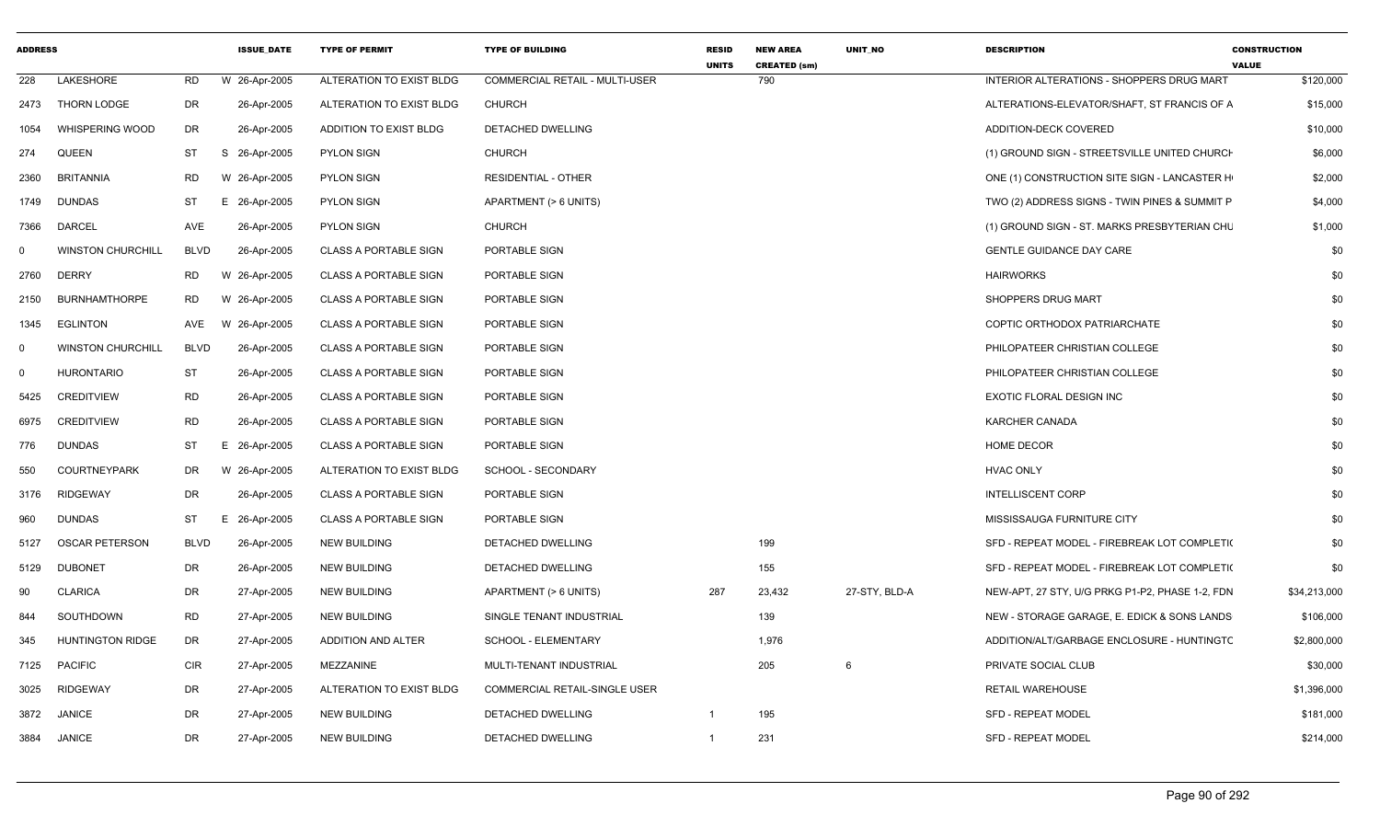| <b>ADDRESS</b> |                          |             | <b>ISSUE DATE</b> | <b>TYPE OF PERMIT</b>        | <b>TYPE OF BUILDING</b>               | <b>RESID</b><br><b>UNITS</b> | <b>NEW AREA</b><br><b>CREATED (sm)</b> | UNIT_NO       | <b>DESCRIPTION</b>                              | <b>CONSTRUCTION</b><br><b>VALUE</b> |
|----------------|--------------------------|-------------|-------------------|------------------------------|---------------------------------------|------------------------------|----------------------------------------|---------------|-------------------------------------------------|-------------------------------------|
| 228            | LAKESHORE                | RD          | W 26-Apr-2005     | ALTERATION TO EXIST BLDG     | <b>COMMERCIAL RETAIL - MULTI-USER</b> |                              | 790                                    |               | INTERIOR ALTERATIONS - SHOPPERS DRUG MART       | \$120,000                           |
| 2473           | THORN LODGE              | DR          | 26-Apr-2005       | ALTERATION TO EXIST BLDG     | <b>CHURCH</b>                         |                              |                                        |               | ALTERATIONS-ELEVATOR/SHAFT, ST FRANCIS OF A     | \$15,000                            |
| 1054           | <b>WHISPERING WOOD</b>   | DR          | 26-Apr-2005       | ADDITION TO EXIST BLDG       | DETACHED DWELLING                     |                              |                                        |               | ADDITION-DECK COVERED                           | \$10,000                            |
| 274            | QUEEN                    | ST          | S 26-Apr-2005     | <b>PYLON SIGN</b>            | <b>CHURCH</b>                         |                              |                                        |               | (1) GROUND SIGN - STREETSVILLE UNITED CHURCH    | \$6,000                             |
| 2360           | <b>BRITANNIA</b>         | RD          | W 26-Apr-2005     | <b>PYLON SIGN</b>            | <b>RESIDENTIAL - OTHER</b>            |                              |                                        |               | ONE (1) CONSTRUCTION SITE SIGN - LANCASTER H    | \$2,000                             |
| 1749           | DUNDAS                   | ST          | E 26-Apr-2005     | <b>PYLON SIGN</b>            | APARTMENT (> 6 UNITS)                 |                              |                                        |               | TWO (2) ADDRESS SIGNS - TWIN PINES & SUMMIT P   | \$4,000                             |
| 7366           | <b>DARCEL</b>            | AVE         | 26-Apr-2005       | <b>PYLON SIGN</b>            | <b>CHURCH</b>                         |                              |                                        |               | (1) GROUND SIGN - ST. MARKS PRESBYTERIAN CHU    | \$1,000                             |
| $\Omega$       | <b>WINSTON CHURCHILL</b> | <b>BLVD</b> | 26-Apr-2005       | <b>CLASS A PORTABLE SIGN</b> | PORTABLE SIGN                         |                              |                                        |               | <b>GENTLE GUIDANCE DAY CARE</b>                 | \$0                                 |
| 2760           | <b>DERRY</b>             | RD          | W 26-Apr-2005     | <b>CLASS A PORTABLE SIGN</b> | PORTABLE SIGN                         |                              |                                        |               | <b>HAIRWORKS</b>                                | \$0                                 |
| 2150           | <b>BURNHAMTHORPE</b>     | RD          | W 26-Apr-2005     | <b>CLASS A PORTABLE SIGN</b> | PORTABLE SIGN                         |                              |                                        |               | SHOPPERS DRUG MART                              | \$0                                 |
| 1345           | EGLINTON                 | AVE         | W 26-Apr-2005     | <b>CLASS A PORTABLE SIGN</b> | PORTABLE SIGN                         |                              |                                        |               | COPTIC ORTHODOX PATRIARCHATE                    | \$0                                 |
| $\Omega$       | <b>WINSTON CHURCHILL</b> | BLVD        | 26-Apr-2005       | <b>CLASS A PORTABLE SIGN</b> | PORTABLE SIGN                         |                              |                                        |               | PHILOPATEER CHRISTIAN COLLEGE                   | \$0                                 |
| $\mathbf 0$    | <b>HURONTARIO</b>        | <b>ST</b>   | 26-Apr-2005       | <b>CLASS A PORTABLE SIGN</b> | PORTABLE SIGN                         |                              |                                        |               | PHILOPATEER CHRISTIAN COLLEGE                   | \$0                                 |
| 5425           | <b>CREDITVIEW</b>        | <b>RD</b>   | 26-Apr-2005       | <b>CLASS A PORTABLE SIGN</b> | PORTABLE SIGN                         |                              |                                        |               | EXOTIC FLORAL DESIGN INC                        | \$0                                 |
| 6975           | <b>CREDITVIEW</b>        | <b>RD</b>   | 26-Apr-2005       | <b>CLASS A PORTABLE SIGN</b> | PORTABLE SIGN                         |                              |                                        |               | <b>KARCHER CANADA</b>                           | \$0                                 |
| 776            | <b>DUNDAS</b>            | <b>ST</b>   | E 26-Apr-2005     | <b>CLASS A PORTABLE SIGN</b> | PORTABLE SIGN                         |                              |                                        |               | <b>HOME DECOR</b>                               | \$0                                 |
| 550            | <b>COURTNEYPARK</b>      | DR          | W 26-Apr-2005     | ALTERATION TO EXIST BLDG     | SCHOOL - SECONDARY                    |                              |                                        |               | <b>HVAC ONLY</b>                                | \$0                                 |
| 3176           | <b>RIDGEWAY</b>          | DR          | 26-Apr-2005       | <b>CLASS A PORTABLE SIGN</b> | PORTABLE SIGN                         |                              |                                        |               | <b>INTELLISCENT CORP</b>                        | \$0                                 |
| 960            | <b>DUNDAS</b>            | <b>ST</b>   | E 26-Apr-2005     | <b>CLASS A PORTABLE SIGN</b> | PORTABLE SIGN                         |                              |                                        |               | MISSISSAUGA FURNITURE CITY                      | \$0                                 |
| 5127           | <b>OSCAR PETERSON</b>    | <b>BLVD</b> | 26-Apr-2005       | NEW BUILDING                 | DETACHED DWELLING                     |                              | 199                                    |               | SFD - REPEAT MODEL - FIREBREAK LOT COMPLETI(    | \$0                                 |
| 5129           | <b>DUBONET</b>           | DR          | 26-Apr-2005       | <b>NEW BUILDING</b>          | DETACHED DWELLING                     |                              | 155                                    |               | SFD - REPEAT MODEL - FIREBREAK LOT COMPLETI(    | \$0                                 |
| 90             | <b>CLARICA</b>           | DR          | 27-Apr-2005       | <b>NEW BUILDING</b>          | APARTMENT (> 6 UNITS)                 | 287                          | 23,432                                 | 27-STY, BLD-A | NEW-APT, 27 STY, U/G PRKG P1-P2, PHASE 1-2, FDN | \$34,213,000                        |
| 844            | SOUTHDOWN                | <b>RD</b>   | 27-Apr-2005       | NEW BUILDING                 | SINGLE TENANT INDUSTRIAL              |                              | 139                                    |               | NEW - STORAGE GARAGE, E. EDICK & SONS LANDS     | \$106,000                           |
| 345            | <b>HUNTINGTON RIDGE</b>  | DR          | 27-Apr-2005       | ADDITION AND ALTER           | SCHOOL - ELEMENTARY                   |                              | 1,976                                  |               | ADDITION/ALT/GARBAGE ENCLOSURE - HUNTINGTC      | \$2,800,000                         |
| 7125           | <b>PACIFIC</b>           | <b>CIR</b>  | 27-Apr-2005       | MEZZANINE                    | MULTI-TENANT INDUSTRIAL               |                              | 205                                    | 6             | PRIVATE SOCIAL CLUB                             | \$30,000                            |
| 3025           | <b>RIDGEWAY</b>          | DR          | 27-Apr-2005       | ALTERATION TO EXIST BLDG     | COMMERCIAL RETAIL-SINGLE USER         |                              |                                        |               | <b>RETAIL WAREHOUSE</b>                         | \$1,396,000                         |
| 3872           | <b>JANICE</b>            | DR          | 27-Apr-2005       | NEW BUILDING                 | DETACHED DWELLING                     | $\mathbf{1}$                 | 195                                    |               | SFD - REPEAT MODEL                              | \$181,000                           |
| 3884           | JANICE                   | DR          | 27-Apr-2005       | <b>NEW BUILDING</b>          | DETACHED DWELLING                     | $\mathbf{1}$                 | 231                                    |               | SFD - REPEAT MODEL                              | \$214,000                           |
|                |                          |             |                   |                              |                                       |                              |                                        |               |                                                 |                                     |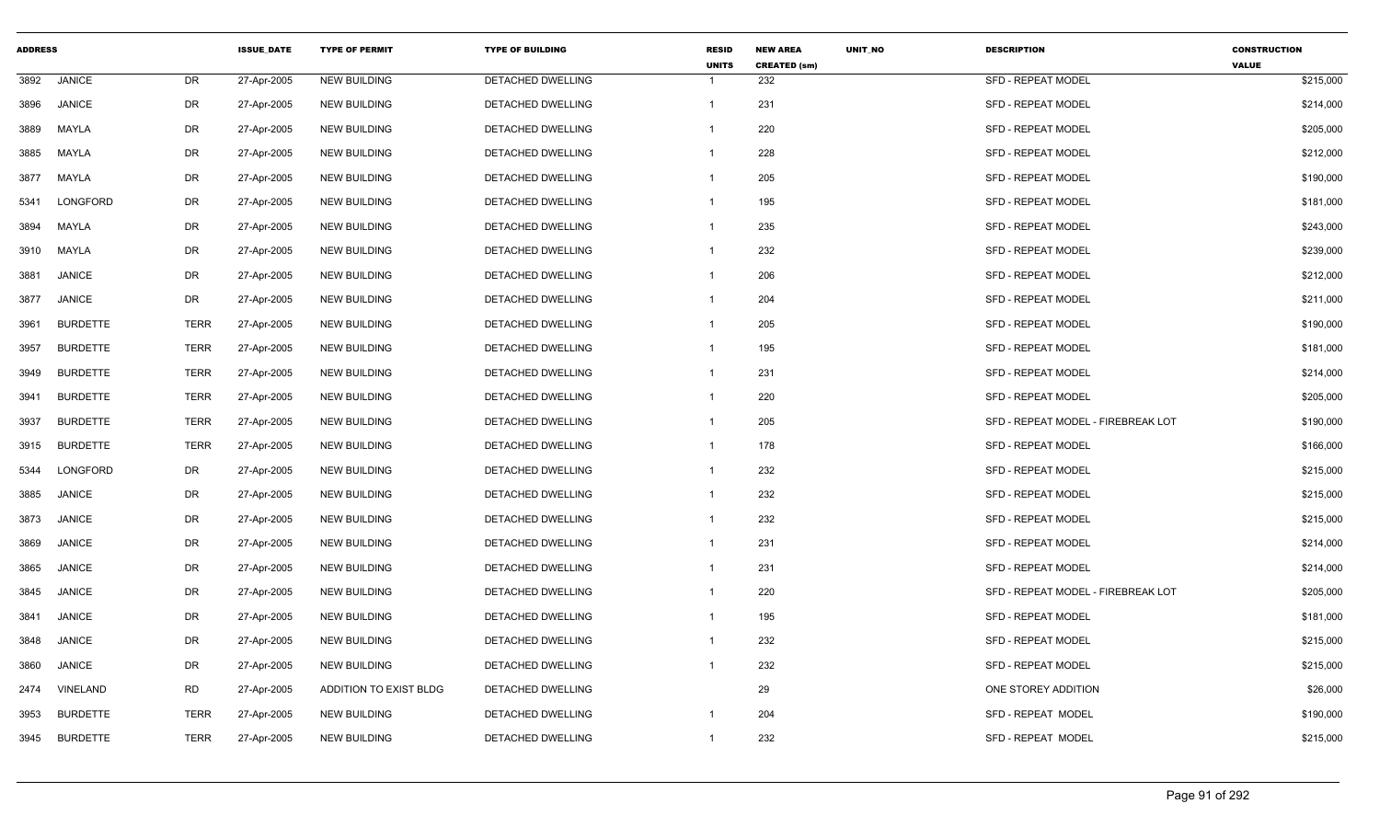| <b>ADDRESS</b> |                 |             | <b>ISSUE DATE</b> | <b>TYPE OF PERMIT</b>  | <b>TYPE OF BUILDING</b>  | <b>RESID</b><br><b>UNITS</b> | <b>NEW AREA</b><br><b>CREATED (sm)</b> | <b>UNIT NO</b> | <b>DESCRIPTION</b>                 | <b>CONSTRUCTION</b><br><b>VALUE</b> |
|----------------|-----------------|-------------|-------------------|------------------------|--------------------------|------------------------------|----------------------------------------|----------------|------------------------------------|-------------------------------------|
| 3892           | <b>JANICE</b>   | DR          | 27-Apr-2005       | <b>NEW BUILDING</b>    | DETACHED DWELLING        |                              | 232                                    |                | SFD - REPEAT MODEL                 | \$215,000                           |
| 3896           | <b>JANICE</b>   | DR          | 27-Apr-2005       | <b>NEW BUILDING</b>    | DETACHED DWELLING        | $\mathbf{1}$                 | 231                                    |                | <b>SFD - REPEAT MODEL</b>          | \$214,000                           |
| 3889           | MAYLA           | DR          | 27-Apr-2005       | NEW BUILDING           | DETACHED DWELLING        |                              | 220                                    |                | <b>SFD - REPEAT MODEL</b>          | \$205,000                           |
| 3885           | MAYLA           | DR          | 27-Apr-2005       | <b>NEW BUILDING</b>    | <b>DETACHED DWELLING</b> |                              | 228                                    |                | <b>SFD - REPEAT MODEL</b>          | \$212,000                           |
| 3877           | MAYLA           | DR          | 27-Apr-2005       | <b>NEW BUILDING</b>    | DETACHED DWELLING        |                              | 205                                    |                | <b>SFD - REPEAT MODEL</b>          | \$190,000                           |
| 5341           | LONGFORD        | DR          | 27-Apr-2005       | <b>NEW BUILDING</b>    | DETACHED DWELLING        | -1                           | 195                                    |                | <b>SFD - REPEAT MODEL</b>          | \$181,000                           |
| 3894           | MAYLA           | DR          | 27-Apr-2005       | <b>NEW BUILDING</b>    | DETACHED DWELLING        | 1                            | 235                                    |                | <b>SFD - REPEAT MODEL</b>          | \$243,000                           |
| 3910           | MAYLA           | DR          | 27-Apr-2005       | <b>NEW BUILDING</b>    | <b>DETACHED DWELLING</b> | $\mathbf{1}$                 | 232                                    |                | <b>SFD - REPEAT MODEL</b>          | \$239,000                           |
| 3881           | <b>JANICE</b>   | DR          | 27-Apr-2005       | NEW BUILDING           | DETACHED DWELLING        | 1                            | 206                                    |                | SFD - REPEAT MODEL                 | \$212,000                           |
| 3877           | <b>JANICE</b>   | DR          | 27-Apr-2005       | NEW BUILDING           | DETACHED DWELLING        | 1                            | 204                                    |                | <b>SFD - REPEAT MODEL</b>          | \$211,000                           |
| 3961           | <b>BURDETTE</b> | <b>TERR</b> | 27-Apr-2005       | <b>NEW BUILDING</b>    | DETACHED DWELLING        | $\mathbf 1$                  | 205                                    |                | <b>SFD - REPEAT MODEL</b>          | \$190,000                           |
| 3957           | <b>BURDETTE</b> | <b>TERR</b> | 27-Apr-2005       | <b>NEW BUILDING</b>    | DETACHED DWELLING        | 1                            | 195                                    |                | SFD - REPEAT MODEL                 | \$181,000                           |
| 3949           | <b>BURDETTE</b> | <b>TERR</b> | 27-Apr-2005       | <b>NEW BUILDING</b>    | DETACHED DWELLING        |                              | 231                                    |                | <b>SFD - REPEAT MODEL</b>          | \$214,000                           |
| 3941           | <b>BURDETTE</b> | <b>TERR</b> | 27-Apr-2005       | <b>NEW BUILDING</b>    | <b>DETACHED DWELLING</b> |                              | 220                                    |                | <b>SFD - REPEAT MODEL</b>          | \$205,000                           |
| 3937           | <b>BURDETTE</b> | <b>TERR</b> | 27-Apr-2005       | <b>NEW BUILDING</b>    | DETACHED DWELLING        |                              | 205                                    |                | SFD - REPEAT MODEL - FIREBREAK LOT | \$190,000                           |
| 3915           | <b>BURDETTE</b> | <b>TERR</b> | 27-Apr-2005       | <b>NEW BUILDING</b>    | DETACHED DWELLING        | -1                           | 178                                    |                | SFD - REPEAT MODEL                 | \$166,000                           |
| 5344           | LONGFORD        | DR          | 27-Apr-2005       | <b>NEW BUILDING</b>    | DETACHED DWELLING        | -1                           | 232                                    |                | SFD - REPEAT MODEL                 | \$215,000                           |
| 3885           | <b>JANICE</b>   | DR          | 27-Apr-2005       | <b>NEW BUILDING</b>    | DETACHED DWELLING        | $\mathbf{1}$                 | 232                                    |                | <b>SFD - REPEAT MODEL</b>          | \$215,000                           |
| 3873           | <b>JANICE</b>   | DR          | 27-Apr-2005       | NEW BUILDING           | DETACHED DWELLING        | $\overline{1}$               | 232                                    |                | SFD - REPEAT MODEL                 | \$215,000                           |
| 3869           | <b>JANICE</b>   | DR          | 27-Apr-2005       | <b>NEW BUILDING</b>    | DETACHED DWELLING        | 1                            | 231                                    |                | <b>SFD - REPEAT MODEL</b>          | \$214,000                           |
| 3865           | <b>JANICE</b>   | DR          | 27-Apr-2005       | <b>NEW BUILDING</b>    | DETACHED DWELLING        | $\mathbf 1$                  | 231                                    |                | <b>SFD - REPEAT MODEL</b>          | \$214,000                           |
| 3845           | <b>JANICE</b>   | DR          | 27-Apr-2005       | <b>NEW BUILDING</b>    | DETACHED DWELLING        |                              | 220                                    |                | SFD - REPEAT MODEL - FIREBREAK LOT | \$205,000                           |
| 3841           | <b>JANICE</b>   | DR          | 27-Apr-2005       | NEW BUILDING           | DETACHED DWELLING        | 1                            | 195                                    |                | <b>SFD - REPEAT MODEL</b>          | \$181,000                           |
| 3848           | <b>JANICE</b>   | DR          | 27-Apr-2005       | <b>NEW BUILDING</b>    | DETACHED DWELLING        |                              | 232                                    |                | <b>SFD - REPEAT MODEL</b>          | \$215,000                           |
| 3860           | <b>JANICE</b>   | DR          | 27-Apr-2005       | NEW BUILDING           | DETACHED DWELLING        |                              | 232                                    |                | <b>SFD - REPEAT MODEL</b>          | \$215,000                           |
| 2474           | VINELAND        | <b>RD</b>   | 27-Apr-2005       | ADDITION TO EXIST BLDG | DETACHED DWELLING        |                              | 29                                     |                | ONE STOREY ADDITION                | \$26,000                            |
| 3953           | <b>BURDETTE</b> | <b>TERR</b> | 27-Apr-2005       | <b>NEW BUILDING</b>    | DETACHED DWELLING        |                              | 204                                    |                | SFD - REPEAT MODEL                 | \$190,000                           |
| 3945           | <b>BURDETTE</b> | <b>TERR</b> | 27-Apr-2005       | <b>NEW BUILDING</b>    | DETACHED DWELLING        | 1                            | 232                                    |                | SFD - REPEAT MODEL                 | \$215,000                           |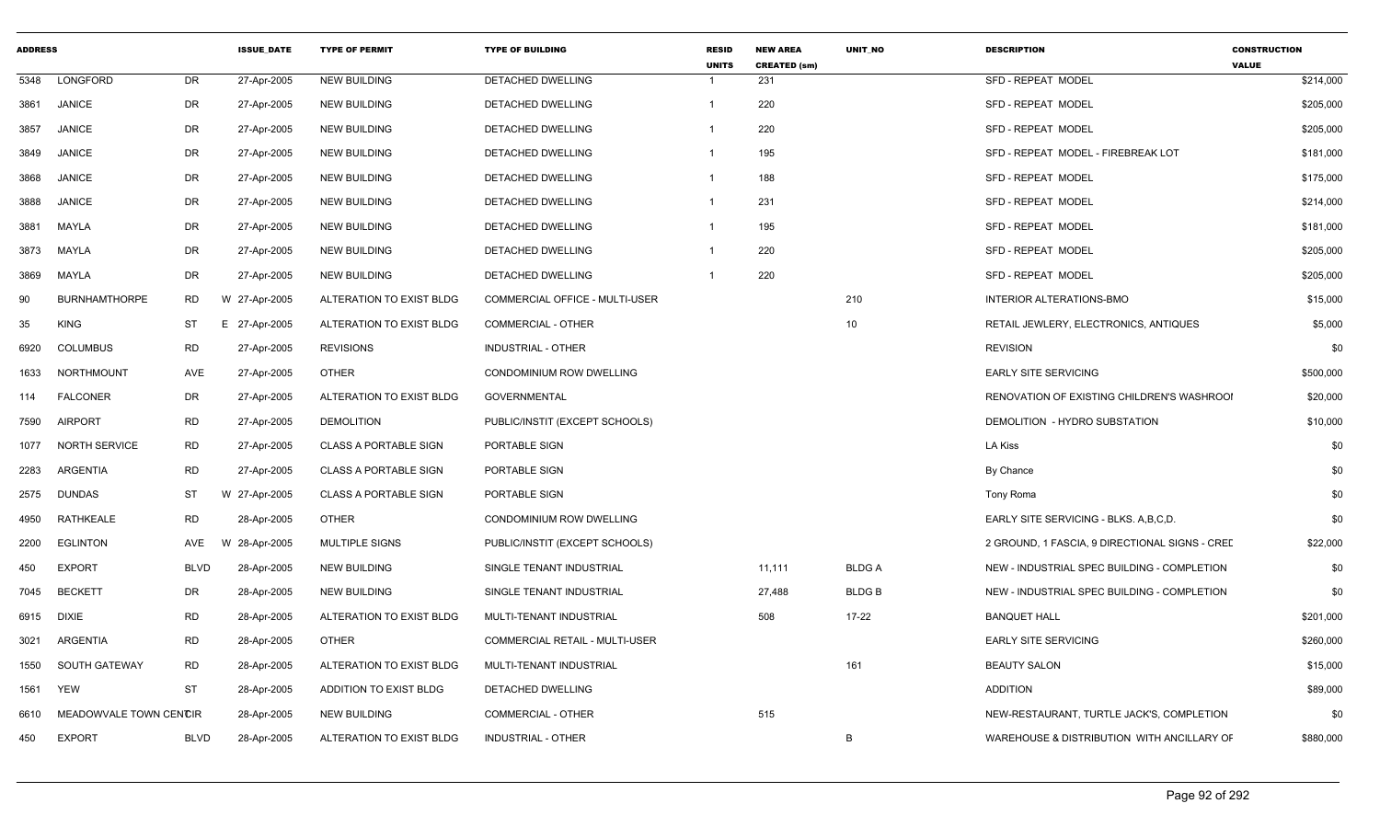| <b>ADDRESS</b> |                        |             | <b>ISSUE DATE</b> | <b>TYPE OF PERMIT</b>        | <b>TYPE OF BUILDING</b>         | <b>RESID</b><br><b>UNITS</b> | <b>NEW AREA</b><br><b>CREATED (sm)</b> | <b>UNIT NO</b>  | <b>DESCRIPTION</b>                             | <b>CONSTRUCTION</b><br><b>VALUE</b> |
|----------------|------------------------|-------------|-------------------|------------------------------|---------------------------------|------------------------------|----------------------------------------|-----------------|------------------------------------------------|-------------------------------------|
| 5348           | LONGFORD               | DR          | 27-Apr-2005       | <b>NEW BUILDING</b>          | DETACHED DWELLING               |                              | 231                                    |                 | SFD - REPEAT MODEL                             | \$214,000                           |
| 3861           | <b>JANICE</b>          | DR          | 27-Apr-2005       | <b>NEW BUILDING</b>          | DETACHED DWELLING               |                              | 220                                    |                 | <b>SFD - REPEAT MODEL</b>                      | \$205,000                           |
| 3857           | <b>JANICE</b>          | DR          | 27-Apr-2005       | <b>NEW BUILDING</b>          | DETACHED DWELLING               | -1                           | 220                                    |                 | SFD - REPEAT MODEL                             | \$205,000                           |
| 3849           | <b>JANICE</b>          | DR          | 27-Apr-2005       | <b>NEW BUILDING</b>          | DETACHED DWELLING               | $\overline{1}$               | 195                                    |                 | SFD - REPEAT MODEL - FIREBREAK LOT             | \$181,000                           |
| 3868           | <b>JANICE</b>          | DR          | 27-Apr-2005       | <b>NEW BUILDING</b>          | DETACHED DWELLING               | $\overline{1}$               | 188                                    |                 | SFD - REPEAT MODEL                             | \$175,000                           |
| 3888           | <b>JANICE</b>          | DR          | 27-Apr-2005       | <b>NEW BUILDING</b>          | DETACHED DWELLING               | $\overline{1}$               | 231                                    |                 | SFD - REPEAT MODEL                             | \$214,000                           |
| 3881           | MAYLA                  | DR          | 27-Apr-2005       | <b>NEW BUILDING</b>          | DETACHED DWELLING               | $\overline{\mathbf{1}}$      | 195                                    |                 | SFD - REPEAT MODEL                             | \$181,000                           |
| 3873           | MAYLA                  | DR          | 27-Apr-2005       | <b>NEW BUILDING</b>          | <b>DETACHED DWELLING</b>        | $\overline{\mathbf{1}}$      | 220                                    |                 | SFD - REPEAT MODEL                             | \$205,000                           |
| 3869           | MAYLA                  | DR          | 27-Apr-2005       | <b>NEW BUILDING</b>          | DETACHED DWELLING               | -1                           | 220                                    |                 | SFD - REPEAT MODEL                             | \$205,000                           |
| 90             | <b>BURNHAMTHORPE</b>   | <b>RD</b>   | W 27-Apr-2005     | ALTERATION TO EXIST BLDG     | COMMERCIAL OFFICE - MULTI-USER  |                              |                                        | 210             | INTERIOR ALTERATIONS-BMO                       | \$15,000                            |
| 35             | <b>KING</b>            | <b>ST</b>   | E 27-Apr-2005     | ALTERATION TO EXIST BLDG     | <b>COMMERCIAL - OTHER</b>       |                              |                                        | 10 <sup>1</sup> | RETAIL JEWLERY, ELECTRONICS, ANTIQUES          | \$5,000                             |
| 6920           | <b>COLUMBUS</b>        | <b>RD</b>   | 27-Apr-2005       | <b>REVISIONS</b>             | <b>INDUSTRIAL - OTHER</b>       |                              |                                        |                 | <b>REVISION</b>                                | \$0                                 |
| 1633           | NORTHMOUNT             | AVE         | 27-Apr-2005       | <b>OTHER</b>                 | CONDOMINIUM ROW DWELLING        |                              |                                        |                 | <b>EARLY SITE SERVICING</b>                    | \$500,000                           |
| 114            | <b>FALCONER</b>        | DR          | 27-Apr-2005       | ALTERATION TO EXIST BLDG     | <b>GOVERNMENTAL</b>             |                              |                                        |                 | RENOVATION OF EXISTING CHILDREN'S WASHROOI     | \$20,000                            |
| 7590           | <b>AIRPORT</b>         | <b>RD</b>   | 27-Apr-2005       | <b>DEMOLITION</b>            | PUBLIC/INSTIT (EXCEPT SCHOOLS)  |                              |                                        |                 | DEMOLITION - HYDRO SUBSTATION                  | \$10,000                            |
| 1077           | <b>NORTH SERVICE</b>   | <b>RD</b>   | 27-Apr-2005       | <b>CLASS A PORTABLE SIGN</b> | PORTABLE SIGN                   |                              |                                        |                 | LA Kiss                                        | \$0                                 |
| 2283           | ARGENTIA               | <b>RD</b>   | 27-Apr-2005       | <b>CLASS A PORTABLE SIGN</b> | PORTABLE SIGN                   |                              |                                        |                 | By Chance                                      | \$0                                 |
| 2575           | <b>DUNDAS</b>          | ST          | W 27-Apr-2005     | <b>CLASS A PORTABLE SIGN</b> | PORTABLE SIGN                   |                              |                                        |                 | Tony Roma                                      | \$0                                 |
| 4950           | RATHKEALE              | <b>RD</b>   | 28-Apr-2005       | <b>OTHER</b>                 | <b>CONDOMINIUM ROW DWELLING</b> |                              |                                        |                 | EARLY SITE SERVICING - BLKS. A, B, C, D.       | \$0                                 |
| 2200           | <b>EGLINTON</b>        | AVE         | 28-Apr-2005<br>W  | <b>MULTIPLE SIGNS</b>        | PUBLIC/INSTIT (EXCEPT SCHOOLS)  |                              |                                        |                 | 2 GROUND, 1 FASCIA, 9 DIRECTIONAL SIGNS - CREE | \$22,000                            |
| 450            | <b>EXPORT</b>          | <b>BLVD</b> | 28-Apr-2005       | <b>NEW BUILDING</b>          | SINGLE TENANT INDUSTRIAL        |                              | 11,111                                 | <b>BLDGA</b>    | NEW - INDUSTRIAL SPEC BUILDING - COMPLETION    | \$0                                 |
| 7045           | <b>BECKETT</b>         | DR          | 28-Apr-2005       | <b>NEW BUILDING</b>          | SINGLE TENANT INDUSTRIAL        |                              | 27,488                                 | <b>BLDGB</b>    | NEW - INDUSTRIAL SPEC BUILDING - COMPLETION    | \$0                                 |
| 6915           | <b>DIXIE</b>           | <b>RD</b>   | 28-Apr-2005       | ALTERATION TO EXIST BLDG     | MULTI-TENANT INDUSTRIAL         |                              | 508                                    | $17 - 22$       | <b>BANQUET HALL</b>                            | \$201,000                           |
| 3021           | ARGENTIA               | <b>RD</b>   | 28-Apr-2005       | <b>OTHER</b>                 | COMMERCIAL RETAIL - MULTI-USER  |                              |                                        |                 | <b>EARLY SITE SERVICING</b>                    | \$260,000                           |
| 1550           | <b>SOUTH GATEWAY</b>   | <b>RD</b>   | 28-Apr-2005       | ALTERATION TO EXIST BLDG     | MULTI-TENANT INDUSTRIAL         |                              |                                        | 161             | <b>BEAUTY SALON</b>                            | \$15,000                            |
| 1561           | <b>YEW</b>             | ST          | 28-Apr-2005       | ADDITION TO EXIST BLDG       | DETACHED DWELLING               |                              |                                        |                 | <b>ADDITION</b>                                | \$89,000                            |
| 6610           | MEADOWVALE TOWN CENCIR |             | 28-Apr-2005       | <b>NEW BUILDING</b>          | <b>COMMERCIAL - OTHER</b>       |                              | 515                                    |                 | NEW-RESTAURANT, TURTLE JACK'S, COMPLETION      | \$0                                 |
| 450            | <b>EXPORT</b>          | <b>BLVD</b> | 28-Apr-2005       | ALTERATION TO EXIST BLDG     | <b>INDUSTRIAL - OTHER</b>       |                              |                                        | B               | WAREHOUSE & DISTRIBUTION WITH ANCILLARY OF     | \$880,000                           |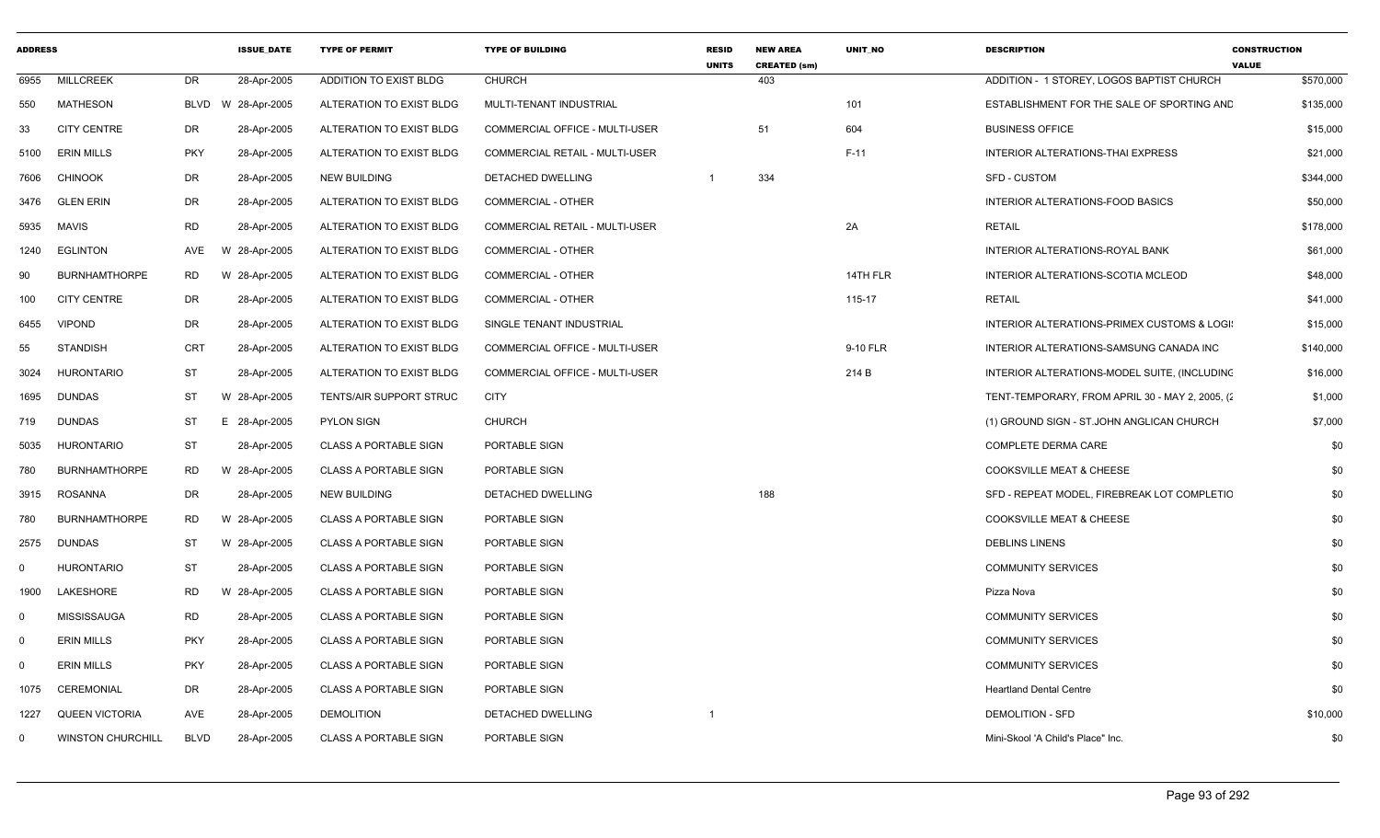| <b>ADDRESS</b> |                          |             | <b>ISSUE DATE</b> | <b>TYPE OF PERMIT</b>          | <b>TYPE OF BUILDING</b>               | <b>RESID</b><br><b>UNITS</b> | <b>NEW AREA</b><br><b>CREATED (sm)</b> | <b>UNIT NO</b> | <b>DESCRIPTION</b>                              | <b>CONSTRUCTION</b><br><b>VALUE</b> |
|----------------|--------------------------|-------------|-------------------|--------------------------------|---------------------------------------|------------------------------|----------------------------------------|----------------|-------------------------------------------------|-------------------------------------|
| 6955           | <b>MILLCREEK</b>         | DR          | 28-Apr-2005       | ADDITION TO EXIST BLDG         | <b>CHURCH</b>                         |                              | 403                                    |                | ADDITION - 1 STOREY, LOGOS BAPTIST CHURCH       | \$570,000                           |
| 550            | MATHESON                 | <b>BLVD</b> | W 28-Apr-2005     | ALTERATION TO EXIST BLDG       | MULTI-TENANT INDUSTRIAL               |                              |                                        | 101            | ESTABLISHMENT FOR THE SALE OF SPORTING AND      | \$135,000                           |
| 33             | <b>CITY CENTRE</b>       | DR          | 28-Apr-2005       | ALTERATION TO EXIST BLDG       | COMMERCIAL OFFICE - MULTI-USER        |                              | 51                                     | 604            | <b>BUSINESS OFFICE</b>                          | \$15,000                            |
| 5100           | <b>ERIN MILLS</b>        | <b>PKY</b>  | 28-Apr-2005       | ALTERATION TO EXIST BLDG       | COMMERCIAL RETAIL - MULTI-USER        |                              |                                        | $F-11$         | INTERIOR ALTERATIONS-THAI EXPRESS               | \$21,000                            |
| 7606           | <b>CHINOOK</b>           | DR          | 28-Apr-2005       | <b>NEW BUILDING</b>            | <b>DETACHED DWELLING</b>              | $\overline{1}$               | 334                                    |                | <b>SFD - CUSTOM</b>                             | \$344,000                           |
| 3476           | <b>GLEN ERIN</b>         | DR          | 28-Apr-2005       | ALTERATION TO EXIST BLDG       | COMMERCIAL - OTHER                    |                              |                                        |                | INTERIOR ALTERATIONS-FOOD BASICS                | \$50,000                            |
| 5935           | <b>MAVIS</b>             | <b>RD</b>   | 28-Apr-2005       | ALTERATION TO EXIST BLDG       | COMMERCIAL RETAIL - MULTI-USER        |                              |                                        | 2A             | <b>RETAIL</b>                                   | \$178,000                           |
| 1240           | <b>EGLINTON</b>          | AVE         | W 28-Apr-2005     | ALTERATION TO EXIST BLDG       | COMMERCIAL - OTHER                    |                              |                                        |                | INTERIOR ALTERATIONS-ROYAL BANK                 | \$61,000                            |
| 90             | <b>BURNHAMTHORPE</b>     | <b>RD</b>   | W 28-Apr-2005     | ALTERATION TO EXIST BLDG       | <b>COMMERCIAL - OTHER</b>             |                              |                                        | 14TH FLR       | INTERIOR ALTERATIONS-SCOTIA MCLEOD              | \$48,000                            |
| 100            | <b>CITY CENTRE</b>       | DR          | 28-Apr-2005       | ALTERATION TO EXIST BLDG       | COMMERCIAL - OTHER                    |                              |                                        | 115-17         | <b>RETAIL</b>                                   | \$41,000                            |
| 6455           | <b>VIPOND</b>            | DR          | 28-Apr-2005       | ALTERATION TO EXIST BLDG       | SINGLE TENANT INDUSTRIAL              |                              |                                        |                | INTERIOR ALTERATIONS-PRIMEX CUSTOMS & LOGI:     | \$15,000                            |
| 55             | <b>STANDISH</b>          | <b>CRT</b>  | 28-Apr-2005       | ALTERATION TO EXIST BLDG       | COMMERCIAL OFFICE - MULTI-USER        |                              |                                        | 9-10 FLR       | INTERIOR ALTERATIONS-SAMSUNG CANADA INC         | \$140,000                           |
| 3024           | <b>HURONTARIO</b>        | ST          | 28-Apr-2005       | ALTERATION TO EXIST BLDG       | <b>COMMERCIAL OFFICE - MULTI-USER</b> |                              |                                        | 214 B          | INTERIOR ALTERATIONS-MODEL SUITE, (INCLUDING    | \$16,000                            |
| 1695           | <b>DUNDAS</b>            | ST          | W 28-Apr-2005     | <b>TENTS/AIR SUPPORT STRUC</b> | <b>CITY</b>                           |                              |                                        |                | TENT-TEMPORARY, FROM APRIL 30 - MAY 2, 2005, (2 | \$1,000                             |
| 719            | <b>DUNDAS</b>            | ST          | E 28-Apr-2005     | <b>PYLON SIGN</b>              | <b>CHURCH</b>                         |                              |                                        |                | (1) GROUND SIGN - ST.JOHN ANGLICAN CHURCH       | \$7,000                             |
| 5035           | <b>HURONTARIO</b>        | <b>ST</b>   | 28-Apr-2005       | <b>CLASS A PORTABLE SIGN</b>   | PORTABLE SIGN                         |                              |                                        |                | <b>COMPLETE DERMA CARE</b>                      | \$0                                 |
| 780            | <b>BURNHAMTHORPE</b>     | RD.         | W 28-Apr-2005     | <b>CLASS A PORTABLE SIGN</b>   | PORTABLE SIGN                         |                              |                                        |                | <b>COOKSVILLE MEAT &amp; CHEESE</b>             | \$0                                 |
| 3915           | <b>ROSANNA</b>           | DR          | 28-Apr-2005       | <b>NEW BUILDING</b>            | DETACHED DWELLING                     |                              | 188                                    |                | SFD - REPEAT MODEL, FIREBREAK LOT COMPLETIC     | \$0                                 |
| 780            | <b>BURNHAMTHORPE</b>     | <b>RD</b>   | W 28-Apr-2005     | <b>CLASS A PORTABLE SIGN</b>   | PORTABLE SIGN                         |                              |                                        |                | <b>COOKSVILLE MEAT &amp; CHEESE</b>             | \$0                                 |
| 2575           | <b>DUNDAS</b>            | ST          | W 28-Apr-2005     | <b>CLASS A PORTABLE SIGN</b>   | PORTABLE SIGN                         |                              |                                        |                | <b>DEBLINS LINENS</b>                           | \$0                                 |
| $\mathbf 0$    | <b>HURONTARIO</b>        | ST          | 28-Apr-2005       | <b>CLASS A PORTABLE SIGN</b>   | PORTABLE SIGN                         |                              |                                        |                | <b>COMMUNITY SERVICES</b>                       | \$0                                 |
| 1900           | <b>LAKESHORE</b>         | <b>RD</b>   | W 28-Apr-2005     | <b>CLASS A PORTABLE SIGN</b>   | PORTABLE SIGN                         |                              |                                        |                | Pizza Nova                                      | \$0                                 |
| $\mathbf 0$    | <b>MISSISSAUGA</b>       | RD          | 28-Apr-2005       | <b>CLASS A PORTABLE SIGN</b>   | PORTABLE SIGN                         |                              |                                        |                | <b>COMMUNITY SERVICES</b>                       | \$0                                 |
| $\mathbf 0$    | <b>ERIN MILLS</b>        | <b>PKY</b>  | 28-Apr-2005       | <b>CLASS A PORTABLE SIGN</b>   | PORTABLE SIGN                         |                              |                                        |                | <b>COMMUNITY SERVICES</b>                       | \$0                                 |
| $\mathbf 0$    | <b>ERIN MILLS</b>        | <b>PKY</b>  | 28-Apr-2005       | <b>CLASS A PORTABLE SIGN</b>   | PORTABLE SIGN                         |                              |                                        |                | <b>COMMUNITY SERVICES</b>                       | \$0                                 |
| 1075           | <b>CEREMONIAL</b>        | DR          | 28-Apr-2005       | <b>CLASS A PORTABLE SIGN</b>   | PORTABLE SIGN                         |                              |                                        |                | <b>Heartland Dental Centre</b>                  | \$0                                 |
| 1227           | <b>QUEEN VICTORIA</b>    | AVE         | 28-Apr-2005       | <b>DEMOLITION</b>              | <b>DETACHED DWELLING</b>              |                              |                                        |                | <b>DEMOLITION - SFD</b>                         | \$10,000                            |
| $\mathbf 0$    | <b>WINSTON CHURCHILL</b> | <b>BLVD</b> | 28-Apr-2005       | <b>CLASS A PORTABLE SIGN</b>   | PORTABLE SIGN                         |                              |                                        |                | Mini-Skool 'A Child's Place" Inc.               | \$0                                 |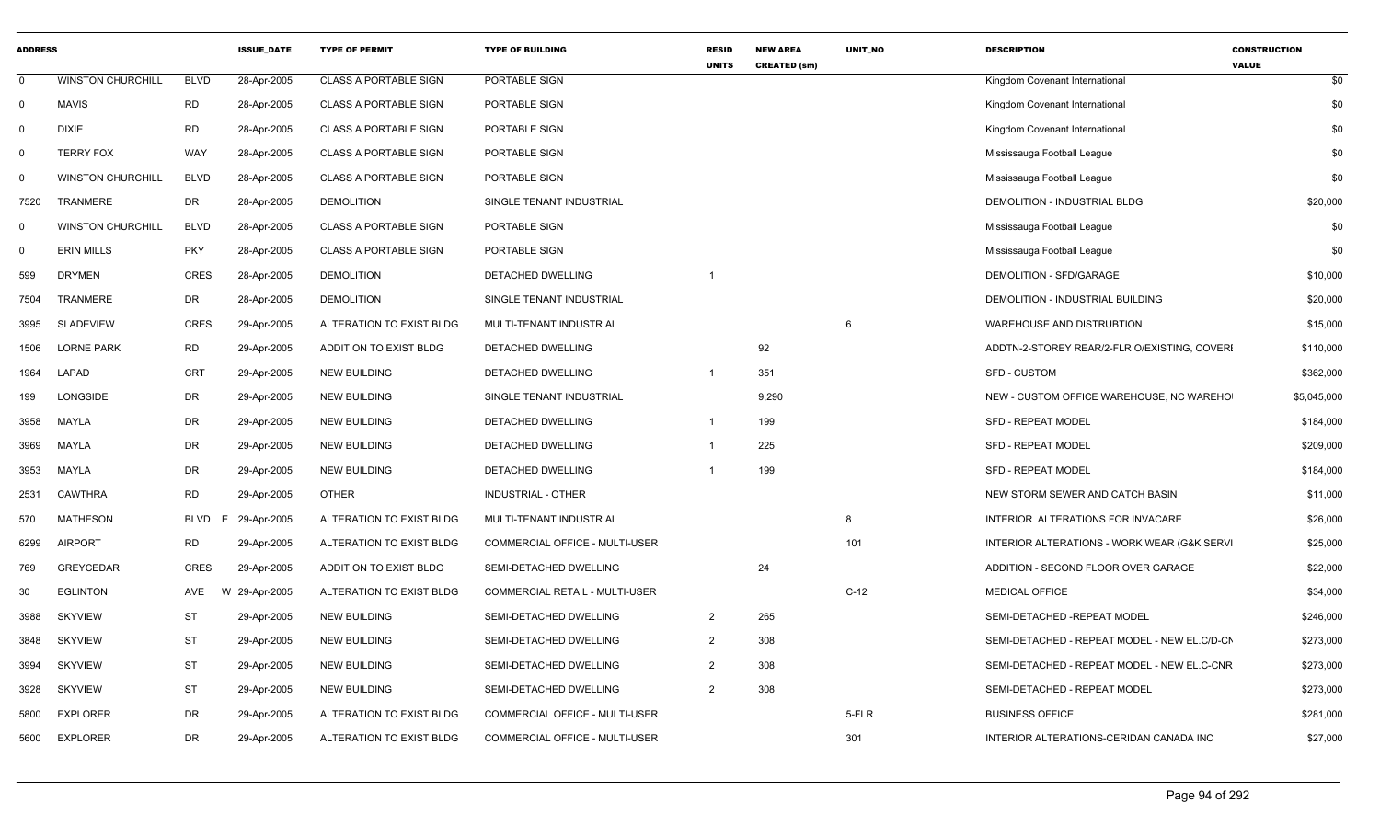| <b>ADDRESS</b> |                          |             | <b>ISSUE DATE</b> | <b>TYPE OF PERMIT</b>        | <b>TYPE OF BUILDING</b>        | <b>RESID</b><br><b>UNITS</b> | <b>NEW AREA</b><br><b>CREATED (sm)</b> | <b>UNIT NO</b> | <b>DESCRIPTION</b>                           | <b>CONSTRUCTION</b><br><b>VALUE</b> |
|----------------|--------------------------|-------------|-------------------|------------------------------|--------------------------------|------------------------------|----------------------------------------|----------------|----------------------------------------------|-------------------------------------|
| $\mathbf 0$    | <b>WINSTON CHURCHILL</b> | <b>BLVD</b> | 28-Apr-2005       | <b>CLASS A PORTABLE SIGN</b> | PORTABLE SIGN                  |                              |                                        |                | Kingdom Covenant International               | \$0                                 |
| $\mathbf 0$    | <b>MAVIS</b>             | <b>RD</b>   | 28-Apr-2005       | <b>CLASS A PORTABLE SIGN</b> | PORTABLE SIGN                  |                              |                                        |                | Kingdom Covenant International               | \$0                                 |
| 0              | <b>DIXIE</b>             | <b>RD</b>   | 28-Apr-2005       | <b>CLASS A PORTABLE SIGN</b> | PORTABLE SIGN                  |                              |                                        |                | Kingdom Covenant International               | \$0                                 |
| $\Omega$       | <b>TERRY FOX</b>         | <b>WAY</b>  | 28-Apr-2005       | <b>CLASS A PORTABLE SIGN</b> | PORTABLE SIGN                  |                              |                                        |                | Mississauga Football League                  | \$0                                 |
| $\mathbf 0$    | <b>WINSTON CHURCHILL</b> | <b>BLVD</b> | 28-Apr-2005       | <b>CLASS A PORTABLE SIGN</b> | PORTABLE SIGN                  |                              |                                        |                | Mississauga Football League                  | \$0                                 |
| 7520           | TRANMERE                 | <b>DR</b>   | 28-Apr-2005       | <b>DEMOLITION</b>            | SINGLE TENANT INDUSTRIAL       |                              |                                        |                | DEMOLITION - INDUSTRIAL BLDG                 | \$20,000                            |
| $\mathbf 0$    | <b>WINSTON CHURCHILL</b> | <b>BLVD</b> | 28-Apr-2005       | <b>CLASS A PORTABLE SIGN</b> | PORTABLE SIGN                  |                              |                                        |                | Mississauga Football League                  | \$0                                 |
| $\Omega$       | <b>ERIN MILLS</b>        | <b>PKY</b>  | 28-Apr-2005       | <b>CLASS A PORTABLE SIGN</b> | PORTABLE SIGN                  |                              |                                        |                | Mississauga Football League                  | \$0                                 |
| 599            | <b>DRYMEN</b>            | <b>CRES</b> | 28-Apr-2005       | <b>DEMOLITION</b>            | DETACHED DWELLING              |                              |                                        |                | DEMOLITION - SFD/GARAGE                      | \$10,000                            |
| 7504           | <b>TRANMERE</b>          | DR          | 28-Apr-2005       | <b>DEMOLITION</b>            | SINGLE TENANT INDUSTRIAL       |                              |                                        |                | DEMOLITION - INDUSTRIAL BUILDING             | \$20,000                            |
| 3995           | <b>SLADEVIEW</b>         | <b>CRES</b> | 29-Apr-2005       | ALTERATION TO EXIST BLDG     | MULTI-TENANT INDUSTRIAL        |                              |                                        | 6              | WAREHOUSE AND DISTRUBTION                    | \$15,000                            |
| 1506           | <b>LORNE PARK</b>        | <b>RD</b>   | 29-Apr-2005       | ADDITION TO EXIST BLDG       | DETACHED DWELLING              |                              | 92                                     |                | ADDTN-2-STOREY REAR/2-FLR O/EXISTING, COVERI | \$110,000                           |
| 1964           | LAPAD                    | <b>CRT</b>  | 29-Apr-2005       | NEW BUILDING                 | DETACHED DWELLING              | $\overline{\mathbf{1}}$      | 351                                    |                | SFD - CUSTOM                                 | \$362,000                           |
| 199            | LONGSIDE                 | DR          | 29-Apr-2005       | <b>NEW BUILDING</b>          | SINGLE TENANT INDUSTRIAL       |                              | 9,290                                  |                | NEW - CUSTOM OFFICE WAREHOUSE, NC WAREHO     | \$5,045,000                         |
| 3958           | MAYLA                    | DR          | 29-Apr-2005       | <b>NEW BUILDING</b>          | DETACHED DWELLING              |                              | 199                                    |                | <b>SFD - REPEAT MODEL</b>                    | \$184,000                           |
| 3969           | MAYLA                    | DR          | 29-Apr-2005       | <b>NEW BUILDING</b>          | DETACHED DWELLING              |                              | 225                                    |                | <b>SFD - REPEAT MODEL</b>                    | \$209,000                           |
| 3953           | MAYLA                    | DR          | 29-Apr-2005       | <b>NEW BUILDING</b>          | DETACHED DWELLING              |                              | 199                                    |                | <b>SFD - REPEAT MODEL</b>                    | \$184,000                           |
| 2531           | CAWTHRA                  | <b>RD</b>   | 29-Apr-2005       | <b>OTHER</b>                 | INDUSTRIAL - OTHER             |                              |                                        |                | NEW STORM SEWER AND CATCH BASIN              | \$11,000                            |
| 570            | <b>MATHESON</b>          | BLVD<br>E.  | 29-Apr-2005       | ALTERATION TO EXIST BLDG     | MULTI-TENANT INDUSTRIAL        |                              |                                        | 8              | INTERIOR ALTERATIONS FOR INVACARE            | \$26,000                            |
| 6299           | <b>AIRPORT</b>           | <b>RD</b>   | 29-Apr-2005       | ALTERATION TO EXIST BLDG     | COMMERCIAL OFFICE - MULTI-USER |                              |                                        | 101            | INTERIOR ALTERATIONS - WORK WEAR (G&K SERVI  | \$25,000                            |
| 769            | <b>GREYCEDAR</b>         | CRES        | 29-Apr-2005       | ADDITION TO EXIST BLDG       | SEMI-DETACHED DWELLING         |                              | 24                                     |                | ADDITION - SECOND FLOOR OVER GARAGE          | \$22,000                            |
| 30             | <b>EGLINTON</b>          | AVE         | W 29-Apr-2005     | ALTERATION TO EXIST BLDG     | COMMERCIAL RETAIL - MULTI-USER |                              |                                        | $C-12$         | <b>MEDICAL OFFICE</b>                        | \$34,000                            |
| 3988           | <b>SKYVIEW</b>           | <b>ST</b>   | 29-Apr-2005       | <b>NEW BUILDING</b>          | SEMI-DETACHED DWELLING         | $\overline{2}$               | 265                                    |                | SEMI-DETACHED -REPEAT MODEL                  | \$246,000                           |
| 3848           | <b>SKYVIEW</b>           | <b>ST</b>   | 29-Apr-2005       | NEW BUILDING                 | SEMI-DETACHED DWELLING         | 2                            | 308                                    |                | SEMI-DETACHED - REPEAT MODEL - NEW EL.C/D-CN | \$273,000                           |
| 3994           | <b>SKYVIEW</b>           | <b>ST</b>   | 29-Apr-2005       | <b>NEW BUILDING</b>          | SEMI-DETACHED DWELLING         | $\overline{2}$               | 308                                    |                | SEMI-DETACHED - REPEAT MODEL - NEW EL.C-CNR  | \$273,000                           |
| 3928           | <b>SKYVIEW</b>           | <b>ST</b>   | 29-Apr-2005       | <b>NEW BUILDING</b>          | SEMI-DETACHED DWELLING         | 2                            | 308                                    |                | SEMI-DETACHED - REPEAT MODEL                 | \$273,000                           |
| 5800           | <b>EXPLORER</b>          | DR          | 29-Apr-2005       | ALTERATION TO EXIST BLDG     | COMMERCIAL OFFICE - MULTI-USER |                              |                                        | 5-FLR          | <b>BUSINESS OFFICE</b>                       | \$281,000                           |
| 5600           | <b>EXPLORER</b>          | DR          | 29-Apr-2005       | ALTERATION TO EXIST BLDG     | COMMERCIAL OFFICE - MULTI-USER |                              |                                        | 301            | INTERIOR ALTERATIONS-CERIDAN CANADA INC      | \$27,000                            |
|                |                          |             |                   |                              |                                |                              |                                        |                |                                              |                                     |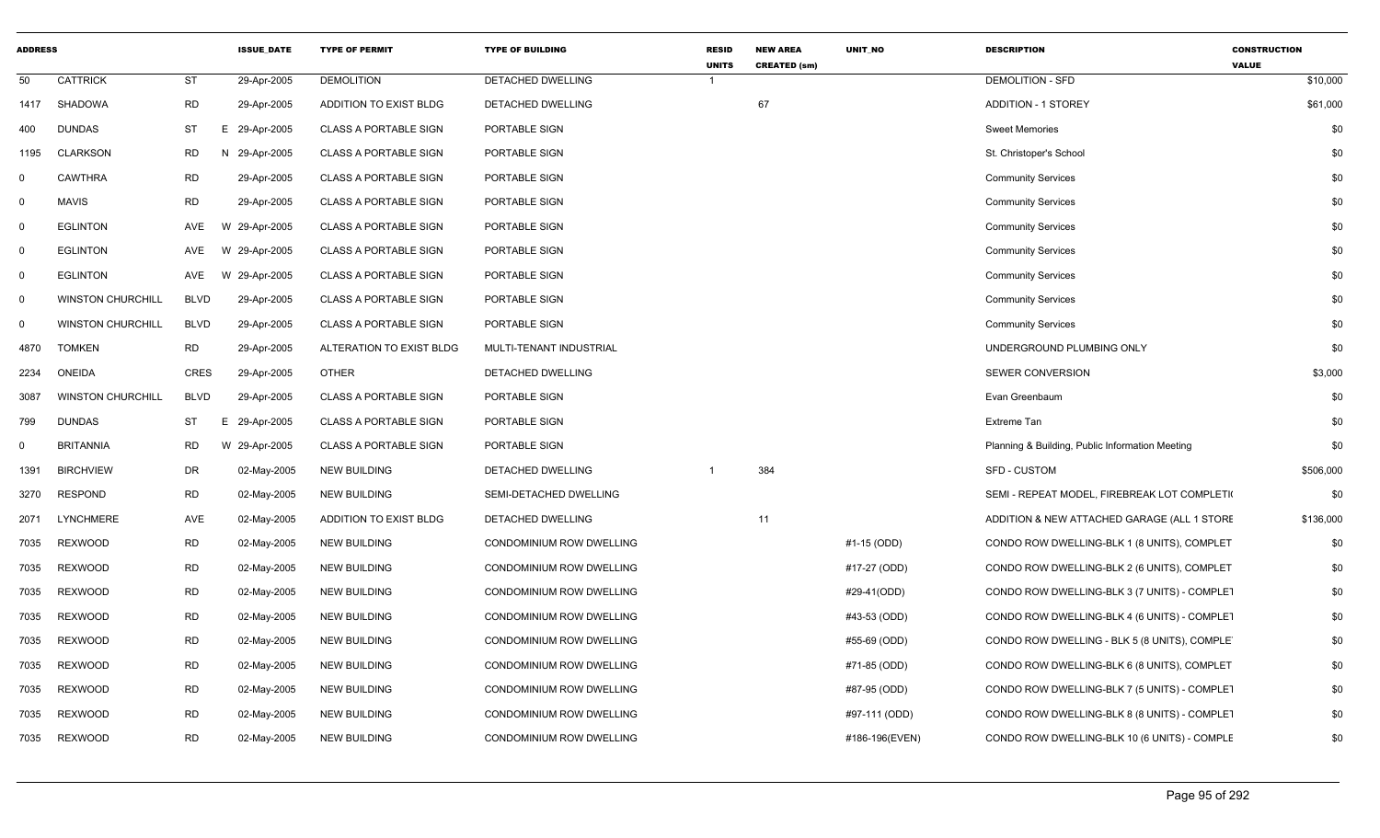| <b>ADDRESS</b> |                          |             | <b>ISSUE DATE</b> | <b>TYPE OF PERMIT</b>        | <b>TYPE OF BUILDING</b>  | <b>RESID</b><br><b>UNITS</b> | <b>NEW AREA</b><br><b>CREATED (sm)</b> | UNIT_NO        | <b>DESCRIPTION</b>                              | <b>CONSTRUCTION</b><br><b>VALUE</b> |
|----------------|--------------------------|-------------|-------------------|------------------------------|--------------------------|------------------------------|----------------------------------------|----------------|-------------------------------------------------|-------------------------------------|
| 50             | <b>CATTRICK</b>          | ST          | 29-Apr-2005       | <b>DEMOLITION</b>            | DETACHED DWELLING        | -1                           |                                        |                | <b>DEMOLITION - SFD</b>                         | \$10,000                            |
| 1417           | SHADOWA                  | <b>RD</b>   | 29-Apr-2005       | ADDITION TO EXIST BLDG       | DETACHED DWELLING        |                              | 67                                     |                | <b>ADDITION - 1 STOREY</b>                      | \$61,000                            |
| 400            | <b>DUNDAS</b>            | <b>ST</b>   | E.<br>29-Apr-2005 | <b>CLASS A PORTABLE SIGN</b> | PORTABLE SIGN            |                              |                                        |                | <b>Sweet Memories</b>                           | \$0                                 |
| 1195           | <b>CLARKSON</b>          | <b>RD</b>   | N 29-Apr-2005     | <b>CLASS A PORTABLE SIGN</b> | PORTABLE SIGN            |                              |                                        |                | St. Christoper's School                         | \$0                                 |
| $\mathbf 0$    | <b>CAWTHRA</b>           | <b>RD</b>   | 29-Apr-2005       | <b>CLASS A PORTABLE SIGN</b> | PORTABLE SIGN            |                              |                                        |                | <b>Community Services</b>                       | \$0                                 |
| $\mathbf 0$    | <b>MAVIS</b>             | <b>RD</b>   | 29-Apr-2005       | <b>CLASS A PORTABLE SIGN</b> | PORTABLE SIGN            |                              |                                        |                | <b>Community Services</b>                       | \$0                                 |
| 0              | <b>EGLINTON</b>          | AVE         | W 29-Apr-2005     | <b>CLASS A PORTABLE SIGN</b> | PORTABLE SIGN            |                              |                                        |                | <b>Community Services</b>                       | \$0                                 |
| 0              | <b>EGLINTON</b>          | <b>AVE</b>  | W 29-Apr-2005     | <b>CLASS A PORTABLE SIGN</b> | PORTABLE SIGN            |                              |                                        |                | <b>Community Services</b>                       | \$0                                 |
| $\mathbf 0$    | <b>EGLINTON</b>          | AVE         | W 29-Apr-2005     | <b>CLASS A PORTABLE SIGN</b> | PORTABLE SIGN            |                              |                                        |                | <b>Community Services</b>                       | \$0                                 |
| $\mathbf 0$    | <b>WINSTON CHURCHILL</b> | <b>BLVD</b> | 29-Apr-2005       | <b>CLASS A PORTABLE SIGN</b> | PORTABLE SIGN            |                              |                                        |                | <b>Community Services</b>                       | \$0                                 |
| $\mathbf 0$    | <b>WINSTON CHURCHILL</b> | <b>BLVD</b> | 29-Apr-2005       | <b>CLASS A PORTABLE SIGN</b> | PORTABLE SIGN            |                              |                                        |                | <b>Community Services</b>                       | \$0                                 |
| 4870           | <b>TOMKEN</b>            | <b>RD</b>   | 29-Apr-2005       | ALTERATION TO EXIST BLDG     | MULTI-TENANT INDUSTRIAL  |                              |                                        |                | UNDERGROUND PLUMBING ONLY                       | \$0                                 |
| 2234           | <b>ONEIDA</b>            | <b>CRES</b> | 29-Apr-2005       | <b>OTHER</b>                 | DETACHED DWELLING        |                              |                                        |                | SEWER CONVERSION                                | \$3,000                             |
| 3087           | <b>WINSTON CHURCHILL</b> | <b>BLVD</b> | 29-Apr-2005       | <b>CLASS A PORTABLE SIGN</b> | PORTABLE SIGN            |                              |                                        |                | Evan Greenbaum                                  | \$0                                 |
| 799            | <b>DUNDAS</b>            | ST          | E.<br>29-Apr-2005 | <b>CLASS A PORTABLE SIGN</b> | PORTABLE SIGN            |                              |                                        |                | Extreme Tan                                     | \$0                                 |
| 0              | <b>BRITANNIA</b>         | <b>RD</b>   | W 29-Apr-2005     | <b>CLASS A PORTABLE SIGN</b> | PORTABLE SIGN            |                              |                                        |                | Planning & Building, Public Information Meeting | \$0                                 |
| 1391           | <b>BIRCHVIEW</b>         | <b>DR</b>   | 02-May-2005       | <b>NEW BUILDING</b>          | DETACHED DWELLING        |                              | 384                                    |                | <b>SFD - CUSTOM</b>                             | \$506,000                           |
| 3270           | <b>RESPOND</b>           | <b>RD</b>   | 02-May-2005       | <b>NEW BUILDING</b>          | SEMI-DETACHED DWELLING   |                              |                                        |                | SEMI - REPEAT MODEL, FIREBREAK LOT COMPLETI     | \$0                                 |
| 2071           | <b>LYNCHMERE</b>         | AVE         | 02-May-2005       | ADDITION TO EXIST BLDG       | DETACHED DWELLING        |                              | 11                                     |                | ADDITION & NEW ATTACHED GARAGE (ALL 1 STORE     | \$136,000                           |
| 7035           | <b>REXWOOD</b>           | <b>RD</b>   | 02-May-2005       | <b>NEW BUILDING</b>          | CONDOMINIUM ROW DWELLING |                              |                                        | #1-15 (ODD)    | CONDO ROW DWELLING-BLK 1 (8 UNITS), COMPLET     | \$0                                 |
| 7035           | <b>REXWOOD</b>           | <b>RD</b>   | 02-May-2005       | <b>NEW BUILDING</b>          | CONDOMINIUM ROW DWELLING |                              |                                        | #17-27 (ODD)   | CONDO ROW DWELLING-BLK 2 (6 UNITS), COMPLET     | \$0                                 |
| 7035           | <b>REXWOOD</b>           | <b>RD</b>   | 02-May-2005       | <b>NEW BUILDING</b>          | CONDOMINIUM ROW DWELLING |                              |                                        | #29-41(ODD)    | CONDO ROW DWELLING-BLK 3 (7 UNITS) - COMPLET    | \$0                                 |
| 7035           | <b>REXWOOD</b>           | <b>RD</b>   | 02-May-2005       | <b>NEW BUILDING</b>          | CONDOMINIUM ROW DWELLING |                              |                                        | #43-53 (ODD)   | CONDO ROW DWELLING-BLK 4 (6 UNITS) - COMPLET    | \$0                                 |
| 7035           | <b>REXWOOD</b>           | <b>RD</b>   | 02-May-2005       | <b>NEW BUILDING</b>          | CONDOMINIUM ROW DWELLING |                              |                                        | #55-69 (ODD)   | CONDO ROW DWELLING - BLK 5 (8 UNITS), COMPLET   | \$0                                 |
| 7035           | <b>REXWOOD</b>           | <b>RD</b>   | 02-May-2005       | <b>NEW BUILDING</b>          | CONDOMINIUM ROW DWELLING |                              |                                        | #71-85 (ODD)   | CONDO ROW DWELLING-BLK 6 (8 UNITS), COMPLET     | \$0                                 |
| 7035           | REXWOOD                  | <b>RD</b>   | 02-May-2005       | <b>NEW BUILDING</b>          | CONDOMINIUM ROW DWELLING |                              |                                        | #87-95 (ODD)   | CONDO ROW DWELLING-BLK 7 (5 UNITS) - COMPLET    | \$0                                 |
| 7035           | REXWOOD                  | <b>RD</b>   | 02-May-2005       | <b>NEW BUILDING</b>          | CONDOMINIUM ROW DWELLING |                              |                                        | #97-111 (ODD)  | CONDO ROW DWELLING-BLK 8 (8 UNITS) - COMPLET    | \$0                                 |
| 7035           | <b>REXWOOD</b>           | <b>RD</b>   | 02-May-2005       | <b>NEW BUILDING</b>          | CONDOMINIUM ROW DWELLING |                              |                                        | #186-196(EVEN) | CONDO ROW DWELLING-BLK 10 (6 UNITS) - COMPLE    | \$0                                 |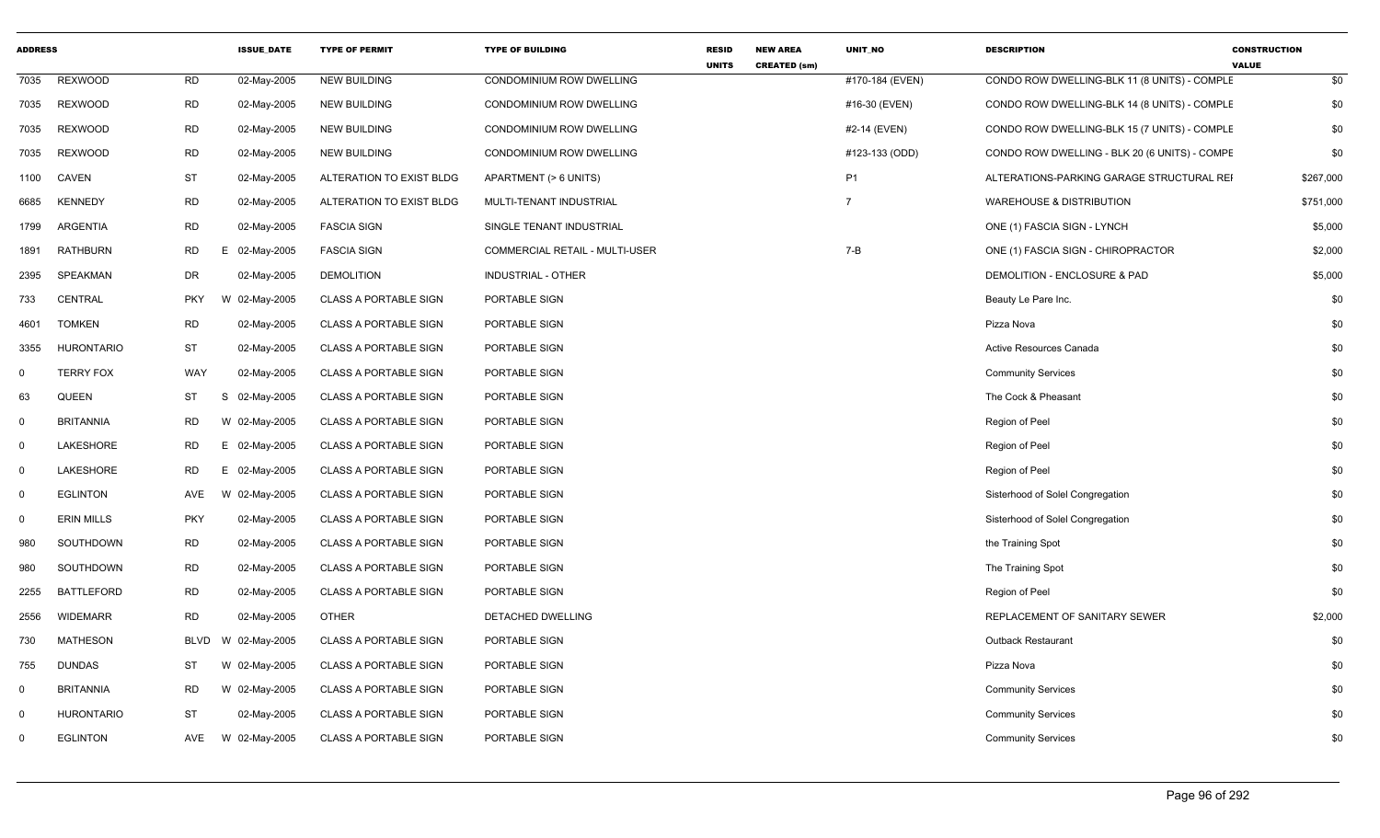| <b>ADDRESS</b> |                   |             | <b>ISSUE_DATE</b> | <b>TYPE OF PERMIT</b>        | <b>TYPE OF BUILDING</b>        | <b>RESID</b><br><b>UNITS</b> | <b>NEW AREA</b><br><b>CREATED (sm)</b> | <b>UNIT NO</b>  | <b>DESCRIPTION</b>                            | <b>CONSTRUCTION</b><br><b>VALUE</b> |
|----------------|-------------------|-------------|-------------------|------------------------------|--------------------------------|------------------------------|----------------------------------------|-----------------|-----------------------------------------------|-------------------------------------|
| 7035           | <b>REXWOOD</b>    | <b>RD</b>   | 02-May-2005       | <b>NEW BUILDING</b>          | CONDOMINIUM ROW DWELLING       |                              |                                        | #170-184 (EVEN) | CONDO ROW DWELLING-BLK 11 (8 UNITS) - COMPLE  | \$0                                 |
| 7035           | <b>REXWOOD</b>    | <b>RD</b>   | 02-May-2005       | <b>NEW BUILDING</b>          | CONDOMINIUM ROW DWELLING       |                              |                                        | #16-30 (EVEN)   | CONDO ROW DWELLING-BLK 14 (8 UNITS) - COMPLE  | \$0                                 |
| 7035           | <b>REXWOOD</b>    | <b>RD</b>   | 02-May-2005       | <b>NEW BUILDING</b>          | CONDOMINIUM ROW DWELLING       |                              |                                        | #2-14 (EVEN)    | CONDO ROW DWELLING-BLK 15 (7 UNITS) - COMPLE  | \$0                                 |
| 7035           | <b>REXWOOD</b>    | <b>RD</b>   | 02-May-2005       | <b>NEW BUILDING</b>          | CONDOMINIUM ROW DWELLING       |                              |                                        | #123-133 (ODD)  | CONDO ROW DWELLING - BLK 20 (6 UNITS) - COMPE | \$0                                 |
| 1100           | <b>CAVEN</b>      | <b>ST</b>   | 02-May-2005       | ALTERATION TO EXIST BLDG     | APARTMENT (> 6 UNITS)          |                              |                                        | <b>P1</b>       | ALTERATIONS-PARKING GARAGE STRUCTURAL REI     | \$267,000                           |
| 6685           | <b>KENNEDY</b>    | <b>RD</b>   | 02-May-2005       | ALTERATION TO EXIST BLDG     | MULTI-TENANT INDUSTRIAL        |                              |                                        | $\overline{7}$  | <b>WAREHOUSE &amp; DISTRIBUTION</b>           | \$751,000                           |
| 1799           | ARGENTIA          | <b>RD</b>   | 02-May-2005       | <b>FASCIA SIGN</b>           | SINGLE TENANT INDUSTRIAL       |                              |                                        |                 | ONE (1) FASCIA SIGN - LYNCH                   | \$5,000                             |
| 1891           | <b>RATHBURN</b>   | RD          | Е<br>02-May-2005  | <b>FASCIA SIGN</b>           | COMMERCIAL RETAIL - MULTI-USER |                              |                                        | $7 - B$         | ONE (1) FASCIA SIGN - CHIROPRACTOR            | \$2,000                             |
| 2395           | SPEAKMAN          | <b>DR</b>   | 02-May-2005       | <b>DEMOLITION</b>            | INDUSTRIAL - OTHER             |                              |                                        |                 | DEMOLITION - ENCLOSURE & PAD                  | \$5,000                             |
| 733            | CENTRAL           | <b>PKY</b>  | W 02-May-2005     | <b>CLASS A PORTABLE SIGN</b> | PORTABLE SIGN                  |                              |                                        |                 | Beauty Le Pare Inc.                           | \$0                                 |
| 4601           | <b>TOMKEN</b>     | <b>RD</b>   | 02-May-2005       | <b>CLASS A PORTABLE SIGN</b> | PORTABLE SIGN                  |                              |                                        |                 | Pizza Nova                                    | \$0                                 |
| 3355           | <b>HURONTARIO</b> | <b>ST</b>   | 02-May-2005       | <b>CLASS A PORTABLE SIGN</b> | PORTABLE SIGN                  |                              |                                        |                 | Active Resources Canada                       | \$0                                 |
| $\Omega$       | <b>TERRY FOX</b>  | WAY         | 02-May-2005       | <b>CLASS A PORTABLE SIGN</b> | PORTABLE SIGN                  |                              |                                        |                 | <b>Community Services</b>                     | \$0                                 |
| 63             | <b>QUEEN</b>      | ST          | S<br>02-May-2005  | <b>CLASS A PORTABLE SIGN</b> | PORTABLE SIGN                  |                              |                                        |                 | The Cock & Pheasant                           | \$0                                 |
| $\Omega$       | <b>BRITANNIA</b>  | <b>RD</b>   | W 02-May-2005     | <b>CLASS A PORTABLE SIGN</b> | PORTABLE SIGN                  |                              |                                        |                 | Region of Peel                                | \$0                                 |
| $\Omega$       | LAKESHORE         | RD          | E 02-May-2005     | <b>CLASS A PORTABLE SIGN</b> | PORTABLE SIGN                  |                              |                                        |                 | Region of Peel                                | \$0                                 |
| $\Omega$       | LAKESHORE         | <b>RD</b>   | E<br>02-May-2005  | CLASS A PORTABLE SIGN        | PORTABLE SIGN                  |                              |                                        |                 | Region of Peel                                | \$0                                 |
| $\mathbf 0$    | <b>EGLINTON</b>   | AVE         | W 02-May-2005     | <b>CLASS A PORTABLE SIGN</b> | PORTABLE SIGN                  |                              |                                        |                 | Sisterhood of Solel Congregation              | \$0                                 |
| $\Omega$       | <b>ERIN MILLS</b> | <b>PKY</b>  | 02-May-2005       | <b>CLASS A PORTABLE SIGN</b> | PORTABLE SIGN                  |                              |                                        |                 | Sisterhood of Solel Congregation              | \$0                                 |
| 980            | SOUTHDOWN         | RD          | 02-May-2005       | <b>CLASS A PORTABLE SIGN</b> | PORTABLE SIGN                  |                              |                                        |                 | the Training Spot                             | \$0                                 |
| 980            | SOUTHDOWN         | <b>RD</b>   | 02-May-2005       | <b>CLASS A PORTABLE SIGN</b> | PORTABLE SIGN                  |                              |                                        |                 | The Training Spot                             | \$0                                 |
| 2255           | <b>BATTLEFORD</b> | RD          | 02-May-2005       | <b>CLASS A PORTABLE SIGN</b> | PORTABLE SIGN                  |                              |                                        |                 | Region of Peel                                | \$0                                 |
| 2556           | <b>WIDEMARR</b>   | <b>RD</b>   | 02-May-2005       | <b>OTHER</b>                 | DETACHED DWELLING              |                              |                                        |                 | REPLACEMENT OF SANITARY SEWER                 | \$2,000                             |
| 730            | <b>MATHESON</b>   | <b>BLVD</b> | W 02-May-2005     | <b>CLASS A PORTABLE SIGN</b> | PORTABLE SIGN                  |                              |                                        |                 | <b>Outback Restaurant</b>                     | \$0                                 |
| 755            | <b>DUNDAS</b>     | <b>ST</b>   | W 02-May-2005     | <b>CLASS A PORTABLE SIGN</b> | PORTABLE SIGN                  |                              |                                        |                 | Pizza Nova                                    | \$0                                 |
| $\mathbf 0$    | <b>BRITANNIA</b>  | RD          | W 02-May-2005     | <b>CLASS A PORTABLE SIGN</b> | PORTABLE SIGN                  |                              |                                        |                 | <b>Community Services</b>                     | \$0                                 |
| $\mathbf 0$    | <b>HURONTARIO</b> | ST          | 02-May-2005       | <b>CLASS A PORTABLE SIGN</b> | PORTABLE SIGN                  |                              |                                        |                 | <b>Community Services</b>                     | \$0                                 |
| $\Omega$       | <b>EGLINTON</b>   | AVE         | W 02-May-2005     | <b>CLASS A PORTABLE SIGN</b> | PORTABLE SIGN                  |                              |                                        |                 | <b>Community Services</b>                     | \$0                                 |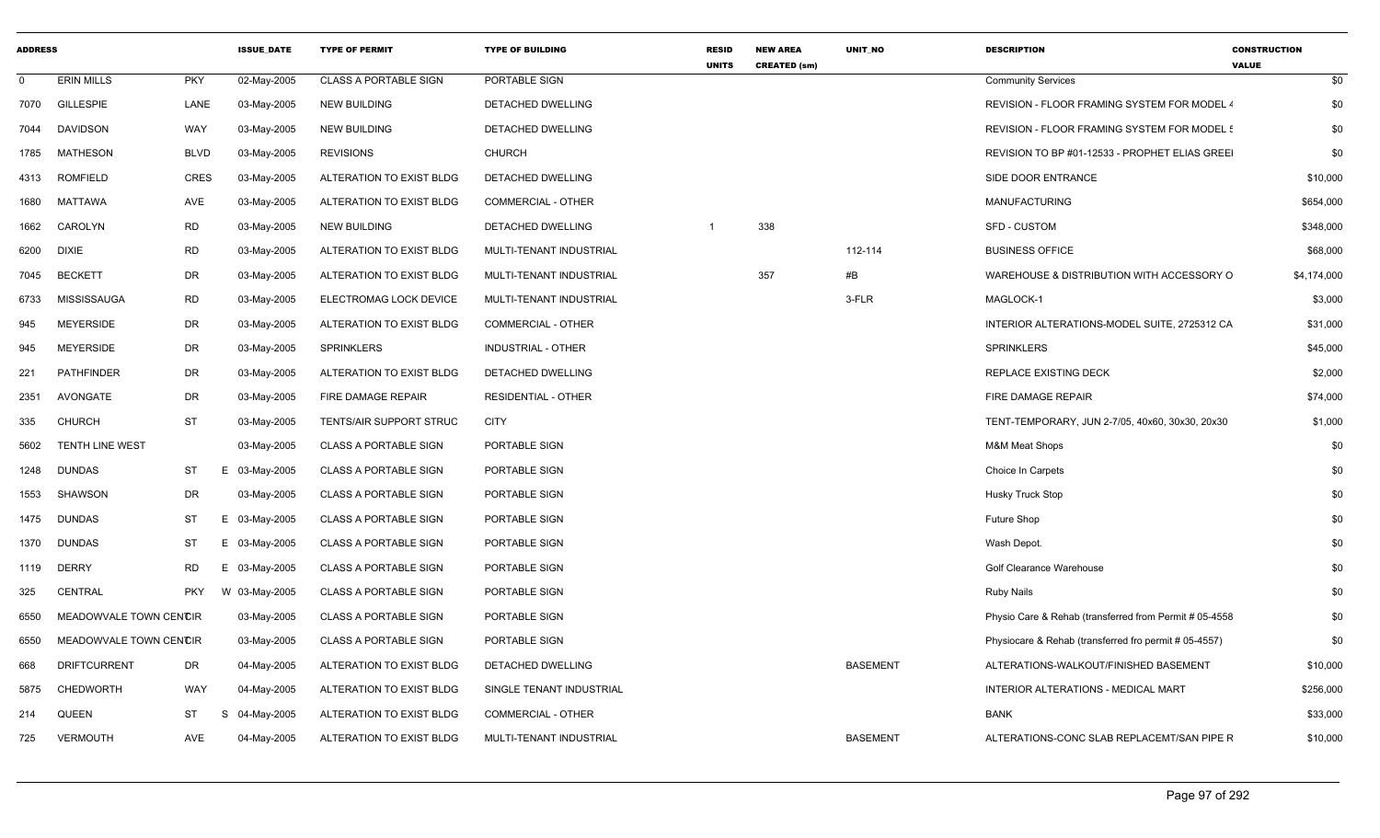| <b>ADDRESS</b> |                        |             | <b>ISSUE DATE</b> | <b>TYPE OF PERMIT</b>        | <b>TYPE OF BUILDING</b>        | <b>RESID</b><br><b>UNITS</b> | <b>NEW AREA</b><br><b>CREATED (sm)</b> | <b>UNIT NO</b>  | <b>DESCRIPTION</b>                                     | <b>CONSTRUCTION</b><br><b>VALUE</b> |
|----------------|------------------------|-------------|-------------------|------------------------------|--------------------------------|------------------------------|----------------------------------------|-----------------|--------------------------------------------------------|-------------------------------------|
| $\mathbf{0}$   | <b>ERIN MILLS</b>      | <b>PKY</b>  | 02-May-2005       | <b>CLASS A PORTABLE SIGN</b> | PORTABLE SIGN                  |                              |                                        |                 | <b>Community Services</b>                              | \$0                                 |
| 7070           | <b>GILLESPIE</b>       | LANE        | 03-May-2005       | <b>NEW BUILDING</b>          | DETACHED DWELLING              |                              |                                        |                 | REVISION - FLOOR FRAMING SYSTEM FOR MODEL 4            | \$0                                 |
| 7044           | <b>DAVIDSON</b>        | <b>WAY</b>  | 03-May-2005       | <b>NEW BUILDING</b>          | <b>DETACHED DWELLING</b>       |                              |                                        |                 | REVISION - FLOOR FRAMING SYSTEM FOR MODEL!             | \$0                                 |
| 1785           | <b>MATHESON</b>        | <b>BLVD</b> | 03-May-2005       | <b>REVISIONS</b>             | CHURCH                         |                              |                                        |                 | REVISION TO BP #01-12533 - PROPHET ELIAS GREEI         | \$0                                 |
| 4313           | <b>ROMFIELD</b>        | CRES        | 03-May-2005       | ALTERATION TO EXIST BLDG     | DETACHED DWELLING              |                              |                                        |                 | SIDE DOOR ENTRANCE                                     | \$10,000                            |
| 1680           | <b>MATTAWA</b>         | <b>AVE</b>  | 03-May-2005       | ALTERATION TO EXIST BLDG     | <b>COMMERCIAL - OTHER</b>      |                              |                                        |                 | <b>MANUFACTURING</b>                                   | \$654,000                           |
| 1662           | CAROLYN                | <b>RD</b>   | 03-May-2005       | <b>NEW BUILDING</b>          | DETACHED DWELLING              |                              | 338                                    |                 | <b>SFD - CUSTOM</b>                                    | \$348,000                           |
| 6200           | <b>DIXIE</b>           | <b>RD</b>   | 03-May-2005       | ALTERATION TO EXIST BLDG     | <b>MULTI-TENANT INDUSTRIAL</b> |                              |                                        | 112-114         | <b>BUSINESS OFFICE</b>                                 | \$68,000                            |
| 7045           | <b>BECKETT</b>         | <b>DR</b>   | 03-May-2005       | ALTERATION TO EXIST BLDG     | MULTI-TENANT INDUSTRIAL        |                              | 357                                    | #B              | WAREHOUSE & DISTRIBUTION WITH ACCESSORY O              | \$4,174,000                         |
| 6733           | <b>MISSISSAUGA</b>     | <b>RD</b>   | 03-May-2005       | ELECTROMAG LOCK DEVICE       | MULTI-TENANT INDUSTRIAL        |                              |                                        | 3-FLR           | MAGLOCK-1                                              | \$3,000                             |
| 945            | <b>MEYERSIDE</b>       | <b>DR</b>   | 03-May-2005       | ALTERATION TO EXIST BLDG     | <b>COMMERCIAL - OTHER</b>      |                              |                                        |                 | INTERIOR ALTERATIONS-MODEL SUITE, 2725312 CA           | \$31,000                            |
| 945            | <b>MEYERSIDE</b>       | <b>DR</b>   | 03-May-2005       | <b>SPRINKLERS</b>            | <b>INDUSTRIAL - OTHER</b>      |                              |                                        |                 | <b>SPRINKLERS</b>                                      | \$45,000                            |
| 221            | <b>PATHFINDER</b>      | DR          | 03-May-2005       | ALTERATION TO EXIST BLDG     | DETACHED DWELLING              |                              |                                        |                 | <b>REPLACE EXISTING DECK</b>                           | \$2,000                             |
| 2351           | AVONGATE               | <b>DR</b>   | 03-May-2005       | FIRE DAMAGE REPAIR           | <b>RESIDENTIAL - OTHER</b>     |                              |                                        |                 | FIRE DAMAGE REPAIR                                     | \$74,000                            |
| 335            | <b>CHURCH</b>          | <b>ST</b>   | 03-May-2005       | TENTS/AIR SUPPORT STRUC      | <b>CITY</b>                    |                              |                                        |                 | TENT-TEMPORARY, JUN 2-7/05, 40x60, 30x30, 20x30        | \$1,000                             |
| 5602           | <b>TENTH LINE WEST</b> |             | 03-May-2005       | <b>CLASS A PORTABLE SIGN</b> | <b>PORTABLE SIGN</b>           |                              |                                        |                 | <b>M&amp;M Meat Shops</b>                              | \$0                                 |
| 1248           | <b>DUNDAS</b>          | ST          | E.<br>03-May-2005 | <b>CLASS A PORTABLE SIGN</b> | PORTABLE SIGN                  |                              |                                        |                 | Choice In Carpets                                      | \$0                                 |
| 1553           | <b>SHAWSON</b>         | <b>DR</b>   | 03-May-2005       | <b>CLASS A PORTABLE SIGN</b> | PORTABLE SIGN                  |                              |                                        |                 | <b>Husky Truck Stop</b>                                | \$0                                 |
| 1475           | <b>DUNDAS</b>          | <b>ST</b>   | E.<br>03-May-2005 | <b>CLASS A PORTABLE SIGN</b> | PORTABLE SIGN                  |                              |                                        |                 | Future Shop                                            | \$0                                 |
| 1370           | <b>DUNDAS</b>          | ST          | 03-May-2005<br>Е  | <b>CLASS A PORTABLE SIGN</b> | PORTABLE SIGN                  |                              |                                        |                 | Wash Depot.                                            | \$0                                 |
| 1119           | <b>DERRY</b>           | <b>RD</b>   | Ε<br>03-May-2005  | <b>CLASS A PORTABLE SIGN</b> | PORTABLE SIGN                  |                              |                                        |                 | <b>Golf Clearance Warehouse</b>                        | \$0                                 |
| 325            | <b>CENTRAL</b>         | <b>PKY</b>  | W 03-May-2005     | <b>CLASS A PORTABLE SIGN</b> | PORTABLE SIGN                  |                              |                                        |                 | <b>Ruby Nails</b>                                      | \$0                                 |
| 6550           | MEADOWVALE TOWN CENCIR |             | 03-May-2005       | <b>CLASS A PORTABLE SIGN</b> | PORTABLE SIGN                  |                              |                                        |                 | Physio Care & Rehab (transferred from Permit # 05-4558 | \$0                                 |
| 6550           | MEADOWVALE TOWN CENCIR |             | 03-May-2005       | <b>CLASS A PORTABLE SIGN</b> | PORTABLE SIGN                  |                              |                                        |                 | Physiocare & Rehab (transferred fro permit # 05-4557)  | \$0                                 |
| 668            | <b>DRIFTCURRENT</b>    | DR          | 04-May-2005       | ALTERATION TO EXIST BLDG     | DETACHED DWELLING              |                              |                                        | <b>BASEMENT</b> | ALTERATIONS-WALKOUT/FINISHED BASEMENT                  | \$10,000                            |
| 5875           | <b>CHEDWORTH</b>       | WAY         | 04-May-2005       | ALTERATION TO EXIST BLDG     | SINGLE TENANT INDUSTRIAL       |                              |                                        |                 | INTERIOR ALTERATIONS - MEDICAL MART                    | \$256,000                           |
| 214            | <b>QUEEN</b>           | <b>ST</b>   | 04-May-2005<br>-S | ALTERATION TO EXIST BLDG     | <b>COMMERCIAL - OTHER</b>      |                              |                                        |                 | <b>BANK</b>                                            | \$33,000                            |
| 725            | <b>VERMOUTH</b>        | AVE         | 04-May-2005       | ALTERATION TO EXIST BLDG     | MULTI-TENANT INDUSTRIAL        |                              |                                        | <b>BASEMENT</b> | ALTERATIONS-CONC SLAB REPLACEMT/SAN PIPE R             | \$10,000                            |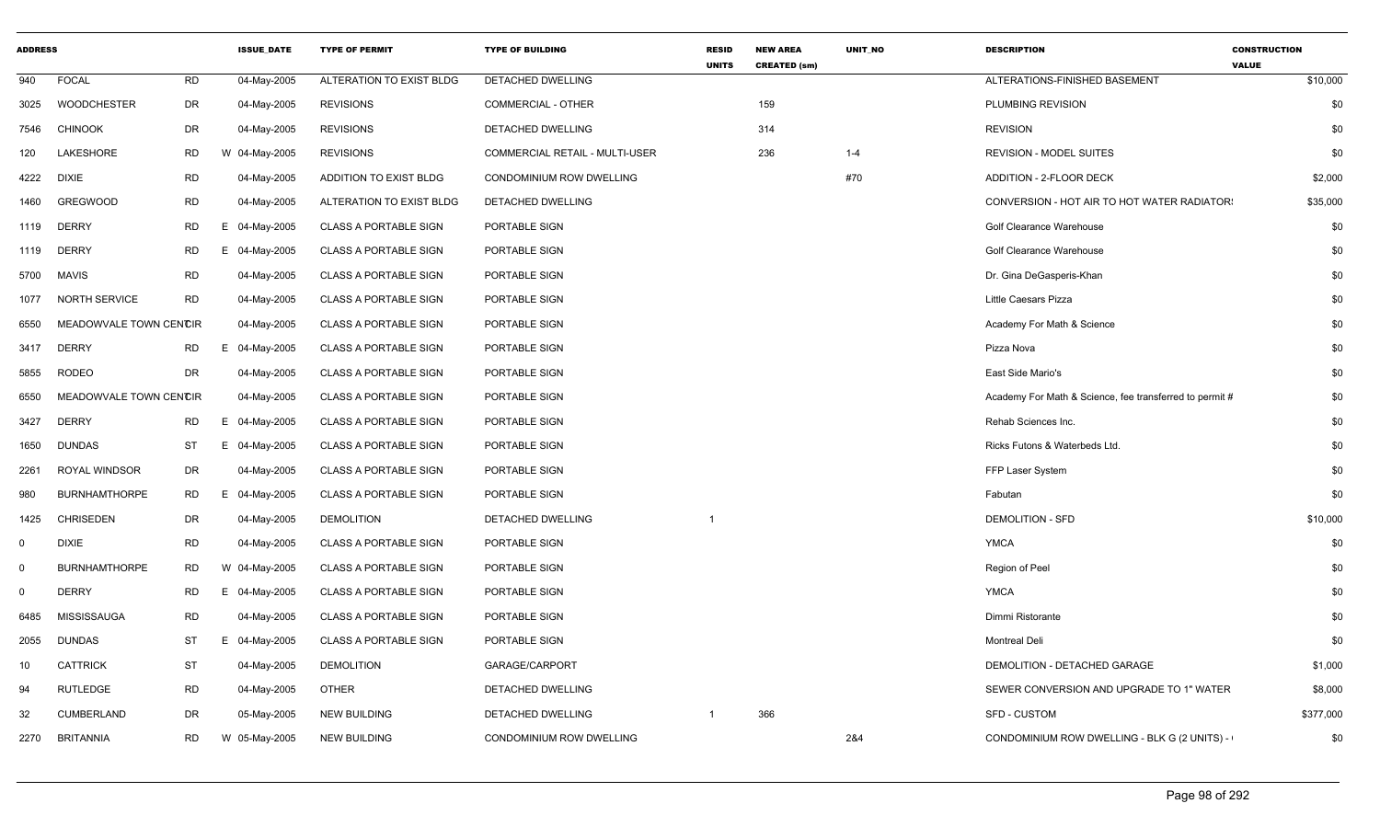| <b>ADDRESS</b> |                        |           | <b>ISSUE DATE</b> | <b>TYPE OF PERMIT</b>        | <b>TYPE OF BUILDING</b>        | <b>RESID</b><br><b>UNITS</b> | <b>NEW AREA</b><br><b>CREATED (sm)</b> | <b>UNIT NO</b> | <b>DESCRIPTION</b>                                      | <b>CONSTRUCTION</b><br><b>VALUE</b> |
|----------------|------------------------|-----------|-------------------|------------------------------|--------------------------------|------------------------------|----------------------------------------|----------------|---------------------------------------------------------|-------------------------------------|
| 940            | <b>FOCAL</b>           | <b>RD</b> | 04-May-2005       | ALTERATION TO EXIST BLDG     | DETACHED DWELLING              |                              |                                        |                | ALTERATIONS-FINISHED BASEMENT                           | \$10,000                            |
| 3025           | <b>WOODCHESTER</b>     | DR        | 04-May-2005       | <b>REVISIONS</b>             | <b>COMMERCIAL - OTHER</b>      |                              | 159                                    |                | PLUMBING REVISION                                       | \$0                                 |
| 7546           | <b>CHINOOK</b>         | <b>DR</b> | 04-May-2005       | <b>REVISIONS</b>             | DETACHED DWELLING              |                              | 314                                    |                | <b>REVISION</b>                                         | \$0                                 |
| 120            | LAKESHORE              | <b>RD</b> | W 04-May-2005     | <b>REVISIONS</b>             | COMMERCIAL RETAIL - MULTI-USER |                              | 236                                    | $1 - 4$        | <b>REVISION - MODEL SUITES</b>                          | \$0                                 |
| 4222           | <b>DIXIE</b>           | <b>RD</b> | 04-May-2005       | ADDITION TO EXIST BLDG       | CONDOMINIUM ROW DWELLING       |                              |                                        | #70            | ADDITION - 2-FLOOR DECK                                 | \$2,000                             |
| 1460           | <b>GREGWOOD</b>        | <b>RD</b> | 04-May-2005       | ALTERATION TO EXIST BLDG     | DETACHED DWELLING              |                              |                                        |                | CONVERSION - HOT AIR TO HOT WATER RADIATOR:             | \$35,000                            |
| 1119           | <b>DERRY</b>           | <b>RD</b> | Е<br>04-May-2005  | <b>CLASS A PORTABLE SIGN</b> | PORTABLE SIGN                  |                              |                                        |                | Golf Clearance Warehouse                                | \$0                                 |
| 1119           | <b>DERRY</b>           | <b>RD</b> | E 04-May-2005     | <b>CLASS A PORTABLE SIGN</b> | PORTABLE SIGN                  |                              |                                        |                | Golf Clearance Warehouse                                | \$0                                 |
| 5700           | <b>MAVIS</b>           | RD        | 04-May-2005       | <b>CLASS A PORTABLE SIGN</b> | PORTABLE SIGN                  |                              |                                        |                | Dr. Gina DeGasperis-Khan                                | \$0                                 |
| 1077           | NORTH SERVICE          | <b>RD</b> | 04-May-2005       | <b>CLASS A PORTABLE SIGN</b> | PORTABLE SIGN                  |                              |                                        |                | Little Caesars Pizza                                    | \$0                                 |
| 6550           | MEADOWVALE TOWN CENCIR |           | 04-May-2005       | <b>CLASS A PORTABLE SIGN</b> | PORTABLE SIGN                  |                              |                                        |                | Academy For Math & Science                              | \$0                                 |
| 3417           | <b>DERRY</b>           | <b>RD</b> | E 04-May-2005     | <b>CLASS A PORTABLE SIGN</b> | PORTABLE SIGN                  |                              |                                        |                | Pizza Nova                                              | \$0                                 |
| 5855           | <b>RODEO</b>           | DR        | 04-May-2005       | <b>CLASS A PORTABLE SIGN</b> | PORTABLE SIGN                  |                              |                                        |                | East Side Mario's                                       | \$0                                 |
| 6550           | MEADOWVALE TOWN CENCIR |           | 04-May-2005       | <b>CLASS A PORTABLE SIGN</b> | PORTABLE SIGN                  |                              |                                        |                | Academy For Math & Science, fee transferred to permit # | \$0                                 |
| 3427           | <b>DERRY</b>           | <b>RD</b> | E 04-May-2005     | <b>CLASS A PORTABLE SIGN</b> | PORTABLE SIGN                  |                              |                                        |                | Rehab Sciences Inc.                                     | \$0                                 |
| 1650           | <b>DUNDAS</b>          | ST        | E 04-May-2005     | <b>CLASS A PORTABLE SIGN</b> | PORTABLE SIGN                  |                              |                                        |                | Ricks Futons & Waterbeds Ltd.                           | \$0                                 |
| 2261           | <b>ROYAL WINDSOR</b>   | DR        | 04-May-2005       | <b>CLASS A PORTABLE SIGN</b> | PORTABLE SIGN                  |                              |                                        |                | FFP Laser System                                        | \$0                                 |
| 980            | <b>BURNHAMTHORPE</b>   | <b>RD</b> | F.<br>04-May-2005 | <b>CLASS A PORTABLE SIGN</b> | PORTABLE SIGN                  |                              |                                        |                | Fabutan                                                 | \$0                                 |
| 1425           | <b>CHRISEDEN</b>       | DR        | 04-May-2005       | <b>DEMOLITION</b>            | <b>DETACHED DWELLING</b>       |                              |                                        |                | <b>DEMOLITION - SFD</b>                                 | \$10,000                            |
| $\mathbf 0$    | <b>DIXIE</b>           | <b>RD</b> | 04-May-2005       | <b>CLASS A PORTABLE SIGN</b> | PORTABLE SIGN                  |                              |                                        |                | <b>YMCA</b>                                             | \$0                                 |
| $\mathbf 0$    | <b>BURNHAMTHORPE</b>   | RD        | W 04-May-2005     | <b>CLASS A PORTABLE SIGN</b> | PORTABLE SIGN                  |                              |                                        |                | Region of Peel                                          | \$0                                 |
| $\mathbf 0$    | <b>DERRY</b>           | <b>RD</b> | E 04-May-2005     | <b>CLASS A PORTABLE SIGN</b> | PORTABLE SIGN                  |                              |                                        |                | <b>YMCA</b>                                             | \$0                                 |
| 6485           | <b>MISSISSAUGA</b>     | <b>RD</b> | 04-May-2005       | <b>CLASS A PORTABLE SIGN</b> | PORTABLE SIGN                  |                              |                                        |                | Dimmi Ristorante                                        | \$0                                 |
| 2055           | <b>DUNDAS</b>          | <b>ST</b> | E 04-May-2005     | <b>CLASS A PORTABLE SIGN</b> | PORTABLE SIGN                  |                              |                                        |                | <b>Montreal Deli</b>                                    | \$0                                 |
| 10             | <b>CATTRICK</b>        | <b>ST</b> | 04-May-2005       | <b>DEMOLITION</b>            | GARAGE/CARPORT                 |                              |                                        |                | DEMOLITION - DETACHED GARAGE                            | \$1,000                             |
| 94             | <b>RUTLEDGE</b>        | <b>RD</b> | 04-May-2005       | <b>OTHER</b>                 | DETACHED DWELLING              |                              |                                        |                | SEWER CONVERSION AND UPGRADE TO 1" WATER                | \$8,000                             |
| 32             | <b>CUMBERLAND</b>      | <b>DR</b> | 05-May-2005       | <b>NEW BUILDING</b>          | DETACHED DWELLING              | -1                           | 366                                    |                | <b>SFD - CUSTOM</b>                                     | \$377,000                           |
| 2270           | <b>BRITANNIA</b>       | <b>RD</b> | W 05-May-2005     | <b>NEW BUILDING</b>          | CONDOMINIUM ROW DWELLING       |                              |                                        | 2&4            | CONDOMINIUM ROW DWELLING - BLK G (2 UNITS) -            | \$0                                 |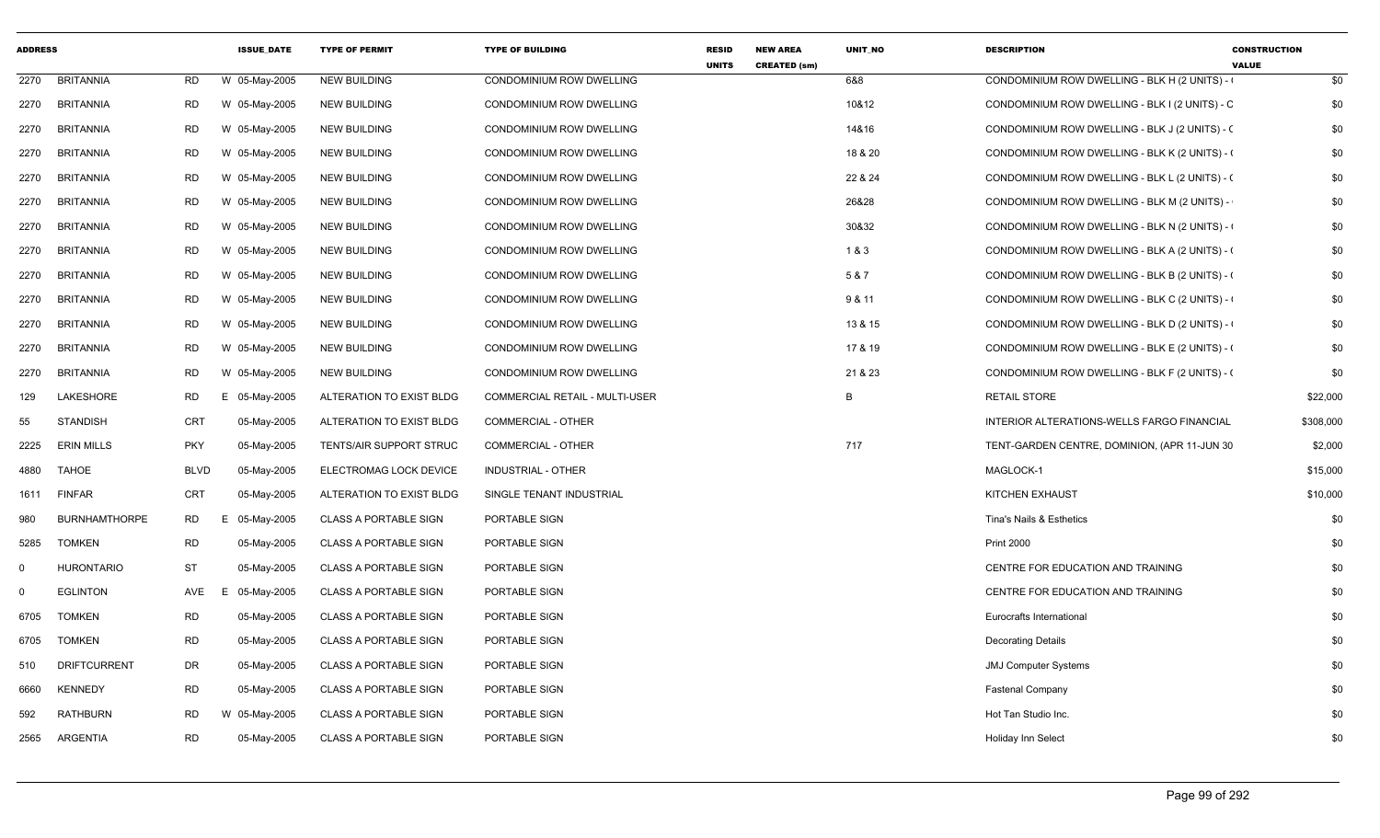| <b>ADDRESS</b> |                      |             | <b>ISSUE DATE</b> | <b>TYPE OF PERMIT</b>          | <b>TYPE OF BUILDING</b>        | <b>RESID</b><br><b>UNITS</b> | <b>NEW AREA</b><br><b>CREATED (sm)</b> | <b>UNIT NO</b> | <b>DESCRIPTION</b>                             | <b>CONSTRUCTION</b><br><b>VALUE</b> |
|----------------|----------------------|-------------|-------------------|--------------------------------|--------------------------------|------------------------------|----------------------------------------|----------------|------------------------------------------------|-------------------------------------|
| 2270           | <b>BRITANNIA</b>     | RD          | W 05-May-2005     | <b>NEW BUILDING</b>            | CONDOMINIUM ROW DWELLING       |                              |                                        | 6&8            | CONDOMINIUM ROW DWELLING - BLK H (2 UNITS) -   | \$0                                 |
| 2270           | <b>BRITANNIA</b>     | <b>RD</b>   | W 05-May-2005     | <b>NEW BUILDING</b>            | CONDOMINIUM ROW DWELLING       |                              |                                        | 10&12          | CONDOMINIUM ROW DWELLING - BLK I (2 UNITS) - C | \$0                                 |
| 2270           | <b>BRITANNIA</b>     | RD          | W 05-May-2005     | <b>NEW BUILDING</b>            | CONDOMINIUM ROW DWELLING       |                              |                                        | 14&16          | CONDOMINIUM ROW DWELLING - BLK J (2 UNITS) - ( | \$0                                 |
| 2270           | <b>BRITANNIA</b>     | <b>RD</b>   | W 05-May-2005     | <b>NEW BUILDING</b>            | CONDOMINIUM ROW DWELLING       |                              |                                        | 18 & 20        | CONDOMINIUM ROW DWELLING - BLK K (2 UNITS) - 0 | \$0                                 |
| 2270           | BRITANNIA            | <b>RD</b>   | W 05-May-2005     | <b>NEW BUILDING</b>            | CONDOMINIUM ROW DWELLING       |                              |                                        | 22 & 24        | CONDOMINIUM ROW DWELLING - BLK L (2 UNITS) - ( | \$0                                 |
| 2270           | <b>BRITANNIA</b>     | RD          | W 05-May-2005     | <b>NEW BUILDING</b>            | CONDOMINIUM ROW DWELLING       |                              |                                        | 26&28          | CONDOMINIUM ROW DWELLING - BLK M (2 UNITS) -   | \$0                                 |
| 2270           | BRITANNIA            | <b>RD</b>   | W 05-May-2005     | <b>NEW BUILDING</b>            | CONDOMINIUM ROW DWELLING       |                              |                                        | 30&32          | CONDOMINIUM ROW DWELLING - BLK N (2 UNITS) -   | \$0                                 |
| 2270           | <b>BRITANNIA</b>     | <b>RD</b>   | W 05-May-2005     | <b>NEW BUILDING</b>            | CONDOMINIUM ROW DWELLING       |                              |                                        | 1&3            | CONDOMINIUM ROW DWELLING - BLK A (2 UNITS) - ( | \$0                                 |
| 2270           | BRITANNIA            | RD          | W 05-May-2005     | <b>NEW BUILDING</b>            | CONDOMINIUM ROW DWELLING       |                              |                                        | 5 & 7          | CONDOMINIUM ROW DWELLING - BLK B (2 UNITS) - ( | \$0                                 |
| 2270           | <b>BRITANNIA</b>     | RD          | W 05-May-2005     | <b>NEW BUILDING</b>            | CONDOMINIUM ROW DWELLING       |                              |                                        | 9 & 11         | CONDOMINIUM ROW DWELLING - BLK C (2 UNITS) -   | \$0                                 |
| 2270           | BRITANNIA            | <b>RD</b>   | W 05-May-2005     | <b>NEW BUILDING</b>            | CONDOMINIUM ROW DWELLING       |                              |                                        | 13 & 15        | CONDOMINIUM ROW DWELLING - BLK D (2 UNITS) -   | \$0                                 |
| 2270           | <b>BRITANNIA</b>     | <b>RD</b>   | W 05-May-2005     | <b>NEW BUILDING</b>            | CONDOMINIUM ROW DWELLING       |                              |                                        | 17 & 19        | CONDOMINIUM ROW DWELLING - BLK E (2 UNITS) - ( | \$0                                 |
| 2270           | <b>BRITANNIA</b>     | <b>RD</b>   | W 05-May-2005     | <b>NEW BUILDING</b>            | CONDOMINIUM ROW DWELLING       |                              |                                        | 21 & 23        | CONDOMINIUM ROW DWELLING - BLK F (2 UNITS) - ( | \$0                                 |
| 129            | LAKESHORE            | <b>RD</b>   | E 05-May-2005     | ALTERATION TO EXIST BLDG       | COMMERCIAL RETAIL - MULTI-USER |                              |                                        | B              | <b>RETAIL STORE</b>                            | \$22,000                            |
| 55             | <b>STANDISH</b>      | CRT         | 05-May-2005       | ALTERATION TO EXIST BLDG       | <b>COMMERCIAL - OTHER</b>      |                              |                                        |                | INTERIOR ALTERATIONS-WELLS FARGO FINANCIAL     | \$308,000                           |
| 2225           | ERIN MILLS           | <b>PKY</b>  | 05-May-2005       | <b>TENTS/AIR SUPPORT STRUC</b> | <b>COMMERCIAL - OTHER</b>      |                              |                                        | 717            | TENT-GARDEN CENTRE, DOMINION, (APR 11-JUN 30   | \$2,000                             |
| 4880           | <b>TAHOE</b>         | <b>BLVD</b> | 05-May-2005       | ELECTROMAG LOCK DEVICE         | INDUSTRIAL - OTHER             |                              |                                        |                | MAGLOCK-1                                      | \$15,000                            |
| 1611           | <b>FINFAR</b>        | <b>CRT</b>  | 05-May-2005       | ALTERATION TO EXIST BLDG       | SINGLE TENANT INDUSTRIAL       |                              |                                        |                | KITCHEN EXHAUST                                | \$10,000                            |
| 980            | <b>BURNHAMTHORPE</b> | <b>RD</b>   | E<br>05-May-2005  | <b>CLASS A PORTABLE SIGN</b>   | PORTABLE SIGN                  |                              |                                        |                | Tina's Nails & Esthetics                       | \$0                                 |
| 5285           | <b>TOMKEN</b>        | <b>RD</b>   | 05-May-2005       | <b>CLASS A PORTABLE SIGN</b>   | PORTABLE SIGN                  |                              |                                        |                | <b>Print 2000</b>                              | \$0                                 |
| $\mathbf 0$    | <b>HURONTARIO</b>    | <b>ST</b>   | 05-May-2005       | <b>CLASS A PORTABLE SIGN</b>   | PORTABLE SIGN                  |                              |                                        |                | CENTRE FOR EDUCATION AND TRAINING              | \$0                                 |
| $\mathbf 0$    | <b>EGLINTON</b>      | AVE         | 05-May-2005<br>E  | <b>CLASS A PORTABLE SIGN</b>   | PORTABLE SIGN                  |                              |                                        |                | CENTRE FOR EDUCATION AND TRAINING              | \$0                                 |
| 6705           | <b>TOMKEN</b>        | <b>RD</b>   | 05-May-2005       | CLASS A PORTABLE SIGN          | PORTABLE SIGN                  |                              |                                        |                | Eurocrafts International                       | \$0                                 |
| 6705           | <b>TOMKEN</b>        | <b>RD</b>   | 05-May-2005       | <b>CLASS A PORTABLE SIGN</b>   | PORTABLE SIGN                  |                              |                                        |                | <b>Decorating Details</b>                      | \$0                                 |
| 510            | <b>DRIFTCURRENT</b>  | DR          | 05-May-2005       | <b>CLASS A PORTABLE SIGN</b>   | PORTABLE SIGN                  |                              |                                        |                | <b>JMJ Computer Systems</b>                    | \$0                                 |
| 6660           | <b>KENNEDY</b>       | <b>RD</b>   | 05-May-2005       | <b>CLASS A PORTABLE SIGN</b>   | PORTABLE SIGN                  |                              |                                        |                | <b>Fastenal Company</b>                        | \$0                                 |
| 592            | <b>RATHBURN</b>      | <b>RD</b>   | W 05-May-2005     | <b>CLASS A PORTABLE SIGN</b>   | PORTABLE SIGN                  |                              |                                        |                | Hot Tan Studio Inc.                            | \$0                                 |
| 2565           | ARGENTIA             | <b>RD</b>   | 05-May-2005       | <b>CLASS A PORTABLE SIGN</b>   | PORTABLE SIGN                  |                              |                                        |                | Holiday Inn Select                             | \$0                                 |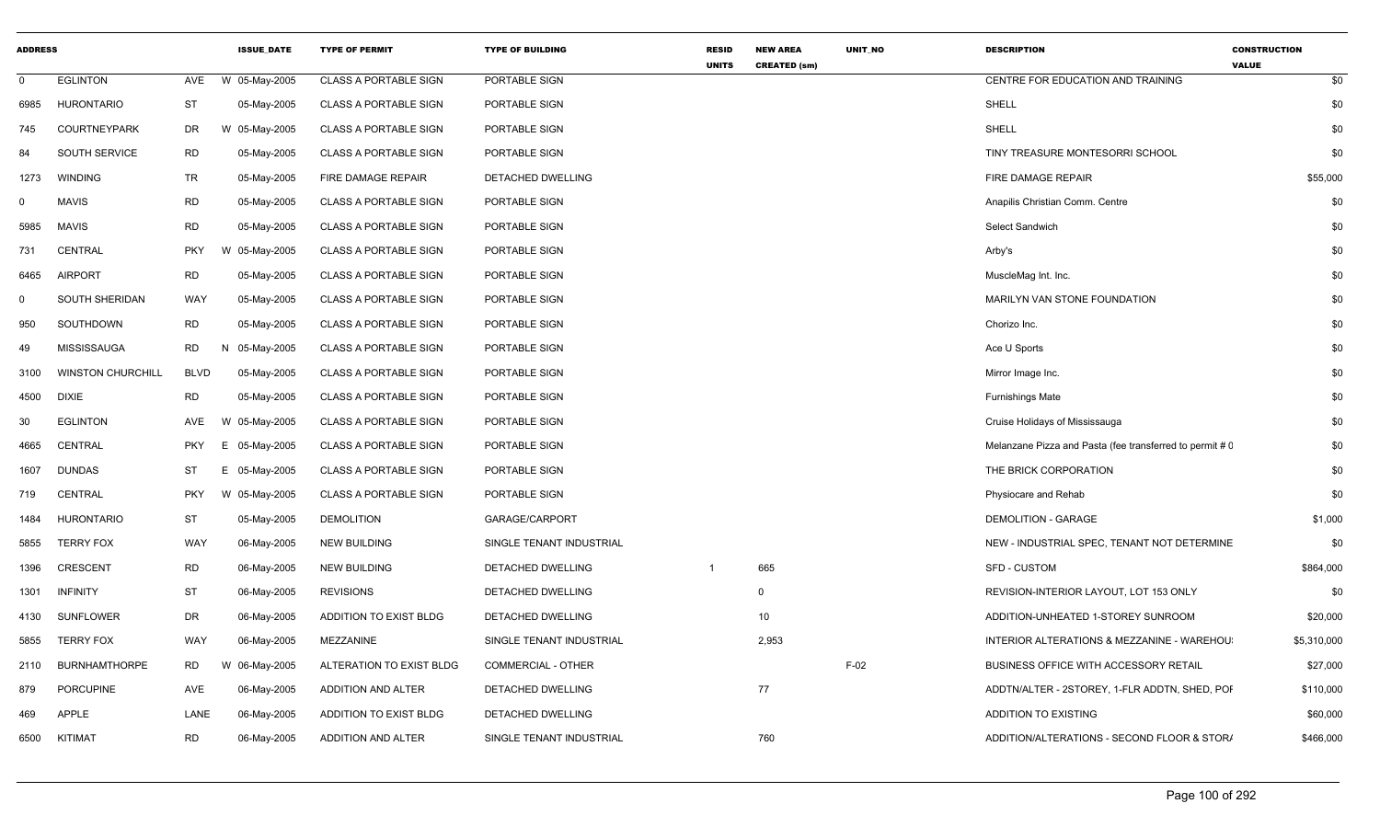| <b>ADDRESS</b> |                          |             | <b>ISSUE_DATE</b>       | <b>TYPE OF PERMIT</b>        | <b>TYPE OF BUILDING</b>  | <b>RESID</b><br><b>UNITS</b> | <b>NEW AREA</b><br><b>CREATED (sm)</b> | UNIT_NO | <b>DESCRIPTION</b>                                       | <b>CONSTRUCTION</b><br><b>VALUE</b> |             |
|----------------|--------------------------|-------------|-------------------------|------------------------------|--------------------------|------------------------------|----------------------------------------|---------|----------------------------------------------------------|-------------------------------------|-------------|
| $\Omega$       | <b>EGLINTON</b>          | AVE         | W 05-May-2005           | <b>CLASS A PORTABLE SIGN</b> | PORTABLE SIGN            |                              |                                        |         | CENTRE FOR EDUCATION AND TRAINING                        |                                     | \$0         |
| 6985           | <b>HURONTARIO</b>        | <b>ST</b>   | 05-May-2005             | <b>CLASS A PORTABLE SIGN</b> | PORTABLE SIGN            |                              |                                        |         | SHELL                                                    |                                     | \$0         |
| 745            | <b>COURTNEYPARK</b>      | DR          | 05-May-2005<br>W        | <b>CLASS A PORTABLE SIGN</b> | PORTABLE SIGN            |                              |                                        |         | SHELL                                                    |                                     | \$0         |
| 84             | SOUTH SERVICE            | <b>RD</b>   | 05-May-2005             | <b>CLASS A PORTABLE SIGN</b> | PORTABLE SIGN            |                              |                                        |         | TINY TREASURE MONTESORRI SCHOOL                          |                                     | \$0         |
| 1273           | <b>WINDING</b>           | TR          | 05-May-2005             | FIRE DAMAGE REPAIR           | DETACHED DWELLING        |                              |                                        |         | FIRE DAMAGE REPAIR                                       |                                     | \$55,000    |
| $\Omega$       | <b>MAVIS</b>             | <b>RD</b>   | 05-May-2005             | <b>CLASS A PORTABLE SIGN</b> | PORTABLE SIGN            |                              |                                        |         | Anapilis Christian Comm. Centre                          |                                     | \$0         |
| 5985           | <b>MAVIS</b>             | <b>RD</b>   | 05-May-2005             | <b>CLASS A PORTABLE SIGN</b> | PORTABLE SIGN            |                              |                                        |         | <b>Select Sandwich</b>                                   |                                     | \$0         |
| 731            | <b>CENTRAL</b>           | <b>PKY</b>  | 05-May-2005             | <b>CLASS A PORTABLE SIGN</b> | PORTABLE SIGN            |                              |                                        |         | Arby's                                                   |                                     | \$0         |
| 6465           | <b>AIRPORT</b>           | <b>RD</b>   | 05-May-2005             | CLASS A PORTABLE SIGN        | PORTABLE SIGN            |                              |                                        |         | MuscleMag Int. Inc.                                      |                                     | \$0         |
| - 0            | SOUTH SHERIDAN           | WAY         | 05-May-2005             | <b>CLASS A PORTABLE SIGN</b> | PORTABLE SIGN            |                              |                                        |         | MARILYN VAN STONE FOUNDATION                             |                                     | \$0         |
| 950            | SOUTHDOWN                | <b>RD</b>   | 05-May-2005             | <b>CLASS A PORTABLE SIGN</b> | PORTABLE SIGN            |                              |                                        |         | Chorizo Inc.                                             |                                     | \$0         |
| 49             | <b>MISSISSAUGA</b>       | RD          | 05-May-2005             | <b>CLASS A PORTABLE SIGN</b> | PORTABLE SIGN            |                              |                                        |         | Ace U Sports                                             |                                     | \$0         |
| 3100           | <b>WINSTON CHURCHILL</b> | <b>BLVD</b> | 05-May-2005             | <b>CLASS A PORTABLE SIGN</b> | PORTABLE SIGN            |                              |                                        |         | Mirror Image Inc.                                        |                                     | \$0         |
| 4500           | <b>DIXIE</b>             | <b>RD</b>   | 05-May-2005             | <b>CLASS A PORTABLE SIGN</b> | PORTABLE SIGN            |                              |                                        |         | <b>Furnishings Mate</b>                                  |                                     | \$0         |
| 30             | <b>EGLINTON</b>          | AVE         | 05-May-2005<br><b>W</b> | <b>CLASS A PORTABLE SIGN</b> | PORTABLE SIGN            |                              |                                        |         | Cruise Holidays of Mississauga                           |                                     | \$0         |
| 4665           | <b>CENTRAL</b>           | <b>PKY</b>  | 05-May-2005<br>E        | <b>CLASS A PORTABLE SIGN</b> | PORTABLE SIGN            |                              |                                        |         | Melanzane Pizza and Pasta (fee transferred to permit # 0 |                                     | \$0         |
| 1607           | <b>DUNDAS</b>            | ST          | E<br>05-May-2005        | <b>CLASS A PORTABLE SIGN</b> | PORTABLE SIGN            |                              |                                        |         | THE BRICK CORPORATION                                    |                                     | \$0         |
| 719            | CENTRAL                  | <b>PKY</b>  | W 05-May-2005           | <b>CLASS A PORTABLE SIGN</b> | PORTABLE SIGN            |                              |                                        |         | Physiocare and Rehab                                     |                                     | \$0         |
| 1484           | HURONTARIO               | ST          | 05-May-2005             | <b>DEMOLITION</b>            | GARAGE/CARPORT           |                              |                                        |         | <b>DEMOLITION - GARAGE</b>                               |                                     | \$1,000     |
| 5855           | <b>TERRY FOX</b>         | WAY         | 06-May-2005             | <b>NEW BUILDING</b>          | SINGLE TENANT INDUSTRIAL |                              |                                        |         | NEW - INDUSTRIAL SPEC, TENANT NOT DETERMINE              |                                     | \$0         |
| 1396           | <b>CRESCENT</b>          | <b>RD</b>   | 06-May-2005             | <b>NEW BUILDING</b>          | DETACHED DWELLING        |                              | 665                                    |         | <b>SFD - CUSTOM</b>                                      |                                     | \$864,000   |
| 1301           | <b>INFINITY</b>          | ST          | 06-May-2005             | <b>REVISIONS</b>             | DETACHED DWELLING        |                              | $\Omega$                               |         | REVISION-INTERIOR LAYOUT, LOT 153 ONLY                   |                                     | \$0         |
| 4130           | <b>SUNFLOWER</b>         | DR          | 06-May-2005             | ADDITION TO EXIST BLDG       | DETACHED DWELLING        |                              | 10 <sup>1</sup>                        |         | ADDITION-UNHEATED 1-STOREY SUNROOM                       |                                     | \$20,000    |
| 5855           | <b>TERRY FOX</b>         | WAY         | 06-May-2005             | MEZZANINE                    | SINGLE TENANT INDUSTRIAL |                              | 2,953                                  |         | INTERIOR ALTERATIONS & MEZZANINE - WAREHOU               |                                     | \$5,310,000 |
| 2110           | <b>BURNHAMTHORPE</b>     | RD          | 06-May-2005<br>W        | ALTERATION TO EXIST BLDG     | COMMERCIAL - OTHER       |                              |                                        | $F-02$  | BUSINESS OFFICE WITH ACCESSORY RETAIL                    |                                     | \$27,000    |
| 879            | <b>PORCUPINE</b>         | AVE         | 06-May-2005             | ADDITION AND ALTER           | DETACHED DWELLING        |                              | 77                                     |         | ADDTN/ALTER - 2STOREY, 1-FLR ADDTN, SHED, POI            |                                     | \$110,000   |
| 469            | <b>APPLE</b>             | LANE        | 06-May-2005             | ADDITION TO EXIST BLDG       | DETACHED DWELLING        |                              |                                        |         | <b>ADDITION TO EXISTING</b>                              |                                     | \$60,000    |
| 6500           | KITIMAT                  | <b>RD</b>   | 06-May-2005             | ADDITION AND ALTER           | SINGLE TENANT INDUSTRIAL |                              | 760                                    |         | ADDITION/ALTERATIONS - SECOND FLOOR & STOR/              |                                     | \$466,000   |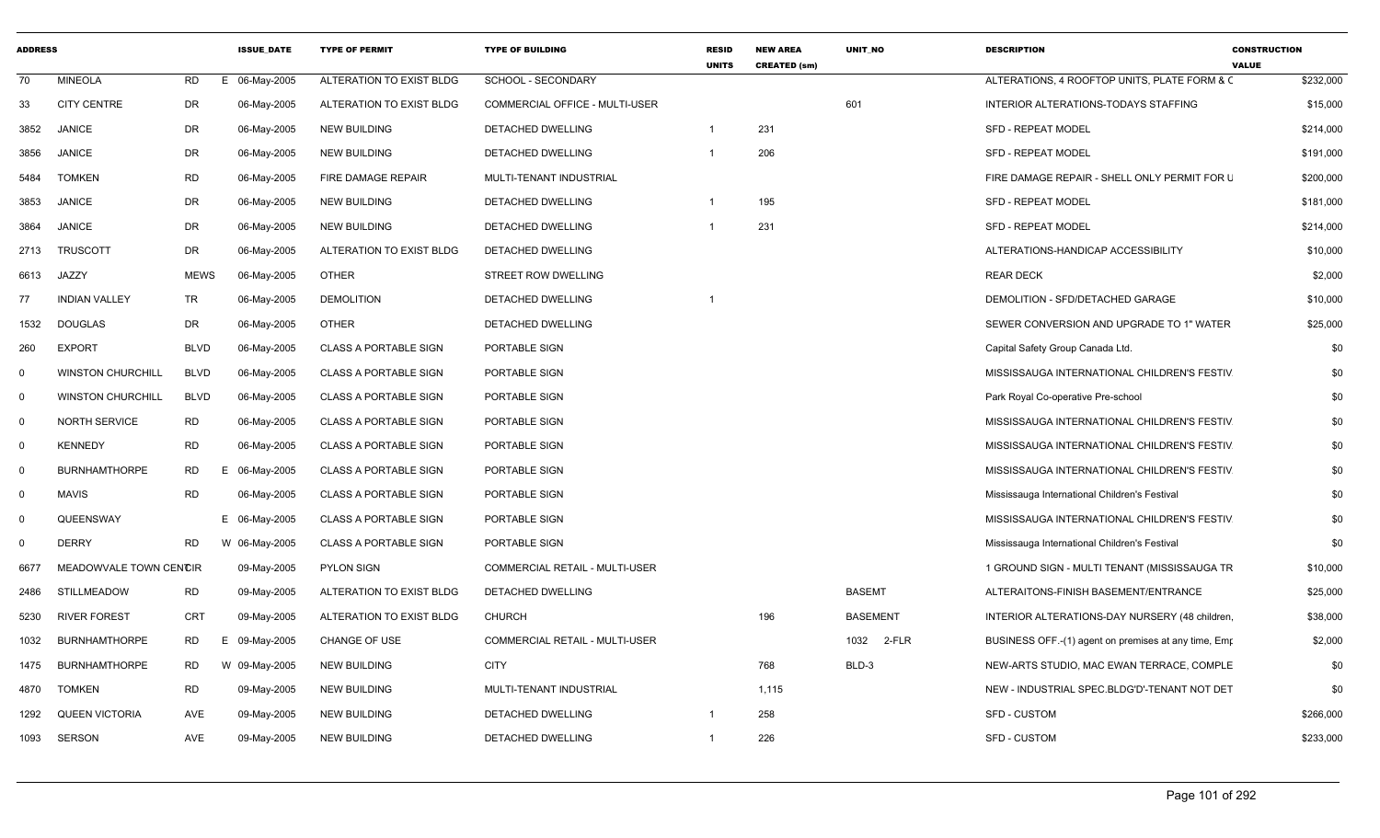| <b>ADDRESS</b> |                          |                 | <b>ISSUE DATE</b> | <b>TYPE OF PERMIT</b>        | <b>TYPE OF BUILDING</b>        | <b>RESID</b><br><b>UNITS</b> | <b>NEW AREA</b><br><b>CREATED (sm)</b> | UNIT NO         | <b>DESCRIPTION</b>                                   | <b>CONSTRUCTION</b><br><b>VALUE</b> |
|----------------|--------------------------|-----------------|-------------------|------------------------------|--------------------------------|------------------------------|----------------------------------------|-----------------|------------------------------------------------------|-------------------------------------|
| 70             | <b>MINEOLA</b>           | <b>RD</b><br>Е. | 06-May-2005       | ALTERATION TO EXIST BLDG     | SCHOOL - SECONDARY             |                              |                                        |                 | ALTERATIONS, 4 ROOFTOP UNITS, PLATE FORM & C         | \$232,000                           |
| 33             | <b>CITY CENTRE</b>       | DR              | 06-May-2005       | ALTERATION TO EXIST BLDG     | COMMERCIAL OFFICE - MULTI-USER |                              |                                        | 601             | INTERIOR ALTERATIONS-TODAYS STAFFING                 | \$15,000                            |
| 3852           | <b>JANICE</b>            | DR              | 06-May-2005       | NEW BUILDING                 | DETACHED DWELLING              | $\overline{1}$               | 231                                    |                 | <b>SFD - REPEAT MODEL</b>                            | \$214,000                           |
| 3856           | <b>JANICE</b>            | DR              | 06-May-2005       | <b>NEW BUILDING</b>          | DETACHED DWELLING              | $\overline{\mathbf{1}}$      | 206                                    |                 | <b>SFD - REPEAT MODEL</b>                            | \$191,000                           |
| 5484           | <b>TOMKEN</b>            | <b>RD</b>       | 06-May-2005       | FIRE DAMAGE REPAIR           | MULTI-TENANT INDUSTRIAL        |                              |                                        |                 | FIRE DAMAGE REPAIR - SHELL ONLY PERMIT FOR L         | \$200,000                           |
| 3853           | <b>JANICE</b>            | DR              | 06-May-2005       | <b>NEW BUILDING</b>          | DETACHED DWELLING              | $\overline{1}$               | 195                                    |                 | <b>SFD - REPEAT MODEL</b>                            | \$181,000                           |
| 3864           | <b>JANICE</b>            | DR              | 06-May-2005       | <b>NEW BUILDING</b>          | <b>DETACHED DWELLING</b>       |                              | 231                                    |                 | <b>SFD - REPEAT MODEL</b>                            | \$214,000                           |
| 2713           | <b>TRUSCOTT</b>          | DR              | 06-May-2005       | ALTERATION TO EXIST BLDG     | DETACHED DWELLING              |                              |                                        |                 | ALTERATIONS-HANDICAP ACCESSIBILITY                   | \$10,000                            |
| 6613           | JAZZY                    | <b>MEWS</b>     | 06-May-2005       | <b>OTHER</b>                 | STREET ROW DWELLING            |                              |                                        |                 | <b>REAR DECK</b>                                     | \$2,000                             |
| 77             | <b>INDIAN VALLEY</b>     | TR              | 06-May-2005       | <b>DEMOLITION</b>            | DETACHED DWELLING              |                              |                                        |                 | DEMOLITION - SFD/DETACHED GARAGE                     | \$10,000                            |
| 1532           | <b>DOUGLAS</b>           | DR              | 06-May-2005       | <b>OTHER</b>                 | DETACHED DWELLING              |                              |                                        |                 | SEWER CONVERSION AND UPGRADE TO 1" WATER             | \$25,000                            |
| 260            | <b>EXPORT</b>            | <b>BLVD</b>     | 06-May-2005       | <b>CLASS A PORTABLE SIGN</b> | PORTABLE SIGN                  |                              |                                        |                 | Capital Safety Group Canada Ltd.                     | \$0                                 |
| $\Omega$       | <b>WINSTON CHURCHILL</b> | <b>BLVD</b>     | 06-May-2005       | <b>CLASS A PORTABLE SIGN</b> | PORTABLE SIGN                  |                              |                                        |                 | MISSISSAUGA INTERNATIONAL CHILDREN'S FESTIV          | \$0                                 |
| $\mathbf 0$    | <b>WINSTON CHURCHILL</b> | <b>BLVD</b>     | 06-May-2005       | <b>CLASS A PORTABLE SIGN</b> | PORTABLE SIGN                  |                              |                                        |                 | Park Royal Co-operative Pre-school                   | \$0                                 |
| $\mathbf 0$    | <b>NORTH SERVICE</b>     | <b>RD</b>       | 06-May-2005       | <b>CLASS A PORTABLE SIGN</b> | PORTABLE SIGN                  |                              |                                        |                 | MISSISSAUGA INTERNATIONAL CHILDREN'S FESTIV          | \$0                                 |
| $\mathbf 0$    | <b>KENNEDY</b>           | RD              | 06-May-2005       | <b>CLASS A PORTABLE SIGN</b> | PORTABLE SIGN                  |                              |                                        |                 | MISSISSAUGA INTERNATIONAL CHILDREN'S FESTIV          | \$0                                 |
| $\Omega$       | <b>BURNHAMTHORPE</b>     | <b>RD</b><br>Е  | 06-May-2005       | <b>CLASS A PORTABLE SIGN</b> | PORTABLE SIGN                  |                              |                                        |                 | MISSISSAUGA INTERNATIONAL CHILDREN'S FESTIV          | \$0                                 |
| $\mathbf 0$    | <b>MAVIS</b>             | <b>RD</b>       | 06-May-2005       | <b>CLASS A PORTABLE SIGN</b> | PORTABLE SIGN                  |                              |                                        |                 | Mississauga International Children's Festival        | \$0                                 |
| $\Omega$       | QUEENSWAY                |                 | E 06-May-2005     | <b>CLASS A PORTABLE SIGN</b> | PORTABLE SIGN                  |                              |                                        |                 | MISSISSAUGA INTERNATIONAL CHILDREN'S FESTIV          | \$0                                 |
| $\Omega$       | <b>DERRY</b>             | RD              | W 06-May-2005     | <b>CLASS A PORTABLE SIGN</b> | PORTABLE SIGN                  |                              |                                        |                 | Mississauga International Children's Festival        | \$0                                 |
| 6677           | MEADOWVALE TOWN CENCIR   |                 | 09-May-2005       | <b>PYLON SIGN</b>            | COMMERCIAL RETAIL - MULTI-USER |                              |                                        |                 | 1 GROUND SIGN - MULTI TENANT (MISSISSAUGA TR         | \$10,000                            |
| 2486           | STILLMEADOW              | <b>RD</b>       | 09-May-2005       | ALTERATION TO EXIST BLDG     | DETACHED DWELLING              |                              |                                        | <b>BASEMT</b>   | ALTERAITONS-FINISH BASEMENT/ENTRANCE                 | \$25,000                            |
| 5230           | <b>RIVER FOREST</b>      | <b>CRT</b>      | 09-May-2005       | ALTERATION TO EXIST BLDG     | <b>CHURCH</b>                  |                              | 196                                    | <b>BASEMENT</b> | INTERIOR ALTERATIONS-DAY NURSERY (48 children        | \$38,000                            |
| 1032           | <b>BURNHAMTHORPE</b>     | <b>RD</b><br>Е. | 09-May-2005       | <b>CHANGE OF USE</b>         | COMMERCIAL RETAIL - MULTI-USER |                              |                                        | 1032 2-FLR      | BUSINESS OFF.-(1) agent on premises at any time, Emp | \$2,000                             |
| 1475           | <b>BURNHAMTHORPE</b>     | <b>RD</b><br>W  | 09-May-2005       | <b>NEW BUILDING</b>          | <b>CITY</b>                    |                              | 768                                    | BLD-3           | NEW-ARTS STUDIO, MAC EWAN TERRACE, COMPLE            | \$0                                 |
| 4870           | <b>TOMKEN</b>            | <b>RD</b>       | 09-May-2005       | <b>NEW BUILDING</b>          | MULTI-TENANT INDUSTRIAL        |                              | 1,115                                  |                 | NEW - INDUSTRIAL SPEC.BLDG'D'-TENANT NOT DET         | \$0                                 |
| 1292           | <b>QUEEN VICTORIA</b>    | AVE             | 09-May-2005       | <b>NEW BUILDING</b>          | DETACHED DWELLING              | $\overline{\mathbf{1}}$      | 258                                    |                 | SFD - CUSTOM                                         | \$266,000                           |
| 1093           | <b>SERSON</b>            | AVE             | 09-May-2005       | <b>NEW BUILDING</b>          | DETACHED DWELLING              | $\overline{1}$               | 226                                    |                 | <b>SFD - CUSTOM</b>                                  | \$233,000                           |
|                |                          |                 |                   |                              |                                |                              |                                        |                 |                                                      |                                     |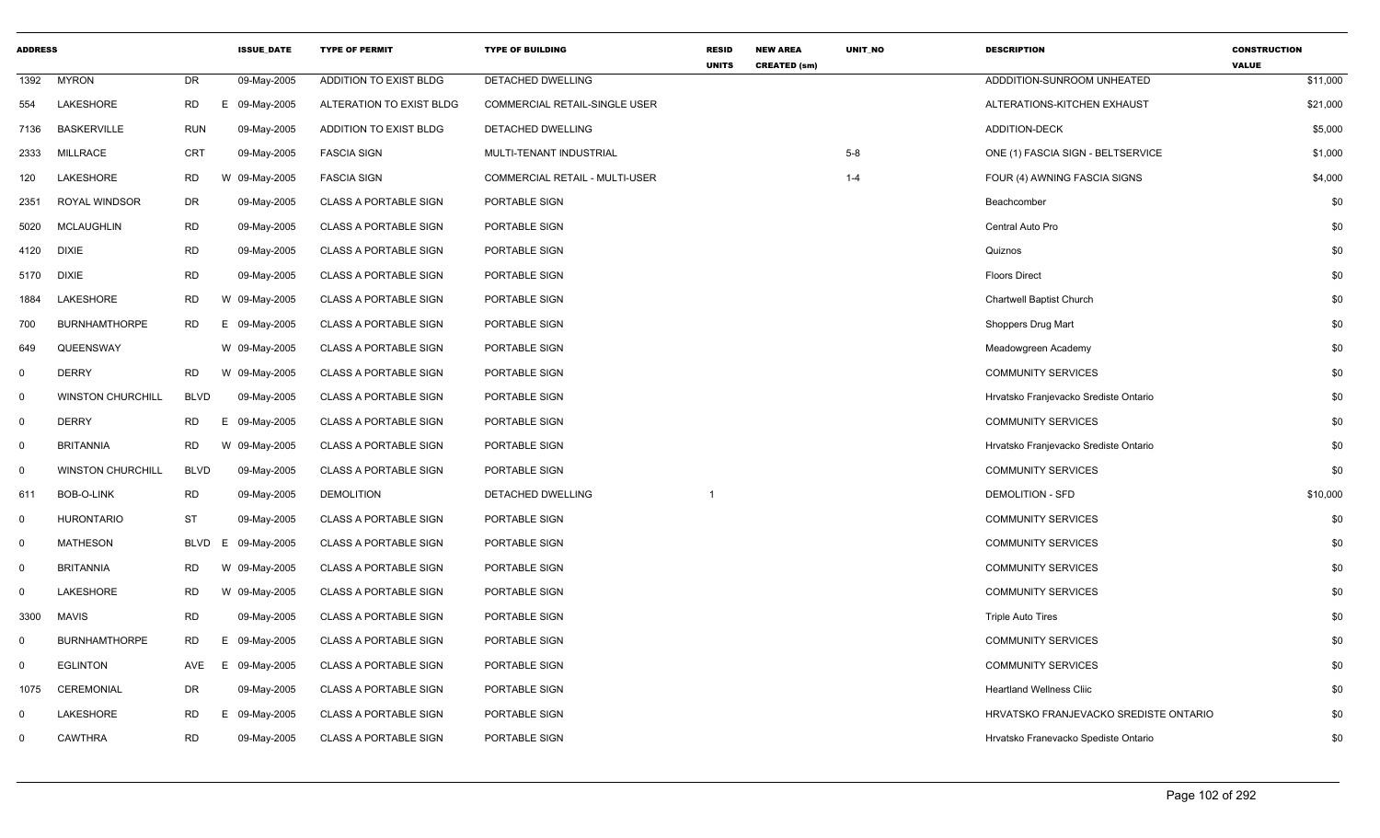| <b>ADDRESS</b> |                          |             | <b>ISSUE DATE</b> | <b>TYPE OF PERMIT</b>        | <b>TYPE OF BUILDING</b>        | <b>RESID</b><br><b>UNITS</b> | <b>NEW AREA</b><br><b>CREATED (sm)</b> | UNIT_NO | <b>DESCRIPTION</b>                    | <b>CONSTRUCTION</b><br><b>VALUE</b> |
|----------------|--------------------------|-------------|-------------------|------------------------------|--------------------------------|------------------------------|----------------------------------------|---------|---------------------------------------|-------------------------------------|
| 1392           | <b>MYRON</b>             | <b>DR</b>   | 09-May-2005       | ADDITION TO EXIST BLDG       | DETACHED DWELLING              |                              |                                        |         | ADDDITION-SUNROOM UNHEATED            | \$11,000                            |
| 554            | LAKESHORE                | <b>RD</b>   | E<br>09-May-2005  | ALTERATION TO EXIST BLDG     | COMMERCIAL RETAIL-SINGLE USER  |                              |                                        |         | ALTERATIONS-KITCHEN EXHAUST           | \$21,000                            |
| 7136           | <b>BASKERVILLE</b>       | <b>RUN</b>  | 09-May-2005       | ADDITION TO EXIST BLDG       | DETACHED DWELLING              |                              |                                        |         | ADDITION-DECK                         | \$5,000                             |
| 2333           | <b>MILLRACE</b>          | CRT         | 09-May-2005       | <b>FASCIA SIGN</b>           | MULTI-TENANT INDUSTRIAL        |                              |                                        | $5 - 8$ | ONE (1) FASCIA SIGN - BELTSERVICE     | \$1,000                             |
| 120            | LAKESHORE                | <b>RD</b>   | W 09-May-2005     | <b>FASCIA SIGN</b>           | COMMERCIAL RETAIL - MULTI-USER |                              |                                        | $1 - 4$ | FOUR (4) AWNING FASCIA SIGNS          | \$4,000                             |
| 2351           | ROYAL WINDSOR            | DR          | 09-May-2005       | <b>CLASS A PORTABLE SIGN</b> | PORTABLE SIGN                  |                              |                                        |         | Beachcomber                           | \$0                                 |
| 5020           | MCLAUGHLIN               | <b>RD</b>   | 09-May-2005       | <b>CLASS A PORTABLE SIGN</b> | PORTABLE SIGN                  |                              |                                        |         | Central Auto Pro                      | \$0                                 |
| 4120           | <b>DIXIE</b>             | <b>RD</b>   | 09-May-2005       | <b>CLASS A PORTABLE SIGN</b> | PORTABLE SIGN                  |                              |                                        |         | Quiznos                               | \$0                                 |
| 5170           | <b>DIXIE</b>             | <b>RD</b>   | 09-May-2005       | <b>CLASS A PORTABLE SIGN</b> | PORTABLE SIGN                  |                              |                                        |         | <b>Floors Direct</b>                  | \$0                                 |
| 1884           | LAKESHORE                | <b>RD</b>   | W 09-May-2005     | <b>CLASS A PORTABLE SIGN</b> | PORTABLE SIGN                  |                              |                                        |         | Chartwell Baptist Church              | \$0                                 |
| 700            | <b>BURNHAMTHORPE</b>     | <b>RD</b>   | E 09-May-2005     | <b>CLASS A PORTABLE SIGN</b> | PORTABLE SIGN                  |                              |                                        |         | Shoppers Drug Mart                    | \$0                                 |
| 649            | QUEENSWAY                |             | W 09-May-2005     | <b>CLASS A PORTABLE SIGN</b> | PORTABLE SIGN                  |                              |                                        |         | Meadowgreen Academy                   | \$0                                 |
| $\mathbf 0$    | <b>DERRY</b>             | RD          | W 09-May-2005     | <b>CLASS A PORTABLE SIGN</b> | PORTABLE SIGN                  |                              |                                        |         | <b>COMMUNITY SERVICES</b>             | \$0                                 |
| $\mathbf 0$    | <b>WINSTON CHURCHILL</b> | <b>BLVD</b> | 09-May-2005       | <b>CLASS A PORTABLE SIGN</b> | PORTABLE SIGN                  |                              |                                        |         | Hrvatsko Franjevacko Srediste Ontario | \$0                                 |
| $\mathbf 0$    | <b>DERRY</b>             | <b>RD</b>   | E 09-May-2005     | <b>CLASS A PORTABLE SIGN</b> | PORTABLE SIGN                  |                              |                                        |         | <b>COMMUNITY SERVICES</b>             | \$0                                 |
| $\mathbf 0$    | <b>BRITANNIA</b>         | <b>RD</b>   | W 09-May-2005     | <b>CLASS A PORTABLE SIGN</b> | PORTABLE SIGN                  |                              |                                        |         | Hrvatsko Franjevacko Srediste Ontario | \$0                                 |
| $\mathbf 0$    | <b>WINSTON CHURCHILL</b> | <b>BLVD</b> | 09-May-2005       | <b>CLASS A PORTABLE SIGN</b> | PORTABLE SIGN                  |                              |                                        |         | <b>COMMUNITY SERVICES</b>             | \$0                                 |
| 611            | BOB-O-LINK               | <b>RD</b>   | 09-May-2005       | <b>DEMOLITION</b>            | DETACHED DWELLING              | -1                           |                                        |         | <b>DEMOLITION - SFD</b>               | \$10,000                            |
| $\mathbf 0$    | <b>HURONTARIO</b>        | <b>ST</b>   | 09-May-2005       | <b>CLASS A PORTABLE SIGN</b> | PORTABLE SIGN                  |                              |                                        |         | <b>COMMUNITY SERVICES</b>             | \$0                                 |
| $\mathbf 0$    | <b>MATHESON</b>          | <b>BLVD</b> | 09-May-2005<br>E  | <b>CLASS A PORTABLE SIGN</b> | PORTABLE SIGN                  |                              |                                        |         | <b>COMMUNITY SERVICES</b>             | \$0                                 |
| $\mathbf 0$    | <b>BRITANNIA</b>         | <b>RD</b>   | W 09-May-2005     | <b>CLASS A PORTABLE SIGN</b> | PORTABLE SIGN                  |                              |                                        |         | <b>COMMUNITY SERVICES</b>             | \$0                                 |
| $\mathbf 0$    | LAKESHORE                | <b>RD</b>   | W 09-May-2005     | <b>CLASS A PORTABLE SIGN</b> | PORTABLE SIGN                  |                              |                                        |         | <b>COMMUNITY SERVICES</b>             | \$0                                 |
| 3300           | <b>MAVIS</b>             | <b>RD</b>   | 09-May-2005       | <b>CLASS A PORTABLE SIGN</b> | PORTABLE SIGN                  |                              |                                        |         | <b>Triple Auto Tires</b>              | \$0                                 |
| 0              | <b>BURNHAMTHORPE</b>     | <b>RD</b>   | Е.<br>09-May-2005 | <b>CLASS A PORTABLE SIGN</b> | PORTABLE SIGN                  |                              |                                        |         | <b>COMMUNITY SERVICES</b>             | \$0                                 |
| $\mathbf 0$    | <b>EGLINTON</b>          | AVE         | E.<br>09-May-2005 | <b>CLASS A PORTABLE SIGN</b> | PORTABLE SIGN                  |                              |                                        |         | <b>COMMUNITY SERVICES</b>             | \$0                                 |
| 1075           | CEREMONIAL               | DR          | 09-May-2005       | CLASS A PORTABLE SIGN        | PORTABLE SIGN                  |                              |                                        |         | <b>Heartland Wellness Cliic</b>       | \$0                                 |
| $\mathbf 0$    | LAKESHORE                | <b>RD</b>   | 09-May-2005<br>E. | <b>CLASS A PORTABLE SIGN</b> | PORTABLE SIGN                  |                              |                                        |         | HRVATSKO FRANJEVACKO SREDISTE ONTARIO | \$0                                 |
| $\mathbf 0$    | <b>CAWTHRA</b>           | <b>RD</b>   | 09-May-2005       | <b>CLASS A PORTABLE SIGN</b> | PORTABLE SIGN                  |                              |                                        |         | Hrvatsko Franevacko Spediste Ontario  | \$0                                 |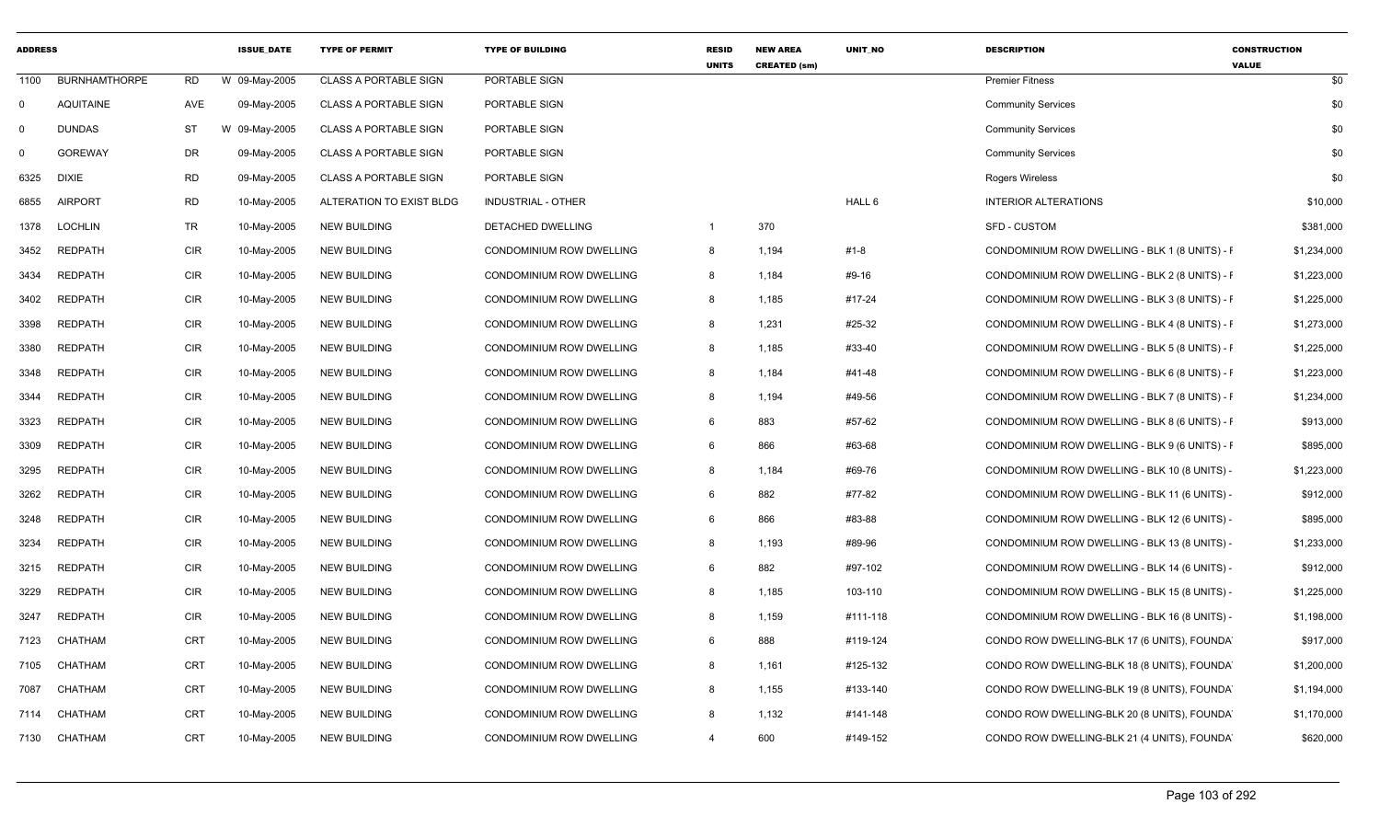| <b>ADDRESS</b> |                      |            | <b>ISSUE DATE</b> | <b>TYPE OF PERMIT</b>        | <b>TYPE OF BUILDING</b>         | <b>RESID</b><br><b>UNITS</b> | <b>NEW AREA</b><br><b>CREATED (sm)</b> | UNIT_NO  | <b>DESCRIPTION</b>                             | <b>CONSTRUCTION</b><br><b>VALUE</b> |
|----------------|----------------------|------------|-------------------|------------------------------|---------------------------------|------------------------------|----------------------------------------|----------|------------------------------------------------|-------------------------------------|
| 1100           | <b>BURNHAMTHORPE</b> | RD.        | W 09-May-2005     | <b>CLASS A PORTABLE SIGN</b> | PORTABLE SIGN                   |                              |                                        |          | <b>Premier Fitness</b>                         | \$0                                 |
| $\mathbf 0$    | <b>AQUITAINE</b>     | AVE        | 09-May-2005       | <b>CLASS A PORTABLE SIGN</b> | PORTABLE SIGN                   |                              |                                        |          | <b>Community Services</b>                      | \$0                                 |
| $\Omega$       | <b>DUNDAS</b>        | <b>ST</b>  | 09-May-2005<br>W  | <b>CLASS A PORTABLE SIGN</b> | PORTABLE SIGN                   |                              |                                        |          | <b>Community Services</b>                      | \$0                                 |
| $\Omega$       | <b>GOREWAY</b>       | <b>DR</b>  | 09-May-2005       | <b>CLASS A PORTABLE SIGN</b> | PORTABLE SIGN                   |                              |                                        |          | <b>Community Services</b>                      | \$0                                 |
| 6325           | <b>DIXIE</b>         | <b>RD</b>  | 09-May-2005       | <b>CLASS A PORTABLE SIGN</b> | PORTABLE SIGN                   |                              |                                        |          | Rogers Wireless                                | \$0                                 |
| 6855           | <b>AIRPORT</b>       | <b>RD</b>  | 10-May-2005       | ALTERATION TO EXIST BLDG     | INDUSTRIAL - OTHER              |                              |                                        | HALL 6   | <b>INTERIOR ALTERATIONS</b>                    | \$10,000                            |
| 1378           | <b>LOCHLIN</b>       | <b>TR</b>  | 10-May-2005       | <b>NEW BUILDING</b>          | <b>DETACHED DWELLING</b>        | $\mathbf{1}$                 | 370                                    |          | <b>SFD - CUSTOM</b>                            | \$381,000                           |
| 3452           | <b>REDPATH</b>       | <b>CIR</b> | 10-May-2005       | <b>NEW BUILDING</b>          | CONDOMINIUM ROW DWELLING        | 8                            | 1,194                                  | #1-8     | CONDOMINIUM ROW DWELLING - BLK 1 (8 UNITS) - F | \$1,234,000                         |
| 3434           | <b>REDPATH</b>       | <b>CIR</b> | 10-May-2005       | <b>NEW BUILDING</b>          | CONDOMINIUM ROW DWELLING        | 8                            | 1,184                                  | #9-16    | CONDOMINIUM ROW DWELLING - BLK 2 (8 UNITS) - F | \$1,223,000                         |
| 3402           | <b>REDPATH</b>       | <b>CIR</b> | 10-May-2005       | <b>NEW BUILDING</b>          | CONDOMINIUM ROW DWELLING        | 8                            | 1,185                                  | #17-24   | CONDOMINIUM ROW DWELLING - BLK 3 (8 UNITS) - F | \$1,225,000                         |
| 3398           | <b>REDPATH</b>       | <b>CIR</b> | 10-May-2005       | NEW BUILDING                 | CONDOMINIUM ROW DWELLING        | 8                            | 1,231                                  | #25-32   | CONDOMINIUM ROW DWELLING - BLK 4 (8 UNITS) - F | \$1,273,000                         |
| 3380           | <b>REDPATH</b>       | <b>CIR</b> | 10-May-2005       | <b>NEW BUILDING</b>          | CONDOMINIUM ROW DWELLING        | 8                            | 1,185                                  | #33-40   | CONDOMINIUM ROW DWELLING - BLK 5 (8 UNITS) - F | \$1,225,000                         |
| 3348           | <b>REDPATH</b>       | <b>CIR</b> | 10-May-2005       | <b>NEW BUILDING</b>          | CONDOMINIUM ROW DWELLING        | 8                            | 1,184                                  | #41-48   | CONDOMINIUM ROW DWELLING - BLK 6 (8 UNITS) - F | \$1,223,000                         |
| 3344           | <b>REDPATH</b>       | <b>CIR</b> | 10-May-2005       | NEW BUILDING                 | CONDOMINIUM ROW DWELLING        | 8                            | 1,194                                  | #49-56   | CONDOMINIUM ROW DWELLING - BLK 7 (8 UNITS) - F | \$1,234,000                         |
| 3323           | <b>REDPATH</b>       | <b>CIR</b> | 10-May-2005       | <b>NEW BUILDING</b>          | <b>CONDOMINIUM ROW DWELLING</b> | 6                            | 883                                    | #57-62   | CONDOMINIUM ROW DWELLING - BLK 8 (6 UNITS) - F | \$913,000                           |
| 3309           | <b>REDPATH</b>       | <b>CIR</b> | 10-May-2005       | <b>NEW BUILDING</b>          | CONDOMINIUM ROW DWELLING        | 6                            | 866                                    | #63-68   | CONDOMINIUM ROW DWELLING - BLK 9 (6 UNITS) - F | \$895,000                           |
| 3295           | <b>REDPATH</b>       | <b>CIR</b> | 10-May-2005       | <b>NEW BUILDING</b>          | CONDOMINIUM ROW DWELLING        | 8                            | 1,184                                  | #69-76   | CONDOMINIUM ROW DWELLING - BLK 10 (8 UNITS) -  | \$1,223,000                         |
| 3262           | <b>REDPATH</b>       | <b>CIR</b> | 10-May-2005       | <b>NEW BUILDING</b>          | CONDOMINIUM ROW DWELLING        | 6                            | 882                                    | #77-82   | CONDOMINIUM ROW DWELLING - BLK 11 (6 UNITS) -  | \$912,000                           |
| 3248           | <b>REDPATH</b>       | <b>CIR</b> | 10-May-2005       | <b>NEW BUILDING</b>          | <b>CONDOMINIUM ROW DWELLING</b> | 6                            | 866                                    | #83-88   | CONDOMINIUM ROW DWELLING - BLK 12 (6 UNITS) -  | \$895,000                           |
| 3234           | REDPATH              | <b>CIR</b> | 10-May-2005       | <b>NEW BUILDING</b>          | CONDOMINIUM ROW DWELLING        | 8                            | 1,193                                  | #89-96   | CONDOMINIUM ROW DWELLING - BLK 13 (8 UNITS) -  | \$1,233,000                         |
| 3215           | REDPATH              | <b>CIR</b> | 10-May-2005       | <b>NEW BUILDING</b>          | CONDOMINIUM ROW DWELLING        | 6                            | 882                                    | #97-102  | CONDOMINIUM ROW DWELLING - BLK 14 (6 UNITS) -  | \$912,000                           |
| 3229           | REDPATH              | <b>CIR</b> | 10-May-2005       | <b>NEW BUILDING</b>          | CONDOMINIUM ROW DWELLING        | 8                            | 1,185                                  | 103-110  | CONDOMINIUM ROW DWELLING - BLK 15 (8 UNITS) -  | \$1,225,000                         |
| 3247           | <b>REDPATH</b>       | <b>CIR</b> | 10-May-2005       | <b>NEW BUILDING</b>          | CONDOMINIUM ROW DWELLING        | 8                            | 1,159                                  | #111-118 | CONDOMINIUM ROW DWELLING - BLK 16 (8 UNITS) -  | \$1,198,000                         |
| 7123           | CHATHAM              | CRT        | 10-May-2005       | <b>NEW BUILDING</b>          | CONDOMINIUM ROW DWELLING        | 6                            | 888                                    | #119-124 | CONDO ROW DWELLING-BLK 17 (6 UNITS), FOUNDA    | \$917,000                           |
| 7105           | CHATHAM              | <b>CRT</b> | 10-May-2005       | NEW BUILDING                 | CONDOMINIUM ROW DWELLING        | 8                            | 1,161                                  | #125-132 | CONDO ROW DWELLING-BLK 18 (8 UNITS), FOUNDA    | \$1,200,000                         |
| 7087           | CHATHAM              | <b>CRT</b> | 10-May-2005       | <b>NEW BUILDING</b>          | CONDOMINIUM ROW DWELLING        | 8                            | 1,155                                  | #133-140 | CONDO ROW DWELLING-BLK 19 (8 UNITS), FOUNDA    | \$1,194,000                         |
| 7114           | CHATHAM              | <b>CRT</b> | 10-May-2005       | <b>NEW BUILDING</b>          | CONDOMINIUM ROW DWELLING        | 8                            | 1,132                                  | #141-148 | CONDO ROW DWELLING-BLK 20 (8 UNITS), FOUNDA    | \$1,170,000                         |
| 7130           | CHATHAM              | <b>CRT</b> | 10-May-2005       | <b>NEW BUILDING</b>          | CONDOMINIUM ROW DWELLING        | $\overline{a}$               | 600                                    | #149-152 | CONDO ROW DWELLING-BLK 21 (4 UNITS), FOUNDA    | \$620,000                           |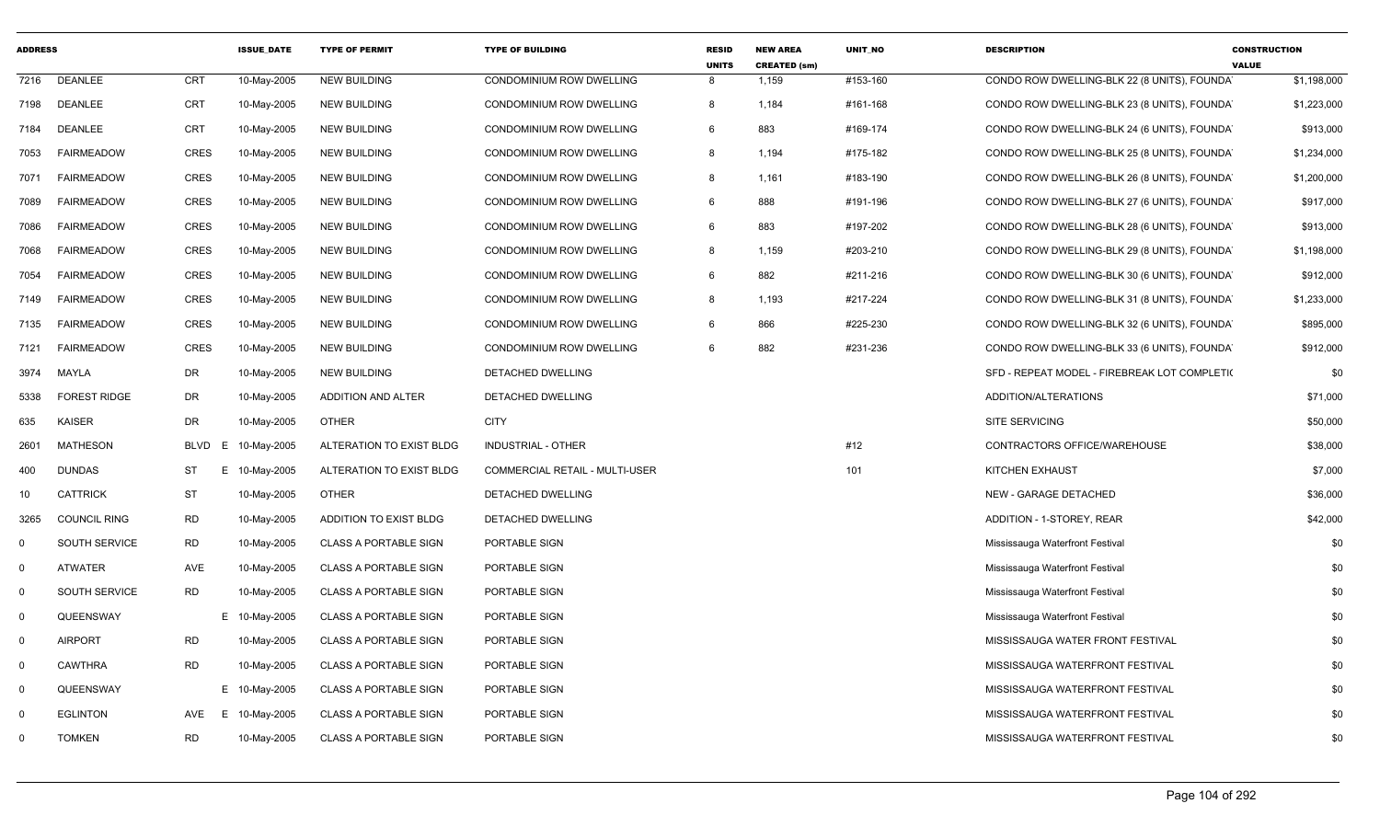| <b>ADDRESS</b> |                      |                  | <b>ISSUE DATE</b> | <b>TYPE OF PERMIT</b>        | <b>TYPE OF BUILDING</b>               | <b>RESID</b><br><b>UNITS</b> | <b>NEW AREA</b><br><b>CREATED (sm)</b> | <b>UNIT NO</b> | <b>DESCRIPTION</b>                           | <b>CONSTRUCTION</b><br><b>VALUE</b> |
|----------------|----------------------|------------------|-------------------|------------------------------|---------------------------------------|------------------------------|----------------------------------------|----------------|----------------------------------------------|-------------------------------------|
| 7216           | <b>DEANLEE</b>       | <b>CRT</b>       | 10-May-2005       | <b>NEW BUILDING</b>          | CONDOMINIUM ROW DWELLING              | 8                            | 1,159                                  | #153-160       | CONDO ROW DWELLING-BLK 22 (8 UNITS), FOUNDAY | \$1,198,000                         |
| 7198           | <b>DEANLEE</b>       | <b>CRT</b>       | 10-May-2005       | <b>NEW BUILDING</b>          | CONDOMINIUM ROW DWELLING              | 8                            | 1,184                                  | #161-168       | CONDO ROW DWELLING-BLK 23 (8 UNITS), FOUNDAY | \$1,223,000                         |
| 7184           | <b>DEANLEE</b>       | CRT              | 10-May-2005       | <b>NEW BUILDING</b>          | CONDOMINIUM ROW DWELLING              | 6                            | 883                                    | #169-174       | CONDO ROW DWELLING-BLK 24 (6 UNITS), FOUNDA  | \$913,000                           |
| 7053           | <b>FAIRMEADOW</b>    | <b>CRES</b>      | 10-May-2005       | <b>NEW BUILDING</b>          | CONDOMINIUM ROW DWELLING              | 8                            | 1,194                                  | #175-182       | CONDO ROW DWELLING-BLK 25 (8 UNITS), FOUNDA  | \$1,234,000                         |
| 7071           | <b>FAIRMEADOW</b>    | <b>CRES</b>      | 10-May-2005       | <b>NEW BUILDING</b>          | CONDOMINIUM ROW DWELLING              | 8                            | 1,161                                  | #183-190       | CONDO ROW DWELLING-BLK 26 (8 UNITS), FOUNDA  | \$1,200,000                         |
| 7089           | <b>FAIRMEADOW</b>    | <b>CRES</b>      | 10-May-2005       | <b>NEW BUILDING</b>          | CONDOMINIUM ROW DWELLING              | 6                            | 888                                    | #191-196       | CONDO ROW DWELLING-BLK 27 (6 UNITS), FOUNDAY | \$917,000                           |
| 7086           | <b>FAIRMEADOW</b>    | <b>CRES</b>      | 10-May-2005       | <b>NEW BUILDING</b>          | CONDOMINIUM ROW DWELLING              | 6                            | 883                                    | #197-202       | CONDO ROW DWELLING-BLK 28 (6 UNITS), FOUNDA  | \$913,000                           |
| 7068           | <b>FAIRMEADOW</b>    | <b>CRES</b>      | 10-May-2005       | <b>NEW BUILDING</b>          | CONDOMINIUM ROW DWELLING              | 8                            | 1,159                                  | #203-210       | CONDO ROW DWELLING-BLK 29 (8 UNITS), FOUNDA  | \$1,198,000                         |
| 7054           | <b>FAIRMEADOW</b>    | <b>CRES</b>      | 10-May-2005       | <b>NEW BUILDING</b>          | CONDOMINIUM ROW DWELLING              | 6                            | 882                                    | #211-216       | CONDO ROW DWELLING-BLK 30 (6 UNITS), FOUNDA  | \$912,000                           |
| 7149           | <b>FAIRMEADOW</b>    | <b>CRES</b>      | 10-May-2005       | <b>NEW BUILDING</b>          | CONDOMINIUM ROW DWELLING              | 8                            | 1,193                                  | #217-224       | CONDO ROW DWELLING-BLK 31 (8 UNITS), FOUNDAT | \$1,233,000                         |
| 7135           | <b>FAIRMEADOW</b>    | <b>CRES</b>      | 10-May-2005       | <b>NEW BUILDING</b>          | CONDOMINIUM ROW DWELLING              | 6                            | 866                                    | #225-230       | CONDO ROW DWELLING-BLK 32 (6 UNITS), FOUNDAY | \$895,000                           |
| 7121           | <b>FAIRMEADOW</b>    | CRES             | 10-May-2005       | <b>NEW BUILDING</b>          | CONDOMINIUM ROW DWELLING              | 6                            | 882                                    | #231-236       | CONDO ROW DWELLING-BLK 33 (6 UNITS), FOUNDAY | \$912,000                           |
| 3974           | MAYLA                | <b>DR</b>        | 10-May-2005       | <b>NEW BUILDING</b>          | DETACHED DWELLING                     |                              |                                        |                | SFD - REPEAT MODEL - FIREBREAK LOT COMPLETI( | \$0                                 |
| 5338           | <b>FOREST RIDGE</b>  | <b>DR</b>        | 10-May-2005       | ADDITION AND ALTER           | DETACHED DWELLING                     |                              |                                        |                | ADDITION/ALTERATIONS                         | \$71,000                            |
| 635            | <b>KAISER</b>        | DR               | 10-May-2005       | <b>OTHER</b>                 | <b>CITY</b>                           |                              |                                        |                | SITE SERVICING                               | \$50,000                            |
| 2601           | <b>MATHESON</b>      | <b>BLVD</b><br>E | 10-May-2005       | ALTERATION TO EXIST BLDG     | <b>INDUSTRIAL - OTHER</b>             |                              |                                        | #12            | CONTRACTORS OFFICE/WAREHOUSE                 | \$38,000                            |
| 400            | <b>DUNDAS</b>        | <b>ST</b><br>E   | 10-May-2005       | ALTERATION TO EXIST BLDG     | <b>COMMERCIAL RETAIL - MULTI-USER</b> |                              |                                        | 101            | KITCHEN EXHAUST                              | \$7,000                             |
| 10             | <b>CATTRICK</b>      | <b>ST</b>        | 10-May-2005       | <b>OTHER</b>                 | DETACHED DWELLING                     |                              |                                        |                | NEW - GARAGE DETACHED                        | \$36,000                            |
| 3265           | <b>COUNCIL RING</b>  | <b>RD</b>        | 10-May-2005       | ADDITION TO EXIST BLDG       | DETACHED DWELLING                     |                              |                                        |                | ADDITION - 1-STOREY, REAR                    | \$42,000                            |
| $\mathbf 0$    | <b>SOUTH SERVICE</b> | <b>RD</b>        | 10-May-2005       | <b>CLASS A PORTABLE SIGN</b> | PORTABLE SIGN                         |                              |                                        |                | Mississauga Waterfront Festival              | \$0                                 |
| $\mathbf 0$    | <b>ATWATER</b>       | AVE              | 10-May-2005       | <b>CLASS A PORTABLE SIGN</b> | PORTABLE SIGN                         |                              |                                        |                | Mississauga Waterfront Festival              | \$0                                 |
| $\Omega$       | <b>SOUTH SERVICE</b> | <b>RD</b>        | 10-May-2005       | <b>CLASS A PORTABLE SIGN</b> | PORTABLE SIGN                         |                              |                                        |                | Mississauga Waterfront Festival              | \$0                                 |
| $\mathbf 0$    | QUEENSWAY            |                  | E 10-May-2005     | <b>CLASS A PORTABLE SIGN</b> | PORTABLE SIGN                         |                              |                                        |                | Mississauga Waterfront Festival              | \$0                                 |
| 0              | <b>AIRPORT</b>       | <b>RD</b>        | 10-May-2005       | <b>CLASS A PORTABLE SIGN</b> | PORTABLE SIGN                         |                              |                                        |                | MISSISSAUGA WATER FRONT FESTIVAL             | \$0                                 |
| $\mathbf 0$    | <b>CAWTHRA</b>       | <b>RD</b>        | 10-May-2005       | <b>CLASS A PORTABLE SIGN</b> | PORTABLE SIGN                         |                              |                                        |                | MISSISSAUGA WATERFRONT FESTIVAL              | \$0                                 |
| $\mathbf 0$    | QUEENSWAY            |                  | E 10-May-2005     | <b>CLASS A PORTABLE SIGN</b> | PORTABLE SIGN                         |                              |                                        |                | MISSISSAUGA WATERFRONT FESTIVAL              | \$0                                 |
| $\Omega$       | <b>EGLINTON</b>      | AVE<br>E         | 10-May-2005       | <b>CLASS A PORTABLE SIGN</b> | PORTABLE SIGN                         |                              |                                        |                | MISSISSAUGA WATERFRONT FESTIVAL              | \$0                                 |
| $\Omega$       | <b>TOMKEN</b>        | <b>RD</b>        | 10-May-2005       | <b>CLASS A PORTABLE SIGN</b> | PORTABLE SIGN                         |                              |                                        |                | MISSISSAUGA WATERFRONT FESTIVAL              | \$0                                 |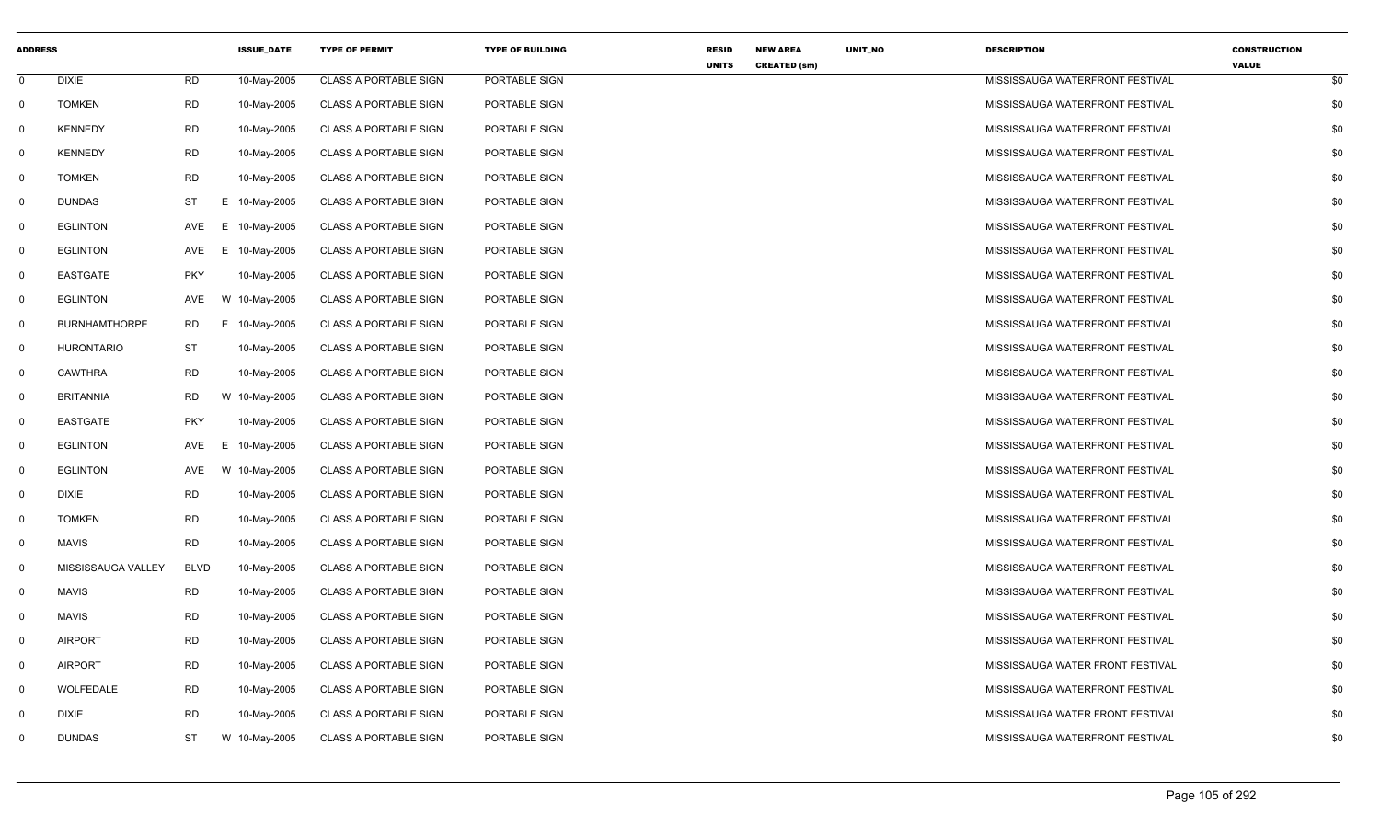| <b>ADDRESS</b> |                      |             | <b>ISSUE DATE</b> | <b>TYPE OF PERMIT</b>        | <b>TYPE OF BUILDING</b> | <b>RESID</b> | <b>NEW AREA</b>     | UNIT_NO | <b>DESCRIPTION</b>               | <b>CONSTRUCTION</b> |     |
|----------------|----------------------|-------------|-------------------|------------------------------|-------------------------|--------------|---------------------|---------|----------------------------------|---------------------|-----|
| $\mathbf{0}$   | <b>DIXIE</b>         | <b>RD</b>   | 10-May-2005       | <b>CLASS A PORTABLE SIGN</b> | PORTABLE SIGN           | <b>UNITS</b> | <b>CREATED (sm)</b> |         | MISSISSAUGA WATERFRONT FESTIVAL  | <b>VALUE</b>        | \$0 |
| $\mathsf{O}$   | <b>TOMKEN</b>        | <b>RD</b>   | 10-May-2005       | <b>CLASS A PORTABLE SIGN</b> | PORTABLE SIGN           |              |                     |         | MISSISSAUGA WATERFRONT FESTIVAL  |                     | \$0 |
| $\mathbf 0$    | <b>KENNEDY</b>       | <b>RD</b>   | 10-May-2005       | <b>CLASS A PORTABLE SIGN</b> | PORTABLE SIGN           |              |                     |         | MISSISSAUGA WATERFRONT FESTIVAL  |                     | \$0 |
| $\mathbf 0$    | <b>KENNEDY</b>       | <b>RD</b>   | 10-May-2005       | <b>CLASS A PORTABLE SIGN</b> | PORTABLE SIGN           |              |                     |         | MISSISSAUGA WATERFRONT FESTIVAL  |                     | \$0 |
| $\mathbf 0$    | <b>TOMKEN</b>        | <b>RD</b>   | 10-May-2005       | <b>CLASS A PORTABLE SIGN</b> | PORTABLE SIGN           |              |                     |         | MISSISSAUGA WATERFRONT FESTIVAL  |                     | \$0 |
| $\mathbf 0$    | <b>DUNDAS</b>        | <b>ST</b>   | E 10-May-2005     | <b>CLASS A PORTABLE SIGN</b> | PORTABLE SIGN           |              |                     |         | MISSISSAUGA WATERFRONT FESTIVAL  |                     | \$0 |
| $\mathbf 0$    | <b>EGLINTON</b>      | AVE         | 10-May-2005<br>E. | <b>CLASS A PORTABLE SIGN</b> | PORTABLE SIGN           |              |                     |         | MISSISSAUGA WATERFRONT FESTIVAL  |                     | \$0 |
| $\mathbf 0$    | <b>EGLINTON</b>      | AVE         | Е.<br>10-May-2005 | <b>CLASS A PORTABLE SIGN</b> | PORTABLE SIGN           |              |                     |         | MISSISSAUGA WATERFRONT FESTIVAL  |                     | \$0 |
| $\mathbf 0$    | <b>EASTGATE</b>      | <b>PKY</b>  | 10-May-2005       | <b>CLASS A PORTABLE SIGN</b> | PORTABLE SIGN           |              |                     |         | MISSISSAUGA WATERFRONT FESTIVAL  |                     | \$0 |
| $\mathbf 0$    | <b>EGLINTON</b>      | AVE         | W 10-May-2005     | <b>CLASS A PORTABLE SIGN</b> | PORTABLE SIGN           |              |                     |         | MISSISSAUGA WATERFRONT FESTIVAL  |                     | \$0 |
| $\mathbf 0$    | <b>BURNHAMTHORPE</b> | <b>RD</b>   | E 10-May-2005     | <b>CLASS A PORTABLE SIGN</b> | PORTABLE SIGN           |              |                     |         | MISSISSAUGA WATERFRONT FESTIVAL  |                     | \$0 |
| $\mathbf 0$    | <b>HURONTARIO</b>    | ST          | 10-May-2005       | <b>CLASS A PORTABLE SIGN</b> | PORTABLE SIGN           |              |                     |         | MISSISSAUGA WATERFRONT FESTIVAL  |                     | \$0 |
| $\mathbf 0$    | <b>CAWTHRA</b>       | <b>RD</b>   | 10-May-2005       | <b>CLASS A PORTABLE SIGN</b> | PORTABLE SIGN           |              |                     |         | MISSISSAUGA WATERFRONT FESTIVAL  |                     | \$0 |
| $\mathbf{0}$   | <b>BRITANNIA</b>     | <b>RD</b>   | W 10-May-2005     | <b>CLASS A PORTABLE SIGN</b> | PORTABLE SIGN           |              |                     |         | MISSISSAUGA WATERFRONT FESTIVAL  |                     | \$0 |
| $\mathbf 0$    | EASTGATE             | <b>PKY</b>  | 10-May-2005       | <b>CLASS A PORTABLE SIGN</b> | PORTABLE SIGN           |              |                     |         | MISSISSAUGA WATERFRONT FESTIVAL  |                     | \$0 |
| $\mathbf 0$    | <b>EGLINTON</b>      | AVE         | 10-May-2005<br>E. | <b>CLASS A PORTABLE SIGN</b> | PORTABLE SIGN           |              |                     |         | MISSISSAUGA WATERFRONT FESTIVAL  |                     | \$0 |
| $\mathbf{0}$   | <b>EGLINTON</b>      | AVE         | W 10-May-2005     | <b>CLASS A PORTABLE SIGN</b> | PORTABLE SIGN           |              |                     |         | MISSISSAUGA WATERFRONT FESTIVAL  |                     | \$0 |
| $\mathbf{0}$   | <b>DIXIE</b>         | <b>RD</b>   | 10-May-2005       | <b>CLASS A PORTABLE SIGN</b> | PORTABLE SIGN           |              |                     |         | MISSISSAUGA WATERFRONT FESTIVAL  |                     | \$0 |
| $\mathbf{0}$   | <b>TOMKEN</b>        | <b>RD</b>   | 10-May-2005       | <b>CLASS A PORTABLE SIGN</b> | PORTABLE SIGN           |              |                     |         | MISSISSAUGA WATERFRONT FESTIVAL  |                     | \$0 |
| $\mathbf 0$    | <b>MAVIS</b>         | <b>RD</b>   | 10-May-2005       | <b>CLASS A PORTABLE SIGN</b> | PORTABLE SIGN           |              |                     |         | MISSISSAUGA WATERFRONT FESTIVAL  |                     | \$0 |
| $\mathbf 0$    | MISSISSAUGA VALLEY   | <b>BLVD</b> | 10-May-2005       | <b>CLASS A PORTABLE SIGN</b> | PORTABLE SIGN           |              |                     |         | MISSISSAUGA WATERFRONT FESTIVAL  |                     | \$0 |
| $\mathbf 0$    | <b>MAVIS</b>         | <b>RD</b>   | 10-May-2005       | <b>CLASS A PORTABLE SIGN</b> | PORTABLE SIGN           |              |                     |         | MISSISSAUGA WATERFRONT FESTIVAL  |                     | \$0 |
| $\mathbf 0$    | MAVIS                | <b>RD</b>   | 10-May-2005       | <b>CLASS A PORTABLE SIGN</b> | PORTABLE SIGN           |              |                     |         | MISSISSAUGA WATERFRONT FESTIVAL  |                     | \$0 |
| $\mathbf 0$    | <b>AIRPORT</b>       | <b>RD</b>   | 10-May-2005       | <b>CLASS A PORTABLE SIGN</b> | PORTABLE SIGN           |              |                     |         | MISSISSAUGA WATERFRONT FESTIVAL  |                     | \$0 |
| $\mathbf 0$    | <b>AIRPORT</b>       | <b>RD</b>   | 10-May-2005       | <b>CLASS A PORTABLE SIGN</b> | PORTABLE SIGN           |              |                     |         | MISSISSAUGA WATER FRONT FESTIVAL |                     | \$0 |
| $\mathbf 0$    | WOLFEDALE            | <b>RD</b>   | 10-May-2005       | <b>CLASS A PORTABLE SIGN</b> | PORTABLE SIGN           |              |                     |         | MISSISSAUGA WATERFRONT FESTIVAL  |                     | \$0 |
| $\mathbf 0$    | <b>DIXIE</b>         | <b>RD</b>   | 10-May-2005       | <b>CLASS A PORTABLE SIGN</b> | PORTABLE SIGN           |              |                     |         | MISSISSAUGA WATER FRONT FESTIVAL |                     | \$0 |
| $\Omega$       | <b>DUNDAS</b>        | ST          | W 10-May-2005     | <b>CLASS A PORTABLE SIGN</b> | PORTABLE SIGN           |              |                     |         | MISSISSAUGA WATERFRONT FESTIVAL  |                     | \$0 |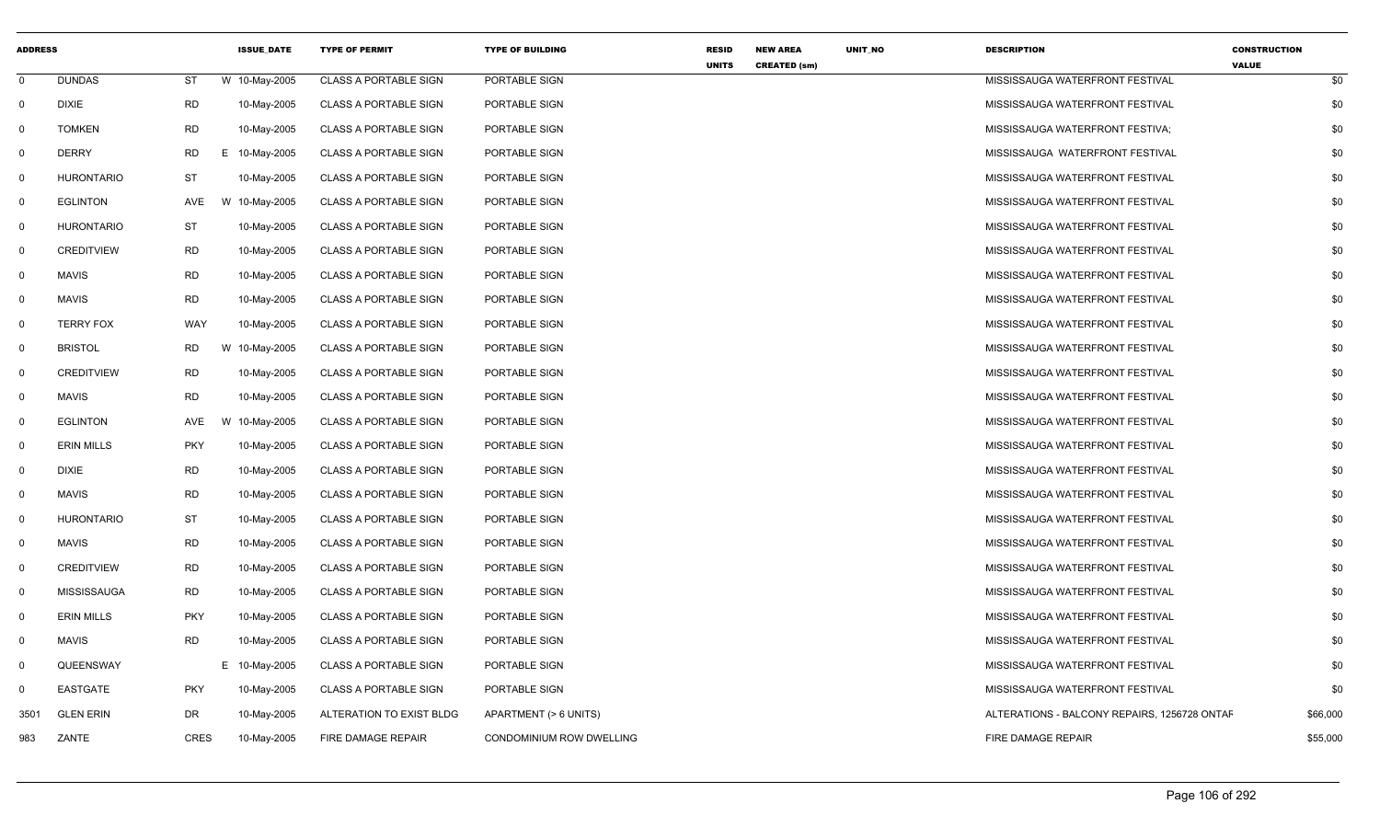| <b>ADDRESS</b> |                    |             | <b>ISSUE DATE</b> | <b>TYPE OF PERMIT</b>        | <b>TYPE OF BUILDING</b>  | <b>RESID</b> | <b>NEW AREA</b>     | UNIT_NO | <b>DESCRIPTION</b>                           | <b>CONSTRUCTION</b> |
|----------------|--------------------|-------------|-------------------|------------------------------|--------------------------|--------------|---------------------|---------|----------------------------------------------|---------------------|
| $\mathbf{0}$   | <b>DUNDAS</b>      | ST          | W 10-May-2005     | <b>CLASS A PORTABLE SIGN</b> | PORTABLE SIGN            | <b>UNITS</b> | <b>CREATED (sm)</b> |         | MISSISSAUGA WATERFRONT FESTIVAL              | <b>VALUE</b><br>\$0 |
| $\mathbf{0}$   | <b>DIXIE</b>       | <b>RD</b>   | 10-May-2005       | <b>CLASS A PORTABLE SIGN</b> | PORTABLE SIGN            |              |                     |         | MISSISSAUGA WATERFRONT FESTIVAL              | \$0                 |
| $\mathbf 0$    | <b>TOMKEN</b>      | <b>RD</b>   | 10-May-2005       | <b>CLASS A PORTABLE SIGN</b> | PORTABLE SIGN            |              |                     |         | MISSISSAUGA WATERFRONT FESTIVA;              | \$0                 |
| $\mathbf 0$    | <b>DERRY</b>       | <b>RD</b>   | E 10-May-2005     | <b>CLASS A PORTABLE SIGN</b> | PORTABLE SIGN            |              |                     |         | MISSISSAUGA WATERFRONT FESTIVAL              | \$0                 |
| $\mathbf{0}$   | <b>HURONTARIO</b>  | <b>ST</b>   | 10-May-2005       | <b>CLASS A PORTABLE SIGN</b> | PORTABLE SIGN            |              |                     |         | MISSISSAUGA WATERFRONT FESTIVAL              | \$0                 |
| $\mathbf 0$    | <b>EGLINTON</b>    | AVE         | W 10-May-2005     | <b>CLASS A PORTABLE SIGN</b> | PORTABLE SIGN            |              |                     |         | MISSISSAUGA WATERFRONT FESTIVAL              | \$0                 |
| $\mathbf{0}$   | <b>HURONTARIO</b>  | <b>ST</b>   | 10-May-2005       | <b>CLASS A PORTABLE SIGN</b> | PORTABLE SIGN            |              |                     |         | MISSISSAUGA WATERFRONT FESTIVAL              | \$0                 |
| $\mathbf 0$    | <b>CREDITVIEW</b>  | <b>RD</b>   | 10-May-2005       | <b>CLASS A PORTABLE SIGN</b> | PORTABLE SIGN            |              |                     |         | MISSISSAUGA WATERFRONT FESTIVAL              | \$0                 |
| $\mathbf{0}$   | <b>MAVIS</b>       | <b>RD</b>   | 10-May-2005       | <b>CLASS A PORTABLE SIGN</b> | PORTABLE SIGN            |              |                     |         | MISSISSAUGA WATERFRONT FESTIVAL              | \$0                 |
| $\mathbf{0}$   | <b>MAVIS</b>       | <b>RD</b>   | 10-May-2005       | <b>CLASS A PORTABLE SIGN</b> | PORTABLE SIGN            |              |                     |         | MISSISSAUGA WATERFRONT FESTIVAL              | \$0                 |
| $\mathbf{0}$   | <b>TERRY FOX</b>   | WAY         | 10-May-2005       | <b>CLASS A PORTABLE SIGN</b> | PORTABLE SIGN            |              |                     |         | MISSISSAUGA WATERFRONT FESTIVAL              | \$0                 |
| $\mathbf 0$    | <b>BRISTOL</b>     | <b>RD</b>   | W 10-May-2005     | <b>CLASS A PORTABLE SIGN</b> | PORTABLE SIGN            |              |                     |         | MISSISSAUGA WATERFRONT FESTIVAL              | \$0                 |
| $\mathbf{0}$   | <b>CREDITVIEW</b>  | <b>RD</b>   | 10-May-2005       | <b>CLASS A PORTABLE SIGN</b> | PORTABLE SIGN            |              |                     |         | MISSISSAUGA WATERFRONT FESTIVAL              | \$0                 |
| $\mathbf{0}$   | <b>MAVIS</b>       | <b>RD</b>   | 10-May-2005       | <b>CLASS A PORTABLE SIGN</b> | PORTABLE SIGN            |              |                     |         | MISSISSAUGA WATERFRONT FESTIVAL              | \$0                 |
| $\mathbf{0}$   | <b>EGLINTON</b>    | AVE         | W 10-May-2005     | <b>CLASS A PORTABLE SIGN</b> | PORTABLE SIGN            |              |                     |         | MISSISSAUGA WATERFRONT FESTIVAL              | \$0                 |
| $\mathbf 0$    | <b>ERIN MILLS</b>  | <b>PKY</b>  | 10-May-2005       | <b>CLASS A PORTABLE SIGN</b> | PORTABLE SIGN            |              |                     |         | MISSISSAUGA WATERFRONT FESTIVAL              | \$0                 |
| $\mathbf{0}$   | <b>DIXIE</b>       | <b>RD</b>   | 10-May-2005       | <b>CLASS A PORTABLE SIGN</b> | PORTABLE SIGN            |              |                     |         | MISSISSAUGA WATERFRONT FESTIVAL              | \$0                 |
| $\mathbf{0}$   | <b>MAVIS</b>       | <b>RD</b>   | 10-May-2005       | <b>CLASS A PORTABLE SIGN</b> | PORTABLE SIGN            |              |                     |         | MISSISSAUGA WATERFRONT FESTIVAL              | \$0                 |
| $\mathbf 0$    | <b>HURONTARIO</b>  | <b>ST</b>   | 10-May-2005       | <b>CLASS A PORTABLE SIGN</b> | PORTABLE SIGN            |              |                     |         | MISSISSAUGA WATERFRONT FESTIVAL              | \$0                 |
| $\mathbf 0$    | <b>MAVIS</b>       | <b>RD</b>   | 10-May-2005       | <b>CLASS A PORTABLE SIGN</b> | PORTABLE SIGN            |              |                     |         | MISSISSAUGA WATERFRONT FESTIVAL              | \$0                 |
| $\mathbf 0$    | <b>CREDITVIEW</b>  | <b>RD</b>   | 10-May-2005       | <b>CLASS A PORTABLE SIGN</b> | PORTABLE SIGN            |              |                     |         | MISSISSAUGA WATERFRONT FESTIVAL              | \$0                 |
| $\mathbf{0}$   | <b>MISSISSAUGA</b> | RD          | 10-May-2005       | <b>CLASS A PORTABLE SIGN</b> | PORTABLE SIGN            |              |                     |         | MISSISSAUGA WATERFRONT FESTIVAL              | \$0                 |
| $\mathbf 0$    | <b>ERIN MILLS</b>  | <b>PKY</b>  | 10-May-2005       | <b>CLASS A PORTABLE SIGN</b> | PORTABLE SIGN            |              |                     |         | MISSISSAUGA WATERFRONT FESTIVAL              | \$0                 |
| $\mathbf 0$    | <b>MAVIS</b>       | RD          | 10-May-2005       | <b>CLASS A PORTABLE SIGN</b> | PORTABLE SIGN            |              |                     |         | MISSISSAUGA WATERFRONT FESTIVAL              | \$0                 |
| $\mathbf 0$    | QUEENSWAY          |             | E 10-May-2005     | <b>CLASS A PORTABLE SIGN</b> | PORTABLE SIGN            |              |                     |         | MISSISSAUGA WATERFRONT FESTIVAL              | \$0                 |
| $\mathbf 0$    | EASTGATE           | <b>PKY</b>  | 10-May-2005       | <b>CLASS A PORTABLE SIGN</b> | PORTABLE SIGN            |              |                     |         | MISSISSAUGA WATERFRONT FESTIVAL              | \$0                 |
| 3501           | <b>GLEN ERIN</b>   | <b>DR</b>   | 10-May-2005       | ALTERATION TO EXIST BLDG     | APARTMENT (> 6 UNITS)    |              |                     |         | ALTERATIONS - BALCONY REPAIRS, 1256728 ONTAF | \$66,000            |
| 983            | ZANTE              | <b>CRES</b> | 10-May-2005       | FIRE DAMAGE REPAIR           | CONDOMINIUM ROW DWELLING |              |                     |         | FIRE DAMAGE REPAIR                           | \$55,000            |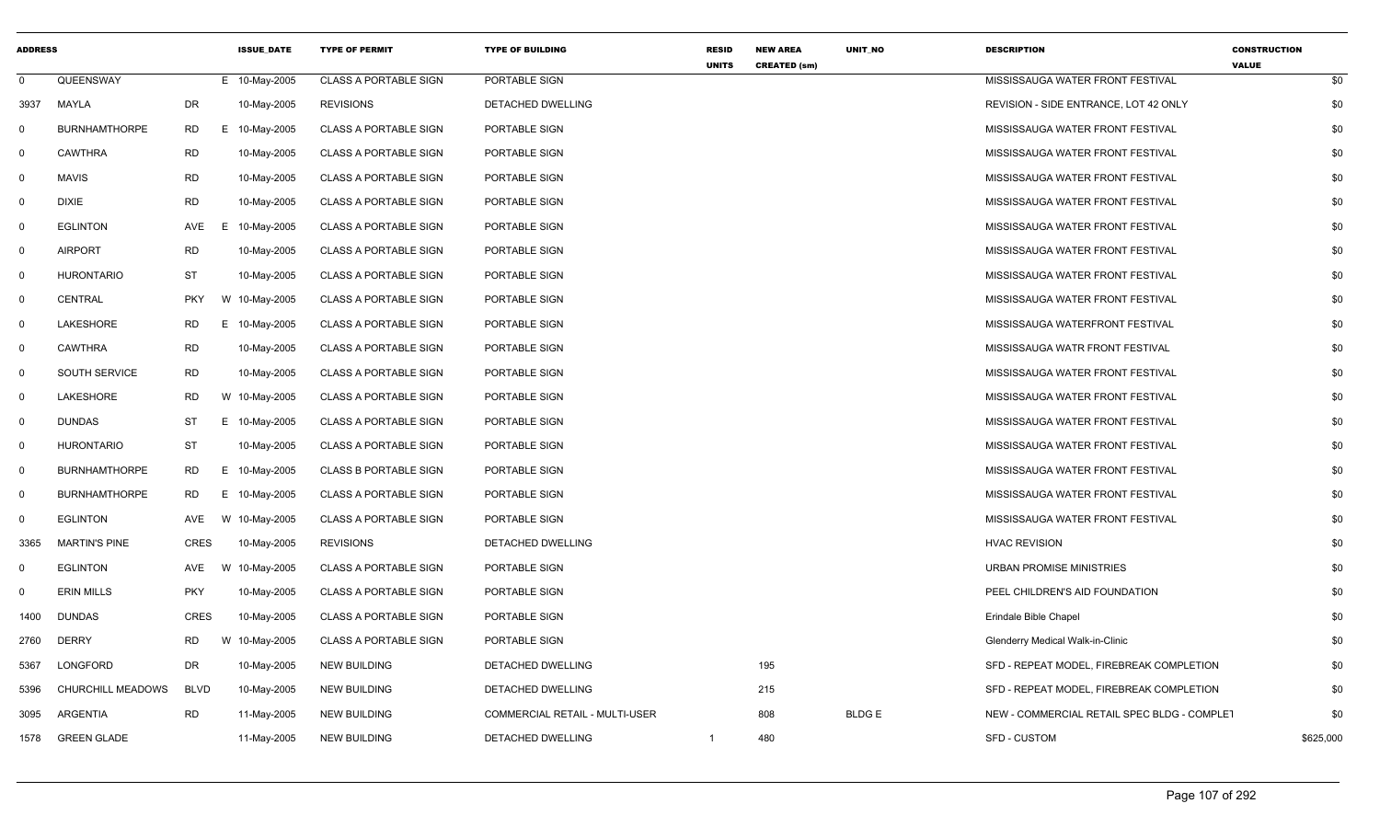| <b>ADDRESS</b> |                      |             | <b>ISSUE DATE</b> | <b>TYPE OF PERMIT</b>        | <b>TYPE OF BUILDING</b>        | <b>RESID</b><br><b>UNITS</b> | <b>NEW AREA</b><br><b>CREATED (sm)</b> | UNIT_NO      | <b>DESCRIPTION</b>                          | <b>CONSTRUCTION</b><br><b>VALUE</b> |
|----------------|----------------------|-------------|-------------------|------------------------------|--------------------------------|------------------------------|----------------------------------------|--------------|---------------------------------------------|-------------------------------------|
| $\mathbf 0$    | QUEENSWAY            |             | E 10-May-2005     | <b>CLASS A PORTABLE SIGN</b> | PORTABLE SIGN                  |                              |                                        |              | MISSISSAUGA WATER FRONT FESTIVAL            | \$0                                 |
| 3937           | MAYLA                | DR          | 10-May-2005       | <b>REVISIONS</b>             | DETACHED DWELLING              |                              |                                        |              | REVISION - SIDE ENTRANCE, LOT 42 ONLY       | \$0                                 |
| $\Omega$       | <b>BURNHAMTHORPE</b> | <b>RD</b>   | Е.<br>10-May-2005 | <b>CLASS A PORTABLE SIGN</b> | PORTABLE SIGN                  |                              |                                        |              | MISSISSAUGA WATER FRONT FESTIVAL            | \$0                                 |
| 0              | <b>CAWTHRA</b>       | <b>RD</b>   | 10-May-2005       | <b>CLASS A PORTABLE SIGN</b> | PORTABLE SIGN                  |                              |                                        |              | MISSISSAUGA WATER FRONT FESTIVAL            | \$0                                 |
| $\mathsf{O}$   | <b>MAVIS</b>         | <b>RD</b>   | 10-May-2005       | <b>CLASS A PORTABLE SIGN</b> | PORTABLE SIGN                  |                              |                                        |              | MISSISSAUGA WATER FRONT FESTIVAL            | \$0                                 |
| $\mathbf 0$    | <b>DIXIE</b>         | <b>RD</b>   | 10-May-2005       | <b>CLASS A PORTABLE SIGN</b> | PORTABLE SIGN                  |                              |                                        |              | MISSISSAUGA WATER FRONT FESTIVAL            | \$0                                 |
| 0              | <b>EGLINTON</b>      | AVE         | 10-May-2005<br>Е. | <b>CLASS A PORTABLE SIGN</b> | PORTABLE SIGN                  |                              |                                        |              | MISSISSAUGA WATER FRONT FESTIVAL            | \$0                                 |
| 0              | <b>AIRPORT</b>       | <b>RD</b>   | 10-May-2005       | <b>CLASS A PORTABLE SIGN</b> | PORTABLE SIGN                  |                              |                                        |              | MISSISSAUGA WATER FRONT FESTIVAL            | \$0                                 |
| 0              | <b>HURONTARIO</b>    | ST          | 10-May-2005       | <b>CLASS A PORTABLE SIGN</b> | PORTABLE SIGN                  |                              |                                        |              | MISSISSAUGA WATER FRONT FESTIVAL            | \$0                                 |
| 0              | CENTRAL              | <b>PKY</b>  | W 10-May-2005     | <b>CLASS A PORTABLE SIGN</b> | PORTABLE SIGN                  |                              |                                        |              | MISSISSAUGA WATER FRONT FESTIVAL            | \$0                                 |
| $\mathbf 0$    | LAKESHORE            | RD          | Е.<br>10-May-2005 | <b>CLASS A PORTABLE SIGN</b> | PORTABLE SIGN                  |                              |                                        |              | MISSISSAUGA WATERFRONT FESTIVAL             | \$0                                 |
| 0              | <b>CAWTHRA</b>       | <b>RD</b>   | 10-May-2005       | <b>CLASS A PORTABLE SIGN</b> | PORTABLE SIGN                  |                              |                                        |              | MISSISSAUGA WATR FRONT FESTIVAL             | \$0                                 |
| $\Omega$       | <b>SOUTH SERVICE</b> | <b>RD</b>   | 10-May-2005       | <b>CLASS A PORTABLE SIGN</b> | PORTABLE SIGN                  |                              |                                        |              | MISSISSAUGA WATER FRONT FESTIVAL            | \$0                                 |
| 0              | LAKESHORE            | <b>RD</b>   | W 10-May-2005     | <b>CLASS A PORTABLE SIGN</b> | PORTABLE SIGN                  |                              |                                        |              | MISSISSAUGA WATER FRONT FESTIVAL            | \$0                                 |
| 0              | <b>DUNDAS</b>        | <b>ST</b>   | E 10-May-2005     | <b>CLASS A PORTABLE SIGN</b> | PORTABLE SIGN                  |                              |                                        |              | MISSISSAUGA WATER FRONT FESTIVAL            | \$0                                 |
| $\mathbf 0$    | <b>HURONTARIO</b>    | <b>ST</b>   | 10-May-2005       | <b>CLASS A PORTABLE SIGN</b> | PORTABLE SIGN                  |                              |                                        |              | MISSISSAUGA WATER FRONT FESTIVAL            | \$0                                 |
| 0              | <b>BURNHAMTHORPE</b> | <b>RD</b>   | E 10-May-2005     | <b>CLASS B PORTABLE SIGN</b> | PORTABLE SIGN                  |                              |                                        |              | MISSISSAUGA WATER FRONT FESTIVAL            | \$0                                 |
| $\mathbf 0$    | <b>BURNHAMTHORPE</b> | <b>RD</b>   | Е.<br>10-May-2005 | <b>CLASS A PORTABLE SIGN</b> | PORTABLE SIGN                  |                              |                                        |              | MISSISSAUGA WATER FRONT FESTIVAL            | \$0                                 |
| $\mathbf 0$    | <b>EGLINTON</b>      | AVE         | W 10-May-2005     | <b>CLASS A PORTABLE SIGN</b> | PORTABLE SIGN                  |                              |                                        |              | MISSISSAUGA WATER FRONT FESTIVAL            | \$0                                 |
| 3365           | <b>MARTIN'S PINE</b> | <b>CRES</b> | 10-May-2005       | <b>REVISIONS</b>             | DETACHED DWELLING              |                              |                                        |              | <b>HVAC REVISION</b>                        | \$0                                 |
| 0              | <b>EGLINTON</b>      | AVE         | 10-May-2005<br>W  | <b>CLASS A PORTABLE SIGN</b> | PORTABLE SIGN                  |                              |                                        |              | <b>URBAN PROMISE MINISTRIES</b>             | \$0                                 |
| 0              | <b>ERIN MILLS</b>    | <b>PKY</b>  | 10-May-2005       | <b>CLASS A PORTABLE SIGN</b> | PORTABLE SIGN                  |                              |                                        |              | PEEL CHILDREN'S AID FOUNDATION              | \$0                                 |
| 1400           | <b>DUNDAS</b>        | <b>CRES</b> | 10-May-2005       | <b>CLASS A PORTABLE SIGN</b> | PORTABLE SIGN                  |                              |                                        |              | Erindale Bible Chapel                       | \$0                                 |
| 2760           | <b>DERRY</b>         | <b>RD</b>   | W 10-May-2005     | <b>CLASS A PORTABLE SIGN</b> | PORTABLE SIGN                  |                              |                                        |              | Glenderry Medical Walk-in-Clinic            | \$0                                 |
| 5367           | LONGFORD             | DR          | 10-May-2005       | <b>NEW BUILDING</b>          | DETACHED DWELLING              |                              | 195                                    |              | SFD - REPEAT MODEL, FIREBREAK COMPLETION    | \$0                                 |
| 5396           | CHURCHILL MEADOWS    | <b>BLVD</b> | 10-May-2005       | <b>NEW BUILDING</b>          | DETACHED DWELLING              |                              | 215                                    |              | SFD - REPEAT MODEL, FIREBREAK COMPLETION    | \$0                                 |
| 3095           | ARGENTIA             | <b>RD</b>   | 11-May-2005       | <b>NEW BUILDING</b>          | COMMERCIAL RETAIL - MULTI-USER |                              | 808                                    | <b>BLDGE</b> | NEW - COMMERCIAL RETAIL SPEC BLDG - COMPLET | \$0                                 |
| 1578           | <b>GREEN GLADE</b>   |             | 11-May-2005       | <b>NEW BUILDING</b>          | <b>DETACHED DWELLING</b>       | $\mathbf{1}$                 | 480                                    |              | <b>SFD - CUSTOM</b>                         | \$625,000                           |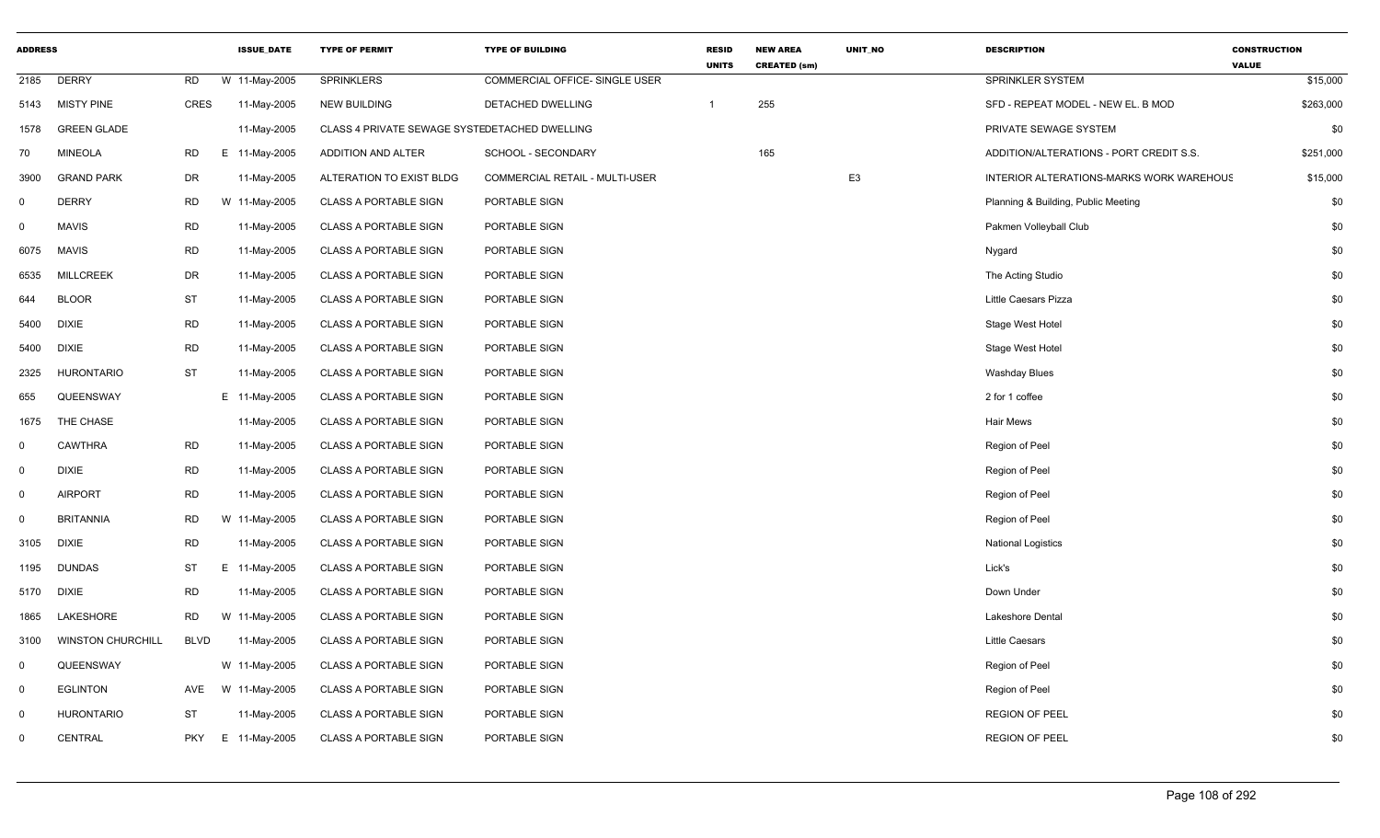| <b>ADDRESS</b> |                          |             | <b>ISSUE DATE</b> | <b>TYPE OF PERMIT</b>                         | <b>TYPE OF BUILDING</b>        | <b>RESID</b><br><b>UNITS</b> | <b>NEW AREA</b><br><b>CREATED (sm)</b> | UNIT_NO        | <b>DESCRIPTION</b>                       | <b>CONSTRUCTION</b><br><b>VALUE</b> |
|----------------|--------------------------|-------------|-------------------|-----------------------------------------------|--------------------------------|------------------------------|----------------------------------------|----------------|------------------------------------------|-------------------------------------|
| 2185           | <b>DERRY</b>             | <b>RD</b>   | W 11-May-2005     | <b>SPRINKLERS</b>                             | COMMERCIAL OFFICE- SINGLE USER |                              |                                        |                | SPRINKLER SYSTEM                         | \$15,000                            |
| 5143           | <b>MISTY PINE</b>        | <b>CRES</b> | 11-May-2005       | <b>NEW BUILDING</b>                           | DETACHED DWELLING              | $\overline{1}$               | 255                                    |                | SFD - REPEAT MODEL - NEW EL. B MOD       | \$263,000                           |
| 1578           | <b>GREEN GLADE</b>       |             | 11-May-2005       | CLASS 4 PRIVATE SEWAGE SYSTEDETACHED DWELLING |                                |                              |                                        |                | PRIVATE SEWAGE SYSTEM                    | \$0                                 |
| 70             | <b>MINEOLA</b>           | <b>RD</b>   | E 11-May-2005     | ADDITION AND ALTER                            | SCHOOL - SECONDARY             |                              | 165                                    |                | ADDITION/ALTERATIONS - PORT CREDIT S.S.  | \$251,000                           |
| 3900           | <b>GRAND PARK</b>        | DR          | 11-May-2005       | ALTERATION TO EXIST BLDG                      | COMMERCIAL RETAIL - MULTI-USER |                              |                                        | E <sub>3</sub> | INTERIOR ALTERATIONS-MARKS WORK WAREHOUS | \$15,000                            |
| $\mathbf 0$    | <b>DERRY</b>             | <b>RD</b>   | W 11-May-2005     | <b>CLASS A PORTABLE SIGN</b>                  | PORTABLE SIGN                  |                              |                                        |                | Planning & Building, Public Meeting      | \$0                                 |
| $\mathbf{0}$   | <b>MAVIS</b>             | <b>RD</b>   | 11-May-2005       | <b>CLASS A PORTABLE SIGN</b>                  | PORTABLE SIGN                  |                              |                                        |                | Pakmen Volleyball Club                   | \$0                                 |
| 6075           | <b>MAVIS</b>             | <b>RD</b>   | 11-May-2005       | <b>CLASS A PORTABLE SIGN</b>                  | PORTABLE SIGN                  |                              |                                        |                | Nygard                                   | \$0                                 |
| 6535           | <b>MILLCREEK</b>         | DR          | 11-May-2005       | <b>CLASS A PORTABLE SIGN</b>                  | PORTABLE SIGN                  |                              |                                        |                | The Acting Studio                        | \$0                                 |
| 644            | <b>BLOOR</b>             | <b>ST</b>   | 11-May-2005       | <b>CLASS A PORTABLE SIGN</b>                  | PORTABLE SIGN                  |                              |                                        |                | Little Caesars Pizza                     | \$0                                 |
| 5400           | <b>DIXIE</b>             | <b>RD</b>   | 11-May-2005       | <b>CLASS A PORTABLE SIGN</b>                  | PORTABLE SIGN                  |                              |                                        |                | Stage West Hotel                         | \$0                                 |
| 5400           | <b>DIXIE</b>             | <b>RD</b>   | 11-May-2005       | <b>CLASS A PORTABLE SIGN</b>                  | PORTABLE SIGN                  |                              |                                        |                | Stage West Hotel                         | \$0                                 |
| 2325           | <b>HURONTARIO</b>        | <b>ST</b>   | 11-May-2005       | <b>CLASS A PORTABLE SIGN</b>                  | PORTABLE SIGN                  |                              |                                        |                | <b>Washday Blues</b>                     | \$0                                 |
| 655            | QUEENSWAY                |             | E 11-May-2005     | <b>CLASS A PORTABLE SIGN</b>                  | PORTABLE SIGN                  |                              |                                        |                | 2 for 1 coffee                           | \$0                                 |
| 1675           | THE CHASE                |             | 11-May-2005       | <b>CLASS A PORTABLE SIGN</b>                  | PORTABLE SIGN                  |                              |                                        |                | Hair Mews                                | \$0                                 |
| $\mathbf 0$    | <b>CAWTHRA</b>           | <b>RD</b>   | 11-May-2005       | <b>CLASS A PORTABLE SIGN</b>                  | PORTABLE SIGN                  |                              |                                        |                | Region of Peel                           | \$0                                 |
| $\mathbf 0$    | <b>DIXIE</b>             | <b>RD</b>   | 11-May-2005       | <b>CLASS A PORTABLE SIGN</b>                  | PORTABLE SIGN                  |                              |                                        |                | Region of Peel                           | \$0                                 |
| $\mathbf 0$    | <b>AIRPORT</b>           | <b>RD</b>   | 11-May-2005       | <b>CLASS A PORTABLE SIGN</b>                  | PORTABLE SIGN                  |                              |                                        |                | Region of Peel                           | \$0                                 |
| $\mathbf 0$    | <b>BRITANNIA</b>         | <b>RD</b>   | W 11-May-2005     | <b>CLASS A PORTABLE SIGN</b>                  | PORTABLE SIGN                  |                              |                                        |                | Region of Peel                           | \$0                                 |
| 3105           | <b>DIXIE</b>             | <b>RD</b>   | 11-May-2005       | <b>CLASS A PORTABLE SIGN</b>                  | PORTABLE SIGN                  |                              |                                        |                | <b>National Logistics</b>                | \$0                                 |
| 1195           | <b>DUNDAS</b>            | ST          | E.<br>11-May-2005 | <b>CLASS A PORTABLE SIGN</b>                  | PORTABLE SIGN                  |                              |                                        |                | Lick's                                   | \$0                                 |
| 5170           | <b>DIXIE</b>             | <b>RD</b>   | 11-May-2005       | <b>CLASS A PORTABLE SIGN</b>                  | PORTABLE SIGN                  |                              |                                        |                | Down Under                               | \$0                                 |
| 1865           | LAKESHORE                | <b>RD</b>   | W 11-May-2005     | <b>CLASS A PORTABLE SIGN</b>                  | PORTABLE SIGN                  |                              |                                        |                | <b>Lakeshore Dental</b>                  | \$0                                 |
| 3100           | <b>WINSTON CHURCHILL</b> | <b>BLVD</b> | 11-May-2005       | <b>CLASS A PORTABLE SIGN</b>                  | PORTABLE SIGN                  |                              |                                        |                | <b>Little Caesars</b>                    | \$0                                 |
| $\mathbf 0$    | QUEENSWAY                |             | W 11-May-2005     | <b>CLASS A PORTABLE SIGN</b>                  | PORTABLE SIGN                  |                              |                                        |                | Region of Peel                           | \$0                                 |
| $\mathbf 0$    | <b>EGLINTON</b>          | AVE         | W 11-May-2005     | <b>CLASS A PORTABLE SIGN</b>                  | PORTABLE SIGN                  |                              |                                        |                | Region of Peel                           | \$0                                 |
| $\mathbf 0$    | <b>HURONTARIO</b>        | <b>ST</b>   | 11-May-2005       | <b>CLASS A PORTABLE SIGN</b>                  | PORTABLE SIGN                  |                              |                                        |                | <b>REGION OF PEEL</b>                    | \$0                                 |
| $\mathbf 0$    | CENTRAL                  | <b>PKY</b>  | E 11-May-2005     | <b>CLASS A PORTABLE SIGN</b>                  | PORTABLE SIGN                  |                              |                                        |                | <b>REGION OF PEEL</b>                    | \$0                                 |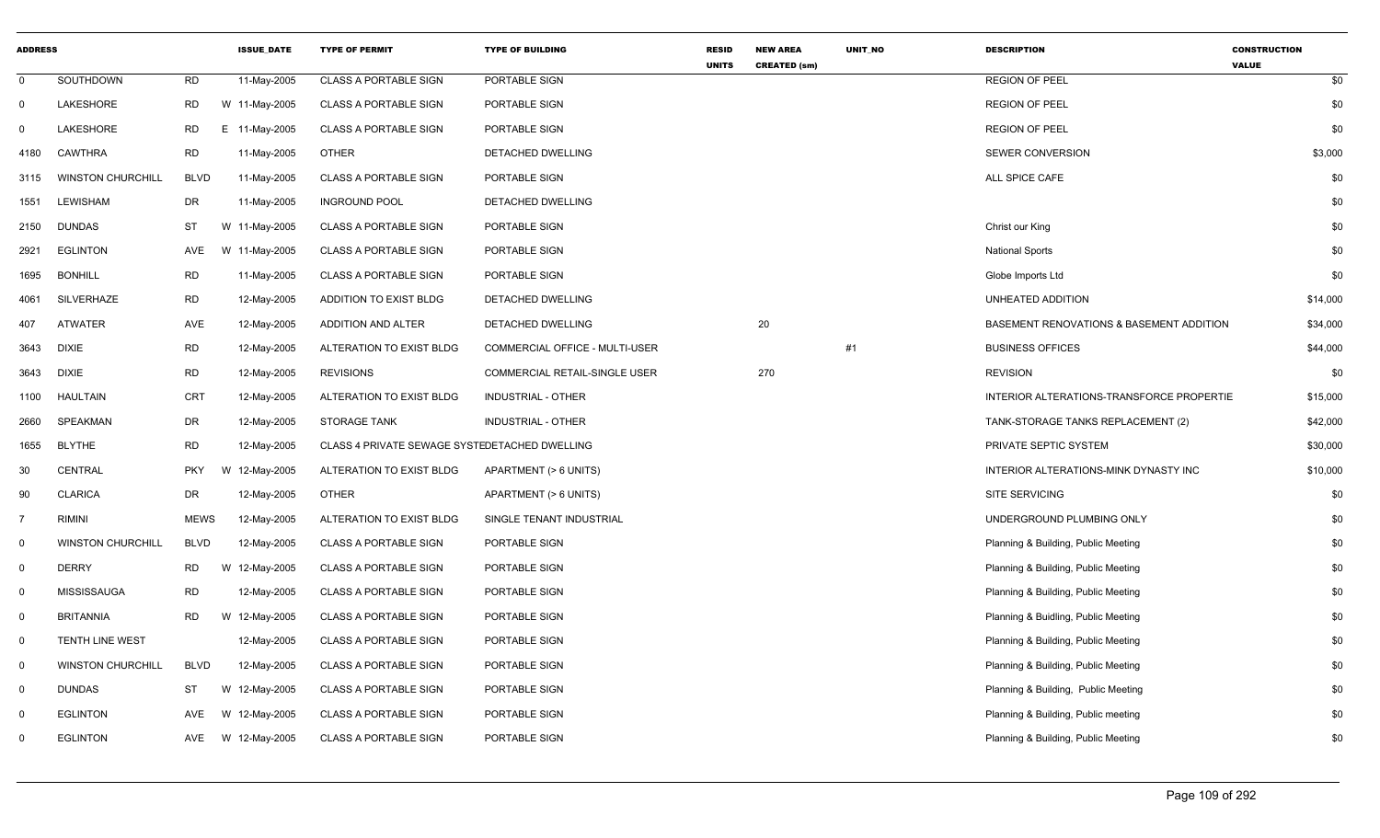| <b>ADDRESS</b> |                          |             | <b>ISSUE DATE</b> | <b>TYPE OF PERMIT</b>                         | <b>TYPE OF BUILDING</b>        | <b>RESID</b><br><b>UNITS</b> | <b>NEW AREA</b><br><b>CREATED (sm)</b> | <b>UNIT NO</b> | <b>DESCRIPTION</b>                        | <b>CONSTRUCTION</b><br><b>VALUE</b> |
|----------------|--------------------------|-------------|-------------------|-----------------------------------------------|--------------------------------|------------------------------|----------------------------------------|----------------|-------------------------------------------|-------------------------------------|
| $\mathbf 0$    | SOUTHDOWN                | <b>RD</b>   | 11-May-2005       | <b>CLASS A PORTABLE SIGN</b>                  | PORTABLE SIGN                  |                              |                                        |                | <b>REGION OF PEEL</b>                     | \$0                                 |
| 0              | LAKESHORE                | RD          | W 11-May-2005     | <b>CLASS A PORTABLE SIGN</b>                  | PORTABLE SIGN                  |                              |                                        |                | <b>REGION OF PEEL</b>                     | \$0                                 |
| 0              | LAKESHORE                | <b>RD</b>   | E 11-May-2005     | <b>CLASS A PORTABLE SIGN</b>                  | PORTABLE SIGN                  |                              |                                        |                | <b>REGION OF PEEL</b>                     | \$0                                 |
| 4180           | <b>CAWTHRA</b>           | <b>RD</b>   | 11-May-2005       | <b>OTHER</b>                                  | DETACHED DWELLING              |                              |                                        |                | <b>SEWER CONVERSION</b>                   | \$3,000                             |
| 3115           | <b>WINSTON CHURCHILL</b> | <b>BLVD</b> | 11-May-2005       | <b>CLASS A PORTABLE SIGN</b>                  | PORTABLE SIGN                  |                              |                                        |                | ALL SPICE CAFE                            | \$0                                 |
| 1551           | <b>LEWISHAM</b>          | DR          | 11-May-2005       | <b>INGROUND POOL</b>                          | DETACHED DWELLING              |                              |                                        |                |                                           | \$0                                 |
| 2150           | <b>DUNDAS</b>            | ST          | W 11-May-2005     | <b>CLASS A PORTABLE SIGN</b>                  | PORTABLE SIGN                  |                              |                                        |                | Christ our King                           | \$0                                 |
| 2921           | <b>EGLINTON</b>          | AVE         | W 11-May-2005     | <b>CLASS A PORTABLE SIGN</b>                  | PORTABLE SIGN                  |                              |                                        |                | <b>National Sports</b>                    | \$0                                 |
| 1695           | <b>BONHILL</b>           | <b>RD</b>   | 11-May-2005       | <b>CLASS A PORTABLE SIGN</b>                  | PORTABLE SIGN                  |                              |                                        |                | Globe Imports Ltd                         | \$0                                 |
| 4061           | SILVERHAZE               | <b>RD</b>   | 12-May-2005       | ADDITION TO EXIST BLDG                        | DETACHED DWELLING              |                              |                                        |                | UNHEATED ADDITION                         | \$14,000                            |
| 407            | ATWATER                  | AVE         | 12-May-2005       | ADDITION AND ALTER                            | DETACHED DWELLING              |                              | 20                                     |                | BASEMENT RENOVATIONS & BASEMENT ADDITION  | \$34,000                            |
| 3643           | <b>DIXIE</b>             | <b>RD</b>   | 12-May-2005       | ALTERATION TO EXIST BLDG                      | COMMERCIAL OFFICE - MULTI-USER |                              |                                        | #1             | <b>BUSINESS OFFICES</b>                   | \$44,000                            |
| 3643           | <b>DIXIE</b>             | <b>RD</b>   | 12-May-2005       | <b>REVISIONS</b>                              | COMMERCIAL RETAIL-SINGLE USER  |                              | 270                                    |                | <b>REVISION</b>                           | \$0                                 |
| 1100           | <b>HAULTAIN</b>          | CRT         | 12-May-2005       | ALTERATION TO EXIST BLDG                      | <b>INDUSTRIAL - OTHER</b>      |                              |                                        |                | INTERIOR ALTERATIONS-TRANSFORCE PROPERTIE | \$15,000                            |
| 2660           | <b>SPEAKMAN</b>          | <b>DR</b>   | 12-May-2005       | <b>STORAGE TANK</b>                           | <b>INDUSTRIAL - OTHER</b>      |                              |                                        |                | TANK-STORAGE TANKS REPLACEMENT (2)        | \$42,000                            |
| 1655           | <b>BLYTHE</b>            | <b>RD</b>   | 12-May-2005       | CLASS 4 PRIVATE SEWAGE SYSTEDETACHED DWELLING |                                |                              |                                        |                | PRIVATE SEPTIC SYSTEM                     | \$30,000                            |
| 30             | CENTRAL                  | <b>PKY</b>  | W 12-May-2005     | ALTERATION TO EXIST BLDG                      | APARTMENT (> 6 UNITS)          |                              |                                        |                | INTERIOR ALTERATIONS-MINK DYNASTY INC     | \$10,000                            |
| 90             | <b>CLARICA</b>           | <b>DR</b>   | 12-May-2005       | <b>OTHER</b>                                  | APARTMENT (> 6 UNITS)          |                              |                                        |                | SITE SERVICING                            | \$0                                 |
| $\overline{7}$ | <b>RIMINI</b>            | <b>MEWS</b> | 12-May-2005       | ALTERATION TO EXIST BLDG                      | SINGLE TENANT INDUSTRIAL       |                              |                                        |                | UNDERGROUND PLUMBING ONLY                 | \$0                                 |
| $\mathbf 0$    | <b>WINSTON CHURCHILL</b> | <b>BLVD</b> | 12-May-2005       | <b>CLASS A PORTABLE SIGN</b>                  | PORTABLE SIGN                  |                              |                                        |                | Planning & Building, Public Meeting       | \$0                                 |
| $\mathbf{0}$   | <b>DERRY</b>             | RD          | W 12-May-2005     | <b>CLASS A PORTABLE SIGN</b>                  | PORTABLE SIGN                  |                              |                                        |                | Planning & Building, Public Meeting       | \$0                                 |
| $\mathbf{0}$   | <b>MISSISSAUGA</b>       | <b>RD</b>   | 12-May-2005       | <b>CLASS A PORTABLE SIGN</b>                  | PORTABLE SIGN                  |                              |                                        |                | Planning & Building, Public Meeting       | \$0                                 |
| 0              | <b>BRITANNIA</b>         | <b>RD</b>   | W 12-May-2005     | <b>CLASS A PORTABLE SIGN</b>                  | PORTABLE SIGN                  |                              |                                        |                | Planning & Buidling, Public Meeting       | \$0                                 |
| $\mathbf{0}$   | TENTH LINE WEST          |             | 12-May-2005       | <b>CLASS A PORTABLE SIGN</b>                  | PORTABLE SIGN                  |                              |                                        |                | Planning & Building, Public Meeting       | \$0                                 |
| $\mathbf{0}$   | <b>WINSTON CHURCHILL</b> | <b>BLVD</b> | 12-May-2005       | <b>CLASS A PORTABLE SIGN</b>                  | PORTABLE SIGN                  |                              |                                        |                | Planning & Building, Public Meeting       | \$0                                 |
| $\mathbf{0}$   | <b>DUNDAS</b>            | ST          | W 12-May-2005     | <b>CLASS A PORTABLE SIGN</b>                  | PORTABLE SIGN                  |                              |                                        |                | Planning & Building, Public Meeting       | \$0                                 |
| $\Omega$       | <b>EGLINTON</b>          | AVE         | W 12-May-2005     | <b>CLASS A PORTABLE SIGN</b>                  | PORTABLE SIGN                  |                              |                                        |                | Planning & Building, Public meeting       | \$0                                 |
| 0              | <b>EGLINTON</b>          | AVE         | W 12-May-2005     | <b>CLASS A PORTABLE SIGN</b>                  | PORTABLE SIGN                  |                              |                                        |                | Planning & Building, Public Meeting       | \$0                                 |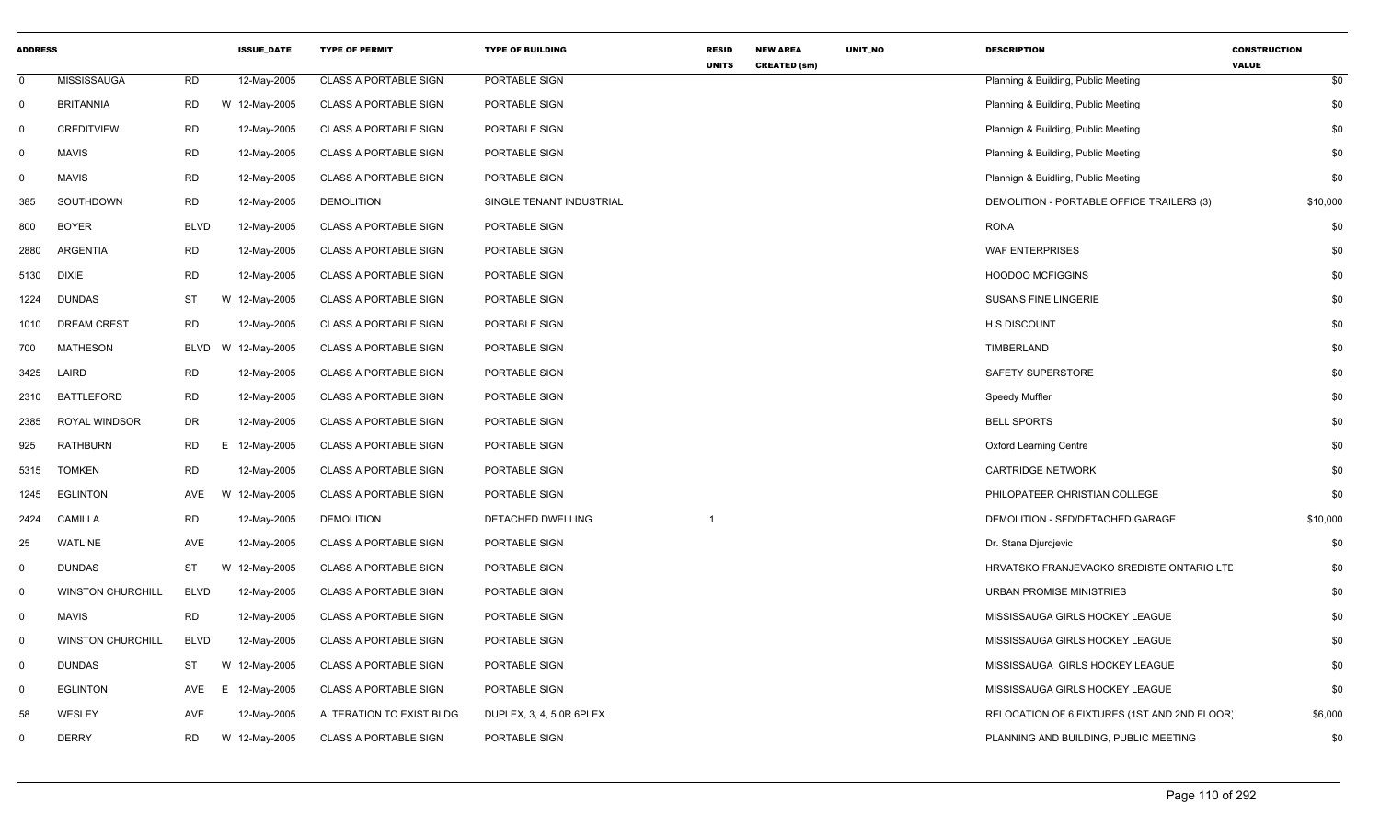| <b>ADDRESS</b> |                          |             | <b>ISSUE_DATE</b> | <b>TYPE OF PERMIT</b>        | <b>TYPE OF BUILDING</b>  | RESID<br><b>UNITS</b> | <b>NEW AREA</b><br><b>CREATED (sm)</b> | UNIT_NO | <b>DESCRIPTION</b>                           | <b>CONSTRUCTION</b><br><b>VALUE</b> |
|----------------|--------------------------|-------------|-------------------|------------------------------|--------------------------|-----------------------|----------------------------------------|---------|----------------------------------------------|-------------------------------------|
| $\mathbf 0$    | <b>MISSISSAUGA</b>       | <b>RD</b>   | 12-May-2005       | <b>CLASS A PORTABLE SIGN</b> | PORTABLE SIGN            |                       |                                        |         | Planning & Building, Public Meeting          | \$0                                 |
| $\mathbf 0$    | <b>BRITANNIA</b>         | <b>RD</b>   | W 12-May-2005     | <b>CLASS A PORTABLE SIGN</b> | PORTABLE SIGN            |                       |                                        |         | Planning & Building, Public Meeting          | \$0                                 |
| $\Omega$       | <b>CREDITVIEW</b>        | <b>RD</b>   | 12-May-2005       | CLASS A PORTABLE SIGN        | PORTABLE SIGN            |                       |                                        |         | Plannign & Building, Public Meeting          | \$0                                 |
| 0              | <b>MAVIS</b>             | <b>RD</b>   | 12-May-2005       | <b>CLASS A PORTABLE SIGN</b> | PORTABLE SIGN            |                       |                                        |         | Planning & Building, Public Meeting          | \$0                                 |
| 0              | <b>MAVIS</b>             | <b>RD</b>   | 12-May-2005       | <b>CLASS A PORTABLE SIGN</b> | PORTABLE SIGN            |                       |                                        |         | Plannign & Buidling, Public Meeting          | \$0                                 |
| 385            | SOUTHDOWN                | <b>RD</b>   | 12-May-2005       | <b>DEMOLITION</b>            | SINGLE TENANT INDUSTRIAL |                       |                                        |         | DEMOLITION - PORTABLE OFFICE TRAILERS (3)    | \$10,000                            |
| 800            | <b>BOYER</b>             | <b>BLVD</b> | 12-May-2005       | <b>CLASS A PORTABLE SIGN</b> | PORTABLE SIGN            |                       |                                        |         | <b>RONA</b>                                  | \$0                                 |
| 2880           | <b>ARGENTIA</b>          | <b>RD</b>   | 12-May-2005       | <b>CLASS A PORTABLE SIGN</b> | PORTABLE SIGN            |                       |                                        |         | <b>WAF ENTERPRISES</b>                       | \$0                                 |
| 5130           | <b>DIXIE</b>             | <b>RD</b>   | 12-May-2005       | <b>CLASS A PORTABLE SIGN</b> | PORTABLE SIGN            |                       |                                        |         | <b>HOODOO MCFIGGINS</b>                      | \$0                                 |
| 1224           | <b>DUNDAS</b>            | ST          | W 12-May-2005     | <b>CLASS A PORTABLE SIGN</b> | PORTABLE SIGN            |                       |                                        |         | <b>SUSANS FINE LINGERIE</b>                  | \$0                                 |
| 1010           | <b>DREAM CREST</b>       | <b>RD</b>   | 12-May-2005       | <b>CLASS A PORTABLE SIGN</b> | PORTABLE SIGN            |                       |                                        |         | H S DISCOUNT                                 | \$0                                 |
| 700            | <b>MATHESON</b>          | <b>BLVD</b> | W 12-May-2005     | <b>CLASS A PORTABLE SIGN</b> | PORTABLE SIGN            |                       |                                        |         | TIMBERLAND                                   | \$0                                 |
| 3425           | LAIRD                    | <b>RD</b>   | 12-May-2005       | <b>CLASS A PORTABLE SIGN</b> | PORTABLE SIGN            |                       |                                        |         | SAFETY SUPERSTORE                            | \$0                                 |
| 2310           | <b>BATTLEFORD</b>        | <b>RD</b>   | 12-May-2005       | <b>CLASS A PORTABLE SIGN</b> | PORTABLE SIGN            |                       |                                        |         | Speedy Muffler                               | \$0                                 |
| 2385           | ROYAL WINDSOR            | <b>DR</b>   | 12-May-2005       | <b>CLASS A PORTABLE SIGN</b> | PORTABLE SIGN            |                       |                                        |         | <b>BELL SPORTS</b>                           | \$0                                 |
| 925            | RATHBURN                 | <b>RD</b>   | E 12-May-2005     | <b>CLASS A PORTABLE SIGN</b> | PORTABLE SIGN            |                       |                                        |         | <b>Oxford Learning Centre</b>                | \$0                                 |
| 5315           | <b>TOMKEN</b>            | <b>RD</b>   | 12-May-2005       | <b>CLASS A PORTABLE SIGN</b> | PORTABLE SIGN            |                       |                                        |         | <b>CARTRIDGE NETWORK</b>                     | \$0                                 |
| 1245           | <b>EGLINTON</b>          | AVE         | W 12-May-2005     | <b>CLASS A PORTABLE SIGN</b> | PORTABLE SIGN            |                       |                                        |         | PHILOPATEER CHRISTIAN COLLEGE                | \$0                                 |
| 2424           | <b>CAMILLA</b>           | <b>RD</b>   | 12-May-2005       | <b>DEMOLITION</b>            | DETACHED DWELLING        |                       |                                        |         | DEMOLITION - SFD/DETACHED GARAGE             | \$10,000                            |
| 25             | <b>WATLINE</b>           | AVE         | 12-May-2005       | <b>CLASS A PORTABLE SIGN</b> | PORTABLE SIGN            |                       |                                        |         | Dr. Stana Djurdjevic                         | \$0                                 |
| 0              | <b>DUNDAS</b>            | ST          | W 12-May-2005     | <b>CLASS A PORTABLE SIGN</b> | PORTABLE SIGN            |                       |                                        |         | HRVATSKO FRANJEVACKO SREDISTE ONTARIO LTE    | \$0                                 |
| $\mathbf 0$    | <b>WINSTON CHURCHILL</b> | <b>BLVD</b> | 12-May-2005       | <b>CLASS A PORTABLE SIGN</b> | PORTABLE SIGN            |                       |                                        |         | <b>URBAN PROMISE MINISTRIES</b>              | \$0                                 |
| $\mathbf{0}$   | <b>MAVIS</b>             | <b>RD</b>   | 12-May-2005       | <b>CLASS A PORTABLE SIGN</b> | PORTABLE SIGN            |                       |                                        |         | MISSISSAUGA GIRLS HOCKEY LEAGUE              | \$0                                 |
| $\mathbf 0$    | <b>WINSTON CHURCHILL</b> | <b>BLVD</b> | 12-May-2005       | <b>CLASS A PORTABLE SIGN</b> | PORTABLE SIGN            |                       |                                        |         | MISSISSAUGA GIRLS HOCKEY LEAGUE              | \$0                                 |
| $\mathbf 0$    | <b>DUNDAS</b>            | ST          | W 12-May-2005     | <b>CLASS A PORTABLE SIGN</b> | PORTABLE SIGN            |                       |                                        |         | MISSISSAUGA GIRLS HOCKEY LEAGUE              | \$0                                 |
| $\mathbf 0$    | <b>EGLINTON</b>          | AVE         | E.<br>12-May-2005 | <b>CLASS A PORTABLE SIGN</b> | PORTABLE SIGN            |                       |                                        |         | MISSISSAUGA GIRLS HOCKEY LEAGUE              | \$0                                 |
| 58             | WESLEY                   | <b>AVE</b>  | 12-May-2005       | ALTERATION TO EXIST BLDG     | DUPLEX, 3, 4, 5 OR 6PLEX |                       |                                        |         | RELOCATION OF 6 FIXTURES (1ST AND 2ND FLOOR) | \$6,000                             |
| $\Omega$       | <b>DERRY</b>             | <b>RD</b>   | W 12-May-2005     | <b>CLASS A PORTABLE SIGN</b> | PORTABLE SIGN            |                       |                                        |         | PLANNING AND BUILDING, PUBLIC MEETING        | \$0                                 |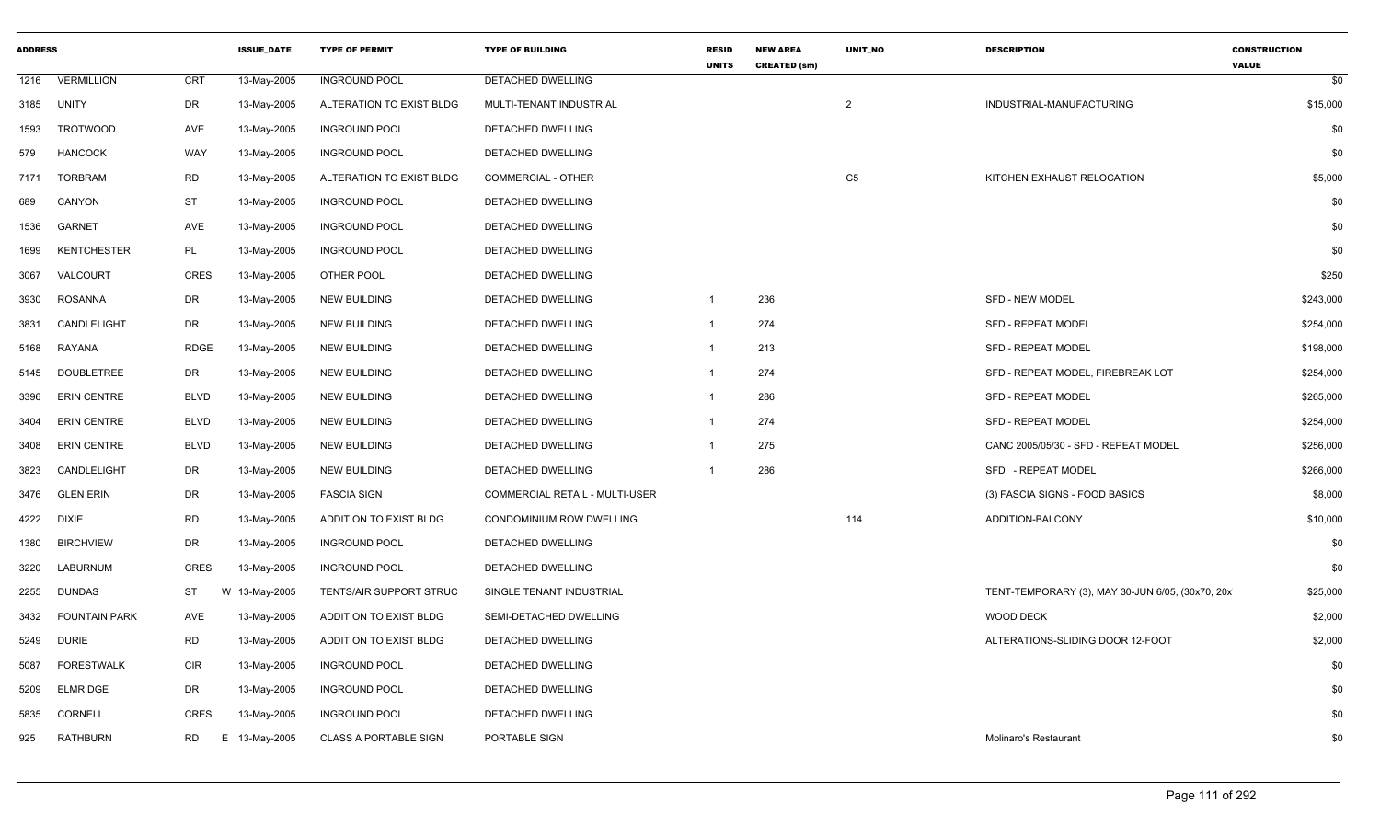| <b>ADDRESS</b> |                      |                 | <b>ISSUE DATE</b> | <b>TYPE OF PERMIT</b>        | <b>TYPE OF BUILDING</b>        | <b>RESID</b><br><b>UNITS</b> | <b>NEW AREA</b><br><b>CREATED (sm)</b> | <b>UNIT NO</b> | <b>DESCRIPTION</b>                               | <b>CONSTRUCTION</b><br><b>VALUE</b> |
|----------------|----------------------|-----------------|-------------------|------------------------------|--------------------------------|------------------------------|----------------------------------------|----------------|--------------------------------------------------|-------------------------------------|
| 1216           | <b>VERMILLION</b>    | <b>CRT</b>      | 13-May-2005       | <b>INGROUND POOL</b>         | <b>DETACHED DWELLING</b>       |                              |                                        |                |                                                  | \$0                                 |
| 3185           | <b>UNITY</b>         | DR              | 13-May-2005       | ALTERATION TO EXIST BLDG     | MULTI-TENANT INDUSTRIAL        |                              |                                        | $\overline{2}$ | INDUSTRIAL-MANUFACTURING                         | \$15,000                            |
| 1593           | <b>TROTWOOD</b>      | AVE             | 13-May-2005       | <b>INGROUND POOL</b>         | <b>DETACHED DWELLING</b>       |                              |                                        |                |                                                  | \$0                                 |
| 579            | <b>HANCOCK</b>       | <b>WAY</b>      | 13-May-2005       | <b>INGROUND POOL</b>         | DETACHED DWELLING              |                              |                                        |                |                                                  | \$0                                 |
| 7171           | <b>TORBRAM</b>       | <b>RD</b>       | 13-May-2005       | ALTERATION TO EXIST BLDG     | COMMERCIAL - OTHER             |                              |                                        | C <sub>5</sub> | KITCHEN EXHAUST RELOCATION                       | \$5,000                             |
| 689            | CANYON               | ST              | 13-May-2005       | <b>INGROUND POOL</b>         | DETACHED DWELLING              |                              |                                        |                |                                                  | \$0                                 |
| 1536           | <b>GARNET</b>        | AVE             | 13-May-2005       | <b>INGROUND POOL</b>         | DETACHED DWELLING              |                              |                                        |                |                                                  | \$0                                 |
| 1699           | <b>KENTCHESTER</b>   | PL              | 13-May-2005       | <b>INGROUND POOL</b>         | DETACHED DWELLING              |                              |                                        |                |                                                  | \$0                                 |
| 3067           | VALCOURT             | <b>CRES</b>     | 13-May-2005       | OTHER POOL                   | DETACHED DWELLING              |                              |                                        |                |                                                  | \$250                               |
| 3930           | <b>ROSANNA</b>       | DR              | 13-May-2005       | <b>NEW BUILDING</b>          | DETACHED DWELLING              | $\mathbf{1}$                 | 236                                    |                | <b>SFD - NEW MODEL</b>                           | \$243,000                           |
| 3831           | CANDLELIGHT          | DR              | 13-May-2005       | <b>NEW BUILDING</b>          | DETACHED DWELLING              | $\mathbf{1}$                 | 274                                    |                | <b>SFD - REPEAT MODEL</b>                        | \$254,000                           |
| 5168           | <b>RAYANA</b>        | <b>RDGE</b>     | 13-May-2005       | <b>NEW BUILDING</b>          | <b>DETACHED DWELLING</b>       | $\mathbf{1}$                 | 213                                    |                | <b>SFD - REPEAT MODEL</b>                        | \$198,000                           |
| 5145           | <b>DOUBLETREE</b>    | DR              | 13-May-2005       | <b>NEW BUILDING</b>          | DETACHED DWELLING              |                              | 274                                    |                | SFD - REPEAT MODEL, FIREBREAK LOT                | \$254,000                           |
| 3396           | <b>ERIN CENTRE</b>   | <b>BLVD</b>     | 13-May-2005       | <b>NEW BUILDING</b>          | DETACHED DWELLING              | 1                            | 286                                    |                | SFD - REPEAT MODEL                               | \$265,000                           |
| 3404           | <b>ERIN CENTRE</b>   | <b>BLVD</b>     | 13-May-2005       | <b>NEW BUILDING</b>          | DETACHED DWELLING              | $\mathbf{1}$                 | 274                                    |                | <b>SFD - REPEAT MODEL</b>                        | \$254,000                           |
| 3408           | <b>ERIN CENTRE</b>   | <b>BLVD</b>     | 13-May-2005       | <b>NEW BUILDING</b>          | DETACHED DWELLING              | $\mathbf{1}$                 | 275                                    |                | CANC 2005/05/30 - SFD - REPEAT MODEL             | \$256,000                           |
| 3823           | CANDLELIGHT          | DR              | 13-May-2005       | <b>NEW BUILDING</b>          | DETACHED DWELLING              | $\mathbf{1}$                 | 286                                    |                | SFD - REPEAT MODEL                               | \$266,000                           |
| 3476           | <b>GLEN ERIN</b>     | DR              | 13-May-2005       | <b>FASCIA SIGN</b>           | COMMERCIAL RETAIL - MULTI-USER |                              |                                        |                | (3) FASCIA SIGNS - FOOD BASICS                   | \$8,000                             |
| 4222           | <b>DIXIE</b>         | <b>RD</b>       | 13-May-2005       | ADDITION TO EXIST BLDG       | CONDOMINIUM ROW DWELLING       |                              |                                        | 114            | ADDITION-BALCONY                                 | \$10,000                            |
| 1380           | <b>BIRCHVIEW</b>     | DR              | 13-May-2005       | <b>INGROUND POOL</b>         | DETACHED DWELLING              |                              |                                        |                |                                                  | \$0                                 |
| 3220           | LABURNUM             | CRES            | 13-May-2005       | <b>INGROUND POOL</b>         | DETACHED DWELLING              |                              |                                        |                |                                                  | \$0                                 |
| 2255           | <b>DUNDAS</b>        | <b>ST</b>       | W 13-May-2005     | TENTS/AIR SUPPORT STRUC      | SINGLE TENANT INDUSTRIAL       |                              |                                        |                | TENT-TEMPORARY (3), MAY 30-JUN 6/05, (30x70, 20x | \$25,000                            |
| 3432           | <b>FOUNTAIN PARK</b> | AVE             | 13-May-2005       | ADDITION TO EXIST BLDG       | SEMI-DETACHED DWELLING         |                              |                                        |                | <b>WOOD DECK</b>                                 | \$2,000                             |
| 5249           | <b>DURIE</b>         | <b>RD</b>       | 13-May-2005       | ADDITION TO EXIST BLDG       | DETACHED DWELLING              |                              |                                        |                | ALTERATIONS-SLIDING DOOR 12-FOOT                 | \$2,000                             |
| 5087           | <b>FORESTWALK</b>    | <b>CIR</b>      | 13-May-2005       | <b>INGROUND POOL</b>         | DETACHED DWELLING              |                              |                                        |                |                                                  | \$0                                 |
| 5209           | <b>ELMRIDGE</b>      | DR              | 13-May-2005       | <b>INGROUND POOL</b>         | <b>DETACHED DWELLING</b>       |                              |                                        |                |                                                  | \$0                                 |
| 5835           | <b>CORNELL</b>       | <b>CRES</b>     | 13-May-2005       | <b>INGROUND POOL</b>         | DETACHED DWELLING              |                              |                                        |                |                                                  | \$0                                 |
| 925            | <b>RATHBURN</b>      | <b>RD</b><br>Е. | 13-May-2005       | <b>CLASS A PORTABLE SIGN</b> | PORTABLE SIGN                  |                              |                                        |                | Molinaro's Restaurant                            | \$0                                 |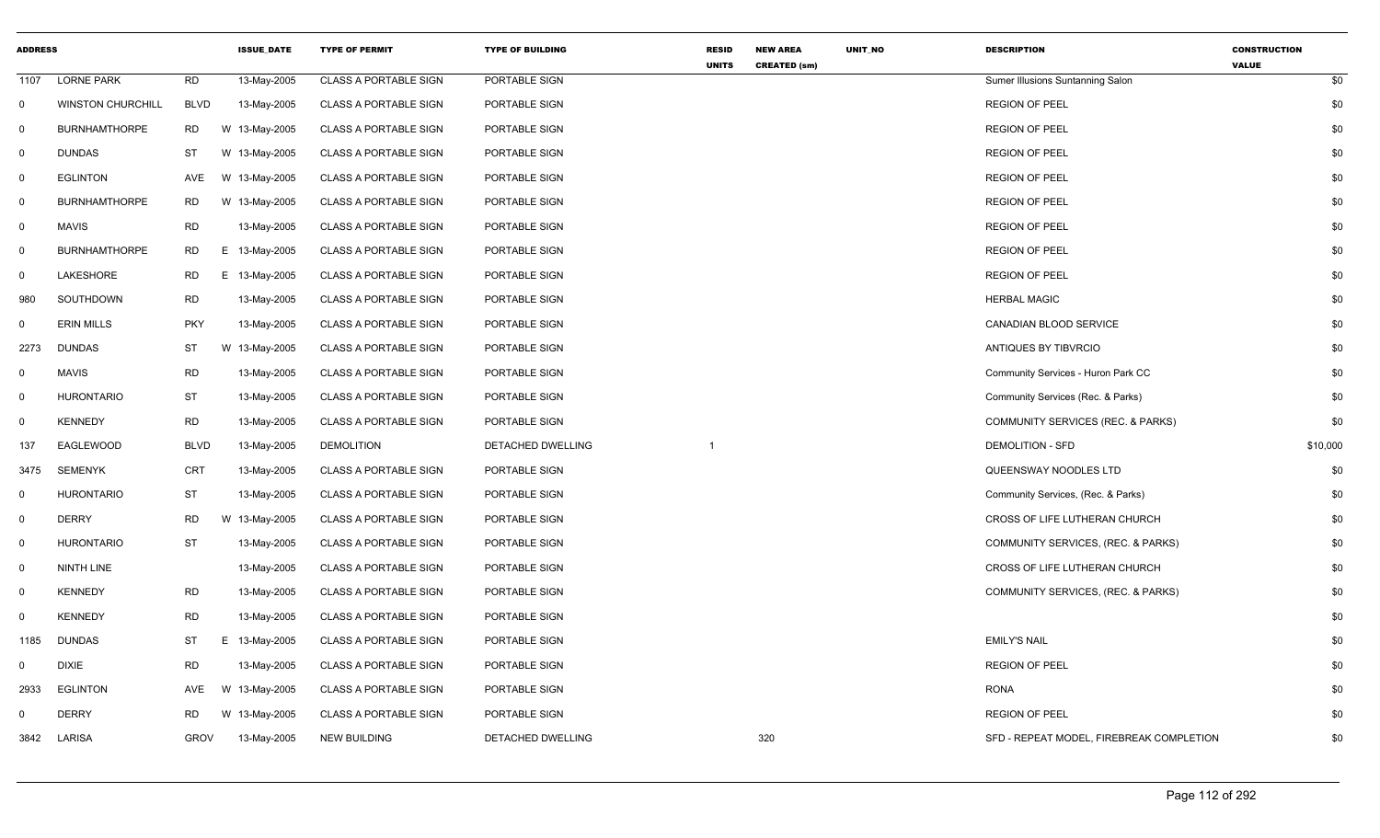| <b>ADDRESS</b> |                          |             | <b>ISSUE DATE</b> | <b>TYPE OF PERMIT</b>        | <b>TYPE OF BUILDING</b> | <b>RESID</b><br><b>UNITS</b> | <b>NEW AREA</b><br><b>CREATED (sm)</b> | UNIT_NO | <b>DESCRIPTION</b>                       | <b>CONSTRUCTION</b><br><b>VALUE</b> |
|----------------|--------------------------|-------------|-------------------|------------------------------|-------------------------|------------------------------|----------------------------------------|---------|------------------------------------------|-------------------------------------|
| 1107           | <b>LORNE PARK</b>        | <b>RD</b>   | 13-May-2005       | <b>CLASS A PORTABLE SIGN</b> | PORTABLE SIGN           |                              |                                        |         | Sumer Illusions Suntanning Salon         | \$0                                 |
| $\mathbf{0}$   | <b>WINSTON CHURCHILL</b> | <b>BLVD</b> | 13-May-2005       | <b>CLASS A PORTABLE SIGN</b> | PORTABLE SIGN           |                              |                                        |         | <b>REGION OF PEEL</b>                    | \$0                                 |
| 0              | <b>BURNHAMTHORPE</b>     | <b>RD</b>   | W 13-May-2005     | <b>CLASS A PORTABLE SIGN</b> | PORTABLE SIGN           |                              |                                        |         | <b>REGION OF PEEL</b>                    | \$0                                 |
| 0              | <b>DUNDAS</b>            | <b>ST</b>   | W 13-May-2005     | <b>CLASS A PORTABLE SIGN</b> | PORTABLE SIGN           |                              |                                        |         | <b>REGION OF PEEL</b>                    | \$0                                 |
| 0              | <b>EGLINTON</b>          | <b>AVE</b>  | W 13-May-2005     | <b>CLASS A PORTABLE SIGN</b> | PORTABLE SIGN           |                              |                                        |         | <b>REGION OF PEEL</b>                    | \$0                                 |
| 0              | <b>BURNHAMTHORPE</b>     | <b>RD</b>   | W 13-May-2005     | <b>CLASS A PORTABLE SIGN</b> | PORTABLE SIGN           |                              |                                        |         | <b>REGION OF PEEL</b>                    | \$0                                 |
| $\mathsf{O}$   | <b>MAVIS</b>             | <b>RD</b>   | 13-May-2005       | <b>CLASS A PORTABLE SIGN</b> | PORTABLE SIGN           |                              |                                        |         | <b>REGION OF PEEL</b>                    | \$0                                 |
| 0              | <b>BURNHAMTHORPE</b>     | RD          | E 13-May-2005     | <b>CLASS A PORTABLE SIGN</b> | PORTABLE SIGN           |                              |                                        |         | <b>REGION OF PEEL</b>                    | \$0                                 |
| 0              | LAKESHORE                | RD          | E 13-May-2005     | <b>CLASS A PORTABLE SIGN</b> | PORTABLE SIGN           |                              |                                        |         | <b>REGION OF PEEL</b>                    | \$0                                 |
| 980            | SOUTHDOWN                | <b>RD</b>   | 13-May-2005       | <b>CLASS A PORTABLE SIGN</b> | PORTABLE SIGN           |                              |                                        |         | <b>HERBAL MAGIC</b>                      | \$0                                 |
| $\mathbf{0}$   | <b>ERIN MILLS</b>        | <b>PKY</b>  | 13-May-2005       | <b>CLASS A PORTABLE SIGN</b> | PORTABLE SIGN           |                              |                                        |         | <b>CANADIAN BLOOD SERVICE</b>            | \$0                                 |
| 2273           | <b>DUNDAS</b>            | <b>ST</b>   | W 13-May-2005     | <b>CLASS A PORTABLE SIGN</b> | PORTABLE SIGN           |                              |                                        |         | ANTIQUES BY TIBVRCIO                     | \$0                                 |
| $\mathbf 0$    | <b>MAVIS</b>             | <b>RD</b>   | 13-May-2005       | <b>CLASS A PORTABLE SIGN</b> | PORTABLE SIGN           |                              |                                        |         | Community Services - Huron Park CC       | \$0                                 |
| 0              | <b>HURONTARIO</b>        | ST          | 13-May-2005       | <b>CLASS A PORTABLE SIGN</b> | PORTABLE SIGN           |                              |                                        |         | Community Services (Rec. & Parks)        | \$0                                 |
| 0              | <b>KENNEDY</b>           | <b>RD</b>   | 13-May-2005       | <b>CLASS A PORTABLE SIGN</b> | PORTABLE SIGN           |                              |                                        |         | COMMUNITY SERVICES (REC. & PARKS)        | \$0                                 |
| 137            | EAGLEWOOD                | <b>BLVD</b> | 13-May-2005       | <b>DEMOLITION</b>            | DETACHED DWELLING       |                              |                                        |         | <b>DEMOLITION - SFD</b>                  | \$10,000                            |
| 3475           | <b>SEMENYK</b>           | <b>CRT</b>  | 13-May-2005       | <b>CLASS A PORTABLE SIGN</b> | PORTABLE SIGN           |                              |                                        |         | QUEENSWAY NOODLES LTD                    | \$0                                 |
| 0              | <b>HURONTARIO</b>        | <b>ST</b>   | 13-May-2005       | <b>CLASS A PORTABLE SIGN</b> | PORTABLE SIGN           |                              |                                        |         | Community Services, (Rec. & Parks)       | \$0                                 |
| $\mathbf{0}$   | <b>DERRY</b>             | <b>RD</b>   | W 13-May-2005     | <b>CLASS A PORTABLE SIGN</b> | PORTABLE SIGN           |                              |                                        |         | CROSS OF LIFE LUTHERAN CHURCH            | \$0                                 |
| $\mathbf 0$    | <b>HURONTARIO</b>        | <b>ST</b>   | 13-May-2005       | <b>CLASS A PORTABLE SIGN</b> | PORTABLE SIGN           |                              |                                        |         | COMMUNITY SERVICES, (REC. & PARKS)       | \$0                                 |
| 0              | <b>NINTH LINE</b>        |             | 13-May-2005       | <b>CLASS A PORTABLE SIGN</b> | PORTABLE SIGN           |                              |                                        |         | CROSS OF LIFE LUTHERAN CHURCH            | \$0                                 |
| 0              | <b>KENNEDY</b>           | RD          | 13-May-2005       | <b>CLASS A PORTABLE SIGN</b> | PORTABLE SIGN           |                              |                                        |         | COMMUNITY SERVICES, (REC. & PARKS)       | \$0                                 |
| $\mathbf{0}$   | <b>KENNEDY</b>           | <b>RD</b>   | 13-May-2005       | <b>CLASS A PORTABLE SIGN</b> | PORTABLE SIGN           |                              |                                        |         |                                          | \$0                                 |
| 1185           | <b>DUNDAS</b>            | ST          | E 13-May-2005     | <b>CLASS A PORTABLE SIGN</b> | PORTABLE SIGN           |                              |                                        |         | <b>EMILY'S NAIL</b>                      | \$0                                 |
| $\mathbf{0}$   | <b>DIXIE</b>             | <b>RD</b>   | 13-May-2005       | <b>CLASS A PORTABLE SIGN</b> | PORTABLE SIGN           |                              |                                        |         | <b>REGION OF PEEL</b>                    | \$0                                 |
| 2933           | <b>EGLINTON</b>          | AVE         | W 13-May-2005     | <b>CLASS A PORTABLE SIGN</b> | PORTABLE SIGN           |                              |                                        |         | <b>RONA</b>                              | \$0                                 |
| 0              | <b>DERRY</b>             | <b>RD</b>   | W 13-May-2005     | <b>CLASS A PORTABLE SIGN</b> | PORTABLE SIGN           |                              |                                        |         | <b>REGION OF PEEL</b>                    | \$0                                 |
| 3842           | LARISA                   | <b>GROV</b> | 13-May-2005       | <b>NEW BUILDING</b>          | DETACHED DWELLING       |                              | 320                                    |         | SFD - REPEAT MODEL, FIREBREAK COMPLETION | \$0                                 |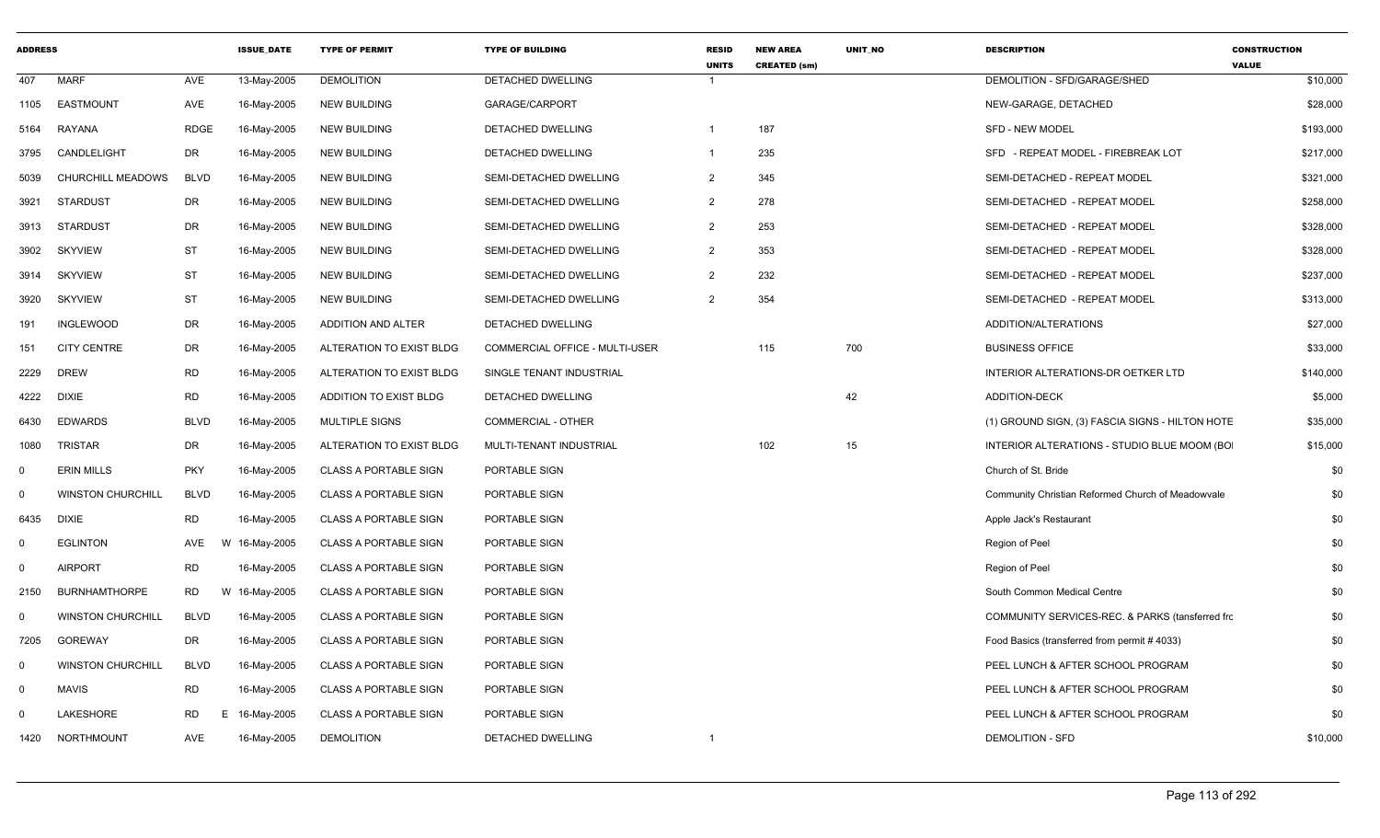| <b>ADDRESS</b> |                          |                | <b>ISSUE DATE</b> | <b>TYPE OF PERMIT</b>        | <b>TYPE OF BUILDING</b>        | <b>RESID</b><br><b>UNITS</b> | <b>NEW AREA</b><br><b>CREATED (sm)</b> | <b>UNIT NO</b> | <b>DESCRIPTION</b>                                | <b>CONSTRUCTION</b><br><b>VALUE</b> |
|----------------|--------------------------|----------------|-------------------|------------------------------|--------------------------------|------------------------------|----------------------------------------|----------------|---------------------------------------------------|-------------------------------------|
| 407            | <b>MARF</b>              | AVE            | 13-May-2005       | <b>DEMOLITION</b>            | DETACHED DWELLING              | $\mathbf{1}$                 |                                        |                | DEMOLITION - SFD/GARAGE/SHED                      | \$10,000                            |
| 1105           | <b>EASTMOUNT</b>         | <b>AVE</b>     | 16-May-2005       | <b>NEW BUILDING</b>          | GARAGE/CARPORT                 |                              |                                        |                | NEW-GARAGE, DETACHED                              | \$28,000                            |
| 5164           | RAYANA                   | <b>RDGE</b>    | 16-May-2005       | <b>NEW BUILDING</b>          | DETACHED DWELLING              | -1                           | 187                                    |                | <b>SFD - NEW MODEL</b>                            | \$193,000                           |
| 3795           | CANDLELIGHT              | DR             | 16-May-2005       | <b>NEW BUILDING</b>          | <b>DETACHED DWELLING</b>       | $\mathbf{1}$                 | 235                                    |                | SFD - REPEAT MODEL - FIREBREAK LOT                | \$217,000                           |
| 5039           | <b>CHURCHILL MEADOWS</b> | <b>BLVD</b>    | 16-May-2005       | <b>NEW BUILDING</b>          | SEMI-DETACHED DWELLING         | 2                            | 345                                    |                | SEMI-DETACHED - REPEAT MODEL                      | \$321,000                           |
| 3921           | <b>STARDUST</b>          | DR             | 16-May-2005       | <b>NEW BUILDING</b>          | SEMI-DETACHED DWELLING         | $\overline{2}$               | 278                                    |                | SEMI-DETACHED - REPEAT MODEL                      | \$258,000                           |
| 3913           | <b>STARDUST</b>          | DR             | 16-May-2005       | <b>NEW BUILDING</b>          | SEMI-DETACHED DWELLING         | $\overline{2}$               | 253                                    |                | SEMI-DETACHED - REPEAT MODEL                      | \$328,000                           |
| 3902           | <b>SKYVIEW</b>           | <b>ST</b>      | 16-May-2005       | <b>NEW BUILDING</b>          | SEMI-DETACHED DWELLING         | $\overline{2}$               | 353                                    |                | SEMI-DETACHED - REPEAT MODEL                      | \$328,000                           |
| 3914           | SKYVIEW                  | ST             | 16-May-2005       | <b>NEW BUILDING</b>          | SEMI-DETACHED DWELLING         | $\overline{2}$               | 232                                    |                | SEMI-DETACHED - REPEAT MODEL                      | \$237,000                           |
| 3920           | <b>SKYVIEW</b>           | ST             | 16-May-2005       | <b>NEW BUILDING</b>          | SEMI-DETACHED DWELLING         | $\overline{2}$               | 354                                    |                | SEMI-DETACHED - REPEAT MODEL                      | \$313,000                           |
| 191            | <b>INGLEWOOD</b>         | <b>DR</b>      | 16-May-2005       | ADDITION AND ALTER           | DETACHED DWELLING              |                              |                                        |                | ADDITION/ALTERATIONS                              | \$27,000                            |
| 151            | <b>CITY CENTRE</b>       | <b>DR</b>      | 16-May-2005       | ALTERATION TO EXIST BLDG     | COMMERCIAL OFFICE - MULTI-USER |                              | 115                                    | 700            | <b>BUSINESS OFFICE</b>                            | \$33,000                            |
| 2229           | <b>DREW</b>              | <b>RD</b>      | 16-May-2005       | ALTERATION TO EXIST BLDG     | SINGLE TENANT INDUSTRIAL       |                              |                                        |                | INTERIOR ALTERATIONS-DR OETKER LTD                | \$140,000                           |
| 4222           | <b>DIXIE</b>             | <b>RD</b>      | 16-May-2005       | ADDITION TO EXIST BLDG       | DETACHED DWELLING              |                              |                                        | 42             | <b>ADDITION-DECK</b>                              | \$5,000                             |
| 6430           | <b>EDWARDS</b>           | <b>BLVD</b>    | 16-May-2005       | <b>MULTIPLE SIGNS</b>        | COMMERCIAL - OTHER             |                              |                                        |                | (1) GROUND SIGN, (3) FASCIA SIGNS - HILTON HOTE   | \$35,000                            |
| 1080           | <b>TRISTAR</b>           | <b>DR</b>      | 16-May-2005       | ALTERATION TO EXIST BLDG     | MULTI-TENANT INDUSTRIAL        |                              | 102                                    | 15             | INTERIOR ALTERATIONS - STUDIO BLUE MOOM (BO       | \$15,000                            |
| $\mathbf 0$    | <b>ERIN MILLS</b>        | <b>PKY</b>     | 16-May-2005       | <b>CLASS A PORTABLE SIGN</b> | PORTABLE SIGN                  |                              |                                        |                | Church of St. Bride                               | \$0                                 |
| $\mathbf 0$    | <b>WINSTON CHURCHILL</b> | <b>BLVD</b>    | 16-May-2005       | CLASS A PORTABLE SIGN        | PORTABLE SIGN                  |                              |                                        |                | Community Christian Reformed Church of Meadowvale | \$0                                 |
| 6435           | <b>DIXIE</b>             | <b>RD</b>      | 16-May-2005       | <b>CLASS A PORTABLE SIGN</b> | PORTABLE SIGN                  |                              |                                        |                | Apple Jack's Restaurant                           | \$0                                 |
| $\mathbf 0$    | <b>EGLINTON</b>          | AVE            | W 16-May-2005     | <b>CLASS A PORTABLE SIGN</b> | PORTABLE SIGN                  |                              |                                        |                | Region of Peel                                    | \$0                                 |
| 0              | <b>AIRPORT</b>           | <b>RD</b>      | 16-May-2005       | <b>CLASS A PORTABLE SIGN</b> | PORTABLE SIGN                  |                              |                                        |                | Region of Peel                                    | \$0                                 |
| 2150           | <b>BURNHAMTHORPE</b>     | <b>RD</b>      | W 16-May-2005     | <b>CLASS A PORTABLE SIGN</b> | PORTABLE SIGN                  |                              |                                        |                | South Common Medical Centre                       | \$0                                 |
| $\mathbf 0$    | <b>WINSTON CHURCHILL</b> | <b>BLVD</b>    | 16-May-2005       | <b>CLASS A PORTABLE SIGN</b> | PORTABLE SIGN                  |                              |                                        |                | COMMUNITY SERVICES-REC. & PARKS (tansferred from  | \$0                                 |
| 7205           | <b>GOREWAY</b>           | DR             | 16-May-2005       | <b>CLASS A PORTABLE SIGN</b> | PORTABLE SIGN                  |                              |                                        |                | Food Basics (transferred from permit #4033)       | \$0                                 |
| $\overline{0}$ | <b>WINSTON CHURCHILL</b> | <b>BLVD</b>    | 16-May-2005       | <b>CLASS A PORTABLE SIGN</b> | PORTABLE SIGN                  |                              |                                        |                | PEEL LUNCH & AFTER SCHOOL PROGRAM                 | \$0                                 |
| $\mathbf 0$    | <b>MAVIS</b>             | <b>RD</b>      | 16-May-2005       | <b>CLASS A PORTABLE SIGN</b> | PORTABLE SIGN                  |                              |                                        |                | PEEL LUNCH & AFTER SCHOOL PROGRAM                 | \$0                                 |
| 0              | LAKESHORE                | <b>RD</b><br>Е | 16-May-2005       | <b>CLASS A PORTABLE SIGN</b> | PORTABLE SIGN                  |                              |                                        |                | PEEL LUNCH & AFTER SCHOOL PROGRAM                 | \$0                                 |
| 1420           | NORTHMOUNT               | AVE            | 16-May-2005       | <b>DEMOLITION</b>            | <b>DETACHED DWELLING</b>       | $\overline{1}$               |                                        |                | <b>DEMOLITION - SFD</b>                           | \$10,000                            |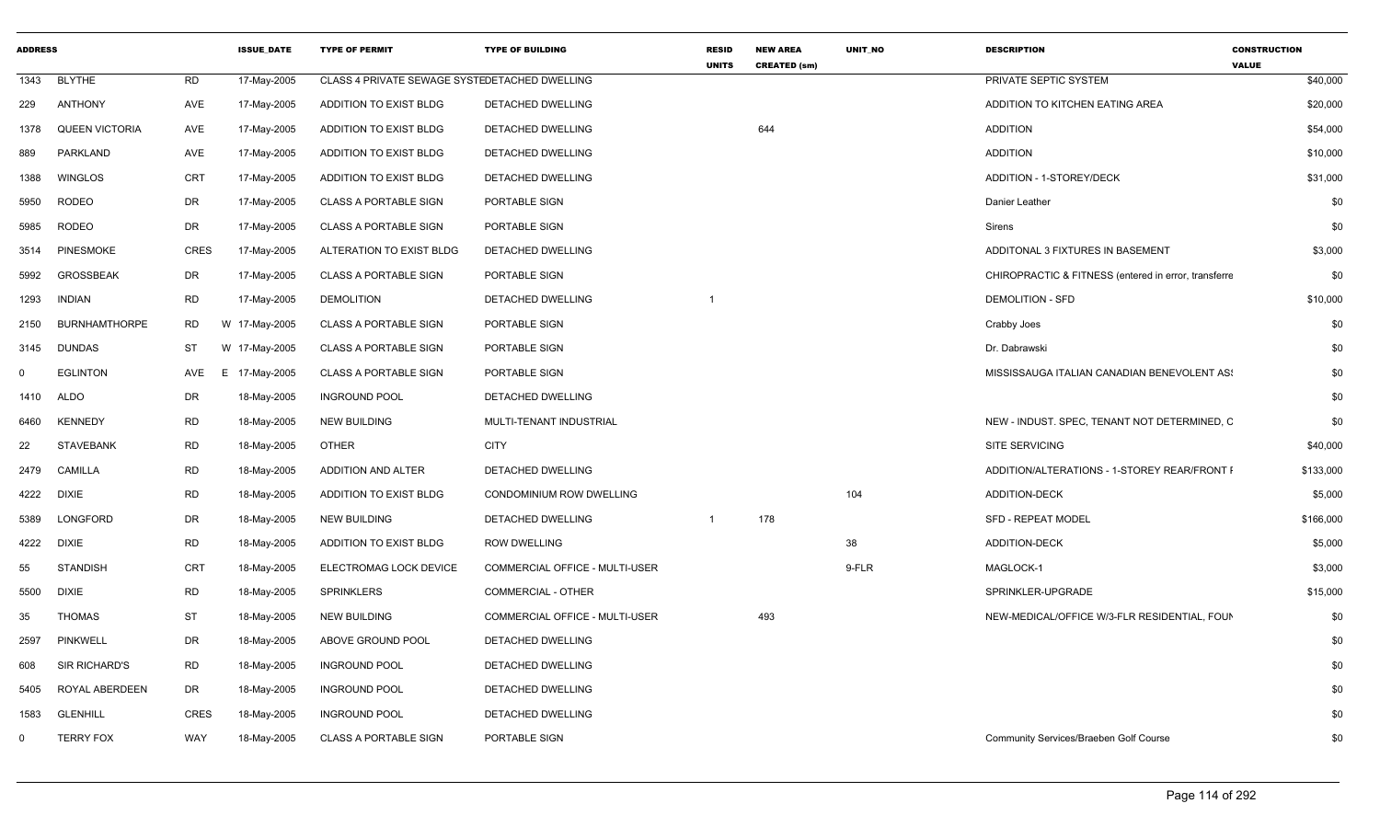| <b>ADDRESS</b> |                       |             | <b>ISSUE DATE</b> | <b>TYPE OF PERMIT</b>                         | <b>TYPE OF BUILDING</b>        | <b>RESID</b><br><b>UNITS</b> | <b>NEW AREA</b><br><b>CREATED (sm)</b> | <b>UNIT NO</b> | <b>DESCRIPTION</b>                                   | <b>CONSTRUCTION</b><br><b>VALUE</b> |
|----------------|-----------------------|-------------|-------------------|-----------------------------------------------|--------------------------------|------------------------------|----------------------------------------|----------------|------------------------------------------------------|-------------------------------------|
| 1343           | <b>BLYTHE</b>         | <b>RD</b>   | 17-May-2005       | CLASS 4 PRIVATE SEWAGE SYSTEDETACHED DWELLING |                                |                              |                                        |                | PRIVATE SEPTIC SYSTEM                                | \$40,000                            |
| 229            | <b>ANTHONY</b>        | AVE         | 17-May-2005       | ADDITION TO EXIST BLDG                        | DETACHED DWELLING              |                              |                                        |                | ADDITION TO KITCHEN EATING AREA                      | \$20,000                            |
| 1378           | <b>QUEEN VICTORIA</b> | AVE         | 17-May-2005       | ADDITION TO EXIST BLDG                        | DETACHED DWELLING              |                              | 644                                    |                | <b>ADDITION</b>                                      | \$54,000                            |
| 889            | PARKLAND              | AVE         | 17-May-2005       | ADDITION TO EXIST BLDG                        | DETACHED DWELLING              |                              |                                        |                | <b>ADDITION</b>                                      | \$10,000                            |
| 1388           | <b>WINGLOS</b>        | <b>CRT</b>  | 17-May-2005       | ADDITION TO EXIST BLDG                        | DETACHED DWELLING              |                              |                                        |                | ADDITION - 1-STOREY/DECK                             | \$31,000                            |
| 5950           | <b>RODEO</b>          | DR          | 17-May-2005       | <b>CLASS A PORTABLE SIGN</b>                  | PORTABLE SIGN                  |                              |                                        |                | Danier Leather                                       | \$0                                 |
| 5985           | <b>RODEO</b>          | <b>DR</b>   | 17-May-2005       | <b>CLASS A PORTABLE SIGN</b>                  | PORTABLE SIGN                  |                              |                                        |                | Sirens                                               | \$0                                 |
| 3514           | <b>PINESMOKE</b>      | <b>CRES</b> | 17-May-2005       | ALTERATION TO EXIST BLDG                      | <b>DETACHED DWELLING</b>       |                              |                                        |                | ADDITONAL 3 FIXTURES IN BASEMENT                     | \$3,000                             |
| 5992           | <b>GROSSBEAK</b>      | DR          | 17-May-2005       | <b>CLASS A PORTABLE SIGN</b>                  | PORTABLE SIGN                  |                              |                                        |                | CHIROPRACTIC & FITNESS (entered in error, transferre | \$0                                 |
| 1293           | <b>INDIAN</b>         | <b>RD</b>   | 17-May-2005       | <b>DEMOLITION</b>                             | DETACHED DWELLING              |                              |                                        |                | <b>DEMOLITION - SFD</b>                              | \$10,000                            |
| 2150           | <b>BURNHAMTHORPE</b>  | RD          | W 17-May-2005     | <b>CLASS A PORTABLE SIGN</b>                  | PORTABLE SIGN                  |                              |                                        |                | Crabby Joes                                          | \$0                                 |
| 3145           | <b>DUNDAS</b>         | ST          | W 17-May-2005     | <b>CLASS A PORTABLE SIGN</b>                  | PORTABLE SIGN                  |                              |                                        |                | Dr. Dabrawski                                        | \$0                                 |
| $\Omega$       | <b>EGLINTON</b>       | AVE<br>E.   | 17-May-2005       | <b>CLASS A PORTABLE SIGN</b>                  | PORTABLE SIGN                  |                              |                                        |                | MISSISSAUGA ITALIAN CANADIAN BENEVOLENT AS:          | \$0                                 |
| 1410           | <b>ALDO</b>           | DR          | 18-May-2005       | <b>INGROUND POOL</b>                          | DETACHED DWELLING              |                              |                                        |                |                                                      | \$0                                 |
| 6460           | <b>KENNEDY</b>        | <b>RD</b>   | 18-May-2005       | <b>NEW BUILDING</b>                           | MULTI-TENANT INDUSTRIAL        |                              |                                        |                | NEW - INDUST. SPEC, TENANT NOT DETERMINED, C         | \$0                                 |
| 22             | <b>STAVEBANK</b>      | <b>RD</b>   | 18-May-2005       | <b>OTHER</b>                                  | <b>CITY</b>                    |                              |                                        |                | <b>SITE SERVICING</b>                                | \$40,000                            |
| 2479           | CAMILLA               | <b>RD</b>   | 18-May-2005       | ADDITION AND ALTER                            | <b>DETACHED DWELLING</b>       |                              |                                        |                | ADDITION/ALTERATIONS - 1-STOREY REAR/FRONT I         | \$133,000                           |
| 4222           | <b>DIXIE</b>          | <b>RD</b>   | 18-May-2005       | ADDITION TO EXIST BLDG                        | CONDOMINIUM ROW DWELLING       |                              |                                        | 104            | <b>ADDITION-DECK</b>                                 | \$5,000                             |
| 5389           | <b>LONGFORD</b>       | DR          | 18-May-2005       | <b>NEW BUILDING</b>                           | DETACHED DWELLING              | $\overline{1}$               | 178                                    |                | <b>SFD - REPEAT MODEL</b>                            | \$166,000                           |
| 4222           | <b>DIXIE</b>          | <b>RD</b>   | 18-May-2005       | ADDITION TO EXIST BLDG                        | <b>ROW DWELLING</b>            |                              |                                        | 38             | <b>ADDITION-DECK</b>                                 | \$5,000                             |
| 55             | <b>STANDISH</b>       | <b>CRT</b>  | 18-May-2005       | ELECTROMAG LOCK DEVICE                        | COMMERCIAL OFFICE - MULTI-USER |                              |                                        | 9-FLR          | MAGLOCK-1                                            | \$3,000                             |
| 5500           | <b>DIXIE</b>          | <b>RD</b>   | 18-May-2005       | <b>SPRINKLERS</b>                             | <b>COMMERCIAL - OTHER</b>      |                              |                                        |                | SPRINKLER-UPGRADE                                    | \$15,000                            |
| 35             | <b>THOMAS</b>         | <b>ST</b>   | 18-May-2005       | <b>NEW BUILDING</b>                           | COMMERCIAL OFFICE - MULTI-USER |                              | 493                                    |                | NEW-MEDICAL/OFFICE W/3-FLR RESIDENTIAL, FOUN         | \$0                                 |
| 2597           | <b>PINKWELL</b>       | DR          | 18-May-2005       | ABOVE GROUND POOL                             | DETACHED DWELLING              |                              |                                        |                |                                                      | \$0                                 |
| 608            | SIR RICHARD'S         | <b>RD</b>   | 18-May-2005       | <b>INGROUND POOL</b>                          | DETACHED DWELLING              |                              |                                        |                |                                                      | \$0                                 |
| 5405           | ROYAL ABERDEEN        | DR          | 18-May-2005       | <b>INGROUND POOL</b>                          | DETACHED DWELLING              |                              |                                        |                |                                                      | \$0                                 |
| 1583           | GLENHILL              | <b>CRES</b> | 18-May-2005       | <b>INGROUND POOL</b>                          | DETACHED DWELLING              |                              |                                        |                |                                                      | \$0                                 |
| $\Omega$       | <b>TERRY FOX</b>      | WAY         | 18-May-2005       | <b>CLASS A PORTABLE SIGN</b>                  | PORTABLE SIGN                  |                              |                                        |                | Community Services/Braeben Golf Course               | \$0                                 |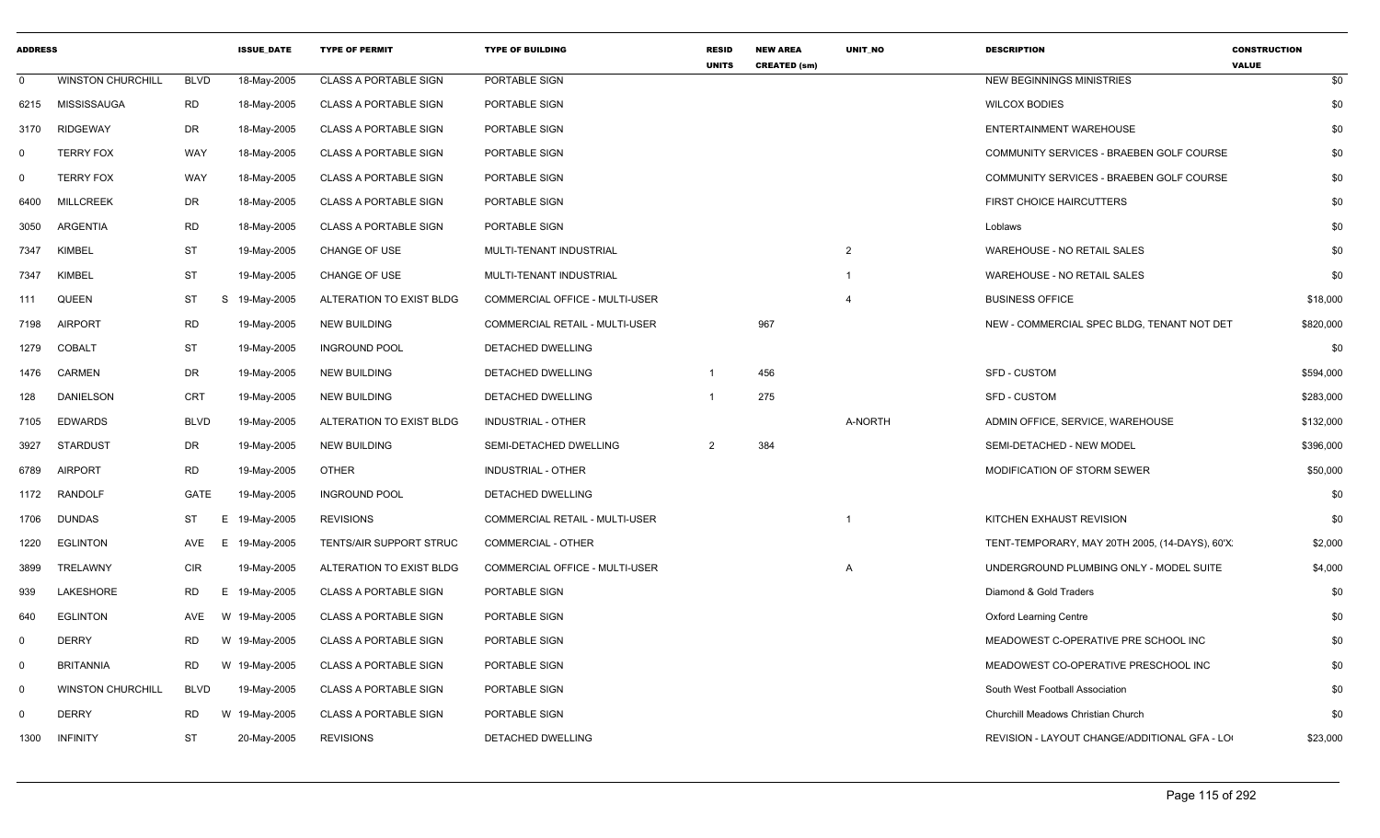| <b>ADDRESS</b> |                          |             | <b>ISSUE DATE</b> | <b>TYPE OF PERMIT</b>        | <b>TYPE OF BUILDING</b>        | <b>RESID</b><br><b>UNITS</b> | <b>NEW AREA</b><br><b>CREATED (sm)</b> | <b>UNIT NO</b>          | <b>DESCRIPTION</b>                             | <b>CONSTRUCTION</b><br><b>VALUE</b> |
|----------------|--------------------------|-------------|-------------------|------------------------------|--------------------------------|------------------------------|----------------------------------------|-------------------------|------------------------------------------------|-------------------------------------|
| 0              | <b>WINSTON CHURCHILL</b> | <b>BLVD</b> | 18-May-2005       | <b>CLASS A PORTABLE SIGN</b> | PORTABLE SIGN                  |                              |                                        |                         | NEW BEGINNINGS MINISTRIES                      | \$0                                 |
| 6215           | MISSISSAUGA              | <b>RD</b>   | 18-May-2005       | <b>CLASS A PORTABLE SIGN</b> | PORTABLE SIGN                  |                              |                                        |                         | <b>WILCOX BODIES</b>                           | \$0                                 |
| 3170           | <b>RIDGEWAY</b>          | DR.         | 18-May-2005       | <b>CLASS A PORTABLE SIGN</b> | PORTABLE SIGN                  |                              |                                        |                         | ENTERTAINMENT WAREHOUSE                        | \$0                                 |
| 0              | <b>TERRY FOX</b>         | WAY         | 18-May-2005       | <b>CLASS A PORTABLE SIGN</b> | PORTABLE SIGN                  |                              |                                        |                         | COMMUNITY SERVICES - BRAEBEN GOLF COURSE       | \$0                                 |
| $\Omega$       | <b>TERRY FOX</b>         | WAY         | 18-May-2005       | <b>CLASS A PORTABLE SIGN</b> | PORTABLE SIGN                  |                              |                                        |                         | COMMUNITY SERVICES - BRAEBEN GOLF COURSE       | \$0                                 |
| 6400           | <b>MILLCREEK</b>         | DR          | 18-May-2005       | <b>CLASS A PORTABLE SIGN</b> | PORTABLE SIGN                  |                              |                                        |                         | <b>FIRST CHOICE HAIRCUTTERS</b>                | \$0                                 |
| 3050           | ARGENTIA                 | <b>RD</b>   | 18-May-2005       | <b>CLASS A PORTABLE SIGN</b> | PORTABLE SIGN                  |                              |                                        |                         | Loblaws                                        | \$0                                 |
| 7347           | <b>KIMBEL</b>            | <b>ST</b>   | 19-May-2005       | CHANGE OF USE                | MULTI-TENANT INDUSTRIAL        |                              |                                        | $\overline{2}$          | WAREHOUSE - NO RETAIL SALES                    | \$0                                 |
| 7347           | KIMBEL                   | <b>ST</b>   | 19-May-2005       | CHANGE OF USE                | MULTI-TENANT INDUSTRIAL        |                              |                                        | $\overline{\mathbf{1}}$ | WAREHOUSE - NO RETAIL SALES                    | \$0                                 |
| 111            | QUEEN                    | ST<br>S     | 19-May-2005       | ALTERATION TO EXIST BLDG     | COMMERCIAL OFFICE - MULTI-USER |                              |                                        | 4                       | <b>BUSINESS OFFICE</b>                         | \$18,000                            |
| 7198           | <b>AIRPORT</b>           | <b>RD</b>   | 19-May-2005       | <b>NEW BUILDING</b>          | COMMERCIAL RETAIL - MULTI-USER |                              | 967                                    |                         | NEW - COMMERCIAL SPEC BLDG, TENANT NOT DET     | \$820,000                           |
| 1279           | <b>COBALT</b>            | ST          | 19-May-2005       | <b>INGROUND POOL</b>         | DETACHED DWELLING              |                              |                                        |                         |                                                | \$0                                 |
| 1476           | CARMEN                   | DR          | 19-May-2005       | <b>NEW BUILDING</b>          | DETACHED DWELLING              |                              | 456                                    |                         | <b>SFD - CUSTOM</b>                            | \$594,000                           |
| 128            | <b>DANIELSON</b>         | <b>CRT</b>  | 19-May-2005       | <b>NEW BUILDING</b>          | DETACHED DWELLING              | $\overline{1}$               | 275                                    |                         | <b>SFD - CUSTOM</b>                            | \$283,000                           |
| 7105           | <b>EDWARDS</b>           | <b>BLVD</b> | 19-May-2005       | ALTERATION TO EXIST BLDG     | <b>INDUSTRIAL - OTHER</b>      |                              |                                        | A-NORTH                 | ADMIN OFFICE, SERVICE, WAREHOUSE               | \$132,000                           |
| 3927           | <b>STARDUST</b>          | DR          | 19-May-2005       | <b>NEW BUILDING</b>          | SEMI-DETACHED DWELLING         | $\overline{2}$               | 384                                    |                         | SEMI-DETACHED - NEW MODEL                      | \$396,000                           |
| 6789           | <b>AIRPORT</b>           | <b>RD</b>   | 19-May-2005       | <b>OTHER</b>                 | <b>INDUSTRIAL - OTHER</b>      |                              |                                        |                         | MODIFICATION OF STORM SEWER                    | \$50,000                            |
| 1172           | <b>RANDOLF</b>           | GATE        | 19-May-2005       | <b>INGROUND POOL</b>         | DETACHED DWELLING              |                              |                                        |                         |                                                | \$0                                 |
| 1706           | <b>DUNDAS</b>            | ST          | E.<br>19-May-2005 | <b>REVISIONS</b>             | COMMERCIAL RETAIL - MULTI-USER |                              |                                        |                         | KITCHEN EXHAUST REVISION                       | \$0                                 |
| 1220           | EGLINTON                 | AVE         | E 19-May-2005     | TENTS/AIR SUPPORT STRUC      | COMMERCIAL - OTHER             |                              |                                        |                         | TENT-TEMPORARY, MAY 20TH 2005, (14-DAYS), 60'X | \$2,000                             |
| 3899           | TRELAWNY                 | <b>CIR</b>  | 19-May-2005       | ALTERATION TO EXIST BLDG     | COMMERCIAL OFFICE - MULTI-USER |                              |                                        | A                       | UNDERGROUND PLUMBING ONLY - MODEL SUITE        | \$4,000                             |
| 939            | LAKESHORE                | RD          | E 19-May-2005     | <b>CLASS A PORTABLE SIGN</b> | PORTABLE SIGN                  |                              |                                        |                         | Diamond & Gold Traders                         | \$0                                 |
| 640            | <b>EGLINTON</b>          | AVE         | W 19-May-2005     | <b>CLASS A PORTABLE SIGN</b> | <b>PORTABLE SIGN</b>           |                              |                                        |                         | <b>Oxford Learning Centre</b>                  | \$0                                 |
| 0              | <b>DERRY</b>             | RD          | W 19-May-2005     | <b>CLASS A PORTABLE SIGN</b> | PORTABLE SIGN                  |                              |                                        |                         | MEADOWEST C-OPERATIVE PRE SCHOOL INC           | \$0                                 |
| $\mathbf 0$    | <b>BRITANNIA</b>         | <b>RD</b>   | W 19-May-2005     | <b>CLASS A PORTABLE SIGN</b> | PORTABLE SIGN                  |                              |                                        |                         | MEADOWEST CO-OPERATIVE PRESCHOOL INC           | \$0                                 |
| $\mathbf 0$    | <b>WINSTON CHURCHILL</b> | <b>BLVD</b> | 19-May-2005       | <b>CLASS A PORTABLE SIGN</b> | PORTABLE SIGN                  |                              |                                        |                         | South West Football Association                | \$0                                 |
| 0              | <b>DERRY</b>             | <b>RD</b>   | W 19-May-2005     | <b>CLASS A PORTABLE SIGN</b> | PORTABLE SIGN                  |                              |                                        |                         | Churchill Meadows Christian Church             | \$0                                 |
| 1300           | <b>INFINITY</b>          | <b>ST</b>   | 20-May-2005       | <b>REVISIONS</b>             | DETACHED DWELLING              |                              |                                        |                         | REVISION - LAYOUT CHANGE/ADDITIONAL GFA - LO   | \$23,000                            |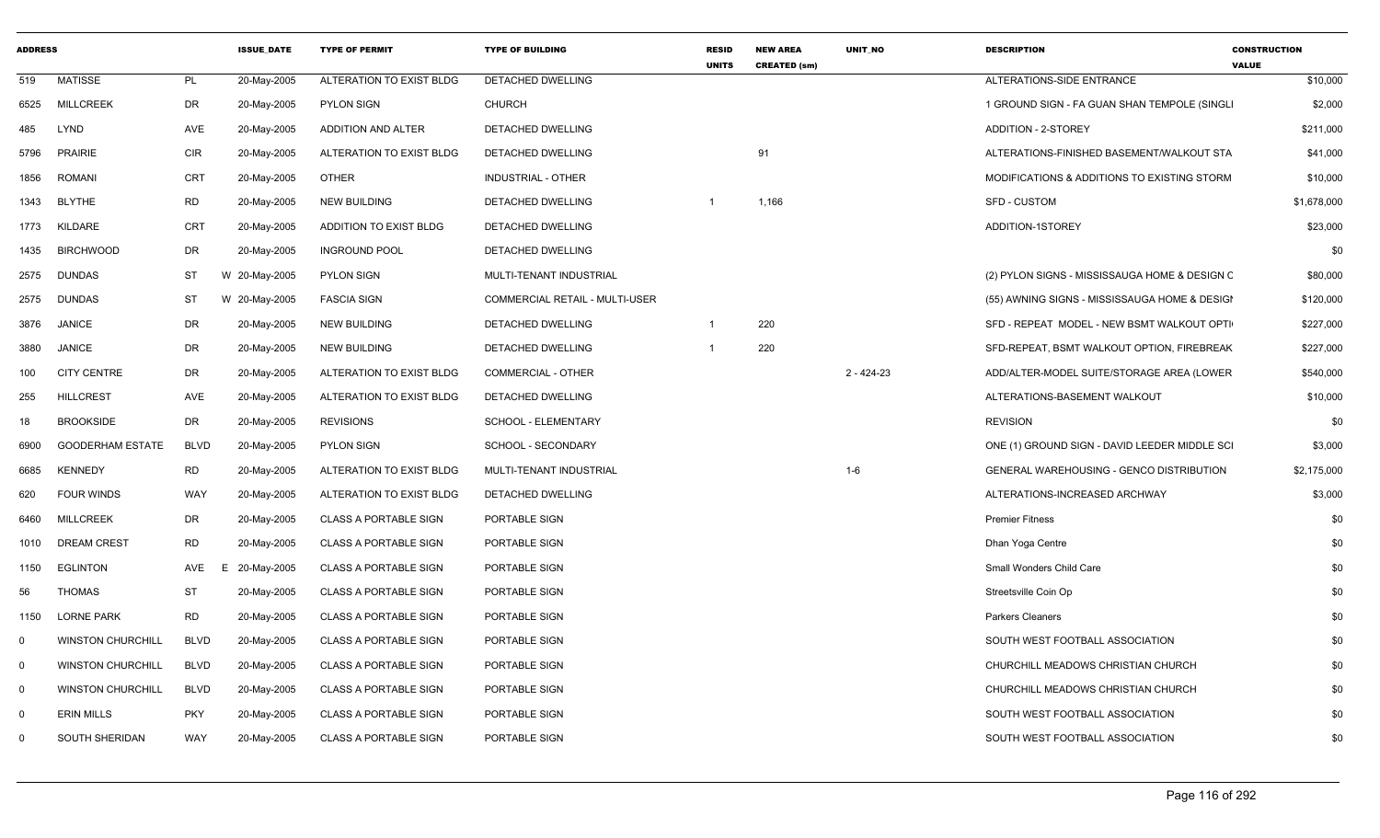| <b>ADDRESS</b> |                          |             | <b>ISSUE DATE</b> | <b>TYPE OF PERMIT</b>         | <b>TYPE OF BUILDING</b>               | <b>RESID</b><br><b>UNITS</b> | <b>NEW AREA</b><br><b>CREATED (sm)</b> | <b>UNIT NO</b> | <b>DESCRIPTION</b>                              | <b>CONSTRUCTION</b><br><b>VALUE</b> |
|----------------|--------------------------|-------------|-------------------|-------------------------------|---------------------------------------|------------------------------|----------------------------------------|----------------|-------------------------------------------------|-------------------------------------|
| 519            | <b>MATISSE</b>           | PL          | 20-May-2005       | ALTERATION TO EXIST BLDG      | <b>DETACHED DWELLING</b>              |                              |                                        |                | ALTERATIONS-SIDE ENTRANCE                       | \$10,000                            |
| 6525           | <b>MILLCREEK</b>         | <b>DR</b>   | 20-May-2005       | <b>PYLON SIGN</b>             | <b>CHURCH</b>                         |                              |                                        |                | 1 GROUND SIGN - FA GUAN SHAN TEMPOLE (SINGL)    | \$2,000                             |
| 485            | LYND                     | AVE         | 20-May-2005       | ADDITION AND ALTER            | DETACHED DWELLING                     |                              |                                        |                | ADDITION - 2-STOREY                             | \$211,000                           |
| 5796           | <b>PRAIRIE</b>           | CIR         | 20-May-2005       | ALTERATION TO EXIST BLDG      | DETACHED DWELLING                     |                              | 91                                     |                | ALTERATIONS-FINISHED BASEMENT/WALKOUT STA       | \$41,000                            |
| 1856           | <b>ROMANI</b>            | <b>CRT</b>  | 20-May-2005       | <b>OTHER</b>                  | <b>INDUSTRIAL - OTHER</b>             |                              |                                        |                | MODIFICATIONS & ADDITIONS TO EXISTING STORM     | \$10,000                            |
| 1343           | <b>BLYTHE</b>            | <b>RD</b>   | 20-May-2005       | <b>NEW BUILDING</b>           | DETACHED DWELLING                     | -1                           | 1,166                                  |                | <b>SFD - CUSTOM</b>                             | \$1,678,000                         |
| 1773           | <b>KILDARE</b>           | <b>CRT</b>  | 20-May-2005       | <b>ADDITION TO EXIST BLDG</b> | DETACHED DWELLING                     |                              |                                        |                | ADDITION-1STOREY                                | \$23,000                            |
| 1435           | <b>BIRCHWOOD</b>         | DR          | 20-May-2005       | <b>INGROUND POOL</b>          | DETACHED DWELLING                     |                              |                                        |                |                                                 | \$0                                 |
| 2575           | <b>DUNDAS</b>            | ST          | W 20-May-2005     | <b>PYLON SIGN</b>             | MULTI-TENANT INDUSTRIAL               |                              |                                        |                | (2) PYLON SIGNS - MISSISSAUGA HOME & DESIGN C   | \$80,000                            |
| 2575           | <b>DUNDAS</b>            | ST          | W 20-May-2005     | <b>FASCIA SIGN</b>            | <b>COMMERCIAL RETAIL - MULTI-USER</b> |                              |                                        |                | (55) AWNING SIGNS - MISSISSAUGA HOME & DESIGI   | \$120,000                           |
| 3876           | <b>JANICE</b>            | DR          | 20-May-2005       | <b>NEW BUILDING</b>           | DETACHED DWELLING                     |                              | 220                                    |                | SFD - REPEAT MODEL - NEW BSMT WALKOUT OPTI      | \$227,000                           |
| 3880           | <b>JANICE</b>            | <b>DR</b>   | 20-May-2005       | <b>NEW BUILDING</b>           | DETACHED DWELLING                     |                              | 220                                    |                | SFD-REPEAT, BSMT WALKOUT OPTION, FIREBREAK      | \$227,000                           |
| 100            | <b>CITY CENTRE</b>       | <b>DR</b>   | 20-May-2005       | ALTERATION TO EXIST BLDG      | <b>COMMERCIAL - OTHER</b>             |                              |                                        | $2 - 424 - 23$ | ADD/ALTER-MODEL SUITE/STORAGE AREA (LOWER       | \$540,000                           |
| 255            | <b>HILLCREST</b>         | AVE         | 20-May-2005       | ALTERATION TO EXIST BLDG      | DETACHED DWELLING                     |                              |                                        |                | ALTERATIONS-BASEMENT WALKOUT                    | \$10,000                            |
| 18             | <b>BROOKSIDE</b>         | DR          | 20-May-2005       | <b>REVISIONS</b>              | SCHOOL - ELEMENTARY                   |                              |                                        |                | <b>REVISION</b>                                 | \$0                                 |
| 6900           | <b>GOODERHAM ESTATE</b>  | <b>BLVD</b> | 20-May-2005       | <b>PYLON SIGN</b>             | SCHOOL - SECONDARY                    |                              |                                        |                | ONE (1) GROUND SIGN - DAVID LEEDER MIDDLE SCI   | \$3,000                             |
| 6685           | <b>KENNEDY</b>           | <b>RD</b>   | 20-May-2005       | ALTERATION TO EXIST BLDG      | MULTI-TENANT INDUSTRIAL               |                              |                                        | $1 - 6$        | <b>GENERAL WAREHOUSING - GENCO DISTRIBUTION</b> | \$2,175,000                         |
| 620            | <b>FOUR WINDS</b>        | WAY         | 20-May-2005       | ALTERATION TO EXIST BLDG      | DETACHED DWELLING                     |                              |                                        |                | ALTERATIONS-INCREASED ARCHWAY                   | \$3,000                             |
| 6460           | <b>MILLCREEK</b>         | DR          | 20-May-2005       | <b>CLASS A PORTABLE SIGN</b>  | PORTABLE SIGN                         |                              |                                        |                | <b>Premier Fitness</b>                          | \$0                                 |
| 1010           | <b>DREAM CREST</b>       | <b>RD</b>   | 20-May-2005       | <b>CLASS A PORTABLE SIGN</b>  | PORTABLE SIGN                         |                              |                                        |                | Dhan Yoga Centre                                | \$0                                 |
| 1150           | <b>EGLINTON</b>          | AVE         | 20-May-2005<br>F  | <b>CLASS A PORTABLE SIGN</b>  | PORTABLE SIGN                         |                              |                                        |                | Small Wonders Child Care                        | \$0                                 |
| 56             | <b>THOMAS</b>            | <b>ST</b>   | 20-May-2005       | <b>CLASS A PORTABLE SIGN</b>  | PORTABLE SIGN                         |                              |                                        |                | Streetsville Coin Op                            | \$0                                 |
| 1150           | <b>LORNE PARK</b>        | <b>RD</b>   | 20-May-2005       | <b>CLASS A PORTABLE SIGN</b>  | PORTABLE SIGN                         |                              |                                        |                | <b>Parkers Cleaners</b>                         | \$0                                 |
| $\mathbf 0$    | <b>WINSTON CHURCHILL</b> | <b>BLVD</b> | 20-May-2005       | <b>CLASS A PORTABLE SIGN</b>  | PORTABLE SIGN                         |                              |                                        |                | SOUTH WEST FOOTBALL ASSOCIATION                 | \$0                                 |
| $\mathbf 0$    | <b>WINSTON CHURCHILL</b> | <b>BLVD</b> | 20-May-2005       | <b>CLASS A PORTABLE SIGN</b>  | PORTABLE SIGN                         |                              |                                        |                | CHURCHILL MEADOWS CHRISTIAN CHURCH              | \$0                                 |
| $\mathbf 0$    | <b>WINSTON CHURCHILL</b> | <b>BLVD</b> | 20-May-2005       | <b>CLASS A PORTABLE SIGN</b>  | PORTABLE SIGN                         |                              |                                        |                | CHURCHILL MEADOWS CHRISTIAN CHURCH              | \$0                                 |
| $\mathbf 0$    | <b>ERIN MILLS</b>        | <b>PKY</b>  | 20-May-2005       | <b>CLASS A PORTABLE SIGN</b>  | PORTABLE SIGN                         |                              |                                        |                | SOUTH WEST FOOTBALL ASSOCIATION                 | \$0                                 |
| $\Omega$       | SOUTH SHERIDAN           | <b>WAY</b>  | 20-May-2005       | <b>CLASS A PORTABLE SIGN</b>  | PORTABLE SIGN                         |                              |                                        |                | SOUTH WEST FOOTBALL ASSOCIATION                 | \$0                                 |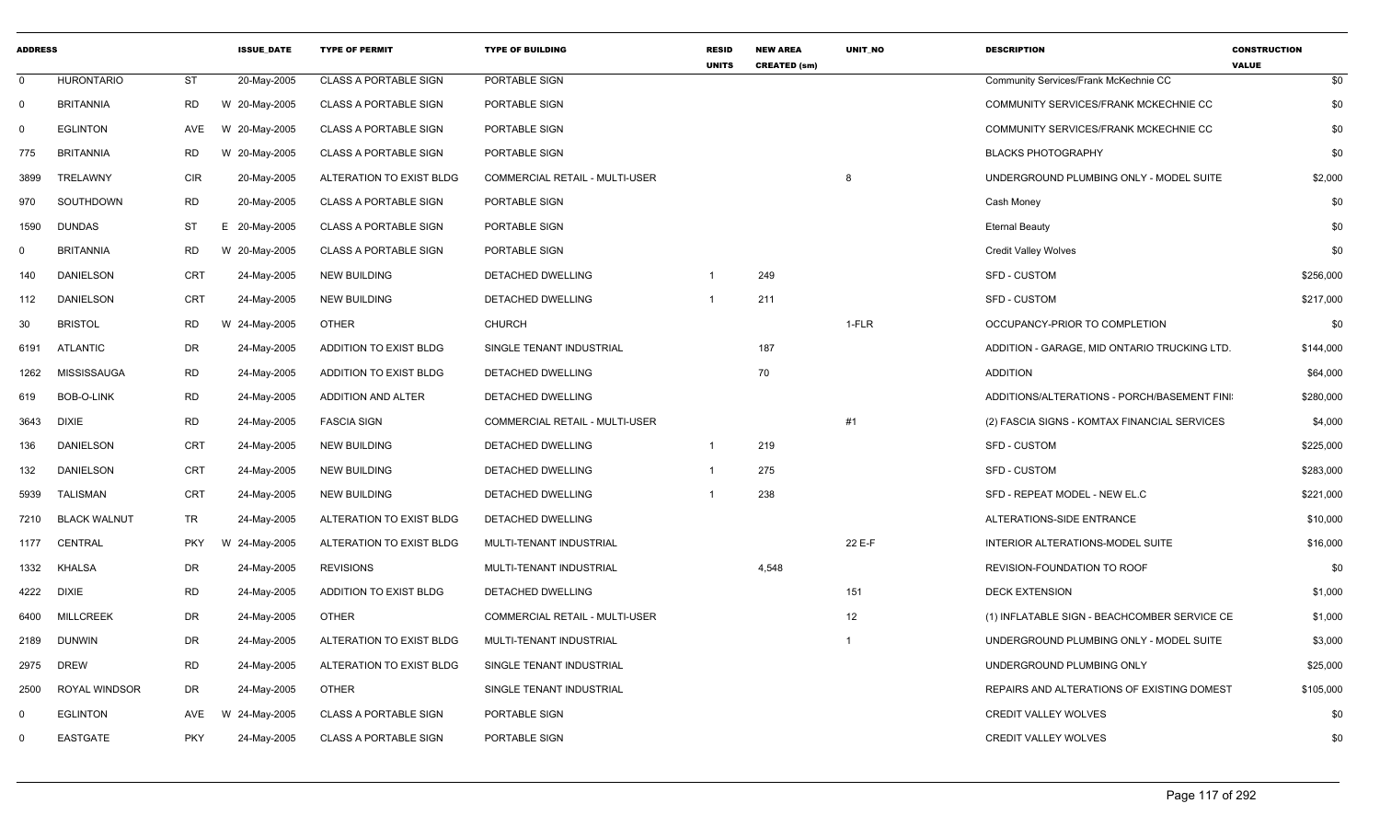| <b>ADDRESS</b> |                     |            | <b>ISSUE DATE</b> | <b>TYPE OF PERMIT</b>        | <b>TYPE OF BUILDING</b>               | <b>RESID</b><br><b>UNITS</b> | <b>NEW AREA</b><br><b>CREATED (sm)</b> | UNIT_NO        | <b>DESCRIPTION</b>                           | <b>CONSTRUCTION</b><br><b>VALUE</b> |
|----------------|---------------------|------------|-------------------|------------------------------|---------------------------------------|------------------------------|----------------------------------------|----------------|----------------------------------------------|-------------------------------------|
| $\mathbf 0$    | <b>HURONTARIO</b>   | ST         | 20-May-2005       | <b>CLASS A PORTABLE SIGN</b> | PORTABLE SIGN                         |                              |                                        |                | Community Services/Frank McKechnie CC        | \$0                                 |
| $\mathbf 0$    | <b>BRITANNIA</b>    | <b>RD</b>  | W 20-May-2005     | <b>CLASS A PORTABLE SIGN</b> | PORTABLE SIGN                         |                              |                                        |                | COMMUNITY SERVICES/FRANK MCKECHNIE CC        | \$0                                 |
| $\Omega$       | <b>EGLINTON</b>     | AVE        | W 20-May-2005     | <b>CLASS A PORTABLE SIGN</b> | PORTABLE SIGN                         |                              |                                        |                | COMMUNITY SERVICES/FRANK MCKECHNIE CC        | \$0                                 |
| 775            | <b>BRITANNIA</b>    | <b>RD</b>  | W 20-May-2005     | <b>CLASS A PORTABLE SIGN</b> | PORTABLE SIGN                         |                              |                                        |                | <b>BLACKS PHOTOGRAPHY</b>                    | \$0                                 |
| 3899           | TRELAWNY            | <b>CIR</b> | 20-May-2005       | ALTERATION TO EXIST BLDG     | <b>COMMERCIAL RETAIL - MULTI-USER</b> |                              |                                        | 8              | UNDERGROUND PLUMBING ONLY - MODEL SUITE      | \$2,000                             |
| 970            | SOUTHDOWN           | <b>RD</b>  | 20-May-2005       | <b>CLASS A PORTABLE SIGN</b> | PORTABLE SIGN                         |                              |                                        |                | Cash Money                                   | \$0                                 |
| 1590           | <b>DUNDAS</b>       | <b>ST</b>  | E 20-May-2005     | <b>CLASS A PORTABLE SIGN</b> | PORTABLE SIGN                         |                              |                                        |                | <b>Eternal Beauty</b>                        | \$0                                 |
| 0              | <b>BRITANNIA</b>    | <b>RD</b>  | W 20-May-2005     | <b>CLASS A PORTABLE SIGN</b> | PORTABLE SIGN                         |                              |                                        |                | <b>Credit Valley Wolves</b>                  | \$0                                 |
| 140            | <b>DANIELSON</b>    | <b>CRT</b> | 24-May-2005       | <b>NEW BUILDING</b>          | DETACHED DWELLING                     |                              | 249                                    |                | <b>SFD - CUSTOM</b>                          | \$256,000                           |
| 112            | <b>DANIELSON</b>    | <b>CRT</b> | 24-May-2005       | <b>NEW BUILDING</b>          | DETACHED DWELLING                     | $\overline{1}$               | 211                                    |                | <b>SFD - CUSTOM</b>                          | \$217,000                           |
| 30             | <b>BRISTOL</b>      | <b>RD</b>  | W 24-May-2005     | <b>OTHER</b>                 | CHURCH                                |                              |                                        | 1-FLR          | OCCUPANCY-PRIOR TO COMPLETION                | \$0                                 |
| 6191           | <b>ATLANTIC</b>     | <b>DR</b>  | 24-May-2005       | ADDITION TO EXIST BLDG       | SINGLE TENANT INDUSTRIAL              |                              | 187                                    |                | ADDITION - GARAGE, MID ONTARIO TRUCKING LTD. | \$144,000                           |
| 1262           | <b>MISSISSAUGA</b>  | <b>RD</b>  | 24-May-2005       | ADDITION TO EXIST BLDG       | DETACHED DWELLING                     |                              | 70                                     |                | <b>ADDITION</b>                              | \$64,000                            |
| 619            | <b>BOB-O-LINK</b>   | <b>RD</b>  | 24-May-2005       | ADDITION AND ALTER           | DETACHED DWELLING                     |                              |                                        |                | ADDITIONS/ALTERATIONS - PORCH/BASEMENT FINI  | \$280,000                           |
| 3643           | <b>DIXIE</b>        | <b>RD</b>  | 24-May-2005       | <b>FASCIA SIGN</b>           | COMMERCIAL RETAIL - MULTI-USER        |                              |                                        | #1             | (2) FASCIA SIGNS - KOMTAX FINANCIAL SERVICES | \$4,000                             |
| 136            | <b>DANIELSON</b>    | CRT        | 24-May-2005       | NEW BUILDING                 | DETACHED DWELLING                     | $\overline{1}$               | 219                                    |                | <b>SFD - CUSTOM</b>                          | \$225,000                           |
| 132            | <b>DANIELSON</b>    | CRT        | 24-May-2005       | <b>NEW BUILDING</b>          | <b>DETACHED DWELLING</b>              | $\overline{1}$               | 275                                    |                | SFD - CUSTOM                                 | \$283,000                           |
| 5939           | <b>TALISMAN</b>     | <b>CRT</b> | 24-May-2005       | <b>NEW BUILDING</b>          | DETACHED DWELLING                     |                              | 238                                    |                | SFD - REPEAT MODEL - NEW EL.C                | \$221,000                           |
| 7210           | <b>BLACK WALNUT</b> | TR         | 24-May-2005       | ALTERATION TO EXIST BLDG     | DETACHED DWELLING                     |                              |                                        |                | ALTERATIONS-SIDE ENTRANCE                    | \$10,000                            |
| 1177           | <b>CENTRAL</b>      | <b>PKY</b> | W 24-May-2005     | ALTERATION TO EXIST BLDG     | MULTI-TENANT INDUSTRIAL               |                              |                                        | 22 E-F         | INTERIOR ALTERATIONS-MODEL SUITE             | \$16,000                            |
| 1332           | <b>KHALSA</b>       | <b>DR</b>  | 24-May-2005       | <b>REVISIONS</b>             | MULTI-TENANT INDUSTRIAL               |                              | 4,548                                  |                | REVISION-FOUNDATION TO ROOF                  | \$0                                 |
| 4222           | <b>DIXIE</b>        | <b>RD</b>  | 24-May-2005       | ADDITION TO EXIST BLDG       | DETACHED DWELLING                     |                              |                                        | 151            | <b>DECK EXTENSION</b>                        | \$1,000                             |
| 6400           | <b>MILLCREEK</b>    | <b>DR</b>  | 24-May-2005       | <b>OTHER</b>                 | <b>COMMERCIAL RETAIL - MULTI-USER</b> |                              |                                        | 12             | (1) INFLATABLE SIGN - BEACHCOMBER SERVICE CE | \$1,000                             |
| 2189           | <b>DUNWIN</b>       | DR         | 24-May-2005       | ALTERATION TO EXIST BLDG     | MULTI-TENANT INDUSTRIAL               |                              |                                        | $\overline{1}$ | UNDERGROUND PLUMBING ONLY - MODEL SUITE      | \$3,000                             |
| 2975           | <b>DREW</b>         | <b>RD</b>  | 24-May-2005       | ALTERATION TO EXIST BLDG     | SINGLE TENANT INDUSTRIAL              |                              |                                        |                | UNDERGROUND PLUMBING ONLY                    | \$25,000                            |
| 2500           | ROYAL WINDSOR       | <b>DR</b>  | 24-May-2005       | <b>OTHER</b>                 | SINGLE TENANT INDUSTRIAL              |                              |                                        |                | REPAIRS AND ALTERATIONS OF EXISTING DOMEST   | \$105,000                           |
| 0              | <b>EGLINTON</b>     | AVE        | W 24-May-2005     | <b>CLASS A PORTABLE SIGN</b> | PORTABLE SIGN                         |                              |                                        |                | <b>CREDIT VALLEY WOLVES</b>                  | \$0                                 |
| $\Omega$       | <b>EASTGATE</b>     | <b>PKY</b> | 24-May-2005       | <b>CLASS A PORTABLE SIGN</b> | PORTABLE SIGN                         |                              |                                        |                | <b>CREDIT VALLEY WOLVES</b>                  | \$0                                 |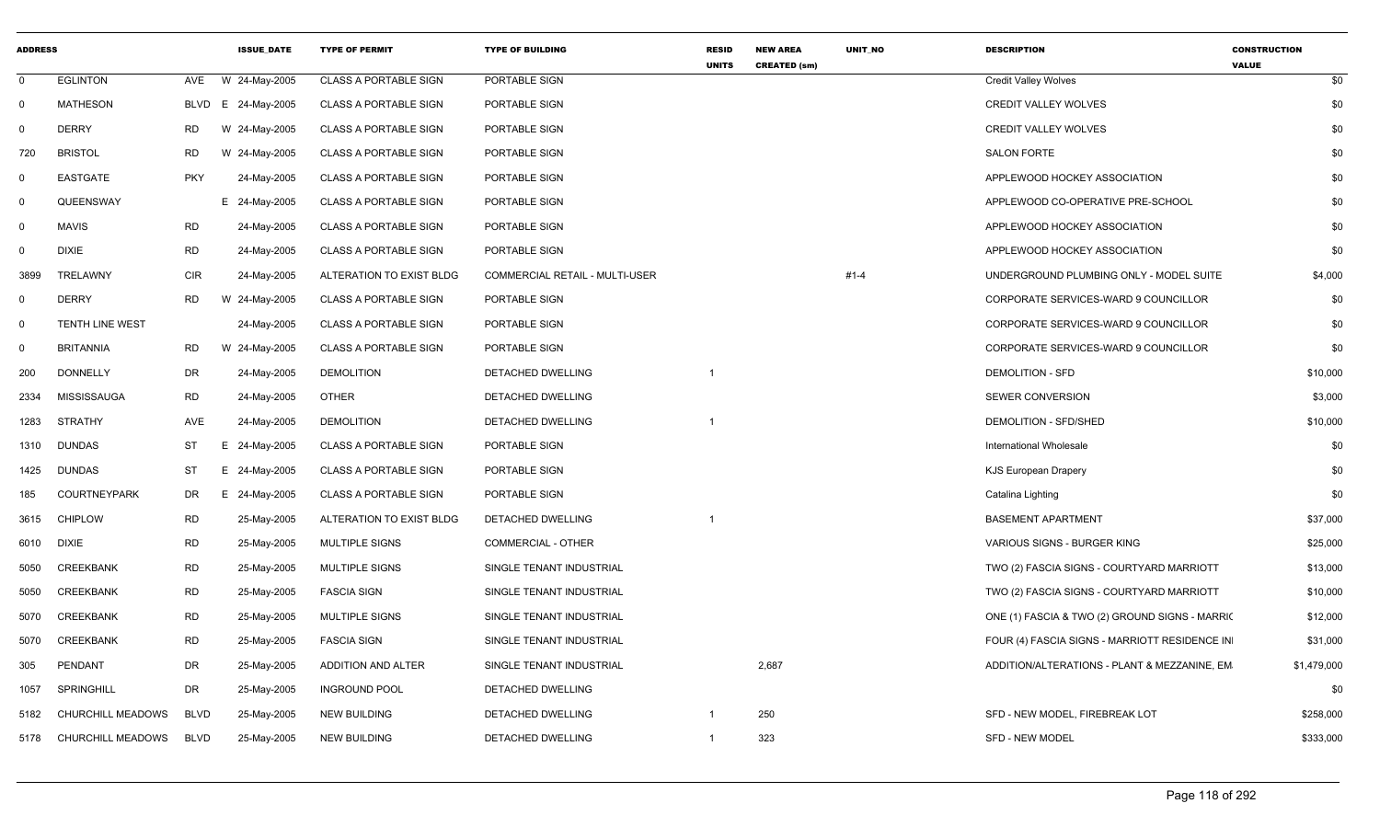| <b>ADDRESS</b> |                          |             | <b>ISSUE DATE</b> | <b>TYPE OF PERMIT</b>        | <b>TYPE OF BUILDING</b>        | <b>RESID</b><br><b>UNITS</b> | <b>NEW AREA</b><br><b>CREATED (sm)</b> | <b>UNIT NO</b> | <b>DESCRIPTION</b>                             | <b>CONSTRUCTION</b><br><b>VALUE</b> |
|----------------|--------------------------|-------------|-------------------|------------------------------|--------------------------------|------------------------------|----------------------------------------|----------------|------------------------------------------------|-------------------------------------|
| $\mathbf 0$    | <b>EGLINTON</b>          | AVE         | W 24-May-2005     | <b>CLASS A PORTABLE SIGN</b> | PORTABLE SIGN                  |                              |                                        |                | <b>Credit Valley Wolves</b>                    | \$0                                 |
| $\mathbf 0$    | <b>MATHESON</b>          | BLVD        | E 24-May-2005     | <b>CLASS A PORTABLE SIGN</b> | PORTABLE SIGN                  |                              |                                        |                | <b>CREDIT VALLEY WOLVES</b>                    | \$0                                 |
| $\Omega$       | <b>DERRY</b>             | <b>RD</b>   | W 24-May-2005     | <b>CLASS A PORTABLE SIGN</b> | PORTABLE SIGN                  |                              |                                        |                | <b>CREDIT VALLEY WOLVES</b>                    | \$0                                 |
| 720            | <b>BRISTOL</b>           | <b>RD</b>   | W 24-May-2005     | <b>CLASS A PORTABLE SIGN</b> | PORTABLE SIGN                  |                              |                                        |                | <b>SALON FORTE</b>                             | \$0                                 |
| $\mathbf 0$    | <b>EASTGATE</b>          | <b>PKY</b>  | 24-May-2005       | <b>CLASS A PORTABLE SIGN</b> | PORTABLE SIGN                  |                              |                                        |                | APPLEWOOD HOCKEY ASSOCIATION                   | \$0                                 |
| $\mathbf 0$    | QUEENSWAY                |             | E 24-May-2005     | <b>CLASS A PORTABLE SIGN</b> | PORTABLE SIGN                  |                              |                                        |                | APPLEWOOD CO-OPERATIVE PRE-SCHOOL              | \$0                                 |
| 0              | <b>MAVIS</b>             | <b>RD</b>   | 24-May-2005       | <b>CLASS A PORTABLE SIGN</b> | PORTABLE SIGN                  |                              |                                        |                | APPLEWOOD HOCKEY ASSOCIATION                   | \$0                                 |
| 0              | <b>DIXIE</b>             | <b>RD</b>   | 24-May-2005       | <b>CLASS A PORTABLE SIGN</b> | PORTABLE SIGN                  |                              |                                        |                | APPLEWOOD HOCKEY ASSOCIATION                   | \$0                                 |
| 3899           | TRELAWNY                 | <b>CIR</b>  | 24-May-2005       | ALTERATION TO EXIST BLDG     | COMMERCIAL RETAIL - MULTI-USER |                              |                                        | $#1 - 4$       | UNDERGROUND PLUMBING ONLY - MODEL SUITE        | \$4,000                             |
| $\mathbf 0$    | <b>DERRY</b>             | <b>RD</b>   | W 24-May-2005     | <b>CLASS A PORTABLE SIGN</b> | PORTABLE SIGN                  |                              |                                        |                | CORPORATE SERVICES-WARD 9 COUNCILLOR           | \$0                                 |
| $\mathbf 0$    | TENTH LINE WEST          |             | 24-May-2005       | <b>CLASS A PORTABLE SIGN</b> | PORTABLE SIGN                  |                              |                                        |                | CORPORATE SERVICES-WARD 9 COUNCILLOR           | \$0                                 |
| $\mathbf 0$    | <b>BRITANNIA</b>         | <b>RD</b>   | W 24-May-2005     | <b>CLASS A PORTABLE SIGN</b> | PORTABLE SIGN                  |                              |                                        |                | CORPORATE SERVICES-WARD 9 COUNCILLOR           | \$0                                 |
| 200            | <b>DONNELLY</b>          | <b>DR</b>   | 24-May-2005       | <b>DEMOLITION</b>            | DETACHED DWELLING              |                              |                                        |                | <b>DEMOLITION - SFD</b>                        | \$10,000                            |
| 2334           | <b>MISSISSAUGA</b>       | <b>RD</b>   | 24-May-2005       | <b>OTHER</b>                 | DETACHED DWELLING              |                              |                                        |                | <b>SEWER CONVERSION</b>                        | \$3,000                             |
| 1283           | <b>STRATHY</b>           | <b>AVE</b>  | 24-May-2005       | <b>DEMOLITION</b>            | DETACHED DWELLING              |                              |                                        |                | DEMOLITION - SFD/SHED                          | \$10,000                            |
| 1310           | <b>DUNDAS</b>            | <b>ST</b>   | E 24-May-2005     | <b>CLASS A PORTABLE SIGN</b> | PORTABLE SIGN                  |                              |                                        |                | <b>International Wholesale</b>                 | \$0                                 |
| 1425           | <b>DUNDAS</b>            | <b>ST</b>   | E 24-May-2005     | <b>CLASS A PORTABLE SIGN</b> | PORTABLE SIGN                  |                              |                                        |                | <b>KJS European Drapery</b>                    | \$0                                 |
| 185            | <b>COURTNEYPARK</b>      | DR.         | E 24-May-2005     | <b>CLASS A PORTABLE SIGN</b> | PORTABLE SIGN                  |                              |                                        |                | Catalina Lighting                              | \$0                                 |
| 3615           | <b>CHIPLOW</b>           | <b>RD</b>   | 25-May-2005       | ALTERATION TO EXIST BLDG     | DETACHED DWELLING              |                              |                                        |                | <b>BASEMENT APARTMENT</b>                      | \$37,000                            |
| 6010           | <b>DIXIE</b>             | <b>RD</b>   | 25-May-2005       | MULTIPLE SIGNS               | COMMERCIAL - OTHER             |                              |                                        |                | VARIOUS SIGNS - BURGER KING                    | \$25,000                            |
| 5050           | CREEKBANK                | <b>RD</b>   | 25-May-2005       | <b>MULTIPLE SIGNS</b>        | SINGLE TENANT INDUSTRIAL       |                              |                                        |                | TWO (2) FASCIA SIGNS - COURTYARD MARRIOTT      | \$13,000                            |
| 5050           | <b>CREEKBANK</b>         | <b>RD</b>   | 25-May-2005       | <b>FASCIA SIGN</b>           | SINGLE TENANT INDUSTRIAL       |                              |                                        |                | TWO (2) FASCIA SIGNS - COURTYARD MARRIOTT      | \$10,000                            |
| 5070           | <b>CREEKBANK</b>         | <b>RD</b>   | 25-May-2005       | <b>MULTIPLE SIGNS</b>        | SINGLE TENANT INDUSTRIAL       |                              |                                        |                | ONE (1) FASCIA & TWO (2) GROUND SIGNS - MARRIC | \$12,000                            |
| 5070           | <b>CREEKBANK</b>         | <b>RD</b>   | 25-May-2005       | <b>FASCIA SIGN</b>           | SINGLE TENANT INDUSTRIAL       |                              |                                        |                | FOUR (4) FASCIA SIGNS - MARRIOTT RESIDENCE IN  | \$31,000                            |
| 305            | PENDANT                  | <b>DR</b>   | 25-May-2005       | ADDITION AND ALTER           | SINGLE TENANT INDUSTRIAL       |                              | 2,687                                  |                | ADDITION/ALTERATIONS - PLANT & MEZZANINE, EM   | \$1,479,000                         |
| 1057           | SPRINGHILL               | <b>DR</b>   | 25-May-2005       | <b>INGROUND POOL</b>         | DETACHED DWELLING              |                              |                                        |                |                                                | \$0                                 |
| 5182           | CHURCHILL MEADOWS        | <b>BLVD</b> | 25-May-2005       | <b>NEW BUILDING</b>          | DETACHED DWELLING              | -1                           | 250                                    |                | SFD - NEW MODEL, FIREBREAK LOT                 | \$258,000                           |
| 5178           | <b>CHURCHILL MEADOWS</b> | <b>BLVD</b> | 25-May-2005       | <b>NEW BUILDING</b>          | DETACHED DWELLING              | $\mathbf{1}$                 | 323                                    |                | <b>SFD - NEW MODEL</b>                         | \$333,000                           |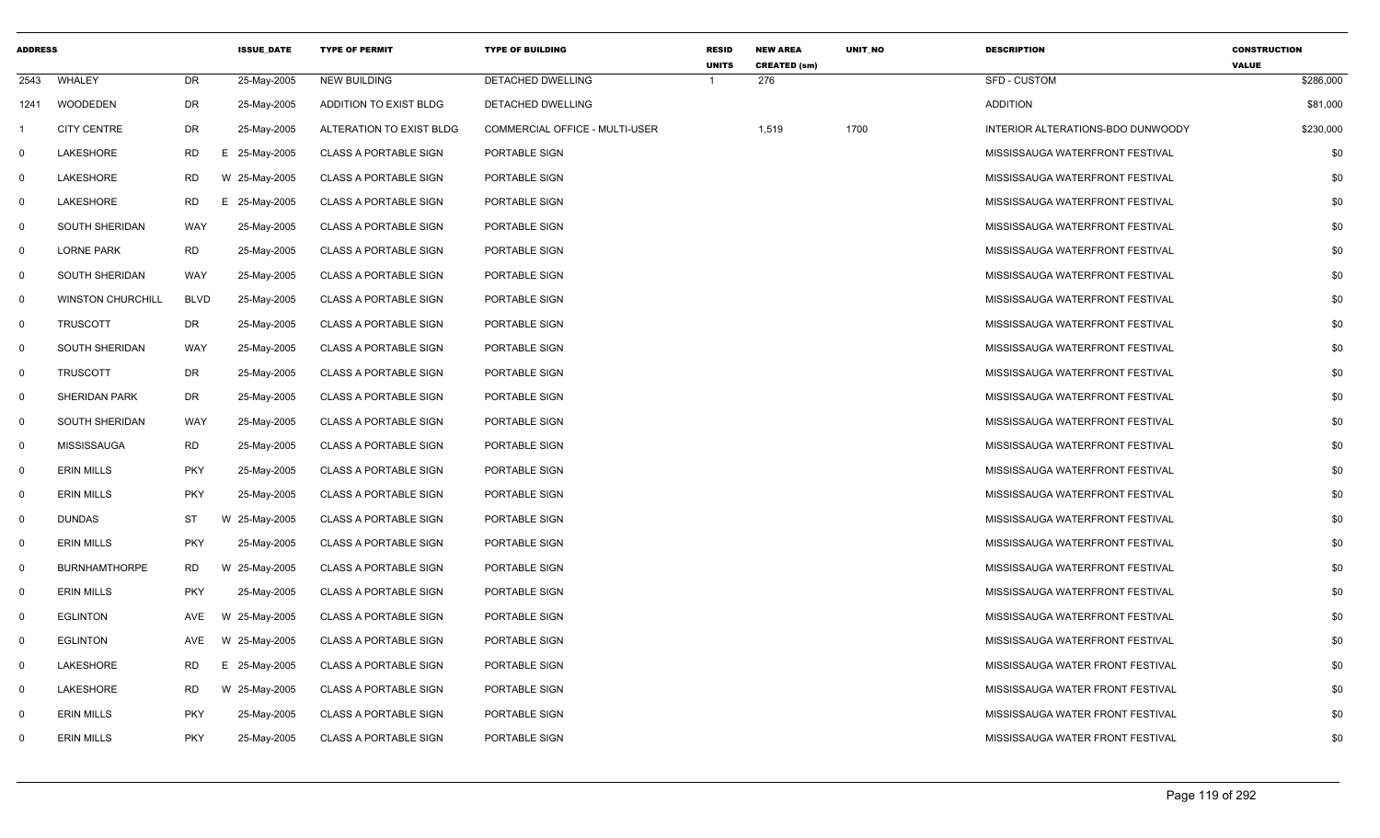| <b>ADDRESS</b> |                          |             | <b>ISSUE DATE</b> | <b>TYPE OF PERMIT</b>        | <b>TYPE OF BUILDING</b>               | <b>RESID</b><br><b>UNITS</b> | <b>NEW AREA</b><br><b>CREATED (sm)</b> | UNIT_NO | <b>DESCRIPTION</b>                | <b>CONSTRUCTION</b><br><b>VALUE</b> |
|----------------|--------------------------|-------------|-------------------|------------------------------|---------------------------------------|------------------------------|----------------------------------------|---------|-----------------------------------|-------------------------------------|
| 2543           | WHALEY                   | DR          | 25-May-2005       | <b>NEW BUILDING</b>          | DETACHED DWELLING                     |                              | 276                                    |         | <b>SFD - CUSTOM</b>               | \$286,000                           |
| 1241           | <b>WOODEDEN</b>          | DR          | 25-May-2005       | ADDITION TO EXIST BLDG       | DETACHED DWELLING                     |                              |                                        |         | <b>ADDITION</b>                   | \$81,000                            |
| -1             | <b>CITY CENTRE</b>       | <b>DR</b>   | 25-May-2005       | ALTERATION TO EXIST BLDG     | <b>COMMERCIAL OFFICE - MULTI-USER</b> |                              | 1,519                                  | 1700    | INTERIOR ALTERATIONS-BDO DUNWOODY | \$230,000                           |
| $\mathbf 0$    | LAKESHORE                | <b>RD</b>   | E 25-May-2005     | <b>CLASS A PORTABLE SIGN</b> | PORTABLE SIGN                         |                              |                                        |         | MISSISSAUGA WATERFRONT FESTIVAL   | \$0                                 |
| $\mathbf 0$    | LAKESHORE                | <b>RD</b>   | W 25-May-2005     | <b>CLASS A PORTABLE SIGN</b> | PORTABLE SIGN                         |                              |                                        |         | MISSISSAUGA WATERFRONT FESTIVAL   | \$0                                 |
| $\mathbf 0$    | LAKESHORE                | <b>RD</b>   | Е.<br>25-May-2005 | <b>CLASS A PORTABLE SIGN</b> | PORTABLE SIGN                         |                              |                                        |         | MISSISSAUGA WATERFRONT FESTIVAL   | \$0                                 |
| $\mathbf 0$    | SOUTH SHERIDAN           | WAY         | 25-May-2005       | <b>CLASS A PORTABLE SIGN</b> | PORTABLE SIGN                         |                              |                                        |         | MISSISSAUGA WATERFRONT FESTIVAL   | \$0                                 |
| $\mathbf 0$    | <b>LORNE PARK</b>        | <b>RD</b>   | 25-May-2005       | <b>CLASS A PORTABLE SIGN</b> | PORTABLE SIGN                         |                              |                                        |         | MISSISSAUGA WATERFRONT FESTIVAL   | \$0                                 |
| $\mathbf 0$    | SOUTH SHERIDAN           | WAY         | 25-May-2005       | <b>CLASS A PORTABLE SIGN</b> | PORTABLE SIGN                         |                              |                                        |         | MISSISSAUGA WATERFRONT FESTIVAL   | \$0                                 |
| $\mathbf 0$    | <b>WINSTON CHURCHILL</b> | <b>BLVD</b> | 25-May-2005       | <b>CLASS A PORTABLE SIGN</b> | PORTABLE SIGN                         |                              |                                        |         | MISSISSAUGA WATERFRONT FESTIVAL   | \$0                                 |
| $\mathbf 0$    | <b>TRUSCOTT</b>          | DR          | 25-May-2005       | <b>CLASS A PORTABLE SIGN</b> | PORTABLE SIGN                         |                              |                                        |         | MISSISSAUGA WATERFRONT FESTIVAL   | \$0                                 |
| $\mathbf 0$    | SOUTH SHERIDAN           | WAY         | 25-May-2005       | <b>CLASS A PORTABLE SIGN</b> | PORTABLE SIGN                         |                              |                                        |         | MISSISSAUGA WATERFRONT FESTIVAL   | \$0                                 |
| $\mathbf 0$    | <b>TRUSCOTT</b>          | DR          | 25-May-2005       | <b>CLASS A PORTABLE SIGN</b> | PORTABLE SIGN                         |                              |                                        |         | MISSISSAUGA WATERFRONT FESTIVAL   | \$0                                 |
| $\mathbf 0$    | <b>SHERIDAN PARK</b>     | DR          | 25-May-2005       | CLASS A PORTABLE SIGN        | PORTABLE SIGN                         |                              |                                        |         | MISSISSAUGA WATERFRONT FESTIVAL   | \$0                                 |
| $\mathbf 0$    | <b>SOUTH SHERIDAN</b>    | WAY         | 25-May-2005       | <b>CLASS A PORTABLE SIGN</b> | PORTABLE SIGN                         |                              |                                        |         | MISSISSAUGA WATERFRONT FESTIVAL   | \$0                                 |
| $\mathbf 0$    | MISSISSAUGA              | <b>RD</b>   | 25-May-2005       | <b>CLASS A PORTABLE SIGN</b> | PORTABLE SIGN                         |                              |                                        |         | MISSISSAUGA WATERFRONT FESTIVAL   | \$0                                 |
| $\mathbf 0$    | <b>ERIN MILLS</b>        | <b>PKY</b>  | 25-May-2005       | <b>CLASS A PORTABLE SIGN</b> | PORTABLE SIGN                         |                              |                                        |         | MISSISSAUGA WATERFRONT FESTIVAL   | \$0                                 |
| $\mathbf 0$    | <b>ERIN MILLS</b>        | <b>PKY</b>  | 25-May-2005       | <b>CLASS A PORTABLE SIGN</b> | PORTABLE SIGN                         |                              |                                        |         | MISSISSAUGA WATERFRONT FESTIVAL   | \$0                                 |
| $\mathbf 0$    | DUNDAS                   | <b>ST</b>   | W 25-May-2005     | <b>CLASS A PORTABLE SIGN</b> | PORTABLE SIGN                         |                              |                                        |         | MISSISSAUGA WATERFRONT FESTIVAL   | \$0                                 |
| $\mathbf 0$    | <b>ERIN MILLS</b>        | <b>PKY</b>  | 25-May-2005       | <b>CLASS A PORTABLE SIGN</b> | PORTABLE SIGN                         |                              |                                        |         | MISSISSAUGA WATERFRONT FESTIVAL   | \$0                                 |
| $\mathbf 0$    | <b>BURNHAMTHORPE</b>     | <b>RD</b>   | W 25-May-2005     | <b>CLASS A PORTABLE SIGN</b> | PORTABLE SIGN                         |                              |                                        |         | MISSISSAUGA WATERFRONT FESTIVAL   | \$0                                 |
| $\mathbf 0$    | <b>ERIN MILLS</b>        | <b>PKY</b>  | 25-May-2005       | <b>CLASS A PORTABLE SIGN</b> | PORTABLE SIGN                         |                              |                                        |         | MISSISSAUGA WATERFRONT FESTIVAL   | \$0                                 |
| $\mathbf 0$    | <b>EGLINTON</b>          | AVE         | W 25-May-2005     | <b>CLASS A PORTABLE SIGN</b> | PORTABLE SIGN                         |                              |                                        |         | MISSISSAUGA WATERFRONT FESTIVAL   | \$0                                 |
| $\mathbf 0$    | <b>EGLINTON</b>          | AVE         | W 25-May-2005     | <b>CLASS A PORTABLE SIGN</b> | PORTABLE SIGN                         |                              |                                        |         | MISSISSAUGA WATERFRONT FESTIVAL   | \$0                                 |
| $\mathbf 0$    | LAKESHORE                | <b>RD</b>   | 25-May-2005<br>Е. | <b>CLASS A PORTABLE SIGN</b> | PORTABLE SIGN                         |                              |                                        |         | MISSISSAUGA WATER FRONT FESTIVAL  | \$0                                 |
| $\mathbf 0$    | LAKESHORE                | <b>RD</b>   | W 25-May-2005     | <b>CLASS A PORTABLE SIGN</b> | PORTABLE SIGN                         |                              |                                        |         | MISSISSAUGA WATER FRONT FESTIVAL  | \$0                                 |
| $\mathbf 0$    | <b>ERIN MILLS</b>        | <b>PKY</b>  | 25-May-2005       | <b>CLASS A PORTABLE SIGN</b> | PORTABLE SIGN                         |                              |                                        |         | MISSISSAUGA WATER FRONT FESTIVAL  | \$0                                 |
| $\mathbf{0}$   | <b>ERIN MILLS</b>        | <b>PKY</b>  | 25-May-2005       | <b>CLASS A PORTABLE SIGN</b> | PORTABLE SIGN                         |                              |                                        |         | MISSISSAUGA WATER FRONT FESTIVAL  | \$0                                 |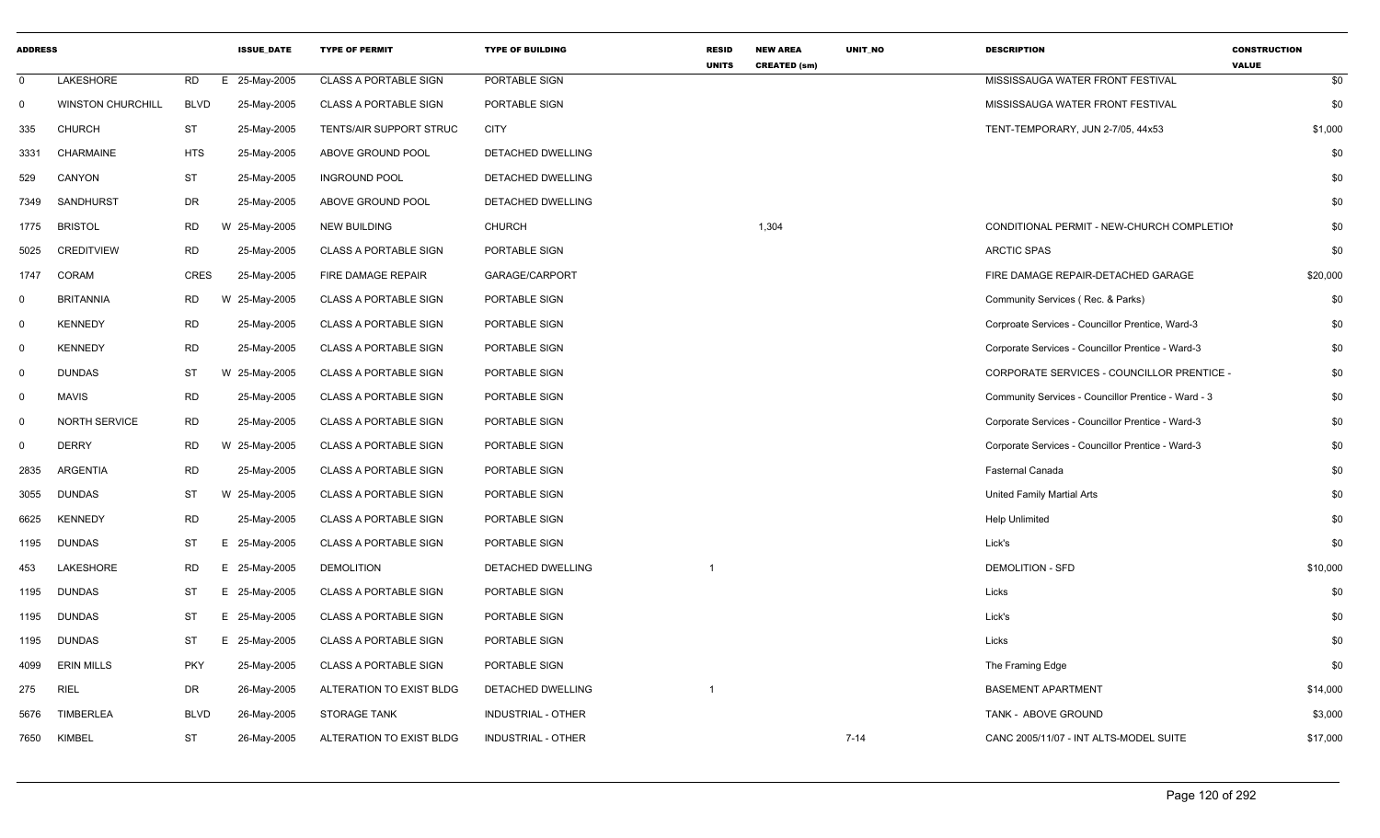| <b>ADDRESS</b> |                          |             | <b>ISSUE_DATE</b> | <b>TYPE OF PERMIT</b>        | <b>TYPE OF BUILDING</b>   | <b>RESID</b><br><b>UNITS</b> | <b>NEW AREA</b><br><b>CREATED (sm)</b> | UNIT_NO | <b>DESCRIPTION</b>                                  | <b>CONSTRUCTION</b><br><b>VALUE</b> |
|----------------|--------------------------|-------------|-------------------|------------------------------|---------------------------|------------------------------|----------------------------------------|---------|-----------------------------------------------------|-------------------------------------|
| $\Omega$       | LAKESHORE                | <b>RD</b>   | E 25-May-2005     | <b>CLASS A PORTABLE SIGN</b> | PORTABLE SIGN             |                              |                                        |         | MISSISSAUGA WATER FRONT FESTIVAL                    | \$0                                 |
| $\mathbf 0$    | <b>WINSTON CHURCHILL</b> | <b>BLVD</b> | 25-May-2005       | <b>CLASS A PORTABLE SIGN</b> | PORTABLE SIGN             |                              |                                        |         | MISSISSAUGA WATER FRONT FESTIVAL                    | \$0                                 |
| 335            | CHURCH                   | ST          | 25-May-2005       | TENTS/AIR SUPPORT STRUC      | CITY                      |                              |                                        |         | TENT-TEMPORARY, JUN 2-7/05, 44x53                   | \$1,000                             |
|                | 3331 CHARMAINE           | <b>HTS</b>  | 25-May-2005       | ABOVE GROUND POOL            | DETACHED DWELLING         |                              |                                        |         |                                                     | \$0                                 |
| 529            | CANYON                   | ST          | 25-May-2005       | <b>INGROUND POOL</b>         | DETACHED DWELLING         |                              |                                        |         |                                                     | \$0                                 |
| 7349           | SANDHURST                | DR          | 25-May-2005       | ABOVE GROUND POOL            | DETACHED DWELLING         |                              |                                        |         |                                                     | \$0                                 |
| 1775 BRISTOL   |                          | <b>RD</b>   | W 25-May-2005     | <b>NEW BUILDING</b>          | <b>CHURCH</b>             |                              | 1,304                                  |         | CONDITIONAL PERMIT - NEW-CHURCH COMPLETIOI          | \$0                                 |
| 5025           | <b>CREDITVIEW</b>        | <b>RD</b>   | 25-May-2005       | <b>CLASS A PORTABLE SIGN</b> | PORTABLE SIGN             |                              |                                        |         | <b>ARCTIC SPAS</b>                                  | \$0                                 |
| 1747 CORAM     |                          | CRES        | 25-May-2005       | FIRE DAMAGE REPAIR           | GARAGE/CARPORT            |                              |                                        |         | FIRE DAMAGE REPAIR-DETACHED GARAGE                  | \$20,000                            |
| $\mathbf 0$    | <b>BRITANNIA</b>         | RD          | W 25-May-2005     | <b>CLASS A PORTABLE SIGN</b> | PORTABLE SIGN             |                              |                                        |         | Community Services (Rec. & Parks)                   | \$0                                 |
| $\Omega$       | <b>KENNEDY</b>           | <b>RD</b>   | 25-May-2005       | <b>CLASS A PORTABLE SIGN</b> | PORTABLE SIGN             |                              |                                        |         | Corproate Services - Councillor Prentice, Ward-3    | \$0                                 |
| $\overline{0}$ | KENNEDY                  | <b>RD</b>   | 25-May-2005       | <b>CLASS A PORTABLE SIGN</b> | PORTABLE SIGN             |                              |                                        |         | Corporate Services - Councillor Prentice - Ward-3   | \$0                                 |
| $\Omega$       | <b>DUNDAS</b>            | ST          | W 25-May-2005     | <b>CLASS A PORTABLE SIGN</b> | PORTABLE SIGN             |                              |                                        |         | CORPORATE SERVICES - COUNCILLOR PRENTICE -          | \$0                                 |
| $\Omega$       | MAVIS                    | <b>RD</b>   | 25-May-2005       | <b>CLASS A PORTABLE SIGN</b> | PORTABLE SIGN             |                              |                                        |         | Community Services - Councillor Prentice - Ward - 3 | \$0                                 |
| - 0            | NORTH SERVICE            | <b>RD</b>   | 25-May-2005       | CLASS A PORTABLE SIGN        | PORTABLE SIGN             |                              |                                        |         | Corporate Services - Councillor Prentice - Ward-3   | \$0                                 |
| $\Omega$       | <b>DERRY</b>             | <b>RD</b>   | W 25-May-2005     | <b>CLASS A PORTABLE SIGN</b> | PORTABLE SIGN             |                              |                                        |         | Corporate Services - Councillor Prentice - Ward-3   | \$0                                 |
| 2835           | ARGENTIA                 | <b>RD</b>   | 25-May-2005       | CLASS A PORTABLE SIGN        | PORTABLE SIGN             |                              |                                        |         | Fasternal Canada                                    | \$0                                 |
| 3055 DUNDAS    |                          | <b>ST</b>   | W 25-May-2005     | <b>CLASS A PORTABLE SIGN</b> | PORTABLE SIGN             |                              |                                        |         | United Family Martial Arts                          | \$0                                 |
| 6625 KENNEDY   |                          | <b>RD</b>   | 25-May-2005       | <b>CLASS A PORTABLE SIGN</b> | PORTABLE SIGN             |                              |                                        |         | <b>Help Unlimited</b>                               | \$0                                 |
| 1195 DUNDAS    |                          | ST          | 25-May-2005<br>E. | <b>CLASS A PORTABLE SIGN</b> | PORTABLE SIGN             |                              |                                        |         | Lick's                                              | \$0                                 |
| 453            | LAKESHORE                | <b>RD</b>   | 25-May-2005<br>E  | <b>DEMOLITION</b>            | DETACHED DWELLING         |                              |                                        |         | <b>DEMOLITION - SFD</b>                             | \$10,000                            |
| 1195 DUNDAS    |                          | ST          | E 25-May-2005     | <b>CLASS A PORTABLE SIGN</b> | PORTABLE SIGN             |                              |                                        |         | Licks                                               | \$0                                 |
| 1195 DUNDAS    |                          | ST          | E 25-May-2005     | <b>CLASS A PORTABLE SIGN</b> | PORTABLE SIGN             |                              |                                        |         | Lick's                                              | \$0                                 |
| 1195 DUNDAS    |                          | <b>ST</b>   | 25-May-2005       | <b>CLASS A PORTABLE SIGN</b> | PORTABLE SIGN             |                              |                                        |         | Licks                                               | \$0                                 |
|                | 4099 ERIN MILLS          | PKY         | 25-May-2005       | <b>CLASS A PORTABLE SIGN</b> | PORTABLE SIGN             |                              |                                        |         | The Framing Edge                                    | \$0                                 |
| 275 RIEL       |                          | DR          | 26-May-2005       | ALTERATION TO EXIST BLDG     | DETACHED DWELLING         |                              |                                        |         | <b>BASEMENT APARTMENT</b>                           | \$14,000                            |
|                | 5676 TIMBERLEA           | <b>BLVD</b> | 26-May-2005       | STORAGE TANK                 | INDUSTRIAL - OTHER        |                              |                                        |         | TANK - ABOVE GROUND                                 | \$3,000                             |
| 7650 KIMBEL    |                          | <b>ST</b>   | 26-May-2005       | ALTERATION TO EXIST BLDG     | <b>INDUSTRIAL - OTHER</b> |                              |                                        | 7-14    | CANC 2005/11/07 - INT ALTS-MODEL SUITE              | \$17,000                            |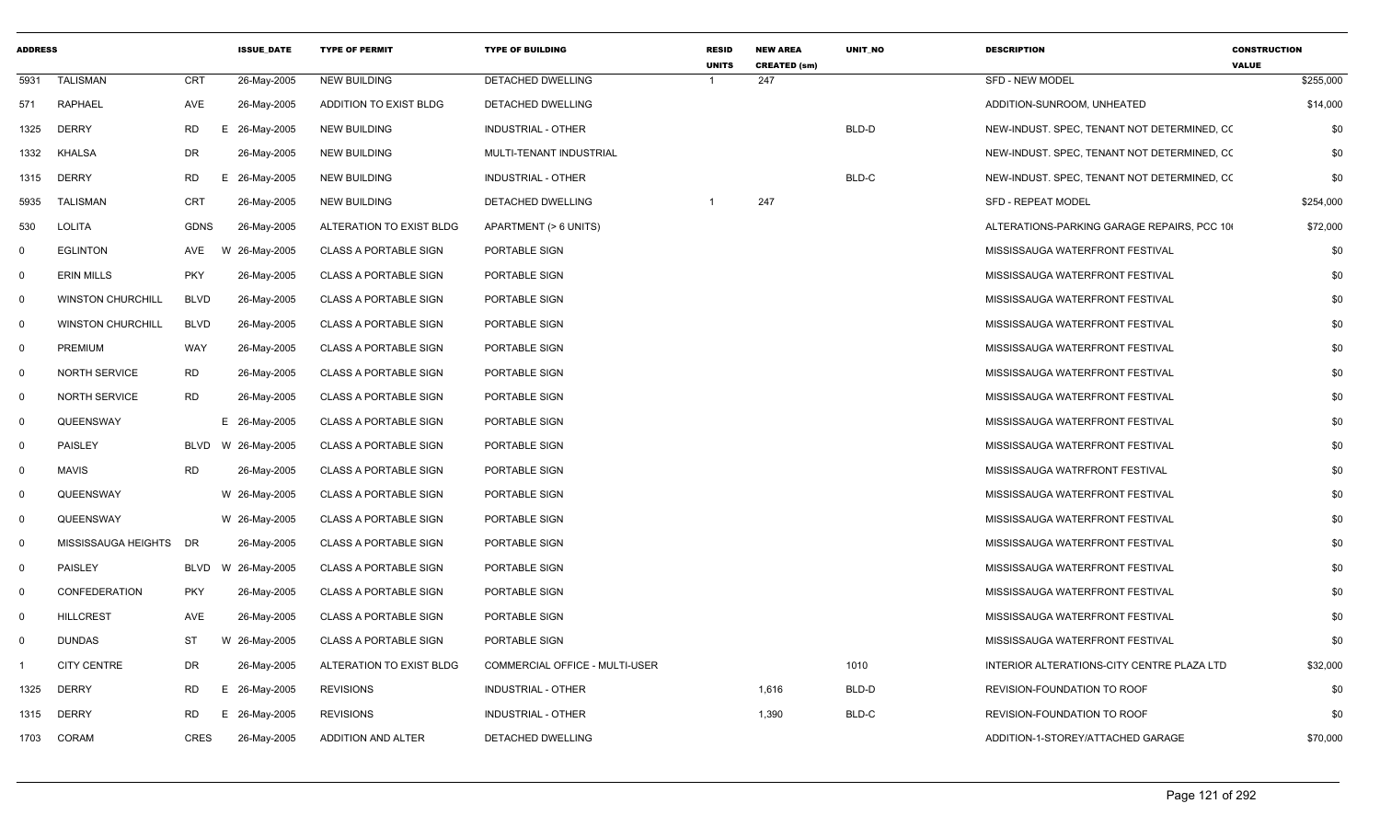| <b>ADDRESS</b> |                          |             | <b>ISSUE DATE</b> | <b>TYPE OF PERMIT</b>        | <b>TYPE OF BUILDING</b>        | <b>RESID</b><br><b>UNITS</b> | <b>NEW AREA</b><br><b>CREATED (sm)</b> | UNIT_NO | <b>DESCRIPTION</b>                          | <b>CONSTRUCTION</b><br><b>VALUE</b> |
|----------------|--------------------------|-------------|-------------------|------------------------------|--------------------------------|------------------------------|----------------------------------------|---------|---------------------------------------------|-------------------------------------|
| 5931           | <b>TALISMAN</b>          | CRT         | 26-May-2005       | <b>NEW BUILDING</b>          | DETACHED DWELLING              | -1                           | 247                                    |         | <b>SFD - NEW MODEL</b>                      | \$255,000                           |
| 571            | <b>RAPHAEL</b>           | AVE         | 26-May-2005       | ADDITION TO EXIST BLDG       | DETACHED DWELLING              |                              |                                        |         | ADDITION-SUNROOM, UNHEATED                  | \$14,000                            |
| 1325           | <b>DERRY</b>             | <b>RD</b>   | E 26-May-2005     | <b>NEW BUILDING</b>          | <b>INDUSTRIAL - OTHER</b>      |                              |                                        | BLD-D   | NEW-INDUST. SPEC, TENANT NOT DETERMINED, CO | \$0                                 |
| 1332           | KHALSA                   | DR          | 26-May-2005       | <b>NEW BUILDING</b>          | MULTI-TENANT INDUSTRIAL        |                              |                                        |         | NEW-INDUST. SPEC, TENANT NOT DETERMINED, CO | \$0                                 |
| 1315           | <b>DERRY</b>             | <b>RD</b>   | E 26-May-2005     | <b>NEW BUILDING</b>          | <b>INDUSTRIAL - OTHER</b>      |                              |                                        | BLD-C   | NEW-INDUST. SPEC, TENANT NOT DETERMINED, CO | \$0                                 |
| 5935           | TALISMAN                 | <b>CRT</b>  | 26-May-2005       | <b>NEW BUILDING</b>          | DETACHED DWELLING              |                              | 247                                    |         | <b>SFD - REPEAT MODEL</b>                   | \$254,000                           |
| 530            | LOLITA                   | <b>GDNS</b> | 26-May-2005       | ALTERATION TO EXIST BLDG     | APARTMENT (> 6 UNITS)          |                              |                                        |         | ALTERATIONS-PARKING GARAGE REPAIRS, PCC 10  | \$72,000                            |
| $\mathbf 0$    | <b>EGLINTON</b>          | AVE         | W 26-May-2005     | <b>CLASS A PORTABLE SIGN</b> | PORTABLE SIGN                  |                              |                                        |         | MISSISSAUGA WATERFRONT FESTIVAL             | \$0                                 |
| $\mathbf 0$    | <b>ERIN MILLS</b>        | <b>PKY</b>  | 26-May-2005       | <b>CLASS A PORTABLE SIGN</b> | PORTABLE SIGN                  |                              |                                        |         | MISSISSAUGA WATERFRONT FESTIVAL             | \$0                                 |
| $\mathbf 0$    | <b>WINSTON CHURCHILL</b> | <b>BLVD</b> | 26-May-2005       | <b>CLASS A PORTABLE SIGN</b> | PORTABLE SIGN                  |                              |                                        |         | MISSISSAUGA WATERFRONT FESTIVAL             | \$0                                 |
| $\mathbf 0$    | <b>WINSTON CHURCHILL</b> | <b>BLVD</b> | 26-May-2005       | <b>CLASS A PORTABLE SIGN</b> | PORTABLE SIGN                  |                              |                                        |         | MISSISSAUGA WATERFRONT FESTIVAL             | \$0                                 |
| $\mathbf 0$    | <b>PREMIUM</b>           | WAY         | 26-May-2005       | <b>CLASS A PORTABLE SIGN</b> | PORTABLE SIGN                  |                              |                                        |         | MISSISSAUGA WATERFRONT FESTIVAL             | \$0                                 |
| $\mathbf 0$    | <b>NORTH SERVICE</b>     | <b>RD</b>   | 26-May-2005       | <b>CLASS A PORTABLE SIGN</b> | PORTABLE SIGN                  |                              |                                        |         | MISSISSAUGA WATERFRONT FESTIVAL             | \$0                                 |
| $\mathbf 0$    | <b>NORTH SERVICE</b>     | <b>RD</b>   | 26-May-2005       | <b>CLASS A PORTABLE SIGN</b> | PORTABLE SIGN                  |                              |                                        |         | MISSISSAUGA WATERFRONT FESTIVAL             | \$0                                 |
| $\mathbf 0$    | QUEENSWAY                |             | E 26-May-2005     | <b>CLASS A PORTABLE SIGN</b> | PORTABLE SIGN                  |                              |                                        |         | MISSISSAUGA WATERFRONT FESTIVAL             | \$0                                 |
| $\mathbf 0$    | <b>PAISLEY</b>           | BLVD        | W 26-May-2005     | <b>CLASS A PORTABLE SIGN</b> | PORTABLE SIGN                  |                              |                                        |         | MISSISSAUGA WATERFRONT FESTIVAL             | \$0                                 |
| $\mathbf 0$    | <b>MAVIS</b>             | <b>RD</b>   | 26-May-2005       | <b>CLASS A PORTABLE SIGN</b> | PORTABLE SIGN                  |                              |                                        |         | MISSISSAUGA WATRFRONT FESTIVAL              | \$0                                 |
| $\mathbf 0$    | QUEENSWAY                |             | W 26-May-2005     | <b>CLASS A PORTABLE SIGN</b> | PORTABLE SIGN                  |                              |                                        |         | MISSISSAUGA WATERFRONT FESTIVAL             | \$0                                 |
| $\mathbf 0$    | QUEENSWAY                |             | W 26-May-2005     | <b>CLASS A PORTABLE SIGN</b> | PORTABLE SIGN                  |                              |                                        |         | MISSISSAUGA WATERFRONT FESTIVAL             | \$0                                 |
| $\mathbf 0$    | MISSISSAUGA HEIGHTS DR   |             | 26-May-2005       | <b>CLASS A PORTABLE SIGN</b> | PORTABLE SIGN                  |                              |                                        |         | MISSISSAUGA WATERFRONT FESTIVAL             | \$0                                 |
| $\mathbf 0$    | <b>PAISLEY</b>           | BLVD        | W 26-May-2005     | <b>CLASS A PORTABLE SIGN</b> | PORTABLE SIGN                  |                              |                                        |         | MISSISSAUGA WATERFRONT FESTIVAL             | \$0                                 |
| $\mathbf 0$    | CONFEDERATION            | <b>PKY</b>  | 26-May-2005       | <b>CLASS A PORTABLE SIGN</b> | PORTABLE SIGN                  |                              |                                        |         | MISSISSAUGA WATERFRONT FESTIVAL             | \$0                                 |
| $\mathbf 0$    | <b>HILLCREST</b>         | AVE         | 26-May-2005       | <b>CLASS A PORTABLE SIGN</b> | PORTABLE SIGN                  |                              |                                        |         | MISSISSAUGA WATERFRONT FESTIVAL             | \$0                                 |
| $\mathbf 0$    | <b>DUNDAS</b>            | ST          | W 26-May-2005     | <b>CLASS A PORTABLE SIGN</b> | PORTABLE SIGN                  |                              |                                        |         | MISSISSAUGA WATERFRONT FESTIVAL             | \$0                                 |
| -1             | <b>CITY CENTRE</b>       | DR          | 26-May-2005       | ALTERATION TO EXIST BLDG     | COMMERCIAL OFFICE - MULTI-USER |                              |                                        | 1010    | INTERIOR ALTERATIONS-CITY CENTRE PLAZA LTD  | \$32,000                            |
| 1325           | <b>DERRY</b>             | <b>RD</b>   | E 26-May-2005     | <b>REVISIONS</b>             | <b>INDUSTRIAL - OTHER</b>      |                              | 1,616                                  | BLD-D   | REVISION-FOUNDATION TO ROOF                 | \$0                                 |
| 1315           | <b>DERRY</b>             | <b>RD</b>   | E 26-May-2005     | <b>REVISIONS</b>             | <b>INDUSTRIAL - OTHER</b>      |                              | 1,390                                  | BLD-C   | REVISION-FOUNDATION TO ROOF                 | \$0                                 |
| 1703           | CORAM                    | <b>CRES</b> | 26-May-2005       | ADDITION AND ALTER           | <b>DETACHED DWELLING</b>       |                              |                                        |         | ADDITION-1-STOREY/ATTACHED GARAGE           | \$70,000                            |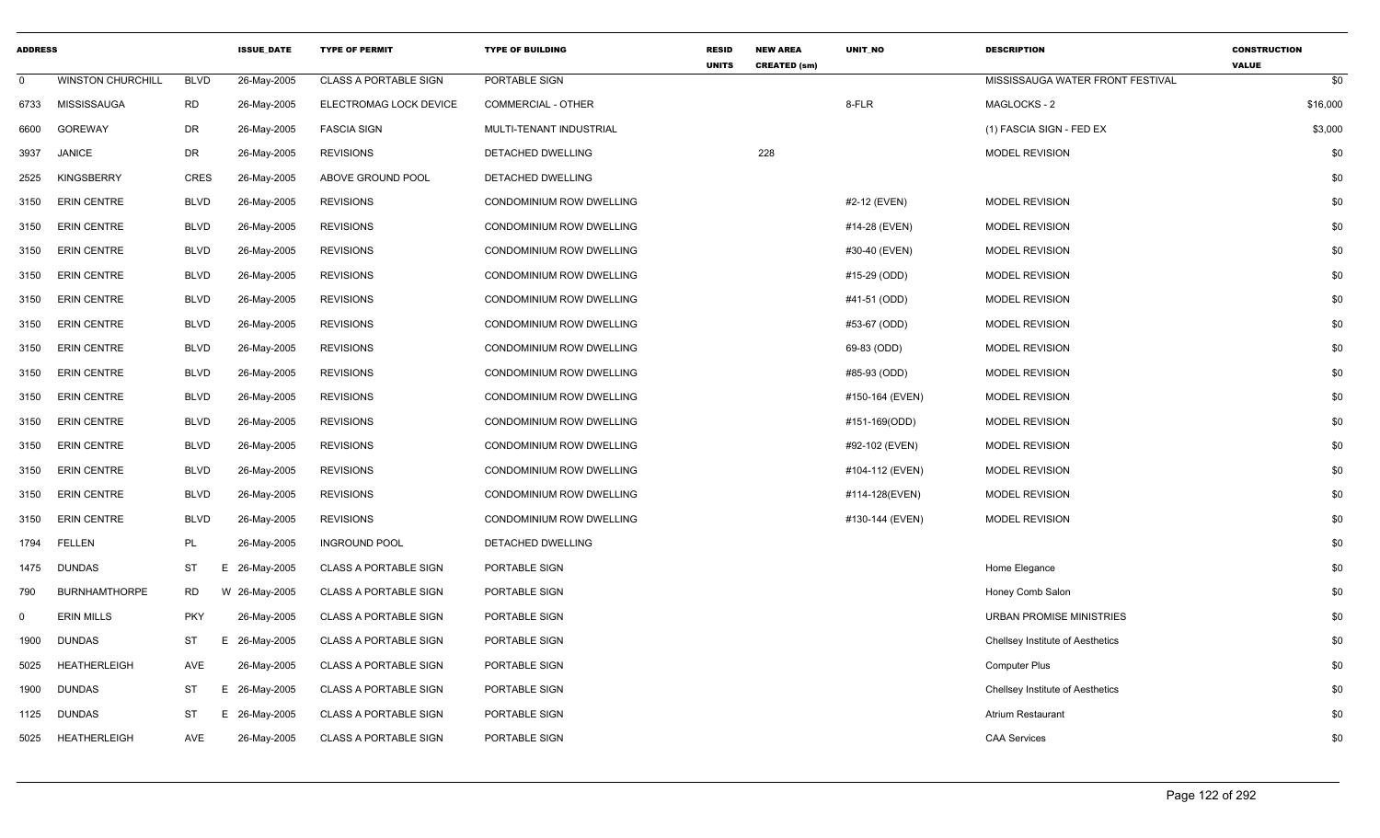| <b>ADDRESS</b> |                          |             | <b>ISSUE DATE</b> | <b>TYPE OF PERMIT</b>        | <b>TYPE OF BUILDING</b>         | <b>RESID</b><br><b>UNITS</b> | <b>NEW AREA</b><br><b>CREATED (sm)</b> | UNIT_NO         | <b>DESCRIPTION</b>               | <b>CONSTRUCTION</b><br><b>VALUE</b> |
|----------------|--------------------------|-------------|-------------------|------------------------------|---------------------------------|------------------------------|----------------------------------------|-----------------|----------------------------------|-------------------------------------|
| $\mathbf 0$    | <b>WINSTON CHURCHILL</b> | <b>BLVD</b> | 26-May-2005       | <b>CLASS A PORTABLE SIGN</b> | PORTABLE SIGN                   |                              |                                        |                 | MISSISSAUGA WATER FRONT FESTIVAL | \$0                                 |
| 6733           | MISSISSAUGA              | RD          | 26-May-2005       | ELECTROMAG LOCK DEVICE       | <b>COMMERCIAL - OTHER</b>       |                              |                                        | 8-FLR           | MAGLOCKS - 2                     | \$16,000                            |
| 6600           | <b>GOREWAY</b>           | <b>DR</b>   | 26-May-2005       | <b>FASCIA SIGN</b>           | MULTI-TENANT INDUSTRIAL         |                              |                                        |                 | (1) FASCIA SIGN - FED EX         | \$3,000                             |
| 3937           | <b>JANICE</b>            | <b>DR</b>   | 26-May-2005       | <b>REVISIONS</b>             | DETACHED DWELLING               |                              | 228                                    |                 | <b>MODEL REVISION</b>            | \$0                                 |
| 2525           | <b>KINGSBERRY</b>        | <b>CRES</b> | 26-May-2005       | ABOVE GROUND POOL            | DETACHED DWELLING               |                              |                                        |                 |                                  | \$0                                 |
| 3150           | <b>ERIN CENTRE</b>       | <b>BLVD</b> | 26-May-2005       | <b>REVISIONS</b>             | CONDOMINIUM ROW DWELLING        |                              |                                        | #2-12 (EVEN)    | <b>MODEL REVISION</b>            | \$0                                 |
| 3150           | <b>ERIN CENTRE</b>       | <b>BLVD</b> | 26-May-2005       | <b>REVISIONS</b>             | CONDOMINIUM ROW DWELLING        |                              |                                        | #14-28 (EVEN)   | <b>MODEL REVISION</b>            | \$0                                 |
| 3150           | <b>ERIN CENTRE</b>       | <b>BLVD</b> | 26-May-2005       | <b>REVISIONS</b>             | CONDOMINIUM ROW DWELLING        |                              |                                        | #30-40 (EVEN)   | <b>MODEL REVISION</b>            | \$0                                 |
| 3150           | <b>ERIN CENTRE</b>       | <b>BLVD</b> | 26-May-2005       | <b>REVISIONS</b>             | CONDOMINIUM ROW DWELLING        |                              |                                        | #15-29 (ODD)    | <b>MODEL REVISION</b>            | \$0                                 |
| 3150           | <b>ERIN CENTRE</b>       | <b>BLVD</b> | 26-May-2005       | <b>REVISIONS</b>             | CONDOMINIUM ROW DWELLING        |                              |                                        | #41-51 (ODD)    | MODEL REVISION                   | \$0                                 |
| 3150           | <b>ERIN CENTRE</b>       | <b>BLVD</b> | 26-May-2005       | <b>REVISIONS</b>             | CONDOMINIUM ROW DWELLING        |                              |                                        | #53-67 (ODD)    | <b>MODEL REVISION</b>            | \$0                                 |
| 3150           | <b>ERIN CENTRE</b>       | <b>BLVD</b> | 26-May-2005       | <b>REVISIONS</b>             | CONDOMINIUM ROW DWELLING        |                              |                                        | 69-83 (ODD)     | <b>MODEL REVISION</b>            | \$0                                 |
| 3150           | <b>ERIN CENTRE</b>       | <b>BLVD</b> | 26-May-2005       | <b>REVISIONS</b>             | CONDOMINIUM ROW DWELLING        |                              |                                        | #85-93 (ODD)    | <b>MODEL REVISION</b>            | \$0                                 |
| 3150           | <b>ERIN CENTRE</b>       | <b>BLVD</b> | 26-May-2005       | <b>REVISIONS</b>             | CONDOMINIUM ROW DWELLING        |                              |                                        | #150-164 (EVEN) | MODEL REVISION                   | \$0                                 |
| 3150           | <b>ERIN CENTRE</b>       | <b>BLVD</b> | 26-May-2005       | <b>REVISIONS</b>             | CONDOMINIUM ROW DWELLING        |                              |                                        | #151-169(ODD)   | <b>MODEL REVISION</b>            | \$0                                 |
| 3150           | <b>ERIN CENTRE</b>       | <b>BLVD</b> | 26-May-2005       | <b>REVISIONS</b>             | CONDOMINIUM ROW DWELLING        |                              |                                        | #92-102 (EVEN)  | MODEL REVISION                   | \$0                                 |
| 3150           | <b>ERIN CENTRE</b>       | <b>BLVD</b> | 26-May-2005       | <b>REVISIONS</b>             | <b>CONDOMINIUM ROW DWELLING</b> |                              |                                        | #104-112 (EVEN) | <b>MODEL REVISION</b>            | \$0                                 |
| 3150           | <b>ERIN CENTRE</b>       | <b>BLVD</b> | 26-May-2005       | <b>REVISIONS</b>             | CONDOMINIUM ROW DWELLING        |                              |                                        | #114-128(EVEN)  | MODEL REVISION                   | \$0                                 |
| 3150           | <b>ERIN CENTRE</b>       | <b>BLVD</b> | 26-May-2005       | <b>REVISIONS</b>             | CONDOMINIUM ROW DWELLING        |                              |                                        | #130-144 (EVEN) | <b>MODEL REVISION</b>            | \$0                                 |
| 1794           | <b>FELLEN</b>            | PL          | 26-May-2005       | <b>INGROUND POOL</b>         | DETACHED DWELLING               |                              |                                        |                 |                                  | \$0                                 |
| 1475           | <b>DUNDAS</b>            | <b>ST</b>   | E.<br>26-May-2005 | <b>CLASS A PORTABLE SIGN</b> | PORTABLE SIGN                   |                              |                                        |                 | Home Elegance                    | \$0                                 |
| 790            | <b>BURNHAMTHORPE</b>     | <b>RD</b>   | W 26-May-2005     | <b>CLASS A PORTABLE SIGN</b> | PORTABLE SIGN                   |                              |                                        |                 | Honey Comb Salon                 | \$0                                 |
| $\mathbf 0$    | <b>ERIN MILLS</b>        | <b>PKY</b>  | 26-May-2005       | <b>CLASS A PORTABLE SIGN</b> | PORTABLE SIGN                   |                              |                                        |                 | <b>URBAN PROMISE MINISTRIES</b>  | \$0                                 |
| 1900           | <b>DUNDAS</b>            | <b>ST</b>   | 26-May-2005<br>Е  | <b>CLASS A PORTABLE SIGN</b> | PORTABLE SIGN                   |                              |                                        |                 | Chellsey Institute of Aesthetics | \$0                                 |
| 5025           | <b>HEATHERLEIGH</b>      | <b>AVE</b>  | 26-May-2005       | <b>CLASS A PORTABLE SIGN</b> | PORTABLE SIGN                   |                              |                                        |                 | <b>Computer Plus</b>             | \$0                                 |
| 1900           | <b>DUNDAS</b>            | <b>ST</b>   | E.<br>26-May-2005 | <b>CLASS A PORTABLE SIGN</b> | PORTABLE SIGN                   |                              |                                        |                 | Chellsey Institute of Aesthetics | \$0                                 |
| 1125           | <b>DUNDAS</b>            | <b>ST</b>   | Е.<br>26-May-2005 | <b>CLASS A PORTABLE SIGN</b> | PORTABLE SIGN                   |                              |                                        |                 | Atrium Restaurant                | \$0                                 |
| 5025           | <b>HEATHERLEIGH</b>      | <b>AVE</b>  | 26-May-2005       | <b>CLASS A PORTABLE SIGN</b> | PORTABLE SIGN                   |                              |                                        |                 | <b>CAA Services</b>              | \$0                                 |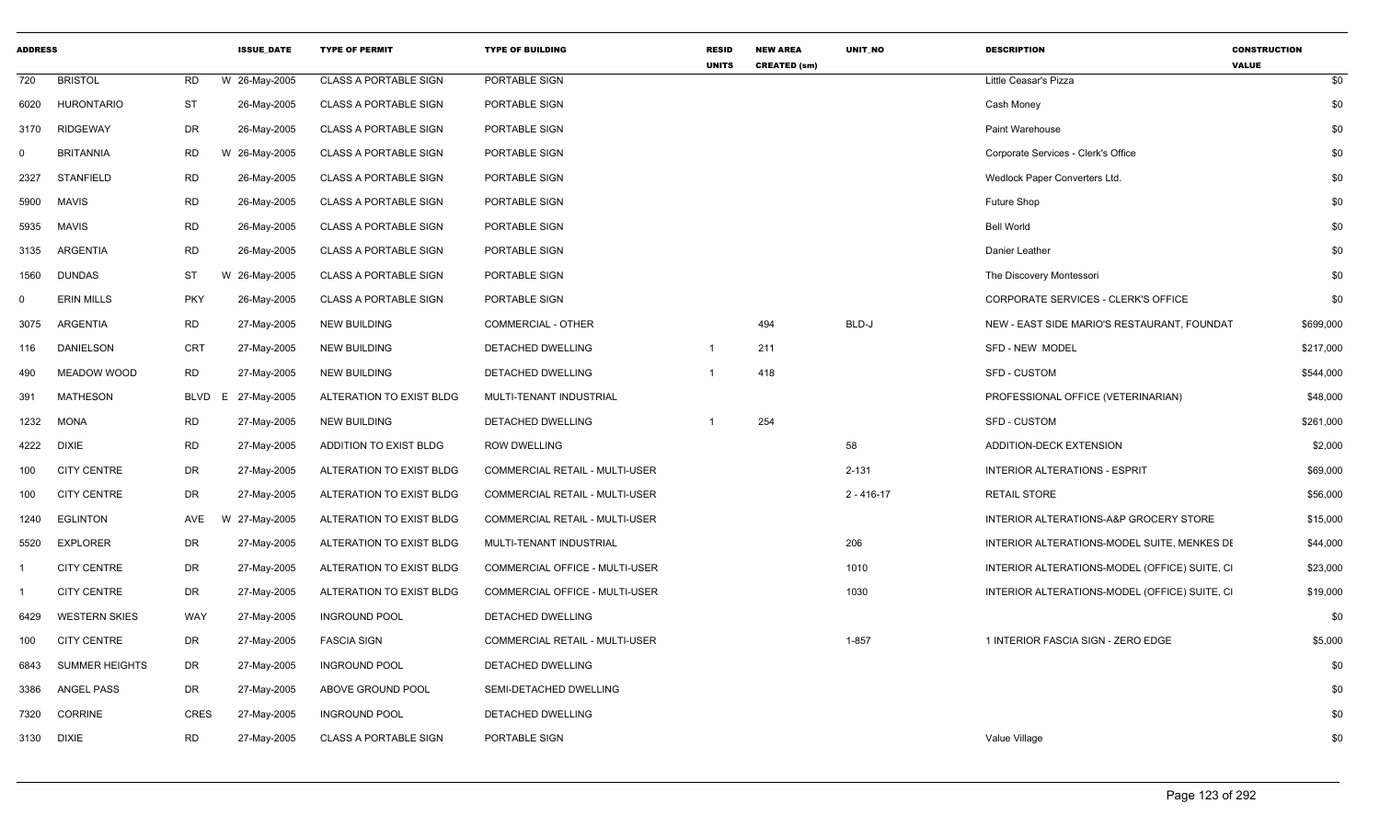| <b>ADDRESS</b> |                       |             | <b>ISSUE_DATE</b> | <b>TYPE OF PERMIT</b>        | <b>TYPE OF BUILDING</b>               | <b>RESID</b><br><b>UNITS</b> | <b>NEW AREA</b><br><b>CREATED (sm)</b> | UNIT_NO        | <b>DESCRIPTION</b>                            | <b>CONSTRUCTION</b><br><b>VALUE</b> |
|----------------|-----------------------|-------------|-------------------|------------------------------|---------------------------------------|------------------------------|----------------------------------------|----------------|-----------------------------------------------|-------------------------------------|
| 720            | <b>BRISTOL</b>        | <b>RD</b>   | W 26-May-2005     | <b>CLASS A PORTABLE SIGN</b> | PORTABLE SIGN                         |                              |                                        |                | Little Ceasar's Pizza                         | \$0                                 |
| 6020           | <b>HURONTARIO</b>     | <b>ST</b>   | 26-May-2005       | <b>CLASS A PORTABLE SIGN</b> | PORTABLE SIGN                         |                              |                                        |                | Cash Money                                    | \$0                                 |
| 3170           | <b>RIDGEWAY</b>       | <b>DR</b>   | 26-May-2005       | <b>CLASS A PORTABLE SIGN</b> | PORTABLE SIGN                         |                              |                                        |                | Paint Warehouse                               | \$0                                 |
| $\Omega$       | <b>BRITANNIA</b>      | <b>RD</b>   | W 26-May-2005     | <b>CLASS A PORTABLE SIGN</b> | PORTABLE SIGN                         |                              |                                        |                | Corporate Services - Clerk's Office           | \$0                                 |
| 2327           | <b>STANFIELD</b>      | <b>RD</b>   | 26-May-2005       | <b>CLASS A PORTABLE SIGN</b> | PORTABLE SIGN                         |                              |                                        |                | Wedlock Paper Converters Ltd.                 | \$0                                 |
| 5900           | <b>MAVIS</b>          | <b>RD</b>   | 26-May-2005       | <b>CLASS A PORTABLE SIGN</b> | PORTABLE SIGN                         |                              |                                        |                | Future Shop                                   | \$0                                 |
| 5935           | <b>MAVIS</b>          | <b>RD</b>   | 26-May-2005       | <b>CLASS A PORTABLE SIGN</b> | PORTABLE SIGN                         |                              |                                        |                | <b>Bell World</b>                             | \$0                                 |
| 3135           | ARGENTIA              | <b>RD</b>   | 26-May-2005       | <b>CLASS A PORTABLE SIGN</b> | PORTABLE SIGN                         |                              |                                        |                | Danier Leather                                | \$0                                 |
| 1560           | DUNDAS                | ST          | W 26-May-2005     | <b>CLASS A PORTABLE SIGN</b> | <b>PORTABLE SIGN</b>                  |                              |                                        |                | The Discovery Montessori                      | \$0                                 |
| $\Omega$       | <b>ERIN MILLS</b>     | <b>PKY</b>  | 26-May-2005       | <b>CLASS A PORTABLE SIGN</b> | PORTABLE SIGN                         |                              |                                        |                | CORPORATE SERVICES - CLERK'S OFFICE           | \$0                                 |
| 3075           | ARGENTIA              | <b>RD</b>   | 27-May-2005       | <b>NEW BUILDING</b>          | <b>COMMERCIAL - OTHER</b>             |                              | 494                                    | BLD-J          | NEW - EAST SIDE MARIO'S RESTAURANT, FOUNDAT   | \$699,000                           |
| 116            | <b>DANIELSON</b>      | <b>CRT</b>  | 27-May-2005       | <b>NEW BUILDING</b>          | <b>DETACHED DWELLING</b>              | $\overline{1}$               | 211                                    |                | SFD - NEW MODEL                               | \$217,000                           |
| 490            | MEADOW WOOD           | <b>RD</b>   | 27-May-2005       | <b>NEW BUILDING</b>          | DETACHED DWELLING                     |                              | 418                                    |                | <b>SFD - CUSTOM</b>                           | \$544,000                           |
| 391            | <b>MATHESON</b>       | <b>BLVD</b> | E 27-May-2005     | ALTERATION TO EXIST BLDG     | MULTI-TENANT INDUSTRIAL               |                              |                                        |                | PROFESSIONAL OFFICE (VETERINARIAN)            | \$48,000                            |
| 1232           | <b>MONA</b>           | RD          | 27-May-2005       | <b>NEW BUILDING</b>          | DETACHED DWELLING                     |                              | 254                                    |                | <b>SFD - CUSTOM</b>                           | \$261,000                           |
| 4222           | <b>DIXIE</b>          | <b>RD</b>   | 27-May-2005       | ADDITION TO EXIST BLDG       | <b>ROW DWELLING</b>                   |                              |                                        | 58             | ADDITION-DECK EXTENSION                       | \$2,000                             |
| 100            | <b>CITY CENTRE</b>    | <b>DR</b>   | 27-May-2005       | ALTERATION TO EXIST BLDG     | <b>COMMERCIAL RETAIL - MULTI-USER</b> |                              |                                        | $2 - 131$      | <b>INTERIOR ALTERATIONS - ESPRIT</b>          | \$69,000                            |
| 100            | <b>CITY CENTRE</b>    | DR          | 27-May-2005       | ALTERATION TO EXIST BLDG     | COMMERCIAL RETAIL - MULTI-USER        |                              |                                        | $2 - 416 - 17$ | <b>RETAIL STORE</b>                           | \$56,000                            |
| 1240           | <b>EGLINTON</b>       | AVE         | W 27-May-2005     | ALTERATION TO EXIST BLDG     | <b>COMMERCIAL RETAIL - MULTI-USER</b> |                              |                                        |                | INTERIOR ALTERATIONS-A&P GROCERY STORE        | \$15,000                            |
| 5520           | <b>EXPLORER</b>       | <b>DR</b>   | 27-May-2005       | ALTERATION TO EXIST BLDG     | MULTI-TENANT INDUSTRIAL               |                              |                                        | 206            | INTERIOR ALTERATIONS-MODEL SUITE, MENKES DE   | \$44,000                            |
|                | <b>CITY CENTRE</b>    | DR          | 27-May-2005       | ALTERATION TO EXIST BLDG     | COMMERCIAL OFFICE - MULTI-USER        |                              |                                        | 1010           | INTERIOR ALTERATIONS-MODEL (OFFICE) SUITE, CI | \$23,000                            |
|                | <b>CITY CENTRE</b>    | <b>DR</b>   | 27-May-2005       | ALTERATION TO EXIST BLDG     | COMMERCIAL OFFICE - MULTI-USER        |                              |                                        | 1030           | INTERIOR ALTERATIONS-MODEL (OFFICE) SUITE, CI | \$19,000                            |
| 6429           | <b>WESTERN SKIES</b>  | WAY         | 27-May-2005       | <b>INGROUND POOL</b>         | DETACHED DWELLING                     |                              |                                        |                |                                               | \$0                                 |
| 100            | <b>CITY CENTRE</b>    | DR          | 27-May-2005       | <b>FASCIA SIGN</b>           | COMMERCIAL RETAIL - MULTI-USER        |                              |                                        | $1 - 857$      | 1 INTERIOR FASCIA SIGN - ZERO EDGE            | \$5,000                             |
| 6843           | <b>SUMMER HEIGHTS</b> | DR          | 27-May-2005       | <b>INGROUND POOL</b>         | DETACHED DWELLING                     |                              |                                        |                |                                               | \$0                                 |
| 3386           | <b>ANGEL PASS</b>     | DR          | 27-May-2005       | ABOVE GROUND POOL            | SEMI-DETACHED DWELLING                |                              |                                        |                |                                               | \$0                                 |
| 7320           | <b>CORRINE</b>        | <b>CRES</b> | 27-May-2005       | <b>INGROUND POOL</b>         | DETACHED DWELLING                     |                              |                                        |                |                                               | \$0                                 |
| 3130 DIXIE     |                       | <b>RD</b>   | 27-May-2005       | <b>CLASS A PORTABLE SIGN</b> | PORTABLE SIGN                         |                              |                                        |                | Value Village                                 | \$0                                 |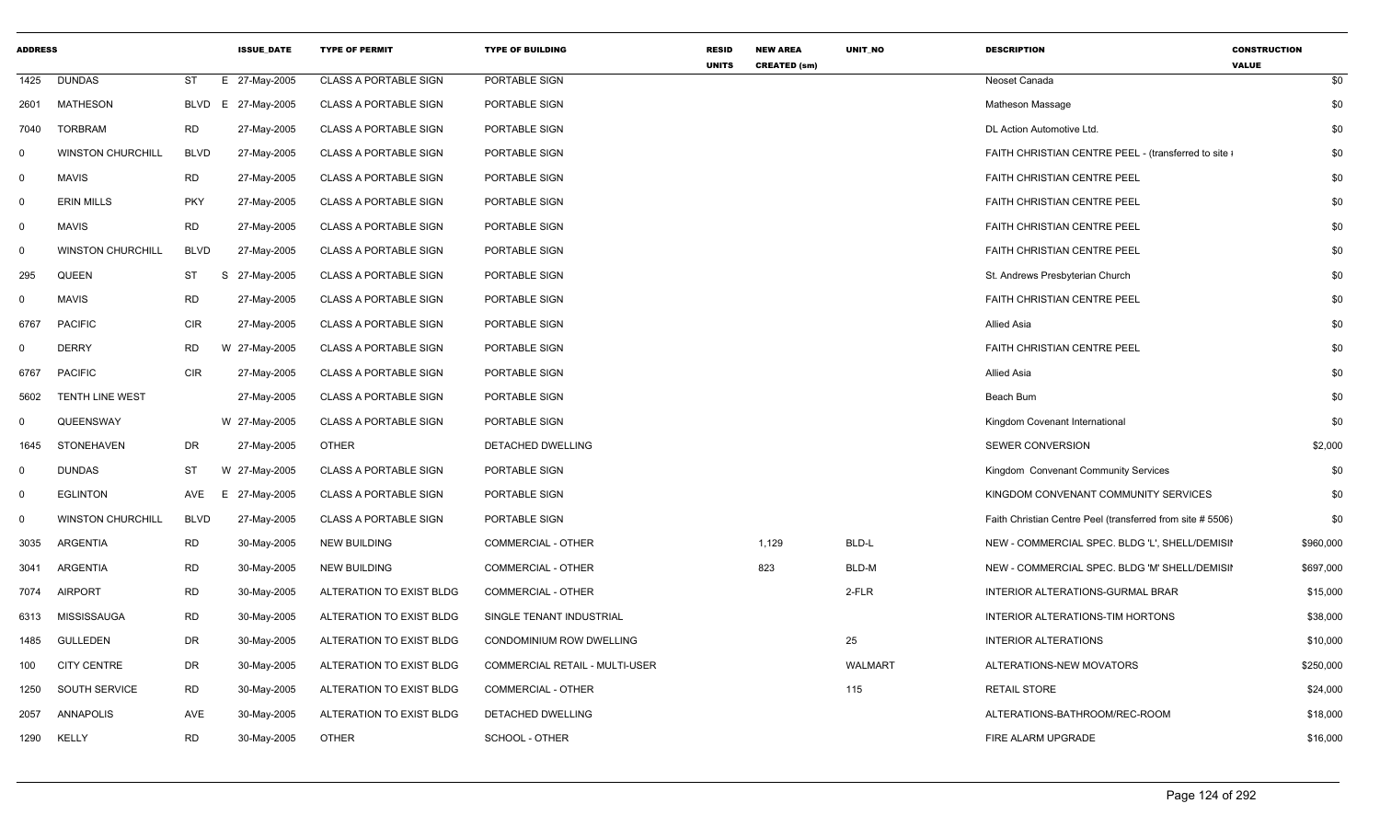| <b>ADDRESS</b> |                          |             | <b>ISSUE_DATE</b>  | <b>TYPE OF PERMIT</b>        | <b>TYPE OF BUILDING</b>        | <b>RESID</b><br><b>UNITS</b> | <b>NEW AREA</b><br><b>CREATED (sm)</b> | UNIT_NO        | <b>DESCRIPTION</b>                                         | <b>CONSTRUCTION</b><br><b>VALUE</b> |  |
|----------------|--------------------------|-------------|--------------------|------------------------------|--------------------------------|------------------------------|----------------------------------------|----------------|------------------------------------------------------------|-------------------------------------|--|
| 1425           | <b>DUNDAS</b>            | ST<br>E.    | 27-May-2005        | <b>CLASS A PORTABLE SIGN</b> | PORTABLE SIGN                  |                              |                                        |                | Neoset Canada                                              | \$0                                 |  |
| 2601           | <b>MATHESON</b>          |             | BLVD E 27-May-2005 | <b>CLASS A PORTABLE SIGN</b> | PORTABLE SIGN                  |                              |                                        |                | Matheson Massage                                           | \$0                                 |  |
| 7040           | <b>TORBRAM</b>           | <b>RD</b>   | 27-May-2005        | <b>CLASS A PORTABLE SIGN</b> | PORTABLE SIGN                  |                              |                                        |                | DL Action Automotive Ltd.                                  | \$0                                 |  |
| $\Omega$       | <b>WINSTON CHURCHILL</b> | <b>BLVD</b> | 27-May-2005        | <b>CLASS A PORTABLE SIGN</b> | PORTABLE SIGN                  |                              |                                        |                | FAITH CHRISTIAN CENTRE PEEL - (transferred to site ;       | \$0                                 |  |
| $\mathbf 0$    | MAVIS                    | <b>RD</b>   | 27-May-2005        | <b>CLASS A PORTABLE SIGN</b> | PORTABLE SIGN                  |                              |                                        |                | FAITH CHRISTIAN CENTRE PEEL                                | \$0                                 |  |
| $\Omega$       | <b>ERIN MILLS</b>        | <b>PKY</b>  | 27-May-2005        | <b>CLASS A PORTABLE SIGN</b> | PORTABLE SIGN                  |                              |                                        |                | FAITH CHRISTIAN CENTRE PEEL                                | \$0                                 |  |
| $\mathbf 0$    | MAVIS                    | <b>RD</b>   | 27-May-2005        | <b>CLASS A PORTABLE SIGN</b> | PORTABLE SIGN                  |                              |                                        |                | <b>FAITH CHRISTIAN CENTRE PEEL</b>                         | \$0                                 |  |
| $\Omega$       | <b>WINSTON CHURCHILL</b> | <b>BLVD</b> | 27-May-2005        | <b>CLASS A PORTABLE SIGN</b> | PORTABLE SIGN                  |                              |                                        |                | <b>FAITH CHRISTIAN CENTRE PEEL</b>                         | \$0                                 |  |
| 295            | QUEEN                    | ST          | S 27-May-2005      | <b>CLASS A PORTABLE SIGN</b> | PORTABLE SIGN                  |                              |                                        |                | St. Andrews Presbyterian Church                            | \$0                                 |  |
| $\Omega$       | <b>MAVIS</b>             | <b>RD</b>   | 27-May-2005        | <b>CLASS A PORTABLE SIGN</b> | PORTABLE SIGN                  |                              |                                        |                | FAITH CHRISTIAN CENTRE PEEL                                | \$0                                 |  |
| 6767           | <b>PACIFIC</b>           | CIR         | 27-May-2005        | <b>CLASS A PORTABLE SIGN</b> | PORTABLE SIGN                  |                              |                                        |                | Allied Asia                                                | \$0                                 |  |
| $\Omega$       | <b>DERRY</b>             | <b>RD</b>   | W 27-May-2005      | <b>CLASS A PORTABLE SIGN</b> | PORTABLE SIGN                  |                              |                                        |                | <b>FAITH CHRISTIAN CENTRE PEEL</b>                         | \$0                                 |  |
| 6767           | <b>PACIFIC</b>           | <b>CIR</b>  | 27-May-2005        | <b>CLASS A PORTABLE SIGN</b> | PORTABLE SIGN                  |                              |                                        |                | <b>Allied Asia</b>                                         | \$0                                 |  |
| 5602           | TENTH LINE WEST          |             | 27-May-2005        | <b>CLASS A PORTABLE SIGN</b> | PORTABLE SIGN                  |                              |                                        |                | Beach Bum                                                  | \$0                                 |  |
| $\Omega$       | QUEENSWAY                |             | W 27-May-2005      | <b>CLASS A PORTABLE SIGN</b> | PORTABLE SIGN                  |                              |                                        |                | Kingdom Covenant International                             | \$0                                 |  |
| 1645           | <b>STONEHAVEN</b>        | DR          | 27-May-2005        | <b>OTHER</b>                 | DETACHED DWELLING              |                              |                                        |                | <b>SEWER CONVERSION</b>                                    | \$2,000                             |  |
| $\mathbf{0}$   | <b>DUNDAS</b>            | ST          | W 27-May-2005      | <b>CLASS A PORTABLE SIGN</b> | PORTABLE SIGN                  |                              |                                        |                | Kingdom Convenant Community Services                       | \$0                                 |  |
| $\mathbf 0$    | <b>EGLINTON</b>          |             | AVE E 27-May-2005  | <b>CLASS A PORTABLE SIGN</b> | PORTABLE SIGN                  |                              |                                        |                | KINGDOM CONVENANT COMMUNITY SERVICES                       | \$0                                 |  |
| $\mathbf 0$    | <b>WINSTON CHURCHILL</b> | <b>BLVD</b> | 27-May-2005        | <b>CLASS A PORTABLE SIGN</b> | PORTABLE SIGN                  |                              |                                        |                | Faith Christian Centre Peel (transferred from site # 5506) | \$0                                 |  |
| 3035           | ARGENTIA                 | <b>RD</b>   | 30-May-2005        | <b>NEW BUILDING</b>          | <b>COMMERCIAL - OTHER</b>      |                              | 1,129                                  | BLD-L          | NEW - COMMERCIAL SPEC. BLDG 'L', SHELL/DEMISII             | \$960,000                           |  |
| 3041           | ARGENTIA                 | <b>RD</b>   | 30-May-2005        | <b>NEW BUILDING</b>          | COMMERCIAL - OTHER             |                              | 823                                    | BLD-M          | NEW - COMMERCIAL SPEC. BLDG 'M' SHELL/DEMISII              | \$697,000                           |  |
| 7074           | <b>AIRPORT</b>           | <b>RD</b>   | 30-May-2005        | ALTERATION TO EXIST BLDG     | <b>COMMERCIAL - OTHER</b>      |                              |                                        | 2-FLR          | INTERIOR ALTERATIONS-GURMAL BRAR                           | \$15,000                            |  |
| 6313           | MISSISSAUGA              | <b>RD</b>   | 30-May-2005        | ALTERATION TO EXIST BLDG     | SINGLE TENANT INDUSTRIAL       |                              |                                        |                | INTERIOR ALTERATIONS-TIM HORTONS                           | \$38,000                            |  |
| 1485           | <b>GULLEDEN</b>          | DR          | 30-May-2005        | ALTERATION TO EXIST BLDG     | CONDOMINIUM ROW DWELLING       |                              |                                        | 25             | <b>INTERIOR ALTERATIONS</b>                                | \$10,000                            |  |
| 100            | <b>CITY CENTRE</b>       | DR          | 30-May-2005        | ALTERATION TO EXIST BLDG     | COMMERCIAL RETAIL - MULTI-USER |                              |                                        | <b>WALMART</b> | ALTERATIONS-NEW MOVATORS                                   | \$250,000                           |  |
| 1250           | SOUTH SERVICE            | RD          | 30-May-2005        | ALTERATION TO EXIST BLDG     | <b>COMMERCIAL - OTHER</b>      |                              |                                        | 115            | <b>RETAIL STORE</b>                                        | \$24,000                            |  |
| 2057           | ANNAPOLIS                | AVE         | 30-May-2005        | ALTERATION TO EXIST BLDG     | DETACHED DWELLING              |                              |                                        |                | ALTERATIONS-BATHROOM/REC-ROOM                              | \$18,000                            |  |
| 1290           | KELLY                    | <b>RD</b>   | 30-May-2005        | <b>OTHER</b>                 | SCHOOL - OTHER                 |                              |                                        |                | FIRE ALARM UPGRADE                                         | \$16,000                            |  |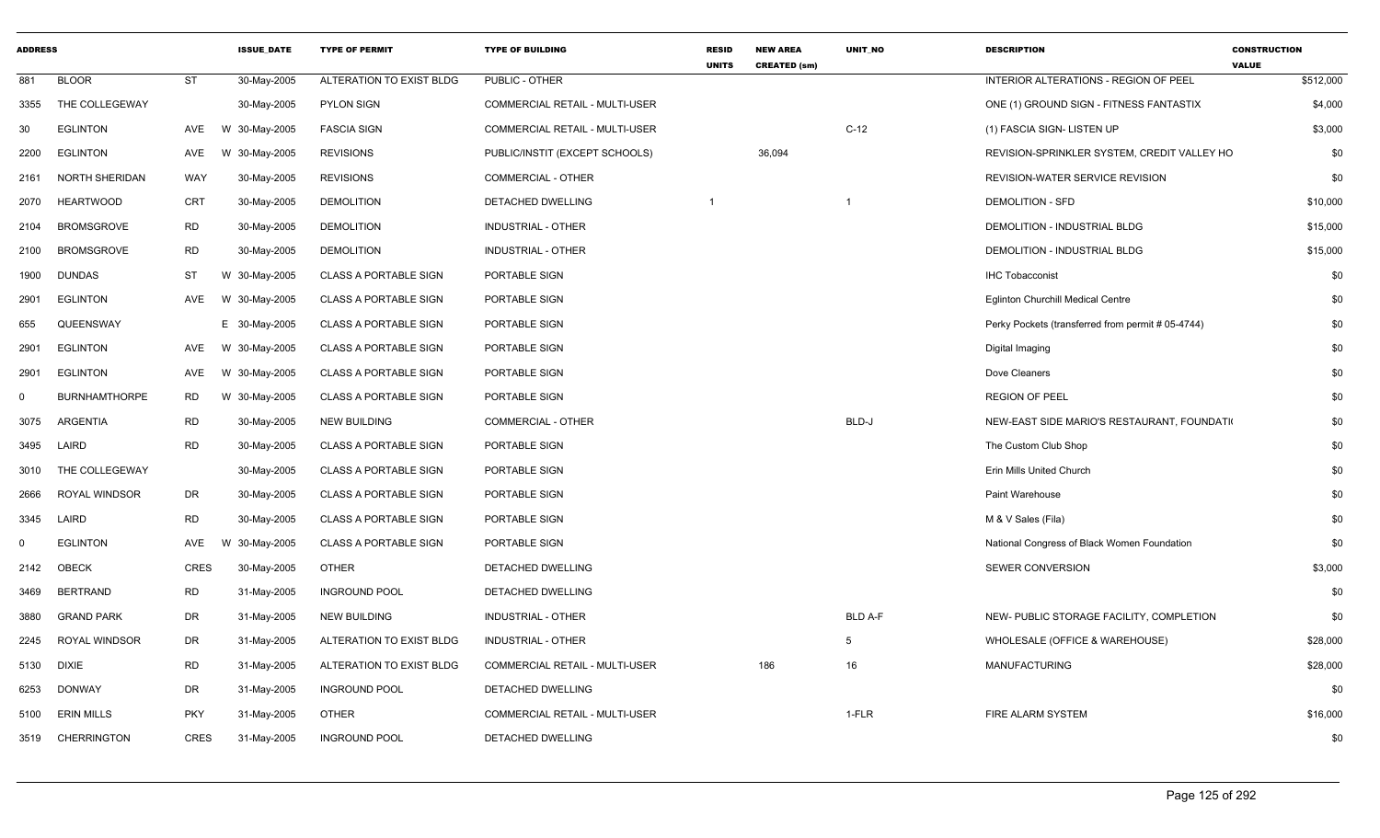| <b>ADDRESS</b> |                       |             | <b>ISSUE DATE</b> | <b>TYPE OF PERMIT</b>        | <b>TYPE OF BUILDING</b>        | <b>RESID</b><br><b>UNITS</b> | <b>NEW AREA</b><br><b>CREATED (sm)</b> | <b>UNIT NO</b> | <b>DESCRIPTION</b>                                | <b>CONSTRUCTION</b><br><b>VALUE</b> |
|----------------|-----------------------|-------------|-------------------|------------------------------|--------------------------------|------------------------------|----------------------------------------|----------------|---------------------------------------------------|-------------------------------------|
| 881            | <b>BLOOR</b>          | <b>ST</b>   | 30-May-2005       | ALTERATION TO EXIST BLDG     | PUBLIC - OTHER                 |                              |                                        |                | INTERIOR ALTERATIONS - REGION OF PEEL             | \$512,000                           |
| 3355           | THE COLLEGEWAY        |             | 30-May-2005       | <b>PYLON SIGN</b>            | COMMERCIAL RETAIL - MULTI-USER |                              |                                        |                | ONE (1) GROUND SIGN - FITNESS FANTASTIX           | \$4,000                             |
| 30             | <b>EGLINTON</b>       | AVE         | W 30-May-2005     | <b>FASCIA SIGN</b>           | COMMERCIAL RETAIL - MULTI-USER |                              |                                        | $C-12$         | (1) FASCIA SIGN- LISTEN UP                        | \$3,000                             |
| 2200           | <b>EGLINTON</b>       | AVE         | W 30-May-2005     | <b>REVISIONS</b>             | PUBLIC/INSTIT (EXCEPT SCHOOLS) |                              | 36,094                                 |                | REVISION-SPRINKLER SYSTEM, CREDIT VALLEY HO       | \$0                                 |
| 2161           | <b>NORTH SHERIDAN</b> | WAY         | 30-May-2005       | <b>REVISIONS</b>             | COMMERCIAL - OTHER             |                              |                                        |                | REVISION-WATER SERVICE REVISION                   | \$0                                 |
| 2070           | <b>HEARTWOOD</b>      | <b>CRT</b>  | 30-May-2005       | <b>DEMOLITION</b>            | DETACHED DWELLING              |                              |                                        | -1             | <b>DEMOLITION - SFD</b>                           | \$10,000                            |
| 2104           | <b>BROMSGROVE</b>     | RD          | 30-May-2005       | <b>DEMOLITION</b>            | <b>INDUSTRIAL - OTHER</b>      |                              |                                        |                | DEMOLITION - INDUSTRIAL BLDG                      | \$15,000                            |
| 2100           | <b>BROMSGROVE</b>     | RD          | 30-May-2005       | <b>DEMOLITION</b>            | <b>INDUSTRIAL - OTHER</b>      |                              |                                        |                | DEMOLITION - INDUSTRIAL BLDG                      | \$15,000                            |
| 1900           | <b>DUNDAS</b>         | ST          | W 30-May-2005     | <b>CLASS A PORTABLE SIGN</b> | PORTABLE SIGN                  |                              |                                        |                | <b>IHC Tobacconist</b>                            | \$0                                 |
| 2901           | <b>EGLINTON</b>       | AVE         | W 30-May-2005     | <b>CLASS A PORTABLE SIGN</b> | PORTABLE SIGN                  |                              |                                        |                | <b>Eglinton Churchill Medical Centre</b>          | \$0                                 |
| 655            | QUEENSWAY             |             | E 30-May-2005     | <b>CLASS A PORTABLE SIGN</b> | PORTABLE SIGN                  |                              |                                        |                | Perky Pockets (transferred from permit # 05-4744) | \$0                                 |
| 2901           | <b>EGLINTON</b>       | AVE         | W 30-May-2005     | <b>CLASS A PORTABLE SIGN</b> | PORTABLE SIGN                  |                              |                                        |                | Digital Imaging                                   | \$0                                 |
| 2901           | <b>EGLINTON</b>       | AVE         | W 30-May-2005     | <b>CLASS A PORTABLE SIGN</b> | PORTABLE SIGN                  |                              |                                        |                | Dove Cleaners                                     | \$0                                 |
| $\mathbf 0$    | <b>BURNHAMTHORPE</b>  | <b>RD</b>   | W 30-May-2005     | <b>CLASS A PORTABLE SIGN</b> | PORTABLE SIGN                  |                              |                                        |                | <b>REGION OF PEEL</b>                             | \$0                                 |
| 3075           | <b>ARGENTIA</b>       | RD          | 30-May-2005       | <b>NEW BUILDING</b>          | COMMERCIAL - OTHER             |                              |                                        | BLD-J          | NEW-EAST SIDE MARIO'S RESTAURANT, FOUNDATI        | \$0                                 |
| 3495           | LAIRD                 | <b>RD</b>   | 30-May-2005       | <b>CLASS A PORTABLE SIGN</b> | PORTABLE SIGN                  |                              |                                        |                | The Custom Club Shop                              | \$0                                 |
| 3010           | THE COLLEGEWAY        |             | 30-May-2005       | <b>CLASS A PORTABLE SIGN</b> | PORTABLE SIGN                  |                              |                                        |                | Erin Mills United Church                          | \$0                                 |
| 2666           | <b>ROYAL WINDSOR</b>  | DR          | 30-May-2005       | <b>CLASS A PORTABLE SIGN</b> | PORTABLE SIGN                  |                              |                                        |                | Paint Warehouse                                   | \$0                                 |
| 3345           | LAIRD                 | <b>RD</b>   | 30-May-2005       | <b>CLASS A PORTABLE SIGN</b> | PORTABLE SIGN                  |                              |                                        |                | M & V Sales (Fila)                                | \$0                                 |
| $\Omega$       | <b>EGLINTON</b>       | AVE         | W 30-May-2005     | <b>CLASS A PORTABLE SIGN</b> | PORTABLE SIGN                  |                              |                                        |                | National Congress of Black Women Foundation       | \$0                                 |
| 2142           | OBECK                 | <b>CRES</b> | 30-May-2005       | <b>OTHER</b>                 | DETACHED DWELLING              |                              |                                        |                | <b>SEWER CONVERSION</b>                           | \$3,000                             |
| 3469           | <b>BERTRAND</b>       | <b>RD</b>   | 31-May-2005       | <b>INGROUND POOL</b>         | DETACHED DWELLING              |                              |                                        |                |                                                   | \$0                                 |
| 3880           | <b>GRAND PARK</b>     | DR          | 31-May-2005       | <b>NEW BUILDING</b>          | INDUSTRIAL - OTHER             |                              |                                        | <b>BLD A-F</b> | NEW- PUBLIC STORAGE FACILITY, COMPLETION          | \$0                                 |
| 2245           | <b>ROYAL WINDSOR</b>  | DR          | 31-May-2005       | ALTERATION TO EXIST BLDG     | <b>INDUSTRIAL - OTHER</b>      |                              |                                        | 5              | WHOLESALE (OFFICE & WAREHOUSE)                    | \$28,000                            |
| 5130           | <b>DIXIE</b>          | <b>RD</b>   | 31-May-2005       | ALTERATION TO EXIST BLDG     | COMMERCIAL RETAIL - MULTI-USER |                              | 186                                    | 16             | <b>MANUFACTURING</b>                              | \$28,000                            |
| 6253           | <b>DONWAY</b>         | DR          | 31-May-2005       | <b>INGROUND POOL</b>         | <b>DETACHED DWELLING</b>       |                              |                                        |                |                                                   | \$0                                 |
| 5100           | <b>ERIN MILLS</b>     | <b>PKY</b>  | 31-May-2005       | <b>OTHER</b>                 | COMMERCIAL RETAIL - MULTI-USER |                              |                                        | 1-FLR          | FIRE ALARM SYSTEM                                 | \$16,000                            |
| 3519           | <b>CHERRINGTON</b>    | <b>CRES</b> | 31-May-2005       | <b>INGROUND POOL</b>         | DETACHED DWELLING              |                              |                                        |                |                                                   | \$0                                 |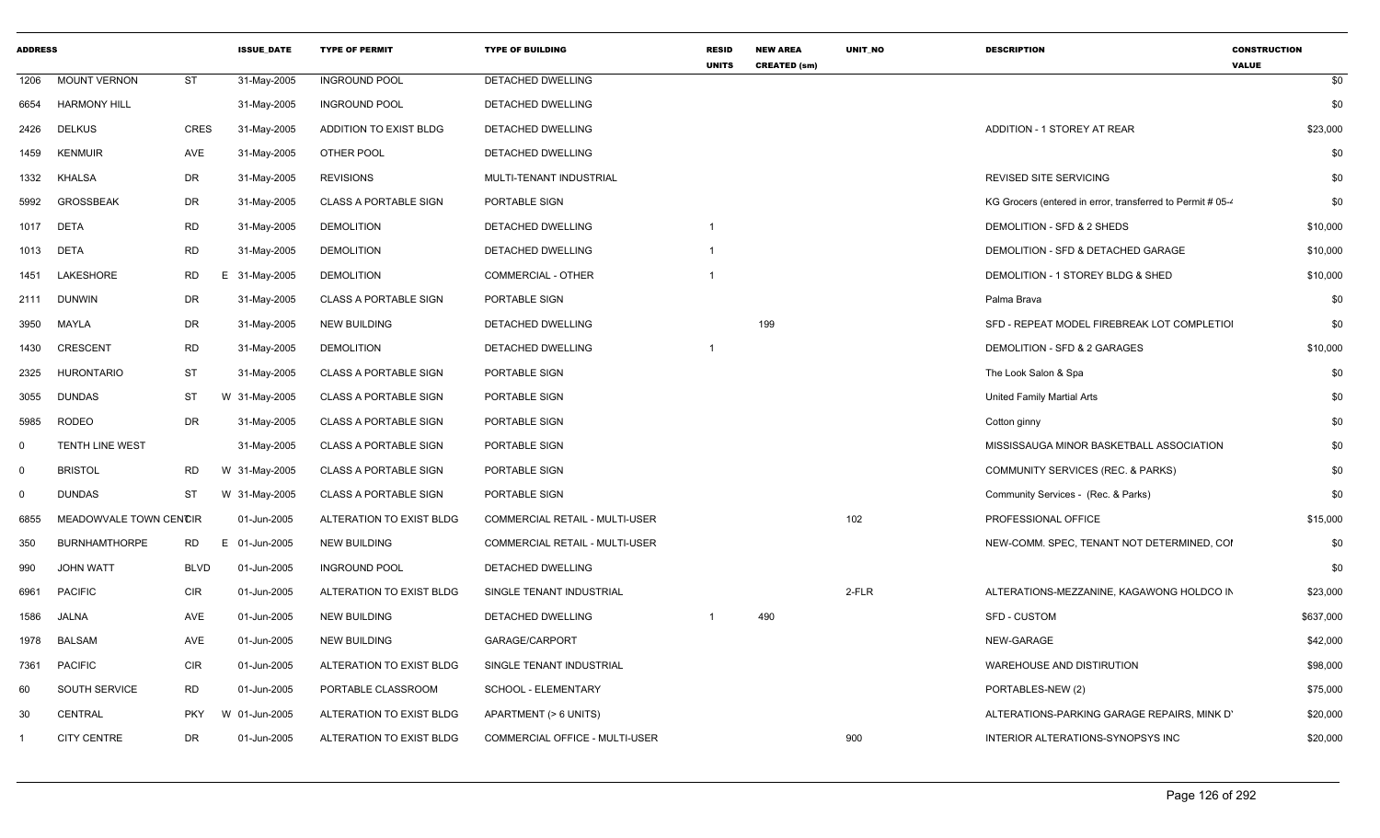| <b>ADDRESS</b> |                        |             | <b>ISSUE DATE</b> | <b>TYPE OF PERMIT</b>        | <b>TYPE OF BUILDING</b>        | <b>RESID</b><br><b>UNITS</b> | <b>NEW AREA</b><br><b>CREATED (sm)</b> | <b>UNIT NO</b> | <b>DESCRIPTION</b>                                         | <b>CONSTRUCTION</b><br><b>VALUE</b> |
|----------------|------------------------|-------------|-------------------|------------------------------|--------------------------------|------------------------------|----------------------------------------|----------------|------------------------------------------------------------|-------------------------------------|
| 1206           | <b>MOUNT VERNON</b>    | ST          | 31-May-2005       | <b>INGROUND POOL</b>         | DETACHED DWELLING              |                              |                                        |                |                                                            | \$0                                 |
| 6654           | <b>HARMONY HILL</b>    |             | 31-May-2005       | <b>INGROUND POOL</b>         | DETACHED DWELLING              |                              |                                        |                |                                                            | \$0                                 |
| 2426           | <b>DELKUS</b>          | <b>CRES</b> | 31-May-2005       | ADDITION TO EXIST BLDG       | DETACHED DWELLING              |                              |                                        |                | ADDITION - 1 STOREY AT REAR                                | \$23,000                            |
| 1459           | <b>KENMUIR</b>         | AVE         | 31-May-2005       | OTHER POOL                   | DETACHED DWELLING              |                              |                                        |                |                                                            | \$0                                 |
| 1332           | <b>KHALSA</b>          | DR          | 31-May-2005       | <b>REVISIONS</b>             | MULTI-TENANT INDUSTRIAL        |                              |                                        |                | REVISED SITE SERVICING                                     | \$0                                 |
| 5992           | <b>GROSSBEAK</b>       | DR          | 31-May-2005       | <b>CLASS A PORTABLE SIGN</b> | PORTABLE SIGN                  |                              |                                        |                | KG Grocers (entered in error, transferred to Permit # 05-4 | \$0                                 |
| 1017           | <b>DETA</b>            | <b>RD</b>   | 31-May-2005       | <b>DEMOLITION</b>            | <b>DETACHED DWELLING</b>       | -1                           |                                        |                | DEMOLITION - SFD & 2 SHEDS                                 | \$10,000                            |
| 1013           | <b>DETA</b>            | <b>RD</b>   | 31-May-2005       | <b>DEMOLITION</b>            | DETACHED DWELLING              |                              |                                        |                | DEMOLITION - SFD & DETACHED GARAGE                         | \$10,000                            |
| 1451           | LAKESHORE              | <b>RD</b>   | E 31-May-2005     | <b>DEMOLITION</b>            | COMMERCIAL - OTHER             |                              |                                        |                | DEMOLITION - 1 STOREY BLDG & SHED                          | \$10,000                            |
| 2111           | <b>DUNWIN</b>          | DR          | 31-May-2005       | <b>CLASS A PORTABLE SIGN</b> | PORTABLE SIGN                  |                              |                                        |                | Palma Brava                                                | \$0                                 |
| 3950           | MAYLA                  | DR          | 31-May-2005       | <b>NEW BUILDING</b>          | DETACHED DWELLING              |                              | 199                                    |                | SFD - REPEAT MODEL FIREBREAK LOT COMPLETIOI                | \$0                                 |
| 1430           | <b>CRESCENT</b>        | <b>RD</b>   | 31-May-2005       | <b>DEMOLITION</b>            | DETACHED DWELLING              |                              |                                        |                | DEMOLITION - SFD & 2 GARAGES                               | \$10,000                            |
| 2325           | <b>HURONTARIO</b>      | <b>ST</b>   | 31-May-2005       | <b>CLASS A PORTABLE SIGN</b> | PORTABLE SIGN                  |                              |                                        |                | The Look Salon & Spa                                       | \$0                                 |
| 3055           | <b>DUNDAS</b>          | <b>ST</b>   | W 31-May-2005     | <b>CLASS A PORTABLE SIGN</b> | PORTABLE SIGN                  |                              |                                        |                | United Family Martial Arts                                 | \$0                                 |
| 5985           | <b>RODEO</b>           | DR          | 31-May-2005       | <b>CLASS A PORTABLE SIGN</b> | PORTABLE SIGN                  |                              |                                        |                | Cotton ginny                                               | \$0                                 |
| $\mathbf 0$    | TENTH LINE WEST        |             | 31-May-2005       | <b>CLASS A PORTABLE SIGN</b> | PORTABLE SIGN                  |                              |                                        |                | MISSISSAUGA MINOR BASKETBALL ASSOCIATION                   | \$0                                 |
| $\mathbf 0$    | <b>BRISTOL</b>         | RD          | W 31-May-2005     | <b>CLASS A PORTABLE SIGN</b> | PORTABLE SIGN                  |                              |                                        |                | COMMUNITY SERVICES (REC. & PARKS)                          | \$0                                 |
| $\mathbf 0$    | <b>DUNDAS</b>          | <b>ST</b>   | W 31-May-2005     | <b>CLASS A PORTABLE SIGN</b> | PORTABLE SIGN                  |                              |                                        |                | Community Services - (Rec. & Parks)                        | \$0                                 |
| 6855           | MEADOWVALE TOWN CENCIR |             | 01-Jun-2005       | ALTERATION TO EXIST BLDG     | COMMERCIAL RETAIL - MULTI-USER |                              |                                        | 102            | PROFESSIONAL OFFICE                                        | \$15,000                            |
| 350            | <b>BURNHAMTHORPE</b>   | RD          | E 01-Jun-2005     | <b>NEW BUILDING</b>          | COMMERCIAL RETAIL - MULTI-USER |                              |                                        |                | NEW-COMM. SPEC, TENANT NOT DETERMINED, COI                 | \$0                                 |
| 990            | <b>JOHN WATT</b>       | <b>BLVD</b> | 01-Jun-2005       | <b>INGROUND POOL</b>         | DETACHED DWELLING              |                              |                                        |                |                                                            | \$0                                 |
| 6961           | <b>PACIFIC</b>         | <b>CIR</b>  | 01-Jun-2005       | ALTERATION TO EXIST BLDG     | SINGLE TENANT INDUSTRIAL       |                              |                                        | 2-FLR          | ALTERATIONS-MEZZANINE, KAGAWONG HOLDCO IN                  | \$23,000                            |
| 1586           | JALNA                  | AVE         | 01-Jun-2005       | <b>NEW BUILDING</b>          | DETACHED DWELLING              |                              | 490                                    |                | <b>SFD - CUSTOM</b>                                        | \$637,000                           |
| 1978           | <b>BALSAM</b>          | AVE         | 01-Jun-2005       | <b>NEW BUILDING</b>          | GARAGE/CARPORT                 |                              |                                        |                | NEW-GARAGE                                                 | \$42,000                            |
| 7361           | <b>PACIFIC</b>         | <b>CIR</b>  | 01-Jun-2005       | ALTERATION TO EXIST BLDG     | SINGLE TENANT INDUSTRIAL       |                              |                                        |                | WAREHOUSE AND DISTIRUTION                                  | \$98,000                            |
| 60             | <b>SOUTH SERVICE</b>   | RD          | 01-Jun-2005       | PORTABLE CLASSROOM           | SCHOOL - ELEMENTARY            |                              |                                        |                | PORTABLES-NEW (2)                                          | \$75,000                            |
| 30             | CENTRAL                | <b>PKY</b>  | W 01-Jun-2005     | ALTERATION TO EXIST BLDG     | APARTMENT (> 6 UNITS)          |                              |                                        |                | ALTERATIONS-PARKING GARAGE REPAIRS, MINK D'                | \$20,000                            |
|                | <b>CITY CENTRE</b>     | DR          | 01-Jun-2005       | ALTERATION TO EXIST BLDG     | COMMERCIAL OFFICE - MULTI-USER |                              |                                        | 900            | INTERIOR ALTERATIONS-SYNOPSYS INC                          | \$20,000                            |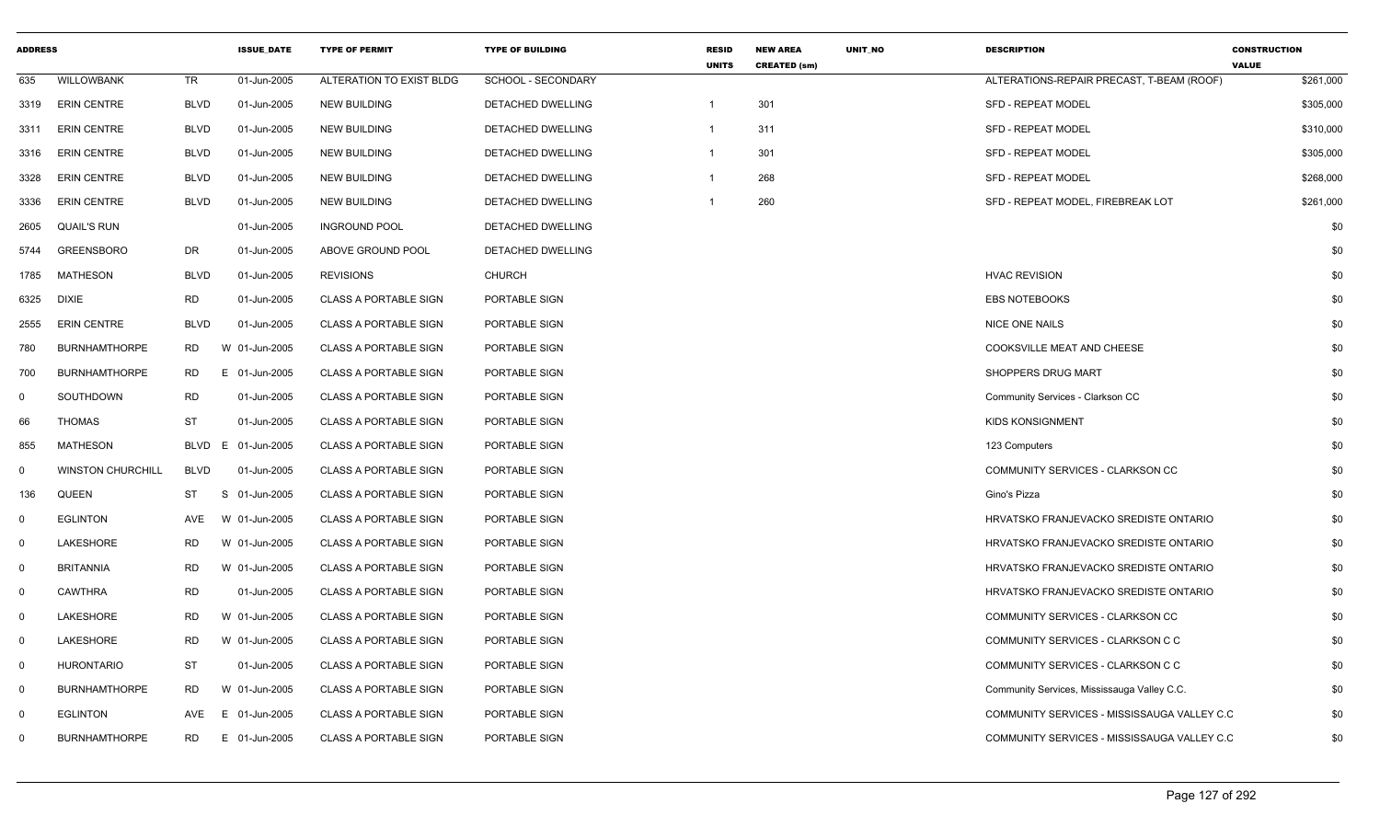| <b>ADDRESS</b> |                          |             | <b>ISSUE DATE</b> | <b>TYPE OF PERMIT</b>        | <b>TYPE OF BUILDING</b>  | <b>RESID</b><br><b>UNITS</b> | <b>NEW AREA</b><br><b>CREATED (sm)</b> | UNIT_NO | <b>DESCRIPTION</b>                          | <b>CONSTRUCTION</b><br><b>VALUE</b> |
|----------------|--------------------------|-------------|-------------------|------------------------------|--------------------------|------------------------------|----------------------------------------|---------|---------------------------------------------|-------------------------------------|
| 635            | <b>WILLOWBANK</b>        | TR          | 01-Jun-2005       | ALTERATION TO EXIST BLDG     | SCHOOL - SECONDARY       |                              |                                        |         | ALTERATIONS-REPAIR PRECAST, T-BEAM (ROOF)   | \$261,000                           |
| 3319           | <b>ERIN CENTRE</b>       | <b>BLVD</b> | 01-Jun-2005       | <b>NEW BUILDING</b>          | <b>DETACHED DWELLING</b> | $\overline{1}$               | 301                                    |         | <b>SFD - REPEAT MODEL</b>                   | \$305,000                           |
| 3311           | <b>ERIN CENTRE</b>       | <b>BLVD</b> | 01-Jun-2005       | <b>NEW BUILDING</b>          | DETACHED DWELLING        | $\mathbf{1}$                 | 311                                    |         | <b>SFD - REPEAT MODEL</b>                   | \$310,000                           |
| 3316           | <b>ERIN CENTRE</b>       | <b>BLVD</b> | 01-Jun-2005       | <b>NEW BUILDING</b>          | DETACHED DWELLING        | $\mathbf{1}$                 | 301                                    |         | <b>SFD - REPEAT MODEL</b>                   | \$305,000                           |
| 3328           | <b>ERIN CENTRE</b>       | <b>BLVD</b> | 01-Jun-2005       | <b>NEW BUILDING</b>          | DETACHED DWELLING        | -1                           | 268                                    |         | <b>SFD - REPEAT MODEL</b>                   | \$268,000                           |
| 3336           | <b>ERIN CENTRE</b>       | <b>BLVD</b> | 01-Jun-2005       | <b>NEW BUILDING</b>          | DETACHED DWELLING        |                              | 260                                    |         | SFD - REPEAT MODEL, FIREBREAK LOT           | \$261,000                           |
| 2605           | <b>QUAIL'S RUN</b>       |             | 01-Jun-2005       | <b>INGROUND POOL</b>         | DETACHED DWELLING        |                              |                                        |         |                                             | \$0                                 |
| 5744           | <b>GREENSBORO</b>        | DR          | 01-Jun-2005       | ABOVE GROUND POOL            | DETACHED DWELLING        |                              |                                        |         |                                             | \$0                                 |
| 1785           | <b>MATHESON</b>          | <b>BLVD</b> | 01-Jun-2005       | <b>REVISIONS</b>             | <b>CHURCH</b>            |                              |                                        |         | <b>HVAC REVISION</b>                        | \$0                                 |
| 6325           | <b>DIXIE</b>             | <b>RD</b>   | 01-Jun-2005       | <b>CLASS A PORTABLE SIGN</b> | PORTABLE SIGN            |                              |                                        |         | <b>EBS NOTEBOOKS</b>                        | \$0                                 |
| 2555           | <b>ERIN CENTRE</b>       | <b>BLVD</b> | 01-Jun-2005       | <b>CLASS A PORTABLE SIGN</b> | PORTABLE SIGN            |                              |                                        |         | <b>NICE ONE NAILS</b>                       | \$0                                 |
| 780            | <b>BURNHAMTHORPE</b>     | RD.         | W 01-Jun-2005     | <b>CLASS A PORTABLE SIGN</b> | PORTABLE SIGN            |                              |                                        |         | COOKSVILLE MEAT AND CHEESE                  | \$0                                 |
| 700            | <b>BURNHAMTHORPE</b>     | RD.         | E 01-Jun-2005     | <b>CLASS A PORTABLE SIGN</b> | PORTABLE SIGN            |                              |                                        |         | SHOPPERS DRUG MART                          | \$0                                 |
| 0              | SOUTHDOWN                | <b>RD</b>   | 01-Jun-2005       | <b>CLASS A PORTABLE SIGN</b> | PORTABLE SIGN            |                              |                                        |         | Community Services - Clarkson CC            | \$0                                 |
| 66             | <b>THOMAS</b>            | <b>ST</b>   | 01-Jun-2005       | <b>CLASS A PORTABLE SIGN</b> | PORTABLE SIGN            |                              |                                        |         | <b>KIDS KONSIGNMENT</b>                     | \$0                                 |
| 855            | <b>MATHESON</b>          | BLVD        | 01-Jun-2005<br>E. | <b>CLASS A PORTABLE SIGN</b> | PORTABLE SIGN            |                              |                                        |         | 123 Computers                               | \$0                                 |
| 0              | <b>WINSTON CHURCHILL</b> | <b>BLVD</b> | 01-Jun-2005       | <b>CLASS A PORTABLE SIGN</b> | PORTABLE SIGN            |                              |                                        |         | COMMUNITY SERVICES - CLARKSON CC            | \$0                                 |
| 136            | QUEEN                    | <b>ST</b>   | S<br>01-Jun-2005  | <b>CLASS A PORTABLE SIGN</b> | PORTABLE SIGN            |                              |                                        |         | Gino's Pizza                                | \$0                                 |
| $\mathbf 0$    | <b>EGLINTON</b>          | AVE         | W 01-Jun-2005     | <b>CLASS A PORTABLE SIGN</b> | PORTABLE SIGN            |                              |                                        |         | HRVATSKO FRANJEVACKO SREDISTE ONTARIO       | \$0                                 |
| 0              | LAKESHORE                | <b>RD</b>   | W 01-Jun-2005     | <b>CLASS A PORTABLE SIGN</b> | PORTABLE SIGN            |                              |                                        |         | HRVATSKO FRANJEVACKO SREDISTE ONTARIO       | \$0                                 |
| $\mathbf 0$    | <b>BRITANNIA</b>         | <b>RD</b>   | W 01-Jun-2005     | <b>CLASS A PORTABLE SIGN</b> | PORTABLE SIGN            |                              |                                        |         | HRVATSKO FRANJEVACKO SREDISTE ONTARIO       | \$0                                 |
| $\mathbf 0$    | CAWTHRA                  | <b>RD</b>   | 01-Jun-2005       | <b>CLASS A PORTABLE SIGN</b> | PORTABLE SIGN            |                              |                                        |         | HRVATSKO FRANJEVACKO SREDISTE ONTARIO       | \$0                                 |
| 0              | LAKESHORE                | <b>RD</b>   | W 01-Jun-2005     | <b>CLASS A PORTABLE SIGN</b> | PORTABLE SIGN            |                              |                                        |         | COMMUNITY SERVICES - CLARKSON CC            | \$0                                 |
| $\mathbf 0$    | LAKESHORE                | <b>RD</b>   | W 01-Jun-2005     | <b>CLASS A PORTABLE SIGN</b> | PORTABLE SIGN            |                              |                                        |         | COMMUNITY SERVICES - CLARKSON C C           | \$0                                 |
| $\overline{0}$ | <b>HURONTARIO</b>        | <b>ST</b>   | 01-Jun-2005       | <b>CLASS A PORTABLE SIGN</b> | PORTABLE SIGN            |                              |                                        |         | COMMUNITY SERVICES - CLARKSON C C           | \$0                                 |
| 0              | <b>BURNHAMTHORPE</b>     | <b>RD</b>   | W 01-Jun-2005     | <b>CLASS A PORTABLE SIGN</b> | PORTABLE SIGN            |                              |                                        |         | Community Services, Mississauga Valley C.C. | \$0                                 |
| 0              | <b>EGLINTON</b>          | AVE         | E 01-Jun-2005     | <b>CLASS A PORTABLE SIGN</b> | PORTABLE SIGN            |                              |                                        |         | COMMUNITY SERVICES - MISSISSAUGA VALLEY C.C | \$0                                 |
| $\Omega$       | <b>BURNHAMTHORPE</b>     | RD          | E 01-Jun-2005     | <b>CLASS A PORTABLE SIGN</b> | PORTABLE SIGN            |                              |                                        |         | COMMUNITY SERVICES - MISSISSAUGA VALLEY C.C | \$0                                 |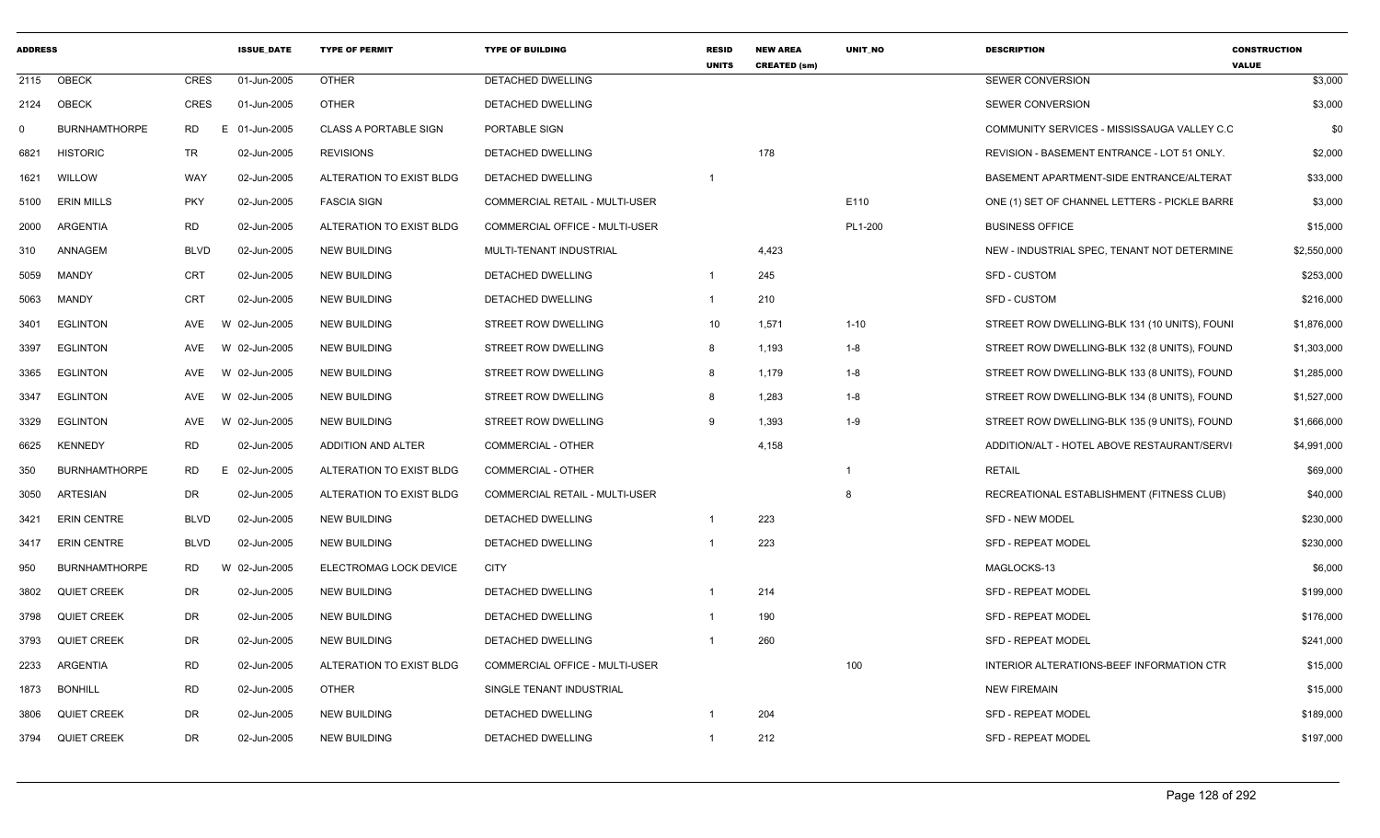| <b>ADDRESS</b> |                      |             | <b>ISSUE DATE</b> | <b>TYPE OF PERMIT</b>        | <b>TYPE OF BUILDING</b>               | <b>RESID</b><br><b>UNITS</b> | <b>NEW AREA</b><br><b>CREATED (sm)</b> | <b>UNIT NO</b> | <b>DESCRIPTION</b>                            | <b>CONSTRUCTION</b><br><b>VALUE</b> |
|----------------|----------------------|-------------|-------------------|------------------------------|---------------------------------------|------------------------------|----------------------------------------|----------------|-----------------------------------------------|-------------------------------------|
| 2115           | OBECK                | <b>CRES</b> | 01-Jun-2005       | <b>OTHER</b>                 | <b>DETACHED DWELLING</b>              |                              |                                        |                | SEWER CONVERSION                              | \$3,000                             |
| 2124           | OBECK                | CRES        | 01-Jun-2005       | <b>OTHER</b>                 | DETACHED DWELLING                     |                              |                                        |                | <b>SEWER CONVERSION</b>                       | \$3,000                             |
| $\mathbf 0$    | <b>BURNHAMTHORPE</b> | <b>RD</b>   | E 01-Jun-2005     | <b>CLASS A PORTABLE SIGN</b> | PORTABLE SIGN                         |                              |                                        |                | COMMUNITY SERVICES - MISSISSAUGA VALLEY C.C.  | \$0                                 |
| 6821           | <b>HISTORIC</b>      | <b>TR</b>   | 02-Jun-2005       | <b>REVISIONS</b>             | DETACHED DWELLING                     |                              | 178                                    |                | REVISION - BASEMENT ENTRANCE - LOT 51 ONLY.   | \$2,000                             |
| 1621           | WILLOW               | <b>WAY</b>  | 02-Jun-2005       | ALTERATION TO EXIST BLDG     | DETACHED DWELLING                     | $\overline{1}$               |                                        |                | BASEMENT APARTMENT-SIDE ENTRANCE/ALTERAT      | \$33,000                            |
| 5100           | <b>ERIN MILLS</b>    | <b>PKY</b>  | 02-Jun-2005       | <b>FASCIA SIGN</b>           | COMMERCIAL RETAIL - MULTI-USER        |                              |                                        | E110           | ONE (1) SET OF CHANNEL LETTERS - PICKLE BARRE | \$3,000                             |
| 2000           | ARGENTIA             | <b>RD</b>   | 02-Jun-2005       | ALTERATION TO EXIST BLDG     | COMMERCIAL OFFICE - MULTI-USER        |                              |                                        | PL1-200        | <b>BUSINESS OFFICE</b>                        | \$15,000                            |
| 310            | ANNAGEM              | <b>BLVD</b> | 02-Jun-2005       | <b>NEW BUILDING</b>          | MULTI-TENANT INDUSTRIAL               |                              | 4,423                                  |                | NEW - INDUSTRIAL SPEC, TENANT NOT DETERMINE   | \$2,550,000                         |
| 5059           | MANDY                | <b>CRT</b>  | 02-Jun-2005       | <b>NEW BUILDING</b>          | DETACHED DWELLING                     | $\mathbf{1}$                 | 245                                    |                | SFD - CUSTOM                                  | \$253,000                           |
| 5063           | MANDY                | <b>CRT</b>  | 02-Jun-2005       | <b>NEW BUILDING</b>          | DETACHED DWELLING                     | $\mathbf{1}$                 | 210                                    |                | <b>SFD - CUSTOM</b>                           | \$216,000                           |
| 3401           | <b>EGLINTON</b>      | AVE         | W 02-Jun-2005     | <b>NEW BUILDING</b>          | STREET ROW DWELLING                   | 10                           | 1,571                                  | $1 - 10$       | STREET ROW DWELLING-BLK 131 (10 UNITS), FOUNI | \$1,876,000                         |
| 3397           | <b>EGLINTON</b>      | AVE         | W 02-Jun-2005     | <b>NEW BUILDING</b>          | STREET ROW DWELLING                   | 8                            | 1.193                                  | $1 - 8$        | STREET ROW DWELLING-BLK 132 (8 UNITS), FOUND  | \$1,303,000                         |
| 3365           | <b>EGLINTON</b>      | AVE         | W 02-Jun-2005     | <b>NEW BUILDING</b>          | <b>STREET ROW DWELLING</b>            | 8                            | 1,179                                  | $1 - 8$        | STREET ROW DWELLING-BLK 133 (8 UNITS), FOUND  | \$1,285,000                         |
| 3347           | <b>EGLINTON</b>      | AVE         | W 02-Jun-2005     | <b>NEW BUILDING</b>          | STREET ROW DWELLING                   | 8                            | 1,283                                  | $1 - 8$        | STREET ROW DWELLING-BLK 134 (8 UNITS), FOUND  | \$1,527,000                         |
| 3329           | EGLINTON             | AVE         | W 02-Jun-2005     | <b>NEW BUILDING</b>          | STREET ROW DWELLING                   | 9                            | 1,393                                  | $1 - 9$        | STREET ROW DWELLING-BLK 135 (9 UNITS), FOUND  | \$1,666,000                         |
| 6625           | <b>KENNEDY</b>       | <b>RD</b>   | 02-Jun-2005       | ADDITION AND ALTER           | <b>COMMERCIAL - OTHER</b>             |                              | 4,158                                  |                | ADDITION/ALT - HOTEL ABOVE RESTAURANT/SERVI   | \$4,991,000                         |
| 350            | <b>BURNHAMTHORPE</b> | RD          | E 02-Jun-2005     | ALTERATION TO EXIST BLDG     | <b>COMMERCIAL - OTHER</b>             |                              |                                        | $\overline{1}$ | <b>RETAIL</b>                                 | \$69,000                            |
| 3050           | ARTESIAN             | <b>DR</b>   | 02-Jun-2005       | ALTERATION TO EXIST BLDG     | <b>COMMERCIAL RETAIL - MULTI-USER</b> |                              |                                        | 8              | RECREATIONAL ESTABLISHMENT (FITNESS CLUB)     | \$40,000                            |
| 3421           | <b>ERIN CENTRE</b>   | <b>BLVD</b> | 02-Jun-2005       | <b>NEW BUILDING</b>          | DETACHED DWELLING                     | -1                           | 223                                    |                | <b>SFD - NEW MODEL</b>                        | \$230,000                           |
| 3417           | <b>ERIN CENTRE</b>   | <b>BLVD</b> | 02-Jun-2005       | <b>NEW BUILDING</b>          | DETACHED DWELLING                     |                              | 223                                    |                | <b>SFD - REPEAT MODEL</b>                     | \$230,000                           |
| 950            | <b>BURNHAMTHORPE</b> | RD          | W 02-Jun-2005     | ELECTROMAG LOCK DEVICE       | <b>CITY</b>                           |                              |                                        |                | MAGLOCKS-13                                   | \$6,000                             |
| 3802           | <b>QUIET CREEK</b>   | DR.         | 02-Jun-2005       | <b>NEW BUILDING</b>          | DETACHED DWELLING                     | $\mathbf 1$                  | 214                                    |                | <b>SFD - REPEAT MODEL</b>                     | \$199,000                           |
| 3798           | <b>QUIET CREEK</b>   | DR          | 02-Jun-2005       | <b>NEW BUILDING</b>          | DETACHED DWELLING                     | $\mathbf 1$                  | 190                                    |                | <b>SFD - REPEAT MODEL</b>                     | \$176,000                           |
| 3793           | QUIET CREEK          | <b>DR</b>   | 02-Jun-2005       | <b>NEW BUILDING</b>          | DETACHED DWELLING                     | -1                           | 260                                    |                | SFD - REPEAT MODEL                            | \$241,000                           |
| 2233           | ARGENTIA             | <b>RD</b>   | 02-Jun-2005       | ALTERATION TO EXIST BLDG     | COMMERCIAL OFFICE - MULTI-USER        |                              |                                        | 100            | INTERIOR ALTERATIONS-BEEF INFORMATION CTR     | \$15,000                            |
| 1873           | <b>BONHILL</b>       | <b>RD</b>   | 02-Jun-2005       | <b>OTHER</b>                 | SINGLE TENANT INDUSTRIAL              |                              |                                        |                | <b>NEW FIREMAIN</b>                           | \$15,000                            |
| 3806           | <b>QUIET CREEK</b>   | <b>DR</b>   | 02-Jun-2005       | <b>NEW BUILDING</b>          | DETACHED DWELLING                     |                              | 204                                    |                | <b>SFD - REPEAT MODEL</b>                     | \$189,000                           |
| 3794           | <b>QUIET CREEK</b>   | <b>DR</b>   | 02-Jun-2005       | <b>NEW BUILDING</b>          | DETACHED DWELLING                     | -1                           | 212                                    |                | <b>SFD - REPEAT MODEL</b>                     | \$197,000                           |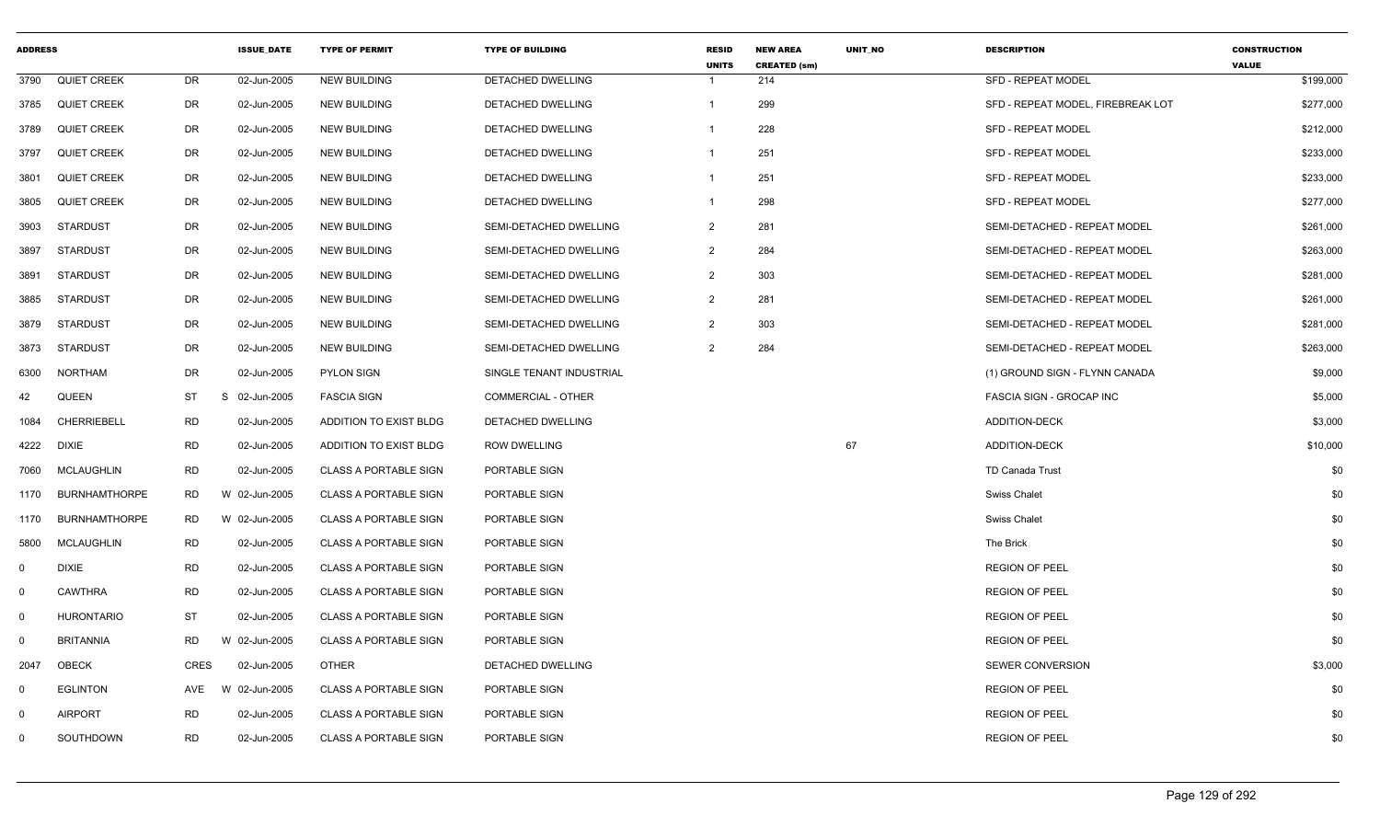| <b>ADDRESS</b> |                      |             | <b>ISSUE DATE</b> | <b>TYPE OF PERMIT</b>        | <b>TYPE OF BUILDING</b>  | <b>RESID</b><br><b>UNITS</b> | <b>NEW AREA</b><br><b>CREATED (sm)</b> | <b>UNIT NO</b> | <b>DESCRIPTION</b>                | <b>CONSTRUCTION</b><br><b>VALUE</b> |
|----------------|----------------------|-------------|-------------------|------------------------------|--------------------------|------------------------------|----------------------------------------|----------------|-----------------------------------|-------------------------------------|
| 3790           | QUIET CREEK          | <b>DR</b>   | 02-Jun-2005       | <b>NEW BUILDING</b>          | <b>DETACHED DWELLING</b> | $\overline{\mathbf{1}}$      | 214                                    |                | <b>SFD - REPEAT MODEL</b>         | \$199,000                           |
| 3785           | <b>QUIET CREEK</b>   | DR          | 02-Jun-2005       | <b>NEW BUILDING</b>          | DETACHED DWELLING        | $\mathbf{1}$                 | 299                                    |                | SFD - REPEAT MODEL, FIREBREAK LOT | \$277,000                           |
| 3789           | <b>QUIET CREEK</b>   | DR          | 02-Jun-2005       | <b>NEW BUILDING</b>          | DETACHED DWELLING        | -1                           | 228                                    |                | <b>SFD - REPEAT MODEL</b>         | \$212,000                           |
| 3797           | <b>QUIET CREEK</b>   | <b>DR</b>   | 02-Jun-2005       | <b>NEW BUILDING</b>          | DETACHED DWELLING        | $\overline{1}$               | 251                                    |                | SFD - REPEAT MODEL                | \$233,000                           |
| 3801           | <b>QUIET CREEK</b>   | <b>DR</b>   | 02-Jun-2005       | <b>NEW BUILDING</b>          | DETACHED DWELLING        | $\overline{1}$               | 251                                    |                | SFD - REPEAT MODEL                | \$233,000                           |
| 3805           | <b>QUIET CREEK</b>   | <b>DR</b>   | 02-Jun-2005       | <b>NEW BUILDING</b>          | DETACHED DWELLING        | $\overline{1}$               | 298                                    |                | <b>SFD - REPEAT MODEL</b>         | \$277,000                           |
| 3903           | STARDUST             | DR          | 02-Jun-2005       | <b>NEW BUILDING</b>          | SEMI-DETACHED DWELLING   | $\overline{2}$               | 281                                    |                | SEMI-DETACHED - REPEAT MODEL      | \$261,000                           |
| 3897           | <b>STARDUST</b>      | <b>DR</b>   | 02-Jun-2005       | <b>NEW BUILDING</b>          | SEMI-DETACHED DWELLING   | $\overline{2}$               | 284                                    |                | SEMI-DETACHED - REPEAT MODEL      | \$263,000                           |
| 3891           | STARDUST             | <b>DR</b>   | 02-Jun-2005       | <b>NEW BUILDING</b>          | SEMI-DETACHED DWELLING   | $\overline{2}$               | 303                                    |                | SEMI-DETACHED - REPEAT MODEL      | \$281,000                           |
| 3885           | <b>STARDUST</b>      | DR          | 02-Jun-2005       | <b>NEW BUILDING</b>          | SEMI-DETACHED DWELLING   | $\overline{2}$               | 281                                    |                | SEMI-DETACHED - REPEAT MODEL      | \$261,000                           |
| 3879           | <b>STARDUST</b>      | <b>DR</b>   | 02-Jun-2005       | <b>NEW BUILDING</b>          | SEMI-DETACHED DWELLING   | $\overline{2}$               | 303                                    |                | SEMI-DETACHED - REPEAT MODEL      | \$281,000                           |
| 3873           | <b>STARDUST</b>      | DR          | 02-Jun-2005       | <b>NEW BUILDING</b>          | SEMI-DETACHED DWELLING   | $\overline{2}$               | 284                                    |                | SEMI-DETACHED - REPEAT MODEL      | \$263,000                           |
| 6300           | <b>NORTHAM</b>       | <b>DR</b>   | 02-Jun-2005       | <b>PYLON SIGN</b>            | SINGLE TENANT INDUSTRIAL |                              |                                        |                | (1) GROUND SIGN - FLYNN CANADA    | \$9,000                             |
| 42             | QUEEN                | ST          | S<br>02-Jun-2005  | <b>FASCIA SIGN</b>           | COMMERCIAL - OTHER       |                              |                                        |                | FASCIA SIGN - GROCAP INC          | \$5,000                             |
| 1084           | <b>CHERRIEBELL</b>   | <b>RD</b>   | 02-Jun-2005       | ADDITION TO EXIST BLDG       | DETACHED DWELLING        |                              |                                        |                | ADDITION-DECK                     | \$3,000                             |
| 4222           | DIXIE                | <b>RD</b>   | 02-Jun-2005       | ADDITION TO EXIST BLDG       | <b>ROW DWELLING</b>      |                              |                                        | 67             | <b>ADDITION-DECK</b>              | \$10,000                            |
| 7060           | <b>MCLAUGHLIN</b>    | <b>RD</b>   | 02-Jun-2005       | <b>CLASS A PORTABLE SIGN</b> | PORTABLE SIGN            |                              |                                        |                | TD Canada Trust                   | \$0                                 |
| 1170           | <b>BURNHAMTHORPE</b> | <b>RD</b>   | W 02-Jun-2005     | <b>CLASS A PORTABLE SIGN</b> | PORTABLE SIGN            |                              |                                        |                | <b>Swiss Chalet</b>               | \$0                                 |
| 1170           | <b>BURNHAMTHORPE</b> | <b>RD</b>   | W 02-Jun-2005     | <b>CLASS A PORTABLE SIGN</b> | PORTABLE SIGN            |                              |                                        |                | <b>Swiss Chalet</b>               | \$0                                 |
| 5800           | <b>MCLAUGHLIN</b>    | <b>RD</b>   | 02-Jun-2005       | <b>CLASS A PORTABLE SIGN</b> | PORTABLE SIGN            |                              |                                        |                | The Brick                         | \$0                                 |
| $\mathbf 0$    | <b>DIXIE</b>         | <b>RD</b>   | 02-Jun-2005       | <b>CLASS A PORTABLE SIGN</b> | PORTABLE SIGN            |                              |                                        |                | <b>REGION OF PEEL</b>             | \$0                                 |
| $\mathsf{O}$   | CAWTHRA              | <b>RD</b>   | 02-Jun-2005       | <b>CLASS A PORTABLE SIGN</b> | PORTABLE SIGN            |                              |                                        |                | <b>REGION OF PEEL</b>             | \$0                                 |
| $\overline{0}$ | <b>HURONTARIO</b>    | <b>ST</b>   | 02-Jun-2005       | <b>CLASS A PORTABLE SIGN</b> | PORTABLE SIGN            |                              |                                        |                | <b>REGION OF PEEL</b>             | \$0                                 |
| 0              | <b>BRITANNIA</b>     | <b>RD</b>   | W 02-Jun-2005     | <b>CLASS A PORTABLE SIGN</b> | PORTABLE SIGN            |                              |                                        |                | <b>REGION OF PEEL</b>             | \$0                                 |
| 2047           | <b>OBECK</b>         | <b>CRES</b> | 02-Jun-2005       | <b>OTHER</b>                 | DETACHED DWELLING        |                              |                                        |                | SEWER CONVERSION                  | \$3,000                             |
| $\mathbf{0}$   | <b>EGLINTON</b>      | AVE         | W 02-Jun-2005     | <b>CLASS A PORTABLE SIGN</b> | PORTABLE SIGN            |                              |                                        |                | <b>REGION OF PEEL</b>             | \$0                                 |
| $\mathbf 0$    | <b>AIRPORT</b>       | <b>RD</b>   | 02-Jun-2005       | <b>CLASS A PORTABLE SIGN</b> | PORTABLE SIGN            |                              |                                        |                | <b>REGION OF PEEL</b>             | \$0                                 |
| $\mathbf 0$    | SOUTHDOWN            | <b>RD</b>   | 02-Jun-2005       | <b>CLASS A PORTABLE SIGN</b> | PORTABLE SIGN            |                              |                                        |                | <b>REGION OF PEEL</b>             | \$0                                 |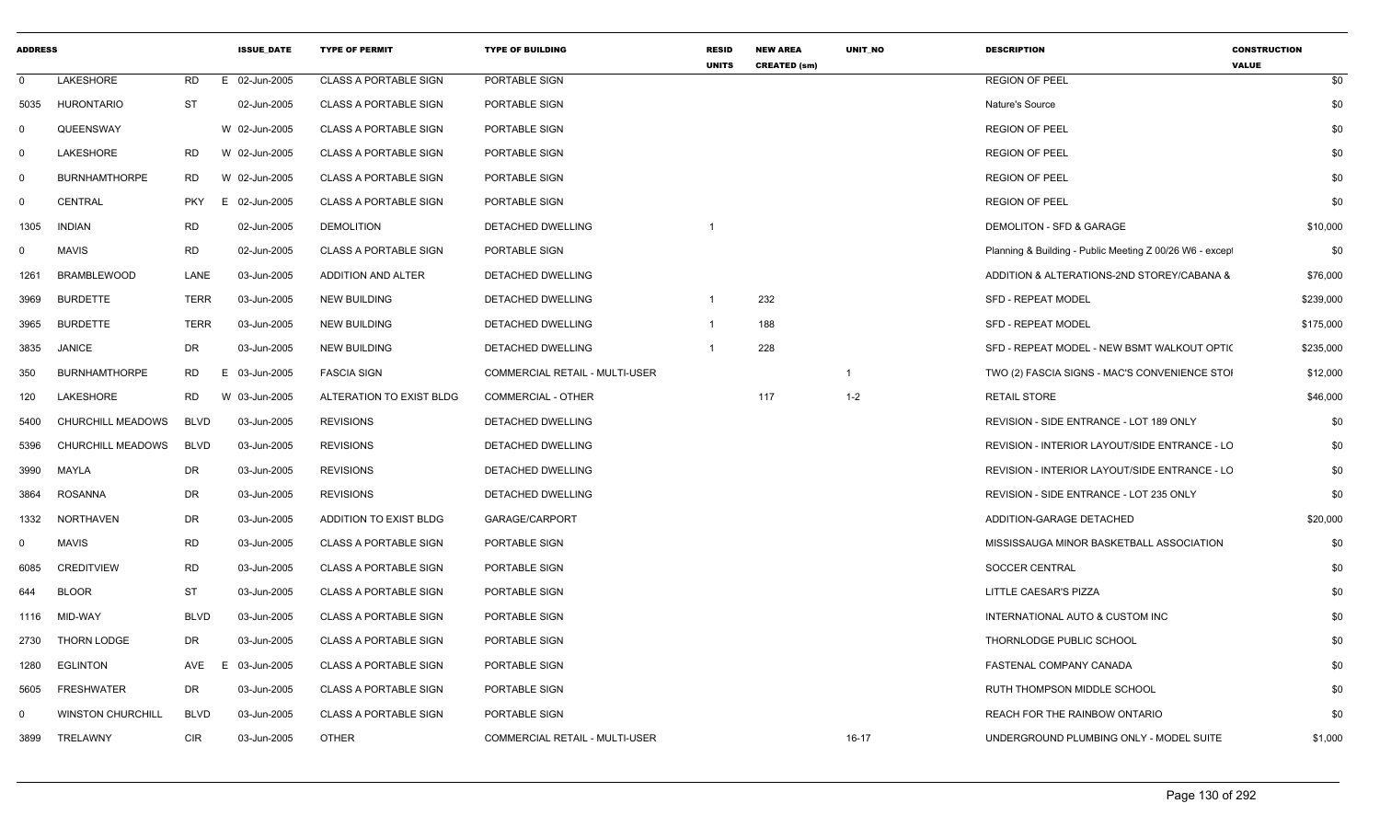| <b>ADDRESS</b> |                          |             | <b>ISSUE DATE</b> | <b>TYPE OF PERMIT</b>        | <b>TYPE OF BUILDING</b>        | <b>RESID</b><br><b>UNITS</b> | <b>NEW AREA</b><br><b>CREATED (sm)</b> | UNIT NO   | <b>DESCRIPTION</b>                                      | <b>CONSTRUCTION</b><br><b>VALUE</b> |
|----------------|--------------------------|-------------|-------------------|------------------------------|--------------------------------|------------------------------|----------------------------------------|-----------|---------------------------------------------------------|-------------------------------------|
| $\Omega$       | LAKESHORE                | RD          | E 02-Jun-2005     | <b>CLASS A PORTABLE SIGN</b> | PORTABLE SIGN                  |                              |                                        |           | <b>REGION OF PEEL</b>                                   | \$0                                 |
| 5035           | <b>HURONTARIO</b>        | ST          | 02-Jun-2005       | <b>CLASS A PORTABLE SIGN</b> | PORTABLE SIGN                  |                              |                                        |           | Nature's Source                                         | \$0                                 |
| $\Omega$       | QUEENSWAY                |             | W 02-Jun-2005     | <b>CLASS A PORTABLE SIGN</b> | PORTABLE SIGN                  |                              |                                        |           | <b>REGION OF PEEL</b>                                   | \$0                                 |
| 0              | LAKESHORE                | <b>RD</b>   | W 02-Jun-2005     | <b>CLASS A PORTABLE SIGN</b> | PORTABLE SIGN                  |                              |                                        |           | <b>REGION OF PEEL</b>                                   | \$0                                 |
| $\overline{0}$ | <b>BURNHAMTHORPE</b>     | <b>RD</b>   | W 02-Jun-2005     | <b>CLASS A PORTABLE SIGN</b> | PORTABLE SIGN                  |                              |                                        |           | <b>REGION OF PEEL</b>                                   | \$0                                 |
| 0              | CENTRAL                  | <b>PKY</b>  | E 02-Jun-2005     | <b>CLASS A PORTABLE SIGN</b> | PORTABLE SIGN                  |                              |                                        |           | <b>REGION OF PEEL</b>                                   | \$0                                 |
| 1305           | <b>INDIAN</b>            | <b>RD</b>   | 02-Jun-2005       | <b>DEMOLITION</b>            | DETACHED DWELLING              |                              |                                        |           | DEMOLITON - SFD & GARAGE                                | \$10,000                            |
| 0              | <b>MAVIS</b>             | <b>RD</b>   | 02-Jun-2005       | <b>CLASS A PORTABLE SIGN</b> | PORTABLE SIGN                  |                              |                                        |           | Planning & Building - Public Meeting Z 00/26 W6 - excep | \$0                                 |
| 1261           | <b>BRAMBLEWOOD</b>       | LANE        | 03-Jun-2005       | ADDITION AND ALTER           | <b>DETACHED DWELLING</b>       |                              |                                        |           | ADDITION & ALTERATIONS-2ND STOREY/CABANA &              | \$76,000                            |
| 3969           | <b>BURDETTE</b>          | TERR        | 03-Jun-2005       | <b>NEW BUILDING</b>          | DETACHED DWELLING              |                              | 232                                    |           | <b>SFD - REPEAT MODEL</b>                               | \$239,000                           |
| 3965           | <b>BURDETTE</b>          | <b>TERR</b> | 03-Jun-2005       | <b>NEW BUILDING</b>          | DETACHED DWELLING              | $\overline{1}$               | 188                                    |           | <b>SFD - REPEAT MODEL</b>                               | \$175,000                           |
| 3835           | <b>JANICE</b>            | DR.         | 03-Jun-2005       | <b>NEW BUILDING</b>          | <b>DETACHED DWELLING</b>       |                              | 228                                    |           | SFD - REPEAT MODEL - NEW BSMT WALKOUT OPTIC             | \$235,000                           |
| 350            | <b>BURNHAMTHORPE</b>     | <b>RD</b>   | E 03-Jun-2005     | <b>FASCIA SIGN</b>           | COMMERCIAL RETAIL - MULTI-USER |                              |                                        |           | TWO (2) FASCIA SIGNS - MAC'S CONVENIENCE STOI           | \$12,000                            |
| 120            | LAKESHORE                | <b>RD</b>   | W 03-Jun-2005     | ALTERATION TO EXIST BLDG     | COMMERCIAL - OTHER             |                              | 117                                    | $1 - 2$   | RETAIL STORE                                            | \$46,000                            |
| 5400           | <b>CHURCHILL MEADOWS</b> | <b>BLVD</b> | 03-Jun-2005       | <b>REVISIONS</b>             | DETACHED DWELLING              |                              |                                        |           | REVISION - SIDE ENTRANCE - LOT 189 ONLY                 | \$0                                 |
| 5396           | <b>CHURCHILL MEADOWS</b> | <b>BLVD</b> | 03-Jun-2005       | <b>REVISIONS</b>             | DETACHED DWELLING              |                              |                                        |           | REVISION - INTERIOR LAYOUT/SIDE ENTRANCE - LC           | \$0                                 |
| 3990           | MAYLA                    | DR          | 03-Jun-2005       | <b>REVISIONS</b>             | <b>DETACHED DWELLING</b>       |                              |                                        |           | <b>REVISION - INTERIOR LAYOUT/SIDE ENTRANCE - LC</b>    | \$0                                 |
| 3864           | <b>ROSANNA</b>           | DR          | 03-Jun-2005       | <b>REVISIONS</b>             | DETACHED DWELLING              |                              |                                        |           | REVISION - SIDE ENTRANCE - LOT 235 ONLY                 | \$0                                 |
| 1332           | <b>NORTHAVEN</b>         | DR          | 03-Jun-2005       | ADDITION TO EXIST BLDG       | GARAGE/CARPORT                 |                              |                                        |           | ADDITION-GARAGE DETACHED                                | \$20,000                            |
| $\Omega$       | <b>MAVIS</b>             | <b>RD</b>   | 03-Jun-2005       | <b>CLASS A PORTABLE SIGN</b> | PORTABLE SIGN                  |                              |                                        |           | MISSISSAUGA MINOR BASKETBALL ASSOCIATION                | \$0                                 |
| 6085           | <b>CREDITVIEW</b>        | <b>RD</b>   | 03-Jun-2005       | <b>CLASS A PORTABLE SIGN</b> | PORTABLE SIGN                  |                              |                                        |           | SOCCER CENTRAL                                          | \$0                                 |
| 644            | <b>BLOOR</b>             | <b>ST</b>   | 03-Jun-2005       | <b>CLASS A PORTABLE SIGN</b> | PORTABLE SIGN                  |                              |                                        |           | LITTLE CAESAR'S PIZZA                                   | \$0                                 |
| 1116           | MID-WAY                  | <b>BLVD</b> | 03-Jun-2005       | <b>CLASS A PORTABLE SIGN</b> | PORTABLE SIGN                  |                              |                                        |           | INTERNATIONAL AUTO & CUSTOM INC                         | \$0                                 |
| 2730           | <b>THORN LODGE</b>       | DR          | 03-Jun-2005       | <b>CLASS A PORTABLE SIGN</b> | PORTABLE SIGN                  |                              |                                        |           | THORNLODGE PUBLIC SCHOOL                                | \$0                                 |
| 1280           | <b>EGLINTON</b>          | AVE         | E 03-Jun-2005     | <b>CLASS A PORTABLE SIGN</b> | PORTABLE SIGN                  |                              |                                        |           | FASTENAL COMPANY CANADA                                 | \$0                                 |
| 5605           | <b>FRESHWATER</b>        | DR          | 03-Jun-2005       | <b>CLASS A PORTABLE SIGN</b> | PORTABLE SIGN                  |                              |                                        |           | RUTH THOMPSON MIDDLE SCHOOL                             | \$0                                 |
| 0              | <b>WINSTON CHURCHILL</b> | <b>BLVD</b> | 03-Jun-2005       | <b>CLASS A PORTABLE SIGN</b> | PORTABLE SIGN                  |                              |                                        |           | REACH FOR THE RAINBOW ONTARIO                           | \$0                                 |
| 3899           | TRELAWNY                 | <b>CIR</b>  | 03-Jun-2005       | <b>OTHER</b>                 | COMMERCIAL RETAIL - MULTI-USER |                              |                                        | $16 - 17$ | UNDERGROUND PLUMBING ONLY - MODEL SUITE                 | \$1,000                             |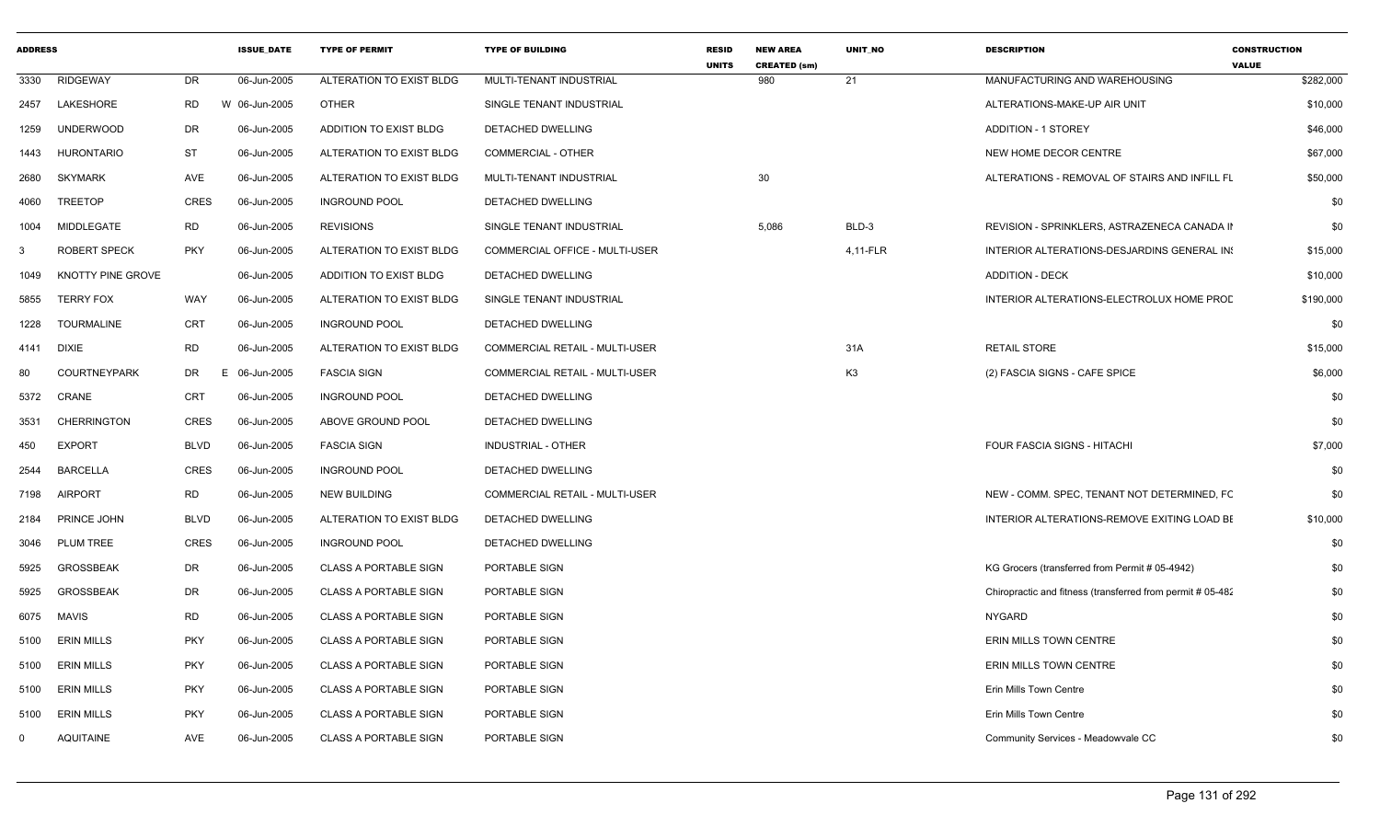| <b>ADDRESS</b> |                     |             | <b>ISSUE DATE</b> | <b>TYPE OF PERMIT</b>        | <b>TYPE OF BUILDING</b>               | <b>RESID</b><br><b>UNITS</b> | <b>NEW AREA</b><br><b>CREATED (sm)</b> | <b>UNIT NO</b> | <b>DESCRIPTION</b>                                         | <b>CONSTRUCTION</b><br><b>VALUE</b> |
|----------------|---------------------|-------------|-------------------|------------------------------|---------------------------------------|------------------------------|----------------------------------------|----------------|------------------------------------------------------------|-------------------------------------|
| 3330           | <b>RIDGEWAY</b>     | DR.         | 06-Jun-2005       | ALTERATION TO EXIST BLDG     | MULTI-TENANT INDUSTRIAL               |                              | 980                                    | 21             | MANUFACTURING AND WAREHOUSING                              | \$282,000                           |
| 2457           | LAKESHORE           | RD          | W 06-Jun-2005     | <b>OTHER</b>                 | SINGLE TENANT INDUSTRIAL              |                              |                                        |                | ALTERATIONS-MAKE-UP AIR UNIT                               | \$10,000                            |
| 1259           | <b>UNDERWOOD</b>    | DR          | 06-Jun-2005       | ADDITION TO EXIST BLDG       | DETACHED DWELLING                     |                              |                                        |                | <b>ADDITION - 1 STOREY</b>                                 | \$46,000                            |
| 1443           | <b>HURONTARIO</b>   | ST          | 06-Jun-2005       | ALTERATION TO EXIST BLDG     | <b>COMMERCIAL - OTHER</b>             |                              |                                        |                | NEW HOME DECOR CENTRE                                      | \$67,000                            |
| 2680           | <b>SKYMARK</b>      | AVE         | 06-Jun-2005       | ALTERATION TO EXIST BLDG     | MULTI-TENANT INDUSTRIAL               |                              | 30                                     |                | ALTERATIONS - REMOVAL OF STAIRS AND INFILL FL              | \$50,000                            |
| 4060           | <b>TREETOP</b>      | <b>CRES</b> | 06-Jun-2005       | <b>INGROUND POOL</b>         | DETACHED DWELLING                     |                              |                                        |                |                                                            | \$0                                 |
| 1004           | MIDDLEGATE          | <b>RD</b>   | 06-Jun-2005       | <b>REVISIONS</b>             | SINGLE TENANT INDUSTRIAL              |                              | 5,086                                  | BLD-3          | REVISION - SPRINKLERS, ASTRAZENECA CANADA II               | \$0                                 |
| -3             | <b>ROBERT SPECK</b> | <b>PKY</b>  | 06-Jun-2005       | ALTERATION TO EXIST BLDG     | COMMERCIAL OFFICE - MULTI-USER        |                              |                                        | 4,11-FLR       | INTERIOR ALTERATIONS-DESJARDINS GENERAL IN:                | \$15,000                            |
| 1049           | KNOTTY PINE GROVE   |             | 06-Jun-2005       | ADDITION TO EXIST BLDG       | DETACHED DWELLING                     |                              |                                        |                | <b>ADDITION - DECK</b>                                     | \$10,000                            |
| 5855           | <b>TERRY FOX</b>    | WAY         | 06-Jun-2005       | ALTERATION TO EXIST BLDG     | SINGLE TENANT INDUSTRIAL              |                              |                                        |                | INTERIOR ALTERATIONS-ELECTROLUX HOME PROD                  | \$190,000                           |
| 1228           | TOURMALINE          | <b>CRT</b>  | 06-Jun-2005       | <b>INGROUND POOL</b>         | DETACHED DWELLING                     |                              |                                        |                |                                                            | \$0                                 |
| 4141           | DIXIE               | <b>RD</b>   | 06-Jun-2005       | ALTERATION TO EXIST BLDG     | <b>COMMERCIAL RETAIL - MULTI-USER</b> |                              |                                        | 31A            | <b>RETAIL STORE</b>                                        | \$15,000                            |
| 80             | <b>COURTNEYPARK</b> | DR          | 06-Jun-2005<br>E. | <b>FASCIA SIGN</b>           | COMMERCIAL RETAIL - MULTI-USER        |                              |                                        | K <sub>3</sub> | (2) FASCIA SIGNS - CAFE SPICE                              | \$6,000                             |
| 5372           | CRANE               | <b>CRT</b>  | 06-Jun-2005       | <b>INGROUND POOL</b>         | <b>DETACHED DWELLING</b>              |                              |                                        |                |                                                            | \$0                                 |
| 3531           | <b>CHERRINGTON</b>  | <b>CRES</b> | 06-Jun-2005       | ABOVE GROUND POOL            | DETACHED DWELLING                     |                              |                                        |                |                                                            | \$0                                 |
| 450            | <b>EXPORT</b>       | <b>BLVD</b> | 06-Jun-2005       | <b>FASCIA SIGN</b>           | <b>INDUSTRIAL - OTHER</b>             |                              |                                        |                | FOUR FASCIA SIGNS - HITACHI                                | \$7,000                             |
| 2544           | <b>BARCELLA</b>     | <b>CRES</b> | 06-Jun-2005       | <b>INGROUND POOL</b>         | DETACHED DWELLING                     |                              |                                        |                |                                                            | \$0                                 |
| 7198           | <b>AIRPORT</b>      | <b>RD</b>   | 06-Jun-2005       | <b>NEW BUILDING</b>          | COMMERCIAL RETAIL - MULTI-USER        |                              |                                        |                | NEW - COMM. SPEC, TENANT NOT DETERMINED, FC                | \$0                                 |
| 2184           | PRINCE JOHN         | <b>BLVD</b> | 06-Jun-2005       | ALTERATION TO EXIST BLDG     | DETACHED DWELLING                     |                              |                                        |                | INTERIOR ALTERATIONS-REMOVE EXITING LOAD BE                | \$10,000                            |
| 3046           | <b>PLUM TREE</b>    | <b>CRES</b> | 06-Jun-2005       | <b>INGROUND POOL</b>         | DETACHED DWELLING                     |                              |                                        |                |                                                            | \$0                                 |
| 5925           | <b>GROSSBEAK</b>    | DR          | 06-Jun-2005       | <b>CLASS A PORTABLE SIGN</b> | PORTABLE SIGN                         |                              |                                        |                | KG Grocers (transferred from Permit # 05-4942)             | \$0                                 |
| 5925           | <b>GROSSBEAK</b>    | DR          | 06-Jun-2005       | <b>CLASS A PORTABLE SIGN</b> | PORTABLE SIGN                         |                              |                                        |                | Chiropractic and fitness (transferred from permit #05-482) | \$0                                 |
| 6075           | MAVIS               | <b>RD</b>   | 06-Jun-2005       | <b>CLASS A PORTABLE SIGN</b> | PORTABLE SIGN                         |                              |                                        |                | <b>NYGARD</b>                                              | \$0                                 |
| 5100           | <b>ERIN MILLS</b>   | <b>PKY</b>  | 06-Jun-2005       | <b>CLASS A PORTABLE SIGN</b> | PORTABLE SIGN                         |                              |                                        |                | ERIN MILLS TOWN CENTRE                                     | \$0                                 |
| 5100           | <b>ERIN MILLS</b>   | <b>PKY</b>  | 06-Jun-2005       | CLASS A PORTABLE SIGN        | PORTABLE SIGN                         |                              |                                        |                | ERIN MILLS TOWN CENTRE                                     | \$0                                 |
| 5100           | <b>ERIN MILLS</b>   | <b>PKY</b>  | 06-Jun-2005       | <b>CLASS A PORTABLE SIGN</b> | PORTABLE SIGN                         |                              |                                        |                | Erin Mills Town Centre                                     | \$0                                 |
| 5100           | <b>ERIN MILLS</b>   | <b>PKY</b>  | 06-Jun-2005       | <b>CLASS A PORTABLE SIGN</b> | PORTABLE SIGN                         |                              |                                        |                | Erin Mills Town Centre                                     | \$0                                 |
| $\Omega$       | <b>AQUITAINE</b>    | AVE         | 06-Jun-2005       | <b>CLASS A PORTABLE SIGN</b> | PORTABLE SIGN                         |                              |                                        |                | Community Services - Meadowvale CC                         | \$0                                 |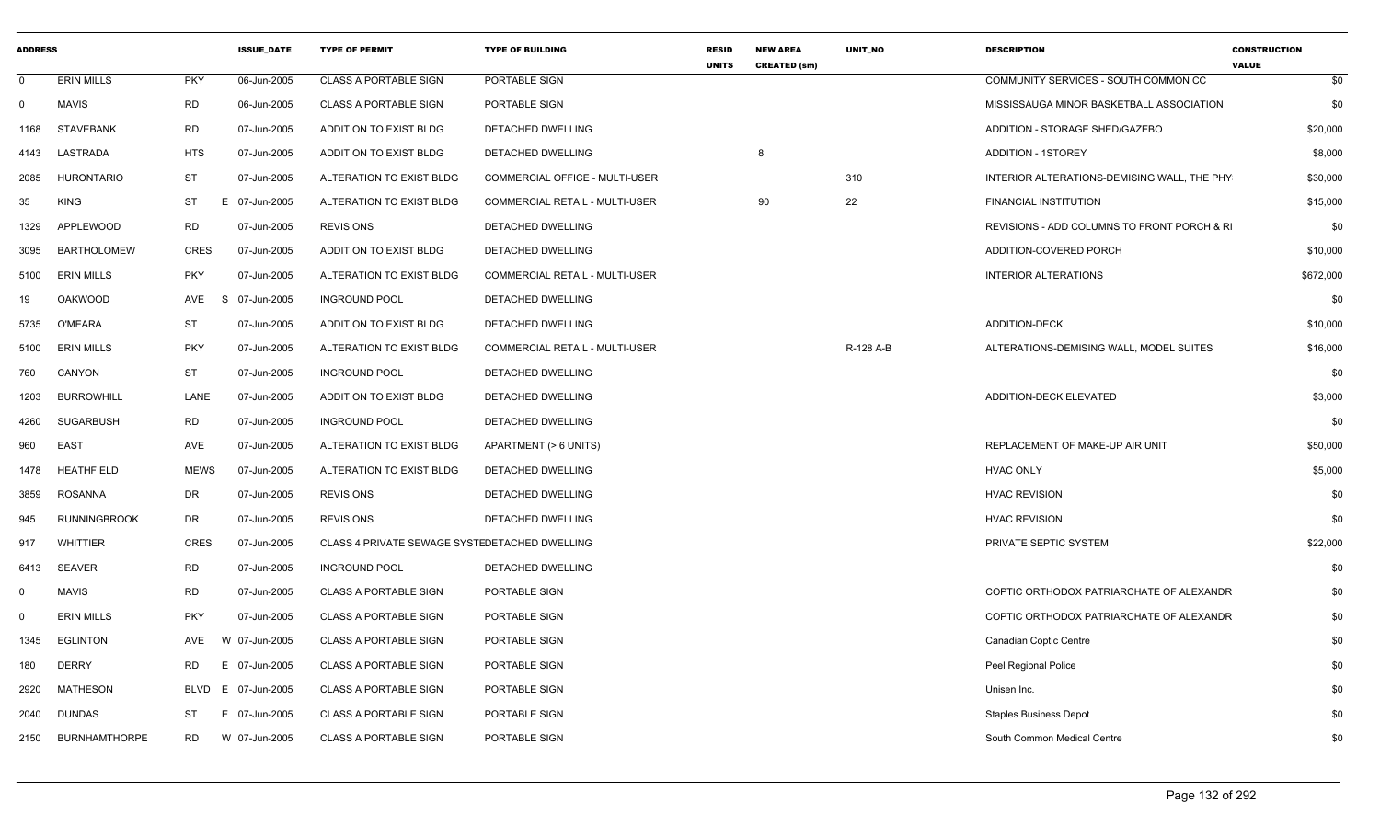| <b>ADDRESS</b> |                      |                 | <b>ISSUE DATE</b> | <b>TYPE OF PERMIT</b>                         | <b>TYPE OF BUILDING</b>               | <b>RESID</b><br><b>UNITS</b> | <b>NEW AREA</b><br><b>CREATED (sm)</b> | <b>UNIT NO</b> | <b>DESCRIPTION</b>                          | <b>CONSTRUCTION</b><br><b>VALUE</b> |
|----------------|----------------------|-----------------|-------------------|-----------------------------------------------|---------------------------------------|------------------------------|----------------------------------------|----------------|---------------------------------------------|-------------------------------------|
| $\mathbf 0$    | <b>ERIN MILLS</b>    | <b>PKY</b>      | 06-Jun-2005       | <b>CLASS A PORTABLE SIGN</b>                  | PORTABLE SIGN                         |                              |                                        |                | COMMUNITY SERVICES - SOUTH COMMON CC        | \$0                                 |
| $\mathbf 0$    | <b>MAVIS</b>         | <b>RD</b>       | 06-Jun-2005       | <b>CLASS A PORTABLE SIGN</b>                  | PORTABLE SIGN                         |                              |                                        |                | MISSISSAUGA MINOR BASKETBALL ASSOCIATION    | \$0                                 |
| 1168           | <b>STAVEBANK</b>     | <b>RD</b>       | 07-Jun-2005       | ADDITION TO EXIST BLDG                        | DETACHED DWELLING                     |                              |                                        |                | ADDITION - STORAGE SHED/GAZEBO              | \$20,000                            |
| 4143           | LASTRADA             | <b>HTS</b>      | 07-Jun-2005       | ADDITION TO EXIST BLDG                        | DETACHED DWELLING                     |                              | 8                                      |                | <b>ADDITION - 1STOREY</b>                   | \$8,000                             |
| 2085           | <b>HURONTARIO</b>    | ST              | 07-Jun-2005       | ALTERATION TO EXIST BLDG                      | COMMERCIAL OFFICE - MULTI-USER        |                              |                                        | 310            | INTERIOR ALTERATIONS-DEMISING WALL. THE PHY | \$30,000                            |
| 35             | <b>KING</b>          | ST              | E 07-Jun-2005     | ALTERATION TO EXIST BLDG                      | <b>COMMERCIAL RETAIL - MULTI-USER</b> |                              | 90                                     | 22             | <b>FINANCIAL INSTITUTION</b>                | \$15,000                            |
| 1329           | APPLEWOOD            | <b>RD</b>       | 07-Jun-2005       | <b>REVISIONS</b>                              | DETACHED DWELLING                     |                              |                                        |                | REVISIONS - ADD COLUMNS TO FRONT PORCH & RI | \$0                                 |
| 3095           | BARTHOLOMEW          | <b>CRES</b>     | 07-Jun-2005       | ADDITION TO EXIST BLDG                        | DETACHED DWELLING                     |                              |                                        |                | ADDITION-COVERED PORCH                      | \$10,000                            |
| 5100           | <b>ERIN MILLS</b>    | <b>PKY</b>      | 07-Jun-2005       | ALTERATION TO EXIST BLDG                      | COMMERCIAL RETAIL - MULTI-USER        |                              |                                        |                | <b>INTERIOR ALTERATIONS</b>                 | \$672,000                           |
| 19             | <b>OAKWOOD</b>       | AVE<br>S        | 07-Jun-2005       | <b>INGROUND POOL</b>                          | DETACHED DWELLING                     |                              |                                        |                |                                             | \$0                                 |
| 5735           | O'MEARA              | ST              | 07-Jun-2005       | ADDITION TO EXIST BLDG                        | DETACHED DWELLING                     |                              |                                        |                | <b>ADDITION-DECK</b>                        | \$10,000                            |
| 5100           | <b>ERIN MILLS</b>    | <b>PKY</b>      | 07-Jun-2005       | ALTERATION TO EXIST BLDG                      | COMMERCIAL RETAIL - MULTI-USER        |                              |                                        | R-128 A-B      | ALTERATIONS-DEMISING WALL, MODEL SUITES     | \$16,000                            |
| 760            | CANYON               | <b>ST</b>       | 07-Jun-2005       | <b>INGROUND POOL</b>                          | DETACHED DWELLING                     |                              |                                        |                |                                             | \$0                                 |
| 1203           | <b>BURROWHILL</b>    | LANE            | 07-Jun-2005       | ADDITION TO EXIST BLDG                        | DETACHED DWELLING                     |                              |                                        |                | ADDITION-DECK ELEVATED                      | \$3,000                             |
| 4260           | <b>SUGARBUSH</b>     | <b>RD</b>       | 07-Jun-2005       | <b>INGROUND POOL</b>                          | DETACHED DWELLING                     |                              |                                        |                |                                             | \$0                                 |
| 960            | <b>EAST</b>          | AVE             | 07-Jun-2005       | ALTERATION TO EXIST BLDG                      | APARTMENT (> 6 UNITS)                 |                              |                                        |                | REPLACEMENT OF MAKE-UP AIR UNIT             | \$50,000                            |
| 1478           | <b>HEATHFIELD</b>    | <b>MEWS</b>     | 07-Jun-2005       | ALTERATION TO EXIST BLDG                      | DETACHED DWELLING                     |                              |                                        |                | <b>HVAC ONLY</b>                            | \$5,000                             |
| 3859           | ROSANNA              | <b>DR</b>       | 07-Jun-2005       | <b>REVISIONS</b>                              | DETACHED DWELLING                     |                              |                                        |                | <b>HVAC REVISION</b>                        | \$0                                 |
| 945            | <b>RUNNINGBROOK</b>  | <b>DR</b>       | 07-Jun-2005       | <b>REVISIONS</b>                              | <b>DETACHED DWELLING</b>              |                              |                                        |                | <b>HVAC REVISION</b>                        | \$0                                 |
| 917            | <b>WHITTIER</b>      | <b>CRES</b>     | 07-Jun-2005       | CLASS 4 PRIVATE SEWAGE SYSTEDETACHED DWELLING |                                       |                              |                                        |                | PRIVATE SEPTIC SYSTEM                       | \$22,000                            |
| 6413           | SEAVER               | <b>RD</b>       | 07-Jun-2005       | <b>INGROUND POOL</b>                          | DETACHED DWELLING                     |                              |                                        |                |                                             | \$0                                 |
| $\mathbf 0$    | <b>MAVIS</b>         | <b>RD</b>       | 07-Jun-2005       | <b>CLASS A PORTABLE SIGN</b>                  | PORTABLE SIGN                         |                              |                                        |                | COPTIC ORTHODOX PATRIARCHATE OF ALEXANDR    | \$0                                 |
| $\Omega$       | <b>ERIN MILLS</b>    | <b>PKY</b>      | 07-Jun-2005       | <b>CLASS A PORTABLE SIGN</b>                  | PORTABLE SIGN                         |                              |                                        |                | COPTIC ORTHODOX PATRIARCHATE OF ALEXANDR    | \$0                                 |
| 1345           | <b>EGLINTON</b>      | AVE             | W 07-Jun-2005     | <b>CLASS A PORTABLE SIGN</b>                  | PORTABLE SIGN                         |                              |                                        |                | <b>Canadian Coptic Centre</b>               | \$0                                 |
| 180            | <b>DERRY</b>         | <b>RD</b><br>E. | 07-Jun-2005       | <b>CLASS A PORTABLE SIGN</b>                  | PORTABLE SIGN                         |                              |                                        |                | Peel Regional Police                        | \$0                                 |
| 2920           | <b>MATHESON</b>      | <b>BLVD</b>     | E 07-Jun-2005     | <b>CLASS A PORTABLE SIGN</b>                  | PORTABLE SIGN                         |                              |                                        |                | Unisen Inc.                                 | \$0                                 |
| 2040           | <b>DUNDAS</b>        | ST              | 07-Jun-2005       | <b>CLASS A PORTABLE SIGN</b>                  | PORTABLE SIGN                         |                              |                                        |                | <b>Staples Business Depot</b>               | \$0                                 |
| 2150           | <b>BURNHAMTHORPE</b> | <b>RD</b>       | W 07-Jun-2005     | <b>CLASS A PORTABLE SIGN</b>                  | PORTABLE SIGN                         |                              |                                        |                | South Common Medical Centre                 | \$0                                 |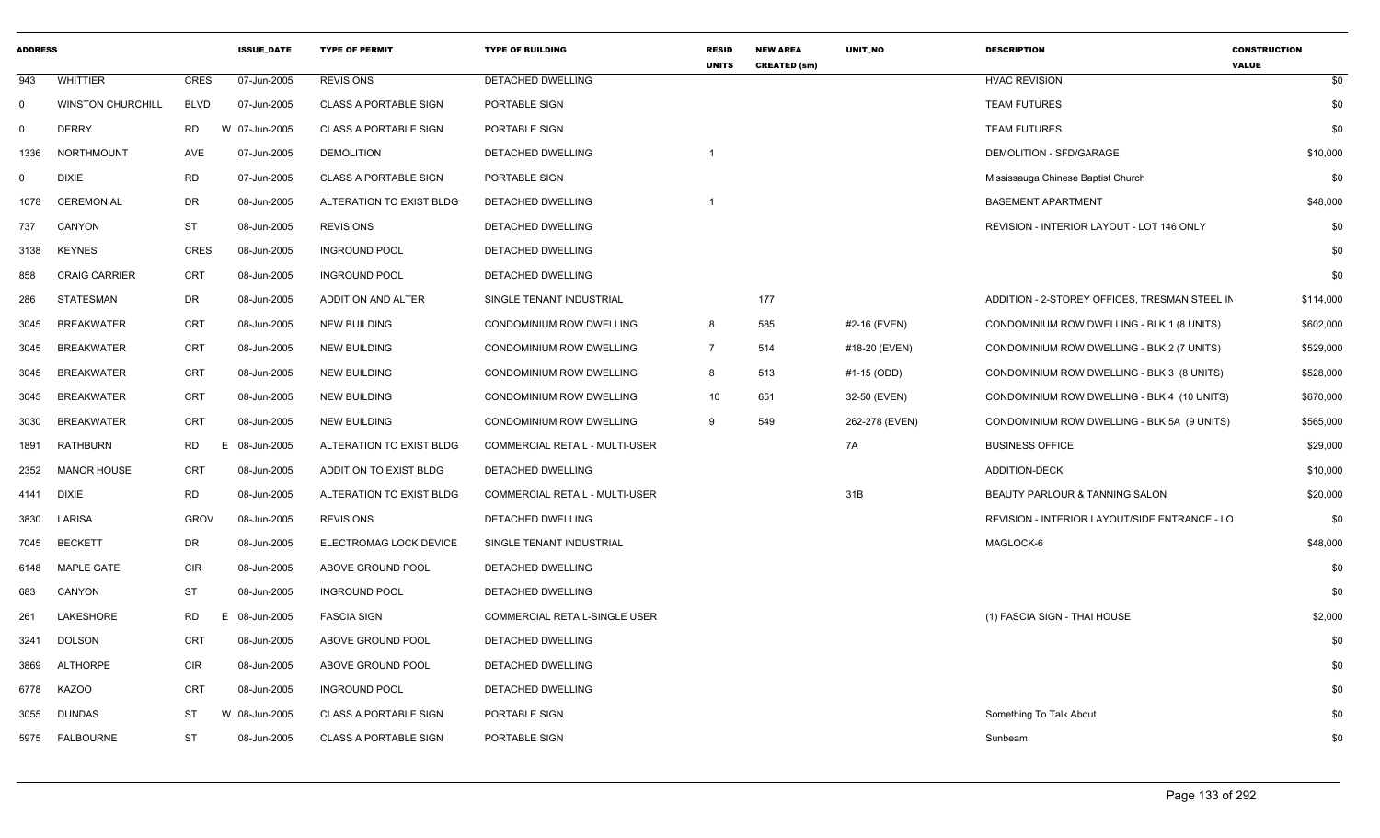| <b>ADDRESS</b> |                          |             | <b>ISSUE DATE</b> | <b>TYPE OF PERMIT</b>        | <b>TYPE OF BUILDING</b>               | <b>RESID</b><br><b>UNITS</b> | <b>NEW AREA</b><br><b>CREATED (sm)</b> | <b>UNIT NO</b> | <b>DESCRIPTION</b>                            | <b>CONSTRUCTION</b><br><b>VALUE</b> |
|----------------|--------------------------|-------------|-------------------|------------------------------|---------------------------------------|------------------------------|----------------------------------------|----------------|-----------------------------------------------|-------------------------------------|
| 943            | <b>WHITTIER</b>          | <b>CRES</b> | 07-Jun-2005       | <b>REVISIONS</b>             | <b>DETACHED DWELLING</b>              |                              |                                        |                | <b>HVAC REVISION</b>                          | \$0                                 |
| $\mathbf 0$    | <b>WINSTON CHURCHILL</b> | <b>BLVD</b> | 07-Jun-2005       | <b>CLASS A PORTABLE SIGN</b> | PORTABLE SIGN                         |                              |                                        |                | <b>TEAM FUTURES</b>                           | \$0                                 |
| $\mathbf 0$    | <b>DERRY</b>             | <b>RD</b>   | W 07-Jun-2005     | <b>CLASS A PORTABLE SIGN</b> | PORTABLE SIGN                         |                              |                                        |                | <b>TEAM FUTURES</b>                           | \$0                                 |
| 1336           | <b>NORTHMOUNT</b>        | AVE         | 07-Jun-2005       | <b>DEMOLITION</b>            | DETACHED DWELLING                     | $\overline{1}$               |                                        |                | DEMOLITION - SFD/GARAGE                       | \$10,000                            |
| $\mathbf 0$    | <b>DIXIE</b>             | <b>RD</b>   | 07-Jun-2005       | <b>CLASS A PORTABLE SIGN</b> | PORTABLE SIGN                         |                              |                                        |                | Mississauga Chinese Baptist Church            | \$0                                 |
| 1078           | <b>CEREMONIAL</b>        | <b>DR</b>   | 08-Jun-2005       | ALTERATION TO EXIST BLDG     | DETACHED DWELLING                     |                              |                                        |                | <b>BASEMENT APARTMENT</b>                     | \$48,000                            |
| 737            | CANYON                   | <b>ST</b>   | 08-Jun-2005       | <b>REVISIONS</b>             | DETACHED DWELLING                     |                              |                                        |                | REVISION - INTERIOR LAYOUT - LOT 146 ONLY     | \$0                                 |
| 3138           | <b>KEYNES</b>            | <b>CRES</b> | 08-Jun-2005       | <b>INGROUND POOL</b>         | <b>DETACHED DWELLING</b>              |                              |                                        |                |                                               | \$0                                 |
| 858            | <b>CRAIG CARRIER</b>     | <b>CRT</b>  | 08-Jun-2005       | <b>INGROUND POOL</b>         | DETACHED DWELLING                     |                              |                                        |                |                                               | \$0                                 |
| 286            | STATESMAN                | DR          | 08-Jun-2005       | ADDITION AND ALTER           | SINGLE TENANT INDUSTRIAL              |                              | 177                                    |                | ADDITION - 2-STOREY OFFICES, TRESMAN STEEL IN | \$114,000                           |
| 3045           | <b>BREAKWATER</b>        | CRT         | 08-Jun-2005       | <b>NEW BUILDING</b>          | CONDOMINIUM ROW DWELLING              | 8                            | 585                                    | #2-16 (EVEN)   | CONDOMINIUM ROW DWELLING - BLK 1 (8 UNITS)    | \$602,000                           |
| 3045           | <b>BREAKWATER</b>        | CRT         | 08-Jun-2005       | <b>NEW BUILDING</b>          | CONDOMINIUM ROW DWELLING              | $\overline{7}$               | 514                                    | #18-20 (EVEN)  | CONDOMINIUM ROW DWELLING - BLK 2 (7 UNITS)    | \$529,000                           |
| 3045           | <b>BREAKWATER</b>        | CRT         | 08-Jun-2005       | <b>NEW BUILDING</b>          | CONDOMINIUM ROW DWELLING              | 8                            | 513                                    | #1-15 (ODD)    | CONDOMINIUM ROW DWELLING - BLK 3 (8 UNITS)    | \$528,000                           |
| 3045           | <b>BREAKWATER</b>        | <b>CRT</b>  | 08-Jun-2005       | <b>NEW BUILDING</b>          | CONDOMINIUM ROW DWELLING              | 10                           | 651                                    | 32-50 (EVEN)   | CONDOMINIUM ROW DWELLING - BLK 4 (10 UNITS)   | \$670,000                           |
| 3030           | <b>BREAKWATER</b>        | <b>CRT</b>  | 08-Jun-2005       | <b>NEW BUILDING</b>          | CONDOMINIUM ROW DWELLING              | 9                            | 549                                    | 262-278 (EVEN) | CONDOMINIUM ROW DWELLING - BLK 5A (9 UNITS)   | \$565,000                           |
| 1891           | RATHBURN                 | <b>RD</b>   | 08-Jun-2005<br>E  | ALTERATION TO EXIST BLDG     | <b>COMMERCIAL RETAIL - MULTI-USER</b> |                              |                                        | 7A             | <b>BUSINESS OFFICE</b>                        | \$29,000                            |
| 2352           | <b>MANOR HOUSE</b>       | <b>CRT</b>  | 08-Jun-2005       | ADDITION TO EXIST BLDG       | DETACHED DWELLING                     |                              |                                        |                | <b>ADDITION-DECK</b>                          | \$10,000                            |
| 4141           | <b>DIXIE</b>             | <b>RD</b>   | 08-Jun-2005       | ALTERATION TO EXIST BLDG     | <b>COMMERCIAL RETAIL - MULTI-USER</b> |                              |                                        | 31B            | BEAUTY PARLOUR & TANNING SALON                | \$20,000                            |
| 3830           | LARISA                   | <b>GROV</b> | 08-Jun-2005       | <b>REVISIONS</b>             | DETACHED DWELLING                     |                              |                                        |                | REVISION - INTERIOR LAYOUT/SIDE ENTRANCE - LC | \$0                                 |
| 7045           | <b>BECKETT</b>           | <b>DR</b>   | 08-Jun-2005       | ELECTROMAG LOCK DEVICE       | SINGLE TENANT INDUSTRIAL              |                              |                                        |                | MAGLOCK-6                                     | \$48,000                            |
| 6148           | <b>MAPLE GATE</b>        | <b>CIR</b>  | 08-Jun-2005       | ABOVE GROUND POOL            | DETACHED DWELLING                     |                              |                                        |                |                                               | \$0                                 |
| 683            | CANYON                   | <b>ST</b>   | 08-Jun-2005       | <b>INGROUND POOL</b>         | DETACHED DWELLING                     |                              |                                        |                |                                               | \$0                                 |
| 261            | LAKESHORE                | <b>RD</b>   | E<br>08-Jun-2005  | <b>FASCIA SIGN</b>           | COMMERCIAL RETAIL-SINGLE USER         |                              |                                        |                | (1) FASCIA SIGN - THAI HOUSE                  | \$2,000                             |
| 3241           | <b>DOLSON</b>            | CRT         | 08-Jun-2005       | ABOVE GROUND POOL            | DETACHED DWELLING                     |                              |                                        |                |                                               | \$0                                 |
| 3869           | <b>ALTHORPE</b>          | <b>CIR</b>  | 08-Jun-2005       | ABOVE GROUND POOL            | DETACHED DWELLING                     |                              |                                        |                |                                               | \$0                                 |
| 6778           | <b>KAZOO</b>             | CRT         | 08-Jun-2005       | <b>INGROUND POOL</b>         | DETACHED DWELLING                     |                              |                                        |                |                                               | \$0                                 |
| 3055           | <b>DUNDAS</b>            | <b>ST</b>   | W 08-Jun-2005     | <b>CLASS A PORTABLE SIGN</b> | PORTABLE SIGN                         |                              |                                        |                | Something To Talk About                       | \$0                                 |
| 5975           | <b>FALBOURNE</b>         | <b>ST</b>   | 08-Jun-2005       | <b>CLASS A PORTABLE SIGN</b> | PORTABLE SIGN                         |                              |                                        |                | Sunbeam                                       | \$0                                 |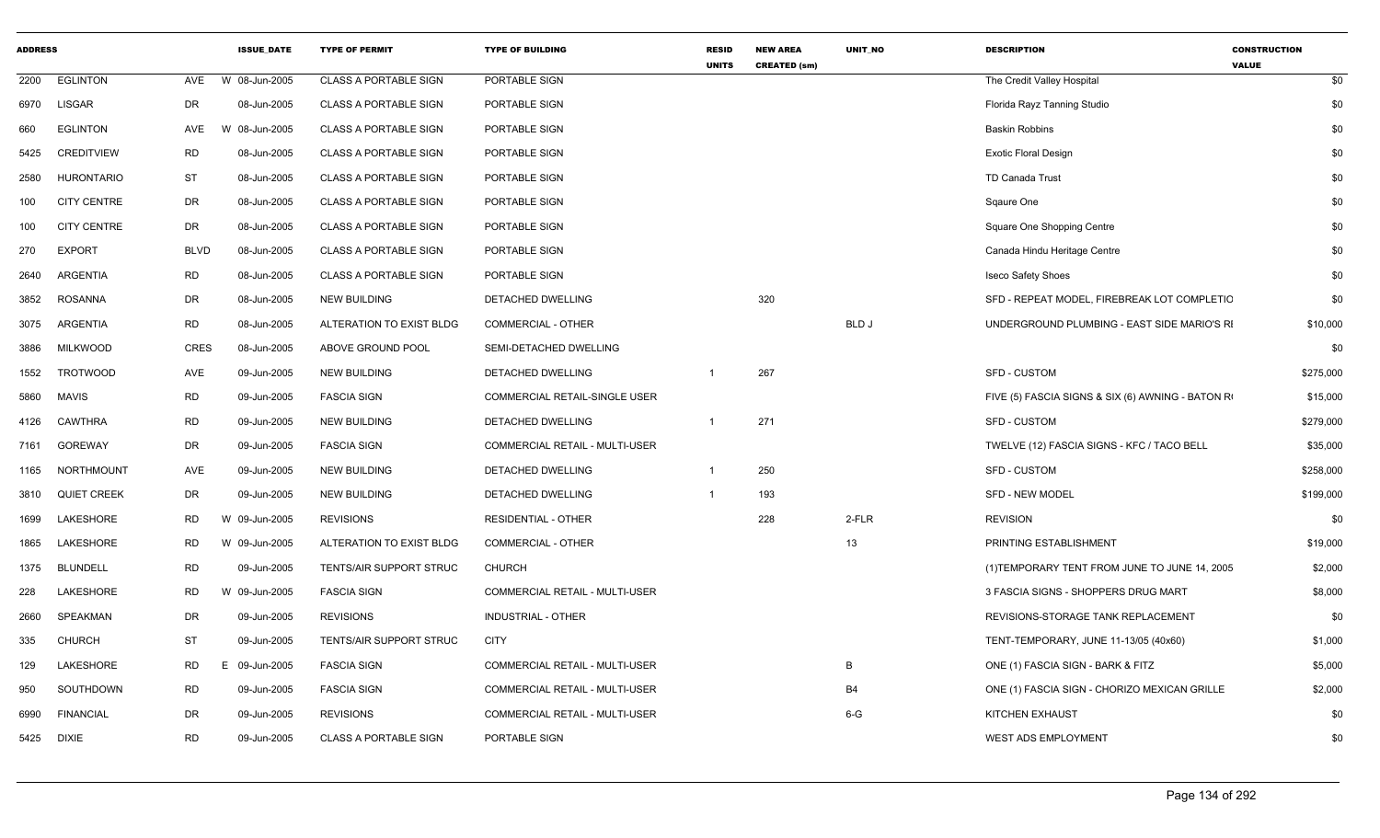| <b>ADDRESS</b> |                    |             | <b>ISSUE DATE</b> | <b>TYPE OF PERMIT</b>        | <b>TYPE OF BUILDING</b>        | <b>RESID</b><br><b>UNITS</b> | <b>NEW AREA</b><br><b>CREATED (sm)</b> | <b>UNIT NO</b> | <b>DESCRIPTION</b>                                | <b>CONSTRUCTION</b><br><b>VALUE</b> |
|----------------|--------------------|-------------|-------------------|------------------------------|--------------------------------|------------------------------|----------------------------------------|----------------|---------------------------------------------------|-------------------------------------|
| 2200           | <b>EGLINTON</b>    | AVE         | W 08-Jun-2005     | <b>CLASS A PORTABLE SIGN</b> | PORTABLE SIGN                  |                              |                                        |                | The Credit Valley Hospital                        | \$0                                 |
| 6970           | <b>LISGAR</b>      | DR          | 08-Jun-2005       | <b>CLASS A PORTABLE SIGN</b> | PORTABLE SIGN                  |                              |                                        |                | Florida Rayz Tanning Studio                       | \$0                                 |
| 660            | <b>EGLINTON</b>    | AVE         | W 08-Jun-2005     | <b>CLASS A PORTABLE SIGN</b> | PORTABLE SIGN                  |                              |                                        |                | <b>Baskin Robbins</b>                             | \$0                                 |
| 5425           | <b>CREDITVIEW</b>  | <b>RD</b>   | 08-Jun-2005       | <b>CLASS A PORTABLE SIGN</b> | PORTABLE SIGN                  |                              |                                        |                | <b>Exotic Floral Design</b>                       | \$0                                 |
| 2580           | <b>HURONTARIO</b>  | ST          | 08-Jun-2005       | <b>CLASS A PORTABLE SIGN</b> | PORTABLE SIGN                  |                              |                                        |                | TD Canada Trust                                   | \$0                                 |
| 100            | <b>CITY CENTRE</b> | DR          | 08-Jun-2005       | <b>CLASS A PORTABLE SIGN</b> | PORTABLE SIGN                  |                              |                                        |                | Sqaure One                                        | \$0                                 |
| 100            | <b>CITY CENTRE</b> | DR          | 08-Jun-2005       | <b>CLASS A PORTABLE SIGN</b> | PORTABLE SIGN                  |                              |                                        |                | Square One Shopping Centre                        | \$0                                 |
| 270            | <b>EXPORT</b>      | <b>BLVD</b> | 08-Jun-2005       | <b>CLASS A PORTABLE SIGN</b> | PORTABLE SIGN                  |                              |                                        |                | Canada Hindu Heritage Centre                      | \$0                                 |
| 2640           | ARGENTIA           | <b>RD</b>   | 08-Jun-2005       | <b>CLASS A PORTABLE SIGN</b> | PORTABLE SIGN                  |                              |                                        |                | <b>Iseco Safety Shoes</b>                         | \$0                                 |
| 3852           | <b>ROSANNA</b>     | DR          | 08-Jun-2005       | <b>NEW BUILDING</b>          | DETACHED DWELLING              |                              | 320                                    |                | SFD - REPEAT MODEL, FIREBREAK LOT COMPLETIC       | \$0                                 |
| 3075           | ARGENTIA           | RD          | 08-Jun-2005       | ALTERATION TO EXIST BLDG     | COMMERCIAL - OTHER             |                              |                                        | <b>BLD J</b>   | UNDERGROUND PLUMBING - EAST SIDE MARIO'S RI       | \$10,000                            |
| 3886           | <b>MILKWOOD</b>    | <b>CRES</b> | 08-Jun-2005       | ABOVE GROUND POOL            | SEMI-DETACHED DWELLING         |                              |                                        |                |                                                   | \$0                                 |
| 1552           | <b>TROTWOOD</b>    | AVE         | 09-Jun-2005       | <b>NEW BUILDING</b>          | DETACHED DWELLING              |                              | 267                                    |                | <b>SFD - CUSTOM</b>                               | \$275,000                           |
| 5860           | <b>MAVIS</b>       | <b>RD</b>   | 09-Jun-2005       | <b>FASCIA SIGN</b>           | COMMERCIAL RETAIL-SINGLE USER  |                              |                                        |                | FIVE (5) FASCIA SIGNS & SIX (6) AWNING - BATON RI | \$15,000                            |
| 4126           | <b>CAWTHRA</b>     | <b>RD</b>   | 09-Jun-2005       | <b>NEW BUILDING</b>          | DETACHED DWELLING              |                              | 271                                    |                | SFD - CUSTOM                                      | \$279,000                           |
| 7161           | GOREWAY            | DR          | 09-Jun-2005       | <b>FASCIA SIGN</b>           | COMMERCIAL RETAIL - MULTI-USER |                              |                                        |                | TWELVE (12) FASCIA SIGNS - KFC / TACO BELL        | \$35,000                            |
| 1165           | NORTHMOUNT         | AVE         | 09-Jun-2005       | <b>NEW BUILDING</b>          | DETACHED DWELLING              | $\mathbf 1$                  | 250                                    |                | <b>SFD - CUSTOM</b>                               | \$258,000                           |
| 3810           | <b>QUIET CREEK</b> | DR          | 09-Jun-2005       | <b>NEW BUILDING</b>          | DETACHED DWELLING              |                              | 193                                    |                | SFD - NEW MODEL                                   | \$199,000                           |
| 1699           | LAKESHORE          | RD          | W 09-Jun-2005     | <b>REVISIONS</b>             | <b>RESIDENTIAL - OTHER</b>     |                              | 228                                    | 2-FLR          | <b>REVISION</b>                                   | \$0                                 |
| 1865           | LAKESHORE          | <b>RD</b>   | W 09-Jun-2005     | ALTERATION TO EXIST BLDG     | COMMERCIAL - OTHER             |                              |                                        | 13             | PRINTING ESTABLISHMENT                            | \$19,000                            |
| 1375           | <b>BLUNDELL</b>    | RD          | 09-Jun-2005       | TENTS/AIR SUPPORT STRUC      | <b>CHURCH</b>                  |                              |                                        |                | (1) TEMPORARY TENT FROM JUNE TO JUNE 14, 2005     | \$2,000                             |
| 228            | LAKESHORE          | RD          | W 09-Jun-2005     | <b>FASCIA SIGN</b>           | COMMERCIAL RETAIL - MULTI-USER |                              |                                        |                | 3 FASCIA SIGNS - SHOPPERS DRUG MART               | \$8,000                             |
| 2660           | SPEAKMAN           | DR          | 09-Jun-2005       | <b>REVISIONS</b>             | <b>INDUSTRIAL - OTHER</b>      |                              |                                        |                | REVISIONS-STORAGE TANK REPLACEMENT                | \$0                                 |
| 335            | <b>CHURCH</b>      | ST          | 09-Jun-2005       | TENTS/AIR SUPPORT STRUC      | <b>CITY</b>                    |                              |                                        |                | TENT-TEMPORARY, JUNE 11-13/05 (40x60)             | \$1,000                             |
| 129            | LAKESHORE          | <b>RD</b>   | 09-Jun-2005<br>E. | <b>FASCIA SIGN</b>           | COMMERCIAL RETAIL - MULTI-USER |                              |                                        | B              | ONE (1) FASCIA SIGN - BARK & FITZ                 | \$5,000                             |
| 950            | SOUTHDOWN          | <b>RD</b>   | 09-Jun-2005       | <b>FASCIA SIGN</b>           | COMMERCIAL RETAIL - MULTI-USER |                              |                                        | <b>B4</b>      | ONE (1) FASCIA SIGN - CHORIZO MEXICAN GRILLE      | \$2,000                             |
| 6990           | <b>FINANCIAL</b>   | DR          | 09-Jun-2005       | <b>REVISIONS</b>             | COMMERCIAL RETAIL - MULTI-USER |                              |                                        | $6 - G$        | <b>KITCHEN EXHAUST</b>                            | \$0                                 |
| 5425           | DIXIE              | <b>RD</b>   | 09-Jun-2005       | <b>CLASS A PORTABLE SIGN</b> | PORTABLE SIGN                  |                              |                                        |                | <b>WEST ADS EMPLOYMENT</b>                        | \$0                                 |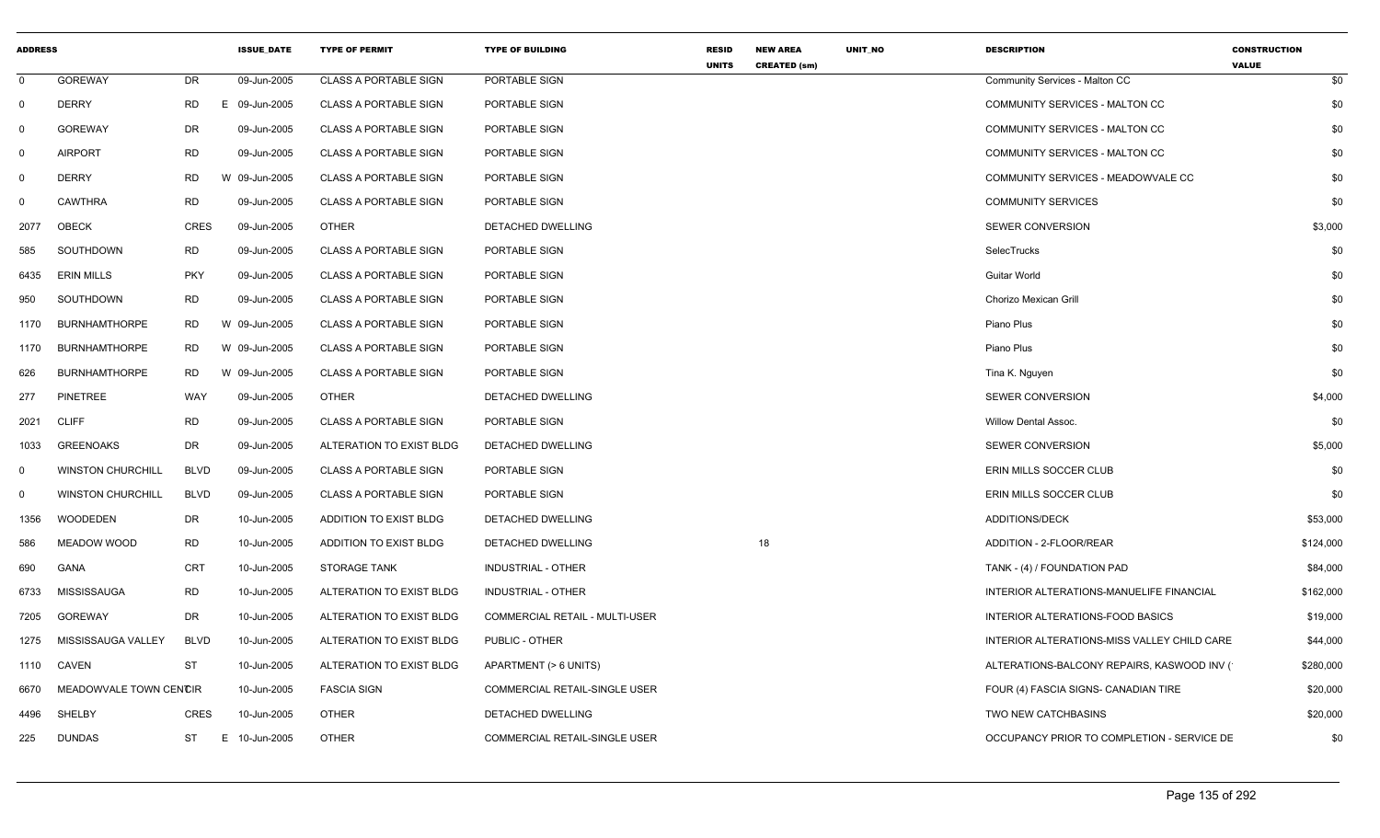| <b>ADDRESS</b> |                          |             | <b>ISSUE_DATE</b> | <b>TYPE OF PERMIT</b>        | <b>TYPE OF BUILDING</b>        | <b>RESID</b><br><b>UNITS</b> | <b>NEW AREA</b><br><b>CREATED (sm)</b> | UNIT_NO | <b>DESCRIPTION</b>                          | <b>CONSTRUCTION</b><br><b>VALUE</b> |
|----------------|--------------------------|-------------|-------------------|------------------------------|--------------------------------|------------------------------|----------------------------------------|---------|---------------------------------------------|-------------------------------------|
| $\mathbf 0$    | <b>GOREWAY</b>           | DR          | 09-Jun-2005       | <b>CLASS A PORTABLE SIGN</b> | PORTABLE SIGN                  |                              |                                        |         | Community Services - Malton CC              | \$0                                 |
| $\mathbf 0$    | <b>DERRY</b>             | <b>RD</b>   | E 09-Jun-2005     | <b>CLASS A PORTABLE SIGN</b> | PORTABLE SIGN                  |                              |                                        |         | COMMUNITY SERVICES - MALTON CC              | \$0                                 |
| $\mathbf 0$    | <b>GOREWAY</b>           | DR          | 09-Jun-2005       | <b>CLASS A PORTABLE SIGN</b> | PORTABLE SIGN                  |                              |                                        |         | COMMUNITY SERVICES - MALTON CC              | \$0                                 |
| $\mathbf 0$    | <b>AIRPORT</b>           | <b>RD</b>   | 09-Jun-2005       | <b>CLASS A PORTABLE SIGN</b> | PORTABLE SIGN                  |                              |                                        |         | COMMUNITY SERVICES - MALTON CC              | \$0                                 |
| $\mathbf 0$    | <b>DERRY</b>             | RD          | W 09-Jun-2005     | <b>CLASS A PORTABLE SIGN</b> | PORTABLE SIGN                  |                              |                                        |         | COMMUNITY SERVICES - MEADOWVALE CC          | \$0                                 |
| $\Omega$       | <b>CAWTHRA</b>           | <b>RD</b>   | 09-Jun-2005       | <b>CLASS A PORTABLE SIGN</b> | PORTABLE SIGN                  |                              |                                        |         | <b>COMMUNITY SERVICES</b>                   | \$0                                 |
| 2077           | OBECK                    | <b>CRES</b> | 09-Jun-2005       | OTHER                        | DETACHED DWELLING              |                              |                                        |         | <b>SEWER CONVERSION</b>                     | \$3,000                             |
| 585            | SOUTHDOWN                | <b>RD</b>   | 09-Jun-2005       | <b>CLASS A PORTABLE SIGN</b> | PORTABLE SIGN                  |                              |                                        |         | SelecTrucks                                 | \$0                                 |
| 6435           | ERIN MILLS               | <b>PKY</b>  | 09-Jun-2005       | <b>CLASS A PORTABLE SIGN</b> | PORTABLE SIGN                  |                              |                                        |         | Guitar World                                | \$0                                 |
| 950            | SOUTHDOWN                | <b>RD</b>   | 09-Jun-2005       | <b>CLASS A PORTABLE SIGN</b> | PORTABLE SIGN                  |                              |                                        |         | Chorizo Mexican Grill                       | \$0                                 |
| 1170           | <b>BURNHAMTHORPE</b>     | RD          | W 09-Jun-2005     | <b>CLASS A PORTABLE SIGN</b> | PORTABLE SIGN                  |                              |                                        |         | Piano Plus                                  | \$0                                 |
| 1170           | <b>BURNHAMTHORPE</b>     | RD          | W 09-Jun-2005     | <b>CLASS A PORTABLE SIGN</b> | PORTABLE SIGN                  |                              |                                        |         | Piano Plus                                  | \$0                                 |
| 626            | <b>BURNHAMTHORPE</b>     | <b>RD</b>   | W 09-Jun-2005     | <b>CLASS A PORTABLE SIGN</b> | PORTABLE SIGN                  |                              |                                        |         | Tina K. Nguyen                              | \$0                                 |
| 277            | PINETREE                 | WAY         | 09-Jun-2005       | <b>OTHER</b>                 | DETACHED DWELLING              |                              |                                        |         | <b>SEWER CONVERSION</b>                     | \$4,000                             |
| 2021           | <b>CLIFF</b>             | <b>RD</b>   | 09-Jun-2005       | <b>CLASS A PORTABLE SIGN</b> | PORTABLE SIGN                  |                              |                                        |         | <b>Willow Dental Assoc.</b>                 | \$0                                 |
| 1033           | <b>GREENOAKS</b>         | DR          | 09-Jun-2005       | ALTERATION TO EXIST BLDG     | DETACHED DWELLING              |                              |                                        |         | <b>SEWER CONVERSION</b>                     | \$5,000                             |
| $\mathbf 0$    | <b>WINSTON CHURCHILL</b> | <b>BLVD</b> | 09-Jun-2005       | <b>CLASS A PORTABLE SIGN</b> | PORTABLE SIGN                  |                              |                                        |         | ERIN MILLS SOCCER CLUB                      | \$0                                 |
| $\mathbf 0$    | <b>WINSTON CHURCHILL</b> | <b>BLVD</b> | 09-Jun-2005       | <b>CLASS A PORTABLE SIGN</b> | PORTABLE SIGN                  |                              |                                        |         | ERIN MILLS SOCCER CLUB                      | \$0                                 |
| 1356           | WOODEDEN                 | <b>DR</b>   | 10-Jun-2005       | ADDITION TO EXIST BLDG       | DETACHED DWELLING              |                              |                                        |         | ADDITIONS/DECK                              | \$53,000                            |
| 586            | MEADOW WOOD              | <b>RD</b>   | 10-Jun-2005       | ADDITION TO EXIST BLDG       | DETACHED DWELLING              |                              | 18                                     |         | ADDITION - 2-FLOOR/REAR                     | \$124,000                           |
| 690            | GANA                     | <b>CRT</b>  | 10-Jun-2005       | <b>STORAGE TANK</b>          | INDUSTRIAL - OTHER             |                              |                                        |         | TANK - (4) / FOUNDATION PAD                 | \$84,000                            |
| 6733           | MISSISSAUGA              | <b>RD</b>   | 10-Jun-2005       | ALTERATION TO EXIST BLDG     | <b>INDUSTRIAL - OTHER</b>      |                              |                                        |         | INTERIOR ALTERATIONS-MANUELIFE FINANCIAL    | \$162,000                           |
| 7205           | <b>GOREWAY</b>           | DR          | 10-Jun-2005       | ALTERATION TO EXIST BLDG     | COMMERCIAL RETAIL - MULTI-USER |                              |                                        |         | INTERIOR ALTERATIONS-FOOD BASICS            | \$19,000                            |
| 1275           | MISSISSAUGA VALLEY       | <b>BLVD</b> | 10-Jun-2005       | ALTERATION TO EXIST BLDG     | PUBLIC - OTHER                 |                              |                                        |         | INTERIOR ALTERATIONS-MISS VALLEY CHILD CARE | \$44,000                            |
| 1110           | CAVEN                    | ST          | 10-Jun-2005       | ALTERATION TO EXIST BLDG     | APARTMENT (> 6 UNITS)          |                              |                                        |         | ALTERATIONS-BALCONY REPAIRS, KASWOOD INV (  | \$280,000                           |
| 6670           | MEADOWVALE TOWN CENCIR   |             | 10-Jun-2005       | <b>FASCIA SIGN</b>           | COMMERCIAL RETAIL-SINGLE USER  |                              |                                        |         | FOUR (4) FASCIA SIGNS- CANADIAN TIRE        | \$20,000                            |
| 4496           | SHELBY                   | CRES        | 10-Jun-2005       | <b>OTHER</b>                 | DETACHED DWELLING              |                              |                                        |         | TWO NEW CATCHBASINS                         | \$20,000                            |
| 225            | <b>DUNDAS</b>            | ST          | E 10-Jun-2005     | <b>OTHER</b>                 | COMMERCIAL RETAIL-SINGLE USER  |                              |                                        |         | OCCUPANCY PRIOR TO COMPLETION - SERVICE DE  | \$0                                 |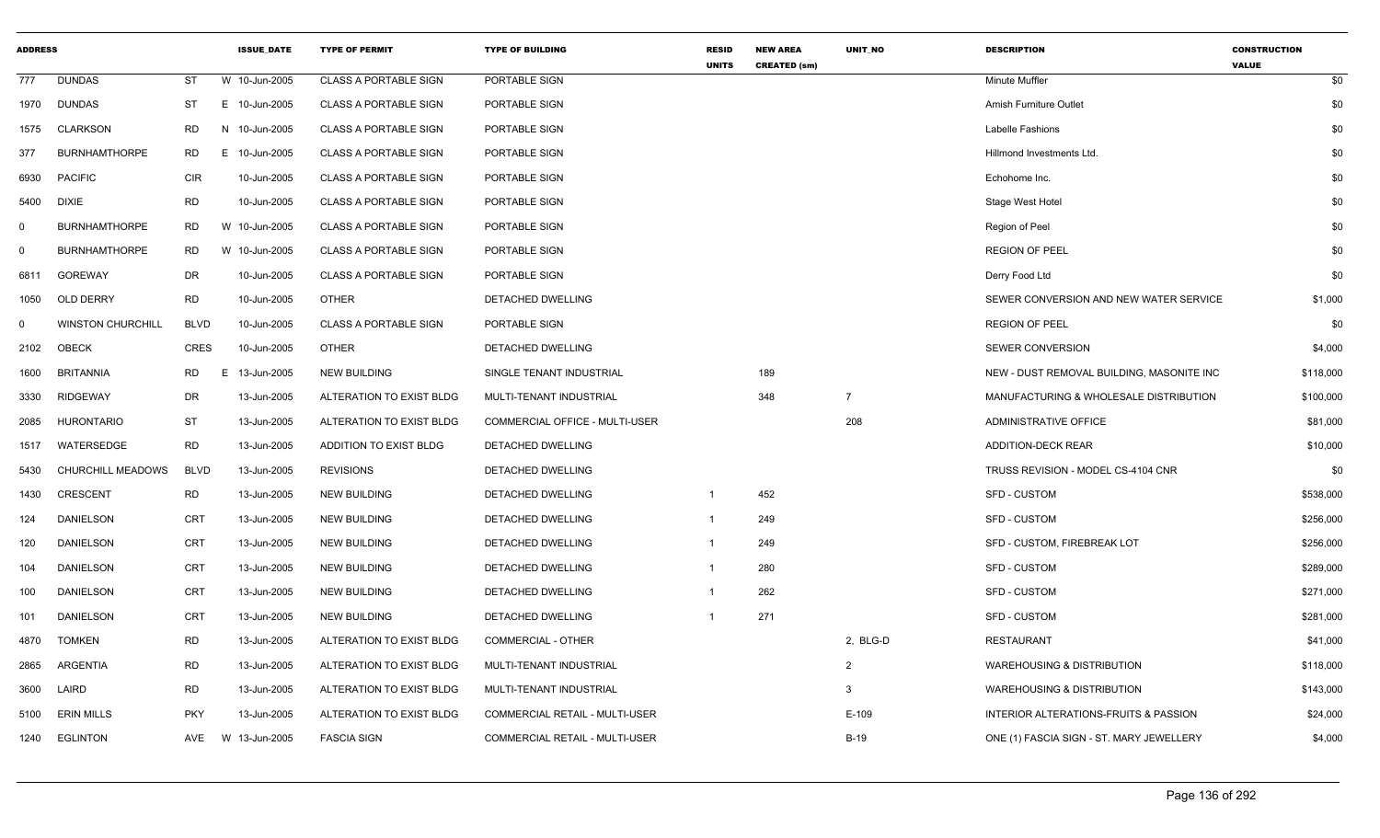| <b>ADDRESS</b> |                          |             | <b>ISSUE_DATE</b> | <b>TYPE OF PERMIT</b>        | <b>TYPE OF BUILDING</b>               | <b>RESID</b><br><b>UNITS</b> | <b>NEW AREA</b><br><b>CREATED (sm)</b> | UNIT_NO        | <b>DESCRIPTION</b>                        | <b>CONSTRUCTION</b><br><b>VALUE</b> |
|----------------|--------------------------|-------------|-------------------|------------------------------|---------------------------------------|------------------------------|----------------------------------------|----------------|-------------------------------------------|-------------------------------------|
| 777            | <b>DUNDAS</b>            | ST          | W 10-Jun-2005     | <b>CLASS A PORTABLE SIGN</b> | PORTABLE SIGN                         |                              |                                        |                | <b>Minute Muffler</b>                     | \$0                                 |
| 1970           | <b>DUNDAS</b>            | ST          | E 10-Jun-2005     | <b>CLASS A PORTABLE SIGN</b> | PORTABLE SIGN                         |                              |                                        |                | Amish Furniture Outlet                    | \$0                                 |
| 1575           | <b>CLARKSON</b>          | RD          | N 10-Jun-2005     | <b>CLASS A PORTABLE SIGN</b> | PORTABLE SIGN                         |                              |                                        |                | Labelle Fashions                          | \$0                                 |
| 377            | <b>BURNHAMTHORPE</b>     | <b>RD</b>   | E 10-Jun-2005     | <b>CLASS A PORTABLE SIGN</b> | PORTABLE SIGN                         |                              |                                        |                | Hillmond Investments Ltd                  | \$0                                 |
| 6930           | <b>PACIFIC</b>           | <b>CIR</b>  | 10-Jun-2005       | <b>CLASS A PORTABLE SIGN</b> | PORTABLE SIGN                         |                              |                                        |                | Echohome Inc.                             | \$0                                 |
| 5400           | <b>DIXIE</b>             | <b>RD</b>   | 10-Jun-2005       | <b>CLASS A PORTABLE SIGN</b> | PORTABLE SIGN                         |                              |                                        |                | Stage West Hotel                          | \$0                                 |
| $\mathbf 0$    | <b>BURNHAMTHORPE</b>     | <b>RD</b>   | W 10-Jun-2005     | <b>CLASS A PORTABLE SIGN</b> | PORTABLE SIGN                         |                              |                                        |                | Region of Peel                            | \$0                                 |
| 0              | <b>BURNHAMTHORPE</b>     | <b>RD</b>   | W 10-Jun-2005     | <b>CLASS A PORTABLE SIGN</b> | PORTABLE SIGN                         |                              |                                        |                | <b>REGION OF PEEL</b>                     | \$0                                 |
| 6811           | <b>GOREWAY</b>           | DR          | 10-Jun-2005       | <b>CLASS A PORTABLE SIGN</b> | PORTABLE SIGN                         |                              |                                        |                | Derry Food Ltd                            | \$0                                 |
| 1050           | OLD DERRY                | <b>RD</b>   | 10-Jun-2005       | <b>OTHER</b>                 | DETACHED DWELLING                     |                              |                                        |                | SEWER CONVERSION AND NEW WATER SERVICE    | \$1,000                             |
| $\Omega$       | <b>WINSTON CHURCHILL</b> | <b>BLVD</b> | 10-Jun-2005       | <b>CLASS A PORTABLE SIGN</b> | PORTABLE SIGN                         |                              |                                        |                | <b>REGION OF PEEL</b>                     | \$0                                 |
| 2102           | OBECK                    | <b>CRES</b> | 10-Jun-2005       | <b>OTHER</b>                 | <b>DETACHED DWELLING</b>              |                              |                                        |                | SEWER CONVERSION                          | \$4,000                             |
| 1600           | <b>BRITANNIA</b>         | <b>RD</b>   | Е.<br>13-Jun-2005 | <b>NEW BUILDING</b>          | SINGLE TENANT INDUSTRIAL              |                              | 189                                    |                | NEW - DUST REMOVAL BUILDING, MASONITE INC | \$118,000                           |
| 3330           | <b>RIDGEWAY</b>          | DR          | 13-Jun-2005       | ALTERATION TO EXIST BLDG     | MULTI-TENANT INDUSTRIAL               |                              | 348                                    | $\overline{7}$ | MANUFACTURING & WHOLESALE DISTRIBUTION    | \$100,000                           |
| 2085           | <b>HURONTARIO</b>        | ST          | 13-Jun-2005       | ALTERATION TO EXIST BLDG     | COMMERCIAL OFFICE - MULTI-USER        |                              |                                        | 208            | ADMINISTRATIVE OFFICE                     | \$81,000                            |
| 1517           | WATERSEDGE               | <b>RD</b>   | 13-Jun-2005       | ADDITION TO EXIST BLDG       | DETACHED DWELLING                     |                              |                                        |                | ADDITION-DECK REAR                        | \$10,000                            |
| 5430           | CHURCHILL MEADOWS        | <b>BLVD</b> | 13-Jun-2005       | <b>REVISIONS</b>             | DETACHED DWELLING                     |                              |                                        |                | TRUSS REVISION - MODEL CS-4104 CNR        | \$0                                 |
| 1430           | <b>CRESCENT</b>          | <b>RD</b>   | 13-Jun-2005       | NEW BUILDING                 | DETACHED DWELLING                     | -1                           | 452                                    |                | SFD - CUSTOM                              | \$538,000                           |
| 124            | DANIELSON                | CRT         | 13-Jun-2005       | <b>NEW BUILDING</b>          | DETACHED DWELLING                     | $\mathbf{1}$                 | 249                                    |                | <b>SFD - CUSTOM</b>                       | \$256,000                           |
| 120            | DANIELSON                | CRT         | 13-Jun-2005       | <b>NEW BUILDING</b>          | DETACHED DWELLING                     |                              | 249                                    |                | SFD - CUSTOM, FIREBREAK LOT               | \$256,000                           |
| 104            | DANIELSON                | CRT         | 13-Jun-2005       | <b>NEW BUILDING</b>          | DETACHED DWELLING                     | $\mathbf{1}$                 | 280                                    |                | <b>SFD - CUSTOM</b>                       | \$289,000                           |
| 100            | DANIELSON                | CRT         | 13-Jun-2005       | <b>NEW BUILDING</b>          | DETACHED DWELLING                     |                              | 262                                    |                | <b>SFD - CUSTOM</b>                       | \$271,000                           |
| 101            | <b>DANIELSON</b>         | <b>CRT</b>  | 13-Jun-2005       | <b>NEW BUILDING</b>          | DETACHED DWELLING                     |                              | 271                                    |                | SFD - CUSTOM                              | \$281,000                           |
| 4870           | <b>TOMKEN</b>            | <b>RD</b>   | 13-Jun-2005       | ALTERATION TO EXIST BLDG     | COMMERCIAL - OTHER                    |                              |                                        | 2, BLG-D       | <b>RESTAURANT</b>                         | \$41,000                            |
| 2865           | ARGENTIA                 | <b>RD</b>   | 13-Jun-2005       | ALTERATION TO EXIST BLDG     | MULTI-TENANT INDUSTRIAL               |                              |                                        | $\overline{2}$ | <b>WAREHOUSING &amp; DISTRIBUTION</b>     | \$118,000                           |
| 3600           | LAIRD                    | <b>RD</b>   | 13-Jun-2005       | ALTERATION TO EXIST BLDG     | MULTI-TENANT INDUSTRIAL               |                              |                                        | 3              | <b>WAREHOUSING &amp; DISTRIBUTION</b>     | \$143,000                           |
| 5100           | <b>ERIN MILLS</b>        | <b>PKY</b>  | 13-Jun-2005       | ALTERATION TO EXIST BLDG     | COMMERCIAL RETAIL - MULTI-USER        |                              |                                        | $E-109$        | INTERIOR ALTERATIONS-FRUITS & PASSION     | \$24,000                            |
| 1240           | <b>EGLINTON</b>          | AVE         | W 13-Jun-2005     | <b>FASCIA SIGN</b>           | <b>COMMERCIAL RETAIL - MULTI-USER</b> |                              |                                        | <b>B-19</b>    | ONE (1) FASCIA SIGN - ST. MARY JEWELLERY  | \$4,000                             |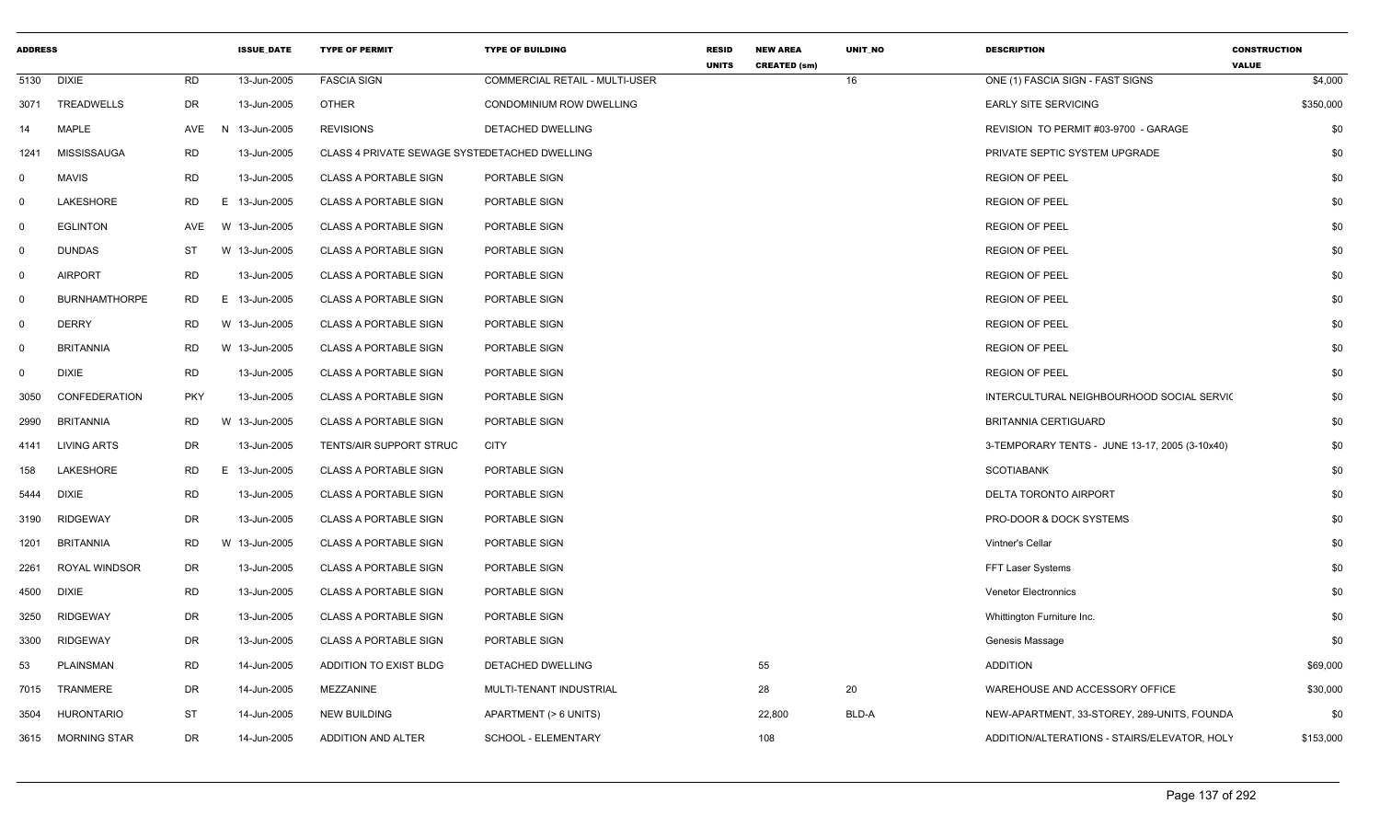| <b>ADDRESS</b> |                      |            |    | <b>ISSUE_DATE</b> | <b>TYPE OF PERMIT</b>                         | <b>TYPE OF BUILDING</b>               | <b>RESID</b><br><b>UNITS</b> | <b>NEW AREA</b><br><b>CREATED (sm)</b> | UNIT_NO | <b>DESCRIPTION</b>                             | <b>CONSTRUCTION</b><br><b>VALUE</b> |
|----------------|----------------------|------------|----|-------------------|-----------------------------------------------|---------------------------------------|------------------------------|----------------------------------------|---------|------------------------------------------------|-------------------------------------|
| 5130           | <b>DIXIE</b>         | RD         |    | 13-Jun-2005       | <b>FASCIA SIGN</b>                            | <b>COMMERCIAL RETAIL - MULTI-USER</b> |                              |                                        | 16      | ONE (1) FASCIA SIGN - FAST SIGNS               | \$4,000                             |
| 3071           | TREADWELLS           | <b>DR</b>  |    | 13-Jun-2005       | <b>OTHER</b>                                  | CONDOMINIUM ROW DWELLING              |                              |                                        |         | <b>EARLY SITE SERVICING</b>                    | \$350,000                           |
| 14             | <b>MAPLE</b>         | AVE        | N. | 13-Jun-2005       | <b>REVISIONS</b>                              | DETACHED DWELLING                     |                              |                                        |         | REVISION TO PERMIT #03-9700 - GARAGE           | \$0                                 |
| 1241           | MISSISSAUGA          | <b>RD</b>  |    | 13-Jun-2005       | CLASS 4 PRIVATE SEWAGE SYSTEDETACHED DWELLING |                                       |                              |                                        |         | PRIVATE SEPTIC SYSTEM UPGRADE                  | \$0                                 |
| $\mathbf 0$    | <b>MAVIS</b>         | <b>RD</b>  |    | 13-Jun-2005       | <b>CLASS A PORTABLE SIGN</b>                  | PORTABLE SIGN                         |                              |                                        |         | <b>REGION OF PEEL</b>                          | \$0                                 |
| $\mathbf 0$    | LAKESHORE            | RD         |    | E 13-Jun-2005     | <b>CLASS A PORTABLE SIGN</b>                  | PORTABLE SIGN                         |                              |                                        |         | <b>REGION OF PEEL</b>                          | \$0                                 |
| $\mathbf 0$    | <b>EGLINTON</b>      | AVE        |    | W 13-Jun-2005     | <b>CLASS A PORTABLE SIGN</b>                  | PORTABLE SIGN                         |                              |                                        |         | <b>REGION OF PEEL</b>                          | \$0                                 |
| $\mathbf 0$    | <b>DUNDAS</b>        | ST         |    | W 13-Jun-2005     | <b>CLASS A PORTABLE SIGN</b>                  | PORTABLE SIGN                         |                              |                                        |         | <b>REGION OF PEEL</b>                          | \$0                                 |
| $\mathbf 0$    | <b>AIRPORT</b>       | <b>RD</b>  |    | 13-Jun-2005       | <b>CLASS A PORTABLE SIGN</b>                  | PORTABLE SIGN                         |                              |                                        |         | <b>REGION OF PEEL</b>                          | \$0                                 |
| $\mathbf 0$    | <b>BURNHAMTHORPE</b> | RD.        |    | E 13-Jun-2005     | <b>CLASS A PORTABLE SIGN</b>                  | PORTABLE SIGN                         |                              |                                        |         | <b>REGION OF PEEL</b>                          | \$0                                 |
| $\mathbf 0$    | <b>DERRY</b>         | RD         |    | W 13-Jun-2005     | <b>CLASS A PORTABLE SIGN</b>                  | PORTABLE SIGN                         |                              |                                        |         | <b>REGION OF PEEL</b>                          | \$0                                 |
| $\mathbf 0$    | <b>BRITANNIA</b>     | RD         |    | W 13-Jun-2005     | <b>CLASS A PORTABLE SIGN</b>                  | PORTABLE SIGN                         |                              |                                        |         | <b>REGION OF PEEL</b>                          | \$0                                 |
| $\mathbf 0$    | <b>DIXIE</b>         | <b>RD</b>  |    | 13-Jun-2005       | <b>CLASS A PORTABLE SIGN</b>                  | PORTABLE SIGN                         |                              |                                        |         | <b>REGION OF PEEL</b>                          | \$0                                 |
| 3050           | CONFEDERATION        | <b>PKY</b> |    | 13-Jun-2005       | <b>CLASS A PORTABLE SIGN</b>                  | PORTABLE SIGN                         |                              |                                        |         | INTERCULTURAL NEIGHBOURHOOD SOCIAL SERVIC      | \$0                                 |
| 2990           | <b>BRITANNIA</b>     | <b>RD</b>  |    | W 13-Jun-2005     | <b>CLASS A PORTABLE SIGN</b>                  | PORTABLE SIGN                         |                              |                                        |         | <b>BRITANNIA CERTIGUARD</b>                    | \$0                                 |
| 4141           | <b>LIVING ARTS</b>   | DR         |    | 13-Jun-2005       | TENTS/AIR SUPPORT STRUC                       | <b>CITY</b>                           |                              |                                        |         | 3-TEMPORARY TENTS - JUNE 13-17, 2005 (3-10x40) | \$0                                 |
| 158            | LAKESHORE            | <b>RD</b>  |    | E 13-Jun-2005     | <b>CLASS A PORTABLE SIGN</b>                  | PORTABLE SIGN                         |                              |                                        |         | <b>SCOTIABANK</b>                              | \$0                                 |
| 5444           | <b>DIXIE</b>         | <b>RD</b>  |    | 13-Jun-2005       | <b>CLASS A PORTABLE SIGN</b>                  | PORTABLE SIGN                         |                              |                                        |         | DELTA TORONTO AIRPORT                          | \$0                                 |
| 3190           | <b>RIDGEWAY</b>      | DR         |    | 13-Jun-2005       | <b>CLASS A PORTABLE SIGN</b>                  | PORTABLE SIGN                         |                              |                                        |         | PRO-DOOR & DOCK SYSTEMS                        | \$0                                 |
| 1201           | <b>BRITANNIA</b>     | <b>RD</b>  |    | W 13-Jun-2005     | <b>CLASS A PORTABLE SIGN</b>                  | PORTABLE SIGN                         |                              |                                        |         | Vintner's Cellar                               | \$0                                 |
| 2261           | ROYAL WINDSOR        | DR         |    | 13-Jun-2005       | <b>CLASS A PORTABLE SIGN</b>                  | PORTABLE SIGN                         |                              |                                        |         | FFT Laser Systems                              | \$0                                 |
| 4500           | <b>DIXIE</b>         | <b>RD</b>  |    | 13-Jun-2005       | <b>CLASS A PORTABLE SIGN</b>                  | PORTABLE SIGN                         |                              |                                        |         | <b>Venetor Electronnics</b>                    | \$0                                 |
| 3250           | <b>RIDGEWAY</b>      | <b>DR</b>  |    | 13-Jun-2005       | <b>CLASS A PORTABLE SIGN</b>                  | PORTABLE SIGN                         |                              |                                        |         | Whittington Furniture Inc.                     | \$0                                 |
| 3300           | <b>RIDGEWAY</b>      | DR         |    | 13-Jun-2005       | <b>CLASS A PORTABLE SIGN</b>                  | PORTABLE SIGN                         |                              |                                        |         | Genesis Massage                                | \$0                                 |
| 53             | <b>PLAINSMAN</b>     | <b>RD</b>  |    | 14-Jun-2005       | ADDITION TO EXIST BLDG                        | DETACHED DWELLING                     |                              | 55                                     |         | <b>ADDITION</b>                                | \$69,000                            |
| 7015           | TRANMERE             | DR         |    | 14-Jun-2005       | MEZZANINE                                     | MULTI-TENANT INDUSTRIAL               |                              | 28                                     | 20      | WAREHOUSE AND ACCESSORY OFFICE                 | \$30,000                            |
| 3504           | <b>HURONTARIO</b>    | ST         |    | 14-Jun-2005       | <b>NEW BUILDING</b>                           | APARTMENT (> 6 UNITS)                 |                              | 22,800                                 | BLD-A   | NEW-APARTMENT, 33-STOREY, 289-UNITS, FOUNDA    | \$0                                 |
| 3615           | <b>MORNING STAR</b>  | DR         |    | 14-Jun-2005       | ADDITION AND ALTER                            | <b>SCHOOL - ELEMENTARY</b>            |                              | 108                                    |         | ADDITION/ALTERATIONS - STAIRS/ELEVATOR, HOLY   | \$153,000                           |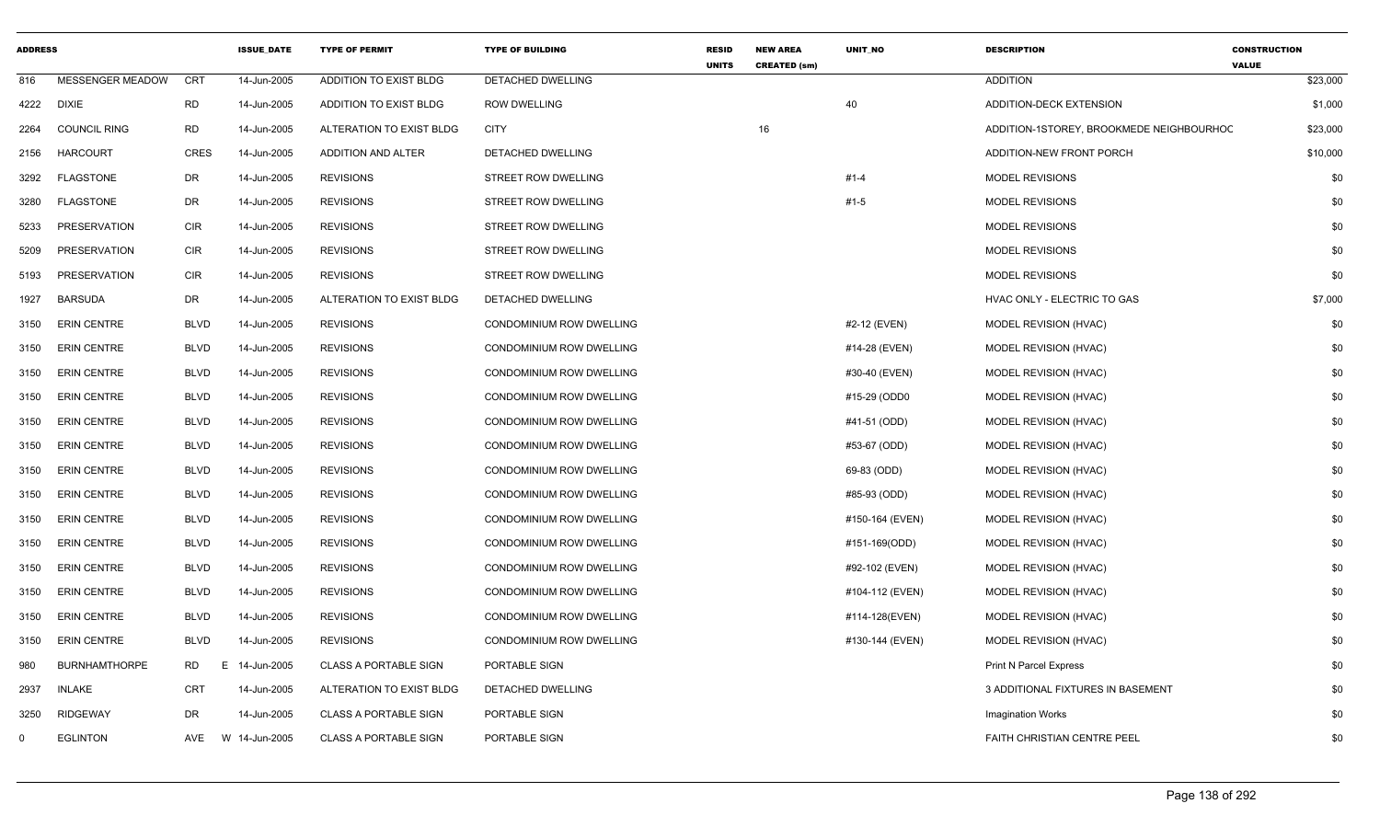| <b>ADDRESS</b> |                         |                 | <b>ISSUE DATE</b> | <b>TYPE OF PERMIT</b>        | <b>TYPE OF BUILDING</b>  | <b>RESID</b><br><b>UNITS</b> | <b>NEW AREA</b><br><b>CREATED (sm)</b> | UNIT_NO         | <b>DESCRIPTION</b>                       | <b>CONSTRUCTION</b><br><b>VALUE</b> |
|----------------|-------------------------|-----------------|-------------------|------------------------------|--------------------------|------------------------------|----------------------------------------|-----------------|------------------------------------------|-------------------------------------|
| 816            | <b>MESSENGER MEADOW</b> | CRT             | 14-Jun-2005       | ADDITION TO EXIST BLDG       | DETACHED DWELLING        |                              |                                        |                 | <b>ADDITION</b>                          | \$23,000                            |
| 4222           | <b>DIXIE</b>            | <b>RD</b>       | 14-Jun-2005       | ADDITION TO EXIST BLDG       | <b>ROW DWELLING</b>      |                              |                                        | 40              | ADDITION-DECK EXTENSION                  | \$1,000                             |
| 2264           | <b>COUNCIL RING</b>     | <b>RD</b>       | 14-Jun-2005       | ALTERATION TO EXIST BLDG     | <b>CITY</b>              |                              | 16                                     |                 | ADDITION-1STOREY, BROOKMEDE NEIGHBOURHOC | \$23,000                            |
| 2156           | <b>HARCOURT</b>         | <b>CRES</b>     | 14-Jun-2005       | ADDITION AND ALTER           | <b>DETACHED DWELLING</b> |                              |                                        |                 | ADDITION-NEW FRONT PORCH                 | \$10,000                            |
| 3292           | <b>FLAGSTONE</b>        | DR              | 14-Jun-2005       | <b>REVISIONS</b>             | STREET ROW DWELLING      |                              |                                        | $#1 - 4$        | MODEL REVISIONS                          | \$0                                 |
| 3280           | <b>FLAGSTONE</b>        | DR              | 14-Jun-2005       | <b>REVISIONS</b>             | STREET ROW DWELLING      |                              |                                        | $#1-5$          | <b>MODEL REVISIONS</b>                   | \$0                                 |
| 5233           | PRESERVATION            | <b>CIR</b>      | 14-Jun-2005       | <b>REVISIONS</b>             | STREET ROW DWELLING      |                              |                                        |                 | <b>MODEL REVISIONS</b>                   | \$0                                 |
| 5209           | <b>PRESERVATION</b>     | CIR             | 14-Jun-2005       | <b>REVISIONS</b>             | STREET ROW DWELLING      |                              |                                        |                 | <b>MODEL REVISIONS</b>                   | \$0                                 |
| 5193           | PRESERVATION            | CIR             | 14-Jun-2005       | <b>REVISIONS</b>             | STREET ROW DWELLING      |                              |                                        |                 | <b>MODEL REVISIONS</b>                   | \$0                                 |
| 1927           | <b>BARSUDA</b>          | DR              | 14-Jun-2005       | ALTERATION TO EXIST BLDG     | DETACHED DWELLING        |                              |                                        |                 | HVAC ONLY - ELECTRIC TO GAS              | \$7,000                             |
| 3150           | <b>ERIN CENTRE</b>      | <b>BLVD</b>     | 14-Jun-2005       | <b>REVISIONS</b>             | CONDOMINIUM ROW DWELLING |                              |                                        | #2-12 (EVEN)    | MODEL REVISION (HVAC)                    | \$0                                 |
| 3150           | <b>ERIN CENTRE</b>      | <b>BLVD</b>     | 14-Jun-2005       | <b>REVISIONS</b>             | CONDOMINIUM ROW DWELLING |                              |                                        | #14-28 (EVEN)   | <b>MODEL REVISION (HVAC)</b>             | \$0                                 |
| 3150           | <b>ERIN CENTRE</b>      | <b>BLVD</b>     | 14-Jun-2005       | <b>REVISIONS</b>             | CONDOMINIUM ROW DWELLING |                              |                                        | #30-40 (EVEN)   | MODEL REVISION (HVAC)                    | \$0                                 |
| 3150           | <b>ERIN CENTRE</b>      | <b>BLVD</b>     | 14-Jun-2005       | <b>REVISIONS</b>             | CONDOMINIUM ROW DWELLING |                              |                                        | #15-29 (ODD0    | MODEL REVISION (HVAC)                    | \$0                                 |
| 3150           | <b>ERIN CENTRE</b>      | <b>BLVD</b>     | 14-Jun-2005       | <b>REVISIONS</b>             | CONDOMINIUM ROW DWELLING |                              |                                        | #41-51 (ODD)    | MODEL REVISION (HVAC)                    | \$0                                 |
| 3150           | <b>ERIN CENTRE</b>      | <b>BLVD</b>     | 14-Jun-2005       | <b>REVISIONS</b>             | CONDOMINIUM ROW DWELLING |                              |                                        | #53-67 (ODD)    | MODEL REVISION (HVAC)                    | \$0                                 |
| 3150           | <b>ERIN CENTRE</b>      | <b>BLVD</b>     | 14-Jun-2005       | <b>REVISIONS</b>             | CONDOMINIUM ROW DWELLING |                              |                                        | 69-83 (ODD)     | MODEL REVISION (HVAC)                    | \$0                                 |
| 3150           | <b>ERIN CENTRE</b>      | <b>BLVD</b>     | 14-Jun-2005       | <b>REVISIONS</b>             | CONDOMINIUM ROW DWELLING |                              |                                        | #85-93 (ODD)    | MODEL REVISION (HVAC)                    | \$0                                 |
| 3150           | <b>ERIN CENTRE</b>      | <b>BLVD</b>     | 14-Jun-2005       | <b>REVISIONS</b>             | CONDOMINIUM ROW DWELLING |                              |                                        | #150-164 (EVEN) | MODEL REVISION (HVAC)                    | \$0                                 |
| 3150           | <b>ERIN CENTRE</b>      | <b>BLVD</b>     | 14-Jun-2005       | <b>REVISIONS</b>             | CONDOMINIUM ROW DWELLING |                              |                                        | #151-169(ODD)   | MODEL REVISION (HVAC)                    | \$0                                 |
| 3150           | <b>ERIN CENTRE</b>      | <b>BLVD</b>     | 14-Jun-2005       | <b>REVISIONS</b>             | CONDOMINIUM ROW DWELLING |                              |                                        | #92-102 (EVEN)  | MODEL REVISION (HVAC)                    | \$0                                 |
| 3150           | <b>ERIN CENTRE</b>      | <b>BLVD</b>     | 14-Jun-2005       | <b>REVISIONS</b>             | CONDOMINIUM ROW DWELLING |                              |                                        | #104-112 (EVEN) | MODEL REVISION (HVAC)                    | \$0                                 |
| 3150           | <b>ERIN CENTRE</b>      | <b>BLVD</b>     | 14-Jun-2005       | <b>REVISIONS</b>             | CONDOMINIUM ROW DWELLING |                              |                                        | #114-128(EVEN)  | MODEL REVISION (HVAC)                    | \$0                                 |
| 3150           | <b>ERIN CENTRE</b>      | <b>BLVD</b>     | 14-Jun-2005       | <b>REVISIONS</b>             | CONDOMINIUM ROW DWELLING |                              |                                        | #130-144 (EVEN) | MODEL REVISION (HVAC)                    | \$0                                 |
| 980            | <b>BURNHAMTHORPE</b>    | <b>RD</b><br>Е. | 14-Jun-2005       | <b>CLASS A PORTABLE SIGN</b> | PORTABLE SIGN            |                              |                                        |                 | <b>Print N Parcel Express</b>            | \$0                                 |
| 2937           | <b>INLAKE</b>           | <b>CRT</b>      | 14-Jun-2005       | ALTERATION TO EXIST BLDG     | DETACHED DWELLING        |                              |                                        |                 | 3 ADDITIONAL FIXTURES IN BASEMENT        | \$0                                 |
| 3250           | <b>RIDGEWAY</b>         | DR              | 14-Jun-2005       | <b>CLASS A PORTABLE SIGN</b> | PORTABLE SIGN            |                              |                                        |                 | <b>Imagination Works</b>                 | \$0                                 |
| $\mathbf{0}$   | <b>EGLINTON</b>         | AVE             | W 14-Jun-2005     | <b>CLASS A PORTABLE SIGN</b> | PORTABLE SIGN            |                              |                                        |                 | <b>FAITH CHRISTIAN CENTRE PEEL</b>       | \$0                                 |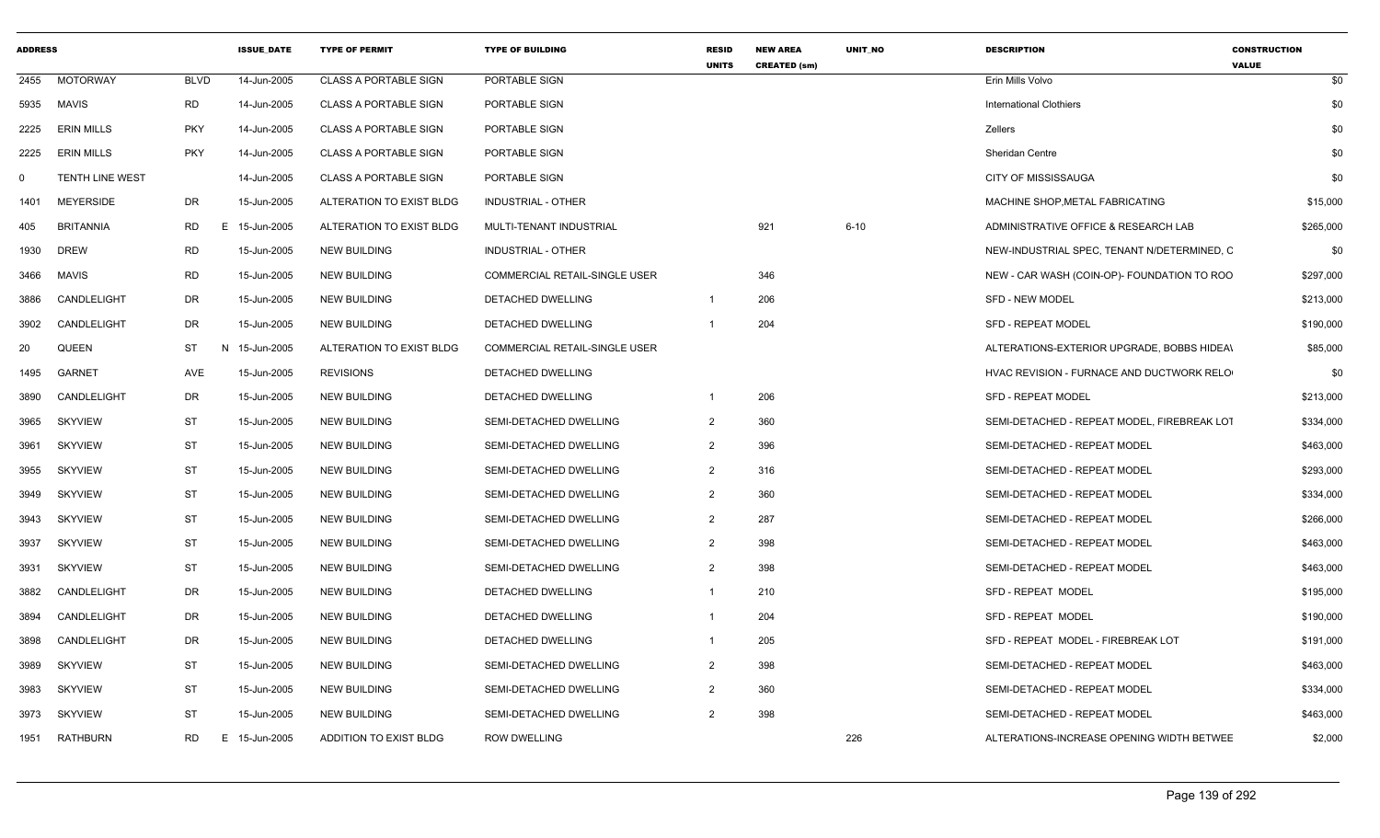| <b>ADDRESS</b> |                   |                 | <b>ISSUE DATE</b> | <b>TYPE OF PERMIT</b>        | <b>TYPE OF BUILDING</b>              | <b>RESID</b><br><b>UNITS</b> | <b>NEW AREA</b><br><b>CREATED (sm)</b> | UNIT_NO  | <b>DESCRIPTION</b>                          | <b>CONSTRUCTION</b><br><b>VALUE</b> |
|----------------|-------------------|-----------------|-------------------|------------------------------|--------------------------------------|------------------------------|----------------------------------------|----------|---------------------------------------------|-------------------------------------|
| 2455           | <b>MOTORWAY</b>   | <b>BLVD</b>     | 14-Jun-2005       | <b>CLASS A PORTABLE SIGN</b> | PORTABLE SIGN                        |                              |                                        |          | Erin Mills Volvo                            | \$0                                 |
| 5935           | MAVIS             | <b>RD</b>       | 14-Jun-2005       | <b>CLASS A PORTABLE SIGN</b> | PORTABLE SIGN                        |                              |                                        |          | <b>International Clothiers</b>              | \$0                                 |
| 2225           | <b>ERIN MILLS</b> | <b>PKY</b>      | 14-Jun-2005       | <b>CLASS A PORTABLE SIGN</b> | <b>PORTABLE SIGN</b>                 |                              |                                        |          | <b>Zellers</b>                              | \$0                                 |
| 2225           | <b>ERIN MILLS</b> | <b>PKY</b>      | 14-Jun-2005       | <b>CLASS A PORTABLE SIGN</b> | PORTABLE SIGN                        |                              |                                        |          | <b>Sheridan Centre</b>                      | \$0                                 |
| $\mathbf 0$    | TENTH LINE WEST   |                 | 14-Jun-2005       | <b>CLASS A PORTABLE SIGN</b> | PORTABLE SIGN                        |                              |                                        |          | CITY OF MISSISSAUGA                         | \$0                                 |
| 1401           | <b>MEYERSIDE</b>  | DR              | 15-Jun-2005       | ALTERATION TO EXIST BLDG     | <b>INDUSTRIAL - OTHER</b>            |                              |                                        |          | MACHINE SHOP, METAL FABRICATING             | \$15,000                            |
| 405            | <b>BRITANNIA</b>  | <b>RD</b><br>E. | 15-Jun-2005       | ALTERATION TO EXIST BLDG     | MULTI-TENANT INDUSTRIAL              |                              | 921                                    | $6 - 10$ | ADMINISTRATIVE OFFICE & RESEARCH LAB        | \$265,000                           |
| 1930           | <b>DREW</b>       | <b>RD</b>       | 15-Jun-2005       | <b>NEW BUILDING</b>          | <b>INDUSTRIAL - OTHER</b>            |                              |                                        |          | NEW-INDUSTRIAL SPEC, TENANT N/DETERMINED, C | \$0                                 |
| 3466           | <b>MAVIS</b>      | <b>RD</b>       | 15-Jun-2005       | <b>NEW BUILDING</b>          | <b>COMMERCIAL RETAIL-SINGLE USER</b> |                              | 346                                    |          | NEW - CAR WASH (COIN-OP)- FOUNDATION TO ROO | \$297,000                           |
| 3886           | CANDLELIGHT       | DR              | 15-Jun-2005       | <b>NEW BUILDING</b>          | DETACHED DWELLING                    | $\overline{1}$               | 206                                    |          | <b>SFD - NEW MODEL</b>                      | \$213,000                           |
| 3902           | CANDLELIGHT       | DR              | 15-Jun-2005       | <b>NEW BUILDING</b>          | DETACHED DWELLING                    | -1                           | 204                                    |          | <b>SFD - REPEAT MODEL</b>                   | \$190,000                           |
| 20             | <b>QUEEN</b>      | ST<br>N         | 15-Jun-2005       | ALTERATION TO EXIST BLDG     | <b>COMMERCIAL RETAIL-SINGLE USER</b> |                              |                                        |          | ALTERATIONS-EXTERIOR UPGRADE, BOBBS HIDEAL  | \$85,000                            |
| 1495           | <b>GARNET</b>     | AVE             | 15-Jun-2005       | <b>REVISIONS</b>             | DETACHED DWELLING                    |                              |                                        |          | HVAC REVISION - FURNACE AND DUCTWORK RELO   | \$0                                 |
| 3890           | CANDLELIGHT       | DR              | 15-Jun-2005       | <b>NEW BUILDING</b>          | DETACHED DWELLING                    |                              | 206                                    |          | <b>SFD - REPEAT MODEL</b>                   | \$213,000                           |
| 3965           | <b>SKYVIEW</b>    | ST              | 15-Jun-2005       | <b>NEW BUILDING</b>          | SEMI-DETACHED DWELLING               | $\overline{2}$               | 360                                    |          | SEMI-DETACHED - REPEAT MODEL, FIREBREAK LOT | \$334,000                           |
| 3961           | <b>SKYVIEW</b>    | <b>ST</b>       | 15-Jun-2005       | <b>NEW BUILDING</b>          | SEMI-DETACHED DWELLING               | $\overline{2}$               | 396                                    |          | SEMI-DETACHED - REPEAT MODEL                | \$463,000                           |
| 3955           | <b>SKYVIEW</b>    | ST              | 15-Jun-2005       | <b>NEW BUILDING</b>          | SEMI-DETACHED DWELLING               | $\overline{2}$               | 316                                    |          | SEMI-DETACHED - REPEAT MODEL                | \$293,000                           |
| 3949           | <b>SKYVIEW</b>    | ST              | 15-Jun-2005       | <b>NEW BUILDING</b>          | SEMI-DETACHED DWELLING               | $\overline{2}$               | 360                                    |          | SEMI-DETACHED - REPEAT MODEL                | \$334,000                           |
| 3943           | <b>SKYVIEW</b>    | ST              | 15-Jun-2005       | <b>NEW BUILDING</b>          | SEMI-DETACHED DWELLING               | $\overline{2}$               | 287                                    |          | SEMI-DETACHED - REPEAT MODEL                | \$266,000                           |
| 3937           | <b>SKYVIEW</b>    | <b>ST</b>       | 15-Jun-2005       | <b>NEW BUILDING</b>          | SEMI-DETACHED DWELLING               | $\overline{2}$               | 398                                    |          | SEMI-DETACHED - REPEAT MODEL                | \$463,000                           |
| 3931           | <b>SKYVIEW</b>    | <b>ST</b>       | 15-Jun-2005       | <b>NEW BUILDING</b>          | SEMI-DETACHED DWELLING               | $\overline{2}$               | 398                                    |          | SEMI-DETACHED - REPEAT MODEL                | \$463,000                           |
| 3882           | CANDLELIGHT       | DR              | 15-Jun-2005       | <b>NEW BUILDING</b>          | DETACHED DWELLING                    |                              | 210                                    |          | <b>SFD - REPEAT MODEL</b>                   | \$195,000                           |
| 3894           | CANDLELIGHT       | DR              | 15-Jun-2005       | <b>NEW BUILDING</b>          | DETACHED DWELLING                    |                              | 204                                    |          | SFD - REPEAT MODEL                          | \$190,000                           |
| 3898           | CANDLELIGHT       | DR              | 15-Jun-2005       | <b>NEW BUILDING</b>          | DETACHED DWELLING                    |                              | 205                                    |          | SFD - REPEAT MODEL - FIREBREAK LOT          | \$191,000                           |
| 3989           | <b>SKYVIEW</b>    | <b>ST</b>       | 15-Jun-2005       | <b>NEW BUILDING</b>          | SEMI-DETACHED DWELLING               | $\overline{2}$               | 398                                    |          | SEMI-DETACHED - REPEAT MODEL                | \$463,000                           |
| 3983           | <b>SKYVIEW</b>    | <b>ST</b>       | 15-Jun-2005       | <b>NEW BUILDING</b>          | SEMI-DETACHED DWELLING               | $\overline{2}$               | 360                                    |          | SEMI-DETACHED - REPEAT MODEL                | \$334,000                           |
| 3973           | <b>SKYVIEW</b>    | ST              | 15-Jun-2005       | <b>NEW BUILDING</b>          | SEMI-DETACHED DWELLING               | $\overline{2}$               | 398                                    |          | SEMI-DETACHED - REPEAT MODEL                | \$463,000                           |
| 1951           | <b>RATHBURN</b>   | <b>RD</b>       | E 15-Jun-2005     | ADDITION TO EXIST BLDG       | <b>ROW DWELLING</b>                  |                              |                                        | 226      | ALTERATIONS-INCREASE OPENING WIDTH BETWEE   | \$2,000                             |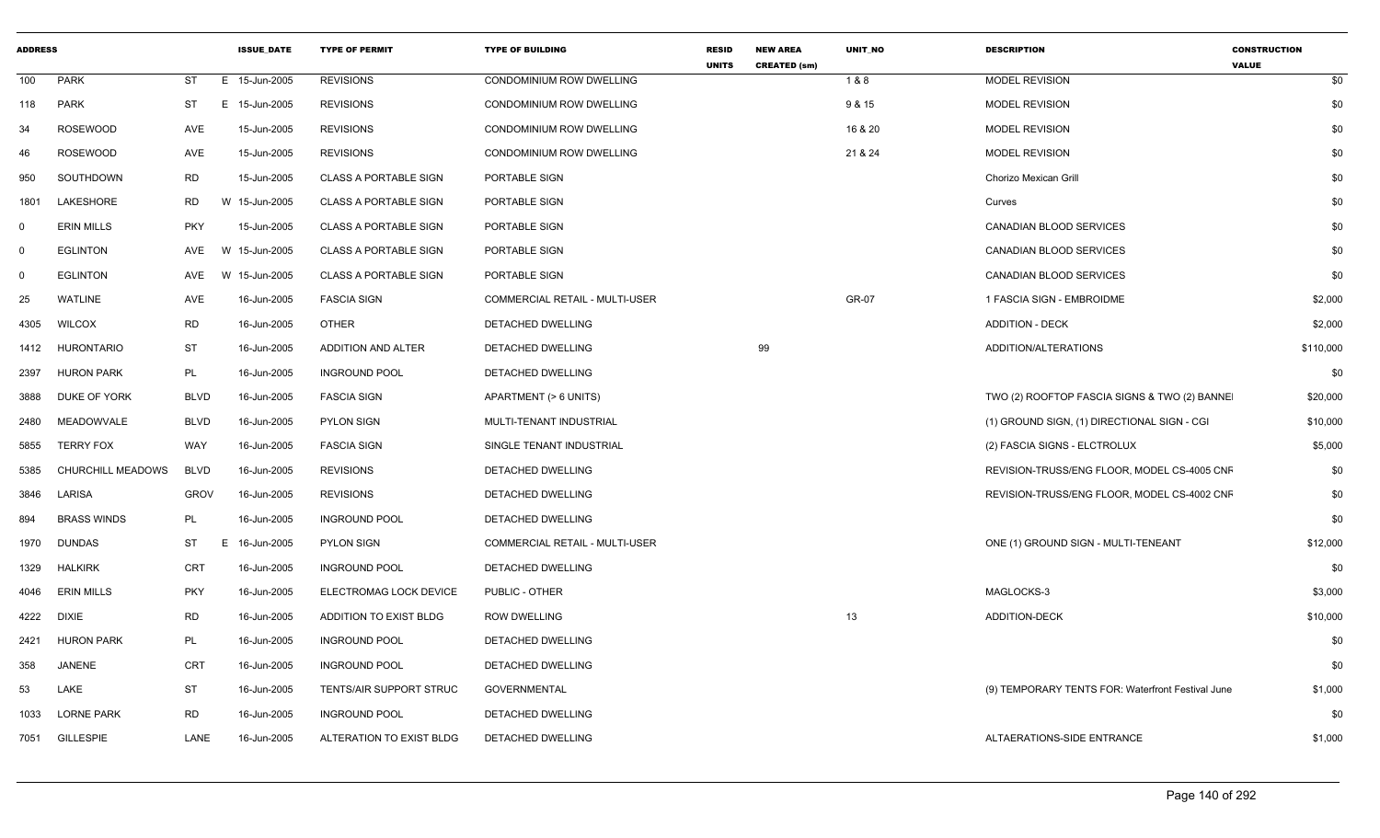| <b>ADDRESS</b> |                    |             | <b>ISSUE DATE</b> | <b>TYPE OF PERMIT</b>        | <b>TYPE OF BUILDING</b>               | <b>RESID</b><br><b>UNITS</b> | <b>NEW AREA</b><br><b>CREATED (sm)</b> | UNIT_NO | <b>DESCRIPTION</b>                                | <b>CONSTRUCTION</b><br><b>VALUE</b> |
|----------------|--------------------|-------------|-------------------|------------------------------|---------------------------------------|------------------------------|----------------------------------------|---------|---------------------------------------------------|-------------------------------------|
| 100            | PARK               | ST          | E 15-Jun-2005     | <b>REVISIONS</b>             | CONDOMINIUM ROW DWELLING              |                              |                                        | 1&8     | <b>MODEL REVISION</b>                             | \$0                                 |
| 118            | <b>PARK</b>        | ST          | E 15-Jun-2005     | <b>REVISIONS</b>             | CONDOMINIUM ROW DWELLING              |                              |                                        | 9 & 15  | <b>MODEL REVISION</b>                             | \$0                                 |
| 34             | <b>ROSEWOOD</b>    | AVE         | 15-Jun-2005       | <b>REVISIONS</b>             | CONDOMINIUM ROW DWELLING              |                              |                                        | 16 & 20 | <b>MODEL REVISION</b>                             | \$0                                 |
| 46             | <b>ROSEWOOD</b>    | AVE         | 15-Jun-2005       | <b>REVISIONS</b>             | CONDOMINIUM ROW DWELLING              |                              |                                        | 21 & 24 | <b>MODEL REVISION</b>                             | \$0                                 |
| 950            | SOUTHDOWN          | <b>RD</b>   | 15-Jun-2005       | <b>CLASS A PORTABLE SIGN</b> | PORTABLE SIGN                         |                              |                                        |         | Chorizo Mexican Grill                             | \$0                                 |
| 1801           | LAKESHORE          | RD          | W 15-Jun-2005     | <b>CLASS A PORTABLE SIGN</b> | PORTABLE SIGN                         |                              |                                        |         | Curves                                            | \$0                                 |
| $\mathbf 0$    | <b>ERIN MILLS</b>  | <b>PKY</b>  | 15-Jun-2005       | <b>CLASS A PORTABLE SIGN</b> | PORTABLE SIGN                         |                              |                                        |         | CANADIAN BLOOD SERVICES                           | \$0                                 |
| $\mathbf 0$    | <b>EGLINTON</b>    | AVE         | W 15-Jun-2005     | <b>CLASS A PORTABLE SIGN</b> | PORTABLE SIGN                         |                              |                                        |         | <b>CANADIAN BLOOD SERVICES</b>                    | \$0                                 |
| $\mathbf 0$    | <b>EGLINTON</b>    | AVE         | W 15-Jun-2005     | <b>CLASS A PORTABLE SIGN</b> | PORTABLE SIGN                         |                              |                                        |         | CANADIAN BLOOD SERVICES                           | \$0                                 |
| 25             | <b>WATLINE</b>     | AVE         | 16-Jun-2005       | <b>FASCIA SIGN</b>           | <b>COMMERCIAL RETAIL - MULTI-USER</b> |                              |                                        | GR-07   | 1 FASCIA SIGN - EMBROIDME                         | \$2,000                             |
| 4305           | <b>WILCOX</b>      | <b>RD</b>   | 16-Jun-2005       | <b>OTHER</b>                 | DETACHED DWELLING                     |                              |                                        |         | <b>ADDITION - DECK</b>                            | \$2,000                             |
| 1412           | <b>HURONTARIO</b>  | ST          | 16-Jun-2005       | ADDITION AND ALTER           | DETACHED DWELLING                     |                              | 99                                     |         | ADDITION/ALTERATIONS                              | \$110,000                           |
| 2397           | <b>HURON PARK</b>  | PL          | 16-Jun-2005       | <b>INGROUND POOL</b>         | DETACHED DWELLING                     |                              |                                        |         |                                                   | \$0                                 |
| 3888           | DUKE OF YORK       | <b>BLVD</b> | 16-Jun-2005       | <b>FASCIA SIGN</b>           | APARTMENT (> 6 UNITS)                 |                              |                                        |         | TWO (2) ROOFTOP FASCIA SIGNS & TWO (2) BANNE      | \$20,000                            |
| 2480           | MEADOWVALE         | <b>BLVD</b> | 16-Jun-2005       | PYLON SIGN                   | MULTI-TENANT INDUSTRIAL               |                              |                                        |         | (1) GROUND SIGN, (1) DIRECTIONAL SIGN - CGI       | \$10,000                            |
| 5855           | <b>TERRY FOX</b>   | WAY         | 16-Jun-2005       | <b>FASCIA SIGN</b>           | SINGLE TENANT INDUSTRIAL              |                              |                                        |         | (2) FASCIA SIGNS - ELCTROLUX                      | \$5,000                             |
| 5385           | CHURCHILL MEADOWS  | <b>BLVD</b> | 16-Jun-2005       | <b>REVISIONS</b>             | DETACHED DWELLING                     |                              |                                        |         | REVISION-TRUSS/ENG FLOOR, MODEL CS-4005 CNF       | \$0                                 |
| 3846           | LARISA             | <b>GROV</b> | 16-Jun-2005       | <b>REVISIONS</b>             | DETACHED DWELLING                     |                              |                                        |         | REVISION-TRUSS/ENG FLOOR, MODEL CS-4002 CNF       | \$0                                 |
| 894            | <b>BRASS WINDS</b> | PL          | 16-Jun-2005       | <b>INGROUND POOL</b>         | DETACHED DWELLING                     |                              |                                        |         |                                                   | \$0                                 |
| 1970           | <b>DUNDAS</b>      | ST          | E 16-Jun-2005     | <b>PYLON SIGN</b>            | COMMERCIAL RETAIL - MULTI-USER        |                              |                                        |         | ONE (1) GROUND SIGN - MULTI-TENEANT               | \$12,000                            |
| 1329           | <b>HALKIRK</b>     | CRT         | 16-Jun-2005       | <b>INGROUND POOL</b>         | DETACHED DWELLING                     |                              |                                        |         |                                                   | \$0                                 |
| 4046           | <b>ERIN MILLS</b>  | <b>PKY</b>  | 16-Jun-2005       | ELECTROMAG LOCK DEVICE       | PUBLIC - OTHER                        |                              |                                        |         | MAGLOCKS-3                                        | \$3,000                             |
| 4222           | DIXIE              | <b>RD</b>   | 16-Jun-2005       | ADDITION TO EXIST BLDG       | <b>ROW DWELLING</b>                   |                              |                                        | 13      | <b>ADDITION-DECK</b>                              | \$10,000                            |
| 2421           | <b>HURON PARK</b>  | PL          | 16-Jun-2005       | <b>INGROUND POOL</b>         | DETACHED DWELLING                     |                              |                                        |         |                                                   | \$0                                 |
| 358            | <b>JANENE</b>      | <b>CRT</b>  | 16-Jun-2005       | <b>INGROUND POOL</b>         | DETACHED DWELLING                     |                              |                                        |         |                                                   | \$0                                 |
| 53             | LAKE               | <b>ST</b>   | 16-Jun-2005       | TENTS/AIR SUPPORT STRUC      | <b>GOVERNMENTAL</b>                   |                              |                                        |         | (9) TEMPORARY TENTS FOR: Waterfront Festival June | \$1,000                             |
| 1033           | <b>LORNE PARK</b>  | RD          | 16-Jun-2005       | <b>INGROUND POOL</b>         | DETACHED DWELLING                     |                              |                                        |         |                                                   | \$0                                 |
| 7051           | GILLESPIE          | LANE        | 16-Jun-2005       | ALTERATION TO EXIST BLDG     | DETACHED DWELLING                     |                              |                                        |         | ALTAERATIONS-SIDE ENTRANCE                        | \$1,000                             |
|                |                    |             |                   |                              |                                       |                              |                                        |         |                                                   |                                     |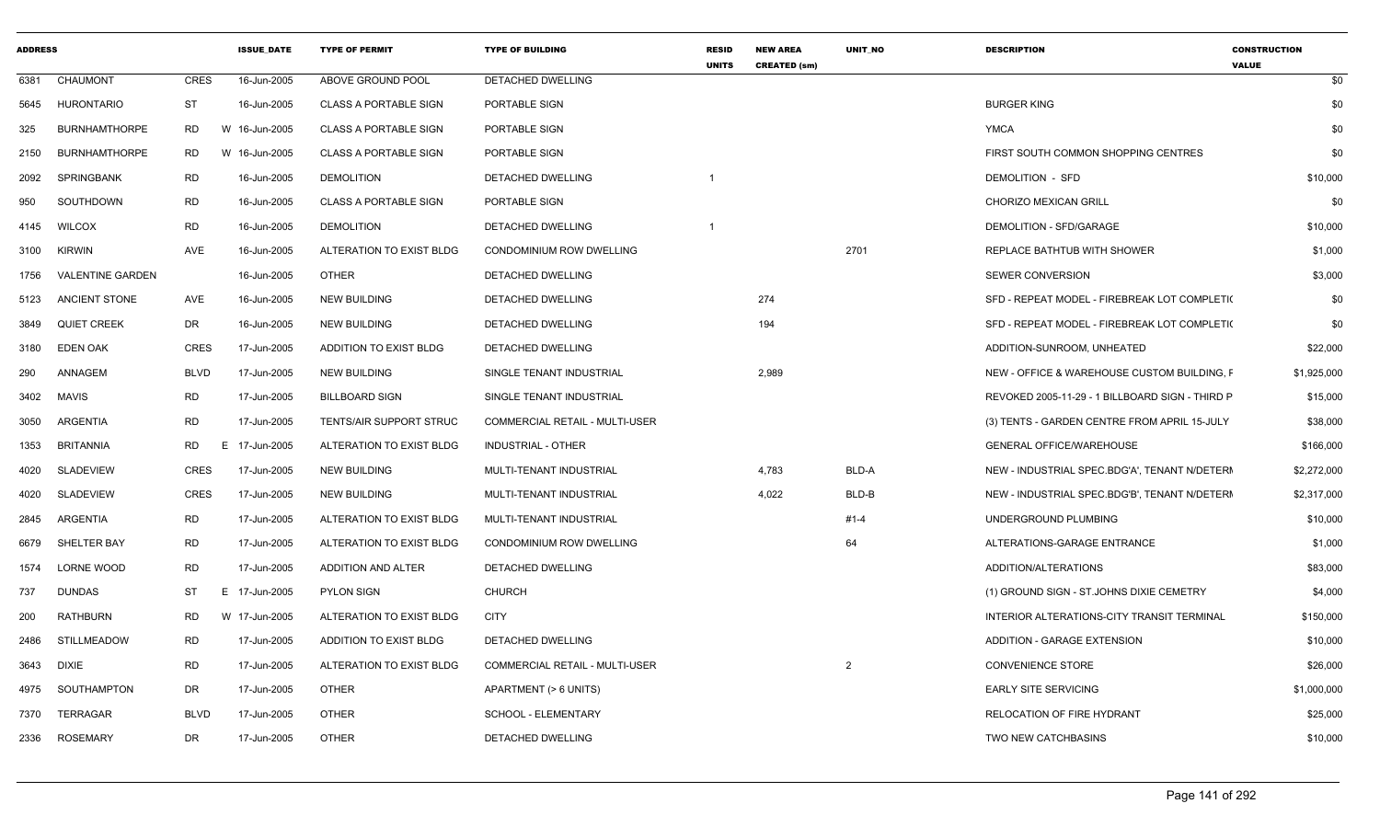| <b>ADDRESS</b> |                      |           | <b>ISSUE_DATE</b> | <b>TYPE OF PERMIT</b>        | <b>TYPE OF BUILDING</b>               | <b>RESID</b><br><b>UNITS</b> | <b>NEW AREA</b><br><b>CREATED (sm)</b> | UNIT_NO        | <b>DESCRIPTION</b>                              | <b>CONSTRUCTION</b><br><b>VALUE</b> |
|----------------|----------------------|-----------|-------------------|------------------------------|---------------------------------------|------------------------------|----------------------------------------|----------------|-------------------------------------------------|-------------------------------------|
| 6381           | CHAUMONT             | CRES      | 16-Jun-2005       | ABOVE GROUND POOL            | DETACHED DWELLING                     |                              |                                        |                |                                                 | \$0                                 |
| 5645           | <b>HURONTARIO</b>    | <b>ST</b> | 16-Jun-2005       | <b>CLASS A PORTABLE SIGN</b> | PORTABLE SIGN                         |                              |                                        |                | <b>BURGER KING</b>                              | \$0                                 |
| 325            | <b>BURNHAMTHORPE</b> | RD        | W 16-Jun-2005     | <b>CLASS A PORTABLE SIGN</b> | PORTABLE SIGN                         |                              |                                        |                | YMCA                                            | \$0                                 |
| 2150           | <b>BURNHAMTHORPE</b> | <b>RD</b> | W 16-Jun-2005     | <b>CLASS A PORTABLE SIGN</b> | PORTABLE SIGN                         |                              |                                        |                | FIRST SOUTH COMMON SHOPPING CENTRES             | \$0                                 |
| 2092           | SPRINGBANK           | RD        | 16-Jun-2005       | <b>DEMOLITION</b>            | DETACHED DWELLING                     |                              |                                        |                | DEMOLITION - SFD                                | \$10,000                            |
| 950            | SOUTHDOWN            | RD        | 16-Jun-2005       | <b>CLASS A PORTABLE SIGN</b> | PORTABLE SIGN                         |                              |                                        |                | CHORIZO MEXICAN GRILL                           | \$0                                 |
| 4145           | <b>WILCOX</b>        | RD        | 16-Jun-2005       | <b>DEMOLITION</b>            | DETACHED DWELLING                     |                              |                                        |                | DEMOLITION - SFD/GARAGE                         | \$10,000                            |
| 3100           | KIRWIN               | AVE       | 16-Jun-2005       | ALTERATION TO EXIST BLDG     | CONDOMINIUM ROW DWELLING              |                              |                                        | 2701           | REPLACE BATHTUB WITH SHOWER                     | \$1,000                             |
| 1756           | VALENTINE GARDEN     |           | 16-Jun-2005       | <b>OTHER</b>                 | DETACHED DWELLING                     |                              |                                        |                | <b>SEWER CONVERSION</b>                         | \$3,000                             |
| 5123           | ANCIENT STONE        | AVE       | 16-Jun-2005       | <b>NEW BUILDING</b>          | DETACHED DWELLING                     |                              | 274                                    |                | SFD - REPEAT MODEL - FIREBREAK LOT COMPLETI(    | \$0                                 |
| 3849           | <b>QUIET CREEK</b>   | DR        | 16-Jun-2005       | <b>NEW BUILDING</b>          | DETACHED DWELLING                     |                              | 194                                    |                | SFD - REPEAT MODEL - FIREBREAK LOT COMPLETI(    | \$0                                 |
| 3180           | <b>EDEN OAK</b>      | CRES      | 17-Jun-2005       | ADDITION TO EXIST BLDG       | DETACHED DWELLING                     |                              |                                        |                | ADDITION-SUNROOM, UNHEATED                      | \$22,000                            |
| 290            | ANNAGEM              | BLVD      | 17-Jun-2005       | <b>NEW BUILDING</b>          | SINGLE TENANT INDUSTRIAL              |                              | 2,989                                  |                | NEW - OFFICE & WAREHOUSE CUSTOM BUILDING, F     | \$1,925,000                         |
| 3402           | MAVIS                | <b>RD</b> | 17-Jun-2005       | <b>BILLBOARD SIGN</b>        | SINGLE TENANT INDUSTRIAL              |                              |                                        |                | REVOKED 2005-11-29 - 1 BILLBOARD SIGN - THIRD P | \$15,000                            |
| 3050           | ARGENTIA             | RD        | 17-Jun-2005       | TENTS/AIR SUPPORT STRUC      | <b>COMMERCIAL RETAIL - MULTI-USER</b> |                              |                                        |                | (3) TENTS - GARDEN CENTRE FROM APRIL 15-JULY    | \$38,000                            |
| 1353           | BRITANNIA            | <b>RD</b> | E 17-Jun-2005     | ALTERATION TO EXIST BLDG     | INDUSTRIAL - OTHER                    |                              |                                        |                | <b>GENERAL OFFICE/WAREHOUSE</b>                 | \$166,000                           |
| 4020           | SLADEVIEW            | CRES      | 17-Jun-2005       | <b>NEW BUILDING</b>          | MULTI-TENANT INDUSTRIAL               |                              | 4,783                                  | BLD-A          | NEW - INDUSTRIAL SPEC.BDG'A', TENANT N/DETERI   | \$2,272,000                         |
| 4020           | SLADEVIEW            | CRES      | 17-Jun-2005       | <b>NEW BUILDING</b>          | MULTI-TENANT INDUSTRIAL               |                              | 4,022                                  | BLD-B          | NEW - INDUSTRIAL SPEC.BDG'B', TENANT N/DETERI   | \$2,317,000                         |
| 2845           | ARGENTIA             | RD        | 17-Jun-2005       | ALTERATION TO EXIST BLDG     | MULTI-TENANT INDUSTRIAL               |                              |                                        | #1-4           | UNDERGROUND PLUMBING                            | \$10,000                            |
| 6679           | SHELTER BAY          | <b>RD</b> | 17-Jun-2005       | ALTERATION TO EXIST BLDG     | CONDOMINIUM ROW DWELLING              |                              |                                        | 64             | ALTERATIONS-GARAGE ENTRANCE                     | \$1,000                             |
| 1574           | LORNE WOOD           | RD        | 17-Jun-2005       | ADDITION AND ALTER           | DETACHED DWELLING                     |                              |                                        |                | ADDITION/ALTERATIONS                            | \$83,000                            |
| 737            | DUNDAS               | ST        | E 17-Jun-2005     | <b>PYLON SIGN</b>            | CHURCH                                |                              |                                        |                | (1) GROUND SIGN - ST.JOHNS DIXIE CEMETRY        | \$4,000                             |
| 200            | <b>RATHBURN</b>      | RD        | W 17-Jun-2005     | ALTERATION TO EXIST BLDG     | <b>CITY</b>                           |                              |                                        |                | INTERIOR ALTERATIONS-CITY TRANSIT TERMINAL      | \$150,000                           |
| 2486           | STILLMEADOW          | RD        | 17-Jun-2005       | ADDITION TO EXIST BLDG       | DETACHED DWELLING                     |                              |                                        |                | ADDITION - GARAGE EXTENSION                     | \$10,000                            |
| 3643           | DIXIE                | <b>RD</b> | 17-Jun-2005       | ALTERATION TO EXIST BLDG     | <b>COMMERCIAL RETAIL - MULTI-USER</b> |                              |                                        | $\overline{2}$ | <b>CONVENIENCE STORE</b>                        | \$26,000                            |
| 4975           | SOUTHAMPTON          | DR        | 17-Jun-2005       | <b>OTHER</b>                 | APARTMENT (> 6 UNITS)                 |                              |                                        |                | <b>EARLY SITE SERVICING</b>                     | \$1,000,000                         |
| 7370           | TERRAGAR             | BLVD      | 17-Jun-2005       | <b>OTHER</b>                 | SCHOOL - ELEMENTARY                   |                              |                                        |                | RELOCATION OF FIRE HYDRANT                      | \$25,000                            |
|                | 2336 ROSEMARY        | DR        | 17-Jun-2005       | <b>OTHER</b>                 | DETACHED DWELLING                     |                              |                                        |                | TWO NEW CATCHBASINS                             | \$10,000                            |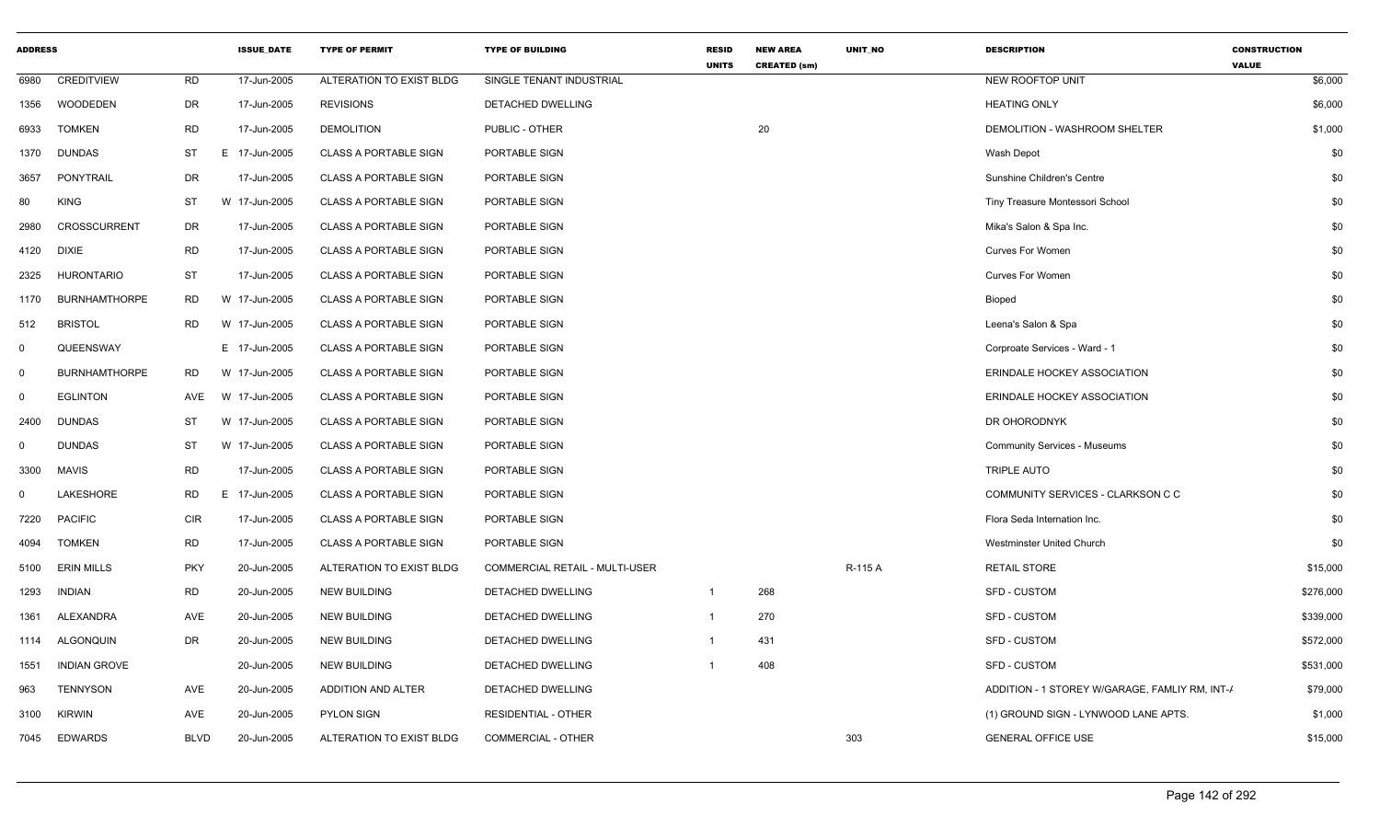| <b>ADDRESS</b> |                      |             | <b>ISSUE_DATE</b> | <b>TYPE OF PERMIT</b>        | <b>TYPE OF BUILDING</b>        | <b>RESID</b><br><b>UNITS</b> | <b>NEW AREA</b><br><b>CREATED (sm)</b> | UNIT_NO | <b>DESCRIPTION</b>                             | <b>CONSTRUCTION</b><br><b>VALUE</b> |
|----------------|----------------------|-------------|-------------------|------------------------------|--------------------------------|------------------------------|----------------------------------------|---------|------------------------------------------------|-------------------------------------|
| 6980           | <b>CREDITVIEW</b>    | RD          | 17-Jun-2005       | ALTERATION TO EXIST BLDG     | SINGLE TENANT INDUSTRIAL       |                              |                                        |         | NEW ROOFTOP UNIT                               | \$6,000                             |
| 1356           | WOODEDEN             | DR          | 17-Jun-2005       | <b>REVISIONS</b>             | DETACHED DWELLING              |                              |                                        |         | <b>HEATING ONLY</b>                            | \$6,000                             |
| 6933           | <b>TOMKEN</b>        | <b>RD</b>   | 17-Jun-2005       | <b>DEMOLITION</b>            | PUBLIC - OTHER                 |                              | 20                                     |         | DEMOLITION - WASHROOM SHELTER                  | \$1,000                             |
| 1370           | <b>DUNDAS</b>        | ST          | E 17-Jun-2005     | <b>CLASS A PORTABLE SIGN</b> | PORTABLE SIGN                  |                              |                                        |         | Wash Depot                                     | \$0                                 |
| 3657           | PONYTRAIL            | DR          | 17-Jun-2005       | <b>CLASS A PORTABLE SIGN</b> | PORTABLE SIGN                  |                              |                                        |         | Sunshine Children's Centre                     | \$0                                 |
| 80             | <b>KING</b>          | ST          | W 17-Jun-2005     | <b>CLASS A PORTABLE SIGN</b> | PORTABLE SIGN                  |                              |                                        |         | Tiny Treasure Montessori School                | \$0                                 |
| 2980           | CROSSCURRENT         | DR          | 17-Jun-2005       | <b>CLASS A PORTABLE SIGN</b> | PORTABLE SIGN                  |                              |                                        |         | Mika's Salon & Spa Inc.                        | \$0                                 |
| 4120           | <b>DIXIE</b>         | <b>RD</b>   | 17-Jun-2005       | <b>CLASS A PORTABLE SIGN</b> | PORTABLE SIGN                  |                              |                                        |         | <b>Curves For Women</b>                        | \$0                                 |
| 2325           | <b>HURONTARIO</b>    | <b>ST</b>   | 17-Jun-2005       | <b>CLASS A PORTABLE SIGN</b> | PORTABLE SIGN                  |                              |                                        |         | <b>Curves For Women</b>                        | \$0                                 |
| 1170           | <b>BURNHAMTHORPE</b> | RD          | W 17-Jun-2005     | <b>CLASS A PORTABLE SIGN</b> | PORTABLE SIGN                  |                              |                                        |         | <b>Bioped</b>                                  | \$0                                 |
| 512            | <b>BRISTOL</b>       | RD          | W 17-Jun-2005     | <b>CLASS A PORTABLE SIGN</b> | PORTABLE SIGN                  |                              |                                        |         | Leena's Salon & Spa                            | \$0                                 |
| $\Omega$       | QUEENSWAY            |             | E 17-Jun-2005     | <b>CLASS A PORTABLE SIGN</b> | PORTABLE SIGN                  |                              |                                        |         | Corproate Services - Ward - 1                  | \$0                                 |
| $\mathbf 0$    | <b>BURNHAMTHORPE</b> | RD          | W 17-Jun-2005     | <b>CLASS A PORTABLE SIGN</b> | PORTABLE SIGN                  |                              |                                        |         | ERINDALE HOCKEY ASSOCIATION                    | \$0                                 |
| $\mathbf 0$    | <b>EGLINTON</b>      | AVE         | W 17-Jun-2005     | <b>CLASS A PORTABLE SIGN</b> | PORTABLE SIGN                  |                              |                                        |         | ERINDALE HOCKEY ASSOCIATION                    | \$0                                 |
| 2400           | <b>DUNDAS</b>        | ST          | W 17-Jun-2005     | <b>CLASS A PORTABLE SIGN</b> | PORTABLE SIGN                  |                              |                                        |         | DR OHORODNYK                                   | \$0                                 |
| $\Omega$       | <b>DUNDAS</b>        | ST          | W 17-Jun-2005     | <b>CLASS A PORTABLE SIGN</b> | PORTABLE SIGN                  |                              |                                        |         | <b>Community Services - Museums</b>            | \$0                                 |
| 3300           | <b>MAVIS</b>         | <b>RD</b>   | 17-Jun-2005       | <b>CLASS A PORTABLE SIGN</b> | PORTABLE SIGN                  |                              |                                        |         | TRIPLE AUTO                                    | \$0                                 |
| $\Omega$       | LAKESHORE            | <b>RD</b>   | E 17-Jun-2005     | <b>CLASS A PORTABLE SIGN</b> | PORTABLE SIGN                  |                              |                                        |         | COMMUNITY SERVICES - CLARKSON C C              | \$0                                 |
| 7220           | <b>PACIFIC</b>       | <b>CIR</b>  | 17-Jun-2005       | <b>CLASS A PORTABLE SIGN</b> | PORTABLE SIGN                  |                              |                                        |         | Flora Seda Internation Inc.                    | \$0                                 |
| 4094           | <b>TOMKEN</b>        | <b>RD</b>   | 17-Jun-2005       | <b>CLASS A PORTABLE SIGN</b> | PORTABLE SIGN                  |                              |                                        |         | <b>Westminster United Church</b>               | \$0                                 |
| 5100           | <b>ERIN MILLS</b>    | <b>PKY</b>  | 20-Jun-2005       | ALTERATION TO EXIST BLDG     | COMMERCIAL RETAIL - MULTI-USER |                              |                                        | R-115 A | <b>RETAIL STORE</b>                            | \$15,000                            |
| 1293           | <b>INDIAN</b>        | RD          | 20-Jun-2005       | <b>NEW BUILDING</b>          | DETACHED DWELLING              | $\mathbf{1}$                 | 268                                    |         | <b>SFD - CUSTOM</b>                            | \$276,000                           |
| 1361           | ALEXANDRA            | AVE         | 20-Jun-2005       | <b>NEW BUILDING</b>          | DETACHED DWELLING              | 1                            | 270                                    |         | <b>SFD - CUSTOM</b>                            | \$339,000                           |
| 1114           | <b>ALGONQUIN</b>     | DR          | 20-Jun-2005       | <b>NEW BUILDING</b>          | DETACHED DWELLING              |                              | 431                                    |         | SFD - CUSTOM                                   | \$572,000                           |
| 1551           | <b>INDIAN GROVE</b>  |             | 20-Jun-2005       | <b>NEW BUILDING</b>          | DETACHED DWELLING              |                              | 408                                    |         | <b>SFD - CUSTOM</b>                            | \$531,000                           |
| 963            | <b>TENNYSON</b>      | AVE         | 20-Jun-2005       | ADDITION AND ALTER           | DETACHED DWELLING              |                              |                                        |         | ADDITION - 1 STOREY W/GARAGE, FAMLIY RM, INT-/ | \$79,000                            |
| 3100           | <b>KIRWIN</b>        | AVE         | 20-Jun-2005       | <b>PYLON SIGN</b>            | <b>RESIDENTIAL - OTHER</b>     |                              |                                        |         | (1) GROUND SIGN - LYNWOOD LANE APTS.           | \$1,000                             |
| 7045           | <b>EDWARDS</b>       | <b>BLVD</b> | 20-Jun-2005       | ALTERATION TO EXIST BLDG     | <b>COMMERCIAL - OTHER</b>      |                              |                                        | 303     | <b>GENERAL OFFICE USE</b>                      | \$15,000                            |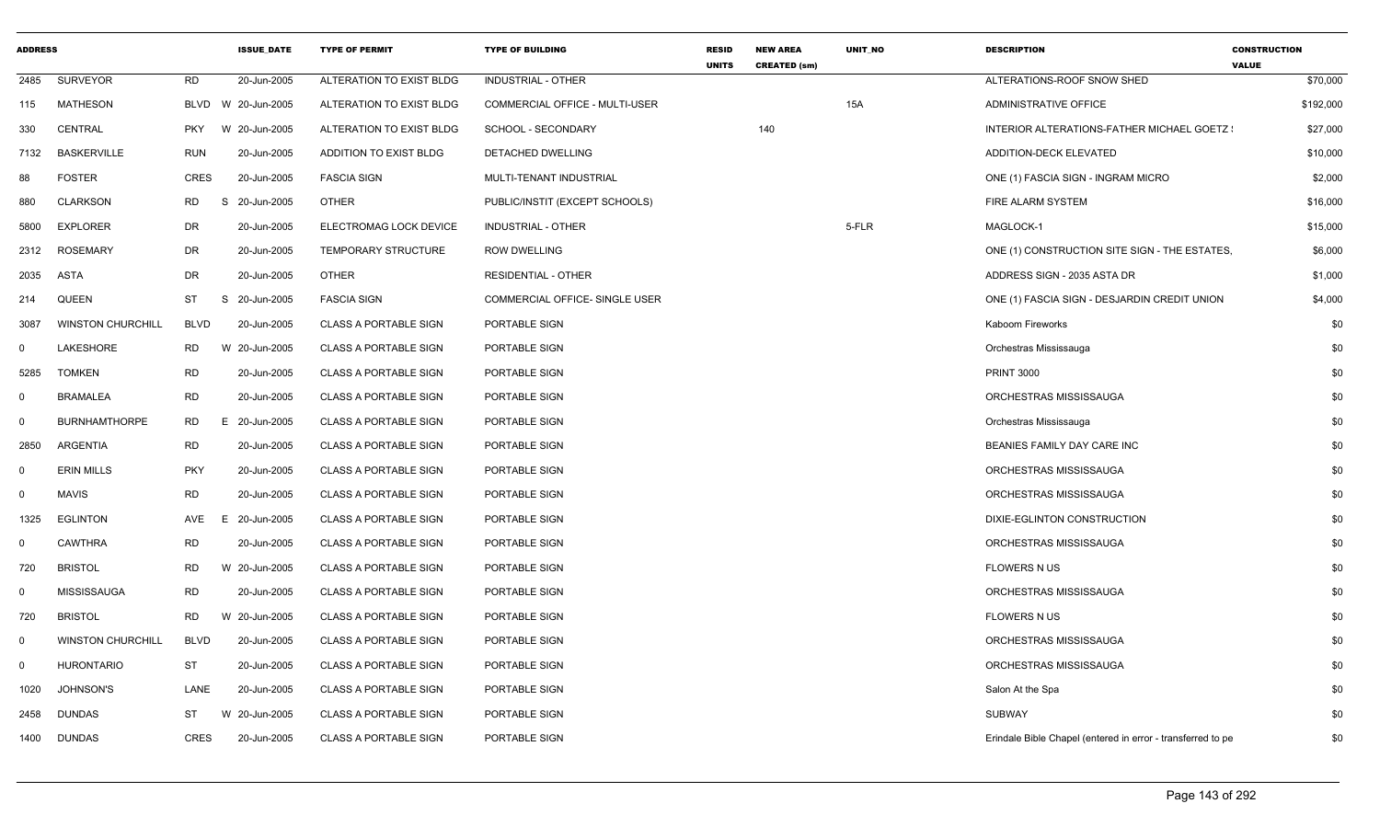| <b>ADDRESS</b> |                          |             | <b>ISSUE DATE</b> | <b>TYPE OF PERMIT</b>        | <b>TYPE OF BUILDING</b>               | <b>RESID</b><br><b>UNITS</b> | <b>NEW AREA</b><br><b>CREATED (sm)</b> | <b>UNIT NO</b> | <b>DESCRIPTION</b>                                          | <b>CONSTRUCTION</b><br><b>VALUE</b> |
|----------------|--------------------------|-------------|-------------------|------------------------------|---------------------------------------|------------------------------|----------------------------------------|----------------|-------------------------------------------------------------|-------------------------------------|
| 2485           | <b>SURVEYOR</b>          | <b>RD</b>   | 20-Jun-2005       | ALTERATION TO EXIST BLDG     | <b>INDUSTRIAL - OTHER</b>             |                              |                                        |                | ALTERATIONS-ROOF SNOW SHED                                  | \$70,000                            |
| 115            | MATHESON                 | BLVD        | W 20-Jun-2005     | ALTERATION TO EXIST BLDG     | <b>COMMERCIAL OFFICE - MULTI-USER</b> |                              |                                        | 15A            | ADMINISTRATIVE OFFICE                                       | \$192,000                           |
| 330            | CENTRAL                  | <b>PKY</b>  | W 20-Jun-2005     | ALTERATION TO EXIST BLDG     | SCHOOL - SECONDARY                    |                              | 140                                    |                | INTERIOR ALTERATIONS-FATHER MICHAEL GOETZ :                 | \$27,000                            |
| 7132           | <b>BASKERVILLE</b>       | <b>RUN</b>  | 20-Jun-2005       | ADDITION TO EXIST BLDG       | DETACHED DWELLING                     |                              |                                        |                | ADDITION-DECK ELEVATED                                      | \$10,000                            |
| 88             | <b>FOSTER</b>            | <b>CRES</b> | 20-Jun-2005       | <b>FASCIA SIGN</b>           | MULTI-TENANT INDUSTRIAL               |                              |                                        |                | ONE (1) FASCIA SIGN - INGRAM MICRO                          | \$2,000                             |
| 880            | <b>CLARKSON</b>          | RD          | S<br>20-Jun-2005  | <b>OTHER</b>                 | PUBLIC/INSTIT (EXCEPT SCHOOLS)        |                              |                                        |                | FIRE ALARM SYSTEM                                           | \$16,000                            |
| 5800           | <b>EXPLORER</b>          | DR          | 20-Jun-2005       | ELECTROMAG LOCK DEVICE       | INDUSTRIAL - OTHER                    |                              |                                        | 5-FLR          | MAGLOCK-1                                                   | \$15,000                            |
| 2312           | <b>ROSEMARY</b>          | DR          | 20-Jun-2005       | <b>TEMPORARY STRUCTURE</b>   | <b>ROW DWELLING</b>                   |                              |                                        |                | ONE (1) CONSTRUCTION SITE SIGN - THE ESTATES,               | \$6,000                             |
| 2035           | ASTA                     | DR          | 20-Jun-2005       | OTHER                        | RESIDENTIAL - OTHER                   |                              |                                        |                | ADDRESS SIGN - 2035 ASTA DR                                 | \$1,000                             |
| 214            | QUEEN                    | ST          | S<br>20-Jun-2005  | <b>FASCIA SIGN</b>           | COMMERCIAL OFFICE- SINGLE USER        |                              |                                        |                | ONE (1) FASCIA SIGN - DESJARDIN CREDIT UNION                | \$4,000                             |
| 3087           | <b>WINSTON CHURCHILL</b> | <b>BLVD</b> | 20-Jun-2005       | <b>CLASS A PORTABLE SIGN</b> | PORTABLE SIGN                         |                              |                                        |                | Kaboom Fireworks                                            | \$0                                 |
| $\mathbf 0$    | LAKESHORE                | <b>RD</b>   | W 20-Jun-2005     | <b>CLASS A PORTABLE SIGN</b> | PORTABLE SIGN                         |                              |                                        |                | Orchestras Mississauga                                      | \$0                                 |
| 5285           | <b>TOMKEN</b>            | <b>RD</b>   | 20-Jun-2005       | <b>CLASS A PORTABLE SIGN</b> | PORTABLE SIGN                         |                              |                                        |                | <b>PRINT 3000</b>                                           | \$0                                 |
| $\mathbf 0$    | <b>BRAMALEA</b>          | <b>RD</b>   | 20-Jun-2005       | <b>CLASS A PORTABLE SIGN</b> | PORTABLE SIGN                         |                              |                                        |                | ORCHESTRAS MISSISSAUGA                                      | \$0                                 |
| $\mathbf 0$    | <b>BURNHAMTHORPE</b>     | <b>RD</b>   | E 20-Jun-2005     | <b>CLASS A PORTABLE SIGN</b> | PORTABLE SIGN                         |                              |                                        |                | Orchestras Mississauga                                      | \$0                                 |
| 2850           | <b>ARGENTIA</b>          | <b>RD</b>   | 20-Jun-2005       | <b>CLASS A PORTABLE SIGN</b> | PORTABLE SIGN                         |                              |                                        |                | BEANIES FAMILY DAY CARE INC                                 | \$0                                 |
| $\mathbf 0$    | <b>ERIN MILLS</b>        | <b>PKY</b>  | 20-Jun-2005       | <b>CLASS A PORTABLE SIGN</b> | PORTABLE SIGN                         |                              |                                        |                | ORCHESTRAS MISSISSAUGA                                      | \$0                                 |
| $\mathbf 0$    | <b>MAVIS</b>             | <b>RD</b>   | 20-Jun-2005       | <b>CLASS A PORTABLE SIGN</b> | PORTABLE SIGN                         |                              |                                        |                | ORCHESTRAS MISSISSAUGA                                      | \$0                                 |
| 1325           | <b>EGLINTON</b>          | AVE         | 20-Jun-2005<br>E  | <b>CLASS A PORTABLE SIGN</b> | PORTABLE SIGN                         |                              |                                        |                | DIXIE-EGLINTON CONSTRUCTION                                 | \$0                                 |
| $\mathbf 0$    | <b>CAWTHRA</b>           | <b>RD</b>   | 20-Jun-2005       | <b>CLASS A PORTABLE SIGN</b> | PORTABLE SIGN                         |                              |                                        |                | ORCHESTRAS MISSISSAUGA                                      | \$0                                 |
| 720            | <b>BRISTOL</b>           | <b>RD</b>   | W 20-Jun-2005     | <b>CLASS A PORTABLE SIGN</b> | PORTABLE SIGN                         |                              |                                        |                | <b>FLOWERS N US</b>                                         | \$0                                 |
| $\mathbf 0$    | <b>MISSISSAUGA</b>       | <b>RD</b>   | 20-Jun-2005       | <b>CLASS A PORTABLE SIGN</b> | PORTABLE SIGN                         |                              |                                        |                | ORCHESTRAS MISSISSAUGA                                      | \$0                                 |
| 720            | <b>BRISTOL</b>           | RD          | W 20-Jun-2005     | <b>CLASS A PORTABLE SIGN</b> | PORTABLE SIGN                         |                              |                                        |                | <b>FLOWERS N US</b>                                         | \$0                                 |
| $\mathbf 0$    | <b>WINSTON CHURCHILL</b> | <b>BLVD</b> | 20-Jun-2005       | <b>CLASS A PORTABLE SIGN</b> | PORTABLE SIGN                         |                              |                                        |                | ORCHESTRAS MISSISSAUGA                                      | \$0                                 |
| $\mathbf 0$    | <b>HURONTARIO</b>        | <b>ST</b>   | 20-Jun-2005       | <b>CLASS A PORTABLE SIGN</b> | PORTABLE SIGN                         |                              |                                        |                | ORCHESTRAS MISSISSAUGA                                      | \$0                                 |
| 1020           | <b>JOHNSON'S</b>         | LANE        | 20-Jun-2005       | <b>CLASS A PORTABLE SIGN</b> | PORTABLE SIGN                         |                              |                                        |                | Salon At the Spa                                            | \$0                                 |
| 2458           | <b>DUNDAS</b>            | <b>ST</b>   | W 20-Jun-2005     | <b>CLASS A PORTABLE SIGN</b> | PORTABLE SIGN                         |                              |                                        |                | <b>SUBWAY</b>                                               | \$0                                 |
| 1400           | <b>DUNDAS</b>            | <b>CRES</b> | 20-Jun-2005       | <b>CLASS A PORTABLE SIGN</b> | PORTABLE SIGN                         |                              |                                        |                | Erindale Bible Chapel (entered in error - transferred to pe | \$0                                 |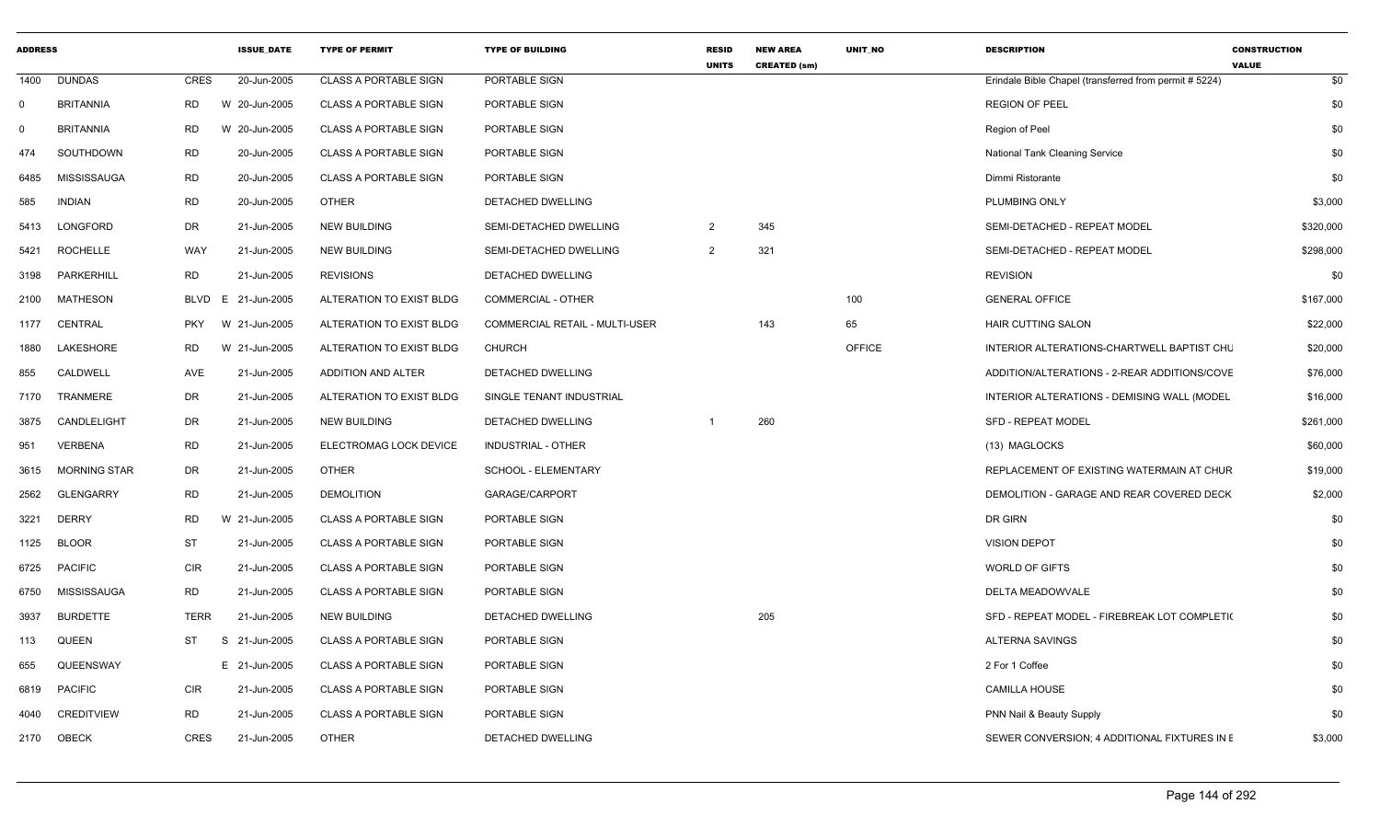| <b>ADDRESS</b> |                     |             | <b>ISSUE DATE</b> | <b>TYPE OF PERMIT</b>        | <b>TYPE OF BUILDING</b>               | <b>RESID</b><br><b>UNITS</b> | <b>NEW AREA</b><br><b>CREATED (sm)</b> | <b>UNIT NO</b> | <b>DESCRIPTION</b>                                     | <b>CONSTRUCTION</b><br><b>VALUE</b> |
|----------------|---------------------|-------------|-------------------|------------------------------|---------------------------------------|------------------------------|----------------------------------------|----------------|--------------------------------------------------------|-------------------------------------|
| 1400           | <b>DUNDAS</b>       | CRES        | 20-Jun-2005       | <b>CLASS A PORTABLE SIGN</b> | PORTABLE SIGN                         |                              |                                        |                | Erindale Bible Chapel (transferred from permit # 5224) | \$0                                 |
| $\mathbf 0$    | <b>BRITANNIA</b>    | RD          | W 20-Jun-2005     | <b>CLASS A PORTABLE SIGN</b> | PORTABLE SIGN                         |                              |                                        |                | <b>REGION OF PEEL</b>                                  | \$0                                 |
| $\mathbf 0$    | <b>BRITANNIA</b>    | RD          | 20-Jun-2005<br>W  | <b>CLASS A PORTABLE SIGN</b> | PORTABLE SIGN                         |                              |                                        |                | Region of Peel                                         | \$0                                 |
| 474            | SOUTHDOWN           | <b>RD</b>   | 20-Jun-2005       | <b>CLASS A PORTABLE SIGN</b> | PORTABLE SIGN                         |                              |                                        |                | <b>National Tank Cleaning Service</b>                  | \$0                                 |
| 6485           | <b>MISSISSAUGA</b>  | <b>RD</b>   | 20-Jun-2005       | <b>CLASS A PORTABLE SIGN</b> | PORTABLE SIGN                         |                              |                                        |                | Dimmi Ristorante                                       | \$0                                 |
| 585            | <b>INDIAN</b>       | <b>RD</b>   | 20-Jun-2005       | <b>OTHER</b>                 | DETACHED DWELLING                     |                              |                                        |                | PLUMBING ONLY                                          | \$3,000                             |
| 5413           | LONGFORD            | <b>DR</b>   | 21-Jun-2005       | <b>NEW BUILDING</b>          | SEMI-DETACHED DWELLING                | $\overline{2}$               | 345                                    |                | SEMI-DETACHED - REPEAT MODEL                           | \$320,000                           |
| 5421           | <b>ROCHELLE</b>     | WAY         | 21-Jun-2005       | <b>NEW BUILDING</b>          | SEMI-DETACHED DWELLING                | 2                            | 321                                    |                | SEMI-DETACHED - REPEAT MODEL                           | \$298,000                           |
| 3198           | PARKERHILL          | RD          | 21-Jun-2005       | <b>REVISIONS</b>             | DETACHED DWELLING                     |                              |                                        |                | <b>REVISION</b>                                        | \$0                                 |
| 2100           | <b>MATHESON</b>     | <b>BLVD</b> | 21-Jun-2005<br>E. | ALTERATION TO EXIST BLDG     | COMMERCIAL - OTHER                    |                              |                                        | 100            | <b>GENERAL OFFICE</b>                                  | \$167,000                           |
| 1177           | CENTRAL             | <b>PKY</b>  | W 21-Jun-2005     | ALTERATION TO EXIST BLDG     | <b>COMMERCIAL RETAIL - MULTI-USER</b> |                              | 143                                    | 65             | <b>HAIR CUTTING SALON</b>                              | \$22,000                            |
| 1880           | <b>LAKESHORE</b>    | RD          | W 21-Jun-2005     | ALTERATION TO EXIST BLDG     | <b>CHURCH</b>                         |                              |                                        | <b>OFFICE</b>  | INTERIOR ALTERATIONS-CHARTWELL BAPTIST CHL             | \$20,000                            |
| 855            | CALDWELL            | AVE         | 21-Jun-2005       | <b>ADDITION AND ALTER</b>    | <b>DETACHED DWELLING</b>              |                              |                                        |                | ADDITION/ALTERATIONS - 2-REAR ADDITIONS/COVE           | \$76,000                            |
| 7170           | TRANMERE            | DR          | 21-Jun-2005       | ALTERATION TO EXIST BLDG     | SINGLE TENANT INDUSTRIAL              |                              |                                        |                | INTERIOR ALTERATIONS - DEMISING WALL (MODEL            | \$16,000                            |
| 3875           | CANDLELIGHT         | DR          | 21-Jun-2005       | <b>NEW BUILDING</b>          | DETACHED DWELLING                     | -1                           | 260                                    |                | <b>SFD - REPEAT MODEL</b>                              | \$261,000                           |
| 951            | <b>VERBENA</b>      | <b>RD</b>   | 21-Jun-2005       | ELECTROMAG LOCK DEVICE       | <b>INDUSTRIAL - OTHER</b>             |                              |                                        |                | (13) MAGLOCKS                                          | \$60,000                            |
| 3615           | <b>MORNING STAR</b> | DR          | 21-Jun-2005       | <b>OTHER</b>                 | <b>SCHOOL - ELEMENTARY</b>            |                              |                                        |                | REPLACEMENT OF EXISTING WATERMAIN AT CHUR              | \$19,000                            |
| 2562           | <b>GLENGARRY</b>    | <b>RD</b>   | 21-Jun-2005       | <b>DEMOLITION</b>            | GARAGE/CARPORT                        |                              |                                        |                | DEMOLITION - GARAGE AND REAR COVERED DECK              | \$2,000                             |
| 3221           | <b>DERRY</b>        | <b>RD</b>   | W 21-Jun-2005     | <b>CLASS A PORTABLE SIGN</b> | PORTABLE SIGN                         |                              |                                        |                | DR GIRN                                                | \$0                                 |
| 1125           | <b>BLOOR</b>        | <b>ST</b>   | 21-Jun-2005       | <b>CLASS A PORTABLE SIGN</b> | PORTABLE SIGN                         |                              |                                        |                | <b>VISION DEPOT</b>                                    | \$0                                 |
| 6725           | <b>PACIFIC</b>      | <b>CIR</b>  | 21-Jun-2005       | <b>CLASS A PORTABLE SIGN</b> | PORTABLE SIGN                         |                              |                                        |                | <b>WORLD OF GIFTS</b>                                  | \$0                                 |
| 6750           | MISSISSAUGA         | <b>RD</b>   | 21-Jun-2005       | <b>CLASS A PORTABLE SIGN</b> | PORTABLE SIGN                         |                              |                                        |                | DELTA MEADOWVALE                                       | \$0                                 |
| 3937           | <b>BURDETTE</b>     | TERR        | 21-Jun-2005       | <b>NEW BUILDING</b>          | DETACHED DWELLING                     |                              | 205                                    |                | SFD - REPEAT MODEL - FIREBREAK LOT COMPLETIO           | \$0                                 |
| 113            | QUEEN               | ST          | S 21-Jun-2005     | <b>CLASS A PORTABLE SIGN</b> | PORTABLE SIGN                         |                              |                                        |                | ALTERNA SAVINGS                                        | \$0                                 |
| 655            | QUEENSWAY           |             | E 21-Jun-2005     | <b>CLASS A PORTABLE SIGN</b> | PORTABLE SIGN                         |                              |                                        |                | 2 For 1 Coffee                                         | \$0                                 |
| 6819           | <b>PACIFIC</b>      | <b>CIR</b>  | 21-Jun-2005       | <b>CLASS A PORTABLE SIGN</b> | PORTABLE SIGN                         |                              |                                        |                | <b>CAMILLA HOUSE</b>                                   | \$0                                 |
| 4040           | <b>CREDITVIEW</b>   | <b>RD</b>   | 21-Jun-2005       | <b>CLASS A PORTABLE SIGN</b> | PORTABLE SIGN                         |                              |                                        |                | <b>PNN Nail &amp; Beauty Supply</b>                    | \$0                                 |
| 2170           | OBECK               | <b>CRES</b> | 21-Jun-2005       | <b>OTHER</b>                 | <b>DETACHED DWELLING</b>              |                              |                                        |                | SEWER CONVERSION: 4 ADDITIONAL FIXTURES IN E           | \$3,000                             |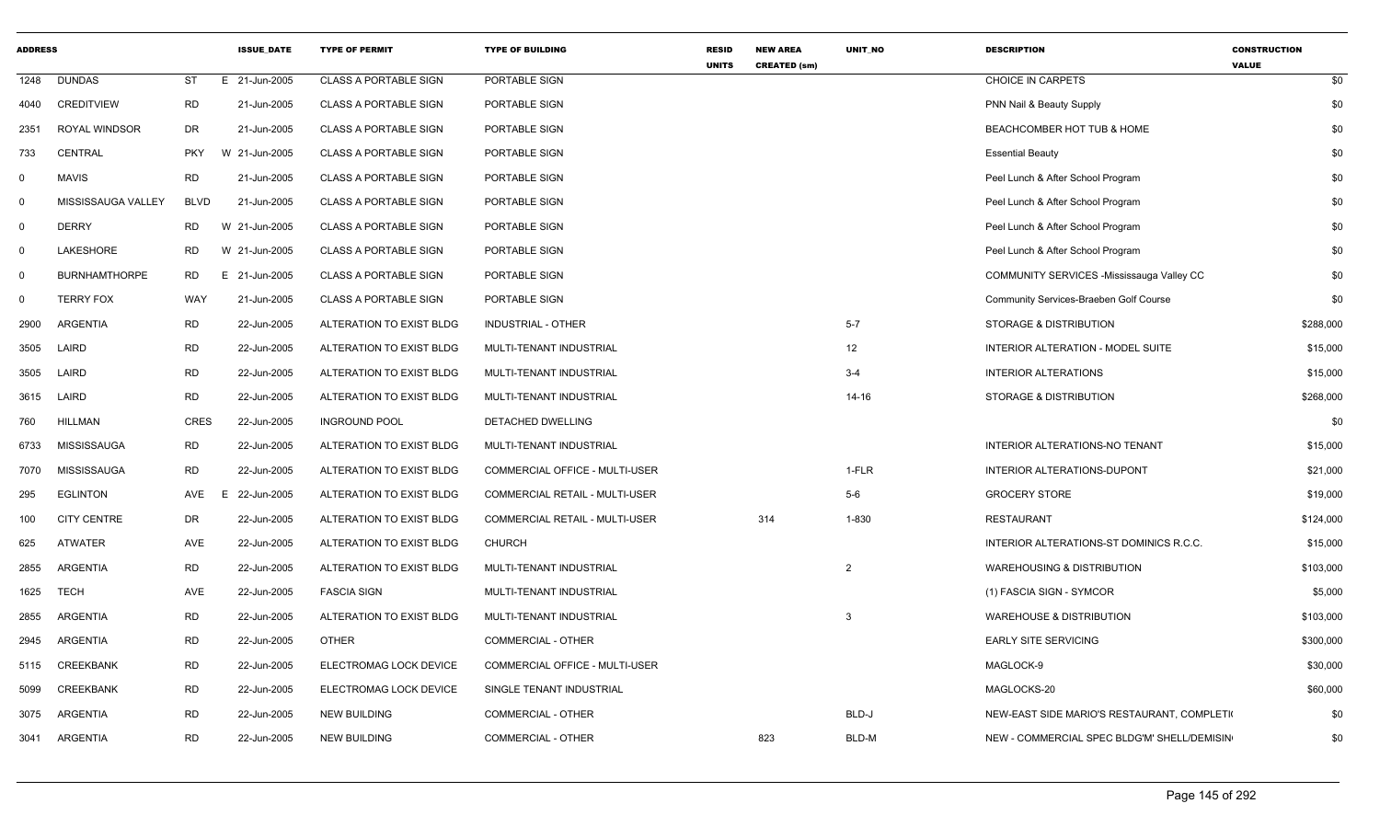| <b>ADDRESS</b> |                      |             | <b>ISSUE DATE</b> | <b>TYPE OF PERMIT</b>        | <b>TYPE OF BUILDING</b>               | <b>RESID</b><br><b>UNITS</b> | <b>NEW AREA</b><br><b>CREATED (sm)</b> | <b>UNIT NO</b> | <b>DESCRIPTION</b>                               | <b>CONSTRUCTION</b><br><b>VALUE</b> |
|----------------|----------------------|-------------|-------------------|------------------------------|---------------------------------------|------------------------------|----------------------------------------|----------------|--------------------------------------------------|-------------------------------------|
| 1248           | <b>DUNDAS</b>        | ST          | E 21-Jun-2005     | <b>CLASS A PORTABLE SIGN</b> | PORTABLE SIGN                         |                              |                                        |                | CHOICE IN CARPETS                                | \$0                                 |
| 4040           | <b>CREDITVIEW</b>    | <b>RD</b>   | 21-Jun-2005       | <b>CLASS A PORTABLE SIGN</b> | PORTABLE SIGN                         |                              |                                        |                | PNN Nail & Beauty Supply                         | \$0                                 |
| 2351           | ROYAL WINDSOR        | <b>DR</b>   | 21-Jun-2005       | <b>CLASS A PORTABLE SIGN</b> | PORTABLE SIGN                         |                              |                                        |                | BEACHCOMBER HOT TUB & HOME                       | \$0                                 |
| 733            | CENTRAL              | <b>PKY</b>  | W 21-Jun-2005     | <b>CLASS A PORTABLE SIGN</b> | PORTABLE SIGN                         |                              |                                        |                | <b>Essential Beauty</b>                          | \$0                                 |
| $\mathbf 0$    | <b>MAVIS</b>         | <b>RD</b>   | 21-Jun-2005       | <b>CLASS A PORTABLE SIGN</b> | PORTABLE SIGN                         |                              |                                        |                | Peel Lunch & After School Program                | \$0                                 |
| $\mathbf 0$    | MISSISSAUGA VALLEY   | <b>BLVD</b> | 21-Jun-2005       | <b>CLASS A PORTABLE SIGN</b> | PORTABLE SIGN                         |                              |                                        |                | Peel Lunch & After School Program                | \$0                                 |
| $\mathbf 0$    | <b>DERRY</b>         | <b>RD</b>   | W 21-Jun-2005     | <b>CLASS A PORTABLE SIGN</b> | PORTABLE SIGN                         |                              |                                        |                | Peel Lunch & After School Program                | \$0                                 |
| $\mathbf 0$    | LAKESHORE            | <b>RD</b>   | W 21-Jun-2005     | <b>CLASS A PORTABLE SIGN</b> | PORTABLE SIGN                         |                              |                                        |                | Peel Lunch & After School Program                | \$0                                 |
| $\mathbf 0$    | <b>BURNHAMTHORPE</b> | <b>RD</b>   | E 21-Jun-2005     | <b>CLASS A PORTABLE SIGN</b> | PORTABLE SIGN                         |                              |                                        |                | <b>COMMUNITY SERVICES -Mississauga Valley CC</b> | \$0                                 |
| $\mathbf 0$    | <b>TERRY FOX</b>     | WAY         | 21-Jun-2005       | <b>CLASS A PORTABLE SIGN</b> | PORTABLE SIGN                         |                              |                                        |                | Community Services-Braeben Golf Course           | \$0                                 |
| 2900           | <b>ARGENTIA</b>      | <b>RD</b>   | 22-Jun-2005       | ALTERATION TO EXIST BLDG     | <b>INDUSTRIAL - OTHER</b>             |                              |                                        | $5 - 7$        | STORAGE & DISTRIBUTION                           | \$288,000                           |
| 3505           | LAIRD                | <b>RD</b>   | 22-Jun-2005       | ALTERATION TO EXIST BLDG     | MULTI-TENANT INDUSTRIAL               |                              |                                        | 12             | INTERIOR ALTERATION - MODEL SUITE                | \$15,000                            |
| 3505           | LAIRD                | <b>RD</b>   | 22-Jun-2005       | ALTERATION TO EXIST BLDG     | MULTI-TENANT INDUSTRIAL               |                              |                                        | $3 - 4$        | <b>INTERIOR ALTERATIONS</b>                      | \$15,000                            |
| 3615           | LAIRD                | <b>RD</b>   | 22-Jun-2005       | ALTERATION TO EXIST BLDG     | MULTI-TENANT INDUSTRIAL               |                              |                                        | $14 - 16$      | STORAGE & DISTRIBUTION                           | \$268,000                           |
| 760            | <b>HILLMAN</b>       | <b>CRES</b> | 22-Jun-2005       | <b>INGROUND POOL</b>         | DETACHED DWELLING                     |                              |                                        |                |                                                  | \$0                                 |
| 6733           | MISSISSAUGA          | <b>RD</b>   | 22-Jun-2005       | ALTERATION TO EXIST BLDG     | MULTI-TENANT INDUSTRIAL               |                              |                                        |                | INTERIOR ALTERATIONS-NO TENANT                   | \$15,000                            |
| 7070           | MISSISSAUGA          | <b>RD</b>   | 22-Jun-2005       | ALTERATION TO EXIST BLDG     | COMMERCIAL OFFICE - MULTI-USER        |                              |                                        | 1-FLR          | INTERIOR ALTERATIONS-DUPONT                      | \$21,000                            |
| 295            | <b>EGLINTON</b>      | AVE         | F<br>22-Jun-2005  | ALTERATION TO EXIST BLDG     | <b>COMMERCIAL RETAIL - MULTI-USER</b> |                              |                                        | $5-6$          | <b>GROCERY STORE</b>                             | \$19,000                            |
| 100            | <b>CITY CENTRE</b>   | DR          | 22-Jun-2005       | ALTERATION TO EXIST BLDG     | COMMERCIAL RETAIL - MULTI-USER        |                              | 314                                    | 1-830          | <b>RESTAURANT</b>                                | \$124,000                           |
| 625            | <b>ATWATER</b>       | AVE         | 22-Jun-2005       | ALTERATION TO EXIST BLDG     | <b>CHURCH</b>                         |                              |                                        |                | INTERIOR ALTERATIONS-ST DOMINICS R.C.C.          | \$15,000                            |
| 2855           | <b>ARGENTIA</b>      | <b>RD</b>   | 22-Jun-2005       | ALTERATION TO EXIST BLDG     | MULTI-TENANT INDUSTRIAL               |                              |                                        | 2              | <b>WAREHOUSING &amp; DISTRIBUTION</b>            | \$103,000                           |
| 1625           | <b>TECH</b>          | AVE         | 22-Jun-2005       | <b>FASCIA SIGN</b>           | MULTI-TENANT INDUSTRIAL               |                              |                                        |                | (1) FASCIA SIGN - SYMCOR                         | \$5,000                             |
| 2855           | <b>ARGENTIA</b>      | <b>RD</b>   | 22-Jun-2005       | ALTERATION TO EXIST BLDG     | MULTI-TENANT INDUSTRIAL               |                              |                                        | 3              | <b>WAREHOUSE &amp; DISTRIBUTION</b>              | \$103,000                           |
| 2945           | ARGENTIA             | <b>RD</b>   | 22-Jun-2005       | <b>OTHER</b>                 | COMMERCIAL - OTHER                    |                              |                                        |                | <b>EARLY SITE SERVICING</b>                      | \$300,000                           |
| 5115           | <b>CREEKBANK</b>     | <b>RD</b>   | 22-Jun-2005       | ELECTROMAG LOCK DEVICE       | COMMERCIAL OFFICE - MULTI-USER        |                              |                                        |                | MAGLOCK-9                                        | \$30,000                            |
| 5099           | <b>CREEKBANK</b>     | <b>RD</b>   | 22-Jun-2005       | ELECTROMAG LOCK DEVICE       | SINGLE TENANT INDUSTRIAL              |                              |                                        |                | MAGLOCKS-20                                      | \$60,000                            |
| 3075           | ARGENTIA             | <b>RD</b>   | 22-Jun-2005       | <b>NEW BUILDING</b>          | COMMERCIAL - OTHER                    |                              |                                        | BLD-J          | NEW-EAST SIDE MARIO'S RESTAURANT, COMPLETI       | \$0                                 |
| 3041           | ARGENTIA             | <b>RD</b>   | 22-Jun-2005       | <b>NEW BUILDING</b>          | <b>COMMERCIAL - OTHER</b>             |                              | 823                                    | BLD-M          | NEW - COMMERCIAL SPEC BLDG'M' SHELL/DEMISIN      | \$0                                 |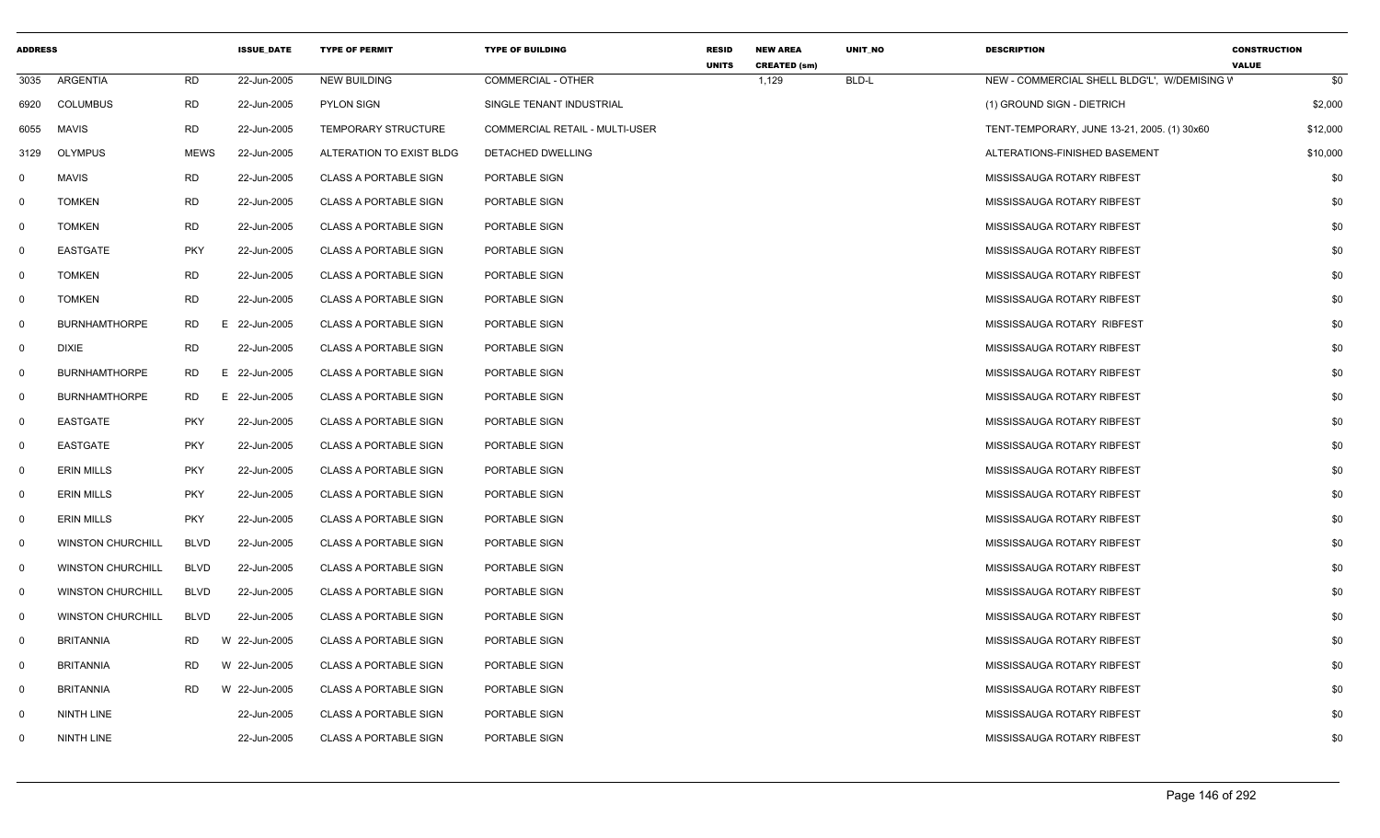| <b>ADDRESS</b> |                          |             | <b>ISSUE_DATE</b> | <b>TYPE OF PERMIT</b>        | <b>TYPE OF BUILDING</b>               | <b>RESID</b> | <b>NEW AREA</b>              | UNIT_NO | <b>DESCRIPTION</b>                           | <b>CONSTRUCTION</b> |
|----------------|--------------------------|-------------|-------------------|------------------------------|---------------------------------------|--------------|------------------------------|---------|----------------------------------------------|---------------------|
| 3035           | ARGENTIA                 | <b>RD</b>   | 22-Jun-2005       | <b>NEW BUILDING</b>          | <b>COMMERCIAL - OTHER</b>             | <b>UNITS</b> | <b>CREATED (sm)</b><br>1,129 | BLD-L   | NEW - COMMERCIAL SHELL BLDG'L', W/DEMISING V | <b>VALUE</b><br>\$0 |
| 6920           | <b>COLUMBUS</b>          | RD          | 22-Jun-2005       | <b>PYLON SIGN</b>            | SINGLE TENANT INDUSTRIAL              |              |                              |         | (1) GROUND SIGN - DIETRICH                   | \$2,000             |
| 6055           | <b>MAVIS</b>             | RD          | 22-Jun-2005       | TEMPORARY STRUCTURE          | <b>COMMERCIAL RETAIL - MULTI-USER</b> |              |                              |         | TENT-TEMPORARY, JUNE 13-21, 2005. (1) 30x60  | \$12,000            |
| 3129           | <b>OLYMPUS</b>           | <b>MEWS</b> | 22-Jun-2005       | ALTERATION TO EXIST BLDG     | DETACHED DWELLING                     |              |                              |         | ALTERATIONS-FINISHED BASEMENT                | \$10,000            |
| 0              | <b>MAVIS</b>             | <b>RD</b>   | 22-Jun-2005       | <b>CLASS A PORTABLE SIGN</b> | PORTABLE SIGN                         |              |                              |         | MISSISSAUGA ROTARY RIBFEST                   | \$0                 |
| $\mathbf 0$    | <b>TOMKEN</b>            | <b>RD</b>   | 22-Jun-2005       | CLASS A PORTABLE SIGN        | PORTABLE SIGN                         |              |                              |         | MISSISSAUGA ROTARY RIBFEST                   | \$0                 |
| 0              | <b>TOMKEN</b>            | <b>RD</b>   | 22-Jun-2005       | <b>CLASS A PORTABLE SIGN</b> | PORTABLE SIGN                         |              |                              |         | MISSISSAUGA ROTARY RIBFEST                   | \$0                 |
| 0              | EASTGATE                 | <b>PKY</b>  | 22-Jun-2005       | <b>CLASS A PORTABLE SIGN</b> | PORTABLE SIGN                         |              |                              |         | MISSISSAUGA ROTARY RIBFEST                   | \$0                 |
| 0              | <b>TOMKEN</b>            | <b>RD</b>   | 22-Jun-2005       | <b>CLASS A PORTABLE SIGN</b> | PORTABLE SIGN                         |              |                              |         | MISSISSAUGA ROTARY RIBFEST                   | \$0                 |
| 0              | <b>TOMKEN</b>            | <b>RD</b>   | 22-Jun-2005       | <b>CLASS A PORTABLE SIGN</b> | PORTABLE SIGN                         |              |                              |         | MISSISSAUGA ROTARY RIBFEST                   | \$0                 |
| 0              | <b>BURNHAMTHORPE</b>     | <b>RD</b>   | E.<br>22-Jun-2005 | <b>CLASS A PORTABLE SIGN</b> | PORTABLE SIGN                         |              |                              |         | MISSISSAUGA ROTARY RIBFEST                   | \$0                 |
| 0              | <b>DIXIE</b>             | <b>RD</b>   | 22-Jun-2005       | CLASS A PORTABLE SIGN        | PORTABLE SIGN                         |              |                              |         | MISSISSAUGA ROTARY RIBFEST                   | \$0                 |
| $\mathbf 0$    | <b>BURNHAMTHORPE</b>     | RD.         | E 22-Jun-2005     | <b>CLASS A PORTABLE SIGN</b> | PORTABLE SIGN                         |              |                              |         | MISSISSAUGA ROTARY RIBFEST                   | \$0                 |
| 0              | <b>BURNHAMTHORPE</b>     | RD          | Е.<br>22-Jun-2005 | <b>CLASS A PORTABLE SIGN</b> | PORTABLE SIGN                         |              |                              |         | MISSISSAUGA ROTARY RIBFEST                   | \$0                 |
| $\mathbf 0$    | EASTGATE                 | <b>PKY</b>  | 22-Jun-2005       | <b>CLASS A PORTABLE SIGN</b> | PORTABLE SIGN                         |              |                              |         | MISSISSAUGA ROTARY RIBFEST                   | \$0                 |
| $\mathbf 0$    | EASTGATE                 | <b>PKY</b>  | 22-Jun-2005       | <b>CLASS A PORTABLE SIGN</b> | PORTABLE SIGN                         |              |                              |         | MISSISSAUGA ROTARY RIBFEST                   | \$0                 |
| $\mathbf 0$    | <b>ERIN MILLS</b>        | <b>PKY</b>  | 22-Jun-2005       | <b>CLASS A PORTABLE SIGN</b> | PORTABLE SIGN                         |              |                              |         | MISSISSAUGA ROTARY RIBFEST                   | \$0                 |
| $\mathbf 0$    | <b>ERIN MILLS</b>        | <b>PKY</b>  | 22-Jun-2005       | <b>CLASS A PORTABLE SIGN</b> | PORTABLE SIGN                         |              |                              |         | MISSISSAUGA ROTARY RIBFEST                   | \$0                 |
| 0              | <b>ERIN MILLS</b>        | <b>PKY</b>  | 22-Jun-2005       | <b>CLASS A PORTABLE SIGN</b> | PORTABLE SIGN                         |              |                              |         | MISSISSAUGA ROTARY RIBFEST                   | \$0                 |
| $\mathbf 0$    | <b>WINSTON CHURCHILL</b> | <b>BLVD</b> | 22-Jun-2005       | <b>CLASS A PORTABLE SIGN</b> | PORTABLE SIGN                         |              |                              |         | MISSISSAUGA ROTARY RIBFEST                   | \$0                 |
| 0              | <b>WINSTON CHURCHILL</b> | <b>BLVD</b> | 22-Jun-2005       | <b>CLASS A PORTABLE SIGN</b> | PORTABLE SIGN                         |              |                              |         | MISSISSAUGA ROTARY RIBFEST                   | \$0                 |
| $\mathbf 0$    | <b>WINSTON CHURCHILL</b> | <b>BLVD</b> | 22-Jun-2005       | <b>CLASS A PORTABLE SIGN</b> | PORTABLE SIGN                         |              |                              |         | MISSISSAUGA ROTARY RIBFEST                   | \$0                 |
| $\mathbf 0$    | <b>WINSTON CHURCHILL</b> | <b>BLVD</b> | 22-Jun-2005       | <b>CLASS A PORTABLE SIGN</b> | PORTABLE SIGN                         |              |                              |         | MISSISSAUGA ROTARY RIBFEST                   | \$0                 |
| $\mathbf 0$    | <b>BRITANNIA</b>         | <b>RD</b>   | W 22-Jun-2005     | <b>CLASS A PORTABLE SIGN</b> | PORTABLE SIGN                         |              |                              |         | MISSISSAUGA ROTARY RIBFEST                   | \$0                 |
| $\mathbf 0$    | <b>BRITANNIA</b>         | <b>RD</b>   | W 22-Jun-2005     | <b>CLASS A PORTABLE SIGN</b> | PORTABLE SIGN                         |              |                              |         | MISSISSAUGA ROTARY RIBFEST                   | \$0                 |
| 0              | <b>BRITANNIA</b>         | <b>RD</b>   | W 22-Jun-2005     | <b>CLASS A PORTABLE SIGN</b> | PORTABLE SIGN                         |              |                              |         | MISSISSAUGA ROTARY RIBFEST                   | \$0                 |
| 0              | NINTH LINE               |             | 22-Jun-2005       | <b>CLASS A PORTABLE SIGN</b> | PORTABLE SIGN                         |              |                              |         | MISSISSAUGA ROTARY RIBFEST                   | \$0                 |
| $^{\circ}$     | <b>NINTH LINE</b>        |             | 22-Jun-2005       | <b>CLASS A PORTABLE SIGN</b> | PORTABLE SIGN                         |              |                              |         | MISSISSAUGA ROTARY RIBFEST                   | \$0                 |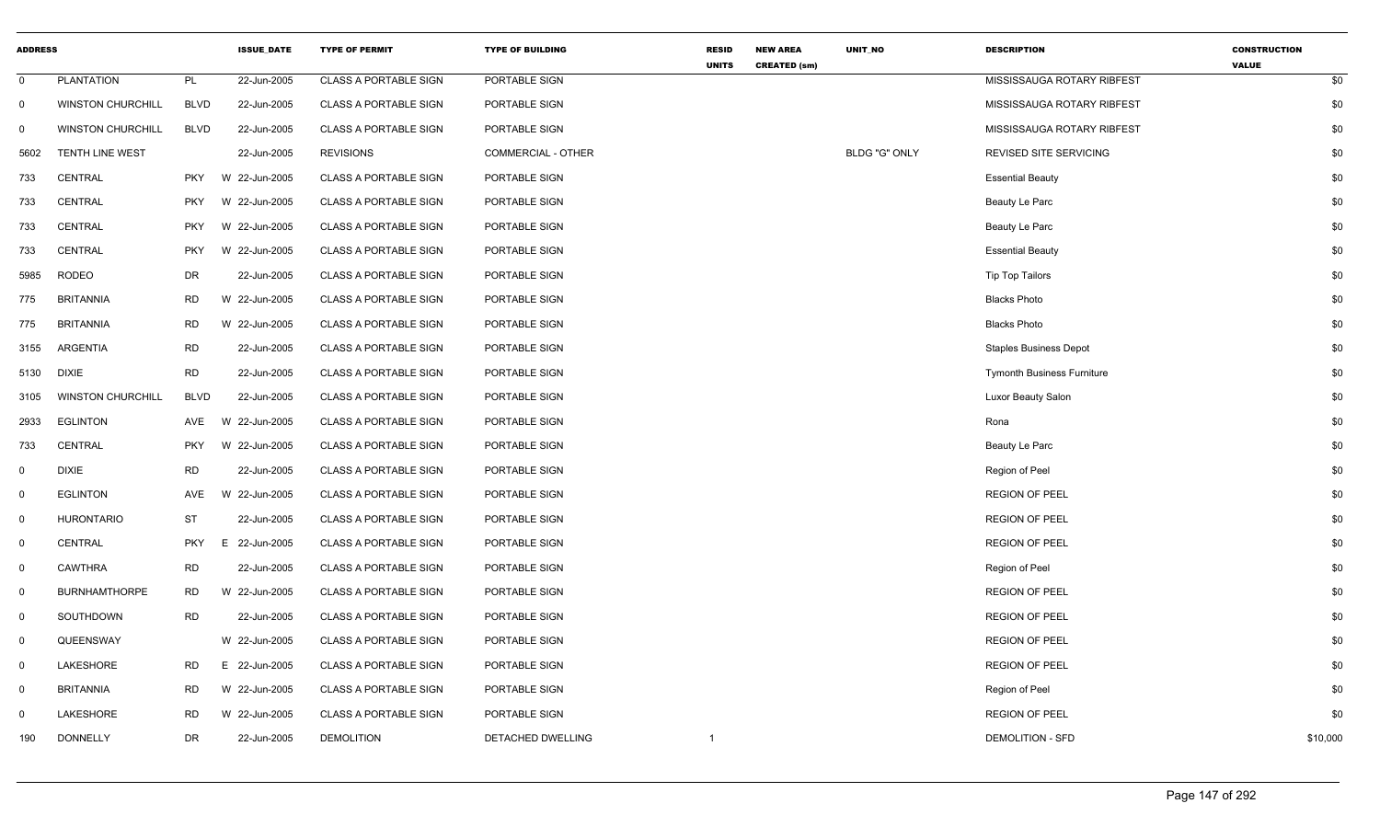| <b>ADDRESS</b> |                          |             | <b>ISSUE_DATE</b> | <b>TYPE OF PERMIT</b>        | <b>TYPE OF BUILDING</b>   | <b>RESID</b><br><b>UNITS</b> | <b>NEW AREA</b><br><b>CREATED (sm)</b> | UNIT_NO              | <b>DESCRIPTION</b>                | <b>CONSTRUCTION</b><br><b>VALUE</b> |
|----------------|--------------------------|-------------|-------------------|------------------------------|---------------------------|------------------------------|----------------------------------------|----------------------|-----------------------------------|-------------------------------------|
| $\mathbf 0$    | <b>PLANTATION</b>        | PL          | 22-Jun-2005       | <b>CLASS A PORTABLE SIGN</b> | PORTABLE SIGN             |                              |                                        |                      | MISSISSAUGA ROTARY RIBFEST        | \$0                                 |
| $\mathbf{0}$   | <b>WINSTON CHURCHILL</b> | <b>BLVD</b> | 22-Jun-2005       | <b>CLASS A PORTABLE SIGN</b> | PORTABLE SIGN             |                              |                                        |                      | MISSISSAUGA ROTARY RIBFEST        | \$0                                 |
| 0              | <b>WINSTON CHURCHILL</b> | <b>BLVD</b> | 22-Jun-2005       | <b>CLASS A PORTABLE SIGN</b> | PORTABLE SIGN             |                              |                                        |                      | MISSISSAUGA ROTARY RIBFEST        | \$0                                 |
| 5602           | <b>TENTH LINE WEST</b>   |             | 22-Jun-2005       | <b>REVISIONS</b>             | <b>COMMERCIAL - OTHER</b> |                              |                                        | <b>BLDG "G" ONLY</b> | REVISED SITE SERVICING            | \$0                                 |
| 733            | CENTRAL                  | <b>PKY</b>  | W 22-Jun-2005     | <b>CLASS A PORTABLE SIGN</b> | PORTABLE SIGN             |                              |                                        |                      | <b>Essential Beauty</b>           | \$0                                 |
| 733            | <b>CENTRAL</b>           | <b>PKY</b>  | W 22-Jun-2005     | <b>CLASS A PORTABLE SIGN</b> | PORTABLE SIGN             |                              |                                        |                      | Beauty Le Parc                    | \$0                                 |
| 733            | CENTRAL                  | <b>PKY</b>  | W 22-Jun-2005     | <b>CLASS A PORTABLE SIGN</b> | PORTABLE SIGN             |                              |                                        |                      | Beauty Le Parc                    | \$0                                 |
| 733            | <b>CENTRAL</b>           | <b>PKY</b>  | W 22-Jun-2005     | <b>CLASS A PORTABLE SIGN</b> | PORTABLE SIGN             |                              |                                        |                      | <b>Essential Beauty</b>           | \$0                                 |
| 5985           | <b>RODEO</b>             | <b>DR</b>   | 22-Jun-2005       | <b>CLASS A PORTABLE SIGN</b> | PORTABLE SIGN             |                              |                                        |                      | <b>Tip Top Tailors</b>            | \$0                                 |
| 775            | <b>BRITANNIA</b>         | <b>RD</b>   | W 22-Jun-2005     | <b>CLASS A PORTABLE SIGN</b> | PORTABLE SIGN             |                              |                                        |                      | <b>Blacks Photo</b>               | \$0                                 |
| 775            | <b>BRITANNIA</b>         | RD          | W 22-Jun-2005     | <b>CLASS A PORTABLE SIGN</b> | PORTABLE SIGN             |                              |                                        |                      | <b>Blacks Photo</b>               | \$0                                 |
| 3155           | ARGENTIA                 | <b>RD</b>   | 22-Jun-2005       | <b>CLASS A PORTABLE SIGN</b> | PORTABLE SIGN             |                              |                                        |                      | <b>Staples Business Depot</b>     | \$0                                 |
| 5130           | <b>DIXIE</b>             | <b>RD</b>   | 22-Jun-2005       | <b>CLASS A PORTABLE SIGN</b> | PORTABLE SIGN             |                              |                                        |                      | <b>Tymonth Business Furniture</b> | \$0                                 |
| 3105           | <b>WINSTON CHURCHILL</b> | <b>BLVD</b> | 22-Jun-2005       | <b>CLASS A PORTABLE SIGN</b> | PORTABLE SIGN             |                              |                                        |                      | Luxor Beauty Salon                | \$0                                 |
| 2933           | <b>EGLINTON</b>          | AVE         | W 22-Jun-2005     | <b>CLASS A PORTABLE SIGN</b> | PORTABLE SIGN             |                              |                                        |                      | Rona                              | \$0                                 |
| 733            | <b>CENTRAL</b>           | <b>PKY</b>  | W 22-Jun-2005     | <b>CLASS A PORTABLE SIGN</b> | PORTABLE SIGN             |                              |                                        |                      | Beauty Le Parc                    | \$0                                 |
| 0              | <b>DIXIE</b>             | <b>RD</b>   | 22-Jun-2005       | <b>CLASS A PORTABLE SIGN</b> | PORTABLE SIGN             |                              |                                        |                      | Region of Peel                    | \$0                                 |
| $\mathbf{0}$   | <b>EGLINTON</b>          | AVE         | W 22-Jun-2005     | <b>CLASS A PORTABLE SIGN</b> | PORTABLE SIGN             |                              |                                        |                      | <b>REGION OF PEEL</b>             | \$0                                 |
| $\mathbf{0}$   | <b>HURONTARIO</b>        | ST          | 22-Jun-2005       | <b>CLASS A PORTABLE SIGN</b> | PORTABLE SIGN             |                              |                                        |                      | <b>REGION OF PEEL</b>             | \$0                                 |
| $\mathbf 0$    | CENTRAL                  | <b>PKY</b>  | 22-Jun-2005<br>E. | <b>CLASS A PORTABLE SIGN</b> | PORTABLE SIGN             |                              |                                        |                      | <b>REGION OF PEEL</b>             | \$0                                 |
| $\Omega$       | <b>CAWTHRA</b>           | <b>RD</b>   | 22-Jun-2005       | <b>CLASS A PORTABLE SIGN</b> | PORTABLE SIGN             |                              |                                        |                      | Region of Peel                    | \$0                                 |
| $\mathbf 0$    | <b>BURNHAMTHORPE</b>     | <b>RD</b>   | W 22-Jun-2005     | <b>CLASS A PORTABLE SIGN</b> | PORTABLE SIGN             |                              |                                        |                      | <b>REGION OF PEEL</b>             | \$0                                 |
| $\mathbf 0$    | SOUTHDOWN                | RD          | 22-Jun-2005       | <b>CLASS A PORTABLE SIGN</b> | PORTABLE SIGN             |                              |                                        |                      | <b>REGION OF PEEL</b>             | \$0                                 |
| $\mathbf 0$    | QUEENSWAY                |             | W 22-Jun-2005     | <b>CLASS A PORTABLE SIGN</b> | PORTABLE SIGN             |                              |                                        |                      | <b>REGION OF PEEL</b>             | \$0                                 |
| $\mathbf 0$    | LAKESHORE                | RD          | E 22-Jun-2005     | <b>CLASS A PORTABLE SIGN</b> | PORTABLE SIGN             |                              |                                        |                      | <b>REGION OF PEEL</b>             | \$0                                 |
| $\mathbf 0$    | <b>BRITANNIA</b>         | RD          | W 22-Jun-2005     | <b>CLASS A PORTABLE SIGN</b> | PORTABLE SIGN             |                              |                                        |                      | Region of Peel                    | \$0                                 |
| 0              | LAKESHORE                | <b>RD</b>   | W 22-Jun-2005     | <b>CLASS A PORTABLE SIGN</b> | PORTABLE SIGN             |                              |                                        |                      | <b>REGION OF PEEL</b>             | \$0                                 |
| 190            | <b>DONNELLY</b>          | DR          | 22-Jun-2005       | <b>DEMOLITION</b>            | DETACHED DWELLING         | $\mathbf{1}$                 |                                        |                      | <b>DEMOLITION - SFD</b>           | \$10,000                            |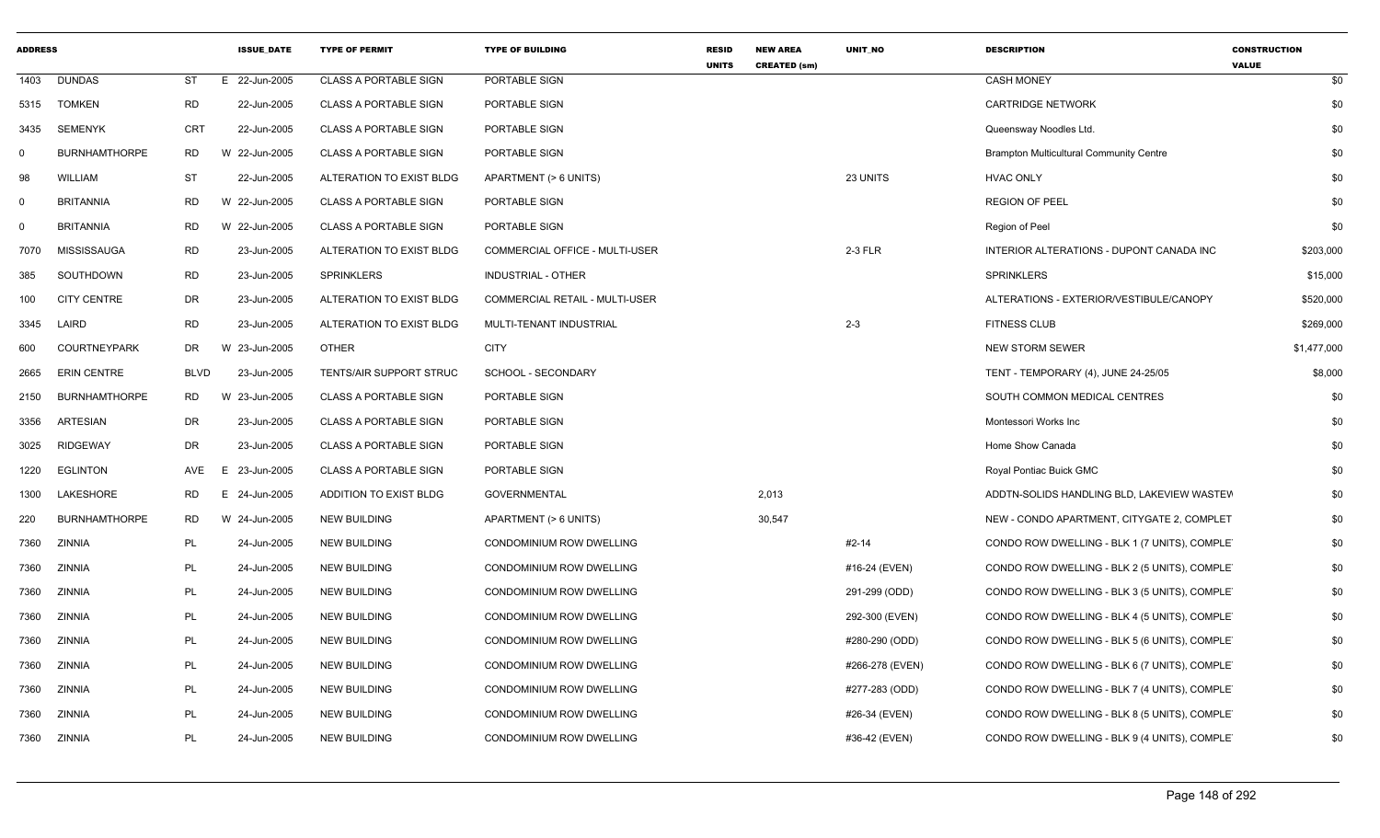| <b>ADDRESS</b> |                      |             | <b>ISSUE DATE</b> | <b>TYPE OF PERMIT</b>        | <b>TYPE OF BUILDING</b>        | <b>RESID</b><br><b>UNITS</b> | <b>NEW AREA</b><br><b>CREATED (sm)</b> | <b>UNIT NO</b>  | <b>DESCRIPTION</b>                             | <b>CONSTRUCTION</b><br><b>VALUE</b> |
|----------------|----------------------|-------------|-------------------|------------------------------|--------------------------------|------------------------------|----------------------------------------|-----------------|------------------------------------------------|-------------------------------------|
| 1403           | <b>DUNDAS</b>        | <b>ST</b>   | E 22-Jun-2005     | <b>CLASS A PORTABLE SIGN</b> | PORTABLE SIGN                  |                              |                                        |                 | <b>CASH MONEY</b>                              | \$0                                 |
| 5315           | <b>TOMKEN</b>        | <b>RD</b>   | 22-Jun-2005       | <b>CLASS A PORTABLE SIGN</b> | PORTABLE SIGN                  |                              |                                        |                 | <b>CARTRIDGE NETWORK</b>                       | \$0                                 |
| 3435           | <b>SEMENYK</b>       | <b>CRT</b>  | 22-Jun-2005       | <b>CLASS A PORTABLE SIGN</b> | PORTABLE SIGN                  |                              |                                        |                 | Queensway Noodles Ltd.                         | \$0                                 |
| 0              | <b>BURNHAMTHORPE</b> | RD          | W 22-Jun-2005     | <b>CLASS A PORTABLE SIGN</b> | PORTABLE SIGN                  |                              |                                        |                 | <b>Brampton Multicultural Community Centre</b> | \$0                                 |
| 98             | <b>WILLIAM</b>       | <b>ST</b>   | 22-Jun-2005       | ALTERATION TO EXIST BLDG     | APARTMENT (> 6 UNITS)          |                              |                                        | 23 UNITS        | <b>HVAC ONLY</b>                               | \$0                                 |
| 0              | <b>BRITANNIA</b>     | RD          | W 22-Jun-2005     | <b>CLASS A PORTABLE SIGN</b> | PORTABLE SIGN                  |                              |                                        |                 | <b>REGION OF PEEL</b>                          | \$0                                 |
| $\mathbf 0$    | <b>BRITANNIA</b>     | RD          | W 22-Jun-2005     | <b>CLASS A PORTABLE SIGN</b> | PORTABLE SIGN                  |                              |                                        |                 | Region of Peel                                 | \$0                                 |
| 7070           | MISSISSAUGA          | <b>RD</b>   | 23-Jun-2005       | ALTERATION TO EXIST BLDG     | COMMERCIAL OFFICE - MULTI-USER |                              |                                        | 2-3 FLR         | INTERIOR ALTERATIONS - DUPONT CANADA INC       | \$203,000                           |
| 385            | SOUTHDOWN            | RD          | 23-Jun-2005       | SPRINKLERS                   | INDUSTRIAL - OTHER             |                              |                                        |                 | <b>SPRINKLERS</b>                              | \$15,000                            |
| 100            | <b>CITY CENTRE</b>   | DR          | 23-Jun-2005       | ALTERATION TO EXIST BLDG     | COMMERCIAL RETAIL - MULTI-USER |                              |                                        |                 | ALTERATIONS - EXTERIOR/VESTIBULE/CANOPY        | \$520,000                           |
| 3345           | LAIRD                | <b>RD</b>   | 23-Jun-2005       | ALTERATION TO EXIST BLDG     | MULTI-TENANT INDUSTRIAL        |                              |                                        | $2 - 3$         | <b>FITNESS CLUB</b>                            | \$269,000                           |
| 600            | <b>COURTNEYPARK</b>  | DR          | 23-Jun-2005<br>W  | <b>OTHER</b>                 | <b>CITY</b>                    |                              |                                        |                 | <b>NEW STORM SEWER</b>                         | \$1,477,000                         |
| 2665           | <b>ERIN CENTRE</b>   | <b>BLVD</b> | 23-Jun-2005       | TENTS/AIR SUPPORT STRUC      | SCHOOL - SECONDARY             |                              |                                        |                 | TENT - TEMPORARY (4), JUNE 24-25/05            | \$8,000                             |
| 2150           | <b>BURNHAMTHORPE</b> | RD.         | W 23-Jun-2005     | <b>CLASS A PORTABLE SIGN</b> | PORTABLE SIGN                  |                              |                                        |                 | SOUTH COMMON MEDICAL CENTRES                   | \$0                                 |
| 3356           | ARTESIAN             | DR          | 23-Jun-2005       | <b>CLASS A PORTABLE SIGN</b> | PORTABLE SIGN                  |                              |                                        |                 | Montessori Works Inc                           | \$0                                 |
| 3025           | <b>RIDGEWAY</b>      | DR          | 23-Jun-2005       | <b>CLASS A PORTABLE SIGN</b> | PORTABLE SIGN                  |                              |                                        |                 | Home Show Canada                               | \$0                                 |
| 1220           | <b>EGLINTON</b>      | AVE         | 23-Jun-2005       | <b>CLASS A PORTABLE SIGN</b> | PORTABLE SIGN                  |                              |                                        |                 | Royal Pontiac Buick GMC                        | \$0                                 |
| 1300           | LAKESHORE            | RD          | 24-Jun-2005       | ADDITION TO EXIST BLDG       | <b>GOVERNMENTAL</b>            |                              | 2,013                                  |                 | ADDTN-SOLIDS HANDLING BLD, LAKEVIEW WASTEV     | \$0                                 |
| 220            | <b>BURNHAMTHORPE</b> | RD          | W 24-Jun-2005     | <b>NEW BUILDING</b>          | APARTMENT (> 6 UNITS)          |                              | 30,547                                 |                 | NEW - CONDO APARTMENT, CITYGATE 2, COMPLET     | \$0                                 |
| 7360           | ZINNIA               | PL          | 24-Jun-2005       | <b>NEW BUILDING</b>          | CONDOMINIUM ROW DWELLING       |                              |                                        | #2-14           | CONDO ROW DWELLING - BLK 1 (7 UNITS), COMPLET  | \$0                                 |
| 7360           | ZINNIA               | PL          | 24-Jun-2005       | NEW BUILDING                 | CONDOMINIUM ROW DWELLING       |                              |                                        | #16-24 (EVEN)   | CONDO ROW DWELLING - BLK 2 (5 UNITS), COMPLET  | \$0                                 |
| 7360           | ZINNIA               | PL          | 24-Jun-2005       | <b>NEW BUILDING</b>          | CONDOMINIUM ROW DWELLING       |                              |                                        | 291-299 (ODD)   | CONDO ROW DWELLING - BLK 3 (5 UNITS), COMPLET  | \$0                                 |
| 7360           | ZINNIA               | PL          | 24-Jun-2005       | <b>NEW BUILDING</b>          | CONDOMINIUM ROW DWELLING       |                              |                                        | 292-300 (EVEN)  | CONDO ROW DWELLING - BLK 4 (5 UNITS), COMPLET  | \$0                                 |
| 7360           | ZINNIA               | PL          | 24-Jun-2005       | NEW BUILDING                 | CONDOMINIUM ROW DWELLING       |                              |                                        | #280-290 (ODD)  | CONDO ROW DWELLING - BLK 5 (6 UNITS), COMPLET  | \$0                                 |
| 7360           | ZINNIA               | PL          | 24-Jun-2005       | <b>NEW BUILDING</b>          | CONDOMINIUM ROW DWELLING       |                              |                                        | #266-278 (EVEN) | CONDO ROW DWELLING - BLK 6 (7 UNITS), COMPLET  | \$0                                 |
| 7360           | ZINNIA               | PL          | 24-Jun-2005       | <b>NEW BUILDING</b>          | CONDOMINIUM ROW DWELLING       |                              |                                        | #277-283 (ODD)  | CONDO ROW DWELLING - BLK 7 (4 UNITS), COMPLET  | \$0                                 |
| 7360           | ZINNIA               | PL          | 24-Jun-2005       | <b>NEW BUILDING</b>          | CONDOMINIUM ROW DWELLING       |                              |                                        | #26-34 (EVEN)   | CONDO ROW DWELLING - BLK 8 (5 UNITS), COMPLET  | \$0                                 |
| 7360           | ZINNIA               | PL          | 24-Jun-2005       | <b>NEW BUILDING</b>          | CONDOMINIUM ROW DWELLING       |                              |                                        | #36-42 (EVEN)   | CONDO ROW DWELLING - BLK 9 (4 UNITS), COMPLET  | \$0                                 |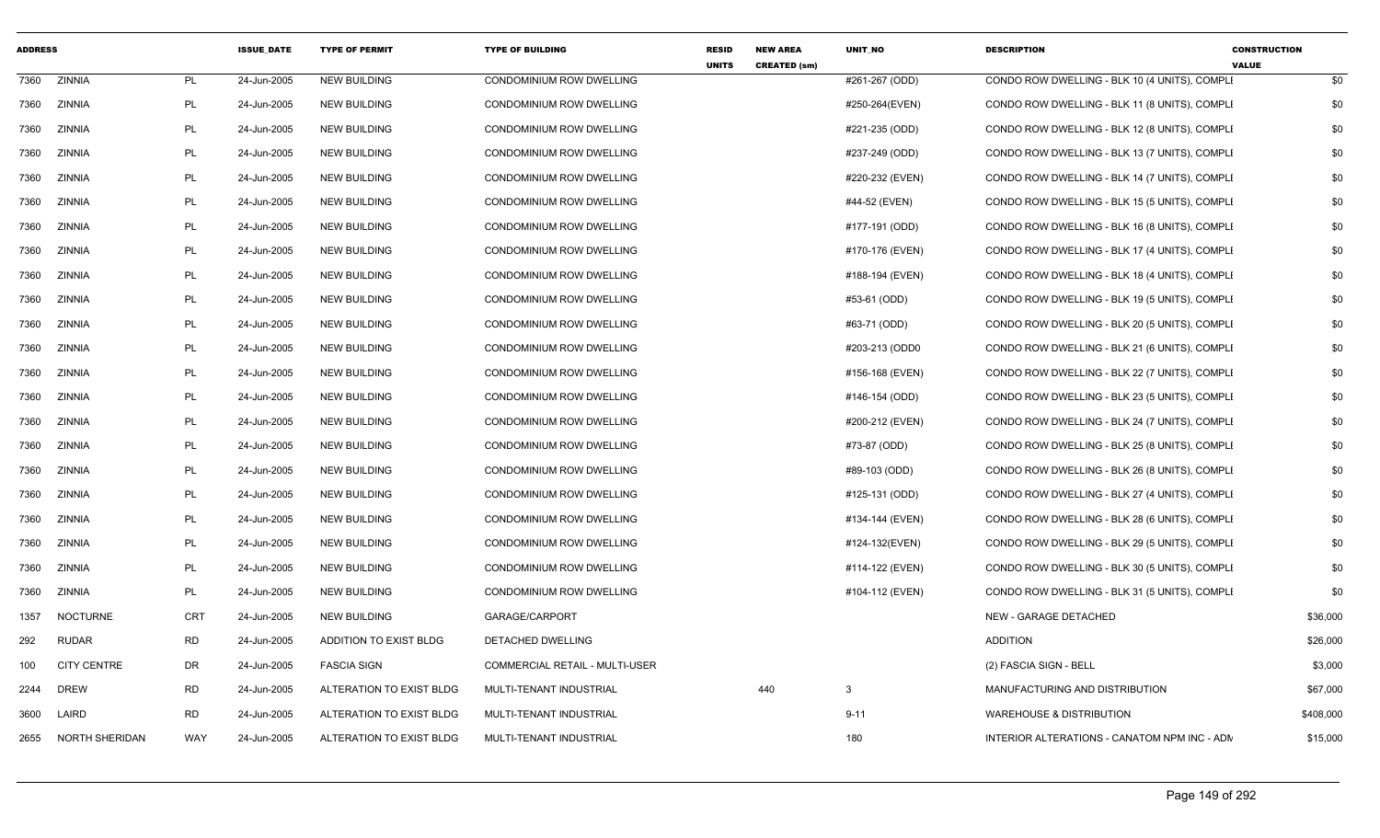| <b>ADDRESS</b> |                    |           | <b>ISSUE DATE</b> | <b>TYPE OF PERMIT</b>    | <b>TYPE OF BUILDING</b>        | <b>RESID</b><br><b>UNITS</b> | <b>NEW AREA</b><br><b>CREATED (sm)</b> | <b>UNIT NO</b>  | <b>DESCRIPTION</b>                            | <b>CONSTRUCTION</b><br><b>VALUE</b> |           |
|----------------|--------------------|-----------|-------------------|--------------------------|--------------------------------|------------------------------|----------------------------------------|-----------------|-----------------------------------------------|-------------------------------------|-----------|
| 7360           | ZINNIA             | <b>PL</b> | 24-Jun-2005       | <b>NEW BUILDING</b>      | CONDOMINIUM ROW DWELLING       |                              |                                        | #261-267 (ODD)  | CONDO ROW DWELLING - BLK 10 (4 UNITS), COMPLI |                                     | \$0       |
| 7360           | ZINNIA             | PL        | 24-Jun-2005       | <b>NEW BUILDING</b>      | CONDOMINIUM ROW DWELLING       |                              |                                        | #250-264(EVEN)  | CONDO ROW DWELLING - BLK 11 (8 UNITS), COMPLI |                                     | \$0       |
| 7360           | ZINNIA             | PL        | 24-Jun-2005       | <b>NEW BUILDING</b>      | CONDOMINIUM ROW DWELLING       |                              |                                        | #221-235 (ODD)  | CONDO ROW DWELLING - BLK 12 (8 UNITS), COMPLI |                                     | \$0       |
| 7360           | ZINNIA             | PL        | 24-Jun-2005       | <b>NEW BUILDING</b>      | CONDOMINIUM ROW DWELLING       |                              |                                        | #237-249 (ODD)  | CONDO ROW DWELLING - BLK 13 (7 UNITS), COMPLI |                                     | \$0       |
| 7360           | ZINNIA             | PL        | 24-Jun-2005       | <b>NEW BUILDING</b>      | CONDOMINIUM ROW DWELLING       |                              |                                        | #220-232 (EVEN) | CONDO ROW DWELLING - BLK 14 (7 UNITS), COMPLI |                                     | \$0       |
| 7360           | ZINNIA             | PL        | 24-Jun-2005       | <b>NEW BUILDING</b>      | CONDOMINIUM ROW DWELLING       |                              |                                        | #44-52 (EVEN)   | CONDO ROW DWELLING - BLK 15 (5 UNITS), COMPLI |                                     | \$0       |
| 7360           | ZINNIA             | PL        | 24-Jun-2005       | <b>NEW BUILDING</b>      | CONDOMINIUM ROW DWELLING       |                              |                                        | #177-191 (ODD)  | CONDO ROW DWELLING - BLK 16 (8 UNITS), COMPLI |                                     | \$0       |
| 7360           | ZINNIA             | PL        | 24-Jun-2005       | <b>NEW BUILDING</b>      | CONDOMINIUM ROW DWELLING       |                              |                                        | #170-176 (EVEN) | CONDO ROW DWELLING - BLK 17 (4 UNITS), COMPLI |                                     | \$0       |
| 7360           | ZINNIA             | PL        | 24-Jun-2005       | <b>NEW BUILDING</b>      | CONDOMINIUM ROW DWELLING       |                              |                                        | #188-194 (EVEN) | CONDO ROW DWELLING - BLK 18 (4 UNITS), COMPLI |                                     | \$0       |
| 7360           | ZINNIA             | PL        | 24-Jun-2005       | <b>NEW BUILDING</b>      | CONDOMINIUM ROW DWELLING       |                              |                                        | #53-61 (ODD)    | CONDO ROW DWELLING - BLK 19 (5 UNITS), COMPLI |                                     | \$0       |
| 7360           | ZINNIA             | PL        | 24-Jun-2005       | <b>NEW BUILDING</b>      | CONDOMINIUM ROW DWELLING       |                              |                                        | #63-71 (ODD)    | CONDO ROW DWELLING - BLK 20 (5 UNITS), COMPLI |                                     | \$0       |
| 7360           | ZINNIA             | PL        | 24-Jun-2005       | <b>NEW BUILDING</b>      | CONDOMINIUM ROW DWELLING       |                              |                                        | #203-213 (ODD0  | CONDO ROW DWELLING - BLK 21 (6 UNITS), COMPLI |                                     | \$0       |
| 7360           | ZINNIA             | PL        | 24-Jun-2005       | <b>NEW BUILDING</b>      | CONDOMINIUM ROW DWELLING       |                              |                                        | #156-168 (EVEN) | CONDO ROW DWELLING - BLK 22 (7 UNITS), COMPLI |                                     | \$0       |
| 7360           | ZINNIA             | PL        | 24-Jun-2005       | <b>NEW BUILDING</b>      | CONDOMINIUM ROW DWELLING       |                              |                                        | #146-154 (ODD)  | CONDO ROW DWELLING - BLK 23 (5 UNITS), COMPLI |                                     | \$0       |
| 7360           | ZINNIA             | PL        | 24-Jun-2005       | <b>NEW BUILDING</b>      | CONDOMINIUM ROW DWELLING       |                              |                                        | #200-212 (EVEN) | CONDO ROW DWELLING - BLK 24 (7 UNITS), COMPLI |                                     | \$0       |
| 7360           | ZINNIA             | PL        | 24-Jun-2005       | <b>NEW BUILDING</b>      | CONDOMINIUM ROW DWELLING       |                              |                                        | #73-87 (ODD)    | CONDO ROW DWELLING - BLK 25 (8 UNITS), COMPLI |                                     | \$0       |
| 7360           | ZINNIA             | PL        | 24-Jun-2005       | <b>NEW BUILDING</b>      | CONDOMINIUM ROW DWELLING       |                              |                                        | #89-103 (ODD)   | CONDO ROW DWELLING - BLK 26 (8 UNITS), COMPLI |                                     | \$0       |
| 7360           | ZINNIA             | PL        | 24-Jun-2005       | <b>NEW BUILDING</b>      | CONDOMINIUM ROW DWELLING       |                              |                                        | #125-131 (ODD)  | CONDO ROW DWELLING - BLK 27 (4 UNITS), COMPLI |                                     | \$0       |
| 7360           | ZINNIA             | PL        | 24-Jun-2005       | <b>NEW BUILDING</b>      | CONDOMINIUM ROW DWELLING       |                              |                                        | #134-144 (EVEN) | CONDO ROW DWELLING - BLK 28 (6 UNITS), COMPLI |                                     | \$0       |
| 7360           | ZINNIA             | PL        | 24-Jun-2005       | <b>NEW BUILDING</b>      | CONDOMINIUM ROW DWELLING       |                              |                                        | #124-132(EVEN)  | CONDO ROW DWELLING - BLK 29 (5 UNITS), COMPLI |                                     | \$0       |
| 7360           | ZINNIA             | PL        | 24-Jun-2005       | <b>NEW BUILDING</b>      | CONDOMINIUM ROW DWELLING       |                              |                                        | #114-122 (EVEN) | CONDO ROW DWELLING - BLK 30 (5 UNITS), COMPLI |                                     | \$0       |
| 7360           | ZINNIA             | PL        | 24-Jun-2005       | <b>NEW BUILDING</b>      | CONDOMINIUM ROW DWELLING       |                              |                                        | #104-112 (EVEN) | CONDO ROW DWELLING - BLK 31 (5 UNITS), COMPLI |                                     | \$0       |
| 1357           | <b>NOCTURNE</b>    | CRT       | 24-Jun-2005       | <b>NEW BUILDING</b>      | GARAGE/CARPORT                 |                              |                                        |                 | NEW - GARAGE DETACHED                         |                                     | \$36,000  |
| 292            | <b>RUDAR</b>       | <b>RD</b> | 24-Jun-2005       | ADDITION TO EXIST BLDG   | DETACHED DWELLING              |                              |                                        |                 | <b>ADDITION</b>                               |                                     | \$26,000  |
| 100            | <b>CITY CENTRE</b> | DR        | 24-Jun-2005       | <b>FASCIA SIGN</b>       | COMMERCIAL RETAIL - MULTI-USER |                              |                                        |                 | (2) FASCIA SIGN - BELL                        |                                     | \$3,000   |
| 2244           | <b>DREW</b>        | <b>RD</b> | 24-Jun-2005       | ALTERATION TO EXIST BLDG | MULTI-TENANT INDUSTRIAL        |                              | 440                                    | 3               | MANUFACTURING AND DISTRIBUTION                |                                     | \$67,000  |
| 3600           | LAIRD              | RD        | 24-Jun-2005       | ALTERATION TO EXIST BLDG | MULTI-TENANT INDUSTRIAL        |                              |                                        | $9 - 11$        | <b>WAREHOUSE &amp; DISTRIBUTION</b>           |                                     | \$408,000 |
| 2655           | NORTH SHERIDAN     | WAY       | 24-Jun-2005       | ALTERATION TO EXIST BLDG | MULTI-TENANT INDUSTRIAL        |                              |                                        | 180             | INTERIOR ALTERATIONS - CANATOM NPM INC - ADN  |                                     | \$15,000  |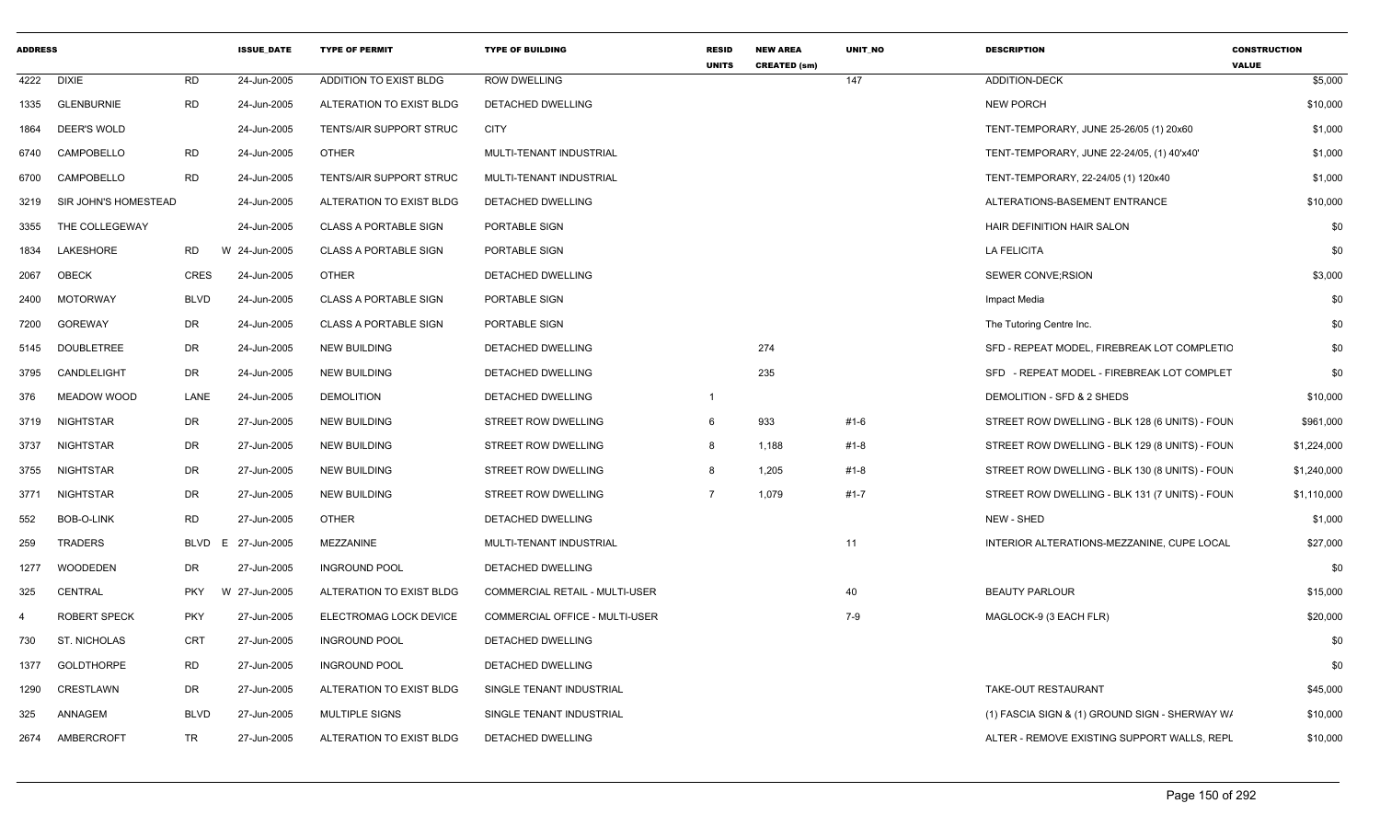| <b>ADDRESS</b> |                      |             | <b>ISSUE_DATE</b> | <b>TYPE OF PERMIT</b>        | <b>TYPE OF BUILDING</b>        | <b>RESID</b><br><b>UNITS</b> | <b>NEW AREA</b><br><b>CREATED (sm)</b> | UNIT_NO | <b>DESCRIPTION</b>                             | <b>CONSTRUCTION</b><br><b>VALUE</b> |
|----------------|----------------------|-------------|-------------------|------------------------------|--------------------------------|------------------------------|----------------------------------------|---------|------------------------------------------------|-------------------------------------|
| 4222           | <b>DIXIE</b>         | <b>RD</b>   | 24-Jun-2005       | ADDITION TO EXIST BLDG       | <b>ROW DWELLING</b>            |                              |                                        | 147     | <b>ADDITION-DECK</b>                           | \$5,000                             |
| 1335           | <b>GLENBURNIE</b>    | <b>RD</b>   | 24-Jun-2005       | ALTERATION TO EXIST BLDG     | DETACHED DWELLING              |                              |                                        |         | <b>NEW PORCH</b>                               | \$10,000                            |
| 1864           | <b>DEER'S WOLD</b>   |             | 24-Jun-2005       | TENTS/AIR SUPPORT STRUC      | <b>CITY</b>                    |                              |                                        |         | TENT-TEMPORARY, JUNE 25-26/05 (1) 20x60        | \$1,000                             |
| 6740           | CAMPOBELLO           | <b>RD</b>   | 24-Jun-2005       | <b>OTHER</b>                 | MULTI-TENANT INDUSTRIAL        |                              |                                        |         | TENT-TEMPORARY, JUNE 22-24/05, (1) 40'x40'     | \$1,000                             |
| 6700           | CAMPOBELLO           | <b>RD</b>   | 24-Jun-2005       | TENTS/AIR SUPPORT STRUC      | MULTI-TENANT INDUSTRIAL        |                              |                                        |         | TENT-TEMPORARY, 22-24/05 (1) 120x40            | \$1,000                             |
| 3219           | SIR JOHN'S HOMESTEAD |             | 24-Jun-2005       | ALTERATION TO EXIST BLDG     | DETACHED DWELLING              |                              |                                        |         | ALTERATIONS-BASEMENT ENTRANCE                  | \$10,000                            |
| 3355           | THE COLLEGEWAY       |             | 24-Jun-2005       | <b>CLASS A PORTABLE SIGN</b> | PORTABLE SIGN                  |                              |                                        |         | HAIR DEFINITION HAIR SALON                     | \$0                                 |
| 1834           | <b>LAKESHORE</b>     | <b>RD</b>   | W 24-Jun-2005     | <b>CLASS A PORTABLE SIGN</b> | PORTABLE SIGN                  |                              |                                        |         | <b>LA FELICITA</b>                             | \$0                                 |
| 2067           | OBECK                | CRES        | 24-Jun-2005       | <b>OTHER</b>                 | DETACHED DWELLING              |                              |                                        |         | <b>SEWER CONVE; RSION</b>                      | \$3,000                             |
| 2400           | <b>MOTORWAY</b>      | <b>BLVD</b> | 24-Jun-2005       | <b>CLASS A PORTABLE SIGN</b> | PORTABLE SIGN                  |                              |                                        |         | Impact Media                                   | \$0                                 |
| 7200           | <b>GOREWAY</b>       | DR          | 24-Jun-2005       | <b>CLASS A PORTABLE SIGN</b> | PORTABLE SIGN                  |                              |                                        |         | The Tutoring Centre Inc.                       | \$0                                 |
| 5145           | <b>DOUBLETREE</b>    | <b>DR</b>   | 24-Jun-2005       | <b>NEW BUILDING</b>          | <b>DETACHED DWELLING</b>       |                              | 274                                    |         | SFD - REPEAT MODEL, FIREBREAK LOT COMPLETIC    | \$0                                 |
| 3795           | CANDLELIGHT          | <b>DR</b>   | 24-Jun-2005       | <b>NEW BUILDING</b>          | DETACHED DWELLING              |                              | 235                                    |         | SFD - REPEAT MODEL - FIREBREAK LOT COMPLET     | \$0                                 |
| 376            | MEADOW WOOD          | LANE        | 24-Jun-2005       | <b>DEMOLITION</b>            | DETACHED DWELLING              | $\overline{1}$               |                                        |         | DEMOLITION - SFD & 2 SHEDS                     | \$10,000                            |
| 3719           | <b>NIGHTSTAR</b>     | DR          | 27-Jun-2005       | <b>NEW BUILDING</b>          | <b>STREET ROW DWELLING</b>     | 6                            | 933                                    | #1-6    | STREET ROW DWELLING - BLK 128 (6 UNITS) - FOUN | \$961,000                           |
| 3737           | NIGHTSTAR            | DR          | 27-Jun-2005       | <b>NEW BUILDING</b>          | STREET ROW DWELLING            | -8                           | 1,188                                  | #1-8    | STREET ROW DWELLING - BLK 129 (8 UNITS) - FOUN | \$1,224,000                         |
| 3755           | <b>NIGHTSTAR</b>     | <b>DR</b>   | 27-Jun-2005       | <b>NEW BUILDING</b>          | STREET ROW DWELLING            | -8                           | 1,205                                  | $#1-8$  | STREET ROW DWELLING - BLK 130 (8 UNITS) - FOUN | \$1,240,000                         |
| 3771           | NIGHTSTAR            | DR          | 27-Jun-2005       | <b>NEW BUILDING</b>          | STREET ROW DWELLING            | $\overline{7}$               | 1,079                                  | #1-7    | STREET ROW DWELLING - BLK 131 (7 UNITS) - FOUN | \$1,110,000                         |
| 552            | <b>BOB-O-LINK</b>    | <b>RD</b>   | 27-Jun-2005       | <b>OTHER</b>                 | DETACHED DWELLING              |                              |                                        |         | NEW - SHED                                     | \$1,000                             |
| 259            | <b>TRADERS</b>       | BLVD        | E 27-Jun-2005     | MEZZANINE                    | MULTI-TENANT INDUSTRIAL        |                              |                                        | 11      | INTERIOR ALTERATIONS-MEZZANINE, CUPE LOCAL     | \$27,000                            |
| 1277           | <b>WOODEDEN</b>      | <b>DR</b>   | 27-Jun-2005       | <b>INGROUND POOL</b>         | DETACHED DWELLING              |                              |                                        |         |                                                | \$0                                 |
| 325            | CENTRAL              | <b>PKY</b>  | W 27-Jun-2005     | ALTERATION TO EXIST BLDG     | COMMERCIAL RETAIL - MULTI-USER |                              |                                        | 40      | <b>BEAUTY PARLOUR</b>                          | \$15,000                            |
| -4             | <b>ROBERT SPECK</b>  | <b>PKY</b>  | 27-Jun-2005       | ELECTROMAG LOCK DEVICE       | COMMERCIAL OFFICE - MULTI-USER |                              |                                        | 7-9     | MAGLOCK-9 (3 EACH FLR)                         | \$20,000                            |
| 730            | ST. NICHOLAS         | CRT         | 27-Jun-2005       | <b>INGROUND POOL</b>         | DETACHED DWELLING              |                              |                                        |         |                                                | \$0                                 |
| 1377           | <b>GOLDTHORPE</b>    | <b>RD</b>   | 27-Jun-2005       | <b>INGROUND POOL</b>         | DETACHED DWELLING              |                              |                                        |         |                                                | \$0                                 |
| 1290           | <b>CRESTLAWN</b>     | DR          | 27-Jun-2005       | ALTERATION TO EXIST BLDG     | SINGLE TENANT INDUSTRIAL       |                              |                                        |         | <b>TAKE-OUT RESTAURANT</b>                     | \$45,000                            |
| 325            | ANNAGEM              | <b>BLVD</b> | 27-Jun-2005       | <b>MULTIPLE SIGNS</b>        | SINGLE TENANT INDUSTRIAL       |                              |                                        |         | (1) FASCIA SIGN & (1) GROUND SIGN - SHERWAY W/ | \$10,000                            |
| 2674           | AMBERCROFT           | TR          | 27-Jun-2005       | ALTERATION TO EXIST BLDG     | DETACHED DWELLING              |                              |                                        |         | ALTER - REMOVE EXISTING SUPPORT WALLS, REPL    | \$10,000                            |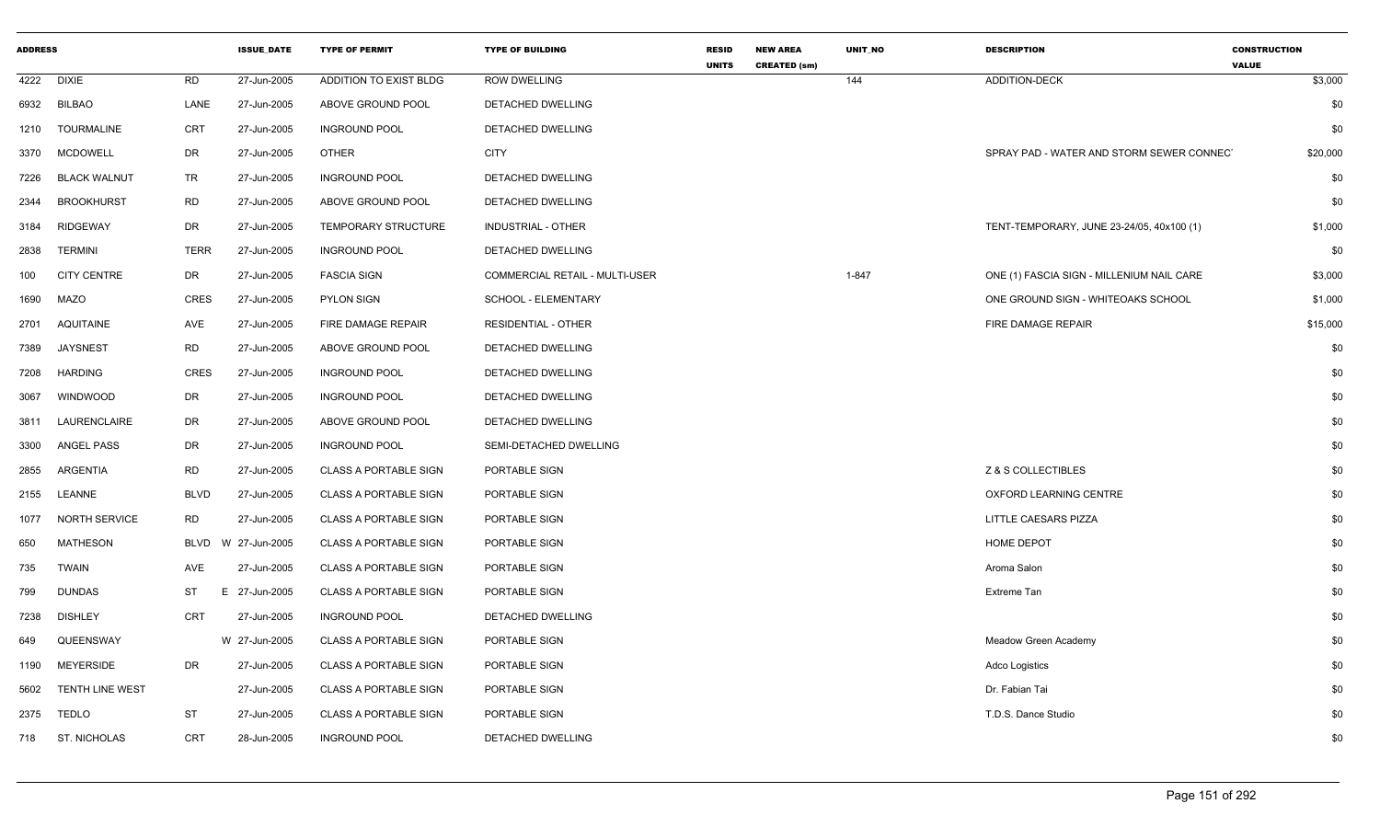| <b>ADDRESS</b> |                        |             | <b>ISSUE_DATE</b> | <b>TYPE OF PERMIT</b>        | <b>TYPE OF BUILDING</b>        | <b>RESID</b><br><b>UNITS</b> | <b>NEW AREA</b><br><b>CREATED (sm)</b> | <b>UNIT NO</b> | <b>DESCRIPTION</b>                        | <b>CONSTRUCTION</b><br><b>VALUE</b> |
|----------------|------------------------|-------------|-------------------|------------------------------|--------------------------------|------------------------------|----------------------------------------|----------------|-------------------------------------------|-------------------------------------|
| 4222           | <b>DIXIE</b>           | <b>RD</b>   | 27-Jun-2005       | ADDITION TO EXIST BLDG       | <b>ROW DWELLING</b>            |                              |                                        | 144            | <b>ADDITION-DECK</b>                      | \$3,000                             |
| 6932           | <b>BILBAO</b>          | LANE        | 27-Jun-2005       | ABOVE GROUND POOL            | DETACHED DWELLING              |                              |                                        |                |                                           | \$0                                 |
| 1210           | <b>TOURMALINE</b>      | <b>CRT</b>  | 27-Jun-2005       | <b>INGROUND POOL</b>         | DETACHED DWELLING              |                              |                                        |                |                                           | \$0                                 |
| 3370           | <b>MCDOWELL</b>        | DR          | 27-Jun-2005       | <b>OTHER</b>                 | <b>CITY</b>                    |                              |                                        |                | SPRAY PAD - WATER AND STORM SEWER CONNECT | \$20,000                            |
| 7226           | <b>BLACK WALNUT</b>    | <b>TR</b>   | 27-Jun-2005       | <b>INGROUND POOL</b>         | DETACHED DWELLING              |                              |                                        |                |                                           | \$0                                 |
| 2344           | <b>BROOKHURST</b>      | <b>RD</b>   | 27-Jun-2005       | ABOVE GROUND POOL            | DETACHED DWELLING              |                              |                                        |                |                                           | \$0                                 |
| 3184           | <b>RIDGEWAY</b>        | DR          | 27-Jun-2005       | <b>TEMPORARY STRUCTURE</b>   | INDUSTRIAL - OTHER             |                              |                                        |                | TENT-TEMPORARY, JUNE 23-24/05, 40x100 (1) | \$1,000                             |
| 2838           | <b>TERMINI</b>         | <b>TERR</b> | 27-Jun-2005       | <b>INGROUND POOL</b>         | DETACHED DWELLING              |                              |                                        |                |                                           | \$0                                 |
| 100            | <b>CITY CENTRE</b>     | DR          | 27-Jun-2005       | <b>FASCIA SIGN</b>           | COMMERCIAL RETAIL - MULTI-USER |                              |                                        | $1 - 847$      | ONE (1) FASCIA SIGN - MILLENIUM NAIL CARE | \$3,000                             |
| 1690           | <b>MAZO</b>            | <b>CRES</b> | 27-Jun-2005       | <b>PYLON SIGN</b>            | SCHOOL - ELEMENTARY            |                              |                                        |                | ONE GROUND SIGN - WHITEOAKS SCHOOL        | \$1,000                             |
| 2701           | <b>AQUITAINE</b>       | AVE         | 27-Jun-2005       | FIRE DAMAGE REPAIR           | RESIDENTIAL - OTHER            |                              |                                        |                | FIRE DAMAGE REPAIR                        | \$15,000                            |
| 7389           | <b>JAYSNEST</b>        | <b>RD</b>   | 27-Jun-2005       | ABOVE GROUND POOL            | DETACHED DWELLING              |                              |                                        |                |                                           | \$0                                 |
| 7208           | <b>HARDING</b>         | <b>CRES</b> | 27-Jun-2005       | <b>INGROUND POOL</b>         | DETACHED DWELLING              |                              |                                        |                |                                           | \$0                                 |
| 3067           | <b>WINDWOOD</b>        | DR          | 27-Jun-2005       | <b>INGROUND POOL</b>         | DETACHED DWELLING              |                              |                                        |                |                                           | \$0                                 |
| 3811           | LAURENCLAIRE           | DR          | 27-Jun-2005       | ABOVE GROUND POOL            | DETACHED DWELLING              |                              |                                        |                |                                           | \$0                                 |
| 3300           | <b>ANGEL PASS</b>      | <b>DR</b>   | 27-Jun-2005       | <b>INGROUND POOL</b>         | SEMI-DETACHED DWELLING         |                              |                                        |                |                                           | \$0                                 |
| 2855           | <b>ARGENTIA</b>        | <b>RD</b>   | 27-Jun-2005       | <b>CLASS A PORTABLE SIGN</b> | PORTABLE SIGN                  |                              |                                        |                | Z & S COLLECTIBLES                        | \$0                                 |
| 2155           | LEANNE                 | <b>BLVD</b> | 27-Jun-2005       | <b>CLASS A PORTABLE SIGN</b> | PORTABLE SIGN                  |                              |                                        |                | OXFORD LEARNING CENTRE                    | \$0                                 |
| 1077           | NORTH SERVICE          | <b>RD</b>   | 27-Jun-2005       | <b>CLASS A PORTABLE SIGN</b> | PORTABLE SIGN                  |                              |                                        |                | LITTLE CAESARS PIZZA                      | \$0                                 |
| 650            | <b>MATHESON</b>        | <b>BLVD</b> | W 27-Jun-2005     | <b>CLASS A PORTABLE SIGN</b> | PORTABLE SIGN                  |                              |                                        |                | HOME DEPOT                                | \$0                                 |
| 735            | <b>TWAIN</b>           | AVE         | 27-Jun-2005       | <b>CLASS A PORTABLE SIGN</b> | PORTABLE SIGN                  |                              |                                        |                | Aroma Salon                               | \$0                                 |
| 799            | <b>DUNDAS</b>          | ST<br>E.    | 27-Jun-2005       | <b>CLASS A PORTABLE SIGN</b> | PORTABLE SIGN                  |                              |                                        |                | Extreme Tan                               | \$0                                 |
| 7238           | <b>DISHLEY</b>         | CRT         | 27-Jun-2005       | <b>INGROUND POOL</b>         | DETACHED DWELLING              |                              |                                        |                |                                           | \$0                                 |
| 649            | QUEENSWAY              |             | W 27-Jun-2005     | <b>CLASS A PORTABLE SIGN</b> | PORTABLE SIGN                  |                              |                                        |                | <b>Meadow Green Academy</b>               | \$0                                 |
| 1190           | <b>MEYERSIDE</b>       | DR.         | 27-Jun-2005       | <b>CLASS A PORTABLE SIGN</b> | PORTABLE SIGN                  |                              |                                        |                | <b>Adco Logistics</b>                     | \$0                                 |
| 5602           | <b>TENTH LINE WEST</b> |             | 27-Jun-2005       | <b>CLASS A PORTABLE SIGN</b> | PORTABLE SIGN                  |                              |                                        |                | Dr. Fabian Tai                            | \$0                                 |
| 2375           | <b>TEDLO</b>           | <b>ST</b>   | 27-Jun-2005       | <b>CLASS A PORTABLE SIGN</b> | PORTABLE SIGN                  |                              |                                        |                | T.D.S. Dance Studio                       | \$0                                 |
| 718            | ST. NICHOLAS           | <b>CRT</b>  | 28-Jun-2005       | <b>INGROUND POOL</b>         | DETACHED DWELLING              |                              |                                        |                |                                           | \$0                                 |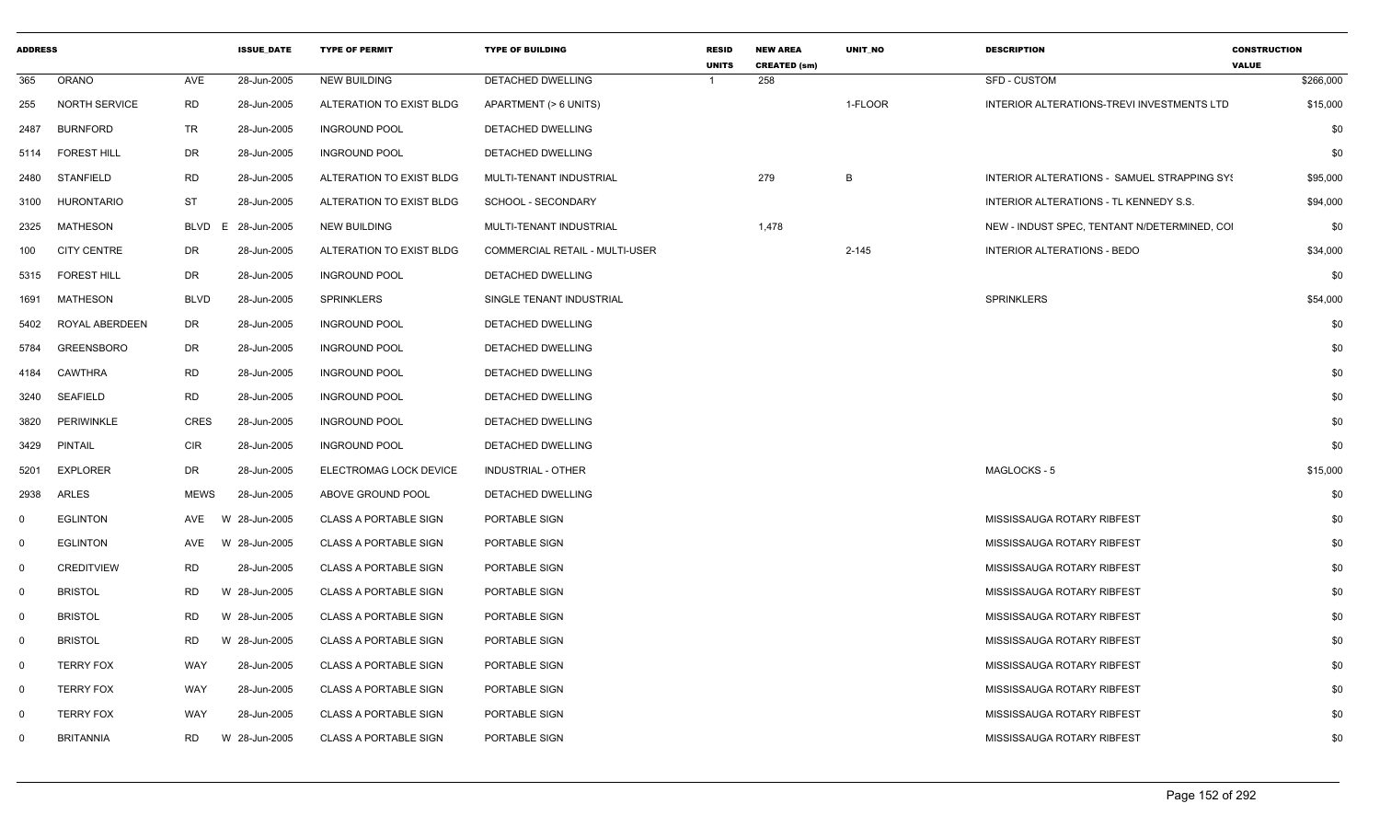| <b>ADDRESS</b> |                      |             | <b>ISSUE DATE</b> | <b>TYPE OF PERMIT</b>        | <b>TYPE OF BUILDING</b>        | <b>RESID</b><br><b>UNITS</b> | <b>NEW AREA</b><br><b>CREATED (sm)</b> | <b>UNIT NO</b> | <b>DESCRIPTION</b>                           | <b>CONSTRUCTION</b><br><b>VALUE</b> |
|----------------|----------------------|-------------|-------------------|------------------------------|--------------------------------|------------------------------|----------------------------------------|----------------|----------------------------------------------|-------------------------------------|
| 365            | <b>ORANO</b>         | AVE         | 28-Jun-2005       | <b>NEW BUILDING</b>          | <b>DETACHED DWELLING</b>       |                              | 258                                    |                | <b>SFD - CUSTOM</b>                          | \$266,000                           |
| 255            | <b>NORTH SERVICE</b> | <b>RD</b>   | 28-Jun-2005       | ALTERATION TO EXIST BLDG     | APARTMENT (> 6 UNITS)          |                              |                                        | 1-FLOOR        | INTERIOR ALTERATIONS-TREVI INVESTMENTS LTD   | \$15,000                            |
| 2487           | <b>BURNFORD</b>      | TR          | 28-Jun-2005       | <b>INGROUND POOL</b>         | DETACHED DWELLING              |                              |                                        |                |                                              | \$0                                 |
| 5114           | <b>FOREST HILL</b>   | DR          | 28-Jun-2005       | <b>INGROUND POOL</b>         | DETACHED DWELLING              |                              |                                        |                |                                              | \$0                                 |
| 2480           | STANFIELD            | <b>RD</b>   | 28-Jun-2005       | ALTERATION TO EXIST BLDG     | MULTI-TENANT INDUSTRIAL        |                              | 279                                    | B              | INTERIOR ALTERATIONS - SAMUEL STRAPPING SYS  | \$95,000                            |
| 3100           | <b>HURONTARIO</b>    | ST          | 28-Jun-2005       | ALTERATION TO EXIST BLDG     | SCHOOL - SECONDARY             |                              |                                        |                | INTERIOR ALTERATIONS - TL KENNEDY S.S.       | \$94,000                            |
| 2325           | MATHESON             | BLVD        | 28-Jun-2005<br>E. | <b>NEW BUILDING</b>          | MULTI-TENANT INDUSTRIAL        |                              | 1,478                                  |                | NEW - INDUST SPEC, TENTANT N/DETERMINED, COI | \$0                                 |
| 100            | <b>CITY CENTRE</b>   | DR          | 28-Jun-2005       | ALTERATION TO EXIST BLDG     | COMMERCIAL RETAIL - MULTI-USER |                              |                                        | $2 - 145$      | INTERIOR ALTERATIONS - BEDO                  | \$34,000                            |
| 5315           | <b>FOREST HILL</b>   | DR          | 28-Jun-2005       | <b>INGROUND POOL</b>         | DETACHED DWELLING              |                              |                                        |                |                                              | \$0                                 |
| 1691           | MATHESON             | <b>BLVD</b> | 28-Jun-2005       | <b>SPRINKLERS</b>            | SINGLE TENANT INDUSTRIAL       |                              |                                        |                | <b>SPRINKLERS</b>                            | \$54,000                            |
| 5402           | ROYAL ABERDEEN       | DR          | 28-Jun-2005       | <b>INGROUND POOL</b>         | DETACHED DWELLING              |                              |                                        |                |                                              | \$0                                 |
| 5784           | <b>GREENSBORO</b>    | DR          | 28-Jun-2005       | <b>INGROUND POOL</b>         | DETACHED DWELLING              |                              |                                        |                |                                              | \$0                                 |
| 4184           | <b>CAWTHRA</b>       | <b>RD</b>   | 28-Jun-2005       | <b>INGROUND POOL</b>         | DETACHED DWELLING              |                              |                                        |                |                                              | \$0                                 |
| 3240           | <b>SEAFIELD</b>      | <b>RD</b>   | 28-Jun-2005       | <b>INGROUND POOL</b>         | DETACHED DWELLING              |                              |                                        |                |                                              | \$0                                 |
| 3820           | <b>PERIWINKLE</b>    | <b>CRES</b> | 28-Jun-2005       | <b>INGROUND POOL</b>         | DETACHED DWELLING              |                              |                                        |                |                                              | \$0                                 |
| 3429           | PINTAIL              | <b>CIR</b>  | 28-Jun-2005       | <b>INGROUND POOL</b>         | DETACHED DWELLING              |                              |                                        |                |                                              | \$0                                 |
| 5201           | <b>EXPLORER</b>      | DR          | 28-Jun-2005       | ELECTROMAG LOCK DEVICE       | INDUSTRIAL - OTHER             |                              |                                        |                | MAGLOCKS - 5                                 | \$15,000                            |
| 2938           | ARLES                | <b>MEWS</b> | 28-Jun-2005       | ABOVE GROUND POOL            | DETACHED DWELLING              |                              |                                        |                |                                              | \$0                                 |
| $\mathbf 0$    | <b>EGLINTON</b>      | AVE         | W 28-Jun-2005     | <b>CLASS A PORTABLE SIGN</b> | PORTABLE SIGN                  |                              |                                        |                | MISSISSAUGA ROTARY RIBFEST                   | \$0                                 |
| $\mathbf 0$    | <b>EGLINTON</b>      | <b>AVE</b>  | W 28-Jun-2005     | <b>CLASS A PORTABLE SIGN</b> | PORTABLE SIGN                  |                              |                                        |                | MISSISSAUGA ROTARY RIBFEST                   | \$0                                 |
| $\mathbf 0$    | <b>CREDITVIEW</b>    | RD          | 28-Jun-2005       | <b>CLASS A PORTABLE SIGN</b> | PORTABLE SIGN                  |                              |                                        |                | MISSISSAUGA ROTARY RIBFEST                   | \$0                                 |
| $\mathbf 0$    | <b>BRISTOL</b>       | <b>RD</b>   | W 28-Jun-2005     | <b>CLASS A PORTABLE SIGN</b> | PORTABLE SIGN                  |                              |                                        |                | MISSISSAUGA ROTARY RIBFEST                   | \$0                                 |
| $\mathbf 0$    | <b>BRISTOL</b>       | RD          | W 28-Jun-2005     | <b>CLASS A PORTABLE SIGN</b> | PORTABLE SIGN                  |                              |                                        |                | MISSISSAUGA ROTARY RIBFEST                   | \$0                                 |
| $\mathbf 0$    | <b>BRISTOL</b>       | <b>RD</b>   | W 28-Jun-2005     | <b>CLASS A PORTABLE SIGN</b> | PORTABLE SIGN                  |                              |                                        |                | MISSISSAUGA ROTARY RIBFEST                   | \$0                                 |
| $\mathbf 0$    | <b>TERRY FOX</b>     | WAY         | 28-Jun-2005       | <b>CLASS A PORTABLE SIGN</b> | PORTABLE SIGN                  |                              |                                        |                | MISSISSAUGA ROTARY RIBFEST                   | \$0                                 |
| $\mathbf 0$    | <b>TERRY FOX</b>     | WAY         | 28-Jun-2005       | <b>CLASS A PORTABLE SIGN</b> | PORTABLE SIGN                  |                              |                                        |                | MISSISSAUGA ROTARY RIBFEST                   | \$0                                 |
| $\mathbf 0$    | <b>TERRY FOX</b>     | WAY         | 28-Jun-2005       | <b>CLASS A PORTABLE SIGN</b> | PORTABLE SIGN                  |                              |                                        |                | MISSISSAUGA ROTARY RIBFEST                   | \$0                                 |
| 0              | <b>BRITANNIA</b>     | RD          | W 28-Jun-2005     | <b>CLASS A PORTABLE SIGN</b> | PORTABLE SIGN                  |                              |                                        |                | MISSISSAUGA ROTARY RIBFEST                   | \$0                                 |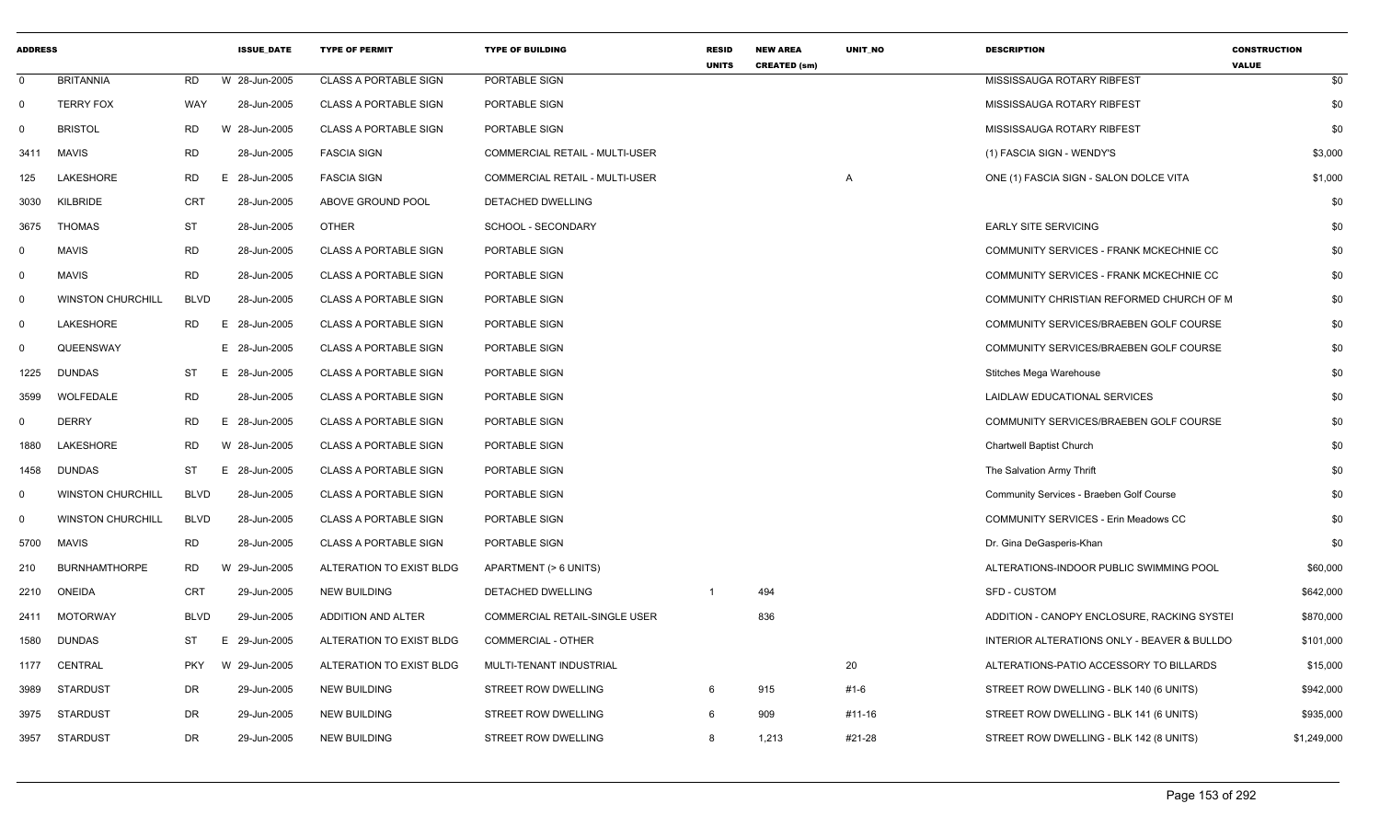| <b>ADDRESS</b> |                          |             | <b>ISSUE DATE</b> | <b>TYPE OF PERMIT</b>        | <b>TYPE OF BUILDING</b>              | <b>RESID</b><br><b>UNITS</b> | <b>NEW AREA</b><br><b>CREATED (sm)</b> | <b>UNIT NO</b> | <b>DESCRIPTION</b>                          | <b>CONSTRUCTION</b><br><b>VALUE</b> |
|----------------|--------------------------|-------------|-------------------|------------------------------|--------------------------------------|------------------------------|----------------------------------------|----------------|---------------------------------------------|-------------------------------------|
| $\mathbf 0$    | <b>BRITANNIA</b>         | <b>RD</b>   | W 28-Jun-2005     | <b>CLASS A PORTABLE SIGN</b> | PORTABLE SIGN                        |                              |                                        |                | MISSISSAUGA ROTARY RIBFEST                  | \$0                                 |
| 0              | <b>TERRY FOX</b>         | WAY         | 28-Jun-2005       | <b>CLASS A PORTABLE SIGN</b> | PORTABLE SIGN                        |                              |                                        |                | MISSISSAUGA ROTARY RIBFEST                  | \$0                                 |
| 0              | <b>BRISTOL</b>           | <b>RD</b>   | W 28-Jun-2005     | <b>CLASS A PORTABLE SIGN</b> | PORTABLE SIGN                        |                              |                                        |                | MISSISSAUGA ROTARY RIBFEST                  | \$0                                 |
| 3411           | <b>MAVIS</b>             | <b>RD</b>   | 28-Jun-2005       | <b>FASCIA SIGN</b>           | COMMERCIAL RETAIL - MULTI-USER       |                              |                                        |                | (1) FASCIA SIGN - WENDY'S                   | \$3,000                             |
| 125            | LAKESHORE                | RD          | E 28-Jun-2005     | <b>FASCIA SIGN</b>           | COMMERCIAL RETAIL - MULTI-USER       |                              |                                        | A              | ONE (1) FASCIA SIGN - SALON DOLCE VITA      | \$1,000                             |
| 3030           | KILBRIDE                 | CRT         | 28-Jun-2005       | ABOVE GROUND POOL            | DETACHED DWELLING                    |                              |                                        |                |                                             | \$0                                 |
| 3675           | THOMAS                   | <b>ST</b>   | 28-Jun-2005       | <b>OTHER</b>                 | SCHOOL - SECONDARY                   |                              |                                        |                | <b>EARLY SITE SERVICING</b>                 | \$0                                 |
| $\mathbf{0}$   | <b>MAVIS</b>             | <b>RD</b>   | 28-Jun-2005       | <b>CLASS A PORTABLE SIGN</b> | PORTABLE SIGN                        |                              |                                        |                | COMMUNITY SERVICES - FRANK MCKECHNIE CC     | \$0                                 |
| $\mathbf{0}$   | <b>MAVIS</b>             | <b>RD</b>   | 28-Jun-2005       | <b>CLASS A PORTABLE SIGN</b> | PORTABLE SIGN                        |                              |                                        |                | COMMUNITY SERVICES - FRANK MCKECHNIE CC     | \$0                                 |
| $\mathbf{0}$   | <b>WINSTON CHURCHILL</b> | <b>BLVD</b> | 28-Jun-2005       | <b>CLASS A PORTABLE SIGN</b> | PORTABLE SIGN                        |                              |                                        |                | COMMUNITY CHRISTIAN REFORMED CHURCH OF M    | \$0                                 |
| $\mathbf 0$    | LAKESHORE                | RD          | E 28-Jun-2005     | <b>CLASS A PORTABLE SIGN</b> | PORTABLE SIGN                        |                              |                                        |                | COMMUNITY SERVICES/BRAEBEN GOLF COURSE      | \$0                                 |
| $\mathbf 0$    | QUEENSWAY                |             | E 28-Jun-2005     | <b>CLASS A PORTABLE SIGN</b> | PORTABLE SIGN                        |                              |                                        |                | COMMUNITY SERVICES/BRAEBEN GOLF COURSE      | \$0                                 |
| 1225           | DUNDAS                   | ST          | E 28-Jun-2005     | <b>CLASS A PORTABLE SIGN</b> | PORTABLE SIGN                        |                              |                                        |                | Stitches Mega Warehouse                     | \$0                                 |
| 3599           | WOLFEDALE                | RD          | 28-Jun-2005       | <b>CLASS A PORTABLE SIGN</b> | PORTABLE SIGN                        |                              |                                        |                | LAIDLAW EDUCATIONAL SERVICES                | \$0                                 |
| $\mathbf{0}$   | <b>DERRY</b>             | RD.         | E 28-Jun-2005     | <b>CLASS A PORTABLE SIGN</b> | PORTABLE SIGN                        |                              |                                        |                | COMMUNITY SERVICES/BRAEBEN GOLF COURSE      | \$0                                 |
| 1880           | <b>LAKESHORE</b>         | RD.         | W 28-Jun-2005     | <b>CLASS A PORTABLE SIGN</b> | PORTABLE SIGN                        |                              |                                        |                | <b>Chartwell Baptist Church</b>             | \$0                                 |
| 1458           | <b>DUNDAS</b>            | ST          | E 28-Jun-2005     | <b>CLASS A PORTABLE SIGN</b> | PORTABLE SIGN                        |                              |                                        |                | The Salvation Army Thrift                   | \$0                                 |
| 0              | <b>WINSTON CHURCHILL</b> | <b>BLVD</b> | 28-Jun-2005       | <b>CLASS A PORTABLE SIGN</b> | PORTABLE SIGN                        |                              |                                        |                | Community Services - Braeben Golf Course    | \$0                                 |
| 0              | <b>WINSTON CHURCHILL</b> | <b>BLVD</b> | 28-Jun-2005       | <b>CLASS A PORTABLE SIGN</b> | PORTABLE SIGN                        |                              |                                        |                | <b>COMMUNITY SERVICES - Erin Meadows CC</b> | \$0                                 |
| 5700           | <b>MAVIS</b>             | <b>RD</b>   | 28-Jun-2005       | <b>CLASS A PORTABLE SIGN</b> | PORTABLE SIGN                        |                              |                                        |                | Dr. Gina DeGasperis-Khan                    | \$0                                 |
| 210            | <b>BURNHAMTHORPE</b>     | RD          | W 29-Jun-2005     | ALTERATION TO EXIST BLDG     | APARTMENT (> 6 UNITS)                |                              |                                        |                | ALTERATIONS-INDOOR PUBLIC SWIMMING POOL     | \$60,000                            |
| 2210           | <b>ONEIDA</b>            | <b>CRT</b>  | 29-Jun-2005       | NEW BUILDING                 | DETACHED DWELLING                    |                              | 494                                    |                | SFD - CUSTOM                                | \$642,000                           |
| 2411           | MOTORWAY                 | <b>BLVD</b> | 29-Jun-2005       | ADDITION AND ALTER           | <b>COMMERCIAL RETAIL-SINGLE USER</b> |                              | 836                                    |                | ADDITION - CANOPY ENCLOSURE, RACKING SYSTEI | \$870,000                           |
| 1580           | <b>DUNDAS</b>            | ST          | E 29-Jun-2005     | ALTERATION TO EXIST BLDG     | <b>COMMERCIAL - OTHER</b>            |                              |                                        |                | INTERIOR ALTERATIONS ONLY - BEAVER & BULLDO | \$101,000                           |
| 1177           | CENTRAL                  | <b>PKY</b>  | W 29-Jun-2005     | ALTERATION TO EXIST BLDG     | MULTI-TENANT INDUSTRIAL              |                              |                                        | 20             | ALTERATIONS-PATIO ACCESSORY TO BILLARDS     | \$15,000                            |
| 3989           | STARDUST                 | DR          | 29-Jun-2005       | <b>NEW BUILDING</b>          | STREET ROW DWELLING                  |                              | 915                                    | #1-6           | STREET ROW DWELLING - BLK 140 (6 UNITS)     | \$942,000                           |
| 3975           | STARDUST                 | DR          | 29-Jun-2005       | NEW BUILDING                 | STREET ROW DWELLING                  | 6                            | 909                                    | #11-16         | STREET ROW DWELLING - BLK 141 (6 UNITS)     | \$935,000                           |
| 3957           | STARDUST                 | DR          | 29-Jun-2005       | <b>NEW BUILDING</b>          | STREET ROW DWELLING                  | 8                            | 1,213                                  | #21-28         | STREET ROW DWELLING - BLK 142 (8 UNITS)     | \$1,249,000                         |
|                |                          |             |                   |                              |                                      |                              |                                        |                |                                             |                                     |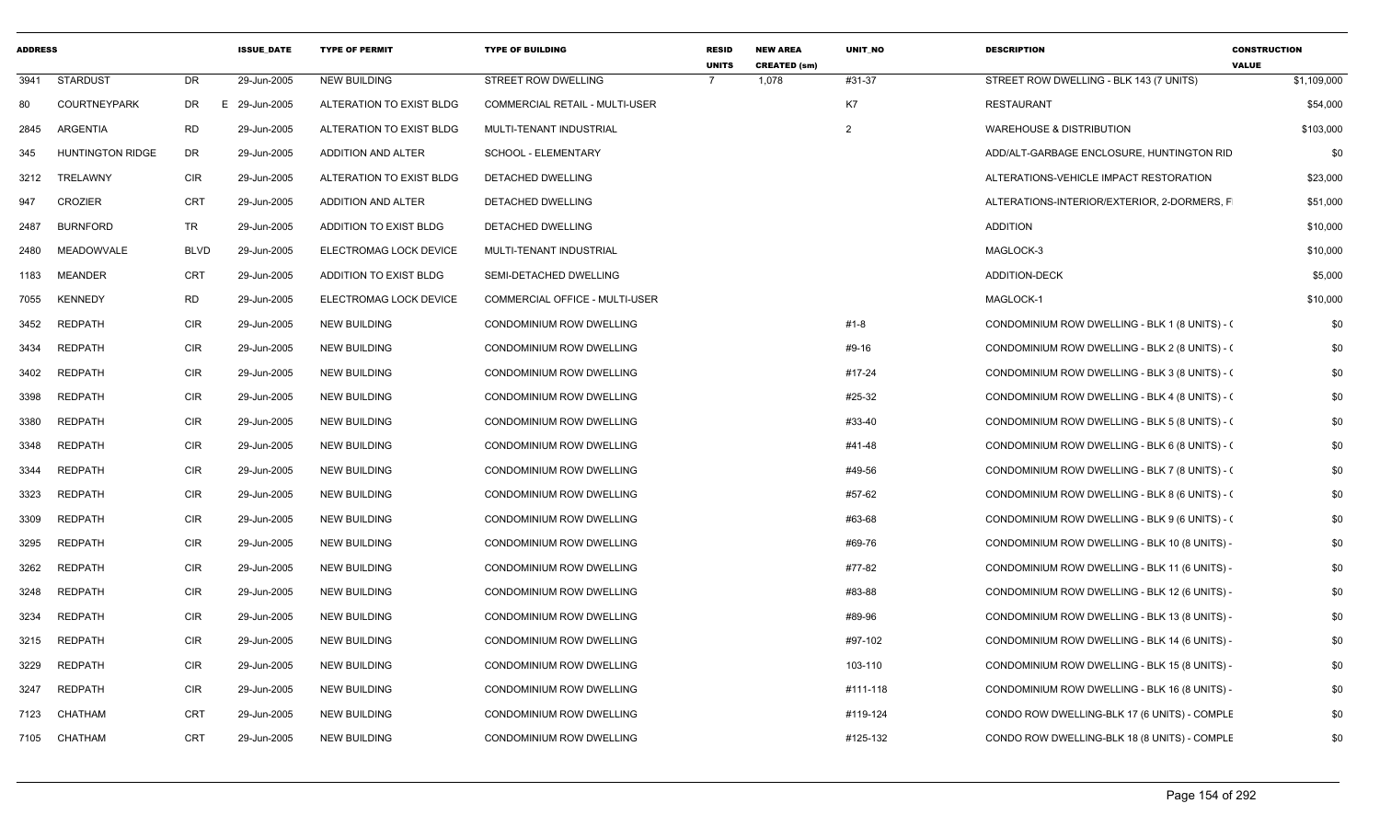| <b>ADDRESS</b> |                         |             | <b>ISSUE DATE</b> | <b>TYPE OF PERMIT</b>    | <b>TYPE OF BUILDING</b>         | <b>RESID</b><br><b>UNITS</b> | <b>NEW AREA</b><br><b>CREATED (sm)</b> | <b>UNIT NO</b> | <b>DESCRIPTION</b>                             | <b>CONSTRUCTION</b><br><b>VALUE</b> |
|----------------|-------------------------|-------------|-------------------|--------------------------|---------------------------------|------------------------------|----------------------------------------|----------------|------------------------------------------------|-------------------------------------|
| 3941           | <b>STARDUST</b>         | DR          | 29-Jun-2005       | <b>NEW BUILDING</b>      | STREET ROW DWELLING             |                              | 1,078                                  | #31-37         | STREET ROW DWELLING - BLK 143 (7 UNITS)        | \$1,109,000                         |
| 80             | <b>COURTNEYPARK</b>     | DR          | E 29-Jun-2005     | ALTERATION TO EXIST BLDG | COMMERCIAL RETAIL - MULTI-USER  |                              |                                        | K7             | RESTAURANT                                     | \$54,000                            |
| 2845           | ARGENTIA                | <b>RD</b>   | 29-Jun-2005       | ALTERATION TO EXIST BLDG | MULTI-TENANT INDUSTRIAL         |                              |                                        | $\overline{2}$ | WAREHOUSE & DISTRIBUTION                       | \$103,000                           |
| 345            | <b>HUNTINGTON RIDGE</b> | DR          | 29-Jun-2005       | ADDITION AND ALTER       | SCHOOL - ELEMENTARY             |                              |                                        |                | ADD/ALT-GARBAGE ENCLOSURE, HUNTINGTON RID      | \$0                                 |
| 3212           | TRELAWNY                | <b>CIR</b>  | 29-Jun-2005       | ALTERATION TO EXIST BLDG | DETACHED DWELLING               |                              |                                        |                | ALTERATIONS-VEHICLE IMPACT RESTORATION         | \$23,000                            |
| 947            | <b>CROZIER</b>          | CRT         | 29-Jun-2005       | ADDITION AND ALTER       | DETACHED DWELLING               |                              |                                        |                | ALTERATIONS-INTERIOR/EXTERIOR, 2-DORMERS, F    | \$51,000                            |
| 2487           | <b>BURNFORD</b>         | TR          | 29-Jun-2005       | ADDITION TO EXIST BLDG   | DETACHED DWELLING               |                              |                                        |                | <b>ADDITION</b>                                | \$10,000                            |
| 2480           | <b>MEADOWVALE</b>       | <b>BLVD</b> | 29-Jun-2005       | ELECTROMAG LOCK DEVICE   | MULTI-TENANT INDUSTRIAL         |                              |                                        |                | MAGLOCK-3                                      | \$10,000                            |
| 1183           | <b>MEANDER</b>          | <b>CRT</b>  | 29-Jun-2005       | ADDITION TO EXIST BLDG   | SEMI-DETACHED DWELLING          |                              |                                        |                | <b>ADDITION-DECK</b>                           | \$5,000                             |
| 7055           | <b>KENNEDY</b>          | <b>RD</b>   | 29-Jun-2005       | ELECTROMAG LOCK DEVICE   | COMMERCIAL OFFICE - MULTI-USER  |                              |                                        |                | MAGLOCK-1                                      | \$10,000                            |
| 3452           | <b>REDPATH</b>          | <b>CIR</b>  | 29-Jun-2005       | <b>NEW BUILDING</b>      | CONDOMINIUM ROW DWELLING        |                              |                                        | $#1 - 8$       | CONDOMINIUM ROW DWELLING - BLK 1 (8 UNITS) - ( | \$0                                 |
| 3434           | <b>REDPATH</b>          | <b>CIR</b>  | 29-Jun-2005       | <b>NEW BUILDING</b>      | CONDOMINIUM ROW DWELLING        |                              |                                        | #9-16          | CONDOMINIUM ROW DWELLING - BLK 2 (8 UNITS) - ( | \$0                                 |
| 3402           | <b>REDPATH</b>          | <b>CIR</b>  | 29-Jun-2005       | <b>NEW BUILDING</b>      | CONDOMINIUM ROW DWELLING        |                              |                                        | #17-24         | CONDOMINIUM ROW DWELLING - BLK 3 (8 UNITS) - 0 | \$0                                 |
| 3398           | <b>REDPATH</b>          | <b>CIR</b>  | 29-Jun-2005       | <b>NEW BUILDING</b>      | CONDOMINIUM ROW DWELLING        |                              |                                        | #25-32         | CONDOMINIUM ROW DWELLING - BLK 4 (8 UNITS) - 0 | \$0                                 |
| 3380           | <b>REDPATH</b>          | <b>CIR</b>  | 29-Jun-2005       | <b>NEW BUILDING</b>      | CONDOMINIUM ROW DWELLING        |                              |                                        | #33-40         | CONDOMINIUM ROW DWELLING - BLK 5 (8 UNITS) - ( | \$0                                 |
| 3348           | <b>REDPATH</b>          | <b>CIR</b>  | 29-Jun-2005       | <b>NEW BUILDING</b>      | <b>CONDOMINIUM ROW DWELLING</b> |                              |                                        | #41-48         | CONDOMINIUM ROW DWELLING - BLK 6 (8 UNITS) - 0 | \$0                                 |
| 3344           | <b>REDPATH</b>          | <b>CIR</b>  | 29-Jun-2005       | <b>NEW BUILDING</b>      | CONDOMINIUM ROW DWELLING        |                              |                                        | #49-56         | CONDOMINIUM ROW DWELLING - BLK 7 (8 UNITS) - ( | \$0                                 |
| 3323           | <b>REDPATH</b>          | <b>CIR</b>  | 29-Jun-2005       | <b>NEW BUILDING</b>      | CONDOMINIUM ROW DWELLING        |                              |                                        | #57-62         | CONDOMINIUM ROW DWELLING - BLK 8 (6 UNITS) - 0 | \$0                                 |
| 3309           | <b>REDPATH</b>          | <b>CIR</b>  | 29-Jun-2005       | <b>NEW BUILDING</b>      | CONDOMINIUM ROW DWELLING        |                              |                                        | #63-68         | CONDOMINIUM ROW DWELLING - BLK 9 (6 UNITS) - 0 | \$0                                 |
| 3295           | <b>REDPATH</b>          | <b>CIR</b>  | 29-Jun-2005       | <b>NEW BUILDING</b>      | CONDOMINIUM ROW DWELLING        |                              |                                        | #69-76         | CONDOMINIUM ROW DWELLING - BLK 10 (8 UNITS) -  | \$0                                 |
| 3262           | <b>REDPATH</b>          | <b>CIR</b>  | 29-Jun-2005       | <b>NEW BUILDING</b>      | <b>CONDOMINIUM ROW DWELLING</b> |                              |                                        | #77-82         | CONDOMINIUM ROW DWELLING - BLK 11 (6 UNITS) -  | \$0                                 |
| 3248           | <b>REDPATH</b>          | <b>CIR</b>  | 29-Jun-2005       | <b>NEW BUILDING</b>      | CONDOMINIUM ROW DWELLING        |                              |                                        | #83-88         | CONDOMINIUM ROW DWELLING - BLK 12 (6 UNITS) -  | \$0                                 |
| 3234           | <b>REDPATH</b>          | CIR         | 29-Jun-2005       | <b>NEW BUILDING</b>      | CONDOMINIUM ROW DWELLING        |                              |                                        | #89-96         | CONDOMINIUM ROW DWELLING - BLK 13 (8 UNITS) -  | \$0                                 |
| 3215           | <b>REDPATH</b>          | <b>CIR</b>  | 29-Jun-2005       | <b>NEW BUILDING</b>      | CONDOMINIUM ROW DWELLING        |                              |                                        | #97-102        | CONDOMINIUM ROW DWELLING - BLK 14 (6 UNITS) -  | \$0                                 |
| 3229           | <b>REDPATH</b>          | <b>CIR</b>  | 29-Jun-2005       | <b>NEW BUILDING</b>      | CONDOMINIUM ROW DWELLING        |                              |                                        | 103-110        | CONDOMINIUM ROW DWELLING - BLK 15 (8 UNITS) -  | \$0                                 |
| 3247           | <b>REDPATH</b>          | <b>CIR</b>  | 29-Jun-2005       | <b>NEW BUILDING</b>      | <b>CONDOMINIUM ROW DWELLING</b> |                              |                                        | #111-118       | CONDOMINIUM ROW DWELLING - BLK 16 (8 UNITS) -  | \$0                                 |
| 7123           | CHATHAM                 | <b>CRT</b>  | 29-Jun-2005       | <b>NEW BUILDING</b>      | CONDOMINIUM ROW DWELLING        |                              |                                        | #119-124       | CONDO ROW DWELLING-BLK 17 (6 UNITS) - COMPLE   | \$0                                 |
| 7105           | CHATHAM                 | <b>CRT</b>  | 29-Jun-2005       | <b>NEW BUILDING</b>      | CONDOMINIUM ROW DWELLING        |                              |                                        | #125-132       | CONDO ROW DWELLING-BLK 18 (8 UNITS) - COMPLE   | \$0                                 |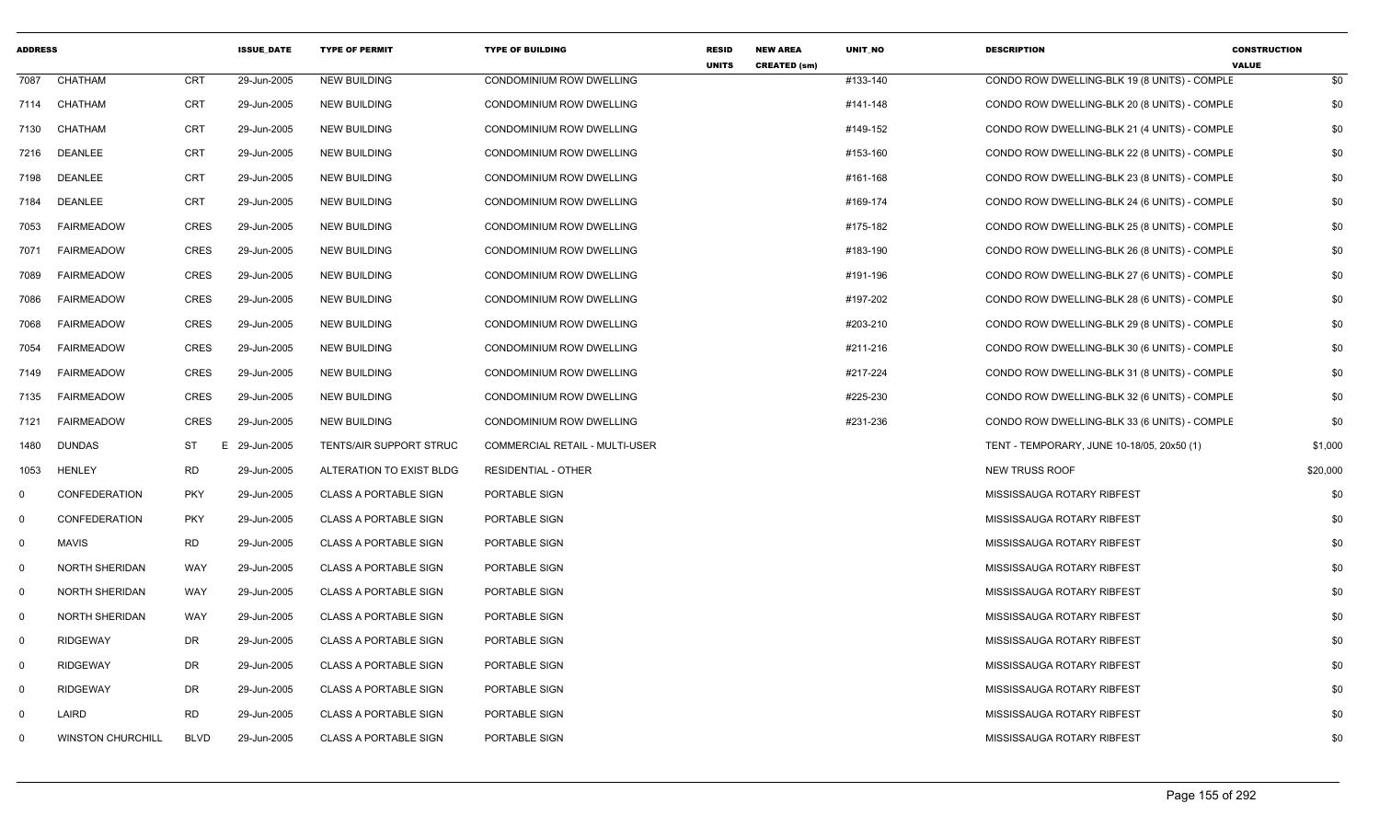| <b>ADDRESS</b> |                          |             | <b>ISSUE DATE</b> | <b>TYPE OF PERMIT</b>        | <b>TYPE OF BUILDING</b>         | <b>RESID</b><br><b>UNITS</b> | <b>NEW AREA</b><br><b>CREATED (sm)</b> | <b>UNIT NO</b> | <b>DESCRIPTION</b>                           | <b>CONSTRUCTION</b><br><b>VALUE</b> |
|----------------|--------------------------|-------------|-------------------|------------------------------|---------------------------------|------------------------------|----------------------------------------|----------------|----------------------------------------------|-------------------------------------|
| 7087           | CHATHAM                  | CRT         | 29-Jun-2005       | <b>NEW BUILDING</b>          | <b>CONDOMINIUM ROW DWELLING</b> |                              |                                        | #133-140       | CONDO ROW DWELLING-BLK 19 (8 UNITS) - COMPLE | \$0                                 |
| 7114           | CHATHAM                  | CRT         | 29-Jun-2005       | <b>NEW BUILDING</b>          | CONDOMINIUM ROW DWELLING        |                              |                                        | #141-148       | CONDO ROW DWELLING-BLK 20 (8 UNITS) - COMPLE | \$0                                 |
| 7130           | CHATHAM                  | <b>CRT</b>  | 29-Jun-2005       | <b>NEW BUILDING</b>          | CONDOMINIUM ROW DWELLING        |                              |                                        | #149-152       | CONDO ROW DWELLING-BLK 21 (4 UNITS) - COMPLE | \$0                                 |
| 7216           | DEANLEE                  | <b>CRT</b>  | 29-Jun-2005       | <b>NEW BUILDING</b>          | CONDOMINIUM ROW DWELLING        |                              |                                        | #153-160       | CONDO ROW DWELLING-BLK 22 (8 UNITS) - COMPLE | \$0                                 |
| 7198           | DEANLEE                  | CRT         | 29-Jun-2005       | <b>NEW BUILDING</b>          | CONDOMINIUM ROW DWELLING        |                              |                                        | #161-168       | CONDO ROW DWELLING-BLK 23 (8 UNITS) - COMPLE | \$0                                 |
| 7184           | <b>DEANLEE</b>           | <b>CRT</b>  | 29-Jun-2005       | <b>NEW BUILDING</b>          | CONDOMINIUM ROW DWELLING        |                              |                                        | #169-174       | CONDO ROW DWELLING-BLK 24 (6 UNITS) - COMPLE | \$0                                 |
| 7053           | FAIRMEADOW               | <b>CRES</b> | 29-Jun-2005       | <b>NEW BUILDING</b>          | CONDOMINIUM ROW DWELLING        |                              |                                        | #175-182       | CONDO ROW DWELLING-BLK 25 (8 UNITS) - COMPLE | \$0                                 |
| 7071           | <b>FAIRMEADOW</b>        | CRES        | 29-Jun-2005       | <b>NEW BUILDING</b>          | CONDOMINIUM ROW DWELLING        |                              |                                        | #183-190       | CONDO ROW DWELLING-BLK 26 (8 UNITS) - COMPLE | \$0                                 |
| 7089           | <b>FAIRMEADOW</b>        | <b>CRES</b> | 29-Jun-2005       | <b>NEW BUILDING</b>          | CONDOMINIUM ROW DWELLING        |                              |                                        | #191-196       | CONDO ROW DWELLING-BLK 27 (6 UNITS) - COMPLE | \$0                                 |
| 7086           | <b>FAIRMEADOW</b>        | <b>CRES</b> | 29-Jun-2005       | <b>NEW BUILDING</b>          | CONDOMINIUM ROW DWELLING        |                              |                                        | #197-202       | CONDO ROW DWELLING-BLK 28 (6 UNITS) - COMPLE | \$0                                 |
| 7068           | <b>FAIRMEADOW</b>        | <b>CRES</b> | 29-Jun-2005       | <b>NEW BUILDING</b>          | CONDOMINIUM ROW DWELLING        |                              |                                        | #203-210       | CONDO ROW DWELLING-BLK 29 (8 UNITS) - COMPLE | \$0                                 |
| 7054           | <b>FAIRMEADOW</b>        | <b>CRES</b> | 29-Jun-2005       | <b>NEW BUILDING</b>          | CONDOMINIUM ROW DWELLING        |                              |                                        | #211-216       | CONDO ROW DWELLING-BLK 30 (6 UNITS) - COMPLE | \$0                                 |
| 7149           | <b>FAIRMEADOW</b>        | <b>CRES</b> | 29-Jun-2005       | <b>NEW BUILDING</b>          | CONDOMINIUM ROW DWELLING        |                              |                                        | #217-224       | CONDO ROW DWELLING-BLK 31 (8 UNITS) - COMPLE | \$0                                 |
| 7135           | <b>FAIRMEADOW</b>        | <b>CRES</b> | 29-Jun-2005       | <b>NEW BUILDING</b>          | <b>CONDOMINIUM ROW DWELLING</b> |                              |                                        | #225-230       | CONDO ROW DWELLING-BLK 32 (6 UNITS) - COMPLE | \$0                                 |
| 7121           | <b>FAIRMEADOW</b>        | <b>CRES</b> | 29-Jun-2005       | <b>NEW BUILDING</b>          | CONDOMINIUM ROW DWELLING        |                              |                                        | #231-236       | CONDO ROW DWELLING-BLK 33 (6 UNITS) - COMPLE | \$0                                 |
| 1480           | <b>DUNDAS</b>            | <b>ST</b>   | 29-Jun-2005<br>E. | TENTS/AIR SUPPORT STRUC      | COMMERCIAL RETAIL - MULTI-USER  |                              |                                        |                | TENT - TEMPORARY, JUNE 10-18/05, 20x50 (1)   | \$1,000                             |
| 1053           | <b>HENLEY</b>            | <b>RD</b>   | 29-Jun-2005       | ALTERATION TO EXIST BLDG     | <b>RESIDENTIAL - OTHER</b>      |                              |                                        |                | <b>NEW TRUSS ROOF</b>                        | \$20,000                            |
| $\Omega$       | <b>CONFEDERATION</b>     | <b>PKY</b>  | 29-Jun-2005       | <b>CLASS A PORTABLE SIGN</b> | PORTABLE SIGN                   |                              |                                        |                | MISSISSAUGA ROTARY RIBFEST                   | \$0                                 |
| 0              | <b>CONFEDERATION</b>     | <b>PKY</b>  | 29-Jun-2005       | <b>CLASS A PORTABLE SIGN</b> | PORTABLE SIGN                   |                              |                                        |                | MISSISSAUGA ROTARY RIBFEST                   | \$0                                 |
| $\mathbf 0$    | <b>MAVIS</b>             | <b>RD</b>   | 29-Jun-2005       | <b>CLASS A PORTABLE SIGN</b> | PORTABLE SIGN                   |                              |                                        |                | MISSISSAUGA ROTARY RIBFEST                   | \$0                                 |
| $\mathbf 0$    | <b>NORTH SHERIDAN</b>    | <b>WAY</b>  | 29-Jun-2005       | <b>CLASS A PORTABLE SIGN</b> | PORTABLE SIGN                   |                              |                                        |                | MISSISSAUGA ROTARY RIBFEST                   | \$0                                 |
| $\mathbf 0$    | <b>NORTH SHERIDAN</b>    | WAY         | 29-Jun-2005       | <b>CLASS A PORTABLE SIGN</b> | PORTABLE SIGN                   |                              |                                        |                | MISSISSAUGA ROTARY RIBFEST                   | \$0                                 |
| $\mathbf 0$    | <b>NORTH SHERIDAN</b>    | WAY         | 29-Jun-2005       | <b>CLASS A PORTABLE SIGN</b> | PORTABLE SIGN                   |                              |                                        |                | MISSISSAUGA ROTARY RIBFEST                   | \$0                                 |
| 0              | <b>RIDGEWAY</b>          | DR          | 29-Jun-2005       | <b>CLASS A PORTABLE SIGN</b> | PORTABLE SIGN                   |                              |                                        |                | MISSISSAUGA ROTARY RIBFEST                   | \$0                                 |
| $\overline{0}$ | RIDGEWAY                 | DR          | 29-Jun-2005       | <b>CLASS A PORTABLE SIGN</b> | PORTABLE SIGN                   |                              |                                        |                | MISSISSAUGA ROTARY RIBFEST                   | \$0                                 |
| 0              | <b>RIDGEWAY</b>          | DR          | 29-Jun-2005       | <b>CLASS A PORTABLE SIGN</b> | PORTABLE SIGN                   |                              |                                        |                | MISSISSAUGA ROTARY RIBFEST                   | \$0                                 |
| $\Omega$       | LAIRD                    | <b>RD</b>   | 29-Jun-2005       | <b>CLASS A PORTABLE SIGN</b> | PORTABLE SIGN                   |                              |                                        |                | MISSISSAUGA ROTARY RIBFEST                   | \$0                                 |
| $\Omega$       | <b>WINSTON CHURCHILL</b> | <b>BLVD</b> | 29-Jun-2005       | <b>CLASS A PORTABLE SIGN</b> | PORTABLE SIGN                   |                              |                                        |                | MISSISSAUGA ROTARY RIBFEST                   | \$0                                 |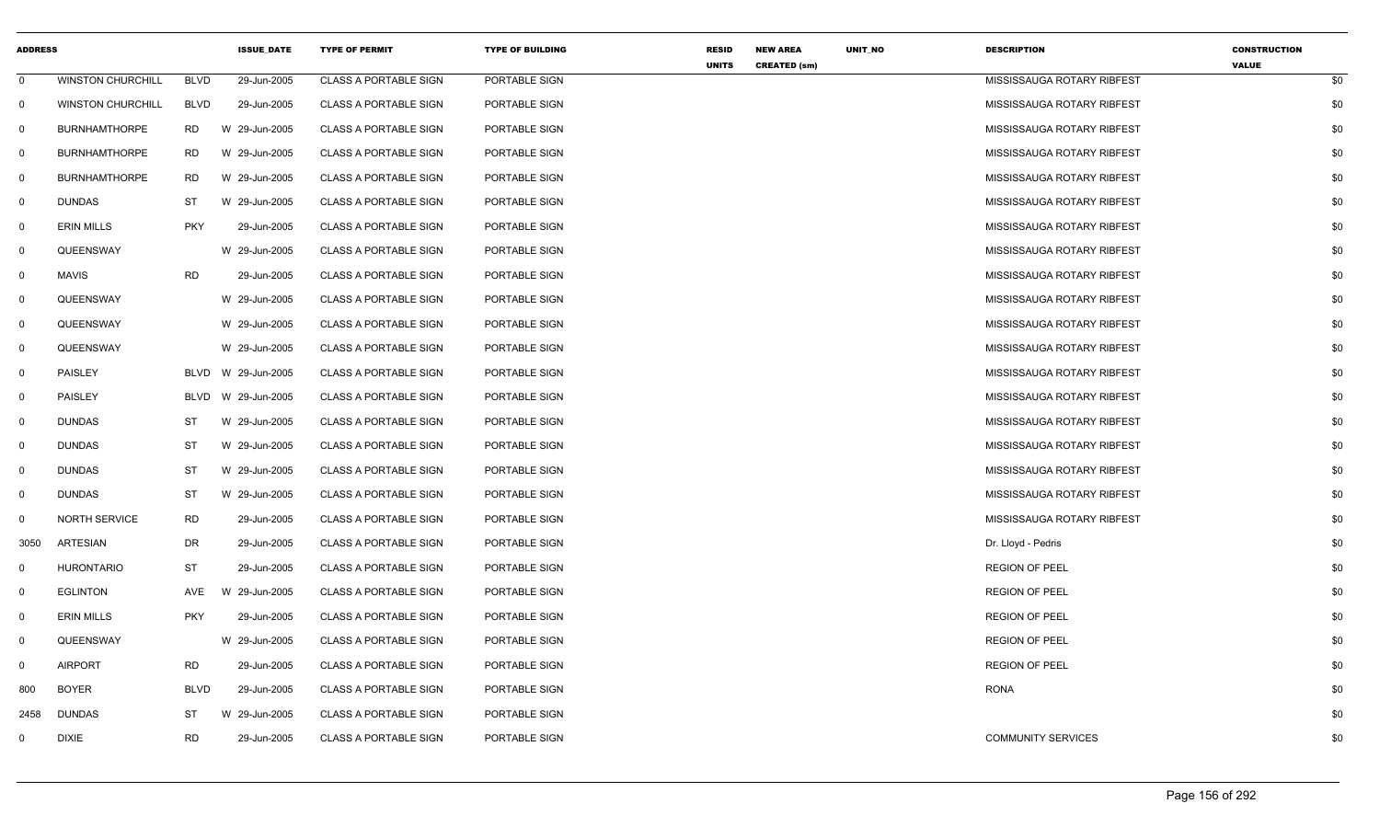| <b>ADDRESS</b> |                          |             | <b>ISSUE_DATE</b>  | <b>TYPE OF PERMIT</b>        | <b>TYPE OF BUILDING</b> | <b>RESID</b><br><b>UNITS</b> | <b>NEW AREA</b><br><b>CREATED (sm)</b> | UNIT_NO | <b>DESCRIPTION</b>         | <b>CONSTRUCTION</b><br><b>VALUE</b> |
|----------------|--------------------------|-------------|--------------------|------------------------------|-------------------------|------------------------------|----------------------------------------|---------|----------------------------|-------------------------------------|
| $\mathbf 0$    | <b>WINSTON CHURCHILL</b> | <b>BLVD</b> | 29-Jun-2005        | <b>CLASS A PORTABLE SIGN</b> | PORTABLE SIGN           |                              |                                        |         | MISSISSAUGA ROTARY RIBFEST | \$0                                 |
| $\mathbf 0$    | <b>WINSTON CHURCHILL</b> | <b>BLVD</b> | 29-Jun-2005        | <b>CLASS A PORTABLE SIGN</b> | PORTABLE SIGN           |                              |                                        |         | MISSISSAUGA ROTARY RIBFEST | \$0                                 |
| 0              | <b>BURNHAMTHORPE</b>     | RD          | W 29-Jun-2005      | <b>CLASS A PORTABLE SIGN</b> | PORTABLE SIGN           |                              |                                        |         | MISSISSAUGA ROTARY RIBFEST | \$0                                 |
| $\mathbf 0$    | <b>BURNHAMTHORPE</b>     | RD          | W 29-Jun-2005      | <b>CLASS A PORTABLE SIGN</b> | PORTABLE SIGN           |                              |                                        |         | MISSISSAUGA ROTARY RIBFEST | \$0                                 |
| 0              | <b>BURNHAMTHORPE</b>     | RD          | W 29-Jun-2005      | <b>CLASS A PORTABLE SIGN</b> | PORTABLE SIGN           |                              |                                        |         | MISSISSAUGA ROTARY RIBFEST | \$0                                 |
| $\mathbf 0$    | <b>DUNDAS</b>            | ST          | W 29-Jun-2005      | <b>CLASS A PORTABLE SIGN</b> | PORTABLE SIGN           |                              |                                        |         | MISSISSAUGA ROTARY RIBFEST | \$0                                 |
| $\mathbf 0$    | <b>ERIN MILLS</b>        | <b>PKY</b>  | 29-Jun-2005        | <b>CLASS A PORTABLE SIGN</b> | PORTABLE SIGN           |                              |                                        |         | MISSISSAUGA ROTARY RIBFEST | \$0                                 |
| $\mathbf 0$    | QUEENSWAY                |             | W 29-Jun-2005      | <b>CLASS A PORTABLE SIGN</b> | PORTABLE SIGN           |                              |                                        |         | MISSISSAUGA ROTARY RIBFEST | \$0                                 |
| $\mathbf 0$    | <b>MAVIS</b>             | RD          | 29-Jun-2005        | <b>CLASS A PORTABLE SIGN</b> | PORTABLE SIGN           |                              |                                        |         | MISSISSAUGA ROTARY RIBFEST | \$0                                 |
| $\mathbf 0$    | QUEENSWAY                |             | W 29-Jun-2005      | <b>CLASS A PORTABLE SIGN</b> | PORTABLE SIGN           |                              |                                        |         | MISSISSAUGA ROTARY RIBFEST | \$0                                 |
| 0              | QUEENSWAY                |             | W 29-Jun-2005      | <b>CLASS A PORTABLE SIGN</b> | PORTABLE SIGN           |                              |                                        |         | MISSISSAUGA ROTARY RIBFEST | \$0                                 |
| $\mathbf 0$    | QUEENSWAY                |             | W 29-Jun-2005      | <b>CLASS A PORTABLE SIGN</b> | PORTABLE SIGN           |                              |                                        |         | MISSISSAUGA ROTARY RIBFEST | \$0                                 |
| $\mathbf 0$    | PAISLEY                  |             | BLVD W 29-Jun-2005 | <b>CLASS A PORTABLE SIGN</b> | PORTABLE SIGN           |                              |                                        |         | MISSISSAUGA ROTARY RIBFEST | \$0                                 |
| $\mathbf 0$    | <b>PAISLEY</b>           | BLVD        | W 29-Jun-2005      | <b>CLASS A PORTABLE SIGN</b> | PORTABLE SIGN           |                              |                                        |         | MISSISSAUGA ROTARY RIBFEST | \$0                                 |
| 0              | DUNDAS                   | ST          | W 29-Jun-2005      | <b>CLASS A PORTABLE SIGN</b> | PORTABLE SIGN           |                              |                                        |         | MISSISSAUGA ROTARY RIBFEST | \$0                                 |
| $\mathbf 0$    | <b>DUNDAS</b>            | <b>ST</b>   | W 29-Jun-2005      | <b>CLASS A PORTABLE SIGN</b> | PORTABLE SIGN           |                              |                                        |         | MISSISSAUGA ROTARY RIBFEST | \$0                                 |
| 0              | <b>DUNDAS</b>            | ST          | W 29-Jun-2005      | <b>CLASS A PORTABLE SIGN</b> | PORTABLE SIGN           |                              |                                        |         | MISSISSAUGA ROTARY RIBFEST | \$0                                 |
| $\mathbf 0$    | <b>DUNDAS</b>            | <b>ST</b>   | W 29-Jun-2005      | <b>CLASS A PORTABLE SIGN</b> | PORTABLE SIGN           |                              |                                        |         | MISSISSAUGA ROTARY RIBFEST | \$0                                 |
| 0              | <b>NORTH SERVICE</b>     | <b>RD</b>   | 29-Jun-2005        | <b>CLASS A PORTABLE SIGN</b> | PORTABLE SIGN           |                              |                                        |         | MISSISSAUGA ROTARY RIBFEST | \$0                                 |
| 3050           | <b>ARTESIAN</b>          | DR          | 29-Jun-2005        | <b>CLASS A PORTABLE SIGN</b> | PORTABLE SIGN           |                              |                                        |         | Dr. Lloyd - Pedris         | \$0                                 |
| $\mathbf 0$    | <b>HURONTARIO</b>        | ST          | 29-Jun-2005        | <b>CLASS A PORTABLE SIGN</b> | PORTABLE SIGN           |                              |                                        |         | <b>REGION OF PEEL</b>      | \$0                                 |
| $\mathbf 0$    | <b>EGLINTON</b>          | AVE         | W 29-Jun-2005      | <b>CLASS A PORTABLE SIGN</b> | PORTABLE SIGN           |                              |                                        |         | <b>REGION OF PEEL</b>      | \$0                                 |
| 0              | ERIN MILLS               | <b>PKY</b>  | 29-Jun-2005        | <b>CLASS A PORTABLE SIGN</b> | PORTABLE SIGN           |                              |                                        |         | <b>REGION OF PEEL</b>      | \$0                                 |
| 0              | QUEENSWAY                |             | W 29-Jun-2005      | <b>CLASS A PORTABLE SIGN</b> | PORTABLE SIGN           |                              |                                        |         | <b>REGION OF PEEL</b>      | \$0                                 |
| $\mathbf 0$    | <b>AIRPORT</b>           | <b>RD</b>   | 29-Jun-2005        | <b>CLASS A PORTABLE SIGN</b> | PORTABLE SIGN           |                              |                                        |         | <b>REGION OF PEEL</b>      | \$0                                 |
| 800            | <b>BOYER</b>             | <b>BLVD</b> | 29-Jun-2005        | <b>CLASS A PORTABLE SIGN</b> | PORTABLE SIGN           |                              |                                        |         | <b>RONA</b>                | \$0                                 |
| 2458           | <b>DUNDAS</b>            | <b>ST</b>   | W 29-Jun-2005      | <b>CLASS A PORTABLE SIGN</b> | PORTABLE SIGN           |                              |                                        |         |                            | \$0                                 |
| $\mathbf 0$    | <b>DIXIE</b>             | <b>RD</b>   | 29-Jun-2005        | <b>CLASS A PORTABLE SIGN</b> | PORTABLE SIGN           |                              |                                        |         | <b>COMMUNITY SERVICES</b>  | \$0                                 |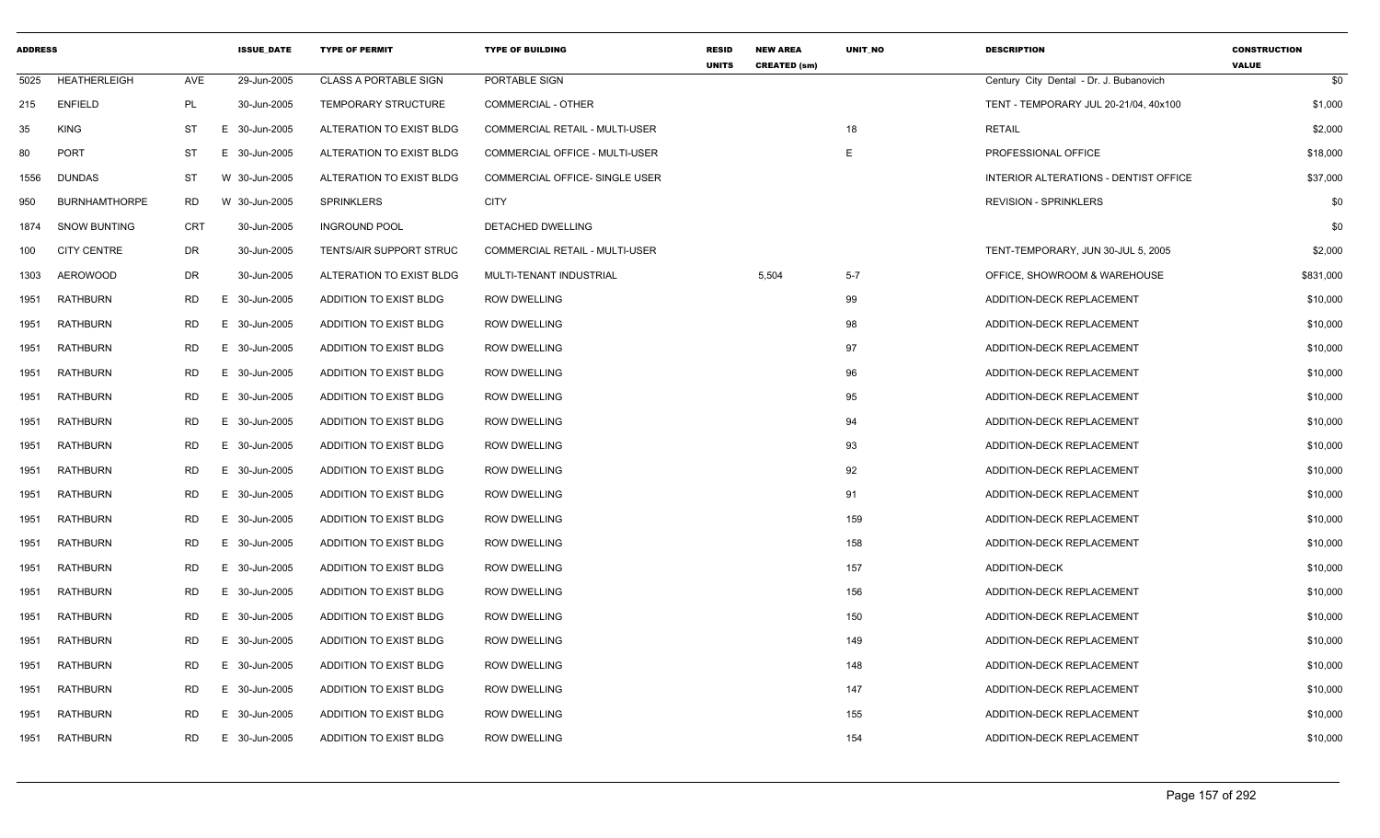| <b>ADDRESS</b> |                      |            | <b>ISSUE DATE</b> | <b>TYPE OF PERMIT</b>        | <b>TYPE OF BUILDING</b>        | <b>RESID</b><br><b>UNITS</b> | <b>NEW AREA</b><br><b>CREATED (sm)</b> | <b>UNIT NO</b> | <b>DESCRIPTION</b>                      | <b>CONSTRUCTION</b><br><b>VALUE</b> |
|----------------|----------------------|------------|-------------------|------------------------------|--------------------------------|------------------------------|----------------------------------------|----------------|-----------------------------------------|-------------------------------------|
| 5025           | <b>HEATHERLEIGH</b>  | AVE        | 29-Jun-2005       | <b>CLASS A PORTABLE SIGN</b> | PORTABLE SIGN                  |                              |                                        |                | Century City Dental - Dr. J. Bubanovich | \$0                                 |
| 215            | <b>ENFIELD</b>       | PL         | 30-Jun-2005       | <b>TEMPORARY STRUCTURE</b>   | <b>COMMERCIAL - OTHER</b>      |                              |                                        |                | TENT - TEMPORARY JUL 20-21/04, 40x100   | \$1,000                             |
| 35             | <b>KING</b>          | ST         | E.<br>30-Jun-2005 | ALTERATION TO EXIST BLDG     | COMMERCIAL RETAIL - MULTI-USER |                              |                                        | 18             | <b>RETAIL</b>                           | \$2,000                             |
| 80             | <b>PORT</b>          | ST         | E 30-Jun-2005     | ALTERATION TO EXIST BLDG     | COMMERCIAL OFFICE - MULTI-USER |                              |                                        | E              | PROFESSIONAL OFFICE                     | \$18,000                            |
| 1556           | <b>DUNDAS</b>        | ST         | W 30-Jun-2005     | ALTERATION TO EXIST BLDG     | COMMERCIAL OFFICE- SINGLE USER |                              |                                        |                | INTERIOR ALTERATIONS - DENTIST OFFICE   | \$37,000                            |
| 950            | <b>BURNHAMTHORPE</b> | <b>RD</b>  | W 30-Jun-2005     | <b>SPRINKLERS</b>            | <b>CITY</b>                    |                              |                                        |                | <b>REVISION - SPRINKLERS</b>            | \$0                                 |
| 1874           | <b>SNOW BUNTING</b>  | <b>CRT</b> | 30-Jun-2005       | <b>INGROUND POOL</b>         | DETACHED DWELLING              |                              |                                        |                |                                         | \$0                                 |
| 100            | <b>CITY CENTRE</b>   | DR         | 30-Jun-2005       | TENTS/AIR SUPPORT STRUC      | COMMERCIAL RETAIL - MULTI-USER |                              |                                        |                | TENT-TEMPORARY, JUN 30-JUL 5, 2005      | \$2,000                             |
| 1303           | AEROWOOD             | DR         | 30-Jun-2005       | ALTERATION TO EXIST BLDG     | MULTI-TENANT INDUSTRIAL        |                              | 5,504                                  | $5 - 7$        | OFFICE. SHOWROOM & WAREHOUSE            | \$831,000                           |
| 1951           | <b>RATHBURN</b>      | RD         | E 30-Jun-2005     | ADDITION TO EXIST BLDG       | <b>ROW DWELLING</b>            |                              |                                        | 99             | ADDITION-DECK REPLACEMENT               | \$10,000                            |
| 1951           | RATHBURN             | RD         | E 30-Jun-2005     | ADDITION TO EXIST BLDG       | <b>ROW DWELLING</b>            |                              |                                        | 98             | ADDITION-DECK REPLACEMENT               | \$10,000                            |
| 1951           | <b>RATHBURN</b>      | <b>RD</b>  | E 30-Jun-2005     | ADDITION TO EXIST BLDG       | <b>ROW DWELLING</b>            |                              |                                        | 97             | ADDITION-DECK REPLACEMENT               | \$10,000                            |
| 1951           | <b>RATHBURN</b>      | <b>RD</b>  | E 30-Jun-2005     | ADDITION TO EXIST BLDG       | <b>ROW DWELLING</b>            |                              |                                        | 96             | ADDITION-DECK REPLACEMENT               | \$10,000                            |
| 1951           | <b>RATHBURN</b>      | RD         | E 30-Jun-2005     | ADDITION TO EXIST BLDG       | <b>ROW DWELLING</b>            |                              |                                        | 95             | ADDITION-DECK REPLACEMENT               | \$10,000                            |
| 1951           | RATHBURN             | <b>RD</b>  | E 30-Jun-2005     | ADDITION TO EXIST BLDG       | <b>ROW DWELLING</b>            |                              |                                        | 94             | ADDITION-DECK REPLACEMENT               | \$10,000                            |
| 1951           | <b>RATHBURN</b>      | <b>RD</b>  | E 30-Jun-2005     | ADDITION TO EXIST BLDG       | <b>ROW DWELLING</b>            |                              |                                        | 93             | ADDITION-DECK REPLACEMENT               | \$10,000                            |
| 1951           | <b>RATHBURN</b>      | RD         | E 30-Jun-2005     | ADDITION TO EXIST BLDG       | <b>ROW DWELLING</b>            |                              |                                        | 92             | ADDITION-DECK REPLACEMENT               | \$10,000                            |
| 1951           | RATHBURN             | RD         | E 30-Jun-2005     | ADDITION TO EXIST BLDG       | <b>ROW DWELLING</b>            |                              |                                        | 91             | ADDITION-DECK REPLACEMENT               | \$10,000                            |
| 1951           | <b>RATHBURN</b>      | RD         | E 30-Jun-2005     | ADDITION TO EXIST BLDG       | <b>ROW DWELLING</b>            |                              |                                        | 159            | ADDITION-DECK REPLACEMENT               | \$10,000                            |
| 1951           | RATHBURN             | <b>RD</b>  | E 30-Jun-2005     | ADDITION TO EXIST BLDG       | <b>ROW DWELLING</b>            |                              |                                        | 158            | ADDITION-DECK REPLACEMENT               | \$10,000                            |
| 1951           | <b>RATHBURN</b>      | RD         | E 30-Jun-2005     | ADDITION TO EXIST BLDG       | <b>ROW DWELLING</b>            |                              |                                        | 157            | ADDITION-DECK                           | \$10,000                            |
| 1951           | <b>RATHBURN</b>      | RD         | E 30-Jun-2005     | ADDITION TO EXIST BLDG       | <b>ROW DWELLING</b>            |                              |                                        | 156            | ADDITION-DECK REPLACEMENT               | \$10,000                            |
| 1951           | <b>RATHBURN</b>      | <b>RD</b>  | E 30-Jun-2005     | ADDITION TO EXIST BLDG       | <b>ROW DWELLING</b>            |                              |                                        | 150            | ADDITION-DECK REPLACEMENT               | \$10,000                            |
| 1951           | <b>RATHBURN</b>      | <b>RD</b>  | E 30-Jun-2005     | ADDITION TO EXIST BLDG       | <b>ROW DWELLING</b>            |                              |                                        | 149            | ADDITION-DECK REPLACEMENT               | \$10,000                            |
| 1951           | RATHBURN             | RD         | E 30-Jun-2005     | ADDITION TO EXIST BLDG       | <b>ROW DWELLING</b>            |                              |                                        | 148            | ADDITION-DECK REPLACEMENT               | \$10,000                            |
| 1951           | RATHBURN             | <b>RD</b>  | E 30-Jun-2005     | ADDITION TO EXIST BLDG       | <b>ROW DWELLING</b>            |                              |                                        | 147            | ADDITION-DECK REPLACEMENT               | \$10,000                            |
| 1951           | <b>RATHBURN</b>      | <b>RD</b>  | E 30-Jun-2005     | ADDITION TO EXIST BLDG       | <b>ROW DWELLING</b>            |                              |                                        | 155            | ADDITION-DECK REPLACEMENT               | \$10,000                            |
| 1951           | RATHBURN             | RD         | E 30-Jun-2005     | ADDITION TO EXIST BLDG       | <b>ROW DWELLING</b>            |                              |                                        | 154            | ADDITION-DECK REPLACEMENT               | \$10,000                            |
|                |                      |            |                   |                              |                                |                              |                                        |                |                                         |                                     |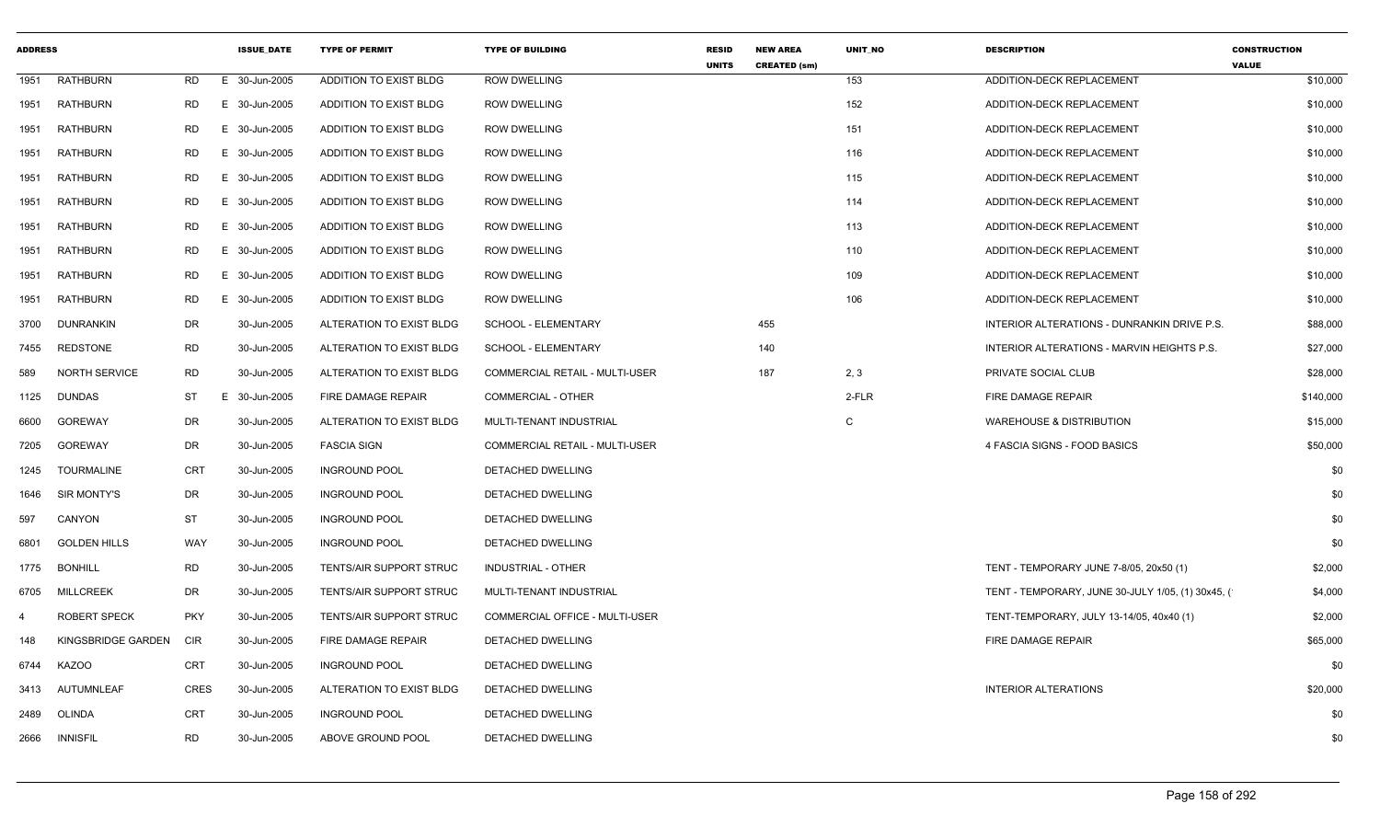| <b>ADDRESS</b> |                      |            | <b>ISSUE_DATE</b> | <b>TYPE OF PERMIT</b>          | <b>TYPE OF BUILDING</b>               | <b>RESID</b><br><b>UNITS</b> | <b>NEW AREA</b><br><b>CREATED (sm)</b> | UNIT_NO | <b>DESCRIPTION</b>                                  | <b>CONSTRUCTION</b><br><b>VALUE</b> |
|----------------|----------------------|------------|-------------------|--------------------------------|---------------------------------------|------------------------------|----------------------------------------|---------|-----------------------------------------------------|-------------------------------------|
| 1951           | RATHBURN             | RD         | E 30-Jun-2005     | ADDITION TO EXIST BLDG         | <b>ROW DWELLING</b>                   |                              |                                        | 153     | ADDITION-DECK REPLACEMENT                           | \$10,000                            |
| 1951           | RATHBURN             | RD         | E 30-Jun-2005     | ADDITION TO EXIST BLDG         | <b>ROW DWELLING</b>                   |                              |                                        | 152     | ADDITION-DECK REPLACEMENT                           | \$10,000                            |
| 1951           | <b>RATHBURN</b>      | RD         | E 30-Jun-2005     | ADDITION TO EXIST BLDG         | <b>ROW DWELLING</b>                   |                              |                                        | 151     | ADDITION-DECK REPLACEMENT                           | \$10,000                            |
| 1951           | <b>RATHBURN</b>      | RD         | E 30-Jun-2005     | ADDITION TO EXIST BLDG         | <b>ROW DWELLING</b>                   |                              |                                        | 116     | ADDITION-DECK REPLACEMENT                           | \$10,000                            |
| 1951           | <b>RATHBURN</b>      | RD         | E 30-Jun-2005     | ADDITION TO EXIST BLDG         | <b>ROW DWELLING</b>                   |                              |                                        | 115     | ADDITION-DECK REPLACEMENT                           | \$10,000                            |
| 1951           | RATHBURN             | RD         | E 30-Jun-2005     | ADDITION TO EXIST BLDG         | <b>ROW DWELLING</b>                   |                              |                                        | 114     | ADDITION-DECK REPLACEMENT                           | \$10,000                            |
| 1951           | RATHBURN             | RD         | E 30-Jun-2005     | ADDITION TO EXIST BLDG         | <b>ROW DWELLING</b>                   |                              |                                        | 113     | ADDITION-DECK REPLACEMENT                           | \$10,000                            |
| 1951           | RATHBURN             | RD         | E 30-Jun-2005     | ADDITION TO EXIST BLDG         | <b>ROW DWELLING</b>                   |                              |                                        | 110     | ADDITION-DECK REPLACEMENT                           | \$10,000                            |
| 1951           | RATHBURN             | RD         | E 30-Jun-2005     | ADDITION TO EXIST BLDG         | <b>ROW DWELLING</b>                   |                              |                                        | 109     | ADDITION-DECK REPLACEMENT                           | \$10,000                            |
| 1951           | <b>RATHBURN</b>      | RD         | E 30-Jun-2005     | ADDITION TO EXIST BLDG         | <b>ROW DWELLING</b>                   |                              |                                        | 106     | ADDITION-DECK REPLACEMENT                           | \$10,000                            |
| 3700           | DUNRANKIN            | DR         | 30-Jun-2005       | ALTERATION TO EXIST BLDG       | SCHOOL - ELEMENTARY                   |                              | 455                                    |         | INTERIOR ALTERATIONS - DUNRANKIN DRIVE P.S.         | \$88,000                            |
| 7455           | <b>REDSTONE</b>      | RD         | 30-Jun-2005       | ALTERATION TO EXIST BLDG       | SCHOOL - ELEMENTARY                   |                              | 140                                    |         | INTERIOR ALTERATIONS - MARVIN HEIGHTS P.S.          | \$27,000                            |
| 589            | <b>NORTH SERVICE</b> | <b>RD</b>  | 30-Jun-2005       | ALTERATION TO EXIST BLDG       | <b>COMMERCIAL RETAIL - MULTI-USER</b> |                              | 187                                    | 2, 3    | PRIVATE SOCIAL CLUB                                 | \$28,000                            |
| 1125           | DUNDAS               | ST         | E 30-Jun-2005     | FIRE DAMAGE REPAIR             | COMMERCIAL - OTHER                    |                              |                                        | 2-FLR   | FIRE DAMAGE REPAIR                                  | \$140,000                           |
| 6600           | GOREWAY              | DR         | 30-Jun-2005       | ALTERATION TO EXIST BLDG       | MULTI-TENANT INDUSTRIAL               |                              |                                        | C       | <b>WAREHOUSE &amp; DISTRIBUTION</b>                 | \$15,000                            |
| 7205           | GOREWAY              | DR         | 30-Jun-2005       | <b>FASCIA SIGN</b>             | <b>COMMERCIAL RETAIL - MULTI-USER</b> |                              |                                        |         | 4 FASCIA SIGNS - FOOD BASICS                        | \$50,000                            |
| 1245           | TOURMALINE           | CRT        | 30-Jun-2005       | <b>INGROUND POOL</b>           | DETACHED DWELLING                     |                              |                                        |         |                                                     | \$0                                 |
| 1646           | SIR MONTY'S          | DR         | 30-Jun-2005       | <b>INGROUND POOL</b>           | DETACHED DWELLING                     |                              |                                        |         |                                                     | \$0                                 |
| 597            | CANYON               | ST         | 30-Jun-2005       | <b>INGROUND POOL</b>           | DETACHED DWELLING                     |                              |                                        |         |                                                     | \$0                                 |
| 6801           | <b>GOLDEN HILLS</b>  | WAY        | 30-Jun-2005       | <b>INGROUND POOL</b>           | DETACHED DWELLING                     |                              |                                        |         |                                                     | \$0                                 |
| 1775           | BONHILL              | RD         | 30-Jun-2005       | <b>TENTS/AIR SUPPORT STRUC</b> | INDUSTRIAL - OTHER                    |                              |                                        |         | TENT - TEMPORARY JUNE 7-8/05, 20x50 (1)             | \$2,000                             |
| 6705           | MILLCREEK            | DR         | 30-Jun-2005       | TENTS/AIR SUPPORT STRUC        | MULTI-TENANT INDUSTRIAL               |                              |                                        |         | TENT - TEMPORARY, JUNE 30-JULY 1/05, (1) 30x45, (1) | \$4,000                             |
| 4              | <b>ROBERT SPECK</b>  | <b>PKY</b> | 30-Jun-2005       | <b>TENTS/AIR SUPPORT STRUC</b> | COMMERCIAL OFFICE - MULTI-USER        |                              |                                        |         | TENT-TEMPORARY, JULY 13-14/05, 40x40 (1)            | \$2,000                             |
| 148            | KINGSBRIDGE GARDEN   | CIR        | 30-Jun-2005       | <b>FIRE DAMAGE REPAIR</b>      | DETACHED DWELLING                     |                              |                                        |         | FIRE DAMAGE REPAIR                                  | \$65,000                            |
|                | 6744 KAZOO           | CRT        | 30-Jun-2005       | <b>INGROUND POOL</b>           | DETACHED DWELLING                     |                              |                                        |         |                                                     | \$0                                 |
| 3413           | AUTUMNLEAF           | CRES       | 30-Jun-2005       | ALTERATION TO EXIST BLDG       | DETACHED DWELLING                     |                              |                                        |         | <b>INTERIOR ALTERATIONS</b>                         | \$20,000                            |
| 2489           | OLINDA               | CRT        | 30-Jun-2005       | <b>INGROUND POOL</b>           | DETACHED DWELLING                     |                              |                                        |         |                                                     | \$0                                 |
| 2666           | <b>INNISFIL</b>      | RD         | 30-Jun-2005       | ABOVE GROUND POOL              | DETACHED DWELLING                     |                              |                                        |         |                                                     | \$0                                 |
|                |                      |            |                   |                                |                                       |                              |                                        |         |                                                     |                                     |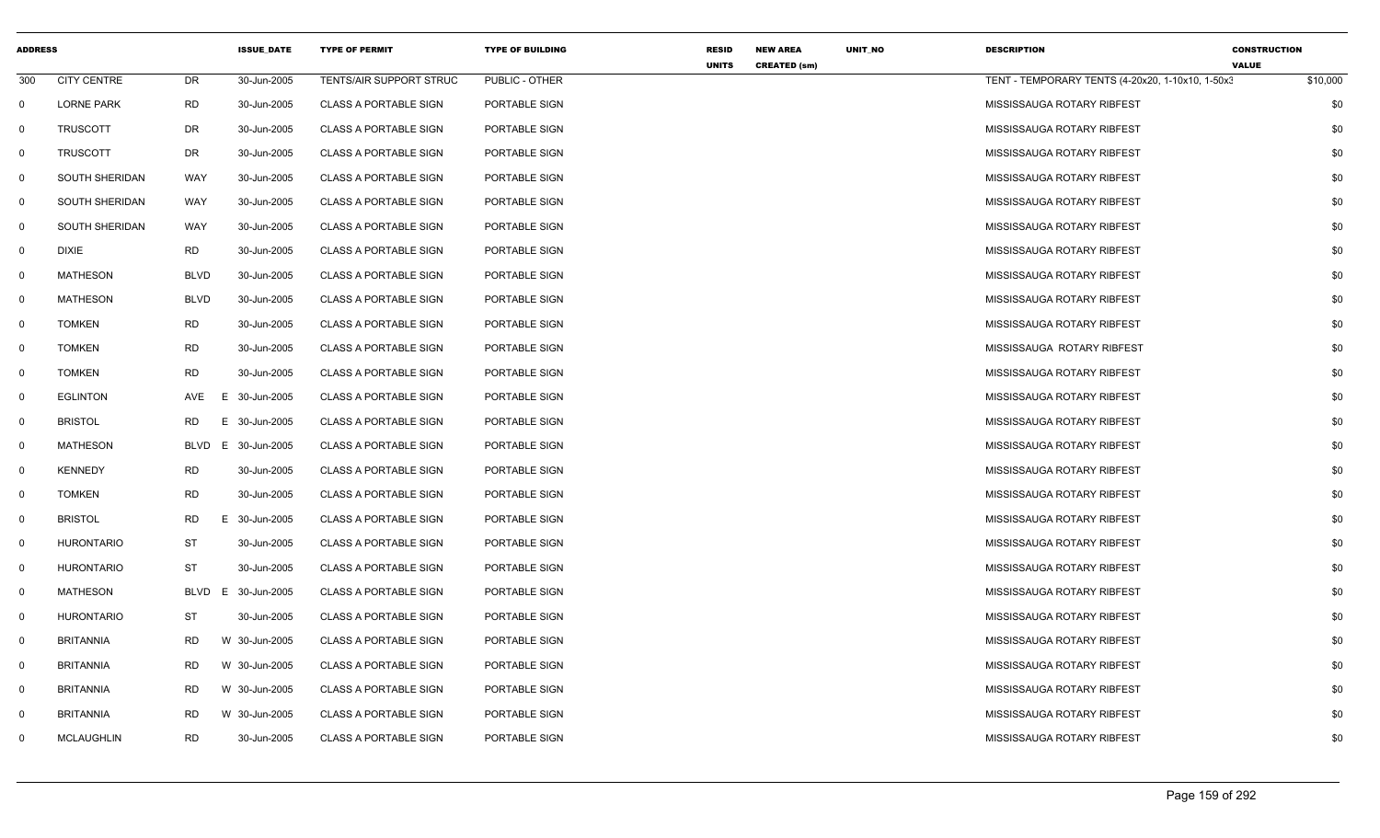| <b>ADDRESS</b> |                    |             | <b>ISSUE DATE</b> | <b>TYPE OF PERMIT</b>        | <b>TYPE OF BUILDING</b> | <b>RESID</b> | <b>NEW AREA</b>     | UNIT_NO | <b>DESCRIPTION</b>                               | <b>CONSTRUCTION</b>      |
|----------------|--------------------|-------------|-------------------|------------------------------|-------------------------|--------------|---------------------|---------|--------------------------------------------------|--------------------------|
| 300            | <b>CITY CENTRE</b> | DR          | 30-Jun-2005       | TENTS/AIR SUPPORT STRUC      | PUBLIC - OTHER          | <b>UNITS</b> | <b>CREATED (sm)</b> |         | TENT - TEMPORARY TENTS (4-20x20, 1-10x10, 1-50x3 | <b>VALUE</b><br>\$10,000 |
| $\mathbf 0$    | <b>LORNE PARK</b>  | <b>RD</b>   | 30-Jun-2005       | <b>CLASS A PORTABLE SIGN</b> | PORTABLE SIGN           |              |                     |         | MISSISSAUGA ROTARY RIBFEST                       | \$0                      |
| $\mathbf 0$    | <b>TRUSCOTT</b>    | DR          | 30-Jun-2005       | <b>CLASS A PORTABLE SIGN</b> | PORTABLE SIGN           |              |                     |         | MISSISSAUGA ROTARY RIBFEST                       | \$0                      |
| $\mathbf 0$    | <b>TRUSCOTT</b>    | <b>DR</b>   | 30-Jun-2005       | <b>CLASS A PORTABLE SIGN</b> | PORTABLE SIGN           |              |                     |         | MISSISSAUGA ROTARY RIBFEST                       | \$0                      |
| $\mathbf 0$    | SOUTH SHERIDAN     | WAY         | 30-Jun-2005       | <b>CLASS A PORTABLE SIGN</b> | PORTABLE SIGN           |              |                     |         | MISSISSAUGA ROTARY RIBFEST                       | \$0                      |
| $\mathbf{0}$   | SOUTH SHERIDAN     | WAY         | 30-Jun-2005       | <b>CLASS A PORTABLE SIGN</b> | PORTABLE SIGN           |              |                     |         | MISSISSAUGA ROTARY RIBFEST                       | \$0                      |
| $\mathbf 0$    | SOUTH SHERIDAN     | WAY         | 30-Jun-2005       | <b>CLASS A PORTABLE SIGN</b> | PORTABLE SIGN           |              |                     |         | MISSISSAUGA ROTARY RIBFEST                       | \$0                      |
| $\mathbf{0}$   | <b>DIXIE</b>       | RD          | 30-Jun-2005       | <b>CLASS A PORTABLE SIGN</b> | PORTABLE SIGN           |              |                     |         | MISSISSAUGA ROTARY RIBFEST                       | \$0                      |
| $\mathbf 0$    | <b>MATHESON</b>    | <b>BLVD</b> | 30-Jun-2005       | <b>CLASS A PORTABLE SIGN</b> | PORTABLE SIGN           |              |                     |         | MISSISSAUGA ROTARY RIBFEST                       | \$0                      |
| $\mathbf{0}$   | MATHESON           | <b>BLVD</b> | 30-Jun-2005       | <b>CLASS A PORTABLE SIGN</b> | PORTABLE SIGN           |              |                     |         | MISSISSAUGA ROTARY RIBFEST                       | \$0                      |
| $\mathbf{0}$   | <b>TOMKEN</b>      | <b>RD</b>   | 30-Jun-2005       | CLASS A PORTABLE SIGN        | PORTABLE SIGN           |              |                     |         | MISSISSAUGA ROTARY RIBFEST                       | \$0                      |
| $\mathbf 0$    | <b>TOMKEN</b>      | RD          | 30-Jun-2005       | CLASS A PORTABLE SIGN        | PORTABLE SIGN           |              |                     |         | MISSISSAUGA ROTARY RIBFEST                       | \$0                      |
| $\mathbf 0$    | TOMKEN             | <b>RD</b>   | 30-Jun-2005       | <b>CLASS A PORTABLE SIGN</b> | PORTABLE SIGN           |              |                     |         | MISSISSAUGA ROTARY RIBFEST                       | \$0                      |
| $\mathbf 0$    | <b>EGLINTON</b>    | AVE         | Е<br>30-Jun-2005  | <b>CLASS A PORTABLE SIGN</b> | PORTABLE SIGN           |              |                     |         | MISSISSAUGA ROTARY RIBFEST                       | \$0                      |
| $\mathbf 0$    | <b>BRISTOL</b>     | <b>RD</b>   | 30-Jun-2005<br>E. | <b>CLASS A PORTABLE SIGN</b> | PORTABLE SIGN           |              |                     |         | MISSISSAUGA ROTARY RIBFEST                       | \$0                      |
| $\mathbf 0$    | <b>MATHESON</b>    | <b>BLVD</b> | 30-Jun-2005<br>E. | <b>CLASS A PORTABLE SIGN</b> | PORTABLE SIGN           |              |                     |         | MISSISSAUGA ROTARY RIBFEST                       | \$0                      |
| $\mathbf{0}$   | <b>KENNEDY</b>     | <b>RD</b>   | 30-Jun-2005       | <b>CLASS A PORTABLE SIGN</b> | PORTABLE SIGN           |              |                     |         | MISSISSAUGA ROTARY RIBFEST                       | \$0                      |
| $\mathbf{0}$   | <b>TOMKEN</b>      | <b>RD</b>   | 30-Jun-2005       | <b>CLASS A PORTABLE SIGN</b> | PORTABLE SIGN           |              |                     |         | MISSISSAUGA ROTARY RIBFEST                       | \$0                      |
| $\mathbf{0}$   | <b>BRISTOL</b>     | <b>RD</b>   | Е<br>30-Jun-2005  | <b>CLASS A PORTABLE SIGN</b> | PORTABLE SIGN           |              |                     |         | MISSISSAUGA ROTARY RIBFEST                       | \$0                      |
| $\mathbf 0$    | <b>HURONTARIO</b>  | <b>ST</b>   | 30-Jun-2005       | <b>CLASS A PORTABLE SIGN</b> | PORTABLE SIGN           |              |                     |         | MISSISSAUGA ROTARY RIBFEST                       | \$0                      |
| $\mathbf{0}$   | <b>HURONTARIO</b>  | <b>ST</b>   | 30-Jun-2005       | <b>CLASS A PORTABLE SIGN</b> | PORTABLE SIGN           |              |                     |         | MISSISSAUGA ROTARY RIBFEST                       | \$0                      |
| $\mathbf 0$    | <b>MATHESON</b>    | <b>BLVD</b> | 30-Jun-2005<br>E  | <b>CLASS A PORTABLE SIGN</b> | PORTABLE SIGN           |              |                     |         | MISSISSAUGA ROTARY RIBFEST                       | \$0                      |
| $\mathbf 0$    | <b>HURONTARIO</b>  | ST          | 30-Jun-2005       | <b>CLASS A PORTABLE SIGN</b> | PORTABLE SIGN           |              |                     |         | MISSISSAUGA ROTARY RIBFEST                       | \$0                      |
| $\mathbf 0$    | <b>BRITANNIA</b>   | <b>RD</b>   | W 30-Jun-2005     | <b>CLASS A PORTABLE SIGN</b> | PORTABLE SIGN           |              |                     |         | MISSISSAUGA ROTARY RIBFEST                       | \$0                      |
| $\mathbf 0$    | <b>BRITANNIA</b>   | <b>RD</b>   | W 30-Jun-2005     | <b>CLASS A PORTABLE SIGN</b> | PORTABLE SIGN           |              |                     |         | MISSISSAUGA ROTARY RIBFEST                       | \$0                      |
| $\mathbf 0$    | <b>BRITANNIA</b>   | <b>RD</b>   | W 30-Jun-2005     | <b>CLASS A PORTABLE SIGN</b> | PORTABLE SIGN           |              |                     |         | MISSISSAUGA ROTARY RIBFEST                       | \$0                      |
| $\mathbf 0$    | <b>BRITANNIA</b>   | <b>RD</b>   | W 30-Jun-2005     | <b>CLASS A PORTABLE SIGN</b> | PORTABLE SIGN           |              |                     |         | MISSISSAUGA ROTARY RIBFEST                       | \$0                      |
| $\mathbf{0}$   | <b>MCLAUGHLIN</b>  | <b>RD</b>   | 30-Jun-2005       | <b>CLASS A PORTABLE SIGN</b> | PORTABLE SIGN           |              |                     |         | MISSISSAUGA ROTARY RIBFEST                       | \$0                      |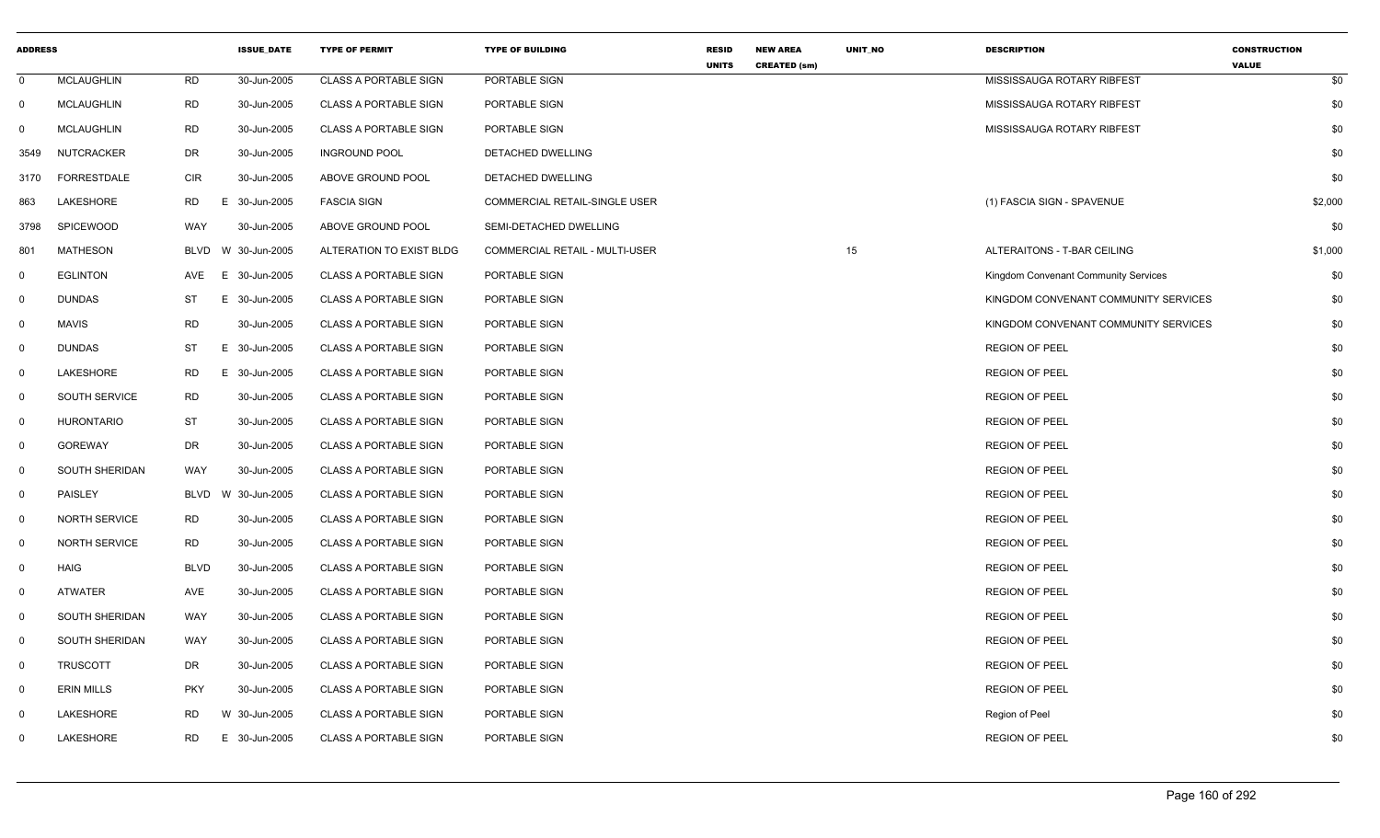| <b>ADDRESS</b> |                      |             | <b>ISSUE DATE</b> | <b>TYPE OF PERMIT</b>        | <b>TYPE OF BUILDING</b>        | <b>RESID</b><br><b>UNITS</b> | <b>NEW AREA</b><br><b>CREATED (sm)</b> | UNIT_NO | <b>DESCRIPTION</b>                   | <b>CONSTRUCTION</b><br><b>VALUE</b> |
|----------------|----------------------|-------------|-------------------|------------------------------|--------------------------------|------------------------------|----------------------------------------|---------|--------------------------------------|-------------------------------------|
| $\mathbf 0$    | <b>MCLAUGHLIN</b>    | <b>RD</b>   | 30-Jun-2005       | <b>CLASS A PORTABLE SIGN</b> | PORTABLE SIGN                  |                              |                                        |         | MISSISSAUGA ROTARY RIBFEST           | \$0                                 |
| $\mathbf 0$    | <b>MCLAUGHLIN</b>    | <b>RD</b>   | 30-Jun-2005       | <b>CLASS A PORTABLE SIGN</b> | PORTABLE SIGN                  |                              |                                        |         | MISSISSAUGA ROTARY RIBFEST           | \$0                                 |
| 0              | <b>MCLAUGHLIN</b>    | RD          | 30-Jun-2005       | <b>CLASS A PORTABLE SIGN</b> | PORTABLE SIGN                  |                              |                                        |         | MISSISSAUGA ROTARY RIBFEST           | \$0                                 |
| 3549           | NUTCRACKER           | DR          | 30-Jun-2005       | <b>INGROUND POOL</b>         | DETACHED DWELLING              |                              |                                        |         |                                      | \$0                                 |
| 3170           | FORRESTDALE          | <b>CIR</b>  | 30-Jun-2005       | ABOVE GROUND POOL            | DETACHED DWELLING              |                              |                                        |         |                                      | \$0                                 |
| 863            | LAKESHORE            | RD          | E 30-Jun-2005     | <b>FASCIA SIGN</b>           | COMMERCIAL RETAIL-SINGLE USER  |                              |                                        |         | (1) FASCIA SIGN - SPAVENUE           | \$2,000                             |
| 3798           | SPICEWOOD            | <b>WAY</b>  | 30-Jun-2005       | ABOVE GROUND POOL            | SEMI-DETACHED DWELLING         |                              |                                        |         |                                      | \$0                                 |
| 801            | <b>MATHESON</b>      | <b>BLVD</b> | W 30-Jun-2005     | ALTERATION TO EXIST BLDG     | COMMERCIAL RETAIL - MULTI-USER |                              |                                        | 15      | ALTERAITONS - T-BAR CEILING          | \$1,000                             |
| $\mathbf{0}$   | <b>EGLINTON</b>      | AVE         | E 30-Jun-2005     | <b>CLASS A PORTABLE SIGN</b> | PORTABLE SIGN                  |                              |                                        |         | Kingdom Convenant Community Services | \$0                                 |
| $\mathbf 0$    | <b>DUNDAS</b>        | ST          | Е.<br>30-Jun-2005 | <b>CLASS A PORTABLE SIGN</b> | PORTABLE SIGN                  |                              |                                        |         | KINGDOM CONVENANT COMMUNITY SERVICES | \$0                                 |
| $\mathbf 0$    | <b>MAVIS</b>         | <b>RD</b>   | 30-Jun-2005       | <b>CLASS A PORTABLE SIGN</b> | PORTABLE SIGN                  |                              |                                        |         | KINGDOM CONVENANT COMMUNITY SERVICES | \$0                                 |
| $\mathbf 0$    | <b>DUNDAS</b>        | ST          | E 30-Jun-2005     | <b>CLASS A PORTABLE SIGN</b> | PORTABLE SIGN                  |                              |                                        |         | <b>REGION OF PEEL</b>                | \$0                                 |
| 0              | LAKESHORE            | <b>RD</b>   | E 30-Jun-2005     | <b>CLASS A PORTABLE SIGN</b> | PORTABLE SIGN                  |                              |                                        |         | <b>REGION OF PEEL</b>                | \$0                                 |
| $\mathbf 0$    | <b>SOUTH SERVICE</b> | <b>RD</b>   | 30-Jun-2005       | <b>CLASS A PORTABLE SIGN</b> | PORTABLE SIGN                  |                              |                                        |         | <b>REGION OF PEEL</b>                | \$0                                 |
| 0              | <b>HURONTARIO</b>    | <b>ST</b>   | 30-Jun-2005       | <b>CLASS A PORTABLE SIGN</b> | PORTABLE SIGN                  |                              |                                        |         | <b>REGION OF PEEL</b>                | \$0                                 |
| $\mathbf{0}$   | <b>GOREWAY</b>       | DR          | 30-Jun-2005       | <b>CLASS A PORTABLE SIGN</b> | PORTABLE SIGN                  |                              |                                        |         | <b>REGION OF PEEL</b>                | \$0                                 |
| $\mathbf{0}$   | SOUTH SHERIDAN       | WAY         | 30-Jun-2005       | <b>CLASS A PORTABLE SIGN</b> | PORTABLE SIGN                  |                              |                                        |         | <b>REGION OF PEEL</b>                | \$0                                 |
| $\mathbf{0}$   | PAISLEY              | <b>BLVD</b> | W 30-Jun-2005     | <b>CLASS A PORTABLE SIGN</b> | PORTABLE SIGN                  |                              |                                        |         | <b>REGION OF PEEL</b>                | \$0                                 |
| $\mathbf 0$    | <b>NORTH SERVICE</b> | RD          | 30-Jun-2005       | <b>CLASS A PORTABLE SIGN</b> | PORTABLE SIGN                  |                              |                                        |         | <b>REGION OF PEEL</b>                | \$0                                 |
| 0              | <b>NORTH SERVICE</b> | <b>RD</b>   | 30-Jun-2005       | <b>CLASS A PORTABLE SIGN</b> | PORTABLE SIGN                  |                              |                                        |         | <b>REGION OF PEEL</b>                | \$0                                 |
| $\mathbf 0$    | HAIG                 | <b>BLVD</b> | 30-Jun-2005       | <b>CLASS A PORTABLE SIGN</b> | PORTABLE SIGN                  |                              |                                        |         | <b>REGION OF PEEL</b>                | \$0                                 |
| 0              | ATWATER              | AVE         | 30-Jun-2005       | CLASS A PORTABLE SIGN        | PORTABLE SIGN                  |                              |                                        |         | <b>REGION OF PEEL</b>                | \$0                                 |
| $\mathbf 0$    | SOUTH SHERIDAN       | WAY         | 30-Jun-2005       | <b>CLASS A PORTABLE SIGN</b> | PORTABLE SIGN                  |                              |                                        |         | <b>REGION OF PEEL</b>                | \$0                                 |
| 0              | SOUTH SHERIDAN       | WAY         | 30-Jun-2005       | <b>CLASS A PORTABLE SIGN</b> | PORTABLE SIGN                  |                              |                                        |         | <b>REGION OF PEEL</b>                | \$0                                 |
| 0              | <b>TRUSCOTT</b>      | DR          | 30-Jun-2005       | <b>CLASS A PORTABLE SIGN</b> | PORTABLE SIGN                  |                              |                                        |         | <b>REGION OF PEEL</b>                | \$0                                 |
| $\mathbf{0}$   | <b>ERIN MILLS</b>    | <b>PKY</b>  | 30-Jun-2005       | CLASS A PORTABLE SIGN        | PORTABLE SIGN                  |                              |                                        |         | <b>REGION OF PEEL</b>                | \$0                                 |
| $\Omega$       | LAKESHORE            | <b>RD</b>   | W 30-Jun-2005     | <b>CLASS A PORTABLE SIGN</b> | PORTABLE SIGN                  |                              |                                        |         | Region of Peel                       | \$0                                 |
| 0              | LAKESHORE            | RD          | E 30-Jun-2005     | <b>CLASS A PORTABLE SIGN</b> | PORTABLE SIGN                  |                              |                                        |         | <b>REGION OF PEEL</b>                | \$0                                 |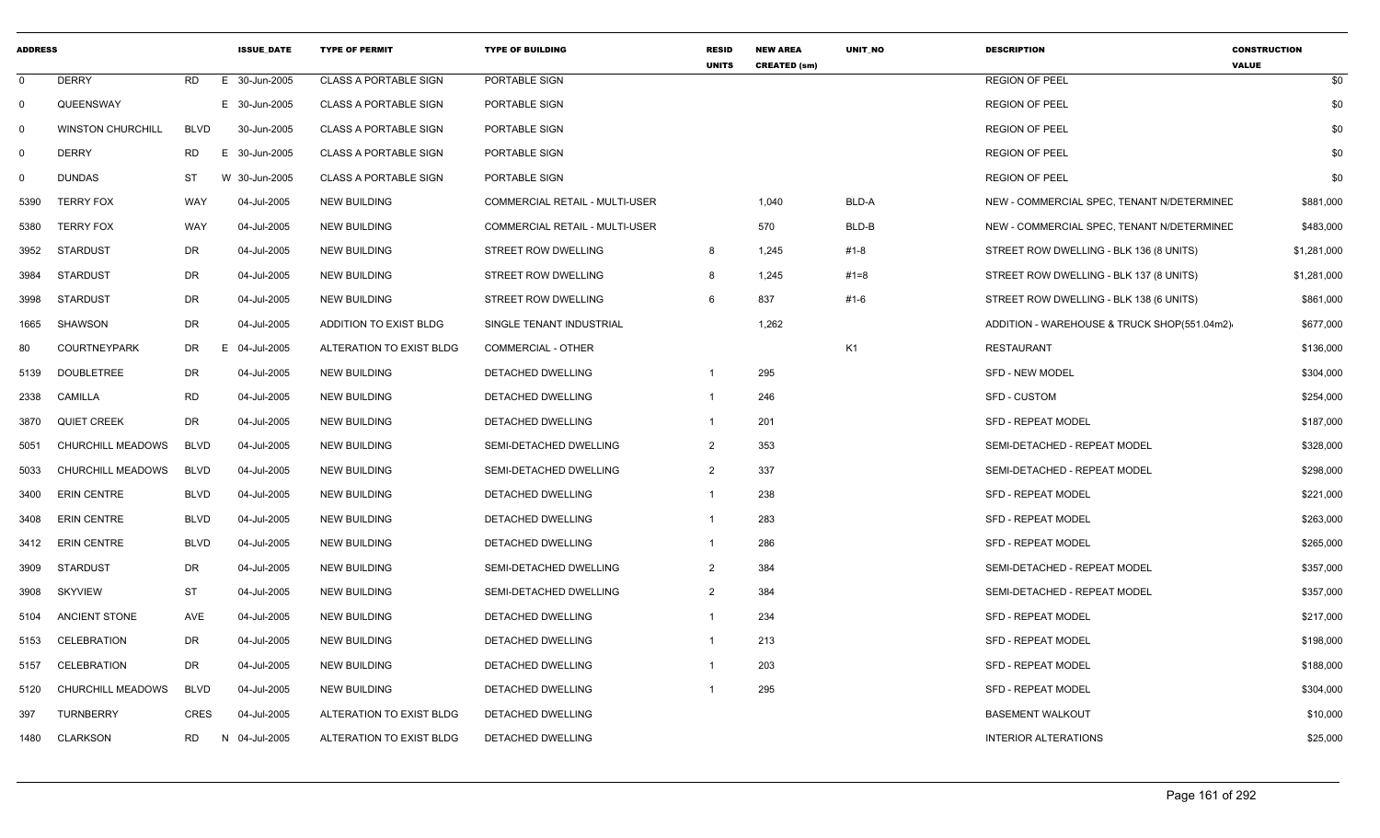| <b>ADDRESS</b> |                          |             | <b>ISSUE DATE</b> | <b>TYPE OF PERMIT</b>        | <b>TYPE OF BUILDING</b>        | <b>RESID</b><br><b>UNITS</b> | <b>NEW AREA</b><br><b>CREATED (sm)</b> | <b>UNIT NO</b> | <b>DESCRIPTION</b>                          | <b>CONSTRUCTION</b><br><b>VALUE</b> |
|----------------|--------------------------|-------------|-------------------|------------------------------|--------------------------------|------------------------------|----------------------------------------|----------------|---------------------------------------------|-------------------------------------|
| $\Omega$       | <b>DERRY</b>             | RD          | E 30-Jun-2005     | <b>CLASS A PORTABLE SIGN</b> | PORTABLE SIGN                  |                              |                                        |                | <b>REGION OF PEEL</b>                       | \$0                                 |
| $\Omega$       | QUEENSWAY                |             | E 30-Jun-2005     | <b>CLASS A PORTABLE SIGN</b> | PORTABLE SIGN                  |                              |                                        |                | <b>REGION OF PEEL</b>                       | \$0                                 |
| 0              | <b>WINSTON CHURCHILL</b> | <b>BLVD</b> | 30-Jun-2005       | <b>CLASS A PORTABLE SIGN</b> | PORTABLE SIGN                  |                              |                                        |                | <b>REGION OF PEEL</b>                       | \$0                                 |
| 0              | <b>DERRY</b>             | RD          | E 30-Jun-2005     | <b>CLASS A PORTABLE SIGN</b> | PORTABLE SIGN                  |                              |                                        |                | <b>REGION OF PEEL</b>                       | \$0                                 |
| 0              | <b>DUNDAS</b>            | ST          | W 30-Jun-2005     | <b>CLASS A PORTABLE SIGN</b> | PORTABLE SIGN                  |                              |                                        |                | <b>REGION OF PEEL</b>                       | \$0                                 |
| 5390           | <b>TERRY FOX</b>         | WAY         | 04-Jul-2005       | <b>NEW BUILDING</b>          | COMMERCIAL RETAIL - MULTI-USER |                              | 1,040                                  | BLD-A          | NEW - COMMERCIAL SPEC, TENANT N/DETERMINED  | \$881,000                           |
| 5380           | <b>TERRY FOX</b>         | WAY         | 04-Jul-2005       | <b>NEW BUILDING</b>          | COMMERCIAL RETAIL - MULTI-USER |                              | 570                                    | BLD-B          | NEW - COMMERCIAL SPEC, TENANT N/DETERMINED  | \$483,000                           |
| 3952           | STARDUST                 | DR          | 04-Jul-2005       | <b>NEW BUILDING</b>          | STREET ROW DWELLING            | 8                            | 1,245                                  | #1-8           | STREET ROW DWELLING - BLK 136 (8 UNITS)     | \$1,281,000                         |
| 3984           | STARDUST                 | DR          | 04-Jul-2005       | <b>NEW BUILDING</b>          | STREET ROW DWELLING            | -8                           | 1,245                                  | #1=8           | STREET ROW DWELLING - BLK 137 (8 UNITS)     | \$1,281,000                         |
| 3998           | <b>STARDUST</b>          | DR          | 04-Jul-2005       | <b>NEW BUILDING</b>          | STREET ROW DWELLING            | 6                            | 837                                    | #1-6           | STREET ROW DWELLING - BLK 138 (6 UNITS)     | \$861,000                           |
| 1665           | SHAWSON                  | DR          | 04-Jul-2005       | ADDITION TO EXIST BLDG       | SINGLE TENANT INDUSTRIAL       |                              | 1,262                                  |                | ADDITION - WAREHOUSE & TRUCK SHOP(551.04m2) | \$677,000                           |
| 80             | <b>COURTNEYPARK</b>      | DR          | 04-Jul-2005<br>Е. | ALTERATION TO EXIST BLDG     | <b>COMMERCIAL - OTHER</b>      |                              |                                        | K <sub>1</sub> | RESTAURANT                                  | \$136,000                           |
| 5139           | <b>DOUBLETREE</b>        | DR          | 04-Jul-2005       | <b>NEW BUILDING</b>          | <b>DETACHED DWELLING</b>       | -1                           | 295                                    |                | <b>SFD - NEW MODEL</b>                      | \$304,000                           |
| 2338           | CAMILLA                  | RD          | 04-Jul-2005       | <b>NEW BUILDING</b>          | <b>DETACHED DWELLING</b>       | $\overline{1}$               | 246                                    |                | <b>SFD - CUSTOM</b>                         | \$254,000                           |
| 3870           | <b>QUIET CREEK</b>       | DR          | 04-Jul-2005       | <b>NEW BUILDING</b>          | DETACHED DWELLING              | $\overline{1}$               | 201                                    |                | <b>SFD - REPEAT MODEL</b>                   | \$187,000                           |
| 5051           | CHURCHILL MEADOWS        | <b>BLVD</b> | 04-Jul-2005       | <b>NEW BUILDING</b>          | SEMI-DETACHED DWELLING         | $\overline{2}$               | 353                                    |                | SEMI-DETACHED - REPEAT MODEL                | \$328,000                           |
| 5033           | <b>CHURCHILL MEADOWS</b> | <b>BLVD</b> | 04-Jul-2005       | <b>NEW BUILDING</b>          | SEMI-DETACHED DWELLING         | $\overline{2}$               | 337                                    |                | SEMI-DETACHED - REPEAT MODEL                | \$298,000                           |
| 3400           | <b>ERIN CENTRE</b>       | <b>BLVD</b> | 04-Jul-2005       | <b>NEW BUILDING</b>          | DETACHED DWELLING              | $\overline{1}$               | 238                                    |                | SFD - REPEAT MODEL                          | \$221,000                           |
| 3408           | <b>ERIN CENTRE</b>       | <b>BLVD</b> | 04-Jul-2005       | <b>NEW BUILDING</b>          | DETACHED DWELLING              | $\overline{1}$               | 283                                    |                | <b>SFD - REPEAT MODEL</b>                   | \$263,000                           |
| 3412           | <b>ERIN CENTRE</b>       | <b>BLVD</b> | 04-Jul-2005       | <b>NEW BUILDING</b>          | DETACHED DWELLING              | $\overline{1}$               | 286                                    |                | <b>SFD - REPEAT MODEL</b>                   | \$265,000                           |
| 3909           | <b>STARDUST</b>          | DR          | 04-Jul-2005       | <b>NEW BUILDING</b>          | SEMI-DETACHED DWELLING         | 2                            | 384                                    |                | SEMI-DETACHED - REPEAT MODEL                | \$357,000                           |
| 3908           | SKYVIEW                  | ST          | 04-Jul-2005       | <b>NEW BUILDING</b>          | SEMI-DETACHED DWELLING         | 2                            | 384                                    |                | SEMI-DETACHED - REPEAT MODEL                | \$357,000                           |
| 5104           | <b>ANCIENT STONE</b>     | AVE         | 04-Jul-2005       | <b>NEW BUILDING</b>          | DETACHED DWELLING              | $\overline{1}$               | 234                                    |                | SFD - REPEAT MODEL                          | \$217,000                           |
| 5153           | <b>CELEBRATION</b>       | DR          | 04-Jul-2005       | <b>NEW BUILDING</b>          | DETACHED DWELLING              | $\overline{1}$               | 213                                    |                | <b>SFD - REPEAT MODEL</b>                   | \$198,000                           |
| 5157           | CELEBRATION              | DR          | 04-Jul-2005       | <b>NEW BUILDING</b>          | DETACHED DWELLING              | $\overline{1}$               | 203                                    |                | <b>SFD - REPEAT MODEL</b>                   | \$188,000                           |
| 5120           | <b>CHURCHILL MEADOWS</b> | <b>BLVD</b> | 04-Jul-2005       | <b>NEW BUILDING</b>          | <b>DETACHED DWELLING</b>       | $\overline{1}$               | 295                                    |                | <b>SFD - REPEAT MODEL</b>                   | \$304,000                           |
| 397            | <b>TURNBERRY</b>         | CRES        | 04-Jul-2005       | ALTERATION TO EXIST BLDG     | DETACHED DWELLING              |                              |                                        |                | <b>BASEMENT WALKOUT</b>                     | \$10,000                            |
| 1480           | <b>CLARKSON</b>          | RD          | 04-Jul-2005<br>N  | ALTERATION TO EXIST BLDG     | DETACHED DWELLING              |                              |                                        |                | <b>INTERIOR ALTERATIONS</b>                 | \$25,000                            |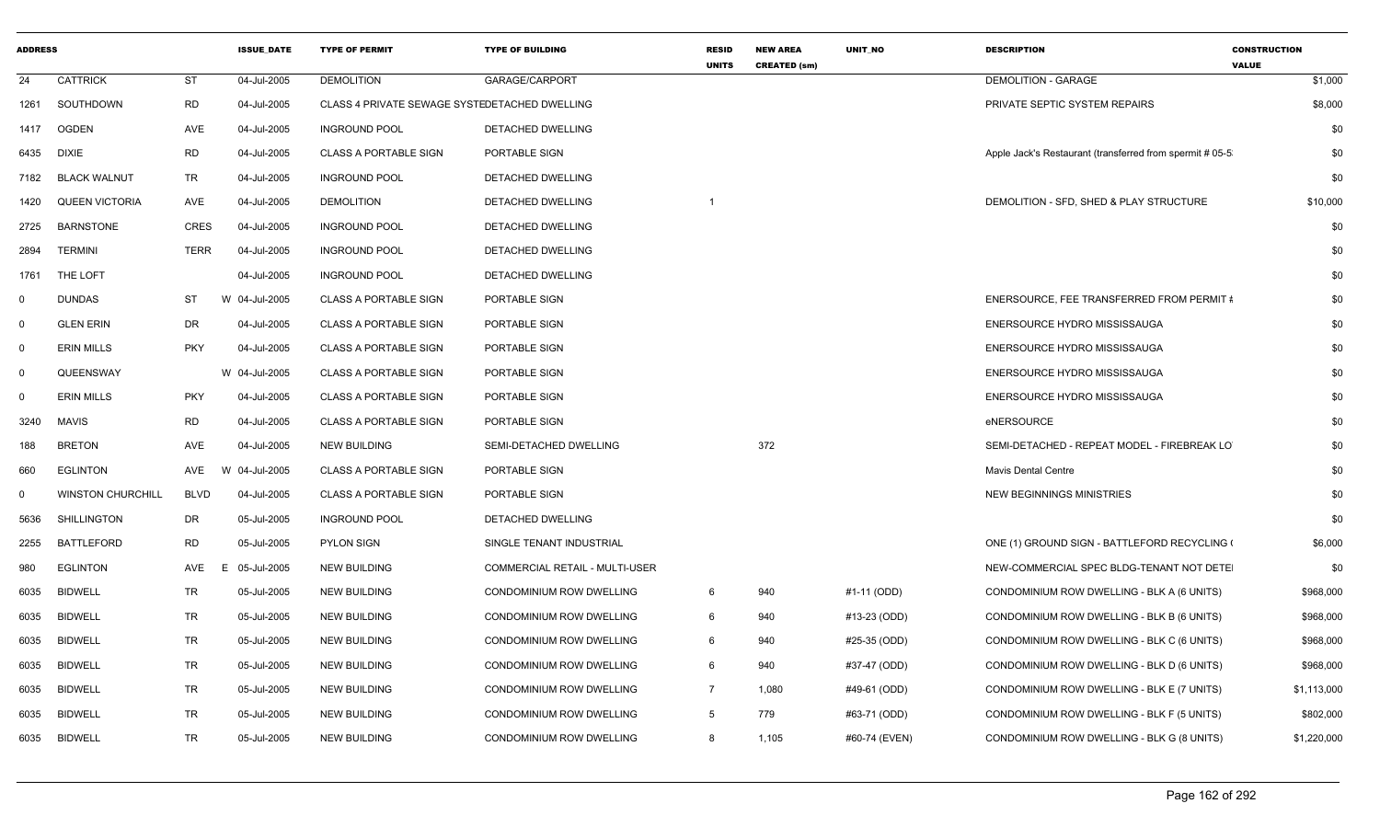| <b>ADDRESS</b> |                          |             | <b>ISSUE DATE</b> | <b>TYPE OF PERMIT</b>                         | <b>TYPE OF BUILDING</b>               | <b>RESID</b><br><b>UNITS</b> | <b>NEW AREA</b><br><b>CREATED (sm)</b> | <b>UNIT NO</b> | <b>DESCRIPTION</b>                                       | <b>CONSTRUCTION</b><br><b>VALUE</b> |
|----------------|--------------------------|-------------|-------------------|-----------------------------------------------|---------------------------------------|------------------------------|----------------------------------------|----------------|----------------------------------------------------------|-------------------------------------|
| 24             | <b>CATTRICK</b>          | ST          | 04-Jul-2005       | <b>DEMOLITION</b>                             | GARAGE/CARPORT                        |                              |                                        |                | <b>DEMOLITION - GARAGE</b>                               | \$1,000                             |
| 1261           | SOUTHDOWN                | <b>RD</b>   | 04-Jul-2005       | CLASS 4 PRIVATE SEWAGE SYSTEDETACHED DWELLING |                                       |                              |                                        |                | PRIVATE SEPTIC SYSTEM REPAIRS                            | \$8,000                             |
| 1417           | <b>OGDEN</b>             | AVE         | 04-Jul-2005       | <b>INGROUND POOL</b>                          | DETACHED DWELLING                     |                              |                                        |                |                                                          | \$0                                 |
| 6435           | DIXIE                    | <b>RD</b>   | 04-Jul-2005       | <b>CLASS A PORTABLE SIGN</b>                  | PORTABLE SIGN                         |                              |                                        |                | Apple Jack's Restaurant (transferred from spermit # 05-5 | \$0                                 |
| 7182           | <b>BLACK WALNUT</b>      | TR          | 04-Jul-2005       | <b>INGROUND POOL</b>                          | <b>DETACHED DWELLING</b>              |                              |                                        |                |                                                          | \$0                                 |
| 1420           | <b>QUEEN VICTORIA</b>    | AVE         | 04-Jul-2005       | <b>DEMOLITION</b>                             | DETACHED DWELLING                     |                              |                                        |                | DEMOLITION - SFD, SHED & PLAY STRUCTURE                  | \$10,000                            |
| 2725           | <b>BARNSTONE</b>         | <b>CRES</b> | 04-Jul-2005       | <b>INGROUND POOL</b>                          | DETACHED DWELLING                     |                              |                                        |                |                                                          | \$0                                 |
| 2894           | <b>TERMINI</b>           | <b>TERR</b> | 04-Jul-2005       | <b>INGROUND POOL</b>                          | <b>DETACHED DWELLING</b>              |                              |                                        |                |                                                          | \$0                                 |
| 1761           | THE LOFT                 |             | 04-Jul-2005       | <b>INGROUND POOL</b>                          | DETACHED DWELLING                     |                              |                                        |                |                                                          | \$0                                 |
| $\mathbf 0$    | <b>DUNDAS</b>            | ST          | W 04-Jul-2005     | <b>CLASS A PORTABLE SIGN</b>                  | PORTABLE SIGN                         |                              |                                        |                | ENERSOURCE. FEE TRANSFERRED FROM PERMIT #                | \$0                                 |
| $\mathbf 0$    | <b>GLEN ERIN</b>         | DR          | 04-Jul-2005       | <b>CLASS A PORTABLE SIGN</b>                  | PORTABLE SIGN                         |                              |                                        |                | ENERSOURCE HYDRO MISSISSAUGA                             | \$0                                 |
| $\mathbf 0$    | <b>ERIN MILLS</b>        | <b>PKY</b>  | 04-Jul-2005       | <b>CLASS A PORTABLE SIGN</b>                  | PORTABLE SIGN                         |                              |                                        |                | ENERSOURCE HYDRO MISSISSAUGA                             | \$0                                 |
| $\mathbf 0$    | QUEENSWAY                |             | W 04-Jul-2005     | <b>CLASS A PORTABLE SIGN</b>                  | PORTABLE SIGN                         |                              |                                        |                | ENERSOURCE HYDRO MISSISSAUGA                             | \$0                                 |
| $\mathbf 0$    | <b>ERIN MILLS</b>        | <b>PKY</b>  | 04-Jul-2005       | <b>CLASS A PORTABLE SIGN</b>                  | PORTABLE SIGN                         |                              |                                        |                | ENERSOURCE HYDRO MISSISSAUGA                             | \$0                                 |
| 3240           | <b>MAVIS</b>             | <b>RD</b>   | 04-Jul-2005       | <b>CLASS A PORTABLE SIGN</b>                  | PORTABLE SIGN                         |                              |                                        |                | eNERSOURCE                                               | \$0                                 |
| 188            | <b>BRETON</b>            | AVE         | 04-Jul-2005       | <b>NEW BUILDING</b>                           | SEMI-DETACHED DWELLING                |                              | 372                                    |                | SEMI-DETACHED - REPEAT MODEL - FIREBREAK LO              | \$0                                 |
| 660            | <b>EGLINTON</b>          | AVE         | W<br>04-Jul-2005  | <b>CLASS A PORTABLE SIGN</b>                  | PORTABLE SIGN                         |                              |                                        |                | <b>Mavis Dental Centre</b>                               | \$0                                 |
| $\mathbf 0$    | <b>WINSTON CHURCHILL</b> | <b>BLVD</b> | 04-Jul-2005       | <b>CLASS A PORTABLE SIGN</b>                  | PORTABLE SIGN                         |                              |                                        |                | <b>NEW BEGINNINGS MINISTRIES</b>                         | \$0                                 |
| 5636           | <b>SHILLINGTON</b>       | DR          | 05-Jul-2005       | <b>INGROUND POOL</b>                          | DETACHED DWELLING                     |                              |                                        |                |                                                          | \$0                                 |
| 2255           | <b>BATTLEFORD</b>        | <b>RD</b>   | 05-Jul-2005       | <b>PYLON SIGN</b>                             | SINGLE TENANT INDUSTRIAL              |                              |                                        |                | ONE (1) GROUND SIGN - BATTLEFORD RECYCLING (             | \$6,000                             |
| 980            | <b>EGLINTON</b>          | AVE         | 05-Jul-2005<br>F. | <b>NEW BUILDING</b>                           | <b>COMMERCIAL RETAIL - MULTI-USER</b> |                              |                                        |                | NEW-COMMERCIAL SPEC BLDG-TENANT NOT DETE                 | \$0                                 |
| 6035           | <b>BIDWELL</b>           | <b>TR</b>   | 05-Jul-2005       | <b>NEW BUILDING</b>                           | CONDOMINIUM ROW DWELLING              | 6                            | 940                                    | #1-11 (ODD)    | CONDOMINIUM ROW DWELLING - BLK A (6 UNITS)               | \$968,000                           |
| 6035           | <b>BIDWELL</b>           | TR          | 05-Jul-2005       | <b>NEW BUILDING</b>                           | CONDOMINIUM ROW DWELLING              | 6                            | 940                                    | #13-23 (ODD)   | CONDOMINIUM ROW DWELLING - BLK B (6 UNITS)               | \$968,000                           |
| 6035           | <b>BIDWELL</b>           | TR          | 05-Jul-2005       | <b>NEW BUILDING</b>                           | CONDOMINIUM ROW DWELLING              | 6                            | 940                                    | #25-35 (ODD)   | CONDOMINIUM ROW DWELLING - BLK C (6 UNITS)               | \$968,000                           |
| 6035           | <b>BIDWELL</b>           | TR          | 05-Jul-2005       | <b>NEW BUILDING</b>                           | CONDOMINIUM ROW DWELLING              | 6                            | 940                                    | #37-47 (ODD)   | CONDOMINIUM ROW DWELLING - BLK D (6 UNITS)               | \$968,000                           |
| 6035           | <b>BIDWELL</b>           | <b>TR</b>   | 05-Jul-2005       | <b>NEW BUILDING</b>                           | CONDOMINIUM ROW DWELLING              | $\overline{7}$               | 1,080                                  | #49-61 (ODD)   | CONDOMINIUM ROW DWELLING - BLK E (7 UNITS)               | \$1,113,000                         |
| 6035           | <b>BIDWELL</b>           | <b>TR</b>   | 05-Jul-2005       | <b>NEW BUILDING</b>                           | CONDOMINIUM ROW DWELLING              | 5                            | 779                                    | #63-71 (ODD)   | CONDOMINIUM ROW DWELLING - BLK F (5 UNITS)               | \$802,000                           |
| 6035           | BIDWELL                  | <b>TR</b>   | 05-Jul-2005       | <b>NEW BUILDING</b>                           | CONDOMINIUM ROW DWELLING              | 8                            | 1,105                                  | #60-74 (EVEN)  | CONDOMINIUM ROW DWELLING - BLK G (8 UNITS)               | \$1,220,000                         |
|                |                          |             |                   |                                               |                                       |                              |                                        |                |                                                          |                                     |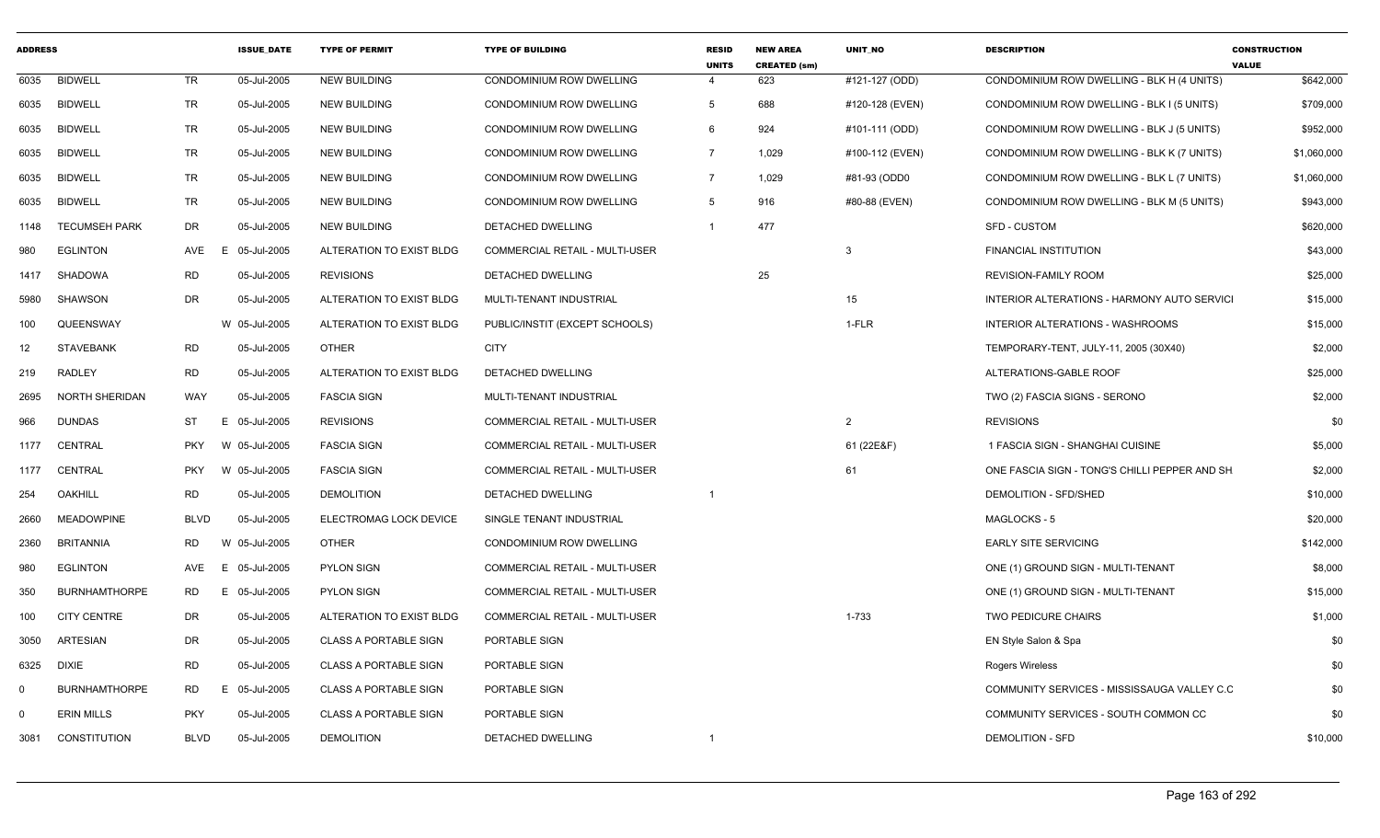| <b>ADDRESS</b> |                       |             | <b>ISSUE_DATE</b> | <b>TYPE OF PERMIT</b>        | <b>TYPE OF BUILDING</b>               | <b>RESID</b><br><b>UNITS</b> | <b>NEW AREA</b><br><b>CREATED (sm)</b> | <b>UNIT NO</b>  | <b>DESCRIPTION</b>                            | <b>CONSTRUCTION</b><br><b>VALUE</b> |
|----------------|-----------------------|-------------|-------------------|------------------------------|---------------------------------------|------------------------------|----------------------------------------|-----------------|-----------------------------------------------|-------------------------------------|
| 6035           | <b>BIDWELL</b>        | TR          | 05-Jul-2005       | <b>NEW BUILDING</b>          | CONDOMINIUM ROW DWELLING              | $\overline{4}$               | 623                                    | #121-127 (ODD)  | CONDOMINIUM ROW DWELLING - BLK H (4 UNITS)    | \$642,000                           |
| 6035           | <b>BIDWELL</b>        | TR          | 05-Jul-2005       | <b>NEW BUILDING</b>          | CONDOMINIUM ROW DWELLING              | 5                            | 688                                    | #120-128 (EVEN) | CONDOMINIUM ROW DWELLING - BLK I (5 UNITS)    | \$709,000                           |
| 6035           | <b>BIDWELL</b>        | <b>TR</b>   | 05-Jul-2005       | <b>NEW BUILDING</b>          | <b>CONDOMINIUM ROW DWELLING</b>       | 6                            | 924                                    | #101-111 (ODD)  | CONDOMINIUM ROW DWELLING - BLK J (5 UNITS)    | \$952,000                           |
| 6035           | <b>BIDWELL</b>        | TR          | 05-Jul-2005       | <b>NEW BUILDING</b>          | CONDOMINIUM ROW DWELLING              | $\overline{7}$               | 1,029                                  | #100-112 (EVEN) | CONDOMINIUM ROW DWELLING - BLK K (7 UNITS)    | \$1,060,000                         |
| 6035           | <b>BIDWELL</b>        | <b>TR</b>   | 05-Jul-2005       | <b>NEW BUILDING</b>          | CONDOMINIUM ROW DWELLING              | $\overline{7}$               | 1,029                                  | #81-93 (ODD0    | CONDOMINIUM ROW DWELLING - BLK L (7 UNITS)    | \$1,060,000                         |
| 6035           | <b>BIDWELL</b>        | TR          | 05-Jul-2005       | <b>NEW BUILDING</b>          | <b>CONDOMINIUM ROW DWELLING</b>       | $5^{\circ}$                  | 916                                    | #80-88 (EVEN)   | CONDOMINIUM ROW DWELLING - BLK M (5 UNITS)    | \$943,000                           |
| 1148           | <b>TECUMSEH PARK</b>  | DR          | 05-Jul-2005       | <b>NEW BUILDING</b>          | <b>DETACHED DWELLING</b>              |                              | 477                                    |                 | <b>SFD - CUSTOM</b>                           | \$620,000                           |
| 980            | <b>EGLINTON</b>       | AVE         | 05-Jul-2005<br>E  | ALTERATION TO EXIST BLDG     | COMMERCIAL RETAIL - MULTI-USER        |                              |                                        | 3               | <b>FINANCIAL INSTITUTION</b>                  | \$43,000                            |
| 1417           | SHADOWA               | <b>RD</b>   | 05-Jul-2005       | <b>REVISIONS</b>             | <b>DETACHED DWELLING</b>              |                              | 25                                     |                 | <b>REVISION-FAMILY ROOM</b>                   | \$25,000                            |
| 5980           | SHAWSON               | DR          | 05-Jul-2005       | ALTERATION TO EXIST BLDG     | MULTI-TENANT INDUSTRIAL               |                              |                                        | 15              | INTERIOR ALTERATIONS - HARMONY AUTO SERVICI   | \$15,000                            |
| 100            | QUEENSWAY             |             | W 05-Jul-2005     | ALTERATION TO EXIST BLDG     | PUBLIC/INSTIT (EXCEPT SCHOOLS)        |                              |                                        | 1-FLR           | INTERIOR ALTERATIONS - WASHROOMS              | \$15,000                            |
| 12             | <b>STAVEBANK</b>      | RD          | 05-Jul-2005       | <b>OTHER</b>                 | <b>CITY</b>                           |                              |                                        |                 | TEMPORARY-TENT, JULY-11, 2005 (30X40)         | \$2,000                             |
| 219            | <b>RADLEY</b>         | RD          | 05-Jul-2005       | ALTERATION TO EXIST BLDG     | <b>DETACHED DWELLING</b>              |                              |                                        |                 | ALTERATIONS-GABLE ROOF                        | \$25,000                            |
| 2695           | <b>NORTH SHERIDAN</b> | WAY         | 05-Jul-2005       | <b>FASCIA SIGN</b>           | MULTI-TENANT INDUSTRIAL               |                              |                                        |                 | TWO (2) FASCIA SIGNS - SERONO                 | \$2,000                             |
| 966            | <b>DUNDAS</b>         | ST          | E 05-Jul-2005     | <b>REVISIONS</b>             | <b>COMMERCIAL RETAIL - MULTI-USER</b> |                              |                                        | $\overline{2}$  | <b>REVISIONS</b>                              | \$0                                 |
| 1177           | CENTRAL               | <b>PKY</b>  | W 05-Jul-2005     | <b>FASCIA SIGN</b>           | <b>COMMERCIAL RETAIL - MULTI-USER</b> |                              |                                        | 61 (22E&F)      | 1 FASCIA SIGN - SHANGHAI CUISINE              | \$5,000                             |
| 1177           | CENTRAL               | <b>PKY</b>  | W 05-Jul-2005     | <b>FASCIA SIGN</b>           | COMMERCIAL RETAIL - MULTI-USER        |                              |                                        | 61              | ONE FASCIA SIGN - TONG'S CHILLI PEPPER AND SH | \$2,000                             |
| 254            | OAKHILL               | <b>RD</b>   | 05-Jul-2005       | <b>DEMOLITION</b>            | DETACHED DWELLING                     |                              |                                        |                 | DEMOLITION - SFD/SHED                         | \$10,000                            |
| 2660           | <b>MEADOWPINE</b>     | <b>BLVD</b> | 05-Jul-2005       | ELECTROMAG LOCK DEVICE       | SINGLE TENANT INDUSTRIAL              |                              |                                        |                 | MAGLOCKS - 5                                  | \$20,000                            |
| 2360           | <b>BRITANNIA</b>      | RD          | W 05-Jul-2005     | <b>OTHER</b>                 | CONDOMINIUM ROW DWELLING              |                              |                                        |                 | <b>EARLY SITE SERVICING</b>                   | \$142,000                           |
| 980            | <b>EGLINTON</b>       | AVE         | E 05-Jul-2005     | <b>PYLON SIGN</b>            | COMMERCIAL RETAIL - MULTI-USER        |                              |                                        |                 | ONE (1) GROUND SIGN - MULTI-TENANT            | \$8,000                             |
| 350            | <b>BURNHAMTHORPE</b>  | RD          | E 05-Jul-2005     | <b>PYLON SIGN</b>            | <b>COMMERCIAL RETAIL - MULTI-USER</b> |                              |                                        |                 | ONE (1) GROUND SIGN - MULTI-TENANT            | \$15,000                            |
| 100            | <b>CITY CENTRE</b>    | DR          | 05-Jul-2005       | ALTERATION TO EXIST BLDG     | COMMERCIAL RETAIL - MULTI-USER        |                              |                                        | 1-733           | <b>TWO PEDICURE CHAIRS</b>                    | \$1,000                             |
| 3050           | <b>ARTESIAN</b>       | DR          | 05-Jul-2005       | <b>CLASS A PORTABLE SIGN</b> | PORTABLE SIGN                         |                              |                                        |                 | EN Style Salon & Spa                          | \$0                                 |
| 6325           | DIXIE                 | RD          | 05-Jul-2005       | <b>CLASS A PORTABLE SIGN</b> | PORTABLE SIGN                         |                              |                                        |                 | <b>Rogers Wireless</b>                        | \$0                                 |
| $\Omega$       | <b>BURNHAMTHORPE</b>  | RD          | E 05-Jul-2005     | <b>CLASS A PORTABLE SIGN</b> | PORTABLE SIGN                         |                              |                                        |                 | COMMUNITY SERVICES - MISSISSAUGA VALLEY C.C.  | \$0                                 |
| $\Omega$       | <b>ERIN MILLS</b>     | <b>PKY</b>  | 05-Jul-2005       | <b>CLASS A PORTABLE SIGN</b> | PORTABLE SIGN                         |                              |                                        |                 | COMMUNITY SERVICES - SOUTH COMMON CC          | \$0                                 |
| 3081           | CONSTITUTION          | <b>BLVD</b> | 05-Jul-2005       | <b>DEMOLITION</b>            | DETACHED DWELLING                     | -1                           |                                        |                 | <b>DEMOLITION - SFD</b>                       | \$10,000                            |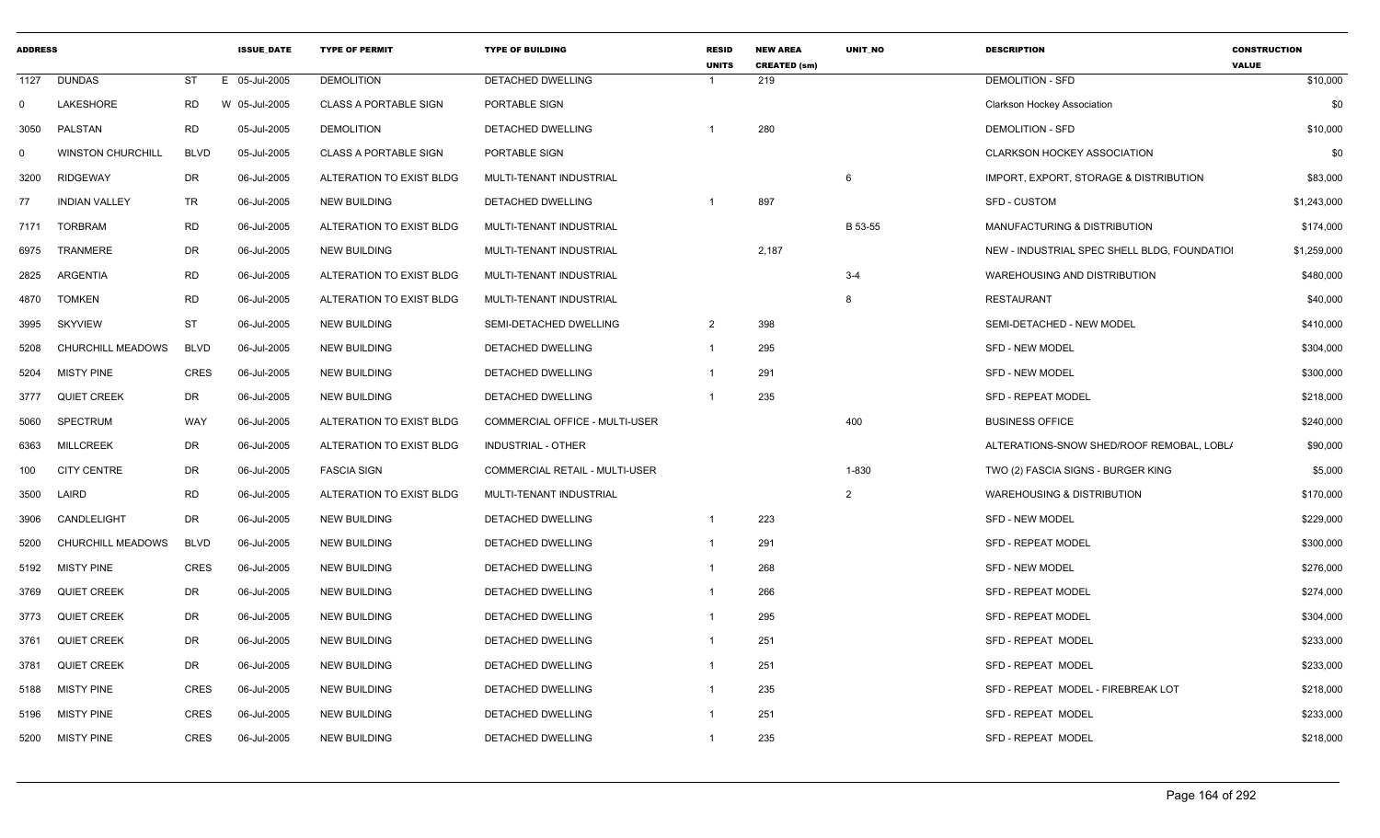| <b>ADDRESS</b> |                          |             | <b>ISSUE DATE</b> | <b>TYPE OF PERMIT</b>        | <b>TYPE OF BUILDING</b>        | <b>RESID</b><br><b>UNITS</b> | <b>NEW AREA</b><br><b>CREATED (sm)</b> | <b>UNIT NO</b> | <b>DESCRIPTION</b>                           | <b>CONSTRUCTION</b><br><b>VALUE</b> |
|----------------|--------------------------|-------------|-------------------|------------------------------|--------------------------------|------------------------------|----------------------------------------|----------------|----------------------------------------------|-------------------------------------|
| 1127           | <b>DUNDAS</b>            | <b>ST</b>   | E 05-Jul-2005     | <b>DEMOLITION</b>            | DETACHED DWELLING              | $\overline{1}$               | 219                                    |                | <b>DEMOLITION - SFD</b>                      | \$10,000                            |
| $\mathbf 0$    | LAKESHORE                | RD          | W 05-Jul-2005     | <b>CLASS A PORTABLE SIGN</b> | PORTABLE SIGN                  |                              |                                        |                | <b>Clarkson Hockey Association</b>           | \$0                                 |
| 3050           | PALSTAN                  | RD          | 05-Jul-2005       | <b>DEMOLITION</b>            | DETACHED DWELLING              |                              | 280                                    |                | <b>DEMOLITION - SFD</b>                      | \$10,000                            |
| $\mathbf 0$    | <b>WINSTON CHURCHILL</b> | <b>BLVD</b> | 05-Jul-2005       | <b>CLASS A PORTABLE SIGN</b> | PORTABLE SIGN                  |                              |                                        |                | CLARKSON HOCKEY ASSOCIATION                  | \$0                                 |
| 3200           | <b>RIDGEWAY</b>          | DR          | 06-Jul-2005       | ALTERATION TO EXIST BLDG     | MULTI-TENANT INDUSTRIAL        |                              |                                        | 6              | IMPORT, EXPORT, STORAGE & DISTRIBUTION       | \$83,000                            |
| 77             | <b>INDIAN VALLEY</b>     | <b>TR</b>   | 06-Jul-2005       | <b>NEW BUILDING</b>          | DETACHED DWELLING              | - 1                          | 897                                    |                | <b>SFD - CUSTOM</b>                          | \$1,243,000                         |
| 7171           | <b>TORBRAM</b>           | RD          | 06-Jul-2005       | ALTERATION TO EXIST BLDG     | MULTI-TENANT INDUSTRIAL        |                              |                                        | B 53-55        | MANUFACTURING & DISTRIBUTION                 | \$174,000                           |
| 6975           | <b>TRANMERE</b>          | DR          | 06-Jul-2005       | <b>NEW BUILDING</b>          | MULTI-TENANT INDUSTRIAL        |                              | 2,187                                  |                | NEW - INDUSTRIAL SPEC SHELL BLDG, FOUNDATION | \$1,259,000                         |
| 2825           | <b>ARGENTIA</b>          | <b>RD</b>   | 06-Jul-2005       | ALTERATION TO EXIST BLDG     | MULTI-TENANT INDUSTRIAL        |                              |                                        | $3 - 4$        | WAREHOUSING AND DISTRIBUTION                 | \$480,000                           |
| 4870           | <b>TOMKEN</b>            | RD          | 06-Jul-2005       | ALTERATION TO EXIST BLDG     | MULTI-TENANT INDUSTRIAL        |                              |                                        |                | <b>RESTAURANT</b>                            | \$40,000                            |
| 3995           | <b>SKYVIEW</b>           | ST          | 06-Jul-2005       | <b>NEW BUILDING</b>          | SEMI-DETACHED DWELLING         | $\overline{2}$               | 398                                    |                | SEMI-DETACHED - NEW MODEL                    | \$410,000                           |
| 5208           | CHURCHILL MEADOWS        | <b>BLVD</b> | 06-Jul-2005       | <b>NEW BUILDING</b>          | DETACHED DWELLING              | $\overline{1}$               | 295                                    |                | <b>SFD - NEW MODEL</b>                       | \$304,000                           |
| 5204           | <b>MISTY PINE</b>        | CRES        | 06-Jul-2005       | <b>NEW BUILDING</b>          | DETACHED DWELLING              | - 1                          | 291                                    |                | SFD - NEW MODEL                              | \$300,000                           |
| 3777           | <b>QUIET CREEK</b>       | DR          | 06-Jul-2005       | <b>NEW BUILDING</b>          | DETACHED DWELLING              | - 1                          | 235                                    |                | <b>SFD - REPEAT MODEL</b>                    | \$218,000                           |
| 5060           | SPECTRUM                 | WAY         | 06-Jul-2005       | ALTERATION TO EXIST BLDG     | COMMERCIAL OFFICE - MULTI-USER |                              |                                        | 400            | <b>BUSINESS OFFICE</b>                       | \$240,000                           |
| 6363           | <b>MILLCREEK</b>         | DR          | 06-Jul-2005       | ALTERATION TO EXIST BLDG     | INDUSTRIAL - OTHER             |                              |                                        |                | ALTERATIONS-SNOW SHED/ROOF REMOBAL, LOBL/    | \$90,000                            |
| 100            | <b>CITY CENTRE</b>       | DR          | 06-Jul-2005       | <b>FASCIA SIGN</b>           | COMMERCIAL RETAIL - MULTI-USER |                              |                                        | 1-830          | TWO (2) FASCIA SIGNS - BURGER KING           | \$5,000                             |
| 3500           | LAIRD                    | <b>RD</b>   | 06-Jul-2005       | ALTERATION TO EXIST BLDG     | MULTI-TENANT INDUSTRIAL        |                              |                                        | $\mathcal{P}$  | <b>WAREHOUSING &amp; DISTRIBUTION</b>        | \$170,000                           |
| 3906           | CANDLELIGHT              | DR          | 06-Jul-2005       | <b>NEW BUILDING</b>          | DETACHED DWELLING              | $\overline{1}$               | 223                                    |                | <b>SFD - NEW MODEL</b>                       | \$229,000                           |
| 5200           | <b>CHURCHILL MEADOWS</b> | <b>BLVD</b> | 06-Jul-2005       | <b>NEW BUILDING</b>          | DETACHED DWELLING              | $\overline{1}$               | 291                                    |                | <b>SFD - REPEAT MODEL</b>                    | \$300,000                           |
| 5192           | <b>MISTY PINE</b>        | CRES        | 06-Jul-2005       | <b>NEW BUILDING</b>          | DETACHED DWELLING              | $\overline{1}$               | 268                                    |                | <b>SFD - NEW MODEL</b>                       | \$276,000                           |
| 3769           | <b>QUIET CREEK</b>       | DR          | 06-Jul-2005       | <b>NEW BUILDING</b>          | DETACHED DWELLING              | $\overline{1}$               | 266                                    |                | SFD - REPEAT MODEL                           | \$274,000                           |
| 3773           | <b>QUIET CREEK</b>       | DR          | 06-Jul-2005       | <b>NEW BUILDING</b>          | DETACHED DWELLING              | $\overline{1}$               | 295                                    |                | <b>SFD - REPEAT MODEL</b>                    | \$304,000                           |
| 3761           | <b>QUIET CREEK</b>       | DR          | 06-Jul-2005       | <b>NEW BUILDING</b>          | DETACHED DWELLING              | $\overline{1}$               | 251                                    |                | SFD - REPEAT MODEL                           | \$233,000                           |
| 3781           | <b>QUIET CREEK</b>       | DR          | 06-Jul-2005       | <b>NEW BUILDING</b>          | DETACHED DWELLING              | $\overline{1}$               | 251                                    |                | SFD - REPEAT MODEL                           | \$233,000                           |
| 5188           | <b>MISTY PINE</b>        | <b>CRES</b> | 06-Jul-2005       | <b>NEW BUILDING</b>          | DETACHED DWELLING              | $\overline{1}$               | 235                                    |                | SFD - REPEAT MODEL - FIREBREAK LOT           | \$218,000                           |
| 5196           | <b>MISTY PINE</b>        | <b>CRES</b> | 06-Jul-2005       | <b>NEW BUILDING</b>          | DETACHED DWELLING              | $\overline{1}$               | 251                                    |                | SFD - REPEAT MODEL                           | \$233,000                           |
| 5200           | <b>MISTY PINE</b>        | <b>CRES</b> | 06-Jul-2005       | <b>NEW BUILDING</b>          | DETACHED DWELLING              | $\overline{1}$               | 235                                    |                | SFD - REPEAT MODEL                           | \$218,000                           |
|                |                          |             |                   |                              |                                |                              |                                        |                |                                              |                                     |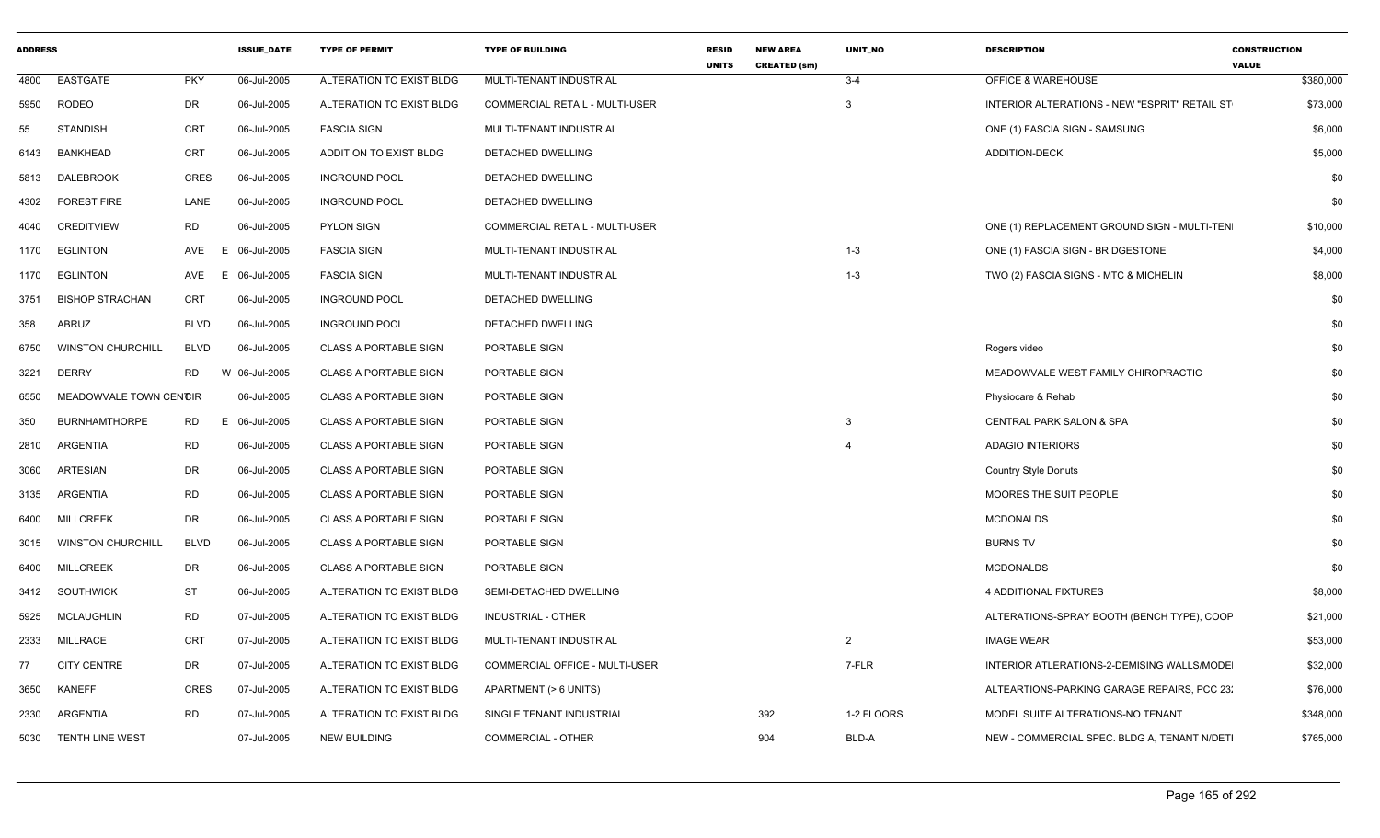| <b>ADDRESS</b> |                          |             | <b>ISSUE_DATE</b> | <b>TYPE OF PERMIT</b>        | <b>TYPE OF BUILDING</b>               | <b>RESID</b><br><b>UNITS</b> | <b>NEW AREA</b><br><b>CREATED (sm)</b> | <b>UNIT NO</b> | <b>DESCRIPTION</b>                                   | <b>CONSTRUCTION</b><br><b>VALUE</b> |
|----------------|--------------------------|-------------|-------------------|------------------------------|---------------------------------------|------------------------------|----------------------------------------|----------------|------------------------------------------------------|-------------------------------------|
| 4800           | <b>EASTGATE</b>          | <b>PKY</b>  | 06-Jul-2005       | ALTERATION TO EXIST BLDG     | MULTI-TENANT INDUSTRIAL               |                              |                                        | $3 - 4$        | <b>OFFICE &amp; WAREHOUSE</b>                        | \$380,000                           |
| 5950           | <b>RODEO</b>             | DR          | 06-Jul-2005       | ALTERATION TO EXIST BLDG     | <b>COMMERCIAL RETAIL - MULTI-USER</b> |                              |                                        | 3              | <b>INTERIOR ALTERATIONS - NEW "ESPRIT" RETAIL ST</b> | \$73,000                            |
| 55             | <b>STANDISH</b>          | <b>CRT</b>  | 06-Jul-2005       | <b>FASCIA SIGN</b>           | MULTI-TENANT INDUSTRIAL               |                              |                                        |                | ONE (1) FASCIA SIGN - SAMSUNG                        | \$6,000                             |
| 6143           | <b>BANKHEAD</b>          | <b>CRT</b>  | 06-Jul-2005       | ADDITION TO EXIST BLDG       | DETACHED DWELLING                     |                              |                                        |                | ADDITION-DECK                                        | \$5,000                             |
| 5813           | DALEBROOK                | <b>CRES</b> | 06-Jul-2005       | <b>INGROUND POOL</b>         | <b>DETACHED DWELLING</b>              |                              |                                        |                |                                                      | \$0                                 |
| 4302           | <b>FOREST FIRE</b>       | LANE        | 06-Jul-2005       | <b>INGROUND POOL</b>         | DETACHED DWELLING                     |                              |                                        |                |                                                      | \$0                                 |
| 4040           | <b>CREDITVIEW</b>        | <b>RD</b>   | 06-Jul-2005       | <b>PYLON SIGN</b>            | COMMERCIAL RETAIL - MULTI-USER        |                              |                                        |                | ONE (1) REPLACEMENT GROUND SIGN - MULTI-TEN          | \$10,000                            |
| 1170           | EGLINTON                 | AVE<br>E    | 06-Jul-2005       | <b>FASCIA SIGN</b>           | MULTI-TENANT INDUSTRIAL               |                              |                                        | $1 - 3$        | ONE (1) FASCIA SIGN - BRIDGESTONE                    | \$4,000                             |
| 1170           | EGLINTON                 | AVE<br>E.   | 06-Jul-2005       | <b>FASCIA SIGN</b>           | MULTI-TENANT INDUSTRIAL               |                              |                                        | $1 - 3$        | TWO (2) FASCIA SIGNS - MTC & MICHELIN                | \$8,000                             |
| 3751           | <b>BISHOP STRACHAN</b>   | <b>CRT</b>  | 06-Jul-2005       | <b>INGROUND POOL</b>         | <b>DETACHED DWELLING</b>              |                              |                                        |                |                                                      | \$0                                 |
| 358            | ABRUZ                    | <b>BLVD</b> | 06-Jul-2005       | <b>INGROUND POOL</b>         | DETACHED DWELLING                     |                              |                                        |                |                                                      | \$0                                 |
| 6750           | <b>WINSTON CHURCHILL</b> | <b>BLVD</b> | 06-Jul-2005       | <b>CLASS A PORTABLE SIGN</b> | PORTABLE SIGN                         |                              |                                        |                | Rogers video                                         | \$0                                 |
| 3221           | <b>DERRY</b>             | <b>RD</b>   | W 06-Jul-2005     | <b>CLASS A PORTABLE SIGN</b> | PORTABLE SIGN                         |                              |                                        |                | MEADOWVALE WEST FAMILY CHIROPRACTIC                  | \$0                                 |
| 6550           | MEADOWVALE TOWN CENCIR   |             | 06-Jul-2005       | <b>CLASS A PORTABLE SIGN</b> | PORTABLE SIGN                         |                              |                                        |                | Physiocare & Rehab                                   | \$0                                 |
| 350            | <b>BURNHAMTHORPE</b>     | RD<br>E.    | 06-Jul-2005       | <b>CLASS A PORTABLE SIGN</b> | PORTABLE SIGN                         |                              |                                        | $\mathbf{3}$   | <b>CENTRAL PARK SALON &amp; SPA</b>                  | \$0                                 |
| 2810           | ARGENTIA                 | <b>RD</b>   | 06-Jul-2005       | <b>CLASS A PORTABLE SIGN</b> | PORTABLE SIGN                         |                              |                                        | $\overline{4}$ | <b>ADAGIO INTERIORS</b>                              | \$0                                 |
| 3060           | ARTESIAN                 | DR          | 06-Jul-2005       | <b>CLASS A PORTABLE SIGN</b> | PORTABLE SIGN                         |                              |                                        |                | <b>Country Style Donuts</b>                          | \$0                                 |
| 3135           | ARGENTIA                 | <b>RD</b>   | 06-Jul-2005       | <b>CLASS A PORTABLE SIGN</b> | PORTABLE SIGN                         |                              |                                        |                | MOORES THE SUIT PEOPLE                               | \$0                                 |
| 6400           | <b>MILLCREEK</b>         | DR          | 06-Jul-2005       | <b>CLASS A PORTABLE SIGN</b> | PORTABLE SIGN                         |                              |                                        |                | <b>MCDONALDS</b>                                     | \$0                                 |
| 3015           | <b>WINSTON CHURCHILL</b> | <b>BLVD</b> | 06-Jul-2005       | <b>CLASS A PORTABLE SIGN</b> | PORTABLE SIGN                         |                              |                                        |                | <b>BURNS TV</b>                                      | \$0                                 |
| 6400           | <b>MILLCREEK</b>         | DR          | 06-Jul-2005       | <b>CLASS A PORTABLE SIGN</b> | PORTABLE SIGN                         |                              |                                        |                | <b>MCDONALDS</b>                                     | \$0                                 |
| 3412           | SOUTHWICK                | <b>ST</b>   | 06-Jul-2005       | ALTERATION TO EXIST BLDG     | SEMI-DETACHED DWELLING                |                              |                                        |                | 4 ADDITIONAL FIXTURES                                | \$8,000                             |
| 5925           | <b>MCLAUGHLIN</b>        | <b>RD</b>   | 07-Jul-2005       | ALTERATION TO EXIST BLDG     | <b>INDUSTRIAL - OTHER</b>             |                              |                                        |                | ALTERATIONS-SPRAY BOOTH (BENCH TYPE), COOP           | \$21,000                            |
| 2333           | MILLRACE                 | CRT         | 07-Jul-2005       | ALTERATION TO EXIST BLDG     | MULTI-TENANT INDUSTRIAL               |                              |                                        | $\overline{2}$ | <b>IMAGE WEAR</b>                                    | \$53,000                            |
| 77             | <b>CITY CENTRE</b>       | DR          | 07-Jul-2005       | ALTERATION TO EXIST BLDG     | COMMERCIAL OFFICE - MULTI-USER        |                              |                                        | 7-FLR          | INTERIOR ATLERATIONS-2-DEMISING WALLS/MODE           | \$32,000                            |
| 3650           | <b>KANEFF</b>            | <b>CRES</b> | 07-Jul-2005       | ALTERATION TO EXIST BLDG     | APARTMENT (> 6 UNITS)                 |                              |                                        |                | ALTEARTIONS-PARKING GARAGE REPAIRS, PCC 23:          | \$76,000                            |
| 2330           | ARGENTIA                 | <b>RD</b>   | 07-Jul-2005       | ALTERATION TO EXIST BLDG     | SINGLE TENANT INDUSTRIAL              |                              | 392                                    | 1-2 FLOORS     | MODEL SUITE ALTERATIONS-NO TENANT                    | \$348,000                           |
| 5030           | <b>TENTH LINE WEST</b>   |             | 07-Jul-2005       | <b>NEW BUILDING</b>          | COMMERCIAL - OTHER                    |                              | 904                                    | BLD-A          | NEW - COMMERCIAL SPEC. BLDG A, TENANT N/DETI         | \$765,000                           |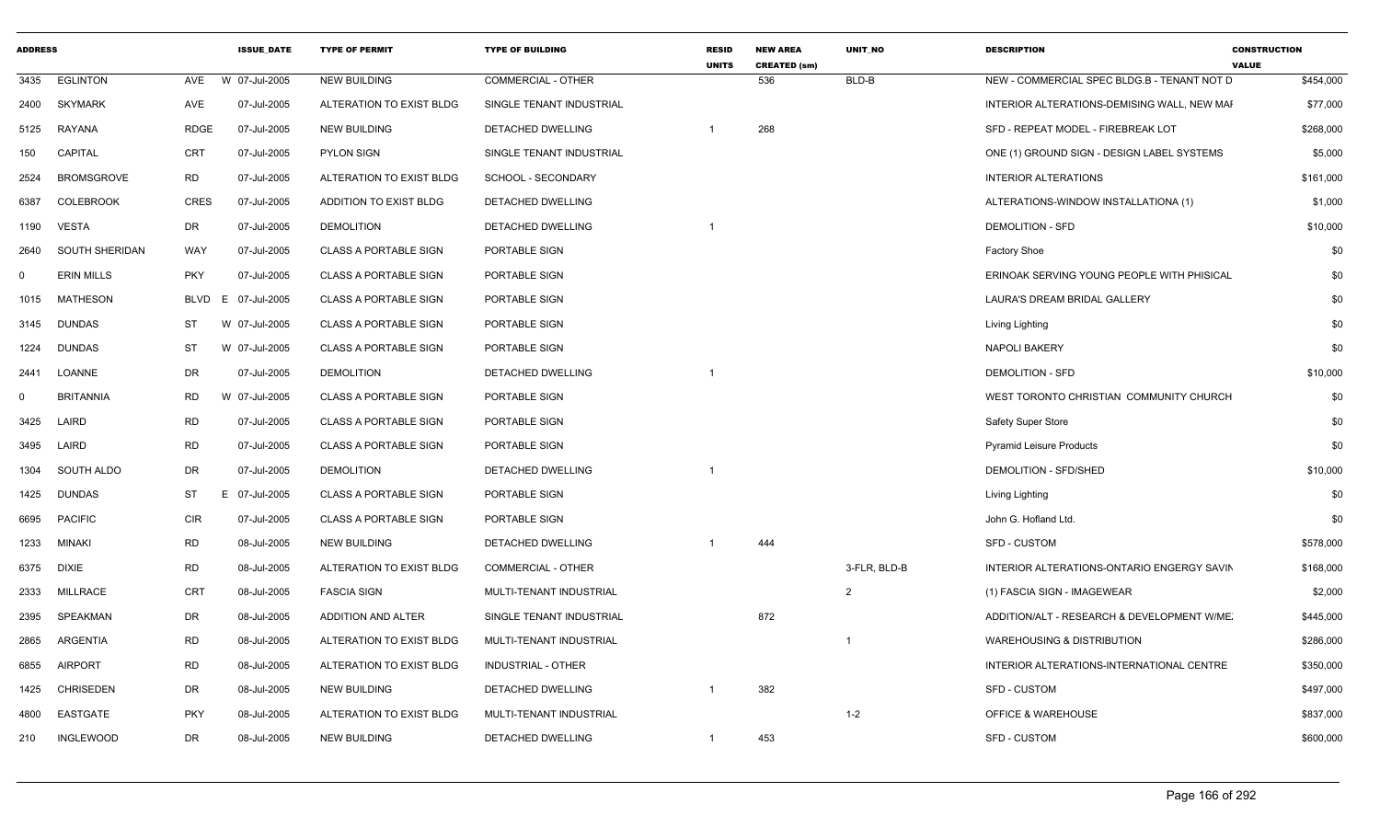| <b>EGLINTON</b><br>3435<br><b>SKYMARK</b><br>2400<br>5125<br>RAYANA<br><b>CAPITAL</b><br>150 | AVE<br>AVE<br><b>RDGE</b><br>CRT | W 07-Jul-2005<br>07-Jul-2005<br>07-Jul-2005<br>07-Jul-2005 | <b>NEW BUILDING</b><br>ALTERATION TO EXIST BLDG<br><b>NEW BUILDING</b> | <b>COMMERCIAL - OTHER</b><br>SINGLE TENANT INDUSTRIAL |    | 536 | BLD-B          | NEW - COMMERCIAL SPEC BLDG.B - TENANT NOT D | \$454,000 |
|----------------------------------------------------------------------------------------------|----------------------------------|------------------------------------------------------------|------------------------------------------------------------------------|-------------------------------------------------------|----|-----|----------------|---------------------------------------------|-----------|
|                                                                                              |                                  |                                                            |                                                                        |                                                       |    |     |                |                                             |           |
|                                                                                              |                                  |                                                            |                                                                        |                                                       |    |     |                | INTERIOR ALTERATIONS-DEMISING WALL, NEW MAI | \$77,000  |
|                                                                                              |                                  |                                                            |                                                                        | <b>DETACHED DWELLING</b>                              |    | 268 |                | SFD - REPEAT MODEL - FIREBREAK LOT          | \$268,000 |
|                                                                                              |                                  |                                                            | <b>PYLON SIGN</b>                                                      | SINGLE TENANT INDUSTRIAL                              |    |     |                | ONE (1) GROUND SIGN - DESIGN LABEL SYSTEMS  | \$5,000   |
| <b>BROMSGROVE</b><br><b>RD</b><br>2524                                                       |                                  | 07-Jul-2005                                                | ALTERATION TO EXIST BLDG                                               | SCHOOL - SECONDARY                                    |    |     |                | <b>INTERIOR ALTERATIONS</b>                 | \$161,000 |
| <b>COLEBROOK</b><br>6387                                                                     | CRES                             | 07-Jul-2005                                                | ADDITION TO EXIST BLDG                                                 | DETACHED DWELLING                                     |    |     |                | ALTERATIONS-WINDOW INSTALLATIONA (1)        | \$1,000   |
| DR<br>VESTA<br>1190                                                                          |                                  | 07-Jul-2005                                                | <b>DEMOLITION</b>                                                      | DETACHED DWELLING                                     |    |     |                | <b>DEMOLITION - SFD</b>                     | \$10,000  |
| SOUTH SHERIDAN<br>2640                                                                       | WAY                              | 07-Jul-2005                                                | <b>CLASS A PORTABLE SIGN</b>                                           | PORTABLE SIGN                                         |    |     |                | Factory Shoe                                | \$0       |
| <b>ERIN MILLS</b><br>$\Omega$                                                                | <b>PKY</b>                       | 07-Jul-2005                                                | <b>CLASS A PORTABLE SIGN</b>                                           | PORTABLE SIGN                                         |    |     |                | ERINOAK SERVING YOUNG PEOPLE WITH PHISICAL  | \$0       |
| <b>MATHESON</b><br>1015                                                                      | <b>BLVD</b><br>E                 | 07-Jul-2005                                                | <b>CLASS A PORTABLE SIGN</b>                                           | PORTABLE SIGN                                         |    |     |                | LAURA'S DREAM BRIDAL GALLERY                | \$0       |
| 3145 DUNDAS<br>ST                                                                            |                                  | W 07-Jul-2005                                              | CLASS A PORTABLE SIGN                                                  | PORTABLE SIGN                                         |    |     |                | Living Lighting                             | \$0       |
| <b>DUNDAS</b><br>1224<br><b>ST</b>                                                           |                                  | W 07-Jul-2005                                              | <b>CLASS A PORTABLE SIGN</b>                                           | PORTABLE SIGN                                         |    |     |                | <b>NAPOLI BAKERY</b>                        | \$0       |
| DR<br>LOANNE<br>2441                                                                         |                                  | 07-Jul-2005                                                | <b>DEMOLITION</b>                                                      | DETACHED DWELLING                                     |    |     |                | <b>DEMOLITION - SFD</b>                     | \$10,000  |
| <b>BRITANNIA</b><br><b>RD</b><br>$\Omega$                                                    |                                  | W 07-Jul-2005                                              | CLASS A PORTABLE SIGN                                                  | PORTABLE SIGN                                         |    |     |                | WEST TORONTO CHRISTIAN COMMUNITY CHURCH     | \$0       |
| LAIRD<br><b>RD</b><br>3425                                                                   |                                  | 07-Jul-2005                                                | <b>CLASS A PORTABLE SIGN</b>                                           | PORTABLE SIGN                                         |    |     |                | Safety Super Store                          | \$0       |
| LAIRD<br>RD<br>3495                                                                          |                                  | 07-Jul-2005                                                | <b>CLASS A PORTABLE SIGN</b>                                           | PORTABLE SIGN                                         |    |     |                | <b>Pyramid Leisure Products</b>             | \$0       |
| DR<br>SOUTH ALDO<br>1304                                                                     |                                  | 07-Jul-2005                                                | <b>DEMOLITION</b>                                                      | DETACHED DWELLING                                     |    |     |                | <b>DEMOLITION - SFD/SHED</b>                | \$10,000  |
| DUNDAS<br>ST<br>1425                                                                         | E                                | 07-Jul-2005                                                | CLASS A PORTABLE SIGN                                                  | PORTABLE SIGN                                         |    |     |                | Living Lighting                             | \$0       |
| <b>CIR</b><br>6695<br>PACIFIC                                                                |                                  | 07-Jul-2005                                                | CLASS A PORTABLE SIGN                                                  | PORTABLE SIGN                                         |    |     |                | John G. Hofland Ltd.                        | \$0       |
| <b>RD</b><br>1233 MINAKI                                                                     |                                  | 08-Jul-2005                                                | <b>NEW BUILDING</b>                                                    | DETACHED DWELLING                                     |    | 444 |                | <b>SFD - CUSTOM</b>                         | \$578,000 |
| <b>RD</b><br>6375 DIXIE                                                                      |                                  | 08-Jul-2005                                                | ALTERATION TO EXIST BLDG                                               | <b>COMMERCIAL - OTHER</b>                             |    |     | 3-FLR, BLD-B   | INTERIOR ALTERATIONS-ONTARIO ENGERGY SAVIN  | \$168,000 |
| MILLRACE<br>2333                                                                             | CRT                              | 08-Jul-2005                                                | <b>FASCIA SIGN</b>                                                     | MULTI-TENANT INDUSTRIAL                               |    |     | $\overline{2}$ | (1) FASCIA SIGN - IMAGEWEAR                 | \$2,000   |
| SPEAKMAN<br>DR<br>2395                                                                       |                                  | 08-Jul-2005                                                | ADDITION AND ALTER                                                     | SINGLE TENANT INDUSTRIAL                              |    | 872 |                | ADDITION/ALT - RESEARCH & DEVELOPMENT W/ME. | \$445,000 |
| <b>RD</b><br>ARGENTIA<br>2865                                                                |                                  | 08-Jul-2005                                                | ALTERATION TO EXIST BLDG                                               | MULTI-TENANT INDUSTRIAL                               |    |     |                | <b>WAREHOUSING &amp; DISTRIBUTION</b>       | \$286,000 |
| <b>RD</b><br><b>AIRPORT</b><br>6855                                                          |                                  | 08-Jul-2005                                                | ALTERATION TO EXIST BLDG                                               | <b>INDUSTRIAL - OTHER</b>                             |    |     |                | INTERIOR ALTERATIONS-INTERNATIONAL CENTRE   | \$350,000 |
| <b>CHRISEDEN</b><br>DR<br>1425                                                               |                                  | 08-Jul-2005                                                | <b>NEW BUILDING</b>                                                    | DETACHED DWELLING                                     |    | 382 |                | SFD - CUSTOM                                | \$497,000 |
| EASTGATE<br>4800                                                                             | <b>PKY</b>                       | 08-Jul-2005                                                | ALTERATION TO EXIST BLDG                                               | MULTI-TENANT INDUSTRIAL                               |    |     | $1 - 2$        | <b>OFFICE &amp; WAREHOUSE</b>               | \$837,000 |
| <b>INGLEWOOD</b><br>DR<br>210                                                                |                                  | 08-Jul-2005                                                | <b>NEW BUILDING</b>                                                    | DETACHED DWELLING                                     | -1 | 453 |                | SFD - CUSTOM                                | \$600,000 |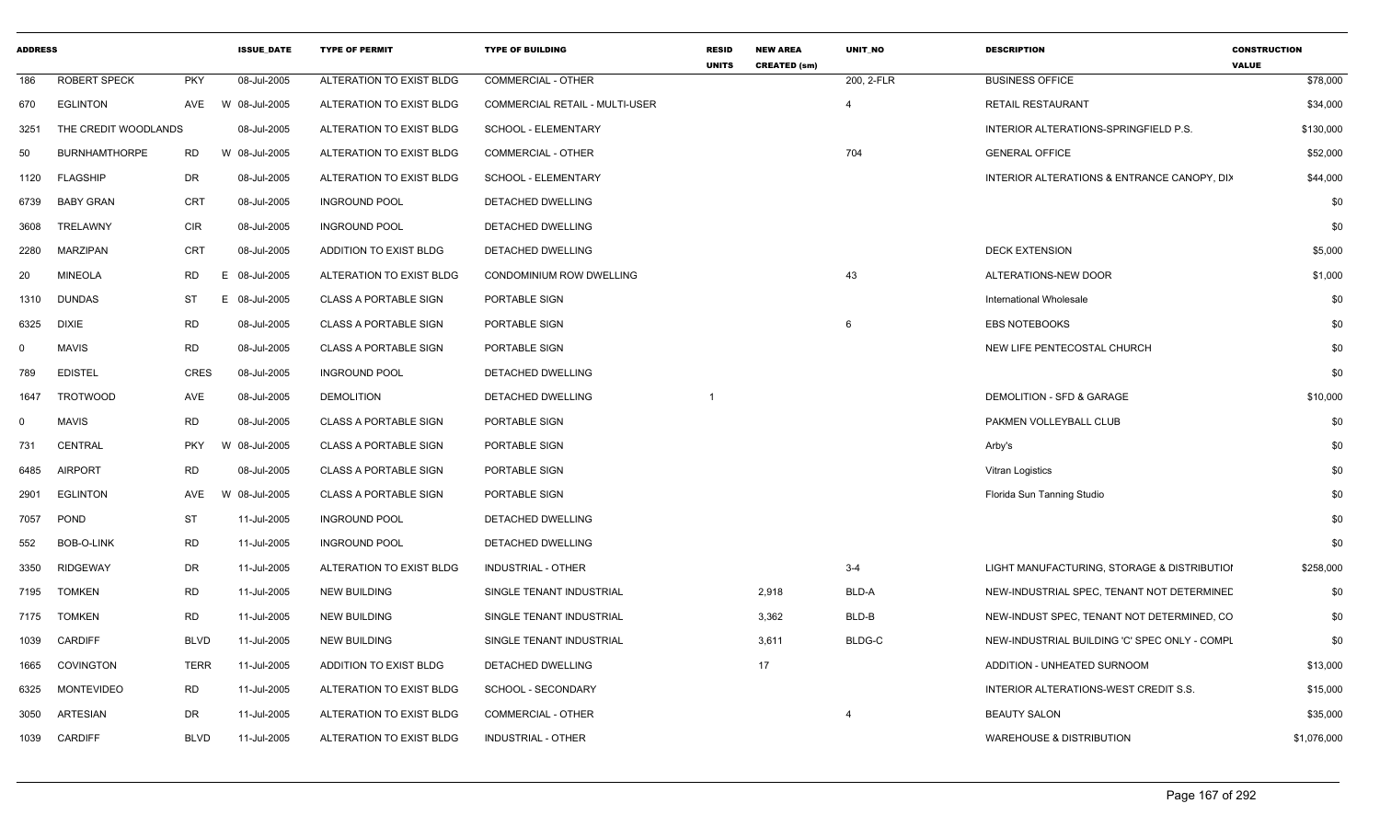| <b>ROBERT SPECK</b><br><b>PKY</b><br>08-Jul-2005<br>200, 2-FLR<br>ALTERATION TO EXIST BLDG<br><b>COMMERCIAL - OTHER</b><br><b>BUSINESS OFFICE</b><br>186<br>W 08-Jul-2005<br><b>RETAIL RESTAURANT</b><br>670<br><b>EGLINTON</b><br>AVE<br>ALTERATION TO EXIST BLDG<br><b>COMMERCIAL RETAIL - MULTI-USER</b><br>$\overline{4}$<br>THE CREDIT WOODLANDS<br>08-Jul-2005<br>SCHOOL - ELEMENTARY<br>INTERIOR ALTERATIONS-SPRINGFIELD P.S.<br>3251<br>ALTERATION TO EXIST BLDG<br>704<br><b>GENERAL OFFICE</b><br><b>BURNHAMTHORPE</b><br><b>RD</b><br>W 08-Jul-2005<br>ALTERATION TO EXIST BLDG<br><b>COMMERCIAL - OTHER</b><br>50<br><b>DR</b><br>08-Jul-2005<br><b>FLAGSHIP</b><br>ALTERATION TO EXIST BLDG<br>SCHOOL - ELEMENTARY<br>INTERIOR ALTERATIONS & ENTRANCE CANOPY, DIX<br>1120<br><b>CRT</b><br><b>BABY GRAN</b><br>08-Jul-2005<br>DETACHED DWELLING<br><b>INGROUND POOL</b><br>6739<br><b>CIR</b><br>08-Jul-2005<br>TRELAWNY<br><b>INGROUND POOL</b><br>DETACHED DWELLING<br>3608<br><b>CRT</b><br><b>DECK EXTENSION</b><br><b>MARZIPAN</b><br>08-Jul-2005<br>ADDITION TO EXIST BLDG<br><b>DETACHED DWELLING</b><br>2280<br><b>MINEOLA</b><br>RD.<br>E.<br>08-Jul-2005<br>ALTERATION TO EXIST BLDG<br>CONDOMINIUM ROW DWELLING<br>43<br>ALTERATIONS-NEW DOOR<br>20<br><b>DUNDAS</b><br>ST<br>E.<br>08-Jul-2005<br><b>CLASS A PORTABLE SIGN</b><br>PORTABLE SIGN<br><b>International Wholesale</b><br>1310<br><b>RD</b><br>08-Jul-2005<br>6<br><b>EBS NOTEBOOKS</b><br>6325<br>DIXIE<br><b>CLASS A PORTABLE SIGN</b><br>PORTABLE SIGN<br><b>RD</b><br><b>MAVIS</b><br>08-Jul-2005<br><b>CLASS A PORTABLE SIGN</b><br>PORTABLE SIGN<br>NEW LIFE PENTECOSTAL CHURCH<br>$\Omega$<br>CRES<br><b>EDISTEL</b><br>08-Jul-2005<br><b>INGROUND POOL</b><br>DETACHED DWELLING<br>789<br><b>TROTWOOD</b><br><b>AVE</b><br>08-Jul-2005<br><b>DEMOLITION</b><br>DETACHED DWELLING<br>DEMOLITION - SFD & GARAGE<br>1647<br>-1<br><b>MAVIS</b><br>RD<br>08-Jul-2005<br><b>CLASS A PORTABLE SIGN</b><br>PAKMEN VOLLEYBALL CLUB<br>0<br>PORTABLE SIGN<br>CENTRAL<br><b>PKY</b><br>W 08-Jul-2005<br>731<br><b>CLASS A PORTABLE SIGN</b><br>PORTABLE SIGN<br>Arby's<br><b>AIRPORT</b><br><b>RD</b><br>08-Jul-2005<br><b>CLASS A PORTABLE SIGN</b><br>PORTABLE SIGN<br>Vitran Logistics<br>6485<br><b>EGLINTON</b><br>AVE<br>08-Jul-2005<br><b>CLASS A PORTABLE SIGN</b><br>PORTABLE SIGN<br>2901<br>W<br>Florida Sun Tanning Studio<br>ST<br><b>POND</b><br>11-Jul-2005<br><b>INGROUND POOL</b><br>DETACHED DWELLING<br>7057<br>RD<br>11-Jul-2005<br>552<br>BOB-O-LINK<br><b>INGROUND POOL</b><br>DETACHED DWELLING<br><b>RIDGEWAY</b><br>DR<br>11-Jul-2005<br>$3 - 4$<br>LIGHT MANUFACTURING, STORAGE & DISTRIBUTIOI<br>3350<br>ALTERATION TO EXIST BLDG<br>INDUSTRIAL - OTHER<br><b>RD</b><br>11-Jul-2005<br>2,918<br>BLD-A<br><b>TOMKEN</b><br><b>NEW BUILDING</b><br>SINGLE TENANT INDUSTRIAL<br>NEW-INDUSTRIAL SPEC, TENANT NOT DETERMINED<br>7195<br><b>RD</b><br>11-Jul-2005<br>3,362<br>BLD-B<br><b>TOMKEN</b><br><b>NEW BUILDING</b><br>SINGLE TENANT INDUSTRIAL<br>NEW-INDUST SPEC, TENANT NOT DETERMINED, CO<br>7175<br><b>BLDG-C</b><br><b>CARDIFF</b><br><b>BLVD</b><br>11-Jul-2005<br><b>NEW BUILDING</b><br>3,611<br>NEW-INDUSTRIAL BUILDING 'C' SPEC ONLY - COMPL<br>SINGLE TENANT INDUSTRIAL<br>1039<br><b>TERR</b><br>17<br><b>COVINGTON</b><br>11-Jul-2005<br>ADDITION TO EXIST BLDG<br>DETACHED DWELLING<br>ADDITION - UNHEATED SURNOOM<br>1665<br>RD<br><b>MONTEVIDEO</b><br>11-Jul-2005<br>ALTERATION TO EXIST BLDG<br>SCHOOL - SECONDARY<br>INTERIOR ALTERATIONS-WEST CREDIT S.S.<br>6325<br><b>DR</b><br>ARTESIAN<br>11-Jul-2005<br>ALTERATION TO EXIST BLDG<br><b>COMMERCIAL - OTHER</b><br>$\overline{4}$<br><b>BEAUTY SALON</b><br>3050<br>1039 CARDIFF<br><b>BLVD</b><br>11-Jul-2005<br>ALTERATION TO EXIST BLDG<br><b>INDUSTRIAL - OTHER</b><br><b>WAREHOUSE &amp; DISTRIBUTION</b> | <b>ADDRESS</b> |  | <b>ISSUE_DATE</b> | <b>TYPE OF PERMIT</b> | <b>TYPE OF BUILDING</b> | <b>RESID</b><br><b>UNITS</b> | <b>NEW AREA</b><br><b>CREATED (sm)</b> | UNIT_NO | <b>DESCRIPTION</b> | <b>CONSTRUCTION</b><br><b>VALUE</b> |
|-------------------------------------------------------------------------------------------------------------------------------------------------------------------------------------------------------------------------------------------------------------------------------------------------------------------------------------------------------------------------------------------------------------------------------------------------------------------------------------------------------------------------------------------------------------------------------------------------------------------------------------------------------------------------------------------------------------------------------------------------------------------------------------------------------------------------------------------------------------------------------------------------------------------------------------------------------------------------------------------------------------------------------------------------------------------------------------------------------------------------------------------------------------------------------------------------------------------------------------------------------------------------------------------------------------------------------------------------------------------------------------------------------------------------------------------------------------------------------------------------------------------------------------------------------------------------------------------------------------------------------------------------------------------------------------------------------------------------------------------------------------------------------------------------------------------------------------------------------------------------------------------------------------------------------------------------------------------------------------------------------------------------------------------------------------------------------------------------------------------------------------------------------------------------------------------------------------------------------------------------------------------------------------------------------------------------------------------------------------------------------------------------------------------------------------------------------------------------------------------------------------------------------------------------------------------------------------------------------------------------------------------------------------------------------------------------------------------------------------------------------------------------------------------------------------------------------------------------------------------------------------------------------------------------------------------------------------------------------------------------------------------------------------------------------------------------------------------------------------------------------------------------------------------------------------------------------------------------------------------------------------------------------------------------------------------------------------------------------------------------------------------------------------------------------------------------------------------------------------------------------------------------------------------------------------------------------------------------------------------------------------------------------------------------------------------------------------------------------------------------------------------------------------------------------------------------------------------------------------------------------------------------------|----------------|--|-------------------|-----------------------|-------------------------|------------------------------|----------------------------------------|---------|--------------------|-------------------------------------|
|                                                                                                                                                                                                                                                                                                                                                                                                                                                                                                                                                                                                                                                                                                                                                                                                                                                                                                                                                                                                                                                                                                                                                                                                                                                                                                                                                                                                                                                                                                                                                                                                                                                                                                                                                                                                                                                                                                                                                                                                                                                                                                                                                                                                                                                                                                                                                                                                                                                                                                                                                                                                                                                                                                                                                                                                                                                                                                                                                                                                                                                                                                                                                                                                                                                                                                                                                                                                                                                                                                                                                                                                                                                                                                                                                                                                                                                                                                       |                |  |                   |                       |                         |                              |                                        |         |                    | \$78,000                            |
|                                                                                                                                                                                                                                                                                                                                                                                                                                                                                                                                                                                                                                                                                                                                                                                                                                                                                                                                                                                                                                                                                                                                                                                                                                                                                                                                                                                                                                                                                                                                                                                                                                                                                                                                                                                                                                                                                                                                                                                                                                                                                                                                                                                                                                                                                                                                                                                                                                                                                                                                                                                                                                                                                                                                                                                                                                                                                                                                                                                                                                                                                                                                                                                                                                                                                                                                                                                                                                                                                                                                                                                                                                                                                                                                                                                                                                                                                                       |                |  |                   |                       |                         |                              |                                        |         |                    | \$34,000                            |
|                                                                                                                                                                                                                                                                                                                                                                                                                                                                                                                                                                                                                                                                                                                                                                                                                                                                                                                                                                                                                                                                                                                                                                                                                                                                                                                                                                                                                                                                                                                                                                                                                                                                                                                                                                                                                                                                                                                                                                                                                                                                                                                                                                                                                                                                                                                                                                                                                                                                                                                                                                                                                                                                                                                                                                                                                                                                                                                                                                                                                                                                                                                                                                                                                                                                                                                                                                                                                                                                                                                                                                                                                                                                                                                                                                                                                                                                                                       |                |  |                   |                       |                         |                              |                                        |         |                    | \$130,000                           |
|                                                                                                                                                                                                                                                                                                                                                                                                                                                                                                                                                                                                                                                                                                                                                                                                                                                                                                                                                                                                                                                                                                                                                                                                                                                                                                                                                                                                                                                                                                                                                                                                                                                                                                                                                                                                                                                                                                                                                                                                                                                                                                                                                                                                                                                                                                                                                                                                                                                                                                                                                                                                                                                                                                                                                                                                                                                                                                                                                                                                                                                                                                                                                                                                                                                                                                                                                                                                                                                                                                                                                                                                                                                                                                                                                                                                                                                                                                       |                |  |                   |                       |                         |                              |                                        |         |                    | \$52,000                            |
|                                                                                                                                                                                                                                                                                                                                                                                                                                                                                                                                                                                                                                                                                                                                                                                                                                                                                                                                                                                                                                                                                                                                                                                                                                                                                                                                                                                                                                                                                                                                                                                                                                                                                                                                                                                                                                                                                                                                                                                                                                                                                                                                                                                                                                                                                                                                                                                                                                                                                                                                                                                                                                                                                                                                                                                                                                                                                                                                                                                                                                                                                                                                                                                                                                                                                                                                                                                                                                                                                                                                                                                                                                                                                                                                                                                                                                                                                                       |                |  |                   |                       |                         |                              |                                        |         |                    | \$44,000                            |
|                                                                                                                                                                                                                                                                                                                                                                                                                                                                                                                                                                                                                                                                                                                                                                                                                                                                                                                                                                                                                                                                                                                                                                                                                                                                                                                                                                                                                                                                                                                                                                                                                                                                                                                                                                                                                                                                                                                                                                                                                                                                                                                                                                                                                                                                                                                                                                                                                                                                                                                                                                                                                                                                                                                                                                                                                                                                                                                                                                                                                                                                                                                                                                                                                                                                                                                                                                                                                                                                                                                                                                                                                                                                                                                                                                                                                                                                                                       |                |  |                   |                       |                         |                              |                                        |         |                    | \$0                                 |
|                                                                                                                                                                                                                                                                                                                                                                                                                                                                                                                                                                                                                                                                                                                                                                                                                                                                                                                                                                                                                                                                                                                                                                                                                                                                                                                                                                                                                                                                                                                                                                                                                                                                                                                                                                                                                                                                                                                                                                                                                                                                                                                                                                                                                                                                                                                                                                                                                                                                                                                                                                                                                                                                                                                                                                                                                                                                                                                                                                                                                                                                                                                                                                                                                                                                                                                                                                                                                                                                                                                                                                                                                                                                                                                                                                                                                                                                                                       |                |  |                   |                       |                         |                              |                                        |         |                    | \$0                                 |
|                                                                                                                                                                                                                                                                                                                                                                                                                                                                                                                                                                                                                                                                                                                                                                                                                                                                                                                                                                                                                                                                                                                                                                                                                                                                                                                                                                                                                                                                                                                                                                                                                                                                                                                                                                                                                                                                                                                                                                                                                                                                                                                                                                                                                                                                                                                                                                                                                                                                                                                                                                                                                                                                                                                                                                                                                                                                                                                                                                                                                                                                                                                                                                                                                                                                                                                                                                                                                                                                                                                                                                                                                                                                                                                                                                                                                                                                                                       |                |  |                   |                       |                         |                              |                                        |         |                    | \$5,000                             |
|                                                                                                                                                                                                                                                                                                                                                                                                                                                                                                                                                                                                                                                                                                                                                                                                                                                                                                                                                                                                                                                                                                                                                                                                                                                                                                                                                                                                                                                                                                                                                                                                                                                                                                                                                                                                                                                                                                                                                                                                                                                                                                                                                                                                                                                                                                                                                                                                                                                                                                                                                                                                                                                                                                                                                                                                                                                                                                                                                                                                                                                                                                                                                                                                                                                                                                                                                                                                                                                                                                                                                                                                                                                                                                                                                                                                                                                                                                       |                |  |                   |                       |                         |                              |                                        |         |                    | \$1,000                             |
|                                                                                                                                                                                                                                                                                                                                                                                                                                                                                                                                                                                                                                                                                                                                                                                                                                                                                                                                                                                                                                                                                                                                                                                                                                                                                                                                                                                                                                                                                                                                                                                                                                                                                                                                                                                                                                                                                                                                                                                                                                                                                                                                                                                                                                                                                                                                                                                                                                                                                                                                                                                                                                                                                                                                                                                                                                                                                                                                                                                                                                                                                                                                                                                                                                                                                                                                                                                                                                                                                                                                                                                                                                                                                                                                                                                                                                                                                                       |                |  |                   |                       |                         |                              |                                        |         |                    | \$0                                 |
|                                                                                                                                                                                                                                                                                                                                                                                                                                                                                                                                                                                                                                                                                                                                                                                                                                                                                                                                                                                                                                                                                                                                                                                                                                                                                                                                                                                                                                                                                                                                                                                                                                                                                                                                                                                                                                                                                                                                                                                                                                                                                                                                                                                                                                                                                                                                                                                                                                                                                                                                                                                                                                                                                                                                                                                                                                                                                                                                                                                                                                                                                                                                                                                                                                                                                                                                                                                                                                                                                                                                                                                                                                                                                                                                                                                                                                                                                                       |                |  |                   |                       |                         |                              |                                        |         |                    | \$0                                 |
|                                                                                                                                                                                                                                                                                                                                                                                                                                                                                                                                                                                                                                                                                                                                                                                                                                                                                                                                                                                                                                                                                                                                                                                                                                                                                                                                                                                                                                                                                                                                                                                                                                                                                                                                                                                                                                                                                                                                                                                                                                                                                                                                                                                                                                                                                                                                                                                                                                                                                                                                                                                                                                                                                                                                                                                                                                                                                                                                                                                                                                                                                                                                                                                                                                                                                                                                                                                                                                                                                                                                                                                                                                                                                                                                                                                                                                                                                                       |                |  |                   |                       |                         |                              |                                        |         |                    | \$0                                 |
|                                                                                                                                                                                                                                                                                                                                                                                                                                                                                                                                                                                                                                                                                                                                                                                                                                                                                                                                                                                                                                                                                                                                                                                                                                                                                                                                                                                                                                                                                                                                                                                                                                                                                                                                                                                                                                                                                                                                                                                                                                                                                                                                                                                                                                                                                                                                                                                                                                                                                                                                                                                                                                                                                                                                                                                                                                                                                                                                                                                                                                                                                                                                                                                                                                                                                                                                                                                                                                                                                                                                                                                                                                                                                                                                                                                                                                                                                                       |                |  |                   |                       |                         |                              |                                        |         |                    | \$0                                 |
|                                                                                                                                                                                                                                                                                                                                                                                                                                                                                                                                                                                                                                                                                                                                                                                                                                                                                                                                                                                                                                                                                                                                                                                                                                                                                                                                                                                                                                                                                                                                                                                                                                                                                                                                                                                                                                                                                                                                                                                                                                                                                                                                                                                                                                                                                                                                                                                                                                                                                                                                                                                                                                                                                                                                                                                                                                                                                                                                                                                                                                                                                                                                                                                                                                                                                                                                                                                                                                                                                                                                                                                                                                                                                                                                                                                                                                                                                                       |                |  |                   |                       |                         |                              |                                        |         |                    | \$10,000                            |
|                                                                                                                                                                                                                                                                                                                                                                                                                                                                                                                                                                                                                                                                                                                                                                                                                                                                                                                                                                                                                                                                                                                                                                                                                                                                                                                                                                                                                                                                                                                                                                                                                                                                                                                                                                                                                                                                                                                                                                                                                                                                                                                                                                                                                                                                                                                                                                                                                                                                                                                                                                                                                                                                                                                                                                                                                                                                                                                                                                                                                                                                                                                                                                                                                                                                                                                                                                                                                                                                                                                                                                                                                                                                                                                                                                                                                                                                                                       |                |  |                   |                       |                         |                              |                                        |         |                    | \$0                                 |
|                                                                                                                                                                                                                                                                                                                                                                                                                                                                                                                                                                                                                                                                                                                                                                                                                                                                                                                                                                                                                                                                                                                                                                                                                                                                                                                                                                                                                                                                                                                                                                                                                                                                                                                                                                                                                                                                                                                                                                                                                                                                                                                                                                                                                                                                                                                                                                                                                                                                                                                                                                                                                                                                                                                                                                                                                                                                                                                                                                                                                                                                                                                                                                                                                                                                                                                                                                                                                                                                                                                                                                                                                                                                                                                                                                                                                                                                                                       |                |  |                   |                       |                         |                              |                                        |         |                    | \$0                                 |
|                                                                                                                                                                                                                                                                                                                                                                                                                                                                                                                                                                                                                                                                                                                                                                                                                                                                                                                                                                                                                                                                                                                                                                                                                                                                                                                                                                                                                                                                                                                                                                                                                                                                                                                                                                                                                                                                                                                                                                                                                                                                                                                                                                                                                                                                                                                                                                                                                                                                                                                                                                                                                                                                                                                                                                                                                                                                                                                                                                                                                                                                                                                                                                                                                                                                                                                                                                                                                                                                                                                                                                                                                                                                                                                                                                                                                                                                                                       |                |  |                   |                       |                         |                              |                                        |         |                    | \$0                                 |
|                                                                                                                                                                                                                                                                                                                                                                                                                                                                                                                                                                                                                                                                                                                                                                                                                                                                                                                                                                                                                                                                                                                                                                                                                                                                                                                                                                                                                                                                                                                                                                                                                                                                                                                                                                                                                                                                                                                                                                                                                                                                                                                                                                                                                                                                                                                                                                                                                                                                                                                                                                                                                                                                                                                                                                                                                                                                                                                                                                                                                                                                                                                                                                                                                                                                                                                                                                                                                                                                                                                                                                                                                                                                                                                                                                                                                                                                                                       |                |  |                   |                       |                         |                              |                                        |         |                    | \$0                                 |
|                                                                                                                                                                                                                                                                                                                                                                                                                                                                                                                                                                                                                                                                                                                                                                                                                                                                                                                                                                                                                                                                                                                                                                                                                                                                                                                                                                                                                                                                                                                                                                                                                                                                                                                                                                                                                                                                                                                                                                                                                                                                                                                                                                                                                                                                                                                                                                                                                                                                                                                                                                                                                                                                                                                                                                                                                                                                                                                                                                                                                                                                                                                                                                                                                                                                                                                                                                                                                                                                                                                                                                                                                                                                                                                                                                                                                                                                                                       |                |  |                   |                       |                         |                              |                                        |         |                    | \$0                                 |
|                                                                                                                                                                                                                                                                                                                                                                                                                                                                                                                                                                                                                                                                                                                                                                                                                                                                                                                                                                                                                                                                                                                                                                                                                                                                                                                                                                                                                                                                                                                                                                                                                                                                                                                                                                                                                                                                                                                                                                                                                                                                                                                                                                                                                                                                                                                                                                                                                                                                                                                                                                                                                                                                                                                                                                                                                                                                                                                                                                                                                                                                                                                                                                                                                                                                                                                                                                                                                                                                                                                                                                                                                                                                                                                                                                                                                                                                                                       |                |  |                   |                       |                         |                              |                                        |         |                    | \$0                                 |
|                                                                                                                                                                                                                                                                                                                                                                                                                                                                                                                                                                                                                                                                                                                                                                                                                                                                                                                                                                                                                                                                                                                                                                                                                                                                                                                                                                                                                                                                                                                                                                                                                                                                                                                                                                                                                                                                                                                                                                                                                                                                                                                                                                                                                                                                                                                                                                                                                                                                                                                                                                                                                                                                                                                                                                                                                                                                                                                                                                                                                                                                                                                                                                                                                                                                                                                                                                                                                                                                                                                                                                                                                                                                                                                                                                                                                                                                                                       |                |  |                   |                       |                         |                              |                                        |         |                    | \$258,000                           |
|                                                                                                                                                                                                                                                                                                                                                                                                                                                                                                                                                                                                                                                                                                                                                                                                                                                                                                                                                                                                                                                                                                                                                                                                                                                                                                                                                                                                                                                                                                                                                                                                                                                                                                                                                                                                                                                                                                                                                                                                                                                                                                                                                                                                                                                                                                                                                                                                                                                                                                                                                                                                                                                                                                                                                                                                                                                                                                                                                                                                                                                                                                                                                                                                                                                                                                                                                                                                                                                                                                                                                                                                                                                                                                                                                                                                                                                                                                       |                |  |                   |                       |                         |                              |                                        |         |                    | \$0                                 |
|                                                                                                                                                                                                                                                                                                                                                                                                                                                                                                                                                                                                                                                                                                                                                                                                                                                                                                                                                                                                                                                                                                                                                                                                                                                                                                                                                                                                                                                                                                                                                                                                                                                                                                                                                                                                                                                                                                                                                                                                                                                                                                                                                                                                                                                                                                                                                                                                                                                                                                                                                                                                                                                                                                                                                                                                                                                                                                                                                                                                                                                                                                                                                                                                                                                                                                                                                                                                                                                                                                                                                                                                                                                                                                                                                                                                                                                                                                       |                |  |                   |                       |                         |                              |                                        |         |                    | \$0                                 |
|                                                                                                                                                                                                                                                                                                                                                                                                                                                                                                                                                                                                                                                                                                                                                                                                                                                                                                                                                                                                                                                                                                                                                                                                                                                                                                                                                                                                                                                                                                                                                                                                                                                                                                                                                                                                                                                                                                                                                                                                                                                                                                                                                                                                                                                                                                                                                                                                                                                                                                                                                                                                                                                                                                                                                                                                                                                                                                                                                                                                                                                                                                                                                                                                                                                                                                                                                                                                                                                                                                                                                                                                                                                                                                                                                                                                                                                                                                       |                |  |                   |                       |                         |                              |                                        |         |                    | \$0                                 |
|                                                                                                                                                                                                                                                                                                                                                                                                                                                                                                                                                                                                                                                                                                                                                                                                                                                                                                                                                                                                                                                                                                                                                                                                                                                                                                                                                                                                                                                                                                                                                                                                                                                                                                                                                                                                                                                                                                                                                                                                                                                                                                                                                                                                                                                                                                                                                                                                                                                                                                                                                                                                                                                                                                                                                                                                                                                                                                                                                                                                                                                                                                                                                                                                                                                                                                                                                                                                                                                                                                                                                                                                                                                                                                                                                                                                                                                                                                       |                |  |                   |                       |                         |                              |                                        |         |                    | \$13,000                            |
|                                                                                                                                                                                                                                                                                                                                                                                                                                                                                                                                                                                                                                                                                                                                                                                                                                                                                                                                                                                                                                                                                                                                                                                                                                                                                                                                                                                                                                                                                                                                                                                                                                                                                                                                                                                                                                                                                                                                                                                                                                                                                                                                                                                                                                                                                                                                                                                                                                                                                                                                                                                                                                                                                                                                                                                                                                                                                                                                                                                                                                                                                                                                                                                                                                                                                                                                                                                                                                                                                                                                                                                                                                                                                                                                                                                                                                                                                                       |                |  |                   |                       |                         |                              |                                        |         |                    | \$15,000                            |
|                                                                                                                                                                                                                                                                                                                                                                                                                                                                                                                                                                                                                                                                                                                                                                                                                                                                                                                                                                                                                                                                                                                                                                                                                                                                                                                                                                                                                                                                                                                                                                                                                                                                                                                                                                                                                                                                                                                                                                                                                                                                                                                                                                                                                                                                                                                                                                                                                                                                                                                                                                                                                                                                                                                                                                                                                                                                                                                                                                                                                                                                                                                                                                                                                                                                                                                                                                                                                                                                                                                                                                                                                                                                                                                                                                                                                                                                                                       |                |  |                   |                       |                         |                              |                                        |         |                    | \$35,000                            |
|                                                                                                                                                                                                                                                                                                                                                                                                                                                                                                                                                                                                                                                                                                                                                                                                                                                                                                                                                                                                                                                                                                                                                                                                                                                                                                                                                                                                                                                                                                                                                                                                                                                                                                                                                                                                                                                                                                                                                                                                                                                                                                                                                                                                                                                                                                                                                                                                                                                                                                                                                                                                                                                                                                                                                                                                                                                                                                                                                                                                                                                                                                                                                                                                                                                                                                                                                                                                                                                                                                                                                                                                                                                                                                                                                                                                                                                                                                       |                |  |                   |                       |                         |                              |                                        |         |                    | \$1,076,000                         |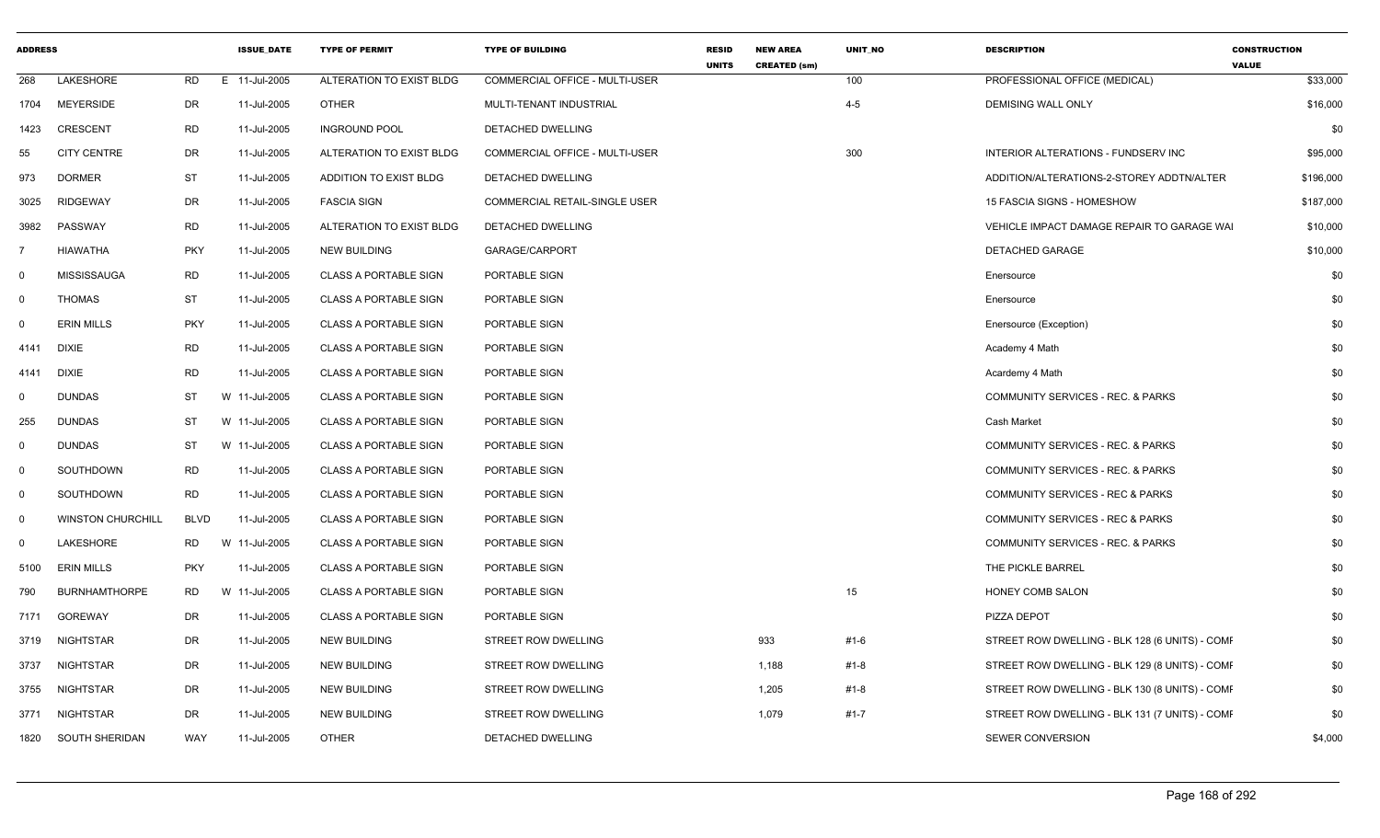| <b>ADDRESS</b> |                          |             | <b>ISSUE DATE</b> | <b>TYPE OF PERMIT</b>        | <b>TYPE OF BUILDING</b>               | <b>RESID</b><br><b>UNITS</b> | <b>NEW AREA</b><br><b>CREATED (sm)</b> | <b>UNIT NO</b> | <b>DESCRIPTION</b>                             | <b>CONSTRUCTION</b><br><b>VALUE</b> |
|----------------|--------------------------|-------------|-------------------|------------------------------|---------------------------------------|------------------------------|----------------------------------------|----------------|------------------------------------------------|-------------------------------------|
| 268            | LAKESHORE                | RD          | E 11-Jul-2005     | ALTERATION TO EXIST BLDG     | COMMERCIAL OFFICE - MULTI-USER        |                              |                                        | 100            | PROFESSIONAL OFFICE (MEDICAL)                  | \$33,000                            |
| 1704           | <b>MEYERSIDE</b>         | DR          | 11-Jul-2005       | <b>OTHER</b>                 | MULTI-TENANT INDUSTRIAL               |                              |                                        | $4 - 5$        | <b>DEMISING WALL ONLY</b>                      | \$16,000                            |
| 1423           | <b>CRESCENT</b>          | RD          | 11-Jul-2005       | <b>INGROUND POOL</b>         | DETACHED DWELLING                     |                              |                                        |                |                                                | \$0                                 |
| 55             | <b>CITY CENTRE</b>       | DR          | 11-Jul-2005       | ALTERATION TO EXIST BLDG     | <b>COMMERCIAL OFFICE - MULTI-USER</b> |                              |                                        | 300            | INTERIOR ALTERATIONS - FUNDSERV INC            | \$95,000                            |
| 973            | <b>DORMER</b>            | ST          | 11-Jul-2005       | ADDITION TO EXIST BLDG       | DETACHED DWELLING                     |                              |                                        |                | ADDITION/ALTERATIONS-2-STOREY ADDTN/ALTER      | \$196,000                           |
| 3025           | <b>RIDGEWAY</b>          | DR          | 11-Jul-2005       | <b>FASCIA SIGN</b>           | COMMERCIAL RETAIL-SINGLE USER         |                              |                                        |                | 15 FASCIA SIGNS - HOMESHOW                     | \$187,000                           |
| 3982           | PASSWAY                  | <b>RD</b>   | 11-Jul-2005       | ALTERATION TO EXIST BLDG     | DETACHED DWELLING                     |                              |                                        |                | VEHICLE IMPACT DAMAGE REPAIR TO GARAGE WAI     | \$10,000                            |
|                | <b>HIAWATHA</b>          | <b>PKY</b>  | 11-Jul-2005       | <b>NEW BUILDING</b>          | GARAGE/CARPORT                        |                              |                                        |                | <b>DETACHED GARAGE</b>                         | \$10,000                            |
| $\mathbf 0$    | <b>MISSISSAUGA</b>       | <b>RD</b>   | 11-Jul-2005       | <b>CLASS A PORTABLE SIGN</b> | PORTABLE SIGN                         |                              |                                        |                | Enersource                                     | \$0                                 |
| $\mathbf 0$    | <b>THOMAS</b>            | ST          | 11-Jul-2005       | <b>CLASS A PORTABLE SIGN</b> | PORTABLE SIGN                         |                              |                                        |                | Enersource                                     | \$0                                 |
| $\Omega$       | <b>ERIN MILLS</b>        | <b>PKY</b>  | 11-Jul-2005       | <b>CLASS A PORTABLE SIGN</b> | PORTABLE SIGN                         |                              |                                        |                | Enersource (Exception)                         | \$0                                 |
| 4141           | <b>DIXIE</b>             | <b>RD</b>   | 11-Jul-2005       | <b>CLASS A PORTABLE SIGN</b> | PORTABLE SIGN                         |                              |                                        |                | Academy 4 Math                                 | \$0                                 |
| 4141           | <b>DIXIE</b>             | <b>RD</b>   | 11-Jul-2005       | <b>CLASS A PORTABLE SIGN</b> | PORTABLE SIGN                         |                              |                                        |                | Acardemy 4 Math                                | \$0                                 |
| $\mathbf 0$    | <b>DUNDAS</b>            | ST          | W 11-Jul-2005     | <b>CLASS A PORTABLE SIGN</b> | <b>PORTABLE SIGN</b>                  |                              |                                        |                | <b>COMMUNITY SERVICES - REC. &amp; PARKS</b>   | \$0                                 |
| 255            | <b>DUNDAS</b>            | ST          | W 11-Jul-2005     | <b>CLASS A PORTABLE SIGN</b> | PORTABLE SIGN                         |                              |                                        |                | Cash Market                                    | \$0                                 |
| $\mathbf 0$    | <b>DUNDAS</b>            | ST          | W 11-Jul-2005     | <b>CLASS A PORTABLE SIGN</b> | PORTABLE SIGN                         |                              |                                        |                | COMMUNITY SERVICES - REC. & PARKS              | \$0                                 |
| $\mathbf 0$    | SOUTHDOWN                | <b>RD</b>   | 11-Jul-2005       | <b>CLASS A PORTABLE SIGN</b> | PORTABLE SIGN                         |                              |                                        |                | COMMUNITY SERVICES - REC. & PARKS              | \$0                                 |
| $\mathbf 0$    | SOUTHDOWN                | <b>RD</b>   | 11-Jul-2005       | <b>CLASS A PORTABLE SIGN</b> | PORTABLE SIGN                         |                              |                                        |                | COMMUNITY SERVICES - REC & PARKS               | \$0                                 |
| $\mathbf 0$    | <b>WINSTON CHURCHILL</b> | <b>BLVD</b> | 11-Jul-2005       | <b>CLASS A PORTABLE SIGN</b> | PORTABLE SIGN                         |                              |                                        |                | COMMUNITY SERVICES - REC & PARKS               | \$0                                 |
| $\mathbf 0$    | LAKESHORE                | <b>RD</b>   | W 11-Jul-2005     | <b>CLASS A PORTABLE SIGN</b> | PORTABLE SIGN                         |                              |                                        |                | COMMUNITY SERVICES - REC. & PARKS              | \$0                                 |
| 5100           | <b>ERIN MILLS</b>        | <b>PKY</b>  | 11-Jul-2005       | <b>CLASS A PORTABLE SIGN</b> | PORTABLE SIGN                         |                              |                                        |                | THE PICKLE BARREL                              | \$0                                 |
| 790            | <b>BURNHAMTHORPE</b>     | RD.         | W 11-Jul-2005     | <b>CLASS A PORTABLE SIGN</b> | PORTABLE SIGN                         |                              |                                        | 15             | <b>HONEY COMB SALON</b>                        | \$0                                 |
| 7171           | <b>GOREWAY</b>           | DR          | 11-Jul-2005       | <b>CLASS A PORTABLE SIGN</b> | PORTABLE SIGN                         |                              |                                        |                | PIZZA DEPOT                                    | \$0                                 |
| 3719           | <b>NIGHTSTAR</b>         | DR          | 11-Jul-2005       | <b>NEW BUILDING</b>          | STREET ROW DWELLING                   |                              | 933                                    | #1-6           | STREET ROW DWELLING - BLK 128 (6 UNITS) - COMF | \$0                                 |
| 3737           | NIGHTSTAR                | DR          | 11-Jul-2005       | <b>NEW BUILDING</b>          | STREET ROW DWELLING                   |                              | 1,188                                  | #1-8           | STREET ROW DWELLING - BLK 129 (8 UNITS) - COMF | \$0                                 |
| 3755           | NIGHTSTAR                | DR          | 11-Jul-2005       | <b>NEW BUILDING</b>          | STREET ROW DWELLING                   |                              | 1,205                                  | #1-8           | STREET ROW DWELLING - BLK 130 (8 UNITS) - COME | \$0                                 |
| 3771           | NIGHTSTAR                | <b>DR</b>   | 11-Jul-2005       | <b>NEW BUILDING</b>          | STREET ROW DWELLING                   |                              | 1,079                                  | $#1 - 7$       | STREET ROW DWELLING - BLK 131 (7 UNITS) - COMF | \$0                                 |
| 1820           | SOUTH SHERIDAN           | WAY         | 11-Jul-2005       | <b>OTHER</b>                 | DETACHED DWELLING                     |                              |                                        |                | <b>SEWER CONVERSION</b>                        | \$4,000                             |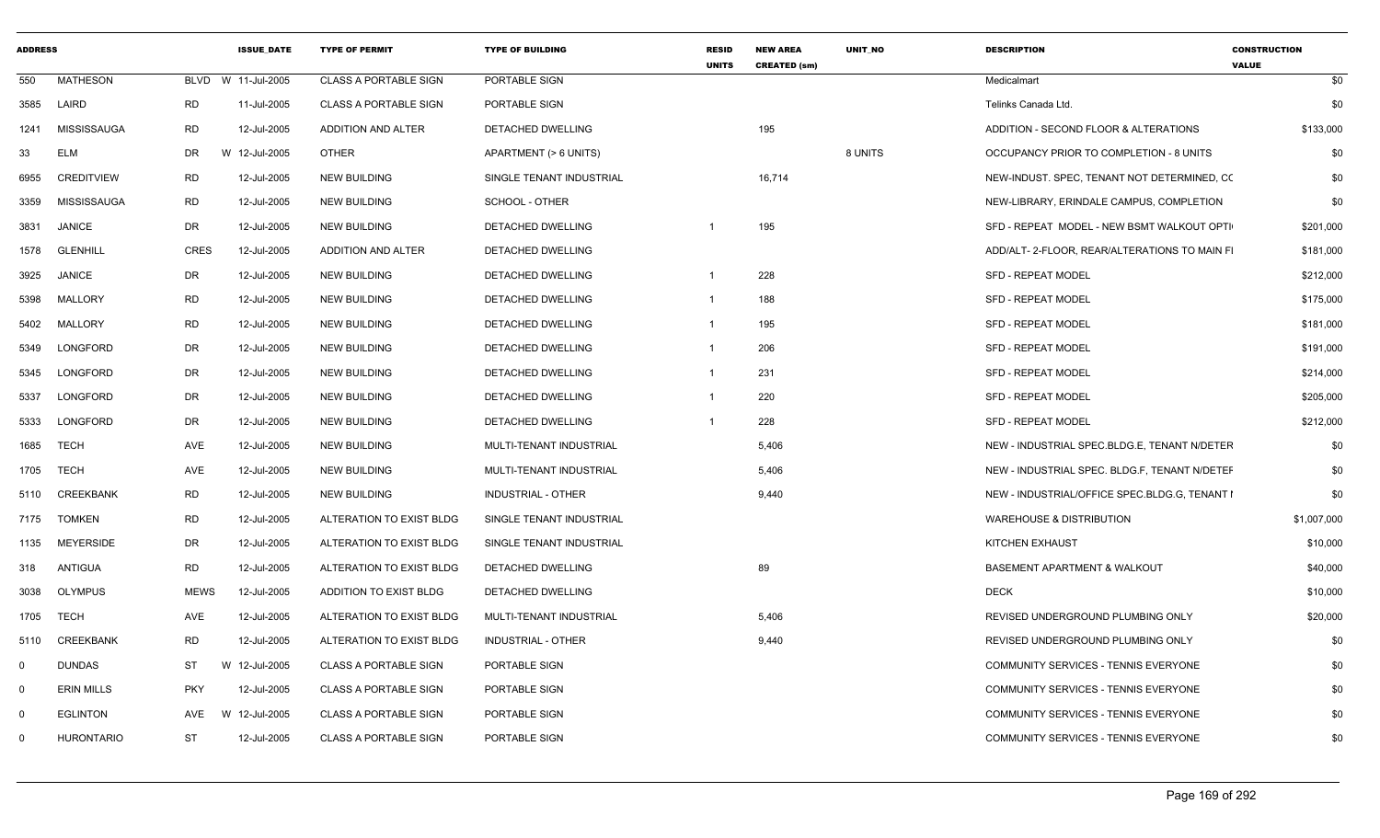| <b>ADDRESS</b> |                   |             | <b>ISSUE DATE</b>  | <b>TYPE OF PERMIT</b>        | <b>TYPE OF BUILDING</b>   | <b>RESID</b><br><b>UNITS</b> | <b>NEW AREA</b><br><b>CREATED (sm)</b> | <b>UNIT NO</b> | <b>DESCRIPTION</b>                            | <b>CONSTRUCTION</b><br><b>VALUE</b> |
|----------------|-------------------|-------------|--------------------|------------------------------|---------------------------|------------------------------|----------------------------------------|----------------|-----------------------------------------------|-------------------------------------|
| 550            | <b>MATHESON</b>   |             | BLVD W 11-Jul-2005 | <b>CLASS A PORTABLE SIGN</b> | PORTABLE SIGN             |                              |                                        |                | Medicalmart                                   | \$0                                 |
| 3585           | LAIRD             | RD          | 11-Jul-2005        | <b>CLASS A PORTABLE SIGN</b> | PORTABLE SIGN             |                              |                                        |                | Telinks Canada Ltd.                           | \$0                                 |
| 1241           | MISSISSAUGA       | RD          | 12-Jul-2005        | ADDITION AND ALTER           | DETACHED DWELLING         |                              | 195                                    |                | ADDITION - SECOND FLOOR & ALTERATIONS         | \$133,000                           |
| 33             | <b>ELM</b>        | DR          | W 12-Jul-2005      | <b>OTHER</b>                 | APARTMENT (> 6 UNITS)     |                              |                                        | 8 UNITS        | OCCUPANCY PRIOR TO COMPLETION - 8 UNITS       | \$0                                 |
| 6955           | CREDITVIEW        | RD          | 12-Jul-2005        | <b>NEW BUILDING</b>          | SINGLE TENANT INDUSTRIAL  |                              | 16,714                                 |                | NEW-INDUST. SPEC, TENANT NOT DETERMINED, CC   | \$0                                 |
| 3359           | MISSISSAUGA       | <b>RD</b>   | 12-Jul-2005        | <b>NEW BUILDING</b>          | SCHOOL - OTHER            |                              |                                        |                | NEW-LIBRARY, ERINDALE CAMPUS, COMPLETION      | \$0                                 |
| 3831           | <b>JANICE</b>     | DR          | 12-Jul-2005        | <b>NEW BUILDING</b>          | DETACHED DWELLING         |                              | 195                                    |                | SFD - REPEAT MODEL - NEW BSMT WALKOUT OPTI    | \$201,000                           |
| 1578           | <b>GLENHILL</b>   | <b>CRES</b> | 12-Jul-2005        | ADDITION AND ALTER           | DETACHED DWELLING         |                              |                                        |                | ADD/ALT-2-FLOOR, REAR/ALTERATIONS TO MAIN FI  | \$181,000                           |
| 3925           | <b>JANICE</b>     | DR          | 12-Jul-2005        | <b>NEW BUILDING</b>          | DETACHED DWELLING         | -1                           | 228                                    |                | <b>SFD - REPEAT MODEL</b>                     | \$212,000                           |
| 5398           | <b>MALLORY</b>    | RD          | 12-Jul-2005        | <b>NEW BUILDING</b>          | DETACHED DWELLING         |                              | 188                                    |                | SFD - REPEAT MODEL                            | \$175,000                           |
| 5402           | MALLORY           | RD          | 12-Jul-2005        | <b>NEW BUILDING</b>          | DETACHED DWELLING         |                              | 195                                    |                | <b>SFD - REPEAT MODEL</b>                     | \$181,000                           |
| 5349           | LONGFORD          | DR          | 12-Jul-2005        | <b>NEW BUILDING</b>          | DETACHED DWELLING         |                              | 206                                    |                | <b>SFD - REPEAT MODEL</b>                     | \$191,000                           |
| 5345           | LONGFORD          | DR          | 12-Jul-2005        | <b>NEW BUILDING</b>          | DETACHED DWELLING         |                              | 231                                    |                | <b>SFD - REPEAT MODEL</b>                     | \$214,000                           |
| 5337           | LONGFORD          | DR          | 12-Jul-2005        | <b>NEW BUILDING</b>          | DETACHED DWELLING         |                              | 220                                    |                | <b>SFD - REPEAT MODEL</b>                     | \$205,000                           |
| 5333           | LONGFORD          | DR          | 12-Jul-2005        | <b>NEW BUILDING</b>          | DETACHED DWELLING         |                              | 228                                    |                | <b>SFD - REPEAT MODEL</b>                     | \$212,000                           |
| 1685           | <b>TECH</b>       | AVE         | 12-Jul-2005        | <b>NEW BUILDING</b>          | MULTI-TENANT INDUSTRIAL   |                              | 5,406                                  |                | NEW - INDUSTRIAL SPEC.BLDG.E, TENANT N/DETER  | \$0                                 |
| 1705           | TECH              | AVE         | 12-Jul-2005        | <b>NEW BUILDING</b>          | MULTI-TENANT INDUSTRIAL   |                              | 5,406                                  |                | NEW - INDUSTRIAL SPEC. BLDG.F, TENANT N/DETEF | \$0                                 |
| 5110           | CREEKBANK         | RD          | 12-Jul-2005        | <b>NEW BUILDING</b>          | INDUSTRIAL - OTHER        |                              | 9,440                                  |                | NEW - INDUSTRIAL/OFFICE SPEC.BLDG.G, TENANT I | \$0                                 |
| 7175           | <b>TOMKEN</b>     | RD          | 12-Jul-2005        | ALTERATION TO EXIST BLDG     | SINGLE TENANT INDUSTRIAL  |                              |                                        |                | <b>WAREHOUSE &amp; DISTRIBUTION</b>           | \$1,007,000                         |
| 1135           | <b>MEYERSIDE</b>  | DR          | 12-Jul-2005        | ALTERATION TO EXIST BLDG     | SINGLE TENANT INDUSTRIAL  |                              |                                        |                | KITCHEN EXHAUST                               | \$10,000                            |
| 318            | ANTIGUA           | RD          | 12-Jul-2005        | ALTERATION TO EXIST BLDG     | DETACHED DWELLING         |                              | 89                                     |                | <b>BASEMENT APARTMENT &amp; WALKOUT</b>       | \$40,000                            |
| 3038           | <b>OLYMPUS</b>    | <b>MEWS</b> | 12-Jul-2005        | ADDITION TO EXIST BLDG       | DETACHED DWELLING         |                              |                                        |                | <b>DECK</b>                                   | \$10,000                            |
| 1705           | TECH              | AVE         | 12-Jul-2005        | ALTERATION TO EXIST BLDG     | MULTI-TENANT INDUSTRIAL   |                              | 5,406                                  |                | REVISED UNDERGROUND PLUMBING ONLY             | \$20,000                            |
| 5110           | CREEKBANK         | RD          | 12-Jul-2005        | ALTERATION TO EXIST BLDG     | <b>INDUSTRIAL - OTHER</b> |                              | 9,440                                  |                | REVISED UNDERGROUND PLUMBING ONLY             | \$0                                 |
| $\Omega$       | <b>DUNDAS</b>     | ST          | W 12-Jul-2005      | <b>CLASS A PORTABLE SIGN</b> | PORTABLE SIGN             |                              |                                        |                | COMMUNITY SERVICES - TENNIS EVERYONE          | \$0                                 |
| $\Omega$       | <b>ERIN MILLS</b> | <b>PKY</b>  | 12-Jul-2005        | <b>CLASS A PORTABLE SIGN</b> | PORTABLE SIGN             |                              |                                        |                | COMMUNITY SERVICES - TENNIS EVERYONE          | \$0                                 |
| $\Omega$       | <b>EGLINTON</b>   | AVE         | W 12-Jul-2005      | <b>CLASS A PORTABLE SIGN</b> | PORTABLE SIGN             |                              |                                        |                | COMMUNITY SERVICES - TENNIS EVERYONE          | \$0                                 |
| $\Omega$       | <b>HURONTARIO</b> | ST          | 12-Jul-2005        | <b>CLASS A PORTABLE SIGN</b> | PORTABLE SIGN             |                              |                                        |                | COMMUNITY SERVICES - TENNIS EVERYONE          | \$0                                 |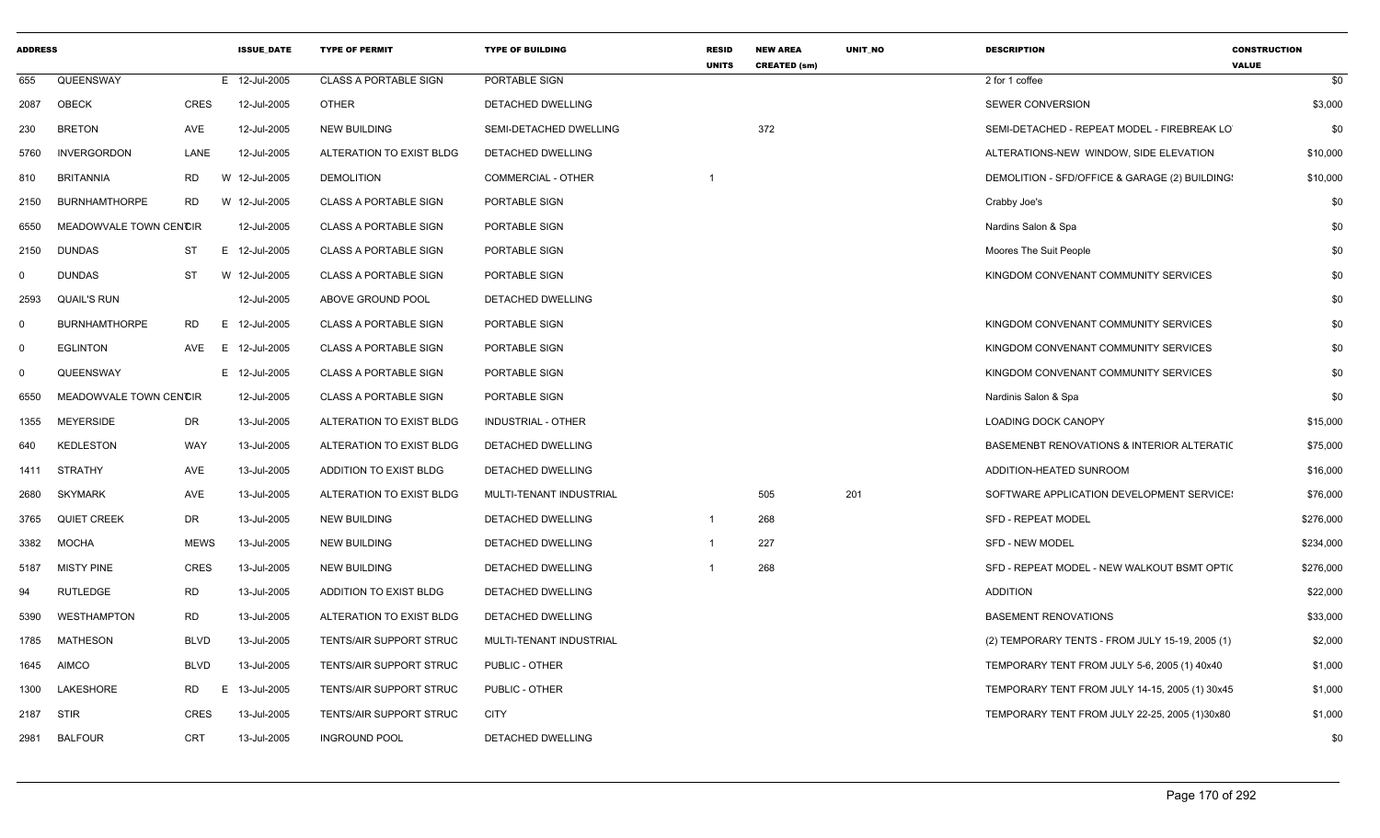| <b>ADDRESS</b> |                        |             | <b>ISSUE DATE</b> | <b>TYPE OF PERMIT</b>        | <b>TYPE OF BUILDING</b>   | <b>RESID</b><br><b>UNITS</b> | <b>NEW AREA</b><br><b>CREATED (sm)</b> | UNIT_NO | <b>DESCRIPTION</b>                              | <b>CONSTRUCTION</b><br><b>VALUE</b> |
|----------------|------------------------|-------------|-------------------|------------------------------|---------------------------|------------------------------|----------------------------------------|---------|-------------------------------------------------|-------------------------------------|
| 655            | QUEENSWAY              |             | E 12-Jul-2005     | <b>CLASS A PORTABLE SIGN</b> | PORTABLE SIGN             |                              |                                        |         | 2 for 1 coffee                                  | \$0                                 |
| 2087           | OBECK                  | <b>CRES</b> | 12-Jul-2005       | <b>OTHER</b>                 | DETACHED DWELLING         |                              |                                        |         | SEWER CONVERSION                                | \$3,000                             |
| 230            | <b>BRETON</b>          | AVE         | 12-Jul-2005       | <b>NEW BUILDING</b>          | SEMI-DETACHED DWELLING    |                              | 372                                    |         | SEMI-DETACHED - REPEAT MODEL - FIREBREAK LO     | \$0                                 |
| 5760           | <b>INVERGORDON</b>     | LANE        | 12-Jul-2005       | ALTERATION TO EXIST BLDG     | DETACHED DWELLING         |                              |                                        |         | ALTERATIONS-NEW WINDOW, SIDE ELEVATION          | \$10,000                            |
| 810            | <b>BRITANNIA</b>       | RD          | W 12-Jul-2005     | <b>DEMOLITION</b>            | <b>COMMERCIAL - OTHER</b> |                              |                                        |         | DEMOLITION - SFD/OFFICE & GARAGE (2) BUILDING:  | \$10,000                            |
| 2150           | <b>BURNHAMTHORPE</b>   | RD          | W 12-Jul-2005     | <b>CLASS A PORTABLE SIGN</b> | PORTABLE SIGN             |                              |                                        |         | Crabby Joe's                                    | \$0                                 |
| 6550           | MEADOWVALE TOWN CENCIR |             | 12-Jul-2005       | <b>CLASS A PORTABLE SIGN</b> | PORTABLE SIGN             |                              |                                        |         | Nardins Salon & Spa                             | \$0                                 |
| 2150           | <b>DUNDAS</b>          | ST          | E 12-Jul-2005     | <b>CLASS A PORTABLE SIGN</b> | PORTABLE SIGN             |                              |                                        |         | Moores The Suit People                          | \$0                                 |
| $\mathbf{0}$   | <b>DUNDAS</b>          | <b>ST</b>   | W 12-Jul-2005     | <b>CLASS A PORTABLE SIGN</b> | PORTABLE SIGN             |                              |                                        |         | KINGDOM CONVENANT COMMUNITY SERVICES            | \$0                                 |
| 2593           | <b>QUAIL'S RUN</b>     |             | 12-Jul-2005       | ABOVE GROUND POOL            | <b>DETACHED DWELLING</b>  |                              |                                        |         |                                                 | \$0                                 |
| $\overline{0}$ | <b>BURNHAMTHORPE</b>   | RD<br>E     | 12-Jul-2005       | <b>CLASS A PORTABLE SIGN</b> | PORTABLE SIGN             |                              |                                        |         | KINGDOM CONVENANT COMMUNITY SERVICES            | \$0                                 |
| $\mathbf 0$    | <b>EGLINTON</b>        | AVE         | E 12-Jul-2005     | <b>CLASS A PORTABLE SIGN</b> | PORTABLE SIGN             |                              |                                        |         | KINGDOM CONVENANT COMMUNITY SERVICES            | \$0                                 |
| $\mathbf 0$    | QUEENSWAY              |             | E 12-Jul-2005     | <b>CLASS A PORTABLE SIGN</b> | PORTABLE SIGN             |                              |                                        |         | KINGDOM CONVENANT COMMUNITY SERVICES            | \$0                                 |
| 6550           | MEADOWVALE TOWN CENCIR |             | 12-Jul-2005       | <b>CLASS A PORTABLE SIGN</b> | PORTABLE SIGN             |                              |                                        |         | Nardinis Salon & Spa                            | \$0                                 |
| 1355           | MEYERSIDE              | DR          | 13-Jul-2005       | ALTERATION TO EXIST BLDG     | INDUSTRIAL - OTHER        |                              |                                        |         | <b>LOADING DOCK CANOPY</b>                      | \$15,000                            |
| 640            | <b>KEDLESTON</b>       | WAY         | 13-Jul-2005       | ALTERATION TO EXIST BLDG     | DETACHED DWELLING         |                              |                                        |         | BASEMENBT RENOVATIONS & INTERIOR ALTERATIC      | \$75,000                            |
| 1411           | STRATHY                | AVE         | 13-Jul-2005       | ADDITION TO EXIST BLDG       | <b>DETACHED DWELLING</b>  |                              |                                        |         | ADDITION-HEATED SUNROOM                         | \$16,000                            |
| 2680           | <b>SKYMARK</b>         | AVE         | 13-Jul-2005       | ALTERATION TO EXIST BLDG     | MULTI-TENANT INDUSTRIAL   |                              | 505                                    | 201     | SOFTWARE APPLICATION DEVELOPMENT SERVICE:       | \$76,000                            |
| 3765           | <b>QUIET CREEK</b>     | DR          | 13-Jul-2005       | <b>NEW BUILDING</b>          | <b>DETACHED DWELLING</b>  | -1                           | 268                                    |         | <b>SFD - REPEAT MODEL</b>                       | \$276,000                           |
| 3382           | MOCHA                  | <b>MEWS</b> | 13-Jul-2005       | <b>NEW BUILDING</b>          | DETACHED DWELLING         | $\overline{1}$               | 227                                    |         | <b>SFD - NEW MODEL</b>                          | \$234,000                           |
| 5187           | <b>MISTY PINE</b>      | CRES        | 13-Jul-2005       | <b>NEW BUILDING</b>          | <b>DETACHED DWELLING</b>  |                              | 268                                    |         | SFD - REPEAT MODEL - NEW WALKOUT BSMT OPTI(     | \$276,000                           |
| 94             | <b>RUTLEDGE</b>        | <b>RD</b>   | 13-Jul-2005       | ADDITION TO EXIST BLDG       | DETACHED DWELLING         |                              |                                        |         | <b>ADDITION</b>                                 | \$22,000                            |
| 5390           | <b>WESTHAMPTON</b>     | RD          | 13-Jul-2005       | ALTERATION TO EXIST BLDG     | DETACHED DWELLING         |                              |                                        |         | <b>BASEMENT RENOVATIONS</b>                     | \$33,000                            |
| 1785           | <b>MATHESON</b>        | <b>BLVD</b> | 13-Jul-2005       | TENTS/AIR SUPPORT STRUC      | MULTI-TENANT INDUSTRIAL   |                              |                                        |         | (2) TEMPORARY TENTS - FROM JULY 15-19, 2005 (1) | \$2,000                             |
| 1645           | <b>AIMCO</b>           | <b>BLVD</b> | 13-Jul-2005       | TENTS/AIR SUPPORT STRUC      | PUBLIC - OTHER            |                              |                                        |         | TEMPORARY TENT FROM JULY 5-6, 2005 (1) 40x40    | \$1,000                             |
| 1300           | LAKESHORE              | RD          | 13-Jul-2005<br>Е. | TENTS/AIR SUPPORT STRUC      | PUBLIC - OTHER            |                              |                                        |         | TEMPORARY TENT FROM JULY 14-15, 2005 (1) 30x45  | \$1,000                             |
| 2187           | <b>STIR</b>            | <b>CRES</b> | 13-Jul-2005       | TENTS/AIR SUPPORT STRUC      | <b>CITY</b>               |                              |                                        |         | TEMPORARY TENT FROM JULY 22-25, 2005 (1)30x80   | \$1,000                             |
| 2981           | <b>BALFOUR</b>         | CRT         | 13-Jul-2005       | <b>INGROUND POOL</b>         | <b>DETACHED DWELLING</b>  |                              |                                        |         |                                                 | \$0                                 |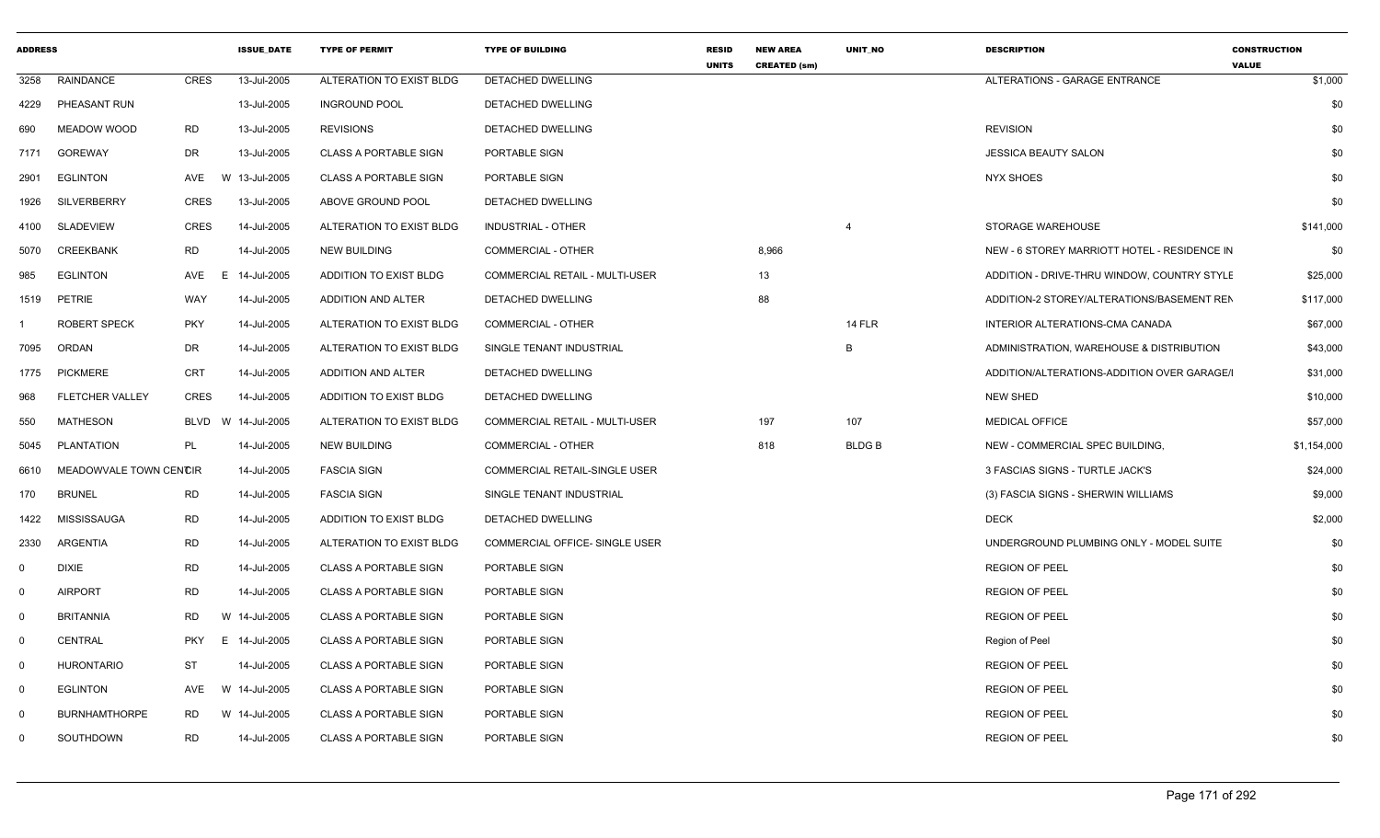| <b>ADDRESS</b> |                        |                  | <b>ISSUE DATE</b> | <b>TYPE OF PERMIT</b>        | <b>TYPE OF BUILDING</b>        | <b>RESID</b><br><b>UNITS</b> | <b>NEW AREA</b><br><b>CREATED (sm)</b> | <b>UNIT NO</b> | <b>DESCRIPTION</b>                           | <b>CONSTRUCTION</b><br><b>VALUE</b> |
|----------------|------------------------|------------------|-------------------|------------------------------|--------------------------------|------------------------------|----------------------------------------|----------------|----------------------------------------------|-------------------------------------|
| 3258           | RAINDANCE              | <b>CRES</b>      | 13-Jul-2005       | ALTERATION TO EXIST BLDG     | DETACHED DWELLING              |                              |                                        |                | ALTERATIONS - GARAGE ENTRANCE                | \$1,000                             |
| 4229           | PHEASANT RUN           |                  | 13-Jul-2005       | <b>INGROUND POOL</b>         | DETACHED DWELLING              |                              |                                        |                |                                              | \$0                                 |
| 690            | MEADOW WOOD            | RD               | 13-Jul-2005       | <b>REVISIONS</b>             | DETACHED DWELLING              |                              |                                        |                | <b>REVISION</b>                              | \$0                                 |
| 7171           | <b>GOREWAY</b>         | DR               | 13-Jul-2005       | <b>CLASS A PORTABLE SIGN</b> | PORTABLE SIGN                  |                              |                                        |                | <b>JESSICA BEAUTY SALON</b>                  | \$0                                 |
| 2901           | <b>EGLINTON</b>        | AVE              | W 13-Jul-2005     | <b>CLASS A PORTABLE SIGN</b> | PORTABLE SIGN                  |                              |                                        |                | NYX SHOES                                    | \$0                                 |
| 1926           | <b>SILVERBERRY</b>     | <b>CRES</b>      | 13-Jul-2005       | ABOVE GROUND POOL            | DETACHED DWELLING              |                              |                                        |                |                                              | \$0                                 |
| 4100           | <b>SLADEVIEW</b>       | <b>CRES</b>      | 14-Jul-2005       | ALTERATION TO EXIST BLDG     | <b>INDUSTRIAL - OTHER</b>      |                              |                                        | $\overline{4}$ | STORAGE WAREHOUSE                            | \$141,000                           |
| 5070           | <b>CREEKBANK</b>       | <b>RD</b>        | 14-Jul-2005       | <b>NEW BUILDING</b>          | COMMERCIAL - OTHER             |                              | 8,966                                  |                | NEW - 6 STOREY MARRIOTT HOTEL - RESIDENCE IN | \$0                                 |
| 985            | <b>EGLINTON</b>        | AVE<br>E.        | 14-Jul-2005       | ADDITION TO EXIST BLDG       | COMMERCIAL RETAIL - MULTI-USER |                              | 13                                     |                | ADDITION - DRIVE-THRU WINDOW, COUNTRY STYLE  | \$25,000                            |
| 1519           | PETRIE                 | WAY              | 14-Jul-2005       | ADDITION AND ALTER           | DETACHED DWELLING              |                              | 88                                     |                | ADDITION-2 STOREY/ALTERATIONS/BASEMENT REN   | \$117,000                           |
|                | <b>ROBERT SPECK</b>    | <b>PKY</b>       | 14-Jul-2005       | ALTERATION TO EXIST BLDG     | COMMERCIAL - OTHER             |                              |                                        | <b>14 FLR</b>  | INTERIOR ALTERATIONS-CMA CANADA              | \$67,000                            |
| 7095           | ORDAN                  | DR               | 14-Jul-2005       | ALTERATION TO EXIST BLDG     | SINGLE TENANT INDUSTRIAL       |                              |                                        | B              | ADMINISTRATION, WAREHOUSE & DISTRIBUTION     | \$43,000                            |
| 1775           | <b>PICKMERE</b>        | CRT              | 14-Jul-2005       | ADDITION AND ALTER           | DETACHED DWELLING              |                              |                                        |                | ADDITION/ALTERATIONS-ADDITION OVER GARAGE/I  | \$31,000                            |
| 968            | <b>FLETCHER VALLEY</b> | <b>CRES</b>      | 14-Jul-2005       | ADDITION TO EXIST BLDG       | <b>DETACHED DWELLING</b>       |                              |                                        |                | <b>NEW SHED</b>                              | \$10,000                            |
| 550            | <b>MATHESON</b>        | <b>BLVD</b><br>W | 14-Jul-2005       | ALTERATION TO EXIST BLDG     | COMMERCIAL RETAIL - MULTI-USER |                              | 197                                    | 107            | <b>MEDICAL OFFICE</b>                        | \$57,000                            |
| 5045           | PLANTATION             | PL               | 14-Jul-2005       | <b>NEW BUILDING</b>          | COMMERCIAL - OTHER             |                              | 818                                    | <b>BLDGB</b>   | NEW - COMMERCIAL SPEC BUILDING,              | \$1,154,000                         |
| 6610           | MEADOWVALE TOWN CENCIR |                  | 14-Jul-2005       | <b>FASCIA SIGN</b>           | COMMERCIAL RETAIL-SINGLE USER  |                              |                                        |                | 3 FASCIAS SIGNS - TURTLE JACK'S              | \$24,000                            |
| 170            | <b>BRUNEL</b>          | <b>RD</b>        | 14-Jul-2005       | <b>FASCIA SIGN</b>           | SINGLE TENANT INDUSTRIAL       |                              |                                        |                | (3) FASCIA SIGNS - SHERWIN WILLIAMS          | \$9,000                             |
| 1422           | <b>MISSISSAUGA</b>     | <b>RD</b>        | 14-Jul-2005       | ADDITION TO EXIST BLDG       | DETACHED DWELLING              |                              |                                        |                | <b>DECK</b>                                  | \$2,000                             |
| 2330           | ARGENTIA               | <b>RD</b>        | 14-Jul-2005       | ALTERATION TO EXIST BLDG     | COMMERCIAL OFFICE- SINGLE USER |                              |                                        |                | UNDERGROUND PLUMBING ONLY - MODEL SUITE      | \$0                                 |
| $\mathbf 0$    | <b>DIXIE</b>           | <b>RD</b>        | 14-Jul-2005       | <b>CLASS A PORTABLE SIGN</b> | PORTABLE SIGN                  |                              |                                        |                | <b>REGION OF PEEL</b>                        | \$0                                 |
| $\mathbf 0$    | <b>AIRPORT</b>         | <b>RD</b>        | 14-Jul-2005       | <b>CLASS A PORTABLE SIGN</b> | PORTABLE SIGN                  |                              |                                        |                | <b>REGION OF PEEL</b>                        | \$0                                 |
| $\overline{0}$ | <b>BRITANNIA</b>       | <b>RD</b>        | W 14-Jul-2005     | <b>CLASS A PORTABLE SIGN</b> | PORTABLE SIGN                  |                              |                                        |                | <b>REGION OF PEEL</b>                        | \$0                                 |
| $\mathbf 0$    | <b>CENTRAL</b>         | <b>PKY</b>       | E 14-Jul-2005     | <b>CLASS A PORTABLE SIGN</b> | PORTABLE SIGN                  |                              |                                        |                | Region of Peel                               | \$0                                 |
| $\mathbf 0$    | HURONTARIO             | <b>ST</b>        | 14-Jul-2005       | <b>CLASS A PORTABLE SIGN</b> | PORTABLE SIGN                  |                              |                                        |                | <b>REGION OF PEEL</b>                        | \$0                                 |
| $\mathbf 0$    | <b>EGLINTON</b>        | AVE              | W 14-Jul-2005     | <b>CLASS A PORTABLE SIGN</b> | PORTABLE SIGN                  |                              |                                        |                | <b>REGION OF PEEL</b>                        | \$0                                 |
| $\Omega$       | <b>BURNHAMTHORPE</b>   | RD               | W 14-Jul-2005     | <b>CLASS A PORTABLE SIGN</b> | PORTABLE SIGN                  |                              |                                        |                | <b>REGION OF PEEL</b>                        | \$0                                 |
| 0              | SOUTHDOWN              | <b>RD</b>        | 14-Jul-2005       | <b>CLASS A PORTABLE SIGN</b> | PORTABLE SIGN                  |                              |                                        |                | <b>REGION OF PEEL</b>                        | \$0                                 |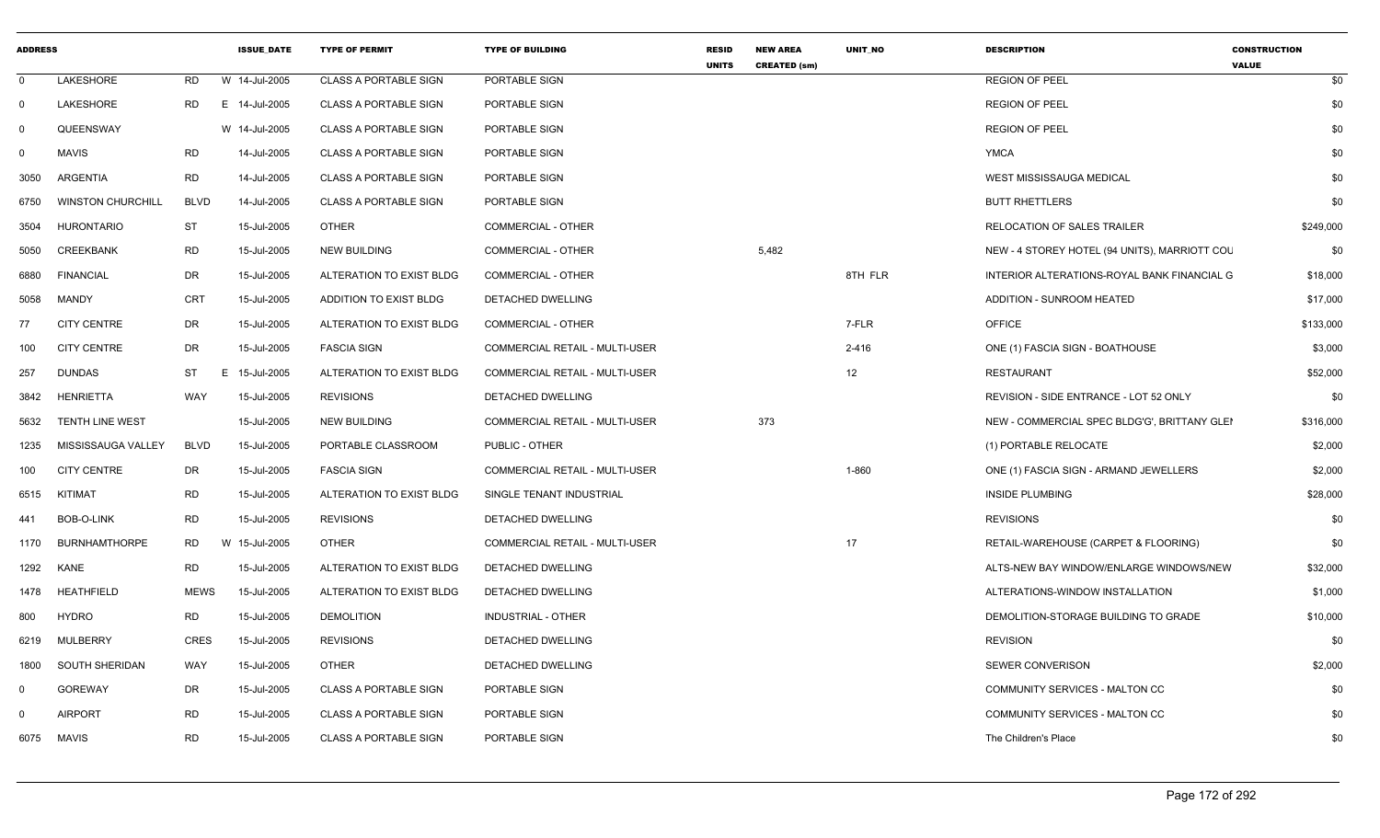| <b>ADDRESS</b> |                          |             | <b>ISSUE DATE</b> | <b>TYPE OF PERMIT</b>        | <b>TYPE OF BUILDING</b>        | <b>RESID</b><br><b>UNITS</b> | <b>NEW AREA</b><br><b>CREATED (sm)</b> | <b>UNIT NO</b> | <b>DESCRIPTION</b>                            | <b>CONSTRUCTION</b><br><b>VALUE</b> |
|----------------|--------------------------|-------------|-------------------|------------------------------|--------------------------------|------------------------------|----------------------------------------|----------------|-----------------------------------------------|-------------------------------------|
| $\Omega$       | LAKESHORE                | RD          | W 14-Jul-2005     | <b>CLASS A PORTABLE SIGN</b> | PORTABLE SIGN                  |                              |                                        |                | <b>REGION OF PEEL</b>                         | \$0                                 |
| $\Omega$       | <b>LAKESHORE</b>         | <b>RD</b>   | E 14-Jul-2005     | <b>CLASS A PORTABLE SIGN</b> | PORTABLE SIGN                  |                              |                                        |                | <b>REGION OF PEEL</b>                         | \$0                                 |
| $\Omega$       | QUEENSWAY                |             | W 14-Jul-2005     | <b>CLASS A PORTABLE SIGN</b> | PORTABLE SIGN                  |                              |                                        |                | <b>REGION OF PEEL</b>                         | \$0                                 |
| $\Omega$       | <b>MAVIS</b>             | <b>RD</b>   | 14-Jul-2005       | <b>CLASS A PORTABLE SIGN</b> | PORTABLE SIGN                  |                              |                                        |                | YMCA                                          | \$0                                 |
| 3050           | ARGENTIA                 | RD          | 14-Jul-2005       | <b>CLASS A PORTABLE SIGN</b> | PORTABLE SIGN                  |                              |                                        |                | WEST MISSISSAUGA MEDICAL                      | \$0                                 |
| 6750           | <b>WINSTON CHURCHILL</b> | <b>BLVD</b> | 14-Jul-2005       | <b>CLASS A PORTABLE SIGN</b> | PORTABLE SIGN                  |                              |                                        |                | <b>BUTT RHETTLERS</b>                         | \$0                                 |
| 3504           | <b>HURONTARIO</b>        | ST          | 15-Jul-2005       | <b>OTHER</b>                 | COMMERCIAL - OTHER             |                              |                                        |                | RELOCATION OF SALES TRAILER                   | \$249,000                           |
| 5050           | <b>CREEKBANK</b>         | RD          | 15-Jul-2005       | NEW BUILDING                 | COMMERCIAL - OTHER             |                              | 5,482                                  |                | NEW - 4 STOREY HOTEL (94 UNITS), MARRIOTT COL | \$0                                 |
| 6880           | FINANCIAL                | DR          | 15-Jul-2005       | ALTERATION TO EXIST BLDG     | COMMERCIAL - OTHER             |                              |                                        | 8TH FLR        | INTERIOR ALTERATIONS-ROYAL BANK FINANCIAL G   | \$18,000                            |
| 5058           | <b>MANDY</b>             | CRT         | 15-Jul-2005       | ADDITION TO EXIST BLDG       | DETACHED DWELLING              |                              |                                        |                | <b>ADDITION - SUNROOM HEATED</b>              | \$17,000                            |
| 77             | <b>CITY CENTRE</b>       | DR          | 15-Jul-2005       | ALTERATION TO EXIST BLDG     | <b>COMMERCIAL - OTHER</b>      |                              |                                        | 7-FLR          | <b>OFFICE</b>                                 | \$133,000                           |
| 100            | <b>CITY CENTRE</b>       | DR          | 15-Jul-2005       | <b>FASCIA SIGN</b>           | COMMERCIAL RETAIL - MULTI-USER |                              |                                        | 2-416          | ONE (1) FASCIA SIGN - BOATHOUSE               | \$3,000                             |
| 257            | <b>DUNDAS</b>            | ST          | E 15-Jul-2005     | ALTERATION TO EXIST BLDG     | COMMERCIAL RETAIL - MULTI-USER |                              |                                        | 12             | RESTAURANT                                    | \$52,000                            |
| 3842           | HENRIETTA                | <b>WAY</b>  | 15-Jul-2005       | <b>REVISIONS</b>             | DETACHED DWELLING              |                              |                                        |                | REVISION - SIDE ENTRANCE - LOT 52 ONLY        | \$0                                 |
| 5632           | <b>TENTH LINE WEST</b>   |             | 15-Jul-2005       | NEW BUILDING                 | COMMERCIAL RETAIL - MULTI-USER |                              | 373                                    |                | NEW - COMMERCIAL SPEC BLDG'G', BRITTANY GLEI  | \$316,000                           |
| 1235           | MISSISSAUGA VALLEY       | BLVD        | 15-Jul-2005       | PORTABLE CLASSROOM           | PUBLIC - OTHER                 |                              |                                        |                | (1) PORTABLE RELOCATE                         | \$2,000                             |
| 100            | <b>CITY CENTRE</b>       | DR          | 15-Jul-2005       | <b>FASCIA SIGN</b>           | COMMERCIAL RETAIL - MULTI-USER |                              |                                        | 1-860          | ONE (1) FASCIA SIGN - ARMAND JEWELLERS        | \$2,000                             |
| 6515           | KITIMAT                  | <b>RD</b>   | 15-Jul-2005       | ALTERATION TO EXIST BLDG     | SINGLE TENANT INDUSTRIAL       |                              |                                        |                | <b>INSIDE PLUMBING</b>                        | \$28,000                            |
| 441            | BOB-O-LINK               | RD          | 15-Jul-2005       | <b>REVISIONS</b>             | <b>DETACHED DWELLING</b>       |                              |                                        |                | <b>REVISIONS</b>                              | \$0                                 |
| 1170           | <b>BURNHAMTHORPE</b>     | RD          | W 15-Jul-2005     | <b>OTHER</b>                 | COMMERCIAL RETAIL - MULTI-USER |                              |                                        | 17             | RETAIL-WAREHOUSE (CARPET & FLOORING)          | \$0                                 |
|                | 1292 KANE                | RD          | 15-Jul-2005       | ALTERATION TO EXIST BLDG     | DETACHED DWELLING              |                              |                                        |                | ALTS-NEW BAY WINDOW/ENLARGE WINDOWS/NEW       | \$32,000                            |
| 1478           | HEATHFIELD               | <b>MEWS</b> | 15-Jul-2005       | ALTERATION TO EXIST BLDG     | DETACHED DWELLING              |                              |                                        |                | ALTERATIONS-WINDOW INSTALLATION               | \$1,000                             |
| 800            | HYDRO                    | <b>RD</b>   | 15-Jul-2005       | <b>DEMOLITION</b>            | <b>INDUSTRIAL - OTHER</b>      |                              |                                        |                | DEMOLITION-STORAGE BUILDING TO GRADE          | \$10,000                            |
| 6219           | MULBERRY                 | CRES        | 15-Jul-2005       | <b>REVISIONS</b>             | DETACHED DWELLING              |                              |                                        |                | <b>REVISION</b>                               | \$0                                 |
| 1800           | SOUTH SHERIDAN           | WAY         | 15-Jul-2005       | <b>OTHER</b>                 | DETACHED DWELLING              |                              |                                        |                | <b>SEWER CONVERISON</b>                       | \$2,000                             |
| $\Omega$       | <b>GOREWAY</b>           | DR          | 15-Jul-2005       | <b>CLASS A PORTABLE SIGN</b> | PORTABLE SIGN                  |                              |                                        |                | COMMUNITY SERVICES - MALTON CC                | \$0                                 |
| $\Omega$       | <b>AIRPORT</b>           | <b>RD</b>   | 15-Jul-2005       | <b>CLASS A PORTABLE SIGN</b> | PORTABLE SIGN                  |                              |                                        |                | COMMUNITY SERVICES - MALTON CC                | \$0                                 |
|                | 6075 MAVIS               | <b>RD</b>   | 15-Jul-2005       | <b>CLASS A PORTABLE SIGN</b> | PORTABLE SIGN                  |                              |                                        |                | The Children's Place                          | \$0                                 |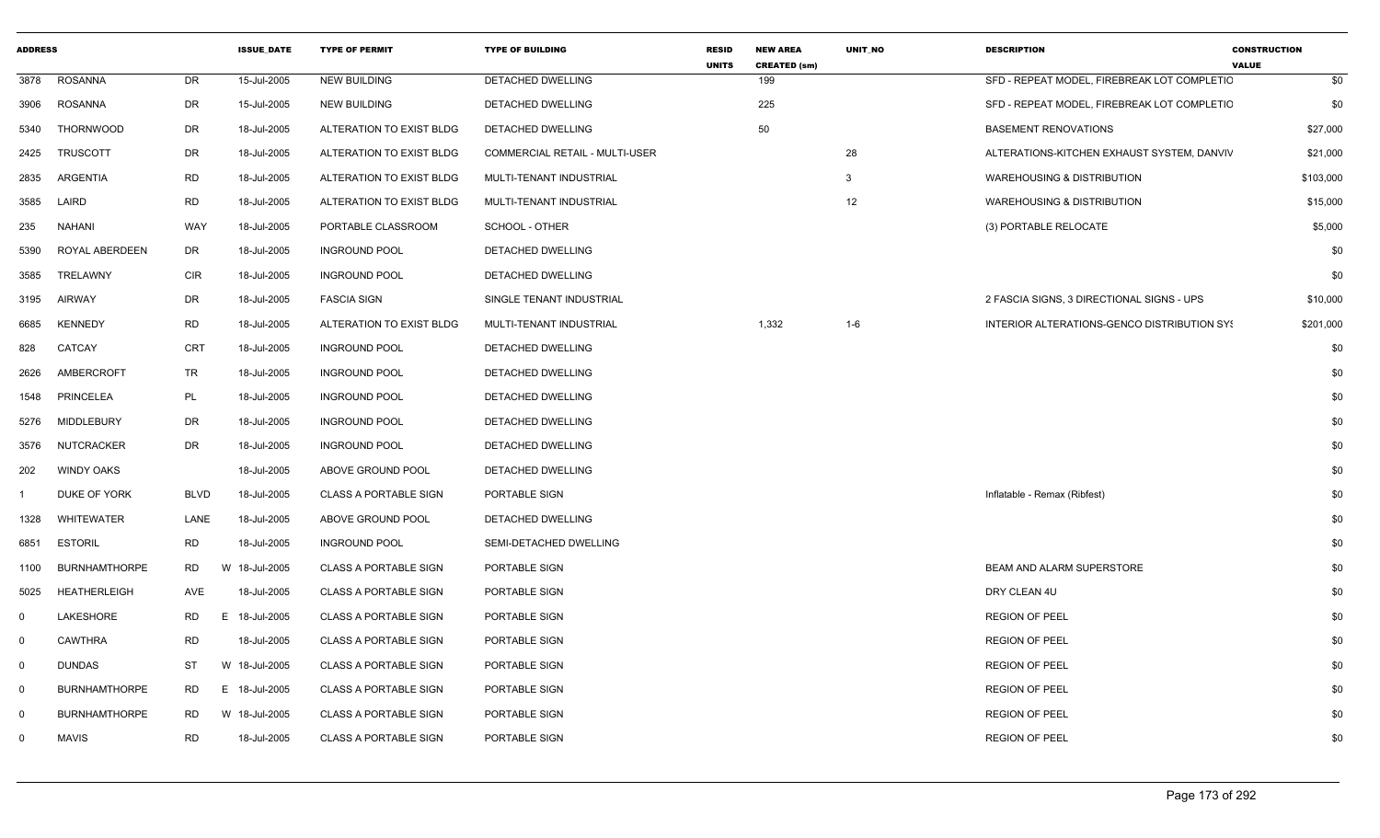| <b>ADDRESS</b> |                       |             | <b>ISSUE_DATE</b> | <b>TYPE OF PERMIT</b>        | <b>TYPE OF BUILDING</b>        | <b>RESID</b> | <b>NEW AREA</b>            | UNIT_NO | <b>DESCRIPTION</b>                          | <b>CONSTRUCTION</b> |
|----------------|-----------------------|-------------|-------------------|------------------------------|--------------------------------|--------------|----------------------------|---------|---------------------------------------------|---------------------|
| 3878           | <b>ROSANNA</b>        | DR          | 15-Jul-2005       | <b>NEW BUILDING</b>          | DETACHED DWELLING              | <b>UNITS</b> | <b>CREATED (sm)</b><br>199 |         | SFD - REPEAT MODEL, FIREBREAK LOT COMPLETIC | <b>VALUE</b><br>\$0 |
| 3906           | <b>ROSANNA</b>        | <b>DR</b>   | 15-Jul-2005       | <b>NEW BUILDING</b>          | DETACHED DWELLING              |              | 225                        |         | SFD - REPEAT MODEL, FIREBREAK LOT COMPLETIC | \$0                 |
| 5340           | <b>THORNWOOD</b>      | <b>DR</b>   | 18-Jul-2005       | ALTERATION TO EXIST BLDG     | DETACHED DWELLING              |              | 50                         |         | <b>BASEMENT RENOVATIONS</b>                 | \$27,000            |
| 2425           | <b>TRUSCOTT</b>       | <b>DR</b>   | 18-Jul-2005       | ALTERATION TO EXIST BLDG     | COMMERCIAL RETAIL - MULTI-USER |              |                            | 28      | ALTERATIONS-KITCHEN EXHAUST SYSTEM, DANVIV  | \$21,000            |
| 2835           | ARGENTIA              | <b>RD</b>   | 18-Jul-2005       | ALTERATION TO EXIST BLDG     | MULTI-TENANT INDUSTRIAL        |              |                            | 3       | <b>WAREHOUSING &amp; DISTRIBUTION</b>       | \$103,000           |
| 3585           | LAIRD                 | <b>RD</b>   | 18-Jul-2005       | ALTERATION TO EXIST BLDG     | MULTI-TENANT INDUSTRIAL        |              |                            | 12      | <b>WAREHOUSING &amp; DISTRIBUTION</b>       | \$15,000            |
| 235            | <b>NAHANI</b>         | WAY         | 18-Jul-2005       | PORTABLE CLASSROOM           | SCHOOL - OTHER                 |              |                            |         | (3) PORTABLE RELOCATE                       | \$5,000             |
| 5390           | <b>ROYAL ABERDEEN</b> | <b>DR</b>   | 18-Jul-2005       | <b>INGROUND POOL</b>         | <b>DETACHED DWELLING</b>       |              |                            |         |                                             | \$0                 |
| 3585           | TRELAWNY              | <b>CIR</b>  | 18-Jul-2005       | <b>INGROUND POOL</b>         | DETACHED DWELLING              |              |                            |         |                                             | \$0                 |
| 3195           | <b>AIRWAY</b>         | <b>DR</b>   | 18-Jul-2005       | <b>FASCIA SIGN</b>           | SINGLE TENANT INDUSTRIAL       |              |                            |         | 2 FASCIA SIGNS, 3 DIRECTIONAL SIGNS - UPS   | \$10,000            |
| 6685           | <b>KENNEDY</b>        | <b>RD</b>   | 18-Jul-2005       | ALTERATION TO EXIST BLDG     | MULTI-TENANT INDUSTRIAL        |              | 1,332                      | $1 - 6$ | INTERIOR ALTERATIONS-GENCO DISTRIBUTION SYS | \$201,000           |
| 828            | CATCAY                | <b>CRT</b>  | 18-Jul-2005       | <b>INGROUND POOL</b>         | DETACHED DWELLING              |              |                            |         |                                             | \$0                 |
| 2626           | AMBERCROFT            | TR          | 18-Jul-2005       | <b>INGROUND POOL</b>         | DETACHED DWELLING              |              |                            |         |                                             | \$0                 |
| 1548           | <b>PRINCELEA</b>      | PL          | 18-Jul-2005       | <b>INGROUND POOL</b>         | DETACHED DWELLING              |              |                            |         |                                             | \$0                 |
| 5276           | <b>MIDDLEBURY</b>     | <b>DR</b>   | 18-Jul-2005       | <b>INGROUND POOL</b>         | DETACHED DWELLING              |              |                            |         |                                             | \$0                 |
| 3576           | <b>NUTCRACKER</b>     | <b>DR</b>   | 18-Jul-2005       | <b>INGROUND POOL</b>         | DETACHED DWELLING              |              |                            |         |                                             | \$0                 |
| 202            | <b>WINDY OAKS</b>     |             | 18-Jul-2005       | ABOVE GROUND POOL            | <b>DETACHED DWELLING</b>       |              |                            |         |                                             | \$0                 |
|                | DUKE OF YORK          | <b>BLVD</b> | 18-Jul-2005       | <b>CLASS A PORTABLE SIGN</b> | PORTABLE SIGN                  |              |                            |         | Inflatable - Remax (Ribfest)                | \$0                 |
| 1328           | <b>WHITEWATER</b>     | LANE        | 18-Jul-2005       | ABOVE GROUND POOL            | DETACHED DWELLING              |              |                            |         |                                             | \$0                 |
| 6851           | <b>ESTORIL</b>        | <b>RD</b>   | 18-Jul-2005       | <b>INGROUND POOL</b>         | SEMI-DETACHED DWELLING         |              |                            |         |                                             | \$0                 |
| 1100           | <b>BURNHAMTHORPE</b>  | <b>RD</b>   | W 18-Jul-2005     | <b>CLASS A PORTABLE SIGN</b> | PORTABLE SIGN                  |              |                            |         | BEAM AND ALARM SUPERSTORE                   | \$0                 |
| 5025           | <b>HEATHERLEIGH</b>   | <b>AVE</b>  | 18-Jul-2005       | <b>CLASS A PORTABLE SIGN</b> | PORTABLE SIGN                  |              |                            |         | DRY CLEAN 4U                                | \$0                 |
| $\mathbf 0$    | LAKESHORE             | <b>RD</b>   | E.<br>18-Jul-2005 | <b>CLASS A PORTABLE SIGN</b> | PORTABLE SIGN                  |              |                            |         | <b>REGION OF PEEL</b>                       | \$0                 |
| $\mathbf 0$    | <b>CAWTHRA</b>        | <b>RD</b>   | 18-Jul-2005       | <b>CLASS A PORTABLE SIGN</b> | PORTABLE SIGN                  |              |                            |         | <b>REGION OF PEEL</b>                       | \$0                 |
| 0              | <b>DUNDAS</b>         | ST          | W 18-Jul-2005     | <b>CLASS A PORTABLE SIGN</b> | PORTABLE SIGN                  |              |                            |         | <b>REGION OF PEEL</b>                       | \$0                 |
| - 0            | <b>BURNHAMTHORPE</b>  | <b>RD</b>   | E 18-Jul-2005     | <b>CLASS A PORTABLE SIGN</b> | PORTABLE SIGN                  |              |                            |         | <b>REGION OF PEEL</b>                       | \$0                 |
| 0              | <b>BURNHAMTHORPE</b>  | <b>RD</b>   | W 18-Jul-2005     | <b>CLASS A PORTABLE SIGN</b> | PORTABLE SIGN                  |              |                            |         | <b>REGION OF PEEL</b>                       | \$0                 |
| $\Omega$       | <b>MAVIS</b>          | <b>RD</b>   | 18-Jul-2005       | <b>CLASS A PORTABLE SIGN</b> | PORTABLE SIGN                  |              |                            |         | <b>REGION OF PEEL</b>                       | \$0                 |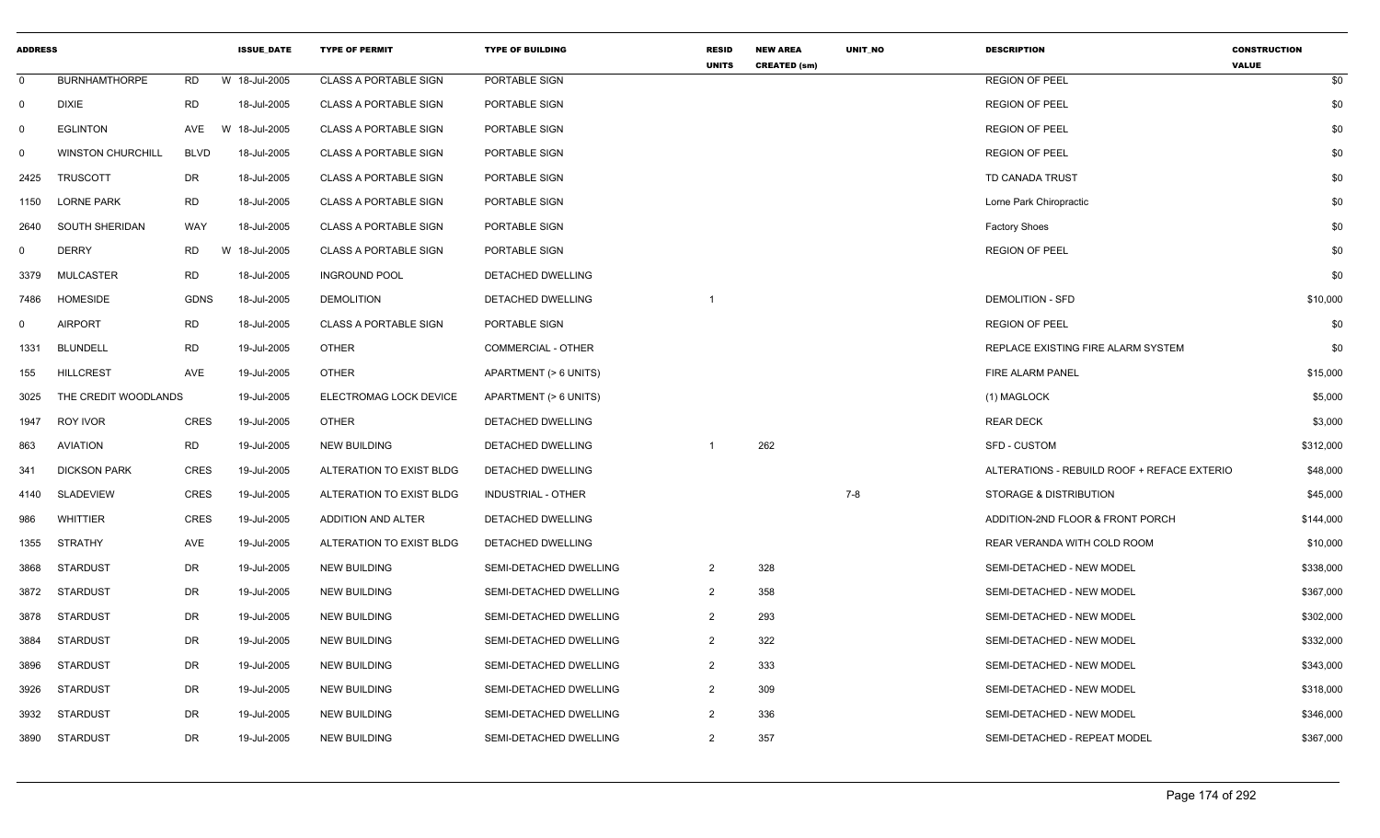| <b>ADDRESS</b> |                          |             | <b>ISSUE DATE</b> | <b>TYPE OF PERMIT</b>        | <b>TYPE OF BUILDING</b>   | <b>RESID</b><br><b>UNITS</b> | <b>NEW AREA</b><br><b>CREATED (sm)</b> | <b>UNIT NO</b> | <b>DESCRIPTION</b>                          | <b>CONSTRUCTION</b><br><b>VALUE</b> |
|----------------|--------------------------|-------------|-------------------|------------------------------|---------------------------|------------------------------|----------------------------------------|----------------|---------------------------------------------|-------------------------------------|
| $\mathbf 0$    | <b>BURNHAMTHORPE</b>     | RD          | W 18-Jul-2005     | <b>CLASS A PORTABLE SIGN</b> | PORTABLE SIGN             |                              |                                        |                | <b>REGION OF PEEL</b>                       | \$0                                 |
| $\mathbf 0$    | <b>DIXIE</b>             | <b>RD</b>   | 18-Jul-2005       | <b>CLASS A PORTABLE SIGN</b> | PORTABLE SIGN             |                              |                                        |                | <b>REGION OF PEEL</b>                       | \$0                                 |
| 0              | <b>EGLINTON</b>          | AVE         | W 18-Jul-2005     | <b>CLASS A PORTABLE SIGN</b> | PORTABLE SIGN             |                              |                                        |                | <b>REGION OF PEEL</b>                       | \$0                                 |
| 0              | <b>WINSTON CHURCHILL</b> | <b>BLVD</b> | 18-Jul-2005       | <b>CLASS A PORTABLE SIGN</b> | PORTABLE SIGN             |                              |                                        |                | <b>REGION OF PEEL</b>                       | \$0                                 |
| 2425           | <b>TRUSCOTT</b>          | DR          | 18-Jul-2005       | <b>CLASS A PORTABLE SIGN</b> | PORTABLE SIGN             |                              |                                        |                | TD CANADA TRUST                             | \$0                                 |
| 1150           | <b>LORNE PARK</b>        | <b>RD</b>   | 18-Jul-2005       | <b>CLASS A PORTABLE SIGN</b> | PORTABLE SIGN             |                              |                                        |                | Lorne Park Chiropractic                     | \$0                                 |
| 2640           | SOUTH SHERIDAN           | WAY         | 18-Jul-2005       | <b>CLASS A PORTABLE SIGN</b> | PORTABLE SIGN             |                              |                                        |                | <b>Factory Shoes</b>                        | \$0                                 |
| 0              | <b>DERRY</b>             | <b>RD</b>   | W 18-Jul-2005     | <b>CLASS A PORTABLE SIGN</b> | PORTABLE SIGN             |                              |                                        |                | <b>REGION OF PEEL</b>                       | \$0                                 |
| 3379           | MULCASTER                | <b>RD</b>   | 18-Jul-2005       | <b>INGROUND POOL</b>         | DETACHED DWELLING         |                              |                                        |                |                                             | \$0                                 |
| 7486           | <b>HOMESIDE</b>          | GDNS        | 18-Jul-2005       | <b>DEMOLITION</b>            | DETACHED DWELLING         |                              |                                        |                | <b>DEMOLITION - SFD</b>                     | \$10,000                            |
| $\mathbf{0}$   | <b>AIRPORT</b>           | <b>RD</b>   | 18-Jul-2005       | <b>CLASS A PORTABLE SIGN</b> | PORTABLE SIGN             |                              |                                        |                | <b>REGION OF PEEL</b>                       | \$0                                 |
| 1331           | <b>BLUNDELL</b>          | RD          | 19-Jul-2005       | <b>OTHER</b>                 | COMMERCIAL - OTHER        |                              |                                        |                | REPLACE EXISTING FIRE ALARM SYSTEM          | \$0                                 |
| 155            | <b>HILLCREST</b>         | AVE         | 19-Jul-2005       | <b>OTHER</b>                 | APARTMENT (> 6 UNITS)     |                              |                                        |                | FIRE ALARM PANEL                            | \$15,000                            |
| 3025           | THE CREDIT WOODLANDS     |             | 19-Jul-2005       | ELECTROMAG LOCK DEVICE       | APARTMENT (> 6 UNITS)     |                              |                                        |                | (1) MAGLOCK                                 | \$5,000                             |
| 1947           | ROY IVOR                 | <b>CRES</b> | 19-Jul-2005       | <b>OTHER</b>                 | DETACHED DWELLING         |                              |                                        |                | <b>REAR DECK</b>                            | \$3,000                             |
| 863            | <b>AVIATION</b>          | RD          | 19-Jul-2005       | <b>NEW BUILDING</b>          | DETACHED DWELLING         |                              | 262                                    |                | <b>SFD - CUSTOM</b>                         | \$312,000                           |
| 341            | <b>DICKSON PARK</b>      | <b>CRES</b> | 19-Jul-2005       | ALTERATION TO EXIST BLDG     | DETACHED DWELLING         |                              |                                        |                | ALTERATIONS - REBUILD ROOF + REFACE EXTERIO | \$48,000                            |
| 4140           | <b>SLADEVIEW</b>         | <b>CRES</b> | 19-Jul-2005       | ALTERATION TO EXIST BLDG     | <b>INDUSTRIAL - OTHER</b> |                              |                                        | 7-8            | STORAGE & DISTRIBUTION                      | \$45,000                            |
| 986            | <b>WHITTIER</b>          | CRES        | 19-Jul-2005       | ADDITION AND ALTER           | DETACHED DWELLING         |                              |                                        |                | ADDITION-2ND FLOOR & FRONT PORCH            | \$144,000                           |
| 1355           | <b>STRATHY</b>           | AVE         | 19-Jul-2005       | ALTERATION TO EXIST BLDG     | DETACHED DWELLING         |                              |                                        |                | REAR VERANDA WITH COLD ROOM                 | \$10,000                            |
| 3868           | <b>STARDUST</b>          | DR          | 19-Jul-2005       | <b>NEW BUILDING</b>          | SEMI-DETACHED DWELLING    | $\overline{2}$               | 328                                    |                | SEMI-DETACHED - NEW MODEL                   | \$338,000                           |
| 3872           | <b>STARDUST</b>          | <b>DR</b>   | 19-Jul-2005       | <b>NEW BUILDING</b>          | SEMI-DETACHED DWELLING    | $\overline{2}$               | 358                                    |                | SEMI-DETACHED - NEW MODEL                   | \$367,000                           |
| 3878           | <b>STARDUST</b>          | DR          | 19-Jul-2005       | <b>NEW BUILDING</b>          | SEMI-DETACHED DWELLING    | $\overline{2}$               | 293                                    |                | SEMI-DETACHED - NEW MODEL                   | \$302,000                           |
| 3884           | <b>STARDUST</b>          | DR          | 19-Jul-2005       | <b>NEW BUILDING</b>          | SEMI-DETACHED DWELLING    | $\overline{2}$               | 322                                    |                | SEMI-DETACHED - NEW MODEL                   | \$332,000                           |
| 3896           | <b>STARDUST</b>          | DR          | 19-Jul-2005       | <b>NEW BUILDING</b>          | SEMI-DETACHED DWELLING    | $\overline{2}$               | 333                                    |                | SEMI-DETACHED - NEW MODEL                   | \$343,000                           |
| 3926           | <b>STARDUST</b>          | DR          | 19-Jul-2005       | <b>NEW BUILDING</b>          | SEMI-DETACHED DWELLING    | 2                            | 309                                    |                | SEMI-DETACHED - NEW MODEL                   | \$318,000                           |
| 3932           | <b>STARDUST</b>          | DR          | 19-Jul-2005       | <b>NEW BUILDING</b>          | SEMI-DETACHED DWELLING    | $\overline{2}$               | 336                                    |                | SEMI-DETACHED - NEW MODEL                   | \$346,000                           |
| 3890           | STARDUST                 | <b>DR</b>   | 19-Jul-2005       | <b>NEW BUILDING</b>          | SEMI-DETACHED DWELLING    | $\overline{2}$               | 357                                    |                | SEMI-DETACHED - REPEAT MODEL                | \$367,000                           |
|                |                          |             |                   |                              |                           |                              |                                        |                |                                             |                                     |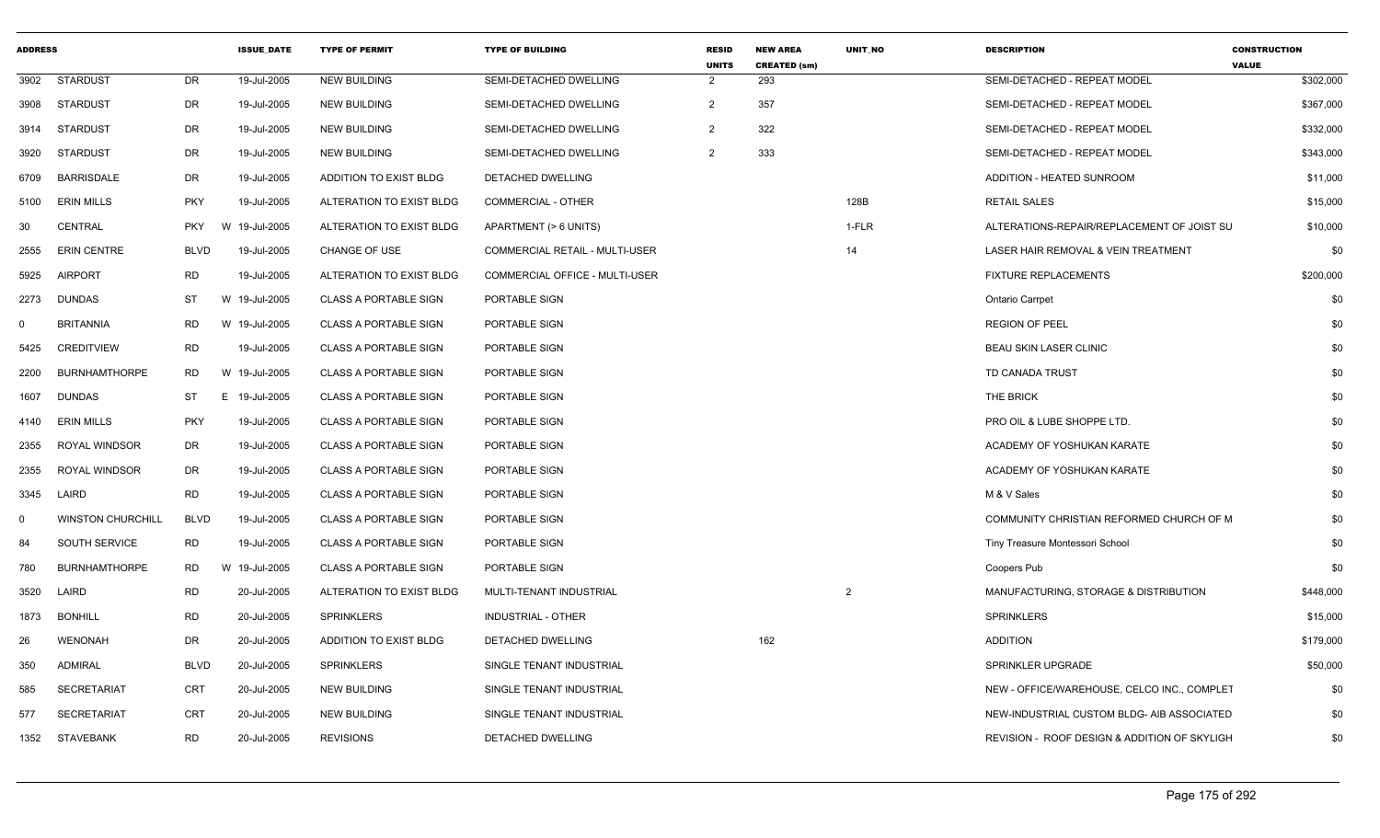| <b>ADDRESS</b> |                          |             | <b>ISSUE DATE</b> | <b>TYPE OF PERMIT</b>         | <b>TYPE OF BUILDING</b>               | <b>RESID</b><br><b>UNITS</b> | <b>NEW AREA</b><br><b>CREATED (sm)</b> | <b>UNIT NO</b> | <b>DESCRIPTION</b>                           | <b>CONSTRUCTION</b><br><b>VALUE</b> |
|----------------|--------------------------|-------------|-------------------|-------------------------------|---------------------------------------|------------------------------|----------------------------------------|----------------|----------------------------------------------|-------------------------------------|
| 3902           | STARDUST                 | DR          | 19-Jul-2005       | <b>NEW BUILDING</b>           | SEMI-DETACHED DWELLING                | $\overline{2}$               | 293                                    |                | SEMI-DETACHED - REPEAT MODEL                 | \$302,000                           |
| 3908           | STARDUST                 | DR          | 19-Jul-2005       | <b>NEW BUILDING</b>           | SEMI-DETACHED DWELLING                | $\overline{2}$               | 357                                    |                | SEMI-DETACHED - REPEAT MODEL                 | \$367,000                           |
| 3914           | STARDUST                 | DR          | 19-Jul-2005       | <b>NEW BUILDING</b>           | SEMI-DETACHED DWELLING                | $\overline{2}$               | 322                                    |                | SEMI-DETACHED - REPEAT MODEL                 | \$332,000                           |
| 3920           | STARDUST                 | DR          | 19-Jul-2005       | <b>NEW BUILDING</b>           | SEMI-DETACHED DWELLING                | $\overline{2}$               | 333                                    |                | SEMI-DETACHED - REPEAT MODEL                 | \$343,000                           |
| 6709           | <b>BARRISDALE</b>        | DR          | 19-Jul-2005       | <b>ADDITION TO EXIST BLDG</b> | <b>DETACHED DWELLING</b>              |                              |                                        |                | ADDITION - HEATED SUNROOM                    | \$11,000                            |
| 5100           | <b>ERIN MILLS</b>        | <b>PKY</b>  | 19-Jul-2005       | ALTERATION TO EXIST BLDG      | COMMERCIAL - OTHER                    |                              |                                        | 128B           | <b>RETAIL SALES</b>                          | \$15,000                            |
| 30             | <b>CENTRAL</b>           | <b>PKY</b>  | W<br>19-Jul-2005  | ALTERATION TO EXIST BLDG      | APARTMENT (> 6 UNITS)                 |                              |                                        | 1-FLR          | ALTERATIONS-REPAIR/REPLACEMENT OF JOIST SU   | \$10,000                            |
| 2555           | <b>ERIN CENTRE</b>       | <b>BLVD</b> | 19-Jul-2005       | CHANGE OF USE                 | <b>COMMERCIAL RETAIL - MULTI-USER</b> |                              |                                        | 14             | LASER HAIR REMOVAL & VEIN TREATMENT          | \$0                                 |
| 5925           | <b>AIRPORT</b>           | RD          | 19-Jul-2005       | ALTERATION TO EXIST BLDG      | COMMERCIAL OFFICE - MULTI-USER        |                              |                                        |                | <b>FIXTURE REPLACEMENTS</b>                  | \$200,000                           |
| 2273           | <b>DUNDAS</b>            | ST          | W 19-Jul-2005     | <b>CLASS A PORTABLE SIGN</b>  | PORTABLE SIGN                         |                              |                                        |                | Ontario Carrpet                              | \$0                                 |
| $\Omega$       | <b>BRITANNIA</b>         | RD          | W 19-Jul-2005     | <b>CLASS A PORTABLE SIGN</b>  | PORTABLE SIGN                         |                              |                                        |                | <b>REGION OF PEEL</b>                        | \$0                                 |
| 5425           | <b>CREDITVIEW</b>        | <b>RD</b>   | 19-Jul-2005       | <b>CLASS A PORTABLE SIGN</b>  | PORTABLE SIGN                         |                              |                                        |                | <b>BEAU SKIN LASER CLINIC</b>                | \$0                                 |
| 2200           | <b>BURNHAMTHORPE</b>     | <b>RD</b>   | W 19-Jul-2005     | <b>CLASS A PORTABLE SIGN</b>  | PORTABLE SIGN                         |                              |                                        |                | TD CANADA TRUST                              | \$0                                 |
| 1607           | DUNDAS                   | ST          | E.<br>19-Jul-2005 | <b>CLASS A PORTABLE SIGN</b>  | PORTABLE SIGN                         |                              |                                        |                | THE BRICK                                    | \$0                                 |
| 4140           | <b>ERIN MILLS</b>        | <b>PKY</b>  | 19-Jul-2005       | <b>CLASS A PORTABLE SIGN</b>  | PORTABLE SIGN                         |                              |                                        |                | PRO OIL & LUBE SHOPPE LTD.                   | \$0                                 |
| 2355           | <b>ROYAL WINDSOR</b>     | DR          | 19-Jul-2005       | <b>CLASS A PORTABLE SIGN</b>  | PORTABLE SIGN                         |                              |                                        |                | ACADEMY OF YOSHUKAN KARATE                   | \$0                                 |
| 2355           | <b>ROYAL WINDSOR</b>     | DR          | 19-Jul-2005       | <b>CLASS A PORTABLE SIGN</b>  | PORTABLE SIGN                         |                              |                                        |                | ACADEMY OF YOSHUKAN KARATE                   | \$0                                 |
| 3345           | LAIRD                    | <b>RD</b>   | 19-Jul-2005       | CLASS A PORTABLE SIGN         | PORTABLE SIGN                         |                              |                                        |                | M & V Sales                                  | \$0                                 |
| $\mathbf 0$    | <b>WINSTON CHURCHILL</b> | <b>BLVD</b> | 19-Jul-2005       | <b>CLASS A PORTABLE SIGN</b>  | PORTABLE SIGN                         |                              |                                        |                | COMMUNITY CHRISTIAN REFORMED CHURCH OF M     | \$0                                 |
| 84             | SOUTH SERVICE            | <b>RD</b>   | 19-Jul-2005       | <b>CLASS A PORTABLE SIGN</b>  | PORTABLE SIGN                         |                              |                                        |                | Tiny Treasure Montessori School              | \$0                                 |
| 780            | <b>BURNHAMTHORPE</b>     | RD          | 19-Jul-2005<br>W  | <b>CLASS A PORTABLE SIGN</b>  | PORTABLE SIGN                         |                              |                                        |                | Coopers Pub                                  | \$0                                 |
| 3520           | LAIRD                    | <b>RD</b>   | 20-Jul-2005       | ALTERATION TO EXIST BLDG      | MULTI-TENANT INDUSTRIAL               |                              |                                        | 2              | MANUFACTURING, STORAGE & DISTRIBUTION        | \$448,000                           |
| 1873           | <b>BONHILL</b>           | <b>RD</b>   | 20-Jul-2005       | <b>SPRINKLERS</b>             | <b>INDUSTRIAL - OTHER</b>             |                              |                                        |                | <b>SPRINKLERS</b>                            | \$15,000                            |
| 26             | <b>WENONAH</b>           | DR          | 20-Jul-2005       | ADDITION TO EXIST BLDG        | DETACHED DWELLING                     |                              | 162                                    |                | <b>ADDITION</b>                              | \$179,000                           |
| 350            | ADMIRAL                  | <b>BLVD</b> | 20-Jul-2005       | <b>SPRINKLERS</b>             | SINGLE TENANT INDUSTRIAL              |                              |                                        |                | SPRINKLER UPGRADE                            | \$50,000                            |
| 585            | <b>SECRETARIAT</b>       | CRT         | 20-Jul-2005       | <b>NEW BUILDING</b>           | SINGLE TENANT INDUSTRIAL              |                              |                                        |                | NEW - OFFICE/WAREHOUSE, CELCO INC., COMPLET  | \$0                                 |
| 577            | <b>SECRETARIAT</b>       | <b>CRT</b>  | 20-Jul-2005       | <b>NEW BUILDING</b>           | SINGLE TENANT INDUSTRIAL              |                              |                                        |                | NEW-INDUSTRIAL CUSTOM BLDG- AIB ASSOCIATED   | \$0                                 |
| 1352           | STAVEBANK                | <b>RD</b>   | 20-Jul-2005       | <b>REVISIONS</b>              | <b>DETACHED DWELLING</b>              |                              |                                        |                | REVISION - ROOF DESIGN & ADDITION OF SKYLIGH | \$0                                 |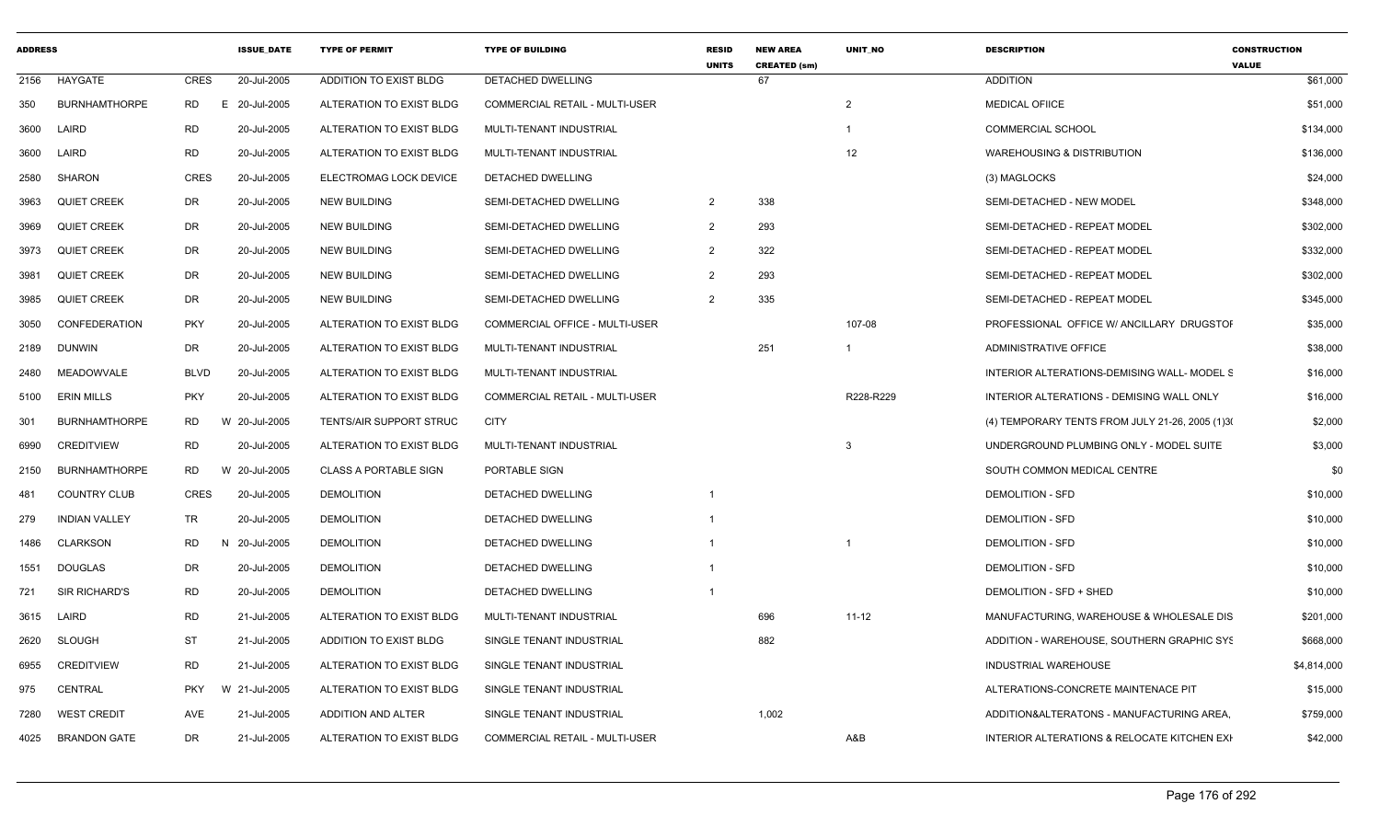| <b>ADDRESS</b> |                      |                 | <b>ISSUE DATE</b> | <b>TYPE OF PERMIT</b>        | <b>TYPE OF BUILDING</b>               | <b>RESID</b><br><b>UNITS</b> | <b>NEW AREA</b><br><b>CREATED (sm)</b> | <b>UNIT NO</b> | <b>DESCRIPTION</b>                              | <b>CONSTRUCTION</b><br><b>VALUE</b> |
|----------------|----------------------|-----------------|-------------------|------------------------------|---------------------------------------|------------------------------|----------------------------------------|----------------|-------------------------------------------------|-------------------------------------|
| 2156           | HAYGATE              | CRES            | 20-Jul-2005       | ADDITION TO EXIST BLDG       | DETACHED DWELLING                     |                              | 67                                     |                | <b>ADDITION</b>                                 | \$61,000                            |
| 350            | <b>BURNHAMTHORPE</b> | <b>RD</b><br>E. | 20-Jul-2005       | ALTERATION TO EXIST BLDG     | <b>COMMERCIAL RETAIL - MULTI-USER</b> |                              |                                        | 2              | <b>MEDICAL OFIICE</b>                           | \$51,000                            |
| 3600           | LAIRD                | <b>RD</b>       | 20-Jul-2005       | ALTERATION TO EXIST BLDG     | MULTI-TENANT INDUSTRIAL               |                              |                                        |                | <b>COMMERCIAL SCHOOL</b>                        | \$134,000                           |
| 3600           | LAIRD                | <b>RD</b>       | 20-Jul-2005       | ALTERATION TO EXIST BLDG     | MULTI-TENANT INDUSTRIAL               |                              |                                        | 12             | <b>WAREHOUSING &amp; DISTRIBUTION</b>           | \$136,000                           |
| 2580           | <b>SHARON</b>        | <b>CRES</b>     | 20-Jul-2005       | ELECTROMAG LOCK DEVICE       | DETACHED DWELLING                     |                              |                                        |                | (3) MAGLOCKS                                    | \$24,000                            |
| 3963           | <b>QUIET CREEK</b>   | DR              | 20-Jul-2005       | <b>NEW BUILDING</b>          | SEMI-DETACHED DWELLING                | $\overline{2}$               | 338                                    |                | SEMI-DETACHED - NEW MODEL                       | \$348,000                           |
| 3969           | <b>QUIET CREEK</b>   | DR              | 20-Jul-2005       | <b>NEW BUILDING</b>          | SEMI-DETACHED DWELLING                | $\overline{2}$               | 293                                    |                | SEMI-DETACHED - REPEAT MODEL                    | \$302,000                           |
| 3973           | <b>QUIET CREEK</b>   | DR              | 20-Jul-2005       | <b>NEW BUILDING</b>          | SEMI-DETACHED DWELLING                | 2                            | 322                                    |                | SEMI-DETACHED - REPEAT MODEL                    | \$332,000                           |
| 3981           | <b>QUIET CREEK</b>   | DR              | 20-Jul-2005       | <b>NEW BUILDING</b>          | SEMI-DETACHED DWELLING                | $\overline{2}$               | 293                                    |                | SEMI-DETACHED - REPEAT MODEL                    | \$302,000                           |
| 3985           | <b>QUIET CREEK</b>   | DR              | 20-Jul-2005       | <b>NEW BUILDING</b>          | SEMI-DETACHED DWELLING                | $\overline{2}$               | 335                                    |                | SEMI-DETACHED - REPEAT MODEL                    | \$345,000                           |
| 3050           | CONFEDERATION        | <b>PKY</b>      | 20-Jul-2005       | ALTERATION TO EXIST BLDG     | COMMERCIAL OFFICE - MULTI-USER        |                              |                                        | 107-08         | PROFESSIONAL OFFICE W/ ANCILLARY DRUGSTOF       | \$35,000                            |
| 2189           | <b>DUNWIN</b>        | <b>DR</b>       | 20-Jul-2005       | ALTERATION TO EXIST BLDG     | MULTI-TENANT INDUSTRIAL               |                              | 251                                    |                | <b>ADMINISTRATIVE OFFICE</b>                    | \$38,000                            |
| 2480           | MEADOWVALE           | <b>BLVD</b>     | 20-Jul-2005       | ALTERATION TO EXIST BLDG     | MULTI-TENANT INDUSTRIAL               |                              |                                        |                | INTERIOR ALTERATIONS-DEMISING WALL- MODEL S     | \$16,000                            |
| 5100           | <b>ERIN MILLS</b>    | <b>PKY</b>      | 20-Jul-2005       | ALTERATION TO EXIST BLDG     | COMMERCIAL RETAIL - MULTI-USER        |                              |                                        | R228-R229      | INTERIOR ALTERATIONS - DEMISING WALL ONLY       | \$16,000                            |
| 301            | <b>BURNHAMTHORPE</b> | RD.             | W 20-Jul-2005     | TENTS/AIR SUPPORT STRUC      | <b>CITY</b>                           |                              |                                        |                | (4) TEMPORARY TENTS FROM JULY 21-26, 2005 (1)3( | \$2,000                             |
| 6990           | <b>CREDITVIEW</b>    | <b>RD</b>       | 20-Jul-2005       | ALTERATION TO EXIST BLDG     | MULTI-TENANT INDUSTRIAL               |                              |                                        | 3              | UNDERGROUND PLUMBING ONLY - MODEL SUITE         | \$3,000                             |
| 2150           | <b>BURNHAMTHORPE</b> | <b>RD</b>       | W 20-Jul-2005     | <b>CLASS A PORTABLE SIGN</b> | PORTABLE SIGN                         |                              |                                        |                | SOUTH COMMON MEDICAL CENTRE                     | \$0                                 |
| 481            | <b>COUNTRY CLUB</b>  | <b>CRES</b>     | 20-Jul-2005       | <b>DEMOLITION</b>            | DETACHED DWELLING                     | -1                           |                                        |                | <b>DEMOLITION - SFD</b>                         | \$10,000                            |
| 279            | <b>INDIAN VALLEY</b> | TR              | 20-Jul-2005       | <b>DEMOLITION</b>            | DETACHED DWELLING                     | -1                           |                                        |                | <b>DEMOLITION - SFD</b>                         | \$10,000                            |
| 1486           | <b>CLARKSON</b>      | <b>RD</b><br>N. | 20-Jul-2005       | <b>DEMOLITION</b>            | DETACHED DWELLING                     |                              |                                        |                | <b>DEMOLITION - SFD</b>                         | \$10,000                            |
| 1551           | DOUGLAS              | DR              | 20-Jul-2005       | <b>DEMOLITION</b>            | DETACHED DWELLING                     |                              |                                        |                | <b>DEMOLITION - SFD</b>                         | \$10,000                            |
| 721            | <b>SIR RICHARD'S</b> | <b>RD</b>       | 20-Jul-2005       | <b>DEMOLITION</b>            | DETACHED DWELLING                     |                              |                                        |                | DEMOLITION - SFD + SHED                         | \$10,000                            |
| 3615           | LAIRD                | <b>RD</b>       | 21-Jul-2005       | ALTERATION TO EXIST BLDG     | MULTI-TENANT INDUSTRIAL               |                              | 696                                    | $11 - 12$      | MANUFACTURING, WAREHOUSE & WHOLESALE DIS        | \$201,000                           |
| 2620           | SLOUGH               | ST              | 21-Jul-2005       | ADDITION TO EXIST BLDG       | SINGLE TENANT INDUSTRIAL              |                              | 882                                    |                | ADDITION - WAREHOUSE, SOUTHERN GRAPHIC SYS      | \$668,000                           |
| 6955           | <b>CREDITVIEW</b>    | <b>RD</b>       | 21-Jul-2005       | ALTERATION TO EXIST BLDG     | SINGLE TENANT INDUSTRIAL              |                              |                                        |                | INDUSTRIAL WAREHOUSE                            | \$4,814,000                         |
| 975            | <b>CENTRAL</b>       | <b>PKY</b>      | W 21-Jul-2005     | ALTERATION TO EXIST BLDG     | SINGLE TENANT INDUSTRIAL              |                              |                                        |                | ALTERATIONS-CONCRETE MAINTENACE PIT             | \$15,000                            |
| 7280           | <b>WEST CREDIT</b>   | AVE             | 21-Jul-2005       | ADDITION AND ALTER           | SINGLE TENANT INDUSTRIAL              |                              | 1,002                                  |                | ADDITION& ALTERATONS - MANUFACTURING AREA,      | \$759,000                           |
|                | 4025 BRANDON GATE    | DR              | 21-Jul-2005       | ALTERATION TO EXIST BLDG     | COMMERCIAL RETAIL - MULTI-USER        |                              |                                        | A&B            | INTERIOR ALTERATIONS & RELOCATE KITCHEN EXH     | \$42,000                            |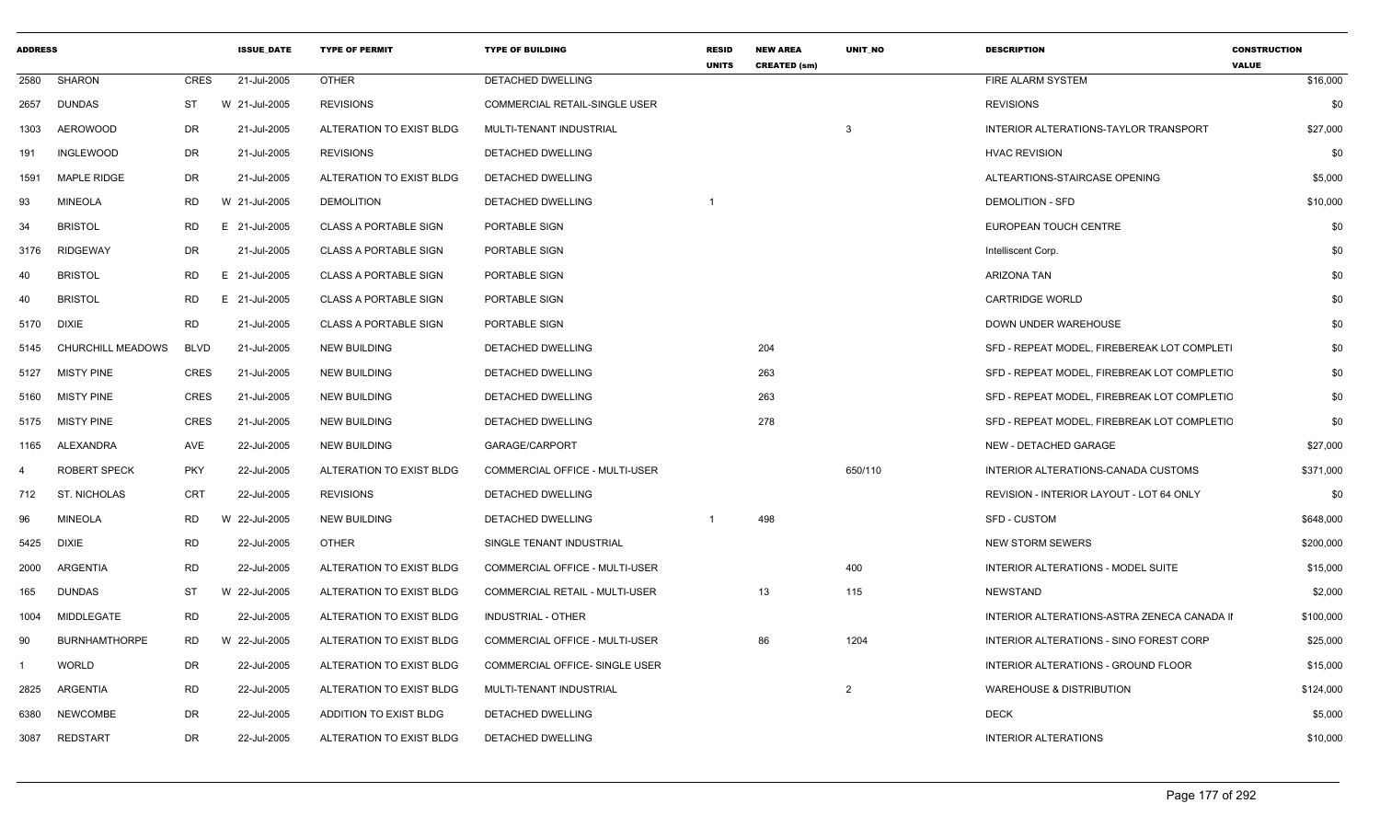| <b>ADDRESS</b> |                      |             | <b>ISSUE DATE</b> | <b>TYPE OF PERMIT</b>        | <b>TYPE OF BUILDING</b>        | <b>RESID</b><br><b>UNITS</b> | <b>NEW AREA</b><br><b>CREATED (sm)</b> | UNIT NO        | <b>DESCRIPTION</b>                          | <b>CONSTRUCTION</b><br><b>VALUE</b> |
|----------------|----------------------|-------------|-------------------|------------------------------|--------------------------------|------------------------------|----------------------------------------|----------------|---------------------------------------------|-------------------------------------|
| 2580           | <b>SHARON</b>        | <b>CRES</b> | 21-Jul-2005       | <b>OTHER</b>                 | <b>DETACHED DWELLING</b>       |                              |                                        |                | FIRE ALARM SYSTEM                           | \$16,000                            |
| 2657           | <b>DUNDAS</b>        | ST          | W 21-Jul-2005     | <b>REVISIONS</b>             | COMMERCIAL RETAIL-SINGLE USER  |                              |                                        |                | <b>REVISIONS</b>                            | \$0                                 |
| 1303           | <b>AEROWOOD</b>      | <b>DR</b>   | 21-Jul-2005       | ALTERATION TO EXIST BLDG     | MULTI-TENANT INDUSTRIAL        |                              |                                        | 3              | INTERIOR ALTERATIONS-TAYLOR TRANSPORT       | \$27,000                            |
| 191            | <b>INGLEWOOD</b>     | <b>DR</b>   | 21-Jul-2005       | <b>REVISIONS</b>             | DETACHED DWELLING              |                              |                                        |                | <b>HVAC REVISION</b>                        | \$0                                 |
| 1591           | <b>MAPLE RIDGE</b>   | DR          | 21-Jul-2005       | ALTERATION TO EXIST BLDG     | DETACHED DWELLING              |                              |                                        |                | ALTEARTIONS-STAIRCASE OPENING               | \$5,000                             |
| 93             | <b>MINEOLA</b>       | <b>RD</b>   | W 21-Jul-2005     | <b>DEMOLITION</b>            | DETACHED DWELLING              |                              |                                        |                | <b>DEMOLITION - SFD</b>                     | \$10,000                            |
| 34             | <b>BRISTOL</b>       | <b>RD</b>   | E 21-Jul-2005     | <b>CLASS A PORTABLE SIGN</b> | PORTABLE SIGN                  |                              |                                        |                | EUROPEAN TOUCH CENTRE                       | \$0                                 |
| 3176           | <b>RIDGEWAY</b>      | DR          | 21-Jul-2005       | <b>CLASS A PORTABLE SIGN</b> | PORTABLE SIGN                  |                              |                                        |                | Intelliscent Corp.                          | \$0                                 |
| 40             | <b>BRISTOL</b>       | <b>RD</b>   | E 21-Jul-2005     | <b>CLASS A PORTABLE SIGN</b> | PORTABLE SIGN                  |                              |                                        |                | <b>ARIZONA TAN</b>                          | \$0                                 |
| 40             | <b>BRISTOL</b>       | <b>RD</b>   | E.<br>21-Jul-2005 | <b>CLASS A PORTABLE SIGN</b> | PORTABLE SIGN                  |                              |                                        |                | <b>CARTRIDGE WORLD</b>                      | \$0                                 |
| 5170           | DIXIE                | <b>RD</b>   | 21-Jul-2005       | <b>CLASS A PORTABLE SIGN</b> | PORTABLE SIGN                  |                              |                                        |                | DOWN UNDER WAREHOUSE                        | \$0                                 |
| 5145           | CHURCHILL MEADOWS    | <b>BLVD</b> | 21-Jul-2005       | <b>NEW BUILDING</b>          | DETACHED DWELLING              |                              | 204                                    |                | SFD - REPEAT MODEL, FIREBEREAK LOT COMPLETI | \$0                                 |
| 5127           | <b>MISTY PINE</b>    | <b>CRES</b> | 21-Jul-2005       | <b>NEW BUILDING</b>          | DETACHED DWELLING              |                              | 263                                    |                | SFD - REPEAT MODEL, FIREBREAK LOT COMPLETIC | \$0                                 |
| 5160           | <b>MISTY PINE</b>    | <b>CRES</b> | 21-Jul-2005       | <b>NEW BUILDING</b>          | DETACHED DWELLING              |                              | 263                                    |                | SFD - REPEAT MODEL, FIREBREAK LOT COMPLETIC | \$0                                 |
| 5175           | <b>MISTY PINE</b>    | <b>CRES</b> | 21-Jul-2005       | <b>NEW BUILDING</b>          | DETACHED DWELLING              |                              | 278                                    |                | SFD - REPEAT MODEL. FIREBREAK LOT COMPLETIC | \$0                                 |
| 1165           | ALEXANDRA            | <b>AVE</b>  | 22-Jul-2005       | <b>NEW BUILDING</b>          | GARAGE/CARPORT                 |                              |                                        |                | NEW - DETACHED GARAGE                       | \$27,000                            |
| 4              | <b>ROBERT SPECK</b>  | <b>PKY</b>  | 22-Jul-2005       | ALTERATION TO EXIST BLDG     | COMMERCIAL OFFICE - MULTI-USER |                              |                                        | 650/110        | INTERIOR ALTERATIONS-CANADA CUSTOMS         | \$371,000                           |
| 712            | <b>ST. NICHOLAS</b>  | <b>CRT</b>  | 22-Jul-2005       | <b>REVISIONS</b>             | DETACHED DWELLING              |                              |                                        |                | REVISION - INTERIOR LAYOUT - LOT 64 ONLY    | \$0                                 |
| 96             | <b>MINEOLA</b>       | <b>RD</b>   | W 22-Jul-2005     | <b>NEW BUILDING</b>          | DETACHED DWELLING              | -1                           | 498                                    |                | <b>SFD - CUSTOM</b>                         | \$648,000                           |
| 5425           | DIXIE                | <b>RD</b>   | 22-Jul-2005       | <b>OTHER</b>                 | SINGLE TENANT INDUSTRIAL       |                              |                                        |                | <b>NEW STORM SEWERS</b>                     | \$200,000                           |
| 2000           | <b>ARGENTIA</b>      | <b>RD</b>   | 22-Jul-2005       | ALTERATION TO EXIST BLDG     | COMMERCIAL OFFICE - MULTI-USER |                              |                                        | 400            | INTERIOR ALTERATIONS - MODEL SUITE          | \$15,000                            |
| 165            | <b>DUNDAS</b>        | <b>ST</b>   | W 22-Jul-2005     | ALTERATION TO EXIST BLDG     | COMMERCIAL RETAIL - MULTI-USER |                              | 13                                     | 115            | NEWSTAND                                    | \$2,000                             |
| 1004           | MIDDLEGATE           | <b>RD</b>   | 22-Jul-2005       | ALTERATION TO EXIST BLDG     | INDUSTRIAL - OTHER             |                              |                                        |                | INTERIOR ALTERATIONS-ASTRA ZENECA CANADA II | \$100,000                           |
| 90             | <b>BURNHAMTHORPE</b> | <b>RD</b>   | W 22-Jul-2005     | ALTERATION TO EXIST BLDG     | COMMERCIAL OFFICE - MULTI-USER |                              | 86                                     | 1204           | INTERIOR ALTERATIONS - SINO FOREST CORP     | \$25,000                            |
|                | <b>WORLD</b>         | DR          | 22-Jul-2005       | ALTERATION TO EXIST BLDG     | COMMERCIAL OFFICE- SINGLE USER |                              |                                        |                | INTERIOR ALTERATIONS - GROUND FLOOR         | \$15,000                            |
| 2825           | ARGENTIA             | <b>RD</b>   | 22-Jul-2005       | ALTERATION TO EXIST BLDG     | MULTI-TENANT INDUSTRIAL        |                              |                                        | $\overline{2}$ | <b>WAREHOUSE &amp; DISTRIBUTION</b>         | \$124,000                           |
| 6380           | <b>NEWCOMBE</b>      | <b>DR</b>   | 22-Jul-2005       | ADDITION TO EXIST BLDG       | DETACHED DWELLING              |                              |                                        |                | <b>DECK</b>                                 | \$5,000                             |
| 3087           | <b>REDSTART</b>      | <b>DR</b>   | 22-Jul-2005       | ALTERATION TO EXIST BLDG     | DETACHED DWELLING              |                              |                                        |                | <b>INTERIOR ALTERATIONS</b>                 | \$10,000                            |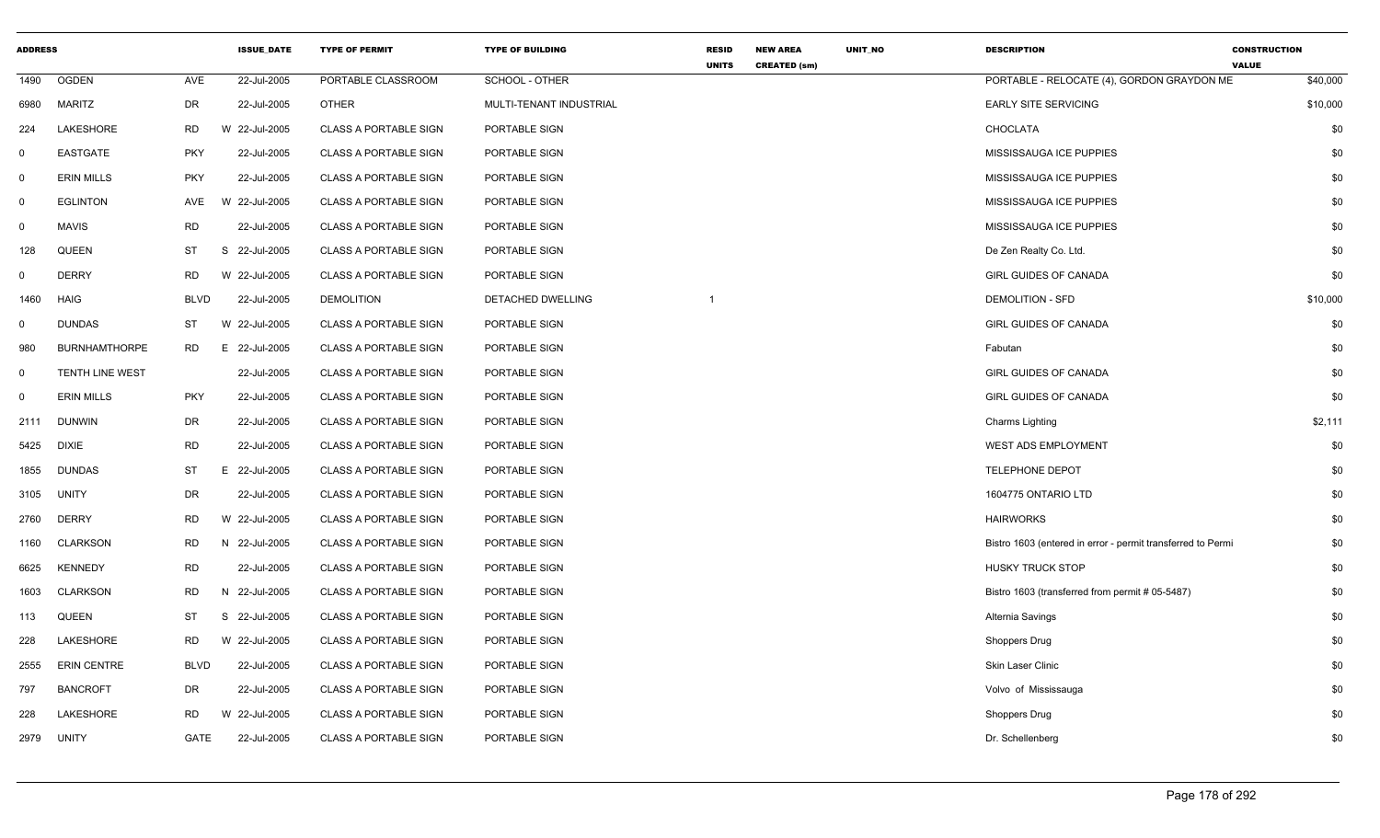| <b>ADDRESS</b> |                        |             | <b>ISSUE_DATE</b> | <b>TYPE OF PERMIT</b>        | <b>TYPE OF BUILDING</b> | <b>RESID</b><br><b>UNITS</b> | <b>NEW AREA</b><br><b>CREATED (sm)</b> | UNIT_NO | <b>DESCRIPTION</b>                                          | <b>CONSTRUCTION</b><br><b>VALUE</b> |
|----------------|------------------------|-------------|-------------------|------------------------------|-------------------------|------------------------------|----------------------------------------|---------|-------------------------------------------------------------|-------------------------------------|
| 1490           | <b>OGDEN</b>           | AVE         | 22-Jul-2005       | PORTABLE CLASSROOM           | SCHOOL - OTHER          |                              |                                        |         | PORTABLE - RELOCATE (4), GORDON GRAYDON ME                  | \$40,000                            |
| 6980           | <b>MARITZ</b>          | <b>DR</b>   | 22-Jul-2005       | <b>OTHER</b>                 | MULTI-TENANT INDUSTRIAL |                              |                                        |         | <b>EARLY SITE SERVICING</b>                                 | \$10,000                            |
| 224            | LAKESHORE              | <b>RD</b>   | W 22-Jul-2005     | <b>CLASS A PORTABLE SIGN</b> | PORTABLE SIGN           |                              |                                        |         | CHOCLATA                                                    | \$0                                 |
| 0              | <b>EASTGATE</b>        | <b>PKY</b>  | 22-Jul-2005       | <b>CLASS A PORTABLE SIGN</b> | PORTABLE SIGN           |                              |                                        |         | MISSISSAUGA ICE PUPPIES                                     | \$0                                 |
| $\mathbf 0$    | <b>ERIN MILLS</b>      | <b>PKY</b>  | 22-Jul-2005       | <b>CLASS A PORTABLE SIGN</b> | PORTABLE SIGN           |                              |                                        |         | MISSISSAUGA ICE PUPPIES                                     | \$0                                 |
| $\mathbf 0$    | <b>EGLINTON</b>        | AVE         | W 22-Jul-2005     | <b>CLASS A PORTABLE SIGN</b> | PORTABLE SIGN           |                              |                                        |         | MISSISSAUGA ICE PUPPIES                                     | \$0                                 |
| $\mathbf 0$    | <b>MAVIS</b>           | <b>RD</b>   | 22-Jul-2005       | <b>CLASS A PORTABLE SIGN</b> | PORTABLE SIGN           |                              |                                        |         | MISSISSAUGA ICE PUPPIES                                     | \$0                                 |
| 128            | QUEEN                  | ST          | S<br>22-Jul-2005  | <b>CLASS A PORTABLE SIGN</b> | PORTABLE SIGN           |                              |                                        |         | De Zen Realty Co. Ltd.                                      | \$0                                 |
| $\mathbf 0$    | <b>DERRY</b>           | <b>RD</b>   | W 22-Jul-2005     | <b>CLASS A PORTABLE SIGN</b> | PORTABLE SIGN           |                              |                                        |         | <b>GIRL GUIDES OF CANADA</b>                                | \$0                                 |
| 1460           | <b>HAIG</b>            | <b>BLVD</b> | 22-Jul-2005       | <b>DEMOLITION</b>            | DETACHED DWELLING       |                              |                                        |         | <b>DEMOLITION - SFD</b>                                     | \$10,000                            |
| 0              | <b>DUNDAS</b>          | ST          | W 22-Jul-2005     | <b>CLASS A PORTABLE SIGN</b> | PORTABLE SIGN           |                              |                                        |         | <b>GIRL GUIDES OF CANADA</b>                                | \$0                                 |
| 980            | <b>BURNHAMTHORPE</b>   | <b>RD</b>   | E 22-Jul-2005     | <b>CLASS A PORTABLE SIGN</b> | PORTABLE SIGN           |                              |                                        |         | Fabutan                                                     | \$0                                 |
| 0              | <b>TENTH LINE WEST</b> |             | 22-Jul-2005       | <b>CLASS A PORTABLE SIGN</b> | PORTABLE SIGN           |                              |                                        |         | <b>GIRL GUIDES OF CANADA</b>                                | \$0                                 |
| $\mathbf 0$    | <b>ERIN MILLS</b>      | <b>PKY</b>  | 22-Jul-2005       | <b>CLASS A PORTABLE SIGN</b> | PORTABLE SIGN           |                              |                                        |         | <b>GIRL GUIDES OF CANADA</b>                                | \$0                                 |
| 2111           | <b>DUNWIN</b>          | DR          | 22-Jul-2005       | <b>CLASS A PORTABLE SIGN</b> | PORTABLE SIGN           |                              |                                        |         | Charms Lighting                                             | \$2,111                             |
| 5425           | <b>DIXIE</b>           | <b>RD</b>   | 22-Jul-2005       | <b>CLASS A PORTABLE SIGN</b> | PORTABLE SIGN           |                              |                                        |         | <b>WEST ADS EMPLOYMENT</b>                                  | \$0                                 |
| 1855           | <b>DUNDAS</b>          | <b>ST</b>   | E.<br>22-Jul-2005 | <b>CLASS A PORTABLE SIGN</b> | PORTABLE SIGN           |                              |                                        |         | TELEPHONE DEPOT                                             | \$0                                 |
| 3105           | <b>UNITY</b>           | <b>DR</b>   | 22-Jul-2005       | <b>CLASS A PORTABLE SIGN</b> | PORTABLE SIGN           |                              |                                        |         | 1604775 ONTARIO LTD                                         | \$0                                 |
| 2760           | <b>DERRY</b>           | <b>RD</b>   | W 22-Jul-2005     | <b>CLASS A PORTABLE SIGN</b> | PORTABLE SIGN           |                              |                                        |         | <b>HAIRWORKS</b>                                            | \$0                                 |
| 1160           | <b>CLARKSON</b>        | <b>RD</b>   | N 22-Jul-2005     | <b>CLASS A PORTABLE SIGN</b> | PORTABLE SIGN           |                              |                                        |         | Bistro 1603 (entered in error - permit transferred to Permi | \$0                                 |
| 6625           | <b>KENNEDY</b>         | <b>RD</b>   | 22-Jul-2005       | <b>CLASS A PORTABLE SIGN</b> | PORTABLE SIGN           |                              |                                        |         | <b>HUSKY TRUCK STOP</b>                                     | \$0                                 |
| 1603           | <b>CLARKSON</b>        | <b>RD</b>   | N 22-Jul-2005     | <b>CLASS A PORTABLE SIGN</b> | PORTABLE SIGN           |                              |                                        |         | Bistro 1603 (transferred from permit # 05-5487)             | \$0                                 |
| 113            | QUEEN                  | ST          | S<br>22-Jul-2005  | <b>CLASS A PORTABLE SIGN</b> | PORTABLE SIGN           |                              |                                        |         | Alternia Savings                                            | \$0                                 |
| 228            | LAKESHORE              | RD          | W 22-Jul-2005     | <b>CLASS A PORTABLE SIGN</b> | PORTABLE SIGN           |                              |                                        |         | <b>Shoppers Drug</b>                                        | \$0                                 |
| 2555           | <b>ERIN CENTRE</b>     | <b>BLVD</b> | 22-Jul-2005       | <b>CLASS A PORTABLE SIGN</b> | PORTABLE SIGN           |                              |                                        |         | Skin Laser Clinic                                           | \$0                                 |
| 797            | <b>BANCROFT</b>        | <b>DR</b>   | 22-Jul-2005       | <b>CLASS A PORTABLE SIGN</b> | PORTABLE SIGN           |                              |                                        |         | Volvo of Mississauga                                        | \$0                                 |
| 228            | LAKESHORE              | <b>RD</b>   | W 22-Jul-2005     | <b>CLASS A PORTABLE SIGN</b> | PORTABLE SIGN           |                              |                                        |         | Shoppers Drug                                               | \$0                                 |
| 2979           | <b>UNITY</b>           | GATE        | 22-Jul-2005       | <b>CLASS A PORTABLE SIGN</b> | PORTABLE SIGN           |                              |                                        |         | Dr. Schellenberg                                            | \$0                                 |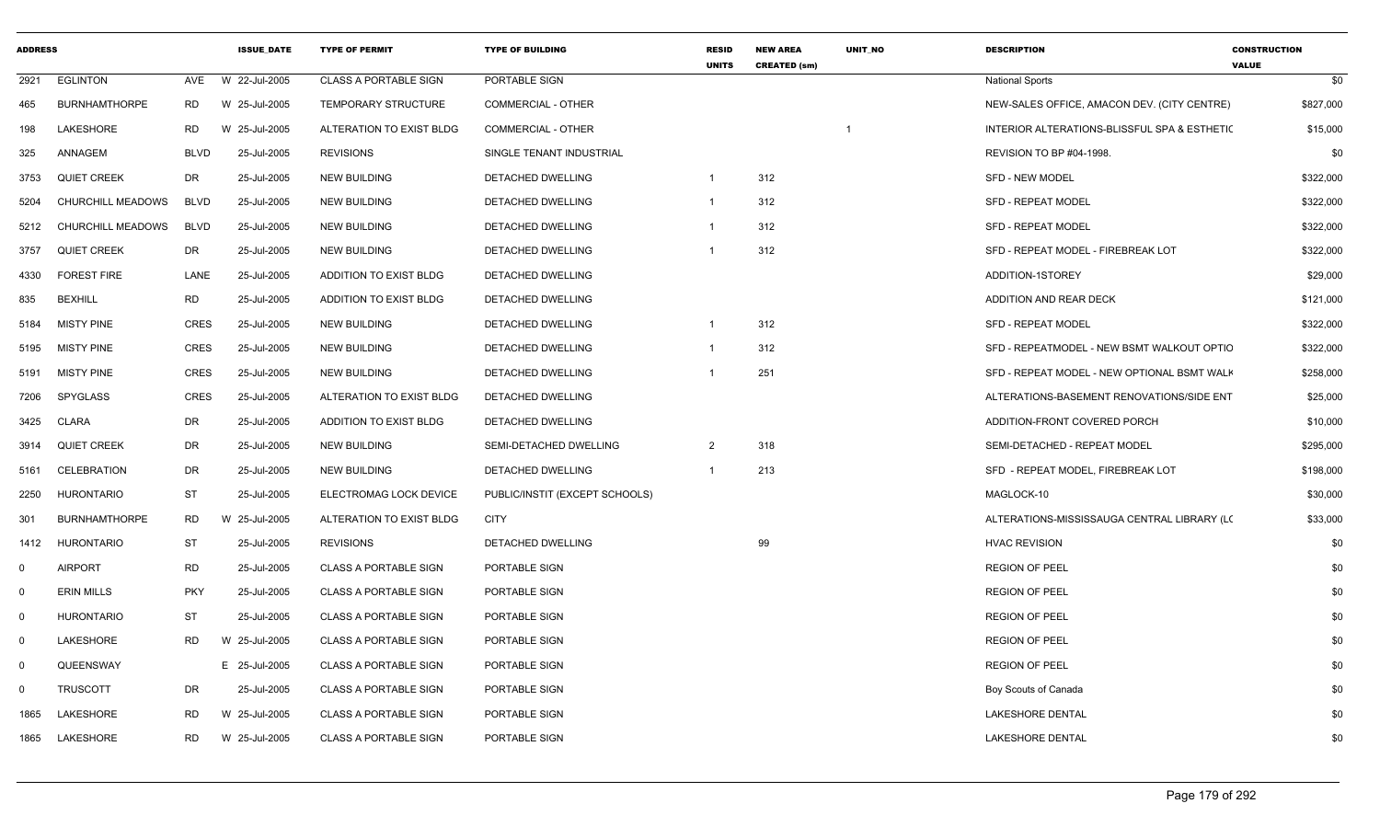| <b>ADDRESS</b> |                      |             | <b>ISSUE DATE</b> | <b>TYPE OF PERMIT</b>         | <b>TYPE OF BUILDING</b>        | <b>RESID</b><br><b>UNITS</b> | <b>NEW AREA</b><br><b>CREATED (sm)</b> | <b>UNIT NO</b> | <b>DESCRIPTION</b>                           | <b>CONSTRUCTION</b><br><b>VALUE</b> |
|----------------|----------------------|-------------|-------------------|-------------------------------|--------------------------------|------------------------------|----------------------------------------|----------------|----------------------------------------------|-------------------------------------|
| 2921           | <b>EGLINTON</b>      | AVE         | W 22-Jul-2005     | <b>CLASS A PORTABLE SIGN</b>  | PORTABLE SIGN                  |                              |                                        |                | <b>National Sports</b>                       | \$0                                 |
| 465            | <b>BURNHAMTHORPE</b> | RD          | W 25-Jul-2005     | <b>TEMPORARY STRUCTURE</b>    | <b>COMMERCIAL - OTHER</b>      |                              |                                        |                | NEW-SALES OFFICE, AMACON DEV. (CITY CENTRE)  | \$827,000                           |
| 198            | <b>LAKESHORE</b>     | RD.         | W 25-Jul-2005     | ALTERATION TO EXIST BLDG      | <b>COMMERCIAL - OTHER</b>      |                              |                                        |                | INTERIOR ALTERATIONS-BLISSFUL SPA & ESTHETIC | \$15,000                            |
| 325            | ANNAGEM              | <b>BLVD</b> | 25-Jul-2005       | <b>REVISIONS</b>              | SINGLE TENANT INDUSTRIAL       |                              |                                        |                | REVISION TO BP #04-1998.                     | \$0                                 |
| 3753           | <b>QUIET CREEK</b>   | DR          | 25-Jul-2005       | <b>NEW BUILDING</b>           | DETACHED DWELLING              | $\overline{1}$               | 312                                    |                | SFD - NEW MODEL                              | \$322,000                           |
| 5204           | CHURCHILL MEADOWS    | <b>BLVD</b> | 25-Jul-2005       | <b>NEW BUILDING</b>           | DETACHED DWELLING              | $\overline{1}$               | 312                                    |                | <b>SFD - REPEAT MODEL</b>                    | \$322,000                           |
| 5212           | CHURCHILL MEADOWS    | <b>BLVD</b> | 25-Jul-2005       | <b>NEW BUILDING</b>           | DETACHED DWELLING              | $\overline{1}$               | 312                                    |                | <b>SFD - REPEAT MODEL</b>                    | \$322,000                           |
| 3757           | <b>QUIET CREEK</b>   | DR          | 25-Jul-2005       | <b>NEW BUILDING</b>           | DETACHED DWELLING              |                              | 312                                    |                | SFD - REPEAT MODEL - FIREBREAK LOT           | \$322,000                           |
| 4330           | <b>FOREST FIRE</b>   | LANE        | 25-Jul-2005       | ADDITION TO EXIST BLDG        | DETACHED DWELLING              |                              |                                        |                | ADDITION-1STOREY                             | \$29,000                            |
| 835            | <b>BEXHILL</b>       | <b>RD</b>   | 25-Jul-2005       | <b>ADDITION TO EXIST BLDG</b> | DETACHED DWELLING              |                              |                                        |                | ADDITION AND REAR DECK                       | \$121,000                           |
| 5184           | <b>MISTY PINE</b>    | CRES        | 25-Jul-2005       | <b>NEW BUILDING</b>           | DETACHED DWELLING              | - 1                          | 312                                    |                | <b>SFD - REPEAT MODEL</b>                    | \$322,000                           |
| 5195           | <b>MISTY PINE</b>    | <b>CRES</b> | 25-Jul-2005       | <b>NEW BUILDING</b>           | DETACHED DWELLING              |                              | 312                                    |                | SFD - REPEATMODEL - NEW BSMT WALKOUT OPTIC   | \$322,000                           |
| 5191           | <b>MISTY PINE</b>    | <b>CRES</b> | 25-Jul-2005       | <b>NEW BUILDING</b>           | DETACHED DWELLING              |                              | 251                                    |                | SFD - REPEAT MODEL - NEW OPTIONAL BSMT WALK  | \$258,000                           |
| 7206           | SPYGLASS             | <b>CRES</b> | 25-Jul-2005       | ALTERATION TO EXIST BLDG      | DETACHED DWELLING              |                              |                                        |                | ALTERATIONS-BASEMENT RENOVATIONS/SIDE ENT    | \$25,000                            |
| 3425           | <b>CLARA</b>         | DR          | 25-Jul-2005       | <b>ADDITION TO EXIST BLDG</b> | DETACHED DWELLING              |                              |                                        |                | ADDITION-FRONT COVERED PORCH                 | \$10,000                            |
| 3914           | <b>QUIET CREEK</b>   | DR          | 25-Jul-2005       | <b>NEW BUILDING</b>           | SEMI-DETACHED DWELLING         | 2                            | 318                                    |                | SEMI-DETACHED - REPEAT MODEL                 | \$295,000                           |
| 5161           | <b>CELEBRATION</b>   | DR          | 25-Jul-2005       | <b>NEW BUILDING</b>           | DETACHED DWELLING              | $\overline{1}$               | 213                                    |                | SFD - REPEAT MODEL, FIREBREAK LOT            | \$198,000                           |
| 2250           | <b>HURONTARIO</b>    | <b>ST</b>   | 25-Jul-2005       | ELECTROMAG LOCK DEVICE        | PUBLIC/INSTIT (EXCEPT SCHOOLS) |                              |                                        |                | MAGLOCK-10                                   | \$30,000                            |
| 301            | <b>BURNHAMTHORPE</b> | RD          | W 25-Jul-2005     | ALTERATION TO EXIST BLDG      | <b>CITY</b>                    |                              |                                        |                | ALTERATIONS-MISSISSAUGA CENTRAL LIBRARY (LC  | \$33,000                            |
| 1412           | <b>HURONTARIO</b>    | <b>ST</b>   | 25-Jul-2005       | <b>REVISIONS</b>              | DETACHED DWELLING              |                              | 99                                     |                | <b>HVAC REVISION</b>                         | \$0                                 |
| 0              | <b>AIRPORT</b>       | RD          | 25-Jul-2005       | <b>CLASS A PORTABLE SIGN</b>  | PORTABLE SIGN                  |                              |                                        |                | <b>REGION OF PEEL</b>                        | \$0                                 |
| $\mathbf 0$    | <b>ERIN MILLS</b>    | <b>PKY</b>  | 25-Jul-2005       | <b>CLASS A PORTABLE SIGN</b>  | PORTABLE SIGN                  |                              |                                        |                | <b>REGION OF PEEL</b>                        | \$0                                 |
| $\overline{0}$ | <b>HURONTARIO</b>    | <b>ST</b>   | 25-Jul-2005       | <b>CLASS A PORTABLE SIGN</b>  | PORTABLE SIGN                  |                              |                                        |                | <b>REGION OF PEEL</b>                        | \$0                                 |
| $\mathbf 0$    | LAKESHORE            | RD          | W 25-Jul-2005     | <b>CLASS A PORTABLE SIGN</b>  | PORTABLE SIGN                  |                              |                                        |                | <b>REGION OF PEEL</b>                        | \$0                                 |
| $\mathbf 0$    | QUEENSWAY            |             | E 25-Jul-2005     | <b>CLASS A PORTABLE SIGN</b>  | PORTABLE SIGN                  |                              |                                        |                | <b>REGION OF PEEL</b>                        | \$0                                 |
| 0              | <b>TRUSCOTT</b>      | DR          | 25-Jul-2005       | <b>CLASS A PORTABLE SIGN</b>  | PORTABLE SIGN                  |                              |                                        |                | Boy Scouts of Canada                         | \$0                                 |
| 1865           | LAKESHORE            | RD.         | W 25-Jul-2005     | <b>CLASS A PORTABLE SIGN</b>  | PORTABLE SIGN                  |                              |                                        |                | LAKESHORE DENTAL                             | \$0                                 |
| 1865           | LAKESHORE            | RD.         | W 25-Jul-2005     | <b>CLASS A PORTABLE SIGN</b>  | PORTABLE SIGN                  |                              |                                        |                | <b>LAKESHORE DENTAL</b>                      | \$0                                 |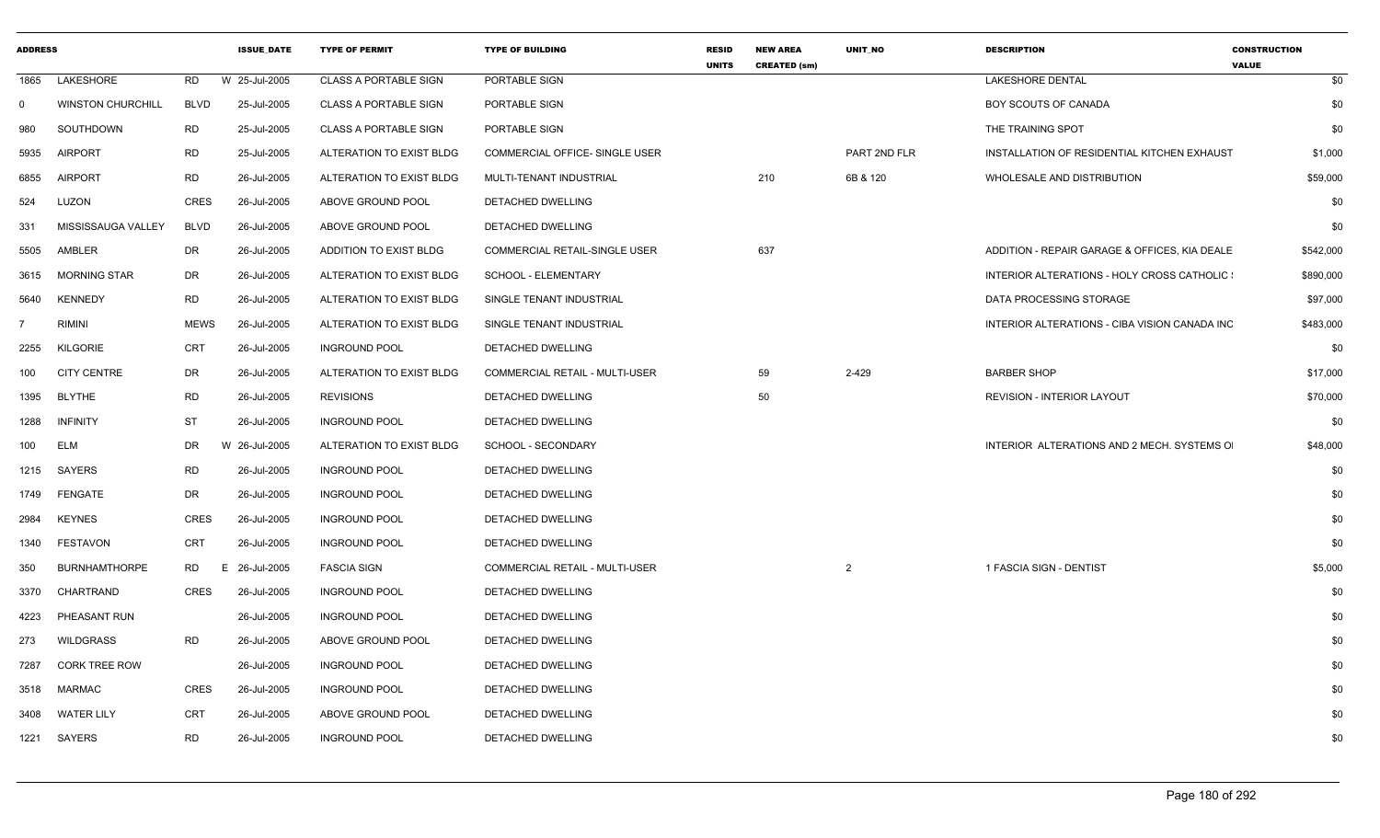| <b>ADDRESS</b> |                          |             | <b>ISSUE DATE</b> | <b>TYPE OF PERMIT</b>        | <b>TYPE OF BUILDING</b>        | <b>RESID</b><br><b>UNITS</b> | <b>NEW AREA</b><br><b>CREATED (sm)</b> | UNIT NO      | <b>DESCRIPTION</b>                            | <b>CONSTRUCTION</b><br><b>VALUE</b> |
|----------------|--------------------------|-------------|-------------------|------------------------------|--------------------------------|------------------------------|----------------------------------------|--------------|-----------------------------------------------|-------------------------------------|
| 1865           | LAKESHORE                | RD          | W 25-Jul-2005     | CLASS A PORTABLE SIGN        | PORTABLE SIGN                  |                              |                                        |              | <b>LAKESHORE DENTAL</b>                       | \$0                                 |
| $\Omega$       | <b>WINSTON CHURCHILL</b> | <b>BLVD</b> | 25-Jul-2005       | <b>CLASS A PORTABLE SIGN</b> | PORTABLE SIGN                  |                              |                                        |              | BOY SCOUTS OF CANADA                          | \$0                                 |
| 980            | SOUTHDOWN                | RD          | 25-Jul-2005       | <b>CLASS A PORTABLE SIGN</b> | PORTABLE SIGN                  |                              |                                        |              | THE TRAINING SPOT                             | \$0                                 |
| 5935           | <b>AIRPORT</b>           | <b>RD</b>   | 25-Jul-2005       | ALTERATION TO EXIST BLDG     | COMMERCIAL OFFICE- SINGLE USER |                              |                                        | PART 2ND FLR | INSTALLATION OF RESIDENTIAL KITCHEN EXHAUST   | \$1,000                             |
| 6855           | <b>AIRPORT</b>           | <b>RD</b>   | 26-Jul-2005       | ALTERATION TO EXIST BLDG     | MULTI-TENANT INDUSTRIAL        |                              | 210                                    | 6B & 120     | WHOLESALE AND DISTRIBUTION                    | \$59,000                            |
| 524            | LUZON                    | <b>CRES</b> | 26-Jul-2005       | ABOVE GROUND POOL            | DETACHED DWELLING              |                              |                                        |              |                                               | \$0                                 |
| 331            | MISSISSAUGA VALLEY       | <b>BLVD</b> | 26-Jul-2005       | ABOVE GROUND POOL            | DETACHED DWELLING              |                              |                                        |              |                                               | \$0                                 |
| 5505           | AMBLER                   | DR          | 26-Jul-2005       | ADDITION TO EXIST BLDG       | COMMERCIAL RETAIL-SINGLE USER  |                              | 637                                    |              | ADDITION - REPAIR GARAGE & OFFICES, KIA DEALE | \$542,000                           |
| 3615           | <b>MORNING STAR</b>      | DR          | 26-Jul-2005       | ALTERATION TO EXIST BLDG     | SCHOOL - ELEMENTARY            |                              |                                        |              | INTERIOR ALTERATIONS - HOLY CROSS CATHOLIC :  | \$890,000                           |
| 5640           | <b>KENNEDY</b>           | <b>RD</b>   | 26-Jul-2005       | ALTERATION TO EXIST BLDG     | SINGLE TENANT INDUSTRIAL       |                              |                                        |              | DATA PROCESSING STORAGE                       | \$97,000                            |
|                | <b>RIMINI</b>            | <b>MEWS</b> | 26-Jul-2005       | ALTERATION TO EXIST BLDG     | SINGLE TENANT INDUSTRIAL       |                              |                                        |              | INTERIOR ALTERATIONS - CIBA VISION CANADA INC | \$483,000                           |
| 2255           | <b>KILGORIE</b>          | CRT         | 26-Jul-2005       | <b>INGROUND POOL</b>         | DETACHED DWELLING              |                              |                                        |              |                                               | \$0                                 |
| 100            | <b>CITY CENTRE</b>       | DR          | 26-Jul-2005       | ALTERATION TO EXIST BLDG     | COMMERCIAL RETAIL - MULTI-USER |                              | 59                                     | 2-429        | <b>BARBER SHOP</b>                            | \$17,000                            |
| 1395           | <b>BLYTHE</b>            | RD          | 26-Jul-2005       | <b>REVISIONS</b>             | DETACHED DWELLING              |                              | 50                                     |              | <b>REVISION - INTERIOR LAYOUT</b>             | \$70,000                            |
| 1288           | <b>INFINITY</b>          | ST          | 26-Jul-2005       | <b>INGROUND POOL</b>         | DETACHED DWELLING              |                              |                                        |              |                                               | \$0                                 |
| 100            | ELM                      | DR          | W 26-Jul-2005     | ALTERATION TO EXIST BLDG     | SCHOOL - SECONDARY             |                              |                                        |              | INTERIOR ALTERATIONS AND 2 MECH. SYSTEMS O    | \$48,000                            |
| 1215           | SAYERS                   | RD          | 26-Jul-2005       | <b>INGROUND POOL</b>         | DETACHED DWELLING              |                              |                                        |              |                                               | \$0                                 |
| 1749           | FENGATE                  | DR          | 26-Jul-2005       | <b>INGROUND POOL</b>         | DETACHED DWELLING              |                              |                                        |              |                                               | \$0                                 |
| 2984           | <b>KEYNES</b>            | CRES        | 26-Jul-2005       | <b>INGROUND POOL</b>         | DETACHED DWELLING              |                              |                                        |              |                                               | \$0                                 |
| 1340           | <b>FESTAVON</b>          | CRT         | 26-Jul-2005       | <b>INGROUND POOL</b>         | DETACHED DWELLING              |                              |                                        |              |                                               | \$0                                 |
| 350            | <b>BURNHAMTHORPE</b>     | RD<br>E.    | 26-Jul-2005       | <b>FASCIA SIGN</b>           | COMMERCIAL RETAIL - MULTI-USER |                              |                                        | 2            | 1 FASCIA SIGN - DENTIST                       | \$5,000                             |
| 3370           | CHARTRAND                | CRES        | 26-Jul-2005       | <b>INGROUND POOL</b>         | DETACHED DWELLING              |                              |                                        |              |                                               | \$0                                 |
| 4223           | PHEASANT RUN             |             | 26-Jul-2005       | <b>INGROUND POOL</b>         | DETACHED DWELLING              |                              |                                        |              |                                               | \$0                                 |
| 273            | WILDGRASS                | RD          | 26-Jul-2005       | ABOVE GROUND POOL            | DETACHED DWELLING              |                              |                                        |              |                                               | \$0                                 |
| 7287           | <b>CORK TREE ROW</b>     |             | 26-Jul-2005       | <b>INGROUND POOL</b>         | DETACHED DWELLING              |                              |                                        |              |                                               | \$0                                 |
| 3518           | <b>MARMAC</b>            | CRES        | 26-Jul-2005       | <b>INGROUND POOL</b>         | DETACHED DWELLING              |                              |                                        |              |                                               | \$0                                 |
| 3408           | <b>WATER LILY</b>        | CRT         | 26-Jul-2005       | ABOVE GROUND POOL            | DETACHED DWELLING              |                              |                                        |              |                                               | \$0                                 |
| 1221           | SAYERS                   | <b>RD</b>   | 26-Jul-2005       | <b>INGROUND POOL</b>         | <b>DETACHED DWELLING</b>       |                              |                                        |              |                                               | \$0                                 |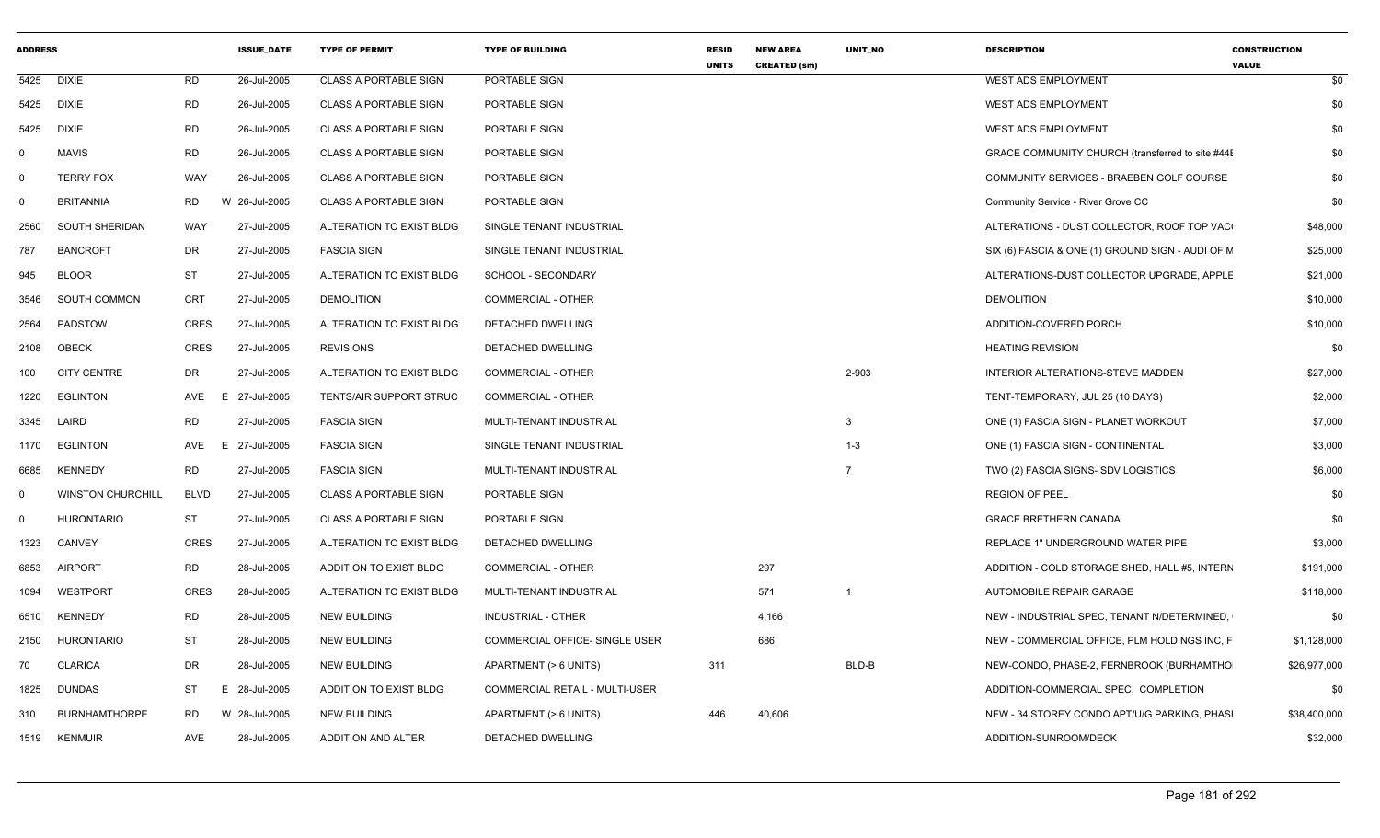| <b>ADDRESS</b> |                          |             | <b>ISSUE_DATE</b> | <b>TYPE OF PERMIT</b>        | <b>TYPE OF BUILDING</b>               | <b>RESID</b><br><b>UNITS</b> | <b>NEW AREA</b><br><b>CREATED (sm)</b> | UNIT_NO        | <b>DESCRIPTION</b>                               | <b>CONSTRUCTION</b><br><b>VALUE</b> |
|----------------|--------------------------|-------------|-------------------|------------------------------|---------------------------------------|------------------------------|----------------------------------------|----------------|--------------------------------------------------|-------------------------------------|
| 5425           | <b>DIXIE</b>             | RD          | 26-Jul-2005       | <b>CLASS A PORTABLE SIGN</b> | PORTABLE SIGN                         |                              |                                        |                | <b>WEST ADS EMPLOYMENT</b>                       | \$0                                 |
| 5425           | <b>DIXIE</b>             | <b>RD</b>   | 26-Jul-2005       | <b>CLASS A PORTABLE SIGN</b> | PORTABLE SIGN                         |                              |                                        |                | WEST ADS EMPLOYMENT                              | \$0                                 |
| 5425           | <b>DIXIE</b>             | <b>RD</b>   | 26-Jul-2005       | <b>CLASS A PORTABLE SIGN</b> | PORTABLE SIGN                         |                              |                                        |                | <b>WEST ADS EMPLOYMENT</b>                       | \$0                                 |
|                | <b>MAVIS</b>             | <b>RD</b>   | 26-Jul-2005       | <b>CLASS A PORTABLE SIGN</b> | PORTABLE SIGN                         |                              |                                        |                | GRACE COMMUNITY CHURCH (transferred to site #441 | \$0                                 |
| $\mathbf 0$    | <b>TERRY FOX</b>         | WAY         | 26-Jul-2005       | <b>CLASS A PORTABLE SIGN</b> | PORTABLE SIGN                         |                              |                                        |                | COMMUNITY SERVICES - BRAEBEN GOLF COURSE         | \$0                                 |
| $\Omega$       | <b>BRITANNIA</b>         | <b>RD</b>   | W 26-Jul-2005     | <b>CLASS A PORTABLE SIGN</b> | PORTABLE SIGN                         |                              |                                        |                | Community Service - River Grove CC               | \$0                                 |
| 2560           | SOUTH SHERIDAN           | WAY         | 27-Jul-2005       | ALTERATION TO EXIST BLDG     | SINGLE TENANT INDUSTRIAL              |                              |                                        |                | ALTERATIONS - DUST COLLECTOR, ROOF TOP VAC       | \$48,000                            |
| 787            | <b>BANCROFT</b>          | DR          | 27-Jul-2005       | <b>FASCIA SIGN</b>           | SINGLE TENANT INDUSTRIAL              |                              |                                        |                | SIX (6) FASCIA & ONE (1) GROUND SIGN - AUDI OF M | \$25,000                            |
| 945            | <b>BLOOR</b>             | ST          | 27-Jul-2005       | ALTERATION TO EXIST BLDG     | <b>SCHOOL - SECONDARY</b>             |                              |                                        |                | ALTERATIONS-DUST COLLECTOR UPGRADE, APPLE        | \$21,000                            |
| 3546           | SOUTH COMMON             | CRT         | 27-Jul-2005       | <b>DEMOLITION</b>            | <b>COMMERCIAL - OTHER</b>             |                              |                                        |                | <b>DEMOLITION</b>                                | \$10,000                            |
| 2564           | PADSTOW                  | CRES        | 27-Jul-2005       | ALTERATION TO EXIST BLDG     | DETACHED DWELLING                     |                              |                                        |                | ADDITION-COVERED PORCH                           | \$10,000                            |
| 2108           | <b>OBECK</b>             | CRES        | 27-Jul-2005       | <b>REVISIONS</b>             | DETACHED DWELLING                     |                              |                                        |                | <b>HEATING REVISION</b>                          | \$0                                 |
| 100            | <b>CITY CENTRE</b>       | DR          | 27-Jul-2005       | ALTERATION TO EXIST BLDG     | <b>COMMERCIAL - OTHER</b>             |                              |                                        | 2-903          | INTERIOR ALTERATIONS-STEVE MADDEN                | \$27,000                            |
| 1220           | <b>EGLINTON</b>          | AVE<br>E.   | 27-Jul-2005       | TENTS/AIR SUPPORT STRUC      | <b>COMMERCIAL - OTHER</b>             |                              |                                        |                | TENT-TEMPORARY, JUL 25 (10 DAYS)                 | \$2,000                             |
| 3345           | LAIRD                    | <b>RD</b>   | 27-Jul-2005       | <b>FASCIA SIGN</b>           | MULTI-TENANT INDUSTRIAL               |                              |                                        | 3              | ONE (1) FASCIA SIGN - PLANET WORKOUT             | \$7,000                             |
| 1170           | <b>EGLINTON</b>          | AVE<br>E    | 27-Jul-2005       | <b>FASCIA SIGN</b>           | SINGLE TENANT INDUSTRIAL              |                              |                                        | $1 - 3$        | ONE (1) FASCIA SIGN - CONTINENTAL                | \$3,000                             |
| 6685           | KENNEDY                  | RD          | 27-Jul-2005       | <b>FASCIA SIGN</b>           | MULTI-TENANT INDUSTRIAL               |                              |                                        | $\overline{7}$ | TWO (2) FASCIA SIGNS- SDV LOGISTICS              | \$6,000                             |
| $\Omega$       | <b>WINSTON CHURCHILL</b> | <b>BLVD</b> | 27-Jul-2005       | <b>CLASS A PORTABLE SIGN</b> | PORTABLE SIGN                         |                              |                                        |                | <b>REGION OF PEEL</b>                            | \$0                                 |
| $\Omega$       | <b>HURONTARIO</b>        | ST          | 27-Jul-2005       | <b>CLASS A PORTABLE SIGN</b> | PORTABLE SIGN                         |                              |                                        |                | <b>GRACE BRETHERN CANADA</b>                     | \$0                                 |
| 1323           | <b>CANVEY</b>            | CRES        | 27-Jul-2005       | ALTERATION TO EXIST BLDG     | DETACHED DWELLING                     |                              |                                        |                | REPLACE 1" UNDERGROUND WATER PIPE                | \$3,000                             |
| 6853           | <b>AIRPORT</b>           | <b>RD</b>   | 28-Jul-2005       | ADDITION TO EXIST BLDG       | COMMERCIAL - OTHER                    |                              | 297                                    |                | ADDITION - COLD STORAGE SHED, HALL #5, INTERN    | \$191,000                           |
| 1094           | <b>WESTPORT</b>          | CRES        | 28-Jul-2005       | ALTERATION TO EXIST BLDG     | MULTI-TENANT INDUSTRIAL               |                              | 571                                    | $\overline{1}$ | AUTOMOBILE REPAIR GARAGE                         | \$118,000                           |
| 6510           | <b>KENNEDY</b>           | <b>RD</b>   | 28-Jul-2005       | <b>NEW BUILDING</b>          | INDUSTRIAL - OTHER                    |                              | 4,166                                  |                | NEW - INDUSTRIAL SPEC, TENANT N/DETERMINED,      | \$0                                 |
| 2150           | <b>HURONTARIO</b>        | ST          | 28-Jul-2005       | <b>NEW BUILDING</b>          | <b>COMMERCIAL OFFICE- SINGLE USER</b> |                              | 686                                    |                | NEW - COMMERCIAL OFFICE, PLM HOLDINGS INC, F     | \$1,128,000                         |
| 70             | <b>CLARICA</b>           | DR          | 28-Jul-2005       | <b>NEW BUILDING</b>          | APARTMENT (> 6 UNITS)                 | 311                          |                                        | BLD-B          | NEW-CONDO, PHASE-2, FERNBROOK (BURHAMTHO         | \$26,977,000                        |
| 1825           | DUNDAS                   | ST<br>Е.    | 28-Jul-2005       | ADDITION TO EXIST BLDG       | <b>COMMERCIAL RETAIL - MULTI-USER</b> |                              |                                        |                | ADDITION-COMMERCIAL SPEC, COMPLETION             | \$0                                 |
| 310            | <b>BURNHAMTHORPE</b>     | <b>RD</b>   | W 28-Jul-2005     | <b>NEW BUILDING</b>          | APARTMENT (> 6 UNITS)                 | 446                          | 40,606                                 |                | NEW - 34 STOREY CONDO APT/U/G PARKING, PHASI     | \$38,400,000                        |
| 1519           | <b>KENMUIR</b>           | AVE         | 28-Jul-2005       | ADDITION AND ALTER           | DETACHED DWELLING                     |                              |                                        |                | ADDITION-SUNROOM/DECK                            | \$32,000                            |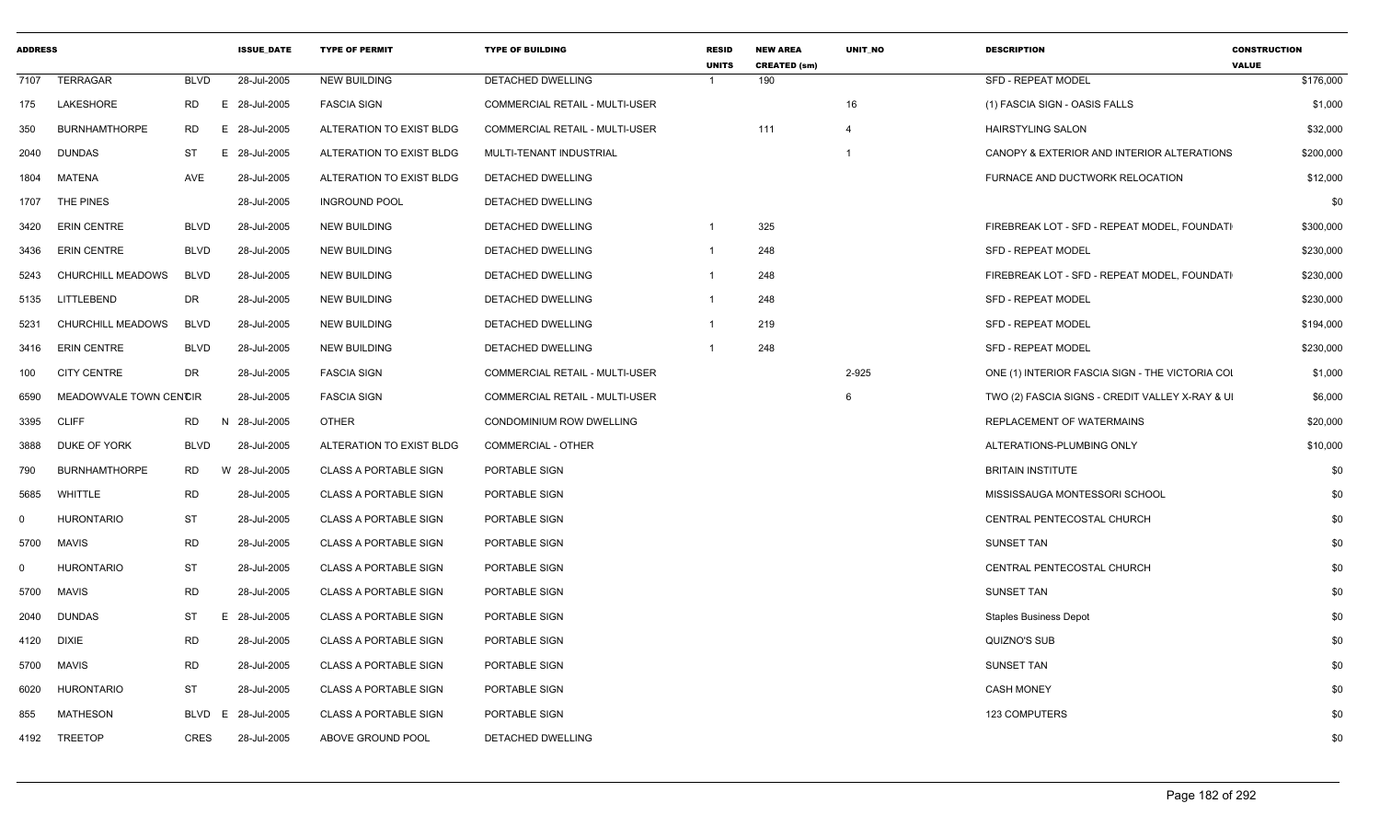| <b>ADDRESS</b> |                        |             | <b>ISSUE_DATE</b> | <b>TYPE OF PERMIT</b>        | <b>TYPE OF BUILDING</b>        | <b>RESID</b><br><b>UNITS</b> | <b>NEW AREA</b><br><b>CREATED (sm)</b> | UNIT_NO        | <b>DESCRIPTION</b>                              | <b>CONSTRUCTION</b><br><b>VALUE</b> |
|----------------|------------------------|-------------|-------------------|------------------------------|--------------------------------|------------------------------|----------------------------------------|----------------|-------------------------------------------------|-------------------------------------|
| 7107           | TERRAGAR               | <b>BLVD</b> | 28-Jul-2005       | <b>NEW BUILDING</b>          | DETACHED DWELLING              |                              | 190                                    |                | <b>SFD - REPEAT MODEL</b>                       | \$176,000                           |
| 175            | LAKESHORE              | RD          | 28-Jul-2005<br>Е. | <b>FASCIA SIGN</b>           | COMMERCIAL RETAIL - MULTI-USER |                              |                                        | 16             | (1) FASCIA SIGN - OASIS FALLS                   | \$1,000                             |
| 350            | <b>BURNHAMTHORPE</b>   | <b>RD</b>   | 28-Jul-2005<br>Е. | ALTERATION TO EXIST BLDG     | COMMERCIAL RETAIL - MULTI-USER |                              | 111                                    | $\overline{4}$ | <b>HAIRSTYLING SALON</b>                        | \$32,000                            |
| 2040           | <b>DUNDAS</b>          | <b>ST</b>   | 28-Jul-2005<br>E. | ALTERATION TO EXIST BLDG     | MULTI-TENANT INDUSTRIAL        |                              |                                        |                | CANOPY & EXTERIOR AND INTERIOR ALTERATIONS      | \$200,000                           |
| 1804           | MATENA                 | AVE         | 28-Jul-2005       | ALTERATION TO EXIST BLDG     | DETACHED DWELLING              |                              |                                        |                | FURNACE AND DUCTWORK RELOCATION                 | \$12,000                            |
| 1707           | THE PINES              |             | 28-Jul-2005       | <b>INGROUND POOL</b>         | DETACHED DWELLING              |                              |                                        |                |                                                 | \$0                                 |
| 3420           | <b>ERIN CENTRE</b>     | <b>BLVD</b> | 28-Jul-2005       | NEW BUILDING                 | DETACHED DWELLING              | $\overline{1}$               | 325                                    |                | FIREBREAK LOT - SFD - REPEAT MODEL, FOUNDATI    | \$300,000                           |
| 3436           | <b>ERIN CENTRE</b>     | <b>BLVD</b> | 28-Jul-2005       | <b>NEW BUILDING</b>          | DETACHED DWELLING              | $\overline{1}$               | 248                                    |                | <b>SFD - REPEAT MODEL</b>                       | \$230,000                           |
| 5243           | CHURCHILL MEADOWS      | <b>BLVD</b> | 28-Jul-2005       | <b>NEW BUILDING</b>          | DETACHED DWELLING              | $\overline{1}$               | 248                                    |                | FIREBREAK LOT - SFD - REPEAT MODEL, FOUNDATI    | \$230,000                           |
| 5135           | LITTLEBEND             | DR          | 28-Jul-2005       | <b>NEW BUILDING</b>          | DETACHED DWELLING              |                              | 248                                    |                | SFD - REPEAT MODEL                              | \$230,000                           |
| 5231           | CHURCHILL MEADOWS      | <b>BLVD</b> | 28-Jul-2005       | <b>NEW BUILDING</b>          | DETACHED DWELLING              | $\overline{1}$               | 219                                    |                | <b>SFD - REPEAT MODEL</b>                       | \$194,000                           |
| 3416           | <b>ERIN CENTRE</b>     | <b>BLVD</b> | 28-Jul-2005       | NEW BUILDING                 | DETACHED DWELLING              |                              | 248                                    |                | <b>SFD - REPEAT MODEL</b>                       | \$230,000                           |
| 100            | <b>CITY CENTRE</b>     | DR          | 28-Jul-2005       | <b>FASCIA SIGN</b>           | COMMERCIAL RETAIL - MULTI-USER |                              |                                        | 2-925          | ONE (1) INTERIOR FASCIA SIGN - THE VICTORIA COI | \$1,000                             |
| 6590           | MEADOWVALE TOWN CENCIR |             | 28-Jul-2005       | <b>FASCIA SIGN</b>           | COMMERCIAL RETAIL - MULTI-USER |                              |                                        | 6              | TWO (2) FASCIA SIGNS - CREDIT VALLEY X-RAY & UI | \$6,000                             |
| 3395           | <b>CLIFF</b>           | RD          | N 28-Jul-2005     | <b>OTHER</b>                 | CONDOMINIUM ROW DWELLING       |                              |                                        |                | REPLACEMENT OF WATERMAINS                       | \$20,000                            |
| 3888           | DUKE OF YORK           | <b>BLVD</b> | 28-Jul-2005       | ALTERATION TO EXIST BLDG     | COMMERCIAL - OTHER             |                              |                                        |                | ALTERATIONS-PLUMBING ONLY                       | \$10,000                            |
| 790            | <b>BURNHAMTHORPE</b>   | RD          | 28-Jul-2005<br>W  | <b>CLASS A PORTABLE SIGN</b> | PORTABLE SIGN                  |                              |                                        |                | <b>BRITAIN INSTITUTE</b>                        | \$0                                 |
| 5685           | <b>WHITTLE</b>         | <b>RD</b>   | 28-Jul-2005       | <b>CLASS A PORTABLE SIGN</b> | PORTABLE SIGN                  |                              |                                        |                | MISSISSAUGA MONTESSORI SCHOOL                   | \$0                                 |
| $\mathbf 0$    | <b>HURONTARIO</b>      | <b>ST</b>   | 28-Jul-2005       | <b>CLASS A PORTABLE SIGN</b> | PORTABLE SIGN                  |                              |                                        |                | CENTRAL PENTECOSTAL CHURCH                      | \$0                                 |
| 5700           | MAVIS                  | <b>RD</b>   | 28-Jul-2005       | <b>CLASS A PORTABLE SIGN</b> | PORTABLE SIGN                  |                              |                                        |                | <b>SUNSET TAN</b>                               | \$0                                 |
| $\Omega$       | HURONTARIO             | <b>ST</b>   | 28-Jul-2005       | <b>CLASS A PORTABLE SIGN</b> | PORTABLE SIGN                  |                              |                                        |                | CENTRAL PENTECOSTAL CHURCH                      | \$0                                 |
| 5700           | <b>MAVIS</b>           | <b>RD</b>   | 28-Jul-2005       | <b>CLASS A PORTABLE SIGN</b> | PORTABLE SIGN                  |                              |                                        |                | <b>SUNSET TAN</b>                               | \$0                                 |
| 2040           | <b>DUNDAS</b>          | <b>ST</b>   | 28-Jul-2005<br>E. | <b>CLASS A PORTABLE SIGN</b> | PORTABLE SIGN                  |                              |                                        |                | <b>Staples Business Depot</b>                   | \$0                                 |
| 4120           | DIXIE                  | RD          | 28-Jul-2005       | <b>CLASS A PORTABLE SIGN</b> | PORTABLE SIGN                  |                              |                                        |                | QUIZNO'S SUB                                    | \$0                                 |
| 5700           | <b>MAVIS</b>           | <b>RD</b>   | 28-Jul-2005       | <b>CLASS A PORTABLE SIGN</b> | PORTABLE SIGN                  |                              |                                        |                | <b>SUNSET TAN</b>                               | \$0                                 |
| 6020           | <b>HURONTARIO</b>      | <b>ST</b>   | 28-Jul-2005       | <b>CLASS A PORTABLE SIGN</b> | PORTABLE SIGN                  |                              |                                        |                | <b>CASH MONEY</b>                               | \$0                                 |
| 855            | <b>MATHESON</b>        | BLVD        | 28-Jul-2005<br>E  | <b>CLASS A PORTABLE SIGN</b> | PORTABLE SIGN                  |                              |                                        |                | 123 COMPUTERS                                   | \$0                                 |
| 4192           | TREETOP                | <b>CRES</b> | 28-Jul-2005       | ABOVE GROUND POOL            | DETACHED DWELLING              |                              |                                        |                |                                                 | \$0                                 |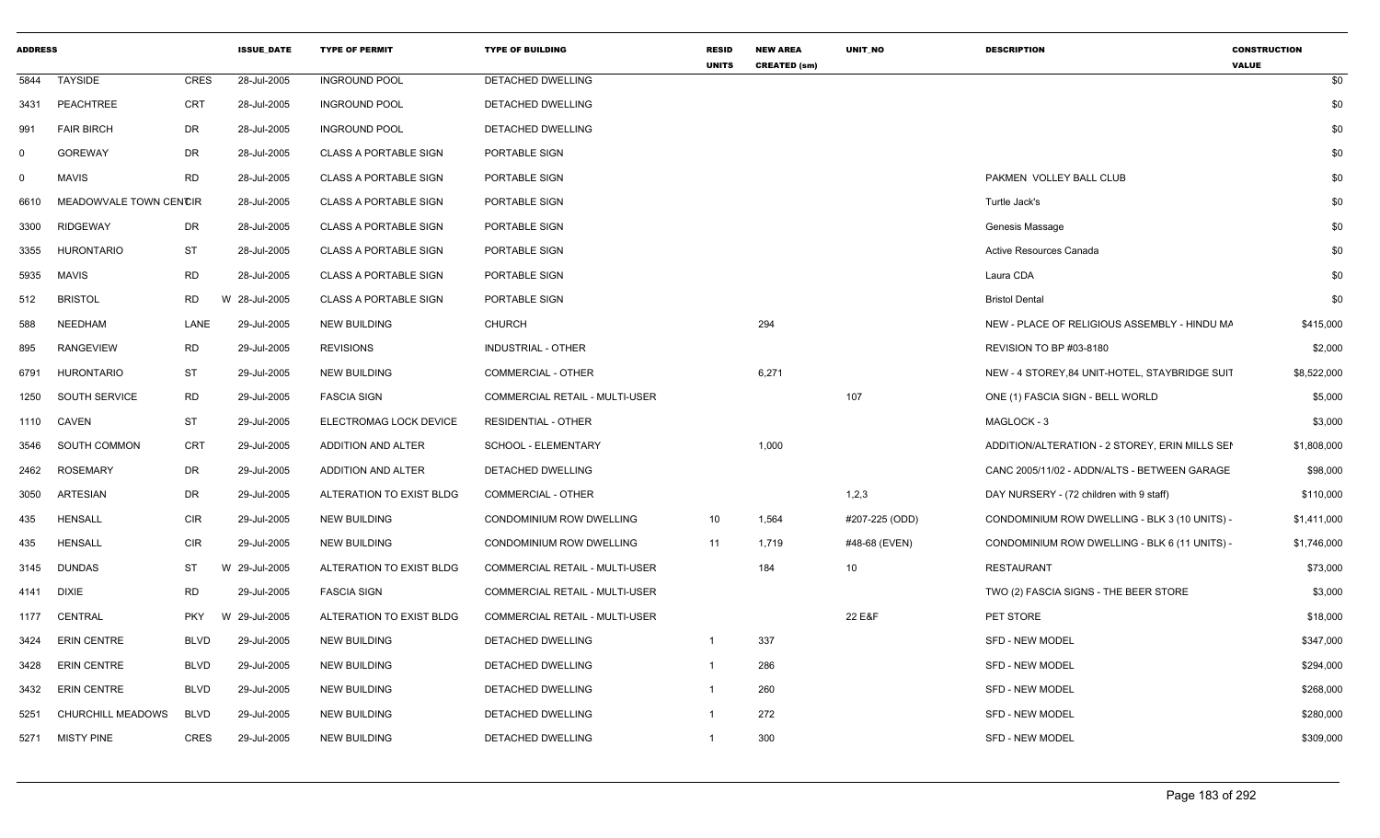| <b>ADDRESS</b> |                        |             | <b>ISSUE DATE</b> | <b>TYPE OF PERMIT</b>        | <b>TYPE OF BUILDING</b>               | <b>RESID</b><br><b>UNITS</b> | <b>NEW AREA</b><br><b>CREATED (sm)</b> | UNIT_NO        | <b>DESCRIPTION</b>                             | <b>CONSTRUCTION</b><br><b>VALUE</b> |
|----------------|------------------------|-------------|-------------------|------------------------------|---------------------------------------|------------------------------|----------------------------------------|----------------|------------------------------------------------|-------------------------------------|
| 5844           | TAYSIDE                | <b>CRES</b> | 28-Jul-2005       | <b>INGROUND POOL</b>         | <b>DETACHED DWELLING</b>              |                              |                                        |                |                                                | \$0                                 |
| 3431           | PEACHTREE              | <b>CRT</b>  | 28-Jul-2005       | <b>INGROUND POOL</b>         | DETACHED DWELLING                     |                              |                                        |                |                                                | \$0                                 |
| 991            | <b>FAIR BIRCH</b>      | DR          | 28-Jul-2005       | <b>INGROUND POOL</b>         | DETACHED DWELLING                     |                              |                                        |                |                                                | \$0                                 |
| 0              | <b>GOREWAY</b>         | DR          | 28-Jul-2005       | <b>CLASS A PORTABLE SIGN</b> | PORTABLE SIGN                         |                              |                                        |                |                                                | \$0                                 |
| 0              | <b>MAVIS</b>           | <b>RD</b>   | 28-Jul-2005       | <b>CLASS A PORTABLE SIGN</b> | PORTABLE SIGN                         |                              |                                        |                | PAKMEN VOLLEY BALL CLUB                        | \$0                                 |
| 6610           | MEADOWVALE TOWN CENCIR |             | 28-Jul-2005       | <b>CLASS A PORTABLE SIGN</b> | PORTABLE SIGN                         |                              |                                        |                | Turtle Jack's                                  | \$0                                 |
| 3300           | <b>RIDGEWAY</b>        | DR          | 28-Jul-2005       | <b>CLASS A PORTABLE SIGN</b> | PORTABLE SIGN                         |                              |                                        |                | Genesis Massage                                | \$0                                 |
| 3355           | <b>HURONTARIO</b>      | <b>ST</b>   | 28-Jul-2005       | <b>CLASS A PORTABLE SIGN</b> | PORTABLE SIGN                         |                              |                                        |                | Active Resources Canada                        | \$0                                 |
| 5935           | <b>MAVIS</b>           | <b>RD</b>   | 28-Jul-2005       | <b>CLASS A PORTABLE SIGN</b> | PORTABLE SIGN                         |                              |                                        |                | Laura CDA                                      | \$0                                 |
| 512            | <b>BRISTOL</b>         | RD          | W 28-Jul-2005     | <b>CLASS A PORTABLE SIGN</b> | PORTABLE SIGN                         |                              |                                        |                | <b>Bristol Dental</b>                          | \$0                                 |
| 588            | NEEDHAM                | LANE        | 29-Jul-2005       | <b>NEW BUILDING</b>          | <b>CHURCH</b>                         |                              | 294                                    |                | NEW - PLACE OF RELIGIOUS ASSEMBLY - HINDU MA   | \$415,000                           |
| 895            | <b>RANGEVIEW</b>       | <b>RD</b>   | 29-Jul-2005       | <b>REVISIONS</b>             | <b>INDUSTRIAL - OTHER</b>             |                              |                                        |                | <b>REVISION TO BP #03-8180</b>                 | \$2,000                             |
| 6791           | <b>HURONTARIO</b>      | ST          | 29-Jul-2005       | <b>NEW BUILDING</b>          | COMMERCIAL - OTHER                    |                              | 6,271                                  |                | NEW - 4 STOREY, 84 UNIT-HOTEL, STAYBRIDGE SUIT | \$8,522,000                         |
| 1250           | SOUTH SERVICE          | <b>RD</b>   | 29-Jul-2005       | <b>FASCIA SIGN</b>           | <b>COMMERCIAL RETAIL - MULTI-USER</b> |                              |                                        | 107            | ONE (1) FASCIA SIGN - BELL WORLD               | \$5,000                             |
|                | 1110 CAVEN             | <b>ST</b>   | 29-Jul-2005       | ELECTROMAG LOCK DEVICE       | <b>RESIDENTIAL - OTHER</b>            |                              |                                        |                | MAGLOCK - 3                                    | \$3,000                             |
| 3546           | SOUTH COMMON           | CRT         | 29-Jul-2005       | ADDITION AND ALTER           | SCHOOL - ELEMENTARY                   |                              | 1,000                                  |                | ADDITION/ALTERATION - 2 STOREY, ERIN MILLS SEN | \$1,808,000                         |
| 2462           | <b>ROSEMARY</b>        | DR          | 29-Jul-2005       | ADDITION AND ALTER           | <b>DETACHED DWELLING</b>              |                              |                                        |                | CANC 2005/11/02 - ADDN/ALTS - BETWEEN GARAGE   | \$98,000                            |
| 3050           | ARTESIAN               | DR          | 29-Jul-2005       | ALTERATION TO EXIST BLDG     | <b>COMMERCIAL - OTHER</b>             |                              |                                        | 1,2,3          | DAY NURSERY - (72 children with 9 staff)       | \$110,000                           |
| 435            | <b>HENSALL</b>         | <b>CIR</b>  | 29-Jul-2005       | <b>NEW BUILDING</b>          | CONDOMINIUM ROW DWELLING              | 10                           | 1,564                                  | #207-225 (ODD) | CONDOMINIUM ROW DWELLING - BLK 3 (10 UNITS) -  | \$1,411,000                         |
| 435            | <b>HENSALL</b>         | <b>CIR</b>  | 29-Jul-2005       | <b>NEW BUILDING</b>          | CONDOMINIUM ROW DWELLING              | 11                           | 1,719                                  | #48-68 (EVEN)  | CONDOMINIUM ROW DWELLING - BLK 6 (11 UNITS) -  | \$1,746,000                         |
| 3145           | <b>DUNDAS</b>          | ST          | W 29-Jul-2005     | ALTERATION TO EXIST BLDG     | COMMERCIAL RETAIL - MULTI-USER        |                              | 184                                    | 10             | RESTAURANT                                     | \$73,000                            |
| 4141           | DIXIE                  | <b>RD</b>   | 29-Jul-2005       | <b>FASCIA SIGN</b>           | COMMERCIAL RETAIL - MULTI-USER        |                              |                                        |                | TWO (2) FASCIA SIGNS - THE BEER STORE          | \$3,000                             |
| 1177           | CENTRAL                | <b>PKY</b>  | W 29-Jul-2005     | ALTERATION TO EXIST BLDG     | <b>COMMERCIAL RETAIL - MULTI-USER</b> |                              |                                        | 22 E&F         | PET STORE                                      | \$18,000                            |
| 3424           | ERIN CENTRE            | <b>BLVD</b> | 29-Jul-2005       | <b>NEW BUILDING</b>          | DETACHED DWELLING                     | $\mathbf{1}$                 | 337                                    |                | SFD - NEW MODEL                                | \$347,000                           |
| 3428           | <b>ERIN CENTRE</b>     | <b>BLVD</b> | 29-Jul-2005       | <b>NEW BUILDING</b>          | DETACHED DWELLING                     | -1                           | 286                                    |                | SFD - NEW MODEL                                | \$294,000                           |
| 3432           | <b>ERIN CENTRE</b>     | <b>BLVD</b> | 29-Jul-2005       | <b>NEW BUILDING</b>          | DETACHED DWELLING                     | $\overline{1}$               | 260                                    |                | <b>SFD - NEW MODEL</b>                         | \$268,000                           |
| 5251           | CHURCHILL MEADOWS      | <b>BLVD</b> | 29-Jul-2005       | <b>NEW BUILDING</b>          | DETACHED DWELLING                     | -1                           | 272                                    |                | <b>SFD - NEW MODEL</b>                         | \$280,000                           |
| 5271           | MISTY PINE             | CRES        | 29-Jul-2005       | <b>NEW BUILDING</b>          | DETACHED DWELLING                     | $\mathbf{1}$                 | 300                                    |                | <b>SFD - NEW MODEL</b>                         | \$309,000                           |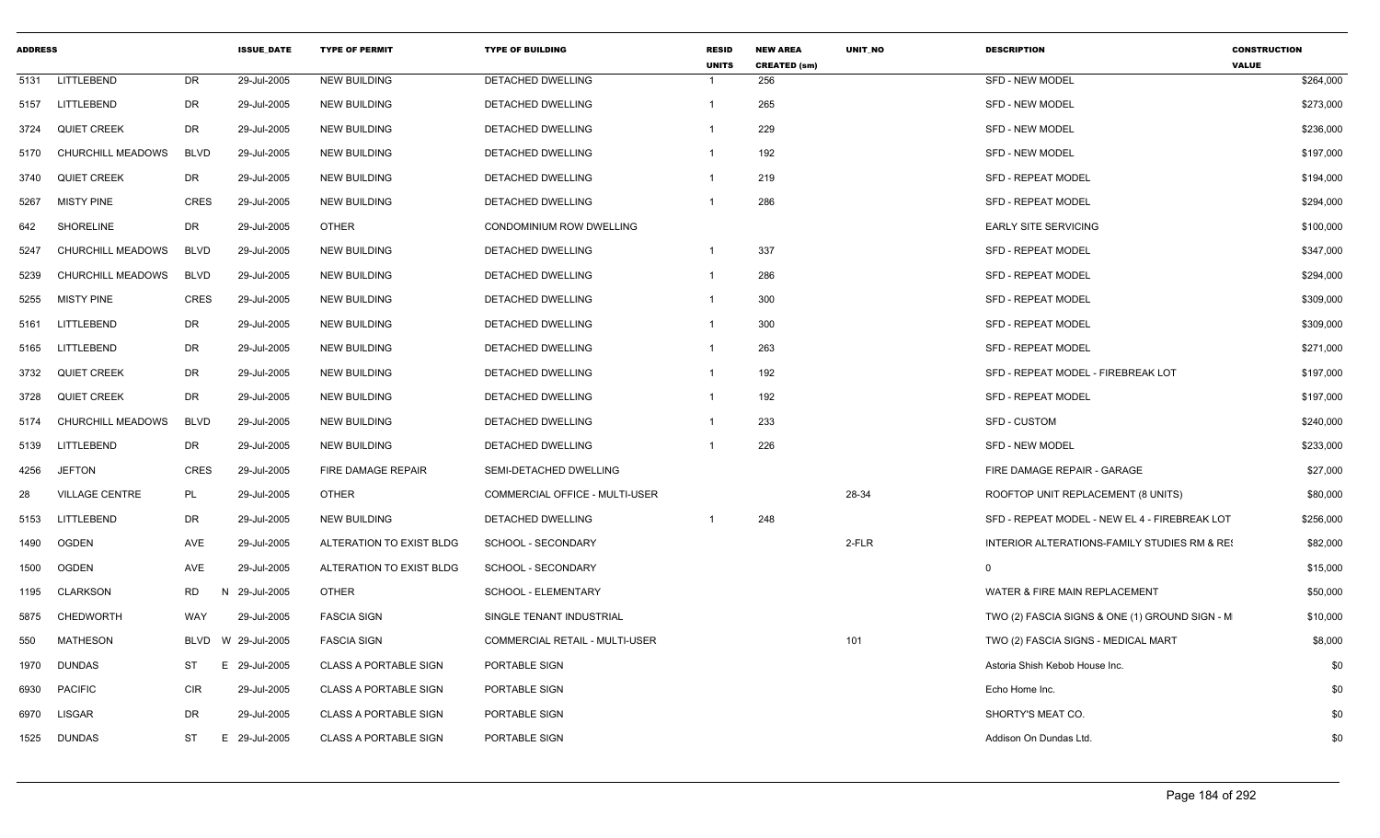| <b>ADDRESS</b> |                          |             | <b>ISSUE DATE</b> | <b>TYPE OF PERMIT</b>        | <b>TYPE OF BUILDING</b>        | <b>RESID</b><br><b>UNITS</b> | <b>NEW AREA</b><br><b>CREATED (sm)</b> | <b>UNIT NO</b> | <b>DESCRIPTION</b>                             | <b>CONSTRUCTION</b><br><b>VALUE</b> |
|----------------|--------------------------|-------------|-------------------|------------------------------|--------------------------------|------------------------------|----------------------------------------|----------------|------------------------------------------------|-------------------------------------|
| 5131           | LITTLEBEND               | <b>DR</b>   | 29-Jul-2005       | <b>NEW BUILDING</b>          | <b>DETACHED DWELLING</b>       | -1                           | 256                                    |                | <b>SFD - NEW MODEL</b>                         | \$264,000                           |
| 5157           | LITTLEBEND               | <b>DR</b>   | 29-Jul-2005       | <b>NEW BUILDING</b>          | DETACHED DWELLING              | $\overline{1}$               | 265                                    |                | <b>SFD - NEW MODEL</b>                         | \$273,000                           |
| 3724           | <b>QUIET CREEK</b>       | DR          | 29-Jul-2005       | <b>NEW BUILDING</b>          | DETACHED DWELLING              | -1                           | 229                                    |                | <b>SFD - NEW MODEL</b>                         | \$236,000                           |
| 5170           | <b>CHURCHILL MEADOWS</b> | <b>BLVD</b> | 29-Jul-2005       | <b>NEW BUILDING</b>          | DETACHED DWELLING              | $\overline{1}$               | 192                                    |                | <b>SFD - NEW MODEL</b>                         | \$197,000                           |
| 3740           | <b>QUIET CREEK</b>       | DR.         | 29-Jul-2005       | <b>NEW BUILDING</b>          | DETACHED DWELLING              | $\overline{1}$               | 219                                    |                | SFD - REPEAT MODEL                             | \$194,000                           |
| 5267           | <b>MISTY PINE</b>        | <b>CRES</b> | 29-Jul-2005       | <b>NEW BUILDING</b>          | DETACHED DWELLING              | -1                           | 286                                    |                | <b>SFD - REPEAT MODEL</b>                      | \$294,000                           |
| 642            | <b>SHORELINE</b>         | <b>DR</b>   | 29-Jul-2005       | <b>OTHER</b>                 | CONDOMINIUM ROW DWELLING       |                              |                                        |                | <b>EARLY SITE SERVICING</b>                    | \$100,000                           |
| 5247           | CHURCHILL MEADOWS        | <b>BLVD</b> | 29-Jul-2005       | <b>NEW BUILDING</b>          | DETACHED DWELLING              | $\overline{1}$               | 337                                    |                | <b>SFD - REPEAT MODEL</b>                      | \$347,000                           |
| 5239           | CHURCHILL MEADOWS        | <b>BLVD</b> | 29-Jul-2005       | <b>NEW BUILDING</b>          | DETACHED DWELLING              | $\overline{1}$               | 286                                    |                | SFD - REPEAT MODEL                             | \$294,000                           |
| 5255           | <b>MISTY PINE</b>        | <b>CRES</b> | 29-Jul-2005       | <b>NEW BUILDING</b>          | DETACHED DWELLING              | $\overline{1}$               | 300                                    |                | SFD - REPEAT MODEL                             | \$309,000                           |
| 5161           | LITTLEBEND               | <b>DR</b>   | 29-Jul-2005       | <b>NEW BUILDING</b>          | DETACHED DWELLING              | $\overline{1}$               | 300                                    |                | SFD - REPEAT MODEL                             | \$309,000                           |
| 5165           | LITTLEBEND               | DR          | 29-Jul-2005       | <b>NEW BUILDING</b>          | <b>DETACHED DWELLING</b>       |                              | 263                                    |                | <b>SFD - REPEAT MODEL</b>                      | \$271,000                           |
| 3732           | <b>QUIET CREEK</b>       | DR          | 29-Jul-2005       | <b>NEW BUILDING</b>          | DETACHED DWELLING              | $\overline{1}$               | 192                                    |                | SFD - REPEAT MODEL - FIREBREAK LOT             | \$197,000                           |
| 3728           | <b>QUIET CREEK</b>       | <b>DR</b>   | 29-Jul-2005       | <b>NEW BUILDING</b>          | DETACHED DWELLING              | $\mathbf{1}$                 | 192                                    |                | <b>SFD - REPEAT MODEL</b>                      | \$197,000                           |
| 5174           | CHURCHILL MEADOWS        | <b>BLVD</b> | 29-Jul-2005       | <b>NEW BUILDING</b>          | DETACHED DWELLING              | $\overline{1}$               | 233                                    |                | SFD - CUSTOM                                   | \$240,000                           |
| 5139           | LITTLEBEND               | <b>DR</b>   | 29-Jul-2005       | <b>NEW BUILDING</b>          | DETACHED DWELLING              |                              | 226                                    |                | <b>SFD - NEW MODEL</b>                         | \$233,000                           |
| 4256           | <b>JEFTON</b>            | <b>CRES</b> | 29-Jul-2005       | FIRE DAMAGE REPAIR           | SEMI-DETACHED DWELLING         |                              |                                        |                | FIRE DAMAGE REPAIR - GARAGE                    | \$27,000                            |
| 28             | <b>VILLAGE CENTRE</b>    | PL          | 29-Jul-2005       | <b>OTHER</b>                 | COMMERCIAL OFFICE - MULTI-USER |                              |                                        | 28-34          | ROOFTOP UNIT REPLACEMENT (8 UNITS)             | \$80,000                            |
| 5153           | LITTLEBEND               | DR          | 29-Jul-2005       | <b>NEW BUILDING</b>          | DETACHED DWELLING              | -1                           | 248                                    |                | SFD - REPEAT MODEL - NEW EL 4 - FIREBREAK LOT  | \$256,000                           |
| 1490           | <b>OGDEN</b>             | AVE         | 29-Jul-2005       | ALTERATION TO EXIST BLDG     | SCHOOL - SECONDARY             |                              |                                        | 2-FLR          | INTERIOR ALTERATIONS-FAMILY STUDIES RM & RE!   | \$82,000                            |
| 1500           | <b>OGDEN</b>             | AVE         | 29-Jul-2005       | ALTERATION TO EXIST BLDG     | SCHOOL - SECONDARY             |                              |                                        |                | $\Omega$                                       | \$15,000                            |
| 1195           | CLARKSON                 | <b>RD</b>   | N 29-Jul-2005     | <b>OTHER</b>                 | SCHOOL - ELEMENTARY            |                              |                                        |                | WATER & FIRE MAIN REPLACEMENT                  | \$50,000                            |
| 5875           | <b>CHEDWORTH</b>         | <b>WAY</b>  | 29-Jul-2005       | <b>FASCIA SIGN</b>           | SINGLE TENANT INDUSTRIAL       |                              |                                        |                | TWO (2) FASCIA SIGNS & ONE (1) GROUND SIGN - M | \$10,000                            |
| 550            | <b>MATHESON</b>          | <b>BLVD</b> | W 29-Jul-2005     | <b>FASCIA SIGN</b>           | COMMERCIAL RETAIL - MULTI-USER |                              |                                        | 101            | TWO (2) FASCIA SIGNS - MEDICAL MART            | \$8,000                             |
| 1970           | <b>DUNDAS</b>            | <b>ST</b>   | E.<br>29-Jul-2005 | <b>CLASS A PORTABLE SIGN</b> | PORTABLE SIGN                  |                              |                                        |                | Astoria Shish Kebob House Inc.                 | \$0                                 |
| 6930           | <b>PACIFIC</b>           | <b>CIR</b>  | 29-Jul-2005       | <b>CLASS A PORTABLE SIGN</b> | PORTABLE SIGN                  |                              |                                        |                | Echo Home Inc.                                 | \$0                                 |
| 6970           | <b>LISGAR</b>            | <b>DR</b>   | 29-Jul-2005       | <b>CLASS A PORTABLE SIGN</b> | PORTABLE SIGN                  |                              |                                        |                | SHORTY'S MEAT CO.                              | \$0                                 |
| 1525           | <b>DUNDAS</b>            | ST          | 29-Jul-2005<br>E. | <b>CLASS A PORTABLE SIGN</b> | PORTABLE SIGN                  |                              |                                        |                | Addison On Dundas Ltd.                         | \$0                                 |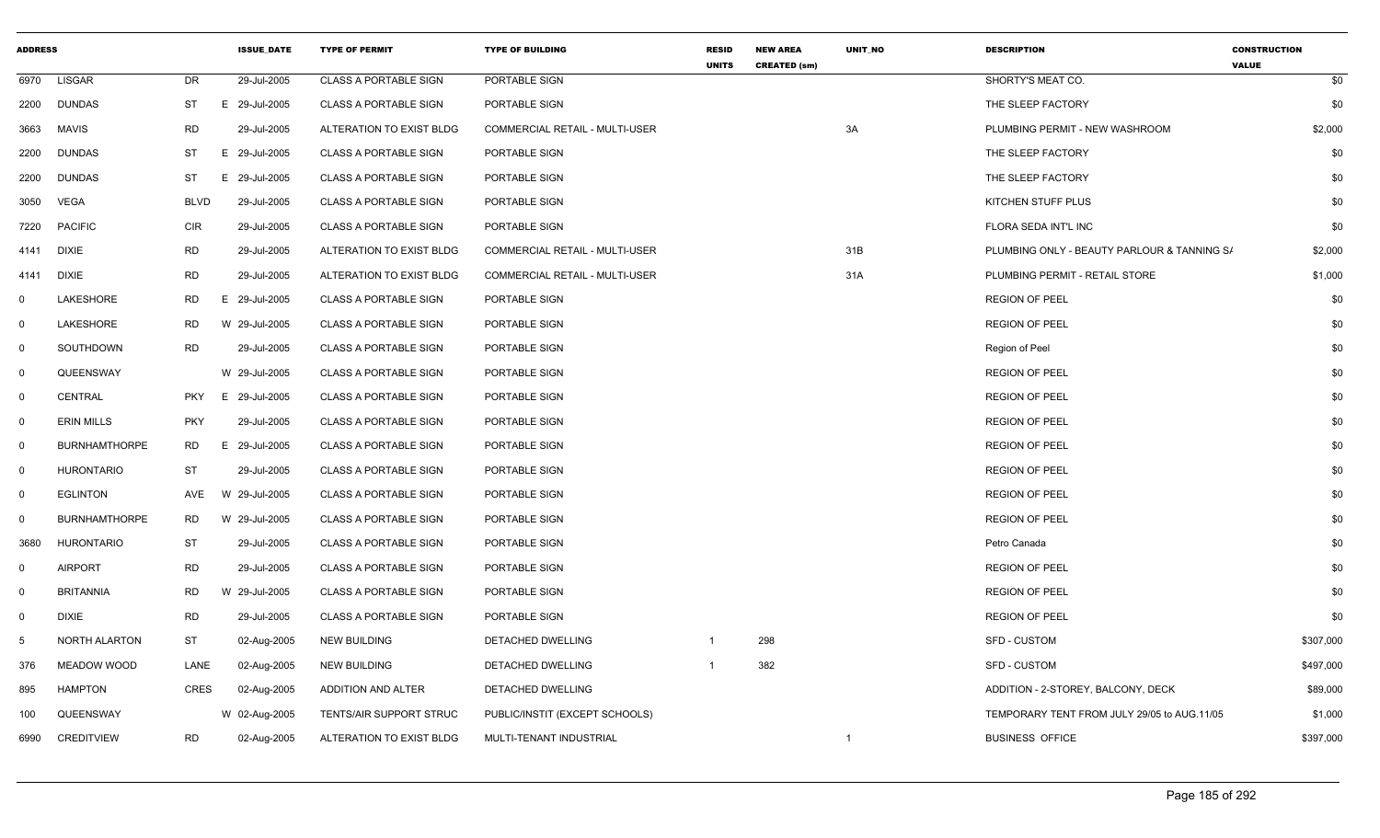| <b>ADDRESS</b> |                      |             | <b>ISSUE_DATE</b> | <b>TYPE OF PERMIT</b>        | <b>TYPE OF BUILDING</b>               | <b>RESID</b><br><b>UNITS</b> | <b>NEW AREA</b><br><b>CREATED (sm)</b> | UNIT_NO        | <b>DESCRIPTION</b>                          | <b>CONSTRUCTION</b><br><b>VALUE</b> |
|----------------|----------------------|-------------|-------------------|------------------------------|---------------------------------------|------------------------------|----------------------------------------|----------------|---------------------------------------------|-------------------------------------|
| 6970           | <b>LISGAR</b>        | <b>DR</b>   | 29-Jul-2005       | <b>CLASS A PORTABLE SIGN</b> | PORTABLE SIGN                         |                              |                                        |                | SHORTY'S MEAT CO.                           | \$0                                 |
| 2200           | <b>DUNDAS</b>        | <b>ST</b>   | E 29-Jul-2005     | <b>CLASS A PORTABLE SIGN</b> | PORTABLE SIGN                         |                              |                                        |                | THE SLEEP FACTORY                           | \$0                                 |
| 3663           | <b>MAVIS</b>         | <b>RD</b>   | 29-Jul-2005       | ALTERATION TO EXIST BLDG     | <b>COMMERCIAL RETAIL - MULTI-USER</b> |                              |                                        | 3A             | PLUMBING PERMIT - NEW WASHROOM              | \$2,000                             |
| 2200           | <b>DUNDAS</b>        | ST          | E 29-Jul-2005     | <b>CLASS A PORTABLE SIGN</b> | PORTABLE SIGN                         |                              |                                        |                | THE SLEEP FACTORY                           | \$0                                 |
| 2200           | <b>DUNDAS</b>        | <b>ST</b>   | E 29-Jul-2005     | <b>CLASS A PORTABLE SIGN</b> | PORTABLE SIGN                         |                              |                                        |                | THE SLEEP FACTORY                           | \$0                                 |
| 3050           | <b>VEGA</b>          | <b>BLVD</b> | 29-Jul-2005       | <b>CLASS A PORTABLE SIGN</b> | PORTABLE SIGN                         |                              |                                        |                | KITCHEN STUFF PLUS                          | \$0                                 |
| 7220           | <b>PACIFIC</b>       | <b>CIR</b>  | 29-Jul-2005       | <b>CLASS A PORTABLE SIGN</b> | PORTABLE SIGN                         |                              |                                        |                | FLORA SEDA INT'L INC                        | \$0                                 |
| 4141           | <b>DIXIE</b>         | <b>RD</b>   | 29-Jul-2005       | ALTERATION TO EXIST BLDG     | <b>COMMERCIAL RETAIL - MULTI-USER</b> |                              |                                        | 31B            | PLUMBING ONLY - BEAUTY PARLOUR & TANNING S/ | \$2,000                             |
| 4141           | DIXIE                | <b>RD</b>   | 29-Jul-2005       | ALTERATION TO EXIST BLDG     | COMMERCIAL RETAIL - MULTI-USER        |                              |                                        | 31A            | PLUMBING PERMIT - RETAIL STORE              | \$1,000                             |
| $\mathbf 0$    | LAKESHORE            | <b>RD</b>   | E 29-Jul-2005     | <b>CLASS A PORTABLE SIGN</b> | PORTABLE SIGN                         |                              |                                        |                | <b>REGION OF PEEL</b>                       | \$0                                 |
| $\mathbf 0$    | LAKESHORE            | RD          | W 29-Jul-2005     | <b>CLASS A PORTABLE SIGN</b> | PORTABLE SIGN                         |                              |                                        |                | <b>REGION OF PEEL</b>                       | \$0                                 |
| 0              | SOUTHDOWN            | <b>RD</b>   | 29-Jul-2005       | <b>CLASS A PORTABLE SIGN</b> | PORTABLE SIGN                         |                              |                                        |                | Region of Peel                              | \$0                                 |
| $\mathbf 0$    | QUEENSWAY            |             | W 29-Jul-2005     | <b>CLASS A PORTABLE SIGN</b> | PORTABLE SIGN                         |                              |                                        |                | <b>REGION OF PEEL</b>                       | \$0                                 |
| $\overline{0}$ | CENTRAL              | <b>PKY</b>  | E 29-Jul-2005     | <b>CLASS A PORTABLE SIGN</b> | PORTABLE SIGN                         |                              |                                        |                | <b>REGION OF PEEL</b>                       | \$0                                 |
| 0              | <b>ERIN MILLS</b>    | <b>PKY</b>  | 29-Jul-2005       | <b>CLASS A PORTABLE SIGN</b> | PORTABLE SIGN                         |                              |                                        |                | <b>REGION OF PEEL</b>                       | \$0                                 |
| $\overline{0}$ | <b>BURNHAMTHORPE</b> | <b>RD</b>   | E 29-Jul-2005     | <b>CLASS A PORTABLE SIGN</b> | PORTABLE SIGN                         |                              |                                        |                | <b>REGION OF PEEL</b>                       | \$0                                 |
| $\mathbf 0$    | <b>HURONTARIO</b>    | <b>ST</b>   | 29-Jul-2005       | <b>CLASS A PORTABLE SIGN</b> | PORTABLE SIGN                         |                              |                                        |                | <b>REGION OF PEEL</b>                       | \$0                                 |
| $\overline{0}$ | <b>EGLINTON</b>      | AVE         | W 29-Jul-2005     | <b>CLASS A PORTABLE SIGN</b> | PORTABLE SIGN                         |                              |                                        |                | <b>REGION OF PEEL</b>                       | \$0                                 |
| $\mathsf{O}$   | <b>BURNHAMTHORPE</b> | RD          | W 29-Jul-2005     | <b>CLASS A PORTABLE SIGN</b> | PORTABLE SIGN                         |                              |                                        |                | <b>REGION OF PEEL</b>                       | \$0                                 |
| 3680           | <b>HURONTARIO</b>    | <b>ST</b>   | 29-Jul-2005       | <b>CLASS A PORTABLE SIGN</b> | PORTABLE SIGN                         |                              |                                        |                | Petro Canada                                | \$0                                 |
| $\mathbf 0$    | <b>AIRPORT</b>       | <b>RD</b>   | 29-Jul-2005       | <b>CLASS A PORTABLE SIGN</b> | PORTABLE SIGN                         |                              |                                        |                | <b>REGION OF PEEL</b>                       | \$0                                 |
| $\mathbf 0$    | <b>BRITANNIA</b>     | <b>RD</b>   | W 29-Jul-2005     | <b>CLASS A PORTABLE SIGN</b> | PORTABLE SIGN                         |                              |                                        |                | <b>REGION OF PEEL</b>                       | \$0                                 |
| $\overline{0}$ | DIXIE                | RD          | 29-Jul-2005       | <b>CLASS A PORTABLE SIGN</b> | PORTABLE SIGN                         |                              |                                        |                | <b>REGION OF PEEL</b>                       | \$0                                 |
| 5              | NORTH ALARTON        | <b>ST</b>   | 02-Aug-2005       | <b>NEW BUILDING</b>          | DETACHED DWELLING                     | $\overline{1}$               | 298                                    |                | <b>SFD - CUSTOM</b>                         | \$307,000                           |
| 376            | MEADOW WOOD          | LANE        | 02-Aug-2005       | <b>NEW BUILDING</b>          | DETACHED DWELLING                     | -1                           | 382                                    |                | <b>SFD - CUSTOM</b>                         | \$497,000                           |
| 895            | <b>HAMPTON</b>       | <b>CRES</b> | 02-Aug-2005       | ADDITION AND ALTER           | DETACHED DWELLING                     |                              |                                        |                | ADDITION - 2-STOREY, BALCONY, DECK          | \$89,000                            |
| 100            | QUEENSWAY            |             | W 02-Aug-2005     | TENTS/AIR SUPPORT STRUC      | PUBLIC/INSTIT (EXCEPT SCHOOLS)        |                              |                                        |                | TEMPORARY TENT FROM JULY 29/05 to AUG.11/05 | \$1,000                             |
| 6990           | <b>CREDITVIEW</b>    | <b>RD</b>   | 02-Aug-2005       | ALTERATION TO EXIST BLDG     | MULTI-TENANT INDUSTRIAL               |                              |                                        | $\overline{1}$ | <b>BUSINESS OFFICE</b>                      | \$397,000                           |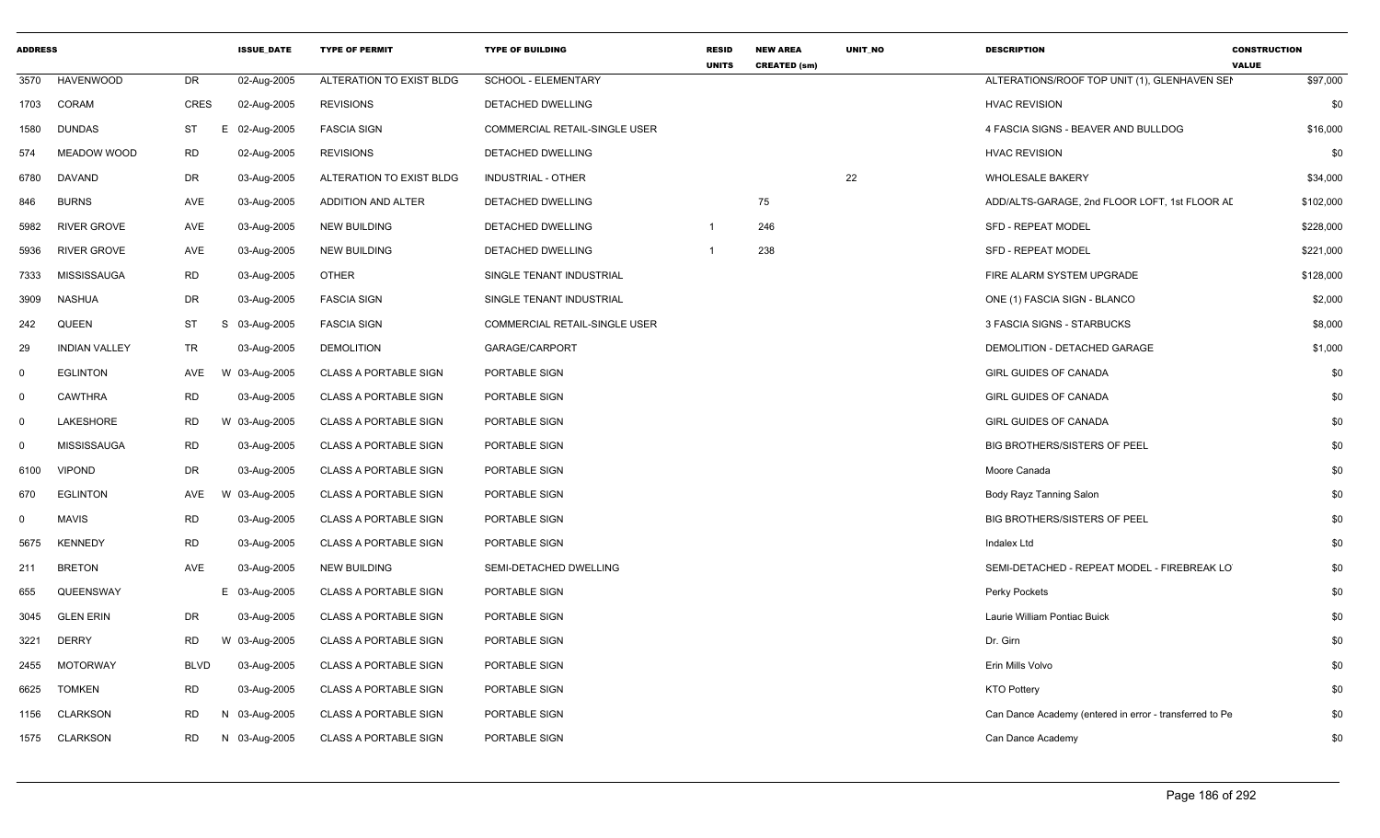| <b>ADDRESS</b> |                      |                 | <b>ISSUE DATE</b> | <b>TYPE OF PERMIT</b>        | <b>TYPE OF BUILDING</b>              | <b>RESID</b><br><b>UNITS</b> | <b>NEW AREA</b><br><b>CREATED (sm)</b> | <b>UNIT NO</b> | <b>DESCRIPTION</b>                                      | <b>CONSTRUCTION</b><br><b>VALUE</b> |
|----------------|----------------------|-----------------|-------------------|------------------------------|--------------------------------------|------------------------------|----------------------------------------|----------------|---------------------------------------------------------|-------------------------------------|
| 3570           | <b>HAVENWOOD</b>     | DR              | 02-Aug-2005       | ALTERATION TO EXIST BLDG     | <b>SCHOOL - ELEMENTARY</b>           |                              |                                        |                | ALTERATIONS/ROOF TOP UNIT (1), GLENHAVEN SEI            | \$97,000                            |
| 1703           | <b>CORAM</b>         | <b>CRES</b>     | 02-Aug-2005       | <b>REVISIONS</b>             | DETACHED DWELLING                    |                              |                                        |                | <b>HVAC REVISION</b>                                    | \$0                                 |
| 1580           | <b>DUNDAS</b>        | <b>ST</b><br>Е. | 02-Aug-2005       | <b>FASCIA SIGN</b>           | <b>COMMERCIAL RETAIL-SINGLE USER</b> |                              |                                        |                | 4 FASCIA SIGNS - BEAVER AND BULLDOG                     | \$16,000                            |
| 574            | <b>MEADOW WOOD</b>   | <b>RD</b>       | 02-Aug-2005       | <b>REVISIONS</b>             | DETACHED DWELLING                    |                              |                                        |                | <b>HVAC REVISION</b>                                    | \$0                                 |
| 6780           | DAVAND               | DR              | 03-Aug-2005       | ALTERATION TO EXIST BLDG     | INDUSTRIAL - OTHER                   |                              |                                        | 22             | <b>WHOLESALE BAKERY</b>                                 | \$34,000                            |
| 846            | <b>BURNS</b>         | AVE             | 03-Aug-2005       | ADDITION AND ALTER           | DETACHED DWELLING                    |                              | 75                                     |                | ADD/ALTS-GARAGE, 2nd FLOOR LOFT, 1st FLOOR AI           | \$102,000                           |
| 5982           | RIVER GROVE          | AVE             | 03-Aug-2005       | <b>NEW BUILDING</b>          | DETACHED DWELLING                    | $\overline{1}$               | 246                                    |                | <b>SFD - REPEAT MODEL</b>                               | \$228,000                           |
| 5936           | <b>RIVER GROVE</b>   | AVE             | 03-Aug-2005       | <b>NEW BUILDING</b>          | DETACHED DWELLING                    |                              | 238                                    |                | <b>SFD - REPEAT MODEL</b>                               | \$221,000                           |
| 7333           | MISSISSAUGA          | <b>RD</b>       | 03-Aug-2005       | <b>OTHER</b>                 | SINGLE TENANT INDUSTRIAL             |                              |                                        |                | FIRE ALARM SYSTEM UPGRADE                               | \$128,000                           |
| 3909           | <b>NASHUA</b>        | DR              | 03-Aug-2005       | <b>FASCIA SIGN</b>           | SINGLE TENANT INDUSTRIAL             |                              |                                        |                | ONE (1) FASCIA SIGN - BLANCO                            | \$2,000                             |
| 242            | QUEEN                | <b>ST</b>       | S 03-Aug-2005     | <b>FASCIA SIGN</b>           | COMMERCIAL RETAIL-SINGLE USER        |                              |                                        |                | 3 FASCIA SIGNS - STARBUCKS                              | \$8,000                             |
| 29             | <b>INDIAN VALLEY</b> | <b>TR</b>       | 03-Aug-2005       | <b>DEMOLITION</b>            | GARAGE/CARPORT                       |                              |                                        |                | DEMOLITION - DETACHED GARAGE                            | \$1,000                             |
| $\mathbf 0$    | <b>EGLINTON</b>      | AVE             | W 03-Aug-2005     | <b>CLASS A PORTABLE SIGN</b> | PORTABLE SIGN                        |                              |                                        |                | <b>GIRL GUIDES OF CANADA</b>                            | \$0                                 |
| $\Omega$       | <b>CAWTHRA</b>       | <b>RD</b>       | 03-Aug-2005       | <b>CLASS A PORTABLE SIGN</b> | PORTABLE SIGN                        |                              |                                        |                | GIRL GUIDES OF CANADA                                   | \$0                                 |
| $\Omega$       | LAKESHORE            | <b>RD</b>       | W 03-Aug-2005     | <b>CLASS A PORTABLE SIGN</b> | PORTABLE SIGN                        |                              |                                        |                | <b>GIRL GUIDES OF CANADA</b>                            | \$0                                 |
| $\Omega$       | <b>MISSISSAUGA</b>   | <b>RD</b>       | 03-Aug-2005       | <b>CLASS A PORTABLE SIGN</b> | PORTABLE SIGN                        |                              |                                        |                | <b>BIG BROTHERS/SISTERS OF PEEL</b>                     | \$0                                 |
| 6100           | <b>VIPOND</b>        | DR              | 03-Aug-2005       | <b>CLASS A PORTABLE SIGN</b> | <b>PORTABLE SIGN</b>                 |                              |                                        |                | Moore Canada                                            | \$0                                 |
| 670            | <b>EGLINTON</b>      | AVE             | W 03-Aug-2005     | <b>CLASS A PORTABLE SIGN</b> | PORTABLE SIGN                        |                              |                                        |                | Body Rayz Tanning Salon                                 | \$0                                 |
| $\mathbf 0$    | <b>MAVIS</b>         | <b>RD</b>       | 03-Aug-2005       | <b>CLASS A PORTABLE SIGN</b> | PORTABLE SIGN                        |                              |                                        |                | <b>BIG BROTHERS/SISTERS OF PEEL</b>                     | \$0                                 |
| 5675           | <b>KENNEDY</b>       | <b>RD</b>       | 03-Aug-2005       | <b>CLASS A PORTABLE SIGN</b> | PORTABLE SIGN                        |                              |                                        |                | <b>Indalex Ltd</b>                                      | \$0                                 |
| 211            | <b>BRETON</b>        | AVE             | 03-Aug-2005       | <b>NEW BUILDING</b>          | SEMI-DETACHED DWELLING               |                              |                                        |                | SEMI-DETACHED - REPEAT MODEL - FIREBREAK LO             | \$0                                 |
| 655            | QUEENSWAY            |                 | E 03-Aug-2005     | <b>CLASS A PORTABLE SIGN</b> | PORTABLE SIGN                        |                              |                                        |                | Perky Pockets                                           | \$0                                 |
| 3045           | <b>GLEN ERIN</b>     | DR              | 03-Aug-2005       | <b>CLASS A PORTABLE SIGN</b> | PORTABLE SIGN                        |                              |                                        |                | Laurie William Pontiac Buick                            | \$0                                 |
| 3221           | <b>DERRY</b>         | <b>RD</b>       | W 03-Aug-2005     | <b>CLASS A PORTABLE SIGN</b> | PORTABLE SIGN                        |                              |                                        |                | Dr. Girn                                                | \$0                                 |
| 2455           | <b>MOTORWAY</b>      | <b>BLVD</b>     | 03-Aug-2005       | <b>CLASS A PORTABLE SIGN</b> | PORTABLE SIGN                        |                              |                                        |                | Erin Mills Volvo                                        | \$0                                 |
| 6625           | <b>TOMKEN</b>        | <b>RD</b>       | 03-Aug-2005       | <b>CLASS A PORTABLE SIGN</b> | PORTABLE SIGN                        |                              |                                        |                | <b>KTO Pottery</b>                                      | \$0                                 |
| 1156           | <b>CLARKSON</b>      | <b>RD</b>       | N 03-Aug-2005     | <b>CLASS A PORTABLE SIGN</b> | PORTABLE SIGN                        |                              |                                        |                | Can Dance Academy (entered in error - transferred to Pe | \$0                                 |
| 1575           | <b>CLARKSON</b>      | RD              | N 03-Aug-2005     | <b>CLASS A PORTABLE SIGN</b> | PORTABLE SIGN                        |                              |                                        |                | Can Dance Academy                                       | \$0                                 |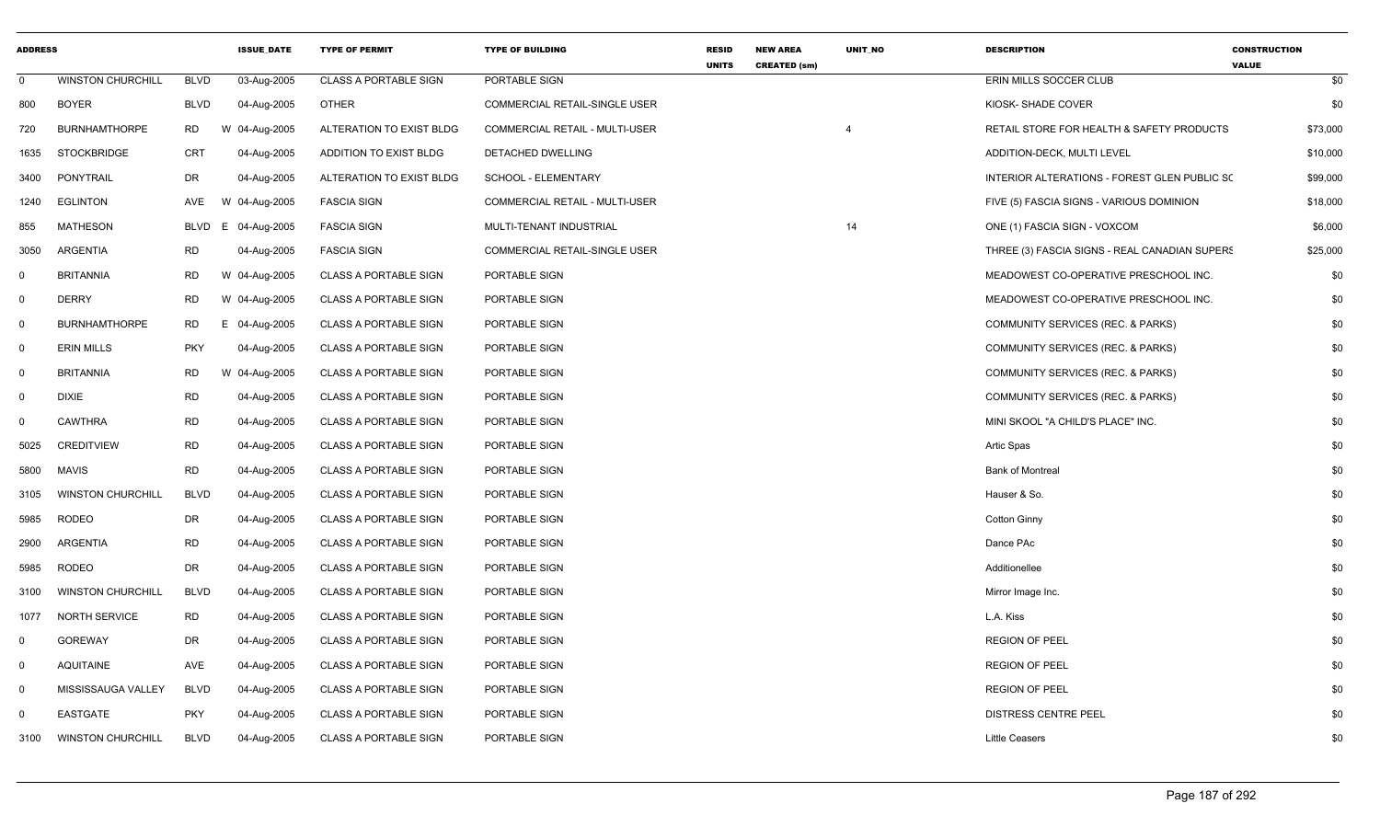| <b>ADDRESS</b> |                          |             | <b>ISSUE DATE</b> | <b>TYPE OF PERMIT</b>        | <b>TYPE OF BUILDING</b>               | <b>RESID</b><br><b>UNITS</b> | <b>NEW AREA</b><br><b>CREATED (sm)</b> | UNIT_NO | <b>DESCRIPTION</b>                            | <b>CONSTRUCTION</b><br><b>VALUE</b> |
|----------------|--------------------------|-------------|-------------------|------------------------------|---------------------------------------|------------------------------|----------------------------------------|---------|-----------------------------------------------|-------------------------------------|
| $\mathbf 0$    | <b>WINSTON CHURCHILL</b> | <b>BLVD</b> | 03-Aug-2005       | <b>CLASS A PORTABLE SIGN</b> | PORTABLE SIGN                         |                              |                                        |         | ERIN MILLS SOCCER CLUB                        | \$0                                 |
| 800            | <b>BOYER</b>             | <b>BLVD</b> | 04-Aug-2005       | <b>OTHER</b>                 | COMMERCIAL RETAIL-SINGLE USER         |                              |                                        |         | KIOSK-SHADE COVER                             | \$0                                 |
| 720            | <b>BURNHAMTHORPE</b>     | RD.         | W 04-Aug-2005     | ALTERATION TO EXIST BLDG     | <b>COMMERCIAL RETAIL - MULTI-USER</b> |                              |                                        |         | RETAIL STORE FOR HEALTH & SAFETY PRODUCTS     | \$73,000                            |
| 1635           | <b>STOCKBRIDGE</b>       | <b>CRT</b>  | 04-Aug-2005       | ADDITION TO EXIST BLDG       | DETACHED DWELLING                     |                              |                                        |         | ADDITION-DECK, MULTI LEVEL                    | \$10,000                            |
| 3400           | PONYTRAIL                | DR          | 04-Aug-2005       | ALTERATION TO EXIST BLDG     | SCHOOL - ELEMENTARY                   |                              |                                        |         | INTERIOR ALTERATIONS - FOREST GLEN PUBLIC SC  | \$99,000                            |
| 1240           | <b>EGLINTON</b>          | AVE         | W 04-Aug-2005     | <b>FASCIA SIGN</b>           | COMMERCIAL RETAIL - MULTI-USER        |                              |                                        |         | FIVE (5) FASCIA SIGNS - VARIOUS DOMINION      | \$18,000                            |
| 855            | <b>MATHESON</b>          | BLVD        | 04-Aug-2005<br>E. | <b>FASCIA SIGN</b>           | MULTI-TENANT INDUSTRIAL               |                              |                                        | 14      | ONE (1) FASCIA SIGN - VOXCOM                  | \$6,000                             |
| 3050           | ARGENTIA                 | <b>RD</b>   | 04-Aug-2005       | <b>FASCIA SIGN</b>           | <b>COMMERCIAL RETAIL-SINGLE USER</b>  |                              |                                        |         | THREE (3) FASCIA SIGNS - REAL CANADIAN SUPERS | \$25,000                            |
| $\mathbf 0$    | <b>BRITANNIA</b>         | <b>RD</b>   | W 04-Aug-2005     | <b>CLASS A PORTABLE SIGN</b> | PORTABLE SIGN                         |                              |                                        |         | MEADOWEST CO-OPERATIVE PRESCHOOL INC.         | \$0                                 |
| $\mathbf 0$    | <b>DERRY</b>             | <b>RD</b>   | W 04-Aug-2005     | <b>CLASS A PORTABLE SIGN</b> | PORTABLE SIGN                         |                              |                                        |         | MEADOWEST CO-OPERATIVE PRESCHOOL INC.         | \$0                                 |
| $\mathbf 0$    | <b>BURNHAMTHORPE</b>     | <b>RD</b>   | E 04-Aug-2005     | <b>CLASS A PORTABLE SIGN</b> | PORTABLE SIGN                         |                              |                                        |         | COMMUNITY SERVICES (REC. & PARKS)             | \$0                                 |
| 0              | <b>ERIN MILLS</b>        | <b>PKY</b>  | 04-Aug-2005       | <b>CLASS A PORTABLE SIGN</b> | PORTABLE SIGN                         |                              |                                        |         | COMMUNITY SERVICES (REC. & PARKS)             | \$0                                 |
| $\mathbf 0$    | <b>BRITANNIA</b>         | <b>RD</b>   | W 04-Aug-2005     | <b>CLASS A PORTABLE SIGN</b> | PORTABLE SIGN                         |                              |                                        |         | COMMUNITY SERVICES (REC. & PARKS)             | \$0                                 |
| $\mathbf 0$    | <b>DIXIE</b>             | <b>RD</b>   | 04-Aug-2005       | <b>CLASS A PORTABLE SIGN</b> | PORTABLE SIGN                         |                              |                                        |         | COMMUNITY SERVICES (REC. & PARKS)             | \$0                                 |
| $\mathbf 0$    | <b>CAWTHRA</b>           | <b>RD</b>   | 04-Aug-2005       | <b>CLASS A PORTABLE SIGN</b> | PORTABLE SIGN                         |                              |                                        |         | MINI SKOOL "A CHILD'S PLACE" INC.             | \$0                                 |
| 5025           | <b>CREDITVIEW</b>        | <b>RD</b>   | 04-Aug-2005       | <b>CLASS A PORTABLE SIGN</b> | PORTABLE SIGN                         |                              |                                        |         | Artic Spas                                    | \$0                                 |
| 5800           | <b>MAVIS</b>             | RD          | 04-Aug-2005       | <b>CLASS A PORTABLE SIGN</b> | PORTABLE SIGN                         |                              |                                        |         | <b>Bank of Montreal</b>                       | \$0                                 |
| 3105           | <b>WINSTON CHURCHILL</b> | <b>BLVD</b> | 04-Aug-2005       | <b>CLASS A PORTABLE SIGN</b> | PORTABLE SIGN                         |                              |                                        |         | Hauser & So.                                  | \$0                                 |
| 5985           | <b>RODEO</b>             | <b>DR</b>   | 04-Aug-2005       | <b>CLASS A PORTABLE SIGN</b> | PORTABLE SIGN                         |                              |                                        |         | <b>Cotton Ginny</b>                           | \$0                                 |
| 2900           | <b>ARGENTIA</b>          | <b>RD</b>   | 04-Aug-2005       | <b>CLASS A PORTABLE SIGN</b> | PORTABLE SIGN                         |                              |                                        |         | Dance PAc                                     | \$0                                 |
| 5985           | <b>RODEO</b>             | DR          | 04-Aug-2005       | <b>CLASS A PORTABLE SIGN</b> | PORTABLE SIGN                         |                              |                                        |         | Additionellee                                 | \$0                                 |
| 3100           | <b>WINSTON CHURCHILL</b> | <b>BLVD</b> | 04-Aug-2005       | <b>CLASS A PORTABLE SIGN</b> | PORTABLE SIGN                         |                              |                                        |         | Mirror Image Inc.                             | \$0                                 |
| 1077           | <b>NORTH SERVICE</b>     | <b>RD</b>   | 04-Aug-2005       | <b>CLASS A PORTABLE SIGN</b> | PORTABLE SIGN                         |                              |                                        |         | L.A. Kiss                                     | \$0                                 |
| 0              | <b>GOREWAY</b>           | DR          | 04-Aug-2005       | CLASS A PORTABLE SIGN        | PORTABLE SIGN                         |                              |                                        |         | <b>REGION OF PEEL</b>                         | \$0                                 |
| $\mathbf 0$    | <b>AQUITAINE</b>         | AVE         | 04-Aug-2005       | <b>CLASS A PORTABLE SIGN</b> | PORTABLE SIGN                         |                              |                                        |         | <b>REGION OF PEEL</b>                         | \$0                                 |
| $\mathbf 0$    | MISSISSAUGA VALLEY       | <b>BLVD</b> | 04-Aug-2005       | <b>CLASS A PORTABLE SIGN</b> | PORTABLE SIGN                         |                              |                                        |         | <b>REGION OF PEEL</b>                         | \$0                                 |
| $\Omega$       | <b>EASTGATE</b>          | <b>PKY</b>  | 04-Aug-2005       | <b>CLASS A PORTABLE SIGN</b> | PORTABLE SIGN                         |                              |                                        |         | <b>DISTRESS CENTRE PEEL</b>                   | \$0                                 |
| 3100           | <b>WINSTON CHURCHILL</b> | <b>BLVD</b> | 04-Aug-2005       | <b>CLASS A PORTABLE SIGN</b> | PORTABLE SIGN                         |                              |                                        |         | <b>Little Ceasers</b>                         | \$0                                 |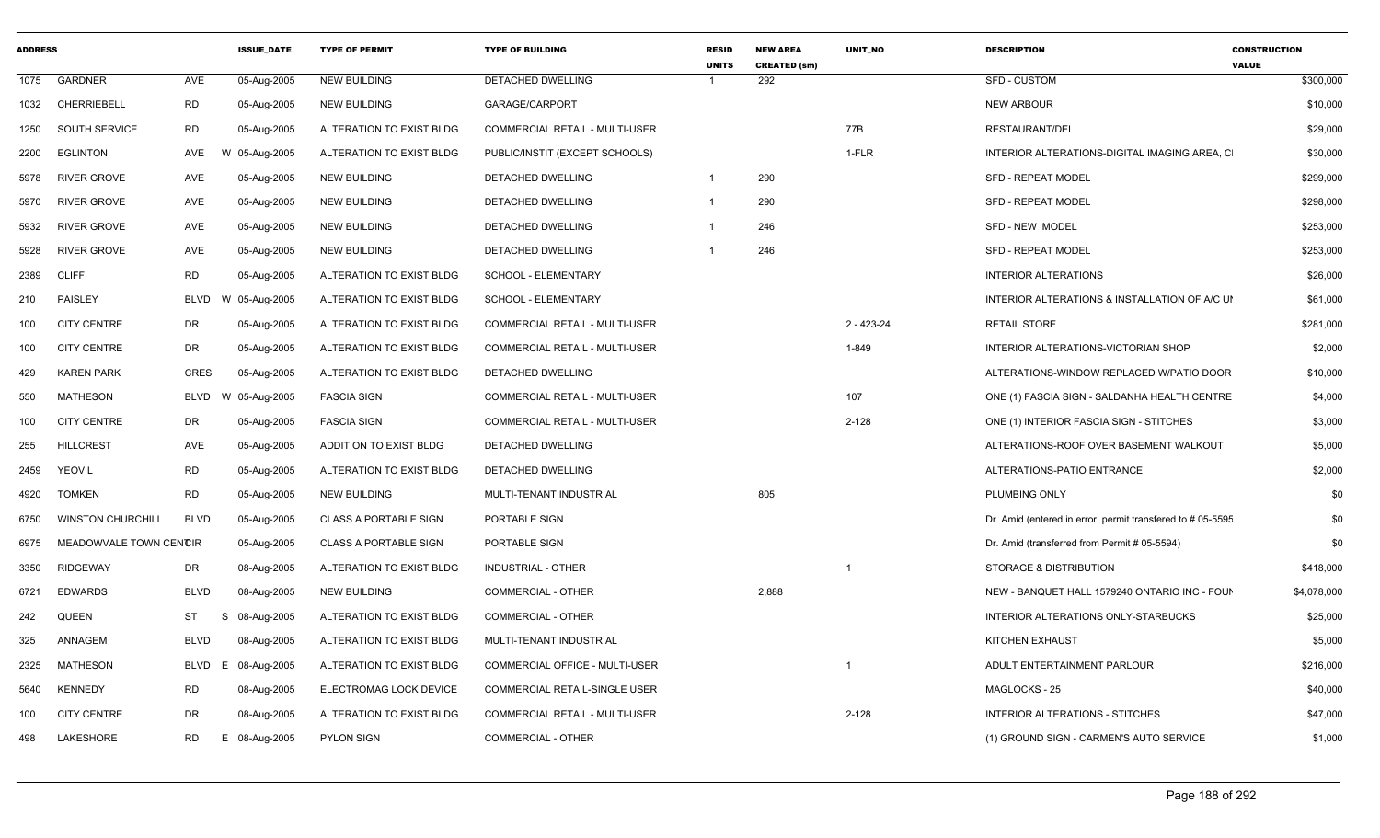| <b>ADDRESS</b> |                          |             | <b>ISSUE DATE</b> | <b>TYPE OF PERMIT</b>        | <b>TYPE OF BUILDING</b>               | <b>RESID</b><br><b>UNITS</b> | <b>NEW AREA</b><br><b>CREATED (sm)</b> | <b>UNIT NO</b> | <b>DESCRIPTION</b>                                        | <b>CONSTRUCTION</b><br><b>VALUE</b> |
|----------------|--------------------------|-------------|-------------------|------------------------------|---------------------------------------|------------------------------|----------------------------------------|----------------|-----------------------------------------------------------|-------------------------------------|
| 1075           | <b>GARDNER</b>           | AVE         | 05-Aug-2005       | <b>NEW BUILDING</b>          | <b>DETACHED DWELLING</b>              |                              | 292                                    |                | <b>SFD - CUSTOM</b>                                       | \$300,000                           |
| 1032           | <b>CHERRIEBELL</b>       | RD          | 05-Aug-2005       | <b>NEW BUILDING</b>          | GARAGE/CARPORT                        |                              |                                        |                | <b>NEW ARBOUR</b>                                         | \$10,000                            |
| 1250           | SOUTH SERVICE            | <b>RD</b>   | 05-Aug-2005       | ALTERATION TO EXIST BLDG     | COMMERCIAL RETAIL - MULTI-USER        |                              |                                        | 77B            | <b>RESTAURANT/DELI</b>                                    | \$29,000                            |
| 2200           | <b>EGLINTON</b>          | AVE         | W 05-Aug-2005     | ALTERATION TO EXIST BLDG     | PUBLIC/INSTIT (EXCEPT SCHOOLS)        |                              |                                        | 1-FLR          | INTERIOR ALTERATIONS-DIGITAL IMAGING AREA, C              | \$30,000                            |
| 5978           | RIVER GROVE              | <b>AVE</b>  | 05-Aug-2005       | <b>NEW BUILDING</b>          | DETACHED DWELLING                     | $\mathbf{1}$                 | 290                                    |                | <b>SFD - REPEAT MODEL</b>                                 | \$299,000                           |
| 5970           | <b>RIVER GROVE</b>       | AVE         | 05-Aug-2005       | <b>NEW BUILDING</b>          | DETACHED DWELLING                     | $\mathbf{1}$                 | 290                                    |                | <b>SFD - REPEAT MODEL</b>                                 | \$298,000                           |
| 5932           | <b>RIVER GROVE</b>       | <b>AVE</b>  | 05-Aug-2005       | <b>NEW BUILDING</b>          | DETACHED DWELLING                     | -1                           | 246                                    |                | SFD - NEW MODEL                                           | \$253,000                           |
| 5928           | RIVER GROVE              | <b>AVE</b>  | 05-Aug-2005       | <b>NEW BUILDING</b>          | DETACHED DWELLING                     |                              | 246                                    |                | <b>SFD - REPEAT MODEL</b>                                 | \$253,000                           |
| 2389           | <b>CLIFF</b>             | <b>RD</b>   | 05-Aug-2005       | ALTERATION TO EXIST BLDG     | SCHOOL - ELEMENTARY                   |                              |                                        |                | <b>INTERIOR ALTERATIONS</b>                               | \$26,000                            |
| 210            | PAISLEY                  | <b>BLVD</b> | W 05-Aug-2005     | ALTERATION TO EXIST BLDG     | SCHOOL - ELEMENTARY                   |                              |                                        |                | INTERIOR ALTERATIONS & INSTALLATION OF A/C UI             | \$61,000                            |
| 100            | <b>CITY CENTRE</b>       | DR          | 05-Aug-2005       | ALTERATION TO EXIST BLDG     | COMMERCIAL RETAIL - MULTI-USER        |                              |                                        | $2 - 423 - 24$ | <b>RETAIL STORE</b>                                       | \$281,000                           |
| 100            | <b>CITY CENTRE</b>       | <b>DR</b>   | 05-Aug-2005       | ALTERATION TO EXIST BLDG     | <b>COMMERCIAL RETAIL - MULTI-USER</b> |                              |                                        | 1-849          | INTERIOR ALTERATIONS-VICTORIAN SHOP                       | \$2,000                             |
| 429            | <b>KAREN PARK</b>        | <b>CRES</b> | 05-Aug-2005       | ALTERATION TO EXIST BLDG     | DETACHED DWELLING                     |                              |                                        |                | ALTERATIONS-WINDOW REPLACED W/PATIO DOOR                  | \$10,000                            |
| 550            | <b>MATHESON</b>          | <b>BLVD</b> | W 05-Aug-2005     | <b>FASCIA SIGN</b>           | COMMERCIAL RETAIL - MULTI-USER        |                              |                                        | 107            | ONE (1) FASCIA SIGN - SALDANHA HEALTH CENTRE              | \$4,000                             |
| 100            | <b>CITY CENTRE</b>       | DR          | 05-Aug-2005       | <b>FASCIA SIGN</b>           | COMMERCIAL RETAIL - MULTI-USER        |                              |                                        | $2 - 128$      | ONE (1) INTERIOR FASCIA SIGN - STITCHES                   | \$3,000                             |
| 255            | <b>HILLCREST</b>         | <b>AVE</b>  | 05-Aug-2005       | ADDITION TO EXIST BLDG       | DETACHED DWELLING                     |                              |                                        |                | ALTERATIONS-ROOF OVER BASEMENT WALKOUT                    | \$5,000                             |
| 2459           | YEOVIL                   | <b>RD</b>   | 05-Aug-2005       | ALTERATION TO EXIST BLDG     | <b>DETACHED DWELLING</b>              |                              |                                        |                | ALTERATIONS-PATIO ENTRANCE                                | \$2,000                             |
| 4920           | <b>TOMKEN</b>            | <b>RD</b>   | 05-Aug-2005       | <b>NEW BUILDING</b>          | MULTI-TENANT INDUSTRIAL               |                              | 805                                    |                | PLUMBING ONLY                                             | \$0                                 |
| 6750           | <b>WINSTON CHURCHILL</b> | <b>BLVD</b> | 05-Aug-2005       | <b>CLASS A PORTABLE SIGN</b> | PORTABLE SIGN                         |                              |                                        |                | Dr. Amid (entered in error, permit transfered to #05-5595 | \$0                                 |
| 6975           | MEADOWVALE TOWN CENCIR   |             | 05-Aug-2005       | <b>CLASS A PORTABLE SIGN</b> | PORTABLE SIGN                         |                              |                                        |                | Dr. Amid (transferred from Permit # 05-5594)              | \$0                                 |
| 3350           | <b>RIDGEWAY</b>          | DR          | 08-Aug-2005       | ALTERATION TO EXIST BLDG     | <b>INDUSTRIAL - OTHER</b>             |                              |                                        |                | STORAGE & DISTRIBUTION                                    | \$418,000                           |
| 6721           | <b>EDWARDS</b>           | <b>BLVD</b> | 08-Aug-2005       | <b>NEW BUILDING</b>          | <b>COMMERCIAL - OTHER</b>             |                              | 2,888                                  |                | NEW - BANQUET HALL 1579240 ONTARIO INC - FOUN             | \$4,078,000                         |
| 242            | QUEEN                    | ST          | 08-Aug-2005<br>S  | ALTERATION TO EXIST BLDG     | <b>COMMERCIAL - OTHER</b>             |                              |                                        |                | INTERIOR ALTERATIONS ONLY-STARBUCKS                       | \$25,000                            |
| 325            | ANNAGEM                  | <b>BLVD</b> | 08-Aug-2005       | ALTERATION TO EXIST BLDG     | MULTI-TENANT INDUSTRIAL               |                              |                                        |                | KITCHEN EXHAUST                                           | \$5,000                             |
| 2325           | <b>MATHESON</b>          | <b>BLVD</b> | E<br>08-Aug-2005  | ALTERATION TO EXIST BLDG     | COMMERCIAL OFFICE - MULTI-USER        |                              |                                        | -1             | ADULT ENTERTAINMENT PARLOUR                               | \$216,000                           |
| 5640           | <b>KENNEDY</b>           | <b>RD</b>   | 08-Aug-2005       | ELECTROMAG LOCK DEVICE       | COMMERCIAL RETAIL-SINGLE USER         |                              |                                        |                | MAGLOCKS - 25                                             | \$40,000                            |
| 100            | <b>CITY CENTRE</b>       | <b>DR</b>   | 08-Aug-2005       | ALTERATION TO EXIST BLDG     | <b>COMMERCIAL RETAIL - MULTI-USER</b> |                              |                                        | $2 - 128$      | INTERIOR ALTERATIONS - STITCHES                           | \$47,000                            |
| 498            | LAKESHORE                | RD          | E 08-Aug-2005     | PYLON SIGN                   | COMMERCIAL - OTHER                    |                              |                                        |                | (1) GROUND SIGN - CARMEN'S AUTO SERVICE                   | \$1,000                             |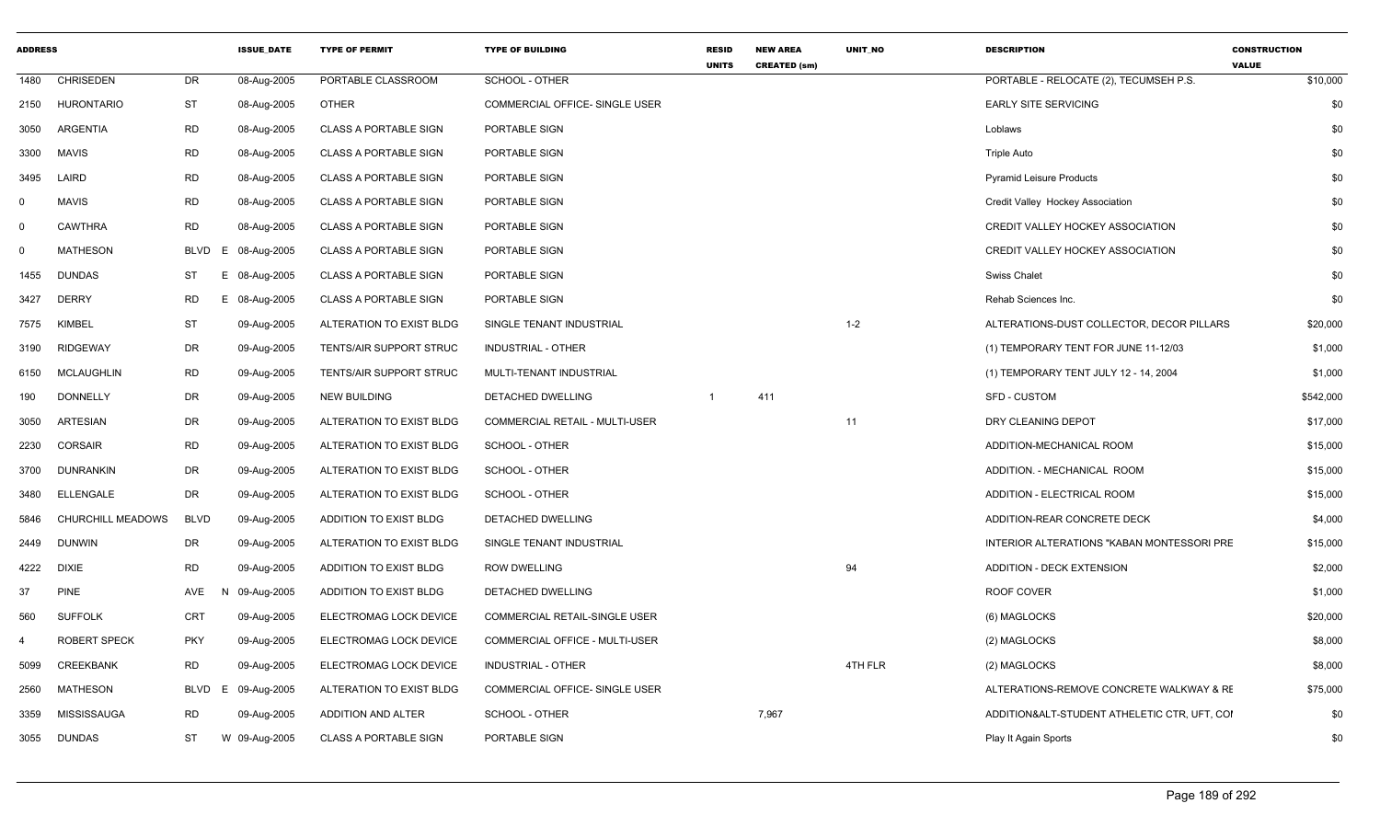| <b>ADDRESS</b> |                     |                  | <b>ISSUE_DATE</b> | <b>TYPE OF PERMIT</b>        | <b>TYPE OF BUILDING</b>        | <b>RESID</b><br><b>UNITS</b> | <b>NEW AREA</b><br><b>CREATED (sm)</b> | UNIT_NO | <b>DESCRIPTION</b>                            | <b>CONSTRUCTION</b><br><b>VALUE</b> |
|----------------|---------------------|------------------|-------------------|------------------------------|--------------------------------|------------------------------|----------------------------------------|---------|-----------------------------------------------|-------------------------------------|
| 1480           | <b>CHRISEDEN</b>    | DR               | 08-Aug-2005       | PORTABLE CLASSROOM           | SCHOOL - OTHER                 |                              |                                        |         | PORTABLE - RELOCATE (2), TECUMSEH P.S.        | \$10,000                            |
| 2150           | HURONTARIO          | ST               | 08-Aug-2005       | <b>OTHER</b>                 | COMMERCIAL OFFICE- SINGLE USER |                              |                                        |         | <b>EARLY SITE SERVICING</b>                   | \$0                                 |
| 3050           | ARGENTIA            | <b>RD</b>        | 08-Aug-2005       | <b>CLASS A PORTABLE SIGN</b> | PORTABLE SIGN                  |                              |                                        |         | Loblaws                                       | \$0                                 |
| 3300           | <b>MAVIS</b>        | <b>RD</b>        | 08-Aug-2005       | <b>CLASS A PORTABLE SIGN</b> | PORTABLE SIGN                  |                              |                                        |         | <b>Triple Auto</b>                            | \$0                                 |
| 3495           | LAIRD               | RD               | 08-Aug-2005       | <b>CLASS A PORTABLE SIGN</b> | PORTABLE SIGN                  |                              |                                        |         | <b>Pyramid Leisure Products</b>               | \$0                                 |
| $\mathbf 0$    | <b>MAVIS</b>        | <b>RD</b>        | 08-Aug-2005       | <b>CLASS A PORTABLE SIGN</b> | PORTABLE SIGN                  |                              |                                        |         | Credit Valley Hockey Association              | \$0                                 |
| $\Omega$       | <b>CAWTHRA</b>      | <b>RD</b>        | 08-Aug-2005       | <b>CLASS A PORTABLE SIGN</b> | PORTABLE SIGN                  |                              |                                        |         | CREDIT VALLEY HOCKEY ASSOCIATION              | \$0                                 |
| 0              | <b>MATHESON</b>     | <b>BLVD</b><br>Е | 08-Aug-2005       | <b>CLASS A PORTABLE SIGN</b> | PORTABLE SIGN                  |                              |                                        |         | CREDIT VALLEY HOCKEY ASSOCIATION              | \$0                                 |
| 1455           | <b>DUNDAS</b>       | ST<br>Е.         | 08-Aug-2005       | <b>CLASS A PORTABLE SIGN</b> | PORTABLE SIGN                  |                              |                                        |         | <b>Swiss Chalet</b>                           | \$0                                 |
| 3427           | <b>DERRY</b>        | RD               | 08-Aug-2005       | <b>CLASS A PORTABLE SIGN</b> | PORTABLE SIGN                  |                              |                                        |         | Rehab Sciences Inc.                           | \$0                                 |
| 7575           | <b>KIMBEL</b>       | <b>ST</b>        | 09-Aug-2005       | ALTERATION TO EXIST BLDG     | SINGLE TENANT INDUSTRIAL       |                              |                                        | $1 - 2$ | ALTERATIONS-DUST COLLECTOR, DECOR PILLARS     | \$20,000                            |
| 3190           | <b>RIDGEWAY</b>     | DR               | 09-Aug-2005       | TENTS/AIR SUPPORT STRUC      | INDUSTRIAL - OTHER             |                              |                                        |         | (1) TEMPORARY TENT FOR JUNE 11-12/03          | \$1,000                             |
| 6150           | <b>MCLAUGHLIN</b>   | <b>RD</b>        | 09-Aug-2005       | TENTS/AIR SUPPORT STRUC      | MULTI-TENANT INDUSTRIAL        |                              |                                        |         | (1) TEMPORARY TENT JULY 12 - 14, 2004         | \$1,000                             |
| 190            | <b>DONNELLY</b>     | DR               | 09-Aug-2005       | NEW BUILDING                 | DETACHED DWELLING              | $\mathbf{1}$                 | 411                                    |         | <b>SFD - CUSTOM</b>                           | \$542,000                           |
| 3050           | <b>ARTESIAN</b>     | DR               | 09-Aug-2005       | ALTERATION TO EXIST BLDG     | COMMERCIAL RETAIL - MULTI-USER |                              |                                        | 11      | DRY CLEANING DEPOT                            | \$17,000                            |
| 2230           | <b>CORSAIR</b>      | <b>RD</b>        | 09-Aug-2005       | ALTERATION TO EXIST BLDG     | SCHOOL - OTHER                 |                              |                                        |         | ADDITION-MECHANICAL ROOM                      | \$15,000                            |
| 3700           | DUNRANKIN           | DR               | 09-Aug-2005       | ALTERATION TO EXIST BLDG     | SCHOOL - OTHER                 |                              |                                        |         | ADDITION. - MECHANICAL ROOM                   | \$15,000                            |
| 3480           | <b>ELLENGALE</b>    | DR               | 09-Aug-2005       | ALTERATION TO EXIST BLDG     | SCHOOL - OTHER                 |                              |                                        |         | ADDITION - ELECTRICAL ROOM                    | \$15,000                            |
| 5846           | CHURCHILL MEADOWS   | <b>BLVD</b>      | 09-Aug-2005       | ADDITION TO EXIST BLDG       | DETACHED DWELLING              |                              |                                        |         | ADDITION-REAR CONCRETE DECK                   | \$4,000                             |
| 2449           | <b>DUNWIN</b>       | DR               | 09-Aug-2005       | ALTERATION TO EXIST BLDG     | SINGLE TENANT INDUSTRIAL       |                              |                                        |         | INTERIOR ALTERATIONS "KABAN MONTESSORI PRE    | \$15,000                            |
| 4222           | DIXIE               | <b>RD</b>        | 09-Aug-2005       | ADDITION TO EXIST BLDG       | <b>ROW DWELLING</b>            |                              |                                        | 94      | <b>ADDITION - DECK EXTENSION</b>              | \$2,000                             |
| 37             | <b>PINE</b>         | AVE              | 09-Aug-2005       | ADDITION TO EXIST BLDG       | DETACHED DWELLING              |                              |                                        |         | ROOF COVER                                    | \$1,000                             |
| 560            | <b>SUFFOLK</b>      | <b>CRT</b>       | 09-Aug-2005       | ELECTROMAG LOCK DEVICE       | COMMERCIAL RETAIL-SINGLE USER  |                              |                                        |         | (6) MAGLOCKS                                  | \$20,000                            |
| 4              | <b>ROBERT SPECK</b> | <b>PKY</b>       | 09-Aug-2005       | ELECTROMAG LOCK DEVICE       | COMMERCIAL OFFICE - MULTI-USER |                              |                                        |         | (2) MAGLOCKS                                  | \$8,000                             |
| 5099           | CREEKBANK           | <b>RD</b>        | 09-Aug-2005       | ELECTROMAG LOCK DEVICE       | INDUSTRIAL - OTHER             |                              |                                        | 4TH FLR | (2) MAGLOCKS                                  | \$8,000                             |
| 2560           | <b>MATHESON</b>     | BLVD<br>E        | 09-Aug-2005       | ALTERATION TO EXIST BLDG     | COMMERCIAL OFFICE- SINGLE USER |                              |                                        |         | ALTERATIONS-REMOVE CONCRETE WALKWAY & RE      | \$75,000                            |
| 3359           | MISSISSAUGA         | <b>RD</b>        | 09-Aug-2005       | ADDITION AND ALTER           | SCHOOL - OTHER                 |                              | 7,967                                  |         | ADDITION& ALT-STUDENT ATHELETIC CTR, UFT, COI | \$0                                 |
|                | 3055 DUNDAS         | ST               | W 09-Aug-2005     | <b>CLASS A PORTABLE SIGN</b> | PORTABLE SIGN                  |                              |                                        |         | Play It Again Sports                          | \$0                                 |
|                |                     |                  |                   |                              |                                |                              |                                        |         |                                               |                                     |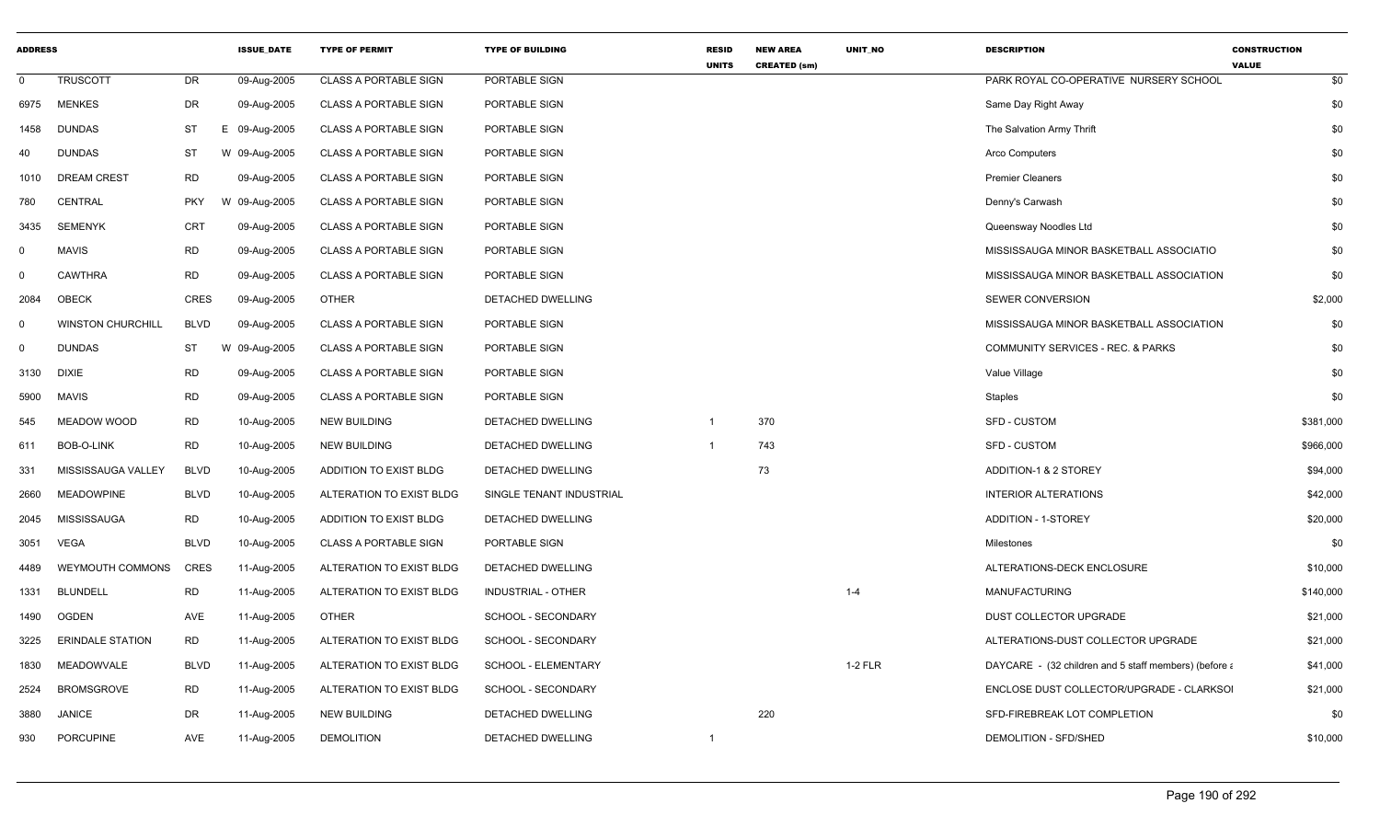| <b>ADDRESS</b> |                          |             | <b>ISSUE DATE</b> | <b>TYPE OF PERMIT</b>        | <b>TYPE OF BUILDING</b>  | <b>RESID</b><br><b>UNITS</b> | <b>NEW AREA</b><br><b>CREATED (sm)</b> | <b>UNIT NO</b> | <b>DESCRIPTION</b>                                    | <b>CONSTRUCTION</b><br><b>VALUE</b> |
|----------------|--------------------------|-------------|-------------------|------------------------------|--------------------------|------------------------------|----------------------------------------|----------------|-------------------------------------------------------|-------------------------------------|
| $\mathbf 0$    | <b>TRUSCOTT</b>          | DR          | 09-Aug-2005       | <b>CLASS A PORTABLE SIGN</b> | PORTABLE SIGN            |                              |                                        |                | PARK ROYAL CO-OPERATIVE NURSERY SCHOOL                | \$0                                 |
| 6975           | <b>MENKES</b>            | DR          | 09-Aug-2005       | <b>CLASS A PORTABLE SIGN</b> | PORTABLE SIGN            |                              |                                        |                | Same Day Right Away                                   | \$0                                 |
| 1458           | <b>DUNDAS</b>            | ST          | E 09-Aug-2005     | <b>CLASS A PORTABLE SIGN</b> | PORTABLE SIGN            |                              |                                        |                | The Salvation Army Thrift                             | \$0                                 |
| 40             | <b>DUNDAS</b>            | ST          | W 09-Aug-2005     | <b>CLASS A PORTABLE SIGN</b> | PORTABLE SIGN            |                              |                                        |                | Arco Computers                                        | \$0                                 |
| 1010           | <b>DREAM CREST</b>       | <b>RD</b>   | 09-Aug-2005       | <b>CLASS A PORTABLE SIGN</b> | PORTABLE SIGN            |                              |                                        |                | <b>Premier Cleaners</b>                               | \$0                                 |
| 780            | <b>CENTRAL</b>           | <b>PKY</b>  | W<br>09-Aug-2005  | <b>CLASS A PORTABLE SIGN</b> | PORTABLE SIGN            |                              |                                        |                | Denny's Carwash                                       | \$0                                 |
| 3435           | <b>SEMENYK</b>           | <b>CRT</b>  | 09-Aug-2005       | <b>CLASS A PORTABLE SIGN</b> | PORTABLE SIGN            |                              |                                        |                | Queensway Noodles Ltd                                 | \$0                                 |
| $\mathbf 0$    | <b>MAVIS</b>             | <b>RD</b>   | 09-Aug-2005       | <b>CLASS A PORTABLE SIGN</b> | PORTABLE SIGN            |                              |                                        |                | MISSISSAUGA MINOR BASKETBALL ASSOCIATIO               | \$0                                 |
| $\mathbf 0$    | <b>CAWTHRA</b>           | <b>RD</b>   | 09-Aug-2005       | <b>CLASS A PORTABLE SIGN</b> | PORTABLE SIGN            |                              |                                        |                | MISSISSAUGA MINOR BASKETBALL ASSOCIATION              | \$0                                 |
| 2084           | <b>OBECK</b>             | <b>CRES</b> | 09-Aug-2005       | OTHER                        | DETACHED DWELLING        |                              |                                        |                | <b>SEWER CONVERSION</b>                               | \$2,000                             |
| $\mathbf 0$    | <b>WINSTON CHURCHILL</b> | <b>BLVD</b> | 09-Aug-2005       | <b>CLASS A PORTABLE SIGN</b> | PORTABLE SIGN            |                              |                                        |                | MISSISSAUGA MINOR BASKETBALL ASSOCIATION              | \$0                                 |
| $\mathbf 0$    | <b>DUNDAS</b>            | ST          | W<br>09-Aug-2005  | <b>CLASS A PORTABLE SIGN</b> | PORTABLE SIGN            |                              |                                        |                | COMMUNITY SERVICES - REC. & PARKS                     | \$0                                 |
| 3130           | <b>DIXIE</b>             | RD          | 09-Aug-2005       | <b>CLASS A PORTABLE SIGN</b> | PORTABLE SIGN            |                              |                                        |                | Value Village                                         | \$0                                 |
| 5900           | <b>MAVIS</b>             | <b>RD</b>   | 09-Aug-2005       | <b>CLASS A PORTABLE SIGN</b> | PORTABLE SIGN            |                              |                                        |                | <b>Staples</b>                                        | \$0                                 |
| 545            | MEADOW WOOD              | <b>RD</b>   | 10-Aug-2005       | <b>NEW BUILDING</b>          | DETACHED DWELLING        | -1                           | 370                                    |                | <b>SFD - CUSTOM</b>                                   | \$381,000                           |
| 611            | BOB-O-LINK               | RD          | 10-Aug-2005       | <b>NEW BUILDING</b>          | DETACHED DWELLING        |                              | 743                                    |                | <b>SFD - CUSTOM</b>                                   | \$966,000                           |
| 331            | MISSISSAUGA VALLEY       | <b>BLVD</b> | 10-Aug-2005       | ADDITION TO EXIST BLDG       | DETACHED DWELLING        |                              | 73                                     |                | ADDITION-1 & 2 STOREY                                 | \$94,000                            |
| 2660           | <b>MEADOWPINE</b>        | <b>BLVD</b> | 10-Aug-2005       | ALTERATION TO EXIST BLDG     | SINGLE TENANT INDUSTRIAL |                              |                                        |                | <b>INTERIOR ALTERATIONS</b>                           | \$42,000                            |
| 2045           | MISSISSAUGA              | <b>RD</b>   | 10-Aug-2005       | ADDITION TO EXIST BLDG       | DETACHED DWELLING        |                              |                                        |                | <b>ADDITION - 1-STOREY</b>                            | \$20,000                            |
| 3051           | VEGA                     | <b>BLVD</b> | 10-Aug-2005       | <b>CLASS A PORTABLE SIGN</b> | PORTABLE SIGN            |                              |                                        |                | <b>Milestones</b>                                     | \$0                                 |
| 4489           | WEYMOUTH COMMONS         | CRES        | 11-Aug-2005       | ALTERATION TO EXIST BLDG     | DETACHED DWELLING        |                              |                                        |                | ALTERATIONS-DECK ENCLOSURE                            | \$10,000                            |
| 1331           | <b>BLUNDELL</b>          | <b>RD</b>   | 11-Aug-2005       | ALTERATION TO EXIST BLDG     | INDUSTRIAL - OTHER       |                              |                                        | $1 - 4$        | <b>MANUFACTURING</b>                                  | \$140,000                           |
| 1490           | OGDEN                    | AVE         | 11-Aug-2005       | OTHER                        | SCHOOL - SECONDARY       |                              |                                        |                | DUST COLLECTOR UPGRADE                                | \$21,000                            |
| 3225           | <b>ERINDALE STATION</b>  | <b>RD</b>   | 11-Aug-2005       | ALTERATION TO EXIST BLDG     | SCHOOL - SECONDARY       |                              |                                        |                | ALTERATIONS-DUST COLLECTOR UPGRADE                    | \$21,000                            |
| 1830           | MEADOWVALE               | <b>BLVD</b> | 11-Aug-2005       | ALTERATION TO EXIST BLDG     | SCHOOL - ELEMENTARY      |                              |                                        | $1-2$ FLR      | DAYCARE - (32 children and 5 staff members) (before a | \$41,000                            |
| 2524           | <b>BROMSGROVE</b>        | <b>RD</b>   | 11-Aug-2005       | ALTERATION TO EXIST BLDG     | SCHOOL - SECONDARY       |                              |                                        |                | ENCLOSE DUST COLLECTOR/UPGRADE - CLARKSOI             | \$21,000                            |
| 3880           | <b>JANICE</b>            | DR          | 11-Aug-2005       | <b>NEW BUILDING</b>          | DETACHED DWELLING        |                              | 220                                    |                | SFD-FIREBREAK LOT COMPLETION                          | \$0                                 |
| 930            | <b>PORCUPINE</b>         | AVE         | 11-Aug-2005       | <b>DEMOLITION</b>            | DETACHED DWELLING        |                              |                                        |                | DEMOLITION - SFD/SHED                                 | \$10,000                            |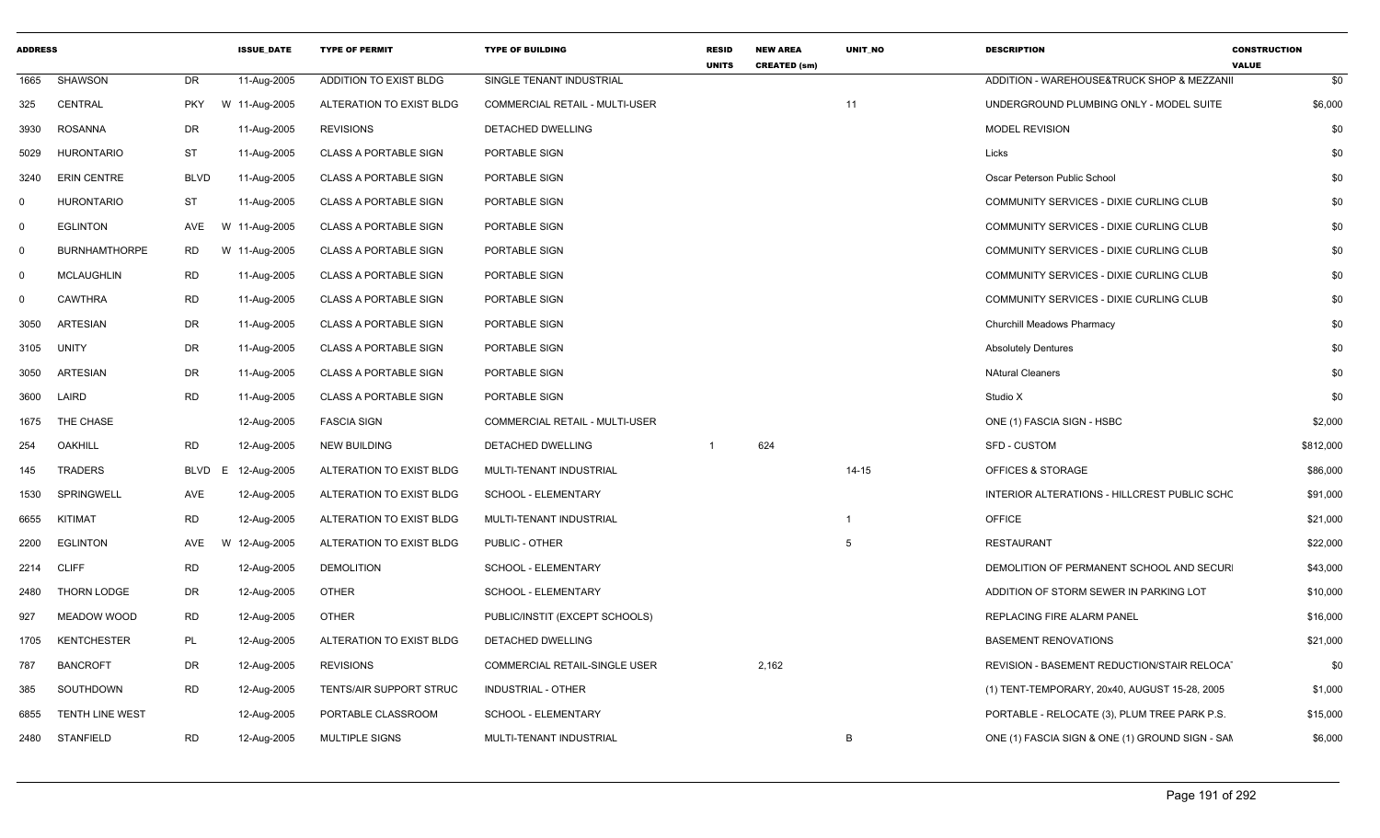| <b>ADDRESS</b> |                        |             | <b>ISSUE DATE</b> | <b>TYPE OF PERMIT</b>        | <b>TYPE OF BUILDING</b>               | <b>RESID</b><br><b>UNITS</b> | <b>NEW AREA</b><br><b>CREATED (sm)</b> | <b>UNIT NO</b> | <b>DESCRIPTION</b>                              | <b>CONSTRUCTION</b><br><b>VALUE</b> |
|----------------|------------------------|-------------|-------------------|------------------------------|---------------------------------------|------------------------------|----------------------------------------|----------------|-------------------------------------------------|-------------------------------------|
| 1665           | SHAWSON                | DR          | 11-Aug-2005       | ADDITION TO EXIST BLDG       | SINGLE TENANT INDUSTRIAL              |                              |                                        |                | ADDITION - WAREHOUSE&TRUCK SHOP & MEZZANII      | \$0                                 |
| 325            | CENTRAL                | <b>PKY</b>  | W 11-Aug-2005     | ALTERATION TO EXIST BLDG     | COMMERCIAL RETAIL - MULTI-USER        |                              |                                        | 11             | UNDERGROUND PLUMBING ONLY - MODEL SUITE         | \$6,000                             |
| 3930           | ROSANNA                | DR          | 11-Aug-2005       | <b>REVISIONS</b>             | DETACHED DWELLING                     |                              |                                        |                | <b>MODEL REVISION</b>                           | \$0                                 |
| 5029           | <b>HURONTARIO</b>      | ST          | 11-Aug-2005       | <b>CLASS A PORTABLE SIGN</b> | PORTABLE SIGN                         |                              |                                        |                | Licks                                           | \$0                                 |
| 3240           | <b>ERIN CENTRE</b>     | <b>BLVD</b> | 11-Aug-2005       | <b>CLASS A PORTABLE SIGN</b> | PORTABLE SIGN                         |                              |                                        |                | Oscar Peterson Public School                    | \$0                                 |
| $\Omega$       | <b>HURONTARIO</b>      | <b>ST</b>   | 11-Aug-2005       | CLASS A PORTABLE SIGN        | PORTABLE SIGN                         |                              |                                        |                | COMMUNITY SERVICES - DIXIE CURLING CLUB         | \$0                                 |
| $\Omega$       | <b>EGLINTON</b>        | AVE         | W 11-Aug-2005     | <b>CLASS A PORTABLE SIGN</b> | PORTABLE SIGN                         |                              |                                        |                | COMMUNITY SERVICES - DIXIE CURLING CLUB         | \$0                                 |
| $\Omega$       | <b>BURNHAMTHORPE</b>   | <b>RD</b>   | W 11-Aug-2005     | <b>CLASS A PORTABLE SIGN</b> | PORTABLE SIGN                         |                              |                                        |                | COMMUNITY SERVICES - DIXIE CURLING CLUB         | \$0                                 |
| $\Omega$       | <b>MCLAUGHLIN</b>      | <b>RD</b>   | 11-Aug-2005       | <b>CLASS A PORTABLE SIGN</b> | PORTABLE SIGN                         |                              |                                        |                | COMMUNITY SERVICES - DIXIE CURLING CLUB         | \$0                                 |
| - 0            | <b>CAWTHRA</b>         | <b>RD</b>   | 11-Aug-2005       | <b>CLASS A PORTABLE SIGN</b> | PORTABLE SIGN                         |                              |                                        |                | COMMUNITY SERVICES - DIXIE CURLING CLUB         | \$0                                 |
| 3050           | <b>ARTESIAN</b>        | DR          | 11-Aug-2005       | <b>CLASS A PORTABLE SIGN</b> | PORTABLE SIGN                         |                              |                                        |                | Churchill Meadows Pharmacy                      | \$0                                 |
| 3105           | UNITY                  | DR          | 11-Aug-2005       | CLASS A PORTABLE SIGN        | PORTABLE SIGN                         |                              |                                        |                | <b>Absolutely Dentures</b>                      | \$0                                 |
| 3050           | ARTESIAN               | DR          | 11-Aug-2005       | <b>CLASS A PORTABLE SIGN</b> | PORTABLE SIGN                         |                              |                                        |                | <b>NAtural Cleaners</b>                         | \$0                                 |
| 3600           | LAIRD                  | <b>RD</b>   | 11-Aug-2005       | <b>CLASS A PORTABLE SIGN</b> | PORTABLE SIGN                         |                              |                                        |                | Studio X                                        | \$0                                 |
| 1675           | THE CHASE              |             | 12-Aug-2005       | <b>FASCIA SIGN</b>           | <b>COMMERCIAL RETAIL - MULTI-USER</b> |                              |                                        |                | ONE (1) FASCIA SIGN - HSBC                      | \$2,000                             |
| 254            | OAKHILL                | <b>RD</b>   | 12-Aug-2005       | <b>NEW BUILDING</b>          | DETACHED DWELLING                     |                              | 624                                    |                | <b>SFD - CUSTOM</b>                             | \$812,000                           |
| 145            | TRADERS                | BLVD E      | 12-Aug-2005       | ALTERATION TO EXIST BLDG     | MULTI-TENANT INDUSTRIAL               |                              |                                        | $14 - 15$      | <b>OFFICES &amp; STORAGE</b>                    | \$86,000                            |
| 1530           | SPRINGWELL             | AVE         | 12-Aug-2005       | ALTERATION TO EXIST BLDG     | SCHOOL - ELEMENTARY                   |                              |                                        |                | INTERIOR ALTERATIONS - HILLCREST PUBLIC SCHC    | \$91,000                            |
| 6655           | KITIMAT                | <b>RD</b>   | 12-Aug-2005       | ALTERATION TO EXIST BLDG     | MULTI-TENANT INDUSTRIAL               |                              |                                        | $\overline{1}$ | <b>OFFICE</b>                                   | \$21,000                            |
| 2200           | EGLINTON               | AVE         | W 12-Aug-2005     | ALTERATION TO EXIST BLDG     | PUBLIC - OTHER                        |                              |                                        | 5              | <b>RESTAURANT</b>                               | \$22,000                            |
|                | 2214 CLIFF             | RD          | 12-Aug-2005       | <b>DEMOLITION</b>            | SCHOOL - ELEMENTARY                   |                              |                                        |                | DEMOLITION OF PERMANENT SCHOOL AND SECUR        | \$43,000                            |
| 2480           | THORN LODGE            | DR          | 12-Aug-2005       | <b>OTHER</b>                 | SCHOOL - ELEMENTARY                   |                              |                                        |                | ADDITION OF STORM SEWER IN PARKING LOT          | \$10,000                            |
| 927            | MEADOW WOOD            | <b>RD</b>   | 12-Aug-2005       | <b>OTHER</b>                 | PUBLIC/INSTIT (EXCEPT SCHOOLS)        |                              |                                        |                | REPLACING FIRE ALARM PANEL                      | \$16,000                            |
| 1705           | <b>KENTCHESTER</b>     | PL          | 12-Aug-2005       | ALTERATION TO EXIST BLDG     | DETACHED DWELLING                     |                              |                                        |                | <b>BASEMENT RENOVATIONS</b>                     | \$21,000                            |
| 787            | <b>BANCROFT</b>        | DR          | 12-Aug-2005       | <b>REVISIONS</b>             | COMMERCIAL RETAIL-SINGLE USER         |                              | 2,162                                  |                | REVISION - BASEMENT REDUCTION/STAIR RELOCAT     | \$0                                 |
| 385            | SOUTHDOWN              | <b>RD</b>   | 12-Aug-2005       | TENTS/AIR SUPPORT STRUC      | INDUSTRIAL - OTHER                    |                              |                                        |                | (1) TENT-TEMPORARY, 20x40, AUGUST 15-28, 2005   | \$1,000                             |
| 6855           | <b>TENTH LINE WEST</b> |             | 12-Aug-2005       | PORTABLE CLASSROOM           | SCHOOL - ELEMENTARY                   |                              |                                        |                | PORTABLE - RELOCATE (3), PLUM TREE PARK P.S.    | \$15,000                            |
|                | 2480 STANFIELD         | <b>RD</b>   | 12-Aug-2005       | MULTIPLE SIGNS               | MULTI-TENANT INDUSTRIAL               |                              |                                        | B              | ONE (1) FASCIA SIGN & ONE (1) GROUND SIGN - SAM | \$6,000                             |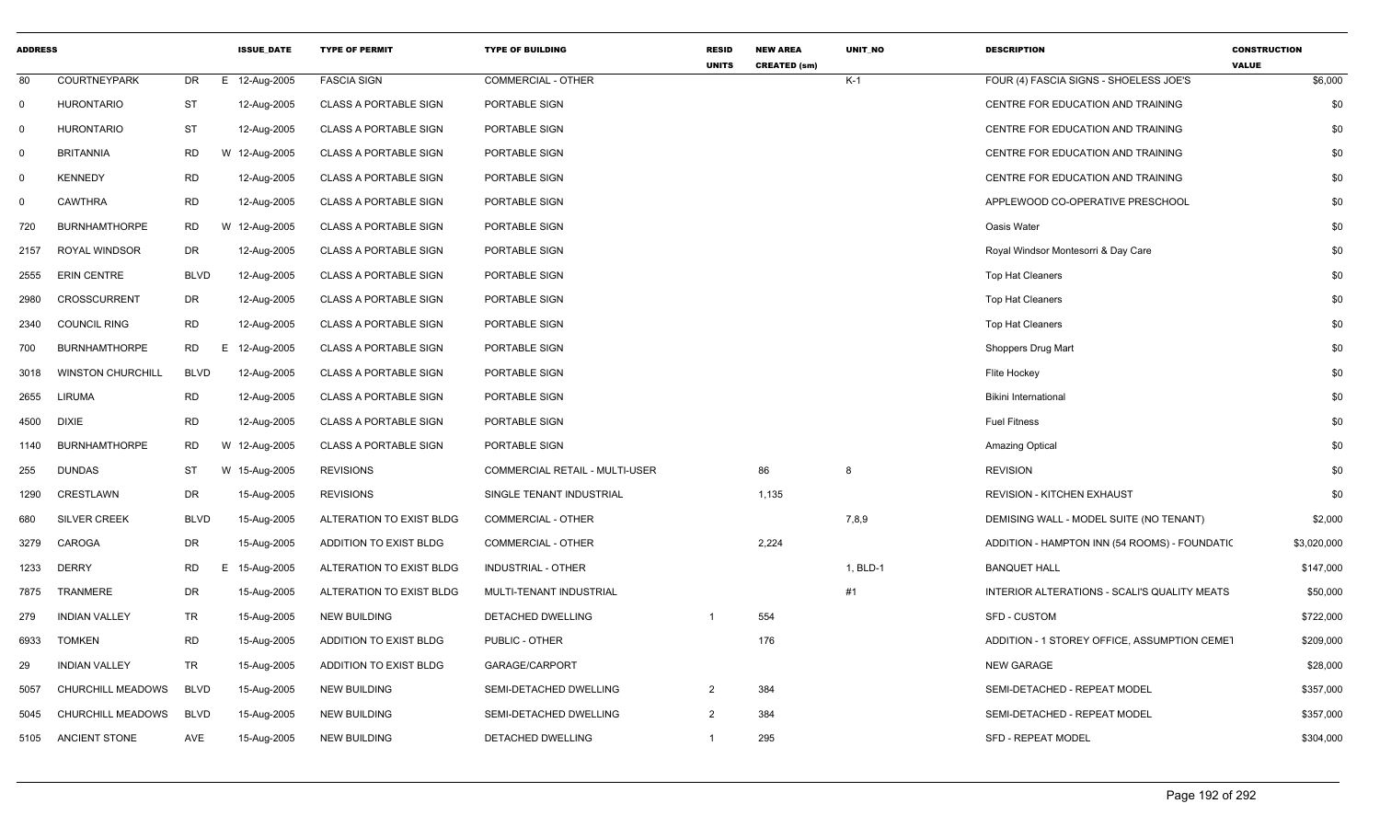| <b>ADDRESS</b>          |                          |             | <b>ISSUE DATE</b> | <b>TYPE OF PERMIT</b>        | <b>TYPE OF BUILDING</b>               | <b>RESID</b><br><b>UNITS</b> | <b>NEW AREA</b><br><b>CREATED (sm)</b> | <b>UNIT NO</b> | <b>DESCRIPTION</b>                            | <b>CONSTRUCTION</b><br><b>VALUE</b> |
|-------------------------|--------------------------|-------------|-------------------|------------------------------|---------------------------------------|------------------------------|----------------------------------------|----------------|-----------------------------------------------|-------------------------------------|
| 80                      | <b>COURTNEYPARK</b>      | DR          | 12-Aug-2005<br>E  | <b>FASCIA SIGN</b>           | <b>COMMERCIAL - OTHER</b>             |                              |                                        | $K-1$          | FOUR (4) FASCIA SIGNS - SHOELESS JOE'S        | \$6,000                             |
| 0                       | <b>HURONTARIO</b>        | <b>ST</b>   | 12-Aug-2005       | <b>CLASS A PORTABLE SIGN</b> | PORTABLE SIGN                         |                              |                                        |                | CENTRE FOR EDUCATION AND TRAINING             | \$0                                 |
| 0                       | <b>HURONTARIO</b>        | ST          | 12-Aug-2005       | <b>CLASS A PORTABLE SIGN</b> | PORTABLE SIGN                         |                              |                                        |                | CENTRE FOR EDUCATION AND TRAINING             | \$0                                 |
| $\mathsf{O}$            | <b>BRITANNIA</b>         | <b>RD</b>   | W 12-Aug-2005     | <b>CLASS A PORTABLE SIGN</b> | PORTABLE SIGN                         |                              |                                        |                | CENTRE FOR EDUCATION AND TRAINING             | \$0                                 |
| $\overline{\mathbf{0}}$ | <b>KENNEDY</b>           | <b>RD</b>   | 12-Aug-2005       | <b>CLASS A PORTABLE SIGN</b> | PORTABLE SIGN                         |                              |                                        |                | CENTRE FOR EDUCATION AND TRAINING             | \$0                                 |
| 0                       | <b>CAWTHRA</b>           | <b>RD</b>   | 12-Aug-2005       | <b>CLASS A PORTABLE SIGN</b> | PORTABLE SIGN                         |                              |                                        |                | APPLEWOOD CO-OPERATIVE PRESCHOOL              | \$0                                 |
| 720                     | <b>BURNHAMTHORPE</b>     | <b>RD</b>   | W 12-Aug-2005     | <b>CLASS A PORTABLE SIGN</b> | PORTABLE SIGN                         |                              |                                        |                | Oasis Water                                   | \$0                                 |
| 2157                    | ROYAL WINDSOR            | DR          | 12-Aug-2005       | <b>CLASS A PORTABLE SIGN</b> | PORTABLE SIGN                         |                              |                                        |                | Royal Windsor Montesorri & Day Care           | \$0                                 |
| 2555                    | <b>ERIN CENTRE</b>       | <b>BLVD</b> | 12-Aug-2005       | <b>CLASS A PORTABLE SIGN</b> | PORTABLE SIGN                         |                              |                                        |                | Top Hat Cleaners                              | \$0                                 |
| 2980                    | CROSSCURRENT             | DR          | 12-Aug-2005       | <b>CLASS A PORTABLE SIGN</b> | PORTABLE SIGN                         |                              |                                        |                | <b>Top Hat Cleaners</b>                       | \$0                                 |
| 2340                    | <b>COUNCIL RING</b>      | <b>RD</b>   | 12-Aug-2005       | <b>CLASS A PORTABLE SIGN</b> | PORTABLE SIGN                         |                              |                                        |                | <b>Top Hat Cleaners</b>                       | \$0                                 |
| 700                     | <b>BURNHAMTHORPE</b>     | <b>RD</b>   | Е.<br>12-Aug-2005 | <b>CLASS A PORTABLE SIGN</b> | PORTABLE SIGN                         |                              |                                        |                | Shoppers Drug Mart                            | \$0                                 |
| 3018                    | <b>WINSTON CHURCHILL</b> | <b>BLVD</b> | 12-Aug-2005       | <b>CLASS A PORTABLE SIGN</b> | PORTABLE SIGN                         |                              |                                        |                | Flite Hockey                                  | \$0                                 |
| 2655                    | LIRUMA                   | <b>RD</b>   | 12-Aug-2005       | <b>CLASS A PORTABLE SIGN</b> | PORTABLE SIGN                         |                              |                                        |                | <b>Bikini International</b>                   | \$0                                 |
| 4500                    | <b>DIXIE</b>             | <b>RD</b>   | 12-Aug-2005       | <b>CLASS A PORTABLE SIGN</b> | PORTABLE SIGN                         |                              |                                        |                | <b>Fuel Fitness</b>                           | \$0                                 |
| 1140                    | <b>BURNHAMTHORPE</b>     | <b>RD</b>   | W 12-Aug-2005     | <b>CLASS A PORTABLE SIGN</b> | PORTABLE SIGN                         |                              |                                        |                | <b>Amazing Optical</b>                        | \$0                                 |
| 255                     | <b>DUNDAS</b>            | <b>ST</b>   | W 15-Aug-2005     | <b>REVISIONS</b>             | <b>COMMERCIAL RETAIL - MULTI-USER</b> |                              | 86                                     | 8              | <b>REVISION</b>                               | \$0                                 |
| 1290                    | CRESTLAWN                | DR          | 15-Aug-2005       | <b>REVISIONS</b>             | SINGLE TENANT INDUSTRIAL              |                              | 1,135                                  |                | REVISION - KITCHEN EXHAUST                    | \$0                                 |
| 680                     | <b>SILVER CREEK</b>      | <b>BLVD</b> | 15-Aug-2005       | ALTERATION TO EXIST BLDG     | <b>COMMERCIAL - OTHER</b>             |                              |                                        | 7,8,9          | DEMISING WALL - MODEL SUITE (NO TENANT)       | \$2,000                             |
| 3279                    | CAROGA                   | <b>DR</b>   | 15-Aug-2005       | ADDITION TO EXIST BLDG       | <b>COMMERCIAL - OTHER</b>             |                              | 2,224                                  |                | ADDITION - HAMPTON INN (54 ROOMS) - FOUNDATIC | \$3,020,000                         |
| 1233                    | <b>DERRY</b>             | <b>RD</b>   | Е.<br>15-Aug-2005 | ALTERATION TO EXIST BLDG     | <b>INDUSTRIAL - OTHER</b>             |                              |                                        | 1, BLD-1       | <b>BANQUET HALL</b>                           | \$147,000                           |
| 7875                    | TRANMERE                 | <b>DR</b>   | 15-Aug-2005       | ALTERATION TO EXIST BLDG     | MULTI-TENANT INDUSTRIAL               |                              |                                        | #1             | INTERIOR ALTERATIONS - SCALI'S QUALITY MEATS  | \$50,000                            |
| 279                     | <b>INDIAN VALLEY</b>     | TR          | 15-Aug-2005       | <b>NEW BUILDING</b>          | DETACHED DWELLING                     |                              | 554                                    |                | <b>SFD - CUSTOM</b>                           | \$722,000                           |
| 6933                    | <b>TOMKEN</b>            | <b>RD</b>   | 15-Aug-2005       | ADDITION TO EXIST BLDG       | PUBLIC - OTHER                        |                              | 176                                    |                | ADDITION - 1 STOREY OFFICE, ASSUMPTION CEMET  | \$209,000                           |
| 29                      | <b>INDIAN VALLEY</b>     | TR          | 15-Aug-2005       | ADDITION TO EXIST BLDG       | GARAGE/CARPORT                        |                              |                                        |                | <b>NEW GARAGE</b>                             | \$28,000                            |
| 5057                    | CHURCHILL MEADOWS        | <b>BLVD</b> | 15-Aug-2005       | <b>NEW BUILDING</b>          | SEMI-DETACHED DWELLING                | $\overline{2}$               | 384                                    |                | SEMI-DETACHED - REPEAT MODEL                  | \$357,000                           |
| 5045                    | CHURCHILL MEADOWS        | <b>BLVD</b> | 15-Aug-2005       | <b>NEW BUILDING</b>          | SEMI-DETACHED DWELLING                | $\overline{2}$               | 384                                    |                | SEMI-DETACHED - REPEAT MODEL                  | \$357,000                           |
| 5105                    | ANCIENT STONE            | AVE         | 15-Aug-2005       | <b>NEW BUILDING</b>          | <b>DETACHED DWELLING</b>              | $\overline{1}$               | 295                                    |                | <b>SFD - REPEAT MODEL</b>                     | \$304,000                           |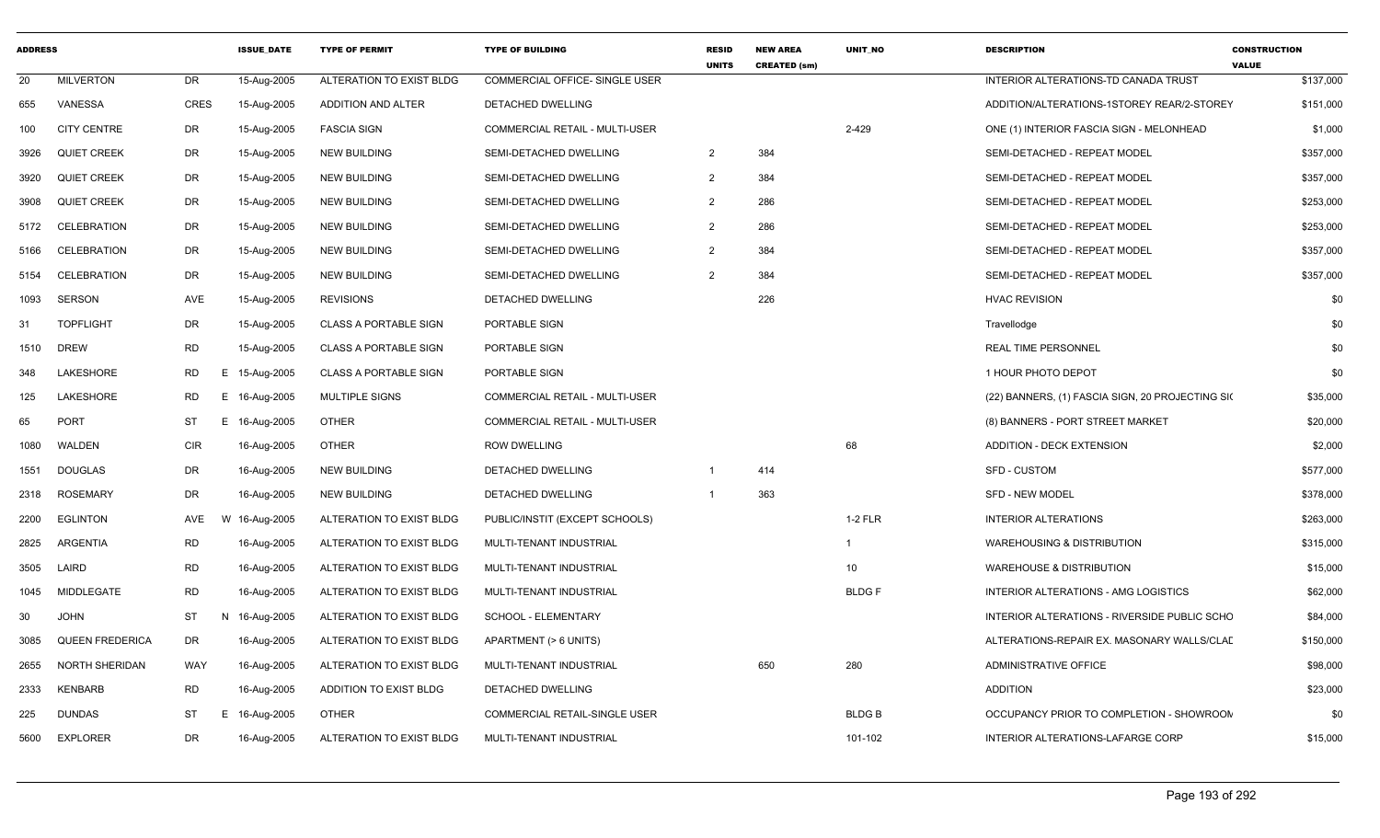| <b>ADDRESS</b> |                        |                 | <b>ISSUE DATE</b> | <b>TYPE OF PERMIT</b>        | <b>TYPE OF BUILDING</b>               | <b>RESID</b><br><b>UNITS</b> | <b>NEW AREA</b><br><b>CREATED (sm)</b> | <b>UNIT NO</b> | <b>DESCRIPTION</b>                               | <b>CONSTRUCTION</b><br><b>VALUE</b> |
|----------------|------------------------|-----------------|-------------------|------------------------------|---------------------------------------|------------------------------|----------------------------------------|----------------|--------------------------------------------------|-------------------------------------|
| 20             | <b>MILVERTON</b>       | DR              | 15-Aug-2005       | ALTERATION TO EXIST BLDG     | <b>COMMERCIAL OFFICE- SINGLE USER</b> |                              |                                        |                | INTERIOR ALTERATIONS-TD CANADA TRUST             | \$137,000                           |
| 655            | VANESSA                | <b>CRES</b>     | 15-Aug-2005       | ADDITION AND ALTER           | DETACHED DWELLING                     |                              |                                        |                | ADDITION/ALTERATIONS-1STOREY REAR/2-STOREY       | \$151,000                           |
| 100            | <b>CITY CENTRE</b>     | DR              | 15-Aug-2005       | <b>FASCIA SIGN</b>           | <b>COMMERCIAL RETAIL - MULTI-USER</b> |                              |                                        | 2-429          | ONE (1) INTERIOR FASCIA SIGN - MELONHEAD         | \$1,000                             |
| 3926           | <b>QUIET CREEK</b>     | DR              | 15-Aug-2005       | <b>NEW BUILDING</b>          | SEMI-DETACHED DWELLING                | $\overline{2}$               | 384                                    |                | SEMI-DETACHED - REPEAT MODEL                     | \$357,000                           |
| 3920           | <b>QUIET CREEK</b>     | DR              | 15-Aug-2005       | <b>NEW BUILDING</b>          | SEMI-DETACHED DWELLING                | $\overline{2}$               | 384                                    |                | SEMI-DETACHED - REPEAT MODEL                     | \$357,000                           |
| 3908           | <b>QUIET CREEK</b>     | DR              | 15-Aug-2005       | <b>NEW BUILDING</b>          | SEMI-DETACHED DWELLING                | $\overline{2}$               | 286                                    |                | SEMI-DETACHED - REPEAT MODEL                     | \$253,000                           |
| 5172           | CELEBRATION            | DR              | 15-Aug-2005       | <b>NEW BUILDING</b>          | SEMI-DETACHED DWELLING                | 2                            | 286                                    |                | SEMI-DETACHED - REPEAT MODEL                     | \$253,000                           |
| 5166           | <b>CELEBRATION</b>     | DR              | 15-Aug-2005       | <b>NEW BUILDING</b>          | SEMI-DETACHED DWELLING                | $\overline{2}$               | 384                                    |                | SEMI-DETACHED - REPEAT MODEL                     | \$357,000                           |
| 5154           | <b>CELEBRATION</b>     | DR              | 15-Aug-2005       | <b>NEW BUILDING</b>          | SEMI-DETACHED DWELLING                | 2                            | 384                                    |                | SEMI-DETACHED - REPEAT MODEL                     | \$357,000                           |
| 1093           | <b>SERSON</b>          | AVE             | 15-Aug-2005       | <b>REVISIONS</b>             | DETACHED DWELLING                     |                              | 226                                    |                | <b>HVAC REVISION</b>                             | \$0                                 |
| 31             | <b>TOPFLIGHT</b>       | DR              | 15-Aug-2005       | <b>CLASS A PORTABLE SIGN</b> | PORTABLE SIGN                         |                              |                                        |                | Travellodge                                      | \$0                                 |
| 1510           | <b>DREW</b>            | <b>RD</b>       | 15-Aug-2005       | <b>CLASS A PORTABLE SIGN</b> | PORTABLE SIGN                         |                              |                                        |                | <b>REAL TIME PERSONNEL</b>                       | \$0                                 |
| 348            | LAKESHORE              | RD              | E 15-Aug-2005     | <b>CLASS A PORTABLE SIGN</b> | PORTABLE SIGN                         |                              |                                        |                | 1 HOUR PHOTO DEPOT                               | \$0                                 |
| 125            | LAKESHORE              | <b>RD</b><br>E  | 16-Aug-2005       | MULTIPLE SIGNS               | COMMERCIAL RETAIL - MULTI-USER        |                              |                                        |                | (22) BANNERS, (1) FASCIA SIGN, 20 PROJECTING SIO | \$35,000                            |
| 65             | <b>PORT</b>            | <b>ST</b><br>Е. | 16-Aug-2005       | <b>OTHER</b>                 | COMMERCIAL RETAIL - MULTI-USER        |                              |                                        |                | (8) BANNERS - PORT STREET MARKET                 | \$20,000                            |
| 1080           | WALDEN                 | <b>CIR</b>      | 16-Aug-2005       | <b>OTHER</b>                 | <b>ROW DWELLING</b>                   |                              |                                        | 68             | <b>ADDITION - DECK EXTENSION</b>                 | \$2,000                             |
| 1551           | <b>DOUGLAS</b>         | DR              | 16-Aug-2005       | <b>NEW BUILDING</b>          | <b>DETACHED DWELLING</b>              | $\overline{\mathbf{1}}$      | 414                                    |                | <b>SFD - CUSTOM</b>                              | \$577,000                           |
| 2318           | <b>ROSEMARY</b>        | DR              | 16-Aug-2005       | <b>NEW BUILDING</b>          | DETACHED DWELLING                     | $\overline{1}$               | 363                                    |                | <b>SFD - NEW MODEL</b>                           | \$378,000                           |
| 2200           | <b>EGLINTON</b>        | AVE             | W 16-Aug-2005     | ALTERATION TO EXIST BLDG     | PUBLIC/INSTIT (EXCEPT SCHOOLS)        |                              |                                        | $1-2$ FLR      | INTERIOR ALTERATIONS                             | \$263,000                           |
| 2825           | ARGENTIA               | <b>RD</b>       | 16-Aug-2005       | ALTERATION TO EXIST BLDG     | MULTI-TENANT INDUSTRIAL               |                              |                                        | $\overline{1}$ | <b>WAREHOUSING &amp; DISTRIBUTION</b>            | \$315,000                           |
| 3505           | LAIRD                  | <b>RD</b>       | 16-Aug-2005       | ALTERATION TO EXIST BLDG     | MULTI-TENANT INDUSTRIAL               |                              |                                        | 10             | <b>WAREHOUSE &amp; DISTRIBUTION</b>              | \$15,000                            |
| 1045           | MIDDLEGATE             | <b>RD</b>       | 16-Aug-2005       | ALTERATION TO EXIST BLDG     | MULTI-TENANT INDUSTRIAL               |                              |                                        | <b>BLDGF</b>   | INTERIOR ALTERATIONS - AMG LOGISTICS             | \$62,000                            |
| 30             | <b>JOHN</b>            | ST              | N 16-Aug-2005     | ALTERATION TO EXIST BLDG     | SCHOOL - ELEMENTARY                   |                              |                                        |                | INTERIOR ALTERATIONS - RIVERSIDE PUBLIC SCHO     | \$84,000                            |
| 3085           | <b>QUEEN FREDERICA</b> | DR              | 16-Aug-2005       | ALTERATION TO EXIST BLDG     | APARTMENT (> 6 UNITS)                 |                              |                                        |                | ALTERATIONS-REPAIR EX. MASONARY WALLS/CLAD       | \$150,000                           |
| 2655           | NORTH SHERIDAN         | WAY             | 16-Aug-2005       | ALTERATION TO EXIST BLDG     | MULTI-TENANT INDUSTRIAL               |                              | 650                                    | 280            | ADMINISTRATIVE OFFICE                            | \$98,000                            |
| 2333           | <b>KENBARB</b>         | <b>RD</b>       | 16-Aug-2005       | ADDITION TO EXIST BLDG       | DETACHED DWELLING                     |                              |                                        |                | <b>ADDITION</b>                                  | \$23,000                            |
| 225            | <b>DUNDAS</b>          | ST<br>Е         | 16-Aug-2005       | <b>OTHER</b>                 | COMMERCIAL RETAIL-SINGLE USER         |                              |                                        | <b>BLDGB</b>   | OCCUPANCY PRIOR TO COMPLETION - SHOWROON         | \$0                                 |
| 5600           | <b>EXPLORER</b>        | DR              | 16-Aug-2005       | ALTERATION TO EXIST BLDG     | MULTI-TENANT INDUSTRIAL               |                              |                                        | 101-102        | INTERIOR ALTERATIONS-LAFARGE CORP                | \$15,000                            |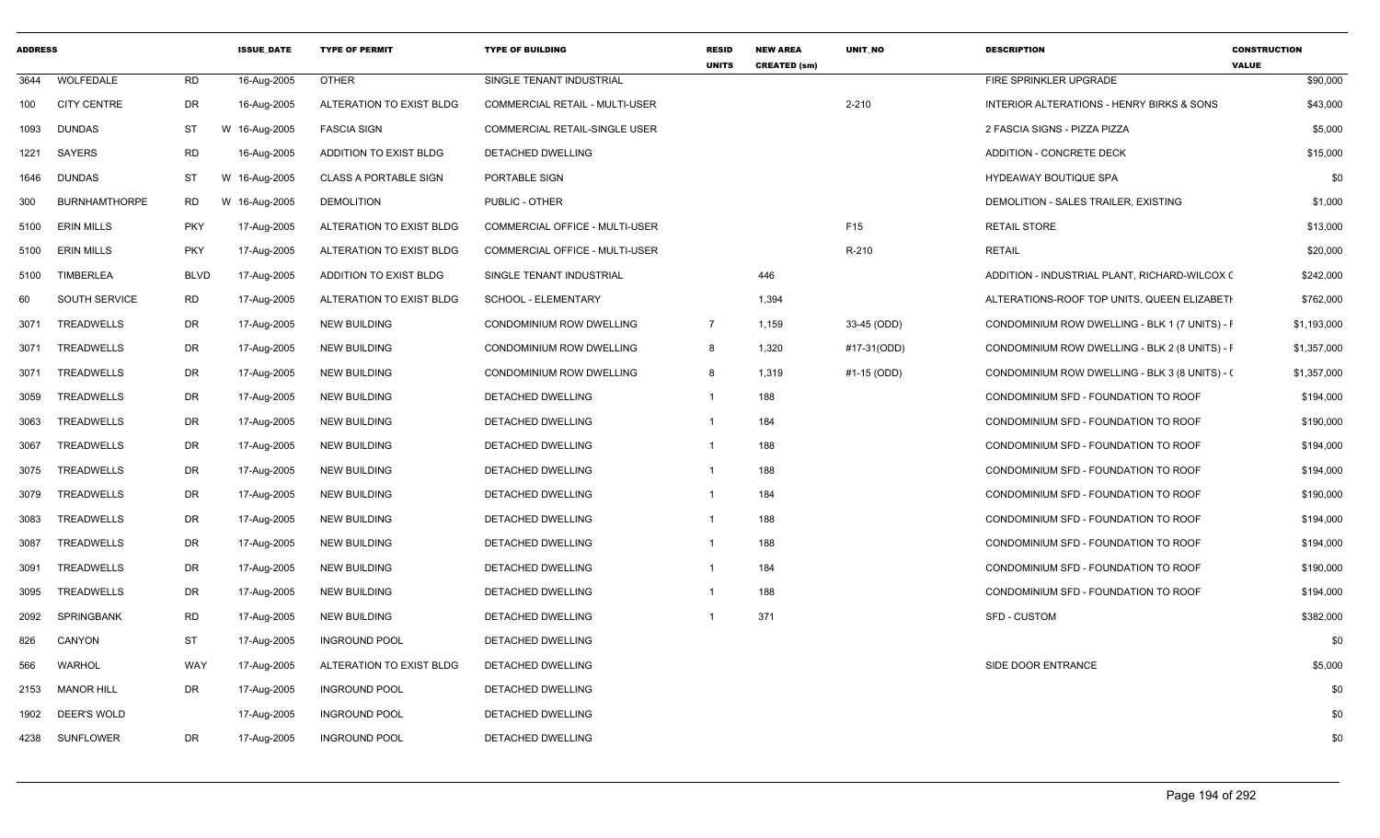| <b>ADDRESS</b> |                      |             | <b>ISSUE DATE</b> | <b>TYPE OF PERMIT</b>        | <b>TYPE OF BUILDING</b>               | <b>RESID</b><br><b>UNITS</b> | <b>NEW AREA</b><br><b>CREATED (sm)</b> | UNIT_NO     | <b>DESCRIPTION</b>                             | <b>CONSTRUCTION</b><br><b>VALUE</b> |
|----------------|----------------------|-------------|-------------------|------------------------------|---------------------------------------|------------------------------|----------------------------------------|-------------|------------------------------------------------|-------------------------------------|
| 3644           | WOLFEDALE            | <b>RD</b>   | 16-Aug-2005       | <b>OTHER</b>                 | SINGLE TENANT INDUSTRIAL              |                              |                                        |             | FIRE SPRINKLER UPGRADE                         | \$90,000                            |
| 100            | <b>CITY CENTRE</b>   | DR          | 16-Aug-2005       | ALTERATION TO EXIST BLDG     | <b>COMMERCIAL RETAIL - MULTI-USER</b> |                              |                                        | $2 - 210$   | INTERIOR ALTERATIONS - HENRY BIRKS & SONS      | \$43,000                            |
| 1093           | <b>DUNDAS</b>        | ST          | W 16-Aug-2005     | <b>FASCIA SIGN</b>           | <b>COMMERCIAL RETAIL-SINGLE USER</b>  |                              |                                        |             | 2 FASCIA SIGNS - PIZZA PIZZA                   | \$5,000                             |
| 1221           | SAYERS               | RD          | 16-Aug-2005       | ADDITION TO EXIST BLDG       | DETACHED DWELLING                     |                              |                                        |             | ADDITION - CONCRETE DECK                       | \$15,000                            |
| 1646           | DUNDAS               | ST          | W 16-Aug-2005     | <b>CLASS A PORTABLE SIGN</b> | PORTABLE SIGN                         |                              |                                        |             | <b>HYDEAWAY BOUTIQUE SPA</b>                   | \$0                                 |
| 300            | <b>BURNHAMTHORPE</b> | RD.         | W 16-Aug-2005     | <b>DEMOLITION</b>            | PUBLIC - OTHER                        |                              |                                        |             | DEMOLITION - SALES TRAILER, EXISTING           | \$1,000                             |
| 5100           | <b>ERIN MILLS</b>    | <b>PKY</b>  | 17-Aug-2005       | ALTERATION TO EXIST BLDG     | COMMERCIAL OFFICE - MULTI-USER        |                              |                                        | F15         | <b>RETAIL STORE</b>                            | \$13,000                            |
| 5100           | <b>ERIN MILLS</b>    | <b>PKY</b>  | 17-Aug-2005       | ALTERATION TO EXIST BLDG     | COMMERCIAL OFFICE - MULTI-USER        |                              |                                        | R-210       | <b>RETAIL</b>                                  | \$20,000                            |
| 5100           | TIMBERLEA            | <b>BLVD</b> | 17-Aug-2005       | ADDITION TO EXIST BLDG       | SINGLE TENANT INDUSTRIAL              |                              | 446                                    |             | ADDITION - INDUSTRIAL PLANT, RICHARD-WILCOX (  | \$242,000                           |
| 60             | <b>SOUTH SERVICE</b> | RD          | 17-Aug-2005       | ALTERATION TO EXIST BLDG     | SCHOOL - ELEMENTARY                   |                              | 1,394                                  |             | ALTERATIONS-ROOF TOP UNITS, QUEEN ELIZABETH    | \$762,000                           |
| 3071           | TREADWELLS           | DR          | 17-Aug-2005       | <b>NEW BUILDING</b>          | CONDOMINIUM ROW DWELLING              | $\overline{7}$               | 1,159                                  | 33-45 (ODD) | CONDOMINIUM ROW DWELLING - BLK 1 (7 UNITS) - F | \$1,193,000                         |
| 3071           | TREADWELLS           | DR          | 17-Aug-2005       | <b>NEW BUILDING</b>          | CONDOMINIUM ROW DWELLING              | 8                            | 1,320                                  | #17-31(ODD) | CONDOMINIUM ROW DWELLING - BLK 2 (8 UNITS) - F | \$1,357,000                         |
| 3071           | TREADWELLS           | DR          | 17-Aug-2005       | NEW BUILDING                 | CONDOMINIUM ROW DWELLING              | 8                            | 1,319                                  | #1-15 (ODD) | CONDOMINIUM ROW DWELLING - BLK 3 (8 UNITS) - ( | \$1,357,000                         |
| 3059           | TREADWELLS           | DR          | 17-Aug-2005       | NEW BUILDING                 | DETACHED DWELLING                     | $\mathbf{1}$                 | 188                                    |             | CONDOMINIUM SFD - FOUNDATION TO ROOF           | \$194,000                           |
| 3063           | TREADWELLS           | DR          | 17-Aug-2005       | <b>NEW BUILDING</b>          | DETACHED DWELLING                     | -1                           | 184                                    |             | CONDOMINIUM SFD - FOUNDATION TO ROOF           | \$190,000                           |
| 3067           | TREADWELLS           | DR          | 17-Aug-2005       | <b>NEW BUILDING</b>          | DETACHED DWELLING                     | -1                           | 188                                    |             | CONDOMINIUM SFD - FOUNDATION TO ROOF           | \$194,000                           |
| 3075           | TREADWELLS           | DR          | 17-Aug-2005       | <b>NEW BUILDING</b>          | DETACHED DWELLING                     | -1                           | 188                                    |             | CONDOMINIUM SFD - FOUNDATION TO ROOF           | \$194,000                           |
| 3079           | TREADWELLS           | DR          | 17-Aug-2005       | <b>NEW BUILDING</b>          | DETACHED DWELLING                     | -1                           | 184                                    |             | CONDOMINIUM SFD - FOUNDATION TO ROOF           | \$190,000                           |
| 3083           | TREADWELLS           | DR          | 17-Aug-2005       | <b>NEW BUILDING</b>          | DETACHED DWELLING                     | -1                           | 188                                    |             | CONDOMINIUM SFD - FOUNDATION TO ROOF           | \$194,000                           |
| 3087           | TREADWELLS           | DR          | 17-Aug-2005       | <b>NEW BUILDING</b>          | DETACHED DWELLING                     | -1                           | 188                                    |             | CONDOMINIUM SFD - FOUNDATION TO ROOF           | \$194,000                           |
| 3091           | TREADWELLS           | DR          | 17-Aug-2005       | NEW BUILDING                 | DETACHED DWELLING                     | -1                           | 184                                    |             | CONDOMINIUM SFD - FOUNDATION TO ROOF           | \$190,000                           |
| 3095           | TREADWELLS           | DR          | 17-Aug-2005       | NEW BUILDING                 | DETACHED DWELLING                     | -1                           | 188                                    |             | CONDOMINIUM SFD - FOUNDATION TO ROOF           | \$194,000                           |
| 2092           | SPRINGBANK           | <b>RD</b>   | 17-Aug-2005       | <b>NEW BUILDING</b>          | DETACHED DWELLING                     |                              | 371                                    |             | <b>SFD - CUSTOM</b>                            | \$382,000                           |
| 826            | CANYON               | <b>ST</b>   | 17-Aug-2005       | <b>INGROUND POOL</b>         | <b>DETACHED DWELLING</b>              |                              |                                        |             |                                                | \$0                                 |
| 566            | WARHOL               | WAY         | 17-Aug-2005       | ALTERATION TO EXIST BLDG     | DETACHED DWELLING                     |                              |                                        |             | SIDE DOOR ENTRANCE                             | \$5,000                             |
| 2153           | <b>MANOR HILL</b>    | DR          | 17-Aug-2005       | <b>INGROUND POOL</b>         | DETACHED DWELLING                     |                              |                                        |             |                                                | \$0                                 |
| 1902           | DEER'S WOLD          |             | 17-Aug-2005       | <b>INGROUND POOL</b>         | DETACHED DWELLING                     |                              |                                        |             |                                                | \$0                                 |
| 4238           | SUNFLOWER            | DR          | 17-Aug-2005       | <b>INGROUND POOL</b>         | DETACHED DWELLING                     |                              |                                        |             |                                                | \$0                                 |
|                |                      |             |                   |                              |                                       |                              |                                        |             |                                                |                                     |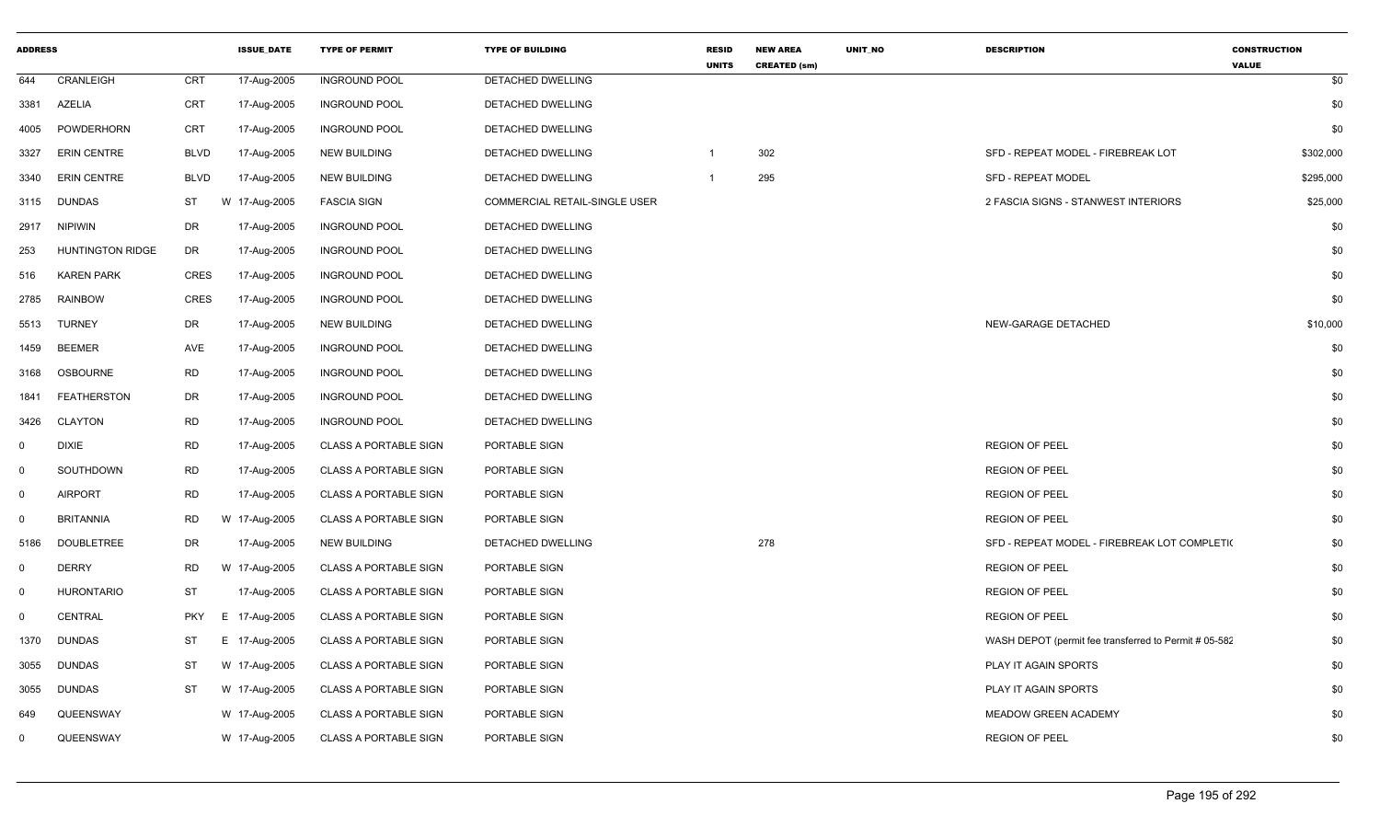| <b>ADDRESS</b> |                         |             | <b>ISSUE DATE</b> | <b>TYPE OF PERMIT</b>        | <b>TYPE OF BUILDING</b>       | <b>RESID</b><br><b>UNITS</b> | <b>NEW AREA</b><br><b>CREATED (sm)</b> | <b>UNIT NO</b> | <b>DESCRIPTION</b>                                    | <b>CONSTRUCTION</b><br><b>VALUE</b> |
|----------------|-------------------------|-------------|-------------------|------------------------------|-------------------------------|------------------------------|----------------------------------------|----------------|-------------------------------------------------------|-------------------------------------|
| 644            | CRANLEIGH               | <b>CRT</b>  | 17-Aug-2005       | <b>INGROUND POOL</b>         | DETACHED DWELLING             |                              |                                        |                |                                                       | \$0                                 |
| 3381           | <b>AZELIA</b>           | CRT         | 17-Aug-2005       | <b>INGROUND POOL</b>         | DETACHED DWELLING             |                              |                                        |                |                                                       | \$0                                 |
| 4005           | <b>POWDERHORN</b>       | <b>CRT</b>  | 17-Aug-2005       | <b>INGROUND POOL</b>         | DETACHED DWELLING             |                              |                                        |                |                                                       | \$0                                 |
| 3327           | <b>ERIN CENTRE</b>      | <b>BLVD</b> | 17-Aug-2005       | <b>NEW BUILDING</b>          | <b>DETACHED DWELLING</b>      | -1                           | 302                                    |                | SFD - REPEAT MODEL - FIREBREAK LOT                    | \$302,000                           |
| 3340           | <b>ERIN CENTRE</b>      | <b>BLVD</b> | 17-Aug-2005       | <b>NEW BUILDING</b>          | <b>DETACHED DWELLING</b>      | $\overline{1}$               | 295                                    |                | <b>SFD - REPEAT MODEL</b>                             | \$295,000                           |
| 3115           | <b>DUNDAS</b>           | ST          | W 17-Aug-2005     | <b>FASCIA SIGN</b>           | COMMERCIAL RETAIL-SINGLE USER |                              |                                        |                | 2 FASCIA SIGNS - STANWEST INTERIORS                   | \$25,000                            |
| 2917           | <b>NIPIWIN</b>          | DR          | 17-Aug-2005       | <b>INGROUND POOL</b>         | DETACHED DWELLING             |                              |                                        |                |                                                       | \$0                                 |
| 253            | <b>HUNTINGTON RIDGE</b> | DR          | 17-Aug-2005       | <b>INGROUND POOL</b>         | DETACHED DWELLING             |                              |                                        |                |                                                       | \$0                                 |
| 516            | <b>KAREN PARK</b>       | <b>CRES</b> | 17-Aug-2005       | <b>INGROUND POOL</b>         | DETACHED DWELLING             |                              |                                        |                |                                                       | \$0                                 |
| 2785           | <b>RAINBOW</b>          | <b>CRES</b> | 17-Aug-2005       | <b>INGROUND POOL</b>         | DETACHED DWELLING             |                              |                                        |                |                                                       | \$0                                 |
| 5513           | <b>TURNEY</b>           | DR          | 17-Aug-2005       | <b>NEW BUILDING</b>          | DETACHED DWELLING             |                              |                                        |                | NEW-GARAGE DETACHED                                   | \$10,000                            |
| 1459           | <b>BEEMER</b>           | AVE         | 17-Aug-2005       | <b>INGROUND POOL</b>         | DETACHED DWELLING             |                              |                                        |                |                                                       | \$0                                 |
| 3168           | <b>OSBOURNE</b>         | <b>RD</b>   | 17-Aug-2005       | <b>INGROUND POOL</b>         | DETACHED DWELLING             |                              |                                        |                |                                                       | \$0                                 |
| 1841           | <b>FEATHERSTON</b>      | DR          | 17-Aug-2005       | <b>INGROUND POOL</b>         | DETACHED DWELLING             |                              |                                        |                |                                                       | \$0                                 |
| 3426           | CLAYTON                 | RD          | 17-Aug-2005       | <b>INGROUND POOL</b>         | DETACHED DWELLING             |                              |                                        |                |                                                       | \$0                                 |
| $\mathbf 0$    | <b>DIXIE</b>            | <b>RD</b>   | 17-Aug-2005       | <b>CLASS A PORTABLE SIGN</b> | PORTABLE SIGN                 |                              |                                        |                | <b>REGION OF PEEL</b>                                 | \$0                                 |
| $\mathbf 0$    | SOUTHDOWN               | <b>RD</b>   | 17-Aug-2005       | <b>CLASS A PORTABLE SIGN</b> | PORTABLE SIGN                 |                              |                                        |                | <b>REGION OF PEEL</b>                                 | \$0                                 |
| $\mathbf 0$    | <b>AIRPORT</b>          | <b>RD</b>   | 17-Aug-2005       | <b>CLASS A PORTABLE SIGN</b> | PORTABLE SIGN                 |                              |                                        |                | <b>REGION OF PEEL</b>                                 | \$0                                 |
| $\mathbf 0$    | <b>BRITANNIA</b>        | <b>RD</b>   | W 17-Aug-2005     | <b>CLASS A PORTABLE SIGN</b> | PORTABLE SIGN                 |                              |                                        |                | <b>REGION OF PEEL</b>                                 | \$0                                 |
| 5186           | <b>DOUBLETREE</b>       | DR          | 17-Aug-2005       | <b>NEW BUILDING</b>          | DETACHED DWELLING             |                              | 278                                    |                | SFD - REPEAT MODEL - FIREBREAK LOT COMPLETI(          | \$0                                 |
| $\mathbf 0$    | <b>DERRY</b>            | <b>RD</b>   | W 17-Aug-2005     | <b>CLASS A PORTABLE SIGN</b> | PORTABLE SIGN                 |                              |                                        |                | <b>REGION OF PEEL</b>                                 | \$0                                 |
| $\mathbf 0$    | <b>HURONTARIO</b>       | ST          | 17-Aug-2005       | <b>CLASS A PORTABLE SIGN</b> | PORTABLE SIGN                 |                              |                                        |                | <b>REGION OF PEEL</b>                                 | \$0                                 |
| $\mathbf 0$    | <b>CENTRAL</b>          | <b>PKY</b>  | E 17-Aug-2005     | <b>CLASS A PORTABLE SIGN</b> | PORTABLE SIGN                 |                              |                                        |                | <b>REGION OF PEEL</b>                                 | \$0                                 |
| 1370           | DUNDAS                  | ST          | E 17-Aug-2005     | <b>CLASS A PORTABLE SIGN</b> | PORTABLE SIGN                 |                              |                                        |                | WASH DEPOT (permit fee transferred to Permit # 05-582 | \$0                                 |
| 3055           | <b>DUNDAS</b>           | <b>ST</b>   | W 17-Aug-2005     | <b>CLASS A PORTABLE SIGN</b> | PORTABLE SIGN                 |                              |                                        |                | PLAY IT AGAIN SPORTS                                  | \$0                                 |
| 3055           | <b>DUNDAS</b>           | ST          | W 17-Aug-2005     | <b>CLASS A PORTABLE SIGN</b> | PORTABLE SIGN                 |                              |                                        |                | PLAY IT AGAIN SPORTS                                  | \$0                                 |
| 649            | QUEENSWAY               |             | W 17-Aug-2005     | <b>CLASS A PORTABLE SIGN</b> | PORTABLE SIGN                 |                              |                                        |                | MEADOW GREEN ACADEMY                                  | \$0                                 |
| $\mathbf{0}$   | QUEENSWAY               |             | W 17-Aug-2005     | <b>CLASS A PORTABLE SIGN</b> | PORTABLE SIGN                 |                              |                                        |                | <b>REGION OF PEEL</b>                                 | \$0                                 |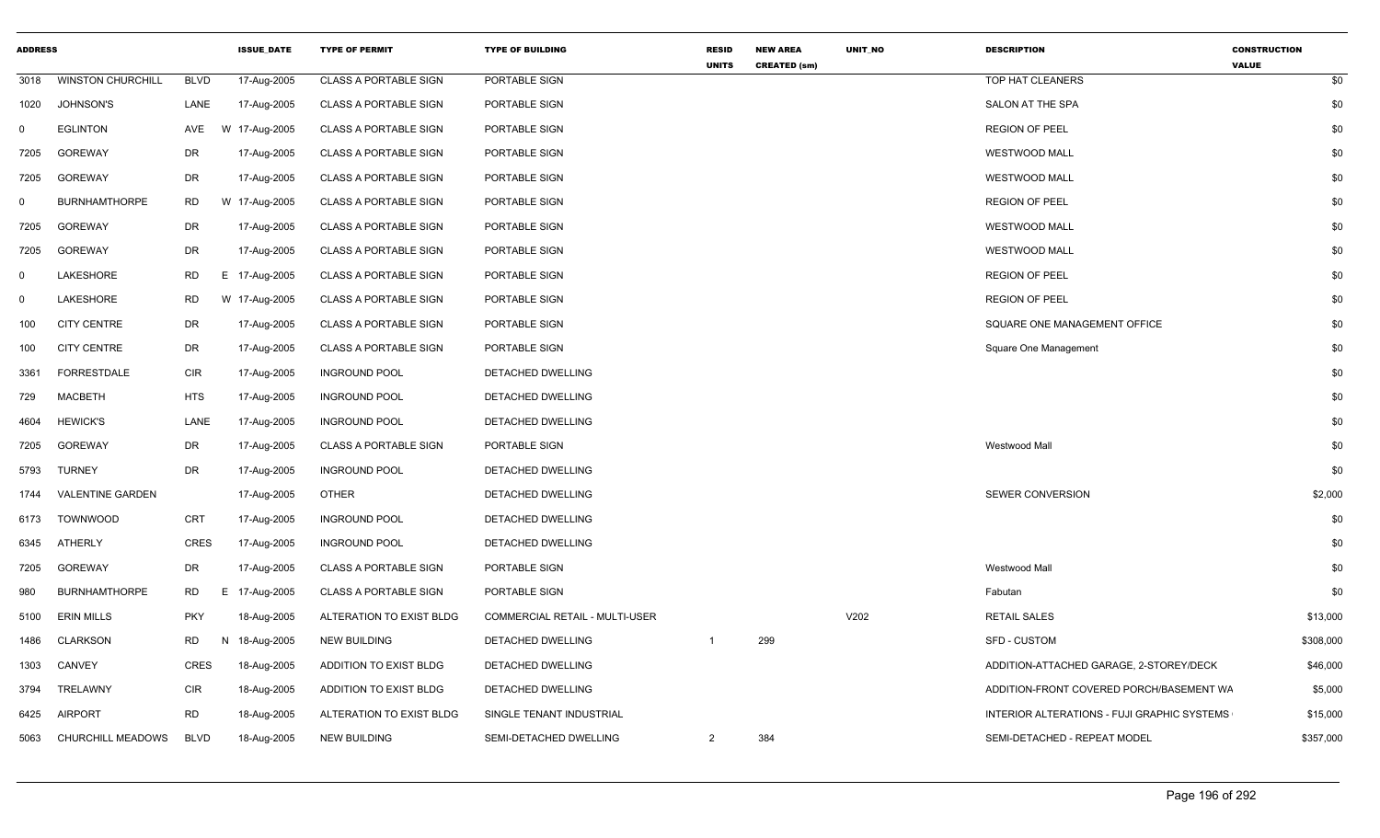| <b>ADDRESS</b> |                          |             | <b>ISSUE_DATE</b> | <b>TYPE OF PERMIT</b>        | <b>TYPE OF BUILDING</b>        | <b>RESID</b><br><b>UNITS</b> | <b>NEW AREA</b><br><b>CREATED (sm)</b> | UNIT_NO | <b>DESCRIPTION</b>                          | <b>CONSTRUCTION</b><br><b>VALUE</b> |
|----------------|--------------------------|-------------|-------------------|------------------------------|--------------------------------|------------------------------|----------------------------------------|---------|---------------------------------------------|-------------------------------------|
| 3018           | <b>WINSTON CHURCHILL</b> | <b>BLVD</b> | 17-Aug-2005       | <b>CLASS A PORTABLE SIGN</b> | PORTABLE SIGN                  |                              |                                        |         | TOP HAT CLEANERS                            | \$0                                 |
| 1020           | <b>JOHNSON'S</b>         | LANE        | 17-Aug-2005       | <b>CLASS A PORTABLE SIGN</b> | PORTABLE SIGN                  |                              |                                        |         | SALON AT THE SPA                            | \$0                                 |
| $\Omega$       | <b>EGLINTON</b>          | AVE         | W 17-Aug-2005     | <b>CLASS A PORTABLE SIGN</b> | PORTABLE SIGN                  |                              |                                        |         | <b>REGION OF PEEL</b>                       | \$0                                 |
| 7205           | <b>GOREWAY</b>           | DR          | 17-Aug-2005       | <b>CLASS A PORTABLE SIGN</b> | PORTABLE SIGN                  |                              |                                        |         | <b>WESTWOOD MALL</b>                        | \$0                                 |
| 7205           | <b>GOREWAY</b>           | DR          | 17-Aug-2005       | <b>CLASS A PORTABLE SIGN</b> | PORTABLE SIGN                  |                              |                                        |         | <b>WESTWOOD MALL</b>                        | \$0                                 |
| $\Omega$       | <b>BURNHAMTHORPE</b>     | <b>RD</b>   | W 17-Aug-2005     | <b>CLASS A PORTABLE SIGN</b> | PORTABLE SIGN                  |                              |                                        |         | <b>REGION OF PEEL</b>                       | \$0                                 |
| 7205           | GOREWAY                  | DR          | 17-Aug-2005       | <b>CLASS A PORTABLE SIGN</b> | PORTABLE SIGN                  |                              |                                        |         | <b>WESTWOOD MALL</b>                        | \$0                                 |
| 7205           | <b>GOREWAY</b>           | DR          | 17-Aug-2005       | <b>CLASS A PORTABLE SIGN</b> | PORTABLE SIGN                  |                              |                                        |         | <b>WESTWOOD MALL</b>                        | \$0                                 |
| $\mathbf 0$    | LAKESHORE                | <b>RD</b>   | E 17-Aug-2005     | <b>CLASS A PORTABLE SIGN</b> | PORTABLE SIGN                  |                              |                                        |         | <b>REGION OF PEEL</b>                       | \$0                                 |
| $\Omega$       | LAKESHORE                | <b>RD</b>   | W 17-Aug-2005     | <b>CLASS A PORTABLE SIGN</b> | PORTABLE SIGN                  |                              |                                        |         | <b>REGION OF PEEL</b>                       | \$0                                 |
| 100            | <b>CITY CENTRE</b>       | DR          | 17-Aug-2005       | <b>CLASS A PORTABLE SIGN</b> | PORTABLE SIGN                  |                              |                                        |         | SQUARE ONE MANAGEMENT OFFICE                | \$0                                 |
| 100            | <b>CITY CENTRE</b>       | DR          | 17-Aug-2005       | <b>CLASS A PORTABLE SIGN</b> | PORTABLE SIGN                  |                              |                                        |         | Square One Management                       | \$0                                 |
| 3361           | <b>FORRESTDALE</b>       | <b>CIR</b>  | 17-Aug-2005       | <b>INGROUND POOL</b>         | DETACHED DWELLING              |                              |                                        |         |                                             | \$0                                 |
| 729            | <b>MACBETH</b>           | <b>HTS</b>  | 17-Aug-2005       | <b>INGROUND POOL</b>         | DETACHED DWELLING              |                              |                                        |         |                                             | \$0                                 |
| 4604           | <b>HEWICK'S</b>          | LANE        | 17-Aug-2005       | <b>INGROUND POOL</b>         | DETACHED DWELLING              |                              |                                        |         |                                             | \$0                                 |
| 7205           | <b>GOREWAY</b>           | DR          | 17-Aug-2005       | <b>CLASS A PORTABLE SIGN</b> | PORTABLE SIGN                  |                              |                                        |         | Westwood Mall                               | \$0                                 |
| 5793           | <b>TURNEY</b>            | DR          | 17-Aug-2005       | <b>INGROUND POOL</b>         | DETACHED DWELLING              |                              |                                        |         |                                             | \$0                                 |
| 1744           | <b>VALENTINE GARDEN</b>  |             | 17-Aug-2005       | <b>OTHER</b>                 | DETACHED DWELLING              |                              |                                        |         | SEWER CONVERSION                            | \$2,000                             |
| 6173           | <b>TOWNWOOD</b>          | CRT         | 17-Aug-2005       | <b>INGROUND POOL</b>         | DETACHED DWELLING              |                              |                                        |         |                                             | \$0                                 |
| 6345           | ATHERLY                  | <b>CRES</b> | 17-Aug-2005       | <b>INGROUND POOL</b>         | DETACHED DWELLING              |                              |                                        |         |                                             | \$0                                 |
| 7205           | GOREWAY                  | DR          | 17-Aug-2005       | <b>CLASS A PORTABLE SIGN</b> | PORTABLE SIGN                  |                              |                                        |         | Westwood Mall                               | \$0                                 |
| 980            | <b>BURNHAMTHORPE</b>     | RD          | E 17-Aug-2005     | <b>CLASS A PORTABLE SIGN</b> | PORTABLE SIGN                  |                              |                                        |         | Fabutan                                     | \$0                                 |
| 5100           | <b>ERIN MILLS</b>        | <b>PKY</b>  | 18-Aug-2005       | ALTERATION TO EXIST BLDG     | COMMERCIAL RETAIL - MULTI-USER |                              |                                        | V202    | <b>RETAIL SALES</b>                         | \$13,000                            |
| 1486           | <b>CLARKSON</b>          | RD          | N<br>18-Aug-2005  | NEW BUILDING                 | DETACHED DWELLING              |                              | 299                                    |         | SFD - CUSTOM                                | \$308,000                           |
| 1303           | CANVEY                   | <b>CRES</b> | 18-Aug-2005       | ADDITION TO EXIST BLDG       | DETACHED DWELLING              |                              |                                        |         | ADDITION-ATTACHED GARAGE, 2-STOREY/DECK     | \$46,000                            |
| 3794           | TRELAWNY                 | <b>CIR</b>  | 18-Aug-2005       | ADDITION TO EXIST BLDG       | DETACHED DWELLING              |                              |                                        |         | ADDITION-FRONT COVERED PORCH/BASEMENT WA    | \$5,000                             |
| 6425           | <b>AIRPORT</b>           | <b>RD</b>   | 18-Aug-2005       | ALTERATION TO EXIST BLDG     | SINGLE TENANT INDUSTRIAL       |                              |                                        |         | INTERIOR ALTERATIONS - FUJI GRAPHIC SYSTEMS | \$15,000                            |
| 5063           | CHURCHILL MEADOWS        | <b>BLVD</b> | 18-Aug-2005       | <b>NEW BUILDING</b>          | SEMI-DETACHED DWELLING         | $\overline{2}$               | 384                                    |         | SEMI-DETACHED - REPEAT MODEL                | \$357,000                           |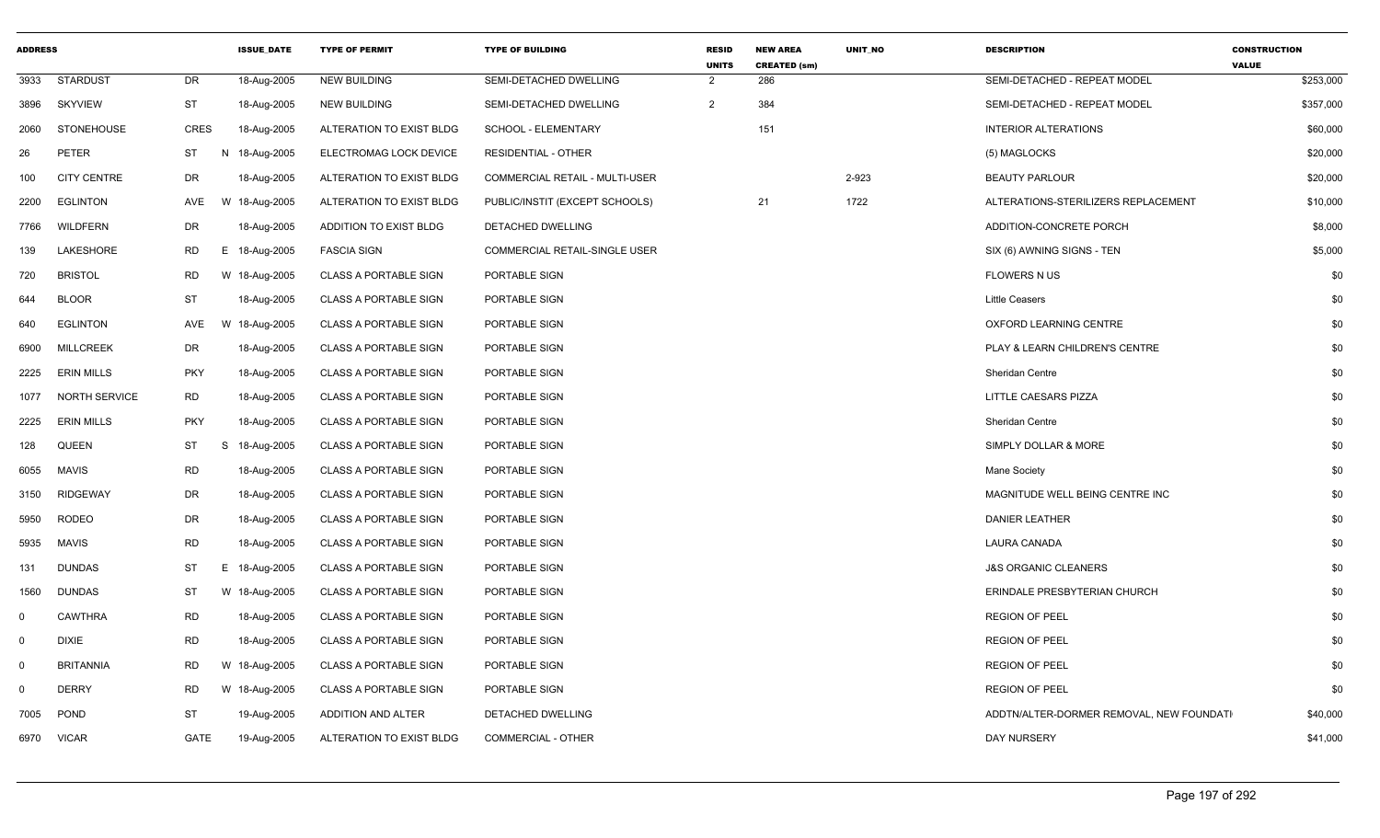| <b>ADDRESS</b> |                    |             | <b>ISSUE DATE</b> | <b>TYPE OF PERMIT</b>        | <b>TYPE OF BUILDING</b>        | <b>RESID</b><br><b>UNITS</b> | <b>NEW AREA</b><br><b>CREATED (sm)</b> | <b>UNIT NO</b> | <b>DESCRIPTION</b>                       | <b>CONSTRUCTION</b><br><b>VALUE</b> |
|----------------|--------------------|-------------|-------------------|------------------------------|--------------------------------|------------------------------|----------------------------------------|----------------|------------------------------------------|-------------------------------------|
| 3933           | <b>STARDUST</b>    | DR          | 18-Aug-2005       | <b>NEW BUILDING</b>          | SEMI-DETACHED DWELLING         | $\overline{2}$               | 286                                    |                | SEMI-DETACHED - REPEAT MODEL             | \$253,000                           |
| 3896           | <b>SKYVIEW</b>     | <b>ST</b>   | 18-Aug-2005       | <b>NEW BUILDING</b>          | SEMI-DETACHED DWELLING         | $\overline{2}$               | 384                                    |                | SEMI-DETACHED - REPEAT MODEL             | \$357,000                           |
| 2060           | <b>STONEHOUSE</b>  | <b>CRES</b> | 18-Aug-2005       | ALTERATION TO EXIST BLDG     | SCHOOL - ELEMENTARY            |                              | 151                                    |                | <b>INTERIOR ALTERATIONS</b>              | \$60,000                            |
| 26             | <b>PETER</b>       | ST          | N 18-Aug-2005     | ELECTROMAG LOCK DEVICE       | <b>RESIDENTIAL - OTHER</b>     |                              |                                        |                | (5) MAGLOCKS                             | \$20,000                            |
| 100            | <b>CITY CENTRE</b> | DR          | 18-Aug-2005       | ALTERATION TO EXIST BLDG     | COMMERCIAL RETAIL - MULTI-USER |                              |                                        | 2-923          | <b>BEAUTY PARLOUR</b>                    | \$20,000                            |
| 2200           | <b>EGLINTON</b>    | AVE         | W 18-Aug-2005     | ALTERATION TO EXIST BLDG     | PUBLIC/INSTIT (EXCEPT SCHOOLS) |                              | 21                                     | 1722           | ALTERATIONS-STERILIZERS REPLACEMENT      | \$10,000                            |
| 7766           | WILDFERN           | DR          | 18-Aug-2005       | ADDITION TO EXIST BLDG       | DETACHED DWELLING              |                              |                                        |                | ADDITION-CONCRETE PORCH                  | \$8,000                             |
| 139            | LAKESHORE          | <b>RD</b>   | E 18-Aug-2005     | <b>FASCIA SIGN</b>           | COMMERCIAL RETAIL-SINGLE USER  |                              |                                        |                | SIX (6) AWNING SIGNS - TEN               | \$5,000                             |
| 720            | <b>BRISTOL</b>     | <b>RD</b>   | W 18-Aug-2005     | <b>CLASS A PORTABLE SIGN</b> | PORTABLE SIGN                  |                              |                                        |                | <b>FLOWERS N US</b>                      | \$0                                 |
| 644            | <b>BLOOR</b>       | <b>ST</b>   | 18-Aug-2005       | <b>CLASS A PORTABLE SIGN</b> | PORTABLE SIGN                  |                              |                                        |                | <b>Little Ceasers</b>                    | \$0                                 |
| 640            | <b>EGLINTON</b>    | AVE         | W 18-Aug-2005     | <b>CLASS A PORTABLE SIGN</b> | PORTABLE SIGN                  |                              |                                        |                | OXFORD LEARNING CENTRE                   | \$0                                 |
| 6900           | <b>MILLCREEK</b>   | DR          | 18-Aug-2005       | <b>CLASS A PORTABLE SIGN</b> | PORTABLE SIGN                  |                              |                                        |                | PLAY & LEARN CHILDREN'S CENTRE           | \$0                                 |
| 2225           | <b>ERIN MILLS</b>  | <b>PKY</b>  | 18-Aug-2005       | <b>CLASS A PORTABLE SIGN</b> | PORTABLE SIGN                  |                              |                                        |                | Sheridan Centre                          | \$0                                 |
| 1077           | NORTH SERVICE      | <b>RD</b>   | 18-Aug-2005       | <b>CLASS A PORTABLE SIGN</b> | PORTABLE SIGN                  |                              |                                        |                | <b>LITTLE CAESARS PIZZA</b>              | \$0                                 |
| 2225           | <b>ERIN MILLS</b>  | <b>PKY</b>  | 18-Aug-2005       | <b>CLASS A PORTABLE SIGN</b> | PORTABLE SIGN                  |                              |                                        |                | <b>Sheridan Centre</b>                   | \$0                                 |
| 128            | QUEEN              | ST          | S<br>18-Aug-2005  | <b>CLASS A PORTABLE SIGN</b> | PORTABLE SIGN                  |                              |                                        |                | SIMPLY DOLLAR & MORE                     | \$0                                 |
| 6055           | MAVIS              | <b>RD</b>   | 18-Aug-2005       | <b>CLASS A PORTABLE SIGN</b> | PORTABLE SIGN                  |                              |                                        |                | Mane Society                             | \$0                                 |
| 3150           | <b>RIDGEWAY</b>    | <b>DR</b>   | 18-Aug-2005       | <b>CLASS A PORTABLE SIGN</b> | PORTABLE SIGN                  |                              |                                        |                | MAGNITUDE WELL BEING CENTRE INC          | \$0                                 |
| 5950           | <b>RODEO</b>       | <b>DR</b>   | 18-Aug-2005       | <b>CLASS A PORTABLE SIGN</b> | PORTABLE SIGN                  |                              |                                        |                | <b>DANIER LEATHER</b>                    | \$0                                 |
| 5935           | <b>MAVIS</b>       | <b>RD</b>   | 18-Aug-2005       | <b>CLASS A PORTABLE SIGN</b> | PORTABLE SIGN                  |                              |                                        |                | <b>LAURA CANADA</b>                      | \$0                                 |
| 131            | <b>DUNDAS</b>      | ST          | E.<br>18-Aug-2005 | <b>CLASS A PORTABLE SIGN</b> | PORTABLE SIGN                  |                              |                                        |                | <b>J&amp;S ORGANIC CLEANERS</b>          | \$0                                 |
| 1560           | <b>DUNDAS</b>      | ST          | W 18-Aug-2005     | <b>CLASS A PORTABLE SIGN</b> | PORTABLE SIGN                  |                              |                                        |                | ERINDALE PRESBYTERIAN CHURCH             | \$0                                 |
| $\mathbf 0$    | <b>CAWTHRA</b>     | <b>RD</b>   | 18-Aug-2005       | <b>CLASS A PORTABLE SIGN</b> | PORTABLE SIGN                  |                              |                                        |                | <b>REGION OF PEEL</b>                    | \$0                                 |
| $\mathbf 0$    | <b>DIXIE</b>       | RD          | 18-Aug-2005       | <b>CLASS A PORTABLE SIGN</b> | PORTABLE SIGN                  |                              |                                        |                | <b>REGION OF PEEL</b>                    | \$0                                 |
| $\Omega$       | <b>BRITANNIA</b>   | <b>RD</b>   | W 18-Aug-2005     | <b>CLASS A PORTABLE SIGN</b> | PORTABLE SIGN                  |                              |                                        |                | <b>REGION OF PEEL</b>                    | \$0                                 |
| $\mathbf 0$    | <b>DERRY</b>       | <b>RD</b>   | W 18-Aug-2005     | <b>CLASS A PORTABLE SIGN</b> | PORTABLE SIGN                  |                              |                                        |                | <b>REGION OF PEEL</b>                    | \$0                                 |
| 7005           | <b>POND</b>        | <b>ST</b>   | 19-Aug-2005       | ADDITION AND ALTER           | DETACHED DWELLING              |                              |                                        |                | ADDTN/ALTER-DORMER REMOVAL, NEW FOUNDATI | \$40,000                            |
|                | 6970 VICAR         | GATE        | 19-Aug-2005       | ALTERATION TO EXIST BLDG     | COMMERCIAL - OTHER             |                              |                                        |                | DAY NURSERY                              | \$41,000                            |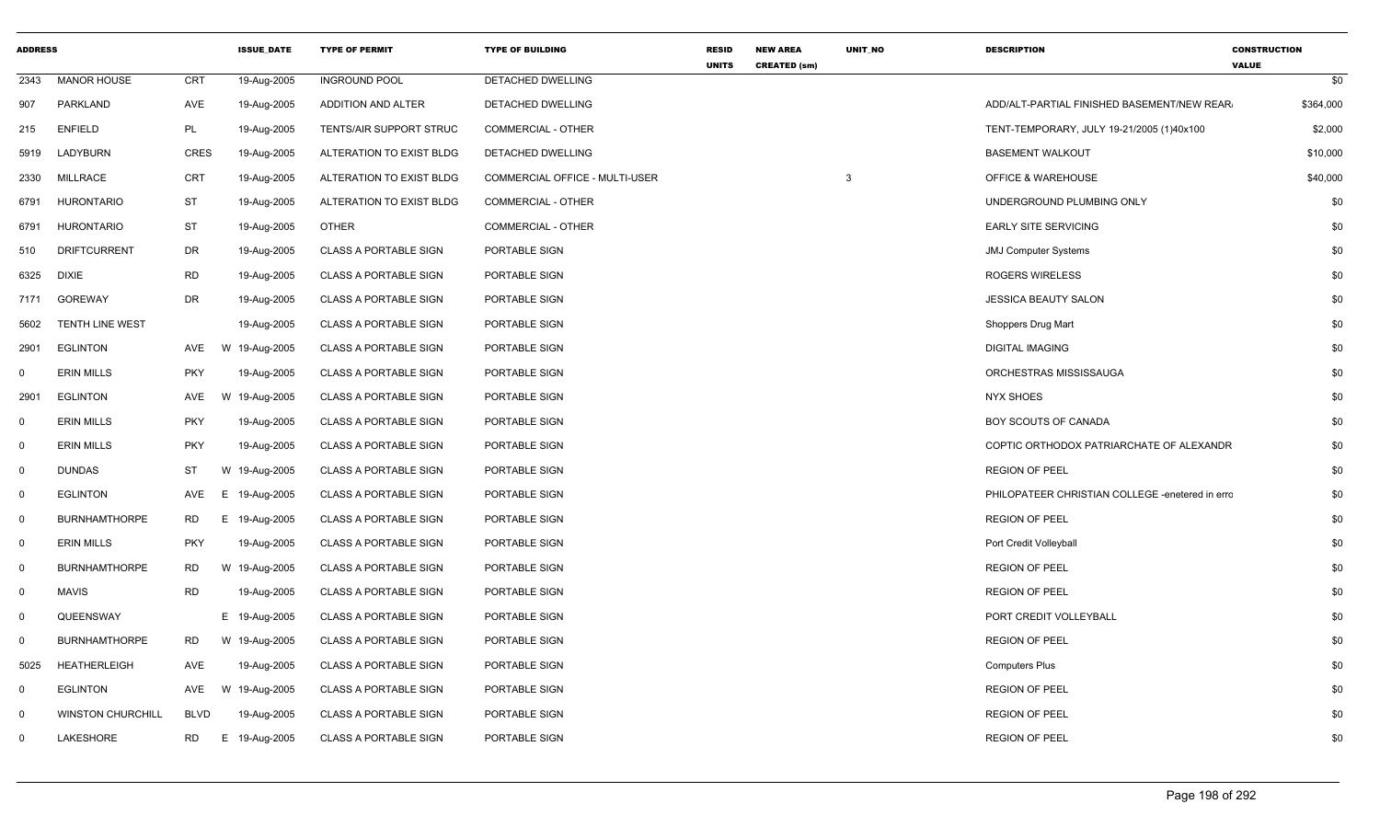| <b>ADDRESS</b> |                          |            | <b>ISSUE_DATE</b> | <b>TYPE OF PERMIT</b>        | <b>TYPE OF BUILDING</b>        | <b>RESID</b><br><b>UNITS</b> | <b>NEW AREA</b><br><b>CREATED (sm)</b> | UNIT_NO | <b>DESCRIPTION</b>                              | <b>CONSTRUCTION</b><br><b>VALUE</b> |           |
|----------------|--------------------------|------------|-------------------|------------------------------|--------------------------------|------------------------------|----------------------------------------|---------|-------------------------------------------------|-------------------------------------|-----------|
| 2343           | <b>MANOR HOUSE</b>       | CRT        | 19-Aug-2005       | <b>INGROUND POOL</b>         | DETACHED DWELLING              |                              |                                        |         |                                                 |                                     | \$0       |
| 907            | PARKLAND                 | AVE        | 19-Aug-2005       | <b>ADDITION AND ALTER</b>    | DETACHED DWELLING              |                              |                                        |         | ADD/ALT-PARTIAL FINISHED BASEMENT/NEW REAR.     |                                     | \$364,000 |
| 215            | <b>ENFIELD</b>           | PL         | 19-Aug-2005       | TENTS/AIR SUPPORT STRUC      | <b>COMMERCIAL - OTHER</b>      |                              |                                        |         | TENT-TEMPORARY, JULY 19-21/2005 (1)40x100       |                                     | \$2,000   |
| 5919           | LADYBURN                 | CRES       | 19-Aug-2005       | ALTERATION TO EXIST BLDG     | DETACHED DWELLING              |                              |                                        |         | <b>BASEMENT WALKOUT</b>                         |                                     | \$10,000  |
| 2330           | MILLRACE                 | <b>CRT</b> | 19-Aug-2005       | ALTERATION TO EXIST BLDG     | COMMERCIAL OFFICE - MULTI-USER |                              |                                        | 3       | OFFICE & WAREHOUSE                              |                                     | \$40,000  |
| 6791           | <b>HURONTARIO</b>        | ST         | 19-Aug-2005       | ALTERATION TO EXIST BLDG     | <b>COMMERCIAL - OTHER</b>      |                              |                                        |         | UNDERGROUND PLUMBING ONLY                       |                                     | \$0       |
| 6791           | <b>HURONTARIO</b>        | ST         | 19-Aug-2005       | <b>OTHER</b>                 | COMMERCIAL - OTHER             |                              |                                        |         | <b>EARLY SITE SERVICING</b>                     |                                     | \$0       |
| 510            | <b>DRIFTCURRENT</b>      | DR         | 19-Aug-2005       | <b>CLASS A PORTABLE SIGN</b> | PORTABLE SIGN                  |                              |                                        |         | JMJ Computer Systems                            |                                     | \$0       |
| 6325           | <b>DIXIE</b>             | <b>RD</b>  | 19-Aug-2005       | <b>CLASS A PORTABLE SIGN</b> | PORTABLE SIGN                  |                              |                                        |         | ROGERS WIRELESS                                 |                                     | \$0       |
| 7171           | <b>GOREWAY</b>           | DR         | 19-Aug-2005       | <b>CLASS A PORTABLE SIGN</b> | PORTABLE SIGN                  |                              |                                        |         | <b>JESSICA BEAUTY SALON</b>                     |                                     | \$0       |
| 5602           | TENTH LINE WEST          |            | 19-Aug-2005       | <b>CLASS A PORTABLE SIGN</b> | PORTABLE SIGN                  |                              |                                        |         | Shoppers Drug Mart                              |                                     | \$0       |
| 2901           | <b>EGLINTON</b>          | AVE        | W 19-Aug-2005     | <b>CLASS A PORTABLE SIGN</b> | PORTABLE SIGN                  |                              |                                        |         | <b>DIGITAL IMAGING</b>                          |                                     | \$0       |
| $^{\circ}$     | <b>ERIN MILLS</b>        | PKY        | 19-Aug-2005       | <b>CLASS A PORTABLE SIGN</b> | PORTABLE SIGN                  |                              |                                        |         | ORCHESTRAS MISSISSAUGA                          |                                     | \$0       |
| 2901           | <b>EGLINTON</b>          | AVE        | W 19-Aug-2005     | <b>CLASS A PORTABLE SIGN</b> | PORTABLE SIGN                  |                              |                                        |         | <b>NYX SHOES</b>                                |                                     | \$0       |
| $\mathbf 0$    | <b>ERIN MILLS</b>        | PKY        | 19-Aug-2005       | <b>CLASS A PORTABLE SIGN</b> | PORTABLE SIGN                  |                              |                                        |         | BOY SCOUTS OF CANADA                            |                                     | \$0       |
| $\Omega$       | <b>ERIN MILLS</b>        | <b>PKY</b> | 19-Aug-2005       | <b>CLASS A PORTABLE SIGN</b> | PORTABLE SIGN                  |                              |                                        |         | COPTIC ORTHODOX PATRIARCHATE OF ALEXANDR        |                                     | \$0       |
| $\mathbf 0$    | <b>DUNDAS</b>            | ST         | W 19-Aug-2005     | <b>CLASS A PORTABLE SIGN</b> | PORTABLE SIGN                  |                              |                                        |         | <b>REGION OF PEEL</b>                           |                                     | \$0       |
| $\mathbf 0$    | <b>EGLINTON</b>          | AVE        | E 19-Aug-2005     | <b>CLASS A PORTABLE SIGN</b> | PORTABLE SIGN                  |                              |                                        |         | PHILOPATEER CHRISTIAN COLLEGE -enetered in erro |                                     | \$0       |
| $\Omega$       | <b>BURNHAMTHORPE</b>     | RD         | E 19-Aug-2005     | <b>CLASS A PORTABLE SIGN</b> | PORTABLE SIGN                  |                              |                                        |         | <b>REGION OF PEEL</b>                           |                                     | \$0       |
| $\mathbf 0$    | <b>ERIN MILLS</b>        | <b>PKY</b> | 19-Aug-2005       | <b>CLASS A PORTABLE SIGN</b> | PORTABLE SIGN                  |                              |                                        |         | Port Credit Volleyball                          |                                     | \$0       |
| $\Omega$       | <b>BURNHAMTHORPE</b>     | RD         | W 19-Aug-2005     | <b>CLASS A PORTABLE SIGN</b> | PORTABLE SIGN                  |                              |                                        |         | <b>REGION OF PEEL</b>                           |                                     | \$0       |
| $\mathbf 0$    | <b>MAVIS</b>             | RD         | 19-Aug-2005       | <b>CLASS A PORTABLE SIGN</b> | PORTABLE SIGN                  |                              |                                        |         | <b>REGION OF PEEL</b>                           |                                     | \$0       |
| $\mathbf 0$    | QUEENSWAY                |            | E 19-Aug-2005     | <b>CLASS A PORTABLE SIGN</b> | PORTABLE SIGN                  |                              |                                        |         | PORT CREDIT VOLLEYBALL                          |                                     | \$0       |
| $\mathbf 0$    | <b>BURNHAMTHORPE</b>     | RD         | W 19-Aug-2005     | <b>CLASS A PORTABLE SIGN</b> | PORTABLE SIGN                  |                              |                                        |         | <b>REGION OF PEEL</b>                           |                                     | \$0       |
| 5025           | <b>HEATHERLEIGH</b>      | AVE        | 19-Aug-2005       | <b>CLASS A PORTABLE SIGN</b> | PORTABLE SIGN                  |                              |                                        |         | <b>Computers Plus</b>                           |                                     | \$0       |
| $\Omega$       | <b>EGLINTON</b>          | AVE        | W 19-Aug-2005     | <b>CLASS A PORTABLE SIGN</b> | PORTABLE SIGN                  |                              |                                        |         | <b>REGION OF PEEL</b>                           |                                     | \$0       |
| $\Omega$       | <b>WINSTON CHURCHILL</b> | BLVD       | 19-Aug-2005       | <b>CLASS A PORTABLE SIGN</b> | PORTABLE SIGN                  |                              |                                        |         | <b>REGION OF PEEL</b>                           |                                     | \$0       |
| $\Omega$       | LAKESHORE                | <b>RD</b>  | E 19-Aug-2005     | <b>CLASS A PORTABLE SIGN</b> | PORTABLE SIGN                  |                              |                                        |         | <b>REGION OF PEEL</b>                           |                                     | \$0       |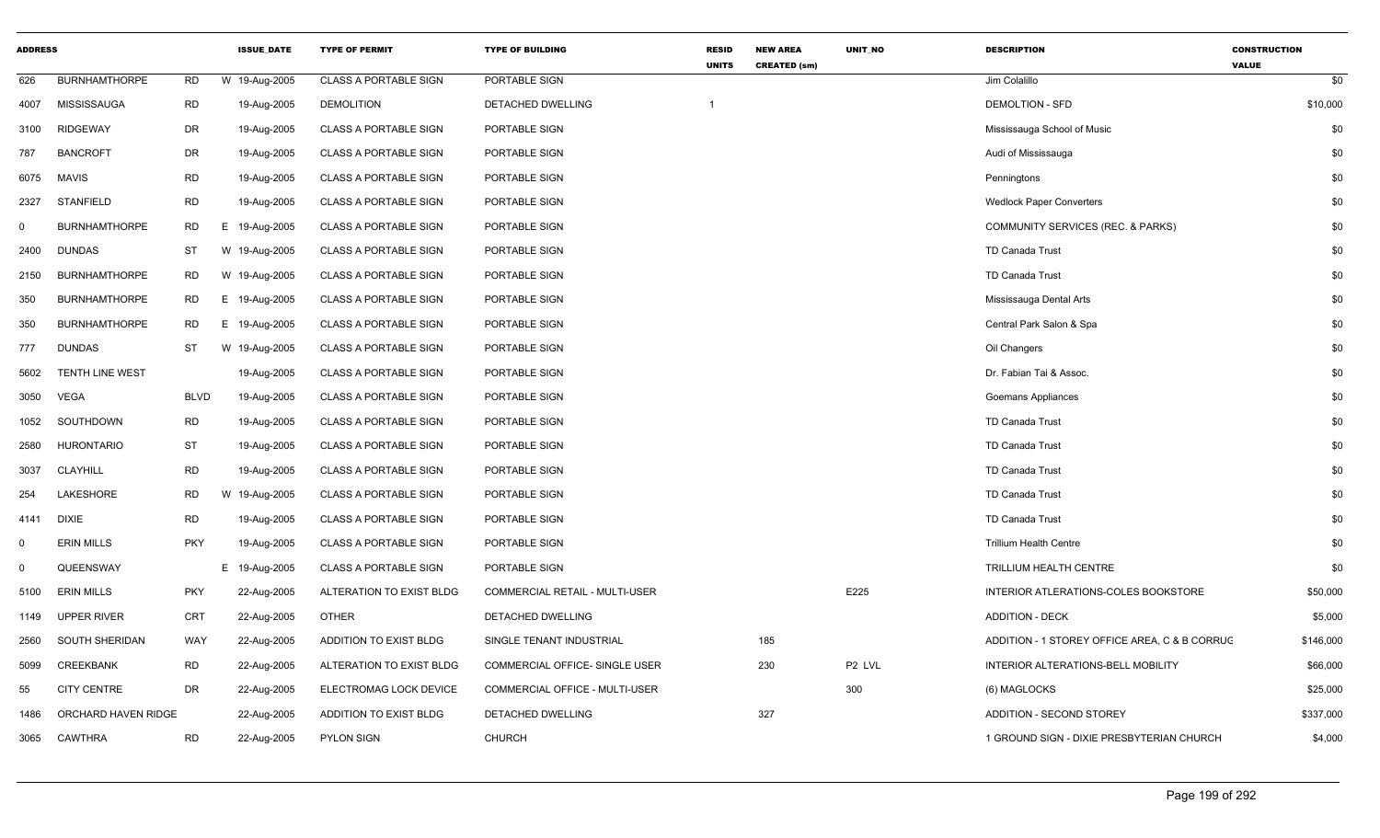| <b>ADDRESS</b> |                        |             | <b>ISSUE_DATE</b> | <b>TYPE OF PERMIT</b>        | <b>TYPE OF BUILDING</b>        | <b>RESID</b><br><b>UNITS</b> | <b>NEW AREA</b><br><b>CREATED (sm)</b> | UNIT_NO | <b>DESCRIPTION</b>                            | <b>CONSTRUCTION</b><br><b>VALUE</b> |
|----------------|------------------------|-------------|-------------------|------------------------------|--------------------------------|------------------------------|----------------------------------------|---------|-----------------------------------------------|-------------------------------------|
| 626            | <b>BURNHAMTHORPE</b>   | <b>RD</b>   | W 19-Aug-2005     | <b>CLASS A PORTABLE SIGN</b> | PORTABLE SIGN                  |                              |                                        |         | Jim Colalillo                                 | \$0                                 |
| 4007           | MISSISSAUGA            | <b>RD</b>   | 19-Aug-2005       | <b>DEMOLITION</b>            | DETACHED DWELLING              | -1                           |                                        |         | <b>DEMOLTION - SFD</b>                        | \$10,000                            |
| 3100           | <b>RIDGEWAY</b>        | <b>DR</b>   | 19-Aug-2005       | <b>CLASS A PORTABLE SIGN</b> | PORTABLE SIGN                  |                              |                                        |         | Mississauga School of Music                   | \$0                                 |
| 787            | <b>BANCROFT</b>        | DR          | 19-Aug-2005       | CLASS A PORTABLE SIGN        | PORTABLE SIGN                  |                              |                                        |         | Audi of Mississauga                           | \$0                                 |
| 6075           | <b>MAVIS</b>           | <b>RD</b>   | 19-Aug-2005       | <b>CLASS A PORTABLE SIGN</b> | PORTABLE SIGN                  |                              |                                        |         | Penningtons                                   | \$0                                 |
| 2327           | STANFIELD              | <b>RD</b>   | 19-Aug-2005       | <b>CLASS A PORTABLE SIGN</b> | PORTABLE SIGN                  |                              |                                        |         | <b>Wedlock Paper Converters</b>               | \$0                                 |
| $\mathbf 0$    | <b>BURNHAMTHORPE</b>   | <b>RD</b>   | E.<br>19-Aug-2005 | <b>CLASS A PORTABLE SIGN</b> | PORTABLE SIGN                  |                              |                                        |         | COMMUNITY SERVICES (REC. & PARKS)             | \$0                                 |
| 2400           | <b>DUNDAS</b>          | ST          | W 19-Aug-2005     | <b>CLASS A PORTABLE SIGN</b> | PORTABLE SIGN                  |                              |                                        |         | TD Canada Trust                               | \$0                                 |
| 2150           | <b>BURNHAMTHORPE</b>   | RD          | W 19-Aug-2005     | <b>CLASS A PORTABLE SIGN</b> | PORTABLE SIGN                  |                              |                                        |         | <b>TD Canada Trust</b>                        | \$0                                 |
| 350            | <b>BURNHAMTHORPE</b>   | <b>RD</b>   | E 19-Aug-2005     | <b>CLASS A PORTABLE SIGN</b> | PORTABLE SIGN                  |                              |                                        |         | Mississauga Dental Arts                       | \$0                                 |
| 350            | <b>BURNHAMTHORPE</b>   | <b>RD</b>   | E 19-Aug-2005     | <b>CLASS A PORTABLE SIGN</b> | PORTABLE SIGN                  |                              |                                        |         | Central Park Salon & Spa                      | \$0                                 |
| 777            | <b>DUNDAS</b>          | <b>ST</b>   | W 19-Aug-2005     | <b>CLASS A PORTABLE SIGN</b> | PORTABLE SIGN                  |                              |                                        |         | Oil Changers                                  | \$0                                 |
| 5602           | <b>TENTH LINE WEST</b> |             | 19-Aug-2005       | <b>CLASS A PORTABLE SIGN</b> | PORTABLE SIGN                  |                              |                                        |         | Dr. Fabian Tai & Assoc.                       | \$0                                 |
| 3050           | <b>VEGA</b>            | <b>BLVD</b> | 19-Aug-2005       | <b>CLASS A PORTABLE SIGN</b> | PORTABLE SIGN                  |                              |                                        |         | <b>Goemans Appliances</b>                     | \$0                                 |
| 1052           | SOUTHDOWN              | RD          | 19-Aug-2005       | <b>CLASS A PORTABLE SIGN</b> | PORTABLE SIGN                  |                              |                                        |         | TD Canada Trust                               | \$0                                 |
| 2580           | <b>HURONTARIO</b>      | ST          | 19-Aug-2005       | <b>CLASS A PORTABLE SIGN</b> | PORTABLE SIGN                  |                              |                                        |         | TD Canada Trust                               | \$0                                 |
| 3037           | CLAYHILL               | <b>RD</b>   | 19-Aug-2005       | <b>CLASS A PORTABLE SIGN</b> | PORTABLE SIGN                  |                              |                                        |         | <b>TD Canada Trust</b>                        | \$0                                 |
| 254            | LAKESHORE              | RD          | W<br>19-Aug-2005  | <b>CLASS A PORTABLE SIGN</b> | PORTABLE SIGN                  |                              |                                        |         | <b>TD Canada Trust</b>                        | \$0                                 |
| 4141           | <b>DIXIE</b>           | <b>RD</b>   | 19-Aug-2005       | <b>CLASS A PORTABLE SIGN</b> | PORTABLE SIGN                  |                              |                                        |         | <b>TD Canada Trust</b>                        | \$0                                 |
| $\mathbf 0$    | <b>ERIN MILLS</b>      | <b>PKY</b>  | 19-Aug-2005       | <b>CLASS A PORTABLE SIGN</b> | PORTABLE SIGN                  |                              |                                        |         | <b>Trillium Health Centre</b>                 | \$0                                 |
| $\mathbf 0$    | QUEENSWAY              |             | E 19-Aug-2005     | <b>CLASS A PORTABLE SIGN</b> | PORTABLE SIGN                  |                              |                                        |         | TRILLIUM HEALTH CENTRE                        | \$0                                 |
| 5100           | <b>ERIN MILLS</b>      | <b>PKY</b>  | 22-Aug-2005       | ALTERATION TO EXIST BLDG     | COMMERCIAL RETAIL - MULTI-USER |                              |                                        | E225    | INTERIOR ATLERATIONS-COLES BOOKSTORE          | \$50,000                            |
| 1149           | UPPER RIVER            | <b>CRT</b>  | 22-Aug-2005       | <b>OTHER</b>                 | DETACHED DWELLING              |                              |                                        |         | <b>ADDITION - DECK</b>                        | \$5,000                             |
| 2560           | SOUTH SHERIDAN         | <b>WAY</b>  | 22-Aug-2005       | ADDITION TO EXIST BLDG       | SINGLE TENANT INDUSTRIAL       |                              | 185                                    |         | ADDITION - 1 STOREY OFFICE AREA, C & B CORRUC | \$146,000                           |
| 5099           | <b>CREEKBANK</b>       | <b>RD</b>   | 22-Aug-2005       | ALTERATION TO EXIST BLDG     | COMMERCIAL OFFICE- SINGLE USER |                              | 230                                    | P2 LVL  | INTERIOR ALTERATIONS-BELL MOBILITY            | \$66,000                            |
| 55             | <b>CITY CENTRE</b>     | DR          | 22-Aug-2005       | ELECTROMAG LOCK DEVICE       | COMMERCIAL OFFICE - MULTI-USER |                              |                                        | 300     | (6) MAGLOCKS                                  | \$25,000                            |
| 1486           | ORCHARD HAVEN RIDGE    |             | 22-Aug-2005       | ADDITION TO EXIST BLDG       | DETACHED DWELLING              |                              | 327                                    |         | <b>ADDITION - SECOND STOREY</b>               | \$337,000                           |
| 3065           | CAWTHRA                | <b>RD</b>   | 22-Aug-2005       | <b>PYLON SIGN</b>            | <b>CHURCH</b>                  |                              |                                        |         | 1 GROUND SIGN - DIXIE PRESBYTERIAN CHURCH     | \$4,000                             |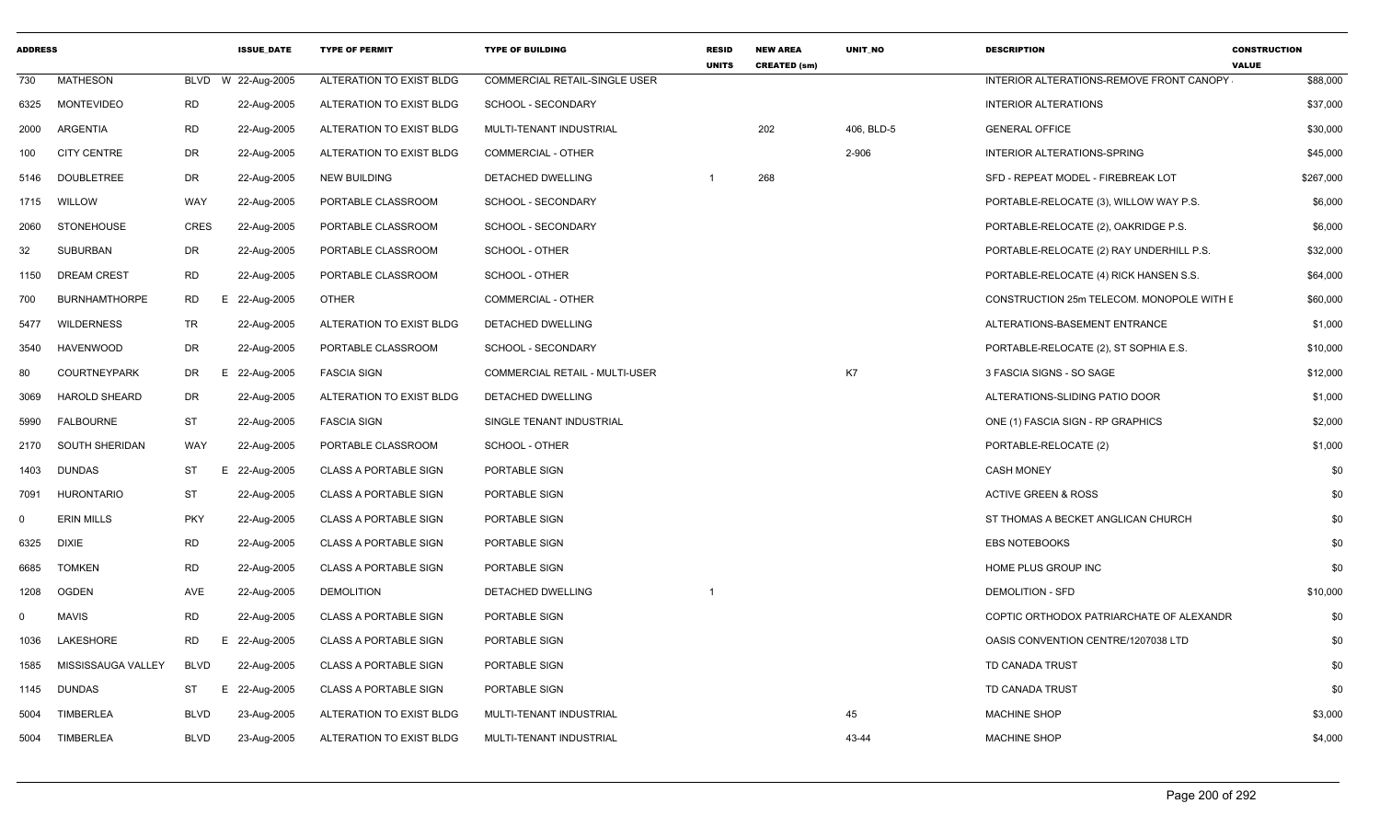| <b>ADDRESS</b> |                      |                 | <b>ISSUE DATE</b> | <b>TYPE OF PERMIT</b>        | <b>TYPE OF BUILDING</b>        | <b>RESID</b><br><b>UNITS</b> | <b>NEW AREA</b><br><b>CREATED (sm)</b> | <b>UNIT NO</b> | <b>DESCRIPTION</b>                        | <b>CONSTRUCTION</b><br><b>VALUE</b> |
|----------------|----------------------|-----------------|-------------------|------------------------------|--------------------------------|------------------------------|----------------------------------------|----------------|-------------------------------------------|-------------------------------------|
| 730            | <b>MATHESON</b>      | <b>BLVD</b>     | W 22-Aug-2005     | ALTERATION TO EXIST BLDG     | COMMERCIAL RETAIL-SINGLE USER  |                              |                                        |                | INTERIOR ALTERATIONS-REMOVE FRONT CANOPY  | \$88,000                            |
| 6325           | MONTEVIDEO           | RD              | 22-Aug-2005       | ALTERATION TO EXIST BLDG     | SCHOOL - SECONDARY             |                              |                                        |                | <b>INTERIOR ALTERATIONS</b>               | \$37,000                            |
| 2000           | ARGENTIA             | <b>RD</b>       | 22-Aug-2005       | ALTERATION TO EXIST BLDG     | MULTI-TENANT INDUSTRIAL        |                              | 202                                    | 406, BLD-5     | <b>GENERAL OFFICE</b>                     | \$30,000                            |
| 100            | <b>CITY CENTRE</b>   | DR              | 22-Aug-2005       | ALTERATION TO EXIST BLDG     | COMMERCIAL - OTHER             |                              |                                        | 2-906          | INTERIOR ALTERATIONS-SPRING               | \$45,000                            |
| 5146           | <b>DOUBLETREE</b>    | DR              | 22-Aug-2005       | <b>NEW BUILDING</b>          | DETACHED DWELLING              |                              | 268                                    |                | SFD - REPEAT MODEL - FIREBREAK LOT        | \$267,000                           |
| 1715           | WILLOW               | WAY             | 22-Aug-2005       | PORTABLE CLASSROOM           | SCHOOL - SECONDARY             |                              |                                        |                | PORTABLE-RELOCATE (3), WILLOW WAY P.S.    | \$6,000                             |
| 2060           | STONEHOUSE           | <b>CRES</b>     | 22-Aug-2005       | PORTABLE CLASSROOM           | SCHOOL - SECONDARY             |                              |                                        |                | PORTABLE-RELOCATE (2), OAKRIDGE P.S.      | \$6,000                             |
| 32             | SUBURBAN             | DR              | 22-Aug-2005       | PORTABLE CLASSROOM           | SCHOOL - OTHER                 |                              |                                        |                | PORTABLE-RELOCATE (2) RAY UNDERHILL P.S.  | \$32,000                            |
| 1150           | <b>DREAM CREST</b>   | <b>RD</b>       | 22-Aug-2005       | PORTABLE CLASSROOM           | SCHOOL - OTHER                 |                              |                                        |                | PORTABLE-RELOCATE (4) RICK HANSEN S.S.    | \$64,000                            |
| 700            | <b>BURNHAMTHORPE</b> | <b>RD</b><br>E. | 22-Aug-2005       | OTHER                        | <b>COMMERCIAL - OTHER</b>      |                              |                                        |                | CONSTRUCTION 25m TELECOM. MONOPOLE WITH E | \$60,000                            |
| 5477           | WILDERNESS           | TR              | 22-Aug-2005       | ALTERATION TO EXIST BLDG     | DETACHED DWELLING              |                              |                                        |                | ALTERATIONS-BASEMENT ENTRANCE             | \$1,000                             |
| 3540           | HAVENWOOD            | DR              | 22-Aug-2005       | PORTABLE CLASSROOM           | SCHOOL - SECONDARY             |                              |                                        |                | PORTABLE-RELOCATE (2), ST SOPHIA E.S.     | \$10,000                            |
| 80             | <b>COURTNEYPARK</b>  | DR<br>E.        | 22-Aug-2005       | <b>FASCIA SIGN</b>           | COMMERCIAL RETAIL - MULTI-USER |                              |                                        | K7             | 3 FASCIA SIGNS - SO SAGE                  | \$12,000                            |
| 3069           | <b>HAROLD SHEARD</b> | DR              | 22-Aug-2005       | ALTERATION TO EXIST BLDG     | DETACHED DWELLING              |                              |                                        |                | ALTERATIONS-SLIDING PATIO DOOR            | \$1,000                             |
| 5990           | <b>FALBOURNE</b>     | <b>ST</b>       | 22-Aug-2005       | <b>FASCIA SIGN</b>           | SINGLE TENANT INDUSTRIAL       |                              |                                        |                | ONE (1) FASCIA SIGN - RP GRAPHICS         | \$2,000                             |
| 2170           | SOUTH SHERIDAN       | WAY             | 22-Aug-2005       | PORTABLE CLASSROOM           | SCHOOL - OTHER                 |                              |                                        |                | PORTABLE-RELOCATE (2)                     | \$1,000                             |
| 1403           | <b>DUNDAS</b>        | ST<br>Е.        | 22-Aug-2005       | <b>CLASS A PORTABLE SIGN</b> | PORTABLE SIGN                  |                              |                                        |                | <b>CASH MONEY</b>                         | \$0                                 |
| 7091           | <b>HURONTARIO</b>    | <b>ST</b>       | 22-Aug-2005       | <b>CLASS A PORTABLE SIGN</b> | PORTABLE SIGN                  |                              |                                        |                | <b>ACTIVE GREEN &amp; ROSS</b>            | \$0                                 |
| 0              | <b>ERIN MILLS</b>    | <b>PKY</b>      | 22-Aug-2005       | <b>CLASS A PORTABLE SIGN</b> | PORTABLE SIGN                  |                              |                                        |                | ST THOMAS A BECKET ANGLICAN CHURCH        | \$0                                 |
| 6325           | <b>DIXIE</b>         | <b>RD</b>       | 22-Aug-2005       | <b>CLASS A PORTABLE SIGN</b> | PORTABLE SIGN                  |                              |                                        |                | <b>EBS NOTEBOOKS</b>                      | \$0                                 |
| 6685           | <b>TOMKEN</b>        | <b>RD</b>       | 22-Aug-2005       | <b>CLASS A PORTABLE SIGN</b> | PORTABLE SIGN                  |                              |                                        |                | HOME PLUS GROUP INC                       | \$0                                 |
| 1208           | OGDEN                | AVE             | 22-Aug-2005       | <b>DEMOLITION</b>            | DETACHED DWELLING              |                              |                                        |                | <b>DEMOLITION - SFD</b>                   | \$10,000                            |
| $\Omega$       | <b>MAVIS</b>         | <b>RD</b>       | 22-Aug-2005       | <b>CLASS A PORTABLE SIGN</b> | PORTABLE SIGN                  |                              |                                        |                | COPTIC ORTHODOX PATRIARCHATE OF ALEXANDR  | \$0                                 |
| 1036           | LAKESHORE            | <b>RD</b><br>E  | 22-Aug-2005       | <b>CLASS A PORTABLE SIGN</b> | PORTABLE SIGN                  |                              |                                        |                | OASIS CONVENTION CENTRE/1207038 LTD       | \$0                                 |
| 1585           | MISSISSAUGA VALLEY   | BLVD            | 22-Aug-2005       | <b>CLASS A PORTABLE SIGN</b> | PORTABLE SIGN                  |                              |                                        |                | TD CANADA TRUST                           | \$0                                 |
| 1145           | <b>DUNDAS</b>        | ST<br>E.        | 22-Aug-2005       | <b>CLASS A PORTABLE SIGN</b> | PORTABLE SIGN                  |                              |                                        |                | TD CANADA TRUST                           | \$0                                 |
| 5004           | TIMBERLEA            | <b>BLVD</b>     | 23-Aug-2005       | ALTERATION TO EXIST BLDG     | MULTI-TENANT INDUSTRIAL        |                              |                                        | 45             | <b>MACHINE SHOP</b>                       | \$3,000                             |
| 5004           | <b>TIMBERLEA</b>     | <b>BLVD</b>     | 23-Aug-2005       | ALTERATION TO EXIST BLDG     | MULTI-TENANT INDUSTRIAL        |                              |                                        | 43-44          | <b>MACHINE SHOP</b>                       | \$4,000                             |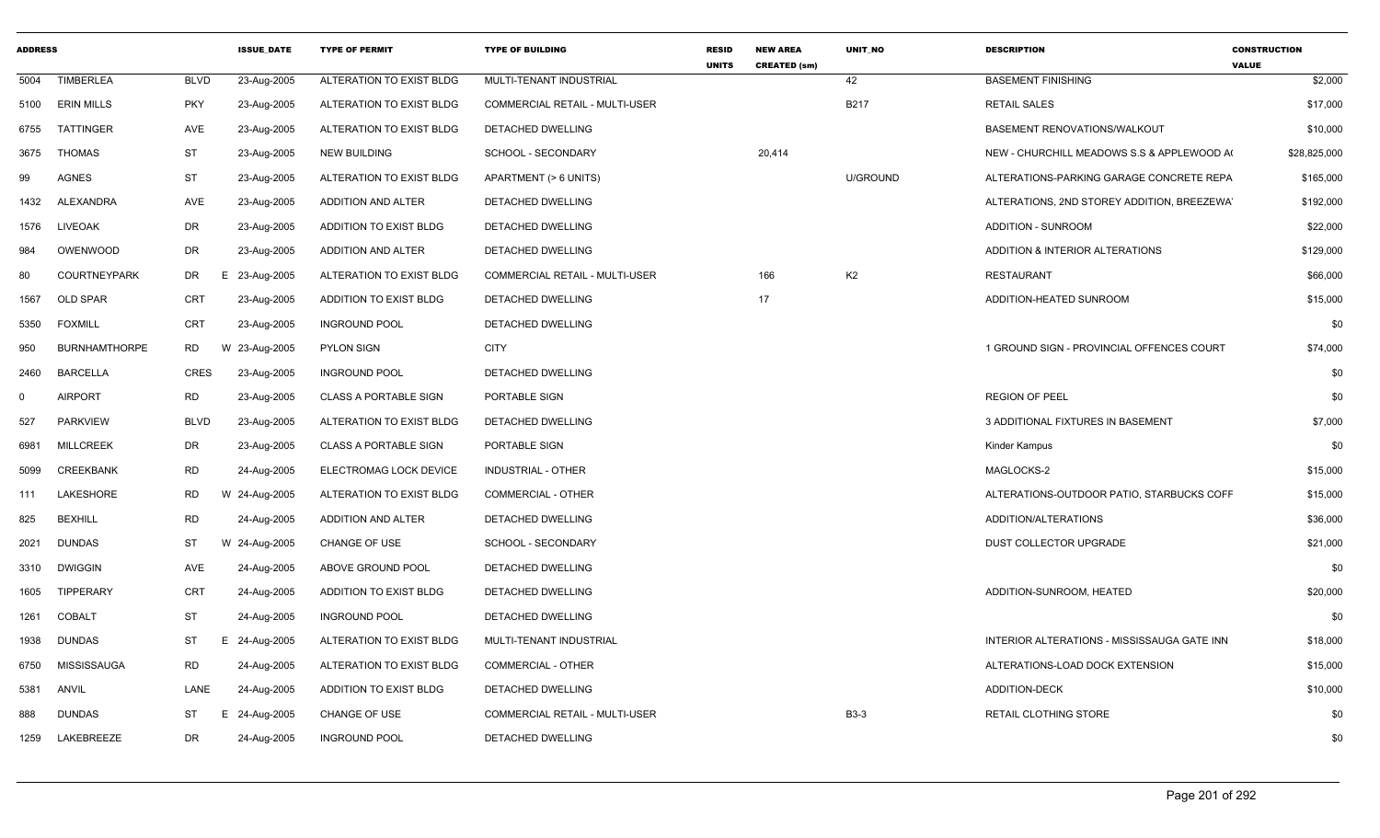| <b>ADDRESS</b> |                      |                | <b>ISSUE_DATE</b> | <b>TYPE OF PERMIT</b>         | <b>TYPE OF BUILDING</b>        | <b>RESID</b><br><b>UNITS</b> | <b>NEW AREA</b><br><b>CREATED (sm)</b> | UNIT_NO         | <b>DESCRIPTION</b>                          | <b>CONSTRUCTION</b><br><b>VALUE</b> |
|----------------|----------------------|----------------|-------------------|-------------------------------|--------------------------------|------------------------------|----------------------------------------|-----------------|---------------------------------------------|-------------------------------------|
| 5004           | <b>TIMBERLEA</b>     | <b>BLVD</b>    | 23-Aug-2005       | ALTERATION TO EXIST BLDG      | MULTI-TENANT INDUSTRIAL        |                              |                                        | 42              | <b>BASEMENT FINISHING</b>                   | \$2,000                             |
| 5100           | <b>ERIN MILLS</b>    | PKY            | 23-Aug-2005       | ALTERATION TO EXIST BLDG      | COMMERCIAL RETAIL - MULTI-USER |                              |                                        | <b>B217</b>     | <b>RETAIL SALES</b>                         | \$17,000                            |
| 6755           | TATTINGER            | AVE            | 23-Aug-2005       | ALTERATION TO EXIST BLDG      | DETACHED DWELLING              |                              |                                        |                 | BASEMENT RENOVATIONS/WALKOUT                | \$10,000                            |
| 3675           | THOMAS               | ST             | 23-Aug-2005       | NEW BUILDING                  | SCHOOL - SECONDARY             |                              | 20,414                                 |                 | NEW - CHURCHILL MEADOWS S.S & APPLEWOOD A   | \$28,825,000                        |
| 99             | <b>AGNES</b>         | <b>ST</b>      | 23-Aug-2005       | ALTERATION TO EXIST BLDG      | APARTMENT (> 6 UNITS)          |                              |                                        | <b>U/GROUND</b> | ALTERATIONS-PARKING GARAGE CONCRETE REPA    | \$165,000                           |
| 1432           | ALEXANDRA            | AVE            | 23-Aug-2005       | ADDITION AND ALTER            | DETACHED DWELLING              |                              |                                        |                 | ALTERATIONS, 2ND STOREY ADDITION, BREEZEWA  | \$192,000                           |
|                | 1576 LIVEOAK         | DR             | 23-Aug-2005       | ADDITION TO EXIST BLDG        | DETACHED DWELLING              |                              |                                        |                 | ADDITION - SUNROOM                          | \$22,000                            |
| 984            | OWENWOOD             | DR             | 23-Aug-2005       | ADDITION AND ALTER            | DETACHED DWELLING              |                              |                                        |                 | ADDITION & INTERIOR ALTERATIONS             | \$129,000                           |
| 80             | <b>COURTNEYPARK</b>  | DR             | E 23-Aug-2005     | ALTERATION TO EXIST BLDG      | COMMERCIAL RETAIL - MULTI-USER |                              | 166                                    | K <sub>2</sub>  | <b>RESTAURANT</b>                           | \$66,000                            |
| 1567           | <b>OLD SPAR</b>      | CRT            | 23-Aug-2005       | ADDITION TO EXIST BLDG        | DETACHED DWELLING              |                              | 17                                     |                 | ADDITION-HEATED SUNROOM                     | \$15,000                            |
| 5350           | <b>FOXMILL</b>       | CRT            | 23-Aug-2005       | <b>INGROUND POOL</b>          | DETACHED DWELLING              |                              |                                        |                 |                                             | \$0                                 |
| 950            | <b>BURNHAMTHORPE</b> | <b>RD</b>      | W 23-Aug-2005     | <b>PYLON SIGN</b>             | <b>CITY</b>                    |                              |                                        |                 | 1 GROUND SIGN - PROVINCIAL OFFENCES COURT   | \$74,000                            |
| 2460           | <b>BARCELLA</b>      | <b>CRES</b>    | 23-Aug-2005       | <b>INGROUND POOL</b>          | DETACHED DWELLING              |                              |                                        |                 |                                             | \$0                                 |
| $\Omega$       | <b>AIRPORT</b>       | RD             | 23-Aug-2005       | <b>CLASS A PORTABLE SIGN</b>  | PORTABLE SIGN                  |                              |                                        |                 | <b>REGION OF PEEL</b>                       | \$0                                 |
| 527            | <b>PARKVIEW</b>      | <b>BLVD</b>    | 23-Aug-2005       | ALTERATION TO EXIST BLDG      | DETACHED DWELLING              |                              |                                        |                 | 3 ADDITIONAL FIXTURES IN BASEMENT           | \$7,000                             |
| 6981           | <b>MILLCREEK</b>     | <b>DR</b>      | 23-Aug-2005       | <b>CLASS A PORTABLE SIGN</b>  | PORTABLE SIGN                  |                              |                                        |                 | Kinder Kampus                               | \$0                                 |
| 5099           | <b>CREEKBANK</b>     | RD             | 24-Aug-2005       | ELECTROMAG LOCK DEVICE        | INDUSTRIAL - OTHER             |                              |                                        |                 | MAGLOCKS-2                                  | \$15,000                            |
| 111            | LAKESHORE            | <b>RD</b><br>W | 24-Aug-2005       | ALTERATION TO EXIST BLDG      | <b>COMMERCIAL - OTHER</b>      |                              |                                        |                 | ALTERATIONS-OUTDOOR PATIO, STARBUCKS COFF   | \$15,000                            |
| 825            | <b>BEXHILL</b>       | <b>RD</b>      | 24-Aug-2005       | ADDITION AND ALTER            | DETACHED DWELLING              |                              |                                        |                 | ADDITION/ALTERATIONS                        | \$36,000                            |
| 2021           | <b>DUNDAS</b>        | ST<br>W        | 24-Aug-2005       | CHANGE OF USE                 | SCHOOL - SECONDARY             |                              |                                        |                 | DUST COLLECTOR UPGRADE                      | \$21,000                            |
| 3310           | <b>DWIGGIN</b>       | AVE            | 24-Aug-2005       | ABOVE GROUND POOL             | DETACHED DWELLING              |                              |                                        |                 |                                             | \$0                                 |
| 1605           | <b>TIPPERARY</b>     | CRT            | 24-Aug-2005       | <b>ADDITION TO EXIST BLDG</b> | DETACHED DWELLING              |                              |                                        |                 | ADDITION-SUNROOM, HEATED                    | \$20,000                            |
| 1261           | <b>COBALT</b>        | <b>ST</b>      | 24-Aug-2005       | <b>INGROUND POOL</b>          | DETACHED DWELLING              |                              |                                        |                 |                                             | \$0                                 |
| 1938           | <b>DUNDAS</b>        | ST<br>E.       | 24-Aug-2005       | ALTERATION TO EXIST BLDG      | MULTI-TENANT INDUSTRIAL        |                              |                                        |                 | INTERIOR ALTERATIONS - MISSISSAUGA GATE INN | \$18,000                            |
| 6750           | MISSISSAUGA          | RD             | 24-Aug-2005       | ALTERATION TO EXIST BLDG      | <b>COMMERCIAL - OTHER</b>      |                              |                                        |                 | ALTERATIONS-LOAD DOCK EXTENSION             | \$15,000                            |
| 5381           | ANVIL                | LANE           | 24-Aug-2005       | ADDITION TO EXIST BLDG        | DETACHED DWELLING              |                              |                                        |                 | ADDITION-DECK                               | \$10,000                            |
| 888            | <b>DUNDAS</b>        | ST<br>E.       | 24-Aug-2005       | CHANGE OF USE                 | COMMERCIAL RETAIL - MULTI-USER |                              |                                        | <b>B3-3</b>     | RETAIL CLOTHING STORE                       | \$0                                 |
| 1259           | LAKEBREEZE           | <b>DR</b>      | 24-Aug-2005       | <b>INGROUND POOL</b>          | DETACHED DWELLING              |                              |                                        |                 |                                             | \$0                                 |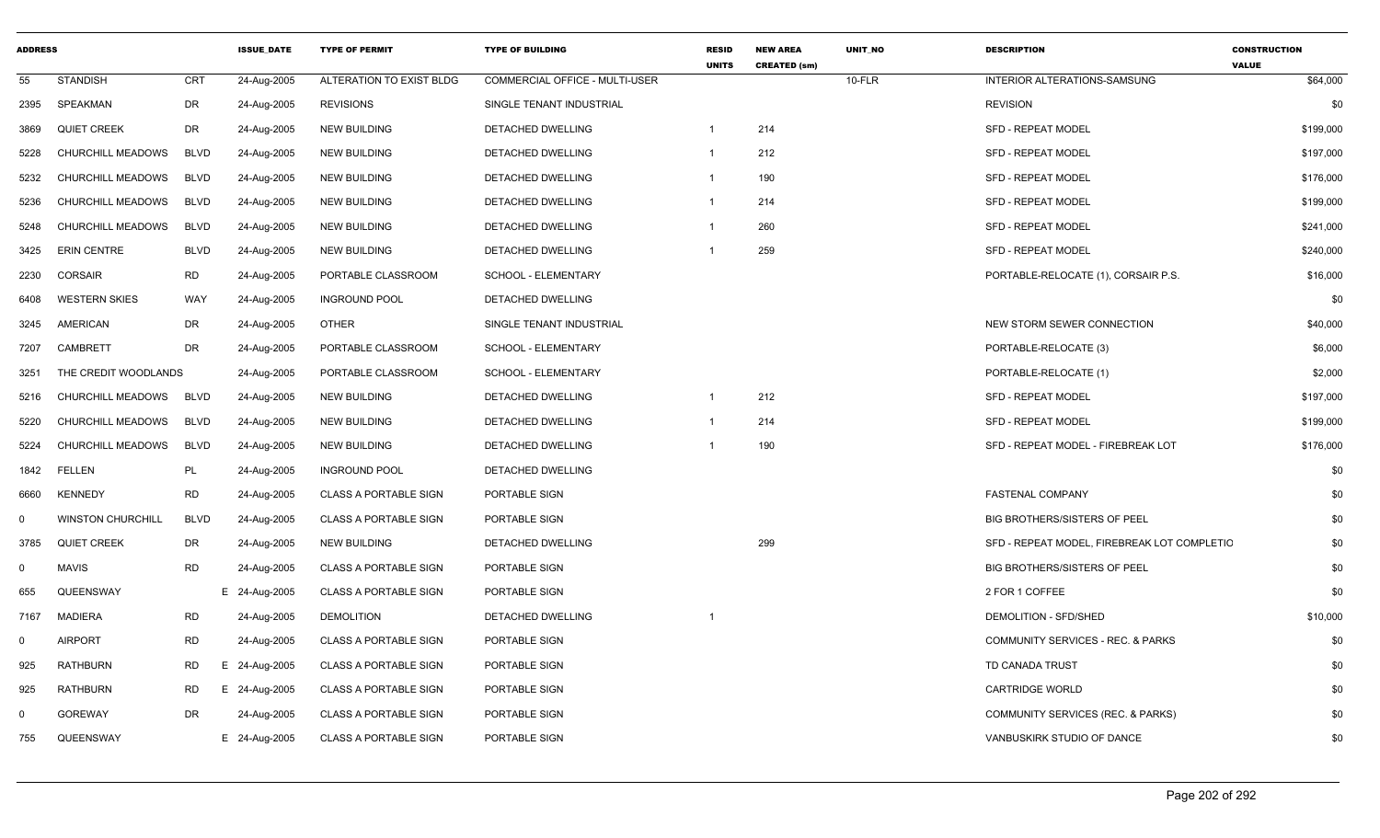| <b>ADDRESS</b> |                          |             | <b>ISSUE DATE</b> | <b>TYPE OF PERMIT</b>        | <b>TYPE OF BUILDING</b>               | <b>RESID</b><br><b>UNITS</b> | <b>NEW AREA</b><br><b>CREATED (sm)</b> | <b>UNIT NO</b> | <b>DESCRIPTION</b>                           | <b>CONSTRUCTION</b><br><b>VALUE</b> |
|----------------|--------------------------|-------------|-------------------|------------------------------|---------------------------------------|------------------------------|----------------------------------------|----------------|----------------------------------------------|-------------------------------------|
| 55             | <b>STANDISH</b>          | <b>CRT</b>  | 24-Aug-2005       | ALTERATION TO EXIST BLDG     | <b>COMMERCIAL OFFICE - MULTI-USER</b> |                              |                                        | $10-FLR$       | <b>INTERIOR ALTERATIONS-SAMSUNG</b>          | \$64,000                            |
| 2395           | SPEAKMAN                 | <b>DR</b>   | 24-Aug-2005       | <b>REVISIONS</b>             | SINGLE TENANT INDUSTRIAL              |                              |                                        |                | <b>REVISION</b>                              | \$0                                 |
| 3869           | <b>QUIET CREEK</b>       | <b>DR</b>   | 24-Aug-2005       | <b>NEW BUILDING</b>          | DETACHED DWELLING                     | -1                           | 214                                    |                | <b>SFD - REPEAT MODEL</b>                    | \$199,000                           |
| 5228           | CHURCHILL MEADOWS        | <b>BLVD</b> | 24-Aug-2005       | <b>NEW BUILDING</b>          | DETACHED DWELLING                     | $\overline{1}$               | 212                                    |                | <b>SFD - REPEAT MODEL</b>                    | \$197,000                           |
| 5232           | CHURCHILL MEADOWS        | BLVD        | 24-Aug-2005       | NEW BUILDING                 | DETACHED DWELLING                     | $\mathbf{1}$                 | 190                                    |                | SFD - REPEAT MODEL                           | \$176,000                           |
| 5236           | CHURCHILL MEADOWS        | <b>BLVD</b> | 24-Aug-2005       | <b>NEW BUILDING</b>          | <b>DETACHED DWELLING</b>              | $\overline{1}$               | 214                                    |                | <b>SFD - REPEAT MODEL</b>                    | \$199,000                           |
| 5248           | CHURCHILL MEADOWS        | <b>BLVD</b> | 24-Aug-2005       | <b>NEW BUILDING</b>          | DETACHED DWELLING                     | $\overline{1}$               | 260                                    |                | SFD - REPEAT MODEL                           | \$241,000                           |
| 3425           | <b>ERIN CENTRE</b>       | <b>BLVD</b> | 24-Aug-2005       | <b>NEW BUILDING</b>          | DETACHED DWELLING                     | -1                           | 259                                    |                | <b>SFD - REPEAT MODEL</b>                    | \$240,000                           |
| 2230           | <b>CORSAIR</b>           | <b>RD</b>   | 24-Aug-2005       | PORTABLE CLASSROOM           | SCHOOL - ELEMENTARY                   |                              |                                        |                | PORTABLE-RELOCATE (1), CORSAIR P.S.          | \$16,000                            |
| 6408           | <b>WESTERN SKIES</b>     | <b>WAY</b>  | 24-Aug-2005       | <b>INGROUND POOL</b>         | DETACHED DWELLING                     |                              |                                        |                |                                              | \$0                                 |
| 3245           | <b>AMERICAN</b>          | <b>DR</b>   | 24-Aug-2005       | <b>OTHER</b>                 | SINGLE TENANT INDUSTRIAL              |                              |                                        |                | NEW STORM SEWER CONNECTION                   | \$40,000                            |
| 7207           | <b>CAMBRETT</b>          | DR          | 24-Aug-2005       | PORTABLE CLASSROOM           | SCHOOL - ELEMENTARY                   |                              |                                        |                | PORTABLE-RELOCATE (3)                        | \$6,000                             |
| 3251           | THE CREDIT WOODLANDS     |             | 24-Aug-2005       | PORTABLE CLASSROOM           | <b>SCHOOL - ELEMENTARY</b>            |                              |                                        |                | PORTABLE-RELOCATE (1)                        | \$2,000                             |
| 5216           | CHURCHILL MEADOWS        | <b>BLVD</b> | 24-Aug-2005       | <b>NEW BUILDING</b>          | DETACHED DWELLING                     | $\overline{1}$               | 212                                    |                | <b>SFD - REPEAT MODEL</b>                    | \$197,000                           |
| 5220           | CHURCHILL MEADOWS        | BLVD        | 24-Aug-2005       | <b>NEW BUILDING</b>          | DETACHED DWELLING                     | $\overline{1}$               | 214                                    |                | SFD - REPEAT MODEL                           | \$199,000                           |
| 5224           | CHURCHILL MEADOWS        | <b>BLVD</b> | 24-Aug-2005       | <b>NEW BUILDING</b>          | DETACHED DWELLING                     |                              | 190                                    |                | SFD - REPEAT MODEL - FIREBREAK LOT           | \$176,000                           |
| 1842           | FELLEN                   | PL          | 24-Aug-2005       | <b>INGROUND POOL</b>         | DETACHED DWELLING                     |                              |                                        |                |                                              | \$0                                 |
| 6660           | <b>KENNEDY</b>           | <b>RD</b>   | 24-Aug-2005       | <b>CLASS A PORTABLE SIGN</b> | PORTABLE SIGN                         |                              |                                        |                | FASTENAL COMPANY                             | \$0                                 |
| $\mathbf 0$    | <b>WINSTON CHURCHILL</b> | <b>BLVD</b> | 24-Aug-2005       | <b>CLASS A PORTABLE SIGN</b> | PORTABLE SIGN                         |                              |                                        |                | <b>BIG BROTHERS/SISTERS OF PEEL</b>          | \$0                                 |
| 3785           | <b>QUIET CREEK</b>       | DR          | 24-Aug-2005       | <b>NEW BUILDING</b>          | DETACHED DWELLING                     |                              | 299                                    |                | SFD - REPEAT MODEL, FIREBREAK LOT COMPLETIC  | \$0                                 |
| 0              | <b>MAVIS</b>             | <b>RD</b>   | 24-Aug-2005       | <b>CLASS A PORTABLE SIGN</b> | PORTABLE SIGN                         |                              |                                        |                | BIG BROTHERS/SISTERS OF PEEL                 | \$0                                 |
| 655            | QUEENSWAY                |             | E 24-Aug-2005     | <b>CLASS A PORTABLE SIGN</b> | PORTABLE SIGN                         |                              |                                        |                | 2 FOR 1 COFFEE                               | \$0                                 |
| 7167           | <b>MADIERA</b>           | <b>RD</b>   | 24-Aug-2005       | <b>DEMOLITION</b>            | DETACHED DWELLING                     | -1                           |                                        |                | DEMOLITION - SFD/SHED                        | \$10,000                            |
| $\Omega$       | <b>AIRPORT</b>           | <b>RD</b>   | 24-Aug-2005       | <b>CLASS A PORTABLE SIGN</b> | PORTABLE SIGN                         |                              |                                        |                | <b>COMMUNITY SERVICES - REC. &amp; PARKS</b> | \$0                                 |
| 925            | RATHBURN                 | <b>RD</b>   | E 24-Aug-2005     | <b>CLASS A PORTABLE SIGN</b> | PORTABLE SIGN                         |                              |                                        |                | TD CANADA TRUST                              | \$0                                 |
| 925            | RATHBURN                 | RD          | E 24-Aug-2005     | <b>CLASS A PORTABLE SIGN</b> | PORTABLE SIGN                         |                              |                                        |                | <b>CARTRIDGE WORLD</b>                       | \$0                                 |
| $\Omega$       | <b>GOREWAY</b>           | <b>DR</b>   | 24-Aug-2005       | <b>CLASS A PORTABLE SIGN</b> | PORTABLE SIGN                         |                              |                                        |                | COMMUNITY SERVICES (REC. & PARKS)            | \$0                                 |
| 755            | QUEENSWAY                |             | E 24-Aug-2005     | <b>CLASS A PORTABLE SIGN</b> | PORTABLE SIGN                         |                              |                                        |                | VANBUSKIRK STUDIO OF DANCE                   | \$0                                 |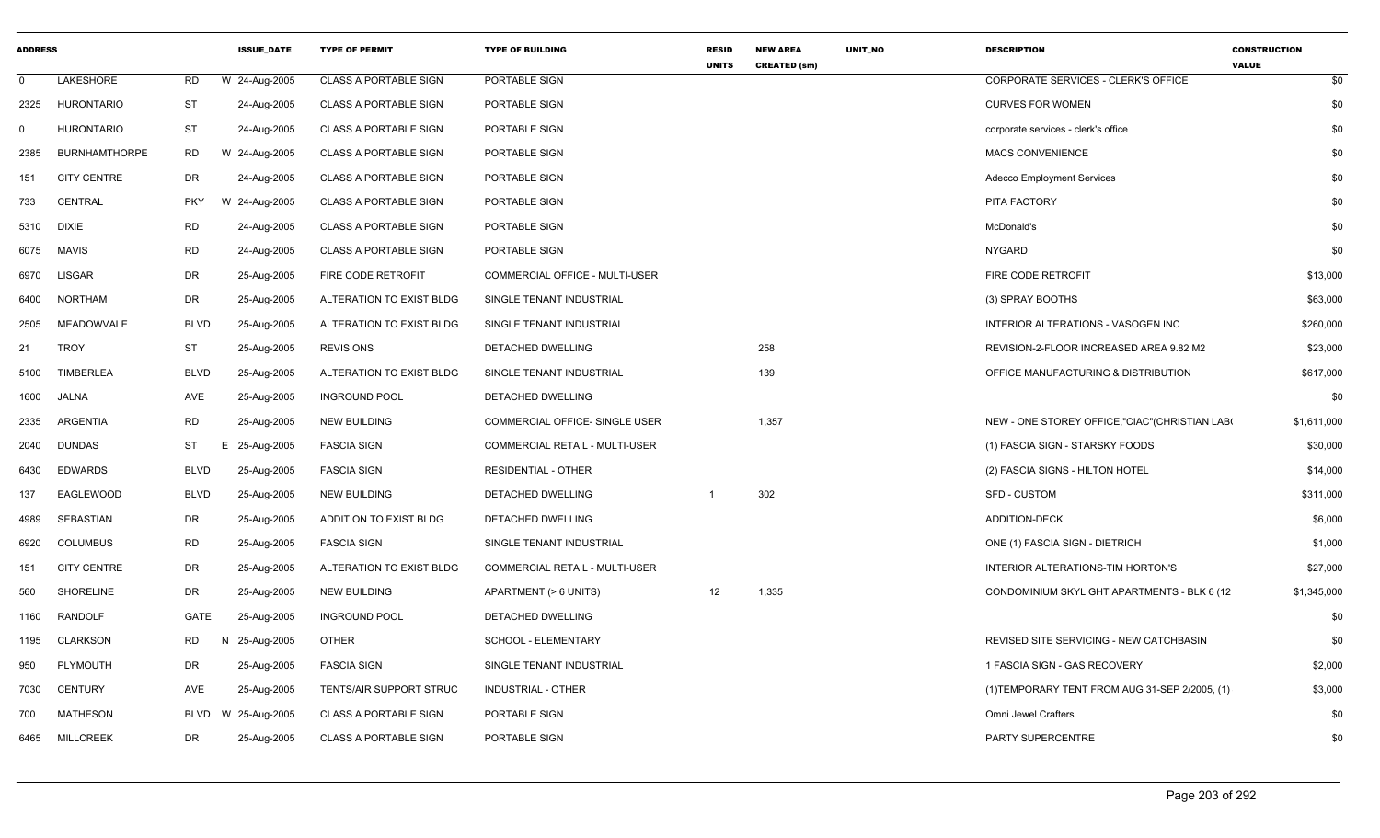| <b>ADDRESS</b> |                      |             | <b>ISSUE DATE</b> | <b>TYPE OF PERMIT</b>           | <b>TYPE OF BUILDING</b>        | <b>RESID</b><br><b>UNITS</b> | <b>NEW AREA</b><br><b>CREATED (sm)</b> | UNIT NO | <b>DESCRIPTION</b>                             | <b>CONSTRUCTION</b><br><b>VALUE</b> |
|----------------|----------------------|-------------|-------------------|---------------------------------|--------------------------------|------------------------------|----------------------------------------|---------|------------------------------------------------|-------------------------------------|
| $\Omega$       | LAKESHORE            | <b>RD</b>   | W 24-Aug-2005     | <b>CLASS A PORTABLE SIGN</b>    | PORTABLE SIGN                  |                              |                                        |         | CORPORATE SERVICES - CLERK'S OFFICE            | \$0                                 |
| 2325           | <b>HURONTARIO</b>    | <b>ST</b>   | 24-Aug-2005       | <b>CLASS A PORTABLE SIGN</b>    | PORTABLE SIGN                  |                              |                                        |         | <b>CURVES FOR WOMEN</b>                        | \$0                                 |
| $\mathbf 0$    | <b>HURONTARIO</b>    | ST          | 24-Aug-2005       | <b>CLASS A PORTABLE SIGN</b>    | PORTABLE SIGN                  |                              |                                        |         | corporate services - clerk's office            | \$0                                 |
| 2385           | <b>BURNHAMTHORPE</b> | <b>RD</b>   | W 24-Aug-2005     | <b>CLASS A PORTABLE SIGN</b>    | PORTABLE SIGN                  |                              |                                        |         | <b>MACS CONVENIENCE</b>                        | \$0                                 |
| 151            | <b>CITY CENTRE</b>   | DR          | 24-Aug-2005       | <b>CLASS A PORTABLE SIGN</b>    | PORTABLE SIGN                  |                              |                                        |         | <b>Adecco Employment Services</b>              | \$0                                 |
| 733            | CENTRAL              | <b>PKY</b>  | W 24-Aug-2005     | <b>CLASS A PORTABLE SIGN</b>    | PORTABLE SIGN                  |                              |                                        |         | PITA FACTORY                                   | \$0                                 |
|                | 5310 DIXIE           | <b>RD</b>   | 24-Aug-2005       | <b>CLASS A PORTABLE SIGN</b>    | PORTABLE SIGN                  |                              |                                        |         | McDonald's                                     | \$0                                 |
| 6075           | MAVIS                | RD          | 24-Aug-2005       | <b>CLASS A PORTABLE SIGN</b>    | PORTABLE SIGN                  |                              |                                        |         | <b>NYGARD</b>                                  | \$0                                 |
| 6970           | <b>LISGAR</b>        | DR          | 25-Aug-2005       | FIRE CODE RETROFIT              | COMMERCIAL OFFICE - MULTI-USER |                              |                                        |         | FIRE CODE RETROFIT                             | \$13,000                            |
| 6400           | NORTHAM              | DR          | 25-Aug-2005       | ALTERATION TO EXIST BLDG        | SINGLE TENANT INDUSTRIAL       |                              |                                        |         | (3) SPRAY BOOTHS                               | \$63,000                            |
| 2505           | MEADOWVALE           | <b>BLVD</b> | 25-Aug-2005       | ALTERATION TO EXIST BLDG        | SINGLE TENANT INDUSTRIAL       |                              |                                        |         | INTERIOR ALTERATIONS - VASOGEN INC             | \$260,000                           |
| 21             | <b>TROY</b>          | <b>ST</b>   | 25-Aug-2005       | <b>REVISIONS</b>                | DETACHED DWELLING              |                              | 258                                    |         | REVISION-2-FLOOR INCREASED AREA 9.82 M2        | \$23,000                            |
| 5100           | <b>TIMBERLEA</b>     | <b>BLVD</b> | 25-Aug-2005       | <b>ALTERATION TO EXIST BLDG</b> | SINGLE TENANT INDUSTRIAL       |                              | 139                                    |         | OFFICE MANUFACTURING & DISTRIBUTION            | \$617,000                           |
| 1600           | <b>JALNA</b>         | AVE         | 25-Aug-2005       | <b>INGROUND POOL</b>            | DETACHED DWELLING              |                              |                                        |         |                                                | \$0                                 |
| 2335           | ARGENTIA             | <b>RD</b>   | 25-Aug-2005       | <b>NEW BUILDING</b>             | COMMERCIAL OFFICE- SINGLE USER |                              | 1,357                                  |         | NEW - ONE STOREY OFFICE,"CIAC" (CHRISTIAN LAB( | \$1,611,000                         |
| 2040           | <b>DUNDAS</b>        | ST          | E 25-Aug-2005     | <b>FASCIA SIGN</b>              | COMMERCIAL RETAIL - MULTI-USER |                              |                                        |         | (1) FASCIA SIGN - STARSKY FOODS                | \$30,000                            |
| 6430           | <b>EDWARDS</b>       | <b>BLVD</b> | 25-Aug-2005       | <b>FASCIA SIGN</b>              | <b>RESIDENTIAL - OTHER</b>     |                              |                                        |         | (2) FASCIA SIGNS - HILTON HOTEL                | \$14,000                            |
| 137            | EAGLEWOOD            | <b>BLVD</b> | 25-Aug-2005       | <b>NEW BUILDING</b>             | DETACHED DWELLING              |                              | 302                                    |         | SFD - CUSTOM                                   | \$311,000                           |
| 4989           | SEBASTIAN            | DR          | 25-Aug-2005       | ADDITION TO EXIST BLDG          | DETACHED DWELLING              |                              |                                        |         | <b>ADDITION-DECK</b>                           | \$6,000                             |
| 6920           | COLUMBUS             | <b>RD</b>   | 25-Aug-2005       | <b>FASCIA SIGN</b>              | SINGLE TENANT INDUSTRIAL       |                              |                                        |         | ONE (1) FASCIA SIGN - DIETRICH                 | \$1,000                             |
| 151            | <b>CITY CENTRE</b>   | DR          | 25-Aug-2005       | ALTERATION TO EXIST BLDG        | COMMERCIAL RETAIL - MULTI-USER |                              |                                        |         | INTERIOR ALTERATIONS-TIM HORTON'S              | \$27,000                            |
| 560            | SHORELINE            | DR          | 25-Aug-2005       | NEW BUILDING                    | APARTMENT (> 6 UNITS)          | 12                           | 1,335                                  |         | CONDOMINIUM SKYLIGHT APARTMENTS - BLK 6 (12)   | \$1,345,000                         |
| 1160           | RANDOLF              | GATE        | 25-Aug-2005       | <b>INGROUND POOL</b>            | DETACHED DWELLING              |                              |                                        |         |                                                | \$0                                 |
| 1195           | CLARKSON             | <b>RD</b>   | 25-Aug-2005<br>N  | <b>OTHER</b>                    | SCHOOL - ELEMENTARY            |                              |                                        |         | REVISED SITE SERVICING - NEW CATCHBASIN        | \$0                                 |
| 950            | PLYMOUTH             | DR          | 25-Aug-2005       | <b>FASCIA SIGN</b>              | SINGLE TENANT INDUSTRIAL       |                              |                                        |         | 1 FASCIA SIGN - GAS RECOVERY                   | \$2,000                             |
| 7030           | <b>CENTURY</b>       | AVE         | 25-Aug-2005       | TENTS/AIR SUPPORT STRUC         | <b>INDUSTRIAL - OTHER</b>      |                              |                                        |         | (1) TEMPORARY TENT FROM AUG 31-SEP 2/2005, (1) | \$3,000                             |
| 700            | <b>MATHESON</b>      | BLVD        | W 25-Aug-2005     | <b>CLASS A PORTABLE SIGN</b>    | PORTABLE SIGN                  |                              |                                        |         | Omni Jewel Crafters                            | \$0                                 |
| 6465           | MILLCREEK            | DR          | 25-Aug-2005       | <b>CLASS A PORTABLE SIGN</b>    | PORTABLE SIGN                  |                              |                                        |         | PARTY SUPERCENTRE                              | \$0                                 |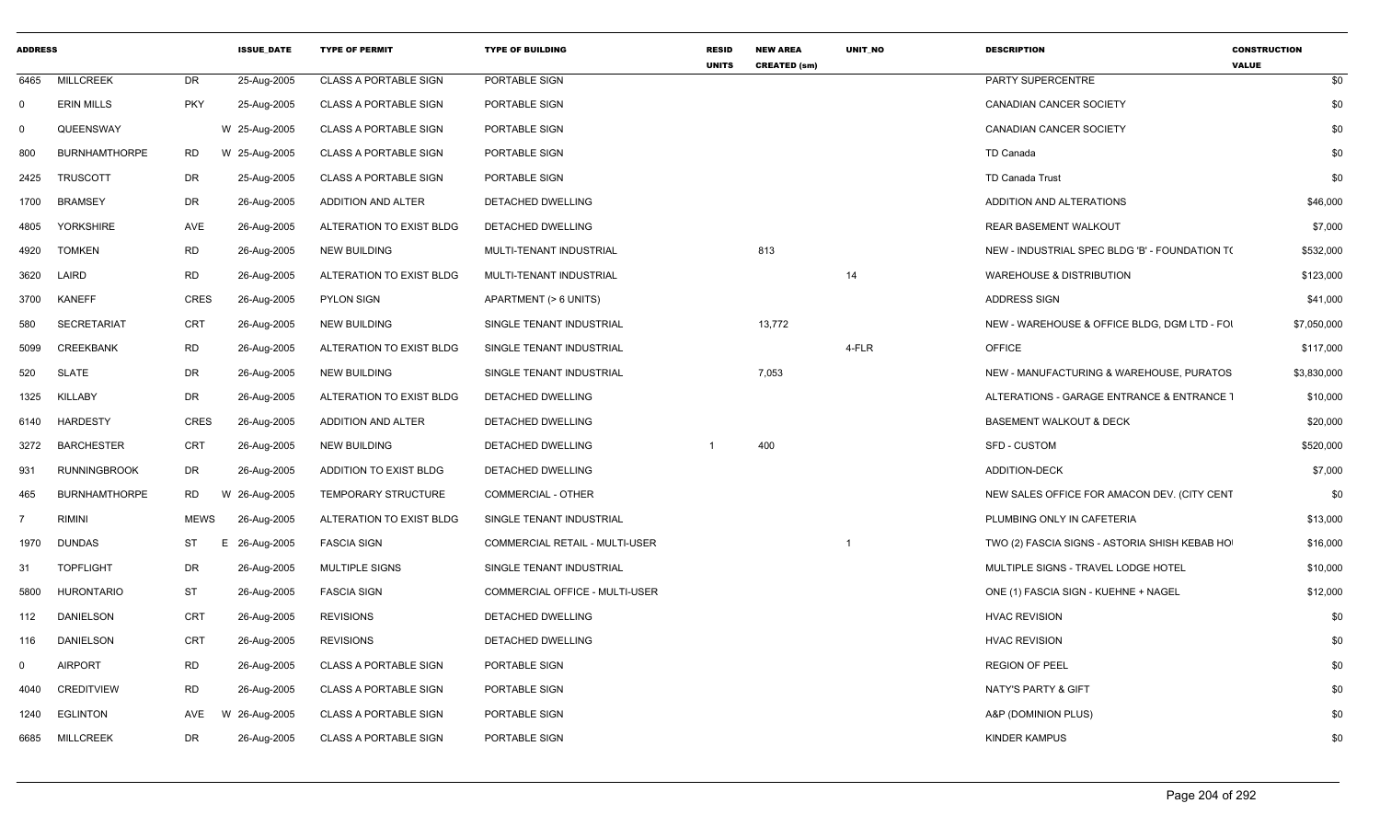| <b>ADDRESS</b> |                      |             | <b>ISSUE DATE</b> | <b>TYPE OF PERMIT</b>        | <b>TYPE OF BUILDING</b>               | <b>RESID</b><br><b>UNITS</b> | <b>NEW AREA</b><br><b>CREATED (sm)</b> | <b>UNIT NO</b> | <b>DESCRIPTION</b>                             | <b>CONSTRUCTION</b><br><b>VALUE</b> |
|----------------|----------------------|-------------|-------------------|------------------------------|---------------------------------------|------------------------------|----------------------------------------|----------------|------------------------------------------------|-------------------------------------|
| 6465           | <b>MILLCREEK</b>     | DR          | 25-Aug-2005       | <b>CLASS A PORTABLE SIGN</b> | PORTABLE SIGN                         |                              |                                        |                | PARTY SUPERCENTRE                              | \$0                                 |
| $\mathbf 0$    | <b>ERIN MILLS</b>    | <b>PKY</b>  | 25-Aug-2005       | <b>CLASS A PORTABLE SIGN</b> | PORTABLE SIGN                         |                              |                                        |                | <b>CANADIAN CANCER SOCIETY</b>                 | \$0                                 |
| $\mathbf 0$    | QUEENSWAY            |             | W 25-Aug-2005     | <b>CLASS A PORTABLE SIGN</b> | PORTABLE SIGN                         |                              |                                        |                | <b>CANADIAN CANCER SOCIETY</b>                 | \$0                                 |
| 800            | <b>BURNHAMTHORPE</b> | <b>RD</b>   | W 25-Aug-2005     | <b>CLASS A PORTABLE SIGN</b> | PORTABLE SIGN                         |                              |                                        |                | TD Canada                                      | \$0                                 |
| 2425           | <b>TRUSCOTT</b>      | DR          | 25-Aug-2005       | <b>CLASS A PORTABLE SIGN</b> | PORTABLE SIGN                         |                              |                                        |                | TD Canada Trust                                | \$0                                 |
| 1700           | <b>BRAMSEY</b>       | DR          | 26-Aug-2005       | ADDITION AND ALTER           | DETACHED DWELLING                     |                              |                                        |                | ADDITION AND ALTERATIONS                       | \$46,000                            |
| 4805           | <b>YORKSHIRE</b>     | AVE         | 26-Aug-2005       | ALTERATION TO EXIST BLDG     | DETACHED DWELLING                     |                              |                                        |                | <b>REAR BASEMENT WALKOUT</b>                   | \$7,000                             |
| 4920           | <b>TOMKEN</b>        | <b>RD</b>   | 26-Aug-2005       | <b>NEW BUILDING</b>          | MULTI-TENANT INDUSTRIAL               |                              | 813                                    |                | NEW - INDUSTRIAL SPEC BLDG 'B' - FOUNDATION T( | \$532,000                           |
| 3620           | LAIRD                | RD          | 26-Aug-2005       | ALTERATION TO EXIST BLDG     | MULTI-TENANT INDUSTRIAL               |                              |                                        | 14             | <b>WAREHOUSE &amp; DISTRIBUTION</b>            | \$123,000                           |
| 3700           | <b>KANEFF</b>        | CRES        | 26-Aug-2005       | <b>PYLON SIGN</b>            | APARTMENT (> 6 UNITS)                 |                              |                                        |                | <b>ADDRESS SIGN</b>                            | \$41,000                            |
| 580            | <b>SECRETARIAT</b>   | <b>CRT</b>  | 26-Aug-2005       | <b>NEW BUILDING</b>          | SINGLE TENANT INDUSTRIAL              |                              | 13,772                                 |                | NEW - WAREHOUSE & OFFICE BLDG, DGM LTD - FOI   | \$7,050,000                         |
| 5099           | <b>CREEKBANK</b>     | <b>RD</b>   | 26-Aug-2005       | ALTERATION TO EXIST BLDG     | SINGLE TENANT INDUSTRIAL              |                              |                                        | 4-FLR          | <b>OFFICE</b>                                  | \$117,000                           |
| 520            | <b>SLATE</b>         | DR          | 26-Aug-2005       | <b>NEW BUILDING</b>          | SINGLE TENANT INDUSTRIAL              |                              | 7,053                                  |                | NEW - MANUFACTURING & WAREHOUSE, PURATOS       | \$3,830,000                         |
| 1325           | <b>KILLABY</b>       | DR          | 26-Aug-2005       | ALTERATION TO EXIST BLDG     | DETACHED DWELLING                     |                              |                                        |                | ALTERATIONS - GARAGE ENTRANCE & ENTRANCE T     | \$10,000                            |
| 6140           | <b>HARDESTY</b>      | CRES        | 26-Aug-2005       | ADDITION AND ALTER           | DETACHED DWELLING                     |                              |                                        |                | <b>BASEMENT WALKOUT &amp; DECK</b>             | \$20,000                            |
| 3272           | <b>BARCHESTER</b>    | CRT         | 26-Aug-2005       | <b>NEW BUILDING</b>          | DETACHED DWELLING                     |                              | 400                                    |                | <b>SFD - CUSTOM</b>                            | \$520,000                           |
| 931            | <b>RUNNINGBROOK</b>  | DR          | 26-Aug-2005       | ADDITION TO EXIST BLDG       | DETACHED DWELLING                     |                              |                                        |                | <b>ADDITION-DECK</b>                           | \$7,000                             |
| 465            | <b>BURNHAMTHORPE</b> | RD          | W 26-Aug-2005     | TEMPORARY STRUCTURE          | <b>COMMERCIAL - OTHER</b>             |                              |                                        |                | NEW SALES OFFICE FOR AMACON DEV. (CITY CENT    | \$0                                 |
| $\overline{7}$ | <b>RIMINI</b>        | <b>MEWS</b> | 26-Aug-2005       | ALTERATION TO EXIST BLDG     | SINGLE TENANT INDUSTRIAL              |                              |                                        |                | PLUMBING ONLY IN CAFETERIA                     | \$13,000                            |
| 1970           | DUNDAS               | <b>ST</b>   | E 26-Aug-2005     | <b>FASCIA SIGN</b>           | <b>COMMERCIAL RETAIL - MULTI-USER</b> |                              |                                        |                | TWO (2) FASCIA SIGNS - ASTORIA SHISH KEBAB HO  | \$16,000                            |
| -31            | <b>TOPFLIGHT</b>     | DR          | 26-Aug-2005       | MULTIPLE SIGNS               | SINGLE TENANT INDUSTRIAL              |                              |                                        |                | MULTIPLE SIGNS - TRAVEL LODGE HOTEL            | \$10,000                            |
| 5800           | <b>HURONTARIO</b>    | <b>ST</b>   | 26-Aug-2005       | <b>FASCIA SIGN</b>           | COMMERCIAL OFFICE - MULTI-USER        |                              |                                        |                | ONE (1) FASCIA SIGN - KUEHNE + NAGEL           | \$12,000                            |
| 112            | DANIELSON            | CRT         | 26-Aug-2005       | <b>REVISIONS</b>             | DETACHED DWELLING                     |                              |                                        |                | <b>HVAC REVISION</b>                           | \$0                                 |
| 116            | <b>DANIELSON</b>     | CRT         | 26-Aug-2005       | <b>REVISIONS</b>             | DETACHED DWELLING                     |                              |                                        |                | <b>HVAC REVISION</b>                           | \$0                                 |
| $\mathbf 0$    | <b>AIRPORT</b>       | <b>RD</b>   | 26-Aug-2005       | <b>CLASS A PORTABLE SIGN</b> | PORTABLE SIGN                         |                              |                                        |                | <b>REGION OF PEEL</b>                          | \$0                                 |
| 4040           | <b>CREDITVIEW</b>    | <b>RD</b>   | 26-Aug-2005       | <b>CLASS A PORTABLE SIGN</b> | PORTABLE SIGN                         |                              |                                        |                | NATY'S PARTY & GIFT                            | \$0                                 |
| 1240           | EGLINTON             | AVE         | W 26-Aug-2005     | <b>CLASS A PORTABLE SIGN</b> | PORTABLE SIGN                         |                              |                                        |                | A&P (DOMINION PLUS)                            | \$0                                 |
| 6685           | <b>MILLCREEK</b>     | DR          | 26-Aug-2005       | <b>CLASS A PORTABLE SIGN</b> | PORTABLE SIGN                         |                              |                                        |                | KINDER KAMPUS                                  | \$0                                 |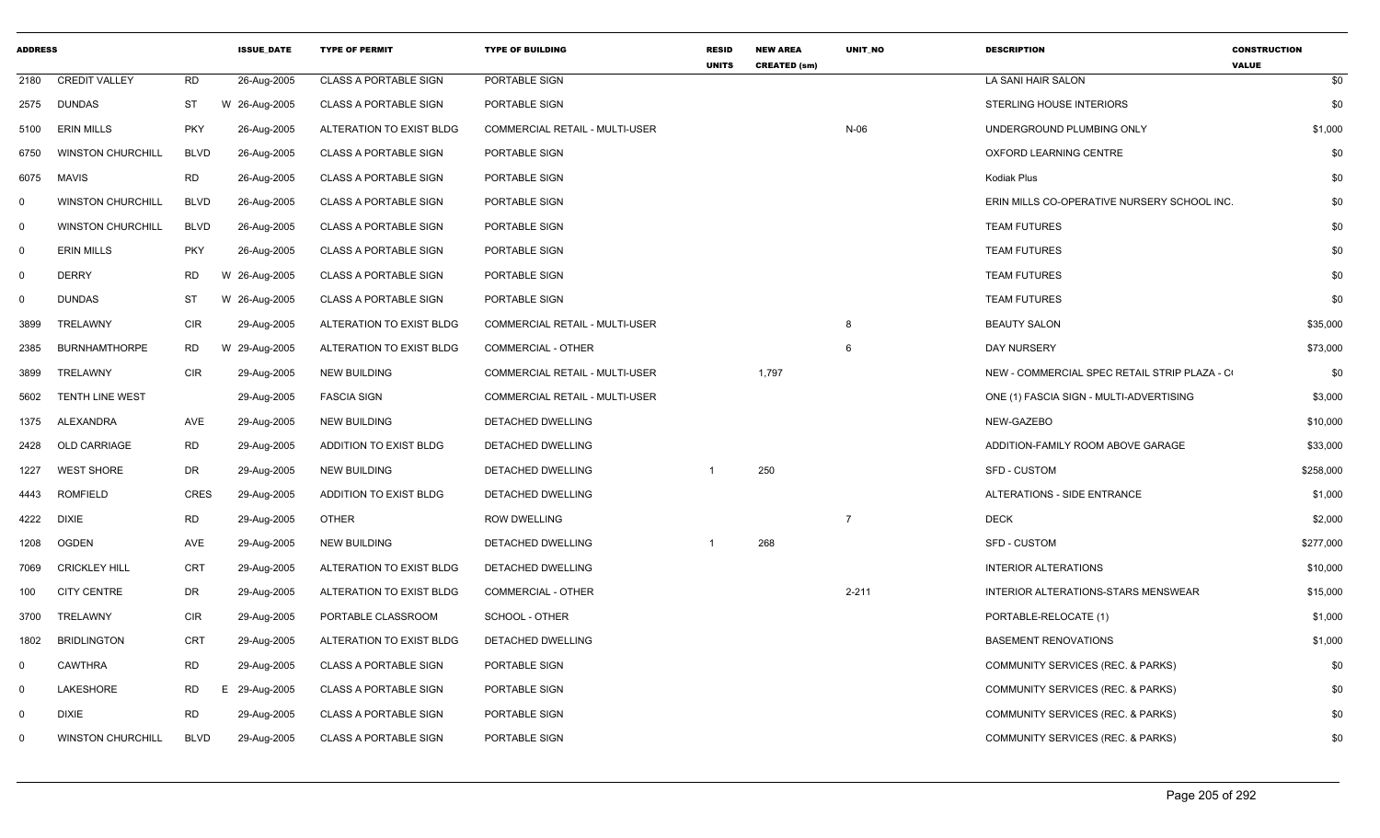| <b>ADDRESS</b> |                          |             | <b>ISSUE DATE</b> | <b>TYPE OF PERMIT</b>        | <b>TYPE OF BUILDING</b>               | <b>RESID</b><br><b>UNITS</b> | <b>NEW AREA</b><br><b>CREATED (sm)</b> | UNIT NO        | <b>DESCRIPTION</b>                           | <b>CONSTRUCTION</b><br><b>VALUE</b> |
|----------------|--------------------------|-------------|-------------------|------------------------------|---------------------------------------|------------------------------|----------------------------------------|----------------|----------------------------------------------|-------------------------------------|
| 2180           | <b>CREDIT VALLEY</b>     | <b>RD</b>   | 26-Aug-2005       | <b>CLASS A PORTABLE SIGN</b> | PORTABLE SIGN                         |                              |                                        |                | LA SANI HAIR SALON                           | \$0                                 |
| 2575           | <b>DUNDAS</b>            | ST          | W 26-Aug-2005     | <b>CLASS A PORTABLE SIGN</b> | PORTABLE SIGN                         |                              |                                        |                | STERLING HOUSE INTERIORS                     | \$0                                 |
| 5100           | <b>ERIN MILLS</b>        | <b>PKY</b>  | 26-Aug-2005       | ALTERATION TO EXIST BLDG     | COMMERCIAL RETAIL - MULTI-USER        |                              |                                        | $N-06$         | UNDERGROUND PLUMBING ONLY                    | \$1,000                             |
| 6750           | <b>WINSTON CHURCHILL</b> | <b>BLVD</b> | 26-Aug-2005       | <b>CLASS A PORTABLE SIGN</b> | PORTABLE SIGN                         |                              |                                        |                | OXFORD LEARNING CENTRE                       | \$0                                 |
| 6075           | <b>MAVIS</b>             | <b>RD</b>   | 26-Aug-2005       | <b>CLASS A PORTABLE SIGN</b> | PORTABLE SIGN                         |                              |                                        |                | Kodiak Plus                                  | \$0                                 |
| 0              | <b>WINSTON CHURCHILL</b> | <b>BLVD</b> | 26-Aug-2005       | <b>CLASS A PORTABLE SIGN</b> | PORTABLE SIGN                         |                              |                                        |                | ERIN MILLS CO-OPERATIVE NURSERY SCHOOL INC.  | \$0                                 |
| $\mathbf 0$    | <b>WINSTON CHURCHILL</b> | <b>BLVD</b> | 26-Aug-2005       | CLASS A PORTABLE SIGN        | PORTABLE SIGN                         |                              |                                        |                | <b>TEAM FUTURES</b>                          | \$0                                 |
| $\mathbf 0$    | <b>ERIN MILLS</b>        | <b>PKY</b>  | 26-Aug-2005       | <b>CLASS A PORTABLE SIGN</b> | PORTABLE SIGN                         |                              |                                        |                | <b>TEAM FUTURES</b>                          | \$0                                 |
| $\mathbf 0$    | <b>DERRY</b>             | <b>RD</b>   | W 26-Aug-2005     | <b>CLASS A PORTABLE SIGN</b> | PORTABLE SIGN                         |                              |                                        |                | <b>TEAM FUTURES</b>                          | \$0                                 |
| $\Omega$       | <b>DUNDAS</b>            | <b>ST</b>   | W 26-Aug-2005     | <b>CLASS A PORTABLE SIGN</b> | PORTABLE SIGN                         |                              |                                        |                | <b>TEAM FUTURES</b>                          | \$0                                 |
| 3899           | TRELAWNY                 | <b>CIR</b>  | 29-Aug-2005       | ALTERATION TO EXIST BLDG     | <b>COMMERCIAL RETAIL - MULTI-USER</b> |                              |                                        | 8              | <b>BEAUTY SALON</b>                          | \$35,000                            |
| 2385           | <b>BURNHAMTHORPE</b>     | <b>RD</b>   | W 29-Aug-2005     | ALTERATION TO EXIST BLDG     | COMMERCIAL - OTHER                    |                              |                                        | 6              | DAY NURSERY                                  | \$73,000                            |
| 3899           | <b>TRELAWNY</b>          | <b>CIR</b>  | 29-Aug-2005       | <b>NEW BUILDING</b>          | <b>COMMERCIAL RETAIL - MULTI-USER</b> |                              | 1,797                                  |                | NEW - COMMERCIAL SPEC RETAIL STRIP PLAZA - C | \$0                                 |
| 5602           | <b>TENTH LINE WEST</b>   |             | 29-Aug-2005       | <b>FASCIA SIGN</b>           | <b>COMMERCIAL RETAIL - MULTI-USER</b> |                              |                                        |                | ONE (1) FASCIA SIGN - MULTI-ADVERTISING      | \$3,000                             |
| 1375           | <b>ALEXANDRA</b>         | AVE         | 29-Aug-2005       | <b>NEW BUILDING</b>          | <b>DETACHED DWELLING</b>              |                              |                                        |                | NEW-GAZEBO                                   | \$10,000                            |
| 2428           | <b>OLD CARRIAGE</b>      | RD          | 29-Aug-2005       | ADDITION TO EXIST BLDG       | DETACHED DWELLING                     |                              |                                        |                | ADDITION-FAMILY ROOM ABOVE GARAGE            | \$33,000                            |
| 1227           | <b>WEST SHORE</b>        | DR          | 29-Aug-2005       | <b>NEW BUILDING</b>          | DETACHED DWELLING                     | -1                           | 250                                    |                | <b>SFD - CUSTOM</b>                          | \$258,000                           |
| 4443           | ROMFIELD                 | <b>CRES</b> | 29-Aug-2005       | ADDITION TO EXIST BLDG       | DETACHED DWELLING                     |                              |                                        |                | ALTERATIONS - SIDE ENTRANCE                  | \$1,000                             |
| 4222           | <b>DIXIE</b>             | <b>RD</b>   | 29-Aug-2005       | <b>OTHER</b>                 | <b>ROW DWELLING</b>                   |                              |                                        | $\overline{7}$ | <b>DECK</b>                                  | \$2,000                             |
| 1208           | <b>OGDEN</b>             | AVE         | 29-Aug-2005       | <b>NEW BUILDING</b>          | DETACHED DWELLING                     |                              | 268                                    |                | <b>SFD - CUSTOM</b>                          | \$277,000                           |
| 7069           | <b>CRICKLEY HILL</b>     | <b>CRT</b>  | 29-Aug-2005       | ALTERATION TO EXIST BLDG     | DETACHED DWELLING                     |                              |                                        |                | <b>INTERIOR ALTERATIONS</b>                  | \$10,000                            |
| 100            | <b>CITY CENTRE</b>       | DR          | 29-Aug-2005       | ALTERATION TO EXIST BLDG     | COMMERCIAL - OTHER                    |                              |                                        | $2 - 211$      | INTERIOR ALTERATIONS-STARS MENSWEAR          | \$15,000                            |
| 3700           | TRELAWNY                 | <b>CIR</b>  | 29-Aug-2005       | PORTABLE CLASSROOM           | SCHOOL - OTHER                        |                              |                                        |                | PORTABLE-RELOCATE (1)                        | \$1,000                             |
| 1802           | <b>BRIDLINGTON</b>       | <b>CRT</b>  | 29-Aug-2005       | ALTERATION TO EXIST BLDG     | <b>DETACHED DWELLING</b>              |                              |                                        |                | <b>BASEMENT RENOVATIONS</b>                  | \$1,000                             |
| $\mathbf 0$    | <b>CAWTHRA</b>           | <b>RD</b>   | 29-Aug-2005       | <b>CLASS A PORTABLE SIGN</b> | PORTABLE SIGN                         |                              |                                        |                | COMMUNITY SERVICES (REC. & PARKS)            | \$0                                 |
| 0              | LAKESHORE                | <b>RD</b>   | Е.<br>29-Aug-2005 | <b>CLASS A PORTABLE SIGN</b> | PORTABLE SIGN                         |                              |                                        |                | COMMUNITY SERVICES (REC. & PARKS)            | \$0                                 |
| $\Omega$       | <b>DIXIE</b>             | <b>RD</b>   | 29-Aug-2005       | <b>CLASS A PORTABLE SIGN</b> | PORTABLE SIGN                         |                              |                                        |                | COMMUNITY SERVICES (REC. & PARKS)            | \$0                                 |
| 0              | <b>WINSTON CHURCHILL</b> | <b>BLVD</b> | 29-Aug-2005       | <b>CLASS A PORTABLE SIGN</b> | PORTABLE SIGN                         |                              |                                        |                | COMMUNITY SERVICES (REC. & PARKS)            | \$0                                 |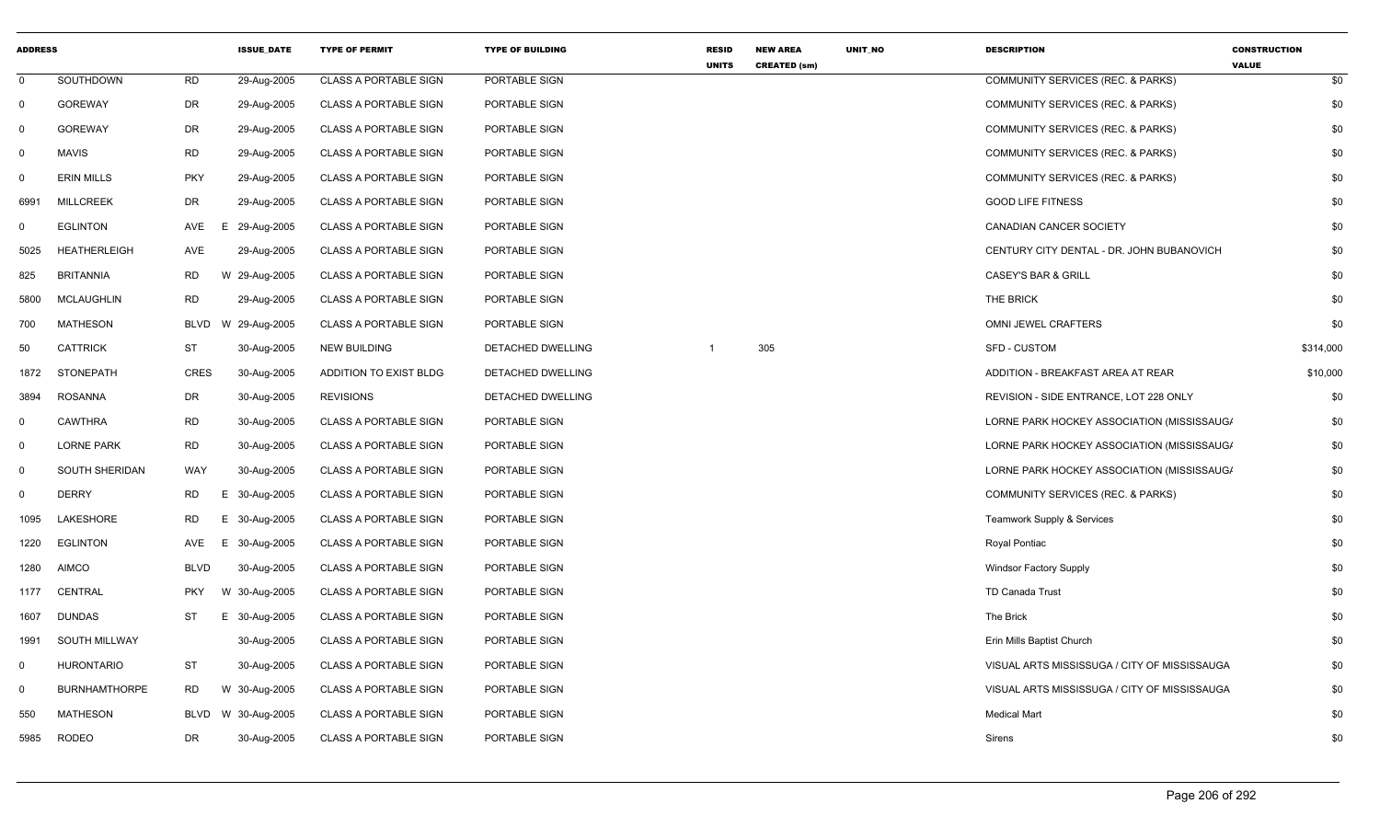| <b>ADDRESS</b> |                      |             | <b>ISSUE DATE</b> | <b>TYPE OF PERMIT</b>        | <b>TYPE OF BUILDING</b> | <b>RESID</b><br><b>UNITS</b> | <b>NEW AREA</b><br><b>CREATED (sm)</b> | UNIT_NO | <b>DESCRIPTION</b>                           | <b>CONSTRUCTION</b><br><b>VALUE</b> |
|----------------|----------------------|-------------|-------------------|------------------------------|-------------------------|------------------------------|----------------------------------------|---------|----------------------------------------------|-------------------------------------|
| $\mathbf 0$    | SOUTHDOWN            | <b>RD</b>   | 29-Aug-2005       | <b>CLASS A PORTABLE SIGN</b> | PORTABLE SIGN           |                              |                                        |         | COMMUNITY SERVICES (REC. & PARKS)            | \$0                                 |
| $\mathbf 0$    | <b>GOREWAY</b>       | DR          | 29-Aug-2005       | <b>CLASS A PORTABLE SIGN</b> | PORTABLE SIGN           |                              |                                        |         | COMMUNITY SERVICES (REC. & PARKS)            | \$0                                 |
| 0              | <b>GOREWAY</b>       | DR          | 29-Aug-2005       | <b>CLASS A PORTABLE SIGN</b> | PORTABLE SIGN           |                              |                                        |         | COMMUNITY SERVICES (REC. & PARKS)            | \$0                                 |
| $\mathbf 0$    | <b>MAVIS</b>         | <b>RD</b>   | 29-Aug-2005       | <b>CLASS A PORTABLE SIGN</b> | PORTABLE SIGN           |                              |                                        |         | COMMUNITY SERVICES (REC. & PARKS)            | \$0                                 |
| 0              | <b>ERIN MILLS</b>    | <b>PKY</b>  | 29-Aug-2005       | <b>CLASS A PORTABLE SIGN</b> | PORTABLE SIGN           |                              |                                        |         | COMMUNITY SERVICES (REC. & PARKS)            | \$0                                 |
| 6991           | <b>MILLCREEK</b>     | <b>DR</b>   | 29-Aug-2005       | <b>CLASS A PORTABLE SIGN</b> | PORTABLE SIGN           |                              |                                        |         | <b>GOOD LIFE FITNESS</b>                     | \$0                                 |
| $\mathbf{0}$   | <b>EGLINTON</b>      | AVE         | 29-Aug-2005<br>Е. | <b>CLASS A PORTABLE SIGN</b> | PORTABLE SIGN           |                              |                                        |         | CANADIAN CANCER SOCIETY                      | \$0                                 |
| 5025           | <b>HEATHERLEIGH</b>  | AVE         | 29-Aug-2005       | <b>CLASS A PORTABLE SIGN</b> | PORTABLE SIGN           |                              |                                        |         | CENTURY CITY DENTAL - DR. JOHN BUBANOVICH    | \$0                                 |
| 825            | <b>BRITANNIA</b>     | <b>RD</b>   | W 29-Aug-2005     | <b>CLASS A PORTABLE SIGN</b> | PORTABLE SIGN           |                              |                                        |         | <b>CASEY'S BAR &amp; GRILL</b>               | \$0                                 |
| 5800           | <b>MCLAUGHLIN</b>    | <b>RD</b>   | 29-Aug-2005       | <b>CLASS A PORTABLE SIGN</b> | PORTABLE SIGN           |                              |                                        |         | THE BRICK                                    | \$0                                 |
| 700            | <b>MATHESON</b>      | <b>BLVD</b> | W 29-Aug-2005     | <b>CLASS A PORTABLE SIGN</b> | PORTABLE SIGN           |                              |                                        |         | <b>OMNI JEWEL CRAFTERS</b>                   | \$0                                 |
| 50             | <b>CATTRICK</b>      | <b>ST</b>   | 30-Aug-2005       | <b>NEW BUILDING</b>          | DETACHED DWELLING       | $\mathbf{1}$                 | 305                                    |         | <b>SFD - CUSTOM</b>                          | \$314,000                           |
| 1872           | <b>STONEPATH</b>     | <b>CRES</b> | 30-Aug-2005       | ADDITION TO EXIST BLDG       | DETACHED DWELLING       |                              |                                        |         | ADDITION - BREAKFAST AREA AT REAR            | \$10,000                            |
| 3894           | <b>ROSANNA</b>       | DR          | 30-Aug-2005       | <b>REVISIONS</b>             | DETACHED DWELLING       |                              |                                        |         | REVISION - SIDE ENTRANCE, LOT 228 ONLY       | \$0                                 |
| $\mathbf 0$    | <b>CAWTHRA</b>       | <b>RD</b>   | 30-Aug-2005       | <b>CLASS A PORTABLE SIGN</b> | PORTABLE SIGN           |                              |                                        |         | LORNE PARK HOCKEY ASSOCIATION (MISSISSAUG/   | \$0                                 |
| $\mathbf 0$    | <b>LORNE PARK</b>    | <b>RD</b>   | 30-Aug-2005       | <b>CLASS A PORTABLE SIGN</b> | PORTABLE SIGN           |                              |                                        |         | LORNE PARK HOCKEY ASSOCIATION (MISSISSAUG/   | \$0                                 |
| $\mathbf 0$    | SOUTH SHERIDAN       | <b>WAY</b>  | 30-Aug-2005       | <b>CLASS A PORTABLE SIGN</b> | PORTABLE SIGN           |                              |                                        |         | LORNE PARK HOCKEY ASSOCIATION (MISSISSAUG/   | \$0                                 |
| 0              | <b>DERRY</b>         | <b>RD</b>   | Е.<br>30-Aug-2005 | <b>CLASS A PORTABLE SIGN</b> | PORTABLE SIGN           |                              |                                        |         | COMMUNITY SERVICES (REC. & PARKS)            | \$0                                 |
| 1095           | LAKESHORE            | <b>RD</b>   | Е.<br>30-Aug-2005 | <b>CLASS A PORTABLE SIGN</b> | PORTABLE SIGN           |                              |                                        |         | <b>Teamwork Supply &amp; Services</b>        | \$0                                 |
| 1220           | <b>EGLINTON</b>      | AVE         | E.<br>30-Aug-2005 | <b>CLASS A PORTABLE SIGN</b> | PORTABLE SIGN           |                              |                                        |         | Royal Pontiac                                | \$0                                 |
| 1280           | <b>AIMCO</b>         | <b>BLVD</b> | 30-Aug-2005       | <b>CLASS A PORTABLE SIGN</b> | PORTABLE SIGN           |                              |                                        |         | <b>Windsor Factory Supply</b>                | \$0                                 |
| 1177           | CENTRAL              | <b>PKY</b>  | W 30-Aug-2005     | <b>CLASS A PORTABLE SIGN</b> | PORTABLE SIGN           |                              |                                        |         | <b>TD Canada Trust</b>                       | \$0                                 |
| 1607           | <b>DUNDAS</b>        | ST          | E 30-Aug-2005     | <b>CLASS A PORTABLE SIGN</b> | PORTABLE SIGN           |                              |                                        |         | The Brick                                    | \$0                                 |
| 1991           | SOUTH MILLWAY        |             | 30-Aug-2005       | <b>CLASS A PORTABLE SIGN</b> | PORTABLE SIGN           |                              |                                        |         | Erin Mills Baptist Church                    | \$0                                 |
| 0              | <b>HURONTARIO</b>    | ST          | 30-Aug-2005       | <b>CLASS A PORTABLE SIGN</b> | PORTABLE SIGN           |                              |                                        |         | VISUAL ARTS MISSISSUGA / CITY OF MISSISSAUGA | \$0                                 |
| $\Omega$       | <b>BURNHAMTHORPE</b> | <b>RD</b>   | W 30-Aug-2005     | <b>CLASS A PORTABLE SIGN</b> | PORTABLE SIGN           |                              |                                        |         | VISUAL ARTS MISSISSUGA / CITY OF MISSISSAUGA | \$0                                 |
| 550            | <b>MATHESON</b>      | BLVD        | W 30-Aug-2005     | <b>CLASS A PORTABLE SIGN</b> | PORTABLE SIGN           |                              |                                        |         | <b>Medical Mart</b>                          | \$0                                 |
| 5985           | <b>RODEO</b>         | <b>DR</b>   | 30-Aug-2005       | <b>CLASS A PORTABLE SIGN</b> | PORTABLE SIGN           |                              |                                        |         | Sirens                                       | \$0                                 |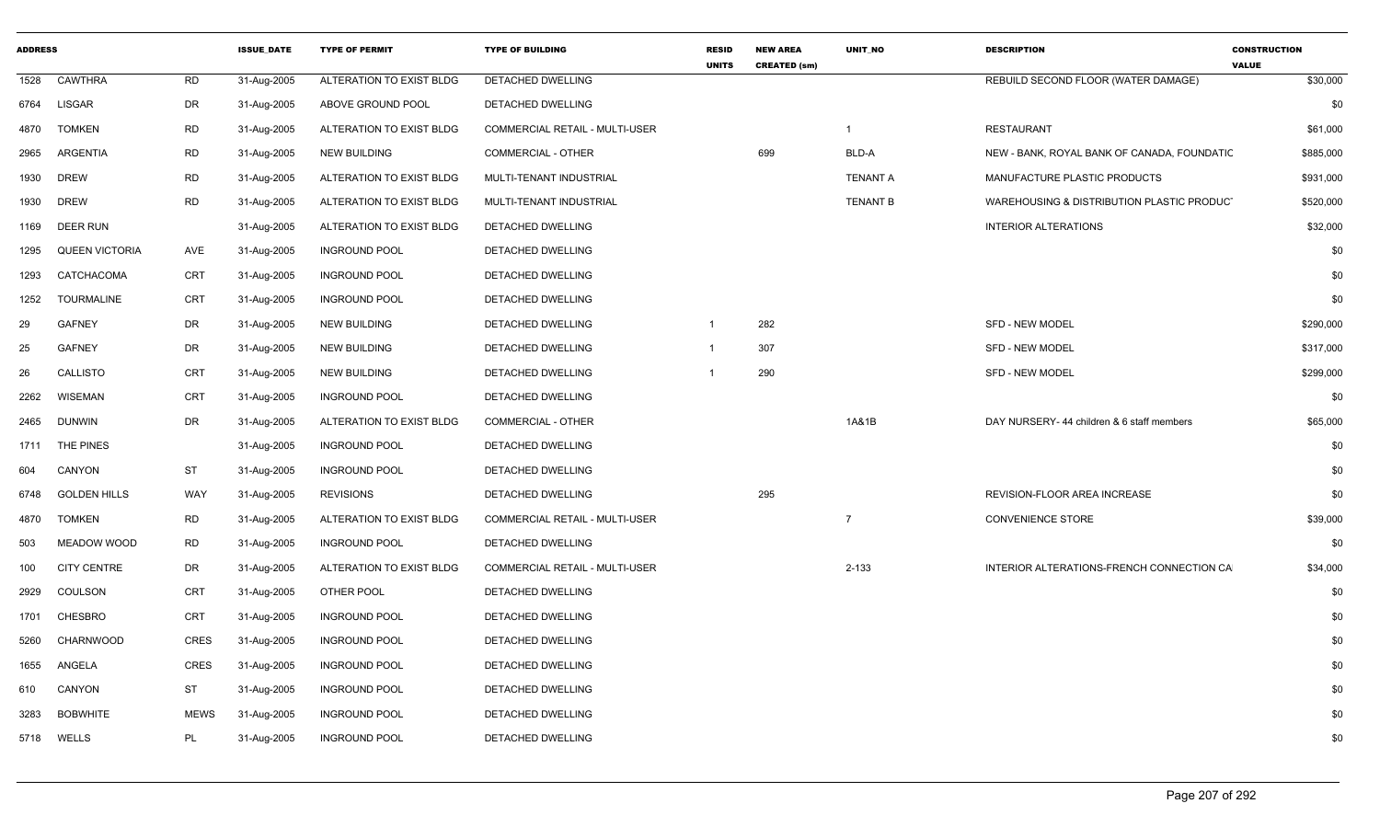| <b>ADDRESS</b> |                       |             | <b>ISSUE DATE</b> | <b>TYPE OF PERMIT</b>    | <b>TYPE OF BUILDING</b>               | <b>RESID</b><br><b>UNITS</b> | <b>NEW AREA</b><br><b>CREATED (sm)</b> | <b>UNIT NO</b>  | <b>DESCRIPTION</b>                          | <b>CONSTRUCTION</b><br><b>VALUE</b> |
|----------------|-----------------------|-------------|-------------------|--------------------------|---------------------------------------|------------------------------|----------------------------------------|-----------------|---------------------------------------------|-------------------------------------|
| 1528           | <b>CAWTHRA</b>        | <b>RD</b>   | 31-Aug-2005       | ALTERATION TO EXIST BLDG | DETACHED DWELLING                     |                              |                                        |                 | REBUILD SECOND FLOOR (WATER DAMAGE)         | \$30,000                            |
| 6764           | <b>LISGAR</b>         | <b>DR</b>   | 31-Aug-2005       | ABOVE GROUND POOL        | DETACHED DWELLING                     |                              |                                        |                 |                                             | \$0                                 |
| 4870           | <b>TOMKEN</b>         | <b>RD</b>   | 31-Aug-2005       | ALTERATION TO EXIST BLDG | COMMERCIAL RETAIL - MULTI-USER        |                              |                                        | $\mathbf 1$     | <b>RESTAURANT</b>                           | \$61,000                            |
| 2965           | ARGENTIA              | <b>RD</b>   | 31-Aug-2005       | NEW BUILDING             | COMMERCIAL - OTHER                    |                              | 699                                    | BLD-A           | NEW - BANK, ROYAL BANK OF CANADA, FOUNDATIC | \$885,000                           |
| 1930           | <b>DREW</b>           | <b>RD</b>   | 31-Aug-2005       | ALTERATION TO EXIST BLDG | MULTI-TENANT INDUSTRIAL               |                              |                                        | <b>TENANT A</b> | MANUFACTURE PLASTIC PRODUCTS                | \$931,000                           |
| 1930           | <b>DREW</b>           | <b>RD</b>   | 31-Aug-2005       | ALTERATION TO EXIST BLDG | MULTI-TENANT INDUSTRIAL               |                              |                                        | <b>TENANT B</b> | WAREHOUSING & DISTRIBUTION PLASTIC PRODUCT  | \$520,000                           |
| 1169           | <b>DEER RUN</b>       |             | 31-Aug-2005       | ALTERATION TO EXIST BLDG | DETACHED DWELLING                     |                              |                                        |                 | <b>INTERIOR ALTERATIONS</b>                 | \$32,000                            |
| 1295           | <b>QUEEN VICTORIA</b> | AVE         | 31-Aug-2005       | <b>INGROUND POOL</b>     | DETACHED DWELLING                     |                              |                                        |                 |                                             | \$0                                 |
| 1293           | CATCHACOMA            | <b>CRT</b>  | 31-Aug-2005       | <b>INGROUND POOL</b>     | DETACHED DWELLING                     |                              |                                        |                 |                                             | \$0                                 |
| 1252           | <b>TOURMALINE</b>     | <b>CRT</b>  | 31-Aug-2005       | <b>INGROUND POOL</b>     | DETACHED DWELLING                     |                              |                                        |                 |                                             | \$0                                 |
| 29             | <b>GAFNEY</b>         | DR          | 31-Aug-2005       | NEW BUILDING             | DETACHED DWELLING                     | $\mathbf{1}$                 | 282                                    |                 | <b>SFD - NEW MODEL</b>                      | \$290,000                           |
| 25             | <b>GAFNEY</b>         | DR          | 31-Aug-2005       | <b>NEW BUILDING</b>      | DETACHED DWELLING                     | -1                           | 307                                    |                 | <b>SFD - NEW MODEL</b>                      | \$317,000                           |
| 26             | <b>CALLISTO</b>       | <b>CRT</b>  | 31-Aug-2005       | <b>NEW BUILDING</b>      | DETACHED DWELLING                     |                              | 290                                    |                 | <b>SFD - NEW MODEL</b>                      | \$299,000                           |
| 2262           | <b>WISEMAN</b>        | <b>CRT</b>  | 31-Aug-2005       | <b>INGROUND POOL</b>     | DETACHED DWELLING                     |                              |                                        |                 |                                             | \$0                                 |
| 2465           | <b>DUNWIN</b>         | DR          | 31-Aug-2005       | ALTERATION TO EXIST BLDG | <b>COMMERCIAL - OTHER</b>             |                              |                                        | 1A&1B           | DAY NURSERY- 44 children & 6 staff members  | \$65,000                            |
| 1711           | THE PINES             |             | 31-Aug-2005       | <b>INGROUND POOL</b>     | DETACHED DWELLING                     |                              |                                        |                 |                                             | \$0                                 |
| 604            | CANYON                | <b>ST</b>   | 31-Aug-2005       | <b>INGROUND POOL</b>     | DETACHED DWELLING                     |                              |                                        |                 |                                             | \$0                                 |
| 6748           | <b>GOLDEN HILLS</b>   | WAY         | 31-Aug-2005       | <b>REVISIONS</b>         | DETACHED DWELLING                     |                              | 295                                    |                 | REVISION-FLOOR AREA INCREASE                | \$0                                 |
| 4870           | <b>TOMKEN</b>         | <b>RD</b>   | 31-Aug-2005       | ALTERATION TO EXIST BLDG | COMMERCIAL RETAIL - MULTI-USER        |                              |                                        | $\overline{7}$  | <b>CONVENIENCE STORE</b>                    | \$39,000                            |
| 503            | <b>MEADOW WOOD</b>    | <b>RD</b>   | 31-Aug-2005       | <b>INGROUND POOL</b>     | DETACHED DWELLING                     |                              |                                        |                 |                                             | \$0                                 |
| 100            | <b>CITY CENTRE</b>    | DR          | 31-Aug-2005       | ALTERATION TO EXIST BLDG | <b>COMMERCIAL RETAIL - MULTI-USER</b> |                              |                                        | $2 - 133$       | INTERIOR ALTERATIONS-FRENCH CONNECTION CA   | \$34,000                            |
| 2929           | COULSON               | <b>CRT</b>  | 31-Aug-2005       | OTHER POOL               | DETACHED DWELLING                     |                              |                                        |                 |                                             | \$0                                 |
| 1701           | CHESBRO               | CRT         | 31-Aug-2005       | <b>INGROUND POOL</b>     | DETACHED DWELLING                     |                              |                                        |                 |                                             | \$0                                 |
| 5260           | CHARNWOOD             | <b>CRES</b> | 31-Aug-2005       | <b>INGROUND POOL</b>     | DETACHED DWELLING                     |                              |                                        |                 |                                             | \$0                                 |
| 1655           | ANGELA                | <b>CRES</b> | 31-Aug-2005       | <b>INGROUND POOL</b>     | DETACHED DWELLING                     |                              |                                        |                 |                                             | \$0                                 |
| 610            | CANYON                | <b>ST</b>   | 31-Aug-2005       | <b>INGROUND POOL</b>     | DETACHED DWELLING                     |                              |                                        |                 |                                             | \$0                                 |
| 3283           | <b>BOBWHITE</b>       | <b>MEWS</b> | 31-Aug-2005       | <b>INGROUND POOL</b>     | DETACHED DWELLING                     |                              |                                        |                 |                                             | \$0                                 |
|                | 5718 WELLS            | PL          | 31-Aug-2005       | <b>INGROUND POOL</b>     | DETACHED DWELLING                     |                              |                                        |                 |                                             | \$0                                 |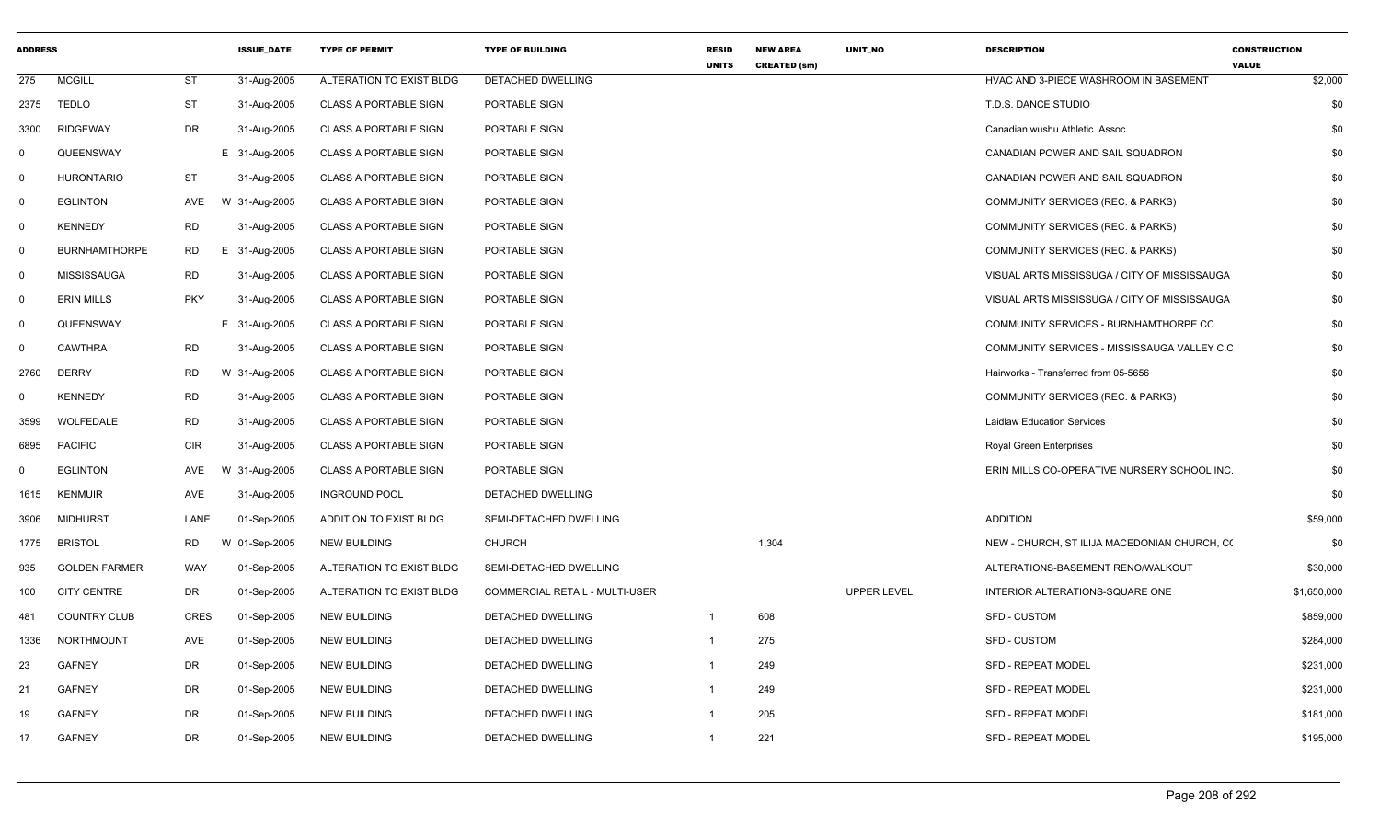| <b>ADDRESS</b> |                      |             | <b>ISSUE DATE</b> | <b>TYPE OF PERMIT</b>        | <b>TYPE OF BUILDING</b>        | <b>RESID</b>   | <b>NEW AREA</b>     | UNIT_NO            | <b>DESCRIPTION</b>                           | <b>CONSTRUCTION</b>     |
|----------------|----------------------|-------------|-------------------|------------------------------|--------------------------------|----------------|---------------------|--------------------|----------------------------------------------|-------------------------|
| 275            | <b>MCGILL</b>        | ST          | 31-Aug-2005       | ALTERATION TO EXIST BLDG     | DETACHED DWELLING              | <b>UNITS</b>   | <b>CREATED (sm)</b> |                    | HVAC AND 3-PIECE WASHROOM IN BASEMENT        | <b>VALUE</b><br>\$2,000 |
| 2375           | <b>TEDLO</b>         | <b>ST</b>   | 31-Aug-2005       | <b>CLASS A PORTABLE SIGN</b> | PORTABLE SIGN                  |                |                     |                    | T.D.S. DANCE STUDIO                          | \$0                     |
| 3300           | <b>RIDGEWAY</b>      | <b>DR</b>   | 31-Aug-2005       | <b>CLASS A PORTABLE SIGN</b> | PORTABLE SIGN                  |                |                     |                    | Canadian wushu Athletic Assoc.               | \$0                     |
| $\mathbf 0$    | QUEENSWAY            |             | E 31-Aug-2005     | <b>CLASS A PORTABLE SIGN</b> | PORTABLE SIGN                  |                |                     |                    | CANADIAN POWER AND SAIL SQUADRON             | \$0                     |
| $\overline{0}$ | <b>HURONTARIO</b>    | ST          | 31-Aug-2005       | <b>CLASS A PORTABLE SIGN</b> | PORTABLE SIGN                  |                |                     |                    | CANADIAN POWER AND SAIL SQUADRON             | \$0                     |
| $\mathsf{O}$   | <b>EGLINTON</b>      | <b>AVE</b>  | W 31-Aug-2005     | <b>CLASS A PORTABLE SIGN</b> | PORTABLE SIGN                  |                |                     |                    | COMMUNITY SERVICES (REC. & PARKS)            | \$0                     |
| $\mathbf 0$    | <b>KENNEDY</b>       | <b>RD</b>   | 31-Aug-2005       | <b>CLASS A PORTABLE SIGN</b> | PORTABLE SIGN                  |                |                     |                    | COMMUNITY SERVICES (REC. & PARKS)            | \$0                     |
| $\mathbf 0$    | <b>BURNHAMTHORPE</b> | <b>RD</b>   | E 31-Aug-2005     | <b>CLASS A PORTABLE SIGN</b> | PORTABLE SIGN                  |                |                     |                    | COMMUNITY SERVICES (REC. & PARKS)            | \$0                     |
| $\mathbf 0$    | <b>MISSISSAUGA</b>   | <b>RD</b>   | 31-Aug-2005       | <b>CLASS A PORTABLE SIGN</b> | PORTABLE SIGN                  |                |                     |                    | VISUAL ARTS MISSISSUGA / CITY OF MISSISSAUGA | \$0                     |
| $\mathbf 0$    | <b>ERIN MILLS</b>    | <b>PKY</b>  | 31-Aug-2005       | <b>CLASS A PORTABLE SIGN</b> | PORTABLE SIGN                  |                |                     |                    | VISUAL ARTS MISSISSUGA / CITY OF MISSISSAUGA | \$0                     |
| $\mathsf{O}$   | QUEENSWAY            |             | E 31-Aug-2005     | <b>CLASS A PORTABLE SIGN</b> | PORTABLE SIGN                  |                |                     |                    | COMMUNITY SERVICES - BURNHAMTHORPE CC        | \$0                     |
| $\mathbf 0$    | <b>CAWTHRA</b>       | <b>RD</b>   | 31-Aug-2005       | <b>CLASS A PORTABLE SIGN</b> | PORTABLE SIGN                  |                |                     |                    | COMMUNITY SERVICES - MISSISSAUGA VALLEY C.C  | \$0                     |
| 2760           | <b>DERRY</b>         | <b>RD</b>   | W 31-Aug-2005     | <b>CLASS A PORTABLE SIGN</b> | PORTABLE SIGN                  |                |                     |                    | Hairworks - Transferred from 05-5656         | \$0                     |
| 0              | <b>KENNEDY</b>       | <b>RD</b>   | 31-Aug-2005       | <b>CLASS A PORTABLE SIGN</b> | PORTABLE SIGN                  |                |                     |                    | COMMUNITY SERVICES (REC. & PARKS)            | \$0                     |
| 3599           | <b>WOLFEDALE</b>     | <b>RD</b>   | 31-Aug-2005       | <b>CLASS A PORTABLE SIGN</b> | PORTABLE SIGN                  |                |                     |                    | <b>Laidlaw Education Services</b>            | \$0                     |
| 6895           | <b>PACIFIC</b>       | <b>CIR</b>  | 31-Aug-2005       | <b>CLASS A PORTABLE SIGN</b> | PORTABLE SIGN                  |                |                     |                    | Royal Green Enterprises                      | \$0                     |
| 0              | <b>EGLINTON</b>      | AVE         | W 31-Aug-2005     | <b>CLASS A PORTABLE SIGN</b> | PORTABLE SIGN                  |                |                     |                    | ERIN MILLS CO-OPERATIVE NURSERY SCHOOL INC.  | \$0                     |
| 1615           | <b>KENMUIR</b>       | AVE         | 31-Aug-2005       | <b>INGROUND POOL</b>         | DETACHED DWELLING              |                |                     |                    |                                              | \$0                     |
| 3906           | <b>MIDHURST</b>      | LANE        | 01-Sep-2005       | ADDITION TO EXIST BLDG       | SEMI-DETACHED DWELLING         |                |                     |                    | <b>ADDITION</b>                              | \$59,000                |
| 1775           | <b>BRISTOL</b>       | <b>RD</b>   | W 01-Sep-2005     | <b>NEW BUILDING</b>          | <b>CHURCH</b>                  |                | 1,304               |                    | NEW - CHURCH, ST ILIJA MACEDONIAN CHURCH, CO | \$0                     |
| 935            | <b>GOLDEN FARMER</b> | <b>WAY</b>  | 01-Sep-2005       | ALTERATION TO EXIST BLDG     | SEMI-DETACHED DWELLING         |                |                     |                    | ALTERATIONS-BASEMENT RENO/WALKOUT            | \$30,000                |
| 100            | <b>CITY CENTRE</b>   | DR          | 01-Sep-2005       | ALTERATION TO EXIST BLDG     | COMMERCIAL RETAIL - MULTI-USER |                |                     | <b>UPPER LEVEL</b> | INTERIOR ALTERATIONS-SQUARE ONE              | \$1,650,000             |
| 481            | <b>COUNTRY CLUB</b>  | <b>CRES</b> | 01-Sep-2005       | <b>NEW BUILDING</b>          | DETACHED DWELLING              | $\overline{1}$ | 608                 |                    | <b>SFD - CUSTOM</b>                          | \$859,000               |
| 1336           | NORTHMOUNT           | AVE         | 01-Sep-2005       | NEW BUILDING                 | DETACHED DWELLING              | $\mathbf{1}$   | 275                 |                    | SFD - CUSTOM                                 | \$284,000               |
| 23             | <b>GAFNEY</b>        | <b>DR</b>   | 01-Sep-2005       | <b>NEW BUILDING</b>          | DETACHED DWELLING              | -1             | 249                 |                    | <b>SFD - REPEAT MODEL</b>                    | \$231,000               |
| 21             | <b>GAFNEY</b>        | <b>DR</b>   | 01-Sep-2005       | <b>NEW BUILDING</b>          | DETACHED DWELLING              | $\mathbf{1}$   | 249                 |                    | SFD - REPEAT MODEL                           | \$231,000               |
| 19             | <b>GAFNEY</b>        | DR          | 01-Sep-2005       | <b>NEW BUILDING</b>          | DETACHED DWELLING              |                | 205                 |                    | <b>SFD - REPEAT MODEL</b>                    | \$181,000               |
| 17             | <b>GAFNEY</b>        | DR          | 01-Sep-2005       | <b>NEW BUILDING</b>          | DETACHED DWELLING              | -1             | 221                 |                    | SFD - REPEAT MODEL                           | \$195,000               |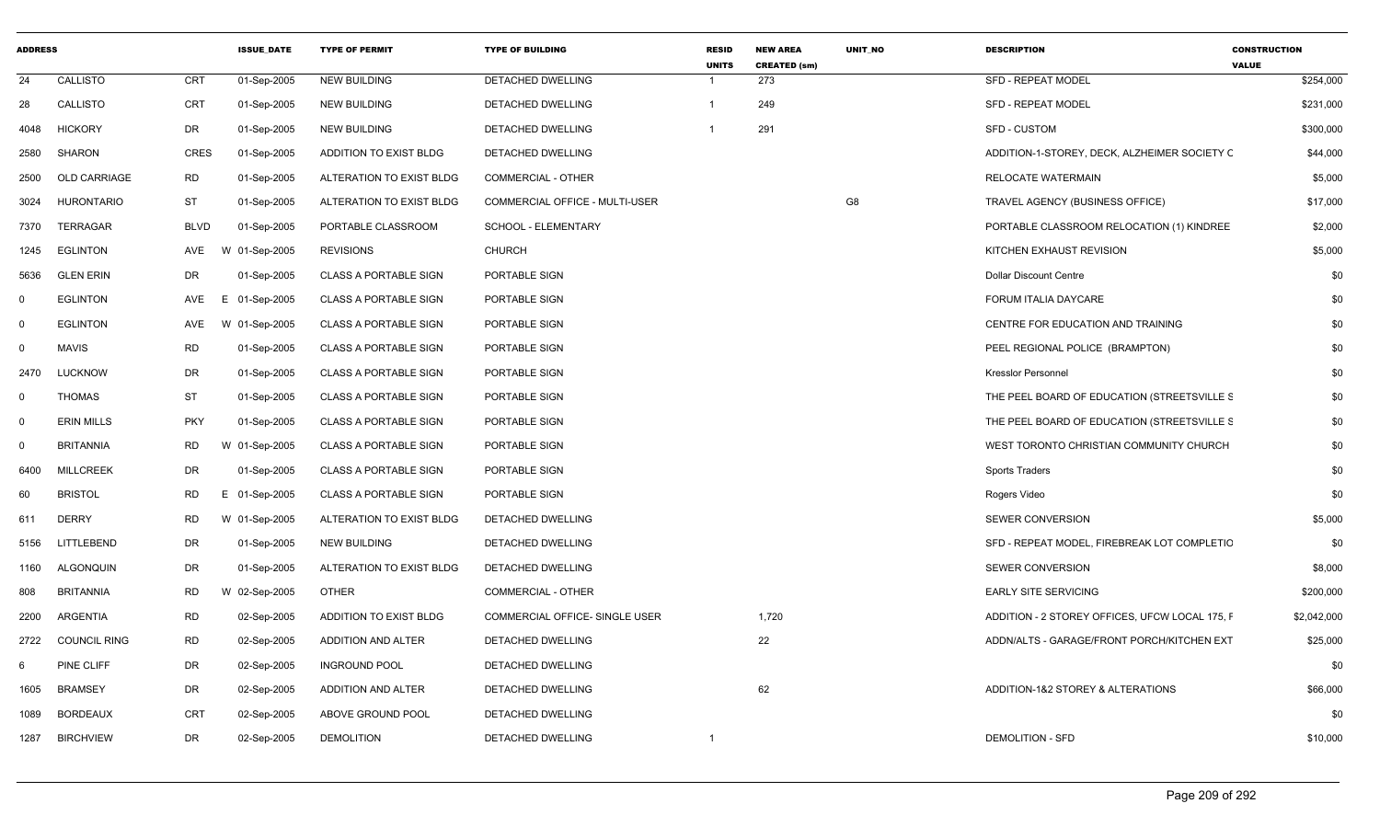| <b>ADDRESS</b> |                     |            | <b>ISSUE DATE</b> | <b>TYPE OF PERMIT</b>         | <b>TYPE OF BUILDING</b>        | <b>RESID</b><br><b>UNITS</b> | <b>NEW AREA</b><br><b>CREATED (sm)</b> | UNIT_NO | <b>DESCRIPTION</b>                             | <b>CONSTRUCTION</b><br><b>VALUE</b> |
|----------------|---------------------|------------|-------------------|-------------------------------|--------------------------------|------------------------------|----------------------------------------|---------|------------------------------------------------|-------------------------------------|
| 24             | <b>CALLISTO</b>     | <b>CRT</b> | 01-Sep-2005       | <b>NEW BUILDING</b>           | <b>DETACHED DWELLING</b>       | -1                           | 273                                    |         | <b>SFD - REPEAT MODEL</b>                      | \$254,000                           |
| 28             | CALLISTO            | CRT        | 01-Sep-2005       | <b>NEW BUILDING</b>           | DETACHED DWELLING              | $\overline{\mathbf{1}}$      | 249                                    |         | <b>SFD - REPEAT MODEL</b>                      | \$231,000                           |
| 4048           | <b>HICKORY</b>      | DR         | 01-Sep-2005       | <b>NEW BUILDING</b>           | DETACHED DWELLING              | - 1                          | 291                                    |         | <b>SFD - CUSTOM</b>                            | \$300,000                           |
| 2580           | SHARON              | CRES       | 01-Sep-2005       | <b>ADDITION TO EXIST BLDG</b> | DETACHED DWELLING              |                              |                                        |         | ADDITION-1-STOREY, DECK, ALZHEIMER SOCIETY C   | \$44,000                            |
| 2500           | <b>OLD CARRIAGE</b> | RD         | 01-Sep-2005       | ALTERATION TO EXIST BLDG      | COMMERCIAL - OTHER             |                              |                                        |         | RELOCATE WATERMAIN                             | \$5,000                             |
| 3024           | <b>HURONTARIO</b>   | <b>ST</b>  | 01-Sep-2005       | ALTERATION TO EXIST BLDG      | COMMERCIAL OFFICE - MULTI-USER |                              |                                        | G8      | TRAVEL AGENCY (BUSINESS OFFICE)                | \$17,000                            |
| 7370           | <b>TERRAGAR</b>     | BLVD       | 01-Sep-2005       | PORTABLE CLASSROOM            | SCHOOL - ELEMENTARY            |                              |                                        |         | PORTABLE CLASSROOM RELOCATION (1) KINDREE      | \$2,000                             |
| 1245           | <b>EGLINTON</b>     | AVE        | W 01-Sep-2005     | <b>REVISIONS</b>              | <b>CHURCH</b>                  |                              |                                        |         | KITCHEN EXHAUST REVISION                       | \$5,000                             |
| 5636           | <b>GLEN ERIN</b>    | DR         | 01-Sep-2005       | <b>CLASS A PORTABLE SIGN</b>  | PORTABLE SIGN                  |                              |                                        |         | Dollar Discount Centre                         | \$0                                 |
| $\mathbf 0$    | <b>EGLINTON</b>     | AVE<br>E.  | 01-Sep-2005       | <b>CLASS A PORTABLE SIGN</b>  | PORTABLE SIGN                  |                              |                                        |         | FORUM ITALIA DAYCARE                           | \$0                                 |
| $\mathbf 0$    | <b>EGLINTON</b>     | AVE        | W 01-Sep-2005     | <b>CLASS A PORTABLE SIGN</b>  | PORTABLE SIGN                  |                              |                                        |         | CENTRE FOR EDUCATION AND TRAINING              | \$0                                 |
| $\mathbf 0$    | <b>MAVIS</b>        | RD         | 01-Sep-2005       | <b>CLASS A PORTABLE SIGN</b>  | PORTABLE SIGN                  |                              |                                        |         | PEEL REGIONAL POLICE (BRAMPTON)                | \$0                                 |
| 2470           | LUCKNOW             | DR         | 01-Sep-2005       | <b>CLASS A PORTABLE SIGN</b>  | PORTABLE SIGN                  |                              |                                        |         | <b>Kresslor Personnel</b>                      | \$0                                 |
| $\mathbf 0$    | <b>THOMAS</b>       | <b>ST</b>  | 01-Sep-2005       | <b>CLASS A PORTABLE SIGN</b>  | PORTABLE SIGN                  |                              |                                        |         | THE PEEL BOARD OF EDUCATION (STREETSVILLE S    | \$0                                 |
| $\mathbf 0$    | <b>ERIN MILLS</b>   | <b>PKY</b> | 01-Sep-2005       | <b>CLASS A PORTABLE SIGN</b>  | PORTABLE SIGN                  |                              |                                        |         | THE PEEL BOARD OF EDUCATION (STREETSVILLE S)   | \$0                                 |
| $\mathbf 0$    | <b>BRITANNIA</b>    | RD         | W 01-Sep-2005     | <b>CLASS A PORTABLE SIGN</b>  | PORTABLE SIGN                  |                              |                                        |         | WEST TORONTO CHRISTIAN COMMUNITY CHURCH        | \$0                                 |
| 6400           | <b>MILLCREEK</b>    | DR         | 01-Sep-2005       | <b>CLASS A PORTABLE SIGN</b>  | PORTABLE SIGN                  |                              |                                        |         | <b>Sports Traders</b>                          | \$0                                 |
| 60             | <b>BRISTOL</b>      | RD         | E 01-Sep-2005     | <b>CLASS A PORTABLE SIGN</b>  | PORTABLE SIGN                  |                              |                                        |         | Rogers Video                                   | \$0                                 |
| 611            | <b>DERRY</b>        | RD         | W 01-Sep-2005     | ALTERATION TO EXIST BLDG      | DETACHED DWELLING              |                              |                                        |         | <b>SEWER CONVERSION</b>                        | \$5,000                             |
| 5156           | LITTLEBEND          | DR         | 01-Sep-2005       | <b>NEW BUILDING</b>           | DETACHED DWELLING              |                              |                                        |         | SFD - REPEAT MODEL, FIREBREAK LOT COMPLETIC    | \$0                                 |
| 1160           | ALGONQUIN           | DR         | 01-Sep-2005       | ALTERATION TO EXIST BLDG      | DETACHED DWELLING              |                              |                                        |         | <b>SEWER CONVERSION</b>                        | \$8,000                             |
| 808            | <b>BRITANNIA</b>    | RD         | W 02-Sep-2005     | <b>OTHER</b>                  | COMMERCIAL - OTHER             |                              |                                        |         | <b>EARLY SITE SERVICING</b>                    | \$200,000                           |
| 2200           | ARGENTIA            | RD         | 02-Sep-2005       | ADDITION TO EXIST BLDG        | COMMERCIAL OFFICE- SINGLE USER |                              | 1,720                                  |         | ADDITION - 2 STOREY OFFICES, UFCW LOCAL 175, F | \$2,042,000                         |
| 2722           | <b>COUNCIL RING</b> | <b>RD</b>  | 02-Sep-2005       | ADDITION AND ALTER            | <b>DETACHED DWELLING</b>       |                              | 22                                     |         | ADDN/ALTS - GARAGE/FRONT PORCH/KITCHEN EXT     | \$25,000                            |
| 6              | <b>PINE CLIFF</b>   | DR         | 02-Sep-2005       | <b>INGROUND POOL</b>          | DETACHED DWELLING              |                              |                                        |         |                                                | \$0                                 |
| 1605           | <b>BRAMSEY</b>      | DR         | 02-Sep-2005       | <b>ADDITION AND ALTER</b>     | DETACHED DWELLING              |                              | 62                                     |         | ADDITION-1&2 STOREY & ALTERATIONS              | \$66,000                            |
| 1089           | <b>BORDEAUX</b>     | CRT        | 02-Sep-2005       | ABOVE GROUND POOL             | DETACHED DWELLING              |                              |                                        |         |                                                | \$0                                 |
| 1287           | <b>BIRCHVIEW</b>    | DR         | 02-Sep-2005       | <b>DEMOLITION</b>             | DETACHED DWELLING              | $\overline{1}$               |                                        |         | <b>DEMOLITION - SFD</b>                        | \$10,000                            |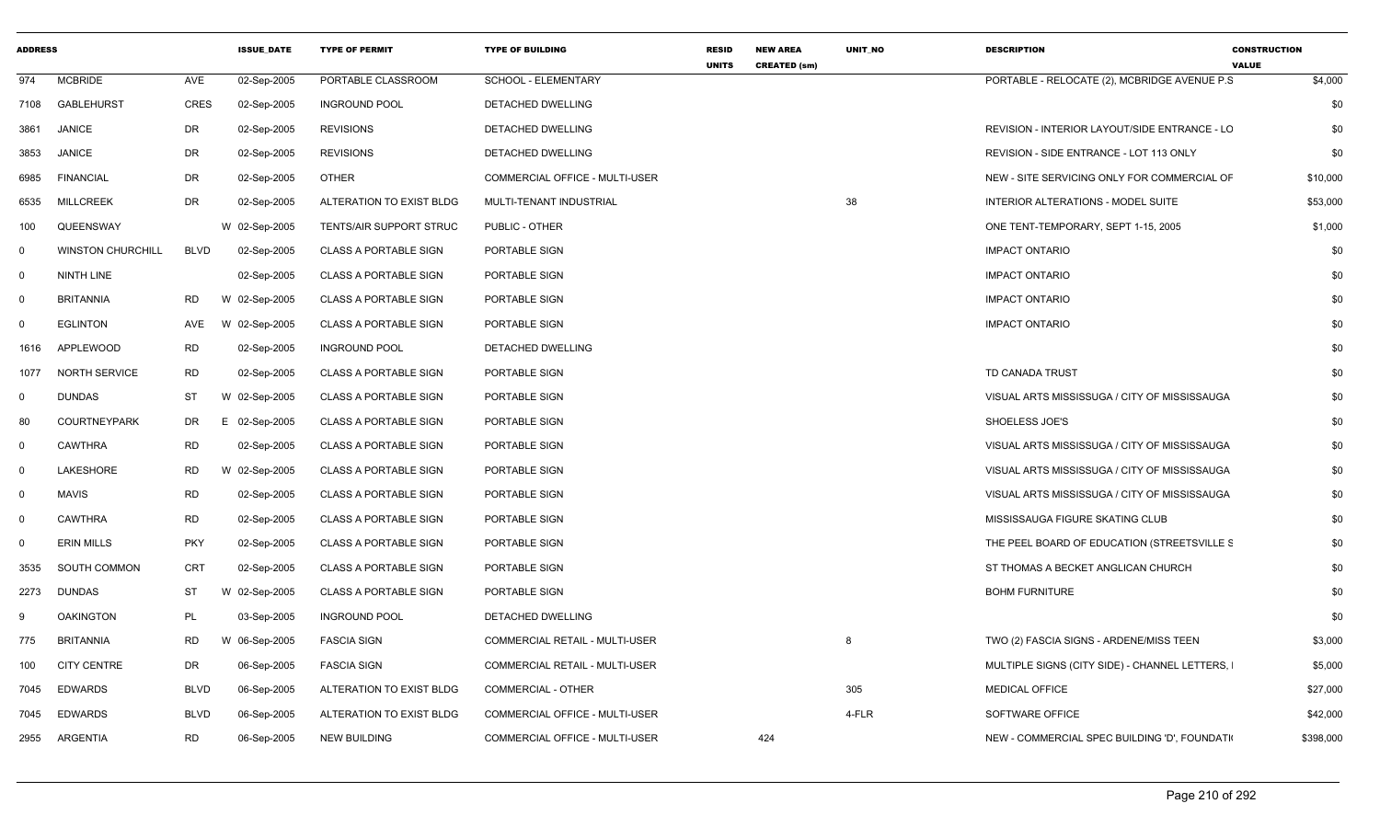| <b>ADDRESS</b> |                          |             | <b>ISSUE_DATE</b> | <b>TYPE OF PERMIT</b>          | <b>TYPE OF BUILDING</b>               | <b>RESID</b><br><b>UNITS</b> | <b>NEW AREA</b><br><b>CREATED (sm)</b> | UNIT_NO | <b>DESCRIPTION</b>                            | <b>CONSTRUCTION</b><br><b>VALUE</b> |
|----------------|--------------------------|-------------|-------------------|--------------------------------|---------------------------------------|------------------------------|----------------------------------------|---------|-----------------------------------------------|-------------------------------------|
| 974            | <b>MCBRIDE</b>           | AVE         | 02-Sep-2005       | PORTABLE CLASSROOM             | SCHOOL - ELEMENTARY                   |                              |                                        |         | PORTABLE - RELOCATE (2), MCBRIDGE AVENUE P.S. | \$4,000                             |
|                | 7108 GABLEHURST          | <b>CRES</b> | 02-Sep-2005       | <b>INGROUND POOL</b>           | DETACHED DWELLING                     |                              |                                        |         |                                               | \$0                                 |
| 3861           | <b>JANICE</b>            | <b>DR</b>   | 02-Sep-2005       | <b>REVISIONS</b>               | <b>DETACHED DWELLING</b>              |                              |                                        |         | REVISION - INTERIOR LAYOUT/SIDE ENTRANCE - LC | \$0                                 |
| 3853           | <b>JANICE</b>            | DR          | 02-Sep-2005       | <b>REVISIONS</b>               | DETACHED DWELLING                     |                              |                                        |         | REVISION - SIDE ENTRANCE - LOT 113 ONLY       | \$0                                 |
| 6985           | <b>FINANCIAL</b>         | DR          | 02-Sep-2005       | <b>OTHER</b>                   | COMMERCIAL OFFICE - MULTI-USER        |                              |                                        |         | NEW - SITE SERVICING ONLY FOR COMMERCIAL OF   | \$10,000                            |
| 6535           | <b>MILLCREEK</b>         | DR          | 02-Sep-2005       | ALTERATION TO EXIST BLDG       | MULTI-TENANT INDUSTRIAL               |                              |                                        | 38      | INTERIOR ALTERATIONS - MODEL SUITE            | \$53,000                            |
| 100            | QUEENSWAY                |             | W 02-Sep-2005     | <b>TENTS/AIR SUPPORT STRUC</b> | PUBLIC - OTHER                        |                              |                                        |         | ONE TENT-TEMPORARY, SEPT 1-15, 2005           | \$1,000                             |
| 0              | <b>WINSTON CHURCHILL</b> | <b>BLVD</b> | 02-Sep-2005       | <b>CLASS A PORTABLE SIGN</b>   | PORTABLE SIGN                         |                              |                                        |         | <b>IMPACT ONTARIO</b>                         | \$0                                 |
| $\mathbf 0$    | NINTH LINE               |             | 02-Sep-2005       | <b>CLASS A PORTABLE SIGN</b>   | PORTABLE SIGN                         |                              |                                        |         | <b>IMPACT ONTARIO</b>                         | \$0                                 |
| - 0            | <b>BRITANNIA</b>         | RD          | W 02-Sep-2005     | <b>CLASS A PORTABLE SIGN</b>   | PORTABLE SIGN                         |                              |                                        |         | <b>IMPACT ONTARIO</b>                         | \$0                                 |
| $\Omega$       | <b>EGLINTON</b>          | AVE         | W 02-Sep-2005     | <b>CLASS A PORTABLE SIGN</b>   | PORTABLE SIGN                         |                              |                                        |         | <b>IMPACT ONTARIO</b>                         | \$0                                 |
| 1616           | APPLEWOOD                | RD          | 02-Sep-2005       | <b>INGROUND POOL</b>           | DETACHED DWELLING                     |                              |                                        |         |                                               | \$0                                 |
| 1077           | <b>NORTH SERVICE</b>     | <b>RD</b>   | 02-Sep-2005       | <b>CLASS A PORTABLE SIGN</b>   | PORTABLE SIGN                         |                              |                                        |         | TD CANADA TRUST                               | \$0                                 |
| $\mathbf 0$    | <b>DUNDAS</b>            | ST          | W 02-Sep-2005     | <b>CLASS A PORTABLE SIGN</b>   | PORTABLE SIGN                         |                              |                                        |         | VISUAL ARTS MISSISSUGA / CITY OF MISSISSAUGA  | \$0                                 |
| 80             | <b>COURTNEYPARK</b>      | DR          | 02-Sep-2005<br>Е. | <b>CLASS A PORTABLE SIGN</b>   | PORTABLE SIGN                         |                              |                                        |         | SHOELESS JOE'S                                | \$0                                 |
| $\mathbf{0}$   | <b>CAWTHRA</b>           | <b>RD</b>   | 02-Sep-2005       | <b>CLASS A PORTABLE SIGN</b>   | PORTABLE SIGN                         |                              |                                        |         | VISUAL ARTS MISSISSUGA / CITY OF MISSISSAUGA  | \$0                                 |
| $\Omega$       | LAKESHORE                | <b>RD</b>   | W 02-Sep-2005     | <b>CLASS A PORTABLE SIGN</b>   | PORTABLE SIGN                         |                              |                                        |         | VISUAL ARTS MISSISSUGA / CITY OF MISSISSAUGA  | \$0                                 |
| $\Omega$       | <b>MAVIS</b>             | <b>RD</b>   | 02-Sep-2005       | <b>CLASS A PORTABLE SIGN</b>   | PORTABLE SIGN                         |                              |                                        |         | VISUAL ARTS MISSISSUGA / CITY OF MISSISSAUGA  | \$0                                 |
| $\mathbf 0$    | <b>CAWTHRA</b>           | <b>RD</b>   | 02-Sep-2005       | <b>CLASS A PORTABLE SIGN</b>   | PORTABLE SIGN                         |                              |                                        |         | MISSISSAUGA FIGURE SKATING CLUB               | \$0                                 |
| $\Omega$       | <b>ERIN MILLS</b>        | <b>PKY</b>  | 02-Sep-2005       | <b>CLASS A PORTABLE SIGN</b>   | PORTABLE SIGN                         |                              |                                        |         | THE PEEL BOARD OF EDUCATION (STREETSVILLE S   | \$0                                 |
| 3535           | SOUTH COMMON             | CRT         | 02-Sep-2005       | <b>CLASS A PORTABLE SIGN</b>   | PORTABLE SIGN                         |                              |                                        |         | ST THOMAS A BECKET ANGLICAN CHURCH            | \$0                                 |
| 2273           | <b>DUNDAS</b>            | <b>ST</b>   | 02-Sep-2005<br>W  | <b>CLASS A PORTABLE SIGN</b>   | PORTABLE SIGN                         |                              |                                        |         | <b>BOHM FURNITURE</b>                         | \$0                                 |
| 9              | <b>OAKINGTON</b>         | <b>PL</b>   | 03-Sep-2005       | <b>INGROUND POOL</b>           | <b>DETACHED DWELLING</b>              |                              |                                        |         |                                               | \$0                                 |
| 775            | <b>BRITANNIA</b>         | RD          | W 06-Sep-2005     | <b>FASCIA SIGN</b>             | <b>COMMERCIAL RETAIL - MULTI-USER</b> |                              |                                        | 8       | TWO (2) FASCIA SIGNS - ARDENE/MISS TEEN       | \$3,000                             |
| 100            | <b>CITY CENTRE</b>       | DR          | 06-Sep-2005       | <b>FASCIA SIGN</b>             | COMMERCIAL RETAIL - MULTI-USER        |                              |                                        |         | MULTIPLE SIGNS (CITY SIDE) - CHANNEL LETTERS, | \$5,000                             |
| 7045           | <b>EDWARDS</b>           | <b>BLVD</b> | 06-Sep-2005       | ALTERATION TO EXIST BLDG       | COMMERCIAL - OTHER                    |                              |                                        | 305     | <b>MEDICAL OFFICE</b>                         | \$27,000                            |
| 7045           | EDWARDS                  | <b>BLVD</b> | 06-Sep-2005       | ALTERATION TO EXIST BLDG       | COMMERCIAL OFFICE - MULTI-USER        |                              |                                        | 4-FLR   | <b>SOFTWARE OFFICE</b>                        | \$42,000                            |
|                | 2955 ARGENTIA            | RD          | 06-Sep-2005       | <b>NEW BUILDING</b>            | COMMERCIAL OFFICE - MULTI-USER        |                              | 424                                    |         | NEW - COMMERCIAL SPEC BUILDING 'D', FOUNDATI  | \$398,000                           |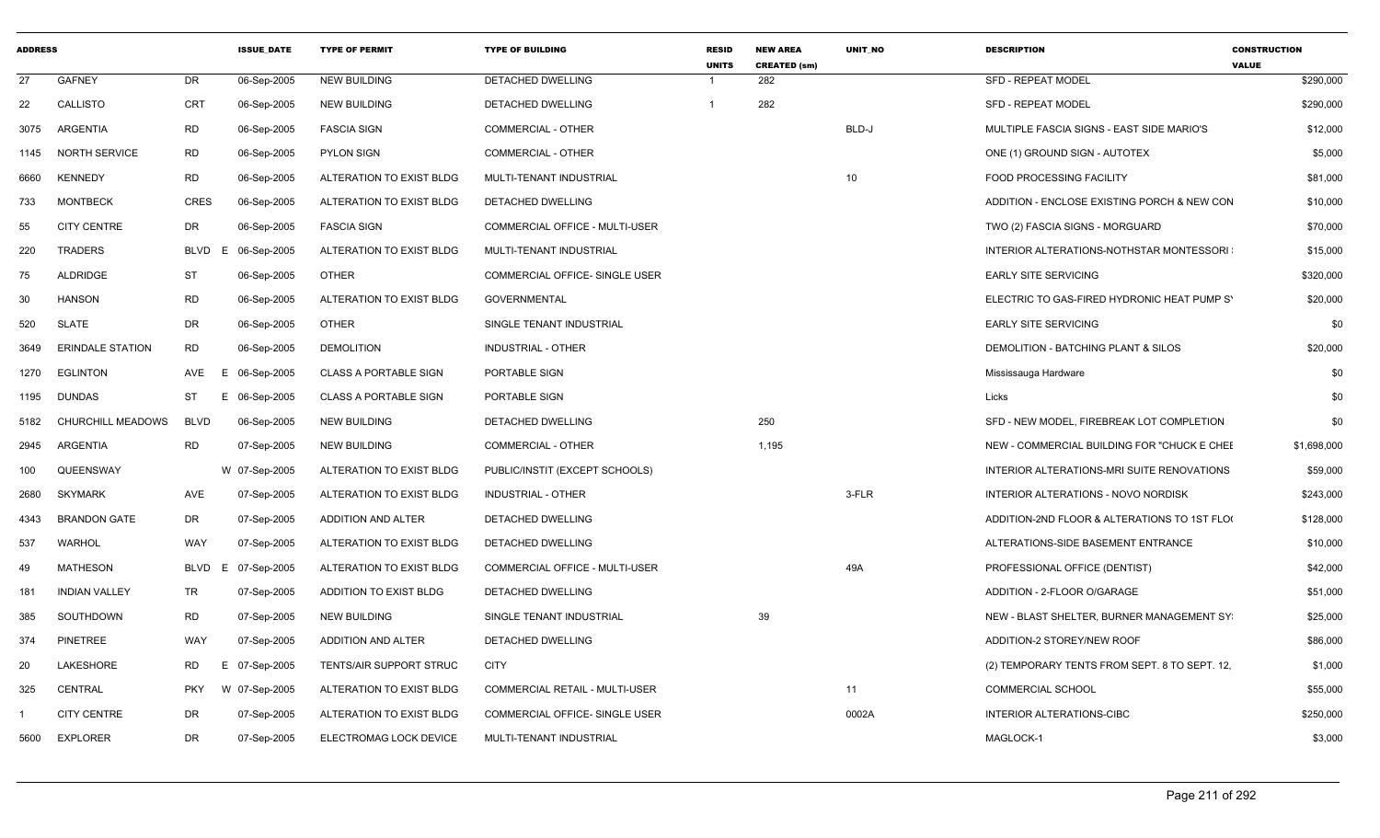| <b>ADDRESS</b> |                          |                 | <b>ISSUE DATE</b> | <b>TYPE OF PERMIT</b>          | <b>TYPE OF BUILDING</b>               | <b>RESID</b><br><b>UNITS</b> | <b>NEW AREA</b><br><b>CREATED (sm)</b> | <b>UNIT NO</b> | <b>DESCRIPTION</b>                            | <b>CONSTRUCTION</b><br><b>VALUE</b> |
|----------------|--------------------------|-----------------|-------------------|--------------------------------|---------------------------------------|------------------------------|----------------------------------------|----------------|-----------------------------------------------|-------------------------------------|
| 27             | <b>GAFNEY</b>            | <b>DR</b>       | 06-Sep-2005       | <b>NEW BUILDING</b>            | <b>DETACHED DWELLING</b>              |                              | 282                                    |                | <b>SFD - REPEAT MODEL</b>                     | \$290,000                           |
| 22             | CALLISTO                 | <b>CRT</b>      | 06-Sep-2005       | <b>NEW BUILDING</b>            | DETACHED DWELLING                     |                              | 282                                    |                | <b>SFD - REPEAT MODEL</b>                     | \$290,000                           |
| 3075           | ARGENTIA                 | RD              | 06-Sep-2005       | <b>FASCIA SIGN</b>             | <b>COMMERCIAL - OTHER</b>             |                              |                                        | BLD-J          | MULTIPLE FASCIA SIGNS - EAST SIDE MARIO'S     | \$12,000                            |
| 1145           | <b>NORTH SERVICE</b>     | <b>RD</b>       | 06-Sep-2005       | <b>PYLON SIGN</b>              | COMMERCIAL - OTHER                    |                              |                                        |                | ONE (1) GROUND SIGN - AUTOTEX                 | \$5,000                             |
| 6660           | <b>KENNEDY</b>           | <b>RD</b>       | 06-Sep-2005       | ALTERATION TO EXIST BLDG       | MULTI-TENANT INDUSTRIAL               |                              |                                        | 10             | FOOD PROCESSING FACILITY                      | \$81,000                            |
| 733            | <b>MONTBECK</b>          | CRES            | 06-Sep-2005       | ALTERATION TO EXIST BLDG       | DETACHED DWELLING                     |                              |                                        |                | ADDITION - ENCLOSE EXISTING PORCH & NEW CON   | \$10,000                            |
| 55             | <b>CITY CENTRE</b>       | DR              | 06-Sep-2005       | <b>FASCIA SIGN</b>             | COMMERCIAL OFFICE - MULTI-USER        |                              |                                        |                | TWO (2) FASCIA SIGNS - MORGUARD               | \$70,000                            |
| 220            | <b>TRADERS</b>           | BLVD<br>E       | 06-Sep-2005       | ALTERATION TO EXIST BLDG       | MULTI-TENANT INDUSTRIAL               |                              |                                        |                | INTERIOR ALTERATIONS-NOTHSTAR MONTESSORI      | \$15,000                            |
| 75             | ALDRIDGE                 | ST              | 06-Sep-2005       | <b>OTHER</b>                   | COMMERCIAL OFFICE- SINGLE USER        |                              |                                        |                | <b>EARLY SITE SERVICING</b>                   | \$320,000                           |
| 30             | <b>HANSON</b>            | <b>RD</b>       | 06-Sep-2005       | ALTERATION TO EXIST BLDG       | <b>GOVERNMENTAL</b>                   |                              |                                        |                | ELECTRIC TO GAS-FIRED HYDRONIC HEAT PUMP S'   | \$20,000                            |
| 520            | SLATE                    | DR              | 06-Sep-2005       | <b>OTHER</b>                   | SINGLE TENANT INDUSTRIAL              |                              |                                        |                | <b>EARLY SITE SERVICING</b>                   | \$0                                 |
| 3649           | <b>ERINDALE STATION</b>  | <b>RD</b>       | 06-Sep-2005       | <b>DEMOLITION</b>              | <b>INDUSTRIAL - OTHER</b>             |                              |                                        |                | DEMOLITION - BATCHING PLANT & SILOS           | \$20,000                            |
| 1270           | EGLINTON                 | AVE             | E 06-Sep-2005     | <b>CLASS A PORTABLE SIGN</b>   | PORTABLE SIGN                         |                              |                                        |                | Mississauga Hardware                          | \$0                                 |
| 1195           | <b>DUNDAS</b>            | ST              | E 06-Sep-2005     | <b>CLASS A PORTABLE SIGN</b>   | PORTABLE SIGN                         |                              |                                        |                | Licks                                         | \$0                                 |
| 5182           | <b>CHURCHILL MEADOWS</b> | <b>BLVD</b>     | 06-Sep-2005       | <b>NEW BUILDING</b>            | DETACHED DWELLING                     |                              | 250                                    |                | SFD - NEW MODEL, FIREBREAK LOT COMPLETION     | \$0                                 |
| 2945           | ARGENTIA                 | RD              | 07-Sep-2005       | NEW BUILDING                   | <b>COMMERCIAL - OTHER</b>             |                              | 1,195                                  |                | NEW - COMMERCIAL BUILDING FOR "CHUCK E CHEE   | \$1,698,000                         |
| 100            | QUEENSWAY                |                 | W 07-Sep-2005     | ALTERATION TO EXIST BLDG       | PUBLIC/INSTIT (EXCEPT SCHOOLS)        |                              |                                        |                | INTERIOR ALTERATIONS-MRI SUITE RENOVATIONS    | \$59,000                            |
| 2680           | <b>SKYMARK</b>           | <b>AVE</b>      | 07-Sep-2005       | ALTERATION TO EXIST BLDG       | INDUSTRIAL - OTHER                    |                              |                                        | 3-FLR          | INTERIOR ALTERATIONS - NOVO NORDISK           | \$243,000                           |
| 4343           | <b>BRANDON GATE</b>      | DR              | 07-Sep-2005       | ADDITION AND ALTER             | DETACHED DWELLING                     |                              |                                        |                | ADDITION-2ND FLOOR & ALTERATIONS TO 1ST FLOO  | \$128,000                           |
| 537            | <b>WARHOL</b>            | WAY             | 07-Sep-2005       | ALTERATION TO EXIST BLDG       | DETACHED DWELLING                     |                              |                                        |                | ALTERATIONS-SIDE BASEMENT ENTRANCE            | \$10,000                            |
| 49             | <b>MATHESON</b>          | BLVD            | E 07-Sep-2005     | ALTERATION TO EXIST BLDG       | COMMERCIAL OFFICE - MULTI-USER        |                              |                                        | 49A            | PROFESSIONAL OFFICE (DENTIST)                 | \$42,000                            |
| 181            | <b>INDIAN VALLEY</b>     | TR              | 07-Sep-2005       | ADDITION TO EXIST BLDG         | DETACHED DWELLING                     |                              |                                        |                | ADDITION - 2-FLOOR O/GARAGE                   | \$51,000                            |
| 385            | SOUTHDOWN                | <b>RD</b>       | 07-Sep-2005       | <b>NEW BUILDING</b>            | SINGLE TENANT INDUSTRIAL              |                              | 39                                     |                | NEW - BLAST SHELTER, BURNER MANAGEMENT SY     | \$25,000                            |
| 374            | <b>PINETREE</b>          | WAY             | 07-Sep-2005       | ADDITION AND ALTER             | DETACHED DWELLING                     |                              |                                        |                | ADDITION-2 STOREY/NEW ROOF                    | \$86,000                            |
| 20             | LAKESHORE                | <b>RD</b><br>Е. | 07-Sep-2005       | <b>TENTS/AIR SUPPORT STRUC</b> | <b>CITY</b>                           |                              |                                        |                | (2) TEMPORARY TENTS FROM SEPT. 8 TO SEPT. 12, | \$1,000                             |
| 325            | CENTRAL                  | <b>PKY</b>      | W 07-Sep-2005     | ALTERATION TO EXIST BLDG       | <b>COMMERCIAL RETAIL - MULTI-USER</b> |                              |                                        | 11             | <b>COMMERCIAL SCHOOL</b>                      | \$55,000                            |
|                | <b>CITY CENTRE</b>       | DR              | 07-Sep-2005       | ALTERATION TO EXIST BLDG       | COMMERCIAL OFFICE- SINGLE USER        |                              |                                        | 0002A          | INTERIOR ALTERATIONS-CIBC                     | \$250,000                           |
| 5600           | <b>EXPLORER</b>          | DR              | 07-Sep-2005       | ELECTROMAG LOCK DEVICE         | MULTI-TENANT INDUSTRIAL               |                              |                                        |                | MAGLOCK-1                                     | \$3,000                             |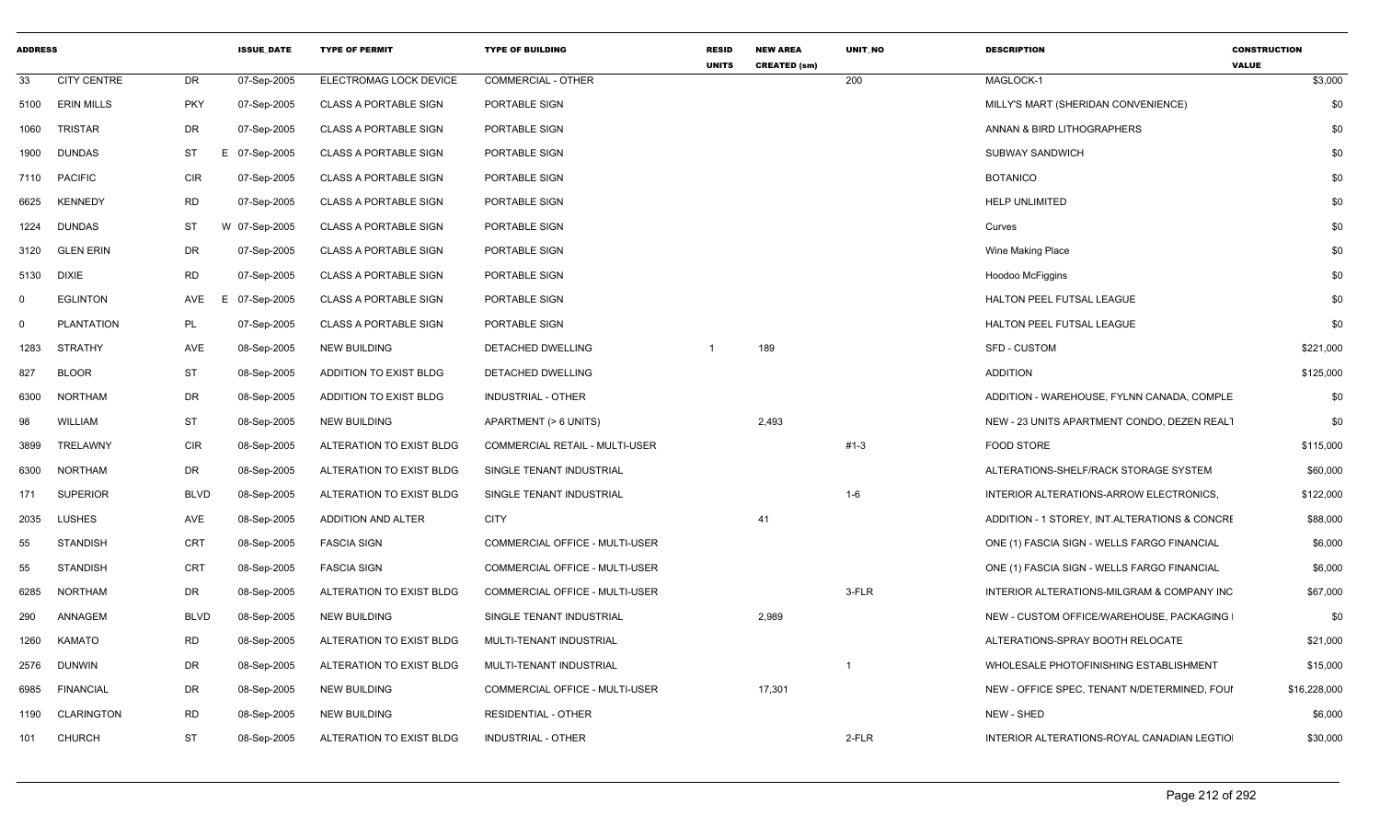| ADDRESS  |                    |             | <b>ISSUE_DATE</b> | <b>TYPE OF PERMIT</b>        | <b>TYPE OF BUILDING</b>        | <b>RESID</b><br><b>UNITS</b> | <b>NEW AREA</b><br><b>CREATED (sm)</b> | UNIT_NO | <b>DESCRIPTION</b>                            | <b>CONSTRUCTION</b><br><b>VALUE</b> |
|----------|--------------------|-------------|-------------------|------------------------------|--------------------------------|------------------------------|----------------------------------------|---------|-----------------------------------------------|-------------------------------------|
| 33       | <b>CITY CENTRE</b> | DR          | 07-Sep-2005       | ELECTROMAG LOCK DEVICE       | <b>COMMERCIAL - OTHER</b>      |                              |                                        | 200     | MAGLOCK-1                                     | \$3,000                             |
| 5100     | <b>ERIN MILLS</b>  | <b>PKY</b>  | 07-Sep-2005       | <b>CLASS A PORTABLE SIGN</b> | PORTABLE SIGN                  |                              |                                        |         | MILLY'S MART (SHERIDAN CONVENIENCE)           | \$0                                 |
| 1060     | <b>TRISTAR</b>     | DR          | 07-Sep-2005       | <b>CLASS A PORTABLE SIGN</b> | PORTABLE SIGN                  |                              |                                        |         | ANNAN & BIRD LITHOGRAPHERS                    | \$0                                 |
| 1900     | <b>DUNDAS</b>      | <b>ST</b>   | 07-Sep-2005<br>Е  | <b>CLASS A PORTABLE SIGN</b> | PORTABLE SIGN                  |                              |                                        |         | <b>SUBWAY SANDWICH</b>                        | \$0                                 |
|          | 7110 PACIFIC       | <b>CIR</b>  | 07-Sep-2005       | <b>CLASS A PORTABLE SIGN</b> | PORTABLE SIGN                  |                              |                                        |         | <b>BOTANICO</b>                               | \$0                                 |
| 6625     | <b>KENNEDY</b>     | <b>RD</b>   | 07-Sep-2005       | <b>CLASS A PORTABLE SIGN</b> | PORTABLE SIGN                  |                              |                                        |         | <b>HELP UNLIMITED</b>                         | \$0                                 |
| 1224     | <b>DUNDAS</b>      | <b>ST</b>   | 07-Sep-2005<br>W  | <b>CLASS A PORTABLE SIGN</b> | PORTABLE SIGN                  |                              |                                        |         | Curves                                        | \$0                                 |
| 3120     | <b>GLEN ERIN</b>   | DR          | 07-Sep-2005       | <b>CLASS A PORTABLE SIGN</b> | PORTABLE SIGN                  |                              |                                        |         | Wine Making Place                             | \$0                                 |
| 5130     | <b>DIXIE</b>       | <b>RD</b>   | 07-Sep-2005       | <b>CLASS A PORTABLE SIGN</b> | PORTABLE SIGN                  |                              |                                        |         | Hoodoo McFiggins                              | \$0                                 |
| $\Omega$ | <b>EGLINTON</b>    | AVE         | 07-Sep-2005<br>E  | <b>CLASS A PORTABLE SIGN</b> | PORTABLE SIGN                  |                              |                                        |         | HALTON PEEL FUTSAL LEAGUE                     | \$0                                 |
| $\Omega$ | <b>PLANTATION</b>  | <b>PL</b>   | 07-Sep-2005       | <b>CLASS A PORTABLE SIGN</b> | PORTABLE SIGN                  |                              |                                        |         | HALTON PEEL FUTSAL LEAGUE                     | \$0                                 |
| 1283     | <b>STRATHY</b>     | AVE         | 08-Sep-2005       | <b>NEW BUILDING</b>          | DETACHED DWELLING              |                              | 189                                    |         | <b>SFD - CUSTOM</b>                           | \$221,000                           |
| 827      | <b>BLOOR</b>       | <b>ST</b>   | 08-Sep-2005       | ADDITION TO EXIST BLDG       | DETACHED DWELLING              |                              |                                        |         | <b>ADDITION</b>                               | \$125,000                           |
| 6300     | <b>NORTHAM</b>     | DR          | 08-Sep-2005       | ADDITION TO EXIST BLDG       | INDUSTRIAL - OTHER             |                              |                                        |         | ADDITION - WAREHOUSE, FYLNN CANADA, COMPLE    | \$0                                 |
| 98       | WILLIAM            | <b>ST</b>   | 08-Sep-2005       | <b>NEW BUILDING</b>          | APARTMENT (> 6 UNITS)          |                              | 2,493                                  |         | NEW - 23 UNITS APARTMENT CONDO, DEZEN REALT   | \$0                                 |
| 3899     | TRELAWNY           | CIR         | 08-Sep-2005       | ALTERATION TO EXIST BLDG     | COMMERCIAL RETAIL - MULTI-USER |                              |                                        | $#1-3$  | <b>FOOD STORE</b>                             | \$115,000                           |
| 6300     | <b>NORTHAM</b>     | DR          | 08-Sep-2005       | ALTERATION TO EXIST BLDG     | SINGLE TENANT INDUSTRIAL       |                              |                                        |         | ALTERATIONS-SHELF/RACK STORAGE SYSTEM         | \$60,000                            |
| 171      | <b>SUPERIOR</b>    | <b>BLVD</b> | 08-Sep-2005       | ALTERATION TO EXIST BLDG     | SINGLE TENANT INDUSTRIAL       |                              |                                        | $1 - 6$ | INTERIOR ALTERATIONS-ARROW ELECTRONICS,       | \$122,000                           |
| 2035     | <b>LUSHES</b>      | AVE         | 08-Sep-2005       | <b>ADDITION AND ALTER</b>    | <b>CITY</b>                    |                              | 41                                     |         | ADDITION - 1 STOREY, INT.ALTERATIONS & CONCRE | \$88,000                            |
| 55       | STANDISH           | <b>CRT</b>  | 08-Sep-2005       | <b>FASCIA SIGN</b>           | COMMERCIAL OFFICE - MULTI-USER |                              |                                        |         | ONE (1) FASCIA SIGN - WELLS FARGO FINANCIAL   | \$6,000                             |
| 55       | <b>STANDISH</b>    | CRT         | 08-Sep-2005       | <b>FASCIA SIGN</b>           | COMMERCIAL OFFICE - MULTI-USER |                              |                                        |         | ONE (1) FASCIA SIGN - WELLS FARGO FINANCIAL   | \$6,000                             |
| 6285     | <b>NORTHAM</b>     | DR          | 08-Sep-2005       | ALTERATION TO EXIST BLDG     | COMMERCIAL OFFICE - MULTI-USER |                              |                                        | 3-FLR   | INTERIOR ALTERATIONS-MILGRAM & COMPANY INC    | \$67,000                            |
| 290      | ANNAGEM            | <b>BLVD</b> | 08-Sep-2005       | <b>NEW BUILDING</b>          | SINGLE TENANT INDUSTRIAL       |                              | 2,989                                  |         | NEW - CUSTOM OFFICE/WAREHOUSE, PACKAGING      | \$0                                 |
| 1260     | <b>KAMATO</b>      | <b>RD</b>   | 08-Sep-2005       | ALTERATION TO EXIST BLDG     | MULTI-TENANT INDUSTRIAL        |                              |                                        |         | ALTERATIONS-SPRAY BOOTH RELOCATE              | \$21,000                            |
| 2576     | DUNWIN             | DR          | 08-Sep-2005       | ALTERATION TO EXIST BLDG     | MULTI-TENANT INDUSTRIAL        |                              |                                        |         | WHOLESALE PHOTOFINISHING ESTABLISHMENT        | \$15,000                            |
| 6985     | FINANCIAL          | DR          | 08-Sep-2005       | NEW BUILDING                 | COMMERCIAL OFFICE - MULTI-USER |                              | 17,301                                 |         | NEW - OFFICE SPEC, TENANT N/DETERMINED, FOUI  | \$16,228,000                        |
| 1190     | <b>CLARINGTON</b>  | RD          | 08-Sep-2005       | <b>NEW BUILDING</b>          | <b>RESIDENTIAL - OTHER</b>     |                              |                                        |         | NEW - SHED                                    | \$6,000                             |
| 101      | CHURCH             | <b>ST</b>   | 08-Sep-2005       | ALTERATION TO EXIST BLDG     | <b>INDUSTRIAL - OTHER</b>      |                              |                                        | 2-FLR   | INTERIOR ALTERATIONS-ROYAL CANADIAN LEGTIO    | \$30,000                            |
|          |                    |             |                   |                              |                                |                              |                                        |         |                                               |                                     |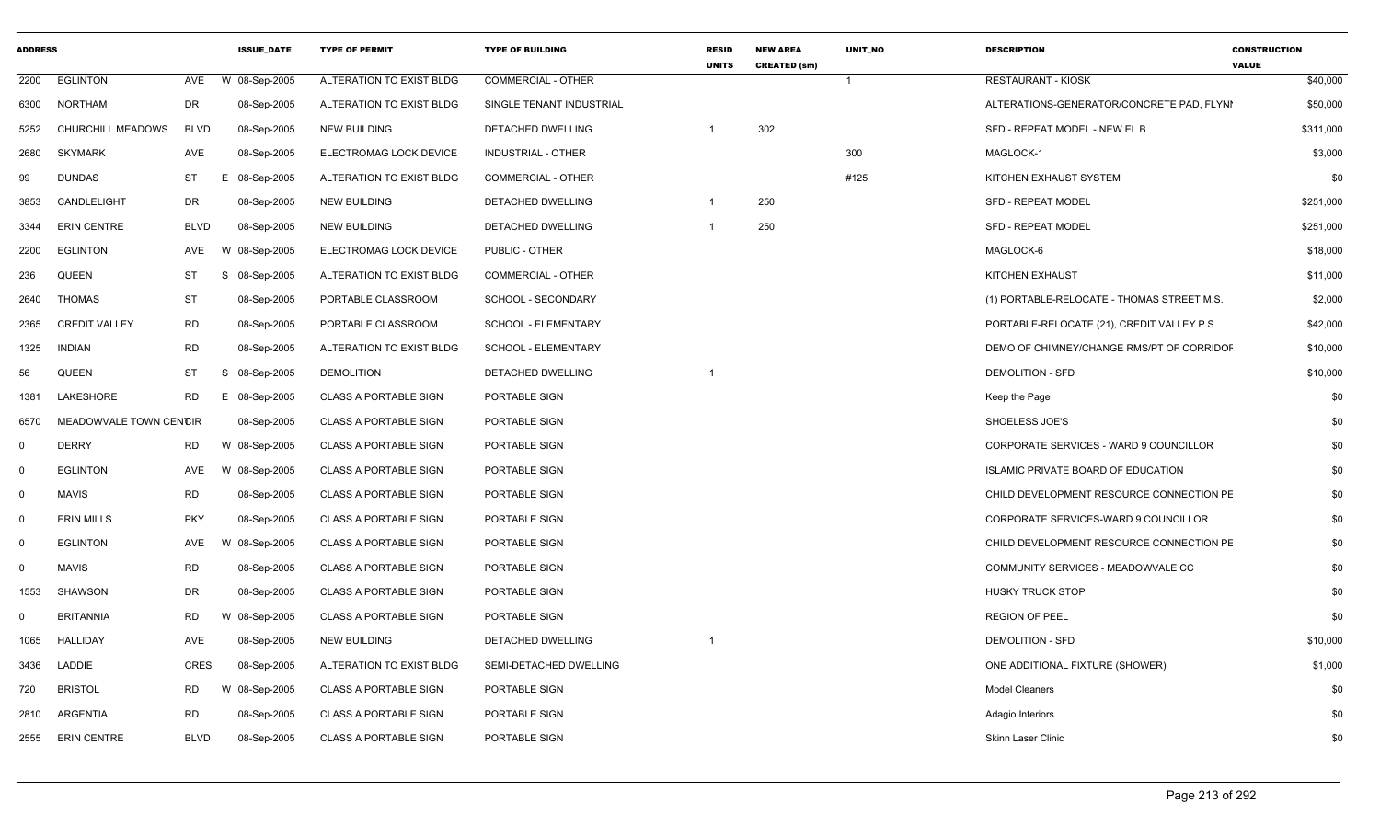| <b>ADDRESS</b> |                        |             | <b>ISSUE DATE</b> | <b>TYPE OF PERMIT</b>        | <b>TYPE OF BUILDING</b>   | <b>RESID</b><br><b>UNITS</b> | <b>NEW AREA</b><br><b>CREATED (sm)</b> | <b>UNIT NO</b> | <b>DESCRIPTION</b>                         | <b>CONSTRUCTION</b><br><b>VALUE</b> |
|----------------|------------------------|-------------|-------------------|------------------------------|---------------------------|------------------------------|----------------------------------------|----------------|--------------------------------------------|-------------------------------------|
| 2200           | <b>EGLINTON</b>        | AVE         | W 08-Sep-2005     | ALTERATION TO EXIST BLDG     | <b>COMMERCIAL - OTHER</b> |                              |                                        | $\overline{1}$ | <b>RESTAURANT - KIOSK</b>                  | \$40,000                            |
| 6300           | NORTHAM                | DR          | 08-Sep-2005       | ALTERATION TO EXIST BLDG     | SINGLE TENANT INDUSTRIAL  |                              |                                        |                | ALTERATIONS-GENERATOR/CONCRETE PAD, FLYNI  | \$50,000                            |
| 5252           | CHURCHILL MEADOWS      | <b>BLVD</b> | 08-Sep-2005       | NEW BUILDING                 | DETACHED DWELLING         |                              | 302                                    |                | SFD - REPEAT MODEL - NEW EL.B              | \$311,000                           |
| 2680           | <b>SKYMARK</b>         | AVE         | 08-Sep-2005       | ELECTROMAG LOCK DEVICE       | <b>INDUSTRIAL - OTHER</b> |                              |                                        | 300            | MAGLOCK-1                                  | \$3,000                             |
| 99             | <b>DUNDAS</b>          | <b>ST</b>   | 08-Sep-2005<br>Е  | ALTERATION TO EXIST BLDG     | COMMERCIAL - OTHER        |                              |                                        | #125           | KITCHEN EXHAUST SYSTEM                     | \$0                                 |
| 3853           | CANDLELIGHT            | DR          | 08-Sep-2005       | NEW BUILDING                 | DETACHED DWELLING         | $\overline{1}$               | 250                                    |                | <b>SFD - REPEAT MODEL</b>                  | \$251,000                           |
| 3344           | <b>ERIN CENTRE</b>     | <b>BLVD</b> | 08-Sep-2005       | NEW BUILDING                 | DETACHED DWELLING         |                              | 250                                    |                | <b>SFD - REPEAT MODEL</b>                  | \$251,000                           |
| 2200           | <b>EGLINTON</b>        | AVE         | 08-Sep-2005<br>w  | ELECTROMAG LOCK DEVICE       | PUBLIC - OTHER            |                              |                                        |                | MAGLOCK-6                                  | \$18,000                            |
| 236            | <b>QUEEN</b>           | ST          | S<br>08-Sep-2005  | ALTERATION TO EXIST BLDG     | COMMERCIAL - OTHER        |                              |                                        |                | KITCHEN EXHAUST                            | \$11,000                            |
| 2640           | <b>THOMAS</b>          | <b>ST</b>   | 08-Sep-2005       | PORTABLE CLASSROOM           | SCHOOL - SECONDARY        |                              |                                        |                | (1) PORTABLE-RELOCATE - THOMAS STREET M.S. | \$2,000                             |
| 2365           | <b>CREDIT VALLEY</b>   | <b>RD</b>   | 08-Sep-2005       | PORTABLE CLASSROOM           | SCHOOL - ELEMENTARY       |                              |                                        |                | PORTABLE-RELOCATE (21), CREDIT VALLEY P.S. | \$42,000                            |
| 1325           | <b>INDIAN</b>          | <b>RD</b>   | 08-Sep-2005       | ALTERATION TO EXIST BLDG     | SCHOOL - ELEMENTARY       |                              |                                        |                | DEMO OF CHIMNEY/CHANGE RMS/PT OF CORRIDOF  | \$10,000                            |
| 56             | QUEEN                  | ST          | S<br>08-Sep-2005  | <b>DEMOLITION</b>            | <b>DETACHED DWELLING</b>  |                              |                                        |                | <b>DEMOLITION - SFD</b>                    | \$10,000                            |
| 1381           | LAKESHORE              | <b>RD</b>   | 08-Sep-2005<br>E  | <b>CLASS A PORTABLE SIGN</b> | PORTABLE SIGN             |                              |                                        |                | Keep the Page                              | \$0                                 |
| 6570           | MEADOWVALE TOWN CENCIR |             | 08-Sep-2005       | <b>CLASS A PORTABLE SIGN</b> | PORTABLE SIGN             |                              |                                        |                | SHOELESS JOE'S                             | \$0                                 |
| $\Omega$       | <b>DERRY</b>           | <b>RD</b>   | W 08-Sep-2005     | <b>CLASS A PORTABLE SIGN</b> | PORTABLE SIGN             |                              |                                        |                | CORPORATE SERVICES - WARD 9 COUNCILLOR     | \$0                                 |
| 0              | <b>EGLINTON</b>        | AVE         | W 08-Sep-2005     | <b>CLASS A PORTABLE SIGN</b> | PORTABLE SIGN             |                              |                                        |                | ISLAMIC PRIVATE BOARD OF EDUCATION         | \$0                                 |
| $\Omega$       | <b>MAVIS</b>           | <b>RD</b>   | 08-Sep-2005       | <b>CLASS A PORTABLE SIGN</b> | PORTABLE SIGN             |                              |                                        |                | CHILD DEVELOPMENT RESOURCE CONNECTION PE   | \$0                                 |
| 0              | <b>ERIN MILLS</b>      | <b>PKY</b>  | 08-Sep-2005       | <b>CLASS A PORTABLE SIGN</b> | PORTABLE SIGN             |                              |                                        |                | CORPORATE SERVICES-WARD 9 COUNCILLOR       | \$0                                 |
| 0              | <b>EGLINTON</b>        | AVE         | W 08-Sep-2005     | CLASS A PORTABLE SIGN        | PORTABLE SIGN             |                              |                                        |                | CHILD DEVELOPMENT RESOURCE CONNECTION PE   | \$0                                 |
| 0              | <b>MAVIS</b>           | <b>RD</b>   | 08-Sep-2005       | <b>CLASS A PORTABLE SIGN</b> | PORTABLE SIGN             |                              |                                        |                | COMMUNITY SERVICES - MEADOWVALE CC         | \$0                                 |
| 1553           | <b>SHAWSON</b>         | DR          | 08-Sep-2005       | <b>CLASS A PORTABLE SIGN</b> | PORTABLE SIGN             |                              |                                        |                | <b>HUSKY TRUCK STOP</b>                    | \$0                                 |
| $\Omega$       | <b>BRITANNIA</b>       | <b>RD</b>   | W 08-Sep-2005     | <b>CLASS A PORTABLE SIGN</b> | PORTABLE SIGN             |                              |                                        |                | <b>REGION OF PEEL</b>                      | \$0                                 |
| 1065           | <b>HALLIDAY</b>        | AVE         | 08-Sep-2005       | NEW BUILDING                 | DETACHED DWELLING         |                              |                                        |                | <b>DEMOLITION - SFD</b>                    | \$10,000                            |
| 3436           | LADDIE                 | CRES        | 08-Sep-2005       | ALTERATION TO EXIST BLDG     | SEMI-DETACHED DWELLING    |                              |                                        |                | ONE ADDITIONAL FIXTURE (SHOWER)            | \$1,000                             |
| 720            | <b>BRISTOL</b>         | <b>RD</b>   | W 08-Sep-2005     | <b>CLASS A PORTABLE SIGN</b> | PORTABLE SIGN             |                              |                                        |                | <b>Model Cleaners</b>                      | \$0                                 |
| 2810           | ARGENTIA               | <b>RD</b>   | 08-Sep-2005       | <b>CLASS A PORTABLE SIGN</b> | PORTABLE SIGN             |                              |                                        |                | Adagio Interiors                           | \$0                                 |
| 2555           | <b>ERIN CENTRE</b>     | <b>BLVD</b> | 08-Sep-2005       | <b>CLASS A PORTABLE SIGN</b> | PORTABLE SIGN             |                              |                                        |                | <b>Skinn Laser Clinic</b>                  | \$0                                 |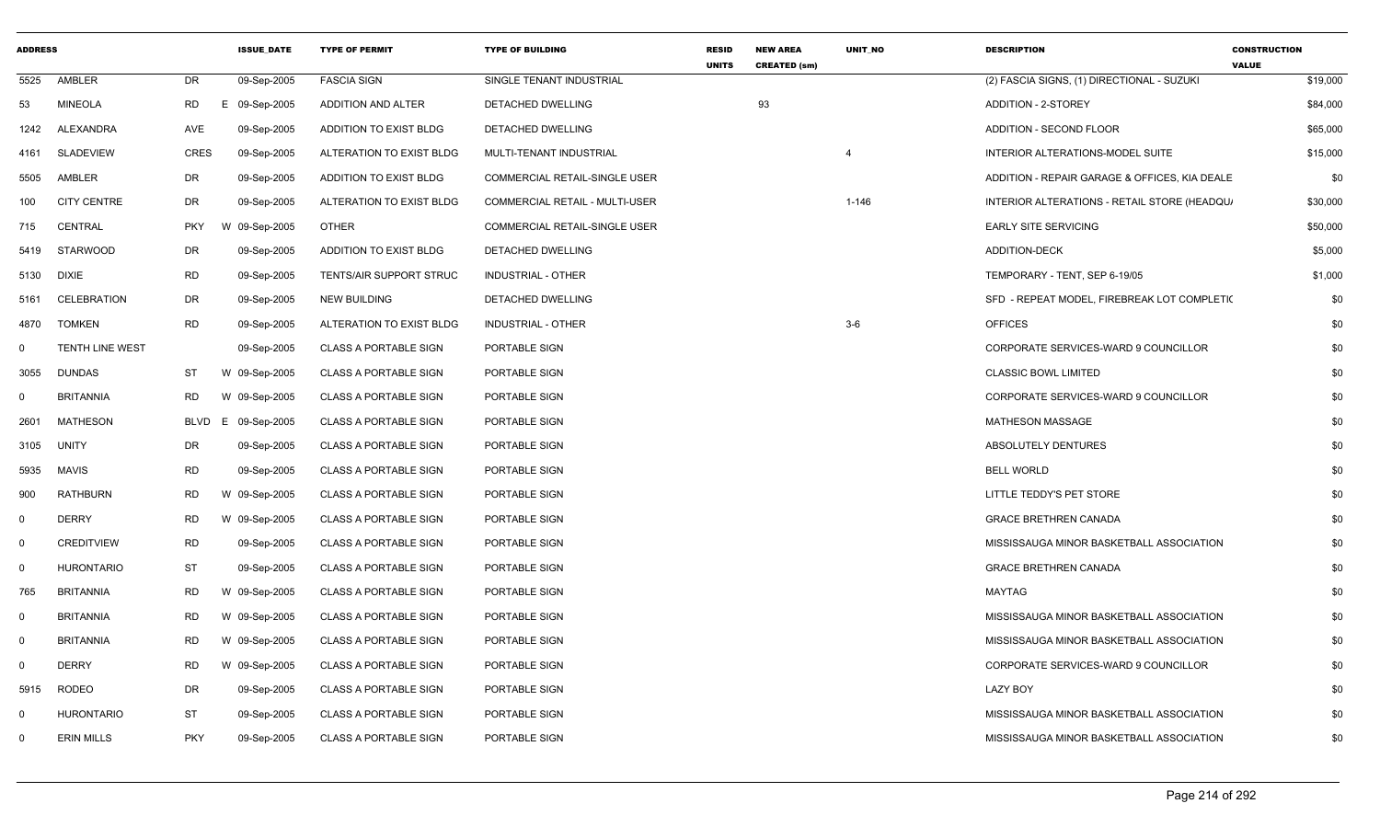| <b>ADDRESS</b> |                        |            | <b>ISSUE DATE</b> | <b>TYPE OF PERMIT</b>          | <b>TYPE OF BUILDING</b>               | <b>RESID</b><br><b>UNITS</b> | <b>NEW AREA</b><br><b>CREATED (sm)</b> | UNIT_NO   | <b>DESCRIPTION</b>                            | <b>CONSTRUCTION</b><br><b>VALUE</b> |
|----------------|------------------------|------------|-------------------|--------------------------------|---------------------------------------|------------------------------|----------------------------------------|-----------|-----------------------------------------------|-------------------------------------|
| 5525           | AMBLER                 | DR         | 09-Sep-2005       | <b>FASCIA SIGN</b>             | SINGLE TENANT INDUSTRIAL              |                              |                                        |           | (2) FASCIA SIGNS, (1) DIRECTIONAL - SUZUKI    | \$19,000                            |
| 53             | <b>MINEOLA</b>         | RD         | E 09-Sep-2005     | ADDITION AND ALTER             | DETACHED DWELLING                     |                              | 93                                     |           | ADDITION - 2-STOREY                           | \$84,000                            |
| 1242           | ALEXANDRA              | AVE        | 09-Sep-2005       | ADDITION TO EXIST BLDG         | DETACHED DWELLING                     |                              |                                        |           | <b>ADDITION - SECOND FLOOR</b>                | \$65,000                            |
| 4161           | <b>SLADEVIEW</b>       | CRES       | 09-Sep-2005       | ALTERATION TO EXIST BLDG       | MULTI-TENANT INDUSTRIAL               |                              |                                        | 4         | INTERIOR ALTERATIONS-MODEL SUITE              | \$15,000                            |
| 5505           | AMBLER                 | DR         | 09-Sep-2005       | ADDITION TO EXIST BLDG         | <b>COMMERCIAL RETAIL-SINGLE USER</b>  |                              |                                        |           | ADDITION - REPAIR GARAGE & OFFICES, KIA DEALE | \$0                                 |
| 100            | <b>CITY CENTRE</b>     | DR         | 09-Sep-2005       | ALTERATION TO EXIST BLDG       | <b>COMMERCIAL RETAIL - MULTI-USER</b> |                              |                                        | $1 - 146$ | INTERIOR ALTERATIONS - RETAIL STORE (HEADQU)  | \$30,000                            |
| 715            | CENTRAL                | <b>PKY</b> | W 09-Sep-2005     | <b>OTHER</b>                   | COMMERCIAL RETAIL-SINGLE USER         |                              |                                        |           | <b>EARLY SITE SERVICING</b>                   | \$50,000                            |
| 5419           | STARWOOD               | DR         | 09-Sep-2005       | ADDITION TO EXIST BLDG         | DETACHED DWELLING                     |                              |                                        |           | <b>ADDITION-DECK</b>                          | \$5,000                             |
| 5130           | DIXIE                  | RD         | 09-Sep-2005       | <b>TENTS/AIR SUPPORT STRUC</b> | INDUSTRIAL - OTHER                    |                              |                                        |           | TEMPORARY - TENT, SEP 6-19/05                 | \$1,000                             |
| 5161           | <b>CELEBRATION</b>     | DR         | 09-Sep-2005       | <b>NEW BUILDING</b>            | DETACHED DWELLING                     |                              |                                        |           | SFD - REPEAT MODEL, FIREBREAK LOT COMPLETIC   | \$0                                 |
| 4870           | TOMKEN                 | RD         | 09-Sep-2005       | ALTERATION TO EXIST BLDG       | INDUSTRIAL - OTHER                    |                              |                                        | $3-6$     | <b>OFFICES</b>                                | \$0                                 |
| 0              | <b>TENTH LINE WEST</b> |            | 09-Sep-2005       | <b>CLASS A PORTABLE SIGN</b>   | PORTABLE SIGN                         |                              |                                        |           | CORPORATE SERVICES-WARD 9 COUNCILLOR          | \$0                                 |
| 3055           | DUNDAS                 | ST         | W 09-Sep-2005     | <b>CLASS A PORTABLE SIGN</b>   | PORTABLE SIGN                         |                              |                                        |           | <b>CLASSIC BOWL LIMITED</b>                   | \$0                                 |
| 0              | <b>BRITANNIA</b>       | RD         | W 09-Sep-2005     | <b>CLASS A PORTABLE SIGN</b>   | PORTABLE SIGN                         |                              |                                        |           | CORPORATE SERVICES-WARD 9 COUNCILLOR          | \$0                                 |
| 2601           | <b>MATHESON</b>        | BLVD       | E 09-Sep-2005     | <b>CLASS A PORTABLE SIGN</b>   | PORTABLE SIGN                         |                              |                                        |           | <b>MATHESON MASSAGE</b>                       | \$0                                 |
| 3105           | UNITY                  | DR         | 09-Sep-2005       | <b>CLASS A PORTABLE SIGN</b>   | PORTABLE SIGN                         |                              |                                        |           | ABSOLUTELY DENTURES                           | \$0                                 |
| 5935           | MAVIS                  | RD         | 09-Sep-2005       | <b>CLASS A PORTABLE SIGN</b>   | PORTABLE SIGN                         |                              |                                        |           | <b>BELL WORLD</b>                             | \$0                                 |
| 900            | <b>RATHBURN</b>        | RD         | W 09-Sep-2005     | <b>CLASS A PORTABLE SIGN</b>   | PORTABLE SIGN                         |                              |                                        |           | LITTLE TEDDY'S PET STORE                      | \$0                                 |
| 0              | <b>DERRY</b>           | RD         | W 09-Sep-2005     | <b>CLASS A PORTABLE SIGN</b>   | PORTABLE SIGN                         |                              |                                        |           | <b>GRACE BRETHREN CANADA</b>                  | \$0                                 |
| 0              | <b>CREDITVIEW</b>      | RD         | 09-Sep-2005       | <b>CLASS A PORTABLE SIGN</b>   | PORTABLE SIGN                         |                              |                                        |           | MISSISSAUGA MINOR BASKETBALL ASSOCIATION      | \$0                                 |
| 0              | <b>HURONTARIO</b>      | ST         | 09-Sep-2005       | <b>CLASS A PORTABLE SIGN</b>   | PORTABLE SIGN                         |                              |                                        |           | <b>GRACE BRETHREN CANADA</b>                  | \$0                                 |
| 765            | <b>BRITANNIA</b>       | RD         | W 09-Sep-2005     | <b>CLASS A PORTABLE SIGN</b>   | PORTABLE SIGN                         |                              |                                        |           | MAYTAG                                        | \$0                                 |
| 0              | <b>BRITANNIA</b>       | RD         | W 09-Sep-2005     | <b>CLASS A PORTABLE SIGN</b>   | PORTABLE SIGN                         |                              |                                        |           | MISSISSAUGA MINOR BASKETBALL ASSOCIATION      | \$0                                 |
| 0              | <b>BRITANNIA</b>       | RD.        | W 09-Sep-2005     | <b>CLASS A PORTABLE SIGN</b>   | PORTABLE SIGN                         |                              |                                        |           | MISSISSAUGA MINOR BASKETBALL ASSOCIATION      | \$0                                 |
| 0              | <b>DERRY</b>           | RD         | W 09-Sep-2005     | <b>CLASS A PORTABLE SIGN</b>   | PORTABLE SIGN                         |                              |                                        |           | CORPORATE SERVICES-WARD 9 COUNCILLOR          | \$0                                 |
| 5915           | <b>RODEO</b>           | DR         | 09-Sep-2005       | <b>CLASS A PORTABLE SIGN</b>   | PORTABLE SIGN                         |                              |                                        |           | <b>LAZY BOY</b>                               | \$0                                 |
| 0              | <b>HURONTARIO</b>      | ST         | 09-Sep-2005       | <b>CLASS A PORTABLE SIGN</b>   | PORTABLE SIGN                         |                              |                                        |           | MISSISSAUGA MINOR BASKETBALL ASSOCIATION      | \$0                                 |
| 0              | <b>ERIN MILLS</b>      | <b>PKY</b> | 09-Sep-2005       | <b>CLASS A PORTABLE SIGN</b>   | PORTABLE SIGN                         |                              |                                        |           | MISSISSAUGA MINOR BASKETBALL ASSOCIATION      | \$0                                 |
|                |                        |            |                   |                                |                                       |                              |                                        |           |                                               |                                     |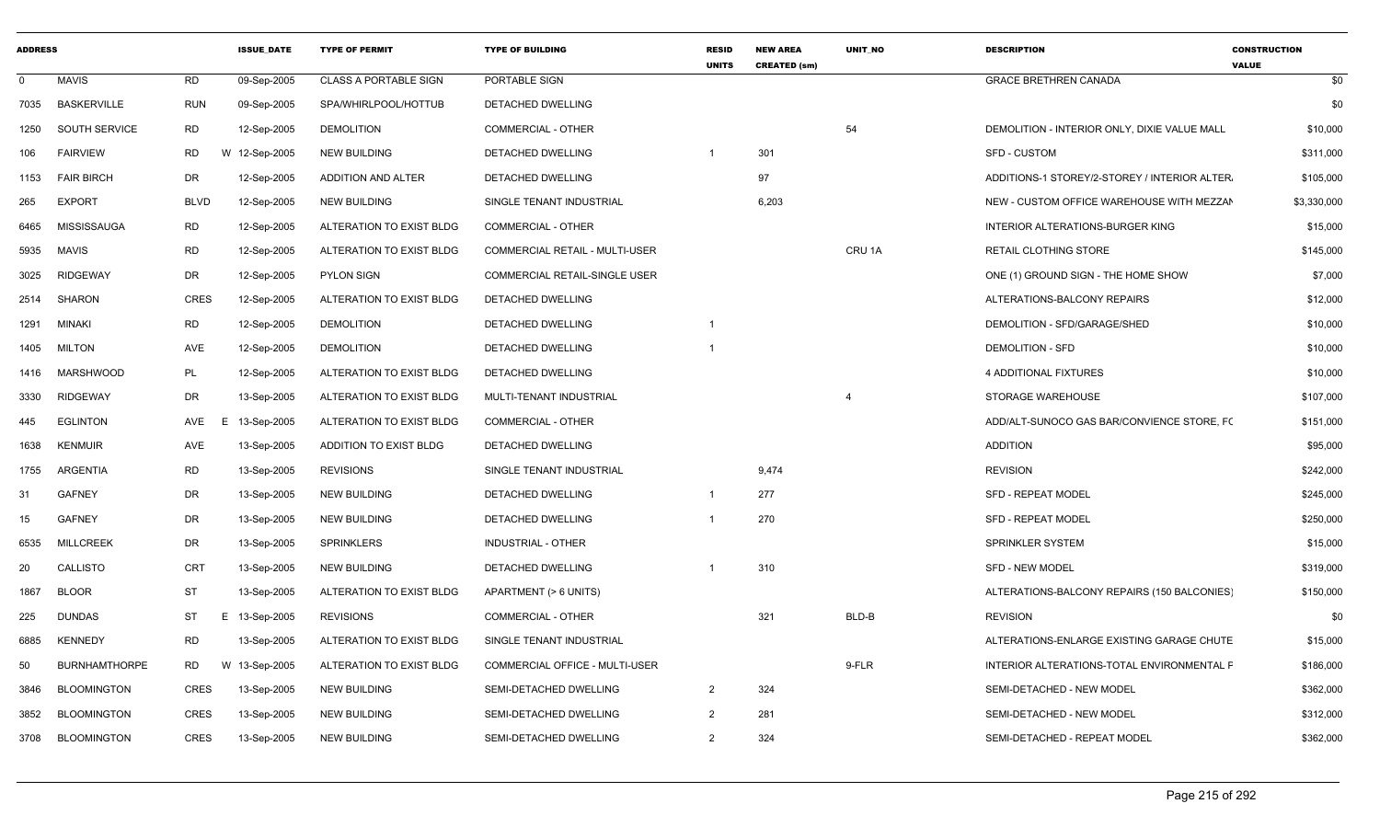| <b>ADDRESS</b> |                      |                | <b>ISSUE DATE</b> | <b>TYPE OF PERMIT</b>        | <b>TYPE OF BUILDING</b>               | <b>RESID</b><br><b>UNITS</b> | <b>NEW AREA</b><br><b>CREATED (sm)</b> | <b>UNIT NO</b>    | <b>DESCRIPTION</b>                            | <b>CONSTRUCTION</b><br><b>VALUE</b> |
|----------------|----------------------|----------------|-------------------|------------------------------|---------------------------------------|------------------------------|----------------------------------------|-------------------|-----------------------------------------------|-------------------------------------|
| 0              | <b>MAVIS</b>         | <b>RD</b>      | 09-Sep-2005       | <b>CLASS A PORTABLE SIGN</b> | PORTABLE SIGN                         |                              |                                        |                   | <b>GRACE BRETHREN CANADA</b>                  | \$0                                 |
| 7035           | <b>BASKERVILLE</b>   | <b>RUN</b>     | 09-Sep-2005       | SPA/WHIRLPOOL/HOTTUB         | DETACHED DWELLING                     |                              |                                        |                   |                                               | \$0                                 |
| 1250           | SOUTH SERVICE        | <b>RD</b>      | 12-Sep-2005       | <b>DEMOLITION</b>            | COMMERCIAL - OTHER                    |                              |                                        | 54                | DEMOLITION - INTERIOR ONLY, DIXIE VALUE MALL  | \$10,000                            |
| 106            | <b>FAIRVIEW</b>      | RD             | W 12-Sep-2005     | NEW BUILDING                 | DETACHED DWELLING                     |                              | 301                                    |                   | SFD - CUSTOM                                  | \$311,000                           |
| 1153           | <b>FAIR BIRCH</b>    | DR             | 12-Sep-2005       | ADDITION AND ALTER           | <b>DETACHED DWELLING</b>              |                              | 97                                     |                   | ADDITIONS-1 STOREY/2-STOREY / INTERIOR ALTER. | \$105,000                           |
| 265            | <b>EXPORT</b>        | <b>BLVD</b>    | 12-Sep-2005       | <b>NEW BUILDING</b>          | SINGLE TENANT INDUSTRIAL              |                              | 6,203                                  |                   | NEW - CUSTOM OFFICE WAREHOUSE WITH MEZZAN     | \$3,330,000                         |
| 6465           | <b>MISSISSAUGA</b>   | <b>RD</b>      | 12-Sep-2005       | ALTERATION TO EXIST BLDG     | <b>COMMERCIAL - OTHER</b>             |                              |                                        |                   | INTERIOR ALTERATIONS-BURGER KING              | \$15,000                            |
| 5935           | <b>MAVIS</b>         | <b>RD</b>      | 12-Sep-2005       | ALTERATION TO EXIST BLDG     | <b>COMMERCIAL RETAIL - MULTI-USER</b> |                              |                                        | CRU <sub>1A</sub> | RETAIL CLOTHING STORE                         | \$145,000                           |
| 3025           | <b>RIDGEWAY</b>      | DR             | 12-Sep-2005       | <b>PYLON SIGN</b>            | COMMERCIAL RETAIL-SINGLE USER         |                              |                                        |                   | ONE (1) GROUND SIGN - THE HOME SHOW           | \$7,000                             |
| 2514           | <b>SHARON</b>        | <b>CRES</b>    | 12-Sep-2005       | ALTERATION TO EXIST BLDG     | DETACHED DWELLING                     |                              |                                        |                   | ALTERATIONS-BALCONY REPAIRS                   | \$12,000                            |
| 1291           | MINAKI               | <b>RD</b>      | 12-Sep-2005       | <b>DEMOLITION</b>            | DETACHED DWELLING                     |                              |                                        |                   | DEMOLITION - SFD/GARAGE/SHED                  | \$10,000                            |
| 1405           | <b>MILTON</b>        | AVE            | 12-Sep-2005       | <b>DEMOLITION</b>            | DETACHED DWELLING                     |                              |                                        |                   | <b>DEMOLITION - SFD</b>                       | \$10,000                            |
| 1416           | MARSHWOOD            | PL             | 12-Sep-2005       | ALTERATION TO EXIST BLDG     | DETACHED DWELLING                     |                              |                                        |                   | 4 ADDITIONAL FIXTURES                         | \$10,000                            |
| 3330           | <b>RIDGEWAY</b>      | DR             | 13-Sep-2005       | ALTERATION TO EXIST BLDG     | MULTI-TENANT INDUSTRIAL               |                              |                                        |                   | STORAGE WAREHOUSE                             | \$107,000                           |
| 445            | <b>EGLINTON</b>      | AVE<br>Е       | 13-Sep-2005       | ALTERATION TO EXIST BLDG     | <b>COMMERCIAL - OTHER</b>             |                              |                                        |                   | ADD/ALT-SUNOCO GAS BAR/CONVIENCE STORE, FO    | \$151,000                           |
| 1638           | <b>KENMUIR</b>       | AVE            | 13-Sep-2005       | ADDITION TO EXIST BLDG       | DETACHED DWELLING                     |                              |                                        |                   | <b>ADDITION</b>                               | \$95,000                            |
| 1755           | <b>ARGENTIA</b>      | <b>RD</b>      | 13-Sep-2005       | <b>REVISIONS</b>             | SINGLE TENANT INDUSTRIAL              |                              | 9,474                                  |                   | <b>REVISION</b>                               | \$242,000                           |
| -31            | <b>GAFNEY</b>        | DR             | 13-Sep-2005       | NEW BUILDING                 | DETACHED DWELLING                     | $\overline{1}$               | 277                                    |                   | <b>SFD - REPEAT MODEL</b>                     | \$245,000                           |
| 15             | <b>GAFNEY</b>        | DR             | 13-Sep-2005       | <b>NEW BUILDING</b>          | <b>DETACHED DWELLING</b>              |                              | 270                                    |                   | <b>SFD - REPEAT MODEL</b>                     | \$250,000                           |
| 6535           | <b>MILLCREEK</b>     | DR             | 13-Sep-2005       | <b>SPRINKLERS</b>            | INDUSTRIAL - OTHER                    |                              |                                        |                   | SPRINKLER SYSTEM                              | \$15,000                            |
| 20             | <b>CALLISTO</b>      | <b>CRT</b>     | 13-Sep-2005       | <b>NEW BUILDING</b>          | DETACHED DWELLING                     |                              | 310                                    |                   | <b>SFD - NEW MODEL</b>                        | \$319,000                           |
| 1867           | <b>BLOOR</b>         | <b>ST</b>      | 13-Sep-2005       | ALTERATION TO EXIST BLDG     | APARTMENT (> 6 UNITS)                 |                              |                                        |                   | ALTERATIONS-BALCONY REPAIRS (150 BALCONIES)   | \$150,000                           |
| 225            | <b>DUNDAS</b>        | ST             | E 13-Sep-2005     | <b>REVISIONS</b>             | <b>COMMERCIAL - OTHER</b>             |                              | 321                                    | BLD-B             | <b>REVISION</b>                               | \$0                                 |
| 6885           | <b>KENNEDY</b>       | <b>RD</b>      | 13-Sep-2005       | ALTERATION TO EXIST BLDG     | SINGLE TENANT INDUSTRIAL              |                              |                                        |                   | ALTERATIONS-ENLARGE EXISTING GARAGE CHUTE     | \$15,000                            |
| 50             | <b>BURNHAMTHORPE</b> | <b>RD</b><br>W | 13-Sep-2005       | ALTERATION TO EXIST BLDG     | COMMERCIAL OFFICE - MULTI-USER        |                              |                                        | 9-FLR             | INTERIOR ALTERATIONS-TOTAL ENVIRONMENTAL F    | \$186,000                           |
| 3846           | <b>BLOOMINGTON</b>   | CRES           | 13-Sep-2005       | <b>NEW BUILDING</b>          | SEMI-DETACHED DWELLING                | $\overline{2}$               | 324                                    |                   | SEMI-DETACHED - NEW MODEL                     | \$362,000                           |
| 3852           | <b>BLOOMINGTON</b>   | CRES           | 13-Sep-2005       | <b>NEW BUILDING</b>          | SEMI-DETACHED DWELLING                | $\overline{2}$               | 281                                    |                   | SEMI-DETACHED - NEW MODEL                     | \$312,000                           |
| 3708           | <b>BLOOMINGTON</b>   | <b>CRES</b>    | 13-Sep-2005       | <b>NEW BUILDING</b>          | SEMI-DETACHED DWELLING                | $\overline{2}$               | 324                                    |                   | SEMI-DETACHED - REPEAT MODEL                  | \$362,000                           |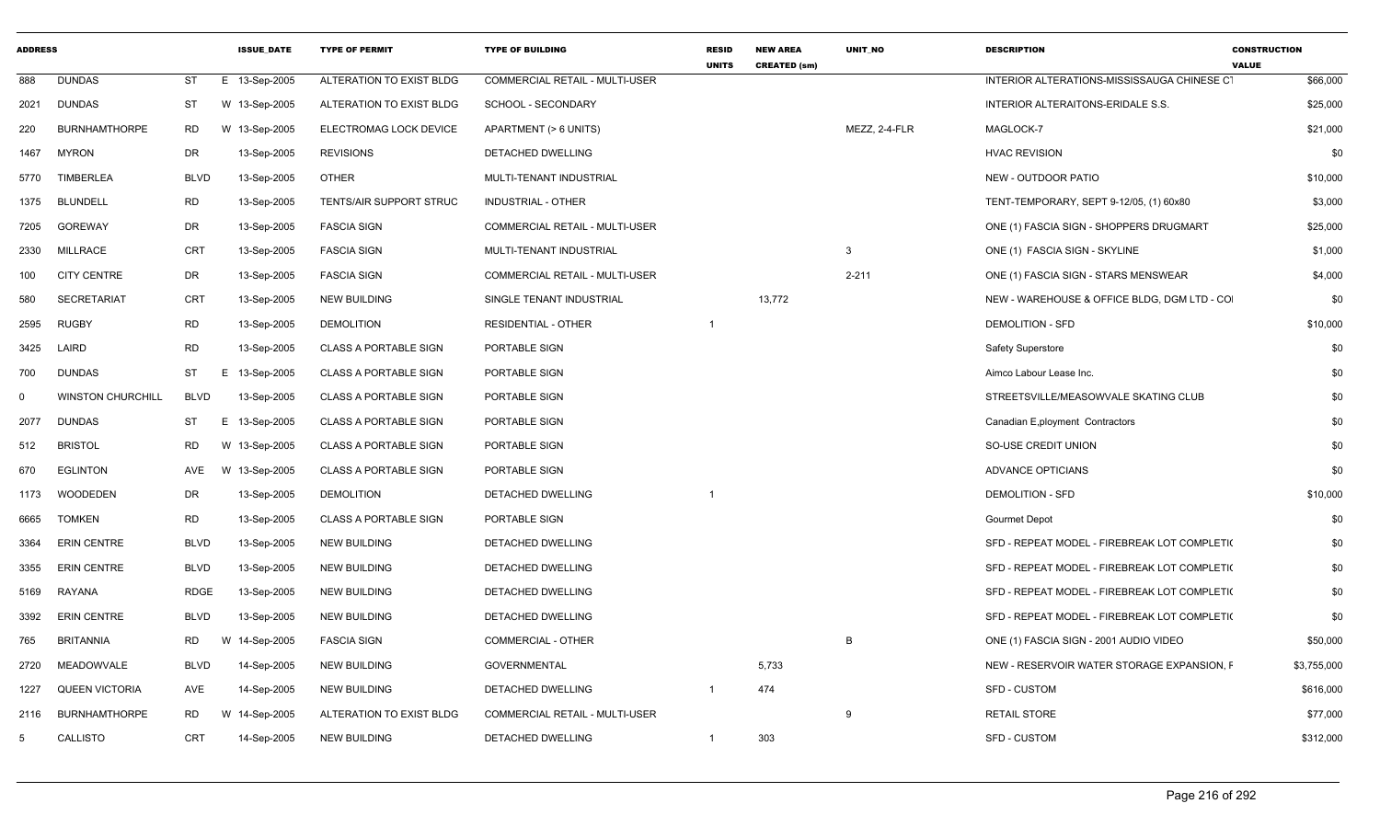| <b>ADDRESS</b> |                          |             | <b>ISSUE DATE</b> | <b>TYPE OF PERMIT</b>          | <b>TYPE OF BUILDING</b>               | <b>RESID</b><br><b>UNITS</b> | <b>NEW AREA</b><br><b>CREATED (sm)</b> | <b>UNIT NO</b> | <b>DESCRIPTION</b>                           | <b>CONSTRUCTION</b><br><b>VALUE</b> |
|----------------|--------------------------|-------------|-------------------|--------------------------------|---------------------------------------|------------------------------|----------------------------------------|----------------|----------------------------------------------|-------------------------------------|
| 888            | <b>DUNDAS</b>            | <b>ST</b>   | E 13-Sep-2005     | ALTERATION TO EXIST BLDG       | <b>COMMERCIAL RETAIL - MULTI-USER</b> |                              |                                        |                | INTERIOR ALTERATIONS-MISSISSAUGA CHINESE CT  | \$66,000                            |
| 2021           | <b>DUNDAS</b>            | <b>ST</b>   | W 13-Sep-2005     | ALTERATION TO EXIST BLDG       | SCHOOL - SECONDARY                    |                              |                                        |                | INTERIOR ALTERAITONS-ERIDALE S.S.            | \$25,000                            |
| 220            | <b>BURNHAMTHORPE</b>     | <b>RD</b>   | W 13-Sep-2005     | ELECTROMAG LOCK DEVICE         | APARTMENT (> 6 UNITS)                 |                              |                                        | MEZZ, 2-4-FLR  | MAGLOCK-7                                    | \$21,000                            |
| 1467           | <b>MYRON</b>             | DR          | 13-Sep-2005       | <b>REVISIONS</b>               | DETACHED DWELLING                     |                              |                                        |                | <b>HVAC REVISION</b>                         | \$0                                 |
| 5770           | <b>TIMBERLEA</b>         | <b>BLVD</b> | 13-Sep-2005       | <b>OTHER</b>                   | MULTI-TENANT INDUSTRIAL               |                              |                                        |                | NEW - OUTDOOR PATIO                          | \$10,000                            |
| 1375           | <b>BLUNDELL</b>          | <b>RD</b>   | 13-Sep-2005       | <b>TENTS/AIR SUPPORT STRUC</b> | <b>INDUSTRIAL - OTHER</b>             |                              |                                        |                | TENT-TEMPORARY, SEPT 9-12/05, (1) 60x80      | \$3,000                             |
| 7205           | <b>GOREWAY</b>           | DR          | 13-Sep-2005       | <b>FASCIA SIGN</b>             | COMMERCIAL RETAIL - MULTI-USER        |                              |                                        |                | ONE (1) FASCIA SIGN - SHOPPERS DRUGMART      | \$25,000                            |
| 2330           | <b>MILLRACE</b>          | <b>CRT</b>  | 13-Sep-2005       | <b>FASCIA SIGN</b>             | MULTI-TENANT INDUSTRIAL               |                              |                                        | 3              | ONE (1) FASCIA SIGN - SKYLINE                | \$1,000                             |
| 100            | <b>CITY CENTRE</b>       | DR          | 13-Sep-2005       | <b>FASCIA SIGN</b>             | COMMERCIAL RETAIL - MULTI-USER        |                              |                                        | $2 - 211$      | ONE (1) FASCIA SIGN - STARS MENSWEAR         | \$4,000                             |
| 580            | <b>SECRETARIAT</b>       | <b>CRT</b>  | 13-Sep-2005       | <b>NEW BUILDING</b>            | SINGLE TENANT INDUSTRIAL              |                              | 13,772                                 |                | NEW - WAREHOUSE & OFFICE BLDG, DGM LTD - CO  | \$0                                 |
| 2595           | <b>RUGBY</b>             | <b>RD</b>   | 13-Sep-2005       | <b>DEMOLITION</b>              | <b>RESIDENTIAL - OTHER</b>            | $\overline{1}$               |                                        |                | <b>DEMOLITION - SFD</b>                      | \$10,000                            |
| 3425           | LAIRD                    | RD          | 13-Sep-2005       | <b>CLASS A PORTABLE SIGN</b>   | PORTABLE SIGN                         |                              |                                        |                | <b>Safety Superstore</b>                     | \$0                                 |
| 700            | <b>DUNDAS</b>            | ST          | E 13-Sep-2005     | <b>CLASS A PORTABLE SIGN</b>   | PORTABLE SIGN                         |                              |                                        |                | Aimco Labour Lease Inc.                      | \$0                                 |
| $\Omega$       | <b>WINSTON CHURCHILL</b> | <b>BLVD</b> | 13-Sep-2005       | <b>CLASS A PORTABLE SIGN</b>   | PORTABLE SIGN                         |                              |                                        |                | STREETSVILLE/MEASOWVALE SKATING CLUB         | \$0                                 |
| 2077           | <b>DUNDAS</b>            | <b>ST</b>   | E 13-Sep-2005     | <b>CLASS A PORTABLE SIGN</b>   | PORTABLE SIGN                         |                              |                                        |                | Canadian E, ployment Contractors             | \$0                                 |
| 512            | <b>BRISTOL</b>           | <b>RD</b>   | W 13-Sep-2005     | <b>CLASS A PORTABLE SIGN</b>   | PORTABLE SIGN                         |                              |                                        |                | SO-USE CREDIT UNION                          | \$0                                 |
| 670            | <b>EGLINTON</b>          | AVE         | W 13-Sep-2005     | <b>CLASS A PORTABLE SIGN</b>   | PORTABLE SIGN                         |                              |                                        |                | ADVANCE OPTICIANS                            | \$0                                 |
| 1173           | <b>WOODEDEN</b>          | DR          | 13-Sep-2005       | <b>DEMOLITION</b>              | DETACHED DWELLING                     |                              |                                        |                | <b>DEMOLITION - SFD</b>                      | \$10,000                            |
| 6665           | <b>TOMKEN</b>            | RD          | 13-Sep-2005       | <b>CLASS A PORTABLE SIGN</b>   | PORTABLE SIGN                         |                              |                                        |                | <b>Gourmet Depot</b>                         | \$0                                 |
| 3364           | <b>ERIN CENTRE</b>       | <b>BLVD</b> | 13-Sep-2005       | <b>NEW BUILDING</b>            | DETACHED DWELLING                     |                              |                                        |                | SFD - REPEAT MODEL - FIREBREAK LOT COMPLETI( | \$0                                 |
| 3355           | <b>ERIN CENTRE</b>       | <b>BLVD</b> | 13-Sep-2005       | <b>NEW BUILDING</b>            | <b>DETACHED DWELLING</b>              |                              |                                        |                | SFD - REPEAT MODEL - FIREBREAK LOT COMPLETI( | \$0                                 |
| 5169           | RAYANA                   | <b>RDGE</b> | 13-Sep-2005       | <b>NEW BUILDING</b>            | DETACHED DWELLING                     |                              |                                        |                | SFD - REPEAT MODEL - FIREBREAK LOT COMPLETI( | \$0                                 |
| 3392           | <b>ERIN CENTRE</b>       | <b>BLVD</b> | 13-Sep-2005       | <b>NEW BUILDING</b>            | DETACHED DWELLING                     |                              |                                        |                | SFD - REPEAT MODEL - FIREBREAK LOT COMPLETI( | \$0                                 |
| 765            | <b>BRITANNIA</b>         | RD          | W 14-Sep-2005     | <b>FASCIA SIGN</b>             | <b>COMMERCIAL - OTHER</b>             |                              |                                        | B              | ONE (1) FASCIA SIGN - 2001 AUDIO VIDEO       | \$50,000                            |
| 2720           | <b>MEADOWVALE</b>        | <b>BLVD</b> | 14-Sep-2005       | NEW BUILDING                   | <b>GOVERNMENTAL</b>                   |                              | 5,733                                  |                | NEW - RESERVOIR WATER STORAGE EXPANSION, F   | \$3,755,000                         |
| 1227           | <b>QUEEN VICTORIA</b>    | AVE         | 14-Sep-2005       | <b>NEW BUILDING</b>            | <b>DETACHED DWELLING</b>              | -1                           | 474                                    |                | SFD - CUSTOM                                 | \$616,000                           |
| 2116           | <b>BURNHAMTHORPE</b>     | <b>RD</b>   | W 14-Sep-2005     | ALTERATION TO EXIST BLDG       | COMMERCIAL RETAIL - MULTI-USER        |                              |                                        | 9              | <b>RETAIL STORE</b>                          | \$77,000                            |
| 5              | CALLISTO                 | <b>CRT</b>  | 14-Sep-2005       | <b>NEW BUILDING</b>            | DETACHED DWELLING                     | -1                           | 303                                    |                | <b>SFD - CUSTOM</b>                          | \$312,000                           |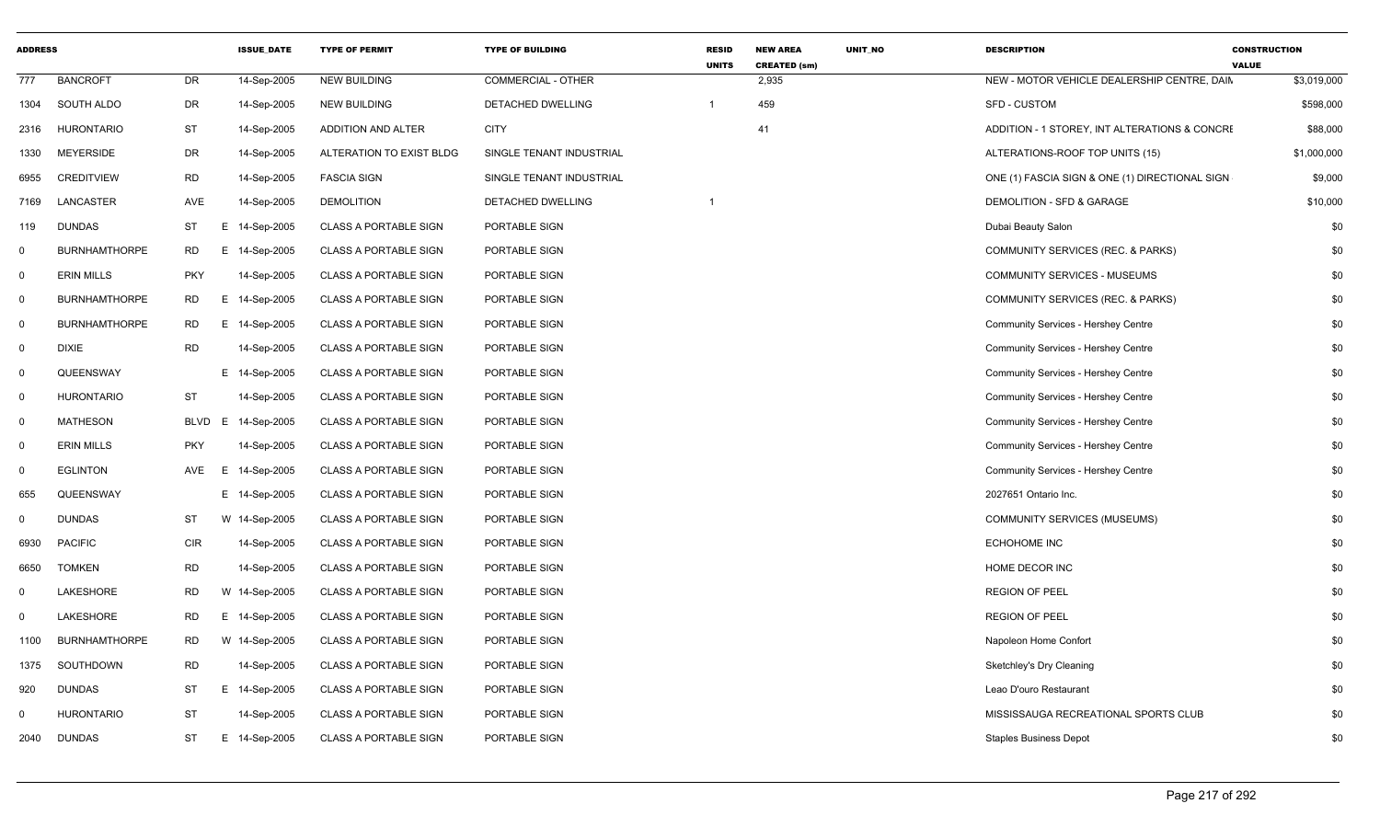| <b>ADDRESS</b> |                      |            | <b>ISSUE DATE</b> | <b>TYPE OF PERMIT</b>        | <b>TYPE OF BUILDING</b>   | <b>RESID</b><br><b>UNITS</b> | <b>NEW AREA</b><br><b>CREATED (sm)</b> | <b>UNIT NO</b> | <b>DESCRIPTION</b>                             | <b>CONSTRUCTION</b><br><b>VALUE</b> |
|----------------|----------------------|------------|-------------------|------------------------------|---------------------------|------------------------------|----------------------------------------|----------------|------------------------------------------------|-------------------------------------|
| 777            | <b>BANCROFT</b>      | DR         | 14-Sep-2005       | <b>NEW BUILDING</b>          | <b>COMMERCIAL - OTHER</b> |                              | 2,935                                  |                | NEW - MOTOR VEHICLE DEALERSHIP CENTRE, DAIN    | \$3,019,000                         |
| 1304           | SOUTH ALDO           | DR         | 14-Sep-2005       | <b>NEW BUILDING</b>          | DETACHED DWELLING         | $\overline{1}$               | 459                                    |                | <b>SFD - CUSTOM</b>                            | \$598,000                           |
| 2316           | <b>HURONTARIO</b>    | ST         | 14-Sep-2005       | ADDITION AND ALTER           | <b>CITY</b>               |                              | 41                                     |                | ADDITION - 1 STOREY, INT ALTERATIONS & CONCRE  | \$88,000                            |
| 1330           | MEYERSIDE            | DR         | 14-Sep-2005       | ALTERATION TO EXIST BLDG     | SINGLE TENANT INDUSTRIAL  |                              |                                        |                | ALTERATIONS-ROOF TOP UNITS (15)                | \$1,000,000                         |
| 6955           | <b>CREDITVIEW</b>    | <b>RD</b>  | 14-Sep-2005       | <b>FASCIA SIGN</b>           | SINGLE TENANT INDUSTRIAL  |                              |                                        |                | ONE (1) FASCIA SIGN & ONE (1) DIRECTIONAL SIGN | \$9,000                             |
| 7169           | LANCASTER            | AVE        | 14-Sep-2005       | <b>DEMOLITION</b>            | <b>DETACHED DWELLING</b>  | -1                           |                                        |                | DEMOLITION - SFD & GARAGE                      | \$10,000                            |
| 119            | DUNDAS               | ST         | E 14-Sep-2005     | <b>CLASS A PORTABLE SIGN</b> | PORTABLE SIGN             |                              |                                        |                | Dubai Beauty Salon                             | \$0                                 |
| 0              | <b>BURNHAMTHORPE</b> | RD         | E 14-Sep-2005     | <b>CLASS A PORTABLE SIGN</b> | PORTABLE SIGN             |                              |                                        |                | COMMUNITY SERVICES (REC. & PARKS)              | \$0                                 |
| $\mathbf 0$    | <b>ERIN MILLS</b>    | <b>PKY</b> | 14-Sep-2005       | <b>CLASS A PORTABLE SIGN</b> | PORTABLE SIGN             |                              |                                        |                | COMMUNITY SERVICES - MUSEUMS                   | \$0                                 |
| 0              | <b>BURNHAMTHORPE</b> | RD         | E 14-Sep-2005     | <b>CLASS A PORTABLE SIGN</b> | PORTABLE SIGN             |                              |                                        |                | COMMUNITY SERVICES (REC. & PARKS)              | \$0                                 |
| $\Omega$       | <b>BURNHAMTHORPE</b> | <b>RD</b>  | E 14-Sep-2005     | <b>CLASS A PORTABLE SIGN</b> | PORTABLE SIGN             |                              |                                        |                | Community Services - Hershey Centre            | \$0                                 |
| $\mathbf 0$    | <b>DIXIE</b>         | <b>RD</b>  | 14-Sep-2005       | <b>CLASS A PORTABLE SIGN</b> | PORTABLE SIGN             |                              |                                        |                | Community Services - Hershey Centre            | \$0                                 |
| 0              | QUEENSWAY            |            | E 14-Sep-2005     | <b>CLASS A PORTABLE SIGN</b> | PORTABLE SIGN             |                              |                                        |                | <b>Community Services - Hershey Centre</b>     | \$0                                 |
| $\mathbf 0$    | <b>HURONTARIO</b>    | ST         | 14-Sep-2005       | <b>CLASS A PORTABLE SIGN</b> | PORTABLE SIGN             |                              |                                        |                | Community Services - Hershey Centre            | \$0                                 |
| 0              | <b>MATHESON</b>      | BLVD E     | 14-Sep-2005       | <b>CLASS A PORTABLE SIGN</b> | PORTABLE SIGN             |                              |                                        |                | Community Services - Hershey Centre            | \$0                                 |
| 0              | <b>ERIN MILLS</b>    | <b>PKY</b> | 14-Sep-2005       | <b>CLASS A PORTABLE SIGN</b> | PORTABLE SIGN             |                              |                                        |                | Community Services - Hershey Centre            | \$0                                 |
| 0              | <b>EGLINTON</b>      | AVE<br>E   | 14-Sep-2005       | <b>CLASS A PORTABLE SIGN</b> | PORTABLE SIGN             |                              |                                        |                | Community Services - Hershey Centre            | \$0                                 |
| 655            | QUEENSWAY            |            | E 14-Sep-2005     | <b>CLASS A PORTABLE SIGN</b> | PORTABLE SIGN             |                              |                                        |                | 2027651 Ontario Inc.                           | \$0                                 |
| 0              | DUNDAS               | ST         | W 14-Sep-2005     | <b>CLASS A PORTABLE SIGN</b> | PORTABLE SIGN             |                              |                                        |                | <b>COMMUNITY SERVICES (MUSEUMS)</b>            | \$0                                 |
| 6930           | <b>PACIFIC</b>       | CIR        | 14-Sep-2005       | <b>CLASS A PORTABLE SIGN</b> | PORTABLE SIGN             |                              |                                        |                | <b>ECHOHOME INC</b>                            | \$0                                 |
| 6650           | <b>TOMKEN</b>        | <b>RD</b>  | 14-Sep-2005       | <b>CLASS A PORTABLE SIGN</b> | PORTABLE SIGN             |                              |                                        |                | HOME DECOR INC                                 | \$0                                 |
| 0              | LAKESHORE            | <b>RD</b>  | W 14-Sep-2005     | <b>CLASS A PORTABLE SIGN</b> | PORTABLE SIGN             |                              |                                        |                | <b>REGION OF PEEL</b>                          | \$0                                 |
| $\Omega$       | LAKESHORE            | <b>RD</b>  | E 14-Sep-2005     | <b>CLASS A PORTABLE SIGN</b> | PORTABLE SIGN             |                              |                                        |                | <b>REGION OF PEEL</b>                          | \$0                                 |
| 1100           | <b>BURNHAMTHORPE</b> | <b>RD</b>  | W 14-Sep-2005     | <b>CLASS A PORTABLE SIGN</b> | PORTABLE SIGN             |                              |                                        |                | Napoleon Home Confort                          | \$0                                 |
| 1375           | SOUTHDOWN            | <b>RD</b>  | 14-Sep-2005       | <b>CLASS A PORTABLE SIGN</b> | PORTABLE SIGN             |                              |                                        |                | Sketchley's Dry Cleaning                       | \$0                                 |
| 920            | DUNDAS               | ST         | E 14-Sep-2005     | <b>CLASS A PORTABLE SIGN</b> | PORTABLE SIGN             |                              |                                        |                | Leao D'ouro Restaurant                         | \$0                                 |
| $\mathbf{0}$   | <b>HURONTARIO</b>    | <b>ST</b>  | 14-Sep-2005       | <b>CLASS A PORTABLE SIGN</b> | PORTABLE SIGN             |                              |                                        |                | MISSISSAUGA RECREATIONAL SPORTS CLUB           | \$0                                 |
| 2040           | DUNDAS               | ST         | E 14-Sep-2005     | <b>CLASS A PORTABLE SIGN</b> | PORTABLE SIGN             |                              |                                        |                | <b>Staples Business Depot</b>                  | \$0                                 |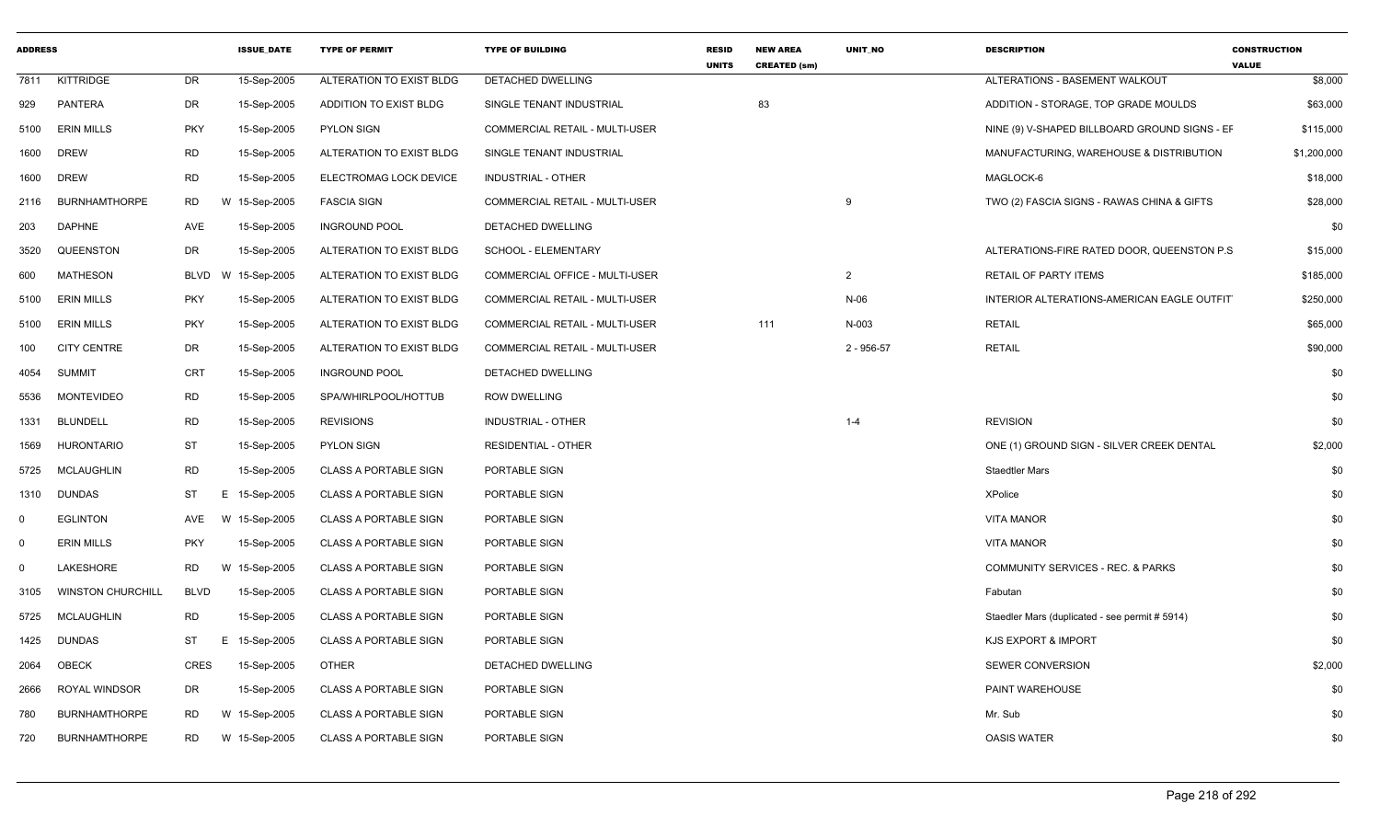| <b>ADDRESS</b> |                          |             | <b>ISSUE DATE</b> | <b>TYPE OF PERMIT</b>         | <b>TYPE OF BUILDING</b>        | <b>RESID</b><br><b>UNITS</b> | <b>NEW AREA</b><br><b>CREATED (sm)</b> | <b>UNIT NO</b> | <b>DESCRIPTION</b>                             | <b>CONSTRUCTION</b><br><b>VALUE</b> |
|----------------|--------------------------|-------------|-------------------|-------------------------------|--------------------------------|------------------------------|----------------------------------------|----------------|------------------------------------------------|-------------------------------------|
| 7811           | KITTRIDGE                | <b>DR</b>   | 15-Sep-2005       | ALTERATION TO EXIST BLDG      | <b>DETACHED DWELLING</b>       |                              |                                        |                | ALTERATIONS - BASEMENT WALKOUT                 | \$8,000                             |
| 929            | PANTERA                  | DR          | 15-Sep-2005       | <b>ADDITION TO EXIST BLDG</b> | SINGLE TENANT INDUSTRIAL       |                              | 83                                     |                | ADDITION - STORAGE, TOP GRADE MOULDS           | \$63,000                            |
| 5100           | <b>ERIN MILLS</b>        | <b>PKY</b>  | 15-Sep-2005       | PYLON SIGN                    | COMMERCIAL RETAIL - MULTI-USER |                              |                                        |                | NINE (9) V-SHAPED BILLBOARD GROUND SIGNS - EF  | \$115,000                           |
| 1600           | <b>DREW</b>              | RD.         | 15-Sep-2005       | ALTERATION TO EXIST BLDG      | SINGLE TENANT INDUSTRIAL       |                              |                                        |                | MANUFACTURING, WAREHOUSE & DISTRIBUTION        | \$1,200,000                         |
| 1600           | <b>DREW</b>              | <b>RD</b>   | 15-Sep-2005       | ELECTROMAG LOCK DEVICE        | INDUSTRIAL - OTHER             |                              |                                        |                | MAGLOCK-6                                      | \$18,000                            |
| 2116           | <b>BURNHAMTHORPE</b>     | RD.         | W 15-Sep-2005     | <b>FASCIA SIGN</b>            | COMMERCIAL RETAIL - MULTI-USER |                              |                                        | - 9            | TWO (2) FASCIA SIGNS - RAWAS CHINA & GIFTS     | \$28,000                            |
| 203            | <b>DAPHNE</b>            | AVE         | 15-Sep-2005       | <b>INGROUND POOL</b>          | DETACHED DWELLING              |                              |                                        |                |                                                | \$0                                 |
| 3520           | QUEENSTON                | <b>DR</b>   | 15-Sep-2005       | ALTERATION TO EXIST BLDG      | SCHOOL - ELEMENTARY            |                              |                                        |                | ALTERATIONS-FIRE RATED DOOR, QUEENSTON P.S.    | \$15,000                            |
| 600            | <b>MATHESON</b>          | BLVD        | W 15-Sep-2005     | ALTERATION TO EXIST BLDG      | COMMERCIAL OFFICE - MULTI-USER |                              |                                        | $\overline{2}$ | <b>RETAIL OF PARTY ITEMS</b>                   | \$185,000                           |
| 5100           | <b>ERIN MILLS</b>        | <b>PKY</b>  | 15-Sep-2005       | ALTERATION TO EXIST BLDG      | COMMERCIAL RETAIL - MULTI-USER |                              |                                        | $N-06$         | INTERIOR ALTERATIONS-AMERICAN EAGLE OUTFIT     | \$250,000                           |
| 5100           | <b>ERIN MILLS</b>        | <b>PKY</b>  | 15-Sep-2005       | ALTERATION TO EXIST BLDG      | COMMERCIAL RETAIL - MULTI-USER |                              | 111                                    | N-003          | <b>RETAIL</b>                                  | \$65,000                            |
| 100            | <b>CITY CENTRE</b>       | DR          | 15-Sep-2005       | ALTERATION TO EXIST BLDG      | COMMERCIAL RETAIL - MULTI-USER |                              |                                        | $2 - 956 - 57$ | <b>RETAIL</b>                                  | \$90,000                            |
| 4054           | SUMMIT                   | <b>CRT</b>  | 15-Sep-2005       | <b>INGROUND POOL</b>          | DETACHED DWELLING              |                              |                                        |                |                                                | \$0                                 |
| 5536           | <b>MONTEVIDEO</b>        | <b>RD</b>   | 15-Sep-2005       | SPA/WHIRLPOOL/HOTTUB          | <b>ROW DWELLING</b>            |                              |                                        |                |                                                | \$0                                 |
| 1331           | <b>BLUNDELL</b>          | <b>RD</b>   | 15-Sep-2005       | <b>REVISIONS</b>              | INDUSTRIAL - OTHER             |                              |                                        | $1 - 4$        | <b>REVISION</b>                                | \$0                                 |
| 1569           | <b>HURONTARIO</b>        | <b>ST</b>   | 15-Sep-2005       | PYLON SIGN                    | <b>RESIDENTIAL - OTHER</b>     |                              |                                        |                | ONE (1) GROUND SIGN - SILVER CREEK DENTAL      | \$2,000                             |
| 5725           | <b>MCLAUGHLIN</b>        | <b>RD</b>   | 15-Sep-2005       | <b>CLASS A PORTABLE SIGN</b>  | PORTABLE SIGN                  |                              |                                        |                | <b>Staedtler Mars</b>                          | \$0                                 |
|                | 1310 DUNDAS              | ST          | E 15-Sep-2005     | <b>CLASS A PORTABLE SIGN</b>  | PORTABLE SIGN                  |                              |                                        |                | <b>XPolice</b>                                 | \$0                                 |
| 0              | <b>EGLINTON</b>          | AVE         | W 15-Sep-2005     | <b>CLASS A PORTABLE SIGN</b>  | PORTABLE SIGN                  |                              |                                        |                | <b>VITA MANOR</b>                              | \$0                                 |
| 0              | <b>ERIN MILLS</b>        | <b>PKY</b>  | 15-Sep-2005       | CLASS A PORTABLE SIGN         | PORTABLE SIGN                  |                              |                                        |                | <b>VITA MANOR</b>                              | \$0                                 |
| $\Omega$       | LAKESHORE                | <b>RD</b>   | W 15-Sep-2005     | <b>CLASS A PORTABLE SIGN</b>  | PORTABLE SIGN                  |                              |                                        |                | <b>COMMUNITY SERVICES - REC. &amp; PARKS</b>   | \$0                                 |
| 3105           | <b>WINSTON CHURCHILL</b> | <b>BLVD</b> | 15-Sep-2005       | <b>CLASS A PORTABLE SIGN</b>  | PORTABLE SIGN                  |                              |                                        |                | Fabutan                                        | \$0                                 |
| 5725           | MCLAUGHLIN               | <b>RD</b>   | 15-Sep-2005       | <b>CLASS A PORTABLE SIGN</b>  | PORTABLE SIGN                  |                              |                                        |                | Staedler Mars (duplicated - see permit # 5914) | \$0                                 |
| 1425           | <b>DUNDAS</b>            | ST          | E 15-Sep-2005     | <b>CLASS A PORTABLE SIGN</b>  | PORTABLE SIGN                  |                              |                                        |                | <b>KJS EXPORT &amp; IMPORT</b>                 | \$0                                 |
| 2064           | OBECK                    | CRES        | 15-Sep-2005       | <b>OTHER</b>                  | DETACHED DWELLING              |                              |                                        |                | SEWER CONVERSION                               | \$2,000                             |
| 2666           | <b>ROYAL WINDSOR</b>     | <b>DR</b>   | 15-Sep-2005       | <b>CLASS A PORTABLE SIGN</b>  | PORTABLE SIGN                  |                              |                                        |                | PAINT WAREHOUSE                                | \$0                                 |
| 780            | <b>BURNHAMTHORPE</b>     | RD.         | W 15-Sep-2005     | <b>CLASS A PORTABLE SIGN</b>  | PORTABLE SIGN                  |                              |                                        |                | Mr. Sub                                        | \$0                                 |
| 720            | <b>BURNHAMTHORPE</b>     | <b>RD</b>   | W 15-Sep-2005     | <b>CLASS A PORTABLE SIGN</b>  | PORTABLE SIGN                  |                              |                                        |                | <b>OASIS WATER</b>                             | \$0                                 |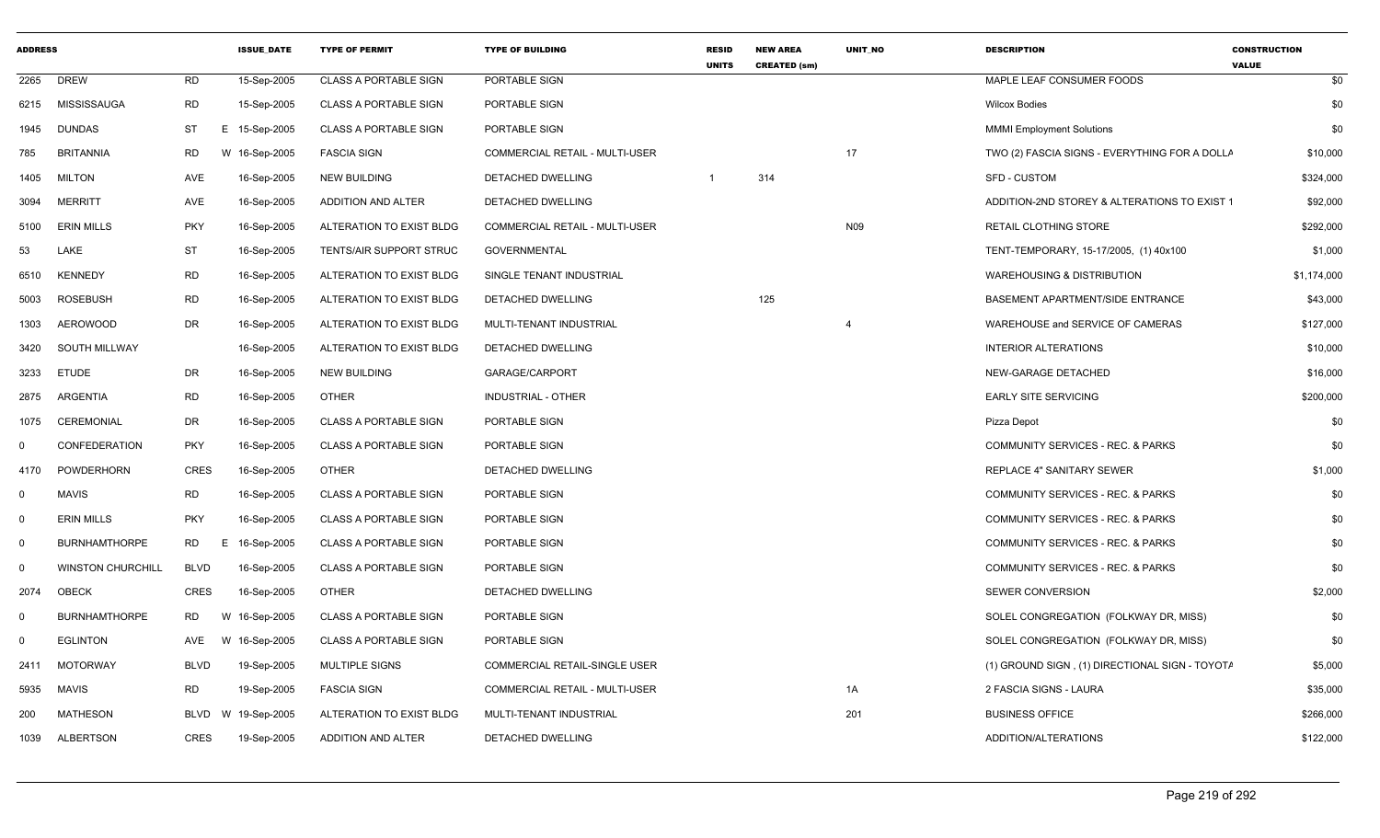| <b>ADDRESS</b> |                          |             | <b>ISSUE DATE</b> | <b>TYPE OF PERMIT</b>        | <b>TYPE OF BUILDING</b>        | <b>RESID</b><br><b>UNITS</b> | <b>NEW AREA</b><br><b>CREATED (sm)</b> | UNIT_NO | <b>DESCRIPTION</b>                             | <b>CONSTRUCTION</b><br><b>VALUE</b> |
|----------------|--------------------------|-------------|-------------------|------------------------------|--------------------------------|------------------------------|----------------------------------------|---------|------------------------------------------------|-------------------------------------|
| 2265           | <b>DREW</b>              | <b>RD</b>   | 15-Sep-2005       | <b>CLASS A PORTABLE SIGN</b> | PORTABLE SIGN                  |                              |                                        |         | MAPLE LEAF CONSUMER FOODS                      | \$0                                 |
| 6215           | MISSISSAUGA              | <b>RD</b>   | 15-Sep-2005       | <b>CLASS A PORTABLE SIGN</b> | PORTABLE SIGN                  |                              |                                        |         | <b>Wilcox Bodies</b>                           | \$0                                 |
| 1945           | <b>DUNDAS</b>            | ST          | E 15-Sep-2005     | <b>CLASS A PORTABLE SIGN</b> | PORTABLE SIGN                  |                              |                                        |         | <b>MMMI Employment Solutions</b>               | \$0                                 |
| 785            | <b>BRITANNIA</b>         | RD          | W 16-Sep-2005     | <b>FASCIA SIGN</b>           | COMMERCIAL RETAIL - MULTI-USER |                              |                                        | 17      | TWO (2) FASCIA SIGNS - EVERYTHING FOR A DOLLA  | \$10,000                            |
| 1405           | <b>MILTON</b>            | AVE         | 16-Sep-2005       | NEW BUILDING                 | DETACHED DWELLING              | -1                           | 314                                    |         | <b>SFD - CUSTOM</b>                            | \$324,000                           |
| 3094           | <b>MERRITT</b>           | AVE         | 16-Sep-2005       | ADDITION AND ALTER           | DETACHED DWELLING              |                              |                                        |         | ADDITION-2ND STOREY & ALTERATIONS TO EXIST 1   | \$92,000                            |
| 5100           | <b>ERIN MILLS</b>        | <b>PKY</b>  | 16-Sep-2005       | ALTERATION TO EXIST BLDG     | COMMERCIAL RETAIL - MULTI-USER |                              |                                        | N09     | RETAIL CLOTHING STORE                          | \$292,000                           |
| 53             | LAKE                     | ST          | 16-Sep-2005       | TENTS/AIR SUPPORT STRUC      | <b>GOVERNMENTAL</b>            |                              |                                        |         | TENT-TEMPORARY, 15-17/2005, (1) 40x100         | \$1,000                             |
| 6510           | <b>KENNEDY</b>           | RD          | 16-Sep-2005       | ALTERATION TO EXIST BLDG     | SINGLE TENANT INDUSTRIAL       |                              |                                        |         | <b>WAREHOUSING &amp; DISTRIBUTION</b>          | \$1,174,000                         |
| 5003           | <b>ROSEBUSH</b>          | <b>RD</b>   | 16-Sep-2005       | ALTERATION TO EXIST BLDG     | DETACHED DWELLING              |                              | 125                                    |         | BASEMENT APARTMENT/SIDE ENTRANCE               | \$43,000                            |
| 1303           | AEROWOOD                 | DR          | 16-Sep-2005       | ALTERATION TO EXIST BLDG     | MULTI-TENANT INDUSTRIAL        |                              |                                        | 4       | WAREHOUSE and SERVICE OF CAMERAS               | \$127,000                           |
| 3420           | SOUTH MILLWAY            |             | 16-Sep-2005       | ALTERATION TO EXIST BLDG     | DETACHED DWELLING              |                              |                                        |         | <b>INTERIOR ALTERATIONS</b>                    | \$10,000                            |
| 3233           | ETUDE                    | DR          | 16-Sep-2005       | <b>NEW BUILDING</b>          | GARAGE/CARPORT                 |                              |                                        |         | NEW-GARAGE DETACHED                            | \$16,000                            |
| 2875           | ARGENTIA                 | <b>RD</b>   | 16-Sep-2005       | <b>OTHER</b>                 | INDUSTRIAL - OTHER             |                              |                                        |         | <b>EARLY SITE SERVICING</b>                    | \$200,000                           |
| 1075           | CEREMONIAL               | DR          | 16-Sep-2005       | <b>CLASS A PORTABLE SIGN</b> | PORTABLE SIGN                  |                              |                                        |         | Pizza Depot                                    | \$0                                 |
| $\Omega$       | CONFEDERATION            | <b>PKY</b>  | 16-Sep-2005       | <b>CLASS A PORTABLE SIGN</b> | PORTABLE SIGN                  |                              |                                        |         | COMMUNITY SERVICES - REC. & PARKS              | \$0                                 |
| 4170           | POWDERHORN               | <b>CRES</b> | 16-Sep-2005       | <b>OTHER</b>                 | <b>DETACHED DWELLING</b>       |                              |                                        |         | <b>REPLACE 4" SANITARY SEWER</b>               | \$1,000                             |
| $\Omega$       | <b>MAVIS</b>             | <b>RD</b>   | 16-Sep-2005       | <b>CLASS A PORTABLE SIGN</b> | PORTABLE SIGN                  |                              |                                        |         | COMMUNITY SERVICES - REC. & PARKS              | \$0                                 |
| 0              | <b>ERIN MILLS</b>        | <b>PKY</b>  | 16-Sep-2005       | <b>CLASS A PORTABLE SIGN</b> | PORTABLE SIGN                  |                              |                                        |         | COMMUNITY SERVICES - REC. & PARKS              | \$0                                 |
| $\Omega$       | <b>BURNHAMTHORPE</b>     | <b>RD</b>   | E 16-Sep-2005     | <b>CLASS A PORTABLE SIGN</b> | PORTABLE SIGN                  |                              |                                        |         | COMMUNITY SERVICES - REC. & PARKS              | \$0                                 |
| 0              | <b>WINSTON CHURCHILL</b> | <b>BLVD</b> | 16-Sep-2005       | <b>CLASS A PORTABLE SIGN</b> | PORTABLE SIGN                  |                              |                                        |         | COMMUNITY SERVICES - REC. & PARKS              | \$0                                 |
| 2074           | <b>OBECK</b>             | CRES        | 16-Sep-2005       | <b>OTHER</b>                 | <b>DETACHED DWELLING</b>       |                              |                                        |         | SEWER CONVERSION                               | \$2,000                             |
| 0              | <b>BURNHAMTHORPE</b>     | <b>RD</b>   | W 16-Sep-2005     | <b>CLASS A PORTABLE SIGN</b> | PORTABLE SIGN                  |                              |                                        |         | SOLEL CONGREGATION (FOLKWAY DR, MISS)          | \$0                                 |
| 0              | <b>EGLINTON</b>          | AVE         | W 16-Sep-2005     | <b>CLASS A PORTABLE SIGN</b> | PORTABLE SIGN                  |                              |                                        |         | SOLEL CONGREGATION (FOLKWAY DR, MISS)          | \$0                                 |
| 2411           | <b>MOTORWAY</b>          | <b>BLVD</b> | 19-Sep-2005       | MULTIPLE SIGNS               | COMMERCIAL RETAIL-SINGLE USER  |                              |                                        |         | (1) GROUND SIGN, (1) DIRECTIONAL SIGN - TOYOTA | \$5,000                             |
| 5935           | <b>MAVIS</b>             | <b>RD</b>   | 19-Sep-2005       | <b>FASCIA SIGN</b>           | COMMERCIAL RETAIL - MULTI-USER |                              |                                        | 1A      | 2 FASCIA SIGNS - LAURA                         | \$35,000                            |
| 200            | <b>MATHESON</b>          | BLVD        | W 19-Sep-2005     | ALTERATION TO EXIST BLDG     | MULTI-TENANT INDUSTRIAL        |                              |                                        | 201     | <b>BUSINESS OFFICE</b>                         | \$266,000                           |
|                | 1039 ALBERTSON           | <b>CRES</b> | 19-Sep-2005       | ADDITION AND ALTER           | DETACHED DWELLING              |                              |                                        |         | ADDITION/ALTERATIONS                           | \$122,000                           |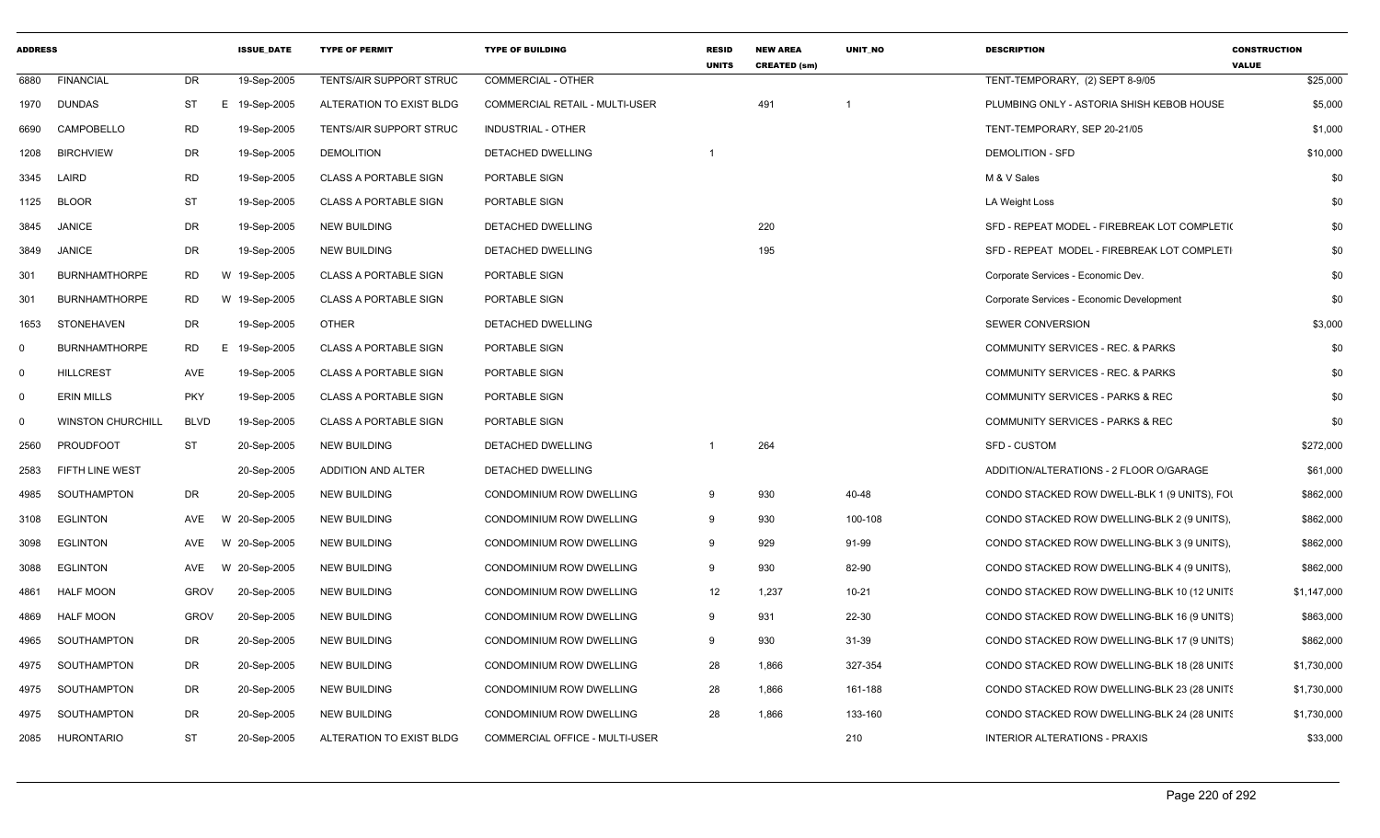| <b>ADDRESS</b> |                          |                 | <b>ISSUE DATE</b> | <b>TYPE OF PERMIT</b>          | <b>TYPE OF BUILDING</b>        | <b>RESID</b><br><b>UNITS</b> | <b>NEW AREA</b><br><b>CREATED (sm)</b> | <b>UNIT NO</b> | <b>DESCRIPTION</b>                           | <b>CONSTRUCTION</b><br><b>VALUE</b> |
|----------------|--------------------------|-----------------|-------------------|--------------------------------|--------------------------------|------------------------------|----------------------------------------|----------------|----------------------------------------------|-------------------------------------|
| 6880           | <b>FINANCIAL</b>         | DR.             | 19-Sep-2005       | <b>TENTS/AIR SUPPORT STRUC</b> | <b>COMMERCIAL - OTHER</b>      |                              |                                        |                | TENT-TEMPORARY, (2) SEPT 8-9/05              | \$25,000                            |
| 1970           | <b>DUNDAS</b>            | <b>ST</b>       | E 19-Sep-2005     | ALTERATION TO EXIST BLDG       | COMMERCIAL RETAIL - MULTI-USER |                              | 491                                    |                | PLUMBING ONLY - ASTORIA SHISH KEBOB HOUSE    | \$5,000                             |
| 6690           | CAMPOBELLO               | <b>RD</b>       | 19-Sep-2005       | <b>TENTS/AIR SUPPORT STRUC</b> | <b>INDUSTRIAL - OTHER</b>      |                              |                                        |                | TENT-TEMPORARY, SEP 20-21/05                 | \$1,000                             |
| 1208           | <b>BIRCHVIEW</b>         | DR              | 19-Sep-2005       | <b>DEMOLITION</b>              | <b>DETACHED DWELLING</b>       |                              |                                        |                | <b>DEMOLITION - SFD</b>                      | \$10,000                            |
| 3345           | LAIRD                    | <b>RD</b>       | 19-Sep-2005       | CLASS A PORTABLE SIGN          | PORTABLE SIGN                  |                              |                                        |                | M & V Sales                                  | \$0                                 |
| 1125           | <b>BLOOR</b>             | <b>ST</b>       | 19-Sep-2005       | <b>CLASS A PORTABLE SIGN</b>   | PORTABLE SIGN                  |                              |                                        |                | <b>LA Weight Loss</b>                        | \$0                                 |
| 3845           | <b>JANICE</b>            | <b>DR</b>       | 19-Sep-2005       | <b>NEW BUILDING</b>            | DETACHED DWELLING              |                              | 220                                    |                | SFD - REPEAT MODEL - FIREBREAK LOT COMPLETI( | \$0                                 |
| 3849           | <b>JANICE</b>            | DR              | 19-Sep-2005       | <b>NEW BUILDING</b>            | <b>DETACHED DWELLING</b>       |                              | 195                                    |                | SFD - REPEAT MODEL - FIREBREAK LOT COMPLETI  | \$0                                 |
| 301            | <b>BURNHAMTHORPE</b>     | RD              | W 19-Sep-2005     | <b>CLASS A PORTABLE SIGN</b>   | PORTABLE SIGN                  |                              |                                        |                | Corporate Services - Economic Dev.           | \$0                                 |
| 301            | <b>BURNHAMTHORPE</b>     | <b>RD</b>       | W 19-Sep-2005     | <b>CLASS A PORTABLE SIGN</b>   | PORTABLE SIGN                  |                              |                                        |                | Corporate Services - Economic Development    | \$0                                 |
| 1653           | STONEHAVEN               | DR              | 19-Sep-2005       | <b>OTHER</b>                   | DETACHED DWELLING              |                              |                                        |                | <b>SEWER CONVERSION</b>                      | \$3,000                             |
| $\mathbf 0$    | <b>BURNHAMTHORPE</b>     | <b>RD</b><br>E. | 19-Sep-2005       | <b>CLASS A PORTABLE SIGN</b>   | PORTABLE SIGN                  |                              |                                        |                | COMMUNITY SERVICES - REC. & PARKS            | \$0                                 |
| $\mathbf 0$    | <b>HILLCREST</b>         | <b>AVE</b>      | 19-Sep-2005       | CLASS A PORTABLE SIGN          | PORTABLE SIGN                  |                              |                                        |                | COMMUNITY SERVICES - REC. & PARKS            | \$0                                 |
| $\mathbf 0$    | <b>ERIN MILLS</b>        | <b>PKY</b>      | 19-Sep-2005       | <b>CLASS A PORTABLE SIGN</b>   | PORTABLE SIGN                  |                              |                                        |                | <b>COMMUNITY SERVICES - PARKS &amp; REC</b>  | \$0                                 |
| $\mathbf 0$    | <b>WINSTON CHURCHILL</b> | <b>BLVD</b>     | 19-Sep-2005       | <b>CLASS A PORTABLE SIGN</b>   | PORTABLE SIGN                  |                              |                                        |                | COMMUNITY SERVICES - PARKS & REC             | \$0                                 |
| 2560           | <b>PROUDFOOT</b>         | <b>ST</b>       | 20-Sep-2005       | <b>NEW BUILDING</b>            | <b>DETACHED DWELLING</b>       | -1                           | 264                                    |                | <b>SFD - CUSTOM</b>                          | \$272,000                           |
| 2583           | <b>FIFTH LINE WEST</b>   |                 | 20-Sep-2005       | ADDITION AND ALTER             | <b>DETACHED DWELLING</b>       |                              |                                        |                | ADDITION/ALTERATIONS - 2 FLOOR O/GARAGE      | \$61,000                            |
| 4985           | SOUTHAMPTON              | DR              | 20-Sep-2005       | <b>NEW BUILDING</b>            | CONDOMINIUM ROW DWELLING       | 9                            | 930                                    | 40-48          | CONDO STACKED ROW DWELL-BLK 1 (9 UNITS), FOI | \$862,000                           |
| 3108           | <b>EGLINTON</b>          | AVE             | W 20-Sep-2005     | <b>NEW BUILDING</b>            | CONDOMINIUM ROW DWELLING       | 9                            | 930                                    | 100-108        | CONDO STACKED ROW DWELLING-BLK 2 (9 UNITS),  | \$862,000                           |
| 3098           | <b>EGLINTON</b>          | AVE             | W 20-Sep-2005     | <b>NEW BUILDING</b>            | CONDOMINIUM ROW DWELLING       | 9                            | 929                                    | 91-99          | CONDO STACKED ROW DWELLING-BLK 3 (9 UNITS),  | \$862,000                           |
| 3088           | <b>EGLINTON</b>          | AVE             | W 20-Sep-2005     | <b>NEW BUILDING</b>            | CONDOMINIUM ROW DWELLING       | 9                            | 930                                    | 82-90          | CONDO STACKED ROW DWELLING-BLK 4 (9 UNITS),  | \$862,000                           |
| 4861           | <b>HALF MOON</b>         | <b>GROV</b>     | 20-Sep-2005       | <b>NEW BUILDING</b>            | CONDOMINIUM ROW DWELLING       | 12                           | 1,237                                  | $10 - 21$      | CONDO STACKED ROW DWELLING-BLK 10 (12 UNITS  | \$1,147,000                         |
| 4869           | <b>HALF MOON</b>         | <b>GROV</b>     | 20-Sep-2005       | <b>NEW BUILDING</b>            | CONDOMINIUM ROW DWELLING       | 9                            | 931                                    | 22-30          | CONDO STACKED ROW DWELLING-BLK 16 (9 UNITS)  | \$863,000                           |
| 4965           | SOUTHAMPTON              | DR              | 20-Sep-2005       | <b>NEW BUILDING</b>            | CONDOMINIUM ROW DWELLING       | 9                            | 930                                    | 31-39          | CONDO STACKED ROW DWELLING-BLK 17 (9 UNITS)  | \$862,000                           |
| 4975           | SOUTHAMPTON              | <b>DR</b>       | 20-Sep-2005       | <b>NEW BUILDING</b>            | CONDOMINIUM ROW DWELLING       | 28                           | 1,866                                  | 327-354        | CONDO STACKED ROW DWELLING-BLK 18 (28 UNITS  | \$1,730,000                         |
| 4975           | SOUTHAMPTON              | DR              | 20-Sep-2005       | NEW BUILDING                   | CONDOMINIUM ROW DWELLING       | 28                           | 1.866                                  | 161-188        | CONDO STACKED ROW DWELLING-BLK 23 (28 UNITS  | \$1,730,000                         |
| 4975           | SOUTHAMPTON              | DR              | 20-Sep-2005       | <b>NEW BUILDING</b>            | CONDOMINIUM ROW DWELLING       | 28                           | 1,866                                  | 133-160        | CONDO STACKED ROW DWELLING-BLK 24 (28 UNITS  | \$1,730,000                         |
| 2085           | <b>HURONTARIO</b>        | ST              | 20-Sep-2005       | ALTERATION TO EXIST BLDG       | COMMERCIAL OFFICE - MULTI-USER |                              |                                        | 210            | <b>INTERIOR ALTERATIONS - PRAXIS</b>         | \$33,000                            |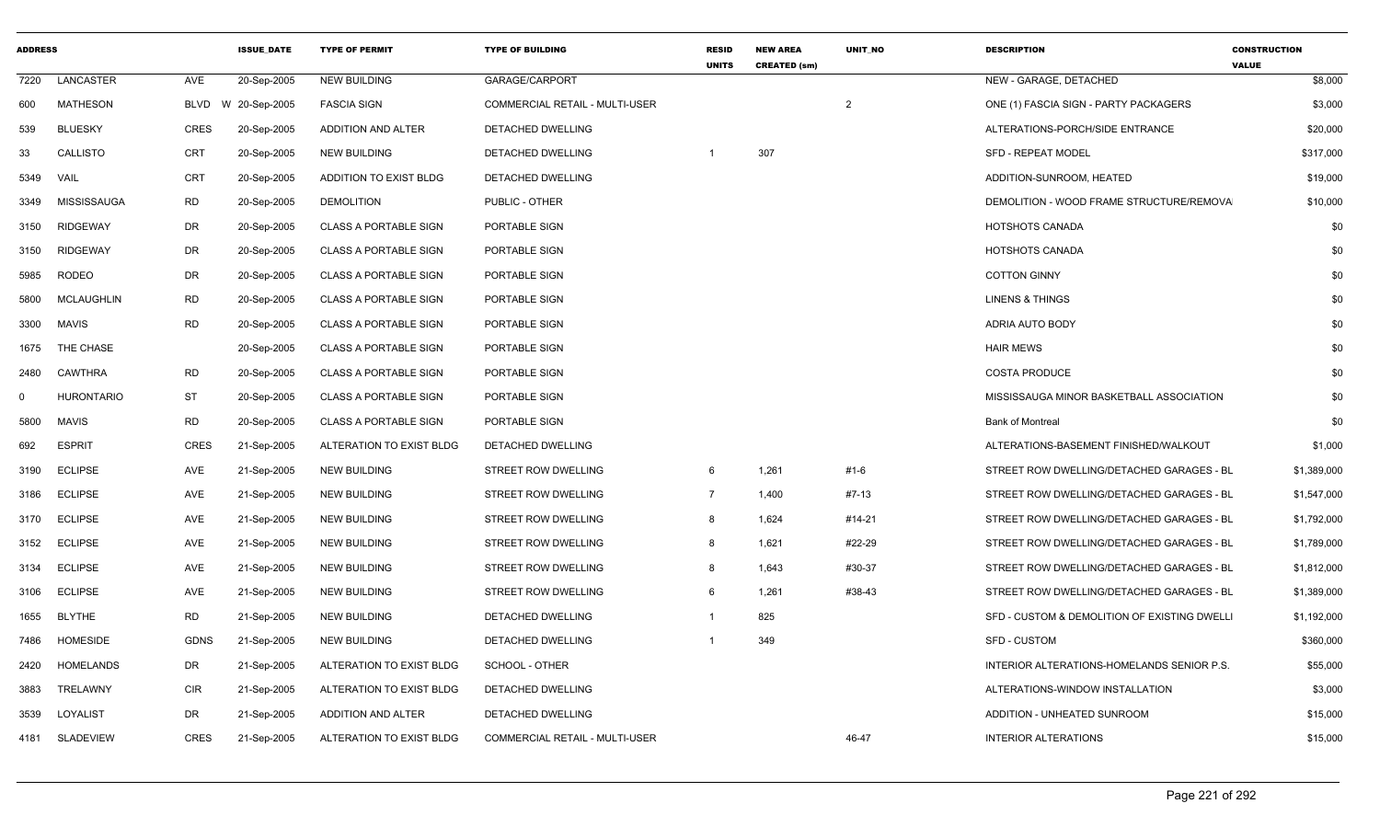| <b>ADDRESS</b> |                   |             | <b>ISSUE_DATE</b>  | <b>TYPE OF PERMIT</b>        | <b>TYPE OF BUILDING</b>               | <b>RESID</b><br><b>UNITS</b> | <b>NEW AREA</b><br><b>CREATED (sm)</b> | UNIT_NO        | <b>DESCRIPTION</b>                           | <b>CONSTRUCTION</b><br><b>VALUE</b> |
|----------------|-------------------|-------------|--------------------|------------------------------|---------------------------------------|------------------------------|----------------------------------------|----------------|----------------------------------------------|-------------------------------------|
| 7220           | LANCASTER         | AVE         | 20-Sep-2005        | <b>NEW BUILDING</b>          | GARAGE/CARPORT                        |                              |                                        |                | NEW - GARAGE, DETACHED                       | \$8,000                             |
| 600            | <b>MATHESON</b>   |             | BLVD W 20-Sep-2005 | <b>FASCIA SIGN</b>           | <b>COMMERCIAL RETAIL - MULTI-USER</b> |                              |                                        | $\overline{2}$ | ONE (1) FASCIA SIGN - PARTY PACKAGERS        | \$3,000                             |
| 539            | <b>BLUESKY</b>    | CRES        | 20-Sep-2005        | ADDITION AND ALTER           | DETACHED DWELLING                     |                              |                                        |                | ALTERATIONS-PORCH/SIDE ENTRANCE              | \$20,000                            |
| 33             | <b>CALLISTO</b>   | <b>CRT</b>  | 20-Sep-2005        | <b>NEW BUILDING</b>          | DETACHED DWELLING                     |                              | 307                                    |                | <b>SFD - REPEAT MODEL</b>                    | \$317,000                           |
| 5349           | VAIL              | <b>CRT</b>  | 20-Sep-2005        | ADDITION TO EXIST BLDG       | DETACHED DWELLING                     |                              |                                        |                | ADDITION-SUNROOM, HEATED                     | \$19,000                            |
| 3349           | MISSISSAUGA       | <b>RD</b>   | 20-Sep-2005        | <b>DEMOLITION</b>            | PUBLIC - OTHER                        |                              |                                        |                | DEMOLITION - WOOD FRAME STRUCTURE/REMOVA     | \$10,000                            |
| 3150           | <b>RIDGEWAY</b>   | DR          | 20-Sep-2005        | <b>CLASS A PORTABLE SIGN</b> | PORTABLE SIGN                         |                              |                                        |                | HOTSHOTS CANADA                              | \$0                                 |
| 3150           | <b>RIDGEWAY</b>   | DR          | 20-Sep-2005        | <b>CLASS A PORTABLE SIGN</b> | PORTABLE SIGN                         |                              |                                        |                | <b>HOTSHOTS CANADA</b>                       | \$0                                 |
| 5985           | RODEO             | DR          | 20-Sep-2005        | <b>CLASS A PORTABLE SIGN</b> | PORTABLE SIGN                         |                              |                                        |                | <b>COTTON GINNY</b>                          | \$0                                 |
| 5800           | <b>MCLAUGHLIN</b> | <b>RD</b>   | 20-Sep-2005        | <b>CLASS A PORTABLE SIGN</b> | PORTABLE SIGN                         |                              |                                        |                | <b>LINENS &amp; THINGS</b>                   | \$0                                 |
| 3300           | MAVIS             | <b>RD</b>   | 20-Sep-2005        | <b>CLASS A PORTABLE SIGN</b> | PORTABLE SIGN                         |                              |                                        |                | ADRIA AUTO BODY                              | \$0                                 |
| 1675           | THE CHASE         |             | 20-Sep-2005        | <b>CLASS A PORTABLE SIGN</b> | PORTABLE SIGN                         |                              |                                        |                | <b>HAIR MEWS</b>                             | \$0                                 |
| 2480           | CAWTHRA           | <b>RD</b>   | 20-Sep-2005        | <b>CLASS A PORTABLE SIGN</b> | PORTABLE SIGN                         |                              |                                        |                | <b>COSTA PRODUCE</b>                         | \$0                                 |
| $\Omega$       | <b>HURONTARIO</b> | <b>ST</b>   | 20-Sep-2005        | <b>CLASS A PORTABLE SIGN</b> | PORTABLE SIGN                         |                              |                                        |                | MISSISSAUGA MINOR BASKETBALL ASSOCIATION     | \$0                                 |
| 5800           | MAVIS             | <b>RD</b>   | 20-Sep-2005        | <b>CLASS A PORTABLE SIGN</b> | PORTABLE SIGN                         |                              |                                        |                | <b>Bank of Montreal</b>                      | \$0                                 |
| 692            | <b>ESPRIT</b>     | CRES        | 21-Sep-2005        | ALTERATION TO EXIST BLDG     | DETACHED DWELLING                     |                              |                                        |                | ALTERATIONS-BASEMENT FINISHED/WALKOUT        | \$1,000                             |
| 3190           | <b>ECLIPSE</b>    | AVE         | 21-Sep-2005        | <b>NEW BUILDING</b>          | STREET ROW DWELLING                   | 6                            | 1,261                                  | #1-6           | STREET ROW DWELLING/DETACHED GARAGES - BL    | \$1,389,000                         |
| 3186           | <b>ECLIPSE</b>    | AVE         | 21-Sep-2005        | <b>NEW BUILDING</b>          | STREET ROW DWELLING                   | $\overline{7}$               | 1,400                                  | #7-13          | STREET ROW DWELLING/DETACHED GARAGES - BL    | \$1,547,000                         |
| 3170           | <b>ECLIPSE</b>    | AVE         | 21-Sep-2005        | <b>NEW BUILDING</b>          | STREET ROW DWELLING                   | - 8                          | 1,624                                  | #14-21         | STREET ROW DWELLING/DETACHED GARAGES - BL    | \$1,792,000                         |
| 3152           | <b>ECLIPSE</b>    | AVE         | 21-Sep-2005        | <b>NEW BUILDING</b>          | STREET ROW DWELLING                   | -8                           | 1,621                                  | #22-29         | STREET ROW DWELLING/DETACHED GARAGES - BL    | \$1,789,000                         |
| 3134           | <b>ECLIPSE</b>    | AVE         | 21-Sep-2005        | <b>NEW BUILDING</b>          | STREET ROW DWELLING                   | -8                           | 1,643                                  | #30-37         | STREET ROW DWELLING/DETACHED GARAGES - BL    | \$1,812,000                         |
| 3106           | <b>ECLIPSE</b>    | AVE         | 21-Sep-2005        | <b>NEW BUILDING</b>          | STREET ROW DWELLING                   | -6                           | 1,261                                  | #38-43         | STREET ROW DWELLING/DETACHED GARAGES - BL    | \$1,389,000                         |
| 1655           | <b>BLYTHE</b>     | <b>RD</b>   | 21-Sep-2005        | NEW BUILDING                 | DETACHED DWELLING                     |                              | 825                                    |                | SFD - CUSTOM & DEMOLITION OF EXISTING DWELLI | \$1,192,000                         |
| 7486           | <b>HOMESIDE</b>   | <b>GDNS</b> | 21-Sep-2005        | <b>NEW BUILDING</b>          | DETACHED DWELLING                     |                              | 349                                    |                | <b>SFD - CUSTOM</b>                          | \$360,000                           |
| 2420           | HOMELANDS         | DR          | 21-Sep-2005        | ALTERATION TO EXIST BLDG     | SCHOOL - OTHER                        |                              |                                        |                | INTERIOR ALTERATIONS-HOMELANDS SENIOR P.S.   | \$55,000                            |
| 3883           | TRELAWNY          | CIR         | 21-Sep-2005        | ALTERATION TO EXIST BLDG     | DETACHED DWELLING                     |                              |                                        |                | ALTERATIONS-WINDOW INSTALLATION              | \$3,000                             |
| 3539           | LOYALIST          | <b>DR</b>   | 21-Sep-2005        | ADDITION AND ALTER           | DETACHED DWELLING                     |                              |                                        |                | ADDITION - UNHEATED SUNROOM                  | \$15,000                            |
|                | 4181 SLADEVIEW    | CRES        | 21-Sep-2005        | ALTERATION TO EXIST BLDG     | COMMERCIAL RETAIL - MULTI-USER        |                              |                                        | 46-47          | <b>INTERIOR ALTERATIONS</b>                  | \$15,000                            |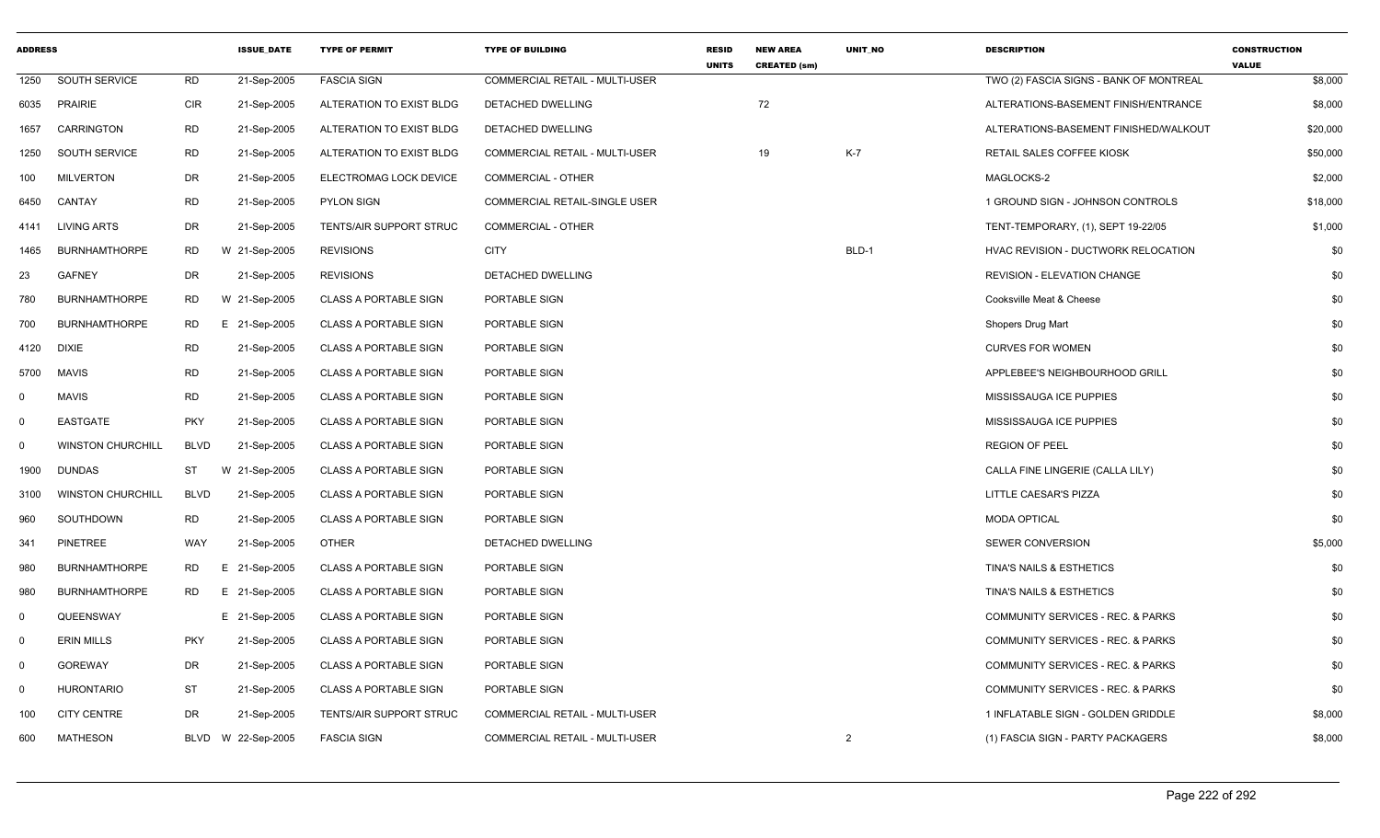| <b>ADDRESS</b> |                          |             | <b>ISSUE DATE</b> | <b>TYPE OF PERMIT</b>        | <b>TYPE OF BUILDING</b>               | <b>RESID</b><br><b>UNITS</b> | <b>NEW AREA</b><br><b>CREATED (sm)</b> | <b>UNIT NO</b> | <b>DESCRIPTION</b>                           | <b>CONSTRUCTION</b><br><b>VALUE</b> |
|----------------|--------------------------|-------------|-------------------|------------------------------|---------------------------------------|------------------------------|----------------------------------------|----------------|----------------------------------------------|-------------------------------------|
| 1250           | SOUTH SERVICE            | <b>RD</b>   | 21-Sep-2005       | <b>FASCIA SIGN</b>           | <b>COMMERCIAL RETAIL - MULTI-USER</b> |                              |                                        |                | TWO (2) FASCIA SIGNS - BANK OF MONTREAL      | \$8,000                             |
| 6035           | <b>PRAIRIE</b>           | <b>CIR</b>  | 21-Sep-2005       | ALTERATION TO EXIST BLDG     | DETACHED DWELLING                     |                              | 72                                     |                | ALTERATIONS-BASEMENT FINISH/ENTRANCE         | \$8,000                             |
| 1657           | CARRINGTON               | <b>RD</b>   | 21-Sep-2005       | ALTERATION TO EXIST BLDG     | DETACHED DWELLING                     |                              |                                        |                | ALTERATIONS-BASEMENT FINISHED/WALKOUT        | \$20,000                            |
| 1250           | <b>SOUTH SERVICE</b>     | <b>RD</b>   | 21-Sep-2005       | ALTERATION TO EXIST BLDG     | COMMERCIAL RETAIL - MULTI-USER        |                              | 19                                     | $K-7$          | RETAIL SALES COFFEE KIOSK                    | \$50,000                            |
| 100            | <b>MILVERTON</b>         | DR          | 21-Sep-2005       | ELECTROMAG LOCK DEVICE       | COMMERCIAL - OTHER                    |                              |                                        |                | MAGLOCKS-2                                   | \$2,000                             |
| 6450           | CANTAY                   | <b>RD</b>   | 21-Sep-2005       | <b>PYLON SIGN</b>            | <b>COMMERCIAL RETAIL-SINGLE USER</b>  |                              |                                        |                | 1 GROUND SIGN - JOHNSON CONTROLS             | \$18,000                            |
| 4141           | <b>LIVING ARTS</b>       | DR          | 21-Sep-2005       | TENTS/AIR SUPPORT STRUC      | <b>COMMERCIAL - OTHER</b>             |                              |                                        |                | TENT-TEMPORARY, (1), SEPT 19-22/05           | \$1,000                             |
| 1465           | <b>BURNHAMTHORPE</b>     | <b>RD</b>   | W 21-Sep-2005     | <b>REVISIONS</b>             | <b>CITY</b>                           |                              |                                        | BLD-1          | HVAC REVISION - DUCTWORK RELOCATION          | \$0                                 |
| 23             | <b>GAFNEY</b>            | DR          | 21-Sep-2005       | <b>REVISIONS</b>             | DETACHED DWELLING                     |                              |                                        |                | <b>REVISION - ELEVATION CHANGE</b>           | \$0                                 |
| 780            | <b>BURNHAMTHORPE</b>     | RD.         | W 21-Sep-2005     | <b>CLASS A PORTABLE SIGN</b> | PORTABLE SIGN                         |                              |                                        |                | Cooksville Meat & Cheese                     | \$0                                 |
| 700            | <b>BURNHAMTHORPE</b>     | RD          | E 21-Sep-2005     | <b>CLASS A PORTABLE SIGN</b> | <b>PORTABLE SIGN</b>                  |                              |                                        |                | Shopers Drug Mart                            | \$0                                 |
| 4120           | <b>DIXIE</b>             | <b>RD</b>   | 21-Sep-2005       | <b>CLASS A PORTABLE SIGN</b> | <b>PORTABLE SIGN</b>                  |                              |                                        |                | <b>CURVES FOR WOMEN</b>                      | \$0                                 |
| 5700           | <b>MAVIS</b>             | <b>RD</b>   | 21-Sep-2005       | <b>CLASS A PORTABLE SIGN</b> | PORTABLE SIGN                         |                              |                                        |                | APPLEBEE'S NEIGHBOURHOOD GRILL               | \$0                                 |
| $\mathbf 0$    | <b>MAVIS</b>             | <b>RD</b>   | 21-Sep-2005       | <b>CLASS A PORTABLE SIGN</b> | PORTABLE SIGN                         |                              |                                        |                | MISSISSAUGA ICE PUPPIES                      | \$0                                 |
| $\mathbf 0$    | <b>EASTGATE</b>          | <b>PKY</b>  | 21-Sep-2005       | <b>CLASS A PORTABLE SIGN</b> | PORTABLE SIGN                         |                              |                                        |                | MISSISSAUGA ICE PUPPIES                      | \$0                                 |
| $\mathbf 0$    | <b>WINSTON CHURCHILL</b> | <b>BLVD</b> | 21-Sep-2005       | <b>CLASS A PORTABLE SIGN</b> | PORTABLE SIGN                         |                              |                                        |                | <b>REGION OF PEEL</b>                        | \$0                                 |
| 1900           | DUNDAS                   | ST          | W 21-Sep-2005     | <b>CLASS A PORTABLE SIGN</b> | PORTABLE SIGN                         |                              |                                        |                | CALLA FINE LINGERIE (CALLA LILY)             | \$0                                 |
| 3100           | <b>WINSTON CHURCHILL</b> | <b>BLVD</b> | 21-Sep-2005       | <b>CLASS A PORTABLE SIGN</b> | PORTABLE SIGN                         |                              |                                        |                | LITTLE CAESAR'S PIZZA                        | \$0                                 |
| 960            | SOUTHDOWN                | <b>RD</b>   | 21-Sep-2005       | <b>CLASS A PORTABLE SIGN</b> | PORTABLE SIGN                         |                              |                                        |                | <b>MODA OPTICAL</b>                          | \$0                                 |
| 341            | <b>PINETREE</b>          | WAY         | 21-Sep-2005       | <b>OTHER</b>                 | DETACHED DWELLING                     |                              |                                        |                | <b>SEWER CONVERSION</b>                      | \$5,000                             |
| 980            | <b>BURNHAMTHORPE</b>     | RD          | E 21-Sep-2005     | <b>CLASS A PORTABLE SIGN</b> | <b>PORTABLE SIGN</b>                  |                              |                                        |                | TINA'S NAILS & ESTHETICS                     | \$0                                 |
| 980            | <b>BURNHAMTHORPE</b>     | RD.         | E 21-Sep-2005     | <b>CLASS A PORTABLE SIGN</b> | PORTABLE SIGN                         |                              |                                        |                | <b>TINA'S NAILS &amp; ESTHETICS</b>          | \$0                                 |
| $\mathbf 0$    | QUEENSWAY                |             | E 21-Sep-2005     | <b>CLASS A PORTABLE SIGN</b> | PORTABLE SIGN                         |                              |                                        |                | COMMUNITY SERVICES - REC. & PARKS            | \$0                                 |
| $\mathbf 0$    | <b>ERIN MILLS</b>        | <b>PKY</b>  | 21-Sep-2005       | <b>CLASS A PORTABLE SIGN</b> | PORTABLE SIGN                         |                              |                                        |                | COMMUNITY SERVICES - REC. & PARKS            | \$0                                 |
| $\mathbf 0$    | <b>GOREWAY</b>           | DR          | 21-Sep-2005       | <b>CLASS A PORTABLE SIGN</b> | PORTABLE SIGN                         |                              |                                        |                | COMMUNITY SERVICES - REC. & PARKS            | \$0                                 |
| $\mathbf 0$    | <b>HURONTARIO</b>        | ST          | 21-Sep-2005       | <b>CLASS A PORTABLE SIGN</b> | <b>PORTABLE SIGN</b>                  |                              |                                        |                | <b>COMMUNITY SERVICES - REC. &amp; PARKS</b> | \$0                                 |
| 100            | <b>CITY CENTRE</b>       | DR          | 21-Sep-2005       | TENTS/AIR SUPPORT STRUC      | COMMERCIAL RETAIL - MULTI-USER        |                              |                                        |                | 1 INFLATABLE SIGN - GOLDEN GRIDDLE           | \$8,000                             |
| 600            | <b>MATHESON</b>          | BLVD        | W 22-Sep-2005     | <b>FASCIA SIGN</b>           | <b>COMMERCIAL RETAIL - MULTI-USER</b> |                              |                                        | $\overline{2}$ | (1) FASCIA SIGN - PARTY PACKAGERS            | \$8,000                             |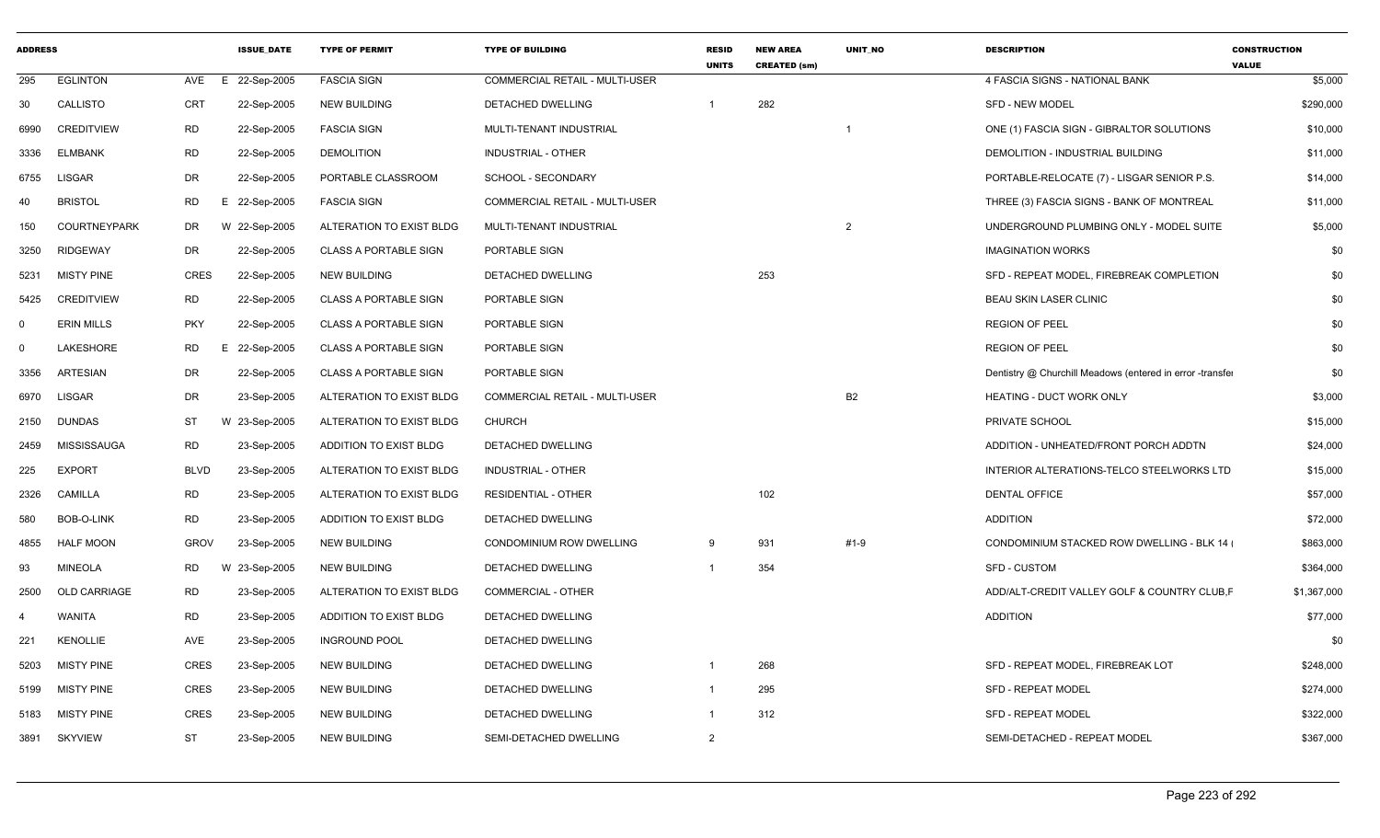| <b>ADDRESS</b> |                     |             | <b>ISSUE DATE</b> | <b>TYPE OF PERMIT</b>        | <b>TYPE OF BUILDING</b>        | <b>RESID</b><br><b>UNITS</b> | <b>NEW AREA</b><br><b>CREATED (sm)</b> | <b>UNIT NO</b> | <b>DESCRIPTION</b>                                        | <b>CONSTRUCTION</b><br><b>VALUE</b> |
|----------------|---------------------|-------------|-------------------|------------------------------|--------------------------------|------------------------------|----------------------------------------|----------------|-----------------------------------------------------------|-------------------------------------|
| 295            | <b>EGLINTON</b>     | AVE<br>E    | 22-Sep-2005       | <b>FASCIA SIGN</b>           | COMMERCIAL RETAIL - MULTI-USER |                              |                                        |                | 4 FASCIA SIGNS - NATIONAL BANK                            | \$5,000                             |
| 30             | CALLISTO            | <b>CRT</b>  | 22-Sep-2005       | <b>NEW BUILDING</b>          | <b>DETACHED DWELLING</b>       | $\mathbf 1$                  | 282                                    |                | <b>SFD - NEW MODEL</b>                                    | \$290,000                           |
| 6990           | <b>CREDITVIEW</b>   | <b>RD</b>   | 22-Sep-2005       | <b>FASCIA SIGN</b>           | MULTI-TENANT INDUSTRIAL        |                              |                                        |                | ONE (1) FASCIA SIGN - GIBRALTOR SOLUTIONS                 | \$10,000                            |
| 3336           | <b>ELMBANK</b>      | <b>RD</b>   | 22-Sep-2005       | <b>DEMOLITION</b>            | <b>INDUSTRIAL - OTHER</b>      |                              |                                        |                | DEMOLITION - INDUSTRIAL BUILDING                          | \$11,000                            |
| 6755           | <b>LISGAR</b>       | <b>DR</b>   | 22-Sep-2005       | PORTABLE CLASSROOM           | SCHOOL - SECONDARY             |                              |                                        |                | PORTABLE-RELOCATE (7) - LISGAR SENIOR P.S.                | \$14,000                            |
| 40             | <b>BRISTOL</b>      | <b>RD</b>   | E 22-Sep-2005     | <b>FASCIA SIGN</b>           | COMMERCIAL RETAIL - MULTI-USER |                              |                                        |                | THREE (3) FASCIA SIGNS - BANK OF MONTREAL                 | \$11,000                            |
| 150            | <b>COURTNEYPARK</b> | DR          | W 22-Sep-2005     | ALTERATION TO EXIST BLDG     | MULTI-TENANT INDUSTRIAL        |                              |                                        | $\overline{2}$ | UNDERGROUND PLUMBING ONLY - MODEL SUITE                   | \$5,000                             |
| 3250           | <b>RIDGEWAY</b>     | DR          | 22-Sep-2005       | <b>CLASS A PORTABLE SIGN</b> | PORTABLE SIGN                  |                              |                                        |                | <b>IMAGINATION WORKS</b>                                  | \$0                                 |
| 5231           | <b>MISTY PINE</b>   | <b>CRES</b> | 22-Sep-2005       | <b>NEW BUILDING</b>          | DETACHED DWELLING              |                              | 253                                    |                | SFD - REPEAT MODEL, FIREBREAK COMPLETION                  | \$0                                 |
| 5425           | <b>CREDITVIEW</b>   | <b>RD</b>   | 22-Sep-2005       | <b>CLASS A PORTABLE SIGN</b> | PORTABLE SIGN                  |                              |                                        |                | <b>BEAU SKIN LASER CLINIC</b>                             | \$0                                 |
| $\mathbf 0$    | <b>ERIN MILLS</b>   | <b>PKY</b>  | 22-Sep-2005       | CLASS A PORTABLE SIGN        | PORTABLE SIGN                  |                              |                                        |                | <b>REGION OF PEEL</b>                                     | \$0                                 |
| $\Omega$       | LAKESHORE           | <b>RD</b>   | E 22-Sep-2005     | <b>CLASS A PORTABLE SIGN</b> | PORTABLE SIGN                  |                              |                                        |                | <b>REGION OF PEEL</b>                                     | \$0                                 |
| 3356           | <b>ARTESIAN</b>     | DR          | 22-Sep-2005       | <b>CLASS A PORTABLE SIGN</b> | PORTABLE SIGN                  |                              |                                        |                | Dentistry @ Churchill Meadows (entered in error -transfer | \$0                                 |
| 6970           | <b>LISGAR</b>       | <b>DR</b>   | 23-Sep-2005       | ALTERATION TO EXIST BLDG     | COMMERCIAL RETAIL - MULTI-USER |                              |                                        | B <sub>2</sub> | HEATING - DUCT WORK ONLY                                  | \$3,000                             |
| 2150           | <b>DUNDAS</b>       | <b>ST</b>   | W 23-Sep-2005     | ALTERATION TO EXIST BLDG     | <b>CHURCH</b>                  |                              |                                        |                | PRIVATE SCHOOL                                            | \$15,000                            |
| 2459           | MISSISSAUGA         | <b>RD</b>   | 23-Sep-2005       | ADDITION TO EXIST BLDG       | DETACHED DWELLING              |                              |                                        |                | ADDITION - UNHEATED/FRONT PORCH ADDTN                     | \$24,000                            |
| 225            | <b>EXPORT</b>       | <b>BLVD</b> | 23-Sep-2005       | ALTERATION TO EXIST BLDG     | <b>INDUSTRIAL - OTHER</b>      |                              |                                        |                | INTERIOR ALTERATIONS-TELCO STEELWORKS LTD                 | \$15,000                            |
| 2326           | CAMILLA             | <b>RD</b>   | 23-Sep-2005       | ALTERATION TO EXIST BLDG     | <b>RESIDENTIAL - OTHER</b>     |                              | 102                                    |                | <b>DENTAL OFFICE</b>                                      | \$57,000                            |
| 580            | BOB-O-LINK          | <b>RD</b>   | 23-Sep-2005       | ADDITION TO EXIST BLDG       | <b>DETACHED DWELLING</b>       |                              |                                        |                | <b>ADDITION</b>                                           | \$72,000                            |
| 4855           | <b>HALF MOON</b>    | <b>GROV</b> | 23-Sep-2005       | <b>NEW BUILDING</b>          | CONDOMINIUM ROW DWELLING       | -9                           | 931                                    | #1-9           | <b>CONDOMINIUM STACKED ROW DWELLING - BLK 14 (</b>        | \$863,000                           |
| 93             | <b>MINEOLA</b>      | RD.         | W<br>23-Sep-2005  | <b>NEW BUILDING</b>          | DETACHED DWELLING              |                              | 354                                    |                | <b>SFD - CUSTOM</b>                                       | \$364,000                           |
| 2500           | <b>OLD CARRIAGE</b> | <b>RD</b>   | 23-Sep-2005       | ALTERATION TO EXIST BLDG     | <b>COMMERCIAL - OTHER</b>      |                              |                                        |                | ADD/ALT-CREDIT VALLEY GOLF & COUNTRY CLUB, F              | \$1,367,000                         |
| 4              | WANITA              | <b>RD</b>   | 23-Sep-2005       | ADDITION TO EXIST BLDG       | DETACHED DWELLING              |                              |                                        |                | <b>ADDITION</b>                                           | \$77,000                            |
| 221            | <b>KENOLLIE</b>     | <b>AVE</b>  | 23-Sep-2005       | <b>INGROUND POOL</b>         | DETACHED DWELLING              |                              |                                        |                |                                                           | \$0                                 |
| 5203           | <b>MISTY PINE</b>   | CRES        | 23-Sep-2005       | <b>NEW BUILDING</b>          | DETACHED DWELLING              |                              | 268                                    |                | SFD - REPEAT MODEL, FIREBREAK LOT                         | \$248,000                           |
| 5199           | <b>MISTY PINE</b>   | CRES        | 23-Sep-2005       | <b>NEW BUILDING</b>          | <b>DETACHED DWELLING</b>       | -1                           | 295                                    |                | <b>SFD - REPEAT MODEL</b>                                 | \$274,000                           |
| 5183           | <b>MISTY PINE</b>   | <b>CRES</b> | 23-Sep-2005       | <b>NEW BUILDING</b>          | DETACHED DWELLING              | $\mathbf{1}$                 | 312                                    |                | <b>SFD - REPEAT MODEL</b>                                 | \$322,000                           |
| 3891           | <b>SKYVIEW</b>      | <b>ST</b>   | 23-Sep-2005       | <b>NEW BUILDING</b>          | SEMI-DETACHED DWELLING         | $\overline{2}$               |                                        |                | SEMI-DETACHED - REPEAT MODEL                              | \$367,000                           |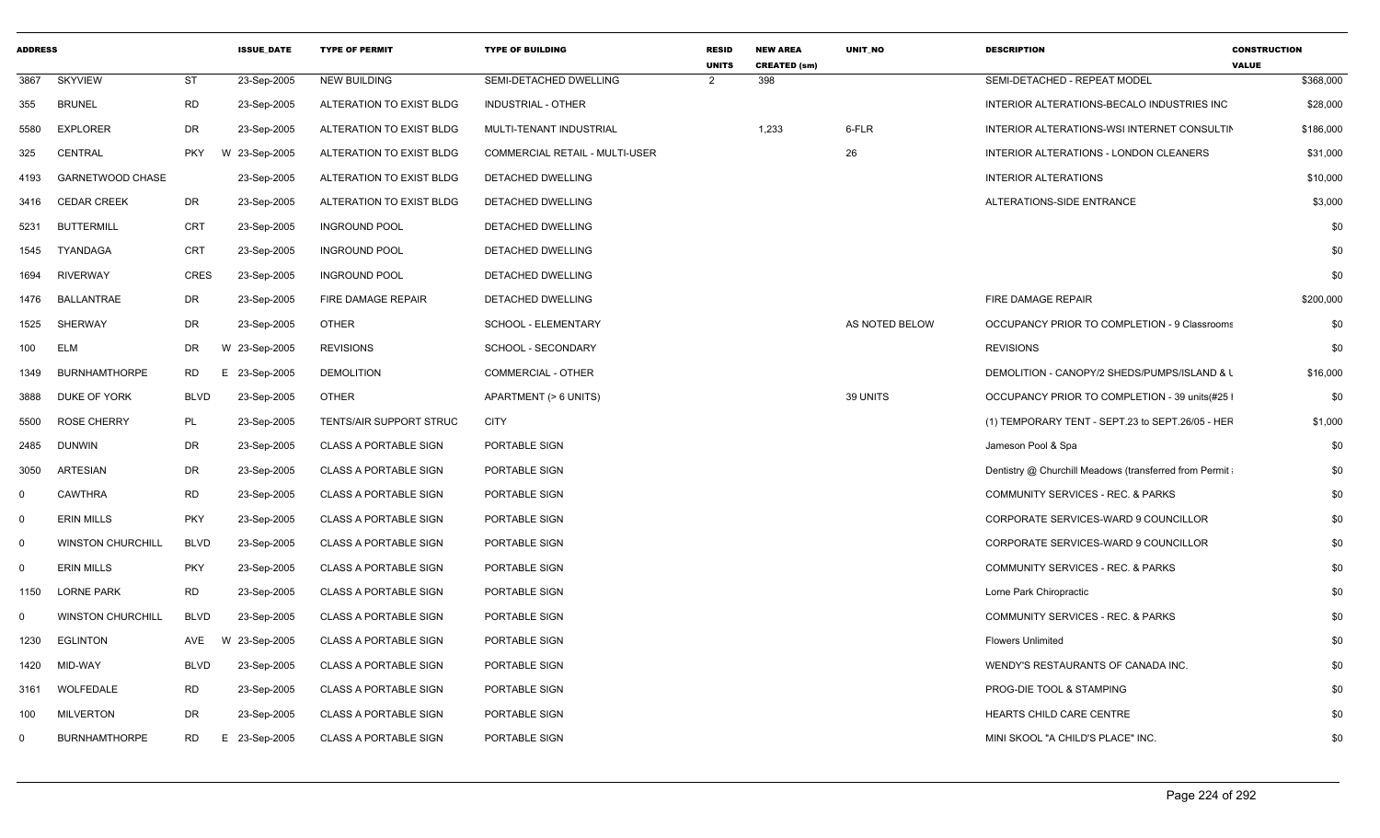| <b>ADDRESS</b> |                          |             | <b>ISSUE DATE</b>       | <b>TYPE OF PERMIT</b>        | <b>TYPE OF BUILDING</b>        | <b>RESID</b><br><b>UNITS</b> | <b>NEW AREA</b><br><b>CREATED (sm)</b> | <b>UNIT NO</b> | <b>DESCRIPTION</b>                                     | <b>CONSTRUCTION</b><br><b>VALUE</b> |
|----------------|--------------------------|-------------|-------------------------|------------------------------|--------------------------------|------------------------------|----------------------------------------|----------------|--------------------------------------------------------|-------------------------------------|
| 3867           | <b>SKYVIEW</b>           | <b>ST</b>   | 23-Sep-2005             | <b>NEW BUILDING</b>          | SEMI-DETACHED DWELLING         | $\overline{2}$               | 398                                    |                | SEMI-DETACHED - REPEAT MODEL                           | \$368,000                           |
| 355            | <b>BRUNEL</b>            | <b>RD</b>   | 23-Sep-2005             | ALTERATION TO EXIST BLDG     | INDUSTRIAL - OTHER             |                              |                                        |                | INTERIOR ALTERATIONS-BECALO INDUSTRIES INC             | \$28,000                            |
| 5580           | <b>EXPLORER</b>          | DR          | 23-Sep-2005             | ALTERATION TO EXIST BLDG     | MULTI-TENANT INDUSTRIAL        |                              | 1,233                                  | 6-FLR          | INTERIOR ALTERATIONS-WSI INTERNET CONSULTIN            | \$186,000                           |
| 325            | CENTRAL                  | PKY         | 23-Sep-2005<br><b>W</b> | ALTERATION TO EXIST BLDG     | COMMERCIAL RETAIL - MULTI-USER |                              |                                        | 26             | INTERIOR ALTERATIONS - LONDON CLEANERS                 | \$31,000                            |
| 4193           | GARNETWOOD CHASE         |             | 23-Sep-2005             | ALTERATION TO EXIST BLDG     | DETACHED DWELLING              |                              |                                        |                | <b>INTERIOR ALTERATIONS</b>                            | \$10,000                            |
|                | 3416 CEDAR CREEK         | DR          | 23-Sep-2005             | ALTERATION TO EXIST BLDG     | DETACHED DWELLING              |                              |                                        |                | ALTERATIONS-SIDE ENTRANCE                              | \$3,000                             |
| 5231           | <b>BUTTERMILL</b>        | CRT         | 23-Sep-2005             | <b>INGROUND POOL</b>         | DETACHED DWELLING              |                              |                                        |                |                                                        | \$0                                 |
| 1545           | TYANDAGA                 | CRT         | 23-Sep-2005             | <b>INGROUND POOL</b>         | DETACHED DWELLING              |                              |                                        |                |                                                        | \$0                                 |
| 1694           | <b>RIVERWAY</b>          | CRES        | 23-Sep-2005             | <b>INGROUND POOL</b>         | DETACHED DWELLING              |                              |                                        |                |                                                        | \$0                                 |
| 1476           | BALLANTRAE               | DR          | 23-Sep-2005             | FIRE DAMAGE REPAIR           | DETACHED DWELLING              |                              |                                        |                | FIRE DAMAGE REPAIR                                     | \$200,000                           |
| 1525           | SHERWAY                  | DR          | 23-Sep-2005             | OTHER                        | SCHOOL - ELEMENTARY            |                              |                                        | AS NOTED BELOW | OCCUPANCY PRIOR TO COMPLETION - 9 Classrooms           | \$0                                 |
| 100            | ELM                      | DR          | W 23-Sep-2005           | <b>REVISIONS</b>             | SCHOOL - SECONDARY             |                              |                                        |                | <b>REVISIONS</b>                                       | \$0                                 |
| 1349           | BURNHAMTHORPE            | RD          | E 23-Sep-2005           | <b>DEMOLITION</b>            | COMMERCIAL - OTHER             |                              |                                        |                | DEMOLITION - CANOPY/2 SHEDS/PUMPS/ISLAND & L           | \$16,000                            |
| 3888           | DUKE OF YORK             | BLVD        | 23-Sep-2005             | OTHER                        | APARTMENT (> 6 UNITS)          |                              |                                        | 39 UNITS       | OCCUPANCY PRIOR TO COMPLETION - 39 units (#25          | \$0                                 |
| 5500           | <b>ROSE CHERRY</b>       | <b>PL</b>   | 23-Sep-2005             | TENTS/AIR SUPPORT STRUC      | <b>CITY</b>                    |                              |                                        |                | (1) TEMPORARY TENT - SEPT.23 to SEPT.26/05 - HEF       | \$1,000                             |
| 2485           | DUNWIN                   | DR          | 23-Sep-2005             | <b>CLASS A PORTABLE SIGN</b> | PORTABLE SIGN                  |                              |                                        |                | Jameson Pool & Spa                                     | \$0                                 |
| 3050           | ARTESIAN                 | DR          | 23-Sep-2005             | <b>CLASS A PORTABLE SIGN</b> | PORTABLE SIGN                  |                              |                                        |                | Dentistry @ Churchill Meadows (transferred from Permit | \$0                                 |
| $\Omega$       | <b>CAWTHRA</b>           | <b>RD</b>   | 23-Sep-2005             | <b>CLASS A PORTABLE SIGN</b> | PORTABLE SIGN                  |                              |                                        |                | COMMUNITY SERVICES - REC. & PARKS                      | \$0                                 |
| $\Omega$       | <b>ERIN MILLS</b>        | <b>PKY</b>  | 23-Sep-2005             | <b>CLASS A PORTABLE SIGN</b> | PORTABLE SIGN                  |                              |                                        |                | CORPORATE SERVICES-WARD 9 COUNCILLOR                   | \$0                                 |
| $\Omega$       | <b>WINSTON CHURCHILL</b> | <b>BLVD</b> | 23-Sep-2005             | <b>CLASS A PORTABLE SIGN</b> | PORTABLE SIGN                  |                              |                                        |                | CORPORATE SERVICES-WARD 9 COUNCILLOR                   | \$0                                 |
| 0              | <b>ERIN MILLS</b>        | <b>PKY</b>  | 23-Sep-2005             | <b>CLASS A PORTABLE SIGN</b> | PORTABLE SIGN                  |                              |                                        |                | <b>COMMUNITY SERVICES - REC. &amp; PARKS</b>           | \$0                                 |
| 1150           | LORNE PARK               | <b>RD</b>   | 23-Sep-2005             | <b>CLASS A PORTABLE SIGN</b> | PORTABLE SIGN                  |                              |                                        |                | Lorne Park Chiropractic                                | \$0                                 |
| $\Omega$       | <b>WINSTON CHURCHILL</b> | BLVD        | 23-Sep-2005             | <b>CLASS A PORTABLE SIGN</b> | PORTABLE SIGN                  |                              |                                        |                | COMMUNITY SERVICES - REC. & PARKS                      | \$0                                 |
| 1230           | <b>EGLINTON</b>          | AVE         | W 23-Sep-2005           | <b>CLASS A PORTABLE SIGN</b> | PORTABLE SIGN                  |                              |                                        |                | <b>Flowers Unlimited</b>                               | \$0                                 |
| 1420           | MID-WAY                  | BLVD        | 23-Sep-2005             | <b>CLASS A PORTABLE SIGN</b> | PORTABLE SIGN                  |                              |                                        |                | WENDY'S RESTAURANTS OF CANADA INC.                     | \$0                                 |
| 3161           | WOLFEDALE                | RD          | 23-Sep-2005             | <b>CLASS A PORTABLE SIGN</b> | PORTABLE SIGN                  |                              |                                        |                | PROG-DIE TOOL & STAMPING                               | \$0                                 |
| 100            | MILVERTON                | DR          | 23-Sep-2005             | <b>CLASS A PORTABLE SIGN</b> | PORTABLE SIGN                  |                              |                                        |                | HEARTS CHILD CARE CENTRE                               | \$0                                 |
| -0             | <b>BURNHAMTHORPE</b>     | RD          | E 23-Sep-2005           | <b>CLASS A PORTABLE SIGN</b> | PORTABLE SIGN                  |                              |                                        |                | MINI SKOOL "A CHILD'S PLACE" INC.                      | \$0                                 |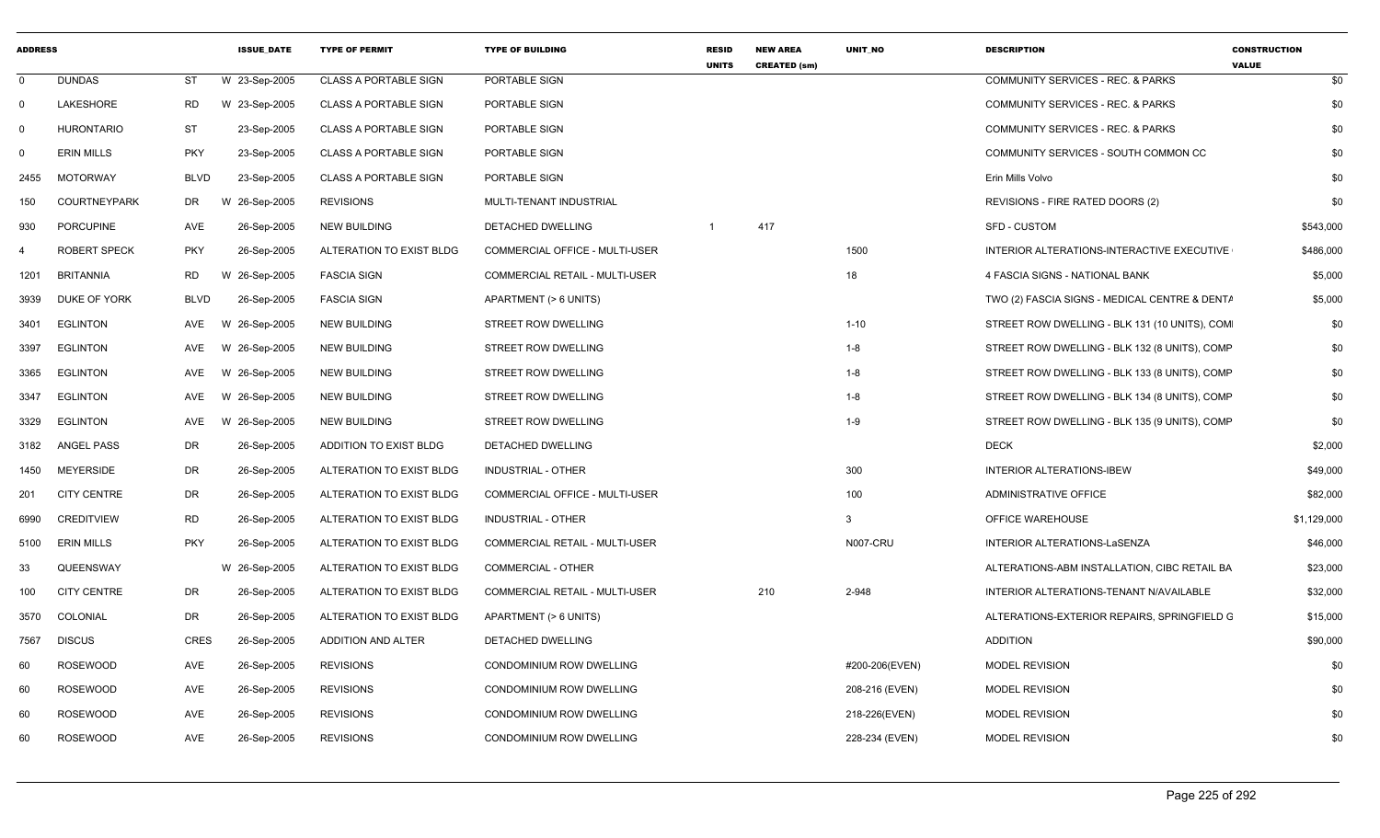| <b>ADDRESS</b> |                     |             | <b>ISSUE DATE</b> | <b>TYPE OF PERMIT</b>        | <b>TYPE OF BUILDING</b>               | RESID<br><b>UNITS</b> | <b>NEW AREA</b><br><b>CREATED (sm)</b> | UNIT_NO        | <b>DESCRIPTION</b>                            | <b>CONSTRUCTION</b><br><b>VALUE</b> |
|----------------|---------------------|-------------|-------------------|------------------------------|---------------------------------------|-----------------------|----------------------------------------|----------------|-----------------------------------------------|-------------------------------------|
| $\mathbf 0$    | <b>DUNDAS</b>       | ST          | W 23-Sep-2005     | <b>CLASS A PORTABLE SIGN</b> | PORTABLE SIGN                         |                       |                                        |                | COMMUNITY SERVICES - REC. & PARKS             | \$0                                 |
| $\mathbf 0$    | LAKESHORE           | RD          | W 23-Sep-2005     | <b>CLASS A PORTABLE SIGN</b> | PORTABLE SIGN                         |                       |                                        |                | COMMUNITY SERVICES - REC. & PARKS             | \$0                                 |
| 0              | <b>HURONTARIO</b>   | <b>ST</b>   | 23-Sep-2005       | <b>CLASS A PORTABLE SIGN</b> | PORTABLE SIGN                         |                       |                                        |                | <b>COMMUNITY SERVICES - REC. &amp; PARKS</b>  | \$0                                 |
| 0              | <b>ERIN MILLS</b>   | <b>PKY</b>  | 23-Sep-2005       | <b>CLASS A PORTABLE SIGN</b> | PORTABLE SIGN                         |                       |                                        |                | COMMUNITY SERVICES - SOUTH COMMON CC          | \$0                                 |
| 2455           | <b>MOTORWAY</b>     | <b>BLVD</b> | 23-Sep-2005       | <b>CLASS A PORTABLE SIGN</b> | PORTABLE SIGN                         |                       |                                        |                | Erin Mills Volvo                              | \$0                                 |
| 150            | <b>COURTNEYPARK</b> | DR          | W 26-Sep-2005     | <b>REVISIONS</b>             | MULTI-TENANT INDUSTRIAL               |                       |                                        |                | REVISIONS - FIRE RATED DOORS (2)              | \$0                                 |
| 930            | <b>PORCUPINE</b>    | <b>AVE</b>  | 26-Sep-2005       | <b>NEW BUILDING</b>          | DETACHED DWELLING                     | -1                    | 417                                    |                | <b>SFD - CUSTOM</b>                           | \$543,000                           |
| 4              | <b>ROBERT SPECK</b> | <b>PKY</b>  | 26-Sep-2005       | ALTERATION TO EXIST BLDG     | COMMERCIAL OFFICE - MULTI-USER        |                       |                                        | 1500           | INTERIOR ALTERATIONS-INTERACTIVE EXECUTIVE    | \$486,000                           |
| 1201           | <b>BRITANNIA</b>    | <b>RD</b>   | W 26-Sep-2005     | <b>FASCIA SIGN</b>           | <b>COMMERCIAL RETAIL - MULTI-USER</b> |                       |                                        | 18             | 4 FASCIA SIGNS - NATIONAL BANK                | \$5,000                             |
| 3939           | DUKE OF YORK        | <b>BLVD</b> | 26-Sep-2005       | <b>FASCIA SIGN</b>           | APARTMENT (> 6 UNITS)                 |                       |                                        |                | TWO (2) FASCIA SIGNS - MEDICAL CENTRE & DENTA | \$5,000                             |
| 3401           | <b>EGLINTON</b>     | AVE         | W 26-Sep-2005     | <b>NEW BUILDING</b>          | STREET ROW DWELLING                   |                       |                                        | $1 - 10$       | STREET ROW DWELLING - BLK 131 (10 UNITS), COM | \$0                                 |
| 3397           | <b>EGLINTON</b>     | AVE         | W 26-Sep-2005     | <b>NEW BUILDING</b>          | STREET ROW DWELLING                   |                       |                                        | $1 - 8$        | STREET ROW DWELLING - BLK 132 (8 UNITS), COMP | \$0                                 |
| 3365           | <b>EGLINTON</b>     | AVE         | W 26-Sep-2005     | <b>NEW BUILDING</b>          | STREET ROW DWELLING                   |                       |                                        | $1 - 8$        | STREET ROW DWELLING - BLK 133 (8 UNITS), COMP | \$0                                 |
| 3347           | <b>EGLINTON</b>     | AVE         | W 26-Sep-2005     | <b>NEW BUILDING</b>          | STREET ROW DWELLING                   |                       |                                        | $1 - 8$        | STREET ROW DWELLING - BLK 134 (8 UNITS), COMP | \$0                                 |
| 3329           | <b>EGLINTON</b>     | AVE         | W 26-Sep-2005     | <b>NEW BUILDING</b>          | STREET ROW DWELLING                   |                       |                                        | $1 - 9$        | STREET ROW DWELLING - BLK 135 (9 UNITS), COMP | \$0                                 |
| 3182           | <b>ANGEL PASS</b>   | DR          | 26-Sep-2005       | ADDITION TO EXIST BLDG       | <b>DETACHED DWELLING</b>              |                       |                                        |                | <b>DECK</b>                                   | \$2,000                             |
| 1450           | <b>MEYERSIDE</b>    | DR          | 26-Sep-2005       | ALTERATION TO EXIST BLDG     | INDUSTRIAL - OTHER                    |                       |                                        | 300            | <b>INTERIOR ALTERATIONS-IBEW</b>              | \$49,000                            |
| 201            | <b>CITY CENTRE</b>  | DR          | 26-Sep-2005       | ALTERATION TO EXIST BLDG     | COMMERCIAL OFFICE - MULTI-USER        |                       |                                        | 100            | ADMINISTRATIVE OFFICE                         | \$82,000                            |
| 6990           | <b>CREDITVIEW</b>   | <b>RD</b>   | 26-Sep-2005       | ALTERATION TO EXIST BLDG     | <b>INDUSTRIAL - OTHER</b>             |                       |                                        | 3              | OFFICE WAREHOUSE                              | \$1,129,000                         |
| 5100           | <b>ERIN MILLS</b>   | <b>PKY</b>  | 26-Sep-2005       | ALTERATION TO EXIST BLDG     | <b>COMMERCIAL RETAIL - MULTI-USER</b> |                       |                                        | N007-CRU       | INTERIOR ALTERATIONS-LaSENZA                  | \$46,000                            |
| 33             | QUEENSWAY           |             | W 26-Sep-2005     | ALTERATION TO EXIST BLDG     | <b>COMMERCIAL - OTHER</b>             |                       |                                        |                | ALTERATIONS-ABM INSTALLATION, CIBC RETAIL BA  | \$23,000                            |
| 100            | <b>CITY CENTRE</b>  | <b>DR</b>   | 26-Sep-2005       | ALTERATION TO EXIST BLDG     | <b>COMMERCIAL RETAIL - MULTI-USER</b> |                       | 210                                    | 2-948          | INTERIOR ALTERATIONS-TENANT N/AVAILABLE       | \$32,000                            |
| 3570           | COLONIAL            | DR          | 26-Sep-2005       | ALTERATION TO EXIST BLDG     | APARTMENT (> 6 UNITS)                 |                       |                                        |                | ALTERATIONS-EXTERIOR REPAIRS, SPRINGFIELD G   | \$15,000                            |
| 7567           | <b>DISCUS</b>       | <b>CRES</b> | 26-Sep-2005       | <b>ADDITION AND ALTER</b>    | DETACHED DWELLING                     |                       |                                        |                | <b>ADDITION</b>                               | \$90,000                            |
| 60             | <b>ROSEWOOD</b>     | AVE         | 26-Sep-2005       | <b>REVISIONS</b>             | CONDOMINIUM ROW DWELLING              |                       |                                        | #200-206(EVEN) | <b>MODEL REVISION</b>                         | \$0                                 |
| 60             | <b>ROSEWOOD</b>     | AVE         | 26-Sep-2005       | <b>REVISIONS</b>             | <b>CONDOMINIUM ROW DWELLING</b>       |                       |                                        | 208-216 (EVEN) | <b>MODEL REVISION</b>                         | \$0                                 |
| 60             | <b>ROSEWOOD</b>     | <b>AVE</b>  | 26-Sep-2005       | <b>REVISIONS</b>             | CONDOMINIUM ROW DWELLING              |                       |                                        | 218-226(EVEN)  | <b>MODEL REVISION</b>                         | \$0                                 |
| 60             | <b>ROSEWOOD</b>     | AVE         | 26-Sep-2005       | <b>REVISIONS</b>             | CONDOMINIUM ROW DWELLING              |                       |                                        | 228-234 (EVEN) | MODEL REVISION                                | \$0                                 |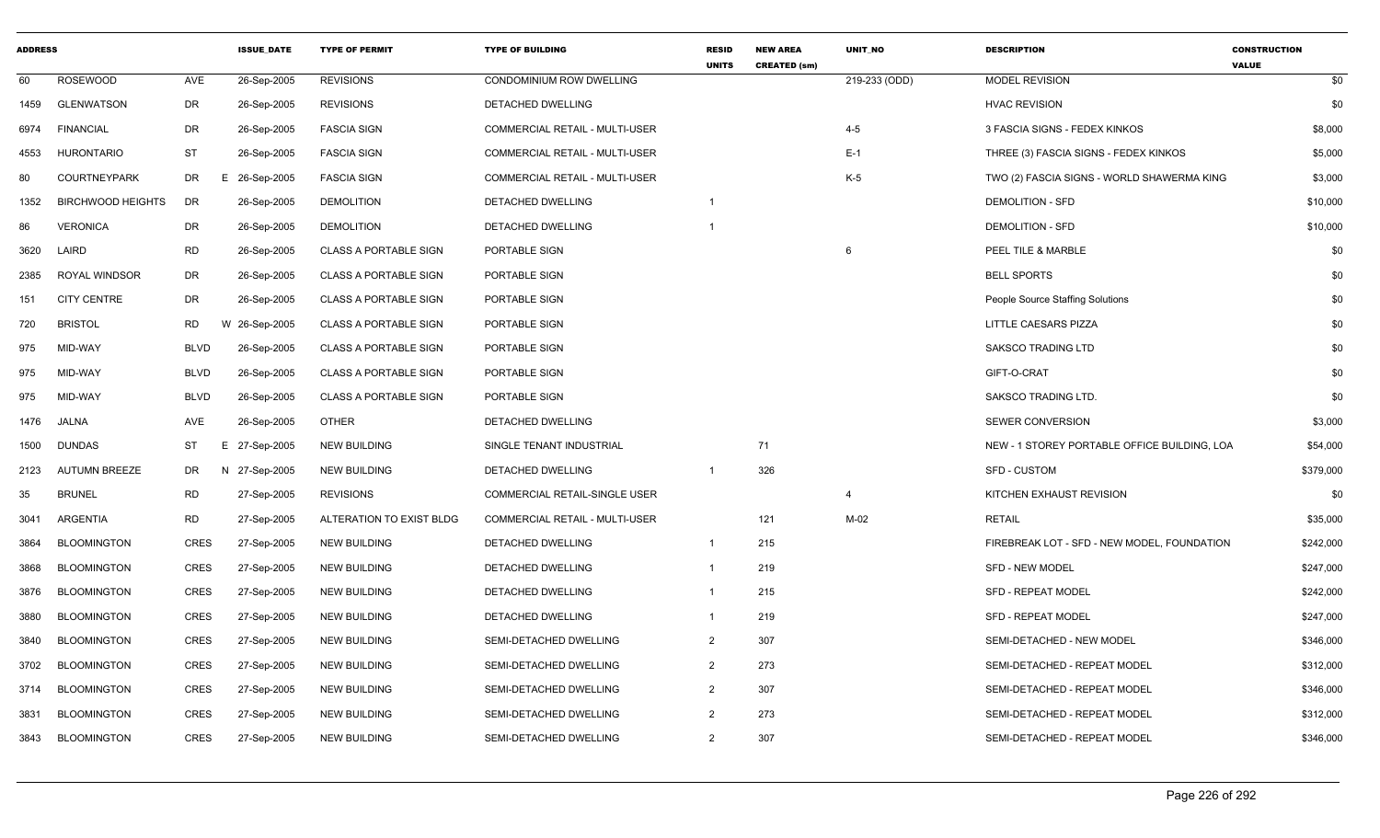| <b>ADDRESS</b> |                          |             | <b>ISSUE DATE</b> | <b>TYPE OF PERMIT</b>        | <b>TYPE OF BUILDING</b>               | <b>RESID</b><br><b>UNITS</b> | <b>NEW AREA</b><br><b>CREATED (sm)</b> | <b>UNIT NO</b> | <b>DESCRIPTION</b>                           | <b>CONSTRUCTION</b><br><b>VALUE</b> |
|----------------|--------------------------|-------------|-------------------|------------------------------|---------------------------------------|------------------------------|----------------------------------------|----------------|----------------------------------------------|-------------------------------------|
| 60             | <b>ROSEWOOD</b>          | <b>AVE</b>  | 26-Sep-2005       | <b>REVISIONS</b>             | CONDOMINIUM ROW DWELLING              |                              |                                        | 219-233 (ODD)  | <b>MODEL REVISION</b>                        | \$0                                 |
| 1459           | <b>GLENWATSON</b>        | DR          | 26-Sep-2005       | <b>REVISIONS</b>             | DETACHED DWELLING                     |                              |                                        |                | <b>HVAC REVISION</b>                         | \$0                                 |
| 6974           | <b>FINANCIAL</b>         | DR          | 26-Sep-2005       | <b>FASCIA SIGN</b>           | COMMERCIAL RETAIL - MULTI-USER        |                              |                                        | $4 - 5$        | 3 FASCIA SIGNS - FEDEX KINKOS                | \$8,000                             |
| 4553           | <b>HURONTARIO</b>        | <b>ST</b>   | 26-Sep-2005       | <b>FASCIA SIGN</b>           | <b>COMMERCIAL RETAIL - MULTI-USER</b> |                              |                                        | $E-1$          | THREE (3) FASCIA SIGNS - FEDEX KINKOS        | \$5,000                             |
| 80             | <b>COURTNEYPARK</b>      | DR          | E.<br>26-Sep-2005 | <b>FASCIA SIGN</b>           | <b>COMMERCIAL RETAIL - MULTI-USER</b> |                              |                                        | $K-5$          | TWO (2) FASCIA SIGNS - WORLD SHAWERMA KING   | \$3,000                             |
| 1352           | <b>BIRCHWOOD HEIGHTS</b> | DR          | 26-Sep-2005       | <b>DEMOLITION</b>            | DETACHED DWELLING                     | $\overline{1}$               |                                        |                | <b>DEMOLITION - SFD</b>                      | \$10,000                            |
| 86             | <b>VERONICA</b>          | DR          | 26-Sep-2005       | <b>DEMOLITION</b>            | <b>DETACHED DWELLING</b>              | $\mathbf 1$                  |                                        |                | <b>DEMOLITION - SFD</b>                      | \$10,000                            |
| 3620           | LAIRD                    | <b>RD</b>   | 26-Sep-2005       | <b>CLASS A PORTABLE SIGN</b> | PORTABLE SIGN                         |                              |                                        | 6              | PEEL TILE & MARBLE                           | \$0                                 |
| 2385           | ROYAL WINDSOR            | DR          | 26-Sep-2005       | <b>CLASS A PORTABLE SIGN</b> | PORTABLE SIGN                         |                              |                                        |                | <b>BELL SPORTS</b>                           | \$0                                 |
| 151            | <b>CITY CENTRE</b>       | DR          | 26-Sep-2005       | <b>CLASS A PORTABLE SIGN</b> | PORTABLE SIGN                         |                              |                                        |                | People Source Staffing Solutions             | \$0                                 |
| 720            | <b>BRISTOL</b>           | <b>RD</b>   | W 26-Sep-2005     | <b>CLASS A PORTABLE SIGN</b> | PORTABLE SIGN                         |                              |                                        |                | LITTLE CAESARS PIZZA                         | \$0                                 |
| 975            | MID-WAY                  | <b>BLVD</b> | 26-Sep-2005       | <b>CLASS A PORTABLE SIGN</b> | PORTABLE SIGN                         |                              |                                        |                | <b>SAKSCO TRADING LTD</b>                    | \$0                                 |
| 975            | MID-WAY                  | <b>BLVD</b> | 26-Sep-2005       | <b>CLASS A PORTABLE SIGN</b> | PORTABLE SIGN                         |                              |                                        |                | GIFT-O-CRAT                                  | \$0                                 |
| 975            | MID-WAY                  | <b>BLVD</b> | 26-Sep-2005       | <b>CLASS A PORTABLE SIGN</b> | PORTABLE SIGN                         |                              |                                        |                | <b>SAKSCO TRADING LTD.</b>                   | \$0                                 |
| 1476           | <b>JALNA</b>             | <b>AVE</b>  | 26-Sep-2005       | <b>OTHER</b>                 | DETACHED DWELLING                     |                              |                                        |                | <b>SEWER CONVERSION</b>                      | \$3,000                             |
| 1500           | <b>DUNDAS</b>            | <b>ST</b>   | E 27-Sep-2005     | <b>NEW BUILDING</b>          | SINGLE TENANT INDUSTRIAL              |                              | 71                                     |                | NEW - 1 STOREY PORTABLE OFFICE BUILDING, LOA | \$54,000                            |
| 2123           | <b>AUTUMN BREEZE</b>     | DR          | N 27-Sep-2005     | <b>NEW BUILDING</b>          | DETACHED DWELLING                     | -1                           | 326                                    |                | <b>SFD - CUSTOM</b>                          | \$379,000                           |
| 35             | <b>BRUNEL</b>            | <b>RD</b>   | 27-Sep-2005       | <b>REVISIONS</b>             | COMMERCIAL RETAIL-SINGLE USER         |                              |                                        | $\overline{4}$ | KITCHEN EXHAUST REVISION                     | \$0                                 |
| 3041           | <b>ARGENTIA</b>          | <b>RD</b>   | 27-Sep-2005       | ALTERATION TO EXIST BLDG     | <b>COMMERCIAL RETAIL - MULTI-USER</b> |                              | 121                                    | $M-02$         | <b>RETAIL</b>                                | \$35,000                            |
| 3864           | <b>BLOOMINGTON</b>       | <b>CRES</b> | 27-Sep-2005       | <b>NEW BUILDING</b>          | DETACHED DWELLING                     | $\overline{1}$               | 215                                    |                | FIREBREAK LOT - SFD - NEW MODEL, FOUNDATION  | \$242,000                           |
| 3868           | <b>BLOOMINGTON</b>       | <b>CRES</b> | 27-Sep-2005       | <b>NEW BUILDING</b>          | DETACHED DWELLING                     | $\mathbf{1}$                 | 219                                    |                | <b>SFD - NEW MODEL</b>                       | \$247,000                           |
| 3876           | <b>BLOOMINGTON</b>       | CRES        | 27-Sep-2005       | <b>NEW BUILDING</b>          | DETACHED DWELLING                     | $\overline{1}$               | 215                                    |                | <b>SFD - REPEAT MODEL</b>                    | \$242,000                           |
| 3880           | <b>BLOOMINGTON</b>       | <b>CRES</b> | 27-Sep-2005       | <b>NEW BUILDING</b>          | <b>DETACHED DWELLING</b>              | $\mathbf 1$                  | 219                                    |                | <b>SFD - REPEAT MODEL</b>                    | \$247,000                           |
| 3840           | <b>BLOOMINGTON</b>       | <b>CRES</b> | 27-Sep-2005       | <b>NEW BUILDING</b>          | SEMI-DETACHED DWELLING                | $\overline{2}$               | 307                                    |                | SEMI-DETACHED - NEW MODEL                    | \$346,000                           |
| 3702           | <b>BLOOMINGTON</b>       | <b>CRES</b> | 27-Sep-2005       | <b>NEW BUILDING</b>          | SEMI-DETACHED DWELLING                | $\overline{2}$               | 273                                    |                | SEMI-DETACHED - REPEAT MODEL                 | \$312,000                           |
| 3714           | <b>BLOOMINGTON</b>       | <b>CRES</b> | 27-Sep-2005       | <b>NEW BUILDING</b>          | SEMI-DETACHED DWELLING                | $\overline{2}$               | 307                                    |                | SEMI-DETACHED - REPEAT MODEL                 | \$346,000                           |
| 3831           | <b>BLOOMINGTON</b>       | <b>CRES</b> | 27-Sep-2005       | <b>NEW BUILDING</b>          | SEMI-DETACHED DWELLING                | $\overline{2}$               | 273                                    |                | SEMI-DETACHED - REPEAT MODEL                 | \$312,000                           |
| 3843           | <b>BLOOMINGTON</b>       | <b>CRES</b> | 27-Sep-2005       | <b>NEW BUILDING</b>          | SEMI-DETACHED DWELLING                | $\overline{2}$               | 307                                    |                | SEMI-DETACHED - REPEAT MODEL                 | \$346,000                           |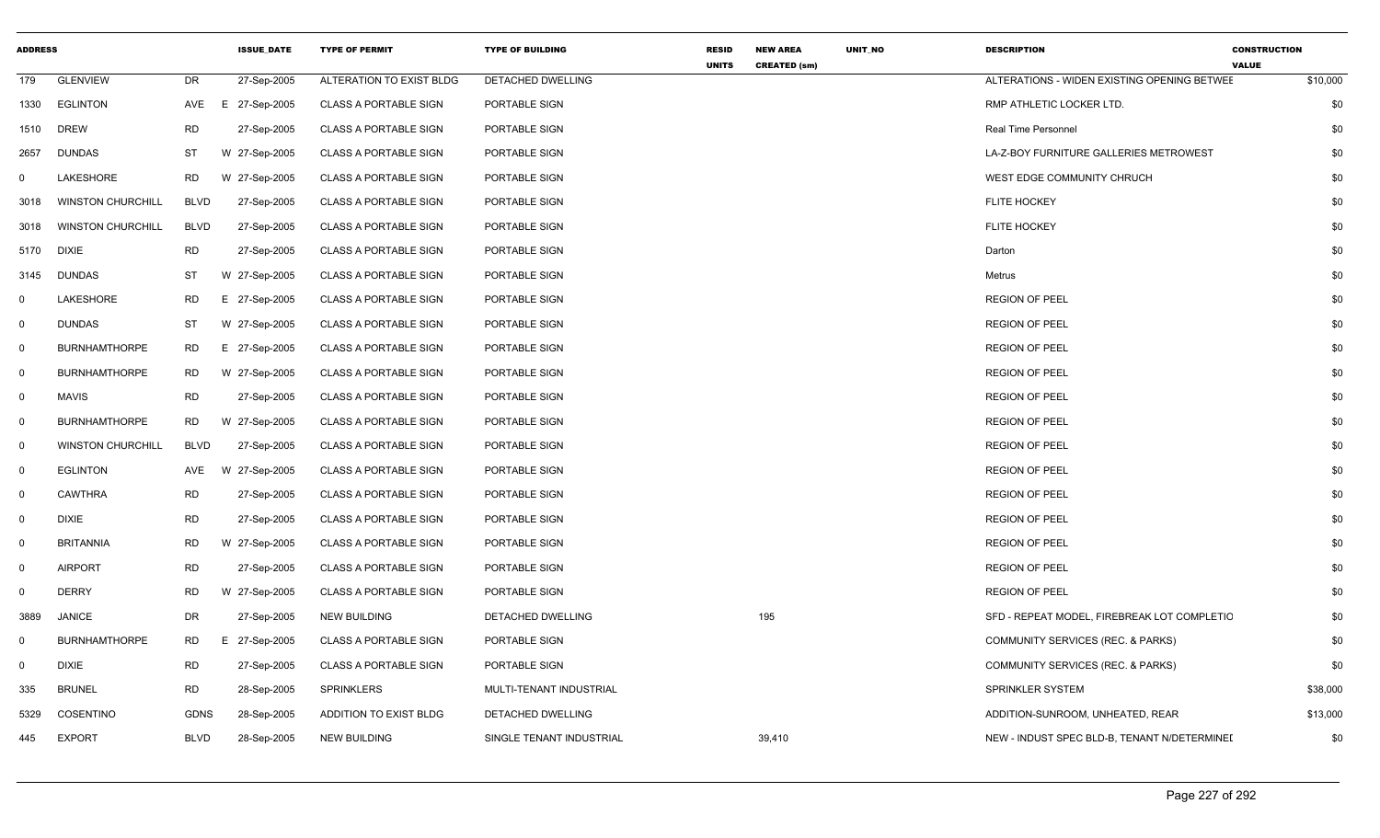| <b>ADDRESS</b> |                          |             | <b>ISSUE_DATE</b> | <b>TYPE OF PERMIT</b>         | <b>TYPE OF BUILDING</b>  | <b>RESID</b><br><b>UNITS</b> | <b>NEW AREA</b><br><b>CREATED (sm)</b> | UNIT_NO | <b>DESCRIPTION</b>                           | <b>CONSTRUCTION</b><br><b>VALUE</b> |
|----------------|--------------------------|-------------|-------------------|-------------------------------|--------------------------|------------------------------|----------------------------------------|---------|----------------------------------------------|-------------------------------------|
| 179            | <b>GLENVIEW</b>          | DR          | 27-Sep-2005       | ALTERATION TO EXIST BLDG      | DETACHED DWELLING        |                              |                                        |         | ALTERATIONS - WIDEN EXISTING OPENING BETWEE  | \$10,000                            |
| 1330           | <b>EGLINTON</b>          | AVE         | E 27-Sep-2005     | <b>CLASS A PORTABLE SIGN</b>  | PORTABLE SIGN            |                              |                                        |         | RMP ATHLETIC LOCKER LTD.                     | \$0                                 |
| 1510           | <b>DREW</b>              | <b>RD</b>   | 27-Sep-2005       | <b>CLASS A PORTABLE SIGN</b>  | PORTABLE SIGN            |                              |                                        |         | Real Time Personnel                          | \$0                                 |
| 2657           | <b>DUNDAS</b>            | ST          | W 27-Sep-2005     | <b>CLASS A PORTABLE SIGN</b>  | PORTABLE SIGN            |                              |                                        |         | LA-Z-BOY FURNITURE GALLERIES METROWEST       | \$0                                 |
| $\overline{0}$ | LAKESHORE                | <b>RD</b>   | W 27-Sep-2005     | <b>CLASS A PORTABLE SIGN</b>  | PORTABLE SIGN            |                              |                                        |         | WEST EDGE COMMUNITY CHRUCH                   | \$0                                 |
| 3018           | <b>WINSTON CHURCHILL</b> | <b>BLVD</b> | 27-Sep-2005       | <b>CLASS A PORTABLE SIGN</b>  | PORTABLE SIGN            |                              |                                        |         | <b>FLITE HOCKEY</b>                          | \$0                                 |
| 3018           | <b>WINSTON CHURCHILL</b> | <b>BLVD</b> | 27-Sep-2005       | <b>CLASS A PORTABLE SIGN</b>  | PORTABLE SIGN            |                              |                                        |         | <b>FLITE HOCKEY</b>                          | \$0                                 |
| 5170           | <b>DIXIE</b>             | <b>RD</b>   | 27-Sep-2005       | <b>CLASS A PORTABLE SIGN</b>  | PORTABLE SIGN            |                              |                                        |         | Darton                                       | \$0                                 |
| 3145           | <b>DUNDAS</b>            | ST          | W 27-Sep-2005     | CLASS A PORTABLE SIGN         | PORTABLE SIGN            |                              |                                        |         | Metrus                                       | \$0                                 |
| $\mathbf 0$    | LAKESHORE                | RD          | E 27-Sep-2005     | <b>CLASS A PORTABLE SIGN</b>  | PORTABLE SIGN            |                              |                                        |         | <b>REGION OF PEEL</b>                        | \$0                                 |
| $\mathbf 0$    | <b>DUNDAS</b>            | ST          | W 27-Sep-2005     | <b>CLASS A PORTABLE SIGN</b>  | PORTABLE SIGN            |                              |                                        |         | <b>REGION OF PEEL</b>                        | \$0                                 |
| $\mathbf 0$    | <b>BURNHAMTHORPE</b>     | RD.         | E 27-Sep-2005     | <b>CLASS A PORTABLE SIGN</b>  | PORTABLE SIGN            |                              |                                        |         | <b>REGION OF PEEL</b>                        | \$0                                 |
| $\mathbf 0$    | <b>BURNHAMTHORPE</b>     | RD          | W 27-Sep-2005     | <b>CLASS A PORTABLE SIGN</b>  | PORTABLE SIGN            |                              |                                        |         | <b>REGION OF PEEL</b>                        | \$0                                 |
| $\mathbf 0$    | <b>MAVIS</b>             | <b>RD</b>   | 27-Sep-2005       | <b>CLASS A PORTABLE SIGN</b>  | PORTABLE SIGN            |                              |                                        |         | <b>REGION OF PEEL</b>                        | \$0                                 |
| $\mathbf 0$    | <b>BURNHAMTHORPE</b>     | <b>RD</b>   | W 27-Sep-2005     | <b>CLASS A PORTABLE SIGN</b>  | PORTABLE SIGN            |                              |                                        |         | <b>REGION OF PEEL</b>                        | \$0                                 |
| $\mathbf 0$    | <b>WINSTON CHURCHILL</b> | <b>BLVD</b> | 27-Sep-2005       | <b>CLASS A PORTABLE SIGN</b>  | PORTABLE SIGN            |                              |                                        |         | <b>REGION OF PEEL</b>                        | \$0                                 |
| $\mathbf 0$    | <b>EGLINTON</b>          | AVE         | W 27-Sep-2005     | <b>CLASS A PORTABLE SIGN</b>  | PORTABLE SIGN            |                              |                                        |         | <b>REGION OF PEEL</b>                        | \$0                                 |
| $\mathbf 0$    | <b>CAWTHRA</b>           | <b>RD</b>   | 27-Sep-2005       | <b>CLASS A PORTABLE SIGN</b>  | PORTABLE SIGN            |                              |                                        |         | <b>REGION OF PEEL</b>                        | \$0                                 |
| $\mathbf 0$    | <b>DIXIE</b>             | <b>RD</b>   | 27-Sep-2005       | <b>CLASS A PORTABLE SIGN</b>  | PORTABLE SIGN            |                              |                                        |         | <b>REGION OF PEEL</b>                        | \$0                                 |
| $\mathbf 0$    | <b>BRITANNIA</b>         | <b>RD</b>   | W 27-Sep-2005     | <b>CLASS A PORTABLE SIGN</b>  | PORTABLE SIGN            |                              |                                        |         | <b>REGION OF PEEL</b>                        | \$0                                 |
| $\mathbf 0$    | <b>AIRPORT</b>           | <b>RD</b>   | 27-Sep-2005       | <b>CLASS A PORTABLE SIGN</b>  | PORTABLE SIGN            |                              |                                        |         | <b>REGION OF PEEL</b>                        | \$0                                 |
| $\mathbf 0$    | <b>DERRY</b>             | <b>RD</b>   | W 27-Sep-2005     | <b>CLASS A PORTABLE SIGN</b>  | PORTABLE SIGN            |                              |                                        |         | <b>REGION OF PEEL</b>                        | \$0                                 |
| 3889           | <b>JANICE</b>            | DR.         | 27-Sep-2005       | <b>NEW BUILDING</b>           | <b>DETACHED DWELLING</b> |                              | 195                                    |         | SFD - REPEAT MODEL, FIREBREAK LOT COMPLETIC  | \$0                                 |
| $\mathbf 0$    | <b>BURNHAMTHORPE</b>     | RD          | E 27-Sep-2005     | <b>CLASS A PORTABLE SIGN</b>  | PORTABLE SIGN            |                              |                                        |         | COMMUNITY SERVICES (REC. & PARKS)            | \$0                                 |
| $\mathbf 0$    | <b>DIXIE</b>             | <b>RD</b>   | 27-Sep-2005       | <b>CLASS A PORTABLE SIGN</b>  | PORTABLE SIGN            |                              |                                        |         | COMMUNITY SERVICES (REC. & PARKS)            | \$0                                 |
| 335            | <b>BRUNEL</b>            | <b>RD</b>   | 28-Sep-2005       | SPRINKLERS                    | MULTI-TENANT INDUSTRIAL  |                              |                                        |         | SPRINKLER SYSTEM                             | \$38,000                            |
| 5329           | COSENTINO                | <b>GDNS</b> | 28-Sep-2005       | <b>ADDITION TO EXIST BLDG</b> | DETACHED DWELLING        |                              |                                        |         | ADDITION-SUNROOM, UNHEATED, REAR             | \$13,000                            |
| 445            | <b>EXPORT</b>            | <b>BLVD</b> | 28-Sep-2005       | <b>NEW BUILDING</b>           | SINGLE TENANT INDUSTRIAL |                              | 39,410                                 |         | NEW - INDUST SPEC BLD-B, TENANT N/DETERMINEI | \$0                                 |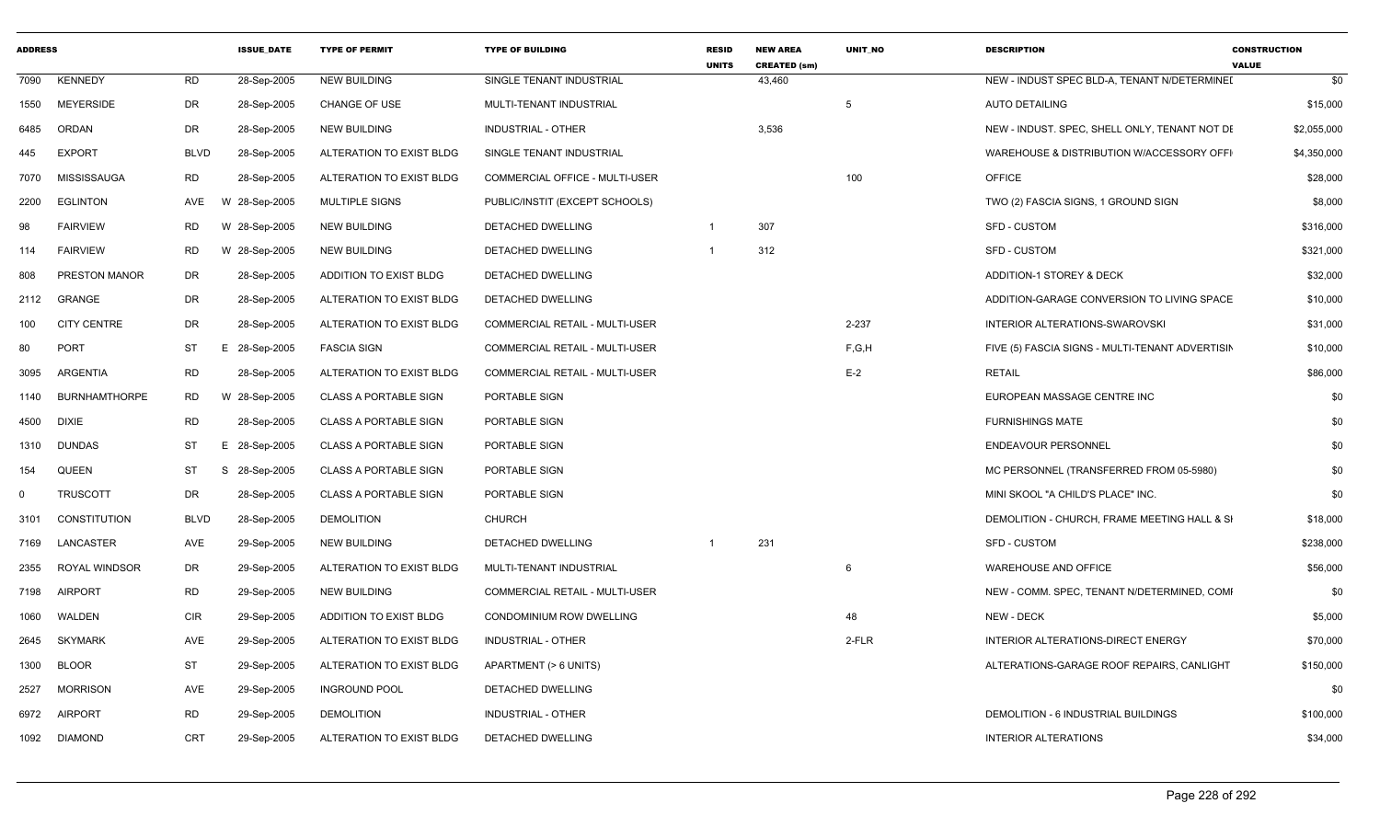| <b>ADDRESS</b> |                      |                | <b>ISSUE_DATE</b> | <b>TYPE OF PERMIT</b>        | <b>TYPE OF BUILDING</b>               | <b>RESID</b><br><b>UNITS</b> | <b>NEW AREA</b><br><b>CREATED (sm)</b> | UNIT_NO | <b>DESCRIPTION</b>                              | <b>CONSTRUCTION</b><br><b>VALUE</b> |
|----------------|----------------------|----------------|-------------------|------------------------------|---------------------------------------|------------------------------|----------------------------------------|---------|-------------------------------------------------|-------------------------------------|
| 7090           | <b>KENNEDY</b>       | <b>RD</b>      | 28-Sep-2005       | <b>NEW BUILDING</b>          | SINGLE TENANT INDUSTRIAL              |                              | 43,460                                 |         | NEW - INDUST SPEC BLD-A, TENANT N/DETERMINEI    | \$0                                 |
| 1550           | <b>MEYERSIDE</b>     | DR             | 28-Sep-2005       | <b>CHANGE OF USE</b>         | MULTI-TENANT INDUSTRIAL               |                              |                                        | 5       | <b>AUTO DETAILING</b>                           | \$15,000                            |
| 6485           | ORDAN                | DR             | 28-Sep-2005       | <b>NEW BUILDING</b>          | INDUSTRIAL - OTHER                    |                              | 3,536                                  |         | NEW - INDUST. SPEC, SHELL ONLY, TENANT NOT DE   | \$2,055,000                         |
| 445            | <b>EXPORT</b>        | <b>BLVD</b>    | 28-Sep-2005       | ALTERATION TO EXIST BLDG     | SINGLE TENANT INDUSTRIAL              |                              |                                        |         | WAREHOUSE & DISTRIBUTION W/ACCESSORY OFFI       | \$4,350,000                         |
| 7070           | MISSISSAUGA          | <b>RD</b>      | 28-Sep-2005       | ALTERATION TO EXIST BLDG     | <b>COMMERCIAL OFFICE - MULTI-USER</b> |                              |                                        | 100     | <b>OFFICE</b>                                   | \$28,000                            |
| 2200           | <b>EGLINTON</b>      | AVE<br>w       | 28-Sep-2005       | <b>MULTIPLE SIGNS</b>        | PUBLIC/INSTIT (EXCEPT SCHOOLS)        |                              |                                        |         | TWO (2) FASCIA SIGNS, 1 GROUND SIGN             | \$8,000                             |
| 98             | <b>FAIRVIEW</b>      | RD<br>W        | 28-Sep-2005       | <b>NEW BUILDING</b>          | DETACHED DWELLING                     | -1                           | 307                                    |         | <b>SFD - CUSTOM</b>                             | \$316,000                           |
| 114            | <b>FAIRVIEW</b>      | <b>RD</b><br>W | 28-Sep-2005       | <b>NEW BUILDING</b>          | DETACHED DWELLING                     | $\mathbf{1}$                 | 312                                    |         | <b>SFD - CUSTOM</b>                             | \$321,000                           |
| 808            | PRESTON MANOR        | DR             | 28-Sep-2005       | ADDITION TO EXIST BLDG       | DETACHED DWELLING                     |                              |                                        |         | ADDITION-1 STOREY & DECK                        | \$32,000                            |
| 2112           | GRANGE               | DR             | 28-Sep-2005       | ALTERATION TO EXIST BLDG     | DETACHED DWELLING                     |                              |                                        |         | ADDITION-GARAGE CONVERSION TO LIVING SPACE      | \$10,000                            |
| 100            | <b>CITY CENTRE</b>   | DR             | 28-Sep-2005       | ALTERATION TO EXIST BLDG     | <b>COMMERCIAL RETAIL - MULTI-USER</b> |                              |                                        | 2-237   | INTERIOR ALTERATIONS-SWAROVSKI                  | \$31,000                            |
| 80             | <b>PORT</b>          | ST<br>Е.       | 28-Sep-2005       | <b>FASCIA SIGN</b>           | COMMERCIAL RETAIL - MULTI-USER        |                              |                                        | F,G,H   | FIVE (5) FASCIA SIGNS - MULTI-TENANT ADVERTISIN | \$10,000                            |
| 3095           | ARGENTIA             | <b>RD</b>      | 28-Sep-2005       | ALTERATION TO EXIST BLDG     | COMMERCIAL RETAIL - MULTI-USER        |                              |                                        | $E-2$   | <b>RETAIL</b>                                   | \$86,000                            |
| 1140           | <b>BURNHAMTHORPE</b> | <b>RD</b>      | W 28-Sep-2005     | <b>CLASS A PORTABLE SIGN</b> | PORTABLE SIGN                         |                              |                                        |         | EUROPEAN MASSAGE CENTRE INC                     | \$0                                 |
| 4500           | <b>DIXIE</b>         | RD             | 28-Sep-2005       | <b>CLASS A PORTABLE SIGN</b> | PORTABLE SIGN                         |                              |                                        |         | <b>FURNISHINGS MATE</b>                         | \$0                                 |
| 1310           | <b>DUNDAS</b>        | ST<br>Е.       | 28-Sep-2005       | <b>CLASS A PORTABLE SIGN</b> | PORTABLE SIGN                         |                              |                                        |         | <b>ENDEAVOUR PERSONNEL</b>                      | \$0                                 |
| 154            | <b>QUEEN</b>         | <b>ST</b><br>S | 28-Sep-2005       | <b>CLASS A PORTABLE SIGN</b> | PORTABLE SIGN                         |                              |                                        |         | MC PERSONNEL (TRANSFERRED FROM 05-5980)         | \$0                                 |
| $\mathbf{0}$   | <b>TRUSCOTT</b>      | DR             | 28-Sep-2005       | <b>CLASS A PORTABLE SIGN</b> | PORTABLE SIGN                         |                              |                                        |         | MINI SKOOL "A CHILD'S PLACE" INC.               | \$0                                 |
| 3101           | <b>CONSTITUTION</b>  | <b>BLVD</b>    | 28-Sep-2005       | <b>DEMOLITION</b>            | <b>CHURCH</b>                         |                              |                                        |         | DEMOLITION - CHURCH, FRAME MEETING HALL & SI    | \$18,000                            |
| 7169           | LANCASTER            | AVE            | 29-Sep-2005       | <b>NEW BUILDING</b>          | DETACHED DWELLING                     | $\overline{1}$               | 231                                    |         | <b>SFD - CUSTOM</b>                             | \$238,000                           |
| 2355           | ROYAL WINDSOR        | DR             | 29-Sep-2005       | ALTERATION TO EXIST BLDG     | MULTI-TENANT INDUSTRIAL               |                              |                                        | 6       | WAREHOUSE AND OFFICE                            | \$56,000                            |
| 7198           | <b>AIRPORT</b>       | <b>RD</b>      | 29-Sep-2005       | <b>NEW BUILDING</b>          | COMMERCIAL RETAIL - MULTI-USER        |                              |                                        |         | NEW - COMM. SPEC, TENANT N/DETERMINED, COMI     | \$0                                 |
| 1060           | WALDEN               | <b>CIR</b>     | 29-Sep-2005       | ADDITION TO EXIST BLDG       | <b>CONDOMINIUM ROW DWELLING</b>       |                              |                                        | 48      | <b>NEW - DECK</b>                               | \$5,000                             |
| 2645           | <b>SKYMARK</b>       | AVE            | 29-Sep-2005       | ALTERATION TO EXIST BLDG     | INDUSTRIAL - OTHER                    |                              |                                        | 2-FLR   | INTERIOR ALTERATIONS-DIRECT ENERGY              | \$70,000                            |
| 1300           | <b>BLOOR</b>         | ST             | 29-Sep-2005       | ALTERATION TO EXIST BLDG     | APARTMENT (> 6 UNITS)                 |                              |                                        |         | ALTERATIONS-GARAGE ROOF REPAIRS, CANLIGHT       | \$150,000                           |
| 2527           | <b>MORRISON</b>      | AVE            | 29-Sep-2005       | <b>INGROUND POOL</b>         | DETACHED DWELLING                     |                              |                                        |         |                                                 | \$0                                 |
| 6972           | <b>AIRPORT</b>       | <b>RD</b>      | 29-Sep-2005       | <b>DEMOLITION</b>            | <b>INDUSTRIAL - OTHER</b>             |                              |                                        |         | DEMOLITION - 6 INDUSTRIAL BUILDINGS             | \$100,000                           |
|                | 1092 DIAMOND         | <b>CRT</b>     | 29-Sep-2005       | ALTERATION TO EXIST BLDG     | DETACHED DWELLING                     |                              |                                        |         | <b>INTERIOR ALTERATIONS</b>                     | \$34,000                            |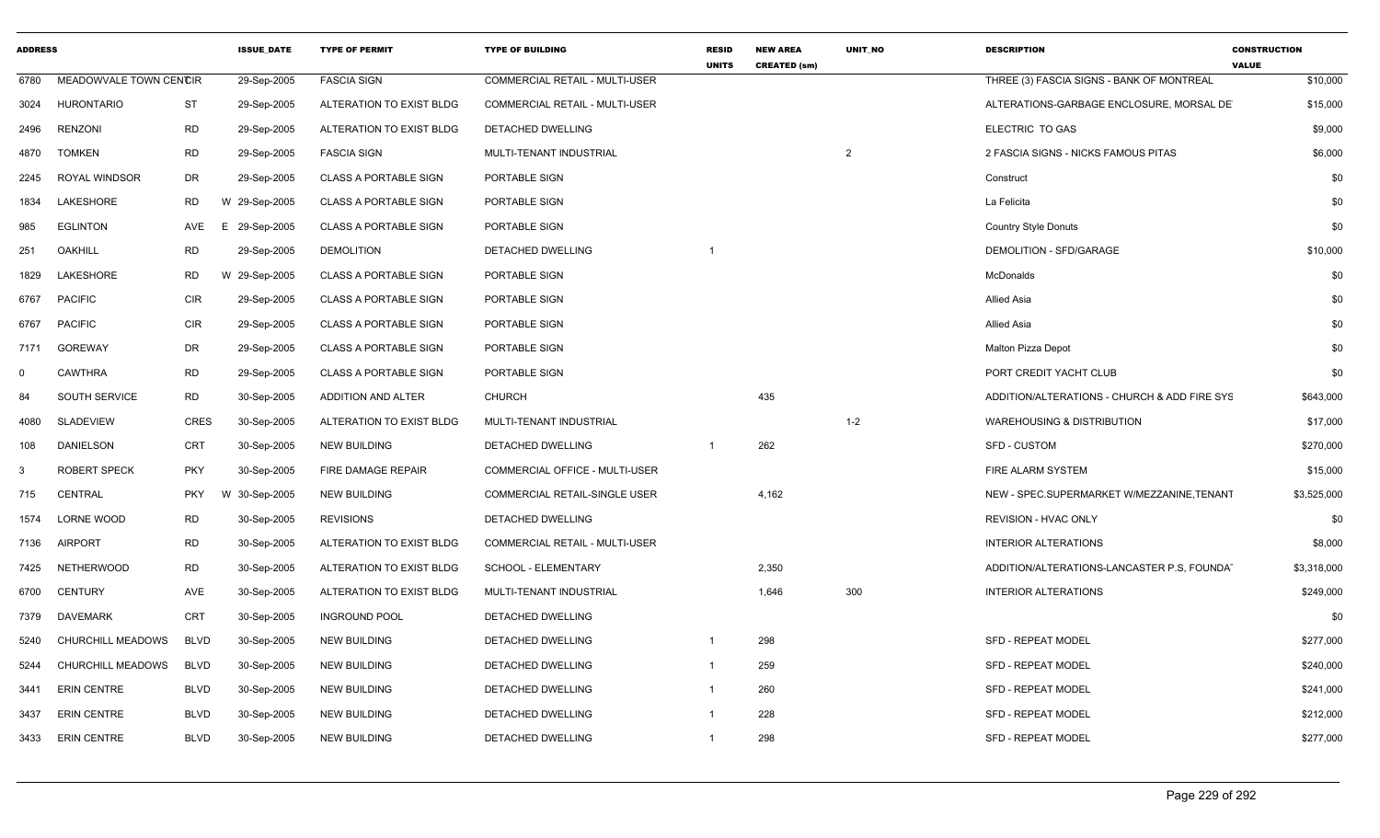| <b>ADDRESS</b> |                        |             | <b>ISSUE DATE</b> | <b>TYPE OF PERMIT</b>        | <b>TYPE OF BUILDING</b>        | <b>RESID</b><br><b>UNITS</b> | <b>NEW AREA</b><br><b>CREATED (sm)</b> | <b>UNIT NO</b> | <b>DESCRIPTION</b>                           | <b>CONSTRUCTION</b><br><b>VALUE</b> |
|----------------|------------------------|-------------|-------------------|------------------------------|--------------------------------|------------------------------|----------------------------------------|----------------|----------------------------------------------|-------------------------------------|
| 6780           | MEADOWVALE TOWN CENCIR |             | 29-Sep-2005       | <b>FASCIA SIGN</b>           | COMMERCIAL RETAIL - MULTI-USER |                              |                                        |                | THREE (3) FASCIA SIGNS - BANK OF MONTREAL    | \$10,000                            |
| 3024           | <b>HURONTARIO</b>      | <b>ST</b>   | 29-Sep-2005       | ALTERATION TO EXIST BLDG     | COMMERCIAL RETAIL - MULTI-USER |                              |                                        |                | ALTERATIONS-GARBAGE ENCLOSURE, MORSAL DE     | \$15,000                            |
| 2496           | <b>RENZONI</b>         | <b>RD</b>   | 29-Sep-2005       | ALTERATION TO EXIST BLDG     | DETACHED DWELLING              |                              |                                        |                | ELECTRIC TO GAS                              | \$9,000                             |
| 4870           | <b>TOMKEN</b>          | <b>RD</b>   | 29-Sep-2005       | <b>FASCIA SIGN</b>           | MULTI-TENANT INDUSTRIAL        |                              |                                        | $\overline{2}$ | 2 FASCIA SIGNS - NICKS FAMOUS PITAS          | \$6,000                             |
| 2245           | ROYAL WINDSOR          | DR          | 29-Sep-2005       | <b>CLASS A PORTABLE SIGN</b> | PORTABLE SIGN                  |                              |                                        |                | Construct                                    | \$0                                 |
| 1834           | LAKESHORE              | <b>RD</b>   | 29-Sep-2005<br>W  | <b>CLASS A PORTABLE SIGN</b> | PORTABLE SIGN                  |                              |                                        |                | La Felicita                                  | \$0                                 |
| 985            | <b>EGLINTON</b>        | AVE         | 29-Sep-2005<br>E  | <b>CLASS A PORTABLE SIGN</b> | PORTABLE SIGN                  |                              |                                        |                | <b>Country Style Donuts</b>                  | \$0                                 |
| 251            | <b>OAKHILL</b>         | <b>RD</b>   | 29-Sep-2005       | <b>DEMOLITION</b>            | DETACHED DWELLING              |                              |                                        |                | DEMOLITION - SFD/GARAGE                      | \$10,000                            |
| 1829           | LAKESHORE              | <b>RD</b>   | W 29-Sep-2005     | <b>CLASS A PORTABLE SIGN</b> | PORTABLE SIGN                  |                              |                                        |                | McDonalds                                    | \$0                                 |
| 6767           | <b>PACIFIC</b>         | <b>CIR</b>  | 29-Sep-2005       | <b>CLASS A PORTABLE SIGN</b> | PORTABLE SIGN                  |                              |                                        |                | <b>Allied Asia</b>                           | \$0                                 |
| 6767           | <b>PACIFIC</b>         | CIR         | 29-Sep-2005       | <b>CLASS A PORTABLE SIGN</b> | PORTABLE SIGN                  |                              |                                        |                | Allied Asia                                  | \$0                                 |
| 7171           | <b>GOREWAY</b>         | DR          | 29-Sep-2005       | <b>CLASS A PORTABLE SIGN</b> | PORTABLE SIGN                  |                              |                                        |                | <b>Malton Pizza Depot</b>                    | \$0                                 |
| $\mathbf 0$    | <b>CAWTHRA</b>         | <b>RD</b>   | 29-Sep-2005       | <b>CLASS A PORTABLE SIGN</b> | PORTABLE SIGN                  |                              |                                        |                | PORT CREDIT YACHT CLUB                       | \$0                                 |
| 84             | SOUTH SERVICE          | <b>RD</b>   | 30-Sep-2005       | ADDITION AND ALTER           | <b>CHURCH</b>                  |                              | 435                                    |                | ADDITION/ALTERATIONS - CHURCH & ADD FIRE SYS | \$643,000                           |
| 4080           | <b>SLADEVIEW</b>       | CRES        | 30-Sep-2005       | ALTERATION TO EXIST BLDG     | MULTI-TENANT INDUSTRIAL        |                              |                                        | $1 - 2$        | <b>WAREHOUSING &amp; DISTRIBUTION</b>        | \$17,000                            |
| 108            | <b>DANIELSON</b>       | CRT         | 30-Sep-2005       | <b>NEW BUILDING</b>          | <b>DETACHED DWELLING</b>       |                              | 262                                    |                | <b>SFD - CUSTOM</b>                          | \$270,000                           |
| -3             | <b>ROBERT SPECK</b>    | <b>PKY</b>  | 30-Sep-2005       | FIRE DAMAGE REPAIR           | COMMERCIAL OFFICE - MULTI-USER |                              |                                        |                | FIRE ALARM SYSTEM                            | \$15,000                            |
| 715            | <b>CENTRAL</b>         | <b>PKY</b>  | 30-Sep-2005<br>W  | <b>NEW BUILDING</b>          | COMMERCIAL RETAIL-SINGLE USER  |                              | 4,162                                  |                | NEW - SPEC.SUPERMARKET W/MEZZANINE, TENANT   | \$3,525,000                         |
| 1574           | LORNE WOOD             | RD          | 30-Sep-2005       | <b>REVISIONS</b>             | DETACHED DWELLING              |                              |                                        |                | REVISION - HVAC ONLY                         | \$0                                 |
| 7136           | <b>AIRPORT</b>         | <b>RD</b>   | 30-Sep-2005       | ALTERATION TO EXIST BLDG     | COMMERCIAL RETAIL - MULTI-USER |                              |                                        |                | <b>INTERIOR ALTERATIONS</b>                  | \$8,000                             |
| 7425           | NETHERWOOD             | RD          | 30-Sep-2005       | ALTERATION TO EXIST BLDG     | SCHOOL - ELEMENTARY            |                              | 2,350                                  |                | ADDITION/ALTERATIONS-LANCASTER P.S. FOUNDA   | \$3,318,000                         |
| 6700           | <b>CENTURY</b>         | AVE         | 30-Sep-2005       | ALTERATION TO EXIST BLDG     | MULTI-TENANT INDUSTRIAL        |                              | 1,646                                  | 300            | <b>INTERIOR ALTERATIONS</b>                  | \$249,000                           |
| 7379           | DAVEMARK               | CRT         | 30-Sep-2005       | <b>INGROUND POOL</b>         | DETACHED DWELLING              |                              |                                        |                |                                              | \$0                                 |
| 5240           | CHURCHILL MEADOWS      | <b>BLVD</b> | 30-Sep-2005       | <b>NEW BUILDING</b>          | DETACHED DWELLING              | 1                            | 298                                    |                | SFD - REPEAT MODEL                           | \$277,000                           |
| 5244           | CHURCHILL MEADOWS      | <b>BLVD</b> | 30-Sep-2005       | <b>NEW BUILDING</b>          | DETACHED DWELLING              |                              | 259                                    |                | SFD - REPEAT MODEL                           | \$240,000                           |
| 3441           | <b>ERIN CENTRE</b>     | <b>BLVD</b> | 30-Sep-2005       | <b>NEW BUILDING</b>          | DETACHED DWELLING              |                              | 260                                    |                | <b>SFD - REPEAT MODEL</b>                    | \$241,000                           |
| 3437           | <b>ERIN CENTRE</b>     | <b>BLVD</b> | 30-Sep-2005       | <b>NEW BUILDING</b>          | DETACHED DWELLING              |                              | 228                                    |                | <b>SFD - REPEAT MODEL</b>                    | \$212,000                           |
|                | 3433 ERIN CENTRE       | BLVD        | 30-Sep-2005       | <b>NEW BUILDING</b>          | DETACHED DWELLING              |                              | 298                                    |                | SFD - REPEAT MODEL                           | \$277,000                           |
|                |                        |             |                   |                              |                                |                              |                                        |                |                                              |                                     |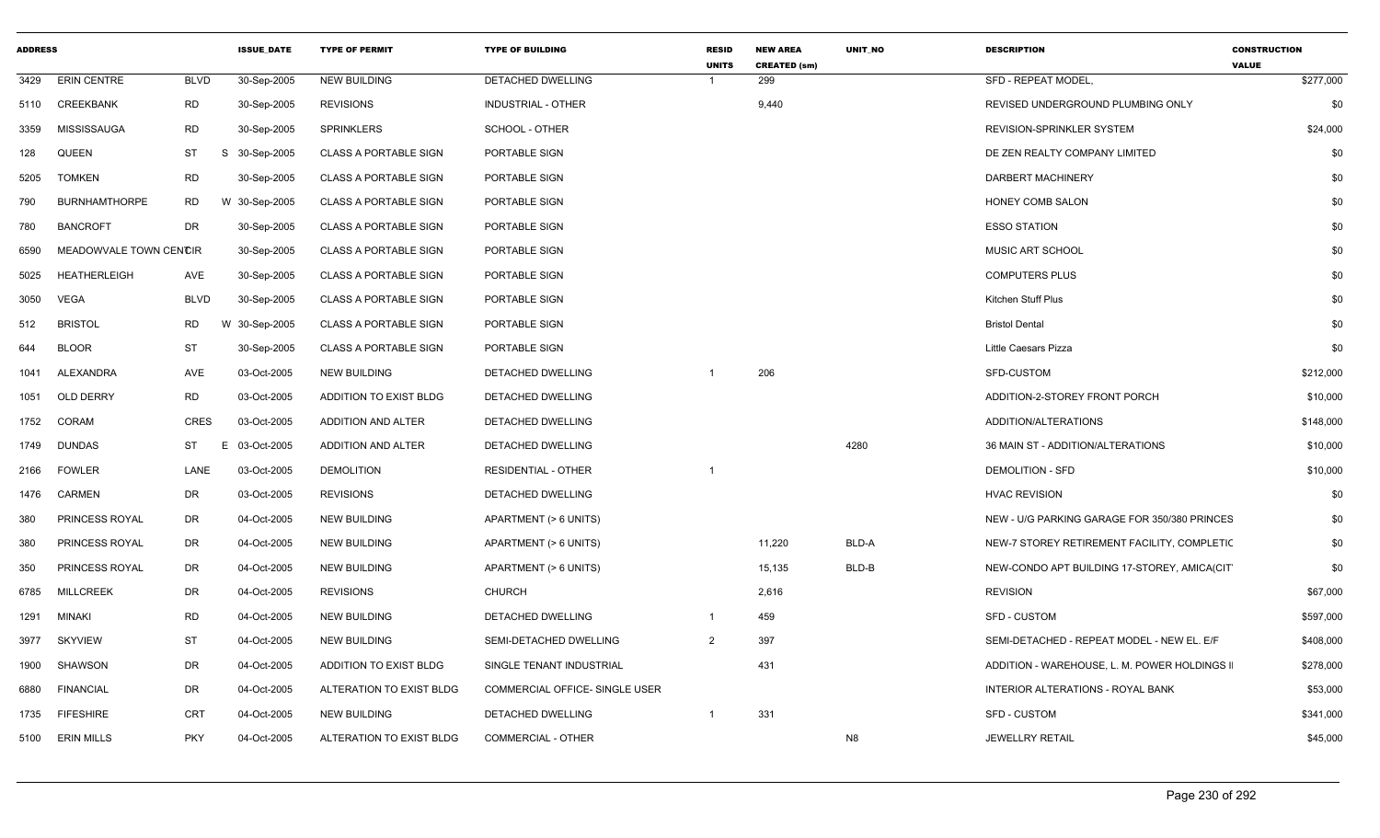| <b>ADDRESS</b> |                        |             | <b>ISSUE_DATE</b> | <b>TYPE OF PERMIT</b>        | <b>TYPE OF BUILDING</b>        | <b>RESID</b><br><b>UNITS</b> | <b>NEW AREA</b><br><b>CREATED (sm)</b> | UNIT_NO        | <b>DESCRIPTION</b>                           | <b>CONSTRUCTION</b><br><b>VALUE</b> |
|----------------|------------------------|-------------|-------------------|------------------------------|--------------------------------|------------------------------|----------------------------------------|----------------|----------------------------------------------|-------------------------------------|
| 3429           | <b>ERIN CENTRE</b>     | <b>BLVD</b> | 30-Sep-2005       | <b>NEW BUILDING</b>          | DETACHED DWELLING              | $\overline{1}$               | 299                                    |                | SFD - REPEAT MODEL,                          | \$277,000                           |
| 5110           | CREEKBANK              | RD          | 30-Sep-2005       | <b>REVISIONS</b>             | INDUSTRIAL - OTHER             |                              | 9,440                                  |                | REVISED UNDERGROUND PLUMBING ONLY            | \$0                                 |
| 3359           | <b>MISSISSAUGA</b>     | <b>RD</b>   | 30-Sep-2005       | <b>SPRINKLERS</b>            | <b>SCHOOL - OTHER</b>          |                              |                                        |                | <b>REVISION-SPRINKLER SYSTEM</b>             | \$24,000                            |
| 128            | QUEEN                  | ST          | S 30-Sep-2005     | <b>CLASS A PORTABLE SIGN</b> | PORTABLE SIGN                  |                              |                                        |                | DE ZEN REALTY COMPANY LIMITED                | \$0                                 |
| 5205           | <b>TOMKEN</b>          | RD          | 30-Sep-2005       | <b>CLASS A PORTABLE SIGN</b> | PORTABLE SIGN                  |                              |                                        |                | DARBERT MACHINERY                            | \$0                                 |
| 790            | <b>BURNHAMTHORPE</b>   | <b>RD</b>   | W 30-Sep-2005     | <b>CLASS A PORTABLE SIGN</b> | PORTABLE SIGN                  |                              |                                        |                | HONEY COMB SALON                             | \$0                                 |
| 780            | <b>BANCROFT</b>        | <b>DR</b>   | 30-Sep-2005       | <b>CLASS A PORTABLE SIGN</b> | PORTABLE SIGN                  |                              |                                        |                | <b>ESSO STATION</b>                          | \$0                                 |
| 6590           | MEADOWVALE TOWN CENCIR |             | 30-Sep-2005       | <b>CLASS A PORTABLE SIGN</b> | PORTABLE SIGN                  |                              |                                        |                | MUSIC ART SCHOOL                             | \$0                                 |
| 5025           | <b>HEATHERLEIGH</b>    | <b>AVE</b>  | 30-Sep-2005       | <b>CLASS A PORTABLE SIGN</b> | PORTABLE SIGN                  |                              |                                        |                | <b>COMPUTERS PLUS</b>                        | \$0                                 |
| 3050           | VEGA                   | <b>BLVD</b> | 30-Sep-2005       | <b>CLASS A PORTABLE SIGN</b> | PORTABLE SIGN                  |                              |                                        |                | Kitchen Stuff Plus                           | \$0                                 |
| 512            | <b>BRISTOL</b>         | <b>RD</b>   | W 30-Sep-2005     | <b>CLASS A PORTABLE SIGN</b> | PORTABLE SIGN                  |                              |                                        |                | <b>Bristol Dental</b>                        | \$0                                 |
| 644            | <b>BLOOR</b>           | <b>ST</b>   | 30-Sep-2005       | <b>CLASS A PORTABLE SIGN</b> | PORTABLE SIGN                  |                              |                                        |                | Little Caesars Pizza                         | \$0                                 |
| 1041           | ALEXANDRA              | <b>AVE</b>  | 03-Oct-2005       | <b>NEW BUILDING</b>          | DETACHED DWELLING              | -1                           | 206                                    |                | SFD-CUSTOM                                   | \$212,000                           |
| 1051           | <b>OLD DERRY</b>       | <b>RD</b>   | 03-Oct-2005       | ADDITION TO EXIST BLDG       | <b>DETACHED DWELLING</b>       |                              |                                        |                | ADDITION-2-STOREY FRONT PORCH                | \$10,000                            |
| 1752           | CORAM                  | CRES        | 03-Oct-2005       | ADDITION AND ALTER           | DETACHED DWELLING              |                              |                                        |                | ADDITION/ALTERATIONS                         | \$148,000                           |
| 1749           | <b>DUNDAS</b>          | ST<br>E     | 03-Oct-2005       | ADDITION AND ALTER           | DETACHED DWELLING              |                              |                                        | 4280           | 36 MAIN ST - ADDITION/ALTERATIONS            | \$10,000                            |
| 2166           | <b>FOWLER</b>          | LANE        | 03-Oct-2005       | <b>DEMOLITION</b>            | <b>RESIDENTIAL - OTHER</b>     |                              |                                        |                | <b>DEMOLITION - SFD</b>                      | \$10,000                            |
| 1476           | CARMEN                 | DR          | 03-Oct-2005       | <b>REVISIONS</b>             | DETACHED DWELLING              |                              |                                        |                | <b>HVAC REVISION</b>                         | \$0                                 |
| 380            | PRINCESS ROYAL         | DR          | 04-Oct-2005       | <b>NEW BUILDING</b>          | APARTMENT (> 6 UNITS)          |                              |                                        |                | NEW - U/G PARKING GARAGE FOR 350/380 PRINCES | \$0                                 |
| 380            | PRINCESS ROYAL         | <b>DR</b>   | 04-Oct-2005       | <b>NEW BUILDING</b>          | APARTMENT (> 6 UNITS)          |                              | 11,220                                 | BLD-A          | NEW-7 STOREY RETIREMENT FACILITY, COMPLETIC  | \$0                                 |
| 350            | PRINCESS ROYAL         | DR          | 04-Oct-2005       | <b>NEW BUILDING</b>          | APARTMENT (> 6 UNITS)          |                              | 15,135                                 | BLD-B          | NEW-CONDO APT BUILDING 17-STOREY, AMICA(CIT  | \$0                                 |
| 6785           | <b>MILLCREEK</b>       | DR          | 04-Oct-2005       | <b>REVISIONS</b>             | <b>CHURCH</b>                  |                              | 2,616                                  |                | <b>REVISION</b>                              | \$67,000                            |
| 1291           | <b>MINAKI</b>          | <b>RD</b>   | 04-Oct-2005       | <b>NEW BUILDING</b>          | <b>DETACHED DWELLING</b>       | $\mathbf{1}$                 | 459                                    |                | <b>SFD - CUSTOM</b>                          | \$597,000                           |
| 3977           | <b>SKYVIEW</b>         | <b>ST</b>   | 04-Oct-2005       | <b>NEW BUILDING</b>          | SEMI-DETACHED DWELLING         | $\overline{2}$               | 397                                    |                | SEMI-DETACHED - REPEAT MODEL - NEW EL. E/F   | \$408,000                           |
| 1900           | SHAWSON                | DR          | 04-Oct-2005       | ADDITION TO EXIST BLDG       | SINGLE TENANT INDUSTRIAL       |                              | 431                                    |                | ADDITION - WAREHOUSE, L. M. POWER HOLDINGS I | \$278,000                           |
| 6880           | <b>FINANCIAL</b>       | DR          | 04-Oct-2005       | ALTERATION TO EXIST BLDG     | COMMERCIAL OFFICE- SINGLE USER |                              |                                        |                | INTERIOR ALTERATIONS - ROYAL BANK            | \$53,000                            |
| 1735           | <b>FIFESHIRE</b>       | <b>CRT</b>  | 04-Oct-2005       | <b>NEW BUILDING</b>          | DETACHED DWELLING              | -1                           | 331                                    |                | <b>SFD - CUSTOM</b>                          | \$341,000                           |
|                | 5100 ERIN MILLS        | <b>PKY</b>  | 04-Oct-2005       | ALTERATION TO EXIST BLDG     | <b>COMMERCIAL - OTHER</b>      |                              |                                        | N <sub>8</sub> | <b>JEWELLRY RETAIL</b>                       | \$45,000                            |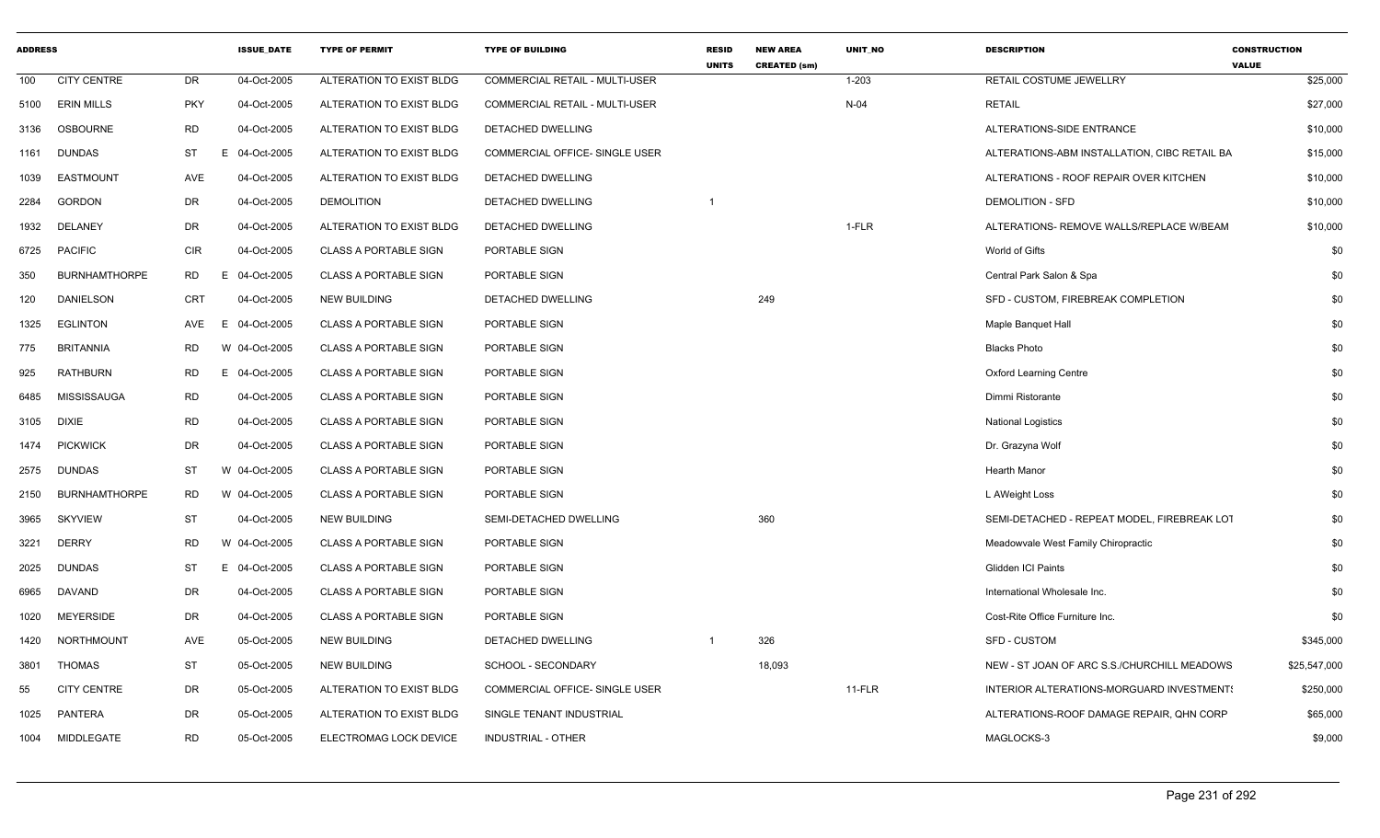| <b>ADDRESS</b> |                      |            | <b>ISSUE DATE</b> | <b>TYPE OF PERMIT</b>        | <b>TYPE OF BUILDING</b>               | <b>RESID</b><br><b>UNITS</b> | <b>NEW AREA</b><br><b>CREATED (sm)</b> | <b>UNIT NO</b> | <b>DESCRIPTION</b>                           | <b>CONSTRUCTION</b><br><b>VALUE</b> |
|----------------|----------------------|------------|-------------------|------------------------------|---------------------------------------|------------------------------|----------------------------------------|----------------|----------------------------------------------|-------------------------------------|
| 100            | <b>CITY CENTRE</b>   | DR         | 04-Oct-2005       | ALTERATION TO EXIST BLDG     | <b>COMMERCIAL RETAIL - MULTI-USER</b> |                              |                                        | $1 - 203$      | RETAIL COSTUME JEWELLRY                      | \$25,000                            |
|                | 5100 ERIN MILLS      | <b>PKY</b> | 04-Oct-2005       | ALTERATION TO EXIST BLDG     | COMMERCIAL RETAIL - MULTI-USER        |                              |                                        | $N-04$         | <b>RETAIL</b>                                | \$27,000                            |
| 3136           | OSBOURNE             | <b>RD</b>  | 04-Oct-2005       | ALTERATION TO EXIST BLDG     | DETACHED DWELLING                     |                              |                                        |                | ALTERATIONS-SIDE ENTRANCE                    | \$10,000                            |
|                | 1161 DUNDAS          | ST         | E 04-Oct-2005     | ALTERATION TO EXIST BLDG     | COMMERCIAL OFFICE- SINGLE USER        |                              |                                        |                | ALTERATIONS-ABM INSTALLATION, CIBC RETAIL BA | \$15,000                            |
| 1039           | EASTMOUNT            | AVE        | 04-Oct-2005       | ALTERATION TO EXIST BLDG     | DETACHED DWELLING                     |                              |                                        |                | ALTERATIONS - ROOF REPAIR OVER KITCHEN       | \$10,000                            |
| 2284           | <b>GORDON</b>        | DR         | 04-Oct-2005       | <b>DEMOLITION</b>            | DETACHED DWELLING                     |                              |                                        |                | <b>DEMOLITION - SFD</b>                      | \$10,000                            |
| 1932           | DELANEY              | DR         | 04-Oct-2005       | ALTERATION TO EXIST BLDG     | DETACHED DWELLING                     |                              |                                        | 1-FLR          | ALTERATIONS- REMOVE WALLS/REPLACE W/BEAM     | \$10,000                            |
| 6725           | <b>PACIFIC</b>       | CIR        | 04-Oct-2005       | CLASS A PORTABLE SIGN        | PORTABLE SIGN                         |                              |                                        |                | World of Gifts                               | \$0                                 |
| 350            | <b>BURNHAMTHORPE</b> | <b>RD</b>  | E 04-Oct-2005     | <b>CLASS A PORTABLE SIGN</b> | PORTABLE SIGN                         |                              |                                        |                | Central Park Salon & Spa                     | \$0                                 |
| 120            | <b>DANIELSON</b>     | CRT        | 04-Oct-2005       | <b>NEW BUILDING</b>          | DETACHED DWELLING                     |                              | 249                                    |                | SFD - CUSTOM, FIREBREAK COMPLETION           | \$0                                 |
| 1325           | <b>EGLINTON</b>      | AVE        | 04-Oct-2005<br>E  | <b>CLASS A PORTABLE SIGN</b> | PORTABLE SIGN                         |                              |                                        |                | Maple Banquet Hall                           | \$0                                 |
| 775            | <b>BRITANNIA</b>     | RD         | W 04-Oct-2005     | <b>CLASS A PORTABLE SIGN</b> | PORTABLE SIGN                         |                              |                                        |                | <b>Blacks Photo</b>                          | \$0                                 |
| 925            | <b>RATHBURN</b>      | RD         | E 04-Oct-2005     | <b>CLASS A PORTABLE SIGN</b> | PORTABLE SIGN                         |                              |                                        |                | <b>Oxford Learning Centre</b>                | \$0                                 |
| 6485           | MISSISSAUGA          | <b>RD</b>  | 04-Oct-2005       | <b>CLASS A PORTABLE SIGN</b> | PORTABLE SIGN                         |                              |                                        |                | Dimmi Ristorante                             | \$0                                 |
|                | 3105 DIXIE           | <b>RD</b>  | 04-Oct-2005       | <b>CLASS A PORTABLE SIGN</b> | PORTABLE SIGN                         |                              |                                        |                | <b>National Logistics</b>                    | \$0                                 |
|                | 1474 PICKWICK        | DR         | 04-Oct-2005       | <b>CLASS A PORTABLE SIGN</b> | PORTABLE SIGN                         |                              |                                        |                | Dr. Grazyna Wolf                             | \$0                                 |
| 2575           | <b>DUNDAS</b>        | <b>ST</b>  | W 04-Oct-2005     | <b>CLASS A PORTABLE SIGN</b> | PORTABLE SIGN                         |                              |                                        |                | <b>Hearth Manor</b>                          | \$0                                 |
| 2150           | <b>BURNHAMTHORPE</b> | RD         | W 04-Oct-2005     | CLASS A PORTABLE SIGN        | PORTABLE SIGN                         |                              |                                        |                | L AWeight Loss                               | \$0                                 |
| 3965           | <b>SKYVIEW</b>       | <b>ST</b>  | 04-Oct-2005       | <b>NEW BUILDING</b>          | SEMI-DETACHED DWELLING                |                              | 360                                    |                | SEMI-DETACHED - REPEAT MODEL, FIREBREAK LOT  | \$0                                 |
| 3221           | DERRY                | RD         | W 04-Oct-2005     | <b>CLASS A PORTABLE SIGN</b> | PORTABLE SIGN                         |                              |                                        |                | Meadowvale West Family Chiropractic          | \$0                                 |
| 2025           | <b>DUNDAS</b>        | ST         | E 04-Oct-2005     | <b>CLASS A PORTABLE SIGN</b> | PORTABLE SIGN                         |                              |                                        |                | <b>Glidden ICI Paints</b>                    | \$0                                 |
| 6965           | DAVAND               | DR         | 04-Oct-2005       | <b>CLASS A PORTABLE SIGN</b> | PORTABLE SIGN                         |                              |                                        |                | International Wholesale Inc.                 | \$0                                 |
| 1020           | <b>MEYERSIDE</b>     | DR         | 04-Oct-2005       | CLASS A PORTABLE SIGN        | PORTABLE SIGN                         |                              |                                        |                | Cost-Rite Office Furniture Inc.              | \$0                                 |
| 1420           | NORTHMOUNT           | AVE        | 05-Oct-2005       | <b>NEW BUILDING</b>          | DETACHED DWELLING                     |                              | 326                                    |                | <b>SFD - CUSTOM</b>                          | \$345,000                           |
| 3801           | THOMAS               | ST         | 05-Oct-2005       | NEW BUILDING                 | SCHOOL - SECONDARY                    |                              | 18,093                                 |                | NEW - ST JOAN OF ARC S.S./CHURCHILL MEADOWS  | \$25,547,000                        |
| 55             | <b>CITY CENTRE</b>   | DR         | 05-Oct-2005       | ALTERATION TO EXIST BLDG     | COMMERCIAL OFFICE- SINGLE USER        |                              |                                        | $11-FLR$       | INTERIOR ALTERATIONS-MORGUARD INVESTMENT!    | \$250,000                           |
| 1025           | PANTERA              | DR         | 05-Oct-2005       | ALTERATION TO EXIST BLDG     | SINGLE TENANT INDUSTRIAL              |                              |                                        |                | ALTERATIONS-ROOF DAMAGE REPAIR, QHN CORP     | \$65,000                            |
|                | 1004 MIDDLEGATE      | <b>RD</b>  | 05-Oct-2005       | ELECTROMAG LOCK DEVICE       | INDUSTRIAL - OTHER                    |                              |                                        |                | MAGLOCKS-3                                   | \$9,000                             |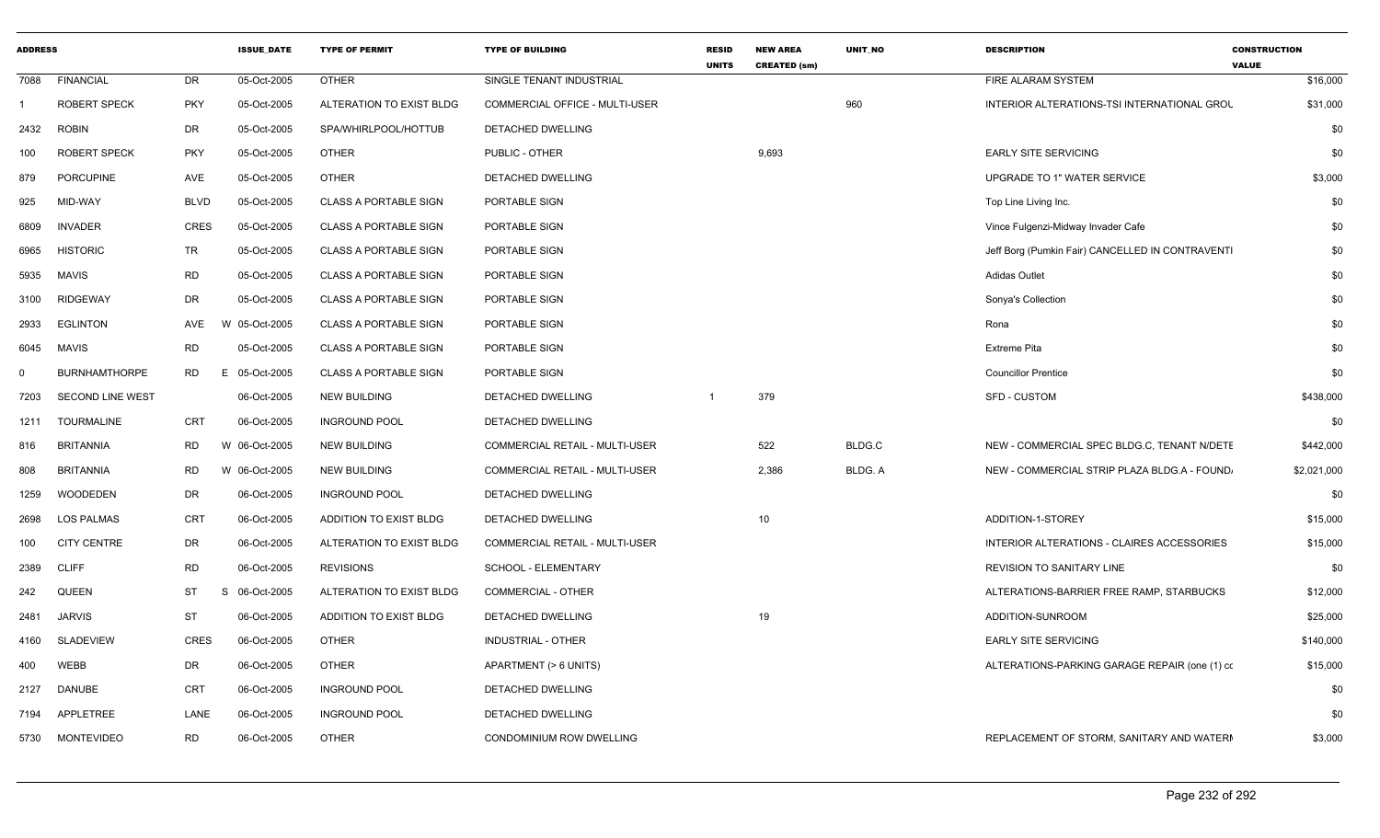| <b>ADDRESS</b> |                         |                | <b>ISSUE DATE</b> | <b>TYPE OF PERMIT</b>        | <b>TYPE OF BUILDING</b>        | <b>RESID</b><br><b>UNITS</b> | <b>NEW AREA</b><br><b>CREATED (sm)</b> | <b>UNIT NO</b> | <b>DESCRIPTION</b>                               | <b>CONSTRUCTION</b><br><b>VALUE</b> |
|----------------|-------------------------|----------------|-------------------|------------------------------|--------------------------------|------------------------------|----------------------------------------|----------------|--------------------------------------------------|-------------------------------------|
| 7088           | <b>FINANCIAL</b>        | DR             | 05-Oct-2005       | <b>OTHER</b>                 | SINGLE TENANT INDUSTRIAL       |                              |                                        |                | FIRE ALARAM SYSTEM                               | \$16,000                            |
|                | <b>ROBERT SPECK</b>     | <b>PKY</b>     | 05-Oct-2005       | ALTERATION TO EXIST BLDG     | COMMERCIAL OFFICE - MULTI-USER |                              |                                        | 960            | INTERIOR ALTERATIONS-TSI INTERNATIONAL GROU      | \$31,000                            |
| 2432           | <b>ROBIN</b>            | DR             | 05-Oct-2005       | SPA/WHIRLPOOL/HOTTUB         | DETACHED DWELLING              |                              |                                        |                |                                                  | \$0                                 |
| 100            | <b>ROBERT SPECK</b>     | <b>PKY</b>     | 05-Oct-2005       | <b>OTHER</b>                 | PUBLIC - OTHER                 |                              | 9,693                                  |                | <b>EARLY SITE SERVICING</b>                      | \$0                                 |
| 879            | <b>PORCUPINE</b>        | AVE            | 05-Oct-2005       | <b>OTHER</b>                 | DETACHED DWELLING              |                              |                                        |                | UPGRADE TO 1" WATER SERVICE                      | \$3,000                             |
| 925            | MID-WAY                 | <b>BLVD</b>    | 05-Oct-2005       | <b>CLASS A PORTABLE SIGN</b> | PORTABLE SIGN                  |                              |                                        |                | Top Line Living Inc.                             | \$0                                 |
| 6809           | <b>INVADER</b>          | <b>CRES</b>    | 05-Oct-2005       | <b>CLASS A PORTABLE SIGN</b> | PORTABLE SIGN                  |                              |                                        |                | Vince Fulgenzi-Midway Invader Cafe               | \$0                                 |
| 6965           | <b>HISTORIC</b>         | TR             | 05-Oct-2005       | <b>CLASS A PORTABLE SIGN</b> | PORTABLE SIGN                  |                              |                                        |                | Jeff Borg (Pumkin Fair) CANCELLED IN CONTRAVENTI | \$0                                 |
| 5935           | <b>MAVIS</b>            | <b>RD</b>      | 05-Oct-2005       | <b>CLASS A PORTABLE SIGN</b> | PORTABLE SIGN                  |                              |                                        |                | <b>Adidas Outlet</b>                             | \$0                                 |
| 3100           | <b>RIDGEWAY</b>         | DR             | 05-Oct-2005       | <b>CLASS A PORTABLE SIGN</b> | PORTABLE SIGN                  |                              |                                        |                | Sonya's Collection                               | \$0                                 |
| 2933           | <b>EGLINTON</b>         | AVE            | W 05-Oct-2005     | <b>CLASS A PORTABLE SIGN</b> | PORTABLE SIGN                  |                              |                                        |                | Rona                                             | \$0                                 |
| 6045           | <b>MAVIS</b>            | <b>RD</b>      | 05-Oct-2005       | <b>CLASS A PORTABLE SIGN</b> | PORTABLE SIGN                  |                              |                                        |                | <b>Extreme Pita</b>                              | \$0                                 |
|                | <b>BURNHAMTHORPE</b>    | <b>RD</b>      | E 05-Oct-2005     | <b>CLASS A PORTABLE SIGN</b> | PORTABLE SIGN                  |                              |                                        |                | <b>Councillor Prentice</b>                       | \$0                                 |
| 7203           | <b>SECOND LINE WEST</b> |                | 06-Oct-2005       | <b>NEW BUILDING</b>          | DETACHED DWELLING              |                              | 379                                    |                | <b>SFD - CUSTOM</b>                              | \$438,000                           |
| 1211           | <b>TOURMALINE</b>       | CRT            | 06-Oct-2005       | <b>INGROUND POOL</b>         | DETACHED DWELLING              |                              |                                        |                |                                                  | \$0                                 |
| 816            | <b>BRITANNIA</b>        | <b>RD</b>      | W 06-Oct-2005     | <b>NEW BUILDING</b>          | COMMERCIAL RETAIL - MULTI-USER |                              | 522                                    | BLDG.C         | NEW - COMMERCIAL SPEC BLDG.C, TENANT N/DETE      | \$442,000                           |
| 808            | <b>BRITANNIA</b>        | <b>RD</b>      | W 06-Oct-2005     | <b>NEW BUILDING</b>          | COMMERCIAL RETAIL - MULTI-USER |                              | 2,386                                  | BLDG. A        | NEW - COMMERCIAL STRIP PLAZA BLDG.A - FOUND.     | \$2,021,000                         |
| 1259           | <b>WOODEDEN</b>         | DR             | 06-Oct-2005       | <b>INGROUND POOL</b>         | DETACHED DWELLING              |                              |                                        |                |                                                  | \$0                                 |
| 2698           | <b>LOS PALMAS</b>       | <b>CRT</b>     | 06-Oct-2005       | ADDITION TO EXIST BLDG       | DETACHED DWELLING              |                              | 10                                     |                | ADDITION-1-STOREY                                | \$15,000                            |
| 100            | <b>CITY CENTRE</b>      | DR             | 06-Oct-2005       | ALTERATION TO EXIST BLDG     | COMMERCIAL RETAIL - MULTI-USER |                              |                                        |                | INTERIOR ALTERATIONS - CLAIRES ACCESSORIES       | \$15,000                            |
| 2389           | <b>CLIFF</b>            | <b>RD</b>      | 06-Oct-2005       | <b>REVISIONS</b>             | SCHOOL - ELEMENTARY            |                              |                                        |                | REVISION TO SANITARY LINE                        | \$0                                 |
| 242            | QUEEN                   | <b>ST</b><br>S | 06-Oct-2005       | ALTERATION TO EXIST BLDG     | <b>COMMERCIAL - OTHER</b>      |                              |                                        |                | ALTERATIONS-BARRIER FREE RAMP, STARBUCKS         | \$12,000                            |
| 2481           | <b>JARVIS</b>           | <b>ST</b>      | 06-Oct-2005       | ADDITION TO EXIST BLDG       | DETACHED DWELLING              |                              | 19                                     |                | ADDITION-SUNROOM                                 | \$25,000                            |
| 4160           | <b>SLADEVIEW</b>        | <b>CRES</b>    | 06-Oct-2005       | <b>OTHER</b>                 | INDUSTRIAL - OTHER             |                              |                                        |                | <b>EARLY SITE SERVICING</b>                      | \$140,000                           |
| 400            | <b>WEBB</b>             | DR             | 06-Oct-2005       | <b>OTHER</b>                 | APARTMENT (> 6 UNITS)          |                              |                                        |                | ALTERATIONS-PARKING GARAGE REPAIR (one (1) co    | \$15,000                            |
| 2127           | DANUBE                  | <b>CRT</b>     | 06-Oct-2005       | <b>INGROUND POOL</b>         | DETACHED DWELLING              |                              |                                        |                |                                                  | \$0                                 |
| 7194           | APPLETREE               | LANE           | 06-Oct-2005       | <b>INGROUND POOL</b>         | DETACHED DWELLING              |                              |                                        |                |                                                  | \$0                                 |
| 5730           | <b>MONTEVIDEO</b>       | <b>RD</b>      | 06-Oct-2005       | <b>OTHER</b>                 | CONDOMINIUM ROW DWELLING       |                              |                                        |                | REPLACEMENT OF STORM, SANITARY AND WATERM        | \$3,000                             |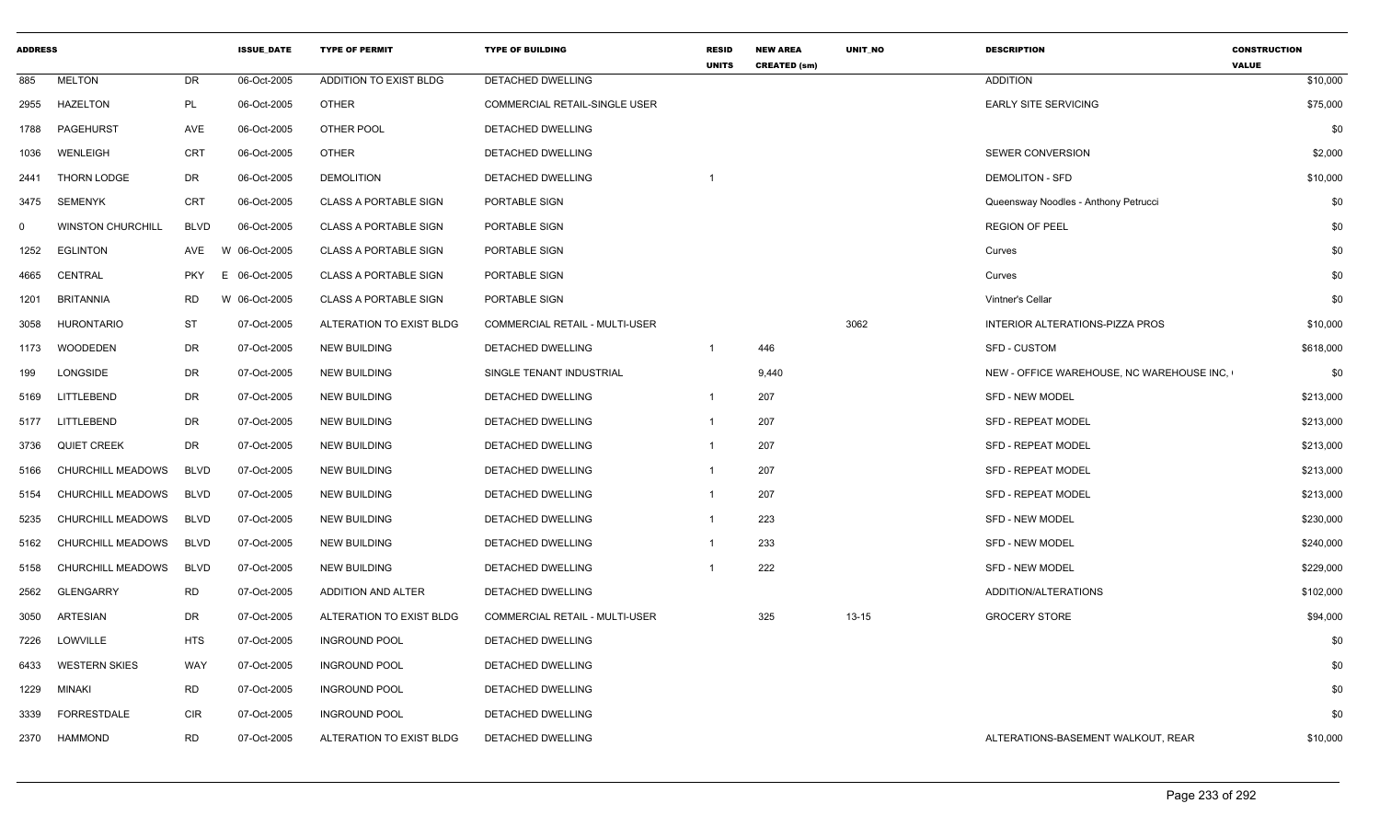| <b>ADDRESS</b> |                          |             | <b>ISSUE DATE</b> | <b>TYPE OF PERMIT</b>         | <b>TYPE OF BUILDING</b>        | <b>RESID</b><br><b>UNITS</b> | <b>NEW AREA</b><br><b>CREATED (sm)</b> | <b>UNIT NO</b> | <b>DESCRIPTION</b>                        | <b>CONSTRUCTION</b><br><b>VALUE</b> |
|----------------|--------------------------|-------------|-------------------|-------------------------------|--------------------------------|------------------------------|----------------------------------------|----------------|-------------------------------------------|-------------------------------------|
| 885            | <b>MELTON</b>            | DR          | 06-Oct-2005       | <b>ADDITION TO EXIST BLDG</b> | <b>DETACHED DWELLING</b>       |                              |                                        |                | <b>ADDITION</b>                           | \$10,000                            |
| 2955           | <b>HAZELTON</b>          | PL          | 06-Oct-2005       | <b>OTHER</b>                  | COMMERCIAL RETAIL-SINGLE USER  |                              |                                        |                | <b>EARLY SITE SERVICING</b>               | \$75,000                            |
| 1788           | PAGEHURST                | AVE         | 06-Oct-2005       | OTHER POOL                    | DETACHED DWELLING              |                              |                                        |                |                                           | \$0                                 |
| 1036           | WENLEIGH                 | <b>CRT</b>  | 06-Oct-2005       | <b>OTHER</b>                  | DETACHED DWELLING              |                              |                                        |                | <b>SEWER CONVERSION</b>                   | \$2,000                             |
| 2441           | THORN LODGE              | DR          | 06-Oct-2005       | <b>DEMOLITION</b>             | DETACHED DWELLING              | $\overline{1}$               |                                        |                | <b>DEMOLITON - SFD</b>                    | \$10,000                            |
| 3475           | <b>SEMENYK</b>           | <b>CRT</b>  | 06-Oct-2005       | <b>CLASS A PORTABLE SIGN</b>  | PORTABLE SIGN                  |                              |                                        |                | Queensway Noodles - Anthony Petrucci      | \$0                                 |
| $\Omega$       | <b>WINSTON CHURCHILL</b> | <b>BLVD</b> | 06-Oct-2005       | <b>CLASS A PORTABLE SIGN</b>  | PORTABLE SIGN                  |                              |                                        |                | <b>REGION OF PEEL</b>                     | \$0                                 |
| 1252           | <b>EGLINTON</b>          | AVE         | 06-Oct-2005<br>W  | <b>CLASS A PORTABLE SIGN</b>  | PORTABLE SIGN                  |                              |                                        |                | Curves                                    | \$0                                 |
| 4665           | CENTRAL                  | <b>PKY</b>  | 06-Oct-2005<br>E. | <b>CLASS A PORTABLE SIGN</b>  | PORTABLE SIGN                  |                              |                                        |                | Curves                                    | \$0                                 |
| 1201           | <b>BRITANNIA</b>         | <b>RD</b>   | W 06-Oct-2005     | <b>CLASS A PORTABLE SIGN</b>  | PORTABLE SIGN                  |                              |                                        |                | Vintner's Cellar                          | \$0                                 |
| 3058           | <b>HURONTARIO</b>        | <b>ST</b>   | 07-Oct-2005       | ALTERATION TO EXIST BLDG      | COMMERCIAL RETAIL - MULTI-USER |                              |                                        | 3062           | INTERIOR ALTERATIONS-PIZZA PROS           | \$10,000                            |
| 1173           | <b>WOODEDEN</b>          | DR          | 07-Oct-2005       | <b>NEW BUILDING</b>           | <b>DETACHED DWELLING</b>       | $\overline{1}$               | 446                                    |                | <b>SFD - CUSTOM</b>                       | \$618,000                           |
| 199            | LONGSIDE                 | DR          | 07-Oct-2005       | <b>NEW BUILDING</b>           | SINGLE TENANT INDUSTRIAL       |                              | 9,440                                  |                | NEW - OFFICE WAREHOUSE, NC WAREHOUSE INC. | \$0                                 |
| 5169           | LITTLEBEND               | DR          | 07-Oct-2005       | <b>NEW BUILDING</b>           | DETACHED DWELLING              | $\overline{1}$               | 207                                    |                | SFD - NEW MODEL                           | \$213,000                           |
| 5177           | LITTLEBEND               | DR          | 07-Oct-2005       | <b>NEW BUILDING</b>           | DETACHED DWELLING              | $\overline{1}$               | 207                                    |                | <b>SFD - REPEAT MODEL</b>                 | \$213,000                           |
| 3736           | <b>QUIET CREEK</b>       | DR          | 07-Oct-2005       | <b>NEW BUILDING</b>           | DETACHED DWELLING              | $\overline{1}$               | 207                                    |                | <b>SFD - REPEAT MODEL</b>                 | \$213,000                           |
| 5166           | CHURCHILL MEADOWS        | <b>BLVD</b> | 07-Oct-2005       | <b>NEW BUILDING</b>           | DETACHED DWELLING              |                              | 207                                    |                | <b>SFD - REPEAT MODEL</b>                 | \$213,000                           |
| 5154           | CHURCHILL MEADOWS        | <b>BLVD</b> | 07-Oct-2005       | <b>NEW BUILDING</b>           | DETACHED DWELLING              |                              | 207                                    |                | <b>SFD - REPEAT MODEL</b>                 | \$213,000                           |
| 5235           | CHURCHILL MEADOWS        | <b>BLVD</b> | 07-Oct-2005       | <b>NEW BUILDING</b>           | DETACHED DWELLING              | $\overline{1}$               | 223                                    |                | <b>SFD - NEW MODEL</b>                    | \$230,000                           |
| 5162           | <b>CHURCHILL MEADOWS</b> | <b>BLVD</b> | 07-Oct-2005       | <b>NEW BUILDING</b>           | DETACHED DWELLING              | -1                           | 233                                    |                | <b>SFD - NEW MODEL</b>                    | \$240,000                           |
| 5158           | CHURCHILL MEADOWS        | <b>BLVD</b> | 07-Oct-2005       | <b>NEW BUILDING</b>           | DETACHED DWELLING              |                              | 222                                    |                | SFD - NEW MODEL                           | \$229,000                           |
| 2562           | <b>GLENGARRY</b>         | <b>RD</b>   | 07-Oct-2005       | <b>ADDITION AND ALTER</b>     | DETACHED DWELLING              |                              |                                        |                | ADDITION/ALTERATIONS                      | \$102,000                           |
| 3050           | ARTESIAN                 | DR          | 07-Oct-2005       | ALTERATION TO EXIST BLDG      | COMMERCIAL RETAIL - MULTI-USER |                              | 325                                    | $13 - 15$      | <b>GROCERY STORE</b>                      | \$94,000                            |
| 7226           | LOWVILLE                 | <b>HTS</b>  | 07-Oct-2005       | <b>INGROUND POOL</b>          | DETACHED DWELLING              |                              |                                        |                |                                           | \$0                                 |
| 6433           | <b>WESTERN SKIES</b>     | WAY         | 07-Oct-2005       | <b>INGROUND POOL</b>          | <b>DETACHED DWELLING</b>       |                              |                                        |                |                                           | \$0                                 |
| 1229           | MINAKI                   | <b>RD</b>   | 07-Oct-2005       | <b>INGROUND POOL</b>          | DETACHED DWELLING              |                              |                                        |                |                                           | \$0                                 |
| 3339           | FORRESTDALE              | <b>CIR</b>  | 07-Oct-2005       | <b>INGROUND POOL</b>          | DETACHED DWELLING              |                              |                                        |                |                                           | \$0                                 |
| 2370           | <b>HAMMOND</b>           | <b>RD</b>   | 07-Oct-2005       | ALTERATION TO EXIST BLDG      | DETACHED DWELLING              |                              |                                        |                | ALTERATIONS-BASEMENT WALKOUT, REAR        | \$10,000                            |
|                |                          |             |                   |                               |                                |                              |                                        |                |                                           |                                     |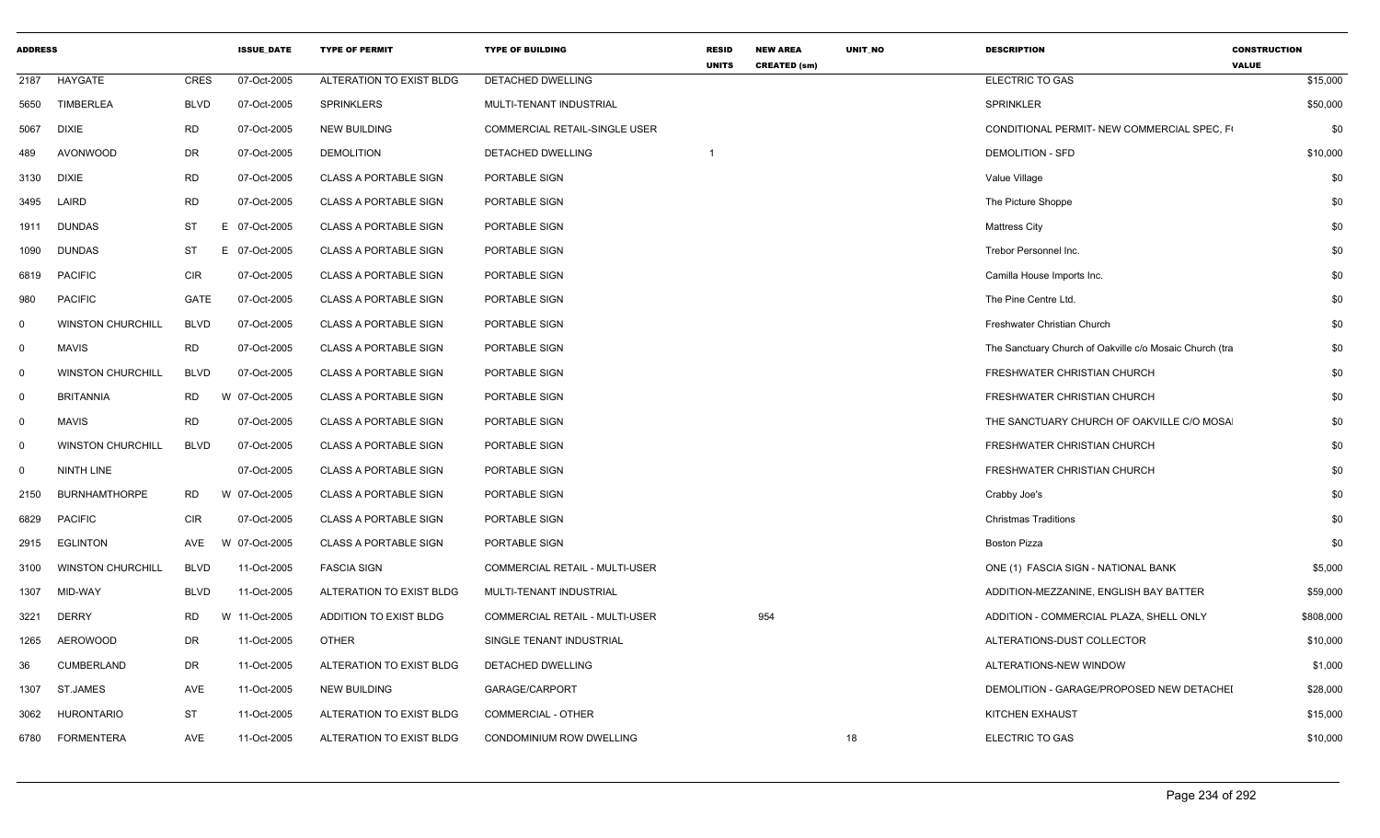| <b>ADDRESS</b> |                          |             | <b>ISSUE_DATE</b> | <b>TYPE OF PERMIT</b>        | <b>TYPE OF BUILDING</b>        | <b>RESID</b><br><b>UNITS</b> | <b>NEW AREA</b><br><b>CREATED (sm)</b> | UNIT_NO | <b>DESCRIPTION</b>                                      | <b>CONSTRUCTION</b><br><b>VALUE</b> |           |
|----------------|--------------------------|-------------|-------------------|------------------------------|--------------------------------|------------------------------|----------------------------------------|---------|---------------------------------------------------------|-------------------------------------|-----------|
| 2187           | HAYGATE                  | <b>CRES</b> | 07-Oct-2005       | ALTERATION TO EXIST BLDG     | <b>DETACHED DWELLING</b>       |                              |                                        |         | ELECTRIC TO GAS                                         |                                     | \$15,000  |
| 5650           | <b>TIMBERLEA</b>         | <b>BLVD</b> | 07-Oct-2005       | <b>SPRINKLERS</b>            | MULTI-TENANT INDUSTRIAL        |                              |                                        |         | <b>SPRINKLER</b>                                        |                                     | \$50,000  |
| 5067           | <b>DIXIE</b>             | <b>RD</b>   | 07-Oct-2005       | <b>NEW BUILDING</b>          | COMMERCIAL RETAIL-SINGLE USER  |                              |                                        |         | CONDITIONAL PERMIT- NEW COMMERCIAL SPEC, F              |                                     | \$0       |
| 489            | AVONWOOD                 | DR          | 07-Oct-2005       | <b>DEMOLITION</b>            | <b>DETACHED DWELLING</b>       |                              |                                        |         | <b>DEMOLITION - SFD</b>                                 |                                     | \$10,000  |
| 3130           | <b>DIXIE</b>             | <b>RD</b>   | 07-Oct-2005       | <b>CLASS A PORTABLE SIGN</b> | PORTABLE SIGN                  |                              |                                        |         | Value Village                                           |                                     | \$0       |
| 3495           | LAIRD                    | RD          | 07-Oct-2005       | <b>CLASS A PORTABLE SIGN</b> | PORTABLE SIGN                  |                              |                                        |         | The Picture Shoppe                                      |                                     | \$0       |
| 1911           | <b>DUNDAS</b>            | ST          | E 07-Oct-2005     | <b>CLASS A PORTABLE SIGN</b> | PORTABLE SIGN                  |                              |                                        |         | <b>Mattress City</b>                                    |                                     | \$0       |
| 1090           | <b>DUNDAS</b>            | <b>ST</b>   | E 07-Oct-2005     | <b>CLASS A PORTABLE SIGN</b> | PORTABLE SIGN                  |                              |                                        |         | Trebor Personnel Inc.                                   |                                     | \$0       |
| 6819           | <b>PACIFIC</b>           | <b>CIR</b>  | 07-Oct-2005       | <b>CLASS A PORTABLE SIGN</b> | PORTABLE SIGN                  |                              |                                        |         | Camilla House Imports Inc.                              |                                     | \$0       |
| 980            | <b>PACIFIC</b>           | GATE        | 07-Oct-2005       | <b>CLASS A PORTABLE SIGN</b> | PORTABLE SIGN                  |                              |                                        |         | The Pine Centre Ltd.                                    |                                     | \$0       |
| $\Omega$       | <b>WINSTON CHURCHILL</b> | <b>BLVD</b> | 07-Oct-2005       | CLASS A PORTABLE SIGN        | PORTABLE SIGN                  |                              |                                        |         | Freshwater Christian Church                             |                                     | \$0       |
| $\mathbf 0$    | <b>MAVIS</b>             | <b>RD</b>   | 07-Oct-2005       | <b>CLASS A PORTABLE SIGN</b> | PORTABLE SIGN                  |                              |                                        |         | The Sanctuary Church of Oakville c/o Mosaic Church (tra |                                     | \$0       |
| $\mathbf 0$    | <b>WINSTON CHURCHILL</b> | <b>BLVD</b> | 07-Oct-2005       | <b>CLASS A PORTABLE SIGN</b> | PORTABLE SIGN                  |                              |                                        |         | FRESHWATER CHRISTIAN CHURCH                             |                                     | \$0       |
| $\mathbf 0$    | <b>BRITANNIA</b>         | <b>RD</b>   | W 07-Oct-2005     | <b>CLASS A PORTABLE SIGN</b> | PORTABLE SIGN                  |                              |                                        |         | FRESHWATER CHRISTIAN CHURCH                             |                                     | \$0       |
| $\mathbf 0$    | MAVIS                    | <b>RD</b>   | 07-Oct-2005       | CLASS A PORTABLE SIGN        | PORTABLE SIGN                  |                              |                                        |         | THE SANCTUARY CHURCH OF OAKVILLE C/O MOSA               |                                     | \$0       |
| $\mathbf 0$    | <b>WINSTON CHURCHILL</b> | <b>BLVD</b> | 07-Oct-2005       | <b>CLASS A PORTABLE SIGN</b> | PORTABLE SIGN                  |                              |                                        |         | FRESHWATER CHRISTIAN CHURCH                             |                                     | \$0       |
| $\mathbf 0$    | NINTH LINE               |             | 07-Oct-2005       | <b>CLASS A PORTABLE SIGN</b> | PORTABLE SIGN                  |                              |                                        |         | FRESHWATER CHRISTIAN CHURCH                             |                                     | \$0       |
| 2150           | <b>BURNHAMTHORPE</b>     | <b>RD</b>   | W 07-Oct-2005     | <b>CLASS A PORTABLE SIGN</b> | PORTABLE SIGN                  |                              |                                        |         | Crabby Joe's                                            |                                     | \$0       |
| 6829           | <b>PACIFIC</b>           | <b>CIR</b>  | 07-Oct-2005       | <b>CLASS A PORTABLE SIGN</b> | PORTABLE SIGN                  |                              |                                        |         | <b>Christmas Traditions</b>                             |                                     | \$0       |
| 2915           | EGLINTON                 | AVE         | W 07-Oct-2005     | <b>CLASS A PORTABLE SIGN</b> | PORTABLE SIGN                  |                              |                                        |         | <b>Boston Pizza</b>                                     |                                     | \$0       |
| 3100           | <b>WINSTON CHURCHILL</b> | <b>BLVD</b> | 11-Oct-2005       | <b>FASCIA SIGN</b>           | COMMERCIAL RETAIL - MULTI-USER |                              |                                        |         | ONE (1) FASCIA SIGN - NATIONAL BANK                     |                                     | \$5,000   |
| 1307           | MID-WAY                  | <b>BLVD</b> | 11-Oct-2005       | ALTERATION TO EXIST BLDG     | MULTI-TENANT INDUSTRIAL        |                              |                                        |         | ADDITION-MEZZANINE, ENGLISH BAY BATTER                  |                                     | \$59,000  |
| 3221           | <b>DERRY</b>             | RD.         | W 11-Oct-2005     | ADDITION TO EXIST BLDG       | COMMERCIAL RETAIL - MULTI-USER |                              | 954                                    |         | ADDITION - COMMERCIAL PLAZA, SHELL ONLY                 |                                     | \$808,000 |
| 1265           | AEROWOOD                 | DR          | 11-Oct-2005       | OTHER                        | SINGLE TENANT INDUSTRIAL       |                              |                                        |         | ALTERATIONS-DUST COLLECTOR                              |                                     | \$10,000  |
| 36             | <b>CUMBERLAND</b>        | DR.         | 11-Oct-2005       | ALTERATION TO EXIST BLDG     | DETACHED DWELLING              |                              |                                        |         | ALTERATIONS-NEW WINDOW                                  |                                     | \$1,000   |
| 1307           | ST.JAMES                 | AVE         | 11-Oct-2005       | <b>NEW BUILDING</b>          | GARAGE/CARPORT                 |                              |                                        |         | DEMOLITION - GARAGE/PROPOSED NEW DETACHEI               |                                     | \$28,000  |
| 3062           | <b>HURONTARIO</b>        | ST          | 11-Oct-2005       | ALTERATION TO EXIST BLDG     | <b>COMMERCIAL - OTHER</b>      |                              |                                        |         | <b>KITCHEN EXHAUST</b>                                  |                                     | \$15,000  |
| 6780           | <b>FORMENTERA</b>        | AVE         | 11-Oct-2005       | ALTERATION TO EXIST BLDG     | CONDOMINIUM ROW DWELLING       |                              |                                        | 18      | <b>ELECTRIC TO GAS</b>                                  |                                     | \$10,000  |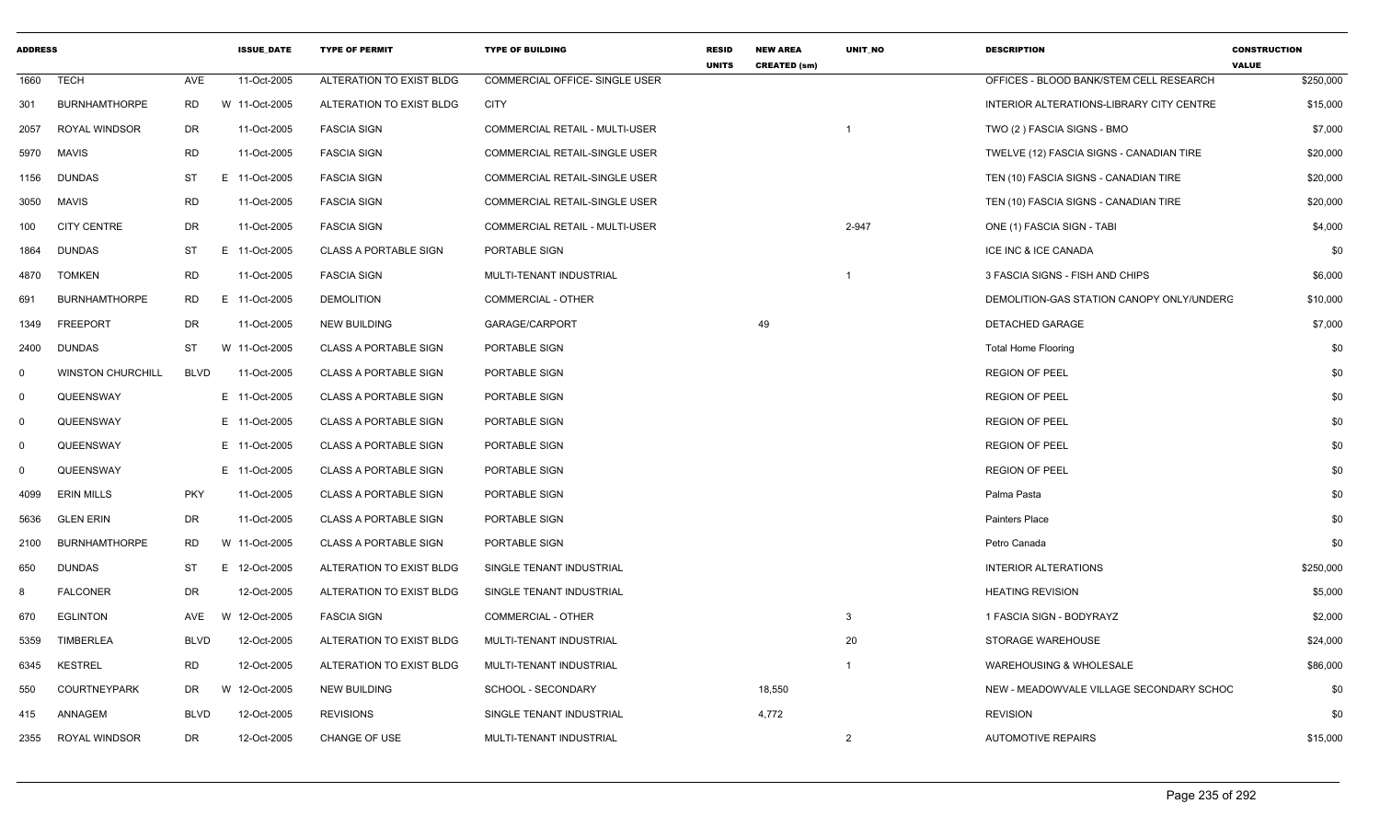| <b>ADDRESS</b> |                          |             | <b>ISSUE DATE</b> | <b>TYPE OF PERMIT</b>        | <b>TYPE OF BUILDING</b>        | <b>RESID</b><br><b>UNITS</b> | <b>NEW AREA</b><br><b>CREATED (sm)</b> | <b>UNIT NO</b>           | <b>DESCRIPTION</b>                        | <b>CONSTRUCTION</b><br><b>VALUE</b> |
|----------------|--------------------------|-------------|-------------------|------------------------------|--------------------------------|------------------------------|----------------------------------------|--------------------------|-------------------------------------------|-------------------------------------|
| 1660           | <b>TECH</b>              | AVE         | 11-Oct-2005       | ALTERATION TO EXIST BLDG     | COMMERCIAL OFFICE- SINGLE USER |                              |                                        |                          | OFFICES - BLOOD BANK/STEM CELL RESEARCH   | \$250,000                           |
| 301            | <b>BURNHAMTHORPE</b>     | <b>RD</b>   | W 11-Oct-2005     | ALTERATION TO EXIST BLDG     | <b>CITY</b>                    |                              |                                        |                          | INTERIOR ALTERATIONS-LIBRARY CITY CENTRE  | \$15,000                            |
| 2057           | <b>ROYAL WINDSOR</b>     | DR          | 11-Oct-2005       | <b>FASCIA SIGN</b>           | COMMERCIAL RETAIL - MULTI-USER |                              |                                        |                          | TWO (2) FASCIA SIGNS - BMO                | \$7,000                             |
| 5970           | MAVIS                    | RD          | 11-Oct-2005       | <b>FASCIA SIGN</b>           | COMMERCIAL RETAIL-SINGLE USER  |                              |                                        |                          | TWELVE (12) FASCIA SIGNS - CANADIAN TIRE  | \$20,000                            |
| 1156           | <b>DUNDAS</b>            | ST          | E 11-Oct-2005     | <b>FASCIA SIGN</b>           | COMMERCIAL RETAIL-SINGLE USER  |                              |                                        |                          | TEN (10) FASCIA SIGNS - CANADIAN TIRE     | \$20,000                            |
| 3050           | <b>MAVIS</b>             | <b>RD</b>   | 11-Oct-2005       | <b>FASCIA SIGN</b>           | COMMERCIAL RETAIL-SINGLE USER  |                              |                                        |                          | TEN (10) FASCIA SIGNS - CANADIAN TIRE     | \$20,000                            |
| 100            | <b>CITY CENTRE</b>       | DR          | 11-Oct-2005       | <b>FASCIA SIGN</b>           | COMMERCIAL RETAIL - MULTI-USER |                              |                                        | 2-947                    | ONE (1) FASCIA SIGN - TABI                | \$4,000                             |
| 1864           | <b>DUNDAS</b>            | ST          | E 11-Oct-2005     | <b>CLASS A PORTABLE SIGN</b> | PORTABLE SIGN                  |                              |                                        |                          | ICE INC & ICE CANADA                      | \$0                                 |
| 4870           | <b>TOMKEN</b>            | <b>RD</b>   | 11-Oct-2005       | <b>FASCIA SIGN</b>           | MULTI-TENANT INDUSTRIAL        |                              |                                        | $\overline{\phantom{0}}$ | 3 FASCIA SIGNS - FISH AND CHIPS           | \$6,000                             |
| 691            | <b>BURNHAMTHORPE</b>     | <b>RD</b>   | E 11-Oct-2005     | <b>DEMOLITION</b>            | <b>COMMERCIAL - OTHER</b>      |                              |                                        |                          | DEMOLITION-GAS STATION CANOPY ONLY/UNDERC | \$10,000                            |
| 1349           | <b>FREEPORT</b>          | DR          | 11-Oct-2005       | <b>NEW BUILDING</b>          | GARAGE/CARPORT                 |                              | 49                                     |                          | DETACHED GARAGE                           | \$7,000                             |
| 2400           | <b>DUNDAS</b>            | <b>ST</b>   | W 11-Oct-2005     | <b>CLASS A PORTABLE SIGN</b> | PORTABLE SIGN                  |                              |                                        |                          | <b>Total Home Flooring</b>                | \$0                                 |
| $\Omega$       | <b>WINSTON CHURCHILL</b> | <b>BLVD</b> | 11-Oct-2005       | <b>CLASS A PORTABLE SIGN</b> | PORTABLE SIGN                  |                              |                                        |                          | <b>REGION OF PEEL</b>                     | \$0                                 |
| $\mathbf 0$    | QUEENSWAY                |             | E 11-Oct-2005     | <b>CLASS A PORTABLE SIGN</b> | PORTABLE SIGN                  |                              |                                        |                          | <b>REGION OF PEEL</b>                     | \$0                                 |
| 0              | QUEENSWAY                |             | E 11-Oct-2005     | <b>CLASS A PORTABLE SIGN</b> | PORTABLE SIGN                  |                              |                                        |                          | <b>REGION OF PEEL</b>                     | \$0                                 |
| $\Omega$       | QUEENSWAY                |             | E 11-Oct-2005     | <b>CLASS A PORTABLE SIGN</b> | PORTABLE SIGN                  |                              |                                        |                          | <b>REGION OF PEEL</b>                     | \$0                                 |
| $\Omega$       | QUEENSWAY                |             | E 11-Oct-2005     | <b>CLASS A PORTABLE SIGN</b> | PORTABLE SIGN                  |                              |                                        |                          | <b>REGION OF PEEL</b>                     | \$0                                 |
| 4099           | <b>ERIN MILLS</b>        | <b>PKY</b>  | 11-Oct-2005       | <b>CLASS A PORTABLE SIGN</b> | PORTABLE SIGN                  |                              |                                        |                          | Palma Pasta                               | \$0                                 |
| 5636           | <b>GLEN ERIN</b>         | DR          | 11-Oct-2005       | <b>CLASS A PORTABLE SIGN</b> | PORTABLE SIGN                  |                              |                                        |                          | Painters Place                            | \$0                                 |
| 2100           | <b>BURNHAMTHORPE</b>     | <b>RD</b>   | W 11-Oct-2005     | <b>CLASS A PORTABLE SIGN</b> | PORTABLE SIGN                  |                              |                                        |                          | Petro Canada                              | \$0                                 |
| 650            | <b>DUNDAS</b>            | ST          | E 12-Oct-2005     | ALTERATION TO EXIST BLDG     | SINGLE TENANT INDUSTRIAL       |                              |                                        |                          | <b>INTERIOR ALTERATIONS</b>               | \$250,000                           |
| 8              | <b>FALCONER</b>          | DR          | 12-Oct-2005       | ALTERATION TO EXIST BLDG     | SINGLE TENANT INDUSTRIAL       |                              |                                        |                          | <b>HEATING REVISION</b>                   | \$5,000                             |
| 670            | <b>EGLINTON</b>          | AVE         | 12-Oct-2005<br>W  | <b>FASCIA SIGN</b>           | <b>COMMERCIAL - OTHER</b>      |                              |                                        | -3                       | 1 FASCIA SIGN - BODYRAYZ                  | \$2,000                             |
| 5359           | <b>TIMBERLEA</b>         | <b>BLVD</b> | 12-Oct-2005       | ALTERATION TO EXIST BLDG     | MULTI-TENANT INDUSTRIAL        |                              |                                        | 20                       | STORAGE WAREHOUSE                         | \$24,000                            |
| 6345           | <b>KESTREL</b>           | <b>RD</b>   | 12-Oct-2005       | ALTERATION TO EXIST BLDG     | MULTI-TENANT INDUSTRIAL        |                              |                                        |                          | WAREHOUSING & WHOLESALE                   | \$86,000                            |
| 550            | COURTNEYPARK             | DR          | W 12-Oct-2005     | NEW BUILDING                 | SCHOOL - SECONDARY             |                              | 18,550                                 |                          | NEW - MEADOWVALE VILLAGE SECONDARY SCHOC  | \$0                                 |
| 415            | ANNAGEM                  | <b>BLVD</b> | 12-Oct-2005       | <b>REVISIONS</b>             | SINGLE TENANT INDUSTRIAL       |                              | 4,772                                  |                          | <b>REVISION</b>                           | \$0                                 |
| 2355           | <b>ROYAL WINDSOR</b>     | DR          | 12-Oct-2005       | CHANGE OF USE                | MULTI-TENANT INDUSTRIAL        |                              |                                        | $\overline{2}$           | <b>AUTOMOTIVE REPAIRS</b>                 | \$15,000                            |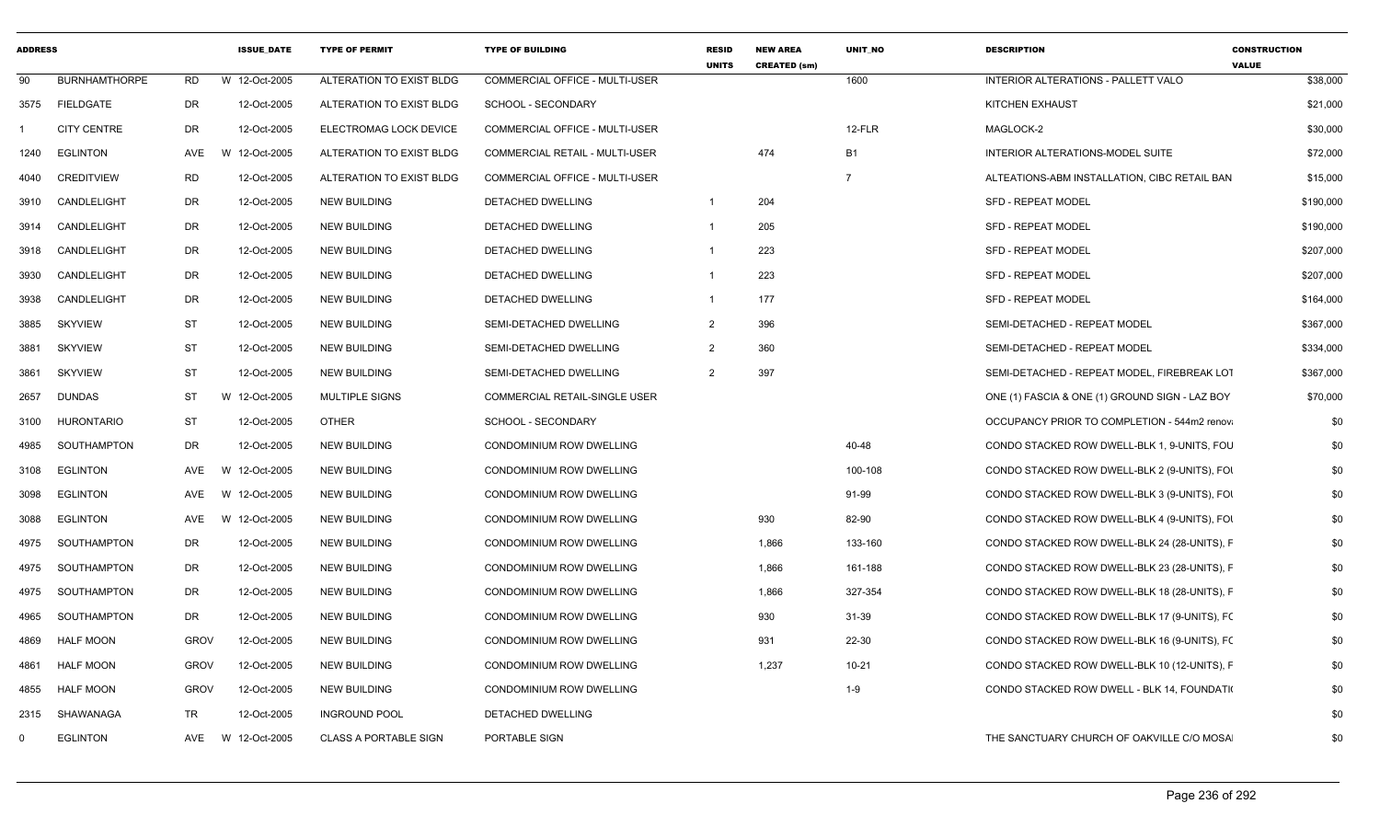| <b>BURNHAMTHORPE</b><br>W 12-Oct-2005<br>ALTERATION TO EXIST BLDG<br>COMMERCIAL OFFICE - MULTI-USER<br>1600<br>INTERIOR ALTERATIONS - PALLETT VALO<br>\$38,000<br>90<br>RD<br>3575 FIELDGATE<br><b>DR</b><br>12-Oct-2005<br>ALTERATION TO EXIST BLDG<br><b>SCHOOL - SECONDARY</b><br><b>KITCHEN EXHAUST</b><br>\$21,000<br><b>DR</b><br>12-Oct-2005<br>12-FLR<br><b>CITY CENTRE</b><br>ELECTROMAG LOCK DEVICE<br><b>COMMERCIAL OFFICE - MULTI-USER</b><br>MAGLOCK-2<br>\$30,000<br><b>EGLINTON</b><br>W 12-Oct-2005<br>COMMERCIAL RETAIL - MULTI-USER<br>474<br><b>B1</b><br>INTERIOR ALTERATIONS-MODEL SUITE<br>\$72,000<br>AVE<br>ALTERATION TO EXIST BLDG<br>1240<br>RD<br>12-Oct-2005<br>COMMERCIAL OFFICE - MULTI-USER<br>$\overline{7}$<br>ALTEATIONS-ABM INSTALLATION, CIBC RETAIL BAN<br>\$15,000<br><b>CREDITVIEW</b><br>ALTERATION TO EXIST BLDG<br>4040<br>12-Oct-2005<br>204<br>CANDLELIGHT<br>DR<br><b>NEW BUILDING</b><br>DETACHED DWELLING<br>$\overline{1}$<br><b>SFD - REPEAT MODEL</b><br>\$190,000<br>3910<br>DR<br>12-Oct-2005<br>205<br>SFD - REPEAT MODEL<br>\$190,000<br>CANDLELIGHT<br>NEW BUILDING<br>DETACHED DWELLING<br>3914<br>CANDLELIGHT<br>DR<br>12-Oct-2005<br><b>NEW BUILDING</b><br>223<br><b>SFD - REPEAT MODEL</b><br>\$207,000<br>DETACHED DWELLING<br>3918<br>223<br>CANDLELIGHT<br>DR<br>12-Oct-2005<br><b>NEW BUILDING</b><br><b>DETACHED DWELLING</b><br><b>SFD - REPEAT MODEL</b><br>\$207,000<br>3930<br>DR<br>12-Oct-2005<br>177<br>\$164,000<br>CANDLELIGHT<br><b>NEW BUILDING</b><br>DETACHED DWELLING<br><b>SFD - REPEAT MODEL</b><br>3938<br>$\overline{1}$<br><b>ST</b><br><b>SKYVIEW</b><br>12-Oct-2005<br><b>NEW BUILDING</b><br>$\overline{2}$<br>396<br>SEMI-DETACHED - REPEAT MODEL<br>\$367,000<br>3885<br>SEMI-DETACHED DWELLING<br><b>SKYVIEW</b><br>ST<br>12-Oct-2005<br>360<br>SEMI-DETACHED - REPEAT MODEL<br>\$334,000<br><b>NEW BUILDING</b><br>SEMI-DETACHED DWELLING<br>$\overline{2}$<br>3881<br><b>ST</b><br>397<br>12-Oct-2005<br>$\mathcal{P}$<br>SEMI-DETACHED - REPEAT MODEL. FIREBREAK LOT<br><b>SKYVIEW</b><br><b>NEW BUILDING</b><br>SEMI-DETACHED DWELLING<br>\$367,000<br>3861<br><b>DUNDAS</b><br>ST<br>W 12-Oct-2005<br>MULTIPLE SIGNS<br><b>COMMERCIAL RETAIL-SINGLE USER</b><br>ONE (1) FASCIA & ONE (1) GROUND SIGN - LAZ BOY<br>\$70,000<br>2657<br>HURONTARIO<br>ST<br>12-Oct-2005<br>OTHER<br>SCHOOL - SECONDARY<br>OCCUPANCY PRIOR TO COMPLETION - 544m2 renov<br>\$0<br>3100<br>SOUTHAMPTON<br>DR<br>12-Oct-2005<br><b>NEW BUILDING</b><br>CONDOMINIUM ROW DWELLING<br>40-48<br>CONDO STACKED ROW DWELL-BLK 1, 9-UNITS, FOU<br>\$0<br>4985<br>W 12-Oct-2005<br>\$0<br>EGLINTON<br>AVE<br><b>NEW BUILDING</b><br>100-108<br>CONDO STACKED ROW DWELL-BLK 2 (9-UNITS), FOI<br><b>CONDOMINIUM ROW DWELLING</b><br>91-99<br>\$0<br><b>EGLINTON</b><br>AVE<br><b>W</b><br>12-Oct-2005<br>NEW BUILDING<br><b>CONDOMINIUM ROW DWELLING</b><br>CONDO STACKED ROW DWELL-BLK 3 (9-UNITS), FOI<br>3098<br><b>EGLINTON</b><br>AVE<br>W 12-Oct-2005<br><b>NEW BUILDING</b><br>CONDOMINIUM ROW DWELLING<br>930<br>82-90<br>CONDO STACKED ROW DWELL-BLK 4 (9-UNITS), FOI<br>\$0<br>3088<br>12-Oct-2005<br>133-160<br>\$0<br>SOUTHAMPTON<br>DR<br><b>NEW BUILDING</b><br>CONDOMINIUM ROW DWELLING<br>1,866<br>CONDO STACKED ROW DWELL-BLK 24 (28-UNITS), F<br>4975<br>12-Oct-2005<br>SOUTHAMPTON<br>DR<br><b>NEW BUILDING</b><br>CONDOMINIUM ROW DWELLING<br>1,866<br>161-188<br>CONDO STACKED ROW DWELL-BLK 23 (28-UNITS), F<br>\$0<br>4975<br><b>DR</b><br>12-Oct-2005<br>1,866<br>327-354<br>SOUTHAMPTON<br><b>NEW BUILDING</b><br>CONDOMINIUM ROW DWELLING<br>CONDO STACKED ROW DWELL-BLK 18 (28-UNITS), F<br>\$0<br>4975<br>DR<br>12-Oct-2005<br>930<br>31-39<br>\$0<br>SOUTHAMPTON<br><b>NEW BUILDING</b><br>CONDOMINIUM ROW DWELLING<br>CONDO STACKED ROW DWELL-BLK 17 (9-UNITS), FO<br>4965<br><b>GROV</b><br><b>HALF MOON</b><br>12-Oct-2005<br><b>NEW BUILDING</b><br><b>CONDOMINIUM ROW DWELLING</b><br>931<br>22-30<br>CONDO STACKED ROW DWELL-BLK 16 (9-UNITS), FO<br>\$0<br>4869<br><b>GROV</b><br>12-Oct-2005<br><b>NEW BUILDING</b><br>CONDOMINIUM ROW DWELLING<br>1,237<br>$10 - 21$<br>CONDO STACKED ROW DWELL-BLK 10 (12-UNITS), F<br>\$0<br>4861<br>HALF MOON<br><b>HALF MOON</b><br><b>GROV</b><br>12-Oct-2005<br><b>NEW BUILDING</b><br>CONDOMINIUM ROW DWELLING<br>$1 - 9$<br>CONDO STACKED ROW DWELL - BLK 14, FOUNDATI<br>\$0<br>4855<br>TR<br>12-Oct-2005<br>\$0<br>SHAWANAGA<br><b>INGROUND POOL</b><br>DETACHED DWELLING<br>2315<br>W 12-Oct-2005<br><b>CLASS A PORTABLE SIGN</b><br>THE SANCTUARY CHURCH OF OAKVILLE C/O MOSA<br>\$0<br><b>EGLINTON</b><br>AVE<br>PORTABLE SIGN<br>$\Omega$ | <b>ADDRESS</b> |  | <b>ISSUE DATE</b> | <b>TYPE OF PERMIT</b> | <b>TYPE OF BUILDING</b> | <b>RESID</b><br><b>UNITS</b> | <b>NEW AREA</b><br><b>CREATED (sm)</b> | <b>UNIT NO</b> | <b>DESCRIPTION</b> | <b>CONSTRUCTION</b><br><b>VALUE</b> |
|-----------------------------------------------------------------------------------------------------------------------------------------------------------------------------------------------------------------------------------------------------------------------------------------------------------------------------------------------------------------------------------------------------------------------------------------------------------------------------------------------------------------------------------------------------------------------------------------------------------------------------------------------------------------------------------------------------------------------------------------------------------------------------------------------------------------------------------------------------------------------------------------------------------------------------------------------------------------------------------------------------------------------------------------------------------------------------------------------------------------------------------------------------------------------------------------------------------------------------------------------------------------------------------------------------------------------------------------------------------------------------------------------------------------------------------------------------------------------------------------------------------------------------------------------------------------------------------------------------------------------------------------------------------------------------------------------------------------------------------------------------------------------------------------------------------------------------------------------------------------------------------------------------------------------------------------------------------------------------------------------------------------------------------------------------------------------------------------------------------------------------------------------------------------------------------------------------------------------------------------------------------------------------------------------------------------------------------------------------------------------------------------------------------------------------------------------------------------------------------------------------------------------------------------------------------------------------------------------------------------------------------------------------------------------------------------------------------------------------------------------------------------------------------------------------------------------------------------------------------------------------------------------------------------------------------------------------------------------------------------------------------------------------------------------------------------------------------------------------------------------------------------------------------------------------------------------------------------------------------------------------------------------------------------------------------------------------------------------------------------------------------------------------------------------------------------------------------------------------------------------------------------------------------------------------------------------------------------------------------------------------------------------------------------------------------------------------------------------------------------------------------------------------------------------------------------------------------------------------------------------------------------------------------------------------------------------------------------------------------------------------------------------------------------------------------------------------------------------------------------------------------------------------------------------------------------------------------------------------------------------------------------------------------------------------------------------------------------------------------------------------------------------------------------------------------------------------------------------------------------------------------------------------------------------------------------------------------------------------------------------------------------------------------------------------------------------|----------------|--|-------------------|-----------------------|-------------------------|------------------------------|----------------------------------------|----------------|--------------------|-------------------------------------|
|                                                                                                                                                                                                                                                                                                                                                                                                                                                                                                                                                                                                                                                                                                                                                                                                                                                                                                                                                                                                                                                                                                                                                                                                                                                                                                                                                                                                                                                                                                                                                                                                                                                                                                                                                                                                                                                                                                                                                                                                                                                                                                                                                                                                                                                                                                                                                                                                                                                                                                                                                                                                                                                                                                                                                                                                                                                                                                                                                                                                                                                                                                                                                                                                                                                                                                                                                                                                                                                                                                                                                                                                                                                                                                                                                                                                                                                                                                                                                                                                                                                                                                                                                                                                                                                                                                                                                                                                                                                                                                                                                                                                                                                                                               |                |  |                   |                       |                         |                              |                                        |                |                    |                                     |
|                                                                                                                                                                                                                                                                                                                                                                                                                                                                                                                                                                                                                                                                                                                                                                                                                                                                                                                                                                                                                                                                                                                                                                                                                                                                                                                                                                                                                                                                                                                                                                                                                                                                                                                                                                                                                                                                                                                                                                                                                                                                                                                                                                                                                                                                                                                                                                                                                                                                                                                                                                                                                                                                                                                                                                                                                                                                                                                                                                                                                                                                                                                                                                                                                                                                                                                                                                                                                                                                                                                                                                                                                                                                                                                                                                                                                                                                                                                                                                                                                                                                                                                                                                                                                                                                                                                                                                                                                                                                                                                                                                                                                                                                                               |                |  |                   |                       |                         |                              |                                        |                |                    |                                     |
|                                                                                                                                                                                                                                                                                                                                                                                                                                                                                                                                                                                                                                                                                                                                                                                                                                                                                                                                                                                                                                                                                                                                                                                                                                                                                                                                                                                                                                                                                                                                                                                                                                                                                                                                                                                                                                                                                                                                                                                                                                                                                                                                                                                                                                                                                                                                                                                                                                                                                                                                                                                                                                                                                                                                                                                                                                                                                                                                                                                                                                                                                                                                                                                                                                                                                                                                                                                                                                                                                                                                                                                                                                                                                                                                                                                                                                                                                                                                                                                                                                                                                                                                                                                                                                                                                                                                                                                                                                                                                                                                                                                                                                                                                               |                |  |                   |                       |                         |                              |                                        |                |                    |                                     |
|                                                                                                                                                                                                                                                                                                                                                                                                                                                                                                                                                                                                                                                                                                                                                                                                                                                                                                                                                                                                                                                                                                                                                                                                                                                                                                                                                                                                                                                                                                                                                                                                                                                                                                                                                                                                                                                                                                                                                                                                                                                                                                                                                                                                                                                                                                                                                                                                                                                                                                                                                                                                                                                                                                                                                                                                                                                                                                                                                                                                                                                                                                                                                                                                                                                                                                                                                                                                                                                                                                                                                                                                                                                                                                                                                                                                                                                                                                                                                                                                                                                                                                                                                                                                                                                                                                                                                                                                                                                                                                                                                                                                                                                                                               |                |  |                   |                       |                         |                              |                                        |                |                    |                                     |
|                                                                                                                                                                                                                                                                                                                                                                                                                                                                                                                                                                                                                                                                                                                                                                                                                                                                                                                                                                                                                                                                                                                                                                                                                                                                                                                                                                                                                                                                                                                                                                                                                                                                                                                                                                                                                                                                                                                                                                                                                                                                                                                                                                                                                                                                                                                                                                                                                                                                                                                                                                                                                                                                                                                                                                                                                                                                                                                                                                                                                                                                                                                                                                                                                                                                                                                                                                                                                                                                                                                                                                                                                                                                                                                                                                                                                                                                                                                                                                                                                                                                                                                                                                                                                                                                                                                                                                                                                                                                                                                                                                                                                                                                                               |                |  |                   |                       |                         |                              |                                        |                |                    |                                     |
|                                                                                                                                                                                                                                                                                                                                                                                                                                                                                                                                                                                                                                                                                                                                                                                                                                                                                                                                                                                                                                                                                                                                                                                                                                                                                                                                                                                                                                                                                                                                                                                                                                                                                                                                                                                                                                                                                                                                                                                                                                                                                                                                                                                                                                                                                                                                                                                                                                                                                                                                                                                                                                                                                                                                                                                                                                                                                                                                                                                                                                                                                                                                                                                                                                                                                                                                                                                                                                                                                                                                                                                                                                                                                                                                                                                                                                                                                                                                                                                                                                                                                                                                                                                                                                                                                                                                                                                                                                                                                                                                                                                                                                                                                               |                |  |                   |                       |                         |                              |                                        |                |                    |                                     |
|                                                                                                                                                                                                                                                                                                                                                                                                                                                                                                                                                                                                                                                                                                                                                                                                                                                                                                                                                                                                                                                                                                                                                                                                                                                                                                                                                                                                                                                                                                                                                                                                                                                                                                                                                                                                                                                                                                                                                                                                                                                                                                                                                                                                                                                                                                                                                                                                                                                                                                                                                                                                                                                                                                                                                                                                                                                                                                                                                                                                                                                                                                                                                                                                                                                                                                                                                                                                                                                                                                                                                                                                                                                                                                                                                                                                                                                                                                                                                                                                                                                                                                                                                                                                                                                                                                                                                                                                                                                                                                                                                                                                                                                                                               |                |  |                   |                       |                         |                              |                                        |                |                    |                                     |
|                                                                                                                                                                                                                                                                                                                                                                                                                                                                                                                                                                                                                                                                                                                                                                                                                                                                                                                                                                                                                                                                                                                                                                                                                                                                                                                                                                                                                                                                                                                                                                                                                                                                                                                                                                                                                                                                                                                                                                                                                                                                                                                                                                                                                                                                                                                                                                                                                                                                                                                                                                                                                                                                                                                                                                                                                                                                                                                                                                                                                                                                                                                                                                                                                                                                                                                                                                                                                                                                                                                                                                                                                                                                                                                                                                                                                                                                                                                                                                                                                                                                                                                                                                                                                                                                                                                                                                                                                                                                                                                                                                                                                                                                                               |                |  |                   |                       |                         |                              |                                        |                |                    |                                     |
|                                                                                                                                                                                                                                                                                                                                                                                                                                                                                                                                                                                                                                                                                                                                                                                                                                                                                                                                                                                                                                                                                                                                                                                                                                                                                                                                                                                                                                                                                                                                                                                                                                                                                                                                                                                                                                                                                                                                                                                                                                                                                                                                                                                                                                                                                                                                                                                                                                                                                                                                                                                                                                                                                                                                                                                                                                                                                                                                                                                                                                                                                                                                                                                                                                                                                                                                                                                                                                                                                                                                                                                                                                                                                                                                                                                                                                                                                                                                                                                                                                                                                                                                                                                                                                                                                                                                                                                                                                                                                                                                                                                                                                                                                               |                |  |                   |                       |                         |                              |                                        |                |                    |                                     |
|                                                                                                                                                                                                                                                                                                                                                                                                                                                                                                                                                                                                                                                                                                                                                                                                                                                                                                                                                                                                                                                                                                                                                                                                                                                                                                                                                                                                                                                                                                                                                                                                                                                                                                                                                                                                                                                                                                                                                                                                                                                                                                                                                                                                                                                                                                                                                                                                                                                                                                                                                                                                                                                                                                                                                                                                                                                                                                                                                                                                                                                                                                                                                                                                                                                                                                                                                                                                                                                                                                                                                                                                                                                                                                                                                                                                                                                                                                                                                                                                                                                                                                                                                                                                                                                                                                                                                                                                                                                                                                                                                                                                                                                                                               |                |  |                   |                       |                         |                              |                                        |                |                    |                                     |
|                                                                                                                                                                                                                                                                                                                                                                                                                                                                                                                                                                                                                                                                                                                                                                                                                                                                                                                                                                                                                                                                                                                                                                                                                                                                                                                                                                                                                                                                                                                                                                                                                                                                                                                                                                                                                                                                                                                                                                                                                                                                                                                                                                                                                                                                                                                                                                                                                                                                                                                                                                                                                                                                                                                                                                                                                                                                                                                                                                                                                                                                                                                                                                                                                                                                                                                                                                                                                                                                                                                                                                                                                                                                                                                                                                                                                                                                                                                                                                                                                                                                                                                                                                                                                                                                                                                                                                                                                                                                                                                                                                                                                                                                                               |                |  |                   |                       |                         |                              |                                        |                |                    |                                     |
|                                                                                                                                                                                                                                                                                                                                                                                                                                                                                                                                                                                                                                                                                                                                                                                                                                                                                                                                                                                                                                                                                                                                                                                                                                                                                                                                                                                                                                                                                                                                                                                                                                                                                                                                                                                                                                                                                                                                                                                                                                                                                                                                                                                                                                                                                                                                                                                                                                                                                                                                                                                                                                                                                                                                                                                                                                                                                                                                                                                                                                                                                                                                                                                                                                                                                                                                                                                                                                                                                                                                                                                                                                                                                                                                                                                                                                                                                                                                                                                                                                                                                                                                                                                                                                                                                                                                                                                                                                                                                                                                                                                                                                                                                               |                |  |                   |                       |                         |                              |                                        |                |                    |                                     |
|                                                                                                                                                                                                                                                                                                                                                                                                                                                                                                                                                                                                                                                                                                                                                                                                                                                                                                                                                                                                                                                                                                                                                                                                                                                                                                                                                                                                                                                                                                                                                                                                                                                                                                                                                                                                                                                                                                                                                                                                                                                                                                                                                                                                                                                                                                                                                                                                                                                                                                                                                                                                                                                                                                                                                                                                                                                                                                                                                                                                                                                                                                                                                                                                                                                                                                                                                                                                                                                                                                                                                                                                                                                                                                                                                                                                                                                                                                                                                                                                                                                                                                                                                                                                                                                                                                                                                                                                                                                                                                                                                                                                                                                                                               |                |  |                   |                       |                         |                              |                                        |                |                    |                                     |
|                                                                                                                                                                                                                                                                                                                                                                                                                                                                                                                                                                                                                                                                                                                                                                                                                                                                                                                                                                                                                                                                                                                                                                                                                                                                                                                                                                                                                                                                                                                                                                                                                                                                                                                                                                                                                                                                                                                                                                                                                                                                                                                                                                                                                                                                                                                                                                                                                                                                                                                                                                                                                                                                                                                                                                                                                                                                                                                                                                                                                                                                                                                                                                                                                                                                                                                                                                                                                                                                                                                                                                                                                                                                                                                                                                                                                                                                                                                                                                                                                                                                                                                                                                                                                                                                                                                                                                                                                                                                                                                                                                                                                                                                                               |                |  |                   |                       |                         |                              |                                        |                |                    |                                     |
|                                                                                                                                                                                                                                                                                                                                                                                                                                                                                                                                                                                                                                                                                                                                                                                                                                                                                                                                                                                                                                                                                                                                                                                                                                                                                                                                                                                                                                                                                                                                                                                                                                                                                                                                                                                                                                                                                                                                                                                                                                                                                                                                                                                                                                                                                                                                                                                                                                                                                                                                                                                                                                                                                                                                                                                                                                                                                                                                                                                                                                                                                                                                                                                                                                                                                                                                                                                                                                                                                                                                                                                                                                                                                                                                                                                                                                                                                                                                                                                                                                                                                                                                                                                                                                                                                                                                                                                                                                                                                                                                                                                                                                                                                               |                |  |                   |                       |                         |                              |                                        |                |                    |                                     |
|                                                                                                                                                                                                                                                                                                                                                                                                                                                                                                                                                                                                                                                                                                                                                                                                                                                                                                                                                                                                                                                                                                                                                                                                                                                                                                                                                                                                                                                                                                                                                                                                                                                                                                                                                                                                                                                                                                                                                                                                                                                                                                                                                                                                                                                                                                                                                                                                                                                                                                                                                                                                                                                                                                                                                                                                                                                                                                                                                                                                                                                                                                                                                                                                                                                                                                                                                                                                                                                                                                                                                                                                                                                                                                                                                                                                                                                                                                                                                                                                                                                                                                                                                                                                                                                                                                                                                                                                                                                                                                                                                                                                                                                                                               |                |  |                   |                       |                         |                              |                                        |                |                    |                                     |
|                                                                                                                                                                                                                                                                                                                                                                                                                                                                                                                                                                                                                                                                                                                                                                                                                                                                                                                                                                                                                                                                                                                                                                                                                                                                                                                                                                                                                                                                                                                                                                                                                                                                                                                                                                                                                                                                                                                                                                                                                                                                                                                                                                                                                                                                                                                                                                                                                                                                                                                                                                                                                                                                                                                                                                                                                                                                                                                                                                                                                                                                                                                                                                                                                                                                                                                                                                                                                                                                                                                                                                                                                                                                                                                                                                                                                                                                                                                                                                                                                                                                                                                                                                                                                                                                                                                                                                                                                                                                                                                                                                                                                                                                                               | 3108           |  |                   |                       |                         |                              |                                        |                |                    |                                     |
|                                                                                                                                                                                                                                                                                                                                                                                                                                                                                                                                                                                                                                                                                                                                                                                                                                                                                                                                                                                                                                                                                                                                                                                                                                                                                                                                                                                                                                                                                                                                                                                                                                                                                                                                                                                                                                                                                                                                                                                                                                                                                                                                                                                                                                                                                                                                                                                                                                                                                                                                                                                                                                                                                                                                                                                                                                                                                                                                                                                                                                                                                                                                                                                                                                                                                                                                                                                                                                                                                                                                                                                                                                                                                                                                                                                                                                                                                                                                                                                                                                                                                                                                                                                                                                                                                                                                                                                                                                                                                                                                                                                                                                                                                               |                |  |                   |                       |                         |                              |                                        |                |                    |                                     |
|                                                                                                                                                                                                                                                                                                                                                                                                                                                                                                                                                                                                                                                                                                                                                                                                                                                                                                                                                                                                                                                                                                                                                                                                                                                                                                                                                                                                                                                                                                                                                                                                                                                                                                                                                                                                                                                                                                                                                                                                                                                                                                                                                                                                                                                                                                                                                                                                                                                                                                                                                                                                                                                                                                                                                                                                                                                                                                                                                                                                                                                                                                                                                                                                                                                                                                                                                                                                                                                                                                                                                                                                                                                                                                                                                                                                                                                                                                                                                                                                                                                                                                                                                                                                                                                                                                                                                                                                                                                                                                                                                                                                                                                                                               |                |  |                   |                       |                         |                              |                                        |                |                    |                                     |
|                                                                                                                                                                                                                                                                                                                                                                                                                                                                                                                                                                                                                                                                                                                                                                                                                                                                                                                                                                                                                                                                                                                                                                                                                                                                                                                                                                                                                                                                                                                                                                                                                                                                                                                                                                                                                                                                                                                                                                                                                                                                                                                                                                                                                                                                                                                                                                                                                                                                                                                                                                                                                                                                                                                                                                                                                                                                                                                                                                                                                                                                                                                                                                                                                                                                                                                                                                                                                                                                                                                                                                                                                                                                                                                                                                                                                                                                                                                                                                                                                                                                                                                                                                                                                                                                                                                                                                                                                                                                                                                                                                                                                                                                                               |                |  |                   |                       |                         |                              |                                        |                |                    |                                     |
|                                                                                                                                                                                                                                                                                                                                                                                                                                                                                                                                                                                                                                                                                                                                                                                                                                                                                                                                                                                                                                                                                                                                                                                                                                                                                                                                                                                                                                                                                                                                                                                                                                                                                                                                                                                                                                                                                                                                                                                                                                                                                                                                                                                                                                                                                                                                                                                                                                                                                                                                                                                                                                                                                                                                                                                                                                                                                                                                                                                                                                                                                                                                                                                                                                                                                                                                                                                                                                                                                                                                                                                                                                                                                                                                                                                                                                                                                                                                                                                                                                                                                                                                                                                                                                                                                                                                                                                                                                                                                                                                                                                                                                                                                               |                |  |                   |                       |                         |                              |                                        |                |                    |                                     |
|                                                                                                                                                                                                                                                                                                                                                                                                                                                                                                                                                                                                                                                                                                                                                                                                                                                                                                                                                                                                                                                                                                                                                                                                                                                                                                                                                                                                                                                                                                                                                                                                                                                                                                                                                                                                                                                                                                                                                                                                                                                                                                                                                                                                                                                                                                                                                                                                                                                                                                                                                                                                                                                                                                                                                                                                                                                                                                                                                                                                                                                                                                                                                                                                                                                                                                                                                                                                                                                                                                                                                                                                                                                                                                                                                                                                                                                                                                                                                                                                                                                                                                                                                                                                                                                                                                                                                                                                                                                                                                                                                                                                                                                                                               |                |  |                   |                       |                         |                              |                                        |                |                    |                                     |
|                                                                                                                                                                                                                                                                                                                                                                                                                                                                                                                                                                                                                                                                                                                                                                                                                                                                                                                                                                                                                                                                                                                                                                                                                                                                                                                                                                                                                                                                                                                                                                                                                                                                                                                                                                                                                                                                                                                                                                                                                                                                                                                                                                                                                                                                                                                                                                                                                                                                                                                                                                                                                                                                                                                                                                                                                                                                                                                                                                                                                                                                                                                                                                                                                                                                                                                                                                                                                                                                                                                                                                                                                                                                                                                                                                                                                                                                                                                                                                                                                                                                                                                                                                                                                                                                                                                                                                                                                                                                                                                                                                                                                                                                                               |                |  |                   |                       |                         |                              |                                        |                |                    |                                     |
|                                                                                                                                                                                                                                                                                                                                                                                                                                                                                                                                                                                                                                                                                                                                                                                                                                                                                                                                                                                                                                                                                                                                                                                                                                                                                                                                                                                                                                                                                                                                                                                                                                                                                                                                                                                                                                                                                                                                                                                                                                                                                                                                                                                                                                                                                                                                                                                                                                                                                                                                                                                                                                                                                                                                                                                                                                                                                                                                                                                                                                                                                                                                                                                                                                                                                                                                                                                                                                                                                                                                                                                                                                                                                                                                                                                                                                                                                                                                                                                                                                                                                                                                                                                                                                                                                                                                                                                                                                                                                                                                                                                                                                                                                               |                |  |                   |                       |                         |                              |                                        |                |                    |                                     |
|                                                                                                                                                                                                                                                                                                                                                                                                                                                                                                                                                                                                                                                                                                                                                                                                                                                                                                                                                                                                                                                                                                                                                                                                                                                                                                                                                                                                                                                                                                                                                                                                                                                                                                                                                                                                                                                                                                                                                                                                                                                                                                                                                                                                                                                                                                                                                                                                                                                                                                                                                                                                                                                                                                                                                                                                                                                                                                                                                                                                                                                                                                                                                                                                                                                                                                                                                                                                                                                                                                                                                                                                                                                                                                                                                                                                                                                                                                                                                                                                                                                                                                                                                                                                                                                                                                                                                                                                                                                                                                                                                                                                                                                                                               |                |  |                   |                       |                         |                              |                                        |                |                    |                                     |
|                                                                                                                                                                                                                                                                                                                                                                                                                                                                                                                                                                                                                                                                                                                                                                                                                                                                                                                                                                                                                                                                                                                                                                                                                                                                                                                                                                                                                                                                                                                                                                                                                                                                                                                                                                                                                                                                                                                                                                                                                                                                                                                                                                                                                                                                                                                                                                                                                                                                                                                                                                                                                                                                                                                                                                                                                                                                                                                                                                                                                                                                                                                                                                                                                                                                                                                                                                                                                                                                                                                                                                                                                                                                                                                                                                                                                                                                                                                                                                                                                                                                                                                                                                                                                                                                                                                                                                                                                                                                                                                                                                                                                                                                                               |                |  |                   |                       |                         |                              |                                        |                |                    |                                     |
|                                                                                                                                                                                                                                                                                                                                                                                                                                                                                                                                                                                                                                                                                                                                                                                                                                                                                                                                                                                                                                                                                                                                                                                                                                                                                                                                                                                                                                                                                                                                                                                                                                                                                                                                                                                                                                                                                                                                                                                                                                                                                                                                                                                                                                                                                                                                                                                                                                                                                                                                                                                                                                                                                                                                                                                                                                                                                                                                                                                                                                                                                                                                                                                                                                                                                                                                                                                                                                                                                                                                                                                                                                                                                                                                                                                                                                                                                                                                                                                                                                                                                                                                                                                                                                                                                                                                                                                                                                                                                                                                                                                                                                                                                               |                |  |                   |                       |                         |                              |                                        |                |                    |                                     |
|                                                                                                                                                                                                                                                                                                                                                                                                                                                                                                                                                                                                                                                                                                                                                                                                                                                                                                                                                                                                                                                                                                                                                                                                                                                                                                                                                                                                                                                                                                                                                                                                                                                                                                                                                                                                                                                                                                                                                                                                                                                                                                                                                                                                                                                                                                                                                                                                                                                                                                                                                                                                                                                                                                                                                                                                                                                                                                                                                                                                                                                                                                                                                                                                                                                                                                                                                                                                                                                                                                                                                                                                                                                                                                                                                                                                                                                                                                                                                                                                                                                                                                                                                                                                                                                                                                                                                                                                                                                                                                                                                                                                                                                                                               |                |  |                   |                       |                         |                              |                                        |                |                    |                                     |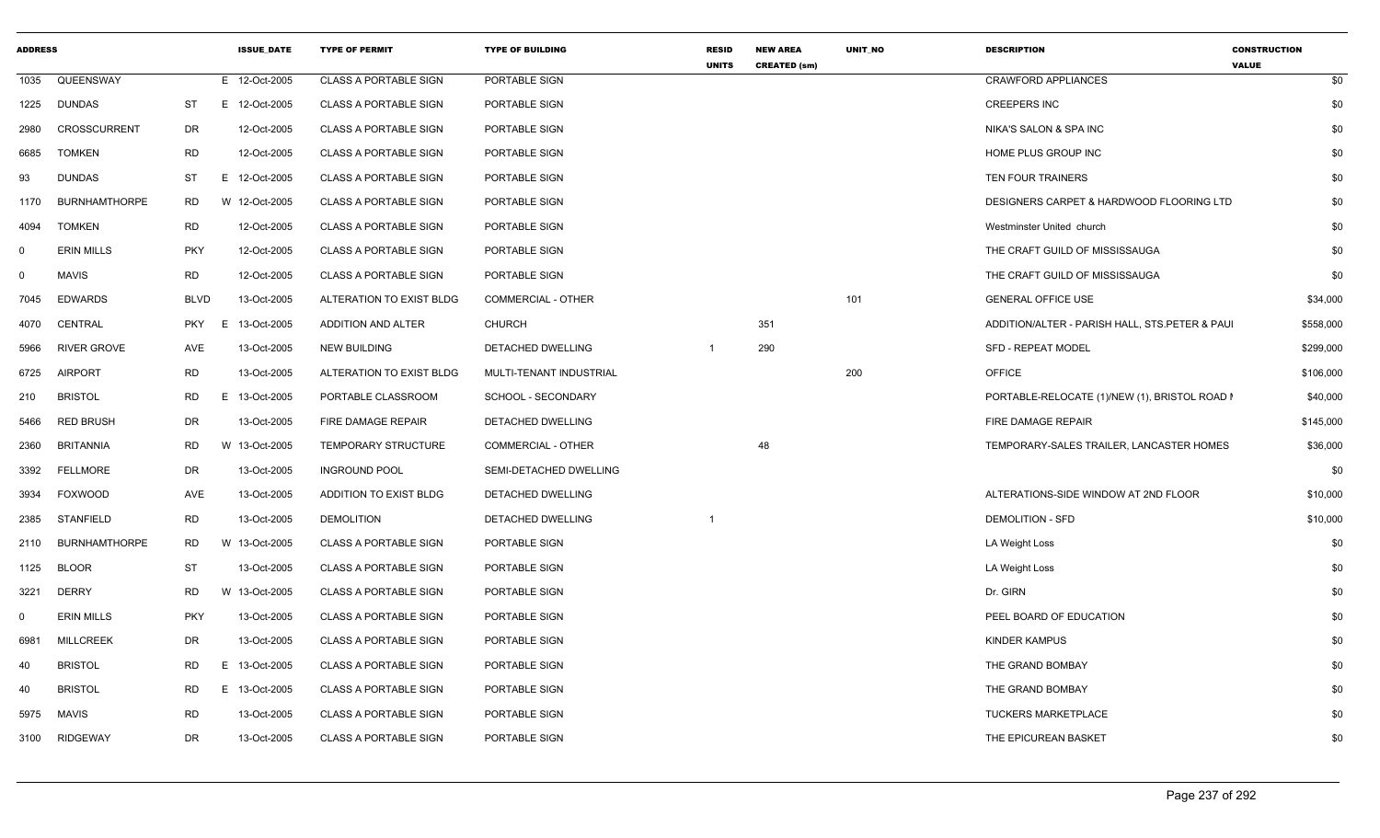| <b>ADDRESS</b> |                      |             |    | <b>ISSUE DATE</b> | <b>TYPE OF PERMIT</b>        | <b>TYPE OF BUILDING</b>   | <b>RESID</b><br><b>UNITS</b> | <b>NEW AREA</b><br><b>CREATED (sm)</b> | UNIT NO | <b>DESCRIPTION</b>                             | <b>CONSTRUCTION</b><br><b>VALUE</b> |
|----------------|----------------------|-------------|----|-------------------|------------------------------|---------------------------|------------------------------|----------------------------------------|---------|------------------------------------------------|-------------------------------------|
| 1035           | QUEENSWAY            |             |    | E 12-Oct-2005     | <b>CLASS A PORTABLE SIGN</b> | PORTABLE SIGN             |                              |                                        |         | <b>CRAWFORD APPLIANCES</b>                     | \$0                                 |
| 1225           | <b>DUNDAS</b>        | <b>ST</b>   |    | E 12-Oct-2005     | <b>CLASS A PORTABLE SIGN</b> | PORTABLE SIGN             |                              |                                        |         | <b>CREEPERS INC</b>                            | \$0                                 |
| 2980           | CROSSCURRENT         | DR          |    | 12-Oct-2005       | <b>CLASS A PORTABLE SIGN</b> | PORTABLE SIGN             |                              |                                        |         | NIKA'S SALON & SPA INC                         | \$0                                 |
| 6685           | <b>TOMKEN</b>        | <b>RD</b>   |    | 12-Oct-2005       | <b>CLASS A PORTABLE SIGN</b> | PORTABLE SIGN             |                              |                                        |         | HOME PLUS GROUP INC                            | \$0                                 |
| 93             | <b>DUNDAS</b>        | <b>ST</b>   |    | E 12-Oct-2005     | <b>CLASS A PORTABLE SIGN</b> | PORTABLE SIGN             |                              |                                        |         | TEN FOUR TRAINERS                              | \$0                                 |
| 1170           | <b>BURNHAMTHORPE</b> | <b>RD</b>   |    | W 12-Oct-2005     | <b>CLASS A PORTABLE SIGN</b> | PORTABLE SIGN             |                              |                                        |         | DESIGNERS CARPET & HARDWOOD FLOORING LTD       | \$0                                 |
| 4094           | <b>TOMKEN</b>        | RD          |    | 12-Oct-2005       | <b>CLASS A PORTABLE SIGN</b> | PORTABLE SIGN             |                              |                                        |         | Westminster United church                      | \$0                                 |
| $\mathbf 0$    | <b>ERIN MILLS</b>    | <b>PKY</b>  |    | 12-Oct-2005       | <b>CLASS A PORTABLE SIGN</b> | PORTABLE SIGN             |                              |                                        |         | THE CRAFT GUILD OF MISSISSAUGA                 | \$0                                 |
| $\mathbf 0$    | <b>MAVIS</b>         | RD          |    | 12-Oct-2005       | <b>CLASS A PORTABLE SIGN</b> | PORTABLE SIGN             |                              |                                        |         | THE CRAFT GUILD OF MISSISSAUGA                 | \$0                                 |
| 7045           | <b>EDWARDS</b>       | <b>BLVD</b> |    | 13-Oct-2005       | ALTERATION TO EXIST BLDG     | <b>COMMERCIAL - OTHER</b> |                              |                                        | 101     | <b>GENERAL OFFICE USE</b>                      | \$34,000                            |
| 4070           | CENTRAL              | <b>PKY</b>  | E  | 13-Oct-2005       | ADDITION AND ALTER           | <b>CHURCH</b>             |                              | 351                                    |         | ADDITION/ALTER - PARISH HALL, STS.PETER & PAUL | \$558,000                           |
| 5966           | <b>RIVER GROVE</b>   | AVE         |    | 13-Oct-2005       | <b>NEW BUILDING</b>          | DETACHED DWELLING         |                              | 290                                    |         | <b>SFD - REPEAT MODEL</b>                      | \$299,000                           |
| 6725           | <b>AIRPORT</b>       | RD          |    | 13-Oct-2005       | ALTERATION TO EXIST BLDG     | MULTI-TENANT INDUSTRIAL   |                              |                                        | 200     | <b>OFFICE</b>                                  | \$106,000                           |
| 210            | <b>BRISTOL</b>       | RD          | E. | 13-Oct-2005       | PORTABLE CLASSROOM           | SCHOOL - SECONDARY        |                              |                                        |         | PORTABLE-RELOCATE (1)/NEW (1), BRISTOL ROAD I  | \$40,000                            |
| 5466           | <b>RED BRUSH</b>     | DR          |    | 13-Oct-2005       | FIRE DAMAGE REPAIR           | <b>DETACHED DWELLING</b>  |                              |                                        |         | FIRE DAMAGE REPAIR                             | \$145,000                           |
| 2360           | <b>BRITANNIA</b>     | <b>RD</b>   |    | W 13-Oct-2005     | TEMPORARY STRUCTURE          | COMMERCIAL - OTHER        |                              | 48                                     |         | TEMPORARY-SALES TRAILER, LANCASTER HOMES       | \$36,000                            |
| 3392           | <b>FELLMORE</b>      | DR          |    | 13-Oct-2005       | <b>INGROUND POOL</b>         | SEMI-DETACHED DWELLING    |                              |                                        |         |                                                | \$0                                 |
| 3934           | <b>FOXWOOD</b>       | AVE         |    | 13-Oct-2005       | ADDITION TO EXIST BLDG       | DETACHED DWELLING         |                              |                                        |         | ALTERATIONS-SIDE WINDOW AT 2ND FLOOR           | \$10,000                            |
| 2385           | <b>STANFIELD</b>     | <b>RD</b>   |    | 13-Oct-2005       | <b>DEMOLITION</b>            | DETACHED DWELLING         |                              |                                        |         | <b>DEMOLITION - SFD</b>                        | \$10,000                            |
| 2110           | <b>BURNHAMTHORPE</b> | RD          |    | W 13-Oct-2005     | <b>CLASS A PORTABLE SIGN</b> | PORTABLE SIGN             |                              |                                        |         | LA Weight Loss                                 | \$0                                 |
| 1125           | <b>BLOOR</b>         | ST          |    | 13-Oct-2005       | <b>CLASS A PORTABLE SIGN</b> | PORTABLE SIGN             |                              |                                        |         | LA Weight Loss                                 | \$0                                 |
| 3221           | <b>DERRY</b>         | RD          |    | W 13-Oct-2005     | <b>CLASS A PORTABLE SIGN</b> | PORTABLE SIGN             |                              |                                        |         | Dr. GIRN                                       | \$0                                 |
| 0              | <b>ERIN MILLS</b>    | <b>PKY</b>  |    | 13-Oct-2005       | <b>CLASS A PORTABLE SIGN</b> | PORTABLE SIGN             |                              |                                        |         | PEEL BOARD OF EDUCATION                        | \$0                                 |
| 6981           | <b>MILLCREEK</b>     | DR          |    | 13-Oct-2005       | <b>CLASS A PORTABLE SIGN</b> | PORTABLE SIGN             |                              |                                        |         | KINDER KAMPUS                                  | \$0                                 |
| 40             | <b>BRISTOL</b>       | RD          |    | E 13-Oct-2005     | <b>CLASS A PORTABLE SIGN</b> | PORTABLE SIGN             |                              |                                        |         | THE GRAND BOMBAY                               | \$0                                 |
| 40             | <b>BRISTOL</b>       | RD          |    | E 13-Oct-2005     | <b>CLASS A PORTABLE SIGN</b> | PORTABLE SIGN             |                              |                                        |         | THE GRAND BOMBAY                               | \$0                                 |
| 5975           | <b>MAVIS</b>         | <b>RD</b>   |    | 13-Oct-2005       | <b>CLASS A PORTABLE SIGN</b> | PORTABLE SIGN             |                              |                                        |         | <b>TUCKERS MARKETPLACE</b>                     | \$0                                 |
| 3100           | <b>RIDGEWAY</b>      | <b>DR</b>   |    | 13-Oct-2005       | <b>CLASS A PORTABLE SIGN</b> | PORTABLE SIGN             |                              |                                        |         | THE EPICUREAN BASKET                           | \$0                                 |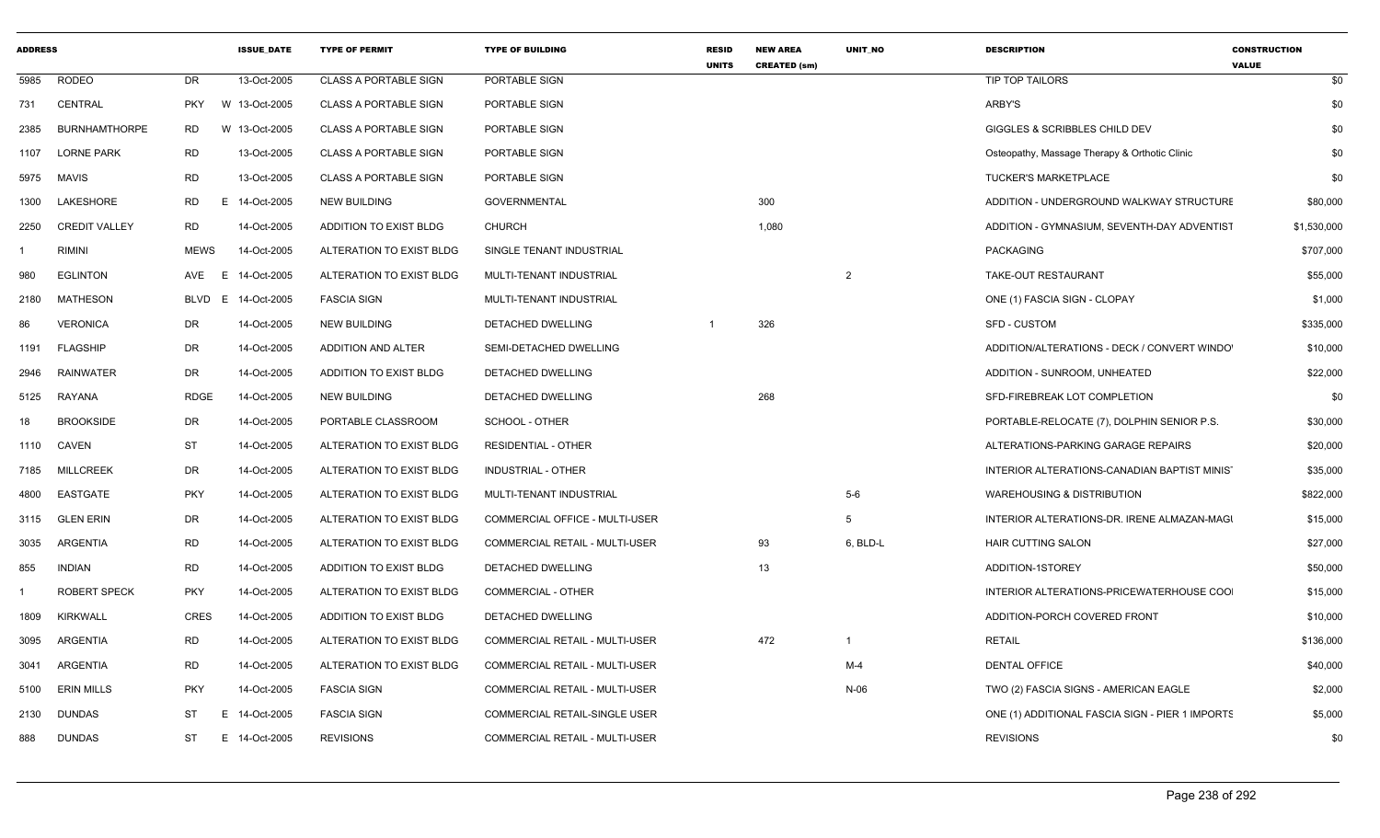| <b>ADDRESS</b> |                      |             | <b>ISSUE DATE</b> | <b>TYPE OF PERMIT</b>        | <b>TYPE OF BUILDING</b>        | <b>RESID</b><br><b>UNITS</b> | <b>NEW AREA</b><br><b>CREATED (sm)</b> | <b>UNIT NO</b> | <b>DESCRIPTION</b>                              | <b>CONSTRUCTION</b><br><b>VALUE</b> |
|----------------|----------------------|-------------|-------------------|------------------------------|--------------------------------|------------------------------|----------------------------------------|----------------|-------------------------------------------------|-------------------------------------|
| 5985           | RODEO                | DR          | 13-Oct-2005       | <b>CLASS A PORTABLE SIGN</b> | PORTABLE SIGN                  |                              |                                        |                | TIP TOP TAILORS                                 | \$0                                 |
| 731            | CENTRAL              | <b>PKY</b>  | W 13-Oct-2005     | <b>CLASS A PORTABLE SIGN</b> | PORTABLE SIGN                  |                              |                                        |                | ARBY'S                                          | \$0                                 |
| 2385           | <b>BURNHAMTHORPE</b> | RD          | W 13-Oct-2005     | <b>CLASS A PORTABLE SIGN</b> | PORTABLE SIGN                  |                              |                                        |                | GIGGLES & SCRIBBLES CHILD DEV                   | \$0                                 |
| 1107           | <b>LORNE PARK</b>    | <b>RD</b>   | 13-Oct-2005       | <b>CLASS A PORTABLE SIGN</b> | PORTABLE SIGN                  |                              |                                        |                | Osteopathy, Massage Therapy & Orthotic Clinic   | \$0                                 |
| 5975           | MAVIS                | <b>RD</b>   | 13-Oct-2005       | <b>CLASS A PORTABLE SIGN</b> | PORTABLE SIGN                  |                              |                                        |                | <b>TUCKER'S MARKETPLACE</b>                     | \$0                                 |
| 1300           | LAKESHORE            | RD<br>E.    | 14-Oct-2005       | <b>NEW BUILDING</b>          | <b>GOVERNMENTAL</b>            |                              | 300                                    |                | ADDITION - UNDERGROUND WALKWAY STRUCTURE        | \$80,000                            |
| 2250           | <b>CREDIT VALLEY</b> | RD          | 14-Oct-2005       | ADDITION TO EXIST BLDG       | <b>CHURCH</b>                  |                              | 1,080                                  |                | ADDITION - GYMNASIUM, SEVENTH-DAY ADVENTIST     | \$1,530,000                         |
|                | RIMINI               | <b>MEWS</b> | 14-Oct-2005       | ALTERATION TO EXIST BLDG     | SINGLE TENANT INDUSTRIAL       |                              |                                        |                | PACKAGING                                       | \$707,000                           |
| 980            | <b>EGLINTON</b>      | AVE E       | 14-Oct-2005       | ALTERATION TO EXIST BLDG     | MULTI-TENANT INDUSTRIAL        |                              |                                        | $\overline{2}$ | TAKE-OUT RESTAURANT                             | \$55,000                            |
| 2180           | MATHESON             | BLVD E      | 14-Oct-2005       | <b>FASCIA SIGN</b>           | MULTI-TENANT INDUSTRIAL        |                              |                                        |                | ONE (1) FASCIA SIGN - CLOPAY                    | \$1,000                             |
| 86             | <b>VERONICA</b>      | DR          | 14-Oct-2005       | <b>NEW BUILDING</b>          | DETACHED DWELLING              |                              | 326                                    |                | SFD - CUSTOM                                    | \$335,000                           |
| 1191           | <b>FLAGSHIP</b>      | DR          | 14-Oct-2005       | ADDITION AND ALTER           | SEMI-DETACHED DWELLING         |                              |                                        |                | ADDITION/ALTERATIONS - DECK / CONVERT WINDO'    | \$10,000                            |
| 2946           | RAINWATER            | DR          | 14-Oct-2005       | ADDITION TO EXIST BLDG       | DETACHED DWELLING              |                              |                                        |                | ADDITION - SUNROOM, UNHEATED                    | \$22,000                            |
| 5125           | RAYANA               | <b>RDGE</b> | 14-Oct-2005       | <b>NEW BUILDING</b>          | DETACHED DWELLING              |                              | 268                                    |                | SFD-FIREBREAK LOT COMPLETION                    | \$0                                 |
| 18             | <b>BROOKSIDE</b>     | DR          | 14-Oct-2005       | PORTABLE CLASSROOM           | SCHOOL - OTHER                 |                              |                                        |                | PORTABLE-RELOCATE (7), DOLPHIN SENIOR P.S.      | \$30,000                            |
| 1110           | CAVEN                | <b>ST</b>   | 14-Oct-2005       | ALTERATION TO EXIST BLDG     | <b>RESIDENTIAL - OTHER</b>     |                              |                                        |                | ALTERATIONS-PARKING GARAGE REPAIRS              | \$20,000                            |
| 7185           | <b>MILLCREEK</b>     | DR          | 14-Oct-2005       | ALTERATION TO EXIST BLDG     | INDUSTRIAL - OTHER             |                              |                                        |                | INTERIOR ALTERATIONS-CANADIAN BAPTIST MINIST    | \$35,000                            |
| 4800           | EASTGATE             | <b>PKY</b>  | 14-Oct-2005       | ALTERATION TO EXIST BLDG     | MULTI-TENANT INDUSTRIAL        |                              |                                        | $5-6$          | <b>WAREHOUSING &amp; DISTRIBUTION</b>           | \$822,000                           |
| 3115           | <b>GLEN ERIN</b>     | DR          | 14-Oct-2005       | ALTERATION TO EXIST BLDG     | COMMERCIAL OFFICE - MULTI-USER |                              |                                        | -5             | INTERIOR ALTERATIONS-DR. IRENE ALMAZAN-MAGI     | \$15,000                            |
| 3035           | ARGENTIA             | <b>RD</b>   | 14-Oct-2005       | ALTERATION TO EXIST BLDG     | COMMERCIAL RETAIL - MULTI-USER |                              | 93                                     | 6, BLD-L       | <b>HAIR CUTTING SALON</b>                       | \$27,000                            |
| 855            | <b>INDIAN</b>        | RD          | 14-Oct-2005       | ADDITION TO EXIST BLDG       | DETACHED DWELLING              |                              | 13                                     |                | ADDITION-1STOREY                                | \$50,000                            |
|                | ROBERT SPECK         | <b>PKY</b>  | 14-Oct-2005       | ALTERATION TO EXIST BLDG     | <b>COMMERCIAL - OTHER</b>      |                              |                                        |                | INTERIOR ALTERATIONS-PRICEWATERHOUSE COO        | \$15,000                            |
| 1809           | KIRKWALL             | CRES        | 14-Oct-2005       | ADDITION TO EXIST BLDG       | DETACHED DWELLING              |                              |                                        |                | ADDITION-PORCH COVERED FRONT                    | \$10,000                            |
| 3095           | ARGENTIA             | <b>RD</b>   | 14-Oct-2005       | ALTERATION TO EXIST BLDG     | COMMERCIAL RETAIL - MULTI-USER |                              | 472                                    | $\mathbf{1}$   | <b>RETAIL</b>                                   | \$136,000                           |
| 3041           | ARGENTIA             | <b>RD</b>   | 14-Oct-2005       | ALTERATION TO EXIST BLDG     | COMMERCIAL RETAIL - MULTI-USER |                              |                                        | M-4            | <b>DENTAL OFFICE</b>                            | \$40,000                            |
| 5100           | <b>ERIN MILLS</b>    | <b>PKY</b>  | 14-Oct-2005       | <b>FASCIA SIGN</b>           | COMMERCIAL RETAIL - MULTI-USER |                              |                                        | $N-06$         | TWO (2) FASCIA SIGNS - AMERICAN EAGLE           | \$2,000                             |
| 2130           | <b>DUNDAS</b>        | ST<br>E     | 14-Oct-2005       | <b>FASCIA SIGN</b>           | COMMERCIAL RETAIL-SINGLE USER  |                              |                                        |                | ONE (1) ADDITIONAL FASCIA SIGN - PIER 1 IMPORTS | \$5,000                             |
| 888            | <b>DUNDAS</b>        | ST<br>E     | 14-Oct-2005       | <b>REVISIONS</b>             | COMMERCIAL RETAIL - MULTI-USER |                              |                                        |                | <b>REVISIONS</b>                                | \$0                                 |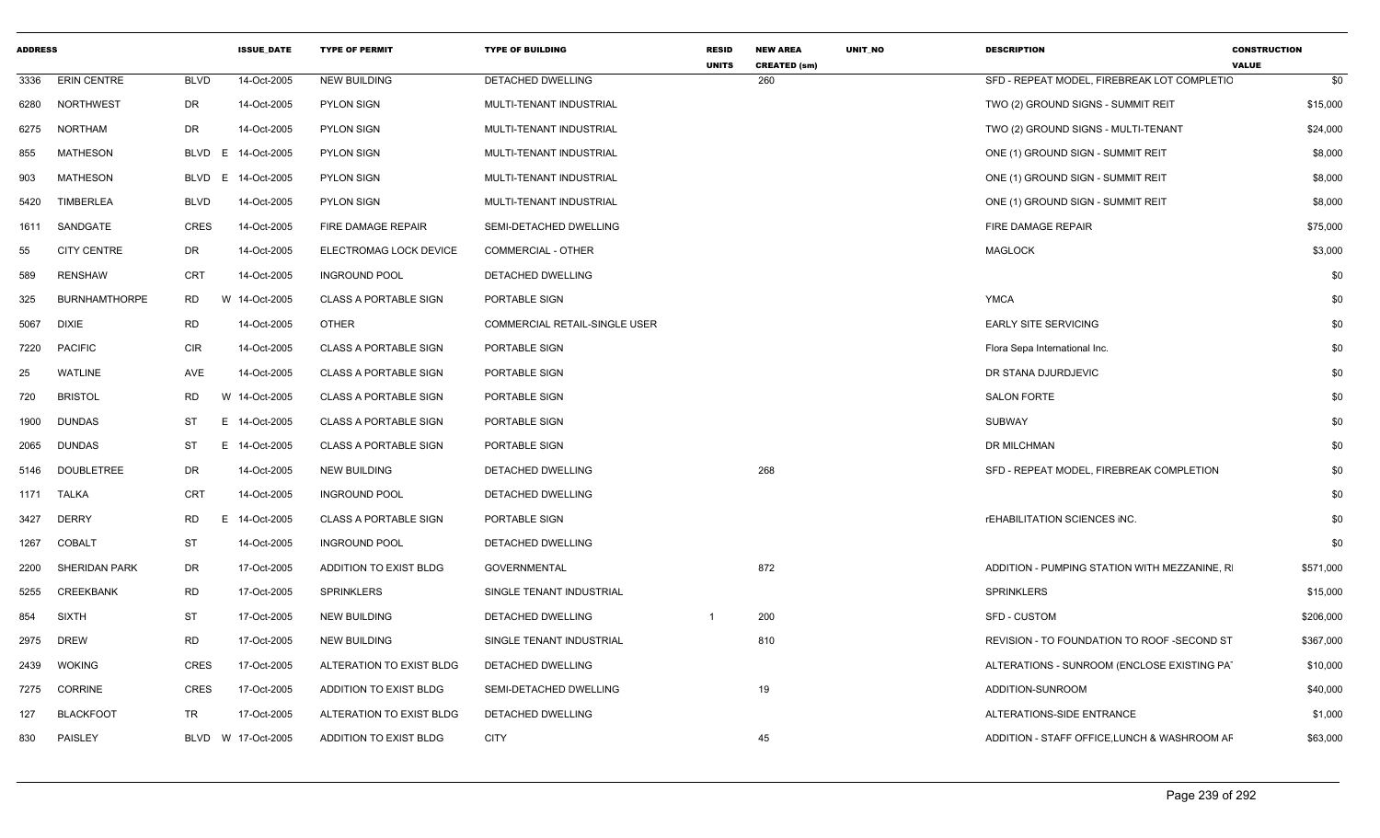| <b>ADDRESS</b> |                      |                | <b>ISSUE DATE</b>  | <b>TYPE OF PERMIT</b>        | <b>TYPE OF BUILDING</b>       | <b>RESID</b><br><b>UNITS</b> | <b>NEW AREA</b><br><b>CREATED (sm)</b> | <b>UNIT NO</b> | <b>DESCRIPTION</b>                                 | <b>CONSTRUCTION</b><br><b>VALUE</b> |
|----------------|----------------------|----------------|--------------------|------------------------------|-------------------------------|------------------------------|----------------------------------------|----------------|----------------------------------------------------|-------------------------------------|
| 3336           | <b>ERIN CENTRE</b>   | <b>BLVD</b>    | 14-Oct-2005        | <b>NEW BUILDING</b>          | DETACHED DWELLING             |                              | 260                                    |                | SFD - REPEAT MODEL, FIREBREAK LOT COMPLETIC        | \$0                                 |
| 6280           | NORTHWEST            | DR             | 14-Oct-2005        | <b>PYLON SIGN</b>            | MULTI-TENANT INDUSTRIAL       |                              |                                        |                | TWO (2) GROUND SIGNS - SUMMIT REIT                 | \$15,000                            |
| 6275           | NORTHAM              | DR             | 14-Oct-2005        | <b>PYLON SIGN</b>            | MULTI-TENANT INDUSTRIAL       |                              |                                        |                | TWO (2) GROUND SIGNS - MULTI-TENANT                | \$24,000                            |
| 855            | <b>MATHESON</b>      | BLVD<br>E      | 14-Oct-2005        | PYLON SIGN                   | MULTI-TENANT INDUSTRIAL       |                              |                                        |                | ONE (1) GROUND SIGN - SUMMIT REIT                  | \$8,000                             |
| 903            | MATHESON             | BLVD E         | 14-Oct-2005        | <b>PYLON SIGN</b>            | MULTI-TENANT INDUSTRIAL       |                              |                                        |                | ONE (1) GROUND SIGN - SUMMIT REIT                  | \$8,000                             |
| 5420           | TIMBERLEA            | <b>BLVD</b>    | 14-Oct-2005        | <b>PYLON SIGN</b>            | MULTI-TENANT INDUSTRIAL       |                              |                                        |                | ONE (1) GROUND SIGN - SUMMIT REIT                  | \$8,000                             |
| 1611           | SANDGATE             | CRES           | 14-Oct-2005        | FIRE DAMAGE REPAIR           | SEMI-DETACHED DWELLING        |                              |                                        |                | FIRE DAMAGE REPAIR                                 | \$75,000                            |
| 55             | <b>CITY CENTRE</b>   | DR             | 14-Oct-2005        | ELECTROMAG LOCK DEVICE       | COMMERCIAL - OTHER            |                              |                                        |                | <b>MAGLOCK</b>                                     | \$3,000                             |
| 589            | <b>RENSHAW</b>       | CRT            | 14-Oct-2005        | <b>INGROUND POOL</b>         | DETACHED DWELLING             |                              |                                        |                |                                                    | \$0                                 |
| 325            | <b>BURNHAMTHORPE</b> | <b>RD</b><br>W | 14-Oct-2005        | <b>CLASS A PORTABLE SIGN</b> | PORTABLE SIGN                 |                              |                                        |                | <b>YMCA</b>                                        | \$0                                 |
| 5067           | <b>DIXIE</b>         | RD             | 14-Oct-2005        | <b>OTHER</b>                 | COMMERCIAL RETAIL-SINGLE USER |                              |                                        |                | <b>EARLY SITE SERVICING</b>                        | \$0                                 |
| 7220           | <b>PACIFIC</b>       | CIR            | 14-Oct-2005        | <b>CLASS A PORTABLE SIGN</b> | PORTABLE SIGN                 |                              |                                        |                | Flora Sepa International Inc.                      | \$0                                 |
| 25             | <b>WATLINE</b>       | AVE            | 14-Oct-2005        | <b>CLASS A PORTABLE SIGN</b> | PORTABLE SIGN                 |                              |                                        |                | DR STANA DJURDJEVIC                                | \$0                                 |
| 720            | <b>BRISTOL</b>       | <b>RD</b><br>W | 14-Oct-2005        | <b>CLASS A PORTABLE SIGN</b> | PORTABLE SIGN                 |                              |                                        |                | SALON FORTE                                        | \$0                                 |
| 1900           | <b>DUNDAS</b>        | ST<br>E.       | 14-Oct-2005        | <b>CLASS A PORTABLE SIGN</b> | PORTABLE SIGN                 |                              |                                        |                | <b>SUBWAY</b>                                      | \$0                                 |
| 2065           | <b>DUNDAS</b>        | ST<br>E        | 14-Oct-2005        | <b>CLASS A PORTABLE SIGN</b> | PORTABLE SIGN                 |                              |                                        |                | DR MILCHMAN                                        | \$0                                 |
| 5146           | <b>DOUBLETREE</b>    | DR             | 14-Oct-2005        | <b>NEW BUILDING</b>          | DETACHED DWELLING             |                              | 268                                    |                | SFD - REPEAT MODEL, FIREBREAK COMPLETION           | \$0                                 |
|                | 1171 TALKA           | CRT            | 14-Oct-2005        | <b>INGROUND POOL</b>         | DETACHED DWELLING             |                              |                                        |                |                                                    | \$0                                 |
| 3427           | <b>DERRY</b>         | <b>RD</b><br>E | 14-Oct-2005        | <b>CLASS A PORTABLE SIGN</b> | PORTABLE SIGN                 |                              |                                        |                | <b><i>rEHABILITATION SCIENCES INC.</i></b>         | \$0                                 |
| 1267           | <b>COBALT</b>        | ST             | 14-Oct-2005        | <b>INGROUND POOL</b>         | DETACHED DWELLING             |                              |                                        |                |                                                    | \$0                                 |
| 2200           | <b>SHERIDAN PARK</b> | DR             | 17-Oct-2005        | ADDITION TO EXIST BLDG       | <b>GOVERNMENTAL</b>           |                              | 872                                    |                | ADDITION - PUMPING STATION WITH MEZZANINE, R       | \$571,000                           |
| 5255           | CREEKBANK            | <b>RD</b>      | 17-Oct-2005        | <b>SPRINKLERS</b>            | SINGLE TENANT INDUSTRIAL      |                              |                                        |                | <b>SPRINKLERS</b>                                  | \$15,000                            |
| 854            | <b>SIXTH</b>         | <b>ST</b>      | 17-Oct-2005        | <b>NEW BUILDING</b>          | DETACHED DWELLING             |                              | 200                                    |                | <b>SFD - CUSTOM</b>                                | \$206,000                           |
|                | 2975 DREW            | <b>RD</b>      | 17-Oct-2005        | <b>NEW BUILDING</b>          | SINGLE TENANT INDUSTRIAL      |                              | 810                                    |                | <b>REVISION - TO FOUNDATION TO ROOF -SECOND ST</b> | \$367,000                           |
| 2439           | <b>WOKING</b>        | <b>CRES</b>    | 17-Oct-2005        | ALTERATION TO EXIST BLDG     | DETACHED DWELLING             |                              |                                        |                | ALTERATIONS - SUNROOM (ENCLOSE EXISTING PAT        | \$10,000                            |
|                | 7275 CORRINE         | CRES           | 17-Oct-2005        | ADDITION TO EXIST BLDG       | SEMI-DETACHED DWELLING        |                              | 19                                     |                | ADDITION-SUNROOM                                   | \$40,000                            |
| 127            | <b>BLACKFOOT</b>     | TR             | 17-Oct-2005        | ALTERATION TO EXIST BLDG     | DETACHED DWELLING             |                              |                                        |                | ALTERATIONS-SIDE ENTRANCE                          | \$1,000                             |
| 830            | PAISLEY              |                | BLVD W 17-Oct-2005 | ADDITION TO EXIST BLDG       | <b>CITY</b>                   |                              | 45                                     |                | ADDITION - STAFF OFFICE, LUNCH & WASHROOM AF       | \$63,000                            |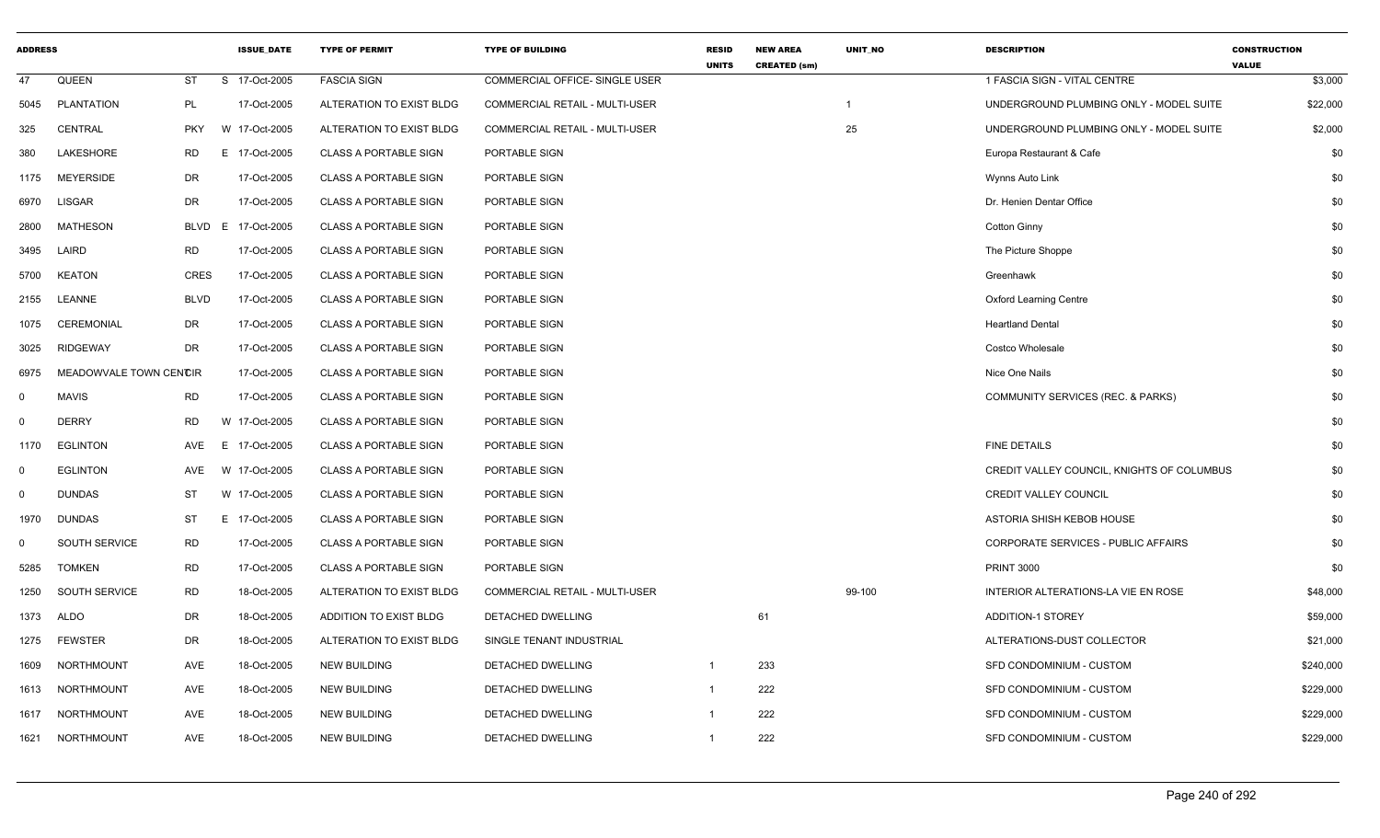| <b>ADDRESS</b> |                        |             | <b>ISSUE DATE</b> | <b>TYPE OF PERMIT</b>        | <b>TYPE OF BUILDING</b>        | <b>RESID</b><br><b>UNITS</b> | <b>NEW AREA</b><br><b>CREATED (sm)</b> | <b>UNIT NO</b> | <b>DESCRIPTION</b>                         | <b>CONSTRUCTION</b><br><b>VALUE</b> |
|----------------|------------------------|-------------|-------------------|------------------------------|--------------------------------|------------------------------|----------------------------------------|----------------|--------------------------------------------|-------------------------------------|
| 47             | QUEEN                  | <b>ST</b>   | S 17-Oct-2005     | <b>FASCIA SIGN</b>           | COMMERCIAL OFFICE- SINGLE USER |                              |                                        |                | 1 FASCIA SIGN - VITAL CENTRE               | \$3,000                             |
| 5045           | <b>PLANTATION</b>      | PL          | 17-Oct-2005       | ALTERATION TO EXIST BLDG     | COMMERCIAL RETAIL - MULTI-USER |                              |                                        | $\mathbf 1$    | UNDERGROUND PLUMBING ONLY - MODEL SUITE    | \$22,000                            |
| 325            | <b>CENTRAL</b>         | <b>PKY</b>  | W 17-Oct-2005     | ALTERATION TO EXIST BLDG     | COMMERCIAL RETAIL - MULTI-USER |                              |                                        | 25             | UNDERGROUND PLUMBING ONLY - MODEL SUITE    | \$2,000                             |
| 380            | LAKESHORE              | RD          | E 17-Oct-2005     | <b>CLASS A PORTABLE SIGN</b> | PORTABLE SIGN                  |                              |                                        |                | Europa Restaurant & Cafe                   | \$0                                 |
| 1175           | <b>MEYERSIDE</b>       | DR          | 17-Oct-2005       | <b>CLASS A PORTABLE SIGN</b> | PORTABLE SIGN                  |                              |                                        |                | Wynns Auto Link                            | \$0                                 |
| 6970           | <b>LISGAR</b>          | <b>DR</b>   | 17-Oct-2005       | <b>CLASS A PORTABLE SIGN</b> | PORTABLE SIGN                  |                              |                                        |                | Dr. Henien Dentar Office                   | \$0                                 |
| 2800           | MATHESON               | <b>BLVD</b> | E.<br>17-Oct-2005 | <b>CLASS A PORTABLE SIGN</b> | PORTABLE SIGN                  |                              |                                        |                | Cotton Ginny                               | \$0                                 |
| 3495           | LAIRD                  | <b>RD</b>   | 17-Oct-2005       | <b>CLASS A PORTABLE SIGN</b> | PORTABLE SIGN                  |                              |                                        |                | The Picture Shoppe                         | \$0                                 |
| 5700           | <b>KEATON</b>          | <b>CRES</b> | 17-Oct-2005       | <b>CLASS A PORTABLE SIGN</b> | PORTABLE SIGN                  |                              |                                        |                | Greenhawk                                  | \$0                                 |
| 2155           | LEANNE                 | <b>BLVD</b> | 17-Oct-2005       | <b>CLASS A PORTABLE SIGN</b> | PORTABLE SIGN                  |                              |                                        |                | <b>Oxford Learning Centre</b>              | \$0                                 |
| 1075           | CEREMONIAL             | DR          | 17-Oct-2005       | <b>CLASS A PORTABLE SIGN</b> | PORTABLE SIGN                  |                              |                                        |                | <b>Heartland Dental</b>                    | \$0                                 |
| 3025           | <b>RIDGEWAY</b>        | <b>DR</b>   | 17-Oct-2005       | <b>CLASS A PORTABLE SIGN</b> | PORTABLE SIGN                  |                              |                                        |                | Costco Wholesale                           | \$0                                 |
| 6975           | MEADOWVALE TOWN CENCIR |             | 17-Oct-2005       | <b>CLASS A PORTABLE SIGN</b> | PORTABLE SIGN                  |                              |                                        |                | Nice One Nails                             | \$0                                 |
| $\mathbf 0$    | <b>MAVIS</b>           | RD          | 17-Oct-2005       | <b>CLASS A PORTABLE SIGN</b> | PORTABLE SIGN                  |                              |                                        |                | COMMUNITY SERVICES (REC. & PARKS)          | \$0                                 |
| $\mathbf 0$    | <b>DERRY</b>           | <b>RD</b>   | W 17-Oct-2005     | <b>CLASS A PORTABLE SIGN</b> | PORTABLE SIGN                  |                              |                                        |                |                                            | \$0                                 |
| 1170           | <b>EGLINTON</b>        | AVE         | E 17-Oct-2005     | <b>CLASS A PORTABLE SIGN</b> | PORTABLE SIGN                  |                              |                                        |                | <b>FINE DETAILS</b>                        | \$0                                 |
| $\mathbf 0$    | <b>EGLINTON</b>        | AVE         | W 17-Oct-2005     | <b>CLASS A PORTABLE SIGN</b> | PORTABLE SIGN                  |                              |                                        |                | CREDIT VALLEY COUNCIL, KNIGHTS OF COLUMBUS | \$0                                 |
| $\mathbf 0$    | <b>DUNDAS</b>          | <b>ST</b>   | W 17-Oct-2005     | <b>CLASS A PORTABLE SIGN</b> | PORTABLE SIGN                  |                              |                                        |                | <b>CREDIT VALLEY COUNCIL</b>               | \$0                                 |
| 1970           | <b>DUNDAS</b>          | ST          | E 17-Oct-2005     | <b>CLASS A PORTABLE SIGN</b> | PORTABLE SIGN                  |                              |                                        |                | ASTORIA SHISH KEBOB HOUSE                  | \$0                                 |
| $\mathbf 0$    | SOUTH SERVICE          | <b>RD</b>   | 17-Oct-2005       | <b>CLASS A PORTABLE SIGN</b> | PORTABLE SIGN                  |                              |                                        |                | CORPORATE SERVICES - PUBLIC AFFAIRS        | \$0                                 |
| 5285           | <b>TOMKEN</b>          | <b>RD</b>   | 17-Oct-2005       | <b>CLASS A PORTABLE SIGN</b> | PORTABLE SIGN                  |                              |                                        |                | <b>PRINT 3000</b>                          | \$0                                 |
| 1250           | SOUTH SERVICE          | <b>RD</b>   | 18-Oct-2005       | ALTERATION TO EXIST BLDG     | COMMERCIAL RETAIL - MULTI-USER |                              |                                        | 99-100         | INTERIOR ALTERATIONS-LA VIE EN ROSE        | \$48,000                            |
| 1373           | ALDO                   | DR          | 18-Oct-2005       | ADDITION TO EXIST BLDG       | DETACHED DWELLING              |                              | 61                                     |                | ADDITION-1 STOREY                          | \$59,000                            |
| 1275           | <b>FEWSTER</b>         | <b>DR</b>   | 18-Oct-2005       | ALTERATION TO EXIST BLDG     | SINGLE TENANT INDUSTRIAL       |                              |                                        |                | ALTERATIONS-DUST COLLECTOR                 | \$21,000                            |
| 1609           | <b>NORTHMOUNT</b>      | AVE         | 18-Oct-2005       | <b>NEW BUILDING</b>          | DETACHED DWELLING              | $\mathbf 1$                  | 233                                    |                | SFD CONDOMINIUM - CUSTOM                   | \$240,000                           |
| 1613           | NORTHMOUNT             | AVE         | 18-Oct-2005       | <b>NEW BUILDING</b>          | DETACHED DWELLING              | $\mathbf{1}$                 | 222                                    |                | SFD CONDOMINIUM - CUSTOM                   | \$229,000                           |
| 1617           | NORTHMOUNT             | <b>AVE</b>  | 18-Oct-2005       | <b>NEW BUILDING</b>          | DETACHED DWELLING              | $\mathbf{1}$                 | 222                                    |                | SFD CONDOMINIUM - CUSTOM                   | \$229,000                           |
| 1621           | NORTHMOUNT             | AVE         | 18-Oct-2005       | <b>NEW BUILDING</b>          | <b>DETACHED DWELLING</b>       | $\mathbf{1}$                 | 222                                    |                | SFD CONDOMINIUM - CUSTOM                   | \$229,000                           |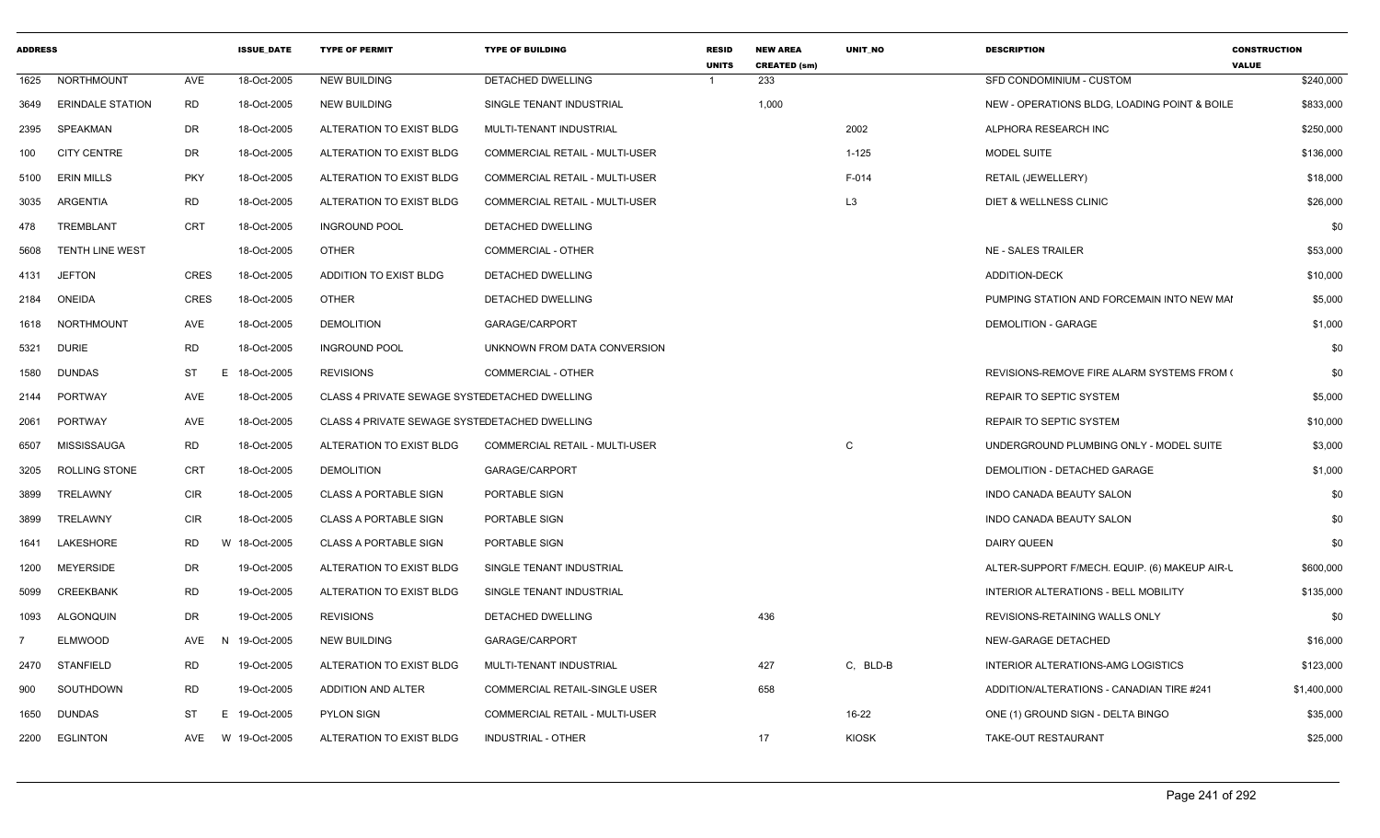| <b>ADDRESS</b> |                         |            | <b>ISSUE DATE</b> | <b>TYPE OF PERMIT</b>                         | <b>TYPE OF BUILDING</b>               | <b>RESID</b><br><b>UNITS</b> | <b>NEW AREA</b><br><b>CREATED (sm)</b> | <b>UNIT NO</b> | <b>DESCRIPTION</b>                            | <b>CONSTRUCTION</b><br><b>VALUE</b> |
|----------------|-------------------------|------------|-------------------|-----------------------------------------------|---------------------------------------|------------------------------|----------------------------------------|----------------|-----------------------------------------------|-------------------------------------|
|                | 1625 NORTHMOUNT         | AVE        | 18-Oct-2005       | <b>NEW BUILDING</b>                           | DETACHED DWELLING                     |                              | 233                                    |                | SFD CONDOMINIUM - CUSTOM                      | \$240,000                           |
| 3649           | <b>ERINDALE STATION</b> | RD         | 18-Oct-2005       | NEW BUILDING                                  | SINGLE TENANT INDUSTRIAL              |                              | 1,000                                  |                | NEW - OPERATIONS BLDG, LOADING POINT & BOILE  | \$833,000                           |
| 2395           | SPEAKMAN                | DR         | 18-Oct-2005       | ALTERATION TO EXIST BLDG                      | MULTI-TENANT INDUSTRIAL               |                              |                                        | 2002           | ALPHORA RESEARCH INC                          | \$250,000                           |
| 100            | <b>CITY CENTRE</b>      | DR         | 18-Oct-2005       | ALTERATION TO EXIST BLDG                      | COMMERCIAL RETAIL - MULTI-USER        |                              |                                        | $1 - 125$      | MODEL SUITE                                   | \$136,000                           |
| 5100           | <b>ERIN MILLS</b>       | <b>PKY</b> | 18-Oct-2005       | ALTERATION TO EXIST BLDG                      | <b>COMMERCIAL RETAIL - MULTI-USER</b> |                              |                                        | F-014          | RETAIL (JEWELLERY)                            | \$18,000                            |
| 3035           | ARGENTIA                | <b>RD</b>  | 18-Oct-2005       | ALTERATION TO EXIST BLDG                      | COMMERCIAL RETAIL - MULTI-USER        |                              |                                        | L <sub>3</sub> | <b>DIET &amp; WELLNESS CLINIC</b>             | \$26,000                            |
| 478            | TREMBLANT               | CRT        | 18-Oct-2005       | <b>INGROUND POOL</b>                          | DETACHED DWELLING                     |                              |                                        |                |                                               | \$0                                 |
| 5608           | <b>TENTH LINE WEST</b>  |            | 18-Oct-2005       | OTHER                                         | COMMERCIAL - OTHER                    |                              |                                        |                | <b>NE - SALES TRAILER</b>                     | \$53,000                            |
|                | 4131 JEFTON             | CRES       | 18-Oct-2005       | <b>ADDITION TO EXIST BLDG</b>                 | DETACHED DWELLING                     |                              |                                        |                | <b>ADDITION-DECK</b>                          | \$10,000                            |
|                | 2184 ONEIDA             | CRES       | 18-Oct-2005       | OTHER                                         | DETACHED DWELLING                     |                              |                                        |                | PUMPING STATION AND FORCEMAIN INTO NEW MAI    | \$5,000                             |
|                | 1618 NORTHMOUNT         | AVE        | 18-Oct-2005       | <b>DEMOLITION</b>                             | GARAGE/CARPORT                        |                              |                                        |                | <b>DEMOLITION - GARAGE</b>                    | \$1,000                             |
|                | 5321 DURIE              | <b>RD</b>  | 18-Oct-2005       | <b>INGROUND POOL</b>                          | UNKNOWN FROM DATA CONVERSION          |                              |                                        |                |                                               | \$0                                 |
|                | 1580 DUNDAS             | ST         | E 18-Oct-2005     | <b>REVISIONS</b>                              | COMMERCIAL - OTHER                    |                              |                                        |                | REVISIONS-REMOVE FIRE ALARM SYSTEMS FROM (    | \$0                                 |
|                | 2144 PORTWAY            | AVE        | 18-Oct-2005       | CLASS 4 PRIVATE SEWAGE SYSTEDETACHED DWELLING |                                       |                              |                                        |                | REPAIR TO SEPTIC SYSTEM                       | \$5,000                             |
|                | 2061 PORTWAY            | AVE        | 18-Oct-2005       | CLASS 4 PRIVATE SEWAGE SYSTEDETACHED DWELLING |                                       |                              |                                        |                | REPAIR TO SEPTIC SYSTEM                       | \$10,000                            |
| 6507           | MISSISSAUGA             | <b>RD</b>  | 18-Oct-2005       | ALTERATION TO EXIST BLDG                      | COMMERCIAL RETAIL - MULTI-USER        |                              |                                        | C              | UNDERGROUND PLUMBING ONLY - MODEL SUITE       | \$3,000                             |
| 3205           | ROLLING STONE           | CRT        | 18-Oct-2005       | <b>DEMOLITION</b>                             | GARAGE/CARPORT                        |                              |                                        |                | DEMOLITION - DETACHED GARAGE                  | \$1,000                             |
| 3899           | TRELAWNY                | CIR        | 18-Oct-2005       | <b>CLASS A PORTABLE SIGN</b>                  | PORTABLE SIGN                         |                              |                                        |                | INDO CANADA BEAUTY SALON                      | \$0                                 |
| 3899           | TRELAWNY                | CIR        | 18-Oct-2005       | <b>CLASS A PORTABLE SIGN</b>                  | PORTABLE SIGN                         |                              |                                        |                | INDO CANADA BEAUTY SALON                      | \$0                                 |
| 1641           | LAKESHORE               | RD         | W<br>18-Oct-2005  | <b>CLASS A PORTABLE SIGN</b>                  | PORTABLE SIGN                         |                              |                                        |                | <b>DAIRY QUEEN</b>                            | \$0                                 |
| 1200           | <b>MEYERSIDE</b>        | DR         | 19-Oct-2005       | ALTERATION TO EXIST BLDG                      | SINGLE TENANT INDUSTRIAL              |                              |                                        |                | ALTER-SUPPORT F/MECH. EQUIP. (6) MAKEUP AIR-L | \$600,000                           |
| 5099           | CREEKBANK               | RD         | 19-Oct-2005       | ALTERATION TO EXIST BLDG                      | SINGLE TENANT INDUSTRIAL              |                              |                                        |                | INTERIOR ALTERATIONS - BELL MOBILITY          | \$135,000                           |
| 1093           | ALGONQUIN               | DR         | 19-Oct-2005       | <b>REVISIONS</b>                              | DETACHED DWELLING                     |                              | 436                                    |                | REVISIONS-RETAINING WALLS ONLY                | \$0                                 |
|                | <b>ELMWOOD</b>          |            | AVE N 19-Oct-2005 | <b>NEW BUILDING</b>                           | GARAGE/CARPORT                        |                              |                                        |                | NEW-GARAGE DETACHED                           | \$16,000                            |
|                | 2470 STANFIELD          | RD         | 19-Oct-2005       | ALTERATION TO EXIST BLDG                      | MULTI-TENANT INDUSTRIAL               |                              | 427                                    | C, BLD-B       | INTERIOR ALTERATIONS-AMG LOGISTICS            | \$123,000                           |
| 900            | SOUTHDOWN               | RD         | 19-Oct-2005       | ADDITION AND ALTER                            | COMMERCIAL RETAIL-SINGLE USER         |                              | 658                                    |                | ADDITION/ALTERATIONS - CANADIAN TIRE #241     | \$1,400,000                         |
| 1650           | DUNDAS                  | ST         | E 19-Oct-2005     | <b>PYLON SIGN</b>                             | COMMERCIAL RETAIL - MULTI-USER        |                              |                                        | 16-22          | ONE (1) GROUND SIGN - DELTA BINGO             | \$35,000                            |
|                | 2200 EGLINTON           | AVE        | W 19-Oct-2005     | ALTERATION TO EXIST BLDG                      | INDUSTRIAL - OTHER                    |                              | 17                                     | KIOSK          | TAKE-OUT RESTAURANT                           | \$25,000                            |
|                |                         |            |                   |                                               |                                       |                              |                                        |                |                                               |                                     |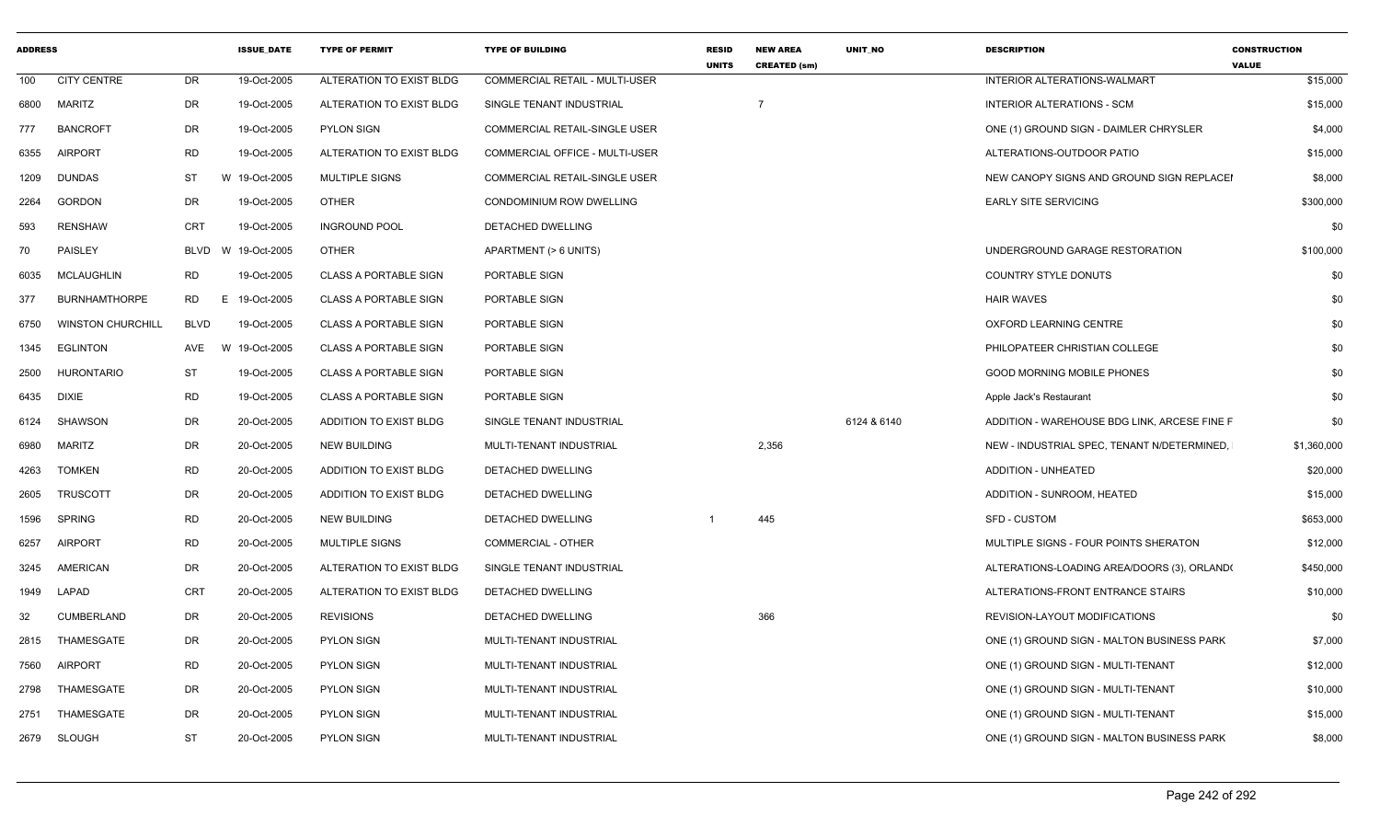| <b>ADDRESS</b> |                          |                 | <b>ISSUE DATE</b> | <b>TYPE OF PERMIT</b>        | <b>TYPE OF BUILDING</b>               | <b>RESID</b><br><b>UNITS</b> | <b>NEW AREA</b><br><b>CREATED (sm)</b> | <b>UNIT NO</b> | <b>DESCRIPTION</b>                           | <b>CONSTRUCTION</b><br><b>VALUE</b> |
|----------------|--------------------------|-----------------|-------------------|------------------------------|---------------------------------------|------------------------------|----------------------------------------|----------------|----------------------------------------------|-------------------------------------|
| 100            | <b>CITY CENTRE</b>       | <b>DR</b>       | 19-Oct-2005       | ALTERATION TO EXIST BLDG     | <b>COMMERCIAL RETAIL - MULTI-USER</b> |                              |                                        |                | <b>INTERIOR ALTERATIONS-WALMART</b>          | \$15,000                            |
| 6800           | MARITZ                   | DR              | 19-Oct-2005       | ALTERATION TO EXIST BLDG     | SINGLE TENANT INDUSTRIAL              |                              | $\overline{7}$                         |                | <b>INTERIOR ALTERATIONS - SCM</b>            | \$15,000                            |
| 777            | <b>BANCROFT</b>          | DR              | 19-Oct-2005       | <b>PYLON SIGN</b>            | COMMERCIAL RETAIL-SINGLE USER         |                              |                                        |                | ONE (1) GROUND SIGN - DAIMLER CHRYSLER       | \$4,000                             |
| 6355           | <b>AIRPORT</b>           | <b>RD</b>       | 19-Oct-2005       | ALTERATION TO EXIST BLDG     | COMMERCIAL OFFICE - MULTI-USER        |                              |                                        |                | ALTERATIONS-OUTDOOR PATIO                    | \$15,000                            |
| 1209           | <b>DUNDAS</b>            | ST              | W 19-Oct-2005     | <b>MULTIPLE SIGNS</b>        | COMMERCIAL RETAIL-SINGLE USER         |                              |                                        |                | NEW CANOPY SIGNS AND GROUND SIGN REPLACEI    | \$8,000                             |
| 2264           | <b>GORDON</b>            | DR              | 19-Oct-2005       | OTHER                        | CONDOMINIUM ROW DWELLING              |                              |                                        |                | <b>EARLY SITE SERVICING</b>                  | \$300,000                           |
| 593            | <b>RENSHAW</b>           | CRT             | 19-Oct-2005       | <b>INGROUND POOL</b>         | DETACHED DWELLING                     |                              |                                        |                |                                              | \$0                                 |
| 70             | PAISLEY                  | BLVD            | W 19-Oct-2005     | <b>OTHER</b>                 | APARTMENT (> 6 UNITS)                 |                              |                                        |                | UNDERGROUND GARAGE RESTORATION               | \$100,000                           |
| 6035           | MCLAUGHLIN               | RD              | 19-Oct-2005       | <b>CLASS A PORTABLE SIGN</b> | PORTABLE SIGN                         |                              |                                        |                | COUNTRY STYLE DONUTS                         | \$0                                 |
| 377            | <b>BURNHAMTHORPE</b>     | <b>RD</b><br>E. | 19-Oct-2005       | <b>CLASS A PORTABLE SIGN</b> | PORTABLE SIGN                         |                              |                                        |                | <b>HAIR WAVES</b>                            | \$0                                 |
| 6750           | <b>WINSTON CHURCHILL</b> | <b>BLVD</b>     | 19-Oct-2005       | <b>CLASS A PORTABLE SIGN</b> | PORTABLE SIGN                         |                              |                                        |                | OXFORD LEARNING CENTRE                       | \$0                                 |
| 1345           | EGLINTON                 | AVE             | W 19-Oct-2005     | <b>CLASS A PORTABLE SIGN</b> | PORTABLE SIGN                         |                              |                                        |                | PHILOPATEER CHRISTIAN COLLEGE                | \$0                                 |
| 2500           | HURONTARIO               | <b>ST</b>       | 19-Oct-2005       | <b>CLASS A PORTABLE SIGN</b> | PORTABLE SIGN                         |                              |                                        |                | <b>GOOD MORNING MOBILE PHONES</b>            | \$0                                 |
| 6435           | <b>DIXIE</b>             | <b>RD</b>       | 19-Oct-2005       | <b>CLASS A PORTABLE SIGN</b> | PORTABLE SIGN                         |                              |                                        |                | Apple Jack's Restaurant                      | \$0                                 |
| 6124           | <b>SHAWSON</b>           | <b>DR</b>       | 20-Oct-2005       | ADDITION TO EXIST BLDG       | SINGLE TENANT INDUSTRIAL              |                              |                                        | 6124 & 6140    | ADDITION - WAREHOUSE BDG LINK, ARCESE FINE F | \$0                                 |
| 6980           | MARITZ                   | DR              | 20-Oct-2005       | <b>NEW BUILDING</b>          | MULTI-TENANT INDUSTRIAL               |                              | 2,356                                  |                | NEW - INDUSTRIAL SPEC, TENANT N/DETERMINED,  | \$1,360,000                         |
| 4263           | <b>TOMKEN</b>            | <b>RD</b>       | 20-Oct-2005       | ADDITION TO EXIST BLDG       | DETACHED DWELLING                     |                              |                                        |                | <b>ADDITION - UNHEATED</b>                   | \$20,000                            |
| 2605           | <b>TRUSCOTT</b>          | DR              | 20-Oct-2005       | ADDITION TO EXIST BLDG       | DETACHED DWELLING                     |                              |                                        |                | ADDITION - SUNROOM, HEATED                   | \$15,000                            |
| 1596           | <b>SPRING</b>            | <b>RD</b>       | 20-Oct-2005       | <b>NEW BUILDING</b>          | <b>DETACHED DWELLING</b>              |                              | 445                                    |                | <b>SFD - CUSTOM</b>                          | \$653,000                           |
| 6257           | <b>AIRPORT</b>           | <b>RD</b>       | 20-Oct-2005       | <b>MULTIPLE SIGNS</b>        | <b>COMMERCIAL - OTHER</b>             |                              |                                        |                | MULTIPLE SIGNS - FOUR POINTS SHERATON        | \$12,000                            |
| 3245           | AMERICAN                 | DR              | 20-Oct-2005       | ALTERATION TO EXIST BLDG     | SINGLE TENANT INDUSTRIAL              |                              |                                        |                | ALTERATIONS-LOADING AREA/DOORS (3), ORLAND(  | \$450,000                           |
| 1949           | LAPAD                    | <b>CRT</b>      | 20-Oct-2005       | ALTERATION TO EXIST BLDG     | DETACHED DWELLING                     |                              |                                        |                | ALTERATIONS-FRONT ENTRANCE STAIRS            | \$10,000                            |
| 32             | <b>CUMBERLAND</b>        | DR              | 20-Oct-2005       | <b>REVISIONS</b>             | DETACHED DWELLING                     |                              | 366                                    |                | REVISION-LAYOUT MODIFICATIONS                | \$0                                 |
| 2815           | THAMESGATE               | DR              | 20-Oct-2005       | <b>PYLON SIGN</b>            | MULTI-TENANT INDUSTRIAL               |                              |                                        |                | ONE (1) GROUND SIGN - MALTON BUSINESS PARK   | \$7,000                             |
| 7560           | <b>AIRPORT</b>           | <b>RD</b>       | 20-Oct-2005       | <b>PYLON SIGN</b>            | MULTI-TENANT INDUSTRIAL               |                              |                                        |                | ONE (1) GROUND SIGN - MULTI-TENANT           | \$12,000                            |
| 2798           | THAMESGATE               | DR              | 20-Oct-2005       | <b>PYLON SIGN</b>            | MULTI-TENANT INDUSTRIAL               |                              |                                        |                | ONE (1) GROUND SIGN - MULTI-TENANT           | \$10,000                            |
| 2751           | THAMESGATE               | <b>DR</b>       | 20-Oct-2005       | <b>PYLON SIGN</b>            | MULTI-TENANT INDUSTRIAL               |                              |                                        |                | ONE (1) GROUND SIGN - MULTI-TENANT           | \$15,000                            |
|                | 2679 SLOUGH              | <b>ST</b>       | 20-Oct-2005       | <b>PYLON SIGN</b>            | MULTI-TENANT INDUSTRIAL               |                              |                                        |                | ONE (1) GROUND SIGN - MALTON BUSINESS PARK   | \$8,000                             |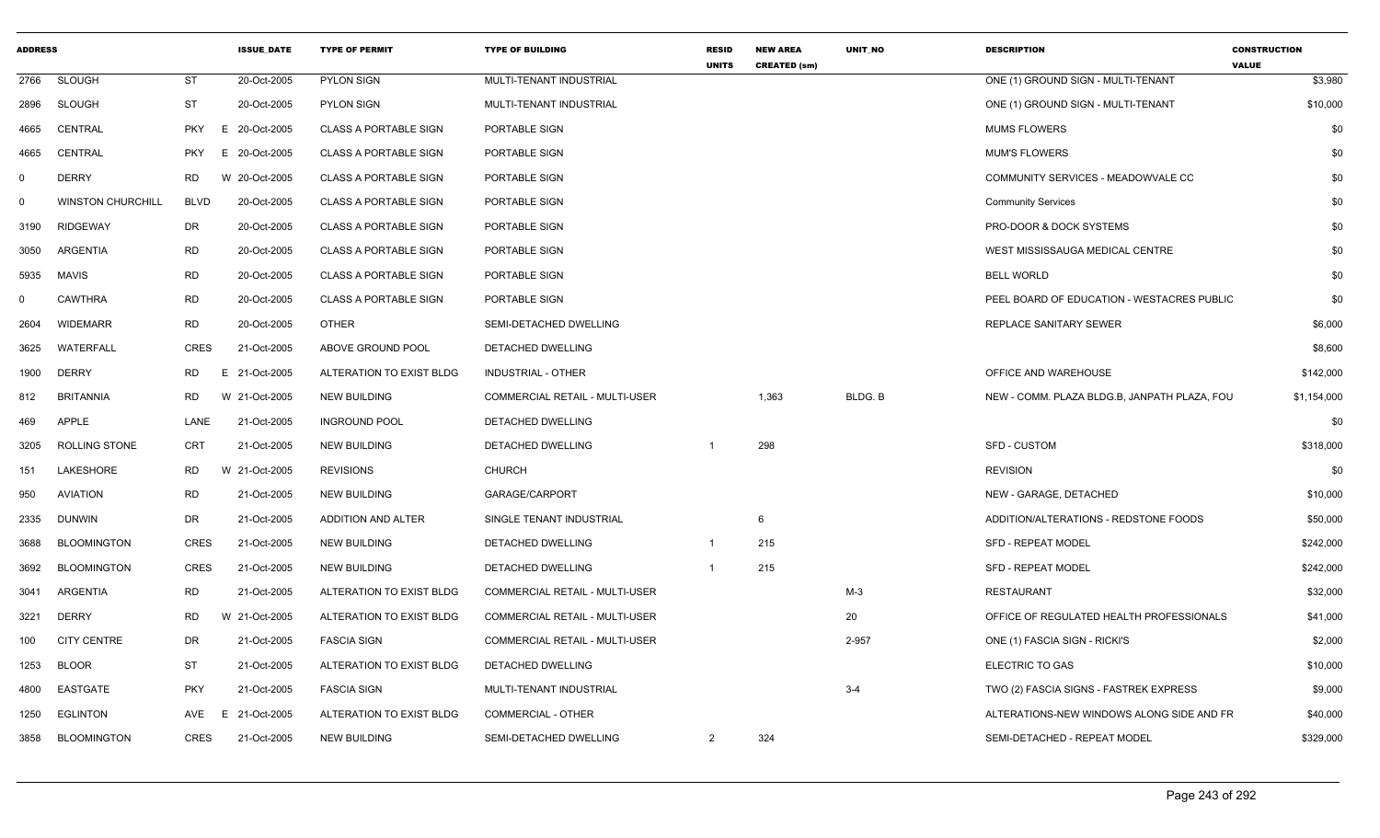| <b>ADDRESS</b> |                          |                 | <b>ISSUE_DATE</b> | <b>TYPE OF PERMIT</b>        | <b>TYPE OF BUILDING</b>               | <b>RESID</b><br><b>UNITS</b> | <b>NEW AREA</b><br><b>CREATED (sm)</b> | UNIT_NO | <b>DESCRIPTION</b>                           | <b>CONSTRUCTION</b><br><b>VALUE</b> |
|----------------|--------------------------|-----------------|-------------------|------------------------------|---------------------------------------|------------------------------|----------------------------------------|---------|----------------------------------------------|-------------------------------------|
| 2766           | <b>SLOUGH</b>            | ST              | 20-Oct-2005       | <b>PYLON SIGN</b>            | MULTI-TENANT INDUSTRIAL               |                              |                                        |         | ONE (1) GROUND SIGN - MULTI-TENANT           | \$3,980                             |
| 2896           | <b>SLOUGH</b>            | ST              | 20-Oct-2005       | PYLON SIGN                   | MULTI-TENANT INDUSTRIAL               |                              |                                        |         | ONE (1) GROUND SIGN - MULTI-TENANT           | \$10,000                            |
| 4665           | <b>CENTRAL</b>           | <b>PKY</b><br>E | 20-Oct-2005       | <b>CLASS A PORTABLE SIGN</b> | PORTABLE SIGN                         |                              |                                        |         | <b>MUMS FLOWERS</b>                          | \$0                                 |
| 4665           | CENTRAL                  | <b>PKY</b><br>E | 20-Oct-2005       | <b>CLASS A PORTABLE SIGN</b> | PORTABLE SIGN                         |                              |                                        |         | <b>MUM'S FLOWERS</b>                         | \$0                                 |
| $\mathbf 0$    | <b>DERRY</b>             | RD              | W 20-Oct-2005     | <b>CLASS A PORTABLE SIGN</b> | PORTABLE SIGN                         |                              |                                        |         | COMMUNITY SERVICES - MEADOWVALE CC           | \$0                                 |
| 0              | <b>WINSTON CHURCHILL</b> | <b>BLVD</b>     | 20-Oct-2005       | <b>CLASS A PORTABLE SIGN</b> | PORTABLE SIGN                         |                              |                                        |         | <b>Community Services</b>                    | \$0                                 |
| 3190           | <b>RIDGEWAY</b>          | DR              | 20-Oct-2005       | <b>CLASS A PORTABLE SIGN</b> | PORTABLE SIGN                         |                              |                                        |         | PRO-DOOR & DOCK SYSTEMS                      | \$0                                 |
| 3050           | <b>ARGENTIA</b>          | RD              | 20-Oct-2005       | <b>CLASS A PORTABLE SIGN</b> | PORTABLE SIGN                         |                              |                                        |         | WEST MISSISSAUGA MEDICAL CENTRE              | \$0                                 |
| 5935           | MAVIS                    | <b>RD</b>       | 20-Oct-2005       | <b>CLASS A PORTABLE SIGN</b> | PORTABLE SIGN                         |                              |                                        |         | <b>BELL WORLD</b>                            | \$0                                 |
| $\Omega$       | <b>CAWTHRA</b>           | <b>RD</b>       | 20-Oct-2005       | <b>CLASS A PORTABLE SIGN</b> | PORTABLE SIGN                         |                              |                                        |         | PEEL BOARD OF EDUCATION - WESTACRES PUBLIC   | \$0                                 |
| 2604           | <b>WIDEMARR</b>          | RD              | 20-Oct-2005       | <b>OTHER</b>                 | SEMI-DETACHED DWELLING                |                              |                                        |         | REPLACE SANITARY SEWER                       | \$6,000                             |
| 3625           | WATERFALL                | <b>CRES</b>     | 21-Oct-2005       | ABOVE GROUND POOL            | DETACHED DWELLING                     |                              |                                        |         |                                              | \$8,600                             |
| 1900           | <b>DERRY</b>             | <b>RD</b>       | E 21-Oct-2005     | ALTERATION TO EXIST BLDG     | <b>INDUSTRIAL - OTHER</b>             |                              |                                        |         | OFFICE AND WAREHOUSE                         | \$142,000                           |
| 812            | <b>BRITANNIA</b>         | RD              | W 21-Oct-2005     | <b>NEW BUILDING</b>          | COMMERCIAL RETAIL - MULTI-USER        |                              | 1,363                                  | BLDG. B | NEW - COMM. PLAZA BLDG.B, JANPATH PLAZA, FOU | \$1,154,000                         |
| 469            | APPLE                    | LANE            | 21-Oct-2005       | <b>INGROUND POOL</b>         | DETACHED DWELLING                     |                              |                                        |         |                                              | \$0                                 |
| 3205           | <b>ROLLING STONE</b>     | <b>CRT</b>      | 21-Oct-2005       | <b>NEW BUILDING</b>          | DETACHED DWELLING                     | $\overline{1}$               | 298                                    |         | <b>SFD - CUSTOM</b>                          | \$318,000                           |
| 151            | LAKESHORE                | RD              | W 21-Oct-2005     | <b>REVISIONS</b>             | <b>CHURCH</b>                         |                              |                                        |         | <b>REVISION</b>                              | \$0                                 |
| 950            | <b>AVIATION</b>          | RD              | 21-Oct-2005       | <b>NEW BUILDING</b>          | GARAGE/CARPORT                        |                              |                                        |         | NEW - GARAGE, DETACHED                       | \$10,000                            |
| 2335           | <b>DUNWIN</b>            | DR              | 21-Oct-2005       | ADDITION AND ALTER           | SINGLE TENANT INDUSTRIAL              |                              | - 6                                    |         | ADDITION/ALTERATIONS - REDSTONE FOODS        | \$50,000                            |
| 3688           | <b>BLOOMINGTON</b>       | <b>CRES</b>     | 21-Oct-2005       | <b>NEW BUILDING</b>          | DETACHED DWELLING                     | $\overline{1}$               | 215                                    |         | SFD - REPEAT MODEL                           | \$242,000                           |
| 3692           | <b>BLOOMINGTON</b>       | <b>CRES</b>     | 21-Oct-2005       | <b>NEW BUILDING</b>          | DETACHED DWELLING                     | $\overline{1}$               | 215                                    |         | <b>SFD - REPEAT MODEL</b>                    | \$242,000                           |
| 3041           | ARGENTIA                 | <b>RD</b>       | 21-Oct-2005       | ALTERATION TO EXIST BLDG     | COMMERCIAL RETAIL - MULTI-USER        |                              |                                        | $M-3$   | RESTAURANT                                   | \$32,000                            |
| 3221           | <b>DERRY</b>             | <b>RD</b>       | W 21-Oct-2005     | ALTERATION TO EXIST BLDG     | <b>COMMERCIAL RETAIL - MULTI-USER</b> |                              |                                        | 20      | OFFICE OF REGULATED HEALTH PROFESSIONALS     | \$41,000                            |
| 100            | <b>CITY CENTRE</b>       | DR              | 21-Oct-2005       | <b>FASCIA SIGN</b>           | COMMERCIAL RETAIL - MULTI-USER        |                              |                                        | 2-957   | ONE (1) FASCIA SIGN - RICKI'S                | \$2,000                             |
| 1253           | <b>BLOOR</b>             | ST              | 21-Oct-2005       | ALTERATION TO EXIST BLDG     | DETACHED DWELLING                     |                              |                                        |         | <b>ELECTRIC TO GAS</b>                       | \$10,000                            |
| 4800           | EASTGATE                 | <b>PKY</b>      | 21-Oct-2005       | <b>FASCIA SIGN</b>           | MULTI-TENANT INDUSTRIAL               |                              |                                        | $3 - 4$ | TWO (2) FASCIA SIGNS - FASTREK EXPRESS       | \$9,000                             |
| 1250           | EGLINTON                 |                 | AVE E 21-Oct-2005 | ALTERATION TO EXIST BLDG     | <b>COMMERCIAL - OTHER</b>             |                              |                                        |         | ALTERATIONS-NEW WINDOWS ALONG SIDE AND FR    | \$40,000                            |
| 3858           | <b>BLOOMINGTON</b>       | <b>CRES</b>     | 21-Oct-2005       | NEW BUILDING                 | SEMI-DETACHED DWELLING                | $\overline{2}$               | 324                                    |         | SEMI-DETACHED - REPEAT MODEL                 | \$329,000                           |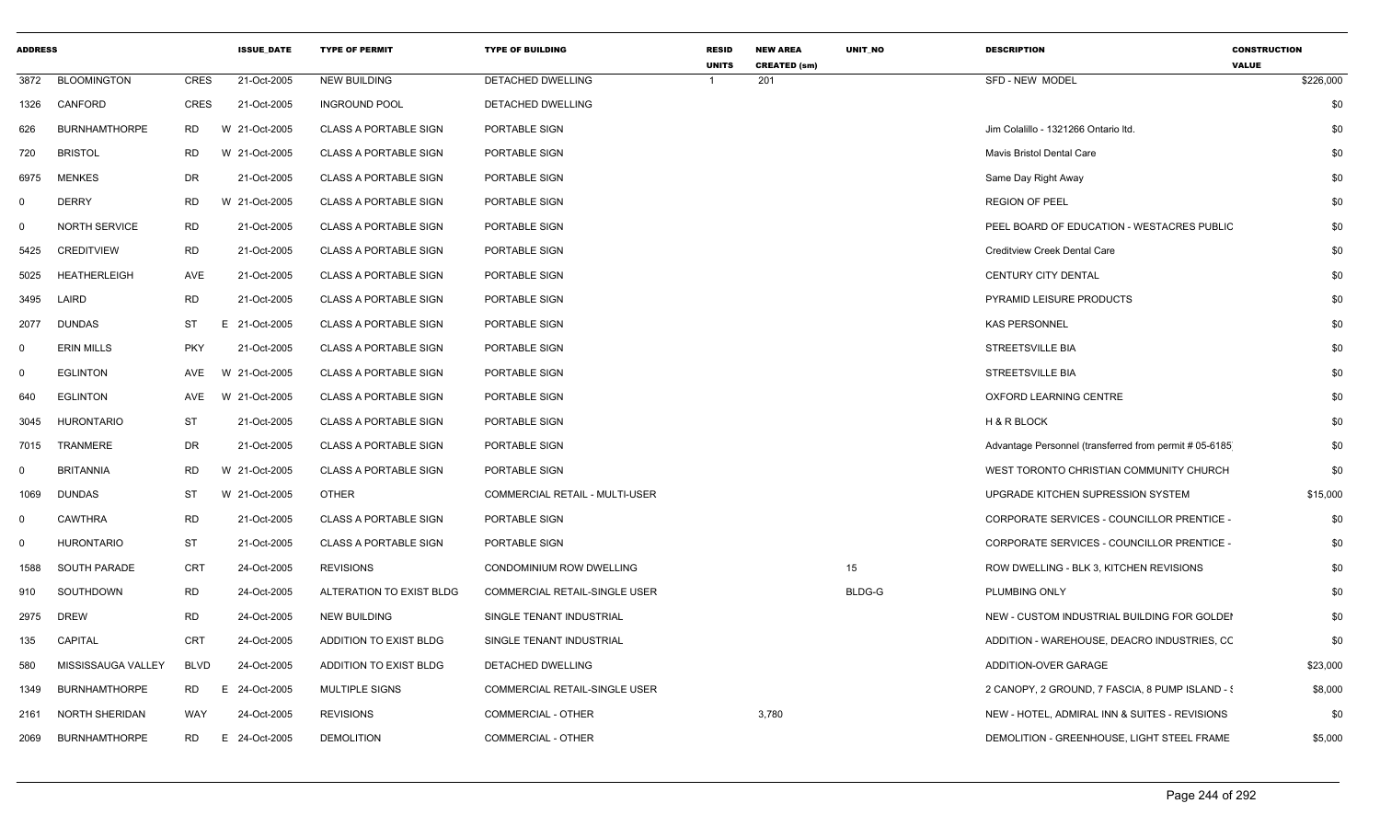| <b>ADDRESS</b> |                      |             | <b>ISSUE_DATE</b> | <b>TYPE OF PERMIT</b>        | <b>TYPE OF BUILDING</b>              | <b>RESID</b><br><b>UNITS</b> | <b>NEW AREA</b><br><b>CREATED (sm)</b> | UNIT_NO       | <b>DESCRIPTION</b>                                     | <b>CONSTRUCTION</b><br><b>VALUE</b> |           |
|----------------|----------------------|-------------|-------------------|------------------------------|--------------------------------------|------------------------------|----------------------------------------|---------------|--------------------------------------------------------|-------------------------------------|-----------|
| 3872           | <b>BLOOMINGTON</b>   | <b>CRES</b> | 21-Oct-2005       | <b>NEW BUILDING</b>          | DETACHED DWELLING                    |                              | 201                                    |               | SFD - NEW MODEL                                        |                                     | \$226,000 |
| 1326           | CANFORD              | CRES        | 21-Oct-2005       | <b>INGROUND POOL</b>         | DETACHED DWELLING                    |                              |                                        |               |                                                        |                                     | \$0       |
| 626            | <b>BURNHAMTHORPE</b> | <b>RD</b>   | W 21-Oct-2005     | <b>CLASS A PORTABLE SIGN</b> | PORTABLE SIGN                        |                              |                                        |               | Jim Colalillo - 1321266 Ontario Itd.                   |                                     | \$0       |
| 720            | <b>BRISTOL</b>       | RD          | W 21-Oct-2005     | <b>CLASS A PORTABLE SIGN</b> | PORTABLE SIGN                        |                              |                                        |               | Mavis Bristol Dental Care                              |                                     | \$0       |
| 6975           | <b>MENKES</b>        | DR          | 21-Oct-2005       | <b>CLASS A PORTABLE SIGN</b> | PORTABLE SIGN                        |                              |                                        |               | Same Day Right Away                                    |                                     | \$0       |
| $\Omega$       | <b>DERRY</b>         | <b>RD</b>   | W 21-Oct-2005     | <b>CLASS A PORTABLE SIGN</b> | PORTABLE SIGN                        |                              |                                        |               | <b>REGION OF PEEL</b>                                  |                                     | \$0       |
| - 0            | <b>NORTH SERVICE</b> | <b>RD</b>   | 21-Oct-2005       | <b>CLASS A PORTABLE SIGN</b> | PORTABLE SIGN                        |                              |                                        |               | PEEL BOARD OF EDUCATION - WESTACRES PUBLIC             |                                     | \$0       |
| 5425           | <b>CREDITVIEW</b>    | <b>RD</b>   | 21-Oct-2005       | <b>CLASS A PORTABLE SIGN</b> | PORTABLE SIGN                        |                              |                                        |               | <b>Creditview Creek Dental Care</b>                    |                                     | \$0       |
| 5025           | HEATHERLEIGH         | AVE         | 21-Oct-2005       | <b>CLASS A PORTABLE SIGN</b> | PORTABLE SIGN                        |                              |                                        |               | <b>CENTURY CITY DENTAL</b>                             |                                     | \$0       |
| 3495           | LAIRD                | <b>RD</b>   | 21-Oct-2005       | <b>CLASS A PORTABLE SIGN</b> | PORTABLE SIGN                        |                              |                                        |               | PYRAMID LEISURE PRODUCTS                               |                                     | \$0       |
| 2077           | <b>DUNDAS</b>        | ST          | 21-Oct-2005<br>E. | <b>CLASS A PORTABLE SIGN</b> | PORTABLE SIGN                        |                              |                                        |               | <b>KAS PERSONNEL</b>                                   |                                     | \$0       |
|                | <b>ERIN MILLS</b>    | PKY         | 21-Oct-2005       | <b>CLASS A PORTABLE SIGN</b> | PORTABLE SIGN                        |                              |                                        |               | STREETSVILLE BIA                                       |                                     | \$0       |
|                | <b>EGLINTON</b>      | AVE         | W 21-Oct-2005     | <b>CLASS A PORTABLE SIGN</b> | PORTABLE SIGN                        |                              |                                        |               | <b>STREETSVILLE BIA</b>                                |                                     | \$0       |
| 640            | <b>EGLINTON</b>      | AVE         | W 21-Oct-2005     | <b>CLASS A PORTABLE SIGN</b> | PORTABLE SIGN                        |                              |                                        |               | OXFORD LEARNING CENTRE                                 |                                     | \$0       |
| 3045           | <b>HURONTARIO</b>    | <b>ST</b>   | 21-Oct-2005       | <b>CLASS A PORTABLE SIGN</b> | PORTABLE SIGN                        |                              |                                        |               | H & R BLOCK                                            |                                     | \$0       |
| 7015           | TRANMERE             | DR          | 21-Oct-2005       | <b>CLASS A PORTABLE SIGN</b> | PORTABLE SIGN                        |                              |                                        |               | Advantage Personnel (transferred from permit # 05-6185 |                                     | \$0       |
| - ()           | <b>BRITANNIA</b>     | <b>RD</b>   | W 21-Oct-2005     | <b>CLASS A PORTABLE SIGN</b> | PORTABLE SIGN                        |                              |                                        |               | WEST TORONTO CHRISTIAN COMMUNITY CHURCH                |                                     | \$0       |
| 1069           | <b>DUNDAS</b>        | ST          | W 21-Oct-2005     | <b>OTHER</b>                 | COMMERCIAL RETAIL - MULTI-USER       |                              |                                        |               | UPGRADE KITCHEN SUPRESSION SYSTEM                      |                                     | \$15,000  |
| $\Omega$       | CAWTHRA              | RD          | 21-Oct-2005       | <b>CLASS A PORTABLE SIGN</b> | PORTABLE SIGN                        |                              |                                        |               | CORPORATE SERVICES - COUNCILLOR PRENTICE -             |                                     | \$0       |
| $\Omega$       | <b>HURONTARIO</b>    | <b>ST</b>   | 21-Oct-2005       | <b>CLASS A PORTABLE SIGN</b> | PORTABLE SIGN                        |                              |                                        |               | CORPORATE SERVICES - COUNCILLOR PRENTICE -             |                                     | \$0       |
| 1588           | SOUTH PARADE         | CRT         | 24-Oct-2005       | <b>REVISIONS</b>             | CONDOMINIUM ROW DWELLING             |                              |                                        | 15            | ROW DWELLING - BLK 3, KITCHEN REVISIONS                |                                     | \$0       |
| 910            | SOUTHDOWN            | <b>RD</b>   | 24-Oct-2005       | ALTERATION TO EXIST BLDG     | <b>COMMERCIAL RETAIL-SINGLE USER</b> |                              |                                        | <b>BLDG-G</b> | <b>PLUMBING ONLY</b>                                   |                                     | \$0       |
| 2975           | <b>DREW</b>          | RD          | 24-Oct-2005       | <b>NEW BUILDING</b>          | SINGLE TENANT INDUSTRIAL             |                              |                                        |               | NEW - CUSTOM INDUSTRIAL BUILDING FOR GOLDEI            |                                     | \$0       |
| 135            | <b>CAPITAL</b>       | CRT         | 24-Oct-2005       | ADDITION TO EXIST BLDG       | SINGLE TENANT INDUSTRIAL             |                              |                                        |               | ADDITION - WAREHOUSE, DEACRO INDUSTRIES, CC            |                                     | \$0       |
| 580            | MISSISSAUGA VALLEY   | <b>BLVD</b> | 24-Oct-2005       | ADDITION TO EXIST BLDG       | DETACHED DWELLING                    |                              |                                        |               | ADDITION-OVER GARAGE                                   |                                     | \$23,000  |
| 1349           | <b>BURNHAMTHORPE</b> | RD          | 24-Oct-2005<br>E  | <b>MULTIPLE SIGNS</b>        | <b>COMMERCIAL RETAIL-SINGLE USER</b> |                              |                                        |               | 2 CANOPY, 2 GROUND, 7 FASCIA, 8 PUMP ISLAND - {        |                                     | \$8,000   |
| 2161           | NORTH SHERIDAN       | WAY         | 24-Oct-2005       | <b>REVISIONS</b>             | COMMERCIAL - OTHER                   |                              | 3,780                                  |               | NEW - HOTEL, ADMIRAL INN & SUITES - REVISIONS          |                                     | \$0       |
| 2069           | <b>BURNHAMTHORPE</b> | <b>RD</b>   | 24-Oct-2005<br>E  | <b>DEMOLITION</b>            | <b>COMMERCIAL - OTHER</b>            |                              |                                        |               | DEMOLITION - GREENHOUSE, LIGHT STEEL FRAME             |                                     | \$5,000   |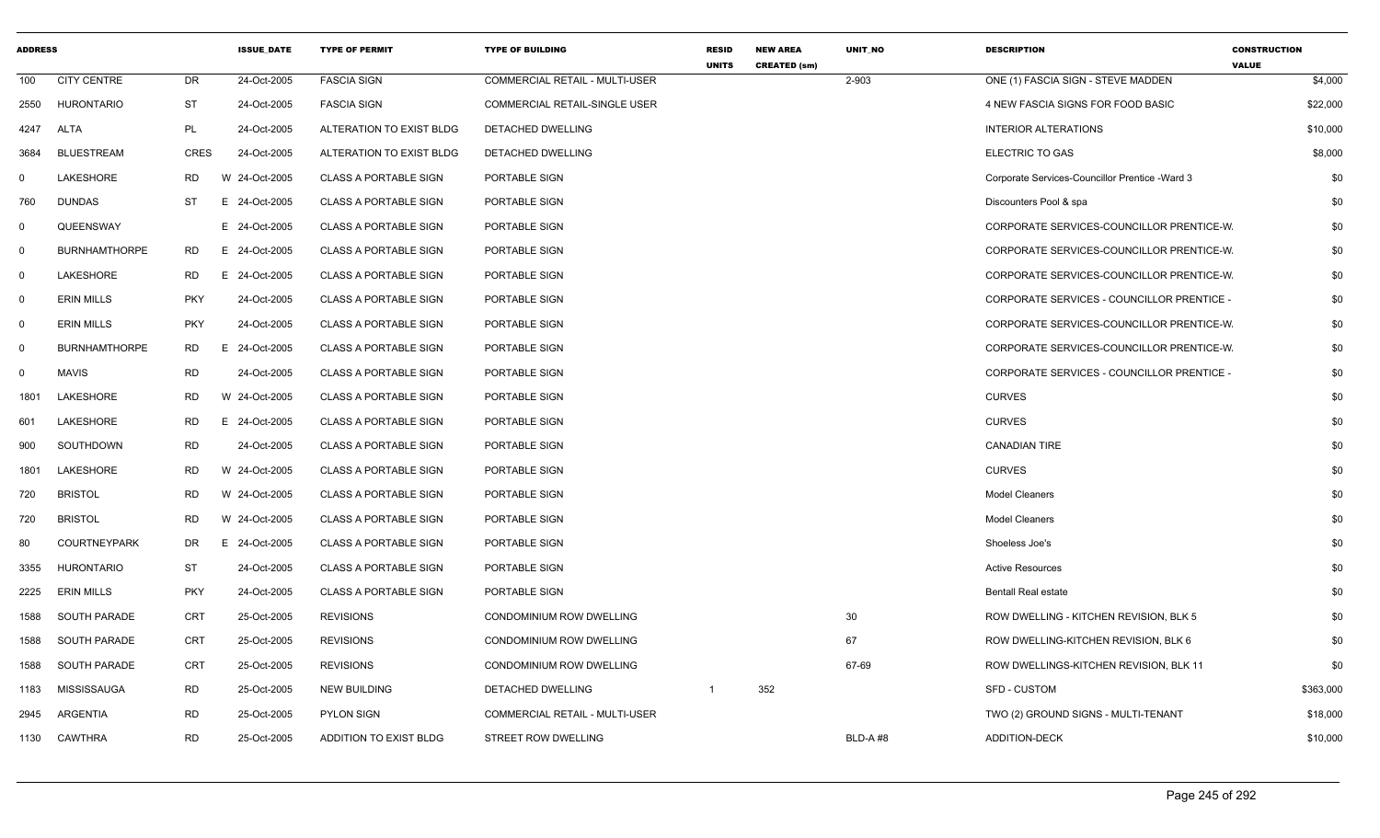| <b>ADDRESS</b> |                      |             | <b>ISSUE_DATE</b> | <b>TYPE OF PERMIT</b>         | <b>TYPE OF BUILDING</b>         | <b>RESID</b><br><b>UNITS</b> | <b>NEW AREA</b><br><b>CREATED (sm)</b> | UNIT_NO | <b>DESCRIPTION</b>                              | <b>CONSTRUCTION</b><br><b>VALUE</b> |
|----------------|----------------------|-------------|-------------------|-------------------------------|---------------------------------|------------------------------|----------------------------------------|---------|-------------------------------------------------|-------------------------------------|
| 100            | <b>CITY CENTRE</b>   | DR          | 24-Oct-2005       | <b>FASCIA SIGN</b>            | COMMERCIAL RETAIL - MULTI-USER  |                              |                                        | 2-903   | ONE (1) FASCIA SIGN - STEVE MADDEN              | \$4,000                             |
| 2550           | <b>HURONTARIO</b>    | ST          | 24-Oct-2005       | <b>FASCIA SIGN</b>            | COMMERCIAL RETAIL-SINGLE USER   |                              |                                        |         | 4 NEW FASCIA SIGNS FOR FOOD BASIC               | \$22,000                            |
| 4247           | ALTA                 | PL          | 24-Oct-2005       | ALTERATION TO EXIST BLDG      | DETACHED DWELLING               |                              |                                        |         | <b>INTERIOR ALTERATIONS</b>                     | \$10,000                            |
| 3684           | <b>BLUESTREAM</b>    | <b>CRES</b> | 24-Oct-2005       | ALTERATION TO EXIST BLDG      | DETACHED DWELLING               |                              |                                        |         | ELECTRIC TO GAS                                 | \$8,000                             |
| $\mathbf 0$    | LAKESHORE            | RD.         | W 24-Oct-2005     | <b>CLASS A PORTABLE SIGN</b>  | PORTABLE SIGN                   |                              |                                        |         | Corporate Services-Councillor Prentice - Ward 3 | \$0                                 |
| 760            | <b>DUNDAS</b>        | <b>ST</b>   | E 24-Oct-2005     | <b>CLASS A PORTABLE SIGN</b>  | PORTABLE SIGN                   |                              |                                        |         | Discounters Pool & spa                          | \$0                                 |
| 0              | QUEENSWAY            |             | E 24-Oct-2005     | <b>CLASS A PORTABLE SIGN</b>  | PORTABLE SIGN                   |                              |                                        |         | CORPORATE SERVICES-COUNCILLOR PRENTICE-W        | \$0                                 |
| $\mathsf{O}$   | <b>BURNHAMTHORPE</b> | <b>RD</b>   | E 24-Oct-2005     | <b>CLASS A PORTABLE SIGN</b>  | PORTABLE SIGN                   |                              |                                        |         | CORPORATE SERVICES-COUNCILLOR PRENTICE-W        | \$0                                 |
| $\mathbf 0$    | LAKESHORE            | RD.         | E 24-Oct-2005     | <b>CLASS A PORTABLE SIGN</b>  | PORTABLE SIGN                   |                              |                                        |         | CORPORATE SERVICES-COUNCILLOR PRENTICE-W        | \$0                                 |
| 0              | <b>ERIN MILLS</b>    | <b>PKY</b>  | 24-Oct-2005       | <b>CLASS A PORTABLE SIGN</b>  | PORTABLE SIGN                   |                              |                                        |         | CORPORATE SERVICES - COUNCILLOR PRENTICE -      | \$0                                 |
| $\mathbf 0$    | <b>ERIN MILLS</b>    | <b>PKY</b>  | 24-Oct-2005       | <b>CLASS A PORTABLE SIGN</b>  | PORTABLE SIGN                   |                              |                                        |         | CORPORATE SERVICES-COUNCILLOR PRENTICE-W        | \$0                                 |
| 0              | <b>BURNHAMTHORPE</b> | <b>RD</b>   | 24-Oct-2005<br>Е. | <b>CLASS A PORTABLE SIGN</b>  | PORTABLE SIGN                   |                              |                                        |         | CORPORATE SERVICES-COUNCILLOR PRENTICE-W        | \$0                                 |
| $\mathbf 0$    | <b>MAVIS</b>         | <b>RD</b>   | 24-Oct-2005       | <b>CLASS A PORTABLE SIGN</b>  | PORTABLE SIGN                   |                              |                                        |         | CORPORATE SERVICES - COUNCILLOR PRENTICE -      | \$0                                 |
| 1801           | LAKESHORE            | <b>RD</b>   | W 24-Oct-2005     | <b>CLASS A PORTABLE SIGN</b>  | PORTABLE SIGN                   |                              |                                        |         | <b>CURVES</b>                                   | \$0                                 |
| 601            | LAKESHORE            | <b>RD</b>   | E 24-Oct-2005     | <b>CLASS A PORTABLE SIGN</b>  | PORTABLE SIGN                   |                              |                                        |         | <b>CURVES</b>                                   | \$0                                 |
| 900            | SOUTHDOWN            | <b>RD</b>   | 24-Oct-2005       | <b>CLASS A PORTABLE SIGN</b>  | PORTABLE SIGN                   |                              |                                        |         | <b>CANADIAN TIRE</b>                            | \$0                                 |
| 1801           | LAKESHORE            | <b>RD</b>   | W 24-Oct-2005     | <b>CLASS A PORTABLE SIGN</b>  | PORTABLE SIGN                   |                              |                                        |         | <b>CURVES</b>                                   | \$0                                 |
| 720            | <b>BRISTOL</b>       | <b>RD</b>   | W 24-Oct-2005     | <b>CLASS A PORTABLE SIGN</b>  | PORTABLE SIGN                   |                              |                                        |         | <b>Model Cleaners</b>                           | \$0                                 |
| 720            | <b>BRISTOL</b>       | <b>RD</b>   | W 24-Oct-2005     | <b>CLASS A PORTABLE SIGN</b>  | PORTABLE SIGN                   |                              |                                        |         | <b>Model Cleaners</b>                           | \$0                                 |
| 80             | <b>COURTNEYPARK</b>  | DR.         | E 24-Oct-2005     | <b>CLASS A PORTABLE SIGN</b>  | PORTABLE SIGN                   |                              |                                        |         | Shoeless Joe's                                  | \$0                                 |
| 3355           | <b>HURONTARIO</b>    | <b>ST</b>   | 24-Oct-2005       | <b>CLASS A PORTABLE SIGN</b>  | PORTABLE SIGN                   |                              |                                        |         | <b>Active Resources</b>                         | \$0                                 |
| 2225           | <b>ERIN MILLS</b>    | <b>PKY</b>  | 24-Oct-2005       | <b>CLASS A PORTABLE SIGN</b>  | PORTABLE SIGN                   |                              |                                        |         | <b>Bentall Real estate</b>                      | \$0                                 |
| 1588           | SOUTH PARADE         | <b>CRT</b>  | 25-Oct-2005       | <b>REVISIONS</b>              | <b>CONDOMINIUM ROW DWELLING</b> |                              |                                        | 30      | ROW DWELLING - KITCHEN REVISION, BLK 5          | \$0                                 |
| 1588           | SOUTH PARADE         | CRT         | 25-Oct-2005       | <b>REVISIONS</b>              | <b>CONDOMINIUM ROW DWELLING</b> |                              |                                        | 67      | ROW DWELLING-KITCHEN REVISION, BLK 6            | \$0                                 |
| 1588           | SOUTH PARADE         | <b>CRT</b>  | 25-Oct-2005       | <b>REVISIONS</b>              | CONDOMINIUM ROW DWELLING        |                              |                                        | 67-69   | ROW DWELLINGS-KITCHEN REVISION, BLK 11          | \$0                                 |
| 1183           | <b>MISSISSAUGA</b>   | RD          | 25-Oct-2005       | <b>NEW BUILDING</b>           | DETACHED DWELLING               | $\overline{1}$               | 352                                    |         | <b>SFD - CUSTOM</b>                             | \$363,000                           |
| 2945           | <b>ARGENTIA</b>      | <b>RD</b>   | 25-Oct-2005       | <b>PYLON SIGN</b>             | COMMERCIAL RETAIL - MULTI-USER  |                              |                                        |         | TWO (2) GROUND SIGNS - MULTI-TENANT             | \$18,000                            |
| 1130           | <b>CAWTHRA</b>       | <b>RD</b>   | 25-Oct-2005       | <b>ADDITION TO EXIST BLDG</b> | STREET ROW DWELLING             |                              |                                        | BLD-A#8 | ADDITION-DECK                                   | \$10,000                            |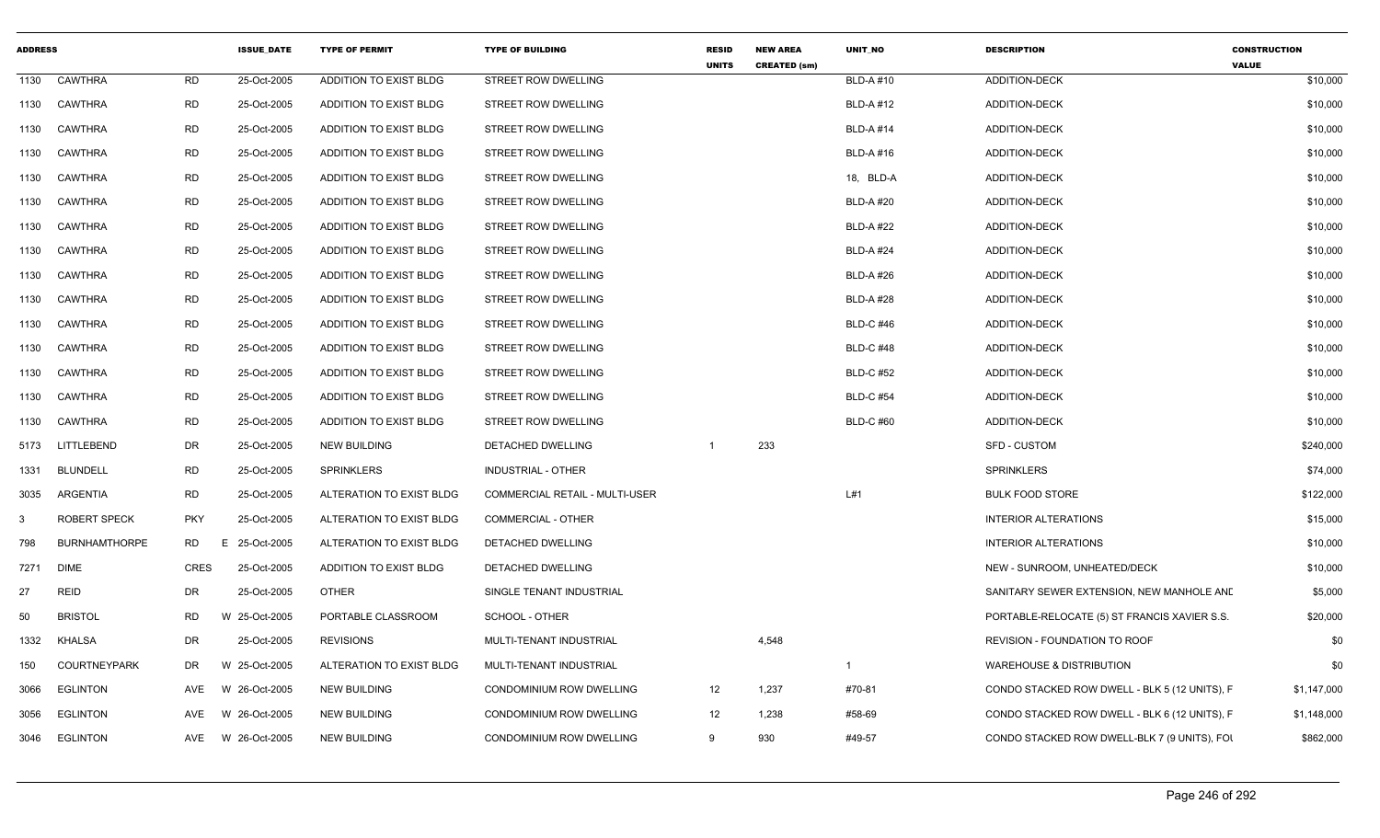| <b>ADDRESS</b> |                      |             | <b>ISSUE DATE</b> | <b>TYPE OF PERMIT</b>    | <b>TYPE OF BUILDING</b>        | <b>RESID</b><br><b>UNITS</b> | <b>NEW AREA</b><br><b>CREATED (sm)</b> | <b>UNIT NO</b>   | <b>DESCRIPTION</b>                            | <b>CONSTRUCTION</b><br><b>VALUE</b> |
|----------------|----------------------|-------------|-------------------|--------------------------|--------------------------------|------------------------------|----------------------------------------|------------------|-----------------------------------------------|-------------------------------------|
| 1130           | <b>CAWTHRA</b>       | <b>RD</b>   | 25-Oct-2005       | ADDITION TO EXIST BLDG   | STREET ROW DWELLING            |                              |                                        | <b>BLD-A#10</b>  | ADDITION-DECK                                 | \$10,000                            |
| 1130           | <b>CAWTHRA</b>       | <b>RD</b>   | 25-Oct-2005       | ADDITION TO EXIST BLDG   | <b>STREET ROW DWELLING</b>     |                              |                                        | <b>BLD-A#12</b>  | ADDITION-DECK                                 | \$10,000                            |
| 1130           | <b>CAWTHRA</b>       | <b>RD</b>   | 25-Oct-2005       | ADDITION TO EXIST BLDG   | <b>STREET ROW DWELLING</b>     |                              |                                        | <b>BLD-A#14</b>  | <b>ADDITION-DECK</b>                          | \$10,000                            |
| 1130           | <b>CAWTHRA</b>       | RD          | 25-Oct-2005       | ADDITION TO EXIST BLDG   | <b>STREET ROW DWELLING</b>     |                              |                                        | <b>BLD-A#16</b>  | ADDITION-DECK                                 | \$10,000                            |
| 1130           | <b>CAWTHRA</b>       | <b>RD</b>   | 25-Oct-2005       | ADDITION TO EXIST BLDG   | STREET ROW DWELLING            |                              |                                        | 18, BLD-A        | ADDITION-DECK                                 | \$10,000                            |
| 1130           | <b>CAWTHRA</b>       | <b>RD</b>   | 25-Oct-2005       | ADDITION TO EXIST BLDG   | STREET ROW DWELLING            |                              |                                        | <b>BLD-A#20</b>  | ADDITION-DECK                                 | \$10,000                            |
| 1130           | <b>CAWTHRA</b>       | <b>RD</b>   | 25-Oct-2005       | ADDITION TO EXIST BLDG   | STREET ROW DWELLING            |                              |                                        | <b>BLD-A#22</b>  | <b>ADDITION-DECK</b>                          | \$10,000                            |
| 1130           | <b>CAWTHRA</b>       | <b>RD</b>   | 25-Oct-2005       | ADDITION TO EXIST BLDG   | <b>STREET ROW DWELLING</b>     |                              |                                        | <b>BLD-A#24</b>  | ADDITION-DECK                                 | \$10,000                            |
| 1130           | <b>CAWTHRA</b>       | <b>RD</b>   | 25-Oct-2005       | ADDITION TO EXIST BLDG   | STREET ROW DWELLING            |                              |                                        | <b>BLD-A#26</b>  | ADDITION-DECK                                 | \$10,000                            |
| 1130           | <b>CAWTHRA</b>       | RD          | 25-Oct-2005       | ADDITION TO EXIST BLDG   | STREET ROW DWELLING            |                              |                                        | <b>BLD-A#28</b>  | ADDITION-DECK                                 | \$10,000                            |
| 1130           | <b>CAWTHRA</b>       | <b>RD</b>   | 25-Oct-2005       | ADDITION TO EXIST BLDG   | STREET ROW DWELLING            |                              |                                        | <b>BLD-C #46</b> | ADDITION-DECK                                 | \$10,000                            |
| 1130           | <b>CAWTHRA</b>       | <b>RD</b>   | 25-Oct-2005       | ADDITION TO EXIST BLDG   | STREET ROW DWELLING            |                              |                                        | <b>BLD-C #48</b> | ADDITION-DECK                                 | \$10,000                            |
| 1130           | <b>CAWTHRA</b>       | <b>RD</b>   | 25-Oct-2005       | ADDITION TO EXIST BLDG   | <b>STREET ROW DWELLING</b>     |                              |                                        | <b>BLD-C #52</b> | ADDITION-DECK                                 | \$10,000                            |
| 1130           | <b>CAWTHRA</b>       | <b>RD</b>   | 25-Oct-2005       | ADDITION TO EXIST BLDG   | <b>STREET ROW DWELLING</b>     |                              |                                        | <b>BLD-C #54</b> | ADDITION-DECK                                 | \$10,000                            |
| 1130           | CAWTHRA              | <b>RD</b>   | 25-Oct-2005       | ADDITION TO EXIST BLDG   | STREET ROW DWELLING            |                              |                                        | <b>BLD-C#60</b>  | <b>ADDITION-DECK</b>                          | \$10,000                            |
| 5173           | LITTLEBEND           | DR          | 25-Oct-2005       | <b>NEW BUILDING</b>      | DETACHED DWELLING              |                              | 233                                    |                  | SFD - CUSTOM                                  | \$240,000                           |
| 1331           | <b>BLUNDELL</b>      | <b>RD</b>   | 25-Oct-2005       | <b>SPRINKLERS</b>        | <b>INDUSTRIAL - OTHER</b>      |                              |                                        |                  | <b>SPRINKLERS</b>                             | \$74,000                            |
| 3035           | ARGENTIA             | <b>RD</b>   | 25-Oct-2005       | ALTERATION TO EXIST BLDG | COMMERCIAL RETAIL - MULTI-USER |                              |                                        | L#1              | <b>BULK FOOD STORE</b>                        | \$122,000                           |
| 3              | <b>ROBERT SPECK</b>  | <b>PKY</b>  | 25-Oct-2005       | ALTERATION TO EXIST BLDG | <b>COMMERCIAL - OTHER</b>      |                              |                                        |                  | <b>INTERIOR ALTERATIONS</b>                   | \$15,000                            |
| 798            | <b>BURNHAMTHORPE</b> | <b>RD</b>   | E 25-Oct-2005     | ALTERATION TO EXIST BLDG | DETACHED DWELLING              |                              |                                        |                  | <b>INTERIOR ALTERATIONS</b>                   | \$10,000                            |
| 7271           | <b>DIME</b>          | <b>CRES</b> | 25-Oct-2005       | ADDITION TO EXIST BLDG   | DETACHED DWELLING              |                              |                                        |                  | NEW - SUNROOM, UNHEATED/DECK                  | \$10,000                            |
| 27             | <b>REID</b>          | DR          | 25-Oct-2005       | <b>OTHER</b>             | SINGLE TENANT INDUSTRIAL       |                              |                                        |                  | SANITARY SEWER EXTENSION, NEW MANHOLE AND     | \$5,000                             |
| 50             | <b>BRISTOL</b>       | RD          | W 25-Oct-2005     | PORTABLE CLASSROOM       | SCHOOL - OTHER                 |                              |                                        |                  | PORTABLE-RELOCATE (5) ST FRANCIS XAVIER S.S.  | \$20,000                            |
| 1332           | <b>KHALSA</b>        | DR          | 25-Oct-2005       | <b>REVISIONS</b>         | MULTI-TENANT INDUSTRIAL        |                              | 4,548                                  |                  | REVISION - FOUNDATION TO ROOF                 | \$0                                 |
| 150            | <b>COURTNEYPARK</b>  | DR          | W 25-Oct-2005     | ALTERATION TO EXIST BLDG | MULTI-TENANT INDUSTRIAL        |                              |                                        |                  | <b>WAREHOUSE &amp; DISTRIBUTION</b>           | \$0                                 |
| 3066           | <b>EGLINTON</b>      | AVE         | W 26-Oct-2005     | <b>NEW BUILDING</b>      | CONDOMINIUM ROW DWELLING       | 12                           | 1,237                                  | #70-81           | CONDO STACKED ROW DWELL - BLK 5 (12 UNITS), F | \$1,147,000                         |
| 3056           | <b>EGLINTON</b>      | AVE         | W 26-Oct-2005     | <b>NEW BUILDING</b>      | CONDOMINIUM ROW DWELLING       | 12                           | 1,238                                  | #58-69           | CONDO STACKED ROW DWELL - BLK 6 (12 UNITS), F | \$1,148,000                         |
| 3046           | <b>EGLINTON</b>      | AVE         | W 26-Oct-2005     | <b>NEW BUILDING</b>      | CONDOMINIUM ROW DWELLING       | 9                            | 930                                    | #49-57           | CONDO STACKED ROW DWELL-BLK 7 (9 UNITS), FOI  | \$862,000                           |
|                |                      |             |                   |                          |                                |                              |                                        |                  |                                               |                                     |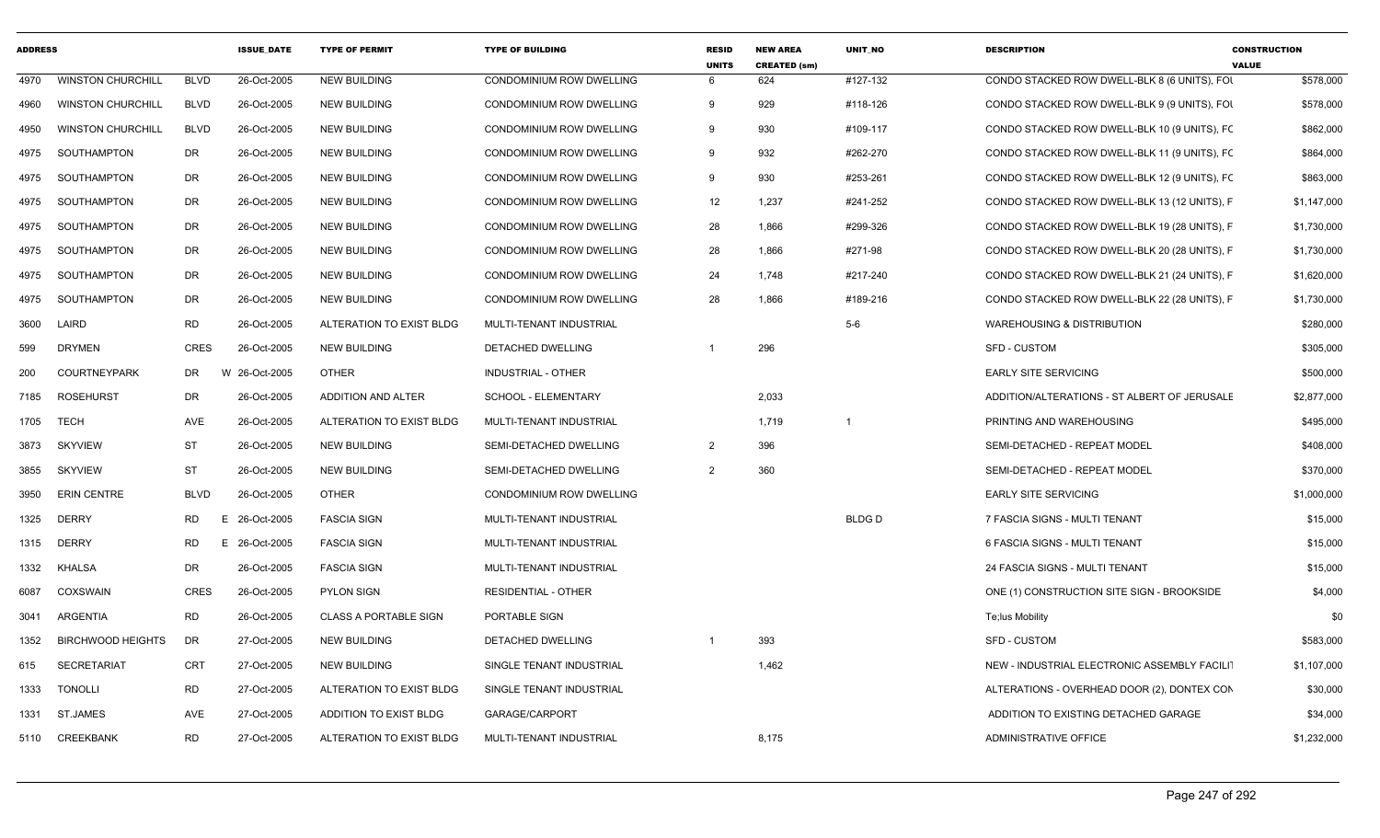| <b>ADDRESS</b> |                          |             | <b>ISSUE_DATE</b> | <b>TYPE OF PERMIT</b>        | <b>TYPE OF BUILDING</b>    | <b>RESID</b><br><b>UNITS</b> | <b>NEW AREA</b><br><b>CREATED (sm)</b> | UNIT_NO      | <b>DESCRIPTION</b>                           | <b>CONSTRUCTION</b><br><b>VALUE</b> |
|----------------|--------------------------|-------------|-------------------|------------------------------|----------------------------|------------------------------|----------------------------------------|--------------|----------------------------------------------|-------------------------------------|
| 4970           | <b>WINSTON CHURCHILL</b> | <b>BLVD</b> | 26-Oct-2005       | <b>NEW BUILDING</b>          | CONDOMINIUM ROW DWELLING   | -6                           | 624                                    | #127-132     | CONDO STACKED ROW DWELL-BLK 8 (6 UNITS), FOI | \$578,000                           |
| 4960           | <b>WINSTON CHURCHILL</b> | <b>BLVD</b> | 26-Oct-2005       | <b>NEW BUILDING</b>          | CONDOMINIUM ROW DWELLING   | 9                            | 929                                    | #118-126     | CONDO STACKED ROW DWELL-BLK 9 (9 UNITS), FOI | \$578,000                           |
| 4950           | <b>WINSTON CHURCHILL</b> | <b>BLVD</b> | 26-Oct-2005       | <b>NEW BUILDING</b>          | CONDOMINIUM ROW DWELLING   | 9                            | 930                                    | #109-117     | CONDO STACKED ROW DWELL-BLK 10 (9 UNITS), FC | \$862,000                           |
| 4975           | SOUTHAMPTON              | DR          | 26-Oct-2005       | <b>NEW BUILDING</b>          | CONDOMINIUM ROW DWELLING   | 9                            | 932                                    | #262-270     | CONDO STACKED ROW DWELL-BLK 11 (9 UNITS), FC | \$864,000                           |
| 4975           | SOUTHAMPTON              | DR          | 26-Oct-2005       | <b>NEW BUILDING</b>          | CONDOMINIUM ROW DWELLING   | -9                           | 930                                    | #253-261     | CONDO STACKED ROW DWELL-BLK 12 (9 UNITS), FC | \$863,000                           |
| 4975           | SOUTHAMPTON              | DR          | 26-Oct-2005       | <b>NEW BUILDING</b>          | CONDOMINIUM ROW DWELLING   | 12                           | 1,237                                  | #241-252     | CONDO STACKED ROW DWELL-BLK 13 (12 UNITS), F | \$1,147,000                         |
| 4975           | SOUTHAMPTON              | DR          | 26-Oct-2005       | <b>NEW BUILDING</b>          | CONDOMINIUM ROW DWELLING   | 28                           | 1,866                                  | #299-326     | CONDO STACKED ROW DWELL-BLK 19 (28 UNITS), F | \$1,730,000                         |
| 4975           | SOUTHAMPTON              | DR          | 26-Oct-2005       | <b>NEW BUILDING</b>          | CONDOMINIUM ROW DWELLING   | 28                           | 1,866                                  | #271-98      | CONDO STACKED ROW DWELL-BLK 20 (28 UNITS), F | \$1,730,000                         |
| 4975           | SOUTHAMPTON              | <b>DR</b>   | 26-Oct-2005       | <b>NEW BUILDING</b>          | CONDOMINIUM ROW DWELLING   | 24                           | 1,748                                  | #217-240     | CONDO STACKED ROW DWELL-BLK 21 (24 UNITS), F | \$1,620,000                         |
| 4975           | <b>SOUTHAMPTON</b>       | <b>DR</b>   | 26-Oct-2005       | <b>NEW BUILDING</b>          | CONDOMINIUM ROW DWELLING   | 28                           | 1,866                                  | #189-216     | CONDO STACKED ROW DWELL-BLK 22 (28 UNITS), F | \$1,730,000                         |
| 3600           | LAIRD                    | <b>RD</b>   | 26-Oct-2005       | ALTERATION TO EXIST BLDG     | MULTI-TENANT INDUSTRIAL    |                              |                                        | $5-6$        | <b>WAREHOUSING &amp; DISTRIBUTION</b>        | \$280,000                           |
| 599            | <b>DRYMEN</b>            | <b>CRES</b> | 26-Oct-2005       | <b>NEW BUILDING</b>          | DETACHED DWELLING          |                              | 296                                    |              | SFD - CUSTOM                                 | \$305,000                           |
| 200            | <b>COURTNEYPARK</b>      | DR          | W 26-Oct-2005     | <b>OTHER</b>                 | <b>INDUSTRIAL - OTHER</b>  |                              |                                        |              | <b>EARLY SITE SERVICING</b>                  | \$500,000                           |
| 7185           | <b>ROSEHURST</b>         | DR          | 26-Oct-2005       | <b>ADDITION AND ALTER</b>    | SCHOOL - ELEMENTARY        |                              | 2,033                                  |              | ADDITION/ALTERATIONS - ST ALBERT OF JERUSALE | \$2,877,000                         |
| 1705           | <b>TECH</b>              | AVE         | 26-Oct-2005       | ALTERATION TO EXIST BLDG     | MULTI-TENANT INDUSTRIAL    |                              | 1,719                                  | - 1          | PRINTING AND WAREHOUSING                     | \$495,000                           |
| 3873           | <b>SKYVIEW</b>           | <b>ST</b>   | 26-Oct-2005       | <b>NEW BUILDING</b>          | SEMI-DETACHED DWELLING     | 2                            | 396                                    |              | SEMI-DETACHED - REPEAT MODEL                 | \$408,000                           |
| 3855           | <b>SKYVIEW</b>           | ST          | 26-Oct-2005       | <b>NEW BUILDING</b>          | SEMI-DETACHED DWELLING     | 2                            | 360                                    |              | SEMI-DETACHED - REPEAT MODEL                 | \$370,000                           |
| 3950           | <b>ERIN CENTRE</b>       | <b>BLVD</b> | 26-Oct-2005       | <b>OTHER</b>                 | CONDOMINIUM ROW DWELLING   |                              |                                        |              | <b>EARLY SITE SERVICING</b>                  | \$1,000,000                         |
| 1325           | <b>DERRY</b>             | RD.<br>E    | 26-Oct-2005       | <b>FASCIA SIGN</b>           | MULTI-TENANT INDUSTRIAL    |                              |                                        | <b>BLDGD</b> | 7 FASCIA SIGNS - MULTI TENANT                | \$15,000                            |
| 1315           | DERRY                    | <b>RD</b>   | 26-Oct-2005<br>E. | <b>FASCIA SIGN</b>           | MULTI-TENANT INDUSTRIAL    |                              |                                        |              | 6 FASCIA SIGNS - MULTI TENANT                | \$15,000                            |
| 1332           | <b>KHALSA</b>            | <b>DR</b>   | 26-Oct-2005       | <b>FASCIA SIGN</b>           | MULTI-TENANT INDUSTRIAL    |                              |                                        |              | 24 FASCIA SIGNS - MULTI TENANT               | \$15,000                            |
| 6087           | <b>COXSWAIN</b>          | <b>CRES</b> | 26-Oct-2005       | PYLON SIGN                   | <b>RESIDENTIAL - OTHER</b> |                              |                                        |              | ONE (1) CONSTRUCTION SITE SIGN - BROOKSIDE   | \$4,000                             |
| 3041           | <b>ARGENTIA</b>          | <b>RD</b>   | 26-Oct-2005       | <b>CLASS A PORTABLE SIGN</b> | PORTABLE SIGN              |                              |                                        |              | Te;lus Mobility                              | \$0                                 |
| 1352           | <b>BIRCHWOOD HEIGHTS</b> | DR          | 27-Oct-2005       | <b>NEW BUILDING</b>          | DETACHED DWELLING          | -1                           | 393                                    |              | SFD - CUSTOM                                 | \$583,000                           |
| 615            | <b>SECRETARIAT</b>       | <b>CRT</b>  | 27-Oct-2005       | <b>NEW BUILDING</b>          | SINGLE TENANT INDUSTRIAL   |                              | 1,462                                  |              | NEW - INDUSTRIAL ELECTRONIC ASSEMBLY FACILIT | \$1,107,000                         |
| 1333           | <b>TONOLLI</b>           | <b>RD</b>   | 27-Oct-2005       | ALTERATION TO EXIST BLDG     | SINGLE TENANT INDUSTRIAL   |                              |                                        |              | ALTERATIONS - OVERHEAD DOOR (2), DONTEX CON  | \$30,000                            |
| 1331           | ST.JAMES                 | AVE         | 27-Oct-2005       | ADDITION TO EXIST BLDG       | GARAGE/CARPORT             |                              |                                        |              | ADDITION TO EXISTING DETACHED GARAGE         | \$34,000                            |
| 5110           | CREEKBANK                | <b>RD</b>   | 27-Oct-2005       | ALTERATION TO EXIST BLDG     | MULTI-TENANT INDUSTRIAL    |                              | 8,175                                  |              | ADMINISTRATIVE OFFICE                        | \$1,232,000                         |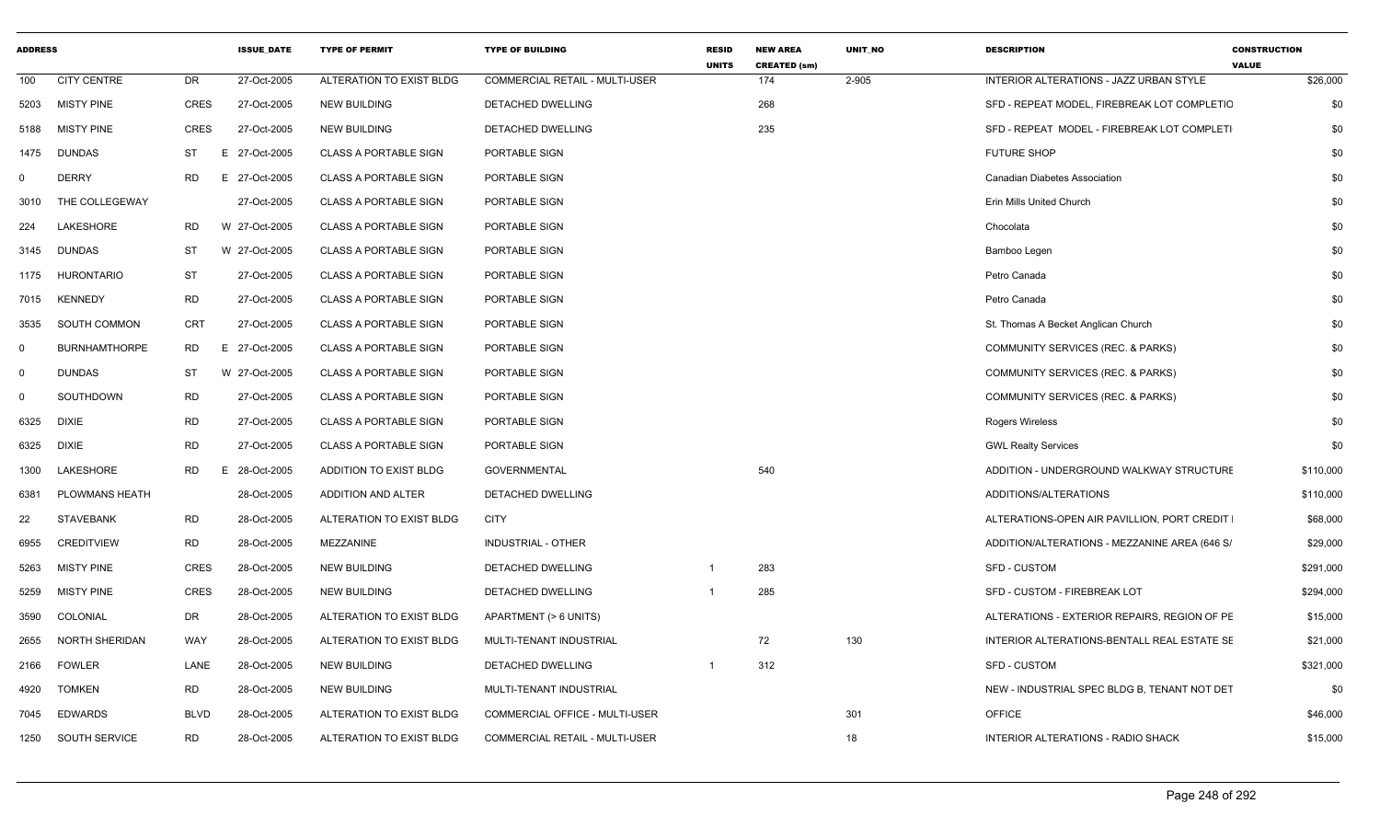| <b>ADDRESS</b> |                      |            | <b>ISSUE DATE</b> | <b>TYPE OF PERMIT</b>        | <b>TYPE OF BUILDING</b>        | <b>RESID</b><br><b>UNITS</b> | <b>NEW AREA</b><br><b>CREATED (sm)</b> | UNIT NO | <b>DESCRIPTION</b>                            | <b>CONSTRUCTION</b><br><b>VALUE</b> |
|----------------|----------------------|------------|-------------------|------------------------------|--------------------------------|------------------------------|----------------------------------------|---------|-----------------------------------------------|-------------------------------------|
| 100            | <b>CITY CENTRE</b>   | DR         | 27-Oct-2005       | ALTERATION TO EXIST BLDG     | COMMERCIAL RETAIL - MULTI-USER |                              | 174                                    | 2-905   | INTERIOR ALTERATIONS - JAZZ URBAN STYLE       | \$26,000                            |
| 5203           | <b>MISTY PINE</b>    | CRES       | 27-Oct-2005       | <b>NEW BUILDING</b>          | DETACHED DWELLING              |                              | 268                                    |         | SFD - REPEAT MODEL, FIREBREAK LOT COMPLETIC   | \$0                                 |
| 5188           | <b>MISTY PINE</b>    | CRES       | 27-Oct-2005       | <b>NEW BUILDING</b>          | DETACHED DWELLING              |                              | 235                                    |         | SFD - REPEAT MODEL - FIREBREAK LOT COMPLETI   | \$0                                 |
| 1475           | DUNDAS               | ST<br>E    | 27-Oct-2005       | CLASS A PORTABLE SIGN        | PORTABLE SIGN                  |                              |                                        |         | <b>FUTURE SHOP</b>                            | \$0                                 |
| $^{\circ}$     | <b>DERRY</b>         | RD         | E 27-Oct-2005     | <b>CLASS A PORTABLE SIGN</b> | PORTABLE SIGN                  |                              |                                        |         | Canadian Diabetes Association                 | \$0                                 |
| 3010           | THE COLLEGEWAY       |            | 27-Oct-2005       | <b>CLASS A PORTABLE SIGN</b> | PORTABLE SIGN                  |                              |                                        |         | Erin Mills United Church                      | \$0                                 |
| 224            | LAKESHORE            | RD         | W 27-Oct-2005     | <b>CLASS A PORTABLE SIGN</b> | PORTABLE SIGN                  |                              |                                        |         | Chocolata                                     | \$0                                 |
| 3145           | <b>DUNDAS</b>        | ST         | W 27-Oct-2005     | <b>CLASS A PORTABLE SIGN</b> | PORTABLE SIGN                  |                              |                                        |         | Bamboo Legen                                  | \$0                                 |
| 1175           | HURONTARIO           | <b>ST</b>  | 27-Oct-2005       | <b>CLASS A PORTABLE SIGN</b> | PORTABLE SIGN                  |                              |                                        |         | Petro Canada                                  | \$0                                 |
| 7015           | <b>KENNEDY</b>       | RD         | 27-Oct-2005       | <b>CLASS A PORTABLE SIGN</b> | PORTABLE SIGN                  |                              |                                        |         | Petro Canada                                  | \$0                                 |
| 3535           | SOUTH COMMON         | <b>CRT</b> | 27-Oct-2005       | <b>CLASS A PORTABLE SIGN</b> | PORTABLE SIGN                  |                              |                                        |         | St. Thomas A Becket Anglican Church           | \$0                                 |
| 0              | <b>BURNHAMTHORPE</b> | RD         | E 27-Oct-2005     | <b>CLASS A PORTABLE SIGN</b> | PORTABLE SIGN                  |                              |                                        |         | <b>COMMUNITY SERVICES (REC. &amp; PARKS)</b>  | \$0                                 |
| 0              | <b>DUNDAS</b>        | <b>ST</b>  | W 27-Oct-2005     | <b>CLASS A PORTABLE SIGN</b> | PORTABLE SIGN                  |                              |                                        |         | COMMUNITY SERVICES (REC. & PARKS)             | \$0                                 |
| $\Omega$       | SOUTHDOWN            | <b>RD</b>  | 27-Oct-2005       | CLASS A PORTABLE SIGN        | PORTABLE SIGN                  |                              |                                        |         | COMMUNITY SERVICES (REC. & PARKS)             | \$0                                 |
| 6325           | DIXIE                | <b>RD</b>  | 27-Oct-2005       | <b>CLASS A PORTABLE SIGN</b> | PORTABLE SIGN                  |                              |                                        |         | <b>Rogers Wireless</b>                        | \$0                                 |
| 6325           | DIXIE                | <b>RD</b>  | 27-Oct-2005       | <b>CLASS A PORTABLE SIGN</b> | PORTABLE SIGN                  |                              |                                        |         | <b>GWL Realty Services</b>                    | \$0                                 |
| 1300           | LAKESHORE            | RD         | E 28-Oct-2005     | ADDITION TO EXIST BLDG       | <b>GOVERNMENTAL</b>            |                              | 540                                    |         | ADDITION - UNDERGROUND WALKWAY STRUCTURE      | \$110,000                           |
| 6381           | PLOWMANS HEATH       |            | 28-Oct-2005       | ADDITION AND ALTER           | DETACHED DWELLING              |                              |                                        |         | ADDITIONS/ALTERATIONS                         | \$110,000                           |
| 22             | <b>STAVEBANK</b>     | <b>RD</b>  | 28-Oct-2005       | ALTERATION TO EXIST BLDG     | <b>CITY</b>                    |                              |                                        |         | ALTERATIONS-OPEN AIR PAVILLION, PORT CREDIT   | \$68,000                            |
| 6955           | <b>CREDITVIEW</b>    | <b>RD</b>  | 28-Oct-2005       | MEZZANINE                    | INDUSTRIAL - OTHER             |                              |                                        |         | ADDITION/ALTERATIONS - MEZZANINE AREA (646 S/ | \$29,000                            |
| 5263           | <b>MISTY PINE</b>    | CRES       | 28-Oct-2005       | <b>NEW BUILDING</b>          | <b>DETACHED DWELLING</b>       |                              | 283                                    |         | SFD - CUSTOM                                  | \$291,000                           |
| 5259           | <b>MISTY PINE</b>    | CRES       | 28-Oct-2005       | <b>NEW BUILDING</b>          | DETACHED DWELLING              |                              | 285                                    |         | SFD - CUSTOM - FIREBREAK LOT                  | \$294,000                           |
| 3590           | COLONIAL             | DR         | 28-Oct-2005       | ALTERATION TO EXIST BLDG     | APARTMENT (> 6 UNITS)          |                              |                                        |         | ALTERATIONS - EXTERIOR REPAIRS, REGION OF PE  | \$15,000                            |
| 2655           | NORTH SHERIDAN       | WAY        | 28-Oct-2005       | ALTERATION TO EXIST BLDG     | MULTI-TENANT INDUSTRIAL        |                              | 72                                     | 130     | INTERIOR ALTERATIONS-BENTALL REAL ESTATE SE   | \$21,000                            |
| 2166           | FOWLER               | LANE       | 28-Oct-2005       | <b>NEW BUILDING</b>          | DETACHED DWELLING              |                              | 312                                    |         | SFD - CUSTOM                                  | \$321,000                           |
| 4920           | <b>TOMKEN</b>        | RD         | 28-Oct-2005       | <b>NEW BUILDING</b>          | MULTI-TENANT INDUSTRIAL        |                              |                                        |         | NEW - INDUSTRIAL SPEC BLDG B, TENANT NOT DET  | \$0                                 |
| 7045           | EDWARDS              | BLVD       | 28-Oct-2005       | ALTERATION TO EXIST BLDG     | COMMERCIAL OFFICE - MULTI-USER |                              |                                        | 301     | <b>OFFICE</b>                                 | \$46,000                            |
|                | 1250 SOUTH SERVICE   | <b>RD</b>  | 28-Oct-2005       | ALTERATION TO EXIST BLDG     | COMMERCIAL RETAIL - MULTI-USER |                              |                                        | 18      | <b>INTERIOR ALTERATIONS - RADIO SHACK</b>     | \$15,000                            |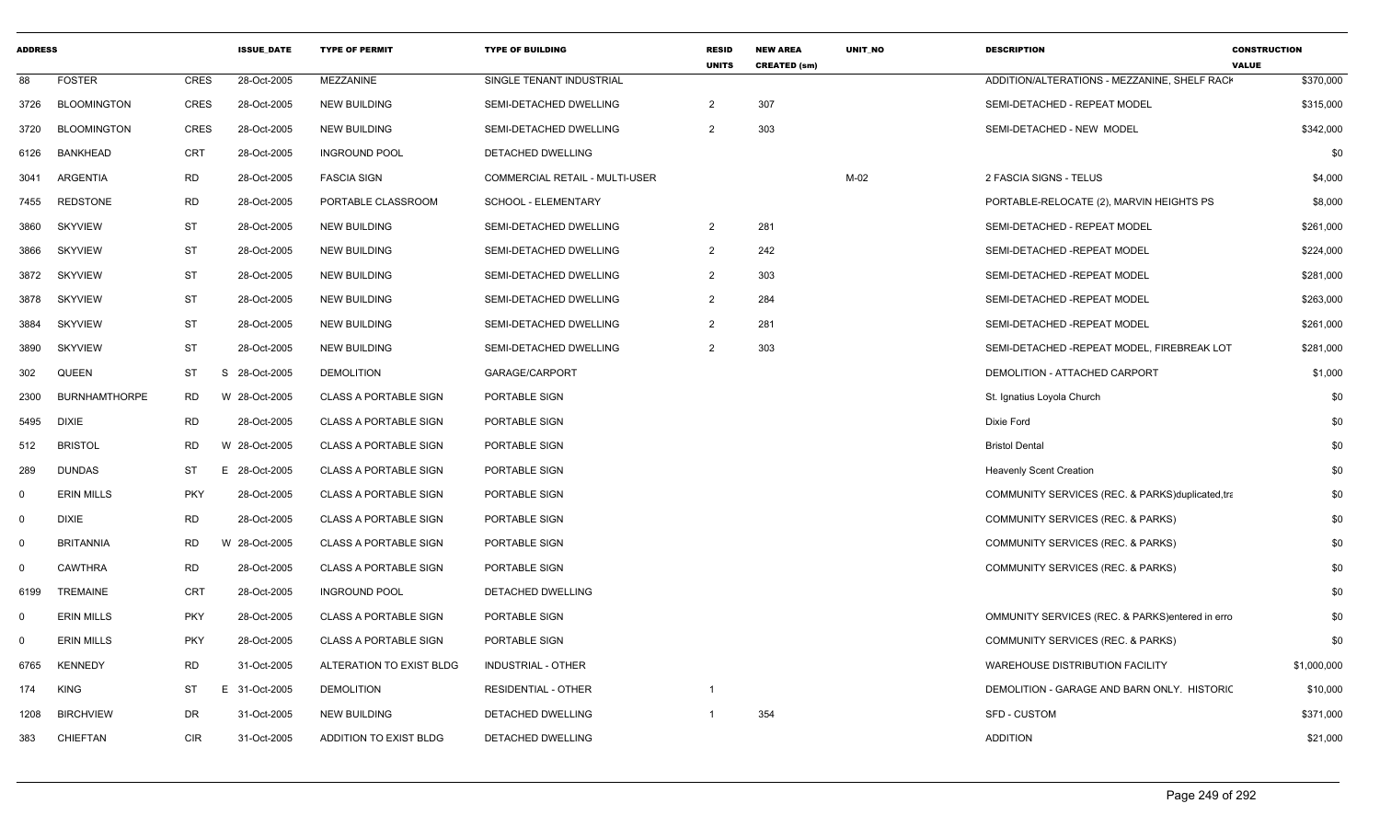|             | <b>ADDRESS</b>       |             | <b>ISSUE DATE</b> | <b>TYPE OF PERMIT</b>        | <b>TYPE OF BUILDING</b>        | <b>RESID</b><br><b>UNITS</b> | <b>NEW AREA</b><br><b>CREATED (sm)</b> | <b>UNIT NO</b> | <b>DESCRIPTION</b>                              | <b>CONSTRUCTION</b><br><b>VALUE</b> |
|-------------|----------------------|-------------|-------------------|------------------------------|--------------------------------|------------------------------|----------------------------------------|----------------|-------------------------------------------------|-------------------------------------|
| 88          | <b>FOSTER</b>        | <b>CRES</b> | 28-Oct-2005       | MEZZANINE                    | SINGLE TENANT INDUSTRIAL       |                              |                                        |                | ADDITION/ALTERATIONS - MEZZANINE, SHELF RACK    | \$370,000                           |
| 3726        | <b>BLOOMINGTON</b>   | <b>CRES</b> | 28-Oct-2005       | <b>NEW BUILDING</b>          | SEMI-DETACHED DWELLING         | $\overline{2}$               | 307                                    |                | SEMI-DETACHED - REPEAT MODEL                    | \$315,000                           |
| 3720        | <b>BLOOMINGTON</b>   | <b>CRES</b> | 28-Oct-2005       | <b>NEW BUILDING</b>          | SEMI-DETACHED DWELLING         | $\overline{2}$               | 303                                    |                | SEMI-DETACHED - NEW MODEL                       | \$342,000                           |
| 6126        | <b>BANKHEAD</b>      | <b>CRT</b>  | 28-Oct-2005       | <b>INGROUND POOL</b>         | DETACHED DWELLING              |                              |                                        |                |                                                 | \$0                                 |
| 3041        | ARGENTIA             | <b>RD</b>   | 28-Oct-2005       | <b>FASCIA SIGN</b>           | COMMERCIAL RETAIL - MULTI-USER |                              |                                        | $M-02$         | 2 FASCIA SIGNS - TELUS                          | \$4,000                             |
| 7455        | <b>REDSTONE</b>      | <b>RD</b>   | 28-Oct-2005       | PORTABLE CLASSROOM           | SCHOOL - ELEMENTARY            |                              |                                        |                | PORTABLE-RELOCATE (2), MARVIN HEIGHTS PS        | \$8,000                             |
| 3860        | <b>SKYVIEW</b>       | <b>ST</b>   | 28-Oct-2005       | NEW BUILDING                 | SEMI-DETACHED DWELLING         | $\overline{2}$               | 281                                    |                | SEMI-DETACHED - REPEAT MODEL                    | \$261,000                           |
| 3866        | <b>SKYVIEW</b>       | <b>ST</b>   | 28-Oct-2005       | <b>NEW BUILDING</b>          | SEMI-DETACHED DWELLING         | 2                            | 242                                    |                | SEMI-DETACHED -REPEAT MODEL                     | \$224,000                           |
| 3872        | <b>SKYVIEW</b>       | <b>ST</b>   | 28-Oct-2005       | NEW BUILDING                 | SEMI-DETACHED DWELLING         | 2                            | 303                                    |                | SEMI-DETACHED -REPEAT MODEL                     | \$281,000                           |
| 3878        | <b>SKYVIEW</b>       | ST          | 28-Oct-2005       | <b>NEW BUILDING</b>          | SEMI-DETACHED DWELLING         | 2                            | 284                                    |                | SEMI-DETACHED -REPEAT MODEL                     | \$263,000                           |
| 3884        | <b>SKYVIEW</b>       | <b>ST</b>   | 28-Oct-2005       | <b>NEW BUILDING</b>          | SEMI-DETACHED DWELLING         | $\overline{2}$               | 281                                    |                | SEMI-DETACHED -REPEAT MODEL                     | \$261,000                           |
| 3890        | <b>SKYVIEW</b>       | <b>ST</b>   | 28-Oct-2005       | <b>NEW BUILDING</b>          | SEMI-DETACHED DWELLING         | $\overline{2}$               | 303                                    |                | SEMI-DETACHED - REPEAT MODEL, FIREBREAK LOT     | \$281,000                           |
| 302         | <b>QUEEN</b>         | <b>ST</b>   | S 28-Oct-2005     | <b>DEMOLITION</b>            | GARAGE/CARPORT                 |                              |                                        |                | DEMOLITION - ATTACHED CARPORT                   | \$1,000                             |
| 2300        | <b>BURNHAMTHORPE</b> | <b>RD</b>   | W 28-Oct-2005     | <b>CLASS A PORTABLE SIGN</b> | PORTABLE SIGN                  |                              |                                        |                | St. Ignatius Loyola Church                      | \$0                                 |
| 5495        | <b>DIXIE</b>         | <b>RD</b>   | 28-Oct-2005       | <b>CLASS A PORTABLE SIGN</b> | PORTABLE SIGN                  |                              |                                        |                | Dixie Ford                                      | \$0                                 |
| 512         | <b>BRISTOL</b>       | <b>RD</b>   | W 28-Oct-2005     | <b>CLASS A PORTABLE SIGN</b> | PORTABLE SIGN                  |                              |                                        |                | <b>Bristol Dental</b>                           | \$0                                 |
| 289         | <b>DUNDAS</b>        | ST          | E 28-Oct-2005     | <b>CLASS A PORTABLE SIGN</b> | PORTABLE SIGN                  |                              |                                        |                | <b>Heavenly Scent Creation</b>                  | \$0                                 |
| $\mathbf 0$ | <b>ERIN MILLS</b>    | <b>PKY</b>  | 28-Oct-2005       | <b>CLASS A PORTABLE SIGN</b> | PORTABLE SIGN                  |                              |                                        |                | COMMUNITY SERVICES (REC. & PARKS)duplicated,tra | \$0                                 |
| $\mathbf 0$ | <b>DIXIE</b>         | <b>RD</b>   | 28-Oct-2005       | <b>CLASS A PORTABLE SIGN</b> | PORTABLE SIGN                  |                              |                                        |                | COMMUNITY SERVICES (REC. & PARKS)               | \$0                                 |
| $\mathbf 0$ | <b>BRITANNIA</b>     | <b>RD</b>   | W 28-Oct-2005     | <b>CLASS A PORTABLE SIGN</b> | PORTABLE SIGN                  |                              |                                        |                | COMMUNITY SERVICES (REC. & PARKS)               | \$0                                 |
| $\mathbf 0$ | CAWTHRA              | <b>RD</b>   | 28-Oct-2005       | <b>CLASS A PORTABLE SIGN</b> | PORTABLE SIGN                  |                              |                                        |                | COMMUNITY SERVICES (REC. & PARKS)               | \$0                                 |
| 6199        | <b>TREMAINE</b>      | <b>CRT</b>  | 28-Oct-2005       | <b>INGROUND POOL</b>         | DETACHED DWELLING              |                              |                                        |                |                                                 | \$0                                 |
| $\Omega$    | <b>ERIN MILLS</b>    | <b>PKY</b>  | 28-Oct-2005       | <b>CLASS A PORTABLE SIGN</b> | PORTABLE SIGN                  |                              |                                        |                | OMMUNITY SERVICES (REC. & PARKS)entered in erro | \$0                                 |
| $\mathbf 0$ | <b>ERIN MILLS</b>    | <b>PKY</b>  | 28-Oct-2005       | <b>CLASS A PORTABLE SIGN</b> | PORTABLE SIGN                  |                              |                                        |                | COMMUNITY SERVICES (REC. & PARKS)               | \$0                                 |
| 6765        | <b>KENNEDY</b>       | <b>RD</b>   | 31-Oct-2005       | ALTERATION TO EXIST BLDG     | INDUSTRIAL - OTHER             |                              |                                        |                | <b>WAREHOUSE DISTRIBUTION FACILITY</b>          | \$1,000,000                         |
| 174         | <b>KING</b>          | ST          | E 31-Oct-2005     | <b>DEMOLITION</b>            | <b>RESIDENTIAL - OTHER</b>     | -1                           |                                        |                | DEMOLITION - GARAGE AND BARN ONLY. HISTORIC     | \$10,000                            |
| 1208        | <b>BIRCHVIEW</b>     | DR          | 31-Oct-2005       | <b>NEW BUILDING</b>          | DETACHED DWELLING              |                              | 354                                    |                | <b>SFD - CUSTOM</b>                             | \$371,000                           |
| 383         | CHIEFTAN             | <b>CIR</b>  | 31-Oct-2005       | ADDITION TO EXIST BLDG       | DETACHED DWELLING              |                              |                                        |                | <b>ADDITION</b>                                 | \$21,000                            |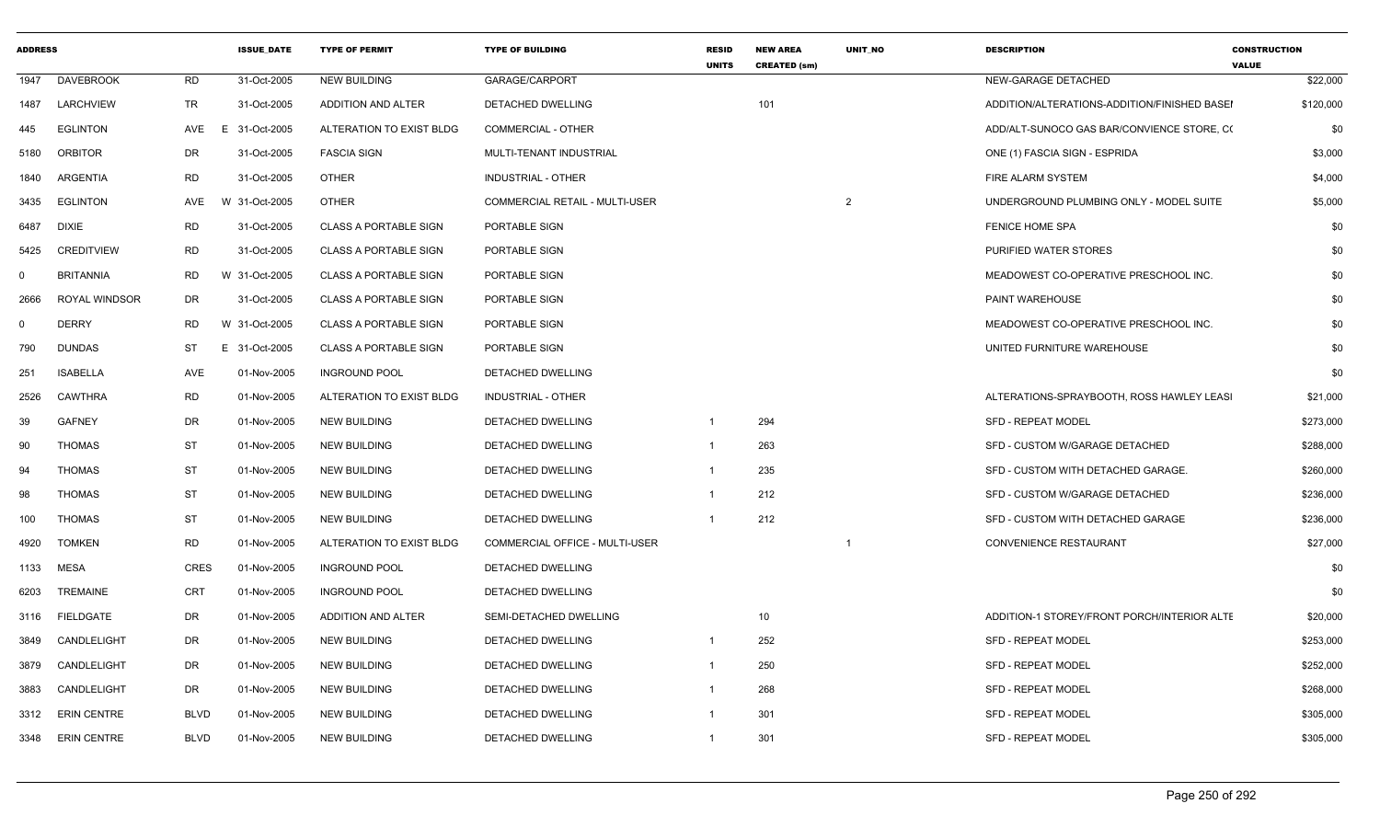| <b>ADDRESS</b> |                    |             | <b>ISSUE DATE</b>             | <b>TYPE OF PERMIT</b>        | <b>TYPE OF BUILDING</b>        | <b>RESID</b><br><b>UNITS</b> | <b>NEW AREA</b><br><b>CREATED (sm)</b> | <b>UNIT NO</b> | <b>DESCRIPTION</b>                           | <b>CONSTRUCTION</b><br><b>VALUE</b> |
|----------------|--------------------|-------------|-------------------------------|------------------------------|--------------------------------|------------------------------|----------------------------------------|----------------|----------------------------------------------|-------------------------------------|
| 1947           | <b>DAVEBROOK</b>   | <b>RD</b>   | 31-Oct-2005                   | <b>NEW BUILDING</b>          | GARAGE/CARPORT                 |                              |                                        |                | NEW-GARAGE DETACHED                          | \$22,000                            |
| 1487           | LARCHVIEW          | <b>TR</b>   | 31-Oct-2005                   | ADDITION AND ALTER           | <b>DETACHED DWELLING</b>       |                              | 101                                    |                | ADDITION/ALTERATIONS-ADDITION/FINISHED BASEI | \$120,000                           |
| 445            | <b>EGLINTON</b>    | AVE         | E<br>31-Oct-2005              | ALTERATION TO EXIST BLDG     | <b>COMMERCIAL - OTHER</b>      |                              |                                        |                | ADD/ALT-SUNOCO GAS BAR/CONVIENCE STORE, CO   | \$0                                 |
| 5180           | <b>ORBITOR</b>     | DR          | 31-Oct-2005                   | <b>FASCIA SIGN</b>           | MULTI-TENANT INDUSTRIAL        |                              |                                        |                | ONE (1) FASCIA SIGN - ESPRIDA                | \$3,000                             |
| 1840           | <b>ARGENTIA</b>    | <b>RD</b>   | 31-Oct-2005                   | <b>OTHER</b>                 | INDUSTRIAL - OTHER             |                              |                                        |                | FIRE ALARM SYSTEM                            | \$4,000                             |
| 3435           | <b>EGLINTON</b>    | AVE         | W 31-Oct-2005                 | <b>OTHER</b>                 | COMMERCIAL RETAIL - MULTI-USER |                              |                                        | $\overline{2}$ | UNDERGROUND PLUMBING ONLY - MODEL SUITE      | \$5,000                             |
| 6487           | <b>DIXIE</b>       | <b>RD</b>   | 31-Oct-2005                   | <b>CLASS A PORTABLE SIGN</b> | PORTABLE SIGN                  |                              |                                        |                | <b>FENICE HOME SPA</b>                       | \$0                                 |
| 5425           | <b>CREDITVIEW</b>  | <b>RD</b>   | 31-Oct-2005                   | <b>CLASS A PORTABLE SIGN</b> | PORTABLE SIGN                  |                              |                                        |                | PURIFIED WATER STORES                        | \$0                                 |
| $\mathbf{0}$   | <b>BRITANNIA</b>   | <b>RD</b>   | W 31-Oct-2005                 | <b>CLASS A PORTABLE SIGN</b> | PORTABLE SIGN                  |                              |                                        |                | MEADOWEST CO-OPERATIVE PRESCHOOL INC.        | \$0                                 |
| 2666           | ROYAL WINDSOR      | DR          | 31-Oct-2005                   | <b>CLASS A PORTABLE SIGN</b> | PORTABLE SIGN                  |                              |                                        |                | PAINT WAREHOUSE                              | \$0                                 |
| $\mathbf 0$    | <b>DERRY</b>       | <b>RD</b>   | W 31-Oct-2005                 | <b>CLASS A PORTABLE SIGN</b> | PORTABLE SIGN                  |                              |                                        |                | MEADOWEST CO-OPERATIVE PRESCHOOL INC.        | \$0                                 |
| 790            | <b>DUNDAS</b>      | <b>ST</b>   | $\mathsf{E}^-$<br>31-Oct-2005 | <b>CLASS A PORTABLE SIGN</b> | PORTABLE SIGN                  |                              |                                        |                | UNITED FURNITURE WAREHOUSE                   | \$0                                 |
| 251            | <b>ISABELLA</b>    | AVE         | 01-Nov-2005                   | <b>INGROUND POOL</b>         | DETACHED DWELLING              |                              |                                        |                |                                              | \$0                                 |
| 2526           | <b>CAWTHRA</b>     | <b>RD</b>   | 01-Nov-2005                   | ALTERATION TO EXIST BLDG     | <b>INDUSTRIAL - OTHER</b>      |                              |                                        |                | ALTERATIONS-SPRAYBOOTH, ROSS HAWLEY LEASI    | \$21,000                            |
| 39             | <b>GAFNEY</b>      | <b>DR</b>   | 01-Nov-2005                   | <b>NEW BUILDING</b>          | DETACHED DWELLING              | $\mathbf 1$                  | 294                                    |                | <b>SFD - REPEAT MODEL</b>                    | \$273,000                           |
| 90             | <b>THOMAS</b>      | <b>ST</b>   | 01-Nov-2005                   | <b>NEW BUILDING</b>          | DETACHED DWELLING              | -1                           | 263                                    |                | SFD - CUSTOM W/GARAGE DETACHED               | \$288,000                           |
| 94             | <b>THOMAS</b>      | <b>ST</b>   | 01-Nov-2005                   | <b>NEW BUILDING</b>          | DETACHED DWELLING              | -1                           | 235                                    |                | SFD - CUSTOM WITH DETACHED GARAGE.           | \$260,000                           |
| 98             | <b>THOMAS</b>      | <b>ST</b>   | 01-Nov-2005                   | <b>NEW BUILDING</b>          | DETACHED DWELLING              | -1                           | 212                                    |                | SFD - CUSTOM W/GARAGE DETACHED               | \$236,000                           |
| 100            | <b>THOMAS</b>      | <b>ST</b>   | 01-Nov-2005                   | <b>NEW BUILDING</b>          | DETACHED DWELLING              | $\overline{1}$               | 212                                    |                | SFD - CUSTOM WITH DETACHED GARAGE            | \$236,000                           |
| 4920           | <b>TOMKEN</b>      | <b>RD</b>   | 01-Nov-2005                   | ALTERATION TO EXIST BLDG     | COMMERCIAL OFFICE - MULTI-USER |                              |                                        | -1             | CONVENIENCE RESTAURANT                       | \$27,000                            |
| 1133           | <b>MESA</b>        | <b>CRES</b> | 01-Nov-2005                   | <b>INGROUND POOL</b>         | DETACHED DWELLING              |                              |                                        |                |                                              | \$0                                 |
| 6203           | <b>TREMAINE</b>    | <b>CRT</b>  | 01-Nov-2005                   | <b>INGROUND POOL</b>         | DETACHED DWELLING              |                              |                                        |                |                                              | \$0                                 |
| 3116           | <b>FIELDGATE</b>   | <b>DR</b>   | 01-Nov-2005                   | ADDITION AND ALTER           | SEMI-DETACHED DWELLING         |                              | 10                                     |                | ADDITION-1 STOREY/FRONT PORCH/INTERIOR ALTE  | \$20,000                            |
| 3849           | CANDLELIGHT        | <b>DR</b>   | 01-Nov-2005                   | <b>NEW BUILDING</b>          | DETACHED DWELLING              | -1                           | 252                                    |                | SFD - REPEAT MODEL                           | \$253,000                           |
| 3879           | CANDLELIGHT        | <b>DR</b>   | 01-Nov-2005                   | <b>NEW BUILDING</b>          | DETACHED DWELLING              | -1                           | 250                                    |                | <b>SFD - REPEAT MODEL</b>                    | \$252,000                           |
| 3883           | CANDLELIGHT        | DR          | 01-Nov-2005                   | <b>NEW BUILDING</b>          | DETACHED DWELLING              | $\mathbf 1$                  | 268                                    |                | <b>SFD - REPEAT MODEL</b>                    | \$268,000                           |
| 3312           | <b>ERIN CENTRE</b> | <b>BLVD</b> | 01-Nov-2005                   | <b>NEW BUILDING</b>          | DETACHED DWELLING              | -1                           | 301                                    |                | <b>SFD - REPEAT MODEL</b>                    | \$305,000                           |
| 3348           | <b>ERIN CENTRE</b> | <b>BLVD</b> | 01-Nov-2005                   | <b>NEW BUILDING</b>          | DETACHED DWELLING              | -1                           | 301                                    |                | <b>SFD - REPEAT MODEL</b>                    | \$305,000                           |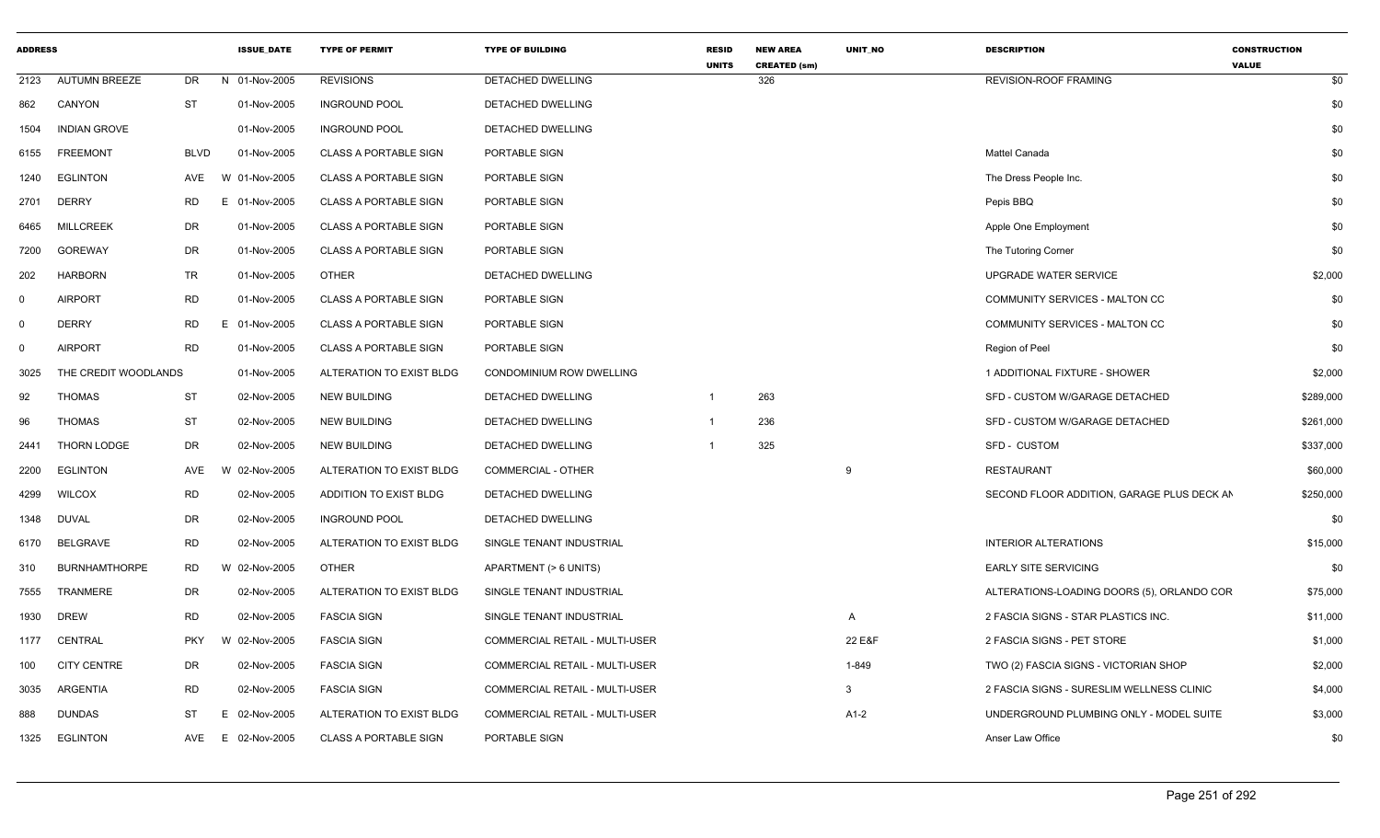| <b>ADDRESS</b> |                      |             | <b>ISSUE DATE</b> | <b>TYPE OF PERMIT</b>        | <b>TYPE OF BUILDING</b>               | <b>RESID</b><br><b>UNITS</b> | <b>NEW AREA</b><br><b>CREATED (sm)</b> | UNIT_NO | <b>DESCRIPTION</b>                         | <b>CONSTRUCTION</b><br><b>VALUE</b> |
|----------------|----------------------|-------------|-------------------|------------------------------|---------------------------------------|------------------------------|----------------------------------------|---------|--------------------------------------------|-------------------------------------|
| 2123           | <b>AUTUMN BREEZE</b> | DR          | 01-Nov-2005<br>N  | <b>REVISIONS</b>             | DETACHED DWELLING                     |                              | 326                                    |         | <b>REVISION-ROOF FRAMING</b>               | \$0                                 |
| 862            | CANYON               | <b>ST</b>   | 01-Nov-2005       | <b>INGROUND POOL</b>         | DETACHED DWELLING                     |                              |                                        |         |                                            | \$0                                 |
| 1504           | <b>INDIAN GROVE</b>  |             | 01-Nov-2005       | <b>INGROUND POOL</b>         | <b>DETACHED DWELLING</b>              |                              |                                        |         |                                            | \$0                                 |
| 6155           | <b>FREEMONT</b>      | <b>BLVD</b> | 01-Nov-2005       | <b>CLASS A PORTABLE SIGN</b> | PORTABLE SIGN                         |                              |                                        |         | Mattel Canada                              | \$0                                 |
| 1240           | <b>EGLINTON</b>      | AVE         | W 01-Nov-2005     | <b>CLASS A PORTABLE SIGN</b> | PORTABLE SIGN                         |                              |                                        |         | The Dress People Inc.                      | \$0                                 |
| 2701           | <b>DERRY</b>         | RD.         | 01-Nov-2005<br>E. | <b>CLASS A PORTABLE SIGN</b> | PORTABLE SIGN                         |                              |                                        |         | Pepis BBQ                                  | \$0                                 |
| 6465           | <b>MILLCREEK</b>     | DR          | 01-Nov-2005       | <b>CLASS A PORTABLE SIGN</b> | PORTABLE SIGN                         |                              |                                        |         | Apple One Employment                       | \$0                                 |
| 7200           | <b>GOREWAY</b>       | DR          | 01-Nov-2005       | <b>CLASS A PORTABLE SIGN</b> | <b>PORTABLE SIGN</b>                  |                              |                                        |         | The Tutoring Corner                        | \$0                                 |
| 202            | <b>HARBORN</b>       | <b>TR</b>   | 01-Nov-2005       | <b>OTHER</b>                 | DETACHED DWELLING                     |                              |                                        |         | <b>UPGRADE WATER SERVICE</b>               | \$2,000                             |
| 0              | <b>AIRPORT</b>       | <b>RD</b>   | 01-Nov-2005       | <b>CLASS A PORTABLE SIGN</b> | PORTABLE SIGN                         |                              |                                        |         | COMMUNITY SERVICES - MALTON CC             | \$0                                 |
| 0              | <b>DERRY</b>         | <b>RD</b>   | E.<br>01-Nov-2005 | <b>CLASS A PORTABLE SIGN</b> | PORTABLE SIGN                         |                              |                                        |         | COMMUNITY SERVICES - MALTON CC             | \$0                                 |
| 0              | <b>AIRPORT</b>       | <b>RD</b>   | 01-Nov-2005       | <b>CLASS A PORTABLE SIGN</b> | PORTABLE SIGN                         |                              |                                        |         | Region of Peel                             | \$0                                 |
| 3025           | THE CREDIT WOODLANDS |             | 01-Nov-2005       | ALTERATION TO EXIST BLDG     | CONDOMINIUM ROW DWELLING              |                              |                                        |         | 1 ADDITIONAL FIXTURE - SHOWER              | \$2,000                             |
| 92             | <b>THOMAS</b>        | ST          | 02-Nov-2005       | <b>NEW BUILDING</b>          | DETACHED DWELLING                     | $\overline{1}$               | 263                                    |         | SFD - CUSTOM W/GARAGE DETACHED             | \$289,000                           |
| 96             | <b>THOMAS</b>        | <b>ST</b>   | 02-Nov-2005       | <b>NEW BUILDING</b>          | DETACHED DWELLING                     | $\overline{\mathbf{1}}$      | 236                                    |         | SFD - CUSTOM W/GARAGE DETACHED             | \$261,000                           |
| 2441           | THORN LODGE          | DR          | 02-Nov-2005       | <b>NEW BUILDING</b>          | DETACHED DWELLING                     | $\overline{1}$               | 325                                    |         | <b>SFD - CUSTOM</b>                        | \$337,000                           |
| 2200           | <b>EGLINTON</b>      | AVE         | 02-Nov-2005<br>W  | ALTERATION TO EXIST BLDG     | <b>COMMERCIAL - OTHER</b>             |                              |                                        | 9       | <b>RESTAURANT</b>                          | \$60,000                            |
| 4299           | <b>WILCOX</b>        | <b>RD</b>   | 02-Nov-2005       | ADDITION TO EXIST BLDG       | DETACHED DWELLING                     |                              |                                        |         | SECOND FLOOR ADDITION, GARAGE PLUS DECK AN | \$250,000                           |
| 1348           | <b>DUVAL</b>         | DR          | 02-Nov-2005       | <b>INGROUND POOL</b>         | DETACHED DWELLING                     |                              |                                        |         |                                            | \$0                                 |
| 6170           | BELGRAVE             | RD          | 02-Nov-2005       | ALTERATION TO EXIST BLDG     | SINGLE TENANT INDUSTRIAL              |                              |                                        |         | <b>INTERIOR ALTERATIONS</b>                | \$15,000                            |
| 310            | <b>BURNHAMTHORPE</b> | <b>RD</b>   | 02-Nov-2005<br>W  | <b>OTHER</b>                 | APARTMENT (> 6 UNITS)                 |                              |                                        |         | EARLY SITE SERVICING                       | \$0                                 |
| 7555           | <b>TRANMERE</b>      | DR          | 02-Nov-2005       | ALTERATION TO EXIST BLDG     | SINGLE TENANT INDUSTRIAL              |                              |                                        |         | ALTERATIONS-LOADING DOORS (5), ORLANDO COR | \$75,000                            |
| 1930           | <b>DREW</b>          | <b>RD</b>   | 02-Nov-2005       | <b>FASCIA SIGN</b>           | SINGLE TENANT INDUSTRIAL              |                              |                                        | A       | 2 FASCIA SIGNS - STAR PLASTICS INC.        | \$11,000                            |
| 1177           | CENTRAL              | <b>PKY</b>  | W 02-Nov-2005     | <b>FASCIA SIGN</b>           | COMMERCIAL RETAIL - MULTI-USER        |                              |                                        | 22 E&F  | 2 FASCIA SIGNS - PET STORE                 | \$1,000                             |
| 100            | <b>CITY CENTRE</b>   | DR          | 02-Nov-2005       | <b>FASCIA SIGN</b>           | COMMERCIAL RETAIL - MULTI-USER        |                              |                                        | 1-849   | TWO (2) FASCIA SIGNS - VICTORIAN SHOP      | \$2,000                             |
| 3035           | <b>ARGENTIA</b>      | <b>RD</b>   | 02-Nov-2005       | <b>FASCIA SIGN</b>           | COMMERCIAL RETAIL - MULTI-USER        |                              |                                        | 3       | 2 FASCIA SIGNS - SURESLIM WELLNESS CLINIC  | \$4,000                             |
| 888            | <b>DUNDAS</b>        | ST          | 02-Nov-2005<br>E. | ALTERATION TO EXIST BLDG     | <b>COMMERCIAL RETAIL - MULTI-USER</b> |                              |                                        | A1-2    | UNDERGROUND PLUMBING ONLY - MODEL SUITE    | \$3,000                             |
| 1325           | <b>EGLINTON</b>      | AVE         | 02-Nov-2005<br>E. | <b>CLASS A PORTABLE SIGN</b> | PORTABLE SIGN                         |                              |                                        |         | Anser Law Office                           | \$0                                 |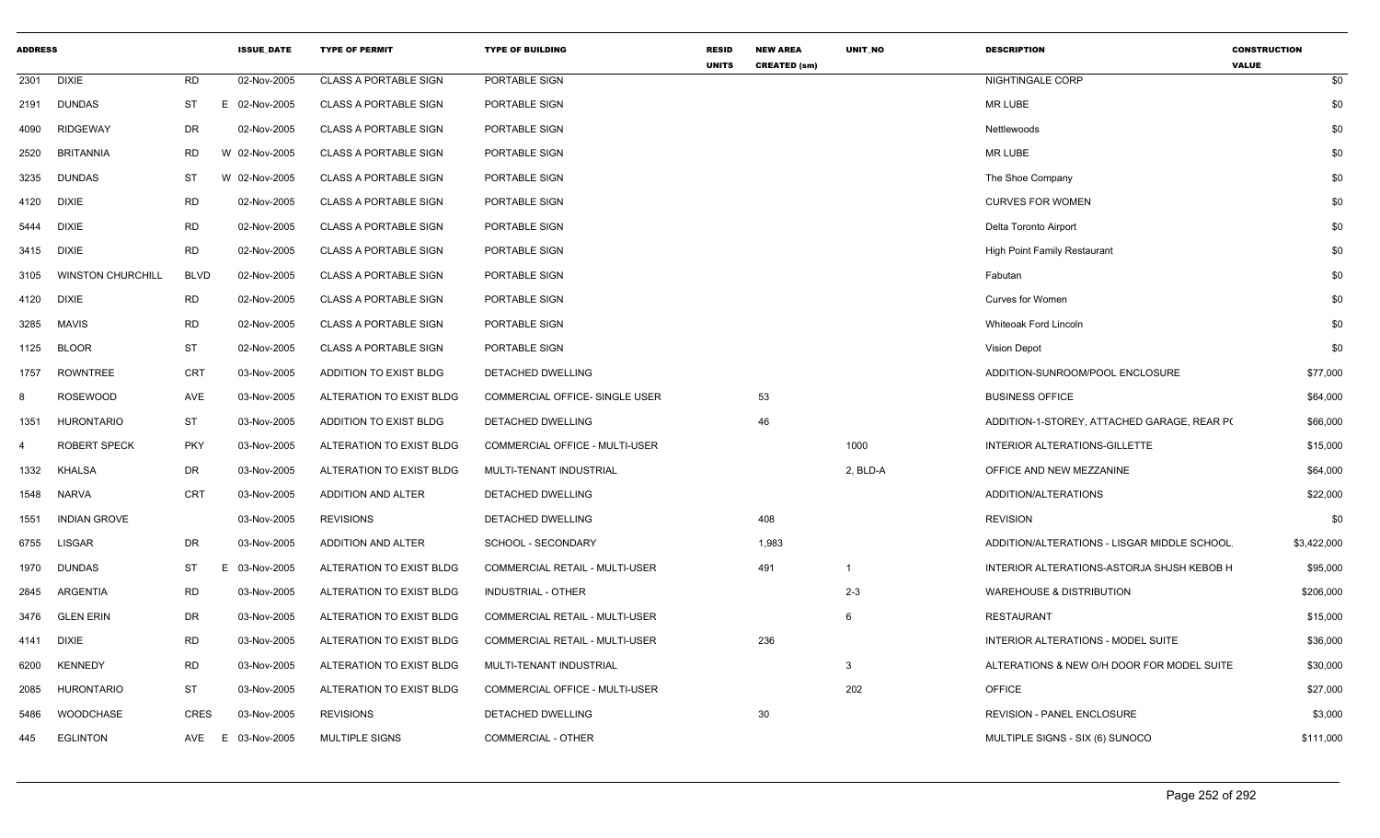| ADDRESS    |                          |             | <b>ISSUE_DATE</b> | <b>TYPE OF PERMIT</b>        | <b>TYPE OF BUILDING</b>        | <b>RESID</b><br><b>UNITS</b> | <b>NEW AREA</b><br><b>CREATED (sm)</b> | UNIT_NO                 | <b>DESCRIPTION</b>                          | <b>CONSTRUCTION</b><br><b>VALUE</b> |     |
|------------|--------------------------|-------------|-------------------|------------------------------|--------------------------------|------------------------------|----------------------------------------|-------------------------|---------------------------------------------|-------------------------------------|-----|
| 2301       | <b>DIXIE</b>             | <b>RD</b>   | 02-Nov-2005       | <b>CLASS A PORTABLE SIGN</b> | PORTABLE SIGN                  |                              |                                        |                         | NIGHTINGALE CORP                            |                                     | \$0 |
| 2191       | <b>DUNDAS</b>            | ST          | E 02-Nov-2005     | <b>CLASS A PORTABLE SIGN</b> | PORTABLE SIGN                  |                              |                                        |                         | MR LUBE                                     |                                     | \$0 |
| 4090       | <b>RIDGEWAY</b>          | DR          | 02-Nov-2005       | <b>CLASS A PORTABLE SIGN</b> | PORTABLE SIGN                  |                              |                                        |                         | Nettlewoods                                 |                                     | \$0 |
| 2520       | BRITANNIA                | <b>RD</b>   | W 02-Nov-2005     | <b>CLASS A PORTABLE SIGN</b> | PORTABLE SIGN                  |                              |                                        |                         | <b>MR LUBE</b>                              |                                     | \$0 |
| 3235       | <b>DUNDAS</b>            | ST          | W 02-Nov-2005     | <b>CLASS A PORTABLE SIGN</b> | PORTABLE SIGN                  |                              |                                        |                         | The Shoe Company                            |                                     | \$0 |
| 4120       | <b>DIXIE</b>             | RD          | 02-Nov-2005       | <b>CLASS A PORTABLE SIGN</b> | PORTABLE SIGN                  |                              |                                        |                         | <b>CURVES FOR WOMEN</b>                     |                                     | \$0 |
| 5444       | <b>DIXIE</b>             | RD          | 02-Nov-2005       | <b>CLASS A PORTABLE SIGN</b> | PORTABLE SIGN                  |                              |                                        |                         | Delta Toronto Airport                       |                                     | \$0 |
| 3415 DIXIE |                          | <b>RD</b>   | 02-Nov-2005       | <b>CLASS A PORTABLE SIGN</b> | PORTABLE SIGN                  |                              |                                        |                         | <b>High Point Family Restaurant</b>         |                                     | \$0 |
| 3105       | <b>WINSTON CHURCHILL</b> | <b>BLVD</b> | 02-Nov-2005       | <b>CLASS A PORTABLE SIGN</b> | PORTABLE SIGN                  |                              |                                        |                         | Fabutan                                     |                                     | \$0 |
| 4120       | <b>DIXIE</b>             | RD          | 02-Nov-2005       | <b>CLASS A PORTABLE SIGN</b> | PORTABLE SIGN                  |                              |                                        |                         | <b>Curves for Women</b>                     |                                     | \$0 |
| 3285       | MAVIS                    | RD          | 02-Nov-2005       | <b>CLASS A PORTABLE SIGN</b> | PORTABLE SIGN                  |                              |                                        |                         | Whiteoak Ford Lincoln                       |                                     | \$0 |
| 1125       | <b>BLOOR</b>             | <b>ST</b>   | 02-Nov-2005       | <b>CLASS A PORTABLE SIGN</b> | PORTABLE SIGN                  |                              |                                        |                         | <b>Vision Depot</b>                         |                                     | \$0 |
| 1757       | ROWNTREE                 | CRT         | 03-Nov-2005       | ADDITION TO EXIST BLDG       | DETACHED DWELLING              |                              |                                        |                         | ADDITION-SUNROOM/POOL ENCLOSURE             | \$77,000                            |     |
| 8          | <b>ROSEWOOD</b>          | AVE         | 03-Nov-2005       | ALTERATION TO EXIST BLDG     | COMMERCIAL OFFICE- SINGLE USER |                              | 53                                     |                         | <b>BUSINESS OFFICE</b>                      | \$64,000                            |     |
| 1351       | <b>HURONTARIO</b>        | ST          | 03-Nov-2005       | ADDITION TO EXIST BLDG       | DETACHED DWELLING              |                              | 46                                     |                         | ADDITION-1-STOREY, ATTACHED GARAGE, REAR PO | \$66,000                            |     |
| 4          | <b>ROBERT SPECK</b>      | <b>PKY</b>  | 03-Nov-2005       | ALTERATION TO EXIST BLDG     | COMMERCIAL OFFICE - MULTI-USER |                              |                                        | 1000                    | INTERIOR ALTERATIONS-GILLETTE               | \$15,000                            |     |
| 1332       | <b>KHALSA</b>            | DR          | 03-Nov-2005       | ALTERATION TO EXIST BLDG     | MULTI-TENANT INDUSTRIAL        |                              |                                        | 2, BLD-A                | OFFICE AND NEW MEZZANINE                    | \$64,000                            |     |
| 1548       | NARVA                    | CRT         | 03-Nov-2005       | ADDITION AND ALTER           | DETACHED DWELLING              |                              |                                        |                         | ADDITION/ALTERATIONS                        | \$22,000                            |     |
| 1551       | <b>INDIAN GROVE</b>      |             | 03-Nov-2005       | <b>REVISIONS</b>             | DETACHED DWELLING              |                              | 408                                    |                         | <b>REVISION</b>                             |                                     | \$0 |
| 6755       | <b>LISGAR</b>            | DR          | 03-Nov-2005       | ADDITION AND ALTER           | SCHOOL - SECONDARY             |                              | 1,983                                  |                         | ADDITION/ALTERATIONS - LISGAR MIDDLE SCHOOL | \$3,422,000                         |     |
| 1970       | <b>DUNDAS</b>            | ST<br>E.    | 03-Nov-2005       | ALTERATION TO EXIST BLDG     | COMMERCIAL RETAIL - MULTI-USER |                              | 491                                    | $\overline{\mathbf{1}}$ | INTERIOR ALTERATIONS-ASTORJA SHJSH KEBOB H  | \$95,000                            |     |
| 2845       | ARGENTIA                 | <b>RD</b>   | 03-Nov-2005       | ALTERATION TO EXIST BLDG     | INDUSTRIAL - OTHER             |                              |                                        | $2 - 3$                 | <b>WAREHOUSE &amp; DISTRIBUTION</b>         | \$206,000                           |     |
| 3476       | GLEN ERIN                | DR          | 03-Nov-2005       | ALTERATION TO EXIST BLDG     | COMMERCIAL RETAIL - MULTI-USER |                              |                                        | -6                      | RESTAURANT                                  | \$15,000                            |     |
| 4141       | <b>DIXIE</b>             | <b>RD</b>   | 03-Nov-2005       | ALTERATION TO EXIST BLDG     | COMMERCIAL RETAIL - MULTI-USER |                              | 236                                    |                         | INTERIOR ALTERATIONS - MODEL SUITE          | \$36,000                            |     |
| 6200       | <b>KENNEDY</b>           | RD          | 03-Nov-2005       | ALTERATION TO EXIST BLDG     | MULTI-TENANT INDUSTRIAL        |                              |                                        | 3                       | ALTERATIONS & NEW O/H DOOR FOR MODEL SUITE  | \$30,000                            |     |
| 2085       | <b>HURONTARIO</b>        | ST          | 03-Nov-2005       | ALTERATION TO EXIST BLDG     | COMMERCIAL OFFICE - MULTI-USER |                              |                                        | 202                     | <b>OFFICE</b>                               | \$27,000                            |     |
| 5486       | WOODCHASE                | <b>CRES</b> | 03-Nov-2005       | <b>REVISIONS</b>             | DETACHED DWELLING              |                              | 30                                     |                         | <b>REVISION - PANEL ENCLOSURE</b>           | \$3,000                             |     |
| 445        | EGLINTON                 | AVE<br>E.   | 03-Nov-2005       | <b>MULTIPLE SIGNS</b>        | COMMERCIAL - OTHER             |                              |                                        |                         | MULTIPLE SIGNS - SIX (6) SUNOCO             | \$111,000                           |     |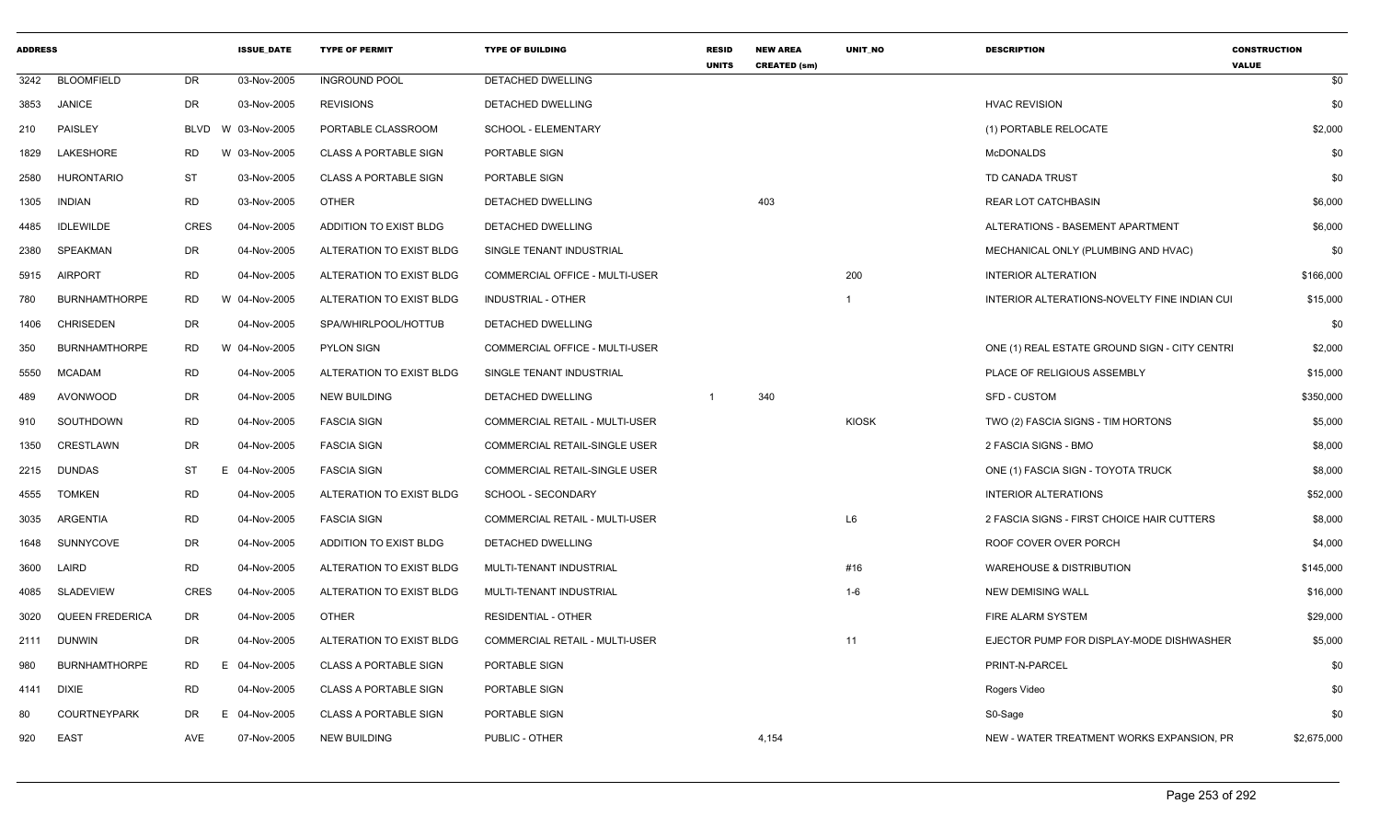| <b>ADDRESS</b> |                        |             | <b>ISSUE_DATE</b> | <b>TYPE OF PERMIT</b>        | <b>TYPE OF BUILDING</b>        | <b>RESID</b><br><b>UNITS</b> | <b>NEW AREA</b><br><b>CREATED (sm)</b> | UNIT_NO      | <b>DESCRIPTION</b>                            | <b>CONSTRUCTION</b><br><b>VALUE</b> |             |
|----------------|------------------------|-------------|-------------------|------------------------------|--------------------------------|------------------------------|----------------------------------------|--------------|-----------------------------------------------|-------------------------------------|-------------|
| 3242           | <b>BLOOMFIELD</b>      | DR          | 03-Nov-2005       | <b>INGROUND POOL</b>         | DETACHED DWELLING              |                              |                                        |              |                                               |                                     | \$0         |
| 3853           | JANICE                 | DR          | 03-Nov-2005       | <b>REVISIONS</b>             | DETACHED DWELLING              |                              |                                        |              | <b>HVAC REVISION</b>                          |                                     | \$0         |
| 210            | PAISLEY                | BLVD        | W 03-Nov-2005     | PORTABLE CLASSROOM           | SCHOOL - ELEMENTARY            |                              |                                        |              | (1) PORTABLE RELOCATE                         |                                     | \$2,000     |
| 1829           | LAKESHORE              | <b>RD</b>   | W 03-Nov-2005     | <b>CLASS A PORTABLE SIGN</b> | PORTABLE SIGN                  |                              |                                        |              | <b>McDONALDS</b>                              |                                     | \$0         |
| 2580           | <b>HURONTARIO</b>      | ST          | 03-Nov-2005       | <b>CLASS A PORTABLE SIGN</b> | PORTABLE SIGN                  |                              |                                        |              | TD CANADA TRUST                               |                                     | \$0         |
| 1305           | <b>INDIAN</b>          | <b>RD</b>   | 03-Nov-2005       | <b>OTHER</b>                 | DETACHED DWELLING              |                              | 403                                    |              | <b>REAR LOT CATCHBASIN</b>                    |                                     | \$6,000     |
| 4485           | <b>IDLEWILDE</b>       | <b>CRES</b> | 04-Nov-2005       | ADDITION TO EXIST BLDG       | DETACHED DWELLING              |                              |                                        |              | ALTERATIONS - BASEMENT APARTMENT              |                                     | \$6,000     |
| 2380           | SPEAKMAN               | DR          | 04-Nov-2005       | ALTERATION TO EXIST BLDG     | SINGLE TENANT INDUSTRIAL       |                              |                                        |              | MECHANICAL ONLY (PLUMBING AND HVAC)           |                                     | \$0         |
| 5915           | AIRPORT                | <b>RD</b>   | 04-Nov-2005       | ALTERATION TO EXIST BLDG     | COMMERCIAL OFFICE - MULTI-USER |                              |                                        | 200          | <b>INTERIOR ALTERATION</b>                    |                                     | \$166,000   |
| 780            | <b>BURNHAMTHORPE</b>   | <b>RD</b>   | W 04-Nov-2005     | ALTERATION TO EXIST BLDG     | INDUSTRIAL - OTHER             |                              |                                        | 1            | INTERIOR ALTERATIONS-NOVELTY FINE INDIAN CUI  |                                     | \$15,000    |
| 1406           | <b>CHRISEDEN</b>       | DR          | 04-Nov-2005       | SPA/WHIRLPOOL/HOTTUB         | DETACHED DWELLING              |                              |                                        |              |                                               |                                     | \$0         |
| 350            | <b>BURNHAMTHORPE</b>   | RD          | W 04-Nov-2005     | <b>PYLON SIGN</b>            | COMMERCIAL OFFICE - MULTI-USER |                              |                                        |              | ONE (1) REAL ESTATE GROUND SIGN - CITY CENTRI |                                     | \$2,000     |
| 5550           | <b>MCADAM</b>          | <b>RD</b>   | 04-Nov-2005       | ALTERATION TO EXIST BLDG     | SINGLE TENANT INDUSTRIAL       |                              |                                        |              | PLACE OF RELIGIOUS ASSEMBLY                   |                                     | \$15,000    |
| 489            | AVONWOOD               | DR          | 04-Nov-2005       | <b>NEW BUILDING</b>          | DETACHED DWELLING              | $\overline{1}$               | 340                                    |              | SFD - CUSTOM                                  |                                     | \$350,000   |
| 910            | SOUTHDOWN              | RD          | 04-Nov-2005       | <b>FASCIA SIGN</b>           | COMMERCIAL RETAIL - MULTI-USER |                              |                                        | <b>KIOSK</b> | TWO (2) FASCIA SIGNS - TIM HORTONS            |                                     | \$5,000     |
| 1350           | CRESTLAWN              | DR          | 04-Nov-2005       | <b>FASCIA SIGN</b>           | COMMERCIAL RETAIL-SINGLE USER  |                              |                                        |              | 2 FASCIA SIGNS - BMO                          |                                     | \$8,000     |
| 2215           | <b>DUNDAS</b>          | ST          | E.<br>04-Nov-2005 | <b>FASCIA SIGN</b>           | COMMERCIAL RETAIL-SINGLE USER  |                              |                                        |              | ONE (1) FASCIA SIGN - TOYOTA TRUCK            |                                     | \$8,000     |
| 4555           | <b>TOMKEN</b>          | <b>RD</b>   | 04-Nov-2005       | ALTERATION TO EXIST BLDG     | SCHOOL - SECONDARY             |                              |                                        |              | <b>INTERIOR ALTERATIONS</b>                   |                                     | \$52,000    |
| 3035           | ARGENTIA               | RD          | 04-Nov-2005       | <b>FASCIA SIGN</b>           | COMMERCIAL RETAIL - MULTI-USER |                              |                                        | L6           | 2 FASCIA SIGNS - FIRST CHOICE HAIR CUTTERS    |                                     | \$8,000     |
| 1648           | SUNNYCOVE              | DR          | 04-Nov-2005       | ADDITION TO EXIST BLDG       | DETACHED DWELLING              |                              |                                        |              | ROOF COVER OVER PORCH                         |                                     | \$4,000     |
| 3600           | LAIRD                  | <b>RD</b>   | 04-Nov-2005       | ALTERATION TO EXIST BLDG     | MULTI-TENANT INDUSTRIAL        |                              |                                        | #16          | <b>WAREHOUSE &amp; DISTRIBUTION</b>           |                                     | \$145,000   |
| 4085           | SLADEVIEW              | CRES        | 04-Nov-2005       | ALTERATION TO EXIST BLDG     | MULTI-TENANT INDUSTRIAL        |                              |                                        | $1-6$        | <b>NEW DEMISING WALL</b>                      |                                     | \$16,000    |
| 3020           | <b>QUEEN FREDERICA</b> | DR          | 04-Nov-2005       | <b>OTHER</b>                 | <b>RESIDENTIAL - OTHER</b>     |                              |                                        |              | FIRE ALARM SYSTEM                             |                                     | \$29,000    |
| 2111           | <b>DUNWIN</b>          | DR          | 04-Nov-2005       | ALTERATION TO EXIST BLDG     | COMMERCIAL RETAIL - MULTI-USER |                              |                                        | 11           | EJECTOR PUMP FOR DISPLAY-MODE DISHWASHER      |                                     | \$5,000     |
| 980            | <b>BURNHAMTHORPE</b>   | RD          | E<br>04-Nov-2005  | <b>CLASS A PORTABLE SIGN</b> | PORTABLE SIGN                  |                              |                                        |              | PRINT-N-PARCEL                                |                                     | \$0         |
| 4141           | DIXIE                  | <b>RD</b>   | 04-Nov-2005       | <b>CLASS A PORTABLE SIGN</b> | PORTABLE SIGN                  |                              |                                        |              | Rogers Video                                  |                                     | \$0         |
| 80             | COURTNEYPARK           | DR          | E 04-Nov-2005     | <b>CLASS A PORTABLE SIGN</b> | PORTABLE SIGN                  |                              |                                        |              | S0-Sage                                       |                                     | \$0         |
| 920            | <b>EAST</b>            | AVE         | 07-Nov-2005       | <b>NEW BUILDING</b>          | PUBLIC - OTHER                 |                              | 4,154                                  |              | NEW - WATER TREATMENT WORKS EXPANSION, PR     |                                     | \$2,675,000 |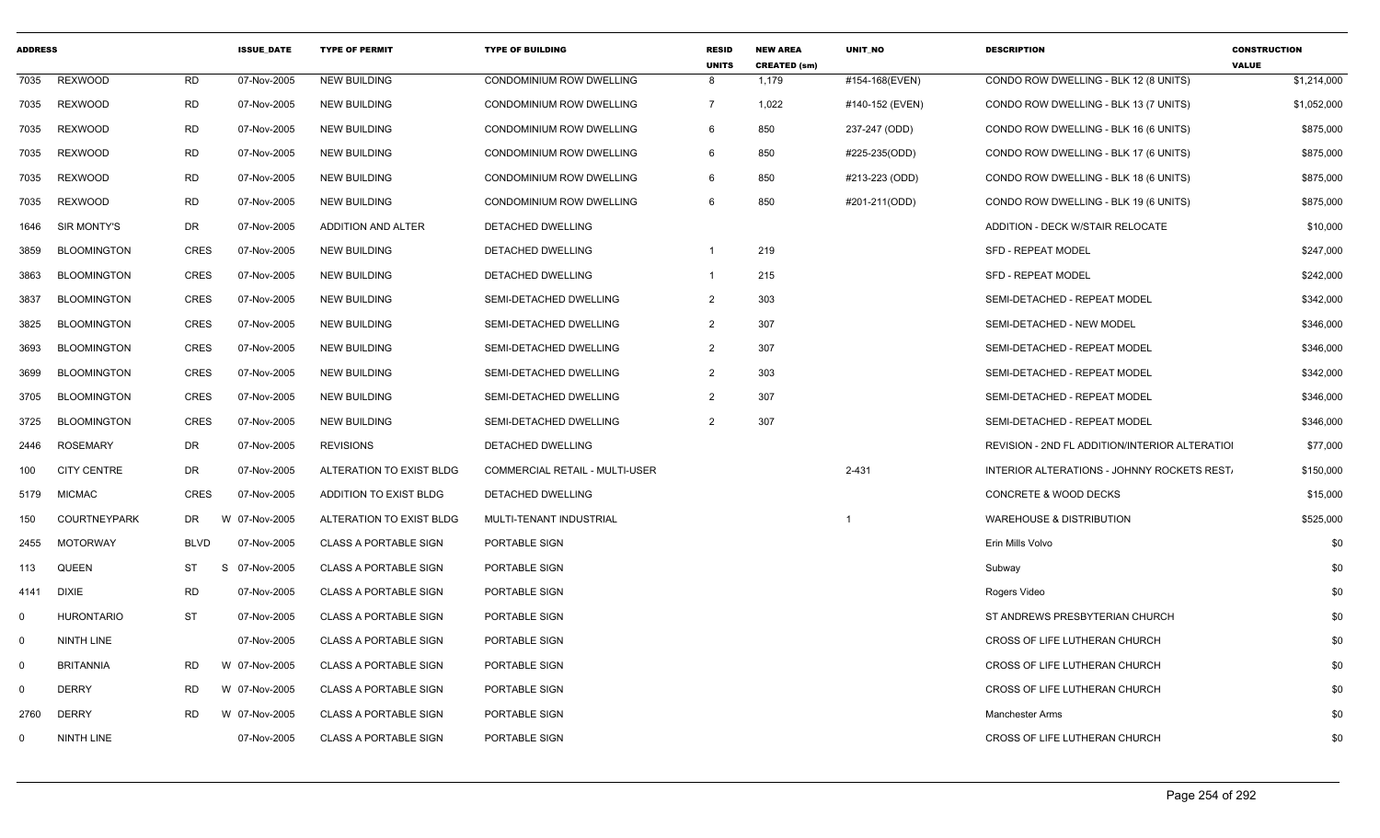| <b>ADDRESS</b> |                     |             | <b>ISSUE_DATE</b>       | <b>TYPE OF PERMIT</b>        | <b>TYPE OF BUILDING</b>        | <b>RESID</b><br><b>UNITS</b> | <b>NEW AREA</b><br><b>CREATED (sm)</b> | UNIT_NO         | <b>DESCRIPTION</b>                             | <b>CONSTRUCTION</b><br><b>VALUE</b> |
|----------------|---------------------|-------------|-------------------------|------------------------------|--------------------------------|------------------------------|----------------------------------------|-----------------|------------------------------------------------|-------------------------------------|
| 7035           | <b>REXWOOD</b>      | <b>RD</b>   | 07-Nov-2005             | <b>NEW BUILDING</b>          | CONDOMINIUM ROW DWELLING       | 8                            | 1,179                                  | #154-168(EVEN)  | CONDO ROW DWELLING - BLK 12 (8 UNITS)          | \$1,214,000                         |
| 7035           | <b>REXWOOD</b>      | <b>RD</b>   | 07-Nov-2005             | <b>NEW BUILDING</b>          | CONDOMINIUM ROW DWELLING       | $\overline{7}$               | 1,022                                  | #140-152 (EVEN) | CONDO ROW DWELLING - BLK 13 (7 UNITS)          | \$1,052,000                         |
| 7035           | <b>REXWOOD</b>      | <b>RD</b>   | 07-Nov-2005             | <b>NEW BUILDING</b>          | CONDOMINIUM ROW DWELLING       | 6                            | 850                                    | 237-247 (ODD)   | CONDO ROW DWELLING - BLK 16 (6 UNITS)          | \$875,000                           |
| 7035           | REXWOOD             | <b>RD</b>   | 07-Nov-2005             | <b>NEW BUILDING</b>          | CONDOMINIUM ROW DWELLING       | 6                            | 850                                    | #225-235(ODD)   | CONDO ROW DWELLING - BLK 17 (6 UNITS)          | \$875,000                           |
| 7035           | <b>REXWOOD</b>      | <b>RD</b>   | 07-Nov-2005             | <b>NEW BUILDING</b>          | CONDOMINIUM ROW DWELLING       | 6                            | 850                                    | #213-223 (ODD)  | CONDO ROW DWELLING - BLK 18 (6 UNITS)          | \$875,000                           |
| 7035           | <b>REXWOOD</b>      | RD          | 07-Nov-2005             | <b>NEW BUILDING</b>          | CONDOMINIUM ROW DWELLING       | 6                            | 850                                    | #201-211(ODD)   | CONDO ROW DWELLING - BLK 19 (6 UNITS)          | \$875,000                           |
| 1646           | SIR MONTY'S         | DR          | 07-Nov-2005             | ADDITION AND ALTER           | DETACHED DWELLING              |                              |                                        |                 | ADDITION - DECK W/STAIR RELOCATE               | \$10,000                            |
| 3859           | <b>BLOOMINGTON</b>  | <b>CRES</b> | 07-Nov-2005             | <b>NEW BUILDING</b>          | DETACHED DWELLING              | $\mathbf 1$                  | 219                                    |                 | <b>SFD - REPEAT MODEL</b>                      | \$247,000                           |
| 3863           | <b>BLOOMINGTON</b>  | <b>CRES</b> | 07-Nov-2005             | <b>NEW BUILDING</b>          | DETACHED DWELLING              | -1                           | 215                                    |                 | <b>SFD - REPEAT MODEL</b>                      | \$242,000                           |
| 3837           | <b>BLOOMINGTON</b>  | <b>CRES</b> | 07-Nov-2005             | <b>NEW BUILDING</b>          | SEMI-DETACHED DWELLING         | $\overline{2}$               | 303                                    |                 | SEMI-DETACHED - REPEAT MODEL                   | \$342,000                           |
| 3825           | <b>BLOOMINGTON</b>  | <b>CRES</b> | 07-Nov-2005             | <b>NEW BUILDING</b>          | SEMI-DETACHED DWELLING         | $\overline{2}$               | 307                                    |                 | SEMI-DETACHED - NEW MODEL                      | \$346,000                           |
| 3693           | <b>BLOOMINGTON</b>  | CRES        | 07-Nov-2005             | <b>NEW BUILDING</b>          | SEMI-DETACHED DWELLING         | $\overline{2}$               | 307                                    |                 | SEMI-DETACHED - REPEAT MODEL                   | \$346,000                           |
| 3699           | <b>BLOOMINGTON</b>  | <b>CRES</b> | 07-Nov-2005             | <b>NEW BUILDING</b>          | SEMI-DETACHED DWELLING         | 2                            | 303                                    |                 | SEMI-DETACHED - REPEAT MODEL                   | \$342,000                           |
| 3705           | <b>BLOOMINGTON</b>  | <b>CRES</b> | 07-Nov-2005             | <b>NEW BUILDING</b>          | SEMI-DETACHED DWELLING         | 2                            | 307                                    |                 | SEMI-DETACHED - REPEAT MODEL                   | \$346,000                           |
| 3725           | <b>BLOOMINGTON</b>  | <b>CRES</b> | 07-Nov-2005             | <b>NEW BUILDING</b>          | SEMI-DETACHED DWELLING         | $\overline{2}$               | 307                                    |                 | SEMI-DETACHED - REPEAT MODEL                   | \$346,000                           |
| 2446           | <b>ROSEMARY</b>     | <b>DR</b>   | 07-Nov-2005             | <b>REVISIONS</b>             | DETACHED DWELLING              |                              |                                        |                 | REVISION - 2ND FL ADDITION/INTERIOR ALTERATIOI | \$77,000                            |
| 100            | <b>CITY CENTRE</b>  | DR          | 07-Nov-2005             | ALTERATION TO EXIST BLDG     | COMMERCIAL RETAIL - MULTI-USER |                              |                                        | $2 - 431$       | INTERIOR ALTERATIONS - JOHNNY ROCKETS REST.    | \$150,000                           |
| 5179           | <b>MICMAC</b>       | <b>CRES</b> | 07-Nov-2005             | ADDITION TO EXIST BLDG       | DETACHED DWELLING              |                              |                                        |                 | <b>CONCRETE &amp; WOOD DECKS</b>               | \$15,000                            |
| 150            | <b>COURTNEYPARK</b> | <b>DR</b>   | 07-Nov-2005<br><b>W</b> | ALTERATION TO EXIST BLDG     | MULTI-TENANT INDUSTRIAL        |                              |                                        | -1              | <b>WAREHOUSE &amp; DISTRIBUTION</b>            | \$525,000                           |
| 2455           | <b>MOTORWAY</b>     | <b>BLVD</b> | 07-Nov-2005             | <b>CLASS A PORTABLE SIGN</b> | PORTABLE SIGN                  |                              |                                        |                 | Erin Mills Volvo                               | \$0                                 |
| 113            | <b>QUEEN</b>        | ST          | -S<br>07-Nov-2005       | <b>CLASS A PORTABLE SIGN</b> | PORTABLE SIGN                  |                              |                                        |                 | Subway                                         | \$0                                 |
| 4141           | <b>DIXIE</b>        | <b>RD</b>   | 07-Nov-2005             | <b>CLASS A PORTABLE SIGN</b> | PORTABLE SIGN                  |                              |                                        |                 | Rogers Video                                   | \$0                                 |
| $\mathbf 0$    | <b>HURONTARIO</b>   | <b>ST</b>   | 07-Nov-2005             | <b>CLASS A PORTABLE SIGN</b> | PORTABLE SIGN                  |                              |                                        |                 | ST ANDREWS PRESBYTERIAN CHURCH                 | \$0                                 |
| $\mathbf 0$    | NINTH LINE          |             | 07-Nov-2005             | <b>CLASS A PORTABLE SIGN</b> | PORTABLE SIGN                  |                              |                                        |                 | CROSS OF LIFE LUTHERAN CHURCH                  | \$0                                 |
| $\mathbf 0$    | <b>BRITANNIA</b>    | <b>RD</b>   | W 07-Nov-2005           | <b>CLASS A PORTABLE SIGN</b> | PORTABLE SIGN                  |                              |                                        |                 | CROSS OF LIFE LUTHERAN CHURCH                  | \$0                                 |
| $\mathbf 0$    | <b>DERRY</b>        | <b>RD</b>   | W 07-Nov-2005           | <b>CLASS A PORTABLE SIGN</b> | PORTABLE SIGN                  |                              |                                        |                 | CROSS OF LIFE LUTHERAN CHURCH                  | \$0                                 |
| 2760           | <b>DERRY</b>        | <b>RD</b>   | W 07-Nov-2005           | <b>CLASS A PORTABLE SIGN</b> | PORTABLE SIGN                  |                              |                                        |                 | <b>Manchester Arms</b>                         | \$0                                 |
| $\mathbf 0$    | NINTH LINE          |             | 07-Nov-2005             | <b>CLASS A PORTABLE SIGN</b> | PORTABLE SIGN                  |                              |                                        |                 | CROSS OF LIFE LUTHERAN CHURCH                  | \$0                                 |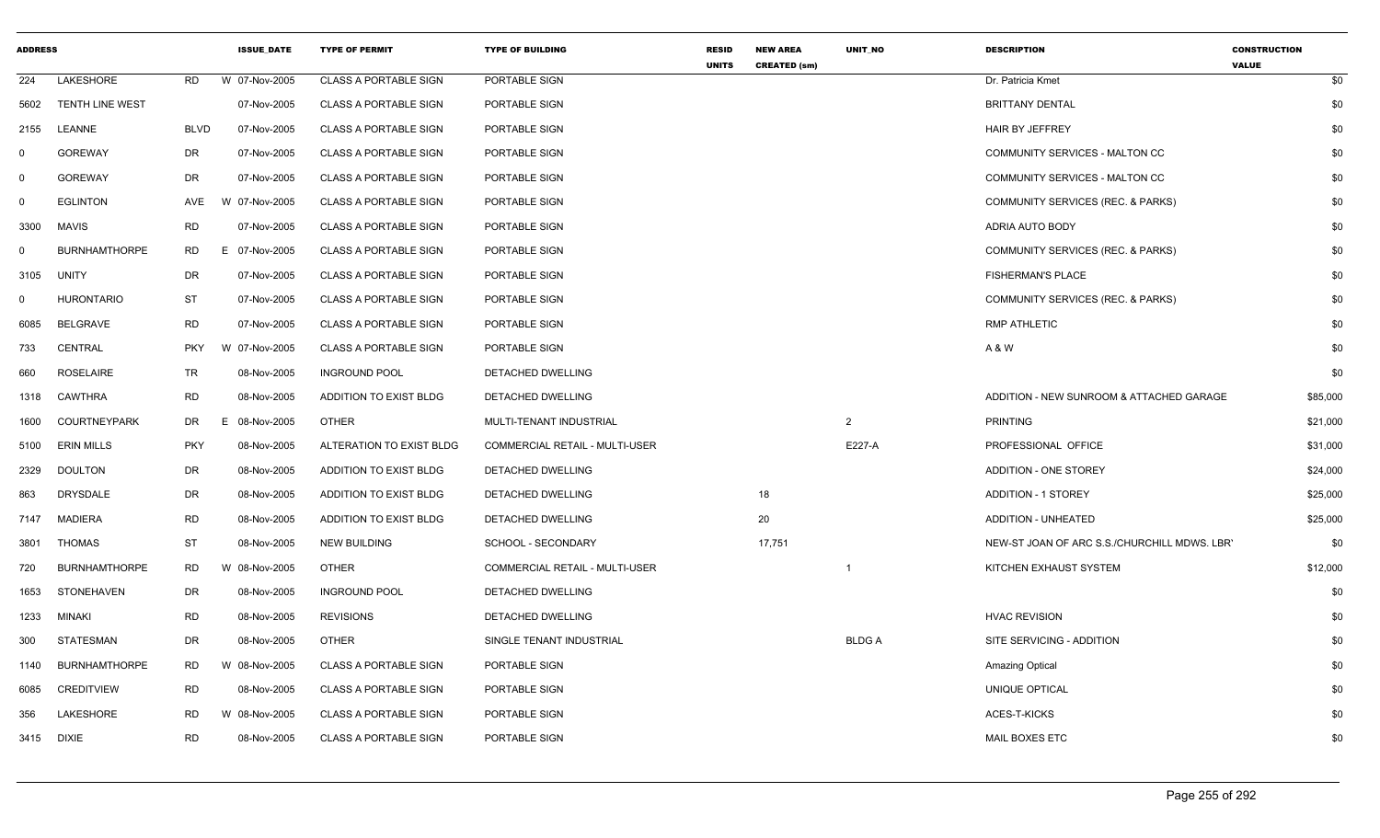| <b>ADDRESS</b> |                      |             | <b>ISSUE_DATE</b> | <b>TYPE OF PERMIT</b>        | <b>TYPE OF BUILDING</b>               | <b>RESID</b><br><b>UNITS</b> | <b>NEW AREA</b><br><b>CREATED (sm)</b> | UNIT_NO      | <b>DESCRIPTION</b>                           | <b>CONSTRUCTION</b><br><b>VALUE</b> |
|----------------|----------------------|-------------|-------------------|------------------------------|---------------------------------------|------------------------------|----------------------------------------|--------------|----------------------------------------------|-------------------------------------|
| 224            | LAKESHORE            | <b>RD</b>   | W 07-Nov-2005     | <b>CLASS A PORTABLE SIGN</b> | PORTABLE SIGN                         |                              |                                        |              | Dr. Patricia Kmet                            | \$0                                 |
| 5602           | TENTH LINE WEST      |             | 07-Nov-2005       | <b>CLASS A PORTABLE SIGN</b> | PORTABLE SIGN                         |                              |                                        |              | <b>BRITTANY DENTAL</b>                       | \$0                                 |
| 2155           | LEANNE               | <b>BLVD</b> | 07-Nov-2005       | <b>CLASS A PORTABLE SIGN</b> | PORTABLE SIGN                         |                              |                                        |              | <b>HAIR BY JEFFREY</b>                       | \$0                                 |
| $\Omega$       | <b>GOREWAY</b>       | DR          | 07-Nov-2005       | <b>CLASS A PORTABLE SIGN</b> | PORTABLE SIGN                         |                              |                                        |              | COMMUNITY SERVICES - MALTON CC               | \$0                                 |
| $\mathbf 0$    | <b>GOREWAY</b>       | DR          | 07-Nov-2005       | <b>CLASS A PORTABLE SIGN</b> | PORTABLE SIGN                         |                              |                                        |              | COMMUNITY SERVICES - MALTON CC               | \$0                                 |
| $\Omega$       | <b>EGLINTON</b>      | AVE         | W 07-Nov-2005     | <b>CLASS A PORTABLE SIGN</b> | PORTABLE SIGN                         |                              |                                        |              | <b>COMMUNITY SERVICES (REC. &amp; PARKS)</b> | \$0                                 |
| 3300           | MAVIS                | <b>RD</b>   | 07-Nov-2005       | <b>CLASS A PORTABLE SIGN</b> | PORTABLE SIGN                         |                              |                                        |              | ADRIA AUTO BODY                              | \$0                                 |
| $\Omega$       | <b>BURNHAMTHORPE</b> | RD.         | F.<br>07-Nov-2005 | <b>CLASS A PORTABLE SIGN</b> | PORTABLE SIGN                         |                              |                                        |              | COMMUNITY SERVICES (REC. & PARKS)            | \$0                                 |
| 3105           | UNITY                | DR          | 07-Nov-2005       | <b>CLASS A PORTABLE SIGN</b> | PORTABLE SIGN                         |                              |                                        |              | <b>FISHERMAN'S PLACE</b>                     | \$0                                 |
| $\Omega$       | <b>HURONTARIO</b>    | <b>ST</b>   | 07-Nov-2005       | <b>CLASS A PORTABLE SIGN</b> | PORTABLE SIGN                         |                              |                                        |              | COMMUNITY SERVICES (REC. & PARKS)            | \$0                                 |
| 6085           | <b>BELGRAVE</b>      | <b>RD</b>   | 07-Nov-2005       | <b>CLASS A PORTABLE SIGN</b> | PORTABLE SIGN                         |                              |                                        |              | <b>RMP ATHLETIC</b>                          | \$0                                 |
| 733            | <b>CENTRAL</b>       | <b>PKY</b>  | W 07-Nov-2005     | <b>CLASS A PORTABLE SIGN</b> | PORTABLE SIGN                         |                              |                                        |              | A & W                                        | \$0                                 |
| 660            | <b>ROSELAIRE</b>     | TR          | 08-Nov-2005       | <b>INGROUND POOL</b>         | DETACHED DWELLING                     |                              |                                        |              |                                              | \$0                                 |
| 1318           | CAWTHRA              | <b>RD</b>   | 08-Nov-2005       | ADDITION TO EXIST BLDG       | DETACHED DWELLING                     |                              |                                        |              | ADDITION - NEW SUNROOM & ATTACHED GARAGE     | \$85,000                            |
| 1600           | <b>COURTNEYPARK</b>  | DR          | 08-Nov-2005<br>E  | <b>OTHER</b>                 | MULTI-TENANT INDUSTRIAL               |                              |                                        | 2            | <b>PRINTING</b>                              | \$21,000                            |
| 5100           | <b>ERIN MILLS</b>    | <b>PKY</b>  | 08-Nov-2005       | ALTERATION TO EXIST BLDG     | <b>COMMERCIAL RETAIL - MULTI-USER</b> |                              |                                        | E227-A       | PROFESSIONAL OFFICE                          | \$31,000                            |
| 2329           | <b>DOULTON</b>       | DR          | 08-Nov-2005       | ADDITION TO EXIST BLDG       | DETACHED DWELLING                     |                              |                                        |              | ADDITION - ONE STOREY                        | \$24,000                            |
| 863            | <b>DRYSDALE</b>      | DR          | 08-Nov-2005       | ADDITION TO EXIST BLDG       | DETACHED DWELLING                     |                              | 18                                     |              | <b>ADDITION - 1 STOREY</b>                   | \$25,000                            |
| 7147           | <b>MADIERA</b>       | <b>RD</b>   | 08-Nov-2005       | ADDITION TO EXIST BLDG       | DETACHED DWELLING                     |                              | 20                                     |              | ADDITION - UNHEATED                          | \$25,000                            |
| 3801           | THOMAS               | ST          | 08-Nov-2005       | <b>NEW BUILDING</b>          | SCHOOL - SECONDARY                    |                              | 17,751                                 |              | NEW-ST JOAN OF ARC S.S./CHURCHILL MDWS. LBR' | \$0                                 |
| 720            | <b>BURNHAMTHORPE</b> | <b>RD</b>   | W 08-Nov-2005     | <b>OTHER</b>                 | COMMERCIAL RETAIL - MULTI-USER        |                              |                                        |              | KITCHEN EXHAUST SYSTEM                       | \$12,000                            |
| 1653           | STONEHAVEN           | DR          | 08-Nov-2005       | <b>INGROUND POOL</b>         | DETACHED DWELLING                     |                              |                                        |              |                                              | \$0                                 |
| 1233           | MINAKI               | <b>RD</b>   | 08-Nov-2005       | <b>REVISIONS</b>             | DETACHED DWELLING                     |                              |                                        |              | <b>HVAC REVISION</b>                         | \$0                                 |
| 300            | STATESMAN            | DR          | 08-Nov-2005       | <b>OTHER</b>                 | SINGLE TENANT INDUSTRIAL              |                              |                                        | <b>BLDGA</b> | SITE SERVICING - ADDITION                    | \$0                                 |
| 1140           | <b>BURNHAMTHORPE</b> | <b>RD</b>   | W 08-Nov-2005     | <b>CLASS A PORTABLE SIGN</b> | PORTABLE SIGN                         |                              |                                        |              | <b>Amazing Optical</b>                       | \$0                                 |
| 6085           | <b>CREDITVIEW</b>    | <b>RD</b>   | 08-Nov-2005       | <b>CLASS A PORTABLE SIGN</b> | PORTABLE SIGN                         |                              |                                        |              | UNIQUE OPTICAL                               | \$0                                 |
| 356            | LAKESHORE            | <b>RD</b>   | W 08-Nov-2005     | <b>CLASS A PORTABLE SIGN</b> | PORTABLE SIGN                         |                              |                                        |              | ACES-T-KICKS                                 | \$0                                 |
| 3415 DIXIE     |                      | <b>RD</b>   | 08-Nov-2005       | <b>CLASS A PORTABLE SIGN</b> | PORTABLE SIGN                         |                              |                                        |              | <b>MAIL BOXES ETC</b>                        | \$0                                 |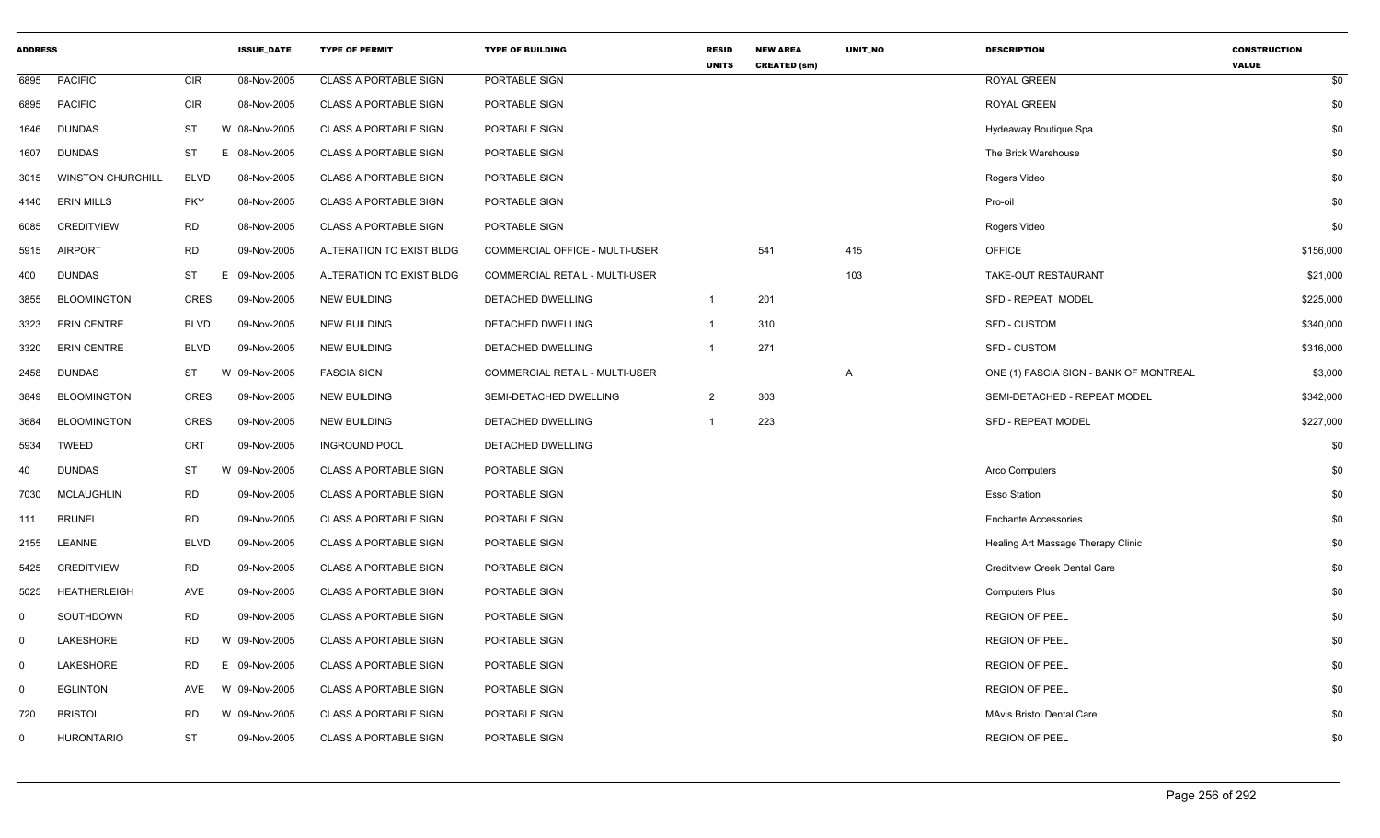| <b>ADDRESS</b> |                          |             | <b>ISSUE DATE</b> | <b>TYPE OF PERMIT</b>        | <b>TYPE OF BUILDING</b>        | <b>RESID</b><br><b>UNITS</b> | <b>NEW AREA</b><br><b>CREATED (sm)</b> | UNIT_NO | <b>DESCRIPTION</b>                     | <b>CONSTRUCTION</b><br><b>VALUE</b> |
|----------------|--------------------------|-------------|-------------------|------------------------------|--------------------------------|------------------------------|----------------------------------------|---------|----------------------------------------|-------------------------------------|
| 6895           | <b>PACIFIC</b>           | CIR         | 08-Nov-2005       | <b>CLASS A PORTABLE SIGN</b> | PORTABLE SIGN                  |                              |                                        |         | ROYAL GREEN                            | \$0                                 |
| 6895           | <b>PACIFIC</b>           | CIR         | 08-Nov-2005       | <b>CLASS A PORTABLE SIGN</b> | PORTABLE SIGN                  |                              |                                        |         | ROYAL GREEN                            | \$0                                 |
| 1646           | <b>DUNDAS</b>            | <b>ST</b>   | W 08-Nov-2005     | <b>CLASS A PORTABLE SIGN</b> | PORTABLE SIGN                  |                              |                                        |         | Hydeaway Boutique Spa                  | \$0                                 |
| 1607           | <b>DUNDAS</b>            | <b>ST</b>   | E 08-Nov-2005     | <b>CLASS A PORTABLE SIGN</b> | PORTABLE SIGN                  |                              |                                        |         | The Brick Warehouse                    | \$0                                 |
| 3015           | <b>WINSTON CHURCHILL</b> | <b>BLVD</b> | 08-Nov-2005       | <b>CLASS A PORTABLE SIGN</b> | PORTABLE SIGN                  |                              |                                        |         | Rogers Video                           | \$0                                 |
| 4140           | <b>ERIN MILLS</b>        | <b>PKY</b>  | 08-Nov-2005       | <b>CLASS A PORTABLE SIGN</b> | PORTABLE SIGN                  |                              |                                        |         | Pro-oil                                | \$0                                 |
| 6085           | <b>CREDITVIEW</b>        | <b>RD</b>   | 08-Nov-2005       | <b>CLASS A PORTABLE SIGN</b> | PORTABLE SIGN                  |                              |                                        |         | Rogers Video                           | \$0                                 |
| 5915           | <b>AIRPORT</b>           | <b>RD</b>   | 09-Nov-2005       | ALTERATION TO EXIST BLDG     | COMMERCIAL OFFICE - MULTI-USER |                              | 541                                    | 415     | <b>OFFICE</b>                          | \$156,000                           |
| 400            | <b>DUNDAS</b>            | ST          | E<br>09-Nov-2005  | ALTERATION TO EXIST BLDG     | COMMERCIAL RETAIL - MULTI-USER |                              |                                        | 103     | TAKE-OUT RESTAURANT                    | \$21,000                            |
| 3855           | <b>BLOOMINGTON</b>       | <b>CRES</b> | 09-Nov-2005       | <b>NEW BUILDING</b>          | DETACHED DWELLING              | $\mathbf{1}$                 | 201                                    |         | SFD - REPEAT MODEL                     | \$225,000                           |
| 3323           | <b>ERIN CENTRE</b>       | <b>BLVD</b> | 09-Nov-2005       | <b>NEW BUILDING</b>          | <b>DETACHED DWELLING</b>       | $\mathbf{1}$                 | 310                                    |         | <b>SFD - CUSTOM</b>                    | \$340,000                           |
| 3320           | <b>ERIN CENTRE</b>       | <b>BLVD</b> | 09-Nov-2005       | <b>NEW BUILDING</b>          | DETACHED DWELLING              | -1                           | 271                                    |         | <b>SFD - CUSTOM</b>                    | \$316,000                           |
| 2458           | <b>DUNDAS</b>            | ST          | W 09-Nov-2005     | <b>FASCIA SIGN</b>           | COMMERCIAL RETAIL - MULTI-USER |                              |                                        | A       | ONE (1) FASCIA SIGN - BANK OF MONTREAL | \$3,000                             |
| 3849           | <b>BLOOMINGTON</b>       | <b>CRES</b> | 09-Nov-2005       | <b>NEW BUILDING</b>          | SEMI-DETACHED DWELLING         | $\overline{2}$               | 303                                    |         | SEMI-DETACHED - REPEAT MODEL           | \$342,000                           |
| 3684           | <b>BLOOMINGTON</b>       | <b>CRES</b> | 09-Nov-2005       | <b>NEW BUILDING</b>          | <b>DETACHED DWELLING</b>       | $\mathbf 1$                  | 223                                    |         | SFD - REPEAT MODEL                     | \$227,000                           |
| 5934           | <b>TWEED</b>             | CRT         | 09-Nov-2005       | <b>INGROUND POOL</b>         | DETACHED DWELLING              |                              |                                        |         |                                        | \$0                                 |
| 40             | <b>DUNDAS</b>            | ST          | W 09-Nov-2005     | <b>CLASS A PORTABLE SIGN</b> | PORTABLE SIGN                  |                              |                                        |         | Arco Computers                         | \$0                                 |
| 7030           | <b>MCLAUGHLIN</b>        | <b>RD</b>   | 09-Nov-2005       | <b>CLASS A PORTABLE SIGN</b> | PORTABLE SIGN                  |                              |                                        |         | <b>Esso Station</b>                    | \$0                                 |
| 111            | <b>BRUNEL</b>            | <b>RD</b>   | 09-Nov-2005       | <b>CLASS A PORTABLE SIGN</b> | PORTABLE SIGN                  |                              |                                        |         | <b>Enchante Accessories</b>            | \$0                                 |
| 2155           | LEANNE                   | <b>BLVD</b> | 09-Nov-2005       | <b>CLASS A PORTABLE SIGN</b> | PORTABLE SIGN                  |                              |                                        |         | Healing Art Massage Therapy Clinic     | \$0                                 |
| 5425           | <b>CREDITVIEW</b>        | <b>RD</b>   | 09-Nov-2005       | <b>CLASS A PORTABLE SIGN</b> | PORTABLE SIGN                  |                              |                                        |         | <b>Creditview Creek Dental Care</b>    | \$0                                 |
| 5025           | <b>HEATHERLEIGH</b>      | AVE         | 09-Nov-2005       | <b>CLASS A PORTABLE SIGN</b> | PORTABLE SIGN                  |                              |                                        |         | <b>Computers Plus</b>                  | \$0                                 |
| $\mathbf 0$    | SOUTHDOWN                | <b>RD</b>   | 09-Nov-2005       | <b>CLASS A PORTABLE SIGN</b> | PORTABLE SIGN                  |                              |                                        |         | <b>REGION OF PEEL</b>                  | \$0                                 |
| $\mathbf 0$    | LAKESHORE                | <b>RD</b>   | W 09-Nov-2005     | <b>CLASS A PORTABLE SIGN</b> | PORTABLE SIGN                  |                              |                                        |         | <b>REGION OF PEEL</b>                  | \$0                                 |
| $\mathbf 0$    | LAKESHORE                | <b>RD</b>   | Е<br>09-Nov-2005  | <b>CLASS A PORTABLE SIGN</b> | PORTABLE SIGN                  |                              |                                        |         | <b>REGION OF PEEL</b>                  | \$0                                 |
| $\mathbf 0$    | <b>EGLINTON</b>          | AVE         | W 09-Nov-2005     | <b>CLASS A PORTABLE SIGN</b> | PORTABLE SIGN                  |                              |                                        |         | <b>REGION OF PEEL</b>                  | \$0                                 |
| 720            | <b>BRISTOL</b>           | <b>RD</b>   | W 09-Nov-2005     | <b>CLASS A PORTABLE SIGN</b> | PORTABLE SIGN                  |                              |                                        |         | <b>MAvis Bristol Dental Care</b>       | \$0                                 |
| $\mathbf 0$    | <b>HURONTARIO</b>        | <b>ST</b>   | 09-Nov-2005       | <b>CLASS A PORTABLE SIGN</b> | PORTABLE SIGN                  |                              |                                        |         | <b>REGION OF PEEL</b>                  | \$0                                 |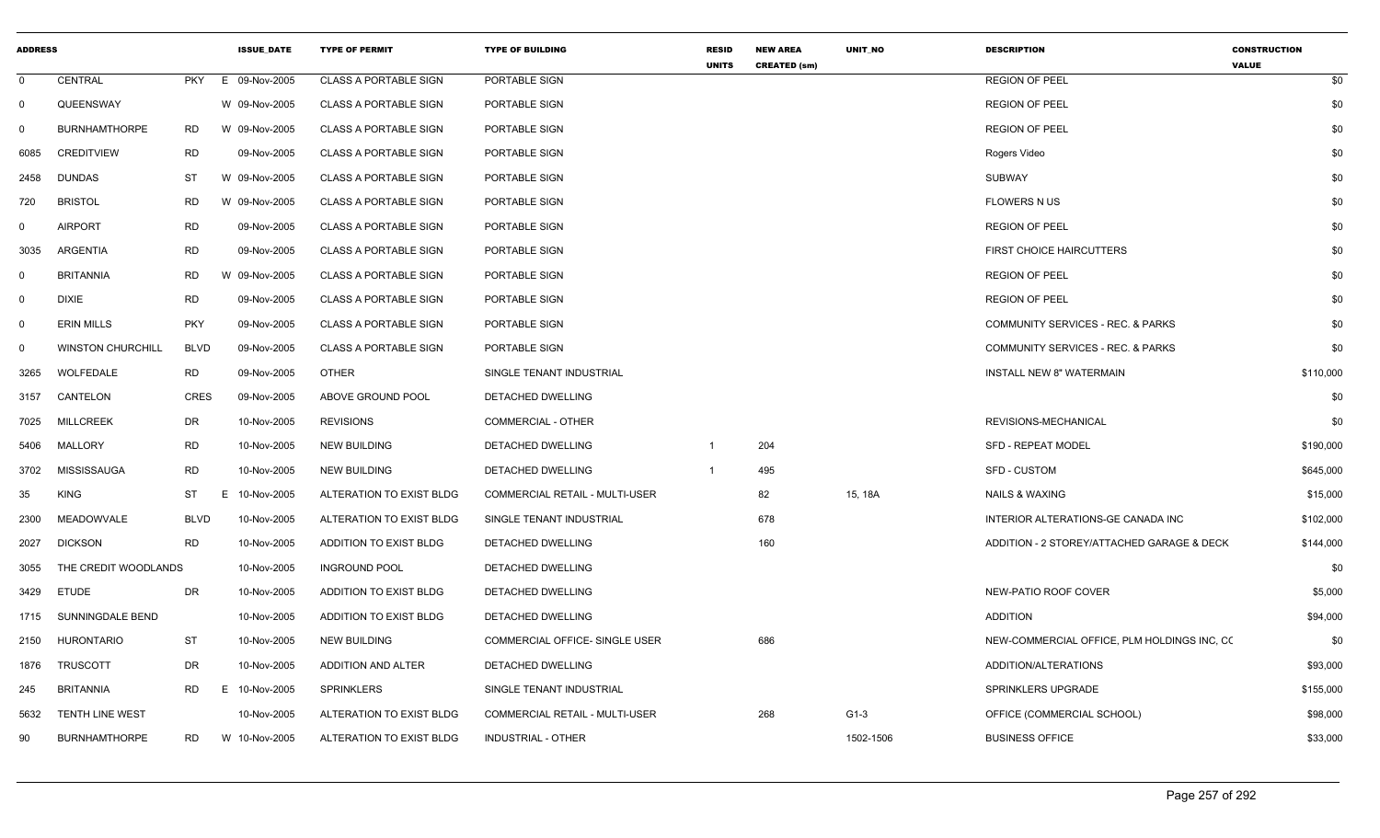| <b>ADDRESS</b> |                          |             | <b>ISSUE DATE</b> | <b>TYPE OF PERMIT</b>        | <b>TYPE OF BUILDING</b>        | <b>RESID</b>   | <b>NEW AREA</b>     | UNIT_NO   | <b>DESCRIPTION</b>                          | <b>CONSTRUCTION</b> |
|----------------|--------------------------|-------------|-------------------|------------------------------|--------------------------------|----------------|---------------------|-----------|---------------------------------------------|---------------------|
| $\mathbf 0$    | CENTRAL                  | <b>PKY</b>  | E 09-Nov-2005     | <b>CLASS A PORTABLE SIGN</b> | PORTABLE SIGN                  | <b>UNITS</b>   | <b>CREATED (sm)</b> |           | <b>REGION OF PEEL</b>                       | <b>VALUE</b><br>\$0 |
| 0              | QUEENSWAY                |             | W 09-Nov-2005     | <b>CLASS A PORTABLE SIGN</b> | PORTABLE SIGN                  |                |                     |           | <b>REGION OF PEEL</b>                       | \$0                 |
| 0              | <b>BURNHAMTHORPE</b>     | <b>RD</b>   | W 09-Nov-2005     | <b>CLASS A PORTABLE SIGN</b> | PORTABLE SIGN                  |                |                     |           | <b>REGION OF PEEL</b>                       | \$0                 |
| 6085           | <b>CREDITVIEW</b>        | RD          | 09-Nov-2005       | CLASS A PORTABLE SIGN        | PORTABLE SIGN                  |                |                     |           | Rogers Video                                | \$0                 |
| 2458           | <b>DUNDAS</b>            | <b>ST</b>   | W 09-Nov-2005     | <b>CLASS A PORTABLE SIGN</b> | PORTABLE SIGN                  |                |                     |           | <b>SUBWAY</b>                               | \$0                 |
| 720            | <b>BRISTOL</b>           | <b>RD</b>   | W 09-Nov-2005     | <b>CLASS A PORTABLE SIGN</b> | PORTABLE SIGN                  |                |                     |           | <b>FLOWERS N US</b>                         | \$0                 |
| 0              | <b>AIRPORT</b>           | <b>RD</b>   | 09-Nov-2005       | <b>CLASS A PORTABLE SIGN</b> | PORTABLE SIGN                  |                |                     |           | <b>REGION OF PEEL</b>                       | \$0                 |
| 3035           | ARGENTIA                 | <b>RD</b>   | 09-Nov-2005       | <b>CLASS A PORTABLE SIGN</b> | PORTABLE SIGN                  |                |                     |           | <b>FIRST CHOICE HAIRCUTTERS</b>             | \$0                 |
| $\mathbf 0$    | <b>BRITANNIA</b>         | <b>RD</b>   | W 09-Nov-2005     | <b>CLASS A PORTABLE SIGN</b> | PORTABLE SIGN                  |                |                     |           | <b>REGION OF PEEL</b>                       | \$0                 |
| 0              | <b>DIXIE</b>             | <b>RD</b>   | 09-Nov-2005       | <b>CLASS A PORTABLE SIGN</b> | PORTABLE SIGN                  |                |                     |           | <b>REGION OF PEEL</b>                       | \$0                 |
| $\Omega$       | <b>ERIN MILLS</b>        | <b>PKY</b>  | 09-Nov-2005       | <b>CLASS A PORTABLE SIGN</b> | PORTABLE SIGN                  |                |                     |           | COMMUNITY SERVICES - REC. & PARKS           | \$0                 |
| $\mathbf 0$    | <b>WINSTON CHURCHILL</b> | <b>BLVD</b> | 09-Nov-2005       | <b>CLASS A PORTABLE SIGN</b> | PORTABLE SIGN                  |                |                     |           | COMMUNITY SERVICES - REC. & PARKS           | \$0                 |
| 3265           | WOLFEDALE                | <b>RD</b>   | 09-Nov-2005       | <b>OTHER</b>                 | SINGLE TENANT INDUSTRIAL       |                |                     |           | <b>INSTALL NEW 8" WATERMAIN</b>             | \$110,000           |
| 3157           | CANTELON                 | <b>CRES</b> | 09-Nov-2005       | ABOVE GROUND POOL            | DETACHED DWELLING              |                |                     |           |                                             | \$0                 |
| 7025           | <b>MILLCREEK</b>         | DR          | 10-Nov-2005       | <b>REVISIONS</b>             | <b>COMMERCIAL - OTHER</b>      |                |                     |           | REVISIONS-MECHANICAL                        | \$0                 |
| 5406           | MALLORY                  | <b>RD</b>   | 10-Nov-2005       | <b>NEW BUILDING</b>          | DETACHED DWELLING              |                | 204                 |           | <b>SFD - REPEAT MODEL</b>                   | \$190,000           |
| 3702           | MISSISSAUGA              | RD          | 10-Nov-2005       | <b>NEW BUILDING</b>          | DETACHED DWELLING              | $\overline{1}$ | 495                 |           | <b>SFD - CUSTOM</b>                         | \$645,000           |
| 35             | <b>KING</b>              | <b>ST</b>   | E.<br>10-Nov-2005 | ALTERATION TO EXIST BLDG     | COMMERCIAL RETAIL - MULTI-USER |                | 82                  | 15, 18A   | <b>NAILS &amp; WAXING</b>                   | \$15,000            |
| 2300           | MEADOWVALE               | <b>BLVD</b> | 10-Nov-2005       | ALTERATION TO EXIST BLDG     | SINGLE TENANT INDUSTRIAL       |                | 678                 |           | INTERIOR ALTERATIONS-GE CANADA INC          | \$102,000           |
| 2027           | <b>DICKSON</b>           | <b>RD</b>   | 10-Nov-2005       | ADDITION TO EXIST BLDG       | DETACHED DWELLING              |                | 160                 |           | ADDITION - 2 STOREY/ATTACHED GARAGE & DECK  | \$144,000           |
| 3055           | THE CREDIT WOODLANDS     |             | 10-Nov-2005       | <b>INGROUND POOL</b>         | DETACHED DWELLING              |                |                     |           |                                             | \$0                 |
| 3429           | <b>ETUDE</b>             | DR          | 10-Nov-2005       | ADDITION TO EXIST BLDG       | DETACHED DWELLING              |                |                     |           | NEW-PATIO ROOF COVER                        | \$5,000             |
| 1715           | SUNNINGDALE BEND         |             | 10-Nov-2005       | ADDITION TO EXIST BLDG       | DETACHED DWELLING              |                |                     |           | <b>ADDITION</b>                             | \$94,000            |
| 2150           | <b>HURONTARIO</b>        | <b>ST</b>   | 10-Nov-2005       | NEW BUILDING                 | COMMERCIAL OFFICE- SINGLE USER |                | 686                 |           | NEW-COMMERCIAL OFFICE, PLM HOLDINGS INC, CO | \$0                 |
| 1876           | <b>TRUSCOTT</b>          | <b>DR</b>   | 10-Nov-2005       | ADDITION AND ALTER           | DETACHED DWELLING              |                |                     |           | ADDITION/ALTERATIONS                        | \$93,000            |
| 245            | <b>BRITANNIA</b>         | <b>RD</b>   | 10-Nov-2005<br>E. | SPRINKLERS                   | SINGLE TENANT INDUSTRIAL       |                |                     |           | SPRINKLERS UPGRADE                          | \$155,000           |
| 5632           | TENTH LINE WEST          |             | 10-Nov-2005       | ALTERATION TO EXIST BLDG     | COMMERCIAL RETAIL - MULTI-USER |                | 268                 | $G1-3$    | OFFICE (COMMERCIAL SCHOOL)                  | \$98,000            |
| 90             | <b>BURNHAMTHORPE</b>     | RD.         | W 10-Nov-2005     | ALTERATION TO EXIST BLDG     | INDUSTRIAL - OTHER             |                |                     | 1502-1506 | <b>BUSINESS OFFICE</b>                      | \$33,000            |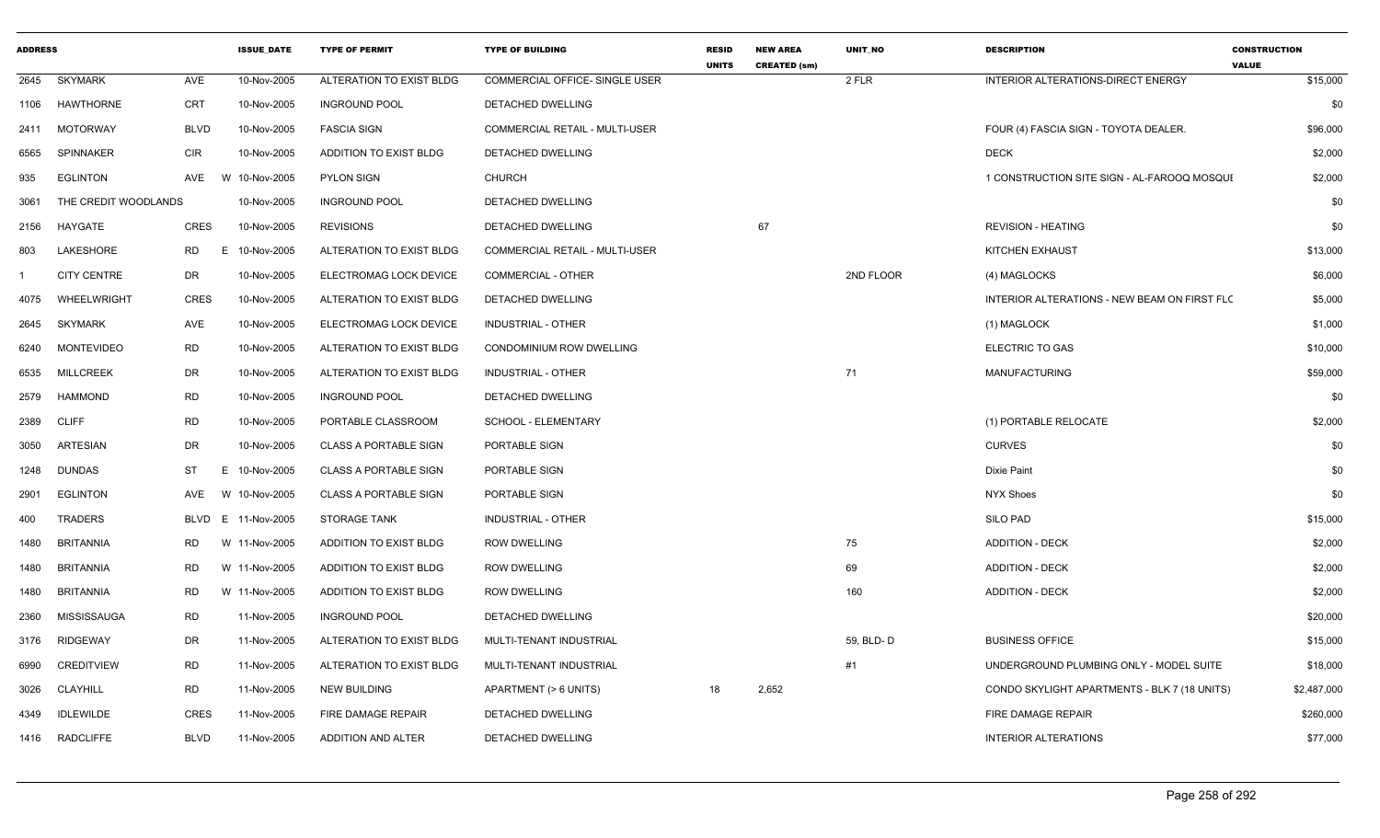| <b>ADDRESS</b> |                      |             | <b>ISSUE DATE</b> | <b>TYPE OF PERMIT</b>        | <b>TYPE OF BUILDING</b>               | <b>RESID</b><br><b>UNITS</b> | <b>NEW AREA</b><br><b>CREATED (sm)</b> | <b>UNIT NO</b> | <b>DESCRIPTION</b>                           | <b>CONSTRUCTION</b><br><b>VALUE</b> |
|----------------|----------------------|-------------|-------------------|------------------------------|---------------------------------------|------------------------------|----------------------------------------|----------------|----------------------------------------------|-------------------------------------|
| 2645           | SKYMARK              | AVE         | 10-Nov-2005       | ALTERATION TO EXIST BLDG     | COMMERCIAL OFFICE- SINGLE USER        |                              |                                        | 2 FLR          | INTERIOR ALTERATIONS-DIRECT ENERGY           | \$15,000                            |
| 1106           | HAWTHORNE            | <b>CRT</b>  | 10-Nov-2005       | <b>INGROUND POOL</b>         | DETACHED DWELLING                     |                              |                                        |                |                                              | \$0                                 |
| 2411           | <b>MOTORWAY</b>      | <b>BLVD</b> | 10-Nov-2005       | <b>FASCIA SIGN</b>           | <b>COMMERCIAL RETAIL - MULTI-USER</b> |                              |                                        |                | FOUR (4) FASCIA SIGN - TOYOTA DEALER.        | \$96,000                            |
| 6565           | <b>SPINNAKER</b>     | <b>CIR</b>  | 10-Nov-2005       | ADDITION TO EXIST BLDG       | DETACHED DWELLING                     |                              |                                        |                | <b>DECK</b>                                  | \$2,000                             |
| 935            | <b>EGLINTON</b>      | AVE         | W 10-Nov-2005     | <b>PYLON SIGN</b>            | <b>CHURCH</b>                         |                              |                                        |                | 1 CONSTRUCTION SITE SIGN - AL-FAROOQ MOSQUI  | \$2,000                             |
| 3061           | THE CREDIT WOODLANDS |             | 10-Nov-2005       | <b>INGROUND POOL</b>         | <b>DETACHED DWELLING</b>              |                              |                                        |                |                                              | \$0                                 |
| 2156           | HAYGATE              | <b>CRES</b> | 10-Nov-2005       | <b>REVISIONS</b>             | <b>DETACHED DWELLING</b>              |                              | 67                                     |                | <b>REVISION - HEATING</b>                    | \$0                                 |
| 803            | LAKESHORE            | RD<br>Е.    | 10-Nov-2005       | ALTERATION TO EXIST BLDG     | COMMERCIAL RETAIL - MULTI-USER        |                              |                                        |                | KITCHEN EXHAUST                              | \$13,000                            |
|                | <b>CITY CENTRE</b>   | DR          | 10-Nov-2005       | ELECTROMAG LOCK DEVICE       | <b>COMMERCIAL - OTHER</b>             |                              |                                        | 2ND FLOOR      | (4) MAGLOCKS                                 | \$6,000                             |
| 4075           | WHEELWRIGHT          | <b>CRES</b> | 10-Nov-2005       | ALTERATION TO EXIST BLDG     | DETACHED DWELLING                     |                              |                                        |                | INTERIOR ALTERATIONS - NEW BEAM ON FIRST FLC | \$5,000                             |
| 2645           | <b>SKYMARK</b>       | AVE         | 10-Nov-2005       | ELECTROMAG LOCK DEVICE       | INDUSTRIAL - OTHER                    |                              |                                        |                | (1) MAGLOCK                                  | \$1,000                             |
| 6240           | <b>MONTEVIDEO</b>    | <b>RD</b>   | 10-Nov-2005       | ALTERATION TO EXIST BLDG     | CONDOMINIUM ROW DWELLING              |                              |                                        |                | ELECTRIC TO GAS                              | \$10,000                            |
| 6535           | <b>MILLCREEK</b>     | <b>DR</b>   | 10-Nov-2005       | ALTERATION TO EXIST BLDG     | <b>INDUSTRIAL - OTHER</b>             |                              |                                        | 71             | <b>MANUFACTURING</b>                         | \$59,000                            |
| 2579           | <b>HAMMOND</b>       | <b>RD</b>   | 10-Nov-2005       | <b>INGROUND POOL</b>         | DETACHED DWELLING                     |                              |                                        |                |                                              | \$0                                 |
| 2389           | <b>CLIFF</b>         | <b>RD</b>   | 10-Nov-2005       | PORTABLE CLASSROOM           | SCHOOL - ELEMENTARY                   |                              |                                        |                | (1) PORTABLE RELOCATE                        | \$2,000                             |
| 3050           | <b>ARTESIAN</b>      | DR          | 10-Nov-2005       | <b>CLASS A PORTABLE SIGN</b> | PORTABLE SIGN                         |                              |                                        |                | <b>CURVES</b>                                | \$0                                 |
| 1248           | <b>DUNDAS</b>        | <b>ST</b>   | E 10-Nov-2005     | <b>CLASS A PORTABLE SIGN</b> | PORTABLE SIGN                         |                              |                                        |                | Dixie Paint                                  | \$0                                 |
| 2901           | <b>EGLINTON</b>      | AVE         | W 10-Nov-2005     | <b>CLASS A PORTABLE SIGN</b> | PORTABLE SIGN                         |                              |                                        |                | <b>NYX Shoes</b>                             | \$0                                 |
| 400            | <b>TRADERS</b>       | <b>BLVD</b> | E 11-Nov-2005     | <b>STORAGE TANK</b>          | <b>INDUSTRIAL - OTHER</b>             |                              |                                        |                | <b>SILO PAD</b>                              | \$15,000                            |
| 1480           | <b>BRITANNIA</b>     | RD.         | W 11-Nov-2005     | ADDITION TO EXIST BLDG       | <b>ROW DWELLING</b>                   |                              |                                        | 75             | <b>ADDITION - DECK</b>                       | \$2,000                             |
| 1480           | <b>BRITANNIA</b>     | <b>RD</b>   | W 11-Nov-2005     | ADDITION TO EXIST BLDG       | <b>ROW DWELLING</b>                   |                              |                                        | 69             | <b>ADDITION - DECK</b>                       | \$2,000                             |
| 1480           | <b>BRITANNIA</b>     | <b>RD</b>   | W 11-Nov-2005     | ADDITION TO EXIST BLDG       | <b>ROW DWELLING</b>                   |                              |                                        | 160            | <b>ADDITION - DECK</b>                       | \$2,000                             |
| 2360           | <b>MISSISSAUGA</b>   | <b>RD</b>   | 11-Nov-2005       | <b>INGROUND POOL</b>         | <b>DETACHED DWELLING</b>              |                              |                                        |                |                                              | \$20,000                            |
| 3176           | <b>RIDGEWAY</b>      | <b>DR</b>   | 11-Nov-2005       | ALTERATION TO EXIST BLDG     | MULTI-TENANT INDUSTRIAL               |                              |                                        | 59, BLD-D      | <b>BUSINESS OFFICE</b>                       | \$15,000                            |
| 6990           | <b>CREDITVIEW</b>    | RD          | 11-Nov-2005       | ALTERATION TO EXIST BLDG     | MULTI-TENANT INDUSTRIAL               |                              |                                        | #1             | UNDERGROUND PLUMBING ONLY - MODEL SUITE      | \$18,000                            |
| 3026           | <b>CLAYHILL</b>      | <b>RD</b>   | 11-Nov-2005       | <b>NEW BUILDING</b>          | APARTMENT (> 6 UNITS)                 | 18                           | 2,652                                  |                | CONDO SKYLIGHT APARTMENTS - BLK 7 (18 UNITS) | \$2,487,000                         |
| 4349           | <b>IDLEWILDE</b>     | <b>CRES</b> | 11-Nov-2005       | FIRE DAMAGE REPAIR           | DETACHED DWELLING                     |                              |                                        |                | FIRE DAMAGE REPAIR                           | \$260,000                           |
| 1416           | RADCLIFFE            | <b>BLVD</b> | 11-Nov-2005       | ADDITION AND ALTER           | DETACHED DWELLING                     |                              |                                        |                | <b>INTERIOR ALTERATIONS</b>                  | \$77,000                            |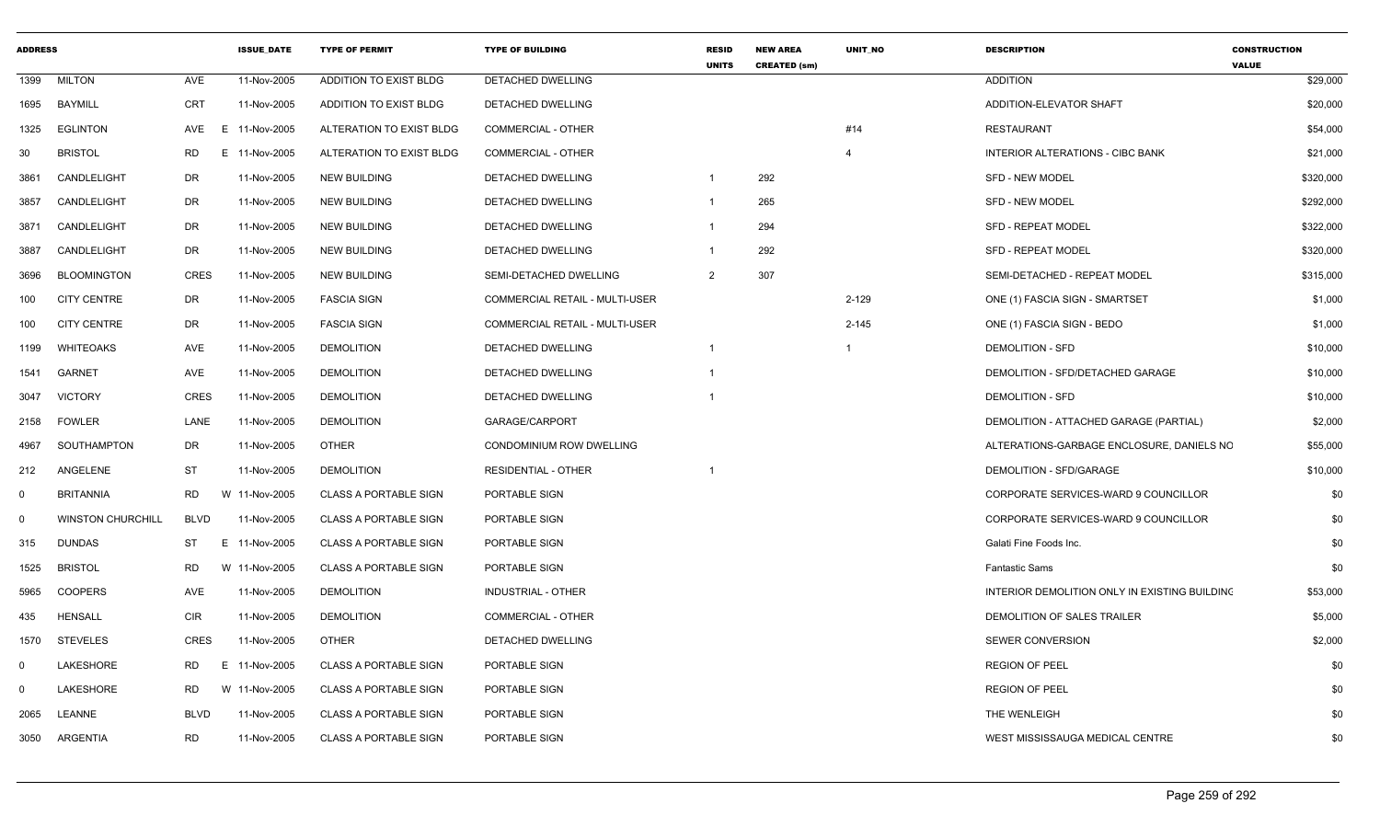| <b>ADDRESS</b> |                          |             | <b>ISSUE DATE</b> | <b>TYPE OF PERMIT</b>         | <b>TYPE OF BUILDING</b>        | <b>RESID</b><br><b>UNITS</b> | <b>NEW AREA</b><br><b>CREATED (sm)</b> | <b>UNIT NO</b> | <b>DESCRIPTION</b>                            | <b>CONSTRUCTION</b><br><b>VALUE</b> |
|----------------|--------------------------|-------------|-------------------|-------------------------------|--------------------------------|------------------------------|----------------------------------------|----------------|-----------------------------------------------|-------------------------------------|
| 1399           | <b>MILTON</b>            | AVE         | 11-Nov-2005       | <b>ADDITION TO EXIST BLDG</b> | DETACHED DWELLING              |                              |                                        |                | <b>ADDITION</b>                               | \$29,000                            |
| 1695           | BAYMILL                  | <b>CRT</b>  | 11-Nov-2005       | ADDITION TO EXIST BLDG        | DETACHED DWELLING              |                              |                                        |                | ADDITION-ELEVATOR SHAFT                       | \$20,000                            |
| 1325           | <b>EGLINTON</b>          | AVE<br>E    | 11-Nov-2005       | ALTERATION TO EXIST BLDG      | <b>COMMERCIAL - OTHER</b>      |                              |                                        | #14            | <b>RESTAURANT</b>                             | \$54,000                            |
| 30             | <b>BRISTOL</b>           | RD          | E 11-Nov-2005     | ALTERATION TO EXIST BLDG      | <b>COMMERCIAL - OTHER</b>      |                              |                                        | $\overline{4}$ | <b>INTERIOR ALTERATIONS - CIBC BANK</b>       | \$21,000                            |
| 3861           | CANDLELIGHT              | DR          | 11-Nov-2005       | <b>NEW BUILDING</b>           | DETACHED DWELLING              |                              | 292                                    |                | <b>SFD - NEW MODEL</b>                        | \$320,000                           |
| 3857           | CANDLELIGHT              | DR          | 11-Nov-2005       | <b>NEW BUILDING</b>           | DETACHED DWELLING              |                              | 265                                    |                | <b>SFD - NEW MODEL</b>                        | \$292,000                           |
| 3871           | CANDLELIGHT              | DR          | 11-Nov-2005       | <b>NEW BUILDING</b>           | DETACHED DWELLING              |                              | 294                                    |                | <b>SFD - REPEAT MODEL</b>                     | \$322,000                           |
| 3887           | CANDLELIGHT              | DR          | 11-Nov-2005       | <b>NEW BUILDING</b>           | <b>DETACHED DWELLING</b>       |                              | 292                                    |                | <b>SFD - REPEAT MODEL</b>                     | \$320,000                           |
| 3696           | <b>BLOOMINGTON</b>       | CRES        | 11-Nov-2005       | <b>NEW BUILDING</b>           | SEMI-DETACHED DWELLING         | 2                            | 307                                    |                | SEMI-DETACHED - REPEAT MODEL                  | \$315,000                           |
| 100            | <b>CITY CENTRE</b>       | DR          | 11-Nov-2005       | <b>FASCIA SIGN</b>            | COMMERCIAL RETAIL - MULTI-USER |                              |                                        | $2 - 129$      | ONE (1) FASCIA SIGN - SMARTSET                | \$1,000                             |
| 100            | <b>CITY CENTRE</b>       | <b>DR</b>   | 11-Nov-2005       | <b>FASCIA SIGN</b>            | COMMERCIAL RETAIL - MULTI-USER |                              |                                        | $2 - 145$      | ONE (1) FASCIA SIGN - BEDO                    | \$1,000                             |
| 1199           | WHITEOAKS                | AVE         | 11-Nov-2005       | <b>DEMOLITION</b>             | DETACHED DWELLING              |                              |                                        |                | <b>DEMOLITION - SFD</b>                       | \$10,000                            |
| 1541           | <b>GARNET</b>            | AVE         | 11-Nov-2005       | <b>DEMOLITION</b>             | <b>DETACHED DWELLING</b>       |                              |                                        |                | DEMOLITION - SFD/DETACHED GARAGE              | \$10,000                            |
| 3047           | <b>VICTORY</b>           | CRES        | 11-Nov-2005       | <b>DEMOLITION</b>             | DETACHED DWELLING              |                              |                                        |                | <b>DEMOLITION - SFD</b>                       | \$10,000                            |
| 2158           | <b>FOWLER</b>            | LANE        | 11-Nov-2005       | <b>DEMOLITION</b>             | GARAGE/CARPORT                 |                              |                                        |                | DEMOLITION - ATTACHED GARAGE (PARTIAL)        | \$2,000                             |
| 4967           | SOUTHAMPTON              | DR          | 11-Nov-2005       | <b>OTHER</b>                  | CONDOMINIUM ROW DWELLING       |                              |                                        |                | ALTERATIONS-GARBAGE ENCLOSURE, DANIELS NC     | \$55,000                            |
| 212            | ANGELENE                 | ST          | 11-Nov-2005       | <b>DEMOLITION</b>             | <b>RESIDENTIAL - OTHER</b>     |                              |                                        |                | DEMOLITION - SFD/GARAGE                       | \$10,000                            |
| $\Omega$       | <b>BRITANNIA</b>         | RD          | W 11-Nov-2005     | <b>CLASS A PORTABLE SIGN</b>  | PORTABLE SIGN                  |                              |                                        |                | CORPORATE SERVICES-WARD 9 COUNCILLOR          | \$0                                 |
| $\Omega$       | <b>WINSTON CHURCHILL</b> | BLVD        | 11-Nov-2005       | <b>CLASS A PORTABLE SIGN</b>  | PORTABLE SIGN                  |                              |                                        |                | CORPORATE SERVICES-WARD 9 COUNCILLOR          | \$0                                 |
| 315            | <b>DUNDAS</b>            | <b>ST</b>   | E 11-Nov-2005     | <b>CLASS A PORTABLE SIGN</b>  | PORTABLE SIGN                  |                              |                                        |                | Galati Fine Foods Inc.                        | \$0                                 |
| 1525           | <b>BRISTOL</b>           | RD          | W 11-Nov-2005     | <b>CLASS A PORTABLE SIGN</b>  | PORTABLE SIGN                  |                              |                                        |                | <b>Fantastic Sams</b>                         | \$0                                 |
| 5965           | <b>COOPERS</b>           | AVE         | 11-Nov-2005       | <b>DEMOLITION</b>             | INDUSTRIAL - OTHER             |                              |                                        |                | INTERIOR DEMOLITION ONLY IN EXISTING BUILDING | \$53,000                            |
| 435            | <b>HENSALL</b>           | <b>CIR</b>  | 11-Nov-2005       | <b>DEMOLITION</b>             | <b>COMMERCIAL - OTHER</b>      |                              |                                        |                | DEMOLITION OF SALES TRAILER                   | \$5,000                             |
| 1570           | <b>STEVELES</b>          | CRES        | 11-Nov-2005       | <b>OTHER</b>                  | DETACHED DWELLING              |                              |                                        |                | <b>SEWER CONVERSION</b>                       | \$2,000                             |
| $\Omega$       | LAKESHORE                | RD<br>E     | 11-Nov-2005       | <b>CLASS A PORTABLE SIGN</b>  | PORTABLE SIGN                  |                              |                                        |                | <b>REGION OF PEEL</b>                         | \$0                                 |
| $\Omega$       | LAKESHORE                | RD          | W 11-Nov-2005     | <b>CLASS A PORTABLE SIGN</b>  | PORTABLE SIGN                  |                              |                                        |                | <b>REGION OF PEEL</b>                         | \$0                                 |
| 2065           | LEANNE                   | <b>BLVD</b> | 11-Nov-2005       | <b>CLASS A PORTABLE SIGN</b>  | PORTABLE SIGN                  |                              |                                        |                | THE WENLEIGH                                  | \$0                                 |
| 3050           | ARGENTIA                 | <b>RD</b>   | 11-Nov-2005       | <b>CLASS A PORTABLE SIGN</b>  | PORTABLE SIGN                  |                              |                                        |                | WEST MISSISSAUGA MEDICAL CENTRE               | \$0                                 |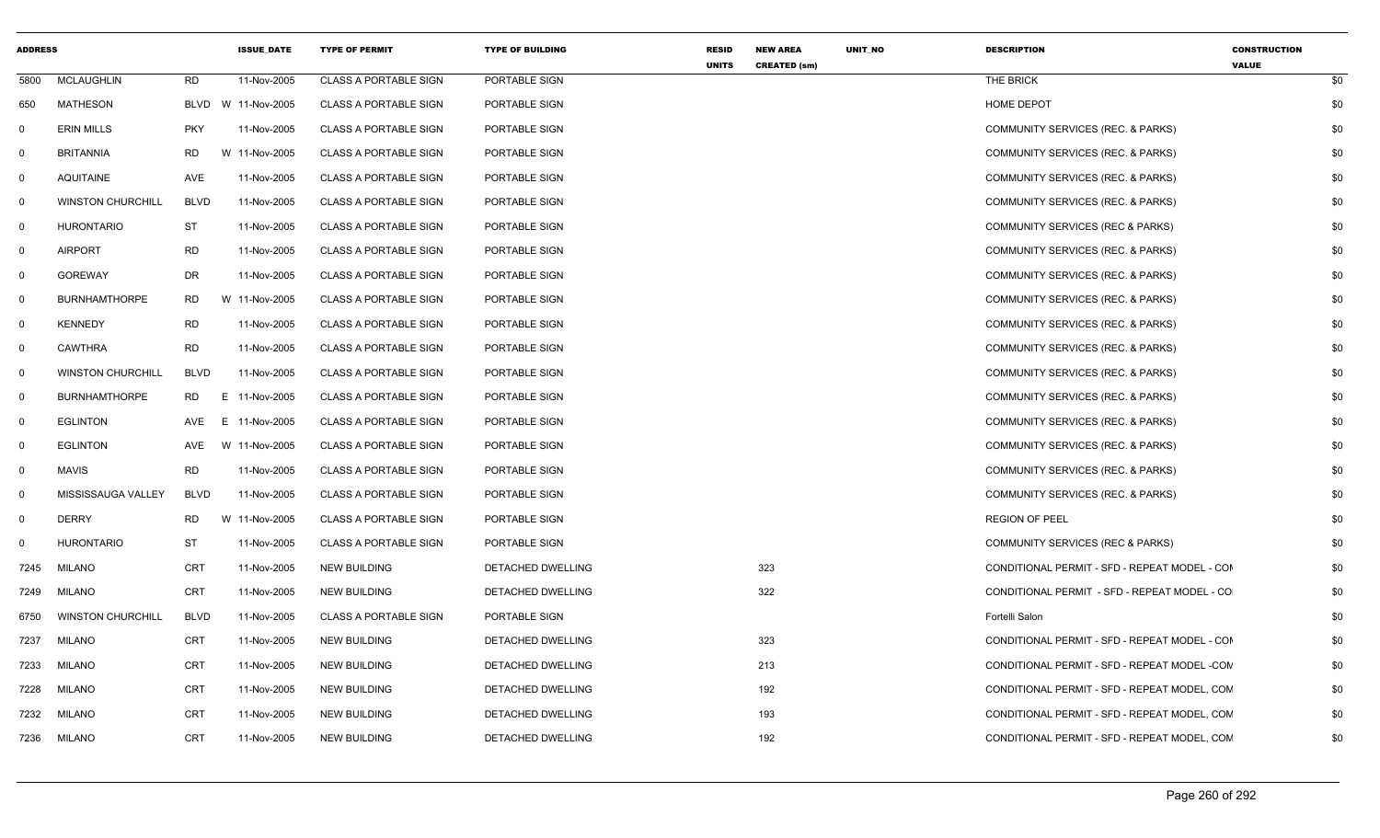| <b>ADDRESS</b> |                          |             | <b>ISSUE_DATE</b>  | <b>TYPE OF PERMIT</b>        | <b>TYPE OF BUILDING</b> | <b>RESID</b><br><b>UNITS</b> | <b>NEW AREA</b><br><b>CREATED (sm)</b> | UNIT_NO | <b>DESCRIPTION</b>                            | <b>CONSTRUCTION</b><br><b>VALUE</b> |     |
|----------------|--------------------------|-------------|--------------------|------------------------------|-------------------------|------------------------------|----------------------------------------|---------|-----------------------------------------------|-------------------------------------|-----|
| 5800           | <b>MCLAUGHLIN</b>        | <b>RD</b>   | 11-Nov-2005        | <b>CLASS A PORTABLE SIGN</b> | PORTABLE SIGN           |                              |                                        |         | THE BRICK                                     |                                     | \$0 |
| 650            | <b>MATHESON</b>          |             | BLVD W 11-Nov-2005 | <b>CLASS A PORTABLE SIGN</b> | PORTABLE SIGN           |                              |                                        |         | <b>HOME DEPOT</b>                             |                                     | \$0 |
| 0              | <b>ERIN MILLS</b>        | <b>PKY</b>  | 11-Nov-2005        | <b>CLASS A PORTABLE SIGN</b> | PORTABLE SIGN           |                              |                                        |         | COMMUNITY SERVICES (REC. & PARKS)             |                                     | \$0 |
| 0              | <b>BRITANNIA</b>         | <b>RD</b>   | W 11-Nov-2005      | <b>CLASS A PORTABLE SIGN</b> | PORTABLE SIGN           |                              |                                        |         | COMMUNITY SERVICES (REC. & PARKS)             |                                     | \$0 |
| 0              | <b>AQUITAINE</b>         | AVE         | 11-Nov-2005        | <b>CLASS A PORTABLE SIGN</b> | PORTABLE SIGN           |                              |                                        |         | COMMUNITY SERVICES (REC. & PARKS)             |                                     | \$0 |
| 0              | <b>WINSTON CHURCHILL</b> | <b>BLVD</b> | 11-Nov-2005        | <b>CLASS A PORTABLE SIGN</b> | PORTABLE SIGN           |                              |                                        |         | COMMUNITY SERVICES (REC. & PARKS)             |                                     | \$0 |
| 0              | <b>HURONTARIO</b>        | ST          | 11-Nov-2005        | <b>CLASS A PORTABLE SIGN</b> | PORTABLE SIGN           |                              |                                        |         | COMMUNITY SERVICES (REC & PARKS)              |                                     | \$0 |
| 0              | <b>AIRPORT</b>           | <b>RD</b>   | 11-Nov-2005        | <b>CLASS A PORTABLE SIGN</b> | PORTABLE SIGN           |                              |                                        |         | COMMUNITY SERVICES (REC. & PARKS)             |                                     | \$0 |
| 0              | <b>GOREWAY</b>           | <b>DR</b>   | 11-Nov-2005        | <b>CLASS A PORTABLE SIGN</b> | PORTABLE SIGN           |                              |                                        |         | COMMUNITY SERVICES (REC. & PARKS)             |                                     | \$0 |
| 0              | <b>BURNHAMTHORPE</b>     | <b>RD</b>   | W 11-Nov-2005      | <b>CLASS A PORTABLE SIGN</b> | PORTABLE SIGN           |                              |                                        |         | COMMUNITY SERVICES (REC. & PARKS)             |                                     | \$0 |
| 0              | <b>KENNEDY</b>           | <b>RD</b>   | 11-Nov-2005        | <b>CLASS A PORTABLE SIGN</b> | PORTABLE SIGN           |                              |                                        |         | COMMUNITY SERVICES (REC. & PARKS)             |                                     | \$0 |
| 0              | <b>CAWTHRA</b>           | <b>RD</b>   | 11-Nov-2005        | CLASS A PORTABLE SIGN        | PORTABLE SIGN           |                              |                                        |         | COMMUNITY SERVICES (REC. & PARKS)             |                                     | \$0 |
| $\mathbf 0$    | <b>WINSTON CHURCHILL</b> | <b>BLVD</b> | 11-Nov-2005        | <b>CLASS A PORTABLE SIGN</b> | PORTABLE SIGN           |                              |                                        |         | COMMUNITY SERVICES (REC. & PARKS)             |                                     | \$0 |
| 0              | <b>BURNHAMTHORPE</b>     | RD.<br>E.   | 11-Nov-2005        | <b>CLASS A PORTABLE SIGN</b> | PORTABLE SIGN           |                              |                                        |         | COMMUNITY SERVICES (REC. & PARKS)             |                                     | \$0 |
| 0              | <b>EGLINTON</b>          | AVE<br>E.   | 11-Nov-2005        | <b>CLASS A PORTABLE SIGN</b> | PORTABLE SIGN           |                              |                                        |         | COMMUNITY SERVICES (REC. & PARKS)             |                                     | \$0 |
| 0              | <b>EGLINTON</b>          | AVE         | W 11-Nov-2005      | CLASS A PORTABLE SIGN        | PORTABLE SIGN           |                              |                                        |         | COMMUNITY SERVICES (REC. & PARKS)             |                                     | \$0 |
| 0              | <b>MAVIS</b>             | <b>RD</b>   | 11-Nov-2005        | <b>CLASS A PORTABLE SIGN</b> | PORTABLE SIGN           |                              |                                        |         | COMMUNITY SERVICES (REC. & PARKS)             |                                     | \$0 |
| 0              | MISSISSAUGA VALLEY       | <b>BLVD</b> | 11-Nov-2005        | <b>CLASS A PORTABLE SIGN</b> | PORTABLE SIGN           |                              |                                        |         | COMMUNITY SERVICES (REC. & PARKS)             |                                     | \$0 |
| 0              | <b>DERRY</b>             | RD          | W 11-Nov-2005      | <b>CLASS A PORTABLE SIGN</b> | PORTABLE SIGN           |                              |                                        |         | <b>REGION OF PEEL</b>                         |                                     | \$0 |
| 0              | <b>HURONTARIO</b>        | ST          | 11-Nov-2005        | <b>CLASS A PORTABLE SIGN</b> | PORTABLE SIGN           |                              |                                        |         | COMMUNITY SERVICES (REC & PARKS)              |                                     | \$0 |
| 7245           | <b>MILANO</b>            | <b>CRT</b>  | 11-Nov-2005        | <b>NEW BUILDING</b>          | DETACHED DWELLING       |                              | 323                                    |         | CONDITIONAL PERMIT - SFD - REPEAT MODEL - COM |                                     | \$0 |
| 7249           | <b>MILANO</b>            | CRT         | 11-Nov-2005        | <b>NEW BUILDING</b>          | DETACHED DWELLING       |                              | 322                                    |         | CONDITIONAL PERMIT - SFD - REPEAT MODEL - CO  |                                     | \$0 |
| 6750           | <b>WINSTON CHURCHILL</b> | <b>BLVD</b> | 11-Nov-2005        | <b>CLASS A PORTABLE SIGN</b> | PORTABLE SIGN           |                              |                                        |         | Fortelli Salon                                |                                     | \$0 |
| 7237           | <b>MILANO</b>            | <b>CRT</b>  | 11-Nov-2005        | <b>NEW BUILDING</b>          | DETACHED DWELLING       |                              | 323                                    |         | CONDITIONAL PERMIT - SFD - REPEAT MODEL - COM |                                     | \$0 |
| 7233           | <b>MILANO</b>            | <b>CRT</b>  | 11-Nov-2005        | <b>NEW BUILDING</b>          | DETACHED DWELLING       |                              | 213                                    |         | CONDITIONAL PERMIT - SFD - REPEAT MODEL -CON  |                                     | \$0 |
| 7228           | <b>MILANO</b>            | <b>CRT</b>  | 11-Nov-2005        | <b>NEW BUILDING</b>          | DETACHED DWELLING       |                              | 192                                    |         | CONDITIONAL PERMIT - SFD - REPEAT MODEL, CON  |                                     | \$0 |
| 7232           | MILANO                   | <b>CRT</b>  | 11-Nov-2005        | <b>NEW BUILDING</b>          | DETACHED DWELLING       |                              | 193                                    |         | CONDITIONAL PERMIT - SFD - REPEAT MODEL, CON  |                                     | \$0 |
| 7236           | MILANO                   | CRT         | 11-Nov-2005        | <b>NEW BUILDING</b>          | DETACHED DWELLING       |                              | 192                                    |         | CONDITIONAL PERMIT - SFD - REPEAT MODEL, CON  |                                     | \$0 |
|                |                          |             |                    |                              |                         |                              |                                        |         |                                               |                                     |     |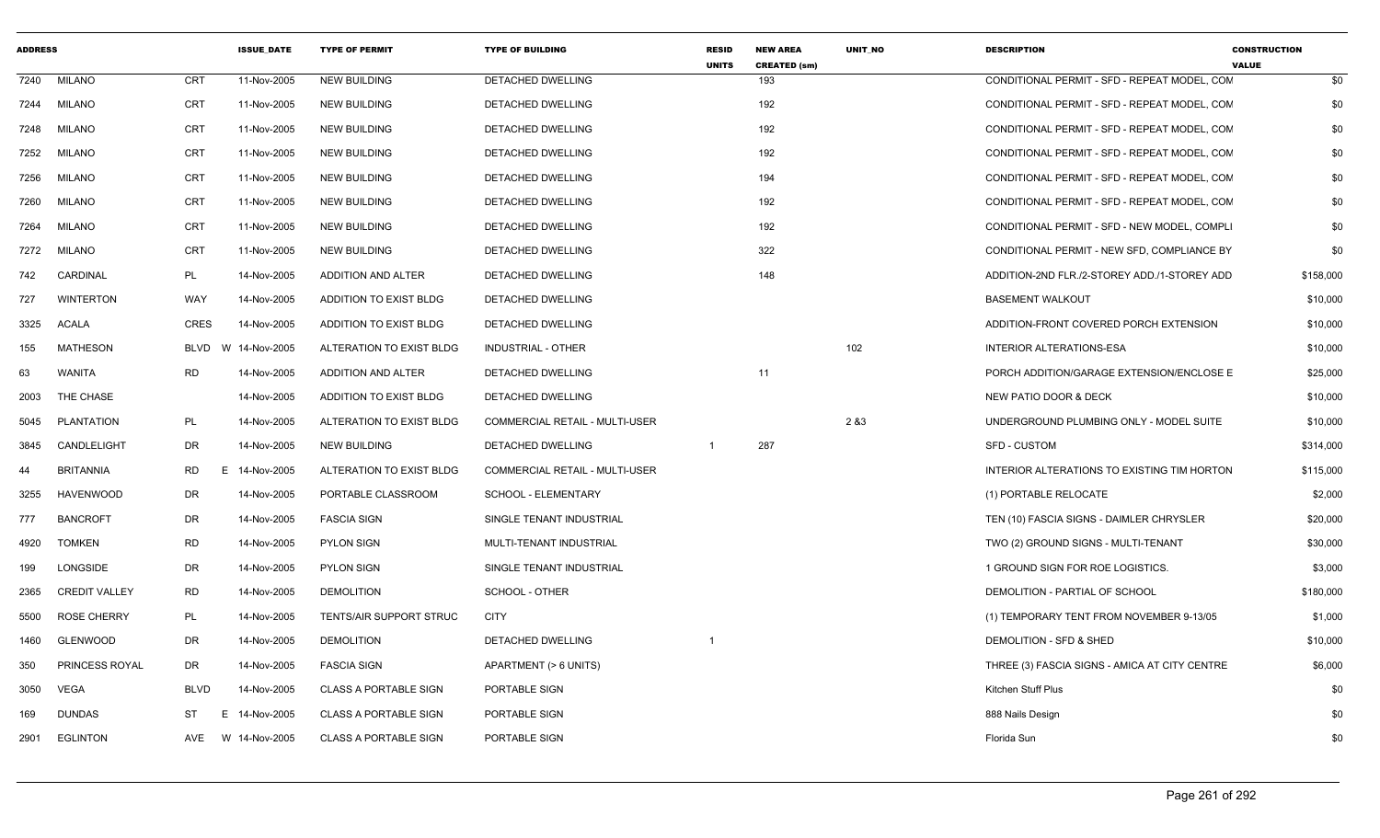| <b>ADDRESS</b> |                      |                 | <b>ISSUE_DATE</b> | <b>TYPE OF PERMIT</b>        | <b>TYPE OF BUILDING</b>               | <b>RESID</b><br><b>UNITS</b> | <b>NEW AREA</b><br><b>CREATED (sm)</b> | UNIT_NO | <b>DESCRIPTION</b>                            | <b>CONSTRUCTION</b><br><b>VALUE</b> |
|----------------|----------------------|-----------------|-------------------|------------------------------|---------------------------------------|------------------------------|----------------------------------------|---------|-----------------------------------------------|-------------------------------------|
| 7240           | <b>MILANO</b>        | <b>CRT</b>      | 11-Nov-2005       | <b>NEW BUILDING</b>          | <b>DETACHED DWELLING</b>              |                              | 193                                    |         | CONDITIONAL PERMIT - SFD - REPEAT MODEL, CON  | \$0                                 |
| 7244           | <b>MILANO</b>        | <b>CRT</b>      | 11-Nov-2005       | <b>NEW BUILDING</b>          | DETACHED DWELLING                     |                              | 192                                    |         | CONDITIONAL PERMIT - SFD - REPEAT MODEL, CON  | \$0                                 |
| 7248           | <b>MILANO</b>        | <b>CRT</b>      | 11-Nov-2005       | <b>NEW BUILDING</b>          | DETACHED DWELLING                     |                              | 192                                    |         | CONDITIONAL PERMIT - SFD - REPEAT MODEL, CON  | \$0                                 |
| 7252           | <b>MILANO</b>        | <b>CRT</b>      | 11-Nov-2005       | <b>NEW BUILDING</b>          | DETACHED DWELLING                     |                              | 192                                    |         | CONDITIONAL PERMIT - SFD - REPEAT MODEL, CON  | \$0                                 |
| 7256           | <b>MILANO</b>        | CRT             | 11-Nov-2005       | <b>NEW BUILDING</b>          | DETACHED DWELLING                     |                              | 194                                    |         | CONDITIONAL PERMIT - SFD - REPEAT MODEL, CON  | \$0                                 |
| 7260           | <b>MILANO</b>        | <b>CRT</b>      | 11-Nov-2005       | <b>NEW BUILDING</b>          | <b>DETACHED DWELLING</b>              |                              | 192                                    |         | CONDITIONAL PERMIT - SFD - REPEAT MODEL, CON  | \$0                                 |
| 7264           | <b>MILANO</b>        | <b>CRT</b>      | 11-Nov-2005       | <b>NEW BUILDING</b>          | DETACHED DWELLING                     |                              | 192                                    |         | CONDITIONAL PERMIT - SFD - NEW MODEL, COMPLI  | \$0                                 |
| 7272           | <b>MILANO</b>        | <b>CRT</b>      | 11-Nov-2005       | <b>NEW BUILDING</b>          | DETACHED DWELLING                     |                              | 322                                    |         | CONDITIONAL PERMIT - NEW SFD, COMPLIANCE BY   | \$0                                 |
| 742            | CARDINAL             | PL              | 14-Nov-2005       | ADDITION AND ALTER           | DETACHED DWELLING                     |                              | 148                                    |         | ADDITION-2ND FLR./2-STOREY ADD./1-STOREY ADD  | \$158,000                           |
| 727            | <b>WINTERTON</b>     | WAY             | 14-Nov-2005       | ADDITION TO EXIST BLDG       | <b>DETACHED DWELLING</b>              |                              |                                        |         | <b>BASEMENT WALKOUT</b>                       | \$10,000                            |
| 3325           | <b>ACALA</b>         | <b>CRES</b>     | 14-Nov-2005       | ADDITION TO EXIST BLDG       | DETACHED DWELLING                     |                              |                                        |         | ADDITION-FRONT COVERED PORCH EXTENSION        | \$10,000                            |
| 155            | <b>MATHESON</b>      | BLVD<br>W       | 14-Nov-2005       | ALTERATION TO EXIST BLDG     | <b>INDUSTRIAL - OTHER</b>             |                              |                                        | 102     | INTERIOR ALTERATIONS-ESA                      | \$10,000                            |
| 63             | WANITA               | <b>RD</b>       | 14-Nov-2005       | <b>ADDITION AND ALTER</b>    | DETACHED DWELLING                     |                              | 11                                     |         | PORCH ADDITION/GARAGE EXTENSION/ENCLOSE E     | \$25,000                            |
| 2003           | THE CHASE            |                 | 14-Nov-2005       | ADDITION TO EXIST BLDG       | DETACHED DWELLING                     |                              |                                        |         | NEW PATIO DOOR & DECK                         | \$10,000                            |
| 5045           | PLANTATION           | PL              | 14-Nov-2005       | ALTERATION TO EXIST BLDG     | <b>COMMERCIAL RETAIL - MULTI-USER</b> |                              |                                        | 2 & 3   | UNDERGROUND PLUMBING ONLY - MODEL SUITE       | \$10,000                            |
| 3845           | CANDLELIGHT          | DR.             | 14-Nov-2005       | <b>NEW BUILDING</b>          | DETACHED DWELLING                     | $\overline{1}$               | 287                                    |         | <b>SFD - CUSTOM</b>                           | \$314,000                           |
| 44             | <b>BRITANNIA</b>     | <b>RD</b><br>E. | 14-Nov-2005       | ALTERATION TO EXIST BLDG     | <b>COMMERCIAL RETAIL - MULTI-USER</b> |                              |                                        |         | INTERIOR ALTERATIONS TO EXISTING TIM HORTON   | \$115,000                           |
| 3255           | <b>HAVENWOOD</b>     | <b>DR</b>       | 14-Nov-2005       | PORTABLE CLASSROOM           | SCHOOL - ELEMENTARY                   |                              |                                        |         | (1) PORTABLE RELOCATE                         | \$2,000                             |
| 777            | <b>BANCROFT</b>      | DR              | 14-Nov-2005       | <b>FASCIA SIGN</b>           | SINGLE TENANT INDUSTRIAL              |                              |                                        |         | TEN (10) FASCIA SIGNS - DAIMLER CHRYSLER      | \$20,000                            |
| 4920           | <b>TOMKEN</b>        | <b>RD</b>       | 14-Nov-2005       | <b>PYLON SIGN</b>            | MULTI-TENANT INDUSTRIAL               |                              |                                        |         | TWO (2) GROUND SIGNS - MULTI-TENANT           | \$30,000                            |
| 199            | LONGSIDE             | <b>DR</b>       | 14-Nov-2005       | <b>PYLON SIGN</b>            | SINGLE TENANT INDUSTRIAL              |                              |                                        |         | 1 GROUND SIGN FOR ROE LOGISTICS.              | \$3,000                             |
| 2365           | <b>CREDIT VALLEY</b> | <b>RD</b>       | 14-Nov-2005       | <b>DEMOLITION</b>            | <b>SCHOOL - OTHER</b>                 |                              |                                        |         | DEMOLITION - PARTIAL OF SCHOOL                | \$180,000                           |
| 5500           | <b>ROSE CHERRY</b>   | PL              | 14-Nov-2005       | TENTS/AIR SUPPORT STRUC      | <b>CITY</b>                           |                              |                                        |         | (1) TEMPORARY TENT FROM NOVEMBER 9-13/05      | \$1,000                             |
| 1460           | <b>GLENWOOD</b>      | DR              | 14-Nov-2005       | <b>DEMOLITION</b>            | <b>DETACHED DWELLING</b>              |                              |                                        |         | DEMOLITION - SFD & SHED                       | \$10,000                            |
| 350            | PRINCESS ROYAL       | <b>DR</b>       | 14-Nov-2005       | <b>FASCIA SIGN</b>           | APARTMENT (> 6 UNITS)                 |                              |                                        |         | THREE (3) FASCIA SIGNS - AMICA AT CITY CENTRE | \$6,000                             |
| 3050           | <b>VEGA</b>          | <b>BLVD</b>     | 14-Nov-2005       | <b>CLASS A PORTABLE SIGN</b> | PORTABLE SIGN                         |                              |                                        |         | Kitchen Stuff Plus                            | \$0                                 |
| 169            | <b>DUNDAS</b>        | ST<br>E.        | 14-Nov-2005       | <b>CLASS A PORTABLE SIGN</b> | PORTABLE SIGN                         |                              |                                        |         | 888 Nails Design                              | \$0                                 |
| 2901           | <b>EGLINTON</b>      | AVE             | W 14-Nov-2005     | <b>CLASS A PORTABLE SIGN</b> | PORTABLE SIGN                         |                              |                                        |         | Florida Sun                                   | \$0                                 |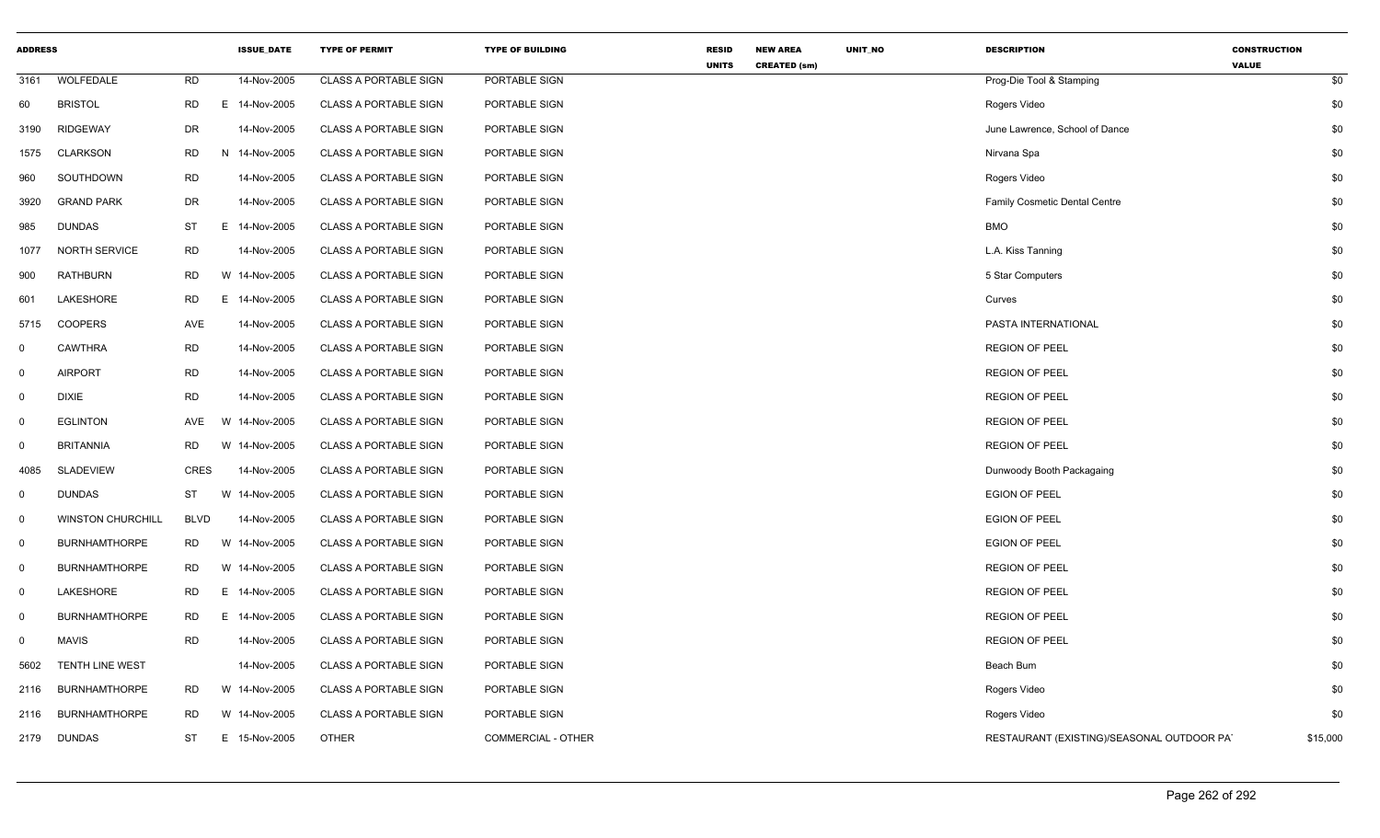| <b>ADDRESS</b> |                          |             | <b>ISSUE DATE</b> | <b>TYPE OF PERMIT</b>        | <b>TYPE OF BUILDING</b> | <b>RESID</b> | <b>NEW AREA</b>     | <b>UNIT NO</b> | <b>DESCRIPTION</b>                         | <b>CONSTRUCTION</b> |     |
|----------------|--------------------------|-------------|-------------------|------------------------------|-------------------------|--------------|---------------------|----------------|--------------------------------------------|---------------------|-----|
| 3161           | WOLFEDALE                | <b>RD</b>   | 14-Nov-2005       | <b>CLASS A PORTABLE SIGN</b> | PORTABLE SIGN           | <b>UNITS</b> | <b>CREATED (sm)</b> |                | Prog-Die Tool & Stamping                   | <b>VALUE</b>        | \$0 |
| 60             | <b>BRISTOL</b>           | RD          | E 14-Nov-2005     | <b>CLASS A PORTABLE SIGN</b> | PORTABLE SIGN           |              |                     |                | Rogers Video                               |                     | \$0 |
| 3190           | <b>RIDGEWAY</b>          | DR          | 14-Nov-2005       | <b>CLASS A PORTABLE SIGN</b> | PORTABLE SIGN           |              |                     |                | June Lawrence, School of Dance             |                     | \$0 |
| 1575           | <b>CLARKSON</b>          | <b>RD</b>   | N 14-Nov-2005     | <b>CLASS A PORTABLE SIGN</b> | PORTABLE SIGN           |              |                     |                | Nirvana Spa                                |                     | \$0 |
| 960            | SOUTHDOWN                | <b>RD</b>   | 14-Nov-2005       | <b>CLASS A PORTABLE SIGN</b> | PORTABLE SIGN           |              |                     |                | Rogers Video                               |                     | \$0 |
| 3920           | <b>GRAND PARK</b>        | DR          | 14-Nov-2005       | <b>CLASS A PORTABLE SIGN</b> | PORTABLE SIGN           |              |                     |                | Family Cosmetic Dental Centre              |                     | \$0 |
| 985            | <b>DUNDAS</b>            | ST          | E 14-Nov-2005     | <b>CLASS A PORTABLE SIGN</b> | PORTABLE SIGN           |              |                     |                | <b>BMO</b>                                 |                     | \$0 |
| 1077           | <b>NORTH SERVICE</b>     | <b>RD</b>   | 14-Nov-2005       | <b>CLASS A PORTABLE SIGN</b> | PORTABLE SIGN           |              |                     |                | L.A. Kiss Tanning                          |                     | \$0 |
| 900            | RATHBURN                 | <b>RD</b>   | W 14-Nov-2005     | <b>CLASS A PORTABLE SIGN</b> | PORTABLE SIGN           |              |                     |                | 5 Star Computers                           |                     | \$0 |
| 601            | LAKESHORE                | <b>RD</b>   | Е<br>14-Nov-2005  | <b>CLASS A PORTABLE SIGN</b> | PORTABLE SIGN           |              |                     |                | Curves                                     |                     | \$0 |
| 5715           | <b>COOPERS</b>           | AVE         | 14-Nov-2005       | <b>CLASS A PORTABLE SIGN</b> | PORTABLE SIGN           |              |                     |                | PASTA INTERNATIONAL                        |                     | \$0 |
| $\mathbf 0$    | <b>CAWTHRA</b>           | <b>RD</b>   | 14-Nov-2005       | <b>CLASS A PORTABLE SIGN</b> | PORTABLE SIGN           |              |                     |                | <b>REGION OF PEEL</b>                      |                     | \$0 |
| $\mathbf 0$    | <b>AIRPORT</b>           | <b>RD</b>   | 14-Nov-2005       | <b>CLASS A PORTABLE SIGN</b> | PORTABLE SIGN           |              |                     |                | <b>REGION OF PEEL</b>                      |                     | \$0 |
| $\mathbf 0$    | <b>DIXIE</b>             | <b>RD</b>   | 14-Nov-2005       | <b>CLASS A PORTABLE SIGN</b> | PORTABLE SIGN           |              |                     |                | <b>REGION OF PEEL</b>                      |                     | \$0 |
| $\mathbf 0$    | <b>EGLINTON</b>          | AVE         | W 14-Nov-2005     | <b>CLASS A PORTABLE SIGN</b> | PORTABLE SIGN           |              |                     |                | <b>REGION OF PEEL</b>                      |                     | \$0 |
| $\mathbf{0}$   | <b>BRITANNIA</b>         | <b>RD</b>   | W 14-Nov-2005     | <b>CLASS A PORTABLE SIGN</b> | PORTABLE SIGN           |              |                     |                | <b>REGION OF PEEL</b>                      |                     | \$0 |
| 4085           | <b>SLADEVIEW</b>         | <b>CRES</b> | 14-Nov-2005       | <b>CLASS A PORTABLE SIGN</b> | PORTABLE SIGN           |              |                     |                | Dunwoody Booth Packagaing                  |                     | \$0 |
| $\mathbf 0$    | <b>DUNDAS</b>            | <b>ST</b>   | W 14-Nov-2005     | <b>CLASS A PORTABLE SIGN</b> | PORTABLE SIGN           |              |                     |                | <b>EGION OF PEEL</b>                       |                     | \$0 |
| $\mathbf 0$    | <b>WINSTON CHURCHILL</b> | <b>BLVD</b> | 14-Nov-2005       | <b>CLASS A PORTABLE SIGN</b> | PORTABLE SIGN           |              |                     |                | <b>EGION OF PEEL</b>                       |                     | \$0 |
| $\mathbf 0$    | <b>BURNHAMTHORPE</b>     | RD.         | W 14-Nov-2005     | <b>CLASS A PORTABLE SIGN</b> | PORTABLE SIGN           |              |                     |                | <b>EGION OF PEEL</b>                       |                     | \$0 |
| $\mathbf 0$    | <b>BURNHAMTHORPE</b>     | RD          | W 14-Nov-2005     | <b>CLASS A PORTABLE SIGN</b> | PORTABLE SIGN           |              |                     |                | <b>REGION OF PEEL</b>                      |                     | \$0 |
| $\mathbf 0$    | LAKESHORE                | RD          | E 14-Nov-2005     | <b>CLASS A PORTABLE SIGN</b> | PORTABLE SIGN           |              |                     |                | <b>REGION OF PEEL</b>                      |                     | \$0 |
| $\mathbf 0$    | <b>BURNHAMTHORPE</b>     | <b>RD</b>   | E 14-Nov-2005     | <b>CLASS A PORTABLE SIGN</b> | PORTABLE SIGN           |              |                     |                | <b>REGION OF PEEL</b>                      |                     | \$0 |
| $\mathbf 0$    | <b>MAVIS</b>             | <b>RD</b>   | 14-Nov-2005       | <b>CLASS A PORTABLE SIGN</b> | PORTABLE SIGN           |              |                     |                | <b>REGION OF PEEL</b>                      |                     | \$0 |
| 5602           | <b>TENTH LINE WEST</b>   |             | 14-Nov-2005       | <b>CLASS A PORTABLE SIGN</b> | PORTABLE SIGN           |              |                     |                | Beach Bum                                  |                     | \$0 |
| 2116           | <b>BURNHAMTHORPE</b>     | RD          | W 14-Nov-2005     | <b>CLASS A PORTABLE SIGN</b> | PORTABLE SIGN           |              |                     |                | Rogers Video                               |                     | \$0 |
| 2116           | <b>BURNHAMTHORPE</b>     | RD.         | W 14-Nov-2005     | <b>CLASS A PORTABLE SIGN</b> | PORTABLE SIGN           |              |                     |                | Rogers Video                               |                     | \$0 |
| 2179           | DUNDAS                   | ST          | E 15-Nov-2005     | <b>OTHER</b>                 | COMMERCIAL - OTHER      |              |                     |                | RESTAURANT (EXISTING)/SEASONAL OUTDOOR PAT | \$15,000            |     |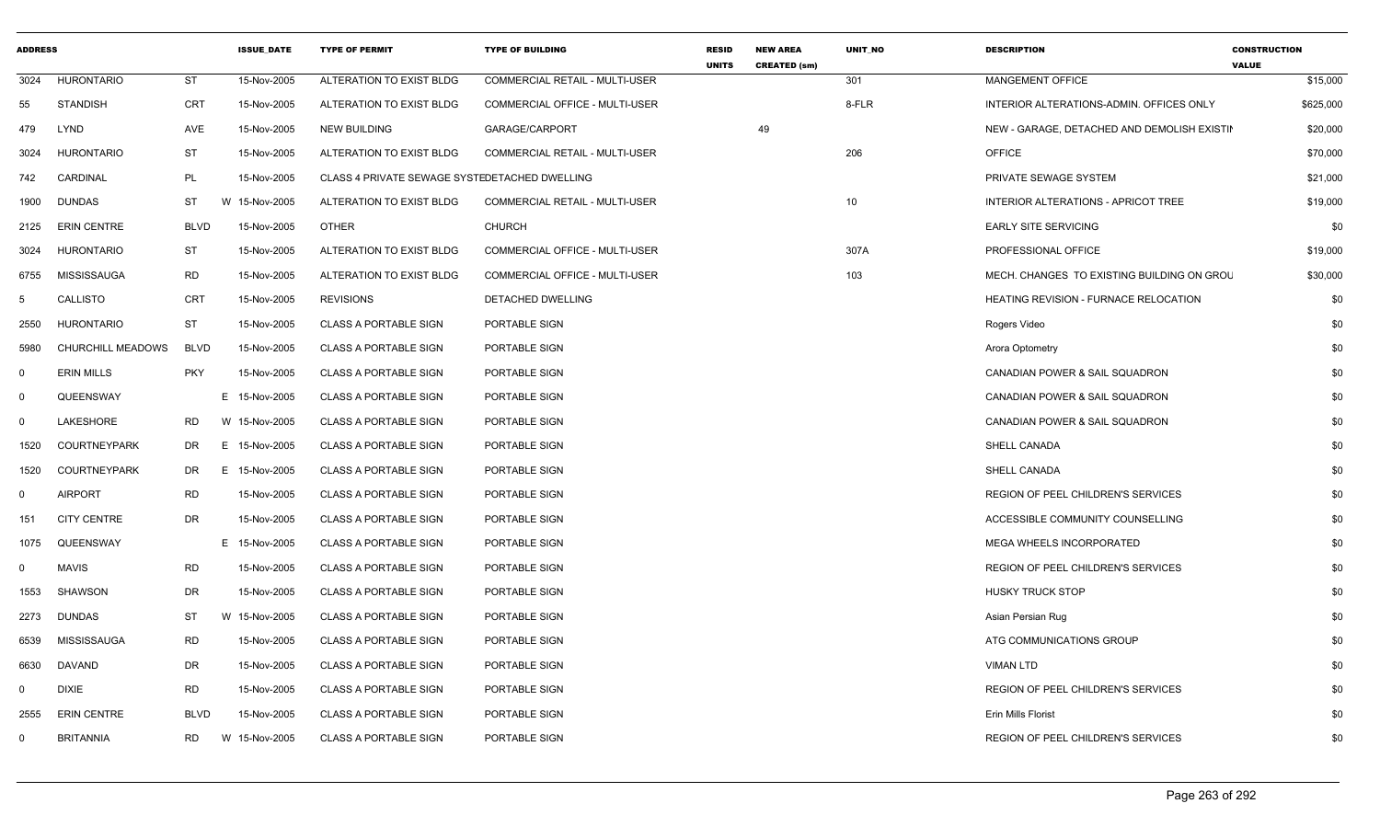| <b>ADDRESS</b> |                     |             | <b>ISSUE DATE</b> | <b>TYPE OF PERMIT</b>                         | <b>TYPE OF BUILDING</b>               | <b>RESID</b><br><b>UNITS</b> | <b>NEW AREA</b><br><b>CREATED (sm)</b> | <b>UNIT NO</b>  | <b>DESCRIPTION</b>                           | <b>CONSTRUCTION</b><br><b>VALUE</b> |
|----------------|---------------------|-------------|-------------------|-----------------------------------------------|---------------------------------------|------------------------------|----------------------------------------|-----------------|----------------------------------------------|-------------------------------------|
| 3024           | <b>HURONTARIO</b>   | <b>ST</b>   | 15-Nov-2005       | ALTERATION TO EXIST BLDG                      | <b>COMMERCIAL RETAIL - MULTI-USER</b> |                              |                                        | 301             | MANGEMENT OFFICE                             | \$15,000                            |
| 55             | <b>STANDISH</b>     | <b>CRT</b>  | 15-Nov-2005       | ALTERATION TO EXIST BLDG                      | <b>COMMERCIAL OFFICE - MULTI-USER</b> |                              |                                        | 8-FLR           | INTERIOR ALTERATIONS-ADMIN. OFFICES ONLY     | \$625,000                           |
| 479            | <b>LYND</b>         | AVE         | 15-Nov-2005       | <b>NEW BUILDING</b>                           | GARAGE/CARPORT                        |                              | 49                                     |                 | NEW - GARAGE, DETACHED AND DEMOLISH EXISTIN  | \$20,000                            |
| 3024           | <b>HURONTARIO</b>   | <b>ST</b>   | 15-Nov-2005       | ALTERATION TO EXIST BLDG                      | <b>COMMERCIAL RETAIL - MULTI-USER</b> |                              |                                        | 206             | <b>OFFICE</b>                                | \$70,000                            |
| 742            | CARDINAL            | PL          | 15-Nov-2005       | CLASS 4 PRIVATE SEWAGE SYSTEDETACHED DWELLING |                                       |                              |                                        |                 | PRIVATE SEWAGE SYSTEM                        | \$21,000                            |
| 1900           | <b>DUNDAS</b>       | ST          | W 15-Nov-2005     | ALTERATION TO EXIST BLDG                      | <b>COMMERCIAL RETAIL - MULTI-USER</b> |                              |                                        | 10 <sup>1</sup> | <b>INTERIOR ALTERATIONS - APRICOT TREE</b>   | \$19,000                            |
| 2125           | <b>ERIN CENTRE</b>  | <b>BLVD</b> | 15-Nov-2005       | <b>OTHER</b>                                  | <b>CHURCH</b>                         |                              |                                        |                 | <b>EARLY SITE SERVICING</b>                  | \$0                                 |
| 3024           | HURONTARIO          | ST          | 15-Nov-2005       | ALTERATION TO EXIST BLDG                      | COMMERCIAL OFFICE - MULTI-USER        |                              |                                        | 307A            | PROFESSIONAL OFFICE                          | \$19,000                            |
| 6755           | MISSISSAUGA         | RD          | 15-Nov-2005       | ALTERATION TO EXIST BLDG                      | COMMERCIAL OFFICE - MULTI-USER        |                              |                                        | 103             | MECH. CHANGES TO EXISTING BUILDING ON GROU   | \$30,000                            |
| -5             | CALLISTO            | <b>CRT</b>  | 15-Nov-2005       | <b>REVISIONS</b>                              | DETACHED DWELLING                     |                              |                                        |                 | <b>HEATING REVISION - FURNACE RELOCATION</b> | \$0                                 |
| 2550           | HURONTARIO          | <b>ST</b>   | 15-Nov-2005       | <b>CLASS A PORTABLE SIGN</b>                  | PORTABLE SIGN                         |                              |                                        |                 | Rogers Video                                 | \$0                                 |
| 5980           | CHURCHILL MEADOWS   | <b>BLVD</b> | 15-Nov-2005       | CLASS A PORTABLE SIGN                         | PORTABLE SIGN                         |                              |                                        |                 | Arora Optometry                              | \$0                                 |
| $\Omega$       | <b>ERIN MILLS</b>   | <b>PKY</b>  | 15-Nov-2005       | <b>CLASS A PORTABLE SIGN</b>                  | PORTABLE SIGN                         |                              |                                        |                 | CANADIAN POWER & SAIL SQUADRON               | \$0                                 |
| $\Omega$       | QUEENSWAY           |             | E 15-Nov-2005     | <b>CLASS A PORTABLE SIGN</b>                  | PORTABLE SIGN                         |                              |                                        |                 | CANADIAN POWER & SAIL SQUADRON               | \$0                                 |
| $\Omega$       | LAKESHORE           | RD.         | W 15-Nov-2005     | <b>CLASS A PORTABLE SIGN</b>                  | PORTABLE SIGN                         |                              |                                        |                 | CANADIAN POWER & SAIL SQUADRON               | \$0                                 |
| 1520           | <b>COURTNEYPARK</b> | DR          | E 15-Nov-2005     | <b>CLASS A PORTABLE SIGN</b>                  | PORTABLE SIGN                         |                              |                                        |                 | SHELL CANADA                                 | \$0                                 |
| 1520           | <b>COURTNEYPARK</b> | DR          | E.<br>15-Nov-2005 | <b>CLASS A PORTABLE SIGN</b>                  | PORTABLE SIGN                         |                              |                                        |                 | <b>SHELL CANADA</b>                          | \$0                                 |
| $\Omega$       | <b>AIRPORT</b>      | RD          | 15-Nov-2005       | <b>CLASS A PORTABLE SIGN</b>                  | PORTABLE SIGN                         |                              |                                        |                 | REGION OF PEEL CHILDREN'S SERVICES           | \$0                                 |
| 151            | <b>CITY CENTRE</b>  | DR          | 15-Nov-2005       | <b>CLASS A PORTABLE SIGN</b>                  | PORTABLE SIGN                         |                              |                                        |                 | ACCESSIBLE COMMUNITY COUNSELLING             | \$0                                 |
| 1075           | QUEENSWAY           |             | E 15-Nov-2005     | <b>CLASS A PORTABLE SIGN</b>                  | PORTABLE SIGN                         |                              |                                        |                 | <b>MEGA WHEELS INCORPORATED</b>              | \$0                                 |
| $\Omega$       | <b>MAVIS</b>        | RD          | 15-Nov-2005       | <b>CLASS A PORTABLE SIGN</b>                  | PORTABLE SIGN                         |                              |                                        |                 | <b>REGION OF PEEL CHILDREN'S SERVICES</b>    | \$0                                 |
| 1553           | <b>SHAWSON</b>      | DR          | 15-Nov-2005       | <b>CLASS A PORTABLE SIGN</b>                  | PORTABLE SIGN                         |                              |                                        |                 | <b>HUSKY TRUCK STOP</b>                      | \$0                                 |
| 2273           | <b>DUNDAS</b>       | ST          | W 15-Nov-2005     | <b>CLASS A PORTABLE SIGN</b>                  | PORTABLE SIGN                         |                              |                                        |                 | Asian Persian Rug                            | \$0                                 |
| 6539           | MISSISSAUGA         | <b>RD</b>   | 15-Nov-2005       | <b>CLASS A PORTABLE SIGN</b>                  | PORTABLE SIGN                         |                              |                                        |                 | ATG COMMUNICATIONS GROUP                     | \$0                                 |
| 6630           | <b>DAVAND</b>       | DR          | 15-Nov-2005       | <b>CLASS A PORTABLE SIGN</b>                  | PORTABLE SIGN                         |                              |                                        |                 | <b>VIMAN LTD</b>                             | \$0                                 |
| $\Omega$       | <b>DIXIE</b>        | RD          | 15-Nov-2005       | <b>CLASS A PORTABLE SIGN</b>                  | PORTABLE SIGN                         |                              |                                        |                 | <b>REGION OF PEEL CHILDREN'S SERVICES</b>    | \$0                                 |
| 2555           | <b>ERIN CENTRE</b>  | <b>BLVD</b> | 15-Nov-2005       | <b>CLASS A PORTABLE SIGN</b>                  | PORTABLE SIGN                         |                              |                                        |                 | Erin Mills Florist                           | \$0                                 |
| $\Omega$       | <b>BRITANNIA</b>    | <b>RD</b>   | W 15-Nov-2005     | <b>CLASS A PORTABLE SIGN</b>                  | PORTABLE SIGN                         |                              |                                        |                 | REGION OF PEEL CHILDREN'S SERVICES           | \$0                                 |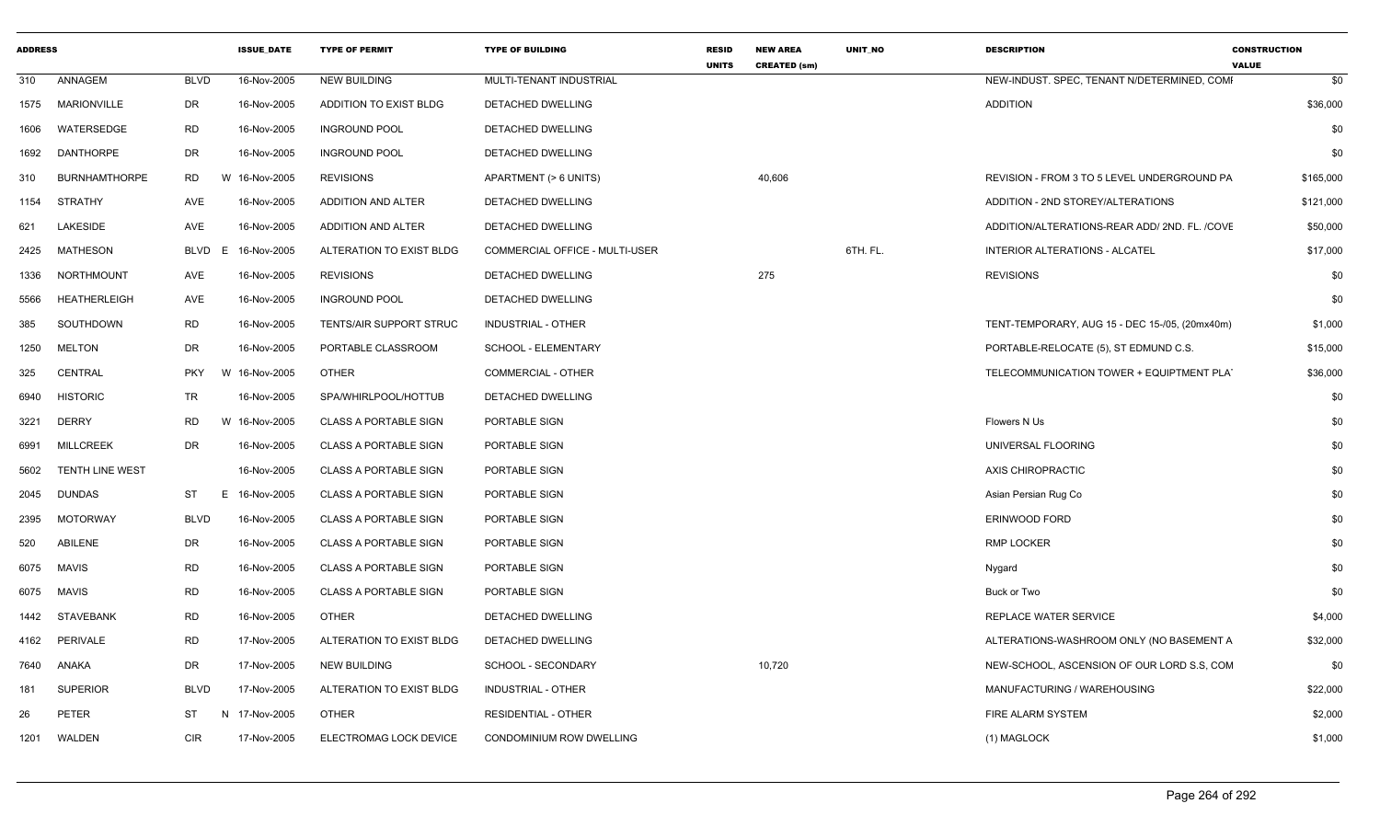| <b>ADDRESS</b> |                      |                  | <b>ISSUE DATE</b> | <b>TYPE OF PERMIT</b>        | <b>TYPE OF BUILDING</b>               | <b>RESID</b><br><b>UNITS</b> | <b>NEW AREA</b><br><b>CREATED (sm)</b> | <b>UNIT NO</b> | <b>DESCRIPTION</b>                             | <b>CONSTRUCTION</b><br><b>VALUE</b> |
|----------------|----------------------|------------------|-------------------|------------------------------|---------------------------------------|------------------------------|----------------------------------------|----------------|------------------------------------------------|-------------------------------------|
| 310            | ANNAGEM              | <b>BLVD</b>      | 16-Nov-2005       | <b>NEW BUILDING</b>          | MULTI-TENANT INDUSTRIAL               |                              |                                        |                | NEW-INDUST. SPEC, TENANT N/DETERMINED, COMI    | \$0                                 |
| 1575           | MARIONVILLE          | DR               | 16-Nov-2005       | ADDITION TO EXIST BLDG       | DETACHED DWELLING                     |                              |                                        |                | <b>ADDITION</b>                                | \$36,000                            |
| 1606           | WATERSEDGE           | <b>RD</b>        | 16-Nov-2005       | <b>INGROUND POOL</b>         | DETACHED DWELLING                     |                              |                                        |                |                                                | \$0                                 |
| 1692           | DANTHORPE            | DR               | 16-Nov-2005       | <b>INGROUND POOL</b>         | DETACHED DWELLING                     |                              |                                        |                |                                                | \$0                                 |
| 310            | <b>BURNHAMTHORPE</b> | <b>RD</b><br>W   | 16-Nov-2005       | <b>REVISIONS</b>             | APARTMENT (> 6 UNITS)                 |                              | 40,606                                 |                | REVISION - FROM 3 TO 5 LEVEL UNDERGROUND PA    | \$165,000                           |
| 1154           | <b>STRATHY</b>       | AVE              | 16-Nov-2005       | ADDITION AND ALTER           | DETACHED DWELLING                     |                              |                                        |                | ADDITION - 2ND STOREY/ALTERATIONS              | \$121,000                           |
| 621            | LAKESIDE             | <b>AVE</b>       | 16-Nov-2005       | ADDITION AND ALTER           | DETACHED DWELLING                     |                              |                                        |                | ADDITION/ALTERATIONS-REAR ADD/ 2ND. FL. /COVE  | \$50,000                            |
| 2425           | MATHESON             | <b>BLVD</b><br>E | 16-Nov-2005       | ALTERATION TO EXIST BLDG     | <b>COMMERCIAL OFFICE - MULTI-USER</b> |                              |                                        | 6TH. FL.       | INTERIOR ALTERATIONS - ALCATEL                 | \$17,000                            |
| 1336           | NORTHMOUNT           | AVE              | 16-Nov-2005       | <b>REVISIONS</b>             | DETACHED DWELLING                     |                              | 275                                    |                | <b>REVISIONS</b>                               | \$0                                 |
| 5566           | <b>HEATHERLEIGH</b>  | AVE              | 16-Nov-2005       | <b>INGROUND POOL</b>         | DETACHED DWELLING                     |                              |                                        |                |                                                | \$0                                 |
| 385            | SOUTHDOWN            | <b>RD</b>        | 16-Nov-2005       | TENTS/AIR SUPPORT STRUC      | <b>INDUSTRIAL - OTHER</b>             |                              |                                        |                | TENT-TEMPORARY, AUG 15 - DEC 15-/05, (20mx40m) | \$1,000                             |
| 1250           | <b>MELTON</b>        | <b>DR</b>        | 16-Nov-2005       | PORTABLE CLASSROOM           | SCHOOL - ELEMENTARY                   |                              |                                        |                | PORTABLE-RELOCATE (5), ST EDMUND C.S.          | \$15,000                            |
| 325            | CENTRAL              | <b>PKY</b>       | W 16-Nov-2005     | <b>OTHER</b>                 | COMMERCIAL - OTHER                    |                              |                                        |                | TELECOMMUNICATION TOWER + EQUIPTMENT PLAT      | \$36,000                            |
| 6940           | <b>HISTORIC</b>      | <b>TR</b>        | 16-Nov-2005       | SPA/WHIRLPOOL/HOTTUB         | DETACHED DWELLING                     |                              |                                        |                |                                                | \$0                                 |
| 3221           | <b>DERRY</b>         | <b>RD</b>        | W 16-Nov-2005     | <b>CLASS A PORTABLE SIGN</b> | PORTABLE SIGN                         |                              |                                        |                | Flowers N Us                                   | \$0                                 |
| 6991           | <b>MILLCREEK</b>     | <b>DR</b>        | 16-Nov-2005       | <b>CLASS A PORTABLE SIGN</b> | PORTABLE SIGN                         |                              |                                        |                | UNIVERSAL FLOORING                             | \$0                                 |
| 5602           | TENTH LINE WEST      |                  | 16-Nov-2005       | <b>CLASS A PORTABLE SIGN</b> | PORTABLE SIGN                         |                              |                                        |                | AXIS CHIROPRACTIC                              | \$0                                 |
| 2045           | DUNDAS               | <b>ST</b><br>E   | 16-Nov-2005       | <b>CLASS A PORTABLE SIGN</b> | PORTABLE SIGN                         |                              |                                        |                | Asian Persian Rug Co                           | \$0                                 |
| 2395           | <b>MOTORWAY</b>      | <b>BLVD</b>      | 16-Nov-2005       | <b>CLASS A PORTABLE SIGN</b> | PORTABLE SIGN                         |                              |                                        |                | ERINWOOD FORD                                  | \$0                                 |
| 520            | ABILENE              | <b>DR</b>        | 16-Nov-2005       | <b>CLASS A PORTABLE SIGN</b> | PORTABLE SIGN                         |                              |                                        |                | <b>RMP LOCKER</b>                              | \$0                                 |
| 6075           | <b>MAVIS</b>         | <b>RD</b>        | 16-Nov-2005       | <b>CLASS A PORTABLE SIGN</b> | PORTABLE SIGN                         |                              |                                        |                | Nygard                                         | \$0                                 |
| 6075           | <b>MAVIS</b>         | <b>RD</b>        | 16-Nov-2005       | <b>CLASS A PORTABLE SIGN</b> | PORTABLE SIGN                         |                              |                                        |                | Buck or Two                                    | \$0                                 |
| 1442           | <b>STAVEBANK</b>     | <b>RD</b>        | 16-Nov-2005       | <b>OTHER</b>                 | DETACHED DWELLING                     |                              |                                        |                | REPLACE WATER SERVICE                          | \$4,000                             |
| 4162           | PERIVALE             | <b>RD</b>        | 17-Nov-2005       | ALTERATION TO EXIST BLDG     | DETACHED DWELLING                     |                              |                                        |                | ALTERATIONS-WASHROOM ONLY (NO BASEMENT A       | \$32,000                            |
| 7640           | ANAKA                | <b>DR</b>        | 17-Nov-2005       | <b>NEW BUILDING</b>          | SCHOOL - SECONDARY                    |                              | 10,720                                 |                | NEW-SCHOOL, ASCENSION OF OUR LORD S.S. COM     | \$0                                 |
| 181            | <b>SUPERIOR</b>      | <b>BLVD</b>      | 17-Nov-2005       | ALTERATION TO EXIST BLDG     | <b>INDUSTRIAL - OTHER</b>             |                              |                                        |                | MANUFACTURING / WAREHOUSING                    | \$22,000                            |
| 26             | PETER                | ST               | N 17-Nov-2005     | <b>OTHER</b>                 | <b>RESIDENTIAL - OTHER</b>            |                              |                                        |                | FIRE ALARM SYSTEM                              | \$2,000                             |
| 1201           | WALDEN               | <b>CIR</b>       | 17-Nov-2005       | ELECTROMAG LOCK DEVICE       | CONDOMINIUM ROW DWELLING              |                              |                                        |                | (1) MAGLOCK                                    | \$1,000                             |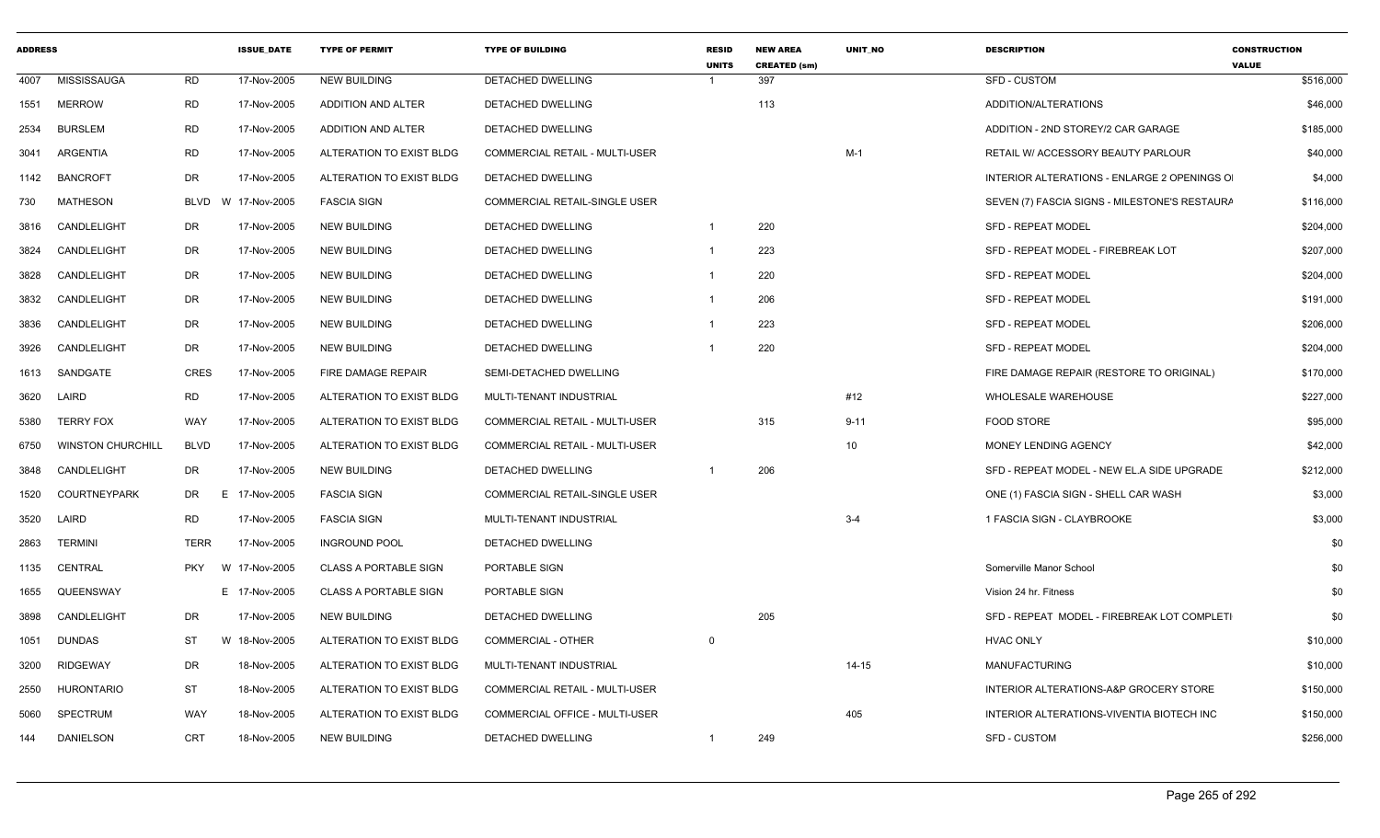| <b>ADDRESS</b> |                          |             | <b>ISSUE DATE</b> | <b>TYPE OF PERMIT</b>        | <b>TYPE OF BUILDING</b>               | <b>RESID</b><br><b>UNITS</b> | <b>NEW AREA</b><br><b>CREATED (sm)</b> | <b>UNIT NO</b> | <b>DESCRIPTION</b>                            | <b>CONSTRUCTION</b><br><b>VALUE</b> |
|----------------|--------------------------|-------------|-------------------|------------------------------|---------------------------------------|------------------------------|----------------------------------------|----------------|-----------------------------------------------|-------------------------------------|
| 4007           | MISSISSAUGA              | RD          | 17-Nov-2005       | <b>NEW BUILDING</b>          | DETACHED DWELLING                     |                              | 397                                    |                | SFD - CUSTOM                                  | \$516,000                           |
| 1551           | <b>MERROW</b>            | RD          | 17-Nov-2005       | ADDITION AND ALTER           | DETACHED DWELLING                     |                              | 113                                    |                | ADDITION/ALTERATIONS                          | \$46,000                            |
| 2534           | <b>BURSLEM</b>           | RD          | 17-Nov-2005       | ADDITION AND ALTER           | DETACHED DWELLING                     |                              |                                        |                | ADDITION - 2ND STOREY/2 CAR GARAGE            | \$185,000                           |
| 3041           | ARGENTIA                 | <b>RD</b>   | 17-Nov-2005       | ALTERATION TO EXIST BLDG     | COMMERCIAL RETAIL - MULTI-USER        |                              |                                        | $M-1$          | RETAIL W/ ACCESSORY BEAUTY PARLOUR            | \$40,000                            |
| 1142           | <b>BANCROFT</b>          | DR          | 17-Nov-2005       | ALTERATION TO EXIST BLDG     | DETACHED DWELLING                     |                              |                                        |                | INTERIOR ALTERATIONS - ENLARGE 2 OPENINGS O   | \$4,000                             |
| 730            | <b>MATHESON</b>          | <b>BLVD</b> | W 17-Nov-2005     | <b>FASCIA SIGN</b>           | <b>COMMERCIAL RETAIL-SINGLE USER</b>  |                              |                                        |                | SEVEN (7) FASCIA SIGNS - MILESTONE'S RESTAURA | \$116,000                           |
| 3816           | CANDLELIGHT              | DR          | 17-Nov-2005       | <b>NEW BUILDING</b>          | DETACHED DWELLING                     | $\overline{1}$               | 220                                    |                | <b>SFD - REPEAT MODEL</b>                     | \$204,000                           |
| 3824           | CANDLELIGHT              | DR          | 17-Nov-2005       | <b>NEW BUILDING</b>          | DETACHED DWELLING                     | -1                           | 223                                    |                | SFD - REPEAT MODEL - FIREBREAK LOT            | \$207,000                           |
| 3828           | CANDLELIGHT              | DR          | 17-Nov-2005       | <b>NEW BUILDING</b>          | <b>DETACHED DWELLING</b>              | 1                            | 220                                    |                | <b>SFD - REPEAT MODEL</b>                     | \$204,000                           |
| 3832           | CANDLELIGHT              | DR          | 17-Nov-2005       | <b>NEW BUILDING</b>          | <b>DETACHED DWELLING</b>              |                              | 206                                    |                | <b>SFD - REPEAT MODEL</b>                     | \$191,000                           |
| 3836           | CANDLELIGHT              | DR          | 17-Nov-2005       | <b>NEW BUILDING</b>          | DETACHED DWELLING                     |                              | 223                                    |                | <b>SFD - REPEAT MODEL</b>                     | \$206,000                           |
| 3926           | CANDLELIGHT              | DR          | 17-Nov-2005       | <b>NEW BUILDING</b>          | DETACHED DWELLING                     |                              | 220                                    |                | SFD - REPEAT MODEL                            | \$204,000                           |
| 1613           | SANDGATE                 | <b>CRES</b> | 17-Nov-2005       | FIRE DAMAGE REPAIR           | SEMI-DETACHED DWELLING                |                              |                                        |                | FIRE DAMAGE REPAIR (RESTORE TO ORIGINAL)      | \$170,000                           |
| 3620           | LAIRD                    | <b>RD</b>   | 17-Nov-2005       | ALTERATION TO EXIST BLDG     | MULTI-TENANT INDUSTRIAL               |                              |                                        | #12            | <b>WHOLESALE WAREHOUSE</b>                    | \$227,000                           |
| 5380           | <b>TERRY FOX</b>         | WAY         | 17-Nov-2005       | ALTERATION TO EXIST BLDG     | <b>COMMERCIAL RETAIL - MULTI-USER</b> |                              | 315                                    | $9 - 11$       | <b>FOOD STORE</b>                             | \$95,000                            |
| 6750           | <b>WINSTON CHURCHILL</b> | <b>BLVD</b> | 17-Nov-2005       | ALTERATION TO EXIST BLDG     | COMMERCIAL RETAIL - MULTI-USER        |                              |                                        | 10             | MONEY LENDING AGENCY                          | \$42,000                            |
| 3848           | CANDLELIGHT              | DR          | 17-Nov-2005       | <b>NEW BUILDING</b>          | DETACHED DWELLING                     |                              | 206                                    |                | SFD - REPEAT MODEL - NEW EL.A SIDE UPGRADE    | \$212,000                           |
| 1520           | <b>COURTNEYPARK</b>      | DR          | E.<br>17-Nov-2005 | <b>FASCIA SIGN</b>           | COMMERCIAL RETAIL-SINGLE USER         |                              |                                        |                | ONE (1) FASCIA SIGN - SHELL CAR WASH          | \$3,000                             |
| 3520           | LAIRD                    | RD          | 17-Nov-2005       | <b>FASCIA SIGN</b>           | MULTI-TENANT INDUSTRIAL               |                              |                                        | $3 - 4$        | 1 FASCIA SIGN - CLAYBROOKE                    | \$3,000                             |
| 2863           | <b>TERMINI</b>           | <b>TERR</b> | 17-Nov-2005       | <b>INGROUND POOL</b>         | DETACHED DWELLING                     |                              |                                        |                |                                               | \$0                                 |
| 1135           | CENTRAL                  | <b>PKY</b>  | W 17-Nov-2005     | <b>CLASS A PORTABLE SIGN</b> | PORTABLE SIGN                         |                              |                                        |                | Somerville Manor School                       | \$0                                 |
| 1655           | QUEENSWAY                |             | E 17-Nov-2005     | <b>CLASS A PORTABLE SIGN</b> | PORTABLE SIGN                         |                              |                                        |                | Vision 24 hr. Fitness                         | \$0                                 |
| 3898           | CANDLELIGHT              | DR          | 17-Nov-2005       | <b>NEW BUILDING</b>          | DETACHED DWELLING                     |                              | 205                                    |                | SFD - REPEAT MODEL - FIREBREAK LOT COMPLETI   | \$0                                 |
| 1051           | <b>DUNDAS</b>            | ST          | W 18-Nov-2005     | ALTERATION TO EXIST BLDG     | COMMERCIAL - OTHER                    | $\mathbf 0$                  |                                        |                | <b>HVAC ONLY</b>                              | \$10,000                            |
| 3200           | <b>RIDGEWAY</b>          | DR          | 18-Nov-2005       | ALTERATION TO EXIST BLDG     | MULTI-TENANT INDUSTRIAL               |                              |                                        | $14 - 15$      | <b>MANUFACTURING</b>                          | \$10,000                            |
| 2550           | <b>HURONTARIO</b>        | <b>ST</b>   | 18-Nov-2005       | ALTERATION TO EXIST BLDG     | <b>COMMERCIAL RETAIL - MULTI-USER</b> |                              |                                        |                | INTERIOR ALTERATIONS-A&P GROCERY STORE        | \$150,000                           |
| 5060           | <b>SPECTRUM</b>          | WAY         | 18-Nov-2005       | ALTERATION TO EXIST BLDG     | <b>COMMERCIAL OFFICE - MULTI-USER</b> |                              |                                        | 405            | INTERIOR ALTERATIONS-VIVENTIA BIOTECH INC     | \$150,000                           |
| 144            | DANIELSON                | CRT         | 18-Nov-2005       | <b>NEW BUILDING</b>          | DETACHED DWELLING                     |                              | 249                                    |                | SFD - CUSTOM                                  | \$256,000                           |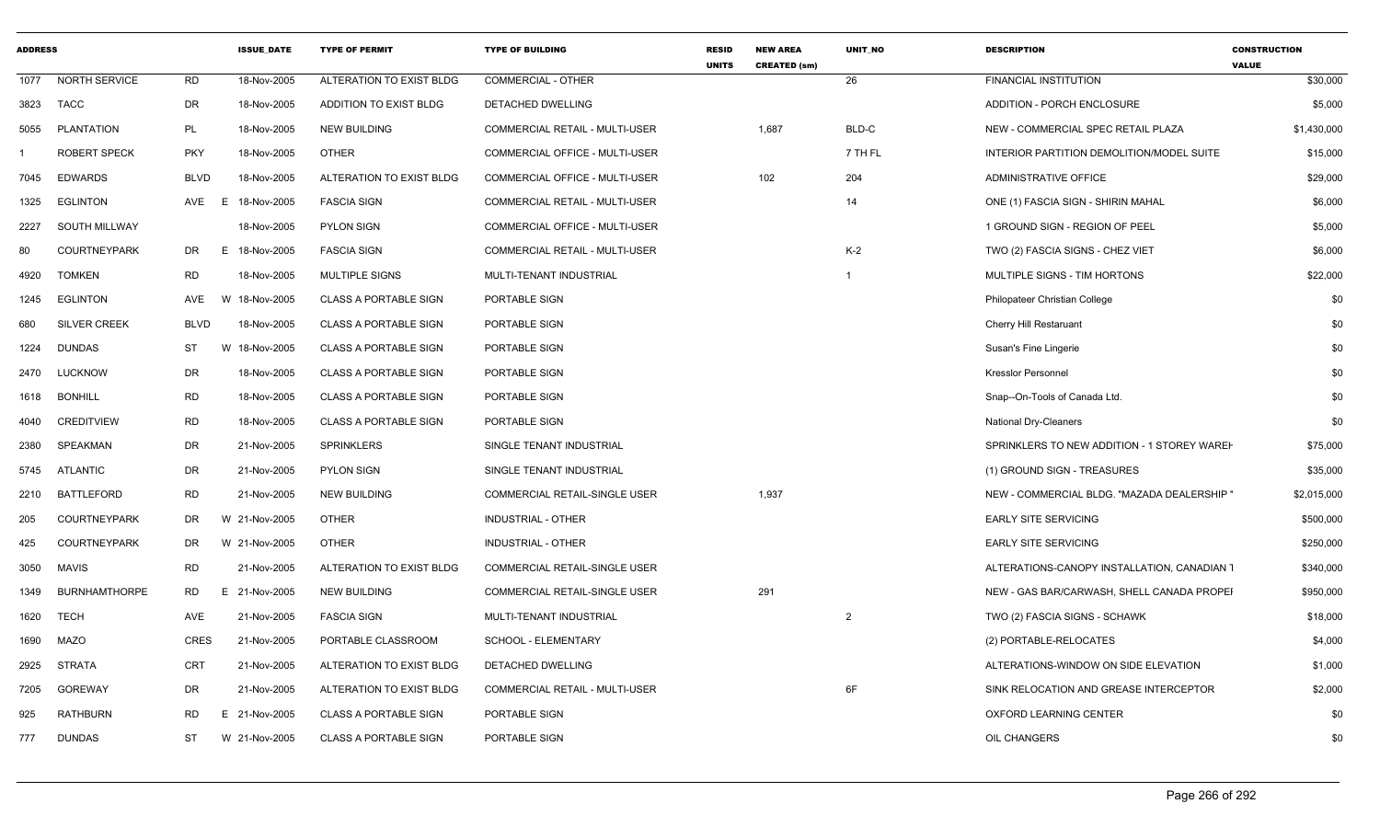| ADDRESS |                      |            | <b>ISSUE_DATE</b> | <b>TYPE OF PERMIT</b>        | <b>TYPE OF BUILDING</b>               | <b>RESID</b><br><b>UNITS</b> | <b>NEW AREA</b><br><b>CREATED (sm)</b> | UNIT_NO        | <b>DESCRIPTION</b>                          | <b>CONSTRUCTION</b><br><b>VALUE</b> |
|---------|----------------------|------------|-------------------|------------------------------|---------------------------------------|------------------------------|----------------------------------------|----------------|---------------------------------------------|-------------------------------------|
|         | 1077 NORTH SERVICE   | <b>RD</b>  | 18-Nov-2005       | ALTERATION TO EXIST BLDG     | <b>COMMERCIAL - OTHER</b>             |                              |                                        | 26             | <b>FINANCIAL INSTITUTION</b>                | \$30,000                            |
| 3823    | <b>TACC</b>          | DR         | 18-Nov-2005       | ADDITION TO EXIST BLDG       | DETACHED DWELLING                     |                              |                                        |                | ADDITION - PORCH ENCLOSURE                  | \$5,000                             |
| 5055    | PLANTATION           | <b>PL</b>  | 18-Nov-2005       | <b>NEW BUILDING</b>          | <b>COMMERCIAL RETAIL - MULTI-USER</b> |                              | 1,687                                  | BLD-C          | NEW - COMMERCIAL SPEC RETAIL PLAZA          | \$1,430,000                         |
|         | <b>ROBERT SPECK</b>  | <b>PKY</b> | 18-Nov-2005       | <b>OTHER</b>                 | COMMERCIAL OFFICE - MULTI-USER        |                              |                                        | 7 TH FL        | INTERIOR PARTITION DEMOLITION/MODEL SUITE   | \$15,000                            |
| 7045    | <b>EDWARDS</b>       | BLVD       | 18-Nov-2005       | ALTERATION TO EXIST BLDG     | COMMERCIAL OFFICE - MULTI-USER        |                              | 102                                    | 204            | <b>ADMINISTRATIVE OFFICE</b>                | \$29,000                            |
| 1325    | <b>EGLINTON</b>      | AVE<br>E   | 18-Nov-2005       | <b>FASCIA SIGN</b>           | COMMERCIAL RETAIL - MULTI-USER        |                              |                                        | 14             | ONE (1) FASCIA SIGN - SHIRIN MAHAL          | \$6,000                             |
| 2227    | <b>SOUTH MILLWAY</b> |            | 18-Nov-2005       | <b>PYLON SIGN</b>            | <b>COMMERCIAL OFFICE - MULTI-USER</b> |                              |                                        |                | 1 GROUND SIGN - REGION OF PEEL              | \$5,000                             |
| 80      | <b>COURTNEYPARK</b>  | DR         | E 18-Nov-2005     | <b>FASCIA SIGN</b>           | COMMERCIAL RETAIL - MULTI-USER        |                              |                                        | $K-2$          | TWO (2) FASCIA SIGNS - CHEZ VIET            | \$6,000                             |
| 4920    | <b>TOMKEN</b>        | <b>RD</b>  | 18-Nov-2005       | MULTIPLE SIGNS               | MULTI-TENANT INDUSTRIAL               |                              |                                        |                | MULTIPLE SIGNS - TIM HORTONS                | \$22,000                            |
| 1245    | EGLINTON             | AVE        | 18-Nov-2005<br>W  | <b>CLASS A PORTABLE SIGN</b> | PORTABLE SIGN                         |                              |                                        |                | Philopateer Christian College               | \$0                                 |
| 680     | <b>SILVER CREEK</b>  | BLVD       | 18-Nov-2005       | <b>CLASS A PORTABLE SIGN</b> | PORTABLE SIGN                         |                              |                                        |                | <b>Cherry Hill Restaruant</b>               | \$0                                 |
| 1224    | <b>DUNDAS</b>        | ST         | W 18-Nov-2005     | <b>CLASS A PORTABLE SIGN</b> | PORTABLE SIGN                         |                              |                                        |                | Susan's Fine Lingerie                       | \$0                                 |
|         | 2470 LUCKNOW         | DR         | 18-Nov-2005       | <b>CLASS A PORTABLE SIGN</b> | PORTABLE SIGN                         |                              |                                        |                | <b>Kresslor Personnel</b>                   | \$0                                 |
|         | 1618 BONHILL         | RD         | 18-Nov-2005       | <b>CLASS A PORTABLE SIGN</b> | PORTABLE SIGN                         |                              |                                        |                | Snap--On-Tools of Canada Ltd.               | \$0                                 |
| 4040    | CREDITVIEW           | RD         | 18-Nov-2005       | <b>CLASS A PORTABLE SIGN</b> | PORTABLE SIGN                         |                              |                                        |                | <b>National Dry-Cleaners</b>                | \$0                                 |
| 2380    | SPEAKMAN             | DR         | 21-Nov-2005       | <b>SPRINKLERS</b>            | SINGLE TENANT INDUSTRIAL              |                              |                                        |                | SPRINKLERS TO NEW ADDITION - 1 STOREY WAREH | \$75,000                            |
|         | 5745 ATLANTIC        | <b>DR</b>  | 21-Nov-2005       | PYLON SIGN                   | SINGLE TENANT INDUSTRIAL              |                              |                                        |                | (1) GROUND SIGN - TREASURES                 | \$35,000                            |
| 2210    | BATTLEFORD           | <b>RD</b>  | 21-Nov-2005       | <b>NEW BUILDING</b>          | COMMERCIAL RETAIL-SINGLE USER         |                              | 1,937                                  |                | NEW - COMMERCIAL BLDG. "MAZADA DEALERSHIP"  | \$2,015,000                         |
| 205     | <b>COURTNEYPARK</b>  | DR         | W 21-Nov-2005     | <b>OTHER</b>                 | INDUSTRIAL - OTHER                    |                              |                                        |                | <b>EARLY SITE SERVICING</b>                 | \$500,000                           |
| 425     | <b>COURTNEYPARK</b>  | DR         | W 21-Nov-2005     | <b>OTHER</b>                 | <b>INDUSTRIAL - OTHER</b>             |                              |                                        |                | <b>EARLY SITE SERVICING</b>                 | \$250,000                           |
| 3050    | MAVIS                | <b>RD</b>  | 21-Nov-2005       | ALTERATION TO EXIST BLDG     | COMMERCIAL RETAIL-SINGLE USER         |                              |                                        |                | ALTERATIONS-CANOPY INSTALLATION, CANADIAN 1 | \$340,000                           |
| 1349    | <b>BURNHAMTHORPE</b> | RD         | E 21-Nov-2005     | NEW BUILDING                 | COMMERCIAL RETAIL-SINGLE USER         |                              | 291                                    |                | NEW - GAS BAR/CARWASH, SHELL CANADA PROPEI  | \$950,000                           |
| 1620    | TECH                 | AVE        | 21-Nov-2005       | <b>FASCIA SIGN</b>           | MULTI-TENANT INDUSTRIAL               |                              |                                        | $\overline{2}$ | TWO (2) FASCIA SIGNS - SCHAWK               | \$18,000                            |
| 1690    | <b>MAZO</b>          | CRES       | 21-Nov-2005       | PORTABLE CLASSROOM           | <b>SCHOOL - ELEMENTARY</b>            |                              |                                        |                | (2) PORTABLE-RELOCATES                      | \$4,000                             |
| 2925    | STRATA               | <b>CRT</b> | 21-Nov-2005       | ALTERATION TO EXIST BLDG     | <b>DETACHED DWELLING</b>              |                              |                                        |                | ALTERATIONS-WINDOW ON SIDE ELEVATION        | \$1,000                             |
| 7205    | GOREWAY              | DR         | 21-Nov-2005       | ALTERATION TO EXIST BLDG     | <b>COMMERCIAL RETAIL - MULTI-USER</b> |                              |                                        | 6F             | SINK RELOCATION AND GREASE INTERCEPTOR      | \$2,000                             |
| 925     | <b>RATHBURN</b>      | RD         | E 21-Nov-2005     | <b>CLASS A PORTABLE SIGN</b> | PORTABLE SIGN                         |                              |                                        |                | OXFORD LEARNING CENTER                      | \$0                                 |
| 777     | <b>DUNDAS</b>        | ST         | W 21-Nov-2005     | <b>CLASS A PORTABLE SIGN</b> | PORTABLE SIGN                         |                              |                                        |                | OIL CHANGERS                                | \$0                                 |
|         |                      |            |                   |                              |                                       |                              |                                        |                |                                             |                                     |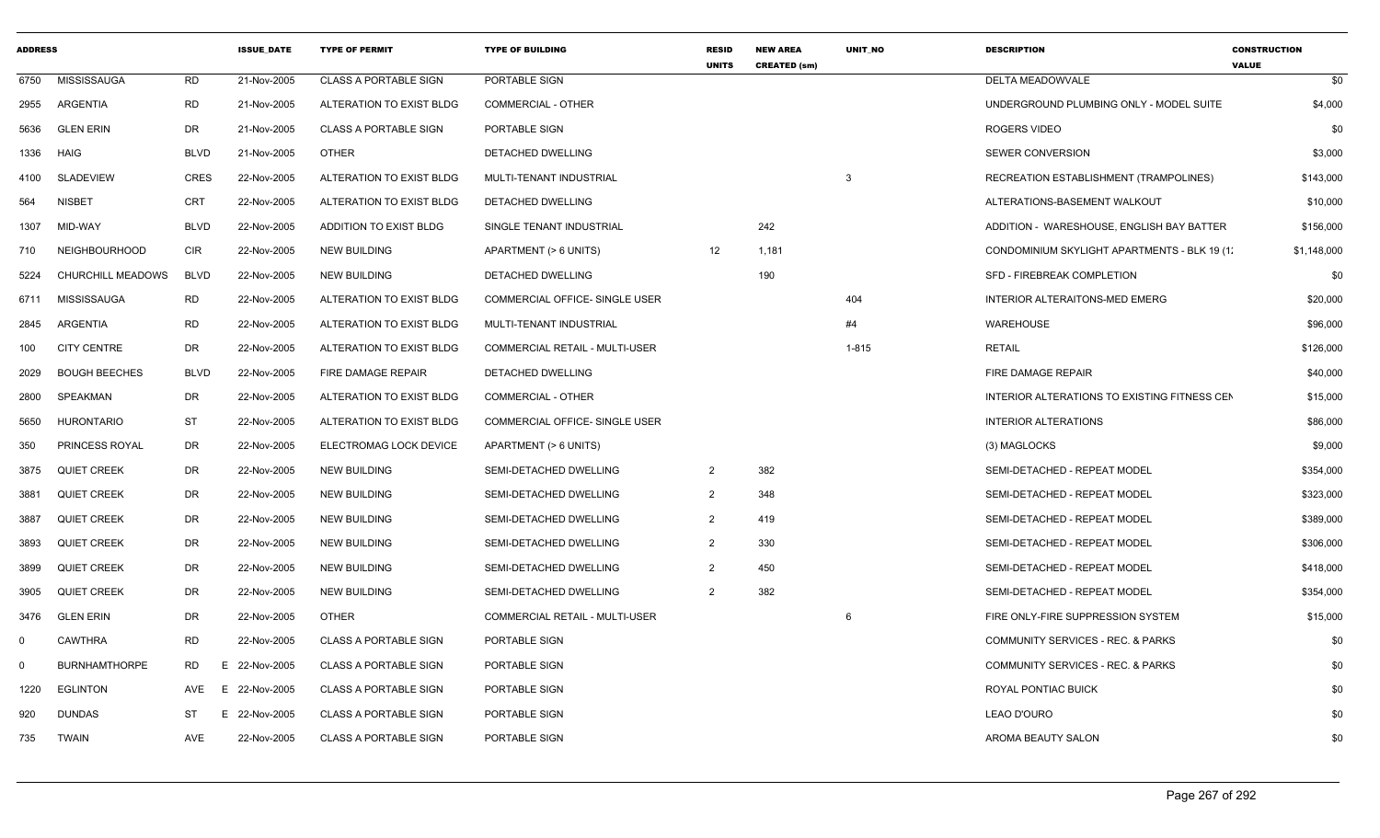| <b>ADDRESS</b> |                      |             | <b>ISSUE DATE</b> | <b>TYPE OF PERMIT</b>        | <b>TYPE OF BUILDING</b>               | <b>RESID</b><br><b>UNITS</b> | <b>NEW AREA</b><br><b>CREATED (sm)</b> | <b>UNIT NO</b> | <b>DESCRIPTION</b>                           | <b>CONSTRUCTION</b><br><b>VALUE</b> |
|----------------|----------------------|-------------|-------------------|------------------------------|---------------------------------------|------------------------------|----------------------------------------|----------------|----------------------------------------------|-------------------------------------|
| 6750           | <b>MISSISSAUGA</b>   | <b>RD</b>   | 21-Nov-2005       | <b>CLASS A PORTABLE SIGN</b> | PORTABLE SIGN                         |                              |                                        |                | DELTA MEADOWVALE                             | \$0                                 |
| 2955           | ARGENTIA             | <b>RD</b>   | 21-Nov-2005       | ALTERATION TO EXIST BLDG     | <b>COMMERCIAL - OTHER</b>             |                              |                                        |                | UNDERGROUND PLUMBING ONLY - MODEL SUITE      | \$4,000                             |
| 5636           | <b>GLEN ERIN</b>     | DR.         | 21-Nov-2005       | <b>CLASS A PORTABLE SIGN</b> | PORTABLE SIGN                         |                              |                                        |                | ROGERS VIDEO                                 | \$0                                 |
| 1336           | HAIG                 | <b>BLVD</b> | 21-Nov-2005       | <b>OTHER</b>                 | <b>DETACHED DWELLING</b>              |                              |                                        |                | SEWER CONVERSION                             | \$3,000                             |
| 4100           | SLADEVIEW            | <b>CRES</b> | 22-Nov-2005       | ALTERATION TO EXIST BLDG     | MULTI-TENANT INDUSTRIAL               |                              |                                        | 3              | RECREATION ESTABLISHMENT (TRAMPOLINES)       | \$143,000                           |
| 564            | <b>NISBET</b>        | <b>CRT</b>  | 22-Nov-2005       | ALTERATION TO EXIST BLDG     | DETACHED DWELLING                     |                              |                                        |                | ALTERATIONS-BASEMENT WALKOUT                 | \$10,000                            |
| 1307           | MID-WAY              | <b>BLVD</b> | 22-Nov-2005       | ADDITION TO EXIST BLDG       | SINGLE TENANT INDUSTRIAL              |                              | 242                                    |                | ADDITION - WARESHOUSE, ENGLISH BAY BATTER    | \$156,000                           |
| 710            | <b>NEIGHBOURHOOD</b> | <b>CIR</b>  | 22-Nov-2005       | <b>NEW BUILDING</b>          | APARTMENT (> 6 UNITS)                 | 12                           | 1,181                                  |                | CONDOMINIUM SKYLIGHT APARTMENTS - BLK 19 (1) | \$1,148,000                         |
| 5224           | CHURCHILL MEADOWS    | <b>BLVD</b> | 22-Nov-2005       | NEW BUILDING                 | DETACHED DWELLING                     |                              | 190                                    |                | SFD - FIREBREAK COMPLETION                   | \$0                                 |
| 6711           | <b>MISSISSAUGA</b>   | <b>RD</b>   | 22-Nov-2005       | ALTERATION TO EXIST BLDG     | COMMERCIAL OFFICE- SINGLE USER        |                              |                                        | 404            | INTERIOR ALTERAITONS-MED EMERG               | \$20,000                            |
| 2845           | ARGENTIA             | <b>RD</b>   | 22-Nov-2005       | ALTERATION TO EXIST BLDG     | MULTI-TENANT INDUSTRIAL               |                              |                                        | #4             | WAREHOUSE                                    | \$96,000                            |
| 100            | <b>CITY CENTRE</b>   | DR.         | 22-Nov-2005       | ALTERATION TO EXIST BLDG     | <b>COMMERCIAL RETAIL - MULTI-USER</b> |                              |                                        | $1 - 815$      | <b>RETAIL</b>                                | \$126,000                           |
| 2029           | <b>BOUGH BEECHES</b> | <b>BLVD</b> | 22-Nov-2005       | <b>FIRE DAMAGE REPAIR</b>    | <b>DETACHED DWELLING</b>              |                              |                                        |                | FIRE DAMAGE REPAIR                           | \$40,000                            |
| 2800           | SPEAKMAN             | DR.         | 22-Nov-2005       | ALTERATION TO EXIST BLDG     | <b>COMMERCIAL - OTHER</b>             |                              |                                        |                | INTERIOR ALTERATIONS TO EXISTING FITNESS CEN | \$15,000                            |
| 5650           | <b>HURONTARIO</b>    | ST          | 22-Nov-2005       | ALTERATION TO EXIST BLDG     | COMMERCIAL OFFICE- SINGLE USER        |                              |                                        |                | <b>INTERIOR ALTERATIONS</b>                  | \$86,000                            |
| 350            | PRINCESS ROYAL       | DR          | 22-Nov-2005       | ELECTROMAG LOCK DEVICE       | APARTMENT (> 6 UNITS)                 |                              |                                        |                | (3) MAGLOCKS                                 | \$9,000                             |
| 3875           | <b>QUIET CREEK</b>   | DR          | 22-Nov-2005       | <b>NEW BUILDING</b>          | SEMI-DETACHED DWELLING                | $\overline{2}$               | 382                                    |                | SEMI-DETACHED - REPEAT MODEL                 | \$354,000                           |
| 3881           | <b>QUIET CREEK</b>   | DR          | 22-Nov-2005       | NEW BUILDING                 | SEMI-DETACHED DWELLING                | $\overline{2}$               | 348                                    |                | SEMI-DETACHED - REPEAT MODEL                 | \$323,000                           |
| 3887           | <b>QUIET CREEK</b>   | DR          | 22-Nov-2005       | <b>NEW BUILDING</b>          | SEMI-DETACHED DWELLING                | 2                            | 419                                    |                | SEMI-DETACHED - REPEAT MODEL                 | \$389,000                           |
| 3893           | <b>QUIET CREEK</b>   | DR          | 22-Nov-2005       | <b>NEW BUILDING</b>          | SEMI-DETACHED DWELLING                | 2                            | 330                                    |                | SEMI-DETACHED - REPEAT MODEL                 | \$306,000                           |
| 3899           | <b>QUIET CREEK</b>   | DR.         | 22-Nov-2005       | NEW BUILDING                 | SEMI-DETACHED DWELLING                | 2                            | 450                                    |                | SEMI-DETACHED - REPEAT MODEL                 | \$418,000                           |
| 3905           | <b>QUIET CREEK</b>   | DR          | 22-Nov-2005       | <b>NEW BUILDING</b>          | SEMI-DETACHED DWELLING                | $\overline{2}$               | 382                                    |                | SEMI-DETACHED - REPEAT MODEL                 | \$354,000                           |
| 3476           | <b>GLEN ERIN</b>     | DR          | 22-Nov-2005       | <b>OTHER</b>                 | COMMERCIAL RETAIL - MULTI-USER        |                              |                                        | 6              | FIRE ONLY-FIRE SUPPRESSION SYSTEM            | \$15,000                            |
| $\Omega$       | CAWTHRA              | <b>RD</b>   | 22-Nov-2005       | <b>CLASS A PORTABLE SIGN</b> | PORTABLE SIGN                         |                              |                                        |                | COMMUNITY SERVICES - REC. & PARKS            | \$0                                 |
| $\mathbf 0$    | <b>BURNHAMTHORPE</b> | RD<br>E.    | 22-Nov-2005       | <b>CLASS A PORTABLE SIGN</b> | PORTABLE SIGN                         |                              |                                        |                | COMMUNITY SERVICES - REC. & PARKS            | \$0                                 |
| 1220           | <b>EGLINTON</b>      | AVE<br>E.   | 22-Nov-2005       | <b>CLASS A PORTABLE SIGN</b> | PORTABLE SIGN                         |                              |                                        |                | ROYAL PONTIAC BUICK                          | \$0                                 |
| 920            | <b>DUNDAS</b>        | ST          | E 22-Nov-2005     | <b>CLASS A PORTABLE SIGN</b> | PORTABLE SIGN                         |                              |                                        |                | LEAO D'OURO                                  | \$0                                 |
| 735            | TWAIN                | AVE         | 22-Nov-2005       | <b>CLASS A PORTABLE SIGN</b> | PORTABLE SIGN                         |                              |                                        |                | AROMA BEAUTY SALON                           | \$0                                 |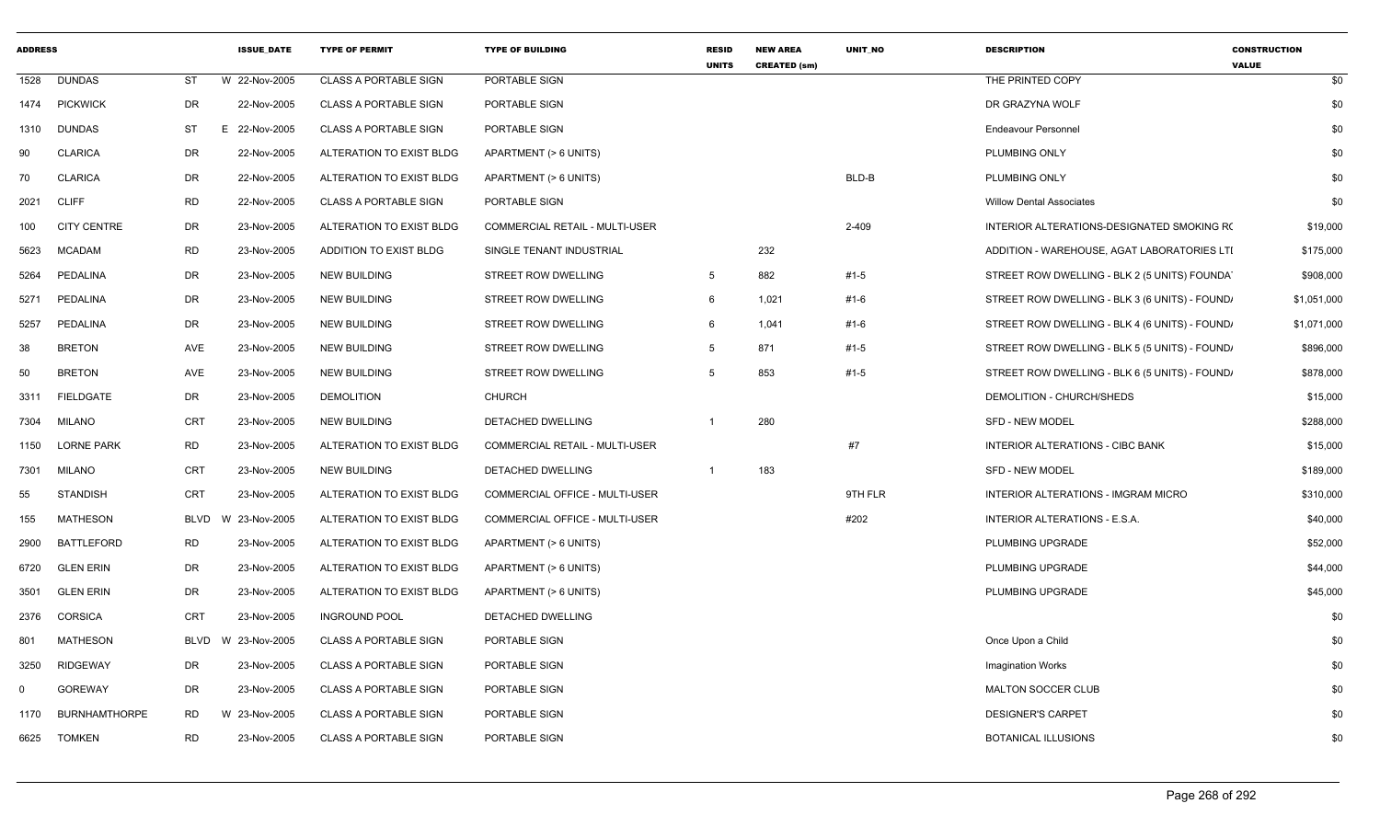| <b>ADDRESS</b> |                      |                         | <b>ISSUE DATE</b> | <b>TYPE OF PERMIT</b>        | <b>TYPE OF BUILDING</b>        | <b>RESID</b><br><b>UNITS</b> | <b>NEW AREA</b><br><b>CREATED (sm)</b> | <b>UNIT NO</b> | <b>DESCRIPTION</b>                             | <b>CONSTRUCTION</b><br><b>VALUE</b> |
|----------------|----------------------|-------------------------|-------------------|------------------------------|--------------------------------|------------------------------|----------------------------------------|----------------|------------------------------------------------|-------------------------------------|
| 1528           | <b>DUNDAS</b>        | <b>ST</b>               | W 22-Nov-2005     | <b>CLASS A PORTABLE SIGN</b> | PORTABLE SIGN                  |                              |                                        |                | THE PRINTED COPY                               | \$0                                 |
| 1474           | <b>PICKWICK</b>      | DR                      | 22-Nov-2005       | <b>CLASS A PORTABLE SIGN</b> | PORTABLE SIGN                  |                              |                                        |                | DR GRAZYNA WOLF                                | \$0                                 |
| 1310           | <b>DUNDAS</b>        | ST                      | 22-Nov-2005<br>Е. | <b>CLASS A PORTABLE SIGN</b> | PORTABLE SIGN                  |                              |                                        |                | <b>Endeavour Personnel</b>                     | \$0                                 |
| 90             | <b>CLARICA</b>       | DR                      | 22-Nov-2005       | ALTERATION TO EXIST BLDG     | APARTMENT (> 6 UNITS)          |                              |                                        |                | PLUMBING ONLY                                  | \$0                                 |
| 70             | <b>CLARICA</b>       | <b>DR</b>               | 22-Nov-2005       | ALTERATION TO EXIST BLDG     | APARTMENT (> 6 UNITS)          |                              |                                        | BLD-B          | PLUMBING ONLY                                  | \$0                                 |
| 2021           | <b>CLIFF</b>         | <b>RD</b>               | 22-Nov-2005       | <b>CLASS A PORTABLE SIGN</b> | PORTABLE SIGN                  |                              |                                        |                | <b>Willow Dental Associates</b>                | \$0                                 |
| 100            | <b>CITY CENTRE</b>   | DR                      | 23-Nov-2005       | ALTERATION TO EXIST BLDG     | COMMERCIAL RETAIL - MULTI-USER |                              |                                        | 2-409          | INTERIOR ALTERATIONS-DESIGNATED SMOKING RO     | \$19,000                            |
| 5623           | <b>MCADAM</b>        | <b>RD</b>               | 23-Nov-2005       | ADDITION TO EXIST BLDG       | SINGLE TENANT INDUSTRIAL       |                              | 232                                    |                | ADDITION - WAREHOUSE, AGAT LABORATORIES LTI    | \$175,000                           |
| 5264           | PEDALINA             | DR                      | 23-Nov-2005       | <b>NEW BUILDING</b>          | STREET ROW DWELLING            | -5                           | 882                                    | #1-5           | STREET ROW DWELLING - BLK 2 (5 UNITS) FOUNDAT  | \$908,000                           |
| 5271           | PEDALINA             | DR                      | 23-Nov-2005       | <b>NEW BUILDING</b>          | STREET ROW DWELLING            | 6                            | 1,021                                  | #1-6           | STREET ROW DWELLING - BLK 3 (6 UNITS) - FOUND, | \$1,051,000                         |
| 5257           | PEDALINA             | DR                      | 23-Nov-2005       | <b>NEW BUILDING</b>          | <b>STREET ROW DWELLING</b>     | 6                            | 1,041                                  | #1-6           | STREET ROW DWELLING - BLK 4 (6 UNITS) - FOUND, | \$1,071,000                         |
| 38             | <b>BRETON</b>        | AVE                     | 23-Nov-2005       | <b>NEW BUILDING</b>          | STREET ROW DWELLING            | 5                            | 871                                    | #1-5           | STREET ROW DWELLING - BLK 5 (5 UNITS) - FOUND, | \$896,000                           |
| 50             | <b>BRETON</b>        | AVE                     | 23-Nov-2005       | <b>NEW BUILDING</b>          | STREET ROW DWELLING            | 5                            | 853                                    | #1-5           | STREET ROW DWELLING - BLK 6 (5 UNITS) - FOUND, | \$878,000                           |
| 3311           | <b>FIELDGATE</b>     | DR                      | 23-Nov-2005       | <b>DEMOLITION</b>            | <b>CHURCH</b>                  |                              |                                        |                | DEMOLITION - CHURCH/SHEDS                      | \$15,000                            |
| 7304           | MILANO               | CRT                     | 23-Nov-2005       | <b>NEW BUILDING</b>          | DETACHED DWELLING              | $\overline{1}$               | 280                                    |                | <b>SFD - NEW MODEL</b>                         | \$288,000                           |
| 1150           | <b>LORNE PARK</b>    | <b>RD</b>               | 23-Nov-2005       | ALTERATION TO EXIST BLDG     | COMMERCIAL RETAIL - MULTI-USER |                              |                                        | #7             | <b>INTERIOR ALTERATIONS - CIBC BANK</b>        | \$15,000                            |
| 7301           | <b>MILANO</b>        | <b>CRT</b>              | 23-Nov-2005       | <b>NEW BUILDING</b>          | DETACHED DWELLING              | $\overline{1}$               | 183                                    |                | <b>SFD - NEW MODEL</b>                         | \$189,000                           |
| 55             | <b>STANDISH</b>      | CRT                     | 23-Nov-2005       | ALTERATION TO EXIST BLDG     | COMMERCIAL OFFICE - MULTI-USER |                              |                                        | 9TH FLR        | INTERIOR ALTERATIONS - IMGRAM MICRO            | \$310,000                           |
| 155            | MATHESON             | BLVD<br><b>W</b>        | 23-Nov-2005       | ALTERATION TO EXIST BLDG     | COMMERCIAL OFFICE - MULTI-USER |                              |                                        | #202           | INTERIOR ALTERATIONS - E.S.A.                  | \$40,000                            |
| 2900           | <b>BATTLEFORD</b>    | <b>RD</b>               | 23-Nov-2005       | ALTERATION TO EXIST BLDG     | APARTMENT (> 6 UNITS)          |                              |                                        |                | PLUMBING UPGRADE                               | \$52,000                            |
| 6720           | <b>GLEN ERIN</b>     | DR                      | 23-Nov-2005       | ALTERATION TO EXIST BLDG     | APARTMENT (> 6 UNITS)          |                              |                                        |                | PLUMBING UPGRADE                               | \$44,000                            |
| 3501           | <b>GLEN ERIN</b>     | DR                      | 23-Nov-2005       | ALTERATION TO EXIST BLDG     | APARTMENT (> 6 UNITS)          |                              |                                        |                | PLUMBING UPGRADE                               | \$45,000                            |
| 2376           | <b>CORSICA</b>       | <b>CRT</b>              | 23-Nov-2005       | <b>INGROUND POOL</b>         | DETACHED DWELLING              |                              |                                        |                |                                                | \$0                                 |
| 801            | <b>MATHESON</b>      | <b>BLVD</b><br><b>W</b> | 23-Nov-2005       | CLASS A PORTABLE SIGN        | PORTABLE SIGN                  |                              |                                        |                | Once Upon a Child                              | \$0                                 |
| 3250           | RIDGEWAY             | DR                      | 23-Nov-2005       | <b>CLASS A PORTABLE SIGN</b> | PORTABLE SIGN                  |                              |                                        |                | <b>Imagination Works</b>                       | \$0                                 |
| $\Omega$       | <b>GOREWAY</b>       | DR                      | 23-Nov-2005       | <b>CLASS A PORTABLE SIGN</b> | PORTABLE SIGN                  |                              |                                        |                | <b>MALTON SOCCER CLUB</b>                      | \$0                                 |
| 1170           | <b>BURNHAMTHORPE</b> | <b>RD</b>               | W<br>23-Nov-2005  | <b>CLASS A PORTABLE SIGN</b> | PORTABLE SIGN                  |                              |                                        |                | <b>DESIGNER'S CARPET</b>                       | \$0                                 |
| 6625           | <b>TOMKEN</b>        | <b>RD</b>               | 23-Nov-2005       | <b>CLASS A PORTABLE SIGN</b> | PORTABLE SIGN                  |                              |                                        |                | <b>BOTANICAL ILLUSIONS</b>                     | \$0                                 |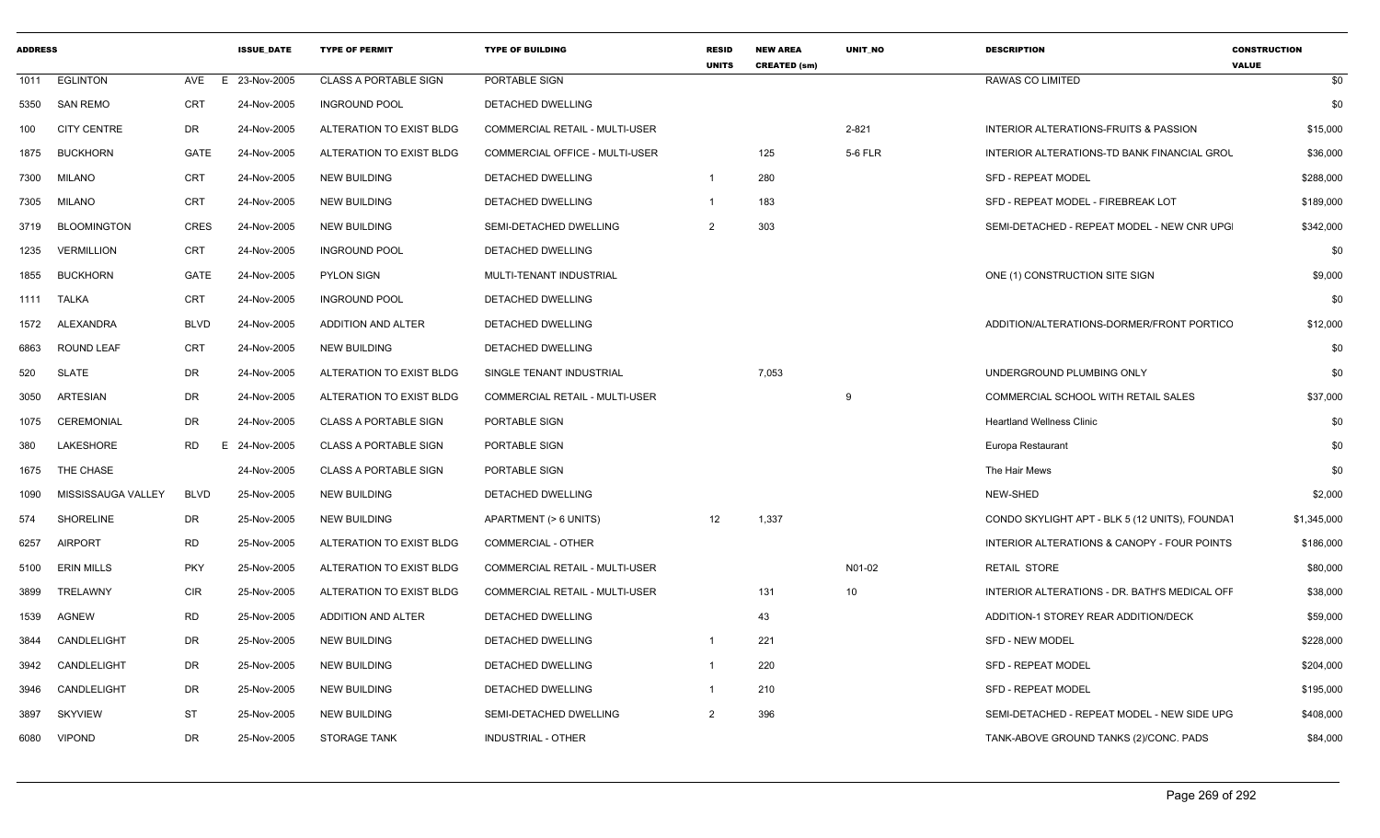| <b>ADDRESS</b> |                    |                 | <b>ISSUE DATE</b> | <b>TYPE OF PERMIT</b>        | <b>TYPE OF BUILDING</b>               | <b>RESID</b><br><b>UNITS</b> | <b>NEW AREA</b><br><b>CREATED (sm)</b> | <b>UNIT NO</b>  | <b>DESCRIPTION</b>                               | <b>CONSTRUCTION</b><br><b>VALUE</b> |
|----------------|--------------------|-----------------|-------------------|------------------------------|---------------------------------------|------------------------------|----------------------------------------|-----------------|--------------------------------------------------|-------------------------------------|
| 1011           | <b>EGLINTON</b>    | AVE             | E 23-Nov-2005     | <b>CLASS A PORTABLE SIGN</b> | PORTABLE SIGN                         |                              |                                        |                 | RAWAS CO LIMITED                                 | \$0                                 |
| 5350           | SAN REMO           | CRT             | 24-Nov-2005       | <b>INGROUND POOL</b>         | DETACHED DWELLING                     |                              |                                        |                 |                                                  | \$0                                 |
| 100            | <b>CITY CENTRE</b> | DR              | 24-Nov-2005       | ALTERATION TO EXIST BLDG     | <b>COMMERCIAL RETAIL - MULTI-USER</b> |                              |                                        | 2-821           | <b>INTERIOR ALTERATIONS-FRUITS &amp; PASSION</b> | \$15,000                            |
| 1875           | <b>BUCKHORN</b>    | GATE            | 24-Nov-2005       | ALTERATION TO EXIST BLDG     | COMMERCIAL OFFICE - MULTI-USER        |                              | 125                                    | 5-6 FLR         | INTERIOR ALTERATIONS-TD BANK FINANCIAL GROU      | \$36,000                            |
| 7300           | <b>MILANO</b>      | CRT             | 24-Nov-2005       | <b>NEW BUILDING</b>          | DETACHED DWELLING                     | $\overline{1}$               | 280                                    |                 | <b>SFD - REPEAT MODEL</b>                        | \$288,000                           |
| 7305           | <b>MILANO</b>      | <b>CRT</b>      | 24-Nov-2005       | <b>NEW BUILDING</b>          | DETACHED DWELLING                     | $\overline{1}$               | 183                                    |                 | SFD - REPEAT MODEL - FIREBREAK LOT               | \$189,000                           |
| 3719           | <b>BLOOMINGTON</b> | <b>CRES</b>     | 24-Nov-2005       | NEW BUILDING                 | SEMI-DETACHED DWELLING                | $\overline{2}$               | 303                                    |                 | SEMI-DETACHED - REPEAT MODEL - NEW CNR UPG       | \$342,000                           |
| 1235           | <b>VERMILLION</b>  | CRT             | 24-Nov-2005       | <b>INGROUND POOL</b>         | DETACHED DWELLING                     |                              |                                        |                 |                                                  | \$0                                 |
| 1855           | <b>BUCKHORN</b>    | GATE            | 24-Nov-2005       | <b>PYLON SIGN</b>            | MULTI-TENANT INDUSTRIAL               |                              |                                        |                 | ONE (1) CONSTRUCTION SITE SIGN                   | \$9,000                             |
|                | 1111 TALKA         | CRT             | 24-Nov-2005       | <b>INGROUND POOL</b>         | DETACHED DWELLING                     |                              |                                        |                 |                                                  | \$0                                 |
| 1572           | ALEXANDRA          | <b>BLVD</b>     | 24-Nov-2005       | <b>ADDITION AND ALTER</b>    | DETACHED DWELLING                     |                              |                                        |                 | ADDITION/ALTERATIONS-DORMER/FRONT PORTICO        | \$12,000                            |
| 6863           | <b>ROUND LEAF</b>  | CRT             | 24-Nov-2005       | <b>NEW BUILDING</b>          | DETACHED DWELLING                     |                              |                                        |                 |                                                  | \$0                                 |
| 520            | <b>SLATE</b>       | DR              | 24-Nov-2005       | ALTERATION TO EXIST BLDG     | SINGLE TENANT INDUSTRIAL              |                              | 7,053                                  |                 | UNDERGROUND PLUMBING ONLY                        | \$0                                 |
| 3050           | ARTESIAN           | DR              | 24-Nov-2005       | ALTERATION TO EXIST BLDG     | COMMERCIAL RETAIL - MULTI-USER        |                              |                                        |                 | COMMERCIAL SCHOOL WITH RETAIL SALES              | \$37,000                            |
| 1075           | CEREMONIAL         | DR              | 24-Nov-2005       | <b>CLASS A PORTABLE SIGN</b> | PORTABLE SIGN                         |                              |                                        |                 | <b>Heartland Wellness Clinic</b>                 | \$0                                 |
| 380            | <b>LAKESHORE</b>   | <b>RD</b><br>E. | 24-Nov-2005       | <b>CLASS A PORTABLE SIGN</b> | PORTABLE SIGN                         |                              |                                        |                 | Europa Restaurant                                | \$0                                 |
| 1675           | THE CHASE          |                 | 24-Nov-2005       | <b>CLASS A PORTABLE SIGN</b> | PORTABLE SIGN                         |                              |                                        |                 | The Hair Mews                                    | \$0                                 |
| 1090           | MISSISSAUGA VALLEY | <b>BLVD</b>     | 25-Nov-2005       | <b>NEW BUILDING</b>          | DETACHED DWELLING                     |                              |                                        |                 | NEW-SHED                                         | \$2,000                             |
| 574            | <b>SHORELINE</b>   | DR              | 25-Nov-2005       | NEW BUILDING                 | APARTMENT (> 6 UNITS)                 | 12                           | 1,337                                  |                 | CONDO SKYLIGHT APT - BLK 5 (12 UNITS), FOUNDAT   | \$1,345,000                         |
| 6257           | <b>AIRPORT</b>     | <b>RD</b>       | 25-Nov-2005       | ALTERATION TO EXIST BLDG     | <b>COMMERCIAL - OTHER</b>             |                              |                                        |                 | INTERIOR ALTERATIONS & CANOPY - FOUR POINTS      | \$186,000                           |
| 5100           | <b>ERIN MILLS</b>  | <b>PKY</b>      | 25-Nov-2005       | ALTERATION TO EXIST BLDG     | <b>COMMERCIAL RETAIL - MULTI-USER</b> |                              |                                        | N01-02          | <b>RETAIL STORE</b>                              | \$80,000                            |
| 3899           | TRELAWNY           | <b>CIR</b>      | 25-Nov-2005       | ALTERATION TO EXIST BLDG     | COMMERCIAL RETAIL - MULTI-USER        |                              | 131                                    | 10 <sup>1</sup> | INTERIOR ALTERATIONS - DR. BATH'S MEDICAL OFF    | \$38,000                            |
| 1539           | <b>AGNEW</b>       | RD              | 25-Nov-2005       | ADDITION AND ALTER           | DETACHED DWELLING                     |                              | 43                                     |                 | ADDITION-1 STOREY REAR ADDITION/DECK             | \$59,000                            |
| 3844           | CANDLELIGHT        | DR              | 25-Nov-2005       | <b>NEW BUILDING</b>          | DETACHED DWELLING                     | $\overline{1}$               | 221                                    |                 | SFD - NEW MODEL                                  | \$228,000                           |
| 3942           | CANDLELIGHT        | DR              | 25-Nov-2005       | <b>NEW BUILDING</b>          | DETACHED DWELLING                     | $\overline{1}$               | 220                                    |                 | SFD - REPEAT MODEL                               | \$204,000                           |
| 3946           | CANDLELIGHT        | DR              | 25-Nov-2005       | <b>NEW BUILDING</b>          | DETACHED DWELLING                     | $\overline{1}$               | 210                                    |                 | <b>SFD - REPEAT MODEL</b>                        | \$195,000                           |
| 3897           | <b>SKYVIEW</b>     | <b>ST</b>       | 25-Nov-2005       | NEW BUILDING                 | SEMI-DETACHED DWELLING                | $\overline{2}$               | 396                                    |                 | SEMI-DETACHED - REPEAT MODEL - NEW SIDE UPG      | \$408,000                           |
| 6080           | <b>VIPOND</b>      | <b>DR</b>       | 25-Nov-2005       | <b>STORAGE TANK</b>          | INDUSTRIAL - OTHER                    |                              |                                        |                 | TANK-ABOVE GROUND TANKS (2)/CONC. PADS           | \$84,000                            |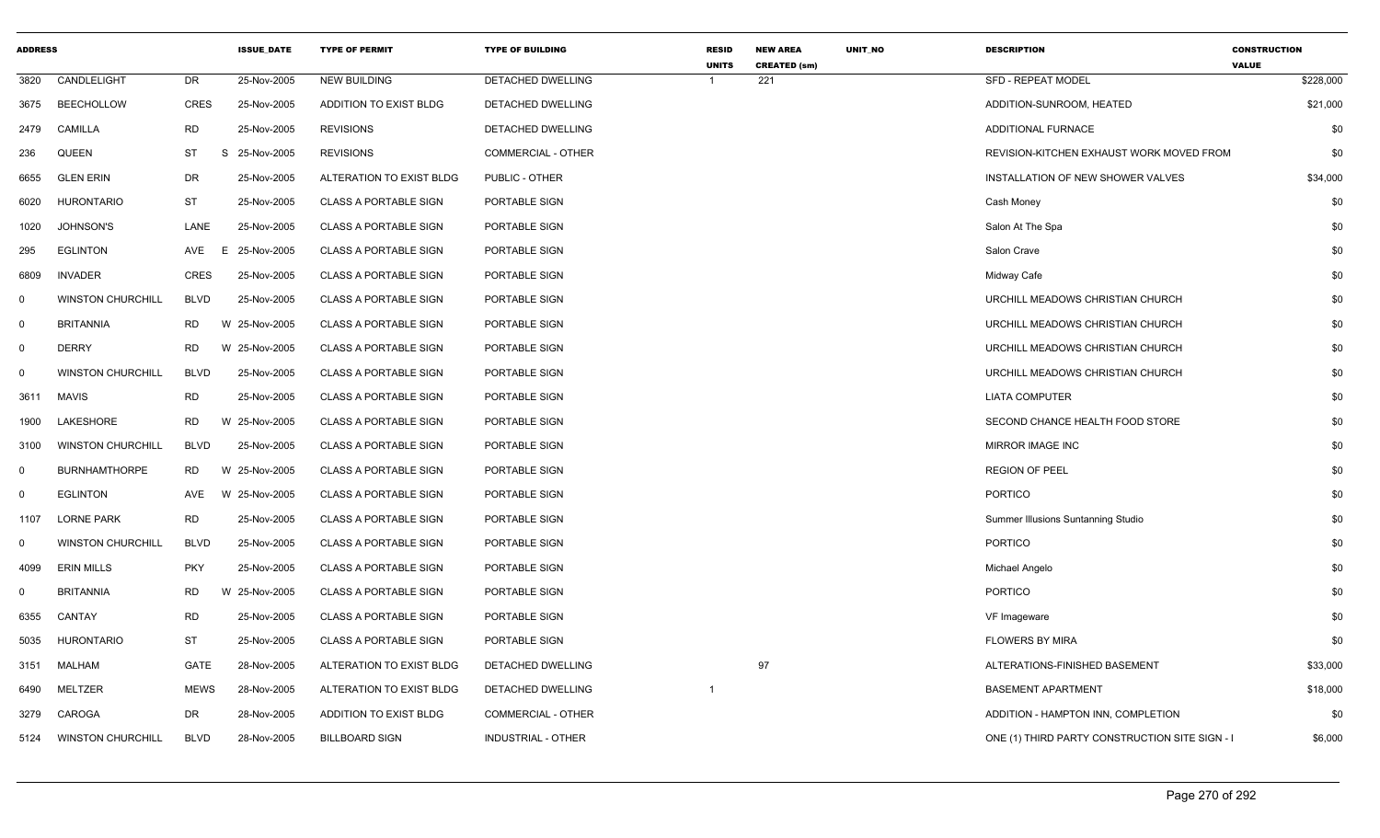| <b>ADDRESS</b> |                          |             | <b>ISSUE DATE</b> | <b>TYPE OF PERMIT</b>         | <b>TYPE OF BUILDING</b>   | <b>RESID</b><br><b>UNITS</b> | <b>NEW AREA</b><br><b>CREATED (sm)</b> | <b>UNIT NO</b> | <b>DESCRIPTION</b>                             | <b>CONSTRUCTION</b><br><b>VALUE</b> |
|----------------|--------------------------|-------------|-------------------|-------------------------------|---------------------------|------------------------------|----------------------------------------|----------------|------------------------------------------------|-------------------------------------|
| 3820           | CANDLELIGHT              | <b>DR</b>   | 25-Nov-2005       | <b>NEW BUILDING</b>           | DETACHED DWELLING         | 1                            | 221                                    |                | <b>SFD - REPEAT MODEL</b>                      | \$228,000                           |
| 3675           | <b>BEECHOLLOW</b>        | CRES        | 25-Nov-2005       | <b>ADDITION TO EXIST BLDG</b> | <b>DETACHED DWELLING</b>  |                              |                                        |                | ADDITION-SUNROOM, HEATED                       | \$21,000                            |
| 2479           | CAMILLA                  | <b>RD</b>   | 25-Nov-2005       | <b>REVISIONS</b>              | DETACHED DWELLING         |                              |                                        |                | ADDITIONAL FURNACE                             | \$0                                 |
| 236            | <b>QUEEN</b>             | <b>ST</b>   | S 25-Nov-2005     | <b>REVISIONS</b>              | COMMERCIAL - OTHER        |                              |                                        |                | REVISION-KITCHEN EXHAUST WORK MOVED FROM       | \$0                                 |
| 6655           | <b>GLEN ERIN</b>         | <b>DR</b>   | 25-Nov-2005       | ALTERATION TO EXIST BLDG      | PUBLIC - OTHER            |                              |                                        |                | INSTALLATION OF NEW SHOWER VALVES              | \$34,000                            |
| 6020           | <b>HURONTARIO</b>        | ST          | 25-Nov-2005       | <b>CLASS A PORTABLE SIGN</b>  | PORTABLE SIGN             |                              |                                        |                | Cash Money                                     | \$0                                 |
| 1020           | <b>JOHNSON'S</b>         | LANE        | 25-Nov-2005       | <b>CLASS A PORTABLE SIGN</b>  | PORTABLE SIGN             |                              |                                        |                | Salon At The Spa                               | \$0                                 |
| 295            | <b>EGLINTON</b>          | AVE<br>E    | 25-Nov-2005       | <b>CLASS A PORTABLE SIGN</b>  | PORTABLE SIGN             |                              |                                        |                | Salon Crave                                    | \$0                                 |
| 6809           | <b>INVADER</b>           | <b>CRES</b> | 25-Nov-2005       | <b>CLASS A PORTABLE SIGN</b>  | PORTABLE SIGN             |                              |                                        |                | Midway Cafe                                    | \$0                                 |
| 0              | <b>WINSTON CHURCHILL</b> | <b>BLVD</b> | 25-Nov-2005       | <b>CLASS A PORTABLE SIGN</b>  | PORTABLE SIGN             |                              |                                        |                | URCHILL MEADOWS CHRISTIAN CHURCH               | \$0                                 |
| $\Omega$       | <b>BRITANNIA</b>         | <b>RD</b>   | W 25-Nov-2005     | <b>CLASS A PORTABLE SIGN</b>  | PORTABLE SIGN             |                              |                                        |                | URCHILL MEADOWS CHRISTIAN CHURCH               | \$0                                 |
| 0              | <b>DERRY</b>             | RD.         | W 25-Nov-2005     | <b>CLASS A PORTABLE SIGN</b>  | PORTABLE SIGN             |                              |                                        |                | URCHILL MEADOWS CHRISTIAN CHURCH               | \$0                                 |
| 0              | <b>WINSTON CHURCHILL</b> | <b>BLVD</b> | 25-Nov-2005       | <b>CLASS A PORTABLE SIGN</b>  | PORTABLE SIGN             |                              |                                        |                | URCHILL MEADOWS CHRISTIAN CHURCH               | \$0                                 |
| 3611           | MAVIS                    | <b>RD</b>   | 25-Nov-2005       | <b>CLASS A PORTABLE SIGN</b>  | PORTABLE SIGN             |                              |                                        |                | <b>LIATA COMPUTER</b>                          | \$0                                 |
| 1900           | LAKESHORE                | <b>RD</b>   | W 25-Nov-2005     | <b>CLASS A PORTABLE SIGN</b>  | PORTABLE SIGN             |                              |                                        |                | SECOND CHANCE HEALTH FOOD STORE                | \$0                                 |
| 3100           | <b>WINSTON CHURCHILL</b> | <b>BLVD</b> | 25-Nov-2005       | <b>CLASS A PORTABLE SIGN</b>  | PORTABLE SIGN             |                              |                                        |                | MIRROR IMAGE INC                               | \$0                                 |
| $\Omega$       | <b>BURNHAMTHORPE</b>     | <b>RD</b>   | W 25-Nov-2005     | <b>CLASS A PORTABLE SIGN</b>  | PORTABLE SIGN             |                              |                                        |                | <b>REGION OF PEEL</b>                          | \$0                                 |
| $\Omega$       | <b>EGLINTON</b>          | AVE         | W 25-Nov-2005     | <b>CLASS A PORTABLE SIGN</b>  | PORTABLE SIGN             |                              |                                        |                | <b>PORTICO</b>                                 | \$0                                 |
| 1107           | <b>LORNE PARK</b>        | <b>RD</b>   | 25-Nov-2005       | <b>CLASS A PORTABLE SIGN</b>  | PORTABLE SIGN             |                              |                                        |                | Summer Illusions Suntanning Studio             | \$0                                 |
| 0              | <b>WINSTON CHURCHILL</b> | <b>BLVD</b> | 25-Nov-2005       | <b>CLASS A PORTABLE SIGN</b>  | PORTABLE SIGN             |                              |                                        |                | <b>PORTICO</b>                                 | \$0                                 |
| 4099           | <b>ERIN MILLS</b>        | <b>PKY</b>  | 25-Nov-2005       | <b>CLASS A PORTABLE SIGN</b>  | PORTABLE SIGN             |                              |                                        |                | Michael Angelo                                 | \$0                                 |
| $\Omega$       | <b>BRITANNIA</b>         | <b>RD</b>   | W 25-Nov-2005     | <b>CLASS A PORTABLE SIGN</b>  | <b>PORTABLE SIGN</b>      |                              |                                        |                | <b>PORTICO</b>                                 | \$0                                 |
| 6355           | CANTAY                   | RD          | 25-Nov-2005       | <b>CLASS A PORTABLE SIGN</b>  | PORTABLE SIGN             |                              |                                        |                | VF Imageware                                   | \$0                                 |
| 5035           | HURONTARIO               | ST          | 25-Nov-2005       | <b>CLASS A PORTABLE SIGN</b>  | PORTABLE SIGN             |                              |                                        |                | <b>FLOWERS BY MIRA</b>                         | \$0                                 |
| 3151           | MALHAM                   | GATE        | 28-Nov-2005       | ALTERATION TO EXIST BLDG      | DETACHED DWELLING         |                              | 97                                     |                | ALTERATIONS-FINISHED BASEMENT                  | \$33,000                            |
| 6490           | MELTZER                  | <b>MEWS</b> | 28-Nov-2005       | ALTERATION TO EXIST BLDG      | DETACHED DWELLING         | -1                           |                                        |                | <b>BASEMENT APARTMENT</b>                      | \$18,000                            |
| 3279           | CAROGA                   | DR          | 28-Nov-2005       | ADDITION TO EXIST BLDG        | <b>COMMERCIAL - OTHER</b> |                              |                                        |                | ADDITION - HAMPTON INN, COMPLETION             | \$0                                 |
| 5124           | <b>WINSTON CHURCHILL</b> | <b>BLVD</b> | 28-Nov-2005       | <b>BILLBOARD SIGN</b>         | <b>INDUSTRIAL - OTHER</b> |                              |                                        |                | ONE (1) THIRD PARTY CONSTRUCTION SITE SIGN - I | \$6,000                             |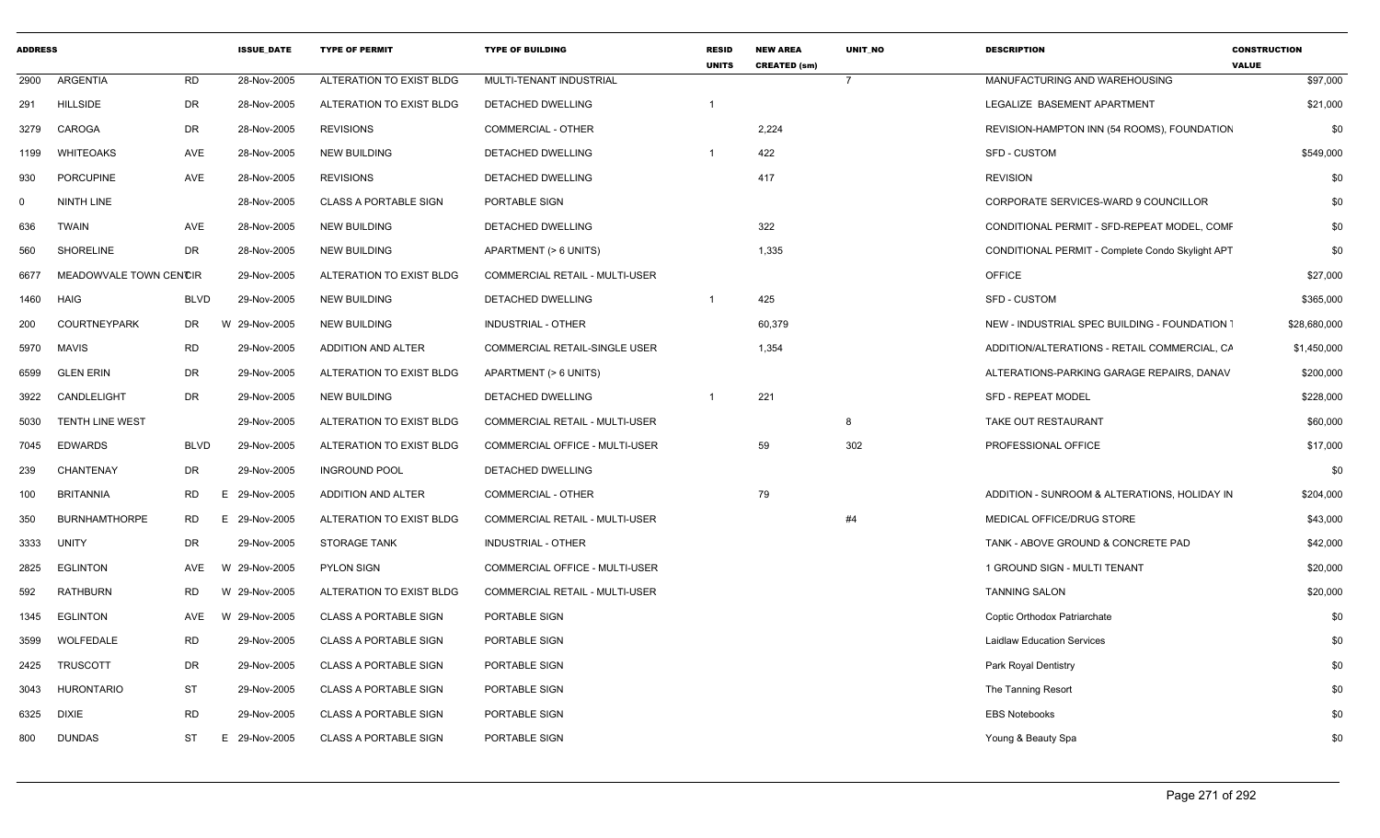| <b>ADDRESS</b> |                        |             | <b>ISSUE_DATE</b> | <b>TYPE OF PERMIT</b>        | <b>TYPE OF BUILDING</b>        | <b>RESID</b><br><b>UNITS</b> | <b>NEW AREA</b><br><b>CREATED (sm)</b> | UNIT_NO        | <b>DESCRIPTION</b>                               | <b>CONSTRUCTION</b><br><b>VALUE</b> |
|----------------|------------------------|-------------|-------------------|------------------------------|--------------------------------|------------------------------|----------------------------------------|----------------|--------------------------------------------------|-------------------------------------|
| 2900           | <b>ARGENTIA</b>        | <b>RD</b>   | 28-Nov-2005       | ALTERATION TO EXIST BLDG     | MULTI-TENANT INDUSTRIAL        |                              |                                        | $\overline{7}$ | MANUFACTURING AND WAREHOUSING                    | \$97,000                            |
| 291            | <b>HILLSIDE</b>        | DR          | 28-Nov-2005       | ALTERATION TO EXIST BLDG     | DETACHED DWELLING              | $\overline{1}$               |                                        |                | LEGALIZE BASEMENT APARTMENT                      | \$21,000                            |
| 3279           | CAROGA                 | DR          | 28-Nov-2005       | <b>REVISIONS</b>             | <b>COMMERCIAL - OTHER</b>      |                              | 2,224                                  |                | REVISION-HAMPTON INN (54 ROOMS), FOUNDATION      | \$0                                 |
| 1199           | <b>WHITEOAKS</b>       | AVE         | 28-Nov-2005       | <b>NEW BUILDING</b>          | DETACHED DWELLING              | -1                           | 422                                    |                | <b>SFD - CUSTOM</b>                              | \$549,000                           |
| 930            | <b>PORCUPINE</b>       | AVE         | 28-Nov-2005       | <b>REVISIONS</b>             | DETACHED DWELLING              |                              | 417                                    |                | <b>REVISION</b>                                  | \$0                                 |
| $\Omega$       | <b>NINTH LINE</b>      |             | 28-Nov-2005       | <b>CLASS A PORTABLE SIGN</b> | PORTABLE SIGN                  |                              |                                        |                | CORPORATE SERVICES-WARD 9 COUNCILLOR             | \$0                                 |
| 636            | <b>TWAIN</b>           | AVE         | 28-Nov-2005       | <b>NEW BUILDING</b>          | DETACHED DWELLING              |                              | 322                                    |                | CONDITIONAL PERMIT - SFD-REPEAT MODEL, COMF      | \$0                                 |
| 560            | SHORELINE              | DR          | 28-Nov-2005       | <b>NEW BUILDING</b>          | APARTMENT (> 6 UNITS)          |                              | 1,335                                  |                | CONDITIONAL PERMIT - Complete Condo Skylight APT | \$0                                 |
| 6677           | MEADOWVALE TOWN CENCIR |             | 29-Nov-2005       | ALTERATION TO EXIST BLDG     | COMMERCIAL RETAIL - MULTI-USER |                              |                                        |                | <b>OFFICE</b>                                    | \$27,000                            |
| 1460           | <b>HAIG</b>            | <b>BLVD</b> | 29-Nov-2005       | <b>NEW BUILDING</b>          | <b>DETACHED DWELLING</b>       |                              | 425                                    |                | <b>SFD - CUSTOM</b>                              | \$365,000                           |
| 200            | <b>COURTNEYPARK</b>    | DR          | W 29-Nov-2005     | <b>NEW BUILDING</b>          | INDUSTRIAL - OTHER             |                              | 60,379                                 |                | NEW - INDUSTRIAL SPEC BUILDING - FOUNDATION      | \$28,680,000                        |
| 5970           | <b>MAVIS</b>           | <b>RD</b>   | 29-Nov-2005       | ADDITION AND ALTER           | COMMERCIAL RETAIL-SINGLE USER  |                              | 1,354                                  |                | ADDITION/ALTERATIONS - RETAIL COMMERCIAL, CA     | \$1,450,000                         |
| 6599           | <b>GLEN ERIN</b>       | DR          | 29-Nov-2005       | ALTERATION TO EXIST BLDG     | APARTMENT (> 6 UNITS)          |                              |                                        |                | ALTERATIONS-PARKING GARAGE REPAIRS, DANAV        | \$200,000                           |
| 3922           | CANDLELIGHT            | DR          | 29-Nov-2005       | <b>NEW BUILDING</b>          | DETACHED DWELLING              | -1                           | 221                                    |                | <b>SFD - REPEAT MODEL</b>                        | \$228,000                           |
| 5030           | TENTH LINE WEST        |             | 29-Nov-2005       | ALTERATION TO EXIST BLDG     | COMMERCIAL RETAIL - MULTI-USER |                              |                                        | 8              | TAKE OUT RESTAURANT                              | \$60,000                            |
| 7045           | <b>EDWARDS</b>         | <b>BLVD</b> | 29-Nov-2005       | ALTERATION TO EXIST BLDG     | COMMERCIAL OFFICE - MULTI-USER |                              | 59                                     | 302            | PROFESSIONAL OFFICE                              | \$17,000                            |
| 239            | CHANTENAY              | DR          | 29-Nov-2005       | <b>INGROUND POOL</b>         | DETACHED DWELLING              |                              |                                        |                |                                                  | \$0                                 |
| 100            | <b>BRITANNIA</b>       | RD          | E 29-Nov-2005     | ADDITION AND ALTER           | <b>COMMERCIAL - OTHER</b>      |                              | 79                                     |                | ADDITION - SUNROOM & ALTERATIONS, HOLIDAY IN     | \$204,000                           |
| 350            | <b>BURNHAMTHORPE</b>   | RD<br>E.    | 29-Nov-2005       | ALTERATION TO EXIST BLDG     | COMMERCIAL RETAIL - MULTI-USER |                              |                                        | #4             | MEDICAL OFFICE/DRUG STORE                        | \$43,000                            |
| 3333           | UNITY                  | DR          | 29-Nov-2005       | <b>STORAGE TANK</b>          | INDUSTRIAL - OTHER             |                              |                                        |                | TANK - ABOVE GROUND & CONCRETE PAD               | \$42,000                            |
| 2825           | <b>EGLINTON</b>        | AVE<br>W    | 29-Nov-2005       | <b>PYLON SIGN</b>            | COMMERCIAL OFFICE - MULTI-USER |                              |                                        |                | 1 GROUND SIGN - MULTI TENANT                     | \$20,000                            |
| 592            | <b>RATHBURN</b>        | <b>RD</b>   | W 29-Nov-2005     | ALTERATION TO EXIST BLDG     | COMMERCIAL RETAIL - MULTI-USER |                              |                                        |                | <b>TANNING SALON</b>                             | \$20,000                            |
| 1345           | EGLINTON               | AVE         | W 29-Nov-2005     | <b>CLASS A PORTABLE SIGN</b> | PORTABLE SIGN                  |                              |                                        |                | Coptic Orthodox Patriarchate                     | \$0                                 |
| 3599           | WOLFEDALE              | RD          | 29-Nov-2005       | <b>CLASS A PORTABLE SIGN</b> | PORTABLE SIGN                  |                              |                                        |                | <b>Laidlaw Education Services</b>                | \$0                                 |
| 2425           | <b>TRUSCOTT</b>        | DR          | 29-Nov-2005       | <b>CLASS A PORTABLE SIGN</b> | PORTABLE SIGN                  |                              |                                        |                | Park Royal Dentistry                             | \$0                                 |
| 3043           | <b>HURONTARIO</b>      | ST          | 29-Nov-2005       | <b>CLASS A PORTABLE SIGN</b> | PORTABLE SIGN                  |                              |                                        |                | The Tanning Resort                               | \$0                                 |
| 6325           | <b>DIXIE</b>           | <b>RD</b>   | 29-Nov-2005       | <b>CLASS A PORTABLE SIGN</b> | PORTABLE SIGN                  |                              |                                        |                | <b>EBS Notebooks</b>                             | \$0                                 |
| 800            | <b>DUNDAS</b>          | ST<br>Е.    | 29-Nov-2005       | <b>CLASS A PORTABLE SIGN</b> | PORTABLE SIGN                  |                              |                                        |                | Young & Beauty Spa                               | \$0                                 |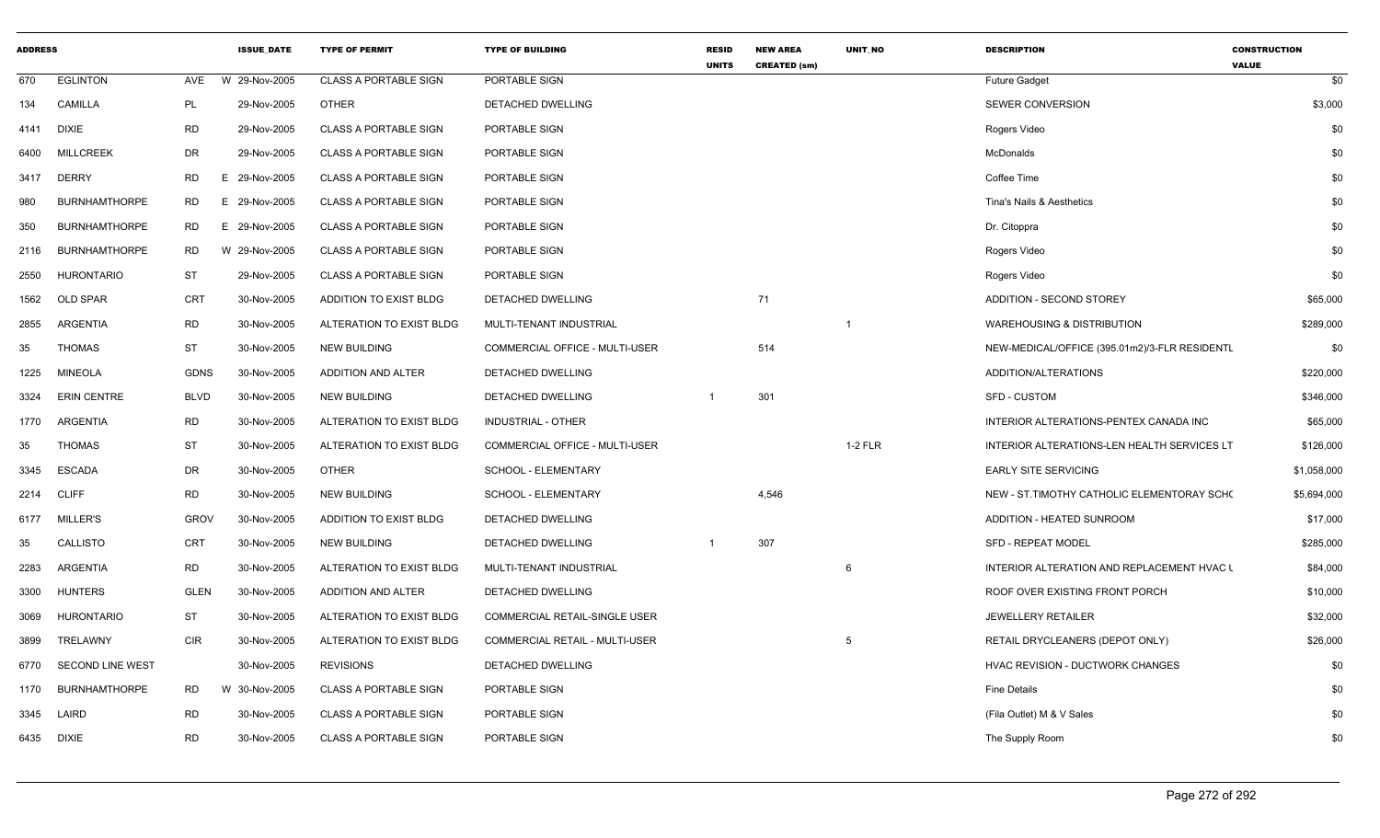| <b>ADDRESS</b> |                         |             | <b>ISSUE_DATE</b> | <b>TYPE OF PERMIT</b>        | <b>TYPE OF BUILDING</b>              | <b>RESID</b><br><b>UNITS</b> | <b>NEW AREA</b><br><b>CREATED (sm)</b> | UNIT_NO        | <b>DESCRIPTION</b>                            | <b>CONSTRUCTION</b><br><b>VALUE</b> |
|----------------|-------------------------|-------------|-------------------|------------------------------|--------------------------------------|------------------------------|----------------------------------------|----------------|-----------------------------------------------|-------------------------------------|
| 670            | <b>EGLINTON</b>         | AVE         | W 29-Nov-2005     | <b>CLASS A PORTABLE SIGN</b> | PORTABLE SIGN                        |                              |                                        |                | <b>Future Gadget</b>                          | \$0                                 |
| 134            | <b>CAMILLA</b>          | PL          | 29-Nov-2005       | <b>OTHER</b>                 | DETACHED DWELLING                    |                              |                                        |                | SEWER CONVERSION                              | \$3,000                             |
| 4141           | <b>DIXIE</b>            | <b>RD</b>   | 29-Nov-2005       | <b>CLASS A PORTABLE SIGN</b> | PORTABLE SIGN                        |                              |                                        |                | Rogers Video                                  | \$0                                 |
| 6400           | <b>MILLCREEK</b>        | <b>DR</b>   | 29-Nov-2005       | <b>CLASS A PORTABLE SIGN</b> | PORTABLE SIGN                        |                              |                                        |                | <b>McDonalds</b>                              | \$0                                 |
| 3417           | <b>DERRY</b>            | <b>RD</b>   | E 29-Nov-2005     | <b>CLASS A PORTABLE SIGN</b> | PORTABLE SIGN                        |                              |                                        |                | Coffee Time                                   | \$0                                 |
| 980            | <b>BURNHAMTHORPE</b>    | RD.         | E 29-Nov-2005     | <b>CLASS A PORTABLE SIGN</b> | PORTABLE SIGN                        |                              |                                        |                | Tina's Nails & Aesthetics                     | \$0                                 |
| 350            | <b>BURNHAMTHORPE</b>    | RD.         | E 29-Nov-2005     | <b>CLASS A PORTABLE SIGN</b> | PORTABLE SIGN                        |                              |                                        |                | Dr. Citoppra                                  | \$0                                 |
| 2116           | <b>BURNHAMTHORPE</b>    | <b>RD</b>   | W 29-Nov-2005     | <b>CLASS A PORTABLE SIGN</b> | <b>PORTABLE SIGN</b>                 |                              |                                        |                | Rogers Video                                  | \$0                                 |
| 2550           | <b>HURONTARIO</b>       | ST          | 29-Nov-2005       | <b>CLASS A PORTABLE SIGN</b> | PORTABLE SIGN                        |                              |                                        |                | Rogers Video                                  | \$0                                 |
| 1562           | OLD SPAR                | <b>CRT</b>  | 30-Nov-2005       | ADDITION TO EXIST BLDG       | DETACHED DWELLING                    |                              | 71                                     |                | ADDITION - SECOND STOREY                      | \$65,000                            |
| 2855           | ARGENTIA                | <b>RD</b>   | 30-Nov-2005       | ALTERATION TO EXIST BLDG     | MULTI-TENANT INDUSTRIAL              |                              |                                        | $\overline{1}$ | <b>WAREHOUSING &amp; DISTRIBUTION</b>         | \$289,000                           |
| 35             | <b>THOMAS</b>           | <b>ST</b>   | 30-Nov-2005       | <b>NEW BUILDING</b>          | COMMERCIAL OFFICE - MULTI-USER       |                              | 514                                    |                | NEW-MEDICAL/OFFICE (395.01m2)/3-FLR RESIDENTL | \$0                                 |
| 1225           | <b>MINEOLA</b>          | <b>GDNS</b> | 30-Nov-2005       | ADDITION AND ALTER           | DETACHED DWELLING                    |                              |                                        |                | ADDITION/ALTERATIONS                          | \$220,000                           |
| 3324           | <b>ERIN CENTRE</b>      | <b>BLVD</b> | 30-Nov-2005       | <b>NEW BUILDING</b>          | DETACHED DWELLING                    |                              | 301                                    |                | <b>SFD - CUSTOM</b>                           | \$346,000                           |
| 1770           | ARGENTIA                | <b>RD</b>   | 30-Nov-2005       | ALTERATION TO EXIST BLDG     | <b>INDUSTRIAL - OTHER</b>            |                              |                                        |                | INTERIOR ALTERATIONS-PENTEX CANADA INC        | \$65,000                            |
| 35             | <b>THOMAS</b>           | <b>ST</b>   | 30-Nov-2005       | ALTERATION TO EXIST BLDG     | COMMERCIAL OFFICE - MULTI-USER       |                              |                                        | $1-2$ FLR      | INTERIOR ALTERATIONS-LEN HEALTH SERVICES LT   | \$126,000                           |
| 3345           | <b>ESCADA</b>           | DR          | 30-Nov-2005       | <b>OTHER</b>                 | SCHOOL - ELEMENTARY                  |                              |                                        |                | <b>EARLY SITE SERVICING</b>                   | \$1,058,000                         |
| 2214           | <b>CLIFF</b>            | <b>RD</b>   | 30-Nov-2005       | <b>NEW BUILDING</b>          | SCHOOL - ELEMENTARY                  |                              | 4,546                                  |                | NEW - ST. TIMOTHY CATHOLIC ELEMENTORAY SCHO   | \$5,694,000                         |
| 6177           | <b>MILLER'S</b>         | <b>GROV</b> | 30-Nov-2005       | ADDITION TO EXIST BLDG       | DETACHED DWELLING                    |                              |                                        |                | ADDITION - HEATED SUNROOM                     | \$17,000                            |
| 35             | CALLISTO                | CRT         | 30-Nov-2005       | <b>NEW BUILDING</b>          | DETACHED DWELLING                    | $\mathbf{1}$                 | 307                                    |                | <b>SFD - REPEAT MODEL</b>                     | \$285,000                           |
| 2283           | <b>ARGENTIA</b>         | <b>RD</b>   | 30-Nov-2005       | ALTERATION TO EXIST BLDG     | MULTI-TENANT INDUSTRIAL              |                              |                                        | 6              | INTERIOR ALTERATION AND REPLACEMENT HVAC I    | \$84,000                            |
| 3300           | <b>HUNTERS</b>          | <b>GLEN</b> | 30-Nov-2005       | <b>ADDITION AND ALTER</b>    | DETACHED DWELLING                    |                              |                                        |                | ROOF OVER EXISTING FRONT PORCH                | \$10,000                            |
| 3069           | <b>HURONTARIO</b>       | ST          | 30-Nov-2005       | ALTERATION TO EXIST BLDG     | <b>COMMERCIAL RETAIL-SINGLE USER</b> |                              |                                        |                | <b>JEWELLERY RETAILER</b>                     | \$32,000                            |
| 3899           | TRELAWNY                | <b>CIR</b>  | 30-Nov-2005       | ALTERATION TO EXIST BLDG     | COMMERCIAL RETAIL - MULTI-USER       |                              |                                        | 5              | RETAIL DRYCLEANERS (DEPOT ONLY)               | \$26,000                            |
| 6770           | <b>SECOND LINE WEST</b> |             | 30-Nov-2005       | <b>REVISIONS</b>             | DETACHED DWELLING                    |                              |                                        |                | HVAC REVISION - DUCTWORK CHANGES              | \$0                                 |
| 1170           | <b>BURNHAMTHORPE</b>    | <b>RD</b>   | W 30-Nov-2005     | <b>CLASS A PORTABLE SIGN</b> | PORTABLE SIGN                        |                              |                                        |                | <b>Fine Details</b>                           | \$0                                 |
| 3345           | LAIRD                   | <b>RD</b>   | 30-Nov-2005       | <b>CLASS A PORTABLE SIGN</b> | PORTABLE SIGN                        |                              |                                        |                | (Fila Outlet) M & V Sales                     | \$0                                 |
| 6435           | DIXIE                   | <b>RD</b>   | 30-Nov-2005       | <b>CLASS A PORTABLE SIGN</b> | PORTABLE SIGN                        |                              |                                        |                | The Supply Room                               | \$0                                 |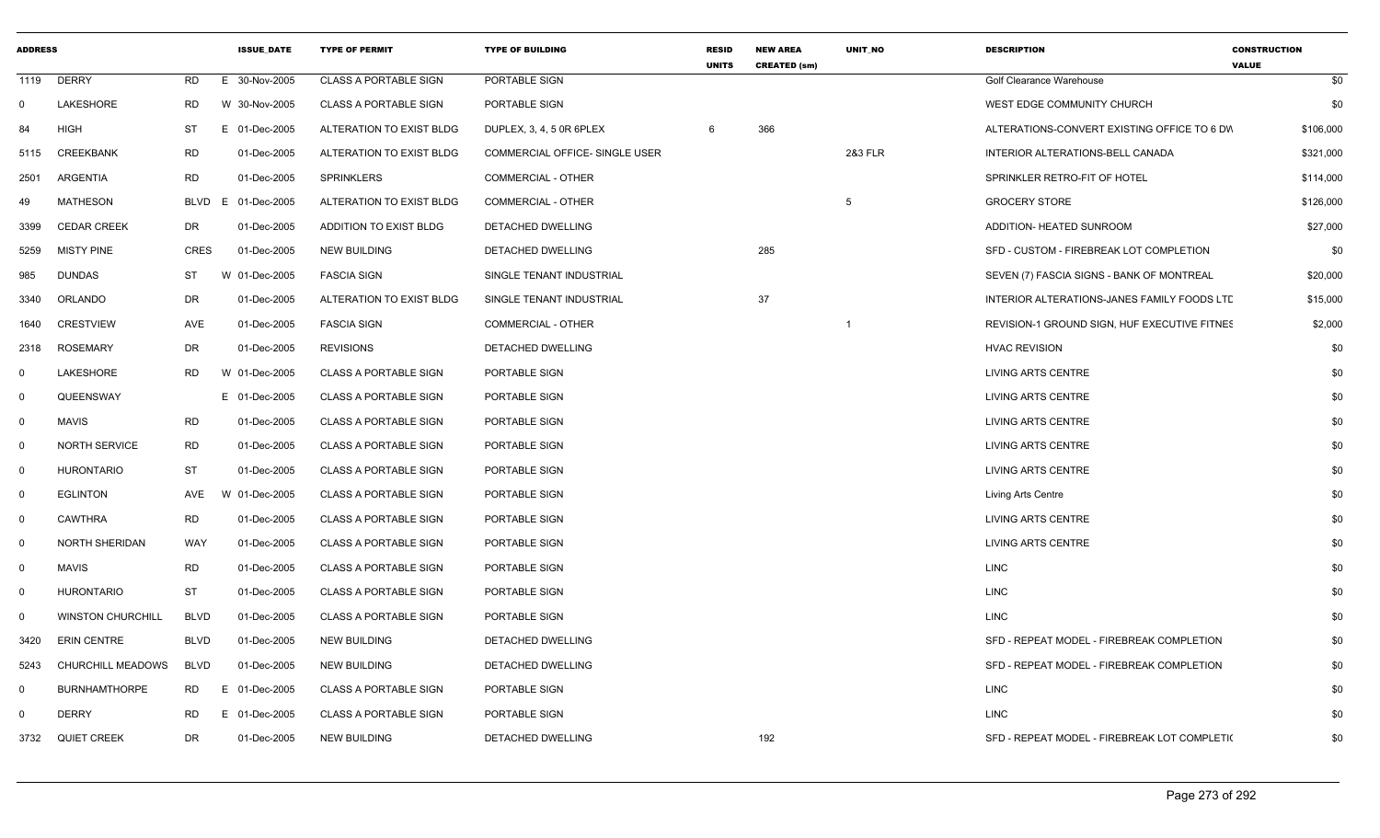| <b>ADDRESS</b> |                          |             | <b>ISSUE DATE</b> | <b>TYPE OF PERMIT</b>        | <b>TYPE OF BUILDING</b>        | <b>RESID</b><br><b>UNITS</b> | <b>NEW AREA</b><br><b>CREATED (sm)</b> | <b>UNIT NO</b> | <b>DESCRIPTION</b>                           | <b>CONSTRUCTION</b><br><b>VALUE</b> |
|----------------|--------------------------|-------------|-------------------|------------------------------|--------------------------------|------------------------------|----------------------------------------|----------------|----------------------------------------------|-------------------------------------|
|                | 1119 DERRY               | RD          | E 30-Nov-2005     | <b>CLASS A PORTABLE SIGN</b> | PORTABLE SIGN                  |                              |                                        |                | Golf Clearance Warehouse                     | \$0                                 |
| $\mathbf 0$    | LAKESHORE                | RD          | W 30-Nov-2005     | <b>CLASS A PORTABLE SIGN</b> | PORTABLE SIGN                  |                              |                                        |                | WEST EDGE COMMUNITY CHURCH                   | \$0                                 |
| 84             | HIGH                     | ST          | E 01-Dec-2005     | ALTERATION TO EXIST BLDG     | DUPLEX, 3, 4, 5 0R 6PLEX       | 6                            | 366                                    |                | ALTERATIONS-CONVERT EXISTING OFFICE TO 6 DW  | \$106,000                           |
| 5115           | <b>CREEKBANK</b>         | RD          | 01-Dec-2005       | ALTERATION TO EXIST BLDG     | COMMERCIAL OFFICE- SINGLE USER |                              |                                        | 2&3 FLR        | INTERIOR ALTERATIONS-BELL CANADA             | \$321,000                           |
| 2501           | ARGENTIA                 | <b>RD</b>   | 01-Dec-2005       | <b>SPRINKLERS</b>            | COMMERCIAL - OTHER             |                              |                                        |                | SPRINKLER RETRO-FIT OF HOTEL                 | \$114,000                           |
| 49             | <b>MATHESON</b>          | BLVD        | E 01-Dec-2005     | ALTERATION TO EXIST BLDG     | COMMERCIAL - OTHER             |                              |                                        | 5              | <b>GROCERY STORE</b>                         | \$126,000                           |
| 3399           | <b>CEDAR CREEK</b>       | DR          | 01-Dec-2005       | ADDITION TO EXIST BLDG       | <b>DETACHED DWELLING</b>       |                              |                                        |                | ADDITION- HEATED SUNROOM                     | \$27,000                            |
| 5259           | <b>MISTY PINE</b>        | <b>CRES</b> | 01-Dec-2005       | <b>NEW BUILDING</b>          | <b>DETACHED DWELLING</b>       |                              | 285                                    |                | SFD - CUSTOM - FIREBREAK LOT COMPLETION      | \$0                                 |
| 985            | <b>DUNDAS</b>            | <b>ST</b>   | W 01-Dec-2005     | <b>FASCIA SIGN</b>           | SINGLE TENANT INDUSTRIAL       |                              |                                        |                | SEVEN (7) FASCIA SIGNS - BANK OF MONTREAL    | \$20,000                            |
| 3340           | ORLANDO                  | DR          | 01-Dec-2005       | ALTERATION TO EXIST BLDG     | SINGLE TENANT INDUSTRIAL       |                              | 37                                     |                | INTERIOR ALTERATIONS-JANES FAMILY FOODS LTL  | \$15,000                            |
| 1640           | <b>CRESTVIEW</b>         | AVE         | 01-Dec-2005       | <b>FASCIA SIGN</b>           | COMMERCIAL - OTHER             |                              |                                        |                | REVISION-1 GROUND SIGN, HUF EXECUTIVE FITNES | \$2,000                             |
| 2318           | <b>ROSEMARY</b>          | DR          | 01-Dec-2005       | <b>REVISIONS</b>             | DETACHED DWELLING              |                              |                                        |                | <b>HVAC REVISION</b>                         | \$0                                 |
| 0              | LAKESHORE                | RD          | W 01-Dec-2005     | CLASS A PORTABLE SIGN        | PORTABLE SIGN                  |                              |                                        |                | <b>LIVING ARTS CENTRE</b>                    | \$0                                 |
| $\Omega$       | QUEENSWAY                |             | E 01-Dec-2005     | CLASS A PORTABLE SIGN        | PORTABLE SIGN                  |                              |                                        |                | <b>LIVING ARTS CENTRE</b>                    | \$0                                 |
| $\Omega$       | <b>MAVIS</b>             | RD          | 01-Dec-2005       | <b>CLASS A PORTABLE SIGN</b> | PORTABLE SIGN                  |                              |                                        |                | <b>LIVING ARTS CENTRE</b>                    | \$0                                 |
| $\mathbf 0$    | <b>NORTH SERVICE</b>     | RD          | 01-Dec-2005       | <b>CLASS A PORTABLE SIGN</b> | PORTABLE SIGN                  |                              |                                        |                | <b>LIVING ARTS CENTRE</b>                    | \$0                                 |
| $\mathbf 0$    | <b>HURONTARIO</b>        | <b>ST</b>   | 01-Dec-2005       | <b>CLASS A PORTABLE SIGN</b> | PORTABLE SIGN                  |                              |                                        |                | LIVING ARTS CENTRE                           | \$0                                 |
| $\mathbf 0$    | <b>EGLINTON</b>          | AVE         | W 01-Dec-2005     | <b>CLASS A PORTABLE SIGN</b> | PORTABLE SIGN                  |                              |                                        |                | Living Arts Centre                           | \$0                                 |
| $\Omega$       | <b>CAWTHRA</b>           | RD          | 01-Dec-2005       | <b>CLASS A PORTABLE SIGN</b> | PORTABLE SIGN                  |                              |                                        |                | <b>LIVING ARTS CENTRE</b>                    | \$0                                 |
| $\mathbf{0}$   | <b>NORTH SHERIDAN</b>    | WAY         | 01-Dec-2005       | <b>CLASS A PORTABLE SIGN</b> | PORTABLE SIGN                  |                              |                                        |                | <b>LIVING ARTS CENTRE</b>                    | \$0                                 |
| $\mathbf{0}$   | MAVIS                    | <b>RD</b>   | 01-Dec-2005       | CLASS A PORTABLE SIGN        | PORTABLE SIGN                  |                              |                                        |                | <b>LINC</b>                                  | \$0                                 |
| $\Omega$       | <b>HURONTARIO</b>        | <b>ST</b>   | 01-Dec-2005       | <b>CLASS A PORTABLE SIGN</b> | PORTABLE SIGN                  |                              |                                        |                | <b>LINC</b>                                  | \$0                                 |
| $\Omega$       | <b>WINSTON CHURCHILL</b> | BLVD        | 01-Dec-2005       | <b>CLASS A PORTABLE SIGN</b> | PORTABLE SIGN                  |                              |                                        |                | <b>LINC</b>                                  | \$0                                 |
| 3420           | <b>ERIN CENTRE</b>       | BLVD        | 01-Dec-2005       | <b>NEW BUILDING</b>          | DETACHED DWELLING              |                              |                                        |                | SFD - REPEAT MODEL - FIREBREAK COMPLETION    | \$0                                 |
| 5243           | CHURCHILL MEADOWS        | <b>BLVD</b> | 01-Dec-2005       | <b>NEW BUILDING</b>          | DETACHED DWELLING              |                              |                                        |                | SFD - REPEAT MODEL - FIREBREAK COMPLETION    | \$0                                 |
| $\Omega$       | <b>BURNHAMTHORPE</b>     | RD          | E 01-Dec-2005     | <b>CLASS A PORTABLE SIGN</b> | PORTABLE SIGN                  |                              |                                        |                | <b>LINC</b>                                  | \$0                                 |
| $\Omega$       | <b>DERRY</b>             | RD          | E 01-Dec-2005     | <b>CLASS A PORTABLE SIGN</b> | PORTABLE SIGN                  |                              |                                        |                | <b>LINC</b>                                  | \$0                                 |
|                | 3732 QUIET CREEK         | DR          | 01-Dec-2005       | <b>NEW BUILDING</b>          | DETACHED DWELLING              |                              | 192                                    |                | SFD - REPEAT MODEL - FIREBREAK LOT COMPLETI( | \$0                                 |
|                |                          |             |                   |                              |                                |                              |                                        |                |                                              |                                     |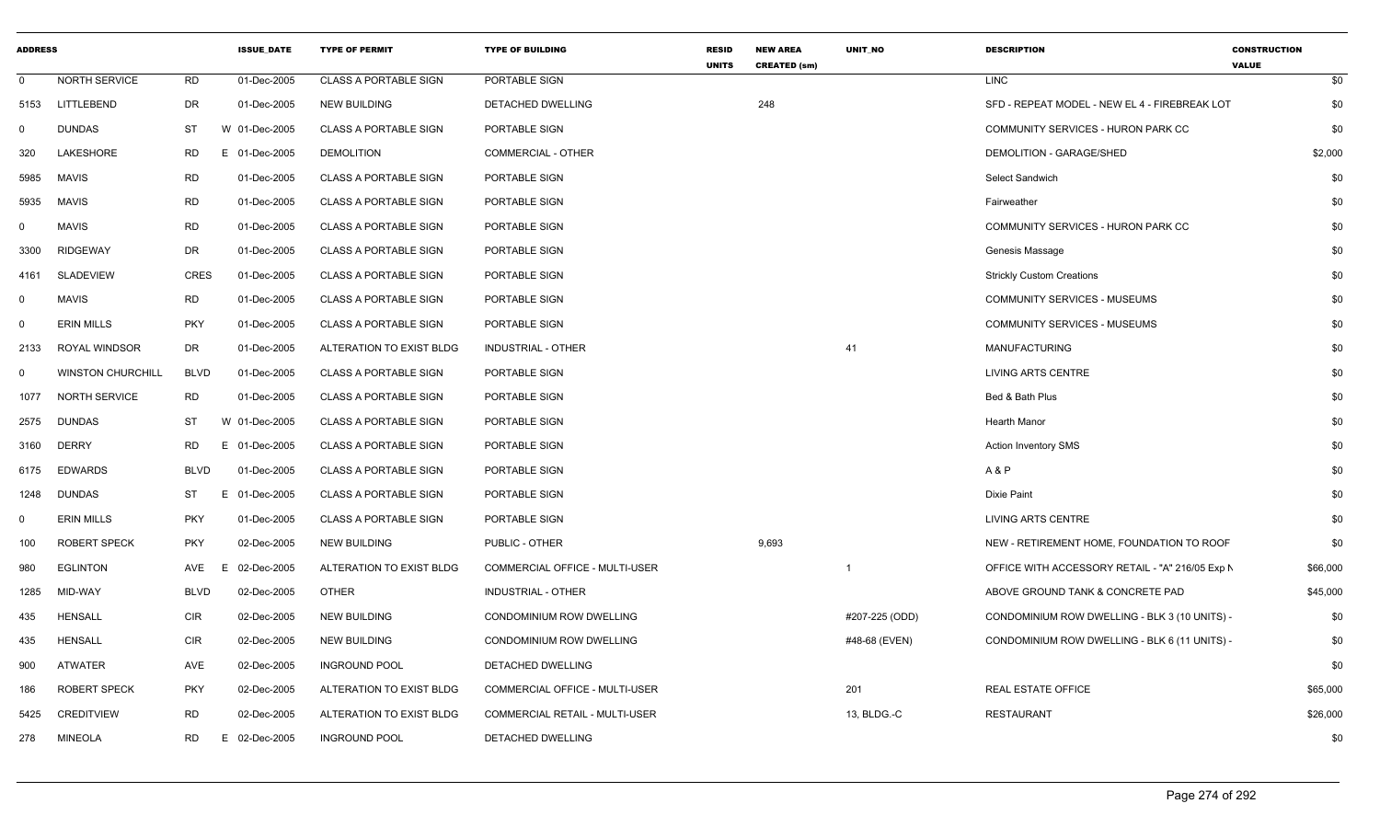| <b>ADDRESS</b> |                          |             | <b>ISSUE DATE</b> | <b>TYPE OF PERMIT</b>        | <b>TYPE OF BUILDING</b>               | <b>RESID</b><br><b>UNITS</b> | <b>NEW AREA</b><br><b>CREATED (sm)</b> | <b>UNIT NO</b> | <b>DESCRIPTION</b>                              | <b>CONSTRUCTION</b><br><b>VALUE</b> |
|----------------|--------------------------|-------------|-------------------|------------------------------|---------------------------------------|------------------------------|----------------------------------------|----------------|-------------------------------------------------|-------------------------------------|
| $\mathbf{0}$   | NORTH SERVICE            | <b>RD</b>   | 01-Dec-2005       | <b>CLASS A PORTABLE SIGN</b> | PORTABLE SIGN                         |                              |                                        |                | <b>LINC</b>                                     | \$0                                 |
| 5153           | LITTLEBEND               | <b>DR</b>   | 01-Dec-2005       | <b>NEW BUILDING</b>          | DETACHED DWELLING                     |                              | 248                                    |                | SFD - REPEAT MODEL - NEW EL 4 - FIREBREAK LOT   | \$0                                 |
| $\mathbf 0$    | <b>DUNDAS</b>            | ST          | W 01-Dec-2005     | <b>CLASS A PORTABLE SIGN</b> | PORTABLE SIGN                         |                              |                                        |                | COMMUNITY SERVICES - HURON PARK CC              | \$0                                 |
| 320            | LAKESHORE                | RD          | E 01-Dec-2005     | <b>DEMOLITION</b>            | <b>COMMERCIAL - OTHER</b>             |                              |                                        |                | DEMOLITION - GARAGE/SHED                        | \$2,000                             |
| 5985           | <b>MAVIS</b>             | <b>RD</b>   | 01-Dec-2005       | <b>CLASS A PORTABLE SIGN</b> | PORTABLE SIGN                         |                              |                                        |                | Select Sandwich                                 | \$0                                 |
| 5935           | <b>MAVIS</b>             | <b>RD</b>   | 01-Dec-2005       | <b>CLASS A PORTABLE SIGN</b> | PORTABLE SIGN                         |                              |                                        |                | Fairweather                                     | \$0                                 |
| $\mathbf{0}$   | <b>MAVIS</b>             | <b>RD</b>   | 01-Dec-2005       | <b>CLASS A PORTABLE SIGN</b> | PORTABLE SIGN                         |                              |                                        |                | COMMUNITY SERVICES - HURON PARK CC              | \$0                                 |
| 3300           | <b>RIDGEWAY</b>          | DR          | 01-Dec-2005       | <b>CLASS A PORTABLE SIGN</b> | PORTABLE SIGN                         |                              |                                        |                | Genesis Massage                                 | \$0                                 |
| 4161           | <b>SLADEVIEW</b>         | <b>CRES</b> | 01-Dec-2005       | <b>CLASS A PORTABLE SIGN</b> | PORTABLE SIGN                         |                              |                                        |                | <b>Strickly Custom Creations</b>                | \$0                                 |
| $\mathbf 0$    | <b>MAVIS</b>             | <b>RD</b>   | 01-Dec-2005       | <b>CLASS A PORTABLE SIGN</b> | PORTABLE SIGN                         |                              |                                        |                | <b>COMMUNITY SERVICES - MUSEUMS</b>             | \$0                                 |
| $\mathbf 0$    | ERIN MILLS               | <b>PKY</b>  | 01-Dec-2005       | <b>CLASS A PORTABLE SIGN</b> | PORTABLE SIGN                         |                              |                                        |                | <b>COMMUNITY SERVICES - MUSEUMS</b>             | \$0                                 |
| 2133           | ROYAL WINDSOR            | DR          | 01-Dec-2005       | ALTERATION TO EXIST BLDG     | INDUSTRIAL - OTHER                    |                              |                                        | 41             | MANUFACTURING                                   | \$0                                 |
| $\mathbf{0}$   | <b>WINSTON CHURCHILL</b> | <b>BLVD</b> | 01-Dec-2005       | <b>CLASS A PORTABLE SIGN</b> | PORTABLE SIGN                         |                              |                                        |                | LIVING ARTS CENTRE                              | \$0                                 |
| 1077           | <b>NORTH SERVICE</b>     | <b>RD</b>   | 01-Dec-2005       | <b>CLASS A PORTABLE SIGN</b> | PORTABLE SIGN                         |                              |                                        |                | Bed & Bath Plus                                 | \$0                                 |
| 2575           | <b>DUNDAS</b>            | ST          | W 01-Dec-2005     | <b>CLASS A PORTABLE SIGN</b> | PORTABLE SIGN                         |                              |                                        |                | <b>Hearth Manor</b>                             | \$0                                 |
| 3160           | <b>DERRY</b>             | <b>RD</b>   | E 01-Dec-2005     | <b>CLASS A PORTABLE SIGN</b> | PORTABLE SIGN                         |                              |                                        |                | <b>Action Inventory SMS</b>                     | \$0                                 |
| 6175           | <b>EDWARDS</b>           | <b>BLVD</b> | 01-Dec-2005       | <b>CLASS A PORTABLE SIGN</b> | PORTABLE SIGN                         |                              |                                        |                | A & P                                           | \$0                                 |
| 1248           | <b>DUNDAS</b>            | ST          | 01-Dec-2005<br>F. | <b>CLASS A PORTABLE SIGN</b> | PORTABLE SIGN                         |                              |                                        |                | Dixie Paint                                     | \$0                                 |
| $\mathbf 0$    | <b>ERIN MILLS</b>        | <b>PKY</b>  | 01-Dec-2005       | <b>CLASS A PORTABLE SIGN</b> | PORTABLE SIGN                         |                              |                                        |                | <b>LIVING ARTS CENTRE</b>                       | \$0                                 |
| 100            | <b>ROBERT SPECK</b>      | <b>PKY</b>  | 02-Dec-2005       | <b>NEW BUILDING</b>          | PUBLIC - OTHER                        |                              | 9,693                                  |                | NEW - RETIREMENT HOME, FOUNDATION TO ROOF       | \$0                                 |
| 980            | <b>EGLINTON</b>          | AVE         | 02-Dec-2005       | ALTERATION TO EXIST BLDG     | <b>COMMERCIAL OFFICE - MULTI-USER</b> |                              |                                        | $\overline{1}$ | OFFICE WITH ACCESSORY RETAIL - "A" 216/05 Exp N | \$66,000                            |
| 1285           | MID-WAY                  | <b>BLVD</b> | 02-Dec-2005       | <b>OTHER</b>                 | <b>INDUSTRIAL - OTHER</b>             |                              |                                        |                | ABOVE GROUND TANK & CONCRETE PAD                | \$45,000                            |
| 435            | <b>HENSALL</b>           | <b>CIR</b>  | 02-Dec-2005       | <b>NEW BUILDING</b>          | CONDOMINIUM ROW DWELLING              |                              |                                        | #207-225 (ODD) | CONDOMINIUM ROW DWELLING - BLK 3 (10 UNITS) -   | \$0                                 |
| 435            | <b>HENSALL</b>           | <b>CIR</b>  | 02-Dec-2005       | <b>NEW BUILDING</b>          | CONDOMINIUM ROW DWELLING              |                              |                                        | #48-68 (EVEN)  | CONDOMINIUM ROW DWELLING - BLK 6 (11 UNITS) -   | \$0                                 |
| 900            | <b>ATWATER</b>           | AVE         | 02-Dec-2005       | <b>INGROUND POOL</b>         | DETACHED DWELLING                     |                              |                                        |                |                                                 | \$0                                 |
| 186            | <b>ROBERT SPECK</b>      | <b>PKY</b>  | 02-Dec-2005       | ALTERATION TO EXIST BLDG     | COMMERCIAL OFFICE - MULTI-USER        |                              |                                        | 201            | <b>REAL ESTATE OFFICE</b>                       | \$65,000                            |
| 5425           | <b>CREDITVIEW</b>        | RD          | 02-Dec-2005       | ALTERATION TO EXIST BLDG     | COMMERCIAL RETAIL - MULTI-USER        |                              |                                        | 13, BLDG.-C    | <b>RESTAURANT</b>                               | \$26,000                            |
| 278            | <b>MINEOLA</b>           | <b>RD</b>   | E 02-Dec-2005     | <b>INGROUND POOL</b>         | DETACHED DWELLING                     |                              |                                        |                |                                                 | \$0                                 |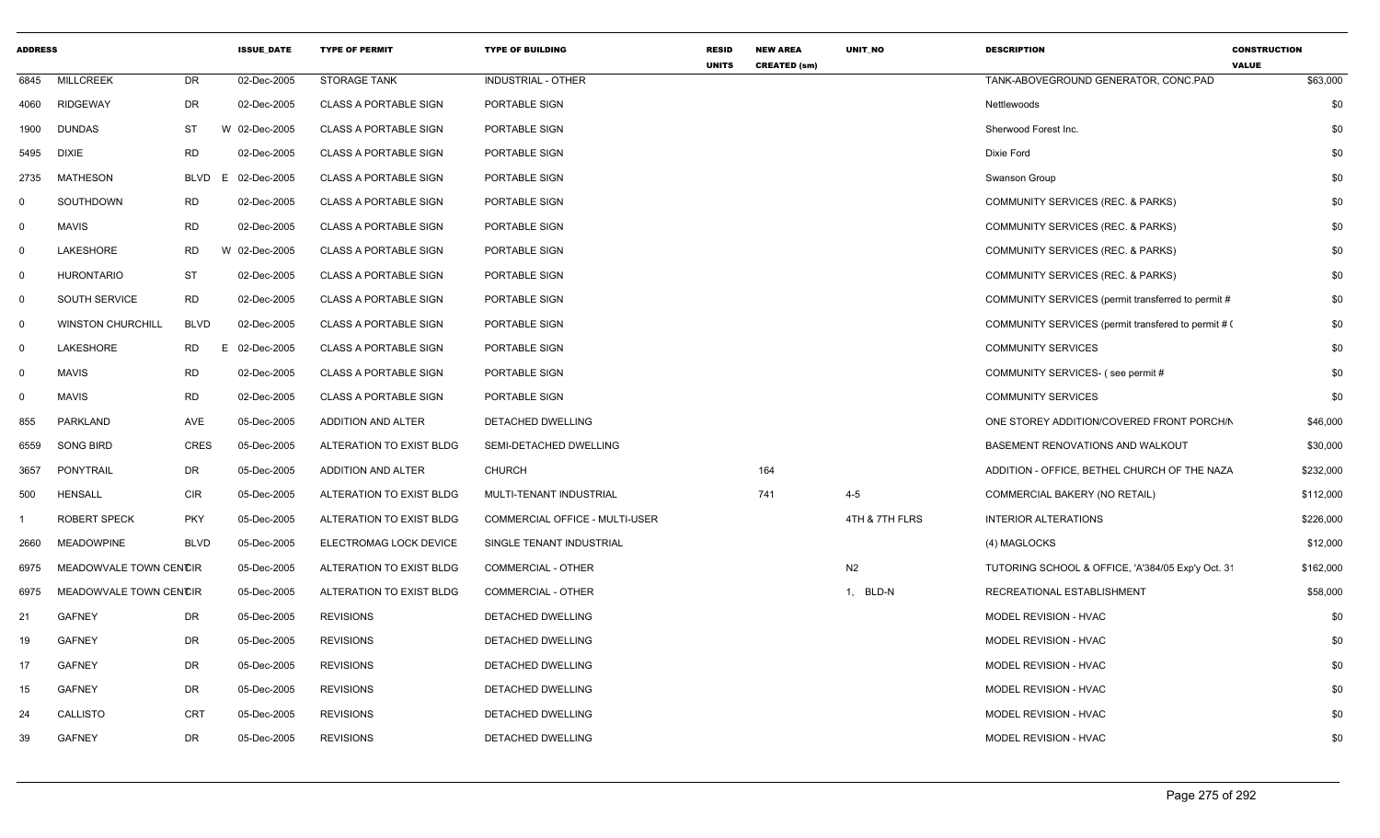| <b>ADDRESS</b> |                          |             | <b>ISSUE_DATE</b> | <b>TYPE OF PERMIT</b>        | <b>TYPE OF BUILDING</b>        | RESID<br><b>UNITS</b> | <b>NEW AREA</b><br><b>CREATED (sm)</b> | UNIT_NO        | <b>DESCRIPTION</b>                                  | <b>CONSTRUCTION</b><br><b>VALUE</b> |
|----------------|--------------------------|-------------|-------------------|------------------------------|--------------------------------|-----------------------|----------------------------------------|----------------|-----------------------------------------------------|-------------------------------------|
| 6845           | <b>MILLCREEK</b>         | <b>DR</b>   | 02-Dec-2005       | <b>STORAGE TANK</b>          | INDUSTRIAL - OTHER             |                       |                                        |                | TANK-ABOVEGROUND GENERATOR, CONC.PAD                | \$63,000                            |
| 4060           | <b>RIDGEWAY</b>          | DR          | 02-Dec-2005       | <b>CLASS A PORTABLE SIGN</b> | PORTABLE SIGN                  |                       |                                        |                | Nettlewoods                                         | \$0                                 |
| 1900           | <b>DUNDAS</b>            | ST          | W 02-Dec-2005     | <b>CLASS A PORTABLE SIGN</b> | PORTABLE SIGN                  |                       |                                        |                | Sherwood Forest Inc.                                | \$0                                 |
| 5495           | <b>DIXIE</b>             | <b>RD</b>   | 02-Dec-2005       | <b>CLASS A PORTABLE SIGN</b> | PORTABLE SIGN                  |                       |                                        |                | Dixie Ford                                          | \$0                                 |
| 2735           | <b>MATHESON</b>          | <b>BLVD</b> | E 02-Dec-2005     | <b>CLASS A PORTABLE SIGN</b> | PORTABLE SIGN                  |                       |                                        |                | Swanson Group                                       | \$0                                 |
| $^{\circ}$     | SOUTHDOWN                | RD          | 02-Dec-2005       | <b>CLASS A PORTABLE SIGN</b> | PORTABLE SIGN                  |                       |                                        |                | COMMUNITY SERVICES (REC. & PARKS)                   | \$0                                 |
| $\mathbf 0$    | <b>MAVIS</b>             | RD          | 02-Dec-2005       | <b>CLASS A PORTABLE SIGN</b> | PORTABLE SIGN                  |                       |                                        |                | COMMUNITY SERVICES (REC. & PARKS)                   | \$0                                 |
| $\mathbf 0$    | LAKESHORE                | <b>RD</b>   | W 02-Dec-2005     | <b>CLASS A PORTABLE SIGN</b> | PORTABLE SIGN                  |                       |                                        |                | COMMUNITY SERVICES (REC. & PARKS)                   | \$0                                 |
| $\mathbf 0$    | <b>HURONTARIO</b>        | ST          | 02-Dec-2005       | <b>CLASS A PORTABLE SIGN</b> | PORTABLE SIGN                  |                       |                                        |                | COMMUNITY SERVICES (REC. & PARKS)                   | \$0                                 |
| $\mathbf 0$    | SOUTH SERVICE            | <b>RD</b>   | 02-Dec-2005       | <b>CLASS A PORTABLE SIGN</b> | PORTABLE SIGN                  |                       |                                        |                | COMMUNITY SERVICES (permit transferred to permit #  | \$0                                 |
| $\mathbf 0$    | <b>WINSTON CHURCHILL</b> | <b>BLVD</b> | 02-Dec-2005       | <b>CLASS A PORTABLE SIGN</b> | PORTABLE SIGN                  |                       |                                        |                | COMMUNITY SERVICES (permit transfered to permit # 0 | \$0                                 |
| $\mathbf 0$    | LAKESHORE                | <b>RD</b>   | E 02-Dec-2005     | <b>CLASS A PORTABLE SIGN</b> | PORTABLE SIGN                  |                       |                                        |                | <b>COMMUNITY SERVICES</b>                           | \$0                                 |
| $\mathbf 0$    | <b>MAVIS</b>             | <b>RD</b>   | 02-Dec-2005       | <b>CLASS A PORTABLE SIGN</b> | PORTABLE SIGN                  |                       |                                        |                | COMMUNITY SERVICES- (see permit #                   | \$0                                 |
| $\mathbf 0$    | <b>MAVIS</b>             | RD          | 02-Dec-2005       | <b>CLASS A PORTABLE SIGN</b> | PORTABLE SIGN                  |                       |                                        |                | <b>COMMUNITY SERVICES</b>                           | \$0                                 |
| 855            | <b>PARKLAND</b>          | AVE         | 05-Dec-2005       | ADDITION AND ALTER           | <b>DETACHED DWELLING</b>       |                       |                                        |                | ONE STOREY ADDITION/COVERED FRONT PORCH/N           | \$46,000                            |
| 6559           | SONG BIRD                | <b>CRES</b> | 05-Dec-2005       | ALTERATION TO EXIST BLDG     | SEMI-DETACHED DWELLING         |                       |                                        |                | BASEMENT RENOVATIONS AND WALKOUT                    | \$30,000                            |
| 3657           | PONYTRAIL                | DR          | 05-Dec-2005       | ADDITION AND ALTER           | <b>CHURCH</b>                  |                       | 164                                    |                | ADDITION - OFFICE, BETHEL CHURCH OF THE NAZA        | \$232,000                           |
| 500            | <b>HENSALL</b>           | <b>CIR</b>  | 05-Dec-2005       | ALTERATION TO EXIST BLDG     | MULTI-TENANT INDUSTRIAL        |                       | 741                                    | $4 - 5$        | COMMERCIAL BAKERY (NO RETAIL)                       | \$112,000                           |
|                | <b>ROBERT SPECK</b>      | <b>PKY</b>  | 05-Dec-2005       | ALTERATION TO EXIST BLDG     | COMMERCIAL OFFICE - MULTI-USER |                       |                                        | 4TH & 7TH FLRS | <b>INTERIOR ALTERATIONS</b>                         | \$226,000                           |
| 2660           | <b>MEADOWPINE</b>        | <b>BLVD</b> | 05-Dec-2005       | ELECTROMAG LOCK DEVICE       | SINGLE TENANT INDUSTRIAL       |                       |                                        |                | (4) MAGLOCKS                                        | \$12,000                            |
| 6975           | MEADOWVALE TOWN CENCIR   |             | 05-Dec-2005       | ALTERATION TO EXIST BLDG     | <b>COMMERCIAL - OTHER</b>      |                       |                                        | N2             | TUTORING SCHOOL & OFFICE, 'A'384/05 Exp'y Oct. 3'   | \$162,000                           |
| 6975           | MEADOWVALE TOWN CENCIR   |             | 05-Dec-2005       | ALTERATION TO EXIST BLDG     | <b>COMMERCIAL - OTHER</b>      |                       |                                        | 1, BLD-N       | RECREATIONAL ESTABLISHMENT                          | \$58,000                            |
| 21             | <b>GAFNEY</b>            | DR          | 05-Dec-2005       | <b>REVISIONS</b>             | DETACHED DWELLING              |                       |                                        |                | MODEL REVISION - HVAC                               | \$0                                 |
| 19             | <b>GAFNEY</b>            | DR          | 05-Dec-2005       | <b>REVISIONS</b>             | DETACHED DWELLING              |                       |                                        |                | MODEL REVISION - HVAC                               | \$0                                 |
| 17             | <b>GAFNEY</b>            | DR          | 05-Dec-2005       | <b>REVISIONS</b>             | DETACHED DWELLING              |                       |                                        |                | MODEL REVISION - HVAC                               | \$0                                 |
| 15             | <b>GAFNEY</b>            | DR          | 05-Dec-2005       | <b>REVISIONS</b>             | DETACHED DWELLING              |                       |                                        |                | MODEL REVISION - HVAC                               | \$0                                 |
| 24             | <b>CALLISTO</b>          | <b>CRT</b>  | 05-Dec-2005       | <b>REVISIONS</b>             | DETACHED DWELLING              |                       |                                        |                | MODEL REVISION - HVAC                               | \$0                                 |
| 39             | <b>GAFNEY</b>            | DR.         | 05-Dec-2005       | <b>REVISIONS</b>             | <b>DETACHED DWELLING</b>       |                       |                                        |                | MODEL REVISION - HVAC                               | \$0                                 |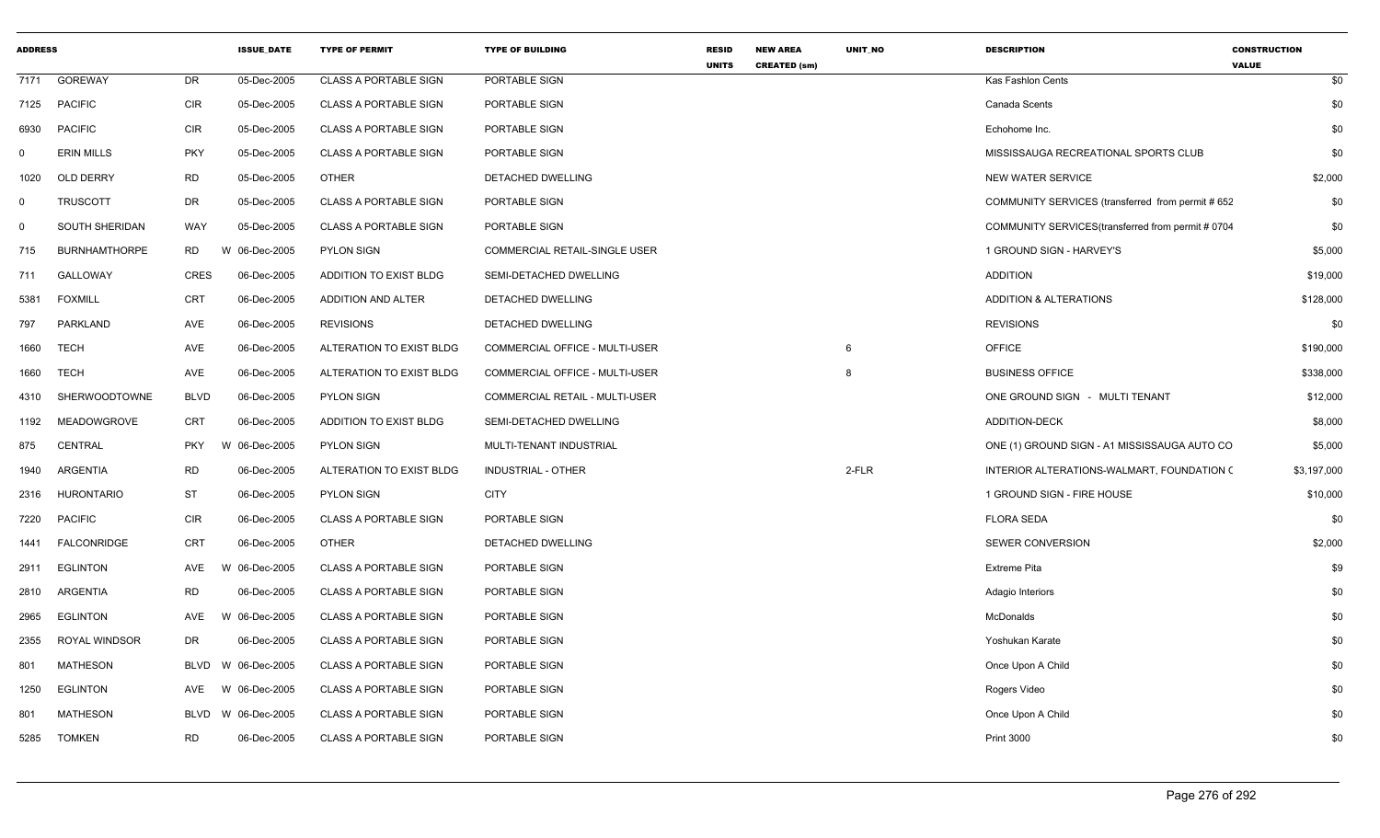| <b>ADDRESS</b> |                      |             | <b>ISSUE DATE</b> | <b>TYPE OF PERMIT</b>        | <b>TYPE OF BUILDING</b>        | <b>RESID</b><br><b>UNITS</b> | <b>NEW AREA</b><br><b>CREATED (sm)</b> | UNIT_NO | <b>DESCRIPTION</b>                                 | <b>CONSTRUCTION</b><br><b>VALUE</b> |
|----------------|----------------------|-------------|-------------------|------------------------------|--------------------------------|------------------------------|----------------------------------------|---------|----------------------------------------------------|-------------------------------------|
| 7171           | GOREWAY              | DR          | 05-Dec-2005       | <b>CLASS A PORTABLE SIGN</b> | PORTABLE SIGN                  |                              |                                        |         | Kas Fashlon Cents                                  | \$0                                 |
| 7125           | <b>PACIFIC</b>       | <b>CIR</b>  | 05-Dec-2005       | <b>CLASS A PORTABLE SIGN</b> | PORTABLE SIGN                  |                              |                                        |         | Canada Scents                                      | \$0                                 |
| 6930           | <b>PACIFIC</b>       | <b>CIR</b>  | 05-Dec-2005       | <b>CLASS A PORTABLE SIGN</b> | PORTABLE SIGN                  |                              |                                        |         | Echohome Inc.                                      | \$0                                 |
| 0              | <b>ERIN MILLS</b>    | <b>PKY</b>  | 05-Dec-2005       | <b>CLASS A PORTABLE SIGN</b> | PORTABLE SIGN                  |                              |                                        |         | MISSISSAUGA RECREATIONAL SPORTS CLUB               | \$0                                 |
| 1020           | OLD DERRY            | <b>RD</b>   | 05-Dec-2005       | <b>OTHER</b>                 | DETACHED DWELLING              |                              |                                        |         | <b>NEW WATER SERVICE</b>                           | \$2,000                             |
| $\mathbf 0$    | TRUSCOTT             | DR          | 05-Dec-2005       | <b>CLASS A PORTABLE SIGN</b> | PORTABLE SIGN                  |                              |                                        |         | COMMUNITY SERVICES (transferred from permit # 652  | \$0                                 |
| $\mathbf 0$    | SOUTH SHERIDAN       | WAY         | 05-Dec-2005       | <b>CLASS A PORTABLE SIGN</b> | PORTABLE SIGN                  |                              |                                        |         | COMMUNITY SERVICES (transferred from permit # 0704 | \$0                                 |
| 715            | <b>BURNHAMTHORPE</b> | RD          | W 06-Dec-2005     | <b>PYLON SIGN</b>            | COMMERCIAL RETAIL-SINGLE USER  |                              |                                        |         | 1 GROUND SIGN - HARVEY'S                           | \$5,000                             |
| 711            | GALLOWAY             | <b>CRES</b> | 06-Dec-2005       | ADDITION TO EXIST BLDG       | SEMI-DETACHED DWELLING         |                              |                                        |         | <b>ADDITION</b>                                    | \$19,000                            |
| 5381           | <b>FOXMILL</b>       | CRT         | 06-Dec-2005       | ADDITION AND ALTER           | DETACHED DWELLING              |                              |                                        |         | <b>ADDITION &amp; ALTERATIONS</b>                  | \$128,000                           |
| 797            | PARKLAND             | AVE         | 06-Dec-2005       | <b>REVISIONS</b>             | DETACHED DWELLING              |                              |                                        |         | <b>REVISIONS</b>                                   | \$0                                 |
| 1660           | <b>TECH</b>          | AVE         | 06-Dec-2005       | ALTERATION TO EXIST BLDG     | COMMERCIAL OFFICE - MULTI-USER |                              |                                        | 6       | <b>OFFICE</b>                                      | \$190,000                           |
| 1660           | TECH                 | AVE         | 06-Dec-2005       | ALTERATION TO EXIST BLDG     | COMMERCIAL OFFICE - MULTI-USER |                              |                                        | 8       | <b>BUSINESS OFFICE</b>                             | \$338,000                           |
| 4310           | SHERWOODTOWNE        | <b>BLVD</b> | 06-Dec-2005       | <b>PYLON SIGN</b>            | COMMERCIAL RETAIL - MULTI-USER |                              |                                        |         | ONE GROUND SIGN - MULTI TENANT                     | \$12,000                            |
| 1192           | MEADOWGROVE          | CRT         | 06-Dec-2005       | ADDITION TO EXIST BLDG       | SEMI-DETACHED DWELLING         |                              |                                        |         | <b>ADDITION-DECK</b>                               | \$8,000                             |
| 875            | <b>CENTRAL</b>       | <b>PKY</b>  | W 06-Dec-2005     | <b>PYLON SIGN</b>            | MULTI-TENANT INDUSTRIAL        |                              |                                        |         | ONE (1) GROUND SIGN - A1 MISSISSAUGA AUTO CO       | \$5,000                             |
| 1940           | ARGENTIA             | <b>RD</b>   | 06-Dec-2005       | ALTERATION TO EXIST BLDG     | INDUSTRIAL - OTHER             |                              |                                        | 2-FLR   | INTERIOR ALTERATIONS-WALMART, FOUNDATION (         | \$3,197,000                         |
| 2316           | <b>HURONTARIO</b>    | <b>ST</b>   | 06-Dec-2005       | <b>PYLON SIGN</b>            | <b>CITY</b>                    |                              |                                        |         | 1 GROUND SIGN - FIRE HOUSE                         | \$10,000                            |
| 7220           | <b>PACIFIC</b>       | <b>CIR</b>  | 06-Dec-2005       | <b>CLASS A PORTABLE SIGN</b> | PORTABLE SIGN                  |                              |                                        |         | <b>FLORA SEDA</b>                                  | \$0                                 |
| 1441           | FALCONRIDGE          | <b>CRT</b>  | 06-Dec-2005       | <b>OTHER</b>                 | DETACHED DWELLING              |                              |                                        |         | SEWER CONVERSION                                   | \$2,000                             |
| 2911           | <b>EGLINTON</b>      | AVE         | W 06-Dec-2005     | <b>CLASS A PORTABLE SIGN</b> | PORTABLE SIGN                  |                              |                                        |         | <b>Extreme Pita</b>                                | \$9                                 |
| 2810           | ARGENTIA             | <b>RD</b>   | 06-Dec-2005       | <b>CLASS A PORTABLE SIGN</b> | PORTABLE SIGN                  |                              |                                        |         | Adagio Interiors                                   | \$0                                 |
| 2965           | <b>EGLINTON</b>      | <b>AVE</b>  | W 06-Dec-2005     | <b>CLASS A PORTABLE SIGN</b> | PORTABLE SIGN                  |                              |                                        |         | McDonalds                                          | \$0                                 |
| 2355           | ROYAL WINDSOR        | DR          | 06-Dec-2005       | <b>CLASS A PORTABLE SIGN</b> | PORTABLE SIGN                  |                              |                                        |         | Yoshukan Karate                                    | \$0                                 |
| 801            | MATHESON             | <b>BLVD</b> | W 06-Dec-2005     | <b>CLASS A PORTABLE SIGN</b> | PORTABLE SIGN                  |                              |                                        |         | Once Upon A Child                                  | \$0                                 |
| 1250           | <b>EGLINTON</b>      | AVE         | W 06-Dec-2005     | <b>CLASS A PORTABLE SIGN</b> | PORTABLE SIGN                  |                              |                                        |         | Rogers Video                                       | \$0                                 |
| 801            | <b>MATHESON</b>      | BLVD        | W 06-Dec-2005     | <b>CLASS A PORTABLE SIGN</b> | PORTABLE SIGN                  |                              |                                        |         | Once Upon A Child                                  | \$0                                 |
| 5285           | <b>TOMKEN</b>        | <b>RD</b>   | 06-Dec-2005       | <b>CLASS A PORTABLE SIGN</b> | PORTABLE SIGN                  |                              |                                        |         | <b>Print 3000</b>                                  | \$0                                 |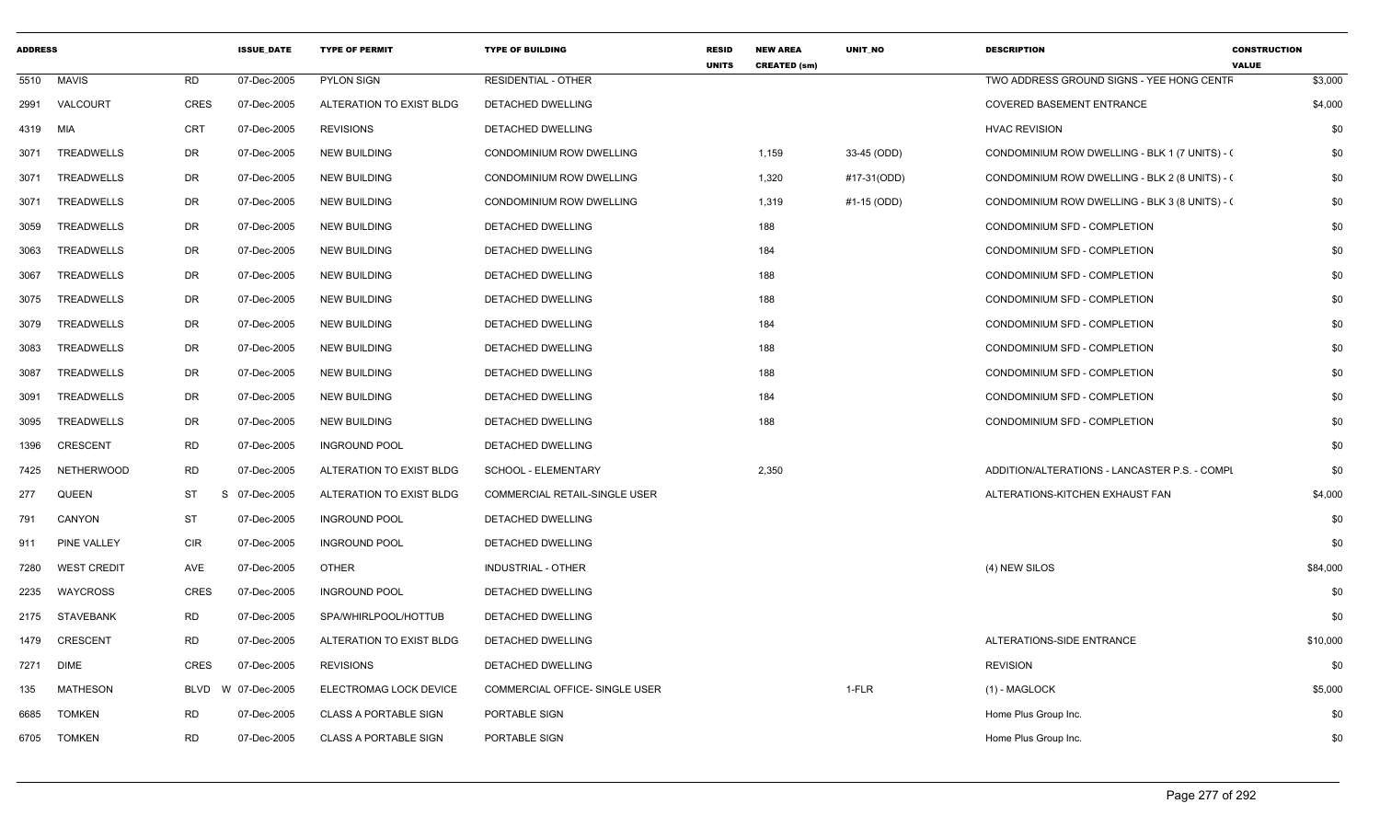| <b>ADDRESS</b> |                    |                 | <b>ISSUE DATE</b> | <b>TYPE OF PERMIT</b>        | <b>TYPE OF BUILDING</b>               | <b>RESID</b><br><b>UNITS</b> | <b>NEW AREA</b><br><b>CREATED (sm)</b> | UNIT NO     | <b>DESCRIPTION</b>                             | <b>CONSTRUCTION</b><br><b>VALUE</b> |
|----------------|--------------------|-----------------|-------------------|------------------------------|---------------------------------------|------------------------------|----------------------------------------|-------------|------------------------------------------------|-------------------------------------|
| 5510           | <b>MAVIS</b>       | RD              | 07-Dec-2005       | <b>PYLON SIGN</b>            | <b>RESIDENTIAL - OTHER</b>            |                              |                                        |             | TWO ADDRESS GROUND SIGNS - YEE HONG CENTF      | \$3,000                             |
| 2991           | VALCOURT           | <b>CRES</b>     | 07-Dec-2005       | ALTERATION TO EXIST BLDG     | DETACHED DWELLING                     |                              |                                        |             | <b>COVERED BASEMENT ENTRANCE</b>               | \$4,000                             |
| 4319           | MIA                | <b>CRT</b>      | 07-Dec-2005       | <b>REVISIONS</b>             | <b>DETACHED DWELLING</b>              |                              |                                        |             | <b>HVAC REVISION</b>                           | \$0                                 |
| 3071           | TREADWELLS         | DR              | 07-Dec-2005       | <b>NEW BUILDING</b>          | CONDOMINIUM ROW DWELLING              |                              | 1,159                                  | 33-45 (ODD) | CONDOMINIUM ROW DWELLING - BLK 1 (7 UNITS) - ( | \$0                                 |
| 3071           | TREADWELLS         | DR              | 07-Dec-2005       | <b>NEW BUILDING</b>          | CONDOMINIUM ROW DWELLING              |                              | 1,320                                  | #17-31(ODD) | CONDOMINIUM ROW DWELLING - BLK 2 (8 UNITS) - ( | \$0                                 |
| 3071           | <b>TREADWELLS</b>  | DR              | 07-Dec-2005       | <b>NEW BUILDING</b>          | CONDOMINIUM ROW DWELLING              |                              | 1,319                                  | #1-15 (ODD) | CONDOMINIUM ROW DWELLING - BLK 3 (8 UNITS) - ( | \$0                                 |
| 3059           | TREADWELLS         | DR              | 07-Dec-2005       | <b>NEW BUILDING</b>          | DETACHED DWELLING                     |                              | 188                                    |             | CONDOMINIUM SFD - COMPLETION                   | \$0                                 |
| 3063           | TREADWELLS         | DR              | 07-Dec-2005       | <b>NEW BUILDING</b>          | <b>DETACHED DWELLING</b>              |                              | 184                                    |             | CONDOMINIUM SFD - COMPLETION                   | \$0                                 |
| 3067           | TREADWELLS         | DR              | 07-Dec-2005       | <b>NEW BUILDING</b>          | DETACHED DWELLING                     |                              | 188                                    |             | CONDOMINIUM SFD - COMPLETION                   | \$0                                 |
| 3075           | TREADWELLS         | DR              | 07-Dec-2005       | <b>NEW BUILDING</b>          | <b>DETACHED DWELLING</b>              |                              | 188                                    |             | CONDOMINIUM SFD - COMPLETION                   | \$0                                 |
| 3079           | TREADWELLS         | DR              | 07-Dec-2005       | <b>NEW BUILDING</b>          | DETACHED DWELLING                     |                              | 184                                    |             | CONDOMINIUM SFD - COMPLETION                   | \$0                                 |
| 3083           | TREADWELLS         | DR              | 07-Dec-2005       | <b>NEW BUILDING</b>          | DETACHED DWELLING                     |                              | 188                                    |             | CONDOMINIUM SFD - COMPLETION                   | \$0                                 |
| 3087           | TREADWELLS         | DR              | 07-Dec-2005       | <b>NEW BUILDING</b>          | DETACHED DWELLING                     |                              | 188                                    |             | CONDOMINIUM SFD - COMPLETION                   | \$0                                 |
| 3091           | TREADWELLS         | DR              | 07-Dec-2005       | <b>NEW BUILDING</b>          | DETACHED DWELLING                     |                              | 184                                    |             | CONDOMINIUM SFD - COMPLETION                   | \$0                                 |
| 3095           | TREADWELLS         | DR              | 07-Dec-2005       | <b>NEW BUILDING</b>          | <b>DETACHED DWELLING</b>              |                              | 188                                    |             | CONDOMINIUM SFD - COMPLETION                   | \$0                                 |
| 1396           | <b>CRESCENT</b>    | <b>RD</b>       | 07-Dec-2005       | <b>INGROUND POOL</b>         | <b>DETACHED DWELLING</b>              |                              |                                        |             |                                                | \$0                                 |
| 7425           | <b>NETHERWOOD</b>  | RD              | 07-Dec-2005       | ALTERATION TO EXIST BLDG     | SCHOOL - ELEMENTARY                   |                              | 2,350                                  |             | ADDITION/ALTERATIONS - LANCASTER P.S. - COMPL  | \$0                                 |
| 277            | QUEEN              | <b>ST</b><br>S. | 07-Dec-2005       | ALTERATION TO EXIST BLDG     | COMMERCIAL RETAIL-SINGLE USER         |                              |                                        |             | ALTERATIONS-KITCHEN EXHAUST FAN                | \$4,000                             |
| 791            | CANYON             | <b>ST</b>       | 07-Dec-2005       | <b>INGROUND POOL</b>         | DETACHED DWELLING                     |                              |                                        |             |                                                | \$0                                 |
| 911            | PINE VALLEY        | <b>CIR</b>      | 07-Dec-2005       | <b>INGROUND POOL</b>         | DETACHED DWELLING                     |                              |                                        |             |                                                | \$0                                 |
| 7280           | <b>WEST CREDIT</b> | AVE             | 07-Dec-2005       | <b>OTHER</b>                 | <b>INDUSTRIAL - OTHER</b>             |                              |                                        |             | (4) NEW SILOS                                  | \$84,000                            |
| 2235           | WAYCROSS           | <b>CRES</b>     | 07-Dec-2005       | <b>INGROUND POOL</b>         | DETACHED DWELLING                     |                              |                                        |             |                                                | \$0                                 |
| 2175           | <b>STAVEBANK</b>   | <b>RD</b>       | 07-Dec-2005       | SPA/WHIRLPOOL/HOTTUB         | DETACHED DWELLING                     |                              |                                        |             |                                                | \$0                                 |
| 1479           | <b>CRESCENT</b>    | RD              | 07-Dec-2005       | ALTERATION TO EXIST BLDG     | DETACHED DWELLING                     |                              |                                        |             | ALTERATIONS-SIDE ENTRANCE                      | \$10,000                            |
| 7271           | <b>DIME</b>        | <b>CRES</b>     | 07-Dec-2005       | <b>REVISIONS</b>             | DETACHED DWELLING                     |                              |                                        |             | <b>REVISION</b>                                | \$0                                 |
| 135            | MATHESON           | BLVD            | W 07-Dec-2005     | ELECTROMAG LOCK DEVICE       | <b>COMMERCIAL OFFICE- SINGLE USER</b> |                              |                                        | 1-FLR       | $(1)$ - MAGLOCK                                | \$5,000                             |
| 6685           | <b>TOMKEN</b>      | RD              | 07-Dec-2005       | <b>CLASS A PORTABLE SIGN</b> | PORTABLE SIGN                         |                              |                                        |             | Home Plus Group Inc.                           | \$0                                 |
| 6705           | <b>TOMKEN</b>      | <b>RD</b>       | 07-Dec-2005       | CLASS A PORTABLE SIGN        | PORTABLE SIGN                         |                              |                                        |             | Home Plus Group Inc.                           | \$0                                 |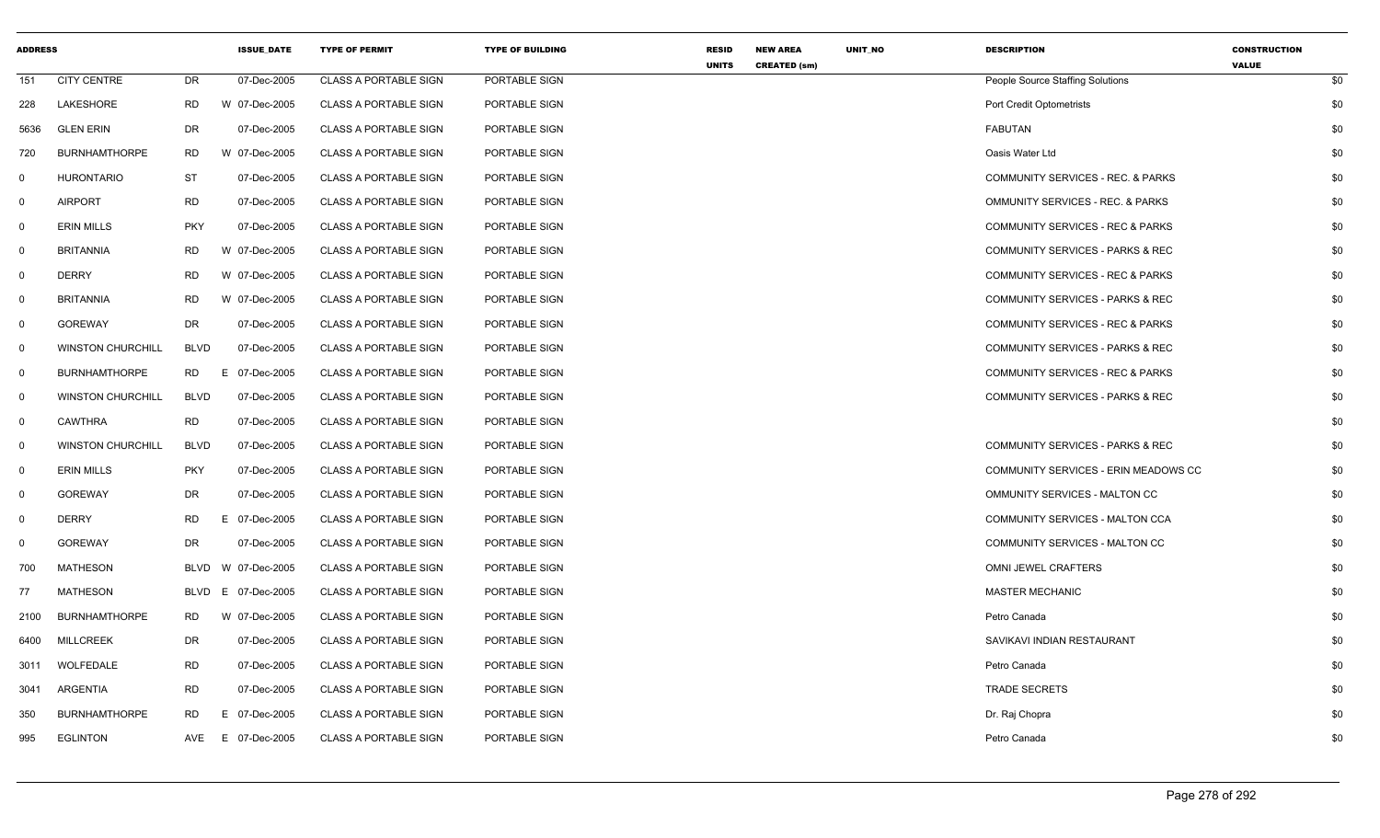| <b>ADDRESS</b> |                          |             | <b>ISSUE_DATE</b> | <b>TYPE OF PERMIT</b>        | <b>TYPE OF BUILDING</b> | <b>RESID</b><br><b>UNITS</b> | <b>NEW AREA</b><br><b>CREATED (sm)</b> | UNIT_NO | <b>DESCRIPTION</b>                          | <b>CONSTRUCTION</b><br><b>VALUE</b> |
|----------------|--------------------------|-------------|-------------------|------------------------------|-------------------------|------------------------------|----------------------------------------|---------|---------------------------------------------|-------------------------------------|
| 151            | <b>CITY CENTRE</b>       | DR          | 07-Dec-2005       | <b>CLASS A PORTABLE SIGN</b> | PORTABLE SIGN           |                              |                                        |         | People Source Staffing Solutions            | \$0                                 |
| 228            | LAKESHORE                | <b>RD</b>   | W 07-Dec-2005     | <b>CLASS A PORTABLE SIGN</b> | PORTABLE SIGN           |                              |                                        |         | <b>Port Credit Optometrists</b>             | \$0                                 |
| 5636           | <b>GLEN ERIN</b>         | <b>DR</b>   | 07-Dec-2005       | <b>CLASS A PORTABLE SIGN</b> | PORTABLE SIGN           |                              |                                        |         | <b>FABUTAN</b>                              | \$0                                 |
| 720            | <b>BURNHAMTHORPE</b>     | <b>RD</b>   | W 07-Dec-2005     | <b>CLASS A PORTABLE SIGN</b> | PORTABLE SIGN           |                              |                                        |         | Oasis Water Ltd                             | \$0                                 |
| $\overline{0}$ | <b>HURONTARIO</b>        | <b>ST</b>   | 07-Dec-2005       | <b>CLASS A PORTABLE SIGN</b> | PORTABLE SIGN           |                              |                                        |         | COMMUNITY SERVICES - REC. & PARKS           | \$0                                 |
| 0              | <b>AIRPORT</b>           | <b>RD</b>   | 07-Dec-2005       | <b>CLASS A PORTABLE SIGN</b> | PORTABLE SIGN           |                              |                                        |         | <b>OMMUNITY SERVICES - REC. &amp; PARKS</b> | \$0                                 |
| $\mathsf{O}$   | <b>ERIN MILLS</b>        | <b>PKY</b>  | 07-Dec-2005       | <b>CLASS A PORTABLE SIGN</b> | PORTABLE SIGN           |                              |                                        |         | COMMUNITY SERVICES - REC & PARKS            | \$0                                 |
| $\mathsf{O}$   | <b>BRITANNIA</b>         | <b>RD</b>   | W 07-Dec-2005     | <b>CLASS A PORTABLE SIGN</b> | PORTABLE SIGN           |                              |                                        |         | COMMUNITY SERVICES - PARKS & REC            | \$0                                 |
| $\mathbf 0$    | <b>DERRY</b>             | <b>RD</b>   | W 07-Dec-2005     | <b>CLASS A PORTABLE SIGN</b> | PORTABLE SIGN           |                              |                                        |         | COMMUNITY SERVICES - REC & PARKS            | \$0                                 |
| $\mathbf 0$    | <b>BRITANNIA</b>         | <b>RD</b>   | W 07-Dec-2005     | <b>CLASS A PORTABLE SIGN</b> | PORTABLE SIGN           |                              |                                        |         | COMMUNITY SERVICES - PARKS & REC            | \$0                                 |
| $\mathbf 0$    | <b>GOREWAY</b>           | <b>DR</b>   | 07-Dec-2005       | <b>CLASS A PORTABLE SIGN</b> | PORTABLE SIGN           |                              |                                        |         | COMMUNITY SERVICES - REC & PARKS            | \$0                                 |
| $\overline{0}$ | <b>WINSTON CHURCHILL</b> | <b>BLVD</b> | 07-Dec-2005       | <b>CLASS A PORTABLE SIGN</b> | PORTABLE SIGN           |                              |                                        |         | COMMUNITY SERVICES - PARKS & REC            | \$0                                 |
| $\overline{0}$ | <b>BURNHAMTHORPE</b>     | <b>RD</b>   | E 07-Dec-2005     | <b>CLASS A PORTABLE SIGN</b> | PORTABLE SIGN           |                              |                                        |         | COMMUNITY SERVICES - REC & PARKS            | \$0                                 |
| $\overline{0}$ | <b>WINSTON CHURCHILL</b> | <b>BLVD</b> | 07-Dec-2005       | <b>CLASS A PORTABLE SIGN</b> | PORTABLE SIGN           |                              |                                        |         | COMMUNITY SERVICES - PARKS & REC            | \$0                                 |
| $\mathbf 0$    | CAWTHRA                  | <b>RD</b>   | 07-Dec-2005       | <b>CLASS A PORTABLE SIGN</b> | PORTABLE SIGN           |                              |                                        |         |                                             | \$0                                 |
| $\overline{0}$ | <b>WINSTON CHURCHILL</b> | <b>BLVD</b> | 07-Dec-2005       | <b>CLASS A PORTABLE SIGN</b> | PORTABLE SIGN           |                              |                                        |         | COMMUNITY SERVICES - PARKS & REC            | \$0                                 |
| $\mathbf 0$    | <b>ERIN MILLS</b>        | <b>PKY</b>  | 07-Dec-2005       | <b>CLASS A PORTABLE SIGN</b> | PORTABLE SIGN           |                              |                                        |         | COMMUNITY SERVICES - ERIN MEADOWS CC        | \$0                                 |
| $\mathsf{O}$   | <b>GOREWAY</b>           | DR          | 07-Dec-2005       | <b>CLASS A PORTABLE SIGN</b> | PORTABLE SIGN           |                              |                                        |         | OMMUNITY SERVICES - MALTON CC               | \$0                                 |
| $\overline{0}$ | <b>DERRY</b>             | <b>RD</b>   | E 07-Dec-2005     | <b>CLASS A PORTABLE SIGN</b> | PORTABLE SIGN           |                              |                                        |         | COMMUNITY SERVICES - MALTON CCA             | \$0                                 |
| $\mathbf 0$    | <b>GOREWAY</b>           | <b>DR</b>   | 07-Dec-2005       | <b>CLASS A PORTABLE SIGN</b> | PORTABLE SIGN           |                              |                                        |         | COMMUNITY SERVICES - MALTON CC              | \$0                                 |
| 700            | MATHESON                 | BLVD        | W 07-Dec-2005     | <b>CLASS A PORTABLE SIGN</b> | PORTABLE SIGN           |                              |                                        |         | OMNI JEWEL CRAFTERS                         | \$0                                 |
| 77             | <b>MATHESON</b>          | BLVD        | E 07-Dec-2005     | <b>CLASS A PORTABLE SIGN</b> | PORTABLE SIGN           |                              |                                        |         | <b>MASTER MECHANIC</b>                      | \$0                                 |
| 2100           | <b>BURNHAMTHORPE</b>     | RD          | W 07-Dec-2005     | <b>CLASS A PORTABLE SIGN</b> | PORTABLE SIGN           |                              |                                        |         | Petro Canada                                | \$0                                 |
| 6400           | <b>MILLCREEK</b>         | DR          | 07-Dec-2005       | <b>CLASS A PORTABLE SIGN</b> | PORTABLE SIGN           |                              |                                        |         | SAVIKAVI INDIAN RESTAURANT                  | \$0                                 |
| 3011           | WOLFEDALE                | <b>RD</b>   | 07-Dec-2005       | <b>CLASS A PORTABLE SIGN</b> | PORTABLE SIGN           |                              |                                        |         | Petro Canada                                | \$0                                 |
| 3041           | ARGENTIA                 | <b>RD</b>   | 07-Dec-2005       | <b>CLASS A PORTABLE SIGN</b> | PORTABLE SIGN           |                              |                                        |         | <b>TRADE SECRETS</b>                        | \$0                                 |
| 350            | <b>BURNHAMTHORPE</b>     | <b>RD</b>   | E 07-Dec-2005     | <b>CLASS A PORTABLE SIGN</b> | PORTABLE SIGN           |                              |                                        |         | Dr. Raj Chopra                              | \$0                                 |
| 995            | <b>EGLINTON</b>          | AVE         | E 07-Dec-2005     | <b>CLASS A PORTABLE SIGN</b> | PORTABLE SIGN           |                              |                                        |         | Petro Canada                                | \$0                                 |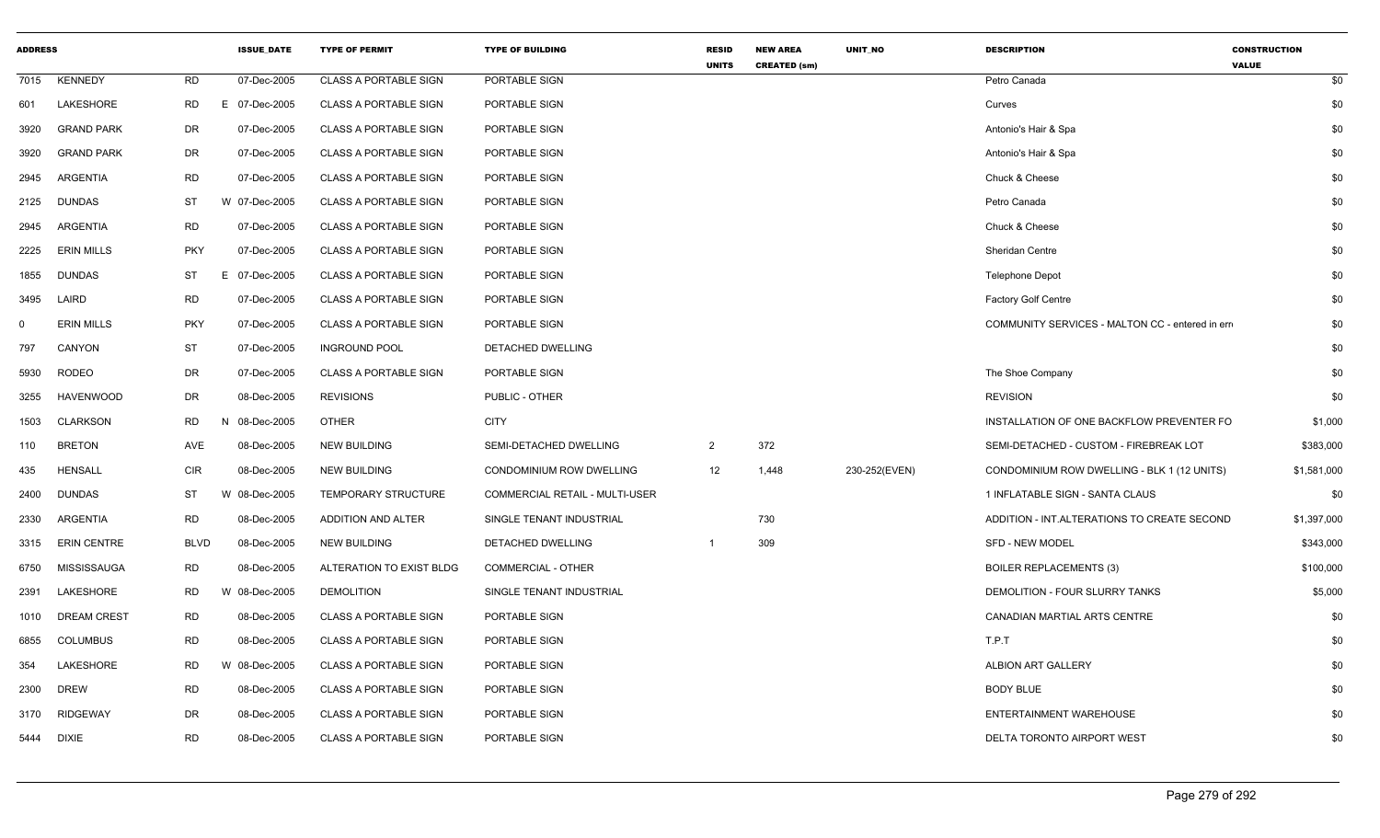| <b>ADDRESS</b> |                    |             | <b>ISSUE_DATE</b> | <b>TYPE OF PERMIT</b>        | <b>TYPE OF BUILDING</b>        | <b>RESID</b><br><b>UNITS</b> | <b>NEW AREA</b><br><b>CREATED (sm)</b> | UNIT_NO       | <b>DESCRIPTION</b>                              | <b>CONSTRUCTION</b><br><b>VALUE</b> |           |
|----------------|--------------------|-------------|-------------------|------------------------------|--------------------------------|------------------------------|----------------------------------------|---------------|-------------------------------------------------|-------------------------------------|-----------|
|                | 7015 KENNEDY       | <b>RD</b>   | 07-Dec-2005       | <b>CLASS A PORTABLE SIGN</b> | PORTABLE SIGN                  |                              |                                        |               | Petro Canada                                    |                                     | \$0       |
| 601            | LAKESHORE          | <b>RD</b>   | E 07-Dec-2005     | <b>CLASS A PORTABLE SIGN</b> | PORTABLE SIGN                  |                              |                                        |               | Curves                                          |                                     | \$0       |
| 3920           | <b>GRAND PARK</b>  | <b>DR</b>   | 07-Dec-2005       | <b>CLASS A PORTABLE SIGN</b> | PORTABLE SIGN                  |                              |                                        |               | Antonio's Hair & Spa                            |                                     | \$0       |
| 3920           | <b>GRAND PARK</b>  | DR          | 07-Dec-2005       | <b>CLASS A PORTABLE SIGN</b> | PORTABLE SIGN                  |                              |                                        |               | Antonio's Hair & Spa                            |                                     | \$0       |
| 2945           | ARGENTIA           | RD          | 07-Dec-2005       | <b>CLASS A PORTABLE SIGN</b> | PORTABLE SIGN                  |                              |                                        |               | Chuck & Cheese                                  |                                     | \$0       |
|                | 2125 DUNDAS        | ST          | W 07-Dec-2005     | <b>CLASS A PORTABLE SIGN</b> | PORTABLE SIGN                  |                              |                                        |               | Petro Canada                                    |                                     | \$0       |
| 2945           | ARGENTIA           | RD          | 07-Dec-2005       | <b>CLASS A PORTABLE SIGN</b> | PORTABLE SIGN                  |                              |                                        |               | Chuck & Cheese                                  |                                     | \$0       |
| 2225           | <b>ERIN MILLS</b>  | <b>PKY</b>  | 07-Dec-2005       | <b>CLASS A PORTABLE SIGN</b> | PORTABLE SIGN                  |                              |                                        |               | Sheridan Centre                                 |                                     | \$0       |
| 1855           | DUNDAS             | ST          | E 07-Dec-2005     | <b>CLASS A PORTABLE SIGN</b> | PORTABLE SIGN                  |                              |                                        |               | <b>Telephone Depot</b>                          |                                     | \$0       |
| 3495           | LAIRD              | <b>RD</b>   | 07-Dec-2005       | <b>CLASS A PORTABLE SIGN</b> | PORTABLE SIGN                  |                              |                                        |               | Factory Golf Centre                             |                                     | \$0       |
| $\Omega$       | <b>ERIN MILLS</b>  | <b>PKY</b>  | 07-Dec-2005       | <b>CLASS A PORTABLE SIGN</b> | PORTABLE SIGN                  |                              |                                        |               | COMMUNITY SERVICES - MALTON CC - entered in err |                                     | \$0       |
| 797            | CANYON             | ST          | 07-Dec-2005       | <b>INGROUND POOL</b>         | DETACHED DWELLING              |                              |                                        |               |                                                 |                                     | \$0       |
| 5930           | RODEO              | DR          | 07-Dec-2005       | <b>CLASS A PORTABLE SIGN</b> | PORTABLE SIGN                  |                              |                                        |               | The Shoe Company                                |                                     | \$0       |
| 3255           | <b>HAVENWOOD</b>   | DR          | 08-Dec-2005       | <b>REVISIONS</b>             | PUBLIC - OTHER                 |                              |                                        |               | <b>REVISION</b>                                 |                                     | \$0       |
|                | 1503 CLARKSON      | RD          | N 08-Dec-2005     | OTHER                        | <b>CITY</b>                    |                              |                                        |               | INSTALLATION OF ONE BACKFLOW PREVENTER FO       |                                     | \$1,000   |
| 110            | <b>BRETON</b>      | AVE         | 08-Dec-2005       | <b>NEW BUILDING</b>          | SEMI-DETACHED DWELLING         | $\overline{2}$               | 372                                    |               | SEMI-DETACHED - CUSTOM - FIREBREAK LOT          |                                     | \$383,000 |
| 435            | HENSALL            | <b>CIR</b>  | 08-Dec-2005       | <b>NEW BUILDING</b>          | CONDOMINIUM ROW DWELLING       | 12                           | 1,448                                  | 230-252(EVEN) | CONDOMINIUM ROW DWELLING - BLK 1 (12 UNITS)     | \$1,581,000                         |           |
| 2400           | <b>DUNDAS</b>      | ST          | W 08-Dec-2005     | TEMPORARY STRUCTURE          | COMMERCIAL RETAIL - MULTI-USER |                              |                                        |               | 1 INFLATABLE SIGN - SANTA CLAUS                 |                                     | \$0       |
| 2330           | ARGENTIA           | RD          | 08-Dec-2005       | ADDITION AND ALTER           | SINGLE TENANT INDUSTRIAL       |                              | 730                                    |               | ADDITION - INT.ALTERATIONS TO CREATE SECOND     | \$1,397,000                         |           |
|                | 3315 ERIN CENTRE   | <b>BLVD</b> | 08-Dec-2005       | <b>NEW BUILDING</b>          | DETACHED DWELLING              |                              | 309                                    |               | <b>SFD - NEW MODEL</b>                          |                                     | \$343,000 |
| 6750           | MISSISSAUGA        | <b>RD</b>   | 08-Dec-2005       | ALTERATION TO EXIST BLDG     | <b>COMMERCIAL - OTHER</b>      |                              |                                        |               | <b>BOILER REPLACEMENTS (3)</b>                  |                                     | \$100,000 |
| 2391           | LAKESHORE          | RD          | W 08-Dec-2005     | <b>DEMOLITION</b>            | SINGLE TENANT INDUSTRIAL       |                              |                                        |               | DEMOLITION - FOUR SLURRY TANKS                  |                                     | \$5,000   |
| 1010           | <b>DREAM CREST</b> | <b>RD</b>   | 08-Dec-2005       | <b>CLASS A PORTABLE SIGN</b> | PORTABLE SIGN                  |                              |                                        |               | CANADIAN MARTIAL ARTS CENTRE                    |                                     | \$0       |
| 6855           | <b>COLUMBUS</b>    | <b>RD</b>   | 08-Dec-2005       | <b>CLASS A PORTABLE SIGN</b> | PORTABLE SIGN                  |                              |                                        |               | T.P.T                                           |                                     | \$0       |
| 354            | LAKESHORE          | RD          | W 08-Dec-2005     | <b>CLASS A PORTABLE SIGN</b> | PORTABLE SIGN                  |                              |                                        |               | ALBION ART GALLERY                              |                                     | \$0       |
| 2300           | DREW               | RD          | 08-Dec-2005       | <b>CLASS A PORTABLE SIGN</b> | PORTABLE SIGN                  |                              |                                        |               | <b>BODY BLUE</b>                                |                                     | \$0       |
|                | 3170 RIDGEWAY      | <b>DR</b>   | 08-Dec-2005       | <b>CLASS A PORTABLE SIGN</b> | PORTABLE SIGN                  |                              |                                        |               | ENTERTAINMENT WAREHOUSE                         |                                     | \$0       |
|                | 5444 DIXIE         | <b>RD</b>   | 08-Dec-2005       | <b>CLASS A PORTABLE SIGN</b> | PORTABLE SIGN                  |                              |                                        |               | DELTA TORONTO AIRPORT WEST                      |                                     | \$0       |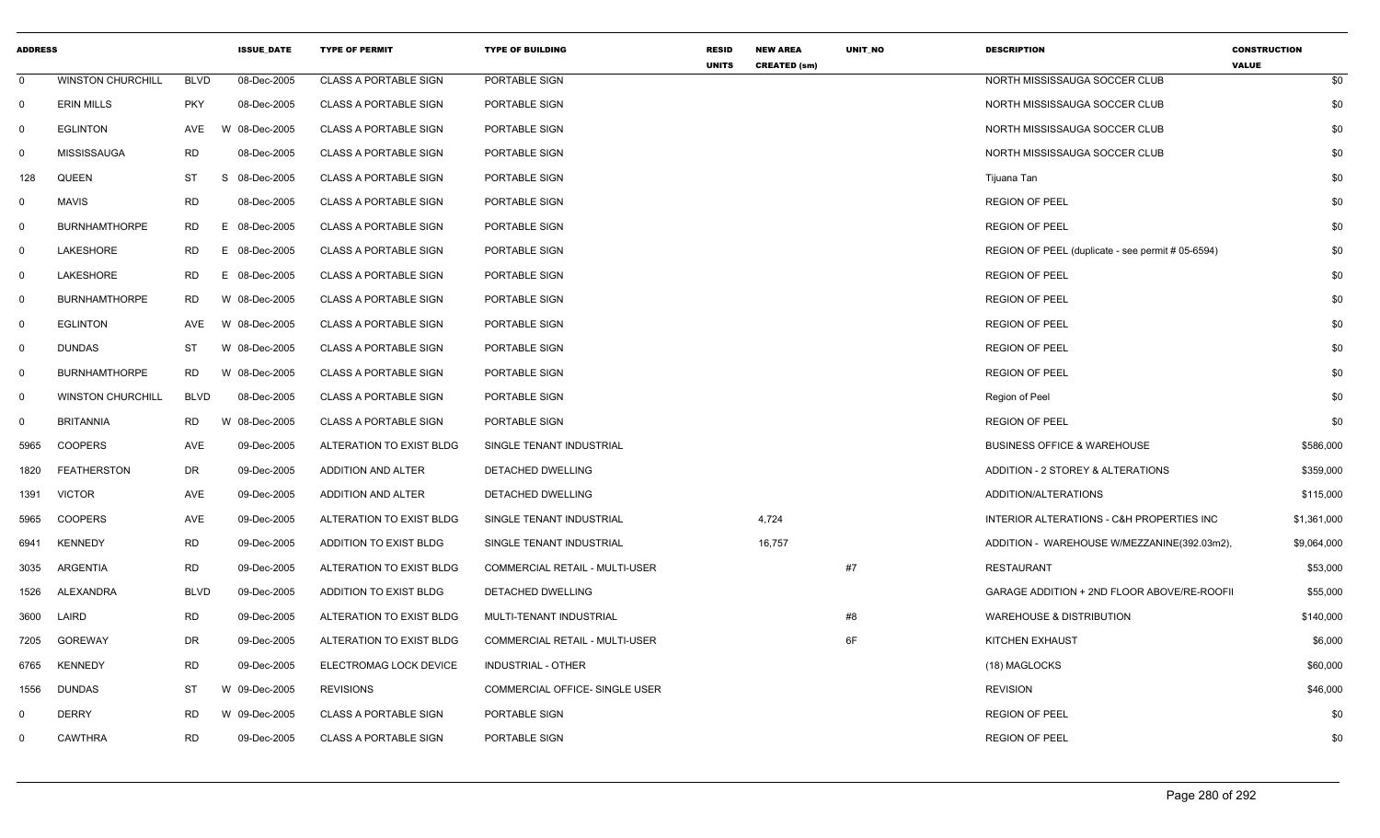| <b>ADDRESS</b> |                          |             | <b>ISSUE_DATE</b> | <b>TYPE OF PERMIT</b>        | <b>TYPE OF BUILDING</b>               | <b>RESID</b><br><b>UNITS</b> | <b>NEW AREA</b><br><b>CREATED (sm)</b> | UNIT_NO | <b>DESCRIPTION</b>                                | <b>CONSTRUCTION</b><br><b>VALUE</b> |             |
|----------------|--------------------------|-------------|-------------------|------------------------------|---------------------------------------|------------------------------|----------------------------------------|---------|---------------------------------------------------|-------------------------------------|-------------|
| $\mathbf 0$    | <b>WINSTON CHURCHILL</b> | <b>BLVD</b> | 08-Dec-2005       | <b>CLASS A PORTABLE SIGN</b> | PORTABLE SIGN                         |                              |                                        |         | NORTH MISSISSAUGA SOCCER CLUB                     |                                     | \$0         |
| $\Omega$       | <b>ERIN MILLS</b>        | <b>PKY</b>  | 08-Dec-2005       | <b>CLASS A PORTABLE SIGN</b> | PORTABLE SIGN                         |                              |                                        |         | NORTH MISSISSAUGA SOCCER CLUB                     |                                     | \$0         |
| $\Omega$       | <b>EGLINTON</b>          | AVE         | W 08-Dec-2005     | <b>CLASS A PORTABLE SIGN</b> | PORTABLE SIGN                         |                              |                                        |         | NORTH MISSISSAUGA SOCCER CLUB                     |                                     | \$0         |
| 0              | MISSISSAUGA              | <b>RD</b>   | 08-Dec-2005       | <b>CLASS A PORTABLE SIGN</b> | PORTABLE SIGN                         |                              |                                        |         | NORTH MISSISSAUGA SOCCER CLUB                     |                                     | \$0         |
| 128            | QUEEN                    | ST          | -S<br>08-Dec-2005 | <b>CLASS A PORTABLE SIGN</b> | PORTABLE SIGN                         |                              |                                        |         | Tijuana Tan                                       |                                     | \$0         |
| $\Omega$       | <b>MAVIS</b>             | <b>RD</b>   | 08-Dec-2005       | <b>CLASS A PORTABLE SIGN</b> | PORTABLE SIGN                         |                              |                                        |         | <b>REGION OF PEEL</b>                             |                                     | \$0         |
| $\Omega$       | <b>BURNHAMTHORPE</b>     | <b>RD</b>   | E 08-Dec-2005     | <b>CLASS A PORTABLE SIGN</b> | PORTABLE SIGN                         |                              |                                        |         | <b>REGION OF PEEL</b>                             |                                     | \$0         |
| $\Omega$       | LAKESHORE                | <b>RD</b>   | E 08-Dec-2005     | <b>CLASS A PORTABLE SIGN</b> | PORTABLE SIGN                         |                              |                                        |         | REGION OF PEEL (duplicate - see permit # 05-6594) |                                     | \$0         |
| 0              | LAKESHORE                | <b>RD</b>   | E 08-Dec-2005     | <b>CLASS A PORTABLE SIGN</b> | PORTABLE SIGN                         |                              |                                        |         | <b>REGION OF PEEL</b>                             |                                     | \$0         |
| $\Omega$       | <b>BURNHAMTHORPE</b>     | <b>RD</b>   | W 08-Dec-2005     | <b>CLASS A PORTABLE SIGN</b> | PORTABLE SIGN                         |                              |                                        |         | <b>REGION OF PEEL</b>                             |                                     | \$0         |
| 0              | <b>EGLINTON</b>          | AVE         | W 08-Dec-2005     | <b>CLASS A PORTABLE SIGN</b> | PORTABLE SIGN                         |                              |                                        |         | <b>REGION OF PEEL</b>                             |                                     | \$0         |
| $\Omega$       | <b>DUNDAS</b>            | <b>ST</b>   | W 08-Dec-2005     | <b>CLASS A PORTABLE SIGN</b> | PORTABLE SIGN                         |                              |                                        |         | <b>REGION OF PEEL</b>                             |                                     | \$0         |
| 0              | <b>BURNHAMTHORPE</b>     | <b>RD</b>   | W 08-Dec-2005     | <b>CLASS A PORTABLE SIGN</b> | PORTABLE SIGN                         |                              |                                        |         | <b>REGION OF PEEL</b>                             |                                     | \$0         |
| 0              | <b>WINSTON CHURCHILL</b> | BLVD        | 08-Dec-2005       | <b>CLASS A PORTABLE SIGN</b> | PORTABLE SIGN                         |                              |                                        |         | Region of Peel                                    |                                     | \$0         |
| $\Omega$       | <b>BRITANNIA</b>         | <b>RD</b>   | W 08-Dec-2005     | <b>CLASS A PORTABLE SIGN</b> | PORTABLE SIGN                         |                              |                                        |         | <b>REGION OF PEEL</b>                             |                                     | \$0         |
| 5965           | <b>COOPERS</b>           | AVE         | 09-Dec-2005       | ALTERATION TO EXIST BLDG     | SINGLE TENANT INDUSTRIAL              |                              |                                        |         | <b>BUSINESS OFFICE &amp; WAREHOUSE</b>            |                                     | \$586,000   |
| 1820           | <b>FEATHERSTON</b>       | DR          | 09-Dec-2005       | ADDITION AND ALTER           | DETACHED DWELLING                     |                              |                                        |         | ADDITION - 2 STOREY & ALTERATIONS                 |                                     | \$359,000   |
| 1391           | <b>VICTOR</b>            | AVE         | 09-Dec-2005       | ADDITION AND ALTER           | DETACHED DWELLING                     |                              |                                        |         | ADDITION/ALTERATIONS                              |                                     | \$115,000   |
| 5965           | <b>COOPERS</b>           | AVE         | 09-Dec-2005       | ALTERATION TO EXIST BLDG     | SINGLE TENANT INDUSTRIAL              |                              | 4,724                                  |         | INTERIOR ALTERATIONS - C&H PROPERTIES INC         |                                     | \$1,361,000 |
| 6941           | <b>KENNEDY</b>           | <b>RD</b>   | 09-Dec-2005       | ADDITION TO EXIST BLDG       | SINGLE TENANT INDUSTRIAL              |                              | 16,757                                 |         | ADDITION - WAREHOUSE W/MEZZANINE(392.03m2),       |                                     | \$9,064,000 |
| 3035           | ARGENTIA                 | <b>RD</b>   | 09-Dec-2005       | ALTERATION TO EXIST BLDG     | COMMERCIAL RETAIL - MULTI-USER        |                              |                                        | #7      | <b>RESTAURANT</b>                                 |                                     | \$53,000    |
| 1526           | ALEXANDRA                | <b>BLVD</b> | 09-Dec-2005       | ADDITION TO EXIST BLDG       | DETACHED DWELLING                     |                              |                                        |         | GARAGE ADDITION + 2ND FLOOR ABOVE/RE-ROOFI        |                                     | \$55,000    |
| 3600           | LAIRD                    | <b>RD</b>   | 09-Dec-2005       | ALTERATION TO EXIST BLDG     | MULTI-TENANT INDUSTRIAL               |                              |                                        | #8      | <b>WAREHOUSE &amp; DISTRIBUTION</b>               |                                     | \$140,000   |
| 7205           | <b>GOREWAY</b>           | DR          | 09-Dec-2005       | ALTERATION TO EXIST BLDG     | <b>COMMERCIAL RETAIL - MULTI-USER</b> |                              |                                        | 6F      | <b>KITCHEN EXHAUST</b>                            |                                     | \$6,000     |
| 6765           | <b>KENNEDY</b>           | <b>RD</b>   | 09-Dec-2005       | ELECTROMAG LOCK DEVICE       | INDUSTRIAL - OTHER                    |                              |                                        |         | (18) MAGLOCKS                                     |                                     | \$60,000    |
| 1556           | <b>DUNDAS</b>            | ST          | W 09-Dec-2005     | <b>REVISIONS</b>             | COMMERCIAL OFFICE- SINGLE USER        |                              |                                        |         | <b>REVISION</b>                                   |                                     | \$46,000    |
| 0              | <b>DERRY</b>             | <b>RD</b>   | W 09-Dec-2005     | <b>CLASS A PORTABLE SIGN</b> | PORTABLE SIGN                         |                              |                                        |         | <b>REGION OF PEEL</b>                             |                                     | \$0         |
| 0              | <b>CAWTHRA</b>           | <b>RD</b>   | 09-Dec-2005       | <b>CLASS A PORTABLE SIGN</b> | PORTABLE SIGN                         |                              |                                        |         | <b>REGION OF PEEL</b>                             |                                     | \$0         |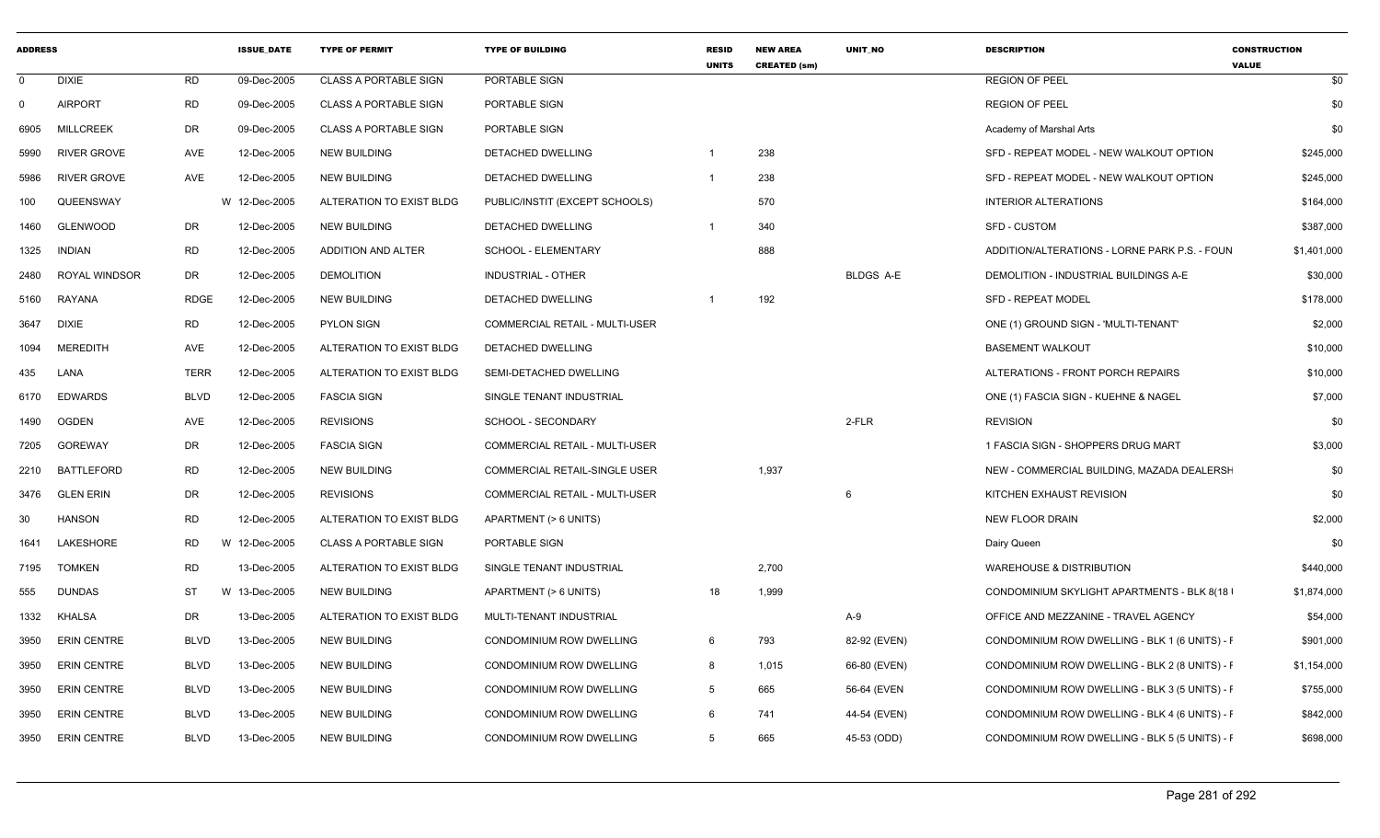| <b>ADDRESS</b> |                    |             | <b>ISSUE_DATE</b> | <b>TYPE OF PERMIT</b>        | <b>TYPE OF BUILDING</b>        | <b>RESID</b><br><b>UNITS</b> | <b>NEW AREA</b><br><b>CREATED (sm)</b> | UNIT_NO          | <b>DESCRIPTION</b>                             | <b>CONSTRUCTION</b><br><b>VALUE</b> |
|----------------|--------------------|-------------|-------------------|------------------------------|--------------------------------|------------------------------|----------------------------------------|------------------|------------------------------------------------|-------------------------------------|
| $\mathbf{0}$   | <b>DIXIE</b>       | <b>RD</b>   | 09-Dec-2005       | <b>CLASS A PORTABLE SIGN</b> | PORTABLE SIGN                  |                              |                                        |                  | <b>REGION OF PEEL</b>                          | \$0                                 |
| $\mathbf 0$    | <b>AIRPORT</b>     | <b>RD</b>   | 09-Dec-2005       | <b>CLASS A PORTABLE SIGN</b> | PORTABLE SIGN                  |                              |                                        |                  | <b>REGION OF PEEL</b>                          | \$0                                 |
| 6905           | <b>MILLCREEK</b>   | DR          | 09-Dec-2005       | <b>CLASS A PORTABLE SIGN</b> | PORTABLE SIGN                  |                              |                                        |                  | Academy of Marshal Arts                        | \$0                                 |
| 5990           | <b>RIVER GROVE</b> | AVE         | 12-Dec-2005       | <b>NEW BUILDING</b>          | DETACHED DWELLING              | -1                           | 238                                    |                  | SFD - REPEAT MODEL - NEW WALKOUT OPTION        | \$245,000                           |
| 5986           | <b>RIVER GROVE</b> | AVE         | 12-Dec-2005       | <b>NEW BUILDING</b>          | DETACHED DWELLING              |                              | 238                                    |                  | SFD - REPEAT MODEL - NEW WALKOUT OPTION        | \$245,000                           |
| 100            | QUEENSWAY          |             | W 12-Dec-2005     | ALTERATION TO EXIST BLDG     | PUBLIC/INSTIT (EXCEPT SCHOOLS) |                              | 570                                    |                  | <b>INTERIOR ALTERATIONS</b>                    | \$164,000                           |
| 1460           | <b>GLENWOOD</b>    | DR          | 12-Dec-2005       | <b>NEW BUILDING</b>          | DETACHED DWELLING              |                              | 340                                    |                  | SFD - CUSTOM                                   | \$387,000                           |
| 1325           | <b>INDIAN</b>      | <b>RD</b>   | 12-Dec-2005       | ADDITION AND ALTER           | SCHOOL - ELEMENTARY            |                              | 888                                    |                  | ADDITION/ALTERATIONS - LORNE PARK P.S. - FOUN  | \$1,401,000                         |
| 2480           | ROYAL WINDSOR      | DR          | 12-Dec-2005       | <b>DEMOLITION</b>            | INDUSTRIAL - OTHER             |                              |                                        | <b>BLDGS A-E</b> | DEMOLITION - INDUSTRIAL BUILDINGS A-E          | \$30,000                            |
| 5160           | RAYANA             | <b>RDGE</b> | 12-Dec-2005       | <b>NEW BUILDING</b>          | DETACHED DWELLING              |                              | 192                                    |                  | SFD - REPEAT MODEL                             | \$178,000                           |
| 3647           | DIXIE              | <b>RD</b>   | 12-Dec-2005       | <b>PYLON SIGN</b>            | COMMERCIAL RETAIL - MULTI-USER |                              |                                        |                  | ONE (1) GROUND SIGN - 'MULTI-TENANT'           | \$2,000                             |
| 1094           | MEREDITH           | AVE         | 12-Dec-2005       | ALTERATION TO EXIST BLDG     | DETACHED DWELLING              |                              |                                        |                  | <b>BASEMENT WALKOUT</b>                        | \$10,000                            |
| 435            | LANA               | <b>TERR</b> | 12-Dec-2005       | ALTERATION TO EXIST BLDG     | SEMI-DETACHED DWELLING         |                              |                                        |                  | ALTERATIONS - FRONT PORCH REPAIRS              | \$10,000                            |
| 6170           | <b>EDWARDS</b>     | <b>BLVD</b> | 12-Dec-2005       | <b>FASCIA SIGN</b>           | SINGLE TENANT INDUSTRIAL       |                              |                                        |                  | ONE (1) FASCIA SIGN - KUEHNE & NAGEL           | \$7,000                             |
| 1490           | <b>OGDEN</b>       | AVE         | 12-Dec-2005       | <b>REVISIONS</b>             | SCHOOL - SECONDARY             |                              |                                        | 2-FLR            | <b>REVISION</b>                                | \$0                                 |
| 7205           | GOREWAY            | DR          | 12-Dec-2005       | <b>FASCIA SIGN</b>           | COMMERCIAL RETAIL - MULTI-USER |                              |                                        |                  | 1 FASCIA SIGN - SHOPPERS DRUG MART             | \$3,000                             |
| 2210           | BATTLEFORD         | RD          | 12-Dec-2005       | <b>NEW BUILDING</b>          | COMMERCIAL RETAIL-SINGLE USER  |                              | 1,937                                  |                  | NEW - COMMERCIAL BUILDING, MAZADA DEALERSH     | \$0                                 |
| 3476           | <b>GLEN ERIN</b>   | DR          | 12-Dec-2005       | <b>REVISIONS</b>             | COMMERCIAL RETAIL - MULTI-USER |                              |                                        | 6                | KITCHEN EXHAUST REVISION                       | \$0                                 |
| 30             | <b>HANSON</b>      | RD          | 12-Dec-2005       | ALTERATION TO EXIST BLDG     | APARTMENT (> 6 UNITS)          |                              |                                        |                  | <b>NEW FLOOR DRAIN</b>                         | \$2,000                             |
| 1641           | LAKESHORE          | RD          | W 12-Dec-2005     | <b>CLASS A PORTABLE SIGN</b> | PORTABLE SIGN                  |                              |                                        |                  | Dairy Queen                                    | \$0                                 |
| 7195           | <b>TOMKEN</b>      | RD          | 13-Dec-2005       | ALTERATION TO EXIST BLDG     | SINGLE TENANT INDUSTRIAL       |                              | 2,700                                  |                  | WAREHOUSE & DISTRIBUTION                       | \$440,000                           |
| 555            | <b>DUNDAS</b>      | ST          | W 13-Dec-2005     | <b>NEW BUILDING</b>          | APARTMENT (> 6 UNITS)          | 18                           | 1,999                                  |                  | CONDOMINIUM SKYLIGHT APARTMENTS - BLK 8(18     | \$1,874,000                         |
| 1332           | KHALSA             | DR          | 13-Dec-2005       | ALTERATION TO EXIST BLDG     | MULTI-TENANT INDUSTRIAL        |                              |                                        | A-9              | OFFICE AND MEZZANINE - TRAVEL AGENCY           | \$54,000                            |
| 3950           | ERIN CENTRE        | <b>BLVD</b> | 13-Dec-2005       | <b>NEW BUILDING</b>          | CONDOMINIUM ROW DWELLING       | 6                            | 793                                    | 82-92 (EVEN)     | CONDOMINIUM ROW DWELLING - BLK 1 (6 UNITS) - F | \$901,000                           |
| 3950           | <b>ERIN CENTRE</b> | <b>BLVD</b> | 13-Dec-2005       | <b>NEW BUILDING</b>          | CONDOMINIUM ROW DWELLING       | 8                            | 1,015                                  | 66-80 (EVEN)     | CONDOMINIUM ROW DWELLING - BLK 2 (8 UNITS) - F | \$1,154,000                         |
| 3950           | <b>ERIN CENTRE</b> | <b>BLVD</b> | 13-Dec-2005       | <b>NEW BUILDING</b>          | CONDOMINIUM ROW DWELLING       | 5                            | 665                                    | 56-64 (EVEN      | CONDOMINIUM ROW DWELLING - BLK 3 (5 UNITS) - F | \$755,000                           |
| 3950           | <b>ERIN CENTRE</b> | <b>BLVD</b> | 13-Dec-2005       | <b>NEW BUILDING</b>          | CONDOMINIUM ROW DWELLING       | 6                            | 741                                    | 44-54 (EVEN)     | CONDOMINIUM ROW DWELLING - BLK 4 (6 UNITS) - F | \$842,000                           |
| 3950           | <b>ERIN CENTRE</b> | BLVD        | 13-Dec-2005       | <b>NEW BUILDING</b>          | CONDOMINIUM ROW DWELLING       | 5                            | 665                                    | 45-53 (ODD)      | CONDOMINIUM ROW DWELLING - BLK 5 (5 UNITS) - F | \$698,000                           |
|                |                    |             |                   |                              |                                |                              |                                        |                  |                                                |                                     |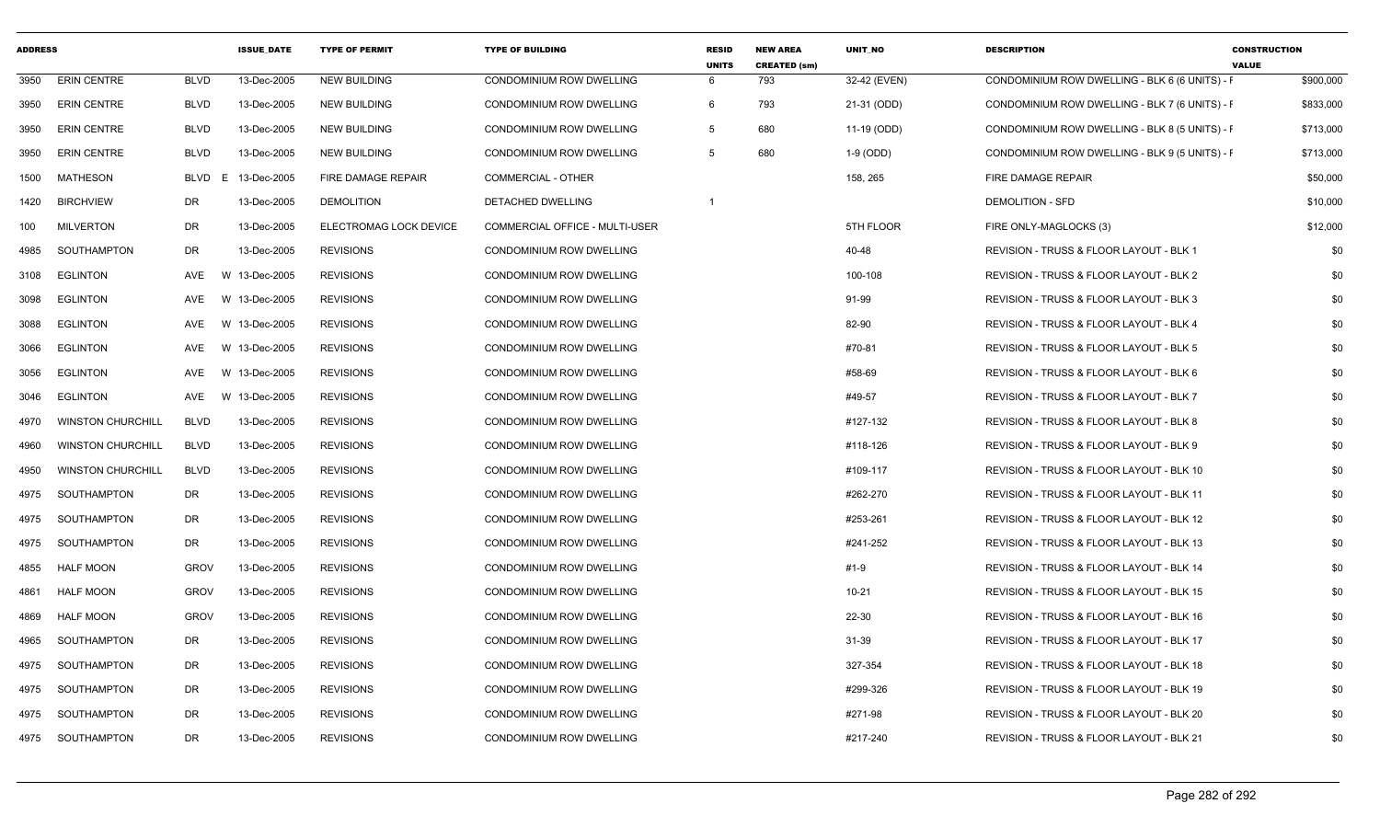| <b>ADDRESS</b> |                          |                        | <b>ISSUE_DATE</b> | <b>TYPE OF PERMIT</b>     | <b>TYPE OF BUILDING</b>         | <b>RESID</b><br><b>UNITS</b> | <b>NEW AREA</b><br><b>CREATED (sm)</b> | UNIT_NO      | <b>DESCRIPTION</b>                             | <b>CONSTRUCTION</b><br><b>VALUE</b> |
|----------------|--------------------------|------------------------|-------------------|---------------------------|---------------------------------|------------------------------|----------------------------------------|--------------|------------------------------------------------|-------------------------------------|
| 3950           | <b>ERIN CENTRE</b>       | <b>BLVD</b>            | 13-Dec-2005       | <b>NEW BUILDING</b>       | CONDOMINIUM ROW DWELLING        | 6                            | 793                                    | 32-42 (EVEN) | CONDOMINIUM ROW DWELLING - BLK 6 (6 UNITS) - F | \$900,000                           |
| 3950           | <b>ERIN CENTRE</b>       | <b>BLVD</b>            | 13-Dec-2005       | <b>NEW BUILDING</b>       | CONDOMINIUM ROW DWELLING        | 6                            | 793                                    | 21-31 (ODD)  | CONDOMINIUM ROW DWELLING - BLK 7 (6 UNITS) - F | \$833,000                           |
| 3950           | <b>ERIN CENTRE</b>       | <b>BLVD</b>            | 13-Dec-2005       | <b>NEW BUILDING</b>       | CONDOMINIUM ROW DWELLING        | 5                            | 680                                    | 11-19 (ODD)  | CONDOMINIUM ROW DWELLING - BLK 8 (5 UNITS) - F | \$713,000                           |
| 3950           | <b>ERIN CENTRE</b>       | <b>BLVD</b>            | 13-Dec-2005       | <b>NEW BUILDING</b>       | <b>CONDOMINIUM ROW DWELLING</b> | 5                            | 680                                    | 1-9 (ODD)    | CONDOMINIUM ROW DWELLING - BLK 9 (5 UNITS) - F | \$713,000                           |
| 1500           | MATHESON                 | BLVD<br>E              | 13-Dec-2005       | <b>FIRE DAMAGE REPAIR</b> | <b>COMMERCIAL - OTHER</b>       |                              |                                        | 158, 265     | FIRE DAMAGE REPAIR                             | \$50,000                            |
| 1420           | <b>BIRCHVIEW</b>         | DR                     | 13-Dec-2005       | <b>DEMOLITION</b>         | DETACHED DWELLING               |                              |                                        |              | <b>DEMOLITION - SFD</b>                        | \$10,000                            |
| 100            | <b>MILVERTON</b>         | <b>DR</b>              | 13-Dec-2005       | ELECTROMAG LOCK DEVICE    | COMMERCIAL OFFICE - MULTI-USER  |                              |                                        | 5TH FLOOR    | FIRE ONLY-MAGLOCKS (3)                         | \$12,000                            |
| 4985           | SOUTHAMPTON              | DR                     | 13-Dec-2005       | <b>REVISIONS</b>          | CONDOMINIUM ROW DWELLING        |                              |                                        | 40-48        | REVISION - TRUSS & FLOOR LAYOUT - BLK 1        | \$0                                 |
| 3108           | <b>EGLINTON</b>          | AVE                    | W 13-Dec-2005     | <b>REVISIONS</b>          | CONDOMINIUM ROW DWELLING        |                              |                                        | 100-108      | REVISION - TRUSS & FLOOR LAYOUT - BLK 2        | \$0                                 |
| 3098           | <b>EGLINTON</b>          | <b>AVE</b><br><b>W</b> | 13-Dec-2005       | <b>REVISIONS</b>          | <b>CONDOMINIUM ROW DWELLING</b> |                              |                                        | 91-99        | REVISION - TRUSS & FLOOR LAYOUT - BLK 3        | \$0                                 |
| 3088           | <b>EGLINTON</b>          | AVE                    | W 13-Dec-2005     | <b>REVISIONS</b>          | <b>CONDOMINIUM ROW DWELLING</b> |                              |                                        | 82-90        | REVISION - TRUSS & FLOOR LAYOUT - BLK 4        | \$0                                 |
| 3066           | <b>EGLINTON</b>          | AVE                    | W 13-Dec-2005     | <b>REVISIONS</b>          | CONDOMINIUM ROW DWELLING        |                              |                                        | #70-81       | REVISION - TRUSS & FLOOR LAYOUT - BLK 5        | \$0                                 |
| 3056           | <b>EGLINTON</b>          | AVE                    | W 13-Dec-2005     | <b>REVISIONS</b>          | <b>CONDOMINIUM ROW DWELLING</b> |                              |                                        | #58-69       | REVISION - TRUSS & FLOOR LAYOUT - BLK 6        | \$0                                 |
| 3046           | <b>EGLINTON</b>          | <b>AVE</b>             | W 13-Dec-2005     | <b>REVISIONS</b>          | <b>CONDOMINIUM ROW DWELLING</b> |                              |                                        | #49-57       | REVISION - TRUSS & FLOOR LAYOUT - BLK 7        | \$0                                 |
| 4970           | <b>WINSTON CHURCHILL</b> | <b>BLVD</b>            | 13-Dec-2005       | <b>REVISIONS</b>          | <b>CONDOMINIUM ROW DWELLING</b> |                              |                                        | #127-132     | REVISION - TRUSS & FLOOR LAYOUT - BLK 8        | \$0                                 |
| 4960           | <b>WINSTON CHURCHILL</b> | <b>BLVD</b>            | 13-Dec-2005       | <b>REVISIONS</b>          | CONDOMINIUM ROW DWELLING        |                              |                                        | #118-126     | REVISION - TRUSS & FLOOR LAYOUT - BLK 9        | \$0                                 |
| 4950           | <b>WINSTON CHURCHILL</b> | <b>BLVD</b>            | 13-Dec-2005       | <b>REVISIONS</b>          | <b>CONDOMINIUM ROW DWELLING</b> |                              |                                        | #109-117     | REVISION - TRUSS & FLOOR LAYOUT - BLK 10       | \$0                                 |
| 4975           | SOUTHAMPTON              | DR                     | 13-Dec-2005       | <b>REVISIONS</b>          | CONDOMINIUM ROW DWELLING        |                              |                                        | #262-270     | REVISION - TRUSS & FLOOR LAYOUT - BLK 11       | \$0                                 |
| 4975           | SOUTHAMPTON              | DR                     | 13-Dec-2005       | <b>REVISIONS</b>          | CONDOMINIUM ROW DWELLING        |                              |                                        | #253-261     | REVISION - TRUSS & FLOOR LAYOUT - BLK 12       | \$0                                 |
| 4975           | SOUTHAMPTON              | <b>DR</b>              | 13-Dec-2005       | <b>REVISIONS</b>          | CONDOMINIUM ROW DWELLING        |                              |                                        | #241-252     | REVISION - TRUSS & FLOOR LAYOUT - BLK 13       | \$0                                 |
| 4855           | <b>HALF MOON</b>         | <b>GROV</b>            | 13-Dec-2005       | <b>REVISIONS</b>          | <b>CONDOMINIUM ROW DWELLING</b> |                              |                                        | $#1-9$       | REVISION - TRUSS & FLOOR LAYOUT - BLK 14       | \$0                                 |
| 4861           | <b>HALF MOON</b>         | <b>GROV</b>            | 13-Dec-2005       | <b>REVISIONS</b>          | <b>CONDOMINIUM ROW DWELLING</b> |                              |                                        | $10 - 21$    | REVISION - TRUSS & FLOOR LAYOUT - BLK 15       | \$0                                 |
| 4869           | <b>HALF MOON</b>         | <b>GROV</b>            | 13-Dec-2005       | <b>REVISIONS</b>          | <b>CONDOMINIUM ROW DWELLING</b> |                              |                                        | 22-30        | REVISION - TRUSS & FLOOR LAYOUT - BLK 16       | \$0                                 |
| 4965           | SOUTHAMPTON              | DR                     | 13-Dec-2005       | <b>REVISIONS</b>          | <b>CONDOMINIUM ROW DWELLING</b> |                              |                                        | 31-39        | REVISION - TRUSS & FLOOR LAYOUT - BLK 17       | \$0                                 |
| 4975           | SOUTHAMPTON              | <b>DR</b>              | 13-Dec-2005       | <b>REVISIONS</b>          | <b>CONDOMINIUM ROW DWELLING</b> |                              |                                        | 327-354      | REVISION - TRUSS & FLOOR LAYOUT - BLK 18       | \$0                                 |
| 4975           | SOUTHAMPTON              | DR                     | 13-Dec-2005       | <b>REVISIONS</b>          | <b>CONDOMINIUM ROW DWELLING</b> |                              |                                        | #299-326     | REVISION - TRUSS & FLOOR LAYOUT - BLK 19       | \$0                                 |
| 4975           | SOUTHAMPTON              | <b>DR</b>              | 13-Dec-2005       | <b>REVISIONS</b>          | CONDOMINIUM ROW DWELLING        |                              |                                        | #271-98      | REVISION - TRUSS & FLOOR LAYOUT - BLK 20       | \$0                                 |
| 4975           | SOUTHAMPTON              | DR.                    | 13-Dec-2005       | <b>REVISIONS</b>          | <b>CONDOMINIUM ROW DWELLING</b> |                              |                                        | #217-240     | REVISION - TRUSS & FLOOR LAYOUT - BLK 21       | \$0                                 |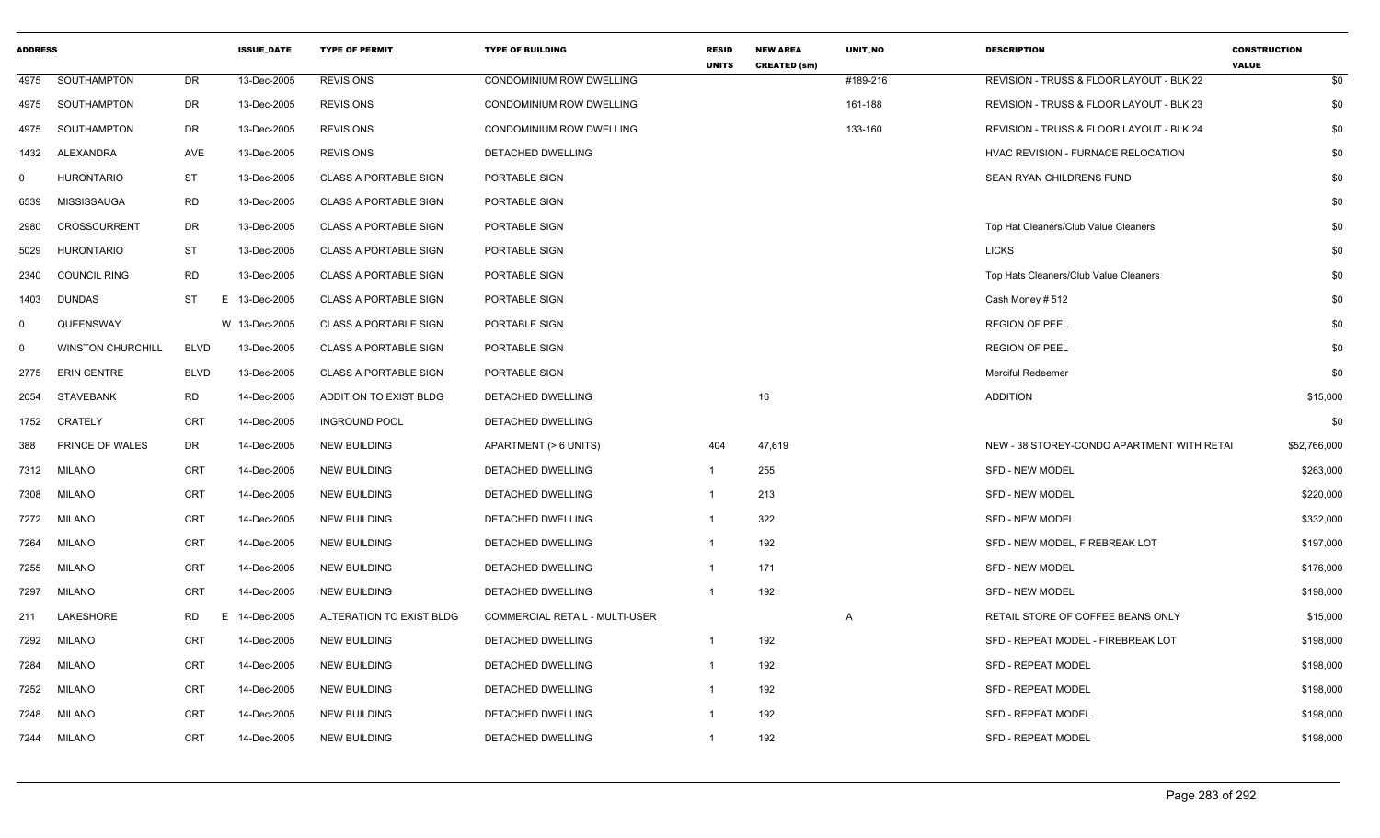| <b>ADDRESS</b> |                          |             | <b>ISSUE_DATE</b> | <b>TYPE OF PERMIT</b>        | <b>TYPE OF BUILDING</b>        | <b>RESID</b><br><b>UNITS</b> | <b>NEW AREA</b><br><b>CREATED (sm)</b> | UNIT_NO        | <b>DESCRIPTION</b>                          | <b>CONSTRUCTION</b><br><b>VALUE</b> |
|----------------|--------------------------|-------------|-------------------|------------------------------|--------------------------------|------------------------------|----------------------------------------|----------------|---------------------------------------------|-------------------------------------|
|                | 4975 SOUTHAMPTON         | DR          | 13-Dec-2005       | <b>REVISIONS</b>             | CONDOMINIUM ROW DWELLING       |                              |                                        | #189-216       | REVISION - TRUSS & FLOOR LAYOUT - BLK 22    | \$0                                 |
|                | 4975 SOUTHAMPTON         | DR          | 13-Dec-2005       | <b>REVISIONS</b>             | CONDOMINIUM ROW DWELLING       |                              |                                        | 161-188        | REVISION - TRUSS & FLOOR LAYOUT - BLK 23    | \$0                                 |
| 4975           | SOUTHAMPTON              | DR          | 13-Dec-2005       | <b>REVISIONS</b>             | CONDOMINIUM ROW DWELLING       |                              |                                        | 133-160        | REVISION - TRUSS & FLOOR LAYOUT - BLK 24    | \$0                                 |
| 1432           | ALEXANDRA                | AVE         | 13-Dec-2005       | <b>REVISIONS</b>             | DETACHED DWELLING              |                              |                                        |                | HVAC REVISION - FURNACE RELOCATION          | \$0                                 |
| $\Omega$       | <b>HURONTARIO</b>        | <b>ST</b>   | 13-Dec-2005       | <b>CLASS A PORTABLE SIGN</b> | PORTABLE SIGN                  |                              |                                        |                | SEAN RYAN CHILDRENS FUND                    | \$0                                 |
| 6539           | MISSISSAUGA              | <b>RD</b>   | 13-Dec-2005       | <b>CLASS A PORTABLE SIGN</b> | PORTABLE SIGN                  |                              |                                        |                |                                             | \$0                                 |
| 2980           | <b>CROSSCURRENT</b>      | DR          | 13-Dec-2005       | <b>CLASS A PORTABLE SIGN</b> | PORTABLE SIGN                  |                              |                                        |                | Top Hat Cleaners/Club Value Cleaners        | \$0                                 |
| 5029           | HURONTARIO               | ST          | 13-Dec-2005       | <b>CLASS A PORTABLE SIGN</b> | PORTABLE SIGN                  |                              |                                        |                | <b>LICKS</b>                                | \$0                                 |
| 2340           | <b>COUNCIL RING</b>      | <b>RD</b>   | 13-Dec-2005       | <b>CLASS A PORTABLE SIGN</b> | PORTABLE SIGN                  |                              |                                        |                | Top Hats Cleaners/Club Value Cleaners       | \$0                                 |
| 1403           | <b>DUNDAS</b>            | ST          | 13-Dec-2005<br>E. | <b>CLASS A PORTABLE SIGN</b> | PORTABLE SIGN                  |                              |                                        |                | Cash Money # 512                            | \$0                                 |
| $\Omega$       | QUEENSWAY                |             | W 13-Dec-2005     | <b>CLASS A PORTABLE SIGN</b> | PORTABLE SIGN                  |                              |                                        |                | <b>REGION OF PEEL</b>                       | \$0                                 |
| $\Omega$       | <b>WINSTON CHURCHILL</b> | <b>BLVD</b> | 13-Dec-2005       | <b>CLASS A PORTABLE SIGN</b> | PORTABLE SIGN                  |                              |                                        |                | <b>REGION OF PEEL</b>                       | \$0                                 |
|                | 2775 ERIN CENTRE         | <b>BLVD</b> | 13-Dec-2005       | <b>CLASS A PORTABLE SIGN</b> | PORTABLE SIGN                  |                              |                                        |                | Merciful Redeemer                           | \$0                                 |
| 2054           | STAVEBANK                | RD          | 14-Dec-2005       | ADDITION TO EXIST BLDG       | DETACHED DWELLING              |                              | 16                                     |                | <b>ADDITION</b>                             | \$15,000                            |
| 1752           | CRATELY                  | CRT         | 14-Dec-2005       | <b>INGROUND POOL</b>         | <b>DETACHED DWELLING</b>       |                              |                                        |                |                                             | \$0                                 |
| 388            | <b>PRINCE OF WALES</b>   | DR          | 14-Dec-2005       | <b>NEW BUILDING</b>          | APARTMENT (> 6 UNITS)          | 404                          | 47,619                                 |                | NEW - 38 STOREY-CONDO APARTMENT WITH RETAIL | \$52,766,000                        |
| 7312           | MILANO                   | CRT         | 14-Dec-2005       | <b>NEW BUILDING</b>          | DETACHED DWELLING              | -1                           | 255                                    |                | SFD - NEW MODEL                             | \$263,000                           |
| 7308           | <b>MILANO</b>            | CRT         | 14-Dec-2005       | <b>NEW BUILDING</b>          | DETACHED DWELLING              | -1                           | 213                                    |                | SFD - NEW MODEL                             | \$220,000                           |
| 7272           | <b>MILANO</b>            | CRT         | 14-Dec-2005       | <b>NEW BUILDING</b>          | DETACHED DWELLING              | -1                           | 322                                    |                | <b>SFD - NEW MODEL</b>                      | \$332,000                           |
| 7264           | MILANO                   | CRT         | 14-Dec-2005       | <b>NEW BUILDING</b>          | DETACHED DWELLING              |                              | 192                                    |                | SFD - NEW MODEL, FIREBREAK LOT              | \$197,000                           |
| 7255           | MILANO                   | CRT         | 14-Dec-2005       | <b>NEW BUILDING</b>          | DETACHED DWELLING              |                              | 171                                    |                | SFD - NEW MODEL                             | \$176,000                           |
| 7297           | <b>MILANO</b>            | CRT         | 14-Dec-2005       | <b>NEW BUILDING</b>          | DETACHED DWELLING              | -1                           | 192                                    |                | SFD - NEW MODEL                             | \$198,000                           |
| 211            | LAKESHORE                | <b>RD</b>   | Ε.<br>14-Dec-2005 | ALTERATION TO EXIST BLDG     | COMMERCIAL RETAIL - MULTI-USER |                              |                                        | $\overline{A}$ | RETAIL STORE OF COFFEE BEANS ONLY           | \$15,000                            |
| 7292           | <b>MILANO</b>            | CRT         | 14-Dec-2005       | <b>NEW BUILDING</b>          | DETACHED DWELLING              | $\overline{1}$               | 192                                    |                | SFD - REPEAT MODEL - FIREBREAK LOT          | \$198,000                           |
| 7284           | <b>MILANO</b>            | CRT         | 14-Dec-2005       | <b>NEW BUILDING</b>          | DETACHED DWELLING              | -1                           | 192                                    |                | <b>SFD - REPEAT MODEL</b>                   | \$198,000                           |
| 7252           | <b>MILANO</b>            | CRT         | 14-Dec-2005       | <b>NEW BUILDING</b>          | DETACHED DWELLING              |                              | 192                                    |                | <b>SFD - REPEAT MODEL</b>                   | \$198,000                           |
| 7248           | MILANO                   | CRT         | 14-Dec-2005       | <b>NEW BUILDING</b>          | DETACHED DWELLING              |                              | 192                                    |                | <b>SFD - REPEAT MODEL</b>                   | \$198,000                           |
|                | 7244 MILANO              | CRT         | 14-Dec-2005       | <b>NEW BUILDING</b>          | DETACHED DWELLING              | -1                           | 192                                    |                | SFD - REPEAT MODEL                          | \$198,000                           |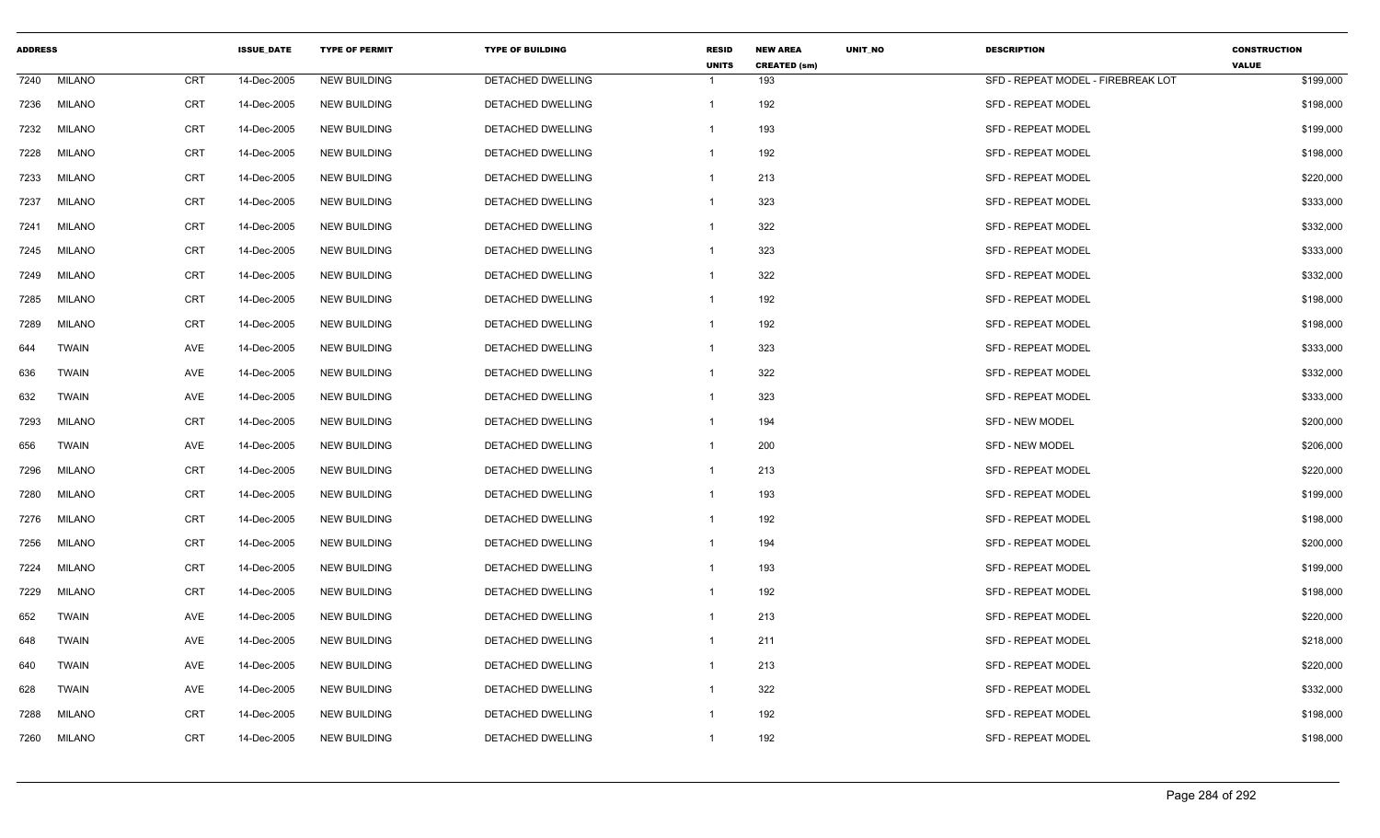| <b>ADDRESS</b> |               |            | <b>ISSUE DATE</b> | <b>TYPE OF PERMIT</b> | <b>TYPE OF BUILDING</b>  | <b>RESID</b><br><b>UNITS</b> | <b>NEW AREA</b><br><b>CREATED (sm)</b> | <b>UNIT NO</b> | <b>DESCRIPTION</b>                 | <b>CONSTRUCTION</b><br><b>VALUE</b> |
|----------------|---------------|------------|-------------------|-----------------------|--------------------------|------------------------------|----------------------------------------|----------------|------------------------------------|-------------------------------------|
| 7240           | <b>MILANO</b> | <b>CRT</b> | 14-Dec-2005       | <b>NEW BUILDING</b>   | <b>DETACHED DWELLING</b> | $\mathbf 1$                  | 193                                    |                | SFD - REPEAT MODEL - FIREBREAK LOT | \$199,000                           |
| 7236           | <b>MILANO</b> | <b>CRT</b> | 14-Dec-2005       | <b>NEW BUILDING</b>   | DETACHED DWELLING        | $\mathbf{1}$                 | 192                                    |                | <b>SFD - REPEAT MODEL</b>          | \$198,000                           |
| 7232           | MILANO        | <b>CRT</b> | 14-Dec-2005       | <b>NEW BUILDING</b>   | <b>DETACHED DWELLING</b> | -1                           | 193                                    |                | <b>SFD - REPEAT MODEL</b>          | \$199,000                           |
| 7228           | MILANO        | CRT        | 14-Dec-2005       | <b>NEW BUILDING</b>   | DETACHED DWELLING        | $\overline{1}$               | 192                                    |                | <b>SFD - REPEAT MODEL</b>          | \$198,000                           |
| 7233           | <b>MILANO</b> | <b>CRT</b> | 14-Dec-2005       | <b>NEW BUILDING</b>   | DETACHED DWELLING        | $\mathbf{1}$                 | 213                                    |                | <b>SFD - REPEAT MODEL</b>          | \$220,000                           |
| 7237           | MILANO        | <b>CRT</b> | 14-Dec-2005       | <b>NEW BUILDING</b>   | <b>DETACHED DWELLING</b> | $\mathbf 1$                  | 323                                    |                | <b>SFD - REPEAT MODEL</b>          | \$333,000                           |
| 7241           | MILANO        | <b>CRT</b> | 14-Dec-2005       | <b>NEW BUILDING</b>   | DETACHED DWELLING        | $\mathbf{1}$                 | 322                                    |                | <b>SFD - REPEAT MODEL</b>          | \$332,000                           |
| 7245           | MILANO        | <b>CRT</b> | 14-Dec-2005       | <b>NEW BUILDING</b>   | DETACHED DWELLING        | -1                           | 323                                    |                | <b>SFD - REPEAT MODEL</b>          | \$333,000                           |
| 7249           | <b>MILANO</b> | CRT        | 14-Dec-2005       | <b>NEW BUILDING</b>   | DETACHED DWELLING        | $\mathbf{1}$                 | 322                                    |                | <b>SFD - REPEAT MODEL</b>          | \$332,000                           |
| 7285           | MILANO        | CRT        | 14-Dec-2005       | <b>NEW BUILDING</b>   | DETACHED DWELLING        | $\mathbf{1}$                 | 192                                    |                | <b>SFD - REPEAT MODEL</b>          | \$198,000                           |
| 7289           | MILANO        | CRT        | 14-Dec-2005       | <b>NEW BUILDING</b>   | DETACHED DWELLING        | -1                           | 192                                    |                | <b>SFD - REPEAT MODEL</b>          | \$198,000                           |
| 644            | <b>TWAIN</b>  | AVE        | 14-Dec-2005       | <b>NEW BUILDING</b>   | <b>DETACHED DWELLING</b> | -1                           | 323                                    |                | <b>SFD - REPEAT MODEL</b>          | \$333,000                           |
| 636            | <b>TWAIN</b>  | AVE        | 14-Dec-2005       | <b>NEW BUILDING</b>   | DETACHED DWELLING        | $\mathbf 1$                  | 322                                    |                | <b>SFD - REPEAT MODEL</b>          | \$332,000                           |
| 632            | <b>TWAIN</b>  | AVE        | 14-Dec-2005       | <b>NEW BUILDING</b>   | DETACHED DWELLING        | $\mathbf{1}$                 | 323                                    |                | <b>SFD - REPEAT MODEL</b>          | \$333,000                           |
| 7293           | <b>MILANO</b> | CRT        | 14-Dec-2005       | <b>NEW BUILDING</b>   | DETACHED DWELLING        | -1                           | 194                                    |                | SFD - NEW MODEL                    | \$200,000                           |
| 656            | <b>TWAIN</b>  | AVE        | 14-Dec-2005       | <b>NEW BUILDING</b>   | DETACHED DWELLING        | -1                           | 200                                    |                | SFD - NEW MODEL                    | \$206,000                           |
| 7296           | MILANO        | <b>CRT</b> | 14-Dec-2005       | <b>NEW BUILDING</b>   | <b>DETACHED DWELLING</b> | $\mathbf{1}$                 | 213                                    |                | <b>SFD - REPEAT MODEL</b>          | \$220,000                           |
| 7280           | MILANO        | <b>CRT</b> | 14-Dec-2005       | <b>NEW BUILDING</b>   | <b>DETACHED DWELLING</b> | $\mathbf{1}$                 | 193                                    |                | <b>SFD - REPEAT MODEL</b>          | \$199,000                           |
| 7276           | MILANO        | CRT        | 14-Dec-2005       | <b>NEW BUILDING</b>   | DETACHED DWELLING        | -1                           | 192                                    |                | <b>SFD - REPEAT MODEL</b>          | \$198,000                           |
| 7256           | MILANO        | CRT        | 14-Dec-2005       | <b>NEW BUILDING</b>   | DETACHED DWELLING        | $\mathbf{1}$                 | 194                                    |                | <b>SFD - REPEAT MODEL</b>          | \$200,000                           |
| 7224           | MILANO        | CRT        | 14-Dec-2005       | <b>NEW BUILDING</b>   | DETACHED DWELLING        | $\mathbf{1}$                 | 193                                    |                | <b>SFD - REPEAT MODEL</b>          | \$199,000                           |
| 7229           | MILANO        | CRT        | 14-Dec-2005       | <b>NEW BUILDING</b>   | DETACHED DWELLING        | -1                           | 192                                    |                | <b>SFD - REPEAT MODEL</b>          | \$198,000                           |
| 652            | <b>TWAIN</b>  | AVE        | 14-Dec-2005       | <b>NEW BUILDING</b>   | DETACHED DWELLING        | -1                           | 213                                    |                | <b>SFD - REPEAT MODEL</b>          | \$220,000                           |
| 648            | <b>TWAIN</b>  | AVE        | 14-Dec-2005       | <b>NEW BUILDING</b>   | DETACHED DWELLING        | $\mathbf 1$                  | 211                                    |                | <b>SFD - REPEAT MODEL</b>          | \$218,000                           |
| 640            | <b>TWAIN</b>  | AVE        | 14-Dec-2005       | <b>NEW BUILDING</b>   | DETACHED DWELLING        | $\overline{1}$               | 213                                    |                | <b>SFD - REPEAT MODEL</b>          | \$220,000                           |
| 628            | TWAIN         | AVE        | 14-Dec-2005       | <b>NEW BUILDING</b>   | DETACHED DWELLING        | -1                           | 322                                    |                | <b>SFD - REPEAT MODEL</b>          | \$332,000                           |
| 7288           | <b>MILANO</b> | <b>CRT</b> | 14-Dec-2005       | <b>NEW BUILDING</b>   | DETACHED DWELLING        | -1                           | 192                                    |                | SFD - REPEAT MODEL                 | \$198,000                           |
| 7260           | MILANO        | <b>CRT</b> | 14-Dec-2005       | <b>NEW BUILDING</b>   | DETACHED DWELLING        | $\overline{1}$               | 192                                    |                | <b>SFD - REPEAT MODEL</b>          | \$198,000                           |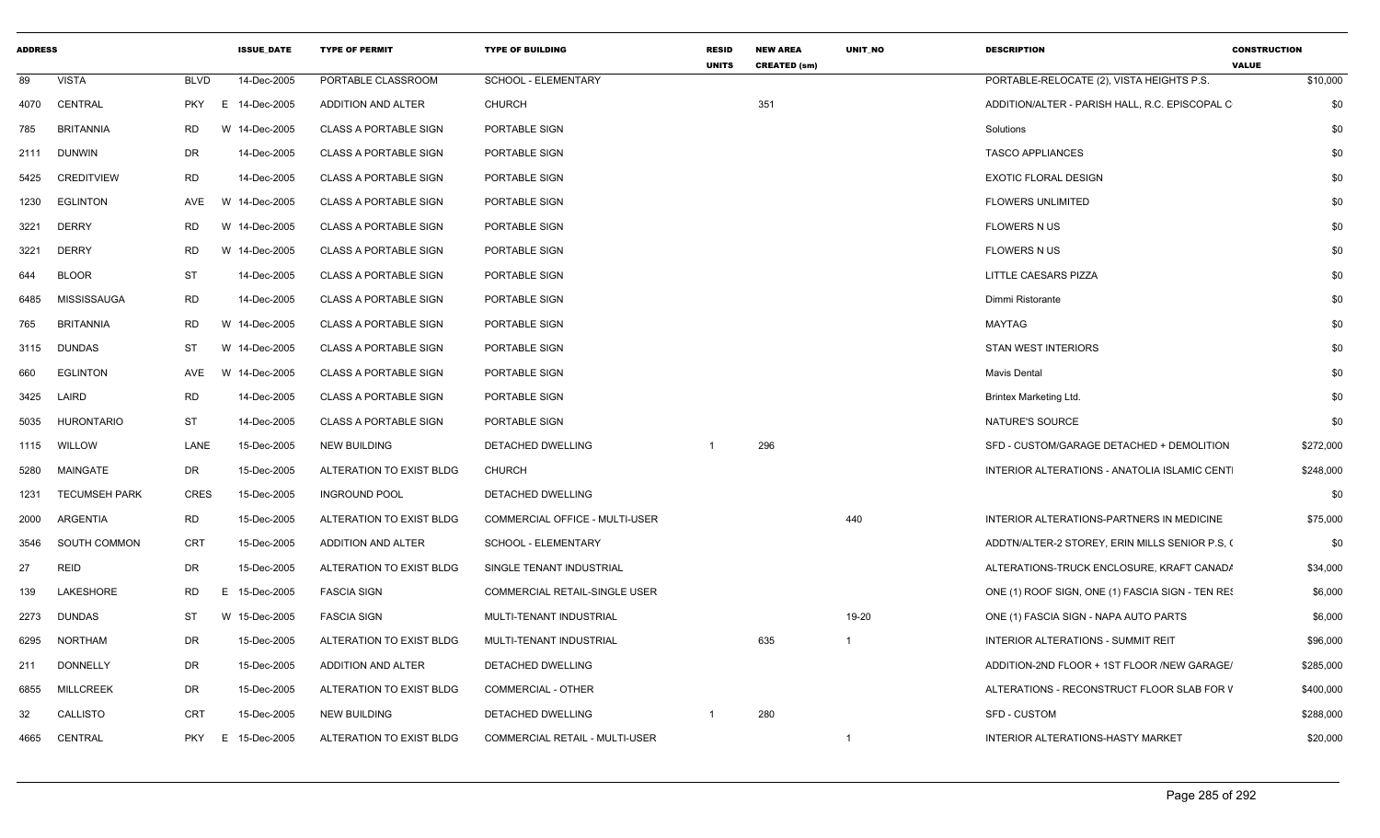| 89<br><b>VISTA</b><br><b>BLVD</b><br>14-Dec-2005<br>PORTABLE CLASSROOM<br>SCHOOL - ELEMENTARY<br>PORTABLE-RELOCATE (2), VISTA HEIGHTS P.S.<br>351<br>4070 CENTRAL<br>PKY E 14-Dec-2005<br>ADDITION AND ALTER<br><b>CHURCH</b><br>ADDITION/ALTER - PARISH HALL, R.C. EPISCOPAL C<br><b>BRITANNIA</b><br>W 14-Dec-2005<br><b>CLASS A PORTABLE SIGN</b><br>PORTABLE SIGN<br>785<br>RD.<br>Solutions<br><b>TASCO APPLIANCES</b><br>2111 DUNWIN<br>DR<br>14-Dec-2005<br><b>CLASS A PORTABLE SIGN</b><br>PORTABLE SIGN<br><b>RD</b><br>14-Dec-2005<br><b>CLASS A PORTABLE SIGN</b><br>PORTABLE SIGN<br><b>EXOTIC FLORAL DESIGN</b><br>CREDITVIEW<br>5425<br>1230 EGLINTON<br>AVE<br>W 14-Dec-2005<br><b>CLASS A PORTABLE SIGN</b><br>PORTABLE SIGN<br><b>FLOWERS UNLIMITED</b><br><b>RD</b><br>W 14-Dec-2005<br>PORTABLE SIGN<br>3221<br>DERRY<br><b>CLASS A PORTABLE SIGN</b><br><b>FLOWERS N US</b><br>W 14-Dec-2005<br>PORTABLE SIGN<br>3221<br><b>DERRY</b><br>RD.<br><b>CLASS A PORTABLE SIGN</b><br><b>FLOWERS N US</b><br>ST<br><b>BLOOR</b><br>14-Dec-2005<br><b>CLASS A PORTABLE SIGN</b><br>PORTABLE SIGN<br>LITTLE CAESARS PIZZA<br>644<br>MISSISSAUGA<br><b>RD</b><br>14-Dec-2005<br><b>CLASS A PORTABLE SIGN</b><br>PORTABLE SIGN<br>6485<br>Dimmi Ristorante<br>765<br><b>BRITANNIA</b><br>RD.<br>W 14-Dec-2005<br><b>CLASS A PORTABLE SIGN</b><br>PORTABLE SIGN<br>MAYTAG<br>3115 DUNDAS<br><b>ST</b><br>W 14-Dec-2005<br><b>CLASS A PORTABLE SIGN</b><br>PORTABLE SIGN<br>STAN WEST INTERIORS<br>W 14-Dec-2005<br><b>EGLINTON</b><br>AVE<br><b>CLASS A PORTABLE SIGN</b><br>PORTABLE SIGN<br>660<br>Mavis Dental<br>LAIRD<br><b>RD</b><br>3425<br>14-Dec-2005<br><b>CLASS A PORTABLE SIGN</b><br>PORTABLE SIGN<br><b>Brintex Marketing Ltd.</b><br>ST<br>5035 HURONTARIO<br>14-Dec-2005<br><b>CLASS A PORTABLE SIGN</b><br>PORTABLE SIGN<br>NATURE'S SOURCE<br>LANE<br>296<br>SFD - CUSTOM/GARAGE DETACHED + DEMOLITION<br>1115 WILLOW<br>15-Dec-2005<br><b>NEW BUILDING</b><br>DETACHED DWELLING |           |
|-------------------------------------------------------------------------------------------------------------------------------------------------------------------------------------------------------------------------------------------------------------------------------------------------------------------------------------------------------------------------------------------------------------------------------------------------------------------------------------------------------------------------------------------------------------------------------------------------------------------------------------------------------------------------------------------------------------------------------------------------------------------------------------------------------------------------------------------------------------------------------------------------------------------------------------------------------------------------------------------------------------------------------------------------------------------------------------------------------------------------------------------------------------------------------------------------------------------------------------------------------------------------------------------------------------------------------------------------------------------------------------------------------------------------------------------------------------------------------------------------------------------------------------------------------------------------------------------------------------------------------------------------------------------------------------------------------------------------------------------------------------------------------------------------------------------------------------------------------------------------------------------------------------------------------------------------------------------------------------------------------------|-----------|
|                                                                                                                                                                                                                                                                                                                                                                                                                                                                                                                                                                                                                                                                                                                                                                                                                                                                                                                                                                                                                                                                                                                                                                                                                                                                                                                                                                                                                                                                                                                                                                                                                                                                                                                                                                                                                                                                                                                                                                                                             | \$10,000  |
|                                                                                                                                                                                                                                                                                                                                                                                                                                                                                                                                                                                                                                                                                                                                                                                                                                                                                                                                                                                                                                                                                                                                                                                                                                                                                                                                                                                                                                                                                                                                                                                                                                                                                                                                                                                                                                                                                                                                                                                                             | \$0       |
|                                                                                                                                                                                                                                                                                                                                                                                                                                                                                                                                                                                                                                                                                                                                                                                                                                                                                                                                                                                                                                                                                                                                                                                                                                                                                                                                                                                                                                                                                                                                                                                                                                                                                                                                                                                                                                                                                                                                                                                                             | \$0       |
|                                                                                                                                                                                                                                                                                                                                                                                                                                                                                                                                                                                                                                                                                                                                                                                                                                                                                                                                                                                                                                                                                                                                                                                                                                                                                                                                                                                                                                                                                                                                                                                                                                                                                                                                                                                                                                                                                                                                                                                                             | \$0       |
|                                                                                                                                                                                                                                                                                                                                                                                                                                                                                                                                                                                                                                                                                                                                                                                                                                                                                                                                                                                                                                                                                                                                                                                                                                                                                                                                                                                                                                                                                                                                                                                                                                                                                                                                                                                                                                                                                                                                                                                                             | \$0       |
|                                                                                                                                                                                                                                                                                                                                                                                                                                                                                                                                                                                                                                                                                                                                                                                                                                                                                                                                                                                                                                                                                                                                                                                                                                                                                                                                                                                                                                                                                                                                                                                                                                                                                                                                                                                                                                                                                                                                                                                                             | \$0       |
|                                                                                                                                                                                                                                                                                                                                                                                                                                                                                                                                                                                                                                                                                                                                                                                                                                                                                                                                                                                                                                                                                                                                                                                                                                                                                                                                                                                                                                                                                                                                                                                                                                                                                                                                                                                                                                                                                                                                                                                                             | \$0       |
|                                                                                                                                                                                                                                                                                                                                                                                                                                                                                                                                                                                                                                                                                                                                                                                                                                                                                                                                                                                                                                                                                                                                                                                                                                                                                                                                                                                                                                                                                                                                                                                                                                                                                                                                                                                                                                                                                                                                                                                                             | \$0       |
|                                                                                                                                                                                                                                                                                                                                                                                                                                                                                                                                                                                                                                                                                                                                                                                                                                                                                                                                                                                                                                                                                                                                                                                                                                                                                                                                                                                                                                                                                                                                                                                                                                                                                                                                                                                                                                                                                                                                                                                                             | \$0       |
|                                                                                                                                                                                                                                                                                                                                                                                                                                                                                                                                                                                                                                                                                                                                                                                                                                                                                                                                                                                                                                                                                                                                                                                                                                                                                                                                                                                                                                                                                                                                                                                                                                                                                                                                                                                                                                                                                                                                                                                                             | \$0       |
|                                                                                                                                                                                                                                                                                                                                                                                                                                                                                                                                                                                                                                                                                                                                                                                                                                                                                                                                                                                                                                                                                                                                                                                                                                                                                                                                                                                                                                                                                                                                                                                                                                                                                                                                                                                                                                                                                                                                                                                                             | \$0       |
|                                                                                                                                                                                                                                                                                                                                                                                                                                                                                                                                                                                                                                                                                                                                                                                                                                                                                                                                                                                                                                                                                                                                                                                                                                                                                                                                                                                                                                                                                                                                                                                                                                                                                                                                                                                                                                                                                                                                                                                                             | \$0       |
|                                                                                                                                                                                                                                                                                                                                                                                                                                                                                                                                                                                                                                                                                                                                                                                                                                                                                                                                                                                                                                                                                                                                                                                                                                                                                                                                                                                                                                                                                                                                                                                                                                                                                                                                                                                                                                                                                                                                                                                                             | \$0       |
|                                                                                                                                                                                                                                                                                                                                                                                                                                                                                                                                                                                                                                                                                                                                                                                                                                                                                                                                                                                                                                                                                                                                                                                                                                                                                                                                                                                                                                                                                                                                                                                                                                                                                                                                                                                                                                                                                                                                                                                                             | \$0       |
|                                                                                                                                                                                                                                                                                                                                                                                                                                                                                                                                                                                                                                                                                                                                                                                                                                                                                                                                                                                                                                                                                                                                                                                                                                                                                                                                                                                                                                                                                                                                                                                                                                                                                                                                                                                                                                                                                                                                                                                                             | \$0       |
|                                                                                                                                                                                                                                                                                                                                                                                                                                                                                                                                                                                                                                                                                                                                                                                                                                                                                                                                                                                                                                                                                                                                                                                                                                                                                                                                                                                                                                                                                                                                                                                                                                                                                                                                                                                                                                                                                                                                                                                                             | \$272,000 |
| MAINGATE<br>DR<br>15-Dec-2005<br>ALTERATION TO EXIST BLDG<br><b>CHURCH</b><br>INTERIOR ALTERATIONS - ANATOLIA ISLAMIC CENT<br>5280                                                                                                                                                                                                                                                                                                                                                                                                                                                                                                                                                                                                                                                                                                                                                                                                                                                                                                                                                                                                                                                                                                                                                                                                                                                                                                                                                                                                                                                                                                                                                                                                                                                                                                                                                                                                                                                                          | \$248,000 |
| <b>CRES</b><br>15-Dec-2005<br><b>TECUMSEH PARK</b><br><b>INGROUND POOL</b><br>DETACHED DWELLING<br>1231                                                                                                                                                                                                                                                                                                                                                                                                                                                                                                                                                                                                                                                                                                                                                                                                                                                                                                                                                                                                                                                                                                                                                                                                                                                                                                                                                                                                                                                                                                                                                                                                                                                                                                                                                                                                                                                                                                     | \$0       |
| <b>RD</b><br>440<br>ARGENTIA<br>15-Dec-2005<br>ALTERATION TO EXIST BLDG<br>COMMERCIAL OFFICE - MULTI-USER<br>INTERIOR ALTERATIONS-PARTNERS IN MEDICINE<br>2000                                                                                                                                                                                                                                                                                                                                                                                                                                                                                                                                                                                                                                                                                                                                                                                                                                                                                                                                                                                                                                                                                                                                                                                                                                                                                                                                                                                                                                                                                                                                                                                                                                                                                                                                                                                                                                              | \$75,000  |
| CRT<br>SOUTH COMMON<br>15-Dec-2005<br><b>ADDITION AND ALTER</b><br>SCHOOL - ELEMENTARY<br>ADDTN/ALTER-2 STOREY, ERIN MILLS SENIOR P.S, (<br>3546                                                                                                                                                                                                                                                                                                                                                                                                                                                                                                                                                                                                                                                                                                                                                                                                                                                                                                                                                                                                                                                                                                                                                                                                                                                                                                                                                                                                                                                                                                                                                                                                                                                                                                                                                                                                                                                            | \$0       |
| <b>REID</b><br>DR<br>27<br>15-Dec-2005<br>ALTERATION TO EXIST BLDG<br>SINGLE TENANT INDUSTRIAL<br>ALTERATIONS-TRUCK ENCLOSURE, KRAFT CANAD/                                                                                                                                                                                                                                                                                                                                                                                                                                                                                                                                                                                                                                                                                                                                                                                                                                                                                                                                                                                                                                                                                                                                                                                                                                                                                                                                                                                                                                                                                                                                                                                                                                                                                                                                                                                                                                                                 | \$34,000  |
| LAKESHORE<br><b>RD</b><br>15-Dec-2005<br><b>FASCIA SIGN</b><br>COMMERCIAL RETAIL-SINGLE USER<br>139<br>E.<br>ONE (1) ROOF SIGN, ONE (1) FASCIA SIGN - TEN RES                                                                                                                                                                                                                                                                                                                                                                                                                                                                                                                                                                                                                                                                                                                                                                                                                                                                                                                                                                                                                                                                                                                                                                                                                                                                                                                                                                                                                                                                                                                                                                                                                                                                                                                                                                                                                                               | \$6,000   |
| W 15-Dec-2005<br><b>FASCIA SIGN</b><br>19-20<br>2273<br><b>DUNDAS</b><br>ST<br>MULTI-TENANT INDUSTRIAL<br>ONE (1) FASCIA SIGN - NAPA AUTO PARTS                                                                                                                                                                                                                                                                                                                                                                                                                                                                                                                                                                                                                                                                                                                                                                                                                                                                                                                                                                                                                                                                                                                                                                                                                                                                                                                                                                                                                                                                                                                                                                                                                                                                                                                                                                                                                                                             | \$6,000   |
| 635<br>NORTHAM<br>DR<br>15-Dec-2005<br>ALTERATION TO EXIST BLDG<br>6295<br>MULTI-TENANT INDUSTRIAL<br>INTERIOR ALTERATIONS - SUMMIT REIT<br>$\overline{1}$                                                                                                                                                                                                                                                                                                                                                                                                                                                                                                                                                                                                                                                                                                                                                                                                                                                                                                                                                                                                                                                                                                                                                                                                                                                                                                                                                                                                                                                                                                                                                                                                                                                                                                                                                                                                                                                  | \$96,000  |
| <b>DONNELLY</b><br>DR<br>15-Dec-2005<br>ADDITION AND ALTER<br>ADDITION-2ND FLOOR + 1ST FLOOR /NEW GARAGE/<br>211<br>DETACHED DWELLING                                                                                                                                                                                                                                                                                                                                                                                                                                                                                                                                                                                                                                                                                                                                                                                                                                                                                                                                                                                                                                                                                                                                                                                                                                                                                                                                                                                                                                                                                                                                                                                                                                                                                                                                                                                                                                                                       | \$285,000 |
| <b>MILLCREEK</b><br>DR<br>15-Dec-2005<br>ALTERATION TO EXIST BLDG<br><b>COMMERCIAL - OTHER</b><br>6855<br>ALTERATIONS - RECONSTRUCT FLOOR SLAB FOR V                                                                                                                                                                                                                                                                                                                                                                                                                                                                                                                                                                                                                                                                                                                                                                                                                                                                                                                                                                                                                                                                                                                                                                                                                                                                                                                                                                                                                                                                                                                                                                                                                                                                                                                                                                                                                                                        | \$400,000 |
| 32<br>CALLISTO<br>CRT<br>15-Dec-2005<br><b>NEW BUILDING</b><br>280<br>SFD - CUSTOM<br>DETACHED DWELLING<br>$\overline{1}$                                                                                                                                                                                                                                                                                                                                                                                                                                                                                                                                                                                                                                                                                                                                                                                                                                                                                                                                                                                                                                                                                                                                                                                                                                                                                                                                                                                                                                                                                                                                                                                                                                                                                                                                                                                                                                                                                   | \$288,000 |
| 15-Dec-2005<br>ALTERATION TO EXIST BLDG<br>COMMERCIAL RETAIL - MULTI-USER<br><b>INTERIOR ALTERATIONS-HASTY MARKET</b><br>4665 CENTRAL<br><b>PKY</b><br>E<br>-1                                                                                                                                                                                                                                                                                                                                                                                                                                                                                                                                                                                                                                                                                                                                                                                                                                                                                                                                                                                                                                                                                                                                                                                                                                                                                                                                                                                                                                                                                                                                                                                                                                                                                                                                                                                                                                              | \$20,000  |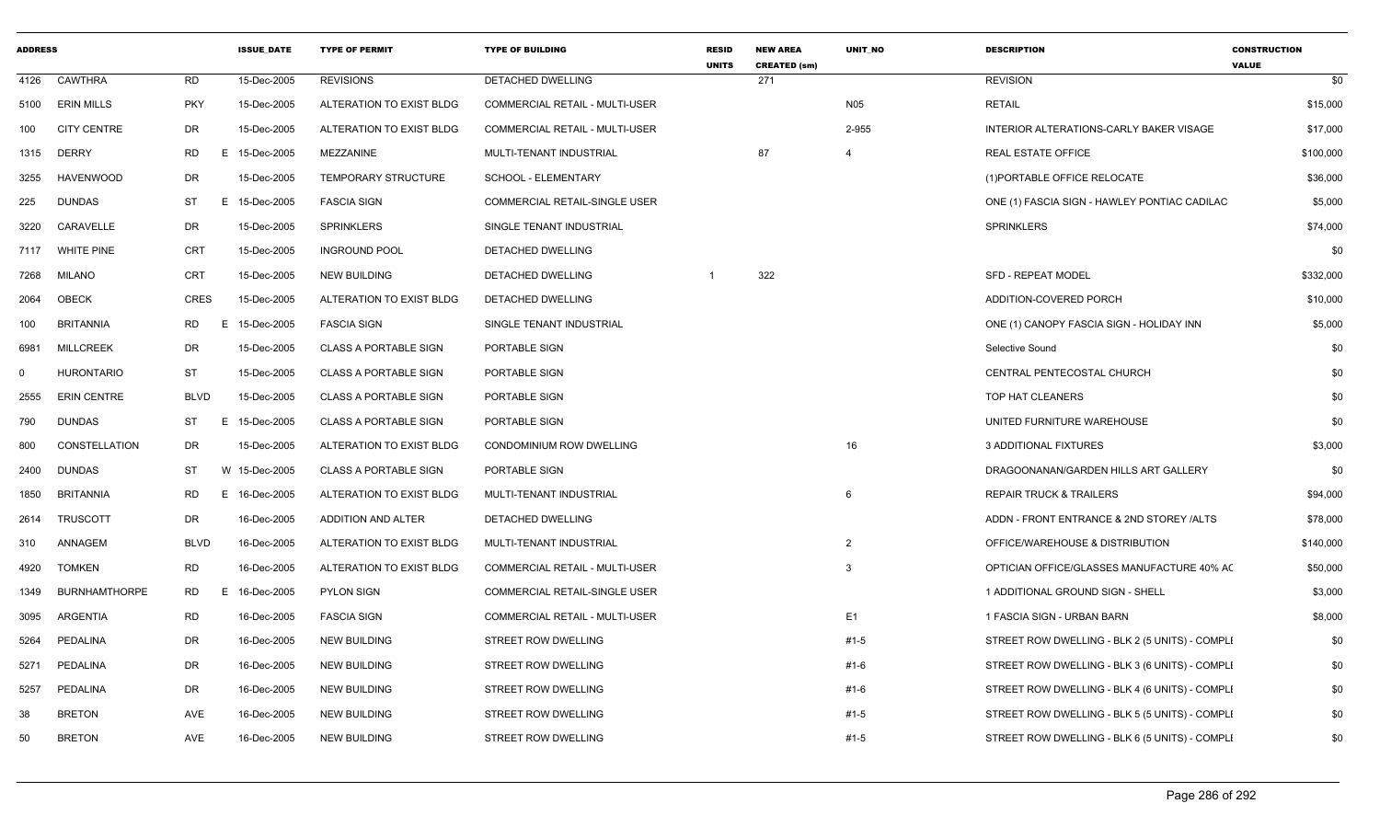| <b>ADDRESS</b> |                      |             | <b>ISSUE DATE</b> | <b>TYPE OF PERMIT</b>        | <b>TYPE OF BUILDING</b>               | <b>RESID</b><br><b>UNITS</b> | <b>NEW AREA</b><br><b>CREATED (sm)</b> | UNIT_NO        | <b>DESCRIPTION</b>                             | <b>CONSTRUCTION</b><br><b>VALUE</b> |
|----------------|----------------------|-------------|-------------------|------------------------------|---------------------------------------|------------------------------|----------------------------------------|----------------|------------------------------------------------|-------------------------------------|
| 4126           | CAWTHRA              | RD          | 15-Dec-2005       | <b>REVISIONS</b>             | <b>DETACHED DWELLING</b>              |                              | 271                                    |                | <b>REVISION</b>                                | \$0                                 |
| 5100           | <b>ERIN MILLS</b>    | <b>PKY</b>  | 15-Dec-2005       | ALTERATION TO EXIST BLDG     | COMMERCIAL RETAIL - MULTI-USER        |                              |                                        | <b>N05</b>     | <b>RETAIL</b>                                  | \$15,000                            |
| 100            | <b>CITY CENTRE</b>   | DR          | 15-Dec-2005       | ALTERATION TO EXIST BLDG     | <b>COMMERCIAL RETAIL - MULTI-USER</b> |                              |                                        | 2-955          | INTERIOR ALTERATIONS-CARLY BAKER VISAGE        | \$17,000                            |
| 1315           | <b>DERRY</b>         | RD          | E.<br>15-Dec-2005 | MEZZANINE                    | MULTI-TENANT INDUSTRIAL               |                              | 87                                     | $\overline{4}$ | <b>REAL ESTATE OFFICE</b>                      | \$100,000                           |
| 3255           | HAVENWOOD            | DR          | 15-Dec-2005       | <b>TEMPORARY STRUCTURE</b>   | <b>SCHOOL - ELEMENTARY</b>            |                              |                                        |                | (1) PORTABLE OFFICE RELOCATE                   | \$36,000                            |
| 225            | <b>DUNDAS</b>        | ST          | E 15-Dec-2005     | <b>FASCIA SIGN</b>           | <b>COMMERCIAL RETAIL-SINGLE USER</b>  |                              |                                        |                | ONE (1) FASCIA SIGN - HAWLEY PONTIAC CADILAC   | \$5,000                             |
| 3220           | CARAVELLE            | DR          | 15-Dec-2005       | <b>SPRINKLERS</b>            | SINGLE TENANT INDUSTRIAL              |                              |                                        |                | <b>SPRINKLERS</b>                              | \$74,000                            |
| 7117           | <b>WHITE PINE</b>    | CRT         | 15-Dec-2005       | <b>INGROUND POOL</b>         | DETACHED DWELLING                     |                              |                                        |                |                                                | \$0                                 |
| 7268           | MILANO               | CRT         | 15-Dec-2005       | NEW BUILDING                 | DETACHED DWELLING                     |                              | 322                                    |                | <b>SFD - REPEAT MODEL</b>                      | \$332,000                           |
| 2064           | OBECK                | <b>CRES</b> | 15-Dec-2005       | ALTERATION TO EXIST BLDG     | DETACHED DWELLING                     |                              |                                        |                | ADDITION-COVERED PORCH                         | \$10,000                            |
| 100            | <b>BRITANNIA</b>     | RD          | 15-Dec-2005<br>E. | <b>FASCIA SIGN</b>           | SINGLE TENANT INDUSTRIAL              |                              |                                        |                | ONE (1) CANOPY FASCIA SIGN - HOLIDAY INN       | \$5,000                             |
| 6981           | <b>MILLCREEK</b>     | DR          | 15-Dec-2005       | <b>CLASS A PORTABLE SIGN</b> | PORTABLE SIGN                         |                              |                                        |                | Selective Sound                                | \$0                                 |
| $\mathbf 0$    | HURONTARIO           | <b>ST</b>   | 15-Dec-2005       | <b>CLASS A PORTABLE SIGN</b> | PORTABLE SIGN                         |                              |                                        |                | CENTRAL PENTECOSTAL CHURCH                     | \$0                                 |
| 2555           | <b>ERIN CENTRE</b>   | <b>BLVD</b> | 15-Dec-2005       | <b>CLASS A PORTABLE SIGN</b> | PORTABLE SIGN                         |                              |                                        |                | TOP HAT CLEANERS                               | \$0                                 |
| 790            | <b>DUNDAS</b>        | ST          | E.<br>15-Dec-2005 | <b>CLASS A PORTABLE SIGN</b> | PORTABLE SIGN                         |                              |                                        |                | UNITED FURNITURE WAREHOUSE                     | \$0                                 |
| 800            | CONSTELLATION        | DR          | 15-Dec-2005       | ALTERATION TO EXIST BLDG     | CONDOMINIUM ROW DWELLING              |                              |                                        | 16             | 3 ADDITIONAL FIXTURES                          | \$3,000                             |
| 2400           | DUNDAS               | ST          | W 15-Dec-2005     | <b>CLASS A PORTABLE SIGN</b> | PORTABLE SIGN                         |                              |                                        |                | DRAGOONANAN/GARDEN HILLS ART GALLERY           | \$0                                 |
| 1850           | <b>BRITANNIA</b>     | RD          | Е<br>16-Dec-2005  | ALTERATION TO EXIST BLDG     | MULTI-TENANT INDUSTRIAL               |                              |                                        | 6              | <b>REPAIR TRUCK &amp; TRAILERS</b>             | \$94,000                            |
| 2614           | <b>TRUSCOTT</b>      | DR          | 16-Dec-2005       | ADDITION AND ALTER           | DETACHED DWELLING                     |                              |                                        |                | ADDN - FRONT ENTRANCE & 2ND STOREY /ALTS       | \$78,000                            |
| 310            | ANNAGEM              | <b>BLVD</b> | 16-Dec-2005       | ALTERATION TO EXIST BLDG     | MULTI-TENANT INDUSTRIAL               |                              |                                        | $\overline{2}$ | OFFICE/WAREHOUSE & DISTRIBUTION                | \$140,000                           |
| 4920           | <b>TOMKEN</b>        | RD          | 16-Dec-2005       | ALTERATION TO EXIST BLDG     | <b>COMMERCIAL RETAIL - MULTI-USER</b> |                              |                                        | 3              | OPTICIAN OFFICE/GLASSES MANUFACTURE 40% AC     | \$50,000                            |
| 1349           | <b>BURNHAMTHORPE</b> | RD          | Е<br>16-Dec-2005  | <b>PYLON SIGN</b>            | COMMERCIAL RETAIL-SINGLE USER         |                              |                                        |                | 1 ADDITIONAL GROUND SIGN - SHELL               | \$3,000                             |
| 3095           | ARGENTIA             | RD          | 16-Dec-2005       | <b>FASCIA SIGN</b>           | <b>COMMERCIAL RETAIL - MULTI-USER</b> |                              |                                        | E <sub>1</sub> | 1 FASCIA SIGN - URBAN BARN                     | \$8,000                             |
| 5264           | PEDALINA             | DR          | 16-Dec-2005       | NEW BUILDING                 | STREET ROW DWELLING                   |                              |                                        | #1-5           | STREET ROW DWELLING - BLK 2 (5 UNITS) - COMPLI | \$0                                 |
| 5271           | PEDALINA             | DR          | 16-Dec-2005       | <b>NEW BUILDING</b>          | STREET ROW DWELLING                   |                              |                                        | $#1-6$         | STREET ROW DWELLING - BLK 3 (6 UNITS) - COMPLI | \$0                                 |
| 5257           | PEDALINA             | DR          | 16-Dec-2005       | NEW BUILDING                 | STREET ROW DWELLING                   |                              |                                        | #1-6           | STREET ROW DWELLING - BLK 4 (6 UNITS) - COMPLI | \$0                                 |
| 38             | <b>BRETON</b>        | AVE         | 16-Dec-2005       | NEW BUILDING                 | STREET ROW DWELLING                   |                              |                                        | #1-5           | STREET ROW DWELLING - BLK 5 (5 UNITS) - COMPLI | \$0                                 |
| 50             | <b>BRETON</b>        | AVE         | 16-Dec-2005       | <b>NEW BUILDING</b>          | STREET ROW DWELLING                   |                              |                                        | #1-5           | STREET ROW DWELLING - BLK 6 (5 UNITS) - COMPLI | \$0                                 |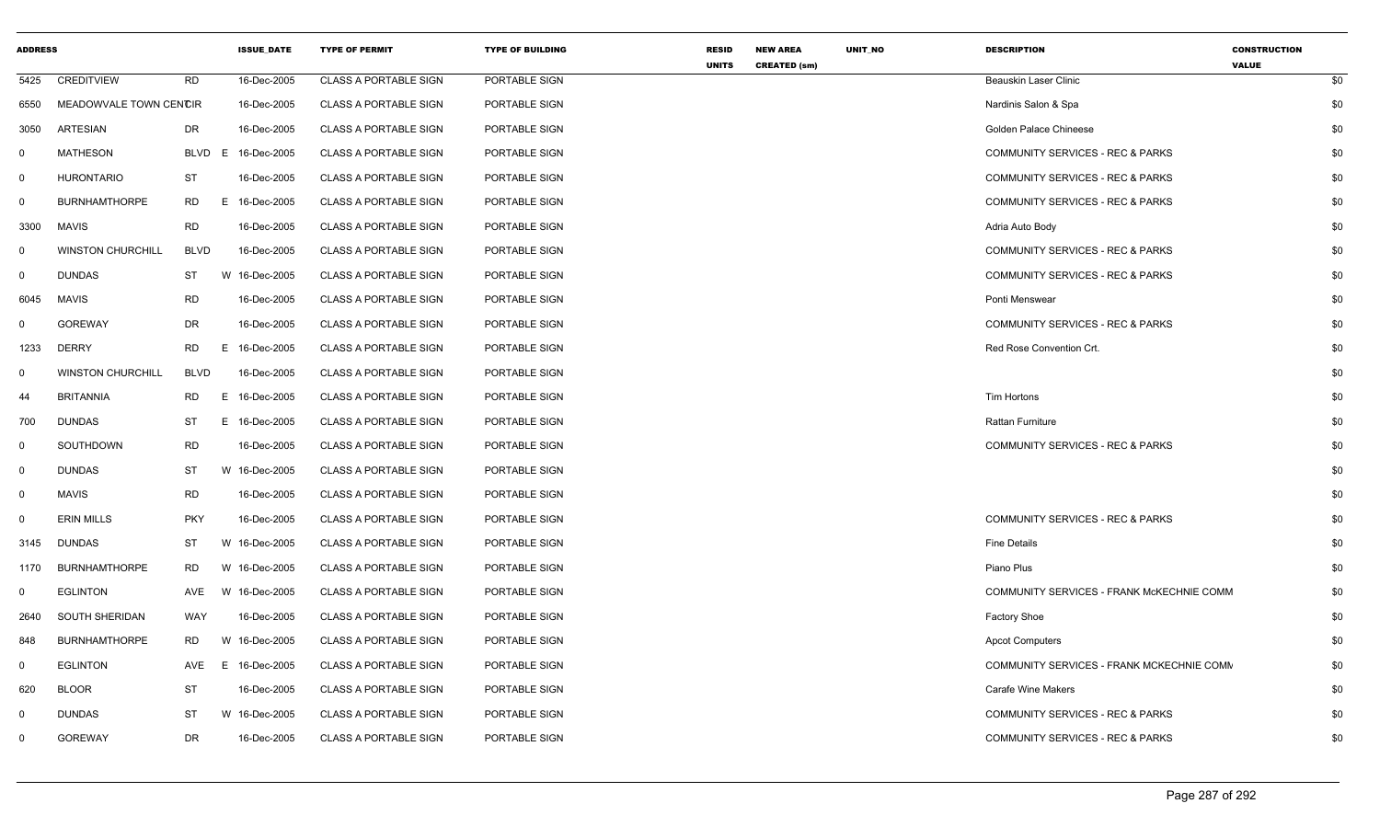| <b>ADDRESS</b> |                          |             | <b>ISSUE DATE</b> | <b>TYPE OF PERMIT</b>        | <b>TYPE OF BUILDING</b> | <b>RESID</b><br><b>UNITS</b> | <b>NEW AREA</b><br><b>CREATED (sm)</b> | UNIT_NO | <b>DESCRIPTION</b>                        | <b>CONSTRUCTION</b><br><b>VALUE</b> |     |
|----------------|--------------------------|-------------|-------------------|------------------------------|-------------------------|------------------------------|----------------------------------------|---------|-------------------------------------------|-------------------------------------|-----|
| 5425           | <b>CREDITVIEW</b>        | <b>RD</b>   | 16-Dec-2005       | <b>CLASS A PORTABLE SIGN</b> | PORTABLE SIGN           |                              |                                        |         | <b>Beauskin Laser Clinic</b>              |                                     | \$0 |
| 6550           | MEADOWVALE TOWN CENCIR   |             | 16-Dec-2005       | <b>CLASS A PORTABLE SIGN</b> | PORTABLE SIGN           |                              |                                        |         | Nardinis Salon & Spa                      |                                     | \$0 |
| 3050           | ARTESIAN                 | DR          | 16-Dec-2005       | <b>CLASS A PORTABLE SIGN</b> | PORTABLE SIGN           |                              |                                        |         | Golden Palace Chineese                    |                                     | \$0 |
| 0              | <b>MATHESON</b>          | <b>BLVD</b> | E<br>16-Dec-2005  | <b>CLASS A PORTABLE SIGN</b> | PORTABLE SIGN           |                              |                                        |         | COMMUNITY SERVICES - REC & PARKS          |                                     | \$0 |
| $\mathbf 0$    | <b>HURONTARIO</b>        | ST          | 16-Dec-2005       | <b>CLASS A PORTABLE SIGN</b> | PORTABLE SIGN           |                              |                                        |         | COMMUNITY SERVICES - REC & PARKS          |                                     | \$0 |
| $\mathbf 0$    | <b>BURNHAMTHORPE</b>     | <b>RD</b>   | E<br>16-Dec-2005  | <b>CLASS A PORTABLE SIGN</b> | PORTABLE SIGN           |                              |                                        |         | COMMUNITY SERVICES - REC & PARKS          |                                     | \$0 |
| 3300           | <b>MAVIS</b>             | <b>RD</b>   | 16-Dec-2005       | <b>CLASS A PORTABLE SIGN</b> | PORTABLE SIGN           |                              |                                        |         | Adria Auto Body                           |                                     | \$0 |
| 0              | <b>WINSTON CHURCHILL</b> | <b>BLVD</b> | 16-Dec-2005       | <b>CLASS A PORTABLE SIGN</b> | PORTABLE SIGN           |                              |                                        |         | COMMUNITY SERVICES - REC & PARKS          |                                     | \$0 |
| $\mathbf{0}$   | <b>DUNDAS</b>            | ST          | W 16-Dec-2005     | <b>CLASS A PORTABLE SIGN</b> | PORTABLE SIGN           |                              |                                        |         | COMMUNITY SERVICES - REC & PARKS          |                                     | \$0 |
| 6045           | <b>MAVIS</b>             | <b>RD</b>   | 16-Dec-2005       | <b>CLASS A PORTABLE SIGN</b> | PORTABLE SIGN           |                              |                                        |         | Ponti Menswear                            |                                     | \$0 |
| 0              | <b>GOREWAY</b>           | <b>DR</b>   | 16-Dec-2005       | <b>CLASS A PORTABLE SIGN</b> | PORTABLE SIGN           |                              |                                        |         | COMMUNITY SERVICES - REC & PARKS          |                                     | \$0 |
| 1233           | <b>DERRY</b>             | RD          | E.<br>16-Dec-2005 | <b>CLASS A PORTABLE SIGN</b> | PORTABLE SIGN           |                              |                                        |         | Red Rose Convention Crt.                  |                                     | \$0 |
| 0              | <b>WINSTON CHURCHILL</b> | <b>BLVD</b> | 16-Dec-2005       | <b>CLASS A PORTABLE SIGN</b> | PORTABLE SIGN           |                              |                                        |         |                                           |                                     | \$0 |
| 44             | <b>BRITANNIA</b>         | <b>RD</b>   | E<br>16-Dec-2005  | <b>CLASS A PORTABLE SIGN</b> | PORTABLE SIGN           |                              |                                        |         | Tim Hortons                               |                                     | \$0 |
| 700            | <b>DUNDAS</b>            | <b>ST</b>   | E.<br>16-Dec-2005 | <b>CLASS A PORTABLE SIGN</b> | PORTABLE SIGN           |                              |                                        |         | Rattan Furniture                          |                                     | \$0 |
| $\mathbf{0}$   | SOUTHDOWN                | <b>RD</b>   | 16-Dec-2005       | <b>CLASS A PORTABLE SIGN</b> | PORTABLE SIGN           |                              |                                        |         | COMMUNITY SERVICES - REC & PARKS          |                                     | \$0 |
| 0              | <b>DUNDAS</b>            | ST          | W 16-Dec-2005     | <b>CLASS A PORTABLE SIGN</b> | PORTABLE SIGN           |                              |                                        |         |                                           |                                     | \$0 |
| $\mathbf 0$    | <b>MAVIS</b>             | <b>RD</b>   | 16-Dec-2005       | <b>CLASS A PORTABLE SIGN</b> | PORTABLE SIGN           |                              |                                        |         |                                           |                                     | \$0 |
| 0              | <b>ERIN MILLS</b>        | <b>PKY</b>  | 16-Dec-2005       | <b>CLASS A PORTABLE SIGN</b> | PORTABLE SIGN           |                              |                                        |         | COMMUNITY SERVICES - REC & PARKS          |                                     | \$0 |
| 3145           | <b>DUNDAS</b>            | ST          | W 16-Dec-2005     | <b>CLASS A PORTABLE SIGN</b> | PORTABLE SIGN           |                              |                                        |         | <b>Fine Details</b>                       |                                     | \$0 |
| 1170           | <b>BURNHAMTHORPE</b>     | <b>RD</b>   | W 16-Dec-2005     | <b>CLASS A PORTABLE SIGN</b> | PORTABLE SIGN           |                              |                                        |         | Piano Plus                                |                                     | \$0 |
| 0              | <b>EGLINTON</b>          | AVE         | W 16-Dec-2005     | <b>CLASS A PORTABLE SIGN</b> | PORTABLE SIGN           |                              |                                        |         | COMMUNITY SERVICES - FRANK McKECHNIE COMM |                                     | \$0 |
| 2640           | <b>SOUTH SHERIDAN</b>    | WAY         | 16-Dec-2005       | <b>CLASS A PORTABLE SIGN</b> | PORTABLE SIGN           |                              |                                        |         | <b>Factory Shoe</b>                       |                                     | \$0 |
| 848            | <b>BURNHAMTHORPE</b>     | <b>RD</b>   | W<br>16-Dec-2005  | <b>CLASS A PORTABLE SIGN</b> | PORTABLE SIGN           |                              |                                        |         | <b>Apcot Computers</b>                    |                                     | \$0 |
| $\mathbf 0$    | <b>EGLINTON</b>          | AVE         | E.<br>16-Dec-2005 | <b>CLASS A PORTABLE SIGN</b> | PORTABLE SIGN           |                              |                                        |         | COMMUNITY SERVICES - FRANK MCKECHNIE COMN |                                     | \$0 |
| 620            | <b>BLOOR</b>             | ST          | 16-Dec-2005       | <b>CLASS A PORTABLE SIGN</b> | PORTABLE SIGN           |                              |                                        |         | Carafe Wine Makers                        |                                     | \$0 |
| $\Omega$       | <b>DUNDAS</b>            | <b>ST</b>   | W 16-Dec-2005     | <b>CLASS A PORTABLE SIGN</b> | PORTABLE SIGN           |                              |                                        |         | COMMUNITY SERVICES - REC & PARKS          |                                     | \$0 |
| 0              | <b>GOREWAY</b>           | <b>DR</b>   | 16-Dec-2005       | <b>CLASS A PORTABLE SIGN</b> | PORTABLE SIGN           |                              |                                        |         | COMMUNITY SERVICES - REC & PARKS          |                                     | \$0 |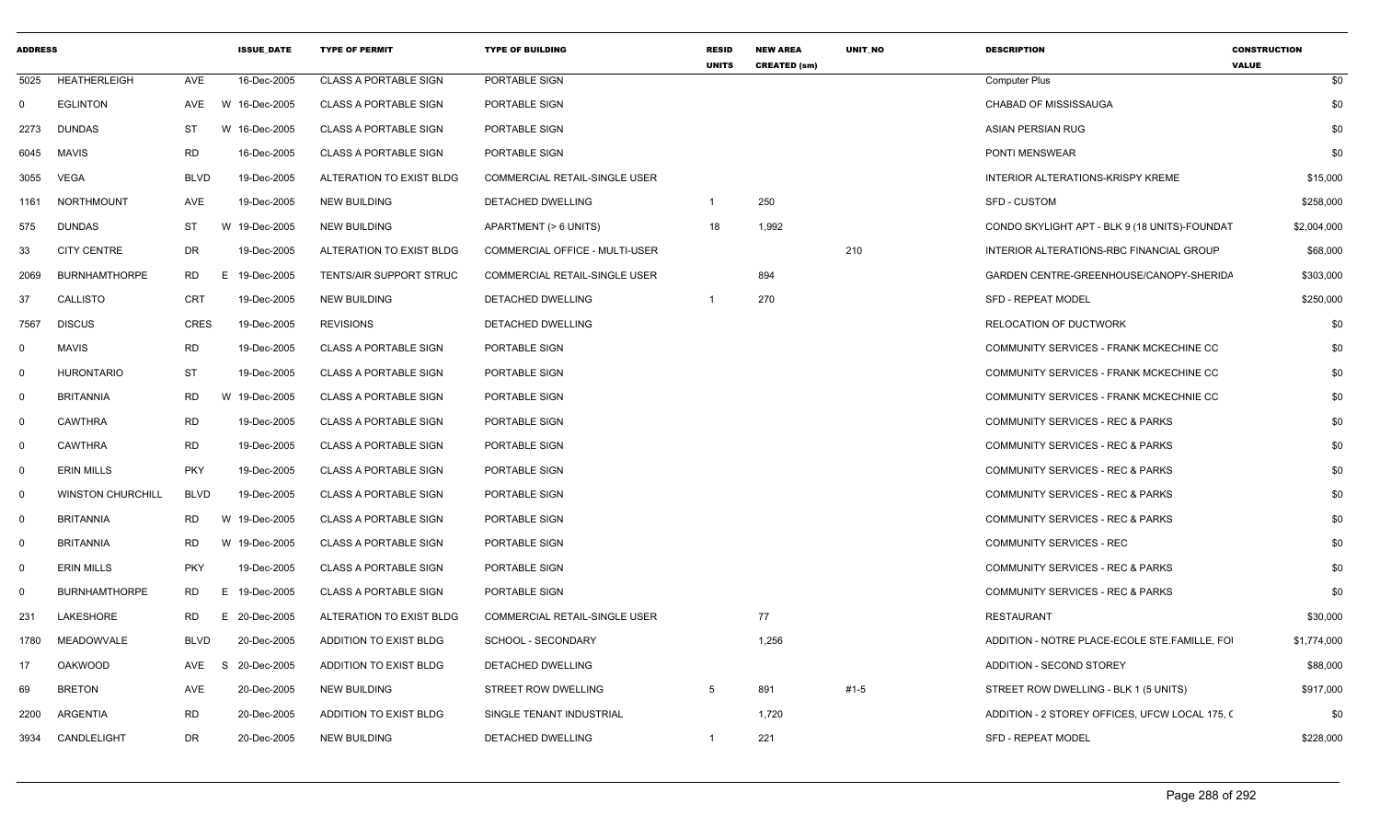| <b>ADDRESS</b> |                          |             | <b>ISSUE DATE</b> | <b>TYPE OF PERMIT</b>        | <b>TYPE OF BUILDING</b>        | <b>RESID</b><br><b>UNITS</b> | <b>NEW AREA</b><br><b>CREATED (sm)</b> | <b>UNIT NO</b> | <b>DESCRIPTION</b>                             | <b>CONSTRUCTION</b><br><b>VALUE</b> |
|----------------|--------------------------|-------------|-------------------|------------------------------|--------------------------------|------------------------------|----------------------------------------|----------------|------------------------------------------------|-------------------------------------|
| 5025           | HEATHERLEIGH             | AVE         | 16-Dec-2005       | <b>CLASS A PORTABLE SIGN</b> | PORTABLE SIGN                  |                              |                                        |                | <b>Computer Plus</b>                           | \$0                                 |
| $\Omega$       | <b>EGLINTON</b>          | AVE         | W 16-Dec-2005     | <b>CLASS A PORTABLE SIGN</b> | PORTABLE SIGN                  |                              |                                        |                | CHABAD OF MISSISSAUGA                          | \$0                                 |
| 2273           | <b>DUNDAS</b>            | ST<br>W     | 16-Dec-2005       | <b>CLASS A PORTABLE SIGN</b> | PORTABLE SIGN                  |                              |                                        |                | <b>ASIAN PERSIAN RUG</b>                       | \$0                                 |
| 6045           | MAVIS                    | RD          | 16-Dec-2005       | <b>CLASS A PORTABLE SIGN</b> | PORTABLE SIGN                  |                              |                                        |                | PONTI MENSWEAR                                 | \$0                                 |
| 3055           | VEGA                     | <b>BLVD</b> | 19-Dec-2005       | ALTERATION TO EXIST BLDG     | COMMERCIAL RETAIL-SINGLE USER  |                              |                                        |                | INTERIOR ALTERATIONS-KRISPY KREME              | \$15,000                            |
| 1161           | NORTHMOUNT               | AVE         | 19-Dec-2005       | <b>NEW BUILDING</b>          | DETACHED DWELLING              | $\overline{1}$               | 250                                    |                | <b>SFD - CUSTOM</b>                            | \$258,000                           |
| 575            | <b>DUNDAS</b>            | ST          | W 19-Dec-2005     | <b>NEW BUILDING</b>          | APARTMENT (> 6 UNITS)          | 18                           | 1,992                                  |                | CONDO SKYLIGHT APT - BLK 9 (18 UNITS)-FOUNDAT  | \$2,004,000                         |
| 33             | <b>CITY CENTRE</b>       | <b>DR</b>   | 19-Dec-2005       | ALTERATION TO EXIST BLDG     | COMMERCIAL OFFICE - MULTI-USER |                              |                                        | 210            | INTERIOR ALTERATIONS-RBC FINANCIAL GROUP       | \$68,000                            |
| 2069           | <b>BURNHAMTHORPE</b>     | RD          | E 19-Dec-2005     | TENTS/AIR SUPPORT STRUC      | COMMERCIAL RETAIL-SINGLE USER  |                              | 894                                    |                | GARDEN CENTRE-GREENHOUSE/CANOPY-SHERIDA        | \$303,000                           |
| 37             | <b>CALLISTO</b>          | CRT         | 19-Dec-2005       | <b>NEW BUILDING</b>          | DETACHED DWELLING              | $\overline{1}$               | 270                                    |                | <b>SFD - REPEAT MODEL</b>                      | \$250,000                           |
| 7567           | <b>DISCUS</b>            | CRES        | 19-Dec-2005       | <b>REVISIONS</b>             | DETACHED DWELLING              |                              |                                        |                | RELOCATION OF DUCTWORK                         | \$0                                 |
| $\Omega$       | <b>MAVIS</b>             | <b>RD</b>   | 19-Dec-2005       | <b>CLASS A PORTABLE SIGN</b> | PORTABLE SIGN                  |                              |                                        |                | COMMUNITY SERVICES - FRANK MCKECHINE CC        | \$0                                 |
| $\Omega$       | <b>HURONTARIO</b>        | ST          | 19-Dec-2005       | <b>CLASS A PORTABLE SIGN</b> | PORTABLE SIGN                  |                              |                                        |                | COMMUNITY SERVICES - FRANK MCKECHINE CC        | \$0                                 |
| $\Omega$       | BRITANNIA                | RD<br>W     | 19-Dec-2005       | <b>CLASS A PORTABLE SIGN</b> | PORTABLE SIGN                  |                              |                                        |                | COMMUNITY SERVICES - FRANK MCKECHNIE CC        | \$0                                 |
| $\Omega$       | <b>CAWTHRA</b>           | RD          | 19-Dec-2005       | <b>CLASS A PORTABLE SIGN</b> | PORTABLE SIGN                  |                              |                                        |                | COMMUNITY SERVICES - REC & PARKS               | \$0                                 |
| $\Omega$       | <b>CAWTHRA</b>           | RD          | 19-Dec-2005       | <b>CLASS A PORTABLE SIGN</b> | PORTABLE SIGN                  |                              |                                        |                | COMMUNITY SERVICES - REC & PARKS               | \$0                                 |
| $\Omega$       | <b>ERIN MILLS</b>        | <b>PKY</b>  | 19-Dec-2005       | <b>CLASS A PORTABLE SIGN</b> | PORTABLE SIGN                  |                              |                                        |                | COMMUNITY SERVICES - REC & PARKS               | \$0                                 |
| $\Omega$       | <b>WINSTON CHURCHILL</b> | <b>BLVD</b> | 19-Dec-2005       | <b>CLASS A PORTABLE SIGN</b> | PORTABLE SIGN                  |                              |                                        |                | COMMUNITY SERVICES - REC & PARKS               | \$0                                 |
| $\Omega$       | <b>BRITANNIA</b>         | RD          | W 19-Dec-2005     | <b>CLASS A PORTABLE SIGN</b> | PORTABLE SIGN                  |                              |                                        |                | <b>COMMUNITY SERVICES - REC &amp; PARKS</b>    | \$0                                 |
| $\Omega$       | <b>BRITANNIA</b>         | RD          | W 19-Dec-2005     | <b>CLASS A PORTABLE SIGN</b> | PORTABLE SIGN                  |                              |                                        |                | COMMUNITY SERVICES - REC                       | \$0                                 |
| $\Omega$       | <b>ERIN MILLS</b>        | <b>PKY</b>  | 19-Dec-2005       | <b>CLASS A PORTABLE SIGN</b> | PORTABLE SIGN                  |                              |                                        |                | COMMUNITY SERVICES - REC & PARKS               | \$0                                 |
| $\Omega$       | <b>BURNHAMTHORPE</b>     | <b>RD</b>   | E 19-Dec-2005     | <b>CLASS A PORTABLE SIGN</b> | PORTABLE SIGN                  |                              |                                        |                | COMMUNITY SERVICES - REC & PARKS               | \$0                                 |
| 231            | LAKESHORE                | RD<br>E.    | 20-Dec-2005       | ALTERATION TO EXIST BLDG     | COMMERCIAL RETAIL-SINGLE USER  |                              | 77                                     |                | <b>RESTAURANT</b>                              | \$30,000                            |
| 1780           | MEADOWVALE               | <b>BLVD</b> | 20-Dec-2005       | ADDITION TO EXIST BLDG       | SCHOOL - SECONDARY             |                              | 1,256                                  |                | ADDITION - NOTRE PLACE-ECOLE STE.FAMILLE, FOI  | \$1,774,000                         |
| 17             | <b>OAKWOOD</b>           | AVE<br>- S  | 20-Dec-2005       | ADDITION TO EXIST BLDG       | DETACHED DWELLING              |                              |                                        |                | ADDITION - SECOND STOREY                       | \$88,000                            |
| 69             | <b>BRETON</b>            | AVE         | 20-Dec-2005       | <b>NEW BUILDING</b>          | STREET ROW DWELLING            | 5                            | 891                                    | $#1-5$         | STREET ROW DWELLING - BLK 1 (5 UNITS)          | \$917,000                           |
| 2200           | ARGENTIA                 | <b>RD</b>   | 20-Dec-2005       | ADDITION TO EXIST BLDG       | SINGLE TENANT INDUSTRIAL       |                              | 1,720                                  |                | ADDITION - 2 STOREY OFFICES, UFCW LOCAL 175, 0 | \$0                                 |
|                | 3934 CANDLELIGHT         | <b>DR</b>   | 20-Dec-2005       | <b>NEW BUILDING</b>          | <b>DETACHED DWELLING</b>       | $\overline{1}$               | 221                                    |                | <b>SFD - REPEAT MODEL</b>                      | \$228,000                           |
|                |                          |             |                   |                              |                                |                              |                                        |                |                                                |                                     |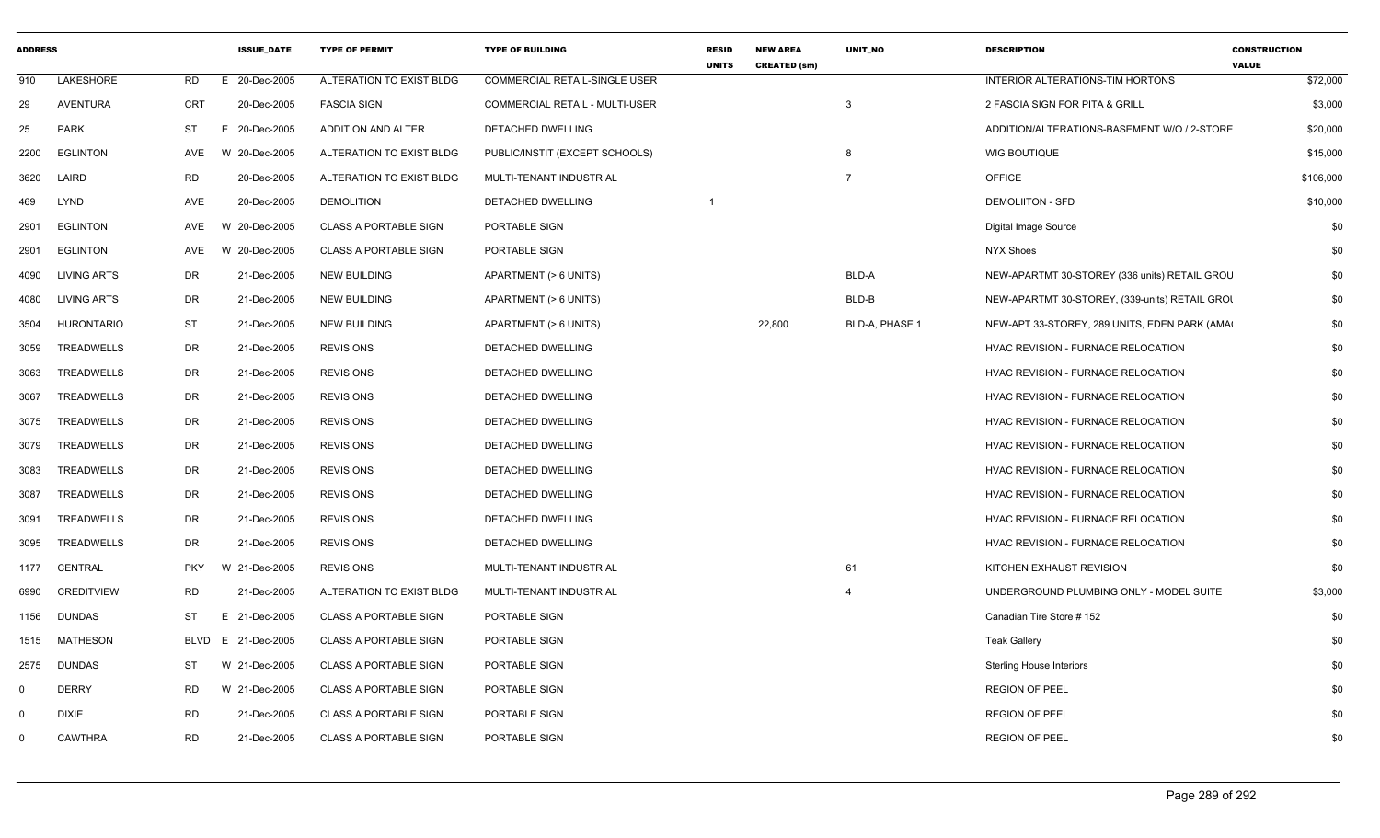| <b>ADDRESS</b> |                    |             | <b>ISSUE DATE</b> | <b>TYPE OF PERMIT</b>        | <b>TYPE OF BUILDING</b>              | <b>RESID</b><br><b>UNITS</b> | <b>NEW AREA</b><br><b>CREATED (sm)</b> | <b>UNIT NO</b> | <b>DESCRIPTION</b>                             | <b>CONSTRUCTION</b><br><b>VALUE</b> |
|----------------|--------------------|-------------|-------------------|------------------------------|--------------------------------------|------------------------------|----------------------------------------|----------------|------------------------------------------------|-------------------------------------|
| 910            | <b>LAKESHORE</b>   | <b>RD</b>   | 20-Dec-2005<br>E  | ALTERATION TO EXIST BLDG     | <b>COMMERCIAL RETAIL-SINGLE USER</b> |                              |                                        |                | INTERIOR ALTERATIONS-TIM HORTONS               | \$72,000                            |
| 29             | <b>AVENTURA</b>    | <b>CRT</b>  | 20-Dec-2005       | <b>FASCIA SIGN</b>           | COMMERCIAL RETAIL - MULTI-USER       |                              |                                        | $\mathbf{3}$   | 2 FASCIA SIGN FOR PITA & GRILL                 | \$3,000                             |
| 25             | <b>PARK</b>        | ST          | E 20-Dec-2005     | ADDITION AND ALTER           | DETACHED DWELLING                    |                              |                                        |                | ADDITION/ALTERATIONS-BASEMENT W/O / 2-STORE    | \$20,000                            |
| 2200           | <b>EGLINTON</b>    | AVE         | W 20-Dec-2005     | ALTERATION TO EXIST BLDG     | PUBLIC/INSTIT (EXCEPT SCHOOLS)       |                              |                                        | 8              | <b>WIG BOUTIQUE</b>                            | \$15,000                            |
| 3620           | LAIRD              | <b>RD</b>   | 20-Dec-2005       | ALTERATION TO EXIST BLDG     | MULTI-TENANT INDUSTRIAL              |                              |                                        | $\overline{7}$ | <b>OFFICE</b>                                  | \$106,000                           |
| 469            | LYND               | AVE         | 20-Dec-2005       | <b>DEMOLITION</b>            | DETACHED DWELLING                    |                              |                                        |                | <b>DEMOLIITON - SFD</b>                        | \$10,000                            |
| 2901           | <b>EGLINTON</b>    | AVE         | W 20-Dec-2005     | <b>CLASS A PORTABLE SIGN</b> | PORTABLE SIGN                        |                              |                                        |                | Digital Image Source                           | \$0                                 |
| 2901           | <b>EGLINTON</b>    | AVE         | W 20-Dec-2005     | <b>CLASS A PORTABLE SIGN</b> | PORTABLE SIGN                        |                              |                                        |                | <b>NYX Shoes</b>                               | \$0                                 |
| 4090           | <b>LIVING ARTS</b> | DR          | 21-Dec-2005       | <b>NEW BUILDING</b>          | APARTMENT (> 6 UNITS)                |                              |                                        | BLD-A          | NEW-APARTMT 30-STOREY (336 units) RETAIL GROU  | \$0                                 |
| 4080           | <b>LIVING ARTS</b> | <b>DR</b>   | 21-Dec-2005       | <b>NEW BUILDING</b>          | APARTMENT (> 6 UNITS)                |                              |                                        | BLD-B          | NEW-APARTMT 30-STOREY, (339-units) RETAIL GROI | \$0                                 |
| 3504           | <b>HURONTARIO</b>  | <b>ST</b>   | 21-Dec-2005       | <b>NEW BUILDING</b>          | APARTMENT (> 6 UNITS)                |                              | 22,800                                 | BLD-A, PHASE 1 | NEW-APT 33-STOREY, 289 UNITS, EDEN PARK (AMA)  | \$0                                 |
| 3059           | <b>TREADWELLS</b>  | <b>DR</b>   | 21-Dec-2005       | <b>REVISIONS</b>             | <b>DETACHED DWELLING</b>             |                              |                                        |                | <b>HVAC REVISION - FURNACE RELOCATION</b>      | \$0                                 |
| 3063           | TREADWELLS         | DR          | 21-Dec-2005       | <b>REVISIONS</b>             | DETACHED DWELLING                    |                              |                                        |                | HVAC REVISION - FURNACE RELOCATION             | \$0                                 |
| 3067           | <b>TREADWELLS</b>  | <b>DR</b>   | 21-Dec-2005       | <b>REVISIONS</b>             | DETACHED DWELLING                    |                              |                                        |                | HVAC REVISION - FURNACE RELOCATION             | \$0                                 |
| 3075           | TREADWELLS         | <b>DR</b>   | 21-Dec-2005       | <b>REVISIONS</b>             | DETACHED DWELLING                    |                              |                                        |                | HVAC REVISION - FURNACE RELOCATION             | \$0                                 |
| 3079           | TREADWELLS         | <b>DR</b>   | 21-Dec-2005       | <b>REVISIONS</b>             | DETACHED DWELLING                    |                              |                                        |                | HVAC REVISION - FURNACE RELOCATION             | \$0                                 |
| 3083           | TREADWELLS         | DR          | 21-Dec-2005       | <b>REVISIONS</b>             | DETACHED DWELLING                    |                              |                                        |                | HVAC REVISION - FURNACE RELOCATION             | \$0                                 |
| 3087           | TREADWELLS         | <b>DR</b>   | 21-Dec-2005       | <b>REVISIONS</b>             | DETACHED DWELLING                    |                              |                                        |                | HVAC REVISION - FURNACE RELOCATION             | \$0                                 |
| 3091           | TREADWELLS         | <b>DR</b>   | 21-Dec-2005       | <b>REVISIONS</b>             | DETACHED DWELLING                    |                              |                                        |                | HVAC REVISION - FURNACE RELOCATION             | \$0                                 |
| 3095           | TREADWELLS         | <b>DR</b>   | 21-Dec-2005       | <b>REVISIONS</b>             | DETACHED DWELLING                    |                              |                                        |                | HVAC REVISION - FURNACE RELOCATION             | \$0                                 |
| 1177           | <b>CENTRAL</b>     | <b>PKY</b>  | W 21-Dec-2005     | <b>REVISIONS</b>             | MULTI-TENANT INDUSTRIAL              |                              |                                        | 61             | KITCHEN EXHAUST REVISION                       | \$0                                 |
| 6990           | <b>CREDITVIEW</b>  | <b>RD</b>   | 21-Dec-2005       | ALTERATION TO EXIST BLDG     | MULTI-TENANT INDUSTRIAL              |                              |                                        | $\overline{a}$ | UNDERGROUND PLUMBING ONLY - MODEL SUITE        | \$3,000                             |
| 1156           | <b>DUNDAS</b>      | ST          | E 21-Dec-2005     | <b>CLASS A PORTABLE SIGN</b> | PORTABLE SIGN                        |                              |                                        |                | Canadian Tire Store #152                       | \$0                                 |
| 1515           | <b>MATHESON</b>    | <b>BLVD</b> | E 21-Dec-2005     | <b>CLASS A PORTABLE SIGN</b> | PORTABLE SIGN                        |                              |                                        |                | <b>Teak Gallery</b>                            | \$0                                 |
| 2575           | <b>DUNDAS</b>      | ST          | W 21-Dec-2005     | <b>CLASS A PORTABLE SIGN</b> | PORTABLE SIGN                        |                              |                                        |                | <b>Sterling House Interiors</b>                | \$0                                 |
| $\Omega$       | <b>DERRY</b>       | <b>RD</b>   | W 21-Dec-2005     | <b>CLASS A PORTABLE SIGN</b> | PORTABLE SIGN                        |                              |                                        |                | <b>REGION OF PEEL</b>                          | \$0                                 |
| $\Omega$       | <b>DIXIE</b>       | <b>RD</b>   | 21-Dec-2005       | <b>CLASS A PORTABLE SIGN</b> | PORTABLE SIGN                        |                              |                                        |                | <b>REGION OF PEEL</b>                          | \$0                                 |
| $\Omega$       | CAWTHRA            | <b>RD</b>   | 21-Dec-2005       | <b>CLASS A PORTABLE SIGN</b> | PORTABLE SIGN                        |                              |                                        |                | <b>REGION OF PEEL</b>                          | \$0                                 |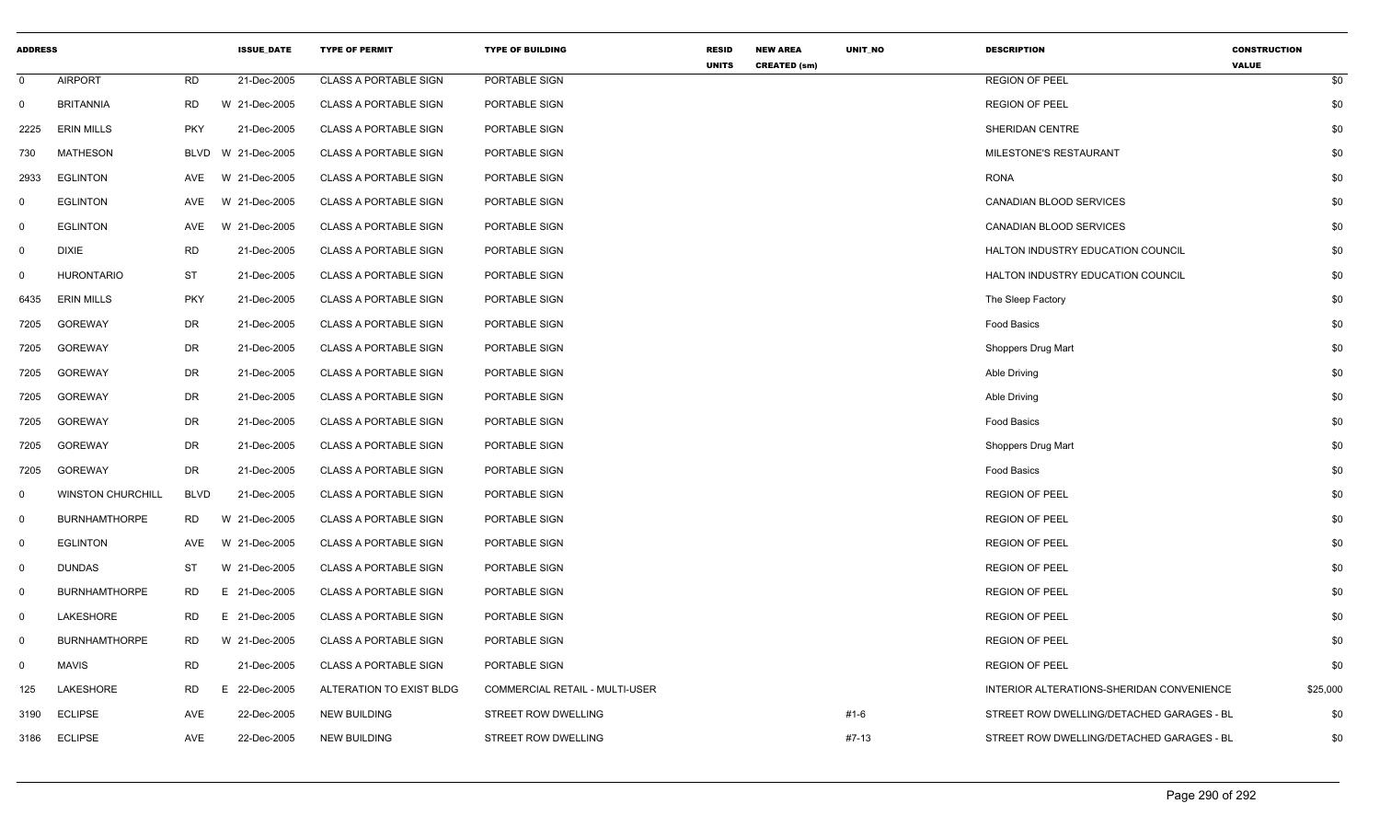| <b>ADDRESS</b> |                          |             | <b>ISSUE_DATE</b> | <b>TYPE OF PERMIT</b>        | <b>TYPE OF BUILDING</b>               | <b>RESID</b><br><b>UNITS</b> | <b>NEW AREA</b><br><b>CREATED (sm)</b> | UNIT_NO | <b>DESCRIPTION</b>                        | <b>CONSTRUCTION</b><br><b>VALUE</b> |  |
|----------------|--------------------------|-------------|-------------------|------------------------------|---------------------------------------|------------------------------|----------------------------------------|---------|-------------------------------------------|-------------------------------------|--|
| $\mathbf 0$    | <b>AIRPORT</b>           | <b>RD</b>   | 21-Dec-2005       | <b>CLASS A PORTABLE SIGN</b> | PORTABLE SIGN                         |                              |                                        |         | <b>REGION OF PEEL</b>                     | \$0                                 |  |
| $\mathbf 0$    | <b>BRITANNIA</b>         | <b>RD</b>   | W 21-Dec-2005     | <b>CLASS A PORTABLE SIGN</b> | PORTABLE SIGN                         |                              |                                        |         | <b>REGION OF PEEL</b>                     | \$0                                 |  |
| 2225           | <b>ERIN MILLS</b>        | <b>PKY</b>  | 21-Dec-2005       | <b>CLASS A PORTABLE SIGN</b> | PORTABLE SIGN                         |                              |                                        |         | SHERIDAN CENTRE                           | \$0                                 |  |
| 730            | <b>MATHESON</b>          | BLVD        | W 21-Dec-2005     | <b>CLASS A PORTABLE SIGN</b> | PORTABLE SIGN                         |                              |                                        |         | MILESTONE'S RESTAURANT                    | \$0                                 |  |
| 2933           | <b>EGLINTON</b>          | AVE         | W 21-Dec-2005     | <b>CLASS A PORTABLE SIGN</b> | PORTABLE SIGN                         |                              |                                        |         | <b>RONA</b>                               | \$0                                 |  |
| 0              | <b>EGLINTON</b>          | AVE         | W 21-Dec-2005     | <b>CLASS A PORTABLE SIGN</b> | PORTABLE SIGN                         |                              |                                        |         | CANADIAN BLOOD SERVICES                   | \$0                                 |  |
| $\mathbf{0}$   | <b>EGLINTON</b>          | AVE         | W 21-Dec-2005     | <b>CLASS A PORTABLE SIGN</b> | PORTABLE SIGN                         |                              |                                        |         | <b>CANADIAN BLOOD SERVICES</b>            | \$0                                 |  |
| $\mathbf 0$    | <b>DIXIE</b>             | <b>RD</b>   | 21-Dec-2005       | <b>CLASS A PORTABLE SIGN</b> | PORTABLE SIGN                         |                              |                                        |         | <b>HALTON INDUSTRY EDUCATION COUNCIL</b>  | \$0                                 |  |
| 0              | <b>HURONTARIO</b>        | ST          | 21-Dec-2005       | <b>CLASS A PORTABLE SIGN</b> | PORTABLE SIGN                         |                              |                                        |         | <b>HALTON INDUSTRY EDUCATION COUNCIL</b>  | \$0                                 |  |
| 6435           | <b>ERIN MILLS</b>        | <b>PKY</b>  | 21-Dec-2005       | <b>CLASS A PORTABLE SIGN</b> | PORTABLE SIGN                         |                              |                                        |         | The Sleep Factory                         | \$0                                 |  |
| 7205           | <b>GOREWAY</b>           | <b>DR</b>   | 21-Dec-2005       | <b>CLASS A PORTABLE SIGN</b> | PORTABLE SIGN                         |                              |                                        |         | Food Basics                               | \$0                                 |  |
| 7205           | <b>GOREWAY</b>           | <b>DR</b>   | 21-Dec-2005       | <b>CLASS A PORTABLE SIGN</b> | PORTABLE SIGN                         |                              |                                        |         | Shoppers Drug Mart                        | \$0                                 |  |
| 7205           | <b>GOREWAY</b>           | <b>DR</b>   | 21-Dec-2005       | <b>CLASS A PORTABLE SIGN</b> | PORTABLE SIGN                         |                              |                                        |         | Able Driving                              | \$0                                 |  |
| 7205           | <b>GOREWAY</b>           | <b>DR</b>   | 21-Dec-2005       | <b>CLASS A PORTABLE SIGN</b> | PORTABLE SIGN                         |                              |                                        |         | Able Driving                              | \$0                                 |  |
| 7205           | <b>GOREWAY</b>           | DR          | 21-Dec-2005       | <b>CLASS A PORTABLE SIGN</b> | PORTABLE SIGN                         |                              |                                        |         | Food Basics                               | \$0                                 |  |
| 7205           | <b>GOREWAY</b>           | <b>DR</b>   | 21-Dec-2005       | <b>CLASS A PORTABLE SIGN</b> | PORTABLE SIGN                         |                              |                                        |         | Shoppers Drug Mart                        | \$0                                 |  |
| 7205           | <b>GOREWAY</b>           | <b>DR</b>   | 21-Dec-2005       | <b>CLASS A PORTABLE SIGN</b> | PORTABLE SIGN                         |                              |                                        |         | Food Basics                               | \$0                                 |  |
| $\mathbf 0$    | <b>WINSTON CHURCHILL</b> | <b>BLVD</b> | 21-Dec-2005       | <b>CLASS A PORTABLE SIGN</b> | PORTABLE SIGN                         |                              |                                        |         | <b>REGION OF PEEL</b>                     | \$0                                 |  |
| $\mathbf{0}$   | <b>BURNHAMTHORPE</b>     | RD          | W 21-Dec-2005     | <b>CLASS A PORTABLE SIGN</b> | PORTABLE SIGN                         |                              |                                        |         | <b>REGION OF PEEL</b>                     | \$0                                 |  |
| $\mathbf{0}$   | <b>EGLINTON</b>          | AVE         | W 21-Dec-2005     | <b>CLASS A PORTABLE SIGN</b> | PORTABLE SIGN                         |                              |                                        |         | <b>REGION OF PEEL</b>                     | \$0                                 |  |
| $\overline{0}$ | <b>DUNDAS</b>            | ST          | W 21-Dec-2005     | <b>CLASS A PORTABLE SIGN</b> | PORTABLE SIGN                         |                              |                                        |         | <b>REGION OF PEEL</b>                     | \$0                                 |  |
| 0              | <b>BURNHAMTHORPE</b>     | <b>RD</b>   | E 21-Dec-2005     | <b>CLASS A PORTABLE SIGN</b> | PORTABLE SIGN                         |                              |                                        |         | <b>REGION OF PEEL</b>                     | \$0                                 |  |
| $\mathbf{0}$   | <b>LAKESHORE</b>         | RD          | E 21-Dec-2005     | <b>CLASS A PORTABLE SIGN</b> | PORTABLE SIGN                         |                              |                                        |         | <b>REGION OF PEEL</b>                     | \$0                                 |  |
| 0              | <b>BURNHAMTHORPE</b>     | <b>RD</b>   | W 21-Dec-2005     | <b>CLASS A PORTABLE SIGN</b> | PORTABLE SIGN                         |                              |                                        |         | <b>REGION OF PEEL</b>                     | \$0                                 |  |
| 0              | <b>MAVIS</b>             | <b>RD</b>   | 21-Dec-2005       | CLASS A PORTABLE SIGN        | PORTABLE SIGN                         |                              |                                        |         | <b>REGION OF PEEL</b>                     | \$0                                 |  |
| 125            | LAKESHORE                | <b>RD</b>   | E 22-Dec-2005     | ALTERATION TO EXIST BLDG     | <b>COMMERCIAL RETAIL - MULTI-USER</b> |                              |                                        |         | INTERIOR ALTERATIONS-SHERIDAN CONVENIENCE | \$25,000                            |  |
| 3190           | <b>ECLIPSE</b>           | <b>AVE</b>  | 22-Dec-2005       | <b>NEW BUILDING</b>          | STREET ROW DWELLING                   |                              |                                        | #1-6    | STREET ROW DWELLING/DETACHED GARAGES - BL | \$0                                 |  |
| 3186           | <b>ECLIPSE</b>           | AVE         | 22-Dec-2005       | <b>NEW BUILDING</b>          | <b>STREET ROW DWELLING</b>            |                              |                                        | #7-13   | STREET ROW DWELLING/DETACHED GARAGES - BL | \$0                                 |  |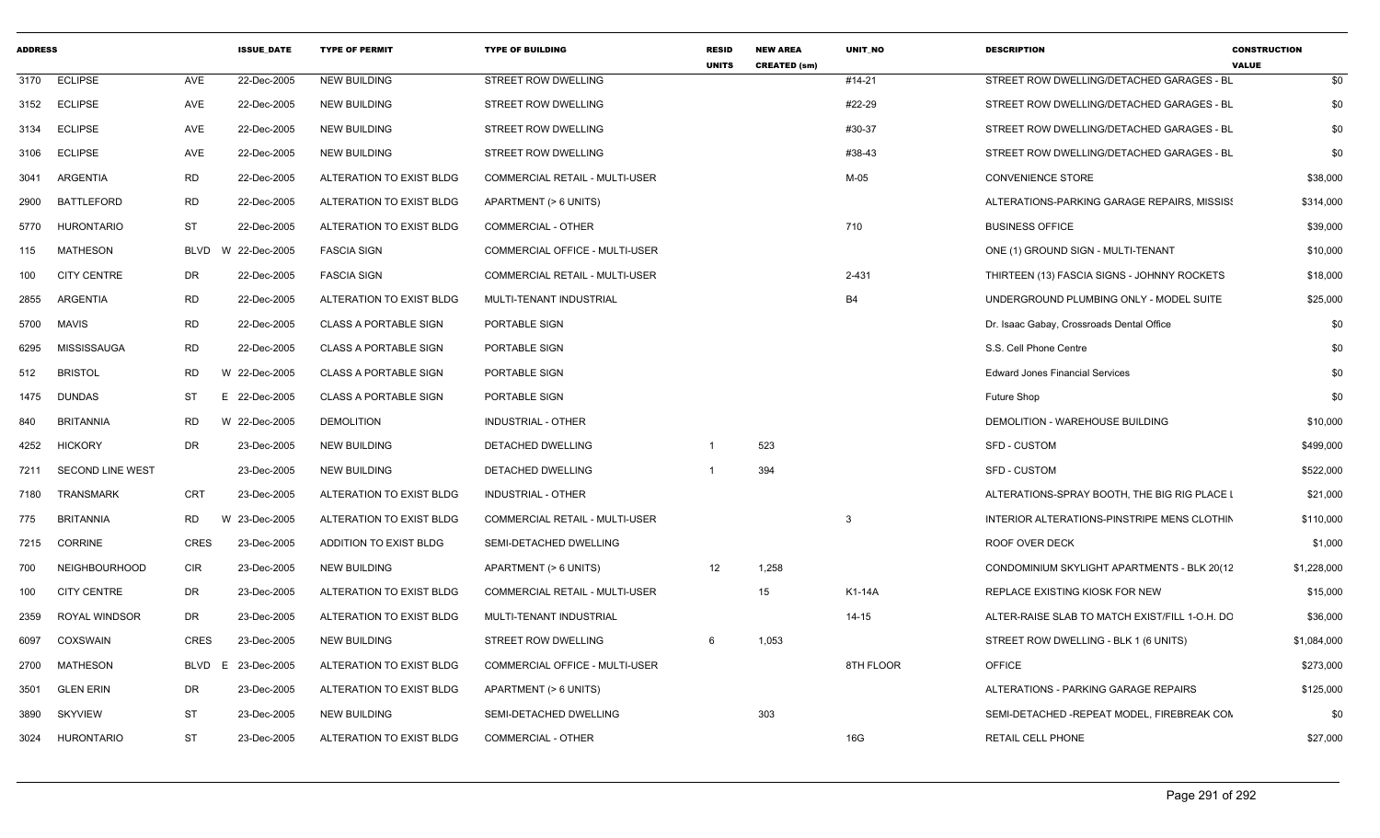| <b>ADDRESS</b> |                      |             | <b>ISSUE_DATE</b>  | <b>TYPE OF PERMIT</b>        | <b>TYPE OF BUILDING</b>               | <b>RESID</b><br><b>UNITS</b> | <b>NEW AREA</b><br><b>CREATED (sm)</b> | UNIT_NO        | <b>DESCRIPTION</b>                             | <b>CONSTRUCTION</b><br><b>VALUE</b> |
|----------------|----------------------|-------------|--------------------|------------------------------|---------------------------------------|------------------------------|----------------------------------------|----------------|------------------------------------------------|-------------------------------------|
|                | 3170 ECLIPSE         | AVE         | 22-Dec-2005        | <b>NEW BUILDING</b>          | <b>STREET ROW DWELLING</b>            |                              |                                        | #14-21         | STREET ROW DWELLING/DETACHED GARAGES - BL      | \$0                                 |
| 3152           | <b>ECLIPSE</b>       | AVE         | 22-Dec-2005        | <b>NEW BUILDING</b>          | STREET ROW DWELLING                   |                              |                                        | #22-29         | STREET ROW DWELLING/DETACHED GARAGES - BL      | \$0                                 |
| 3134           | <b>ECLIPSE</b>       | AVE         | 22-Dec-2005        | <b>NEW BUILDING</b>          | STREET ROW DWELLING                   |                              |                                        | #30-37         | STREET ROW DWELLING/DETACHED GARAGES - BL      | \$0                                 |
| 3106           | <b>ECLIPSE</b>       | AVE         | 22-Dec-2005        | NEW BUILDING                 | STREET ROW DWELLING                   |                              |                                        | #38-43         | STREET ROW DWELLING/DETACHED GARAGES - BL      | \$0                                 |
| 3041           | ARGENTIA             | RD          | 22-Dec-2005        | ALTERATION TO EXIST BLDG     | <b>COMMERCIAL RETAIL - MULTI-USER</b> |                              |                                        | $M-05$         | <b>CONVENIENCE STORE</b>                       | \$38,000                            |
| 2900           | <b>BATTLEFORD</b>    | RD          | 22-Dec-2005        | ALTERATION TO EXIST BLDG     | APARTMENT (> 6 UNITS)                 |                              |                                        |                | ALTERATIONS-PARKING GARAGE REPAIRS, MISSIS!    | \$314,000                           |
| 5770           | <b>HURONTARIO</b>    | ST          | 22-Dec-2005        | ALTERATION TO EXIST BLDG     | <b>COMMERCIAL - OTHER</b>             |                              |                                        | 710            | <b>BUSINESS OFFICE</b>                         | \$39,000                            |
| 115            | <b>MATHESON</b>      | BLVD        | W 22-Dec-2005      | <b>FASCIA SIGN</b>           | COMMERCIAL OFFICE - MULTI-USER        |                              |                                        |                | ONE (1) GROUND SIGN - MULTI-TENANT             | \$10,000                            |
| 100            | <b>CITY CENTRE</b>   | DR          | 22-Dec-2005        | <b>FASCIA SIGN</b>           | <b>COMMERCIAL RETAIL - MULTI-USER</b> |                              |                                        | 2-431          | THIRTEEN (13) FASCIA SIGNS - JOHNNY ROCKETS    | \$18,000                            |
| 2855           | ARGENTIA             | RD          | 22-Dec-2005        | ALTERATION TO EXIST BLDG     | MULTI-TENANT INDUSTRIAL               |                              |                                        | B <sub>4</sub> | UNDERGROUND PLUMBING ONLY - MODEL SUITE        | \$25,000                            |
| 5700           | MAVIS                | <b>RD</b>   | 22-Dec-2005        | <b>CLASS A PORTABLE SIGN</b> | PORTABLE SIGN                         |                              |                                        |                | Dr. Isaac Gabay, Crossroads Dental Office      | \$0                                 |
| 6295           | <b>MISSISSAUGA</b>   | RD          | 22-Dec-2005        | <b>CLASS A PORTABLE SIGN</b> | PORTABLE SIGN                         |                              |                                        |                | S.S. Cell Phone Centre                         | \$0                                 |
| 512            | <b>BRISTOL</b>       | RD          | W 22-Dec-2005      | <b>CLASS A PORTABLE SIGN</b> | PORTABLE SIGN                         |                              |                                        |                | <b>Edward Jones Financial Services</b>         | \$0                                 |
| 1475           | DUNDAS               | ST          | 22-Dec-2005        | <b>CLASS A PORTABLE SIGN</b> | PORTABLE SIGN                         |                              |                                        |                | Future Shop                                    | \$0                                 |
| 840            | <b>BRITANNIA</b>     | RD          | W 22-Dec-2005      | <b>DEMOLITION</b>            | INDUSTRIAL - OTHER                    |                              |                                        |                | DEMOLITION - WAREHOUSE BUILDING                | \$10,000                            |
| 4252           | <b>HICKORY</b>       | DR          | 23-Dec-2005        | <b>NEW BUILDING</b>          | DETACHED DWELLING                     |                              | 523                                    |                | <b>SFD - CUSTOM</b>                            | \$499,000                           |
| 7211           | SECOND LINE WEST     |             | 23-Dec-2005        | NEW BUILDING                 | DETACHED DWELLING                     |                              | 394                                    |                | SFD - CUSTOM                                   | \$522,000                           |
| 7180           | TRANSMARK            | CRT         | 23-Dec-2005        | ALTERATION TO EXIST BLDG     | INDUSTRIAL - OTHER                    |                              |                                        |                | ALTERATIONS-SPRAY BOOTH, THE BIG RIG PLACE I   | \$21,000                            |
| 775            | BRITANNIA            | RD          | W 23-Dec-2005      | ALTERATION TO EXIST BLDG     | COMMERCIAL RETAIL - MULTI-USER        |                              |                                        | 3              | INTERIOR ALTERATIONS-PINSTRIPE MENS CLOTHIN    | \$110,000                           |
| 7215           | CORRINE              | <b>CRES</b> | 23-Dec-2005        | ADDITION TO EXIST BLDG       | SEMI-DETACHED DWELLING                |                              |                                        |                | ROOF OVER DECK                                 | \$1,000                             |
| 700            | <b>NEIGHBOURHOOD</b> | CIR         | 23-Dec-2005        | NEW BUILDING                 | APARTMENT (> 6 UNITS)                 | 12                           | 1,258                                  |                | CONDOMINIUM SKYLIGHT APARTMENTS - BLK 20(12    | \$1,228,000                         |
| 100            | <b>CITY CENTRE</b>   | DR          | 23-Dec-2005        | ALTERATION TO EXIST BLDG     | COMMERCIAL RETAIL - MULTI-USER        |                              | 15                                     | K1-14A         | REPLACE EXISTING KIOSK FOR NEW                 | \$15,000                            |
| 2359           | <b>ROYAL WINDSOR</b> | DR          | 23-Dec-2005        | ALTERATION TO EXIST BLDG     | MULTI-TENANT INDUSTRIAL               |                              |                                        | $14 - 15$      | ALTER-RAISE SLAB TO MATCH EXIST/FILL 1-O.H. DC | \$36,000                            |
| 6097           | COXSWAIN             | <b>CRES</b> | 23-Dec-2005        | NEW BUILDING                 | <b>STREET ROW DWELLING</b>            | 6                            | 1,053                                  |                | STREET ROW DWELLING - BLK 1 (6 UNITS)          | \$1,084,000                         |
|                | 2700 MATHESON        |             | BLVD E 23-Dec-2005 | ALTERATION TO EXIST BLDG     | <b>COMMERCIAL OFFICE - MULTI-USER</b> |                              |                                        | 8TH FLOOR      | <b>OFFICE</b>                                  | \$273,000                           |
| 3501           | <b>GLEN ERIN</b>     | DR          | 23-Dec-2005        | ALTERATION TO EXIST BLDG     | APARTMENT (> 6 UNITS)                 |                              |                                        |                | ALTERATIONS - PARKING GARAGE REPAIRS           | \$125,000                           |
| 3890           | <b>SKYVIEW</b>       | ST          | 23-Dec-2005        | NEW BUILDING                 | SEMI-DETACHED DWELLING                |                              | 303                                    |                | SEMI-DETACHED -REPEAT MODEL, FIREBREAK CON     | \$0                                 |
|                | 3024 HURONTARIO      | ST          | 23-Dec-2005        | ALTERATION TO EXIST BLDG     | COMMERCIAL - OTHER                    |                              |                                        | 16G            | RETAIL CELL PHONE                              | \$27,000                            |